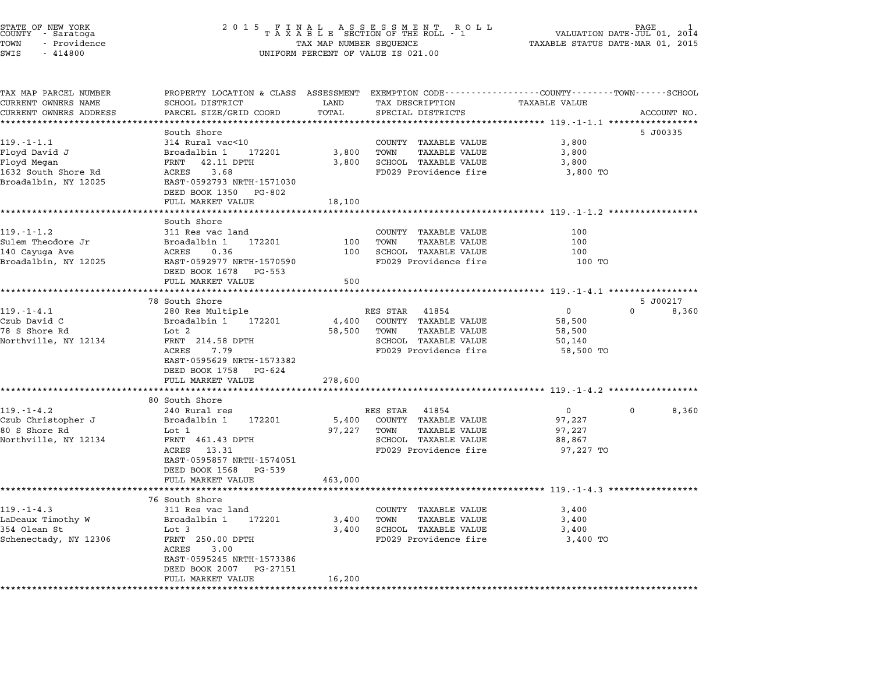| STATE OF NEW YORK<br>COUNTY - Saratoga |  | 2015 FINAL ASSESSMENT ROLL<br>TAXABLE SECTION OF THE ROLL - 1 | VALUATION DATE-JUL 01, 2014      | PAGE |  |
|----------------------------------------|--|---------------------------------------------------------------|----------------------------------|------|--|
| - Providence<br>TOWN                   |  | TAX MAP NUMBER SEQUENCE                                       | TAXABLE STATUS DATE-MAR 01, 2015 |      |  |
| SWIS<br>- 414800                       |  | UNIFORM PERCENT OF VALUE IS 021.00                            |                                  |      |  |

# STATE OF NEW YORK IS A REALL AS SESS MENT ROLL IN THE ROUND TO PAGE 1<br>COUNTY - Saratoga Islam Area TAXABLE SECTION OF THE ROLL - 1 WALUATION DATE-UUL 01, 2014<br>TOWN - Providence Islam Area TAXABLE STATUS DATE-MAR 01, 2015 STATE OF NEW YORK STATE OF NEW YORK COUNTY - Saratoga and the serve of the serve of the server of the server of<br>COUNTY - Saratoga and the server of the server of the server of the server of the server of value is 021.00<br>SW

| TAX MAP PARCEL NUMBER   | PROPERTY LOCATION & CLASS ASSESSMENT EXEMPTION CODE---------------COUNTY-------TOWN------SCHOOL |         |                              |                                                    |                      |
|-------------------------|-------------------------------------------------------------------------------------------------|---------|------------------------------|----------------------------------------------------|----------------------|
| CURRENT OWNERS NAME     | SCHOOL DISTRICT                                                                                 | LAND    | TAX DESCRIPTION              | <b>TAXABLE VALUE</b>                               |                      |
| CURRENT OWNERS ADDRESS  | PARCEL SIZE/GRID COORD                                                                          | TOTAL   | SPECIAL DISTRICTS            |                                                    | ACCOUNT NO.          |
| *********************** |                                                                                                 |         |                              |                                                    |                      |
|                         | South Shore                                                                                     |         |                              |                                                    | 5 J00335             |
| $119. - 1 - 1.1$        | 314 Rural vac<10                                                                                |         | COUNTY TAXABLE VALUE         | 3,800                                              |                      |
| Floyd David J           | Broadalbin 1<br>172201                                                                          | 3,800   | TOWN<br><b>TAXABLE VALUE</b> | 3,800                                              |                      |
| Floyd Megan             | FRNT<br>42.11 DPTH                                                                              | 3,800   | SCHOOL TAXABLE VALUE         | 3,800                                              |                      |
| 1632 South Shore Rd     | ACRES<br>3.68<br>EAST-0592793 NRTH-1571030                                                      |         | FD029 Providence fire        | 3,800 TO                                           |                      |
| Broadalbin, NY 12025    |                                                                                                 |         |                              |                                                    |                      |
|                         | DEED BOOK 1350<br>PG-802                                                                        |         |                              |                                                    |                      |
|                         | FULL MARKET VALUE                                                                               | 18,100  |                              |                                                    |                      |
|                         | South Shore                                                                                     |         |                              |                                                    |                      |
| $119. - 1 - 1.2$        | 311 Res vac land                                                                                |         | COUNTY TAXABLE VALUE         | 100                                                |                      |
| Sulem Theodore Jr       | Broadalbin 1<br>172201                                                                          | 100     | TOWN<br>TAXABLE VALUE        | 100                                                |                      |
| 140 Cayuga Ave          | ACRES<br>0.36                                                                                   | 100     | SCHOOL TAXABLE VALUE         | 100                                                |                      |
| Broadalbin, NY 12025    | EAST-0592977 NRTH-1570590                                                                       |         | FD029 Providence fire        | 100 TO                                             |                      |
|                         | DEED BOOK 1678<br>PG-553                                                                        |         |                              |                                                    |                      |
|                         | FULL MARKET VALUE                                                                               | 500     |                              |                                                    |                      |
|                         |                                                                                                 |         |                              |                                                    |                      |
|                         | 78 South Shore                                                                                  |         |                              |                                                    | 5 J00217             |
| $119. - 1 - 4.1$        | 280 Res Multiple                                                                                |         | RES STAR<br>41854            | $\mathbf 0$                                        | $\mathbf 0$<br>8,360 |
| Czub David C            | Broadalbin 1 172201                                                                             | 4,400   | COUNTY TAXABLE VALUE         | 58,500                                             |                      |
| 78 S Shore Rd           | Lot 2                                                                                           | 58,500  | TOWN<br><b>TAXABLE VALUE</b> | 58,500                                             |                      |
| Northville, NY 12134    | FRNT 214.58 DPTH                                                                                |         | SCHOOL TAXABLE VALUE         | 50,140                                             |                      |
|                         | <b>ACRES</b><br>7.79                                                                            |         | FD029 Providence fire        | 58,500 TO                                          |                      |
|                         | EAST-0595629 NRTH-1573382                                                                       |         |                              |                                                    |                      |
|                         | DEED BOOK 1758 PG-624                                                                           |         |                              |                                                    |                      |
|                         | FULL MARKET VALUE                                                                               | 278,600 |                              |                                                    |                      |
|                         |                                                                                                 |         |                              |                                                    |                      |
|                         | 80 South Shore                                                                                  |         |                              |                                                    |                      |
| $119. - 1 - 4.2$        | 240 Rural res                                                                                   |         | RES STAR 41854               | $\overline{0}$                                     | 8,360<br>$\Omega$    |
| Czub Christopher J      | 172201<br>Broadalbin 1                                                                          |         | 5,400 COUNTY TAXABLE VALUE   | 97,227                                             |                      |
| 80 S Shore Rd           | Lot 1                                                                                           | 97,227  | TOWN<br><b>TAXABLE VALUE</b> | 97,227                                             |                      |
| Northville, NY 12134    | FRNT 461.43 DPTH                                                                                |         | SCHOOL TAXABLE VALUE         | 88,867                                             |                      |
|                         | 13.31<br>ACRES                                                                                  |         | FD029 Providence fire        | 97,227 TO                                          |                      |
|                         | EAST-0595857 NRTH-1574051                                                                       |         |                              |                                                    |                      |
|                         | DEED BOOK 1568<br>PG-539                                                                        |         |                              |                                                    |                      |
|                         | FULL MARKET VALUE                                                                               | 463,000 |                              |                                                    |                      |
|                         | ********************                                                                            |         |                              | ************************** 119.-1-4.3 ************ |                      |
|                         | 76 South Shore                                                                                  |         |                              |                                                    |                      |
| $119. - 1 - 4.3$        | 311 Res vac land                                                                                |         | COUNTY TAXABLE VALUE         | 3,400                                              |                      |
| LaDeaux Timothy W       | 172201<br>Broadalbin 1                                                                          | 3,400   | TOWN<br>TAXABLE VALUE        | 3,400                                              |                      |
| 354 Olean St            | Lot 3                                                                                           | 3,400   | SCHOOL TAXABLE VALUE         | 3,400                                              |                      |
| Schenectady, NY 12306   | FRNT 250.00 DPTH                                                                                |         | FD029 Providence fire        | 3,400 TO                                           |                      |
|                         | ACRES<br>3.00<br>EAST-0595245 NRTH-1573386                                                      |         |                              |                                                    |                      |
|                         | DEED BOOK 2007<br>PG-27151                                                                      |         |                              |                                                    |                      |
|                         | FULL MARKET VALUE                                                                               | 16,200  |                              |                                                    |                      |
|                         |                                                                                                 |         |                              |                                                    |                      |
|                         |                                                                                                 |         |                              |                                                    |                      |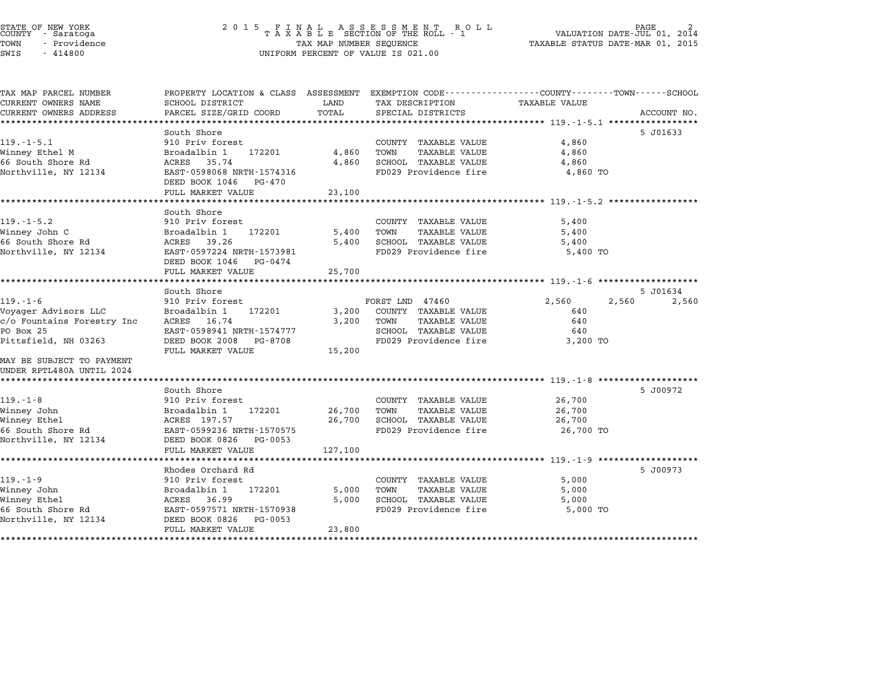# STATE OF NEW YORK <sup>2</sup> <sup>0</sup> <sup>1</sup> 5 F I N A L A S S E S S M E N T R O L L PAGE <sup>2</sup> COUNTY - Saratoga <sup>T</sup> <sup>A</sup> <sup>X</sup> <sup>A</sup> <sup>B</sup> <sup>L</sup> <sup>E</sup> SECTION OF THE ROLL - <sup>1</sup> VALUATION DATE-JUL 01, <sup>2014</sup> TOWN - Providence TAX MAP NUMBER SEQUENCE TAXABLE STATUS DATE-MAR 01, <sup>2015</sup> STATE OF NEW YORK<br>
COUNTY - Saratoga<br>
TOWN - Providence COUNTY - Providence COUNTY - Providence COUNTY - Providence<br>
TAX MAP NUMBER SEQUENCE<br>
SWIS - 414800 UNIFORM PERCENT OF VALUE IS 021.00

| TAX MAP PARCEL NUMBER      | PROPERTY LOCATION & CLASS ASSESSMENT EXEMPTION CODE---------------COUNTY-------TOWN-----SCHOOL |         |                             |                      |             |
|----------------------------|------------------------------------------------------------------------------------------------|---------|-----------------------------|----------------------|-------------|
| CURRENT OWNERS NAME        | SCHOOL DISTRICT                                                                                | LAND    | TAX DESCRIPTION             | <b>TAXABLE VALUE</b> |             |
| CURRENT OWNERS ADDRESS     | PARCEL SIZE/GRID COORD                                                                         | TOTAL   | SPECIAL DISTRICTS           |                      | ACCOUNT NO. |
|                            |                                                                                                |         |                             |                      |             |
|                            | South Shore                                                                                    |         |                             |                      | 5 J01633    |
| $119. -1 - 5.1$            | 910 Priv forest                                                                                |         | COUNTY TAXABLE VALUE        | 4,860                |             |
| Winney Ethel M             | Broadalbin 1<br>172201                                                                         | 4,860   | TOWN<br>TAXABLE VALUE       | 4,860                |             |
| 66 South Shore Rd          | ACRES 35.74                                                                                    | 4,860   | SCHOOL TAXABLE VALUE        | 4,860                |             |
| Northville, NY 12134       | EAST-0598068 NRTH-1574316<br>DEED BOOK 1046<br>PG-470                                          |         | FD029 Providence fire       | 4,860 TO             |             |
|                            | FULL MARKET VALUE                                                                              | 23,100  |                             |                      |             |
|                            |                                                                                                |         |                             |                      |             |
|                            | South Shore                                                                                    |         |                             |                      |             |
| $119. - 1 - 5.2$           | 910 Priv forest                                                                                |         | COUNTY TAXABLE VALUE        | 5,400                |             |
| Winney John C              | Broadalbin 1<br>172201                                                                         | 5,400   | TOWN<br>TAXABLE VALUE       | 5,400                |             |
| 66 South Shore Rd          | ACRES 39.26                                                                                    | 5,400   | SCHOOL TAXABLE VALUE        | 5,400                |             |
| Northville, NY 12134       | EAST-0597224 NRTH-1573981<br>DEED BOOK 1046<br>PG-0474                                         |         | FD029 Providence fire       | 5,400 TO             |             |
|                            | FULL MARKET VALUE                                                                              | 25,700  |                             |                      |             |
|                            | ***********************                                                                        |         |                             |                      |             |
|                            | South Shore                                                                                    |         |                             |                      | 5 J01634    |
| $119. - 1 - 6$             | 910 Priv forest                                                                                |         | FORST LND 47460             | 2,560<br>2,560       | 2,560       |
| Voyager Advisors LLC       | Broadalbin 1<br>172201                                                                         | 3,200   | COUNTY TAXABLE VALUE        | 640                  |             |
| c/o Fountains Forestry Inc | ACRES 16.74                                                                                    | 3,200   | TOWN<br>TAXABLE VALUE       | 640                  |             |
| PO Box 25                  | EAST-0598941 NRTH-1574777                                                                      |         | SCHOOL TAXABLE VALUE        | 640                  |             |
| Pittsfield, NH 03263       | DEED BOOK 2008 PG-8708                                                                         |         | FD029 Providence fire       | 3,200 TO             |             |
|                            | FULL MARKET VALUE                                                                              | 15,200  |                             |                      |             |
| MAY BE SUBJECT TO PAYMENT  |                                                                                                |         |                             |                      |             |
| UNDER RPTL480A UNTIL 2024  |                                                                                                |         |                             |                      |             |
|                            |                                                                                                |         |                             |                      |             |
|                            | South Shore                                                                                    |         |                             |                      | 5 J00972    |
| $119. - 1 - 8$             | 910 Priv forest                                                                                |         | COUNTY TAXABLE VALUE        | 26,700               |             |
| Winney John                | Broadalbin 1<br>172201                                                                         | 26,700  | TOWN<br>TAXABLE VALUE       | 26,700               |             |
| Winney Ethel               | ACRES 197.57                                                                                   |         | 26,700 SCHOOL TAXABLE VALUE | 26,700               |             |
| 66 South Shore Rd          | EAST-0599236 NRTH-1570575                                                                      |         | FD029 Providence fire       | 26,700 TO            |             |
| Northville, NY 12134       | DEED BOOK 0826<br>PG-0053                                                                      |         |                             |                      |             |
|                            | FULL MARKET VALUE                                                                              | 127,100 |                             |                      |             |
|                            |                                                                                                |         |                             |                      |             |
|                            | Rhodes Orchard Rd                                                                              |         |                             |                      | 5 J00973    |
| $119. - 1 - 9$             | 910 Priv forest                                                                                |         | COUNTY TAXABLE VALUE        | 5,000                |             |
| Winney John                | Broadalbin 1<br>172201                                                                         | 5,000   | TOWN<br>TAXABLE VALUE       | 5,000                |             |
| Winney Ethel               | ACRES 36.99                                                                                    | 5,000   | SCHOOL TAXABLE VALUE        | 5,000                |             |
| 66 South Shore Rd          | EAST-0597571 NRTH-1570938                                                                      |         | FD029 Providence fire       | 5,000 TO             |             |
| Northville, NY 12134       | DEED BOOK 0826<br>PG-0053                                                                      |         |                             |                      |             |
|                            | FULL MARKET VALUE                                                                              | 23,800  |                             |                      |             |
|                            |                                                                                                |         |                             |                      |             |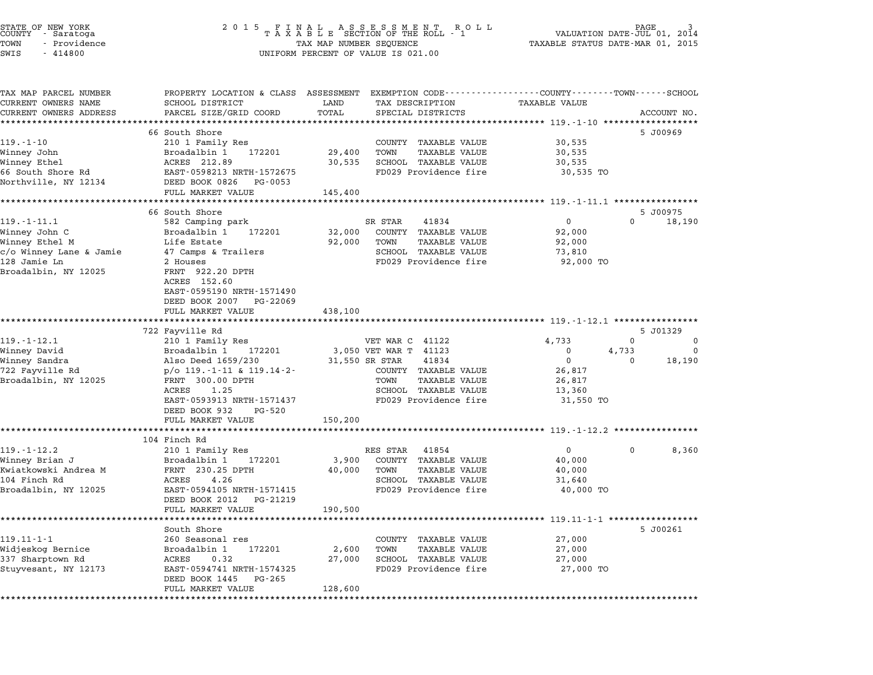|      | STATE OF NEW YORK |  |
|------|-------------------|--|
|      | COUNTY - Saratoga |  |
| TOWN | - Providence      |  |
|      |                   |  |

# end the NEW YORK (STATE OF NEW YORK)<br>2 0 1 5 F I N A L A S S E S S M E N T R O L L (PALUATION DATE-JUL 01, 2014)<br>COUNTY - Saratoga (2014) 2014 STATE OF NEW YORK GRANG AND RESULT A SUBSTITUTE OF NEW YORK TASH OF DAGE 13<br>COUNTY - Saratoga 1990 - SUBSTITUS OF TAXABLE STATUS DATE-MAR OF THE ROLL - 1<br>TOWN - Providence 1991, 2015 - TAXABLE STATUS DATE-MAR 01, 2015 COONTI - SATACOGA<br>TOWN - Providence<br>SWIS - 414800 UNIFORM PERCENT OF VALUE IS 021.00

TAX MAP PARCEL NUMBER PROPERTY LOCATION & CLASS ASSESSMENT EXEMPTION CODE------------------COUNTY--------TOWN------SCHOOL ...<br>-- COUNTY:- TAX MAP PARCEL NUMBER THE OCHOTRY AND THE CURRENT EXEMPTION CODE<br>CURRENT OWNERS NAME SCHOOL DISTRICT LAND TAX DESCRIPTION TAXABLE VALUE CURRENT OWNERS ADDRESS FOR SCHOOL DISTRICTS ASSESSEENT EXERT ON TAX MIT TO COOL TOTAL THAT THE CONDUCT THAT THE TRACEL SIZE/GRID TOTAL THAT THE TO TAXABLE VALUE THAT ACCOUNT NO.<br>CURRENT OWNERS ADDRESS PARCEL SIZE/GRID COOR 66 South Shore 5 J00969 119.-1-10 <sup>210</sup> <sup>1</sup> Family Res COUNTY TAXABLE VALUE 30,535 Winney John Broadalbin <sup>1</sup> <sup>172201</sup> 29,400 TOWN TAXABLE VALUE 30,535 Winney Ethel ACRES 212.89 30,535 SCHOOL TAXABLE VALUE 30,535 0.66 South Shore Shore (1980)<br>Minney Ethel (1980) ACRES 212.89<br>66 South Shore Rd (1982) EAST-0598213 NRTH-1572675 FD029 Providence fire 30,535 TO winney Echei<br>66 South Shore Rd<br>Northville, NY 12134 DEED BOOK 0826 PG-0053 EASI-0096215 NAIR-1072075<br>
DEED BOOK 0826 PG-0053<br>
FULL MARKET VALUE 145,400 \*\*\*\*\*\*\*\*\*\*\*\*\*\*\*\*\*\*\*\*\*\*\*\*\*\*\*\*\*\*\*\*\*\*\*\*\*\*\*\*\*\*\*\*\*\*\*\*\*\*\*\*\*\*\*\*\*\*\*\*\*\*\*\*\*\*\*\*\*\*\*\*\*\*\*\*\*\*\*\*\*\*\*\*\*\*\*\*\*\*\*\*\*\*\*\*\*\*\*\*\*\*\* 119.-1-11.1 \*\*\*\*\*\*\*\*\*\*\*\*\*\*\*\* 66 South Shore 5 J00975 11.1 11.1 1.1 1.1 1.1 5 5 100975<br>119.1-11.1 582 Camping park 5 16 South shore 5 5 2 Camping park 5 16 18,190 18,190 582 Camping park 6 199.190 Winney John C Broadalbin <sup>1</sup> <sup>172201</sup> 32,000 COUNTY TAXABLE VALUE 92,000 11.1 11.1 11.1 - 11.1 - 102 Camping park<br>Winney John Campion (Broadalbin 112201 12,000 COUNTY TAXABLE VALUE 92,000<br>Winney Ethel M Life Estate 92,000 TOWN TAXABLE VALUE 92,000 winney John Chromatic Mathematics of the Broad Bioad International Company of the Broad International Company<br>Winney Ethel M (Alle Estate 17 Camps & Trailers SCHOOL TAXABLE VALUE 73,810<br>C/O Winney Lane & Jamie 47 Camps & T winney Echer M 21,000 IOMN 1AAADDD VADOB<br>C/O Winney Lane & Jamie 47 Camps & Trailers SCHOOL TAXABLE VALUE 9 73,810<br>128 Jamie Ln 92,000 TO 29 Houses FD029 Providence fire 92,000 TO COMMINISTRATIVE STATES AND THE SERVICE STATES OF A SERVICE STATES AND A SERVICE STATES OF A SERVICE STATES OF<br>Broadalbin, NY 12025 FRNT 922.20 DPTH z nouses<br>FRNT 922.20<br>ACRES 152.60 FRNI - 322.20 DPIH<br>ACRES - 152.60<br>EAST-0595190 NRTH-1571490 EAST-0595190 NRTH-1571490<br>DEED BOOK 2007 PG-22069 DEED BOOK 2007 PG-22069<br>FULL MARKET VALUE 438,100 \*\*\*\*\*\*\*\*\*\*\*\*\*\*\*\*\*\*\*\*\*\*\*\*\*\*\*\*\*\*\*\*\*\*\*\*\*\*\*\*\*\*\*\*\*\*\*\*\*\*\*\*\*\*\*\*\*\*\*\*\*\*\*\*\*\*\*\*\*\*\*\*\*\*\*\*\*\*\*\*\*\*\*\*\*\*\*\*\*\*\*\*\*\*\*\*\*\*\*\*\*\*\* 119.-1-12.1 \*\*\*\*\*\*\*\*\*\*\*\*\*\*\*\* 722 Fayville Rd 5 J01329 119.-1-12.1 <sup>210</sup> <sup>1</sup> Family Res VET WAR C <sup>41122</sup> 4,733 <sup>0</sup> <sup>0</sup> Winney David Broadalbin <sup>1</sup> <sup>172201</sup> 3,050 VET WAR T <sup>41123</sup> <sup>0</sup> 4,733 <sup>0</sup> سام المسلم المسلم المسلم المسلم المسلم المسلم المسلم المسلم المسلم المسلم المسلم المسلم المسلم المسلم المسلم ا<br>1960 - Winney David (1659/230 11,550 VBT WAR T 41123 0 1,733 0 18,190<br>Minney Sandra <sup>722</sup> Fayville Rd p/o 119.-1-11 & 119.14-2- COUNTY TAXABLE VALUE 26,817 Broadalbin, NY <sup>12025</sup> FRNT 300.00 DPTH TOWN TAXABLE VALUE 26,817 ACRES 1.25 SCHOOL TAXABLE VALUE 13,360 EANT SUULUS DETIT<br>ACRES 1.25 SCHOOL TAXABLE VALUE 1981<br>EAST-0593913 NRTH-1571437 FD029 Providence fire 31,550 TO ACRES 1.25<br>EAST-0593913 NRTH-1571437 FULL MARKET VALUE 150,200 \*\*\*\*\*\*\*\*\*\*\*\*\*\*\*\*\*\*\*\*\*\*\*\*\*\*\*\*\*\*\*\*\*\*\*\*\*\*\*\*\*\*\*\*\*\*\*\*\*\*\*\*\*\*\*\*\*\*\*\*\*\*\*\*\*\*\*\*\*\*\*\*\*\*\*\*\*\*\*\*\*\*\*\*\*\*\*\*\*\*\*\*\*\*\*\*\*\*\*\*\*\*\* 119.-1-12.2 \*\*\*\*\*\*\*\*\*\*\*\*\*\*\*\* 104 Finch Rd 119.-1-12.2 1-12.2 2000 0 8,360 RES STAR 41854 210 1 Family Res RES STAR 41854 0 0 0 8,360 109 YON MARK HELL NOW THE MARK ON THE MARK ON THE MARK ON THE MARK ON THE MARK ON THE MARK ON THE MARK ON THE M<br>Winney Brian January 1 172201 2100 SEE MARK ON THE MARK ON THE MARK ON THE MARK ON THE MARK ON THE MARK ON THE 119.1-1-12.2<br>Minney Brian Jackson (1980) Broadalbin 192201 (1980) 23,900 COUNTY TAXABLE VALUE 40,000<br>Kwiatkowski Andrea M FRNT 230.25 DPTH 40,000 TOWN TAXABLE VALUE 40,000 winney britan of the control of the control of the control of the control of the control of the control of the<br>104 Finch Rd Acres 200.25 DPTH 40,000 TOWN TAXABLE VALUE 40,000 FOR 10,000 FOR 230,000 CONTROL CONTROL CONTROL<br> RESERVED BROAD MANUS PORT TEND TO THE MANUS PORT OF THE MANUS PORT OF THE MANUS PORT OF THE MANUS PORT OF THE MANUS PORT OF THE MANUS PORT OF THE MANUS PORT OF THE MANUS PORT OF THE MANUS PORT OF THE MANUS PORT OF THE MANU EAST-0594105 NRTH-1571415<br>DEED BOOK 2012 PG-21219 DEED BOOK 2012 PG-21219<br>FULL MARKET VALUE 190,500 \*\*\*\*\*\*\*\*\*\*\*\*\*\*\*\*\*\*\*\*\*\*\*\*\*\*\*\*\*\*\*\*\*\*\*\*\*\*\*\*\*\*\*\*\*\*\*\*\*\*\*\*\*\*\*\*\*\*\*\*\*\*\*\*\*\*\*\*\*\*\*\*\*\*\*\*\*\*\*\*\*\*\*\*\*\*\*\*\*\*\*\*\*\*\*\*\*\*\*\*\*\*\* 119.11-1-1 \*\*\*\*\*\*\*\*\*\*\*\*\*\*\*\*\* South Shore 5 J00261 119.11-1-1 South Shore<br>260 Seasonal res COUNTY TAXABLE VALUE 27,000 Widjeskog Bernice Broadalbin <sup>1</sup> <sup>172201</sup> 2,600 TOWN TAXABLE VALUE 27,000 119.11 1 1 1 1 200 Seasonal 1es<br>Midjeskog Bernice Broadalbin 192201 2,600 TOWN TAXABLE VALUE 27,000<br>337 Sharptown Rd ACRES 0.32 27,000 SCHOOL TAXABLE VALUE 27,000 NIGUESAOG BEINICE – ENGALIDI I IZZOI – 2,000 TOMA TAAABLE VALUE – 27,000<br>337 Sharptown Rd – ACRES – 0.32 – 27,000 SCHOOL TAXABLE VALUE – 27,000<br>Stuyvesant, NY 12173 – ERST-0594741 NRTH-1574325 – FD029 Providence fire – 27, FULL MARKET VALUE 128,600 \*\*\*\*\*\*\*\*\*\*\*\*\*\*\*\*\*\*\*\*\*\*\*\*\*\*\*\*\*\*\*\*\*\*\*\*\*\*\*\*\*\*\*\*\*\*\*\*\*\*\*\*\*\*\*\*\*\*\*\*\*\*\*\*\*\*\*\*\*\*\*\*\*\*\*\*\*\*\*\*\*\*\*\*\*\*\*\*\*\*\*\*\*\*\*\*\*\*\*\*\*\*\*\*\*\*\*\*\*\*\*\*\*\*\*\*\*\*\*\*\*\*\*\*\*\*\*\*\*\*\*\*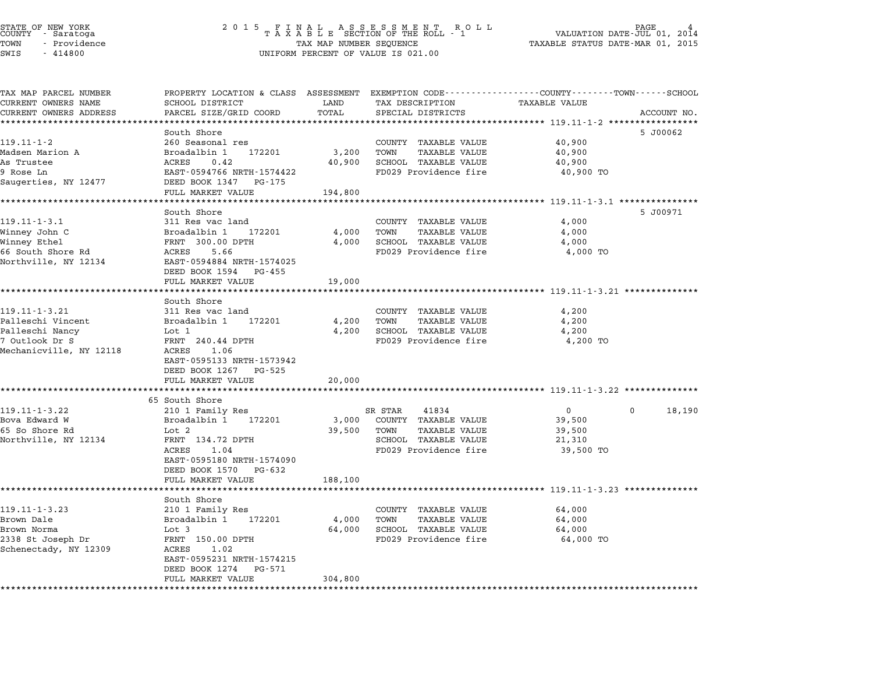TAX MAP PARCEL NUMBER PROPERTY LOCATION & CLASS ASSESSMENT EXEMPTION CODE------------------COUNTY--------TOWN------SCHOOL ...<br>-- COUNTY:- TAX MAP PARCEL NUMBER THE OCHOTRY AND THE CURRENT EXEMPTION CODE<br>CURRENT OWNERS NAME SCHOOL DISTRICT LAND TAX DESCRIPTION TAXABLE VALUE CURRENT OWNERS ADDRESS PARCEL SIZE/GRID COORD TOTAL SPECIAL DISTRICTS ACCOUNT NO. \*\*\*\*\*\*\*\*\*\*\*\*\*\*\*\*\*\*\*\*\*\*\*\*\*\*\*\*\*\*\*\*\*\*\*\*\*\*\*\*\*\*\*\*\*\*\*\*\*\*\*\*\*\*\*\*\*\*\*\*\*\*\*\*\*\*\*\*\*\*\*\*\*\*\*\*\*\*\*\*\*\*\*\*\*\*\*\*\*\*\*\*\*\*\*\*\*\*\*\*\*\*\* 119.11-1-2 \*\*\*\*\*\*\*\*\*\*\*\*\*\*\*\*\* South Shore 5 J00062 119.11-1-2 South Shore<br>260 Seasonal res COUNTY TAXABLE VALUE 40,900 Madsen Marion A Broadalbin <sup>1</sup> <sup>172201</sup> 3,200 TOWN TAXABLE VALUE 40,900 As Trustee ACRES 0.42 40,900 SCHOOL TAXABLE VALUE 40,900 mausen marron Article (1990)<br>AS Trustee (1990) ACRES (1990 ACRES 10.42 40,900 SCHOOL TAXABLE VALUE 40,900 40,900<br>9 Rose Ln 40,900 TO BAST-0594766 NRTH-1574422 FD029 Providence fire 40,900 TO Saugerties, NY <sup>12477</sup> DEED BOOK <sup>1347</sup> PG-175 EASI-0394700 NKIH-1374422<br>
DEED BOOK 1347 PG-175<br>
FULL MARKET VALUE 194,800 \*\*\*\*\*\*\*\*\*\*\*\*\*\*\*\*\*\*\*\*\*\*\*\*\*\*\*\*\*\*\*\*\*\*\*\*\*\*\*\*\*\*\*\*\*\*\*\*\*\*\*\*\*\*\*\*\*\*\*\*\*\*\*\*\*\*\*\*\*\*\*\*\*\*\*\*\*\*\*\*\*\*\*\*\*\*\*\*\*\*\*\*\*\*\*\*\*\*\*\*\*\*\* 119.11-1-3.1 \*\*\*\*\*\*\*\*\*\*\*\*\*\*\* South Shore 5 J00971 119.11-1-3.1 50uth Shore<br>
119.11-1-3.1 311 Res vac land COUNTY TAXABLE VALUE 4,000 Winney John C Broadalbin <sup>1</sup> <sup>172201</sup> 4,000 TOWN TAXABLE VALUE 4,000 11.11 1.11 1.1 - 1.1 - 1.1 - 1.1 - 1.1 - 1.1 - 1.1 - 1.1 - 1.1 - 1.1 - 1.1 - 1.1 - 1.1 - 1.1 - 1.1 - 1.1 - 1.<br>Winney John C Broadalbin 1 - 172201 4,000 TOWN TAXABLE VALUE 4,000<br>Winney Ethel wrinney John Christ Hotel Broad Broad Broad International Christ Hotel Accepts (ALGO) 4,000 TORNOL TAXABLE VALUE<br>Minney Ethel For FRIT The South Society (ALGO) ACRES 5.66 FD029 Providence fire 4,000 TO winney Echer<br>66 South Shore Rd<br>Northville, NY 12134 BAST-0594884 NRTH-1574025 EAST-0594884 NRTH-1574025<br>DEED BOOK 1594 PG-455 FULL MARKET VALUE 19,000 \*\*\*\*\*\*\*\*\*\*\*\*\*\*\*\*\*\*\*\*\*\*\*\*\*\*\*\*\*\*\*\*\*\*\*\*\*\*\*\*\*\*\*\*\*\*\*\*\*\*\*\*\*\*\*\*\*\*\*\*\*\*\*\*\*\*\*\*\*\*\*\*\*\*\*\*\*\*\*\*\*\*\*\*\*\*\*\*\*\*\*\*\*\*\*\*\*\*\*\*\*\*\* 119.11-1-3.21 \*\*\*\*\*\*\*\*\*\*\*\*\*\* ronn Marker<br>\*\*\*\*\*\*\*\*\*\*\*<br>South Shore 119.11-1-3.21 5010 South Shore<br>311 Res vac land COUNTY TAXABLE VALUE 4,200 كامات المراكبية المراكبية المراكبية المراكبية المراكبية التي يوم المراكبية التي يوم المراكبية التي يوم التي ي<br>1,200 Palleschi Vincent are broadalbin 1 172201 4,200 TOWN TAXABLE VALUE 4,200 Palleschi Nancy Lot <sup>1</sup> 4,200 SCHOOL TAXABLE VALUE 4,200 Farreschi vincent in the bioadaibin in 172201 and the twist in the same value of the state of the state of the<br>Palleschi Nancy and Lot 1 and the 4,200 SCHOOL TAXABLE VALUE 4,200 TO 4,200 TO 4,200 TO 4,200 TO 4,200 TO 4,20 raileschi wancy and the moth of the matchest of the moth of the moth of the moth of the moth of the moth of th<br>Mechanicville, NY 12118 ACRES 1.06 FANI 240.44 DFIH<br>ACRES 1.06<br>EAST-0595133 NRTH-1573942 ACRES 1.06<br>EAST-0595133 NRTH-1573942<br>DEED BOOK 1267 PG-525 FULL MARKET VALUE 20,000 \*\*\*\*\*\*\*\*\*\*\*\*\*\*\*\*\*\*\*\*\*\*\*\*\*\*\*\*\*\*\*\*\*\*\*\*\*\*\*\*\*\*\*\*\*\*\*\*\*\*\*\*\*\*\*\*\*\*\*\*\*\*\*\*\*\*\*\*\*\*\*\*\*\*\*\*\*\*\*\*\*\*\*\*\*\*\*\*\*\*\*\*\*\*\*\*\*\*\*\*\*\*\* 119.11-1-3.22 \*\*\*\*\*\*\*\*\*\*\*\*\*\* <sub>1</sub>061 HARRI<br>\*\*\*\*\*\*\*\*\*\*\*\*\*\*\*\*\*<br>65 South Shore 119.11-1-3.22 22 22 22 22 23 23 23 23 24 210 1 Family Res SR STAR 41834 23 23 23 23 23 23 23 23 23 23 23 23 23<br>210 1 Family Res SR STAR 41834 0 0 18,190 Bova Edward W Broadalbin <sup>1</sup> <sup>172201</sup> 3,000 COUNTY TAXABLE VALUE 39,500 <sup>65</sup> So Shore Rd Lot <sup>2</sup> 39,500 TOWN TAXABLE VALUE 39,500 Nova Edward W (Broduce Broad Broad Broad Broad Broad Broad Broad Broad Broad Broad Broad Broad Broad Broad Bro<br>1995 So Shore Rd (Bot 20 Down TAXABLE VALUE 21,310<br>Northville, NY 12134 FRNT 134.72 DPTH ERNT 134.72 DPTH 59,500 TOMM TAABLE VALUE 199,500 TOMM 199,500 TOMM TAXABLE VALUE 59,500 TO<br>FRNT 134.72 DPTH 5CHOOL TAXABLE VALUE 21,310<br>ACRES 1.04 FD029 Providence fire 39,500 TO FANT 154.72 DF1H<br>ACRES 1.04<br>EAST-0595180 NRTH-1574090 EAST-0595180 NRTH-15740<br>DEED BOOK 1570 PG-632 DEED BOOK 1570 PG-632<br>FULL MARKET VALUE 188,100 \*\*\*\*\*\*\*\*\*\*\*\*\*\*\*\*\*\*\*\*\*\*\*\*\*\*\*\*\*\*\*\*\*\*\*\*\*\*\*\*\*\*\*\*\*\*\*\*\*\*\*\*\*\*\*\*\*\*\*\*\*\*\*\*\*\*\*\*\*\*\*\*\*\*\*\*\*\*\*\*\*\*\*\*\*\*\*\*\*\*\*\*\*\*\*\*\*\*\*\*\*\*\* 119.11-1-3.23 \*\*\*\*\*\*\*\*\*\*\*\*\*\* ronn Marker<br>\*\*\*\*\*\*\*\*\*\*\*<br>South Shore 119.11-1-3.23 210 1 Family Res COUNTY TAXABLE VALUE 64,000 Brown Dale Broadalbin <sup>1</sup> <sup>172201</sup> 4,000 TOWN TAXABLE VALUE 64,000 Brown Norma Lot <sup>3</sup> 64,000 SCHOOL TAXABLE VALUE 64,000 2338 St Joseph Dr. (1980)<br>2338 St Joseph Dr (1980) Lot 3 (1990) SCHOOL TAXABLE VALUE (1980) 64,000<br>2338 St Joseph Dr FRNT 150.00 DPTH FD029 Providence fire 64,000 TO Schenectady, NY <sup>12309</sup> ACRES 1.02 EAST-0595231 NRTH-1574215 ACRES 1.02<br>EAST-0595231 NRTH-1574215<br>DEED BOOK 1274 PG-571 FULL MARKET VALUE 304,800 \*\*\*\*\*\*\*\*\*\*\*\*\*\*\*\*\*\*\*\*\*\*\*\*\*\*\*\*\*\*\*\*\*\*\*\*\*\*\*\*\*\*\*\*\*\*\*\*\*\*\*\*\*\*\*\*\*\*\*\*\*\*\*\*\*\*\*\*\*\*\*\*\*\*\*\*\*\*\*\*\*\*\*\*\*\*\*\*\*\*\*\*\*\*\*\*\*\*\*\*\*\*\*\*\*\*\*\*\*\*\*\*\*\*\*\*\*\*\*\*\*\*\*\*\*\*\*\*\*\*\*\*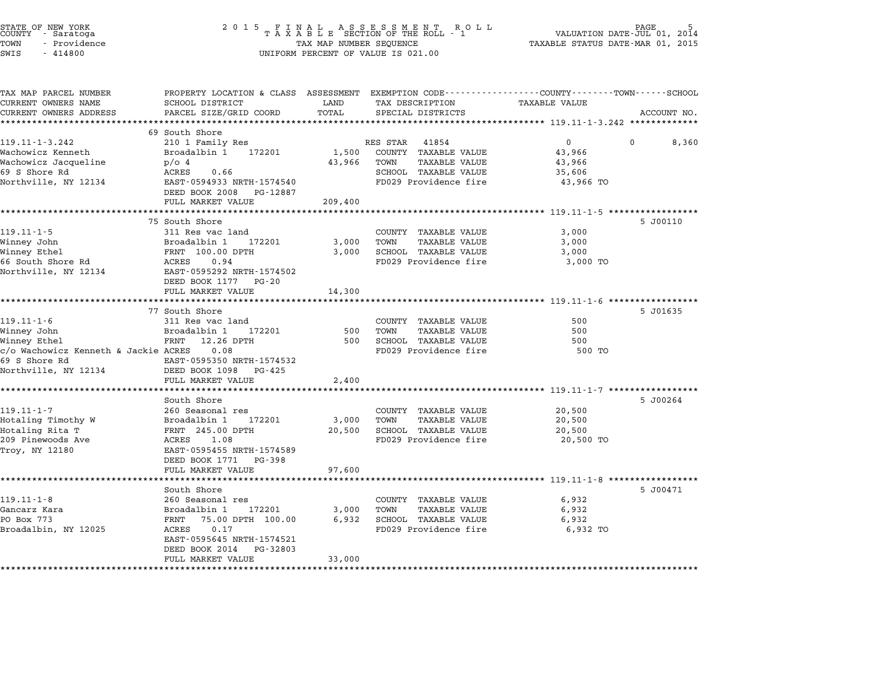| STATE OF NEW YORK<br>COUNTY – Saratoga<br>TOWN<br>- Providence<br>SWIS<br>$-414800$ | 2 0 1 5                                                                                                            | TAX MAP NUMBER SEQUENCE | FINAL ASSESSMENT ROLL<br>TAXABLE SECTION OF THE ROLL - 1<br>UNIFORM PERCENT OF VALUE IS 021.00 | TAXABLE STATUS DATE-MAR 01, 2015                          | $\mathop{\mathtt{PAGE}}$<br>VALUATION DATE-JUL 01, 2014 |
|-------------------------------------------------------------------------------------|--------------------------------------------------------------------------------------------------------------------|-------------------------|------------------------------------------------------------------------------------------------|-----------------------------------------------------------|---------------------------------------------------------|
| TAX MAP PARCEL NUMBER<br>CURRENT OWNERS NAME                                        | PROPERTY LOCATION & CLASS ASSESSMENT EXEMPTION CODE----------------COUNTY-------TOWN-----SCHOOL<br>SCHOOL DISTRICT | LAND                    | TAX DESCRIPTION                                                                                | TAXABLE VALUE                                             |                                                         |
| CURRENT OWNERS ADDRESS                                                              | PARCEL SIZE/GRID COORD                                                                                             | TOTAL                   | SPECIAL DISTRICTS                                                                              |                                                           | ACCOUNT NO.                                             |
|                                                                                     |                                                                                                                    | ********                |                                                                                                | **************************** 119.11-1-3.242 ************* |                                                         |
| 119.11-1-3.242                                                                      | 69 South Shore<br>210 1 Family Res                                                                                 |                         | RES STAR<br>41854                                                                              | $\mathbf 0$                                               | $\Omega$<br>8,360                                       |
| Wachowicz Kenneth                                                                   | Broadalbin 1<br>172201                                                                                             | 1,500                   | COUNTY TAXABLE VALUE                                                                           | 43,966                                                    |                                                         |
| Wachowicz Jacqueline                                                                | $p/O$ 4                                                                                                            | 43,966                  | TOWN<br><b>TAXABLE VALUE</b>                                                                   | 43,966                                                    |                                                         |
| 69 S Shore Rd                                                                       | ACRES<br>0.66                                                                                                      |                         | SCHOOL TAXABLE VALUE                                                                           | 35,606                                                    |                                                         |
| Northville, NY 12134                                                                | EAST-0594933 NRTH-1574540                                                                                          |                         | FD029 Providence fire                                                                          | 43,966 TO                                                 |                                                         |
|                                                                                     | DEED BOOK 2008<br>PG-12887                                                                                         |                         |                                                                                                |                                                           |                                                         |
|                                                                                     | FULL MARKET VALUE                                                                                                  | 209,400                 |                                                                                                |                                                           |                                                         |
|                                                                                     |                                                                                                                    |                         |                                                                                                |                                                           |                                                         |
|                                                                                     | 75 South Shore                                                                                                     |                         |                                                                                                |                                                           | 5 J00110                                                |
| $119.11 - 1 - 5$                                                                    | 311 Res vac land                                                                                                   |                         | COUNTY TAXABLE VALUE                                                                           | 3,000                                                     |                                                         |
| Winney John                                                                         | Broadalbin 1<br>172201                                                                                             | 3,000                   | TOWN<br><b>TAXABLE VALUE</b>                                                                   | 3,000                                                     |                                                         |
| Winney Ethel<br>66 South Shore Rd                                                   | FRNT 100.00 DPTH<br>ACRES<br>0.94                                                                                  | 3,000                   | SCHOOL TAXABLE VALUE<br>FD029 Providence fire                                                  | 3,000<br>3,000 TO                                         |                                                         |
| Northville, NY 12134                                                                | EAST-0595292 NRTH-1574502                                                                                          |                         |                                                                                                |                                                           |                                                         |
|                                                                                     | DEED BOOK 1177 PG-20                                                                                               |                         |                                                                                                |                                                           |                                                         |
|                                                                                     | FULL MARKET VALUE                                                                                                  | 14,300                  |                                                                                                |                                                           |                                                         |
|                                                                                     | *********************                                                                                              |                         |                                                                                                |                                                           |                                                         |
|                                                                                     | 77 South Shore                                                                                                     |                         |                                                                                                |                                                           | 5 J01635                                                |
| $119.11 - 1 - 6$                                                                    | 311 Res vac land                                                                                                   |                         | COUNTY TAXABLE VALUE                                                                           | 500                                                       |                                                         |
| Winney John                                                                         | Broadalbin 1<br>172201                                                                                             | 500                     | <b>TAXABLE VALUE</b><br>TOWN                                                                   | 500                                                       |                                                         |
| Winney Ethel<br>c/o Wachowicz Kenneth & Jackie ACRES                                | FRNT<br>12.26 DPTH<br>0.08                                                                                         | 500                     | SCHOOL TAXABLE VALUE<br>FD029 Providence fire                                                  | 500<br>500 TO                                             |                                                         |
| 69 S Shore Rd                                                                       | EAST-0595350 NRTH-1574532                                                                                          |                         |                                                                                                |                                                           |                                                         |
| Northville, NY 12134                                                                | DEED BOOK 1098<br>PG-425                                                                                           |                         |                                                                                                |                                                           |                                                         |
|                                                                                     | FULL MARKET VALUE                                                                                                  | 2,400                   |                                                                                                |                                                           |                                                         |
|                                                                                     | *********************                                                                                              | ************            |                                                                                                |                                                           |                                                         |
|                                                                                     | South Shore                                                                                                        |                         |                                                                                                |                                                           | 5 J00264                                                |
| $119.11 - 1 - 7$                                                                    | 260 Seasonal res                                                                                                   |                         | COUNTY TAXABLE VALUE                                                                           | 20,500                                                    |                                                         |
| Hotaling Timothy W                                                                  | 172201<br>Broadalbin 1                                                                                             | 3,000                   | TOWN<br><b>TAXABLE VALUE</b>                                                                   | 20,500                                                    |                                                         |
| Hotaling Rita T                                                                     | FRNT 245.00 DPTH                                                                                                   | 20,500                  | SCHOOL TAXABLE VALUE                                                                           | 20,500                                                    |                                                         |
| 209 Pinewoods Ave                                                                   | 1.08<br>ACRES                                                                                                      |                         | FD029 Providence fire                                                                          | 20,500 TO                                                 |                                                         |
| Troy, NY 12180                                                                      | EAST-0595455 NRTH-1574589<br>DEED BOOK 1771                                                                        |                         |                                                                                                |                                                           |                                                         |
|                                                                                     | PG-398<br>FULL MARKET VALUE                                                                                        | 97,600                  |                                                                                                |                                                           |                                                         |
|                                                                                     |                                                                                                                    |                         |                                                                                                | *********************** 119.11-1-8 ****************       |                                                         |
|                                                                                     | South Shore                                                                                                        |                         |                                                                                                |                                                           | 5 J00471                                                |
| $119.11 - 1 - 8$                                                                    | 260 Seasonal res                                                                                                   |                         | COUNTY TAXABLE VALUE                                                                           | 6,932                                                     |                                                         |
| Gancarz Kara                                                                        | Broadalbin 1<br>172201                                                                                             | 3,000                   | TOWN<br><b>TAXABLE VALUE</b>                                                                   | 6,932                                                     |                                                         |
| PO Box 773                                                                          | FRNT 75.00 DPTH 100.00                                                                                             | 6,932                   | SCHOOL TAXABLE VALUE                                                                           | 6,932                                                     |                                                         |
| Broadalbin, NY 12025                                                                | 0.17<br>ACRES                                                                                                      |                         | FD029 Providence fire                                                                          | 6,932 TO                                                  |                                                         |
|                                                                                     | EAST-0595645 NRTH-1574521                                                                                          |                         |                                                                                                |                                                           |                                                         |
|                                                                                     | DEED BOOK 2014<br>PG-32803                                                                                         |                         |                                                                                                |                                                           |                                                         |
|                                                                                     | FULL MARKET VALUE                                                                                                  | 33,000                  |                                                                                                |                                                           |                                                         |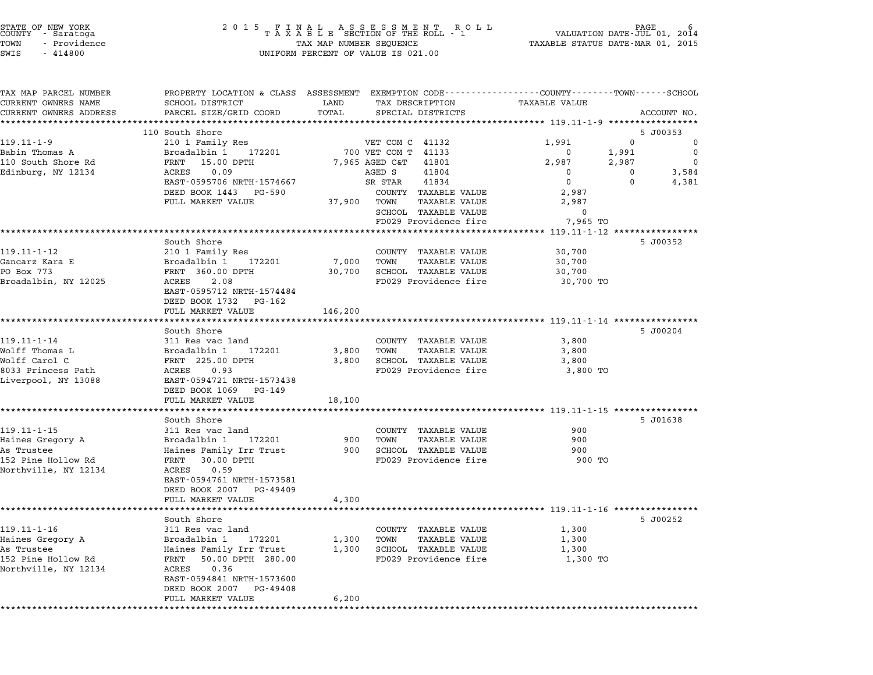| STATE OF NEW YORK<br>COUNTY - Saratoga |  |              |  |
|----------------------------------------|--|--------------|--|
| TOWN                                   |  | - Providence |  |
| <b>CITT C</b>                          |  | $-111800$    |  |

# STATE OF NEW YORK <sup>2</sup> <sup>0</sup> <sup>1</sup> 5 F I N A L A S S E S S M E N T R O L L PAGE <sup>6</sup> COUNTY - Saratoga <sup>T</sup> <sup>A</sup> <sup>X</sup> <sup>A</sup> <sup>B</sup> <sup>L</sup> <sup>E</sup> SECTION OF THE ROLL - <sup>1</sup> VALUATION DATE-JUL 01, <sup>2014</sup> STATE OF NEW YORK GRACE AND RESERVED BY A LAND TO A LAND TO A LAND TO BE SUPPOSED A LAND TO A LAND RESERVED AN<br>COUNTY - Saratoga And TAXABLE STATUS ON THE ROLL - 1 A LAND SUPPOSED A LAND RESERVED BY A LAND RESERVED ON 201<br> TOWN - Providence and the state of the state of the TAX MAP NUMBER SEQUENCE SWIS - 414800

| TAX MAP PARCEL NUMBER                     | PROPERTY LOCATION & CLASS ASSESSMENT EXEMPTION CODE---------------COUNTY-------TOWN-----SCHOOL |            |                                              |                                             |                      |
|-------------------------------------------|------------------------------------------------------------------------------------------------|------------|----------------------------------------------|---------------------------------------------|----------------------|
| CURRENT OWNERS NAME                       | SCHOOL DISTRICT                                                                                | LAND       | TAX DESCRIPTION                              | TAXABLE VALUE                               |                      |
| CURRENT OWNERS ADDRESS                    | PARCEL SIZE/GRID COORD                                                                         | TOTAL      | SPECIAL DISTRICTS                            |                                             | ACCOUNT NO.          |
|                                           |                                                                                                |            |                                              | :************* 119.11-1-9 ***************** |                      |
|                                           | 110 South Shore                                                                                |            |                                              |                                             | 5 J00353             |
| $119.11 - 1 - 9$                          | 210 1 Family Res                                                                               |            | VET COM C 41132                              | 1,991                                       | $\Omega$<br>0        |
| Babin Thomas A                            | Broadalbin 1 172201                                                                            |            | 700 VET COM T 41133                          | $\Omega$<br>1,991                           | $\mathbf 0$          |
| 110 South Shore Rd                        | FRNT 15.00 DPTH                                                                                |            | 7,965 AGED C&T<br>41801                      | 2,987<br>2,987                              | 0                    |
| Edinburg, NY 12134                        | 0.09<br>ACRES                                                                                  |            | AGED S<br>41804                              | $\Omega$                                    | $\mathbf 0$<br>3,584 |
|                                           | EAST-0595706 NRTH-1574667                                                                      |            | SR STAR<br>41834                             | $\overline{0}$                              | $\Omega$<br>4,381    |
|                                           | DEED BOOK 1443 PG-590                                                                          |            | COUNTY TAXABLE VALUE                         | 2,987                                       |                      |
|                                           | FULL MARKET VALUE                                                                              |            | 37,900 TOWN<br>TAXABLE VALUE                 | 2,987                                       |                      |
|                                           |                                                                                                |            | SCHOOL TAXABLE VALUE                         | 0                                           |                      |
|                                           |                                                                                                |            | FD029 Providence fire                        | 7,965 TO                                    |                      |
|                                           |                                                                                                |            |                                              |                                             |                      |
|                                           | South Shore                                                                                    |            |                                              |                                             | 5 J00352             |
| $119.11 - 1 - 12$                         | 210 1 Family Res                                                                               |            | COUNTY TAXABLE VALUE                         | 30,700                                      |                      |
| Gancarz Kara E                            | Broadalbin 1 172201                                                                            | 7,000      | TOWN<br><b>TAXABLE VALUE</b>                 | 30,700                                      |                      |
| PO Box 773                                | FRNT 360.00 DPTH                                                                               |            | 30,700 SCHOOL TAXABLE VALUE                  | 30,700                                      |                      |
| Broadalbin, NY 12025                      | ACRES<br>2.08                                                                                  |            | FD029 Providence fire                        | 30,700 TO                                   |                      |
|                                           | EAST-0595712 NRTH-1574484                                                                      |            |                                              |                                             |                      |
|                                           | DEED BOOK 1732 PG-162                                                                          |            |                                              |                                             |                      |
|                                           | FULL MARKET VALUE<br>********************                                                      | 146,200    |                                              |                                             |                      |
|                                           |                                                                                                |            |                                              |                                             |                      |
| $119.11 - 1 - 14$                         | South Shore                                                                                    |            |                                              |                                             | 5 J00204             |
|                                           | 311 Res vac land                                                                               |            | COUNTY TAXABLE VALUE                         | 3,800                                       |                      |
| Wolff Thomas L<br>Wolff Carol C           | Broadalbin 1<br>172201                                                                         | 3,800 TOWN | <b>TAXABLE VALUE</b><br>SCHOOL TAXABLE VALUE | 3,800                                       |                      |
|                                           | FRNT 225.00 DPTH<br>ACRES 0.93                                                                 | 3,800      | FD029 Providence fire                        | 3,800                                       |                      |
| 8033 Princess Path<br>Liverpool, NY 13088 | EAST-0594721 NRTH-1573438                                                                      |            |                                              | 3,800 TO                                    |                      |
|                                           | DEED BOOK 1069<br>PG-149                                                                       |            |                                              |                                             |                      |
|                                           | FULL MARKET VALUE                                                                              | 18,100     |                                              |                                             |                      |
|                                           |                                                                                                |            |                                              |                                             |                      |
|                                           | South Shore                                                                                    |            |                                              |                                             | 5 J01638             |
| $119.11 - 1 - 15$                         | 311 Res vac land                                                                               |            | COUNTY TAXABLE VALUE                         | 900                                         |                      |
| Haines Gregory A                          | Broadalbin 1 172201                                                                            |            | 900 TOWN<br>TAXABLE VALUE                    | 900                                         |                      |
| As Trustee                                | Haines Family Irr Trust                                                                        |            | 900 SCHOOL TAXABLE VALUE                     | 900                                         |                      |
| 152 Pine Hollow Rd                        | FRNT 30.00 DPTH                                                                                |            | FD029 Providence fire                        | 900 TO                                      |                      |
| Northville, NY 12134                      | ACRES 0.59                                                                                     |            |                                              |                                             |                      |
|                                           | EAST-0594761 NRTH-1573581                                                                      |            |                                              |                                             |                      |
|                                           | DEED BOOK 2007 PG-49409                                                                        |            |                                              |                                             |                      |
|                                           | FULL MARKET VALUE                                                                              | 4,300      |                                              |                                             |                      |
|                                           |                                                                                                |            |                                              |                                             |                      |
|                                           | South Shore                                                                                    |            |                                              |                                             | 5 J00252             |
| $119.11 - 1 - 16$                         | 311 Res vac land                                                                               |            | COUNTY TAXABLE VALUE                         | 1,300                                       |                      |
| Haines Gregory A                          | Broadalbin 1 172201                                                                            | 1,300      | TOWN<br>TAXABLE VALUE                        | 1,300                                       |                      |
| As Trustee                                | Haines Family Irr Trust                                                                        |            | 1,300 SCHOOL TAXABLE VALUE                   | 1,300                                       |                      |
| 152 Pine Hollow Rd                        | FRNT 50.00 DPTH 280.00                                                                         |            | FD029 Providence fire                        | 1,300 TO                                    |                      |
| Northville, NY 12134                      | 0.36<br>ACRES                                                                                  |            |                                              |                                             |                      |
|                                           | EAST-0594841 NRTH-1573600                                                                      |            |                                              |                                             |                      |
|                                           | DEED BOOK 2007<br>PG-49408                                                                     |            |                                              |                                             |                      |
|                                           | FULL MARKET VALUE                                                                              | 6,200      |                                              |                                             |                      |
|                                           |                                                                                                |            |                                              |                                             |                      |
|                                           |                                                                                                |            |                                              |                                             |                      |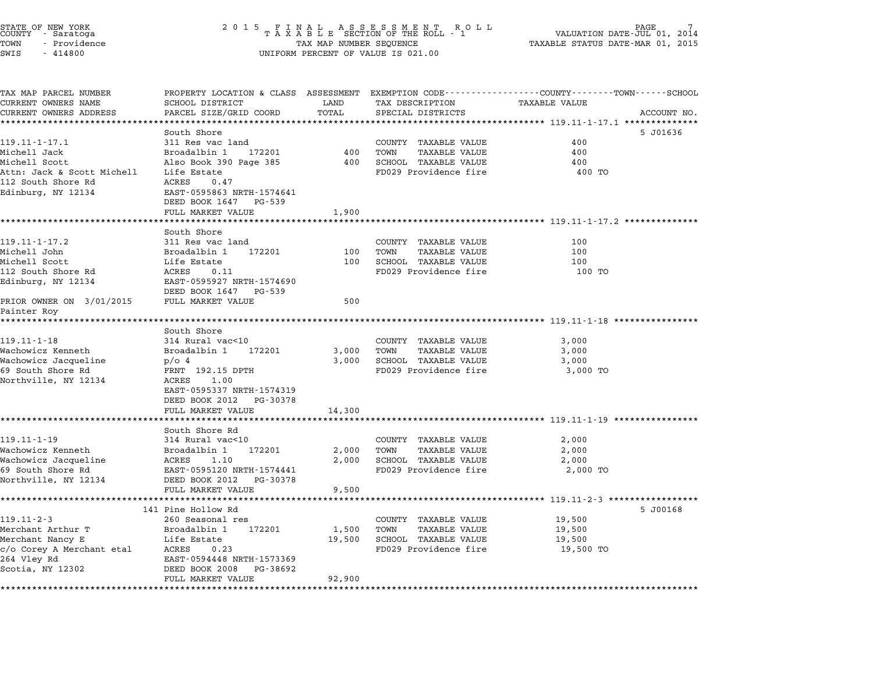# STATE OF NEW YORK <sup>2</sup> <sup>0</sup> <sup>1</sup> 5 F I N A L A S S E S S M E N T R O L L PAGE 7 COUNTY - Saratoga <sup>T</sup> <sup>A</sup> <sup>X</sup> <sup>A</sup> <sup>B</sup> <sup>L</sup> <sup>E</sup> SECTION OF THE ROLL - <sup>1</sup> VALUATION DATE-JUL 01, <sup>2014</sup> STATE OF NEW YORK GRANG AND RESERVED BY A SUBSTACT OF NEW YORK TASH OF NEW TRACE TAXABLE STATE OF NEW YORK OUR<br>COUNTY - Saratoga (1, 2014) A S D E SECTION OF THE ROLL - 1 (1, 2015) VALUATION DATE-MAR 01, 2015<br>TOWN - Provid STATE OF NEW YORK<br>
COUNTY - Saratoga<br>
TOWN - Providence COUNTY - Providence COUNTY - Providence COUNTY - Providence<br>
TAX MAP NUMBER SEQUENCE<br>
SWIS - 414800 UNIFORM PERCENT OF VALUE IS 021.00

| TAX MAP PARCEL NUMBER                     |                                     |                |                                                      | PROPERTY LOCATION & CLASS ASSESSMENT EXEMPTION CODE---------------COUNTY-------TOWN-----SCHOOL |  |
|-------------------------------------------|-------------------------------------|----------------|------------------------------------------------------|------------------------------------------------------------------------------------------------|--|
| CURRENT OWNERS NAME                       | SCHOOL DISTRICT                     | LAND           | TAX DESCRIPTION                                      | <b>TAXABLE VALUE</b>                                                                           |  |
| CURRENT OWNERS ADDRESS                    | PARCEL SIZE/GRID COORD              | TOTAL          | SPECIAL DISTRICTS                                    | ACCOUNT NO.                                                                                    |  |
|                                           |                                     |                |                                                      |                                                                                                |  |
|                                           | South Shore                         |                |                                                      | 5 J01636                                                                                       |  |
| $119.11 - 1 - 17.1$                       | 311 Res vac land                    |                | COUNTY TAXABLE VALUE                                 | 400                                                                                            |  |
| Michell Jack                              | Broadalbin 1<br>172201              | 400            | TOWN<br><b>TAXABLE VALUE</b>                         | 400                                                                                            |  |
| Michell Scott                             | Also Book 390 Page 385              | 400            | SCHOOL TAXABLE VALUE                                 | 400                                                                                            |  |
| Attn: Jack & Scott Michell                | Life Estate                         |                | FD029 Providence fire                                | 400 TO                                                                                         |  |
| 112 South Shore Rd                        | 0.47<br>ACRES                       |                |                                                      |                                                                                                |  |
| Edinburg, NY 12134                        | EAST-0595863 NRTH-1574641           |                |                                                      |                                                                                                |  |
|                                           | DEED BOOK 1647<br>PG-539            |                |                                                      |                                                                                                |  |
|                                           | FULL MARKET VALUE                   | 1,900          |                                                      | ***************************** 119.11-1-17.2 **************                                     |  |
|                                           | South Shore                         |                |                                                      |                                                                                                |  |
| $119.11 - 1 - 17.2$                       | 311 Res vac land                    |                | COUNTY TAXABLE VALUE                                 | 100                                                                                            |  |
| Michell John                              | Broadalbin 1<br>172201              | 100            | TOWN<br><b>TAXABLE VALUE</b>                         | 100                                                                                            |  |
| Michell Scott                             | Life Estate                         | 100            | SCHOOL TAXABLE VALUE                                 | 100                                                                                            |  |
| 112 South Shore Rd                        | 0.11<br>ACRES                       |                | FD029 Providence fire                                | 100 TO                                                                                         |  |
| Edinburg, NY 12134                        | EAST-0595927 NRTH-1574690           |                |                                                      |                                                                                                |  |
|                                           | DEED BOOK 1647 PG-539               |                |                                                      |                                                                                                |  |
| PRIOR OWNER ON 3/01/2015                  | FULL MARKET VALUE                   | 500            |                                                      |                                                                                                |  |
| Painter Roy                               |                                     |                |                                                      |                                                                                                |  |
|                                           |                                     |                |                                                      |                                                                                                |  |
|                                           | South Shore                         |                |                                                      |                                                                                                |  |
| $119.11 - 1 - 18$                         | 314 Rural vac<10                    |                | COUNTY TAXABLE VALUE                                 | 3,000                                                                                          |  |
| Wachowicz Kenneth                         | Broadalbin 1<br>172201              | 3,000          | TOWN<br><b>TAXABLE VALUE</b>                         | 3,000                                                                                          |  |
| Wachowicz Jacqueline                      | $p/O$ 4                             | 3,000          | SCHOOL TAXABLE VALUE                                 | 3,000                                                                                          |  |
| 69 South Shore Rd                         | FRNT 192.15 DPTH                    |                | FD029 Providence fire                                | 3,000 TO                                                                                       |  |
| Northville, NY 12134                      | ACRES<br>1.00                       |                |                                                      |                                                                                                |  |
|                                           | EAST-0595337 NRTH-1574319           |                |                                                      |                                                                                                |  |
|                                           | DEED BOOK 2012 PG-30378             |                |                                                      |                                                                                                |  |
|                                           | FULL MARKET VALUE                   | 14,300         |                                                      |                                                                                                |  |
|                                           |                                     |                |                                                      |                                                                                                |  |
| $119.11 - 1 - 19$                         | South Shore Rd<br>314 Rural vac<10  |                |                                                      |                                                                                                |  |
|                                           | 172201                              |                | COUNTY TAXABLE VALUE                                 | 2,000                                                                                          |  |
| Wachowicz Kenneth<br>Wachowicz Jacqueline | Broadalbin 1<br>ACRES<br>1.10       | 2,000<br>2,000 | TOWN<br><b>TAXABLE VALUE</b><br>SCHOOL TAXABLE VALUE | 2,000<br>2,000                                                                                 |  |
| 69 South Shore Rd                         | EAST-0595120 NRTH-1574441           |                | FD029 Providence fire                                | 2,000 TO                                                                                       |  |
| Northville, NY 12134                      | DEED BOOK 2012<br>PG-30378          |                |                                                      |                                                                                                |  |
|                                           | FULL MARKET VALUE                   | 9,500          |                                                      |                                                                                                |  |
|                                           | *********************************** |                |                                                      |                                                                                                |  |
|                                           | 141 Pine Hollow Rd                  |                |                                                      | 5 J00168                                                                                       |  |
| $119.11 - 2 - 3$                          | 260 Seasonal res                    |                | COUNTY TAXABLE VALUE                                 | 19,500                                                                                         |  |
| Merchant Arthur T                         | Broadalbin 1<br>172201              | 1,500          | TOWN<br><b>TAXABLE VALUE</b>                         | 19,500                                                                                         |  |
| Merchant Nancy E                          | Life Estate                         | 19,500         | SCHOOL TAXABLE VALUE                                 | 19,500                                                                                         |  |
| c/o Corey A Merchant etal                 | 0.23<br>ACRES                       |                | FD029 Providence fire                                | 19,500 TO                                                                                      |  |
| 264 Vley Rd                               | EAST-0594448 NRTH-1573369           |                |                                                      |                                                                                                |  |
| Scotia, NY 12302                          | DEED BOOK 2008<br>PG-38692          |                |                                                      |                                                                                                |  |
|                                           | FULL MARKET VALUE                   | 92,900         |                                                      |                                                                                                |  |
|                                           |                                     |                |                                                      |                                                                                                |  |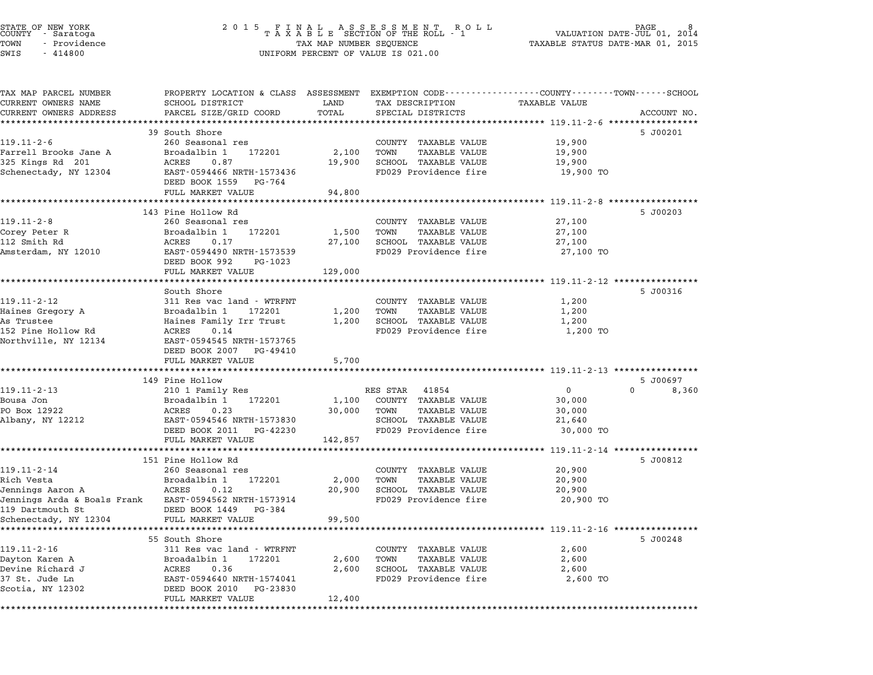| TAX MAP PARCEL NUMBER                                 | PROPERTY LOCATION & CLASS ASSESSMENT EXEMPTION CODE---------------COUNTY-------TOWN-----SCHOOL |                 |                                               |                                                   |                   |
|-------------------------------------------------------|------------------------------------------------------------------------------------------------|-----------------|-----------------------------------------------|---------------------------------------------------|-------------------|
| CURRENT OWNERS NAME                                   | SCHOOL DISTRICT                                                                                | LAND            | TAX DESCRIPTION                               | TAXABLE VALUE                                     |                   |
| CURRENT OWNERS ADDRESS                                | PARCEL SIZE/GRID COORD                                                                         | TOTAL           | SPECIAL DISTRICTS                             |                                                   | ACCOUNT NO.       |
|                                                       |                                                                                                |                 |                                               | ********** 119.11-2-6 ***********                 |                   |
|                                                       | 39 South Shore                                                                                 |                 |                                               |                                                   | 5 J00201          |
| $119.11 - 2 - 6$                                      | 260 Seasonal res<br>Broadalbin 1                                                               |                 | COUNTY TAXABLE VALUE<br><b>TAXABLE VALUE</b>  | 19,900                                            |                   |
| Farrell Brooks Jane A<br>325 Kings Rd 201             | 172201<br>ACRES<br>0.87                                                                        | 2,100<br>19,900 | TOWN<br>SCHOOL TAXABLE VALUE                  | 19,900<br>19,900                                  |                   |
| Schenectady, NY 12304                                 | EAST-0594466 NRTH-1573436                                                                      |                 | FD029 Providence fire                         | 19,900 TO                                         |                   |
|                                                       | DEED BOOK 1559<br>PG-764                                                                       |                 |                                               |                                                   |                   |
|                                                       | FULL MARKET VALUE                                                                              | 94,800          |                                               |                                                   |                   |
|                                                       |                                                                                                |                 |                                               | ********** 119.11-2-8 *****************           |                   |
|                                                       | 143 Pine Hollow Rd                                                                             |                 |                                               |                                                   | 5 J00203          |
| $119.11 - 2 - 8$                                      | 260 Seasonal res                                                                               |                 | COUNTY TAXABLE VALUE                          | 27,100                                            |                   |
| Corey Peter R                                         | Broadalbin 1<br>172201                                                                         | 1,500           | <b>TAXABLE VALUE</b><br>TOWN                  | 27,100                                            |                   |
| 112 Smith Rd                                          | ACRES<br>0.17                                                                                  | 27,100          | SCHOOL TAXABLE VALUE                          | 27,100                                            |                   |
| Amsterdam, NY 12010                                   | EAST-0594490 NRTH-1573539                                                                      |                 | FD029 Providence fire                         | 27,100 TO                                         |                   |
|                                                       | DEED BOOK 992<br>PG-1023                                                                       |                 |                                               |                                                   |                   |
|                                                       | FULL MARKET VALUE                                                                              | 129,000         |                                               |                                                   |                   |
|                                                       |                                                                                                |                 |                                               |                                                   |                   |
|                                                       | South Shore                                                                                    |                 |                                               |                                                   | 5 J00316          |
| $119.11 - 2 - 12$                                     | 311 Res vac land - WTRFNT                                                                      |                 | COUNTY TAXABLE VALUE                          | 1,200                                             |                   |
| Haines Gregory A<br>As Trustee                        | Broadalbin 1 172201<br>Haines Family Irr Trust                                                 | 1,200<br>1,200  | TAXABLE VALUE<br>TOWN<br>SCHOOL TAXABLE VALUE | 1,200<br>1,200                                    |                   |
| 152 Pine Hollow Rd                                    | ACRES<br>0.14                                                                                  |                 | FD029 Providence fire                         | 1,200 TO                                          |                   |
| Northville, NY 12134                                  | EAST-0594545 NRTH-1573765                                                                      |                 |                                               |                                                   |                   |
|                                                       | DEED BOOK 2007 PG-49410                                                                        |                 |                                               |                                                   |                   |
|                                                       | FULL MARKET VALUE                                                                              | 5,700           |                                               |                                                   |                   |
|                                                       |                                                                                                | ********        |                                               |                                                   |                   |
|                                                       | 149 Pine Hollow                                                                                |                 |                                               |                                                   | 5 J00697          |
| $119.11 - 2 - 13$                                     | 210 1 Family Res                                                                               |                 | RES STAR<br>41854                             | $\mathbf{0}$                                      | $\Omega$<br>8,360 |
| Bousa Jon                                             | Broadalbin 1<br>172201                                                                         | 1,100           | COUNTY TAXABLE VALUE                          | 30,000                                            |                   |
| PO Box 12922                                          | ACRES 0.23                                                                                     | 30,000          | TAXABLE VALUE<br>TOWN                         | 30,000                                            |                   |
| Albany, NY 12212                                      | EAST-0594546 NRTH-1573830                                                                      |                 | SCHOOL TAXABLE VALUE                          | 21,640                                            |                   |
|                                                       | DEED BOOK 2011<br>PG-42230                                                                     |                 | FD029 Providence fire                         | 30,000 TO                                         |                   |
|                                                       | FULL MARKET VALUE<br>**********************                                                    | 142,857         |                                               |                                                   |                   |
|                                                       |                                                                                                |                 |                                               | ******************* 119.11-2-14 ***************** |                   |
| $119.11 - 2 - 14$                                     | 151 Pine Hollow Rd<br>260 Seasonal res                                                         |                 |                                               | 20,900                                            | 5 J00812          |
| Rich Vesta                                            | Broadalbin 1<br>172201                                                                         | 2,000           | COUNTY TAXABLE VALUE<br>TOWN<br>TAXABLE VALUE | 20,900                                            |                   |
| Jennings Aaron A                                      | ACRES<br>0.12                                                                                  | 20,900          | SCHOOL TAXABLE VALUE                          | 20,900                                            |                   |
| Jennings Arda & Boals Frank EAST-0594562 NRTH-1573914 |                                                                                                |                 | FD029 Providence fire                         | 20,900 TO                                         |                   |
| 119 Dartmouth St                                      | DEED BOOK 1449<br>PG-384                                                                       |                 |                                               |                                                   |                   |
| Schenectady, NY 12304                                 | FULL MARKET VALUE                                                                              | 99,500          |                                               |                                                   |                   |
|                                                       |                                                                                                |                 |                                               |                                                   |                   |
|                                                       | 55 South Shore                                                                                 |                 |                                               |                                                   | 5 J00248          |
| $119.11 - 2 - 16$                                     | 311 Res vac land - WTRFNT                                                                      |                 | COUNTY TAXABLE VALUE                          | 2,600                                             |                   |
| Dayton Karen A                                        | Broadalbin 1<br>172201                                                                         | 2,600           | TOWN<br>TAXABLE VALUE                         | 2,600                                             |                   |
| Devine Richard J                                      | ACRES<br>0.36                                                                                  | 2,600           | SCHOOL TAXABLE VALUE                          | 2,600                                             |                   |
| 37 St. Jude Ln                                        | EAST-0594640 NRTH-1574041                                                                      |                 | FD029 Providence fire                         | 2,600 TO                                          |                   |
| Scotia, NY 12302                                      | DEED BOOK 2010<br>PG-23830                                                                     |                 |                                               |                                                   |                   |
|                                                       | FULL MARKET VALUE                                                                              | 12,400          |                                               |                                                   |                   |
|                                                       |                                                                                                |                 |                                               |                                                   |                   |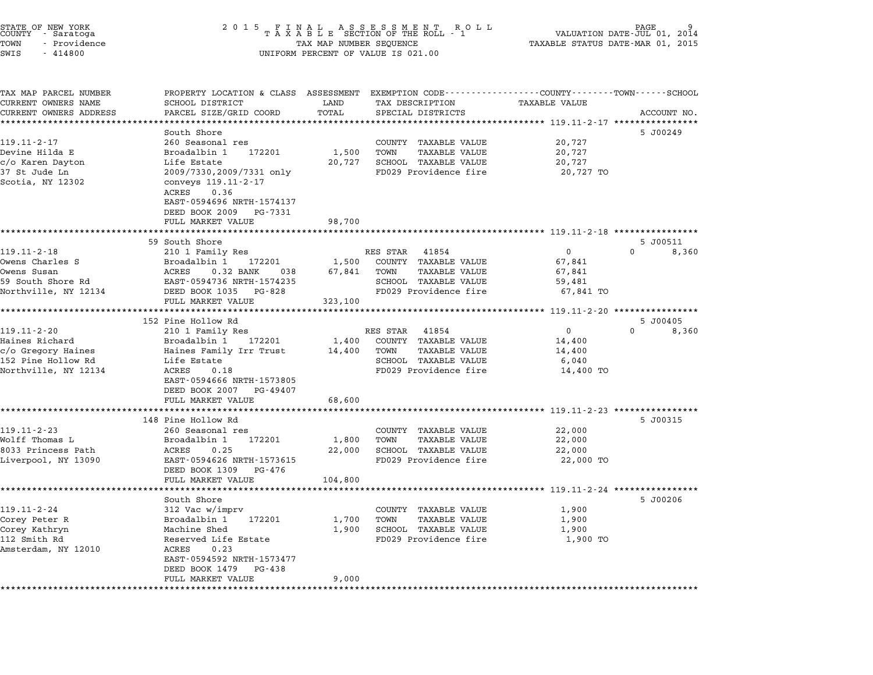|                      | STATE OF NEW YORK<br>COUNTY - Saratoga |  |
|----------------------|----------------------------------------|--|
| TOWN                 | - Providence                           |  |
| $\sim$ $\sim$ $\sim$ | 1110000                                |  |

TAX MAP PARCEL NUMBER PROPERTY LOCATION & CLASS ASSESSMENT EXEMPTION CODE------------------COUNTY--------TOWN------SCHOOL CURRENT OWNERS NAME SCHOOL DISTRICT LAND TAX DESCRIPTION TAXABLE VALUE CURRENT OWNERS ADDRESS PARCEL SIZE/GRID COORD TOTAL SPECIAL DISTRICTS ACCOUNT NO. \*\*\*\*\*\*\*\*\*\*\*\*\*\*\*\*\*\*\*\*\*\*\*\*\*\*\*\*\*\*\*\*\*\*\*\*\*\*\*\*\*\*\*\*\*\*\*\*\*\*\*\*\*\*\*\*\*\*\*\*\*\*\*\*\*\*\*\*\*\*\*\*\*\*\*\*\*\*\*\*\*\*\*\*\*\*\*\*\*\*\*\*\*\*\*\*\*\*\*\*\*\*\* 119.11-2-17 \*\*\*\*\*\*\*\*\*\*\*\*\*\*\*\* South Shore 5 J00249 119.11-2-17 South Shore<br>260 Seasonal res COUNTY TAXABLE VALUE 20,727 Devine Hilda E Broadalbin <sup>1</sup> <sup>172201</sup> 1,500 TOWN TAXABLE VALUE 20,727 count a reason and the count random value of the count of the count of the count of the count of the count of<br>Devine Hilda E and Broadalbin 192201 1,500 TOWN TAXABLE VALUE 20,727<br>C/o Karen Dayton 1.1fe Estate 20,727 20,727 <sup>37</sup> St Jude Ln 2009/7330,2009/7331 only FD029 Providence fire 20,727 TO الموسى المستوسطة المستوسطة المستوسطة 2009/7331<br>37 St Jude Ln 2009/7330,2009/7331<br>Scotia, NY 12302 2009/7330,2009/7331 only FD029 Providence fire<br>conveys 119.11-2-17<br>ACRES 0.36 CONVEYS 119:11 2 17<br>ACRES 0.36<br>EAST-0594696 NRTH-1574137 EAST-0594696 NRTH-157413<br>DEED BOOK 2009 PG-7331 FULL MARKET VALUE 98,700 \*\*\*\*\*\*\*\*\*\*\*\*\*\*\*\*\*\*\*\*\*\*\*\*\*\*\*\*\*\*\*\*\*\*\*\*\*\*\*\*\*\*\*\*\*\*\*\*\*\*\*\*\*\*\*\*\*\*\*\*\*\*\*\*\*\*\*\*\*\*\*\*\*\*\*\*\*\*\*\*\*\*\*\*\*\*\*\*\*\*\*\*\*\*\*\*\*\*\*\*\*\*\* 119.11-2-18 \*\*\*\*\*\*\*\*\*\*\*\*\*\*\*\* 59 South Shore 5 J00511 119.11-2-16 119.11-2-18 210 1 Family Res RES STAR 41854 2008.<br>200511 119.11-2-18 210 1 Family Res RES STAR 41854 0 0 8,360 Owens Charles System Supplement Charles State 1854<br>210 1 172201 1 172201 1,500 COUNTY TAXABLE VALUE 67,841<br>267,841 1,500 COUNTY TAXABLE VALUE Owens Chair (19.11-2-10) من المستقدم المستقدم المستقدم المستقدم المستقدم المستقدم المستقدم المستقدم المستقدم ا<br>Owens Susan (19.2011) ACRES 0.32 BANK 038 67,841 TOWN TAXABLE VALUE 67,841 (19.2011) 59 South Short Charles States States States States States States States States States States States States Sta<br>2009 Susan Sucks States States States States States States States States States States States States States S<br> Novells Susair (1988) ACAES (1988) AND 1990 (1999) (1999) ACAES (1999) (1999) (1999) (1999) (1999) (1999) (199<br>19 South Shore Rd (1985 BART-0594736 NRTH-1574235 (1999 Providence fire 67,841 TO (1999 Providence fire 67,841 EAST 0334730 MAIN 1374233<br>
DEED BOOK 1035 PG-828<br>
FULL MARKET VALUE 323,100 \*\*\*\*\*\*\*\*\*\*\*\*\*\*\*\*\*\*\*\*\*\*\*\*\*\*\*\*\*\*\*\*\*\*\*\*\*\*\*\*\*\*\*\*\*\*\*\*\*\*\*\*\*\*\*\*\*\*\*\*\*\*\*\*\*\*\*\*\*\*\*\*\*\*\*\*\*\*\*\*\*\*\*\*\*\*\*\*\*\*\*\*\*\*\*\*\*\*\*\*\*\*\* 119.11-2-20 \*\*\*\*\*\*\*\*\*\*\*\*\*\*\*\* 152 Pine Hollow Rd 5 J00405 119.11-2-20 20 119.11-2-20 210 1 Family Res RES STAR 41854 20 210 1 Family Res RES STAR 41854 0 0 0 8,360 Haines Richard Broadalbin <sup>1</sup> <sup>172201</sup> 1,400 COUNTY TAXABLE VALUE 14,400 c/o Gregory Haines Haines Family Res (Results and the family Results and the family Results of the family Resu<br>Haines Richard Broadalbin 1 172201 1,400 COUNTY TAXABLE VALUE 14,400<br>C/o Gregory Haines 14,400 Haines Family Ir <sup>152</sup> Pine Hollow Rd Life Estate SCHOOL TAXABLE VALUE 6,040 C/O GLEJOLY HAINES AND HANDLE VALUE AND TRANSPORTED TRANSPORTED AND TRANSPORTED AND TRANSPORTED AND TRANSPORTED<br>152 Pine Hollow Rd 5 Life Estate 14,400 TO SCRES 1,18 FD029 Providence fire 14,400 TO 111e 15tate<br>ACRES 0.18<br>EAST-0594666 NRTH-1573805 EAST-0594666 NRTH-1573805<br>DEED BOOK 2007 PG-49407 FULL MARKET VALUE 68,600 \*\*\*\*\*\*\*\*\*\*\*\*\*\*\*\*\*\*\*\*\*\*\*\*\*\*\*\*\*\*\*\*\*\*\*\*\*\*\*\*\*\*\*\*\*\*\*\*\*\*\*\*\*\*\*\*\*\*\*\*\*\*\*\*\*\*\*\*\*\*\*\*\*\*\*\*\*\*\*\*\*\*\*\*\*\*\*\*\*\*\*\*\*\*\*\*\*\*\*\*\*\*\* 119.11-2-23 \*\*\*\*\*\*\*\*\*\*\*\*\*\*\*\* 148 Pine Hollow Rd 5 J00315 119.11-2-23 (260 Seasonal res County TAXABLE VALUE 22,000 Wolff Thomas L Broadalbin <sup>1</sup> <sup>172201</sup> 1,800 TOWN TAXABLE VALUE 22,000 <sup>8033</sup> Princess Path ACRES 0.25 22,000 SCHOOL TAXABLE VALUE 22,000 NOILL INCHES BRANCH IN THE POOL OF THE POOL IN TRANSPORTATION OF THE PROCESS PARABLE VALUE 22,000<br>1989 Brincess Path ACRES 0.25 22,000 SCHOOL TAXABLE VALUE 22,000 2<br>22,000 TON DAVIS EAST-0594626 NRTH-1573615 FD029 Providen EAST–0594626 NRTH–1573615<br>DEED BOOK 1309 PG-476 FULL MARKET VALUE 104,800 \*\*\*\*\*\*\*\*\*\*\*\*\*\*\*\*\*\*\*\*\*\*\*\*\*\*\*\*\*\*\*\*\*\*\*\*\*\*\*\*\*\*\*\*\*\*\*\*\*\*\*\*\*\*\*\*\*\*\*\*\*\*\*\*\*\*\*\*\*\*\*\*\*\*\*\*\*\*\*\*\*\*\*\*\*\*\*\*\*\*\*\*\*\*\*\*\*\*\*\*\*\*\* 119.11-2-24 \*\*\*\*\*\*\*\*\*\*\*\*\*\*\*\* South Shore 5 J00206 119.11-2-24 312 Vac w/imprv COUNTY TAXABLE VALUE 19.11-2-24 312 Vac w/imprv Corey Peter R Broadalbin <sup>1</sup> <sup>172201</sup> 1,700 TOWN TAXABLE VALUE 1,900 Corey Kathryn Machine Shed 1,900 SCHOOL TAXABLE VALUE 1,900 <sup>112</sup> Smith Rd Reserved Life Estate FD029 Providence fire 1,900 TO CHEY MACHING MACHINE SHEW<br>112 Smith Rd<br>Amsterdam, NY 12010 ACRES 0.23 RESEIVED LITE LSTATE<br>ACRES 0.23<br>EAST-0594592 NRTH-1573477 ACRES 0.23<br>EAST-0594592 NRTH-1573477<br>DEED BOOK 1479 PG-438 FULL MARKET VALUE 9,000 \*\*\*\*\*\*\*\*\*\*\*\*\*\*\*\*\*\*\*\*\*\*\*\*\*\*\*\*\*\*\*\*\*\*\*\*\*\*\*\*\*\*\*\*\*\*\*\*\*\*\*\*\*\*\*\*\*\*\*\*\*\*\*\*\*\*\*\*\*\*\*\*\*\*\*\*\*\*\*\*\*\*\*\*\*\*\*\*\*\*\*\*\*\*\*\*\*\*\*\*\*\*\*\*\*\*\*\*\*\*\*\*\*\*\*\*\*\*\*\*\*\*\*\*\*\*\*\*\*\*\*\*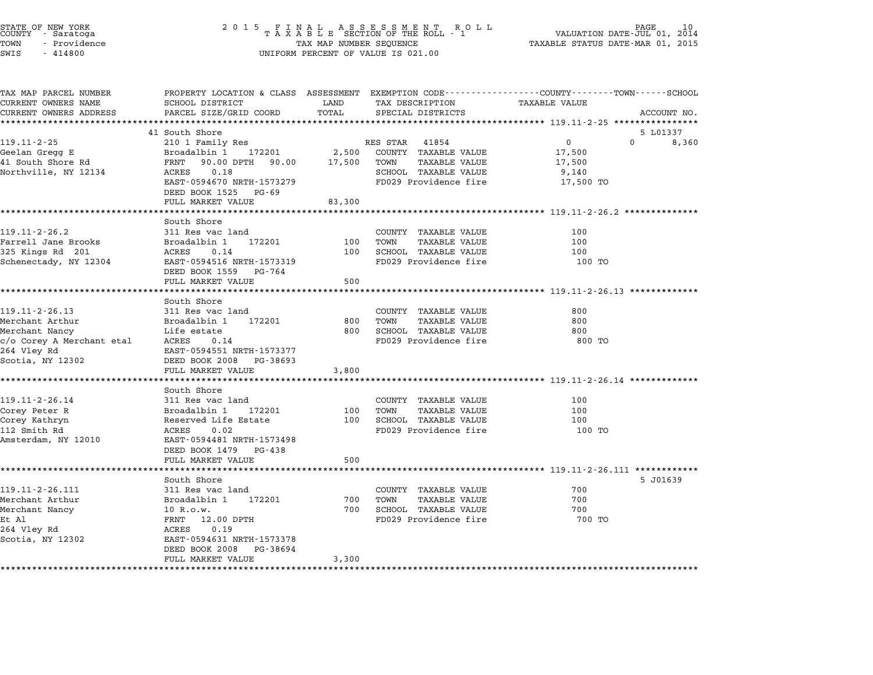| STATE OF NEW YORK<br>COUNTY – Saratoga<br>TOWN<br>- Providence<br>SWIS<br>$-414800$ | 2 0 1 5                                                 | TAX MAP NUMBER SEQUENCE | FINAL ASSESSMENT ROLL<br>TAXABLE SECTION OF THE ROLL - 1<br>UNIFORM PERCENT OF VALUE IS 021.00 | PAGE<br>VALUATION DATE-JUL 01, 2014<br>TAXABLE STATUS DATE-MAR 01, 2015             |  |
|-------------------------------------------------------------------------------------|---------------------------------------------------------|-------------------------|------------------------------------------------------------------------------------------------|-------------------------------------------------------------------------------------|--|
| TAX MAP PARCEL NUMBER<br>CURRENT OWNERS NAME                                        | PROPERTY LOCATION & CLASS ASSESSMENT<br>SCHOOL DISTRICT | LAND                    | TAX DESCRIPTION                                                                                | EXEMPTION CODE-----------------COUNTY-------TOWN-----SCHOOL<br><b>TAXABLE VALUE</b> |  |
| CURRENT OWNERS ADDRESS                                                              | PARCEL SIZE/GRID COORD                                  | TOTAL                   | SPECIAL DISTRICTS                                                                              | ACCOUNT NO.                                                                         |  |
| *********************                                                               |                                                         | **********              |                                                                                                | ********************************** 119.11-2-25 ****************                     |  |
|                                                                                     | 41 South Shore                                          |                         |                                                                                                | 5 L01337                                                                            |  |
| 119.11-2-25                                                                         | 210 1 Family Res                                        |                         | RES STAR<br>41854                                                                              | $\mathbf 0$<br>0<br>8,360                                                           |  |
| Geelan Gregg E                                                                      | Broadalbin 1<br>172201                                  | 2,500                   | COUNTY TAXABLE VALUE                                                                           | 17,500                                                                              |  |
| 41 South Shore Rd                                                                   | 90.00 DPTH 90.00<br>FRNT                                | 17,500                  | TOWN<br>TAXABLE VALUE                                                                          | 17,500                                                                              |  |
| Northville, NY 12134                                                                | 0.18<br>ACRES                                           |                         | SCHOOL TAXABLE VALUE                                                                           | 9,140                                                                               |  |
|                                                                                     | EAST-0594670 NRTH-1573279                               |                         | FD029 Providence fire                                                                          | 17,500 TO                                                                           |  |
|                                                                                     | DEED BOOK 1525<br>PG-69                                 |                         |                                                                                                |                                                                                     |  |
|                                                                                     | FULL MARKET VALUE                                       | 83,300                  |                                                                                                |                                                                                     |  |
|                                                                                     |                                                         |                         |                                                                                                |                                                                                     |  |
|                                                                                     | South Shore                                             |                         |                                                                                                |                                                                                     |  |
| $119.11 - 2 - 26.2$                                                                 | 311 Res vac land                                        |                         | COUNTY<br>TAXABLE VALUE                                                                        | 100                                                                                 |  |
| Farrell Jane Brooks                                                                 | Broadalbin 1<br>172201                                  | 100                     | TOWN<br>TAXABLE VALUE                                                                          | 100                                                                                 |  |
| 325 Kings Rd 201                                                                    | 0.14<br>ACRES                                           | 100                     | SCHOOL TAXABLE VALUE                                                                           | 100                                                                                 |  |
| Schenectady, NY 12304                                                               | EAST-0594516 NRTH-1573319                               |                         | FD029 Providence fire                                                                          | 100 TO                                                                              |  |
|                                                                                     | DEED BOOK 1559<br>PG-764                                |                         |                                                                                                |                                                                                     |  |
|                                                                                     | FULL MARKET VALUE                                       | 500                     |                                                                                                |                                                                                     |  |
|                                                                                     | *********************                                   | *****                   |                                                                                                | ************************ 119.11-2-26.13 *************                               |  |
| 119.11-2-26.13                                                                      | South Shore                                             |                         |                                                                                                | 800                                                                                 |  |
| Merchant Arthur                                                                     | 311 Res vac land<br>172201<br>Broadalbin 1              | 800                     | COUNTY TAXABLE VALUE<br>TOWN<br><b>TAXABLE VALUE</b>                                           | 800                                                                                 |  |
| Merchant Nancy                                                                      | Life estate                                             | 800                     | SCHOOL TAXABLE VALUE                                                                           | 800                                                                                 |  |
| c/o Corey A Merchant etal                                                           | ACRES<br>0.14                                           |                         | FD029 Providence fire                                                                          | 800 TO                                                                              |  |
| 264 Vley Rd                                                                         | EAST-0594551 NRTH-1573377                               |                         |                                                                                                |                                                                                     |  |
| Scotia, NY 12302                                                                    | DEED BOOK 2008<br>PG-38693                              |                         |                                                                                                |                                                                                     |  |
|                                                                                     | FULL MARKET VALUE                                       | 3,800                   |                                                                                                |                                                                                     |  |
|                                                                                     | *****************                                       |                         |                                                                                                | *********************** 119.11-2-26.14 **************                               |  |
|                                                                                     | South Shore                                             |                         |                                                                                                |                                                                                     |  |
| 119.11-2-26.14                                                                      | 311 Res vac land                                        |                         | COUNTY TAXABLE VALUE                                                                           | 100                                                                                 |  |
| Corey Peter R                                                                       | Broadalbin 1<br>172201                                  | 100                     | TOWN<br>TAXABLE VALUE                                                                          | 100                                                                                 |  |
| Corey Kathryn                                                                       | Reserved Life Estate                                    | 100                     | SCHOOL TAXABLE VALUE                                                                           | 100                                                                                 |  |
| 112 Smith Rd                                                                        | ACRES<br>0.02                                           |                         | FD029 Providence fire                                                                          | 100 TO                                                                              |  |
| Amsterdam, NY 12010                                                                 | EAST-0594481 NRTH-1573498                               |                         |                                                                                                |                                                                                     |  |
|                                                                                     | DEED BOOK 1479<br>PG-438                                |                         |                                                                                                |                                                                                     |  |
|                                                                                     | FULL MARKET VALUE                                       | 500                     |                                                                                                |                                                                                     |  |
|                                                                                     | *******************                                     | *****                   |                                                                                                | ******************** 119.11-2-26.111 ************                                   |  |
|                                                                                     | South Shore                                             |                         |                                                                                                | 5 J01639                                                                            |  |
| 119.11-2-26.111                                                                     | 311 Res vac land                                        |                         | COUNTY TAXABLE VALUE                                                                           | 700                                                                                 |  |
| Merchant Arthur                                                                     | Broadalbin 1<br>172201                                  | 700                     | TOWN<br>TAXABLE VALUE                                                                          | 700                                                                                 |  |
| Merchant Nancy                                                                      | 10 R.O.W.                                               | 700                     | SCHOOL TAXABLE VALUE                                                                           | 700                                                                                 |  |
| Et Al                                                                               | FRNT 12.00 DPTH                                         |                         | FD029 Providence fire                                                                          | 700 TO                                                                              |  |
| 264 Vley Rd                                                                         | 0.19<br>ACRES                                           |                         |                                                                                                |                                                                                     |  |
| Scotia, NY 12302                                                                    | EAST-0594631 NRTH-1573378                               |                         |                                                                                                |                                                                                     |  |
|                                                                                     | DEED BOOK 2008<br>PG-38694                              |                         |                                                                                                |                                                                                     |  |
|                                                                                     | FULL MARKET VALUE                                       | 3,300                   |                                                                                                |                                                                                     |  |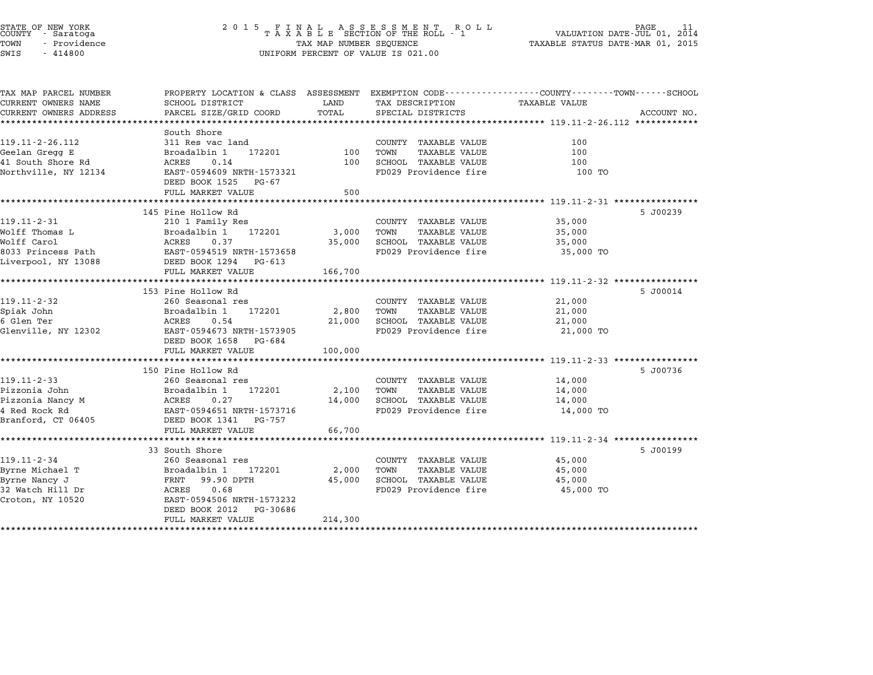| COUNTY          | STATE OF NEW YORK<br>- Saratoga |  |
|-----------------|---------------------------------|--|
| TOWN            | - Providence                    |  |
| $\sim - - \sim$ | 1110000                         |  |

# STATE OF NEW YORK <sup>2</sup> <sup>0</sup> <sup>1</sup> 5 F I N A L A S S E S S M E N T R O L L PAGE <sup>11</sup> COUNTY - Saratoga <sup>T</sup> <sup>A</sup> <sup>X</sup> <sup>A</sup> <sup>B</sup> <sup>L</sup> <sup>E</sup> SECTION OF THE ROLL - <sup>1</sup> VALUATION DATE-JUL 01, <sup>2014</sup> TOWN - Providence TAX MAP NUMBER SEQUENCE TAXABLE STATUS DATE-MAR 01, <sup>2015</sup> SWIS - <sup>414800</sup> UNIFORM PERCENT OF VALUE IS 021.00

| TAX MAP PARCEL NUMBER    | PROPERTY LOCATION & CLASS ASSESSMENT EXEMPTION CODE---------------COUNTY-------TOWN-----SCHOOL |            |                                       |                                            |             |
|--------------------------|------------------------------------------------------------------------------------------------|------------|---------------------------------------|--------------------------------------------|-------------|
| CURRENT OWNERS NAME      | SCHOOL DISTRICT                                                                                | LAND       | TAX DESCRIPTION                       | TAXABLE VALUE                              |             |
| CURRENT OWNERS ADDRESS   | PARCEL SIZE/GRID COORD                                                                         | TOTAL      | SPECIAL DISTRICTS                     |                                            | ACCOUNT NO. |
|                          |                                                                                                |            |                                       |                                            |             |
| 119.11-2-26.112          | South Shore<br>311 Res vac land                                                                |            | COUNTY TAXABLE VALUE                  | 100                                        |             |
| Geelan Gregg E           | Broadalbin 1<br>172201                                                                         |            | 100 TOWN<br><b>TAXABLE VALUE</b>      | 100                                        |             |
| 41 South Shore Rd        | 0.14<br>ACRES                                                                                  | 100        | SCHOOL TAXABLE VALUE                  | 100                                        |             |
| Northville, NY 12134     | EAST-0594609 NRTH-1573321                                                                      |            | FD029 Providence fire                 | 100 TO                                     |             |
|                          | DEED BOOK 1525 PG-67                                                                           |            |                                       |                                            |             |
|                          | FULL MARKET VALUE                                                                              | 500        |                                       |                                            |             |
|                          |                                                                                                |            |                                       |                                            |             |
|                          | 145 Pine Hollow Rd                                                                             |            |                                       |                                            | 5 J00239    |
| $119.11 - 2 - 31$        | 210 1 Family Res                                                                               |            | COUNTY TAXABLE VALUE                  | 35,000                                     |             |
| Wolff Thomas L           | Broadalbin 1<br>172201                                                                         | 3,000      | TOWN<br>TAXABLE VALUE                 | 35,000                                     |             |
| Wolff Carol              | ACRES<br>0.37                                                                                  |            | 35,000 SCHOOL TAXABLE VALUE           | 35,000                                     |             |
|                          |                                                                                                |            | FD029 Providence fire                 | лица и 35,000 то                           |             |
|                          |                                                                                                |            |                                       |                                            |             |
|                          | FULL MARKET VALUE                                                                              | 166,700    |                                       |                                            |             |
|                          |                                                                                                |            |                                       |                                            |             |
|                          | 153 Pine Hollow Rd                                                                             |            |                                       |                                            | 5 J00014    |
| $119.11 - 2 - 32$        | 260 Seasonal res                                                                               |            | COUNTY TAXABLE VALUE                  | 21,000                                     |             |
| Spiak John<br>6 Glen Ter | Broadalbin 1 172201<br><b>ACRES</b><br>0.54                                                    | 2,800 TOWN | TAXABLE VALUE<br>SCHOOL TAXABLE VALUE | 21,000                                     |             |
|                          | EAST-0594673 NRTH-1573905                                                                      | 21,000     | FD029 Providence fire                 | 21,000                                     |             |
| Glenville, NY 12302      | DEED BOOK 1658 PG-684                                                                          |            |                                       | 21,000 TO                                  |             |
|                          | FULL MARKET VALUE                                                                              | 100,000    |                                       |                                            |             |
|                          |                                                                                                |            |                                       |                                            |             |
|                          | 150 Pine Hollow Rd                                                                             |            |                                       |                                            | 5 J00736    |
| $119.11 - 2 - 33$        | 260 Seasonal res                                                                               |            | COUNTY TAXABLE VALUE                  | 14,000                                     |             |
| Pizzonia John            | Broadalbin 1<br>172201                                                                         | 2,100      | TOWN<br>TAXABLE VALUE                 | 14,000                                     |             |
| Pizzonia Nancy M         | <b>ACRES</b><br>0.27                                                                           |            | 14,000 SCHOOL TAXABLE VALUE           | 14,000                                     |             |
| 4 Red Rock Rd            |                                                                                                |            | FD029 Providence fire                 | 14,000 TO                                  |             |
| Branford, CT 06405       | EAST-0594651 NRTH-1573716<br>DEED BOOK 1341 PG-757                                             |            |                                       |                                            |             |
|                          | FULL MARKET VALUE                                                                              | 66,700     |                                       |                                            |             |
|                          |                                                                                                |            |                                       |                                            |             |
|                          | 33 South Shore                                                                                 |            |                                       |                                            | 5 J00199    |
| $119.11 - 2 - 34$        | 260 Seasonal res                                                                               |            | COUNTY TAXABLE VALUE                  | 45,000                                     |             |
| Byrne Michael T          | Broadalbin 1<br>172201                                                                         | 2,000      | TOWN<br>TAXABLE VALUE                 | 45,000                                     |             |
| Byrne Nancy J            | FRNT 99.90 DPTH                                                                                | 45,000     | SCHOOL TAXABLE VALUE                  | 45,000                                     |             |
| 32 Watch Hill Dr         | ACRES<br>0.68                                                                                  |            | FD029 Providence fire                 | — Сиропов (до 1500 година) и 15,000 година |             |
| Croton, NY 10520         | EAST-0594506 NRTH-1573232                                                                      |            |                                       |                                            |             |
|                          | DEED BOOK 2012<br>PG-30686<br>FULL MARKET VALUE                                                | 214,300    |                                       |                                            |             |
|                          |                                                                                                |            |                                       |                                            |             |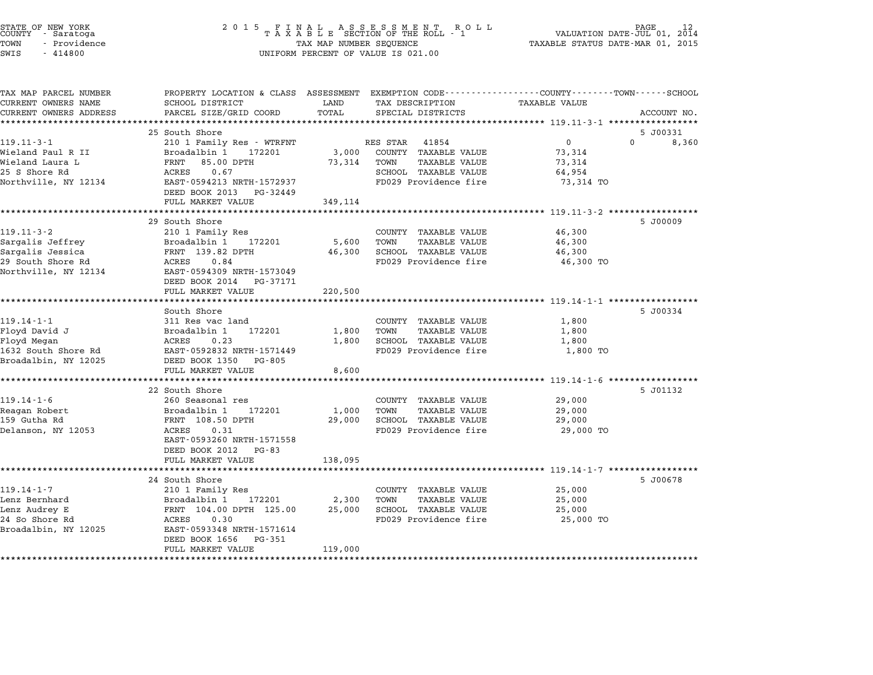| STATE OF NEW YORK<br>COUNTY<br>- Saratoga<br>TOWN<br>- Providence<br>SWIS<br>$-414800$                | 2 0 1 5<br>FINAL ASSESSMENT ROTAXABLE SECTION OF THE ROLL - 1<br>R O L L<br>TAX MAP NUMBER SEQUENCE<br>UNIFORM PERCENT OF VALUE IS 021.00                                                     |                            |                                                                                                                            | PAGE<br>VALUATION DATE-JUL 01, 2014<br>TAXABLE STATUS DATE-MAR 01, 2015 |                   |
|-------------------------------------------------------------------------------------------------------|-----------------------------------------------------------------------------------------------------------------------------------------------------------------------------------------------|----------------------------|----------------------------------------------------------------------------------------------------------------------------|-------------------------------------------------------------------------|-------------------|
| TAX MAP PARCEL NUMBER<br>CURRENT OWNERS NAME<br>CURRENT OWNERS ADDRESS                                | PROPERTY LOCATION & CLASS ASSESSMENT<br>SCHOOL DISTRICT<br>PARCEL SIZE/GRID COORD<br>*************************                                                                                | LAND<br>TOTAL              | EXEMPTION CODE----------------COUNTY-------TOWN-----SCHOOL<br>TAX DESCRIPTION<br>SPECIAL DISTRICTS                         | TAXABLE VALUE                                                           | ACCOUNT NO.       |
|                                                                                                       | 25 South Shore                                                                                                                                                                                |                            |                                                                                                                            |                                                                         | 5 J00331          |
| $119.11 - 3 - 1$<br>Wieland Paul R II<br>Wieland Laura L<br>25 S Shore Rd<br>Northville, NY 12134     | 210 1 Family Res - WTRFNT<br>Broadalbin 1<br>172201<br>FRNT<br>85.00 DPTH<br>ACRES<br>0.67<br>EAST-0594213 NRTH-1572937                                                                       | 3,000<br>73,314            | RES STAR<br>41854<br>COUNTY TAXABLE VALUE<br>TOWN<br><b>TAXABLE VALUE</b><br>SCHOOL TAXABLE VALUE<br>FD029 Providence fire | $\overline{0}$<br>73,314<br>73,314<br>64,954<br>73,314 TO               | $\Omega$<br>8,360 |
|                                                                                                       | DEED BOOK 2013<br>PG-32449<br>FULL MARKET VALUE                                                                                                                                               | 349,114                    |                                                                                                                            |                                                                         |                   |
| $119.11 - 3 - 2$<br>Sargalis Jeffrey<br>Sargalis Jessica<br>29 South Shore Rd<br>Northville, NY 12134 | 29 South Shore<br>210 1 Family Res<br>Broadalbin 1<br>172201<br>FRNT 139.82 DPTH<br>ACRES<br>0.84<br>EAST-0594309 NRTH-1573049<br>DEED BOOK 2014<br>PG-37171<br>FULL MARKET VALUE             | 5,600<br>46,300<br>220,500 | COUNTY TAXABLE VALUE<br>TOWN<br>TAXABLE VALUE<br>SCHOOL TAXABLE VALUE<br>FD029 Providence fire                             | ****** 119.11-3-2 ******<br>46,300<br>46,300<br>46,300<br>46,300 TO     | 5 J00009          |
|                                                                                                       | South Shore                                                                                                                                                                                   |                            |                                                                                                                            | **************** 119.14-1-1 ******                                      | 5 J00334          |
| $119.14 - 1 - 1$<br>Floyd David J<br>Floyd Megan<br>1632 South Shore Rd<br>Broadalbin, NY 12025       | 311 Res vac land<br>Broadalbin 1<br>172201<br>ACRES<br>0.23<br>EAST-0592832 NRTH-1571449<br>DEED BOOK 1350<br>PG-805                                                                          | 1,800<br>1,800             | COUNTY TAXABLE VALUE<br><b>TAXABLE VALUE</b><br>TOWN<br>SCHOOL TAXABLE VALUE<br>FD029 Providence fire                      | 1,800<br>1,800<br>1,800<br>1,800 TO                                     |                   |
|                                                                                                       | FULL MARKET VALUE                                                                                                                                                                             | 8,600                      |                                                                                                                            | **** 119.14-1-6 ****************                                        |                   |
| $119.14 - 1 - 6$<br>Reagan Robert<br>159 Gutha Rd<br>Delanson, NY 12053                               | 22 South Shore<br>260 Seasonal res<br>Broadalbin 1<br>172201<br>FRNT 108.50 DPTH<br>ACRES<br>0.31<br>EAST-0593260 NRTH-1571558<br>DEED BOOK 2012<br>PG-83<br>FULL MARKET VALUE                | 1,000<br>29,000<br>138,095 | COUNTY TAXABLE VALUE<br>TOWN<br>TAXABLE VALUE<br>SCHOOL TAXABLE VALUE<br>FD029 Providence fire                             | 29,000<br>29,000<br>29,000<br>29,000 TO                                 | 5 J01132          |
|                                                                                                       |                                                                                                                                                                                               |                            |                                                                                                                            | ********** 119.14-1-7 ************                                      |                   |
| $119.14 - 1 - 7$<br>Lenz Bernhard<br>Lenz Audrey E<br>24 So Shore Rd<br>Broadalbin, NY 12025          | 24 South Shore<br>210 1 Family Res<br>Broadalbin 1<br>172201<br>FRNT 104.00 DPTH 125.00<br><b>ACRES</b><br>0.30<br>EAST-0593348 NRTH-1571614<br>DEED BOOK 1656<br>PG-351<br>FULL MARKET VALUE | 2,300<br>25,000<br>119,000 | COUNTY TAXABLE VALUE<br>TOWN<br>TAXABLE VALUE<br>SCHOOL TAXABLE VALUE<br>FD029 Providence fire                             | 25,000<br>25,000<br>25,000<br>25,000 TO                                 | 5 J00678          |
|                                                                                                       | ****************                                                                                                                                                                              |                            |                                                                                                                            |                                                                         |                   |

STATE OF NEW YORK <sup>2</sup> <sup>0</sup> <sup>1</sup> 5 F I N A L A S S E S S M E N T R O L L PAGE <sup>12</sup> COUNTY - Saratoga <sup>T</sup> <sup>A</sup> <sup>X</sup> <sup>A</sup> <sup>B</sup> <sup>L</sup> <sup>E</sup> SECTION OF THE ROLL - <sup>1</sup> VALUATION DATE-JUL 01, <sup>2014</sup>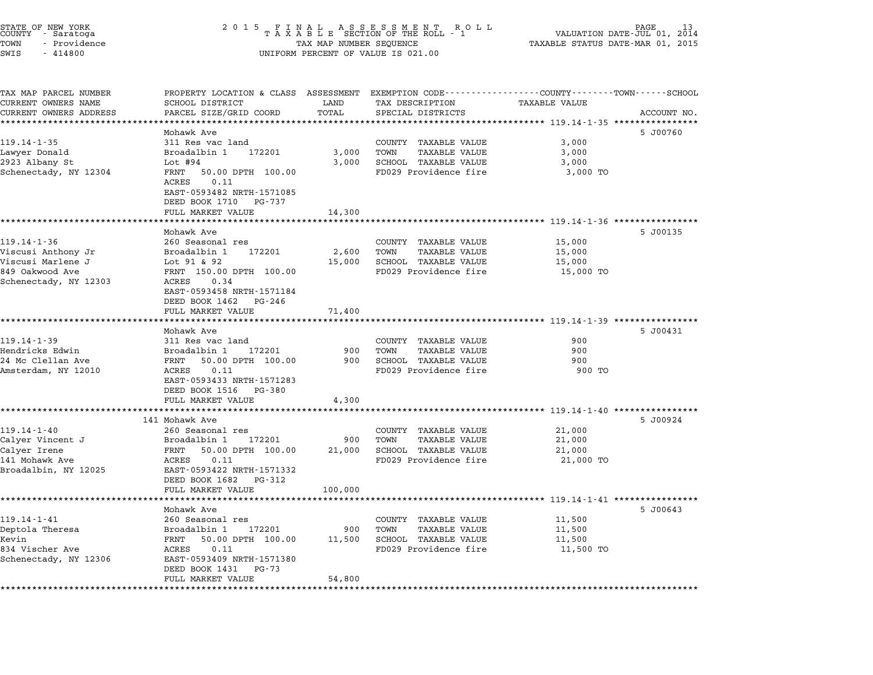| STATE OF NEW YORK<br>COUNTY<br>- Saratoga<br>TOWN<br>- Providence<br>SWIS<br>$-414800$ | 2 0 1 5<br>F<br>A S S E S S M E N T<br>A L<br>N<br>R O L L<br>TAXABLE SECTION OF THE ROLL - 1<br>TAX MAP NUMBER SEQUENCE<br>UNIFORM PERCENT OF VALUE IS 021.00 |                |                                                      | PAGE<br>VALUATION DATE-JUL 01, 2014<br>TAXABLE STATUS DATE-MAR 01, 2015 |             |
|----------------------------------------------------------------------------------------|----------------------------------------------------------------------------------------------------------------------------------------------------------------|----------------|------------------------------------------------------|-------------------------------------------------------------------------|-------------|
|                                                                                        |                                                                                                                                                                |                |                                                      |                                                                         |             |
| TAX MAP PARCEL NUMBER<br>CURRENT OWNERS NAME                                           | PROPERTY LOCATION & CLASS ASSESSMENT EXEMPTION CODE---------------COUNTY-------TOWN------SCHOOL<br>SCHOOL DISTRICT                                             | LAND           | TAX DESCRIPTION                                      | <b>TAXABLE VALUE</b>                                                    |             |
| CURRENT OWNERS ADDRESS                                                                 | PARCEL SIZE/GRID COORD                                                                                                                                         | TOTAL          | SPECIAL DISTRICTS                                    |                                                                         | ACCOUNT NO. |
| *******************                                                                    | ***********************                                                                                                                                        | **********     |                                                      | *********** 119.14-1-35 ****************                                |             |
|                                                                                        | Mohawk Ave                                                                                                                                                     |                |                                                      |                                                                         | 5 J00760    |
| $119.14 - 1 - 35$                                                                      | 311 Res vac land                                                                                                                                               |                | COUNTY TAXABLE VALUE                                 | 3,000                                                                   |             |
| Lawyer Donald<br>2923 Albany St                                                        | Broadalbin 1<br>172201<br>Lot $#94$                                                                                                                            | 3,000<br>3,000 | TOWN<br><b>TAXABLE VALUE</b><br>SCHOOL TAXABLE VALUE | 3,000<br>3,000                                                          |             |
| Schenectady, NY 12304                                                                  | 50.00 DPTH 100.00<br>FRNT<br>ACRES<br>0.11                                                                                                                     |                | FD029 Providence fire                                | 3,000 TO                                                                |             |
|                                                                                        | EAST-0593482 NRTH-1571085<br>DEED BOOK 1710<br>PG-737                                                                                                          |                |                                                      |                                                                         |             |
|                                                                                        | FULL MARKET VALUE<br>*******************                                                                                                                       | 14,300         |                                                      | *********************** 119.14-1-36 ****************                    |             |
|                                                                                        | Mohawk Ave                                                                                                                                                     |                |                                                      |                                                                         | 5 J00135    |
| $119.14 - 1 - 36$                                                                      | 260 Seasonal res                                                                                                                                               |                | COUNTY TAXABLE VALUE                                 | 15,000                                                                  |             |
| Viscusi Anthony Jr                                                                     | Broadalbin 1<br>172201                                                                                                                                         | 2,600          | TOWN<br><b>TAXABLE VALUE</b>                         | 15,000                                                                  |             |
| Viscusi Marlene J                                                                      | Lot $91 & 92$                                                                                                                                                  | 15,000         | SCHOOL TAXABLE VALUE                                 | 15,000                                                                  |             |
| 849 Oakwood Ave<br>Schenectady, NY 12303                                               | FRNT 150.00 DPTH 100.00<br>ACRES<br>0.34                                                                                                                       |                | FD029 Providence fire                                | 15,000 TO                                                               |             |
|                                                                                        | EAST-0593458 NRTH-1571184                                                                                                                                      |                |                                                      |                                                                         |             |
|                                                                                        | DEED BOOK 1462<br>PG-246                                                                                                                                       |                |                                                      |                                                                         |             |
|                                                                                        | FULL MARKET VALUE                                                                                                                                              | 71,400         |                                                      |                                                                         |             |
|                                                                                        |                                                                                                                                                                |                |                                                      | ********* 119.14-1-39 ************                                      |             |
| $119.14 - 1 - 39$                                                                      | Mohawk Ave<br>311 Res vac land                                                                                                                                 |                | COUNTY TAXABLE VALUE                                 | 900                                                                     | 5 J00431    |
| Hendricks Edwin                                                                        | Broadalbin 1<br>172201                                                                                                                                         | 900            | TOWN<br><b>TAXABLE VALUE</b>                         | 900                                                                     |             |
| 24 Mc Clellan Ave                                                                      | 50.00 DPTH 100.00<br>FRNT                                                                                                                                      | 900            | SCHOOL TAXABLE VALUE                                 | 900                                                                     |             |
| Amsterdam, NY 12010                                                                    | 0.11<br>ACRES                                                                                                                                                  |                | FD029 Providence fire                                | 900 TO                                                                  |             |
|                                                                                        | EAST-0593433 NRTH-1571283                                                                                                                                      |                |                                                      |                                                                         |             |
|                                                                                        | DEED BOOK 1516<br>PG-380                                                                                                                                       |                |                                                      |                                                                         |             |
|                                                                                        | FULL MARKET VALUE<br>*************************                                                                                                                 | 4,300          |                                                      |                                                                         |             |
|                                                                                        | 141 Mohawk Ave                                                                                                                                                 |                |                                                      |                                                                         | 5 J00924    |
| $119.14 - 1 - 40$                                                                      | 260 Seasonal res                                                                                                                                               |                | COUNTY TAXABLE VALUE                                 | 21,000                                                                  |             |
| Calyer Vincent J                                                                       | Broadalbin 1<br>172201                                                                                                                                         | 900            | <b>TAXABLE VALUE</b><br>TOWN                         | 21,000                                                                  |             |
| Calyer Irene                                                                           | FRNT<br>50.00 DPTH 100.00                                                                                                                                      | 21,000         | SCHOOL TAXABLE VALUE                                 | 21,000                                                                  |             |
| 141 Mohawk Ave<br>Broadalbin, NY 12025                                                 | ACRES<br>0.11<br>EAST-0593422 NRTH-1571332                                                                                                                     |                | FD029 Providence fire                                | 21,000 TO                                                               |             |
|                                                                                        | DEED BOOK 1682<br>PG-312                                                                                                                                       |                |                                                      |                                                                         |             |
|                                                                                        | FULL MARKET VALUE                                                                                                                                              | 100,000        |                                                      |                                                                         |             |
|                                                                                        | ******************                                                                                                                                             | **********     |                                                      | ************************* 119.14-1-41 *****************                 |             |
|                                                                                        | Mohawk Ave                                                                                                                                                     |                |                                                      |                                                                         | 5 J00643    |
| $119.14 - 1 - 41$                                                                      | 260 Seasonal res                                                                                                                                               |                | COUNTY TAXABLE VALUE                                 | 11,500                                                                  |             |
| Deptola Theresa<br>Kevin                                                               | Broadalbin 1<br>172201<br>FRNT<br>50.00 DPTH 100.00                                                                                                            | 900<br>11,500  | TOWN<br><b>TAXABLE VALUE</b><br>SCHOOL TAXABLE VALUE | 11,500<br>11,500                                                        |             |
| 834 Vischer Ave                                                                        | 0.11<br>ACRES                                                                                                                                                  |                | FD029 Providence fire                                | 11,500 TO                                                               |             |
| Schenectady, NY 12306                                                                  | EAST-0593409 NRTH-1571380                                                                                                                                      |                |                                                      |                                                                         |             |
|                                                                                        | DEED BOOK 1431<br>PG-73                                                                                                                                        |                |                                                      |                                                                         |             |
| **********                                                                             | FULL MARKET VALUE                                                                                                                                              | 54,800         |                                                      |                                                                         |             |
|                                                                                        |                                                                                                                                                                |                |                                                      |                                                                         |             |

STATE OF NEW YORK <sup>2</sup> <sup>0</sup> <sup>1</sup> 5 F I N A L A S S E S S M E N T R O L L PAGE <sup>13</sup> COUNTY - Saratoga <sup>T</sup> <sup>A</sup> <sup>X</sup> <sup>A</sup> <sup>B</sup> <sup>L</sup> <sup>E</sup> SECTION OF THE ROLL - <sup>1</sup> VALUATION DATE-JUL 01, <sup>2014</sup>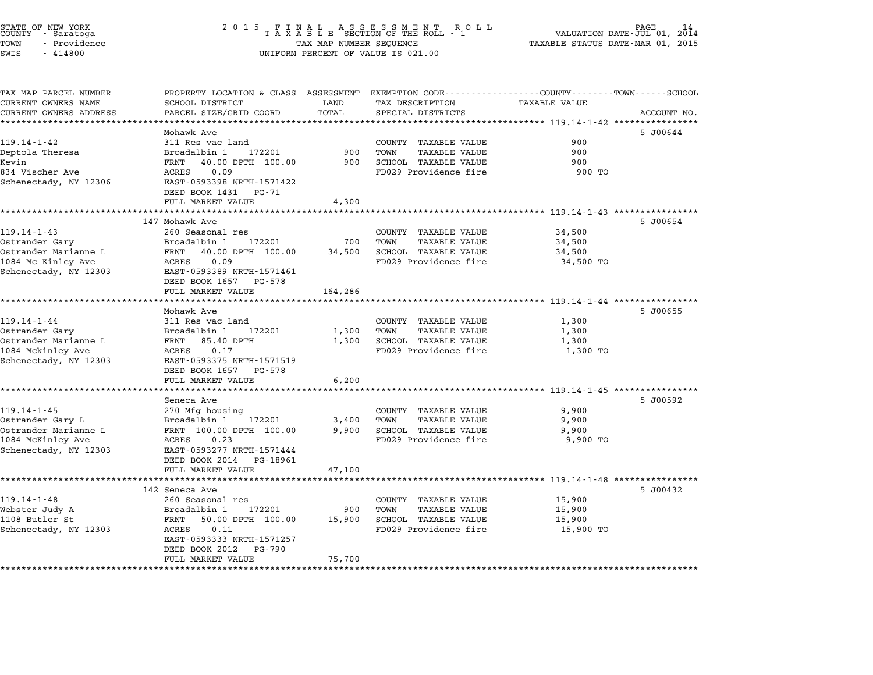|      | STATE OF NEW YORK<br>COUNTY - Saratoga |  |
|------|----------------------------------------|--|
| TOWN | - Providence                           |  |
| SWTS | - 414800                               |  |

# STATE OF NEW YORK <sup>2</sup> <sup>0</sup> <sup>1</sup> 5 F I N A L A S S E S S M E N T R O L L PAGE <sup>14</sup> COUNTY - Saratoga <sup>T</sup> <sup>A</sup> <sup>X</sup> <sup>A</sup> <sup>B</sup> <sup>L</sup> <sup>E</sup> SECTION OF THE ROLL - <sup>1</sup> VALUATION DATE-JUL 01, <sup>2014</sup> TOWN - Providence TAX MAP NUMBER SEQUENCE TAXABLE STATUS DATE-MAR 01, <sup>2015</sup> SWIS - <sup>414800</sup> UNIFORM PERCENT OF VALUE IS 021.00

| TAX MAP PARCEL NUMBER<br>CURRENT OWNERS NAME | PROPERTY LOCATION & CLASS ASSESSMENT EXEMPTION CODE---------------COUNTY-------TOWN-----SCHOOL<br>SCHOOL DISTRICT | LAND    | TAX DESCRIPTION                                      | <b>TAXABLE VALUE</b> |             |
|----------------------------------------------|-------------------------------------------------------------------------------------------------------------------|---------|------------------------------------------------------|----------------------|-------------|
| CURRENT OWNERS ADDRESS                       | PARCEL SIZE/GRID COORD                                                                                            | TOTAL   | SPECIAL DISTRICTS                                    |                      | ACCOUNT NO. |
|                                              |                                                                                                                   |         |                                                      |                      |             |
|                                              | Mohawk Ave                                                                                                        |         |                                                      |                      | 5 J00644    |
| $119.14 - 1 - 42$                            | 311 Res vac land                                                                                                  |         | COUNTY TAXABLE VALUE                                 | 900                  |             |
| Deptola Theresa                              | Broadalbin 1<br>172201                                                                                            | 900     | TOWN<br><b>TAXABLE VALUE</b>                         | 900                  |             |
| Kevin                                        | 40.00 DPTH 100.00<br>FRNT                                                                                         | 900     | SCHOOL TAXABLE VALUE                                 | 900                  |             |
| 834 Vischer Ave                              | ACRES<br>0.09                                                                                                     |         | FD029 Providence fire                                | 900 TO               |             |
| Schenectady, NY 12306                        | EAST-0593398 NRTH-1571422                                                                                         |         |                                                      |                      |             |
|                                              | DEED BOOK 1431 PG-71                                                                                              |         |                                                      |                      |             |
|                                              | FULL MARKET VALUE                                                                                                 | 4,300   |                                                      |                      |             |
|                                              |                                                                                                                   |         |                                                      |                      |             |
|                                              | 147 Mohawk Ave                                                                                                    |         |                                                      |                      | 5 J00654    |
| $119.14 - 1 - 43$                            | 260 Seasonal res<br>Broadalbin 1<br>172201                                                                        | 700     | COUNTY TAXABLE VALUE<br>TOWN                         | 34,500               |             |
| Ostrander Gary<br>Ostrander Marianne L       | FRNT<br>40.00 DPTH 100.00                                                                                         | 34,500  | <b>TAXABLE VALUE</b><br>SCHOOL TAXABLE VALUE         | 34,500               |             |
| 1084 Mc Kinley Ave                           | ACRES<br>0.09                                                                                                     |         | FD029 Providence fire                                | 34,500<br>34,500 TO  |             |
| Schenectady, NY 12303                        | EAST-0593389 NRTH-1571461                                                                                         |         |                                                      |                      |             |
|                                              | DEED BOOK 1657 PG-578                                                                                             |         |                                                      |                      |             |
|                                              | FULL MARKET VALUE                                                                                                 | 164,286 |                                                      |                      |             |
|                                              |                                                                                                                   |         |                                                      |                      |             |
|                                              | Mohawk Ave                                                                                                        |         |                                                      |                      | 5 J00655    |
| $119.14 - 1 - 44$                            | 311 Res vac land                                                                                                  |         | COUNTY TAXABLE VALUE                                 | 1,300                |             |
| Ostrander Gary                               | Broadalbin 1<br>172201                                                                                            | 1,300   | TOWN<br>TAXABLE VALUE                                | 1,300                |             |
| Ostrander Marianne L                         | FRNT 85.40 DPTH                                                                                                   | 1,300   | SCHOOL TAXABLE VALUE                                 | 1,300                |             |
| 1084 Mckinley Ave                            | ACRES<br>0.17                                                                                                     |         | FD029 Providence fire                                | 1,300 TO             |             |
| Schenectady, NY 12303                        | EAST-0593375 NRTH-1571519                                                                                         |         |                                                      |                      |             |
|                                              | DEED BOOK 1657 PG-578                                                                                             |         |                                                      |                      |             |
|                                              | FULL MARKET VALUE                                                                                                 | 6,200   |                                                      |                      |             |
|                                              |                                                                                                                   |         |                                                      |                      |             |
|                                              | Seneca Ave                                                                                                        |         |                                                      |                      | 5 J00592    |
| $119.14 - 1 - 45$<br>Ostrander Gary L        | 270 Mfg housing<br>Broadalbin 1<br>172201                                                                         | 3,400   | COUNTY TAXABLE VALUE<br>TOWN<br><b>TAXABLE VALUE</b> | 9,900<br>9,900       |             |
| Ostrander Marianne L                         | FRNT 100.00 DPTH 100.00                                                                                           | 9,900   | SCHOOL TAXABLE VALUE                                 | 9,900                |             |
| 1084 McKinley Ave                            | ACRES<br>0.23                                                                                                     |         | FD029 Providence fire                                | 9,900 TO             |             |
| Schenectady, NY 12303                        | EAST-0593277 NRTH-1571444                                                                                         |         |                                                      |                      |             |
|                                              | DEED BOOK 2014 PG-18961                                                                                           |         |                                                      |                      |             |
|                                              | FULL MARKET VALUE                                                                                                 | 47,100  |                                                      |                      |             |
|                                              | ************************                                                                                          |         |                                                      |                      |             |
|                                              | 142 Seneca Ave                                                                                                    |         |                                                      |                      | 5 J00432    |
| $119.14 - 1 - 48$                            | 260 Seasonal res                                                                                                  |         | COUNTY TAXABLE VALUE                                 | 15,900               |             |
| Webster Judy A                               | Broadalbin 1<br>172201                                                                                            | 900     | TOWN<br>TAXABLE VALUE                                | 15,900               |             |
| 1108 Butler St                               | 50.00 DPTH 100.00<br>FRNT                                                                                         | 15,900  | SCHOOL TAXABLE VALUE                                 | 15,900               |             |
| Schenectady, NY 12303                        | 0.11<br>ACRES                                                                                                     |         | FD029 Providence fire                                | 15,900 TO            |             |
|                                              | EAST-0593333 NRTH-1571257                                                                                         |         |                                                      |                      |             |
|                                              | DEED BOOK 2012<br>PG-790                                                                                          |         |                                                      |                      |             |
|                                              | FULL MARKET VALUE                                                                                                 | 75,700  |                                                      |                      |             |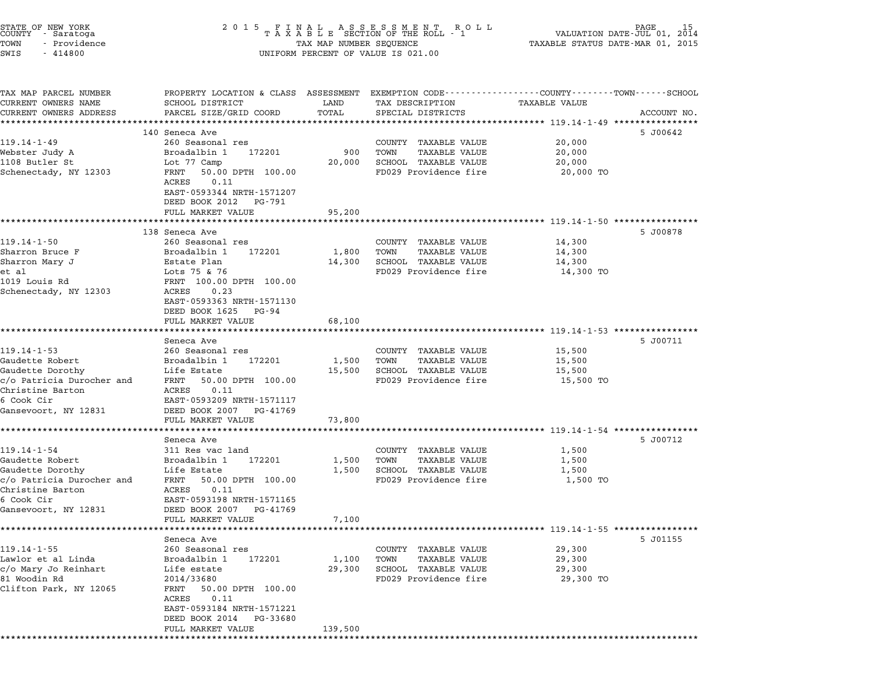| TOWN<br>SWIS<br>$-414800$                                              | TAX MAP NUMBER SEQUENCE<br>UNIFORM PERCENT OF VALUE IS 021.00                                       | 15<br>PAGE<br>VALUATION DATE-JUL 01,<br>2014<br>TAXABLE STATUS DATE-MAR 01, 2015 |                                                                                                     |                                                           |             |
|------------------------------------------------------------------------|-----------------------------------------------------------------------------------------------------|----------------------------------------------------------------------------------|-----------------------------------------------------------------------------------------------------|-----------------------------------------------------------|-------------|
| TAX MAP PARCEL NUMBER<br>CURRENT OWNERS NAME<br>CURRENT OWNERS ADDRESS | PROPERTY LOCATION & CLASS ASSESSMENT<br>SCHOOL DISTRICT<br>PARCEL SIZE/GRID COORD                   | LAND<br>TOTAL                                                                    | EXEMPTION CODE-----------------COUNTY-------TOWN-----SCHOOL<br>TAX DESCRIPTION<br>SPECIAL DISTRICTS | <b>TAXABLE VALUE</b>                                      | ACCOUNT NO. |
|                                                                        |                                                                                                     |                                                                                  |                                                                                                     | ********************************** 119.14-1-49 ********** |             |
|                                                                        | 140 Seneca Ave                                                                                      |                                                                                  |                                                                                                     |                                                           | 5 J00642    |
| 119.14-1-49                                                            | 260 Seasonal res                                                                                    |                                                                                  | COUNTY TAXABLE VALUE                                                                                | 20,000                                                    |             |
| Webster Judy A                                                         | Broadalbin 1<br>172201                                                                              | 900                                                                              | <b>TAXABLE VALUE</b><br>TOWN                                                                        | 20,000                                                    |             |
| 1108 Butler St                                                         | Lot 77 Camp                                                                                         | 20,000                                                                           | SCHOOL TAXABLE VALUE                                                                                | 20,000                                                    |             |
| Schenectady, NY 12303                                                  | FRNT<br>50.00 DPTH 100.00<br>0.11<br>ACRES<br>EAST-0593344 NRTH-1571207<br>DEED BOOK 2012<br>PG-791 |                                                                                  | FD029 Providence fire                                                                               | 20,000 TO                                                 |             |
|                                                                        | FULL MARKET VALUE                                                                                   | 95,200                                                                           |                                                                                                     |                                                           |             |
|                                                                        |                                                                                                     |                                                                                  |                                                                                                     | ************** 119.14-1-50 **********                     |             |
|                                                                        | 138 Seneca Ave                                                                                      |                                                                                  |                                                                                                     |                                                           | 5 J00878    |
| $119.14 - 1 - 50$<br>Sharron Bruce F                                   | 260 Seasonal res<br>Broadalbin 1<br>172201                                                          | 1,800                                                                            | COUNTY TAXABLE VALUE<br><b>TAXABLE VALUE</b><br>TOWN                                                | 14,300<br>14,300                                          |             |
| Sharron Mary J                                                         | Estate Plan                                                                                         | 14,300                                                                           | SCHOOL TAXABLE VALUE                                                                                | 14,300                                                    |             |
| et al                                                                  | Lots 75 & 76                                                                                        |                                                                                  | FD029 Providence fire                                                                               | 14,300 TO                                                 |             |
| 1019 Louis Rd                                                          | FRNT 100.00 DPTH 100.00                                                                             |                                                                                  |                                                                                                     |                                                           |             |
| Schenectady, NY 12303                                                  | ACRES<br>0.23<br>EAST-0593363 NRTH-1571130<br>DEED BOOK 1625<br>PG-94                               |                                                                                  |                                                                                                     |                                                           |             |
|                                                                        | FULL MARKET VALUE                                                                                   | 68,100                                                                           |                                                                                                     |                                                           |             |
|                                                                        |                                                                                                     |                                                                                  |                                                                                                     |                                                           |             |
|                                                                        | Seneca Ave                                                                                          |                                                                                  |                                                                                                     |                                                           | 5 J00711    |
| $119.14 - 1 - 53$<br>Gaudette Robert                                   | 260 Seasonal res<br>Broadalbin 1<br>172201                                                          | 1,500                                                                            | COUNTY TAXABLE VALUE<br>TOWN<br><b>TAXABLE VALUE</b>                                                | 15,500<br>15,500                                          |             |
| Gaudette Dorothy                                                       | Life Estate                                                                                         | 15,500                                                                           | SCHOOL TAXABLE VALUE                                                                                | 15,500                                                    |             |
| c/o Patricia Durocher and                                              | FRNT<br>50.00 DPTH 100.00                                                                           |                                                                                  | FD029 Providence fire                                                                               | 15,500 TO                                                 |             |
| Christine Barton                                                       | ACRES<br>0.11                                                                                       |                                                                                  |                                                                                                     |                                                           |             |
| 6 Cook Cir                                                             | EAST-0593209 NRTH-1571117                                                                           |                                                                                  |                                                                                                     |                                                           |             |
| Gansevoort, NY 12831                                                   | DEED BOOK 2007<br>PG-41769                                                                          |                                                                                  |                                                                                                     |                                                           |             |
|                                                                        | FULL MARKET VALUE                                                                                   | 73,800                                                                           |                                                                                                     |                                                           |             |
|                                                                        | Seneca Ave                                                                                          |                                                                                  |                                                                                                     |                                                           | 5 J00712    |
| $119.14 - 1 - 54$                                                      | 311 Res vac land                                                                                    |                                                                                  | COUNTY TAXABLE VALUE                                                                                | 1,500                                                     |             |
| Gaudette Robert                                                        | Broadalbin 1<br>172201                                                                              | 1,500                                                                            | TOWN<br>TAXABLE VALUE                                                                               | 1,500                                                     |             |
| Gaudette Dorothy                                                       | Life Estate                                                                                         | 1,500                                                                            | SCHOOL TAXABLE VALUE                                                                                | 1,500                                                     |             |
| c/o Patricia Durocher and                                              | FRNT<br>50.00 DPTH 100.00                                                                           |                                                                                  | FD029 Providence fire                                                                               | 1,500 TO                                                  |             |
| Christine Barton                                                       | ACRES<br>0.11                                                                                       |                                                                                  |                                                                                                     |                                                           |             |
| 6 Cook Cir                                                             | EAST-0593198 NRTH-1571165                                                                           |                                                                                  |                                                                                                     |                                                           |             |
| Gansevoort, NY 12831                                                   | DEED BOOK 2007<br>PG-41769<br>FULL MARKET VALUE                                                     | 7,100                                                                            |                                                                                                     |                                                           |             |
|                                                                        |                                                                                                     |                                                                                  |                                                                                                     |                                                           |             |
|                                                                        | Seneca Ave                                                                                          |                                                                                  |                                                                                                     |                                                           | 5 J01155    |
| $119.14 - 1 - 55$                                                      | 260 Seasonal res                                                                                    |                                                                                  | COUNTY TAXABLE VALUE                                                                                | 29,300                                                    |             |
| Lawlor et al Linda                                                     | Broadalbin 1<br>172201                                                                              | 1,100                                                                            | TOWN<br><b>TAXABLE VALUE</b>                                                                        | 29,300                                                    |             |
| c/o Mary Jo Reinhart                                                   | Life estate                                                                                         | 29,300                                                                           | SCHOOL TAXABLE VALUE                                                                                | 29,300                                                    |             |
| 81 Woodin Rd                                                           | 2014/33680                                                                                          |                                                                                  | FD029 Providence fire                                                                               | 29,300 TO                                                 |             |
| Clifton Park, NY 12065                                                 | FRNT<br>50.00 DPTH 100.00                                                                           |                                                                                  |                                                                                                     |                                                           |             |
|                                                                        |                                                                                                     |                                                                                  |                                                                                                     |                                                           |             |
|                                                                        | ACRES<br>0.11<br>EAST-0593184 NRTH-1571221                                                          |                                                                                  |                                                                                                     |                                                           |             |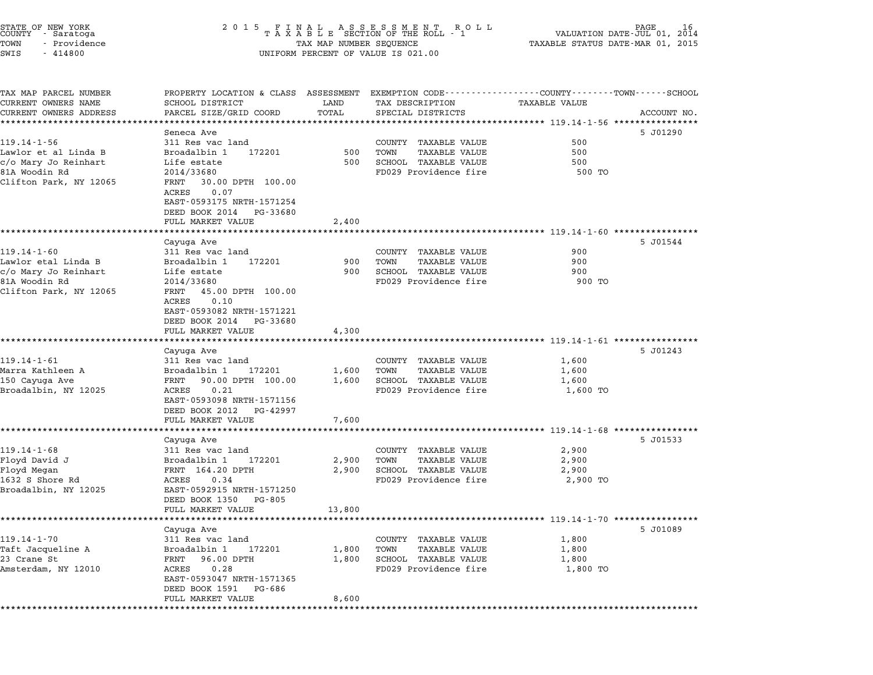| STATE OF NEW YORK    | 2015 FINAL ASSESSMENT ROLL         | 16<br>PAGE                       |
|----------------------|------------------------------------|----------------------------------|
| COUNTY - Saratoga    | TAXABLE SECTION OF THE ROLL - 1    | VALUATION DATE-JUL 01, 2014      |
| - Providence<br>TOWN | TAX MAP NUMBER SEOUENCE            | TAXABLE STATUS DATE-MAR 01, 2015 |
| SWTS - 414800        | INIFORM PERCENT OF VALUE IS 021.00 |                                  |

# TOWN - Providence TAX MAP NUMBER SEQUENCE TAXABLE STATUS DATE-MAR 01, <sup>2015</sup> COONTI - SATACOGA<br>TOWN - Providence<br>SWIS - 414800 UNIFORM PERCENT OF VALUE IS 021.00

TAX MAP PARCEL NUMBER PROPERTY LOCATION & CLASS ASSESSMENT EXEMPTION CODE------------------COUNTY--------TOWN------SCHOOL ...<br>-- COUNTY:- TAX MAP PARCEL NUMBER THE OCHOTRY AND THE CURRENT EXEMPTION CODE<br>CURRENT OWNERS NAME SCHOOL DISTRICT LAND TAX DESCRIPTION TAXABLE VALUE CURRENT OWNERS ADDRESS PARCEL SIZE/GRID COORD TOTAL SPECIAL DISTRICTS ACCOUNT NO. \*\*\*\*\*\*\*\*\*\*\*\*\*\*\*\*\*\*\*\*\*\*\*\*\*\*\*\*\*\*\*\*\*\*\*\*\*\*\*\*\*\*\*\*\*\*\*\*\*\*\*\*\*\*\*\*\*\*\*\*\*\*\*\*\*\*\*\*\*\*\*\*\*\*\*\*\*\*\*\*\*\*\*\*\*\*\*\*\*\*\*\*\*\*\*\*\*\*\*\*\*\*\* 119.14-1-56 \*\*\*\*\*\*\*\*\*\*\*\*\*\*\*\* Seneca Ave 5 J01290 119.14-1-56 Seneca Ave Seneca Ave Seneca Ave Seneca Ave Seneca Ave Seneca Ave Seneca Ave Seneca Ave Seneca Ave S Lawlor et al Linda B Broadalbin <sup>1</sup> <sup>172201</sup> <sup>500</sup> TOWN TAXABLE VALUE <sup>500</sup> count the set of the state of the state of the count than the value of the set of the set of the state of the<br>Limit and the state the set of the set of the set of the set of the set of the set of the set of the set of th<br>C MANUT ET AT MING BUOMANDING BUOLOGY OF THE SUCH THAN TAXABLE VALUE AND TRANSULATE OUT AND TRANSULATE SUCH AND SUCH AND SUCH AND TRANSULATE SUCH AND SUCH AND SUCH AND SUCH AND SUCH AND SUCH AND SUCH AND SUCH AND SUCH AND SU Clifton Park, NY <sup>12065</sup> FRNT 30.00 DPTH 100.00 FRNT 30.00 DPTH 100.00<br>ACRES 0.07 EAST-0593175 NRTH-1571254 EAST-0593175 NRTH-1571254<br>DEED BOOK 2014 PG-33680 DEED BOOK 2014 PG-33680<br>FULL MARKET VALUE 2,400 \*\*\*\*\*\*\*\*\*\*\*\*\*\*\*\*\*\*\*\*\*\*\*\*\*\*\*\*\*\*\*\*\*\*\*\*\*\*\*\*\*\*\*\*\*\*\*\*\*\*\*\*\*\*\*\*\*\*\*\*\*\*\*\*\*\*\*\*\*\*\*\*\*\*\*\*\*\*\*\*\*\*\*\*\*\*\*\*\*\*\*\*\*\*\*\*\*\*\*\*\*\*\* 119.14-1-60 \*\*\*\*\*\*\*\*\*\*\*\*\*\*\*\* Cayuga Ave 5 J01544 119.14-1-60 Samuel Carus and Carus and Carus and Carus and Carus Carus Carus Carus Carus Carus County TAXABLE VALUE 900 Lawlor etal Linda B Broadalbin <sup>1</sup> <sup>172201</sup> <sup>900</sup> TOWN TAXABLE VALUE <sup>900</sup> c/o Mary Jo Reinhart Life estate <sup>900</sup> SCHOOL TAXABLE VALUE <sup>900</sup> metric editional provident della control della control della control della control della control della control<br>1900 SCHOOL TAXABLE VALUE editione di providence fire 900 TO<br>19029 Providence fire 900 TO TO Clifton Park, NY <sup>12065</sup> FRNT 45.00 DPTH 100.00 FRNT 45.00 DPTH 100.00<br>ACRES 0.10 FANI 45.00 DPIH 100.00<br>ACRES 0.10<br>EAST-0593082 NRTH-1571221 EAST-0593082 NRTH-1571221<br>DEED BOOK 2014 PG-33680 DEED BOOK 2014 PG-33680<br>FULL MARKET VALUE 4,300 \*\*\*\*\*\*\*\*\*\*\*\*\*\*\*\*\*\*\*\*\*\*\*\*\*\*\*\*\*\*\*\*\*\*\*\*\*\*\*\*\*\*\*\*\*\*\*\*\*\*\*\*\*\*\*\*\*\*\*\*\*\*\*\*\*\*\*\*\*\*\*\*\*\*\*\*\*\*\*\*\*\*\*\*\*\*\*\*\*\*\*\*\*\*\*\*\*\*\*\*\*\*\* 119.14-1-61 \*\*\*\*\*\*\*\*\*\*\*\*\*\*\*\* Cayuga Ave 5 J01243 119.14-1-61 Cayuga Ave Care Care and County TAXABLE VALUE 19.14-1-61 (1,600) Marra Kathleen A Broadalbin <sup>1</sup> <sup>172201</sup> 1,600 TOWN TAXABLE VALUE 1,600 119.14 I OI OIL NES VAO I AND DE COONTI TAAADDD VADOD I I,OOO<br>Marra Kathleen A Broadalbin 192201 1,600 TOWN TAXABLE VALUE 1,600<br>150 Cayuga Ave 1,600 FRNT 90.00 DPTH 100.00 1,600 SCHOOL TAXABLE VALUE 1,600 maria Kathleen A (Broad Broadaibin 1992)<br>1500 Cayuga Ave (BR) PRNT 90.00 FTH 100.00 1,600 SCHOOL TAXABLE VALUE (1,600 TO<br>Broadalbin, NY 12025 ACRES 0.21 ACRES 0.21<br>EAST-0593098 NRTH-1571156 EAST-0593098 NRTH-1571156<br>DEED BOOK 2012 PG-42997 EAST 0333030 MAIN 1371130<br>
DEED BOOK 2012 PG-42997<br>
FULL MARKET VALUE 7,600 \*\*\*\*\*\*\*\*\*\*\*\*\*\*\*\*\*\*\*\*\*\*\*\*\*\*\*\*\*\*\*\*\*\*\*\*\*\*\*\*\*\*\*\*\*\*\*\*\*\*\*\*\*\*\*\*\*\*\*\*\*\*\*\*\*\*\*\*\*\*\*\*\*\*\*\*\*\*\*\*\*\*\*\*\*\*\*\*\*\*\*\*\*\*\*\*\*\*\*\*\*\*\* 119.14-1-68 \*\*\*\*\*\*\*\*\*\*\*\*\*\*\*\* Cayuga Ave 5 J01533 119.14-1-68 311 Res vac land<br>Cayuga Ave<br>2,900 119.14-1-68 2.900 2,900 311 Res vac land Floyd David J Broadalbin <sup>1</sup> <sup>172201</sup> 2,900 TOWN TAXABLE VALUE 2,900 Floyd Megan FRNT 164.20 DPTH 2,900 SCHOOL TAXABLE VALUE 2,900 11030 Broad Broad Broad Broad Broad Broad Broad Broad Broad Broad Broad Broad Broad Broad Broad Broad Broad Br<br>1632 S Shore Rd Broad Broad Broad Broad Broad Broad Broad Broad Broad Broad Broad Broad Broad Broad Broad Broa<br> Broadalbin, NY <sup>12025</sup> EAST-0592915 NRTH-1571250 EAST-0592915 NRTH-15712<br>DEED BOOK 1350 PG-805 EASI-0392913 NAIH-1371230<br>
DEED BOOK 1350 PG-805<br>
FULL MARKET VALUE 13,800 \*\*\*\*\*\*\*\*\*\*\*\*\*\*\*\*\*\*\*\*\*\*\*\*\*\*\*\*\*\*\*\*\*\*\*\*\*\*\*\*\*\*\*\*\*\*\*\*\*\*\*\*\*\*\*\*\*\*\*\*\*\*\*\*\*\*\*\*\*\*\*\*\*\*\*\*\*\*\*\*\*\*\*\*\*\*\*\*\*\*\*\*\*\*\*\*\*\*\*\*\*\*\* 119.14-1-70 \*\*\*\*\*\*\*\*\*\*\*\*\*\*\*\* Cayuga Ave 5 J01089 119.14-1-70 Cayuga Ave Care of the Superintendence of the Superintendence of the Superintendence of the Superintendence of the Superintendence of the Superintendence of the Superintendence of the Superintendence of the Sup Taft Jacqueline A Broadalbin <sup>1</sup> <sup>172201</sup> 1,800 TOWN TAXABLE VALUE 1,800 11.13 I OURTROLL ON THE STREET SALE OF THE COUNTROLL OF THE TRANSFER OF THE 1,000<br>23 Crane St 1,800 PORTH 1,800 TOWN TAXABLE VALUE 1,800<br>23 Crane St 1,800 PRNT 96.00 DPTH 1,800 SCHOOL TAXABLE VALUE 1,800 1. Collective America Control of the Mathematical Control of the Control of the Mathematical Control of the Ta<br>23 Crane Street (1,800 SCRES 0.28 FD029 Providence fire 1,800 TO TANABLE VALUE 1,800 TO 1,800 TO 1,800 TO 1,800 FANI - 50.00 DFIH<br>ACRES - 0.28<br>EAST-0593047 NRTH-1571365 ACRES 0.28<br>EAST-0593047 NRTH-1571365 FULL MARKET VALUE 8,600 \*\*\*\*\*\*\*\*\*\*\*\*\*\*\*\*\*\*\*\*\*\*\*\*\*\*\*\*\*\*\*\*\*\*\*\*\*\*\*\*\*\*\*\*\*\*\*\*\*\*\*\*\*\*\*\*\*\*\*\*\*\*\*\*\*\*\*\*\*\*\*\*\*\*\*\*\*\*\*\*\*\*\*\*\*\*\*\*\*\*\*\*\*\*\*\*\*\*\*\*\*\*\*\*\*\*\*\*\*\*\*\*\*\*\*\*\*\*\*\*\*\*\*\*\*\*\*\*\*\*\*\*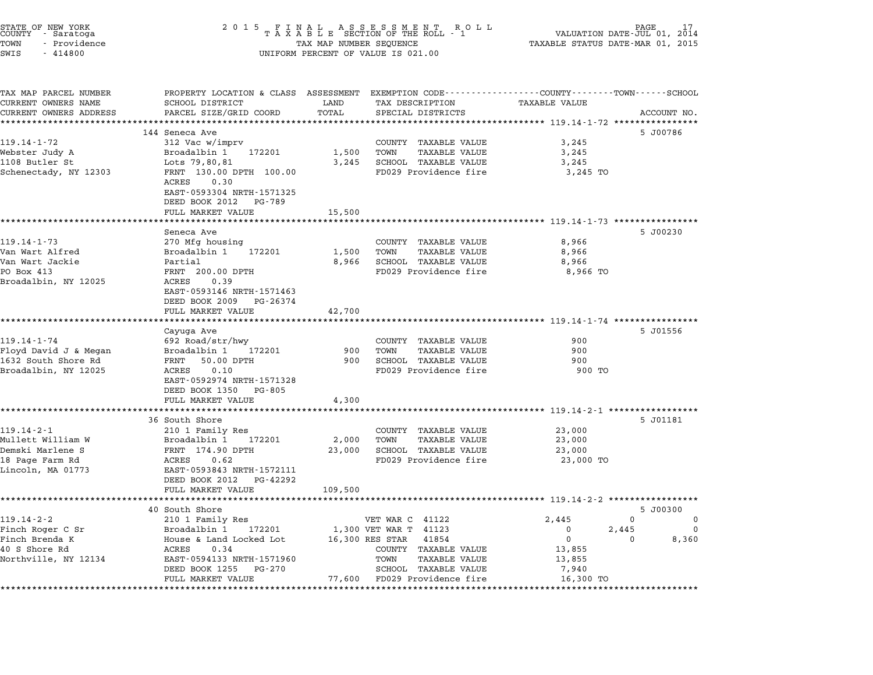| STATE OF NEW YORK<br>COUNTY - Saratoga<br>TOWN<br>- Providence<br>SWIS<br>$-414800$ | 2 0 1 5<br>FINAL ASSESSMENT ROLL<br>TAXABLE SECTION OF THE ROLL - 1<br>TAX MAP NUMBER SEQUENCE<br>UNIFORM PERCENT OF VALUE IS 021.00 | PAGE<br>17<br>VALUATION DATE-JUL 01,<br>2014<br>TAXABLE STATUS DATE-MAR 01, 2015 |                                                      |                                                            |             |
|-------------------------------------------------------------------------------------|--------------------------------------------------------------------------------------------------------------------------------------|----------------------------------------------------------------------------------|------------------------------------------------------|------------------------------------------------------------|-------------|
| TAX MAP PARCEL NUMBER<br>CURRENT OWNERS NAME                                        | PROPERTY LOCATION & CLASS ASSESSMENT EXEMPTION CODE---------------COUNTY-------TOWN-----SCHOOL<br>SCHOOL DISTRICT                    | LAND                                                                             | TAX DESCRIPTION                                      | <b>TAXABLE VALUE</b>                                       |             |
| CURRENT OWNERS ADDRESS                                                              | PARCEL SIZE/GRID COORD                                                                                                               | TOTAL                                                                            | SPECIAL DISTRICTS                                    |                                                            | ACCOUNT NO. |
|                                                                                     |                                                                                                                                      |                                                                                  |                                                      | ********************************* 119.14-1-72 **********   |             |
|                                                                                     | 144 Seneca Ave                                                                                                                       |                                                                                  |                                                      |                                                            | 5 J00786    |
| 119.14-1-72                                                                         | 312 Vac w/imprv                                                                                                                      |                                                                                  | COUNTY TAXABLE VALUE                                 | 3,245                                                      |             |
| Webster Judy A<br>1108 Butler St                                                    | Broadalbin 1<br>172201                                                                                                               | 1,500                                                                            | TOWN<br><b>TAXABLE VALUE</b>                         | 3,245                                                      |             |
| Schenectady, NY 12303                                                               | Lots 79,80,81<br>FRNT 130.00 DPTH 100.00                                                                                             | 3,245                                                                            | SCHOOL TAXABLE VALUE<br>FD029 Providence fire        | 3,245<br>3,245 TO                                          |             |
|                                                                                     | ACRES<br>0.30<br>EAST-0593304 NRTH-1571325                                                                                           |                                                                                  |                                                      |                                                            |             |
|                                                                                     | DEED BOOK 2012<br>PG-789                                                                                                             |                                                                                  |                                                      |                                                            |             |
|                                                                                     | FULL MARKET VALUE                                                                                                                    | 15,500                                                                           |                                                      |                                                            |             |
|                                                                                     |                                                                                                                                      |                                                                                  |                                                      | ********************************* 119.14-1-73 ************ |             |
| 119.14-1-73                                                                         | Seneca Ave                                                                                                                           |                                                                                  |                                                      |                                                            | 5 J00230    |
| Van Wart Alfred                                                                     | 270 Mfg housing<br>Broadalbin 1<br>172201                                                                                            | 1,500                                                                            | COUNTY TAXABLE VALUE<br>TOWN<br><b>TAXABLE VALUE</b> | 8,966<br>8,966                                             |             |
| Van Wart Jackie                                                                     | Partial                                                                                                                              | 8,966                                                                            | SCHOOL TAXABLE VALUE                                 | 8,966                                                      |             |
| PO Box 413                                                                          | FRNT 200.00 DPTH                                                                                                                     |                                                                                  | FD029 Providence fire                                | 8,966 TO                                                   |             |
| Broadalbin, NY 12025                                                                | 0.39<br>ACRES                                                                                                                        |                                                                                  |                                                      |                                                            |             |
|                                                                                     | EAST-0593146 NRTH-1571463                                                                                                            |                                                                                  |                                                      |                                                            |             |
|                                                                                     | DEED BOOK 2009<br>PG-26374                                                                                                           |                                                                                  |                                                      |                                                            |             |
|                                                                                     | FULL MARKET VALUE                                                                                                                    | 42,700                                                                           |                                                      |                                                            |             |
|                                                                                     |                                                                                                                                      |                                                                                  |                                                      | *************************** 119.14-1-74 *****************  | 5 J01556    |
| $119.14 - 1 - 74$                                                                   | Cayuga Ave<br>692 Road/str/hwy                                                                                                       |                                                                                  | COUNTY TAXABLE VALUE                                 | 900                                                        |             |
| Floyd David J & Megan                                                               | 172201<br>Broadalbin 1                                                                                                               | 900                                                                              | TOWN<br><b>TAXABLE VALUE</b>                         | 900                                                        |             |
| 1632 South Shore Rd                                                                 | FRNT<br>50.00 DPTH                                                                                                                   | 900                                                                              | SCHOOL TAXABLE VALUE                                 | 900                                                        |             |
| Broadalbin, NY 12025                                                                | 0.10<br>ACRES                                                                                                                        |                                                                                  | FD029 Providence fire                                | 900 TO                                                     |             |
|                                                                                     | EAST-0592974 NRTH-1571328                                                                                                            |                                                                                  |                                                      |                                                            |             |
|                                                                                     | DEED BOOK 1350<br>PG-805                                                                                                             |                                                                                  |                                                      |                                                            |             |
|                                                                                     | FULL MARKET VALUE                                                                                                                    | 4,300                                                                            |                                                      |                                                            |             |
|                                                                                     | 36 South Shore                                                                                                                       |                                                                                  |                                                      |                                                            | 5 J01181    |
| $119.14 - 2 - 1$                                                                    | 210 1 Family Res                                                                                                                     |                                                                                  | COUNTY TAXABLE VALUE                                 | 23,000                                                     |             |
| Mullett William W                                                                   | Broadalbin 1<br>172201                                                                                                               | 2,000                                                                            | TOWN<br><b>TAXABLE VALUE</b>                         | 23,000                                                     |             |
| Demski Marlene S                                                                    | FRNT 174.90 DPTH                                                                                                                     | 23,000                                                                           | SCHOOL TAXABLE VALUE                                 | 23,000                                                     |             |
| 18 Page Farm Rd                                                                     | ACRES<br>0.62                                                                                                                        |                                                                                  | FD029 Providence fire                                | 23,000 TO                                                  |             |
| Lincoln, MA 01773                                                                   | EAST-0593843 NRTH-1572111                                                                                                            |                                                                                  |                                                      |                                                            |             |
|                                                                                     | DEED BOOK 2012<br>PG-42292                                                                                                           |                                                                                  |                                                      |                                                            |             |
|                                                                                     | FULL MARKET VALUE                                                                                                                    | 109,500                                                                          |                                                      | *********************** 119.14-2-2 *******                 |             |
|                                                                                     | 40 South Shore                                                                                                                       |                                                                                  |                                                      |                                                            | 5 J00300    |
| $119.14 - 2 - 2$                                                                    | 210 1 Family Res                                                                                                                     |                                                                                  | VET WAR C 41122                                      | 2,445                                                      | 0<br>0      |
| Finch Roger C Sr                                                                    | Broadalbin 1<br>172201                                                                                                               |                                                                                  | 1,300 VET WAR T<br>41123                             | 0                                                          | 2,445<br>0  |
| Finch Brenda K                                                                      | House & Land Locked Lot                                                                                                              |                                                                                  | 16,300 RES STAR<br>41854                             | 0                                                          | 8,360<br>0  |
| 40 S Shore Rd                                                                       | ACRES<br>0.34                                                                                                                        |                                                                                  | <b>TAXABLE VALUE</b><br>COUNTY                       | 13,855                                                     |             |
| Northville, NY 12134                                                                | EAST-0594133 NRTH-1571960                                                                                                            |                                                                                  | TOWN<br>TAXABLE VALUE                                | 13,855                                                     |             |
|                                                                                     | DEED BOOK 1255<br>PG-270                                                                                                             |                                                                                  | SCHOOL TAXABLE VALUE                                 | 7,940                                                      |             |
|                                                                                     | FULL MARKET VALUE<br>*********************                                                                                           | 77,600                                                                           | FD029 Providence fire                                | 16,300 TO<br>*********************************             |             |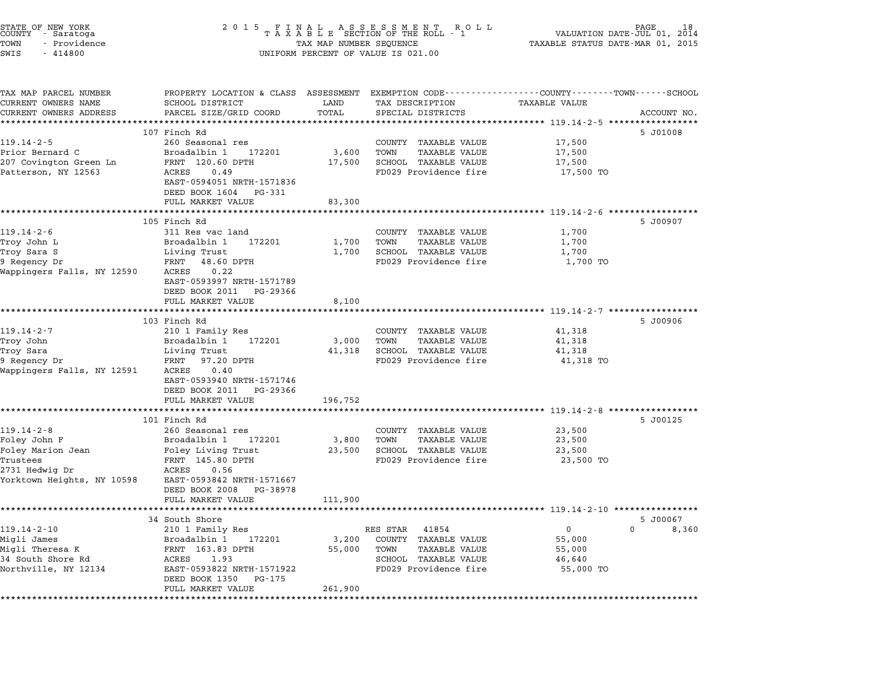| STATE OF NEW YORK<br>COUNTY - Saratoga<br>TOWN<br>- Providence<br>SWIS<br>$-414800$                               | 2 0 1 5<br>FINAL ASSESSMENT ROLL<br>TAXABLE SECTION OF THE ROLL - 1<br>TAX MAP NUMBER SEQUENCE<br>UNIFORM PERCENT OF VALUE IS 021.00                                                                             |                                       |                                                                                                                     | 18<br>PAGE<br>2014<br>VALUATION DATE-JUL 01,<br>TAXABLE STATUS DATE-MAR 01, 2015 |                                   |  |
|-------------------------------------------------------------------------------------------------------------------|------------------------------------------------------------------------------------------------------------------------------------------------------------------------------------------------------------------|---------------------------------------|---------------------------------------------------------------------------------------------------------------------|----------------------------------------------------------------------------------|-----------------------------------|--|
| TAX MAP PARCEL NUMBER<br>CURRENT OWNERS NAME<br>CURRENT OWNERS ADDRESS<br>***********************                 | PROPERTY LOCATION & CLASS ASSESSMENT EXEMPTION CODE---------------COUNTY-------TOWN-----SCHOOL<br>SCHOOL DISTRICT<br>PARCEL SIZE/GRID COORD<br>************************                                          | LAND<br>TOTAL                         | TAX DESCRIPTION<br>SPECIAL DISTRICTS                                                                                | <b>TAXABLE VALUE</b><br>********************************* 119.14-2-5 *********** | ACCOUNT NO.                       |  |
| $119.14 - 2 - 5$<br>Prior Bernard C<br>207 Covington Green Ln<br>Patterson, NY 12563                              | 107 Finch Rd<br>260 Seasonal res<br>Broadalbin 1<br>172201<br>FRNT 120.60 DPTH<br>ACRES<br>0.49<br>EAST-0594051 NRTH-1571836<br>DEED BOOK 1604<br>PG-331<br>FULL MARKET VALUE                                    | 3,600<br>17,500<br>83,300             | COUNTY TAXABLE VALUE<br>TOWN<br>TAXABLE VALUE<br>SCHOOL TAXABLE VALUE<br>FD029 Providence fire                      | 17,500<br>17,500<br>17,500<br>17,500 TO                                          | 5 J01008                          |  |
| $119.14 - 2 - 6$<br>Troy John L<br>Troy Sara S<br>9 Regency Dr<br>Wappingers Falls, NY 12590                      | 105 Finch Rd<br>311 Res vac land<br>Broadalbin 1<br>172201<br>Living Trust<br>FRNT 48.60 DPTH<br>0.22<br>ACRES<br>EAST-0593997 NRTH-1571789<br>DEED BOOK 2011 PG-29366                                           | 1,700<br>1,700                        | COUNTY TAXABLE VALUE<br>TOWN<br>TAXABLE VALUE<br>SCHOOL TAXABLE VALUE<br>FD029 Providence fire                      | 1,700<br>1,700<br>1,700<br>1,700 TO                                              | 5 J00907                          |  |
| $119.14 - 2 - 7$<br>Troy John<br>Troy Sara<br>9 Regency Dr<br>Wappingers Falls, NY 12591                          | FULL MARKET VALUE<br>103 Finch Rd<br>210 1 Family Res<br>Broadalbin 1<br>172201<br>Living Trust<br>FRNT 97.20 DPTH<br>ACRES<br>0.40<br>EAST-0593940 NRTH-1571746<br>DEED BOOK 2011<br>PG-29366                   | 8,100<br>3,000<br>41,318              | COUNTY TAXABLE VALUE<br>TOWN<br>TAXABLE VALUE<br>SCHOOL TAXABLE VALUE<br>FD029 Providence fire                      | 41,318<br>41,318<br>41,318<br>41,318 TO                                          | 5 J00906                          |  |
| $119.14 - 2 - 8$<br>Foley John F<br>Foley Marion Jean<br>Trustees<br>2731 Hedwig Dr<br>Yorktown Heights, NY 10598 | FULL MARKET VALUE<br>101 Finch Rd<br>260 Seasonal res<br>Broadalbin 1<br>172201<br>Foley Living Trust<br>FRNT 145.80 DPTH<br>ACRES<br>0.56<br>EAST-0593842 NRTH-1571667<br>DEED BOOK 2008                        | 196,752<br>3,800<br>23,500            | COUNTY TAXABLE VALUE<br>TOWN<br>TAXABLE VALUE<br>SCHOOL TAXABLE VALUE<br>FD029 Providence fire                      | 23,500<br>23,500<br>23,500<br>23,500 TO                                          | 5 J00125                          |  |
| $119.14 - 2 - 10$<br>Migli James<br>Migli Theresa K<br>34 South Shore Rd<br>Northville, NY 12134                  | PG-38978<br>FULL MARKET VALUE<br>34 South Shore<br>210 1 Family Res<br>Broadalbin 1<br>172201<br>FRNT 163.83 DPTH<br>ACRES<br>1.93<br>EAST-0593822 NRTH-1571922<br>DEED BOOK 1350<br>PG-175<br>FULL MARKET VALUE | 111,900<br>3,200<br>55,000<br>261,900 | 41854<br>RES STAR<br>COUNTY TAXABLE VALUE<br>TAXABLE VALUE<br>TOWN<br>SCHOOL TAXABLE VALUE<br>FD029 Providence fire | $\mathbf 0$<br>55,000<br>55,000<br>46,640<br>55,000 TO                           | 5 J00067<br>$\mathbf{0}$<br>8,360 |  |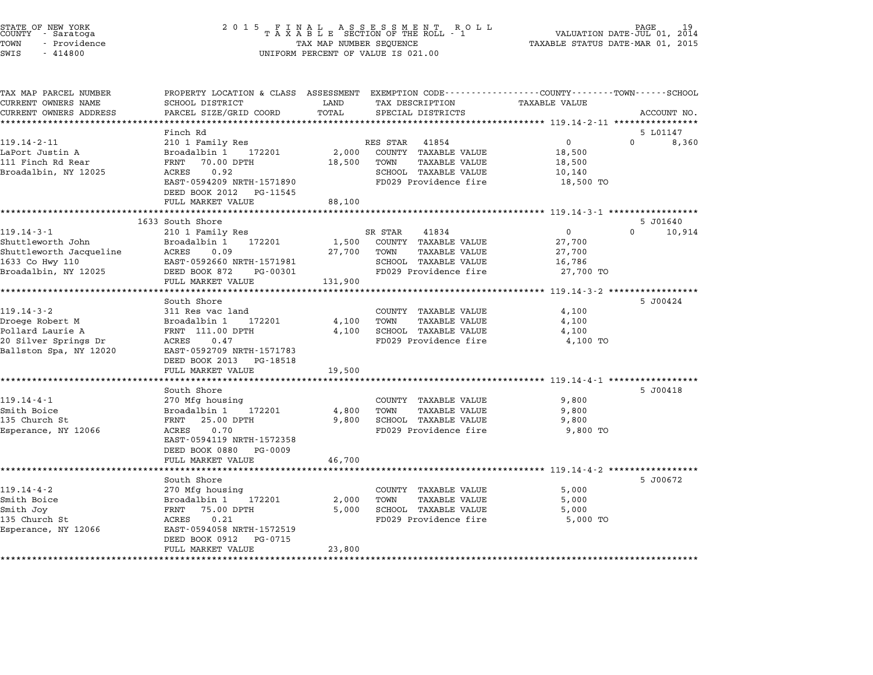| STATE OF NEW YORK<br>COUNTY - Saratoga | 2015 FINAL ASSESSMENT ROLL<br>TAXABLE SECTION OF THE ROLL - 1 | 19<br>PAGE<br>VALUATION DATE-JUL 01, 2014 |
|----------------------------------------|---------------------------------------------------------------|-------------------------------------------|
| TOWN<br>- Providence                   | TAX MAP NUMBER SEQUENCE                                       | TAXABLE STATUS DATE-MAR 01, 2015          |
| SWIS<br>- 414800                       | UNIFORM PERCENT OF VALUE IS 021.00                            |                                           |

# TOWN - Providence TAX MAP NUMBER SEQUENCE TAXABLE STATUS DATE-MAR 01, <sup>2015</sup>

| TAX MAP PARCEL NUMBER<br>CURRENT OWNERS NAME | PROPERTY LOCATION & CLASS ASSESSMENT EXEMPTION CODE---------------COUNTY-------TOWN------SCHOOL<br>SCHOOL DISTRICT | LAND    | TAX DESCRIPTION                               | TAXABLE VALUE                                           |                    |
|----------------------------------------------|--------------------------------------------------------------------------------------------------------------------|---------|-----------------------------------------------|---------------------------------------------------------|--------------------|
| CURRENT OWNERS ADDRESS                       | PARCEL SIZE/GRID COORD                                                                                             | TOTAL   | SPECIAL DISTRICTS                             |                                                         | ACCOUNT NO.        |
|                                              |                                                                                                                    |         |                                               |                                                         |                    |
|                                              | Finch Rd                                                                                                           |         |                                               |                                                         | 5 L01147           |
| $119.14 - 2 - 11$                            | 210 1 Family Res                                                                                                   |         | 41854<br>RES STAR                             | $\mathbf{0}$                                            | $\Omega$<br>8,360  |
| LaPort Justin A                              | Broadalbin 1<br>172201                                                                                             | 2,000   | COUNTY TAXABLE VALUE                          | 18,500                                                  |                    |
| 111 Finch Rd Rear                            | FRNT<br>70.00 DPTH                                                                                                 | 18,500  | TOWN<br>TAXABLE VALUE                         | 18,500                                                  |                    |
| Broadalbin, NY 12025                         | ACRES<br>0.92                                                                                                      |         | SCHOOL TAXABLE VALUE<br>FD029 Providence fire | 10,140                                                  |                    |
|                                              | EAST-0594209 NRTH-1571890<br>DEED BOOK 2012                                                                        |         |                                               | 18,500 TO                                               |                    |
|                                              | PG-11545<br>FULL MARKET VALUE                                                                                      | 88,100  |                                               |                                                         |                    |
|                                              | *********************                                                                                              |         |                                               |                                                         |                    |
|                                              | 1633 South Shore                                                                                                   |         |                                               |                                                         | 5 J01640           |
| $119.14 - 3 - 1$                             | 210 1 Family Res                                                                                                   |         | SR STAR<br>41834                              | 0                                                       | $\Omega$<br>10,914 |
| Shuttleworth John                            | Broadalbin 1<br>172201                                                                                             | 1,500   | COUNTY TAXABLE VALUE                          | 27,700                                                  |                    |
| Shuttleworth Jacqueline                      | ACRES<br>0.09                                                                                                      | 27,700  | TOWN<br>TAXABLE VALUE                         | 27,700                                                  |                    |
| 1633 Co Hwy 110                              | EAST-0592660 NRTH-1571981                                                                                          |         | SCHOOL TAXABLE VALUE                          | 16,786                                                  |                    |
| Broadalbin, NY 12025                         | DEED BOOK 872<br>PG-00301<br>FULL MARKET VALUE                                                                     | 131,900 | FD029 Providence fire                         | 27,700 TO                                               |                    |
|                                              | ************************                                                                                           |         |                                               | ************************* 119.14-3-2 ****************** |                    |
|                                              | South Shore                                                                                                        |         |                                               |                                                         | 5 J00424           |
| $119.14 - 3 - 2$                             | 311 Res vac land                                                                                                   |         | COUNTY TAXABLE VALUE                          | 4,100                                                   |                    |
| Droege Robert M                              | Broadalbin 1<br>172201                                                                                             | 4,100   | TOWN<br>TAXABLE VALUE                         | 4,100                                                   |                    |
| Pollard Laurie A                             | FRNT 111.00 DPTH                                                                                                   | 4,100   | SCHOOL TAXABLE VALUE                          | 4,100                                                   |                    |
| 20 Silver Springs Dr                         | 0.47<br>ACRES                                                                                                      |         | FD029 Providence fire                         | 4,100 TO                                                |                    |
| Ballston Spa, NY 12020                       | EAST-0592709 NRTH-1571783                                                                                          |         |                                               |                                                         |                    |
|                                              | DEED BOOK 2013<br>PG-18518                                                                                         |         |                                               |                                                         |                    |
|                                              | FULL MARKET VALUE<br>. <b>.</b> .                                                                                  | 19,500  |                                               |                                                         |                    |
|                                              | South Shore                                                                                                        |         |                                               |                                                         | 5 J00418           |
| $119.14 - 4 - 1$                             | 270 Mfg housing                                                                                                    |         | COUNTY TAXABLE VALUE                          | 9,800                                                   |                    |
| Smith Boice                                  | Broadalbin 1<br>172201                                                                                             | 4,800   | TOWN<br><b>TAXABLE VALUE</b>                  | 9,800                                                   |                    |
| 135 Church St                                | 25.00 DPTH<br>FRNT                                                                                                 | 9,800   | SCHOOL TAXABLE VALUE                          | 9,800                                                   |                    |
| Esperance, NY 12066                          | 0.70<br>ACRES                                                                                                      |         | FD029 Providence fire                         | 9,800 TO                                                |                    |
|                                              | EAST-0594119 NRTH-1572358                                                                                          |         |                                               |                                                         |                    |
|                                              | DEED BOOK 0880<br>PG-0009                                                                                          |         |                                               |                                                         |                    |
|                                              | FULL MARKET VALUE                                                                                                  | 46,700  |                                               |                                                         |                    |
|                                              | South Shore                                                                                                        |         |                                               |                                                         | 5 J00672           |
| $119.14 - 4 - 2$                             | 270 Mfg housing                                                                                                    |         | COUNTY TAXABLE VALUE                          | 5,000                                                   |                    |
| Smith Boice                                  | Broadalbin 1<br>172201                                                                                             | 2,000   | TOWN<br>TAXABLE VALUE                         | 5,000                                                   |                    |
| Smith Joy                                    | 75.00 DPTH<br>FRNT                                                                                                 | 5,000   | SCHOOL TAXABLE VALUE                          | 5,000                                                   |                    |
| 135 Church St                                | 0.21<br>ACRES                                                                                                      |         | FD029 Providence fire                         | 5,000 TO                                                |                    |
| Esperance, NY 12066                          | EAST-0594058 NRTH-1572519                                                                                          |         |                                               |                                                         |                    |
|                                              | DEED BOOK 0912<br>PG-0715                                                                                          |         |                                               |                                                         |                    |
|                                              | FULL MARKET VALUE                                                                                                  | 23,800  |                                               |                                                         |                    |
|                                              |                                                                                                                    |         |                                               |                                                         |                    |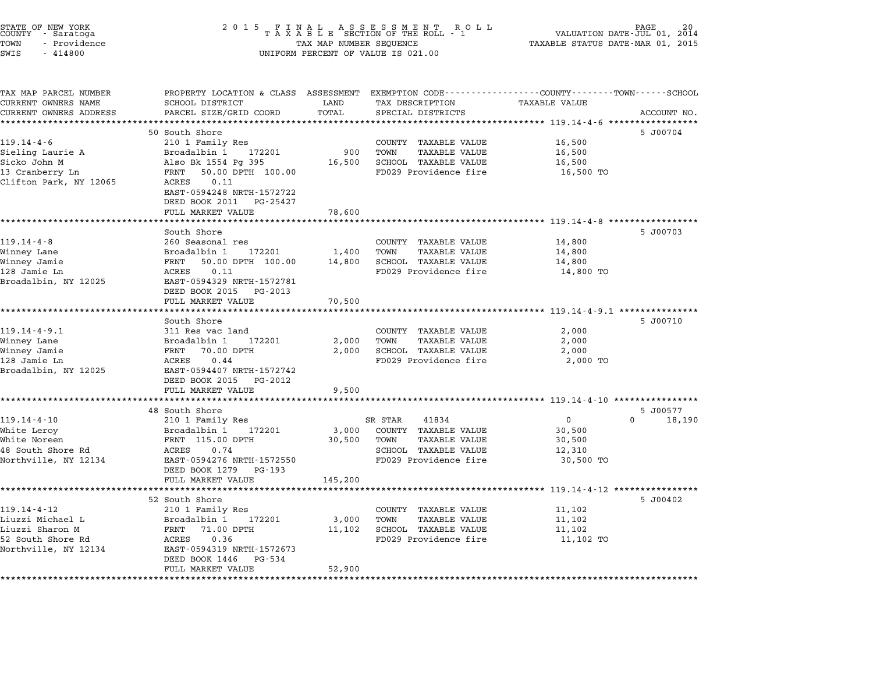| STATE OF NEW YORK<br>COUNTY<br>- Saratoga<br>TOWN<br>- Providence<br>SWIS<br>$-414800$ | 2 0 1 5<br>F<br>N<br>TAXABLE SECTION OF THE ROLL - 1<br>TAX MAP NUMBER SEQUENCE<br>UNIFORM PERCENT OF VALUE IS 021.00 | PAGE<br>VALUATION DATE-JUL 01, 2014<br>TAXABLE STATUS DATE-MAR 01, 2015 |                                                      |                                                  |                    |
|----------------------------------------------------------------------------------------|-----------------------------------------------------------------------------------------------------------------------|-------------------------------------------------------------------------|------------------------------------------------------|--------------------------------------------------|--------------------|
| TAX MAP PARCEL NUMBER<br>CURRENT OWNERS NAME                                           | PROPERTY LOCATION & CLASS ASSESSMENT EXEMPTION CODE----------------COUNTY-------TOWN-----SCHOOL<br>SCHOOL DISTRICT    | LAND                                                                    | TAX DESCRIPTION                                      | <b>TAXABLE VALUE</b>                             |                    |
| CURRENT OWNERS ADDRESS                                                                 | PARCEL SIZE/GRID COORD                                                                                                | TOTAL                                                                   | SPECIAL DISTRICTS                                    |                                                  | ACCOUNT NO.        |
| **********************                                                                 | ************************                                                                                              |                                                                         |                                                      |                                                  |                    |
| $119.14 - 4 - 6$                                                                       | 50 South Shore<br>210 1 Family Res                                                                                    |                                                                         | COUNTY TAXABLE VALUE                                 | 16,500                                           | 5 J00704           |
| Sieling Laurie A                                                                       | Broadalbin 1<br>172201                                                                                                | 900                                                                     | TOWN<br><b>TAXABLE VALUE</b>                         | 16,500                                           |                    |
| Sicko John M                                                                           | Also Bk 1554 Pg 395                                                                                                   | 16,500                                                                  | SCHOOL TAXABLE VALUE                                 | 16,500                                           |                    |
| 13 Cranberry Ln                                                                        | 50.00 DPTH 100.00<br>FRNT                                                                                             |                                                                         | FD029 Providence fire                                | 16,500 TO                                        |                    |
| Clifton Park, NY 12065                                                                 | ACRES<br>0.11                                                                                                         |                                                                         |                                                      |                                                  |                    |
|                                                                                        | EAST-0594248 NRTH-1572722                                                                                             |                                                                         |                                                      |                                                  |                    |
|                                                                                        | DEED BOOK 2011 PG-25427<br>FULL MARKET VALUE                                                                          | 78,600                                                                  |                                                      |                                                  |                    |
|                                                                                        |                                                                                                                       |                                                                         |                                                      | ***************** 119.14-4-8 ***********         |                    |
|                                                                                        | South Shore                                                                                                           |                                                                         |                                                      |                                                  | 5 J00703           |
| $119.14 - 4 - 8$                                                                       | 260 Seasonal res                                                                                                      |                                                                         | COUNTY TAXABLE VALUE                                 | 14,800                                           |                    |
| Winney Lane                                                                            | Broadalbin 1<br>172201                                                                                                | 1,400                                                                   | <b>TAXABLE VALUE</b><br>TOWN                         | 14,800                                           |                    |
| Winney Jamie<br>128 Jamie Ln                                                           | FRNT<br>50.00 DPTH 100.00<br>ACRES<br>0.11                                                                            | 14,800                                                                  | SCHOOL TAXABLE VALUE<br>FD029 Providence fire        | 14,800                                           |                    |
| Broadalbin, NY 12025                                                                   | EAST-0594329 NRTH-1572781                                                                                             |                                                                         |                                                      | 14,800 TO                                        |                    |
|                                                                                        | DEED BOOK 2015<br>PG-2013                                                                                             |                                                                         |                                                      |                                                  |                    |
|                                                                                        | FULL MARKET VALUE                                                                                                     | 70,500                                                                  |                                                      |                                                  |                    |
|                                                                                        |                                                                                                                       |                                                                         |                                                      | ***************** 119.14-4-9.1 ***********       |                    |
| $119.14 - 4 - 9.1$                                                                     | South Shore<br>311 Res vac land                                                                                       |                                                                         | COUNTY TAXABLE VALUE                                 | 2,000                                            | 5 J00710           |
| Winney Lane                                                                            | Broadalbin 1<br>172201                                                                                                | 2,000                                                                   | TOWN<br>TAXABLE VALUE                                | 2,000                                            |                    |
| Winney Jamie                                                                           | FRNT<br>70.00 DPTH                                                                                                    | 2,000                                                                   | <b>SCHOOL TAXABLE VALUE</b>                          | 2,000                                            |                    |
| 128 Jamie Ln                                                                           | ACRES<br>0.44                                                                                                         |                                                                         | FD029 Providence fire                                | 2,000 TO                                         |                    |
| Broadalbin, NY 12025                                                                   | EAST-0594407 NRTH-1572742                                                                                             |                                                                         |                                                      |                                                  |                    |
|                                                                                        | DEED BOOK 2015<br>PG-2012                                                                                             |                                                                         |                                                      |                                                  |                    |
|                                                                                        | FULL MARKET VALUE                                                                                                     | 9,500                                                                   |                                                      | ****************** 119.14-4-10 ***************** |                    |
|                                                                                        | 48 South Shore                                                                                                        |                                                                         |                                                      |                                                  | 5 J00577           |
| $119.14 - 4 - 10$                                                                      | 210 1 Family Res                                                                                                      |                                                                         | SR STAR<br>41834                                     | $\Omega$                                         | $\Omega$<br>18,190 |
| White Leroy                                                                            | Broadalbin 1<br>172201                                                                                                | 3,000                                                                   | COUNTY TAXABLE VALUE                                 | 30,500                                           |                    |
| White Noreen                                                                           | FRNT 115.00 DPTH                                                                                                      | 30,500                                                                  | TOWN<br><b>TAXABLE VALUE</b>                         | 30,500                                           |                    |
| 48 South Shore Rd<br>Northville, NY 12134                                              | ACRES<br>0.74<br>EAST-0594276 NRTH-1572550                                                                            |                                                                         | SCHOOL TAXABLE VALUE<br>FD029 Providence fire        | 12,310<br>30,500 TO                              |                    |
|                                                                                        | DEED BOOK 1279<br>PG-193                                                                                              |                                                                         |                                                      |                                                  |                    |
|                                                                                        | FULL MARKET VALUE                                                                                                     | 145,200                                                                 |                                                      |                                                  |                    |
|                                                                                        |                                                                                                                       |                                                                         |                                                      | ***************** 119.14-4-12 *****************  |                    |
|                                                                                        | 52 South Shore                                                                                                        |                                                                         |                                                      |                                                  | 5 J00402           |
| $119.14 - 4 - 12$                                                                      | 210 1 Family Res                                                                                                      |                                                                         | COUNTY TAXABLE VALUE                                 | 11,102                                           |                    |
| Liuzzi Michael L<br>Liuzzi Sharon M                                                    | 172201<br>Broadalbin 1<br>71.00 DPTH<br>FRNT                                                                          | 3,000<br>11,102                                                         | TOWN<br><b>TAXABLE VALUE</b><br>SCHOOL TAXABLE VALUE | 11,102<br>11,102                                 |                    |
| 52 South Shore Rd                                                                      | ACRES<br>0.36                                                                                                         |                                                                         | FD029 Providence fire                                | 11,102 TO                                        |                    |
| Northville, NY 12134                                                                   | EAST-0594319 NRTH-1572673                                                                                             |                                                                         |                                                      |                                                  |                    |
|                                                                                        | DEED BOOK 1446<br>PG-534                                                                                              |                                                                         |                                                      |                                                  |                    |
|                                                                                        | FULL MARKET VALUE                                                                                                     | 52,900                                                                  |                                                      |                                                  |                    |
|                                                                                        |                                                                                                                       |                                                                         |                                                      |                                                  |                    |

STATE OF NEW YORK <sup>2</sup> <sup>0</sup> <sup>1</sup> 5 F I N A L A S S E S S M E N T R O L L PAGE <sup>20</sup> COUNTY - Saratoga <sup>T</sup> <sup>A</sup> <sup>X</sup> <sup>A</sup> <sup>B</sup> <sup>L</sup> <sup>E</sup> SECTION OF THE ROLL - <sup>1</sup> VALUATION DATE-JUL 01, <sup>2014</sup>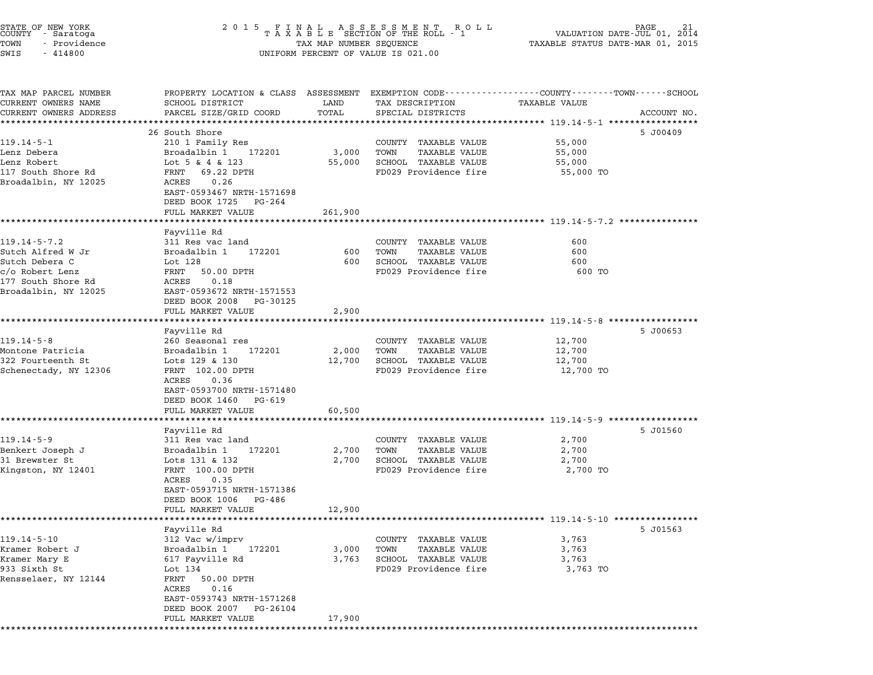| STATE OF NEW YORK<br>COUNTY - Saratoga<br>TOWN<br>- Providence<br>SWIS<br>$-414800$ | 2 0 1 5                                                                                                            | TAX MAP NUMBER SEQUENCE | R O L L<br>FINAL ASSESSMENT ROLL<br>TAXABLE SECTION OF THE ROLL - 1<br>UNIFORM PERCENT OF VALUE IS 021.00 | VALUATION DATE-JUL 01,<br>TAXABLE STATUS DATE-MAR 01, 2015 | 21<br>2014  |
|-------------------------------------------------------------------------------------|--------------------------------------------------------------------------------------------------------------------|-------------------------|-----------------------------------------------------------------------------------------------------------|------------------------------------------------------------|-------------|
|                                                                                     |                                                                                                                    |                         |                                                                                                           |                                                            |             |
| TAX MAP PARCEL NUMBER<br>CURRENT OWNERS NAME                                        | PROPERTY LOCATION & CLASS ASSESSMENT EXEMPTION CODE---------------COUNTY-------TOWN------SCHOOL<br>SCHOOL DISTRICT | LAND                    | TAX DESCRIPTION                                                                                           | <b>TAXABLE VALUE</b>                                       |             |
| CURRENT OWNERS ADDRESS                                                              | PARCEL SIZE/GRID COORD                                                                                             | TOTAL                   | SPECIAL DISTRICTS                                                                                         |                                                            | ACCOUNT NO. |
|                                                                                     | 26 South Shore                                                                                                     |                         |                                                                                                           | **************************** 119.14-5-1 *********          | 5 J00409    |
| $119.14 - 5 - 1$                                                                    | 210 1 Family Res                                                                                                   |                         | COUNTY TAXABLE VALUE                                                                                      | 55,000                                                     |             |
| Lenz Debera                                                                         | Broadalbin 1<br>172201                                                                                             | 3,000                   | TOWN<br>TAXABLE VALUE                                                                                     | 55,000                                                     |             |
| Lenz Robert                                                                         | Lot 5 & 4 & 123                                                                                                    | 55,000                  | SCHOOL TAXABLE VALUE                                                                                      | 55,000                                                     |             |
| 117 South Shore Rd                                                                  | 69.22 DPTH<br>FRNT                                                                                                 |                         | FD029 Providence fire                                                                                     | 55,000 TO                                                  |             |
| Broadalbin, NY 12025                                                                | 0.26<br>ACRES<br>EAST-0593467 NRTH-1571698<br>DEED BOOK 1725<br>PG-264                                             |                         |                                                                                                           |                                                            |             |
|                                                                                     | FULL MARKET VALUE                                                                                                  | 261,900                 |                                                                                                           |                                                            |             |
|                                                                                     |                                                                                                                    |                         |                                                                                                           | ********************************* 119.14-5-7.2 *******     |             |
| $119.14 - 5 - 7.2$                                                                  | Fayville Rd<br>311 Res vac land                                                                                    |                         | COUNTY TAXABLE VALUE                                                                                      | 600                                                        |             |
| Sutch Alfred W Jr                                                                   | Broadalbin 1<br>172201                                                                                             | 600                     | TOWN<br><b>TAXABLE VALUE</b>                                                                              | 600                                                        |             |
| Sutch Debera C                                                                      | Lot 128                                                                                                            | 600                     | SCHOOL TAXABLE VALUE                                                                                      | 600                                                        |             |
| c/o Robert Lenz                                                                     | FRNT<br>50.00 DPTH                                                                                                 |                         | FD029 Providence fire                                                                                     | 600 TO                                                     |             |
| 177 South Shore Rd                                                                  | ACRES<br>0.18                                                                                                      |                         |                                                                                                           |                                                            |             |
| Broadalbin, NY 12025                                                                | EAST-0593672 NRTH-1571553<br>DEED BOOK 2008<br>PG-30125                                                            |                         |                                                                                                           |                                                            |             |
|                                                                                     | FULL MARKET VALUE                                                                                                  | 2,900                   |                                                                                                           |                                                            |             |
|                                                                                     |                                                                                                                    |                         |                                                                                                           | *********************** 119.14-5-8 *****************       |             |
|                                                                                     | Fayville Rd                                                                                                        |                         |                                                                                                           |                                                            | 5 J00653    |
| $119.14 - 5 - 8$<br>Montone Patricia                                                | 260 Seasonal res<br>Broadalbin 1<br>172201                                                                         | 2,000                   | COUNTY TAXABLE VALUE<br>TOWN<br><b>TAXABLE VALUE</b>                                                      | 12,700<br>12,700                                           |             |
| 322 Fourteenth St                                                                   | Lots 129 & 130                                                                                                     | 12,700                  | SCHOOL TAXABLE VALUE                                                                                      | 12,700                                                     |             |
| Schenectady, NY 12306                                                               | FRNT 102.00 DPTH                                                                                                   |                         | FD029 Providence fire                                                                                     | 12,700 TO                                                  |             |
|                                                                                     | 0.36<br>ACRES                                                                                                      |                         |                                                                                                           |                                                            |             |
|                                                                                     | EAST-0593700 NRTH-1571480                                                                                          |                         |                                                                                                           |                                                            |             |
|                                                                                     | DEED BOOK 1460<br>PG-619<br>FULL MARKET VALUE                                                                      | 60,500                  |                                                                                                           |                                                            |             |
|                                                                                     |                                                                                                                    |                         |                                                                                                           | *********************** 119.14-5-9 ***********             |             |
|                                                                                     | Fayville Rd                                                                                                        |                         |                                                                                                           |                                                            | 5 J01560    |
| $119.14 - 5 - 9$                                                                    | 311 Res vac land                                                                                                   |                         | COUNTY TAXABLE VALUE                                                                                      | 2,700                                                      |             |
| Benkert Joseph J<br>31 Brewster St                                                  | Broadalbin 1<br>172201<br>Lots 131 & 132                                                                           | 2,700<br>2,700          | TOWN<br><b>TAXABLE VALUE</b><br>SCHOOL TAXABLE VALUE                                                      | 2,700<br>2,700                                             |             |
| Kingston, NY 12401                                                                  | FRNT 100.00 DPTH                                                                                                   |                         | FD029 Providence fire                                                                                     | 2,700 TO                                                   |             |
|                                                                                     | ACRES<br>0.35                                                                                                      |                         |                                                                                                           |                                                            |             |
|                                                                                     | EAST-0593715 NRTH-1571386                                                                                          |                         |                                                                                                           |                                                            |             |
|                                                                                     | DEED BOOK 1006<br>PG-486                                                                                           |                         |                                                                                                           |                                                            |             |
|                                                                                     | FULL MARKET VALUE                                                                                                  | 12,900                  |                                                                                                           | *************************** 119.14-5-10 *****************  |             |
|                                                                                     | Fayville Rd                                                                                                        |                         |                                                                                                           |                                                            | 5 J01563    |
| $119.14 - 5 - 10$                                                                   | 312 Vac w/imprv                                                                                                    |                         | COUNTY TAXABLE VALUE                                                                                      | 3,763                                                      |             |
| Kramer Robert J                                                                     | Broadalbin 1<br>172201                                                                                             | 3,000                   | TOWN<br><b>TAXABLE VALUE</b>                                                                              | 3,763                                                      |             |
| Kramer Mary E                                                                       | 617 Fayville Rd                                                                                                    | 3,763                   | SCHOOL TAXABLE VALUE                                                                                      | 3,763                                                      |             |
| 933 Sixth St<br>Rensselaer, NY 12144                                                | Lot 134<br>FRNT<br>50.00 DPTH                                                                                      |                         | FD029 Providence fire                                                                                     | 3,763 TO                                                   |             |
|                                                                                     | ACRES<br>0.16                                                                                                      |                         |                                                                                                           |                                                            |             |
|                                                                                     | EAST-0593743 NRTH-1571268                                                                                          |                         |                                                                                                           |                                                            |             |
|                                                                                     | DEED BOOK 2007 PG-26104                                                                                            |                         |                                                                                                           |                                                            |             |

\*\*\*\*\*\*\*\*\*\*\*\*\*\*\*\*\*\*\*\*\*\*\*\*\*\*\*\*\*\*\*\*\*\*\*\*\*\*\*\*\*\*\*\*\*\*\*\*\*\*\*\*\*\*\*\*\*\*\*\*\*\*\*\*\*\*\*\*\*\*\*\*\*\*\*\*\*\*\*\*\*\*\*\*\*\*\*\*\*\*\*\*\*\*\*\*\*\*\*\*\*\*\*\*\*\*\*\*\*\*\*\*\*\*\*\*\*\*\*\*\*\*\*\*\*\*\*\*\*\*\*\*

FULL MARKET VALUE 17,900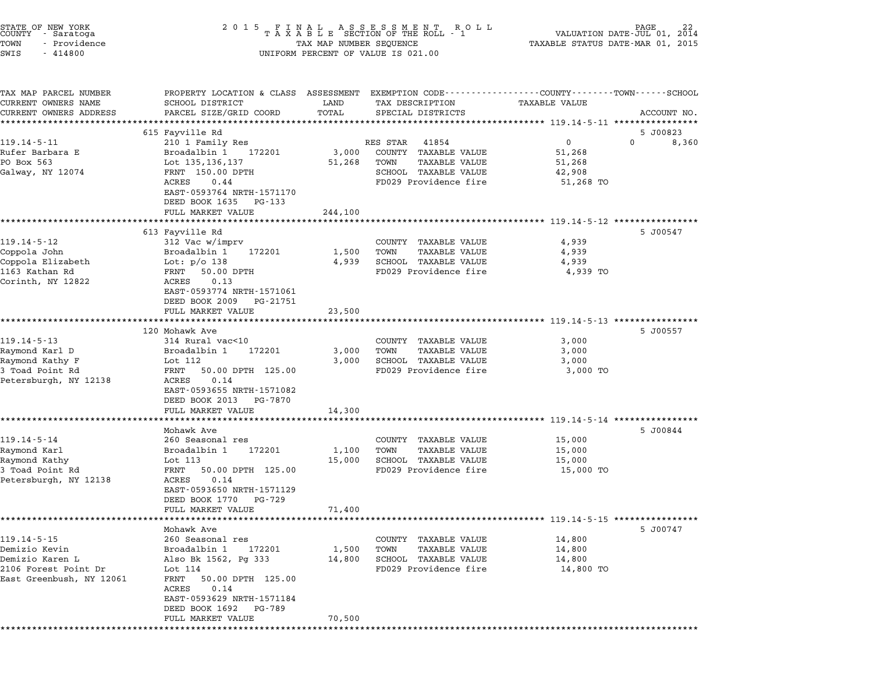| STATE OF NEW YORK<br>COUNTY - Saratoga<br>TOWN<br>- Providence<br>SWIS<br>$-414800$ | 2 0 1 5                                                                                                                                     | TAX MAP NUMBER SEQUENCE | UNIFORM PERCENT OF VALUE IS 021.00            | VALUATION DATE-JUL 01,<br>TAXABLE STATUS DATE-MAR 01, 2015 | 2014        |
|-------------------------------------------------------------------------------------|---------------------------------------------------------------------------------------------------------------------------------------------|-------------------------|-----------------------------------------------|------------------------------------------------------------|-------------|
| TAX MAP PARCEL NUMBER<br>CURRENT OWNERS NAME<br>CURRENT OWNERS ADDRESS              | PROPERTY LOCATION & CLASS ASSESSMENT EXEMPTION CODE---------------COUNTY-------TOWN-----SCHOOL<br>SCHOOL DISTRICT<br>PARCEL SIZE/GRID COORD | LAND<br>TOTAL           | TAX DESCRIPTION<br>SPECIAL DISTRICTS          | <b>TAXABLE VALUE</b>                                       | ACCOUNT NO. |
|                                                                                     | *****************<br>615 Fayville Rd                                                                                                        |                         |                                               |                                                            | 5 J00823    |
| $119.14 - 5 - 11$                                                                   | 210 1 Family Res                                                                                                                            |                         | RES STAR<br>41854                             | $\mathbf{0}$                                               | 0<br>8,360  |
| Rufer Barbara E                                                                     | Broadalbin 1<br>172201                                                                                                                      | 3,000                   | COUNTY TAXABLE VALUE                          | 51,268                                                     |             |
| PO Box 563                                                                          | Lot 135,136,137                                                                                                                             | 51,268                  | TOWN<br>TAXABLE VALUE                         | 51,268                                                     |             |
| Galway, NY 12074                                                                    | FRNT 150.00 DPTH                                                                                                                            |                         | SCHOOL TAXABLE VALUE                          | 42,908                                                     |             |
|                                                                                     | ACRES<br>0.44<br>EAST-0593764 NRTH-1571170                                                                                                  |                         | FD029 Providence fire                         | 51,268 TO                                                  |             |
|                                                                                     | DEED BOOK 1635 PG-133                                                                                                                       |                         |                                               |                                                            |             |
|                                                                                     | FULL MARKET VALUE                                                                                                                           | 244,100                 |                                               |                                                            |             |
|                                                                                     |                                                                                                                                             |                         |                                               | *************** 119.14-5-12 *****                          |             |
|                                                                                     | 613 Fayville Rd                                                                                                                             |                         |                                               |                                                            | 5 J00547    |
| $119.14 - 5 - 12$                                                                   | 312 Vac w/imprv                                                                                                                             |                         | COUNTY<br>TAXABLE VALUE                       | 4,939                                                      |             |
| Coppola John<br>Coppola Elizabeth                                                   | Broadalbin 1<br>172201                                                                                                                      | 1,500<br>4,939          | TOWN<br><b>TAXABLE VALUE</b>                  | 4,939                                                      |             |
| 1163 Kathan Rd                                                                      | Lot: $p/O$ 138<br>FRNT<br>50.00 DPTH                                                                                                        |                         | SCHOOL TAXABLE VALUE<br>FD029 Providence fire | 4,939<br>4,939 TO                                          |             |
| Corinth, NY 12822                                                                   | ACRES<br>0.13                                                                                                                               |                         |                                               |                                                            |             |
|                                                                                     | EAST-0593774 NRTH-1571061                                                                                                                   |                         |                                               |                                                            |             |
|                                                                                     | DEED BOOK 2009<br>PG-21751                                                                                                                  |                         |                                               |                                                            |             |
|                                                                                     | FULL MARKET VALUE                                                                                                                           | 23,500                  |                                               |                                                            |             |
|                                                                                     | 120 Mohawk Ave                                                                                                                              |                         |                                               | *********************** 119.14-5-13 *****************      | 5 J00557    |
| $119.14 - 5 - 13$                                                                   | 314 Rural vac<10                                                                                                                            |                         | COUNTY TAXABLE VALUE                          | 3,000                                                      |             |
| Raymond Karl D                                                                      | Broadalbin 1<br>172201                                                                                                                      | 3,000                   | TOWN<br>TAXABLE VALUE                         | 3,000                                                      |             |
| Raymond Kathy F                                                                     | Lot 112                                                                                                                                     | 3,000                   | SCHOOL TAXABLE VALUE                          | 3,000                                                      |             |
| 3 Toad Point Rd                                                                     | FRNT<br>50.00 DPTH 125.00                                                                                                                   |                         | FD029 Providence fire                         | 3,000 TO                                                   |             |
| Petersburgh, NY 12138                                                               | ACRES<br>0.14                                                                                                                               |                         |                                               |                                                            |             |
|                                                                                     | EAST-0593655 NRTH-1571082<br>DEED BOOK 2013<br>PG-7870                                                                                      |                         |                                               |                                                            |             |
|                                                                                     | FULL MARKET VALUE                                                                                                                           | 14,300                  |                                               |                                                            |             |
|                                                                                     |                                                                                                                                             |                         |                                               | *************** 119.14-5-14 **********                     |             |
|                                                                                     | Mohawk Ave                                                                                                                                  |                         |                                               |                                                            | 5 J00844    |
| $119.14 - 5 - 14$                                                                   | 260 Seasonal res                                                                                                                            |                         | COUNTY<br>TAXABLE VALUE                       | 15,000                                                     |             |
| Raymond Karl                                                                        | Broadalbin 1<br>172201                                                                                                                      | 1,100                   | TOWN<br>TAXABLE VALUE                         | 15,000                                                     |             |
| Raymond Kathy<br>3 Toad Point Rd                                                    | Lot 113<br>FRNT<br>50.00 DPTH 125.00                                                                                                        | 15,000                  | SCHOOL TAXABLE VALUE<br>FD029 Providence fire | 15,000<br>15,000 TO                                        |             |
| Petersburgh, NY 12138                                                               | ACRES<br>0.14                                                                                                                               |                         |                                               |                                                            |             |
|                                                                                     | EAST-0593650 NRTH-1571129                                                                                                                   |                         |                                               |                                                            |             |
|                                                                                     | DEED BOOK 1770<br>PG-729                                                                                                                    |                         |                                               |                                                            |             |
|                                                                                     | FULL MARKET VALUE                                                                                                                           | 71,400                  |                                               |                                                            |             |
|                                                                                     |                                                                                                                                             |                         |                                               | ********************* 119.14-5-15 *****************        |             |
| $119.14 - 5 - 15$                                                                   | Mohawk Ave<br>260 Seasonal res                                                                                                              |                         |                                               | 14,800                                                     | 5 J00747    |
| Demizio Kevin                                                                       | Broadalbin 1<br>172201                                                                                                                      | 1,500                   | COUNTY TAXABLE VALUE<br>TOWN<br>TAXABLE VALUE | 14,800                                                     |             |
| Demizio Karen L                                                                     | Also Bk 1562, Pg 333                                                                                                                        | 14,800                  | SCHOOL TAXABLE VALUE                          | 14,800                                                     |             |
| 2106 Forest Point Dr                                                                | Lot 114                                                                                                                                     |                         | FD029 Providence fire                         | 14,800 TO                                                  |             |
| East Greenbush, NY 12061                                                            | FRNT<br>50.00 DPTH 125.00                                                                                                                   |                         |                                               |                                                            |             |
|                                                                                     | ACRES<br>0.14                                                                                                                               |                         |                                               |                                                            |             |
|                                                                                     | EAST-0593629 NRTH-1571184                                                                                                                   |                         |                                               |                                                            |             |
|                                                                                     | DEED BOOK 1692<br>PG-789                                                                                                                    |                         |                                               |                                                            |             |
|                                                                                     | FULL MARKET VALUE<br>***************                                                                                                        | 70,500                  |                                               |                                                            |             |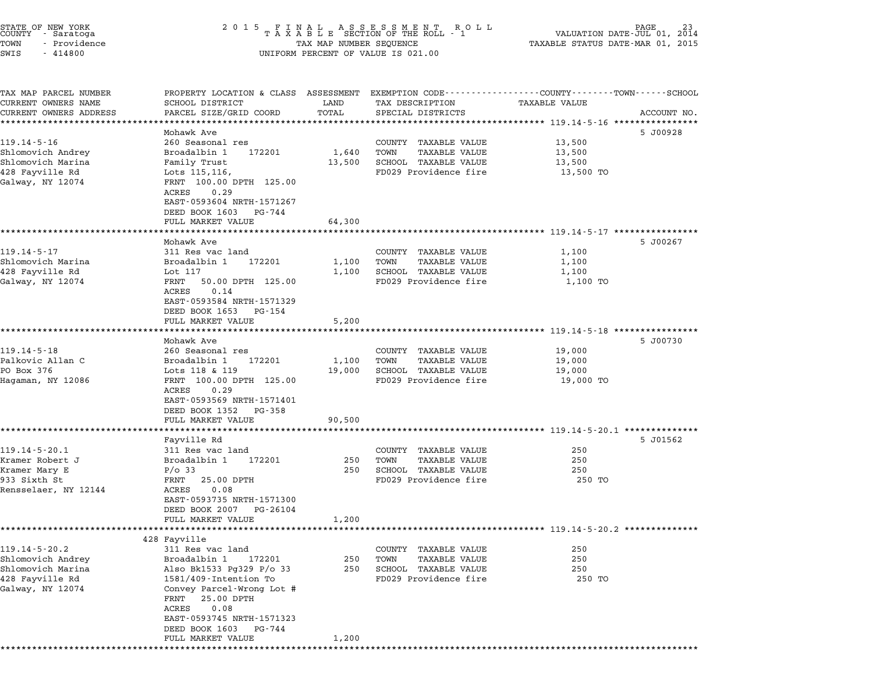| STATE OF NEW YORK<br>COUNTY<br>- Saratoga<br>TOWN<br>- Providence<br>SWIS<br>$-414800$               | 2 0 1 5<br>FINAL ASSESSMENT ROTAXABLE SECTION OF THE ROLL - 1<br>R O L L<br>TAX MAP NUMBER SEQUENCE<br>UNIFORM PERCENT OF VALUE IS 021.00                                                                                                                         |                           |                                                                                                       | PAGE 23<br>VALUATION DATE-JUL 01, 2014<br>TAXABLE STATUS DATE-MAR 01, 2015                 |             |
|------------------------------------------------------------------------------------------------------|-------------------------------------------------------------------------------------------------------------------------------------------------------------------------------------------------------------------------------------------------------------------|---------------------------|-------------------------------------------------------------------------------------------------------|--------------------------------------------------------------------------------------------|-------------|
| TAX MAP PARCEL NUMBER<br>CURRENT OWNERS NAME<br>CURRENT OWNERS ADDRESS                               | PROPERTY LOCATION & CLASS ASSESSMENT<br>SCHOOL DISTRICT<br>PARCEL SIZE/GRID COORD                                                                                                                                                                                 | LAND<br>TOTAL             | EXEMPTION CODE-----------------COUNTY-------TOWN------SCHOOL<br>TAX DESCRIPTION<br>SPECIAL DISTRICTS  | TAXABLE VALUE                                                                              | ACCOUNT NO. |
| ************************                                                                             | *********************                                                                                                                                                                                                                                             |                           |                                                                                                       |                                                                                            |             |
| $119.14 - 5 - 16$<br>Shlomovich Andrey<br>Shlomovich Marina<br>428 Fayville Rd<br>Galway, NY 12074   | Mohawk Ave<br>260 Seasonal res<br>Broadalbin 1<br>172201<br>Family Trust<br>Lots 115, 116,<br>FRNT 100.00 DPTH 125.00<br>0.29<br>ACRES<br>EAST-0593604 NRTH-1571267<br>DEED BOOK 1603<br>PG-744                                                                   | 1,640<br>13,500           | COUNTY TAXABLE VALUE<br>TAXABLE VALUE<br>TOWN<br>SCHOOL TAXABLE VALUE<br>FD029 Providence fire        | 13,500<br>13,500<br>13,500<br>13,500 TO                                                    | 5 J00928    |
|                                                                                                      | FULL MARKET VALUE                                                                                                                                                                                                                                                 | 64,300                    |                                                                                                       |                                                                                            |             |
| 119.14-5-17<br>Shlomovich Marina<br>428 Fayville Rd<br>Galway, NY 12074                              | Mohawk Ave<br>311 Res vac land<br>Broadalbin 1<br>172201<br>Lot 117<br>FRNT<br>50.00 DPTH 125.00<br>0.14<br>ACRES<br>EAST-0593584 NRTH-1571329<br>DEED BOOK 1653<br>PG-154                                                                                        | 1,100<br>1,100            | COUNTY TAXABLE VALUE<br>TOWN<br><b>TAXABLE VALUE</b><br>SCHOOL TAXABLE VALUE<br>FD029 Providence fire | 1,100<br>1,100<br>1,100<br>1,100 TO                                                        | 5 J00267    |
|                                                                                                      | FULL MARKET VALUE                                                                                                                                                                                                                                                 | 5,200                     |                                                                                                       |                                                                                            |             |
| $119.14 - 5 - 18$<br>Palkovic Allan C<br>PO Box 376<br>Hagaman, NY 12086                             | ******************<br>Mohawk Ave<br>260 Seasonal res<br>Broadalbin 1<br>172201<br>Lots 118 & 119<br>FRNT 100.00 DPTH 125.00<br>0.29<br>ACRES<br>EAST-0593569 NRTH-1571401<br>DEED BOOK 1352<br>PG-358<br>FULL MARKET VALUE                                        | 1,100<br>19,000<br>90,500 | COUNTY TAXABLE VALUE<br>TOWN<br><b>TAXABLE VALUE</b><br>SCHOOL TAXABLE VALUE<br>FD029 Providence fire | ************************* 119.14-5-18 *********<br>19,000<br>19,000<br>19,000<br>19,000 TO | 5 J00730    |
|                                                                                                      |                                                                                                                                                                                                                                                                   |                           | ******************************** 119.14-5-20.1 **************                                         |                                                                                            |             |
| $119.14 - 5 - 20.1$<br>Kramer Robert J<br>Kramer Mary E<br>933 Sixth St<br>Rensselaer, NY 12144      | Fayville Rd<br>311 Res vac land<br>Broadalbin 1<br>172201<br>$P/O$ 33<br>FRNT<br>25.00 DPTH<br>0.08<br>ACRES<br>EAST-0593735 NRTH-1571300<br>DEED BOOK 2007<br>PG-26104<br>FULL MARKET VALUE                                                                      | 250<br>250<br>1,200       | COUNTY TAXABLE VALUE<br>TOWN<br><b>TAXABLE VALUE</b><br>SCHOOL TAXABLE VALUE<br>FD029 Providence fire | 250<br>250<br>250<br>250 TO                                                                | 5 J01562    |
|                                                                                                      |                                                                                                                                                                                                                                                                   |                           |                                                                                                       |                                                                                            |             |
| $119.14 - 5 - 20.2$<br>Shlomovich Andrey<br>Shlomovich Marina<br>428 Fayville Rd<br>Galway, NY 12074 | 428 Fayville<br>311 Res vac land<br>Broadalbin 1<br>172201<br>Also Bk1533 Pg329 P/o 33<br>1581/409-Intention To<br>Convey Parcel-Wrong Lot #<br>25.00 DPTH<br>FRNT<br>0.08<br>ACRES<br>EAST-0593745 NRTH-1571323<br>DEED BOOK 1603<br>PG-744<br>FULL MARKET VALUE | 250<br>250<br>1,200       | COUNTY TAXABLE VALUE<br>TOWN<br>TAXABLE VALUE<br>SCHOOL TAXABLE VALUE<br>FD029 Providence fire        | 250<br>250<br>250<br>250 TO                                                                |             |

STATE OF NEW YORK <sup>2</sup> <sup>0</sup> <sup>1</sup> 5 F I N A L A S S E S S M E N T R O L L PAGE <sup>23</sup> COUNTY - Saratoga <sup>T</sup> <sup>A</sup> <sup>X</sup> <sup>A</sup> <sup>B</sup> <sup>L</sup> <sup>E</sup> SECTION OF THE ROLL - <sup>1</sup> VALUATION DATE-JUL 01, <sup>2014</sup>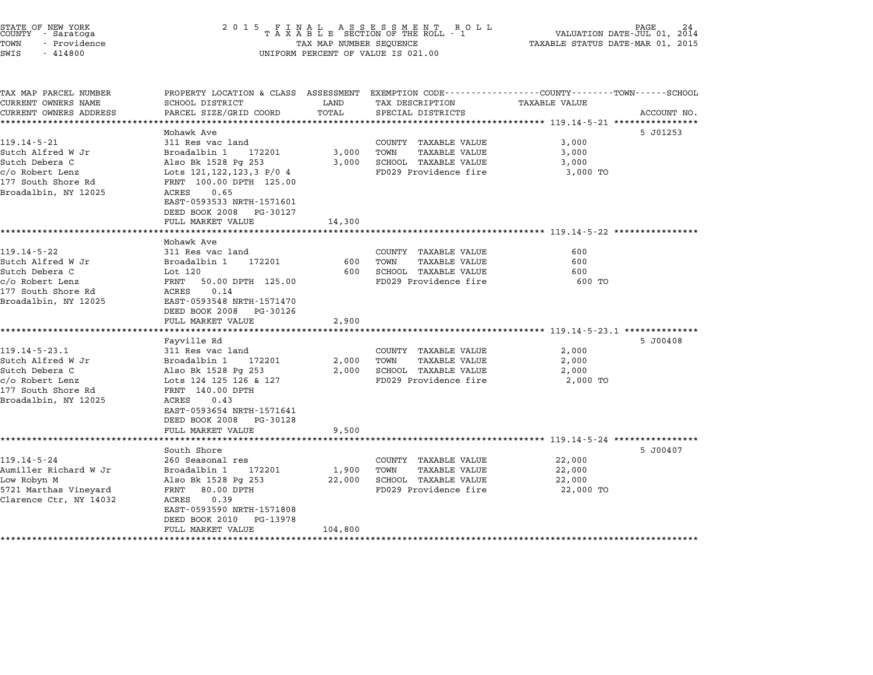| STATE OF NEW YORK<br>COUNTY - Saratoga |  |              |  |
|----------------------------------------|--|--------------|--|
| TOWN                                   |  | - Providence |  |
| <b>ATMP</b>                            |  | $-414800$    |  |

# STATE OF NEW YORK <sup>2</sup> <sup>0</sup> <sup>1</sup> 5 F I N A L A S S E S S M E N T R O L L PAGE <sup>24</sup> COUNTY - Saratoga <sup>T</sup> <sup>A</sup> <sup>X</sup> <sup>A</sup> <sup>B</sup> <sup>L</sup> <sup>E</sup> SECTION OF THE ROLL - <sup>1</sup> VALUATION DATE-JUL 01, <sup>2014</sup> TOWN - Providence TAX MAP NUMBER SEQUENCE TAXABLE STATUS DATE-MAR 01, <sup>2015</sup> SWIS - <sup>414800</sup> UNIFORM PERCENT OF VALUE IS 021.00

| TAX MAP PARCEL NUMBER  | PROPERTY LOCATION & CLASS ASSESSMENT EXEMPTION CODE--------------COUNTY-------TOWN-----SCHOOL |         |                             |                      |             |
|------------------------|-----------------------------------------------------------------------------------------------|---------|-----------------------------|----------------------|-------------|
| CURRENT OWNERS NAME    | SCHOOL DISTRICT                                                                               | LAND    | TAX DESCRIPTION             | <b>TAXABLE VALUE</b> |             |
| CURRENT OWNERS ADDRESS | PARCEL SIZE/GRID COORD                                                                        | TOTAL   | SPECIAL DISTRICTS           |                      | ACCOUNT NO. |
|                        |                                                                                               |         |                             |                      |             |
|                        | Mohawk Ave                                                                                    |         |                             |                      | 5 J01253    |
| $119.14 - 5 - 21$      | 311 Res vac land                                                                              |         | COUNTY TAXABLE VALUE        | 3,000                |             |
| Sutch Alfred W Jr      | Broadalbin 1<br>172201                                                                        | 3,000   | TAXABLE VALUE<br>TOWN       | 3,000                |             |
| Sutch Debera C         | Also Bk 1528 Pg 253                                                                           | 3,000   | SCHOOL TAXABLE VALUE        | 3,000                |             |
| c/o Robert Lenz        | Lots 121, 122, 123, 3 P/0 4                                                                   |         | FD029 Providence fire       | 3,000 TO             |             |
| 177 South Shore Rd     | FRNT 100.00 DPTH 125.00                                                                       |         |                             |                      |             |
| Broadalbin, NY 12025   | 0.65<br>ACRES                                                                                 |         |                             |                      |             |
|                        | EAST-0593533 NRTH-1571601                                                                     |         |                             |                      |             |
|                        | DEED BOOK 2008 PG-30127                                                                       |         |                             |                      |             |
|                        | FULL MARKET VALUE                                                                             | 14,300  |                             |                      |             |
|                        |                                                                                               |         |                             |                      |             |
|                        | Mohawk Ave                                                                                    |         |                             |                      |             |
| $119.14 - 5 - 22$      | 311 Res vac land                                                                              |         | COUNTY TAXABLE VALUE        | 600                  |             |
| Sutch Alfred W Jr      | Broadalbin 1 172201                                                                           | 600     | TOWN<br>TAXABLE VALUE       | 600                  |             |
| Sutch Debera C         | Lot 120                                                                                       |         | 600 SCHOOL TAXABLE VALUE    | 600                  |             |
| c/o Robert Lenz        | FRNT 50.00 DPTH 125.00                                                                        |         | FD029 Providence fire       | 600 TO               |             |
| 177 South Shore Rd     | ACRES<br>0.14                                                                                 |         |                             |                      |             |
| Broadalbin, NY 12025   | EAST-0593548 NRTH-1571470                                                                     |         |                             |                      |             |
|                        | DEED BOOK 2008 PG-30126                                                                       |         |                             |                      |             |
|                        | FULL MARKET VALUE                                                                             | 2,900   |                             |                      |             |
|                        |                                                                                               |         |                             |                      |             |
|                        | Fayville Rd                                                                                   |         |                             |                      | 5 J00408    |
| $119.14 - 5 - 23.1$    | 311 Res vac land                                                                              |         | COUNTY TAXABLE VALUE        | 2,000                |             |
| Sutch Alfred W Jr      | Broadalbin 1 172201                                                                           |         | 2,000 TOWN<br>TAXABLE VALUE | 2,000                |             |
| Sutch Debera C         | Also Bk 1528 Pg 253                                                                           |         | 2,000 SCHOOL TAXABLE VALUE  | 2,000                |             |
| c/o Robert Lenz        | Lots 124 125 126 & 127                                                                        |         | FD029 Providence fire       | 2,000 TO             |             |
| 177 South Shore Rd     | FRNT 140.00 DPTH                                                                              |         |                             |                      |             |
| Broadalbin, NY 12025   | ACRES<br>0.43                                                                                 |         |                             |                      |             |
|                        | EAST-0593654 NRTH-1571641                                                                     |         |                             |                      |             |
|                        | DEED BOOK 2008 PG-30128                                                                       |         |                             |                      |             |
|                        | FULL MARKET VALUE                                                                             | 9,500   |                             |                      |             |
|                        |                                                                                               |         |                             |                      |             |
|                        | South Shore                                                                                   |         |                             |                      | 5 J00407    |
| $119.14 - 5 - 24$      | 260 Seasonal res                                                                              |         | COUNTY TAXABLE VALUE        | 22,000               |             |
| Aumiller Richard W Jr  | Broadalbin 1<br>172201                                                                        | 1,900   | TOWN<br>TAXABLE VALUE       | 22,000               |             |
| Low Robyn M            | Also Bk 1528 Pg 253                                                                           | 22,000  | SCHOOL TAXABLE VALUE        | 22,000               |             |
| 5721 Marthas Vineyard  | FRNT<br>80.00 DPTH                                                                            |         | FD029 Providence fire       | 22,000 TO            |             |
| Clarence Ctr, NY 14032 | ACRES 0.39                                                                                    |         |                             |                      |             |
|                        | EAST-0593590 NRTH-1571808                                                                     |         |                             |                      |             |
|                        | DEED BOOK 2010 PG-13978                                                                       |         |                             |                      |             |
|                        | FULL MARKET VALUE                                                                             | 104,800 |                             |                      |             |
|                        |                                                                                               |         |                             |                      |             |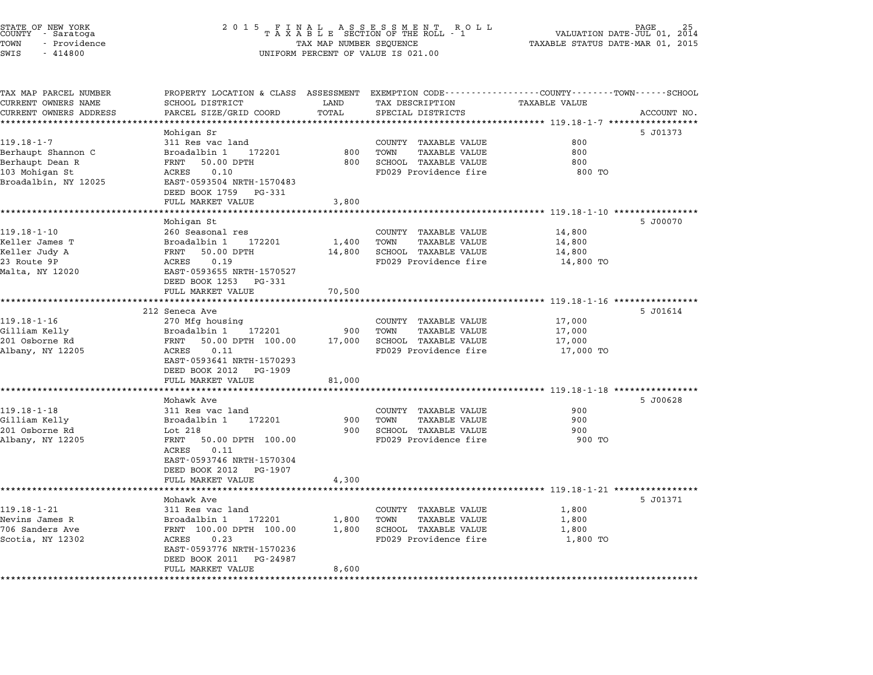| STATE OF NEW YORK<br>COUNTY<br>- Saratoga<br>TOWN<br>- Providence<br>SWIS<br>$-414800$ | 2 0 1 5<br>FINAL ASSESSMENT ROTAXABLE SECTION OF THE ROLL - 1<br>R O L L<br>TAX MAP NUMBER SEQUENCE<br>UNIFORM PERCENT OF VALUE IS 021.00 |               |                                                                                                    | PAGE<br>VALUATION DATE-JUL 01, 2014<br>TAXABLE STATUS DATE-MAR 01, 2015 |             |  |
|----------------------------------------------------------------------------------------|-------------------------------------------------------------------------------------------------------------------------------------------|---------------|----------------------------------------------------------------------------------------------------|-------------------------------------------------------------------------|-------------|--|
| TAX MAP PARCEL NUMBER<br>CURRENT OWNERS NAME<br>CURRENT OWNERS ADDRESS                 | PROPERTY LOCATION & CLASS ASSESSMENT<br>SCHOOL DISTRICT<br>PARCEL SIZE/GRID COORD                                                         | LAND<br>TOTAL | EXEMPTION CODE----------------COUNTY------TOWN------SCHOOL<br>TAX DESCRIPTION<br>SPECIAL DISTRICTS | <b>TAXABLE VALUE</b>                                                    | ACCOUNT NO. |  |
| ********************                                                                   | ********************                                                                                                                      | ************  | ************************************** 119.18-1-7 *********                                        |                                                                         |             |  |
|                                                                                        | Mohigan Sr                                                                                                                                |               |                                                                                                    |                                                                         | 5 J01373    |  |
| $119.18 - 1 - 7$                                                                       | 311 Res vac land                                                                                                                          |               | COUNTY TAXABLE VALUE                                                                               | 800                                                                     |             |  |
| Berhaupt Shannon C<br>Berhaupt Dean R                                                  | Broadalbin 1<br>172201<br>FRNT<br>50.00 DPTH                                                                                              | 800<br>800    | TOWN<br><b>TAXABLE VALUE</b><br>SCHOOL TAXABLE VALUE                                               | 800<br>800                                                              |             |  |
| 103 Mohigan St                                                                         | 0.10<br>ACRES                                                                                                                             |               | FD029 Providence fire                                                                              | 800 TO                                                                  |             |  |
| Broadalbin, NY 12025                                                                   | EAST-0593504 NRTH-1570483                                                                                                                 |               |                                                                                                    |                                                                         |             |  |
|                                                                                        | DEED BOOK 1759<br>PG-331                                                                                                                  |               |                                                                                                    |                                                                         |             |  |
|                                                                                        | FULL MARKET VALUE                                                                                                                         | 3,800         |                                                                                                    |                                                                         |             |  |
|                                                                                        | ************************                                                                                                                  |               |                                                                                                    |                                                                         |             |  |
| $119.18 - 1 - 10$                                                                      | Mohigan St<br>260 Seasonal res                                                                                                            |               | COUNTY TAXABLE VALUE                                                                               | 14,800                                                                  | 5 J00070    |  |
| Keller James T                                                                         | Broadalbin 1<br>172201                                                                                                                    | 1,400         | TOWN<br>TAXABLE VALUE                                                                              | 14,800                                                                  |             |  |
| Keller Judy A                                                                          | FRNT<br>50.00 DPTH                                                                                                                        | 14,800        | SCHOOL TAXABLE VALUE                                                                               | 14,800                                                                  |             |  |
| 23 Route 9P                                                                            | 0.19<br>ACRES                                                                                                                             |               | FD029 Providence fire                                                                              | 14,800 TO                                                               |             |  |
| Malta, NY 12020                                                                        | EAST-0593655 NRTH-1570527                                                                                                                 |               |                                                                                                    |                                                                         |             |  |
|                                                                                        | DEED BOOK 1253<br>PG-331                                                                                                                  |               |                                                                                                    |                                                                         |             |  |
|                                                                                        | FULL MARKET VALUE                                                                                                                         | 70,500        |                                                                                                    |                                                                         |             |  |
|                                                                                        |                                                                                                                                           |               |                                                                                                    | **** 119.18-1-16 ************                                           |             |  |
| 119.18-1-16                                                                            | 212 Seneca Ave<br>270 Mfg housing                                                                                                         |               | COUNTY TAXABLE VALUE                                                                               | 17,000                                                                  | 5 J01614    |  |
| Gilliam Kelly                                                                          | Broadalbin 1<br>172201                                                                                                                    | 900           | TOWN<br><b>TAXABLE VALUE</b>                                                                       | 17,000                                                                  |             |  |
| 201 Osborne Rd                                                                         | 50.00 DPTH 100.00<br>FRNT                                                                                                                 | 17,000        | SCHOOL TAXABLE VALUE                                                                               | 17,000                                                                  |             |  |
| Albany, NY 12205                                                                       | 0.11<br>ACRES                                                                                                                             |               | FD029 Providence fire                                                                              | 17,000 TO                                                               |             |  |
|                                                                                        | EAST-0593641 NRTH-1570293                                                                                                                 |               |                                                                                                    |                                                                         |             |  |
|                                                                                        | DEED BOOK 2012<br>PG-1909                                                                                                                 |               |                                                                                                    |                                                                         |             |  |
|                                                                                        | FULL MARKET VALUE                                                                                                                         | 81,000        |                                                                                                    |                                                                         |             |  |
|                                                                                        | ****************<br>Mohawk Ave                                                                                                            |               |                                                                                                    | ************************** 119.18-1-18 *************                    | 5 J00628    |  |
| $119.18 - 1 - 18$                                                                      | 311 Res vac land                                                                                                                          |               | COUNTY TAXABLE VALUE                                                                               | 900                                                                     |             |  |
| Gilliam Kelly                                                                          | Broadalbin 1<br>172201                                                                                                                    | 900           | TOWN<br>TAXABLE VALUE                                                                              | 900                                                                     |             |  |
| 201 Osborne Rd                                                                         | Lot 218                                                                                                                                   | 900           | SCHOOL TAXABLE VALUE                                                                               | 900                                                                     |             |  |
| Albany, NY 12205                                                                       | FRNT<br>50.00 DPTH 100.00                                                                                                                 |               | FD029 Providence fire                                                                              | 900 TO                                                                  |             |  |
|                                                                                        | 0.11<br>ACRES                                                                                                                             |               |                                                                                                    |                                                                         |             |  |
|                                                                                        | EAST-0593746 NRTH-1570304                                                                                                                 |               |                                                                                                    |                                                                         |             |  |
|                                                                                        | DEED BOOK 2012 PG-1907                                                                                                                    |               |                                                                                                    |                                                                         |             |  |
|                                                                                        | FULL MARKET VALUE<br>*******************                                                                                                  | 4,300         |                                                                                                    | ***************** 119.18-1-21 *************                             |             |  |
|                                                                                        | Mohawk Ave                                                                                                                                |               |                                                                                                    |                                                                         | 5 J01371    |  |
| $119.18 - 1 - 21$                                                                      | 311 Res vac land                                                                                                                          |               | COUNTY TAXABLE VALUE                                                                               | 1,800                                                                   |             |  |
| Nevins James R                                                                         | 172201<br>Broadalbin 1                                                                                                                    | 1,800         | TOWN<br>TAXABLE VALUE                                                                              | 1,800                                                                   |             |  |
| 706 Sanders Ave                                                                        | FRNT 100.00 DPTH 100.00                                                                                                                   | 1,800         | SCHOOL TAXABLE VALUE                                                                               | 1,800                                                                   |             |  |
| Scotia, NY 12302                                                                       | ACRES<br>0.23                                                                                                                             |               | FD029 Providence fire                                                                              | 1,800 TO                                                                |             |  |
|                                                                                        | EAST-0593776 NRTH-1570236                                                                                                                 |               |                                                                                                    |                                                                         |             |  |
|                                                                                        | DEED BOOK 2011<br>PG-24987<br>FULL MARKET VALUE                                                                                           | 8,600         |                                                                                                    |                                                                         |             |  |
|                                                                                        |                                                                                                                                           |               |                                                                                                    |                                                                         |             |  |

\*\*\*\*\*\*\*\*\*\*\*\*\*\*\*\*\*\*\*\*\*\*\*\*\*\*\*\*\*\*\*\*\*\*\*\*\*\*\*\*\*\*\*\*\*\*\*\*\*\*\*\*\*\*\*\*\*\*\*\*\*\*\*\*\*\*\*\*\*\*\*\*\*\*\*\*\*\*\*\*\*\*\*\*\*\*\*\*\*\*\*\*\*\*\*\*\*\*\*\*\*\*\*\*\*\*\*\*\*\*\*\*\*\*\*\*\*\*\*\*\*\*\*\*\*\*\*\*\*\*\*\*

STATE OF NEW YORK <sup>2</sup> <sup>0</sup> <sup>1</sup> 5 F I N A L A S S E S S M E N T R O L L PAGE <sup>25</sup> COUNTY - Saratoga <sup>T</sup> <sup>A</sup> <sup>X</sup> <sup>A</sup> <sup>B</sup> <sup>L</sup> <sup>E</sup> SECTION OF THE ROLL - <sup>1</sup> VALUATION DATE-JUL 01, <sup>2014</sup>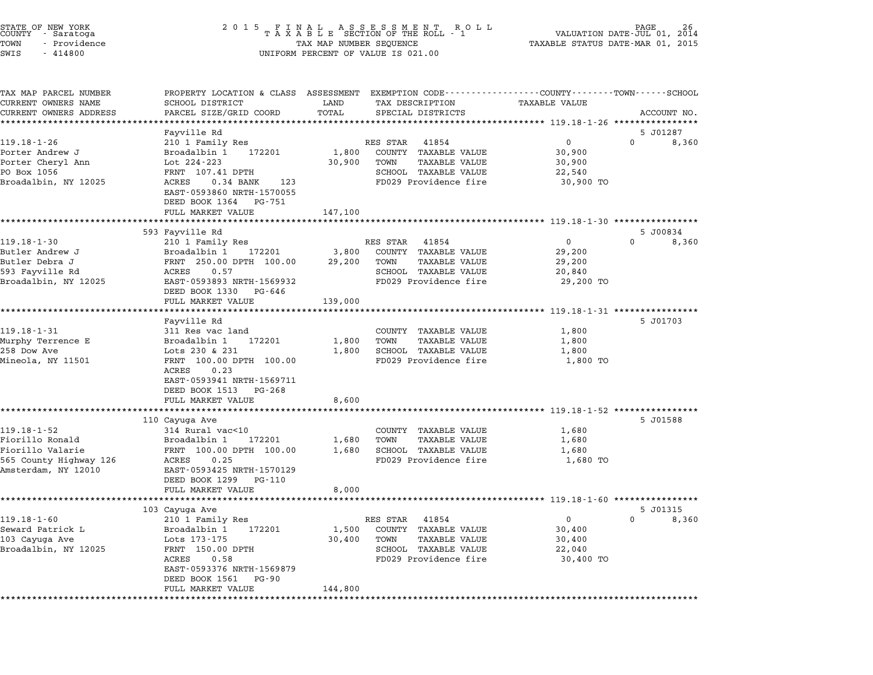| STATE OF NEW YORK<br>COUNTY<br>- Saratoga<br>TOWN<br>- Providence<br>SWIS<br>$-414800$ | 2 0 1 5<br>F<br>N                                                                                                 | A L<br>TAX MAP NUMBER SEQUENCE | A S S E S S M E N T<br>ROLL<br>TAXABLE SECTION OF THE ROLL - 1<br>UNIFORM PERCENT OF VALUE IS 021.00 |                      | PAGE<br>VALUATION DATE-JUL 01, 2014<br>TAXABLE STATUS DATE-MAR 01, 2015 |
|----------------------------------------------------------------------------------------|-------------------------------------------------------------------------------------------------------------------|--------------------------------|------------------------------------------------------------------------------------------------------|----------------------|-------------------------------------------------------------------------|
| TAX MAP PARCEL NUMBER<br>CURRENT OWNERS NAME                                           | PROPERTY LOCATION & CLASS ASSESSMENT EXEMPTION CODE---------------COUNTY-------TOWN-----SCHOOL<br>SCHOOL DISTRICT | LAND                           | TAX DESCRIPTION                                                                                      | <b>TAXABLE VALUE</b> |                                                                         |
| CURRENT OWNERS ADDRESS                                                                 | PARCEL SIZE/GRID COORD                                                                                            | TOTAL                          | SPECIAL DISTRICTS                                                                                    |                      | ACCOUNT NO.                                                             |
| ***********************                                                                |                                                                                                                   |                                |                                                                                                      |                      |                                                                         |
|                                                                                        | Fayville Rd                                                                                                       |                                |                                                                                                      |                      | 5 J01287                                                                |
| $119.18 - 1 - 26$                                                                      | 210 1 Family Res                                                                                                  |                                | RES STAR<br>41854                                                                                    | $\Omega$             | $\Omega$<br>8,360                                                       |
| Porter Andrew J<br>Porter Cheryl Ann                                                   | Broadalbin 1<br>172201<br>Lot 224-223                                                                             | 1,800<br>30,900                | COUNTY TAXABLE VALUE<br>TOWN<br><b>TAXABLE VALUE</b>                                                 | 30,900<br>30,900     |                                                                         |
| PO Box 1056                                                                            | FRNT 107.41 DPTH                                                                                                  |                                | SCHOOL TAXABLE VALUE                                                                                 | 22,540               |                                                                         |
| Broadalbin, NY 12025                                                                   | ACRES<br>$0.34$ BANK<br>123                                                                                       |                                | FD029 Providence fire                                                                                | 30,900 TO            |                                                                         |
|                                                                                        | EAST-0593860 NRTH-1570055                                                                                         |                                |                                                                                                      |                      |                                                                         |
|                                                                                        | DEED BOOK 1364 PG-751                                                                                             |                                |                                                                                                      |                      |                                                                         |
|                                                                                        | FULL MARKET VALUE                                                                                                 | 147,100                        |                                                                                                      |                      |                                                                         |
|                                                                                        | *********************                                                                                             |                                |                                                                                                      |                      |                                                                         |
| $119.18 - 1 - 30$                                                                      | 593 Fayville Rd<br>210 1 Family Res                                                                               |                                | 41854<br>RES STAR                                                                                    | $\mathbf{0}$         | 5 J00834<br>$\Omega$<br>8,360                                           |
| Butler Andrew J                                                                        | Broadalbin 1<br>172201                                                                                            | 3,800                          | COUNTY TAXABLE VALUE                                                                                 | 29,200               |                                                                         |
| Butler Debra J                                                                         | FRNT 250.00 DPTH 100.00                                                                                           | 29,200                         | <b>TAXABLE VALUE</b><br>TOWN                                                                         | 29,200               |                                                                         |
| 593 Fayville Rd                                                                        | ACRES<br>0.57                                                                                                     |                                | SCHOOL TAXABLE VALUE                                                                                 | 20,840               |                                                                         |
| Broadalbin, NY 12025                                                                   | EAST-0593893 NRTH-1569932                                                                                         |                                | FD029 Providence fire                                                                                | 29,200 TO            |                                                                         |
|                                                                                        | DEED BOOK 1330 PG-646                                                                                             |                                |                                                                                                      |                      |                                                                         |
|                                                                                        | FULL MARKET VALUE<br>***************************                                                                  | 139,000                        | ******************************** 119.18-1-31 *****************                                       |                      |                                                                         |
|                                                                                        | Fayville Rd                                                                                                       |                                |                                                                                                      |                      | 5 J01703                                                                |
| $119.18 - 1 - 31$                                                                      | 311 Res vac land                                                                                                  |                                | COUNTY TAXABLE VALUE                                                                                 | 1,800                |                                                                         |
| Murphy Terrence E                                                                      | Broadalbin 1<br>172201                                                                                            | 1,800                          | TOWN<br><b>TAXABLE VALUE</b>                                                                         | 1,800                |                                                                         |
| 258 Dow Ave                                                                            | Lots 230 & 231                                                                                                    | 1,800                          | SCHOOL TAXABLE VALUE                                                                                 | 1,800                |                                                                         |
| Mineola, NY 11501                                                                      | FRNT 100.00 DPTH 100.00                                                                                           |                                | FD029 Providence fire                                                                                | 1,800 TO             |                                                                         |
|                                                                                        | ACRES<br>0.23                                                                                                     |                                |                                                                                                      |                      |                                                                         |
|                                                                                        | EAST-0593941 NRTH-1569711<br>DEED BOOK 1513<br>PG-268                                                             |                                |                                                                                                      |                      |                                                                         |
|                                                                                        | FULL MARKET VALUE                                                                                                 | 8,600                          |                                                                                                      |                      |                                                                         |
|                                                                                        | ******************************                                                                                    | *************                  | ************************************* 119.18-1-52 ******************                                 |                      |                                                                         |
|                                                                                        | 110 Cayuga Ave                                                                                                    |                                |                                                                                                      |                      | 5 J01588                                                                |
| $119.18 - 1 - 52$                                                                      | 314 Rural vac<10                                                                                                  |                                | COUNTY TAXABLE VALUE                                                                                 | 1,680                |                                                                         |
| Fiorillo Ronald                                                                        | Broadalbin 1<br>172201                                                                                            | 1,680                          | <b>TAXABLE VALUE</b><br>TOWN                                                                         | 1,680                |                                                                         |
| Fiorillo Valarie                                                                       | FRNT 100.00 DPTH 100.00                                                                                           | 1,680                          | <b>SCHOOL TAXABLE VALUE</b>                                                                          | 1,680                |                                                                         |
| 565 County Highway 126<br>Amsterdam, NY 12010                                          | ACRES<br>0.25<br>EAST-0593425 NRTH-1570129                                                                        |                                | FD029 Providence fire                                                                                | 1,680 TO             |                                                                         |
|                                                                                        | DEED BOOK 1299<br>PG-110                                                                                          |                                |                                                                                                      |                      |                                                                         |
|                                                                                        | FULL MARKET VALUE                                                                                                 | 8,000                          |                                                                                                      |                      |                                                                         |
|                                                                                        |                                                                                                                   |                                |                                                                                                      |                      |                                                                         |
|                                                                                        | 103 Cayuga Ave                                                                                                    |                                |                                                                                                      |                      | 5 J01315                                                                |
| $119.18 - 1 - 60$                                                                      | 210 1 Family Res                                                                                                  |                                | RES STAR<br>41854                                                                                    | $\mathbf{0}$         | $\Omega$<br>8,360                                                       |
| Seward Patrick L                                                                       | Broadalbin 1<br>172201                                                                                            | 1,500                          | COUNTY TAXABLE VALUE                                                                                 | 30,400               |                                                                         |
| 103 Cayuga Ave<br>Broadalbin, NY 12025                                                 | Lots 173-175<br>FRNT 150.00 DPTH                                                                                  | 30,400                         | TAXABLE VALUE<br>TOWN<br>SCHOOL TAXABLE VALUE                                                        | 30,400<br>22,040     |                                                                         |
|                                                                                        | ACRES<br>0.58                                                                                                     |                                | FD029 Providence fire                                                                                | 30,400 TO            |                                                                         |
|                                                                                        | EAST-0593376 NRTH-1569879                                                                                         |                                |                                                                                                      |                      |                                                                         |
|                                                                                        | DEED BOOK 1561<br>PG-90                                                                                           |                                |                                                                                                      |                      |                                                                         |
|                                                                                        | FULL MARKET VALUE                                                                                                 | 144,800                        |                                                                                                      |                      |                                                                         |

\*\*\*\*\*\*\*\*\*\*\*\*\*\*\*\*\*\*\*\*\*\*\*\*\*\*\*\*\*\*\*\*\*\*\*\*\*\*\*\*\*\*\*\*\*\*\*\*\*\*\*\*\*\*\*\*\*\*\*\*\*\*\*\*\*\*\*\*\*\*\*\*\*\*\*\*\*\*\*\*\*\*\*\*\*\*\*\*\*\*\*\*\*\*\*\*\*\*\*\*\*\*\*\*\*\*\*\*\*\*\*\*\*\*\*\*\*\*\*\*\*\*\*\*\*\*\*\*\*\*\*\*

STATE OF NEW YORK <sup>2</sup> <sup>0</sup> <sup>1</sup> 5 F I N A L A S S E S S M E N T R O L L PAGE <sup>26</sup> COUNTY - Saratoga <sup>T</sup> <sup>A</sup> <sup>X</sup> <sup>A</sup> <sup>B</sup> <sup>L</sup> <sup>E</sup> SECTION OF THE ROLL - <sup>1</sup> VALUATION DATE-JUL 01, <sup>2014</sup>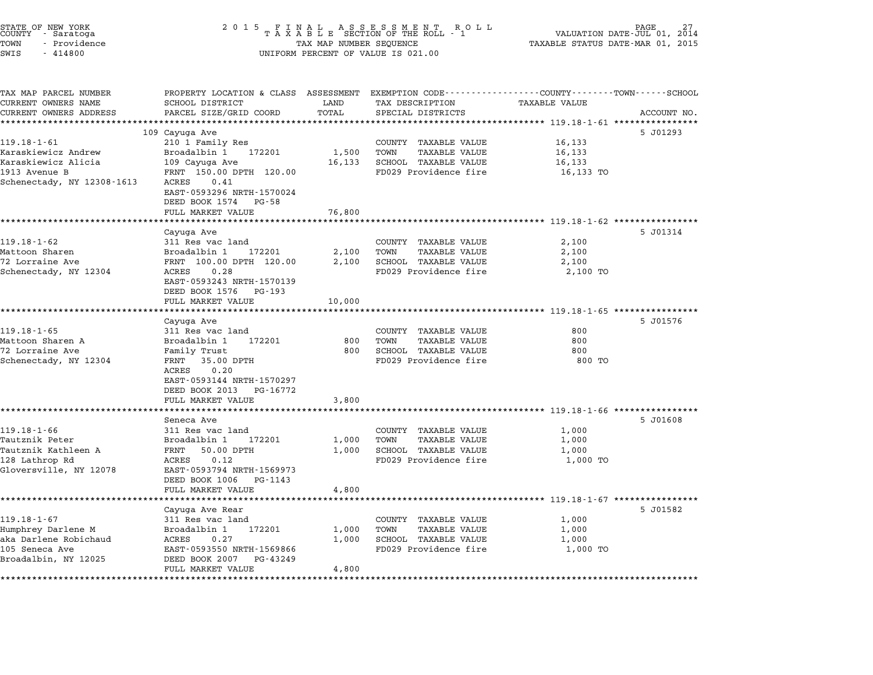| STATE OF NEW YORK<br>COUNTY – Saratoga<br>TOWN<br>- Providence<br>SWIS<br>$-414800$ | 2 0 1 5                                                                                          | TAX MAP NUMBER SEQUENCE | FINAL ASSESSMENT<br>TAXABLE SECTION OF THE ROLL<br>R O L L<br>- 1<br>UNIFORM PERCENT OF VALUE IS 021.00                                | TAXABLE STATUS DATE-MAR 01, 2015                         | PAGE<br>VALUATION DATE-JUL 01, 2014 |
|-------------------------------------------------------------------------------------|--------------------------------------------------------------------------------------------------|-------------------------|----------------------------------------------------------------------------------------------------------------------------------------|----------------------------------------------------------|-------------------------------------|
| TAX MAP PARCEL NUMBER<br>CURRENT OWNERS NAME<br>CURRENT OWNERS ADDRESS              | SCHOOL DISTRICT<br>PARCEL SIZE/GRID COORD                                                        | LAND<br>TOTAL           | PROPERTY LOCATION & CLASS ASSESSMENT EXEMPTION CODE---------------COUNTY-------TOWN-----SCHOOL<br>TAX DESCRIPTION<br>SPECIAL DISTRICTS | <b>TAXABLE VALUE</b>                                     | ACCOUNT NO.                         |
| **********************                                                              |                                                                                                  | ************            | * * * * * * * * * * * * * * * * * * *                                                                                                  | ************ 119.18-1-61 *****************               |                                     |
|                                                                                     | 109 Cayuga Ave                                                                                   |                         |                                                                                                                                        |                                                          | 5 J01293                            |
| $119.18 - 1 - 61$<br>Karaskiewicz Andrew<br>Karaskiewicz Alicia                     | 210 1 Family Res<br>Broadalbin 1<br>172201<br>109 Cayuga Ave                                     | 1,500<br>16,133         | COUNTY TAXABLE VALUE<br><b>TAXABLE VALUE</b><br>TOWN<br>SCHOOL TAXABLE VALUE                                                           | 16,133<br>16,133<br>16,133                               |                                     |
| 1913 Avenue B<br>Schenectady, NY 12308-1613                                         | FRNT 150.00 DPTH 120.00<br>0.41<br>ACRES<br>EAST-0593296 NRTH-1570024<br>DEED BOOK 1574<br>PG-58 |                         | FD029 Providence fire                                                                                                                  | 16,133 TO                                                |                                     |
|                                                                                     | FULL MARKET VALUE                                                                                | 76,800                  |                                                                                                                                        |                                                          |                                     |
|                                                                                     | ******************                                                                               |                         |                                                                                                                                        | ************************** 119.18-1-62 ***************** |                                     |
|                                                                                     | Cayuga Ave                                                                                       |                         |                                                                                                                                        |                                                          | 5 J01314                            |
| 119.18-1-62                                                                         | 311 Res vac land                                                                                 |                         | COUNTY TAXABLE VALUE                                                                                                                   | 2,100                                                    |                                     |
| Mattoon Sharen<br>72 Lorraine Ave                                                   | Broadalbin 1<br>172201<br>FRNT 100.00 DPTH 120.00                                                | 2,100<br>2,100          | TOWN<br><b>TAXABLE VALUE</b><br>SCHOOL TAXABLE VALUE                                                                                   | 2,100<br>2,100                                           |                                     |
| Schenectady, NY 12304                                                               | 0.28<br>ACRES<br>EAST-0593243 NRTH-1570139                                                       |                         | FD029 Providence fire                                                                                                                  | 2,100 TO                                                 |                                     |
|                                                                                     | DEED BOOK 1576<br>PG-193<br>FULL MARKET VALUE                                                    | 10,000                  |                                                                                                                                        |                                                          |                                     |
|                                                                                     | *******************                                                                              |                         |                                                                                                                                        | ************************ 119.18-1-65 *****************   |                                     |
|                                                                                     | Cayuga Ave                                                                                       |                         |                                                                                                                                        |                                                          | 5 J01576                            |
| 119.18-1-65<br>Mattoon Sharen A                                                     | 311 Res vac land<br>Broadalbin 1<br>172201                                                       | 800                     | COUNTY TAXABLE VALUE<br>TOWN<br>TAXABLE VALUE                                                                                          | 800<br>800                                               |                                     |
| 72 Lorraine Ave                                                                     | Family Trust                                                                                     | 800                     | SCHOOL TAXABLE VALUE                                                                                                                   | 800                                                      |                                     |
| Schenectady, NY 12304                                                               | FRNT 35.00 DPTH<br>0.20<br>ACRES<br>EAST-0593144 NRTH-1570297                                    |                         | FD029 Providence fire                                                                                                                  | 800 TO                                                   |                                     |
|                                                                                     | DEED BOOK 2013<br>PG-16772<br>FULL MARKET VALUE                                                  | 3,800                   |                                                                                                                                        |                                                          |                                     |
|                                                                                     |                                                                                                  |                         |                                                                                                                                        | ************************ 119.18-1-66 ***************     |                                     |
| $119.18 - 1 - 66$                                                                   | Seneca Ave<br>311 Res vac land                                                                   |                         |                                                                                                                                        | 1,000                                                    | 5 J01608                            |
| Tautznik Peter                                                                      | Broadalbin 1<br>172201                                                                           | 1,000                   | COUNTY TAXABLE VALUE<br>TAXABLE VALUE<br>TOWN                                                                                          | 1,000                                                    |                                     |
| Tautznik Kathleen A                                                                 | 50.00 DPTH<br>FRNT                                                                               | 1,000                   | SCHOOL TAXABLE VALUE                                                                                                                   | 1,000                                                    |                                     |
| 128 Lathrop Rd                                                                      | ACRES<br>0.12                                                                                    |                         | FD029 Providence fire                                                                                                                  | 1,000 TO                                                 |                                     |
| Gloversville, NY 12078                                                              | EAST-0593794 NRTH-1569973<br>DEED BOOK 1006<br>PG-1143                                           |                         |                                                                                                                                        |                                                          |                                     |
|                                                                                     | FULL MARKET VALUE<br>****************                                                            | 4,800                   |                                                                                                                                        | ***************** 119.18-1-67 *****************          |                                     |
|                                                                                     | Cayuga Ave Rear                                                                                  |                         |                                                                                                                                        |                                                          | 5 J01582                            |
| $119.18 - 1 - 67$                                                                   | 311 Res vac land                                                                                 |                         | COUNTY TAXABLE VALUE                                                                                                                   | 1,000                                                    |                                     |
| Humphrey Darlene M                                                                  | Broadalbin 1<br>172201                                                                           | 1,000                   | TOWN<br><b>TAXABLE VALUE</b>                                                                                                           | 1,000                                                    |                                     |
| aka Darlene Robichaud                                                               | ACRES<br>0.27                                                                                    | 1,000                   | SCHOOL TAXABLE VALUE                                                                                                                   | 1,000                                                    |                                     |
| 105 Seneca Ave                                                                      | EAST-0593550 NRTH-1569866                                                                        |                         | FD029 Providence fire                                                                                                                  | 1,000 TO                                                 |                                     |
| Broadalbin, NY 12025                                                                | DEED BOOK 2007<br>PG-43249<br>FULL MARKET VALUE                                                  | 4,800                   |                                                                                                                                        |                                                          |                                     |
|                                                                                     |                                                                                                  |                         |                                                                                                                                        |                                                          |                                     |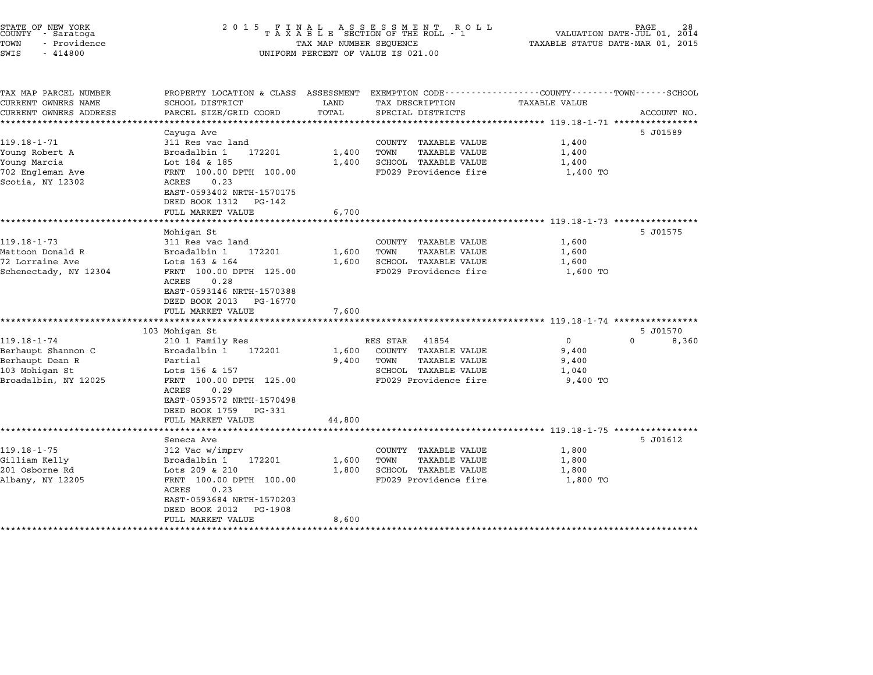| STATE OF NEW YORK<br>COUNTY - Saratoga<br>TOWN<br>- Providence<br>SWIS<br>$-414800$                  | 2 0 1 5                                                                                                                                                                                                                                           | TAX MAP NUMBER SEQUENCE              | FINAL ASSESSMENT RO<br>TAXABLE SECTION OF THE ROLL - 1<br>R O L L<br>UNIFORM PERCENT OF VALUE IS 021.00                    | TAXABLE STATUS DATE-MAR 01, 2015                                        | PAGE<br>VALUATION DATE-JUL 01, 2014 |
|------------------------------------------------------------------------------------------------------|---------------------------------------------------------------------------------------------------------------------------------------------------------------------------------------------------------------------------------------------------|--------------------------------------|----------------------------------------------------------------------------------------------------------------------------|-------------------------------------------------------------------------|-------------------------------------|
| TAX MAP PARCEL NUMBER<br>CURRENT OWNERS NAME<br>CURRENT OWNERS ADDRESS                               | PROPERTY LOCATION & CLASS ASSESSMENT<br>SCHOOL DISTRICT<br>PARCEL SIZE/GRID COORD                                                                                                                                                                 | LAND<br>TOTAL                        | EXEMPTION CODE-----------------COUNTY-------TOWN------SCHOOL<br>TAX DESCRIPTION<br>SPECIAL DISTRICTS                       | <b>TAXABLE VALUE</b><br>***************** 119.18-1-71 ***************** | ACCOUNT NO.                         |
| $119.18 - 1 - 71$<br>Young Robert A<br>Young Marcia<br>702 Engleman Ave<br>Scotia, NY 12302          | Cayuga Ave<br>311 Res vac land<br>Broadalbin 1<br>172201<br>Lot 184 & 185<br>FRNT 100.00 DPTH 100.00<br>0.23<br>ACRES<br>EAST-0593402 NRTH-1570175<br>DEED BOOK 1312<br>PG-142<br>FULL MARKET VALUE                                               | 1,400<br>1,400<br>6,700              | COUNTY TAXABLE VALUE<br>TOWN<br>TAXABLE VALUE<br>SCHOOL TAXABLE VALUE<br>FD029 Providence fire                             | 1,400<br>1,400<br>1,400<br>1,400 TO                                     | 5 J01589                            |
| $119.18 - 1 - 73$<br>Mattoon Donald R<br>72 Lorraine Ave<br>Schenectady, NY 12304                    | Mohigan St<br>311 Res vac land<br>Broadalbin 1<br>172201<br>Lots 163 & 164<br>FRNT 100.00 DPTH 125.00<br>0.28<br>ACRES<br>EAST-0593146 NRTH-1570388<br>DEED BOOK 2013<br>PG-16770<br>FULL MARKET VALUE<br>**********************                  | 1,600<br>1,600<br>7,600              | COUNTY TAXABLE VALUE<br><b>TAXABLE VALUE</b><br>TOWN<br>SCHOOL TAXABLE VALUE<br>FD029 Providence fire                      | 1,600<br>1,600<br>1,600<br>1,600 TO                                     | 5 J01575                            |
| $119.18 - 1 - 74$<br>Berhaupt Shannon C<br>Berhaupt Dean R<br>103 Mohigan St<br>Broadalbin, NY 12025 | 103 Mohigan St<br>210 1 Family Res<br>Broadalbin 1<br>172201<br>Partial<br>Lots 156 & 157<br>FRNT 100.00 DPTH 125.00<br>0.29<br>ACRES<br>EAST-0593572 NRTH-1570498<br>DEED BOOK 1759<br>PG-331<br>FULL MARKET VALUE                               | 1,600<br>9,400<br>44,800             | RES STAR<br>41854<br>COUNTY TAXABLE VALUE<br>TOWN<br><b>TAXABLE VALUE</b><br>SCHOOL TAXABLE VALUE<br>FD029 Providence fire | $\Omega$<br>9,400<br>9,400<br>1,040<br>9,400 TO                         | 5 J01570<br>0<br>8,360              |
| $119.18 - 1 - 75$<br>Gilliam Kelly<br>201 Osborne Rd<br>Albany, NY 12205<br>*******************      | ****************<br>Seneca Ave<br>312 Vac w/imprv<br>Broadalbin 1<br>172201<br>Lots 209 & 210<br>FRNT 100.00 DPTH 100.00<br>0.23<br>ACRES<br>EAST-0593684 NRTH-1570203<br>DEED BOOK 2012<br>PG-1908<br>FULL MARKET VALUE<br>********************* | 1,600<br>1,800<br>8,600<br>********* | COUNTY<br>TAXABLE VALUE<br>TOWN<br><b>TAXABLE VALUE</b><br>SCHOOL TAXABLE VALUE<br>FD029 Providence fire                   | 1,800<br>1,800<br>1,800<br>1,800 TO                                     | 5 J01612                            |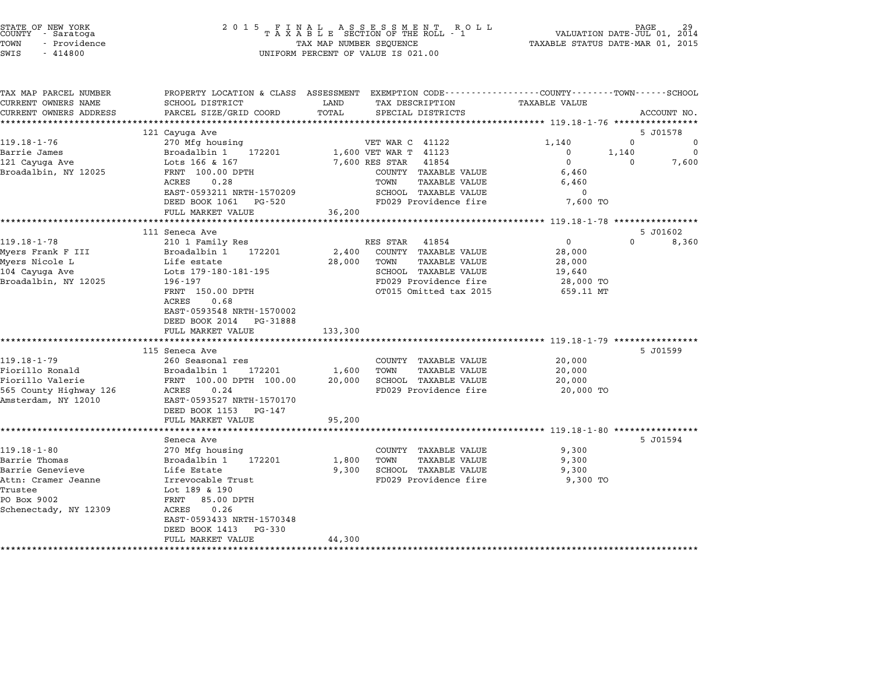| STATE OF NEW YORK<br>COUNTY |  | - Saratoga   |  |
|-----------------------------|--|--------------|--|
| TOWN                        |  | - Providence |  |

|                                            | PROPERTY LOCATION & CLASS ASSESSMENT |                                       | EXEMPTION CODE-----------------COUNTY-------TOWN-----SCHOOL |             |
|--------------------------------------------|--------------------------------------|---------------------------------------|-------------------------------------------------------------|-------------|
| CURRENT OWNERS NAME                        | SCHOOL DISTRICT                      | LAND<br>TAX DESCRIPTION               | <b>TAXABLE VALUE</b>                                        |             |
| CURRENT OWNERS ADDRESS                     | PARCEL SIZE/GRID COORD               | TOTAL<br>SPECIAL DISTRICTS            |                                                             | ACCOUNT NO. |
| *************************                  |                                      |                                       |                                                             |             |
|                                            | 121 Cayuga Ave                       |                                       |                                                             | 5 J01578    |
| $119.18 - 1 - 76$                          | 270 Mfg housing                      | VET WAR C 41122                       | 1,140<br>0                                                  | 0           |
| Barrie James                               | Broadalbin 1<br>172201               | 1,600 VET WAR T<br>41123              | 0<br>1,140                                                  | 0           |
| 121 Cayuga Ave                             | Lots 166 & 167                       | 7,600 RES STAR<br>41854               | $\mathbf 0$<br>$\Omega$                                     | 7,600       |
| Broadalbin, NY 12025                       | FRNT 100.00 DPTH                     | COUNTY TAXABLE VALUE                  | 6,460                                                       |             |
|                                            | ACRES<br>0.28                        | TOWN<br><b>TAXABLE VALUE</b>          | 6,460                                                       |             |
|                                            | EAST-0593211 NRTH-1570209            | <b>SCHOOL TAXABLE VALUE</b>           | 0                                                           |             |
|                                            | DEED BOOK 1061<br>PG-520             | FD029 Providence fire                 | 7,600 TO                                                    |             |
|                                            | FULL MARKET VALUE                    | 36,200                                |                                                             |             |
|                                            | *********************                | *********                             | ********** 119.18-1-78 ****************                     |             |
|                                            | 111 Seneca Ave                       |                                       |                                                             | 5 J01602    |
| $119.18 - 1 - 78$                          | 210 1 Family Res                     | RES STAR<br>41854                     | $\mathbf 0$<br>$\Omega$                                     | 8,360       |
| Myers Frank F III                          | Broadalbin 1<br>172201               | 2,400<br>COUNTY TAXABLE VALUE         | 28,000                                                      |             |
| Myers Nicole L                             | Life estate                          | 28,000<br>TOWN<br>TAXABLE VALUE       | 28,000                                                      |             |
| 104 Cayuga Ave                             | Lots 179-180-181-195                 | SCHOOL TAXABLE VALUE                  | 19,640                                                      |             |
| Broadalbin, NY 12025                       | 196-197                              | FD029 Providence fire                 | 28,000 TO                                                   |             |
|                                            | FRNT 150.00 DPTH                     | OT015 Omitted tax 2015                | 659.11 MT                                                   |             |
|                                            | 0.68<br>ACRES                        |                                       |                                                             |             |
|                                            | EAST-0593548 NRTH-1570002            |                                       |                                                             |             |
|                                            | DEED BOOK 2014<br>PG-31888           |                                       |                                                             |             |
|                                            | FULL MARKET VALUE                    | 133,300                               |                                                             |             |
|                                            | ***************************          |                                       |                                                             |             |
|                                            |                                      |                                       |                                                             |             |
|                                            | 115 Seneca Ave                       |                                       |                                                             | 5 J01599    |
| $119.18 - 1 - 79$                          | 260 Seasonal res                     | COUNTY TAXABLE VALUE                  | 20,000                                                      |             |
| Fiorillo Ronald                            | Broadalbin 1<br>172201               | 1,600<br>TOWN<br><b>TAXABLE VALUE</b> | 20,000                                                      |             |
|                                            | FRNT 100.00 DPTH 100.00              | 20,000<br>SCHOOL TAXABLE VALUE        | 20,000                                                      |             |
| Fiorillo Valerie<br>565 County Highway 126 | 0.24<br>ACRES                        | FD029 Providence fire                 | 20,000 TO                                                   |             |
| Amsterdam, NY 12010                        | EAST-0593527 NRTH-1570170            |                                       |                                                             |             |
|                                            | DEED BOOK 1153<br>PG-147             |                                       |                                                             |             |
|                                            | FULL MARKET VALUE                    | 95,200                                |                                                             |             |
|                                            |                                      |                                       |                                                             |             |
|                                            | Seneca Ave                           |                                       |                                                             | 5 J01594    |
| $119.18 - 1 - 80$                          | 270 Mfg housing                      | COUNTY TAXABLE VALUE                  | 9,300                                                       |             |
| Barrie Thomas                              | Broadalbin 1<br>172201               | 1,800<br>TOWN<br>TAXABLE VALUE        | 9,300                                                       |             |
| Barrie Genevieve                           | Life Estate                          | 9,300<br>SCHOOL TAXABLE VALUE         | 9,300                                                       |             |
| Attn: Cramer Jeanne                        | Irrevocable Trust                    | FD029 Providence fire                 | 9,300 TO                                                    |             |
| Trustee                                    | Lot 189 & 190                        |                                       |                                                             |             |
| PO Box 9002                                | 85.00 DPTH<br>FRNT                   |                                       |                                                             |             |
|                                            | 0.26<br>ACRES                        |                                       |                                                             |             |
| Schenectady, NY 12309                      | EAST-0593433 NRTH-1570348            |                                       |                                                             |             |
|                                            | $PG - 330$<br>DEED BOOK 1413         |                                       |                                                             |             |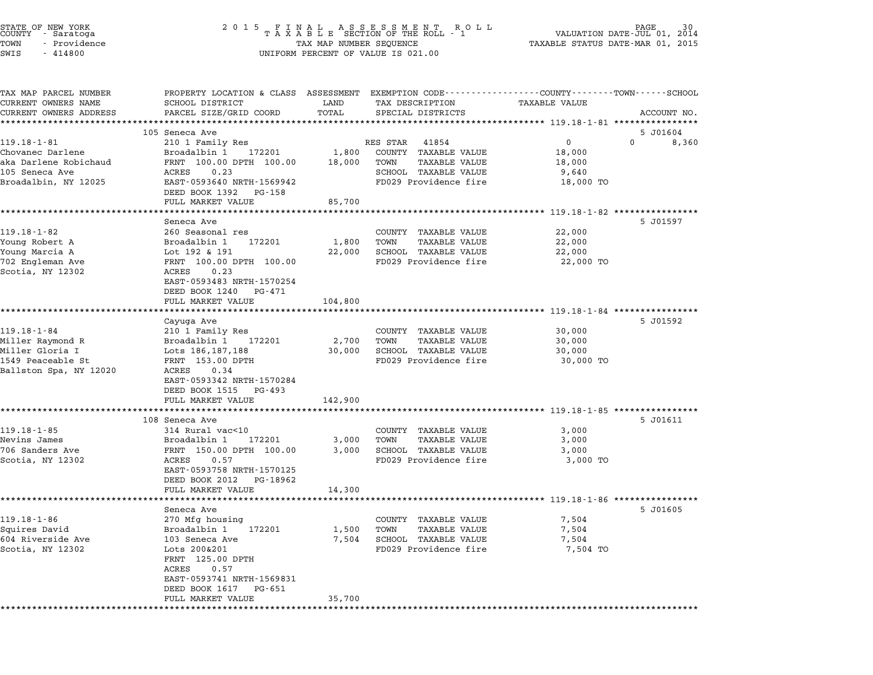| STATE OF NEW YORK<br>COUNTY - Saratoga<br>TOWN<br>- Providence<br>$-414800$<br>SWIS | 2 0 1 5                                                                                        | TAX MAP NUMBER SEQUENCE | FINAL ASSESSMENT ROLL<br>TAXABLE SECTION OF THE ROLL - 1<br>UNIFORM PERCENT OF VALUE IS 021.00 | PAGE<br>VALUATION DATE-JUL 01,<br>TAXABLE STATUS DATE-MAR 01, 2015                                                                                                                                | 30<br>2014 |
|-------------------------------------------------------------------------------------|------------------------------------------------------------------------------------------------|-------------------------|------------------------------------------------------------------------------------------------|---------------------------------------------------------------------------------------------------------------------------------------------------------------------------------------------------|------------|
| TAX MAP PARCEL NUMBER<br>CURRENT OWNERS NAME<br>CURRENT OWNERS ADDRESS              | SCHOOL DISTRICT<br>PARCEL SIZE/GRID COORD                                                      | LAND<br>TOTAL           | TAX DESCRIPTION<br>SPECIAL DISTRICTS                                                           | PROPERTY LOCATION & CLASS ASSESSMENT EXEMPTION CODE---------------COUNTY-------TOWN-----SCHOOL<br>TAXABLE VALUE<br>ACCOUNT NO.<br>********************************** 119.18-1-81 **************** |            |
|                                                                                     | 105 Seneca Ave                                                                                 |                         |                                                                                                | 5 J01604                                                                                                                                                                                          |            |
| $119.18 - 1 - 81$                                                                   | 210 1 Family Res                                                                               |                         | RES STAR<br>41854                                                                              | 0<br>0                                                                                                                                                                                            | 8,360      |
| Chovanec Darlene<br>aka Darlene Robichaud<br>105 Seneca Ave                         | Broadalbin 1<br>172201<br>FRNT 100.00 DPTH 100.00<br>ACRES<br>0.23                             | 1,800<br>18,000         | COUNTY TAXABLE VALUE<br>TOWN<br><b>TAXABLE VALUE</b><br>SCHOOL TAXABLE VALUE                   | 18,000<br>18,000<br>9,640                                                                                                                                                                         |            |
| Broadalbin, NY 12025                                                                | EAST-0593640 NRTH-1569942<br>DEED BOOK 1392<br>PG-158<br>FULL MARKET VALUE                     | 85,700                  | FD029 Providence fire                                                                          | 18,000 TO                                                                                                                                                                                         |            |
|                                                                                     |                                                                                                |                         |                                                                                                |                                                                                                                                                                                                   |            |
|                                                                                     | Seneca Ave                                                                                     |                         |                                                                                                | 5 J01597                                                                                                                                                                                          |            |
| $119.18 - 1 - 82$                                                                   | 260 Seasonal res                                                                               |                         | COUNTY TAXABLE VALUE                                                                           | 22,000                                                                                                                                                                                            |            |
| Young Robert A                                                                      | Broadalbin 1<br>172201                                                                         | 1,800                   | TOWN<br>TAXABLE VALUE                                                                          | 22,000                                                                                                                                                                                            |            |
| Young Marcia A                                                                      | Lot 192 & 191                                                                                  | 22,000                  | SCHOOL TAXABLE VALUE                                                                           | 22,000                                                                                                                                                                                            |            |
| 702 Engleman Ave<br>Scotia, NY 12302                                                | FRNT 100.00 DPTH 100.00<br>0.23<br>ACRES<br>EAST-0593483 NRTH-1570254<br>DEED BOOK 1240 PG-471 |                         | FD029 Providence fire                                                                          | 22,000 TO                                                                                                                                                                                         |            |
|                                                                                     | FULL MARKET VALUE                                                                              | 104,800                 |                                                                                                |                                                                                                                                                                                                   |            |
|                                                                                     |                                                                                                |                         |                                                                                                |                                                                                                                                                                                                   |            |
|                                                                                     | Cayuga Ave                                                                                     |                         |                                                                                                | 5 J01592                                                                                                                                                                                          |            |
| $119.18 - 1 - 84$                                                                   | 210 1 Family Res                                                                               |                         | COUNTY TAXABLE VALUE                                                                           | 30,000                                                                                                                                                                                            |            |
| Miller Raymond R<br>Miller Gloria I                                                 | Broadalbin 1<br>172201<br>Lots 186, 187, 188                                                   | 2,700<br>30,000         | TOWN<br>TAXABLE VALUE<br>SCHOOL TAXABLE VALUE                                                  | 30,000<br>30,000                                                                                                                                                                                  |            |
| 1549 Peaceable St                                                                   | FRNT 153.00 DPTH                                                                               |                         | FD029 Providence fire                                                                          | 30,000 TO                                                                                                                                                                                         |            |
| Ballston Spa, NY 12020                                                              | ACRES<br>0.34<br>EAST-0593342 NRTH-1570284<br>DEED BOOK 1515<br>PG-493                         |                         |                                                                                                |                                                                                                                                                                                                   |            |
|                                                                                     | FULL MARKET VALUE                                                                              | 142,900                 |                                                                                                |                                                                                                                                                                                                   |            |
|                                                                                     | 108 Seneca Ave                                                                                 |                         |                                                                                                | 5 J01611                                                                                                                                                                                          |            |
| $119.18 - 1 - 85$                                                                   | 314 Rural vac<10                                                                               |                         | COUNTY TAXABLE VALUE                                                                           | 3,000                                                                                                                                                                                             |            |
| Nevins James                                                                        | Broadalbin 1<br>172201                                                                         | 3,000                   | TOWN<br><b>TAXABLE VALUE</b>                                                                   | 3,000                                                                                                                                                                                             |            |
| 706 Sanders Ave                                                                     | FRNT 150.00 DPTH 100.00                                                                        | 3,000                   | SCHOOL TAXABLE VALUE                                                                           | 3,000                                                                                                                                                                                             |            |
| Scotia, NY 12302                                                                    | ACRES<br>0.57<br>EAST-0593758 NRTH-1570125<br>DEED BOOK 2012<br>PG-18962                       |                         | FD029 Providence fire                                                                          | 3,000 TO                                                                                                                                                                                          |            |
|                                                                                     | FULL MARKET VALUE                                                                              | 14,300                  |                                                                                                | ******************************* 119.18-1-86 **********                                                                                                                                            |            |
|                                                                                     | Seneca Ave                                                                                     |                         |                                                                                                | 5 J01605                                                                                                                                                                                          |            |
|                                                                                     | 270 Mfg housing                                                                                |                         | <b>TAXABLE VALUE</b><br>COUNTY                                                                 | 7,504                                                                                                                                                                                             |            |
|                                                                                     |                                                                                                |                         | <b>TAXABLE VALUE</b><br>TOWN                                                                   | 7,504                                                                                                                                                                                             |            |
| $119.18 - 1 - 86$<br>Squires David                                                  | Broadalbin 1<br>172201                                                                         | 1,500                   |                                                                                                |                                                                                                                                                                                                   |            |
| 604 Riverside Ave                                                                   | 103 Seneca Ave                                                                                 | 7,504                   | SCHOOL TAXABLE VALUE                                                                           | 7,504                                                                                                                                                                                             |            |
| Scotia, NY 12302                                                                    | Lots 200&201<br>FRNT 125.00 DPTH<br>ACRES<br>0.57<br>EAST-0593741 NRTH-1569831                 |                         | FD029 Providence fire                                                                          | 7,504 TO                                                                                                                                                                                          |            |
|                                                                                     | DEED BOOK 1617<br>PG-651<br>FULL MARKET VALUE                                                  | 35,700                  |                                                                                                |                                                                                                                                                                                                   |            |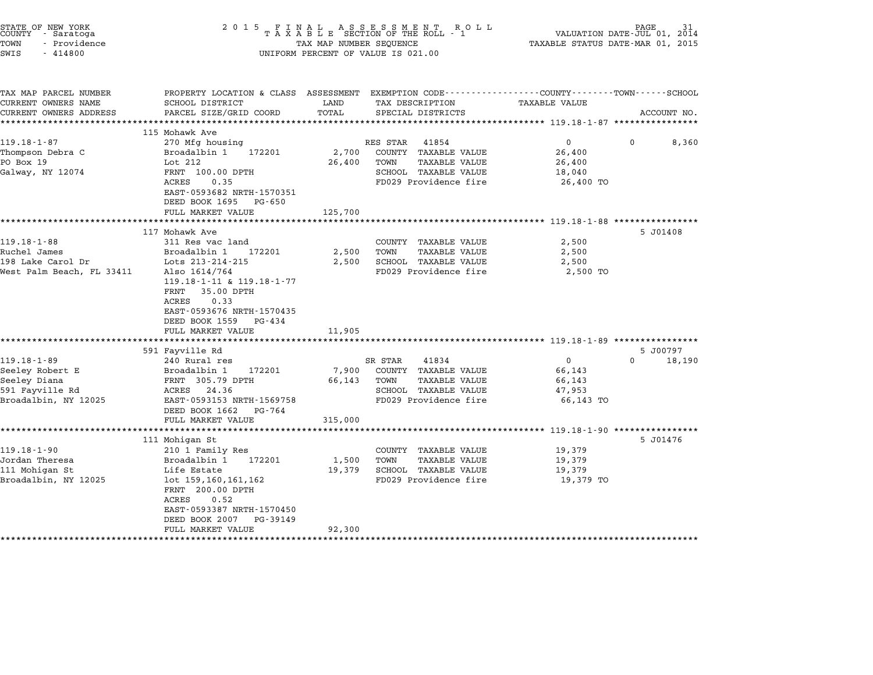| TOWN<br>- Providence<br>SWIS<br>$-414800$    |                                                                                                                   | TAX MAP NUMBER SEQUENCE  | FINAL ASSESSMENT ROLL<br>TAXABLE SECTION OF THE ROLL - 1<br>UNIFORM PERCENT OF VALUE IS 021.00 | VALUATION DATE-JUL 01, 2014<br>TAXABLE STATUS DATE-MAR 01, 2015 | PAGE        | 31          |
|----------------------------------------------|-------------------------------------------------------------------------------------------------------------------|--------------------------|------------------------------------------------------------------------------------------------|-----------------------------------------------------------------|-------------|-------------|
| TAX MAP PARCEL NUMBER<br>CURRENT OWNERS NAME | PROPERTY LOCATION & CLASS ASSESSMENT EXEMPTION CODE---------------COUNTY-------TOWN-----SCHOOL<br>SCHOOL DISTRICT | LAND                     | TAX DESCRIPTION                                                                                | <b>TAXABLE VALUE</b>                                            |             |             |
| CURRENT OWNERS ADDRESS                       | PARCEL SIZE/GRID COORD                                                                                            | TOTAL                    | SPECIAL DISTRICTS                                                                              |                                                                 |             | ACCOUNT NO. |
|                                              |                                                                                                                   |                          |                                                                                                |                                                                 |             |             |
|                                              | 115 Mohawk Ave                                                                                                    |                          |                                                                                                |                                                                 |             |             |
| $119.18 - 1 - 87$                            | 270 Mfg housing                                                                                                   |                          | RES STAR<br>41854                                                                              | 0                                                               | $\mathbf 0$ | 8,360       |
| Thompson Debra C                             | Broadalbin 1<br>172201                                                                                            | 2,700                    | COUNTY TAXABLE VALUE                                                                           | 26,400                                                          |             |             |
| PO Box 19                                    | Lot 212                                                                                                           | 26,400                   | TOWN<br><b>TAXABLE VALUE</b>                                                                   | 26,400                                                          |             |             |
| Galway, NY 12074                             | FRNT 100.00 DPTH                                                                                                  |                          | SCHOOL TAXABLE VALUE                                                                           | 18,040                                                          |             |             |
|                                              | ACRES<br>0.35                                                                                                     |                          | FD029 Providence fire                                                                          | 26,400 TO                                                       |             |             |
|                                              | EAST-0593682 NRTH-1570351                                                                                         |                          |                                                                                                |                                                                 |             |             |
|                                              | DEED BOOK 1695 PG-650                                                                                             |                          |                                                                                                |                                                                 |             |             |
|                                              | FULL MARKET VALUE<br>*********************                                                                        | 125,700<br>************* |                                                                                                |                                                                 |             |             |
|                                              | 117 Mohawk Ave                                                                                                    |                          |                                                                                                |                                                                 | 5 J01408    |             |
| $119.18 - 1 - 88$                            | 311 Res vac land                                                                                                  |                          | COUNTY TAXABLE VALUE                                                                           | 2,500                                                           |             |             |
| Ruchel James                                 | Broadalbin 1<br>172201                                                                                            | 2,500                    | TOWN<br><b>TAXABLE VALUE</b>                                                                   | 2,500                                                           |             |             |
| 198 Lake Carol Dr                            | Lots 213-214-215                                                                                                  | 2,500                    | SCHOOL TAXABLE VALUE                                                                           | 2,500                                                           |             |             |
| West Palm Beach, FL 33411                    | Also 1614/764<br>119.18-1-11 & 119.18-1-77<br>35.00 DPTH<br>FRNT<br>ACRES<br>0.33                                 |                          | FD029 Providence fire                                                                          | 2,500 TO                                                        |             |             |
|                                              | EAST-0593676 NRTH-1570435                                                                                         |                          |                                                                                                |                                                                 |             |             |
|                                              | DEED BOOK 1559<br>PG-434                                                                                          |                          |                                                                                                |                                                                 |             |             |
|                                              | FULL MARKET VALUE                                                                                                 | 11,905                   |                                                                                                |                                                                 |             |             |
|                                              |                                                                                                                   | ************             |                                                                                                | ********************** 119.18-1-89 *****************            | 5 J00797    |             |
| $119.18 - 1 - 89$                            | 591 Fayville Rd<br>240 Rural res                                                                                  |                          | SR STAR<br>41834                                                                               | 0                                                               | $\Omega$    | 18,190      |
| Seeley Robert E                              | Broadalbin 1<br>172201                                                                                            | 7,900                    | COUNTY TAXABLE VALUE                                                                           | 66,143                                                          |             |             |
| Seeley Diana                                 | FRNT 305.79 DPTH                                                                                                  | 66,143                   | <b>TAXABLE VALUE</b><br>TOWN                                                                   | 66,143                                                          |             |             |
| 591 Fayville Rd                              | ACRES<br>24.36                                                                                                    |                          | SCHOOL TAXABLE VALUE                                                                           | 47,953                                                          |             |             |
| Broadalbin, NY 12025                         | EAST-0593153 NRTH-1569758                                                                                         |                          | FD029 Providence fire                                                                          | 66,143 TO                                                       |             |             |
|                                              | DEED BOOK 1662<br>PG-764                                                                                          |                          |                                                                                                |                                                                 |             |             |
|                                              | FULL MARKET VALUE                                                                                                 | 315,000                  |                                                                                                |                                                                 |             |             |
|                                              | **************************                                                                                        | ************             | ******************************** 119.18-1-90 ****************                                  |                                                                 |             |             |
|                                              | 111 Mohigan St                                                                                                    |                          |                                                                                                |                                                                 | 5 J01476    |             |
| $119.18 - 1 - 90$                            | 210 1 Family Res                                                                                                  |                          | COUNTY TAXABLE VALUE                                                                           | 19,379                                                          |             |             |
| Jordan Theresa                               | Broadalbin 1<br>172201                                                                                            | 1,500                    | TOWN<br><b>TAXABLE VALUE</b>                                                                   | 19,379                                                          |             |             |
| 111 Mohigan St<br>Broadalbin, NY 12025       | Life Estate<br>lot 159,160,161,162                                                                                | 19,379                   | SCHOOL TAXABLE VALUE<br>FD029 Providence fire                                                  | 19,379<br>19,379 TO                                             |             |             |
|                                              | FRNT 200.00 DPTH<br>ACRES<br>0.52                                                                                 |                          |                                                                                                |                                                                 |             |             |
|                                              | EAST-0593387 NRTH-1570450<br>DEED BOOK 2007<br>PG-39149                                                           |                          |                                                                                                |                                                                 |             |             |
|                                              | FULL MARKET VALUE                                                                                                 | 92,300                   |                                                                                                |                                                                 |             |             |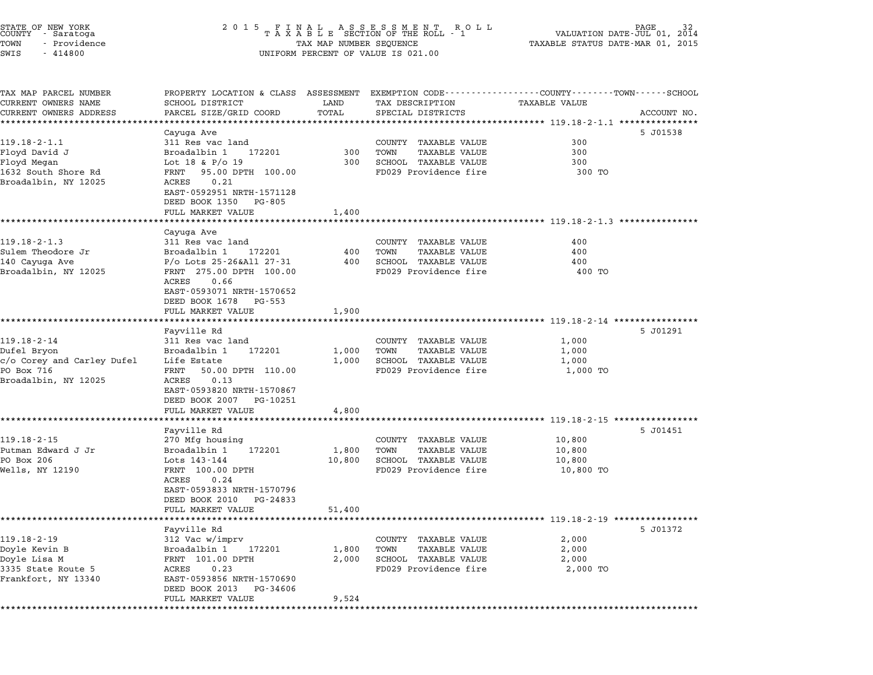| STATE OF NEW YORK<br>COUNTY - Saratoga<br>TOWN<br>- Providence<br>SWIS<br>$-414800$                  | 2 0 1 5                                                                                                                                                                                                        | TAX MAP NUMBER SEQUENCE   | FINAL ASSESSMENT ROLL<br>TAXABLE SECTION OF THE ROLL - 1<br>R O L L<br>UNIFORM PERCENT OF VALUE IS 021.00 | VALUATION DATE-JUL 01,<br>TAXABLE STATUS DATE-MAR 01, 2015                                                                                                 | 2014 |
|------------------------------------------------------------------------------------------------------|----------------------------------------------------------------------------------------------------------------------------------------------------------------------------------------------------------------|---------------------------|-----------------------------------------------------------------------------------------------------------|------------------------------------------------------------------------------------------------------------------------------------------------------------|------|
| TAX MAP PARCEL NUMBER<br>CURRENT OWNERS NAME<br>CURRENT OWNERS ADDRESS                               | PROPERTY LOCATION & CLASS ASSESSMENT<br>SCHOOL DISTRICT<br>PARCEL SIZE/GRID COORD                                                                                                                              | LAND<br>TOTAL             | TAX DESCRIPTION<br>SPECIAL DISTRICTS                                                                      | EXEMPTION CODE------------------COUNTY-------TOWN------SCHOOL<br><b>TAXABLE VALUE</b><br>ACCOUNT NO.<br>**************************** 119.18-2-1.1 ******** |      |
| $119.18 - 2 - 1.1$<br>Floyd David J<br>Floyd Megan<br>1632 South Shore Rd<br>Broadalbin, NY 12025    | Cayuga Ave<br>311 Res vac land<br>Broadalbin 1<br>172201<br>Lot 18 & $P/O$ 19<br>95.00 DPTH 100.00<br>FRNT<br>0.21<br>ACRES<br>EAST-0592951 NRTH-1571128<br>DEED BOOK 1350<br>PG-805                           | 300<br>300                | COUNTY TAXABLE VALUE<br>TOWN<br><b>TAXABLE VALUE</b><br>SCHOOL TAXABLE VALUE<br>FD029 Providence fire     | 5 J01538<br>300<br>300<br>300<br>300 TO                                                                                                                    |      |
|                                                                                                      | FULL MARKET VALUE                                                                                                                                                                                              | 1,400                     |                                                                                                           | ************************* 119.18-2-1.3 *********                                                                                                           |      |
| $119.18 - 2 - 1.3$<br>Sulem Theodore Jr<br>140 Cayuga Ave<br>Broadalbin, NY 12025                    | Cayuga Ave<br>311 Res vac land<br>Broadalbin 1<br>172201<br>P/o Lots 25-26&All 27-31<br>FRNT 275.00 DPTH 100.00<br>0.66<br>ACRES<br>EAST-0593071 NRTH-1570652<br>DEED BOOK 1678<br>PG-553<br>FULL MARKET VALUE | 400<br>400<br>1,900       | COUNTY TAXABLE VALUE<br>TOWN<br><b>TAXABLE VALUE</b><br>SCHOOL TAXABLE VALUE<br>FD029 Providence fire     | 400<br>400<br>400<br>400 TO                                                                                                                                |      |
|                                                                                                      | Fayville Rd                                                                                                                                                                                                    |                           |                                                                                                           | ************************ 119.18-2-14 ****************<br>5 J01291                                                                                          |      |
| $119.18 - 2 - 14$<br>Dufel Bryon<br>c/o Corey and Carley Dufel<br>PO Box 716<br>Broadalbin, NY 12025 | 311 Res vac land<br>Broadalbin 1<br>172201<br>Life Estate<br>50.00 DPTH 110.00<br>FRNT<br>ACRES<br>0.13<br>EAST-0593820 NRTH-1570867<br>DEED BOOK 2007<br>PG-10251<br>FULL MARKET VALUE                        | 1,000<br>1,000<br>4,800   | COUNTY TAXABLE VALUE<br>TOWN<br><b>TAXABLE VALUE</b><br>SCHOOL TAXABLE VALUE<br>FD029 Providence fire     | 1,000<br>1,000<br>1,000<br>1,000 TO                                                                                                                        |      |
|                                                                                                      |                                                                                                                                                                                                                |                           |                                                                                                           | ********************** 119.18-2-15 ***********                                                                                                             |      |
| $119.18 - 2 - 15$<br>Putman Edward J Jr<br>PO Box 206<br>Wells, NY 12190                             | Fayville Rd<br>270 Mfg housing<br>Broadalbin 1<br>172201<br>Lots 143-144<br>FRNT 100.00 DPTH<br>ACRES<br>0.24<br>EAST-0593833 NRTH-1570796<br>DEED BOOK 2010<br>PG-24833<br>FULL MARKET VALUE                  | 1,800<br>10,800<br>51,400 | COUNTY TAXABLE VALUE<br><b>TAXABLE VALUE</b><br>TOWN<br>SCHOOL TAXABLE VALUE<br>FD029 Providence fire     | 5 J01451<br>10,800<br>10,800<br>10,800<br>10,800 TO                                                                                                        |      |
| $119.18 - 2 - 19$<br>Doyle Kevin B<br>Doyle Lisa M<br>3335 State Route 5<br>Frankfort, NY 13340      | Fayville Rd<br>312 Vac w/imprv<br>Broadalbin 1<br>172201<br>FRNT 101.00 DPTH<br>ACRES<br>0.23<br>EAST-0593856 NRTH-1570690<br>DEED BOOK 2013<br>PG-34606<br>FULL MARKET VALUE                                  | 1,800<br>2,000<br>9,524   | COUNTY TAXABLE VALUE<br><b>TAXABLE VALUE</b><br>TOWN<br>SCHOOL TAXABLE VALUE<br>FD029 Providence fire     | ********************** 119.18-2-19 *****************<br>5 J01372<br>2,000<br>2,000<br>2,000<br>2,000 TO                                                    |      |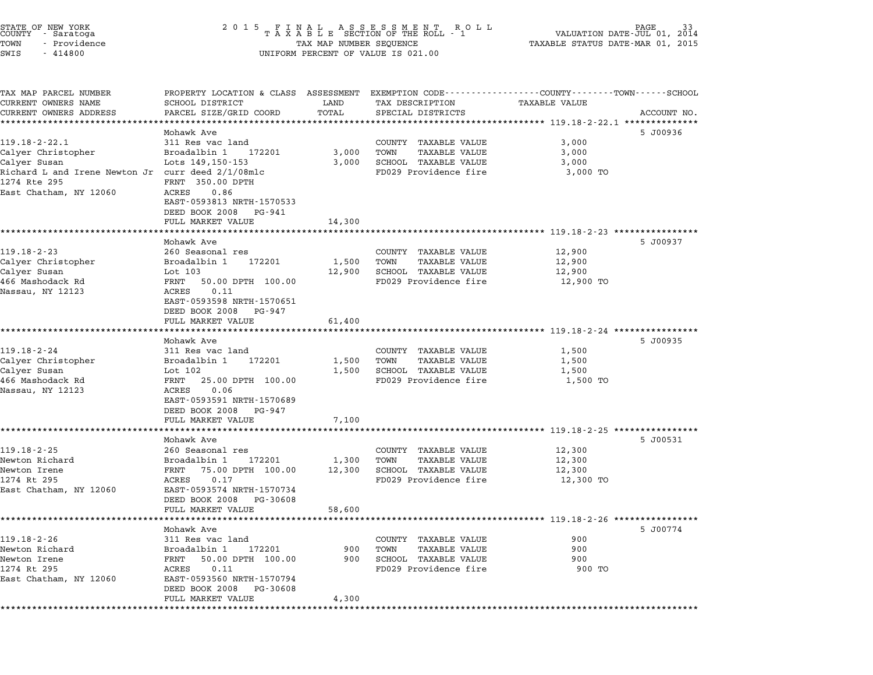| STATE OF NEW YORK<br>COUNTY - Saratoga |  |              |  |
|----------------------------------------|--|--------------|--|
| TOWN                                   |  | - Providence |  |
| CTATT <sub>C</sub>                     |  | $-111000$    |  |

# STATE OF NEW YORK <sup>2</sup> <sup>0</sup> <sup>1</sup> 5 F I N A L A S S E S S M E N T R O L L PAGE <sup>33</sup> COUNTY - Saratoga <sup>T</sup> <sup>A</sup> <sup>X</sup> <sup>A</sup> <sup>B</sup> <sup>L</sup> <sup>E</sup> SECTION OF THE ROLL - <sup>1</sup> VALUATION DATE-JUL 01, <sup>2014</sup> TOWN - Providence TAX MAP NUMBER SEQUENCE TAXABLE STATUS DATE-MAR 01, <sup>2015</sup> COONTI - SATACOGA<br>TOWN - Providence<br>SWIS - 414800 UNIFORM PERCENT OF VALUE IS 021.00

TAX MAP PARCEL NUMBER PROPERTY LOCATION & CLASS ASSESSMENT EXEMPTION CODE------------------COUNTY--------TOWN------SCHOOL ...<br>-- COUNTY:- TAX MAP PARCEL NUMBER THE OCHOTRY AND THE CURRENT EXEMPTION CODE<br>CURRENT OWNERS NAME SCHOOL DISTRICT LAND TAX DESCRIPTION TAXABLE VALUE CURRENT OWNERS ADDRESS PARCEL SIZE/GRID COORD TOTAL SPECIAL DISTRICTS ACCOUNT NO. \*\*\*\*\*\*\*\*\*\*\*\*\*\*\*\*\*\*\*\*\*\*\*\*\*\*\*\*\*\*\*\*\*\*\*\*\*\*\*\*\*\*\*\*\*\*\*\*\*\*\*\*\*\*\*\*\*\*\*\*\*\*\*\*\*\*\*\*\*\*\*\*\*\*\*\*\*\*\*\*\*\*\*\*\*\*\*\*\*\*\*\*\*\*\*\*\*\*\*\*\*\*\* 119.18-2-22.1 \*\*\*\*\*\*\*\*\*\*\*\*\*\* Mohawk Ave 5 J00936 119.18-2-22.1 Mohawk Ave Mohawk Ave 311 Res vac land COUNTY TAXABLE VALUE 3,000 Calyer Christopher Broadalbin <sup>1</sup> <sup>172201</sup> 3,000 TOWN TAXABLE VALUE 3,000 11.10 22.1<br>Calyer Christopher Book and the state of the countries which the state of the state of the state of the state<br>Calyer Susan 3,000 SCHOOL TAXABLE VALUE 3,000 Caryer Christopher (Blots 119,150-153) Franch Hotel And Transform Jr. (2011)<br>Calyer Susan Irene Newton Jr curr deed 2/1/08mlc FD029 Providence fire 3,000 TO Calyer Christopher<br>
Calyer Susan Lots 149,150-153<br>
Richard L and Irene Newton Jr curr deed 2/1/08mlc<br>
1274 Rte 295 FRNT 350.00 DPTH East Chatham, NY 12060 ACRES 0.86 EAST-0593813 NRTH-1570533 EAST-0593813 NRTH-15705<br>DEED BOOK 2008 PG-941 FULL MARKET VALUE 14,300 \*\*\*\*\*\*\*\*\*\*\*\*\*\*\*\*\*\*\*\*\*\*\*\*\*\*\*\*\*\*\*\*\*\*\*\*\*\*\*\*\*\*\*\*\*\*\*\*\*\*\*\*\*\*\*\*\*\*\*\*\*\*\*\*\*\*\*\*\*\*\*\*\*\*\*\*\*\*\*\*\*\*\*\*\*\*\*\*\*\*\*\*\*\*\*\*\*\*\*\*\*\*\* 119.18-2-23 \*\*\*\*\*\*\*\*\*\*\*\*\*\*\*\* Mohawk Ave 5 J00937 119.18-2-23 <sup>260</sup> Seasonal res COUNTY TAXABLE VALUE 12,900 Calyer Christopher Broadalbin <sup>1</sup> <sup>172201</sup> 1,500 TOWN TAXABLE VALUE 12,900 Calyer Susan Lot <sup>103</sup> 12,900 SCHOOL TAXABLE VALUE 12,900 Caryer Christopher (Education of the 1422)<br>Calyer Such that the Mashim is the Mashim of the 12,900 SCHOOL TAXABLE VALUE<br>466 Mashodack Rd FRNT 50.00 DPTH 100.00 FD029 Providence fire 12,900 TO Nassau, NY <sup>12123</sup> ACRES 0.11 EAST-0593598 NRTH-1570651 EAST-0593598 NRTH-15706<br>DEED BOOK 2008 PG-947 FULL MARKET VALUE 61,400 \*\*\*\*\*\*\*\*\*\*\*\*\*\*\*\*\*\*\*\*\*\*\*\*\*\*\*\*\*\*\*\*\*\*\*\*\*\*\*\*\*\*\*\*\*\*\*\*\*\*\*\*\*\*\*\*\*\*\*\*\*\*\*\*\*\*\*\*\*\*\*\*\*\*\*\*\*\*\*\*\*\*\*\*\*\*\*\*\*\*\*\*\*\*\*\*\*\*\*\*\*\*\* 119.18-2-24 \*\*\*\*\*\*\*\*\*\*\*\*\*\*\*\* Mohawk Ave 5 J00935 119.18-2-24 311 Res vac land<br>2.500 311 Res vac land COUNTY TAXABLE VALUE 119.18-2-24 Calyer Christopher Broadalbin <sup>1</sup> <sup>172201</sup> 1,500 TOWN TAXABLE VALUE 1,500 11,0002-24<br>Calyer Christopher (alyer Christopher Broadalbin 1 172201 1,500 TOWN TAXABLE VALUE 1,500<br>Calyer Susan (alyer Susan 1,500 SCHOOL TAXABLE VALUE 1,500 Caryer Christopher (1,500 Droadard International Pressure 1,500 Town Travelle value (1,500 ISON)<br>Calyer Susan (1,500 Det 1,500 ISON) SCHOOL TRAXBLE VALUE (1,500 ISON) 1,500<br>466 Mashodack Rd Calyer Susan Lot 102 1,500 SCHOOL TAXABLE VALUE<br>466 Mashodack Rd FRNT 25.00 DPTH 100.00 FD029 Providence fire<br>Nassau ACRES 0.06<br>EAST-0593591 NRTH-1570689 EAST-0593591 NRTH-15706<br>DEED BOOK 2008 PG-947 EAST 0333331 MAIN 1370003<br>
DEED BOOK 2008 PG-947<br>
FULL MARKET VALUE 7,100 \*\*\*\*\*\*\*\*\*\*\*\*\*\*\*\*\*\*\*\*\*\*\*\*\*\*\*\*\*\*\*\*\*\*\*\*\*\*\*\*\*\*\*\*\*\*\*\*\*\*\*\*\*\*\*\*\*\*\*\*\*\*\*\*\*\*\*\*\*\*\*\*\*\*\*\*\*\*\*\*\*\*\*\*\*\*\*\*\*\*\*\*\*\*\*\*\*\*\*\*\*\*\* 119.18-2-25 \*\*\*\*\*\*\*\*\*\*\*\*\*\*\*\* Mohawk Ave 5 J00531 119.18-2-25 <sup>260</sup> Seasonal res COUNTY TAXABLE VALUE 12,300 nonawk ave and the communication of the set of the set of the set of the set of the set of the set of the set o<br>Newton Richard 1 17200 12,300 TOWN TAXABLE VALUE 12,300 TOWN TAXABLE VALUE Newton Irene FRNT 75.00 DPTH 100.00 12,300 SCHOOL TAXABLE VALUE 12,300 Newton Archard (Broad Broad Broad British 1990)<br>Newton Irene 12,300 SCRIPT 200.00 12,300 SCHOOL TAXABLE VALUE 12,300<br>1274 Rt 295 12,300 TO PERS 0.17 East Chatham, NY <sup>12060</sup> EAST-0593574 NRTH-1570734 EAST-0593574 NRTH-1570734<br>DEED BOOK 2008 PG-30608 FULL MARKET VALUE 58,600 \*\*\*\*\*\*\*\*\*\*\*\*\*\*\*\*\*\*\*\*\*\*\*\*\*\*\*\*\*\*\*\*\*\*\*\*\*\*\*\*\*\*\*\*\*\*\*\*\*\*\*\*\*\*\*\*\*\*\*\*\*\*\*\*\*\*\*\*\*\*\*\*\*\*\*\*\*\*\*\*\*\*\*\*\*\*\*\*\*\*\*\*\*\*\*\*\*\*\*\*\*\*\* 119.18-2-26 \*\*\*\*\*\*\*\*\*\*\*\*\*\*\*\* Mohawk Ave 5 J00774 119.18-2-26 Mohawk Ave Mohawk Ave 311 Res vac land COUNTY TAXABLE VALUE 900 Newton Richard Broadalbin <sup>1</sup> <sup>172201</sup> <sup>900</sup> TOWN TAXABLE VALUE <sup>900</sup> Newton Irene FRNT 50.00 DPTH 100.00 <sup>900</sup> SCHOOL TAXABLE VALUE <sup>900</sup> <sup>1274</sup> Rt <sup>295</sup> ACRES 0.11 FD029 Providence fire <sup>900</sup> TO East Chatham, NY <sup>12060</sup> EAST-0593560 NRTH-1570794 DEED BOOK <sup>2008</sup> PG-30608 FULL MARKET VALUE 4,300 \*\*\*\*\*\*\*\*\*\*\*\*\*\*\*\*\*\*\*\*\*\*\*\*\*\*\*\*\*\*\*\*\*\*\*\*\*\*\*\*\*\*\*\*\*\*\*\*\*\*\*\*\*\*\*\*\*\*\*\*\*\*\*\*\*\*\*\*\*\*\*\*\*\*\*\*\*\*\*\*\*\*\*\*\*\*\*\*\*\*\*\*\*\*\*\*\*\*\*\*\*\*\*\*\*\*\*\*\*\*\*\*\*\*\*\*\*\*\*\*\*\*\*\*\*\*\*\*\*\*\*\*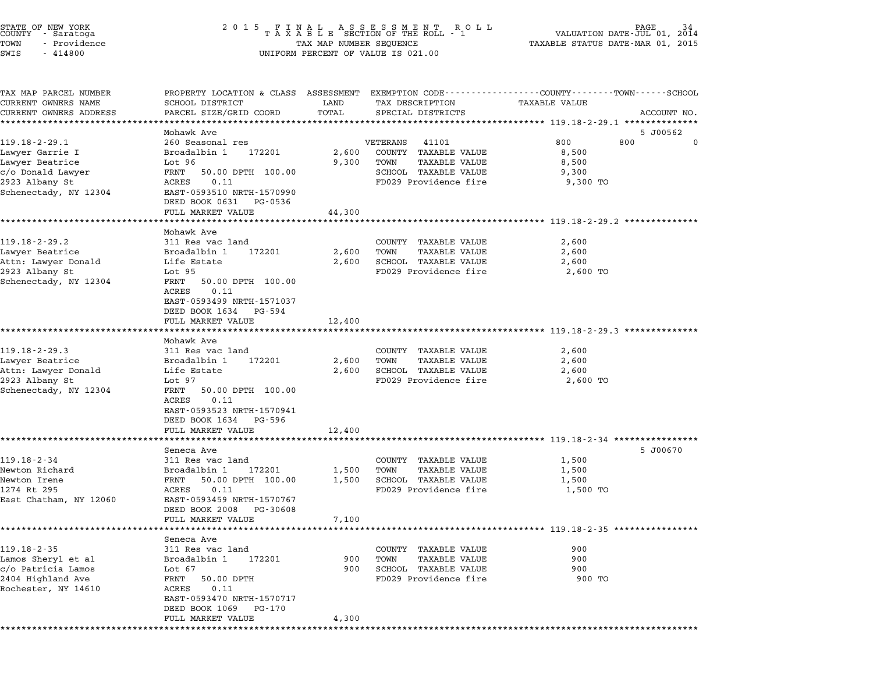|      | STATE OF NEW YORK<br>COUNTY - Saratoga |  |
|------|----------------------------------------|--|
| TOWN | - Providence                           |  |
| SWTS | 414800                                 |  |

# STATE OF NEW YORK <sup>2</sup> <sup>0</sup> <sup>1</sup> 5 F I N A L A S S E S S M E N T R O L L PAGE <sup>34</sup> COUNTY - Saratoga <sup>T</sup> <sup>A</sup> <sup>X</sup> <sup>A</sup> <sup>B</sup> <sup>L</sup> <sup>E</sup> SECTION OF THE ROLL - <sup>1</sup> VALUATION DATE-JUL 01, <sup>2014</sup> TOWN - Providence TAX MAP NUMBER SEQUENCE TAXABLE STATUS DATE-MAR 01, <sup>2015</sup> TOWN - Providence and the state of the state of the TAX MAP NUMBER SEQUENCE SWIS - 414800

| TAX MAP PARCEL NUMBER<br>CURRENT OWNERS NAME | SCHOOL DISTRICT                | LAND   | TAX DESCRIPTION            | PROPERTY LOCATION & CLASS ASSESSMENT EXEMPTION CODE---------------COUNTY-------TOWN------SCHOOL<br><b>TAXABLE VALUE</b> |             |
|----------------------------------------------|--------------------------------|--------|----------------------------|-------------------------------------------------------------------------------------------------------------------------|-------------|
| CURRENT OWNERS ADDRESS                       | PARCEL SIZE/GRID COORD         | TOTAL  | SPECIAL DISTRICTS          | ****************** 119.18-2-29.1 **************                                                                         | ACCOUNT NO. |
|                                              | Mohawk Ave                     |        |                            |                                                                                                                         | 5 J00562    |
| $119.18 - 2 - 29.1$                          | 260 Seasonal res               |        | VETERANS 41101             | 800 -<br>800                                                                                                            | $\Omega$    |
| Lawyer Garrie I                              | Broadalbin 1 172201            |        | 2,600 COUNTY TAXABLE VALUE | 8,500                                                                                                                   |             |
| Lawyer Beatrice                              | Lot 96                         |        | 9,300 TOWN TAXABLE VALUE   | 8,500                                                                                                                   |             |
| c/o Donald Lawyer                            | FRNT<br>50.00 DPTH 100.00      |        | SCHOOL TAXABLE VALUE       | 9,300                                                                                                                   |             |
| 2923 Albany St                               | ACRES<br>0.11                  |        | FD029 Providence fire      | 9,300 TO                                                                                                                |             |
| Schenectady, NY 12304                        | EAST-0593510 NRTH-1570990      |        |                            |                                                                                                                         |             |
|                                              | DEED BOOK 0631 PG-0536         |        |                            |                                                                                                                         |             |
|                                              | FULL MARKET VALUE              | 44,300 |                            |                                                                                                                         |             |
|                                              | Mohawk Ave                     |        |                            |                                                                                                                         |             |
| $119.18 - 2 - 29.2$                          | 311 Res vac land               |        | COUNTY TAXABLE VALUE       | 2,600                                                                                                                   |             |
| Lawyer Beatrice                              | Broadalbin 1 172201            | 2,600  | TOWN<br>TAXABLE VALUE      | 2,600                                                                                                                   |             |
| Attn: Lawyer Donald                          | Life Estate                    |        | 2,600 SCHOOL TAXABLE VALUE | 2,600                                                                                                                   |             |
| 2923 Albany St                               | Lot 95                         |        | FD029 Providence fire      | 2,600 TO                                                                                                                |             |
| Schenectady, NY 12304                        | FRNT 50.00 DPTH 100.00         |        |                            |                                                                                                                         |             |
|                                              | ACRES 0.11                     |        |                            |                                                                                                                         |             |
|                                              | EAST-0593499 NRTH-1571037      |        |                            |                                                                                                                         |             |
|                                              | DEED BOOK 1634 PG-594          |        |                            |                                                                                                                         |             |
|                                              | FULL MARKET VALUE              | 12,400 |                            |                                                                                                                         |             |
|                                              | Mohawk Ave                     |        |                            | ******************************** 119.18-2-29.3 **************                                                           |             |
| $119.18 - 2 - 29.3$                          | 311 Res vac land               |        | COUNTY TAXABLE VALUE       | 2,600                                                                                                                   |             |
| Lawyer Beatrice                              | 172201<br>Broadalbin 1         | 2,600  | TOWN<br>TAXABLE VALUE      | 2,600                                                                                                                   |             |
| Attn: Lawyer Donald                          | Life Estate                    | 2,600  | SCHOOL TAXABLE VALUE       | 2,600                                                                                                                   |             |
| 2923 Albany St                               | Lot 97                         |        | FD029 Providence fire      | 2,600 TO                                                                                                                |             |
| Schenectady, NY 12304                        | FRNT 50.00 DPTH 100.00         |        |                            |                                                                                                                         |             |
|                                              | 0.11<br>ACRES                  |        |                            |                                                                                                                         |             |
|                                              | EAST-0593523 NRTH-1570941      |        |                            |                                                                                                                         |             |
|                                              | DEED BOOK 1634 PG-596          |        |                            |                                                                                                                         |             |
|                                              | FULL MARKET VALUE              | 12,400 |                            |                                                                                                                         |             |
|                                              | Seneca Ave                     |        |                            |                                                                                                                         | 5 J00670    |
| $119.18 - 2 - 34$                            | 311 Res vac land               |        | COUNTY TAXABLE VALUE       | 1,500                                                                                                                   |             |
| Newton Richard                               | Broadalbin 1 172201            | 1,500  | TOWN<br>TAXABLE VALUE      | 1,500                                                                                                                   |             |
| Newton Irene                                 | FRNT 50.00 DPTH 100.00         |        | 1,500 SCHOOL TAXABLE VALUE | 1,500                                                                                                                   |             |
| 1274 Rt 295                                  | ACRES 0.11                     |        | FD029 Providence fire      | 1,500 TO                                                                                                                |             |
| East Chatham, NY 12060                       | EAST-0593459 NRTH-1570767      |        |                            |                                                                                                                         |             |
|                                              | DEED BOOK 2008 PG-30608        |        |                            |                                                                                                                         |             |
|                                              | FULL MARKET VALUE              | 7,100  |                            |                                                                                                                         |             |
|                                              |                                |        |                            |                                                                                                                         |             |
| $119.18 - 2 - 35$                            | Seneca Ave<br>311 Res vac land |        | COUNTY TAXABLE VALUE       | 900                                                                                                                     |             |
| Lamos Sheryl et al                           | Broadalbin 1 172201            |        | 900 TOWN<br>TAXABLE VALUE  | 900                                                                                                                     |             |
| c/o Patricia Lamos                           | Lot 67                         |        | 900 SCHOOL TAXABLE VALUE   | 900                                                                                                                     |             |
| 2404 Highland Ave                            | FRNT 50.00 DPTH                |        | FD029 Providence fire      | 900 TO                                                                                                                  |             |
| Rochester, NY 14610                          | ACRES<br>0.11                  |        |                            |                                                                                                                         |             |
|                                              | EAST-0593470 NRTH-1570717      |        |                            |                                                                                                                         |             |
|                                              | DEED BOOK 1069 PG-170          |        |                            |                                                                                                                         |             |
|                                              | FULL MARKET VALUE              | 4,300  |                            |                                                                                                                         |             |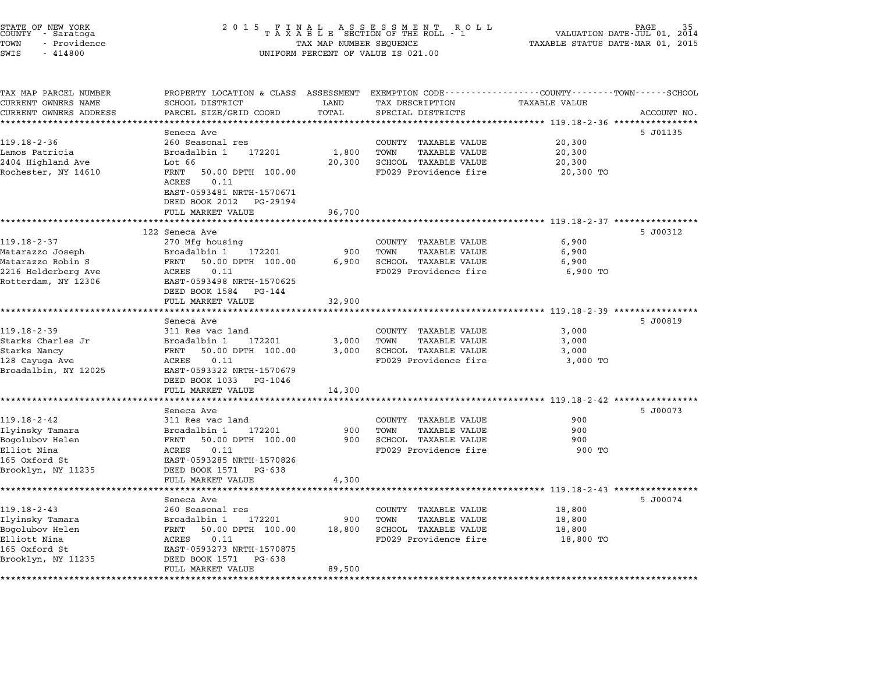| STATE OF NEW YORK<br>COUNTY – Saratoga<br>TOWN<br>- Providence<br>SWIS<br>$-414800$ | 2 0 1 5<br>FINAL ASSESSMENT ROLL<br>TAXABLE SECTION OF THE ROLL - 1<br>PAGE<br>VALUATION DATE-JUL 01, 2014<br>TAXABLE STATUS DATE-MAR 01, 2015<br>TAX MAP NUMBER SEQUENCE<br>UNIFORM PERCENT OF VALUE IS 021.00 |                 |                                                      |                                                                                                                        |             |
|-------------------------------------------------------------------------------------|-----------------------------------------------------------------------------------------------------------------------------------------------------------------------------------------------------------------|-----------------|------------------------------------------------------|------------------------------------------------------------------------------------------------------------------------|-------------|
| TAX MAP PARCEL NUMBER<br>CURRENT OWNERS NAME                                        | SCHOOL DISTRICT                                                                                                                                                                                                 | LAND            | TAX DESCRIPTION                                      | PROPERTY LOCATION & CLASS ASSESSMENT EXEMPTION CODE---------------COUNTY-------TOWN-----SCHOOL<br><b>TAXABLE VALUE</b> |             |
| CURRENT OWNERS ADDRESS                                                              | PARCEL SIZE/GRID COORD                                                                                                                                                                                          | TOTAL           | SPECIAL DISTRICTS                                    |                                                                                                                        | ACCOUNT NO. |
| **********************                                                              |                                                                                                                                                                                                                 |                 |                                                      |                                                                                                                        |             |
|                                                                                     | Seneca Ave                                                                                                                                                                                                      |                 |                                                      |                                                                                                                        | 5 J01135    |
| $119.18 - 2 - 36$                                                                   | 260 Seasonal res                                                                                                                                                                                                |                 | COUNTY TAXABLE VALUE                                 | 20,300                                                                                                                 |             |
| Lamos Patricia                                                                      | Broadalbin 1<br>172201<br>Lot 66                                                                                                                                                                                | 1,800<br>20,300 | TOWN<br><b>TAXABLE VALUE</b><br>SCHOOL TAXABLE VALUE | 20,300<br>20,300                                                                                                       |             |
| 2404 Highland Ave<br>Rochester, NY 14610                                            | 50.00 DPTH 100.00<br>FRNT                                                                                                                                                                                       |                 | FD029 Providence fire                                | 20,300 TO                                                                                                              |             |
|                                                                                     | 0.11<br>ACRES<br>EAST-0593481 NRTH-1570671<br>DEED BOOK 2012 PG-29194                                                                                                                                           |                 |                                                      |                                                                                                                        |             |
|                                                                                     | FULL MARKET VALUE                                                                                                                                                                                               | 96,700          |                                                      |                                                                                                                        |             |
|                                                                                     |                                                                                                                                                                                                                 |                 |                                                      | ************************************ 119.18-2-37 *****************                                                     |             |
|                                                                                     | 122 Seneca Ave                                                                                                                                                                                                  |                 |                                                      |                                                                                                                        | 5 J00312    |
| 119.18-2-37                                                                         | 270 Mfg housing                                                                                                                                                                                                 |                 | COUNTY TAXABLE VALUE                                 | 6,900                                                                                                                  |             |
| Matarazzo Joseph                                                                    | Broadalbin 1<br>172201                                                                                                                                                                                          | 900             | TOWN<br><b>TAXABLE VALUE</b>                         | 6,900                                                                                                                  |             |
| Matarazzo Robin S                                                                   | 50.00 DPTH 100.00<br>FRNT<br>ACRES<br>0.11                                                                                                                                                                      | 6,900           | SCHOOL TAXABLE VALUE<br>FD029 Providence fire        | 6,900<br>6,900 TO                                                                                                      |             |
| 2216 Helderberg Ave<br>Rotterdam, NY 12306                                          | EAST-0593498 NRTH-1570625<br>DEED BOOK 1584 PG-144<br>FULL MARKET VALUE                                                                                                                                         | 32,900          |                                                      |                                                                                                                        |             |
|                                                                                     | *******************                                                                                                                                                                                             |                 |                                                      | ·*********************** 119.18-2-39 ****************                                                                  |             |
|                                                                                     | Seneca Ave                                                                                                                                                                                                      |                 |                                                      |                                                                                                                        | 5 J00819    |
| $119.18 - 2 - 39$                                                                   | 311 Res vac land                                                                                                                                                                                                |                 | COUNTY TAXABLE VALUE                                 | 3,000                                                                                                                  |             |
| Starks Charles Jr                                                                   | Broadalbin 1<br>172201                                                                                                                                                                                          | 3,000           | TOWN<br><b>TAXABLE VALUE</b>                         | 3,000                                                                                                                  |             |
| Starks Nancy                                                                        | FRNT<br>50.00 DPTH 100.00                                                                                                                                                                                       | 3,000           | SCHOOL TAXABLE VALUE                                 | 3,000                                                                                                                  |             |
| 128 Cayuga Ave<br>Broadalbin, NY 12025                                              | ACRES<br>0.11<br>EAST-0593322 NRTH-1570679<br>DEED BOOK 1033<br>PG-1046                                                                                                                                         |                 | FD029 Providence fire                                | 3,000 TO                                                                                                               |             |
|                                                                                     | FULL MARKET VALUE<br>*******************                                                                                                                                                                        | 14,300          |                                                      |                                                                                                                        |             |
|                                                                                     | Seneca Ave                                                                                                                                                                                                      |                 |                                                      |                                                                                                                        | 5 J00073    |
| $119.18 - 2 - 42$                                                                   | 311 Res vac land                                                                                                                                                                                                |                 | COUNTY TAXABLE VALUE                                 | 900                                                                                                                    |             |
| Ilyinsky Tamara                                                                     | Broadalbin 1<br>172201                                                                                                                                                                                          | 900             | TOWN<br><b>TAXABLE VALUE</b>                         | 900                                                                                                                    |             |
| Bogolubov Helen                                                                     | FRNT<br>50.00 DPTH 100.00                                                                                                                                                                                       | 900             | SCHOOL TAXABLE VALUE                                 | 900                                                                                                                    |             |
| Elliot Nina                                                                         | ACRES<br>0.11                                                                                                                                                                                                   |                 | FD029 Providence fire                                | 900 TO                                                                                                                 |             |
| 165 Oxford St                                                                       | EAST-0593285 NRTH-1570826                                                                                                                                                                                       |                 |                                                      |                                                                                                                        |             |
| Brooklyn, NY 11235                                                                  | DEED BOOK 1571<br>PG-638                                                                                                                                                                                        |                 |                                                      |                                                                                                                        |             |
|                                                                                     | FULL MARKET VALUE                                                                                                                                                                                               | 4,300           |                                                      | ************** 119.18-2-43 *************                                                                               |             |
|                                                                                     | Seneca Ave                                                                                                                                                                                                      |                 |                                                      |                                                                                                                        | 5 J00074    |
| $119.18 - 2 - 43$                                                                   | 260 Seasonal res                                                                                                                                                                                                |                 | COUNTY TAXABLE VALUE                                 | 18,800                                                                                                                 |             |
| Ilyinsky Tamara                                                                     | 172201<br>Broadalbin 1                                                                                                                                                                                          | 900             | TOWN<br>TAXABLE VALUE                                | 18,800                                                                                                                 |             |
| Bogolubov Helen                                                                     | FRNT<br>50.00 DPTH 100.00                                                                                                                                                                                       | 18,800          | SCHOOL TAXABLE VALUE                                 | 18,800                                                                                                                 |             |
| Elliott Nina                                                                        | ACRES<br>0.11                                                                                                                                                                                                   |                 | FD029 Providence fire                                | 18,800 TO                                                                                                              |             |
| 165 Oxford St                                                                       | EAST-0593273 NRTH-1570875                                                                                                                                                                                       |                 |                                                      |                                                                                                                        |             |
| Brooklyn, NY 11235                                                                  | DEED BOOK 1571<br>PG-638                                                                                                                                                                                        |                 |                                                      |                                                                                                                        |             |
|                                                                                     | FULL MARKET VALUE                                                                                                                                                                                               | 89,500          |                                                      |                                                                                                                        |             |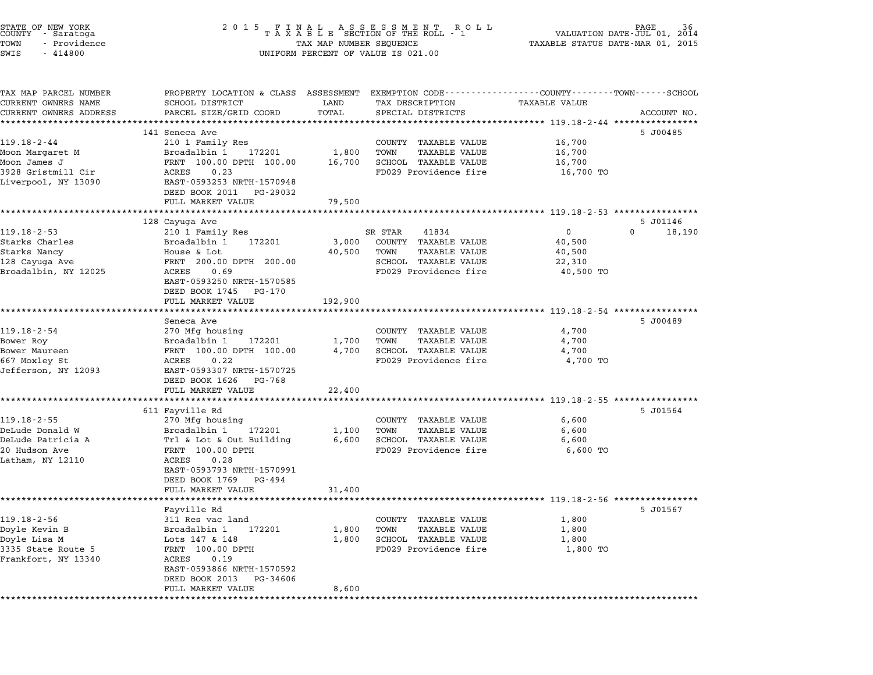| STATE OF NEW YORK<br>COUNTY<br>- Saratoga<br>TOWN<br>- Providence<br>SWIS<br>$-414800$                                 | 2 0 1 5                                                                                                                                                                                               |                            | FINAL ASSESSMENT ROTAXABLE SECTION OF THE ROLL - 1<br>PAGE<br>R O L L<br>VALUATION DATE-JUL 01, 2014<br>TAX MAP NUMBER SEQUENCE<br>TAXABLE STATUS DATE-MAR 01, 2015<br>UNIFORM PERCENT OF VALUE IS 021.00 |                                                            |                                |  |
|------------------------------------------------------------------------------------------------------------------------|-------------------------------------------------------------------------------------------------------------------------------------------------------------------------------------------------------|----------------------------|-----------------------------------------------------------------------------------------------------------------------------------------------------------------------------------------------------------|------------------------------------------------------------|--------------------------------|--|
| TAX MAP PARCEL NUMBER<br>CURRENT OWNERS NAME<br>CURRENT OWNERS ADDRESS                                                 | PROPERTY LOCATION & CLASS ASSESSMENT EXEMPTION CODE----------------COUNTY-------TOWN-----SCHOOL<br>SCHOOL DISTRICT<br>PARCEL SIZE/GRID COORD                                                          | LAND<br>TOTAL              | TAX DESCRIPTION<br>SPECIAL DISTRICTS                                                                                                                                                                      | <b>TAXABLE VALUE</b><br>********** 119.18-2-44 *********** | ACCOUNT NO.                    |  |
| $119.18 - 2 - 44$<br>Moon Margaret M<br>Moon James J<br>3928 Gristmill Cir<br>Liverpool, NY 13090                      | 141 Seneca Ave<br>210 1 Family Res<br>Broadalbin 1<br>172201<br>FRNT 100.00 DPTH 100.00<br>ACRES<br>0.23<br>EAST-0593253 NRTH-1570948<br>DEED BOOK 2011<br>PG-29032<br>FULL MARKET VALUE              | 1,800<br>16,700<br>79,500  | COUNTY TAXABLE VALUE<br>TOWN<br><b>TAXABLE VALUE</b><br>SCHOOL TAXABLE VALUE<br>FD029 Providence fire                                                                                                     | 16,700<br>16,700<br>16,700<br>16,700 TO                    | 5 J00485                       |  |
|                                                                                                                        |                                                                                                                                                                                                       |                            | ********************************* 119.18-2-53 ****************                                                                                                                                            |                                                            |                                |  |
| $119.18 - 2 - 53$<br>Starks Charles<br>Starks Nancy<br>128 Cayuga Ave<br>Broadalbin, NY 12025                          | 128 Cayuga Ave<br>210 1 Family Res<br>Broadalbin 1<br>172201<br>House & Lot<br>FRNT 200.00 DPTH 200.00<br>ACRES<br>0.69<br>EAST-0593250 NRTH-1570585<br>DEED BOOK 1745<br>PG-170<br>FULL MARKET VALUE | 3,000<br>40,500<br>192,900 | SR STAR<br>41834<br>COUNTY TAXABLE VALUE<br><b>TAXABLE VALUE</b><br>TOWN<br>SCHOOL TAXABLE VALUE<br>FD029 Providence fire                                                                                 | $\Omega$<br>40,500<br>40,500<br>22,310<br>40,500 TO        | 5 J01146<br>$\Omega$<br>18,190 |  |
|                                                                                                                        |                                                                                                                                                                                                       |                            |                                                                                                                                                                                                           | ********** 119.18-2-54 ***************                     |                                |  |
| 119.18-2-54<br>Bower Roy<br>Bower Maureen<br>667 Moxley St<br>Jefferson, NY 12093                                      | Seneca Ave<br>270 Mfg housing<br>Broadalbin 1<br>172201<br>FRNT 100.00 DPTH 100.00<br>ACRES<br>0.22<br>EAST-0593307 NRTH-1570725<br>DEED BOOK 1626<br>PG-768<br>FULL MARKET VALUE                     | 1,700<br>4,700<br>22,400   | COUNTY TAXABLE VALUE<br>TOWN<br>TAXABLE VALUE<br>SCHOOL TAXABLE VALUE<br>FD029 Providence fire<br>******************************* 119.18-2-55 ****************                                            | 4,700<br>4,700<br>4,700<br>4,700 TO                        | 5 J00489                       |  |
|                                                                                                                        | 611 Fayville Rd                                                                                                                                                                                       |                            |                                                                                                                                                                                                           |                                                            | 5 J01564                       |  |
| $119.18 - 2 - 55$<br>DeLude Donald W<br>DeLude Patricia A<br>20 Hudson Ave<br>Latham, NY 12110                         | 270 Mfg housing<br>Broadalbin 1<br>172201<br>Trl & Lot & Out Building<br>FRNT 100.00 DPTH<br>0.28<br>ACRES<br>EAST-0593793 NRTH-1570991<br>DEED BOOK 1769<br>PG-494                                   | 1,100<br>6,600             | COUNTY TAXABLE VALUE<br>TOWN<br><b>TAXABLE VALUE</b><br>SCHOOL TAXABLE VALUE<br>FD029 Providence fire                                                                                                     | 6,600<br>6,600<br>6,600<br>6,600 TO                        |                                |  |
|                                                                                                                        | FULL MARKET VALUE<br>************                                                                                                                                                                     | 31,400                     |                                                                                                                                                                                                           | **** 119.18-2-56 ****************                          |                                |  |
| $119.18 - 2 - 56$<br>Doyle Kevin B<br>Doyle Lisa M<br>3335 State Route 5<br>Frankfort, NY 13340<br>******************* | Fayville Rd<br>311 Res vac land<br>Broadalbin 1<br>172201<br>Lots 147 & 148<br>FRNT 100.00 DPTH<br>ACRES<br>0.19<br>EAST-0593866 NRTH-1570592<br>DEED BOOK 2013<br>PG-34606<br>FULL MARKET VALUE      | 1,800<br>1,800<br>8,600    | COUNTY TAXABLE VALUE<br>TOWN<br><b>TAXABLE VALUE</b><br>SCHOOL TAXABLE VALUE<br>FD029 Providence fire                                                                                                     | 1,800<br>1,800<br>1,800<br>1,800 TO                        | 5 J01567                       |  |

STATE OF NEW YORK <sup>2</sup> <sup>0</sup> <sup>1</sup> 5 F I N A L A S S E S S M E N T R O L L PAGE <sup>36</sup> COUNTY - Saratoga <sup>T</sup> <sup>A</sup> <sup>X</sup> <sup>A</sup> <sup>B</sup> <sup>L</sup> <sup>E</sup> SECTION OF THE ROLL - <sup>1</sup> VALUATION DATE-JUL 01, <sup>2014</sup>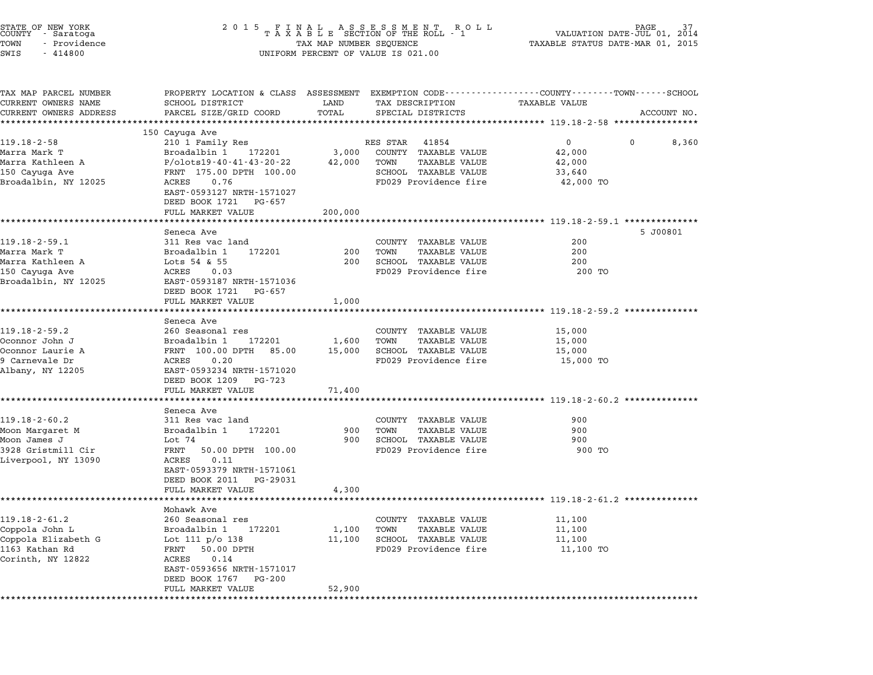| STATE OF NEW YORK<br>COUNTY - Saratoga<br>TOWN<br>- Providence<br>SWIS<br>$-414800$ | 2 0 1 5<br>FINAL ASSESSMENT ROLL<br>TAXABLE SECTION OF THE ROLL - 1<br>TAX MAP NUMBER SEQUENCE<br>UNIFORM PERCENT OF VALUE IS 021.00 | PAGE<br>37<br>VALUATION DATE-JUL 01,<br>2014<br>TAXABLE STATUS DATE-MAR 01, 2015 |                                                      |                                                                                                                        |             |
|-------------------------------------------------------------------------------------|--------------------------------------------------------------------------------------------------------------------------------------|----------------------------------------------------------------------------------|------------------------------------------------------|------------------------------------------------------------------------------------------------------------------------|-------------|
| TAX MAP PARCEL NUMBER<br>CURRENT OWNERS NAME                                        | SCHOOL DISTRICT                                                                                                                      | LAND                                                                             | TAX DESCRIPTION                                      | PROPERTY LOCATION & CLASS ASSESSMENT EXEMPTION CODE---------------COUNTY-------TOWN-----SCHOOL<br><b>TAXABLE VALUE</b> |             |
| CURRENT OWNERS ADDRESS                                                              | PARCEL SIZE/GRID COORD                                                                                                               | TOTAL<br>****************                                                        | SPECIAL DISTRICTS                                    |                                                                                                                        | ACCOUNT NO. |
|                                                                                     | 150 Cayuga Ave                                                                                                                       |                                                                                  |                                                      |                                                                                                                        |             |
| $119.18 - 2 - 58$                                                                   | 210 1 Family Res                                                                                                                     |                                                                                  | RES STAR<br>41854                                    | $\mathbf{0}$<br>$^{\circ}$                                                                                             | 8,360       |
| Marra Mark T                                                                        | Broadalbin 1<br>172201                                                                                                               | 3,000                                                                            | COUNTY TAXABLE VALUE                                 | 42,000                                                                                                                 |             |
| Marra Kathleen A                                                                    | P/olots19-40-41-43-20-22                                                                                                             | 42,000                                                                           | TOWN<br>TAXABLE VALUE                                | 42,000                                                                                                                 |             |
| 150 Cayuga Ave                                                                      | FRNT 175.00 DPTH 100.00                                                                                                              |                                                                                  | SCHOOL TAXABLE VALUE                                 | 33,640                                                                                                                 |             |
| Broadalbin, NY 12025                                                                | ACRES<br>0.76<br>EAST-0593127 NRTH-1571027<br>DEED BOOK 1721<br>PG-657                                                               |                                                                                  | FD029 Providence fire                                | 42,000 TO                                                                                                              |             |
|                                                                                     | FULL MARKET VALUE                                                                                                                    | 200,000                                                                          |                                                      |                                                                                                                        |             |
|                                                                                     |                                                                                                                                      |                                                                                  |                                                      | ******************** 119.18-2-59.1 **********                                                                          |             |
|                                                                                     | Seneca Ave                                                                                                                           |                                                                                  |                                                      |                                                                                                                        | 5 J00801    |
| $119.18 - 2 - 59.1$                                                                 | 311 Res vac land                                                                                                                     |                                                                                  | COUNTY TAXABLE VALUE                                 | 200                                                                                                                    |             |
| Marra Mark T<br>Marra Kathleen A                                                    | Broadalbin 1<br>172201<br>Lots $54$ & $55$                                                                                           | 200<br>200                                                                       | TOWN<br><b>TAXABLE VALUE</b><br>SCHOOL TAXABLE VALUE | 200<br>200                                                                                                             |             |
| 150 Cayuga Ave                                                                      | ACRES<br>0.03                                                                                                                        |                                                                                  | FD029 Providence fire                                | 200 TO                                                                                                                 |             |
| Broadalbin, NY 12025                                                                | EAST-0593187 NRTH-1571036                                                                                                            |                                                                                  |                                                      |                                                                                                                        |             |
|                                                                                     | DEED BOOK 1721<br>PG-657                                                                                                             |                                                                                  |                                                      |                                                                                                                        |             |
|                                                                                     | FULL MARKET VALUE                                                                                                                    | 1,000                                                                            |                                                      |                                                                                                                        |             |
|                                                                                     | ************************************                                                                                                 | *********************                                                            |                                                      | ************************* 119.18-2-59.2 ***************                                                                |             |
|                                                                                     | Seneca Ave                                                                                                                           |                                                                                  |                                                      |                                                                                                                        |             |
| $119.18 - 2 - 59.2$                                                                 | 260 Seasonal res<br>172201                                                                                                           |                                                                                  | COUNTY TAXABLE VALUE<br>TOWN                         | 15,000                                                                                                                 |             |
| Oconnor John J<br>Oconnor Laurie A                                                  | Broadalbin 1<br>FRNT 100.00 DPTH<br>85.00                                                                                            | 1,600<br>15,000                                                                  | TAXABLE VALUE<br>SCHOOL TAXABLE VALUE                | 15,000<br>15,000                                                                                                       |             |
| 9 Carnevale Dr                                                                      | ACRES<br>0.20                                                                                                                        |                                                                                  | FD029 Providence fire                                | 15,000 TO                                                                                                              |             |
| Albany, NY 12205                                                                    | EAST-0593234 NRTH-1571020<br>DEED BOOK 1209<br>PG-723                                                                                |                                                                                  |                                                      |                                                                                                                        |             |
|                                                                                     | FULL MARKET VALUE                                                                                                                    | 71,400                                                                           |                                                      |                                                                                                                        |             |
|                                                                                     | **************                                                                                                                       |                                                                                  |                                                      | *********************** 119.18-2-60.2 **********                                                                       |             |
|                                                                                     | Seneca Ave                                                                                                                           |                                                                                  |                                                      |                                                                                                                        |             |
| $119.18 - 2 - 60.2$                                                                 | 311 Res vac land                                                                                                                     |                                                                                  | COUNTY TAXABLE VALUE                                 | 900                                                                                                                    |             |
| Moon Margaret M                                                                     | Broadalbin 1<br>172201                                                                                                               | 900                                                                              | TOWN<br><b>TAXABLE VALUE</b>                         | 900                                                                                                                    |             |
| Moon James J                                                                        | Lot 74                                                                                                                               | 900                                                                              | SCHOOL TAXABLE VALUE                                 | 900                                                                                                                    |             |
| 3928 Gristmill Cir                                                                  | FRNT<br>50.00 DPTH 100.00                                                                                                            |                                                                                  | FD029 Providence fire                                | 900 TO                                                                                                                 |             |
| Liverpool, NY 13090                                                                 | ACRES<br>0.11<br>EAST-0593379 NRTH-1571061                                                                                           |                                                                                  |                                                      |                                                                                                                        |             |
|                                                                                     | DEED BOOK 2011<br>PG-29031                                                                                                           |                                                                                  |                                                      |                                                                                                                        |             |
|                                                                                     | FULL MARKET VALUE                                                                                                                    | 4,300                                                                            |                                                      |                                                                                                                        |             |
|                                                                                     |                                                                                                                                      |                                                                                  |                                                      | ************************** 119.18-2-61.2 *******                                                                       |             |
|                                                                                     | Mohawk Ave                                                                                                                           |                                                                                  |                                                      |                                                                                                                        |             |
| $119.18 - 2 - 61.2$                                                                 | 260 Seasonal res                                                                                                                     |                                                                                  | COUNTY<br><b>TAXABLE VALUE</b>                       | 11,100                                                                                                                 |             |
| Coppola John L                                                                      | Broadalbin 1<br>172201                                                                                                               | 1,100                                                                            | TOWN<br>TAXABLE VALUE                                | 11,100                                                                                                                 |             |
| Coppola Elizabeth G                                                                 | Lot 111 $p/o$ 138                                                                                                                    | 11,100                                                                           | SCHOOL TAXABLE VALUE                                 | 11,100                                                                                                                 |             |
| 1163 Kathan Rd<br>Corinth, NY 12822                                                 | FRNT<br>50.00 DPTH                                                                                                                   |                                                                                  | FD029 Providence fire                                | 11,100 TO                                                                                                              |             |
|                                                                                     | ACRES<br>0.14<br>EAST-0593656 NRTH-1571017                                                                                           |                                                                                  |                                                      |                                                                                                                        |             |
|                                                                                     | DEED BOOK 1767<br>PG-200                                                                                                             |                                                                                  |                                                      |                                                                                                                        |             |
|                                                                                     | FULL MARKET VALUE                                                                                                                    | 52,900                                                                           |                                                      |                                                                                                                        |             |
| ***********                                                                         |                                                                                                                                      |                                                                                  |                                                      |                                                                                                                        |             |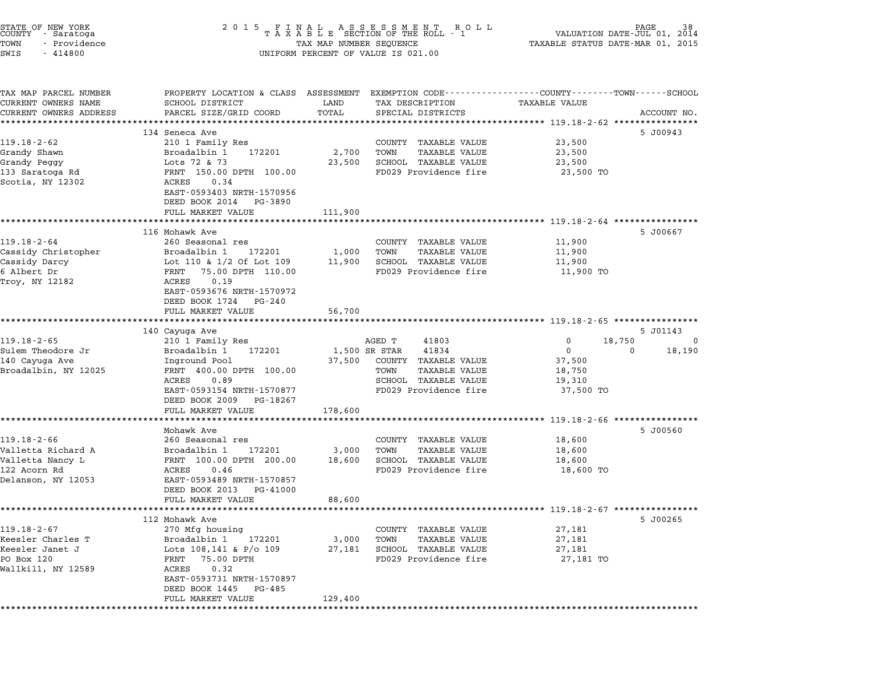| STATE OF NEW YORK<br>COUNTY - Saratoga<br>TOWN<br>- Providence<br>SWIS<br>$-414800$ | 2 0 1 5<br>$\begin{array}{cccccccccccccc} & F & I & N & A & L & & A & S & S & E & S & S & M & E & N & T & R & O & L \\ T & A & X & A & B & L & E & SECTION OF THE ROLL & - & 1 \end{array}$<br>TAX MAP NUMBER SEQUENCE<br>UNIFORM PERCENT OF VALUE IS 021.00 | R O L L<br>38<br>VALUATION DATE-JUL 01,<br>2014<br>TAXABLE STATUS DATE-MAR 01, 2015 |                                                                                                    |                                                      |             |
|-------------------------------------------------------------------------------------|--------------------------------------------------------------------------------------------------------------------------------------------------------------------------------------------------------------------------------------------------------------|-------------------------------------------------------------------------------------|----------------------------------------------------------------------------------------------------|------------------------------------------------------|-------------|
| TAX MAP PARCEL NUMBER<br>CURRENT OWNERS NAME<br>CURRENT OWNERS ADDRESS              | PROPERTY LOCATION & CLASS ASSESSMENT<br>SCHOOL DISTRICT<br>PARCEL SIZE/GRID COORD<br>*****************                                                                                                                                                       | LAND<br>TOTAL                                                                       | EXEMPTION CODE----------------COUNTY-------TOWN-----SCHOOL<br>TAX DESCRIPTION<br>SPECIAL DISTRICTS | TAXABLE VALUE                                        | ACCOUNT NO. |
|                                                                                     | 134 Seneca Ave                                                                                                                                                                                                                                               |                                                                                     |                                                                                                    |                                                      | 5 J00943    |
| $119.18 - 2 - 62$                                                                   | 210 1 Family Res                                                                                                                                                                                                                                             |                                                                                     | COUNTY TAXABLE VALUE                                                                               | 23,500                                               |             |
| Grandy Shawn                                                                        | Broadalbin 1<br>172201                                                                                                                                                                                                                                       | 2,700                                                                               | TOWN<br>TAXABLE VALUE                                                                              | 23,500                                               |             |
| Grandy Peggy                                                                        | Lots 72 & 73                                                                                                                                                                                                                                                 | 23,500                                                                              | SCHOOL TAXABLE VALUE                                                                               | 23,500                                               |             |
| 133 Saratoga Rd<br>Scotia, NY 12302                                                 | FRNT 150.00 DPTH 100.00<br>0.34<br>ACRES                                                                                                                                                                                                                     |                                                                                     | FD029 Providence fire                                                                              | 23,500 TO                                            |             |
|                                                                                     | EAST-0593403 NRTH-1570956<br>DEED BOOK 2014<br>PG-3890                                                                                                                                                                                                       |                                                                                     |                                                                                                    |                                                      |             |
|                                                                                     | FULL MARKET VALUE                                                                                                                                                                                                                                            | 111,900                                                                             |                                                                                                    | *********** 119.18-2-64 *********                    |             |
|                                                                                     | 116 Mohawk Ave                                                                                                                                                                                                                                               |                                                                                     |                                                                                                    |                                                      | 5 J00667    |
| $119.18 - 2 - 64$                                                                   | 260 Seasonal res                                                                                                                                                                                                                                             |                                                                                     | COUNTY TAXABLE VALUE                                                                               | 11,900                                               |             |
| Cassidy Christopher                                                                 | Broadalbin 1<br>172201                                                                                                                                                                                                                                       | 1,000                                                                               | TOWN<br><b>TAXABLE VALUE</b>                                                                       | 11,900                                               |             |
| Cassidy Darcy                                                                       | Lot 110 & 1/2 Of Lot 109                                                                                                                                                                                                                                     | 11,900                                                                              | SCHOOL TAXABLE VALUE                                                                               | 11,900                                               |             |
| 6 Albert Dr                                                                         | FRNT<br>75.00 DPTH 110.00                                                                                                                                                                                                                                    |                                                                                     | FD029 Providence fire                                                                              | 11,900 TO                                            |             |
| Troy, NY 12182                                                                      | 0.19<br>ACRES<br>EAST-0593676 NRTH-1570972<br>DEED BOOK 1724 PG-240                                                                                                                                                                                          |                                                                                     |                                                                                                    |                                                      |             |
|                                                                                     | FULL MARKET VALUE                                                                                                                                                                                                                                            | 56,700                                                                              |                                                                                                    | ********************** 119.18-2-65 ***************** |             |
|                                                                                     | 140 Cayuga Ave                                                                                                                                                                                                                                               |                                                                                     |                                                                                                    |                                                      | 5 J01143    |
| $119.18 - 2 - 65$                                                                   | 210 1 Family Res                                                                                                                                                                                                                                             |                                                                                     | AGED T<br>41803                                                                                    | 18,750<br>0                                          | 0           |
| Sulem Theodore Jr                                                                   | 172201<br>Broadalbin 1                                                                                                                                                                                                                                       | 1,500 SR STAR                                                                       | 41834                                                                                              | $\mathbf{0}$                                         | 18,190<br>0 |
| 140 Cayuga Ave                                                                      | Inground Pool                                                                                                                                                                                                                                                | 37,500                                                                              | COUNTY TAXABLE VALUE                                                                               | 37,500                                               |             |
| Broadalbin, NY 12025                                                                | FRNT 400.00 DPTH 100.00                                                                                                                                                                                                                                      |                                                                                     | TOWN<br><b>TAXABLE VALUE</b>                                                                       | 18,750                                               |             |
|                                                                                     | 0.89<br>ACRES                                                                                                                                                                                                                                                |                                                                                     | SCHOOL TAXABLE VALUE                                                                               | 19,310                                               |             |
|                                                                                     | EAST-0593154 NRTH-1570877<br>DEED BOOK 2009<br>PG-18267                                                                                                                                                                                                      |                                                                                     | FD029 Providence fire                                                                              | 37,500 TO                                            |             |
|                                                                                     | FULL MARKET VALUE                                                                                                                                                                                                                                            | 178,600                                                                             |                                                                                                    |                                                      |             |
|                                                                                     | Mohawk Ave                                                                                                                                                                                                                                                   |                                                                                     |                                                                                                    | ******** 119.18-2-66 *********                       | 5 J00560    |
| $119.18 - 2 - 66$                                                                   | 260 Seasonal res                                                                                                                                                                                                                                             |                                                                                     | COUNTY TAXABLE VALUE                                                                               | 18,600                                               |             |
| Valletta Richard A                                                                  | 172201<br>Broadalbin 1                                                                                                                                                                                                                                       | 3,000                                                                               | TOWN<br><b>TAXABLE VALUE</b>                                                                       | 18,600                                               |             |
| Valletta Nancy L                                                                    | FRNT 100.00 DPTH 200.00                                                                                                                                                                                                                                      | 18,600                                                                              | SCHOOL TAXABLE VALUE                                                                               | 18,600                                               |             |
| 122 Acorn Rd                                                                        | ACRES<br>0.46                                                                                                                                                                                                                                                |                                                                                     | FD029 Providence fire                                                                              | 18,600 TO                                            |             |
| Delanson, NY 12053                                                                  | EAST-0593489 NRTH-1570857                                                                                                                                                                                                                                    |                                                                                     |                                                                                                    |                                                      |             |
|                                                                                     | DEED BOOK 2013<br>PG-41000<br>FULL MARKET VALUE                                                                                                                                                                                                              | 88,600                                                                              |                                                                                                    |                                                      |             |
|                                                                                     |                                                                                                                                                                                                                                                              |                                                                                     |                                                                                                    |                                                      |             |
|                                                                                     | 112 Mohawk Ave                                                                                                                                                                                                                                               |                                                                                     |                                                                                                    |                                                      | 5 J00265    |
| $119.18 - 2 - 67$                                                                   | 270 Mfg housing                                                                                                                                                                                                                                              |                                                                                     | COUNTY TAXABLE VALUE                                                                               | 27,181                                               |             |
| Keesler Charles T<br>Keesler Janet J                                                | Broadalbin 1<br>172201<br>Lots 108,141 & P/o 109                                                                                                                                                                                                             | 3,000<br>27,181                                                                     | TOWN<br>TAXABLE VALUE<br>SCHOOL TAXABLE VALUE                                                      | 27,181<br>27,181                                     |             |
| PO Box 120                                                                          | FRNT<br>75.00 DPTH                                                                                                                                                                                                                                           |                                                                                     | FD029 Providence fire                                                                              | 27,181 TO                                            |             |
| Wallkill, NY 12589                                                                  | ACRES<br>0.32                                                                                                                                                                                                                                                |                                                                                     |                                                                                                    |                                                      |             |
|                                                                                     | EAST-0593731 NRTH-1570897                                                                                                                                                                                                                                    |                                                                                     |                                                                                                    |                                                      |             |
|                                                                                     | DEED BOOK 1445 PG-485                                                                                                                                                                                                                                        |                                                                                     |                                                                                                    |                                                      |             |
|                                                                                     | FULL MARKET VALUE                                                                                                                                                                                                                                            | 129,400                                                                             |                                                                                                    |                                                      |             |
|                                                                                     |                                                                                                                                                                                                                                                              |                                                                                     |                                                                                                    |                                                      |             |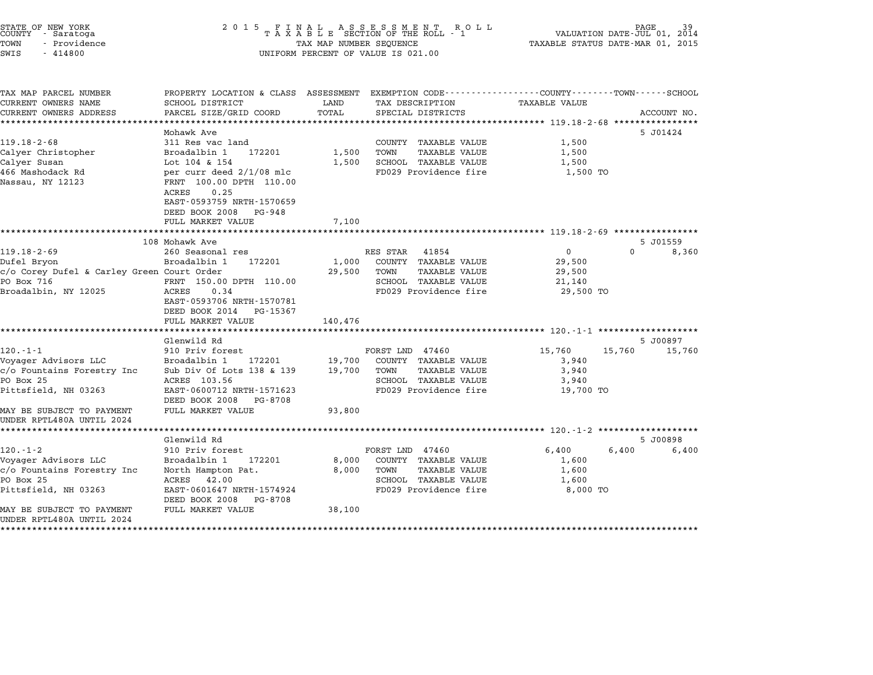| COUNTY   | STATE OF NEW YORK<br>- Saratoga |  |
|----------|---------------------------------|--|
| TOWN     | - Providence                    |  |
| $\alpha$ | 111000                          |  |

# STATE OF NEW YORK <sup>2</sup> <sup>0</sup> <sup>1</sup> 5 F I N A L A S S E S S M E N T R O L L PAGE <sup>39</sup> COUNTY - Saratoga <sup>T</sup> <sup>A</sup> <sup>X</sup> <sup>A</sup> <sup>B</sup> <sup>L</sup> <sup>E</sup> SECTION OF THE ROLL - <sup>1</sup> VALUATION DATE-JUL 01, <sup>2014</sup> TOWN - Providence TAX MAP NUMBER SEQUENCE TAXABLE STATUS DATE-MAR 01, <sup>2015</sup> SWIS - <sup>414800</sup> UNIFORM PERCENT OF VALUE IS 021.00

| TAX MAP PARCEL NUMBER<br>CURRENT OWNERS NAME           | PROPERTY LOCATION & CLASS ASSESSMENT<br>SCHOOL DISTRICT                                                                    | LAND    | EXEMPTION CODE----------------COUNTY-------TOWN-----SCHOOL<br>TAX DESCRIPTION | TAXABLE VALUE  |                   |             |
|--------------------------------------------------------|----------------------------------------------------------------------------------------------------------------------------|---------|-------------------------------------------------------------------------------|----------------|-------------------|-------------|
| CURRENT OWNERS ADDRESS                                 | PARCEL SIZE/GRID COORD                                                                                                     | TOTAL   | SPECIAL DISTRICTS                                                             |                |                   | ACCOUNT NO. |
|                                                        | Mohawk Ave                                                                                                                 |         |                                                                               |                | 5 J01424          |             |
| $119.18 - 2 - 68$                                      | 311 Res vac land                                                                                                           |         | COUNTY TAXABLE VALUE                                                          | 1,500          |                   |             |
| Calyer Christopher                                     | Broadalbin 1<br>172201                                                                                                     | 1,500   | TAXABLE VALUE<br>TOWN                                                         | 1,500          |                   |             |
| Calyer Susan                                           | Lot 104 & 154                                                                                                              | 1,500   | SCHOOL TAXABLE VALUE                                                          | 1,500          |                   |             |
| 466 Mashodack Rd<br>Nassau, NY 12123                   | per curr deed 2/1/08 mlc<br>FRNT 100.00 DPTH 110.00<br>0.25<br>ACRES<br>EAST-0593759 NRTH-1570659<br>DEED BOOK 2008 PG-948 |         | FD029 Providence fire                                                         | 1,500 TO       |                   |             |
|                                                        | FULL MARKET VALUE                                                                                                          | 7,100   |                                                                               |                |                   |             |
|                                                        | 108 Mohawk Ave                                                                                                             |         |                                                                               |                | 5 J01559          |             |
| $119.18 - 2 - 69$                                      | 260 Seasonal res                                                                                                           |         | 41854<br>RES STAR                                                             | $\overline{0}$ | $\Omega$          | 8,360       |
| Dufel Bryon                                            | 172201<br>Broadalbin 1                                                                                                     | 1,000   | COUNTY TAXABLE VALUE                                                          | 29,500         |                   |             |
| c/o Corey Dufel & Carley Green Court Order             |                                                                                                                            | 29,500  | TOWN<br><b>TAXABLE VALUE</b>                                                  | 29,500         |                   |             |
| PO Box 716                                             | FRNT 150.00 DPTH 110.00                                                                                                    |         | SCHOOL TAXABLE VALUE                                                          | 21,140         |                   |             |
| Broadalbin, NY 12025                                   | 0.34<br>ACRES<br>EAST-0593706 NRTH-1570781<br>DEED BOOK 2014<br>PG-15367<br>FULL MARKET VALUE                              | 140,476 | FD029 Providence fire                                                         | 29,500 TO      |                   |             |
|                                                        | Glenwild Rd                                                                                                                |         |                                                                               |                | 5 J00897          |             |
| $120. - 1 - 1$                                         | 910 Priv forest                                                                                                            |         | FORST LND 47460                                                               | 15,760         | 15,760            | 15,760      |
| Voyager Advisors LLC                                   | Broadalbin 1<br>172201                                                                                                     | 19,700  | COUNTY TAXABLE VALUE                                                          | 3,940          |                   |             |
| c/o Fountains Forestry Inc                             | Sub Div Of Lots 138 & 139                                                                                                  | 19,700  | TOWN<br><b>TAXABLE VALUE</b>                                                  | 3,940          |                   |             |
| PO Box 25                                              | ACRES 103.56                                                                                                               |         | SCHOOL TAXABLE VALUE                                                          | 3,940          |                   |             |
| Pittsfield, NH 03263                                   | EAST-0600712 NRTH-1571623<br>DEED BOOK 2008<br>PG-8708                                                                     |         | FD029 Providence fire                                                         | 19,700 TO      |                   |             |
| MAY BE SUBJECT TO PAYMENT<br>UNDER RPTL480A UNTIL 2024 | FULL MARKET VALUE                                                                                                          | 93,800  |                                                                               |                |                   |             |
|                                                        |                                                                                                                            |         |                                                                               |                |                   |             |
| $120. - 1 - 2$                                         | Glenwild Rd<br>910 Priv forest                                                                                             |         | FORST LND 47460                                                               | 6,400          | 5 J00898<br>6,400 | 6,400       |
| Voyager Advisors LLC                                   | Broadalbin 1<br>172201                                                                                                     | 8,000   | COUNTY TAXABLE VALUE                                                          | 1,600          |                   |             |
| c/o Fountains Forestry Inc                             | North Hampton Pat.                                                                                                         | 8,000   | TOWN<br><b>TAXABLE VALUE</b>                                                  | 1,600          |                   |             |
| PO Box 25                                              | 42.00<br>ACRES                                                                                                             |         | SCHOOL TAXABLE VALUE                                                          | 1,600          |                   |             |
| Pittsfield, NH 03263                                   | EAST-0601647 NRTH-1574924<br>DEED BOOK 2008<br>PG-8708                                                                     |         | FD029 Providence fire                                                         | 8,000 TO       |                   |             |
| MAY BE SUBJECT TO PAYMENT<br>UNDER RPTL480A UNTIL 2024 | FULL MARKET VALUE                                                                                                          | 38,100  |                                                                               |                |                   |             |
|                                                        |                                                                                                                            |         |                                                                               |                |                   |             |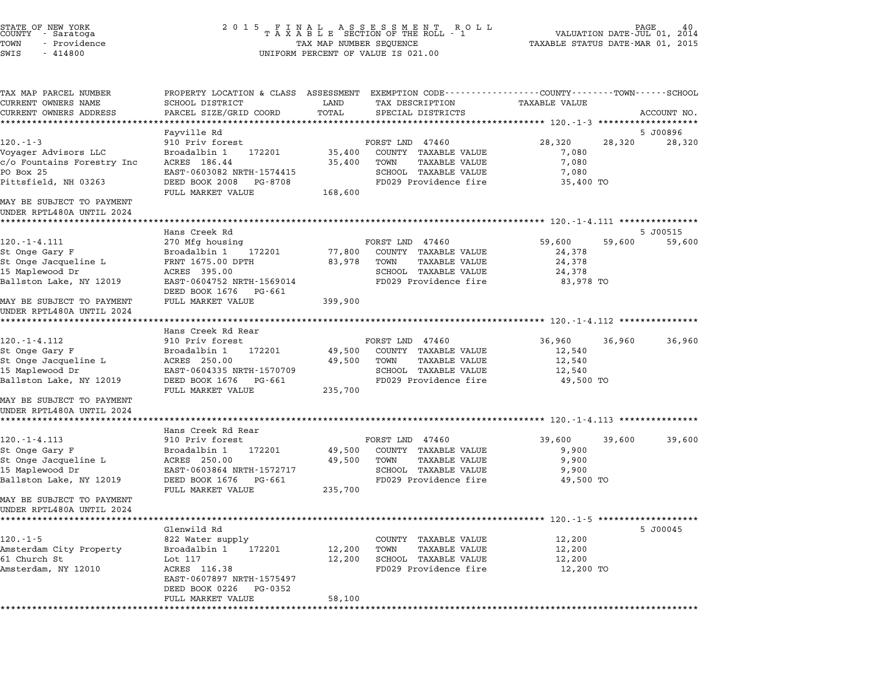| STATE OF NEW YORK<br>COUNTY – Saratoga<br>TOWN<br>- Providence<br>SWIS<br>$-414800$                                                     | 2 0 1 5                                                                                                                                      | TAX MAP NUMBER SEQUENCE     | FINAL ASSESSMENT ROLL<br>TAXABLE SECTION OF THE ROLL - 1<br>UNIFORM PERCENT OF VALUE IS 021.00                    | VALUATION DATE-JUL 01,<br>TAXABLE STATUS DATE-MAR 01, 2015      |        | 40<br>PAGE.<br>2014 |
|-----------------------------------------------------------------------------------------------------------------------------------------|----------------------------------------------------------------------------------------------------------------------------------------------|-----------------------------|-------------------------------------------------------------------------------------------------------------------|-----------------------------------------------------------------|--------|---------------------|
| TAX MAP PARCEL NUMBER<br>CURRENT OWNERS NAME<br>CURRENT OWNERS ADDRESS                                                                  | PROPERTY LOCATION & CLASS ASSESSMENT EXEMPTION CODE---------------COUNTY-------TOWN------SCHOOL<br>SCHOOL DISTRICT<br>PARCEL SIZE/GRID COORD | LAND<br>TOTAL<br>*********  | TAX DESCRIPTION<br>SPECIAL DISTRICTS                                                                              | TAXABLE VALUE<br>*************************** 120.-1-3 ********* |        | ACCOUNT NO.         |
|                                                                                                                                         | Fayville Rd                                                                                                                                  |                             |                                                                                                                   |                                                                 |        | 5 J00896            |
| $120. - 1 - 3$<br>Voyager Advisors LLC<br>c/o Fountains Forestry Inc<br>PO Box 25                                                       | 910 Priv forest<br>Broadalbin 1<br>172201<br>ACRES 186.44<br>EAST-0603082 NRTH-1574415                                                       | 35,400<br>35,400            | FORST LND 47460<br>COUNTY TAXABLE VALUE<br>TOWN<br>TAXABLE VALUE<br>SCHOOL TAXABLE VALUE                          | 28,320<br>7,080<br>7,080<br>7,080                               | 28,320 | 28,320              |
| Pittsfield, NH 03263                                                                                                                    | DEED BOOK 2008<br>PG-8708<br>FULL MARKET VALUE                                                                                               | 168,600                     | FD029 Providence fire                                                                                             | 35,400 TO                                                       |        |                     |
| MAY BE SUBJECT TO PAYMENT<br>UNDER RPTL480A UNTIL 2024                                                                                  |                                                                                                                                              |                             |                                                                                                                   |                                                                 |        |                     |
|                                                                                                                                         | Hans Creek Rd                                                                                                                                |                             |                                                                                                                   |                                                                 |        |                     |
| $120. - 1 - 4.111$<br>St Onge Gary F<br>St Onge Jacqueline L<br>15 Maplewood Dr<br>Ballston Lake, NY 12019                              | 270 Mfg housing<br>Broadalbin 1<br>172201<br>FRNT 1675.00 DPTH<br>ACRES 395.00<br>EAST-0604752 NRTH-1569014                                  | 77,800<br>83,978            | FORST LND 47460<br>COUNTY TAXABLE VALUE<br>TOWN<br>TAXABLE VALUE<br>SCHOOL TAXABLE VALUE<br>FD029 Providence fire | 59,600<br>24,378<br>24,378<br>24,378<br>83,978 TO               | 59,600 | 5 J00515<br>59,600  |
| MAY BE SUBJECT TO PAYMENT<br>UNDER RPTL480A UNTIL 2024                                                                                  | DEED BOOK 1676<br>PG-661<br>FULL MARKET VALUE                                                                                                | 399,900                     |                                                                                                                   |                                                                 |        |                     |
|                                                                                                                                         | Hans Creek Rd Rear                                                                                                                           |                             |                                                                                                                   |                                                                 |        |                     |
| $120. - 1 - 4.112$<br>St Onge Gary F<br>St Onge Jacqueline L<br>15 Maplewood Dr<br>Ballston Lake, NY 12019<br>MAY BE SUBJECT TO PAYMENT | 910 Priv forest<br>Broadalbin 1<br>172201<br>ACRES 250.00<br>EAST-0604335 NRTH-1570709<br>DEED BOOK 1676<br>PG-661<br>FULL MARKET VALUE      | 49,500<br>49,500<br>235,700 | FORST LND 47460<br>COUNTY TAXABLE VALUE<br>TOWN<br>TAXABLE VALUE<br>SCHOOL TAXABLE VALUE<br>FD029 Providence fire | 36,960<br>12,540<br>12,540<br>12,540<br>49,500 TO               | 36,960 | 36,960              |
| UNDER RPTL480A UNTIL 2024                                                                                                               |                                                                                                                                              |                             |                                                                                                                   |                                                                 |        |                     |
| $120. - 1 - 4.113$                                                                                                                      | Hans Creek Rd Rear<br>910 Priv forest                                                                                                        |                             | FORST LND 47460                                                                                                   | 39,600                                                          | 39,600 | 39,600              |
| St Onge Gary F<br>St Onge Jacqueline L<br>15 Maplewood Dr<br>Ballston Lake, NY 12019                                                    | Broadalbin 1<br>172201<br>ACRES 250.00<br>EAST-0603864 NRTH-1572717<br>DEED BOOK 1676<br>PG-661<br>FULL MARKET VALUE                         | 49,500<br>49,500<br>235,700 | COUNTY TAXABLE VALUE<br>TOWN<br>TAXABLE VALUE<br>SCHOOL TAXABLE VALUE<br>FD029 Providence fire                    | 9,900<br>9,900<br>9,900<br>49,500 TO                            |        |                     |
| MAY BE SUBJECT TO PAYMENT<br>UNDER RPTL480A UNTIL 2024                                                                                  |                                                                                                                                              |                             |                                                                                                                   |                                                                 |        |                     |
|                                                                                                                                         | Glenwild Rd                                                                                                                                  |                             |                                                                                                                   |                                                                 |        | 5 J00045            |
| $120. - 1 - 5$<br>Amsterdam City Property<br>61 Church St<br>Amsterdam, NY 12010                                                        | 822 Water supply<br>Broadalbin 1<br>172201<br>Lot 117<br>ACRES 116.38<br>EAST-0607897 NRTH-1575497                                           | 12,200<br>12,200            | COUNTY TAXABLE VALUE<br><b>TAXABLE VALUE</b><br>TOWN<br>SCHOOL TAXABLE VALUE<br>FD029 Providence fire             | 12,200<br>12,200<br>12,200<br>12,200 TO                         |        |                     |
|                                                                                                                                         | DEED BOOK 0226<br>PG-0352<br>FULL MARKET VALUE                                                                                               | 58,100                      |                                                                                                                   |                                                                 |        |                     |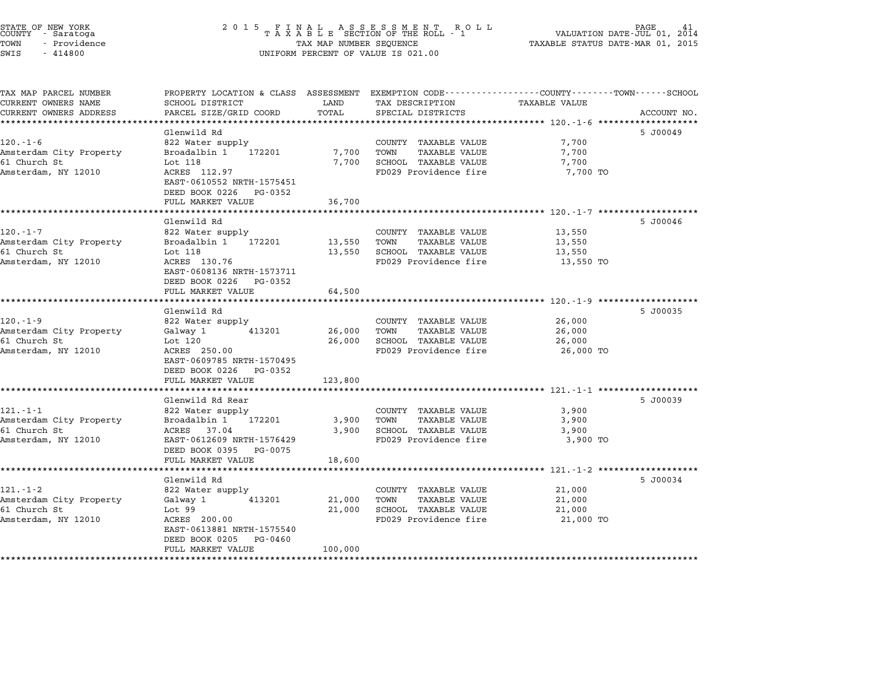|      | STATE OF NEW YORK<br>COUNTY - Saratoga |  |
|------|----------------------------------------|--|
| TOWN | - Providence                           |  |
| SWIS | 414800                                 |  |

# STATE OF NEW YORK <sup>2</sup> <sup>0</sup> <sup>1</sup> 5 F I N A L A S S E S S M E N T R O L L PAGE <sup>41</sup> COUNTY - Saratoga <sup>T</sup> <sup>A</sup> <sup>X</sup> <sup>A</sup> <sup>B</sup> <sup>L</sup> <sup>E</sup> SECTION OF THE ROLL - <sup>1</sup> VALUATION DATE-JUL 01, <sup>2014</sup> TOWN - Providence TAX MAP NUMBER SEQUENCE TAXABLE STATUS DATE-MAR 01, <sup>2015</sup> TAX MAP NUMBER SEQUENCE<br>UNIFORM PERCENT OF VALUE IS 021.00

| SCHOOL DISTRICT            | LAND                                                                                                                                                                                                                                                                                                                                                                                                                                                                                                                                                        | TAX DESCRIPTION                                                                                                                       | <b>TAXABLE VALUE</b>                                                                                                                                                                                                                                                                                       |                                                                                                                                                                                           |
|----------------------------|-------------------------------------------------------------------------------------------------------------------------------------------------------------------------------------------------------------------------------------------------------------------------------------------------------------------------------------------------------------------------------------------------------------------------------------------------------------------------------------------------------------------------------------------------------------|---------------------------------------------------------------------------------------------------------------------------------------|------------------------------------------------------------------------------------------------------------------------------------------------------------------------------------------------------------------------------------------------------------------------------------------------------------|-------------------------------------------------------------------------------------------------------------------------------------------------------------------------------------------|
| PARCEL SIZE/GRID COORD     | TOTAL                                                                                                                                                                                                                                                                                                                                                                                                                                                                                                                                                       | SPECIAL DISTRICTS                                                                                                                     |                                                                                                                                                                                                                                                                                                            | ACCOUNT NO.                                                                                                                                                                               |
| ************************** |                                                                                                                                                                                                                                                                                                                                                                                                                                                                                                                                                             |                                                                                                                                       |                                                                                                                                                                                                                                                                                                            |                                                                                                                                                                                           |
| Glenwild Rd                |                                                                                                                                                                                                                                                                                                                                                                                                                                                                                                                                                             |                                                                                                                                       |                                                                                                                                                                                                                                                                                                            | 5 J00049                                                                                                                                                                                  |
| 822 Water supply           |                                                                                                                                                                                                                                                                                                                                                                                                                                                                                                                                                             | COUNTY TAXABLE VALUE                                                                                                                  | 7,700                                                                                                                                                                                                                                                                                                      |                                                                                                                                                                                           |
|                            |                                                                                                                                                                                                                                                                                                                                                                                                                                                                                                                                                             |                                                                                                                                       |                                                                                                                                                                                                                                                                                                            |                                                                                                                                                                                           |
|                            |                                                                                                                                                                                                                                                                                                                                                                                                                                                                                                                                                             |                                                                                                                                       |                                                                                                                                                                                                                                                                                                            |                                                                                                                                                                                           |
|                            |                                                                                                                                                                                                                                                                                                                                                                                                                                                                                                                                                             |                                                                                                                                       |                                                                                                                                                                                                                                                                                                            |                                                                                                                                                                                           |
|                            |                                                                                                                                                                                                                                                                                                                                                                                                                                                                                                                                                             |                                                                                                                                       |                                                                                                                                                                                                                                                                                                            |                                                                                                                                                                                           |
|                            |                                                                                                                                                                                                                                                                                                                                                                                                                                                                                                                                                             |                                                                                                                                       |                                                                                                                                                                                                                                                                                                            |                                                                                                                                                                                           |
|                            |                                                                                                                                                                                                                                                                                                                                                                                                                                                                                                                                                             |                                                                                                                                       |                                                                                                                                                                                                                                                                                                            |                                                                                                                                                                                           |
| Glenwild Rd                |                                                                                                                                                                                                                                                                                                                                                                                                                                                                                                                                                             |                                                                                                                                       |                                                                                                                                                                                                                                                                                                            | 5 J00046                                                                                                                                                                                  |
| 822 Water supply           |                                                                                                                                                                                                                                                                                                                                                                                                                                                                                                                                                             | COUNTY TAXABLE VALUE                                                                                                                  | 13,550                                                                                                                                                                                                                                                                                                     |                                                                                                                                                                                           |
| Broadalbin 1 172201        | 13,550                                                                                                                                                                                                                                                                                                                                                                                                                                                                                                                                                      | TOWN<br><b>TAXABLE VALUE</b>                                                                                                          | 13,550                                                                                                                                                                                                                                                                                                     |                                                                                                                                                                                           |
| Lot 118                    | 13,550                                                                                                                                                                                                                                                                                                                                                                                                                                                                                                                                                      | SCHOOL TAXABLE VALUE                                                                                                                  | 13,550                                                                                                                                                                                                                                                                                                     |                                                                                                                                                                                           |
|                            |                                                                                                                                                                                                                                                                                                                                                                                                                                                                                                                                                             |                                                                                                                                       |                                                                                                                                                                                                                                                                                                            |                                                                                                                                                                                           |
|                            |                                                                                                                                                                                                                                                                                                                                                                                                                                                                                                                                                             |                                                                                                                                       |                                                                                                                                                                                                                                                                                                            |                                                                                                                                                                                           |
|                            |                                                                                                                                                                                                                                                                                                                                                                                                                                                                                                                                                             |                                                                                                                                       |                                                                                                                                                                                                                                                                                                            |                                                                                                                                                                                           |
| *****************          |                                                                                                                                                                                                                                                                                                                                                                                                                                                                                                                                                             |                                                                                                                                       |                                                                                                                                                                                                                                                                                                            |                                                                                                                                                                                           |
|                            |                                                                                                                                                                                                                                                                                                                                                                                                                                                                                                                                                             |                                                                                                                                       |                                                                                                                                                                                                                                                                                                            | 5 J00035                                                                                                                                                                                  |
|                            |                                                                                                                                                                                                                                                                                                                                                                                                                                                                                                                                                             |                                                                                                                                       |                                                                                                                                                                                                                                                                                                            |                                                                                                                                                                                           |
| 413201                     |                                                                                                                                                                                                                                                                                                                                                                                                                                                                                                                                                             | TOWN<br>TAXABLE VALUE                                                                                                                 | 26,000                                                                                                                                                                                                                                                                                                     |                                                                                                                                                                                           |
| Lot 120                    | 26,000                                                                                                                                                                                                                                                                                                                                                                                                                                                                                                                                                      | SCHOOL TAXABLE VALUE                                                                                                                  | 26,000                                                                                                                                                                                                                                                                                                     |                                                                                                                                                                                           |
| ACRES 250.00               |                                                                                                                                                                                                                                                                                                                                                                                                                                                                                                                                                             | FD029 Providence fire                                                                                                                 | 26,000 TO                                                                                                                                                                                                                                                                                                  |                                                                                                                                                                                           |
| EAST-0609785 NRTH-1570495  |                                                                                                                                                                                                                                                                                                                                                                                                                                                                                                                                                             |                                                                                                                                       |                                                                                                                                                                                                                                                                                                            |                                                                                                                                                                                           |
| DEED BOOK 0226<br>PG-0352  |                                                                                                                                                                                                                                                                                                                                                                                                                                                                                                                                                             |                                                                                                                                       |                                                                                                                                                                                                                                                                                                            |                                                                                                                                                                                           |
| FULL MARKET VALUE          | 123,800                                                                                                                                                                                                                                                                                                                                                                                                                                                                                                                                                     |                                                                                                                                       |                                                                                                                                                                                                                                                                                                            |                                                                                                                                                                                           |
|                            |                                                                                                                                                                                                                                                                                                                                                                                                                                                                                                                                                             |                                                                                                                                       |                                                                                                                                                                                                                                                                                                            |                                                                                                                                                                                           |
|                            |                                                                                                                                                                                                                                                                                                                                                                                                                                                                                                                                                             |                                                                                                                                       |                                                                                                                                                                                                                                                                                                            | 5 J00039                                                                                                                                                                                  |
|                            |                                                                                                                                                                                                                                                                                                                                                                                                                                                                                                                                                             |                                                                                                                                       |                                                                                                                                                                                                                                                                                                            |                                                                                                                                                                                           |
|                            |                                                                                                                                                                                                                                                                                                                                                                                                                                                                                                                                                             |                                                                                                                                       |                                                                                                                                                                                                                                                                                                            |                                                                                                                                                                                           |
|                            |                                                                                                                                                                                                                                                                                                                                                                                                                                                                                                                                                             |                                                                                                                                       |                                                                                                                                                                                                                                                                                                            |                                                                                                                                                                                           |
|                            |                                                                                                                                                                                                                                                                                                                                                                                                                                                                                                                                                             |                                                                                                                                       |                                                                                                                                                                                                                                                                                                            |                                                                                                                                                                                           |
| FULL MARKET VALUE          | 18,600                                                                                                                                                                                                                                                                                                                                                                                                                                                                                                                                                      |                                                                                                                                       |                                                                                                                                                                                                                                                                                                            |                                                                                                                                                                                           |
|                            |                                                                                                                                                                                                                                                                                                                                                                                                                                                                                                                                                             |                                                                                                                                       |                                                                                                                                                                                                                                                                                                            |                                                                                                                                                                                           |
| Glenwild Rd                |                                                                                                                                                                                                                                                                                                                                                                                                                                                                                                                                                             |                                                                                                                                       |                                                                                                                                                                                                                                                                                                            | 5 J00034                                                                                                                                                                                  |
| 822 Water supply           |                                                                                                                                                                                                                                                                                                                                                                                                                                                                                                                                                             | COUNTY TAXABLE VALUE                                                                                                                  | 21,000                                                                                                                                                                                                                                                                                                     |                                                                                                                                                                                           |
|                            |                                                                                                                                                                                                                                                                                                                                                                                                                                                                                                                                                             |                                                                                                                                       |                                                                                                                                                                                                                                                                                                            |                                                                                                                                                                                           |
|                            |                                                                                                                                                                                                                                                                                                                                                                                                                                                                                                                                                             |                                                                                                                                       |                                                                                                                                                                                                                                                                                                            |                                                                                                                                                                                           |
|                            |                                                                                                                                                                                                                                                                                                                                                                                                                                                                                                                                                             |                                                                                                                                       |                                                                                                                                                                                                                                                                                                            |                                                                                                                                                                                           |
|                            |                                                                                                                                                                                                                                                                                                                                                                                                                                                                                                                                                             |                                                                                                                                       |                                                                                                                                                                                                                                                                                                            |                                                                                                                                                                                           |
|                            |                                                                                                                                                                                                                                                                                                                                                                                                                                                                                                                                                             |                                                                                                                                       |                                                                                                                                                                                                                                                                                                            |                                                                                                                                                                                           |
|                            |                                                                                                                                                                                                                                                                                                                                                                                                                                                                                                                                                             |                                                                                                                                       |                                                                                                                                                                                                                                                                                                            |                                                                                                                                                                                           |
|                            | Broadalbin 1<br>172201<br>Lot 118<br>ACRES 112.97<br>EAST-0610552 NRTH-1575451<br>DEED BOOK 0226<br>PG-0352<br>FULL MARKET VALUE<br>ACRES 130.76<br>EAST-0608136 NRTH-1573711<br>DEED BOOK 0226<br>PG-0352<br>FULL MARKET VALUE<br>Glenwild Rd<br>822 Water supply<br>Galway 1<br>Glenwild Rd Rear<br>822 Water supply<br>Broadalbin 1<br>172201<br>ACRES<br>37.04<br>EAST-0612609 NRTH-1576429<br>DEED BOOK 0395<br>PG-0075<br>Galway 1<br>413201<br>Lot 99<br>ACRES 200.00<br>EAST-0613881 NRTH-1575540<br>DEED BOOK 0205<br>PG-0460<br>FULL MARKET VALUE | PROPERTY LOCATION & CLASS ASSESSMENT<br>7,700<br>7,700<br>36,700<br>64,500<br>26,000<br>3,900<br>3,900<br>21,000<br>21,000<br>100,000 | TOWN<br>TAXABLE VALUE<br>SCHOOL TAXABLE VALUE<br>FD029 Providence fire<br>FD029 Providence fire<br>COUNTY TAXABLE VALUE<br>COUNTY TAXABLE VALUE<br>TOWN<br>TAXABLE VALUE<br>SCHOOL TAXABLE VALUE<br>FD029 Providence fire<br>TOWN<br><b>TAXABLE VALUE</b><br>SCHOOL TAXABLE VALUE<br>FD029 Providence fire | EXEMPTION CODE-----------------COUNTY-------TOWN------SCHOOL<br>7,700<br>7,700<br>7,700 TO<br>13,550 TO<br>26,000<br>3,900<br>3,900<br>3,900<br>3,900 TO<br>21,000<br>21,000<br>21,000 TO |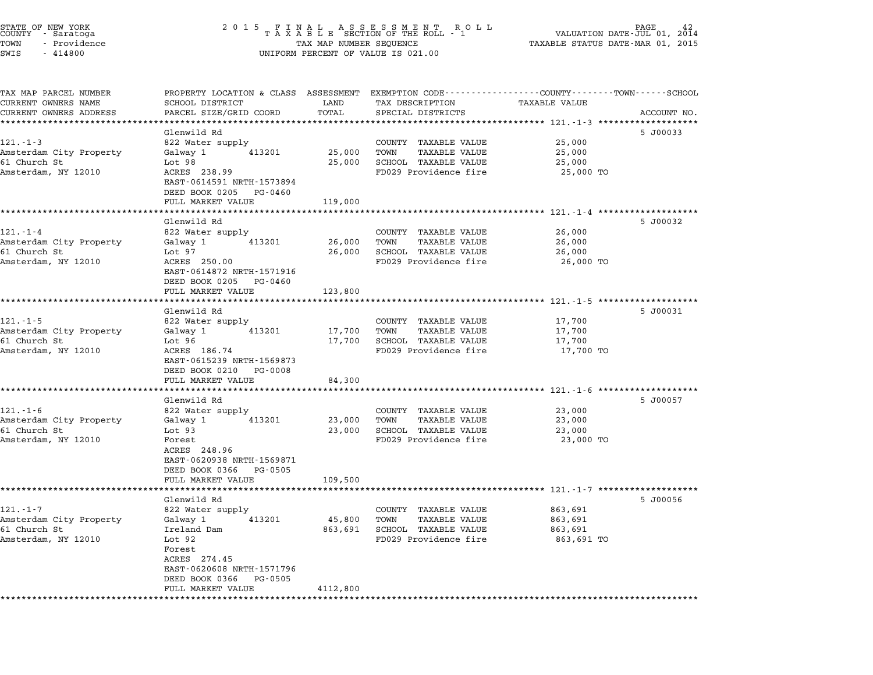|      | STATE OF NEW YORK<br>COUNTY - Saratoga |  |
|------|----------------------------------------|--|
| TOWN | - Providence                           |  |
| SWIS | $-414800$                              |  |

# STATE OF NEW YORK <sup>2</sup> <sup>0</sup> <sup>1</sup> 5 F I N A L A S S E S S M E N T R O L L PAGE <sup>42</sup> COUNTY - Saratoga <sup>T</sup> <sup>A</sup> <sup>X</sup> <sup>A</sup> <sup>B</sup> <sup>L</sup> <sup>E</sup> SECTION OF THE ROLL - <sup>1</sup> VALUATION DATE-JUL 01, <sup>2014</sup> TOWN - Providence TAX MAP NUMBER SEQUENCE TAXABLE STATUS DATE-MAR 01, <sup>2015</sup> TAX MAP NUMBER SEQUENCE<br>UNIFORM PERCENT OF VALUE IS 021.00

| TAX MAP PARCEL NUMBER                              | PROPERTY LOCATION & CLASS ASSESSMENT EXEMPTION CODE----------------COUNTY-------TOWN-----SCHOOL |          |                              |                                               |             |
|----------------------------------------------------|-------------------------------------------------------------------------------------------------|----------|------------------------------|-----------------------------------------------|-------------|
| CURRENT OWNERS NAME                                | SCHOOL DISTRICT                                                                                 | LAND     | TAX DESCRIPTION              | <b>TAXABLE VALUE</b>                          |             |
| CURRENT OWNERS ADDRESS<br>************************ | PARCEL SIZE/GRID COORD                                                                          | TOTAL    | SPECIAL DISTRICTS            |                                               | ACCOUNT NO. |
|                                                    |                                                                                                 |          |                              |                                               |             |
| $121. - 1 - 3$                                     | Glenwild Rd<br>822 Water supply                                                                 |          | COUNTY TAXABLE VALUE         | 25,000                                        | 5 J00033    |
| Amsterdam City Property                            | Galway 1<br>413201                                                                              | 25,000   | <b>TAXABLE VALUE</b><br>TOWN | 25,000                                        |             |
| 61 Church St                                       | Lot <sub>98</sub>                                                                               | 25,000   | SCHOOL TAXABLE VALUE         | 25,000                                        |             |
| Amsterdam, NY 12010                                | ACRES 238.99                                                                                    |          | FD029 Providence fire        | 25,000 TO                                     |             |
|                                                    | EAST-0614591 NRTH-1573894                                                                       |          |                              |                                               |             |
|                                                    | DEED BOOK 0205 PG-0460                                                                          |          |                              |                                               |             |
|                                                    | FULL MARKET VALUE                                                                               | 119,000  |                              |                                               |             |
|                                                    |                                                                                                 |          |                              |                                               |             |
|                                                    | Glenwild Rd                                                                                     |          |                              |                                               | 5 J00032    |
| $121. - 1 - 4$                                     | 822 Water supply                                                                                |          | COUNTY TAXABLE VALUE         | 26,000                                        |             |
| Amsterdam City Property                            | Galway 1<br>413201                                                                              | 26,000   | TOWN<br>TAXABLE VALUE        | 26,000                                        |             |
| 61 Church St                                       | Lot 97                                                                                          | 26,000   | SCHOOL TAXABLE VALUE         | 26,000                                        |             |
| Amsterdam, NY 12010                                | ACRES 250.00                                                                                    |          | FD029 Providence fire        | 26,000 TO                                     |             |
|                                                    | EAST-0614872 NRTH-1571916<br>DEED BOOK 0205 PG-0460                                             |          |                              |                                               |             |
|                                                    | FULL MARKET VALUE                                                                               | 123,800  |                              |                                               |             |
|                                                    | . <b>.</b> .                                                                                    |          |                              | ************************ 1211.5 ************* |             |
|                                                    | Glenwild Rd                                                                                     |          |                              |                                               | 5 J00031    |
| $121. - 1 - 5$                                     | 822 Water supply                                                                                |          | COUNTY TAXABLE VALUE         | 17,700                                        |             |
| Amsterdam City Property                            | 413201<br>Galway 1                                                                              | 17,700   | TOWN<br><b>TAXABLE VALUE</b> | 17,700                                        |             |
| 61 Church St                                       | Lot 96                                                                                          | 17,700   | SCHOOL TAXABLE VALUE         | 17,700                                        |             |
| Amsterdam, NY 12010                                | ACRES 186.74                                                                                    |          | FD029 Providence fire        | 17,700 TO                                     |             |
|                                                    | EAST-0615239 NRTH-1569873                                                                       |          |                              |                                               |             |
|                                                    | DEED BOOK 0210<br>PG-0008                                                                       |          |                              |                                               |             |
|                                                    | FULL MARKET VALUE<br>******************                                                         | 84,300   |                              |                                               |             |
|                                                    | Glenwild Rd                                                                                     |          |                              |                                               | 5 J00057    |
| $121. - 1 - 6$                                     | 822 Water supply                                                                                |          | COUNTY TAXABLE VALUE         | 23,000                                        |             |
| Amsterdam City Property                            | 413201<br>Galway 1                                                                              | 23,000   | TOWN<br>TAXABLE VALUE        | 23,000                                        |             |
| 61 Church St                                       | Lot 93                                                                                          | 23,000   | SCHOOL TAXABLE VALUE         | 23,000                                        |             |
| Amsterdam, NY 12010                                | Forest                                                                                          |          | FD029 Providence fire        | 23,000 TO                                     |             |
|                                                    | ACRES 248.96                                                                                    |          |                              |                                               |             |
|                                                    | EAST-0620938 NRTH-1569871                                                                       |          |                              |                                               |             |
|                                                    | DEED BOOK 0366<br>PG-0505                                                                       |          |                              |                                               |             |
|                                                    | FULL MARKET VALUE<br>*****************                                                          | 109,500  |                              |                                               |             |
|                                                    | Glenwild Rd                                                                                     |          |                              |                                               | 5 J00056    |
| $121. - 1 - 7$                                     | 822 Water supply                                                                                |          | COUNTY TAXABLE VALUE         | 863,691                                       |             |
| Amsterdam City Property                            | Galway 1<br>413201                                                                              | 45,800   | TOWN<br>TAXABLE VALUE        | 863,691                                       |             |
| 61 Church St                                       | Ireland Dam                                                                                     | 863,691  | SCHOOL TAXABLE VALUE         | 863,691                                       |             |
| Amsterdam, NY 12010                                | Lot 92                                                                                          |          | FD029 Providence fire        | 863,691 TO                                    |             |
|                                                    | Forest                                                                                          |          |                              |                                               |             |
|                                                    | ACRES 274.45                                                                                    |          |                              |                                               |             |
|                                                    | EAST-0620608 NRTH-1571796                                                                       |          |                              |                                               |             |
|                                                    | DEED BOOK 0366<br>PG-0505                                                                       |          |                              |                                               |             |
|                                                    | FULL MARKET VALUE                                                                               | 4112,800 |                              |                                               |             |
|                                                    |                                                                                                 |          |                              |                                               |             |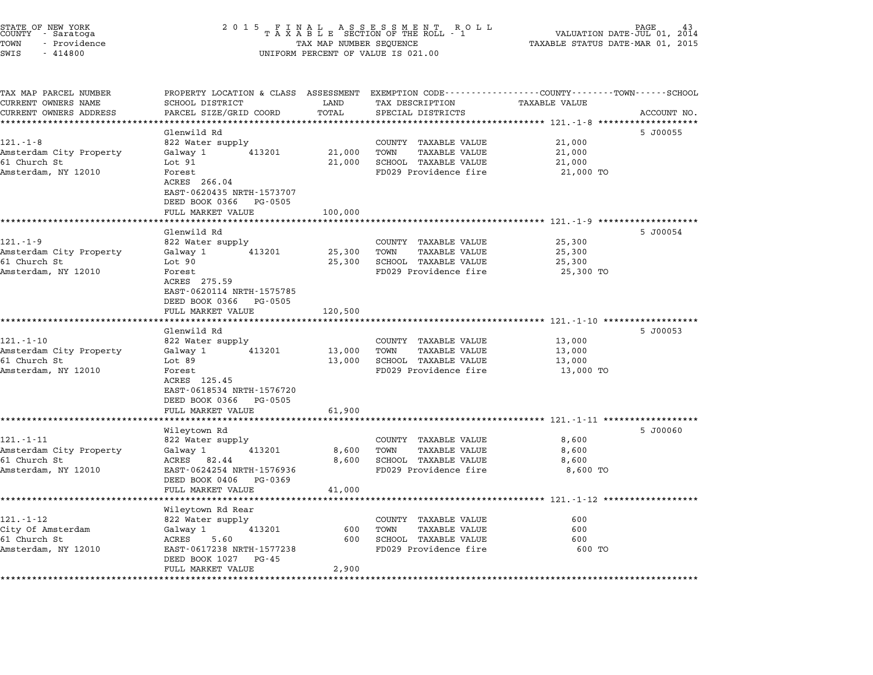| conti aaracoga<br>TOWN<br>- Providence<br>SWIS<br>$-414800$ | I A A A B B BLUIUN UF INE RUBB<br>TAX MAP NUMBER SEQUENCE<br>UNIFORM PERCENT OF VALUE IS 021.00   | VALUAIIUN DAIE-UUL UI, 2014<br>TAXABLE STATUS DATE-MAR 01, 2015 |                              |               |             |
|-------------------------------------------------------------|---------------------------------------------------------------------------------------------------|-----------------------------------------------------------------|------------------------------|---------------|-------------|
| TAX MAP PARCEL NUMBER                                       | PROPERTY LOCATION & CLASS ASSESSMENT EXEMPTION CODE ----------------COUNTY-------TOWN------SCHOOL |                                                                 |                              |               |             |
| CURRENT OWNERS NAME                                         | SCHOOL DISTRICT                                                                                   | LAND                                                            | TAX DESCRIPTION              | TAXABLE VALUE |             |
| CURRENT OWNERS ADDRESS                                      | PARCEL SIZE/GRID COORD                                                                            | TOTAL                                                           | SPECIAL DISTRICTS            |               | ACCOUNT NO. |
|                                                             |                                                                                                   |                                                                 |                              |               |             |
| $121. - 1 - 8$                                              | Glenwild Rd<br>822 Water supply                                                                   |                                                                 | COUNTY TAXABLE VALUE         | 21,000        | 5 J00055    |
| Amsterdam City Property                                     | Galway 1 413201                                                                                   |                                                                 | 21,000 TOWN<br>TAXABLE VALUE | 21,000        |             |
| 61 Church St                                                | Lot 91                                                                                            |                                                                 | 21,000 SCHOOL TAXABLE VALUE  | 21,000        |             |
| Amsterdam, NY 12010                                         | Forest                                                                                            |                                                                 | FD029 Providence fire        | 21,000 TO     |             |
|                                                             | ACRES 266.04<br>EAST-0620435 NRTH-1573707<br>DEED BOOK 0366 PG-0505                               |                                                                 |                              |               |             |
|                                                             | FULL MARKET VALUE                                                                                 | 100,000                                                         |                              |               |             |
|                                                             |                                                                                                   |                                                                 |                              |               |             |
|                                                             | Glenwild Rd                                                                                       |                                                                 |                              |               | 5 J00054    |
| $121. - 1 - 9$                                              | 822 Water supply                                                                                  |                                                                 | COUNTY TAXABLE VALUE         | 25,300        |             |
| Amsterdam City Property                                     | Galway 1 413201                                                                                   |                                                                 | 25,300 TOWN<br>TAXABLE VALUE | 25,300        |             |
| 61 Church St                                                | Lot 90                                                                                            |                                                                 | 25,300 SCHOOL TAXABLE VALUE  | 25,300        |             |
| Amsterdam, NY 12010                                         | Forest<br>ACRES 275.59<br>EAST-0620114 NRTH-1575785<br>DEED BOOK 0366 PG-0505                     |                                                                 | FD029 Providence fire        | 25,300 TO     |             |
|                                                             | FULL MARKET VALUE                                                                                 | 120,500                                                         |                              |               |             |
|                                                             |                                                                                                   |                                                                 |                              |               |             |
|                                                             | Glenwild Rd                                                                                       |                                                                 |                              |               | 5 J00053    |
| $121. - 1 - 10$                                             | 822 Water supply                                                                                  |                                                                 | COUNTY TAXABLE VALUE         | 13,000        |             |
| Amsterdam City Property                                     | Galway 1 413201                                                                                   |                                                                 | 13,000 TOWN<br>TAXABLE VALUE | 13,000        |             |
| 61 Church St                                                | Lot 89                                                                                            |                                                                 | 13,000 SCHOOL TAXABLE VALUE  | 13,000        |             |
| Amsterdam, NY 12010                                         | Forest<br>ACRES 125.45<br>EAST-0618534 NRTH-1576720<br>DEED BOOK 0366 PG-0505                     |                                                                 | FD029 Providence fire        | 13,000 TO     |             |
|                                                             | FULL MARKET VALUE                                                                                 | 61,900                                                          |                              |               |             |
|                                                             |                                                                                                   |                                                                 |                              |               |             |
|                                                             | Wileytown Rd                                                                                      |                                                                 |                              |               | 5 J00060    |
| 121.-1-11                                                   | 822 Water supply                                                                                  |                                                                 | COUNTY TAXABLE VALUE         | 8,600         |             |
| Amsterdam City Property                                     | Galway 1 413201                                                                                   |                                                                 | 8,600 TOWN<br>TAXABLE VALUE  | 8,600         |             |
| 61 Church St                                                | ACRES 82.44                                                                                       |                                                                 | 8,600 SCHOOL TAXABLE VALUE   | 8,600         |             |
| Amsterdam, NY 12010                                         | EAST-0624254 NRTH-1576936<br>DEED BOOK 0406 PG-0369                                               |                                                                 | FD029 Providence fire        | 8,600 TO      |             |
|                                                             | FULL MARKET VALUE                                                                                 | 41,000                                                          |                              |               |             |
|                                                             |                                                                                                   |                                                                 |                              |               |             |
| 121.-1-12                                                   | Wileytown Rd Rear<br>822 Water supply                                                             |                                                                 | COUNTY TAXABLE VALUE         | 600           |             |
| City Of Amsterdam                                           | Galway 1 413201                                                                                   |                                                                 | 600 TOWN<br>TAXABLE VALUE    | 600           |             |
| 61 Church St                                                | 5.60<br>ACRES                                                                                     |                                                                 | 600 SCHOOL TAXABLE VALUE     | 600           |             |
| Amsterdam, NY 12010                                         | EAST-0617238 NRTH-1577238<br>DEED BOOK 1027 PG-45                                                 |                                                                 | FD029 Providence fire        | 600 TO        |             |

EASI-0017256 NAIH-1577256<br>
DEED BOOK 1027 PG-45<br>
FULL MARKET VALUE 2,900

\*\*\*\*\*\*\*\*\*\*\*\*\*\*\*\*\*\*\*\*\*\*\*\*\*\*\*\*\*\*\*\*\*\*\*\*\*\*\*\*\*\*\*\*\*\*\*\*\*\*\*\*\*\*\*\*\*\*\*\*\*\*\*\*\*\*\*\*\*\*\*\*\*\*\*\*\*\*\*\*\*\*\*\*\*\*\*\*\*\*\*\*\*\*\*\*\*\*\*\*\*\*\*\*\*\*\*\*\*\*\*\*\*\*\*\*\*\*\*\*\*\*\*\*\*\*\*\*\*\*\*\*

STATE OF NEW YORK <sup>2</sup> <sup>0</sup> <sup>1</sup> 5 F I N A L A S S E S S M E N T R O L L PAGE <sup>43</sup> COUNTY - Saratoga <sup>T</sup> <sup>A</sup> <sup>X</sup> <sup>A</sup> <sup>B</sup> <sup>L</sup> <sup>E</sup> SECTION OF THE ROLL - <sup>1</sup> VALUATION DATE-JUL 01, <sup>2014</sup> TOWN - Providence TAX MAP NUMBER SEQUENCE TAXABLE STATUS DATE-MAR 01, <sup>2015</sup>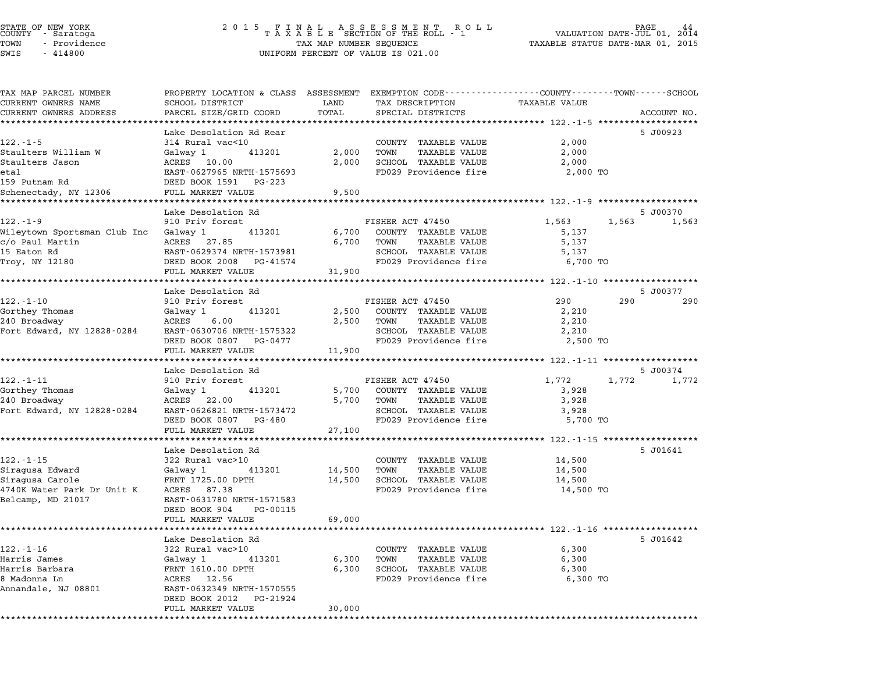| TAX MAP PARCEL NUMBER                  | PROPERTY LOCATION & CLASS ASSESSMENT EXEMPTION CODE---------------COUNTY-------TOWN------SCHOOL |                |                                                           |                                                      |             |
|----------------------------------------|-------------------------------------------------------------------------------------------------|----------------|-----------------------------------------------------------|------------------------------------------------------|-------------|
| CURRENT OWNERS NAME                    | SCHOOL DISTRICT                                                                                 | LAND           | TAX DESCRIPTION                                           | TAXABLE VALUE                                        |             |
| CURRENT OWNERS ADDRESS                 | PARCEL SIZE/GRID COORD                                                                          | TOTAL          | SPECIAL DISTRICTS                                         |                                                      | ACCOUNT NO. |
|                                        |                                                                                                 |                |                                                           |                                                      |             |
| $122. - 1 - 5$                         | Lake Desolation Rd Rear<br>314 Rural vac<10                                                     |                | COUNTY TAXABLE VALUE                                      | 2,000                                                | 5 J00923    |
|                                        | 413201                                                                                          |                | TOWN<br>TAXABLE VALUE                                     | 2,000                                                |             |
| Staulters William W<br>Staulters Jason | Galway 1<br>ACRES 10.00                                                                         | 2,000<br>2,000 | SCHOOL TAXABLE VALUE                                      | 2,000                                                |             |
| eta1                                   | EAST-0627965 NRTH-1575693                                                                       |                | FD029 Providence fire                                     | 2,000 TO                                             |             |
| 159 Putnam Rd                          | DEED BOOK 1591 PG-223                                                                           |                |                                                           |                                                      |             |
| Schenectady, NY 12306                  | FULL MARKET VALUE                                                                               | 9,500          |                                                           |                                                      |             |
|                                        |                                                                                                 |                |                                                           |                                                      |             |
|                                        | Lake Desolation Rd                                                                              |                |                                                           |                                                      | 5 J00370    |
| $122. - 1 - 9$                         | 910 Priv forest                                                                                 |                | FISHER ACT 47450                                          | 1,563<br>1,563                                       | 1,563       |
| Wileytown Sportsman Club Inc Galway 1  | 413201                                                                                          |                | 6,700 COUNTY TAXABLE VALUE                                | 5,137                                                |             |
| c/o Paul Martin                        | ACRES 27.85                                                                                     | 6,700          | TOWN<br>TAXABLE VALUE                                     | 5,137                                                |             |
| 15 Eaton Rd                            | EAST-0629374 NRTH-1573981                                                                       |                | SCHOOL TAXABLE VALUE                                      | 5,137                                                |             |
| Troy, NY 12180                         | DEED BOOK 2008 PG-41574                                                                         |                | FD029 Providence fire                                     | 6,700 TO                                             |             |
|                                        | FULL MARKET VALUE                                                                               | 31,900         |                                                           |                                                      |             |
|                                        |                                                                                                 |                |                                                           | ********************** 122.-1-10 ******************* |             |
|                                        | Lake Desolation Rd                                                                              |                |                                                           |                                                      | 5 J00377    |
| $122 - 1 - 10$                         | 910 Priv forest                                                                                 |                | FISHER ACT 47450                                          | 290<br>290                                           | 290         |
| Gorthey Thomas                         | Galway 1<br>413201                                                                              | 2,500          | COUNTY TAXABLE VALUE                                      | 2,210                                                |             |
| 240 Broadway                           | ACRES<br>6.00                                                                                   | 2,500          | TOWN<br>TAXABLE VALUE                                     | 2,210                                                |             |
| Fort Edward, NY 12828-0284             | EAST-0630706 NRTH-1575322                                                                       |                | SCHOOL TAXABLE VALUE                                      | 2,210                                                |             |
|                                        | DEED BOOK 0807 PG-0477                                                                          |                | FD029 Providence fire                                     | 2,500 TO                                             |             |
|                                        | FULL MARKET VALUE                                                                               | 11,900         |                                                           |                                                      |             |
|                                        | *************************                                                                       |                |                                                           |                                                      |             |
|                                        | Lake Desolation Rd                                                                              |                |                                                           |                                                      | 5 J00374    |
| 122.-1-11                              | 910 Priv forest                                                                                 |                | FISHER ACT 47450                                          | 1,772                                                | 1,772 1,772 |
| Gorthey Thomas                         | Galway 1<br>413201                                                                              |                | 5,700 COUNTY TAXABLE VALUE                                | 3,928                                                |             |
| 240 Broadway                           | ACRES 22.00                                                                                     |                | 5,700 TOWN<br>TAXABLE VALUE                               | 3,928                                                |             |
| Fort Edward, NY 12828-0284             | EAST-0626821 NRTH-1573472                                                                       |                | SCHOOL TAXABLE VALUE                                      | 3,928                                                |             |
|                                        | DEED BOOK 0807 PG-480                                                                           |                | FD029 Providence fire                                     | 5,700 TO                                             |             |
|                                        | FULL MARKET VALUE                                                                               | 27,100         |                                                           |                                                      |             |
|                                        |                                                                                                 |                |                                                           |                                                      |             |
|                                        | Lake Desolation Rd                                                                              |                |                                                           |                                                      | 5 J01641    |
| $122. - 1 - 15$                        | 322 Rural vac>10                                                                                |                | COUNTY TAXABLE VALUE                                      | 14,500                                               |             |
| Siragusa Edward                        | Galway 1 413201                                                                                 |                | 14,500 TOWN<br>TAXABLE VALUE                              | 14,500                                               |             |
| Siragusa Carole                        | FRNT 1725.00 DPTH                                                                               |                | 14,500 SCHOOL TAXABLE VALUE                               | 14,500                                               |             |
| 4740K Water Park Dr Unit K ACRES 87.38 |                                                                                                 |                | FD029 Providence fire                                     | 14,500 TO                                            |             |
| Belcamp, MD 21017                      | EAST-0631780 NRTH-1571583                                                                       |                |                                                           |                                                      |             |
|                                        | DEED BOOK 904 PG-00115                                                                          |                |                                                           |                                                      |             |
|                                        | FULL MARKET VALUE                                                                               | 69,000         |                                                           |                                                      |             |
|                                        | ******************************                                                                  |                |                                                           |                                                      |             |
|                                        | Lake Desolation Rd                                                                              |                |                                                           |                                                      | 5 J01642    |
| $122 - 1 - 16$                         | 322 Rural vac>10                                                                                |                | COUNTY TAXABLE VALUE                                      | 6,300                                                |             |
| Harris James<br>Harris Barbara         | 413201<br>Galway 1                                                                              |                | 6,300 TOWN<br>TAXABLE VALUE<br>6,300 SCHOOL TAXABLE VALUE | 6,300                                                |             |
| 8 Madonna Ln                           | FRNT 1610.00 DPTH<br>ACRES 12.56                                                                |                | FD029 Providence fire                                     | 6,300<br>6,300 TO                                    |             |
| Annandale, NJ 08801                    | EAST-0632349 NRTH-1570555                                                                       |                |                                                           |                                                      |             |
|                                        | DEED BOOK 2012 PG-21924                                                                         |                |                                                           |                                                      |             |
|                                        | FULL MARKET VALUE                                                                               | 30,000         |                                                           |                                                      |             |
|                                        |                                                                                                 |                |                                                           |                                                      |             |
|                                        |                                                                                                 |                |                                                           |                                                      |             |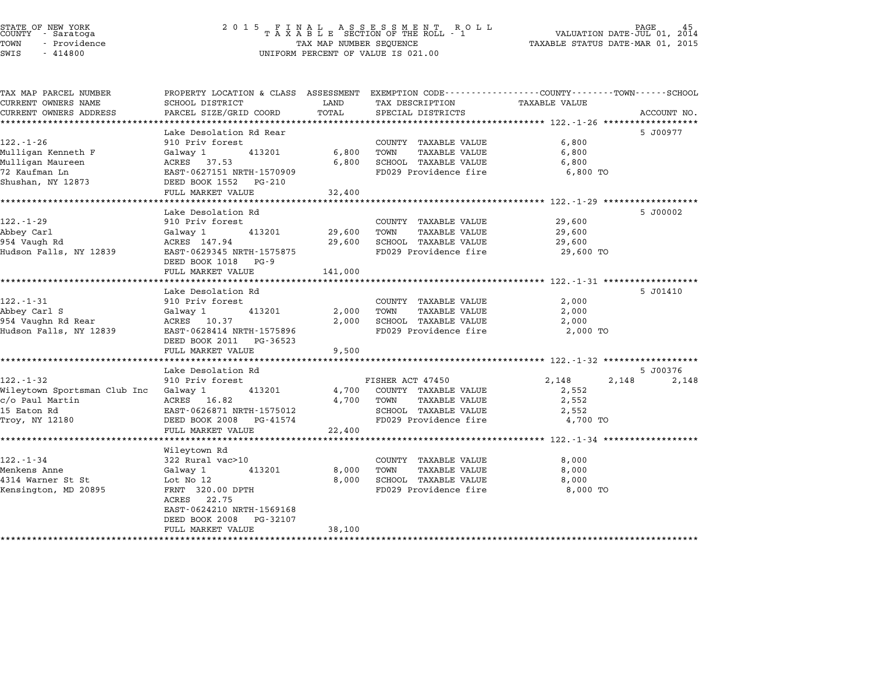# STATE OF NEW YORK <sup>2</sup> <sup>0</sup> <sup>1</sup> 5 F I N A L A S S E S S M E N T R O L L PAGE <sup>45</sup> COUNTY - Saratoga <sup>T</sup> <sup>A</sup> <sup>X</sup> <sup>A</sup> <sup>B</sup> <sup>L</sup> <sup>E</sup> SECTION OF THE ROLL - <sup>1</sup> VALUATION DATE-JUL 01, <sup>2014</sup> TOWN - Providence TAX MAP NUMBER SEQUENCE TAXABLE STATUS DATE-MAR 01, <sup>2015</sup> STATE OF NEW YORK<br>
COUNTY - Saratoga<br>
TOWN - Providence COUNTY - Providence COUNTY - Providence COUNTY - Providence<br>
TAX MAP NUMBER SEQUENCE<br>
SWIS - 414800 UNIFORM PERCENT OF VALUE IS 021.00

| TAX MAP PARCEL NUMBER                 | PROPERTY LOCATION & CLASS ASSESSMENT |         | EXEMPTION CODE------------------COUNTY-------TOWN------SCHOOL |                |             |
|---------------------------------------|--------------------------------------|---------|---------------------------------------------------------------|----------------|-------------|
| CURRENT OWNERS NAME                   | SCHOOL DISTRICT                      | LAND    | TAX DESCRIPTION                                               | TAXABLE VALUE  |             |
| CURRENT OWNERS ADDRESS                | PARCEL SIZE/GRID COORD               | TOTAL   | SPECIAL DISTRICTS                                             |                | ACCOUNT NO. |
|                                       |                                      |         |                                                               |                |             |
|                                       | Lake Desolation Rd Rear              |         |                                                               |                | 5 J00977    |
| $122. - 1 - 26$                       | 910 Priv forest                      |         | COUNTY TAXABLE VALUE                                          | 6,800          |             |
| Mulligan Kenneth F                    | 413201<br>Galway 1                   | 6,800   | TOWN<br>TAXABLE VALUE                                         | 6,800          |             |
| Mulligan Maureen                      | ACRES 37.53                          | 6,800   | SCHOOL TAXABLE VALUE                                          | 6,800          |             |
| 72 Kaufman Ln                         | EAST-0627151 NRTH-1570909            |         | FD029 Providence fire                                         | 6,800 TO       |             |
| Shushan, NY 12873                     | DEED BOOK 1552<br>PG-210             |         |                                                               |                |             |
|                                       | FULL MARKET VALUE                    | 32,400  |                                                               |                |             |
|                                       |                                      |         |                                                               |                |             |
|                                       | Lake Desolation Rd                   |         |                                                               |                | 5 J00002    |
| $122. - 1 - 29$                       | 910 Priv forest                      |         | COUNTY TAXABLE VALUE                                          | 29,600         |             |
| Abbey Carl                            | 413201<br>Galway 1                   | 29,600  | TOWN<br>TAXABLE VALUE                                         | 29,600         |             |
| 954 Vaugh Rd                          | ACRES 147.94                         | 29,600  | SCHOOL TAXABLE VALUE                                          | 29,600         |             |
| Hudson Falls, NY 12839                | EAST-0629345 NRTH-1575875            |         | FD029 Providence fire                                         | 29,600 TO      |             |
|                                       | DEED BOOK 1018<br>PG-9               |         |                                                               |                |             |
|                                       | FULL MARKET VALUE                    | 141,000 |                                                               |                |             |
|                                       |                                      |         |                                                               |                |             |
|                                       | Lake Desolation Rd                   |         |                                                               |                | 5 J01410    |
| $122. - 1 - 31$                       | 910 Priv forest                      |         | COUNTY TAXABLE VALUE                                          | 2,000          |             |
|                                       |                                      |         |                                                               |                |             |
| Abbey Carl S                          | Galway 1<br>413201                   | 2,000   | TOWN<br>TAXABLE VALUE                                         | 2,000          |             |
| 954 Vaughn Rd Rear                    | ACRES 10.37                          | 2,000   | SCHOOL TAXABLE VALUE                                          | 2,000          |             |
| Hudson Falls, NY 12839                | EAST-0628414 NRTH-1575896            |         | FD029 Providence fire                                         | 2,000 TO       |             |
|                                       | DEED BOOK 2011 PG-36523              |         |                                                               |                |             |
|                                       | FULL MARKET VALUE                    | 9,500   |                                                               |                |             |
|                                       |                                      |         |                                                               |                |             |
|                                       | Lake Desolation Rd                   |         |                                                               |                | 5 J00376    |
| $122. - 1 - 32$                       | 910 Priv forest                      |         | FISHER ACT 47450                                              | 2,148<br>2,148 | 2,148       |
| Wileytown Sportsman Club Inc Galway 1 | 413201                               | 4,700   | COUNTY TAXABLE VALUE                                          | 2,552          |             |
| c/o Paul Martin                       | ACRES 16.82                          | 4,700   | TOWN<br>TAXABLE VALUE                                         | 2,552          |             |
| 15 Eaton Rd                           | EAST-0626871 NRTH-1575012            |         | SCHOOL TAXABLE VALUE                                          | 2,552          |             |
| Troy, NY 12180                        | DEED BOOK 2008 PG-41574              |         | FD029 Providence fire                                         | 4,700 TO       |             |
|                                       | FULL MARKET VALUE                    | 22,400  |                                                               |                |             |
|                                       |                                      |         |                                                               |                |             |
|                                       | Wileytown Rd                         |         |                                                               |                |             |
| $122. - 1 - 34$                       | 322 Rural vac>10                     |         | COUNTY TAXABLE VALUE                                          | 8,000          |             |
| Menkens Anne                          | Galway 1<br>413201                   | 8,000   | TOWN<br>TAXABLE VALUE                                         | 8,000          |             |
| 4314 Warner St St                     | Lot No 12                            | 8,000   | SCHOOL TAXABLE VALUE                                          | 8,000          |             |
| Kensington, MD 20895                  | FRNT 320.00 DPTH                     |         | FD029 Providence fire                                         | 8,000 TO       |             |
|                                       | ACRES 22.75                          |         |                                                               |                |             |
|                                       | EAST-0624210 NRTH-1569168            |         |                                                               |                |             |
|                                       | DEED BOOK 2008<br>PG-32107           |         |                                                               |                |             |
|                                       | FULL MARKET VALUE                    | 38,100  |                                                               |                |             |
|                                       |                                      |         |                                                               |                |             |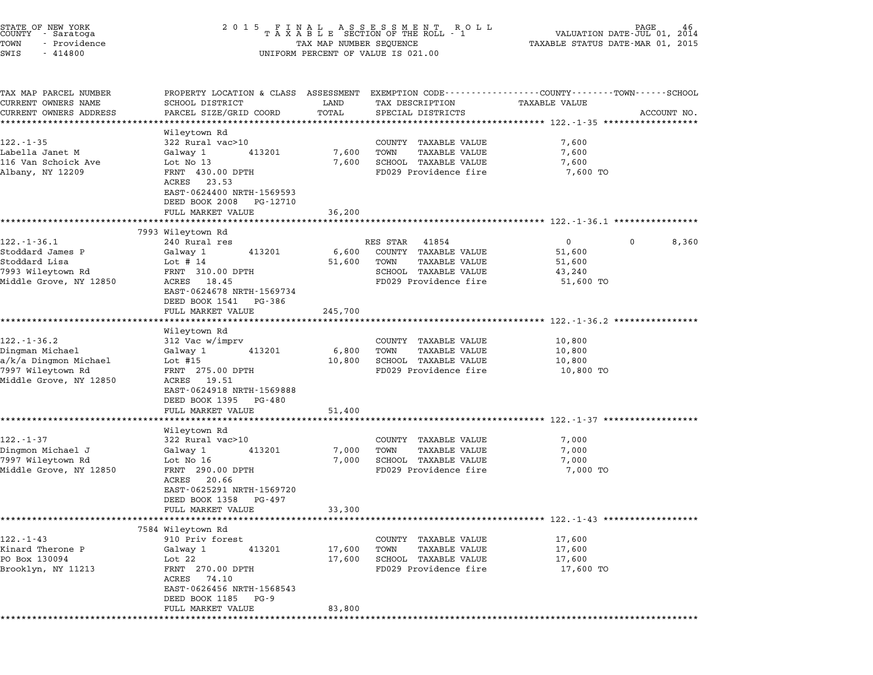| STATE OF NEW YORK<br>COUNTY - Saratoga<br>TOWN<br>- Providence<br>SWIS<br>$-414800$ | 2 0 1 5                                                                                       | TAX MAP NUMBER SEQUENCE<br>UNIFORM PERCENT OF VALUE IS 021.00            | PAGE<br>46<br>VALUATION DATE-JUL 01,<br>2014<br>TAXABLE STATUS DATE-MAR 01, 2015                                               |
|-------------------------------------------------------------------------------------|-----------------------------------------------------------------------------------------------|--------------------------------------------------------------------------|--------------------------------------------------------------------------------------------------------------------------------|
| TAX MAP PARCEL NUMBER<br>CURRENT OWNERS NAME<br>CURRENT OWNERS ADDRESS              | SCHOOL DISTRICT<br>PARCEL SIZE/GRID COORD                                                     | LAND<br>TAX DESCRIPTION<br>TOTAL<br>SPECIAL DISTRICTS                    | PROPERTY LOCATION & CLASS ASSESSMENT EXEMPTION CODE---------------COUNTY-------TOWN-----SCHOOL<br>TAXABLE VALUE<br>ACCOUNT NO. |
|                                                                                     | * * * * * * * * * * * * * * * *                                                               | *********                                                                | ;**************************** 122 <sub>*</sub> -1-35 ******************                                                        |
| 122.-1-35                                                                           | Wileytown Rd<br>322 Rural vac>10                                                              | COUNTY TAXABLE VALUE                                                     | 7,600                                                                                                                          |
| Labella Janet M                                                                     | Galway 1<br>413201                                                                            | 7,600<br>TAXABLE VALUE<br>TOWN                                           | 7,600                                                                                                                          |
| 116 Van Schoick Ave                                                                 | Lot No 13                                                                                     | 7,600<br>SCHOOL TAXABLE VALUE                                            | 7,600                                                                                                                          |
| Albany, NY 12209                                                                    | FRNT 430.00 DPTH<br>23.53<br>ACRES<br>EAST-0624400 NRTH-1569593<br>DEED BOOK 2008<br>PG-12710 | FD029 Providence fire                                                    | 7,600 TO                                                                                                                       |
|                                                                                     | FULL MARKET VALUE                                                                             | 36,200                                                                   |                                                                                                                                |
|                                                                                     | 7993 Wileytown Rd                                                                             |                                                                          | ******************************* 122.-1-36.1 ***********                                                                        |
| $122. - 1 - 36.1$                                                                   | 240 Rural res                                                                                 | RES STAR<br>41854                                                        | $\mathbf{0}$<br>0<br>8,360                                                                                                     |
| Stoddard James P                                                                    | 413201<br>Galway 1                                                                            | COUNTY TAXABLE VALUE<br>6,600                                            | 51,600                                                                                                                         |
| Stoddard Lisa                                                                       | Lot $# 14$                                                                                    | 51,600<br>TOWN<br>TAXABLE VALUE                                          | 51,600                                                                                                                         |
| 7993 Wileytown Rd                                                                   | FRNT 310.00 DPTH                                                                              | SCHOOL TAXABLE VALUE                                                     | 43,240                                                                                                                         |
| Middle Grove, NY 12850                                                              | ACRES 18.45<br>EAST-0624678 NRTH-1569734<br>DEED BOOK 1541<br>PG-386                          | FD029 Providence fire                                                    | 51,600 TO                                                                                                                      |
|                                                                                     | FULL MARKET VALUE                                                                             | 245,700                                                                  |                                                                                                                                |
|                                                                                     |                                                                                               |                                                                          | *********************** 122.-1-36.2 ************                                                                               |
| $122. - 1 - 36.2$                                                                   | Wileytown Rd<br>312 Vac w/imprv                                                               | COUNTY TAXABLE VALUE                                                     | 10,800                                                                                                                         |
| Dingman Michael                                                                     | 413201<br>Galway 1                                                                            | TAXABLE VALUE<br>6,800<br>TOWN                                           | 10,800                                                                                                                         |
| a/k/a Dingmon Michael                                                               | Lot $#15$                                                                                     | SCHOOL TAXABLE VALUE<br>10,800                                           | 10,800                                                                                                                         |
| 7997 Wileytown Rd                                                                   | FRNT 275.00 DPTH                                                                              | FD029 Providence fire                                                    | 10,800 TO                                                                                                                      |
| Middle Grove, NY 12850                                                              | ACRES 19.51<br>EAST-0624918 NRTH-1569888<br>DEED BOOK 1395<br>PG-480                          |                                                                          |                                                                                                                                |
|                                                                                     | FULL MARKET VALUE                                                                             | 51,400                                                                   |                                                                                                                                |
|                                                                                     |                                                                                               |                                                                          | *********************************** 122.-1-37 *************                                                                    |
| 122.-1-37                                                                           | Wileytown Rd<br>322 Rural vac>10                                                              | COUNTY TAXABLE VALUE                                                     | 7,000                                                                                                                          |
| Dingmon Michael J                                                                   | 413201<br>Galway 1                                                                            | TAXABLE VALUE<br>7,000<br>TOWN                                           | 7,000                                                                                                                          |
| 7997 Wileytown Rd                                                                   | Lot No 16                                                                                     | SCHOOL TAXABLE VALUE<br>7,000                                            | 7,000                                                                                                                          |
| Middle Grove, NY 12850                                                              | FRNT 290.00 DPTH<br>ACRES<br>20.66<br>EAST-0625291 NRTH-1569720<br>DEED BOOK 1358<br>PG-497   | FD029 Providence fire                                                    | 7,000 TO                                                                                                                       |
|                                                                                     | FULL MARKET VALUE                                                                             | 33,300                                                                   |                                                                                                                                |
|                                                                                     |                                                                                               |                                                                          | ******************** 122.-1-43 *******************                                                                             |
|                                                                                     | 7584 Wileytown Rd                                                                             |                                                                          |                                                                                                                                |
| $122. - 1 - 43$                                                                     | 910 Priv forest                                                                               | TAXABLE VALUE<br>COUNTY                                                  | 17,600                                                                                                                         |
| Kinard Therone P<br>PO Box 130094                                                   | Galway 1<br>413201<br>Lot $22$                                                                | <b>TAXABLE VALUE</b><br>17,600<br>TOWN<br>17,600<br>SCHOOL TAXABLE VALUE | 17,600<br>17,600                                                                                                               |
| Brooklyn, NY 11213                                                                  | FRNT 270.00 DPTH<br>ACRES<br>74.10                                                            | FD029 Providence fire                                                    | 17,600 TO                                                                                                                      |
|                                                                                     | EAST-0626456 NRTH-1568543<br>DEED BOOK 1185<br>PG-9<br>FULL MARKET VALUE                      |                                                                          |                                                                                                                                |
|                                                                                     |                                                                                               | 83,800                                                                   |                                                                                                                                |
|                                                                                     |                                                                                               |                                                                          |                                                                                                                                |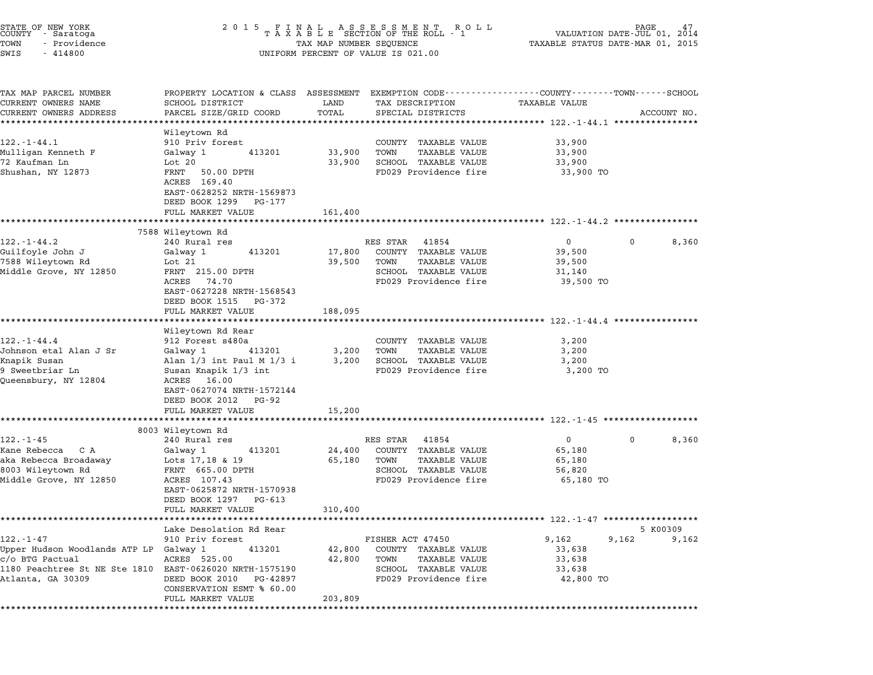| STATE OF NEW YORK<br>COUNTY - Saratoga<br>TOWN<br>- Providence<br>SWIS<br>$-414800$                                                     | 2 0 1 5                                                                                                                                                                                                                             | TAX MAP NUMBER SEQUENCE     | FINAL ASSESSMENT ROLL<br>TAXABLE SECTION OF THE ROLL - 1<br>UNIFORM PERCENT OF VALUE IS 021.00                      | VALUATION DATE- $JU\tilde{L}$ 01,<br>TAXABLE STATUS DATE-MAR 01, 2015                   |              | 2014              |
|-----------------------------------------------------------------------------------------------------------------------------------------|-------------------------------------------------------------------------------------------------------------------------------------------------------------------------------------------------------------------------------------|-----------------------------|---------------------------------------------------------------------------------------------------------------------|-----------------------------------------------------------------------------------------|--------------|-------------------|
| TAX MAP PARCEL NUMBER<br>CURRENT OWNERS NAME<br>CURRENT OWNERS ADDRESS<br>**********************                                        | PROPERTY LOCATION & CLASS ASSESSMENT EXEMPTION CODE---------------COUNTY-------TOWN------SCHOOL<br>SCHOOL DISTRICT<br>PARCEL SIZE/GRID COORD<br>********************                                                                | LAND<br>TOTAL               | TAX DESCRIPTION<br>SPECIAL DISTRICTS                                                                                | TAXABLE VALUE                                                                           |              | ACCOUNT NO.       |
| $122. - 1 - 44.1$<br>Mulligan Kenneth F<br>72 Kaufman Ln<br>Shushan, NY 12873                                                           | Wileytown Rd<br>910 Priv forest<br>Galway 1<br>413201<br>Lot 20<br>FRNT<br>50.00 DPTH<br>ACRES 169.40<br>EAST-0628252 NRTH-1569873<br>DEED BOOK 1299 PG-177<br>FULL MARKET VALUE                                                    | 33,900<br>33,900<br>161,400 | COUNTY TAXABLE VALUE<br>TOWN<br>TAXABLE VALUE<br>SCHOOL TAXABLE VALUE<br>FD029 Providence fire                      | 33,900<br>33,900<br>33,900<br>33,900 TO                                                 |              |                   |
|                                                                                                                                         |                                                                                                                                                                                                                                     |                             | ************************************* 122.-1-44.2 *****************                                                 |                                                                                         |              |                   |
| $122. - 1 - 44.2$<br>Guilfoyle John J<br>7588 Wileytown Rd<br>Middle Grove, NY 12850                                                    | 7588 Wileytown Rd<br>240 Rural res<br>413201<br>Galway 1<br>Lot 21<br>FRNT 215.00 DPTH<br>74.70<br>ACRES<br>EAST-0627228 NRTH-1568543<br>DEED BOOK 1515 PG-372<br>FULL MARKET VALUE                                                 | 17,800<br>39,500<br>188,095 | RES STAR<br>41854<br>COUNTY TAXABLE VALUE<br>TOWN<br>TAXABLE VALUE<br>SCHOOL TAXABLE VALUE<br>FD029 Providence fire | $\overline{0}$<br>39,500<br>39,500<br>31,140<br>39,500 TO                               | $\mathbf{0}$ | 8,360             |
| $122. - 1 - 44.4$<br>Johnson etal Alan J Sr<br>Knapik Susan<br>9 Sweetbriar Ln<br>Queensbury, NY 12804                                  | ******************<br>Wileytown Rd Rear<br>912 Forest s480a<br>Galway 1<br>413201<br>Alan $1/3$ int Paul M $1/3$ i<br>Susan Knapik 1/3 int<br>ACRES 16.00<br>EAST-0627074 NRTH-1572144<br>DEED BOOK 2012 PG-92<br>FULL MARKET VALUE | 3,200<br>3,200<br>15,200    | COUNTY TAXABLE VALUE<br>TOWN<br>TAXABLE VALUE<br>SCHOOL TAXABLE VALUE<br>FD029 Providence fire                      | 3,200<br>3,200<br>3,200<br>3,200 TO                                                     |              |                   |
|                                                                                                                                         |                                                                                                                                                                                                                                     |                             | **************************************55.1-45***********************************                                    |                                                                                         |              |                   |
| $122. - 1 - 45$<br>Kane Rebecca C A<br>aka Rebecca Broadaway<br>8003 Wileytown Rd<br>Middle Grove, NY 12850                             | 8003 Wileytown Rd<br>240 Rural res<br>Galway 1<br>413201<br>Lots 17,18 & 19<br>FRNT 665.00 DPTH<br>ACRES 107.43<br>EAST-0625872 NRTH-1570938<br>DEED BOOK 1297<br>PG-613                                                            | 24,400<br>65,180            | RES STAR<br>41854<br>COUNTY TAXABLE VALUE<br>TOWN<br>TAXABLE VALUE<br>SCHOOL TAXABLE VALUE<br>FD029 Providence fire | $\overline{0}$<br>65,180<br>65,180<br>56,820<br>65,180 TO                               | $\mathbf{0}$ | 8,360             |
|                                                                                                                                         | FULL MARKET VALUE                                                                                                                                                                                                                   | 310,400                     |                                                                                                                     |                                                                                         |              |                   |
| $122. - 1 - 47$<br>Upper Hudson Woodlands ATP LP Galway 1<br>c/o BTG Pactual<br>1180 Peachtree St NE Ste 1810 EAST-0626020 NRTH-1575190 | Lake Desolation Rd Rear<br>910 Priv forest<br>413201<br>ACRES 525.00                                                                                                                                                                | 42,800<br>42,800            | FISHER ACT 47450<br>COUNTY TAXABLE VALUE<br>TAXABLE VALUE<br>TOWN<br>SCHOOL TAXABLE VALUE                           | ******************* 122.-1-47 ******************<br>9,162<br>33,638<br>33,638<br>33,638 | 9,162        | 5 K00309<br>9,162 |
| Atlanta, GA 30309                                                                                                                       | DEED BOOK 2010<br>PG-42897<br>CONSERVATION ESMT % 60.00<br>FULL MARKET VALUE                                                                                                                                                        | 203,809                     | FD029 Providence fire                                                                                               | 42,800 TO                                                                               |              |                   |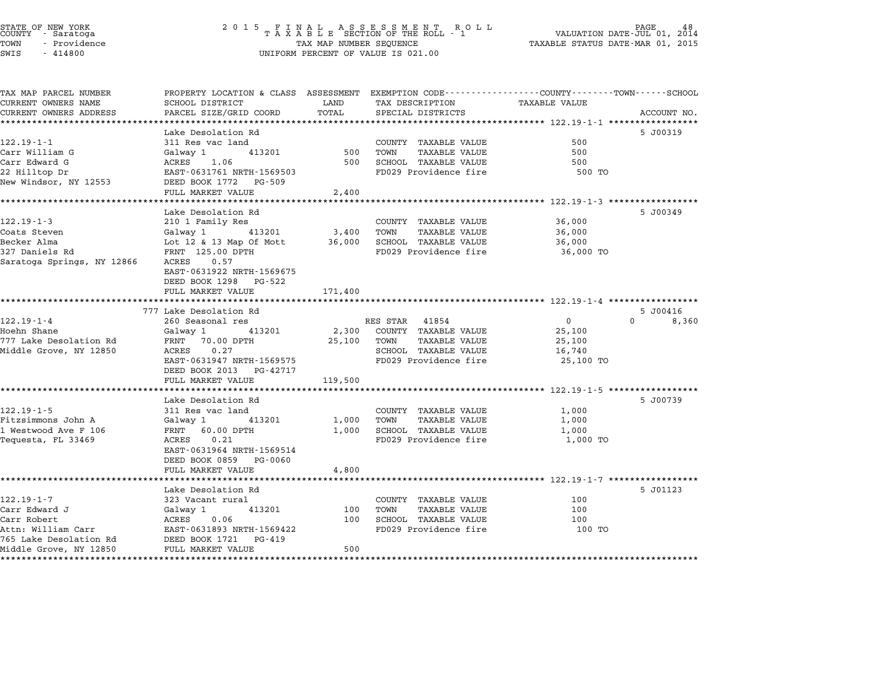# STATE OF NEW YORK <sup>2</sup> <sup>0</sup> <sup>1</sup> 5 F I N A L A S S E S S M E N T R O L L PAGE <sup>48</sup> COUNTY - Saratoga <sup>T</sup> <sup>A</sup> <sup>X</sup> <sup>A</sup> <sup>B</sup> <sup>L</sup> <sup>E</sup> SECTION OF THE ROLL - <sup>1</sup> VALUATION DATE-JUL 01, <sup>2014</sup> TOWN - Providence TAX MAP NUMBER SEQUENCE TAXABLE STATUS DATE-MAR 01, <sup>2015</sup> STATE OF NEW YORK STATE OF NEW YORK COUNTY - SATATOGRAPH SAMPLINE TO A SAMPLINE ROLL TO A SAMPLINE ROLL TO A SAMPLINE ROLL TO A SAMPLINE SEQUENCE TO A SAMPLINE ROLL TO A SAMPLINE SEQUENCE TO A SAMPLINE SEQUENCE TO A LA SAM

| TAX MAP PARCEL NUMBER                                 | PROPERTY LOCATION & CLASS ASSESSMENT EXEMPTION CODE---------------COUNTY-------TOWN-----SCHOOL |         |                                                   |                      |                   |
|-------------------------------------------------------|------------------------------------------------------------------------------------------------|---------|---------------------------------------------------|----------------------|-------------------|
| CURRENT OWNERS NAME                                   | SCHOOL DISTRICT                                                                                | LAND    | TAX DESCRIPTION                                   | <b>TAXABLE VALUE</b> |                   |
| CURRENT OWNERS ADDRESS<br>*************************** | PARCEL SIZE/GRID COORD                                                                         | TOTAL   | SPECIAL DISTRICTS                                 |                      | ACCOUNT NO.       |
|                                                       |                                                                                                |         |                                                   |                      |                   |
| 122.19-1-1                                            | Lake Desolation Rd<br>311 Res vac land                                                         |         |                                                   |                      | 5 J00319          |
|                                                       |                                                                                                | 500     | COUNTY TAXABLE VALUE                              | 500                  |                   |
| Carr William G<br>Carr Edward G                       | Galway 1<br>413201<br>ACRES 1.06                                                               |         | TOWN<br>TAXABLE VALUE<br>500 SCHOOL TAXABLE VALUE | 500<br>500           |                   |
|                                                       |                                                                                                |         |                                                   |                      |                   |
| 22 Hilltop Dr<br>New Windsor, NY 12553                | EAST-0631761 NRTH-1569503<br>DEED BOOK 1772 PG-509                                             |         | FD029 Providence fire                             | 500 TO               |                   |
|                                                       | FULL MARKET VALUE                                                                              | 2,400   |                                                   |                      |                   |
|                                                       |                                                                                                |         |                                                   |                      |                   |
|                                                       | Lake Desolation Rd                                                                             |         |                                                   |                      | 5 J00349          |
| 122.19-1-3                                            | 210 1 Family Res                                                                               |         | COUNTY TAXABLE VALUE                              | 36,000               |                   |
| Coats Steven                                          | Galway 1<br>413201                                                                             | 3,400   | TOWN<br>TAXABLE VALUE                             | 36,000               |                   |
| Becker Alma                                           | Lot 12 & 13 Map Of Mott                                                                        |         | 36,000 SCHOOL TAXABLE VALUE                       | 36,000               |                   |
| 327 Daniels Rd                                        | FRNT 125.00 DPTH                                                                               |         | FD029 Providence fire                             | 36,000 TO            |                   |
| Saratoga Springs, NY 12866                            | ACRES 0.57                                                                                     |         |                                                   |                      |                   |
|                                                       | EAST-0631922 NRTH-1569675                                                                      |         |                                                   |                      |                   |
|                                                       | DEED BOOK 1298 PG-522                                                                          |         |                                                   |                      |                   |
|                                                       | FULL MARKET VALUE                                                                              | 171,400 |                                                   |                      |                   |
|                                                       |                                                                                                |         |                                                   |                      |                   |
|                                                       | 777 Lake Desolation Rd                                                                         |         |                                                   |                      | 5 J00416          |
| $122.19 - 1 - 4$                                      | 260 Seasonal res                                                                               |         | RES STAR 41854                                    | $\overline{0}$       | $\Omega$<br>8,360 |
| Hoehn Shane                                           | Galway 1 413201                                                                                |         | 2,300 COUNTY TAXABLE VALUE                        | 25,100               |                   |
| 777 Lake Desolation Rd                                | FRNT 70.00 DPTH                                                                                | 25,100  | TOWN<br>TAXABLE VALUE                             | 25,100               |                   |
| Middle Grove, NY 12850                                | 0.27<br>ACRES                                                                                  |         | SCHOOL TAXABLE VALUE                              | 16,740               |                   |
|                                                       | EAST-0631947 NRTH-1569575                                                                      |         | FD029 Providence fire                             | 25,100 TO            |                   |
|                                                       | DEED BOOK 2013 PG-42717                                                                        |         |                                                   |                      |                   |
|                                                       | FULL MARKET VALUE                                                                              | 119,500 |                                                   |                      |                   |
|                                                       |                                                                                                |         |                                                   |                      |                   |
|                                                       | Lake Desolation Rd                                                                             |         |                                                   |                      | 5 J00739          |
| $122.19 - 1 - 5$                                      | 311 Res vac land                                                                               |         | COUNTY TAXABLE VALUE                              | 1,000                |                   |
| Fitzsimmons John A                                    | Galway 1 413201                                                                                | 1,000   | TOWN<br>TAXABLE VALUE                             | 1,000                |                   |
| 1 Westwood Ave F 106                                  | FRNT 60.00 DPTH                                                                                | 1,000   | SCHOOL TAXABLE VALUE                              | 1,000                |                   |
| Tequesta, FL 33469                                    | 0.21<br>ACRES                                                                                  |         | FD029 Providence fire                             | 1,000 TO             |                   |
|                                                       | EAST-0631964 NRTH-1569514                                                                      |         |                                                   |                      |                   |
|                                                       | DEED BOOK 0859 PG-0060                                                                         |         |                                                   |                      |                   |
|                                                       | FULL MARKET VALUE                                                                              | 4,800   |                                                   |                      |                   |
|                                                       |                                                                                                |         |                                                   |                      |                   |
|                                                       | Lake Desolation Rd                                                                             |         |                                                   |                      | 5 J01123          |
| $122.19 - 1 - 7$                                      | 323 Vacant rural                                                                               |         | COUNTY TAXABLE VALUE                              | 100                  |                   |
| Carr Edward J                                         | 413201<br>Galway 1                                                                             | 100     | TOWN<br>TAXABLE VALUE                             | 100                  |                   |
| Carr Robert                                           | ACRES 0.06                                                                                     | 100     | SCHOOL TAXABLE VALUE                              | 100                  |                   |
| Attn: William Carr                                    | EAST–0631893 NRTH–1569422<br>DEED BOOK 1721 PG–419                                             |         | FD029 Providence fire                             | 100 TO               |                   |
| 765 Lake Desolation Rd                                | DEED BOOK 1721<br>PG-419                                                                       |         |                                                   |                      |                   |
| Middle Grove, NY 12850                                | FULL MARKET VALUE                                                                              | 500     |                                                   |                      |                   |
| *******************                                   |                                                                                                |         |                                                   |                      |                   |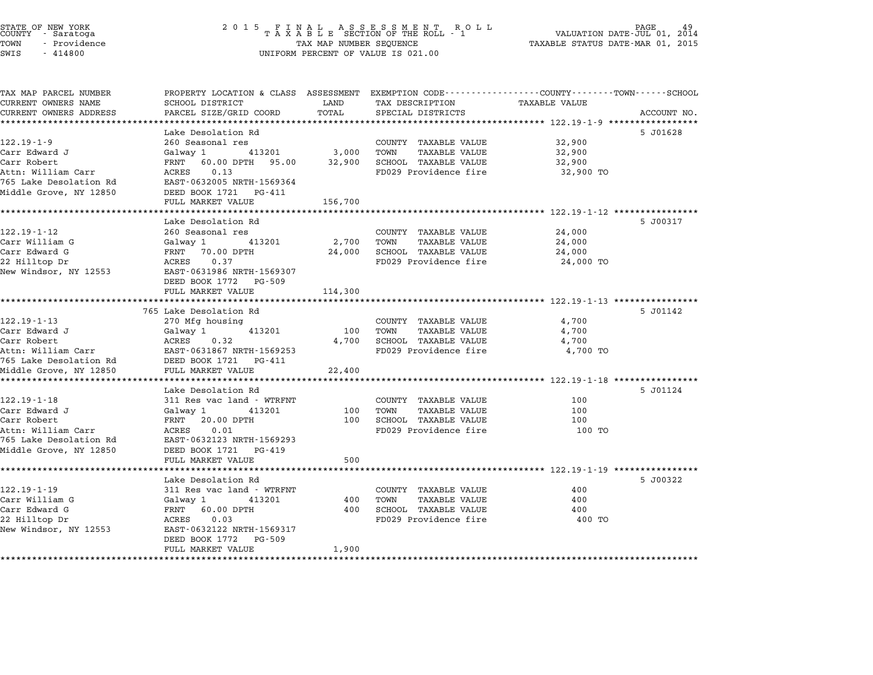STATE OF NEW YORK <sup>2</sup> <sup>0</sup> <sup>1</sup> 5 F I N A L A S S E S S M E N T R O L L PAGE <sup>49</sup> COUNTY - Saratoga <sup>T</sup> <sup>A</sup> <sup>X</sup> <sup>A</sup> <sup>B</sup> <sup>L</sup> <sup>E</sup> SECTION OF THE ROLL - <sup>1</sup> VALUATION DATE-JUL 01, <sup>2014</sup> TOWN - Providence TAX MAP NUMBER SEQUENCE TAXABLE STATUS DATE-MAR 01, <sup>2015</sup> COONTI - SATACOGA<br>TOWN - Providence<br>SWIS - 414800 UNIFORM PERCENT OF VALUE IS 021.00 TAX MAP PARCEL NUMBER PROPERTY LOCATION & CLASS ASSESSMENT EXEMPTION CODE------------------COUNTY--------TOWN------SCHOOL CURRENT OWNERS NAME SCHOOL DISTRICT LAND TAX DESCRIPTION TAXABLE VALUE CURRENT OWNERS ADDRESS PARCEL SIZE/GRID COORD TOTAL SPECIAL DISTRICTS ACCOUNT NO. \*\*\*\*\*\*\*\*\*\*\*\*\*\*\*\*\*\*\*\*\*\*\*\*\*\*\*\*\*\*\*\*\*\*\*\*\*\*\*\*\*\*\*\*\*\*\*\*\*\*\*\*\*\*\*\*\*\*\*\*\*\*\*\*\*\*\*\*\*\*\*\*\*\*\*\*\*\*\*\*\*\*\*\*\*\*\*\*\*\*\*\*\*\*\*\*\*\*\*\*\*\*\* 122.19-1-9 \*\*\*\*\*\*\*\*\*\*\*\*\*\*\*\*\* Lake Desolation Rd 5 J01628 122.19-1-9 122.19-1-9 Lake Desolation Rd<br>260 Seasonal res COUNTY TAXABLE VALUE 32,900 Carr Edward J Galway <sup>1</sup> <sup>413201</sup> 3,000 TOWN TAXABLE VALUE 32,900 Carr Robert FRNT 60.00 DPTH 95.00 32,900 SCHOOL TAXABLE VALUE 32,900 Attn: William Carr ACRES 0.13 FD029 Providence fire 32,900 TO 765 Lake Desolation Rd EAST-0632005 NRTH-1569364 ACCH: WITTIAM CAIT – ACCES – 0.15<br>765 Lake Desolation Rd – EAST-0632005 NRTH-15693<br>Middle Grove, NY 12850 – DEED BOOK 1721 – PG-411 FULL MARKET VALUE 156,700 \*\*\*\*\*\*\*\*\*\*\*\*\*\*\*\*\*\*\*\*\*\*\*\*\*\*\*\*\*\*\*\*\*\*\*\*\*\*\*\*\*\*\*\*\*\*\*\*\*\*\*\*\*\*\*\*\*\*\*\*\*\*\*\*\*\*\*\*\*\*\*\*\*\*\*\*\*\*\*\*\*\*\*\*\*\*\*\*\*\*\*\*\*\*\*\*\*\*\*\*\*\*\* 122.19-1-12 \*\*\*\*\*\*\*\*\*\*\*\*\*\*\*\* Lake Desolation Rd 5 J00317 122.19-122.19-122.19-122.19-122.19-122.19-122.19-122.19-122.19-122.19-122.19-122.19-1<br>Lake Desolation Rd<br>260 Seasonal res COUNTY TAXABLE VALUE 260 24,000 Carr William G Galway <sup>1</sup> <sup>413201</sup> 2,700 TOWN TAXABLE VALUE 24,000 Carr Edward G FRNT 70.00 DPTH 24,000 SCHOOL TAXABLE VALUE 24,000 CALL NILLIAM GROUND CONTROLL AND TRANSFERING AND ANNULL VALUE OF A VALUE OF A VALUE OF A VALUE OF A VALUE OF A<br>CART DR ACRES 0.37 FORD PORTH 24,000 SCRES 0.37 FD029 Providence fire 24,000 TO New Windsor, NY <sup>12553</sup> EAST-0631986 NRTH-1569307 EAST-0631986 NRTH-15693<br>DEED BOOK 1772 PG-509 FULL MARKET VALUE 114,300 \*\*\*\*\*\*\*\*\*\*\*\*\*\*\*\*\*\*\*\*\*\*\*\*\*\*\*\*\*\*\*\*\*\*\*\*\*\*\*\*\*\*\*\*\*\*\*\*\*\*\*\*\*\*\*\*\*\*\*\*\*\*\*\*\*\*\*\*\*\*\*\*\*\*\*\*\*\*\*\*\*\*\*\*\*\*\*\*\*\*\*\*\*\*\*\*\*\*\*\*\*\*\* 122.19-1-13 \*\*\*\*\*\*\*\*\*\*\*\*\*\*\*\* 765 Lake Desolation Rd 5 J01142 122.19-1-13 765 Lake Desolation Rd<br>270 Mfg housing COUNTY TAXABLE VALUE 4,700 Carr Edward J Galway <sup>1</sup> <sup>413201</sup> <sup>100</sup> TOWN TAXABLE VALUE 4,700 Carr Robert ACRES 0.32 4,700 SCHOOL TAXABLE VALUE 4,700 ATT Edward of the data of the same of the same of the same of the same of the same of the same of the same of t<br>Carr EAST-0631867 NRTH-1569253 FD029 Providence fire 4,700 TO 4,700 TO town the same of the 4,700 TO <sup>765</sup> Lake Desolation Rd DEED BOOK <sup>1721</sup> PG-411 Middle Grove, NY <sup>12850</sup> FULL MARKET VALUE 22,400 \*\*\*\*\*\*\*\*\*\*\*\*\*\*\*\*\*\*\*\*\*\*\*\*\*\*\*\*\*\*\*\*\*\*\*\*\*\*\*\*\*\*\*\*\*\*\*\*\*\*\*\*\*\*\*\*\*\*\*\*\*\*\*\*\*\*\*\*\*\*\*\*\*\*\*\*\*\*\*\*\*\*\*\*\*\*\*\*\*\*\*\*\*\*\*\*\*\*\*\*\*\*\* 122.19-1-18 \*\*\*\*\*\*\*\*\*\*\*\*\*\*\*\* rum manner van de 22,400<br>http://www.theritation.com/http://www.theritation.com/http://www.theritation.com/http://www.theritation.com/ht<br>Lake Desolation Rd 5 J01124 122.19-1-18 122.19<br>122.19-1-18 311 Res vac land - WTRFNT COUNTY TAXABLE VALUE 100 Carr Edward J Galway <sup>1</sup> <sup>413201</sup> <sup>100</sup> TOWN TAXABLE VALUE <sup>100</sup> Carr Robert FRNT 20.00 DPTH <sup>100</sup> SCHOOL TAXABLE VALUE <sup>100</sup> لامات المسلم التي يستطيع المسلم التي يستطيع المسلم المسلم المسلم المسلم المسلم المسلم المسلم المسلم بين المسلم<br>Carr Robert IOO (100 TO PTH 100 TO SCHOOL TAXABLE VALUE 100 TO<br>Attn: William Carr 100 TORES 0.01 765 Lake Desolation Rd EAST-0632123 NRTH-1569293 Middle Grove, NY <sup>12850</sup> DEED BOOK <sup>1721</sup> PG-419 EAST-0632123 NRTH-1569293<br>DEED BOOK 1721 PG-419<br>FULL MARKET VALUE 500 \*\*\*\*\*\*\*\*\*\*\*\*\*\*\*\*\*\*\*\*\*\*\*\*\*\*\*\*\*\*\*\*\*\*\*\*\*\*\*\*\*\*\*\*\*\*\*\*\*\*\*\*\*\*\*\*\*\*\*\*\*\*\*\*\*\*\*\*\*\*\*\*\*\*\*\*\*\*\*\*\*\*\*\*\*\*\*\*\*\*\*\*\*\*\*\*\*\*\*\*\*\*\* 122.19-1-19 \*\*\*\*\*\*\*\*\*\*\*\*\*\*\*\* ruin rinnin 1982<br>1992 - Ethiopia Superson, 1982 - 1983, 1984 - 1984 - 1984 - 1984 - 1984 - 1984 - 1984 - 1984 - 1984 - 1984 - 1<br>1900322 - 5 Jones Bake Desolation Rd 122.19-1-122.19-1-122.19-1-122.19-1-122.19-1-122.19-1-122.19-1-122.19-1-122.19-1-19<br>Lake Desolation Rd<br>311 Res vac land - WTRFNT COUNTY TAXABLE VALUE 400 Carr William G Galway <sup>1</sup> <sup>413201</sup> <sup>400</sup> TOWN TAXABLE VALUE <sup>400</sup> Carr Edward G FRNT 60.00 DPTH <sup>400</sup> SCHOOL TAXABLE VALUE <sup>400</sup> <sup>22</sup> Hilltop Dr ACRES 0.03 FD029 Providence fire <sup>400</sup> TO New Windsor, NY <sup>12553</sup> EAST-0632122 NRTH-1569317 EAST-0632122 NRTH-15693<br>DEED BOOK 1772 PG-509

\*\*\*\*\*\*\*\*\*\*\*\*\*\*\*\*\*\*\*\*\*\*\*\*\*\*\*\*\*\*\*\*\*\*\*\*\*\*\*\*\*\*\*\*\*\*\*\*\*\*\*\*\*\*\*\*\*\*\*\*\*\*\*\*\*\*\*\*\*\*\*\*\*\*\*\*\*\*\*\*\*\*\*\*\*\*\*\*\*\*\*\*\*\*\*\*\*\*\*\*\*\*\*\*\*\*\*\*\*\*\*\*\*\*\*\*\*\*\*\*\*\*\*\*\*\*\*\*\*\*\*\*

FULL MARKET VALUE 1,900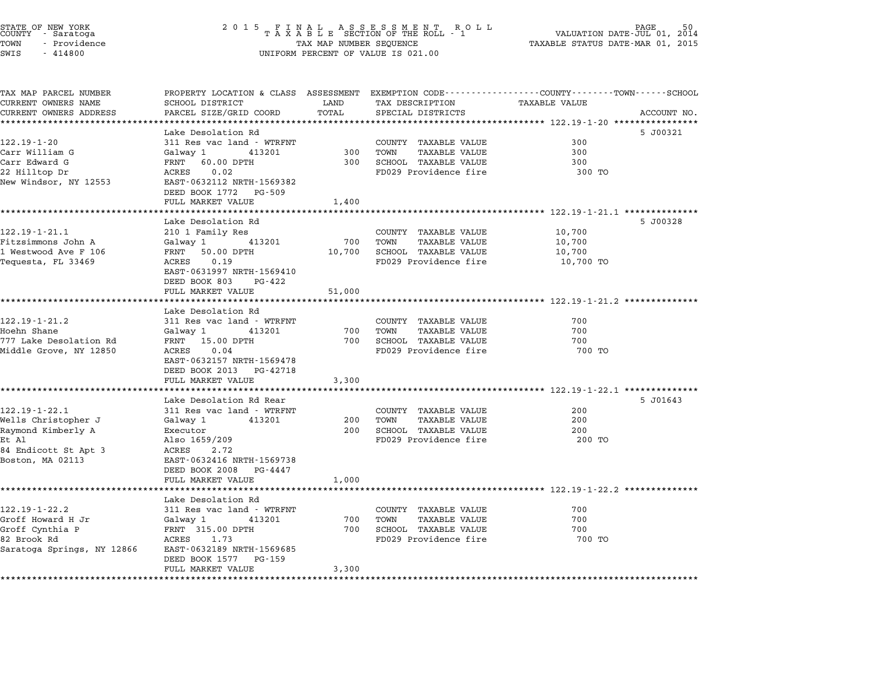| STATE OF NEW YORK<br>COUNTY - Saratoga<br>TOWN<br>- Providence<br>SWIS<br>$-414800$ | 2 0 1 5<br>FINAL ASSESSMENT ROTAXABLE SECTION OF THE ROLL - 1<br>R O L L<br>TAX MAP NUMBER SEQUENCE<br>UNIFORM PERCENT OF VALUE IS 021.00 |        |                              | PAGE<br>VALUATION DATE-JUL 01, 2014<br>TAXABLE STATUS DATE-MAR 01, 2015                                          |             |  |
|-------------------------------------------------------------------------------------|-------------------------------------------------------------------------------------------------------------------------------------------|--------|------------------------------|------------------------------------------------------------------------------------------------------------------|-------------|--|
| TAX MAP PARCEL NUMBER<br>CURRENT OWNERS NAME                                        | SCHOOL DISTRICT                                                                                                                           | LAND   | TAX DESCRIPTION              | PROPERTY LOCATION & CLASS ASSESSMENT EXEMPTION CODE----------------COUNTY-------TOWN-----SCHOOL<br>TAXABLE VALUE |             |  |
| CURRENT OWNERS ADDRESS                                                              | PARCEL SIZE/GRID COORD                                                                                                                    | TOTAL  | SPECIAL DISTRICTS            |                                                                                                                  | ACCOUNT NO. |  |
| ******************************                                                      |                                                                                                                                           |        |                              |                                                                                                                  |             |  |
| $122.19 - 1 - 20$                                                                   | Lake Desolation Rd<br>311 Res vac land - WTRFNT                                                                                           |        | COUNTY TAXABLE VALUE         | 300                                                                                                              | 5 J00321    |  |
| Carr William G                                                                      | Galwav 1<br>413201                                                                                                                        | 300    | TOWN<br><b>TAXABLE VALUE</b> | 300                                                                                                              |             |  |
| Carr Edward G                                                                       | FRNT 60.00 DPTH                                                                                                                           | 300    | SCHOOL TAXABLE VALUE         | 300                                                                                                              |             |  |
| 22 Hilltop Dr                                                                       | ACRES<br>0.02                                                                                                                             |        | FD029 Providence fire        | 300 TO                                                                                                           |             |  |
| New Windsor, NY 12553                                                               | EAST-0632112 NRTH-1569382<br>DEED BOOK 1772 PG-509                                                                                        |        |                              |                                                                                                                  |             |  |
|                                                                                     | FULL MARKET VALUE                                                                                                                         | 1,400  |                              |                                                                                                                  |             |  |
|                                                                                     | Lake Desolation Rd                                                                                                                        |        |                              |                                                                                                                  | 5 J00328    |  |
| $122.19 - 1 - 21.1$                                                                 | 210 1 Family Res                                                                                                                          |        | COUNTY TAXABLE VALUE         | 10,700                                                                                                           |             |  |
| Fitzsimmons John A                                                                  | 413201<br>Galway 1                                                                                                                        | 700    | TOWN<br><b>TAXABLE VALUE</b> | 10,700                                                                                                           |             |  |
| 1 Westwood Ave F 106                                                                | FRNT 50.00 DPTH                                                                                                                           | 10,700 | SCHOOL TAXABLE VALUE         | 10,700                                                                                                           |             |  |
| Tequesta, FL 33469                                                                  | 0.19<br>ACRES<br>EAST-0631997 NRTH-1569410                                                                                                |        | FD029 Providence fire        | 10,700 TO                                                                                                        |             |  |
|                                                                                     | DEED BOOK 803<br>PG-422                                                                                                                   |        |                              |                                                                                                                  |             |  |
|                                                                                     | FULL MARKET VALUE                                                                                                                         | 51,000 |                              |                                                                                                                  |             |  |
|                                                                                     | Lake Desolation Rd                                                                                                                        |        |                              |                                                                                                                  |             |  |
| $122.19 - 1 - 21.2$                                                                 | 311 Res vac land - WTRFNT                                                                                                                 |        | COUNTY TAXABLE VALUE         | 700                                                                                                              |             |  |
| Hoehn Shane                                                                         | Galway 1<br>413201                                                                                                                        | 700    | TOWN<br><b>TAXABLE VALUE</b> | 700                                                                                                              |             |  |
| 777 Lake Desolation Rd                                                              | FRNT 15.00 DPTH                                                                                                                           | 700    | SCHOOL TAXABLE VALUE         | 700                                                                                                              |             |  |
| Middle Grove, NY 12850                                                              | 0.04<br>ACRES                                                                                                                             |        | FD029 Providence fire        | 700 TO                                                                                                           |             |  |
|                                                                                     | EAST-0632157 NRTH-1569478                                                                                                                 |        |                              |                                                                                                                  |             |  |
|                                                                                     | DEED BOOK 2013 PG-42718                                                                                                                   |        |                              |                                                                                                                  |             |  |
|                                                                                     | FULL MARKET VALUE                                                                                                                         | 3,300  |                              |                                                                                                                  |             |  |
|                                                                                     | Lake Desolation Rd Rear                                                                                                                   |        |                              |                                                                                                                  | 5 J01643    |  |
| $122.19 - 1 - 22.1$                                                                 | 311 Res vac land - WTRFNT                                                                                                                 |        | COUNTY TAXABLE VALUE         | 200                                                                                                              |             |  |
| Wells Christopher J                                                                 | Galway 1<br>413201                                                                                                                        | 200    | TOWN<br><b>TAXABLE VALUE</b> | 200                                                                                                              |             |  |
| Raymond Kimberly A                                                                  | Executor                                                                                                                                  | 200    | SCHOOL TAXABLE VALUE         | 200                                                                                                              |             |  |
| Et Al                                                                               | Also 1659/209                                                                                                                             |        | FD029 Providence fire        | 200 TO                                                                                                           |             |  |
| 84 Endicott St Apt 3                                                                | ACRES<br>2.72                                                                                                                             |        |                              |                                                                                                                  |             |  |
| Boston, MA 02113                                                                    | EAST-0632416 NRTH-1569738                                                                                                                 |        |                              |                                                                                                                  |             |  |
|                                                                                     | DEED BOOK 2008<br>PG-4447<br>FULL MARKET VALUE                                                                                            | 1,000  |                              |                                                                                                                  |             |  |
|                                                                                     |                                                                                                                                           |        |                              | *************************** 122.19-1-22.2 ************                                                           |             |  |
|                                                                                     | Lake Desolation Rd                                                                                                                        |        |                              |                                                                                                                  |             |  |
| $122.19 - 1 - 22.2$                                                                 | 311 Res vac land - WTRFNT                                                                                                                 |        | COUNTY TAXABLE VALUE         | 700                                                                                                              |             |  |
| Groff Howard H Jr                                                                   | Galway 1<br>413201                                                                                                                        | 700    | TOWN<br><b>TAXABLE VALUE</b> | 700                                                                                                              |             |  |
| Groff Cynthia P                                                                     | FRNT 315.00 DPTH                                                                                                                          | 700    | SCHOOL TAXABLE VALUE         | 700                                                                                                              |             |  |
| 82 Brook Rd<br>Saratoga Springs, NY 12866                                           | 1.73<br>ACRES<br>EAST-0632189 NRTH-1569685                                                                                                |        | FD029 Providence fire        | 700 TO                                                                                                           |             |  |
|                                                                                     | DEED BOOK 1577 PG-159                                                                                                                     |        |                              |                                                                                                                  |             |  |
|                                                                                     | FULL MARKET VALUE                                                                                                                         | 3,300  |                              |                                                                                                                  |             |  |
|                                                                                     |                                                                                                                                           |        |                              |                                                                                                                  |             |  |

STATE OF NEW YORK <sup>2</sup> <sup>0</sup> <sup>1</sup> 5 F I N A L A S S E S S M E N T R O L L PAGE <sup>50</sup> COUNTY - Saratoga <sup>T</sup> <sup>A</sup> <sup>X</sup> <sup>A</sup> <sup>B</sup> <sup>L</sup> <sup>E</sup> SECTION OF THE ROLL - <sup>1</sup> VALUATION DATE-JUL 01, <sup>2014</sup>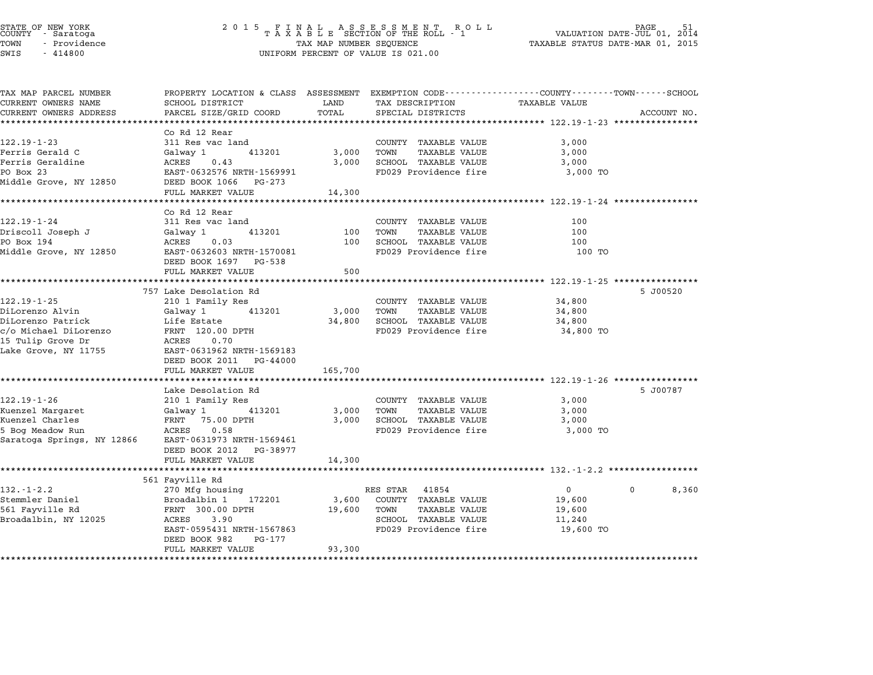| STATE OF NEW YORK |  |              |  |  |  |
|-------------------|--|--------------|--|--|--|
| COUNTY            |  | - Saratoga   |  |  |  |
| TOWN              |  | - Providence |  |  |  |

# STATE OF NEW YORK <sup>2</sup> <sup>0</sup> <sup>1</sup> 5 F I N A L A S S E S S M E N T R O L L PAGE <sup>51</sup> COUNTY - Saratoga <sup>T</sup> <sup>A</sup> <sup>X</sup> <sup>A</sup> <sup>B</sup> <sup>L</sup> <sup>E</sup> SECTION OF THE ROLL - <sup>1</sup> VALUATION DATE-JUL 01, <sup>2014</sup> TOWN - Providence TAX MAP NUMBER SEQUENCE TAXABLE STATUS DATE-MAR 01, <sup>2015</sup> SWIS - <sup>414800</sup> UNIFORM PERCENT OF VALUE IS 021.00

| TAX MAP PARCEL NUMBER               | PROPERTY LOCATION & CLASS ASSESSMENT EXEMPTION CODE---------------COUNTY-------TOWN------SCHOOL |                    |                                                      |                      |                   |
|-------------------------------------|-------------------------------------------------------------------------------------------------|--------------------|------------------------------------------------------|----------------------|-------------------|
| CURRENT OWNERS NAME                 | <b>SCHOOL DISTRICT</b>                                                                          | LAND               | TAX DESCRIPTION                                      | <b>TAXABLE VALUE</b> |                   |
| CURRENT OWNERS ADDRESS              | PARCEL SIZE/GRID COORD                                                                          | TOTAL              | SPECIAL DISTRICTS                                    |                      | ACCOUNT NO.       |
|                                     |                                                                                                 |                    |                                                      |                      |                   |
|                                     | Co Rd 12 Rear                                                                                   |                    |                                                      |                      |                   |
| $122.19 - 1 - 23$                   | 311 Res vac land                                                                                |                    | COUNTY TAXABLE VALUE                                 | 3,000                |                   |
| Ferris Gerald C<br>Ferris Geraldine | Galway 1<br>413201<br>ACRES<br>0.43                                                             | 3,000<br>3,000     | TOWN<br><b>TAXABLE VALUE</b><br>SCHOOL TAXABLE VALUE | 3,000<br>3,000       |                   |
| PO Box 23                           | EAST-0632576 NRTH-1569991                                                                       |                    | FD029 Providence fire                                | 3,000 TO             |                   |
| Middle Grove, NY 12850              | DEED BOOK 1066 PG-273                                                                           |                    |                                                      |                      |                   |
|                                     | FULL MARKET VALUE                                                                               | 14,300             |                                                      |                      |                   |
|                                     |                                                                                                 |                    |                                                      |                      |                   |
|                                     | Co Rd 12 Rear                                                                                   |                    |                                                      |                      |                   |
| 122.19-1-24                         | 311 Res vac land                                                                                |                    | COUNTY TAXABLE VALUE                                 | 100                  |                   |
| Driscoll Joseph J                   | 413201<br>Galway 1                                                                              | 100                | TOWN<br><b>TAXABLE VALUE</b>                         | 100                  |                   |
| PO Box 194                          | ACRES<br>0.03                                                                                   |                    | 100 SCHOOL TAXABLE VALUE                             | 100                  |                   |
| Middle Grove, NY 12850              | EAST-0632603 NRTH-1570081                                                                       |                    | FD029 Providence fire                                | 100 TO               |                   |
|                                     | DEED BOOK 1697 PG-538                                                                           |                    |                                                      |                      |                   |
|                                     | FULL MARKET VALUE                                                                               | 500                |                                                      |                      |                   |
|                                     | 757 Lake Desolation Rd                                                                          |                    |                                                      |                      | 5 J00520          |
| $122.19 - 1 - 25$                   | 210 1 Family Res                                                                                |                    | COUNTY TAXABLE VALUE                                 | 34,800               |                   |
| DiLorenzo Alvin                     | Galway 1<br>413201                                                                              | 3,000              | TOWN<br><b>TAXABLE VALUE</b>                         | 34,800               |                   |
| DiLorenzo Patrick                   | Life Estate                                                                                     |                    | 34,800 SCHOOL TAXABLE VALUE                          | 34,800               |                   |
| c/o Michael DiLorenzo               | FRNT 120.00 DPTH                                                                                |                    | FD029 Providence fire                                | 34,800 TO            |                   |
| 15 Tulip Grove Dr                   | ACRES<br>0.70                                                                                   |                    |                                                      |                      |                   |
| Lake Grove, NY 11755                | EAST-0631962 NRTH-1569183                                                                       |                    |                                                      |                      |                   |
|                                     | DEED BOOK 2011 PG-44000                                                                         |                    |                                                      |                      |                   |
|                                     | FULL MARKET VALUE                                                                               | 165,700            |                                                      |                      |                   |
|                                     |                                                                                                 |                    |                                                      |                      |                   |
|                                     | Lake Desolation Rd                                                                              |                    |                                                      |                      | 5 J00787          |
| 122.19-1-26<br>Kuenzel Margaret     | 210 1 Family Res<br>413201<br>Galway 1                                                          | 3,000              | COUNTY TAXABLE VALUE<br>TOWN<br><b>TAXABLE VALUE</b> | 3,000<br>3,000       |                   |
| Kuenzel Charles                     | FRNT 75.00 DPTH                                                                                 | 3,000              | SCHOOL TAXABLE VALUE                                 | 3,000                |                   |
| 5 Bog Meadow Run                    | ACRES<br>0.58                                                                                   |                    | FD029 Providence fire                                | 3,000 TO             |                   |
| Saratoga Springs, NY 12866          | EAST-0631973 NRTH-1569461                                                                       |                    |                                                      |                      |                   |
|                                     | DEED BOOK 2012 PG-38977                                                                         |                    |                                                      |                      |                   |
|                                     | FULL MARKET VALUE                                                                               | 14,300             |                                                      |                      |                   |
|                                     |                                                                                                 |                    |                                                      |                      |                   |
|                                     | 561 Fayville Rd                                                                                 |                    |                                                      |                      |                   |
| $132 - 1 - 2.2$                     | 270 Mfg housing                                                                                 |                    | RES STAR<br>41854                                    | $\overline{0}$       | $\Omega$<br>8,360 |
| Stemmler Daniel                     | Broadalbin 1<br>172201                                                                          | 3,600              | COUNTY TAXABLE VALUE                                 | 19,600               |                   |
| 561 Fayville Rd                     | FRNT 300.00 DPTH                                                                                | 19,600             | TOWN<br><b>TAXABLE VALUE</b>                         | 19,600               |                   |
| Broadalbin, NY 12025                | ACRES<br>3.90                                                                                   |                    | SCHOOL TAXABLE VALUE                                 | 11,240               |                   |
|                                     | EAST-0595431 NRTH-1567863<br>DEED BOOK 982<br>PG-177                                            |                    | FD029 Providence fire                                | 19,600 TO            |                   |
|                                     | FULL MARKET VALUE                                                                               | 93,300             |                                                      |                      |                   |
|                                     | *********************                                                                           | ****************** |                                                      |                      |                   |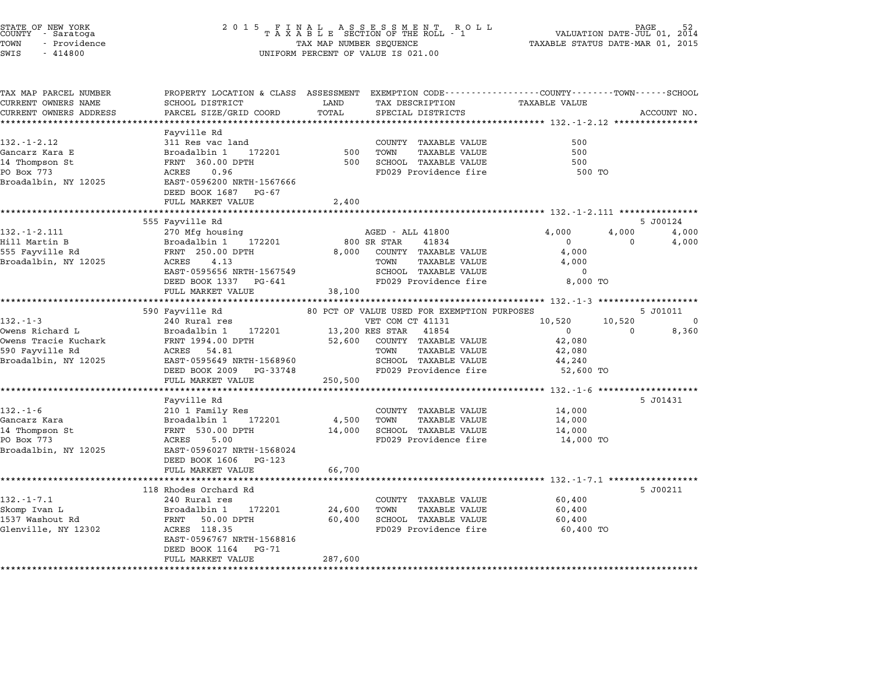|       | STATE OF NEW YORK<br>COUNTY - Saratoga |  |
|-------|----------------------------------------|--|
| TOWN  | - Providence                           |  |
| ----- | .                                      |  |

| TAX MAP PARCEL NUMBER<br>CURRENT OWNERS NAME | PROPERTY LOCATION & CLASS ASSESSMENT EXEMPTION CODE----------------COUNTY-------TOWN------SCHOOL<br>SCHOOL DISTRICT | LAND    | TAX DESCRIPTION                             | TAXABLE VALUE |                          |
|----------------------------------------------|---------------------------------------------------------------------------------------------------------------------|---------|---------------------------------------------|---------------|--------------------------|
| CURRENT OWNERS ADDRESS                       | PARCEL SIZE/GRID COORD                                                                                              | TOTAL   | SPECIAL DISTRICTS                           |               | ACCOUNT NO.              |
|                                              |                                                                                                                     |         |                                             |               |                          |
|                                              | Fayville Rd                                                                                                         |         |                                             |               |                          |
| $132. - 1 - 2.12$                            | 311 Res vac land                                                                                                    |         | COUNTY TAXABLE VALUE                        | 500           |                          |
| Gancarz Kara E                               | Broadalbin 1<br>172201                                                                                              | 500     | TOWN<br><b>TAXABLE VALUE</b>                | 500           |                          |
| 14 Thompson St                               | FRNT 360.00 DPTH                                                                                                    | 500     | SCHOOL TAXABLE VALUE                        | 500           |                          |
| PO Box 773                                   | ACRES<br>0.96                                                                                                       |         | FD029 Providence fire                       | 500 TO        |                          |
| Broadalbin, NY 12025                         | EAST-0596200 NRTH-1567666                                                                                           |         |                                             |               |                          |
|                                              | DEED BOOK 1687<br>PG-67                                                                                             |         |                                             |               |                          |
|                                              | FULL MARKET VALUE                                                                                                   | 2,400   |                                             |               |                          |
|                                              |                                                                                                                     |         |                                             |               |                          |
|                                              | 555 Fayville Rd                                                                                                     |         |                                             |               | 5 J00124                 |
| $132 - 1 - 2.111$                            | 270 Mfg housing                                                                                                     |         | AGED - ALL 41800                            | 4,000         | 4,000<br>4,000           |
| Hill Martin B                                | Broadalbin 1<br>172201                                                                                              |         | 800 SR STAR<br>41834                        | $\mathbf{0}$  | 4,000<br>$\Omega$        |
| 555 Fayville Rd                              | FRNT 250.00 DPTH                                                                                                    | 8,000   | COUNTY TAXABLE VALUE                        | 4,000         |                          |
| Broadalbin, NY 12025                         | 4.13<br>ACRES                                                                                                       |         | TOWN<br>TAXABLE VALUE                       | 4,000         |                          |
|                                              | EAST-0595656 NRTH-1567549                                                                                           |         | SCHOOL TAXABLE VALUE                        | 0             |                          |
|                                              | DEED BOOK 1337 PG-641                                                                                               |         | FD029 Providence fire                       | 8,000 TO      |                          |
|                                              | FULL MARKET VALUE                                                                                                   | 38,100  |                                             |               |                          |
|                                              | 590 Fayville Rd                                                                                                     |         | 80 PCT OF VALUE USED FOR EXEMPTION PURPOSES |               | 5 J01011                 |
| $132. - 1 - 3$                               | 240 Rural res                                                                                                       |         | VET COM CT 41131                            | 10,520        | 10,520<br>$\overline{0}$ |
| Owens Richard L                              | Broadalbin 1<br>172201                                                                                              |         | 13,200 RES STAR 41854                       | $\mathbf{0}$  | 8,360<br>0               |
| Owens Tracie Kuchark                         | FRNT 1994.00 DPTH                                                                                                   | 52,600  | COUNTY TAXABLE VALUE                        | 42,080        |                          |
| 590 Fayville Rd                              | ACRES 54.81                                                                                                         |         | TOWN<br>TAXABLE VALUE                       | 42,080        |                          |
| Broadalbin, NY 12025                         | EAST-0595649 NRTH-1568960                                                                                           |         | SCHOOL TAXABLE VALUE                        | 44,240        |                          |
|                                              | DEED BOOK 2009 PG-33748                                                                                             |         | FD029 Providence fire                       | 52,600 TO     |                          |
|                                              | FULL MARKET VALUE                                                                                                   | 250,500 |                                             |               |                          |
|                                              | **********************                                                                                              |         |                                             |               |                          |
|                                              | Fayville Rd                                                                                                         |         |                                             |               | 5 J01431                 |
| $132. - 1 - 6$                               | 210 1 Family Res                                                                                                    |         | COUNTY TAXABLE VALUE                        | 14,000        |                          |
| Gancarz Kara                                 | 172201<br>Broadalbin 1                                                                                              | 4,500   | TOWN<br>TAXABLE VALUE                       | 14,000        |                          |
| 14 Thompson St                               | FRNT 530.00 DPTH                                                                                                    | 14,000  | SCHOOL TAXABLE VALUE                        | 14,000        |                          |
| PO Box 773                                   | ACRES<br>5.00                                                                                                       |         | FD029 Providence fire                       | 14,000 TO     |                          |
| Broadalbin, NY 12025                         | EAST-0596027 NRTH-1568024                                                                                           |         |                                             |               |                          |
|                                              | DEED BOOK 1606<br>PG-123                                                                                            |         |                                             |               |                          |
|                                              | FULL MARKET VALUE                                                                                                   | 66,700  |                                             |               |                          |
|                                              |                                                                                                                     |         |                                             |               |                          |
|                                              | 118 Rhodes Orchard Rd                                                                                               |         |                                             |               | 5 J00211                 |
| $132. - 1 - 7.1$                             | 240 Rural res                                                                                                       |         | COUNTY TAXABLE VALUE                        | 60,400        |                          |
| Skomp Ivan L                                 | Broadalbin 1<br>172201                                                                                              | 24,600  | TOWN<br>TAXABLE VALUE                       | 60,400        |                          |
| 1537 Washout Rd                              | FRNT 50.00 DPTH                                                                                                     | 60,400  | SCHOOL TAXABLE VALUE                        | 60,400        |                          |
| Glenville, NY 12302                          | ACRES 118.35<br>EAST-0596767 NRTH-1568816                                                                           |         | FD029 Providence fire                       | 60,400 TO     |                          |
|                                              | $PG - 71$                                                                                                           |         |                                             |               |                          |
|                                              | DEED BOOK 1164<br>FULL MARKET VALUE                                                                                 | 287,600 |                                             |               |                          |
|                                              |                                                                                                                     |         |                                             |               |                          |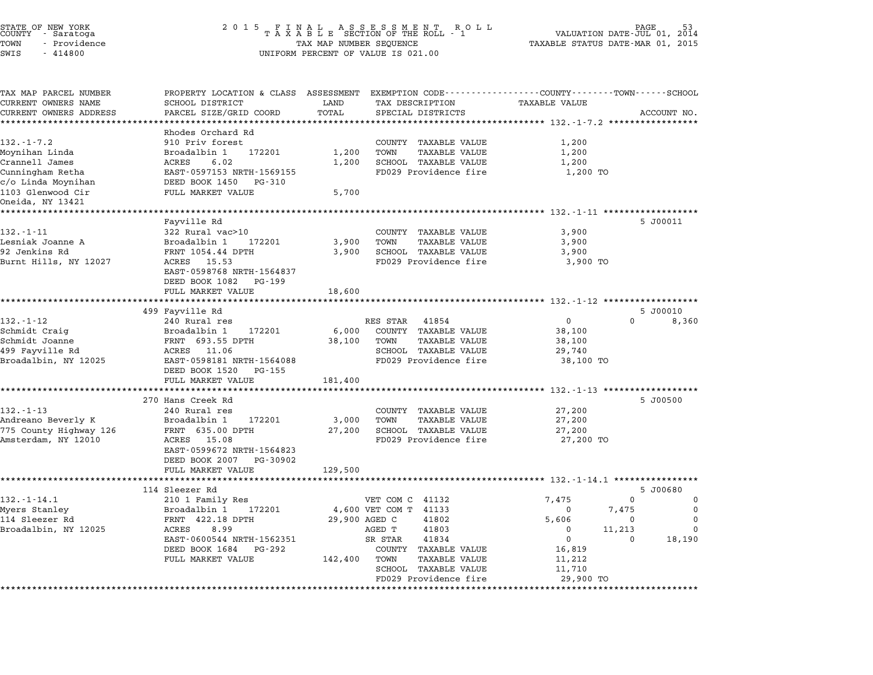| STATE OF NEW YORK<br>COUNTY - Saratoga<br>TOWN<br>- Providence<br>SWIS<br>$-414800$                                                     | 2 0 1 5                                                                                                                                                                                                                             | FINAL ASSESSMENT ROL<br>TAXABLE SECTION OF THE ROLL - 1<br>R O L L<br>TAX MAP NUMBER SEQUENCE<br>UNIFORM PERCENT OF VALUE IS 021.00                                                                                              | 53<br>2014<br>VALUATION DATE-JUL 01,<br>TAXABLE STATUS DATE-MAR 01, 2015                                                                                                                                   |
|-----------------------------------------------------------------------------------------------------------------------------------------|-------------------------------------------------------------------------------------------------------------------------------------------------------------------------------------------------------------------------------------|----------------------------------------------------------------------------------------------------------------------------------------------------------------------------------------------------------------------------------|------------------------------------------------------------------------------------------------------------------------------------------------------------------------------------------------------------|
| TAX MAP PARCEL NUMBER<br>CURRENT OWNERS NAME<br>CURRENT OWNERS ADDRESS                                                                  | SCHOOL DISTRICT<br>PARCEL SIZE/GRID COORD                                                                                                                                                                                           | LAND<br>TAX DESCRIPTION<br>TOTAL<br>SPECIAL DISTRICTS                                                                                                                                                                            | PROPERTY LOCATION & CLASS ASSESSMENT EXEMPTION CODE----------------COUNTY-------TOWN-----SCHOOL<br><b>TAXABLE VALUE</b><br>ACCOUNT NO.<br>************ 132.-1-7.2 ******************                       |
| $132. - 1 - 7.2$<br>Moynihan Linda<br>Crannell James<br>Cunningham Retha<br>c/o Linda Moynihan<br>1103 Glenwood Cir<br>Oneida, NY 13421 | Rhodes Orchard Rd<br>910 Priv forest<br>Broadalbin 1<br>172201<br>6.02<br>ACRES<br>EAST-0597153 NRTH-1569155<br>DEED BOOK 1450<br>PG-310<br>FULL MARKET VALUE                                                                       | COUNTY TAXABLE VALUE<br>1,200<br><b>TAXABLE VALUE</b><br>TOWN<br>1,200<br>SCHOOL TAXABLE VALUE<br>FD029 Providence fire<br>5,700                                                                                                 | 1,200<br>1,200<br>1,200<br>1,200 TO                                                                                                                                                                        |
| *************<br>$132. - 1 - 11$<br>Lesniak Joanne A<br>92 Jenkins Rd<br>Burnt Hills, NY 12027                                          | Fayville Rd<br>322 Rural vac>10<br>Broadalbin 1<br>172201<br>FRNT 1054.44 DPTH<br>ACRES 15.53<br>EAST-0598768 NRTH-1564837<br>DEED BOOK 1082<br>PG-199<br>FULL MARKET VALUE                                                         | COUNTY TAXABLE VALUE<br>3,900<br>TAXABLE VALUE<br>TOWN<br>3,900<br><b>SCHOOL TAXABLE VALUE</b><br>FD029 Providence fire<br>18,600                                                                                                | 5 J00011<br>3,900<br>3,900<br>3,900<br>3,900 TO                                                                                                                                                            |
| $132. - 1 - 12$<br>Schmidt Craig<br>Schmidt Joanne<br>499 Fayville Rd<br>Broadalbin, NY 12025                                           | 499 Fayville Rd<br>240 Rural res<br>172201<br>Broadalbin 1<br>FRNT 693.55 DPTH<br>ACRES<br>11.06<br>EAST-0598181 NRTH-1564088<br>DEED BOOK 1520<br>PG-155                                                                           | RES STAR<br>41854<br>COUNTY TAXABLE VALUE<br>6,000<br>38,100<br>TOWN<br><b>TAXABLE VALUE</b><br>SCHOOL TAXABLE VALUE<br>FD029 Providence fire                                                                                    | ******************** 132.-1-12 *************<br>5 J00010<br>0<br>$\Omega$<br>8,360<br>38,100<br>38,100<br>29,740<br>38,100 TO                                                                              |
| $132 - 1 - 13$<br>Andreano Beverly K<br>775 County Highway 126<br>Amsterdam, NY 12010                                                   | FULL MARKET VALUE<br>************************<br>270 Hans Creek Rd<br>240 Rural res<br>Broadalbin 1<br>172201<br>FRNT 635.00 DPTH<br>ACRES<br>15.08<br>EAST-0599672 NRTH-1564823<br>DEED BOOK 2007<br>PG-30902<br>FULL MARKET VALUE | 181,400<br>COUNTY TAXABLE VALUE<br>3,000<br>TOWN<br><b>TAXABLE VALUE</b><br>27,200<br>SCHOOL TAXABLE VALUE<br>FD029 Providence fire<br>129,500                                                                                   | 5 J00500<br>27,200<br>27,200<br>27,200<br>27,200 TO                                                                                                                                                        |
| $132 - 1 - 14.1$<br>Myers Stanley<br>114 Sleezer Rd<br>Broadalbin, NY 12025                                                             | 114 Sleezer Rd<br>210 1 Family Res<br>Broadalbin 1<br>172201<br>FRNT 422.18 DPTH<br>8.99<br>ACRES<br>EAST-0600544 NRTH-1562351<br>DEED BOOK 1684<br>PG-292<br>FULL MARKET VALUE<br>*********************************                | VET COM C 41132<br>4,600 VET COM T 41133<br>29,900 AGED C<br>41802<br>41803<br>AGED T<br>SR STAR<br>41834<br><b>TAXABLE VALUE</b><br>COUNTY<br>142,400<br>TOWN<br>TAXABLE VALUE<br>SCHOOL TAXABLE VALUE<br>FD029 Providence fire | ******* 132.-1-14.1 ****************<br>5 J00680<br>7,475<br>$\Omega$<br>$\Omega$<br>7,475<br>0<br>0<br>5,606<br>0<br>0<br>0<br>11,213<br>0<br>0<br>18,190<br>0<br>16,819<br>11,212<br>11,710<br>29,900 TO |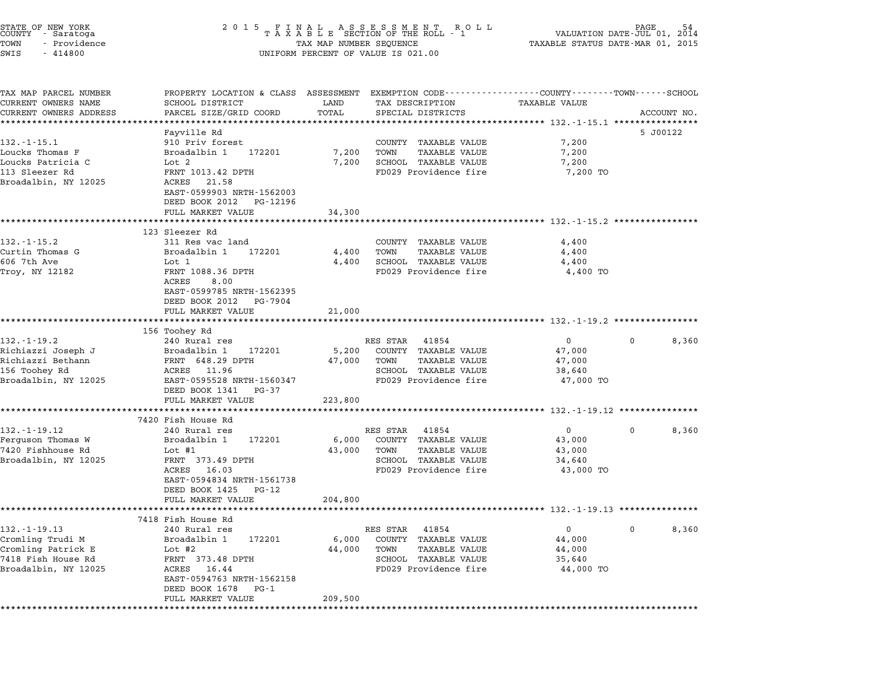| STATE OF NEW YORK<br>COUNTY - Saratoga<br>TOWN<br>- Providence<br>SWIS<br>$-414800$                        |                                                                                                                                                                                         | TAX MAP NUMBER SEQUENCE        | UNIFORM PERCENT OF VALUE IS 021.00                                                                                      | TAXABLE STATUS DATE-MAR 01, 2015                        | 54<br>AGE<br>VALUATION DATE-JUL 01, 2014 |
|------------------------------------------------------------------------------------------------------------|-----------------------------------------------------------------------------------------------------------------------------------------------------------------------------------------|--------------------------------|-------------------------------------------------------------------------------------------------------------------------|---------------------------------------------------------|------------------------------------------|
| TAX MAP PARCEL NUMBER<br>CURRENT OWNERS NAME<br>CURRENT OWNERS ADDRESS                                     | PROPERTY LOCATION & CLASS ASSESSMENT EXEMPTION CODE--------------COUNTY-------TOWN-----SCHOOL<br>SCHOOL DISTRICT<br>PARCEL SIZE/GRID COORD<br>*******************                       | LAND<br>TOTAL<br>************* | TAX DESCRIPTION<br>SPECIAL DISTRICTS<br>·************************************ 132.-1-15.1 **********                    | TAXABLE VALUE                                           | ACCOUNT NO.                              |
| 132.-1-15.1<br>Loucks Thomas F<br>Loucks Patricia C<br>113 Sleezer Rd<br>Broadalbin, NY 12025              | Fayville Rd<br>910 Priv forest<br>Broadalbin 1<br>172201<br>Lot 2<br>FRNT 1013.42 DPTH<br>ACRES<br>21.58<br>EAST-0599903 NRTH-1562003                                                   | 7,200<br>7,200                 | COUNTY TAXABLE VALUE<br>TAXABLE VALUE<br>TOWN<br>SCHOOL TAXABLE VALUE<br>FD029 Providence fire                          | 7,200<br>7,200<br>7,200<br>7,200 TO                     | 5 J00122                                 |
|                                                                                                            | DEED BOOK 2012<br>PG-12196<br>FULL MARKET VALUE<br>*********************                                                                                                                | 34,300                         |                                                                                                                         |                                                         |                                          |
| $132 - 1 - 15.2$<br>Curtin Thomas G<br>606 7th Ave<br>Troy, NY 12182                                       | 123 Sleezer Rd<br>311 Res vac land<br>172201<br>Broadalbin 1<br>Lot 1<br>FRNT 1088.36 DPTH<br>ACRES<br>8.00<br>EAST-0599785 NRTH-1562395<br>DEED BOOK 2012 PG-7904<br>FULL MARKET VALUE | 4,400<br>4,400<br>21,000       | COUNTY TAXABLE VALUE<br><b>TAXABLE VALUE</b><br>TOWN<br>SCHOOL TAXABLE VALUE<br>FD029 Providence fire                   | 4,400<br>4,400<br>4,400<br>4,400 TO                     |                                          |
| $132 - 1 - 19.2$<br>Richiazzi Joseph J                                                                     | 156 Toohey Rd<br>240 Rural res<br>Broadalbin 1<br>172201                                                                                                                                | **********<br>5,200            | RES STAR<br>41854<br>COUNTY TAXABLE VALUE                                                                               | $\mathbf{0}$<br>47,000                                  | 8,360<br>0                               |
| Richiazzi Bethann<br>156 Toohey Rd<br>Broadalbin, NY 12025                                                 | FRNT 648.29 DPTH<br>ACRES 11.96<br>EAST-0595528 NRTH-1560347<br>DEED BOOK 1341<br>PG-37                                                                                                 | 47,000                         | TOWN<br>TAXABLE VALUE<br>SCHOOL TAXABLE VALUE<br>FD029 Providence fire                                                  | 47,000<br>38,640<br>47,000 TO                           |                                          |
|                                                                                                            | FULL MARKET VALUE                                                                                                                                                                       | 223,800                        |                                                                                                                         |                                                         |                                          |
| $132. - 1 - 19.12$<br>Ferguson Thomas W<br>7420 Fishhouse Rd<br>Broadalbin, NY 12025                       | 7420 Fish House Rd<br>240 Rural res<br>Broadalbin 1<br>172201<br>Lot $#1$<br>FRNT 373.49 DPTH<br>ACRES<br>16.03<br>EAST-0594834 NRTH-1561738<br>DEED BOOK 1425<br>PG-12                 | 6,000<br>43,000                | RES STAR 41854<br>COUNTY TAXABLE VALUE<br><b>TAXABLE VALUE</b><br>TOWN<br>SCHOOL TAXABLE VALUE<br>FD029 Providence fire | $\mathbf{0}$<br>43,000<br>43,000<br>34,640<br>43,000 TO | 0<br>8,360                               |
|                                                                                                            | FULL MARKET VALUE                                                                                                                                                                       | 204,800                        |                                                                                                                         |                                                         |                                          |
| $132. - 1 - 19.13$<br>Cromling Trudi M<br>Cromling Patrick E<br>7418 Fish House Rd<br>Broadalbin, NY 12025 | 7418 Fish House Rd<br>240 Rural res<br>Broadalbin 1<br>172201<br>Lot $#2$<br>FRNT 373.48 DPTH<br>ACRES 16.44<br>EAST-0594763 NRTH-1562158<br>DEED BOOK 1678 PG-1<br>FULL MARKET VALUE   | 6,000<br>44,000<br>209,500     | RES STAR 41854<br>COUNTY TAXABLE VALUE<br>TAXABLE VALUE<br>TOWN<br>SCHOOL TAXABLE VALUE<br>FD029 Providence fire        | 0<br>44,000<br>44,000<br>35,640<br>44,000 TO            | $\mathbf{0}$<br>8,360                    |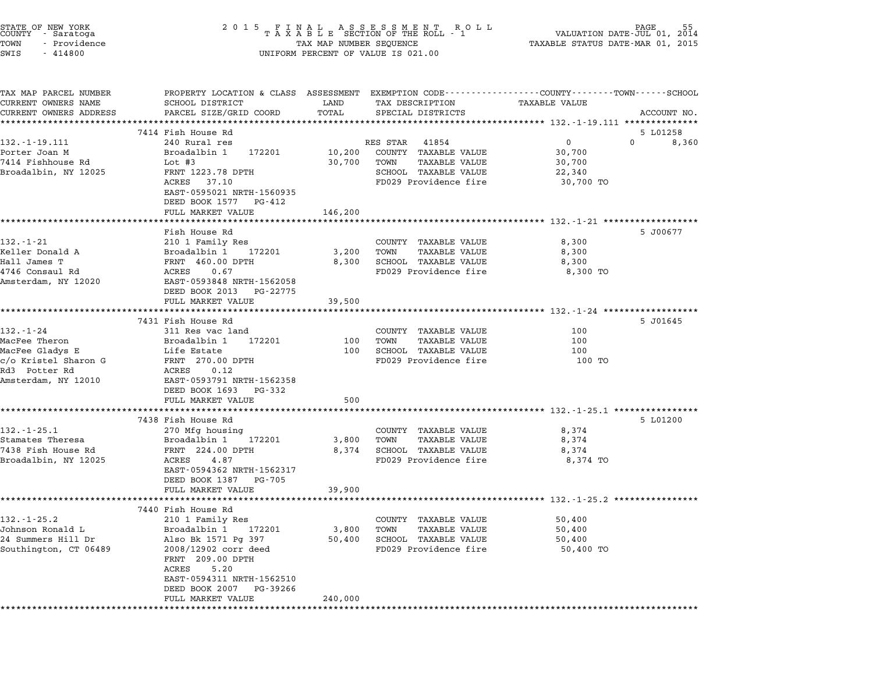| STATE OF NEW YORK<br>COUNTY - Saratoga<br>TOWN<br>- Providence<br>SWIS<br>$-414800$          | 2 0 1 5                                                                                                                                                      | TAX MAP NUMBER SEQUENCE  | FINAL ASSESSMENT ROLL<br>TAXABLE SECTION OF THE ROLL - 1<br>UNIFORM PERCENT OF VALUE IS 021.00           | VALUATION DATE-JUL 01,<br>TAXABLE STATUS DATE-MAR 01, 2015 | 55<br>2014  |
|----------------------------------------------------------------------------------------------|--------------------------------------------------------------------------------------------------------------------------------------------------------------|--------------------------|----------------------------------------------------------------------------------------------------------|------------------------------------------------------------|-------------|
| TAX MAP PARCEL NUMBER<br>CURRENT OWNERS NAME<br>CURRENT OWNERS ADDRESS                       | PROPERTY LOCATION & CLASS ASSESSMENT EXEMPTION CODE---------------COUNTY-------TOWN-----SCHOOL<br>SCHOOL DISTRICT<br>PARCEL SIZE/GRID COORD                  | LAND<br>TOTAL            | TAX DESCRIPTION<br>SPECIAL DISTRICTS                                                                     | <b>TAXABLE VALUE</b>                                       | ACCOUNT NO. |
|                                                                                              | 7414 Fish House Rd                                                                                                                                           | ******                   |                                                                                                          | ********************** 132.-1-19.111 ***************       | 5 L01258    |
| 132. - 1 - 19. 111                                                                           | 240 Rural res                                                                                                                                                |                          | RES STAR<br>41854                                                                                        | 0                                                          | 0<br>8,360  |
| Porter Joan M<br>7414 Fishhouse Rd<br>Broadalbin, NY 12025                                   | Broadalbin 1<br>172201<br>Lot #3<br>FRNT 1223.78 DPTH<br>ACRES<br>37.10<br>EAST-0595021 NRTH-1560935                                                         | 10,200<br>30,700         | COUNTY TAXABLE VALUE<br>TOWN<br><b>TAXABLE VALUE</b><br>SCHOOL TAXABLE VALUE<br>FD029 Providence fire    | 30,700<br>30,700<br>22,340<br>30,700 TO                    |             |
|                                                                                              | DEED BOOK 1577<br>PG-412<br>FULL MARKET VALUE                                                                                                                | 146,200                  |                                                                                                          |                                                            |             |
|                                                                                              |                                                                                                                                                              |                          |                                                                                                          | ********************** 132.-1-21 *************             |             |
| $132. - 1 - 21$<br>Keller Donald A<br>Hall James T<br>4746 Consaul Rd<br>Amsterdam, NY 12020 | Fish House Rd<br>210 1 Family Res<br>Broadalbin 1<br>172201<br>FRNT 460.00 DPTH<br>0.67<br>ACRES<br>EAST-0593848 NRTH-1562058<br>DEED BOOK 2013              | 3,200<br>8,300           | COUNTY TAXABLE VALUE<br><b>TAXABLE VALUE</b><br>TOWN<br>SCHOOL TAXABLE VALUE<br>FD029 Providence fire    | 8,300<br>8,300<br>8,300<br>8,300 TO                        | 5 J00677    |
|                                                                                              | PG-22775<br>FULL MARKET VALUE                                                                                                                                | 39,500                   |                                                                                                          |                                                            |             |
|                                                                                              |                                                                                                                                                              |                          |                                                                                                          |                                                            |             |
|                                                                                              | 7431 Fish House Rd                                                                                                                                           |                          |                                                                                                          |                                                            | 5 J01645    |
| $132 - 1 - 24$                                                                               | 311 Res vac land                                                                                                                                             |                          | COUNTY TAXABLE VALUE                                                                                     | 100                                                        |             |
| MacFee Theron                                                                                | Broadalbin 1<br>172201                                                                                                                                       | 100<br>100               | TAXABLE VALUE<br>TOWN<br>SCHOOL TAXABLE VALUE                                                            | 100<br>100                                                 |             |
| MacFee Gladys E<br>c/o Kristel Sharon G<br>Rd3 Potter Rd<br>Amsterdam, NY 12010              | Life Estate<br>FRNT 270.00 DPTH<br>ACRES<br>0.12<br>EAST-0593791 NRTH-1562358<br>DEED BOOK 1693<br>PG-332                                                    |                          | FD029 Providence fire                                                                                    | 100 TO                                                     |             |
|                                                                                              | FULL MARKET VALUE                                                                                                                                            | 500                      |                                                                                                          |                                                            |             |
|                                                                                              | 7438 Fish House Rd                                                                                                                                           |                          |                                                                                                          |                                                            | 5 L01200    |
| $132. - 1 - 25.1$<br>Stamates Theresa<br>7438 Fish House Rd<br>Broadalbin, NY 12025          | 270 Mfg housing<br>Broadalbin 1<br>172201<br>FRNT 224.00 DPTH<br>ACRES<br>4.87<br>EAST-0594362 NRTH-1562317<br>DEED BOOK 1387<br>PG-705<br>FULL MARKET VALUE | 3,800<br>8,374<br>39,900 | COUNTY TAXABLE VALUE<br>TOWN<br>TAXABLE VALUE<br>SCHOOL TAXABLE VALUE<br>FD029 Providence fire           | 8,374<br>8,374<br>8,374<br>8,374 TO                        |             |
|                                                                                              |                                                                                                                                                              |                          |                                                                                                          | *************************** 132.-1-25.2 ********           |             |
| $132 - 1 - 25.2$<br>Johnson Ronald L<br>24 Summers Hill Dr<br>Southington, CT 06489          | 7440 Fish House Rd<br>210 1 Family Res<br>Broadalbin 1<br>172201<br>Also Bk 1571 Pg 397<br>2008/12902 corr deed<br>FRNT 209.00 DPTH<br>ACRES<br>5.20         | 3,800<br>50,400          | TAXABLE VALUE<br>COUNTY<br><b>TAXABLE VALUE</b><br>TOWN<br>SCHOOL TAXABLE VALUE<br>FD029 Providence fire | 50,400<br>50,400<br>50,400<br>50,400 TO                    |             |
|                                                                                              | EAST-0594311 NRTH-1562510<br>DEED BOOK 2007<br>PG-39266<br>FULL MARKET VALUE                                                                                 | 240,000                  |                                                                                                          |                                                            |             |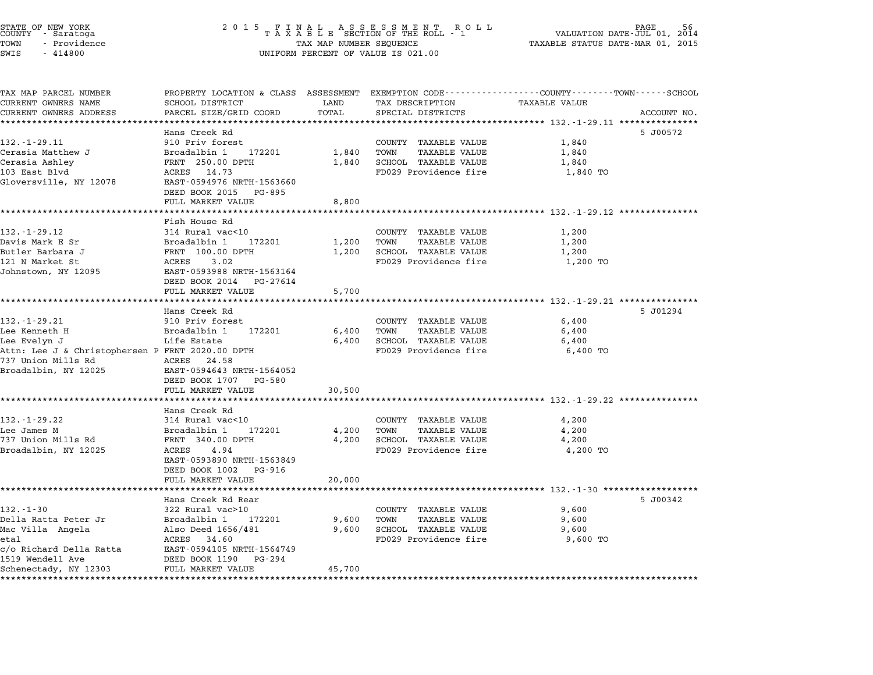| STATE OF NEW YORK<br>COUNTY – Saratoga<br>TOWN<br>- Providence<br>SWIS<br>$-414800$ | $\begin{array}{cccccccccccccccccc} 2& 0& 1& 5 & & F & I & N & A & L & & A & S & S & E & S & S & M & E & N & T & & R & O & L \\ T & A & X & A & B & L & E & SECTION OF THE ROLL & - & 1 \end{array}$<br>TAX MAP NUMBER SEQUENCE<br>UNIFORM PERCENT OF VALUE IS 021.00 |                    |                                               | PAGE<br>VALUATION DATE-JUL 01, 2014<br>TAXABLE STATUS DATE-MAR 01, 2015                                                 |  |
|-------------------------------------------------------------------------------------|----------------------------------------------------------------------------------------------------------------------------------------------------------------------------------------------------------------------------------------------------------------------|--------------------|-----------------------------------------------|-------------------------------------------------------------------------------------------------------------------------|--|
| TAX MAP PARCEL NUMBER<br>CURRENT OWNERS NAME                                        | SCHOOL DISTRICT                                                                                                                                                                                                                                                      | LAND               | TAX DESCRIPTION                               | PROPERTY LOCATION & CLASS ASSESSMENT EXEMPTION CODE----------------COUNTY-------TOWN-----SCHOOL<br><b>TAXABLE VALUE</b> |  |
| CURRENT OWNERS ADDRESS                                                              | PARCEL SIZE/GRID COORD                                                                                                                                                                                                                                               | TOTAL              | SPECIAL DISTRICTS                             | ACCOUNT NO.                                                                                                             |  |
| **********************                                                              |                                                                                                                                                                                                                                                                      |                    |                                               |                                                                                                                         |  |
|                                                                                     | Hans Creek Rd                                                                                                                                                                                                                                                        |                    |                                               | 5 J00572                                                                                                                |  |
| $132. - 1 - 29.11$                                                                  | 910 Priv forest                                                                                                                                                                                                                                                      |                    | COUNTY TAXABLE VALUE                          | 1,840                                                                                                                   |  |
| Cerasia Matthew J                                                                   | Broadalbin 1 172201                                                                                                                                                                                                                                                  | 1,840              | TOWN<br>TAXABLE VALUE                         | 1,840                                                                                                                   |  |
| Cerasia Ashley<br>103 East Blvd                                                     | FRNT 250.00 DPTH<br>ACRES 14.73                                                                                                                                                                                                                                      | 1,840              | SCHOOL TAXABLE VALUE<br>FD029 Providence fire | 1,840<br>1,840 TO                                                                                                       |  |
| Gloversville, NY 12078                                                              | EAST-0594976 NRTH-1563660<br>DEED BOOK 2015 PG-895                                                                                                                                                                                                                   |                    |                                               |                                                                                                                         |  |
|                                                                                     | FULL MARKET VALUE                                                                                                                                                                                                                                                    | 8,800              |                                               |                                                                                                                         |  |
|                                                                                     | * * * * * * * * * * * * * * * * * * * *                                                                                                                                                                                                                              | *************      |                                               | ******************************** 132.-1-29.12 *************                                                             |  |
|                                                                                     | Fish House Rd                                                                                                                                                                                                                                                        |                    |                                               |                                                                                                                         |  |
| $132 - 1 - 29 - 12$<br>Davis Mark E Sr                                              | 314 Rural vac<10<br>Broadalbin 1<br>172201                                                                                                                                                                                                                           | 1,200              | COUNTY TAXABLE VALUE<br>TAXABLE VALUE<br>TOWN | 1,200<br>1,200                                                                                                          |  |
| Butler Barbara J                                                                    | FRNT 100.00 DPTH                                                                                                                                                                                                                                                     | 1,200              | SCHOOL TAXABLE VALUE                          | 1,200                                                                                                                   |  |
| 121 N Market St                                                                     | ACRES 3.02                                                                                                                                                                                                                                                           |                    | FD029 Providence fire                         | 1,200 TO                                                                                                                |  |
| Johnstown, NY 12095                                                                 | EAST-0593988 NRTH-1563164<br>DEED BOOK 2014 PG-27614                                                                                                                                                                                                                 |                    |                                               |                                                                                                                         |  |
|                                                                                     | FULL MARKET VALUE                                                                                                                                                                                                                                                    | 5,700              |                                               |                                                                                                                         |  |
|                                                                                     |                                                                                                                                                                                                                                                                      | ***********        |                                               | ************************ 132.-1-29.21 ***************                                                                   |  |
| 132.-1-29.21                                                                        | Hans Creek Rd<br>910 Priv forest                                                                                                                                                                                                                                     |                    | COUNTY TAXABLE VALUE                          | 5 J01294<br>6,400                                                                                                       |  |
| Lee Kenneth H                                                                       | Broadalbin 1<br>172201                                                                                                                                                                                                                                               | 6,400              | TOWN<br><b>TAXABLE VALUE</b>                  | 6,400                                                                                                                   |  |
| Lee Evelyn J                                                                        | Life Estate                                                                                                                                                                                                                                                          | 6,400              | SCHOOL TAXABLE VALUE                          | 6,400                                                                                                                   |  |
| Attn: Lee J & Christophersen P FRNT 2020.00 DPTH                                    |                                                                                                                                                                                                                                                                      |                    | FD029 Providence fire                         | 6,400 TO                                                                                                                |  |
| 737 Union Mills Rd                                                                  | ACRES 24.58                                                                                                                                                                                                                                                          |                    |                                               |                                                                                                                         |  |
| Broadalbin, NY 12025                                                                | EAST-0594643 NRTH-1564052<br>DEED BOOK 1707 PG-580                                                                                                                                                                                                                   |                    |                                               |                                                                                                                         |  |
|                                                                                     | FULL MARKET VALUE                                                                                                                                                                                                                                                    | 30,500<br>******** |                                               | ;***************************** 132.-1-29.22 **************                                                              |  |
|                                                                                     | Hans Creek Rd                                                                                                                                                                                                                                                        |                    |                                               |                                                                                                                         |  |
| $132. - 1 - 29.22$                                                                  | 314 Rural vac<10                                                                                                                                                                                                                                                     |                    | COUNTY TAXABLE VALUE                          | 4,200                                                                                                                   |  |
| Lee James M                                                                         | Broadalbin 1 172201                                                                                                                                                                                                                                                  | 4,200              | TOWN<br>TAXABLE VALUE                         | 4,200                                                                                                                   |  |
| 737 Union Mills Rd                                                                  | FRNT 340.00 DPTH                                                                                                                                                                                                                                                     | 4,200              | SCHOOL TAXABLE VALUE                          | 4,200                                                                                                                   |  |
| Broadalbin, NY 12025                                                                | ACRES<br>4.94<br>EAST-0593890 NRTH-1563849                                                                                                                                                                                                                           |                    | FD029 Providence fire                         | 4,200 TO                                                                                                                |  |
|                                                                                     | DEED BOOK 1002 PG-916<br>FULL MARKET VALUE                                                                                                                                                                                                                           | 20,000             |                                               |                                                                                                                         |  |
|                                                                                     | **********************<br>Hans Creek Rd Rear                                                                                                                                                                                                                         |                    |                                               | 5 J00342                                                                                                                |  |
| $132 - 1 - 30$                                                                      | 322 Rural vac>10                                                                                                                                                                                                                                                     |                    | COUNTY TAXABLE VALUE                          | 9,600                                                                                                                   |  |
| Della Ratta Peter Jr                                                                | Broadalbin 1 172201                                                                                                                                                                                                                                                  | 9,600              | TOWN<br>TAXABLE VALUE                         | 9,600                                                                                                                   |  |
| Mac Villa Angela                                                                    | Also Deed 1656/481                                                                                                                                                                                                                                                   | 9,600              | SCHOOL TAXABLE VALUE                          | 9,600                                                                                                                   |  |
| etal                                                                                | ACRES 34.60                                                                                                                                                                                                                                                          |                    | FD029 Providence fire                         | 9,600 TO                                                                                                                |  |
| c/o Richard Della Ratta<br>1519 Wendell Ave                                         | EAST-0594105 NRTH-1564749<br>DEED BOOK 1190 PG-294                                                                                                                                                                                                                   |                    |                                               |                                                                                                                         |  |
| Schenectady, NY 12303                                                               | FULL MARKET VALUE                                                                                                                                                                                                                                                    | 45,700             |                                               |                                                                                                                         |  |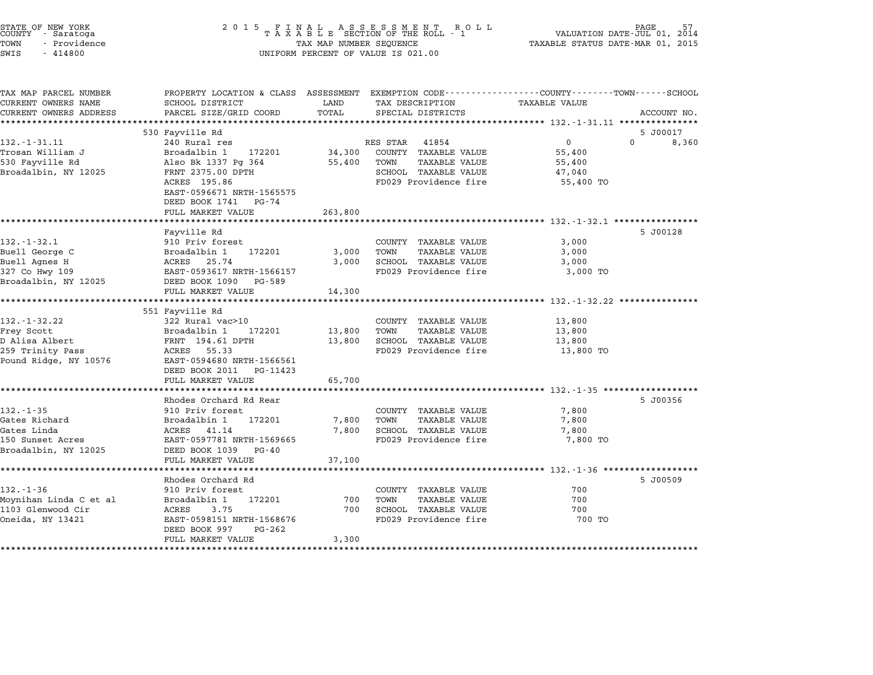| STATE OF NEW YORK<br><b>COUNTY</b><br>- Saratoga | 2 0 1 5                                       |                    | FINAL ASSESSMENT<br>TAXABLE SECTION OF THE ROLL<br>R O L L<br>- 1 | VALUATION DATE-JUL 01, 2014                                    | PAGE              |
|--------------------------------------------------|-----------------------------------------------|--------------------|-------------------------------------------------------------------|----------------------------------------------------------------|-------------------|
| TOWN<br>- Providence                             | TAX MAP NUMBER SEQUENCE                       |                    |                                                                   | TAXABLE STATUS DATE-MAR 01, 2015                               |                   |
| SWIS<br>$-414800$                                |                                               |                    | UNIFORM PERCENT OF VALUE IS 021.00                                |                                                                |                   |
| TAX MAP PARCEL NUMBER                            | PROPERTY LOCATION & CLASS ASSESSMENT          |                    |                                                                   | EXEMPTION CODE-----------------COUNTY-------TOWN-----SCHOOL    |                   |
| CURRENT OWNERS NAME                              | SCHOOL DISTRICT                               | LAND               | TAX DESCRIPTION                                                   | TAXABLE VALUE                                                  |                   |
| CURRENT OWNERS ADDRESS                           | PARCEL SIZE/GRID COORD                        | TOTAL              | SPECIAL DISTRICTS                                                 |                                                                | ACCOUNT NO.       |
|                                                  | *********************                         |                    |                                                                   |                                                                |                   |
|                                                  | 530 Fayville Rd                               |                    |                                                                   |                                                                | 5 J00017          |
| $132. - 1 - 31.11$                               | 240 Rural res                                 |                    | RES STAR<br>41854                                                 | $\overline{0}$                                                 | $\Omega$<br>8,360 |
| Trosan William J                                 | Broadalbin 1<br>172201                        | 34,300             | COUNTY TAXABLE VALUE                                              | 55,400                                                         |                   |
| 530 Fayville Rd                                  | Also Bk 1337 Pg 364                           | 55,400             | TOWN<br><b>TAXABLE VALUE</b>                                      | 55,400                                                         |                   |
| Broadalbin, NY 12025                             | FRNT 2375.00 DPTH                             |                    | SCHOOL TAXABLE VALUE                                              | 47,040                                                         |                   |
|                                                  | ACRES 195.86                                  |                    | FD029 Providence fire                                             | 55,400 TO                                                      |                   |
|                                                  | EAST-0596671 NRTH-1565575                     |                    |                                                                   |                                                                |                   |
|                                                  | DEED BOOK 1741 PG-74                          |                    |                                                                   |                                                                |                   |
|                                                  | FULL MARKET VALUE                             | 263,800            |                                                                   |                                                                |                   |
|                                                  |                                               |                    |                                                                   | ********************************* 132.-1-32.1 **************** |                   |
|                                                  | Fayville Rd                                   |                    |                                                                   |                                                                | 5 J00128          |
| $132. - 1 - 32.1$                                | 910 Priv forest                               |                    | COUNTY TAXABLE VALUE                                              | 3,000                                                          |                   |
| Buell George C                                   | 172201<br>Broadalbin 1                        | 3,000              | TOWN<br><b>TAXABLE VALUE</b>                                      | 3,000                                                          |                   |
| Buell Agnes H                                    | 25.74<br>ACRES                                | 3,000              | SCHOOL TAXABLE VALUE                                              | 3,000                                                          |                   |
| 327 Co Hwy 109                                   | EAST-0593617 NRTH-1566157                     |                    | FD029 Providence fire                                             | 3,000 TO                                                       |                   |
| Broadalbin, NY 12025                             | DEED BOOK 1090<br>PG-589                      |                    |                                                                   |                                                                |                   |
|                                                  | FULL MARKET VALUE<br>************************ | 14,300<br>******** |                                                                   | ********************* 132.-1-32.22 ****************            |                   |
|                                                  | 551 Fayville Rd                               |                    |                                                                   |                                                                |                   |
| $132 - 1 - 32.22$                                | 322 Rural vac>10                              |                    | COUNTY TAXABLE VALUE                                              | 13,800                                                         |                   |
| Frey Scott                                       | Broadalbin 1<br>172201                        | 13,800             | TOWN<br>TAXABLE VALUE                                             | 13,800                                                         |                   |
| D Alisa Albert                                   | FRNT 194.61 DPTH                              | 13,800             | SCHOOL TAXABLE VALUE                                              | 13,800                                                         |                   |
| 259 Trinity Pass                                 | 55.33<br>ACRES                                |                    | FD029 Providence fire                                             | 13,800 TO                                                      |                   |
| Pound Ridge, NY 10576                            | EAST-0594680 NRTH-1566561                     |                    |                                                                   |                                                                |                   |
|                                                  | DEED BOOK 2011<br>PG-11423                    |                    |                                                                   |                                                                |                   |
|                                                  | FULL MARKET VALUE                             | 65,700             |                                                                   |                                                                |                   |
|                                                  |                                               |                    |                                                                   |                                                                |                   |
|                                                  | Rhodes Orchard Rd Rear                        |                    |                                                                   |                                                                | 5 J00356          |
| $132 - 1 - 35$                                   | 910 Priv forest                               |                    | COUNTY TAXABLE VALUE                                              | 7,800                                                          |                   |
| Gates Richard                                    | 172201<br>Broadalbin 1                        | 7,800              | TOWN<br><b>TAXABLE VALUE</b>                                      | 7,800                                                          |                   |
| Gates Linda                                      | ACRES 41.14                                   | 7,800              | SCHOOL TAXABLE VALUE                                              | 7,800                                                          |                   |
| 150 Sunset Acres                                 | EAST-0597781 NRTH-1569665                     |                    | FD029 Providence fire                                             | 7,800 TO                                                       |                   |
| Broadalbin, NY 12025                             | DEED BOOK 1039<br>$PG - 40$                   |                    |                                                                   |                                                                |                   |
|                                                  | FULL MARKET VALUE                             | 37,100             |                                                                   |                                                                |                   |
|                                                  | ******************                            |                    |                                                                   | ************ 132.-1-36 *******************                     |                   |
|                                                  | Rhodes Orchard Rd                             |                    |                                                                   |                                                                | 5 J00509          |
| $132. - 1 - 36$                                  | 910 Priv forest                               |                    | COUNTY TAXABLE VALUE                                              | 700                                                            |                   |
| Moynihan Linda C et al                           | Broadalbin 1<br>172201                        | 700                | TOWN<br><b>TAXABLE VALUE</b>                                      | 700                                                            |                   |
| 1103 Glenwood Cir                                |                                               | 700                |                                                                   | 700                                                            |                   |
|                                                  | ACRES<br>3.75                                 |                    | SCHOOL TAXABLE VALUE                                              |                                                                |                   |
| Oneida, NY 13421                                 | EAST-0598151 NRTH-1568676                     |                    | FD029 Providence fire                                             | 700 TO                                                         |                   |
|                                                  | DEED BOOK 997<br>PG-262<br>FULL MARKET VALUE  | 3,300              |                                                                   |                                                                |                   |

STATE OF NEW YORK <sup>2</sup> <sup>0</sup> <sup>1</sup> 5 F I N A L A S S E S S M E N T R O L L PAGE 57 COUNTY - Saratoga <sup>T</sup> <sup>A</sup> <sup>X</sup> <sup>A</sup> <sup>B</sup> <sup>L</sup> <sup>E</sup> SECTION OF THE ROLL - <sup>1</sup> VALUATION DATE-JUL 01, <sup>2014</sup>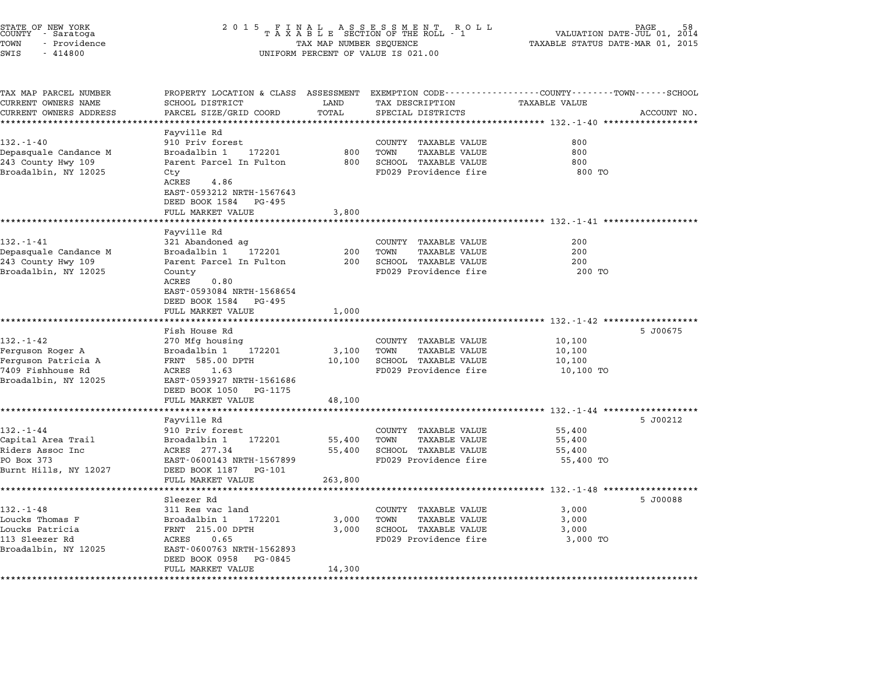| STATE OF NEW YORK<br>COUNTY – Saratoga<br>TOWN<br>- Providence<br>SWIS<br>$-414800$ | 2 0 1 5                                                                                                           | TAX MAP NUMBER SEQUENCE | FINAL ASSESSMENT RO<br>TAXABLE SECTION OF THE ROLL - 1<br>R O L L<br>UNIFORM PERCENT OF VALUE IS 021.00 | VALUATION DATE-JUL 01, 2014<br>TAXABLE STATUS DATE-MAR 01, 2015  | PAGE        |
|-------------------------------------------------------------------------------------|-------------------------------------------------------------------------------------------------------------------|-------------------------|---------------------------------------------------------------------------------------------------------|------------------------------------------------------------------|-------------|
| TAX MAP PARCEL NUMBER<br>CURRENT OWNERS NAME                                        | PROPERTY LOCATION & CLASS ASSESSMENT EXEMPTION CODE---------------COUNTY-------TOWN-----SCHOOL<br>SCHOOL DISTRICT | LAND                    | TAX DESCRIPTION                                                                                         | TAXABLE VALUE                                                    |             |
| CURRENT OWNERS ADDRESS                                                              | PARCEL SIZE/GRID COORD                                                                                            | TOTAL                   | SPECIAL DISTRICTS                                                                                       |                                                                  | ACCOUNT NO. |
|                                                                                     | Fayville Rd                                                                                                       | ***********             |                                                                                                         | ********************************* 132.-1-40 ******************   |             |
| $132. - 1 - 40$                                                                     | 910 Priv forest                                                                                                   |                         | COUNTY TAXABLE VALUE                                                                                    | 800                                                              |             |
| Depasquale Candance M                                                               | Broadalbin 1<br>172201                                                                                            | 800                     | <b>TAXABLE VALUE</b><br>TOWN                                                                            | 800                                                              |             |
| 243 County Hwy 109                                                                  | Parent Parcel In Fulton                                                                                           | 800                     | SCHOOL TAXABLE VALUE                                                                                    | 800                                                              |             |
| Broadalbin, NY 12025                                                                | Cty                                                                                                               |                         | FD029 Providence fire                                                                                   | 800 TO                                                           |             |
|                                                                                     | ACRES<br>4.86                                                                                                     |                         |                                                                                                         |                                                                  |             |
|                                                                                     | EAST-0593212 NRTH-1567643                                                                                         |                         |                                                                                                         |                                                                  |             |
|                                                                                     | DEED BOOK 1584 PG-495                                                                                             |                         |                                                                                                         |                                                                  |             |
|                                                                                     | FULL MARKET VALUE<br>* * * * * * * * * * * * * * * * * * *                                                        | 3,800<br>***********    |                                                                                                         | *********************************** 132.-1-41 ****************** |             |
|                                                                                     | Fayville Rd                                                                                                       |                         |                                                                                                         |                                                                  |             |
| $132 - 1 - 41$                                                                      | 321 Abandoned ag                                                                                                  |                         | COUNTY TAXABLE VALUE                                                                                    | 200                                                              |             |
| Depasquale Candance M                                                               | Broadalbin 1<br>172201                                                                                            | 200                     | TOWN<br><b>TAXABLE VALUE</b>                                                                            | 200                                                              |             |
| 243 County Hwy 109                                                                  | Parent Parcel In Fulton                                                                                           | 200                     | <b>SCHOOL TAXABLE VALUE</b>                                                                             | 200                                                              |             |
| Broadalbin, NY 12025                                                                | County                                                                                                            |                         | FD029 Providence fire                                                                                   | 200 TO                                                           |             |
|                                                                                     | ACRES<br>0.80                                                                                                     |                         |                                                                                                         |                                                                  |             |
|                                                                                     | EAST-0593084 NRTH-1568654                                                                                         |                         |                                                                                                         |                                                                  |             |
|                                                                                     | DEED BOOK 1584<br>PG-495                                                                                          |                         |                                                                                                         |                                                                  |             |
|                                                                                     | FULL MARKET VALUE<br>*******************                                                                          | 1,000<br>***********    |                                                                                                         |                                                                  |             |
|                                                                                     | Fish House Rd                                                                                                     |                         |                                                                                                         |                                                                  | 5 J00675    |
| 132.-1-42                                                                           | 270 Mfg housing                                                                                                   |                         | COUNTY TAXABLE VALUE                                                                                    | 10,100                                                           |             |
| Ferguson Roger A                                                                    | Broadalbin 1<br>172201                                                                                            | 3,100                   | TAXABLE VALUE<br>TOWN                                                                                   | 10,100                                                           |             |
| Ferguson Patricia A                                                                 | FRNT 585.00 DPTH                                                                                                  | 10,100                  | SCHOOL TAXABLE VALUE                                                                                    | 10,100                                                           |             |
| 7409 Fishhouse Rd                                                                   | ACRES<br>1.63                                                                                                     |                         | FD029 Providence fire                                                                                   | 10,100 TO                                                        |             |
| Broadalbin, NY 12025                                                                | EAST-0593927 NRTH-1561686                                                                                         |                         |                                                                                                         |                                                                  |             |
|                                                                                     | DEED BOOK 1050<br>PG-1175                                                                                         |                         |                                                                                                         |                                                                  |             |
|                                                                                     | FULL MARKET VALUE                                                                                                 | 48,100                  |                                                                                                         |                                                                  |             |
|                                                                                     |                                                                                                                   |                         |                                                                                                         |                                                                  |             |
| $132. - 1 - 44$                                                                     | Fayville Rd<br>910 Priv forest                                                                                    |                         | COUNTY TAXABLE VALUE                                                                                    | 55,400                                                           | 5 J00212    |
| Capital Area Trail                                                                  | Broadalbin 1<br>172201                                                                                            | 55,400                  | TOWN<br>TAXABLE VALUE                                                                                   | 55,400                                                           |             |
| Riders Assoc Inc                                                                    | ACRES 277.34                                                                                                      | 55,400                  | SCHOOL TAXABLE VALUE                                                                                    | 55,400                                                           |             |
| PO Box 373                                                                          | EAST-0600143 NRTH-1567899                                                                                         |                         | FD029 Providence fire                                                                                   | 55,400 TO                                                        |             |
| Burnt Hills, NY 12027                                                               | DEED BOOK 1187<br>PG-101                                                                                          |                         |                                                                                                         |                                                                  |             |
|                                                                                     | FULL MARKET VALUE                                                                                                 | 263,800                 |                                                                                                         |                                                                  |             |
|                                                                                     | *******************                                                                                               | ***********             |                                                                                                         |                                                                  |             |
|                                                                                     | Sleezer Rd                                                                                                        |                         |                                                                                                         |                                                                  | 5 J00088    |
| $132 - 1 - 48$                                                                      | 311 Res vac land                                                                                                  |                         | COUNTY TAXABLE VALUE                                                                                    | 3,000                                                            |             |
| Loucks Thomas F                                                                     | 172201<br>Broadalbin 1                                                                                            | 3,000                   | TOWN<br><b>TAXABLE VALUE</b>                                                                            | 3,000                                                            |             |
| Loucks Patricia<br>113 Sleezer Rd                                                   | FRNT 215.00 DPTH<br>ACRES<br>0.65                                                                                 | 3,000                   | SCHOOL TAXABLE VALUE<br>FD029 Providence fire                                                           | 3,000<br>3,000 TO                                                |             |
| Broadalbin, NY 12025                                                                | EAST-0600763 NRTH-1562893                                                                                         |                         |                                                                                                         |                                                                  |             |
|                                                                                     | DEED BOOK 0958<br>PG-0845                                                                                         |                         |                                                                                                         |                                                                  |             |
|                                                                                     | FULL MARKET VALUE                                                                                                 | 14,300                  |                                                                                                         |                                                                  |             |
| *******************                                                                 | ************************                                                                                          | ********                |                                                                                                         |                                                                  |             |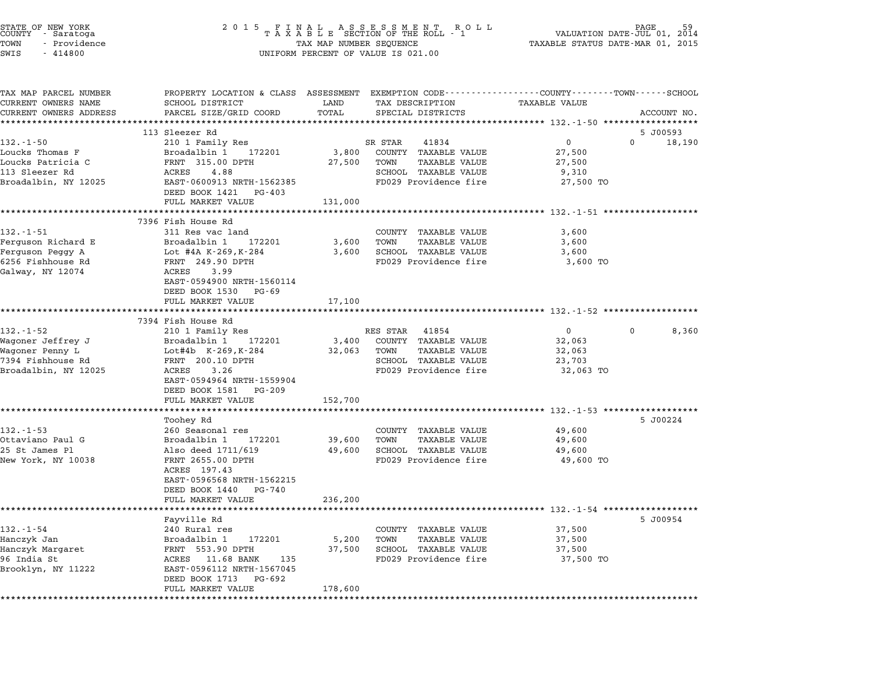| STATE OF NEW YORK<br>COUNTY - Saratoga<br>TOWN<br>- Providence<br>SWIS<br>$-414800$ | 2 0 1 5                                                                                                                                     | TAX MAP NUMBER SEQUENCE | FINAL ASSESSMENT ROLL<br>TAXABLE SECTION OF THE ROLL - 1<br>UNIFORM PERCENT OF VALUE IS 021.00 | VALUATION DATE-JUL 01,<br>TAXABLE STATUS DATE-MAR 01, 2015 | 59<br>2014                        |
|-------------------------------------------------------------------------------------|---------------------------------------------------------------------------------------------------------------------------------------------|-------------------------|------------------------------------------------------------------------------------------------|------------------------------------------------------------|-----------------------------------|
| TAX MAP PARCEL NUMBER<br>CURRENT OWNERS NAME<br>CURRENT OWNERS ADDRESS              | PROPERTY LOCATION & CLASS ASSESSMENT EXEMPTION CODE---------------COUNTY-------TOWN-----SCHOOL<br>SCHOOL DISTRICT<br>PARCEL SIZE/GRID COORD | LAND<br>TOTAL           | TAX DESCRIPTION<br>SPECIAL DISTRICTS                                                           | <b>TAXABLE VALUE</b>                                       | ACCOUNT NO.                       |
|                                                                                     |                                                                                                                                             | **********              |                                                                                                |                                                            |                                   |
| $132. - 1 - 50$                                                                     | 113 Sleezer Rd<br>210 1 Family Res                                                                                                          |                         | SR STAR<br>41834                                                                               | 0                                                          | 5 J00593<br>$\mathbf 0$<br>18,190 |
| Loucks Thomas F                                                                     | Broadalbin 1<br>172201                                                                                                                      | 3,800                   | COUNTY TAXABLE VALUE                                                                           | 27,500                                                     |                                   |
| Loucks Patricia C                                                                   | FRNT 315.00 DPTH                                                                                                                            | 27,500                  | TOWN<br><b>TAXABLE VALUE</b>                                                                   | 27,500                                                     |                                   |
| 113 Sleezer Rd                                                                      | ACRES<br>4.88                                                                                                                               |                         | SCHOOL TAXABLE VALUE                                                                           | 9,310                                                      |                                   |
| Broadalbin, NY 12025                                                                | EAST-0600913 NRTH-1562385                                                                                                                   |                         | FD029 Providence fire                                                                          | 27,500 TO                                                  |                                   |
|                                                                                     | DEED BOOK 1421<br>PG-403                                                                                                                    |                         |                                                                                                |                                                            |                                   |
|                                                                                     | FULL MARKET VALUE                                                                                                                           | 131,000                 |                                                                                                |                                                            |                                   |
|                                                                                     | 7396 Fish House Rd                                                                                                                          |                         |                                                                                                |                                                            |                                   |
| $132. - 1 - 51$                                                                     | 311 Res vac land                                                                                                                            |                         | COUNTY TAXABLE VALUE                                                                           | 3,600                                                      |                                   |
| Ferguson Richard E                                                                  | Broadalbin 1<br>172201                                                                                                                      | 3,600                   | TOWN<br>TAXABLE VALUE                                                                          | 3,600                                                      |                                   |
| Ferguson Peggy A                                                                    | Lot #4A K-269, K-284                                                                                                                        | 3,600                   | SCHOOL TAXABLE VALUE                                                                           | 3,600                                                      |                                   |
| 6256 Fishhouse Rd                                                                   | FRNT 249.90 DPTH                                                                                                                            |                         | FD029 Providence fire                                                                          | 3,600 TO                                                   |                                   |
| Galway, NY 12074                                                                    | 3.99<br>ACRES                                                                                                                               |                         |                                                                                                |                                                            |                                   |
|                                                                                     | EAST-0594900 NRTH-1560114                                                                                                                   |                         |                                                                                                |                                                            |                                   |
|                                                                                     | DEED BOOK 1530<br>PG-69                                                                                                                     |                         |                                                                                                |                                                            |                                   |
|                                                                                     | FULL MARKET VALUE                                                                                                                           | 17,100                  |                                                                                                |                                                            |                                   |
|                                                                                     | 7394 Fish House Rd                                                                                                                          |                         |                                                                                                |                                                            |                                   |
| $132. - 1 - 52$                                                                     | 210 1 Family Res                                                                                                                            |                         | 41854<br>RES STAR                                                                              | $\mathbf{0}$                                               | $\mathbf{0}$<br>8,360             |
| Wagoner Jeffrey J                                                                   | Broadalbin 1<br>172201                                                                                                                      | 3,400                   | COUNTY TAXABLE VALUE                                                                           | 32,063                                                     |                                   |
| Wagoner Penny L                                                                     | Lot#4b K-269, K-284                                                                                                                         | 32,063                  | <b>TAXABLE VALUE</b><br>TOWN                                                                   | 32,063                                                     |                                   |
| 7394 Fishhouse Rd                                                                   | FRNT 200.10 DPTH                                                                                                                            |                         | SCHOOL TAXABLE VALUE                                                                           | 23,703                                                     |                                   |
| Broadalbin, NY 12025                                                                | ACRES<br>3.26<br>EAST-0594964 NRTH-1559904                                                                                                  |                         | FD029 Providence fire                                                                          | 32,063 TO                                                  |                                   |
|                                                                                     | DEED BOOK 1581<br>PG-209                                                                                                                    |                         |                                                                                                |                                                            |                                   |
|                                                                                     | FULL MARKET VALUE                                                                                                                           | 152,700                 |                                                                                                |                                                            |                                   |
|                                                                                     |                                                                                                                                             |                         |                                                                                                |                                                            |                                   |
|                                                                                     | Toohey Rd                                                                                                                                   |                         |                                                                                                |                                                            | 5 J00224                          |
| $132 - 1 - 53$                                                                      | 260 Seasonal res                                                                                                                            |                         | COUNTY TAXABLE VALUE                                                                           | 49,600                                                     |                                   |
| Ottaviano Paul G                                                                    | Broadalbin 1<br>172201                                                                                                                      | 39,600                  | TOWN<br>TAXABLE VALUE                                                                          | 49,600                                                     |                                   |
| 25 St James Pl<br>New York, NY 10038                                                | Also deed 1711/619<br>FRNT 2655.00 DPTH                                                                                                     | 49,600                  | <b>SCHOOL TAXABLE VALUE</b><br>FD029 Providence fire                                           | 49,600<br>49,600 TO                                        |                                   |
|                                                                                     | ACRES 197.43                                                                                                                                |                         |                                                                                                |                                                            |                                   |
|                                                                                     | EAST-0596568 NRTH-1562215                                                                                                                   |                         |                                                                                                |                                                            |                                   |
|                                                                                     | DEED BOOK 1440<br>PG-740                                                                                                                    |                         |                                                                                                |                                                            |                                   |
|                                                                                     | FULL MARKET VALUE                                                                                                                           | 236,200                 |                                                                                                |                                                            |                                   |
|                                                                                     |                                                                                                                                             |                         |                                                                                                |                                                            |                                   |
|                                                                                     | Fayville Rd                                                                                                                                 |                         |                                                                                                |                                                            | 5 J00954                          |
| $132. - 1 - 54$<br>Hanczyk Jan                                                      | 240 Rural res<br>172201                                                                                                                     | 5,200                   | COUNTY TAXABLE VALUE<br>TOWN<br>TAXABLE VALUE                                                  | 37,500<br>37,500                                           |                                   |
| Hanczyk Margaret                                                                    | Broadalbin 1<br>FRNT 553.90 DPTH                                                                                                            | 37,500                  | SCHOOL TAXABLE VALUE                                                                           | 37,500                                                     |                                   |
| 96 India St                                                                         | ACRES 11.68 BANK<br>135                                                                                                                     |                         | FD029 Providence fire                                                                          | 37,500 TO                                                  |                                   |
| Brooklyn, NY 11222                                                                  | EAST-0596112 NRTH-1567045                                                                                                                   |                         |                                                                                                |                                                            |                                   |
|                                                                                     | DEED BOOK 1713<br>PG-692                                                                                                                    |                         |                                                                                                |                                                            |                                   |
|                                                                                     | FULL MARKET VALUE                                                                                                                           | 178,600                 |                                                                                                |                                                            |                                   |
|                                                                                     |                                                                                                                                             |                         |                                                                                                |                                                            |                                   |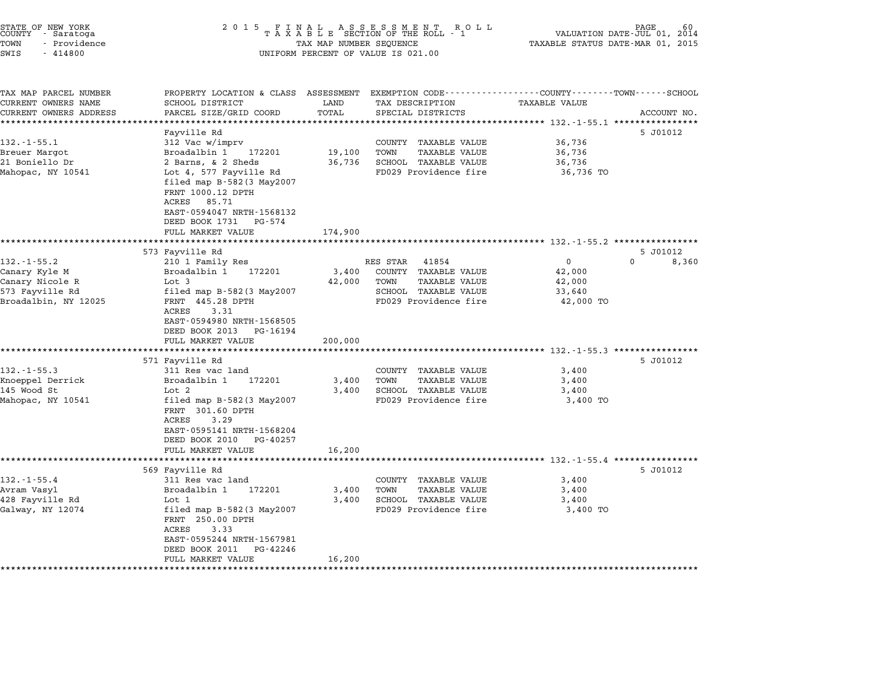| STATE OF NEW YORK<br>COUNTY – Saratoga<br>TOWN<br>- Providence<br>SWIS<br>$-414800$ | 2 0 1 5<br>FINAL ASSESSMENT ROLL<br>TAXABLE SECTION OF THE ROLL - 1<br>TAX MAP NUMBER SEQUENCE<br>UNIFORM PERCENT OF VALUE IS 021.00 |                            |                                                                                | PAGE<br>VALUATION DATE-JUL 01, 2014<br>TAXABLE STATUS DATE-MAR 01, 2015 |             |
|-------------------------------------------------------------------------------------|--------------------------------------------------------------------------------------------------------------------------------------|----------------------------|--------------------------------------------------------------------------------|-------------------------------------------------------------------------|-------------|
| TAX MAP PARCEL NUMBER<br>CURRENT OWNERS NAME                                        | PROPERTY LOCATION & CLASS ASSESSMENT<br>SCHOOL DISTRICT                                                                              | LAND                       | EXEMPTION CODE-----------------COUNTY-------TOWN-----SCHOOL<br>TAX DESCRIPTION | <b>TAXABLE VALUE</b>                                                    |             |
| CURRENT OWNERS ADDRESS                                                              | PARCEL SIZE/GRID COORD                                                                                                               | TOTAL                      | SPECIAL DISTRICTS                                                              |                                                                         | ACCOUNT NO. |
|                                                                                     |                                                                                                                                      | *******                    |                                                                                | *********** 132.-1-55.1 ****                                            |             |
|                                                                                     | Fayville Rd                                                                                                                          |                            |                                                                                |                                                                         | 5 J01012    |
| $132 - 1 - 55.1$                                                                    | 312 Vac w/imprv                                                                                                                      |                            | COUNTY<br>TAXABLE VALUE                                                        | 36,736                                                                  |             |
| Breuer Margot                                                                       | Broadalbin 1<br>172201                                                                                                               | 19,100                     | TOWN<br><b>TAXABLE VALUE</b>                                                   | 36,736                                                                  |             |
| 21 Boniello Dr                                                                      | 2 Barns, & 2 Sheds                                                                                                                   | 36,736                     | SCHOOL TAXABLE VALUE                                                           | 36,736                                                                  |             |
| Mahopac, NY 10541                                                                   | Lot 4, 577 Fayville Rd                                                                                                               |                            | FD029 Providence fire                                                          | 36,736 TO                                                               |             |
|                                                                                     | filed map $B-582(3$ May2007<br>FRNT 1000.12 DPTH<br>85.71<br>ACRES<br>EAST-0594047 NRTH-1568132                                      |                            |                                                                                |                                                                         |             |
|                                                                                     | DEED BOOK 1731<br>PG-574                                                                                                             |                            |                                                                                |                                                                         |             |
|                                                                                     | FULL MARKET VALUE<br>********************                                                                                            | 174,900<br>*************** |                                                                                | ************************************ 132.-1-55.2 ****************       |             |
|                                                                                     | 573 Fayville Rd                                                                                                                      |                            |                                                                                |                                                                         | 5 J01012    |
| $132. - 1 - 55.2$                                                                   | 210 1 Family Res                                                                                                                     |                            | RES STAR<br>41854                                                              | 0                                                                       | 0<br>8,360  |
| Canary Kyle M                                                                       | Broadalbin 1<br>172201                                                                                                               | 3,400                      | COUNTY TAXABLE VALUE                                                           | 42,000                                                                  |             |
| Canary Nicole R                                                                     | Lot 3                                                                                                                                | 42,000                     | TOWN<br>TAXABLE VALUE                                                          | 42,000                                                                  |             |
| 573 Fayville Rd                                                                     | filed map $B-582(3$ May2007                                                                                                          |                            | SCHOOL TAXABLE VALUE                                                           | 33,640                                                                  |             |
| Broadalbin, NY 12025                                                                | FRNT 445.28 DPTH<br><b>ACRES</b><br>3.31<br>EAST-0594980 NRTH-1568505<br>DEED BOOK 2013<br>PG-16194                                  |                            | FD029 Providence fire                                                          | 42,000 TO                                                               |             |
|                                                                                     | FULL MARKET VALUE                                                                                                                    | 200,000                    |                                                                                |                                                                         |             |
|                                                                                     | *************************                                                                                                            | **************             |                                                                                | ************************* 132.-1-55.3 *****************                 |             |
| $132 - 1 - 55.3$                                                                    | 571 Fayville Rd                                                                                                                      |                            |                                                                                |                                                                         | 5 J01012    |
| Knoeppel Derrick                                                                    | 311 Res vac land<br>Broadalbin 1<br>172201                                                                                           | 3,400                      | COUNTY<br>TAXABLE VALUE<br>TOWN<br><b>TAXABLE VALUE</b>                        | 3,400<br>3,400                                                          |             |
| 145 Wood St                                                                         | Lot 2                                                                                                                                | 3,400                      | SCHOOL TAXABLE VALUE                                                           | 3,400                                                                   |             |
| Mahopac, NY 10541                                                                   | filed map B-582 (3 May2007<br>FRNT 301.60 DPTH<br>3.29<br>ACRES<br>EAST-0595141 NRTH-1568204<br>DEED BOOK 2010<br>PG-40257           |                            | FD029 Providence fire                                                          | 3,400 TO                                                                |             |
|                                                                                     | FULL MARKET VALUE<br>**********************                                                                                          | 16,200                     |                                                                                |                                                                         |             |
|                                                                                     |                                                                                                                                      |                            |                                                                                |                                                                         | 5 J01012    |
| $132 - 1 - 55.4$                                                                    | 569 Fayville Rd<br>311 Res vac land                                                                                                  |                            | COUNTY TAXABLE VALUE                                                           | 3,400                                                                   |             |
| Avram Vasyl                                                                         | Broadalbin 1<br>172201                                                                                                               | 3,400                      | <b>TAXABLE VALUE</b><br>TOWN                                                   | 3,400                                                                   |             |
| 428 Fayville Rd                                                                     | Lot 1                                                                                                                                | 3,400                      | SCHOOL TAXABLE VALUE                                                           | 3,400                                                                   |             |
| Galway, NY 12074                                                                    | filed map $B-582(3$ May2007<br>FRNT 250.00 DPTH<br>3.33<br>ACRES<br>EAST-0595244 NRTH-1567981<br>DEED BOOK 2011<br>PG-42246          |                            | FD029 Providence fire                                                          | 3,400 TO                                                                |             |
|                                                                                     |                                                                                                                                      |                            |                                                                                |                                                                         |             |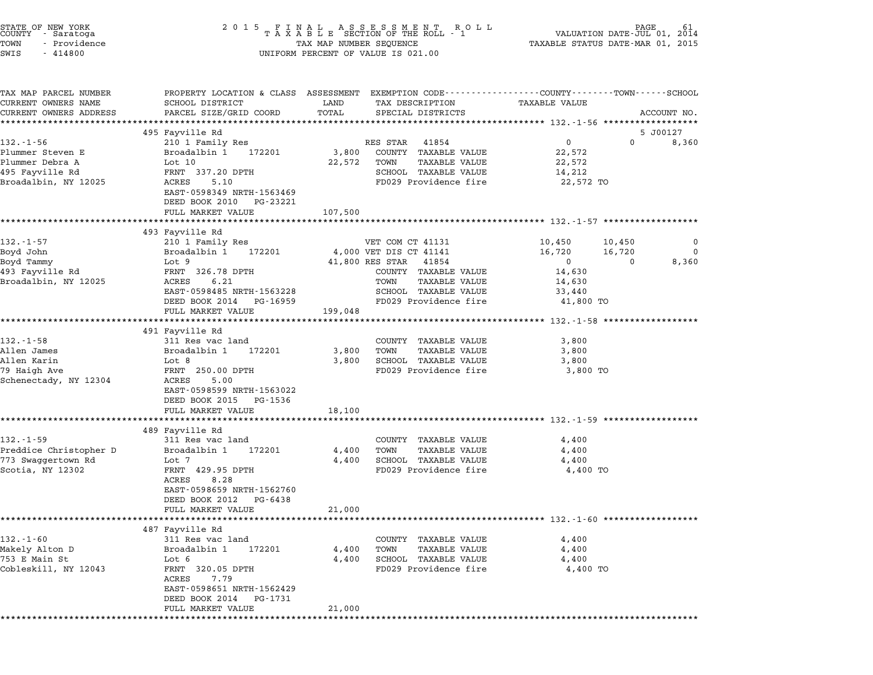| STATE OF NEW YORK<br>COUNTY – Saratoga<br>TOWN<br>- Providence<br>SWIS<br>$-414800$ | 2 0 1 5                                                                                     | FINAL ASSESSMENT ROLL<br>TAXABLE SECTION OF THE ROLL - 1<br>TAX MAP NUMBER SEQUENCE<br>UNIFORM PERCENT OF VALUE IS 021.00 | 61<br>VALUATION DATE-JUL 01,<br>2014<br>TAXABLE STATUS DATE-MAR 01, 2015                                                              |
|-------------------------------------------------------------------------------------|---------------------------------------------------------------------------------------------|---------------------------------------------------------------------------------------------------------------------------|---------------------------------------------------------------------------------------------------------------------------------------|
| TAX MAP PARCEL NUMBER<br>CURRENT OWNERS NAME<br>CURRENT OWNERS ADDRESS              | SCHOOL DISTRICT<br>PARCEL SIZE/GRID COORD<br>************************                       | LAND<br>TAX DESCRIPTION<br>TOTAL<br>SPECIAL DISTRICTS                                                                     | PROPERTY LOCATION & CLASS ASSESSMENT EXEMPTION CODE---------------COUNTY-------TOWN-----SCHOOL<br><b>TAXABLE VALUE</b><br>ACCOUNT NO. |
|                                                                                     | 495 Fayville Rd                                                                             |                                                                                                                           | 5 J00127                                                                                                                              |
| $132 - 1 - 56$                                                                      | 210 1 Family Res                                                                            | RES STAR<br>41854                                                                                                         | 0<br>0<br>8,360                                                                                                                       |
| Plummer Steven E<br>Plummer Debra A<br>495 Fayville Rd<br>Broadalbin, NY 12025      | Broadalbin 1<br>172201<br>Lot 10<br>FRNT 337.20 DPTH<br>5.10<br>ACRES                       | 3,800<br>COUNTY TAXABLE VALUE<br>TAXABLE VALUE<br>22,572<br>TOWN<br>SCHOOL TAXABLE VALUE<br>FD029 Providence fire         | 22,572<br>22,572<br>14,212<br>22,572 TO                                                                                               |
|                                                                                     | EAST-0598349 NRTH-1563469<br>DEED BOOK 2010 PG-23221                                        |                                                                                                                           |                                                                                                                                       |
|                                                                                     | FULL MARKET VALUE                                                                           | 107,500                                                                                                                   |                                                                                                                                       |
|                                                                                     | 493 Fayville Rd                                                                             |                                                                                                                           | ***************************** 132.-1-57 *************                                                                                 |
| 132.-1-57<br>Boyd John<br>Boyd Tammy                                                | 210 1 Family Res<br>Broadalbin 1<br>172201<br>Lot 9                                         | VET COM CT 41131<br>4,000 VET DIS CT 41141<br>41,800 RES STAR<br>41854                                                    | 10,450<br>10,450<br>0<br>16,720<br>16,720<br>$\mathbf 0$<br>0<br>0<br>8,360                                                           |
| 493 Fayville Rd<br>Broadalbin, NY 12025                                             | FRNT 326.78 DPTH<br>6.21<br>ACRES<br>EAST-0598485 NRTH-1563228                              | COUNTY TAXABLE VALUE<br><b>TAXABLE VALUE</b><br>TOWN<br>SCHOOL TAXABLE VALUE                                              | 14,630<br>14,630<br>33,440                                                                                                            |
|                                                                                     | DEED BOOK 2014 PG-16959<br>FULL MARKET VALUE                                                | FD029 Providence fire<br>199,048                                                                                          | 41,800 TO                                                                                                                             |
|                                                                                     |                                                                                             |                                                                                                                           | *********************************** 132.-1-58 *******************                                                                     |
| $132 - 1 - 58$                                                                      | 491 Fayville Rd<br>311 Res vac land                                                         | COUNTY TAXABLE VALUE                                                                                                      | 3,800                                                                                                                                 |
| Allen James                                                                         | Broadalbin 1<br>172201                                                                      | 3,800<br><b>TAXABLE VALUE</b><br>TOWN                                                                                     | 3,800                                                                                                                                 |
| Allen Karin                                                                         | Lot 8                                                                                       | SCHOOL TAXABLE VALUE<br>3,800                                                                                             | 3,800                                                                                                                                 |
| 79 Haigh Ave<br>Schenectady, NY 12304                                               | FRNT 250.00 DPTH<br>5.00<br>ACRES<br>EAST-0598599 NRTH-1563022<br>DEED BOOK 2015<br>PG-1536 | FD029 Providence fire                                                                                                     | 3,800 TO                                                                                                                              |
|                                                                                     | FULL MARKET VALUE                                                                           | 18,100                                                                                                                    |                                                                                                                                       |
|                                                                                     | 489 Fayville Rd                                                                             |                                                                                                                           | ***************************** 132.-1-59 ***********                                                                                   |
| 132.-1-59                                                                           | 311 Res vac land                                                                            | COUNTY TAXABLE VALUE                                                                                                      | 4,400                                                                                                                                 |
| Preddice Christopher D                                                              | 172201<br>Broadalbin 1                                                                      | <b>TAXABLE VALUE</b><br>4,400<br>TOWN                                                                                     | 4,400                                                                                                                                 |
| 773 Swaggertown Rd<br>Scotia, NY 12302                                              | Lot 7<br>FRNT 429.95 DPTH<br>8.28<br>ACRES                                                  | SCHOOL TAXABLE VALUE<br>4,400<br>FD029 Providence fire                                                                    | 4,400<br>4,400 TO                                                                                                                     |
|                                                                                     | EAST-0598659 NRTH-1562760<br>DEED BOOK 2012<br>PG-6438<br>FULL MARKET VALUE                 | 21,000                                                                                                                    |                                                                                                                                       |
|                                                                                     |                                                                                             |                                                                                                                           | ************************ 132.-1-60 *******************                                                                                |
| $132 - 1 - 60$                                                                      | 487 Fayville Rd<br>311 Res vac land                                                         | TAXABLE VALUE<br>COUNTY                                                                                                   | 4,400                                                                                                                                 |
| Makely Alton D                                                                      | Broadalbin 1<br>172201                                                                      | <b>TAXABLE VALUE</b><br>4,400<br>TOWN                                                                                     | 4,400                                                                                                                                 |
| 753 E Main St<br>Cobleskill, NY 12043                                               | Lot 6<br>FRNT 320.05 DPTH<br>ACRES<br>7.79<br>EAST-0598651 NRTH-1562429                     | 4,400<br>SCHOOL TAXABLE VALUE<br>FD029 Providence fire                                                                    | 4,400<br>4,400 TO                                                                                                                     |
|                                                                                     | DEED BOOK 2014<br>PG-1731<br>FULL MARKET VALUE                                              | 21,000                                                                                                                    |                                                                                                                                       |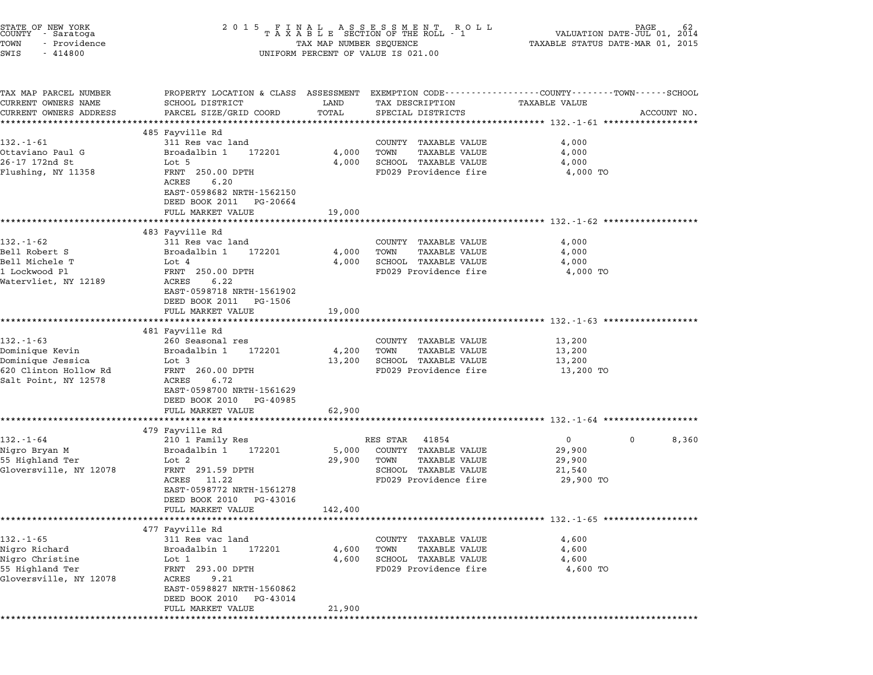| STATE OF NEW YORK<br>COUNTY - Saratoga<br>TOWN<br>- Providence<br>SWIS<br>$-414800$ | 2 0 1 5<br>FINAL ASSESSMENT ROLL<br>TAXABLE SECTION OF THE ROLL - 1<br>VALUATION DATE- $JU\tilde{L}$ 01,<br>2014<br>TAXABLE STATUS DATE-MAR 01, 2015<br>TAX MAP NUMBER SEQUENCE<br>UNIFORM PERCENT OF VALUE IS 021.00 |               |                                      |                                                                                                                        |             |
|-------------------------------------------------------------------------------------|-----------------------------------------------------------------------------------------------------------------------------------------------------------------------------------------------------------------------|---------------|--------------------------------------|------------------------------------------------------------------------------------------------------------------------|-------------|
| TAX MAP PARCEL NUMBER<br>CURRENT OWNERS NAME<br>CURRENT OWNERS ADDRESS              | SCHOOL DISTRICT<br>PARCEL SIZE/GRID COORD                                                                                                                                                                             | LAND<br>TOTAL | TAX DESCRIPTION<br>SPECIAL DISTRICTS | PROPERTY LOCATION & CLASS ASSESSMENT EXEMPTION CODE---------------COUNTY-------TOWN-----SCHOOL<br><b>TAXABLE VALUE</b> | ACCOUNT NO. |
| **********************                                                              | ***************************<br>485 Fayville Rd                                                                                                                                                                        |               |                                      |                                                                                                                        |             |
| $132 - 1 - 61$                                                                      | 311 Res vac land                                                                                                                                                                                                      |               | COUNTY TAXABLE VALUE                 | 4,000                                                                                                                  |             |
| Ottaviano Paul G                                                                    | Broadalbin 1<br>172201                                                                                                                                                                                                | 4,000         | TOWN<br>TAXABLE VALUE                | 4,000                                                                                                                  |             |
| 26-17 172nd St                                                                      | Lot 5                                                                                                                                                                                                                 | 4,000         | SCHOOL TAXABLE VALUE                 | 4,000                                                                                                                  |             |
| Flushing, NY 11358                                                                  | FRNT 250.00 DPTH<br>ACRES<br>6.20                                                                                                                                                                                     |               | FD029 Providence fire                | 4,000 TO                                                                                                               |             |
|                                                                                     | EAST-0598682 NRTH-1562150<br>DEED BOOK 2011 PG-20664                                                                                                                                                                  |               |                                      |                                                                                                                        |             |
|                                                                                     | FULL MARKET VALUE                                                                                                                                                                                                     | 19,000        |                                      | ************************* 132.-1-62 **********                                                                         |             |
|                                                                                     | 483 Fayville Rd                                                                                                                                                                                                       |               |                                      |                                                                                                                        |             |
| $132 - 1 - 62$                                                                      | 311 Res vac land                                                                                                                                                                                                      |               | COUNTY TAXABLE VALUE                 | 4,000                                                                                                                  |             |
| Bell Robert S                                                                       | Broadalbin 1<br>172201                                                                                                                                                                                                | 4,000         | TOWN<br><b>TAXABLE VALUE</b>         | 4,000                                                                                                                  |             |
| Bell Michele T                                                                      | Lot 4                                                                                                                                                                                                                 | 4,000         | SCHOOL TAXABLE VALUE                 | 4,000                                                                                                                  |             |
| 1 Lockwood Pl<br>Watervliet, NY 12189                                               | FRNT 250.00 DPTH<br>ACRES<br>6.22                                                                                                                                                                                     |               | FD029 Providence fire                | 4,000 TO                                                                                                               |             |
|                                                                                     | EAST-0598718 NRTH-1561902<br>DEED BOOK 2011 PG-1506                                                                                                                                                                   |               |                                      |                                                                                                                        |             |
|                                                                                     | FULL MARKET VALUE                                                                                                                                                                                                     | 19,000        |                                      | ***************************** 132.-1-63 *********                                                                      |             |
|                                                                                     | 481 Fayville Rd                                                                                                                                                                                                       |               |                                      |                                                                                                                        |             |
| $132 - 1 - 63$                                                                      | 260 Seasonal res                                                                                                                                                                                                      |               | COUNTY TAXABLE VALUE                 | 13,200                                                                                                                 |             |
| Dominique Kevin                                                                     | Broadalbin 1<br>172201                                                                                                                                                                                                | 4,200         | TOWN<br><b>TAXABLE VALUE</b>         | 13,200                                                                                                                 |             |
| Dominique Jessica                                                                   | Lot 3                                                                                                                                                                                                                 | 13,200        | SCHOOL TAXABLE VALUE                 | 13,200                                                                                                                 |             |
| 620 Clinton Hollow Rd<br>Salt Point, NY 12578                                       | FRNT 260.00 DPTH<br>ACRES<br>6.72                                                                                                                                                                                     |               | FD029 Providence fire                | 13,200 TO                                                                                                              |             |
|                                                                                     | EAST-0598700 NRTH-1561629<br>DEED BOOK 2010<br>PG-40985                                                                                                                                                               |               |                                      |                                                                                                                        |             |
|                                                                                     | FULL MARKET VALUE                                                                                                                                                                                                     | 62,900        |                                      | ************************************ 132.-1-64 ******************                                                      |             |
|                                                                                     | 479 Fayville Rd                                                                                                                                                                                                       |               |                                      |                                                                                                                        |             |
| $132 - 1 - 64$                                                                      | 210 1 Family Res                                                                                                                                                                                                      |               | RES STAR<br>41854                    | $\overline{0}$<br>$\mathbf{0}$                                                                                         | 8,360       |
| Nigro Bryan M                                                                       | Broadalbin 1<br>172201                                                                                                                                                                                                | 5,000         | COUNTY TAXABLE VALUE                 | 29,900                                                                                                                 |             |
| 55 Highland Ter                                                                     | Lot 2                                                                                                                                                                                                                 | 29,900        | TOWN<br><b>TAXABLE VALUE</b>         | 29,900                                                                                                                 |             |
| Gloversville, NY 12078                                                              | FRNT 291.59 DPTH                                                                                                                                                                                                      |               | SCHOOL TAXABLE VALUE                 | 21,540                                                                                                                 |             |
|                                                                                     | 11.22<br>ACRES<br>EAST-0598772 NRTH-1561278                                                                                                                                                                           |               | FD029 Providence fire                | 29,900 TO                                                                                                              |             |
|                                                                                     | DEED BOOK 2010<br>PG-43016<br>FULL MARKET VALUE                                                                                                                                                                       | 142,400       |                                      |                                                                                                                        |             |
|                                                                                     |                                                                                                                                                                                                                       |               |                                      | ********************* 132.-1-65 *******************                                                                    |             |
|                                                                                     | 477 Fayville Rd                                                                                                                                                                                                       |               |                                      |                                                                                                                        |             |
| $132 - 1 - 65$                                                                      | 311 Res vac land                                                                                                                                                                                                      |               | COUNTY<br>TAXABLE VALUE              | 4,600                                                                                                                  |             |
| Nigro Richard                                                                       | Broadalbin 1<br>172201                                                                                                                                                                                                | 4,600         | TOWN<br>TAXABLE VALUE                | 4,600                                                                                                                  |             |
| Nigro Christine                                                                     | Lot 1                                                                                                                                                                                                                 | 4,600         | SCHOOL TAXABLE VALUE                 | 4,600                                                                                                                  |             |
|                                                                                     | FRNT 293.00 DPTH                                                                                                                                                                                                      |               | FD029 Providence fire                | 4,600 TO                                                                                                               |             |
| 55 Highland Ter<br>Gloversville, NY 12078                                           | ACRES<br>9.21                                                                                                                                                                                                         |               |                                      |                                                                                                                        |             |
|                                                                                     | EAST-0598827 NRTH-1560862<br>DEED BOOK 2010<br>PG-43014<br>FULL MARKET VALUE                                                                                                                                          | 21,900        |                                      |                                                                                                                        |             |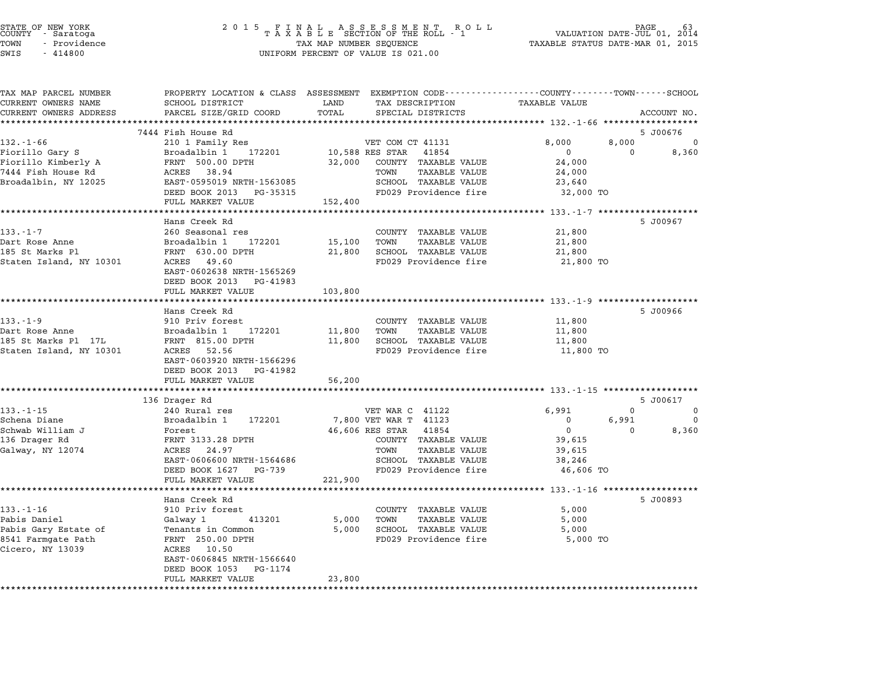| STATE OF NEW YORK<br>COUNTY - Saratoga<br>TOWN<br>- Providence<br>SWIS<br>$-414800$ |                                                        | TAX MAP NUMBER SEQUENCE<br>UNIFORM PERCENT OF VALUE IS 021.00 |                                               |                                                                                                                 | PAGE<br>63<br>VALUATION DATE-JUL 01,<br>2014<br>TAXABLE STATUS DATE-MAR 01, 2015 |  |
|-------------------------------------------------------------------------------------|--------------------------------------------------------|---------------------------------------------------------------|-----------------------------------------------|-----------------------------------------------------------------------------------------------------------------|----------------------------------------------------------------------------------|--|
| TAX MAP PARCEL NUMBER<br>CURRENT OWNERS NAME                                        | SCHOOL DISTRICT                                        | LAND                                                          | TAX DESCRIPTION                               | PROPERTY LOCATION & CLASS ASSESSMENT EXEMPTION CODE---------------COUNTY-------TOWN-----SCHOOL<br>TAXABLE VALUE |                                                                                  |  |
| CURRENT OWNERS ADDRESS                                                              | PARCEL SIZE/GRID COORD                                 | TOTAL                                                         | SPECIAL DISTRICTS                             |                                                                                                                 | ACCOUNT NO.                                                                      |  |
|                                                                                     |                                                        | **********                                                    |                                               |                                                                                                                 |                                                                                  |  |
| 132.-1-66                                                                           | 7444 Fish House Rd<br>210 1 Family Res                 |                                                               | VET COM CT 41131                              | 8,000<br>8,000                                                                                                  | 5 J00676<br>0                                                                    |  |
| Fiorillo Gary S                                                                     | Broadalbin 1<br>172201                                 |                                                               | 10,588 RES STAR 41854                         | $\mathbf 0$<br>0                                                                                                | 8,360                                                                            |  |
| Fiorillo Kimberly A                                                                 | FRNT 500.00 DPTH                                       | 32,000                                                        | COUNTY TAXABLE VALUE                          | 24,000                                                                                                          |                                                                                  |  |
| 7444 Fish House Rd                                                                  | ACRES 38.94                                            |                                                               | <b>TAXABLE VALUE</b><br>TOWN                  | 24,000                                                                                                          |                                                                                  |  |
| Broadalbin, NY 12025                                                                | EAST-0595019 NRTH-1563085                              |                                                               | SCHOOL TAXABLE VALUE                          | 23,640                                                                                                          |                                                                                  |  |
|                                                                                     | DEED BOOK 2013 PG-35315                                |                                                               | FD029 Providence fire                         | 32,000 TO                                                                                                       |                                                                                  |  |
|                                                                                     | FULL MARKET VALUE                                      | 152,400                                                       |                                               | ********** 133.-1-7 *******************                                                                         |                                                                                  |  |
|                                                                                     | Hans Creek Rd                                          |                                                               |                                               |                                                                                                                 | 5 J00967                                                                         |  |
| $133 - 1 - 7$                                                                       | 260 Seasonal res                                       |                                                               | COUNTY TAXABLE VALUE                          | 21,800                                                                                                          |                                                                                  |  |
| Dart Rose Anne                                                                      | Broadalbin 1<br>172201                                 | 15,100                                                        | TOWN<br>TAXABLE VALUE                         | 21,800                                                                                                          |                                                                                  |  |
| 185 St Marks Pl                                                                     | FRNT 630.00 DPTH                                       | 21,800                                                        | SCHOOL TAXABLE VALUE                          | 21,800                                                                                                          |                                                                                  |  |
| Staten Island, NY 10301                                                             | ACRES 49.60                                            |                                                               | FD029 Providence fire                         | 21,800 TO                                                                                                       |                                                                                  |  |
|                                                                                     | EAST-0602638 NRTH-1565269<br>DEED BOOK 2013 PG-41983   |                                                               |                                               |                                                                                                                 |                                                                                  |  |
|                                                                                     | FULL MARKET VALUE                                      | 103,800                                                       |                                               |                                                                                                                 |                                                                                  |  |
|                                                                                     |                                                        |                                                               |                                               | ******************************* 133.-1-9 **************                                                         |                                                                                  |  |
|                                                                                     | Hans Creek Rd                                          |                                                               |                                               |                                                                                                                 | 5 J00966                                                                         |  |
| $133. - 1 - 9$                                                                      | 910 Priv forest                                        |                                                               | COUNTY TAXABLE VALUE                          | 11,800                                                                                                          |                                                                                  |  |
| Dart Rose Anne                                                                      | Broadalbin 1<br>172201                                 | 11,800                                                        | <b>TAXABLE VALUE</b><br>TOWN                  | 11,800                                                                                                          |                                                                                  |  |
| 185 St Marks Pl 17L<br>Staten Island, NY 10301                                      | FRNT 815.00 DPTH<br>ACRES 52.56                        | 11,800                                                        | SCHOOL TAXABLE VALUE<br>FD029 Providence fire | 11,800<br>11,800 TO                                                                                             |                                                                                  |  |
|                                                                                     | EAST-0603920 NRTH-1566296                              |                                                               |                                               |                                                                                                                 |                                                                                  |  |
|                                                                                     | DEED BOOK 2013 PG-41982                                |                                                               |                                               |                                                                                                                 |                                                                                  |  |
|                                                                                     | FULL MARKET VALUE                                      | 56,200                                                        |                                               |                                                                                                                 |                                                                                  |  |
|                                                                                     | ****************************                           |                                                               |                                               |                                                                                                                 |                                                                                  |  |
|                                                                                     | 136 Drager Rd                                          |                                                               |                                               |                                                                                                                 | 5 J00617                                                                         |  |
| $133. - 1 - 15$<br>Schena Diane                                                     | 240 Rural res<br>Broadalbin 1<br>172201                |                                                               | VET WAR C 41122<br>7,800 VET WAR T 41123      | 6,991<br>$\mathbf 0$<br>6,991<br>$\mathbf 0$                                                                    | 0<br>0                                                                           |  |
| Schwab William J                                                                    | Forest                                                 |                                                               | 46,606 RES STAR<br>41854                      | $\overline{0}$<br>$\mathbf{0}$                                                                                  | 8,360                                                                            |  |
| 136 Drager Rd                                                                       | FRNT 3133.28 DPTH                                      |                                                               | COUNTY TAXABLE VALUE                          | 39,615                                                                                                          |                                                                                  |  |
| Galway, NY 12074                                                                    | ACRES<br>24.97                                         |                                                               | <b>TAXABLE VALUE</b><br>TOWN                  | 39,615                                                                                                          |                                                                                  |  |
|                                                                                     | EAST-0606600 NRTH-1564686                              |                                                               | SCHOOL TAXABLE VALUE                          | 38,246                                                                                                          |                                                                                  |  |
|                                                                                     | DEED BOOK 1627 PG-739                                  |                                                               | FD029 Providence fire                         | 46,606 TO                                                                                                       |                                                                                  |  |
|                                                                                     | FULL MARKET VALUE                                      | 221,900                                                       |                                               |                                                                                                                 |                                                                                  |  |
|                                                                                     | Hans Creek Rd                                          |                                                               |                                               |                                                                                                                 | 5 J00893                                                                         |  |
| $133. - 1 - 16$                                                                     | 910 Priv forest                                        |                                                               | COUNTY TAXABLE VALUE                          | 5,000                                                                                                           |                                                                                  |  |
| Pabis Daniel                                                                        | Galway 1<br>413201                                     | 5,000                                                         | TOWN<br>TAXABLE VALUE                         | 5,000                                                                                                           |                                                                                  |  |
| Pabis Gary Estate of                                                                | Tenants in Common                                      | 5,000                                                         | SCHOOL TAXABLE VALUE                          | 5,000                                                                                                           |                                                                                  |  |
| 8541 Farmgate Path                                                                  | FRNT 250.00 DPTH                                       |                                                               | FD029 Providence fire                         | 5,000 TO                                                                                                        |                                                                                  |  |
| Cicero, NY 13039                                                                    | ACRES<br>10.50                                         |                                                               |                                               |                                                                                                                 |                                                                                  |  |
|                                                                                     | EAST-0606845 NRTH-1566640<br>DEED BOOK 1053<br>PG-1174 |                                                               |                                               |                                                                                                                 |                                                                                  |  |
|                                                                                     | FULL MARKET VALUE                                      | 23,800                                                        |                                               |                                                                                                                 |                                                                                  |  |
| **********                                                                          |                                                        |                                                               |                                               |                                                                                                                 |                                                                                  |  |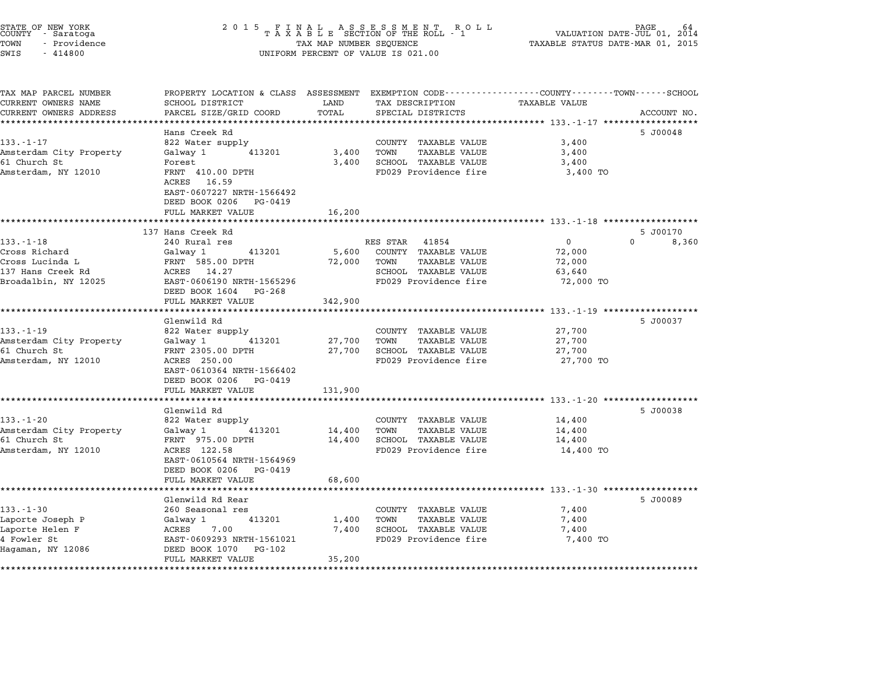| STATE OF NEW YORK<br>COUNTY - Saratoga<br>TOWN<br>- Providence<br>SWIS<br>$-414800$ | 2 0 1 5                                                                           | TAX MAP NUMBER SEQUENCE | FINAL ASSESSMENT ROLL<br>TAXABLE SECTION OF THE ROLL - 1<br>UNIFORM PERCENT OF VALUE IS 021.00     | VALUATION DATE-JUL 01, 2014<br>TAXABLE STATUS DATE-MAR 01, 2015 | PAGE<br>64  |
|-------------------------------------------------------------------------------------|-----------------------------------------------------------------------------------|-------------------------|----------------------------------------------------------------------------------------------------|-----------------------------------------------------------------|-------------|
| TAX MAP PARCEL NUMBER<br>CURRENT OWNERS NAME<br>CURRENT OWNERS ADDRESS              | PROPERTY LOCATION & CLASS ASSESSMENT<br>SCHOOL DISTRICT<br>PARCEL SIZE/GRID COORD | LAND<br>TOTAL           | EXEMPTION CODE----------------COUNTY-------TOWN-----SCHOOL<br>TAX DESCRIPTION<br>SPECIAL DISTRICTS | TAXABLE VALUE                                                   | ACCOUNT NO. |
|                                                                                     |                                                                                   | ******                  |                                                                                                    | ********* 133.-1-17 *****                                       |             |
|                                                                                     | Hans Creek Rd                                                                     |                         |                                                                                                    |                                                                 | 5 J00048    |
| $133. - 1 - 17$                                                                     | 822 Water supply                                                                  |                         | COUNTY TAXABLE VALUE<br>TOWN                                                                       | 3,400                                                           |             |
| Amsterdam City Property<br>61 Church St                                             | Galway 1<br>413201<br>Forest                                                      | 3,400<br>3,400          | <b>TAXABLE VALUE</b><br>SCHOOL TAXABLE VALUE                                                       | 3,400<br>3,400                                                  |             |
| Amsterdam, NY 12010                                                                 | FRNT 410.00 DPTH                                                                  |                         | FD029 Providence fire                                                                              | 3,400 TO                                                        |             |
|                                                                                     | ACRES 16.59                                                                       |                         |                                                                                                    |                                                                 |             |
|                                                                                     | EAST-0607227 NRTH-1566492                                                         |                         |                                                                                                    |                                                                 |             |
|                                                                                     | DEED BOOK 0206 PG-0419                                                            |                         |                                                                                                    |                                                                 |             |
|                                                                                     | FULL MARKET VALUE                                                                 | 16,200                  |                                                                                                    |                                                                 |             |
|                                                                                     |                                                                                   |                         |                                                                                                    | **************************** 133.-1-18 *******************      |             |
|                                                                                     | 137 Hans Creek Rd                                                                 |                         |                                                                                                    |                                                                 | 5 J00170    |
| $133. - 1 - 18$                                                                     | 240 Rural res                                                                     |                         | RES STAR<br>41854                                                                                  | $\mathbf{0}$                                                    | 0<br>8,360  |
| Cross Richard                                                                       | 413201<br>Galway 1                                                                | 5,600                   | COUNTY TAXABLE VALUE                                                                               | 72,000                                                          |             |
| Cross Lucinda L                                                                     | FRNT 585.00 DPTH                                                                  | 72,000                  | TOWN<br>TAXABLE VALUE                                                                              | 72,000                                                          |             |
| 137 Hans Creek Rd                                                                   | ACRES 14.27                                                                       |                         | SCHOOL TAXABLE VALUE                                                                               | 63,640                                                          |             |
| Broadalbin, NY 12025                                                                | EAST-0606190 NRTH-1565296                                                         |                         | FD029 Providence fire                                                                              | 72,000 TO                                                       |             |
|                                                                                     | DEED BOOK 1604 PG-268<br>FULL MARKET VALUE                                        | 342,900                 |                                                                                                    |                                                                 |             |
|                                                                                     |                                                                                   |                         |                                                                                                    | ***************** 133.-1-19 ******************                  |             |
|                                                                                     | Glenwild Rd                                                                       |                         |                                                                                                    |                                                                 | 5 J00037    |
| $133. - 1 - 19$                                                                     | 822 Water supply                                                                  |                         | COUNTY TAXABLE VALUE                                                                               | 27,700                                                          |             |
| Amsterdam City Property                                                             | 413201<br>Galway 1                                                                | 27,700                  | TOWN<br>TAXABLE VALUE                                                                              | 27,700                                                          |             |
| 61 Church St                                                                        | FRNT 2305.00 DPTH                                                                 | 27,700                  | SCHOOL TAXABLE VALUE                                                                               | 27,700                                                          |             |
| Amsterdam, NY 12010                                                                 | ACRES 250.00                                                                      |                         | FD029 Providence fire                                                                              | 27,700 TO                                                       |             |
|                                                                                     | EAST-0610364 NRTH-1566402                                                         |                         |                                                                                                    |                                                                 |             |
|                                                                                     | DEED BOOK 0206 PG-0419                                                            |                         |                                                                                                    |                                                                 |             |
|                                                                                     | FULL MARKET VALUE                                                                 | 131,900                 |                                                                                                    |                                                                 |             |
|                                                                                     |                                                                                   |                         |                                                                                                    | ********** 133.-1-20 **************                             |             |
|                                                                                     | Glenwild Rd                                                                       |                         |                                                                                                    |                                                                 | 5 J00038    |
| $133. - 1 - 20$                                                                     | 822 Water supply                                                                  |                         | COUNTY TAXABLE VALUE                                                                               | 14,400                                                          |             |
| Amsterdam City Property                                                             | 413201<br>Galway 1                                                                | 14,400                  | TOWN<br>TAXABLE VALUE                                                                              | 14,400                                                          |             |
| 61 Church St                                                                        | FRNT 975.00 DPTH                                                                  | 14,400                  | SCHOOL TAXABLE VALUE                                                                               | 14,400                                                          |             |
| Amsterdam, NY 12010                                                                 | ACRES 122.58<br>EAST-0610564 NRTH-1564969                                         |                         | FD029 Providence fire                                                                              | 14,400 TO                                                       |             |
|                                                                                     | DEED BOOK 0206<br>PG-0419                                                         |                         |                                                                                                    |                                                                 |             |
|                                                                                     | FULL MARKET VALUE                                                                 | 68,600                  |                                                                                                    |                                                                 |             |
|                                                                                     |                                                                                   |                         |                                                                                                    | ********** 133.-1-30 **************                             |             |
|                                                                                     | Glenwild Rd Rear                                                                  |                         |                                                                                                    |                                                                 | 5 J00089    |
| $133 - 1 - 30$                                                                      | 260 Seasonal res                                                                  |                         | COUNTY TAXABLE VALUE                                                                               | 7,400                                                           |             |
| Laporte Joseph P                                                                    | Galway 1<br>413201                                                                | 1,400                   | TOWN<br>TAXABLE VALUE                                                                              | 7,400                                                           |             |
| Laporte Helen F                                                                     | 7.00<br>ACRES                                                                     | 7,400                   | SCHOOL TAXABLE VALUE                                                                               | 7,400                                                           |             |
| 4 Fowler St                                                                         | EAST-0609293 NRTH-1561021                                                         |                         | FD029 Providence fire                                                                              | 7,400 TO                                                        |             |
| Hagaman, NY 12086                                                                   | DEED BOOK 1070<br>PG-102                                                          |                         |                                                                                                    |                                                                 |             |
|                                                                                     |                                                                                   |                         |                                                                                                    |                                                                 |             |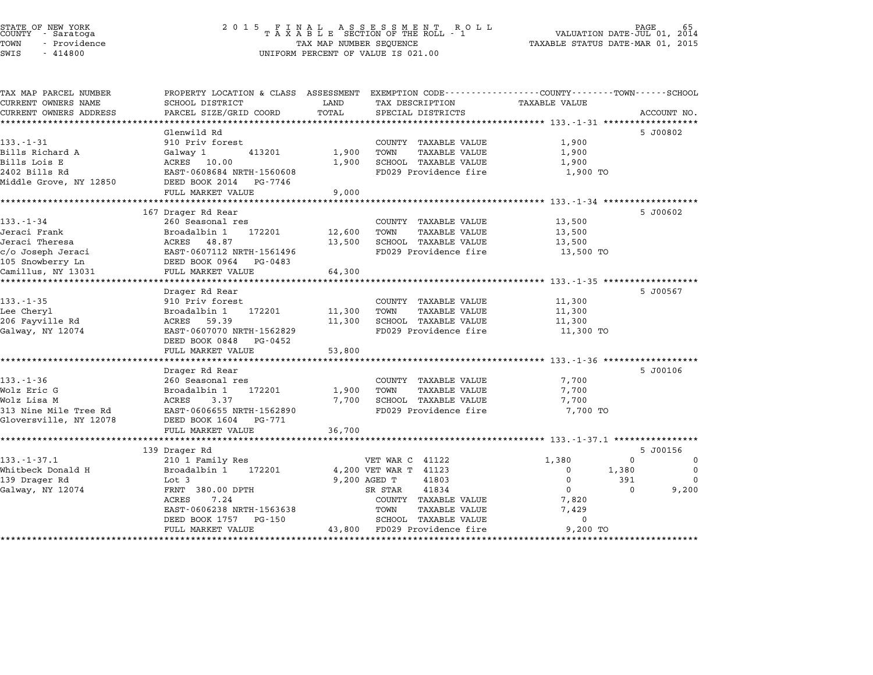TAX MAP PARCEL NUMBER PROPERTY LOCATION & CLASS ASSESSMENT EXEMPTION CODE------------------COUNTY--------TOWN------SCHOOL

| TAX MAP PARCEL NUMBER  | PROPERTY LOCATION & CLASS ASSESSMENT EXEMPTION CODE---------------COUNTY-------TOWN-----SCHOOL                                                                     |              |                                                          |                                  |                                        |
|------------------------|--------------------------------------------------------------------------------------------------------------------------------------------------------------------|--------------|----------------------------------------------------------|----------------------------------|----------------------------------------|
| CURRENT OWNERS NAME    | SCHOOL DISTRICT<br>PARCEL SIZE/GRID COORD TOTAL                                                                                                                    | LAND         | TAX DESCRIPTION TAXABLE VALUE                            |                                  |                                        |
| CURRENT OWNERS ADDRESS |                                                                                                                                                                    |              | SPECIAL DISTRICTS                                        |                                  | ACCOUNT NO.                            |
|                        |                                                                                                                                                                    |              |                                                          |                                  |                                        |
| 133.-1-31              | Glenwild Rd<br>910 Priv forest                                                                                                                                     |              | COUNTY TAXABLE VALUE                                     | 1,900                            | 5 J00802                               |
| Bills Richard A        | Galway 1                                                                                                                                                           | 413201 1,900 | TAXABLE VALUE<br>TOWN                                    | 1,900                            |                                        |
| Bills Lois E           | ACRES 10.00                                                                                                                                                        | 1,900        | SCHOOL TAXABLE VALUE                                     | 1,900                            |                                        |
| 2402 Bills Rd          | EAST-0608684 NRTH-1560608                                                                                                                                          |              | FD029 Providence fire                                    | 1,900 TO                         |                                        |
| Middle Grove, NY 12850 | DEED BOOK 2014 PG-7746                                                                                                                                             |              |                                                          |                                  |                                        |
|                        | FULL MARKET VALUE                                                                                                                                                  | 9,000        |                                                          |                                  |                                        |
|                        |                                                                                                                                                                    |              |                                                          |                                  |                                        |
|                        | 167 Drager Rd Rear                                                                                                                                                 |              |                                                          |                                  | 5 J00602                               |
| 133.-1-34              | 260 Seasonal res                                                                                                                                                   |              | COUNTY TAXABLE VALUE 13,500                              |                                  |                                        |
| Jeraci Frank           | Broadalbin 1 172201 12,600                                                                                                                                         |              | TOWN<br>TAXABLE VALUE                                    | 13,500                           |                                        |
| Jeraci Theresa         | ACRES 48.87                                                                                                                                                        |              | 13,500 SCHOOL TAXABLE VALUE                              | 13,500                           |                                        |
|                        | EAST-0607112 NRTH-1561496                                                                                                                                          |              | FD029 Providence fire 13,500 TO                          |                                  |                                        |
|                        |                                                                                                                                                                    |              |                                                          |                                  |                                        |
|                        | c/o Joseph Jeraci<br>2/o Joseph Jeraci<br>2/o Joseph Jeraci<br>2007112 NRTH-1561496<br>2008 DEED BOOK 0964 PG-0483<br>2008 Camillus, NY 13031<br>FULL MARKET VALUE | 64,300       |                                                          |                                  |                                        |
|                        |                                                                                                                                                                    |              |                                                          |                                  |                                        |
|                        | Drager Rd Rear                                                                                                                                                     |              |                                                          |                                  | 5 J00567                               |
| $133. - 1 - 35$        | 910 Priv forest                                                                                                                                                    |              | COUNTY TAXABLE VALUE 11,300                              |                                  |                                        |
| Lee Cheryl             | 172201 11,300<br>Broadalbin 1                                                                                                                                      |              | TAXABLE VALUE<br>TOWN                                    | 11,300                           |                                        |
| 206 Fayville Rd        | ACRES 59.39                                                                                                                                                        | 11,300       | SCHOOL TAXABLE VALUE                                     | 11,300                           |                                        |
| Galway, NY 12074       | EAST-0607070 NRTH-1562829                                                                                                                                          |              | FD029 Providence fire 11,300 TO                          |                                  |                                        |
|                        | DEED BOOK 0848 PG-0452                                                                                                                                             |              |                                                          |                                  |                                        |
|                        | FULL MARKET VALUE                                                                                                                                                  | 53,800       |                                                          |                                  |                                        |
|                        |                                                                                                                                                                    |              |                                                          |                                  |                                        |
|                        | Drager Rd Rear                                                                                                                                                     |              |                                                          |                                  | 5 J00106                               |
| $133. - 1 - 36$        | 260 Seasonal res                                                                                                                                                   |              | COUNTY TAXABLE VALUE                                     | 7,700                            |                                        |
| Wolz Eric G            | Broadalbin 1 172201                                                                                                                                                | 1,900        | TOWN<br>TOWN     TAXABLE VALUE<br>SCHOOL   TAXABLE VALUE | 7,700                            |                                        |
| Wolz Lisa M            | ACRES<br>3.37                                                                                                                                                      | 7,700        |                                                          | 7,700                            |                                        |
| 313 Nine Mile Tree Rd  | EAST-0606655 NRTH-1562890                                                                                                                                          |              | FD029 Providence fire 7,700 TO                           |                                  |                                        |
| Gloversville, NY 12078 | DEED BOOK 1604 PG-771                                                                                                                                              |              |                                                          |                                  |                                        |
|                        | FULL MARKET VALUE 36,700                                                                                                                                           |              |                                                          |                                  |                                        |
|                        |                                                                                                                                                                    |              |                                                          |                                  |                                        |
| $133. - 1 - 37.1$      | 139 Drager Rd                                                                                                                                                      |              |                                                          |                                  | 5 J00156<br>$\mathbf 0$<br>$\Omega$    |
|                        | 210 1 Family Res                                                                                                                                                   |              | VET WAR C 41122                                          | 1,380                            |                                        |
| Whitbeck Donald H      | Broadalbin 1 172201                                                                                                                                                |              | 4,200 VET WAR T 41123                                    | $\overline{0}$<br>$\overline{0}$ | $\overline{0}$<br>1,380<br>$\mathbf 0$ |
| 139 Drager Rd          | Lot 3<br>FRNT 380.00 DPTH                                                                                                                                          | 9,200 AGED T | 41803<br>41834                                           | $\overline{0}$                   | 391<br>$\Omega$                        |
| Galway, NY 12074       | ACRES<br>7.24                                                                                                                                                      |              | SR STAR<br>COUNTY TAXABLE VALUE                          |                                  | 9,200                                  |
|                        | EAST-0606238 NRTH-1563638                                                                                                                                          |              | TAXABLE VALUE<br>TOWN                                    | 7,820                            |                                        |
|                        | DEED BOOK 1757 PG-150                                                                                                                                              |              | SCHOOL TAXABLE VALUE                                     | 7,429<br>$\Omega$                |                                        |
|                        | FULL MARKET VALUE                                                                                                                                                  |              | 43,800 FD029 Providence fire                             | $9,200$ TO                       |                                        |
|                        |                                                                                                                                                                    |              |                                                          |                                  |                                        |
|                        |                                                                                                                                                                    |              |                                                          |                                  |                                        |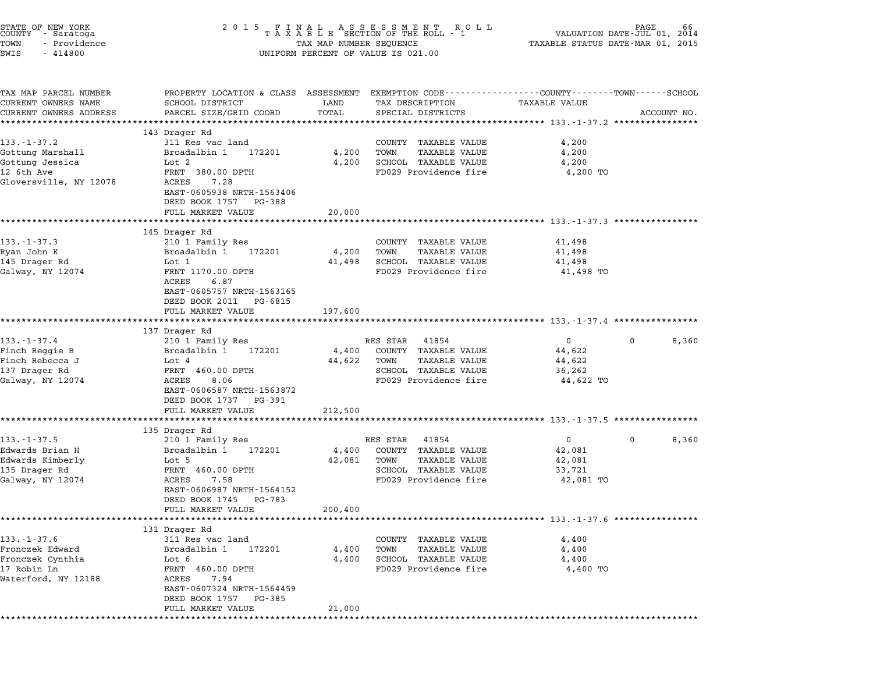| STATE OF NEW YORK<br>COUNTY - Saratoga<br>TOWN<br>- Providence<br>SWIS<br>$-414800$ | 2 0 1 5                                                                  | TAX MAP NUMBER SEQUENCE | FINAL ASSESSMENT ROLL<br>TAXABLE SECTION OF THE ROLL - 1<br>UNIFORM PERCENT OF VALUE IS 021.00 | VALUATION DATE-JUL 01,<br>TAXABLE STATUS DATE-MAR 01, 2015                                                        | 66<br>2014  |
|-------------------------------------------------------------------------------------|--------------------------------------------------------------------------|-------------------------|------------------------------------------------------------------------------------------------|-------------------------------------------------------------------------------------------------------------------|-------------|
| TAX MAP PARCEL NUMBER<br>CURRENT OWNERS NAME<br>CURRENT OWNERS ADDRESS              | SCHOOL DISTRICT<br>PARCEL SIZE/GRID COORD                                | LAND<br>TOTAL           | TAX DESCRIPTION<br>SPECIAL DISTRICTS                                                           | PROPERTY LOCATION & CLASS ASSESSMENT EXEMPTION CODE----------------COUNTY-------TOWN------SCHOOL<br>TAXABLE VALUE | ACCOUNT NO. |
|                                                                                     |                                                                          | *********               |                                                                                                | ********************************* 133.-1-37.2 ****************                                                    |             |
| $133. - 1 - 37.2$                                                                   | 143 Drager Rd<br>311 Res vac land                                        |                         | COUNTY TAXABLE VALUE                                                                           | 4,200                                                                                                             |             |
| Gottung Marshall                                                                    | Broadalbin 1<br>172201                                                   | 4,200                   | <b>TAXABLE VALUE</b><br>TOWN                                                                   | 4,200                                                                                                             |             |
| Gottung Jessica                                                                     | Lot 2                                                                    | 4,200                   | SCHOOL TAXABLE VALUE                                                                           | 4,200                                                                                                             |             |
| 12 6th Ave                                                                          | FRNT 380.00 DPTH                                                         |                         | FD029 Providence fire                                                                          | 4,200 TO                                                                                                          |             |
| Gloversville, NY 12078                                                              | 7.28<br>ACRES<br>EAST-0605938 NRTH-1563406                               |                         |                                                                                                |                                                                                                                   |             |
|                                                                                     | DEED BOOK 1757 PG-388<br>FULL MARKET VALUE                               | 20,000                  |                                                                                                |                                                                                                                   |             |
|                                                                                     |                                                                          |                         |                                                                                                | ******************************** 133.-1-37.3 *************                                                        |             |
|                                                                                     | 145 Drager Rd                                                            |                         |                                                                                                |                                                                                                                   |             |
| $133 - 1 - 37.3$                                                                    | 210 1 Family Res                                                         |                         | COUNTY TAXABLE VALUE                                                                           | 41,498                                                                                                            |             |
| Ryan John K                                                                         | Broadalbin 1<br>172201                                                   | 4,200                   | <b>TAXABLE VALUE</b><br>TOWN                                                                   | 41,498                                                                                                            |             |
| 145 Drager Rd                                                                       | Lot 1                                                                    | 41,498                  | SCHOOL TAXABLE VALUE                                                                           | 41,498                                                                                                            |             |
| Galway, NY 12074                                                                    | FRNT 1170.00 DPTH<br>6.87<br>ACRES                                       |                         | FD029 Providence fire                                                                          | 41,498 TO                                                                                                         |             |
|                                                                                     | EAST-0605757 NRTH-1563165<br>DEED BOOK 2011 PG-6815<br>FULL MARKET VALUE | 197,600                 |                                                                                                |                                                                                                                   |             |
|                                                                                     |                                                                          |                         |                                                                                                | ***************************** 133.-1-37.4 **************                                                          |             |
|                                                                                     | 137 Drager Rd                                                            |                         |                                                                                                |                                                                                                                   |             |
| $133. - 1 - 37.4$                                                                   | 210 1 Family Res                                                         |                         | RES STAR<br>41854                                                                              | $\overline{0}$<br>0                                                                                               | 8,360       |
| Finch Reggie B                                                                      | Broadalbin 1<br>172201                                                   | 4,400                   | COUNTY TAXABLE VALUE                                                                           | 44,622                                                                                                            |             |
| Finch Rebecca J                                                                     | Lot $4$                                                                  | 44,622                  | <b>TAXABLE VALUE</b><br>TOWN                                                                   | 44,622                                                                                                            |             |
| 137 Drager Rd                                                                       | FRNT 460.00 DPTH<br>8.06<br>ACRES                                        |                         | SCHOOL TAXABLE VALUE<br>FD029 Providence fire                                                  | 36,262<br>44,622 TO                                                                                               |             |
| Galway, NY 12074                                                                    | EAST-0606587 NRTH-1563872<br>DEED BOOK 1737 PG-391                       |                         |                                                                                                |                                                                                                                   |             |
|                                                                                     | FULL MARKET VALUE                                                        | 212,500                 |                                                                                                |                                                                                                                   |             |
|                                                                                     |                                                                          |                         |                                                                                                |                                                                                                                   |             |
|                                                                                     | 135 Drager Rd                                                            |                         |                                                                                                |                                                                                                                   |             |
| $133 - 1 - 37.5$                                                                    | 210 1 Family Res                                                         |                         | RES STAR<br>41854                                                                              | $\mathbf{0}$<br>0                                                                                                 | 8,360       |
| Edwards Brian H                                                                     | 172201<br>Broadalbin 1                                                   | 4,400                   | COUNTY TAXABLE VALUE                                                                           | 42,081                                                                                                            |             |
| Edwards Kimberly                                                                    | Lot 5                                                                    | 42,081                  | TOWN<br><b>TAXABLE VALUE</b>                                                                   | 42,081                                                                                                            |             |
| 135 Drager Rd<br>Galway, NY 12074                                                   | FRNT 460.00 DPTH<br>ACRES<br>7.58                                        |                         | SCHOOL TAXABLE VALUE<br>FD029 Providence fire                                                  | 33,721<br>42,081 TO                                                                                               |             |
|                                                                                     | EAST-0606987 NRTH-1564152<br>DEED BOOK 1745<br>PG-783                    |                         |                                                                                                |                                                                                                                   |             |
|                                                                                     | FULL MARKET VALUE                                                        | 200,400                 |                                                                                                |                                                                                                                   |             |
|                                                                                     |                                                                          |                         |                                                                                                | ********************* 133.-1-37.6 ****************                                                                |             |
|                                                                                     |                                                                          |                         |                                                                                                |                                                                                                                   |             |
|                                                                                     | 131 Drager Rd                                                            |                         |                                                                                                |                                                                                                                   |             |
|                                                                                     | 311 Res vac land                                                         |                         | TAXABLE VALUE<br>COUNTY                                                                        | 4,400                                                                                                             |             |
|                                                                                     | 172201<br>Broadalbin 1                                                   | 4,400                   | <b>TAXABLE VALUE</b><br>TOWN                                                                   | 4,400                                                                                                             |             |
|                                                                                     | Lot 6                                                                    | 4,400                   | SCHOOL TAXABLE VALUE                                                                           | 4,400                                                                                                             |             |
| $133. - 1 - 37.6$<br>Fronczek Edward<br>Fronczek Cynthia<br>17 Robin Ln             | FRNT 460.00 DPTH                                                         |                         | FD029 Providence fire                                                                          | 4,400 TO                                                                                                          |             |
| Waterford, NY 12188                                                                 | ACRES<br>7.94<br>EAST-0607324 NRTH-1564459                               |                         |                                                                                                |                                                                                                                   |             |
|                                                                                     | DEED BOOK 1757<br>PG-385                                                 |                         |                                                                                                |                                                                                                                   |             |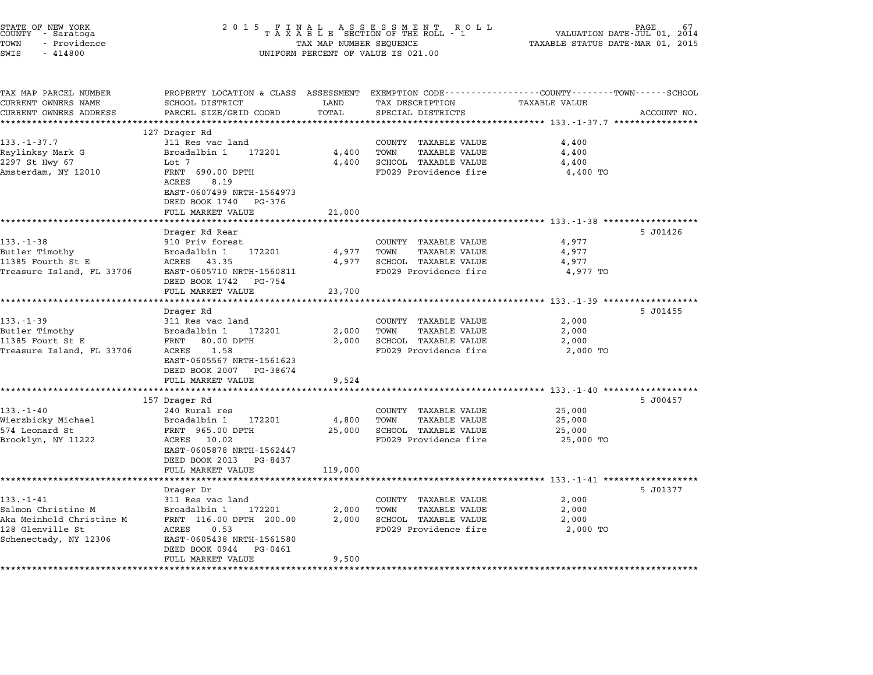| STATE OF NEW YORK<br>COUNTY - Saratoga<br>TOWN<br>- Providence | 2 0 1 5                                           | TAX MAP NUMBER SEQUENCE | FINAL ASSESSMENT ROTAXABLE SECTION OF THE ROLL - 1<br>R O L L                                                      | VALUATION DATE-JUL 01, 2014<br>TAXABLE STATUS DATE-MAR 01, 2015 | PAGE<br>67  |
|----------------------------------------------------------------|---------------------------------------------------|-------------------------|--------------------------------------------------------------------------------------------------------------------|-----------------------------------------------------------------|-------------|
| SWIS<br>$-414800$                                              |                                                   |                         | UNIFORM PERCENT OF VALUE IS 021.00                                                                                 |                                                                 |             |
| TAX MAP PARCEL NUMBER<br>CURRENT OWNERS NAME                   | SCHOOL DISTRICT                                   | LAND                    | PROPERTY LOCATION & CLASS ASSESSMENT EXEMPTION CODE---------------COUNTY-------TOWN------SCHOOL<br>TAX DESCRIPTION | TAXABLE VALUE                                                   |             |
| CURRENT OWNERS ADDRESS                                         | PARCEL SIZE/GRID COORD                            | TOTAL                   | SPECIAL DISTRICTS                                                                                                  |                                                                 | ACCOUNT NO. |
|                                                                | *********************                             | * * * * * * * * * * *   | ********************************** 133.-1-37.7 ****************                                                    |                                                                 |             |
|                                                                | 127 Drager Rd                                     |                         |                                                                                                                    |                                                                 |             |
| $133. - 1 - 37.7$                                              | 311 Res vac land                                  |                         | COUNTY TAXABLE VALUE                                                                                               | 4,400                                                           |             |
| Raylinksy Mark G                                               | Broadalbin 1<br>172201                            | 4,400                   | TOWN<br><b>TAXABLE VALUE</b>                                                                                       | 4,400                                                           |             |
| 2297 St Hwy 67<br>Amsterdam, NY 12010                          | Lot 7<br>FRNT 690.00 DPTH                         | 4,400                   | SCHOOL TAXABLE VALUE<br>FD029 Providence fire                                                                      | 4,400<br>4,400 TO                                               |             |
|                                                                | 8.19<br>ACRES                                     |                         |                                                                                                                    |                                                                 |             |
|                                                                | EAST-0607499 NRTH-1564973                         |                         |                                                                                                                    |                                                                 |             |
|                                                                | DEED BOOK 1740 PG-376                             |                         |                                                                                                                    |                                                                 |             |
|                                                                | FULL MARKET VALUE                                 | 21,000                  |                                                                                                                    |                                                                 |             |
|                                                                | *******************                               | **********              |                                                                                                                    | ********************************* 133.-1-38 ******************  |             |
|                                                                | Drager Rd Rear                                    |                         |                                                                                                                    |                                                                 | 5 J01426    |
| $133. - 1 - 38$                                                | 910 Priv forest                                   |                         | COUNTY TAXABLE VALUE                                                                                               | 4,977                                                           |             |
| Butler Timothy<br>11385 Fourth St E                            | Broadalbin 1<br>172201<br>ACRES<br>43.35          | 4,977<br>4,977          | TOWN<br><b>TAXABLE VALUE</b><br>SCHOOL TAXABLE VALUE                                                               | 4,977<br>4,977                                                  |             |
| Treasure Island, FL 33706                                      | EAST-0605710 NRTH-1560811                         |                         | FD029 Providence fire                                                                                              | 4,977 TO                                                        |             |
|                                                                | DEED BOOK 1742 PG-754                             |                         |                                                                                                                    |                                                                 |             |
|                                                                | FULL MARKET VALUE                                 | 23,700                  |                                                                                                                    |                                                                 |             |
|                                                                | *******************                               |                         |                                                                                                                    | ************************ 133.-1-39 *******************          |             |
|                                                                | Drager Rd                                         |                         |                                                                                                                    |                                                                 | 5 J01455    |
| $133. - 1 - 39$                                                | 311 Res vac land                                  |                         | COUNTY TAXABLE VALUE                                                                                               | 2,000                                                           |             |
| Butler Timothy                                                 | Broadalbin 1<br>172201                            | 2,000                   | TOWN<br>TAXABLE VALUE                                                                                              | 2,000<br>2,000                                                  |             |
| 11385 Fourt St E<br>Treasure Island, FL 33706                  | FRNT<br>80.00 DPTH<br>ACRES<br>1.58               | 2,000                   | SCHOOL TAXABLE VALUE<br>FD029 Providence fire                                                                      | 2,000 TO                                                        |             |
|                                                                | EAST-0605567 NRTH-1561623                         |                         |                                                                                                                    |                                                                 |             |
|                                                                | DEED BOOK 2007 PG-38674                           |                         |                                                                                                                    |                                                                 |             |
|                                                                | FULL MARKET VALUE                                 | 9,524                   |                                                                                                                    |                                                                 |             |
|                                                                |                                                   |                         |                                                                                                                    | ********** 133.-1-40                                            |             |
|                                                                | 157 Drager Rd                                     |                         |                                                                                                                    |                                                                 | 5 J00457    |
| $133. - 1 - 40$                                                | 240 Rural res                                     |                         | COUNTY TAXABLE VALUE                                                                                               | 25,000                                                          |             |
| Wierzbicky Michael<br>574 Leonard St                           | Broadalbin 1<br>172201<br>FRNT 965.00 DPTH        | 4,800<br>25,000         | TOWN<br>TAXABLE VALUE<br>SCHOOL TAXABLE VALUE                                                                      | 25,000<br>25,000                                                |             |
| Brooklyn, NY 11222                                             | ACRES 10.02                                       |                         | FD029 Providence fire                                                                                              | 25,000 TO                                                       |             |
|                                                                | EAST-0605878 NRTH-1562447                         |                         |                                                                                                                    |                                                                 |             |
|                                                                | DEED BOOK 2013 PG-8437                            |                         |                                                                                                                    |                                                                 |             |
|                                                                | FULL MARKET VALUE                                 | 119,000                 |                                                                                                                    |                                                                 |             |
|                                                                |                                                   |                         |                                                                                                                    | ************************* 133.-1-41 ***************             |             |
|                                                                | Drager Dr                                         |                         |                                                                                                                    |                                                                 | 5 J01377    |
| $133. - 1 - 41$                                                | 311 Res vac land                                  |                         | COUNTY TAXABLE VALUE                                                                                               | 2,000                                                           |             |
| Salmon Christine M<br>Aka Meinhold Christine M                 | Broadalbin 1<br>172201<br>FRNT 116.00 DPTH 200.00 | 2,000<br>2,000          | TOWN<br><b>TAXABLE VALUE</b><br>SCHOOL TAXABLE VALUE                                                               | 2,000<br>2,000                                                  |             |
| 128 Glenville St                                               | ACRES<br>0.53                                     |                         | FD029 Providence fire                                                                                              | 2,000 TO                                                        |             |
| Schenectady, NY 12306                                          | EAST-0605438 NRTH-1561580                         |                         |                                                                                                                    |                                                                 |             |
|                                                                | DEED BOOK 0944<br>PG-0461                         |                         |                                                                                                                    |                                                                 |             |
|                                                                | FULL MARKET VALUE                                 | 9,500                   |                                                                                                                    |                                                                 |             |
|                                                                | ******************************                    |                         |                                                                                                                    |                                                                 |             |

STATE OF NEW YORK <sup>2</sup> <sup>0</sup> <sup>1</sup> 5 F I N A L A S S E S S M E N T R O L L PAGE <sup>67</sup> COUNTY - Saratoga <sup>T</sup> <sup>A</sup> <sup>X</sup> <sup>A</sup> <sup>B</sup> <sup>L</sup> <sup>E</sup> SECTION OF THE ROLL - <sup>1</sup> VALUATION DATE-JUL 01, <sup>2014</sup>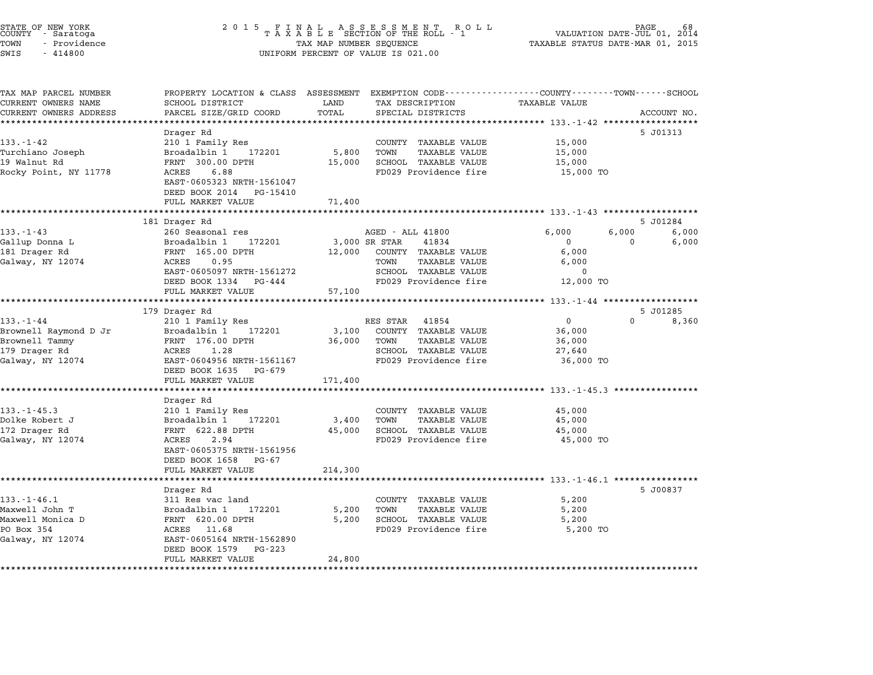| STATE OF NEW YORK<br>COUNTY - Saratoga<br>TOWN<br>- Providence<br>SWIS<br>- 414800 | 2015 FINAL ASSESSMENT ROLL<br>TAXABLE SECTION OF THE ROLL - 1<br>TAX MAP NUMBER SEQUENCE<br>UNIFORM PERCENT OF VALUE IS 021.00 | 68<br>PAGE<br>VALUATION DATE-JUL 01, 2014<br>TAXABLE STATUS DATE-MAR 01, 2015 |
|------------------------------------------------------------------------------------|--------------------------------------------------------------------------------------------------------------------------------|-------------------------------------------------------------------------------|
|                                                                                    |                                                                                                                                |                                                                               |

| TAX MAP PARCEL NUMBER<br>CURRENT OWNERS NAME | PROPERTY LOCATION & CLASS ASSESSMENT EXEMPTION CODE---------------COUNTY-------TOWN------SCHOOL<br>SCHOOL DISTRICT | LAND          | TAX DESCRIPTION                                      | TAXABLE VALUE           |                      |                |
|----------------------------------------------|--------------------------------------------------------------------------------------------------------------------|---------------|------------------------------------------------------|-------------------------|----------------------|----------------|
| CURRENT OWNERS ADDRESS                       | PARCEL SIZE/GRID COORD                                                                                             | TOTAL         | SPECIAL DISTRICTS                                    |                         | ACCOUNT NO.          |                |
|                                              | ********************                                                                                               |               |                                                      |                         |                      |                |
|                                              | Drager Rd                                                                                                          |               |                                                      |                         | 5 J01313             |                |
| $133. - 1 - 42$                              | 210 1 Family Res                                                                                                   |               | COUNTY TAXABLE VALUE                                 | 15,000                  |                      |                |
| Turchiano Joseph                             | Broadalbin 1 172201                                                                                                | 5,800         | TOWN<br><b>TAXABLE VALUE</b>                         | 15,000                  |                      |                |
| 19 Walnut Rd                                 | FRNT 300.00 DPTH                                                                                                   | 15,000        | SCHOOL TAXABLE VALUE                                 | 15,000                  |                      |                |
| Rocky Point, NY 11778                        | ACRES<br>6.88<br>EAST-0605323 NRTH-1561047<br>DEED BOOK 2014<br>PG-15410<br>FULL MARKET VALUE                      | 71,400        | FD029 Providence fire                                | 15,000 TO               |                      |                |
|                                              |                                                                                                                    |               |                                                      |                         |                      |                |
|                                              | 181 Drager Rd                                                                                                      |               |                                                      |                         | 5 J01284             |                |
| $133 - 1 - 43$                               | 260 Seasonal res<br>Broadalbin 1 172201                                                                            | 3,000 SR STAR | AGED - ALL 41800<br>41834                            | 6,000<br>$\overline{0}$ | 6,000<br>$\mathbf 0$ | 6,000<br>6,000 |
| Gallup Donna L<br>181 Drager Rd              | FRNT 165.00 DPTH                                                                                                   | 12,000        | COUNTY TAXABLE VALUE                                 | 6,000                   |                      |                |
| Galway, NY 12074                             | ACRES<br>0.95                                                                                                      |               | TOWN<br><b>TAXABLE VALUE</b>                         | 6,000                   |                      |                |
|                                              | EAST-0605097 NRTH-1561272                                                                                          |               | SCHOOL TAXABLE VALUE                                 | $\mathbf 0$             |                      |                |
|                                              | DEED BOOK 1334 PG-444                                                                                              |               | FD029 Providence fire                                | 12,000 TO               |                      |                |
|                                              | FULL MARKET VALUE                                                                                                  | 57,100        |                                                      |                         |                      |                |
|                                              | **********************                                                                                             |               |                                                      |                         |                      |                |
|                                              | 179 Drager Rd                                                                                                      |               |                                                      |                         | 5 J01285             |                |
| $133. - 1 - 44$                              | 210 1 Family Res                                                                                                   |               | RES STAR 41854                                       | 0                       | $\Omega$             | 8,360          |
| Brownell Raymond D Jr                        | Broadalbin 1<br>172201                                                                                             | 3,100         | COUNTY TAXABLE VALUE                                 | 36,000                  |                      |                |
| Brownell Tammy                               | FRNT 176.00 DPTH                                                                                                   | 36,000        | TOWN<br><b>TAXABLE VALUE</b>                         | 36,000                  |                      |                |
| 179 Drager Rd                                | ACRES<br>1.28                                                                                                      |               | SCHOOL TAXABLE VALUE                                 | 27,640                  |                      |                |
| Galway, NY 12074                             | EAST-0604956 NRTH-1561167                                                                                          |               | FD029 Providence fire                                | 36,000 TO               |                      |                |
|                                              | DEED BOOK 1635 PG-679                                                                                              |               |                                                      |                         |                      |                |
|                                              | FULL MARKET VALUE                                                                                                  | 171,400       |                                                      |                         |                      |                |
|                                              |                                                                                                                    |               |                                                      |                         |                      |                |
|                                              | Drager Rd                                                                                                          |               |                                                      |                         |                      |                |
| $133. - 1 - 45.3$<br>Dolke Robert J          | 210 1 Family Res<br>Broadalbin 1 172201                                                                            | 3,400         | COUNTY TAXABLE VALUE<br>TOWN<br><b>TAXABLE VALUE</b> | 45,000<br>45,000        |                      |                |
| 172 Drager Rd                                | FRNT 622.88 DPTH                                                                                                   |               | 45,000 SCHOOL TAXABLE VALUE                          | 45,000                  |                      |                |
| Galway, NY 12074                             | ACRES<br>2.94                                                                                                      |               | FD029 Providence fire                                | 45,000 TO               |                      |                |
|                                              | EAST-0605375 NRTH-1561956                                                                                          |               |                                                      |                         |                      |                |
|                                              | DEED BOOK 1658<br>PG-67                                                                                            |               |                                                      |                         |                      |                |
|                                              | FULL MARKET VALUE                                                                                                  | 214,300       |                                                      |                         |                      |                |
|                                              |                                                                                                                    |               |                                                      |                         |                      |                |
|                                              | Drager Rd                                                                                                          |               |                                                      |                         | 5 J00837             |                |
| $133. - 1 - 46.1$                            | 311 Res vac land                                                                                                   |               | COUNTY TAXABLE VALUE                                 | 5,200                   |                      |                |
| Maxwell John T                               | Broadalbin 1<br>172201                                                                                             | 5,200         | TOWN<br><b>TAXABLE VALUE</b>                         | 5,200                   |                      |                |
| Maxwell Monica D                             | FRNT 620.00 DPTH                                                                                                   | 5,200         | SCHOOL TAXABLE VALUE                                 | 5,200                   |                      |                |
| PO Box 354                                   | ACRES 11.68                                                                                                        |               | FD029 Providence fire                                | 5,200 TO                |                      |                |
| Galway, NY 12074                             | EAST-0605164 NRTH-1562890                                                                                          |               |                                                      |                         |                      |                |
|                                              | DEED BOOK 1579<br>PG-223                                                                                           | 24,800        |                                                      |                         |                      |                |
|                                              | FULL MARKET VALUE                                                                                                  |               |                                                      |                         |                      |                |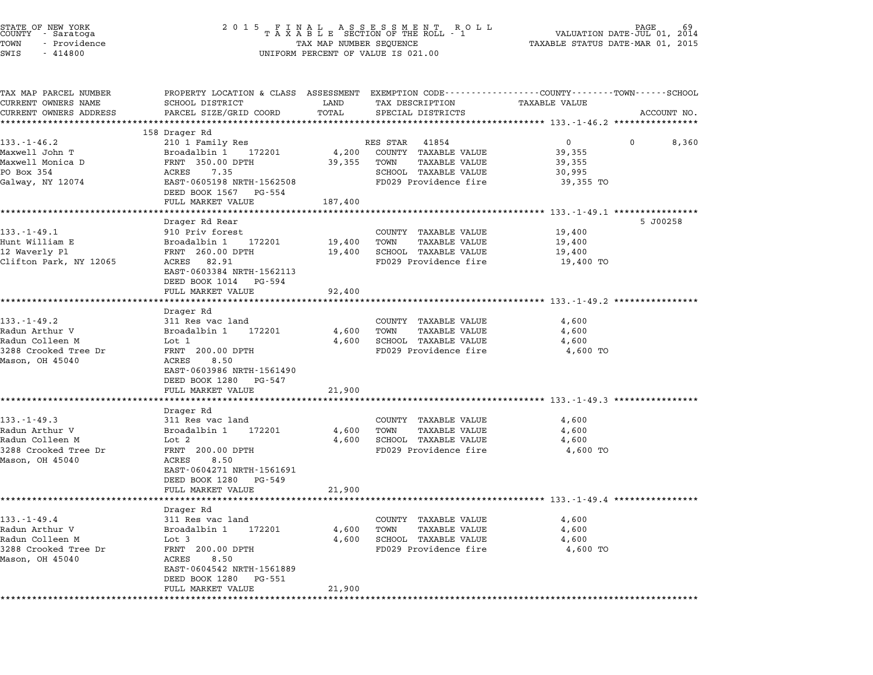| PROPERTY LOCATION & CLASS ASSESSMENT EXEMPTION CODE---------------COUNTY-------TOWN------SCHOOL<br>SCHOOL DISTRICT<br>LAND<br>PARCEL SIZE/GRID COORD<br>TOTAL<br>*********<br>158 Drager Rd<br>210 1 Family Res<br>172201<br>Broadalbin 1<br>FRNT 350.00 DPTH<br>ACRES<br>7.35<br>EAST-0605198 NRTH-1562508<br>DEED BOOK 1567<br>PG-554<br>FULL MARKET VALUE<br>187,400<br>Drager Rd Rear<br>910 Priv forest<br>Broadalbin 1<br>172201<br>19,400 | TAX DESCRIPTION<br>SPECIAL DISTRICTS<br>RES STAR<br>41854<br>4,200<br>COUNTY TAXABLE VALUE<br>39,355<br>TOWN<br>TAXABLE VALUE<br>SCHOOL TAXABLE VALUE<br>FD029 Providence fire<br>COUNTY TAXABLE VALUE<br><b>TAXABLE VALUE</b><br>TOWN | TAXABLE VALUE<br>********************************** 133.-1-46.2 *****************<br>$\overline{0}$<br>39,355<br>39,355<br>30,995<br>39,355 TO<br>19,400 | ACCOUNT NO.<br>8,360<br>0<br>5 J00258                                                                                                                                     |
|--------------------------------------------------------------------------------------------------------------------------------------------------------------------------------------------------------------------------------------------------------------------------------------------------------------------------------------------------------------------------------------------------------------------------------------------------|----------------------------------------------------------------------------------------------------------------------------------------------------------------------------------------------------------------------------------------|----------------------------------------------------------------------------------------------------------------------------------------------------------|---------------------------------------------------------------------------------------------------------------------------------------------------------------------------|
|                                                                                                                                                                                                                                                                                                                                                                                                                                                  |                                                                                                                                                                                                                                        |                                                                                                                                                          |                                                                                                                                                                           |
|                                                                                                                                                                                                                                                                                                                                                                                                                                                  |                                                                                                                                                                                                                                        |                                                                                                                                                          |                                                                                                                                                                           |
|                                                                                                                                                                                                                                                                                                                                                                                                                                                  |                                                                                                                                                                                                                                        |                                                                                                                                                          |                                                                                                                                                                           |
|                                                                                                                                                                                                                                                                                                                                                                                                                                                  |                                                                                                                                                                                                                                        |                                                                                                                                                          |                                                                                                                                                                           |
| FRNT 260.00 DPTH<br>19,400<br>ACRES 82.91                                                                                                                                                                                                                                                                                                                                                                                                        | SCHOOL TAXABLE VALUE<br>FD029 Providence fire                                                                                                                                                                                          | 19,400<br>19,400<br>19,400 TO                                                                                                                            |                                                                                                                                                                           |
| EAST-0603384 NRTH-1562113<br>DEED BOOK 1014 PG-594<br>FULL MARKET VALUE                                                                                                                                                                                                                                                                                                                                                                          | 92,400                                                                                                                                                                                                                                 | *********************** 133.-1-49.2 *********                                                                                                            |                                                                                                                                                                           |
| Drager Rd<br>311 Res vac land<br>172201<br>Broadalbin 1<br>Lot 1<br>FRNT 200.00 DPTH<br>ACRES<br>8.50<br>EAST-0603986 NRTH-1561490<br>DEED BOOK 1280<br>PG-547                                                                                                                                                                                                                                                                                   | COUNTY TAXABLE VALUE<br><b>TAXABLE VALUE</b><br>4,600<br>TOWN<br>SCHOOL TAXABLE VALUE<br>4,600<br>FD029 Providence fire                                                                                                                | 4,600<br>4,600<br>4,600<br>4,600 TO                                                                                                                      |                                                                                                                                                                           |
| FULL MARKET VALUE<br>21,900                                                                                                                                                                                                                                                                                                                                                                                                                      |                                                                                                                                                                                                                                        |                                                                                                                                                          |                                                                                                                                                                           |
| Drager Rd<br>311 Res vac land<br>Broadalbin 1<br>172201<br>Lot 2<br>FRNT 200.00 DPTH<br>ACRES<br>8.50<br>EAST-0604271 NRTH-1561691<br>DEED BOOK 1280<br>PG-549<br>FULL MARKET VALUE                                                                                                                                                                                                                                                              | COUNTY TAXABLE VALUE<br><b>TAXABLE VALUE</b><br>4,600<br>TOWN<br>SCHOOL TAXABLE VALUE<br>4,600<br>FD029 Providence fire                                                                                                                | ***************************** 133.-1-49.3 *********<br>4,600<br>4,600<br>4,600<br>4,600 TO                                                               |                                                                                                                                                                           |
|                                                                                                                                                                                                                                                                                                                                                                                                                                                  |                                                                                                                                                                                                                                        |                                                                                                                                                          |                                                                                                                                                                           |
|                                                                                                                                                                                                                                                                                                                                                                                                                                                  | COUNTY<br>TOWN                                                                                                                                                                                                                         | 4,600<br>4,600<br>4,600<br>4,600 TO                                                                                                                      |                                                                                                                                                                           |
|                                                                                                                                                                                                                                                                                                                                                                                                                                                  | Drager Rd<br>311 Res vac land<br>Broadalbin 1<br>172201                                                                                                                                                                                | 21,900<br>4,600<br>Lot 3<br>4,600<br>FRNT 200.00 DPTH<br>ACRES<br>8.50<br>EAST-0604542 NRTH-1561889                                                      | ****************************** 133.-1-49.4 ********<br>TAXABLE VALUE<br><b>TAXABLE VALUE</b><br>SCHOOL TAXABLE VALUE<br>FD029 Providence fire<br>DEED BOOK 1280<br>PG-551 |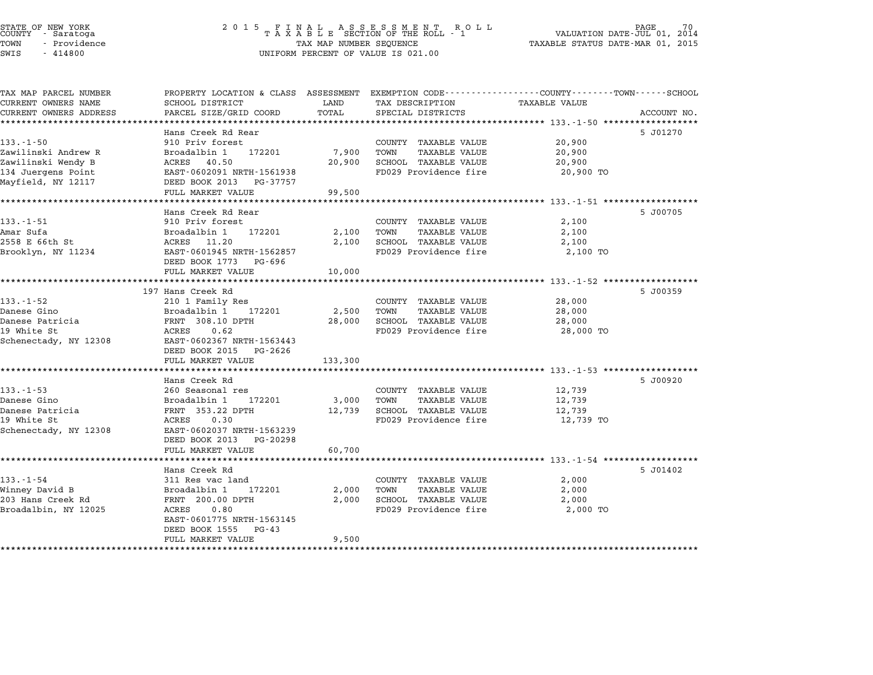| COUNTY | STATE OF NEW YORK<br>- Saratoga |  |
|--------|---------------------------------|--|
| TOWN   | - Providence                    |  |
|        |                                 |  |

# STATE OF NEW YORK <sup>2</sup> <sup>0</sup> <sup>1</sup> 5 F I N A L A S S E S S M E N T R O L L PAGE <sup>70</sup> COUNTY - Saratoga <sup>T</sup> <sup>A</sup> <sup>X</sup> <sup>A</sup> <sup>B</sup> <sup>L</sup> <sup>E</sup> SECTION OF THE ROLL - <sup>1</sup> VALUATION DATE-JUL 01, <sup>2014</sup> TOWN - Providence TAX MAP NUMBER SEQUENCE TAXABLE STATUS DATE-MAR 01, <sup>2015</sup> SWIS - <sup>414800</sup> UNIFORM PERCENT OF VALUE IS 021.00

| PROPERTY LOCATION & CLASS ASSESSMENT |                                                                                                                                                                                                                                                                                                                                                                                                                                                                                                                                               | EXEMPTION CODE-----------------COUNTY-------TOWN-----SCHOOL                     |                                                                                                                                                                                                                                                                                                                                                                 |                                                                                                                            |
|--------------------------------------|-----------------------------------------------------------------------------------------------------------------------------------------------------------------------------------------------------------------------------------------------------------------------------------------------------------------------------------------------------------------------------------------------------------------------------------------------------------------------------------------------------------------------------------------------|---------------------------------------------------------------------------------|-----------------------------------------------------------------------------------------------------------------------------------------------------------------------------------------------------------------------------------------------------------------------------------------------------------------------------------------------------------------|----------------------------------------------------------------------------------------------------------------------------|
|                                      |                                                                                                                                                                                                                                                                                                                                                                                                                                                                                                                                               |                                                                                 |                                                                                                                                                                                                                                                                                                                                                                 |                                                                                                                            |
|                                      |                                                                                                                                                                                                                                                                                                                                                                                                                                                                                                                                               |                                                                                 |                                                                                                                                                                                                                                                                                                                                                                 | ACCOUNT NO.                                                                                                                |
|                                      |                                                                                                                                                                                                                                                                                                                                                                                                                                                                                                                                               |                                                                                 |                                                                                                                                                                                                                                                                                                                                                                 |                                                                                                                            |
|                                      |                                                                                                                                                                                                                                                                                                                                                                                                                                                                                                                                               |                                                                                 |                                                                                                                                                                                                                                                                                                                                                                 | 5 J01270                                                                                                                   |
|                                      |                                                                                                                                                                                                                                                                                                                                                                                                                                                                                                                                               |                                                                                 |                                                                                                                                                                                                                                                                                                                                                                 |                                                                                                                            |
|                                      |                                                                                                                                                                                                                                                                                                                                                                                                                                                                                                                                               |                                                                                 |                                                                                                                                                                                                                                                                                                                                                                 |                                                                                                                            |
|                                      |                                                                                                                                                                                                                                                                                                                                                                                                                                                                                                                                               |                                                                                 |                                                                                                                                                                                                                                                                                                                                                                 |                                                                                                                            |
|                                      |                                                                                                                                                                                                                                                                                                                                                                                                                                                                                                                                               |                                                                                 |                                                                                                                                                                                                                                                                                                                                                                 |                                                                                                                            |
|                                      |                                                                                                                                                                                                                                                                                                                                                                                                                                                                                                                                               |                                                                                 |                                                                                                                                                                                                                                                                                                                                                                 |                                                                                                                            |
|                                      |                                                                                                                                                                                                                                                                                                                                                                                                                                                                                                                                               |                                                                                 |                                                                                                                                                                                                                                                                                                                                                                 |                                                                                                                            |
|                                      |                                                                                                                                                                                                                                                                                                                                                                                                                                                                                                                                               |                                                                                 |                                                                                                                                                                                                                                                                                                                                                                 |                                                                                                                            |
|                                      |                                                                                                                                                                                                                                                                                                                                                                                                                                                                                                                                               |                                                                                 |                                                                                                                                                                                                                                                                                                                                                                 | 5 J00705                                                                                                                   |
|                                      |                                                                                                                                                                                                                                                                                                                                                                                                                                                                                                                                               |                                                                                 |                                                                                                                                                                                                                                                                                                                                                                 |                                                                                                                            |
|                                      |                                                                                                                                                                                                                                                                                                                                                                                                                                                                                                                                               |                                                                                 |                                                                                                                                                                                                                                                                                                                                                                 |                                                                                                                            |
|                                      |                                                                                                                                                                                                                                                                                                                                                                                                                                                                                                                                               |                                                                                 |                                                                                                                                                                                                                                                                                                                                                                 |                                                                                                                            |
|                                      |                                                                                                                                                                                                                                                                                                                                                                                                                                                                                                                                               |                                                                                 |                                                                                                                                                                                                                                                                                                                                                                 |                                                                                                                            |
|                                      |                                                                                                                                                                                                                                                                                                                                                                                                                                                                                                                                               |                                                                                 |                                                                                                                                                                                                                                                                                                                                                                 |                                                                                                                            |
|                                      |                                                                                                                                                                                                                                                                                                                                                                                                                                                                                                                                               |                                                                                 |                                                                                                                                                                                                                                                                                                                                                                 |                                                                                                                            |
|                                      |                                                                                                                                                                                                                                                                                                                                                                                                                                                                                                                                               |                                                                                 |                                                                                                                                                                                                                                                                                                                                                                 |                                                                                                                            |
|                                      |                                                                                                                                                                                                                                                                                                                                                                                                                                                                                                                                               |                                                                                 |                                                                                                                                                                                                                                                                                                                                                                 | 5 J00359                                                                                                                   |
|                                      |                                                                                                                                                                                                                                                                                                                                                                                                                                                                                                                                               |                                                                                 |                                                                                                                                                                                                                                                                                                                                                                 |                                                                                                                            |
|                                      |                                                                                                                                                                                                                                                                                                                                                                                                                                                                                                                                               |                                                                                 |                                                                                                                                                                                                                                                                                                                                                                 |                                                                                                                            |
|                                      | 28,000                                                                                                                                                                                                                                                                                                                                                                                                                                                                                                                                        |                                                                                 | 28,000                                                                                                                                                                                                                                                                                                                                                          |                                                                                                                            |
| ACRES                                |                                                                                                                                                                                                                                                                                                                                                                                                                                                                                                                                               |                                                                                 | 28,000 TO                                                                                                                                                                                                                                                                                                                                                       |                                                                                                                            |
|                                      |                                                                                                                                                                                                                                                                                                                                                                                                                                                                                                                                               |                                                                                 |                                                                                                                                                                                                                                                                                                                                                                 |                                                                                                                            |
| DEED BOOK 2015<br>PG-2626            |                                                                                                                                                                                                                                                                                                                                                                                                                                                                                                                                               |                                                                                 |                                                                                                                                                                                                                                                                                                                                                                 |                                                                                                                            |
| FULL MARKET VALUE                    | 133,300                                                                                                                                                                                                                                                                                                                                                                                                                                                                                                                                       |                                                                                 |                                                                                                                                                                                                                                                                                                                                                                 |                                                                                                                            |
|                                      |                                                                                                                                                                                                                                                                                                                                                                                                                                                                                                                                               |                                                                                 |                                                                                                                                                                                                                                                                                                                                                                 |                                                                                                                            |
| Hans Creek Rd                        |                                                                                                                                                                                                                                                                                                                                                                                                                                                                                                                                               |                                                                                 |                                                                                                                                                                                                                                                                                                                                                                 | 5 J00920                                                                                                                   |
|                                      |                                                                                                                                                                                                                                                                                                                                                                                                                                                                                                                                               |                                                                                 | 12,739                                                                                                                                                                                                                                                                                                                                                          |                                                                                                                            |
| 260 Seasonal res                     |                                                                                                                                                                                                                                                                                                                                                                                                                                                                                                                                               | COUNTY TAXABLE VALUE                                                            |                                                                                                                                                                                                                                                                                                                                                                 |                                                                                                                            |
| 172201<br>Broadalbin 1               | 3,000                                                                                                                                                                                                                                                                                                                                                                                                                                                                                                                                         | TOWN<br>TAXABLE VALUE                                                           | 12,739                                                                                                                                                                                                                                                                                                                                                          |                                                                                                                            |
| FRNT 353.22 DPTH                     | 12,739                                                                                                                                                                                                                                                                                                                                                                                                                                                                                                                                        | <b>SCHOOL TAXABLE VALUE</b>                                                     | 12,739                                                                                                                                                                                                                                                                                                                                                          |                                                                                                                            |
| ACRES<br>0.30                        |                                                                                                                                                                                                                                                                                                                                                                                                                                                                                                                                               | FD029 Providence fire                                                           | 12,739 TO                                                                                                                                                                                                                                                                                                                                                       |                                                                                                                            |
| EAST-0602037 NRTH-1563239            |                                                                                                                                                                                                                                                                                                                                                                                                                                                                                                                                               |                                                                                 |                                                                                                                                                                                                                                                                                                                                                                 |                                                                                                                            |
| DEED BOOK 2013<br>PG-20298           |                                                                                                                                                                                                                                                                                                                                                                                                                                                                                                                                               |                                                                                 |                                                                                                                                                                                                                                                                                                                                                                 |                                                                                                                            |
| FULL MARKET VALUE                    | 60,700                                                                                                                                                                                                                                                                                                                                                                                                                                                                                                                                        |                                                                                 |                                                                                                                                                                                                                                                                                                                                                                 |                                                                                                                            |
|                                      |                                                                                                                                                                                                                                                                                                                                                                                                                                                                                                                                               |                                                                                 |                                                                                                                                                                                                                                                                                                                                                                 |                                                                                                                            |
| Hans Creek Rd                        |                                                                                                                                                                                                                                                                                                                                                                                                                                                                                                                                               |                                                                                 |                                                                                                                                                                                                                                                                                                                                                                 | 5 J01402                                                                                                                   |
| 311 Res vac land                     |                                                                                                                                                                                                                                                                                                                                                                                                                                                                                                                                               | COUNTY TAXABLE VALUE                                                            | 2,000                                                                                                                                                                                                                                                                                                                                                           |                                                                                                                            |
| Broadalbin 1<br>172201               | 2,000                                                                                                                                                                                                                                                                                                                                                                                                                                                                                                                                         | TOWN<br><b>TAXABLE VALUE</b>                                                    | 2,000                                                                                                                                                                                                                                                                                                                                                           |                                                                                                                            |
| FRNT 200.00 DPTH                     | 2,000                                                                                                                                                                                                                                                                                                                                                                                                                                                                                                                                         | SCHOOL TAXABLE VALUE                                                            | 2,000                                                                                                                                                                                                                                                                                                                                                           |                                                                                                                            |
| ACRES<br>0.80                        |                                                                                                                                                                                                                                                                                                                                                                                                                                                                                                                                               | FD029 Providence fire                                                           | 2,000 TO                                                                                                                                                                                                                                                                                                                                                        |                                                                                                                            |
| EAST-0601775 NRTH-1563145            |                                                                                                                                                                                                                                                                                                                                                                                                                                                                                                                                               |                                                                                 |                                                                                                                                                                                                                                                                                                                                                                 |                                                                                                                            |
| DEED BOOK 1555<br>PG-43              |                                                                                                                                                                                                                                                                                                                                                                                                                                                                                                                                               |                                                                                 |                                                                                                                                                                                                                                                                                                                                                                 |                                                                                                                            |
|                                      | SCHOOL DISTRICT<br>PARCEL SIZE/GRID COORD<br>****************************<br>Hans Creek Rd Rear<br>910 Priv forest<br>Broadalbin 1<br>172201<br>40.50<br>ACRES<br>EAST-0602091 NRTH-1561938<br>DEED BOOK 2013<br>PG-37757<br>FULL MARKET VALUE<br>Hans Creek Rd Rear<br>910 Priv forest<br>Broadalbin 1<br>172201<br>ACRES<br>11.20<br>EAST-0601945 NRTH-1562857<br>DEED BOOK 1773<br>PG-696<br>FULL MARKET VALUE<br>197 Hans Creek Rd<br>210 1 Family Res<br>Broadalbin 1<br>172201<br>FRNT 308.10 DPTH<br>0.62<br>EAST-0602367 NRTH-1563443 | LAND<br>TOTAL<br>7,900<br>20,900<br>99,500<br>2,100<br>2,100<br>10,000<br>2,500 | TAX DESCRIPTION<br>SPECIAL DISTRICTS<br>COUNTY TAXABLE VALUE<br>TOWN<br><b>TAXABLE VALUE</b><br>SCHOOL TAXABLE VALUE<br>FD029 Providence fire<br>COUNTY TAXABLE VALUE<br>TOWN<br><b>TAXABLE VALUE</b><br>SCHOOL TAXABLE VALUE<br>FD029 Providence fire<br>COUNTY TAXABLE VALUE<br>TOWN<br><b>TAXABLE VALUE</b><br>SCHOOL TAXABLE VALUE<br>FD029 Providence fire | <b>TAXABLE VALUE</b><br>20,900<br>20,900<br>20,900<br>20,900 TO<br>2,100<br>2,100<br>2,100<br>2,100 TO<br>28,000<br>28,000 |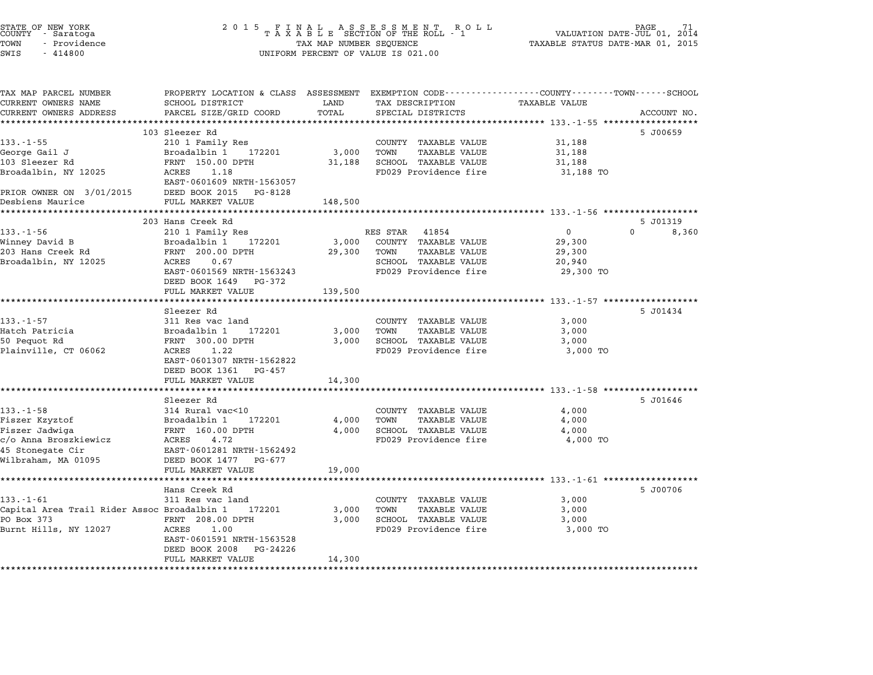| STATE OF NEW YORK |        |            |  |
|-------------------|--------|------------|--|
| COUNTY - Saratoga |        |            |  |
| TOWN              | $\sim$ | Providence |  |
| $ATJT$ $\alpha$   |        | 111000     |  |

# STATE OF NEW YORK <sup>2</sup> <sup>0</sup> <sup>1</sup> 5 F I N A L A S S E S S M E N T R O L L PAGE <sup>71</sup> COUNTY - Saratoga <sup>T</sup> <sup>A</sup> <sup>X</sup> <sup>A</sup> <sup>B</sup> <sup>L</sup> <sup>E</sup> SECTION OF THE ROLL - <sup>1</sup> VALUATION DATE-JUL 01, <sup>2014</sup> TOWN - Providence TAX MAP NUMBER SEQUENCE TAXABLE STATUS DATE-MAR 01, <sup>2015</sup> COONTI - SATACOGA<br>TOWN - Providence<br>SWIS - 414800 UNIFORM PERCENT OF VALUE IS 021.00

TAX MAP PARCEL NUMBER PROPERTY LOCATION & CLASS ASSESSMENT EXEMPTION CODE------------------COUNTY--------TOWN------SCHOOL CURRENT OWNERS NAME SCHOOL DISTRICT LAND TAX DESCRIPTION TAXABLE VALUE CURRENT OWNERS ADDRESS FOR SCHOOL DISTRICTS ASSESSEENT EXERT ON TAX MIT POSSESS SAME ON TRANSFORE STATE ON THE TRANSFORE TO TRANSFORE THE TRANSFORE TO TRANSFORE THE TRANSFORE TO TRANSFORE THE TRANSFORE TO TRANSFORE THE TRA 103 Sleezer Rd 5 J00659 133.-1-55 103 Sleezer Rd<br>210 1 Family Res COUNTY TAXABLE VALUE 31,188 George Gail J Broadalbin <sup>1</sup> <sup>172201</sup> 3,000 TOWN TAXABLE VALUE 31,188 <sup>103</sup> Sleezer Rd FRNT 150.00 DPTH 31,188 SCHOOL TAXABLE VALUE 31,188 Broadalbin, NY <sup>12025</sup> ACRES 1.18 FD029 Providence fire 31,188 TO FANI 150.00 DF1H<br>ACRES 1.18<br>EAST-0601609 NRTH-1563057 1.00 DICCLET NAME NOTE: 1.18<br>Broadalbin, NY 12025 RCRES 1.18<br>PRIOR OWNER ON 3/01/2015 DEED BOOK 2015 PG-8128 Desbiens Maurice FULL MARKET VALUE 148,500 \*\*\*\*\*\*\*\*\*\*\*\*\*\*\*\*\*\*\*\*\*\*\*\*\*\*\*\*\*\*\*\*\*\*\*\*\*\*\*\*\*\*\*\*\*\*\*\*\*\*\*\*\*\*\*\*\*\*\*\*\*\*\*\*\*\*\*\*\*\*\*\*\*\*\*\*\*\*\*\*\*\*\*\*\*\*\*\*\*\*\*\*\*\*\*\*\*\*\*\*\*\*\* 133.-1-56 \*\*\*\*\*\*\*\*\*\*\*\*\*\*\*\*\*\* <sup>203</sup> Hans Creek Rd 5 J01319 133.-1-56 133.-1-56 203 Hans Creek Rd<br>203 Hans Creek Rd<br>210 1 Family Res Res STAR 41854 0 0 0 8,360 Winney David B Broadalbin <sup>1</sup> <sup>172201</sup> 3,000 COUNTY TAXABLE VALUE 29,300 <sup>203</sup> Hans Creek Rd FRNT 200.00 DPTH 29,300 TOWN TAXABLE VALUE 29,300 williey David D. (1980) Directed Directed Directed Directed Directed Directed Directed Directed Directed Direct<br>2003 Broadalbin, NY 12025 SCRES 0.67 SCHOOL TAXABLE VALUE 20,940<br>Broadalbin, NY 12025 SCRES 0.67 EANI 200.00 DETH 29,300 TOMM AAABLE VALUE 200.00 29,300 TOMM 29,300 TO 29,300 TO<br>ACRES 0.67 SCHOOL TAXABLE VALUE 20,940<br>EAST-0601569 NRTH-1563243 FD029 Providence fire 29,300 TO EAST-0601569 NRTH-1563243<br>DEED BOOK 1649 PG-372 EAST-0601569 NRTH-1563243 FD029 Providence fire<br>DEED BOOK 1649 PG-372<br>FULL MARKET VALUE 139,500 \*\*\*\*\*\*\*\*\*\*\*\*\*\*\*\*\*\*\*\*\*\*\*\*\*\*\*\*\*\*\*\*\*\*\*\*\*\*\*\*\*\*\*\*\*\*\*\*\*\*\*\*\*\*\*\*\*\*\*\*\*\*\*\*\*\*\*\*\*\*\*\*\*\*\*\*\*\*\*\*\*\*\*\*\*\*\*\*\*\*\*\*\*\*\*\*\*\*\*\*\*\*\* 133.-1-57 \*\*\*\*\*\*\*\*\*\*\*\*\*\*\*\*\*\* Sleezer Rd 5 J01434 133.-1-57 311 Res vac land COUNTY TAXABLE VALUE 3,000 Hatch Patricia Broadalbin <sup>1</sup> <sup>172201</sup> 3,000 TOWN TAXABLE VALUE 3,000 550 Pequot Rd France (1991) Service Research Politics (1991) Service Press, 2000 POWN PARABLE VALUE 3,000<br>Hatch Patricia (1992) Broadalbin 192201 3,000 POWN TAXABLE VALUE 3,000 POWN 93,000 POWN PARABLE VALUE 3,000 match Factricia (Biodual District of the Second Communist Control of the Match Second Second District of the S<br>1980 Pequot Re PRIT (BOL) PETH (BOL) SCRES 1.22 SOUL TAXABLE VALUE (SINCL S,000 TO<br>Plainville, CT 06062 ACRES 1 EAST-0601307 NRTH-1562822 EAST-0601307 NRTH-15628<br>DEED BOOK 1361 PG-457 EAST-0601307 NRTH-1562822<br>DEED BOOK 1361 PG-457<br>FULL MARKET VALUE 14,300 \*\*\*\*\*\*\*\*\*\*\*\*\*\*\*\*\*\*\*\*\*\*\*\*\*\*\*\*\*\*\*\*\*\*\*\*\*\*\*\*\*\*\*\*\*\*\*\*\*\*\*\*\*\*\*\*\*\*\*\*\*\*\*\*\*\*\*\*\*\*\*\*\*\*\*\*\*\*\*\*\*\*\*\*\*\*\*\*\*\*\*\*\*\*\*\*\*\*\*\*\*\*\* 133.-1-58 \*\*\*\*\*\*\*\*\*\*\*\*\*\*\*\*\*\* Sleezer Rd 5 J01646 133.-1-58 314 Rural vac<10 (2000) 2000 EXABLE VALUE 4,000 Fiszer Kzyztof Broadalbin <sup>1</sup> <sup>172201</sup> 4,000 TOWN TAXABLE VALUE 4,000 1990, 1990, 1990, 1990, 1990, 1990, 1990, 1990, 1990, 1990, 1990, 1990, 1990, 1990, 1990, 1990, 1990, 1990, 19<br>Fiszer Jadwiga (1990, 1990, 1990, 1990, 1990, 1990, 1990, 1990, 1990, 1990, 1990, 1990, 1990, 1990, 1990, 199<br>F riszer Rzyzior — produced biodernic international material and transference of the state of the state of the s<br>Fiszer Jadwiga – FRNT 160.00 DPTH – 4,000 SCHOOL TAXABLE VALUE – 4,000 TO<br>C/O Anna Broszkiewicz – ACRES – 4.72 riszer Jauwiya – Frant 100.00 DPIn<br>c/o Anna Broszkiewicz – ACRES – 4.72<br>45 Stonegate Cir – EAST-0601281 NRTH-1562492 C/O Anna DIOSZKIEWICZ — ACAED – 1.72<br>45 Stonegate Cir — EAST-0601281 NRTH-15624<br>Wilbraham, MA 01095 — DEED BOOK 1477 – PG-677 EASI-0001261 NAIH-1902492<br>
DEED BOOK 1477 PG-677<br>
FULL MARKET VALUE 19,000 \*\*\*\*\*\*\*\*\*\*\*\*\*\*\*\*\*\*\*\*\*\*\*\*\*\*\*\*\*\*\*\*\*\*\*\*\*\*\*\*\*\*\*\*\*\*\*\*\*\*\*\*\*\*\*\*\*\*\*\*\*\*\*\*\*\*\*\*\*\*\*\*\*\*\*\*\*\*\*\*\*\*\*\*\*\*\*\*\*\*\*\*\*\*\*\*\*\*\*\*\*\*\* 133.-1-61 \*\*\*\*\*\*\*\*\*\*\*\*\*\*\*\*\*\* Hans Creek Rd 5 J00706 133.-1-61 Franchische Maria (1990)<br>133.-1-61 311 Res vac land COUNTY TAXABLE VALUE 3,000 Capital Area Trail Rider Assoc Broadalbin <sup>1</sup> <sup>172201</sup> 3,000 TOWN TAXABLE VALUE 3,000 1991 FOR STRING BOX 371 NEST VALUE AND TRING BOX 1991 FOR SALUE SURFACT AND SALUE SURFACT SURFACT SURFACT SURF<br>PO BOX 373 FRNT 208.00 DPTH 3,000 TOWN TAXABLE VALUE 3,000 SCHOOL TAXABLE VALUE 3,000 Capital High Hills, NY 12027 ACRES 1.00 PTH 3,000 IONN 1AABLE VALUE (1980) 3,000 FOR AND 1.1 (1980) SUMMER VALUE<br>Burnt Hills, NY 12027 ROMERS 1.00 FTH 3,000 SCHOOL TAXABLE VALUE (3,000 TO PERS 1.00 TO FANI 200.00 DFIH<br>ACRES 1.00<br>EAST-0601591 NRTH-1563528 EAST-0601591 NRTH-1563528<br>DEED BOOK 2008 PG-24226 EAST-0601591 NRTH-1563528<br>DEED BOOK 2008 PG-24226<br>FULL MARKET VALUE 14,300 \*\*\*\*\*\*\*\*\*\*\*\*\*\*\*\*\*\*\*\*\*\*\*\*\*\*\*\*\*\*\*\*\*\*\*\*\*\*\*\*\*\*\*\*\*\*\*\*\*\*\*\*\*\*\*\*\*\*\*\*\*\*\*\*\*\*\*\*\*\*\*\*\*\*\*\*\*\*\*\*\*\*\*\*\*\*\*\*\*\*\*\*\*\*\*\*\*\*\*\*\*\*\*\*\*\*\*\*\*\*\*\*\*\*\*\*\*\*\*\*\*\*\*\*\*\*\*\*\*\*\*\*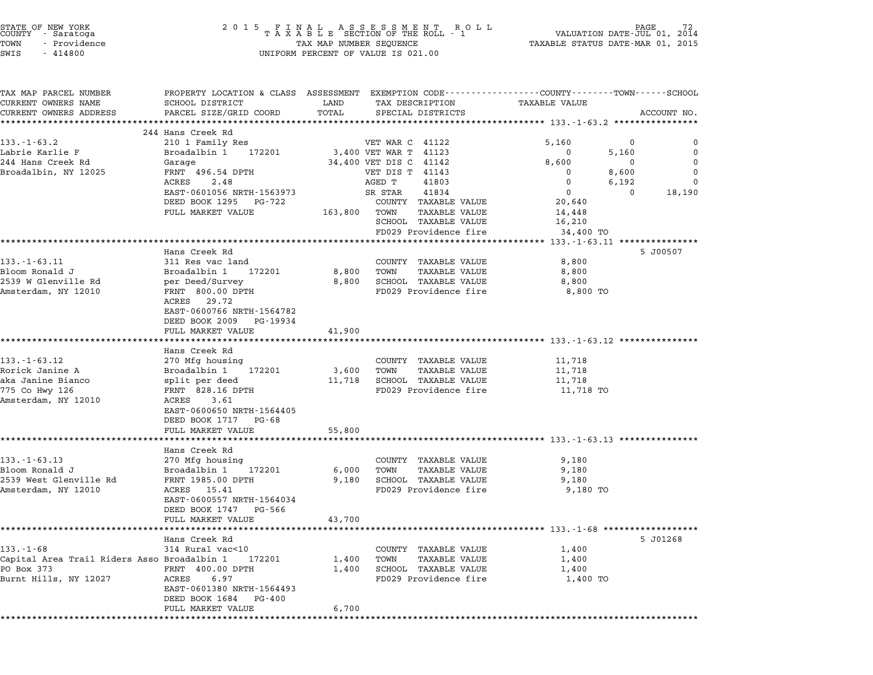| STATE OF NEW YORK |  |              |  |
|-------------------|--|--------------|--|
| COUNTY - Saratoga |  |              |  |
| TOWN              |  | - Providence |  |
|                   |  |              |  |

# STATE OF NEW YORK <sup>2</sup> <sup>0</sup> <sup>1</sup> 5 F I N A L A S S E S S M E N T R O L L PAGE <sup>72</sup> COUNTY - Saratoga <sup>T</sup> <sup>A</sup> <sup>X</sup> <sup>A</sup> <sup>B</sup> <sup>L</sup> <sup>E</sup> SECTION OF THE ROLL - <sup>1</sup> VALUATION DATE-JUL 01, <sup>2014</sup> STATE OF NEW YORK FORE TAX ALL ASSESSMENT ROLL HOUR TAND THE PAGE 72<br>COUNTY - Saratoga TAXABLE STATUS OF THE ROLL - 1 WALUATION DATE-UUL 01, 2014<br>TOWN - Providence TAXABLE STATUS DATE-MAR 01, 2015 TOWN - Providence and the state of the state of the state of the state of the state of the state of the state o<br>SWIS - 414800 SWIS - SWISSED BERCENT OF VALUE IS 021.00

| TAX MAP PARCEL NUMBER<br>CURRENT OWNERS NAME                                              | PROPERTY LOCATION & CLASS ASSESSMENT EXEMPTION CODE--------------COUNTY------TOWN-----SCHOOL<br>SCHOOL DISTRICT | LAND            | TAX DESCRIPTION                                               | TAXABLE VALUE                                 |          |             |
|-------------------------------------------------------------------------------------------|-----------------------------------------------------------------------------------------------------------------|-----------------|---------------------------------------------------------------|-----------------------------------------------|----------|-------------|
| CURRENT OWNERS ADDRESS                                                                    | PARCEL SIZE/GRID COORD                                                                                          | TOTAL           | SPECIAL DISTRICTS                                             |                                               |          | ACCOUNT NO. |
|                                                                                           | ************************                                                                                        |                 |                                                               | *************** 133.-1-63.2 ***************** |          |             |
|                                                                                           | 244 Hans Creek Rd                                                                                               |                 |                                                               |                                               |          |             |
| $133. - 1 - 63.2$                                                                         | 210 1 Family Res                                                                                                |                 | VET WAR C 41122                                               | 5,160                                         | 0        | ∩           |
| Labrie Karlie F                                                                           | Broadalbin 1<br>172201                                                                                          |                 | 3,400 VET WAR T 41123                                         | $\Omega$                                      | 5,160    | $\mathbf 0$ |
| 244 Hans Creek Rd                                                                         | Garage                                                                                                          |                 | 34,400 VET DIS C 41142                                        | 8,600                                         | 0        | $\Omega$    |
| Broadalbin, NY 12025                                                                      | FRNT 496.54 DPTH                                                                                                |                 | VET DIS T 41143                                               | 0                                             | 8,600    | $\Omega$    |
|                                                                                           | 2.48<br>ACRES                                                                                                   |                 | 41803<br>AGED T                                               | 0                                             | 6,192    | $\mathbf 0$ |
|                                                                                           | EAST-0601056 NRTH-1563973                                                                                       |                 | SR STAR<br>41834                                              | $\mathbf 0$                                   | $\Omega$ | 18,190      |
|                                                                                           | DEED BOOK 1295 PG-722                                                                                           |                 | COUNTY TAXABLE VALUE                                          | 20,640                                        |          |             |
|                                                                                           | FULL MARKET VALUE                                                                                               | 163,800         | TOWN<br><b>TAXABLE VALUE</b><br>SCHOOL TAXABLE VALUE          | 14,448<br>16,210                              |          |             |
|                                                                                           |                                                                                                                 |                 | FD029 Providence fire                                         | 34,400 TO                                     |          |             |
|                                                                                           |                                                                                                                 |                 |                                                               | *** 133.-1-63.11 ****                         |          |             |
|                                                                                           | Hans Creek Rd                                                                                                   |                 |                                                               |                                               |          | 5 J00507    |
| 133.-1-63.11                                                                              | 311 Res vac land                                                                                                |                 | COUNTY TAXABLE VALUE                                          | 8,800                                         |          |             |
| Bloom Ronald J                                                                            | Broadalbin 1 172201                                                                                             | 8,800           | TOWN<br><b>TAXABLE VALUE</b>                                  | 8,800                                         |          |             |
| 2539 W Glenville Rd                                                                       | per Deed/Survey                                                                                                 |                 | 8,800 SCHOOL TAXABLE VALUE                                    | 8,800                                         |          |             |
| Amsterdam, NY 12010                                                                       | FRNT 800.00 DPTH                                                                                                |                 | FD029 Providence fire                                         | 8,800 TO                                      |          |             |
|                                                                                           | ACRES 29.72                                                                                                     |                 |                                                               |                                               |          |             |
|                                                                                           | EAST-0600766 NRTH-1564782                                                                                       |                 |                                                               |                                               |          |             |
|                                                                                           | DEED BOOK 2009<br>PG-19934                                                                                      |                 |                                                               |                                               |          |             |
|                                                                                           | FULL MARKET VALUE                                                                                               | 41,900          |                                                               |                                               |          |             |
|                                                                                           | *********************                                                                                           | **************  | .******************************* 133.-1-63.12 *************** |                                               |          |             |
| $133. - 1 - 63.12$                                                                        | Hans Creek Rd                                                                                                   |                 |                                                               |                                               |          |             |
| Rorick Janine A                                                                           | 270 Mfg housing<br>Broadalbin 1<br>172201                                                                       |                 | COUNTY TAXABLE VALUE<br>TOWN<br>TAXABLE VALUE                 | 11,718                                        |          |             |
| aka Janine Bianco                                                                         | split per deed                                                                                                  | 3,600<br>11,718 | SCHOOL TAXABLE VALUE                                          | 11,718<br>11,718                              |          |             |
| 775 Co Hwy 126                                                                            | FRNT 828.16 DPTH                                                                                                |                 | FD029 Providence fire                                         | 11,718 TO                                     |          |             |
| Amsterdam, NY 12010                                                                       | ACRES 3.61                                                                                                      |                 |                                                               |                                               |          |             |
|                                                                                           | EAST-0600650 NRTH-1564405                                                                                       |                 |                                                               |                                               |          |             |
|                                                                                           | DEED BOOK 1717 PG-68                                                                                            |                 |                                                               |                                               |          |             |
|                                                                                           | FULL MARKET VALUE                                                                                               | 55,800          |                                                               |                                               |          |             |
|                                                                                           | ******************                                                                                              |                 | ******************************* 133.-1-63.13 **************   |                                               |          |             |
|                                                                                           |                                                                                                                 |                 |                                                               |                                               |          |             |
|                                                                                           | Hans Creek Rd                                                                                                   |                 |                                                               |                                               |          |             |
|                                                                                           | 270 Mfg housing                                                                                                 |                 | COUNTY TAXABLE VALUE                                          | 9,180                                         |          |             |
|                                                                                           | Broadalbin 1<br>172201                                                                                          | 6,000           | TOWN<br><b>TAXABLE VALUE</b>                                  | 9,180                                         |          |             |
|                                                                                           | FRNT 1985.00 DPTH                                                                                               | 9,180           | SCHOOL TAXABLE VALUE                                          | 9,180                                         |          |             |
| $133. - 1 - 63.13$<br>Bloom Ronald J<br>2539 West Glenville Rd<br>Amsterdam, NY 12010     | ACRES 15.41                                                                                                     |                 | FD029 Providence fire                                         | 9,180 TO                                      |          |             |
|                                                                                           | EAST-0600557 NRTH-1564034                                                                                       |                 |                                                               |                                               |          |             |
|                                                                                           | DEED BOOK 1747<br>PG-566                                                                                        |                 |                                                               |                                               |          |             |
|                                                                                           | FULL MARKET VALUE                                                                                               | 43,700          |                                                               |                                               |          |             |
|                                                                                           |                                                                                                                 |                 |                                                               | ********* 133.-1-68 *****************         |          |             |
|                                                                                           | Hans Creek Rd                                                                                                   |                 |                                                               |                                               |          | 5 J01268    |
| $133. - 1 - 68$                                                                           | 314 Rural vac<10                                                                                                |                 | COUNTY TAXABLE VALUE                                          | 1,400                                         |          |             |
|                                                                                           |                                                                                                                 | 1,400           | TOWN<br>TAXABLE VALUE                                         | 1,400                                         |          |             |
|                                                                                           | FRNT 400.00 DPTH                                                                                                | 1,400           | SCHOOL TAXABLE VALUE                                          | 1,400                                         |          |             |
|                                                                                           | 6.97<br>ACRES                                                                                                   |                 | FD029 Providence fire                                         | 1,400 TO                                      |          |             |
|                                                                                           | EAST-0601380 NRTH-1564493<br>DEED BOOK 1684<br>PG-400                                                           |                 |                                                               |                                               |          |             |
| Capital Area Trail Riders Asso Broadalbin 1 172201<br>PO Box 373<br>Burnt Hills, NY 12027 | FULL MARKET VALUE                                                                                               | 6,700           |                                                               |                                               |          |             |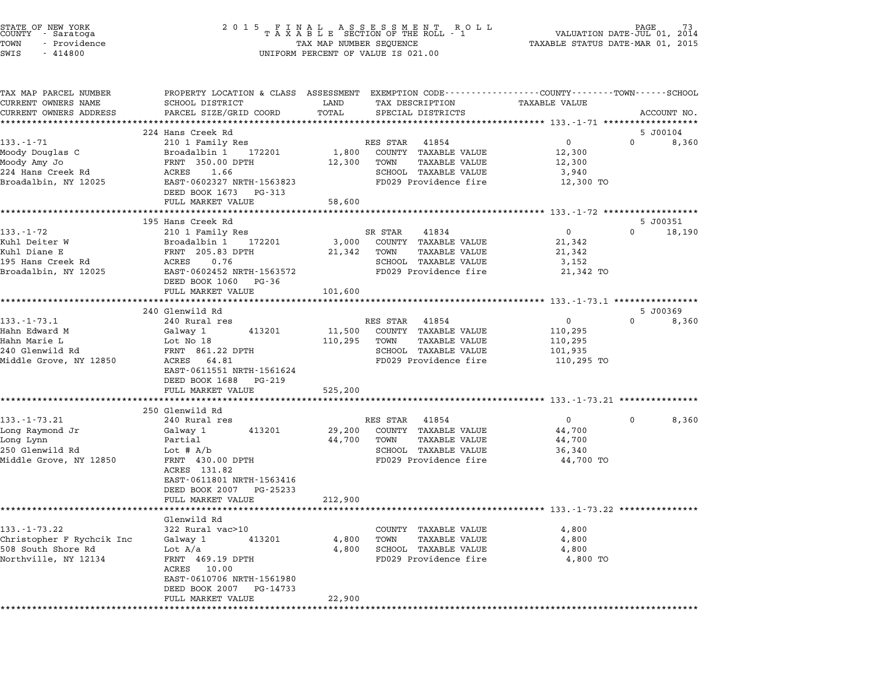| STATE OF NEW YORK<br>COUNTY - Saratoga<br>- Providence<br>TOWN<br>SWIS<br>$-414800$ | 2 0 1 5<br>FINAL ASSESSMENT ROLL<br>TAXABLE SECTION OF THE ROLL - 1<br>TAX MAP NUMBER SEQUENCE<br>UNIFORM PERCENT OF VALUE IS 021.00 | 73<br>PAGE<br>VALUATION DATE-JUL 01, 2014<br>TAXABLE STATUS DATE-MAR 01, 2015 |                                                                                                                                         |                    |                    |
|-------------------------------------------------------------------------------------|--------------------------------------------------------------------------------------------------------------------------------------|-------------------------------------------------------------------------------|-----------------------------------------------------------------------------------------------------------------------------------------|--------------------|--------------------|
| TAX MAP PARCEL NUMBER<br>CURRENT OWNERS NAME<br>CURRENT OWNERS ADDRESS              | SCHOOL DISTRICT<br>PARCEL SIZE/GRID COORD                                                                                            | LAND<br>TOTAL                                                                 | PROPERTY LOCATION & CLASS ASSESSMENT EXEMPTION CODE----------------COUNTY-------TOWN-----SCHOOL<br>TAX DESCRIPTION<br>SPECIAL DISTRICTS | TAXABLE VALUE      | ACCOUNT NO.        |
|                                                                                     | 224 Hans Creek Rd                                                                                                                    |                                                                               |                                                                                                                                         |                    | 5 J00104           |
| $133. - 1 - 71$                                                                     | 210 1 Family Res                                                                                                                     |                                                                               | RES STAR 41854                                                                                                                          | $\overline{0}$     | $\Omega$<br>8,360  |
| Moody Douglas C                                                                     | Broadalbin 1<br>172201                                                                                                               | 1,800                                                                         | COUNTY TAXABLE VALUE                                                                                                                    | 12,300             |                    |
| Moody Amy Jo<br>224 Hans Creek Rd                                                   | FRNT 350.00 DPTH<br>ACRES<br>1.66                                                                                                    | 12,300                                                                        | TAXABLE VALUE<br>TOWN<br>SCHOOL TAXABLE VALUE                                                                                           | 12,300             |                    |
| Broadalbin, NY 12025                                                                | EAST-0602327 NRTH-1563823                                                                                                            |                                                                               | FD029 Providence fire                                                                                                                   | 3,940<br>12,300 TO |                    |
|                                                                                     | DEED BOOK 1673 PG-313                                                                                                                |                                                                               |                                                                                                                                         |                    |                    |
|                                                                                     | FULL MARKET VALUE                                                                                                                    | 58,600                                                                        |                                                                                                                                         |                    |                    |
|                                                                                     |                                                                                                                                      |                                                                               |                                                                                                                                         |                    |                    |
|                                                                                     | 195 Hans Creek Rd                                                                                                                    |                                                                               |                                                                                                                                         |                    | 5 J00351           |
| $133. - 1 - 72$                                                                     | 210 1 Family Res                                                                                                                     |                                                                               | 41834<br>SR STAR                                                                                                                        | $\mathbf 0$        | $\Omega$<br>18,190 |
| Kuhl Deiter W                                                                       | 172201<br>Broadalbin 1                                                                                                               | 3,000                                                                         | COUNTY TAXABLE VALUE                                                                                                                    | 21,342             |                    |
| Kuhl Diane E                                                                        | FRNT 205.83 DPTH                                                                                                                     | 21,342                                                                        | <b>TAXABLE VALUE</b><br>TOWN                                                                                                            | 21,342             |                    |
| 195 Hans Creek Rd                                                                   | ACRES<br>0.76                                                                                                                        |                                                                               | SCHOOL TAXABLE VALUE                                                                                                                    | 3,152              |                    |
| Broadalbin, NY 12025                                                                | EAST-0602452 NRTH-1563572<br>DEED BOOK 1060 PG-36<br>FULL MARKET VALUE                                                               |                                                                               | FD029 Providence fire                                                                                                                   | 21,342 TO          |                    |
|                                                                                     | ************************                                                                                                             | 101,600                                                                       |                                                                                                                                         |                    |                    |
|                                                                                     | 240 Glenwild Rd                                                                                                                      |                                                                               |                                                                                                                                         |                    | 5 J00369           |
| $133. - 1 - 73.1$                                                                   | 240 Rural res                                                                                                                        |                                                                               | RES STAR 41854                                                                                                                          | $\overline{0}$     | $\Omega$<br>8,360  |
| Hahn Edward M                                                                       | Galway 1<br>413201                                                                                                                   | 11,500                                                                        | COUNTY TAXABLE VALUE                                                                                                                    | 110,295            |                    |
| Hahn Marie L                                                                        | Lot No 18                                                                                                                            | 110,295                                                                       | TOWN<br>TAXABLE VALUE                                                                                                                   | 110,295            |                    |
| 240 Glenwild Rd                                                                     | FRNT 861.22 DPTH                                                                                                                     |                                                                               | SCHOOL TAXABLE VALUE                                                                                                                    | 101,935            |                    |
| Middle Grove, NY 12850                                                              | ACRES 64.81<br>EAST-0611551 NRTH-1561624<br>DEED BOOK 1688<br>PG-219                                                                 |                                                                               | FD029 Providence fire                                                                                                                   | 110,295 TO         |                    |
|                                                                                     | FULL MARKET VALUE<br>***************************                                                                                     | 525,200                                                                       |                                                                                                                                         |                    |                    |
|                                                                                     | 250 Glenwild Rd                                                                                                                      |                                                                               |                                                                                                                                         |                    |                    |
| $133. - 1 - 73.21$                                                                  | 240 Rural res                                                                                                                        |                                                                               | RES STAR 41854                                                                                                                          | $0 \qquad \qquad$  | 8,360<br>0         |
| Long Raymond Jr                                                                     | Galway 1<br>413201                                                                                                                   | 29,200                                                                        | COUNTY TAXABLE VALUE                                                                                                                    | 44,700             |                    |
| Long Lynn                                                                           | Partial                                                                                                                              | 44,700                                                                        | TOWN<br>TAXABLE VALUE                                                                                                                   | 44,700             |                    |
| 250 Glenwild Rd                                                                     | Lot $# A/b$                                                                                                                          |                                                                               | SCHOOL TAXABLE VALUE                                                                                                                    | 36,340             |                    |
| Middle Grove, NY 12850                                                              | FRNT 430.00 DPTH                                                                                                                     |                                                                               | FD029 Providence fire                                                                                                                   | 44,700 TO          |                    |
|                                                                                     | ACRES 131.82                                                                                                                         |                                                                               |                                                                                                                                         |                    |                    |
|                                                                                     | EAST-0611801 NRTH-1563416                                                                                                            |                                                                               |                                                                                                                                         |                    |                    |
|                                                                                     | DEED BOOK 2007 PG-25233                                                                                                              |                                                                               |                                                                                                                                         |                    |                    |
|                                                                                     | FULL MARKET VALUE                                                                                                                    | 212,900                                                                       |                                                                                                                                         |                    |                    |
|                                                                                     |                                                                                                                                      |                                                                               |                                                                                                                                         |                    |                    |
| $133. - 1 - 73.22$                                                                  | Glenwild Rd<br>322 Rural vac>10                                                                                                      |                                                                               | COUNTY TAXABLE VALUE                                                                                                                    | 4,800              |                    |
| Christopher F Rychcik Inc                                                           | 413201<br>Galway 1                                                                                                                   | 4,800                                                                         | TOWN<br>TAXABLE VALUE                                                                                                                   | 4,800              |                    |
| 508 South Shore Rd                                                                  | Lot $A/a$                                                                                                                            | 4,800                                                                         | SCHOOL TAXABLE VALUE                                                                                                                    | 4,800              |                    |
| Northville, NY 12134                                                                | FRNT 469.19 DPTH                                                                                                                     |                                                                               | FD029 Providence fire                                                                                                                   | 4,800 TO           |                    |
|                                                                                     | 10.00<br>ACRES                                                                                                                       |                                                                               |                                                                                                                                         |                    |                    |
|                                                                                     | EAST-0610706 NRTH-1561980                                                                                                            |                                                                               |                                                                                                                                         |                    |                    |
|                                                                                     | DEED BOOK 2007<br>PG-14733                                                                                                           |                                                                               |                                                                                                                                         |                    |                    |
|                                                                                     | FULL MARKET VALUE                                                                                                                    | 22,900                                                                        |                                                                                                                                         |                    |                    |
|                                                                                     |                                                                                                                                      |                                                                               |                                                                                                                                         |                    |                    |

STATE OF NEW YORK <sup>2</sup> <sup>0</sup> <sup>1</sup> 5 F I N A L A S S E S S M E N T R O L L PAGE <sup>73</sup> COUNTY - Saratoga <sup>T</sup> <sup>A</sup> <sup>X</sup> <sup>A</sup> <sup>B</sup> <sup>L</sup> <sup>E</sup> SECTION OF THE ROLL - <sup>1</sup> VALUATION DATE-JUL 01, <sup>2014</sup>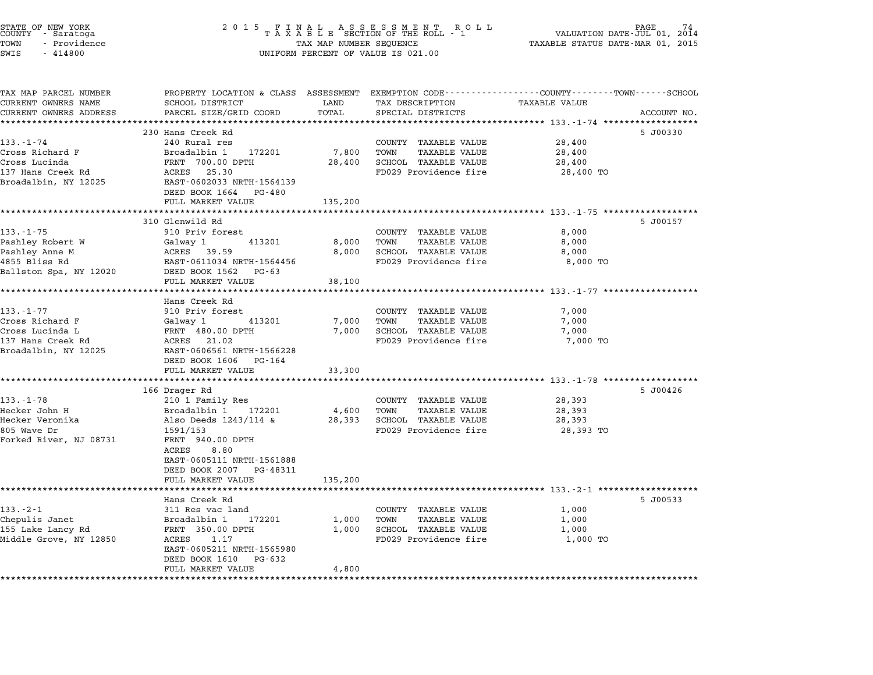| STATE OF NEW YORK<br>COUNTY – Saratoga<br>TOWN<br>- Providence<br>SWIS<br>$-414800$                              | $\begin{array}{cccccccccccccccccc} 2& 0& 1& 5 & & F & I & N & A & L & & A & S & S & E & S & S & M & E & N & T & & R & O & L & L\\ & & T & A & X & A & B & L & E & SCITION & OF & THE & ROLL & - & 1 \end{array}$<br>TAX MAP NUMBER SEQUENCE<br>UNIFORM PERCENT OF VALUE IS 021.00 | PAGE<br>VALUATION DATE-JUL 01, 2014<br>TAXABLE STATUS DATE-MAR 01, 2015 |                                                                                                       |                                                                                                                                 |
|------------------------------------------------------------------------------------------------------------------|-----------------------------------------------------------------------------------------------------------------------------------------------------------------------------------------------------------------------------------------------------------------------------------|-------------------------------------------------------------------------|-------------------------------------------------------------------------------------------------------|---------------------------------------------------------------------------------------------------------------------------------|
| TAX MAP PARCEL NUMBER<br>CURRENT OWNERS NAME<br>CURRENT OWNERS ADDRESS                                           | SCHOOL DISTRICT<br>PARCEL SIZE/GRID COORD                                                                                                                                                                                                                                         | LAND<br>TOTAL                                                           | TAX DESCRIPTION<br>SPECIAL DISTRICTS                                                                  | PROPERTY LOCATION & CLASS ASSESSMENT EXEMPTION CODE---------------COUNTY-------TOWN------SCHOOL<br>TAXABLE VALUE<br>ACCOUNT NO. |
|                                                                                                                  |                                                                                                                                                                                                                                                                                   |                                                                         |                                                                                                       |                                                                                                                                 |
|                                                                                                                  | 230 Hans Creek Rd                                                                                                                                                                                                                                                                 |                                                                         |                                                                                                       | 5 J00330                                                                                                                        |
| 133.-1-74<br>Cross Richard F<br>Cross Lucinda<br>137 Hans Creek Rd<br>Broadalbin, NY 12025                       | 240 Rural res<br>Broadalbin 1<br>172201<br>FRNT 700.00 DPTH<br>ACRES 25.30<br>EAST-0602033 NRTH-1564139<br>DEED BOOK 1664 PG-480                                                                                                                                                  | 7,800<br>28,400                                                         | COUNTY TAXABLE VALUE<br>TOWN<br><b>TAXABLE VALUE</b><br>SCHOOL TAXABLE VALUE<br>FD029 Providence fire | 28,400<br>28,400<br>28,400<br>28,400 TO                                                                                         |
|                                                                                                                  | FULL MARKET VALUE<br>***************                                                                                                                                                                                                                                              | 135,200                                                                 |                                                                                                       |                                                                                                                                 |
| $133 - 1 - 75$<br>Pashley Robert W<br>Pashley Anne M<br>4855 Bliss Rd<br>Ballston Spa, NY 12020                  | 310 Glenwild Rd<br>910 Priv forest<br>413201<br>Galway 1<br>ACRES 39.59<br>EAST-0611034 NRTH-1564456<br>DEED BOOK 1562 PG-63                                                                                                                                                      | 8,000<br>8,000                                                          | COUNTY TAXABLE VALUE<br>TOWN<br>TAXABLE VALUE<br>SCHOOL TAXABLE VALUE<br>FD029 Providence fire        | 5 J00157<br>8,000<br>8,000<br>8,000<br>8,000 TO                                                                                 |
|                                                                                                                  | FULL MARKET VALUE                                                                                                                                                                                                                                                                 | 38,100                                                                  |                                                                                                       |                                                                                                                                 |
| $133. - 1 - 77$<br>Cross Richard F<br>Cross Lucinda L<br>137 Hans Creek Rd<br>Broadalbin, NY 12025               | Hans Creek Rd<br>910 Priv forest<br>Galway 1<br>413201<br>FRNT 480.00 DPTH<br>ACRES 21.02<br>EAST-0606561 NRTH-1566228<br>DEED BOOK 1606 PG-164<br>FULL MARKET VALUE                                                                                                              | 7,000<br>7,000<br>33,300                                                | COUNTY TAXABLE VALUE<br>TOWN<br>TAXABLE VALUE<br>SCHOOL TAXABLE VALUE<br>FD029 Providence fire        | ******************************** 133.-1-77 *****************<br>7,000<br>7,000<br>7,000<br>7,000 TO                             |
|                                                                                                                  | 166 Drager Rd                                                                                                                                                                                                                                                                     |                                                                         |                                                                                                       | 5 J00426                                                                                                                        |
| $133. - 1 - 78$<br>Hecker John H<br>Hecker Veronika<br>805 Wave Dr<br>Forked River, NJ 08731                     | 210 1 Family Res<br>Broadalbin 1 172201<br>Also Deeds 1243/114 &<br>1591/153<br>FRNT 940.00 DPTH<br>ACRES<br>8.80<br>EAST-0605111 NRTH-1561888<br>DEED BOOK 2007 PG-48311                                                                                                         | 4,600<br>28,393                                                         | COUNTY TAXABLE VALUE<br>TOWN<br>TAXABLE VALUE<br>SCHOOL TAXABLE VALUE<br>FD029 Providence fire        | 28,393<br>28,393<br>28,393<br>28,393 TO                                                                                         |
|                                                                                                                  | FULL MARKET VALUE                                                                                                                                                                                                                                                                 | 135,200                                                                 |                                                                                                       |                                                                                                                                 |
| $133 - 2 - 1$<br>Chepulis Janet<br>155 Lake Lancy Rd<br>Middle Grove, NY 12850<br>****************************** | ******************<br>Hans Creek Rd<br>311 Res vac land<br>172201<br>Broadalbin 1<br>FRNT 350.00 DPTH<br>ACRES<br>1.17<br>EAST-0605211 NRTH-1565980<br>DEED BOOK 1610 PG-632<br>FULL MARKET VALUE                                                                                 | * * * * * * * * * * * * * * * * *<br>1,000<br>1,000<br>4,800            | COUNTY TAXABLE VALUE<br>TOWN<br>TAXABLE VALUE<br>SCHOOL TAXABLE VALUE<br>FD029 Providence fire        | 5 J00533<br>1,000<br>1,000<br>1,000<br>1,000 TO                                                                                 |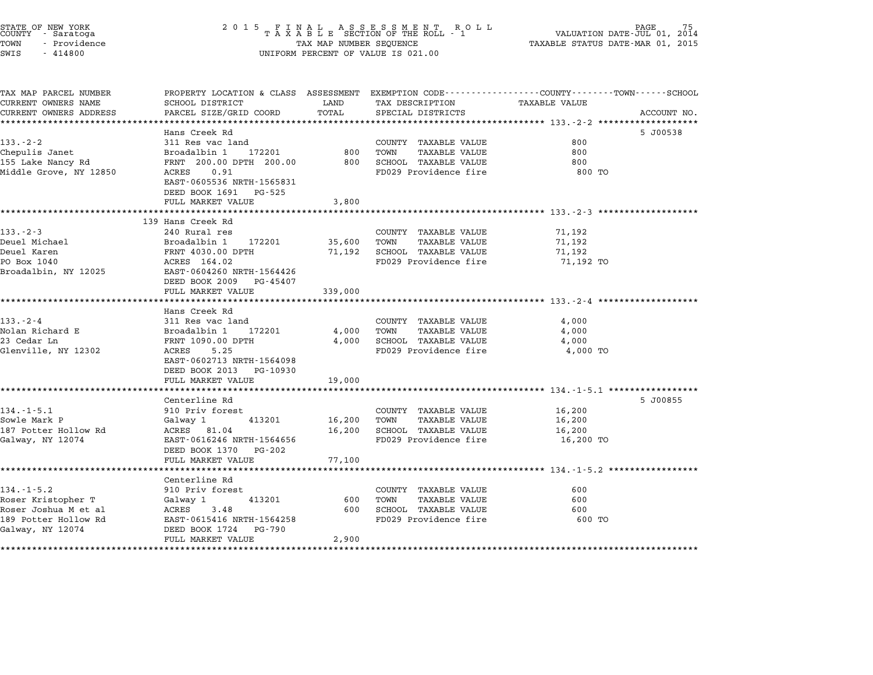| STATE OF NEW YORK<br>COUNTY - Saratoga     | 2 0 1 5                                    |                         | FINAL ASSESSMENT ROLL<br>TAXABLE SECTION OF THE ROLL - 1 | PAGE<br>VALUATION DATE-JUL 01, 2014                                                             |  |
|--------------------------------------------|--------------------------------------------|-------------------------|----------------------------------------------------------|-------------------------------------------------------------------------------------------------|--|
| TOWN<br>- Providence                       |                                            | TAX MAP NUMBER SEQUENCE |                                                          | TAXABLE STATUS DATE-MAR 01, 2015                                                                |  |
| SWIS<br>$-414800$                          |                                            |                         | UNIFORM PERCENT OF VALUE IS 021.00                       |                                                                                                 |  |
|                                            |                                            |                         |                                                          |                                                                                                 |  |
| TAX MAP PARCEL NUMBER                      |                                            |                         |                                                          | PROPERTY LOCATION & CLASS ASSESSMENT EXEMPTION CODE---------------COUNTY-------TOWN------SCHOOL |  |
| CURRENT OWNERS NAME                        | SCHOOL DISTRICT                            | LAND                    | TAX DESCRIPTION                                          | TAXABLE VALUE                                                                                   |  |
| CURRENT OWNERS ADDRESS                     | PARCEL SIZE/GRID COORD                     | TOTAL                   | SPECIAL DISTRICTS                                        | ACCOUNT NO.                                                                                     |  |
|                                            | Hans Creek Rd                              |                         |                                                          | 5 J00538                                                                                        |  |
| $133 - 2 - 2$                              | 311 Res vac land                           |                         | COUNTY TAXABLE VALUE                                     | 800                                                                                             |  |
| Chepulis Janet                             | Broadalbin 1<br>172201                     | 800                     | TOWN<br><b>TAXABLE VALUE</b>                             | 800                                                                                             |  |
| 155 Lake Nancy Rd                          | FRNT 200.00 DPTH 200.00                    | 800                     | SCHOOL TAXABLE VALUE                                     | 800                                                                                             |  |
| Middle Grove, NY 12850                     | ACRES<br>0.91<br>EAST-0605536 NRTH-1565831 |                         | FD029 Providence fire                                    | 800 TO                                                                                          |  |
|                                            | DEED BOOK 1691 PG-525                      |                         |                                                          |                                                                                                 |  |
|                                            | FULL MARKET VALUE                          | 3,800                   |                                                          |                                                                                                 |  |
|                                            | 139 Hans Creek Rd                          | *********               |                                                          | ******************************* 133.-2-3 ***************                                        |  |
| $133 - 2 - 3$                              | 240 Rural res                              |                         | COUNTY TAXABLE VALUE                                     | 71,192                                                                                          |  |
| Deuel Michael                              | Broadalbin 1<br>172201                     | 35,600                  | TOWN<br>TAXABLE VALUE                                    | 71,192                                                                                          |  |
| Deuel Karen                                | FRNT 4030.00 DPTH                          | 71,192                  | SCHOOL TAXABLE VALUE                                     | 71,192                                                                                          |  |
| PO Box 1040                                | ACRES 164.02                               |                         | FD029 Providence fire                                    | 71,192 TO                                                                                       |  |
| Broadalbin, NY 12025                       | EAST-0604260 NRTH-1564426                  |                         |                                                          |                                                                                                 |  |
|                                            | DEED BOOK 2009<br>PG-45407                 |                         |                                                          |                                                                                                 |  |
|                                            | FULL MARKET VALUE                          | 339,000                 |                                                          |                                                                                                 |  |
|                                            | Hans Creek Rd                              |                         |                                                          |                                                                                                 |  |
| $133 - 2 - 4$                              | 311 Res vac land                           |                         | COUNTY TAXABLE VALUE                                     | 4,000                                                                                           |  |
| Nolan Richard E                            | 172201<br>Broadalbin 1                     | 4,000                   | <b>TAXABLE VALUE</b><br>TOWN                             | 4,000                                                                                           |  |
| 23 Cedar Ln                                | FRNT 1090.00 DPTH                          | 4,000                   | SCHOOL TAXABLE VALUE                                     | 4,000                                                                                           |  |
| Glenville, NY 12302                        | 5.25<br>ACRES                              |                         | FD029 Providence fire                                    | 4,000 TO                                                                                        |  |
|                                            | EAST-0602713 NRTH-1564098                  |                         |                                                          |                                                                                                 |  |
|                                            | DEED BOOK 2013<br>PG-10930                 |                         |                                                          |                                                                                                 |  |
|                                            | FULL MARKET VALUE                          | 19,000                  |                                                          |                                                                                                 |  |
|                                            | Centerline Rd                              |                         |                                                          | 5 J00855                                                                                        |  |
| 134.-1-5.1                                 | 910 Priv forest                            |                         | COUNTY TAXABLE VALUE                                     | 16,200                                                                                          |  |
| Sowle Mark P                               | Galway 1<br>413201                         | 16,200                  | TOWN<br><b>TAXABLE VALUE</b>                             | 16,200                                                                                          |  |
| 187 Potter Hollow Rd                       | ACRES 81.04                                | 16,200                  | SCHOOL TAXABLE VALUE                                     | 16,200                                                                                          |  |
| Galway, NY 12074                           | EAST-0616246 NRTH-1564656                  |                         | FD029 Providence fire                                    | 16,200 TO                                                                                       |  |
|                                            | DEED BOOK 1370<br>PG-202                   |                         |                                                          |                                                                                                 |  |
|                                            | FULL MARKET VALUE                          | 77,100                  |                                                          |                                                                                                 |  |
|                                            | *********************                      |                         |                                                          |                                                                                                 |  |
|                                            | Centerline Rd                              |                         |                                                          |                                                                                                 |  |
| $134. - 1 - 5.2$                           | 910 Priv forest                            |                         | COUNTY TAXABLE VALUE                                     | 600                                                                                             |  |
| Roser Kristopher T<br>Roser Joshua M et al | 413201<br>Galway 1<br>ACRES 3.48           | 600<br>600              | TOWN<br>TAXABLE VALUE<br>SCHOOL TAXABLE VALUE            | 600<br>600                                                                                      |  |
| 189 Potter Hollow Rd                       | EAST-0615416 NRTH-1564258                  |                         | FD029 Providence fire                                    | 600 TO                                                                                          |  |
| Galway, NY 12074                           | DEED BOOK 1724<br>PG-790                   |                         |                                                          |                                                                                                 |  |
|                                            | FULL MARKET VALUE                          | 2,900                   |                                                          |                                                                                                 |  |
|                                            | *************************                  | ****************        |                                                          |                                                                                                 |  |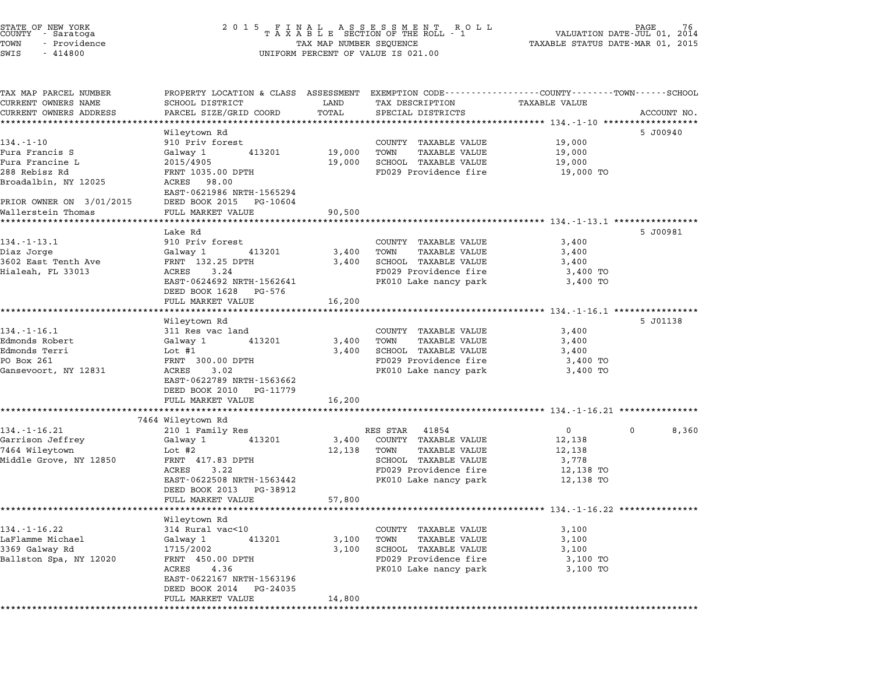|        | STATE OF NEW YORK |              |
|--------|-------------------|--------------|
| COUNTY | - Saratoga        |              |
| TOWN   |                   | - Providence |
|        | .                 |              |

# STATE OF NEW YORK <sup>2</sup> <sup>0</sup> <sup>1</sup> 5 F I N A L A S S E S S M E N T R O L L PAGE <sup>76</sup> COUNTY - Saratoga <sup>T</sup> <sup>A</sup> <sup>X</sup> <sup>A</sup> <sup>B</sup> <sup>L</sup> <sup>E</sup> SECTION OF THE ROLL - <sup>1</sup> VALUATION DATE-JUL 01, <sup>2014</sup> TOWN - Providence TAX MAP NUMBER SEQUENCE TAXABLE STATUS DATE-MAR 01, <sup>2015</sup> COONTI - SATACOGA<br>TOWN - Providence<br>SWIS - 414800 UNIFORM PERCENT OF VALUE IS 021.00

TAX MAP PARCEL NUMBER PROPERTY LOCATION & CLASS ASSESSMENT EXEMPTION CODE------------------COUNTY--------TOWN------SCHOOL ...<br>-- COUNTY:- TAX MAP PARCEL NUMBER THE OCHOTRY AND THE CURRENT EXEMPTION CODE<br>CURRENT OWNERS NAME SCHOOL DISTRICT LAND TAX DESCRIPTION TAXABLE VALUE CURRENT OWNERS ADDRESS PARCEL SIZE/GRID COORD TOTAL SPECIAL DISTRICTS ACCOUNT NO. \*\*\*\*\*\*\*\*\*\*\*\*\*\*\*\*\*\*\*\*\*\*\*\*\*\*\*\*\*\*\*\*\*\*\*\*\*\*\*\*\*\*\*\*\*\*\*\*\*\*\*\*\*\*\*\*\*\*\*\*\*\*\*\*\*\*\*\*\*\*\*\*\*\*\*\*\*\*\*\*\*\*\*\*\*\*\*\*\*\*\*\*\*\*\*\*\*\*\*\*\*\*\* 134.-1-10 \*\*\*\*\*\*\*\*\*\*\*\*\*\*\*\*\*\* Wileytown Rd 5 J00940 134.-1-10 Wileytown Rd<br>
910 Priv forest COUNTY TAXABLE VALUE 19,000 Fura Francis S Galway <sup>1</sup> <sup>413201</sup> 19,000 TOWN TAXABLE VALUE 19,000 Fura Francine L 2015/4905 19,000 SCHOOL TAXABLE VALUE 19,000 Pura Francis State of the Care of the Hotel Hamble Value of the 19,000 PORTH FRAME ON TRANSIC VALUE (19,000 TO<br>288 Rebisz Rd FRNT 1035.00 DPTH 19,000 SCHOOL TAXABLE VALUE (19,000 TO 19,000 PORTH 19,000 PORTH 19,000 PORTH ruia riancine i anno 2013/2003<br>288 Rebisz Rd – FRNT 1035.00<br>Broadalbin, NY 12025 – ACRES 98.00 FRNI 1033.00 DPIH<br>ACRES 98.00<br>EAST-0621986 NRTH-1565294 PRIOR OWNER ON 3/01/2015 DEED BOOK <sup>2015</sup> PG-10604 PRIOR OWNER ON 3/01/2015 DEED BOOK 2015 PG-10604<br>Wallerstein Thomas FULL MARKET VALUE 90,500 \*\*\*\*\*\*\*\*\*\*\*\*\*\*\*\*\*\*\*\*\*\*\*\*\*\*\*\*\*\*\*\*\*\*\*\*\*\*\*\*\*\*\*\*\*\*\*\*\*\*\*\*\*\*\*\*\*\*\*\*\*\*\*\*\*\*\*\*\*\*\*\*\*\*\*\*\*\*\*\*\*\*\*\*\*\*\*\*\*\*\*\*\*\*\*\*\*\*\*\*\*\*\* 134.-1-13.1 \*\*\*\*\*\*\*\*\*\*\*\*\*\*\*\* Lake Rd 5 J00981 134.-1-13.1 1912 Lake Rd<br>134.-1-13.1 910 Priv forest COUNTY TAXABLE VALUE 3,400 Diaz Jorge Galway <sup>1</sup> <sup>413201</sup> 3,400 TOWN TAXABLE VALUE 3,400 194. I IST. I ISLAM AVE DUCEST STATES IN THE COUNTREL CONTROLL OF A SUBJEMENT OF STATES OF STATES STATES AND S<br>1962 Dange Galway 132.25 DPTH 3,400 TOWN TAXABLE VALUE 3,400 SCHOOL TAXABLE VALUE 3,400 Hialeah, FL <sup>33013</sup> ACRES 3.24 FD029 Providence fire 3,400 TO EAST-192.25 DETIT 1.2 CONSULTED A SURVEY OF TAXABLE VALUE OF THE STATE 3.24 OF THE STATE PRODUCED PERIODIC PAR<br>ACRES 3.400 TO PRODUCED PRODUCED PRODUCED PARK 3,400 TO EAST-0624692 NRTH-1562641<br>DEED BOOK 1628 PG-576 FULL MARKET VALUE 16,200 \*\*\*\*\*\*\*\*\*\*\*\*\*\*\*\*\*\*\*\*\*\*\*\*\*\*\*\*\*\*\*\*\*\*\*\*\*\*\*\*\*\*\*\*\*\*\*\*\*\*\*\*\*\*\*\*\*\*\*\*\*\*\*\*\*\*\*\*\*\*\*\*\*\*\*\*\*\*\*\*\*\*\*\*\*\*\*\*\*\*\*\*\*\*\*\*\*\*\*\*\*\*\* 134.-1-16.1 \*\*\*\*\*\*\*\*\*\*\*\*\*\*\*\* Wileytown Rd 5 J01138 134.-1-16.1 12.1-16.1 12.1-16.1 12.1-16.1 1311 Res vac land COUNTY TAXABLE VALUE 3,400 Edmonds Robert Galway <sup>1</sup> <sup>413201</sup> 3,400 TOWN TAXABLE VALUE 3,400 المواد المسلم المسلم المسلم المسلم المسلم المسلم المسلم المسلم المسلم المسلم المسلم المسلم المسلم المسلم المسل<br>1940 - Galway 1 13201 3,400 TOWN TAXABLE VALUE 3,400<br>2000 - Edmonds Terri 3,400 SCHOOL TAXABLE VALUE Edmonds Robert (Sarvay 1 (1920) 1000 TOM TAAADLE VALUE (1980)<br>Edmonds Terri (1980) 1000 Hot Hold SCHOOL TAXABLE VALUE (3,400 SCHOOL TAXABLE VALUE (3,400 TO<br>PO Box 261 3,400 TON TERNT 300.00 DPTH Edmonds Ierri and the community of the semi-community of the semi-community of the semi-community of the semi-<br>PO Box 261 PD029 Providence fire and 3,400 TO<br>Gansevoort, NY 12831 ACRES 3.02 PRO10 Lake nancy park 3,400 TO ACRES 3.02<br>EAST-0622789 NRTH-1563662<br>DEED BOOK 2010 PG-11779 FULL MARKET VALUE 16,200 \*\*\*\*\*\*\*\*\*\*\*\*\*\*\*\*\*\*\*\*\*\*\*\*\*\*\*\*\*\*\*\*\*\*\*\*\*\*\*\*\*\*\*\*\*\*\*\*\*\*\*\*\*\*\*\*\*\*\*\*\*\*\*\*\*\*\*\*\*\*\*\*\*\*\*\*\*\*\*\*\*\*\*\*\*\*\*\*\*\*\*\*\*\*\*\*\*\*\*\*\*\*\* 134.-1-16.21 \*\*\*\*\*\*\*\*\*\*\*\*\*\*\* 1011 MARLI<br>\*\*\*\*\*\*\*\*\*\*\*\*\*\*\*\*<br>7464 Wileytown Rd 134.-1-16.21 1-16.21 210 1 Family Res RES STAR 41854 200 210 210 1 Family Res RES STAR 41854 200 0 8,360 Garrison Jeffrey Galway <sup>1</sup> <sup>413201</sup> 3,400 COUNTY TAXABLE VALUE 12,138 <sup>7464</sup> Wileytown Lot #2 12,138 TOWN TAXABLE VALUE 12,138 MITTED GALLEY CONTROLLER SALUE AND SALUE AND SALUE OF SALUE SALUE SALUE SALUE SALUE SALUE SALUE SALUE SALUE SA<br>12,138 TOWN SCHOOL TAXABLE VALUE SALUE 3,778<br>Middle Grove, NY 12850 FRNT 417.83 DPTH HAND HAADLE VALUE TRITT 12,138 TO HAADLE VALUE TRITT 1417.83 DPTH 12,138 TO SCHOOL TAXABLE VALUE 12,138 TO 12,138 TO 12,138 TO EANT 117.00 DETIT<br>ACRES 3.22 PEAST-0629 Providence fire 12,138 TO<br>EAST-0622508 NRTH-1563442 PK010 Lake nancy park 12,138 TO EAST-0622508 NRTH-1563442<br>DEED BOOK 2013 PG-38912 FULL MARKET VALUE 57,800 \*\*\*\*\*\*\*\*\*\*\*\*\*\*\*\*\*\*\*\*\*\*\*\*\*\*\*\*\*\*\*\*\*\*\*\*\*\*\*\*\*\*\*\*\*\*\*\*\*\*\*\*\*\*\*\*\*\*\*\*\*\*\*\*\*\*\*\*\*\*\*\*\*\*\*\*\*\*\*\*\*\*\*\*\*\*\*\*\*\*\*\*\*\*\*\*\*\*\*\*\*\*\* 134.-1-16.22 \*\*\*\*\*\*\*\*\*\*\*\*\*\*\* ronn Makker<br>\*\*\*\*\*\*\*\*\*\*\*\*<br>Wileytown Rd 134.-1-16.22 314 Rural vac<10 COUNTY TAXABLE VALUE 3,100 LaFlamme Michael Galway <sup>1</sup> <sup>413201</sup> 3,100 TOWN TAXABLE VALUE 3,100 134.-1-10.22 - 1314 Rulai vackio - 1310 - 2000 - 2000 - 2000 - 2000 - 2011<br>LaFlamme Michael - Galway 1 - 413201 - 3,100 - 70WN - TAXABLE VALUE - 3,100<br>3369 Galway Rd - 1715/2002 - 3,100 - 3,100 - 3CHOOL TAXABLE VALUE - 3, Bartamine Hichael (1892) States of the State of the State of the State of the State of the State of the State<br>Ballston Spa, NY 12020 1715/2002 PRNT 450.00 DPTH 3,100 SCHOOL TAXABLE VALUE 3,100 TO 1/13/2002<br>
FD029 Providence fire 3,100 TO<br>
ACRES 4.36 PK010 Lake nancy park 3,100 TO<br>
EAST-0622167 NRTH-1563196 PK010 Lake nancy park 3,100 TO ACRES 4.36<br>EAST-0622167 NRTH-1563196<br>DEED BOOK 2014 PG-24035 FULL MARKET VALUE 14,800 \*\*\*\*\*\*\*\*\*\*\*\*\*\*\*\*\*\*\*\*\*\*\*\*\*\*\*\*\*\*\*\*\*\*\*\*\*\*\*\*\*\*\*\*\*\*\*\*\*\*\*\*\*\*\*\*\*\*\*\*\*\*\*\*\*\*\*\*\*\*\*\*\*\*\*\*\*\*\*\*\*\*\*\*\*\*\*\*\*\*\*\*\*\*\*\*\*\*\*\*\*\*\*\*\*\*\*\*\*\*\*\*\*\*\*\*\*\*\*\*\*\*\*\*\*\*\*\*\*\*\*\*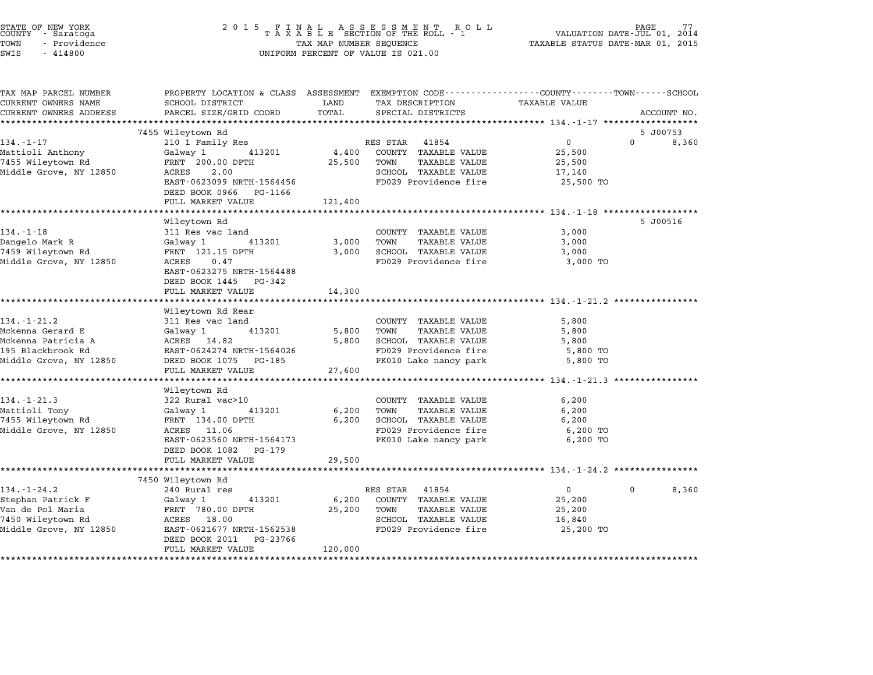| STATE OF NEW YORK<br>COUNTY - Saratoga<br>TOWN<br>- Providence<br>SWIS<br>$-414800$ | 2015 FINAL ASSESSMENT ROLL TAXABLE SECTION OF THE ROLL - 1<br>TAX MAP NUMBER SEQUENCE<br>UNIFORM PERCENT OF VALUE IS 021.00 | PAGE<br>VALUATION DATE-JUL 01, 2014<br>TAXABLE STATUS DATE-MAR 01, 2015 |                                                            |                                                        |                      |
|-------------------------------------------------------------------------------------|-----------------------------------------------------------------------------------------------------------------------------|-------------------------------------------------------------------------|------------------------------------------------------------|--------------------------------------------------------|----------------------|
| TAX MAP PARCEL NUMBER                                                               | PROPERTY LOCATION & CLASS ASSESSMENT EXEMPTION CODE---------------COUNTY-------TOWN-----SCHOOL                              |                                                                         |                                                            |                                                        |                      |
| CURRENT OWNERS NAME<br>CURRENT OWNERS ADDRESS                                       | SCHOOL DISTRICT<br>PARCEL SIZE/GRID COORD                                                                                   | LAND<br>TOTAL                                                           | TAX DESCRIPTION                                            | <b>TAXABLE VALUE</b>                                   | ACCOUNT NO.          |
|                                                                                     | *****************************                                                                                               |                                                                         | SPECIAL DISTRICTS                                          |                                                        |                      |
|                                                                                     | 7455 Wileytown Rd                                                                                                           |                                                                         |                                                            |                                                        | 5 J00753             |
| $134. - 1 - 17$                                                                     | 210 1 Family Res                                                                                                            |                                                                         | RES STAR 41854                                             | $\overline{0}$                                         | $\mathbf 0$<br>8,360 |
| Mattioli Anthony                                                                    | Galway 1<br>413201                                                                                                          | 4,400                                                                   | COUNTY TAXABLE VALUE                                       | 25,500                                                 |                      |
| 7455 Wileytown Rd                                                                   | FRNT 200.00 DPTH                                                                                                            | 25,500                                                                  | TAXABLE VALUE<br>TOWN                                      | 25,500                                                 |                      |
| Middle Grove, NY 12850                                                              | ACRES<br>2.00                                                                                                               |                                                                         | SCHOOL TAXABLE VALUE                                       | 17,140                                                 |                      |
|                                                                                     | EAST-0623099 NRTH-1564456                                                                                                   |                                                                         | FD029 Providence fire                                      | 25,500 TO                                              |                      |
|                                                                                     | DEED BOOK 0966 PG-1166                                                                                                      |                                                                         |                                                            |                                                        |                      |
|                                                                                     | FULL MARKET VALUE                                                                                                           | 121,400                                                                 |                                                            |                                                        |                      |
|                                                                                     | *********************                                                                                                       | **************                                                          |                                                            | ************************ 134.-1-18 ******************* |                      |
|                                                                                     | Wileytown Rd                                                                                                                |                                                                         |                                                            |                                                        | 5 J00516             |
| $134. - 1 - 18$                                                                     | 311 Res vac land                                                                                                            |                                                                         | COUNTY TAXABLE VALUE                                       | 3,000                                                  |                      |
| Dangelo Mark R                                                                      | Galway 1<br>413201                                                                                                          | 3,000                                                                   | TOWN<br>TAXABLE VALUE                                      | 3,000                                                  |                      |
| 7459 Wileytown Rd                                                                   | FRNT 121.15 DPTH                                                                                                            | 3,000                                                                   | SCHOOL TAXABLE VALUE                                       | 3,000                                                  |                      |
| Middle Grove, NY 12850                                                              | ACRES<br>0.47                                                                                                               |                                                                         | FD029 Providence fire                                      | 3,000 TO                                               |                      |
|                                                                                     | EAST-0623275 NRTH-1564488                                                                                                   |                                                                         |                                                            |                                                        |                      |
|                                                                                     | DEED BOOK 1445 PG-342                                                                                                       |                                                                         |                                                            |                                                        |                      |
|                                                                                     | FULL MARKET VALUE                                                                                                           | 14,300                                                                  |                                                            |                                                        |                      |
|                                                                                     |                                                                                                                             |                                                                         |                                                            | ************************ 134.-1-21.2 ******            |                      |
|                                                                                     | Wileytown Rd Rear                                                                                                           |                                                                         |                                                            |                                                        |                      |
| 134.-1-21.2                                                                         | 311 Res vac land                                                                                                            |                                                                         | COUNTY TAXABLE VALUE                                       | 5,800                                                  |                      |
| Mckenna Gerard E                                                                    | 413201<br>Galway 1                                                                                                          | 5,800                                                                   | TOWN<br><b>TAXABLE VALUE</b>                               | 5,800                                                  |                      |
| Mckenna Patricia A                                                                  | ACRES 14.82                                                                                                                 | 5,800                                                                   | SCHOOL TAXABLE VALUE                                       | 5,800                                                  |                      |
| 195 Blackbrook Rd                                                                   | EAST-0624274 NRTH-1564026                                                                                                   |                                                                         | FD029 Providence fire                                      | 5,800 TO                                               |                      |
| Middle Grove, NY 12850                                                              | DEED BOOK 1075 PG-185                                                                                                       |                                                                         | PK010 Lake nancy park                                      | 5,800 TO                                               |                      |
|                                                                                     | FULL MARKET VALUE                                                                                                           | 27,600                                                                  |                                                            |                                                        |                      |
|                                                                                     |                                                                                                                             |                                                                         |                                                            |                                                        |                      |
|                                                                                     | Wileytown Rd                                                                                                                |                                                                         |                                                            |                                                        |                      |
| $134. - 1 - 21.3$                                                                   | 322 Rural vac>10                                                                                                            |                                                                         | COUNTY TAXABLE VALUE                                       | 6,200                                                  |                      |
| Mattioli Tony<br>7455 Wileytown Rd                                                  | Galway 1<br>413201<br>FRNT 134.00 DPTH                                                                                      | 6,200<br>6,200                                                          | <b>TAXABLE VALUE</b><br>TOWN<br>SCHOOL TAXABLE VALUE       | 6,200<br>6,200                                         |                      |
| Middle Grove, NY 12850                                                              | ACRES 11.06                                                                                                                 |                                                                         | FD029 Providence fire                                      |                                                        |                      |
|                                                                                     | EAST-0623560 NRTH-1564173                                                                                                   |                                                                         | PK010 Lake nancy park                                      | 6,200 TO<br>6,200 TO                                   |                      |
|                                                                                     | DEED BOOK 1082 PG-179                                                                                                       |                                                                         |                                                            |                                                        |                      |
|                                                                                     | FULL MARKET VALUE                                                                                                           | 29,500                                                                  |                                                            |                                                        |                      |
|                                                                                     | ************************                                                                                                    | ******************                                                      | ******************************* 134.-1-24.2 ************** |                                                        |                      |
|                                                                                     | 7450 Wileytown Rd                                                                                                           |                                                                         |                                                            |                                                        |                      |
| $134. - 1 - 24.2$                                                                   | 240 Rural res                                                                                                               |                                                                         | RES STAR 41854                                             | $\overline{0}$                                         | 0<br>8,360           |
| Stephan Patrick F                                                                   | Galway 1<br>413201                                                                                                          | 6,200                                                                   | COUNTY TAXABLE VALUE                                       | 25,200                                                 |                      |
| Van de Pol Maria                                                                    | FRNT 780.00 DPTH                                                                                                            | 25,200                                                                  | TOWN<br><b>TAXABLE VALUE</b>                               | 25,200                                                 |                      |
| 7450 Wileytown Rd                                                                   | ACRES 18.00                                                                                                                 |                                                                         | SCHOOL TAXABLE VALUE                                       | 16,840                                                 |                      |
| Middle Grove, NY 12850                                                              | EAST-0621677 NRTH-1562538                                                                                                   |                                                                         | FD029 Providence fire                                      | 25,200 TO                                              |                      |
|                                                                                     | DEED BOOK 2011 PG-23766                                                                                                     |                                                                         |                                                            |                                                        |                      |
|                                                                                     | FULL MARKET VALUE                                                                                                           | 120,000                                                                 |                                                            |                                                        |                      |
|                                                                                     |                                                                                                                             |                                                                         |                                                            |                                                        |                      |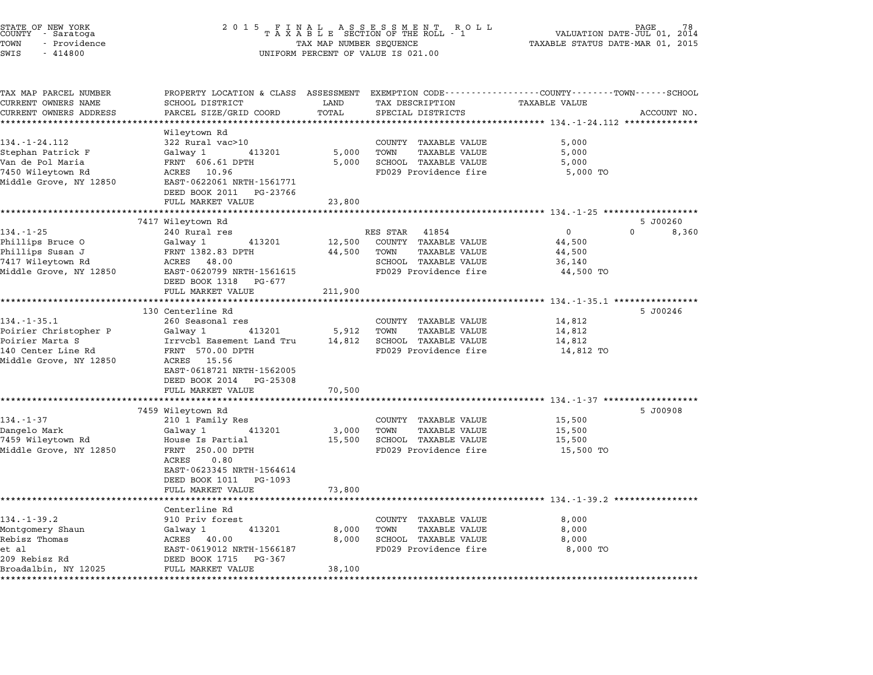| STATE OF NEW YORK<br>COUNTY - Saratoga<br>TOWN<br>- Providence<br>SWIS<br>$-414800$ | 2 0 1 5<br>FINAL ASSESSMENT ROTAXABLE SECTION OF THE ROLL - 1<br>R O L L<br>VALUATION DATE-JUL 01, 2014<br>TAXABLE STATUS DATE-MAR 01, 2015<br>TAX MAP NUMBER SEQUENCE<br>UNIFORM PERCENT OF VALUE IS 021.00 |                |                                                      |                                                    |                       |
|-------------------------------------------------------------------------------------|--------------------------------------------------------------------------------------------------------------------------------------------------------------------------------------------------------------|----------------|------------------------------------------------------|----------------------------------------------------|-----------------------|
| TAX MAP PARCEL NUMBER<br>CURRENT OWNERS NAME                                        | PROPERTY LOCATION & CLASS ASSESSMENT EXEMPTION CODE---------------COUNTY-------TOWN-----SCHOOL<br>SCHOOL DISTRICT                                                                                            | LAND           | TAX DESCRIPTION                                      | <b>TAXABLE VALUE</b>                               |                       |
| CURRENT OWNERS ADDRESS                                                              | PARCEL SIZE/GRID COORD                                                                                                                                                                                       | TOTAL          | SPECIAL DISTRICTS                                    |                                                    | ACCOUNT NO.           |
| **********************                                                              | **********************                                                                                                                                                                                       |                |                                                      |                                                    |                       |
| $134. - 1 - 24.112$                                                                 | Wileytown Rd                                                                                                                                                                                                 |                |                                                      |                                                    |                       |
| Stephan Patrick F                                                                   | 322 Rural vac>10<br>Galway 1<br>413201                                                                                                                                                                       | 5,000          | COUNTY TAXABLE VALUE<br>TOWN<br><b>TAXABLE VALUE</b> | 5,000<br>5,000                                     |                       |
| Van de Pol Maria                                                                    | FRNT 606.61 DPTH                                                                                                                                                                                             | 5,000          | SCHOOL TAXABLE VALUE                                 | 5,000                                              |                       |
| 7450 Wileytown Rd                                                                   | ACRES 10.96                                                                                                                                                                                                  |                | FD029 Providence fire                                | 5,000 TO                                           |                       |
| Middle Grove, NY 12850                                                              | EAST-0622061 NRTH-1561771<br>DEED BOOK 2011<br>PG-23766                                                                                                                                                      |                |                                                      |                                                    |                       |
|                                                                                     | FULL MARKET VALUE                                                                                                                                                                                            | 23,800         |                                                      |                                                    |                       |
|                                                                                     | ********************<br>7417 Wileytown Rd                                                                                                                                                                    | ***********    |                                                      | ******************** 134.-1-25 ******************* | 5 J00260              |
| $134. - 1 - 25$                                                                     | 240 Rural res                                                                                                                                                                                                |                | RES STAR<br>41854                                    | 0                                                  | $\mathbf{0}$<br>8,360 |
| Phillips Bruce 0                                                                    | 413201<br>Galway 1                                                                                                                                                                                           | 12,500         | COUNTY TAXABLE VALUE                                 | 44,500                                             |                       |
| Phillips Susan J                                                                    | FRNT 1382.83 DPTH                                                                                                                                                                                            | 44,500         | TOWN<br><b>TAXABLE VALUE</b>                         | 44,500                                             |                       |
| 7417 Wileytown Rd                                                                   | ACRES 48.00                                                                                                                                                                                                  |                | SCHOOL TAXABLE VALUE                                 | 36,140                                             |                       |
| Middle Grove, NY 12850                                                              | EAST-0620799 NRTH-1561615                                                                                                                                                                                    |                | FD029 Providence fire                                | 44,500 TO                                          |                       |
|                                                                                     | DEED BOOK 1318<br>PG-677                                                                                                                                                                                     |                |                                                      |                                                    |                       |
|                                                                                     | FULL MARKET VALUE                                                                                                                                                                                            | 211,900        |                                                      |                                                    |                       |
|                                                                                     | 130 Centerline Rd                                                                                                                                                                                            |                |                                                      |                                                    | 5 J00246              |
| $134. - 1 - 35.1$                                                                   | 260 Seasonal res                                                                                                                                                                                             |                | COUNTY TAXABLE VALUE                                 | 14,812                                             |                       |
| Poirier Christopher P                                                               | Galway 1<br>413201                                                                                                                                                                                           | 5,912          | TOWN<br><b>TAXABLE VALUE</b>                         | 14,812                                             |                       |
| Poirier Marta S                                                                     | Irrvcbl Easement Land Tru                                                                                                                                                                                    | 14,812         | SCHOOL TAXABLE VALUE                                 | 14,812                                             |                       |
| 140 Center Line Rd<br>Middle Grove, NY 12850                                        | FRNT 570.00 DPTH<br>ACRES 15.56                                                                                                                                                                              |                | FD029 Providence fire                                | 14,812 TO                                          |                       |
|                                                                                     | EAST-0618721 NRTH-1562005<br>DEED BOOK 2014 PG-25308                                                                                                                                                         |                |                                                      |                                                    |                       |
|                                                                                     | FULL MARKET VALUE                                                                                                                                                                                            | 70,500         |                                                      |                                                    |                       |
|                                                                                     |                                                                                                                                                                                                              | ************** |                                                      |                                                    |                       |
|                                                                                     | 7459 Wileytown Rd                                                                                                                                                                                            |                |                                                      |                                                    | 5 J00908              |
| $134. - 1 - 37$                                                                     | 210 1 Family Res                                                                                                                                                                                             |                | COUNTY TAXABLE VALUE                                 | 15,500                                             |                       |
| Dangelo Mark                                                                        | Galway 1<br>413201                                                                                                                                                                                           | 3,000          | TOWN<br>TAXABLE VALUE                                | 15,500                                             |                       |
| 7459 Wileytown Rd                                                                   | House Is Partial                                                                                                                                                                                             | 15,500         | SCHOOL TAXABLE VALUE                                 | 15,500                                             |                       |
| Middle Grove, NY 12850                                                              | FRNT 250.00 DPTH<br>0.80<br>ACRES                                                                                                                                                                            |                | FD029 Providence fire                                | 15,500 TO                                          |                       |
|                                                                                     | EAST-0623345 NRTH-1564614<br>DEED BOOK 1011 PG-1093                                                                                                                                                          |                |                                                      |                                                    |                       |
|                                                                                     | FULL MARKET VALUE                                                                                                                                                                                            | 73,800         |                                                      |                                                    |                       |
|                                                                                     | *********************                                                                                                                                                                                        |                |                                                      | ************************ 134.-1-39.2 ******        |                       |
|                                                                                     | Centerline Rd                                                                                                                                                                                                |                |                                                      |                                                    |                       |
| $134. - 1 - 39.2$                                                                   | 910 Priv forest                                                                                                                                                                                              |                | COUNTY TAXABLE VALUE                                 | 8,000                                              |                       |
| Montgomery Shaun                                                                    | 413201<br>Galway 1                                                                                                                                                                                           | 8,000          | TOWN<br>TAXABLE VALUE                                | 8,000                                              |                       |
| Rebisz Thomas                                                                       | ACRES 40.00                                                                                                                                                                                                  | 8,000          | SCHOOL TAXABLE VALUE                                 | 8,000                                              |                       |
| et al<br>209 Rebisz Rd                                                              | EAST-0619012 NRTH-1566187<br>DEED BOOK 1715<br>PG-367                                                                                                                                                        |                | FD029 Providence fire                                | 8,000 TO                                           |                       |
| Broadalbin, NY 12025                                                                | FULL MARKET VALUE                                                                                                                                                                                            | 38,100         |                                                      |                                                    |                       |
|                                                                                     |                                                                                                                                                                                                              |                |                                                      |                                                    |                       |

STATE OF NEW YORK <sup>2</sup> <sup>0</sup> <sup>1</sup> 5 F I N A L A S S E S S M E N T R O L L PAGE <sup>78</sup> COUNTY - Saratoga <sup>T</sup> <sup>A</sup> <sup>X</sup> <sup>A</sup> <sup>B</sup> <sup>L</sup> <sup>E</sup> SECTION OF THE ROLL - <sup>1</sup> VALUATION DATE-JUL 01, <sup>2014</sup>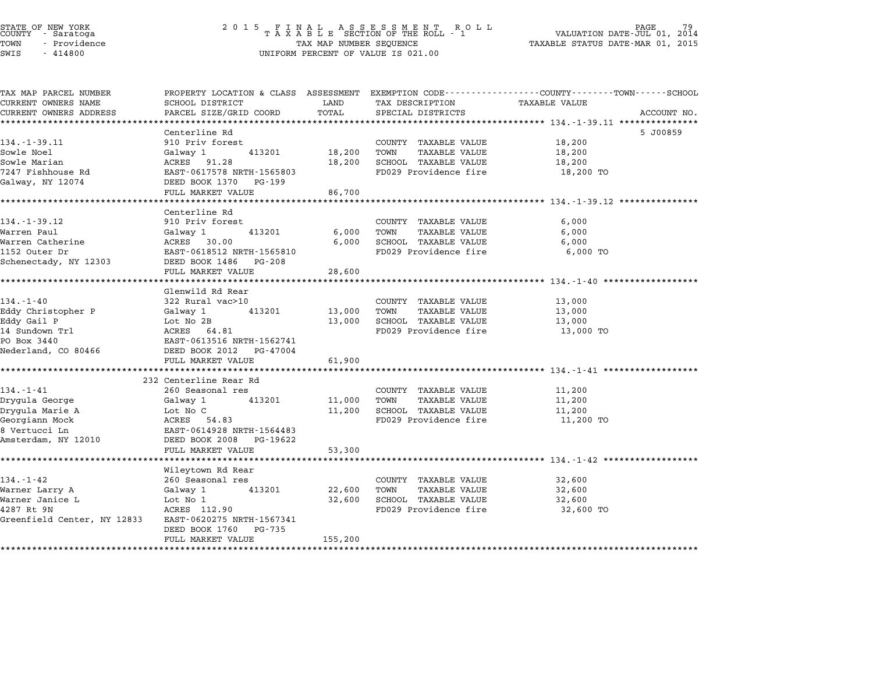# STATE OF NEW YORK <sup>2</sup> <sup>0</sup> <sup>1</sup> 5 F I N A L A S S E S S M E N T R O L L PAGE <sup>79</sup> COUNTY - Saratoga <sup>T</sup> <sup>A</sup> <sup>X</sup> <sup>A</sup> <sup>B</sup> <sup>L</sup> <sup>E</sup> SECTION OF THE ROLL - <sup>1</sup> VALUATION DATE-JUL 01, <sup>2014</sup> TOWN - Providence TAX MAP NUMBER SEQUENCE TAXABLE STATUS DATE-MAR 01, <sup>2015</sup> STATE OF NEW YORK STATE OF NEW YORK COUNTY - SATATOGRAPH SAMPLINE TO A SAMPLINE TO A SAMPLINE ROLL TO A SAMPLINE ROLL TO A SAMPLINE SECTION OF THE ROLL TO A SAMPLINE SEQUENCE TO A SAMPLINE SEQUENCE TO A LA SAMPLINE SEQUENC

| TAX MAP PARCEL NUMBER                                 |                            |        |                              | PROPERTY LOCATION & CLASS ASSESSMENT EXEMPTION CODE---------------COUNTY-------TOWN-----SCHOOL |             |
|-------------------------------------------------------|----------------------------|--------|------------------------------|------------------------------------------------------------------------------------------------|-------------|
| CURRENT OWNERS NAME                                   | SCHOOL DISTRICT            | LAND   | TAX DESCRIPTION              | <b>TAXABLE VALUE</b>                                                                           |             |
| CURRENT OWNERS ADDRESS                                | PARCEL SIZE/GRID COORD     | TOTAL  | SPECIAL DISTRICTS            |                                                                                                | ACCOUNT NO. |
|                                                       |                            |        |                              |                                                                                                |             |
|                                                       | Centerline Rd              |        |                              |                                                                                                | 5 J00859    |
| $134. - 1 - 39.11$                                    | 910 Priv forest            |        | COUNTY TAXABLE VALUE         | 18,200                                                                                         |             |
| Sowle Noel                                            | 413201<br>Galway 1         | 18,200 | TOWN<br><b>TAXABLE VALUE</b> | 18,200                                                                                         |             |
| Sowle Marian                                          | ACRES 91.28                | 18,200 | SCHOOL TAXABLE VALUE         | 18,200                                                                                         |             |
| 7247 Fishhouse Rd                                     | EAST-0617578 NRTH-1565803  |        | FD029 Providence fire        | 18,200 TO                                                                                      |             |
| Galway, NY 12074                                      | DEED BOOK 1370 PG-199      |        |                              |                                                                                                |             |
|                                                       | FULL MARKET VALUE          | 86,700 |                              |                                                                                                |             |
|                                                       |                            |        |                              |                                                                                                |             |
|                                                       | Centerline Rd              |        |                              |                                                                                                |             |
| $134. - 1 - 39.12$                                    | 910 Priv forest            |        | COUNTY TAXABLE VALUE         | 6,000                                                                                          |             |
| Warren Paul                                           | Galway 1<br>413201         | 6,000  | TOWN<br><b>TAXABLE VALUE</b> | 6,000                                                                                          |             |
| Warren Catherine                                      | ACRES 30.00                | 6,000  | SCHOOL TAXABLE VALUE         | 6,000                                                                                          |             |
| 1152 Outer Dr                                         | EAST-0618512 NRTH-1565810  |        | FD029 Providence fire        | 6,000 TO                                                                                       |             |
| Schenectady, NY 12303                                 | DEED BOOK 1486 PG-208      |        |                              |                                                                                                |             |
|                                                       | FULL MARKET VALUE          | 28,600 |                              |                                                                                                |             |
|                                                       |                            |        |                              |                                                                                                |             |
|                                                       | Glenwild Rd Rear           |        |                              |                                                                                                |             |
| $134. - 1 - 40$                                       | 322 Rural vac>10           |        | COUNTY TAXABLE VALUE         | 13,000                                                                                         |             |
| Eddy Christopher P                                    | Galway 1<br>413201         | 13,000 | TOWN<br>TAXABLE VALUE        | 13,000                                                                                         |             |
| Eddy Gail P                                           | Lot No 2B                  | 13,000 | SCHOOL TAXABLE VALUE         | 13,000                                                                                         |             |
| 14 Sundown Trl                                        | ACRES 64.81                |        | FD029 Providence fire        | 13,000 TO                                                                                      |             |
| PO Box 3440                                           | EAST-0613516 NRTH-1562741  |        |                              |                                                                                                |             |
| Nederland, CO 80466                                   | DEED BOOK 2012    PG-47004 |        |                              |                                                                                                |             |
|                                                       | FULL MARKET VALUE          | 61,900 |                              |                                                                                                |             |
|                                                       |                            |        |                              |                                                                                                |             |
|                                                       | 232 Centerline Rear Rd     |        |                              |                                                                                                |             |
| $134. - 1 - 41$                                       | 260 Seasonal res           |        | COUNTY TAXABLE VALUE         | 11,200                                                                                         |             |
| Drygula George                                        | Galway 1<br>413201         | 11,000 | TOWN<br>TAXABLE VALUE        | 11,200                                                                                         |             |
| Drygula Marie A                                       | Lot No C                   | 11,200 | SCHOOL TAXABLE VALUE         | 11,200                                                                                         |             |
| Georgiann Mock                                        | ACRES 54.83                |        | FD029 Providence fire        | 11,200 TO                                                                                      |             |
| 8 Vertucci Ln                                         | EAST-0614928 NRTH-1564483  |        |                              |                                                                                                |             |
| Amsterdam, NY 12010                                   | DEED BOOK 2008 PG-19622    |        |                              |                                                                                                |             |
|                                                       | FULL MARKET VALUE          | 53,300 |                              |                                                                                                |             |
|                                                       |                            |        |                              |                                                                                                |             |
|                                                       | Wileytown Rd Rear          |        |                              |                                                                                                |             |
| $134. - 1 - 42$                                       | 260 Seasonal res           |        | COUNTY TAXABLE VALUE         | 32,600                                                                                         |             |
|                                                       | 413201<br>Galway 1         | 22,600 | TOWN<br>TAXABLE VALUE        | 32,600                                                                                         |             |
| Warner Larry A                                        |                            |        |                              |                                                                                                |             |
| Warner Janice L                                       | Lot No 1                   | 32,600 | SCHOOL TAXABLE VALUE         | 32,600                                                                                         |             |
| 4287 Rt 9N                                            | ACRES 112.90               |        | FD029 Providence fire        | 32,600 TO                                                                                      |             |
| Greenfield Center, NY 12833 EAST-0620275 NRTH-1567341 |                            |        |                              |                                                                                                |             |
|                                                       | DEED BOOK 1760<br>PG-735   |        |                              |                                                                                                |             |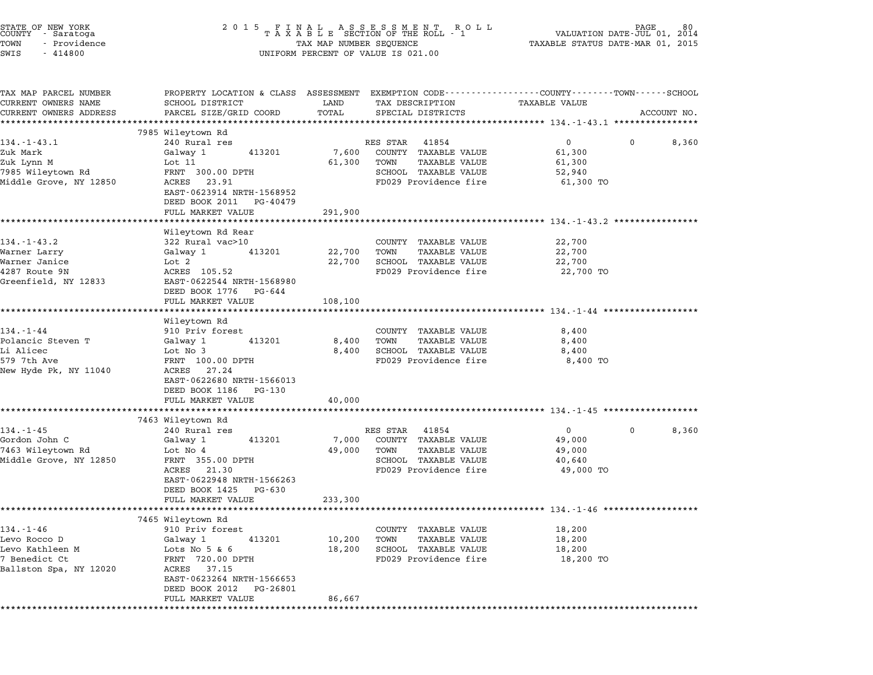| STATE OF NEW YORK<br>COUNTY - Saratoga<br>TOWN<br>- Providence<br>SWIS<br>$-414800$               | 2 0 1 5                                                                 | TAX MAP NUMBER SEQUENCE | FINAL ASSESSMENT ROLL<br>TAXABLE SECTION OF THE ROLL - 1<br>UNIFORM PERCENT OF VALUE IS 021.00 | VALUATION DATE- $JU\tilde{L}$ 01,<br>TAXABLE STATUS DATE-MAR 01, 2015                                             | 80<br>2014  |
|---------------------------------------------------------------------------------------------------|-------------------------------------------------------------------------|-------------------------|------------------------------------------------------------------------------------------------|-------------------------------------------------------------------------------------------------------------------|-------------|
| TAX MAP PARCEL NUMBER<br>CURRENT OWNERS NAME<br>CURRENT OWNERS ADDRESS<br>*********************** | SCHOOL DISTRICT<br>PARCEL SIZE/GRID COORD<br>************************** | LAND<br>TOTAL           | TAX DESCRIPTION<br>SPECIAL DISTRICTS                                                           | PROPERTY LOCATION & CLASS ASSESSMENT EXEMPTION CODE----------------COUNTY-------TOWN------SCHOOL<br>TAXABLE VALUE | ACCOUNT NO. |
|                                                                                                   | 7985 Wileytown Rd                                                       |                         |                                                                                                |                                                                                                                   |             |
| $134. - 1 - 43.1$                                                                                 | 240 Rural res                                                           |                         | RES STAR<br>41854                                                                              | $\overline{0}$<br>$\mathbf{0}$                                                                                    | 8,360       |
| Zuk Mark                                                                                          | Galway 1<br>413201                                                      | 7,600                   | COUNTY TAXABLE VALUE                                                                           | 61,300                                                                                                            |             |
| Zuk Lynn M                                                                                        | Lot 11                                                                  | 61,300                  | TOWN<br>TAXABLE VALUE                                                                          | 61,300                                                                                                            |             |
| 7985 Wileytown Rd                                                                                 | FRNT 300.00 DPTH                                                        |                         | SCHOOL TAXABLE VALUE                                                                           | 52,940                                                                                                            |             |
| Middle Grove, NY 12850                                                                            | ACRES 23.91<br>EAST-0623914 NRTH-1568952<br>DEED BOOK 2011 PG-40479     |                         | FD029 Providence fire                                                                          | 61,300 TO                                                                                                         |             |
|                                                                                                   | FULL MARKET VALUE                                                       | 291,900                 |                                                                                                |                                                                                                                   |             |
|                                                                                                   | *********************                                                   |                         |                                                                                                | ************************* 134.-1-43.2 *****************                                                           |             |
|                                                                                                   | Wileytown Rd Rear                                                       |                         |                                                                                                |                                                                                                                   |             |
| $134. - 1 - 43.2$<br>Warner Larry                                                                 | 322 Rural vac>10<br>Galway 1<br>413201                                  | 22,700                  | COUNTY TAXABLE VALUE<br>TOWN<br><b>TAXABLE VALUE</b>                                           | 22,700<br>22,700                                                                                                  |             |
| Warner Janice                                                                                     | Lot 2                                                                   | 22,700                  | SCHOOL TAXABLE VALUE                                                                           | 22,700                                                                                                            |             |
| 4287 Route 9N                                                                                     | ACRES 105.52                                                            |                         | FD029 Providence fire                                                                          | 22,700 TO                                                                                                         |             |
| Greenfield, NY 12833                                                                              | EAST-0622544 NRTH-1568980                                               |                         |                                                                                                |                                                                                                                   |             |
|                                                                                                   | DEED BOOK 1776 PG-644                                                   |                         |                                                                                                |                                                                                                                   |             |
|                                                                                                   | FULL MARKET VALUE                                                       | 108,100                 |                                                                                                |                                                                                                                   |             |
|                                                                                                   |                                                                         |                         |                                                                                                |                                                                                                                   |             |
|                                                                                                   | Wileytown Rd                                                            |                         |                                                                                                |                                                                                                                   |             |
| $134. - 1 - 44$                                                                                   | 910 Priv forest                                                         |                         | COUNTY TAXABLE VALUE                                                                           | 8,400                                                                                                             |             |
| Polancic Steven T                                                                                 | 413201<br>Galway 1                                                      | 8,400                   | TOWN<br>TAXABLE VALUE                                                                          | 8,400                                                                                                             |             |
| Li Alicec<br>579 7th Ave                                                                          | Lot No 3<br>FRNT 100.00 DPTH                                            | 8,400                   | SCHOOL TAXABLE VALUE<br>FD029 Providence fire                                                  | 8,400<br>8,400 TO                                                                                                 |             |
| New Hyde Pk, NY 11040                                                                             | ACRES 27.24<br>EAST-0622680 NRTH-1566013<br>DEED BOOK 1186<br>PG-130    |                         |                                                                                                |                                                                                                                   |             |
|                                                                                                   | FULL MARKET VALUE                                                       | 40,000                  |                                                                                                |                                                                                                                   |             |
|                                                                                                   |                                                                         |                         |                                                                                                |                                                                                                                   |             |
| $134. - 1 - 45$                                                                                   | 7463 Wileytown Rd                                                       |                         |                                                                                                |                                                                                                                   |             |
| Gordon John C                                                                                     | 240 Rural res<br>Galway 1<br>413201                                     | 7,000                   | RES STAR<br>41854<br>COUNTY TAXABLE VALUE                                                      | $\overline{0}$<br>$\mathbf{0}$<br>49,000                                                                          | 8,360       |
| 7463 Wileytown Rd                                                                                 | Lot No 4                                                                | 49,000                  | TOWN<br>TAXABLE VALUE                                                                          | 49,000                                                                                                            |             |
| Middle Grove, NY 12850                                                                            | FRNT 355.00 DPTH                                                        |                         | SCHOOL TAXABLE VALUE                                                                           | 40,640                                                                                                            |             |
|                                                                                                   | ACRES 21.30<br>EAST-0622948 NRTH-1566263<br>DEED BOOK 1425<br>PG-630    |                         | FD029 Providence fire                                                                          | 49,000 TO                                                                                                         |             |
|                                                                                                   | FULL MARKET VALUE                                                       | 233,300                 |                                                                                                |                                                                                                                   |             |
|                                                                                                   |                                                                         |                         |                                                                                                |                                                                                                                   |             |
|                                                                                                   | 7465 Wileytown Rd                                                       |                         |                                                                                                |                                                                                                                   |             |
| $134. - 1 - 46$                                                                                   | 910 Priv forest                                                         |                         | COUNTY TAXABLE VALUE                                                                           | 18,200                                                                                                            |             |
| Levo Rocco D                                                                                      | 413201<br>Galway 1                                                      | 10,200                  | TOWN<br>TAXABLE VALUE                                                                          | 18,200                                                                                                            |             |
| Levo Kathleen M                                                                                   | Lots No $5 \& 6$                                                        | 18,200                  | SCHOOL TAXABLE VALUE                                                                           | 18,200                                                                                                            |             |
| 7 Benedict Ct                                                                                     | FRNT 720.00 DPTH                                                        |                         | FD029 Providence fire                                                                          | 18,200 TO                                                                                                         |             |
| Ballston Spa, NY 12020                                                                            | ACRES 37.15<br>EAST-0623264 NRTH-1566653<br>DEED BOOK 2012<br>PG-26801  |                         |                                                                                                |                                                                                                                   |             |
|                                                                                                   | FULL MARKET VALUE                                                       | 86,667                  |                                                                                                |                                                                                                                   |             |
|                                                                                                   | ************************************                                    |                         |                                                                                                |                                                                                                                   |             |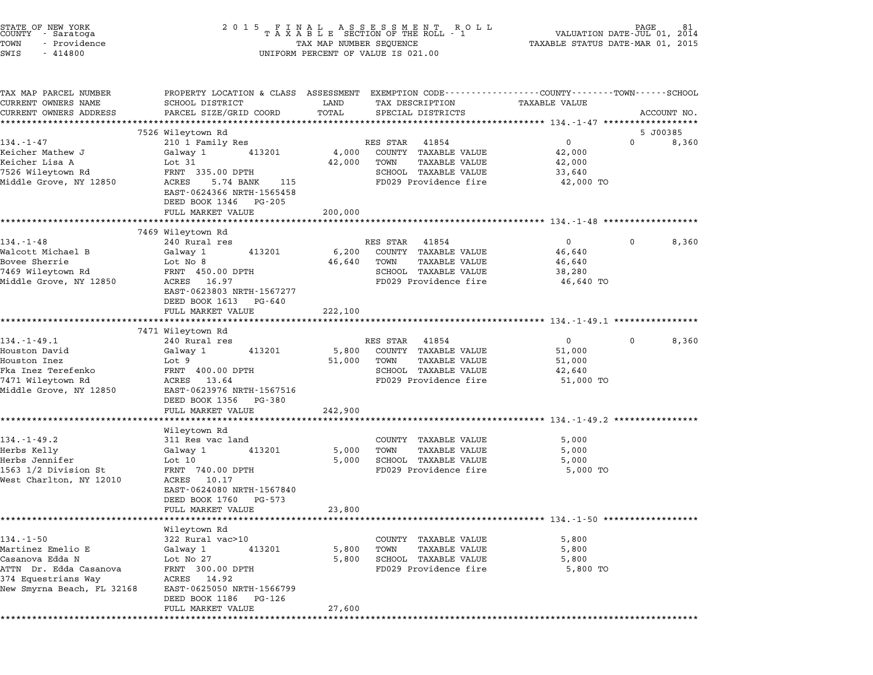| STATE OF NEW YORK<br>COUNTY – Saratoga<br>TOWN<br>- Providence<br>SWIS<br>$-414800$                                                    |                                                                                                                                                                                         |                            | UNIFORM PERCENT OF VALUE IS 021.00                                                                                  |                                                                                                                                 |  |
|----------------------------------------------------------------------------------------------------------------------------------------|-----------------------------------------------------------------------------------------------------------------------------------------------------------------------------------------|----------------------------|---------------------------------------------------------------------------------------------------------------------|---------------------------------------------------------------------------------------------------------------------------------|--|
| TAX MAP PARCEL NUMBER<br>CURRENT OWNERS NAME<br>CURRENT OWNERS ADDRESS                                                                 | SCHOOL DISTRICT<br>PARCEL SIZE/GRID COORD                                                                                                                                               | LAND<br>TOTAL              | TAX DESCRIPTION<br>SPECIAL DISTRICTS                                                                                | PROPERTY LOCATION & CLASS ASSESSMENT EXEMPTION CODE---------------COUNTY-------TOWN------SCHOOL<br>TAXABLE VALUE<br>ACCOUNT NO. |  |
|                                                                                                                                        |                                                                                                                                                                                         |                            |                                                                                                                     |                                                                                                                                 |  |
| $134 - 1 - 47$                                                                                                                         | 7526 Wileytown Rd<br>210 1 Family Res                                                                                                                                                   |                            | RES STAR<br>41854                                                                                                   | 5 J00385<br>$\overline{0}$<br>$\Omega$<br>8,360                                                                                 |  |
| Keicher Mathew J<br>Keicher Lisa A<br>7526 Wileytown Rd<br>Middle Grove, NY 12850                                                      | 413201<br>Galway 1<br>Lot 31<br>FRNT 335.00 DPTH<br>ACRES<br>5.74 BANK 115<br>EAST-0624366 NRTH-1565458<br>DEED BOOK 1346 PG-205<br>FULL MARKET VALUE                                   | 4,000<br>42,000<br>200,000 | COUNTY TAXABLE VALUE<br>TOWN<br>TAXABLE VALUE<br>SCHOOL TAXABLE VALUE<br>FD029 Providence fire                      | 42,000<br>42,000<br>33,640<br>42,000 TO                                                                                         |  |
|                                                                                                                                        | *************************                                                                                                                                                               |                            |                                                                                                                     |                                                                                                                                 |  |
| $134. - 1 - 48$<br>Walcott Michael B<br>Bovee Sherrie<br>7469 Wileytown Rd<br>Middle Grove, NY 12850                                   | 7469 Wileytown Rd<br>240 Rural res<br>413201<br>Galway 1<br>Lot No 8<br>FRNT 450.00 DPTH<br>ACRES 16.97<br>EAST-0623803 NRTH-1567277<br>DEED BOOK 1613 PG-640                           | 6,200<br>46,640            | RES STAR 41854<br>COUNTY TAXABLE VALUE<br>TOWN<br>TAXABLE VALUE<br>SCHOOL TAXABLE VALUE<br>FD029 Providence fire    | $\mathbf{0}$<br>0<br>8,360<br>46,640<br>46,640<br>38,280<br>46,640 TO                                                           |  |
|                                                                                                                                        | FULL MARKET VALUE                                                                                                                                                                       | 222,100                    |                                                                                                                     |                                                                                                                                 |  |
|                                                                                                                                        | ****************************                                                                                                                                                            |                            |                                                                                                                     |                                                                                                                                 |  |
| $134. - 1 - 49.1$<br>Houston David<br>Houston Inez<br>Fka Inez Terefenko<br>7471 Wileytown Rd<br>Middle Grove, NY 12850                | 7471 Wileytown Rd<br>240 Rural res<br>413201<br>Galway 1<br>Lot 9<br>FRNT 400.00 DPTH<br>ACRES 13.64<br>EAST-0623976 NRTH-1567516<br>DEED BOOK 1356 PG-380                              | 5,800<br>51,000            | RES STAR<br>41854<br>COUNTY TAXABLE VALUE<br>TAXABLE VALUE<br>TOWN<br>SCHOOL TAXABLE VALUE<br>FD029 Providence fire | $0 \qquad \qquad$<br>8,360<br>$\mathbf 0$<br>51,000<br>51,000<br>42,640<br>51,000 TO                                            |  |
|                                                                                                                                        | FULL MARKET VALUE                                                                                                                                                                       | 242,900                    |                                                                                                                     |                                                                                                                                 |  |
|                                                                                                                                        | *******************                                                                                                                                                                     |                            |                                                                                                                     | ******************************** 134.-1-49.2 ****************                                                                   |  |
| $134. - 1 - 49.2$<br>Herbs Kelly<br>Herbs Jennifer<br>1563 1/2 Division St<br>West Charlton, NY 12010                                  | Wileytown Rd<br>311 Res vac land<br>413201<br>Galway 1<br>Lot 10<br>FRNT 740.00 DPTH<br>ACRES 10.17<br>EAST-0624080 NRTH-1567840<br>DEED BOOK 1760<br>PG-573<br>FULL MARKET VALUE       | 5,000<br>5,000<br>23,800   | COUNTY TAXABLE VALUE<br>TAXABLE VALUE<br>TOWN<br>SCHOOL TAXABLE VALUE<br>FD029 Providence fire                      | 5,000<br>5,000<br>5,000<br>5,000 TO                                                                                             |  |
|                                                                                                                                        |                                                                                                                                                                                         |                            |                                                                                                                     |                                                                                                                                 |  |
| $134. - 1 - 50$<br>Martinez Emelio E<br>Casanova Edda N<br>ATTN Dr. Edda Casanova<br>374 Equestrians Way<br>New Smyrna Beach, FL 32168 | Wileytown Rd<br>322 Rural vac>10<br>Galway 1<br>413201<br>Lot No 27<br>FRNT 300.00 DPTH<br>ACRES<br>14.92<br>EAST-0625050 NRTH-1566799<br>DEED BOOK 1186<br>PG-126<br>FULL MARKET VALUE | 5,800<br>5,800<br>27,600   | COUNTY TAXABLE VALUE<br><b>TAXABLE VALUE</b><br>TOWN<br>SCHOOL TAXABLE VALUE<br>FD029 Providence fire               | 5,800<br>5,800<br>5,800<br>5,800 TO                                                                                             |  |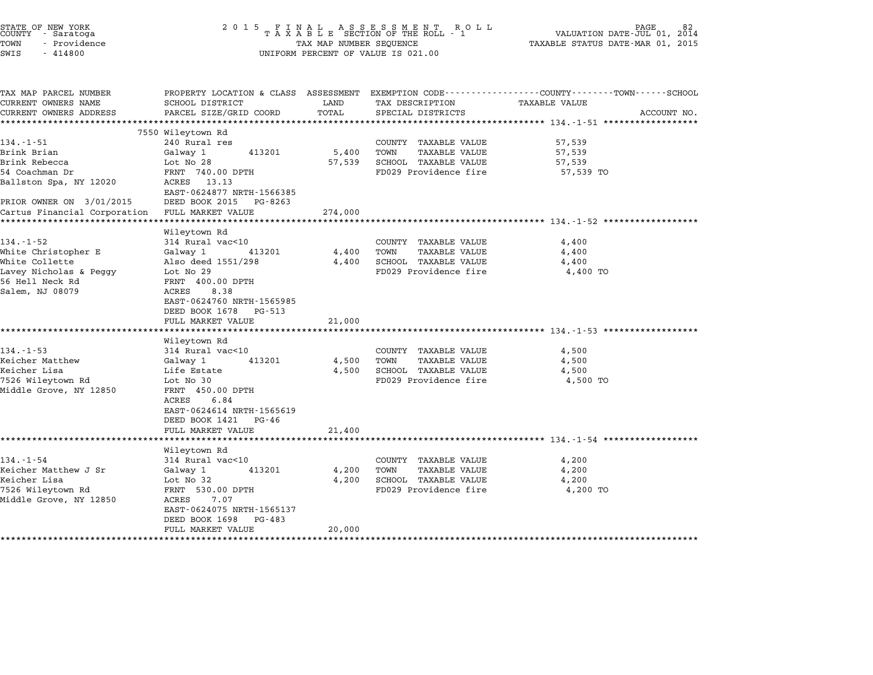| STATE OF NEW YORK<br>COUNTY - Saratoga<br>TOWN<br>- Providence<br>SWIS<br>$-414800$                                      | 2 0 1 5                                                                                                                                                                              | TAX MAP NUMBER SEQUENCE | FINAL ASSESSMENT ROLL<br>TAXABLE SECTION OF THE ROLL - 1<br>UNIFORM PERCENT OF VALUE IS 021.00        | PAGE<br>VALUATION DATE-JUL 01, 2014<br>TAXABLE STATUS DATE-MAR 01, 2015                                         |  |
|--------------------------------------------------------------------------------------------------------------------------|--------------------------------------------------------------------------------------------------------------------------------------------------------------------------------------|-------------------------|-------------------------------------------------------------------------------------------------------|-----------------------------------------------------------------------------------------------------------------|--|
| TAX MAP PARCEL NUMBER<br>CURRENT OWNERS NAME                                                                             | SCHOOL DISTRICT                                                                                                                                                                      | LAND                    | TAX DESCRIPTION                                                                                       | PROPERTY LOCATION & CLASS ASSESSMENT EXEMPTION CODE---------------COUNTY-------TOWN-----SCHOOL<br>TAXABLE VALUE |  |
| CURRENT OWNERS ADDRESS                                                                                                   | PARCEL SIZE/GRID COORD                                                                                                                                                               | TOTAL                   | SPECIAL DISTRICTS                                                                                     | ACCOUNT NO.<br>****************** 134.-1-51 **************                                                      |  |
|                                                                                                                          | 7550 Wileytown Rd                                                                                                                                                                    |                         |                                                                                                       |                                                                                                                 |  |
| $134. - 1 - 51$<br>Brink Brian<br>Brink Rebecca<br>54 Coachman Dr<br>Ballston Spa, NY 12020                              | 240 Rural res<br>413201<br>Galway 1<br>Lot No 28<br>FRNT 740.00 DPTH<br>ACRES 13.13<br>EAST-0624877 NRTH-1566385                                                                     | 5,400<br>57,539         | COUNTY TAXABLE VALUE<br><b>TAXABLE VALUE</b><br>TOWN<br>SCHOOL TAXABLE VALUE<br>FD029 Providence fire | 57,539<br>57,539<br>57,539<br>57,539 TO                                                                         |  |
| PRIOR OWNER ON 3/01/2015                                                                                                 | DEED BOOK 2015 PG-8263                                                                                                                                                               |                         |                                                                                                       |                                                                                                                 |  |
| Cartus Financial Corporation                                                                                             | FULL MARKET VALUE                                                                                                                                                                    | 274,000                 |                                                                                                       |                                                                                                                 |  |
|                                                                                                                          | ********************                                                                                                                                                                 |                         |                                                                                                       |                                                                                                                 |  |
| $134. - 1 - 52$<br>White Christopher E<br>White Collette<br>Lavey Nicholas & Peggy<br>56 Hell Neck Rd<br>Salem, NJ 08079 | Wileytown Rd<br>314 Rural vac<10<br>Galway 1<br>413201<br>Also deed 1551/298<br>Lot No 29<br>FRNT 400.00 DPTH<br>8.38<br>ACRES<br>EAST-0624760 NRTH-1565985<br>DEED BOOK 1678 PG-513 | 4,400<br>4,400          | COUNTY TAXABLE VALUE<br>TOWN<br><b>TAXABLE VALUE</b><br>SCHOOL TAXABLE VALUE<br>FD029 Providence fire | 4,400<br>4,400<br>4,400<br>4,400 TO                                                                             |  |
|                                                                                                                          | FULL MARKET VALUE                                                                                                                                                                    | 21,000                  |                                                                                                       |                                                                                                                 |  |
| $134. -1 - 53$<br>Keicher Matthew<br>Keicher Lisa<br>7526 Wileytown Rd<br>Middle Grove, NY 12850                         | Wileytown Rd<br>314 Rural vac<10<br>413201<br>Galway 1<br>Life Estate<br>Lot No 30<br>FRNT 450.00 DPTH<br>ACRES<br>6.84                                                              | 4,500<br>4,500          | COUNTY TAXABLE VALUE<br>TOWN<br>TAXABLE VALUE<br>SCHOOL TAXABLE VALUE<br>FD029 Providence fire        | 4,500<br>4,500<br>4,500<br>4,500 TO                                                                             |  |
|                                                                                                                          | EAST-0624614 NRTH-1565619<br>DEED BOOK 1421 PG-46<br>FULL MARKET VALUE                                                                                                               | 21,400                  |                                                                                                       |                                                                                                                 |  |
|                                                                                                                          | ********************************                                                                                                                                                     |                         |                                                                                                       |                                                                                                                 |  |
| $134. - 1 - 54$<br>Keicher Matthew J Sr<br>Keicher Lisa<br>7526 Wileytown Rd<br>Middle Grove, NY 12850                   | Wileytown Rd<br>314 Rural vac<10<br>Galway 1<br>413201<br>Lot No 32<br>FRNT 530.00 DPTH<br>ACRES<br>7.07<br>EAST-0624075 NRTH-1565137<br>DEED BOOK 1698<br>PG-483                    | 4,200<br>4,200          | COUNTY TAXABLE VALUE<br>TOWN<br>TAXABLE VALUE<br>SCHOOL TAXABLE VALUE<br>FD029 Providence fire        | 4,200<br>4,200<br>4,200<br>4,200 TO                                                                             |  |
|                                                                                                                          | FULL MARKET VALUE                                                                                                                                                                    | 20,000                  |                                                                                                       |                                                                                                                 |  |

\*\*\*\*\*\*\*\*\*\*\*\*\*\*\*\*\*\*\*\*\*\*\*\*\*\*\*\*\*\*\*\*\*\*\*\*\*\*\*\*\*\*\*\*\*\*\*\*\*\*\*\*\*\*\*\*\*\*\*\*\*\*\*\*\*\*\*\*\*\*\*\*\*\*\*\*\*\*\*\*\*\*\*\*\*\*\*\*\*\*\*\*\*\*\*\*\*\*\*\*\*\*\*\*\*\*\*\*\*\*\*\*\*\*\*\*\*\*\*\*\*\*\*\*\*\*\*\*\*\*\*\*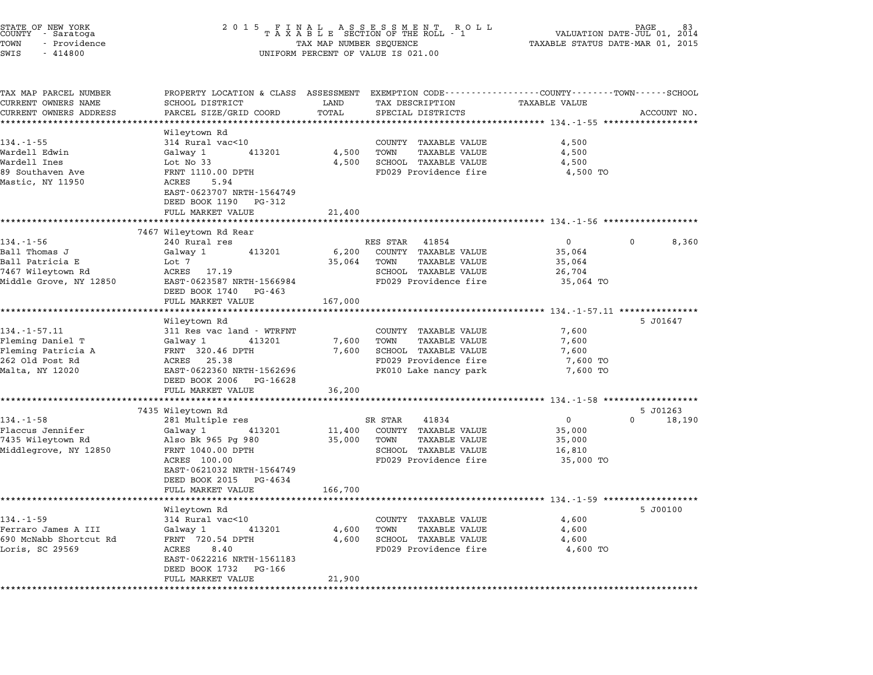| STATE OF NEW YORK<br>COUNTY - Saratoga<br>TOWN<br>- Providence<br>SWIS<br>$-414800$ | 2 0 1 5                                                                                                             | TAX MAP NUMBER SEQUENCE | FINAL ASSESSMENT ROLL<br>TAXABLE SECTION OF THE ROLL - 1<br>UNIFORM PERCENT OF VALUE IS 021.00 |                                                            | 83<br>VALUATION DATE-JUL 01,<br>2014<br>TAXABLE STATUS DATE-MAR 01, 2015 |  |
|-------------------------------------------------------------------------------------|---------------------------------------------------------------------------------------------------------------------|-------------------------|------------------------------------------------------------------------------------------------|------------------------------------------------------------|--------------------------------------------------------------------------|--|
| TAX MAP PARCEL NUMBER<br>CURRENT OWNERS NAME                                        | PROPERTY LOCATION & CLASS ASSESSMENT EXEMPTION CODE----------------COUNTY-------TOWN------SCHOOL<br>SCHOOL DISTRICT | LAND                    | TAX DESCRIPTION                                                                                | TAXABLE VALUE                                              |                                                                          |  |
| CURRENT OWNERS ADDRESS                                                              | PARCEL SIZE/GRID COORD                                                                                              | TOTAL                   | SPECIAL DISTRICTS                                                                              |                                                            | ACCOUNT NO.                                                              |  |
|                                                                                     |                                                                                                                     | *********               |                                                                                                |                                                            |                                                                          |  |
| $134. - 1 - 55$                                                                     | Wileytown Rd<br>314 Rural vac<10                                                                                    |                         | COUNTY TAXABLE VALUE                                                                           | 4,500                                                      |                                                                          |  |
| Wardell Edwin                                                                       | 413201<br>Galway 1                                                                                                  | 4,500                   | <b>TAXABLE VALUE</b><br>TOWN                                                                   | 4,500                                                      |                                                                          |  |
| Wardell Ines                                                                        | Lot No 33                                                                                                           | 4,500                   | SCHOOL TAXABLE VALUE                                                                           | 4,500                                                      |                                                                          |  |
| 89 Southaven Ave<br>Mastic, NY 11950                                                | FRNT 1110.00 DPTH<br>ACRES<br>5.94<br>EAST-0623707 NRTH-1564749<br>DEED BOOK 1190 PG-312                            |                         | FD029 Providence fire                                                                          | 4,500 TO                                                   |                                                                          |  |
|                                                                                     | FULL MARKET VALUE                                                                                                   | 21,400                  |                                                                                                |                                                            |                                                                          |  |
|                                                                                     | 7467 Wileytown Rd Rear                                                                                              |                         | ********************************* 134.-1-56 *******************                                |                                                            |                                                                          |  |
| $134. - 1 - 56$                                                                     | 240 Rural res                                                                                                       |                         | RES STAR<br>41854                                                                              | $\mathbf{0}$                                               | 8,360<br>0                                                               |  |
| Ball Thomas J                                                                       | 413201<br>Galway 1                                                                                                  | 6,200                   | COUNTY TAXABLE VALUE                                                                           | 35,064                                                     |                                                                          |  |
| Ball Patricia E                                                                     | Lot 7                                                                                                               | 35,064                  | <b>TAXABLE VALUE</b><br>TOWN                                                                   | 35,064                                                     |                                                                          |  |
| 7467 Wileytown Rd                                                                   | ACRES<br>17.19                                                                                                      |                         | SCHOOL TAXABLE VALUE                                                                           | 26,704                                                     |                                                                          |  |
| Middle Grove, NY 12850                                                              | EAST-0623587 NRTH-1566984                                                                                           |                         | FD029 Providence fire                                                                          | 35,064 TO                                                  |                                                                          |  |
|                                                                                     | DEED BOOK 1740<br>PG-463                                                                                            |                         |                                                                                                |                                                            |                                                                          |  |
|                                                                                     | FULL MARKET VALUE                                                                                                   | 167,000                 |                                                                                                |                                                            |                                                                          |  |
|                                                                                     | Wileytown Rd                                                                                                        |                         |                                                                                                |                                                            | 5 J01647                                                                 |  |
| 134.-1-57.11                                                                        | 311 Res vac land - WTRFNT                                                                                           |                         | COUNTY TAXABLE VALUE                                                                           | 7,600                                                      |                                                                          |  |
| Fleming Daniel T                                                                    | 413201<br>Galway 1                                                                                                  | 7,600                   | TOWN<br>TAXABLE VALUE                                                                          | 7,600                                                      |                                                                          |  |
| Fleming Patricia A                                                                  | FRNT 320.46 DPTH                                                                                                    | 7,600                   | SCHOOL TAXABLE VALUE                                                                           | 7,600                                                      |                                                                          |  |
| 262 Old Post Rd                                                                     | ACRES 25.38                                                                                                         |                         | FD029 Providence fire                                                                          | 7,600 TO                                                   |                                                                          |  |
| Malta, NY 12020                                                                     | EAST-0622360 NRTH-1562696                                                                                           |                         | PK010 Lake nancy park                                                                          | 7,600 TO                                                   |                                                                          |  |
|                                                                                     | DEED BOOK 2006<br>PG-16628                                                                                          |                         |                                                                                                |                                                            |                                                                          |  |
|                                                                                     | FULL MARKET VALUE                                                                                                   | 36,200<br>**********    |                                                                                                |                                                            |                                                                          |  |
|                                                                                     | 7435 Wileytown Rd                                                                                                   |                         |                                                                                                | ************ 134.-1-58 ******************                  | 5 J01263                                                                 |  |
| $134. - 1 - 58$                                                                     | 281 Multiple res                                                                                                    |                         | SR STAR<br>41834                                                                               | 0                                                          | 0<br>18,190                                                              |  |
| Flaccus Jennifer                                                                    | 413201<br>Galway 1                                                                                                  | 11,400                  | COUNTY TAXABLE VALUE                                                                           | 35,000                                                     |                                                                          |  |
| 7435 Wileytown Rd                                                                   | Also Bk 965 Pg 980                                                                                                  | 35,000                  | TOWN<br>TAXABLE VALUE                                                                          | 35,000                                                     |                                                                          |  |
| Middlegrove, NY 12850                                                               | FRNT 1040.00 DPTH                                                                                                   |                         | SCHOOL TAXABLE VALUE                                                                           | 16,810                                                     |                                                                          |  |
|                                                                                     | ACRES 100.00                                                                                                        |                         | FD029 Providence fire                                                                          | 35,000 TO                                                  |                                                                          |  |
|                                                                                     | EAST-0621032 NRTH-1564749                                                                                           |                         |                                                                                                |                                                            |                                                                          |  |
|                                                                                     | DEED BOOK 2015<br>PG-4634                                                                                           |                         |                                                                                                |                                                            |                                                                          |  |
|                                                                                     | FULL MARKET VALUE                                                                                                   | 166,700                 |                                                                                                | *********************************** 134.-1-59 ************ |                                                                          |  |
|                                                                                     | Wileytown Rd                                                                                                        |                         |                                                                                                |                                                            | 5 J00100                                                                 |  |
| $134. - 1 - 59$                                                                     | 314 Rural vac<10                                                                                                    |                         | COUNTY TAXABLE VALUE                                                                           | 4,600                                                      |                                                                          |  |
| Ferraro James A III                                                                 | Galway 1<br>413201                                                                                                  | 4,600                   | <b>TAXABLE VALUE</b><br>TOWN                                                                   | 4,600                                                      |                                                                          |  |
| 690 McNabb Shortcut Rd                                                              | FRNT 720.54 DPTH                                                                                                    | 4,600                   | SCHOOL TAXABLE VALUE                                                                           | 4,600                                                      |                                                                          |  |
| Loris, SC 29569                                                                     |                                                                                                                     |                         | FD029 Providence fire                                                                          | 4,600 TO                                                   |                                                                          |  |
|                                                                                     | ACRES<br>8.40                                                                                                       |                         |                                                                                                |                                                            |                                                                          |  |
|                                                                                     | EAST-0622216 NRTH-1561183                                                                                           |                         |                                                                                                |                                                            |                                                                          |  |
|                                                                                     | DEED BOOK 1732<br>PG-166<br>FULL MARKET VALUE                                                                       | 21,900                  |                                                                                                |                                                            |                                                                          |  |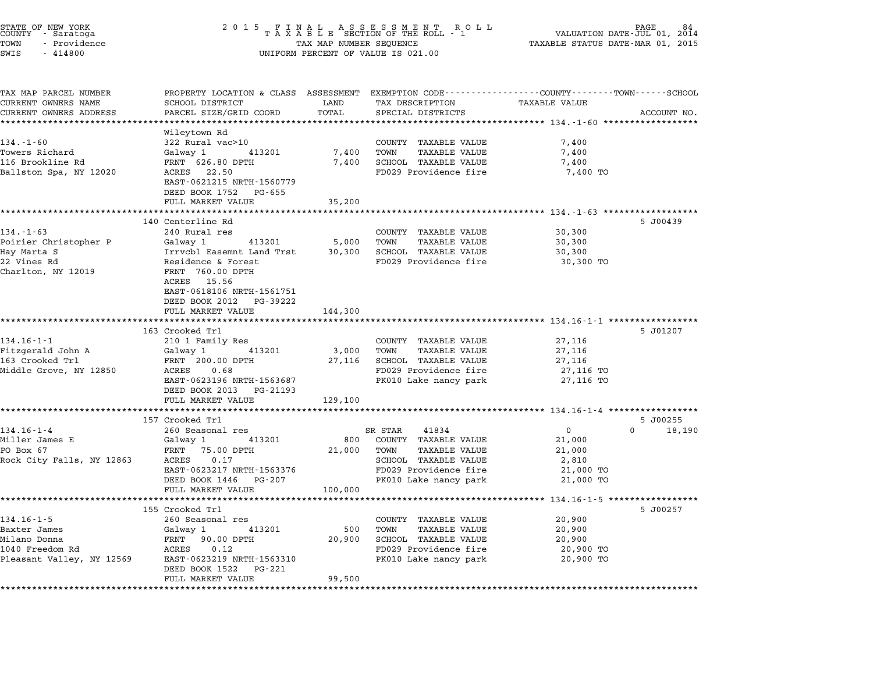| STATE OF NEW YORK<br>COUNTY - Saratoga<br>TOWN<br>- Providence<br>SWIS<br>$-414800$ | 2 0 1 5<br>TAX MAP NUMBER SEQUENCE<br>UNIFORM PERCENT OF VALUE IS 021.00                                                 | 84<br>PAGE.<br>VALUATION DATE-JUL 01,<br>2014<br>TAXABLE STATUS DATE-MAR 01, 2015 |                                                                 |                                                             |                    |
|-------------------------------------------------------------------------------------|--------------------------------------------------------------------------------------------------------------------------|-----------------------------------------------------------------------------------|-----------------------------------------------------------------|-------------------------------------------------------------|--------------------|
| TAX MAP PARCEL NUMBER<br>CURRENT OWNERS NAME                                        | PROPERTY LOCATION & CLASS ASSESSMENT EXEMPTION CODE---------------COUNTY-------TOWN-----SCHOOL<br><b>SCHOOL DISTRICT</b> | LAND                                                                              | TAX DESCRIPTION                                                 | TAXABLE VALUE                                               |                    |
| CURRENT OWNERS ADDRESS                                                              | PARCEL SIZE/GRID COORD                                                                                                   | TOTAL                                                                             | SPECIAL DISTRICTS                                               |                                                             | ACCOUNT NO.        |
|                                                                                     | ****************                                                                                                         |                                                                                   | ********************************** 134.-1-60 ****************** |                                                             |                    |
|                                                                                     | Wileytown Rd                                                                                                             |                                                                                   |                                                                 |                                                             |                    |
| $134. - 1 - 60$                                                                     | 322 Rural vac>10                                                                                                         |                                                                                   | COUNTY TAXABLE VALUE                                            | 7,400                                                       |                    |
| Towers Richard                                                                      | 413201<br>Galway 1                                                                                                       | 7,400                                                                             | TAXABLE VALUE<br>TOWN                                           | 7,400                                                       |                    |
| 116 Brookline Rd                                                                    | FRNT 626.80 DPTH                                                                                                         | 7,400                                                                             | SCHOOL TAXABLE VALUE                                            | 7,400                                                       |                    |
| Ballston Spa, NY 12020                                                              | ACRES 22.50<br>EAST-0621215 NRTH-1560779                                                                                 |                                                                                   | FD029 Providence fire                                           | 7,400 TO                                                    |                    |
|                                                                                     | DEED BOOK 1752<br>PG-655<br>FULL MARKET VALUE                                                                            | 35,200                                                                            |                                                                 |                                                             |                    |
|                                                                                     | 140 Centerline Rd                                                                                                        |                                                                                   |                                                                 |                                                             | 5 J00439           |
| $134. - 1 - 63$                                                                     | 240 Rural res                                                                                                            |                                                                                   | COUNTY TAXABLE VALUE                                            | 30,300                                                      |                    |
| Poirier Christopher P                                                               | Galway 1<br>413201                                                                                                       | 5,000                                                                             | TOWN<br><b>TAXABLE VALUE</b>                                    | 30,300                                                      |                    |
| Hay Marta S                                                                         | Irrvcbl Easemnt Land Trst                                                                                                | 30,300                                                                            | SCHOOL TAXABLE VALUE                                            | 30,300                                                      |                    |
| 22 Vines Rd                                                                         | Residence & Forest                                                                                                       |                                                                                   | FD029 Providence fire                                           | 30,300 TO                                                   |                    |
| Charlton, NY 12019                                                                  | FRNT 760.00 DPTH                                                                                                         |                                                                                   |                                                                 |                                                             |                    |
|                                                                                     | 15.56<br>ACRES                                                                                                           |                                                                                   |                                                                 |                                                             |                    |
|                                                                                     | EAST-0618106 NRTH-1561751                                                                                                |                                                                                   |                                                                 |                                                             |                    |
|                                                                                     | DEED BOOK 2012<br>PG-39222                                                                                               |                                                                                   |                                                                 |                                                             |                    |
|                                                                                     | FULL MARKET VALUE                                                                                                        | 144,300                                                                           |                                                                 |                                                             |                    |
|                                                                                     |                                                                                                                          |                                                                                   |                                                                 | ***************************** 134.16-1-1 ****************** |                    |
| $134.16 - 1 - 1$                                                                    | 163 Crooked Trl<br>210 1 Family Res                                                                                      |                                                                                   | COUNTY TAXABLE VALUE                                            | 27,116                                                      | 5 J01207           |
| Fitzgerald John A                                                                   | 413201<br>Galway 1                                                                                                       | 3,000                                                                             | <b>TAXABLE VALUE</b><br>TOWN                                    | 27,116                                                      |                    |
| 163 Crooked Trl                                                                     | FRNT 200.00 DPTH                                                                                                         | 27,116                                                                            | SCHOOL TAXABLE VALUE                                            | 27,116                                                      |                    |
| Middle Grove, NY 12850                                                              | ACRES<br>0.68                                                                                                            |                                                                                   | FD029 Providence fire                                           | 27,116 TO                                                   |                    |
|                                                                                     | EAST-0623196 NRTH-1563687                                                                                                |                                                                                   | PK010 Lake nancy park                                           | 27,116 TO                                                   |                    |
|                                                                                     | DEED BOOK 2013<br>PG-21193                                                                                               |                                                                                   |                                                                 |                                                             |                    |
|                                                                                     | FULL MARKET VALUE                                                                                                        | 129,100                                                                           |                                                                 |                                                             |                    |
|                                                                                     |                                                                                                                          |                                                                                   |                                                                 |                                                             |                    |
|                                                                                     | 157 Crooked Trl                                                                                                          |                                                                                   |                                                                 |                                                             | 5 J00255           |
| $134.16 - 1 - 4$                                                                    | 260 Seasonal res                                                                                                         |                                                                                   | SR STAR<br>41834                                                | 0                                                           | $\Omega$<br>18,190 |
| Miller James E<br>PO Box 67                                                         | Galway 1<br>413201<br>FRNT<br>75.00 DPTH                                                                                 | 800                                                                               | COUNTY TAXABLE VALUE<br><b>TAXABLE VALUE</b><br>TOWN            | 21,000                                                      |                    |
| Rock City Falls, NY 12863                                                           | ACRES<br>0.17                                                                                                            | 21,000                                                                            | SCHOOL TAXABLE VALUE                                            | 21,000<br>2,810                                             |                    |
|                                                                                     | EAST-0623217 NRTH-1563376                                                                                                |                                                                                   | FD029 Providence fire                                           | 21,000 TO                                                   |                    |
|                                                                                     | DEED BOOK 1446<br>PG-207                                                                                                 |                                                                                   | PK010 Lake nancy park                                           | 21,000 TO                                                   |                    |
|                                                                                     | FULL MARKET VALUE                                                                                                        | 100,000                                                                           |                                                                 |                                                             |                    |
|                                                                                     |                                                                                                                          |                                                                                   | ********************************* 134.16-1-5 **                 |                                                             |                    |
|                                                                                     | 155 Crooked Trl                                                                                                          |                                                                                   |                                                                 |                                                             | 5 J00257           |
| $134.16 - 1 - 5$                                                                    | 260 Seasonal res                                                                                                         |                                                                                   | COUNTY TAXABLE VALUE                                            | 20,900                                                      |                    |
| Baxter James                                                                        | Galway 1<br>413201                                                                                                       | 500                                                                               | <b>TAXABLE VALUE</b><br>TOWN                                    | 20,900                                                      |                    |
| Milano Donna                                                                        | FRNT 90.00 DPTH                                                                                                          | 20,900                                                                            | SCHOOL TAXABLE VALUE                                            | 20,900                                                      |                    |
| 1040 Freedom Rd<br>Pleasant Valley, NY 12569                                        | ACRES<br>0.12<br>EAST-0623219 NRTH-1563310                                                                               |                                                                                   | FD029 Providence fire<br>PK010 Lake nancy park                  | 20,900 TO<br>20,900 TO                                      |                    |
|                                                                                     | DEED BOOK 1522<br>PG-221                                                                                                 |                                                                                   |                                                                 |                                                             |                    |
|                                                                                     | FULL MARKET VALUE                                                                                                        | 99,500                                                                            |                                                                 |                                                             |                    |
|                                                                                     |                                                                                                                          |                                                                                   |                                                                 |                                                             |                    |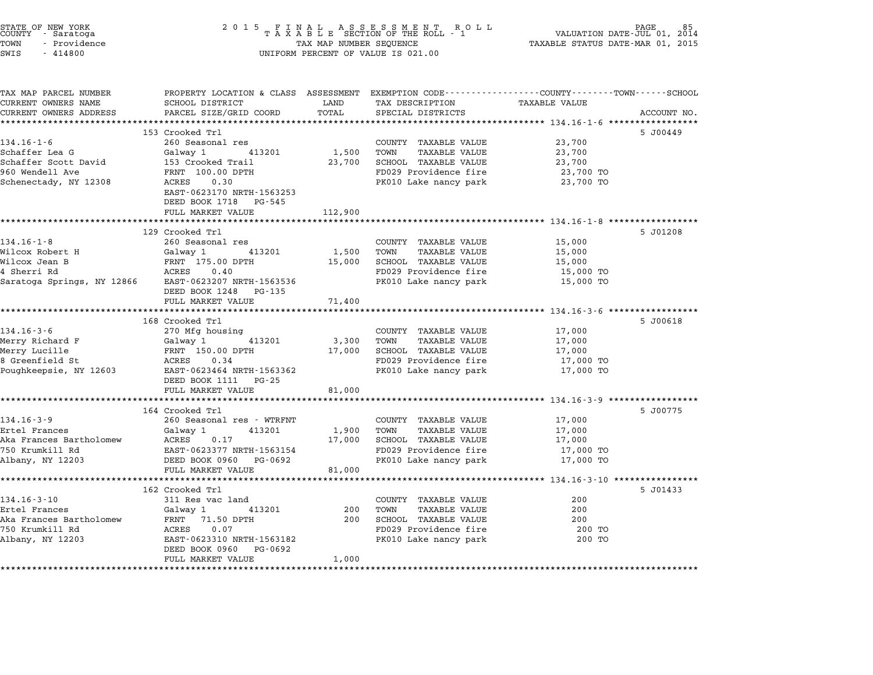| STATE OF NEW YORK<br>COUNTY<br>- Saratoga<br>TOWN<br>- Providence<br>SWIS<br>$-414800$ | 2 0 1 5<br>FINAL ASSESSMENT RC<br>TAXABLE SECTION OF THE ROLL - 1<br>R O L L<br>TAX MAP NUMBER SEQUENCE<br>UNIFORM PERCENT OF VALUE IS 021.00 |                      |                                                                | PAGE<br>VALUATION DATE-JUL 01,<br>2014<br>TAXABLE STATUS DATE-MAR 01, 2015 |             |
|----------------------------------------------------------------------------------------|-----------------------------------------------------------------------------------------------------------------------------------------------|----------------------|----------------------------------------------------------------|----------------------------------------------------------------------------|-------------|
| TAX MAP PARCEL NUMBER<br>CURRENT OWNERS NAME                                           | PROPERTY LOCATION & CLASS ASSESSMENT EXEMPTION CODE---------------COUNTY-------TOWN-----SCHOOL<br>SCHOOL DISTRICT                             | LAND                 | TAX DESCRIPTION                                                | TAXABLE VALUE                                                              |             |
| CURRENT OWNERS ADDRESS                                                                 | PARCEL SIZE/GRID COORD                                                                                                                        | TOTAL<br>*********** | SPECIAL DISTRICTS                                              |                                                                            | ACCOUNT NO. |
|                                                                                        | 153 Crooked Trl                                                                                                                               |                      |                                                                |                                                                            | 5 J00449    |
| $134.16 - 1 - 6$                                                                       | 260 Seasonal res                                                                                                                              |                      | COUNTY TAXABLE VALUE                                           | 23,700                                                                     |             |
| Schaffer Lea G                                                                         | Galway 1<br>413201                                                                                                                            | 1,500                | TOWN<br><b>TAXABLE VALUE</b>                                   | 23,700                                                                     |             |
| Schaffer Scott David                                                                   | 153 Crooked Trail                                                                                                                             | 23,700               | SCHOOL TAXABLE VALUE                                           | 23,700                                                                     |             |
| 960 Wendell Ave                                                                        | FRNT 100.00 DPTH                                                                                                                              |                      | FD029 Providence fire                                          | 23,700 TO                                                                  |             |
| Schenectady, NY 12308                                                                  | 0.30<br>ACRES                                                                                                                                 |                      | PK010 Lake nancy park                                          | 23,700 TO                                                                  |             |
|                                                                                        | EAST-0623170 NRTH-1563253<br>DEED BOOK 1718 PG-545                                                                                            |                      |                                                                |                                                                            |             |
|                                                                                        | FULL MARKET VALUE                                                                                                                             | 112,900              |                                                                |                                                                            |             |
|                                                                                        | 129 Crooked Trl                                                                                                                               |                      |                                                                |                                                                            |             |
| $134.16 - 1 - 8$                                                                       | 260 Seasonal res                                                                                                                              |                      | COUNTY TAXABLE VALUE                                           | 15,000                                                                     | 5 J01208    |
| Wilcox Robert H                                                                        | Galway 1<br>413201                                                                                                                            | 1,500                | TOWN<br><b>TAXABLE VALUE</b>                                   | 15,000                                                                     |             |
| Wilcox Jean B                                                                          | FRNT 175.00 DPTH                                                                                                                              | 15,000               | SCHOOL TAXABLE VALUE                                           | 15,000                                                                     |             |
| 4 Sherri Rd                                                                            | ACRES<br>0.40                                                                                                                                 |                      | FD029 Providence fire                                          | 15,000 TO                                                                  |             |
| Saratoga Springs, NY 12866                                                             | EAST-0623207 NRTH-1563536<br>DEED BOOK 1248 PG-135                                                                                            |                      | PK010 Lake nancy park                                          | 15,000 TO                                                                  |             |
|                                                                                        | FULL MARKET VALUE                                                                                                                             | 71,400               |                                                                |                                                                            |             |
|                                                                                        | **********************                                                                                                                        | *******              |                                                                | ********** 134.16-3-6 ******************                                   |             |
|                                                                                        | 168 Crooked Trl                                                                                                                               |                      |                                                                |                                                                            | 5 J00618    |
| $134.16 - 3 - 6$                                                                       | 270 Mfg housing                                                                                                                               |                      | COUNTY TAXABLE VALUE                                           | 17,000                                                                     |             |
| Merry Richard F                                                                        | Galway 1<br>413201                                                                                                                            | 3,300                | TOWN<br><b>TAXABLE VALUE</b>                                   | 17,000                                                                     |             |
| Merry Lucille                                                                          | FRNT 150.00 DPTH                                                                                                                              | 17,000               | SCHOOL TAXABLE VALUE                                           | 17,000                                                                     |             |
| 8 Greenfield St                                                                        | ACRES<br>0.34                                                                                                                                 |                      | FD029 Providence fire                                          | 17,000 TO                                                                  |             |
| Poughkeepsie, NY 12603                                                                 | EAST-0623464 NRTH-1563362<br>DEED BOOK 1111 PG-25                                                                                             |                      | PK010 Lake nancy park                                          | 17,000 TO                                                                  |             |
|                                                                                        | FULL MARKET VALUE                                                                                                                             | 81,000               |                                                                |                                                                            |             |
|                                                                                        | *******************************                                                                                                               |                      | ********************************* 134.16-3-9 ***************** |                                                                            |             |
| $134.16 - 3 - 9$                                                                       | 164 Crooked Trl                                                                                                                               |                      |                                                                |                                                                            | 5 J00775    |
| Ertel Frances                                                                          | 260 Seasonal res - WTRFNT<br>413201                                                                                                           |                      | COUNTY TAXABLE VALUE<br>TOWN<br><b>TAXABLE VALUE</b>           | 17,000                                                                     |             |
| Aka Frances Bartholomew                                                                | Galway 1<br>ACRES<br>0.17                                                                                                                     | 1,900<br>17,000      | SCHOOL TAXABLE VALUE                                           | 17,000<br>17,000                                                           |             |
| 750 Krumkill Rd                                                                        | EAST-0623377 NRTH-1563154                                                                                                                     |                      | FD029 Providence fire                                          | 17,000 TO                                                                  |             |
| Albany, NY 12203                                                                       | DEED BOOK 0960 PG-0692                                                                                                                        |                      | PK010 Lake nancy park                                          | 17,000 TO                                                                  |             |
|                                                                                        | FULL MARKET VALUE                                                                                                                             | 81,000               |                                                                |                                                                            |             |
|                                                                                        |                                                                                                                                               |                      |                                                                | ********************** 134.16-3-10 *****************                       |             |
|                                                                                        | 162 Crooked Trl                                                                                                                               |                      |                                                                |                                                                            | 5 J01433    |
| $134.16 - 3 - 10$                                                                      | 311 Res vac land                                                                                                                              |                      | COUNTY TAXABLE VALUE                                           | 200                                                                        |             |
| Ertel Frances                                                                          | Galway 1<br>413201                                                                                                                            | 200                  | TOWN<br>TAXABLE VALUE                                          | 200                                                                        |             |
| Aka Frances Bartholomew                                                                | FRNT<br>71.50 DPTH                                                                                                                            | 200                  | SCHOOL TAXABLE VALUE                                           | 200                                                                        |             |
| 750 Krumkill Rd                                                                        | 0.07<br>ACRES                                                                                                                                 |                      | FD029 Providence fire                                          | 200 TO                                                                     |             |
| Albany, NY 12203                                                                       | EAST-0623310 NRTH-1563182<br>DEED BOOK 0960<br>PG-0692                                                                                        |                      | PK010 Lake nancy park                                          | 200 TO                                                                     |             |
|                                                                                        | FULL MARKET VALUE                                                                                                                             | 1,000                |                                                                |                                                                            |             |
|                                                                                        |                                                                                                                                               |                      |                                                                |                                                                            |             |

STATE OF NEW YORK <sup>2</sup> <sup>0</sup> <sup>1</sup> 5 F I N A L A S S E S S M E N T R O L L PAGE <sup>85</sup> COUNTY - Saratoga <sup>T</sup> <sup>A</sup> <sup>X</sup> <sup>A</sup> <sup>B</sup> <sup>L</sup> <sup>E</sup> SECTION OF THE ROLL - <sup>1</sup> VALUATION DATE-JUL 01, <sup>2014</sup>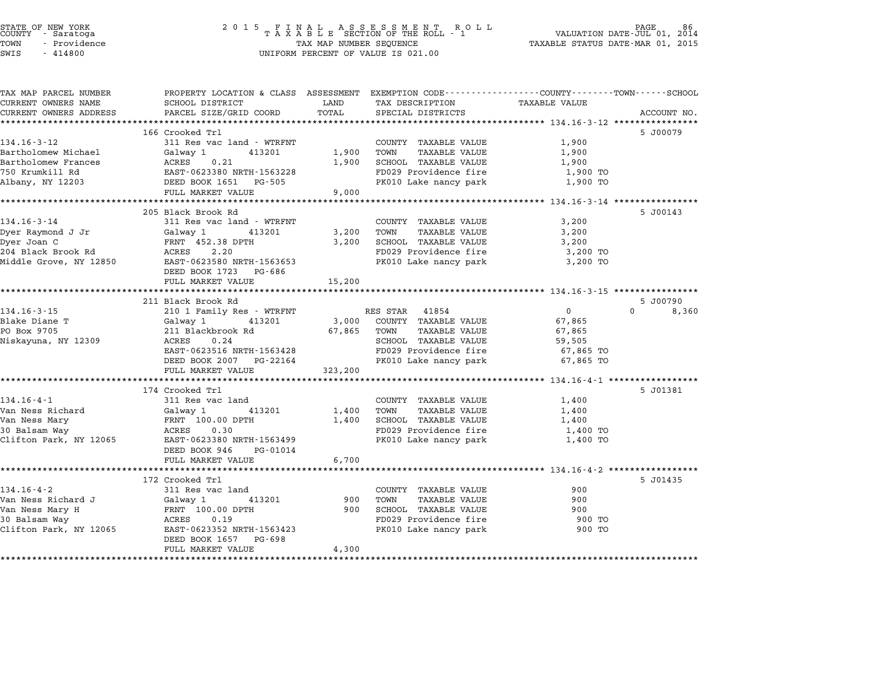# STATE OF NEW YORK <sup>2</sup> <sup>0</sup> <sup>1</sup> 5 F I N A L A S S E S S M E N T R O L L PAGE <sup>86</sup> COUNTY - Saratoga <sup>T</sup> <sup>A</sup> <sup>X</sup> <sup>A</sup> <sup>B</sup> <sup>L</sup> <sup>E</sup> SECTION OF THE ROLL - <sup>1</sup> VALUATION DATE-JUL 01, <sup>2014</sup> TOWN - Providence TAX MAP NUMBER SEQUENCE TAXABLE STATUS DATE-MAR 01, <sup>2015</sup> STATE OF NEW YORK STATE OF NEW YORK COUNTY - SATATOGRAPH SAMPLINE TO A SAMPLINE TO A SAMPLINE ROLL TO A SAMPLINE ROLL TO A SAMPLINE SECTION OF THE ROLL TO A SAMPLINE SEQUENCE TO A SAMPLINE SEQUENCE TO A LA SAMPLINE SEQUENC

| TAX MAP PARCEL NUMBER<br>CURRENT OWNERS NAME | PROPERTY LOCATION & CLASS ASSESSMENT EXEMPTION CODE---------------COUNTY-------TOWN------SCHOOL<br>SCHOOL DISTRICT | LAND    | TAX DESCRIPTION                               | <b>TAXABLE VALUE</b> |                   |
|----------------------------------------------|--------------------------------------------------------------------------------------------------------------------|---------|-----------------------------------------------|----------------------|-------------------|
| CURRENT OWNERS ADDRESS                       | PARCEL SIZE/GRID COORD                                                                                             | TOTAL   | SPECIAL DISTRICTS                             |                      | ACCOUNT NO.       |
| *************************                    |                                                                                                                    |         |                                               |                      |                   |
|                                              | 166 Crooked Trl                                                                                                    |         |                                               |                      | 5 J00079          |
| $134.16 - 3 - 12$                            | 311 Res vac land - WTRFNT                                                                                          |         | COUNTY TAXABLE VALUE                          | 1,900                |                   |
| Bartholomew Michael                          | Galway 1<br>413201                                                                                                 | 1,900   | TOWN<br>TAXABLE VALUE                         | 1,900                |                   |
| Bartholomew Frances                          | ACRES<br>0.21                                                                                                      | 1,900   | SCHOOL TAXABLE VALUE                          | 1,900                |                   |
| 750 Krumkill Rd                              | EAST-0623380 NRTH-1563228<br>DEED BOOK 1651 PG-505                                                                 |         | FD029 Providence fire                         | 1,900 TO             |                   |
| Albany, NY 12203                             | FULL MARKET VALUE                                                                                                  | 9,000   | PK010 Lake nancy park                         | 1,900 TO             |                   |
|                                              |                                                                                                                    |         |                                               |                      |                   |
|                                              | 205 Black Brook Rd                                                                                                 |         |                                               |                      | 5 J00143          |
| $134.16 - 3 - 14$                            | 311 Res vac land - WTRFNT                                                                                          |         | COUNTY TAXABLE VALUE                          | 3,200                |                   |
| Dyer Raymond J Jr                            | Galway 1<br>413201                                                                                                 | 3,200   | TOWN<br>TAXABLE VALUE                         | 3,200                |                   |
| Dyer Joan C                                  | FRNT 452.38 DPTH                                                                                                   | 3,200   | SCHOOL TAXABLE VALUE                          | 3,200                |                   |
| 204 Black Brook Rd                           | ACRES<br>2.20                                                                                                      |         | FD029 Providence fire                         | 3,200 TO             |                   |
| Middle Grove, NY 12850                       | EAST-0623580 NRTH-1563653                                                                                          |         | PK010 Lake nancy park                         | 3,200 TO             |                   |
|                                              | DEED BOOK 1723<br>PG-686                                                                                           |         |                                               |                      |                   |
|                                              | FULL MARKET VALUE                                                                                                  | 15,200  |                                               |                      |                   |
|                                              |                                                                                                                    |         |                                               |                      |                   |
|                                              | 211 Black Brook Rd                                                                                                 |         |                                               |                      | 5 J00790          |
| $134.16 - 3 - 15$                            | 210 1 Family Res - WTRFNT                                                                                          |         | RES STAR 41854                                | $\overline{0}$       | $\Omega$<br>8,360 |
| Blake Diane T<br>PO Box 9705                 | Galway 1<br>413201                                                                                                 |         | 3,000 COUNTY TAXABLE VALUE                    | 67,865               |                   |
| Niskayuna, NY 12309                          | 211 Blackbrook Rd<br>ACRES<br>0.24                                                                                 | 67,865  | TOWN<br>TAXABLE VALUE<br>SCHOOL TAXABLE VALUE | 67,865<br>59,505     |                   |
|                                              | EAST-0623516 NRTH-1563428                                                                                          |         | FD029 Providence fire                         | 67,865 TO            |                   |
|                                              | DEED BOOK 2007 PG-22164                                                                                            |         | PK010 Lake nancy park                         | 67,865 TO            |                   |
|                                              | FULL MARKET VALUE                                                                                                  | 323,200 |                                               |                      |                   |
|                                              | **************************************                                                                             |         |                                               |                      |                   |
|                                              | 174 Crooked Trl                                                                                                    |         |                                               |                      | 5 J01381          |
| $134.16 - 4 - 1$                             | 311 Res vac land                                                                                                   |         | COUNTY TAXABLE VALUE                          | 1,400                |                   |
| Van Ness Richard                             | Galway 1<br>413201                                                                                                 | 1,400   | TOWN<br>TAXABLE VALUE                         | 1,400                |                   |
| Van Ness Mary                                | FRNT 100.00 DPTH                                                                                                   | 1,400   | SCHOOL TAXABLE VALUE                          | 1,400                |                   |
| 30 Balsam Way                                | ACRES<br>0.30                                                                                                      |         | FD029 Providence fire                         | 1,400 TO             |                   |
| Clifton Park, NY 12065                       | EAST-0623380 NRTH-1563499                                                                                          |         | PK010 Lake nancy park                         | 1,400 TO             |                   |
|                                              | DEED BOOK 946<br>PG-01014                                                                                          |         |                                               |                      |                   |
|                                              | FULL MARKET VALUE                                                                                                  | 6,700   |                                               |                      |                   |
|                                              |                                                                                                                    |         |                                               |                      |                   |
|                                              | 172 Crooked Trl                                                                                                    |         |                                               |                      | 5 J01435          |
| $134.16 - 4 - 2$<br>Van Ness Richard J       | 311 Res vac land<br>413201                                                                                         | 900     | COUNTY TAXABLE VALUE<br>TOWN<br>TAXABLE VALUE | 900<br>900           |                   |
|                                              | Galway 1<br>FRNT 100.00 DPTH                                                                                       | 900     | SCHOOL TAXABLE VALUE                          | 900                  |                   |
| Van Ness Mary H<br>30 Balsam Way             | 0.19<br>ACRES                                                                                                      |         | FD029 Providence fire                         | 900 TO               |                   |
| Clifton Park, NY 12065                       | EAST-0623352 NRTH-1563423                                                                                          |         | PK010 Lake nancy park                         | 900 TO               |                   |
|                                              | PG-698<br>DEED BOOK 1657                                                                                           |         |                                               |                      |                   |
|                                              | FULL MARKET VALUE                                                                                                  | 4,300   |                                               |                      |                   |
|                                              |                                                                                                                    |         |                                               |                      |                   |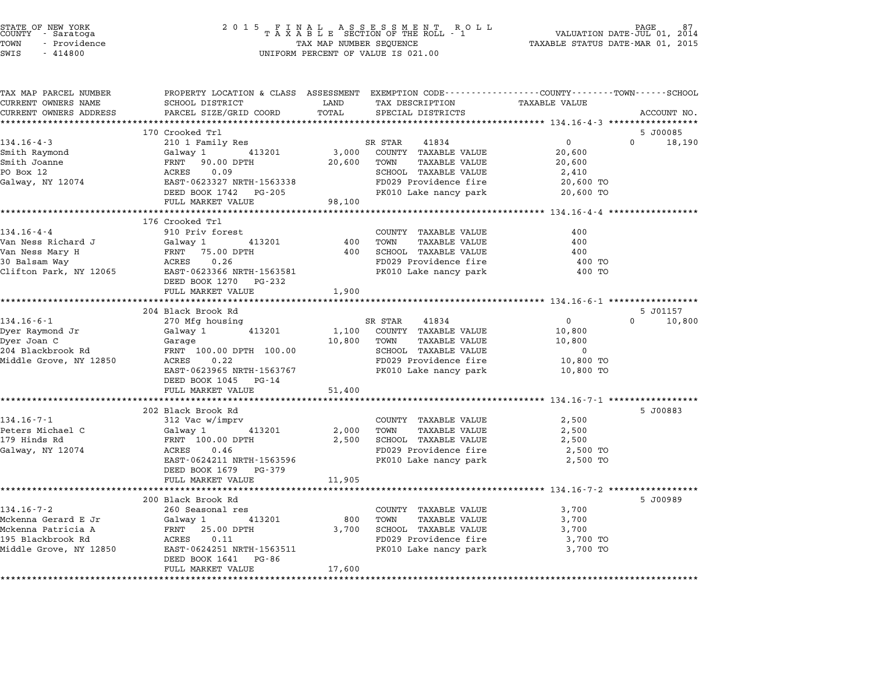| COUNTY | STATE OF NEW YORK<br>- Saratoga |  |
|--------|---------------------------------|--|
| TOWN   | - Providence                    |  |

| TAX MAP PARCEL NUMBER<br>CURRENT OWNERS NAME | PROPERTY LOCATION & CLASS ASSESSMENT EXEMPTION CODE---------------COUNTY-------TOWN------SCHOOL<br>SCHOOL DISTRICT | LAND   | TAX DESCRIPTION                                      | <b>TAXABLE VALUE</b>                   |                    |
|----------------------------------------------|--------------------------------------------------------------------------------------------------------------------|--------|------------------------------------------------------|----------------------------------------|--------------------|
| CURRENT OWNERS ADDRESS                       | PARCEL SIZE/GRID COORD                                                                                             | TOTAL  | SPECIAL DISTRICTS                                    |                                        | ACCOUNT NO.        |
|                                              |                                                                                                                    |        |                                                      |                                        |                    |
|                                              | 170 Crooked Trl                                                                                                    |        |                                                      |                                        | 5 J00085           |
| $134.16 - 4 - 3$                             | 210 1 Family Res                                                                                                   |        | SR STAR<br>41834                                     | $0 \qquad \qquad$                      | $\Omega$<br>18,190 |
| Smith Raymond                                | 413201<br>Galway 1                                                                                                 | 3,000  | COUNTY TAXABLE VALUE                                 | 20,600                                 |                    |
| Smith Joanne                                 | FRNT 90.00 DPTH                                                                                                    | 20,600 | TOWN<br><b>TAXABLE VALUE</b>                         | 20,600                                 |                    |
| PO Box 12                                    | 0.09<br>ACRES                                                                                                      |        | SCHOOL TAXABLE VALUE                                 | 2,410                                  |                    |
| Galway, NY 12074                             | EAST-0623327 NRTH-1563338                                                                                          |        | FD029 Providence fire                                | 20,600 TO                              |                    |
|                                              | DEED BOOK 1742 PG-205                                                                                              |        | PK010 Lake nancy park                                | 20,600 TO                              |                    |
|                                              | FULL MARKET VALUE                                                                                                  | 98,100 |                                                      |                                        |                    |
|                                              |                                                                                                                    |        |                                                      |                                        |                    |
|                                              | 176 Crooked Trl                                                                                                    |        |                                                      |                                        |                    |
| $134.16 - 4 - 4$                             | 910 Priv forest                                                                                                    |        | COUNTY TAXABLE VALUE                                 | 400                                    |                    |
| Van Ness Richard J                           | 413201<br>Galway 1                                                                                                 | 400    | TOWN<br>TAXABLE VALUE                                | 400                                    |                    |
| Van Ness Mary H                              | FRNT 75.00 DPTH                                                                                                    | 400    | SCHOOL TAXABLE VALUE                                 | 400                                    |                    |
| 30 Balsam Way                                | 0.26<br>ACRES                                                                                                      |        | FD029 Providence fire                                | 400 TO                                 |                    |
| Clifton Park, NY 12065                       | EAST-0623366 NRTH-1563581                                                                                          |        | PK010 Lake nancy park                                | 400 TO                                 |                    |
|                                              | DEED BOOK 1270 PG-232                                                                                              |        |                                                      |                                        |                    |
|                                              | FULL MARKET VALUE<br>******************************                                                                | 1,900  |                                                      |                                        |                    |
|                                              | 204 Black Brook Rd                                                                                                 |        |                                                      |                                        | 5 J01157           |
| $134.16 - 6 - 1$                             | 270 Mfg housing                                                                                                    |        | SR STAR<br>41834                                     | $\overline{0}$                         | $\Omega$<br>10,800 |
| Dyer Raymond Jr                              | 413201<br>Galway 1                                                                                                 | 1,100  | COUNTY TAXABLE VALUE                                 | 10,800                                 |                    |
| Dyer Joan C                                  | Garage                                                                                                             | 10,800 | TOWN<br>TAXABLE VALUE                                | 10,800                                 |                    |
| 204 Blackbrook Rd                            | FRNT 100.00 DPTH 100.00                                                                                            |        | <b>SCHOOL TAXABLE VALUE</b>                          | $\mathbf 0$                            |                    |
| Middle Grove, NY 12850                       | ACRES<br>0.22                                                                                                      |        | FD029 Providence fire                                | 10,800 TO                              |                    |
|                                              | EAST-0623965 NRTH-1563767                                                                                          |        | PK010 Lake nancy park                                | 10,800 TO                              |                    |
|                                              | DEED BOOK 1045 PG-14                                                                                               |        |                                                      |                                        |                    |
|                                              | FULL MARKET VALUE                                                                                                  | 51,400 |                                                      |                                        |                    |
|                                              |                                                                                                                    |        |                                                      |                                        |                    |
|                                              | 202 Black Brook Rd                                                                                                 |        |                                                      |                                        | 5 J00883           |
| $134.16 - 7 - 1$                             | 312 Vac w/imprv                                                                                                    |        | COUNTY TAXABLE VALUE                                 | 2,500                                  |                    |
| Peters Michael C                             | Galway 1<br>413201                                                                                                 | 2,000  | TOWN<br>TAXABLE VALUE                                | 2,500                                  |                    |
| 179 Hinds Rd                                 | FRNT 100.00 DPTH                                                                                                   | 2,500  | SCHOOL TAXABLE VALUE                                 | 2,500                                  |                    |
| Galway, NY 12074                             | 0.46<br>ACRES                                                                                                      |        | FD029 Providence fire                                | 2,500 TO                               |                    |
|                                              | EAST-0624211 NRTH-1563596                                                                                          |        | PK010 Lake nancy park                                | 2,500 TO                               |                    |
|                                              | DEED BOOK 1679 PG-379                                                                                              |        |                                                      |                                        |                    |
|                                              | FULL MARKET VALUE<br>********************                                                                          | 11,905 |                                                      |                                        |                    |
|                                              |                                                                                                                    |        |                                                      | ********** 134.16-7-2 **************** |                    |
| $134.16 - 7 - 2$                             | 200 Black Brook Rd                                                                                                 |        |                                                      |                                        | 5 J00989           |
| Mckenna Gerard E Jr                          | 260 Seasonal res<br>413201<br>Galway 1                                                                             | 800    | COUNTY TAXABLE VALUE<br><b>TAXABLE VALUE</b><br>TOWN | 3,700<br>3,700                         |                    |
| Mckenna Patricia A                           | FRNT<br>25.00 DPTH                                                                                                 | 3,700  | SCHOOL TAXABLE VALUE                                 | 3,700                                  |                    |
| 195 Blackbrook Rd                            | 0.11<br>ACRES                                                                                                      |        | FD029 Providence fire                                | 3,700 TO                               |                    |
| Middle Grove, NY 12850                       | EAST-0624251 NRTH-1563511                                                                                          |        | PK010 Lake nancy park                                | 3,700 TO                               |                    |
|                                              | DEED BOOK 1641<br>PG-86                                                                                            |        |                                                      |                                        |                    |
|                                              | FULL MARKET VALUE                                                                                                  | 17,600 |                                                      |                                        |                    |
|                                              |                                                                                                                    |        |                                                      |                                        |                    |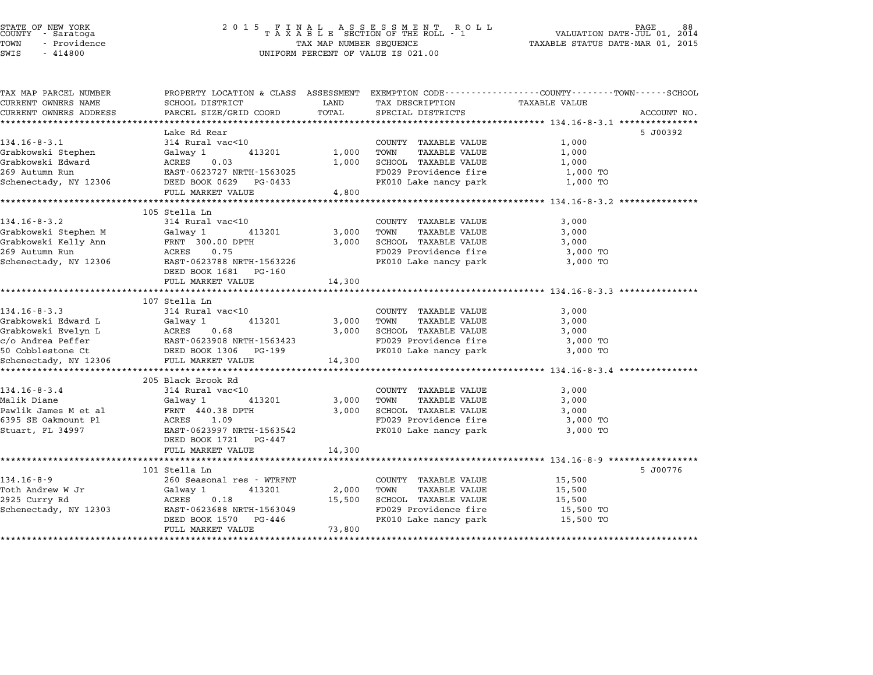| TAX MAP PARCEL NUMBER                       | PROPERTY LOCATION & CLASS ASSESSMENT EXEMPTION CODE---------------COUNTY-------TOWN------SCHOOL |              |                             |                        |             |
|---------------------------------------------|-------------------------------------------------------------------------------------------------|--------------|-----------------------------|------------------------|-------------|
| CURRENT OWNERS NAME                         | SCHOOL DISTRICT                                                                                 | LAND         | TAX DESCRIPTION             | TAXABLE VALUE          |             |
| CURRENT OWNERS ADDRESS                      | PARCEL SIZE/GRID COORD                                                                          | TOTAL        | SPECIAL DISTRICTS           |                        | ACCOUNT NO. |
|                                             |                                                                                                 |              |                             |                        |             |
|                                             | Lake Rd Rear                                                                                    |              |                             |                        | 5 J00392    |
| $134.16 - 8 - 3.1$                          | 314 Rural vac<10                                                                                |              | COUNTY TAXABLE VALUE        | 1,000                  |             |
|                                             |                                                                                                 | 1,000        | TOWN<br>TAXABLE VALUE       | 1,000                  |             |
|                                             |                                                                                                 | 1,000        | SCHOOL TAXABLE VALUE        | 1,000                  |             |
|                                             |                                                                                                 |              | FD029 Providence fire       | 1,000 TO               |             |
|                                             |                                                                                                 |              | PK010 Lake nancy park       | 1,000 TO               |             |
|                                             | FULL MARKET VALUE                                                                               | 4,800        |                             |                        |             |
|                                             |                                                                                                 |              |                             |                        |             |
|                                             | 105 Stella Ln                                                                                   |              |                             |                        |             |
| $134.16 - 8 - 3.2$                          | 314 Rural vac<10                                                                                |              | COUNTY TAXABLE VALUE        | 3,000                  |             |
| Grabkowski Stephen M Galway 1               | 413201 3,000                                                                                    |              | TOWN<br>TAXABLE VALUE       | 3,000                  |             |
| Grabkowski Kelly Ann                        | FRNT 300.00 DPTH<br>ACRES 0.75                                                                  | 3,000        | SCHOOL TAXABLE VALUE        | 3,000                  |             |
| 269 Autumn Run                              |                                                                                                 |              | FD029 Providence fire       | 3,000 TO               |             |
| Schenectady, NY 12306                       | EAST-0623788 NRTH-1563226                                                                       |              | PK010 Lake nancy park       | 3,000 TO               |             |
|                                             | DEED BOOK 1681 PG-160                                                                           |              |                             |                        |             |
|                                             | FULL MARKET VALUE                                                                               | 14,300       |                             |                        |             |
|                                             |                                                                                                 |              |                             |                        |             |
|                                             | 107 Stella Ln                                                                                   |              |                             |                        |             |
| $134.16 - 8 - 3.3$                          | 314 Rural vac<10                                                                                |              | COUNTY TAXABLE VALUE        | 3,000                  |             |
| Grabkowski Edward L                         | Galway 1<br>413201                                                                              | $3,000$ TOWN | TAXABLE VALUE               | 3,000                  |             |
|                                             |                                                                                                 | 3,000        | SCHOOL TAXABLE VALUE        | 3,000                  |             |
|                                             |                                                                                                 |              | FD029 Providence fire       | 3,000 TO               |             |
|                                             |                                                                                                 |              | PK010 Lake nancy park       | 3,000 TO               |             |
| Schenectady, NY 12306                       | FULL MARKET VALUE                                                                               | 14,300       |                             |                        |             |
|                                             |                                                                                                 |              |                             |                        |             |
|                                             | 205 Black Brook Rd                                                                              |              |                             |                        |             |
| $134.16 - 8 - 3.4$                          | 314 Rural vac<10                                                                                |              | COUNTY TAXABLE VALUE        | 3,000                  |             |
| Malik Diane                                 | Galway 1                                                                                        | 413201 3,000 | TOWN<br>TAXABLE VALUE       | 3,000                  |             |
|                                             |                                                                                                 | 3,000        | SCHOOL TAXABLE VALUE        | 3,000                  |             |
| Pawlik James M et al<br>6395 SE Oakmount Pl | FRNT 440.38 DPTH<br>ACRES      1.09                                                             |              | FD029 Providence fire       | 3,000 TO               |             |
| Stuart, FL 34997                            | EAST-0623997 NRTH-1563542                                                                       |              | PK010 Lake nancy park       | 3,000 TO               |             |
|                                             | DEED BOOK 1721 PG-447                                                                           |              |                             |                        |             |
|                                             | FULL MARKET VALUE                                                                               | 14,300       |                             |                        |             |
|                                             |                                                                                                 |              |                             |                        |             |
|                                             | 101 Stella Ln                                                                                   |              |                             |                        | 5 J00776    |
| $134.16 - 8 - 9$                            | 260 Seasonal res - WTRFNT                                                                       |              | COUNTY TAXABLE VALUE        | 15,500                 |             |
| Toth Andrew W Jr                            | Galway 1<br>413201                                                                              |              | 2,000 TOWN<br>TAXABLE VALUE | 15,500                 |             |
| 2925 Curry Rd                               | ACRES<br>0.18                                                                                   | 15,500       | SCHOOL TAXABLE VALUE        | 15,500                 |             |
| Schenectady, NY 12303                       | EAST-0623688 NRTH-1563049                                                                       |              | FD029 Providence fire       |                        |             |
|                                             | DEED BOOK 1570 PG-446                                                                           |              | PK010 Lake nancy park       | 15,500 TO<br>15,500 TO |             |
|                                             |                                                                                                 |              |                             |                        |             |
|                                             | FULL MARKET VALUE                                                                               | 73,800       |                             |                        |             |
|                                             |                                                                                                 |              |                             |                        |             |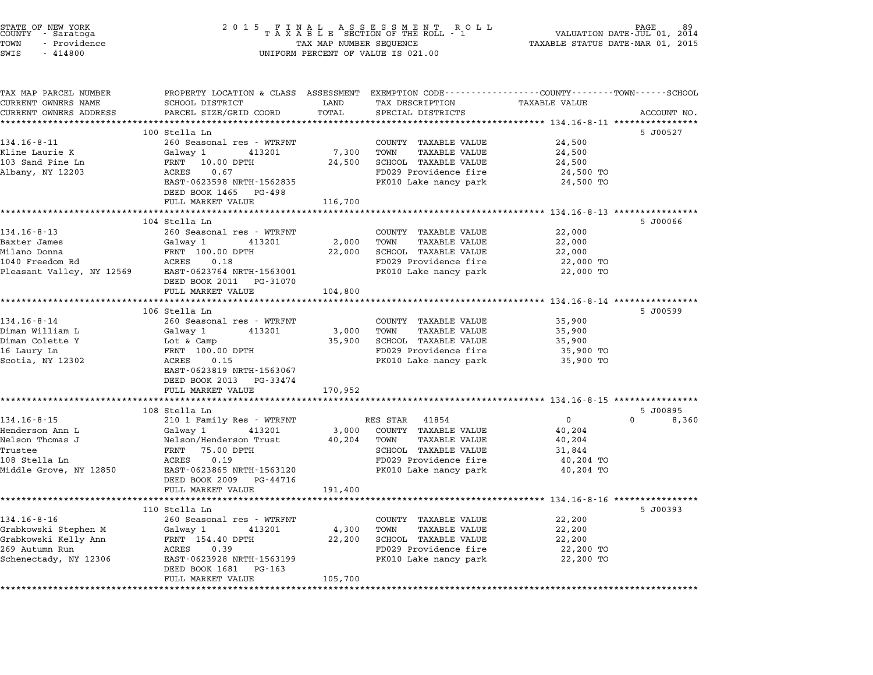| STATE OF NEW YORK<br>COUNTY - Saratoga<br>TOWN<br>- Providence<br>SWIS<br>$-414800$ | 2 0 1 5<br>FINAL ASSESSMENT ROLL<br>TAXABLE SECTION OF THE ROLL - 1<br>TAX MAP NUMBER SEQUENCE<br>UNIFORM PERCENT OF VALUE IS 021.00 | 89<br>VALUATION DATE-JUL 01,<br>2014<br>TAXABLE STATUS DATE-MAR 01, 2015 |                                                                                                                        |
|-------------------------------------------------------------------------------------|--------------------------------------------------------------------------------------------------------------------------------------|--------------------------------------------------------------------------|------------------------------------------------------------------------------------------------------------------------|
| TAX MAP PARCEL NUMBER<br>CURRENT OWNERS NAME                                        | SCHOOL DISTRICT                                                                                                                      | LAND<br>TAX DESCRIPTION                                                  | PROPERTY LOCATION & CLASS ASSESSMENT EXEMPTION CODE---------------COUNTY------TOWN------SCHOOL<br><b>TAXABLE VALUE</b> |
| CURRENT OWNERS ADDRESS                                                              | PARCEL SIZE/GRID COORD                                                                                                               | TOTAL<br>SPECIAL DISTRICTS                                               | ACCOUNT NO.                                                                                                            |
|                                                                                     |                                                                                                                                      |                                                                          | ********************************* 134.16-8-11 *********                                                                |
|                                                                                     | 100 Stella Ln                                                                                                                        |                                                                          | 5 J00527                                                                                                               |
| $134.16 - 8 - 11$                                                                   | 260 Seasonal res - WTRFNT                                                                                                            | COUNTY TAXABLE VALUE                                                     | 24,500                                                                                                                 |
| Kline Laurie K                                                                      | Galway 1<br>413201                                                                                                                   | 7,300<br>TOWN<br><b>TAXABLE VALUE</b>                                    | 24,500                                                                                                                 |
| 103 Sand Pine Ln                                                                    | FRNT 10.00 DPTH                                                                                                                      | 24,500<br>SCHOOL TAXABLE VALUE                                           | 24,500                                                                                                                 |
| Albany, NY 12203                                                                    | ACRES<br>0.67                                                                                                                        | FD029 Providence fire                                                    | 24,500 TO                                                                                                              |
|                                                                                     | EAST-0623598 NRTH-1562835                                                                                                            | PK010 Lake nancy park                                                    | 24,500 TO                                                                                                              |
|                                                                                     | DEED BOOK 1465 PG-498<br>FULL MARKET VALUE                                                                                           | 116,700                                                                  |                                                                                                                        |
|                                                                                     |                                                                                                                                      |                                                                          |                                                                                                                        |
|                                                                                     | 104 Stella Ln                                                                                                                        |                                                                          | 5 J00066                                                                                                               |
| $134.16 - 8 - 13$                                                                   | 260 Seasonal res - WTRFNT                                                                                                            | COUNTY TAXABLE VALUE                                                     | 22,000                                                                                                                 |
| Baxter James                                                                        | Galway 1<br>413201                                                                                                                   | 2,000<br>TOWN<br>TAXABLE VALUE                                           | 22,000                                                                                                                 |
| Milano Donna                                                                        | FRNT 100.00 DPTH                                                                                                                     | SCHOOL TAXABLE VALUE<br>22,000                                           | 22,000                                                                                                                 |
| 1040 Freedom Rd                                                                     | 0.18<br>ACRES                                                                                                                        | FD029 Providence fire                                                    | 22,000 TO                                                                                                              |
| Pleasant Valley, NY 12569                                                           | EAST-0623764 NRTH-1563001<br>DEED BOOK 2011 PG-31070                                                                                 | PK010 Lake nancy park                                                    | 22,000 TO                                                                                                              |
|                                                                                     | FULL MARKET VALUE                                                                                                                    | 104,800                                                                  |                                                                                                                        |
|                                                                                     |                                                                                                                                      |                                                                          | *********************** 134.16-8-14 ************                                                                       |
| $134.16 - 8 - 14$                                                                   | 106 Stella Ln<br>260 Seasonal res - WTRFNT                                                                                           | COUNTY TAXABLE VALUE                                                     | 5 J00599<br>35,900                                                                                                     |
| Diman William L                                                                     | Galway 1<br>413201                                                                                                                   | <b>TAXABLE VALUE</b><br>3,000<br>TOWN                                    | 35,900                                                                                                                 |
| Diman Colette Y                                                                     | Lot & Camp                                                                                                                           | 35,900<br>SCHOOL TAXABLE VALUE                                           | 35,900                                                                                                                 |
| 16 Laury Ln                                                                         | FRNT 100.00 DPTH                                                                                                                     | FD029 Providence fire                                                    | 35,900 TO                                                                                                              |
| Scotia, NY 12302                                                                    | 0.15<br>ACRES                                                                                                                        | PK010 Lake nancy park                                                    | 35,900 TO                                                                                                              |
|                                                                                     | EAST-0623819 NRTH-1563067<br>DEED BOOK 2013 PG-33474                                                                                 |                                                                          |                                                                                                                        |
|                                                                                     | FULL MARKET VALUE                                                                                                                    | 170,952                                                                  |                                                                                                                        |
|                                                                                     | **********************                                                                                                               |                                                                          |                                                                                                                        |
|                                                                                     | 108 Stella Ln                                                                                                                        |                                                                          | 5 J00895                                                                                                               |
| $134.16 - 8 - 15$                                                                   | 210 1 Family Res - WTRFNT                                                                                                            | RES STAR<br>41854                                                        | $\mathbf 0$<br>$\Omega$<br>8,360                                                                                       |
| Henderson Ann L                                                                     | Galway 1<br>413201                                                                                                                   | COUNTY TAXABLE VALUE<br>3,000                                            | 40,204                                                                                                                 |
| Nelson Thomas J                                                                     | Nelson/Henderson Trust                                                                                                               | 40,204<br><b>TAXABLE VALUE</b><br>TOWN                                   | 40,204                                                                                                                 |
| Trustee<br>108 Stella Ln                                                            | FRNT 75.00 DPTH<br>0.19<br>ACRES                                                                                                     | SCHOOL TAXABLE VALUE<br>FD029 Providence fire                            | 31,844<br>40,204 TO                                                                                                    |
| Middle Grove, NY 12850                                                              | EAST-0623865 NRTH-1563120                                                                                                            | PK010 Lake nancy park                                                    | 40,204 TO                                                                                                              |
|                                                                                     | DEED BOOK 2009<br>PG-44716                                                                                                           |                                                                          |                                                                                                                        |
|                                                                                     | FULL MARKET VALUE                                                                                                                    | 191,400                                                                  |                                                                                                                        |
|                                                                                     |                                                                                                                                      |                                                                          | ****************************** 134.16-8-16 ********                                                                    |
|                                                                                     | 110 Stella Ln                                                                                                                        |                                                                          | 5 J00393                                                                                                               |
| $134.16 - 8 - 16$                                                                   | 260 Seasonal res - WTRFNT                                                                                                            | COUNTY<br>TAXABLE VALUE                                                  | 22,200                                                                                                                 |
| Grabkowski Stephen M                                                                | Galway 1<br>413201                                                                                                                   | <b>TAXABLE VALUE</b><br>4,300<br>TOWN                                    | 22,200                                                                                                                 |
| Grabkowski Kelly Ann                                                                | FRNT 154.40 DPTH                                                                                                                     | 22,200<br>SCHOOL TAXABLE VALUE                                           | 22,200                                                                                                                 |
| 269 Autumn Run                                                                      | ACRES<br>0.39                                                                                                                        | FD029 Providence fire                                                    | 22,200 TO                                                                                                              |
| Schenectady, NY 12306                                                               | EAST-0623928 NRTH-1563199<br>DEED BOOK 1681<br>PG-163                                                                                | PK010 Lake nancy park                                                    | 22,200 TO                                                                                                              |
|                                                                                     | FULL MARKET VALUE                                                                                                                    | 105,700                                                                  |                                                                                                                        |
|                                                                                     |                                                                                                                                      |                                                                          |                                                                                                                        |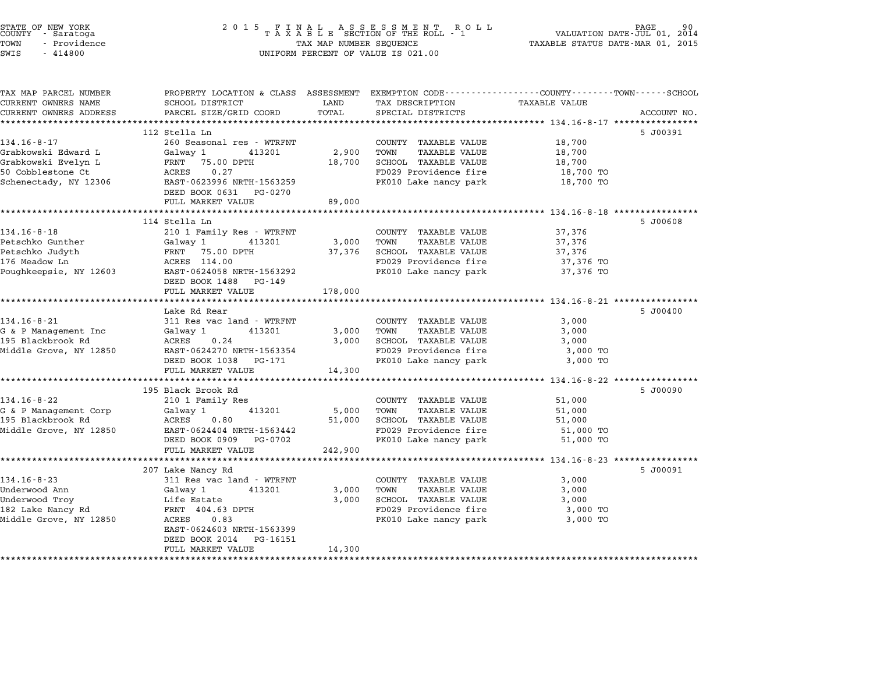| STATE OF NEW YORK<br>COUNTY<br>- Saratoga<br>TOWN<br>- Providence<br>SWIS<br>$-414800$ | 2 0 1 5<br>FINAL ASSESSMENT ROTAXABLE SECTION OF THE ROLL - 1<br>R O L L<br>TAX MAP NUMBER SEQUENCE<br>UNIFORM PERCENT OF VALUE IS 021.00    |                           |                                                | PAGE<br>90.<br>VALUATION DATE-JUL 01, 2014<br>TAXABLE STATUS DATE-MAR 01, 2015 |             |
|----------------------------------------------------------------------------------------|----------------------------------------------------------------------------------------------------------------------------------------------|---------------------------|------------------------------------------------|--------------------------------------------------------------------------------|-------------|
| TAX MAP PARCEL NUMBER<br>CURRENT OWNERS NAME<br>CURRENT OWNERS ADDRESS                 | PROPERTY LOCATION & CLASS ASSESSMENT EXEMPTION CODE---------------COUNTY-------TOWN------SCHOOL<br>SCHOOL DISTRICT<br>PARCEL SIZE/GRID COORD | LAND<br>TOTAL             | TAX DESCRIPTION<br>SPECIAL DISTRICTS           | TAXABLE VALUE                                                                  | ACCOUNT NO. |
|                                                                                        | 112 Stella Ln                                                                                                                                |                           |                                                |                                                                                |             |
| $134.16 - 8 - 17$                                                                      | 260 Seasonal res - WTRFNT                                                                                                                    |                           | COUNTY TAXABLE VALUE                           | 18,700                                                                         | 5 J00391    |
| Grabkowski Edward L                                                                    | Galwav 1<br>413201                                                                                                                           | 2,900                     | TOWN<br><b>TAXABLE VALUE</b>                   | 18,700                                                                         |             |
| Grabkowski Evelyn L                                                                    | FRNT<br>75.00 DPTH                                                                                                                           | 18,700                    | SCHOOL TAXABLE VALUE                           | 18,700                                                                         |             |
| 50 Cobblestone Ct                                                                      | 0.27<br>ACRES                                                                                                                                |                           | FD029 Providence fire                          | 18,700 TO                                                                      |             |
| Schenectady, NY 12306                                                                  | EAST-0623996 NRTH-1563259                                                                                                                    |                           | PK010 Lake nancy park                          | 18,700 TO                                                                      |             |
|                                                                                        | DEED BOOK 0631 PG-0270                                                                                                                       |                           |                                                |                                                                                |             |
|                                                                                        | FULL MARKET VALUE<br>* * * * * * * * * * * * * * * * * * *                                                                                   | 89,000                    |                                                | ************************* 134.16-8-18 ****************                         |             |
|                                                                                        | 114 Stella Ln                                                                                                                                |                           |                                                |                                                                                | 5 J00608    |
| $134.16 - 8 - 18$                                                                      | 210 1 Family Res - WTRFNT                                                                                                                    |                           | COUNTY TAXABLE VALUE                           | 37,376                                                                         |             |
| Petschko Gunther                                                                       | 413201<br>Galway 1                                                                                                                           | 3,000                     | TOWN<br><b>TAXABLE VALUE</b>                   | 37,376                                                                         |             |
| Petschko Judyth                                                                        | FRNT<br>75.00 DPTH                                                                                                                           | 37,376                    | <b>SCHOOL TAXABLE VALUE</b>                    | 37,376                                                                         |             |
| 176 Meadow Ln                                                                          | ACRES 114.00                                                                                                                                 |                           | FD029 Providence fire                          | 37,376 TO                                                                      |             |
| Poughkeepsie, NY 12603                                                                 | EAST-0624058 NRTH-1563292                                                                                                                    |                           | PK010 Lake nancy park                          | 37,376 TO                                                                      |             |
|                                                                                        | DEED BOOK 1488 PG-149<br>FULL MARKET VALUE                                                                                                   | 178,000                   |                                                |                                                                                |             |
|                                                                                        |                                                                                                                                              |                           |                                                | *********************** 134.16-8-21 ****************                           |             |
|                                                                                        | Lake Rd Rear                                                                                                                                 |                           |                                                |                                                                                | 5 J00400    |
| $134.16 - 8 - 21$                                                                      | 311 Res vac land - WTRFNT                                                                                                                    |                           | COUNTY TAXABLE VALUE                           | 3,000                                                                          |             |
| G & P Management Inc                                                                   | Galway 1<br>413201                                                                                                                           | 3,000                     | TOWN<br><b>TAXABLE VALUE</b>                   | 3,000                                                                          |             |
| 195 Blackbrook Rd                                                                      | ACRES<br>0.24                                                                                                                                | 3,000                     | SCHOOL TAXABLE VALUE                           | 3,000                                                                          |             |
| Middle Grove, NY 12850                                                                 | EAST-0624270 NRTH-1563354<br>DEED BOOK 1038 PG-171                                                                                           |                           | FD029 Providence fire<br>PK010 Lake nancy park | 3,000 TO<br>3,000 TO                                                           |             |
|                                                                                        | FULL MARKET VALUE                                                                                                                            | 14,300                    |                                                |                                                                                |             |
|                                                                                        |                                                                                                                                              | ************              |                                                |                                                                                |             |
|                                                                                        | 195 Black Brook Rd                                                                                                                           |                           |                                                |                                                                                | 5 J00090    |
| $134.16 - 8 - 22$                                                                      | 210 1 Family Res                                                                                                                             |                           | COUNTY TAXABLE VALUE                           | 51,000                                                                         |             |
| G & P Management Corp                                                                  | Galway 1<br>413201                                                                                                                           | 5,000                     | TOWN<br><b>TAXABLE VALUE</b>                   | 51,000                                                                         |             |
| 195 Blackbrook Rd                                                                      | ACRES<br>0.80                                                                                                                                | 51,000                    | SCHOOL TAXABLE VALUE                           | 51,000                                                                         |             |
| Middle Grove, NY 12850                                                                 | EAST-0624404 NRTH-1563442<br>DEED BOOK 0909 PG-0702                                                                                          |                           | FD029 Providence fire<br>PK010 Lake nancy park | 51,000 TO<br>51,000 TO                                                         |             |
|                                                                                        | FULL MARKET VALUE                                                                                                                            | 242,900                   |                                                |                                                                                |             |
|                                                                                        |                                                                                                                                              | * * * * * * * * * * * * * |                                                | ******** 134.16-8-23 *****                                                     |             |
|                                                                                        | 207 Lake Nancy Rd                                                                                                                            |                           |                                                |                                                                                | 5 J00091    |
| $134.16 - 8 - 23$                                                                      | 311 Res vac land - WTRFNT                                                                                                                    |                           | COUNTY TAXABLE VALUE                           | 3,000                                                                          |             |
| Underwood Ann                                                                          | Galway 1<br>413201                                                                                                                           | 3,000                     | TOWN<br><b>TAXABLE VALUE</b>                   | 3,000                                                                          |             |
| Underwood Troy                                                                         | Life Estate                                                                                                                                  | 3,000                     | SCHOOL TAXABLE VALUE                           | 3,000                                                                          |             |
| 182 Lake Nancy Rd                                                                      | FRNT 404.63 DPTH                                                                                                                             |                           | FD029 Providence fire                          | 3,000 TO                                                                       |             |
| Middle Grove, NY 12850                                                                 | ACRES<br>0.83<br>EAST-0624603 NRTH-1563399                                                                                                   |                           | PK010 Lake nancy park                          | 3,000 TO                                                                       |             |
|                                                                                        | DEED BOOK 2014<br>PG-16151                                                                                                                   |                           |                                                |                                                                                |             |
|                                                                                        | FULL MARKET VALUE                                                                                                                            | 14,300                    |                                                |                                                                                |             |
|                                                                                        |                                                                                                                                              |                           |                                                |                                                                                |             |

STATE OF NEW YORK <sup>2</sup> <sup>0</sup> <sup>1</sup> 5 F I N A L A S S E S S M E N T R O L L PAGE <sup>90</sup> COUNTY - Saratoga <sup>T</sup> <sup>A</sup> <sup>X</sup> <sup>A</sup> <sup>B</sup> <sup>L</sup> <sup>E</sup> SECTION OF THE ROLL - <sup>1</sup> VALUATION DATE-JUL 01, <sup>2014</sup>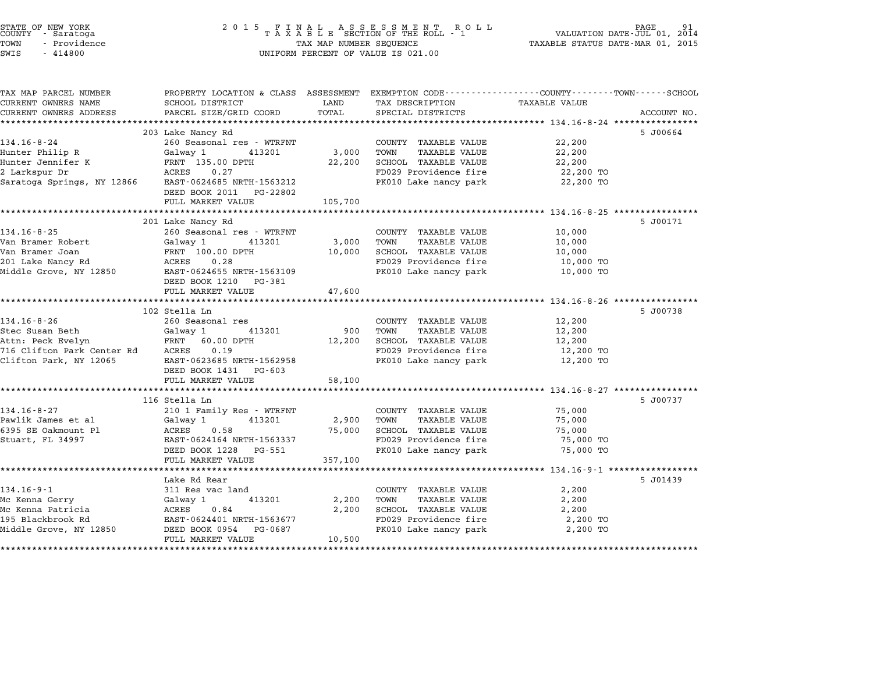| STATE OF NEW YORK<br>COUNTY - Saratoga<br>- Providence<br>TOWN<br>SWIS<br>$-414800$ | 2015 FINAL ASSESSMENT ROLL TAXABLE SECTION OF THE ROLL - 1 TAX MAP NUMBER SEQUENCE<br>UNIFORM PERCENT OF VALUE IS 021.00 |         |                                               | PAGE<br>VALUATION DATE-JUL 01, 2014<br>TAXABLE STATUS DATE-MAR 01, 2015 |             |
|-------------------------------------------------------------------------------------|--------------------------------------------------------------------------------------------------------------------------|---------|-----------------------------------------------|-------------------------------------------------------------------------|-------------|
|                                                                                     |                                                                                                                          |         |                                               |                                                                         |             |
| TAX MAP PARCEL NUMBER<br>CURRENT OWNERS NAME                                        | PROPERTY LOCATION & CLASS ASSESSMENT EXEMPTION CODE---------------COUNTY-------TOWN-----SCHOOL<br>SCHOOL DISTRICT        | LAND    | TAX DESCRIPTION                               | TAXABLE VALUE                                                           |             |
| CURRENT OWNERS ADDRESS<br>******************                                        | PARCEL SIZE/GRID COORD                                                                                                   | TOTAL   | SPECIAL DISTRICTS                             |                                                                         | ACCOUNT NO. |
|                                                                                     | 203 Lake Nancy Rd                                                                                                        |         |                                               |                                                                         | 5 J00664    |
| $134.16 - 8 - 24$                                                                   | 260 Seasonal res - WTRFNT                                                                                                |         | COUNTY TAXABLE VALUE                          | 22,200                                                                  |             |
| Hunter Philip R                                                                     | Galway 1 413201                                                                                                          |         | 3,000 TOWN<br>TAXABLE VALUE                   | 22,200                                                                  |             |
| Hunter Jennifer K                                                                   | FRNT 135.00 DPTH                                                                                                         | 22,200  | SCHOOL TAXABLE VALUE                          | 22,200                                                                  |             |
| 2 Larkspur Dr                                                                       | ACRES<br>0.27                                                                                                            |         | FD029 Providence fire                         | 22,200 TO                                                               |             |
| Saratoga Springs, NY 12866                                                          | EAST-0624685 NRTH-1563212                                                                                                |         | PK010 Lake nancy park                         | 22,200 TO                                                               |             |
|                                                                                     | DEED BOOK 2011 PG-22802                                                                                                  |         |                                               |                                                                         |             |
|                                                                                     | FULL MARKET VALUE                                                                                                        | 105,700 |                                               |                                                                         |             |
|                                                                                     |                                                                                                                          |         |                                               |                                                                         |             |
|                                                                                     | 201 Lake Nancy Rd                                                                                                        |         |                                               |                                                                         | 5 J00171    |
| $134.16 - 8 - 25$                                                                   | 260 Seasonal res - WTRFNT                                                                                                |         | COUNTY TAXABLE VALUE                          | 10,000                                                                  |             |
| Van Bramer Robert                                                                   | Galway 1<br>413201                                                                                                       | 3,000   | TOWN<br>TAXABLE VALUE                         | 10,000                                                                  |             |
| Van Bramer Joan                                                                     | FRNT 100.00 DPTH                                                                                                         | 10,000  | SCHOOL TAXABLE VALUE                          | 10,000                                                                  |             |
| 201 Lake Nancy Rd                                                                   | ACRES 0.28<br>EAST-0624655 NRTH-1563109                                                                                  |         | FD029 Providence fire                         | 10,000 TO                                                               |             |
| Middle Grove, NY 12850                                                              |                                                                                                                          |         | PK010 Lake nancy park                         | 10,000 TO                                                               |             |
|                                                                                     | DEED BOOK 1210 PG-381                                                                                                    |         |                                               |                                                                         |             |
|                                                                                     | FULL MARKET VALUE                                                                                                        | 47,600  |                                               |                                                                         |             |
|                                                                                     | 102 Stella Ln                                                                                                            |         |                                               |                                                                         | 5 J00738    |
| 134.16-8-26                                                                         | 260 Seasonal res                                                                                                         |         | COUNTY TAXABLE VALUE                          | 12,200                                                                  |             |
| Stec Susan Beth                                                                     |                                                                                                                          | 900     | TOWN<br>TAXABLE VALUE                         | 12,200                                                                  |             |
| Attn: Peck Evelyn                                                                   | Galway 1 413201<br>FRNT 60.00 DPTH                                                                                       | 12,200  | SCHOOL TAXABLE VALUE                          | 12,200                                                                  |             |
| 716 Clifton Park Center Rd ACRES                                                    | 0.19                                                                                                                     |         | FD029 Providence fire                         | 12,200 TO                                                               |             |
| Clifton Park, NY 12065                                                              | EAST-0623685 NRTH-1562958                                                                                                |         | PK010 Lake nancy park                         | 12,200 TO                                                               |             |
|                                                                                     | DEED BOOK 1431 PG-603                                                                                                    |         |                                               |                                                                         |             |
|                                                                                     | FULL MARKET VALUE                                                                                                        | 58,100  |                                               |                                                                         |             |
|                                                                                     |                                                                                                                          |         |                                               | *********************** 134.16-8-27 ****************                    |             |
|                                                                                     | 116 Stella Ln                                                                                                            |         |                                               |                                                                         | 5 J00737    |
| $134.16 - 8 - 27$                                                                   | 210 1 Family Res - WTRFNT                                                                                                |         | COUNTY TAXABLE VALUE                          | 75,000                                                                  |             |
| Pawlik James et al                                                                  | Galway 1<br>413201                                                                                                       | 2,900   | TOWN<br>TAXABLE VALUE                         | 75,000                                                                  |             |
| 6395 SE Oakmount Pl                                                                 | ACRES<br>0.58                                                                                                            | 75,000  | SCHOOL TAXABLE VALUE                          | 75,000                                                                  |             |
| Stuart, FL 34997                                                                    | EAST-0624164 NRTH-1563337                                                                                                |         | FD029 Providence fire                         | 75,000 TO                                                               |             |
|                                                                                     | DEED BOOK 1228 PG-551                                                                                                    |         | PK010 Lake nancy park                         | 75,000 TO                                                               |             |
|                                                                                     | FULL MARKET VALUE                                                                                                        | 357,100 |                                               |                                                                         |             |
|                                                                                     |                                                                                                                          |         |                                               |                                                                         |             |
|                                                                                     | Lake Rd Rear                                                                                                             |         |                                               |                                                                         | 5 J01439    |
| $134.16 - 9 - 1$                                                                    | 311 Res vac land<br>413201                                                                                               |         | COUNTY TAXABLE VALUE                          | 2,200                                                                   |             |
| Mc Kenna Gerry                                                                      | Galway 1<br>0.84                                                                                                         | 2,200   | TOWN<br>TAXABLE VALUE                         | 2,200                                                                   |             |
| Mc Kenna Patricia<br>195 Blackbrook Rd                                              | ACRES<br>EAST-0624401 NRTH-1563677                                                                                       | 2,200   | SCHOOL TAXABLE VALUE<br>FD029 Providence fire | 2,200<br>2,200 TO                                                       |             |
| Middle Grove, NY 12850                                                              | DEED BOOK 0954 PG-0687                                                                                                   |         | PK010 Lake nancy park                         | 2,200 TO                                                                |             |
|                                                                                     | FULL MARKET VALUE                                                                                                        | 10,500  |                                               |                                                                         |             |
|                                                                                     |                                                                                                                          |         |                                               |                                                                         |             |

STATE OF NEW YORK <sup>2</sup> <sup>0</sup> <sup>1</sup> 5 F I N A L A S S E S S M E N T R O L L PAGE <sup>91</sup> COUNTY - Saratoga <sup>T</sup> <sup>A</sup> <sup>X</sup> <sup>A</sup> <sup>B</sup> <sup>L</sup> <sup>E</sup> SECTION OF THE ROLL - <sup>1</sup> VALUATION DATE-JUL 01, <sup>2014</sup>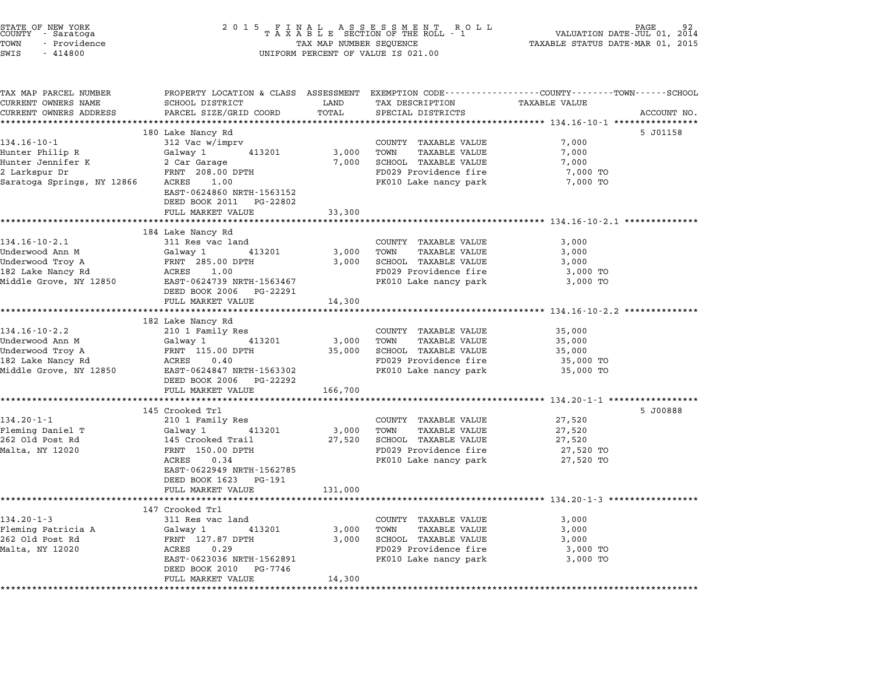| STATE OF NEW YORK<br>COUNTY - Saratoga<br>- Providence<br>TOWN<br>SWIS<br>$-414800$                       | UNIFORM PERCENT OF VALUE IS 021.00                                                                                                                                                   | 2014<br>TAXABLE STATUS DATE-MAR 01, 2015 |                                                                                                                                |                                                                                                                                |
|-----------------------------------------------------------------------------------------------------------|--------------------------------------------------------------------------------------------------------------------------------------------------------------------------------------|------------------------------------------|--------------------------------------------------------------------------------------------------------------------------------|--------------------------------------------------------------------------------------------------------------------------------|
| TAX MAP PARCEL NUMBER<br>CURRENT OWNERS NAME<br>CURRENT OWNERS ADDRESS                                    | SCHOOL DISTRICT<br>PARCEL SIZE/GRID COORD                                                                                                                                            | LAND<br>TOTAL                            | TAX DESCRIPTION<br>SPECIAL DISTRICTS                                                                                           | PROPERTY LOCATION & CLASS ASSESSMENT EXEMPTION CODE---------------COUNTY-------TOWN-----SCHOOL<br>TAXABLE VALUE<br>ACCOUNT NO. |
| *************************                                                                                 | *****************************                                                                                                                                                        |                                          |                                                                                                                                |                                                                                                                                |
| $134.16 - 10 - 1$<br>Hunter Philip R<br>Hunter Jennifer K<br>2 Larkspur Dr<br>Saratoga Springs, NY 12866  | 180 Lake Nancy Rd<br>312 Vac w/imprv<br>Galway 1<br>413201<br>2 Car Garage<br>FRNT 208.00 DPTH<br>ACRES<br>1.00                                                                      | 3,000<br>7,000                           | COUNTY TAXABLE VALUE<br>TOWN<br>TAXABLE VALUE<br>SCHOOL TAXABLE VALUE<br>FD029 Providence fire<br>PK010 Lake nancy park        | 5 J01158<br>7,000<br>7,000<br>7,000<br>7,000 TO<br>7,000 TO                                                                    |
|                                                                                                           | EAST-0624860 NRTH-1563152<br>DEED BOOK 2011 PG-22802<br>FULL MARKET VALUE                                                                                                            | 33,300                                   |                                                                                                                                |                                                                                                                                |
|                                                                                                           |                                                                                                                                                                                      |                                          |                                                                                                                                |                                                                                                                                |
| $134.16 - 10 - 2.1$<br>Underwood Ann M<br>Underwood Troy A<br>182 Lake Nancy Rd                           | 184 Lake Nancy Rd<br>311 Res vac land<br>Galway 1<br>413201<br>FRNT 285.00 DPTH<br>ACRES 1.00<br>DEED BOOK 2006 PG-22291<br>FULL MARKET VALUE                                        | 3,000<br>3,000                           | COUNTY TAXABLE VALUE<br>TOWN<br>TAXABLE VALUE<br>SCHOOL TAXABLE VALUE<br>FD029 Providence fire<br>PK010 Lake nancy park        | 3,000<br>3,000<br>3,000<br>3,000 TO<br>3,000 TO                                                                                |
|                                                                                                           |                                                                                                                                                                                      | 14,300                                   |                                                                                                                                |                                                                                                                                |
|                                                                                                           | 182 Lake Nancy Rd                                                                                                                                                                    |                                          |                                                                                                                                |                                                                                                                                |
| $134.16 - 10 - 2.2$<br>Underwood Ann M<br>Underwood Troy A<br>182 Lake Nancy Rd<br>Middle Grove, NY 12850 | 210 1 Family Res<br>Galway 1<br>413201<br>FRNT 115.00 DPTH<br>ACRES<br>0.40<br>EAST-0624847 NRTH-1563302<br>DEED BOOK 2006 PG-22292                                                  | 3,000<br>35,000                          | COUNTY TAXABLE VALUE<br>TOWN<br>TAXABLE VALUE<br>SCHOOL TAXABLE VALUE<br>FD029 Providence fire<br>PK010 Lake nancy park        | 35,000<br>35,000<br>35,000<br>35,000 TO<br>35,000 TO                                                                           |
|                                                                                                           | FULL MARKET VALUE                                                                                                                                                                    | 166,700                                  |                                                                                                                                |                                                                                                                                |
|                                                                                                           | *************************<br>145 Crooked Trl                                                                                                                                         |                                          |                                                                                                                                | ********************* 134.20-1-1 *****************<br>5 J00888                                                                 |
| $134.20 - 1 - 1$<br>Fleming Daniel T<br>262 Old Post Rd<br>Malta, NY 12020                                | 210 1 Family Res<br>Galway 1<br>413201<br>145 Crooked Trail<br>FRNT 150.00 DPTH<br>0.34<br>ACRES<br>EAST-0622949 NRTH-1562785<br>DEED BOOK 1623 PG-191                               | 3,000<br>27,520                          | COUNTY TAXABLE VALUE<br>TOWN<br>TAXABLE VALUE<br>SCHOOL TAXABLE VALUE<br>FD029 Providence fire<br>PK010 Lake nancy park        | 27,520<br>27,520<br>27,520<br>27,520 TO<br>27,520 TO                                                                           |
|                                                                                                           | FULL MARKET VALUE                                                                                                                                                                    | 131,000                                  |                                                                                                                                |                                                                                                                                |
| $134.20 - 1 - 3$<br>Fleming Patricia A<br>262 Old Post Rd<br>Malta, NY 12020                              | 147 Crooked Trl<br>311 Res vac land<br>Galway 1<br>413201<br>FRNT 127.87 DPTH<br><b>ACRES</b><br>0.29<br>EAST-0623036 NRTH-1562891<br>DEED BOOK 2010<br>PG-7746<br>FULL MARKET VALUE | 3,000<br>3,000<br>14,300                 | COUNTY TAXABLE VALUE<br><b>TAXABLE VALUE</b><br>TOWN<br>SCHOOL TAXABLE VALUE<br>FD029 Providence fire<br>PK010 Lake nancy park | ******************************* 134.20-1-3 ***********<br>3,000<br>3,000<br>3,000<br>3,000 TO<br>3,000 TO                      |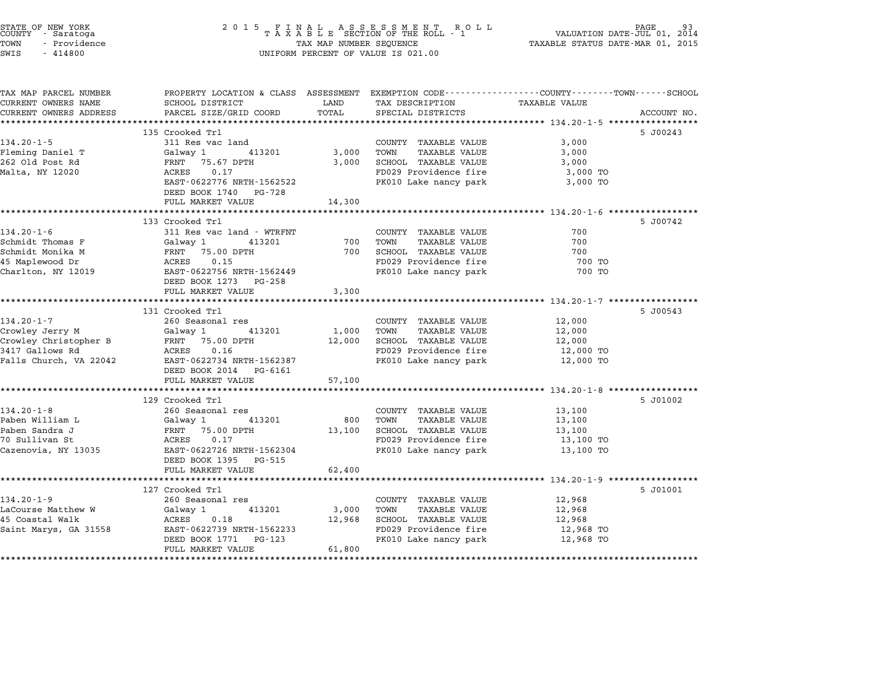| STATE OF NEW YORK<br>COUNTY - Saratoga<br>TOWN<br>- Providence<br>SWIS<br>$-414800$ | 2 0 1 5<br>FINAL ASSESSMENT RO<br>TAXABLE SECTION OF THE ROLL - 1<br>R O L L<br>TAX MAP NUMBER SEQUENCE<br>UNIFORM PERCENT OF VALUE IS 021.00 |               |                                                | PAGE<br>VALUATION DATE-JUL 01, 2014<br>TAXABLE STATUS DATE-MAR 01, 2015 |             |
|-------------------------------------------------------------------------------------|-----------------------------------------------------------------------------------------------------------------------------------------------|---------------|------------------------------------------------|-------------------------------------------------------------------------|-------------|
| TAX MAP PARCEL NUMBER<br>CURRENT OWNERS NAME                                        | PROPERTY LOCATION & CLASS ASSESSMENT EXEMPTION CODE---------------COUNTY-------TOWN-----SCHOOL<br>SCHOOL DISTRICT                             | LAND          | TAX DESCRIPTION                                | TAXABLE VALUE                                                           |             |
| CURRENT OWNERS ADDRESS                                                              | PARCEL SIZE/GRID COORD                                                                                                                        | TOTAL         | SPECIAL DISTRICTS                              |                                                                         | ACCOUNT NO. |
|                                                                                     | *************************                                                                                                                     |               |                                                |                                                                         |             |
|                                                                                     | 135 Crooked Trl                                                                                                                               |               |                                                |                                                                         | 5 J00243    |
| $134.20 - 1 - 5$                                                                    | 311 Res vac land                                                                                                                              |               | COUNTY TAXABLE VALUE                           | 3,000                                                                   |             |
| Fleming Daniel T                                                                    | Galway 1<br>413201                                                                                                                            | 3,000         | TOWN<br>TAXABLE VALUE                          | 3,000                                                                   |             |
| 262 Old Post Rd                                                                     | FRNT<br>75.67 DPTH                                                                                                                            | 3,000         | SCHOOL TAXABLE VALUE                           | 3,000                                                                   |             |
| Malta, NY 12020                                                                     | ACRES<br>0.17<br>EAST-0622776 NRTH-1562522                                                                                                    |               | FD029 Providence fire<br>PK010 Lake nancy park | 3,000 TO<br>3,000 TO                                                    |             |
|                                                                                     | DEED BOOK 1740<br>PG-728                                                                                                                      |               |                                                |                                                                         |             |
|                                                                                     | FULL MARKET VALUE                                                                                                                             | 14,300        |                                                |                                                                         |             |
|                                                                                     |                                                                                                                                               |               |                                                | ********************** 134.20-1-6 **************                        |             |
|                                                                                     | 133 Crooked Trl                                                                                                                               |               |                                                |                                                                         | 5 J00742    |
| $134.20 - 1 - 6$<br>Schmidt Thomas F                                                | 311 Res vac land - WTRFNT<br>Galway 1<br>413201                                                                                               | 700           | COUNTY TAXABLE VALUE<br>TOWN<br>TAXABLE VALUE  | 700<br>700                                                              |             |
| Schmidt Monika M                                                                    | FRNT<br>75.00 DPTH                                                                                                                            | 700           | SCHOOL TAXABLE VALUE                           | 700                                                                     |             |
| 45 Maplewood Dr                                                                     | ACRES<br>0.15                                                                                                                                 |               | FD029 Providence fire                          | 700 TO                                                                  |             |
| Charlton, NY 12019                                                                  | EAST-0622756 NRTH-1562449                                                                                                                     |               | PK010 Lake nancy park                          | 700 TO                                                                  |             |
|                                                                                     | DEED BOOK 1273<br>PG-258                                                                                                                      |               |                                                |                                                                         |             |
|                                                                                     | FULL MARKET VALUE                                                                                                                             | 3,300         |                                                |                                                                         |             |
|                                                                                     |                                                                                                                                               | ************* |                                                | *********** 134.20-1-7 ******                                           |             |
| $134.20 - 1 - 7$                                                                    | 131 Crooked Trl<br>260 Seasonal res                                                                                                           |               | COUNTY TAXABLE VALUE                           | 12,000                                                                  | 5 J00543    |
| Crowley Jerry M                                                                     | Galway 1<br>413201                                                                                                                            | 1,000         | <b>TAXABLE VALUE</b><br>TOWN                   | 12,000                                                                  |             |
| Crowley Christopher B                                                               | FRNT<br>75.00 DPTH                                                                                                                            | 12,000        | SCHOOL TAXABLE VALUE                           | 12,000                                                                  |             |
| 3417 Gallows Rd                                                                     | 0.16<br>ACRES                                                                                                                                 |               | FD029 Providence fire                          | 12,000 TO                                                               |             |
| Falls Church, VA 22042                                                              | EAST-0622734 NRTH-1562387                                                                                                                     |               | PK010 Lake nancy park                          | 12,000 TO                                                               |             |
|                                                                                     | DEED BOOK 2014<br>PG-6161                                                                                                                     |               |                                                |                                                                         |             |
|                                                                                     | FULL MARKET VALUE                                                                                                                             | 57,100        |                                                |                                                                         |             |
|                                                                                     | 129 Crooked Trl                                                                                                                               | **********    |                                                | ********** 134.20-1-8 ****************                                  | 5 J01002    |
| $134.20 - 1 - 8$                                                                    | 260 Seasonal res                                                                                                                              |               | COUNTY TAXABLE VALUE                           | 13,100                                                                  |             |
| Paben William L                                                                     | 413201<br>Galway 1                                                                                                                            | 800           | TAXABLE VALUE<br>TOWN                          | 13,100                                                                  |             |
| Paben Sandra J                                                                      | FRNT<br>75.00 DPTH                                                                                                                            | 13,100        | <b>SCHOOL TAXABLE VALUE</b>                    | 13,100                                                                  |             |
| 70 Sullivan St                                                                      | ACRES<br>0.17                                                                                                                                 |               | FD029 Providence fire                          | 13,100 TO                                                               |             |
| Cazenovia, NY 13035                                                                 | EAST-0622726 NRTH-1562304                                                                                                                     |               | PK010 Lake nancy park                          | 13,100 TO                                                               |             |
|                                                                                     | DEED BOOK 1395<br>PG-515                                                                                                                      |               |                                                |                                                                         |             |
|                                                                                     | FULL MARKET VALUE<br>*****************************                                                                                            | 62,400        |                                                |                                                                         |             |
|                                                                                     | 127 Crooked Trl                                                                                                                               |               |                                                |                                                                         | 5 J01001    |
| 134.20-1-9                                                                          | 260 Seasonal res                                                                                                                              |               | COUNTY TAXABLE VALUE                           | 12,968                                                                  |             |
| LaCourse Matthew W                                                                  | Galway 1<br>413201                                                                                                                            | 3,000         | TOWN<br><b>TAXABLE VALUE</b>                   | 12,968                                                                  |             |
| 45 Coastal Walk                                                                     | ACRES<br>0.18                                                                                                                                 | 12,968        | SCHOOL TAXABLE VALUE                           | 12,968                                                                  |             |
| Saint Marys, GA 31558                                                               | EAST-0622739 NRTH-1562233                                                                                                                     |               | FD029 Providence fire                          | 12,968 TO                                                               |             |
|                                                                                     |                                                                                                                                               |               |                                                |                                                                         |             |
|                                                                                     | DEED BOOK 1771<br>PG-123<br>FULL MARKET VALUE                                                                                                 | 61,800        | PK010 Lake nancy park                          | 12,968 TO                                                               |             |

STATE OF NEW YORK <sup>2</sup> <sup>0</sup> <sup>1</sup> 5 F I N A L A S S E S S M E N T R O L L PAGE <sup>93</sup> COUNTY - Saratoga <sup>T</sup> <sup>A</sup> <sup>X</sup> <sup>A</sup> <sup>B</sup> <sup>L</sup> <sup>E</sup> SECTION OF THE ROLL - <sup>1</sup> VALUATION DATE-JUL 01, <sup>2014</sup>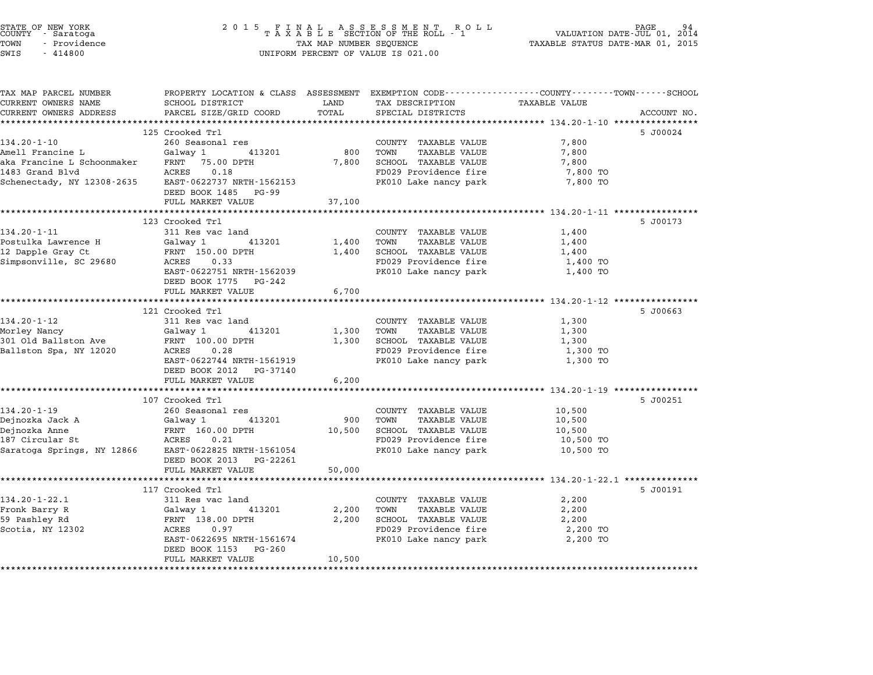| STATE OF NEW YORK<br>COUNTY<br>- Saratoga<br>TOWN<br>- Providence<br>SWIS<br>$-414800$ | 2 0 1 5<br>A S S E S S M E N T<br>F<br>A L<br>R O L L<br>TAXABLE SECTION OF THE ROLL - 1<br>TAX MAP NUMBER SEQUENCE<br>UNIFORM PERCENT OF VALUE IS 021.00 |                |                                                                                                                                      | PAGE<br>VALUATION DATE-JUL 01, 2014<br>TAXABLE STATUS DATE-MAR 01, 2015 |             |
|----------------------------------------------------------------------------------------|-----------------------------------------------------------------------------------------------------------------------------------------------------------|----------------|--------------------------------------------------------------------------------------------------------------------------------------|-------------------------------------------------------------------------|-------------|
| TAX MAP PARCEL NUMBER<br>CURRENT OWNERS NAME<br>CURRENT OWNERS ADDRESS                 | SCHOOL DISTRICT<br>PARCEL SIZE/GRID COORD                                                                                                                 | LAND<br>TOTAL  | PROPERTY LOCATION & CLASS ASSESSMENT EXEMPTION CODE--------------COUNTY------TOWN-----SCHOOL<br>TAX DESCRIPTION<br>SPECIAL DISTRICTS | TAXABLE VALUE                                                           | ACCOUNT NO. |
| **********************                                                                 | **************************                                                                                                                                | ************   |                                                                                                                                      |                                                                         |             |
|                                                                                        | 125 Crooked Trl                                                                                                                                           |                |                                                                                                                                      |                                                                         | 5 J00024    |
| $134.20 - 1 - 10$                                                                      | 260 Seasonal res                                                                                                                                          |                | COUNTY TAXABLE VALUE                                                                                                                 | 7,800                                                                   |             |
| Amell Francine L                                                                       | Galway 1<br>413201                                                                                                                                        | 800            | TOWN<br><b>TAXABLE VALUE</b>                                                                                                         | 7,800                                                                   |             |
| aka Francine L Schoonmaker<br>1483 Grand Blvd                                          | FRNT<br>75.00 DPTH<br>ACRES<br>0.18                                                                                                                       | 7,800          | SCHOOL TAXABLE VALUE<br>FD029 Providence fire                                                                                        | 7,800                                                                   |             |
| Schenectady, NY 12308-2635                                                             | EAST-0622737 NRTH-1562153                                                                                                                                 |                | PK010 Lake nancy park                                                                                                                | 7,800 TO<br>7,800 TO                                                    |             |
|                                                                                        | DEED BOOK 1485<br>PG-99                                                                                                                                   |                |                                                                                                                                      |                                                                         |             |
|                                                                                        | FULL MARKET VALUE                                                                                                                                         | 37,100         |                                                                                                                                      |                                                                         |             |
|                                                                                        | ********************                                                                                                                                      |                |                                                                                                                                      | ********************** 134.20-1-11 ****************                     |             |
|                                                                                        | 123 Crooked Trl                                                                                                                                           |                |                                                                                                                                      |                                                                         | 5 J00173    |
| 134.20-1-11                                                                            | 311 Res vac land                                                                                                                                          |                | COUNTY TAXABLE VALUE<br>TOWN                                                                                                         | 1,400                                                                   |             |
| Postulka Lawrence H<br>12 Dapple Gray Ct                                               | Galway 1<br>413201<br>FRNT 150.00 DPTH                                                                                                                    | 1,400<br>1,400 | <b>TAXABLE VALUE</b><br>SCHOOL TAXABLE VALUE                                                                                         | 1,400<br>1,400                                                          |             |
| Simpsonville, SC 29680                                                                 | ACRES<br>0.33                                                                                                                                             |                | FD029 Providence fire                                                                                                                | 1,400 TO                                                                |             |
|                                                                                        | EAST-0622751 NRTH-1562039                                                                                                                                 |                | PK010 Lake nancy park                                                                                                                | 1,400 TO                                                                |             |
|                                                                                        | DEED BOOK 1775<br>PG-242                                                                                                                                  |                |                                                                                                                                      |                                                                         |             |
|                                                                                        | FULL MARKET VALUE                                                                                                                                         | 6,700          |                                                                                                                                      |                                                                         |             |
|                                                                                        | *************************                                                                                                                                 | ************   |                                                                                                                                      |                                                                         |             |
| $134.20 - 1 - 12$                                                                      | 121 Crooked Trl                                                                                                                                           |                |                                                                                                                                      |                                                                         | 5 J00663    |
| Morley Nancy                                                                           | 311 Res vac land<br>Galway 1<br>413201                                                                                                                    | 1,300          | COUNTY TAXABLE VALUE<br>TOWN<br>TAXABLE VALUE                                                                                        | 1,300<br>1,300                                                          |             |
| 301 Old Ballston Ave                                                                   | FRNT 100.00 DPTH                                                                                                                                          | 1,300          | SCHOOL TAXABLE VALUE                                                                                                                 | 1,300                                                                   |             |
| Ballston Spa, NY 12020                                                                 | ACRES<br>0.28                                                                                                                                             |                | FD029 Providence fire                                                                                                                | 1,300 TO                                                                |             |
|                                                                                        | EAST-0622744 NRTH-1561919                                                                                                                                 |                | PK010 Lake nancy park                                                                                                                | 1,300 TO                                                                |             |
|                                                                                        | DEED BOOK 2012<br>PG-37140                                                                                                                                |                |                                                                                                                                      |                                                                         |             |
|                                                                                        | FULL MARKET VALUE                                                                                                                                         | 6,200          |                                                                                                                                      |                                                                         |             |
|                                                                                        | ********************                                                                                                                                      | **********     |                                                                                                                                      |                                                                         |             |
| 134.20-1-19                                                                            | 107 Crooked Trl<br>260 Seasonal res                                                                                                                       |                | COUNTY TAXABLE VALUE                                                                                                                 | 10,500                                                                  | 5 J00251    |
| Dejnozka Jack A                                                                        | Galway 1<br>413201                                                                                                                                        | 900            | TOWN<br>TAXABLE VALUE                                                                                                                | 10,500                                                                  |             |
| Dejnozka Anne                                                                          | FRNT 160.00 DPTH                                                                                                                                          | 10,500         | SCHOOL TAXABLE VALUE                                                                                                                 | 10,500                                                                  |             |
| 187 Circular St                                                                        | ACRES<br>0.21                                                                                                                                             |                | FD029 Providence fire                                                                                                                | 10,500 TO                                                               |             |
| Saratoga Springs, NY 12866                                                             | EAST-0622825 NRTH-1561054                                                                                                                                 |                | PK010 Lake nancy park                                                                                                                | 10,500 TO                                                               |             |
|                                                                                        | DEED BOOK 2013<br>PG-22261                                                                                                                                |                |                                                                                                                                      |                                                                         |             |
|                                                                                        | FULL MARKET VALUE                                                                                                                                         | 50,000         |                                                                                                                                      |                                                                         |             |
|                                                                                        | 117 Crooked Trl                                                                                                                                           |                |                                                                                                                                      | ************** 134.20-1-22.1 **********                                 | 5 J00191    |
| $134.20 - 1 - 22.1$                                                                    | 311 Res vac land                                                                                                                                          |                | COUNTY TAXABLE VALUE                                                                                                                 | 2,200                                                                   |             |
| Fronk Barry R                                                                          | Galway 1<br>413201                                                                                                                                        | 2,200          | TOWN<br>TAXABLE VALUE                                                                                                                | 2,200                                                                   |             |
| 59 Pashley Rd                                                                          | FRNT 138.00 DPTH                                                                                                                                          | 2,200          | SCHOOL TAXABLE VALUE                                                                                                                 | 2,200                                                                   |             |
| Scotia, NY 12302                                                                       | ACRES<br>0.97                                                                                                                                             |                | FD029 Providence fire                                                                                                                | 2,200 TO                                                                |             |
|                                                                                        | EAST-0622695 NRTH-1561674                                                                                                                                 |                | PK010 Lake nancy park                                                                                                                | 2,200 TO                                                                |             |
|                                                                                        | DEED BOOK 1153<br>PG-260                                                                                                                                  |                |                                                                                                                                      |                                                                         |             |
| *********************                                                                  | FULL MARKET VALUE<br>*********************                                                                                                                | 10,500         |                                                                                                                                      |                                                                         |             |
|                                                                                        |                                                                                                                                                           |                |                                                                                                                                      |                                                                         |             |

STATE OF NEW YORK <sup>2</sup> <sup>0</sup> <sup>1</sup> 5 F I N A L A S S E S S M E N T R O L L PAGE <sup>94</sup> COUNTY - Saratoga <sup>T</sup> <sup>A</sup> <sup>X</sup> <sup>A</sup> <sup>B</sup> <sup>L</sup> <sup>E</sup> SECTION OF THE ROLL - <sup>1</sup> VALUATION DATE-JUL 01, <sup>2014</sup>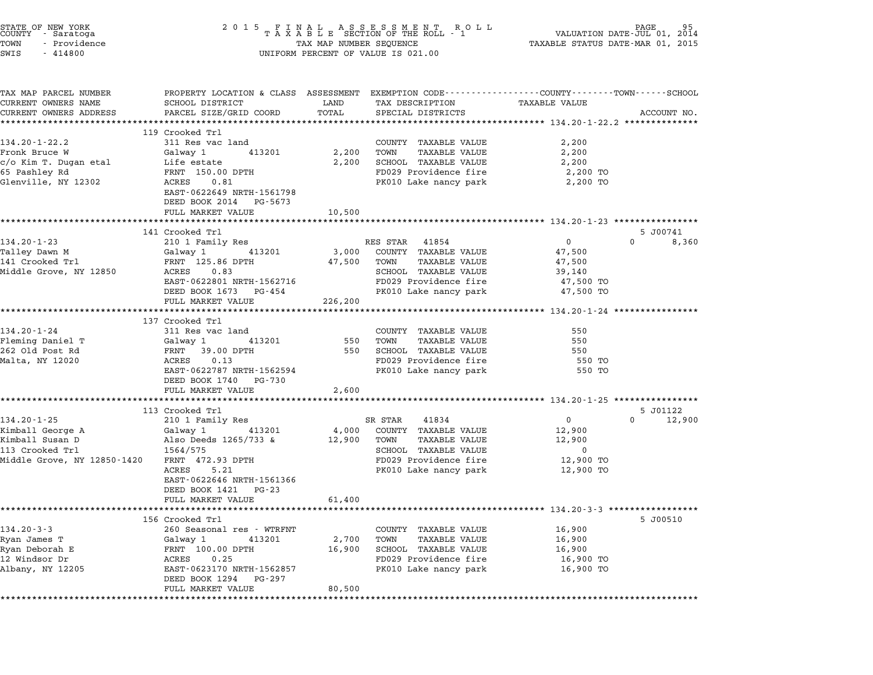| STATE OF NEW YORK<br>COUNTY - Saratoga<br>TOWN<br>- Providence<br>SWIS<br>$-414800$ | 2 0 1 5<br>FINAL ASSESSMENT RO<br>TAXABLE SECTION OF THE ROLL - 1<br>TAX MAP NUMBER SEQUENCE<br>UNIFORM PERCENT OF VALUE IS 021.00 | PAGE<br>VALUATION DATE-JUL 01, 2014<br>TAXABLE STATUS DATE-MAR 01, 2015 |                                                               |                                                          |                    |
|-------------------------------------------------------------------------------------|------------------------------------------------------------------------------------------------------------------------------------|-------------------------------------------------------------------------|---------------------------------------------------------------|----------------------------------------------------------|--------------------|
| TAX MAP PARCEL NUMBER                                                               | PROPERTY LOCATION & CLASS ASSESSMENT EXEMPTION CODE---------------COUNTY-------TOWN------SCHOOL                                    |                                                                         |                                                               |                                                          |                    |
| CURRENT OWNERS NAME                                                                 | SCHOOL DISTRICT                                                                                                                    | LAND                                                                    | TAX DESCRIPTION                                               | TAXABLE VALUE                                            |                    |
| CURRENT OWNERS ADDRESS                                                              | PARCEL SIZE/GRID COORD<br>****************                                                                                         | TOTAL<br>**************************                                     | SPECIAL DISTRICTS                                             | *************************** 134.20-1-22.2 ************** | ACCOUNT NO.        |
|                                                                                     | 119 Crooked Trl                                                                                                                    |                                                                         |                                                               |                                                          |                    |
| $134.20 - 1 - 22.2$                                                                 | 311 Res vac land                                                                                                                   |                                                                         | COUNTY TAXABLE VALUE                                          | 2,200                                                    |                    |
| Fronk Bruce W                                                                       | Galway 1<br>413201                                                                                                                 | 2,200                                                                   | TOWN<br>TAXABLE VALUE                                         | 2,200                                                    |                    |
| c/o Kim T. Dugan etal                                                               | Life estate                                                                                                                        | 2,200                                                                   | SCHOOL TAXABLE VALUE                                          | 2,200                                                    |                    |
| 65 Pashley Rd                                                                       | FRNT 150.00 DPTH                                                                                                                   |                                                                         | FD029 Providence fire                                         | 2,200 TO                                                 |                    |
| Glenville, NY 12302                                                                 | ACRES<br>0.81                                                                                                                      |                                                                         | PK010 Lake nancy park                                         | 2,200 TO                                                 |                    |
|                                                                                     | EAST-0622649 NRTH-1561798                                                                                                          |                                                                         |                                                               |                                                          |                    |
|                                                                                     | DEED BOOK 2014 PG-5673                                                                                                             |                                                                         |                                                               |                                                          |                    |
|                                                                                     | FULL MARKET VALUE<br>************************                                                                                      | 10,500<br>*************                                                 |                                                               | ************************ 134.20-1-23 *****************   |                    |
|                                                                                     | 141 Crooked Trl                                                                                                                    |                                                                         |                                                               |                                                          | 5 J00741           |
| $134.20 - 1 - 23$                                                                   | 210 1 Family Res                                                                                                                   |                                                                         | RES STAR<br>41854                                             | $\overline{0}$                                           | $\Omega$<br>8,360  |
| Talley Dawn M                                                                       | 413201<br>Galway 1                                                                                                                 | 3,000                                                                   | COUNTY TAXABLE VALUE                                          | 47,500                                                   |                    |
| 141 Crooked Trl                                                                     | FRNT 125.86 DPTH                                                                                                                   | 47,500                                                                  | TOWN<br>TAXABLE VALUE                                         | 47,500                                                   |                    |
| Middle Grove, NY 12850                                                              | ACRES<br>0.83                                                                                                                      |                                                                         | SCHOOL TAXABLE VALUE                                          | 39,140                                                   |                    |
|                                                                                     | EAST-0622801 NRTH-1562716                                                                                                          |                                                                         | FD029 Providence fire                                         | 47,500 TO                                                |                    |
|                                                                                     | DEED BOOK 1673 PG-454                                                                                                              |                                                                         | PK010 Lake nancy park                                         | 47,500 TO                                                |                    |
|                                                                                     | FULL MARKET VALUE<br>**************************                                                                                    | 226,200<br>************                                                 | ******************************** 134.20-1-24 **************** |                                                          |                    |
|                                                                                     | 137 Crooked Trl                                                                                                                    |                                                                         |                                                               |                                                          |                    |
| 134.20-1-24                                                                         | 311 Res vac land                                                                                                                   |                                                                         | COUNTY TAXABLE VALUE                                          | 550                                                      |                    |
| Fleming Daniel T                                                                    | Galway 1 413201                                                                                                                    | 550                                                                     | TOWN<br><b>TAXABLE VALUE</b>                                  | 550                                                      |                    |
| 262 Old Post Rd                                                                     | FRNT 39.00 DPTH                                                                                                                    | 550                                                                     | SCHOOL TAXABLE VALUE                                          | 550                                                      |                    |
| Malta, NY 12020                                                                     | ACRES 0.13                                                                                                                         |                                                                         | FD029 Providence fire                                         | 550 TO                                                   |                    |
|                                                                                     | EAST-0622787 NRTH-1562594                                                                                                          |                                                                         | PK010 Lake nancy park                                         | 550 TO                                                   |                    |
|                                                                                     | DEED BOOK 1740 PG-730                                                                                                              |                                                                         |                                                               |                                                          |                    |
|                                                                                     | FULL MARKET VALUE                                                                                                                  | 2,600                                                                   |                                                               | ********************** 134.20-1-25 *****************     |                    |
|                                                                                     | 113 Crooked Trl                                                                                                                    |                                                                         |                                                               |                                                          | 5 J01122           |
| $134.20 - 1 - 25$                                                                   | 210 1 Family Res                                                                                                                   |                                                                         | SR STAR<br>41834                                              | $\overline{0}$                                           | $\Omega$<br>12,900 |
| Kimball George A                                                                    | Galway 1 413201                                                                                                                    | 4,000                                                                   | COUNTY TAXABLE VALUE                                          | 12,900                                                   |                    |
| Kimball Susan D                                                                     | Also Deeds 1265/733 &                                                                                                              | 12,900 TOWN                                                             | TAXABLE VALUE                                                 | 12,900                                                   |                    |
| 113 Crooked Trl                                                                     | 1564/575                                                                                                                           |                                                                         | SCHOOL TAXABLE VALUE                                          | $\mathbf 0$                                              |                    |
| Middle Grove, NY 12850-1420                                                         | FRNT 472.93 DPTH                                                                                                                   |                                                                         | FD029 Providence fire                                         | 12,900 TO                                                |                    |
|                                                                                     | ACRES<br>5.21<br>EAST-0622646 NRTH-1561366                                                                                         |                                                                         | PK010 Lake nancy park                                         | 12,900 TO                                                |                    |
|                                                                                     | DEED BOOK 1421 PG-23                                                                                                               |                                                                         |                                                               |                                                          |                    |
|                                                                                     | FULL MARKET VALUE                                                                                                                  | 61,400                                                                  |                                                               |                                                          |                    |
|                                                                                     | ************************                                                                                                           | ************                                                            |                                                               | ********************* 134.20-3-3 ******************      |                    |
|                                                                                     | 156 Crooked Trl                                                                                                                    |                                                                         |                                                               |                                                          | 5 J00510           |
| $134.20 - 3 - 3$                                                                    | 260 Seasonal res - WTRFNT                                                                                                          |                                                                         | COUNTY TAXABLE VALUE                                          | 16,900                                                   |                    |
| Ryan James T                                                                        | 413201<br>Galway 1                                                                                                                 | 2,700                                                                   | TOWN<br><b>TAXABLE VALUE</b>                                  | 16,900                                                   |                    |
| Ryan Deborah E                                                                      | FRNT 100.00 DPTH                                                                                                                   | 16,900                                                                  | SCHOOL TAXABLE VALUE                                          | 16,900                                                   |                    |
| 12 Windsor Dr                                                                       | 0.25<br>ACRES                                                                                                                      |                                                                         | FD029 Providence fire                                         | 16,900 TO                                                |                    |
| Albany, NY 12205                                                                    | EAST-0623170 NRTH-1562857<br>DEED BOOK 1294 PG-297                                                                                 |                                                                         | PK010 Lake nancy park                                         | 16,900 TO                                                |                    |
|                                                                                     | FULL MARKET VALUE                                                                                                                  | 80,500                                                                  |                                                               |                                                          |                    |
|                                                                                     |                                                                                                                                    | ***********                                                             |                                                               |                                                          |                    |

STATE OF NEW YORK <sup>2</sup> <sup>0</sup> <sup>1</sup> 5 F I N A L A S S E S S M E N T R O L L PAGE <sup>95</sup> COUNTY - Saratoga <sup>T</sup> <sup>A</sup> <sup>X</sup> <sup>A</sup> <sup>B</sup> <sup>L</sup> <sup>E</sup> SECTION OF THE ROLL - <sup>1</sup> VALUATION DATE-JUL 01, <sup>2014</sup>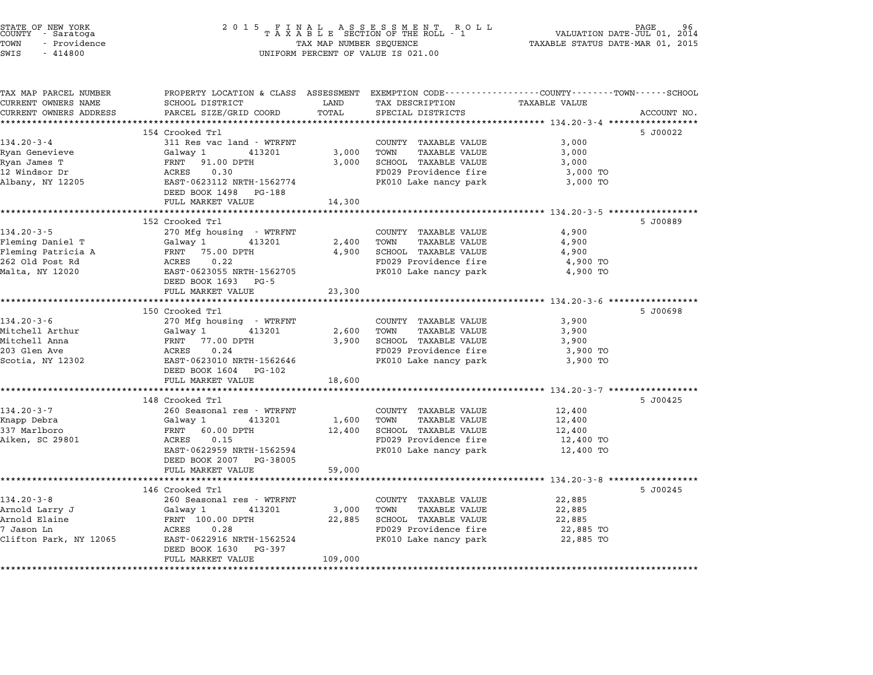| STATE OF NEW YORK<br>COUNTY - Saratoga<br>TOWN<br>- Providence<br>SWIS<br>$-414800$ | $\begin{array}{cccccccccccccc} 2& 0& 1& 5 & & F & I & N & A & L & & A & S & S & E & S & S & M & E & N & T & & R & O & L \\ & & T & A & X & A & B & L & E & SECTION & OF & THE & ROLL & - & 1 \end{array}$<br>PAGE<br>VALUATION DATE-JUL 01, 2014<br>TAXABLE STATUS DATE-MAR 01, 2015<br>TAX MAP NUMBER SEQUENCE<br>UNIFORM PERCENT OF VALUE IS 021.00 |         |                                                |                        |             |
|-------------------------------------------------------------------------------------|-------------------------------------------------------------------------------------------------------------------------------------------------------------------------------------------------------------------------------------------------------------------------------------------------------------------------------------------------------|---------|------------------------------------------------|------------------------|-------------|
| TAX MAP PARCEL NUMBER                                                               | PROPERTY LOCATION & CLASS ASSESSMENT EXEMPTION CODE---------------COUNTY-------TOWN-----SCHOOL                                                                                                                                                                                                                                                        |         |                                                |                        |             |
| CURRENT OWNERS NAME                                                                 | SCHOOL DISTRICT                                                                                                                                                                                                                                                                                                                                       | LAND    | TAX DESCRIPTION                                | <b>TAXABLE VALUE</b>   |             |
| CURRENT OWNERS ADDRESS                                                              | PARCEL SIZE/GRID COORD                                                                                                                                                                                                                                                                                                                                | TOTAL   | SPECIAL DISTRICTS                              |                        | ACCOUNT NO. |
|                                                                                     | 154 Crooked Trl                                                                                                                                                                                                                                                                                                                                       |         |                                                |                        | 5 J00022    |
| $134.20 - 3 - 4$                                                                    | 311 Res vac land - WTRFNT                                                                                                                                                                                                                                                                                                                             |         | COUNTY TAXABLE VALUE                           | 3,000                  |             |
| Ryan Genevieve                                                                      | Galway 1<br>413201                                                                                                                                                                                                                                                                                                                                    | 3,000   | TOWN<br><b>TAXABLE VALUE</b>                   | 3,000                  |             |
| Ryan James T                                                                        | FRNT 91.00 DPTH                                                                                                                                                                                                                                                                                                                                       | 3,000   | SCHOOL TAXABLE VALUE                           | 3,000                  |             |
| 12 Windsor Dr                                                                       | ACRES<br>0.30                                                                                                                                                                                                                                                                                                                                         |         | FD029 Providence fire                          | 3,000 TO               |             |
| Albany, NY 12205                                                                    | EAST-0623112 NRTH-1562774                                                                                                                                                                                                                                                                                                                             |         | PK010 Lake nancy park                          | 3,000 TO               |             |
|                                                                                     | DEED BOOK 1498 PG-188                                                                                                                                                                                                                                                                                                                                 |         |                                                |                        |             |
|                                                                                     | FULL MARKET VALUE                                                                                                                                                                                                                                                                                                                                     | 14,300  |                                                |                        |             |
|                                                                                     |                                                                                                                                                                                                                                                                                                                                                       |         |                                                |                        |             |
|                                                                                     | 152 Crooked Trl                                                                                                                                                                                                                                                                                                                                       |         |                                                |                        | 5 J00889    |
| $134.20 - 3 - 5$                                                                    | 270 Mfg housing - WTRFNT                                                                                                                                                                                                                                                                                                                              |         | COUNTY TAXABLE VALUE                           | 4,900                  |             |
| Fleming Daniel T                                                                    | Galway 1<br>413201                                                                                                                                                                                                                                                                                                                                    | 2,400   | TOWN<br>TAXABLE VALUE                          | 4,900                  |             |
| Fleming Patricia A                                                                  | FRNT 75.00 DPTH                                                                                                                                                                                                                                                                                                                                       | 4,900   | SCHOOL TAXABLE VALUE                           | 4,900                  |             |
| 262 Old Post Rd                                                                     | 0.22<br>ACRES                                                                                                                                                                                                                                                                                                                                         |         | FD029 Providence fire                          | 4,900 TO               |             |
| Malta, NY 12020                                                                     | EAST-0623055 NRTH-1562705                                                                                                                                                                                                                                                                                                                             |         | PK010 Lake nancy park                          | 4,900 TO               |             |
|                                                                                     | DEED BOOK 1693 PG-5                                                                                                                                                                                                                                                                                                                                   |         |                                                |                        |             |
|                                                                                     | FULL MARKET VALUE                                                                                                                                                                                                                                                                                                                                     | 23,300  |                                                |                        |             |
|                                                                                     | 150 Crooked Trl                                                                                                                                                                                                                                                                                                                                       |         |                                                |                        | 5 J00698    |
| $134.20 - 3 - 6$                                                                    | 270 Mfg housing - WTRFNT                                                                                                                                                                                                                                                                                                                              |         | COUNTY TAXABLE VALUE                           | 3,900                  |             |
| Mitchell Arthur                                                                     | Galway 1<br>413201                                                                                                                                                                                                                                                                                                                                    | 2,600   | TOWN<br><b>TAXABLE VALUE</b>                   | 3,900                  |             |
| Mitchell Anna                                                                       | FRNT 77.00 DPTH                                                                                                                                                                                                                                                                                                                                       | 3,900   | SCHOOL TAXABLE VALUE                           | 3,900                  |             |
| 203 Glen Ave                                                                        | 0.24<br>ACRES                                                                                                                                                                                                                                                                                                                                         |         | FD029 Providence fire                          | 3,900 TO               |             |
| Scotia, NY 12302                                                                    | EAST-0623010 NRTH-1562646                                                                                                                                                                                                                                                                                                                             |         | PK010 Lake nancy park                          | 3,900 TO               |             |
|                                                                                     | DEED BOOK 1604 PG-102                                                                                                                                                                                                                                                                                                                                 |         |                                                |                        |             |
|                                                                                     | FULL MARKET VALUE                                                                                                                                                                                                                                                                                                                                     | 18,600  |                                                |                        |             |
|                                                                                     |                                                                                                                                                                                                                                                                                                                                                       |         |                                                |                        |             |
|                                                                                     | 148 Crooked Trl                                                                                                                                                                                                                                                                                                                                       |         |                                                |                        | 5 J00425    |
| $134.20 - 3 - 7$                                                                    | 260 Seasonal res - WTRFNT                                                                                                                                                                                                                                                                                                                             |         | COUNTY TAXABLE VALUE                           | 12,400                 |             |
| Knapp Debra                                                                         | Galway 1<br>413201                                                                                                                                                                                                                                                                                                                                    | 1,600   | TOWN<br><b>TAXABLE VALUE</b>                   | 12,400                 |             |
| 337 Marlboro                                                                        | FRNT<br>60.00 DPTH                                                                                                                                                                                                                                                                                                                                    | 12,400  | SCHOOL TAXABLE VALUE                           | 12,400                 |             |
| Aiken, SC 29801                                                                     | 0.15<br>ACRES                                                                                                                                                                                                                                                                                                                                         |         | FD029 Providence fire                          | 12,400 TO              |             |
|                                                                                     | EAST-0622959 NRTH-1562594<br>DEED BOOK 2007 PG-38005                                                                                                                                                                                                                                                                                                  |         | PK010 Lake nancy park                          | 12,400 TO              |             |
|                                                                                     | FULL MARKET VALUE                                                                                                                                                                                                                                                                                                                                     | 59,000  |                                                |                        |             |
|                                                                                     |                                                                                                                                                                                                                                                                                                                                                       |         |                                                |                        |             |
|                                                                                     | 146 Crooked Trl                                                                                                                                                                                                                                                                                                                                       |         |                                                |                        | 5 J00245    |
| $134.20 - 3 - 8$                                                                    | 260 Seasonal res - WTRFNT                                                                                                                                                                                                                                                                                                                             |         | COUNTY TAXABLE VALUE                           | 22,885                 |             |
| Arnold Larry J<br>Arnold Elaine                                                     | Galway 1<br>413201                                                                                                                                                                                                                                                                                                                                    | 3,000   | TOWN<br>TAXABLE VALUE<br>SCHOOL TAXABLE VALUE  | 22,885                 |             |
| 7 Jason Ln                                                                          | FRNT 100.00 DPTH<br>0.28                                                                                                                                                                                                                                                                                                                              | 22,885  |                                                | 22,885                 |             |
| Clifton Park, NY 12065                                                              | ACRES<br>EAST-0622916 NRTH-1562524                                                                                                                                                                                                                                                                                                                    |         | FD029 Providence fire<br>PK010 Lake nancy park | 22,885 TO<br>22,885 TO |             |
|                                                                                     | DEED BOOK 1630<br>PG-397                                                                                                                                                                                                                                                                                                                              |         |                                                |                        |             |
|                                                                                     | FULL MARKET VALUE                                                                                                                                                                                                                                                                                                                                     | 109,000 |                                                |                        |             |
|                                                                                     |                                                                                                                                                                                                                                                                                                                                                       |         |                                                |                        |             |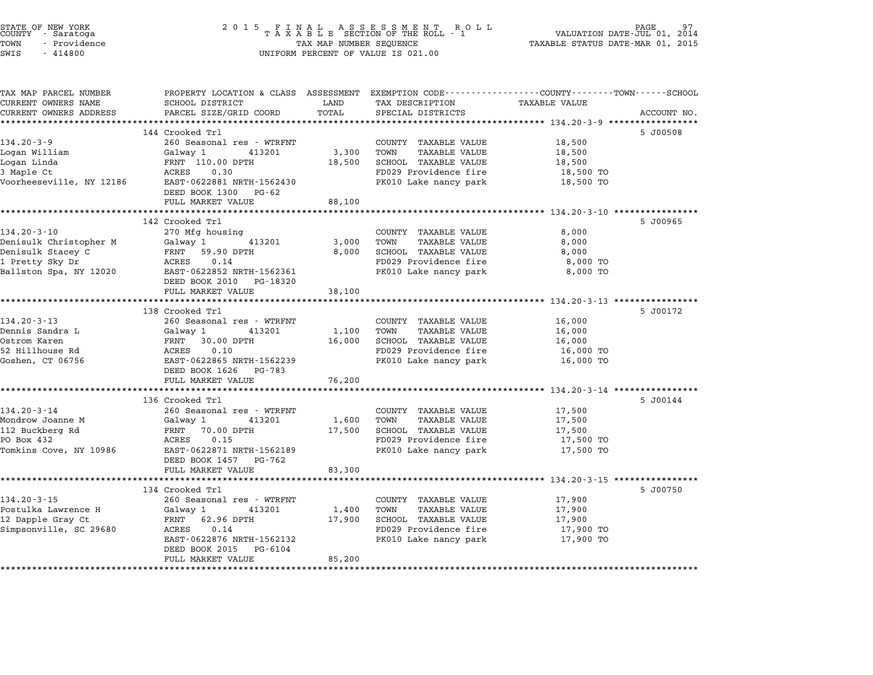| 2 0 1 5                                            | PAGE<br>VALUATION DATE-JUL 01,<br>2014<br>TAXABLE STATUS DATE-MAR 01, 2015                                                                                                                                                                                                                                                                                                                                                                                               |                                                |                                                                                                                                                                                                                                                                                                                                                                                      |                                                                                                                                                                                                                                                                                                                                                            |
|----------------------------------------------------|--------------------------------------------------------------------------------------------------------------------------------------------------------------------------------------------------------------------------------------------------------------------------------------------------------------------------------------------------------------------------------------------------------------------------------------------------------------------------|------------------------------------------------|--------------------------------------------------------------------------------------------------------------------------------------------------------------------------------------------------------------------------------------------------------------------------------------------------------------------------------------------------------------------------------------|------------------------------------------------------------------------------------------------------------------------------------------------------------------------------------------------------------------------------------------------------------------------------------------------------------------------------------------------------------|
| SCHOOL DISTRICT                                    | LAND                                                                                                                                                                                                                                                                                                                                                                                                                                                                     | TAX DESCRIPTION                                | TAXABLE VALUE                                                                                                                                                                                                                                                                                                                                                                        |                                                                                                                                                                                                                                                                                                                                                            |
|                                                    |                                                                                                                                                                                                                                                                                                                                                                                                                                                                          |                                                |                                                                                                                                                                                                                                                                                                                                                                                      | ACCOUNT NO.                                                                                                                                                                                                                                                                                                                                                |
|                                                    |                                                                                                                                                                                                                                                                                                                                                                                                                                                                          |                                                |                                                                                                                                                                                                                                                                                                                                                                                      | 5 J00508                                                                                                                                                                                                                                                                                                                                                   |
|                                                    |                                                                                                                                                                                                                                                                                                                                                                                                                                                                          | COUNTY TAXABLE VALUE                           |                                                                                                                                                                                                                                                                                                                                                                                      |                                                                                                                                                                                                                                                                                                                                                            |
| Galway 1<br>413201                                 | 3,300                                                                                                                                                                                                                                                                                                                                                                                                                                                                    | TOWN<br><b>TAXABLE VALUE</b>                   | 18,500                                                                                                                                                                                                                                                                                                                                                                               |                                                                                                                                                                                                                                                                                                                                                            |
| FRNT 110.00 DPTH                                   | 18,500                                                                                                                                                                                                                                                                                                                                                                                                                                                                   | SCHOOL TAXABLE VALUE                           | 18,500                                                                                                                                                                                                                                                                                                                                                                               |                                                                                                                                                                                                                                                                                                                                                            |
| ACRES<br>0.30                                      |                                                                                                                                                                                                                                                                                                                                                                                                                                                                          | FD029 Providence fire                          | 18,500 TO                                                                                                                                                                                                                                                                                                                                                                            |                                                                                                                                                                                                                                                                                                                                                            |
|                                                    |                                                                                                                                                                                                                                                                                                                                                                                                                                                                          |                                                |                                                                                                                                                                                                                                                                                                                                                                                      |                                                                                                                                                                                                                                                                                                                                                            |
|                                                    |                                                                                                                                                                                                                                                                                                                                                                                                                                                                          |                                                |                                                                                                                                                                                                                                                                                                                                                                                      |                                                                                                                                                                                                                                                                                                                                                            |
| ***********************                            |                                                                                                                                                                                                                                                                                                                                                                                                                                                                          |                                                |                                                                                                                                                                                                                                                                                                                                                                                      |                                                                                                                                                                                                                                                                                                                                                            |
|                                                    |                                                                                                                                                                                                                                                                                                                                                                                                                                                                          |                                                |                                                                                                                                                                                                                                                                                                                                                                                      | 5 J00965                                                                                                                                                                                                                                                                                                                                                   |
| 270 Mfg housing                                    |                                                                                                                                                                                                                                                                                                                                                                                                                                                                          | COUNTY TAXABLE VALUE                           | 8,000                                                                                                                                                                                                                                                                                                                                                                                |                                                                                                                                                                                                                                                                                                                                                            |
| Galway 1<br>413201                                 | 3,000                                                                                                                                                                                                                                                                                                                                                                                                                                                                    | TOWN<br>TAXABLE VALUE                          | 8,000                                                                                                                                                                                                                                                                                                                                                                                |                                                                                                                                                                                                                                                                                                                                                            |
| 59.90 DPTH<br>FRNT                                 | 8,000                                                                                                                                                                                                                                                                                                                                                                                                                                                                    | SCHOOL TAXABLE VALUE                           | 8,000                                                                                                                                                                                                                                                                                                                                                                                |                                                                                                                                                                                                                                                                                                                                                            |
| ACRES                                              |                                                                                                                                                                                                                                                                                                                                                                                                                                                                          | FD029 Providence fire                          | 8,000 TO                                                                                                                                                                                                                                                                                                                                                                             |                                                                                                                                                                                                                                                                                                                                                            |
| DEED BOOK 2010 PG-18320                            |                                                                                                                                                                                                                                                                                                                                                                                                                                                                          |                                                |                                                                                                                                                                                                                                                                                                                                                                                      |                                                                                                                                                                                                                                                                                                                                                            |
| FULL MARKET VALUE                                  | 38,100                                                                                                                                                                                                                                                                                                                                                                                                                                                                   |                                                |                                                                                                                                                                                                                                                                                                                                                                                      |                                                                                                                                                                                                                                                                                                                                                            |
|                                                    |                                                                                                                                                                                                                                                                                                                                                                                                                                                                          |                                                |                                                                                                                                                                                                                                                                                                                                                                                      |                                                                                                                                                                                                                                                                                                                                                            |
|                                                    |                                                                                                                                                                                                                                                                                                                                                                                                                                                                          |                                                |                                                                                                                                                                                                                                                                                                                                                                                      | 5 J00172                                                                                                                                                                                                                                                                                                                                                   |
|                                                    |                                                                                                                                                                                                                                                                                                                                                                                                                                                                          |                                                |                                                                                                                                                                                                                                                                                                                                                                                      |                                                                                                                                                                                                                                                                                                                                                            |
| FRNT 30.00 DPTH                                    | 16,000                                                                                                                                                                                                                                                                                                                                                                                                                                                                   | SCHOOL TAXABLE VALUE                           | 16,000                                                                                                                                                                                                                                                                                                                                                                               |                                                                                                                                                                                                                                                                                                                                                            |
| ACRES<br>0.10                                      |                                                                                                                                                                                                                                                                                                                                                                                                                                                                          | FD029 Providence fire                          | 16,000 TO                                                                                                                                                                                                                                                                                                                                                                            |                                                                                                                                                                                                                                                                                                                                                            |
| EAST-0622865 NRTH-1562239<br>DEED BOOK 1626 PG-783 |                                                                                                                                                                                                                                                                                                                                                                                                                                                                          | PK010 Lake nancy park                          | 16,000 TO                                                                                                                                                                                                                                                                                                                                                                            |                                                                                                                                                                                                                                                                                                                                                            |
| FULL MARKET VALUE                                  | 76,200                                                                                                                                                                                                                                                                                                                                                                                                                                                                   |                                                |                                                                                                                                                                                                                                                                                                                                                                                      |                                                                                                                                                                                                                                                                                                                                                            |
|                                                    |                                                                                                                                                                                                                                                                                                                                                                                                                                                                          |                                                |                                                                                                                                                                                                                                                                                                                                                                                      |                                                                                                                                                                                                                                                                                                                                                            |
|                                                    |                                                                                                                                                                                                                                                                                                                                                                                                                                                                          |                                                |                                                                                                                                                                                                                                                                                                                                                                                      | 5 J00144                                                                                                                                                                                                                                                                                                                                                   |
|                                                    |                                                                                                                                                                                                                                                                                                                                                                                                                                                                          |                                                |                                                                                                                                                                                                                                                                                                                                                                                      |                                                                                                                                                                                                                                                                                                                                                            |
|                                                    |                                                                                                                                                                                                                                                                                                                                                                                                                                                                          |                                                |                                                                                                                                                                                                                                                                                                                                                                                      |                                                                                                                                                                                                                                                                                                                                                            |
|                                                    |                                                                                                                                                                                                                                                                                                                                                                                                                                                                          |                                                |                                                                                                                                                                                                                                                                                                                                                                                      |                                                                                                                                                                                                                                                                                                                                                            |
| EAST-0622871 NRTH-1562189                          |                                                                                                                                                                                                                                                                                                                                                                                                                                                                          | PK010 Lake nancy park                          | 17,500 TO                                                                                                                                                                                                                                                                                                                                                                            |                                                                                                                                                                                                                                                                                                                                                            |
| DEED BOOK 1457 PG-762                              |                                                                                                                                                                                                                                                                                                                                                                                                                                                                          |                                                |                                                                                                                                                                                                                                                                                                                                                                                      |                                                                                                                                                                                                                                                                                                                                                            |
| FULL MARKET VALUE                                  | 83,300                                                                                                                                                                                                                                                                                                                                                                                                                                                                   |                                                |                                                                                                                                                                                                                                                                                                                                                                                      |                                                                                                                                                                                                                                                                                                                                                            |
|                                                    |                                                                                                                                                                                                                                                                                                                                                                                                                                                                          |                                                |                                                                                                                                                                                                                                                                                                                                                                                      |                                                                                                                                                                                                                                                                                                                                                            |
|                                                    |                                                                                                                                                                                                                                                                                                                                                                                                                                                                          |                                                |                                                                                                                                                                                                                                                                                                                                                                                      | 5 J00750                                                                                                                                                                                                                                                                                                                                                   |
|                                                    |                                                                                                                                                                                                                                                                                                                                                                                                                                                                          | TOWN<br>TAXABLE VALUE                          | 17,900                                                                                                                                                                                                                                                                                                                                                                               |                                                                                                                                                                                                                                                                                                                                                            |
|                                                    |                                                                                                                                                                                                                                                                                                                                                                                                                                                                          |                                                |                                                                                                                                                                                                                                                                                                                                                                                      |                                                                                                                                                                                                                                                                                                                                                            |
| Galway 1<br>413201                                 | 1,400                                                                                                                                                                                                                                                                                                                                                                                                                                                                    |                                                |                                                                                                                                                                                                                                                                                                                                                                                      |                                                                                                                                                                                                                                                                                                                                                            |
| 62.96 DPTH<br>FRNT<br>ACRES<br>0.14                | 17,900                                                                                                                                                                                                                                                                                                                                                                                                                                                                   | SCHOOL TAXABLE VALUE                           | 17,900                                                                                                                                                                                                                                                                                                                                                                               |                                                                                                                                                                                                                                                                                                                                                            |
| EAST-0622876 NRTH-1562132                          |                                                                                                                                                                                                                                                                                                                                                                                                                                                                          | FD029 Providence fire<br>PK010 Lake nancy park | 17,900 TO<br>17,900 TO                                                                                                                                                                                                                                                                                                                                                               |                                                                                                                                                                                                                                                                                                                                                            |
|                                                    | PARCEL SIZE/GRID COORD<br>144 Crooked Trl<br>260 Seasonal res - WTRFNT<br>EAST-0622881 NRTH-1562430<br>DEED BOOK 1300 PG-62<br>FULL MARKET VALUE<br>142 Crooked Trl<br>0.14<br>EAST-0622852 NRTH-1562361<br>138 Crooked Trl<br>260 Seasonal res - WTRFNT<br>Galway 1<br>413201<br>*************************<br>136 Crooked Trl<br>260 Seasonal res - WTRFNT<br>Galway 1<br>413201<br>FRNT<br>70.00 DPTH<br>0.15<br>ACRES<br>134 Crooked Trl<br>260 Seasonal res - WTRFNT | TOTAL<br>88,100<br>1,100<br>1,600<br>17,500    | FINAL ASSESSMENT RO<br>TAXABLE SECTION OF THE ROLL - 1<br>R O L L<br>TAX MAP NUMBER SEQUENCE<br>UNIFORM PERCENT OF VALUE IS 021.00<br>SPECIAL DISTRICTS<br>PK010 Lake nancy park<br>PK010 Lake nancy park<br>COUNTY TAXABLE VALUE<br>TOWN<br>TAXABLE VALUE<br>COUNTY TAXABLE VALUE<br>TOWN<br>TAXABLE VALUE<br>SCHOOL TAXABLE VALUE<br>FD029 Providence fire<br>COUNTY TAXABLE VALUE | PROPERTY LOCATION & CLASS ASSESSMENT EXEMPTION CODE--------------COUNTY-------TOWN------SCHOOL<br>18,500<br>18,500 TO<br>**************** 134.20-3-10 *****************<br>8,000 TO<br>16,000<br>16,000<br>********************* 134.20-3-14 *****************<br>17,500<br>17,500<br>17,500<br>17,500 TO<br>********** 134.20-3-15 ************<br>17,900 |

STATE OF NEW YORK <sup>2</sup> <sup>0</sup> <sup>1</sup> 5 F I N A L A S S E S S M E N T R O L L PAGE <sup>97</sup> COUNTY - Saratoga <sup>T</sup> <sup>A</sup> <sup>X</sup> <sup>A</sup> <sup>B</sup> <sup>L</sup> <sup>E</sup> SECTION OF THE ROLL - <sup>1</sup> VALUATION DATE-JUL 01, <sup>2014</sup>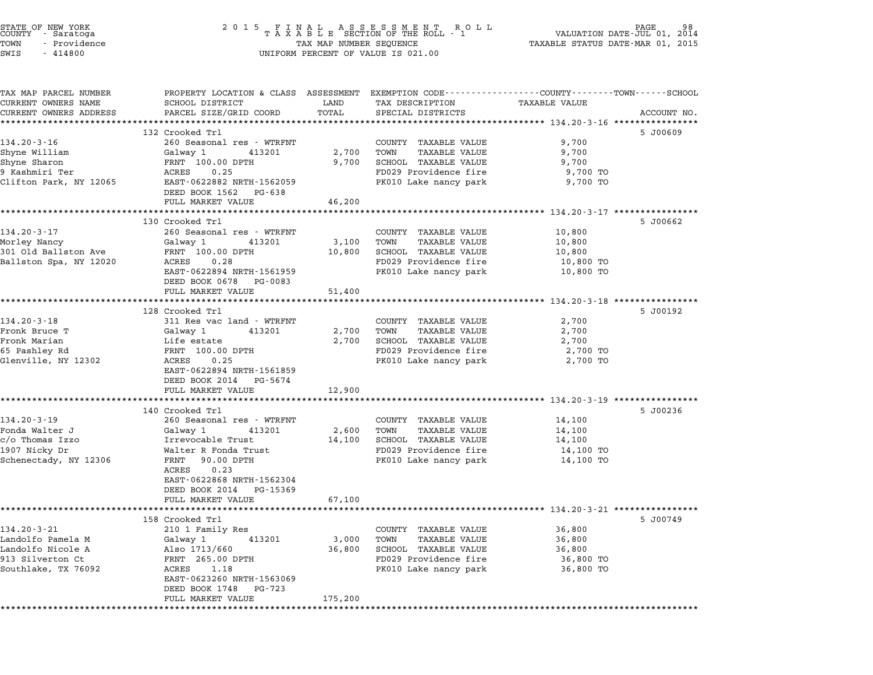| STATE OF NEW YORK<br>COUNTY – Saratoga<br>TOWN<br>- Providence<br>SWIS<br>$-414800$                    | 2 0 1 5<br>FINAL ASSESSMENT RO<br>TAXABLE SECTION OF THE ROLL - 1<br>R O L L<br>TAX MAP NUMBER SEQUENCE<br>UNIFORM PERCENT OF VALUE IS 021.00                                                                                    |                            |                                                                                                                                | 98<br>PAGE<br>VALUATION DATE-JUL 01, 2014<br>TAXABLE STATUS DATE-MAR 01, 2015 |             |
|--------------------------------------------------------------------------------------------------------|----------------------------------------------------------------------------------------------------------------------------------------------------------------------------------------------------------------------------------|----------------------------|--------------------------------------------------------------------------------------------------------------------------------|-------------------------------------------------------------------------------|-------------|
| TAX MAP PARCEL NUMBER<br>CURRENT OWNERS NAME<br>CURRENT OWNERS ADDRESS                                 | PROPERTY LOCATION & CLASS ASSESSMENT EXEMPTION CODE---------------COUNTY-------TOWN------SCHOOL<br>SCHOOL DISTRICT<br>PARCEL SIZE/GRID COORD                                                                                     | LAND<br>TOTAL              | TAX DESCRIPTION<br>SPECIAL DISTRICTS                                                                                           | TAXABLE VALUE                                                                 | ACCOUNT NO. |
| $134.20 - 3 - 16$<br>Shyne William<br>Shyne Sharon<br>9 Kashmiri Ter<br>Clifton Park, NY 12065         | 132 Crooked Trl<br>260 Seasonal res - WTRFNT<br>Galway 1<br>413201<br>FRNT 100.00 DPTH<br>ACRES<br>0.25<br>EAST-0622882 NRTH-1562059<br>DEED BOOK 1562 PG-638                                                                    | 2,700<br>9,700             | COUNTY TAXABLE VALUE<br>TOWN<br>TAXABLE VALUE<br>SCHOOL TAXABLE VALUE<br>FD029 Providence fire<br>PK010 Lake nancy park        | 9,700<br>9,700<br>9,700<br>9,700 TO<br>9,700 TO                               | 5 J00609    |
|                                                                                                        | FULL MARKET VALUE                                                                                                                                                                                                                | 46,200                     |                                                                                                                                |                                                                               |             |
| $134.20 - 3 - 17$<br>Morley Nancy<br>301 Old Ballston Ave<br>Ballston Spa, NY 12020                    | 130 Crooked Trl<br>260 Seasonal res - WTRFNT<br>Galway 1<br>413201<br>FRNT 100.00 DPTH<br>ACRES<br>0.28<br>EAST-0622894 NRTH-1561959<br>DEED BOOK 0678 PG-0083<br>FULL MARKET VALUE                                              | 3,100<br>10,800<br>51,400  | COUNTY TAXABLE VALUE<br>TOWN<br>TAXABLE VALUE<br>SCHOOL TAXABLE VALUE<br>FD029 Providence fire<br>PK010 Lake nancy park        | 10,800<br>10,800<br>10,800<br>10,800 TO<br>10,800 TO                          | 5 J00662    |
| $134.20 - 3 - 18$<br>Fronk Bruce T<br>Fronk Marian<br>65 Pashley Rd<br>Glenville, NY 12302             | 128 Crooked Trl<br>311 Res vac land - WTRFNT<br>Galway 1<br>413201<br>Life estate<br>FRNT 100.00 DPTH<br>ACRES<br>0.25<br>EAST-0622894 NRTH-1561859<br>DEED BOOK 2014 PG-5674<br>FULL MARKET VALUE                               | 2,700<br>2,700<br>12,900   | COUNTY TAXABLE VALUE<br>TAXABLE VALUE<br>TOWN<br>SCHOOL TAXABLE VALUE<br>FD029 Providence fire<br>PK010 Lake nancy park        | 2,700<br>2,700<br>2,700<br>2,700 TO<br>2,700 TO                               | 5 J00192    |
|                                                                                                        |                                                                                                                                                                                                                                  |                            |                                                                                                                                |                                                                               |             |
| $134.20 - 3 - 19$<br>Fonda Walter J<br>c/o Thomas Izzo<br>1907 Nicky Dr<br>Schenectady, NY 12306       | 140 Crooked Trl<br>260 Seasonal res - WTRFNT<br>Galway 1<br>413201<br>Irrevocable Trust<br>Walter R Fonda Trust<br>FRNT 90.00 DPTH<br>0.23<br>ACRES<br>EAST-0622868 NRTH-1562304<br>DEED BOOK 2014 PG-15369<br>FULL MARKET VALUE | 2,600<br>14,100<br>67,100  | COUNTY TAXABLE VALUE<br>TOWN<br><b>TAXABLE VALUE</b><br>SCHOOL TAXABLE VALUE<br>FD029 Providence fire<br>PK010 Lake nancy park | 14,100<br>14,100<br>14,100<br>14,100 TO<br>14,100 TO                          | 5 J00236    |
|                                                                                                        |                                                                                                                                                                                                                                  |                            |                                                                                                                                |                                                                               |             |
| $134.20 - 3 - 21$<br>Landolfo Pamela M<br>Landolfo Nicole A<br>913 Silverton Ct<br>Southlake, TX 76092 | 158 Crooked Trl<br>210 1 Family Res<br>Galway 1<br>413201<br>Also 1713/660<br>FRNT 265.00 DPTH<br>ACRES<br>1.18<br>EAST-0623260 NRTH-1563069<br>DEED BOOK 1748<br>PG-723<br>FULL MARKET VALUE                                    | 3,000<br>36,800<br>175,200 | COUNTY TAXABLE VALUE<br>TOWN<br>TAXABLE VALUE<br>SCHOOL TAXABLE VALUE<br>FD029 Providence fire<br>PK010 Lake nancy park        | 36,800<br>36,800<br>36,800<br>36,800 TO<br>36,800 TO                          | 5 JOO749    |

STATE OF NEW YORK <sup>2</sup> <sup>0</sup> <sup>1</sup> 5 F I N A L A S S E S S M E N T R O L L PAGE <sup>98</sup> COUNTY - Saratoga <sup>T</sup> <sup>A</sup> <sup>X</sup> <sup>A</sup> <sup>B</sup> <sup>L</sup> <sup>E</sup> SECTION OF THE ROLL - <sup>1</sup> VALUATION DATE-JUL 01, <sup>2014</sup>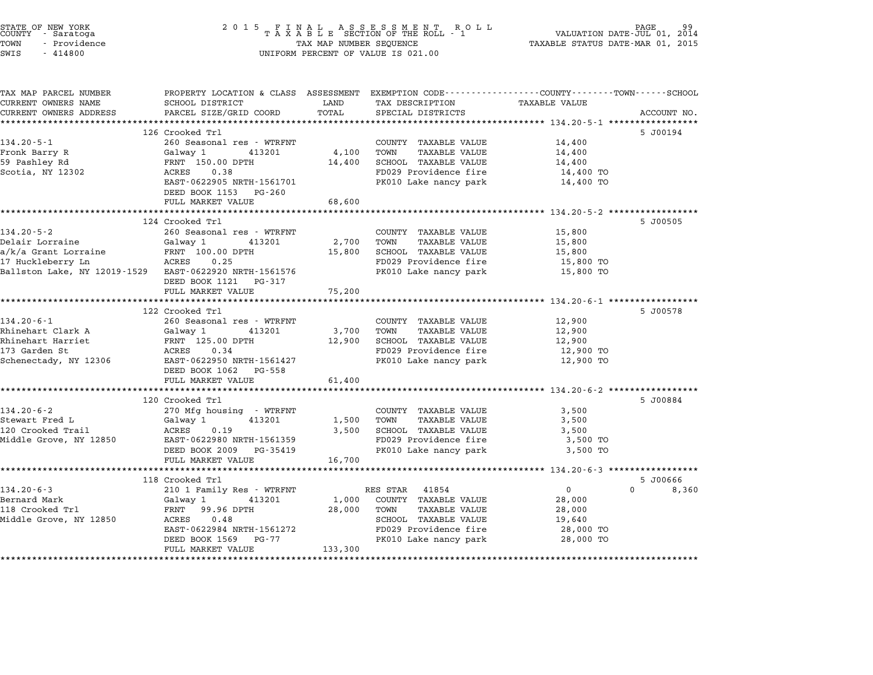| STATE OF NEW YORK<br>COUNTY - Saratoga<br>TOWN<br>- Providence<br>SWIS<br>$-414800$ | 2 0 1 5<br>FINAL ASSESSMENT RO<br>TAXABLE SECTION OF THE ROLL - 1<br>R O L L<br>TAX MAP NUMBER SEQUENCE<br>UNIFORM PERCENT OF VALUE IS 021.00 |                 |                                                                 |                                                     | PAGE<br>VALUATION DATE-JUL 01, 2014<br>TAXABLE STATUS DATE-MAR 01, 2015 |  |
|-------------------------------------------------------------------------------------|-----------------------------------------------------------------------------------------------------------------------------------------------|-----------------|-----------------------------------------------------------------|-----------------------------------------------------|-------------------------------------------------------------------------|--|
| TAX MAP PARCEL NUMBER<br>CURRENT OWNERS NAME                                        | PROPERTY LOCATION & CLASS ASSESSMENT EXEMPTION CODE---------------COUNTY-------TOWN------SCHOOL<br>SCHOOL DISTRICT                            | LAND            | TAX DESCRIPTION                                                 | TAXABLE VALUE                                       |                                                                         |  |
| CURRENT OWNERS ADDRESS                                                              | PARCEL SIZE/GRID COORD                                                                                                                        | TOTAL           | SPECIAL DISTRICTS                                               |                                                     | ACCOUNT NO.                                                             |  |
| **********************                                                              | *****************************                                                                                                                 | ************    | ********************************** 134.20-5-1 ***************** |                                                     |                                                                         |  |
|                                                                                     | 126 Crooked Trl                                                                                                                               |                 |                                                                 |                                                     | 5 J00194                                                                |  |
| $134.20 - 5 - 1$                                                                    | 260 Seasonal res - WTRFNT                                                                                                                     |                 | COUNTY TAXABLE VALUE                                            | 14,400                                              |                                                                         |  |
| Fronk Barry R                                                                       | Galway 1<br>413201                                                                                                                            | 4,100           | <b>TAXABLE VALUE</b><br>TOWN                                    | 14,400                                              |                                                                         |  |
| 59 Pashley Rd                                                                       | FRNT 150.00 DPTH                                                                                                                              | 14,400          | SCHOOL TAXABLE VALUE                                            | 14,400                                              |                                                                         |  |
| Scotia, NY 12302                                                                    | ACRES<br>0.38                                                                                                                                 |                 | FD029 Providence fire                                           | 14,400 TO                                           |                                                                         |  |
|                                                                                     | EAST-0622905 NRTH-1561701                                                                                                                     |                 | PK010 Lake nancy park                                           | 14,400 TO                                           |                                                                         |  |
|                                                                                     | DEED BOOK 1153<br>PG-260                                                                                                                      |                 |                                                                 |                                                     |                                                                         |  |
|                                                                                     | FULL MARKET VALUE<br>***************************                                                                                              | 68,600          |                                                                 |                                                     |                                                                         |  |
|                                                                                     | 124 Crooked Trl                                                                                                                               |                 |                                                                 | ********* 134.20-5-2 ****************               | 5 J00505                                                                |  |
| $134.20 - 5 - 2$                                                                    | 260 Seasonal res - WTRFNT                                                                                                                     |                 | COUNTY TAXABLE VALUE                                            | 15,800                                              |                                                                         |  |
| Delair Lorraine                                                                     | Galway 1<br>413201                                                                                                                            | 2,700           | TOWN<br><b>TAXABLE VALUE</b>                                    | 15,800                                              |                                                                         |  |
| a/k/a Grant Lorraine                                                                | FRNT 100.00 DPTH                                                                                                                              | 15,800          | <b>SCHOOL TAXABLE VALUE</b>                                     | 15,800                                              |                                                                         |  |
| 17 Huckleberry Ln                                                                   | 0.25<br>ACRES                                                                                                                                 |                 | FD029 Providence fire                                           | 15,800 TO                                           |                                                                         |  |
| Ballston Lake, NY 12019-1529                                                        | EAST-0622920 NRTH-1561576                                                                                                                     |                 | PK010 Lake nancy park                                           | 15,800 TO                                           |                                                                         |  |
|                                                                                     | DEED BOOK 1121 PG-317                                                                                                                         |                 |                                                                 |                                                     |                                                                         |  |
|                                                                                     | FULL MARKET VALUE                                                                                                                             | 75,200          |                                                                 |                                                     |                                                                         |  |
|                                                                                     |                                                                                                                                               |                 |                                                                 | $134.20 - 6 - 1$ ****************                   |                                                                         |  |
|                                                                                     | 122 Crooked Trl                                                                                                                               |                 |                                                                 |                                                     | 5 J00578                                                                |  |
| 134.20-6-1                                                                          | 260 Seasonal res - WTRFNT                                                                                                                     |                 | COUNTY TAXABLE VALUE                                            | 12,900                                              |                                                                         |  |
| Rhinehart Clark A<br>Rhinehart Harriet                                              | Galway 1<br>413201<br>FRNT 125.00 DPTH                                                                                                        | 3,700<br>12,900 | TOWN<br><b>TAXABLE VALUE</b><br>SCHOOL TAXABLE VALUE            | 12,900                                              |                                                                         |  |
| 173 Garden St                                                                       | <b>ACRES</b><br>0.34                                                                                                                          |                 | FD029 Providence fire                                           | 12,900<br>12,900 TO                                 |                                                                         |  |
| Schenectady, NY 12306                                                               | EAST-0622950 NRTH-1561427                                                                                                                     |                 | PK010 Lake nancy park                                           | 12,900 TO                                           |                                                                         |  |
|                                                                                     | DEED BOOK 1062 PG-558                                                                                                                         |                 |                                                                 |                                                     |                                                                         |  |
|                                                                                     | FULL MARKET VALUE                                                                                                                             | 61,400          |                                                                 |                                                     |                                                                         |  |
|                                                                                     | ********************                                                                                                                          |                 |                                                                 | ********************** 134.20-6-2 ***************** |                                                                         |  |
|                                                                                     | 120 Crooked Trl                                                                                                                               |                 |                                                                 |                                                     | 5 J00884                                                                |  |
| $134.20 - 6 - 2$                                                                    | 270 Mfg housing - WTRFNT                                                                                                                      |                 | COUNTY TAXABLE VALUE                                            | 3,500                                               |                                                                         |  |
| Stewart Fred L                                                                      | Galway 1<br>413201                                                                                                                            | 1,500           | TOWN<br><b>TAXABLE VALUE</b>                                    | 3,500                                               |                                                                         |  |
| 120 Crooked Trail                                                                   | ACRES<br>0.19                                                                                                                                 | 3,500           | SCHOOL TAXABLE VALUE                                            | 3,500                                               |                                                                         |  |
| Middle Grove, NY 12850                                                              | EAST-0622980 NRTH-1561359                                                                                                                     |                 | FD029 Providence fire                                           | 3,500 TO                                            |                                                                         |  |
|                                                                                     | DEED BOOK 2009<br>PG-35419                                                                                                                    |                 | PK010 Lake nancy park                                           | 3,500 TO                                            |                                                                         |  |
|                                                                                     | FULL MARKET VALUE                                                                                                                             | 16,700          |                                                                 |                                                     |                                                                         |  |
|                                                                                     |                                                                                                                                               |                 |                                                                 | ******** 134.20-6-3 ****************                |                                                                         |  |
|                                                                                     | 118 Crooked Trl                                                                                                                               |                 |                                                                 |                                                     | 5 J00666<br>$\Omega$                                                    |  |
| $134.20 - 6 - 3$<br>Bernard Mark                                                    | 210 1 Family Res - WTRFNT<br>Galway 1<br>413201                                                                                               | 1,000           | RES STAR<br>41854<br>COUNTY TAXABLE VALUE                       | $\mathbf{0}$<br>28,000                              | 8,360                                                                   |  |
| 118 Crooked Trl                                                                     | FRNT<br>99.96 DPTH                                                                                                                            | 28,000          | TOWN<br><b>TAXABLE VALUE</b>                                    | 28,000                                              |                                                                         |  |
| Middle Grove, NY 12850                                                              | ACRES<br>0.48                                                                                                                                 |                 | <b>SCHOOL TAXABLE VALUE</b>                                     | 19,640                                              |                                                                         |  |
|                                                                                     | EAST-0622984 NRTH-1561272                                                                                                                     |                 | FD029 Providence fire                                           | 28,000 TO                                           |                                                                         |  |
|                                                                                     | DEED BOOK 1569<br>PG-77                                                                                                                       |                 | PK010 Lake nancy park                                           | 28,000 TO                                           |                                                                         |  |
|                                                                                     | FULL MARKET VALUE                                                                                                                             | 133,300         |                                                                 |                                                     |                                                                         |  |
|                                                                                     | *******************                                                                                                                           |                 |                                                                 |                                                     |                                                                         |  |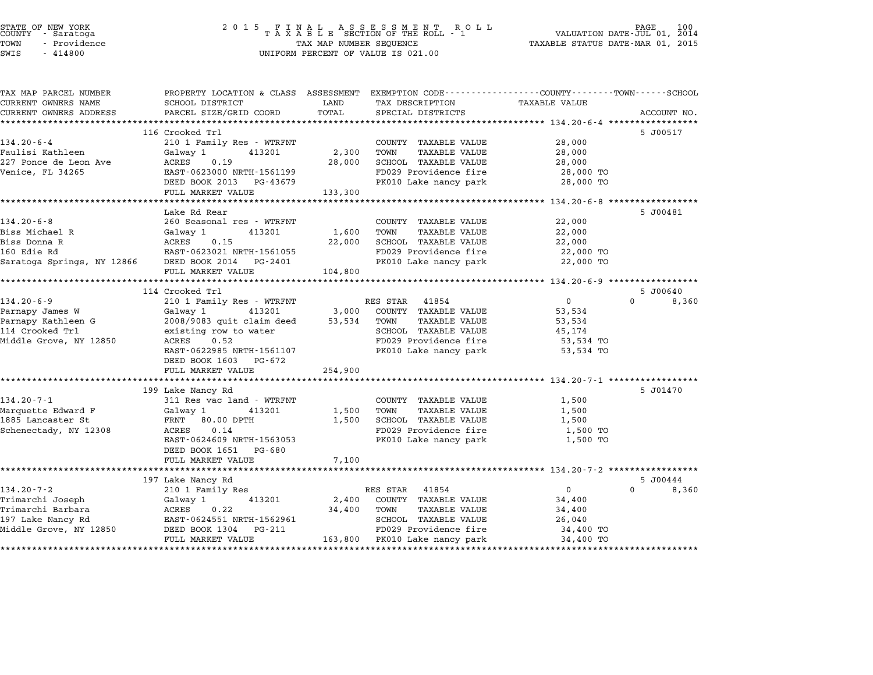| STATE OF NEW YORK |        |            |  |
|-------------------|--------|------------|--|
| COUNTY            |        | - Saratoga |  |
| TOWN              | $\sim$ | Providence |  |
|                   |        | .          |  |

# STATE OF NEW YORK <sup>2</sup> <sup>0</sup> <sup>1</sup> 5 F I N A L A S S E S S M E N T R O L L PAGE <sup>100</sup> COUNTY - Saratoga <sup>T</sup> <sup>A</sup> <sup>X</sup> <sup>A</sup> <sup>B</sup> <sup>L</sup> <sup>E</sup> SECTION OF THE ROLL - <sup>1</sup> VALUATION DATE-JUL 01, <sup>2014</sup> TOWN - Providence TAX MAP NUMBER SEQUENCE TAXABLE STATUS DATE-MAR 01, <sup>2015</sup> SWIS - <sup>414800</sup> UNIFORM PERCENT OF VALUE IS 021.00

| TAX MAP PARCEL NUMBER      | PROPERTY LOCATION & CLASS ASSESSMENT EXEMPTION CODE---------------COUNTY-------TOWN------SCHOOL |            |                               |                      |                       |
|----------------------------|-------------------------------------------------------------------------------------------------|------------|-------------------------------|----------------------|-----------------------|
| CURRENT OWNERS NAME        | SCHOOL DISTRICT                                                                                 | LAND       | TAX DESCRIPTION               | <b>TAXABLE VALUE</b> |                       |
| CURRENT OWNERS ADDRESS     | PARCEL SIZE/GRID COORD                                                                          | TOTAL      | SPECIAL DISTRICTS             |                      | ACCOUNT NO.           |
|                            |                                                                                                 |            |                               |                      |                       |
|                            | 116 Crooked Trl                                                                                 |            |                               |                      | 5 J00517              |
| $134.20 - 6 - 4$           | 210 1 Family Res - WTRFNT                                                                       |            | COUNTY TAXABLE VALUE          | 28,000               |                       |
| Faulisi Kathleen           | 413201<br>Galway 1                                                                              | 2,300      | TOWN<br><b>TAXABLE VALUE</b>  | 28,000               |                       |
| 227 Ponce de Leon Ave      | ACRES<br>0.19                                                                                   | 28,000     | SCHOOL TAXABLE VALUE          | 28,000               |                       |
| Venice, FL 34265           | EAST-0623000 NRTH-1561199                                                                       |            | FD029 Providence fire         | 28,000 TO            |                       |
|                            | DEED BOOK 2013 PG-43679                                                                         |            | PK010 Lake nancy park         | 28,000 TO            |                       |
|                            | FULL MARKET VALUE                                                                               | 133,300    |                               |                      |                       |
|                            |                                                                                                 |            |                               |                      |                       |
|                            | Lake Rd Rear                                                                                    |            |                               |                      | 5 J00481              |
| $134.20 - 6 - 8$           | 260 Seasonal res - WTRFNT                                                                       |            | COUNTY TAXABLE VALUE          | 22,000               |                       |
| Biss Michael R             | Galway 1<br>413201                                                                              | 1,600 TOWN | TAXABLE VALUE                 | 22,000               |                       |
| Biss Donna R               | ACRES<br>0.15                                                                                   | 22,000     | SCHOOL TAXABLE VALUE          | 22,000               |                       |
| 160 Edie Rd                | EAST-0623021 NRTH-1561055                                                                       |            | FD029 Providence fire         | 22,000 TO            |                       |
| Saratoga Springs, NY 12866 | DEED BOOK 2014    PG-2401                                                                       |            | PK010 Lake nancy park         | 22,000 TO            |                       |
|                            | FULL MARKET VALUE                                                                               | 104,800    |                               |                      |                       |
|                            |                                                                                                 |            |                               |                      |                       |
|                            | 114 Crooked Trl                                                                                 |            |                               |                      | 5 J00640              |
| $134.20 - 6 - 9$           | 210 1 Family Res - WTRFNT                                                                       |            | RES STAR 41854                | $\overline{0}$       | 8,360<br>$\Omega$     |
| Parnapy James W            | Galway 1<br>413201                                                                              | 3,000      | COUNTY TAXABLE VALUE          | 53,534               |                       |
| Parnapy Kathleen G         | 2008/9083 quit claim deed                                                                       | 53,534     | TOWN<br>TAXABLE VALUE         | 53,534               |                       |
| 114 Crooked Trl            | existing row to water                                                                           |            | SCHOOL TAXABLE VALUE          | 45,174               |                       |
| Middle Grove, NY 12850     | ACRES<br>0.52                                                                                   |            | FD029 Providence fire         | 53,534 TO            |                       |
|                            | EAST-0622985 NRTH-1561107                                                                       |            | PK010 Lake nancy park         | 53,534 TO            |                       |
|                            | DEED BOOK 1603 PG-672                                                                           |            |                               |                      |                       |
|                            | FULL MARKET VALUE                                                                               | 254,900    |                               |                      |                       |
|                            |                                                                                                 |            |                               |                      |                       |
|                            | 199 Lake Nancy Rd                                                                               |            |                               |                      | 5 J01470              |
| $134.20 - 7 - 1$           | 311 Res vac land - WTRFNT                                                                       |            | COUNTY TAXABLE VALUE          | 1,500                |                       |
| Marquette Edward F         | Galway 1<br>413201                                                                              | 1,500      | TAXABLE VALUE<br>TOWN         | 1,500                |                       |
| 1885 Lancaster St          | FRNT 80.00 DPTH                                                                                 | 1,500      | SCHOOL TAXABLE VALUE          | 1,500                |                       |
| Schenectady, NY 12308      | 0.14<br>ACRES                                                                                   |            | FD029 Providence fire         | 1,500 TO             |                       |
|                            | EAST-0624609 NRTH-1563053                                                                       |            | PK010 Lake nancy park         | 1,500 TO             |                       |
|                            | DEED BOOK 1651 PG-680                                                                           |            |                               |                      |                       |
|                            | FULL MARKET VALUE                                                                               | 7,100      |                               |                      |                       |
|                            |                                                                                                 |            |                               |                      |                       |
|                            | 197 Lake Nancy Rd                                                                               |            |                               |                      | 5 J00444              |
| $134.20 - 7 - 2$           | 210 1 Family Res                                                                                |            | RES STAR 41854                | $\overline{0}$       | $\mathbf{0}$<br>8,360 |
| Trimarchi Joseph           | Galway 1<br>413201                                                                              |            | 2,400 COUNTY TAXABLE VALUE    | 34,400               |                       |
| Trimarchi Barbara          | ACRES<br>0.22                                                                                   | 34,400     | TAXABLE VALUE<br>TOWN         | 34,400               |                       |
| 197 Lake Nancy Rd          | EAST-0624551 NRTH-1562961                                                                       |            | SCHOOL TAXABLE VALUE          | 26,040               |                       |
| Middle Grove, NY 12850     | DEED BOOK 1304 PG-211                                                                           |            | FD029 Providence fire         | 34,400 TO            |                       |
|                            | FULL MARKET VALUE                                                                               |            | 163,800 PK010 Lake nancy park | 34,400 TO            |                       |
|                            |                                                                                                 |            |                               |                      |                       |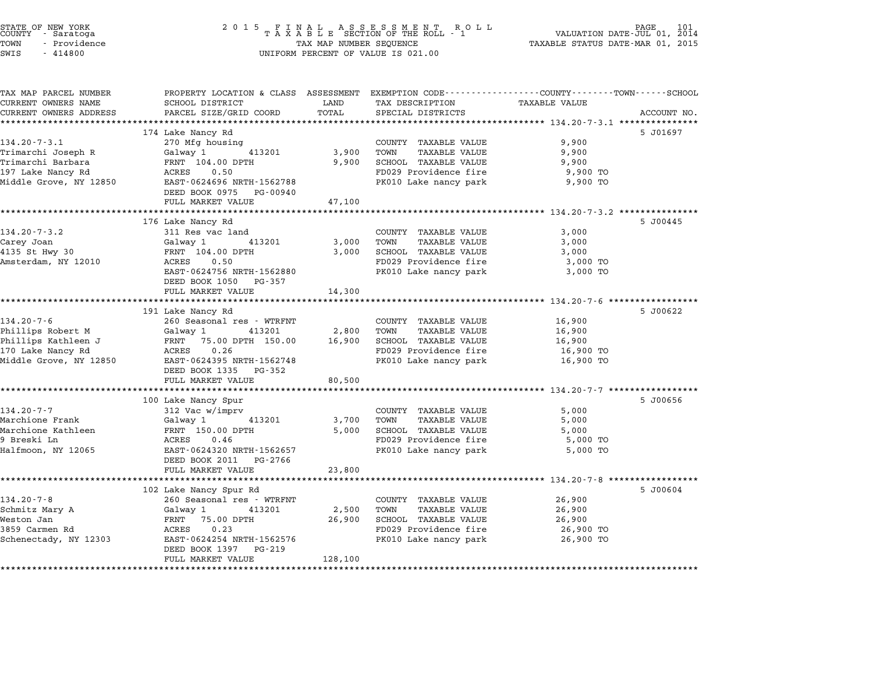| 2 0 1 5                                   | 101<br>PAGE<br>VALUATION DATE-JUL 01, 2014<br>TAXABLE STATUS DATE-MAR 01, 2015                                                                                                                                                                                                                                                                                                                                                                                                                                                        |                                                                              |                                                                                                                                                                                                                                                                                                                                                                                                |                                                                                                                                                                                                                                                                                                                                                                                                                                                                                           |
|-------------------------------------------|---------------------------------------------------------------------------------------------------------------------------------------------------------------------------------------------------------------------------------------------------------------------------------------------------------------------------------------------------------------------------------------------------------------------------------------------------------------------------------------------------------------------------------------|------------------------------------------------------------------------------|------------------------------------------------------------------------------------------------------------------------------------------------------------------------------------------------------------------------------------------------------------------------------------------------------------------------------------------------------------------------------------------------|-------------------------------------------------------------------------------------------------------------------------------------------------------------------------------------------------------------------------------------------------------------------------------------------------------------------------------------------------------------------------------------------------------------------------------------------------------------------------------------------|
| SCHOOL DISTRICT<br>PARCEL SIZE/GRID COORD | LAND<br>TOTAL                                                                                                                                                                                                                                                                                                                                                                                                                                                                                                                         | TAX DESCRIPTION<br>SPECIAL DISTRICTS                                         | TAXABLE VALUE                                                                                                                                                                                                                                                                                                                                                                                  | ACCOUNT NO.                                                                                                                                                                                                                                                                                                                                                                                                                                                                               |
|                                           |                                                                                                                                                                                                                                                                                                                                                                                                                                                                                                                                       |                                                                              |                                                                                                                                                                                                                                                                                                                                                                                                | 5 J01697                                                                                                                                                                                                                                                                                                                                                                                                                                                                                  |
|                                           |                                                                                                                                                                                                                                                                                                                                                                                                                                                                                                                                       |                                                                              |                                                                                                                                                                                                                                                                                                                                                                                                |                                                                                                                                                                                                                                                                                                                                                                                                                                                                                           |
| Galway 1<br>413201                        | 3,900                                                                                                                                                                                                                                                                                                                                                                                                                                                                                                                                 | TOWN<br><b>TAXABLE VALUE</b>                                                 | 9,900                                                                                                                                                                                                                                                                                                                                                                                          |                                                                                                                                                                                                                                                                                                                                                                                                                                                                                           |
| FRNT 104.00 DPTH                          | 9,900                                                                                                                                                                                                                                                                                                                                                                                                                                                                                                                                 | SCHOOL TAXABLE VALUE                                                         | 9,900                                                                                                                                                                                                                                                                                                                                                                                          |                                                                                                                                                                                                                                                                                                                                                                                                                                                                                           |
| ACRES<br>0.50                             |                                                                                                                                                                                                                                                                                                                                                                                                                                                                                                                                       | FD029 Providence fire                                                        | 9,900 TO                                                                                                                                                                                                                                                                                                                                                                                       |                                                                                                                                                                                                                                                                                                                                                                                                                                                                                           |
|                                           |                                                                                                                                                                                                                                                                                                                                                                                                                                                                                                                                       |                                                                              |                                                                                                                                                                                                                                                                                                                                                                                                |                                                                                                                                                                                                                                                                                                                                                                                                                                                                                           |
|                                           |                                                                                                                                                                                                                                                                                                                                                                                                                                                                                                                                       |                                                                              |                                                                                                                                                                                                                                                                                                                                                                                                |                                                                                                                                                                                                                                                                                                                                                                                                                                                                                           |
|                                           |                                                                                                                                                                                                                                                                                                                                                                                                                                                                                                                                       |                                                                              |                                                                                                                                                                                                                                                                                                                                                                                                |                                                                                                                                                                                                                                                                                                                                                                                                                                                                                           |
| 176 Lake Nancy Rd                         |                                                                                                                                                                                                                                                                                                                                                                                                                                                                                                                                       |                                                                              |                                                                                                                                                                                                                                                                                                                                                                                                | 5 J00445                                                                                                                                                                                                                                                                                                                                                                                                                                                                                  |
| 311 Res vac land                          |                                                                                                                                                                                                                                                                                                                                                                                                                                                                                                                                       | COUNTY TAXABLE VALUE                                                         | 3,000                                                                                                                                                                                                                                                                                                                                                                                          |                                                                                                                                                                                                                                                                                                                                                                                                                                                                                           |
| Galway 1<br>413201                        | 3,000                                                                                                                                                                                                                                                                                                                                                                                                                                                                                                                                 | TOWN<br>TAXABLE VALUE                                                        | 3,000                                                                                                                                                                                                                                                                                                                                                                                          |                                                                                                                                                                                                                                                                                                                                                                                                                                                                                           |
| FRNT 104.00 DPTH                          | 3,000                                                                                                                                                                                                                                                                                                                                                                                                                                                                                                                                 | SCHOOL TAXABLE VALUE                                                         | 3,000                                                                                                                                                                                                                                                                                                                                                                                          |                                                                                                                                                                                                                                                                                                                                                                                                                                                                                           |
| ACRES                                     |                                                                                                                                                                                                                                                                                                                                                                                                                                                                                                                                       |                                                                              | 3,000 TO                                                                                                                                                                                                                                                                                                                                                                                       |                                                                                                                                                                                                                                                                                                                                                                                                                                                                                           |
|                                           |                                                                                                                                                                                                                                                                                                                                                                                                                                                                                                                                       |                                                                              |                                                                                                                                                                                                                                                                                                                                                                                                |                                                                                                                                                                                                                                                                                                                                                                                                                                                                                           |
|                                           |                                                                                                                                                                                                                                                                                                                                                                                                                                                                                                                                       |                                                                              |                                                                                                                                                                                                                                                                                                                                                                                                |                                                                                                                                                                                                                                                                                                                                                                                                                                                                                           |
|                                           |                                                                                                                                                                                                                                                                                                                                                                                                                                                                                                                                       |                                                                              |                                                                                                                                                                                                                                                                                                                                                                                                |                                                                                                                                                                                                                                                                                                                                                                                                                                                                                           |
| 191 Lake Nancy Rd                         |                                                                                                                                                                                                                                                                                                                                                                                                                                                                                                                                       |                                                                              |                                                                                                                                                                                                                                                                                                                                                                                                | 5 J00622                                                                                                                                                                                                                                                                                                                                                                                                                                                                                  |
| 260 Seasonal res - WTRFNT                 |                                                                                                                                                                                                                                                                                                                                                                                                                                                                                                                                       | COUNTY TAXABLE VALUE                                                         | 16,900                                                                                                                                                                                                                                                                                                                                                                                         |                                                                                                                                                                                                                                                                                                                                                                                                                                                                                           |
| Galway 1<br>413201                        | 2,800                                                                                                                                                                                                                                                                                                                                                                                                                                                                                                                                 | TOWN<br><b>TAXABLE VALUE</b>                                                 | 16,900                                                                                                                                                                                                                                                                                                                                                                                         |                                                                                                                                                                                                                                                                                                                                                                                                                                                                                           |
|                                           |                                                                                                                                                                                                                                                                                                                                                                                                                                                                                                                                       |                                                                              |                                                                                                                                                                                                                                                                                                                                                                                                |                                                                                                                                                                                                                                                                                                                                                                                                                                                                                           |
|                                           |                                                                                                                                                                                                                                                                                                                                                                                                                                                                                                                                       |                                                                              |                                                                                                                                                                                                                                                                                                                                                                                                |                                                                                                                                                                                                                                                                                                                                                                                                                                                                                           |
|                                           |                                                                                                                                                                                                                                                                                                                                                                                                                                                                                                                                       |                                                                              |                                                                                                                                                                                                                                                                                                                                                                                                |                                                                                                                                                                                                                                                                                                                                                                                                                                                                                           |
|                                           |                                                                                                                                                                                                                                                                                                                                                                                                                                                                                                                                       |                                                                              |                                                                                                                                                                                                                                                                                                                                                                                                |                                                                                                                                                                                                                                                                                                                                                                                                                                                                                           |
|                                           |                                                                                                                                                                                                                                                                                                                                                                                                                                                                                                                                       |                                                                              |                                                                                                                                                                                                                                                                                                                                                                                                |                                                                                                                                                                                                                                                                                                                                                                                                                                                                                           |
| 100 Lake Nancy Spur                       |                                                                                                                                                                                                                                                                                                                                                                                                                                                                                                                                       |                                                                              |                                                                                                                                                                                                                                                                                                                                                                                                | 5 J00656                                                                                                                                                                                                                                                                                                                                                                                                                                                                                  |
| 312 Vac w/imprv                           |                                                                                                                                                                                                                                                                                                                                                                                                                                                                                                                                       | COUNTY TAXABLE VALUE                                                         | 5,000                                                                                                                                                                                                                                                                                                                                                                                          |                                                                                                                                                                                                                                                                                                                                                                                                                                                                                           |
| 413201<br>Galway 1                        | 3,700                                                                                                                                                                                                                                                                                                                                                                                                                                                                                                                                 | TOWN<br><b>TAXABLE VALUE</b>                                                 | 5,000                                                                                                                                                                                                                                                                                                                                                                                          |                                                                                                                                                                                                                                                                                                                                                                                                                                                                                           |
|                                           |                                                                                                                                                                                                                                                                                                                                                                                                                                                                                                                                       |                                                                              |                                                                                                                                                                                                                                                                                                                                                                                                |                                                                                                                                                                                                                                                                                                                                                                                                                                                                                           |
|                                           |                                                                                                                                                                                                                                                                                                                                                                                                                                                                                                                                       |                                                                              |                                                                                                                                                                                                                                                                                                                                                                                                |                                                                                                                                                                                                                                                                                                                                                                                                                                                                                           |
|                                           |                                                                                                                                                                                                                                                                                                                                                                                                                                                                                                                                       |                                                                              |                                                                                                                                                                                                                                                                                                                                                                                                |                                                                                                                                                                                                                                                                                                                                                                                                                                                                                           |
|                                           |                                                                                                                                                                                                                                                                                                                                                                                                                                                                                                                                       |                                                                              |                                                                                                                                                                                                                                                                                                                                                                                                |                                                                                                                                                                                                                                                                                                                                                                                                                                                                                           |
| **********************                    |                                                                                                                                                                                                                                                                                                                                                                                                                                                                                                                                       |                                                                              |                                                                                                                                                                                                                                                                                                                                                                                                |                                                                                                                                                                                                                                                                                                                                                                                                                                                                                           |
| 102 Lake Nancy Spur Rd                    |                                                                                                                                                                                                                                                                                                                                                                                                                                                                                                                                       |                                                                              |                                                                                                                                                                                                                                                                                                                                                                                                | 5 J00604                                                                                                                                                                                                                                                                                                                                                                                                                                                                                  |
| 260 Seasonal res - WTRFNT                 |                                                                                                                                                                                                                                                                                                                                                                                                                                                                                                                                       | COUNTY TAXABLE VALUE                                                         | 26,900                                                                                                                                                                                                                                                                                                                                                                                         |                                                                                                                                                                                                                                                                                                                                                                                                                                                                                           |
| Galway 1<br>413201                        | 2,500                                                                                                                                                                                                                                                                                                                                                                                                                                                                                                                                 | TOWN<br><b>TAXABLE VALUE</b>                                                 | 26,900                                                                                                                                                                                                                                                                                                                                                                                         |                                                                                                                                                                                                                                                                                                                                                                                                                                                                                           |
|                                           |                                                                                                                                                                                                                                                                                                                                                                                                                                                                                                                                       |                                                                              |                                                                                                                                                                                                                                                                                                                                                                                                |                                                                                                                                                                                                                                                                                                                                                                                                                                                                                           |
|                                           |                                                                                                                                                                                                                                                                                                                                                                                                                                                                                                                                       |                                                                              |                                                                                                                                                                                                                                                                                                                                                                                                |                                                                                                                                                                                                                                                                                                                                                                                                                                                                                           |
|                                           |                                                                                                                                                                                                                                                                                                                                                                                                                                                                                                                                       |                                                                              |                                                                                                                                                                                                                                                                                                                                                                                                |                                                                                                                                                                                                                                                                                                                                                                                                                                                                                           |
| FULL MARKET VALUE                         |                                                                                                                                                                                                                                                                                                                                                                                                                                                                                                                                       |                                                                              |                                                                                                                                                                                                                                                                                                                                                                                                |                                                                                                                                                                                                                                                                                                                                                                                                                                                                                           |
|                                           |                                                                                                                                                                                                                                                                                                                                                                                                                                                                                                                                       |                                                                              |                                                                                                                                                                                                                                                                                                                                                                                                |                                                                                                                                                                                                                                                                                                                                                                                                                                                                                           |
|                                           | 174 Lake Nancy Rd<br>270 Mfg housing<br>EAST-0624696 NRTH-1562788<br>DEED BOOK 0975 PG-00940<br>FULL MARKET VALUE<br>0.50<br>EAST-0624756 NRTH-1562880<br>DEED BOOK 1050 PG-357<br>FULL MARKET VALUE<br>FRNT 75.00 DPTH 150.00<br>0.26<br>ACRES<br>EAST-0624395 NRTH-1562748<br>DEED BOOK 1335 PG-352<br>FULL MARKET VALUE<br>FRNT 150.00 DPTH<br>ACRES<br>0.46<br>EAST-0624320 NRTH-1562657<br>DEED BOOK 2011 PG-2766<br>FULL MARKET VALUE<br>FRNT 75.00 DPTH<br>ACRES<br>0.23<br>EAST-0624254 NRTH-1562576<br>DEED BOOK 1397 PG-219 | 47,100<br>14,300<br>16,900<br>80,500<br>5,000<br>23,800<br>26,900<br>128,100 | TAX MAP NUMBER SEQUENCE<br>UNIFORM PERCENT OF VALUE IS 021.00<br>COUNTY TAXABLE VALUE<br>PK010 Lake nancy park<br>FD029 Providence fire<br>PK010 Lake nancy park<br>SCHOOL TAXABLE VALUE<br>FD029 Providence fire<br>PK010 Lake nancy park<br>SCHOOL TAXABLE VALUE<br>FD029 Providence fire<br>PK010 Lake nancy park<br>SCHOOL TAXABLE VALUE<br>FD029 Providence fire<br>PK010 Lake nancy park | FINAL ASSESSMENT RO<br>TAXABLE SECTION OF THE ROLL - 1<br>R O L L<br>PROPERTY LOCATION & CLASS ASSESSMENT EXEMPTION CODE---------------COUNTY-------TOWN------SCHOOL<br>9,900<br>9,900 TO<br>3,000 TO<br>***************** 134.20-7-6 ******************<br>16,900<br>16,900 TO<br>16,900 TO<br>******************************** 134.20-7-7 *****************<br>5,000<br>5,000 TO<br>5,000 TO<br>********************* 134.20-7-8 ******************<br>26,900<br>26,900 TO<br>26,900 TO |

STATE OF NEW YORK <sup>2</sup> <sup>0</sup> <sup>1</sup> 5 F I N A L A S S E S S M E N T R O L L PAGE <sup>101</sup> COUNTY - Saratoga <sup>T</sup> <sup>A</sup> <sup>X</sup> <sup>A</sup> <sup>B</sup> <sup>L</sup> <sup>E</sup> SECTION OF THE ROLL - <sup>1</sup> VALUATION DATE-JUL 01, <sup>2014</sup>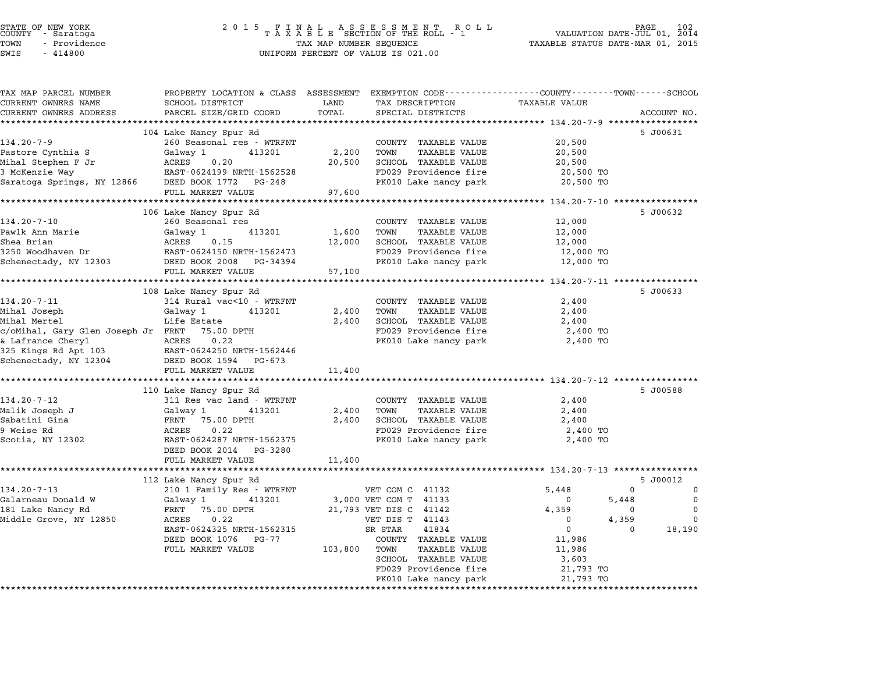# STATE OF NEW YORK <sup>2</sup> <sup>0</sup> <sup>1</sup> 5 F I N A L A S S E S S M E N T R O L L PAGE <sup>102</sup> COUNTY - Saratoga <sup>T</sup> <sup>A</sup> <sup>X</sup> <sup>A</sup> <sup>B</sup> <sup>L</sup> <sup>E</sup> SECTION OF THE ROLL - <sup>1</sup> VALUATION DATE-JUL 01, <sup>2014</sup> TOWN - Providence TAX MAP NUMBER SEQUENCE TAXABLE STATUS DATE-MAR 01, <sup>2015</sup> STATE OF NEW YORK<br>
COUNTY - Saratoga<br>
TOWN - Providence COUNTY - Providence COUNTY - Providence COUNTY - Providence<br>
TAX MAP NUMBER SEQUENCE<br>
SWIS - 414800 UNIFORM PERCENT OF VALUE IS 021.00

| TAX MAP PARCEL NUMBER  | PROPERTY LOCATION & CLASS ASSESSMENT EXEMPTION CODE----------------COUNTY-------TOWN------SCHOOL                                                                                                          |            |                                                                    |                                          |                            |
|------------------------|-----------------------------------------------------------------------------------------------------------------------------------------------------------------------------------------------------------|------------|--------------------------------------------------------------------|------------------------------------------|----------------------------|
| CURRENT OWNERS NAME    | SCHOOL DISTRICT                                                                                                                                                                                           | LAND       | TAX DESCRIPTION TAXABLE VALUE                                      |                                          |                            |
| CURRENT OWNERS ADDRESS | PARCEL SIZE/GRID COORD                                                                                                                                                                                    | TOTAL      | SPECIAL DISTRICTS                                                  |                                          | ACCOUNT NO.                |
|                        |                                                                                                                                                                                                           |            |                                                                    |                                          |                            |
|                        | 104 Lake Nancy Spur Rd                                                                                                                                                                                    |            |                                                                    |                                          | 5 J00631                   |
| $134.20 - 7 - 9$       | 260 Seasonal res - WTRFNT                                                                                                                                                                                 |            | COUNTY TAXABLE VALUE                                               | 20,500                                   |                            |
|                        |                                                                                                                                                                                                           | 2,200      | TOWN<br>TAXABLE VALUE                                              | 20,500                                   |                            |
|                        | Pastore Cynthia S Galway 1 413201 2,200<br>Mihal Stephen F Jr ACRES 0.20 20,500<br>3 McKenzie Way EAST-0624199 NRTH-1562528<br>Saratoga Springs, NY 12866 DEED BOOK 1772 PG-248                           |            | 20,500 SCHOOL TAXABLE VALUE                                        | 20,500                                   |                            |
|                        |                                                                                                                                                                                                           |            | FD029 Providence fire                                              | 20,500 TO                                |                            |
|                        |                                                                                                                                                                                                           |            | PK010 Lake nancy park                                              | 20,500 TO                                |                            |
|                        | FULL MARKET VALUE 97,600                                                                                                                                                                                  |            |                                                                    |                                          |                            |
|                        | 106 Lake Nancy Spur Rd                                                                                                                                                                                    |            |                                                                    |                                          | 5 J00632                   |
| $134.20 - 7 - 10$      | 260 Seasonal res                                                                                                                                                                                          |            | COUNTY TAXABLE VALUE                                               | 12,000                                   |                            |
|                        |                                                                                                                                                                                                           | 1,600      | TOWN<br>TAXABLE VALUE                                              | 12,000                                   |                            |
|                        |                                                                                                                                                                                                           | 12,000     | SCHOOL TAXABLE VALUE                                               | 12,000                                   |                            |
|                        |                                                                                                                                                                                                           |            | FD029 Providence fire                                              | 12,000 TO                                |                            |
|                        |                                                                                                                                                                                                           |            | PK010 Lake nancy park 12,000 TO                                    |                                          |                            |
|                        | FULL MARKET VALUE                                                                                                                                                                                         | 57,100     |                                                                    |                                          |                            |
|                        |                                                                                                                                                                                                           |            |                                                                    |                                          |                            |
|                        | 108 Lake Nancy Spur Rd                                                                                                                                                                                    |            |                                                                    |                                          | 5 J00633                   |
| 134.20-7-11            | 314 Rural vac<10 - WTRFNT                                                                                                                                                                                 |            | COUNTY TAXABLE VALUE                                               | 2,400                                    |                            |
| Mihal Joseph           | Galway 1 $413201$ $2,400$ TOWN                                                                                                                                                                            |            | TAXABLE VALUE                                                      | 2,400                                    |                            |
| Mihal Mertel           | Life Estate                                                                                                                                                                                               |            | 2,400 SCHOOL TAXABLE VALUE                                         | 2,400                                    |                            |
|                        |                                                                                                                                                                                                           |            |                                                                    | 2,400 TO                                 |                            |
|                        |                                                                                                                                                                                                           |            | FD029 Providence fire<br>PK010 Lake nancy park                     | 2,400 TO                                 |                            |
|                        |                                                                                                                                                                                                           |            |                                                                    |                                          |                            |
|                        | % c/oMihal, Gary Glen Joseph Jr FRNT 75.00 DPTH<br>& Lafrance Cheryl ACRES 0.22<br>325 Kings Rd Apt 103 EAST-0624250 NRTH-1562446<br>Schenectady, NY 12304 DEED BOOK 1594 PG-673                          |            |                                                                    |                                          |                            |
|                        | FULL MARKET VALUE                                                                                                                                                                                         | 11,400     |                                                                    |                                          |                            |
|                        |                                                                                                                                                                                                           |            |                                                                    |                                          |                            |
|                        | 110 Lake Nancy Spur Rd                                                                                                                                                                                    |            |                                                                    |                                          | 5 J00588                   |
| $134.20 - 7 - 12$      | 311 Res vac land - WTRFNT                                                                                                                                                                                 |            | COUNTY TAXABLE VALUE                                               | 2,400                                    |                            |
|                        | Malik Joseph J<br>Malik Joseph J<br>Sabatini Gina<br>9 Weise Rd<br>8 ACRES<br>22<br>Scotia, NY 12302<br>EARES 22<br>RES 0.22<br>EARES 2290<br>RES 0.22<br>EARES 2290<br>RES 0.22<br>EARES 229<br>RES 0.22 | 2,400 TOWN | TAXABLE VALUE                                                      | 2,400                                    |                            |
|                        |                                                                                                                                                                                                           | 2,400      | SCHOOL TAXABLE VALUE<br>FD029 Providence fire                      | 2,400                                    |                            |
|                        |                                                                                                                                                                                                           |            |                                                                    | 2,400 TO                                 |                            |
|                        |                                                                                                                                                                                                           |            | PK010 Lake nancy park                                              | 2,400 TO                                 |                            |
|                        | DEED BOOK 2014    PG-3280                                                                                                                                                                                 |            |                                                                    |                                          |                            |
|                        | FULL MARKET VALUE                                                                                                                                                                                         | 11,400     |                                                                    |                                          |                            |
|                        | 112 Lake Nancy Spur Rd                                                                                                                                                                                    |            |                                                                    |                                          | 5 J00012                   |
|                        |                                                                                                                                                                                                           |            |                                                                    |                                          | $\Omega$<br>$\mathbf 0$    |
|                        |                                                                                                                                                                                                           |            |                                                                    |                                          | 5,448<br>$\Omega$          |
| $134.20 - 7 - 13$      |                                                                                                                                                                                                           |            |                                                                    |                                          |                            |
|                        |                                                                                                                                                                                                           |            |                                                                    |                                          |                            |
| Galarneau Donald W     |                                                                                                                                                                                                           |            |                                                                    |                                          | $\Omega$<br>$\overline{0}$ |
|                        |                                                                                                                                                                                                           |            |                                                                    | $\begin{array}{c}0\\4,359\\0\end{array}$ | 4,359<br>$\Omega$          |
|                        | EAST-0624325 NRTH-1562315                                                                                                                                                                                 |            | 3,000 VET COM T 41133<br>21,793 VET DIS C 41142<br>VET DIS T 41143 | $\overline{0}$                           | 18,190<br>$\Omega$         |
|                        | DEED BOOK 1076 PG-77                                                                                                                                                                                      |            | COUNTY TAXABLE VALUE<br>TAXABLE VALUE                              | 11,986                                   |                            |
|                        | FULL MARKET VALUE 103,800 TOWN                                                                                                                                                                            |            | SCHOOL TAXABLE VALUE                                               | 11,986<br>3,603                          |                            |
|                        |                                                                                                                                                                                                           |            | FD029 Providence fire                                              | 21,793 TO                                |                            |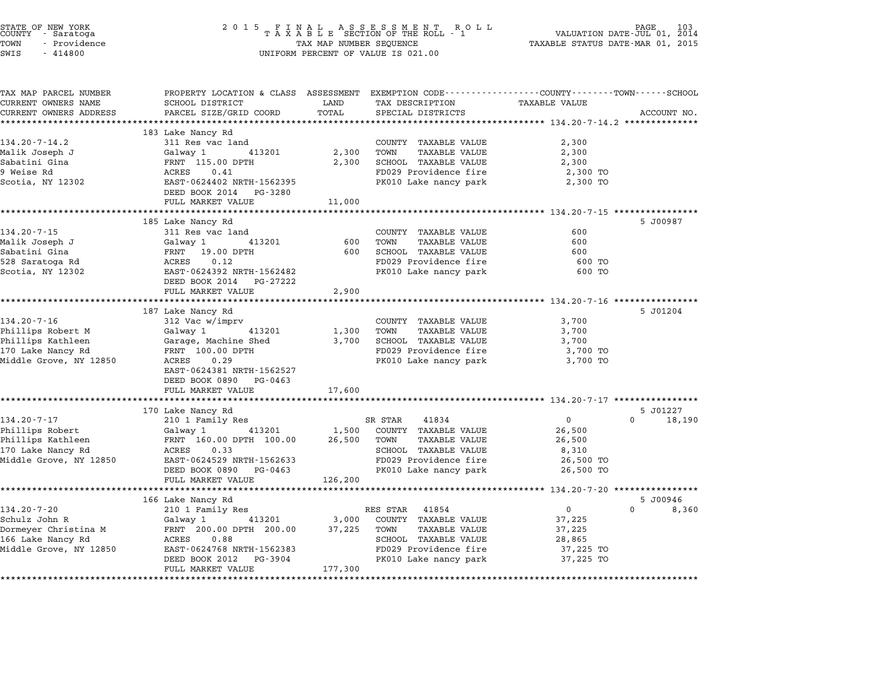| STATE OF NEW YORK<br>COUNTY - Saratoga<br>TOWN<br>- Providence<br>SWIS<br>$-414800$ | TAX MAP NUMBER SEQUENCE<br>UNIFORM PERCENT OF VALUE IS 021.00                                                     | TAXABLE STATUS DATE-MAR 01, 2015 | PAGE<br>VALUATION DATE-JUL 01, 2014                  |                                                    |                    |
|-------------------------------------------------------------------------------------|-------------------------------------------------------------------------------------------------------------------|----------------------------------|------------------------------------------------------|----------------------------------------------------|--------------------|
| TAX MAP PARCEL NUMBER<br>CURRENT OWNERS NAME                                        | PROPERTY LOCATION & CLASS ASSESSMENT EXEMPTION CODE---------------COUNTY-------TOWN-----SCHOOL<br>SCHOOL DISTRICT | LAND                             | TAX DESCRIPTION                                      | TAXABLE VALUE                                      |                    |
| CURRENT OWNERS ADDRESS                                                              | PARCEL SIZE/GRID COORD                                                                                            | TOTAL                            | SPECIAL DISTRICTS                                    |                                                    | ACCOUNT NO.        |
|                                                                                     |                                                                                                                   |                                  |                                                      |                                                    |                    |
|                                                                                     | 183 Lake Nancy Rd                                                                                                 |                                  |                                                      |                                                    |                    |
| $134.20 - 7 - 14.2$                                                                 | 311 Res vac land                                                                                                  |                                  | COUNTY TAXABLE VALUE                                 | 2,300                                              |                    |
| Malik Joseph J<br>Sabatini Gina                                                     | Galway 1<br>413201<br>FRNT 115.00 DPTH                                                                            | 2,300<br>2,300                   | TOWN<br><b>TAXABLE VALUE</b><br>SCHOOL TAXABLE VALUE | 2,300<br>2,300                                     |                    |
| 9 Weise Rd                                                                          | 0.41<br>ACRES                                                                                                     |                                  | FD029 Providence fire                                | 2,300 TO                                           |                    |
| Scotia, NY 12302                                                                    | EAST-0624402 NRTH-1562395<br>DEED BOOK 2014 PG-3280                                                               |                                  | PK010 Lake nancy park                                | 2,300 TO                                           |                    |
|                                                                                     | FULL MARKET VALUE                                                                                                 | 11,000                           |                                                      |                                                    |                    |
|                                                                                     |                                                                                                                   |                                  |                                                      |                                                    |                    |
| $134.20 - 7 - 15$                                                                   | 185 Lake Nancy Rd                                                                                                 |                                  | COUNTY TAXABLE VALUE                                 | 600                                                | 5 J00987           |
| Malik Joseph J                                                                      | 311 Res vac land<br>Galway 1<br>413201                                                                            | 600                              | TOWN<br><b>TAXABLE VALUE</b>                         | 600                                                |                    |
| Sabatini Gina                                                                       | FRNT 19.00 DPTH                                                                                                   | 600                              | SCHOOL TAXABLE VALUE                                 | 600                                                |                    |
| 528 Saratoga Rd                                                                     | ACRES<br>0.12                                                                                                     |                                  | FD029 Providence fire                                | 600 TO                                             |                    |
| Scotia, NY 12302                                                                    | EAST-0624392 NRTH-1562482<br>DEED BOOK 2014 PG-27222                                                              |                                  | PK010 Lake nancy park                                | 600 TO                                             |                    |
|                                                                                     | FULL MARKET VALUE                                                                                                 | 2,900                            |                                                      |                                                    |                    |
|                                                                                     | 187 Lake Nancy Rd                                                                                                 |                                  |                                                      | *************** 134.20-7-16 ************           | 5 J01204           |
| $134.20 - 7 - 16$                                                                   | 312 Vac w/imprv                                                                                                   |                                  | COUNTY TAXABLE VALUE                                 | 3,700                                              |                    |
| Phillips Robert M                                                                   | Galway 1<br>413201                                                                                                | 1,300                            | TOWN<br>TAXABLE VALUE                                | 3,700                                              |                    |
| Phillips Kathleen                                                                   | Garage, Machine Shed                                                                                              | 3,700                            | SCHOOL TAXABLE VALUE                                 | 3,700                                              |                    |
| 170 Lake Nancy Rd                                                                   | FRNT 100.00 DPTH                                                                                                  |                                  | FD029 Providence fire                                | 3,700 TO                                           |                    |
| Middle Grove, NY 12850                                                              | ACRES<br>0.29                                                                                                     |                                  | PK010 Lake nancy park                                | 3,700 TO                                           |                    |
|                                                                                     | EAST-0624381 NRTH-1562527                                                                                         |                                  |                                                      |                                                    |                    |
|                                                                                     | DEED BOOK 0890 PG-0463                                                                                            |                                  |                                                      |                                                    |                    |
|                                                                                     | FULL MARKET VALUE                                                                                                 | 17,600<br>*********              |                                                      | ********************* 134.20-7-17 **************** |                    |
|                                                                                     | 170 Lake Nancy Rd                                                                                                 |                                  |                                                      |                                                    | 5 J01227           |
| $134.20 - 7 - 17$                                                                   | 210 1 Family Res                                                                                                  |                                  | SR STAR<br>41834                                     | $\mathbf{0}$                                       | $\Omega$<br>18,190 |
| Phillips Robert                                                                     | Galway 1<br>413201                                                                                                | 1,500                            | COUNTY TAXABLE VALUE                                 | 26,500                                             |                    |
| Phillips Kathleen                                                                   | FRNT 160.00 DPTH 100.00                                                                                           | 26,500                           | TOWN<br>TAXABLE VALUE                                | 26,500                                             |                    |
| 170 Lake Nancy Rd                                                                   | ACRES<br>0.33                                                                                                     |                                  | SCHOOL TAXABLE VALUE                                 | 8,310                                              |                    |
| Middle Grove, NY 12850                                                              | EAST-0624529 NRTH-1562633                                                                                         |                                  | FD029 Providence fire                                | 26,500 TO                                          |                    |
|                                                                                     | DEED BOOK 0890 PG-0463<br>FULL MARKET VALUE                                                                       | 126,200                          | PK010 Lake nancy park                                | 26,500 TO                                          |                    |
|                                                                                     |                                                                                                                   |                                  |                                                      |                                                    |                    |
|                                                                                     | 166 Lake Nancy Rd                                                                                                 |                                  |                                                      |                                                    | 5 J00946           |
| $134.20 - 7 - 20$                                                                   | 210 1 Family Res                                                                                                  |                                  | RES STAR<br>41854                                    | $\overline{0}$                                     | $\Omega$<br>8,360  |
| Schulz John R                                                                       | 413201<br>Galway 1                                                                                                | 3,000                            | COUNTY TAXABLE VALUE                                 | 37,225                                             |                    |
| Dormeyer Christina M                                                                | FRNT 200.00 DPTH 200.00                                                                                           | 37,225                           | TOWN<br>TAXABLE VALUE                                | 37,225                                             |                    |
| 166 Lake Nancy Rd                                                                   | ACRES<br>0.88                                                                                                     |                                  | SCHOOL TAXABLE VALUE                                 | 28,865                                             |                    |
| Middle Grove, NY 12850                                                              | EAST-0624768 NRTH-1562383                                                                                         |                                  | FD029 Providence fire                                | 37,225 TO                                          |                    |
|                                                                                     | DEED BOOK 2012<br>PG-3904                                                                                         |                                  | PK010 Lake nancy park                                | 37,225 TO                                          |                    |
|                                                                                     | FULL MARKET VALUE                                                                                                 | 177,300                          |                                                      |                                                    |                    |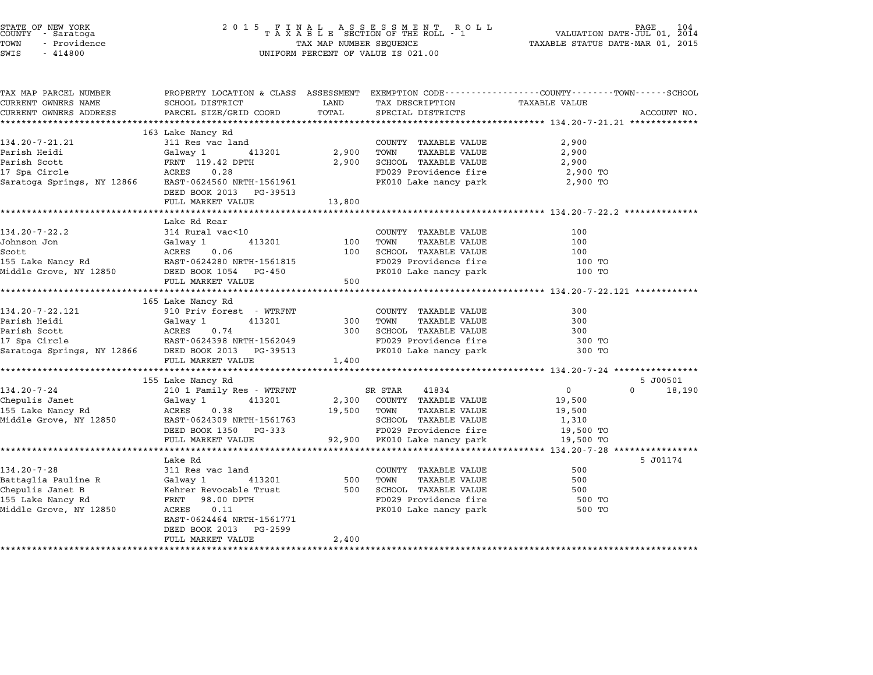| STATE OF NEW YORK<br>COUNTY - Saratoga<br>TOWN<br>- Providence<br>SWIS<br>$-414800$ | 2 0 1 5                                        | TAX MAP NUMBER SEQUENCE | FINAL ASSESSMENT ROLL<br>TAXABLE SECTION OF THE ROLL - 1<br>UNIFORM PERCENT OF VALUE IS 021.00 | PAGE<br>VALUATION DATE-JUL 01, 2014<br>TAXABLE STATUS DATE-MAR 01, 2015                                         |
|-------------------------------------------------------------------------------------|------------------------------------------------|-------------------------|------------------------------------------------------------------------------------------------|-----------------------------------------------------------------------------------------------------------------|
| TAX MAP PARCEL NUMBER<br>CURRENT OWNERS NAME                                        | SCHOOL DISTRICT                                | LAND                    | TAX DESCRIPTION                                                                                | PROPERTY LOCATION & CLASS ASSESSMENT EXEMPTION CODE---------------COUNTY-------TOWN-----SCHOOL<br>TAXABLE VALUE |
| CURRENT OWNERS ADDRESS                                                              | PARCEL SIZE/GRID COORD                         | TOTAL                   | SPECIAL DISTRICTS                                                                              | ACCOUNT NO.                                                                                                     |
|                                                                                     |                                                |                         |                                                                                                |                                                                                                                 |
| 134.20-7-21.21                                                                      | 163 Lake Nancy Rd                              |                         |                                                                                                |                                                                                                                 |
| Parish Heidi                                                                        | 311 Res vac land<br>Galway 1<br>413201         | 2,900                   | COUNTY TAXABLE VALUE<br>TOWN<br>TAXABLE VALUE                                                  | 2,900<br>2,900                                                                                                  |
| Parish Scott                                                                        | FRNT 119.42 DPTH                               | 2,900                   | SCHOOL TAXABLE VALUE                                                                           | 2,900                                                                                                           |
| 17 Spa Circle                                                                       | 0.28<br>ACRES                                  |                         | FD029 Providence fire                                                                          | 2,900 TO                                                                                                        |
| Saratoga Springs, NY 12866                                                          | EAST-0624560 NRTH-1561961                      |                         | PK010 Lake nancy park                                                                          | 2,900 TO                                                                                                        |
|                                                                                     | DEED BOOK 2013 PG-39513                        |                         |                                                                                                |                                                                                                                 |
|                                                                                     | FULL MARKET VALUE                              | 13,800                  |                                                                                                |                                                                                                                 |
|                                                                                     |                                                |                         |                                                                                                |                                                                                                                 |
|                                                                                     | Lake Rd Rear                                   |                         |                                                                                                |                                                                                                                 |
| $134.20 - 7 - 22.2$                                                                 | 314 Rural vac<10                               |                         | COUNTY TAXABLE VALUE                                                                           | 100                                                                                                             |
| Johnson Jon                                                                         | Galway 1<br>413201                             | 100                     | TOWN<br><b>TAXABLE VALUE</b>                                                                   | 100<br>100                                                                                                      |
| Scott<br>155 Lake Nancy Rd                                                          | ACRES<br>0.06<br>EAST-0624280 NRTH-1561815     | 100                     | SCHOOL TAXABLE VALUE<br>FD029 Providence fire                                                  | 100 TO                                                                                                          |
| Middle Grove, NY 12850                                                              | DEED BOOK 1054 PG-450                          |                         | PK010 Lake nancy park                                                                          | 100 TO                                                                                                          |
|                                                                                     | FULL MARKET VALUE                              | 500                     |                                                                                                |                                                                                                                 |
|                                                                                     |                                                |                         |                                                                                                |                                                                                                                 |
|                                                                                     | 165 Lake Nancy Rd                              |                         |                                                                                                |                                                                                                                 |
| 134.20-7-22.121                                                                     | 910 Priv forest - WTRFNT                       |                         | COUNTY TAXABLE VALUE                                                                           | 300                                                                                                             |
| Parish Heidi                                                                        | Galway 1<br>413201                             | 300                     | TAXABLE VALUE<br>TOWN                                                                          | 300                                                                                                             |
| Parish Scott                                                                        | 0.74<br>ACRES                                  | 300                     | SCHOOL TAXABLE VALUE                                                                           | 300                                                                                                             |
| 17 Spa Circle                                                                       | EAST-0624398 NRTH-1562049                      |                         | FD029 Providence fire                                                                          | 300 TO                                                                                                          |
| Saratoga Springs, NY 12866                                                          | DEED BOOK 2013 PG-39513                        |                         | PK010 Lake nancy park                                                                          | 300 TO                                                                                                          |
|                                                                                     | FULL MARKET VALUE                              | 1,400                   |                                                                                                |                                                                                                                 |
|                                                                                     |                                                |                         |                                                                                                |                                                                                                                 |
| 134.20-7-24                                                                         | 155 Lake Nancy Rd<br>210 1 Family Res - WTRFNT |                         | SR STAR<br>41834                                                                               | 5 J00501<br>$\overline{0}$<br>$\Omega$<br>18,190                                                                |
| Chepulis Janet                                                                      | 413201<br>Galway 1                             | 2,300                   | COUNTY TAXABLE VALUE                                                                           | 19,500                                                                                                          |
| 155 Lake Nancy Rd                                                                   | ACRES<br>0.38                                  | 19,500                  | TOWN<br><b>TAXABLE VALUE</b>                                                                   | 19,500                                                                                                          |
| Middle Grove, NY 12850                                                              | EAST-0624309 NRTH-1561763                      |                         | SCHOOL TAXABLE VALUE                                                                           | 1,310                                                                                                           |
|                                                                                     | DEED BOOK 1350 PG-333                          |                         | FD029 Providence fire                                                                          | 19,500 TO                                                                                                       |
|                                                                                     | FULL MARKET VALUE                              |                         | 92,900 PK010 Lake nancy park                                                                   | 19,500 TO                                                                                                       |
|                                                                                     | *********************                          |                         |                                                                                                |                                                                                                                 |
|                                                                                     | Lake Rd                                        |                         |                                                                                                | 5 J01174                                                                                                        |
| $134.20 - 7 - 28$                                                                   | 311 Res vac land                               |                         | COUNTY TAXABLE VALUE                                                                           | 500                                                                                                             |
| Battaglia Pauline R                                                                 | Galway 1<br>413201                             | 500                     | <b>TAXABLE VALUE</b><br>TOWN                                                                   | 500                                                                                                             |
| Chepulis Janet B                                                                    | Kehrer Revocable Trust                         | 500                     | SCHOOL TAXABLE VALUE                                                                           | 500                                                                                                             |
| 155 Lake Nancy Rd                                                                   | FRNT 98.00 DPTH                                |                         | FD029 Providence fire                                                                          | 500 TO                                                                                                          |
| Middle Grove, NY 12850                                                              | ACRES<br>0.11<br>EAST-0624464 NRTH-1561771     |                         | PK010 Lake nancy park                                                                          | 500 TO                                                                                                          |
|                                                                                     | DEED BOOK 2013<br>PG-2599                      |                         |                                                                                                |                                                                                                                 |
|                                                                                     | FULL MARKET VALUE                              | 2,400                   |                                                                                                |                                                                                                                 |
|                                                                                     |                                                |                         |                                                                                                |                                                                                                                 |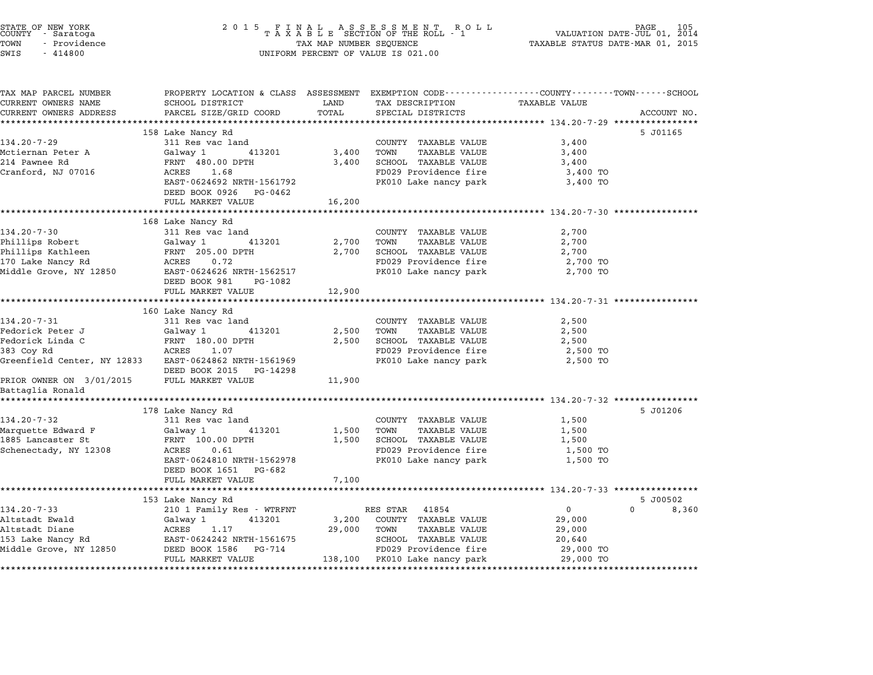| STATE OF NEW YORK<br>COUNTY – Saratoga<br>TOWN<br>– Providence<br>SWIS<br>$-414800$ | TAX MAP NUMBER SEQUENCE<br>UNIFORM PERCENT OF VALUE IS 021.00                                                                               | PAGE 105 PAGE 105 PAGE 105 PAGE 105<br>TAXABLE SECTION OF THE ROLL - 1 VALUATION DATE-JUL 01, 2014<br>TAXABLE STATUS DATE-MAR 01, 2015 |                                      |                                                              |                            |
|-------------------------------------------------------------------------------------|---------------------------------------------------------------------------------------------------------------------------------------------|----------------------------------------------------------------------------------------------------------------------------------------|--------------------------------------|--------------------------------------------------------------|----------------------------|
| TAX MAP PARCEL NUMBER<br>CURRENT OWNERS NAME<br>CURRENT OWNERS ADDRESS              | PROPERTY LOCATION & CLASS ASSESSMENT EXEMPTION CODE---------------COUNTY-------TOWN-----SCHOOL<br>SCHOOL DISTRICT<br>PARCEL SIZE/GRID COORD | LAND<br>TOTAL                                                                                                                          | TAX DESCRIPTION<br>SPECIAL DISTRICTS | TAXABLE VALUE                                                | ACCOUNT NO.                |
|                                                                                     |                                                                                                                                             |                                                                                                                                        |                                      |                                                              |                            |
|                                                                                     | 158 Lake Nancy Rd                                                                                                                           |                                                                                                                                        |                                      |                                                              | 5 J01165                   |
| 134.20-7-29                                                                         | 311 Res vac land                                                                                                                            |                                                                                                                                        | COUNTY TAXABLE VALUE                 | 3,400                                                        |                            |
| Mctiernan Peter A                                                                   | Galway 1 413201                                                                                                                             | 3,400                                                                                                                                  | TOWN<br>TAXABLE VALUE                | 3,400                                                        |                            |
| 214 Pawnee Rd                                                                       | FRNT 480.00 DPTH                                                                                                                            | 3,400                                                                                                                                  | SCHOOL TAXABLE VALUE                 | 3,400                                                        |                            |
| Cranford, NJ 07016                                                                  | ACRES<br>1.68                                                                                                                               |                                                                                                                                        | FD029 Providence fire                | 3,400 TO                                                     |                            |
|                                                                                     | EAST-0624692 NRTH-1561792                                                                                                                   |                                                                                                                                        | PK010 Lake nancy park                | 3,400 TO                                                     |                            |
|                                                                                     | DEED BOOK 0926 PG-0462                                                                                                                      |                                                                                                                                        |                                      |                                                              |                            |
|                                                                                     | FULL MARKET VALUE                                                                                                                           | 16,200                                                                                                                                 |                                      |                                                              |                            |
|                                                                                     | 168 Lake Nancy Rd                                                                                                                           |                                                                                                                                        |                                      |                                                              |                            |
| $134.20 - 7 - 30$                                                                   | 311 Res vac land                                                                                                                            |                                                                                                                                        | COUNTY TAXABLE VALUE                 | 2,700                                                        |                            |
| Phillips Robert                                                                     | Galway 1 413201                                                                                                                             | 2,700                                                                                                                                  | TOWN<br>TAXABLE VALUE                | 2,700                                                        |                            |
| Phillips Kathleen                                                                   | FRNT 205.00 DPTH                                                                                                                            | 2,700                                                                                                                                  | SCHOOL TAXABLE VALUE                 | 2,700                                                        |                            |
| 170 Lake Nancy Rd                                                                   | ACRES 0.72                                                                                                                                  |                                                                                                                                        | FD029 Providence fire                | 2,700 TO                                                     |                            |
| 170 Lake Nancy Ru<br>Middle Grove, NY 12850                                         | EAST-0624626 NRTH-1562517                                                                                                                   |                                                                                                                                        | PK010 Lake nancy park                | 2,700 TO                                                     |                            |
|                                                                                     | DEED BOOK 981<br>PG-1082                                                                                                                    |                                                                                                                                        |                                      |                                                              |                            |
|                                                                                     | FULL MARKET VALUE                                                                                                                           | 12,900                                                                                                                                 |                                      |                                                              |                            |
|                                                                                     |                                                                                                                                             |                                                                                                                                        |                                      |                                                              |                            |
|                                                                                     | 160 Lake Nancy Rd                                                                                                                           |                                                                                                                                        |                                      |                                                              |                            |
| $134.20 - 7 - 31$                                                                   | 311 Res vac land                                                                                                                            |                                                                                                                                        | COUNTY TAXABLE VALUE                 | 2,500                                                        |                            |
| Fedorick Peter J                                                                    | Galway 1 413201                                                                                                                             | 2,500                                                                                                                                  | TAXABLE VALUE<br>TOWN                | 2,500                                                        |                            |
| Fedorick Linda C                                                                    | FRNT 180.00 DPTH                                                                                                                            | 2,500                                                                                                                                  | SCHOOL TAXABLE VALUE                 | 2,500                                                        |                            |
| 383 Coy Rd                                                                          | ACRES<br>1.07                                                                                                                               |                                                                                                                                        | FD029 Providence fire                | 2,500 TO                                                     |                            |
| Greenfield Center, NY 12833                                                         | EAST-0624862 NRTH-1561969                                                                                                                   |                                                                                                                                        | PK010 Lake nancy park                | 2,500 TO                                                     |                            |
|                                                                                     | DEED BOOK 2015 PG-14298                                                                                                                     |                                                                                                                                        |                                      |                                                              |                            |
| PRIOR OWNER ON 3/01/2015                                                            | FULL MARKET VALUE                                                                                                                           | 11,900                                                                                                                                 |                                      |                                                              |                            |
| Battaglia Ronald                                                                    |                                                                                                                                             |                                                                                                                                        |                                      |                                                              |                            |
|                                                                                     |                                                                                                                                             |                                                                                                                                        |                                      |                                                              |                            |
| 134.20-7-32                                                                         | 178 Lake Nancy Rd<br>311 Res vac land                                                                                                       |                                                                                                                                        | COUNTY TAXABLE VALUE                 | 1,500                                                        | 5 J01206                   |
| Marquette Edward F                                                                  | 413201                                                                                                                                      | 1,500                                                                                                                                  | TOWN<br>TAXABLE VALUE                | 1,500                                                        |                            |
| 1885 Lancaster St                                                                   | Galway 1<br>FRNT 100.00 DPTH                                                                                                                | 1,500                                                                                                                                  | SCHOOL TAXABLE VALUE                 | 1,500                                                        |                            |
| Schenectady, NY 12308                                                               | ACRES 0.61                                                                                                                                  |                                                                                                                                        | FD029 Providence fire                | 1,500 TO                                                     |                            |
|                                                                                     | EAST-0624810 NRTH-1562978                                                                                                                   |                                                                                                                                        | PK010 Lake nancy park                | 1,500 TO                                                     |                            |
|                                                                                     | DEED BOOK 1651 PG-682                                                                                                                       |                                                                                                                                        |                                      |                                                              |                            |
|                                                                                     | FULL MARKET VALUE                                                                                                                           | 7,100                                                                                                                                  |                                      |                                                              |                            |
|                                                                                     |                                                                                                                                             | ***************                                                                                                                        |                                      | ******************************* 134.20-7-33 **************** |                            |
|                                                                                     | 153 Lake Nancy Rd                                                                                                                           |                                                                                                                                        |                                      |                                                              | 5 J00502                   |
| $134.20 - 7 - 33$                                                                   | 210 1 Family Res - WTRFNT                                                                                                                   |                                                                                                                                        | RES STAR 41854                       | $\overline{0}$                                               | $0 \qquad \qquad$<br>8,360 |
| Altstadt Ewald                                                                      | 413201<br>Galway 1                                                                                                                          | 3,200                                                                                                                                  | COUNTY TAXABLE VALUE                 | 29,000                                                       |                            |
| Altstadt Diane                                                                      | ACRES<br>1.17                                                                                                                               | 29,000                                                                                                                                 | TOWN<br>TAXABLE VALUE                | 29,000                                                       |                            |
| 153 Lake Nancy Rd                                                                   | EAST-0624242 NRTH-1561675                                                                                                                   |                                                                                                                                        | SCHOOL TAXABLE VALUE                 | 20,640                                                       |                            |
| Middle Grove, NY 12850                                                              | DEED BOOK 1586 PG-714                                                                                                                       |                                                                                                                                        | FD029 Providence fire                | 29,000 TO                                                    |                            |
|                                                                                     |                                                                                                                                             |                                                                                                                                        |                                      |                                                              |                            |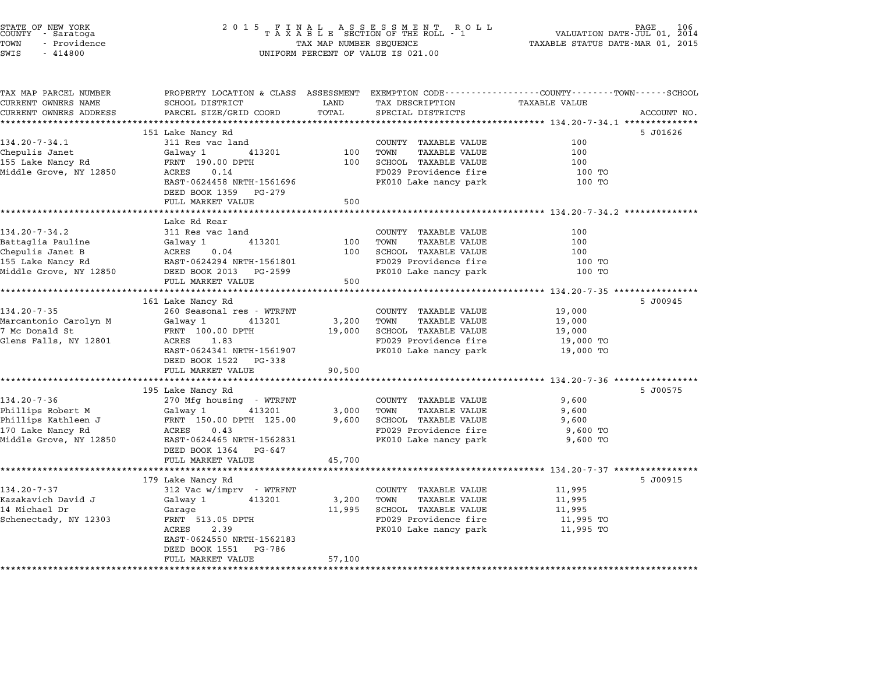| STATE OF NEW YORK<br>COUNTY<br>- Saratoga<br>TOWN<br>- Providence<br>SWIS<br>$-414800$ | 2 0 1 5<br>FINAL ASSESSMENT RO<br>TAXABLE SECTION OF THE ROLL - 1<br>TAX MAP NUMBER SEQUENCE<br>UNIFORM PERCENT OF VALUE IS 021.00          | 106<br>PAGE<br>VALUATION DATE-JUL 01, 2014<br>TAXABLE STATUS DATE-MAR 01, 2015 |                                                                |                                                         |             |
|----------------------------------------------------------------------------------------|---------------------------------------------------------------------------------------------------------------------------------------------|--------------------------------------------------------------------------------|----------------------------------------------------------------|---------------------------------------------------------|-------------|
| TAX MAP PARCEL NUMBER<br>CURRENT OWNERS NAME<br>CURRENT OWNERS ADDRESS                 | PROPERTY LOCATION & CLASS ASSESSMENT EXEMPTION CODE---------------COUNTY-------TOWN-----SCHOOL<br>SCHOOL DISTRICT<br>PARCEL SIZE/GRID COORD | LAND<br>TOTAL                                                                  | TAX DESCRIPTION<br>SPECIAL DISTRICTS                           | TAXABLE VALUE                                           | ACCOUNT NO. |
|                                                                                        | ************************<br>151 Lake Nancy Rd                                                                                               | **************                                                                 | ********************************* 134.20-7-34.1 ************** |                                                         | 5 J01626    |
| $134.20 - 7 - 34.1$                                                                    | 311 Res vac land                                                                                                                            |                                                                                | COUNTY TAXABLE VALUE                                           | 100                                                     |             |
| Chepulis Janet                                                                         | Galway 1<br>413201                                                                                                                          | 100                                                                            | TOWN<br><b>TAXABLE VALUE</b>                                   | 100                                                     |             |
| 155 Lake Nancy Rd                                                                      | FRNT 190.00 DPTH                                                                                                                            | 100                                                                            | SCHOOL TAXABLE VALUE                                           | 100                                                     |             |
| Middle Grove, NY 12850                                                                 | ACRES<br>0.14<br>EAST-0624458 NRTH-1561696<br>DEED BOOK 1359 PG-279                                                                         |                                                                                | FD029 Providence fire<br>PK010 Lake nancy park                 | 100 TO<br>100 TO                                        |             |
|                                                                                        | FULL MARKET VALUE                                                                                                                           | 500                                                                            |                                                                |                                                         |             |
|                                                                                        |                                                                                                                                             |                                                                                |                                                                | ************************* 134.20-7-34.2 *************   |             |
|                                                                                        | Lake Rd Rear                                                                                                                                |                                                                                |                                                                |                                                         |             |
| $134.20 - 7 - 34.2$                                                                    | 311 Res vac land<br>413201                                                                                                                  | 100                                                                            | COUNTY TAXABLE VALUE<br>TOWN<br><b>TAXABLE VALUE</b>           | 100<br>100                                              |             |
| Battaglia Pauline<br>Chepulis Janet B                                                  | Galway 1<br>ACRES<br>0.04                                                                                                                   | 100                                                                            | SCHOOL TAXABLE VALUE                                           | 100                                                     |             |
| 155 Lake Nancy Rd                                                                      | EAST-0624294 NRTH-1561801                                                                                                                   |                                                                                | FD029 Providence fire                                          | 100 TO                                                  |             |
| Middle Grove, NY 12850                                                                 | DEED BOOK 2013 PG-2599                                                                                                                      |                                                                                | PK010 Lake nancy park                                          | 100 TO                                                  |             |
|                                                                                        | FULL MARKET VALUE                                                                                                                           | 500                                                                            |                                                                |                                                         |             |
|                                                                                        | ***************                                                                                                                             | *********                                                                      |                                                                | ******** 134.20-7-35 *********                          |             |
|                                                                                        | 161 Lake Nancy Rd                                                                                                                           |                                                                                |                                                                |                                                         | 5 J00945    |
| $134.20 - 7 - 35$<br>Marcantonio Carolyn M                                             | 260 Seasonal res - WTRFNT<br>Galway 1<br>413201                                                                                             | 3,200                                                                          | COUNTY TAXABLE VALUE<br>TOWN<br>TAXABLE VALUE                  | 19,000<br>19,000                                        |             |
| 7 Mc Donald St                                                                         | FRNT 100.00 DPTH                                                                                                                            | 19,000                                                                         | SCHOOL TAXABLE VALUE                                           | 19,000                                                  |             |
| Glens Falls, NY 12801                                                                  | ACRES<br>1.83                                                                                                                               |                                                                                | FD029 Providence fire                                          | 19,000 TO                                               |             |
|                                                                                        | EAST-0624341 NRTH-1561907<br>DEED BOOK 1522 PG-338                                                                                          |                                                                                | PK010 Lake nancy park                                          | 19,000 TO                                               |             |
|                                                                                        | FULL MARKET VALUE                                                                                                                           | 90,500                                                                         |                                                                | ************************* 134.20-7-36 ***************** |             |
|                                                                                        | 195 Lake Nancy Rd                                                                                                                           |                                                                                |                                                                |                                                         | 5 J00575    |
| $134.20 - 7 - 36$                                                                      | 270 Mfg housing - WTRFNT                                                                                                                    |                                                                                | COUNTY TAXABLE VALUE                                           | 9,600                                                   |             |
| Phillips Robert M                                                                      | Galway 1<br>413201                                                                                                                          | 3,000                                                                          | TOWN<br><b>TAXABLE VALUE</b>                                   | 9,600                                                   |             |
| Phillips Kathleen J                                                                    | FRNT 150.00 DPTH 125.00                                                                                                                     | 9,600                                                                          | SCHOOL TAXABLE VALUE                                           | 9,600                                                   |             |
| 170 Lake Nancy Rd                                                                      | ACRES<br>0.43                                                                                                                               |                                                                                | FD029 Providence fire                                          | 9,600 TO                                                |             |
| Middle Grove, NY 12850                                                                 | EAST-0624465 NRTH-1562831<br>DEED BOOK 1364 PG-647<br>FULL MARKET VALUE                                                                     | 45,700                                                                         | PK010 Lake nancy park                                          | 9,600 TO                                                |             |
|                                                                                        |                                                                                                                                             |                                                                                |                                                                | ******** 134.20-7-37 ****************                   |             |
|                                                                                        | 179 Lake Nancy Rd                                                                                                                           |                                                                                |                                                                |                                                         | 5 J00915    |
| 134.20-7-37                                                                            | 312 Vac w/imprv - WTRFNT                                                                                                                    |                                                                                | COUNTY TAXABLE VALUE                                           | 11,995                                                  |             |
| Kazakavich David J                                                                     | 413201<br>Galway 1                                                                                                                          | 3,200                                                                          | TOWN<br><b>TAXABLE VALUE</b>                                   | 11,995                                                  |             |
| 14 Michael Dr                                                                          | Garage                                                                                                                                      | 11,995                                                                         | SCHOOL TAXABLE VALUE                                           | 11,995                                                  |             |
| Schenectady, NY 12303                                                                  | FRNT 513.05 DPTH<br>2.39<br>ACRES                                                                                                           |                                                                                | FD029 Providence fire                                          | 11,995 TO                                               |             |
|                                                                                        | EAST-0624550 NRTH-1562183<br>DEED BOOK 1551<br>PG-786                                                                                       |                                                                                | PK010 Lake nancy park                                          | 11,995 TO                                               |             |
|                                                                                        | FULL MARKET VALUE                                                                                                                           | 57,100                                                                         |                                                                |                                                         |             |

STATE OF NEW YORK <sup>2</sup> <sup>0</sup> <sup>1</sup> 5 F I N A L A S S E S S M E N T R O L L PAGE <sup>106</sup> COUNTY - Saratoga <sup>T</sup> <sup>A</sup> <sup>X</sup> <sup>A</sup> <sup>B</sup> <sup>L</sup> <sup>E</sup> SECTION OF THE ROLL - <sup>1</sup> VALUATION DATE-JUL 01, <sup>2014</sup>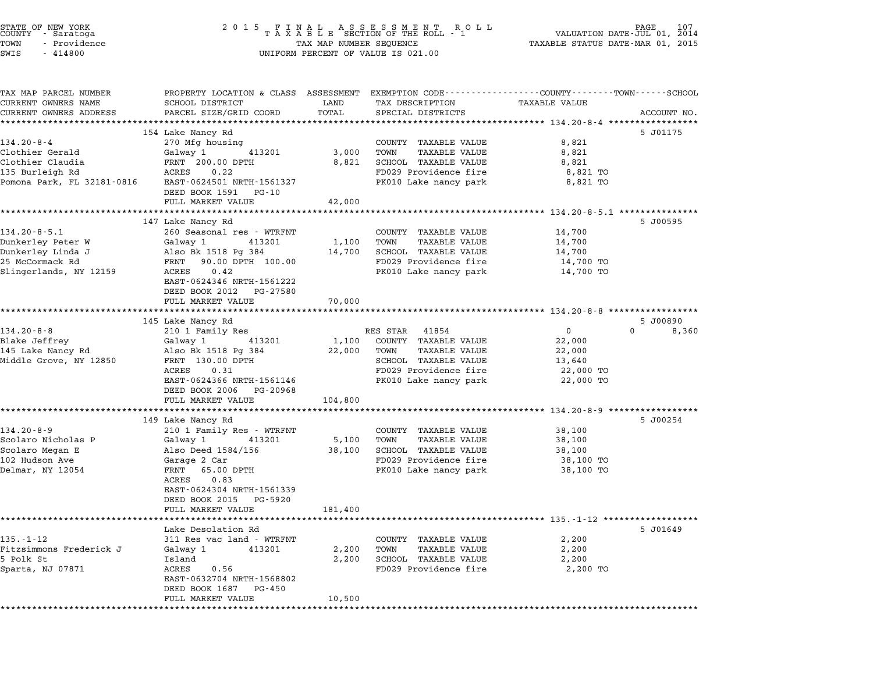| STATE OF NEW YORK<br>COUNTY - Saratoga<br>TOWN<br>- Providence<br>SWIS<br>$-414800$                       | 2015 FINAL ASSESSMENT ROLL<br>TAXABLE SECTION OF THE ROLL - 1<br>TAX MAP NUMBER SEQUENCE<br>TAX MAP NUMBER SEQUENCE<br>UNIFORM PERCENT OF VALUE IS 021.00                                                   | 107<br>PAGE<br>VALUATION DATE-JUL 01, 2014<br>TAXABLE STATUS DATE-MAR 01, 2015 |                                                                                                                                                  |                                                                        |                                   |
|-----------------------------------------------------------------------------------------------------------|-------------------------------------------------------------------------------------------------------------------------------------------------------------------------------------------------------------|--------------------------------------------------------------------------------|--------------------------------------------------------------------------------------------------------------------------------------------------|------------------------------------------------------------------------|-----------------------------------|
| TAX MAP PARCEL NUMBER<br>CURRENT OWNERS NAME<br>CURRENT OWNERS ADDRESS                                    | PROPERTY LOCATION & CLASS ASSESSMENT EXEMPTION CODE---------------COUNTY------TOWN------SCHOOL<br>SCHOOL DISTRICT<br>PARCEL SIZE/GRID COORD<br>**************************                                   | LAND<br>TOTAL                                                                  | TAX DESCRIPTION<br>SPECIAL DISTRICTS                                                                                                             | TAXABLE VALUE                                                          | ACCOUNT NO.                       |
| $134.20 - 8 - 4$<br>Clothier Gerald<br>Clothier Claudia<br>135 Burleigh Rd<br>Pomona Park, FL 32181-0816  | 154 Lake Nancy Rd<br>270 Mfg housing<br>Galway 1<br>413201<br>FRNT 200.00 DPTH<br>ACRES<br>0.22<br>EAST-0624501 NRTH-1561327                                                                                | 3,000<br>8,821                                                                 | COUNTY TAXABLE VALUE<br>TOWN<br>TAXABLE VALUE<br>SCHOOL TAXABLE VALUE<br>FD029 Providence fire<br>PK010 Lake nancy park                          | 8,821<br>8,821<br>8,821<br>8,821 TO<br>8,821 TO                        | 5 J01175                          |
|                                                                                                           | DEED BOOK 1591 PG-10<br>FULL MARKET VALUE<br>147 Lake Nancy Rd                                                                                                                                              | 42,000                                                                         |                                                                                                                                                  |                                                                        | 5 J00595                          |
| $134.20 - 8 - 5.1$<br>Dunkerley Peter W<br>Dunkerley Linda J<br>25 McCormack Rd<br>Slingerlands, NY 12159 | 260 Seasonal res - WTRFNT<br>Galway 1<br>413201<br>Also Bk 1518 Pg 384<br>FRNT 90.00 DPTH 100.00<br>ACRES<br>0.42<br>EAST-0624346 NRTH-1561222<br>DEED BOOK 2012 PG-27580                                   | 1,100<br>14,700                                                                | COUNTY TAXABLE VALUE<br>TOWN<br>TAXABLE VALUE<br>SCHOOL TAXABLE VALUE<br>FD029 Providence fire<br>PK010 Lake nancy park                          | 14,700<br>14,700<br>14,700<br>14,700 TO<br>14,700 TO                   |                                   |
|                                                                                                           | FULL MARKET VALUE                                                                                                                                                                                           | 70,000                                                                         |                                                                                                                                                  |                                                                        |                                   |
| $134.20 - 8 - 8$<br>Blake Jeffrey<br>145 Lake Nancy Rd<br>Middle Grove, NY 12850                          | 145 Lake Nancy Rd<br>210 1 Family Res<br>Galway 1<br>413201<br>Also Bk 1518 Pg 384<br>FRNT 130.00 DPTH<br>ACRES<br>0.31<br>EAST-0624366 NRTH-1561146<br>DEED BOOK 2006<br>PG-20968                          | 1,100<br>22,000                                                                | RES STAR 41854<br>COUNTY TAXABLE VALUE<br>TOWN<br><b>TAXABLE VALUE</b><br>SCHOOL TAXABLE VALUE<br>FD029 Providence fire<br>PK010 Lake nancy park | $\overline{0}$<br>22,000<br>22,000<br>13,640<br>22,000 TO<br>22,000 TO | 5 J00890<br>$\mathbf{0}$<br>8,360 |
|                                                                                                           | FULL MARKET VALUE                                                                                                                                                                                           | 104,800                                                                        |                                                                                                                                                  |                                                                        |                                   |
| $134.20 - 8 - 9$<br>Scolaro Nicholas P<br>Scolaro Megan E<br>102 Hudson Ave<br>Delmar, NY 12054           | 149 Lake Nancy Rd<br>210 1 Family Res - WTRFNT<br>Galway 1<br>413201<br>Also Deed 1584/156<br>Garage 2 Car<br>FRNT<br>65.00 DPTH<br>ACRES<br>0.83<br>EAST-0624304 NRTH-1561339<br>DEED BOOK 2015<br>PG-5920 | 5,100<br>38,100                                                                | COUNTY TAXABLE VALUE<br>TOWN<br>TAXABLE VALUE<br>SCHOOL TAXABLE VALUE<br>FD029 Providence fire<br>PK010 Lake nancy park                          | 38,100<br>38,100<br>38,100<br>38,100 TO<br>38,100 TO                   | 5 J00254                          |
|                                                                                                           | FULL MARKET VALUE                                                                                                                                                                                           | 181,400                                                                        |                                                                                                                                                  | ********************** 135.-1-12 *******************                   |                                   |
| $135. - 1 - 12$<br>Fitzsimmons Frederick J<br>5 Polk St<br>Sparta, NJ 07871                               | Lake Desolation Rd<br>311 Res vac land - WTRFNT<br>Galway 1<br>413201<br>Island<br>ACRES<br>0.56<br>EAST-0632704 NRTH-1568802<br>DEED BOOK 1687 PG-450<br>FULL MARKET VALUE                                 | 2,200<br>2,200<br>10,500                                                       | COUNTY TAXABLE VALUE<br>TOWN<br>TAXABLE VALUE<br>SCHOOL TAXABLE VALUE<br>FD029 Providence fire                                                   | 2,200<br>2,200<br>2,200<br>2,200 TO                                    | 5 J01649                          |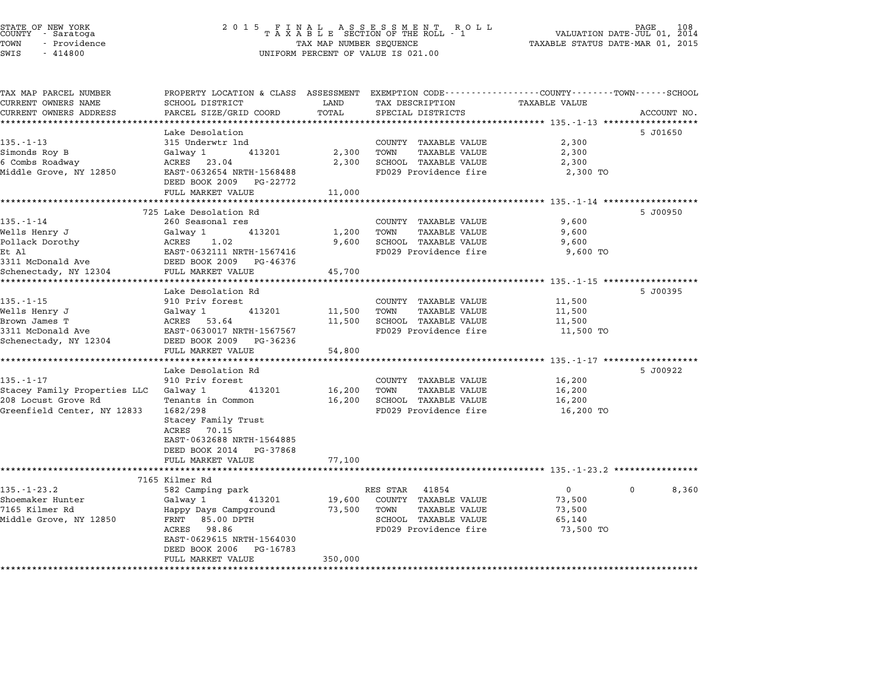| TAX MAP PARCEL NUMBER<br>CURRENT OWNERS NAME | PROPERTY LOCATION & CLASS ASSESSMENT EXEMPTION CODE---------------COUNTY-------TOWN------SCHOOL<br>SCHOOL DISTRICT | LAND             | TAX DESCRIPTION                                      | <b>TAXABLE VALUE</b>                               |                       |
|----------------------------------------------|--------------------------------------------------------------------------------------------------------------------|------------------|------------------------------------------------------|----------------------------------------------------|-----------------------|
| CURRENT OWNERS ADDRESS                       | PARCEL SIZE/GRID COORD                                                                                             | TOTAL            | SPECIAL DISTRICTS                                    |                                                    | ACCOUNT NO.           |
|                                              |                                                                                                                    |                  |                                                      |                                                    |                       |
|                                              | Lake Desolation                                                                                                    |                  |                                                      |                                                    | 5 J01650              |
| $135. - 1 - 13$                              | 315 Underwtr 1nd                                                                                                   |                  | COUNTY TAXABLE VALUE                                 | 2,300                                              |                       |
| Simonds Roy B                                | Galwav 1<br>413201                                                                                                 | 2,300            | TOWN<br><b>TAXABLE VALUE</b>                         | 2,300                                              |                       |
| 6 Combs Roadway                              | ACRES 23.04                                                                                                        | 2,300            | SCHOOL TAXABLE VALUE                                 | 2,300                                              |                       |
| Middle Grove, NY 12850                       | EAST-0632654 NRTH-1568488<br>DEED BOOK 2009 PG-22772                                                               |                  | FD029 Providence fire                                | 2,300 TO                                           |                       |
|                                              | FULL MARKET VALUE                                                                                                  | 11,000           |                                                      |                                                    |                       |
|                                              |                                                                                                                    | *********        |                                                      | *********** 135.-1-14 **************               |                       |
| $135. - 1 - 14$                              | 725 Lake Desolation Rd<br>260 Seasonal res                                                                         |                  |                                                      |                                                    | 5 J00950              |
|                                              |                                                                                                                    | 1,200            | COUNTY TAXABLE VALUE                                 | 9,600                                              |                       |
| Wells Henry J<br>Pollack Dorothy             | Galway 1<br>413201<br>ACRES<br>1.02                                                                                | 9,600            | TOWN<br><b>TAXABLE VALUE</b><br>SCHOOL TAXABLE VALUE | 9,600<br>9,600                                     |                       |
| Et Al                                        | EAST-0632111 NRTH-1567416                                                                                          |                  | FD029 Providence fire                                | 9,600 TO                                           |                       |
| 3311 McDonald Ave                            | DEED BOOK 2009 PG-46376                                                                                            |                  |                                                      |                                                    |                       |
| Schenectady, NY 12304                        | FULL MARKET VALUE                                                                                                  | 45,700           |                                                      |                                                    |                       |
|                                              |                                                                                                                    | **************** |                                                      | ******************** 135.-1-15 ******************* |                       |
|                                              | Lake Desolation Rd                                                                                                 |                  |                                                      |                                                    | 5 J00395              |
| $135. - 1 - 15$                              | 910 Priv forest                                                                                                    |                  | COUNTY TAXABLE VALUE                                 | 11,500                                             |                       |
| Wells Henry J                                | Galway 1<br>413201                                                                                                 | 11,500           | TOWN<br><b>TAXABLE VALUE</b>                         | 11,500                                             |                       |
| Brown James T                                | ACRES 53.64                                                                                                        | 11,500           | SCHOOL TAXABLE VALUE                                 | 11,500                                             |                       |
| 3311 McDonald Ave                            | EAST-0630017 NRTH-1567567                                                                                          |                  | FD029 Providence fire                                | 11,500 TO                                          |                       |
| Schenectady, NY 12304                        | DEED BOOK 2009<br>PG-36236                                                                                         |                  |                                                      |                                                    |                       |
|                                              | FULL MARKET VALUE                                                                                                  | 54,800           |                                                      |                                                    |                       |
|                                              |                                                                                                                    |                  |                                                      |                                                    |                       |
|                                              | Lake Desolation Rd                                                                                                 |                  |                                                      |                                                    | 5 J00922              |
| $135. - 1 - 17$                              | 910 Priv forest                                                                                                    |                  | COUNTY TAXABLE VALUE                                 | 16,200                                             |                       |
| Stacey Family Properties LLC Galway 1        | 413201                                                                                                             | 16,200           | TOWN<br><b>TAXABLE VALUE</b>                         | 16,200                                             |                       |
| 208 Locust Grove Rd                          | Tenants in Common                                                                                                  | 16,200           | SCHOOL TAXABLE VALUE                                 | 16,200                                             |                       |
| Greenfield Center, NY 12833                  | 1682/298<br>Stacey Family Trust<br>ACRES<br>70.15                                                                  |                  | FD029 Providence fire                                | 16,200 TO                                          |                       |
|                                              | EAST-0632688 NRTH-1564885                                                                                          |                  |                                                      |                                                    |                       |
|                                              | DEED BOOK 2014 PG-37868                                                                                            |                  |                                                      |                                                    |                       |
|                                              | FULL MARKET VALUE                                                                                                  | 77,100           |                                                      |                                                    |                       |
|                                              |                                                                                                                    |                  |                                                      |                                                    |                       |
|                                              | 7165 Kilmer Rd                                                                                                     |                  |                                                      |                                                    |                       |
| $135. - 1 - 23.2$                            | 582 Camping park                                                                                                   |                  | RES STAR<br>41854                                    | $\overline{0}$                                     | $\mathbf{0}$<br>8,360 |
| Shoemaker Hunter                             | 413201<br>Galway 1                                                                                                 | 19,600           | COUNTY TAXABLE VALUE                                 | 73,500                                             |                       |
| 7165 Kilmer Rd                               | Happy Days Campground                                                                                              | 73,500           | TOWN<br><b>TAXABLE VALUE</b>                         | 73,500                                             |                       |
| Middle Grove, NY 12850                       | FRNT<br>85.00 DPTH                                                                                                 |                  | SCHOOL TAXABLE VALUE                                 | 65,140                                             |                       |
|                                              | ACRES 98.86                                                                                                        |                  | FD029 Providence fire                                | 73,500 TO                                          |                       |
|                                              | EAST-0629615 NRTH-1564030                                                                                          |                  |                                                      |                                                    |                       |
|                                              | DEED BOOK 2006<br>PG-16783                                                                                         |                  |                                                      |                                                    |                       |
|                                              | FULL MARKET VALUE                                                                                                  | 350,000          |                                                      |                                                    |                       |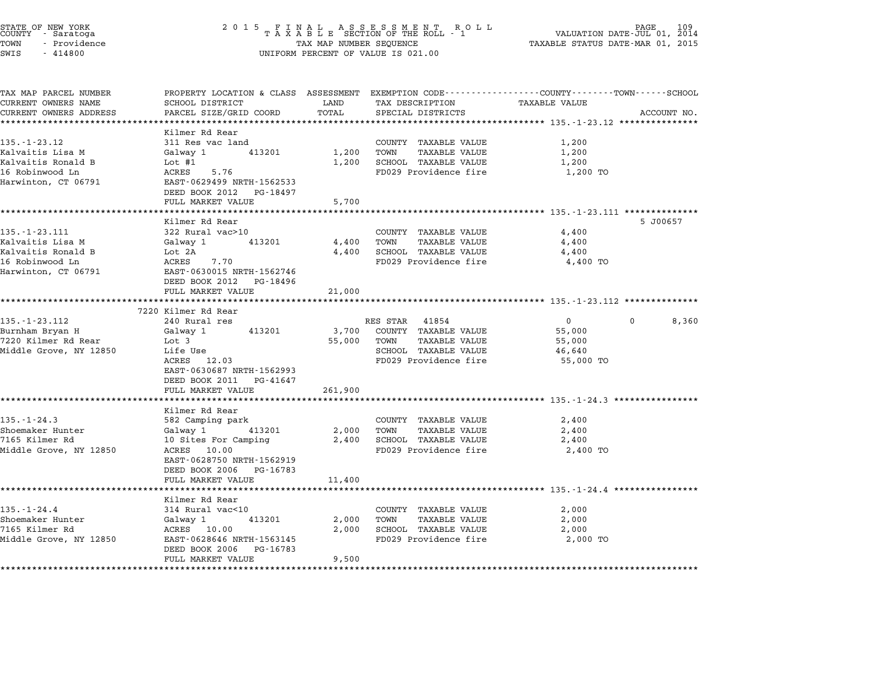| STATE OF NEW YORK<br>COUNTY – Saratoga<br>TOWN<br>- Providence<br>SWIS<br>$-414800$                     | 2 0 1 5                                                                                                                                                                                                                                  | TAX MAP NUMBER SEQUENCE             | UNIFORM PERCENT OF VALUE IS 021.00                                                                                                     | VALUATION DATE-JUL 01, 2014<br>TAXABLE STATUS DATE-MAR 01, 2015                                           | PAGE<br>109 |
|---------------------------------------------------------------------------------------------------------|------------------------------------------------------------------------------------------------------------------------------------------------------------------------------------------------------------------------------------------|-------------------------------------|----------------------------------------------------------------------------------------------------------------------------------------|-----------------------------------------------------------------------------------------------------------|-------------|
| TAX MAP PARCEL NUMBER<br>CURRENT OWNERS NAME<br>CURRENT OWNERS ADDRESS<br>**********************        | SCHOOL DISTRICT<br>PARCEL SIZE/GRID COORD<br>**********************                                                                                                                                                                      | LAND<br>TOTAL                       | PROPERTY LOCATION & CLASS ASSESSMENT EXEMPTION CODE---------------COUNTY-------TOWN-----SCHOOL<br>TAX DESCRIPTION<br>SPECIAL DISTRICTS | <b>TAXABLE VALUE</b>                                                                                      | ACCOUNT NO. |
| $135. - 1 - 23.12$<br>Kalvaitis Lisa M<br>Kalvaitis Ronald B<br>16 Robinwood Ln<br>Harwinton, CT 06791  | Kilmer Rd Rear<br>311 Res vac land<br>Galway 1<br>413201<br>Lot $#1$<br>ACRES<br>5.76<br>EAST-0629499 NRTH-1562533<br>DEED BOOK 2012<br>PG-18497<br>FULL MARKET VALUE                                                                    | 1,200<br>1,200<br>5,700             | COUNTY TAXABLE VALUE<br>TOWN<br>TAXABLE VALUE<br>SCHOOL TAXABLE VALUE<br>FD029 Providence fire                                         | 1,200<br>1,200<br>1,200<br>1,200 TO                                                                       |             |
| $135. - 1 - 23.111$<br>Kalvaitis Lisa M<br>Kalvaitis Ronald B<br>16 Robinwood Ln<br>Harwinton, CT 06791 | *****************<br>Kilmer Rd Rear<br>322 Rural vac>10<br>413201<br>Galway 1<br>Lot 2A<br>ACRES<br>7.70<br>EAST-0630015 NRTH-1562746<br>DEED BOOK 2012<br>PG-18496<br>FULL MARKET VALUE                                                 | 4,400<br>4,400<br>21,000            | COUNTY TAXABLE VALUE<br>TOWN<br><b>TAXABLE VALUE</b><br>SCHOOL TAXABLE VALUE<br>FD029 Providence fire                                  | 4,400<br>4,400<br>4,400<br>4,400 TO                                                                       | 5 J00657    |
| 135.-1-23.112<br>Burnham Bryan H<br>7220 Kilmer Rd Rear<br>Middle Grove, NY 12850                       | 7220 Kilmer Rd Rear<br>240 Rural res<br>413201<br>Galway 1<br>Lot 3<br>Life Use<br>ACRES 12.03<br>EAST-0630687 NRTH-1562993<br>DEED BOOK 2011 PG-41647                                                                                   | 3,700<br>55,000                     | RES STAR<br>41854<br>COUNTY TAXABLE VALUE<br>TOWN<br>TAXABLE VALUE<br>SCHOOL TAXABLE VALUE<br>FD029 Providence fire                    | $\mathbf{0}$<br>55,000<br>55,000<br>46,640<br>55,000 TO                                                   | 8,360       |
| $135. - 1 - 24.3$<br>Shoemaker Hunter<br>7165 Kilmer Rd<br>Middle Grove, NY 12850                       | FULL MARKET VALUE<br>* * * * * * * * * * * * * * * * * *<br>Kilmer Rd Rear<br>582 Camping park<br>Galway 1<br>413201<br>10 Sites For Camping<br>ACRES 10.00<br>EAST-0628750 NRTH-1562919<br>DEED BOOK 2006 PG-16783<br>FULL MARKET VALUE | 261,900<br>2,000<br>2,400<br>11,400 | COUNTY TAXABLE VALUE<br>TOWN<br><b>TAXABLE VALUE</b><br>SCHOOL TAXABLE VALUE<br>FD029 Providence fire                                  | ******************************** 135.-1-24.3 **************<br>2,400<br>2,400<br>2,400<br>2,400 TO        |             |
| $135. - 1 - 24.4$<br>Shoemaker Hunter<br>7165 Kilmer Rd<br>Middle Grove, NY 12850                       | ******************<br>Kilmer Rd Rear<br>314 Rural vac<10<br>413201<br>Galway 1<br>ACRES 10.00<br>EAST-0628646 NRTH-1563145<br>DEED BOOK 2006 PG-16783<br>FULL MARKET VALUE                                                               | 2,000<br>2,000<br>9,500             | COUNTY TAXABLE VALUE<br>TOWN<br>TAXABLE VALUE<br>SCHOOL TAXABLE VALUE<br>FD029 Providence fire                                         | ************************************ 135.-1-24.4 *****************<br>2,000<br>2,000<br>2,000<br>2,000 TO |             |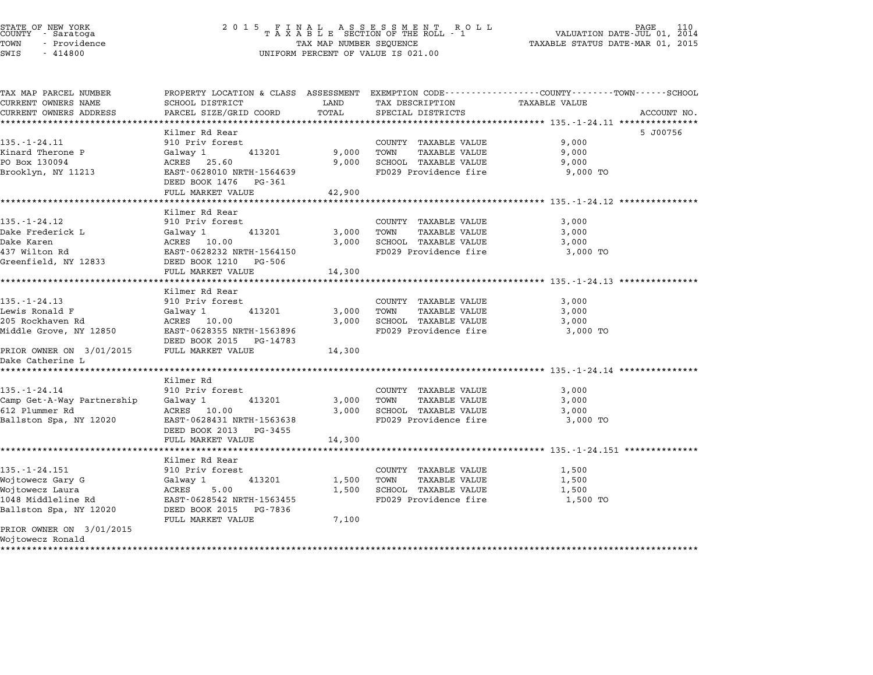STATE OF NEW YORK <sup>2</sup> <sup>0</sup> <sup>1</sup> 5 F I N A L A S S E S S M E N T R O L L PAGE <sup>110</sup> COUNTY - Saratoga <sup>T</sup> <sup>A</sup> <sup>X</sup> <sup>A</sup> <sup>B</sup> <sup>L</sup> <sup>E</sup> SECTION OF THE ROLL - <sup>1</sup> VALUATION DATE-JUL 01, <sup>2014</sup> TOWN - Providence TAX MAP NUMBER SEQUENCE TAXABLE STATUS DATE-MAR 01, <sup>2015</sup> STATE OF NEW YORK STATE OF NEW YORK COUNTY - SATATOGRAPH SAMPLINE TO A SAMPLINE TO A SAMPLINE ROLL TO A SAMPLINE ROLL TO A SAMPLINE SECTION OF THE ROLL TO A SAMPLINE SEQUENCE TO A SAMPLINE SEQUENCE TO A LA SAMPLINE SEQUENC

| TAX MAP PARCEL NUMBER                                          | PROPERTY LOCATION & CLASS ASSESSMENT               |        |                            | EXEMPTION CODE-----------------COUNTY-------TOWN-----SCHOOL |  |
|----------------------------------------------------------------|----------------------------------------------------|--------|----------------------------|-------------------------------------------------------------|--|
| CURRENT OWNERS NAME                                            | SCHOOL DISTRICT                                    | LAND   | TAX DESCRIPTION            | <b>TAXABLE VALUE</b>                                        |  |
| CURRENT OWNERS ADDRESS                                         | PARCEL SIZE/GRID COORD                             | TOTAL  | SPECIAL DISTRICTS          | ACCOUNT NO.                                                 |  |
|                                                                |                                                    |        |                            |                                                             |  |
|                                                                | Kilmer Rd Rear                                     |        |                            | 5 J00756                                                    |  |
| $135. - 1 - 24.11$                                             | 910 Priv forest                                    |        | COUNTY TAXABLE VALUE       | 9,000                                                       |  |
| Kinard Therone P                                               | Galway 1<br>413201                                 | 9,000  | TOWN<br>TAXABLE VALUE      | 9,000                                                       |  |
| PO Box 130094                                                  | ACRES 25.60                                        |        | 9,000 SCHOOL TAXABLE VALUE | 9,000                                                       |  |
| Brooklyn, NY 11213                                             | EAST-0628010 NRTH-1564639<br>DEED BOOK 1476 PG-361 |        | FD029 Providence fire      | 9,000 TO                                                    |  |
|                                                                | FULL MARKET VALUE                                  | 42,900 |                            |                                                             |  |
|                                                                |                                                    |        |                            |                                                             |  |
|                                                                | Kilmer Rd Rear                                     |        |                            |                                                             |  |
| $135. - 1 - 24.12$                                             | 910 Priv forest                                    |        | COUNTY TAXABLE VALUE       | 3,000                                                       |  |
| Dake Frederick L                                               | 413201<br>Galway 1                                 | 3,000  | TOWN<br>TAXABLE VALUE      | 3,000                                                       |  |
| Dake Karen                                                     | ACRES 10.00                                        | 3,000  | SCHOOL TAXABLE VALUE       | 3,000                                                       |  |
| 437 Wilton Rd                                                  | EAST-0628232 NRTH-1564150                          |        | FD029 Providence fire      | 3,000 TO                                                    |  |
| Greenfield, NY 12833                                           | DEED BOOK 1210 PG-506                              |        |                            |                                                             |  |
|                                                                | FULL MARKET VALUE                                  | 14,300 |                            |                                                             |  |
|                                                                |                                                    |        |                            |                                                             |  |
|                                                                | Kilmer Rd Rear                                     |        |                            |                                                             |  |
| $135. - 1 - 24.13$                                             | 910 Priv forest                                    |        | COUNTY TAXABLE VALUE       | 3,000                                                       |  |
| Lewis Ronald F                                                 | Galway 1<br>413201                                 | 3,000  | TAXABLE VALUE<br>TOWN      | 3,000                                                       |  |
| 205 Rockhaven Rd                                               | ACRES 10.00                                        |        | 3,000 SCHOOL TAXABLE VALUE | 3,000                                                       |  |
| Middle Grove, NY 12850                                         | EAST-0628355 NRTH-1563896                          |        | FD029 Providence fire      | 3,000 TO                                                    |  |
|                                                                | DEED BOOK 2015 PG-14783                            |        |                            |                                                             |  |
| PRIOR OWNER ON 3/01/2015 FULL MARKET VALUE<br>Dake Catherine L |                                                    | 14,300 |                            |                                                             |  |
| *******************                                            |                                                    |        |                            |                                                             |  |
|                                                                | Kilmer Rd                                          |        |                            |                                                             |  |
| $135. - 1 - 24.14$                                             | 910 Priv forest                                    |        | COUNTY TAXABLE VALUE       | 3,000                                                       |  |
| Camp Get-A-Way Partnership                                     | 413201<br>Galway 1                                 | 3,000  | TOWN<br>TAXABLE VALUE      | 3,000                                                       |  |
| 612 Plummer Rd                                                 | ACRES 10.00                                        |        | 3,000 SCHOOL TAXABLE VALUE | 3,000                                                       |  |
| Ballston Spa, NY 12020                                         | EAST-0628431 NRTH-1563638                          |        | FD029 Providence fire      | 3,000 TO                                                    |  |
|                                                                | DEED BOOK 2013 PG-3455                             |        |                            |                                                             |  |
|                                                                | FULL MARKET VALUE                                  | 14,300 |                            |                                                             |  |
|                                                                |                                                    |        |                            |                                                             |  |
|                                                                | Kilmer Rd Rear                                     |        |                            |                                                             |  |
| $135. - 1 - 24.151$                                            | 910 Priv forest                                    |        | COUNTY TAXABLE VALUE       | 1,500                                                       |  |
| Wojtowecz Gary G                                               | Galway 1<br>413201                                 | 1,500  | TOWN<br>TAXABLE VALUE      | 1,500                                                       |  |
| Wojtowecz Laura                                                | 5.00<br>ACRES                                      | 1,500  | SCHOOL TAXABLE VALUE       | 1,500                                                       |  |
| 1048 Middleline Rd                                             | EAST-0628542 NRTH-1563455                          |        | FD029 Providence fire      | 1,500 TO                                                    |  |
| Ballston Spa, NY 12020                                         | DEED BOOK 2015<br>PG-7836                          |        |                            |                                                             |  |
|                                                                | FULL MARKET VALUE                                  | 7,100  |                            |                                                             |  |
| PRIOR OWNER ON 3/01/2015<br>Wojtowecz Ronald                   |                                                    |        |                            |                                                             |  |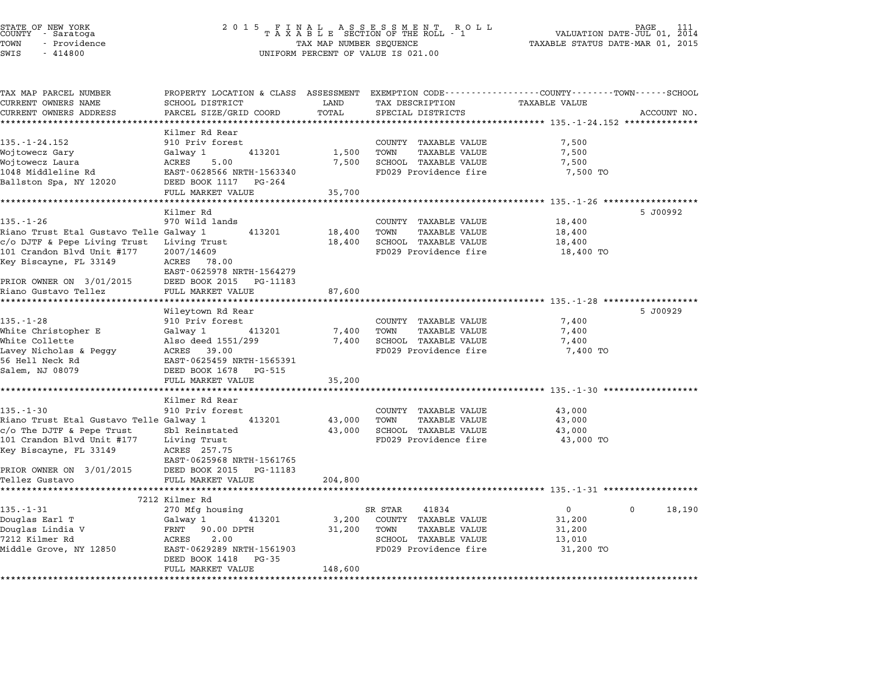|        | STATE OF NEW YORK<br>COUNTY - Saratoga |  |
|--------|----------------------------------------|--|
| TOWN   | - Providence                           |  |
| CITATC | 111000                                 |  |

| TAX MAP PARCEL NUMBER                           | PROPERTY LOCATION & CLASS ASSESSMENT            |         |                              | EXEMPTION CODE-----------------COUNTY-------TOWN------SCHOOL |             |
|-------------------------------------------------|-------------------------------------------------|---------|------------------------------|--------------------------------------------------------------|-------------|
| CURRENT OWNERS NAME                             | <b>SCHOOL DISTRICT</b>                          | LAND    | TAX DESCRIPTION              | <b>TAXABLE VALUE</b>                                         |             |
| CURRENT OWNERS ADDRESS<br>********************* | PARCEL SIZE/GRID COORD<br>********************* | TOTAL   | SPECIAL DISTRICTS            |                                                              | ACCOUNT NO. |
|                                                 |                                                 |         |                              |                                                              |             |
| $135. - 1 - 24.152$                             | Kilmer Rd Rear<br>910 Priv forest               |         | COUNTY TAXABLE VALUE         | 7,500                                                        |             |
| Wojtowecz Gary                                  | 413201<br>Galway 1                              | 1,500   | TOWN<br>TAXABLE VALUE        | 7,500                                                        |             |
| Wojtowecz Laura                                 | ACRES<br>5.00                                   | 7,500   | SCHOOL TAXABLE VALUE         | 7,500                                                        |             |
| 1048 Middleline Rd                              | EAST-0628566 NRTH-1563340                       |         | FD029 Providence fire        | 7,500 TO                                                     |             |
| Ballston Spa, NY 12020                          | DEED BOOK 1117<br>PG-264                        |         |                              |                                                              |             |
|                                                 | FULL MARKET VALUE                               | 35,700  |                              |                                                              |             |
|                                                 |                                                 |         |                              |                                                              |             |
|                                                 | Kilmer Rd                                       |         |                              |                                                              | 5 J00992    |
| $135. - 1 - 26$                                 | 970 Wild lands                                  |         | COUNTY TAXABLE VALUE         | 18,400                                                       |             |
| Riano Trust Etal Gustavo Telle Galway 1         | 413201                                          | 18,400  | <b>TAXABLE VALUE</b><br>TOWN | 18,400                                                       |             |
| c/o DJTF & Pepe Living Trust                    | Living Trust                                    | 18,400  | SCHOOL TAXABLE VALUE         | 18,400                                                       |             |
| 101 Crandon Blvd Unit #177                      | 2007/14609                                      |         | FD029 Providence fire        | 18,400 TO                                                    |             |
| Key Biscayne, FL 33149                          | ACRES<br>78.00                                  |         |                              |                                                              |             |
|                                                 | EAST-0625978 NRTH-1564279                       |         |                              |                                                              |             |
| PRIOR OWNER ON 3/01/2015                        | DEED BOOK 2015<br>PG-11183                      |         |                              |                                                              |             |
| Riano Gustavo Tellez<br>**********************  | FULL MARKET VALUE                               | 87,600  |                              |                                                              |             |
|                                                 | **************************                      |         |                              |                                                              |             |
| $135. - 1 - 28$                                 | Wileytown Rd Rear<br>910 Priv forest            |         | COUNTY TAXABLE VALUE         | 7,400                                                        | 5 J00929    |
| White Christopher E                             | 413201<br>Galway 1                              | 7,400   | TOWN<br><b>TAXABLE VALUE</b> | 7,400                                                        |             |
| White Collette                                  | Also deed 1551/299                              | 7,400   | SCHOOL TAXABLE VALUE         | 7,400                                                        |             |
| Lavey Nicholas & Peggy                          | ACRES<br>39.00                                  |         | FD029 Providence fire        | 7,400 TO                                                     |             |
| 56 Hell Neck Rd                                 | EAST-0625459 NRTH-1565391                       |         |                              |                                                              |             |
| Salem, NJ 08079                                 | DEED BOOK 1678<br>PG-515                        |         |                              |                                                              |             |
|                                                 | FULL MARKET VALUE                               | 35,200  |                              |                                                              |             |
|                                                 |                                                 |         |                              | ********************************* 135.-1-30 ******           |             |
|                                                 | Kilmer Rd Rear                                  |         |                              |                                                              |             |
| $135. - 1 - 30$                                 | 910 Priv forest                                 |         | COUNTY TAXABLE VALUE         | 43,000                                                       |             |
| Riano Trust Etal Gustavo Telle Galway 1         | 413201                                          | 43,000  | TAXABLE VALUE<br>TOWN        | 43,000                                                       |             |
| $c$ /o The DJTF & Pepe Trust                    | Sbl Reinstated                                  | 43,000  | SCHOOL TAXABLE VALUE         | 43,000                                                       |             |
| 101 Crandon Blvd Unit #177                      | Living Trust                                    |         | FD029 Providence fire        | 43,000 TO                                                    |             |
| Key Biscayne, FL 33149                          | ACRES 257.75                                    |         |                              |                                                              |             |
|                                                 | EAST-0625968 NRTH-1561765                       |         |                              |                                                              |             |
| PRIOR OWNER ON 3/01/2015                        | DEED BOOK 2015<br>PG-11183                      |         |                              |                                                              |             |
| Tellez Gustavo                                  | FULL MARKET VALUE<br>************************** | 204,800 |                              |                                                              |             |
|                                                 | 7212 Kilmer Rd                                  |         |                              |                                                              |             |
| $135. - 1 - 31$                                 | 270 Mfg housing                                 |         | SR STAR<br>41834             | $\overline{0}$<br>0                                          | 18,190      |
| Douglas Earl T                                  | 413201<br>Galway 1                              | 3,200   | COUNTY TAXABLE VALUE         | 31,200                                                       |             |
| Douglas Lindia V                                | 90.00 DPTH<br>FRNT                              | 31,200  | TOWN<br><b>TAXABLE VALUE</b> | 31,200                                                       |             |
| 7212 Kilmer Rd                                  | 2.00<br>ACRES                                   |         | SCHOOL TAXABLE VALUE         | 13,010                                                       |             |
| Middle Grove, NY 12850                          | EAST-0629289 NRTH-1561903                       |         | FD029 Providence fire        | 31,200 TO                                                    |             |
|                                                 | DEED BOOK 1418<br>PG-35                         |         |                              |                                                              |             |
|                                                 | FULL MARKET VALUE                               | 148,600 |                              |                                                              |             |
|                                                 |                                                 |         |                              |                                                              |             |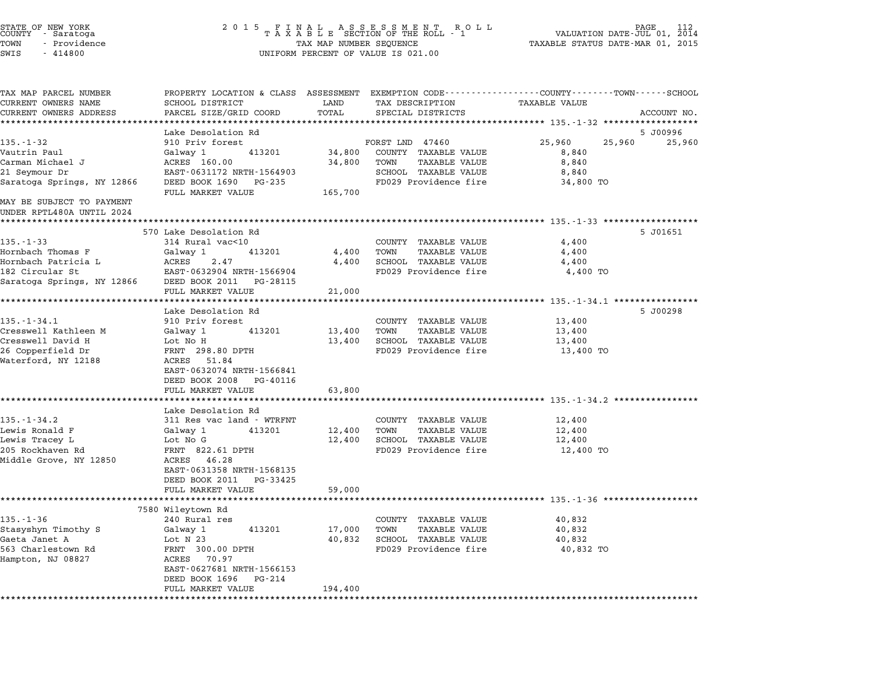| STATE OF NEW YORK<br>COUNTY – Saratoga<br>TOWN<br>- Providence<br>SWIS<br>$-414800$ | 2 0 1 5                                                                                                         | FINAL ASSESSMENT ROLL<br>TAXABLE SECTION OF THE ROLL - 1<br>VALUATION DATE-JUL 01,<br>TAX MAP NUMBER SEQUENCE<br>TAXABLE STATUS DATE-MAR 01, 2015<br>UNIFORM PERCENT OF VALUE IS 021.00 |                                                        |                                                                                                                  | 112<br>2014 |  |
|-------------------------------------------------------------------------------------|-----------------------------------------------------------------------------------------------------------------|-----------------------------------------------------------------------------------------------------------------------------------------------------------------------------------------|--------------------------------------------------------|------------------------------------------------------------------------------------------------------------------|-------------|--|
| TAX MAP PARCEL NUMBER<br>CURRENT OWNERS NAME<br>CURRENT OWNERS ADDRESS              | SCHOOL DISTRICT<br>PARCEL SIZE/GRID COORD                                                                       | LAND<br>TOTAL                                                                                                                                                                           | TAX DESCRIPTION<br>SPECIAL DISTRICTS                   | PROPERTY LOCATION & CLASS ASSESSMENT EXEMPTION CODE---------------COUNTY-------TOWN------SCHOOL<br>TAXABLE VALUE | ACCOUNT NO. |  |
|                                                                                     |                                                                                                                 | *********                                                                                                                                                                               |                                                        | ********************************* 135.-1-32 *******************                                                  |             |  |
| $135. - 1 - 32$                                                                     | Lake Desolation Rd<br>910 Priv forest                                                                           |                                                                                                                                                                                         |                                                        | 25,960                                                                                                           | 5 J00996    |  |
| Vautrin Paul                                                                        | Galway 1<br>413201                                                                                              | 34,800                                                                                                                                                                                  | FORST LND 47460<br>COUNTY TAXABLE VALUE                | 25,960<br>8,840                                                                                                  | 25,960      |  |
| Carman Michael J                                                                    | ACRES 160.00                                                                                                    | 34,800                                                                                                                                                                                  | TOWN<br>TAXABLE VALUE                                  | 8,840                                                                                                            |             |  |
| 21 Seymour Dr<br>Saratoga Springs, NY 12866                                         | EAST-0631172 NRTH-1564903<br>DEED BOOK 1690 PG-235                                                              |                                                                                                                                                                                         | SCHOOL TAXABLE VALUE<br>FD029 Providence fire          | 8,840<br>34,800 TO                                                                                               |             |  |
| MAY BE SUBJECT TO PAYMENT<br>UNDER RPTL480A UNTIL 2024                              | FULL MARKET VALUE                                                                                               | 165,700                                                                                                                                                                                 |                                                        |                                                                                                                  |             |  |
|                                                                                     |                                                                                                                 |                                                                                                                                                                                         |                                                        |                                                                                                                  |             |  |
| $135. - 1 - 33$                                                                     | 570 Lake Desolation Rd<br>314 Rural vac<10                                                                      |                                                                                                                                                                                         | COUNTY TAXABLE VALUE                                   | 4,400                                                                                                            | 5 J01651    |  |
| Hornbach Thomas F                                                                   | Galway 1<br>413201                                                                                              | 4,400                                                                                                                                                                                   | <b>TAXABLE VALUE</b><br>TOWN                           | 4,400                                                                                                            |             |  |
| Hornbach Patricia L                                                                 | ACRES<br>2.47                                                                                                   | 4,400                                                                                                                                                                                   | SCHOOL TAXABLE VALUE                                   | 4,400                                                                                                            |             |  |
| 182 Circular St<br>Saratoga Springs, NY 12866                                       | EAST-0632904 NRTH-1566904<br>DEED BOOK 2011 PG-28115                                                            |                                                                                                                                                                                         | FD029 Providence fire                                  | 4,400 TO                                                                                                         |             |  |
|                                                                                     | FULL MARKET VALUE                                                                                               | 21,000                                                                                                                                                                                  |                                                        | *********** 135.-1-34.1 ************                                                                             |             |  |
|                                                                                     | Lake Desolation Rd                                                                                              |                                                                                                                                                                                         |                                                        |                                                                                                                  | 5 J00298    |  |
| $135. - 1 - 34.1$                                                                   | 910 Priv forest                                                                                                 |                                                                                                                                                                                         | COUNTY TAXABLE VALUE                                   | 13,400                                                                                                           |             |  |
| Cresswell Kathleen M                                                                | Galway 1<br>413201                                                                                              | 13,400                                                                                                                                                                                  | <b>TAXABLE VALUE</b><br>TOWN                           | 13,400                                                                                                           |             |  |
| Cresswell David H                                                                   | Lot No H                                                                                                        | 13,400                                                                                                                                                                                  | SCHOOL TAXABLE VALUE                                   | 13,400                                                                                                           |             |  |
| 26 Copperfield Dr<br>Waterford, NY 12188                                            | FRNT 298.80 DPTH<br>ACRES 51.84<br>EAST-0632074 NRTH-1566841<br>DEED BOOK 2008<br>PG-40116                      |                                                                                                                                                                                         | FD029 Providence fire                                  | 13,400 TO                                                                                                        |             |  |
|                                                                                     | FULL MARKET VALUE                                                                                               | 63,800                                                                                                                                                                                  |                                                        |                                                                                                                  |             |  |
|                                                                                     | ********************<br>Lake Desolation Rd                                                                      |                                                                                                                                                                                         |                                                        | ********************************** 135.-1-34.2 *************                                                     |             |  |
| $135. - 1 - 34.2$                                                                   | 311 Res vac land - WTRFNT                                                                                       |                                                                                                                                                                                         | COUNTY TAXABLE VALUE                                   | 12,400                                                                                                           |             |  |
| Lewis Ronald F                                                                      | Galway 1<br>413201                                                                                              | 12,400                                                                                                                                                                                  | <b>TAXABLE VALUE</b><br>TOWN                           | 12,400                                                                                                           |             |  |
| Lewis Tracey L                                                                      | Lot No G                                                                                                        | 12,400                                                                                                                                                                                  | SCHOOL TAXABLE VALUE                                   | 12,400                                                                                                           |             |  |
| 205 Rockhaven Rd<br>Middle Grove, NY 12850                                          | FRNT 822.61 DPTH<br>ACRES 46.28<br>EAST-0631358 NRTH-1568135<br>DEED BOOK 2011<br>PG-33425<br>FULL MARKET VALUE | 59,000                                                                                                                                                                                  | FD029 Providence fire                                  | 12,400 TO                                                                                                        |             |  |
|                                                                                     |                                                                                                                 |                                                                                                                                                                                         |                                                        | ******************************* 135.-1-36 ************                                                           |             |  |
|                                                                                     | 7580 Wileytown Rd                                                                                               |                                                                                                                                                                                         |                                                        |                                                                                                                  |             |  |
| $135. - 1 - 36$                                                                     | 240 Rural res                                                                                                   |                                                                                                                                                                                         | <b>TAXABLE VALUE</b><br>COUNTY<br><b>TAXABLE VALUE</b> | 40,832                                                                                                           |             |  |
| Stasyshyn Timothy S<br>Gaeta Janet A                                                | 413201<br>Galway 1<br>Lot $N23$                                                                                 | 17,000<br>40,832                                                                                                                                                                        | TOWN<br>SCHOOL<br><b>TAXABLE VALUE</b>                 | 40,832<br>40,832                                                                                                 |             |  |
| 563 Charlestown Rd<br>Hampton, NJ 08827                                             | 300.00 DPTH<br>FRNT<br>ACRES<br>70.97<br>EAST-0627681 NRTH-1566153                                              |                                                                                                                                                                                         | FD029 Providence fire                                  | 40,832 TO                                                                                                        |             |  |
|                                                                                     | DEED BOOK 1696<br>PG-214<br>FULL MARKET VALUE                                                                   | 194,400                                                                                                                                                                                 |                                                        |                                                                                                                  |             |  |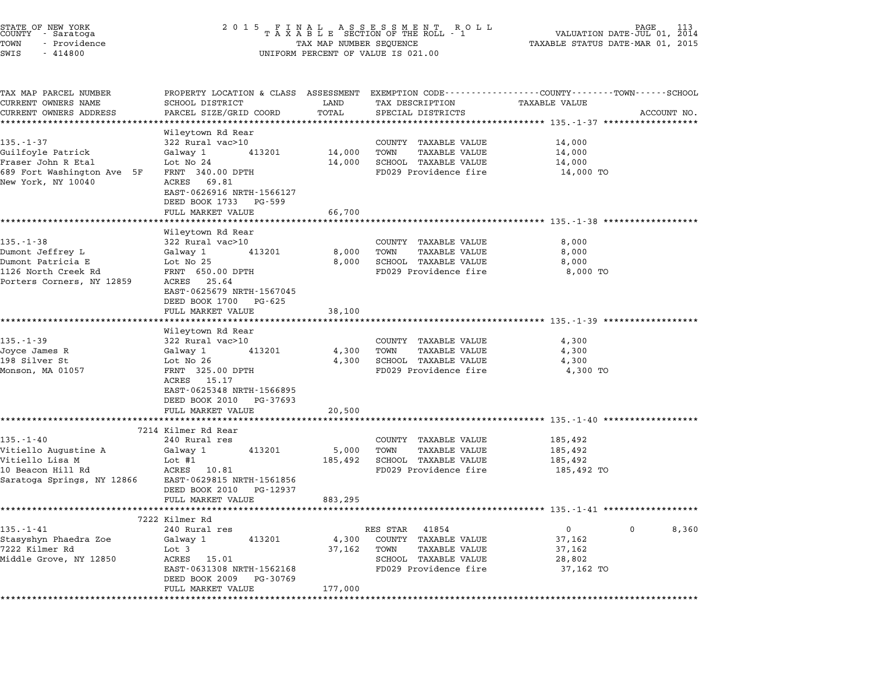| STATE OF NEW YORK<br>COUNTY - Saratoga<br>TOWN<br>- Providence<br>SWIS<br>$-414800$ | 2 0 1 5                                                                               | TAX MAP NUMBER SEQUENCE | FINAL ASSESSMENT ROLL<br>TAXABLE SECTION OF THE ROLL - 1<br>UNIFORM PERCENT OF VALUE IS 021.00      | VALUATION DATE-JUL 01,<br>TAXABLE STATUS DATE-MAR 01, 2015 | 113<br>2014 |
|-------------------------------------------------------------------------------------|---------------------------------------------------------------------------------------|-------------------------|-----------------------------------------------------------------------------------------------------|------------------------------------------------------------|-------------|
| TAX MAP PARCEL NUMBER<br>CURRENT OWNERS NAME<br>CURRENT OWNERS ADDRESS              | PROPERTY LOCATION & CLASS ASSESSMENT<br>SCHOOL DISTRICT<br>PARCEL SIZE/GRID COORD     | LAND<br>TOTAL           | EXEMPTION CODE-----------------COUNTY-------TOWN-----SCHOOL<br>TAX DESCRIPTION<br>SPECIAL DISTRICTS | TAXABLE VALUE                                              | ACCOUNT NO. |
|                                                                                     | *********************                                                                 | *************           |                                                                                                     |                                                            |             |
| 135.-1-37                                                                           | Wileytown Rd Rear<br>322 Rural vac>10                                                 |                         | COUNTY TAXABLE VALUE                                                                                | 14,000                                                     |             |
| Guilfoyle Patrick<br>Fraser John R Etal                                             | Galway 1<br>413201<br>Lot No 24                                                       | 14,000<br>14,000        | <b>TAXABLE VALUE</b><br>TOWN<br>SCHOOL TAXABLE VALUE                                                | 14,000<br>14,000                                           |             |
| 689 Fort Washington Ave 5F<br>New York, NY 10040                                    | FRNT 340.00 DPTH<br>ACRES 69.81<br>EAST-0626916 NRTH-1566127<br>DEED BOOK 1733 PG-599 |                         | FD029 Providence fire                                                                               | 14,000 TO                                                  |             |
|                                                                                     | FULL MARKET VALUE                                                                     | 66,700                  |                                                                                                     |                                                            |             |
|                                                                                     |                                                                                       |                         |                                                                                                     | ******************************* 135.-1-38 *************    |             |
| $135. - 1 - 38$                                                                     | Wileytown Rd Rear<br>322 Rural vac>10                                                 |                         | COUNTY TAXABLE VALUE                                                                                | 8,000                                                      |             |
| Dumont Jeffrey L<br>Dumont Patricia E                                               | Galway 1<br>413201<br>Lot No 25                                                       | 8,000<br>8,000          | <b>TAXABLE VALUE</b><br>TOWN<br>SCHOOL TAXABLE VALUE                                                | 8,000<br>8,000                                             |             |
| 1126 North Creek Rd<br>Porters Corners, NY 12859                                    | FRNT 650.00 DPTH<br>ACRES 25.64<br>EAST-0625679 NRTH-1567045                          |                         | FD029 Providence fire                                                                               | 8,000 TO                                                   |             |
|                                                                                     | DEED BOOK 1700 PG-625<br>FULL MARKET VALUE                                            | 38,100                  |                                                                                                     |                                                            |             |
|                                                                                     | ******************                                                                    |                         | ******************************* 135.-1-39 *******************                                       |                                                            |             |
|                                                                                     | Wileytown Rd Rear                                                                     |                         |                                                                                                     |                                                            |             |
| $135. - 1 - 39$                                                                     | 322 Rural vac>10                                                                      |                         | COUNTY TAXABLE VALUE                                                                                | 4,300                                                      |             |
| Joyce James R<br>198 Silver St                                                      | Galway 1<br>413201<br>Lot No 26                                                       | 4,300<br>4,300          | TAXABLE VALUE<br>TOWN<br>SCHOOL TAXABLE VALUE                                                       | 4,300<br>4,300                                             |             |
| Monson, MA 01057                                                                    | FRNT 325.00 DPTH                                                                      |                         | FD029 Providence fire                                                                               | 4,300 TO                                                   |             |
|                                                                                     | ACRES 15.17<br>EAST-0625348 NRTH-1566895                                              |                         |                                                                                                     |                                                            |             |
|                                                                                     | DEED BOOK 2010<br>PG-37693                                                            |                         |                                                                                                     |                                                            |             |
|                                                                                     | FULL MARKET VALUE                                                                     | 20,500                  |                                                                                                     |                                                            |             |
|                                                                                     | 7214 Kilmer Rd Rear                                                                   |                         |                                                                                                     | ***************************** 135.-1-40 ***************    |             |
| 135.-1-40                                                                           | 240 Rural res                                                                         |                         | COUNTY TAXABLE VALUE                                                                                | 185,492                                                    |             |
| Vitiello Augustine A                                                                | Galway 1<br>413201                                                                    | 5,000                   | <b>TAXABLE VALUE</b><br>TOWN                                                                        | 185,492                                                    |             |
| Vitiello Lisa M                                                                     | Lot #1                                                                                | 185,492                 | SCHOOL TAXABLE VALUE                                                                                | 185,492                                                    |             |
| 10 Beacon Hill Rd                                                                   | ACRES 10.81                                                                           |                         | FD029 Providence fire                                                                               | 185,492 TO                                                 |             |
| Saratoga Springs, NY 12866                                                          | EAST-0629815 NRTH-1561856<br>DEED BOOK 2010<br>PG-12937                               |                         |                                                                                                     |                                                            |             |
|                                                                                     | FULL MARKET VALUE                                                                     | 883,295                 |                                                                                                     |                                                            |             |
|                                                                                     |                                                                                       |                         |                                                                                                     |                                                            |             |
|                                                                                     | 7222 Kilmer Rd                                                                        |                         |                                                                                                     |                                                            |             |
| $135. - 1 - 41$                                                                     | 240 Rural res                                                                         |                         | 41854<br>RES STAR                                                                                   | 0<br>37,162                                                | 0<br>8,360  |
| Stasyshyn Phaedra Zoe<br>7222 Kilmer Rd                                             | Galway 1<br>413201<br>Lot 3                                                           | 4,300<br>37,162         | COUNTY<br>TAXABLE VALUE<br><b>TAXABLE VALUE</b><br>TOWN                                             | 37,162                                                     |             |
| Middle Grove, NY 12850                                                              | ACRES<br>15.01                                                                        |                         | SCHOOL TAXABLE VALUE                                                                                | 28,802                                                     |             |
|                                                                                     | EAST-0631308 NRTH-1562168<br>DEED BOOK 2009<br>PG-30769                               |                         | FD029 Providence fire                                                                               | 37,162 TO                                                  |             |
|                                                                                     | FULL MARKET VALUE                                                                     | 177,000                 |                                                                                                     |                                                            |             |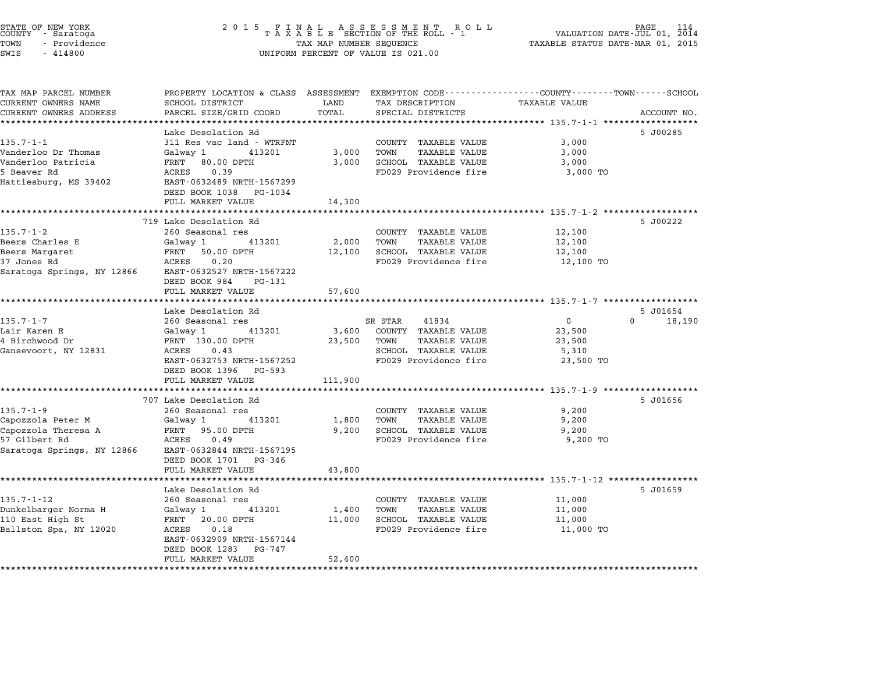| STATE OF NEW YORK<br>COUNTY - Saratoga<br>TOWN<br>- Providence<br>SWIS<br>$-414800$ | 2 0 1 5<br>FINAL ASSESSMENT ROTAXABLE SECTION OF THE ROLL - 1<br>R O L L<br>TAX MAP NUMBER SEQUENCE<br>UNIFORM PERCENT OF VALUE IS 021.00 |                 |                                                      | PAGE<br>114<br>VALUATION DATE-JUL 01, 2014<br>TAXABLE STATUS DATE-MAR 01, 2015 |                      |
|-------------------------------------------------------------------------------------|-------------------------------------------------------------------------------------------------------------------------------------------|-----------------|------------------------------------------------------|--------------------------------------------------------------------------------|----------------------|
| TAX MAP PARCEL NUMBER                                                               | PROPERTY LOCATION & CLASS ASSESSMENT EXEMPTION CODE---------------COUNTY-------TOWN------SCHOOL                                           |                 |                                                      |                                                                                |                      |
| CURRENT OWNERS NAME                                                                 | SCHOOL DISTRICT                                                                                                                           | LAND            | TAX DESCRIPTION                                      | <b>TAXABLE VALUE</b>                                                           |                      |
| CURRENT OWNERS ADDRESS                                                              | PARCEL SIZE/GRID COORD                                                                                                                    | TOTAL           | SPECIAL DISTRICTS                                    |                                                                                | ACCOUNT NO.          |
|                                                                                     | *********************                                                                                                                     | *************   |                                                      |                                                                                |                      |
|                                                                                     | Lake Desolation Rd                                                                                                                        |                 |                                                      |                                                                                | 5 J00285             |
| 135.7-1-1<br>Vanderloo Dr Thomas                                                    | 311 Res vac land - WTRFNT<br>Galway 1<br>413201                                                                                           | 3,000           | COUNTY TAXABLE VALUE<br>TOWN<br><b>TAXABLE VALUE</b> | 3,000<br>3,000                                                                 |                      |
| Vanderloo Patricia                                                                  | FRNT 80.00 DPTH                                                                                                                           | 3,000           | SCHOOL TAXABLE VALUE                                 | 3,000                                                                          |                      |
| 5 Beaver Rd                                                                         | ACRES<br>0.39                                                                                                                             |                 | FD029 Providence fire                                | 3,000 TO                                                                       |                      |
| Hattiesburg, MS 39402                                                               | EAST-0632489 NRTH-1567299                                                                                                                 |                 |                                                      |                                                                                |                      |
|                                                                                     | DEED BOOK 1038 PG-1034                                                                                                                    |                 |                                                      |                                                                                |                      |
|                                                                                     | FULL MARKET VALUE                                                                                                                         | 14,300          |                                                      |                                                                                |                      |
|                                                                                     | ********************                                                                                                                      |                 |                                                      | ********* 135.7-1-2 ******************                                         |                      |
|                                                                                     | 719 Lake Desolation Rd                                                                                                                    |                 |                                                      |                                                                                | 5 J00222             |
| 135.7-1-2                                                                           | 260 Seasonal res                                                                                                                          |                 | COUNTY TAXABLE VALUE<br>TOWN                         | 12,100                                                                         |                      |
| Beers Charles E<br>Beers Margaret                                                   | Galway 1<br>413201<br>FRNT 50.00 DPTH                                                                                                     | 2,000<br>12,100 | <b>TAXABLE VALUE</b><br>SCHOOL TAXABLE VALUE         | 12,100<br>12,100                                                               |                      |
| 37 Jones Rd                                                                         | 0.20<br>ACRES                                                                                                                             |                 | FD029 Providence fire                                | 12,100 TO                                                                      |                      |
| Saratoga Springs, NY 12866                                                          | EAST-0632527 NRTH-1567222                                                                                                                 |                 |                                                      |                                                                                |                      |
|                                                                                     | DEED BOOK 984<br>PG-131                                                                                                                   |                 |                                                      |                                                                                |                      |
|                                                                                     | FULL MARKET VALUE                                                                                                                         | 57,600          |                                                      |                                                                                |                      |
|                                                                                     | ********************                                                                                                                      |                 |                                                      |                                                                                |                      |
|                                                                                     | Lake Desolation Rd                                                                                                                        |                 |                                                      |                                                                                | 5 J01654<br>$\Omega$ |
| $135.7 - 1 - 7$                                                                     | 260 Seasonal res<br>413201                                                                                                                | 3,600           | SR STAR<br>41834<br>COUNTY TAXABLE VALUE             | $\mathbf{0}$<br>23,500                                                         | 18,190               |
| Lair Karen E<br>4 Birchwood Dr                                                      | Galway 1<br>FRNT 130.00 DPTH                                                                                                              | 23,500          | TOWN<br>TAXABLE VALUE                                | 23,500                                                                         |                      |
| Gansevoort, NY 12831                                                                | ACRES<br>0.43                                                                                                                             |                 | SCHOOL TAXABLE VALUE                                 | 5,310                                                                          |                      |
|                                                                                     | EAST-0632753 NRTH-1567252                                                                                                                 |                 | FD029 Providence fire                                | 23,500 TO                                                                      |                      |
|                                                                                     | DEED BOOK 1396 PG-593                                                                                                                     |                 |                                                      |                                                                                |                      |
|                                                                                     | FULL MARKET VALUE                                                                                                                         | 111,900         |                                                      |                                                                                |                      |
|                                                                                     | *******************                                                                                                                       |                 |                                                      | **************** 135.7-1-9 *******                                             |                      |
|                                                                                     | 707 Lake Desolation Rd                                                                                                                    |                 |                                                      |                                                                                | 5 J01656             |
| $135.7 - 1 - 9$                                                                     | 260 Seasonal res                                                                                                                          |                 | COUNTY TAXABLE VALUE                                 | 9,200                                                                          |                      |
| Capozzola Peter M<br>Capozzola Theresa A                                            | Galway 1<br>413201<br>FRNT 95.00 DPTH                                                                                                     | 1,800<br>9,200  | TOWN<br>TAXABLE VALUE<br><b>SCHOOL TAXABLE VALUE</b> | 9,200<br>9,200                                                                 |                      |
| 57 Gilbert Rd                                                                       | ACRES<br>0.49                                                                                                                             |                 | FD029 Providence fire                                | 9,200 TO                                                                       |                      |
| Saratoga Springs, NY 12866                                                          | EAST-0632844 NRTH-1567195                                                                                                                 |                 |                                                      |                                                                                |                      |
|                                                                                     | DEED BOOK 1701 PG-346                                                                                                                     |                 |                                                      |                                                                                |                      |
|                                                                                     | FULL MARKET VALUE                                                                                                                         | 43,800          |                                                      |                                                                                |                      |
|                                                                                     |                                                                                                                                           |                 |                                                      | ************************* 135.7-1-12 ******************                        |                      |
|                                                                                     | Lake Desolation Rd                                                                                                                        |                 |                                                      |                                                                                | 5 J01659             |
| $135.7 - 1 - 12$                                                                    | 260 Seasonal res                                                                                                                          |                 | COUNTY TAXABLE VALUE                                 | 11,000                                                                         |                      |
| Dunkelbarger Norma H<br>110 East High St                                            | 413201<br>Galway 1<br>FRNT 20.00 DPTH                                                                                                     | 1,400<br>11,000 | TOWN<br><b>TAXABLE VALUE</b><br>SCHOOL TAXABLE VALUE | 11,000<br>11,000                                                               |                      |
| Ballston Spa, NY 12020                                                              | 0.18<br>ACRES                                                                                                                             |                 | FD029 Providence fire                                | 11,000 TO                                                                      |                      |
|                                                                                     | EAST-0632909 NRTH-1567144                                                                                                                 |                 |                                                      |                                                                                |                      |
|                                                                                     | DEED BOOK 1283 PG-747                                                                                                                     |                 |                                                      |                                                                                |                      |
|                                                                                     | FULL MARKET VALUE                                                                                                                         | 52,400          |                                                      |                                                                                |                      |
|                                                                                     | ***********************                                                                                                                   |                 |                                                      |                                                                                |                      |

STATE OF NEW YORK <sup>2</sup> <sup>0</sup> <sup>1</sup> 5 F I N A L A S S E S S M E N T R O L L PAGE <sup>114</sup> COUNTY - Saratoga <sup>T</sup> <sup>A</sup> <sup>X</sup> <sup>A</sup> <sup>B</sup> <sup>L</sup> <sup>E</sup> SECTION OF THE ROLL - <sup>1</sup> VALUATION DATE-JUL 01, <sup>2014</sup>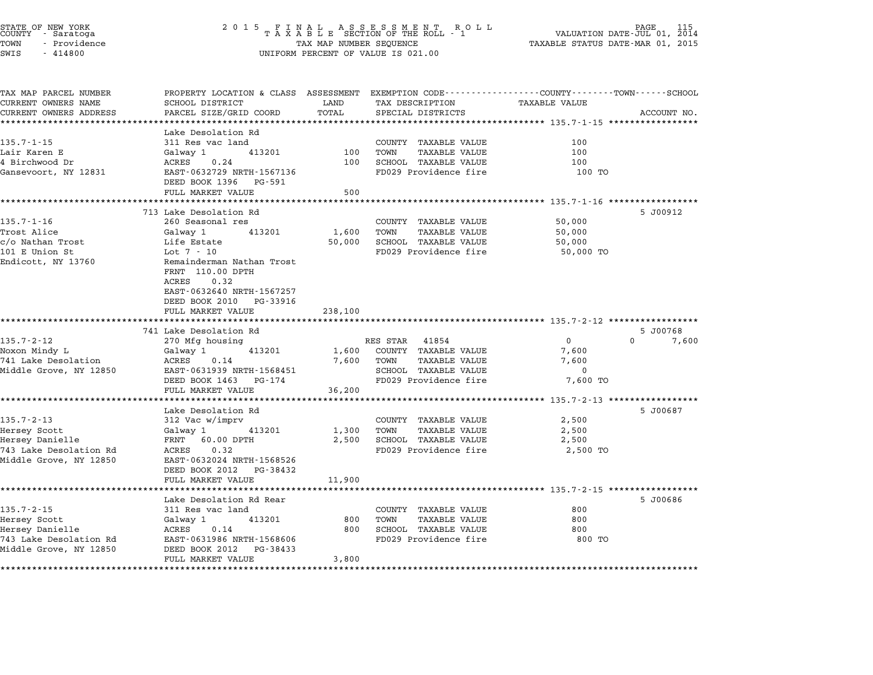| STATE OF NEW YORK<br>COUNTY - Saratoga<br>TOWN<br>- Providence<br>SWIS<br>$-414800$ | 2 0 1 5<br>FINAL ASSESSMENT ROLL<br>TAXABLE SECTION OF THE ROLL - 1<br>PAGE<br>VALUATION DATE-JUL 01, 2014<br>TAXABLE STATUS DATE-MAR 01, 2015<br>TAX MAP NUMBER SEQUENCE<br>UNIFORM PERCENT OF VALUE IS 021.00 |            |                              |                                                                   |             |  |
|-------------------------------------------------------------------------------------|-----------------------------------------------------------------------------------------------------------------------------------------------------------------------------------------------------------------|------------|------------------------------|-------------------------------------------------------------------|-------------|--|
| TAX MAP PARCEL NUMBER<br>CURRENT OWNERS NAME                                        | PROPERTY LOCATION & CLASS ASSESSMENT EXEMPTION CODE---------------COUNTY-------TOWN------SCHOOL<br>SCHOOL DISTRICT                                                                                              | LAND       | TAX DESCRIPTION              | TAXABLE VALUE                                                     |             |  |
| CURRENT OWNERS ADDRESS                                                              | PARCEL SIZE/GRID COORD                                                                                                                                                                                          | TOTAL      | SPECIAL DISTRICTS            |                                                                   | ACCOUNT NO. |  |
|                                                                                     |                                                                                                                                                                                                                 | ********** |                              | ************************************55.7-1-15 ******************  |             |  |
|                                                                                     | Lake Desolation Rd                                                                                                                                                                                              |            |                              |                                                                   |             |  |
| $135.7 - 1 - 15$                                                                    | 311 Res vac land                                                                                                                                                                                                |            | COUNTY TAXABLE VALUE         | 100                                                               |             |  |
| Lair Karen E                                                                        | Galway 1<br>413201                                                                                                                                                                                              | 100        | TOWN<br><b>TAXABLE VALUE</b> | 100                                                               |             |  |
| 4 Birchwood Dr                                                                      | ACRES<br>0.24                                                                                                                                                                                                   | 100        | SCHOOL TAXABLE VALUE         | 100                                                               |             |  |
| Gansevoort, NY 12831                                                                | EAST-0632729 NRTH-1567136<br>DEED BOOK 1396 PG-591                                                                                                                                                              |            | FD029 Providence fire        | 100 TO                                                            |             |  |
|                                                                                     | FULL MARKET VALUE                                                                                                                                                                                               | 500        |                              |                                                                   |             |  |
|                                                                                     |                                                                                                                                                                                                                 |            |                              | ******** 135.7-1-16 *****************                             |             |  |
|                                                                                     | 713 Lake Desolation Rd                                                                                                                                                                                          |            |                              |                                                                   | 5 J00912    |  |
| 135.7-1-16                                                                          | 260 Seasonal res                                                                                                                                                                                                |            | COUNTY TAXABLE VALUE         | 50,000                                                            |             |  |
| Trost Alice                                                                         | Galway 1<br>413201                                                                                                                                                                                              | 1,600      | TOWN<br>TAXABLE VALUE        | 50,000                                                            |             |  |
| c/o Nathan Trost                                                                    | Life Estate                                                                                                                                                                                                     | 50,000     | SCHOOL TAXABLE VALUE         | 50,000                                                            |             |  |
| 101 E Union St                                                                      | Lot $7 - 10$                                                                                                                                                                                                    |            | FD029 Providence fire        | 50,000 TO                                                         |             |  |
| Endicott, NY 13760                                                                  | Remainderman Nathan Trost<br>FRNT 110.00 DPTH<br>0.32<br>ACRES                                                                                                                                                  |            |                              |                                                                   |             |  |
|                                                                                     | EAST-0632640 NRTH-1567257<br>DEED BOOK 2010 PG-33916<br>FULL MARKET VALUE                                                                                                                                       | 238,100    |                              |                                                                   |             |  |
|                                                                                     | ******************************                                                                                                                                                                                  |            |                              |                                                                   |             |  |
|                                                                                     | 741 Lake Desolation Rd                                                                                                                                                                                          |            |                              |                                                                   | 5 J00768    |  |
| $135.7 - 2 - 12$                                                                    | 270 Mfg housing                                                                                                                                                                                                 |            | RES STAR<br>41854            | $\mathbf 0$<br>$\Omega$                                           | 7,600       |  |
| Noxon Mindy L                                                                       | Galway 1<br>413201                                                                                                                                                                                              | 1,600      | COUNTY TAXABLE VALUE         | 7,600                                                             |             |  |
| 741 Lake Desolation                                                                 | ACRES<br>0.14                                                                                                                                                                                                   | 7,600      | TOWN<br>TAXABLE VALUE        | 7,600                                                             |             |  |
| Middle Grove, NY 12850                                                              | EAST-0631939 NRTH-1568451                                                                                                                                                                                       |            | SCHOOL TAXABLE VALUE         | $\mathbf 0$                                                       |             |  |
|                                                                                     | DEED BOOK 1463 PG-174                                                                                                                                                                                           |            | FD029 Providence fire        | 7,600 TO                                                          |             |  |
|                                                                                     | FULL MARKET VALUE                                                                                                                                                                                               | 36,200     |                              | ******** 135.7-2-13 ***************                               |             |  |
|                                                                                     | Lake Desolation Rd                                                                                                                                                                                              |            |                              |                                                                   | 5 J00687    |  |
| $135.7 - 2 - 13$                                                                    | 312 Vac w/imprv                                                                                                                                                                                                 |            | COUNTY TAXABLE VALUE         | 2,500                                                             |             |  |
| Hersey Scott                                                                        |                                                                                                                                                                                                                 | 1,300      | TOWN<br><b>TAXABLE VALUE</b> | 2,500                                                             |             |  |
| Hersey Danielle                                                                     | Galway 1<br>413201<br>FRNT 60.00 DPTH                                                                                                                                                                           | 2,500      | SCHOOL TAXABLE VALUE         | 2,500                                                             |             |  |
| 743 Lake Desolation Rd                                                              | ACRES<br>0.32                                                                                                                                                                                                   |            | FD029 Providence fire        | 2,500 TO                                                          |             |  |
| Middle Grove, NY 12850                                                              | EAST-0632024 NRTH-1568526                                                                                                                                                                                       |            |                              |                                                                   |             |  |
|                                                                                     | DEED BOOK 2012 PG-38432                                                                                                                                                                                         |            |                              |                                                                   |             |  |
|                                                                                     | FULL MARKET VALUE<br>******************************                                                                                                                                                             | 11,900     |                              | **************************************55.7-2-15****************** |             |  |
|                                                                                     | Lake Desolation Rd Rear                                                                                                                                                                                         |            |                              |                                                                   | 5 J00686    |  |
| $135.7 - 2 - 15$                                                                    | 311 Res vac land                                                                                                                                                                                                |            | COUNTY TAXABLE VALUE         | 800                                                               |             |  |
| Hersey Scott                                                                        | 413201<br>Galway 1                                                                                                                                                                                              | 800        | TOWN<br>TAXABLE VALUE        | 800                                                               |             |  |
| Hersey Danielle                                                                     | ACRES<br>0.14                                                                                                                                                                                                   | 800        | SCHOOL TAXABLE VALUE         | 800                                                               |             |  |
|                                                                                     |                                                                                                                                                                                                                 |            |                              |                                                                   |             |  |
| 743 Lake Desolation Rd                                                              | EAST-0631986 NRTH-1568606                                                                                                                                                                                       |            | FD029 Providence fire        | 800 TO                                                            |             |  |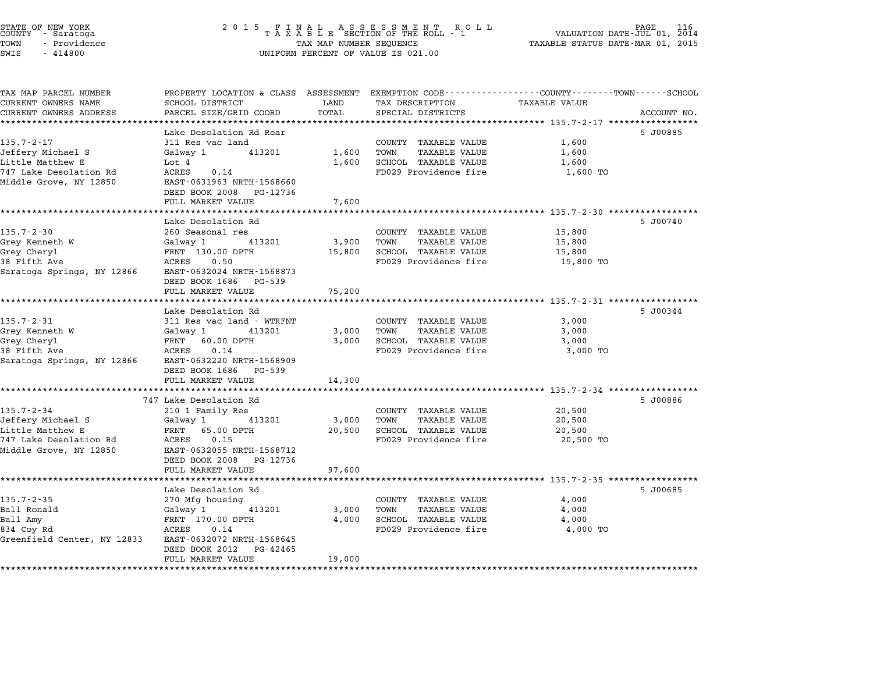| STATE OF NEW YORK<br>COUNTY - Saratoga<br>TOWN<br>- Providence<br>SWIS<br>$-414800$ | 2 0 1 5<br>FINAL ASSESSMENT ROTAXABLE SECTION OF THE ROLL - 1<br>TAX MAP NUMBER SEQUENCE<br>UNIFORM PERCENT OF VALUE IS 021.00 | PAGE<br>VALUATION DATE-JUL 01, 2014<br>TAXABLE STATUS DATE-MAR 01, 2015 |                                                              |                                                |             |
|-------------------------------------------------------------------------------------|--------------------------------------------------------------------------------------------------------------------------------|-------------------------------------------------------------------------|--------------------------------------------------------------|------------------------------------------------|-------------|
|                                                                                     |                                                                                                                                |                                                                         |                                                              |                                                |             |
| TAX MAP PARCEL NUMBER                                                               | PROPERTY LOCATION & CLASS ASSESSMENT                                                                                           |                                                                         | EXEMPTION CODE-----------------COUNTY-------TOWN------SCHOOL |                                                |             |
| CURRENT OWNERS NAME<br>CURRENT OWNERS ADDRESS                                       | SCHOOL DISTRICT<br>PARCEL SIZE/GRID COORD                                                                                      | LAND<br>TOTAL                                                           | TAX DESCRIPTION<br>SPECIAL DISTRICTS                         | TAXABLE VALUE                                  | ACCOUNT NO. |
| *************************                                                           |                                                                                                                                |                                                                         |                                                              |                                                |             |
|                                                                                     | Lake Desolation Rd Rear                                                                                                        |                                                                         |                                                              |                                                | 5 J00885    |
| $135.7 - 2 - 17$                                                                    | 311 Res vac land                                                                                                               |                                                                         | COUNTY TAXABLE VALUE                                         | 1,600                                          |             |
| Jeffery Michael S                                                                   | Galway 1<br>413201                                                                                                             | 1,600                                                                   | TOWN<br><b>TAXABLE VALUE</b>                                 | 1,600                                          |             |
| Little Matthew E                                                                    | Lot $4$                                                                                                                        | 1,600                                                                   | SCHOOL TAXABLE VALUE                                         | 1,600                                          |             |
| 747 Lake Desolation Rd                                                              | 0.14<br>ACRES                                                                                                                  |                                                                         | FD029 Providence fire                                        | 1,600 TO                                       |             |
| Middle Grove, NY 12850                                                              | EAST-0631963 NRTH-1568660                                                                                                      |                                                                         |                                                              |                                                |             |
|                                                                                     | DEED BOOK 2008 PG-12736                                                                                                        |                                                                         |                                                              |                                                |             |
|                                                                                     | FULL MARKET VALUE                                                                                                              | 7,600                                                                   |                                                              |                                                |             |
|                                                                                     | Lake Desolation Rd                                                                                                             |                                                                         |                                                              |                                                | 5 J00740    |
| $135.7 - 2 - 30$                                                                    | 260 Seasonal res                                                                                                               |                                                                         | COUNTY TAXABLE VALUE                                         | 15,800                                         |             |
| Grey Kenneth W                                                                      | Galway 1<br>413201                                                                                                             | 3,900                                                                   | TOWN<br>TAXABLE VALUE                                        | 15,800                                         |             |
| Grey Cheryl                                                                         | FRNT 130.00 DPTH                                                                                                               | 15,800                                                                  | SCHOOL TAXABLE VALUE                                         | 15,800                                         |             |
| 38 Fifth Ave                                                                        | ACRES<br>0.50                                                                                                                  |                                                                         | FD029 Providence fire                                        | 15,800 TO                                      |             |
| Saratoga Springs, NY 12866                                                          | EAST-0632024 NRTH-1568873<br>DEED BOOK 1686<br>PG-539                                                                          |                                                                         |                                                              |                                                |             |
|                                                                                     | FULL MARKET VALUE                                                                                                              | 75,200                                                                  |                                                              |                                                |             |
|                                                                                     |                                                                                                                                |                                                                         |                                                              | ************************ 135.7-2-31 ********** |             |
|                                                                                     | Lake Desolation Rd                                                                                                             |                                                                         |                                                              |                                                | 5 J00344    |
| $135.7 - 2 - 31$                                                                    | 311 Res vac land - WTRFNT                                                                                                      |                                                                         | COUNTY TAXABLE VALUE                                         | 3,000                                          |             |
| Grey Kenneth W<br>Grey Cheryl                                                       | Galway 1<br>413201<br>FRNT<br>60.00 DPTH                                                                                       | 3,000<br>3,000                                                          | TOWN<br>TAXABLE VALUE<br>SCHOOL TAXABLE VALUE                | 3,000<br>3,000                                 |             |
| 38 Fifth Ave                                                                        | 0.14<br>ACRES                                                                                                                  |                                                                         | FD029 Providence fire                                        | 3,000 TO                                       |             |
| Saratoga Springs, NY 12866                                                          | EAST-0632220 NRTH-1568909                                                                                                      |                                                                         |                                                              |                                                |             |
|                                                                                     | DEED BOOK 1686<br>PG-539                                                                                                       |                                                                         |                                                              |                                                |             |
|                                                                                     | FULL MARKET VALUE                                                                                                              | 14,300                                                                  |                                                              |                                                |             |
|                                                                                     |                                                                                                                                | **********                                                              |                                                              | ********** 135.7-2-34 **************           |             |
|                                                                                     | 747 Lake Desolation Rd                                                                                                         |                                                                         |                                                              |                                                | 5 J00886    |
| $135.7 - 2 - 34$                                                                    | 210 1 Family Res                                                                                                               |                                                                         | COUNTY TAXABLE VALUE                                         | 20,500                                         |             |
| Jeffery Michael S                                                                   | Galway 1<br>413201                                                                                                             | 3,000                                                                   | TOWN<br><b>TAXABLE VALUE</b>                                 | 20,500                                         |             |
| Little Matthew E<br>747 Lake Desolation Rd                                          | FRNT<br>65.00 DPTH<br>0.15<br>ACRES                                                                                            | 20,500                                                                  | SCHOOL TAXABLE VALUE<br>FD029 Providence fire                | 20,500<br>20,500 TO                            |             |
| Middle Grove, NY 12850                                                              | EAST-0632055 NRTH-1568712                                                                                                      |                                                                         |                                                              |                                                |             |
|                                                                                     | DEED BOOK 2008<br>PG-12736                                                                                                     |                                                                         |                                                              |                                                |             |
|                                                                                     | FULL MARKET VALUE                                                                                                              | 97,600                                                                  |                                                              |                                                |             |
|                                                                                     |                                                                                                                                |                                                                         |                                                              | ******* 135.7-2-35 ****************            |             |
|                                                                                     | Lake Desolation Rd                                                                                                             |                                                                         |                                                              |                                                | 5 J00685    |
| $135.7 - 2 - 35$                                                                    | 270 Mfg housing                                                                                                                |                                                                         | COUNTY TAXABLE VALUE                                         | 4,000                                          |             |
| Ball Ronald                                                                         | Galway 1<br>413201                                                                                                             | 3,000                                                                   | TOWN<br>TAXABLE VALUE                                        | 4,000                                          |             |
| Ball Amy<br>834 Coy Rd                                                              | FRNT 170.00 DPTH<br>ACRES<br>0.14                                                                                              | 4,000                                                                   | SCHOOL TAXABLE VALUE<br>FD029 Providence fire                | 4,000<br>4,000 TO                              |             |
| Greenfield Center, NY 12833                                                         | EAST-0632072 NRTH-1568645                                                                                                      |                                                                         |                                                              |                                                |             |
|                                                                                     | DEED BOOK 2012<br>PG-42465                                                                                                     |                                                                         |                                                              |                                                |             |
|                                                                                     | FULL MARKET VALUE                                                                                                              | 19,000                                                                  |                                                              |                                                |             |

STATE OF NEW YORK <sup>2</sup> <sup>0</sup> <sup>1</sup> 5 F I N A L A S S E S S M E N T R O L L PAGE <sup>116</sup> COUNTY - Saratoga <sup>T</sup> <sup>A</sup> <sup>X</sup> <sup>A</sup> <sup>B</sup> <sup>L</sup> <sup>E</sup> SECTION OF THE ROLL - <sup>1</sup> VALUATION DATE-JUL 01, <sup>2014</sup>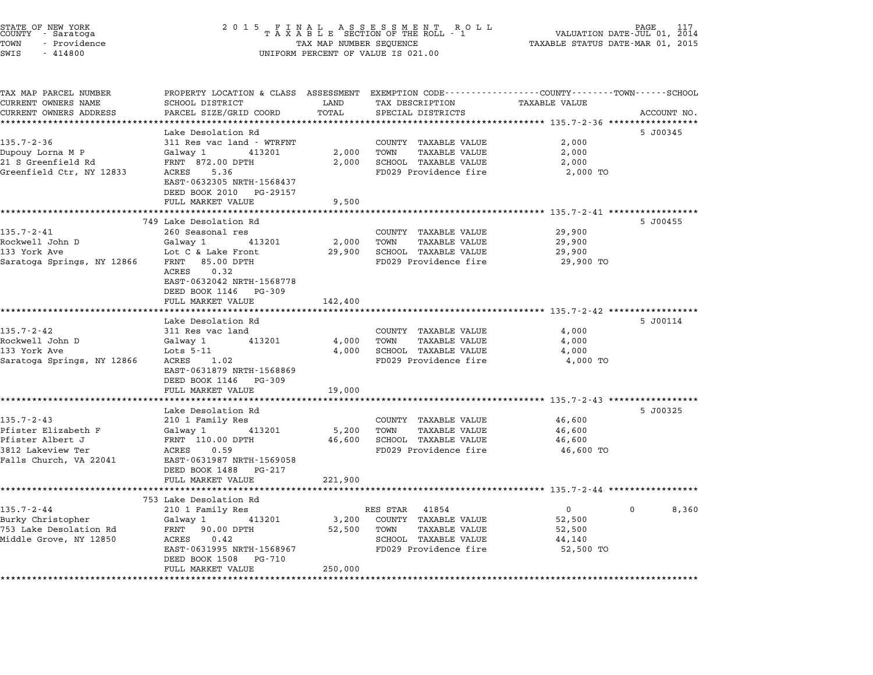| STATE OF NEW YORK<br>COUNTY – Saratoga<br>TOWN<br>- Providence<br>SWIS<br>$-414800$ | 2 0 1 5                                                                                                                                      | TAX MAP NUMBER SEQUENCE | FINAL ASSESSMENT ROLL<br>TAXABLE SECTION OF THE ROLL - 1<br>UNIFORM PERCENT OF VALUE IS 021.00 | VALUATION DATE-JUL 01, 2014<br>TAXABLE STATUS DATE-MAR 01, 2015 | PAGE              |
|-------------------------------------------------------------------------------------|----------------------------------------------------------------------------------------------------------------------------------------------|-------------------------|------------------------------------------------------------------------------------------------|-----------------------------------------------------------------|-------------------|
| TAX MAP PARCEL NUMBER<br>CURRENT OWNERS NAME<br>CURRENT OWNERS ADDRESS              | PROPERTY LOCATION & CLASS ASSESSMENT EXEMPTION CODE---------------COUNTY-------TOWN------SCHOOL<br>SCHOOL DISTRICT<br>PARCEL SIZE/GRID COORD | LAND<br>TOTAL           | TAX DESCRIPTION<br>SPECIAL DISTRICTS                                                           | <b>TAXABLE VALUE</b>                                            | ACCOUNT NO.       |
| **********************                                                              |                                                                                                                                              |                         |                                                                                                |                                                                 |                   |
|                                                                                     | Lake Desolation Rd                                                                                                                           |                         |                                                                                                |                                                                 | 5 J00345          |
| $135.7 - 2 - 36$                                                                    | 311 Res vac land - WTRFNT                                                                                                                    |                         | COUNTY TAXABLE VALUE                                                                           | 2,000                                                           |                   |
| Dupouy Lorna M P                                                                    | Galway 1<br>413201                                                                                                                           | 2,000                   | <b>TAXABLE VALUE</b><br>TOWN                                                                   | 2,000                                                           |                   |
| 21 S Greenfield Rd                                                                  | FRNT 872.00 DPTH                                                                                                                             | 2,000                   | SCHOOL TAXABLE VALUE                                                                           | 2,000                                                           |                   |
| Greenfield Ctr, NY 12833                                                            | ACRES<br>5.36<br>EAST-0632305 NRTH-1568437<br>DEED BOOK 2010 PG-29157<br>FULL MARKET VALUE                                                   | 9,500                   | FD029 Providence fire                                                                          | 2,000 TO                                                        |                   |
|                                                                                     |                                                                                                                                              |                         |                                                                                                |                                                                 |                   |
|                                                                                     | 749 Lake Desolation Rd                                                                                                                       |                         |                                                                                                |                                                                 | 5 J00455          |
| $135.7 - 2 - 41$                                                                    | 260 Seasonal res                                                                                                                             |                         | COUNTY TAXABLE VALUE                                                                           | 29,900                                                          |                   |
| Rockwell John D                                                                     | Galway 1<br>413201                                                                                                                           | 2,000                   | TOWN<br><b>TAXABLE VALUE</b>                                                                   | 29,900                                                          |                   |
| 133 York Ave                                                                        | Lot C & Lake Front                                                                                                                           | 29,900                  | SCHOOL TAXABLE VALUE                                                                           | 29,900                                                          |                   |
| Saratoga Springs, NY 12866                                                          | FRNT 85.00 DPTH<br>0.32<br>ACRES<br>EAST-0632042 NRTH-1568778<br>DEED BOOK 1146 PG-309<br>FULL MARKET VALUE                                  | 142,400                 | FD029 Providence fire                                                                          | 29,900 TO                                                       |                   |
|                                                                                     | **********************                                                                                                                       |                         |                                                                                                | ********************************* 135.7-2-42 *****************  |                   |
|                                                                                     | Lake Desolation Rd                                                                                                                           |                         |                                                                                                |                                                                 | 5 J00114          |
| $135.7 - 2 - 42$                                                                    | 311 Res vac land                                                                                                                             |                         | COUNTY TAXABLE VALUE                                                                           | 4,000                                                           |                   |
| Rockwell John D                                                                     | Galway 1<br>413201                                                                                                                           | 4,000                   | <b>TAXABLE VALUE</b><br>TOWN                                                                   | 4,000                                                           |                   |
| 133 York Ave<br>Saratoga Springs, NY 12866                                          | Lots 5-11<br>ACRES 1.02                                                                                                                      | 4,000                   | SCHOOL TAXABLE VALUE<br>FD029 Providence fire                                                  | 4,000<br>4,000 TO                                               |                   |
|                                                                                     | EAST-0631879 NRTH-1568869<br>DEED BOOK 1146<br>PG-309                                                                                        |                         |                                                                                                |                                                                 |                   |
|                                                                                     | FULL MARKET VALUE                                                                                                                            | 19,000                  |                                                                                                |                                                                 |                   |
|                                                                                     | *************************                                                                                                                    |                         |                                                                                                |                                                                 |                   |
| $135.7 - 2 - 43$                                                                    | Lake Desolation Rd                                                                                                                           |                         |                                                                                                |                                                                 | 5 J00325          |
|                                                                                     | 210 1 Family Res                                                                                                                             |                         | COUNTY TAXABLE VALUE                                                                           | 46,600                                                          |                   |
| Pfister Elizabeth F<br>Pfister Albert J                                             | Galway 1<br>413201<br>FRNT 110.00 DPTH                                                                                                       | 5,200<br>46,600         | TOWN<br><b>TAXABLE VALUE</b><br>SCHOOL TAXABLE VALUE                                           | 46,600<br>46,600                                                |                   |
| 3812 Lakeview Ter                                                                   | ACRES<br>0.59                                                                                                                                |                         | FD029 Providence fire                                                                          | 46,600 TO                                                       |                   |
| Falls Church, VA 22041                                                              | EAST-0631987 NRTH-1569058                                                                                                                    |                         |                                                                                                |                                                                 |                   |
|                                                                                     | DEED BOOK 1488<br>PG-217                                                                                                                     |                         |                                                                                                |                                                                 |                   |
|                                                                                     | FULL MARKET VALUE                                                                                                                            | 221,900                 |                                                                                                |                                                                 |                   |
|                                                                                     |                                                                                                                                              |                         |                                                                                                |                                                                 |                   |
|                                                                                     | 753 Lake Desolation Rd                                                                                                                       |                         |                                                                                                |                                                                 |                   |
| 135.7-2-44                                                                          | 210 1 Family Res                                                                                                                             |                         | RES STAR<br>41854                                                                              | $\mathbf{0}$                                                    | 8,360<br>$\Omega$ |
| Burky Christopher                                                                   | 413201<br>Galway 1                                                                                                                           | 3,200                   | COUNTY TAXABLE VALUE                                                                           | 52,500                                                          |                   |
| 753 Lake Desolation Rd                                                              | FRNT<br>90.00 DPTH                                                                                                                           | 52,500                  | TOWN<br><b>TAXABLE VALUE</b>                                                                   | 52,500                                                          |                   |
| Middle Grove, NY 12850                                                              | ACRES<br>0.42                                                                                                                                |                         | SCHOOL TAXABLE VALUE                                                                           | 44,140                                                          |                   |
|                                                                                     | EAST-0631995 NRTH-1568967<br>DEED BOOK 1508<br>PG-710                                                                                        |                         | FD029 Providence fire                                                                          | 52,500 TO                                                       |                   |
|                                                                                     | FULL MARKET VALUE                                                                                                                            | 250,000                 |                                                                                                |                                                                 |                   |
|                                                                                     | * * * * * * * * * * * * * * * *                                                                                                              |                         |                                                                                                |                                                                 |                   |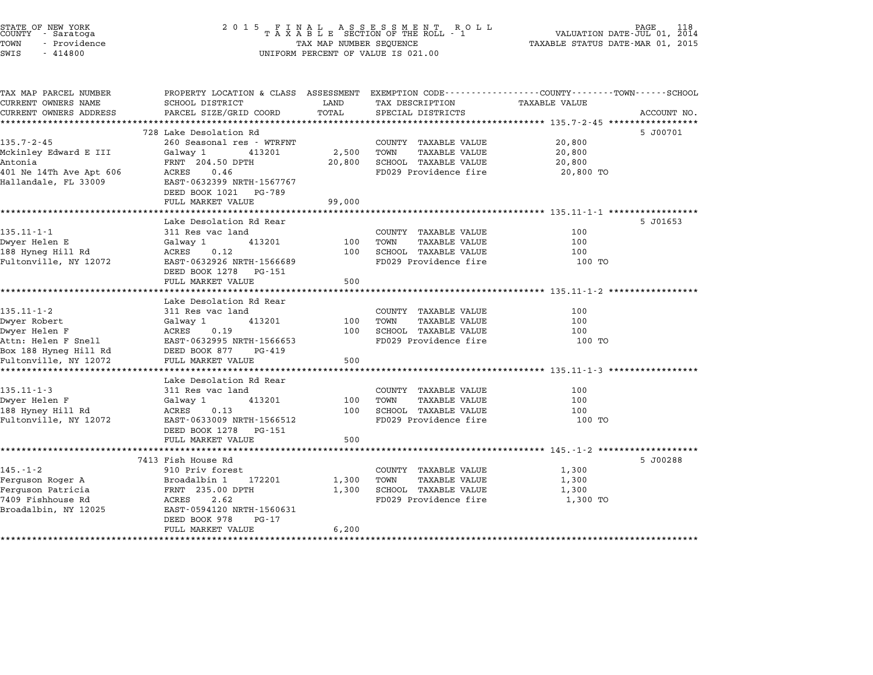| 2 0 1 5                                                                                                                                                         |                                                                                                                         | R O L L                                                                                               | PAGE<br>118<br>VALUATION DATE-JUL 01, 2014<br>TAXABLE STATUS DATE-MAR 01, 2015                                                                                                     |
|-----------------------------------------------------------------------------------------------------------------------------------------------------------------|-------------------------------------------------------------------------------------------------------------------------|-------------------------------------------------------------------------------------------------------|------------------------------------------------------------------------------------------------------------------------------------------------------------------------------------|
| SCHOOL DISTRICT<br>PARCEL SIZE/GRID COORD                                                                                                                       | LAND<br>TOTAL                                                                                                           | TAX DESCRIPTION<br>SPECIAL DISTRICTS                                                                  | EXEMPTION CODE-----------------COUNTY-------TOWN------SCHOOL<br><b>TAXABLE VALUE</b><br>ACCOUNT NO.                                                                                |
|                                                                                                                                                                 |                                                                                                                         |                                                                                                       | ******************** 135.7-2-45 **************                                                                                                                                     |
| 260 Seasonal res - WTRFNT<br>413201<br>Galway 1<br>FRNT 204.50 DPTH<br>ACRES<br>0.46<br>EAST-0632399 NRTH-1567767<br>DEED BOOK 1021 PG-789<br>FULL MARKET VALUE | 2,500<br>20,800<br>99,000                                                                                               | COUNTY TAXABLE VALUE<br><b>TAXABLE VALUE</b><br>TOWN<br>SCHOOL TAXABLE VALUE<br>FD029 Providence fire | 5 J00701<br>20,800<br>20,800<br>20,800<br>20,800 TO                                                                                                                                |
|                                                                                                                                                                 |                                                                                                                         |                                                                                                       | ************************** 135.11-1-1 *************                                                                                                                                |
| 311 Res vac land<br>Galway 1<br>413201<br>0.12<br>ACRES<br>EAST-0632926 NRTH-1566689<br>DEED BOOK 1278 PG-151<br>FULL MARKET VALUE                              | 100<br>100<br>500                                                                                                       | COUNTY TAXABLE VALUE<br>TOWN<br><b>TAXABLE VALUE</b><br>SCHOOL TAXABLE VALUE<br>FD029 Providence fire | 5 J01653<br>100<br>100<br>100<br>100 TO                                                                                                                                            |
|                                                                                                                                                                 |                                                                                                                         |                                                                                                       | **************************** 135.11-1-2 *******                                                                                                                                    |
| Lake Desolation Rd Rear<br>311 Res vac land<br>Galway 1<br>413201<br>ACRES<br>0.19<br>EAST-0632995 NRTH-1566653<br>DEED BOOK 877<br>PG-419<br>FULL MARKET VALUE | 100<br>100<br>500                                                                                                       | COUNTY TAXABLE VALUE<br><b>TAXABLE VALUE</b><br>TOWN<br>SCHOOL TAXABLE VALUE<br>FD029 Providence fire | 100<br>100<br>100<br>100 TO                                                                                                                                                        |
| **********************                                                                                                                                          |                                                                                                                         |                                                                                                       | ***************************** 135.11-1-3 *********                                                                                                                                 |
| 311 Res vac land<br>Galway 1<br>413201<br>ACRES<br>0.13<br>EAST-0633009 NRTH-1566512<br>DEED BOOK 1278 PG-151<br>FULL MARKET VALUE                              | 100<br>100<br>500                                                                                                       | COUNTY TAXABLE VALUE<br>TAXABLE VALUE<br>TOWN<br>SCHOOL TAXABLE VALUE<br>FD029 Providence fire        | 100<br>100<br>100<br>100 TO                                                                                                                                                        |
| * * * * * * * * * * * * * * * * * * *                                                                                                                           |                                                                                                                         |                                                                                                       | ********************************* 145.-1-2 *******************                                                                                                                     |
| 910 Priv forest<br>Broadalbin 1<br>172201<br>FRNT 235.00 DPTH<br>ACRES<br>2.62<br>EAST-0594120 NRTH-1560631<br>DEED BOOK 978<br>PG-17                           | 1,300<br>1,300<br>6,200                                                                                                 | COUNTY TAXABLE VALUE<br>TOWN<br>TAXABLE VALUE<br>SCHOOL TAXABLE VALUE<br>FD029 Providence fire        | 5 J00288<br>1,300<br>1,300<br>1,300<br>1,300 TO                                                                                                                                    |
|                                                                                                                                                                 | 728 Lake Desolation Rd<br>Lake Desolation Rd Rear<br>Lake Desolation Rd Rear<br>7413 Fish House Rd<br>FULL MARKET VALUE |                                                                                                       | FINAL ASSESSMENT RO<br>TAXABLE SECTION OF THE ROLL - 1<br>TAX MAP NUMBER SEQUENCE<br>UNIFORM PERCENT OF VALUE IS 021.00<br>PROPERTY LOCATION & CLASS ASSESSMENT<br>*************** |

STATE OF NEW YORK <sup>2</sup> <sup>0</sup> <sup>1</sup> 5 F I N A L A S S E S S M E N T R O L L PAGE <sup>118</sup> COUNTY - Saratoga <sup>T</sup> <sup>A</sup> <sup>X</sup> <sup>A</sup> <sup>B</sup> <sup>L</sup> <sup>E</sup> SECTION OF THE ROLL - <sup>1</sup> VALUATION DATE-JUL 01, <sup>2014</sup>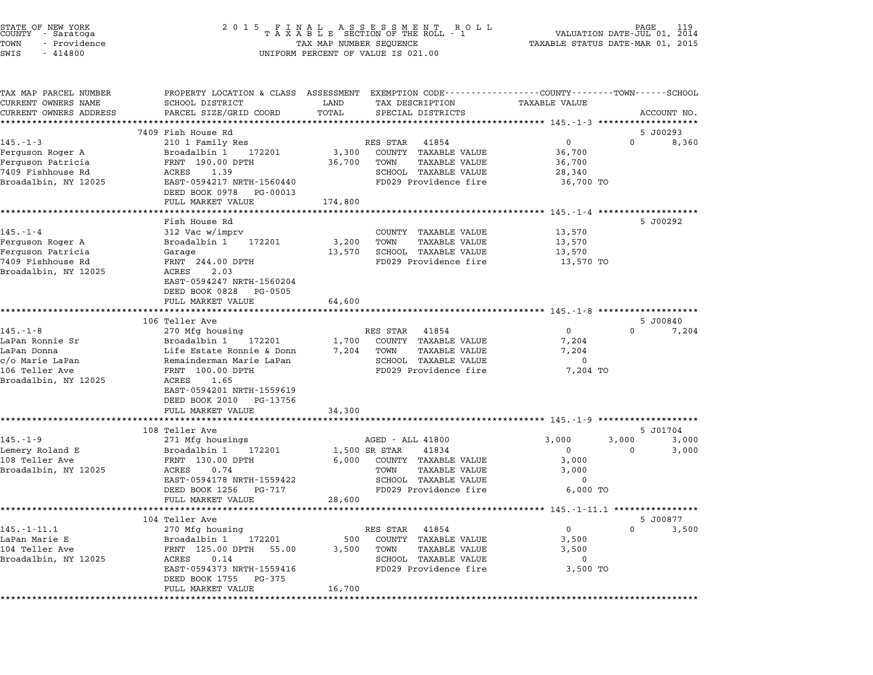| STATE OF NEW YORK<br>COUNTY      Saratoga<br>TOWN<br>- Providence<br>SWIS<br>$-414800$ | 2 0 1 5<br>TAX MAP NUMBER SEQUENCE<br>UNIFORM PERCENT OF VALUE IS 021.00                                           | 119<br>FINAL ASSESSMENT ROLL<br>TAXABLE SECTION OF THE ROLL - 1<br>PAGE<br>VALUATION DATE-JUL 01,<br>2014<br>TAXABLE STATUS DATE-MAR 01, 2015 |                                                               |                      |          |                   |
|----------------------------------------------------------------------------------------|--------------------------------------------------------------------------------------------------------------------|-----------------------------------------------------------------------------------------------------------------------------------------------|---------------------------------------------------------------|----------------------|----------|-------------------|
| TAX MAP PARCEL NUMBER<br>CURRENT OWNERS NAME                                           | PROPERTY LOCATION & CLASS ASSESSMENT EXEMPTION CODE----------------COUNTY-------TOWN-----SCHOOL<br>SCHOOL DISTRICT | LAND                                                                                                                                          | TAX DESCRIPTION                                               | <b>TAXABLE VALUE</b> |          |                   |
| CURRENT OWNERS ADDRESS                                                                 | PARCEL SIZE/GRID COORD                                                                                             | TOTAL                                                                                                                                         | SPECIAL DISTRICTS                                             |                      |          | ACCOUNT NO.       |
|                                                                                        |                                                                                                                    | **********                                                                                                                                    |                                                               |                      |          |                   |
| $145. - 1 - 3$                                                                         | 7409 Fish House Rd<br>210 1 Family Res                                                                             |                                                                                                                                               | RES STAR<br>41854                                             | 0                    | 0        | 5 J00293<br>8,360 |
| Ferguson Roger A                                                                       | Broadalbin 1<br>172201                                                                                             | 3,300                                                                                                                                         | COUNTY TAXABLE VALUE                                          | 36,700               |          |                   |
| Ferguson Patricia                                                                      | FRNT 190.00 DPTH                                                                                                   | 36,700                                                                                                                                        | TOWN<br>TAXABLE VALUE                                         | 36,700               |          |                   |
| 7409 Fishhouse Rd                                                                      | ACRES<br>1.39                                                                                                      |                                                                                                                                               | SCHOOL TAXABLE VALUE                                          | 28,340               |          |                   |
| Broadalbin, NY 12025                                                                   | EAST-0594217 NRTH-1560440                                                                                          |                                                                                                                                               | FD029 Providence fire                                         | 36,700 TO            |          |                   |
|                                                                                        | DEED BOOK 0978 PG-00013                                                                                            |                                                                                                                                               |                                                               |                      |          |                   |
|                                                                                        | FULL MARKET VALUE                                                                                                  | 174,800                                                                                                                                       |                                                               |                      |          |                   |
|                                                                                        |                                                                                                                    |                                                                                                                                               |                                                               |                      |          |                   |
| $145. - 1 - 4$                                                                         | Fish House Rd<br>312 Vac w/imprv                                                                                   |                                                                                                                                               | COUNTY TAXABLE VALUE                                          | 13,570               |          | 5 J00292          |
| Ferguson Roger A                                                                       | Broadalbin 1<br>172201                                                                                             | 3,200                                                                                                                                         | TOWN<br><b>TAXABLE VALUE</b>                                  | 13,570               |          |                   |
| Ferguson Patricia                                                                      | Garage                                                                                                             | 13,570                                                                                                                                        | SCHOOL TAXABLE VALUE                                          | 13,570               |          |                   |
| 7409 Fishhouse Rd                                                                      | FRNT 244.00 DPTH                                                                                                   |                                                                                                                                               | FD029 Providence fire                                         | 13,570 TO            |          |                   |
| Broadalbin, NY 12025                                                                   | 2.03<br>ACRES                                                                                                      |                                                                                                                                               |                                                               |                      |          |                   |
|                                                                                        | EAST-0594247 NRTH-1560204                                                                                          |                                                                                                                                               |                                                               |                      |          |                   |
|                                                                                        | DEED BOOK 0828 PG-0505                                                                                             |                                                                                                                                               |                                                               |                      |          |                   |
|                                                                                        | FULL MARKET VALUE                                                                                                  | 64,600                                                                                                                                        |                                                               |                      |          |                   |
|                                                                                        | 106 Teller Ave                                                                                                     |                                                                                                                                               |                                                               |                      |          | 5 J00840          |
| $145. - 1 - 8$                                                                         | 270 Mfg housing                                                                                                    |                                                                                                                                               | RES STAR 41854                                                | $\mathbf{0}$         | $\Omega$ | 7,204             |
| LaPan Ronnie Sr                                                                        | Broadalbin 1<br>172201                                                                                             | 1,700                                                                                                                                         | COUNTY TAXABLE VALUE                                          | 7,204                |          |                   |
| LaPan Donna                                                                            | Life Estate Ronnie & Donn                                                                                          | 7,204                                                                                                                                         | TAXABLE VALUE<br>TOWN                                         | 7,204                |          |                   |
| c/o Marie LaPan                                                                        | Remainderman Marie LaPan                                                                                           |                                                                                                                                               | SCHOOL TAXABLE VALUE                                          | $\mathbf 0$          |          |                   |
| 106 Teller Ave                                                                         | FRNT 100.00 DPTH                                                                                                   |                                                                                                                                               | FD029 Providence fire                                         | 7,204 TO             |          |                   |
| Broadalbin, NY 12025                                                                   | ACRES<br>1.65                                                                                                      |                                                                                                                                               |                                                               |                      |          |                   |
|                                                                                        | EAST-0594201 NRTH-1559619                                                                                          |                                                                                                                                               |                                                               |                      |          |                   |
|                                                                                        | DEED BOOK 2010<br>PG-13756<br>FULL MARKET VALUE                                                                    | 34,300                                                                                                                                        |                                                               |                      |          |                   |
|                                                                                        | *******************                                                                                                |                                                                                                                                               | ******************************** 145.-1-9 ******************* |                      |          |                   |
|                                                                                        | 108 Teller Ave                                                                                                     |                                                                                                                                               |                                                               |                      |          | 5 J01704          |
| $145. - 1 - 9$                                                                         | 271 Mfg housings                                                                                                   |                                                                                                                                               | AGED - ALL 41800                                              | 3,000                | 3,000    | 3,000             |
| Lemery Roland E                                                                        | Broadalbin 1<br>172201                                                                                             |                                                                                                                                               | 41834<br>1,500 SR STAR                                        | $\mathbf{0}$         | 0        | 3,000             |
| 108 Teller Ave                                                                         | FRNT 130.00 DPTH                                                                                                   | 6,000                                                                                                                                         | COUNTY TAXABLE VALUE                                          | 3,000                |          |                   |
| Broadalbin, NY 12025                                                                   | ACRES<br>0.74                                                                                                      |                                                                                                                                               | TAXABLE VALUE<br>TOWN                                         | 3,000                |          |                   |
|                                                                                        | EAST-0594178 NRTH-1559422                                                                                          |                                                                                                                                               | SCHOOL TAXABLE VALUE                                          | 0                    |          |                   |
|                                                                                        | DEED BOOK 1256<br>PG-717<br>FULL MARKET VALUE                                                                      | 28,600                                                                                                                                        | FD029 Providence fire                                         | 6,000 TO             |          |                   |
|                                                                                        |                                                                                                                    |                                                                                                                                               |                                                               |                      |          |                   |
|                                                                                        | 104 Teller Ave                                                                                                     |                                                                                                                                               |                                                               |                      |          | 5 J00877          |
| $145. - 1 - 11.1$                                                                      | 270 Mfg housing                                                                                                    |                                                                                                                                               | RES STAR 41854                                                | $\mathbf 0$          | $\Omega$ | 3,500             |
| LaPan Marie E                                                                          | Broadalbin 1<br>172201                                                                                             | 500                                                                                                                                           | COUNTY TAXABLE VALUE                                          | 3,500                |          |                   |
| 104 Teller Ave                                                                         | FRNT 125.00 DPTH 55.00                                                                                             | 3,500                                                                                                                                         | TOWN<br><b>TAXABLE VALUE</b>                                  | 3,500                |          |                   |
| Broadalbin, NY 12025                                                                   | ACRES<br>0.14                                                                                                      |                                                                                                                                               | SCHOOL TAXABLE VALUE                                          | 0                    |          |                   |
|                                                                                        | EAST-0594373 NRTH-1559416                                                                                          |                                                                                                                                               | FD029 Providence fire                                         | 3,500 TO             |          |                   |
|                                                                                        | DEED BOOK 1755 PG-375                                                                                              | 16,700                                                                                                                                        |                                                               |                      |          |                   |
| ********************                                                                   | FULL MARKET VALUE                                                                                                  |                                                                                                                                               |                                                               |                      |          |                   |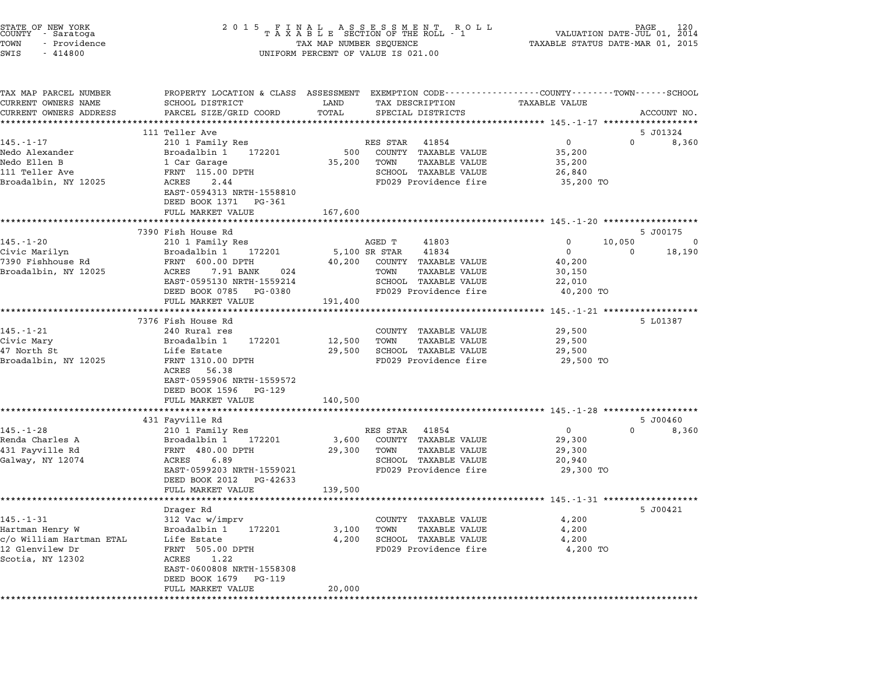| STATE OF NEW YORK<br>COUNTY - Saratoga<br>TOWN<br>- Providence<br>SWIS<br>$-414800$ | 2 0 1 5<br>FINAL ASSESSMENT ROLL<br>TAXABLE SECTION OF THE ROLL - 1<br>TAX MAP NUMBER SEQUENCE<br>UNIFORM PERCENT OF VALUE IS 021.00 |         |                                                                                | PAGE<br>120<br>VALUATION DATE-JUL 01, 2014<br>TAXABLE STATUS DATE-MAR 01, 2015 |              |             |
|-------------------------------------------------------------------------------------|--------------------------------------------------------------------------------------------------------------------------------------|---------|--------------------------------------------------------------------------------|--------------------------------------------------------------------------------|--------------|-------------|
| TAX MAP PARCEL NUMBER<br>CURRENT OWNERS NAME                                        | PROPERTY LOCATION & CLASS ASSESSMENT<br>SCHOOL DISTRICT                                                                              | LAND    | EXEMPTION CODE-----------------COUNTY-------TOWN-----SCHOOL<br>TAX DESCRIPTION | TAXABLE VALUE                                                                  |              |             |
| CURRENT OWNERS ADDRESS                                                              | PARCEL SIZE/GRID COORD                                                                                                               | TOTAL   | SPECIAL DISTRICTS                                                              |                                                                                |              | ACCOUNT NO. |
|                                                                                     |                                                                                                                                      |         |                                                                                |                                                                                |              |             |
|                                                                                     | 111 Teller Ave                                                                                                                       |         |                                                                                |                                                                                | 5 J01324     |             |
| $145. - 1 - 17$                                                                     | 210 1 Family Res                                                                                                                     |         | RES STAR 41854                                                                 | $\mathbf 0$                                                                    | $\Omega$     | 8,360       |
| Nedo Alexander                                                                      | Broadalbin 1<br>172201                                                                                                               | 500     | COUNTY TAXABLE VALUE                                                           | 35,200                                                                         |              |             |
| Nedo Ellen B                                                                        | 1 Car Garage                                                                                                                         | 35,200  | TOWN<br>TAXABLE VALUE                                                          | 35,200                                                                         |              |             |
| 111 Teller Ave<br>Broadalbin, NY 12025                                              | FRNT 115.00 DPTH<br>ACRES<br>2.44                                                                                                    |         | SCHOOL TAXABLE VALUE<br>FD029 Providence fire                                  | 26,840<br>35,200 TO                                                            |              |             |
|                                                                                     | EAST-0594313 NRTH-1558810<br>DEED BOOK 1371 PG-361                                                                                   |         |                                                                                |                                                                                |              |             |
|                                                                                     | FULL MARKET VALUE                                                                                                                    | 167,600 |                                                                                |                                                                                |              |             |
|                                                                                     |                                                                                                                                      |         |                                                                                | ******************** 145.-1-20 ******************                              |              |             |
|                                                                                     | 7390 Fish House Rd                                                                                                                   |         |                                                                                |                                                                                | 5 J00175     |             |
| 145.-1-20                                                                           | 210 1 Family Res                                                                                                                     |         | AGED T<br>41803                                                                | 0                                                                              | 10,050       | 0           |
| Civic Marilyn                                                                       | Broadalbin 1<br>172201                                                                                                               |         | 5,100 SR STAR<br>41834                                                         | $\mathbf{0}$                                                                   | $\mathbf 0$  | 18,190      |
| 7390 Fishhouse Rd                                                                   | FRNT 600.00 DPTH                                                                                                                     | 40,200  | COUNTY TAXABLE VALUE                                                           | 40,200                                                                         |              |             |
| Broadalbin, NY 12025                                                                | 7.91 BANK<br>ACRES<br>024<br>EAST-0595130 NRTH-1559214                                                                               |         | <b>TAXABLE VALUE</b><br>TOWN<br>SCHOOL TAXABLE VALUE                           | 30,150<br>22,010                                                               |              |             |
|                                                                                     | DEED BOOK 0785 PG-0380                                                                                                               |         | FD029 Providence fire                                                          | 40,200 TO                                                                      |              |             |
|                                                                                     | FULL MARKET VALUE                                                                                                                    | 191,400 |                                                                                |                                                                                |              |             |
|                                                                                     | **********************                                                                                                               |         |                                                                                |                                                                                |              |             |
|                                                                                     | 7376 Fish House Rd                                                                                                                   |         |                                                                                |                                                                                | 5 L01387     |             |
| $145. - 1 - 21$                                                                     | 240 Rural res                                                                                                                        |         | COUNTY TAXABLE VALUE                                                           | 29,500                                                                         |              |             |
| Civic Mary                                                                          | Broadalbin 1<br>172201                                                                                                               | 12,500  | TOWN<br>TAXABLE VALUE                                                          | 29,500                                                                         |              |             |
| 47 North St                                                                         | Life Estate                                                                                                                          | 29,500  | SCHOOL TAXABLE VALUE                                                           | 29,500                                                                         |              |             |
| Broadalbin, NY 12025                                                                | FRNT 1310.00 DPTH                                                                                                                    |         | FD029 Providence fire                                                          | 29,500 TO                                                                      |              |             |
|                                                                                     | ACRES 56.38<br>EAST-0595906 NRTH-1559572                                                                                             |         |                                                                                |                                                                                |              |             |
|                                                                                     | DEED BOOK 1596 PG-129                                                                                                                |         |                                                                                |                                                                                |              |             |
|                                                                                     | FULL MARKET VALUE                                                                                                                    | 140,500 |                                                                                |                                                                                |              |             |
|                                                                                     |                                                                                                                                      |         |                                                                                |                                                                                |              |             |
|                                                                                     | 431 Fayville Rd                                                                                                                      |         |                                                                                |                                                                                |              | 5 J00460    |
| $145. - 1 - 28$                                                                     | 210 1 Family Res                                                                                                                     |         | RES STAR<br>41854                                                              | $\mathbf 0$                                                                    | $\mathbf{0}$ | 8,360       |
| Renda Charles A                                                                     | 172201<br>Broadalbin 1                                                                                                               | 3,600   | COUNTY TAXABLE VALUE                                                           | 29,300                                                                         |              |             |
| 431 Fayville Rd                                                                     | FRNT 480.00 DPTH                                                                                                                     | 29,300  | TOWN<br><b>TAXABLE VALUE</b>                                                   | 29,300                                                                         |              |             |
| Galway, NY 12074                                                                    | ACRES<br>6.89                                                                                                                        |         | SCHOOL TAXABLE VALUE                                                           | 20,940                                                                         |              |             |
|                                                                                     | EAST-0599203 NRTH-1559021                                                                                                            |         | FD029 Providence fire                                                          | 29,300 TO                                                                      |              |             |
|                                                                                     | DEED BOOK 2012 PG-42633                                                                                                              |         |                                                                                |                                                                                |              |             |
|                                                                                     | FULL MARKET VALUE<br>**********                                                                                                      | 139,500 |                                                                                | ************************ 145.-1-31 ****************                            |              |             |
|                                                                                     | Drager Rd                                                                                                                            |         |                                                                                |                                                                                | 5 J00421     |             |
| $145. - 1 - 31$                                                                     | 312 Vac w/imprv                                                                                                                      |         | COUNTY TAXABLE VALUE                                                           | 4,200                                                                          |              |             |
| Hartman Henry W                                                                     | Broadalbin 1<br>172201                                                                                                               | 3,100   | TOWN<br><b>TAXABLE VALUE</b>                                                   | 4,200                                                                          |              |             |
| c/o William Hartman ETAL                                                            | Life Estate                                                                                                                          | 4,200   | SCHOOL TAXABLE VALUE                                                           | 4,200                                                                          |              |             |
| 12 Glenvilew Dr                                                                     | FRNT 505.00 DPTH                                                                                                                     |         | FD029 Providence fire                                                          | 4,200 TO                                                                       |              |             |
| Scotia, NY 12302                                                                    | ACRES<br>1.22                                                                                                                        |         |                                                                                |                                                                                |              |             |
|                                                                                     | EAST-0600808 NRTH-1558308                                                                                                            |         |                                                                                |                                                                                |              |             |
|                                                                                     | DEED BOOK 1679<br>PG-119                                                                                                             |         |                                                                                |                                                                                |              |             |
|                                                                                     | FULL MARKET VALUE                                                                                                                    | 20,000  |                                                                                |                                                                                |              |             |

\*\*\*\*\*\*\*\*\*\*\*\*\*\*\*\*\*\*\*\*\*\*\*\*\*\*\*\*\*\*\*\*\*\*\*\*\*\*\*\*\*\*\*\*\*\*\*\*\*\*\*\*\*\*\*\*\*\*\*\*\*\*\*\*\*\*\*\*\*\*\*\*\*\*\*\*\*\*\*\*\*\*\*\*\*\*\*\*\*\*\*\*\*\*\*\*\*\*\*\*\*\*\*\*\*\*\*\*\*\*\*\*\*\*\*\*\*\*\*\*\*\*\*\*\*\*\*\*\*\*\*\*

STATE OF NEW YORK <sup>2</sup> <sup>0</sup> <sup>1</sup> 5 F I N A L A S S E S S M E N T R O L L PAGE <sup>120</sup> COUNTY - Saratoga <sup>T</sup> <sup>A</sup> <sup>X</sup> <sup>A</sup> <sup>B</sup> <sup>L</sup> <sup>E</sup> SECTION OF THE ROLL - <sup>1</sup> VALUATION DATE-JUL 01, <sup>2014</sup>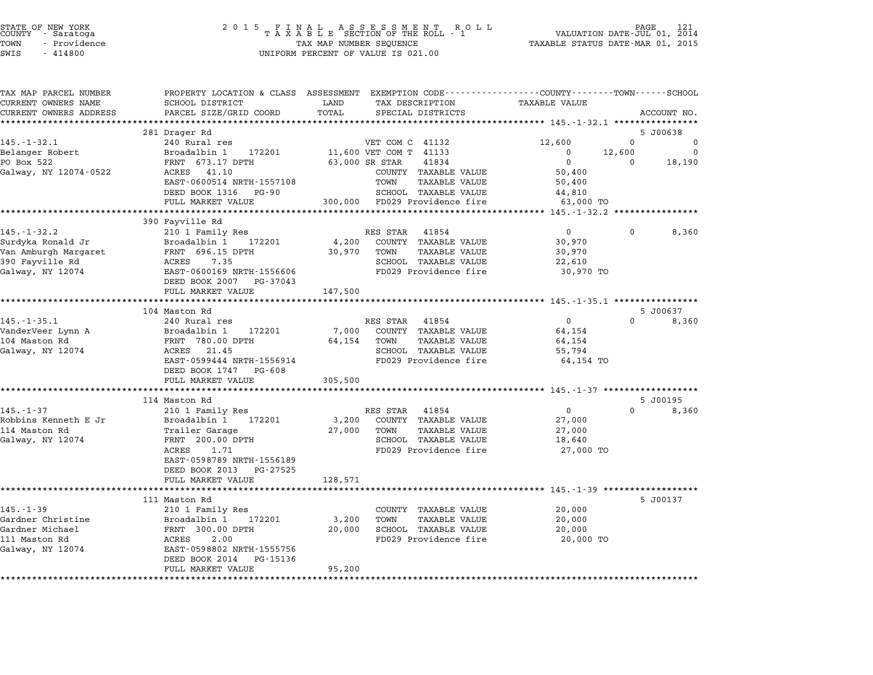| STATE OF NEW YORK |  |              |  |
|-------------------|--|--------------|--|
| COUNTY            |  | - Saratoga   |  |
| TOWN              |  | - Providence |  |
|                   |  |              |  |

| TAX MAP PARCEL NUMBER  |                                                      | PROPERTY LOCATION & CLASS ASSESSMENT EXEMPTION CODE---------------COUNTY-------TOWN------SCHOOL |                                          |
|------------------------|------------------------------------------------------|-------------------------------------------------------------------------------------------------|------------------------------------------|
| CURRENT OWNERS NAME    | SCHOOL DISTRICT                                      | LAND<br>TAX DESCRIPTION                                                                         | <b>TAXABLE VALUE</b>                     |
| CURRENT OWNERS ADDRESS | PARCEL SIZE/GRID COORD                               | TOTAL<br>SPECIAL DISTRICTS                                                                      | ACCOUNT NO.                              |
|                        |                                                      |                                                                                                 |                                          |
|                        | 281 Drager Rd                                        |                                                                                                 | 5 J00638                                 |
| $145. - 1 - 32.1$      | 240 Rural res                                        | VET COM C 41132                                                                                 | 12,600<br>$\Omega$<br>0                  |
| Belanger Robert        | Broadalbin 1<br>172201                               | 11,600 VET COM T 41133                                                                          | $\Omega$<br>12,600<br>$\Omega$           |
| PO Box 522             | FRNT 673.17 DPTH                                     | 63,000 SR STAR<br>41834                                                                         | $\Omega$<br>$\Omega$<br>18,190           |
| Galway, NY 12074-0522  | 41.10<br>ACRES                                       | COUNTY TAXABLE VALUE                                                                            | 50,400                                   |
|                        | EAST-0600514 NRTH-1557108                            | TOWN<br><b>TAXABLE VALUE</b>                                                                    | 50,400                                   |
|                        | DEED BOOK 1316 PG-90                                 | SCHOOL TAXABLE VALUE                                                                            | 44,810                                   |
|                        | FULL MARKET VALUE                                    | 300,000 FD029 Providence fire                                                                   | 63,000 TO                                |
|                        |                                                      |                                                                                                 | ********* 145.-1-32.2 ***********        |
|                        | 390 Fayville Rd                                      |                                                                                                 |                                          |
| $145. - 1 - 32.2$      | 210 1 Family Res                                     | RES STAR 41854                                                                                  | $\Omega$<br>$\Omega$<br>8,360            |
| Surdyka Ronald Jr      | Broadalbin 1<br>172201                               | 4,200 COUNTY TAXABLE VALUE                                                                      | 30,970                                   |
| Van Amburgh Margaret   | FRNT 696.15 DPTH                                     | 30,970 TOWN<br><b>TAXABLE VALUE</b>                                                             | 30,970                                   |
| 390 Fayville Rd        | ACRES<br>7.35                                        | SCHOOL TAXABLE VALUE                                                                            | 22,610                                   |
| Galway, NY 12074       | EAST-0600169 NRTH-1556606<br>DEED BOOK 2007 PG-37043 | FD029 Providence fire                                                                           | 30,970 TO                                |
|                        | FULL MARKET VALUE                                    | 147,500                                                                                         |                                          |
|                        | ********************                                 | * * * * * * * * * *                                                                             | *********** 145.-1-35.1 **************** |
|                        | 104 Maston Rd                                        |                                                                                                 | 5 J00637                                 |
| $145. - 1 - 35.1$      | 240 Rural res                                        | RES STAR<br>41854                                                                               | $\overline{0}$<br>$\Omega$<br>8,360      |
| VanderVeer Lynn A      | Broadalbin 1<br>172201                               | 7,000<br>COUNTY TAXABLE VALUE                                                                   | 64,154                                   |
| 104 Maston Rd          | FRNT 780.00 DPTH                                     | 64,154<br>TOWN<br>TAXABLE VALUE                                                                 | 64,154                                   |
| Galway, NY 12074       | 21.45<br>ACRES                                       | SCHOOL TAXABLE VALUE                                                                            | 55,794                                   |
|                        | EAST-0599444 NRTH-1556914                            | FD029 Providence fire                                                                           | 64,154 TO                                |
|                        | DEED BOOK 1747 PG-608                                |                                                                                                 |                                          |
|                        | FULL MARKET VALUE                                    | 305,500                                                                                         |                                          |
|                        | *********************                                |                                                                                                 |                                          |
|                        | 114 Maston Rd                                        |                                                                                                 | 5 J00195                                 |
| $145. - 1 - 37$        | 210 1 Family Res                                     | RES STAR 41854                                                                                  | $\overline{0}$<br>$\Omega$<br>8,360      |
| Robbins Kenneth E Jr   | Broadalbin 1 172201                                  | 3,200 COUNTY TAXABLE VALUE                                                                      | 27,000                                   |
| 114 Maston Rd          | Trailer Garage                                       | TOWN<br>27,000<br><b>TAXABLE VALUE</b>                                                          | 27,000                                   |
| Galway, NY 12074       | FRNT 200.00 DPTH                                     | SCHOOL TAXABLE VALUE                                                                            | 18,640                                   |
|                        | ACRES<br>1.71                                        | FD029 Providence fire                                                                           | 27,000 TO                                |
|                        | EAST-0598789 NRTH-1556189                            |                                                                                                 |                                          |
|                        | DEED BOOK 2013<br>PG-27525                           |                                                                                                 |                                          |
|                        | FULL MARKET VALUE<br>***********************         | 128,571                                                                                         |                                          |
|                        |                                                      |                                                                                                 |                                          |
|                        | 111 Maston Rd                                        |                                                                                                 | 5 J00137                                 |
| $145. - 1 - 39$        | 210 1 Family Res                                     | COUNTY TAXABLE VALUE                                                                            | 20,000                                   |
| Gardner Christine      | 172201<br>Broadalbin 1                               | 3,200<br>TOWN<br>TAXABLE VALUE                                                                  | 20,000                                   |
| Gardner Michael        | FRNT 300.00 DPTH                                     | SCHOOL TAXABLE VALUE<br>20,000                                                                  | 20,000                                   |
| 111 Maston Rd          | ACRES<br>2.00                                        | FD029 Providence fire                                                                           | 20,000 TO                                |
| Galway, NY 12074       | EAST-0598802 NRTH-1555756                            |                                                                                                 |                                          |
|                        | DEED BOOK 2014 PG-15136                              |                                                                                                 |                                          |
|                        | FULL MARKET VALUE                                    | 95,200                                                                                          |                                          |
|                        |                                                      |                                                                                                 |                                          |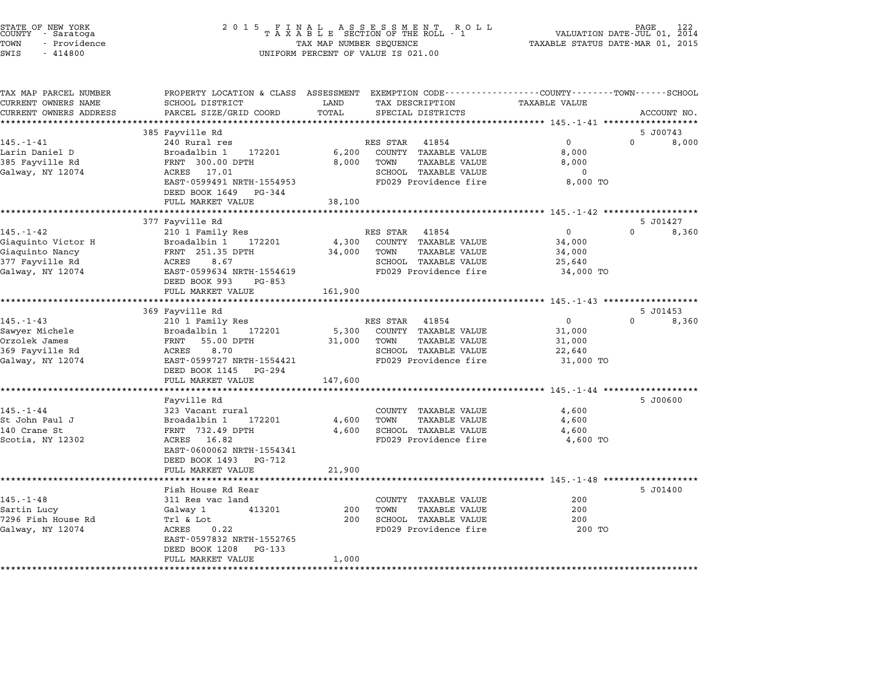| STATE OF NEW YORK<br>COUNTY – Saratoga<br>TOWN<br>- Providence<br>SWIS<br>$-414800$ | 2 0 1 5                                                                                                          | TAX MAP NUMBER SEQUENCE | FINAL ASSESSMENT RO<br>TAXABLE SECTION OF THE ROLL - 1<br>R O L L<br>UNIFORM PERCENT OF VALUE IS 021.00 | TAXABLE STATUS DATE-MAR 01, 2015                                 | PAGE<br>VALUATION DATE-JUL 01, 2014 |
|-------------------------------------------------------------------------------------|------------------------------------------------------------------------------------------------------------------|-------------------------|---------------------------------------------------------------------------------------------------------|------------------------------------------------------------------|-------------------------------------|
| TAX MAP PARCEL NUMBER<br>CURRENT OWNERS NAME                                        | PROPERTY LOCATION & CLASS ASSESSMENT EXEMPTION CODE--------------COUNTY-------TOWN-----SCHOOL<br>SCHOOL DISTRICT | LAND                    | TAX DESCRIPTION                                                                                         | <b>TAXABLE VALUE</b>                                             |                                     |
| CURRENT OWNERS ADDRESS<br>**********************                                    | PARCEL SIZE/GRID COORD<br>***********************                                                                | TOTAL<br>*************  | SPECIAL DISTRICTS                                                                                       |                                                                  | ACCOUNT NO.                         |
|                                                                                     | 385 Fayville Rd                                                                                                  |                         |                                                                                                         | *********************************** 145.-1-41 ****************** | 5 J00743                            |
| $145. - 1 - 41$                                                                     | 240 Rural res                                                                                                    |                         | RES STAR<br>41854                                                                                       | $\Omega$                                                         | $\Omega$<br>8,000                   |
| Larin Daniel D                                                                      | Broadalbin 1<br>172201                                                                                           | 6,200                   | COUNTY TAXABLE VALUE                                                                                    | 8,000                                                            |                                     |
| 385 Fayville Rd                                                                     | FRNT 300.00 DPTH                                                                                                 | 8,000                   | TOWN<br>TAXABLE VALUE                                                                                   | 8,000                                                            |                                     |
| Galway, NY 12074                                                                    | 17.01<br>ACRES                                                                                                   |                         | SCHOOL TAXABLE VALUE                                                                                    | 0                                                                |                                     |
|                                                                                     | EAST-0599491 NRTH-1554953                                                                                        |                         | FD029 Providence fire                                                                                   | 8,000 TO                                                         |                                     |
|                                                                                     | DEED BOOK 1649<br>PG-344<br>FULL MARKET VALUE                                                                    | 38,100                  |                                                                                                         |                                                                  |                                     |
|                                                                                     |                                                                                                                  | *********               |                                                                                                         | ********** 145.-1-42 ******************                          |                                     |
|                                                                                     | 377 Fayville Rd                                                                                                  |                         |                                                                                                         |                                                                  | 5 J01427                            |
| $145. - 1 - 42$                                                                     | 210 1 Family Res                                                                                                 |                         | RES STAR<br>41854                                                                                       | 0                                                                | $\Omega$<br>8,360                   |
| Giaquinto Victor H                                                                  | Broadalbin 1<br>172201                                                                                           | 4,300                   | COUNTY<br><b>TAXABLE VALUE</b>                                                                          | 34,000                                                           |                                     |
| Giaquinto Nancy<br>377 Fayville Rd                                                  | FRNT 251.35 DPTH<br>ACRES<br>8.67                                                                                | 34,000                  | <b>TAXABLE VALUE</b><br>TOWN<br>SCHOOL TAXABLE VALUE                                                    | 34,000<br>25,640                                                 |                                     |
| Galway, NY 12074                                                                    | EAST-0599634 NRTH-1554619                                                                                        |                         | FD029 Providence fire                                                                                   | 34,000 TO                                                        |                                     |
|                                                                                     | DEED BOOK 993<br>PG-853                                                                                          |                         |                                                                                                         |                                                                  |                                     |
|                                                                                     | FULL MARKET VALUE                                                                                                | 161,900                 |                                                                                                         |                                                                  |                                     |
|                                                                                     | *******************                                                                                              | * * * * * * * * * *     |                                                                                                         | ************* 145.-1-43 *******************                      |                                     |
| $145. - 1 - 43$                                                                     | 369 Fayville Rd<br>210 1 Family Res                                                                              |                         | 41854<br>RES STAR                                                                                       | $\mathbf 0$                                                      | 5 J01453<br>$\Omega$<br>8,360       |
| Sawyer Michele                                                                      | Broadalbin 1<br>172201                                                                                           | 5,300                   | COUNTY<br><b>TAXABLE VALUE</b>                                                                          | 31,000                                                           |                                     |
| Orzolek James                                                                       | FRNT<br>55.00 DPTH                                                                                               | 31,000                  | TOWN<br>TAXABLE VALUE                                                                                   | 31,000                                                           |                                     |
| 369 Fayville Rd                                                                     | 8.70<br>ACRES                                                                                                    |                         | SCHOOL TAXABLE VALUE                                                                                    | 22,640                                                           |                                     |
| Galway, NY 12074                                                                    | EAST-0599727 NRTH-1554421                                                                                        |                         | FD029 Providence fire                                                                                   | 31,000 TO                                                        |                                     |
|                                                                                     | DEED BOOK 1145<br>PG-294                                                                                         |                         |                                                                                                         |                                                                  |                                     |
|                                                                                     | FULL MARKET VALUE<br>****************                                                                            | 147,600<br>*********    |                                                                                                         | ********** 145.-1-44 *******************                         |                                     |
|                                                                                     | Fayville Rd                                                                                                      |                         |                                                                                                         |                                                                  | 5 J00600                            |
| $145. - 1 - 44$                                                                     | 323 Vacant rural                                                                                                 |                         | COUNTY TAXABLE VALUE                                                                                    | 4,600                                                            |                                     |
| St John Paul J                                                                      | Broadalbin 1<br>172201                                                                                           | 4,600                   | TOWN<br><b>TAXABLE VALUE</b>                                                                            | 4,600                                                            |                                     |
| 140 Crane St                                                                        | FRNT 732.49 DPTH                                                                                                 | 4,600                   | SCHOOL TAXABLE VALUE                                                                                    | 4,600                                                            |                                     |
| Scotia, NY 12302                                                                    | ACRES<br>16.82                                                                                                   |                         | FD029 Providence fire                                                                                   | 4,600 TO                                                         |                                     |
|                                                                                     | EAST-0600062 NRTH-1554341<br>DEED BOOK 1493<br>PG-712                                                            |                         |                                                                                                         |                                                                  |                                     |
|                                                                                     | FULL MARKET VALUE                                                                                                | 21,900                  |                                                                                                         |                                                                  |                                     |
|                                                                                     | *******************                                                                                              |                         |                                                                                                         | ***************** 145. -1-48 *******************                 |                                     |
|                                                                                     | Fish House Rd Rear                                                                                               |                         |                                                                                                         |                                                                  | 5 J01400                            |
| $145. - 1 - 48$                                                                     | 311 Res vac land                                                                                                 |                         | COUNTY TAXABLE VALUE                                                                                    | 200                                                              |                                     |
| Sartin Lucy                                                                         | Galway 1<br>413201                                                                                               | 200                     | TOWN<br><b>TAXABLE VALUE</b>                                                                            | 200                                                              |                                     |
| 7296 Fish House Rd<br>Galway, NY 12074                                              | Trl & Lot<br>ACRES<br>0.22                                                                                       | 200                     | SCHOOL TAXABLE VALUE<br>FD029 Providence fire                                                           | 200<br>200 TO                                                    |                                     |
|                                                                                     | EAST-0597832 NRTH-1552765                                                                                        |                         |                                                                                                         |                                                                  |                                     |
|                                                                                     | DEED BOOK 1208<br>PG-133                                                                                         |                         |                                                                                                         |                                                                  |                                     |
|                                                                                     | FULL MARKET VALUE                                                                                                | 1,000                   |                                                                                                         |                                                                  |                                     |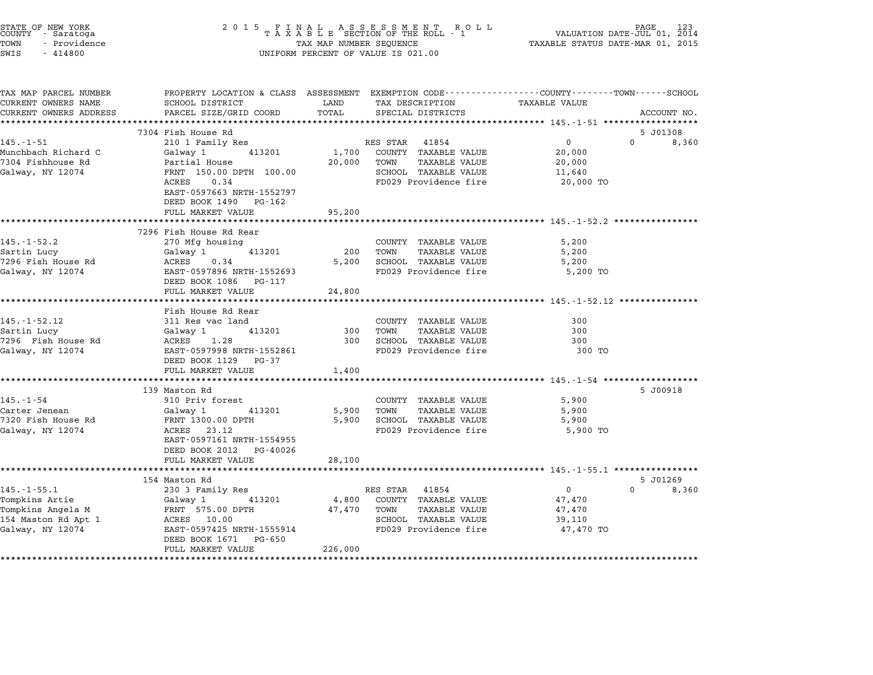| STATE OF NEW YORK<br>COUNTY - Saratoga<br>TOWN<br>- Providence<br>SWIS<br>$-414800$ |                                                                                                | TAX MAP NUMBER SEQUENCE | $\begin{array}{cccccccccccccc} 2& 0& 1& 5 & & F & I & N & A & L & & A & S & S & E & S & M & E & N & T & & R & O & L \\ & & T & A & X & A & B & L & E & SECTION & OF & THE & ROLL & - & 1 \end{array}$<br>UNIFORM PERCENT OF VALUE IS 021.00 | VALUATION DATE-JUL 01, 2014<br>TAXABLE STATUS DATE-MAR 01, 2015    | PAGE<br>123 |
|-------------------------------------------------------------------------------------|------------------------------------------------------------------------------------------------|-------------------------|---------------------------------------------------------------------------------------------------------------------------------------------------------------------------------------------------------------------------------------------|--------------------------------------------------------------------|-------------|
| TAX MAP PARCEL NUMBER                                                               | PROPERTY LOCATION & CLASS ASSESSMENT EXEMPTION CODE---------------COUNTY-------TOWN-----SCHOOL |                         |                                                                                                                                                                                                                                             |                                                                    |             |
| CURRENT OWNERS NAME<br>CURRENT OWNERS ADDRESS                                       | SCHOOL DISTRICT<br>PARCEL SIZE/GRID COORD                                                      | LAND<br>TOTAL           | TAX DESCRIPTION<br>SPECIAL DISTRICTS                                                                                                                                                                                                        | <b>TAXABLE VALUE</b>                                               |             |
|                                                                                     | ****************************                                                                   |                         |                                                                                                                                                                                                                                             |                                                                    | ACCOUNT NO. |
|                                                                                     | 7304 Fish House Rd                                                                             |                         |                                                                                                                                                                                                                                             |                                                                    | 5 J01308    |
| $145. - 1 - 51$                                                                     | 210 1 Family Res                                                                               |                         | RES STAR 41854                                                                                                                                                                                                                              | $\mathbf 0$                                                        | 0<br>8,360  |
| Munchbach Richard C                                                                 | 413201<br>Galway 1                                                                             | 1,700                   | COUNTY TAXABLE VALUE                                                                                                                                                                                                                        | 20,000                                                             |             |
| 7304 Fishhouse Rd                                                                   | Partial House                                                                                  | 20,000                  | TOWN<br>TAXABLE VALUE                                                                                                                                                                                                                       | 20,000                                                             |             |
| Galway, NY 12074                                                                    | FRNT 150.00 DPTH 100.00                                                                        |                         | SCHOOL TAXABLE VALUE                                                                                                                                                                                                                        | 11,640                                                             |             |
|                                                                                     | ACRES<br>0.34                                                                                  |                         | FD029 Providence fire                                                                                                                                                                                                                       | 20,000 TO                                                          |             |
|                                                                                     | EAST-0597663 NRTH-1552797                                                                      |                         |                                                                                                                                                                                                                                             |                                                                    |             |
|                                                                                     | DEED BOOK 1490 PG-162                                                                          |                         |                                                                                                                                                                                                                                             |                                                                    |             |
|                                                                                     | FULL MARKET VALUE<br>************************                                                  | 95,200                  |                                                                                                                                                                                                                                             |                                                                    |             |
|                                                                                     | 7296 Fish House Rd Rear                                                                        |                         |                                                                                                                                                                                                                                             |                                                                    |             |
| $145. - 1 - 52.2$                                                                   | 270 Mfg housing                                                                                |                         | COUNTY TAXABLE VALUE                                                                                                                                                                                                                        | 5,200                                                              |             |
| Sartin Lucy                                                                         | 413201<br>Galway 1                                                                             | 200                     | TOWN<br><b>TAXABLE VALUE</b>                                                                                                                                                                                                                | 5,200                                                              |             |
| 7296 Fish House Rd                                                                  | ACRES<br>0.34                                                                                  | 5,200                   | SCHOOL TAXABLE VALUE                                                                                                                                                                                                                        | 5,200                                                              |             |
| Galway, NY 12074                                                                    | EAST-0597896 NRTH-1552693                                                                      |                         | FD029 Providence fire                                                                                                                                                                                                                       | 5,200 TO                                                           |             |
|                                                                                     | DEED BOOK 1086 PG-117                                                                          |                         |                                                                                                                                                                                                                                             |                                                                    |             |
|                                                                                     | FULL MARKET VALUE                                                                              | 24,800                  |                                                                                                                                                                                                                                             |                                                                    |             |
|                                                                                     | **********************                                                                         |                         |                                                                                                                                                                                                                                             | ************************ 145.-1-52.12 ****************             |             |
|                                                                                     | Fish House Rd Rear                                                                             |                         |                                                                                                                                                                                                                                             |                                                                    |             |
| $145. - 1 - 52.12$                                                                  | 311 Res vac land                                                                               | 300                     | COUNTY TAXABLE VALUE<br>TOWN<br><b>TAXABLE VALUE</b>                                                                                                                                                                                        | 300<br>300                                                         |             |
| Sartin Lucy<br>7296 Fish House Rd                                                   | 413201<br>Galway 1<br>ACRES 1.28                                                               | 300                     | SCHOOL TAXABLE VALUE                                                                                                                                                                                                                        | 300                                                                |             |
| Galway, NY 12074                                                                    | EAST-0597998 NRTH-1552861                                                                      |                         | FD029 Providence fire                                                                                                                                                                                                                       | 300 TO                                                             |             |
|                                                                                     | DEED BOOK 1129 PG-37                                                                           |                         |                                                                                                                                                                                                                                             |                                                                    |             |
|                                                                                     | FULL MARKET VALUE                                                                              | 1,400                   |                                                                                                                                                                                                                                             |                                                                    |             |
|                                                                                     |                                                                                                |                         |                                                                                                                                                                                                                                             | ************************************ 145.-1-54 ******************* |             |
|                                                                                     | 139 Maston Rd                                                                                  |                         |                                                                                                                                                                                                                                             |                                                                    | 5 J00918    |
| $145. - 1 - 54$                                                                     | 910 Priv forest                                                                                |                         | COUNTY TAXABLE VALUE                                                                                                                                                                                                                        | 5,900                                                              |             |
| Carter Jenean                                                                       | 413201<br>Galway 1                                                                             | 5,900                   | TOWN<br>TAXABLE VALUE                                                                                                                                                                                                                       | 5,900                                                              |             |
| 7320 Fish House Rd                                                                  | FRNT 1300.00 DPTH                                                                              | 5,900                   | SCHOOL TAXABLE VALUE                                                                                                                                                                                                                        | 5,900                                                              |             |
| Galway, NY 12074                                                                    | ACRES 23.12                                                                                    |                         | FD029 Providence fire                                                                                                                                                                                                                       | 5,900 TO                                                           |             |
|                                                                                     | EAST-0597161 NRTH-1554955<br>DEED BOOK 2012 PG-40026                                           |                         |                                                                                                                                                                                                                                             |                                                                    |             |
|                                                                                     | FULL MARKET VALUE                                                                              | 28,100                  |                                                                                                                                                                                                                                             |                                                                    |             |
|                                                                                     |                                                                                                |                         |                                                                                                                                                                                                                                             |                                                                    |             |
|                                                                                     | 154 Maston Rd                                                                                  |                         |                                                                                                                                                                                                                                             |                                                                    | 5 J01269    |
| $145. - 1 - 55.1$                                                                   | 230 3 Family Res                                                                               |                         | RES STAR 41854                                                                                                                                                                                                                              | $\Omega$                                                           | 0<br>8,360  |
| Tompkins Artie                                                                      | 413201<br>Galway 1                                                                             | 4,800                   | COUNTY TAXABLE VALUE                                                                                                                                                                                                                        | 47,470                                                             |             |
| Tompkins Angela M                                                                   | FRNT 575.00 DPTH                                                                               | 47,470                  | TOWN<br><b>TAXABLE VALUE</b>                                                                                                                                                                                                                | 47,470                                                             |             |
| 154 Maston Rd Apt 1                                                                 | ACRES 10.00                                                                                    |                         | SCHOOL TAXABLE VALUE                                                                                                                                                                                                                        | 39,110                                                             |             |
| Galway, NY 12074                                                                    | EAST-0597425 NRTH-1555914                                                                      |                         | FD029 Providence fire                                                                                                                                                                                                                       | 47,470 TO                                                          |             |
|                                                                                     | DEED BOOK 1671 PG-650                                                                          |                         |                                                                                                                                                                                                                                             |                                                                    |             |
|                                                                                     | FULL MARKET VALUE                                                                              | 226,000                 |                                                                                                                                                                                                                                             |                                                                    |             |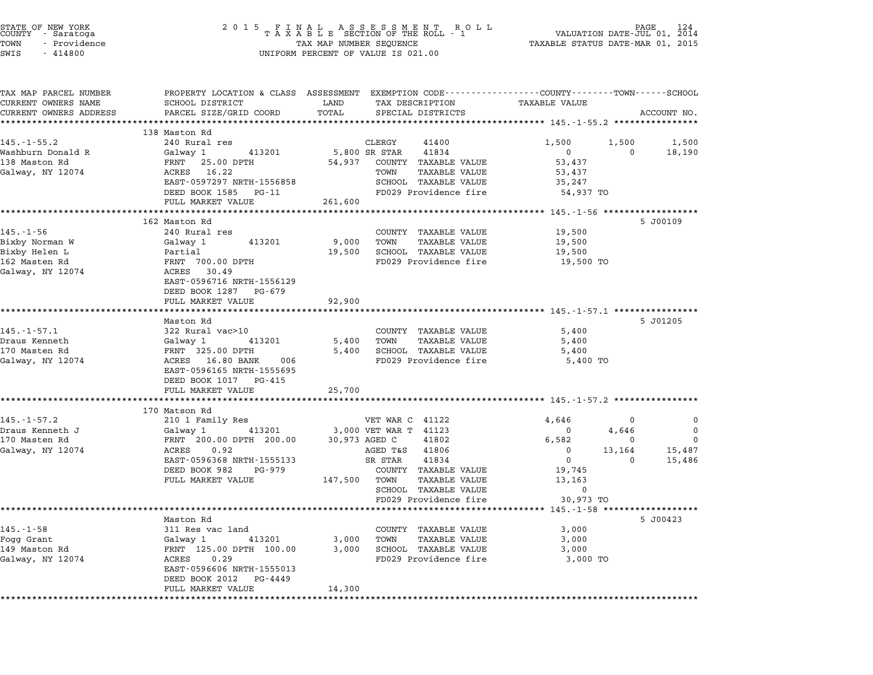| STATE OF NEW YORK<br>COUNTY - Saratoga<br>TOWN<br>- Providence<br>SWIS<br>$-414800$     |                                                                                                                                                                             |                          | 2015 FINAL ASSESSMENT ROLL<br>TAXABLE SECTION OF THE ROLL - 1<br>TAX MAP NUMBER SEQUENCE<br>UNIFORM PERCENT OF VALUE IS 021.00                                                       | TAXABLE STATUS DATE-MAR 01, 2015                                 | PAGE<br>VALUATION DATE-JUL 01, 2014   | 124                             |
|-----------------------------------------------------------------------------------------|-----------------------------------------------------------------------------------------------------------------------------------------------------------------------------|--------------------------|--------------------------------------------------------------------------------------------------------------------------------------------------------------------------------------|------------------------------------------------------------------|---------------------------------------|---------------------------------|
| TAX MAP PARCEL NUMBER<br>CURRENT OWNERS NAME<br>CURRENT OWNERS ADDRESS                  | PROPERTY LOCATION & CLASS ASSESSMENT EXEMPTION CODE--------------COUNTY------TOWN-----SCHOOL<br>SCHOOL DISTRICT<br>PARCEL SIZE/GRID COORD                                   | LAND<br>TOTAL            | TAX DESCRIPTION<br>SPECIAL DISTRICTS                                                                                                                                                 | <b>TAXABLE VALUE</b>                                             |                                       | ACCOUNT NO.                     |
|                                                                                         |                                                                                                                                                                             | ***********              |                                                                                                                                                                                      |                                                                  |                                       |                                 |
| $145. - 1 - 55.2$                                                                       | 138 Maston Rd<br>240 Rural res                                                                                                                                              |                          | CLERGY<br>41400                                                                                                                                                                      | 1,500                                                            | 1,500                                 | 1,500                           |
| Washburn Donald R<br>138 Maston Rd<br>Galway, NY 12074                                  | Galway 1<br>413201<br>FRNT 25.00 DPTH<br>ACRES<br>16.22<br>EAST-0597297 NRTH-1556858                                                                                        | 54,937                   | 5,800 SR STAR<br>41834<br>COUNTY TAXABLE VALUE<br>TAXABLE VALUE<br>TOWN<br>SCHOOL TAXABLE VALUE                                                                                      | $\mathbf{0}$<br>53,437<br>53,437<br>35,247                       | $\Omega$                              | 18,190                          |
|                                                                                         | DEED BOOK 1585 PG-11                                                                                                                                                        | 261,600                  | FD029 Providence fire                                                                                                                                                                | 54,937 TO                                                        |                                       |                                 |
|                                                                                         | FULL MARKET VALUE                                                                                                                                                           |                          |                                                                                                                                                                                      | ************************* 145.-1-56 *******************          |                                       |                                 |
| $145. - 1 - 56$<br>Bixby Norman W<br>Bixby Helen L<br>162 Masten Rd<br>Galway, NY 12074 | 162 Maston Rd<br>240 Rural res<br>413201<br>Galway 1<br>Partial<br>FRNT 700.00 DPTH<br>ACRES 30.49<br>EAST-0596716 NRTH-1556129                                             | 9,000<br>19,500          | COUNTY TAXABLE VALUE<br>TOWN<br><b>TAXABLE VALUE</b><br>SCHOOL TAXABLE VALUE<br>FD029 Providence fire                                                                                | 19,500<br>19,500<br>19,500<br>19,500 TO                          |                                       | 5 J00109                        |
|                                                                                         | DEED BOOK 1287 PG-679<br>FULL MARKET VALUE                                                                                                                                  | 92,900                   |                                                                                                                                                                                      |                                                                  |                                       |                                 |
|                                                                                         |                                                                                                                                                                             |                          |                                                                                                                                                                                      |                                                                  |                                       |                                 |
| $145. - 1 - 57.1$<br>Draus Kenneth<br>170 Masten Rd<br>Galway, NY 12074                 | Maston Rd<br>322 Rural vac>10<br>413201<br>Galway 1<br>FRNT 325.00 DPTH<br>ACRES 16.80 BANK<br>006<br>EAST-0596165 NRTH-1555695<br>DEED BOOK 1017 PG-415                    | 5,400<br>5,400           | COUNTY TAXABLE VALUE<br>TOWN<br>TAXABLE VALUE<br>SCHOOL TAXABLE VALUE<br>FD029 Providence fire                                                                                       | 5,400<br>5,400<br>5,400<br>5,400 TO                              |                                       | 5 J01205                        |
|                                                                                         | FULL MARKET VALUE<br>**********************                                                                                                                                 | 25,700                   |                                                                                                                                                                                      |                                                                  |                                       |                                 |
|                                                                                         | 170 Matson Rd                                                                                                                                                               |                          |                                                                                                                                                                                      | *********************** 145.-1-57.2 ***************              |                                       |                                 |
| $145. - 1 - 57.2$<br>Draus Kenneth J<br>170 Masten Rd<br>Galway, NY 12074               | 210 1 Family Res<br>413201<br>Galway 1<br>FRNT 200.00 DPTH 200.00<br>ACRES<br>0.92<br>EAST-0596368 NRTH-1555133<br>DEED BOOK 982<br>PG-979<br>FULL MARKET VALUE             | 147,500                  | VET WAR C 41122<br>3,000 VET WAR T 41123<br>30,973 AGED C<br>41802<br>AGED T&S<br>41806<br>SR STAR<br>41834<br>COUNTY TAXABLE VALUE<br>TOWN<br>TAXABLE VALUE<br>SCHOOL TAXABLE VALUE | 4,646<br>0<br>6,582<br>$\mathbf 0$<br>0<br>19,745<br>13,163<br>0 | 0<br>4,646<br>0<br>13,164<br>$\Omega$ | 0<br>0<br>∩<br>15,487<br>15,486 |
|                                                                                         |                                                                                                                                                                             |                          | FD029 Providence fire                                                                                                                                                                | 30,973 TO                                                        |                                       |                                 |
| $145. - 1 - 58$<br>Fogg Grant<br>149 Maston Rd<br>Galway, NY 12074                      | Maston Rd<br>311 Res vac land<br>Galway 1<br>413201<br>FRNT 125.00 DPTH 100.00<br>ACRES<br>0.29<br>EAST-0596606 NRTH-1555013<br>DEED BOOK 2012 PG-4449<br>FULL MARKET VALUE | 3,000<br>3,000<br>14,300 | COUNTY TAXABLE VALUE<br>TOWN<br>TAXABLE VALUE<br>SCHOOL TAXABLE VALUE<br>FD029 Providence fire                                                                                       | 3,000<br>3,000<br>3,000<br>3,000 TO                              |                                       | 5 J00423                        |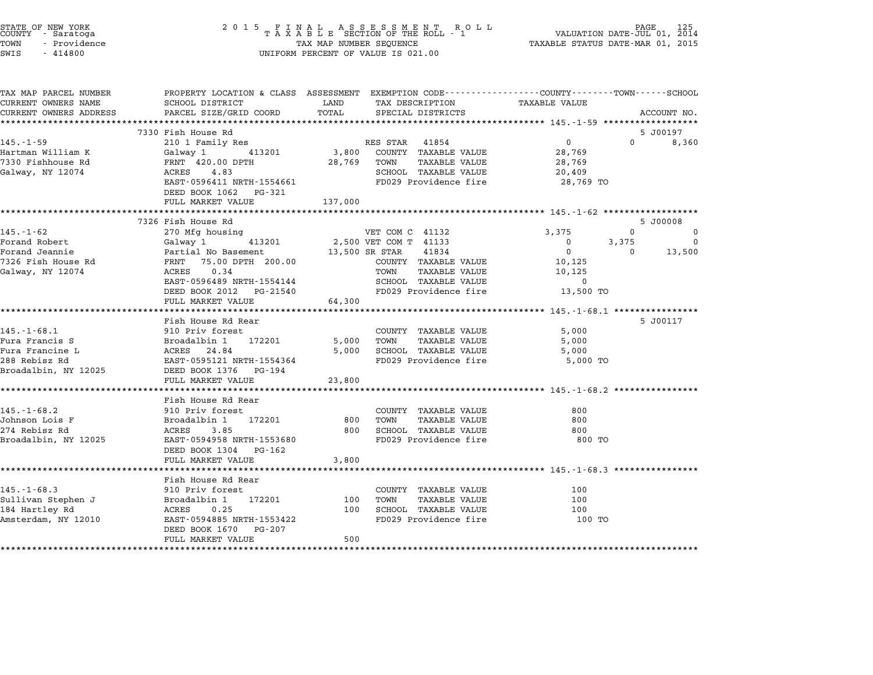| STATE OF NEW YORK<br>COUNTY - Saratoga<br>TOWN<br>- Providence<br>SWIS<br>$-414800$ |                                                                                                                   | TAX MAP NUMBER SEQUENCE | $\begin{array}{cccccccccccccccccc} 2& 0& 1& 5 & & F & I & N & A & L & & A & S & S & E & S & S & M & E & N & T & & R & O & L & L \\ & & T & A & X & A & B & L & E & SECTION & OF & THE & ROLL & - & 1 \end{array}$<br>UNIFORM PERCENT OF VALUE IS 021.00 | VALUATION DATE-JUL 01, 2014<br>TAXABLE STATUS DATE-MAR 01, 2015 | PAGE        |             |
|-------------------------------------------------------------------------------------|-------------------------------------------------------------------------------------------------------------------|-------------------------|---------------------------------------------------------------------------------------------------------------------------------------------------------------------------------------------------------------------------------------------------------|-----------------------------------------------------------------|-------------|-------------|
| TAX MAP PARCEL NUMBER<br>CURRENT OWNERS NAME                                        | PROPERTY LOCATION & CLASS ASSESSMENT EXEMPTION CODE---------------COUNTY-------TOWN-----SCHOOL<br>SCHOOL DISTRICT | LAND                    | TAX DESCRIPTION                                                                                                                                                                                                                                         | <b>TAXABLE VALUE</b>                                            |             |             |
| CURRENT OWNERS ADDRESS                                                              | PARCEL SIZE/GRID COORD                                                                                            | TOTAL                   | SPECIAL DISTRICTS                                                                                                                                                                                                                                       |                                                                 |             | ACCOUNT NO. |
|                                                                                     |                                                                                                                   |                         |                                                                                                                                                                                                                                                         |                                                                 |             |             |
|                                                                                     | 7330 Fish House Rd                                                                                                |                         |                                                                                                                                                                                                                                                         |                                                                 |             | 5 J00197    |
| $145. - 1 - 59$                                                                     | 210 1 Family Res                                                                                                  |                         | RES STAR 41854                                                                                                                                                                                                                                          | $\overline{0}$                                                  | $\Omega$    | 8,360       |
| Hartman William K                                                                   | Galway 1<br>413201                                                                                                | 3,800                   | COUNTY TAXABLE VALUE                                                                                                                                                                                                                                    | 28,769                                                          |             |             |
| 7330 Fishhouse Rd                                                                   | FRNT 420.00 DPTH                                                                                                  | 28,769                  | TOWN<br><b>TAXABLE VALUE</b>                                                                                                                                                                                                                            | 28,769                                                          |             |             |
| Galway, NY 12074                                                                    | 4.83<br>ACRES                                                                                                     |                         | SCHOOL TAXABLE VALUE                                                                                                                                                                                                                                    | 20,409                                                          |             |             |
|                                                                                     | EAST-0596411 NRTH-1554661<br>DEED BOOK 1062 PG-321                                                                |                         | FD029 Providence fire                                                                                                                                                                                                                                   | 28,769 TO                                                       |             |             |
|                                                                                     | FULL MARKET VALUE                                                                                                 | 137,000                 |                                                                                                                                                                                                                                                         |                                                                 |             |             |
|                                                                                     | 7326 Fish House Rd                                                                                                |                         |                                                                                                                                                                                                                                                         |                                                                 |             | 5 J00008    |
| $145. - 1 - 62$                                                                     | 270 Mfg housing                                                                                                   |                         | VET COM C 41132                                                                                                                                                                                                                                         | 3,375                                                           | $\mathbf 0$ | 0           |
| Forand Robert                                                                       | 413201<br>Galway 1                                                                                                |                         | 2,500 VET COM T 41133                                                                                                                                                                                                                                   | $\mathbf 0$                                                     | 3,375       | 0           |
| Forand Jeannie                                                                      | Partial No Basement                                                                                               |                         | 13,500 SR STAR<br>41834                                                                                                                                                                                                                                 | $\Omega$                                                        | $\Omega$    | 13,500      |
| 7326 Fish House Rd                                                                  | FRNT 75.00 DPTH 200.00                                                                                            |                         | COUNTY TAXABLE VALUE                                                                                                                                                                                                                                    | 10,125                                                          |             |             |
| Galway, NY 12074                                                                    | ACRES<br>0.34                                                                                                     |                         | TOWN<br><b>TAXABLE VALUE</b>                                                                                                                                                                                                                            | 10,125                                                          |             |             |
|                                                                                     | EAST-0596489 NRTH-1554144                                                                                         |                         | SCHOOL TAXABLE VALUE                                                                                                                                                                                                                                    | $\mathbf 0$                                                     |             |             |
|                                                                                     | DEED BOOK 2012 PG-21540<br>FULL MARKET VALUE                                                                      | 64,300                  | FD029 Providence fire                                                                                                                                                                                                                                   | 13,500 TO                                                       |             |             |
|                                                                                     | *********************                                                                                             |                         |                                                                                                                                                                                                                                                         | ************************ 145.-1-68.1 ****************           |             |             |
|                                                                                     | Fish House Rd Rear                                                                                                |                         |                                                                                                                                                                                                                                                         |                                                                 |             | 5 J00117    |
| $145. - 1 - 68.1$                                                                   | 910 Priv forest                                                                                                   |                         | COUNTY TAXABLE VALUE                                                                                                                                                                                                                                    | 5,000                                                           |             |             |
| Fura Francis S                                                                      | Broadalbin 1 172201                                                                                               | 5,000                   | TOWN<br>TAXABLE VALUE                                                                                                                                                                                                                                   | 5,000                                                           |             |             |
| Fura Francine L                                                                     | ACRES 24.84                                                                                                       | 5,000                   | SCHOOL TAXABLE VALUE                                                                                                                                                                                                                                    | 5,000                                                           |             |             |
| 288 Rebisz Rd                                                                       | EAST-0595121 NRTH-1554364                                                                                         |                         | FD029 Providence fire                                                                                                                                                                                                                                   | 5,000 TO                                                        |             |             |
| Broadalbin, NY 12025                                                                | DEED BOOK 1376 PG-194                                                                                             |                         |                                                                                                                                                                                                                                                         |                                                                 |             |             |
|                                                                                     | FULL MARKET VALUE                                                                                                 | 23,800                  |                                                                                                                                                                                                                                                         |                                                                 |             |             |
|                                                                                     | Fish House Rd Rear                                                                                                |                         |                                                                                                                                                                                                                                                         |                                                                 |             |             |
| $145. - 1 - 68.2$                                                                   | 910 Priv forest                                                                                                   |                         | COUNTY TAXABLE VALUE                                                                                                                                                                                                                                    | 800                                                             |             |             |
| Johnson Lois F                                                                      | Broadalbin 1<br>172201                                                                                            | 800                     | TOWN<br><b>TAXABLE VALUE</b>                                                                                                                                                                                                                            | 800                                                             |             |             |
| 274 Rebisz Rd                                                                       | 3.85<br>ACRES                                                                                                     | 800                     | SCHOOL TAXABLE VALUE                                                                                                                                                                                                                                    | 800                                                             |             |             |
| Broadalbin, NY 12025                                                                | EAST-0594958 NRTH-1553680                                                                                         |                         | FD029 Providence fire                                                                                                                                                                                                                                   | 800 TO                                                          |             |             |
|                                                                                     | DEED BOOK 1304 PG-162                                                                                             |                         |                                                                                                                                                                                                                                                         |                                                                 |             |             |
|                                                                                     | FULL MARKET VALUE                                                                                                 | 3,800                   |                                                                                                                                                                                                                                                         |                                                                 |             |             |
|                                                                                     | *********************************                                                                                 |                         |                                                                                                                                                                                                                                                         |                                                                 |             |             |
|                                                                                     | Fish House Rd Rear                                                                                                |                         |                                                                                                                                                                                                                                                         |                                                                 |             |             |
| $145. - 1 - 68.3$                                                                   | 910 Priv forest                                                                                                   |                         | COUNTY TAXABLE VALUE                                                                                                                                                                                                                                    | 100                                                             |             |             |
| Sullivan Stephen J                                                                  | Broadalbin 1<br>172201                                                                                            | 100                     | TOWN<br>TAXABLE VALUE                                                                                                                                                                                                                                   | 100                                                             |             |             |
| 184 Hartley Rd                                                                      | ACRES<br>0.25                                                                                                     | 100                     | SCHOOL TAXABLE VALUE                                                                                                                                                                                                                                    | 100                                                             |             |             |
| Amsterdam, NY 12010                                                                 | EAST-0594885 NRTH-1553422                                                                                         |                         | FD029 Providence fire                                                                                                                                                                                                                                   | 100 TO                                                          |             |             |
|                                                                                     | DEED BOOK 1670 PG-207                                                                                             |                         |                                                                                                                                                                                                                                                         |                                                                 |             |             |
|                                                                                     | FULL MARKET VALUE                                                                                                 | 500                     |                                                                                                                                                                                                                                                         |                                                                 |             |             |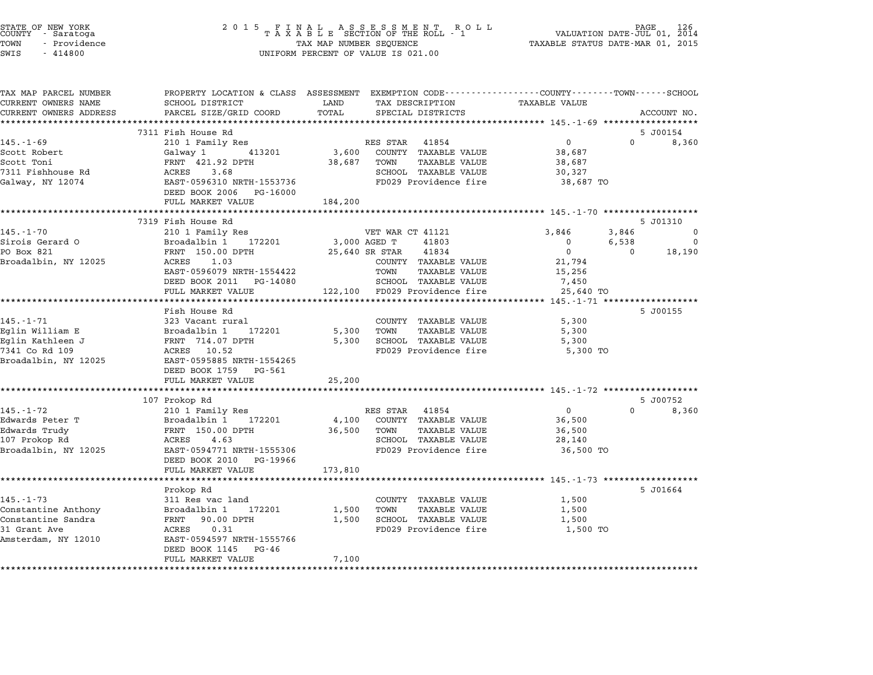| STATE OF NEW YORK<br>COUNTY<br>- Saratoga<br>TOWN<br>- Providence<br>SWIS<br>$-414800$ | 2 0 1 5<br>FINAL ASSESSMENT RO<br>TAXABLE SECTION OF THE ROLL - 1<br>TAX MAP NUMBER SEQUENCE<br>UNIFORM PERCENT OF VALUE IS 021.00 | PAGE<br>VALUATION DATE-JUL 01, 2014<br>TAXABLE STATUS DATE-MAR 01, 2015                                                    |                                                           |          |
|----------------------------------------------------------------------------------------|------------------------------------------------------------------------------------------------------------------------------------|----------------------------------------------------------------------------------------------------------------------------|-----------------------------------------------------------|----------|
| TAX MAP PARCEL NUMBER<br>CURRENT OWNERS NAME                                           | SCHOOL DISTRICT                                                                                                                    | PROPERTY LOCATION & CLASS ASSESSMENT EXEMPTION CODE---------------COUNTY-------TOWN------SCHOOL<br>LAND<br>TAX DESCRIPTION | <b>TAXABLE VALUE</b>                                      |          |
| CURRENT OWNERS ADDRESS                                                                 | PARCEL SIZE/GRID COORD<br>***********************                                                                                  | TOTAL<br>SPECIAL DISTRICTS                                                                                                 | ACCOUNT NO.                                               |          |
|                                                                                        | 7311 Fish House Rd                                                                                                                 |                                                                                                                            | 5 J00154                                                  |          |
| $145. - 1 - 69$                                                                        | 210 1 Family Res                                                                                                                   | RES STAR<br>41854                                                                                                          | $\mathsf{O}$<br>$\Omega$                                  | 8,360    |
| Scott Robert                                                                           | Galway 1<br>413201                                                                                                                 | 3,600<br>COUNTY TAXABLE VALUE                                                                                              | 38,687                                                    |          |
| Scott Toni                                                                             | FRNT 421.92 DPTH                                                                                                                   | TAXABLE VALUE<br>38,687<br>TOWN                                                                                            | 38,687                                                    |          |
| 7311 Fishhouse Rd                                                                      | ACRES<br>3.68                                                                                                                      | SCHOOL TAXABLE VALUE                                                                                                       | 30,327                                                    |          |
| Galway, NY 12074                                                                       | EAST-0596310 NRTH-1553736                                                                                                          | FD029 Providence fire                                                                                                      | 38,687 TO                                                 |          |
|                                                                                        | DEED BOOK 2006<br>PG-16000                                                                                                         |                                                                                                                            |                                                           |          |
|                                                                                        | FULL MARKET VALUE                                                                                                                  | 184,200                                                                                                                    |                                                           |          |
|                                                                                        | 7319 Fish House Rd                                                                                                                 |                                                                                                                            | *********** 145.-1-70 ******************<br>5 J01310      |          |
| $145. - 1 - 70$                                                                        | 210 1 Family Res                                                                                                                   | VET WAR CT 41121                                                                                                           | 3,846<br>3,846                                            | $\Omega$ |
| Sirois Gerard O                                                                        | 172201<br>Broadalbin 1                                                                                                             | 3,000 AGED T<br>41803                                                                                                      | $\mathbf 0$<br>6,538                                      | 0        |
| PO Box 821                                                                             | FRNT 150.00 DPTH                                                                                                                   | 25,640 SR STAR<br>41834                                                                                                    | $\mathbf 0$<br>$\Omega$                                   | 18,190   |
| Broadalbin, NY 12025                                                                   | ACRES<br>1.03                                                                                                                      | COUNTY TAXABLE VALUE                                                                                                       | 21,794                                                    |          |
|                                                                                        | EAST-0596079 NRTH-1554422                                                                                                          | TOWN<br><b>TAXABLE VALUE</b>                                                                                               | 15,256                                                    |          |
|                                                                                        | DEED BOOK 2011 PG-14080                                                                                                            | SCHOOL TAXABLE VALUE                                                                                                       | 7,450                                                     |          |
|                                                                                        | FULL MARKET VALUE                                                                                                                  | 122,100 FD029 Providence fire                                                                                              | 25,640 TO                                                 |          |
|                                                                                        | ******************                                                                                                                 |                                                                                                                            | ******* 145.-1-71 *****************                       |          |
| $145. - 1 - 71$                                                                        | Fish House Rd<br>323 Vacant rural                                                                                                  |                                                                                                                            | 5 J00155                                                  |          |
| Eglin William E                                                                        | Broadalbin 1<br>172201                                                                                                             | COUNTY TAXABLE VALUE<br>TOWN<br><b>TAXABLE VALUE</b><br>5,300                                                              | 5,300<br>5,300                                            |          |
| Eglin Kathleen J                                                                       | FRNT 714.07 DPTH                                                                                                                   | SCHOOL TAXABLE VALUE<br>5,300                                                                                              | 5,300                                                     |          |
| 7341 Co Rd 109                                                                         | ACRES 10.52                                                                                                                        | FD029 Providence fire                                                                                                      | 5,300 TO                                                  |          |
| Broadalbin, NY 12025                                                                   | EAST-0595885 NRTH-1554265                                                                                                          |                                                                                                                            |                                                           |          |
|                                                                                        | DEED BOOK 1759<br>PG-561                                                                                                           |                                                                                                                            |                                                           |          |
|                                                                                        | FULL MARKET VALUE                                                                                                                  | 25,200                                                                                                                     |                                                           |          |
|                                                                                        |                                                                                                                                    |                                                                                                                            | ********************** 145-1-72 *******************       |          |
|                                                                                        | 107 Prokop Rd                                                                                                                      |                                                                                                                            | 5 J00752                                                  |          |
| $145. - 1 - 72$                                                                        | 210 1 Family Res                                                                                                                   | RES STAR<br>41854                                                                                                          | $\Omega$<br>$\Omega$                                      | 8,360    |
| Edwards Peter T                                                                        | 172201<br>Broadalbin 1                                                                                                             | COUNTY TAXABLE VALUE<br>4,100                                                                                              | 36,500                                                    |          |
| Edwards Trudy<br>107 Prokop Rd                                                         | FRNT 150.00 DPTH<br>ACRES<br>4.63                                                                                                  | 36,500<br><b>TAXABLE VALUE</b><br>TOWN<br>SCHOOL TAXABLE VALUE                                                             | 36,500<br>28,140                                          |          |
| Broadalbin, NY 12025                                                                   | EAST-0594771 NRTH-1555306                                                                                                          | FD029 Providence fire                                                                                                      | 36,500 TO                                                 |          |
|                                                                                        | DEED BOOK 2010<br>PG-19966                                                                                                         |                                                                                                                            |                                                           |          |
|                                                                                        | FULL MARKET VALUE                                                                                                                  | 173,810                                                                                                                    |                                                           |          |
|                                                                                        |                                                                                                                                    |                                                                                                                            | ******************************** 145.-1-73 ************** |          |
|                                                                                        | Prokop Rd                                                                                                                          |                                                                                                                            | 5 J01664                                                  |          |
| $145. - 1 - 73$                                                                        | 311 Res vac land                                                                                                                   | COUNTY TAXABLE VALUE                                                                                                       | 1,500                                                     |          |
| Constantine Anthony                                                                    | Broadalbin 1<br>172201                                                                                                             | 1,500<br><b>TAXABLE VALUE</b><br>TOWN                                                                                      | 1,500                                                     |          |
| Constantine Sandra                                                                     | FRNT 90.00 DPTH                                                                                                                    | SCHOOL TAXABLE VALUE<br>1,500                                                                                              | 1,500                                                     |          |
| 31 Grant Ave<br>Amsterdam, NY 12010                                                    | 0.31<br>ACRES<br>EAST-0594597 NRTH-1555766                                                                                         | FD029 Providence fire                                                                                                      | 1,500 TO                                                  |          |
|                                                                                        | DEED BOOK 1145<br>PG-46                                                                                                            |                                                                                                                            |                                                           |          |
|                                                                                        | FULL MARKET VALUE                                                                                                                  | 7,100                                                                                                                      |                                                           |          |
|                                                                                        | *******************                                                                                                                | ********                                                                                                                   |                                                           |          |

STATE OF NEW YORK <sup>2</sup> <sup>0</sup> <sup>1</sup> 5 F I N A L A S S E S S M E N T R O L L PAGE <sup>126</sup> COUNTY - Saratoga <sup>T</sup> <sup>A</sup> <sup>X</sup> <sup>A</sup> <sup>B</sup> <sup>L</sup> <sup>E</sup> SECTION OF THE ROLL - <sup>1</sup> VALUATION DATE-JUL 01, <sup>2014</sup>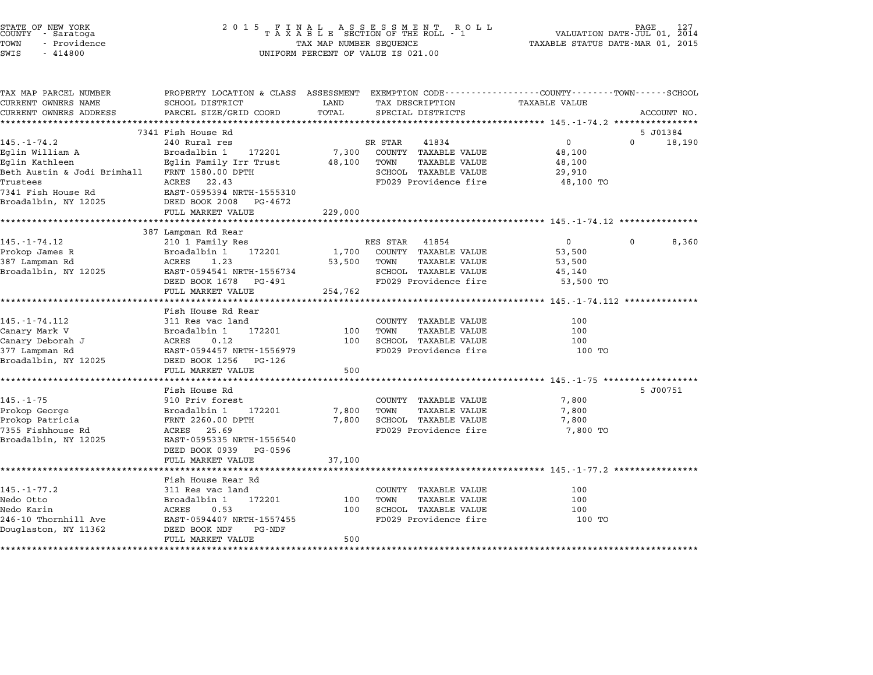| STATE OF NEW YORK<br>COUNTY - Saratoga |  |        |              |  |
|----------------------------------------|--|--------|--------------|--|
| TOWN                                   |  |        | - Providence |  |
| $\sim$ - - $\sim$                      |  | 111000 |              |  |

| TAX MAP PARCEL NUMBER       | PROPERTY LOCATION & CLASS ASSESSMENT EXEMPTION CODE---------------COUNTY-------TOWN------SCHOOL |         |                   |                       |                      |                          |
|-----------------------------|-------------------------------------------------------------------------------------------------|---------|-------------------|-----------------------|----------------------|--------------------------|
| CURRENT OWNERS NAME         | SCHOOL DISTRICT                                                                                 | LAND    | TAX DESCRIPTION   |                       | <b>TAXABLE VALUE</b> |                          |
| CURRENT OWNERS ADDRESS      | PARCEL SIZE/GRID COORD                                                                          | TOTAL   | SPECIAL DISTRICTS |                       |                      | ACCOUNT NO.              |
|                             |                                                                                                 |         |                   |                       |                      |                          |
|                             | 7341 Fish House Rd                                                                              |         |                   |                       |                      | 5 J01384                 |
| $145. - 1 - 74.2$           | 240 Rural res                                                                                   |         | SR STAR           | 41834                 | $\mathsf{O}$         | $\overline{0}$<br>18,190 |
| Eglin William A             | Broadalbin 1<br>172201                                                                          | 7,300   |                   | COUNTY TAXABLE VALUE  | 48,100               |                          |
| Eglin Kathleen              | Eglin Family Irr Trust                                                                          | 48,100  | TOWN              | <b>TAXABLE VALUE</b>  | 48,100               |                          |
| Beth Austin & Jodi Brimhall | FRNT 1580.00 DPTH                                                                               |         |                   | SCHOOL TAXABLE VALUE  | 29,910               |                          |
| Trustees                    | ACRES 22.43                                                                                     |         |                   | FD029 Providence fire | 48,100 TO            |                          |
| 7341 Fish House Rd          | EAST-0595394 NRTH-1555310                                                                       |         |                   |                       |                      |                          |
| Broadalbin, NY 12025        | DEED BOOK 2008 PG-4672                                                                          |         |                   |                       |                      |                          |
|                             | FULL MARKET VALUE                                                                               | 229,000 |                   |                       |                      |                          |
|                             | ********************************                                                                |         |                   |                       |                      |                          |
|                             | 387 Lampman Rd Rear                                                                             |         |                   |                       |                      |                          |
| $145. - 1 - 74.12$          | 210 1 Family Res                                                                                |         | RES STAR 41854    |                       | $\overline{0}$       | 8,360<br>$\mathbf{0}$    |
| Prokop James R              | Broadalbin 1<br>172201                                                                          | 1,700   |                   | COUNTY TAXABLE VALUE  | 53,500               |                          |
| 387 Lampman Rd              | 1.23<br>ACRES                                                                                   | 53,500  | TOWN              | TAXABLE VALUE         | 53,500               |                          |
| Broadalbin, NY 12025        | EAST-0594541 NRTH-1556734                                                                       |         |                   | SCHOOL TAXABLE VALUE  | 45,140               |                          |
|                             | DEED BOOK 1678 PG-491                                                                           |         |                   | FD029 Providence fire | 53,500 TO            |                          |
|                             | FULL MARKET VALUE                                                                               | 254,762 |                   |                       |                      |                          |
|                             |                                                                                                 |         |                   |                       |                      |                          |
|                             | Fish House Rd Rear                                                                              |         |                   |                       |                      |                          |
| 145. - 1 - 74. 112          | 311 Res vac land                                                                                |         |                   | COUNTY TAXABLE VALUE  | 100                  |                          |
| Canary Mark V               | 172201<br>Broadalbin 1                                                                          | 100     | TOWN              | <b>TAXABLE VALUE</b>  | 100                  |                          |
| Canary Deborah J            | ACRES<br>0.12                                                                                   | 100     |                   | SCHOOL TAXABLE VALUE  | 100                  |                          |
| 377 Lampman Rd              | EAST-0594457 NRTH-1556979                                                                       |         |                   | FD029 Providence fire | 100 TO               |                          |
| Broadalbin, NY 12025        | DEED BOOK 1256 PG-126                                                                           |         |                   |                       |                      |                          |
|                             | FULL MARKET VALUE                                                                               | 500     |                   |                       |                      |                          |
|                             |                                                                                                 |         |                   |                       |                      |                          |
|                             | Fish House Rd                                                                                   |         |                   |                       |                      | 5 J00751                 |
| $145. - 1 - 75$             | 910 Priv forest                                                                                 |         |                   | COUNTY TAXABLE VALUE  | 7,800                |                          |
| Prokop George               | Broadalbin 1<br>172201                                                                          | 7,800   | TOWN              | TAXABLE VALUE         | 7,800                |                          |
| Prokop Patricia             | FRNT 2260.00 DPTH                                                                               | 7,800   |                   | SCHOOL TAXABLE VALUE  | 7,800                |                          |
| 7355 Fishhouse Rd           | ACRES 25.69                                                                                     |         |                   | FD029 Providence fire | 7,800 TO             |                          |
| Broadalbin, NY 12025        | EAST-0595335 NRTH-1556540                                                                       |         |                   |                       |                      |                          |
|                             |                                                                                                 |         |                   |                       |                      |                          |
|                             | DEED BOOK 0939 PG-0596                                                                          |         |                   |                       |                      |                          |
|                             | FULL MARKET VALUE                                                                               | 37,100  |                   |                       |                      |                          |
|                             |                                                                                                 |         |                   |                       |                      |                          |
|                             | Fish House Rear Rd                                                                              |         |                   |                       |                      |                          |
| $145. - 1 - 77.2$           | 311 Res vac land                                                                                |         |                   | COUNTY TAXABLE VALUE  | 100                  |                          |
| Nedo Otto                   | Broadalbin 1<br>172201                                                                          | 100     | TOWN              | <b>TAXABLE VALUE</b>  | 100                  |                          |
| Nedo Karin                  | ACRES<br>0.53                                                                                   | 100     |                   | SCHOOL TAXABLE VALUE  | 100                  |                          |
| 246-10 Thornhill Ave        | EAST-0594407 NRTH-1557455                                                                       |         |                   | FD029 Providence fire | 100 TO               |                          |
| Douglaston, NY 11362        | DEED BOOK NDF<br>PG-NDF<br>FULL MARKET VALUE                                                    | 500     |                   |                       |                      |                          |
|                             |                                                                                                 |         |                   |                       |                      |                          |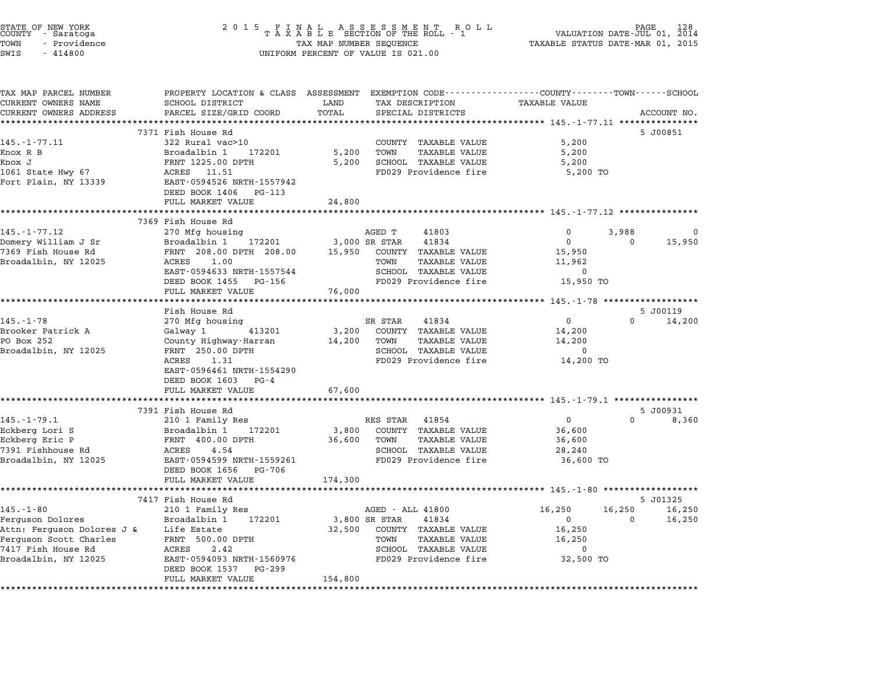| STATE OF NEW YORK<br>COUNTY<br>- Saratoga<br>TOWN<br>- Providence<br>SWIS<br>$-414800$ | 2 0 1 5                                                              | FINAL ASSESSMENT ROTAXABLE SECTION OF THE ROLL - 1<br>R O L L<br>TAX MAP NUMBER SEQUENCE<br>UNIFORM PERCENT OF VALUE IS 021.00 | PAGE<br>VALUATION DATE-JUL 01, 2014<br>TAXABLE STATUS DATE-MAR 01, 2015                                        |
|----------------------------------------------------------------------------------------|----------------------------------------------------------------------|--------------------------------------------------------------------------------------------------------------------------------|----------------------------------------------------------------------------------------------------------------|
| TAX MAP PARCEL NUMBER<br>CURRENT OWNERS NAME                                           | SCHOOL DISTRICT                                                      | LAND<br>TAX DESCRIPTION                                                                                                        | PROPERTY LOCATION & CLASS ASSESSMENT EXEMPTION CODE--------------COUNTY-------TOWN-----SCHOOL<br>TAXABLE VALUE |
| CURRENT OWNERS ADDRESS                                                                 | PARCEL SIZE/GRID COORD                                               | TOTAL<br>SPECIAL DISTRICTS                                                                                                     | ACCOUNT NO.                                                                                                    |
| **********************                                                                 | 7371 Fish House Rd                                                   | **********                                                                                                                     | *********** 145.-1-77.11 ***************<br>5 J00851                                                           |
| $145. - 1 - 77.11$                                                                     | 322 Rural vac>10                                                     | COUNTY TAXABLE VALUE                                                                                                           | 5,200                                                                                                          |
| Knox R B                                                                               | Broadalbin 1<br>172201                                               | 5,200<br><b>TAXABLE VALUE</b><br>TOWN                                                                                          | 5,200                                                                                                          |
| Knox J                                                                                 | FRNT 1225.00 DPTH                                                    | 5,200<br>SCHOOL TAXABLE VALUE                                                                                                  | 5,200                                                                                                          |
| 1061 State Hwy 67<br>Fort Plain, NY 13339                                              | ACRES 11.51<br>EAST-0594526 NRTH-1557942<br>DEED BOOK 1406<br>PG-113 | FD029 Providence fire                                                                                                          | 5,200 TO                                                                                                       |
|                                                                                        | FULL MARKET VALUE                                                    | 24,800                                                                                                                         |                                                                                                                |
|                                                                                        |                                                                      |                                                                                                                                |                                                                                                                |
| 145.-1-77.12                                                                           | 7369 Fish House Rd<br>270 Mfg housing                                | AGED T<br>41803                                                                                                                | $\Omega$<br>3,988<br>$\Omega$                                                                                  |
| Domery William J Sr                                                                    | Broadalbin 1<br>172201                                               | 41834<br>3,000 SR STAR                                                                                                         | $\mathbf 0$<br>15,950<br>$\Omega$                                                                              |
| 7369 Fish House Rd                                                                     | FRNT 208.00 DPTH 208.00                                              | 15,950<br>COUNTY TAXABLE VALUE                                                                                                 | 15,950                                                                                                         |
| Broadalbin, NY 12025                                                                   | ACRES<br>1.00                                                        | TOWN<br><b>TAXABLE VALUE</b>                                                                                                   | 11,962                                                                                                         |
|                                                                                        | EAST-0594633 NRTH-1557544                                            | SCHOOL TAXABLE VALUE                                                                                                           | $\mathbf 0$                                                                                                    |
|                                                                                        | DEED BOOK 1455<br>PG-156                                             | FD029 Providence fire                                                                                                          | 15,950 TO                                                                                                      |
|                                                                                        | FULL MARKET VALUE                                                    | 76,000                                                                                                                         | *********** 145.-1-78 *******************                                                                      |
|                                                                                        | Fish House Rd                                                        |                                                                                                                                | 5 J00119                                                                                                       |
| $145. - 1 - 78$                                                                        | 270 Mfg housing                                                      | SR STAR<br>41834                                                                                                               | 0<br>0<br>14,200                                                                                               |
| Brooker Patrick A                                                                      | Galway 1<br>413201                                                   | 3,200<br>COUNTY TAXABLE VALUE                                                                                                  | 14,200                                                                                                         |
| PO Box 252                                                                             | County Highway-Harran                                                | 14,200<br>TOWN<br><b>TAXABLE VALUE</b>                                                                                         | 14,200<br>$\Omega$                                                                                             |
| Broadalbin, NY 12025                                                                   | FRNT 250.00 DPTH<br>ACRES<br>1.31                                    | SCHOOL TAXABLE VALUE<br>FD029 Providence fire                                                                                  | 14,200 TO                                                                                                      |
|                                                                                        | EAST-0596461 NRTH-1554290                                            |                                                                                                                                |                                                                                                                |
|                                                                                        | DEED BOOK 1603 PG-4                                                  |                                                                                                                                |                                                                                                                |
|                                                                                        | FULL MARKET VALUE                                                    | 67,600                                                                                                                         |                                                                                                                |
|                                                                                        | *****************<br>7391 Fish House Rd                              |                                                                                                                                | ******* 145.-1-79.1 **************<br>5 J00931                                                                 |
| 145.-1-79.1                                                                            | 210 1 Family Res                                                     | RES STAR<br>41854                                                                                                              | 0<br>0<br>8,360                                                                                                |
| Eckberg Lori S                                                                         | Broadalbin 1<br>172201                                               | COUNTY TAXABLE VALUE<br>3,800                                                                                                  | 36,600                                                                                                         |
| Eckberg Eric P                                                                         | FRNT 400.00 DPTH                                                     | 36,600<br>TOWN<br><b>TAXABLE VALUE</b>                                                                                         | 36,600                                                                                                         |
| 7391 Fishhouse Rd                                                                      | 4.54<br>ACRES                                                        | SCHOOL TAXABLE VALUE                                                                                                           | 28,240                                                                                                         |
| Broadalbin, NY 12025                                                                   | EAST-0594599 NRTH-1559261                                            | FD029 Providence fire                                                                                                          | 36,600 TO                                                                                                      |
|                                                                                        | DEED BOOK 1656<br>PG-706<br>FULL MARKET VALUE                        | 174,300                                                                                                                        |                                                                                                                |
|                                                                                        | *************************                                            |                                                                                                                                |                                                                                                                |
|                                                                                        | 7417 Fish House Rd                                                   |                                                                                                                                | 5 J01325                                                                                                       |
| $145. - 1 - 80$                                                                        | 210 1 Family Res                                                     | AGED - ALL 41800                                                                                                               | 16,250<br>16,250<br>16,250                                                                                     |
| Ferguson Dolores                                                                       | Broadalbin 1<br>172201                                               | 3,800 SR STAR<br>41834                                                                                                         | $\mathbf 0$<br>$\Omega$<br>16,250                                                                              |
| Attn: Ferguson Dolores J &<br>Ferguson Scott Charles                                   | Life Estate<br>FRNT 500.00 DPTH                                      | 32,500<br>COUNTY TAXABLE VALUE<br>TOWN<br><b>TAXABLE VALUE</b>                                                                 | 16,250<br>16,250                                                                                               |
| 7417 Fish House Rd                                                                     | ACRES<br>2.42                                                        | SCHOOL TAXABLE VALUE                                                                                                           | $\Omega$                                                                                                       |
| Broadalbin, NY 12025                                                                   | EAST-0594093 NRTH-1560976                                            | FD029 Providence fire                                                                                                          | 32,500 TO                                                                                                      |
|                                                                                        | DEED BOOK 1537<br>PG-299                                             |                                                                                                                                |                                                                                                                |
|                                                                                        | FULL MARKET VALUE                                                    | 154,800                                                                                                                        |                                                                                                                |
|                                                                                        |                                                                      | *********                                                                                                                      |                                                                                                                |

STATE OF NEW YORK <sup>2</sup> <sup>0</sup> <sup>1</sup> 5 F I N A L A S S E S S M E N T R O L L PAGE <sup>128</sup> COUNTY - Saratoga <sup>T</sup> <sup>A</sup> <sup>X</sup> <sup>A</sup> <sup>B</sup> <sup>L</sup> <sup>E</sup> SECTION OF THE ROLL - <sup>1</sup> VALUATION DATE-JUL 01, <sup>2014</sup>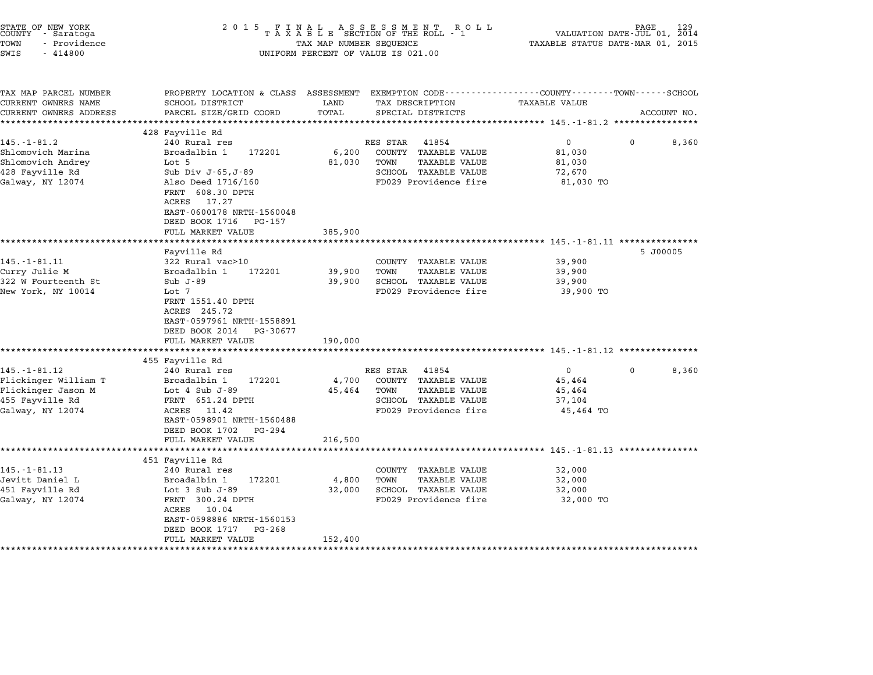| <b>TAXABLE VALUE</b><br>0<br>81,030<br>81,030<br>72,670<br>81,030 TO | EXEMPTION CODE-----------------COUNTY-------TOWN------SCHOOL<br>ACCOUNT NO.<br>$\mathbf{0}$ | 8,360                                                                                                                                                                           |
|----------------------------------------------------------------------|---------------------------------------------------------------------------------------------|---------------------------------------------------------------------------------------------------------------------------------------------------------------------------------|
|                                                                      |                                                                                             |                                                                                                                                                                                 |
|                                                                      |                                                                                             |                                                                                                                                                                                 |
|                                                                      |                                                                                             |                                                                                                                                                                                 |
|                                                                      |                                                                                             |                                                                                                                                                                                 |
| 39,900<br>39,900<br>39,900<br>39,900 TO                              | 5 J00005                                                                                    |                                                                                                                                                                                 |
|                                                                      |                                                                                             |                                                                                                                                                                                 |
| 0<br>45,464<br>45,464<br>37,104<br>45,464 TO                         | 0                                                                                           | 8,360                                                                                                                                                                           |
|                                                                      |                                                                                             |                                                                                                                                                                                 |
| 32,000<br>32,000<br>32,000<br>32,000 TO                              |                                                                                             |                                                                                                                                                                                 |
|                                                                      |                                                                                             | ********** 145.-1-81.11 ***********<br>************************************ 145.-1-81.12 ****************<br>************************************ 145.-1-81.13 **************** |

STATE OF NEW YORK <sup>2</sup> <sup>0</sup> <sup>1</sup> 5 F I N A L A S S E S S M E N T R O L L PAGE <sup>129</sup> COUNTY - Saratoga <sup>T</sup> <sup>A</sup> <sup>X</sup> <sup>A</sup> <sup>B</sup> <sup>L</sup> <sup>E</sup> SECTION OF THE ROLL - <sup>1</sup> VALUATION DATE-JUL 01, <sup>2014</sup>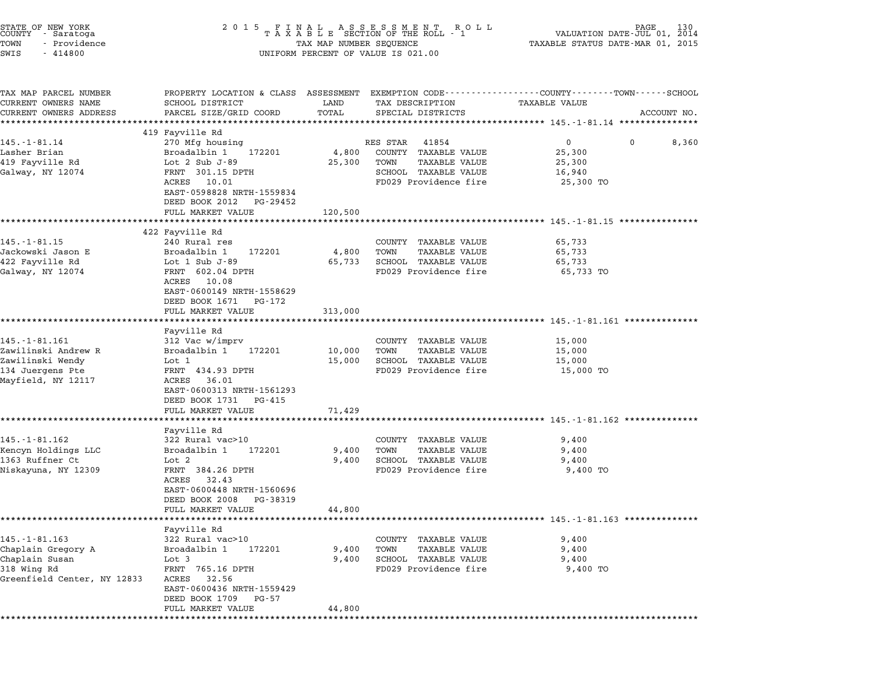| STATE OF NEW YORK<br>COUNTY – Saratoga<br>- Providence<br>TOWN<br>SWIS<br>$-414800$                       | 2 0 1 5<br>FINAL ASSESSMENT ROLL<br>TAXABLE SECTION OF THE ROLL - 1<br>TAX MAP NUMBER SEQUENCE<br>UNIFORM PERCENT OF VALUE IS 021.00                                                                | 130<br>AGE<br>VALUATION DATE-JUL 01, 2014<br>TAXABLE STATUS DATE-MAR 01, 2015 |                                                                                                                     |                                                                                                                                       |
|-----------------------------------------------------------------------------------------------------------|-----------------------------------------------------------------------------------------------------------------------------------------------------------------------------------------------------|-------------------------------------------------------------------------------|---------------------------------------------------------------------------------------------------------------------|---------------------------------------------------------------------------------------------------------------------------------------|
| TAX MAP PARCEL NUMBER<br>CURRENT OWNERS NAME<br>CURRENT OWNERS ADDRESS                                    | SCHOOL DISTRICT<br>PARCEL SIZE/GRID COORD                                                                                                                                                           | LAND<br>TOTAL                                                                 | TAX DESCRIPTION<br>SPECIAL DISTRICTS                                                                                | PROPERTY LOCATION & CLASS ASSESSMENT EXEMPTION CODE---------------COUNTY-------TOWN-----SCHOOL<br><b>TAXABLE VALUE</b><br>ACCOUNT NO. |
|                                                                                                           | *******************<br>419 Fayville Rd                                                                                                                                                              |                                                                               |                                                                                                                     |                                                                                                                                       |
| $145. - 1 - 81.14$<br>Lasher Brian<br>419 Fayville Rd<br>Galway, NY 12074                                 | 270 Mfg housing<br>Broadalbin 1<br>172201<br>Lot $2$ Sub J-89<br>FRNT 301.15 DPTH<br>ACRES 10.01<br>EAST-0598828 NRTH-1559834<br>DEED BOOK 2012 PG-29452                                            | 4,800<br>25,300                                                               | RES STAR<br>41854<br>COUNTY TAXABLE VALUE<br>TOWN<br>TAXABLE VALUE<br>SCHOOL TAXABLE VALUE<br>FD029 Providence fire | $\overline{0}$<br>8,360<br>0<br>25,300<br>25,300<br>16,940<br>25,300 TO                                                               |
|                                                                                                           | FULL MARKET VALUE                                                                                                                                                                                   | 120,500                                                                       |                                                                                                                     |                                                                                                                                       |
| 145. - 1 - 81.15<br>Jackowski Jason E<br>422 Fayville Rd<br>Galway, NY 12074                              | *********************<br>422 Fayville Rd<br>240 Rural res<br>Broadalbin 1<br>172201<br>Lot $1$ Sub J-89<br>FRNT 602.04 DPTH<br>ACRES<br>10.08<br>EAST-0600149 NRTH-1558629<br>DEED BOOK 1671 PG-172 | 4,800<br>65,733                                                               | COUNTY TAXABLE VALUE<br><b>TAXABLE VALUE</b><br>TOWN<br>SCHOOL TAXABLE VALUE<br>FD029 Providence fire               | *************************** 145.-1-81.15 ****************<br>65,733<br>65,733<br>65,733<br>65,733 TO                                  |
|                                                                                                           | FULL MARKET VALUE                                                                                                                                                                                   | 313,000                                                                       |                                                                                                                     |                                                                                                                                       |
|                                                                                                           | ******************                                                                                                                                                                                  | *********                                                                     |                                                                                                                     | ************************* 145.-1-81.161 ***************                                                                               |
| 145. - 1 - 81. 161<br>Zawilinski Andrew R<br>Zawilinski Wendy<br>134 Juergens Pte<br>Mayfield, NY 12117   | Fayville Rd<br>312 Vac w/imprv<br>Broadalbin 1<br>172201<br>Lot 1<br>FRNT 434.93 DPTH<br>ACRES<br>36.01<br>EAST-0600313 NRTH-1561293<br>DEED BOOK 1731 PG-415                                       | 10,000<br>15,000                                                              | COUNTY TAXABLE VALUE<br>TAXABLE VALUE<br>TOWN<br>SCHOOL TAXABLE VALUE<br>FD029 Providence fire                      | 15,000<br>15,000<br>15,000<br>15,000 TO                                                                                               |
|                                                                                                           | FULL MARKET VALUE                                                                                                                                                                                   | 71,429                                                                        |                                                                                                                     |                                                                                                                                       |
|                                                                                                           |                                                                                                                                                                                                     |                                                                               |                                                                                                                     | ************************************* 145.-1-81.162 ***************                                                                   |
| $145. - 1 - 81.162$<br>Kencyn Holdings LLC<br>1363 Ruffner Ct<br>Niskayuna, NY 12309                      | Fayville Rd<br>322 Rural vac>10<br>172201<br>Broadalbin 1<br>Lot 2<br>FRNT 384.26 DPTH<br>32.43<br>ACRES<br>EAST-0600448 NRTH-1560696<br>DEED BOOK 2008<br>PG-38319<br>FULL MARKET VALUE            | 9,400<br>9,400<br>44,800                                                      | COUNTY TAXABLE VALUE<br><b>TAXABLE VALUE</b><br>TOWN<br>SCHOOL TAXABLE VALUE<br>FD029 Providence fire               | 9,400<br>9,400<br>9,400<br>9,400 TO                                                                                                   |
|                                                                                                           |                                                                                                                                                                                                     |                                                                               |                                                                                                                     | ************************* 145.-1-81.163 **************                                                                                |
| $145. - 1 - 81.163$<br>Chaplain Gregory A<br>Chaplain Susan<br>318 Wing Rd<br>Greenfield Center, NY 12833 | Fayville Rd<br>322 Rural vac>10<br>172201<br>Broadalbin 1<br>Lot 3<br>FRNT 765.16 DPTH<br>ACRES<br>32.56<br>EAST-0600436 NRTH-1559429<br>DEED BOOK 1709<br>PG-57                                    | 9,400<br>9,400                                                                | COUNTY TAXABLE VALUE<br><b>TAXABLE VALUE</b><br>TOWN<br>SCHOOL TAXABLE VALUE<br>FD029 Providence fire               | 9,400<br>9,400<br>9,400<br>9,400 TO                                                                                                   |
|                                                                                                           | FULL MARKET VALUE                                                                                                                                                                                   | 44,800                                                                        |                                                                                                                     |                                                                                                                                       |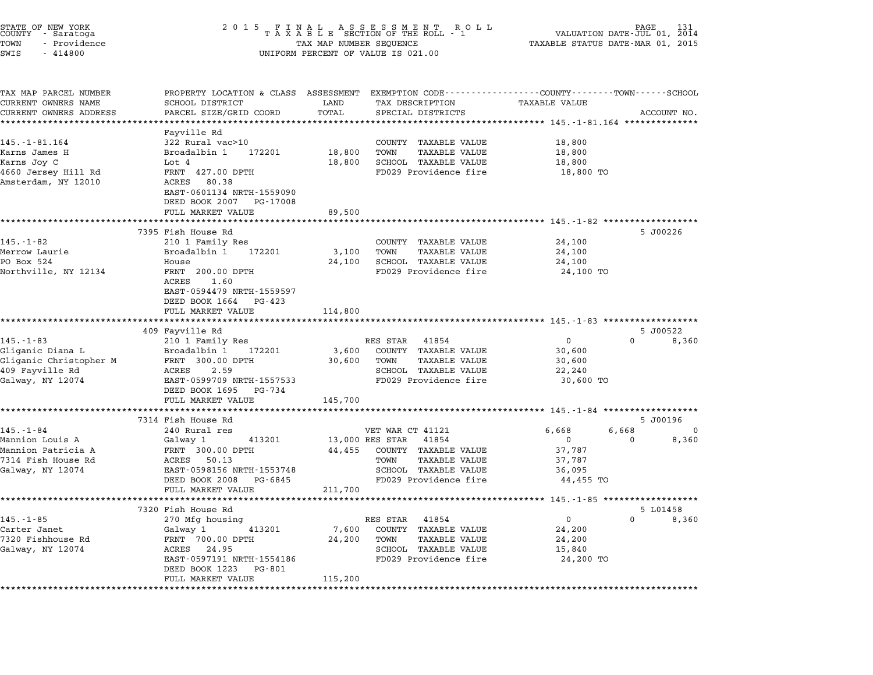| STATE OF NEW YORK<br>COUNTY - Saratoga<br>TOWN<br>- Providence<br>SWIS<br>$-414800$ | 2 0 1 5                                       | FINAL ASSESSMENT ROLL<br>TAXABLE SECTION OF THE ROLL - 1<br>TAX MAP NUMBER SEQUENCE<br>UNIFORM PERCENT OF VALUE IS 021.00 | PAGE<br>VALUATION DATE-JUL 01, 2014<br>TAXABLE STATUS DATE-MAR 01, 2015 | 131   |
|-------------------------------------------------------------------------------------|-----------------------------------------------|---------------------------------------------------------------------------------------------------------------------------|-------------------------------------------------------------------------|-------|
| TAX MAP PARCEL NUMBER<br>CURRENT OWNERS NAME                                        | SCHOOL DISTRICT                               | PROPERTY LOCATION & CLASS ASSESSMENT EXEMPTION CODE---------------COUNTY-------TOWN-----SCHOOL<br>LAND<br>TAX DESCRIPTION | TAXABLE VALUE                                                           |       |
| CURRENT OWNERS ADDRESS                                                              | PARCEL SIZE/GRID COORD                        | TOTAL<br>SPECIAL DISTRICTS                                                                                                | ACCOUNT NO.                                                             |       |
|                                                                                     |                                               |                                                                                                                           | **************************** 145.-1-81.164 **************               |       |
| $145. - 1 - 81.164$                                                                 | Fayville Rd<br>322 Rural vac>10               | COUNTY TAXABLE VALUE                                                                                                      | 18,800                                                                  |       |
| Karns James H                                                                       | 172201<br>Broadalbin 1                        | 18,800<br><b>TAXABLE VALUE</b><br>TOWN                                                                                    | 18,800                                                                  |       |
| Karns Joy C                                                                         | Lot 4                                         | 18,800<br>SCHOOL TAXABLE VALUE                                                                                            | 18,800                                                                  |       |
| 4660 Jersey Hill Rd                                                                 | FRNT 427.00 DPTH                              | FD029 Providence fire                                                                                                     | 18,800 TO                                                               |       |
| Amsterdam, NY 12010                                                                 | ACRES 80.38                                   |                                                                                                                           |                                                                         |       |
|                                                                                     | EAST-0601134 NRTH-1559090                     |                                                                                                                           |                                                                         |       |
|                                                                                     | DEED BOOK 2007<br>PG-17008                    |                                                                                                                           |                                                                         |       |
|                                                                                     | FULL MARKET VALUE                             | 89,500                                                                                                                    |                                                                         |       |
|                                                                                     |                                               |                                                                                                                           | ************************* 145. -1-82 **************                     |       |
|                                                                                     | 7395 Fish House Rd                            |                                                                                                                           | 5 J00226                                                                |       |
| $145. - 1 - 82$                                                                     | 210 1 Family Res                              | COUNTY TAXABLE VALUE                                                                                                      | 24,100                                                                  |       |
| Merrow Laurie                                                                       | 172201<br>Broadalbin 1                        | <b>TAXABLE VALUE</b><br>3,100<br>TOWN                                                                                     | 24,100                                                                  |       |
| PO Box 524                                                                          | House                                         | 24,100<br>SCHOOL TAXABLE VALUE                                                                                            | 24,100                                                                  |       |
| Northville, NY 12134                                                                | FRNT 200.00 DPTH<br>ACRES<br>1.60             | FD029 Providence fire                                                                                                     | 24,100 TO                                                               |       |
|                                                                                     | EAST-0594479 NRTH-1559597                     |                                                                                                                           |                                                                         |       |
|                                                                                     | DEED BOOK 1664<br>PG-423                      |                                                                                                                           |                                                                         |       |
|                                                                                     | FULL MARKET VALUE                             | 114,800                                                                                                                   |                                                                         |       |
|                                                                                     |                                               |                                                                                                                           | *********************************** 145.-1-83 *******************       |       |
|                                                                                     | 409 Fayville Rd                               |                                                                                                                           | 5 J00522                                                                |       |
| $145. - 1 - 83$                                                                     | 210 1 Family Res                              | RES STAR<br>41854                                                                                                         | 0<br>$\Omega$                                                           | 8,360 |
| Gliganic Diana L                                                                    | 172201<br>Broadalbin 1                        | COUNTY TAXABLE VALUE<br>3,600                                                                                             | 30,600                                                                  |       |
| Gliganic Christopher M                                                              | FRNT 300.00 DPTH                              | 30,600<br>TOWN<br>TAXABLE VALUE                                                                                           | 30,600                                                                  |       |
| 409 Fayville Rd                                                                     | 2.59<br>ACRES                                 | SCHOOL TAXABLE VALUE                                                                                                      | 22,240                                                                  |       |
| Galway, NY 12074                                                                    | EAST-0599709 NRTH-1557533                     | FD029 Providence fire                                                                                                     | 30,600 TO                                                               |       |
|                                                                                     | DEED BOOK 1695<br>PG-734                      |                                                                                                                           |                                                                         |       |
|                                                                                     | FULL MARKET VALUE                             | 145,700                                                                                                                   |                                                                         |       |
|                                                                                     | 7314 Fish House Rd                            |                                                                                                                           | 5 J00196                                                                |       |
| $145. - 1 - 84$                                                                     | 240 Rural res                                 | VET WAR CT 41121                                                                                                          | 6,668<br>6,668                                                          | 0     |
| Mannion Louis A                                                                     | Galway 1<br>413201                            | 13,000 RES STAR<br>41854                                                                                                  | 0<br>0                                                                  | 8,360 |
| Mannion Patricia A                                                                  | FRNT 300.00 DPTH                              | COUNTY TAXABLE VALUE<br>44,455                                                                                            | 37,787                                                                  |       |
| 7314 Fish House Rd                                                                  | ACRES<br>50.13                                | TOWN<br>TAXABLE VALUE                                                                                                     | 37,787                                                                  |       |
| Galway, NY 12074                                                                    | EAST-0598156 NRTH-1553748                     | SCHOOL TAXABLE VALUE                                                                                                      | 36,095                                                                  |       |
|                                                                                     | DEED BOOK 2008<br>PG-6845                     | FD029 Providence fire                                                                                                     | 44,455 TO                                                               |       |
|                                                                                     | FULL MARKET VALUE                             | 211,700                                                                                                                   |                                                                         |       |
|                                                                                     |                                               |                                                                                                                           | **************** 145.-1-85                                              |       |
|                                                                                     | 7320 Fish House Rd                            |                                                                                                                           | 5 L01458                                                                |       |
| $145. - 1 - 85$                                                                     | 270 Mfg housing                               | 41854<br>RES STAR                                                                                                         | 0<br>0                                                                  | 8,360 |
| Carter Janet                                                                        | Galway 1<br>413201                            | 7,600<br>COUNTY<br>TAXABLE VALUE                                                                                          | 24,200                                                                  |       |
| 7320 Fishhouse Rd                                                                   | FRNT 700.00 DPTH                              | 24,200<br>TAXABLE VALUE<br>TOWN                                                                                           | 24,200                                                                  |       |
| Galway, NY 12074                                                                    | 24.95<br>ACRES                                | SCHOOL TAXABLE VALUE<br>FD029 Providence fire                                                                             | 15,840                                                                  |       |
|                                                                                     | EAST-0597191 NRTH-1554186                     |                                                                                                                           | 24,200 TO                                                               |       |
|                                                                                     | DEED BOOK 1223<br>PG-801<br>FULL MARKET VALUE | 115,200                                                                                                                   |                                                                         |       |
|                                                                                     |                                               |                                                                                                                           |                                                                         |       |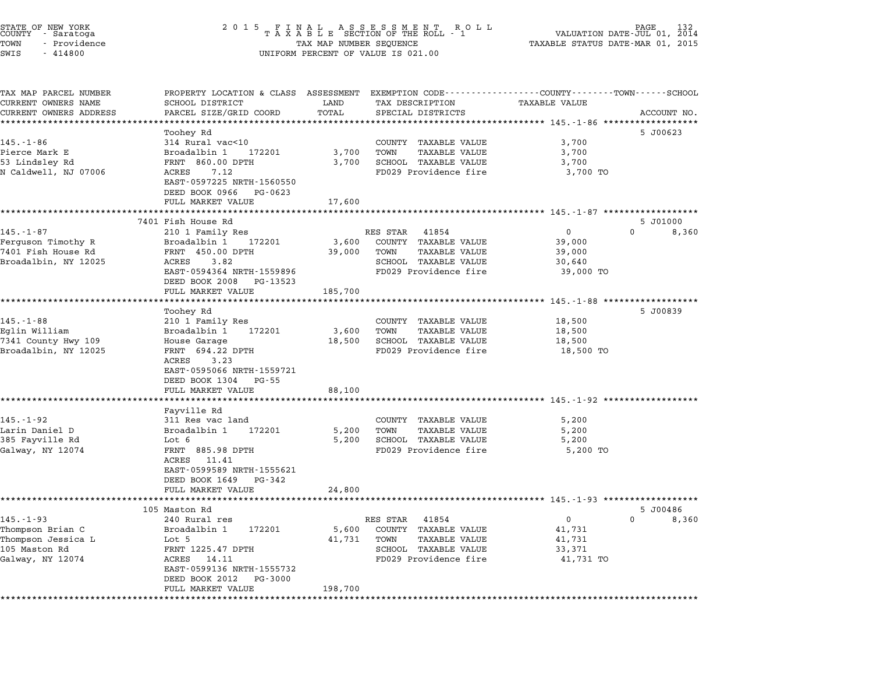| STATE OF NEW YORK<br>COUNTY - Saratoga<br>TOWN<br>- Providence<br>SWIS<br>$-414800$               | 2 0 1 5<br>F<br>I<br>N<br>TAXABLE SECTION OF THE ROLL - 1<br>TAX MAP NUMBER SEQUENCE<br>UNIFORM PERCENT OF VALUE IS 021.00                                              | PAGE<br>VALUATION DATE-JUL 01, 2014<br>TAXABLE STATUS DATE-MAR 01, 2015 |                                                                                                                            |                                                           |                                   |
|---------------------------------------------------------------------------------------------------|-------------------------------------------------------------------------------------------------------------------------------------------------------------------------|-------------------------------------------------------------------------|----------------------------------------------------------------------------------------------------------------------------|-----------------------------------------------------------|-----------------------------------|
| TAX MAP PARCEL NUMBER<br>CURRENT OWNERS NAME<br>CURRENT OWNERS ADDRESS<br>*********************** | PROPERTY LOCATION & CLASS ASSESSMENT EXEMPTION CODE----------------COUNTY-------TOWN-----SCHOOL<br>SCHOOL DISTRICT<br>PARCEL SIZE/GRID COORD<br>*********************** | LAND<br>TOTAL<br>*************                                          | TAX DESCRIPTION<br>SPECIAL DISTRICTS<br>************************************** 145.-1-86 *******************               | <b>TAXABLE VALUE</b>                                      | ACCOUNT NO.                       |
| $145. - 1 - 86$<br>Pierce Mark E<br>53 Lindsley Rd<br>N Caldwell, NJ 07006                        | Toohey Rd<br>314 Rural vac<10<br>Broadalbin 1 172201<br>FRNT 860.00 DPTH<br>ACRES<br>7.12<br>EAST-0597225 NRTH-1560550<br>DEED BOOK 0966 PG-0623<br>FULL MARKET VALUE   | 3,700<br>3,700<br>17,600                                                | COUNTY TAXABLE VALUE<br>TOWN<br><b>TAXABLE VALUE</b><br>SCHOOL TAXABLE VALUE<br>FD029 Providence fire                      | 3,700<br>3,700<br>3,700<br>3,700 TO                       | 5 J00623                          |
|                                                                                                   |                                                                                                                                                                         | **********                                                              |                                                                                                                            | ·******************* 145.-1-87 *******************        |                                   |
| $145. - 1 - 87$<br>Ferguson Timothy R<br>7401 Fish House Rd<br>Broadalbin, NY 12025               | 7401 Fish House Rd<br>210 1 Family Res<br>Broadalbin 1<br>172201<br>FRNT 450.00 DPTH<br>ACRES<br>3.82<br>EAST-0594364 NRTH-1559896<br>DEED BOOK 2008 PG-13523           | 3,600<br>39,000                                                         | RES STAR<br>41854<br>COUNTY TAXABLE VALUE<br>TOWN<br><b>TAXABLE VALUE</b><br>SCHOOL TAXABLE VALUE<br>FD029 Providence fire | $\mathbf 0$<br>39,000<br>39,000<br>30,640<br>39,000 TO    | 5 J01000<br>$\mathbf{0}$<br>8,360 |
|                                                                                                   | FULL MARKET VALUE                                                                                                                                                       | 185,700                                                                 |                                                                                                                            | ************************** 145.-1-88 *******************  |                                   |
| $145. - 1 - 88$<br>Eglin William<br>7341 County Hwy 109<br>Broadalbin, NY 12025                   | Toohey Rd<br>210 1 Family Res<br>Broadalbin 1<br>172201<br>House Garage<br>FRNT 694.22 DPTH<br>ACRES<br>3.23<br>EAST-0595066 NRTH-1559721<br>DEED BOOK 1304 PG-55       | 3,600<br>18,500                                                         | COUNTY TAXABLE VALUE<br>TOWN<br><b>TAXABLE VALUE</b><br>SCHOOL TAXABLE VALUE<br>FD029 Providence fire                      | 18,500<br>18,500<br>18,500<br>18,500 TO                   | 5 J00839                          |
|                                                                                                   | FULL MARKET VALUE<br>**********************                                                                                                                             | 88,100                                                                  |                                                                                                                            |                                                           |                                   |
| 145.-1-92<br>Larin Daniel D<br>385 Fayville Rd<br>Galway, NY 12074                                | Fayville Rd<br>311 Res vac land<br>Broadalbin 1<br>172201<br>Lot 6<br>FRNT 885.98 DPTH<br>ACRES 11.41<br>EAST-0599589 NRTH-1555621<br>DEED BOOK 1649 PG-342             | 5,200<br>5,200                                                          | COUNTY TAXABLE VALUE<br>TOWN<br><b>TAXABLE VALUE</b><br>SCHOOL TAXABLE VALUE<br>FD029 Providence fire                      | 5,200<br>5,200<br>5,200<br>5,200 TO                       |                                   |
|                                                                                                   | FULL MARKET VALUE                                                                                                                                                       | 24,800                                                                  |                                                                                                                            |                                                           |                                   |
| $145. - 1 - 93$<br>Thompson Brian C<br>Thompson Jessica L<br>105 Maston Rd<br>Galway, NY 12074    | 105 Maston Rd<br>240 Rural res<br>Broadalbin 1<br>172201<br>Lot 5<br>FRNT 1225.47 DPTH<br>ACRES 14.11<br>EAST-0599136 NRTH-1555732                                      | 5,600<br>41,731                                                         | RES STAR<br>41854<br>COUNTY TAXABLE VALUE<br><b>TAXABLE VALUE</b><br>TOWN<br>SCHOOL TAXABLE VALUE<br>FD029 Providence fire | $\overline{0}$<br>41,731<br>41,731<br>33,371<br>41,731 TO | 5 J00486<br>$\Omega$<br>8,360     |
|                                                                                                   | DEED BOOK 2012 PG-3000<br>FULL MARKET VALUE                                                                                                                             | 198,700                                                                 |                                                                                                                            |                                                           |                                   |

\*\*\*\*\*\*\*\*\*\*\*\*\*\*\*\*\*\*\*\*\*\*\*\*\*\*\*\*\*\*\*\*\*\*\*\*\*\*\*\*\*\*\*\*\*\*\*\*\*\*\*\*\*\*\*\*\*\*\*\*\*\*\*\*\*\*\*\*\*\*\*\*\*\*\*\*\*\*\*\*\*\*\*\*\*\*\*\*\*\*\*\*\*\*\*\*\*\*\*\*\*\*\*\*\*\*\*\*\*\*\*\*\*\*\*\*\*\*\*\*\*\*\*\*\*\*\*\*\*\*\*\*

STATE OF NEW YORK <sup>2</sup> <sup>0</sup> <sup>1</sup> 5 F I N A L A S S E S S M E N T R O L L PAGE <sup>132</sup> COUNTY - Saratoga <sup>T</sup> <sup>A</sup> <sup>X</sup> <sup>A</sup> <sup>B</sup> <sup>L</sup> <sup>E</sup> SECTION OF THE ROLL - <sup>1</sup> VALUATION DATE-JUL 01, <sup>2014</sup>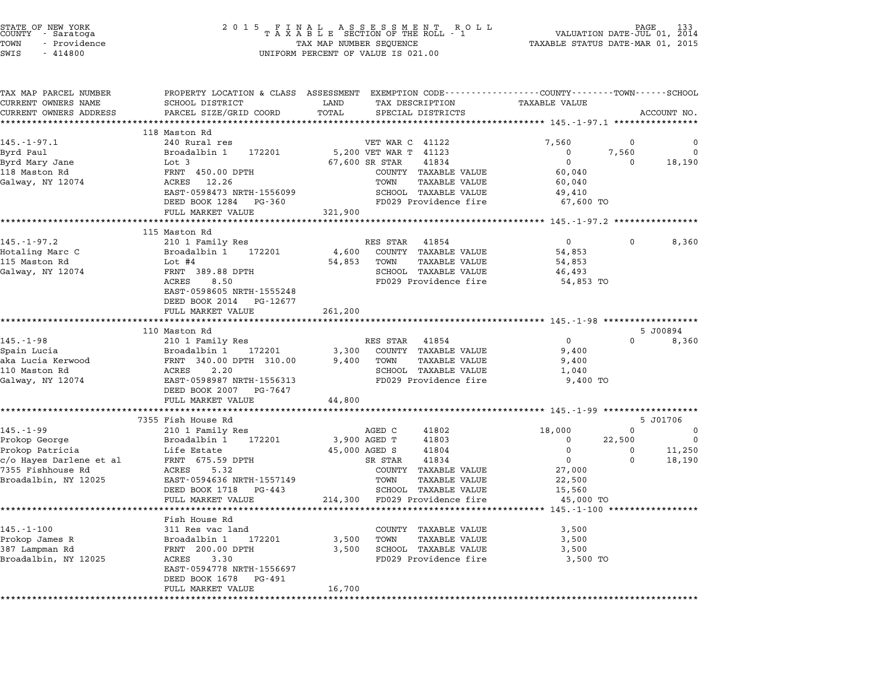| STATE OF NEW YORK |  |              |  |
|-------------------|--|--------------|--|
| COUNTY            |  | - Saratoga   |  |
| TOWN              |  | - Providence |  |

| TAX MAP PARCEL NUMBER<br>CURRENT OWNERS NAME | SCHOOL DISTRICT                            | LAND<br>TAX DESCRIPTION                                | PROPERTY LOCATION & CLASS ASSESSMENT EXEMPTION CODE---------------COUNTY-------TOWN-----SCHOOL<br>TAXABLE VALUE |
|----------------------------------------------|--------------------------------------------|--------------------------------------------------------|-----------------------------------------------------------------------------------------------------------------|
| CURRENT OWNERS ADDRESS                       | PARCEL SIZE/GRID COORD                     | TOTAL<br>SPECIAL DISTRICTS                             | ACCOUNT NO.                                                                                                     |
|                                              |                                            |                                                        |                                                                                                                 |
|                                              | 118 Maston Rd                              |                                                        |                                                                                                                 |
| $145. - 1 - 97.1$                            | 240 Rural res                              | VET WAR C 41122                                        | 7,560<br>0<br>0                                                                                                 |
| Byrd Paul                                    | Broadalbin 1<br>172201                     | 5,200 VET WAR T 41123                                  | $\Omega$<br>$\mathbf 0$<br>7.560                                                                                |
| Byrd Mary Jane                               | Lot 3                                      | 67,600 SR STAR<br>41834                                | $\overline{0}$<br>$\Omega$<br>18,190                                                                            |
| 118 Maston Rd                                | FRNT 450.00 DPTH                           | COUNTY TAXABLE VALUE                                   | 60,040                                                                                                          |
| Galway, NY 12074                             | ACRES 12.26                                | TAXABLE VALUE<br>TOWN                                  | 60,040                                                                                                          |
|                                              | EAST-0598473 NRTH-1556099                  | SCHOOL TAXABLE VALUE                                   | 49,410                                                                                                          |
|                                              | DEED BOOK 1284 PG-360<br>FULL MARKET VALUE | FD029 Providence fire<br>321,900                       | 67,600 TO                                                                                                       |
|                                              |                                            |                                                        |                                                                                                                 |
|                                              | 115 Maston Rd                              |                                                        |                                                                                                                 |
| $145. - 1 - 97.2$                            | 210 1 Family Res                           | RES STAR 41854                                         | $\overline{0}$<br>$\mathbf{0}$<br>8,360                                                                         |
| Hotaling Marc C                              | Broadalbin 1 172201                        | 4,600<br>COUNTY TAXABLE VALUE                          | 54,853                                                                                                          |
| 115 Maston Rd                                | Lot $#4$                                   | 54,853<br>TOWN<br>TAXABLE VALUE                        | 54,853                                                                                                          |
| Galway, NY 12074                             | FRNT 389.88 DPTH                           | SCHOOL TAXABLE VALUE                                   | 46,493                                                                                                          |
|                                              | ACRES<br>8.50                              | FD029 Providence fire                                  | 54,853 TO                                                                                                       |
|                                              | EAST-0598605 NRTH-1555248                  |                                                        |                                                                                                                 |
|                                              | DEED BOOK 2014 PG-12677                    |                                                        |                                                                                                                 |
|                                              | FULL MARKET VALUE                          | 261,200                                                |                                                                                                                 |
|                                              | 110 Maston Rd                              |                                                        | 5 J00894                                                                                                        |
| 145.-1-98                                    | 210 1 Family Res                           | RES STAR 41854                                         | $\Omega$<br>$\Omega$<br>8,360                                                                                   |
| Spain Lucia                                  | Broadalbin 1<br>172201                     | COUNTY TAXABLE VALUE<br>3,300                          | 9,400                                                                                                           |
| aka Lucia Kerwood                            | FRNT 340.00 DPTH 310.00                    | 9,400<br>TOWN<br>TAXABLE VALUE                         | 9,400                                                                                                           |
| 110 Maston Rd                                | ACRES<br>2.20                              | SCHOOL TAXABLE VALUE                                   | 1,040                                                                                                           |
| Galway, NY 12074                             | EAST-0598987 NRTH-1556313                  | FD029 Providence fire                                  | 9,400 TO                                                                                                        |
|                                              | DEED BOOK 2007 PG-7647                     |                                                        |                                                                                                                 |
|                                              | FULL MARKET VALUE                          | 44,800                                                 |                                                                                                                 |
|                                              |                                            |                                                        |                                                                                                                 |
| $145. - 1 - 99$                              | 7355 Fish House Rd<br>210 1 Family Res     | AGED C<br>41802                                        | 5 J01706<br>$\Omega$<br>18,000<br>$\overline{\mathbf{0}}$                                                       |
| Prokop George                                | Broadalbin 1 172201                        | 3,900 AGED T<br>41803                                  | 22,500<br>$\mathbf{0}$<br>$\overline{\phantom{0}}$                                                              |
| Prokop Patricia                              | Life Estate                                | 45,000 AGED S<br>41804                                 | $\mathbf 0$<br>$\Omega$<br>11,250                                                                               |
| c/o Hayes Darlene et al                      | FRNT 675.59 DPTH                           | 41834<br>SR STAR                                       | $\mathbf 0$<br>$\mathbf{0}$<br>18,190                                                                           |
| 7355 Fishhouse Rd                            | ACRES<br>5.32                              | COUNTY TAXABLE VALUE                                   | 27,000                                                                                                          |
| Broadalbin, NY 12025                         | EAST-0594636 NRTH-1557149                  | TOWN<br>TAXABLE VALUE                                  | 22,500                                                                                                          |
|                                              | DEED BOOK 1718 PG-443                      | SCHOOL TAXABLE VALUE                                   | 15,560                                                                                                          |
|                                              | FULL MARKET VALUE                          | 214,300 FD029 Providence fire                          | 45,000 TO                                                                                                       |
|                                              | *************************                  |                                                        | ******* 145.-1-100 *****************                                                                            |
|                                              | Fish House Rd                              |                                                        |                                                                                                                 |
| $145. - 1 - 100$                             | 311 Res vac land                           | COUNTY TAXABLE VALUE                                   | 3,500                                                                                                           |
| Prokop James R                               | 172201<br>Broadalbin 1                     | 3,500<br>TOWN<br>TAXABLE VALUE                         | 3,500                                                                                                           |
| 387 Lampman Rd<br>Broadalbin, NY 12025       | FRNT 200.00 DPTH<br>ACRES 3.30             | 3,500<br>SCHOOL TAXABLE VALUE<br>FD029 Providence fire | 3,500<br>3,500 TO                                                                                               |
|                                              | EAST-0594778 NRTH-1556697                  |                                                        |                                                                                                                 |
|                                              | DEED BOOK 1678 PG-491                      |                                                        |                                                                                                                 |
|                                              | FULL MARKET VALUE                          | 16,700                                                 |                                                                                                                 |
|                                              |                                            |                                                        |                                                                                                                 |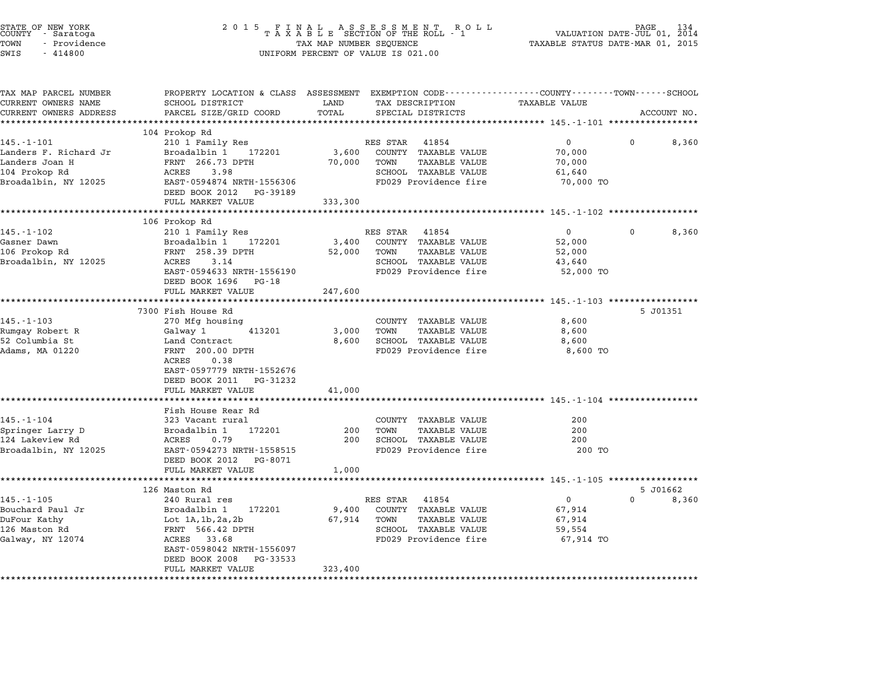| STATE OF NEW YORK<br>COUNTY – Saratoga<br>TOWN<br>- Providence<br>SWIS<br>$-414800$ | 2 0 1 5                                                                                                           | TAX MAP NUMBER SEQUENCE | FINAL ASSESSMENT ROLL<br>TAXABLE SECTION OF THE ROLL - 1<br>UNIFORM PERCENT OF VALUE IS 021.00 | VALUATION DATE-JUL 01, 2014<br>TAXABLE STATUS DATE-MAR 01, 2015 | PAGE |             |
|-------------------------------------------------------------------------------------|-------------------------------------------------------------------------------------------------------------------|-------------------------|------------------------------------------------------------------------------------------------|-----------------------------------------------------------------|------|-------------|
| TAX MAP PARCEL NUMBER<br>CURRENT OWNERS NAME                                        | PROPERTY LOCATION & CLASS ASSESSMENT EXEMPTION CODE---------------COUNTY-------TOWN-----SCHOOL<br>SCHOOL DISTRICT | LAND                    | TAX DESCRIPTION                                                                                | <b>TAXABLE VALUE</b>                                            |      |             |
| CURRENT OWNERS ADDRESS<br>**********************                                    | PARCEL SIZE/GRID COORD<br>*************************                                                               | TOTAL                   | SPECIAL DISTRICTS                                                                              |                                                                 |      | ACCOUNT NO. |
|                                                                                     | 104 Prokop Rd                                                                                                     |                         |                                                                                                |                                                                 |      |             |
| $145. - 1 - 101$                                                                    | 210 1 Family Res                                                                                                  |                         | RES STAR<br>41854                                                                              | $\mathbf 0$                                                     | 0    | 8,360       |
| Landers F. Richard Jr                                                               | Broadalbin 1<br>172201                                                                                            | 3,600                   | COUNTY TAXABLE VALUE                                                                           | 70,000                                                          |      |             |
| Landers Joan H                                                                      | FRNT 266.73 DPTH                                                                                                  | 70,000                  | TOWN<br><b>TAXABLE VALUE</b>                                                                   | 70,000                                                          |      |             |
| 104 Prokop Rd<br>Broadalbin, NY 12025                                               | 3.98<br>ACRES<br>EAST-0594874 NRTH-1556306                                                                        |                         | SCHOOL TAXABLE VALUE<br>FD029 Providence fire                                                  | 61,640<br>70,000 TO                                             |      |             |
|                                                                                     | DEED BOOK 2012<br>PG-39189                                                                                        |                         |                                                                                                |                                                                 |      |             |
|                                                                                     | FULL MARKET VALUE                                                                                                 | 333,300                 |                                                                                                |                                                                 |      |             |
|                                                                                     |                                                                                                                   |                         |                                                                                                | ********** 145.-1-102 ***************                           |      |             |
|                                                                                     | 106 Prokop Rd                                                                                                     |                         |                                                                                                |                                                                 |      |             |
| 145.-1-102                                                                          | 210 1 Family Res                                                                                                  |                         | RES STAR<br>41854                                                                              | $\overline{0}$                                                  | 0    | 8,360       |
| Gasner Dawn                                                                         | Broadalbin 1<br>172201                                                                                            | 3,400                   | COUNTY TAXABLE VALUE<br>TOWN                                                                   | 52,000                                                          |      |             |
| 106 Prokop Rd<br>Broadalbin, NY 12025                                               | FRNT 258.39 DPTH<br>ACRES<br>3.14                                                                                 | 52,000                  | <b>TAXABLE VALUE</b><br>SCHOOL TAXABLE VALUE                                                   | 52,000<br>43,640                                                |      |             |
|                                                                                     | EAST-0594633 NRTH-1556190                                                                                         |                         | FD029 Providence fire                                                                          | 52,000 TO                                                       |      |             |
|                                                                                     | DEED BOOK 1696<br>PG-18                                                                                           |                         |                                                                                                |                                                                 |      |             |
|                                                                                     | FULL MARKET VALUE                                                                                                 | 247,600                 |                                                                                                |                                                                 |      |             |
|                                                                                     |                                                                                                                   | *************           |                                                                                                | ************************* 145.-1-103 ******************         |      |             |
| $145. - 1 - 103$                                                                    | 7300 Fish House Rd<br>270 Mfg housing                                                                             |                         | COUNTY TAXABLE VALUE                                                                           | 8,600                                                           |      | 5 J01351    |
| Rumgay Robert R                                                                     | Galway 1<br>413201                                                                                                | 3,000                   | TAXABLE VALUE<br>TOWN                                                                          | 8,600                                                           |      |             |
| 52 Columbia St                                                                      | Land Contract                                                                                                     | 8,600                   | SCHOOL TAXABLE VALUE                                                                           | 8,600                                                           |      |             |
| Adams, MA 01220                                                                     | FRNT 200.00 DPTH                                                                                                  |                         | FD029 Providence fire                                                                          | 8,600 TO                                                        |      |             |
|                                                                                     | ACRES<br>0.38                                                                                                     |                         |                                                                                                |                                                                 |      |             |
|                                                                                     | EAST-0597779 NRTH-1552676                                                                                         |                         |                                                                                                |                                                                 |      |             |
|                                                                                     | DEED BOOK 2011<br>PG-31232                                                                                        |                         |                                                                                                |                                                                 |      |             |
|                                                                                     | FULL MARKET VALUE<br>******************                                                                           | 41,000<br>********      |                                                                                                |                                                                 |      |             |
|                                                                                     | Fish House Rear Rd                                                                                                |                         |                                                                                                |                                                                 |      |             |
| $145. - 1 - 104$                                                                    | 323 Vacant rural                                                                                                  |                         | COUNTY TAXABLE VALUE                                                                           | 200                                                             |      |             |
| Springer Larry D                                                                    | Broadalbin 1<br>172201                                                                                            | 200                     | TOWN<br><b>TAXABLE VALUE</b>                                                                   | 200                                                             |      |             |
| 124 Lakeview Rd                                                                     | 0.79<br>ACRES                                                                                                     | 200                     | SCHOOL TAXABLE VALUE                                                                           | 200                                                             |      |             |
| Broadalbin, NY 12025                                                                | EAST-0594273 NRTH-1558515                                                                                         |                         | FD029 Providence fire                                                                          | 200 TO                                                          |      |             |
|                                                                                     | DEED BOOK 2012 PG-8071<br>FULL MARKET VALUE                                                                       | 1,000                   |                                                                                                |                                                                 |      |             |
|                                                                                     |                                                                                                                   |                         |                                                                                                | ********* 145.-1-105 *****************                          |      |             |
|                                                                                     | 126 Maston Rd                                                                                                     |                         |                                                                                                |                                                                 |      | 5 J01662    |
| 145.-1-105                                                                          | 240 Rural res                                                                                                     |                         | RES STAR<br>41854                                                                              | $\mathbf{0}$                                                    | 0    | 8,360       |
| Bouchard Paul Jr                                                                    | Broadalbin 1<br>172201                                                                                            | 9,400                   | COUNTY TAXABLE VALUE                                                                           | 67,914                                                          |      |             |
| DuFour Kathy                                                                        | Lot $1A, 1b, 2a, 2b$                                                                                              | 67,914                  | TOWN<br><b>TAXABLE VALUE</b>                                                                   | 67,914                                                          |      |             |
| 126 Maston Rd<br>Galway, NY 12074                                                   | FRNT 566.42 DPTH<br>ACRES 33.68                                                                                   |                         | SCHOOL TAXABLE VALUE<br>FD029 Providence fire                                                  | 59,554<br>67,914 TO                                             |      |             |
|                                                                                     | EAST-0598042 NRTH-1556097                                                                                         |                         |                                                                                                |                                                                 |      |             |
|                                                                                     | DEED BOOK 2008<br>PG-33533                                                                                        |                         |                                                                                                |                                                                 |      |             |
|                                                                                     | FULL MARKET VALUE                                                                                                 | 323,400                 |                                                                                                |                                                                 |      |             |
|                                                                                     | * * * * * * * * * * * * * * * * * * *                                                                             |                         |                                                                                                |                                                                 |      |             |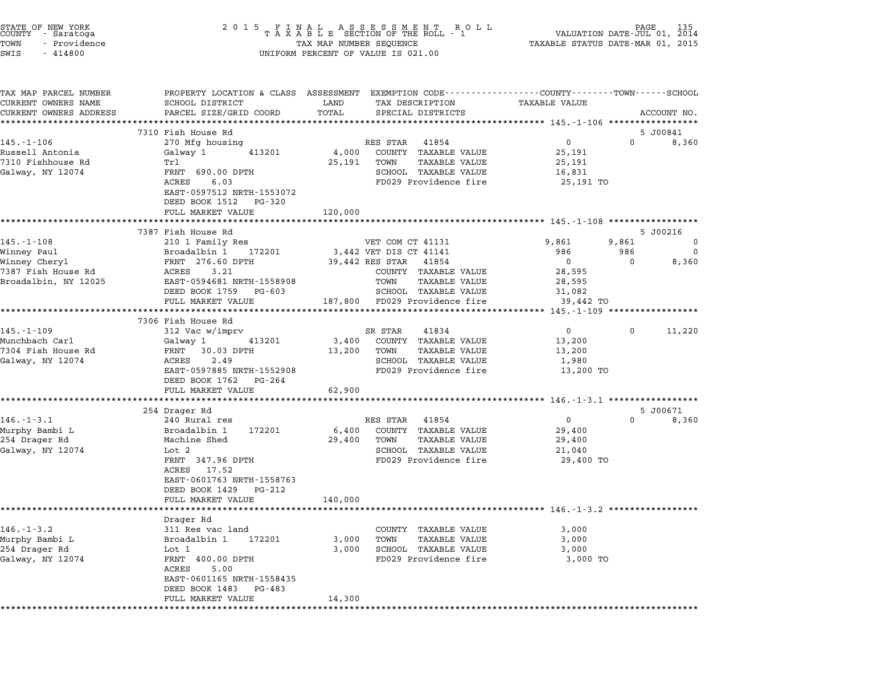| STATE OF NEW YORK<br>COUNTY - Saratoga<br>TOWN<br>- Providence<br>SWIS<br>$-414800$ |                                                                                                                                                                         | UNIFORM PERCENT OF VALUE IS 021.00 |                        |                                               | $\begin{tabular}{lllllllllllllllllllll} \hline 2&0&1&5&F\ \text{I}\ \text{A}\ &\text{A}\ &\text{B}\ &\text{B}\ &\text{C}\ &\text{D}\ &\text{D}\ &\text{D}\ &\text{A}\ &\text{A}\ &\text{B}\ &\text{B}\ &\text{B}\ &\text{B}\ &\text{C}}\ &\text{D}\ &\text{C}\ &\text{D}\ &\text{D}\ &\text{D}\ &\text{D}\ &\text{D}\ &\text{D}\ &\text{D}\ &\text{D}\ &\text{D}\ &\text{D}\ &\text{D}\ &\text{D}\ &\text{D}\ &\text$ |              |             |
|-------------------------------------------------------------------------------------|-------------------------------------------------------------------------------------------------------------------------------------------------------------------------|------------------------------------|------------------------|-----------------------------------------------|-----------------------------------------------------------------------------------------------------------------------------------------------------------------------------------------------------------------------------------------------------------------------------------------------------------------------------------------------------------------------------------------------------------------------|--------------|-------------|
| TAX MAP PARCEL NUMBER<br>CURRENT OWNERS NAME<br>CURRENT OWNERS ADDRESS              | PROPERTY LOCATION & CLASS ASSESSMENT EXEMPTION CODE---------------COUNTY-------TOWN------SCHOOL<br>SCHOOL DISTRICT<br>PARCEL SIZE/GRID COORD<br>*********************** | LAND<br>TOTAL<br>**********        |                        | TAX DESCRIPTION<br>SPECIAL DISTRICTS          | <b>TAXABLE VALUE</b>                                                                                                                                                                                                                                                                                                                                                                                                  |              | ACCOUNT NO. |
|                                                                                     | 7310 Fish House Rd                                                                                                                                                      |                                    |                        |                                               |                                                                                                                                                                                                                                                                                                                                                                                                                       |              | 5 J00841    |
| $145. - 1 - 106$                                                                    | 270 Mfg housing                                                                                                                                                         |                                    | RES STAR               | 41854                                         | $\overline{0}$                                                                                                                                                                                                                                                                                                                                                                                                        | $\Omega$     | 8,360       |
| Russell Antonia                                                                     | Galway 1<br>413201                                                                                                                                                      | 4,000                              |                        | COUNTY TAXABLE VALUE                          | 25,191                                                                                                                                                                                                                                                                                                                                                                                                                |              |             |
| 7310 Fishhouse Rd<br>Galway, NY 12074                                               | Trl<br>FRNT 690.00 DPTH                                                                                                                                                 | 25,191                             | TOWN                   | TAXABLE VALUE<br>SCHOOL TAXABLE VALUE         | 25,191<br>16,831                                                                                                                                                                                                                                                                                                                                                                                                      |              |             |
|                                                                                     | ACRES<br>6.03                                                                                                                                                           |                                    |                        | FD029 Providence fire                         | 25,191 TO                                                                                                                                                                                                                                                                                                                                                                                                             |              |             |
|                                                                                     | EAST-0597512 NRTH-1553072<br>DEED BOOK 1512 PG-320                                                                                                                      |                                    |                        |                                               |                                                                                                                                                                                                                                                                                                                                                                                                                       |              |             |
|                                                                                     | FULL MARKET VALUE                                                                                                                                                       | 120,000                            |                        |                                               |                                                                                                                                                                                                                                                                                                                                                                                                                       |              |             |
|                                                                                     | 7387 Fish House Rd                                                                                                                                                      |                                    |                        |                                               |                                                                                                                                                                                                                                                                                                                                                                                                                       |              | 5 J00216    |
| $145. - 1 - 108$                                                                    | 210 1 Family Res                                                                                                                                                        |                                    | VET COM CT 41131       |                                               | 9,861                                                                                                                                                                                                                                                                                                                                                                                                                 | 9,861        | $\mathbf 0$ |
| Winney Paul                                                                         | Broadalbin 1<br>172201                                                                                                                                                  |                                    | 3,442 VET DIS CT 41141 |                                               | 986                                                                                                                                                                                                                                                                                                                                                                                                                   | 986          | $\mathbf 0$ |
| Winney Cheryl                                                                       | FRNT 276.60 DPTH                                                                                                                                                        |                                    | 39,442 RES STAR 41854  |                                               | $\mathbf 0$                                                                                                                                                                                                                                                                                                                                                                                                           | $\mathbf 0$  | 8,360       |
| 7387 Fish House Rd                                                                  | ACRES 3.21                                                                                                                                                              |                                    |                        | COUNTY TAXABLE VALUE                          | 28,595                                                                                                                                                                                                                                                                                                                                                                                                                |              |             |
| Broadalbin, NY 12025                                                                | EAST-0594681 NRTH-1558908<br>DEED BOOK 1759 PG-603                                                                                                                      |                                    | TOWN                   | <b>TAXABLE VALUE</b><br>SCHOOL TAXABLE VALUE  | 28,595<br>31,082                                                                                                                                                                                                                                                                                                                                                                                                      |              |             |
|                                                                                     | FULL MARKET VALUE                                                                                                                                                       |                                    |                        | 187,800 FD029 Providence fire                 | 39,442 TO                                                                                                                                                                                                                                                                                                                                                                                                             |              |             |
|                                                                                     | ***************************                                                                                                                                             | ************************           |                        |                                               | ********************* 145.-1-109 ******************                                                                                                                                                                                                                                                                                                                                                                   |              |             |
|                                                                                     | 7306 Fish House Rd                                                                                                                                                      |                                    |                        |                                               |                                                                                                                                                                                                                                                                                                                                                                                                                       |              |             |
| 145.-1-109                                                                          | 312 Vac w/imprv                                                                                                                                                         |                                    | SR STAR                | 41834                                         | $\overline{0}$                                                                                                                                                                                                                                                                                                                                                                                                        | $\mathbf{0}$ | 11,220      |
| Munchbach Carl<br>7304 Fish House Rd                                                | Galway 1<br>413201<br>FRNT<br>30.03 DPTH                                                                                                                                | 13,200                             | TOWN                   | 3,400 COUNTY TAXABLE VALUE<br>TAXABLE VALUE   | 13,200<br>13,200                                                                                                                                                                                                                                                                                                                                                                                                      |              |             |
| Galway, NY 12074                                                                    | ACRES<br>2.49                                                                                                                                                           |                                    |                        | SCHOOL TAXABLE VALUE                          | 1,980                                                                                                                                                                                                                                                                                                                                                                                                                 |              |             |
|                                                                                     | EAST-0597885 NRTH-1552908<br>DEED BOOK 1762 PG-264                                                                                                                      |                                    |                        | FD029 Providence fire                         | 13,200 TO                                                                                                                                                                                                                                                                                                                                                                                                             |              |             |
|                                                                                     | FULL MARKET VALUE                                                                                                                                                       | 62,900                             |                        |                                               |                                                                                                                                                                                                                                                                                                                                                                                                                       |              |             |
|                                                                                     | **********************                                                                                                                                                  |                                    |                        |                                               | ********** 146.-1-3.1 ******************                                                                                                                                                                                                                                                                                                                                                                              |              |             |
| $146. - 1 - 3.1$                                                                    | 254 Drager Rd                                                                                                                                                           |                                    |                        |                                               | $\mathbf 0$                                                                                                                                                                                                                                                                                                                                                                                                           | $\Omega$     | 5 J00671    |
| Murphy Bambi L                                                                      | 240 Rural res<br>Broadalbin 1<br>172201                                                                                                                                 | 6,400                              | RES STAR               | 41854<br>COUNTY TAXABLE VALUE                 | 29,400                                                                                                                                                                                                                                                                                                                                                                                                                |              | 8,360       |
| 254 Drager Rd                                                                       | Machine Shed                                                                                                                                                            | 29,400                             | TOWN                   | TAXABLE VALUE                                 | 29,400                                                                                                                                                                                                                                                                                                                                                                                                                |              |             |
| Galway, NY 12074                                                                    | Lot 2                                                                                                                                                                   |                                    |                        | SCHOOL TAXABLE VALUE                          | 21,040                                                                                                                                                                                                                                                                                                                                                                                                                |              |             |
|                                                                                     | FRNT 347.96 DPTH                                                                                                                                                        |                                    |                        | FD029 Providence fire                         | 29,400 TO                                                                                                                                                                                                                                                                                                                                                                                                             |              |             |
|                                                                                     | ACRES 17.52                                                                                                                                                             |                                    |                        |                                               |                                                                                                                                                                                                                                                                                                                                                                                                                       |              |             |
|                                                                                     | EAST-0601763 NRTH-1558763                                                                                                                                               |                                    |                        |                                               |                                                                                                                                                                                                                                                                                                                                                                                                                       |              |             |
|                                                                                     | DEED BOOK 1429 PG-212<br>FULL MARKET VALUE                                                                                                                              | 140,000                            |                        |                                               |                                                                                                                                                                                                                                                                                                                                                                                                                       |              |             |
|                                                                                     |                                                                                                                                                                         |                                    |                        |                                               |                                                                                                                                                                                                                                                                                                                                                                                                                       |              |             |
|                                                                                     | Drager Rd                                                                                                                                                               |                                    |                        |                                               |                                                                                                                                                                                                                                                                                                                                                                                                                       |              |             |
| $146. - 1 - 3.2$                                                                    | 311 Res vac land                                                                                                                                                        |                                    |                        | COUNTY TAXABLE VALUE                          | 3,000                                                                                                                                                                                                                                                                                                                                                                                                                 |              |             |
| Murphy Bambi L                                                                      | Broadalbin 1<br>172201                                                                                                                                                  | 3,000                              | TOWN                   | TAXABLE VALUE                                 | 3,000                                                                                                                                                                                                                                                                                                                                                                                                                 |              |             |
| 254 Drager Rd<br>Galway, NY 12074                                                   | Lot 1<br>FRNT 400.00 DPTH                                                                                                                                               | 3,000                              |                        | SCHOOL TAXABLE VALUE<br>FD029 Providence fire | 3,000<br>3,000 TO                                                                                                                                                                                                                                                                                                                                                                                                     |              |             |
|                                                                                     | ACRES<br>5.00                                                                                                                                                           |                                    |                        |                                               |                                                                                                                                                                                                                                                                                                                                                                                                                       |              |             |
|                                                                                     | EAST-0601165 NRTH-1558435                                                                                                                                               |                                    |                        |                                               |                                                                                                                                                                                                                                                                                                                                                                                                                       |              |             |
|                                                                                     | DEED BOOK 1483 PG-483                                                                                                                                                   |                                    |                        |                                               |                                                                                                                                                                                                                                                                                                                                                                                                                       |              |             |
|                                                                                     |                                                                                                                                                                         | 14,300                             |                        |                                               |                                                                                                                                                                                                                                                                                                                                                                                                                       |              |             |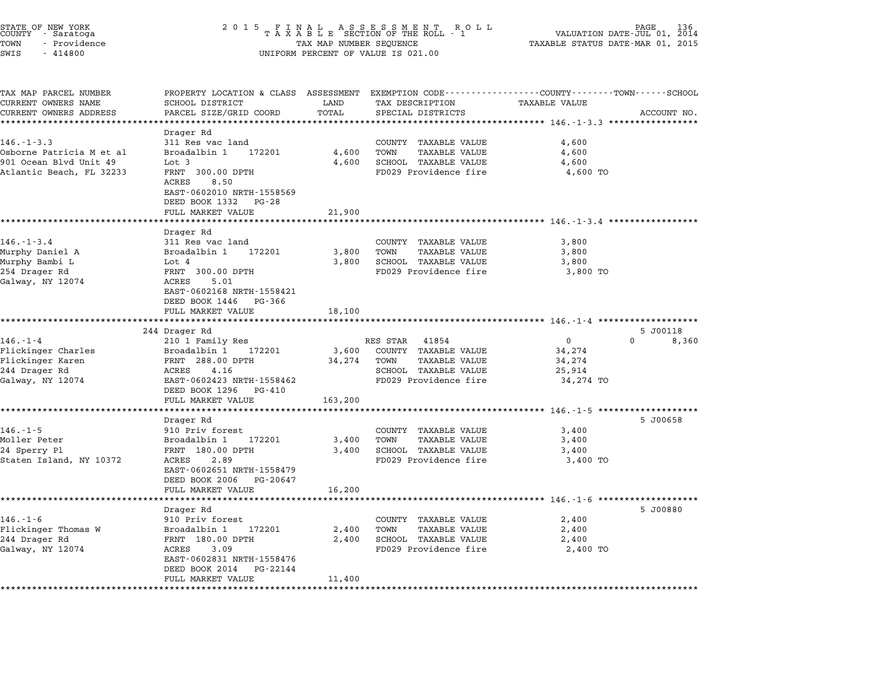| STATE OF NEW YORK<br>COUNTY - Saratoga<br>TOWN<br>- Providence<br>SWIS<br>$-414800$                | 2 0 1 5<br>FINAL ASSESSMENT ROLL<br>TAXABLE SECTION OF THE ROLL - 1<br>TAX MAP NUMBER SEQUENCE<br>UNIFORM PERCENT OF VALUE IS 021.00                                        | PAGE<br>136<br>VALUATION DATE-JUL 01, 2014<br>TAXABLE STATUS DATE-MAR 01, 2015 |                                                                                                                     |                                                                                           |             |
|----------------------------------------------------------------------------------------------------|-----------------------------------------------------------------------------------------------------------------------------------------------------------------------------|--------------------------------------------------------------------------------|---------------------------------------------------------------------------------------------------------------------|-------------------------------------------------------------------------------------------|-------------|
| TAX MAP PARCEL NUMBER<br>CURRENT OWNERS NAME                                                       | PROPERTY LOCATION & CLASS ASSESSMENT EXEMPTION CODE---------------COUNTY-------TOWN-----SCHOOL<br>SCHOOL DISTRICT                                                           | LAND                                                                           | TAX DESCRIPTION                                                                                                     | TAXABLE VALUE                                                                             |             |
| CURRENT OWNERS ADDRESS                                                                             | PARCEL SIZE/GRID COORD                                                                                                                                                      | TOTAL                                                                          | SPECIAL DISTRICTS                                                                                                   |                                                                                           | ACCOUNT NO. |
| $146. - 1 - 3.3$<br>Osborne Patricia M et al<br>901 Ocean Blvd Unit 49<br>Atlantic Beach, FL 32233 | Drager Rd<br>311 Res vac land<br>Broadalbin 1<br>172201<br>Lot 3<br>FRNT 300.00 DPTH<br>ACRES<br>8.50<br>EAST-0602010 NRTH-1558569<br>DEED BOOK 1332 PG-28                  | 4,600<br>4,600                                                                 | COUNTY TAXABLE VALUE<br><b>TAXABLE VALUE</b><br>TOWN<br>SCHOOL TAXABLE VALUE<br>FD029 Providence fire               | 4,600<br>4,600<br>4,600<br>4,600 TO                                                       |             |
|                                                                                                    | FULL MARKET VALUE                                                                                                                                                           | 21,900                                                                         |                                                                                                                     |                                                                                           |             |
| $146. - 1 - 3.4$<br>Murphy Daniel A<br>Murphy Bambi L<br>254 Drager Rd<br>Galway, NY 12074         | Drager Rd<br>311 Res vac land<br>172201<br>Broadalbin 1<br>Lot 4<br>FRNT 300.00 DPTH<br>ACRES<br>5.01<br>EAST-0602168 NRTH-1558421<br>DEED BOOK 1446<br>PG-366              | 3,800<br>3,800                                                                 | COUNTY TAXABLE VALUE<br><b>TAXABLE VALUE</b><br>TOWN<br>SCHOOL TAXABLE VALUE<br>FD029 Providence fire               | ****************************** 146.-1-3.4 ********<br>3,800<br>3,800<br>3,800<br>3,800 TO |             |
|                                                                                                    | FULL MARKET VALUE                                                                                                                                                           | 18,100<br>* * * * * * * * *                                                    |                                                                                                                     | *********************************** 146.-1-4 ********************                         |             |
|                                                                                                    | 244 Drager Rd                                                                                                                                                               |                                                                                |                                                                                                                     |                                                                                           | 5 J00118    |
| $146. - 1 - 4$<br>Flickinger Charles<br>Flickinger Karen<br>244 Drager Rd<br>Galway, NY 12074      | 210 1 Family Res<br>172201<br>Broadalbin 1<br>FRNT 288.00 DPTH<br>4.16<br>ACRES<br>EAST-0602423 NRTH-1558462<br>DEED BOOK 1296<br>PG-410                                    | 3,600<br>34,274                                                                | RES STAR<br>41854<br>COUNTY TAXABLE VALUE<br>TOWN<br>TAXABLE VALUE<br>SCHOOL TAXABLE VALUE<br>FD029 Providence fire | 0<br>34,274<br>34,274<br>25,914<br>34,274 TO                                              | 0<br>8,360  |
|                                                                                                    | FULL MARKET VALUE                                                                                                                                                           | 163,200                                                                        |                                                                                                                     |                                                                                           |             |
| $146. - 1 - 5$<br>Moller Peter<br>24 Sperry Pl<br>Staten Island, NY 10372                          | Drager Rd<br>910 Priv forest<br>Broadalbin 1<br>172201<br>FRNT 180.00 DPTH<br>ACRES<br>2.89<br>EAST-0602651 NRTH-1558479<br>DEED BOOK 2006<br>PG-20647                      | 3,400<br>3,400                                                                 | COUNTY TAXABLE VALUE<br>TOWN<br><b>TAXABLE VALUE</b><br>SCHOOL TAXABLE VALUE<br>FD029 Providence fire               | 3,400<br>3,400<br>3,400<br>3,400 TO                                                       | 5 J00658    |
|                                                                                                    | FULL MARKET VALUE                                                                                                                                                           | 16,200                                                                         |                                                                                                                     |                                                                                           |             |
| $146. - 1 - 6$<br>Flickinger Thomas W<br>244 Drager Rd<br>Galway, NY 12074                         | Drager Rd<br>910 Priv forest<br>Broadalbin 1<br>172201<br>FRNT 180.00 DPTH<br>ACRES<br>3.09<br>EAST-0602831 NRTH-1558476<br>DEED BOOK 2014<br>PG-22144<br>FULL MARKET VALUE | 2,400<br>2,400<br>11,400                                                       | COUNTY TAXABLE VALUE<br><b>TAXABLE VALUE</b><br>TOWN<br>SCHOOL TAXABLE VALUE<br>FD029 Providence fire               | ***************************** 146.-1-6 ***********<br>2,400<br>2,400<br>2,400<br>2,400 TO | 5 J00880    |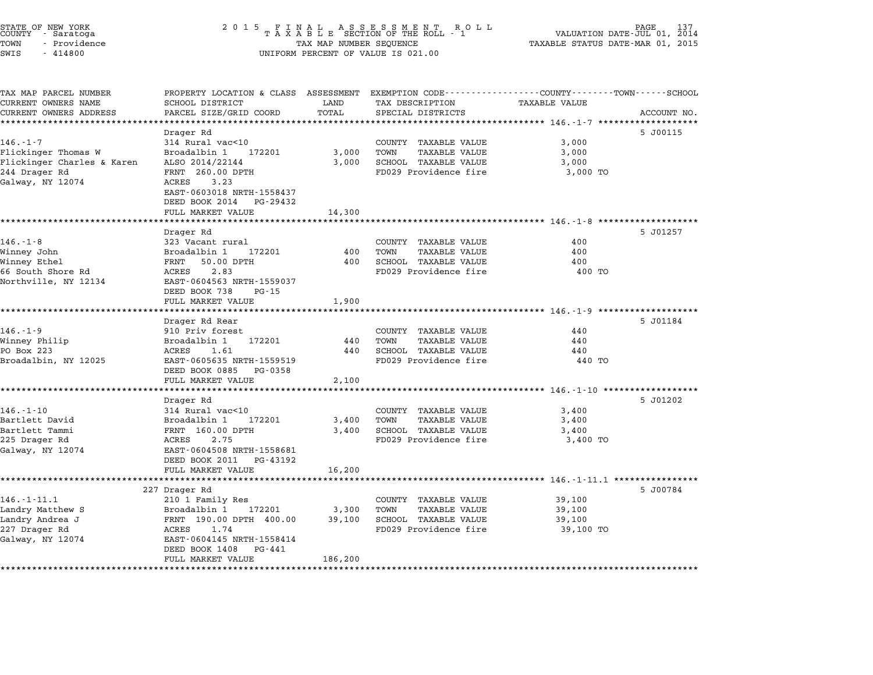| STATE OF NEW YORK<br>COUNTY - Saratoga<br>TOWN<br>- Providence<br>SWIS<br>$-414800$ | 2 0 1 5<br>FINAL ASSESSMENT ROTAXABLE SECTION OF THE ROLL - 1<br>TAX MAP NUMBER SEQUENCE<br>UNIFORM PERCENT OF VALUE IS 021.00               | PAGE<br>VALUATION DATE-JUL 01, 2014<br>TAXABLE STATUS DATE-MAR 01, 2015 |                                                      |                                                     |             |
|-------------------------------------------------------------------------------------|----------------------------------------------------------------------------------------------------------------------------------------------|-------------------------------------------------------------------------|------------------------------------------------------|-----------------------------------------------------|-------------|
| TAX MAP PARCEL NUMBER<br>CURRENT OWNERS NAME<br>CURRENT OWNERS ADDRESS              | PROPERTY LOCATION & CLASS ASSESSMENT EXEMPTION CODE---------------COUNTY-------TOWN------SCHOOL<br>SCHOOL DISTRICT<br>PARCEL SIZE/GRID COORD | LAND<br>TOTAL                                                           | TAX DESCRIPTION<br>SPECIAL DISTRICTS                 | <b>TAXABLE VALUE</b>                                | ACCOUNT NO. |
|                                                                                     | Drager Rd                                                                                                                                    |                                                                         |                                                      |                                                     | 5 J00115    |
| 146.-1-7                                                                            | 314 Rural vac<10                                                                                                                             |                                                                         | COUNTY TAXABLE VALUE                                 | 3,000                                               |             |
| Flickinger Thomas W                                                                 | Broadalbin 1<br>172201                                                                                                                       | 3,000                                                                   | TOWN<br><b>TAXABLE VALUE</b>                         | 3,000                                               |             |
| Flickinger Charles & Karen                                                          | ALSO 2014/22144                                                                                                                              | 3,000                                                                   | SCHOOL TAXABLE VALUE                                 | 3,000                                               |             |
| 244 Drager Rd<br>Galway, NY 12074                                                   | FRNT 260.00 DPTH<br>3.23<br>ACRES                                                                                                            |                                                                         | FD029 Providence fire                                | 3,000 TO                                            |             |
|                                                                                     | EAST-0603018 NRTH-1558437<br>DEED BOOK 2014<br>PG-29432                                                                                      |                                                                         |                                                      |                                                     |             |
|                                                                                     | FULL MARKET VALUE                                                                                                                            | 14,300                                                                  |                                                      |                                                     |             |
|                                                                                     | *********************                                                                                                                        | *********                                                               |                                                      |                                                     |             |
|                                                                                     | Drager Rd                                                                                                                                    |                                                                         |                                                      |                                                     | 5 J01257    |
| 146.-1-8                                                                            | 323 Vacant rural                                                                                                                             |                                                                         | COUNTY TAXABLE VALUE                                 | 400                                                 |             |
| Winney John<br>Winney Ethel                                                         | Broadalbin 1<br>172201<br>FRNT<br>50.00 DPTH                                                                                                 | 400<br>400                                                              | TOWN<br><b>TAXABLE VALUE</b><br>SCHOOL TAXABLE VALUE | 400<br>400                                          |             |
| 66 South Shore Rd                                                                   | 2.83<br>ACRES                                                                                                                                |                                                                         | FD029 Providence fire                                | 400 TO                                              |             |
| Northville, NY 12134                                                                | EAST-0604563 NRTH-1559037                                                                                                                    |                                                                         |                                                      |                                                     |             |
|                                                                                     | DEED BOOK 738<br>PG-15                                                                                                                       |                                                                         |                                                      |                                                     |             |
|                                                                                     | FULL MARKET VALUE                                                                                                                            | 1,900                                                                   |                                                      |                                                     |             |
|                                                                                     |                                                                                                                                              |                                                                         |                                                      |                                                     |             |
| $146. - 1 - 9$                                                                      | Drager Rd Rear<br>910 Priv forest                                                                                                            |                                                                         | COUNTY TAXABLE VALUE                                 | 440                                                 | 5 J01184    |
| Winney Philip                                                                       | Broadalbin 1<br>172201                                                                                                                       | 440                                                                     | <b>TAXABLE VALUE</b><br>TOWN                         | 440                                                 |             |
| PO Box 223                                                                          | ACRES<br>1.61                                                                                                                                | 440                                                                     | SCHOOL TAXABLE VALUE                                 | 440                                                 |             |
| Broadalbin, NY 12025                                                                | EAST-0605635 NRTH-1559519                                                                                                                    |                                                                         | FD029 Providence fire                                | 440 TO                                              |             |
|                                                                                     | DEED BOOK 0885<br>PG-0358                                                                                                                    |                                                                         |                                                      |                                                     |             |
|                                                                                     | FULL MARKET VALUE                                                                                                                            | 2,100                                                                   |                                                      |                                                     |             |
|                                                                                     | Drager Rd                                                                                                                                    | *************                                                           |                                                      | ********************** 146.-1-10 ****************** | 5 J01202    |
| $146. - 1 - 10$                                                                     | 314 Rural vac<10                                                                                                                             |                                                                         | COUNTY TAXABLE VALUE                                 | 3,400                                               |             |
| Bartlett David                                                                      | 172201<br>Broadalbin 1                                                                                                                       | 3,400                                                                   | TOWN<br>TAXABLE VALUE                                | 3,400                                               |             |
| Bartlett Tammi                                                                      | FRNT 160.00 DPTH                                                                                                                             | 3,400                                                                   | SCHOOL TAXABLE VALUE                                 | 3,400                                               |             |
| 225 Drager Rd                                                                       | 2.75<br>ACRES                                                                                                                                |                                                                         | FD029 Providence fire                                | 3,400 TO                                            |             |
| Galway, NY 12074                                                                    | EAST-0604508 NRTH-1558681                                                                                                                    |                                                                         |                                                      |                                                     |             |
|                                                                                     | DEED BOOK 2011<br>PG-43192<br>FULL MARKET VALUE                                                                                              |                                                                         |                                                      |                                                     |             |
|                                                                                     |                                                                                                                                              | 16,200                                                                  |                                                      |                                                     |             |
|                                                                                     | 227 Drager Rd                                                                                                                                |                                                                         |                                                      |                                                     | 5 J00784    |
| 146.-1-11.1                                                                         | 210 1 Family Res                                                                                                                             |                                                                         | COUNTY TAXABLE VALUE                                 | 39,100                                              |             |
| Landry Matthew S                                                                    | Broadalbin 1<br>172201                                                                                                                       | 3,300                                                                   | <b>TAXABLE VALUE</b><br>TOWN                         | 39,100                                              |             |
| Landry Andrea J                                                                     | FRNT 190.00 DPTH 400.00                                                                                                                      | 39,100                                                                  | SCHOOL TAXABLE VALUE                                 | 39,100                                              |             |
| 227 Drager Rd                                                                       | 1.74<br>ACRES                                                                                                                                |                                                                         | FD029 Providence fire                                | 39,100 TO                                           |             |
| Galway, NY 12074                                                                    | EAST-0604145 NRTH-1558414<br>DEED BOOK 1408<br>PG-441                                                                                        |                                                                         |                                                      |                                                     |             |
|                                                                                     | FULL MARKET VALUE                                                                                                                            | 186,200                                                                 |                                                      |                                                     |             |
|                                                                                     |                                                                                                                                              |                                                                         |                                                      |                                                     |             |

STATE OF NEW YORK <sup>2</sup> <sup>0</sup> <sup>1</sup> 5 F I N A L A S S E S S M E N T R O L L PAGE <sup>137</sup> COUNTY - Saratoga <sup>T</sup> <sup>A</sup> <sup>X</sup> <sup>A</sup> <sup>B</sup> <sup>L</sup> <sup>E</sup> SECTION OF THE ROLL - <sup>1</sup> VALUATION DATE-JUL 01, <sup>2014</sup>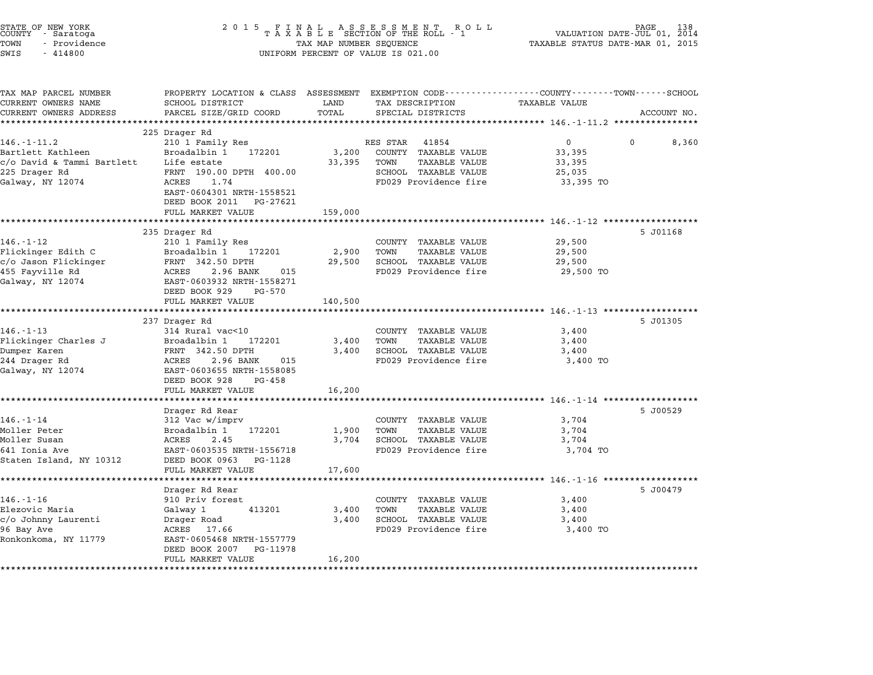| STATE OF NEW YORK<br>COUNTY – Saratoga<br>TOWN<br>- Providence<br>SWIS<br>$-414800$                  | 2 0 1 5<br>FINAL ASSESSMENT RO<br>TAXABLE SECTION OF THE ROLL - 1<br>TAX MAP NUMBER SEQUENCE<br>UNIFORM PERCENT OF VALUE IS 021.00                                       | PAGE<br>VALUATION DATE-JUL 01, 2014<br>TAXABLE STATUS DATE-MAR 01, 2015 |                                                                                                                            |                                                                                     |             |
|------------------------------------------------------------------------------------------------------|--------------------------------------------------------------------------------------------------------------------------------------------------------------------------|-------------------------------------------------------------------------|----------------------------------------------------------------------------------------------------------------------------|-------------------------------------------------------------------------------------|-------------|
| TAX MAP PARCEL NUMBER<br>CURRENT OWNERS NAME                                                         | PROPERTY LOCATION & CLASS ASSESSMENT<br>SCHOOL DISTRICT                                                                                                                  | LAND                                                                    | TAX DESCRIPTION                                                                                                            | EXEMPTION CODE-----------------COUNTY-------TOWN-----SCHOOL<br>TAXABLE VALUE        |             |
| CURRENT OWNERS ADDRESS                                                                               | PARCEL SIZE/GRID COORD                                                                                                                                                   | TOTAL<br>******                                                         | SPECIAL DISTRICTS                                                                                                          | ************ 146.-1-11.2 *****************                                          | ACCOUNT NO. |
|                                                                                                      | 225 Drager Rd                                                                                                                                                            |                                                                         |                                                                                                                            |                                                                                     |             |
| 146.-1-11.2<br>Bartlett Kathleen<br>c/o David & Tammi Bartlett<br>225 Drager Rd<br>Galway, NY 12074  | 210 1 Family Res<br>Broadalbin 1<br>172201<br>Life estate<br>FRNT 190.00 DPTH 400.00<br>ACRES<br>1.74<br>EAST-0604301 NRTH-1558521                                       | 3,200<br>33,395                                                         | RES STAR<br>41854<br>COUNTY TAXABLE VALUE<br>TOWN<br><b>TAXABLE VALUE</b><br>SCHOOL TAXABLE VALUE<br>FD029 Providence fire | 0<br>0<br>33,395<br>33,395<br>25,035<br>33,395 TO                                   | 8,360       |
|                                                                                                      | DEED BOOK 2011<br>PG-27621<br>FULL MARKET VALUE                                                                                                                          | 159,000                                                                 |                                                                                                                            |                                                                                     |             |
|                                                                                                      |                                                                                                                                                                          |                                                                         |                                                                                                                            | ***************************** 146.-1-12 ******************                          |             |
| $146. - 1 - 12$<br>Flickinger Edith C<br>c/o Jason Flickinger<br>455 Fayville Rd<br>Galway, NY 12074 | 235 Drager Rd<br>210 1 Family Res<br>Broadalbin 1<br>172201<br>FRNT 342.50 DPTH<br>ACRES<br>2.96 BANK<br>015<br>EAST-0603932 NRTH-1558271<br>DEED BOOK 929<br>PG-570     | 2,900<br>29,500                                                         | COUNTY TAXABLE VALUE<br>TOWN<br><b>TAXABLE VALUE</b><br>SCHOOL TAXABLE VALUE<br>FD029 Providence fire                      | 29,500<br>29,500<br>29,500<br>29,500 TO                                             | 5 J01168    |
|                                                                                                      | FULL MARKET VALUE                                                                                                                                                        | 140,500                                                                 |                                                                                                                            |                                                                                     |             |
|                                                                                                      |                                                                                                                                                                          |                                                                         |                                                                                                                            | ************************************ 146.-1-13 ********************                 |             |
| $146. - 1 - 13$<br>Flickinger Charles J<br>Dumper Karen<br>244 Drager Rd<br>Galway, NY 12074         | 237 Drager Rd<br>314 Rural vac<10<br>Broadalbin 1<br>172201<br>FRNT 342.50 DPTH<br>ACRES<br>2.96 BANK<br>015<br>EAST-0603655 NRTH-1558085<br>DEED BOOK 928<br>PG-458     | 3,400<br>3,400                                                          | COUNTY TAXABLE VALUE<br>TOWN<br>TAXABLE VALUE<br>SCHOOL TAXABLE VALUE<br>FD029 Providence fire                             | 3,400<br>3,400<br>3,400<br>3,400 TO                                                 | 5 J01305    |
|                                                                                                      | FULL MARKET VALUE                                                                                                                                                        | 16,200                                                                  |                                                                                                                            |                                                                                     |             |
| $146. - 1 - 14$<br>Moller Peter<br>Moller Susan<br>641 Ionia Ave<br>Staten Island, NY 10312          | Drager Rd Rear<br>312 Vac w/imprv<br>Broadalbin 1<br>172201<br>2.45<br>ACRES<br>EAST-0603535 NRTH-1556718<br>DEED BOOK 0963<br>PG-1128                                   | 1,900<br>3,704                                                          | COUNTY TAXABLE VALUE<br>TOWN<br><b>TAXABLE VALUE</b><br>SCHOOL TAXABLE VALUE<br>FD029 Providence fire                      | ************** 146.-1-14 *******************<br>3,704<br>3,704<br>3,704<br>3,704 TO | 5 J00529    |
|                                                                                                      | FULL MARKET VALUE<br>******************                                                                                                                                  | 17,600<br>******************                                            |                                                                                                                            | ********************* 146.-1-16 *******************                                 |             |
| $146. - 1 - 16$<br>Elezovic Maria<br>c/o Johnny Laurenti<br>96 Bay Ave<br>Ronkonkoma, NY 11779       | Drager Rd Rear<br>910 Priv forest<br>Galway 1<br>413201<br>Drager Road<br>17.66<br>ACRES<br>EAST-0605468 NRTH-1557779<br>DEED BOOK 2007<br>PG-11978<br>FULL MARKET VALUE | 3,400<br>3,400<br>16,200                                                | COUNTY TAXABLE VALUE<br>TOWN<br>TAXABLE VALUE<br>SCHOOL TAXABLE VALUE<br>FD029 Providence fire                             | 3,400<br>3,400<br>3,400<br>3,400 TO                                                 | 5 J00479    |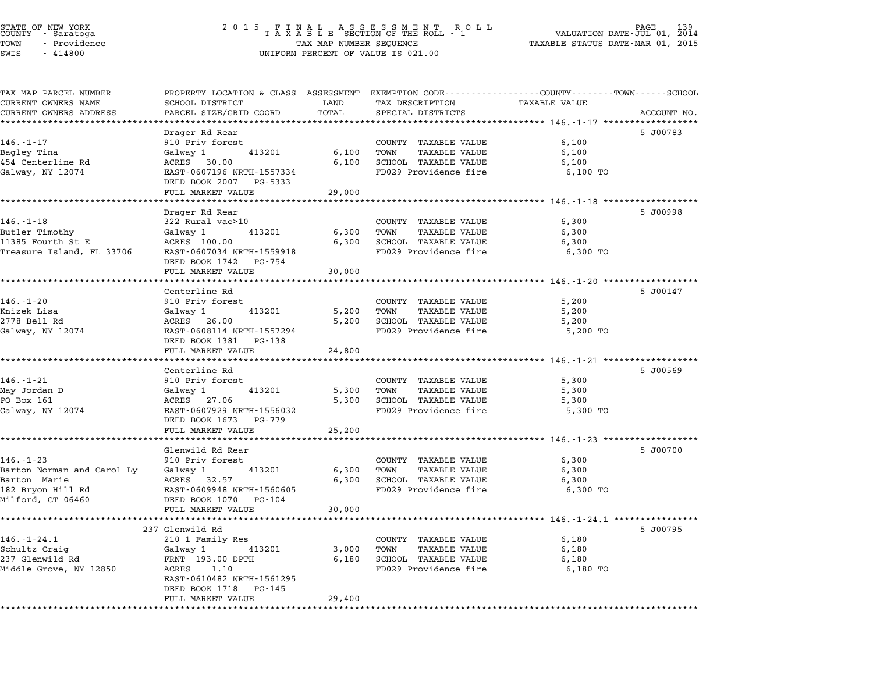| STATE OF NEW YORK<br>COUNTY - Saratoga |  |              |  |
|----------------------------------------|--|--------------|--|
| TOWN                                   |  | - Providence |  |
| -----                                  |  | .            |  |

## STATE OF NEW YORK <sup>2</sup> <sup>0</sup> <sup>1</sup> 5 F I N A L A S S E S S M E N T R O L L PAGE <sup>139</sup> COUNTY - Saratoga <sup>T</sup> <sup>A</sup> <sup>X</sup> <sup>A</sup> <sup>B</sup> <sup>L</sup> <sup>E</sup> SECTION OF THE ROLL - <sup>1</sup> VALUATION DATE-JUL 01, <sup>2014</sup> TOWN - Providence TAX MAP NUMBER SEQUENCE TAXABLE STATUS DATE-MAR 01, <sup>2015</sup> TOWN - Providence and the state of the state of the state of the state of the state of the state of the state o<br>SWIS - 414800 SWIS - SWISSED BERCENT OF VALUE IS 021.00

| TAX MAP PARCEL NUMBER                      | PROPERTY LOCATION & CLASS ASSESSMENT EXEMPTION CODE---------------COUNTY-------TOWN-----SCHOOL |                   |                                                      |                                                               |             |
|--------------------------------------------|------------------------------------------------------------------------------------------------|-------------------|------------------------------------------------------|---------------------------------------------------------------|-------------|
| CURRENT OWNERS NAME                        | SCHOOL DISTRICT                                                                                | LAND              | TAX DESCRIPTION                                      | TAXABLE VALUE                                                 |             |
| CURRENT OWNERS ADDRESS                     | PARCEL SIZE/GRID COORD                                                                         | TOTAL             | SPECIAL DISTRICTS                                    |                                                               | ACCOUNT NO. |
|                                            |                                                                                                | ***************** |                                                      | **************** 146.-1-17 **************                     |             |
|                                            | Drager Rd Rear                                                                                 |                   |                                                      |                                                               | 5 J00783    |
| $146. - 1 - 17$                            | 910 Priv forest                                                                                |                   | COUNTY TAXABLE VALUE                                 | 6,100                                                         |             |
| Bagley Tina                                | Galway 1 413201                                                                                | 6,100             | TOWN<br><b>TAXABLE VALUE</b>                         | 6,100                                                         |             |
| 454 Centerline Rd                          | ACRES 30.00                                                                                    | 6,100             | SCHOOL TAXABLE VALUE<br>FD029 Providence fire        | 6,100                                                         |             |
| Galway, NY 12074                           | EAST-0607196 NRTH-1557334<br>DEED BOOK 2007 PG-5333                                            |                   |                                                      | 6,100 TO                                                      |             |
|                                            | FULL MARKET VALUE                                                                              | 29,000            |                                                      |                                                               |             |
|                                            |                                                                                                |                   |                                                      |                                                               |             |
|                                            | Drager Rd Rear                                                                                 |                   |                                                      |                                                               | 5 J00998    |
| 146.-1-18                                  | 322 Rural vac>10                                                                               |                   | COUNTY TAXABLE VALUE                                 | 6,300                                                         |             |
| Butler Timothy                             | 413201<br>Galway 1                                                                             | 6,300             | TOWN<br><b>TAXABLE VALUE</b>                         | 6,300                                                         |             |
| 11385 Fourth St E                          | ACRES 100.00                                                                                   | 6,300             | SCHOOL TAXABLE VALUE                                 | 6,300                                                         |             |
| Treasure Island, FL 33706                  | EAST-0607034 NRTH-1559918                                                                      |                   | FD029 Providence fire                                | 6,300 TO                                                      |             |
|                                            | DEED BOOK 1742 PG-754                                                                          |                   |                                                      |                                                               |             |
|                                            | FULL MARKET VALUE                                                                              | 30,000            |                                                      |                                                               |             |
|                                            |                                                                                                |                   |                                                      |                                                               |             |
|                                            | Centerline Rd                                                                                  |                   |                                                      |                                                               | 5 J00147    |
| $146. - 1 - 20$                            | 910 Priv forest                                                                                |                   | COUNTY TAXABLE VALUE                                 | 5,200                                                         |             |
| Knizek Lisa                                | Galwav 1<br>413201                                                                             | 5,200             | TOWN<br><b>TAXABLE VALUE</b>                         | 5,200                                                         |             |
| 2778 Bell Rd                               | ACRES 26.00                                                                                    | 5,200             | SCHOOL TAXABLE VALUE<br>FD029 Providence fire        | 5,200                                                         |             |
| Galway, NY 12074                           | EAST-0608114 NRTH-1557294<br>DEED BOOK 1381 PG-138                                             |                   |                                                      | 5,200 TO                                                      |             |
|                                            | FULL MARKET VALUE                                                                              | 24,800            |                                                      |                                                               |             |
|                                            | **************************                                                                     |                   |                                                      |                                                               |             |
|                                            | Centerline Rd                                                                                  |                   |                                                      |                                                               | 5 J00569    |
| $146. - 1 - 21$                            | 910 Priv forest                                                                                |                   | COUNTY TAXABLE VALUE                                 | 5,300                                                         |             |
| May Jordan D                               | Galway 1<br>413201                                                                             | 5,300             | TOWN<br><b>TAXABLE VALUE</b>                         | 5,300                                                         |             |
| PO Box 161                                 | ACRES 27.06                                                                                    | 5,300             | SCHOOL TAXABLE VALUE                                 | 5,300                                                         |             |
| Galway, NY 12074                           | EAST-0607929 NRTH-1556032                                                                      |                   | FD029 Providence fire                                | 5,300 TO                                                      |             |
|                                            | DEED BOOK 1673 PG-779                                                                          |                   |                                                      |                                                               |             |
|                                            | FULL MARKET VALUE                                                                              | 25,200            |                                                      |                                                               |             |
|                                            |                                                                                                |                   |                                                      |                                                               |             |
| $146. - 1 - 23$                            | Glenwild Rd Rear                                                                               |                   |                                                      |                                                               | 5 J00700    |
|                                            | 910 Priv forest                                                                                |                   | COUNTY TAXABLE VALUE                                 | 6,300                                                         |             |
| Barton Norman and Carol Ly<br>Barton Marie | 413201<br>Galway 1<br>ACRES 32.57                                                              | 6,300<br>6,300    | TOWN<br><b>TAXABLE VALUE</b><br>SCHOOL TAXABLE VALUE | 6,300<br>6,300                                                |             |
| 182 Bryon Hill Rd                          | EAST-0609948 NRTH-1560605                                                                      |                   | FD029 Providence fire                                | 6,300 TO                                                      |             |
| Milford, CT 06460                          | DEED BOOK 1070 PG-104                                                                          |                   |                                                      |                                                               |             |
|                                            | FULL MARKET VALUE                                                                              | 30,000            |                                                      |                                                               |             |
|                                            | *********************                                                                          | *************     |                                                      | ******************************** 146.-1-24.1 **************** |             |
|                                            | 237 Glenwild Rd                                                                                |                   |                                                      |                                                               | 5 J00795    |
| $146. - 1 - 24.1$                          | 210 1 Family Res                                                                               |                   | COUNTY TAXABLE VALUE                                 | 6,180                                                         |             |
| Schultz Craig                              | Galway 1<br>413201                                                                             | 3,000             | TOWN<br><b>TAXABLE VALUE</b>                         | 6,180                                                         |             |
| 237 Glenwild Rd                            | FRNT 193.00 DPTH                                                                               | 6,180             | SCHOOL TAXABLE VALUE                                 | 6,180                                                         |             |
| Middle Grove, NY 12850                     | ACRES 1.10                                                                                     |                   | FD029 Providence fire                                | 6,180 TO                                                      |             |
|                                            | EAST-0610482 NRTH-1561295                                                                      |                   |                                                      |                                                               |             |
|                                            | DEED BOOK 1718 PG-145                                                                          |                   |                                                      |                                                               |             |
|                                            | FULL MARKET VALUE                                                                              | 29,400            |                                                      |                                                               |             |
| *********************                      |                                                                                                |                   |                                                      |                                                               |             |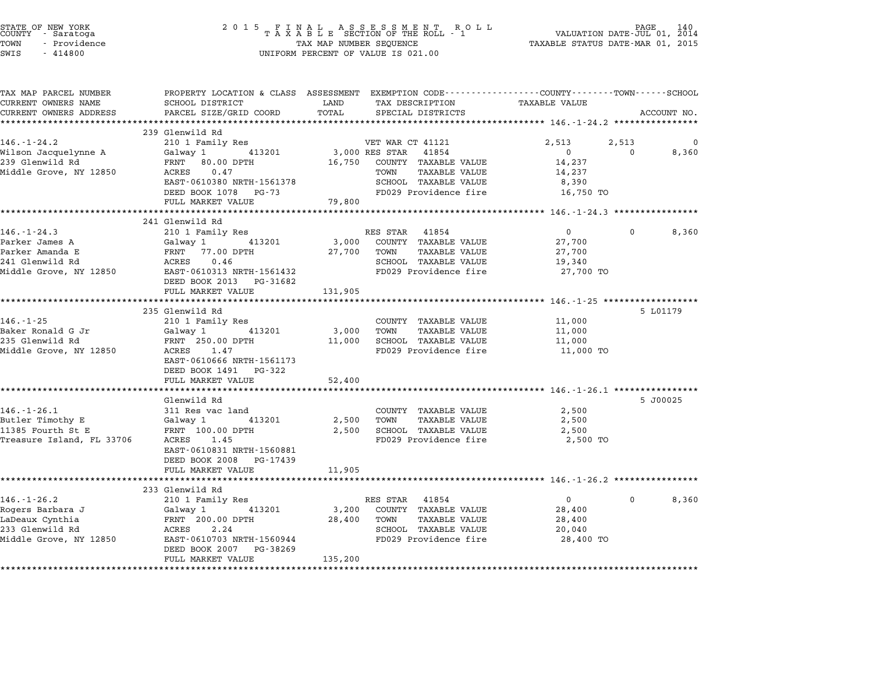| STATE OF NEW YORK<br>COUNTY - Saratoga<br>TOWN<br>- Providence<br>SWIS<br>$-414800$ | 2 0 1 5                                                                                                                                     | A L<br>TAX MAP NUMBER SEQUENCE | A S S E S S M E N T<br>R O L L<br>TAXABLE SECTION OF THE ROLL - 1<br>UNIFORM PERCENT OF VALUE IS 021.00 | VALUATION DATE-JUL 01, 2014<br>TAXABLE STATUS DATE-MAR 01, 2015 | PAGE                 | 140         |
|-------------------------------------------------------------------------------------|---------------------------------------------------------------------------------------------------------------------------------------------|--------------------------------|---------------------------------------------------------------------------------------------------------|-----------------------------------------------------------------|----------------------|-------------|
| TAX MAP PARCEL NUMBER<br>CURRENT OWNERS NAME<br>CURRENT OWNERS ADDRESS              | PROPERTY LOCATION & CLASS ASSESSMENT EXEMPTION CODE---------------COUNTY-------TOWN-----SCHOOL<br>SCHOOL DISTRICT<br>PARCEL SIZE/GRID COORD | LAND<br>TOTAL                  | TAX DESCRIPTION<br>SPECIAL DISTRICTS                                                                    | <b>TAXABLE VALUE</b>                                            |                      | ACCOUNT NO. |
|                                                                                     | ***************************                                                                                                                 |                                |                                                                                                         |                                                                 |                      |             |
|                                                                                     | 239 Glenwild Rd                                                                                                                             |                                |                                                                                                         |                                                                 |                      |             |
| $146. - 1 - 24.2$                                                                   | 210 1 Family Res                                                                                                                            |                                | VET WAR CT 41121                                                                                        | 2,513<br>$\mathbf{0}$                                           | 2,513<br>$\mathbf 0$ | 0           |
| Wilson Jacquelynne A<br>239 Glenwild Rd                                             | Galway 1<br>413201<br>FRNT 80.00 DPTH                                                                                                       | 16,750                         | 3,000 RES STAR 41854<br>COUNTY TAXABLE VALUE                                                            | 14,237                                                          |                      | 8,360       |
| Middle Grove, NY 12850                                                              | ACRES<br>0.47                                                                                                                               |                                | TOWN<br><b>TAXABLE VALUE</b>                                                                            | 14,237                                                          |                      |             |
|                                                                                     | EAST-0610380 NRTH-1561378                                                                                                                   |                                | SCHOOL TAXABLE VALUE                                                                                    | 8,390                                                           |                      |             |
|                                                                                     | DEED BOOK 1078 PG-73<br>FULL MARKET VALUE                                                                                                   | 79,800                         | FD029 Providence fire                                                                                   | 16,750 TO                                                       |                      |             |
|                                                                                     | ********************                                                                                                                        |                                |                                                                                                         | ********************** 146.-1-24.3 *****************            |                      |             |
|                                                                                     | 241 Glenwild Rd                                                                                                                             |                                |                                                                                                         |                                                                 |                      |             |
| $146. - 1 - 24.3$                                                                   | 210 1 Family Res                                                                                                                            |                                | RES STAR 41854                                                                                          | $\overline{0}$                                                  | $\Omega$             | 8,360       |
| Parker James A                                                                      | 413201<br>Galway 1                                                                                                                          | 3,000                          | COUNTY TAXABLE VALUE                                                                                    | 27,700                                                          |                      |             |
| Parker Amanda E<br>241 Glenwild Rd                                                  | FRNT 77.00 DPTH<br>ACRES<br>0.46                                                                                                            | 27,700                         | <b>TAXABLE VALUE</b><br>TOWN<br>SCHOOL TAXABLE VALUE                                                    | 27,700<br>19,340                                                |                      |             |
| Middle Grove, NY 12850                                                              | EAST-0610313 NRTH-1561432                                                                                                                   |                                | FD029 Providence fire                                                                                   | 27,700 TO                                                       |                      |             |
|                                                                                     | DEED BOOK 2013 PG-31682                                                                                                                     |                                |                                                                                                         |                                                                 |                      |             |
|                                                                                     | FULL MARKET VALUE                                                                                                                           | 131,905                        |                                                                                                         |                                                                 |                      |             |
|                                                                                     | ***********************                                                                                                                     | ***********                    |                                                                                                         | ********** 146.-1-25 *******************                        |                      |             |
|                                                                                     | 235 Glenwild Rd                                                                                                                             |                                |                                                                                                         |                                                                 |                      | 5 L01179    |
| $146. - 1 - 25$                                                                     | 210 1 Family Res                                                                                                                            |                                | COUNTY TAXABLE VALUE                                                                                    | 11,000                                                          |                      |             |
| Baker Ronald G Jr<br>235 Glenwild Rd                                                | Galway 1<br>413201<br>FRNT 250.00 DPTH                                                                                                      | 3,000<br>11,000                | TOWN<br>TAXABLE VALUE<br>SCHOOL TAXABLE VALUE                                                           | 11,000<br>11,000                                                |                      |             |
| Middle Grove, NY 12850                                                              | ACRES 1.47                                                                                                                                  |                                | FD029 Providence fire                                                                                   | 11,000 TO                                                       |                      |             |
|                                                                                     | EAST-0610666 NRTH-1561173<br>DEED BOOK 1491 PG-322                                                                                          |                                |                                                                                                         |                                                                 |                      |             |
|                                                                                     | FULL MARKET VALUE                                                                                                                           | 52,400                         |                                                                                                         |                                                                 |                      |             |
|                                                                                     |                                                                                                                                             |                                |                                                                                                         | ************************** $146. -1 - 26.1$ *************       |                      |             |
|                                                                                     | Glenwild Rd                                                                                                                                 |                                |                                                                                                         |                                                                 |                      | 5 J00025    |
| $146. - 1 - 26.1$                                                                   | 311 Res vac land                                                                                                                            |                                | COUNTY TAXABLE VALUE                                                                                    | 2,500                                                           |                      |             |
| Butler Timothy E                                                                    | 413201<br>Galway 1                                                                                                                          | 2,500                          | TOWN<br>TAXABLE VALUE                                                                                   | 2,500                                                           |                      |             |
| 11385 Fourth St E                                                                   | FRNT 100.00 DPTH<br>ACRES 1.45                                                                                                              | 2,500                          | SCHOOL TAXABLE VALUE<br>FD029 Providence fire                                                           | 2,500                                                           |                      |             |
| Treasure Island, FL 33706                                                           | EAST-0610831 NRTH-1560881<br>DEED BOOK 2008 PG-17439                                                                                        |                                |                                                                                                         | 2,500 TO                                                        |                      |             |
|                                                                                     | FULL MARKET VALUE                                                                                                                           | 11,905                         |                                                                                                         |                                                                 |                      |             |
|                                                                                     | * * * * * * * * * * * *                                                                                                                     |                                |                                                                                                         |                                                                 |                      |             |
|                                                                                     | 233 Glenwild Rd                                                                                                                             |                                |                                                                                                         |                                                                 |                      |             |
| $146. - 1 - 26.2$<br>Rogers Barbara J                                               | 210 1 Family Res<br>413201                                                                                                                  | 3,200                          | RES STAR 41854<br>COUNTY TAXABLE VALUE                                                                  | $\mathbf{0}$<br>28,400                                          | $\Omega$             | 8,360       |
| LaDeaux Cynthia                                                                     | Galway 1<br>FRNT 200.00 DPTH                                                                                                                | 28,400                         | TOWN<br>TAXABLE VALUE                                                                                   | 28,400                                                          |                      |             |
| 233 Glenwild Rd                                                                     | ACRES<br>2.24                                                                                                                               |                                | SCHOOL TAXABLE VALUE                                                                                    | 20,040                                                          |                      |             |
| Middle Grove, NY 12850                                                              | EAST-0610703 NRTH-1560944                                                                                                                   |                                | FD029 Providence fire                                                                                   | 28,400 TO                                                       |                      |             |
|                                                                                     | DEED BOOK 2007 PG-38269<br>FULL MARKET VALUE                                                                                                | 135,200                        |                                                                                                         |                                                                 |                      |             |
|                                                                                     |                                                                                                                                             |                                |                                                                                                         |                                                                 |                      |             |

STATE OF NEW YORK <sup>2</sup> <sup>0</sup> <sup>1</sup> 5 F I N A L A S S E S S M E N T R O L L PAGE <sup>140</sup> COUNTY - Saratoga <sup>T</sup> <sup>A</sup> <sup>X</sup> <sup>A</sup> <sup>B</sup> <sup>L</sup> <sup>E</sup> SECTION OF THE ROLL - <sup>1</sup> VALUATION DATE-JUL 01, <sup>2014</sup>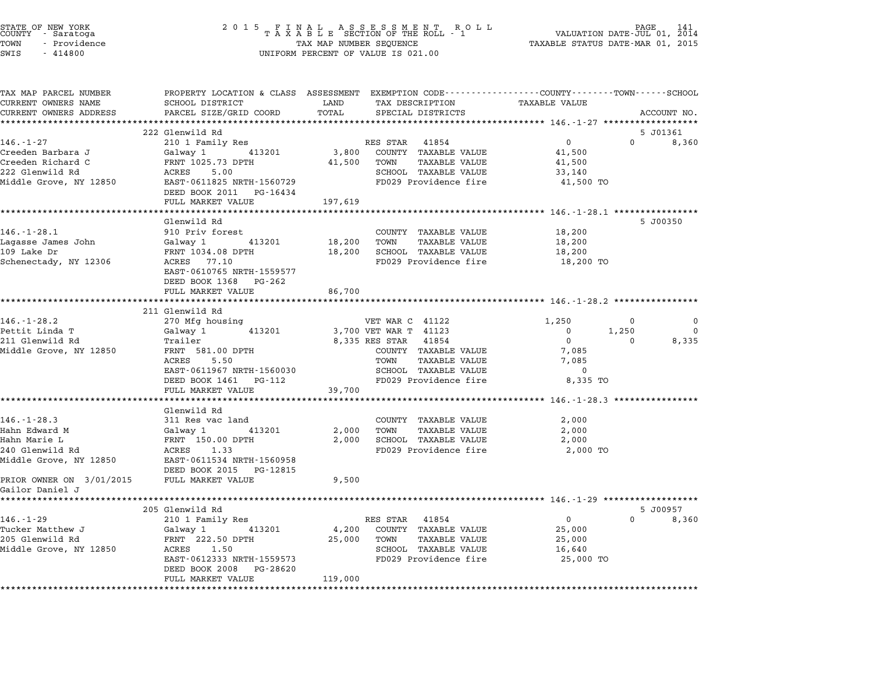| STATE OF NEW YORK<br>COUNTY   - Saratoga<br>TOWN<br>- Providence<br>SWIS<br>$-414800$ | 2 0 1 5                                              | TAX MAP NUMBER SEQUENCE | FINAL ASSESSMENT RO<br>TAXABLE SECTION OF THE ROLL - 1<br>R O L L<br>UNIFORM PERCENT OF VALUE IS 021.00           | VALUATION DATE-JUL 01, 2014<br>TAXABLE STATUS DATE-MAR 01, 2015 | PAGE                  |
|---------------------------------------------------------------------------------------|------------------------------------------------------|-------------------------|-------------------------------------------------------------------------------------------------------------------|-----------------------------------------------------------------|-----------------------|
| TAX MAP PARCEL NUMBER<br>CURRENT OWNERS NAME                                          | SCHOOL DISTRICT                                      | LAND                    | PROPERTY LOCATION & CLASS ASSESSMENT EXEMPTION CODE---------------COUNTY-------TOWN-----SCHOOL<br>TAX DESCRIPTION | <b>TAXABLE VALUE</b>                                            |                       |
| CURRENT OWNERS ADDRESS                                                                | PARCEL SIZE/GRID COORD                               | TOTAL                   | SPECIAL DISTRICTS                                                                                                 |                                                                 | ACCOUNT NO.           |
|                                                                                       |                                                      |                         |                                                                                                                   |                                                                 |                       |
|                                                                                       | 222 Glenwild Rd                                      |                         |                                                                                                                   |                                                                 | 5 J01361              |
| $146. - 1 - 27$                                                                       | 210 1 Family Res                                     |                         | RES STAR 41854                                                                                                    | $\mathbf 0$                                                     | $\Omega$<br>8,360     |
| Creeden Barbara J<br>Creeden Richard C                                                | Galway 1 413201<br>FRNT 1025.73 DPTH                 | 3,800<br>41,500         | COUNTY TAXABLE VALUE<br>TOWN<br>TAXABLE VALUE                                                                     | 41,500<br>41,500                                                |                       |
| 222 Glenwild Rd                                                                       | 5.00<br>ACRES                                        |                         | SCHOOL TAXABLE VALUE                                                                                              | 33,140                                                          |                       |
| Middle Grove, NY 12850                                                                | EAST-0611825 NRTH-1560729                            |                         | FD029 Providence fire                                                                                             | 41,500 TO                                                       |                       |
|                                                                                       | DEED BOOK 2011 PG-16434                              |                         |                                                                                                                   |                                                                 |                       |
|                                                                                       | FULL MARKET VALUE                                    | 197,619                 |                                                                                                                   |                                                                 |                       |
|                                                                                       |                                                      |                         |                                                                                                                   |                                                                 |                       |
| $146. - 1 - 28.1$                                                                     | Glenwild Rd<br>910 Priv forest                       |                         | COUNTY TAXABLE VALUE                                                                                              | 18,200                                                          | 5 J00350              |
| Lagasse James John                                                                    | Galway 1<br>413201                                   | 18,200                  | TOWN<br>TAXABLE VALUE                                                                                             | 18,200                                                          |                       |
| 109 Lake Dr                                                                           | FRNT 1034.08 DPTH                                    | 18,200                  | SCHOOL TAXABLE VALUE                                                                                              | 18,200                                                          |                       |
| Schenectady, NY 12306                                                                 | ACRES 77.10                                          |                         | FD029 Providence fire                                                                                             | 18,200 TO                                                       |                       |
|                                                                                       | EAST-0610765 NRTH-1559577                            |                         |                                                                                                                   |                                                                 |                       |
|                                                                                       | DEED BOOK 1368 PG-262                                |                         |                                                                                                                   |                                                                 |                       |
|                                                                                       | FULL MARKET VALUE                                    | 86,700                  |                                                                                                                   |                                                                 |                       |
|                                                                                       | 211 Glenwild Rd                                      |                         |                                                                                                                   |                                                                 |                       |
| $146. - 1 - 28.2$                                                                     | 270 Mfg housing                                      |                         | VET WAR C 41122                                                                                                   | 1,250                                                           | $\Omega$<br>$\Omega$  |
| Pettit Linda T                                                                        | Galway 1<br>413201                                   |                         | 3,700 VET WAR T 41123                                                                                             | 1,250<br>0                                                      | $\Omega$              |
| 211 Glenwild Rd                                                                       | Trailer                                              |                         | 8,335 RES STAR 41854                                                                                              | $\mathbf 0$                                                     | 8,335<br>0            |
| Middle Grove, NY 12850                                                                | FRNT 581.00 DPTH<br>ACRES<br>5.50                    |                         | COUNTY TAXABLE VALUE<br>TOWN<br>TAXABLE VALUE                                                                     | 7,085<br>7,085                                                  |                       |
|                                                                                       | EAST-0611967 NRTH-1560030                            |                         | SCHOOL TAXABLE VALUE                                                                                              | $\overline{0}$                                                  |                       |
|                                                                                       | DEED BOOK 1461 PG-112                                |                         | FD029 Providence fire                                                                                             | 8,335 TO                                                        |                       |
|                                                                                       | FULL MARKET VALUE                                    | 39,700                  |                                                                                                                   |                                                                 |                       |
|                                                                                       | ******************                                   |                         |                                                                                                                   | ***************************** 146.-1-28.3 **********            |                       |
|                                                                                       | Glenwild Rd                                          |                         |                                                                                                                   |                                                                 |                       |
| $146. - 1 - 28.3$<br>Hahn Edward M                                                    | 311 Res vac land<br>413201                           | 2,000                   | COUNTY TAXABLE VALUE<br>TOWN<br><b>TAXABLE VALUE</b>                                                              | 2,000<br>2,000                                                  |                       |
| Hahn Marie L                                                                          | Galway 1<br>FRNT 150.00 DPTH                         | 2,000                   | SCHOOL TAXABLE VALUE                                                                                              | 2,000                                                           |                       |
| 240 Glenwild Rd                                                                       | ACRES 1.33                                           |                         | FD029 Providence fire                                                                                             | 2,000 TO                                                        |                       |
| Middle Grove, NY 12850                                                                | EAST-0611534 NRTH-1560958                            |                         |                                                                                                                   |                                                                 |                       |
|                                                                                       | DEED BOOK 2015 PG-12815                              |                         |                                                                                                                   |                                                                 |                       |
| PRIOR OWNER ON 3/01/2015                                                              | FULL MARKET VALUE                                    | 9,500                   |                                                                                                                   |                                                                 |                       |
| Gailor Daniel J                                                                       |                                                      |                         |                                                                                                                   |                                                                 |                       |
|                                                                                       | 205 Glenwild Rd                                      |                         |                                                                                                                   |                                                                 | 5 J00957              |
| $146. - 1 - 29$                                                                       | 210 1 Family Res                                     |                         | RES STAR 41854                                                                                                    | $\overline{0}$                                                  | $\mathbf{0}$<br>8,360 |
| Tucker Matthew J                                                                      | 413201<br>Galway 1                                   | 4,200                   | COUNTY TAXABLE VALUE                                                                                              | 25,000                                                          |                       |
| 205 Glenwild Rd                                                                       | FRNT 222.50 DPTH                                     | 25,000                  | TOWN<br>TAXABLE VALUE                                                                                             | 25,000                                                          |                       |
| Middle Grove, NY 12850                                                                | ACRES 1.50                                           |                         | SCHOOL TAXABLE VALUE                                                                                              | 16,640                                                          |                       |
|                                                                                       | EAST-0612333 NRTH-1559573<br>DEED BOOK 2008 PG-28620 |                         | FD029 Providence fire                                                                                             | 25,000 TO                                                       |                       |
|                                                                                       | FULL MARKET VALUE                                    | 119,000                 |                                                                                                                   |                                                                 |                       |
|                                                                                       |                                                      |                         |                                                                                                                   |                                                                 |                       |

STATE OF NEW YORK <sup>2</sup> <sup>0</sup> <sup>1</sup> 5 F I N A L A S S E S S M E N T R O L L PAGE <sup>141</sup> COUNTY - Saratoga <sup>T</sup> <sup>A</sup> <sup>X</sup> <sup>A</sup> <sup>B</sup> <sup>L</sup> <sup>E</sup> SECTION OF THE ROLL - <sup>1</sup> VALUATION DATE-JUL 01, <sup>2014</sup>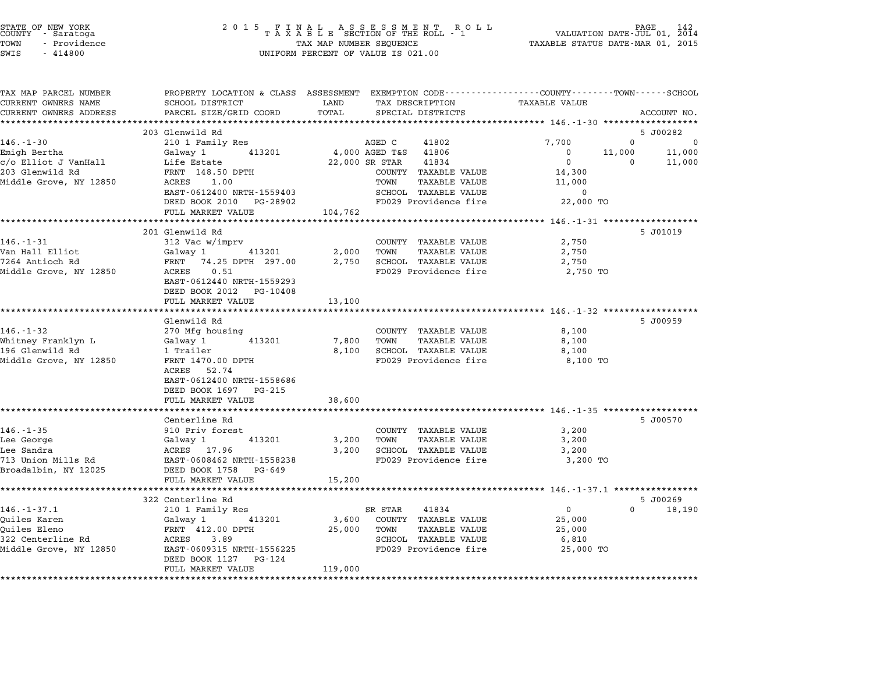| STATE OF NEW YORK<br>COUNTY - Saratoga<br>TOWN<br>- Providence<br>SWIS<br>$-414800$ | 2 0 1 5                                            | FINAL ASSESSMENT RO<br>TAXABLE SECTION OF THE ROLL - 1<br>R O L L<br>TAX MAP NUMBER SEQUENCE<br>UNIFORM PERCENT OF VALUE IS 021.00 | PAGE<br>VALUATION DATE-JUL 01, 2014<br>TAXABLE STATUS DATE-MAR 01, 2015 |
|-------------------------------------------------------------------------------------|----------------------------------------------------|------------------------------------------------------------------------------------------------------------------------------------|-------------------------------------------------------------------------|
| TAX MAP PARCEL NUMBER                                                               |                                                    | PROPERTY LOCATION & CLASS ASSESSMENT EXEMPTION CODE----------------COUNTY-------TOWN-----SCHOOL                                    |                                                                         |
| CURRENT OWNERS NAME<br>CURRENT OWNERS ADDRESS                                       | SCHOOL DISTRICT<br>PARCEL SIZE/GRID COORD          | LAND<br>TAX DESCRIPTION<br>TOTAL<br>SPECIAL DISTRICTS                                                                              | <b>TAXABLE VALUE</b><br>ACCOUNT NO.                                     |
|                                                                                     |                                                    |                                                                                                                                    |                                                                         |
|                                                                                     | 203 Glenwild Rd                                    |                                                                                                                                    | 5 J00282                                                                |
| $146. - 1 - 30$                                                                     | 210 1 Family Res                                   | AGED C<br>41802                                                                                                                    | $\mathbf 0$<br>7,700<br>0                                               |
| Emigh Bertha                                                                        | Galway 1<br>413201                                 | 4,000 AGED T&S 41806                                                                                                               | 11,000<br>11,000<br>$\mathbf 0$                                         |
| c/o Elliot J VanHall                                                                | Life Estate                                        | 22,000 SR STAR<br>41834                                                                                                            | $\mathbf{0}$<br>$\Omega$<br>11,000                                      |
| 203 Glenwild Rd                                                                     | FRNT 148.50 DPTH                                   | COUNTY TAXABLE VALUE                                                                                                               | 14,300                                                                  |
| Middle Grove, NY 12850                                                              | ACRES 1.00                                         | TOWN<br>TAXABLE VALUE                                                                                                              | 11,000                                                                  |
|                                                                                     | EAST-0612400 NRTH-1559403                          | SCHOOL TAXABLE VALUE                                                                                                               | $\overline{0}$                                                          |
|                                                                                     | DEED BOOK 2010 PG-28902                            | FD029 Providence fire                                                                                                              | 22,000 TO                                                               |
|                                                                                     | FULL MARKET VALUE                                  | 104,762                                                                                                                            | *************** 146.-1-31 *******************                           |
|                                                                                     | 201 Glenwild Rd                                    |                                                                                                                                    | 5 J01019                                                                |
| $146. - 1 - 31$                                                                     | 312 Vac w/imprv                                    | COUNTY TAXABLE VALUE                                                                                                               | 2,750                                                                   |
| Van Hall Elliot                                                                     | 413201<br>Galway 1                                 | 2,000<br>TOWN<br><b>TAXABLE VALUE</b>                                                                                              | 2,750                                                                   |
| 7264 Antioch Rd                                                                     | FRNT 74.25 DPTH 297.00                             | 2,750<br>SCHOOL TAXABLE VALUE                                                                                                      | 2,750                                                                   |
| Middle Grove, NY 12850                                                              | ACRES<br>0.51                                      | FD029 Providence fire                                                                                                              | 2,750 TO                                                                |
|                                                                                     | EAST-0612440 NRTH-1559293                          |                                                                                                                                    |                                                                         |
|                                                                                     | DEED BOOK 2012 PG-10408                            |                                                                                                                                    |                                                                         |
|                                                                                     | FULL MARKET VALUE                                  | 13,100                                                                                                                             |                                                                         |
|                                                                                     |                                                    |                                                                                                                                    |                                                                         |
|                                                                                     | Glenwild Rd                                        |                                                                                                                                    | 5 J00959                                                                |
| $146. - 1 - 32$<br>Whitney Franklyn L                                               | 270 Mfg housing<br>413201<br>Galway 1              | COUNTY TAXABLE VALUE<br>7,800<br>TOWN<br>TAXABLE VALUE                                                                             | 8,100<br>8,100                                                          |
| 196 Glenwild Rd                                                                     | 1 Trailer                                          | 8,100<br>SCHOOL TAXABLE VALUE                                                                                                      | 8,100                                                                   |
| Middle Grove, NY 12850                                                              | FRNT 1470.00 DPTH                                  | FD029 Providence fire                                                                                                              | 8,100 TO                                                                |
|                                                                                     | ACRES 52.74                                        |                                                                                                                                    |                                                                         |
|                                                                                     | EAST-0612400 NRTH-1558686                          |                                                                                                                                    |                                                                         |
|                                                                                     | DEED BOOK 1697 PG-215                              |                                                                                                                                    |                                                                         |
|                                                                                     | FULL MARKET VALUE                                  | 38,600                                                                                                                             |                                                                         |
|                                                                                     | ************************                           |                                                                                                                                    |                                                                         |
|                                                                                     | Centerline Rd                                      |                                                                                                                                    | 5 J00570                                                                |
| $146. - 1 - 35$                                                                     | 910 Priv forest                                    | COUNTY TAXABLE VALUE                                                                                                               | 3,200                                                                   |
| Lee George                                                                          | Galway 1<br>413201                                 | 3,200<br>TOWN<br><b>TAXABLE VALUE</b>                                                                                              | 3,200                                                                   |
| Lee Sandra                                                                          | ACRES 17.96                                        | 3,200<br>SCHOOL TAXABLE VALUE                                                                                                      | 3,200                                                                   |
| 713 Union Mills Rd                                                                  | EAST-0608462 NRTH-1558238                          | FD029 Providence fire                                                                                                              | 3,200 TO                                                                |
| Broadalbin, NY 12025                                                                | DEED BOOK 1758 PG-649<br>FULL MARKET VALUE         | 15,200                                                                                                                             |                                                                         |
|                                                                                     | *******************                                |                                                                                                                                    |                                                                         |
|                                                                                     | 322 Centerline Rd                                  |                                                                                                                                    | 5 J00269                                                                |
| $146. - 1 - 37.1$                                                                   | 210 1 Family Res                                   | 41834<br>SR STAR                                                                                                                   | $\mathbf{0}$<br>$\Omega$<br>18,190                                      |
| Ouiles Karen                                                                        | Galway 1<br>413201                                 | 3,600<br>COUNTY TAXABLE VALUE                                                                                                      | 25,000                                                                  |
| Ouiles Eleno                                                                        | FRNT 412.00 DPTH                                   | 25,000<br>TOWN<br><b>TAXABLE VALUE</b>                                                                                             | 25,000                                                                  |
| 322 Centerline Rd                                                                   | ACRES 3.89                                         | SCHOOL TAXABLE VALUE                                                                                                               | 6,810                                                                   |
| Middle Grove, NY 12850                                                              | EAST-0609315 NRTH-1556225<br>DEED BOOK 1127 PG-124 | FD029 Providence fire                                                                                                              | 25,000 TO                                                               |
|                                                                                     | FULL MARKET VALUE                                  | 119,000                                                                                                                            |                                                                         |
|                                                                                     |                                                    |                                                                                                                                    |                                                                         |

STATE OF NEW YORK <sup>2</sup> <sup>0</sup> <sup>1</sup> 5 F I N A L A S S E S S M E N T R O L L PAGE <sup>142</sup> COUNTY - Saratoga <sup>T</sup> <sup>A</sup> <sup>X</sup> <sup>A</sup> <sup>B</sup> <sup>L</sup> <sup>E</sup> SECTION OF THE ROLL - <sup>1</sup> VALUATION DATE-JUL 01, <sup>2014</sup>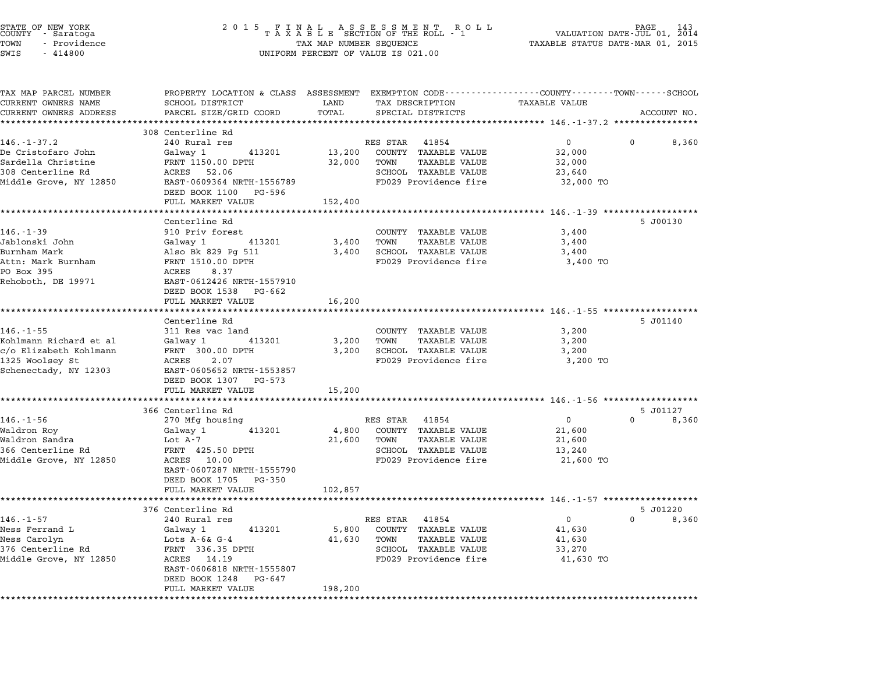| STATE OF NEW YORK<br>COUNTY - Saratoga<br>TOWN<br>- Providence<br>SWIS<br>$-414800$                             | 2 0 1 5                                                                                                                                                                                           | TAX MAP NUMBER SEQUENCE    | FINAL ASSESSMENT ROLL<br>TAXABLE SECTION OF THE ROLL - 1<br>UNIFORM PERCENT OF VALUE IS 021.00                                         | TAXABLE STATUS DATE-MAR 01, 2015                             | 143<br>PAGE<br>VALUATION DATE-JUL 01, 2014 |
|-----------------------------------------------------------------------------------------------------------------|---------------------------------------------------------------------------------------------------------------------------------------------------------------------------------------------------|----------------------------|----------------------------------------------------------------------------------------------------------------------------------------|--------------------------------------------------------------|--------------------------------------------|
| TAX MAP PARCEL NUMBER<br>CURRENT OWNERS NAME<br>CURRENT OWNERS ADDRESS                                          | SCHOOL DISTRICT<br>PARCEL SIZE/GRID COORD                                                                                                                                                         | LAND<br>TOTAL<br>********* | PROPERTY LOCATION & CLASS ASSESSMENT EXEMPTION CODE---------------COUNTY-------TOWN-----SCHOOL<br>TAX DESCRIPTION<br>SPECIAL DISTRICTS | TAXABLE VALUE                                                | ACCOUNT NO.                                |
|                                                                                                                 | 308 Centerline Rd                                                                                                                                                                                 |                            |                                                                                                                                        |                                                              |                                            |
| $146. - 1 - 37.2$<br>De Cristofaro John<br>Sardella Christine<br>308 Centerline Rd<br>Middle Grove, NY 12850    | 240 Rural res<br>Galway 1<br>413201<br>FRNT 1150.00 DPTH<br>ACRES 52.06<br>EAST-0609364 NRTH-1556789<br>DEED BOOK 1100<br>PG-596                                                                  | 13,200<br>32,000           | RES STAR<br>41854<br>COUNTY TAXABLE VALUE<br>TOWN<br>TAXABLE VALUE<br>SCHOOL TAXABLE VALUE<br>FD029 Providence fire                    | $0 \qquad \qquad$<br>32,000<br>32,000<br>23,640<br>32,000 TO | 8,360<br>$^{\circ}$                        |
|                                                                                                                 | FULL MARKET VALUE                                                                                                                                                                                 | 152,400                    |                                                                                                                                        |                                                              |                                            |
| $146. - 1 - 39$<br>Jablonski John<br>Burnham Mark<br>Attn: Mark Burnham<br>PO Box 395<br>Rehoboth, DE 19971     | Centerline Rd<br>910 Priv forest<br>Galway 1<br>413201<br>Also Bk 829 Pg 511<br>FRNT 1510.00 DPTH<br>8.37<br>ACRES<br>EAST-0612426 NRTH-1557910<br>DEED BOOK 1538 PG-662                          | 3,400<br>3,400             | COUNTY TAXABLE VALUE<br><b>TAXABLE VALUE</b><br>TOWN<br>SCHOOL TAXABLE VALUE<br>FD029 Providence fire                                  | 3,400<br>3,400<br>3,400<br>3,400 TO                          | 5 J00130                                   |
|                                                                                                                 | FULL MARKET VALUE                                                                                                                                                                                 | 16,200                     |                                                                                                                                        |                                                              |                                            |
|                                                                                                                 | Centerline Rd                                                                                                                                                                                     |                            |                                                                                                                                        |                                                              | 5 J01140                                   |
| $146. - 1 - 55$<br>Kohlmann Richard et al<br>c/o Elizabeth Kohlmann<br>1325 Woolsey St<br>Schenectady, NY 12303 | 311 Res vac land<br>413201<br>Galway 1<br>FRNT 300.00 DPTH<br>ACRES<br>2.07<br>EAST-0605652 NRTH-1553857<br>DEED BOOK 1307 PG-573                                                                 | 3,200<br>3,200             | COUNTY TAXABLE VALUE<br>TOWN<br>TAXABLE VALUE<br>SCHOOL TAXABLE VALUE<br>FD029 Providence fire                                         | 3,200<br>3,200<br>3,200<br>3,200 TO                          |                                            |
|                                                                                                                 | FULL MARKET VALUE                                                                                                                                                                                 | 15,200                     |                                                                                                                                        |                                                              |                                            |
|                                                                                                                 | 366 Centerline Rd                                                                                                                                                                                 |                            |                                                                                                                                        |                                                              | 5 J01127                                   |
| $146. - 1 - 56$<br>Waldron Roy<br>Waldron Sandra<br>366 Centerline Rd<br>Middle Grove, NY 12850                 | 270 Mfg housing<br>413201<br>Galway 1<br>Lot A-7<br>FRNT 425.50 DPTH<br>ACRES<br>10.00<br>EAST-0607287 NRTH-1555790<br>DEED BOOK 1705<br>PG-350<br>FULL MARKET VALUE                              | 4,800<br>21,600<br>102,857 | RES STAR<br>41854<br>COUNTY TAXABLE VALUE<br>TOWN<br><b>TAXABLE VALUE</b><br><b>SCHOOL TAXABLE VALUE</b><br>FD029 Providence fire      | 0<br>21,600<br>21,600<br>13,240<br>21,600 TO                 | 0<br>8,360                                 |
|                                                                                                                 |                                                                                                                                                                                                   |                            | ******************************* 146.-1-57 *************                                                                                |                                                              |                                            |
| $146. - 1 - 57$<br>Ness Ferrand L<br>Ness Carolyn<br>376 Centerline Rd<br>Middle Grove, NY 12850                | 376 Centerline Rd<br>240 Rural res<br>Galway 1<br>413201<br>Lots $A - 6k$ G-4<br>FRNT 336.35 DPTH<br>ACRES<br>14.19<br>EAST-0606818 NRTH-1555807<br>DEED BOOK 1248<br>PG-647<br>FULL MARKET VALUE | 5,800<br>41,630<br>198,200 | RES STAR<br>41854<br>COUNTY<br><b>TAXABLE VALUE</b><br>TOWN<br>TAXABLE VALUE<br><b>SCHOOL TAXABLE VALUE</b><br>FD029 Providence fire   | 0<br>41,630<br>41,630<br>33,270<br>41,630 TO                 | 5 J01220<br>8,360<br>0                     |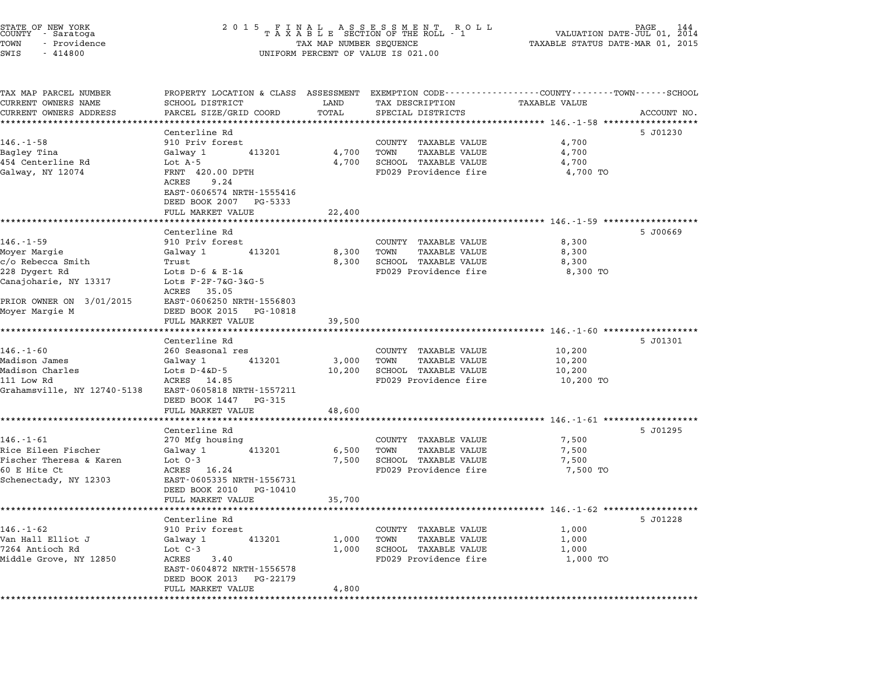| TAX MAP PARCEL NUMBER<br>PROPERTY LOCATION & CLASS ASSESSMENT EXEMPTION CODE---------------COUNTY-------TOWN-----SCHOOL<br>CURRENT OWNERS NAME<br>SCHOOL DISTRICT<br>LAND<br>TAX DESCRIPTION<br>PARCEL SIZE/GRID COORD<br>TOTAL<br>CURRENT OWNERS ADDRESS<br>SPECIAL DISTRICTS<br>Centerline Rd<br>$146. - 1 - 58$<br>910 Priv forest<br>COUNTY TAXABLE VALUE<br>Bagley Tina<br>4,700<br>TOWN<br>Galway 1<br>413201<br>454 Centerline Rd<br>Lot $A-5$<br>4,700<br>SCHOOL TAXABLE VALUE<br>Galway, NY 12074<br>FRNT 420.00 DPTH<br>FD029 Providence fire<br>ACRES<br>9.24<br>EAST-0606574 NRTH-1555416<br>DEED BOOK 2007<br>PG-5333 | <b>TAXABLE VALUE</b><br>ACCOUNT NO.<br>********** 146.-1-58 **<br>5 J01230<br>4,700<br><b>TAXABLE VALUE</b><br>4,700<br>4,700<br>4,700 TO |
|------------------------------------------------------------------------------------------------------------------------------------------------------------------------------------------------------------------------------------------------------------------------------------------------------------------------------------------------------------------------------------------------------------------------------------------------------------------------------------------------------------------------------------------------------------------------------------------------------------------------------------|-------------------------------------------------------------------------------------------------------------------------------------------|
|                                                                                                                                                                                                                                                                                                                                                                                                                                                                                                                                                                                                                                    |                                                                                                                                           |
|                                                                                                                                                                                                                                                                                                                                                                                                                                                                                                                                                                                                                                    |                                                                                                                                           |
|                                                                                                                                                                                                                                                                                                                                                                                                                                                                                                                                                                                                                                    |                                                                                                                                           |
|                                                                                                                                                                                                                                                                                                                                                                                                                                                                                                                                                                                                                                    |                                                                                                                                           |
|                                                                                                                                                                                                                                                                                                                                                                                                                                                                                                                                                                                                                                    |                                                                                                                                           |
|                                                                                                                                                                                                                                                                                                                                                                                                                                                                                                                                                                                                                                    |                                                                                                                                           |
| FULL MARKET VALUE<br>22,400                                                                                                                                                                                                                                                                                                                                                                                                                                                                                                                                                                                                        |                                                                                                                                           |
| *******************                                                                                                                                                                                                                                                                                                                                                                                                                                                                                                                                                                                                                |                                                                                                                                           |
| Centerline Rd<br>$146. - 1 - 59$<br>910 Priv forest<br>COUNTY TAXABLE VALUE<br>Moyer Margie<br>413201<br>8,300<br>TOWN<br>Galway 1<br>c/o Rebecca Smith<br>8,300<br>SCHOOL TAXABLE VALUE<br>Trust                                                                                                                                                                                                                                                                                                                                                                                                                                  | 5 J00669<br>8,300<br><b>TAXABLE VALUE</b><br>8,300<br>8,300                                                                               |
| 228 Dygert Rd<br>Lots $D-6$ & $E-1$ &<br>FD029 Providence fire<br>Canajoharie, NY 13317<br>Lots F-2F-7&G-3&G-5<br>ACRES 35.05                                                                                                                                                                                                                                                                                                                                                                                                                                                                                                      | 8,300 TO                                                                                                                                  |
| PRIOR OWNER ON 3/01/2015<br>EAST-0606250 NRTH-1556803<br>DEED BOOK 2015<br>Moyer Margie M<br>PG-10818<br>FULL MARKET VALUE<br>39,500                                                                                                                                                                                                                                                                                                                                                                                                                                                                                               |                                                                                                                                           |
| *****************<br>Centerline Rd                                                                                                                                                                                                                                                                                                                                                                                                                                                                                                                                                                                                 | $146. - 1 - 60$ *******<br>5 J01301                                                                                                       |
| $146. - 1 - 60$<br>260 Seasonal res<br>COUNTY TAXABLE VALUE<br>Madison James<br>413201<br>3,000<br>TOWN<br>Galway 1<br>SCHOOL TAXABLE VALUE<br>Madison Charles<br>Lots $D-4\&D-5$<br>10,200<br>FD029 Providence fire<br>111 Low Rd<br>ACRES 14.85<br>Grahamsville, NY 12740-5138<br>EAST-0605818 NRTH-1557211<br>DEED BOOK 1447<br>PG-315                                                                                                                                                                                                                                                                                          | 10,200<br>10,200<br><b>TAXABLE VALUE</b><br>10,200<br>10,200 TO                                                                           |
| FULL MARKET VALUE<br>48,600                                                                                                                                                                                                                                                                                                                                                                                                                                                                                                                                                                                                        |                                                                                                                                           |
| *****************                                                                                                                                                                                                                                                                                                                                                                                                                                                                                                                                                                                                                  | ********** 146.-1-61 ******************                                                                                                   |
| Centerline Rd<br>$146. - 1 - 61$<br>270 Mfg housing<br>COUNTY TAXABLE VALUE<br>Rice Eileen Fischer<br>Galway 1<br>413201<br>6,500<br>TOWN<br>Fischer Theresa & Karen<br>Lot $0-3$<br>7,500<br>SCHOOL TAXABLE VALUE<br>60 E Hite Ct<br>ACRES 16.24<br>FD029 Providence fire<br>Schenectady, NY 12303<br>EAST-0605335 NRTH-1556731                                                                                                                                                                                                                                                                                                   | 5 J01295<br>7,500<br><b>TAXABLE VALUE</b><br>7,500<br>7,500<br>7,500 TO                                                                   |
| DEED BOOK 2010<br>PG-10410                                                                                                                                                                                                                                                                                                                                                                                                                                                                                                                                                                                                         |                                                                                                                                           |
| FULL MARKET VALUE<br>35,700<br>****************<br>******                                                                                                                                                                                                                                                                                                                                                                                                                                                                                                                                                                          | ******* 146.-1-62 ****************                                                                                                        |
| Centerline Rd                                                                                                                                                                                                                                                                                                                                                                                                                                                                                                                                                                                                                      | 5 J01228                                                                                                                                  |
| $146. - 1 - 62$<br>910 Priv forest<br>COUNTY TAXABLE VALUE<br>Van Hall Elliot J<br>413201<br>1,000<br>TOWN<br>Galway 1<br>7264 Antioch Rd<br>Lot $C-3$<br>SCHOOL TAXABLE VALUE<br>1,000<br>FD029 Providence fire<br>Middle Grove, NY 12850<br>ACRES<br>3.40                                                                                                                                                                                                                                                                                                                                                                        | 1,000<br><b>TAXABLE VALUE</b><br>1,000<br>1,000<br>1,000 TO                                                                               |
| EAST-0604872 NRTH-1556578<br>DEED BOOK 2013<br>PG-22179<br>FULL MARKET VALUE<br>4,800                                                                                                                                                                                                                                                                                                                                                                                                                                                                                                                                              |                                                                                                                                           |

STATE OF NEW YORK <sup>2</sup> <sup>0</sup> <sup>1</sup> 5 F I N A L A S S E S S M E N T R O L L PAGE <sup>144</sup> COUNTY - Saratoga <sup>T</sup> <sup>A</sup> <sup>X</sup> <sup>A</sup> <sup>B</sup> <sup>L</sup> <sup>E</sup> SECTION OF THE ROLL - <sup>1</sup> VALUATION DATE-JUL 01, <sup>2014</sup>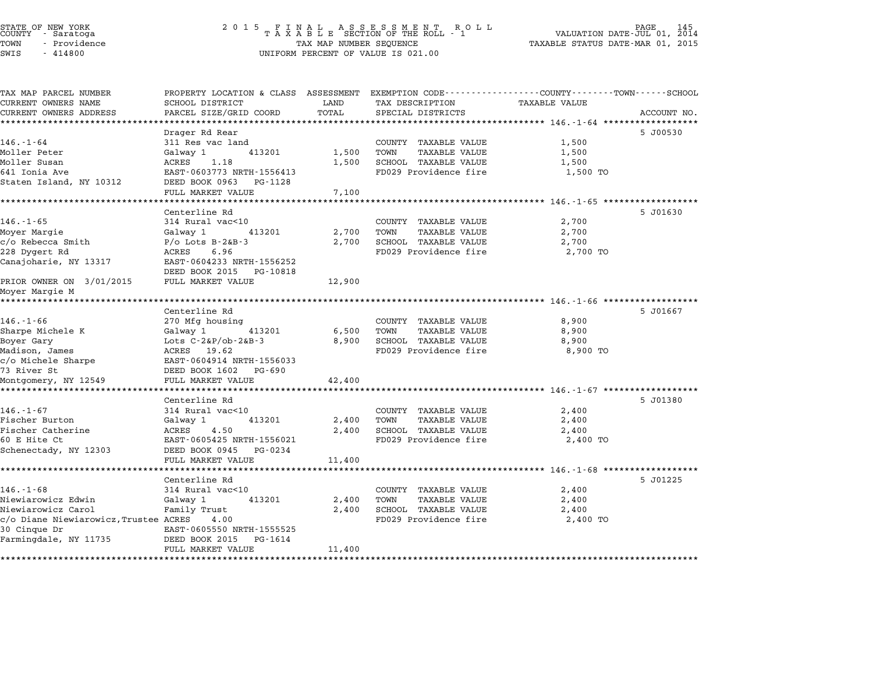## STATE OF NEW YORK <sup>2</sup> <sup>0</sup> <sup>1</sup> 5 F I N A L A S S E S S M E N T R O L L PAGE <sup>145</sup> COUNTY - Saratoga <sup>T</sup> <sup>A</sup> <sup>X</sup> <sup>A</sup> <sup>B</sup> <sup>L</sup> <sup>E</sup> SECTION OF THE ROLL - <sup>1</sup> VALUATION DATE-JUL 01, <sup>2014</sup> TOWN - Providence TAX MAP NUMBER SEQUENCE TAXABLE STATUS DATE-MAR 01, <sup>2015</sup> STATE OF NEW YORK<br>
COUNTY - Saratoga<br>
TOWN - Providence COUNTY - Providence COUNTY - Providence COUNTY - Providence<br>
TAX MAP NUMBER SEQUENCE<br>
SWIS - 414800 UNIFORM PERCENT OF VALUE IS 021.00

| SCHOOL DISTRICT           | LAND                                                                                                                                                                                                                                                                                                                                                                                                                                                                                                                                                                                                                                                                                                                                                                      | TAX DESCRIPTION                                                                                                                                     | TAXABLE VALUE                                                                                                                                                                                                                                                                                                                                                                                               |                                                                                                                                                                                                                         |
|---------------------------|---------------------------------------------------------------------------------------------------------------------------------------------------------------------------------------------------------------------------------------------------------------------------------------------------------------------------------------------------------------------------------------------------------------------------------------------------------------------------------------------------------------------------------------------------------------------------------------------------------------------------------------------------------------------------------------------------------------------------------------------------------------------------|-----------------------------------------------------------------------------------------------------------------------------------------------------|-------------------------------------------------------------------------------------------------------------------------------------------------------------------------------------------------------------------------------------------------------------------------------------------------------------------------------------------------------------------------------------------------------------|-------------------------------------------------------------------------------------------------------------------------------------------------------------------------------------------------------------------------|
| PARCEL SIZE/GRID COORD    | TOTAL                                                                                                                                                                                                                                                                                                                                                                                                                                                                                                                                                                                                                                                                                                                                                                     | SPECIAL DISTRICTS                                                                                                                                   |                                                                                                                                                                                                                                                                                                                                                                                                             | ACCOUNT NO.                                                                                                                                                                                                             |
|                           |                                                                                                                                                                                                                                                                                                                                                                                                                                                                                                                                                                                                                                                                                                                                                                           |                                                                                                                                                     |                                                                                                                                                                                                                                                                                                                                                                                                             |                                                                                                                                                                                                                         |
|                           |                                                                                                                                                                                                                                                                                                                                                                                                                                                                                                                                                                                                                                                                                                                                                                           |                                                                                                                                                     |                                                                                                                                                                                                                                                                                                                                                                                                             | 5 J00530                                                                                                                                                                                                                |
|                           |                                                                                                                                                                                                                                                                                                                                                                                                                                                                                                                                                                                                                                                                                                                                                                           |                                                                                                                                                     |                                                                                                                                                                                                                                                                                                                                                                                                             |                                                                                                                                                                                                                         |
|                           |                                                                                                                                                                                                                                                                                                                                                                                                                                                                                                                                                                                                                                                                                                                                                                           |                                                                                                                                                     |                                                                                                                                                                                                                                                                                                                                                                                                             |                                                                                                                                                                                                                         |
|                           |                                                                                                                                                                                                                                                                                                                                                                                                                                                                                                                                                                                                                                                                                                                                                                           |                                                                                                                                                     |                                                                                                                                                                                                                                                                                                                                                                                                             |                                                                                                                                                                                                                         |
|                           |                                                                                                                                                                                                                                                                                                                                                                                                                                                                                                                                                                                                                                                                                                                                                                           |                                                                                                                                                     |                                                                                                                                                                                                                                                                                                                                                                                                             |                                                                                                                                                                                                                         |
|                           |                                                                                                                                                                                                                                                                                                                                                                                                                                                                                                                                                                                                                                                                                                                                                                           |                                                                                                                                                     |                                                                                                                                                                                                                                                                                                                                                                                                             |                                                                                                                                                                                                                         |
|                           |                                                                                                                                                                                                                                                                                                                                                                                                                                                                                                                                                                                                                                                                                                                                                                           |                                                                                                                                                     |                                                                                                                                                                                                                                                                                                                                                                                                             |                                                                                                                                                                                                                         |
|                           |                                                                                                                                                                                                                                                                                                                                                                                                                                                                                                                                                                                                                                                                                                                                                                           |                                                                                                                                                     |                                                                                                                                                                                                                                                                                                                                                                                                             | 5 J01630                                                                                                                                                                                                                |
|                           |                                                                                                                                                                                                                                                                                                                                                                                                                                                                                                                                                                                                                                                                                                                                                                           |                                                                                                                                                     |                                                                                                                                                                                                                                                                                                                                                                                                             |                                                                                                                                                                                                                         |
|                           |                                                                                                                                                                                                                                                                                                                                                                                                                                                                                                                                                                                                                                                                                                                                                                           |                                                                                                                                                     |                                                                                                                                                                                                                                                                                                                                                                                                             |                                                                                                                                                                                                                         |
|                           |                                                                                                                                                                                                                                                                                                                                                                                                                                                                                                                                                                                                                                                                                                                                                                           |                                                                                                                                                     |                                                                                                                                                                                                                                                                                                                                                                                                             |                                                                                                                                                                                                                         |
|                           |                                                                                                                                                                                                                                                                                                                                                                                                                                                                                                                                                                                                                                                                                                                                                                           |                                                                                                                                                     |                                                                                                                                                                                                                                                                                                                                                                                                             |                                                                                                                                                                                                                         |
|                           |                                                                                                                                                                                                                                                                                                                                                                                                                                                                                                                                                                                                                                                                                                                                                                           |                                                                                                                                                     |                                                                                                                                                                                                                                                                                                                                                                                                             |                                                                                                                                                                                                                         |
|                           |                                                                                                                                                                                                                                                                                                                                                                                                                                                                                                                                                                                                                                                                                                                                                                           |                                                                                                                                                     |                                                                                                                                                                                                                                                                                                                                                                                                             |                                                                                                                                                                                                                         |
|                           |                                                                                                                                                                                                                                                                                                                                                                                                                                                                                                                                                                                                                                                                                                                                                                           |                                                                                                                                                     |                                                                                                                                                                                                                                                                                                                                                                                                             |                                                                                                                                                                                                                         |
|                           |                                                                                                                                                                                                                                                                                                                                                                                                                                                                                                                                                                                                                                                                                                                                                                           |                                                                                                                                                     |                                                                                                                                                                                                                                                                                                                                                                                                             |                                                                                                                                                                                                                         |
|                           |                                                                                                                                                                                                                                                                                                                                                                                                                                                                                                                                                                                                                                                                                                                                                                           |                                                                                                                                                     |                                                                                                                                                                                                                                                                                                                                                                                                             |                                                                                                                                                                                                                         |
| Centerline Rd             |                                                                                                                                                                                                                                                                                                                                                                                                                                                                                                                                                                                                                                                                                                                                                                           |                                                                                                                                                     |                                                                                                                                                                                                                                                                                                                                                                                                             | 5 J01667                                                                                                                                                                                                                |
| 270 Mfg housing           |                                                                                                                                                                                                                                                                                                                                                                                                                                                                                                                                                                                                                                                                                                                                                                           | COUNTY TAXABLE VALUE                                                                                                                                | 8,900                                                                                                                                                                                                                                                                                                                                                                                                       |                                                                                                                                                                                                                         |
| 413201<br>Galway 1        | 6,500                                                                                                                                                                                                                                                                                                                                                                                                                                                                                                                                                                                                                                                                                                                                                                     | TOWN<br><b>TAXABLE VALUE</b>                                                                                                                        | 8,900                                                                                                                                                                                                                                                                                                                                                                                                       |                                                                                                                                                                                                                         |
| Lots $C-2\&P/ob-2\&B-3$   | 8,900                                                                                                                                                                                                                                                                                                                                                                                                                                                                                                                                                                                                                                                                                                                                                                     | SCHOOL TAXABLE VALUE                                                                                                                                | 8,900                                                                                                                                                                                                                                                                                                                                                                                                       |                                                                                                                                                                                                                         |
| ACRES 19.62               |                                                                                                                                                                                                                                                                                                                                                                                                                                                                                                                                                                                                                                                                                                                                                                           | FD029 Providence fire                                                                                                                               | 8,900 TO                                                                                                                                                                                                                                                                                                                                                                                                    |                                                                                                                                                                                                                         |
| EAST-0604914 NRTH-1556033 |                                                                                                                                                                                                                                                                                                                                                                                                                                                                                                                                                                                                                                                                                                                                                                           |                                                                                                                                                     |                                                                                                                                                                                                                                                                                                                                                                                                             |                                                                                                                                                                                                                         |
| DEED BOOK 1602<br>PG-690  |                                                                                                                                                                                                                                                                                                                                                                                                                                                                                                                                                                                                                                                                                                                                                                           |                                                                                                                                                     |                                                                                                                                                                                                                                                                                                                                                                                                             |                                                                                                                                                                                                                         |
| FULL MARKET VALUE         | 42,400                                                                                                                                                                                                                                                                                                                                                                                                                                                                                                                                                                                                                                                                                                                                                                    |                                                                                                                                                     |                                                                                                                                                                                                                                                                                                                                                                                                             |                                                                                                                                                                                                                         |
|                           |                                                                                                                                                                                                                                                                                                                                                                                                                                                                                                                                                                                                                                                                                                                                                                           |                                                                                                                                                     |                                                                                                                                                                                                                                                                                                                                                                                                             |                                                                                                                                                                                                                         |
|                           |                                                                                                                                                                                                                                                                                                                                                                                                                                                                                                                                                                                                                                                                                                                                                                           |                                                                                                                                                     |                                                                                                                                                                                                                                                                                                                                                                                                             | 5 J01380                                                                                                                                                                                                                |
|                           |                                                                                                                                                                                                                                                                                                                                                                                                                                                                                                                                                                                                                                                                                                                                                                           |                                                                                                                                                     |                                                                                                                                                                                                                                                                                                                                                                                                             |                                                                                                                                                                                                                         |
|                           |                                                                                                                                                                                                                                                                                                                                                                                                                                                                                                                                                                                                                                                                                                                                                                           |                                                                                                                                                     |                                                                                                                                                                                                                                                                                                                                                                                                             |                                                                                                                                                                                                                         |
|                           |                                                                                                                                                                                                                                                                                                                                                                                                                                                                                                                                                                                                                                                                                                                                                                           |                                                                                                                                                     |                                                                                                                                                                                                                                                                                                                                                                                                             |                                                                                                                                                                                                                         |
|                           |                                                                                                                                                                                                                                                                                                                                                                                                                                                                                                                                                                                                                                                                                                                                                                           |                                                                                                                                                     |                                                                                                                                                                                                                                                                                                                                                                                                             |                                                                                                                                                                                                                         |
|                           |                                                                                                                                                                                                                                                                                                                                                                                                                                                                                                                                                                                                                                                                                                                                                                           |                                                                                                                                                     |                                                                                                                                                                                                                                                                                                                                                                                                             |                                                                                                                                                                                                                         |
|                           |                                                                                                                                                                                                                                                                                                                                                                                                                                                                                                                                                                                                                                                                                                                                                                           |                                                                                                                                                     |                                                                                                                                                                                                                                                                                                                                                                                                             |                                                                                                                                                                                                                         |
|                           |                                                                                                                                                                                                                                                                                                                                                                                                                                                                                                                                                                                                                                                                                                                                                                           |                                                                                                                                                     |                                                                                                                                                                                                                                                                                                                                                                                                             |                                                                                                                                                                                                                         |
|                           |                                                                                                                                                                                                                                                                                                                                                                                                                                                                                                                                                                                                                                                                                                                                                                           |                                                                                                                                                     |                                                                                                                                                                                                                                                                                                                                                                                                             | 5 J01225                                                                                                                                                                                                                |
|                           |                                                                                                                                                                                                                                                                                                                                                                                                                                                                                                                                                                                                                                                                                                                                                                           |                                                                                                                                                     |                                                                                                                                                                                                                                                                                                                                                                                                             |                                                                                                                                                                                                                         |
|                           |                                                                                                                                                                                                                                                                                                                                                                                                                                                                                                                                                                                                                                                                                                                                                                           |                                                                                                                                                     |                                                                                                                                                                                                                                                                                                                                                                                                             |                                                                                                                                                                                                                         |
|                           |                                                                                                                                                                                                                                                                                                                                                                                                                                                                                                                                                                                                                                                                                                                                                                           |                                                                                                                                                     |                                                                                                                                                                                                                                                                                                                                                                                                             |                                                                                                                                                                                                                         |
|                           |                                                                                                                                                                                                                                                                                                                                                                                                                                                                                                                                                                                                                                                                                                                                                                           |                                                                                                                                                     |                                                                                                                                                                                                                                                                                                                                                                                                             |                                                                                                                                                                                                                         |
|                           |                                                                                                                                                                                                                                                                                                                                                                                                                                                                                                                                                                                                                                                                                                                                                                           |                                                                                                                                                     |                                                                                                                                                                                                                                                                                                                                                                                                             |                                                                                                                                                                                                                         |
|                           |                                                                                                                                                                                                                                                                                                                                                                                                                                                                                                                                                                                                                                                                                                                                                                           |                                                                                                                                                     |                                                                                                                                                                                                                                                                                                                                                                                                             |                                                                                                                                                                                                                         |
|                           |                                                                                                                                                                                                                                                                                                                                                                                                                                                                                                                                                                                                                                                                                                                                                                           |                                                                                                                                                     |                                                                                                                                                                                                                                                                                                                                                                                                             |                                                                                                                                                                                                                         |
|                           | Drager Rd Rear<br>311 Res vac land<br>413201<br>Galway 1<br>1.18<br>ACRES<br>EAST-0603773 NRTH-1556413<br>DEED BOOK 0963<br>PG-1128<br>FULL MARKET VALUE<br>**************************<br>Centerline Rd<br>314 Rural vac<10<br>413201<br>Galway 1<br>$P/O$ Lots $B-2&B-3$<br>6.96<br>ACRES<br>EAST-0604233 NRTH-1556252<br>DEED BOOK 2015<br>PG-10818<br>FULL MARKET VALUE<br>Centerline Rd<br>314 Rural vac<10<br>413201<br>Galway 1<br>4.50<br>ACRES<br>EAST-0605425 NRTH-1556021<br>DEED BOOK 0945<br>PG-0234<br>FULL MARKET VALUE<br>*********************<br>Centerline Rd<br>314 Rural vac<10<br>Galway 1<br>413201<br>Family Trust<br>c/o Diane Niewiarowicz, Trustee ACRES<br>4.00<br>EAST-0605550 NRTH-1555525<br>DEED BOOK 2015<br>PG-1614<br>FULL MARKET VALUE | PROPERTY LOCATION & CLASS ASSESSMENT<br>1,500<br>1,500<br>7,100<br>2,700<br>2,700<br>12,900<br>2,400<br>2,400<br>11,400<br>2,400<br>2,400<br>11,400 | COUNTY TAXABLE VALUE<br>TOWN<br>TAXABLE VALUE<br>SCHOOL TAXABLE VALUE<br>FD029 Providence fire<br>COUNTY TAXABLE VALUE<br>TOWN<br><b>TAXABLE VALUE</b><br>SCHOOL TAXABLE VALUE<br>FD029 Providence fire<br>COUNTY TAXABLE VALUE<br>TOWN<br>TAXABLE VALUE<br>SCHOOL TAXABLE VALUE<br>FD029 Providence fire<br>COUNTY TAXABLE VALUE<br>TOWN<br>TAXABLE VALUE<br>SCHOOL TAXABLE VALUE<br>FD029 Providence fire | EXEMPTION CODE-----------------COUNTY-------TOWN-----SCHOOL<br>1,500<br>1,500<br>1,500<br>1,500 TO<br>2,700<br>2,700<br>2,700<br>2,700 TO<br>2,400<br>2,400<br>2,400<br>2,400 TO<br>2,400<br>2,400<br>2,400<br>2,400 TO |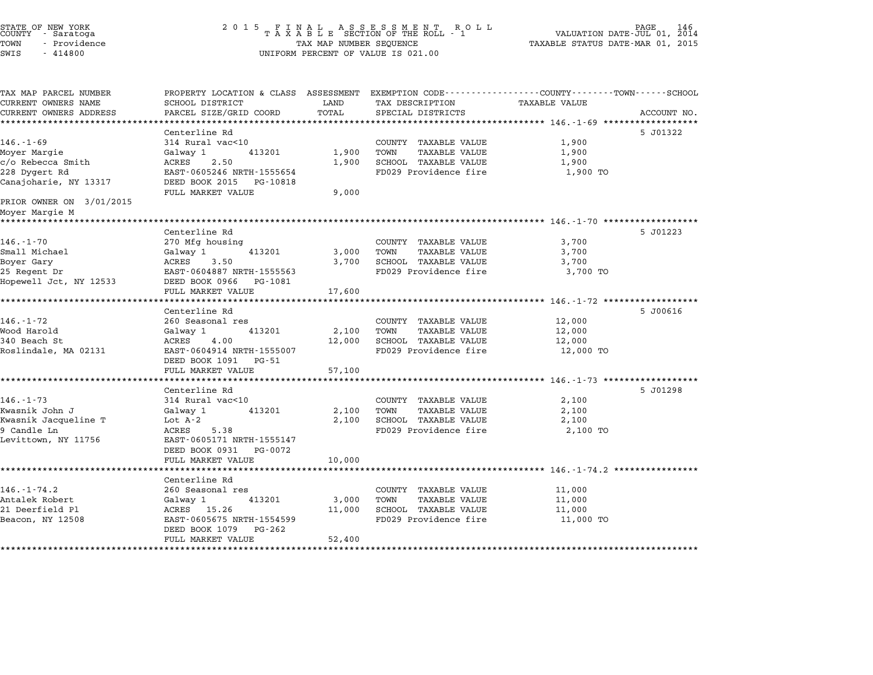| STATE OF NEW YORK<br>COUNTY - Saratoga<br>TOWN<br>- Providence<br>SWIS<br>$-414800$ | 2 0 1 5<br>FINAL ASSESSMENT ROLL<br>TAXABLE SECTION OF THE ROLL - 1<br>TAX MAP NUMBER SEQUENCE<br>UNIFORM PERCENT OF VALUE IS 021.00        |               |                                               | PAGE<br>146<br>VALUATION DATE-JUL 01, 2014<br>TAXABLE STATUS DATE-MAR 01, 2015 |             |  |
|-------------------------------------------------------------------------------------|---------------------------------------------------------------------------------------------------------------------------------------------|---------------|-----------------------------------------------|--------------------------------------------------------------------------------|-------------|--|
| TAX MAP PARCEL NUMBER<br>CURRENT OWNERS NAME<br>CURRENT OWNERS ADDRESS              | PROPERTY LOCATION & CLASS ASSESSMENT EXEMPTION CODE---------------COUNTY-------TOWN-----SCHOOL<br>SCHOOL DISTRICT<br>PARCEL SIZE/GRID COORD | LAND<br>TOTAL | TAX DESCRIPTION<br>SPECIAL DISTRICTS          | TAXABLE VALUE                                                                  | ACCOUNT NO. |  |
|                                                                                     | *****************                                                                                                                           |               |                                               |                                                                                |             |  |
|                                                                                     | Centerline Rd                                                                                                                               |               |                                               |                                                                                | 5 J01322    |  |
| $146. - 1 - 69$                                                                     | 314 Rural vac<10                                                                                                                            |               | COUNTY TAXABLE VALUE                          | 1,900                                                                          |             |  |
| Moyer Margie                                                                        | Galway 1<br>413201                                                                                                                          | 1,900         | TOWN<br>TAXABLE VALUE                         | 1,900                                                                          |             |  |
| c/o Rebecca Smith                                                                   | ACRES<br>2.50                                                                                                                               | 1,900         | SCHOOL TAXABLE VALUE                          | 1,900                                                                          |             |  |
| 228 Dygert Rd<br>Canajoharie, NY 13317                                              | EAST-0605246 NRTH-1555654<br>DEED BOOK 2015 PG-10818                                                                                        |               | FD029 Providence fire                         | 1,900 TO                                                                       |             |  |
|                                                                                     | FULL MARKET VALUE                                                                                                                           | 9,000         |                                               |                                                                                |             |  |
| PRIOR OWNER ON 3/01/2015<br>Moyer Margie M                                          |                                                                                                                                             |               |                                               |                                                                                |             |  |
|                                                                                     |                                                                                                                                             |               |                                               | ********************************* 146.-1-70 ******************                 |             |  |
|                                                                                     | Centerline Rd                                                                                                                               |               |                                               |                                                                                | 5 J01223    |  |
| $146. - 1 - 70$                                                                     | 270 Mfg housing                                                                                                                             |               | COUNTY TAXABLE VALUE                          | 3,700                                                                          |             |  |
| Small Michael                                                                       | Galway 1<br>413201                                                                                                                          | 3,000         | TOWN<br>TAXABLE VALUE                         | 3,700                                                                          |             |  |
| Boyer Gary                                                                          | ACRES<br>3.50                                                                                                                               | 3,700         | SCHOOL TAXABLE VALUE                          | 3,700                                                                          |             |  |
| 25 Regent Dr                                                                        | EAST-0604887 NRTH-1555563                                                                                                                   |               | FD029 Providence fire                         | 3,700 TO                                                                       |             |  |
| Hopewell Jct, NY 12533                                                              | DEED BOOK 0966 PG-1081                                                                                                                      |               |                                               |                                                                                |             |  |
|                                                                                     | FULL MARKET VALUE                                                                                                                           | 17,600        |                                               | ***************** 146.-1-72 *******************                                |             |  |
|                                                                                     | Centerline Rd                                                                                                                               |               |                                               |                                                                                | 5 J00616    |  |
| $146. - 1 - 72$                                                                     | 260 Seasonal res                                                                                                                            |               | COUNTY TAXABLE VALUE                          | 12,000                                                                         |             |  |
| Wood Harold                                                                         | Galway 1<br>413201                                                                                                                          | 2,100         | TOWN<br><b>TAXABLE VALUE</b>                  | 12,000                                                                         |             |  |
| 340 Beach St                                                                        | ACRES<br>4.00                                                                                                                               | 12,000        | SCHOOL TAXABLE VALUE                          | 12,000                                                                         |             |  |
| Roslindale, MA 02131                                                                | EAST-0604914 NRTH-1555007<br>DEED BOOK 1091 PG-51                                                                                           |               | FD029 Providence fire                         | 12,000 TO                                                                      |             |  |
|                                                                                     | FULL MARKET VALUE                                                                                                                           | 57,100        |                                               |                                                                                |             |  |
|                                                                                     | ********************                                                                                                                        | ********      |                                               | ************************ 146.-1-73 *******************                         |             |  |
| $146. - 1 - 73$                                                                     | Centerline Rd<br>314 Rural vac<10                                                                                                           |               | COUNTY TAXABLE VALUE                          | 2,100                                                                          | 5 J01298    |  |
| Kwasnik John J                                                                      | 413201<br>Galway 1                                                                                                                          | 2,100         | TOWN<br><b>TAXABLE VALUE</b>                  | 2,100                                                                          |             |  |
| Kwasnik Jacqueline T                                                                | Lot $A-2$                                                                                                                                   | 2,100         | SCHOOL TAXABLE VALUE                          | 2,100                                                                          |             |  |
| 9 Candle Ln                                                                         | ACRES<br>5.38                                                                                                                               |               | FD029 Providence fire                         | 2,100 TO                                                                       |             |  |
| Levittown, NY 11756                                                                 | EAST-0605171 NRTH-1555147                                                                                                                   |               |                                               |                                                                                |             |  |
|                                                                                     | DEED BOOK 0931 PG-0072                                                                                                                      |               |                                               |                                                                                |             |  |
|                                                                                     | FULL MARKET VALUE                                                                                                                           | 10,000        |                                               |                                                                                |             |  |
|                                                                                     | ******************                                                                                                                          |               |                                               | ***************** 146.-1-74.2 *****                                            |             |  |
| $146. - 1 - 74.2$                                                                   | Centerline Rd                                                                                                                               |               |                                               |                                                                                |             |  |
| Antalek Robert                                                                      | 260 Seasonal res<br>Galway 1<br>413201                                                                                                      | 3,000         | COUNTY TAXABLE VALUE<br>TOWN<br>TAXABLE VALUE | 11,000<br>11,000                                                               |             |  |
| 21 Deerfield Pl                                                                     | ACRES 15.26                                                                                                                                 | 11,000        | SCHOOL TAXABLE VALUE                          | 11,000                                                                         |             |  |
| Beacon, NY 12508                                                                    | EAST-0605675 NRTH-1554599                                                                                                                   |               | FD029 Providence fire                         | 11,000 TO                                                                      |             |  |
|                                                                                     | DEED BOOK 1079<br>PG-262                                                                                                                    |               |                                               |                                                                                |             |  |
|                                                                                     | FULL MARKET VALUE                                                                                                                           | 52,400        |                                               |                                                                                |             |  |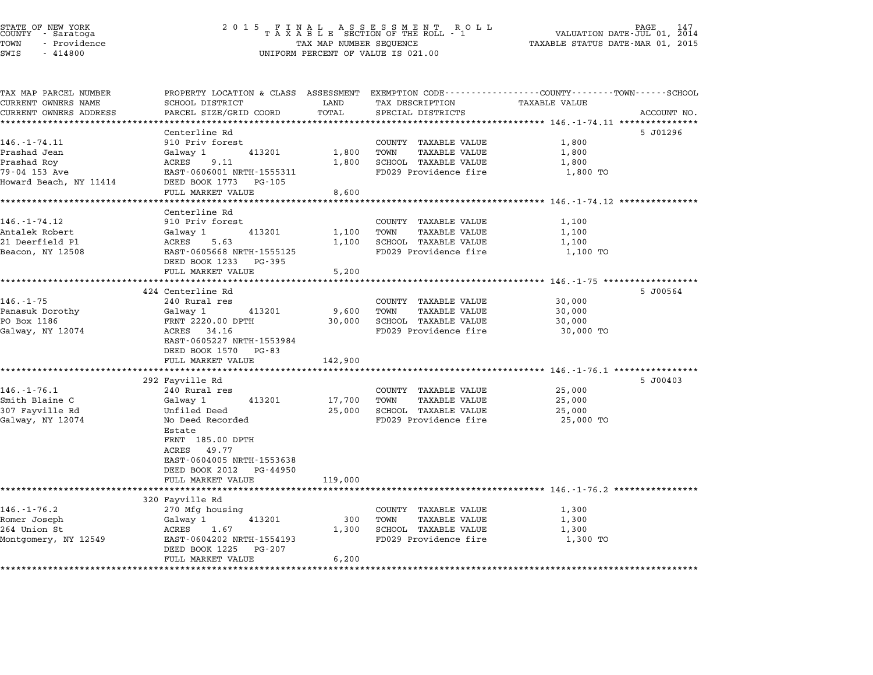|      | STATE OF NEW YORK<br>COUNTY - Saratoga |  |
|------|----------------------------------------|--|
| TOWN | - Providence                           |  |
|      |                                        |  |

| TAX MAP PARCEL NUMBER  | PROPERTY LOCATION & CLASS ASSESSMENT EXEMPTION CODE---------------COUNTY-------TOWN------SCHOOL |         |                              |                                                              |             |
|------------------------|-------------------------------------------------------------------------------------------------|---------|------------------------------|--------------------------------------------------------------|-------------|
| CURRENT OWNERS NAME    | SCHOOL DISTRICT                                                                                 | LAND    | TAX DESCRIPTION              | <b>TAXABLE VALUE</b>                                         |             |
| CURRENT OWNERS ADDRESS | PARCEL SIZE/GRID COORD<br>****************                                                      | TOTAL   | SPECIAL DISTRICTS            |                                                              | ACCOUNT NO. |
|                        |                                                                                                 |         |                              |                                                              |             |
| $146. - 1 - 74.11$     | Centerline Rd<br>910 Priv forest                                                                |         | COUNTY TAXABLE VALUE         | 1,800                                                        | 5 J01296    |
| Prashad Jean           | Galway 1<br>413201                                                                              | 1,800   | TOWN<br>TAXABLE VALUE        | 1,800                                                        |             |
| Prashad Roy            | ACRES<br>9.11                                                                                   | 1,800   | SCHOOL TAXABLE VALUE         | 1,800                                                        |             |
| 79-04 153 Ave          | EAST-0606001 NRTH-1555311                                                                       |         | FD029 Providence fire        | 1,800 TO                                                     |             |
| Howard Beach, NY 11414 | DEED BOOK 1773<br>PG-105                                                                        |         |                              |                                                              |             |
|                        | FULL MARKET VALUE                                                                               | 8,600   |                              |                                                              |             |
|                        |                                                                                                 |         |                              |                                                              |             |
|                        | Centerline Rd                                                                                   |         |                              |                                                              |             |
| $146. - 1 - 74.12$     | 910 Priv forest                                                                                 |         | COUNTY TAXABLE VALUE         | 1,100                                                        |             |
| Antalek Robert         | Galway 1<br>413201                                                                              | 1,100   | TOWN<br><b>TAXABLE VALUE</b> | 1,100                                                        |             |
| 21 Deerfield Pl        | ACRES<br>5.63                                                                                   | 1,100   | SCHOOL TAXABLE VALUE         | 1,100                                                        |             |
| Beacon, NY 12508       | EAST-0605668 NRTH-1555125                                                                       |         | FD029 Providence fire        | 1,100 TO                                                     |             |
|                        | DEED BOOK 1233<br>PG-395                                                                        |         |                              |                                                              |             |
|                        | FULL MARKET VALUE                                                                               | 5,200   |                              |                                                              |             |
|                        |                                                                                                 |         |                              |                                                              |             |
|                        | 424 Centerline Rd                                                                               |         |                              |                                                              | 5 J00564    |
| $146. - 1 - 75$        | 240 Rural res                                                                                   |         | COUNTY TAXABLE VALUE         | 30,000                                                       |             |
| Panasuk Dorothy        | Galway 1<br>413201                                                                              | 9,600   | TOWN<br><b>TAXABLE VALUE</b> | 30,000                                                       |             |
| PO Box 1186            | FRNT 2220.00 DPTH                                                                               | 30,000  | SCHOOL TAXABLE VALUE         | 30,000                                                       |             |
| Galway, NY 12074       | ACRES 34.16                                                                                     |         | FD029 Providence fire        | 30,000 TO                                                    |             |
|                        | EAST-0605227 NRTH-1553984                                                                       |         |                              |                                                              |             |
|                        | DEED BOOK 1570 PG-83<br>FULL MARKET VALUE                                                       | 142,900 |                              |                                                              |             |
|                        | **********************                                                                          |         |                              |                                                              |             |
|                        | 292 Fayville Rd                                                                                 |         |                              |                                                              | 5 J00403    |
| $146. - 1 - 76.1$      | 240 Rural res                                                                                   |         | COUNTY TAXABLE VALUE         | 25,000                                                       |             |
| Smith Blaine C         | Galway 1<br>413201                                                                              | 17,700  | <b>TAXABLE VALUE</b><br>TOWN | 25,000                                                       |             |
| 307 Fayville Rd        | Unfiled Deed                                                                                    | 25,000  | SCHOOL TAXABLE VALUE         | 25,000                                                       |             |
| Galway, NY 12074       | No Deed Recorded                                                                                |         | FD029 Providence fire        | 25,000 TO                                                    |             |
|                        | Estate                                                                                          |         |                              |                                                              |             |
|                        | FRNT 185.00 DPTH                                                                                |         |                              |                                                              |             |
|                        | ACRES<br>49.77                                                                                  |         |                              |                                                              |             |
|                        | EAST-0604005 NRTH-1553638                                                                       |         |                              |                                                              |             |
|                        | DEED BOOK 2012<br>PG-44950                                                                      |         |                              |                                                              |             |
|                        | FULL MARKET VALUE                                                                               | 119,000 |                              |                                                              |             |
|                        |                                                                                                 |         |                              | ************************************ 146.-1-76.2 *********** |             |
|                        | 320 Fayville Rd                                                                                 |         |                              |                                                              |             |
| $146. - 1 - 76.2$      | 270 Mfg housing                                                                                 |         | COUNTY TAXABLE VALUE         | 1,300                                                        |             |
| Romer Joseph           | Galway 1<br>413201                                                                              | 300     | TOWN<br><b>TAXABLE VALUE</b> | 1,300                                                        |             |
| 264 Union St           | 1.67<br>ACRES                                                                                   | 1,300   | SCHOOL TAXABLE VALUE         | 1,300                                                        |             |
| Montgomery, NY 12549   | EAST-0604202 NRTH-1554193                                                                       |         | FD029 Providence fire        | 1,300 TO                                                     |             |
|                        | DEED BOOK 1225<br>PG-207<br>FULL MARKET VALUE                                                   | 6,200   |                              |                                                              |             |
|                        |                                                                                                 |         |                              |                                                              |             |
|                        |                                                                                                 |         |                              |                                                              |             |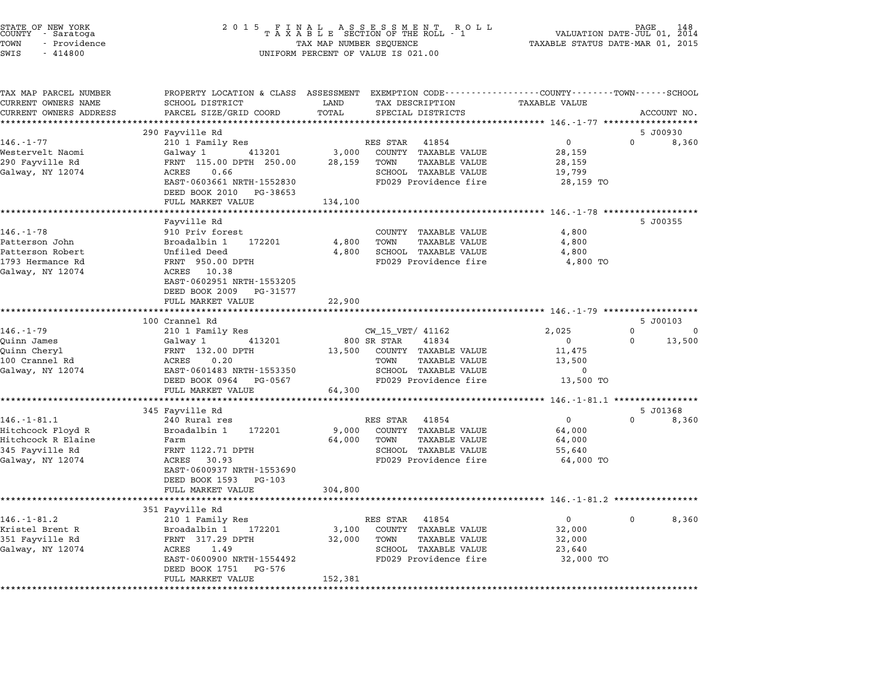| - Providence<br>TOWN<br>SWIS<br>$-414800$    | TAX MAP NUMBER SEQUENCE<br>UNIFORM PERCENT OF VALUE IS 021.00       | FINAL ASSESSMENT ROLL<br>TAXABLE SECTION OF THE ROLL - 1<br>148<br>VALUATION DATE-JUL 01,<br>2014<br>TAXABLE STATUS DATE-MAR 01, 2015 |                                                                                                                         |  |
|----------------------------------------------|---------------------------------------------------------------------|---------------------------------------------------------------------------------------------------------------------------------------|-------------------------------------------------------------------------------------------------------------------------|--|
| TAX MAP PARCEL NUMBER<br>CURRENT OWNERS NAME | SCHOOL DISTRICT                                                     | LAND<br>TAX DESCRIPTION                                                                                                               | PROPERTY LOCATION & CLASS ASSESSMENT EXEMPTION CODE----------------COUNTY-------TOWN-----SCHOOL<br><b>TAXABLE VALUE</b> |  |
| CURRENT OWNERS ADDRESS                       | PARCEL SIZE/GRID COORD                                              | TOTAL<br>SPECIAL DISTRICTS                                                                                                            | ACCOUNT NO.                                                                                                             |  |
|                                              |                                                                     |                                                                                                                                       |                                                                                                                         |  |
|                                              | 290 Fayville Rd                                                     |                                                                                                                                       | 5 J00930                                                                                                                |  |
| $146. - 1 - 77$                              | 210 1 Family Res                                                    | RES STAR<br>41854                                                                                                                     | 0<br>$\Omega$<br>8,360                                                                                                  |  |
| Westervelt Naomi                             | 413201<br>Galway 1                                                  | 3,000<br>COUNTY TAXABLE VALUE                                                                                                         | 28,159                                                                                                                  |  |
| 290 Fayville Rd                              | FRNT 115.00 DPTH 250.00                                             | 28,159<br>TOWN<br>TAXABLE VALUE                                                                                                       | 28,159                                                                                                                  |  |
| Galway, NY 12074                             | ACRES<br>0.66                                                       | SCHOOL TAXABLE VALUE                                                                                                                  | 19,799                                                                                                                  |  |
|                                              | EAST-0603661 NRTH-1552830<br>DEED BOOK 2010 PG-38653                | FD029 Providence fire                                                                                                                 | 28,159 TO                                                                                                               |  |
|                                              | FULL MARKET VALUE                                                   | 134,100                                                                                                                               |                                                                                                                         |  |
|                                              | Fayville Rd                                                         |                                                                                                                                       | 5 J00355                                                                                                                |  |
| $146. - 1 - 78$                              | 910 Priv forest                                                     | COUNTY TAXABLE VALUE                                                                                                                  | 4,800                                                                                                                   |  |
| Patterson John                               | Broadalbin 1<br>172201                                              | 4,800<br>TOWN<br>TAXABLE VALUE                                                                                                        | 4,800                                                                                                                   |  |
| Patterson Robert                             | Unfiled Deed                                                        | 4,800<br>SCHOOL TAXABLE VALUE                                                                                                         | 4,800                                                                                                                   |  |
| 1793 Hermance Rd                             | FRNT 950.00 DPTH                                                    | FD029 Providence fire                                                                                                                 | 4,800 TO                                                                                                                |  |
| Galway, NY 12074                             | ACRES 10.38<br>EAST-0602951 NRTH-1553205<br>DEED BOOK 2009 PG-31577 |                                                                                                                                       |                                                                                                                         |  |
|                                              | FULL MARKET VALUE                                                   | 22,900                                                                                                                                |                                                                                                                         |  |
|                                              | 100 Crannel Rd                                                      |                                                                                                                                       | 5 J00103                                                                                                                |  |
| 146.-1-79                                    | 210 1 Family Res                                                    | CW_15_VET/ 41162                                                                                                                      | 2,025<br>0<br>0                                                                                                         |  |
| Quinn James                                  | 413201<br>Galway 1                                                  | 800 SR STAR<br>41834                                                                                                                  | 13,500<br>$\mathbf{0}$<br>0                                                                                             |  |
| Quinn Cheryl                                 | FRNT 132.00 DPTH                                                    | COUNTY TAXABLE VALUE<br>13,500                                                                                                        | 11,475                                                                                                                  |  |
| 100 Crannel Rd                               | ACRES<br>0.20                                                       | <b>TAXABLE VALUE</b><br>TOWN                                                                                                          | 13,500                                                                                                                  |  |
| Galway, NY 12074                             | EAST-0601483 NRTH-1553350                                           | SCHOOL TAXABLE VALUE                                                                                                                  | $\mathbf 0$                                                                                                             |  |
|                                              | DEED BOOK 0964 PG-0567                                              | FD029 Providence fire                                                                                                                 | 13,500 TO                                                                                                               |  |
|                                              | FULL MARKET VALUE                                                   | 64,300                                                                                                                                |                                                                                                                         |  |
|                                              | *********************                                               |                                                                                                                                       | ********** 146.-1-81.1 ****************                                                                                 |  |
|                                              | 345 Fayville Rd                                                     |                                                                                                                                       | 5 J01368<br>$\mathbf{0}$<br>0                                                                                           |  |
| $146. - 1 - 81.1$<br>Hitchcock Floyd R       | 240 Rural res<br>172201<br>Broadalbin 1                             | RES STAR<br>41854<br>9,000<br>COUNTY TAXABLE VALUE                                                                                    | 8,360<br>64,000                                                                                                         |  |
| Hitchcock R Elaine                           | Farm                                                                | 64,000<br>TOWN<br>TAXABLE VALUE                                                                                                       | 64,000                                                                                                                  |  |
| 345 Fayville Rd                              | FRNT 1122.71 DPTH                                                   | SCHOOL TAXABLE VALUE                                                                                                                  | 55,640                                                                                                                  |  |
| Galway, NY 12074                             | ACRES<br>30.93                                                      | FD029 Providence fire                                                                                                                 | 64,000 TO                                                                                                               |  |
|                                              | EAST-0600937 NRTH-1553690                                           |                                                                                                                                       |                                                                                                                         |  |
|                                              | DEED BOOK 1593 PG-103                                               |                                                                                                                                       |                                                                                                                         |  |
|                                              | FULL MARKET VALUE                                                   | 304,800                                                                                                                               |                                                                                                                         |  |
|                                              |                                                                     |                                                                                                                                       | *********************************** 146.-1-81.2 **********                                                              |  |
|                                              | 351 Fayville Rd                                                     |                                                                                                                                       |                                                                                                                         |  |
| $146. - 1 - 81.2$                            | 210 1 Family Res                                                    | 41854<br>RES STAR                                                                                                                     | 0<br>8,360<br>0                                                                                                         |  |
| Kristel Brent R                              | Broadalbin 1<br>172201<br>FRNT 317.29 DPTH                          | COUNTY TAXABLE VALUE<br>3,100                                                                                                         | 32,000                                                                                                                  |  |
| 351 Fayville Rd<br>Galway, NY 12074          | ACRES<br>1.49                                                       | 32,000<br>TOWN<br>TAXABLE VALUE<br>SCHOOL TAXABLE VALUE                                                                               | 32,000<br>23,640                                                                                                        |  |
|                                              | EAST-0600900 NRTH-1554492                                           | FD029 Providence fire                                                                                                                 | 32,000 TO                                                                                                               |  |
|                                              |                                                                     |                                                                                                                                       |                                                                                                                         |  |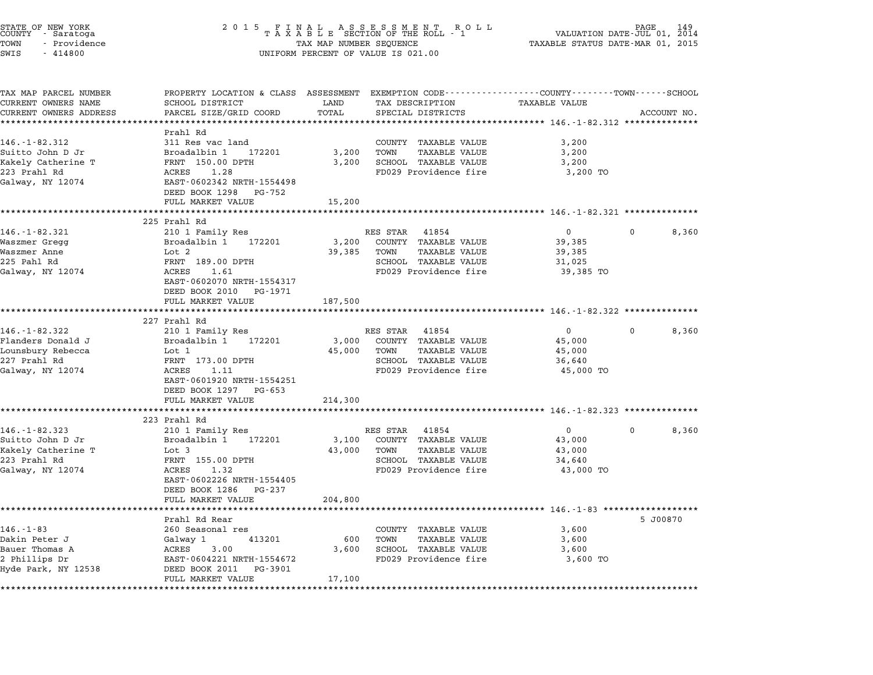| STATE OF NEW YORK<br>COUNTY - Saratoga<br>TOWN<br>- Providence<br>SWIS<br>$-414800$ | 2 0 1 5<br>F<br>A S S E S S M E N T<br>N<br>A L<br>R O L L<br>TAXABLE SECTION OF THE ROLL - 1<br>TAXABLE STATUS DATE-MAR 01, 2015<br>TAX MAP NUMBER SEQUENCE<br>UNIFORM PERCENT OF VALUE IS 021.00 |                       |                                                                                                 |                                                          |             | PAGE<br>VALUATION DATE-JUL 01, 2014 |
|-------------------------------------------------------------------------------------|----------------------------------------------------------------------------------------------------------------------------------------------------------------------------------------------------|-----------------------|-------------------------------------------------------------------------------------------------|----------------------------------------------------------|-------------|-------------------------------------|
|                                                                                     |                                                                                                                                                                                                    |                       |                                                                                                 |                                                          |             |                                     |
| TAX MAP PARCEL NUMBER                                                               |                                                                                                                                                                                                    |                       | PROPERTY LOCATION & CLASS ASSESSMENT EXEMPTION CODE----------------COUNTY-------TOWN-----SCHOOL |                                                          |             |                                     |
| CURRENT OWNERS NAME                                                                 | SCHOOL DISTRICT                                                                                                                                                                                    | LAND                  | TAX DESCRIPTION                                                                                 | <b>TAXABLE VALUE</b>                                     |             |                                     |
| CURRENT OWNERS ADDRESS<br>***********************                                   | PARCEL SIZE/GRID COORD<br>************************                                                                                                                                                 | TOTAL<br>************ | SPECIAL DISTRICTS                                                                               |                                                          |             | ACCOUNT NO.                         |
|                                                                                     | Prahl Rd                                                                                                                                                                                           |                       |                                                                                                 |                                                          |             |                                     |
| 146. - 1 - 82.312                                                                   | 311 Res vac land                                                                                                                                                                                   |                       | COUNTY TAXABLE VALUE                                                                            | 3,200                                                    |             |                                     |
| Suitto John D Jr                                                                    | Broadalbin 1<br>172201                                                                                                                                                                             | 3,200                 | TOWN<br><b>TAXABLE VALUE</b>                                                                    | 3,200                                                    |             |                                     |
| Kakely Catherine T                                                                  | FRNT 150.00 DPTH                                                                                                                                                                                   | 3,200                 | SCHOOL TAXABLE VALUE                                                                            | 3,200                                                    |             |                                     |
| 223 Prahl Rd                                                                        | 1.28<br>ACRES                                                                                                                                                                                      |                       | FD029 Providence fire                                                                           | 3,200 TO                                                 |             |                                     |
| Galway, NY 12074                                                                    | EAST-0602342 NRTH-1554498                                                                                                                                                                          |                       |                                                                                                 |                                                          |             |                                     |
|                                                                                     | DEED BOOK 1298 PG-752                                                                                                                                                                              |                       |                                                                                                 |                                                          |             |                                     |
|                                                                                     | FULL MARKET VALUE                                                                                                                                                                                  | 15,200                |                                                                                                 |                                                          |             |                                     |
|                                                                                     | 225 Prahl Rd                                                                                                                                                                                       |                       |                                                                                                 |                                                          |             |                                     |
| 146. - 1 - 82.321                                                                   | 210 1 Family Res                                                                                                                                                                                   |                       | 41854<br>RES STAR                                                                               | $\Omega$                                                 | $\Omega$    | 8,360                               |
| Waszmer Gregg                                                                       | Broadalbin 1<br>172201                                                                                                                                                                             | 3,200                 | COUNTY TAXABLE VALUE                                                                            | 39,385                                                   |             |                                     |
| Waszmer Anne                                                                        | Lot 2                                                                                                                                                                                              | 39,385                | TOWN<br>TAXABLE VALUE                                                                           | 39,385                                                   |             |                                     |
| 225 Pahl Rd                                                                         | FRNT 189.00 DPTH                                                                                                                                                                                   |                       | SCHOOL TAXABLE VALUE                                                                            | 31,025                                                   |             |                                     |
| Galway, NY 12074                                                                    | ACRES<br>1.61                                                                                                                                                                                      |                       | FD029 Providence fire                                                                           | 39,385 TO                                                |             |                                     |
|                                                                                     | EAST-0602070 NRTH-1554317                                                                                                                                                                          |                       |                                                                                                 |                                                          |             |                                     |
|                                                                                     | DEED BOOK 2010 PG-1971                                                                                                                                                                             |                       |                                                                                                 |                                                          |             |                                     |
|                                                                                     | FULL MARKET VALUE                                                                                                                                                                                  | 187,500               |                                                                                                 |                                                          |             |                                     |
|                                                                                     | ***********************                                                                                                                                                                            |                       |                                                                                                 |                                                          |             |                                     |
| $146. - 1 - 82.322$                                                                 | 227 Prahl Rd<br>210 1 Family Res                                                                                                                                                                   |                       | RES STAR 41854                                                                                  | $\mathbf{0}$                                             | $\Omega$    | 8,360                               |
| Flanders Donald J                                                                   | Broadalbin 1<br>172201                                                                                                                                                                             | 3,000                 | COUNTY TAXABLE VALUE                                                                            | 45,000                                                   |             |                                     |
| Lounsbury Rebecca                                                                   | Lot 1                                                                                                                                                                                              | 45,000                | TAXABLE VALUE<br>TOWN                                                                           | 45,000                                                   |             |                                     |
| 227 Prahl Rd                                                                        | FRNT 173.00 DPTH                                                                                                                                                                                   |                       | SCHOOL TAXABLE VALUE                                                                            | 36,640                                                   |             |                                     |
| Galway, NY 12074                                                                    | ACRES<br>1.11                                                                                                                                                                                      |                       | FD029 Providence fire                                                                           | 45,000 TO                                                |             |                                     |
|                                                                                     | EAST-0601920 NRTH-1554251                                                                                                                                                                          |                       |                                                                                                 |                                                          |             |                                     |
|                                                                                     | DEED BOOK 1297<br>PG-653                                                                                                                                                                           |                       |                                                                                                 |                                                          |             |                                     |
|                                                                                     | FULL MARKET VALUE                                                                                                                                                                                  | 214,300               |                                                                                                 |                                                          |             |                                     |
|                                                                                     | *********************                                                                                                                                                                              | ********              |                                                                                                 |                                                          |             |                                     |
|                                                                                     | 223 Prahl Rd                                                                                                                                                                                       |                       |                                                                                                 |                                                          |             |                                     |
| $146. - 1 - 82.323$                                                                 | 210 1 Family Res                                                                                                                                                                                   |                       | RES STAR<br>41854                                                                               | 0                                                        | $\mathbf 0$ | 8,360                               |
| Suitto John D Jr                                                                    | Broadalbin 1<br>172201                                                                                                                                                                             | 3,100                 | COUNTY TAXABLE VALUE                                                                            | 43,000                                                   |             |                                     |
| Kakely Catherine T                                                                  | Lot 3                                                                                                                                                                                              | 43,000                | TOWN<br><b>TAXABLE VALUE</b>                                                                    | 43,000                                                   |             |                                     |
| 223 Prahl Rd                                                                        | FRNT 155.00 DPTH                                                                                                                                                                                   |                       | SCHOOL TAXABLE VALUE                                                                            | 34,640                                                   |             |                                     |
| Galway, NY 12074                                                                    | ACRES<br>1.32                                                                                                                                                                                      |                       | FD029 Providence fire                                                                           | 43,000 TO                                                |             |                                     |
|                                                                                     | EAST-0602226 NRTH-1554405                                                                                                                                                                          |                       |                                                                                                 |                                                          |             |                                     |
|                                                                                     | DEED BOOK 1286<br>PG-237                                                                                                                                                                           |                       |                                                                                                 |                                                          |             |                                     |
|                                                                                     | FULL MARKET VALUE                                                                                                                                                                                  | 204,800               |                                                                                                 | ************************** 146.-1-83 ******************* |             |                                     |
|                                                                                     | Prahl Rd Rear                                                                                                                                                                                      |                       |                                                                                                 |                                                          |             | 5 J00870                            |
| $146. - 1 - 83$                                                                     | 260 Seasonal res                                                                                                                                                                                   |                       | COUNTY TAXABLE VALUE                                                                            | 3,600                                                    |             |                                     |
| Dakin Peter J                                                                       | 413201<br>Galway 1                                                                                                                                                                                 | 600                   | TOWN<br>TAXABLE VALUE                                                                           | 3,600                                                    |             |                                     |
| Bauer Thomas A                                                                      | 3.00<br>ACRES                                                                                                                                                                                      | 3,600                 | SCHOOL TAXABLE VALUE                                                                            | 3,600                                                    |             |                                     |
| 2 Phillips Dr                                                                       | EAST-0604221 NRTH-1554672                                                                                                                                                                          |                       | FD029 Providence fire                                                                           | 3,600 TO                                                 |             |                                     |
| Hyde Park, NY 12538                                                                 | DEED BOOK 2011<br>PG-3901                                                                                                                                                                          |                       |                                                                                                 |                                                          |             |                                     |
|                                                                                     | FULL MARKET VALUE                                                                                                                                                                                  | 17,100                |                                                                                                 |                                                          |             |                                     |
|                                                                                     |                                                                                                                                                                                                    |                       |                                                                                                 |                                                          |             |                                     |

STATE OF NEW YORK <sup>2</sup> <sup>0</sup> <sup>1</sup> 5 F I N A L A S S E S S M E N T R O L L PAGE <sup>149</sup> COUNTY - Saratoga <sup>T</sup> <sup>A</sup> <sup>X</sup> <sup>A</sup> <sup>B</sup> <sup>L</sup> <sup>E</sup> SECTION OF THE ROLL - <sup>1</sup> VALUATION DATE-JUL 01, <sup>2014</sup>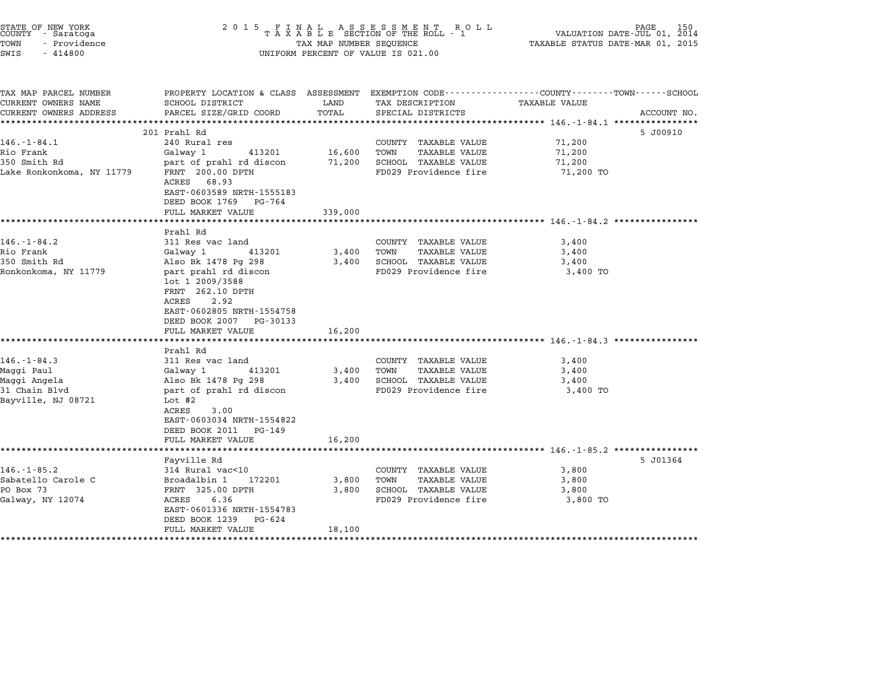| STATE OF NEW YORK<br>COUNTY - Saratoga<br>TOWN<br>- Providence<br>SWIS<br>$-414800$    | 2 0 1 5                                                                                                                                                                                                                                | TAX MAP NUMBER SEQUENCE  | FINAL ASSESSMENT ROLL<br>TAXABLE SECTION OF THE ROLL - 1<br>UNIFORM PERCENT OF VALUE IS 021.00        | PAGE<br>150<br>VALUATION DATE-JUL 01, 2014<br>TAXABLE STATUS DATE-MAR 01, 2015                                                        |  |
|----------------------------------------------------------------------------------------|----------------------------------------------------------------------------------------------------------------------------------------------------------------------------------------------------------------------------------------|--------------------------|-------------------------------------------------------------------------------------------------------|---------------------------------------------------------------------------------------------------------------------------------------|--|
| TAX MAP PARCEL NUMBER<br>CURRENT OWNERS NAME<br>CURRENT OWNERS ADDRESS                 | SCHOOL DISTRICT<br>PARCEL SIZE/GRID COORD                                                                                                                                                                                              | LAND<br>TOTAL            | TAX DESCRIPTION<br>SPECIAL DISTRICTS                                                                  | PROPERTY LOCATION & CLASS ASSESSMENT EXEMPTION CODE---------------COUNTY-------TOWN-----SCHOOL<br><b>TAXABLE VALUE</b><br>ACCOUNT NO. |  |
|                                                                                        |                                                                                                                                                                                                                                        |                          |                                                                                                       |                                                                                                                                       |  |
| $146. - 1 - 84.1$<br>Rio Frank<br>350 Smith Rd<br>Lake Ronkonkoma, NY 11779            | 201 Prahl Rd<br>240 Rural res<br>Galway 1<br>413201<br>part of prahl rd discon<br>FRNT 200.00 DPTH<br>ACRES 68.93<br>EAST-0603589 NRTH-1555183<br>DEED BOOK 1769 PG-764                                                                | 16,600<br>71,200         | COUNTY TAXABLE VALUE<br><b>TAXABLE VALUE</b><br>TOWN<br>SCHOOL TAXABLE VALUE<br>FD029 Providence fire | 5 J00910<br>71,200<br>71,200<br>71,200<br>71,200 TO                                                                                   |  |
|                                                                                        | FULL MARKET VALUE                                                                                                                                                                                                                      | 339,000                  |                                                                                                       |                                                                                                                                       |  |
|                                                                                        |                                                                                                                                                                                                                                        |                          |                                                                                                       |                                                                                                                                       |  |
| $146. - 1 - 84.2$<br>Rio Frank<br>350 Smith Rd<br>Ronkonkoma, NY 11779                 | Prahl Rd<br>311 Res vac land<br>Galway 1<br>413201<br>Also Bk 1478 Pg 298<br>part prahl rd discon<br>lot 1 2009/3588<br>FRNT 262.10 DPTH<br>ACRES<br>2.92<br>EAST-0602805 NRTH-1554758<br>DEED BOOK 2007 PG-30133<br>FULL MARKET VALUE | 3,400<br>3,400<br>16,200 | COUNTY TAXABLE VALUE<br>TOWN<br>TAXABLE VALUE<br>SCHOOL TAXABLE VALUE<br>FD029 Providence fire        | 3,400<br>3,400<br>3,400<br>3,400 TO                                                                                                   |  |
|                                                                                        | Prahl Rd                                                                                                                                                                                                                               |                          |                                                                                                       |                                                                                                                                       |  |
| $146. - 1 - 84.3$<br>Maggi Paul<br>Maggi Angela<br>31 Chain Blvd<br>Bayville, NJ 08721 | 311 Res vac land<br>413201<br>Galway 1<br>Also Bk 1478 Pg 298<br>part of prahl rd discon<br>Lot #2<br>3.00<br>ACRES<br>EAST-0603034 NRTH-1554822<br>DEED BOOK 2011 PG-149<br>FULL MARKET VALUE                                         | 3,400<br>3,400<br>16,200 | COUNTY TAXABLE VALUE<br><b>TAXABLE VALUE</b><br>TOWN<br>SCHOOL TAXABLE VALUE<br>FD029 Providence fire | 3,400<br>3,400<br>3,400<br>3,400 TO                                                                                                   |  |
|                                                                                        |                                                                                                                                                                                                                                        |                          |                                                                                                       |                                                                                                                                       |  |
| $146. - 1 - 85.2$<br>Sabatello Carole C<br>PO Box 73<br>Galway, NY 12074               | Fayville Rd<br>314 Rural vac<10<br>Broadalbin 1<br>172201<br>FRNT 325.00 DPTH<br>ACRES<br>6.36<br>EAST-0601336 NRTH-1554783<br>DEED BOOK 1239<br>PG-624<br>FULL MARKET VALUE                                                           | 3,800<br>3,800<br>18,100 | COUNTY TAXABLE VALUE<br>TOWN<br>TAXABLE VALUE<br>SCHOOL TAXABLE VALUE<br>FD029 Providence fire        | 5 J01364<br>3,800<br>3,800<br>3,800<br>3,800 TO                                                                                       |  |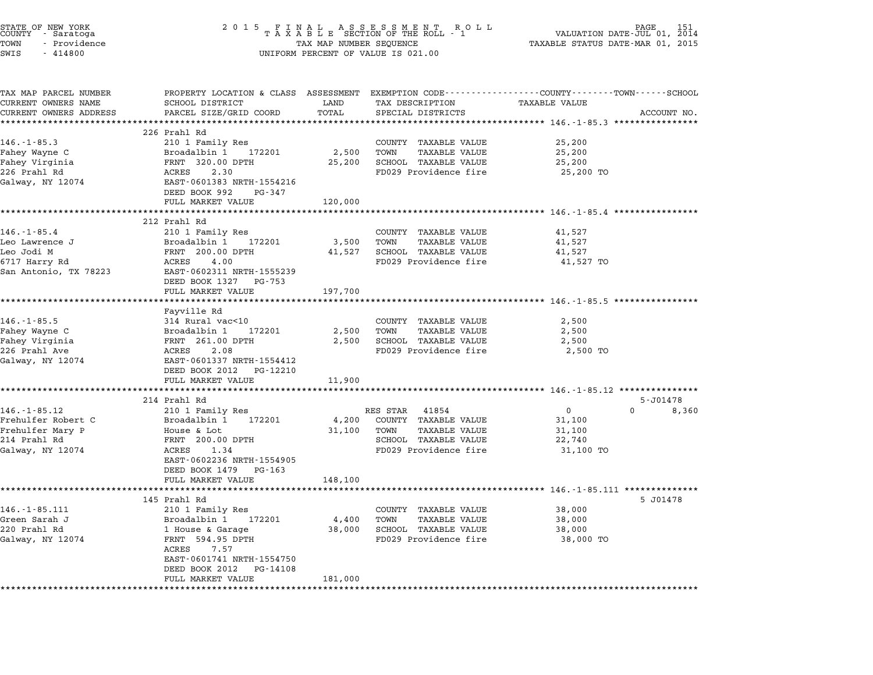| STATE OF NEW YORK<br>COUNTY – Saratoga<br>TOWN<br>- Providence<br>SWIS<br>$-414800$              | 2 0 1 5<br>FINAL ASSESSMENT ROLL<br>TAXABLE SECTION OF THE ROLL - 1<br>TAX MAP NUMBER SEQUENCE<br>UNIFORM PERCENT OF VALUE IS 021.00                                                                |                            |                                                                                                                  | PAGE<br>151<br>VALUATION DATE-JUL 01, 2014<br>TAXABLE STATUS DATE-MAR 01, 2015                                          |  |  |
|--------------------------------------------------------------------------------------------------|-----------------------------------------------------------------------------------------------------------------------------------------------------------------------------------------------------|----------------------------|------------------------------------------------------------------------------------------------------------------|-------------------------------------------------------------------------------------------------------------------------|--|--|
| TAX MAP PARCEL NUMBER<br>CURRENT OWNERS NAME                                                     | SCHOOL DISTRICT                                                                                                                                                                                     | LAND                       | TAX DESCRIPTION                                                                                                  | PROPERTY LOCATION & CLASS ASSESSMENT EXEMPTION CODE---------------COUNTY-------TOWN------SCHOOL<br><b>TAXABLE VALUE</b> |  |  |
| CURRENT OWNERS ADDRESS                                                                           | PARCEL SIZE/GRID COORD<br>**************************                                                                                                                                                | TOTAL                      | SPECIAL DISTRICTS                                                                                                | ACCOUNT NO.                                                                                                             |  |  |
| $146. - 1 - 85.3$<br>Fahey Wayne C<br>Fahey Virginia<br>226 Prahl Rd<br>Galway, NY 12074         | 226 Prahl Rd<br>210 1 Family Res<br>Broadalbin 1<br>172201<br>FRNT 320.00 DPTH<br>ACRES<br>2.30<br>EAST-0601383 NRTH-1554216<br>DEED BOOK 992<br>PG-347                                             | 2,500<br>25,200            | COUNTY TAXABLE VALUE<br>TAXABLE VALUE<br>TOWN<br>SCHOOL TAXABLE VALUE<br>FD029 Providence fire                   | 25,200<br>25,200<br>25,200<br>25,200 TO                                                                                 |  |  |
|                                                                                                  | FULL MARKET VALUE                                                                                                                                                                                   | 120,000                    |                                                                                                                  |                                                                                                                         |  |  |
| $146. - 1 - 85.4$<br>Leo Lawrence J<br>Leo Jodi M<br>6717 Harry Rd<br>San Antonio, TX 78223      | 212 Prahl Rd<br>210 1 Family Res<br>Broadalbin 1<br>172201<br>FRNT 200.00 DPTH<br>ACRES<br>4.00<br>EAST-0602311 NRTH-1555239<br>DEED BOOK 1327 PG-753                                               | 3,500<br>41,527            | COUNTY TAXABLE VALUE<br>TOWN<br>TAXABLE VALUE<br>SCHOOL TAXABLE VALUE<br>FD029 Providence fire                   | 41,527<br>41,527<br>41,527<br>41,527 TO                                                                                 |  |  |
|                                                                                                  | FULL MARKET VALUE                                                                                                                                                                                   | 197,700                    |                                                                                                                  |                                                                                                                         |  |  |
| $146. - 1 - 85.5$<br>Fahey Wayne C<br>Fahey Virginia<br>226 Prahl Ave<br>Galway, NY 12074        | *******************<br>Fayville Rd<br>314 Rural vac<10<br>Broadalbin 1<br>172201<br>FRNT 261.00 DPTH<br>ACRES<br>2.08<br>EAST-0601337 NRTH-1554412<br>DEED BOOK 2012 PG-12210<br>FULL MARKET VALUE  | 2,500<br>2,500<br>11,900   | COUNTY TAXABLE VALUE<br><b>TAXABLE VALUE</b><br>TOWN<br>SCHOOL TAXABLE VALUE<br>FD029 Providence fire            | ****************************** 146.-1-85.5 ************<br>2,500<br>2,500<br>2,500<br>2,500 TO                          |  |  |
|                                                                                                  | 214 Prahl Rd                                                                                                                                                                                        |                            |                                                                                                                  | 5-J01478                                                                                                                |  |  |
| $146. - 1 - 85.12$<br>Frehulfer Robert C<br>Frehulfer Mary P<br>214 Prahl Rd<br>Galway, NY 12074 | 210 1 Family Res<br>Broadalbin 1<br>172201<br>House & Lot<br>FRNT 200.00 DPTH<br>ACRES<br>1.34<br>EAST-0602236 NRTH-1554905<br>DEED BOOK 1479 PG-163<br>FULL MARKET VALUE                           | 4,200<br>31,100<br>148,100 | RES STAR 41854<br>COUNTY TAXABLE VALUE<br>TAXABLE VALUE<br>TOWN<br>SCHOOL TAXABLE VALUE<br>FD029 Providence fire | $\overline{0}$<br>$\Omega$<br>8,360<br>31,100<br>31,100<br>22,740<br>31,100 TO                                          |  |  |
|                                                                                                  |                                                                                                                                                                                                     |                            |                                                                                                                  |                                                                                                                         |  |  |
| $146. - 1 - 85.111$<br>Green Sarah J<br>220 Prahl Rd<br>Galway, NY 12074                         | 145 Prahl Rd<br>210 1 Family Res<br>Broadalbin 1<br>172201<br>1 House & Garage<br>FRNT 594.95 DPTH<br>ACRES<br>7.57<br>EAST-0601741 NRTH-1554750<br>DEED BOOK 2012<br>PG-14108<br>FULL MARKET VALUE | 4,400<br>38,000<br>181,000 | COUNTY TAXABLE VALUE<br>TOWN<br>TAXABLE VALUE<br>SCHOOL TAXABLE VALUE<br>FD029 Providence fire                   | 5 J01478<br>38,000<br>38,000<br>38,000<br>38,000 TO                                                                     |  |  |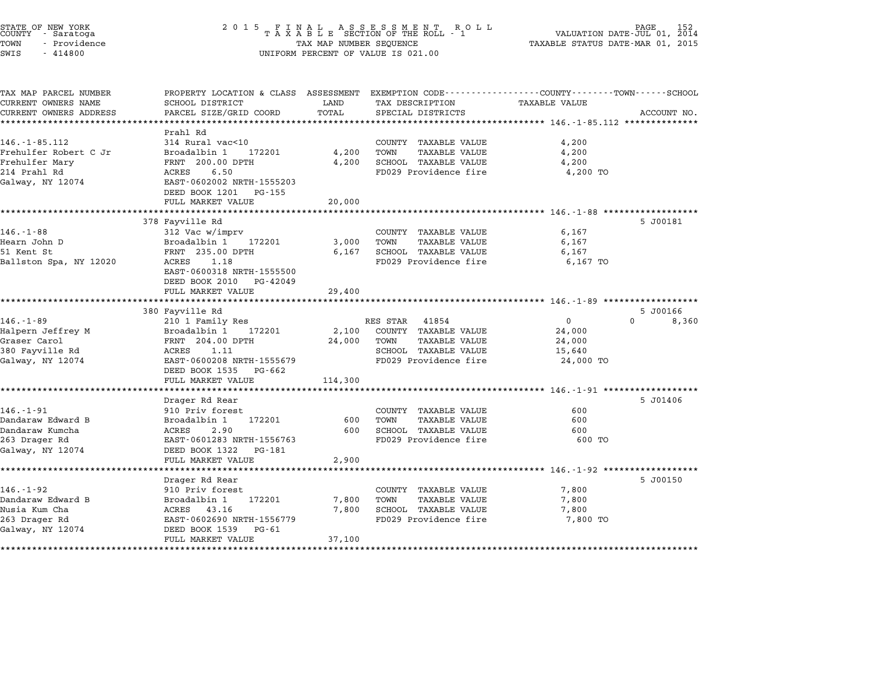| STATE OF NEW YORK<br>COUNTY - Saratoga<br>TOWN<br>- Providence<br>SWIS<br>$-414800$ | 2 0 1 5<br>FINAL ASSESSMENT RO<br>TAXABLE SECTION OF THE ROLL - 1<br>R O L L<br>TAX MAP NUMBER SEQUENCE<br>UNIFORM PERCENT OF VALUE IS 021.00 |               |                                      | PAGE<br>VALUATION DATE-JUL 01, 2014<br>TAXABLE STATUS DATE-MAR 01, 2015 |             |  |
|-------------------------------------------------------------------------------------|-----------------------------------------------------------------------------------------------------------------------------------------------|---------------|--------------------------------------|-------------------------------------------------------------------------|-------------|--|
| TAX MAP PARCEL NUMBER                                                               | PROPERTY LOCATION & CLASS ASSESSMENT EXEMPTION CODE----------------COUNTY-------TOWN------SCHOOL                                              |               |                                      |                                                                         |             |  |
| CURRENT OWNERS NAME<br>CURRENT OWNERS ADDRESS                                       | SCHOOL DISTRICT                                                                                                                               | LAND<br>TOTAL | TAX DESCRIPTION<br>SPECIAL DISTRICTS | <b>TAXABLE VALUE</b>                                                    | ACCOUNT NO. |  |
| **********************                                                              | PARCEL SIZE/GRID COORD<br>**********************                                                                                              | *********     |                                      | ********************************* 146.-1-85.112 **************          |             |  |
|                                                                                     | Prahl Rd                                                                                                                                      |               |                                      |                                                                         |             |  |
| $146. - 1 - 85.112$                                                                 | 314 Rural vac<10                                                                                                                              |               | COUNTY TAXABLE VALUE                 | 4,200                                                                   |             |  |
| Frehulfer Robert C Jr                                                               | Broadalbin 1<br>172201                                                                                                                        | 4,200         | TOWN<br><b>TAXABLE VALUE</b>         | 4,200                                                                   |             |  |
| Frehulfer Mary                                                                      | FRNT 200.00 DPTH                                                                                                                              | 4,200         | SCHOOL TAXABLE VALUE                 | 4,200                                                                   |             |  |
| 214 Prahl Rd                                                                        | ACRES<br>6.50                                                                                                                                 |               | FD029 Providence fire                | 4,200 TO                                                                |             |  |
| Galway, NY 12074                                                                    | EAST-0602002 NRTH-1555203                                                                                                                     |               |                                      |                                                                         |             |  |
|                                                                                     | DEED BOOK 1201<br>PG-155                                                                                                                      |               |                                      |                                                                         |             |  |
|                                                                                     | FULL MARKET VALUE                                                                                                                             | 20,000        |                                      |                                                                         |             |  |
|                                                                                     |                                                                                                                                               |               |                                      | $************* 146. -1-88****$                                          |             |  |
|                                                                                     | 378 Fayville Rd                                                                                                                               |               |                                      |                                                                         | 5 J00181    |  |
| $146. - 1 - 88$                                                                     | 312 Vac w/imprv                                                                                                                               |               | COUNTY TAXABLE VALUE                 | 6,167                                                                   |             |  |
| Hearn John D                                                                        | Broadalbin 1<br>172201                                                                                                                        | 3,000         | TOWN<br>TAXABLE VALUE                | 6,167                                                                   |             |  |
| 51 Kent St                                                                          | FRNT 235.00 DPTH                                                                                                                              | 6,167         | SCHOOL TAXABLE VALUE                 | 6,167                                                                   |             |  |
| Ballston Spa, NY 12020                                                              | ACRES<br>1.18                                                                                                                                 |               | FD029 Providence fire                | 6,167 TO                                                                |             |  |
|                                                                                     | EAST-0600318 NRTH-1555500<br>DEED BOOK 2010<br>PG-42049                                                                                       |               |                                      |                                                                         |             |  |
|                                                                                     | FULL MARKET VALUE                                                                                                                             | 29,400        |                                      |                                                                         |             |  |
|                                                                                     | ************************                                                                                                                      | ***********   |                                      | ******************************** 146.-1-89 ******************           |             |  |
|                                                                                     | 380 Fayville Rd                                                                                                                               |               |                                      |                                                                         | 5 J00166    |  |
| $146. - 1 - 89$                                                                     | 210 1 Family Res                                                                                                                              |               | RES STAR<br>41854                    | 0<br>U                                                                  | 8,360       |  |
| Halpern Jeffrey M                                                                   | Broadalbin 1<br>172201                                                                                                                        | 2,100         | COUNTY TAXABLE VALUE                 | 24,000                                                                  |             |  |
| Graser Carol                                                                        | FRNT 204.00 DPTH                                                                                                                              | 24,000        | <b>TAXABLE VALUE</b><br>TOWN         | 24,000                                                                  |             |  |
| 380 Fayville Rd                                                                     | ACRES<br>1.11                                                                                                                                 |               | SCHOOL TAXABLE VALUE                 | 15,640                                                                  |             |  |
| Galway, NY 12074                                                                    | EAST-0600208 NRTH-1555679                                                                                                                     |               | FD029 Providence fire                | 24,000 TO                                                               |             |  |
|                                                                                     | DEED BOOK 1535<br>PG-662                                                                                                                      |               |                                      |                                                                         |             |  |
|                                                                                     | FULL MARKET VALUE                                                                                                                             | 114,300       |                                      |                                                                         |             |  |
|                                                                                     |                                                                                                                                               |               |                                      |                                                                         |             |  |
|                                                                                     | Drager Rd Rear                                                                                                                                |               |                                      |                                                                         | 5 J01406    |  |
| $146. - 1 - 91$                                                                     | 910 Priv forest                                                                                                                               |               | COUNTY TAXABLE VALUE                 | 600                                                                     |             |  |
| Dandaraw Edward B                                                                   | 172201<br>Broadalbin 1                                                                                                                        | 600           | <b>TAXABLE VALUE</b><br>TOWN         | 600                                                                     |             |  |
| Dandaraw Kumcha                                                                     | ACRES<br>2.90                                                                                                                                 | 600           | SCHOOL TAXABLE VALUE                 | 600                                                                     |             |  |
| 263 Drager Rd                                                                       | EAST-0601283 NRTH-1556763                                                                                                                     |               | FD029 Providence fire                | 600 TO                                                                  |             |  |
| Galway, NY 12074                                                                    | DEED BOOK 1322<br>PG-181                                                                                                                      |               |                                      |                                                                         |             |  |
|                                                                                     | FULL MARKET VALUE<br>*******************                                                                                                      | 2,900         |                                      |                                                                         |             |  |
|                                                                                     | Drager Rd Rear                                                                                                                                |               |                                      | ********************** 146.-1-92 *******************                    | 5 J00150    |  |
| $146. - 1 - 92$                                                                     | 910 Priv forest                                                                                                                               |               | COUNTY TAXABLE VALUE                 | 7,800                                                                   |             |  |
| Dandaraw Edward B                                                                   | Broadalbin 1<br>172201                                                                                                                        | 7,800         | TOWN<br>TAXABLE VALUE                | 7,800                                                                   |             |  |
| Nusia Kum Cha                                                                       | ACRES 43.16                                                                                                                                   | 7,800         | SCHOOL TAXABLE VALUE                 | 7,800                                                                   |             |  |
| 263 Drager Rd                                                                       | EAST-0602690 NRTH-1556779                                                                                                                     |               | FD029 Providence fire                | 7,800 TO                                                                |             |  |
| Galway, NY 12074                                                                    | DEED BOOK 1539<br>PG-61                                                                                                                       |               |                                      |                                                                         |             |  |
|                                                                                     | FULL MARKET VALUE                                                                                                                             | 37,100        |                                      |                                                                         |             |  |
|                                                                                     | *************************                                                                                                                     | **********    |                                      |                                                                         |             |  |

STATE OF NEW YORK <sup>2</sup> <sup>0</sup> <sup>1</sup> 5 F I N A L A S S E S S M E N T R O L L PAGE <sup>152</sup> COUNTY - Saratoga <sup>T</sup> <sup>A</sup> <sup>X</sup> <sup>A</sup> <sup>B</sup> <sup>L</sup> <sup>E</sup> SECTION OF THE ROLL - <sup>1</sup> VALUATION DATE-JUL 01, <sup>2014</sup>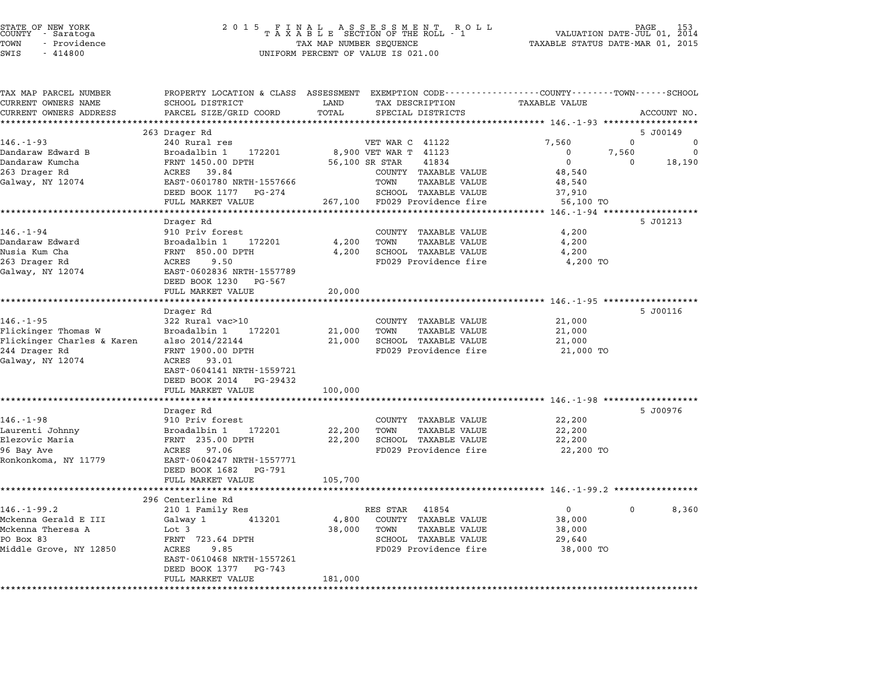| STATE OF NEW YORK |  |              |  |
|-------------------|--|--------------|--|
| COUNTY            |  | - Saratoga   |  |
| TOWN              |  | - Providence |  |
|                   |  |              |  |

## STATE OF NEW YORK <sup>2</sup> <sup>0</sup> <sup>1</sup> 5 F I N A L A S S E S S M E N T R O L L PAGE <sup>153</sup> COUNTY - Saratoga <sup>T</sup> <sup>A</sup> <sup>X</sup> <sup>A</sup> <sup>B</sup> <sup>L</sup> <sup>E</sup> SECTION OF THE ROLL - <sup>1</sup> VALUATION DATE-JUL 01, <sup>2014</sup> TOWN - Providence TAX MAP NUMBER SEQUENCE TAXABLE STATUS DATE-MAR 01, <sup>2015</sup> TOWN - Providence and the state of the state of the state of the state of the state of the state of the state o<br>SWIS - 414800 SWIS - SWISSED BERCENT OF VALUE IS 021.00

| TAX MAP PARCEL NUMBER             | PROPERTY LOCATION & CLASS ASSESSMENT EXEMPTION CODE---------------COUNTY-------TOWN-----SCHOOL |         |                                                      |                                         |              |             |
|-----------------------------------|------------------------------------------------------------------------------------------------|---------|------------------------------------------------------|-----------------------------------------|--------------|-------------|
| CURRENT OWNERS NAME               | SCHOOL DISTRICT                                                                                | LAND    | TAX DESCRIPTION                                      | <b>TAXABLE VALUE</b>                    |              |             |
| CURRENT OWNERS ADDRESS            | PARCEL SIZE/GRID COORD                                                                         | TOTAL   | SPECIAL DISTRICTS                                    |                                         |              | ACCOUNT NO. |
| ***********************           |                                                                                                |         |                                                      |                                         |              |             |
|                                   | 263 Drager Rd                                                                                  |         |                                                      |                                         |              | 5 J00149    |
| $146. - 1 - 93$                   | 240 Rural res                                                                                  |         | VET WAR C 41122                                      | 7,560                                   | $\mathbf{0}$ | $\Omega$    |
| Dandaraw Edward B                 | Broadalbin 1<br>172201                                                                         |         | 8,900 VET WAR T 41123                                | 0                                       | 7,560        | $\Omega$    |
| Dandaraw Kumcha                   | FRNT 1450.00 DPTH                                                                              |         | 56,100 SR STAR<br>41834                              | $\mathbf 0$                             | $\Omega$     | 18,190      |
| 263 Drager Rd<br>Galway, NY 12074 | ACRES 39.84<br>EAST-0601780 NRTH-1557666                                                       |         | COUNTY TAXABLE VALUE<br>TOWN<br><b>TAXABLE VALUE</b> | 48,540<br>48,540                        |              |             |
|                                   | DEED BOOK 1177 PG-274                                                                          |         | SCHOOL TAXABLE VALUE                                 | 37,910                                  |              |             |
|                                   | FULL MARKET VALUE                                                                              | 267,100 | FD029 Providence fire                                | 56,100 TO                               |              |             |
|                                   | *********************                                                                          |         |                                                      |                                         |              |             |
|                                   | Drager Rd                                                                                      |         |                                                      |                                         |              | 5 J01213    |
| $146. - 1 - 94$                   | 910 Priv forest                                                                                |         | COUNTY TAXABLE VALUE                                 | 4,200                                   |              |             |
| Dandaraw Edward                   | Broadalbin 1<br>172201                                                                         | 4,200   | TOWN<br><b>TAXABLE VALUE</b>                         | 4,200                                   |              |             |
| Nusia Kum Cha                     | FRNT 850.00 DPTH                                                                               | 4,200   | SCHOOL TAXABLE VALUE                                 | 4,200                                   |              |             |
| 263 Drager Rd                     | ACRES<br>9.50                                                                                  |         | FD029 Providence fire                                | 4,200 TO                                |              |             |
| Galway, NY 12074                  | EAST-0602836 NRTH-1557789                                                                      |         |                                                      |                                         |              |             |
|                                   | DEED BOOK 1230<br>PG-567                                                                       |         |                                                      |                                         |              |             |
|                                   | FULL MARKET VALUE                                                                              | 20,000  |                                                      |                                         |              |             |
|                                   |                                                                                                |         |                                                      |                                         |              |             |
|                                   | Drager Rd                                                                                      |         |                                                      |                                         |              | 5 J00116    |
| $146. - 1 - 95$                   | 322 Rural vac>10                                                                               |         | COUNTY TAXABLE VALUE                                 | 21,000                                  |              |             |
| Flickinger Thomas W               | Broadalbin 1<br>172201                                                                         | 21,000  | TOWN<br><b>TAXABLE VALUE</b>                         | 21,000                                  |              |             |
| Flickinger Charles & Karen        | also 2014/22144                                                                                | 21,000  | SCHOOL TAXABLE VALUE                                 | 21,000                                  |              |             |
| 244 Drager Rd                     | FRNT 1900.00 DPTH                                                                              |         | FD029 Providence fire                                | 21,000 TO                               |              |             |
| Galway, NY 12074                  | ACRES 93.01                                                                                    |         |                                                      |                                         |              |             |
|                                   | EAST-0604141 NRTH-1559721                                                                      |         |                                                      |                                         |              |             |
|                                   | DEED BOOK 2014<br>PG-29432                                                                     |         |                                                      |                                         |              |             |
|                                   | FULL MARKET VALUE                                                                              | 100,000 |                                                      |                                         |              |             |
|                                   | *****************                                                                              |         |                                                      | ********** 146.-1-98 ****************** |              |             |
|                                   | Drager Rd                                                                                      |         |                                                      |                                         |              | 5 J00976    |
| $146. - 1 - 98$                   | 910 Priv forest                                                                                |         | COUNTY TAXABLE VALUE                                 | 22,200                                  |              |             |
| Laurenti Johnny                   | Broadalbin 1<br>172201                                                                         | 22,200  | TOWN<br><b>TAXABLE VALUE</b>                         | 22,200                                  |              |             |
| Elezovic Maria                    | FRNT 235.00 DPTH                                                                               | 22,200  | SCHOOL TAXABLE VALUE                                 | 22,200                                  |              |             |
| 96 Bay Ave                        | 97.06<br>ACRES                                                                                 |         | FD029 Providence fire                                | 22,200 TO                               |              |             |
| Ronkonkoma, NY 11779              | EAST-0604247 NRTH-1557771                                                                      |         |                                                      |                                         |              |             |
|                                   | DEED BOOK 1682<br>PG-791                                                                       |         |                                                      |                                         |              |             |
|                                   | FULL MARKET VALUE                                                                              | 105,700 |                                                      |                                         |              |             |
|                                   |                                                                                                |         | ***************************** 146.-1-99.2 *****      |                                         |              |             |
|                                   | 296 Centerline Rd                                                                              |         |                                                      |                                         |              |             |
| $146. - 1 - 99.2$                 | 210 1 Family Res                                                                               |         | RES STAR<br>41854                                    | $\Omega$                                | $\Omega$     | 8,360       |
| Mckenna Gerald E III              | Galway 1<br>413201                                                                             | 4,800   | COUNTY TAXABLE VALUE                                 | 38,000                                  |              |             |
| Mckenna Theresa A                 | Lot 3                                                                                          | 38,000  | TOWN<br><b>TAXABLE VALUE</b>                         | 38,000                                  |              |             |
| PO Box 83                         | FRNT 723.64 DPTH                                                                               |         | SCHOOL TAXABLE VALUE                                 | 29,640                                  |              |             |
| Middle Grove, NY 12850            | ACRES<br>9.85                                                                                  |         | FD029 Providence fire                                | 38,000 TO                               |              |             |
|                                   | EAST-0610468 NRTH-1557261                                                                      |         |                                                      |                                         |              |             |
|                                   | DEED BOOK 1377<br>PG-743<br>FULL MARKET VALUE                                                  | 181,000 |                                                      |                                         |              |             |
| ************************          |                                                                                                |         |                                                      |                                         |              |             |
|                                   |                                                                                                |         |                                                      |                                         |              |             |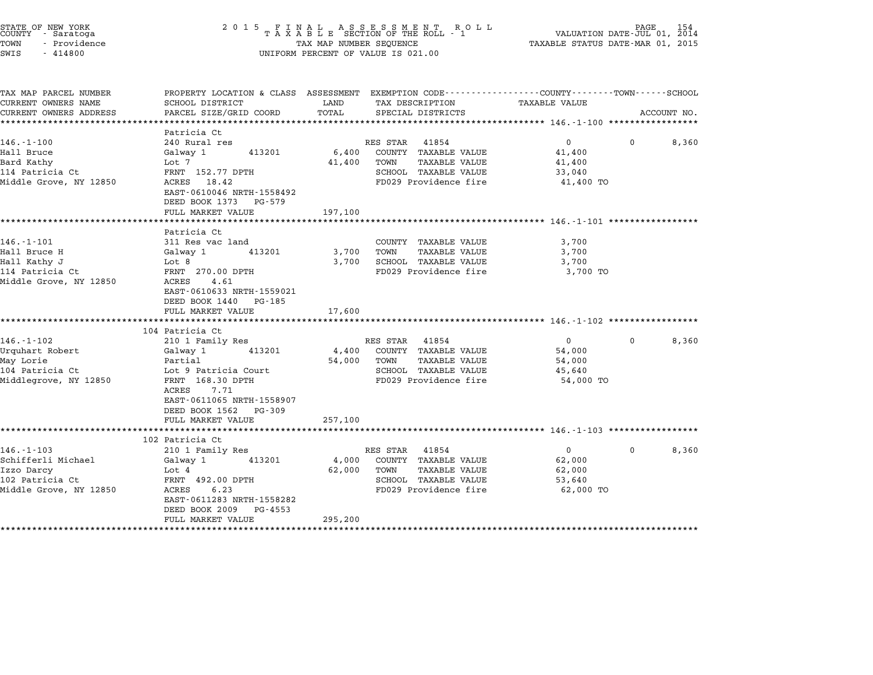|                                                                                                                                                                      | $\begin{array}{cccccccccccccc} 2& 0& 1& 5 & & F & I & N & A & L & & A & S & S & E & S & M & E & N & T & & R & O & L \\ & & T & A & X & A & B & L & E & SECTION & OF & THE & ROLL & - & 1 \end{array}$<br>TAX MAP NUMBER SEQUENCE<br>UNIFORM PERCENT OF VALUE IS 021.00 |                                                                                                                |                                                                      |              | PAGE<br>154<br>VALUATION DATE-JUL 01, 2014<br>TAXABLE STATUS DATE-MAR 01, 2015                                                       |  |  |
|----------------------------------------------------------------------------------------------------------------------------------------------------------------------|------------------------------------------------------------------------------------------------------------------------------------------------------------------------------------------------------------------------------------------------------------------------|----------------------------------------------------------------------------------------------------------------|----------------------------------------------------------------------|--------------|--------------------------------------------------------------------------------------------------------------------------------------|--|--|
| SCHOOL DISTRICT                                                                                                                                                      | LAND                                                                                                                                                                                                                                                                   | TAX DESCRIPTION                                                                                                | TAXABLE VALUE                                                        |              |                                                                                                                                      |  |  |
|                                                                                                                                                                      |                                                                                                                                                                                                                                                                        |                                                                                                                |                                                                      |              | ACCOUNT NO.                                                                                                                          |  |  |
| Patricia Ct                                                                                                                                                          |                                                                                                                                                                                                                                                                        |                                                                                                                |                                                                      |              |                                                                                                                                      |  |  |
| Galway 1<br>413201<br>Lot 7<br>FRNT 152.77 DPTH<br>ACRES 18.42<br>EAST-0610046 NRTH-1558492<br>DEED BOOK 1373 PG-579                                                 | 6,400<br>41,400                                                                                                                                                                                                                                                        | COUNTY TAXABLE VALUE<br>TAXABLE VALUE<br>TOWN<br>SCHOOL TAXABLE VALUE<br>FD029 Providence fire                 | 41,400<br>41,400<br>33,040<br>41,400 TO                              |              | 8,360                                                                                                                                |  |  |
|                                                                                                                                                                      |                                                                                                                                                                                                                                                                        |                                                                                                                |                                                                      |              |                                                                                                                                      |  |  |
| Patricia Ct<br>311 Res vac land<br>Galway 1<br>413201<br>Lot 8<br>FRNT 270.00 DPTH<br>ACRES<br>4.61<br>EAST-0610633 NRTH-1559021<br>DEED BOOK 1440 PG-185            | 3,700<br>3,700                                                                                                                                                                                                                                                         | COUNTY TAXABLE VALUE<br>TOWN<br>TAXABLE VALUE<br>SCHOOL TAXABLE VALUE<br>FD029 Providence fire                 | 3,700<br>3,700<br>3,700<br>3,700 TO                                  |              |                                                                                                                                      |  |  |
| FULL MARKET VALUE                                                                                                                                                    | 17,600                                                                                                                                                                                                                                                                 |                                                                                                                |                                                                      |              |                                                                                                                                      |  |  |
|                                                                                                                                                                      |                                                                                                                                                                                                                                                                        |                                                                                                                |                                                                      |              |                                                                                                                                      |  |  |
| 210 1 Family Res<br>413201<br>Galway 1<br>Partial<br>Lot 9 Patricia Court<br>FRNT 168.30 DPTH<br>ACRES<br>7.71<br>EAST-0611065 NRTH-1558907<br>DEED BOOK 1562 PG-309 | 4,400<br>54,000                                                                                                                                                                                                                                                        | COUNTY TAXABLE VALUE<br>TOWN<br><b>TAXABLE VALUE</b><br>SCHOOL TAXABLE VALUE<br>FD029 Providence fire          | $\overline{0}$<br>54,000<br>54,000<br>45,640<br>54,000 TO            | $\Omega$     | 8,360                                                                                                                                |  |  |
| **********************                                                                                                                                               |                                                                                                                                                                                                                                                                        |                                                                                                                |                                                                      |              |                                                                                                                                      |  |  |
| 102 Patricia Ct<br>210 1 Family Res<br>Galway 1<br>413201<br>Lot 4<br>FRNT 492.00 DPTH<br>6.23<br>ACRES<br>EAST-0611283 NRTH-1558282                                 | 4,000<br>62,000                                                                                                                                                                                                                                                        | 41854<br>COUNTY TAXABLE VALUE<br>TOWN<br><b>TAXABLE VALUE</b><br>SCHOOL TAXABLE VALUE<br>FD029 Providence fire | $\Omega$<br>62,000<br>62,000<br>53,640<br>62,000 TO                  | $\Omega$     | 8,360                                                                                                                                |  |  |
|                                                                                                                                                                      | PARCEL SIZE/GRID COORD<br>240 Rural res<br>FULL MARKET VALUE<br>************************<br>104 Patricia Ct<br>FULL MARKET VALUE                                                                                                                                       | TOTAL<br>197,100<br>257,100                                                                                    | SPECIAL DISTRICTS<br>RES STAR<br>41854<br>RES STAR 41854<br>RES STAR | $\mathbf{0}$ | PROPERTY LOCATION & CLASS ASSESSMENT EXEMPTION CODE---------------COUNTY-------TOWN-----SCHOOL<br>$\Omega$<br>DEED BOOK 2009 PG-4553 |  |  |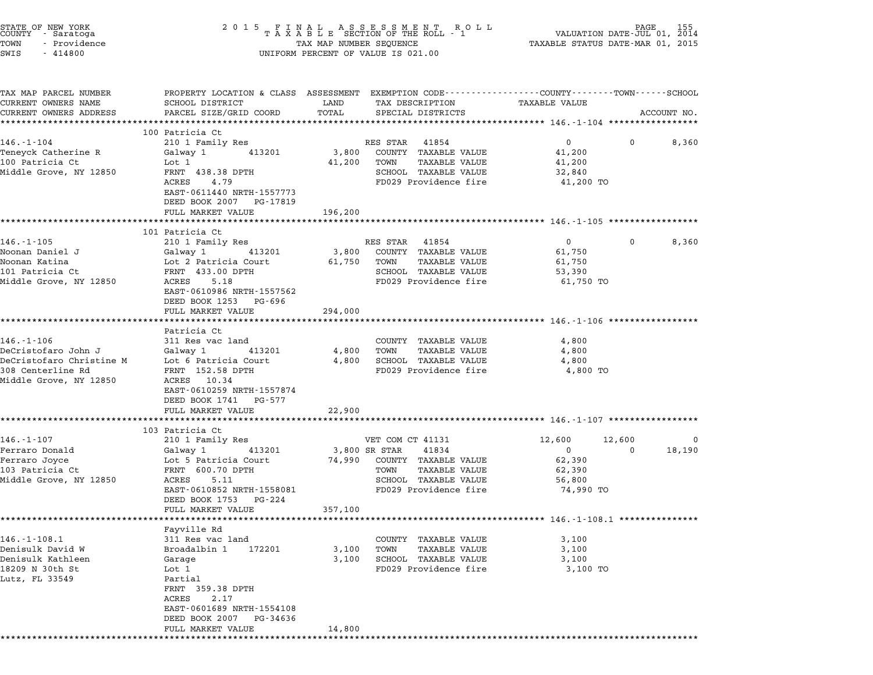| STATE OF NEW YORK<br>COUNTY - Saratoga<br>TOWN<br>- Providence<br>SWIS<br>$-414800$              |                                                                                                                                                              |                 | $\begin{tabular}{lllllllllllllllllllll} \hline 2&0&1&5&F\ \text{I}\ \text{A}\ &\text{B}\ &\text{B}\ &\text{C}\ &\text{D}\ &\text{D}\ &\text{D}\ &\text{D}\ &\text{D}\ &\text{D}\ &\text{D}\ &\text{D}\ &\text{D}\ &\text{D}\ &\text{D}\ &\text{D}\ &\text{D}\ &\text{D}\ &\text{D}\ &\text{D}\ &\text{D}\ &\text{D}\ &\text{D}\ &\text{D}\ &\text{D}\ &\text{D}\ &\text{D}\ &\text{D}\ &\text{D}\ &\text{D}\ &\text{$<br>UNIFORM PERCENT OF VALUE IS 021.00 |                                                                   |                    |             |
|--------------------------------------------------------------------------------------------------|--------------------------------------------------------------------------------------------------------------------------------------------------------------|-----------------|-------------------------------------------------------------------------------------------------------------------------------------------------------------------------------------------------------------------------------------------------------------------------------------------------------------------------------------------------------------------------------------------------------------------------------------------------------------|-------------------------------------------------------------------|--------------------|-------------|
| TAX MAP PARCEL NUMBER<br>CURRENT OWNERS NAME<br>CURRENT OWNERS ADDRESS                           | PROPERTY LOCATION & CLASS ASSESSMENT EXEMPTION CODE---------------COUNTY-------TOWN-----SCHOOL<br>SCHOOL DISTRICT<br>PARCEL SIZE/GRID COORD                  | LAND<br>TOTAL   | TAX DESCRIPTION<br>SPECIAL DISTRICTS                                                                                                                                                                                                                                                                                                                                                                                                                        | TAXABLE VALUE                                                     |                    | ACCOUNT NO. |
|                                                                                                  | ****************************                                                                                                                                 |                 |                                                                                                                                                                                                                                                                                                                                                                                                                                                             |                                                                   |                    |             |
| 146.-1-104<br>Teneyck Catherine R<br>100 Patricia Ct<br>Middle Grove, NY 12850                   | 100 Patricia Ct<br>210 1 Family Res<br>413201<br>Galway 1<br>Lot 1<br>FRNT 438.38 DPTH                                                                       | 3,800<br>41,200 | RES STAR<br>41854<br>COUNTY TAXABLE VALUE<br>TOWN<br>TAXABLE VALUE<br>SCHOOL TAXABLE VALUE                                                                                                                                                                                                                                                                                                                                                                  | $0 \qquad \qquad$<br>41,200<br>41,200<br>32,840                   | 0                  | 8,360       |
|                                                                                                  | ACRES<br>4.79<br>EAST-0611440 NRTH-1557773<br>DEED BOOK 2007 PG-17819<br>FULL MARKET VALUE                                                                   | 196,200         | FD029 Providence fire                                                                                                                                                                                                                                                                                                                                                                                                                                       | 41,200 TO                                                         |                    |             |
|                                                                                                  | ***********************                                                                                                                                      |                 |                                                                                                                                                                                                                                                                                                                                                                                                                                                             |                                                                   |                    |             |
| $146. - 1 - 105$                                                                                 | 101 Patricia Ct<br>210 1 Family Res                                                                                                                          |                 | RES STAR 41854                                                                                                                                                                                                                                                                                                                                                                                                                                              | $\mathsf{O}$                                                      | 0                  | 8,360       |
| Noonan Daniel J<br>Noonan Katina<br>101 Patricia Ct<br>Middle Grove, NY 12850                    | Galway 1<br>413201<br>Lot 2 Patricia Court<br>FRNT 433.00 DPTH<br>ACRES<br>5.18<br>EAST-0610986 NRTH-1557562                                                 | 3,800<br>61,750 | COUNTY TAXABLE VALUE<br>TOWN<br>TAXABLE VALUE<br>SCHOOL TAXABLE VALUE<br>FD029 Providence fire                                                                                                                                                                                                                                                                                                                                                              | 61,750<br>61,750<br>53,390<br>61,750 TO                           |                    |             |
|                                                                                                  | DEED BOOK 1253 PG-696<br>FULL MARKET VALUE<br>*******************                                                                                            | 294,000         |                                                                                                                                                                                                                                                                                                                                                                                                                                                             |                                                                   |                    |             |
|                                                                                                  | Patricia Ct                                                                                                                                                  |                 |                                                                                                                                                                                                                                                                                                                                                                                                                                                             |                                                                   |                    |             |
| $146. - 1 - 106$<br>DeCristofaro John J                                                          | 311 Res vac land<br>Galway 1<br>413201                                                                                                                       | 4,800           | COUNTY TAXABLE VALUE<br><b>TAXABLE VALUE</b><br>TOWN                                                                                                                                                                                                                                                                                                                                                                                                        | 4,800<br>4,800                                                    |                    |             |
| DeCristofaro Christine M<br>308 Centerline Rd<br>Middle Grove, NY 12850                          | Lot 6 Patricia Court<br>FRNT 152.58 DPTH<br>ACRES 10.34<br>EAST-0610259 NRTH-1557874<br>DEED BOOK 1741 PG-577<br>FULL MARKET VALUE                           | 4,800<br>22,900 | SCHOOL TAXABLE VALUE<br>FD029 Providence fire                                                                                                                                                                                                                                                                                                                                                                                                               | 4,800<br>4,800 TO                                                 |                    |             |
|                                                                                                  | **********************                                                                                                                                       |                 |                                                                                                                                                                                                                                                                                                                                                                                                                                                             |                                                                   |                    |             |
|                                                                                                  | 103 Patricia Ct                                                                                                                                              |                 |                                                                                                                                                                                                                                                                                                                                                                                                                                                             |                                                                   |                    |             |
| $146. - 1 - 107$<br>Ferraro Donald<br>Ferraro Joyce<br>103 Patricia Ct<br>Middle Grove, NY 12850 | 210 1 Family Res<br>413201<br>Galway 1<br>Lot 5 Patricia Court<br>FRNT 600.70 DPTH<br>ACRES<br>5.11<br>EAST-0610852 NRTH-1558081<br>DEED BOOK 1753<br>PG-224 | 74,990          | VET COM CT 41131<br>41834<br>3,800 SR STAR<br>COUNTY TAXABLE VALUE<br>TAXABLE VALUE<br>TOWN<br>SCHOOL TAXABLE VALUE<br>FD029 Providence fire                                                                                                                                                                                                                                                                                                                | 12,600<br>$\mathbf{0}$<br>62,390<br>62,390<br>56,800<br>74,990 TO | 12,600<br>$\Omega$ | 0<br>18,190 |
|                                                                                                  | FULL MARKET VALUE                                                                                                                                            | 357,100         |                                                                                                                                                                                                                                                                                                                                                                                                                                                             | *********************************** 146.-1-108.1 **************** |                    |             |
|                                                                                                  | Favville Rd                                                                                                                                                  |                 |                                                                                                                                                                                                                                                                                                                                                                                                                                                             |                                                                   |                    |             |
| $146. - 1 - 108.1$                                                                               | 311 Res vac land                                                                                                                                             |                 | COUNTY TAXABLE VALUE                                                                                                                                                                                                                                                                                                                                                                                                                                        | 3,100                                                             |                    |             |
| Denisulk David W<br>Denisulk Kathleen                                                            | Broadalbin 1<br>172201<br>Garage                                                                                                                             | 3,100<br>3,100  | <b>TAXABLE VALUE</b><br>TOWN<br>SCHOOL TAXABLE VALUE                                                                                                                                                                                                                                                                                                                                                                                                        | 3,100<br>3,100                                                    |                    |             |
| 18209 N 30th St<br>Lutz, FL 33549                                                                | Lot 1<br>Partial<br>FRNT<br>359.38 DPTH<br>ACRES<br>2.17<br>EAST-0601689 NRTH-1554108                                                                        |                 | FD029 Providence fire                                                                                                                                                                                                                                                                                                                                                                                                                                       | 3,100 TO                                                          |                    |             |
|                                                                                                  | DEED BOOK 2007<br>PG-34636<br>FULL MARKET VALUE                                                                                                              | 14,800          |                                                                                                                                                                                                                                                                                                                                                                                                                                                             |                                                                   |                    |             |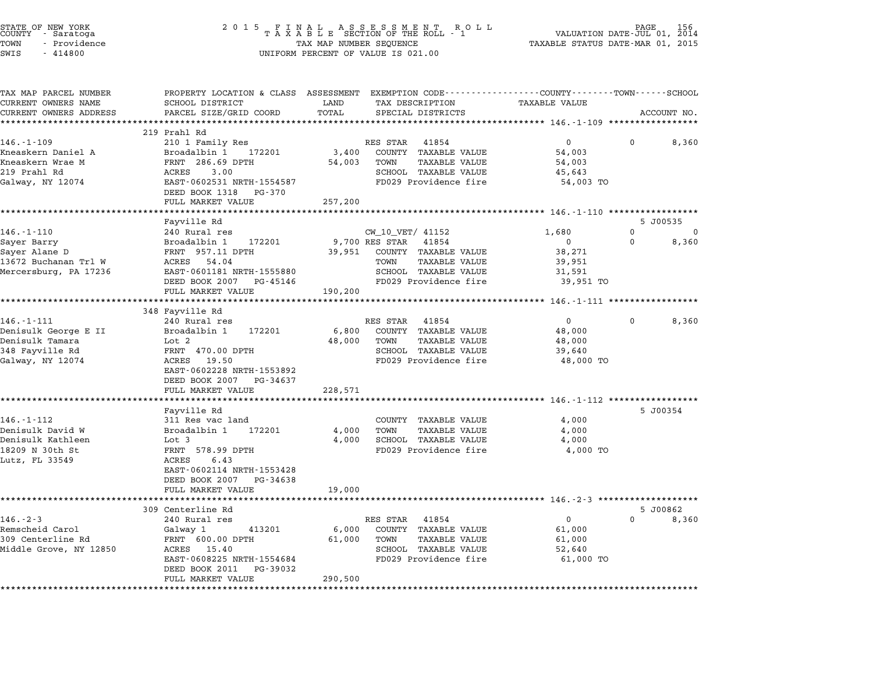| STATE OF NEW YORK<br>COUNTY   - Saratoga<br>TOWN<br>- Providence<br>SWIS<br>$-414800$ | 2015 FINAL ASSESSMENT ROLL<br>TAXABLE SECTION OF THE ROLL - 1<br>TAX MAP NUMBER SEQUENCE<br>UNIFORM PERCENT OF VALUE IS 021.00 |         |                                               | 156<br>PAGE<br>VALUATION DATE-JUL 01,<br>2014<br>TAXABLE STATUS DATE-MAR 01, 2015 |             |       |
|---------------------------------------------------------------------------------------|--------------------------------------------------------------------------------------------------------------------------------|---------|-----------------------------------------------|-----------------------------------------------------------------------------------|-------------|-------|
| TAX MAP PARCEL NUMBER<br>CURRENT OWNERS NAME                                          | PROPERTY LOCATION & CLASS ASSESSMENT EXEMPTION CODE----------------COUNTY-------TOWN-----SCHOOL<br>SCHOOL DISTRICT             | LAND    | TAX DESCRIPTION                               | <b>TAXABLE VALUE</b>                                                              |             |       |
| CURRENT OWNERS ADDRESS                                                                | PARCEL SIZE/GRID COORD                                                                                                         | TOTAL   | SPECIAL DISTRICTS                             |                                                                                   | ACCOUNT NO. |       |
|                                                                                       |                                                                                                                                |         |                                               |                                                                                   |             |       |
|                                                                                       | 219 Prahl Rd                                                                                                                   |         |                                               |                                                                                   |             |       |
| $146. - 1 - 109$                                                                      | 210 1 Family Res                                                                                                               |         | RES STAR<br>41854                             | $\overline{0}$                                                                    | 0           | 8,360 |
| Kneaskern Daniel A                                                                    | Broadalbin 1 172201                                                                                                            | 3,400   | COUNTY TAXABLE VALUE                          | 54,003                                                                            |             |       |
| Kneaskern Wrae M                                                                      | FRNT 286.69 DPTH                                                                                                               | 54,003  | TAXABLE VALUE<br>TOWN                         | 54,003                                                                            |             |       |
| 219 Prahl Rd                                                                          | ACRES<br>3.00                                                                                                                  |         | SCHOOL TAXABLE VALUE                          | 45,643                                                                            |             |       |
| Galway, NY 12074                                                                      | EAST-0602531 NRTH-1554587                                                                                                      |         | FD029 Providence fire                         | 54,003 TO                                                                         |             |       |
|                                                                                       | DEED BOOK 1318 PG-370                                                                                                          |         |                                               |                                                                                   |             |       |
|                                                                                       | FULL MARKET VALUE                                                                                                              | 257,200 |                                               |                                                                                   |             |       |
|                                                                                       | Fayville Rd                                                                                                                    |         |                                               |                                                                                   | 5 J00535    |       |
| $146. - 1 - 110$                                                                      | 240 Rural res                                                                                                                  |         | CW_10_VET/ 41152                              | 1,680                                                                             | 0           | 0     |
| Sayer Barry                                                                           | Broadalbin 1<br>172201                                                                                                         |         | 9,700 RES STAR<br>41854                       | $\mathbf{0}$                                                                      | 0           | 8,360 |
| Sayer Alane D                                                                         | FRNT 957.11 DPTH                                                                                                               | 39,951  | COUNTY TAXABLE VALUE                          | 38,271                                                                            |             |       |
| 13672 Buchanan Trl W                                                                  | ACRES 54.04                                                                                                                    |         | <b>TAXABLE VALUE</b><br>TOWN                  | 39,951                                                                            |             |       |
| Mercersburg, PA 17236                                                                 | EAST-0601181 NRTH-1555880                                                                                                      |         | SCHOOL TAXABLE VALUE                          | 31,591                                                                            |             |       |
|                                                                                       | DEED BOOK 2007 PG-45146                                                                                                        |         | FD029 Providence fire                         | 39,951 TO                                                                         |             |       |
|                                                                                       | FULL MARKET VALUE                                                                                                              | 190,200 |                                               |                                                                                   |             |       |
|                                                                                       | *****************<br>348 Fayville Rd                                                                                           |         |                                               | *************************** 146.-1-111 ****************                           |             |       |
| $146. - 1 - 111$                                                                      | 240 Rural res                                                                                                                  |         | RES STAR 41854                                | $\mathbf{0}$                                                                      | 0           | 8,360 |
| Denisulk George E II                                                                  | 172201<br>Broadalbin 1                                                                                                         | 6,800   | COUNTY TAXABLE VALUE                          | 48,000                                                                            |             |       |
| Denisulk Tamara                                                                       | Lot 2                                                                                                                          | 48,000  | TOWN<br>TAXABLE VALUE                         | 48,000                                                                            |             |       |
| 348 Fayville Rd                                                                       | FRNT 470.00 DPTH                                                                                                               |         | SCHOOL TAXABLE VALUE                          | 39,640                                                                            |             |       |
| Galway, NY 12074                                                                      | ACRES 19.50                                                                                                                    |         | FD029 Providence fire                         | 48,000 TO                                                                         |             |       |
|                                                                                       | EAST-0602228 NRTH-1553892                                                                                                      |         |                                               |                                                                                   |             |       |
|                                                                                       | DEED BOOK 2007 PG-34637                                                                                                        |         |                                               |                                                                                   |             |       |
|                                                                                       | FULL MARKET VALUE                                                                                                              | 228,571 |                                               |                                                                                   |             |       |
|                                                                                       | ******************                                                                                                             |         |                                               |                                                                                   |             |       |
| $146. - 1 - 112$                                                                      | Fayville Rd<br>311 Res vac land                                                                                                |         | COUNTY TAXABLE VALUE                          | 4,000                                                                             | 5 J00354    |       |
| Denisulk David W                                                                      | Broadalbin 1<br>172201                                                                                                         | 4,000   | TAXABLE VALUE<br>TOWN                         | 4,000                                                                             |             |       |
| Denisulk Kathleen                                                                     | Lot 3                                                                                                                          | 4,000   | SCHOOL TAXABLE VALUE                          | 4,000                                                                             |             |       |
| 18209 N 30th St                                                                       | FRNT 578.99 DPTH                                                                                                               |         | FD029 Providence fire                         | 4,000 TO                                                                          |             |       |
| Lutz, FL 33549                                                                        | ACRES<br>6.43                                                                                                                  |         |                                               |                                                                                   |             |       |
|                                                                                       | EAST-0602114 NRTH-1553428                                                                                                      |         |                                               |                                                                                   |             |       |
|                                                                                       | DEED BOOK 2007 PG-34638                                                                                                        |         |                                               |                                                                                   |             |       |
|                                                                                       | FULL MARKET VALUE                                                                                                              | 19,000  |                                               |                                                                                   |             |       |
|                                                                                       |                                                                                                                                |         |                                               |                                                                                   |             |       |
|                                                                                       | 309 Centerline Rd                                                                                                              |         |                                               |                                                                                   | 5 J00862    |       |
| $146. - 2 - 3$                                                                        | 240 Rural res                                                                                                                  |         | RES STAR<br>41854                             | 0                                                                                 | $\Omega$    | 8,360 |
| Remscheid Carol                                                                       | Galway 1<br>413201                                                                                                             | 6,000   | COUNTY TAXABLE VALUE                          | 61,000                                                                            |             |       |
| 309 Centerline Rd                                                                     | FRNT 600.00 DPTH                                                                                                               | 61,000  | TOWN<br><b>TAXABLE VALUE</b>                  | 61,000                                                                            |             |       |
| Middle Grove, NY 12850                                                                | ACRES 15.40<br>EAST-0608225 NRTH-1554684                                                                                       |         | SCHOOL TAXABLE VALUE<br>FD029 Providence fire | 52,640<br>61,000 TO                                                               |             |       |
|                                                                                       | DEED BOOK 2011<br>PG-39032                                                                                                     |         |                                               |                                                                                   |             |       |
|                                                                                       | FULL MARKET VALUE                                                                                                              | 290,500 |                                               |                                                                                   |             |       |
| ********                                                                              |                                                                                                                                |         |                                               |                                                                                   |             |       |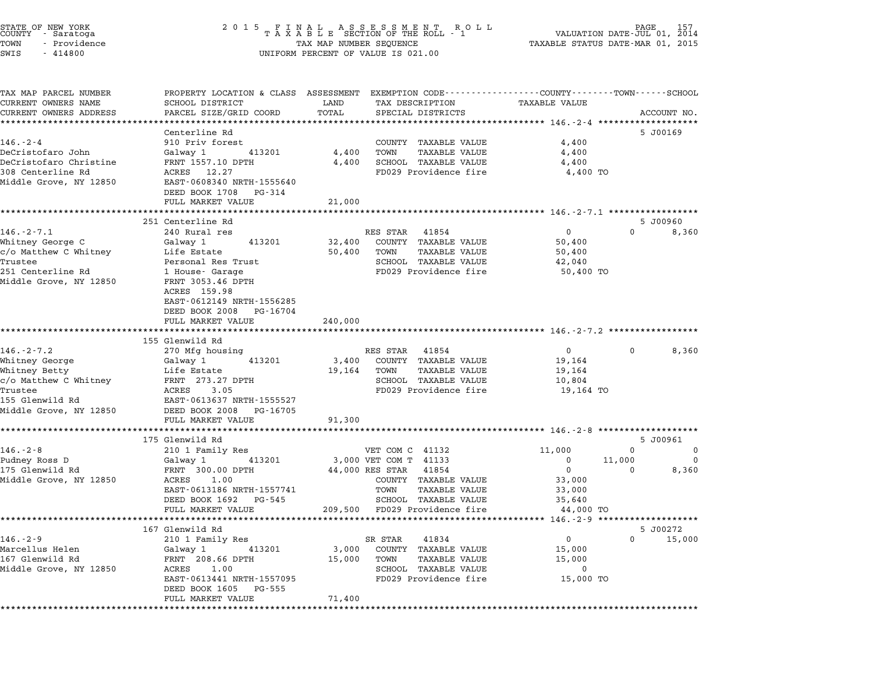| STATE OF NEW YORK<br>COUNTY - Saratoga<br>TOWN<br>- Providence<br>$-414800$<br>SWIS                                     |                                                                                                                                                                           | TAX MAP NUMBER SEQUENCE   | UNIFORM PERCENT OF VALUE IS 021.00                                                                                                                      | VALUATION DATE-JUL 01, 2014<br>TAXABLE STATUS DATE-MAR 01, 2015                         | PAGE<br>157                        |
|-------------------------------------------------------------------------------------------------------------------------|---------------------------------------------------------------------------------------------------------------------------------------------------------------------------|---------------------------|---------------------------------------------------------------------------------------------------------------------------------------------------------|-----------------------------------------------------------------------------------------|------------------------------------|
| TAX MAP PARCEL NUMBER<br>CURRENT OWNERS NAME<br>CURRENT OWNERS ADDRESS                                                  | PROPERTY LOCATION & CLASS ASSESSMENT EXEMPTION CODE---------------COUNTY-------TOWN------SCHOOL<br>SCHOOL DISTRICT<br>PARCEL SIZE/GRID COORD                              | LAND<br>TOTAL             | TAX DESCRIPTION<br>SPECIAL DISTRICTS                                                                                                                    | TAXABLE VALUE                                                                           | ACCOUNT NO.                        |
|                                                                                                                         | Centerline Rd                                                                                                                                                             |                           |                                                                                                                                                         |                                                                                         | 5 J00169                           |
| 146.-2-4                                                                                                                | 910 Priv forest                                                                                                                                                           |                           | COUNTY TAXABLE VALUE                                                                                                                                    | 4,400                                                                                   |                                    |
| DeCristofaro John<br>DeCristofaro Christine<br>308 Centerline Rd<br>Middle Grove, NY 12850                              | 413201<br>Galway 1<br>FRNT 1557.10 DPTH<br>ACRES 12.27<br>EAST-0608340 NRTH-1555640<br>DEED BOOK 1708<br>PG-314                                                           | 4,400<br>4,400            | <b>TAXABLE VALUE</b><br>TOWN<br>SCHOOL TAXABLE VALUE<br>FD029 Providence fire                                                                           | 4,400<br>4,400<br>4,400 TO                                                              |                                    |
|                                                                                                                         | FULL MARKET VALUE                                                                                                                                                         | 21,000                    |                                                                                                                                                         |                                                                                         |                                    |
|                                                                                                                         |                                                                                                                                                                           |                           |                                                                                                                                                         |                                                                                         |                                    |
|                                                                                                                         | 251 Centerline Rd                                                                                                                                                         |                           |                                                                                                                                                         |                                                                                         | 5 J00960                           |
| $146. - 2 - 7.1$<br>Whitney George C<br>c/o Matthew C Whitney<br>Trustee<br>251 Centerline Rd<br>Middle Grove, NY 12850 | 240 Rural res<br>Galway 1<br>413201<br>Life Estate<br>Personal Res Trust<br>1 House- Garage<br>FRNT 3053.46 DPTH<br>ACRES 159.98<br>EAST-0612149 NRTH-1556285             | 32,400<br>50,400          | RES STAR 41854<br>COUNTY TAXABLE VALUE<br><b>TAXABLE VALUE</b><br>TOWN<br>SCHOOL TAXABLE VALUE<br>FD029 Providence fire                                 | 0<br>$\Omega$<br>50,400<br>50,400<br>42,040<br>50,400 TO                                | 8,360                              |
|                                                                                                                         | DEED BOOK 2008<br>PG-16704<br>FULL MARKET VALUE                                                                                                                           | 240,000                   |                                                                                                                                                         |                                                                                         |                                    |
| $146. - 2 - 7.2$                                                                                                        | 155 Glenwild Rd<br>270 Mfg housing                                                                                                                                        |                           | RES STAR 41854                                                                                                                                          | $\mathbf{0}$<br>$^{\circ}$                                                              | 8,360                              |
| Whitney George<br>Whitney Betty<br>c/o Matthew C Whitney<br>Trustee<br>155 Glenwild Rd<br>Middle Grove, NY 12850        | Galway 1<br>413201<br>Life Estate<br>FRNT 273.27 DPTH<br>ACRES<br>3.05<br>EAST-0613637 NRTH-1555527<br>DEED BOOK 2008 PG-16705<br>FULL MARKET VALUE                       | 3,400<br>19,164<br>91,300 | COUNTY TAXABLE VALUE<br><b>TAXABLE VALUE</b><br>TOWN<br>SCHOOL TAXABLE VALUE<br>FD029 Providence fire                                                   | 19,164<br>19,164<br>10,804<br>19,164 TO                                                 |                                    |
|                                                                                                                         |                                                                                                                                                                           |                           |                                                                                                                                                         |                                                                                         |                                    |
|                                                                                                                         | 175 Glenwild Rd                                                                                                                                                           |                           |                                                                                                                                                         |                                                                                         | 5 J00961                           |
| $146. - 2 - 8$<br>Pudney Ross D<br>175 Glenwild Rd<br>Middle Grove, NY 12850                                            | 210 1 Family Res<br>413201<br>Galway 1<br>FRNT 300.00 DPTH<br>ACRES<br>1.00<br>EAST-0613186 NRTH-1557741<br>DEED BOOK 1692<br>PG-545                                      |                           | VET COM C 41132<br>3,000 VET COM T 41133<br>44,000 RES STAR<br>41854<br>COUNTY TAXABLE VALUE<br>TAXABLE VALUE<br>TOWN<br>SCHOOL<br><b>TAXABLE VALUE</b> | 11,000<br>$\mathbf{0}$<br>0<br>11,000<br>0<br>$\mathbf 0$<br>33,000<br>33,000<br>35,640 | 0<br>0<br>8,360                    |
|                                                                                                                         | FULL MARKET VALUE                                                                                                                                                         |                           | 209,500 FD029 Providence fire                                                                                                                           | 44,000 TO                                                                               |                                    |
|                                                                                                                         |                                                                                                                                                                           |                           |                                                                                                                                                         | ****************** 146.-2-9 ********************                                        |                                    |
| $146. - 2 - 9$<br>Marcellus Helen<br>167 Glenwild Rd<br>Middle Grove, NY 12850                                          | 167 Glenwild Rd<br>210 1 Family Res<br>Galway 1<br>413201<br>FRNT 208.66 DPTH<br>ACRES<br>1.00<br>EAST-0613441 NRTH-1557095<br>DEED BOOK 1605 PG-555<br>FULL MARKET VALUE | 3,000<br>15,000<br>71,400 | SR STAR<br>41834<br>COUNTY TAXABLE VALUE<br>TAXABLE VALUE<br>TOWN<br>SCHOOL TAXABLE VALUE<br>FD029 Providence fire                                      | 0<br>15,000<br>15,000<br>0<br>15,000 TO                                                 | 5 J00272<br>15,000<br>$\mathbf{0}$ |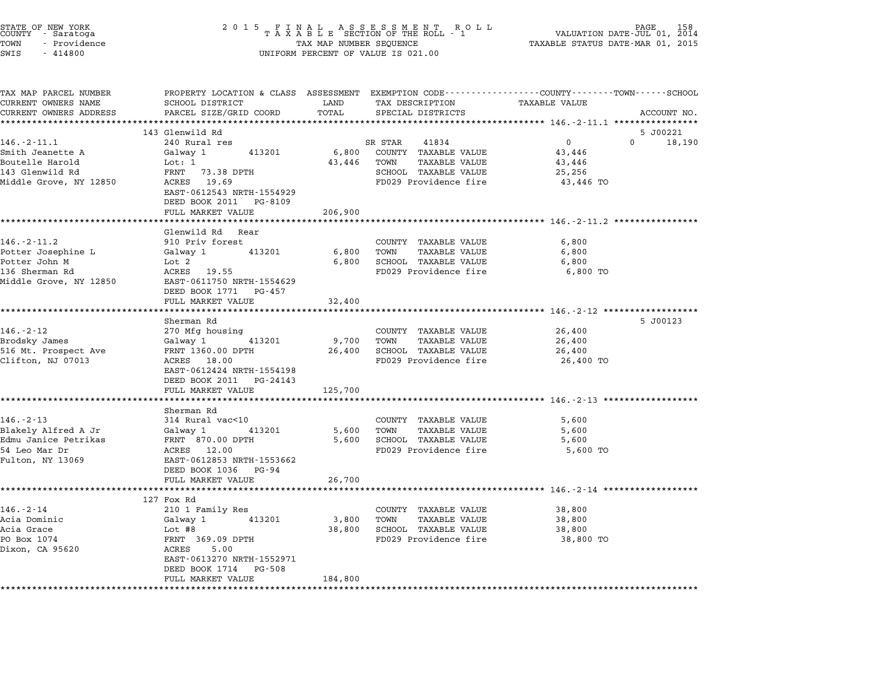| STATE OF NEW YORK<br>COUNTY - Saratoga<br>TOWN<br>- Providence<br>SWIS<br>$-414800$ | 2 0 1 5<br>FINAL ASSESSMENT ROLL<br>TAXABLE SECTION OF THE ROLL - 1<br>TAX MAP NUMBER SEQUENCE<br>UNIFORM PERCENT OF VALUE IS 021.00 | 158<br>2014<br>VALUATION DATE-JUL 01,<br>TAXABLE STATUS DATE-MAR 01, 2015 |                                                      |                                                                                                                         |             |
|-------------------------------------------------------------------------------------|--------------------------------------------------------------------------------------------------------------------------------------|---------------------------------------------------------------------------|------------------------------------------------------|-------------------------------------------------------------------------------------------------------------------------|-------------|
| TAX MAP PARCEL NUMBER<br>CURRENT OWNERS NAME                                        | SCHOOL DISTRICT                                                                                                                      | LAND                                                                      | TAX DESCRIPTION                                      | PROPERTY LOCATION & CLASS ASSESSMENT EXEMPTION CODE---------------COUNTY-------TOWN------SCHOOL<br><b>TAXABLE VALUE</b> |             |
| CURRENT OWNERS ADDRESS                                                              | PARCEL SIZE/GRID COORD                                                                                                               | TOTAL                                                                     | SPECIAL DISTRICTS                                    |                                                                                                                         | ACCOUNT NO. |
|                                                                                     |                                                                                                                                      | **********                                                                |                                                      |                                                                                                                         |             |
|                                                                                     | 143 Glenwild Rd                                                                                                                      |                                                                           |                                                      |                                                                                                                         | 5 J00221    |
| $146. - 2 - 11.1$                                                                   | 240 Rural res                                                                                                                        |                                                                           | SR STAR<br>41834                                     | $\mathbf{0}$<br>$\Omega$                                                                                                | 18,190      |
| Smith Jeanette A<br>Boutelle Harold                                                 | Galway 1<br>413201                                                                                                                   | 6,800                                                                     | COUNTY TAXABLE VALUE<br><b>TAXABLE VALUE</b>         | 43,446                                                                                                                  |             |
| 143 Glenwild Rd                                                                     | Lot: 1<br>FRNT<br>73.38 DPTH                                                                                                         | 43,446                                                                    | TOWN<br>SCHOOL TAXABLE VALUE                         | 43,446                                                                                                                  |             |
| Middle Grove, NY 12850                                                              | ACRES 19.69                                                                                                                          |                                                                           | FD029 Providence fire                                | 25,256<br>43,446 TO                                                                                                     |             |
|                                                                                     | EAST-0612543 NRTH-1554929<br>DEED BOOK 2011<br>PG-8109                                                                               |                                                                           |                                                      |                                                                                                                         |             |
|                                                                                     | FULL MARKET VALUE                                                                                                                    | 206,900                                                                   |                                                      |                                                                                                                         |             |
|                                                                                     |                                                                                                                                      |                                                                           |                                                      |                                                                                                                         |             |
|                                                                                     | Glenwild Rd Rear                                                                                                                     |                                                                           |                                                      |                                                                                                                         |             |
| $146. - 2 - 11.2$                                                                   | 910 Priv forest                                                                                                                      |                                                                           | COUNTY TAXABLE VALUE                                 | 6,800                                                                                                                   |             |
| Potter Josephine L                                                                  | Galway 1<br>413201                                                                                                                   | 6,800                                                                     | <b>TAXABLE VALUE</b><br>TOWN                         | 6,800                                                                                                                   |             |
| Potter John M                                                                       | Lot 2                                                                                                                                | 6,800                                                                     | SCHOOL TAXABLE VALUE                                 | 6,800                                                                                                                   |             |
| 136 Sherman Rd                                                                      | ACRES<br>19.55                                                                                                                       |                                                                           | FD029 Providence fire                                | 6,800 TO                                                                                                                |             |
| Middle Grove, NY 12850                                                              | EAST-0611750 NRTH-1554629                                                                                                            |                                                                           |                                                      |                                                                                                                         |             |
|                                                                                     | DEED BOOK 1771 PG-457<br>FULL MARKET VALUE                                                                                           | 32,400                                                                    |                                                      |                                                                                                                         |             |
|                                                                                     |                                                                                                                                      |                                                                           |                                                      |                                                                                                                         |             |
|                                                                                     | Sherman Rd                                                                                                                           |                                                                           |                                                      |                                                                                                                         | 5 J00123    |
| $146. - 2 - 12$                                                                     | 270 Mfg housing                                                                                                                      |                                                                           | COUNTY TAXABLE VALUE                                 | 26,400                                                                                                                  |             |
| Brodsky James                                                                       | 413201<br>Galway 1                                                                                                                   | 9,700                                                                     | TOWN<br>TAXABLE VALUE                                | 26,400                                                                                                                  |             |
| 516 Mt. Prospect Ave                                                                | FRNT 1360.00 DPTH                                                                                                                    | 26,400                                                                    | SCHOOL TAXABLE VALUE                                 | 26,400                                                                                                                  |             |
| Clifton, NJ 07013                                                                   | ACRES 18.00                                                                                                                          |                                                                           | FD029 Providence fire                                | 26,400 TO                                                                                                               |             |
|                                                                                     | EAST-0612424 NRTH-1554198                                                                                                            |                                                                           |                                                      |                                                                                                                         |             |
|                                                                                     | DEED BOOK 2011 PG-24143                                                                                                              |                                                                           |                                                      |                                                                                                                         |             |
|                                                                                     | FULL MARKET VALUE                                                                                                                    | 125,700                                                                   |                                                      |                                                                                                                         |             |
|                                                                                     | *****************                                                                                                                    |                                                                           |                                                      | ************************ 146.-2-13 *******                                                                              |             |
|                                                                                     | Sherman Rd                                                                                                                           |                                                                           |                                                      |                                                                                                                         |             |
| $146. - 2 - 13$                                                                     | 314 Rural vac<10                                                                                                                     |                                                                           | COUNTY TAXABLE VALUE                                 | 5,600                                                                                                                   |             |
| Blakely Alfred A Jr<br>Edmu Janice Petrikas                                         | Galway 1<br>413201<br>FRNT 870.00 DPTH                                                                                               | 5,600                                                                     | <b>TAXABLE VALUE</b><br>TOWN<br>SCHOOL TAXABLE VALUE | 5,600                                                                                                                   |             |
| 54 Leo Mar Dr                                                                       | ACRES 12.00                                                                                                                          | 5,600                                                                     | FD029 Providence fire                                | 5,600<br>5,600 TO                                                                                                       |             |
| Fulton, NY 13069                                                                    | EAST-0612853 NRTH-1553662                                                                                                            |                                                                           |                                                      |                                                                                                                         |             |
|                                                                                     | DEED BOOK 1036<br>PG-94                                                                                                              |                                                                           |                                                      |                                                                                                                         |             |
|                                                                                     | FULL MARKET VALUE                                                                                                                    | 26,700                                                                    |                                                      |                                                                                                                         |             |
|                                                                                     |                                                                                                                                      |                                                                           |                                                      |                                                                                                                         |             |
|                                                                                     | 127 Fox Rd                                                                                                                           |                                                                           |                                                      |                                                                                                                         |             |
| $146. - 2 - 14$                                                                     | 210 1 Family Res                                                                                                                     |                                                                           | <b>TAXABLE VALUE</b><br>COUNTY                       | 38,800                                                                                                                  |             |
| Acia Dominic                                                                        | Galway 1<br>413201                                                                                                                   | 3,800                                                                     | TOWN<br>TAXABLE VALUE                                | 38,800                                                                                                                  |             |
| Acia Grace                                                                          | Lot $#8$                                                                                                                             | 38,800                                                                    | <b>TAXABLE VALUE</b><br>SCHOOL                       | 38,800                                                                                                                  |             |
| PO Box 1074                                                                         | FRNT 369.09 DPTH                                                                                                                     |                                                                           | FD029 Providence fire                                | 38,800 TO                                                                                                               |             |
| Dixon, CA 95620                                                                     | ACRES<br>5.00                                                                                                                        |                                                                           |                                                      |                                                                                                                         |             |
|                                                                                     | EAST-0613270 NRTH-1552971                                                                                                            |                                                                           |                                                      |                                                                                                                         |             |
|                                                                                     | DEED BOOK 1714<br>PG-508                                                                                                             |                                                                           |                                                      |                                                                                                                         |             |
|                                                                                     | FULL MARKET VALUE                                                                                                                    | 184,800                                                                   |                                                      |                                                                                                                         |             |
|                                                                                     |                                                                                                                                      |                                                                           |                                                      | *************************                                                                                               |             |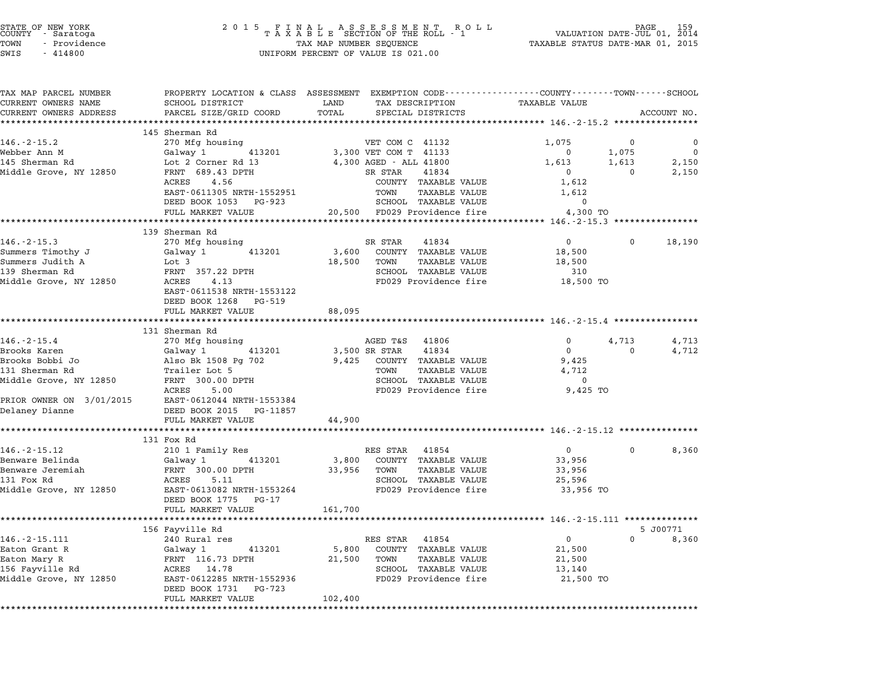| STATE OF NEW YORK |  |              |  |  |  |  |
|-------------------|--|--------------|--|--|--|--|
| COUNTY            |  | - Saratoga   |  |  |  |  |
| TOWN              |  | - Providence |  |  |  |  |

## STATE OF NEW YORK <sup>2</sup> <sup>0</sup> <sup>1</sup> 5 F I N A L A S S E S S M E N T R O L L PAGE <sup>159</sup> COUNTY - Saratoga <sup>T</sup> <sup>A</sup> <sup>X</sup> <sup>A</sup> <sup>B</sup> <sup>L</sup> <sup>E</sup> SECTION OF THE ROLL - <sup>1</sup> VALUATION DATE-JUL 01, <sup>2014</sup> TOWN - Providence TAX MAP NUMBER SEQUENCE TAXABLE STATUS DATE-MAR 01, <sup>2015</sup> TOWN - Providence and the state of the state of the state of the state of the state of the state of the state o<br>SWIS - 414800 SWIS - SWISSED BERCENT OF VALUE IS 021.00

| TAX MAP PARCEL NUMBER  |                                                                                                                                                                                                                     |                                                                                                                             | PROPERTY LOCATION & CLASS ASSESSMENT EXEMPTION CODE----------------COUNTY-------TOWN------SCHOOL |
|------------------------|---------------------------------------------------------------------------------------------------------------------------------------------------------------------------------------------------------------------|-----------------------------------------------------------------------------------------------------------------------------|--------------------------------------------------------------------------------------------------|
| CURRENT OWNERS NAME    | SCHOOL DISTRICT LAND                                                                                                                                                                                                | TAX DESCRIPTION TAXABLE VALUE                                                                                               |                                                                                                  |
| CURRENT OWNERS ADDRESS | PARCEL SIZE/GRID COORD                                                                                                                                                                                              | SPECIAL DISTRICTS<br>TOTAL                                                                                                  | ACCOUNT NO.                                                                                      |
|                        |                                                                                                                                                                                                                     |                                                                                                                             | ***************** 146.-2-15.2 ***********                                                        |
| $146. - 2 - 15.2$      | 145 Sherman Rd<br>270 Mfg housing                                                                                                                                                                                   | VET COM C 41132                                                                                                             | 1,075<br>$\mathbf 0$<br>$\mathbf 0$                                                              |
| Webber Ann M           |                                                                                                                                                                                                                     |                                                                                                                             | $\overline{\phantom{0}}$<br>$\overline{0}$                                                       |
| 145 Sherman Rd         |                                                                                                                                                                                                                     |                                                                                                                             | 1,075<br>2,150                                                                                   |
|                        |                                                                                                                                                                                                                     | Galway 1 (113201) 3,300 VET COM T (11133)<br>Lot 2 Corner Rd 13 (1,300 AGED - ALL 41800<br>FRNT (689.43 DPTH SR STAR (1834) | 1,613 1,613<br>$\overline{0}$<br>$\sim$ 0                                                        |
| Middle Grove, NY 12850 | ACRES 4.56                                                                                                                                                                                                          | COUNTY TAXABLE VALUE                                                                                                        | 2,150<br>1,612                                                                                   |
|                        |                                                                                                                                                                                                                     | TOWN TAXABLE VALUE                                                                                                          | 1,612                                                                                            |
|                        | EAST-0611305 NRTH-1552951<br>DEED BOOK 1053 PG-923                                                                                                                                                                  | SCHOOL TAXABLE VALUE                                                                                                        | $\Omega$                                                                                         |
|                        |                                                                                                                                                                                                                     | FULL MARKET VALUE<br>20,500 FD029 Providence fire                                                                           |                                                                                                  |
|                        | ***********************************                                                                                                                                                                                 |                                                                                                                             | 4,300 TO<br>************** 146.-2-15.3 ****************                                          |
|                        | 139 Sherman Rd                                                                                                                                                                                                      |                                                                                                                             |                                                                                                  |
| $146. - 2 - 15.3$      | 270 Mfg housing                                                                                                                                                                                                     | SR STAR<br>41834                                                                                                            | $0 \qquad \qquad$<br>18,190<br>$\Omega$                                                          |
|                        |                                                                                                                                                                                                                     | 3,600 COUNTY TAXABLE VALUE                                                                                                  | 18,500                                                                                           |
|                        | Summers Timothy J<br>Summers Judith A<br>139 Sherman Rd<br>Middle Grove, NY 12850<br>ACRES 139 ACRES 14.13                                                                                                          | 18,500 TOWN TAXABLE VALUE                                                                                                   | 18,500                                                                                           |
|                        |                                                                                                                                                                                                                     | SCHOOL TAXABLE VALUE                                                                                                        | 310                                                                                              |
| Middle Grove, NY 12850 |                                                                                                                                                                                                                     | FD029 Providence fire                                                                                                       | 18,500 TO                                                                                        |
|                        | EAST-0611538 NRTH-1553122                                                                                                                                                                                           |                                                                                                                             |                                                                                                  |
|                        | DEED BOOK 1268 PG-519                                                                                                                                                                                               |                                                                                                                             |                                                                                                  |
|                        |                                                                                                                                                                                                                     |                                                                                                                             |                                                                                                  |
|                        | FULL MARKET VALUE<br>**********************                                                                                                                                                                         | 88,095                                                                                                                      |                                                                                                  |
|                        | 131 Sherman Rd                                                                                                                                                                                                      |                                                                                                                             |                                                                                                  |
| $146. - 2 - 15.4$      | 270 Mfg housing                                                                                                                                                                                                     | AGED T&S 41806                                                                                                              | 4,713<br>$\overline{0}$<br>4,713                                                                 |
| Brooks Karen           |                                                                                                                                                                                                                     |                                                                                                                             | $\overline{0}$<br>4,712<br>$\overline{0}$                                                        |
|                        |                                                                                                                                                                                                                     | 9,425 COUNTY TAXABLE VALUE                                                                                                  | 9,425                                                                                            |
|                        |                                                                                                                                                                                                                     | TOWN TAXABLE VALUE                                                                                                          | 4,712                                                                                            |
|                        |                                                                                                                                                                                                                     | SCHOOL TAXABLE VALUE                                                                                                        | $\overline{0}$                                                                                   |
|                        |                                                                                                                                                                                                                     | FD029 Providence fire                                                                                                       | 9,425 TO                                                                                         |
|                        | Brooks Naiso<br>Brooks Bobbi Jo<br>131 Sherman Rd<br>Middle Grove, NY 12850<br>2008 Middle Grove, NY 12850<br>2008 Middle Grove, NY 12850<br>2008 MacRES 5.00<br>PRIOR OWNER ON 3/01/2015 EAST-0612044 NRTH-1553384 |                                                                                                                             |                                                                                                  |
| Delaney Dianne         | DEED BOOK 2015 PG-11857                                                                                                                                                                                             |                                                                                                                             |                                                                                                  |
|                        | FULL MARKET VALUE                                                                                                                                                                                                   | 44,900                                                                                                                      |                                                                                                  |
|                        | ****************************                                                                                                                                                                                        |                                                                                                                             |                                                                                                  |
|                        | 131 Fox Rd                                                                                                                                                                                                          |                                                                                                                             |                                                                                                  |
| $146. - 2 - 15.12$     | 210 1 Family Res                                                                                                                                                                                                    | RES STAR 41854                                                                                                              | 8,360<br>$\overline{0}$<br>$\mathbf{0}$                                                          |
| Benware Belinda        | Galway 1 413201                                                                                                                                                                                                     | 3,800 COUNTY TAXABLE VALUE                                                                                                  | 33,956                                                                                           |
| Benware Jeremiah       |                                                                                                                                                                                                                     |                                                                                                                             | 33,956                                                                                           |
| 131 Fox Rd             | ACRES 5.11                                                                                                                                                                                                          | SCHOOL TAXABLE VALUE                                                                                                        | 25,596                                                                                           |
| Middle Grove, NY 12850 | EAST-0613082 NRTH-1553264                                                                                                                                                                                           | FD029 Providence fire                                                                                                       | 33,956 TO                                                                                        |
|                        | DEED BOOK 1775 PG-17                                                                                                                                                                                                |                                                                                                                             |                                                                                                  |
|                        | FULL MARKET VALUE                                                                                                                                                                                                   | 161,700                                                                                                                     |                                                                                                  |
|                        |                                                                                                                                                                                                                     |                                                                                                                             |                                                                                                  |
|                        | 156 Fayville Rd                                                                                                                                                                                                     |                                                                                                                             | 5 J00771                                                                                         |
| 146. - 2 - 15. 111     | 240 Rural res                                                                                                                                                                                                       | RES STAR 41854                                                                                                              | $\overline{0}$<br>$\Omega$<br>8,360                                                              |
|                        |                                                                                                                                                                                                                     |                                                                                                                             | 21,500                                                                                           |
|                        |                                                                                                                                                                                                                     |                                                                                                                             | 21,500                                                                                           |
|                        |                                                                                                                                                                                                                     |                                                                                                                             | 13,140                                                                                           |
|                        | Middle Grove, NY 12850 MCKES 14.78<br>Middle Grove, NY 12850 EAST-0612285 NRTH-1552936                                                                                                                              |                                                                                                                             | FD029 Providence fire 21,500 TO                                                                  |
|                        |                                                                                                                                                                                                                     |                                                                                                                             |                                                                                                  |
|                        | FULL MARKET VALUE                                                                                                                                                                                                   | 102,400                                                                                                                     |                                                                                                  |
|                        |                                                                                                                                                                                                                     |                                                                                                                             |                                                                                                  |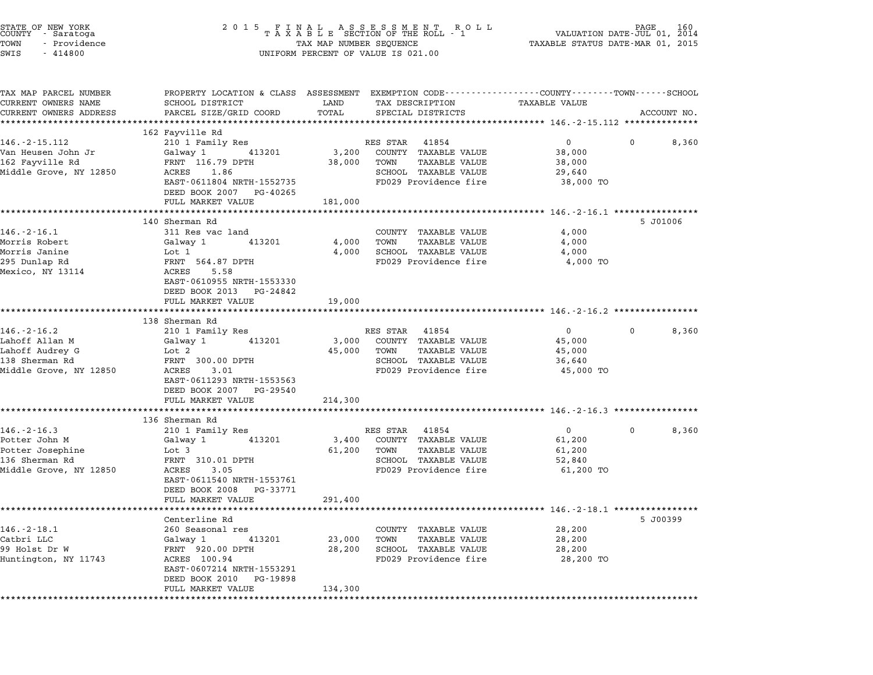| STATE OF NEW YORK<br>COUNTY - Saratoga<br>TOWN<br>- Providence<br>SWIS<br>$-414800$                | 2 0 1 5                                                                                                                                                                                | UNIFORM PERCENT OF VALUE IS 021.00                                                                                                                       | FINAL ASSESSMENT ROLL PACE 160<br>TAXABLE SECTION OF THE ROLL - 1 VALUATION DATE-JUL 01, 2014<br>TAX MAP NUMBER SEQUENCE TAXABLE STATUS DATE-MAR 01, 2015 |
|----------------------------------------------------------------------------------------------------|----------------------------------------------------------------------------------------------------------------------------------------------------------------------------------------|----------------------------------------------------------------------------------------------------------------------------------------------------------|-----------------------------------------------------------------------------------------------------------------------------------------------------------|
| TAX MAP PARCEL NUMBER<br>CURRENT OWNERS NAME<br>CURRENT OWNERS ADDRESS                             | SCHOOL DISTRICT<br>PARCEL SIZE/GRID COORD<br>***************************                                                                                                               | LAND<br>TAX DESCRIPTION<br>TOTAL<br>SPECIAL DISTRICTS                                                                                                    | PROPERTY LOCATION & CLASS ASSESSMENT EXEMPTION CODE---------------COUNTY-------TOWN-----SCHOOL<br>TAXABLE VALUE<br>ACCOUNT NO.                            |
| 146.-2-15.112<br>Van Heusen John Jr<br>162 Fayville Rd<br>Middle Grove, NY 12850                   | 162 Fayville Rd<br>210 1 Family Res<br>413201<br>Galway 1<br>FRNT 116.79 DPTH<br>ACRES 1.86<br>EAST-0611804 NRTH-1552735<br>DEED BOOK 2007 PG-40265<br>FULL MARKET VALUE               | RES STAR<br>41854<br>3,200<br>COUNTY TAXABLE VALUE<br>38,000<br>TOWN<br><b>TAXABLE VALUE</b><br>SCHOOL TAXABLE VALUE<br>FD029 Providence fire<br>181,000 | $\overline{0}$<br>8,360<br>$^{\circ}$<br>38,000<br>38,000<br>29,640<br>38,000 TO                                                                          |
| $146. - 2 - 16.1$<br>Morris Robert<br>Morris Janine<br>295 Dunlap Rd<br>Mexico, NY 13114           | 140 Sherman Rd<br>311 Res vac land<br>413201<br>Galway 1<br>Lot 1<br>FRNT 564.87 DPTH<br>ACRES<br>5.58<br>EAST-0610955 NRTH-1553330<br>DEED BOOK 2013 PG-24842<br>FULL MARKET VALUE    | COUNTY TAXABLE VALUE<br>4,000<br>TAXABLE VALUE<br>TOWN<br>4,000<br>SCHOOL TAXABLE VALUE<br>FD029 Providence fire<br>19,000                               | 5 J01006<br>4,000<br>4,000<br>4,000<br>4,000 TO                                                                                                           |
| $146. - 2 - 16.2$<br>Lahoff Allan M<br>Lahoff Audrey G<br>138 Sherman Rd<br>Middle Grove, NY 12850 | 138 Sherman Rd<br>210 1 Family Res<br>413201<br>Galway 1<br>Lot 2<br>FRNT 300.00 DPTH<br>ACRES<br>3.01<br>EAST-0611293 NRTH-1553563<br>DEED BOOK 2007 PG-29540<br>FULL MARKET VALUE    | RES STAR 41854<br>3,000<br>COUNTY TAXABLE VALUE<br>45,000<br><b>TAXABLE VALUE</b><br>TOWN<br>SCHOOL TAXABLE VALUE<br>FD029 Providence fire<br>214,300    | $\overline{0}$<br>$\mathbf{0}$<br>8,360<br>45,000<br>45,000<br>36,640<br>45,000 TO                                                                        |
| $146. - 2 - 16.3$<br>Potter John M<br>Potter Josephine<br>136 Sherman Rd<br>Middle Grove, NY 12850 | 136 Sherman Rd<br>210 1 Family Res<br>413201<br>Galway 1<br>Lot 3<br>FRNT 310.01 DPTH<br>ACRES<br>3.05<br>EAST-0611540 NRTH-1553761<br>DEED BOOK 2008<br>PG-33771<br>FULL MARKET VALUE | RES STAR 41854<br>3,400<br>COUNTY TAXABLE VALUE<br>61,200<br><b>TAXABLE VALUE</b><br>TOWN<br>SCHOOL TAXABLE VALUE<br>FD029 Providence fire<br>291,400    | $\overline{0}$<br>$\mathbf{0}$<br>8,360<br>61,200<br>61,200<br>52,840<br>61,200 TO                                                                        |
| $146. - 2 - 18.1$<br>Catbri LLC<br>99 Holst Dr W<br>Huntington, NY 11743<br>**********             | Centerline Rd<br>260 Seasonal res<br>Galway 1<br>413201<br>FRNT 920.00 DPTH<br>ACRES 100.94<br>EAST-0607214 NRTH-1553291<br>DEED BOOK 2010<br>PG-19898<br>FULL MARKET VALUE            | COUNTY TAXABLE VALUE<br>23,000<br>TOWN<br>TAXABLE VALUE<br>28,200<br>SCHOOL TAXABLE VALUE<br>FD029 Providence fire<br>134,300                            | 5 J00399<br>28,200<br>28,200<br>28,200<br>28,200 TO                                                                                                       |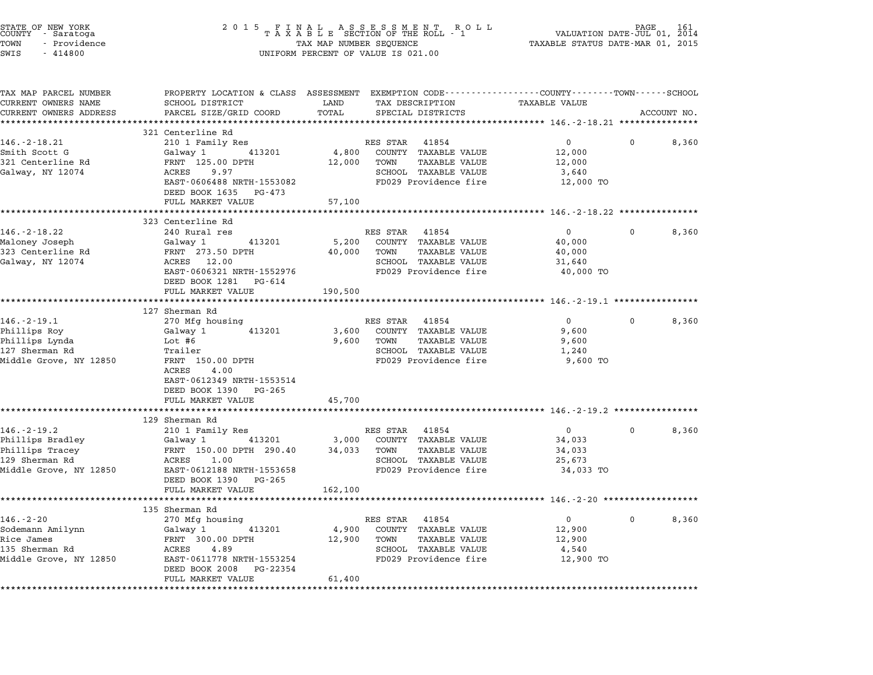| STATE OF NEW YORK<br>COUNTY – Saratoga<br>TOWN<br>- Providence<br>SWIS<br>$-414800$ | 2015 FINAL ASSESSMENT ROLL<br>TAXABLE SECTION OF THE ROLL - 1<br>TAX MAP NUMBER SEQUENCE<br>UNIFORM PERCENT OF VALUE IS 021.00 | 161<br>PAGE<br>VALUATION DATE-JUL 01, 2014<br>TAXABLE STATUS DATE-MAR 01, 2015 |                                                                                                 |  |
|-------------------------------------------------------------------------------------|--------------------------------------------------------------------------------------------------------------------------------|--------------------------------------------------------------------------------|-------------------------------------------------------------------------------------------------|--|
| TAX MAP PARCEL NUMBER                                                               |                                                                                                                                |                                                                                | PROPERTY LOCATION & CLASS ASSESSMENT EXEMPTION CODE----------------COUNTY-------TOWN-----SCHOOL |  |
| CURRENT OWNERS NAME                                                                 | SCHOOL DISTRICT                                                                                                                | LAND<br>TAX DESCRIPTION                                                        | TAXABLE VALUE                                                                                   |  |
| CURRENT OWNERS ADDRESS                                                              | PARCEL SIZE/GRID COORD<br>***************************                                                                          | TOTAL<br>SPECIAL DISTRICTS                                                     | ACCOUNT NO.                                                                                     |  |
|                                                                                     | 321 Centerline Rd                                                                                                              |                                                                                |                                                                                                 |  |
| $146. - 2 - 18.21$                                                                  | 210 1 Family Res                                                                                                               | RES STAR 41854                                                                 | $0 \qquad \qquad$<br>$\mathbf{0}$<br>8,360                                                      |  |
| Smith Scott G                                                                       | 413201<br>Galway 1                                                                                                             | 4,800<br>COUNTY TAXABLE VALUE                                                  | 12,000                                                                                          |  |
| 321 Centerline Rd                                                                   | FRNT 125.00 DPTH                                                                                                               | 12,000<br>TOWN<br>TAXABLE VALUE                                                | 12,000                                                                                          |  |
| Galway, NY 12074                                                                    | ACRES<br>9.97                                                                                                                  | SCHOOL TAXABLE VALUE                                                           | 3,640                                                                                           |  |
|                                                                                     | EAST-0606488 NRTH-1553082                                                                                                      | FD029 Providence fire                                                          | 12,000 TO                                                                                       |  |
|                                                                                     | DEED BOOK 1635 PG-473                                                                                                          |                                                                                |                                                                                                 |  |
|                                                                                     | FULL MARKET VALUE                                                                                                              | 57,100                                                                         |                                                                                                 |  |
|                                                                                     |                                                                                                                                |                                                                                |                                                                                                 |  |
|                                                                                     | 323 Centerline Rd<br>240 Rural res                                                                                             | RES STAR 41854                                                                 |                                                                                                 |  |
| 146.-2-18.22<br>Maloney Joseph                                                      | Galway 1<br>413201                                                                                                             | 5,200<br>COUNTY TAXABLE VALUE                                                  | $\overline{0}$<br>$\mathbf{0}$<br>8,360<br>40,000                                               |  |
| 323 Centerline Rd                                                                   | FRNT 273.50 DPTH                                                                                                               | <b>TAXABLE VALUE</b><br>40,000<br>TOWN                                         | 40,000                                                                                          |  |
| Galway, NY 12074                                                                    | ACRES 12.00                                                                                                                    | SCHOOL TAXABLE VALUE                                                           | 31,640                                                                                          |  |
|                                                                                     | EAST-0606321 NRTH-1552976                                                                                                      | FD029 Providence fire                                                          | 40,000 TO                                                                                       |  |
|                                                                                     | DEED BOOK 1281 PG-614                                                                                                          |                                                                                |                                                                                                 |  |
|                                                                                     | FULL MARKET VALUE                                                                                                              | 190,500                                                                        |                                                                                                 |  |
|                                                                                     | *********************                                                                                                          |                                                                                |                                                                                                 |  |
|                                                                                     | 127 Sherman Rd                                                                                                                 |                                                                                |                                                                                                 |  |
| $146. - 2 - 19.1$                                                                   | 270 Mfg housing                                                                                                                | RES STAR 41854                                                                 | $\overline{0}$<br>0<br>8,360                                                                    |  |
| Phillips Roy                                                                        | 413201<br>Galway 1                                                                                                             | 3,600<br>COUNTY TAXABLE VALUE                                                  | 9,600                                                                                           |  |
| Phillips Lynda                                                                      | Lot #6                                                                                                                         | TAXABLE VALUE<br>9,600<br>TOWN                                                 | 9,600                                                                                           |  |
| 127 Sherman Rd                                                                      | Trailer                                                                                                                        | SCHOOL TAXABLE VALUE                                                           | 1,240                                                                                           |  |
| Middle Grove, NY 12850                                                              | FRNT 150.00 DPTH<br>ACRES<br>4.00<br>EAST-0612349 NRTH-1553514<br>DEED BOOK 1390 PG-265<br>FULL MARKET VALUE                   | FD029 Providence fire<br>45,700                                                | 9,600 TO                                                                                        |  |
|                                                                                     |                                                                                                                                |                                                                                |                                                                                                 |  |
|                                                                                     | 129 Sherman Rd                                                                                                                 |                                                                                |                                                                                                 |  |
| $146. - 2 - 19.2$                                                                   | 210 1 Family Res                                                                                                               | RES STAR 41854                                                                 | $\overline{0}$<br>$\mathbf{0}$<br>8,360                                                         |  |
| Phillips Bradley                                                                    | Galway 1<br>413201                                                                                                             | 3,000<br>COUNTY TAXABLE VALUE                                                  | 34,033                                                                                          |  |
| Phillips Tracey                                                                     | FRNT 150.00 DPTH 290.40                                                                                                        | 34,033<br><b>TAXABLE VALUE</b><br>TOWN                                         | 34,033                                                                                          |  |
| 129 Sherman Rd                                                                      | ACRES<br>1.00                                                                                                                  | SCHOOL TAXABLE VALUE                                                           | 25,673                                                                                          |  |
| Middle Grove, NY 12850                                                              | EAST-0612188 NRTH-1553658                                                                                                      | FD029 Providence fire                                                          | 34,033 TO                                                                                       |  |
|                                                                                     | DEED BOOK 1390 PG-265                                                                                                          |                                                                                |                                                                                                 |  |
|                                                                                     | FULL MARKET VALUE                                                                                                              | 162,100                                                                        |                                                                                                 |  |
|                                                                                     | 135 Sherman Rd                                                                                                                 |                                                                                |                                                                                                 |  |
|                                                                                     |                                                                                                                                |                                                                                | 0<br>8,360<br>0                                                                                 |  |
| $146. - 2 - 20$                                                                     |                                                                                                                                |                                                                                |                                                                                                 |  |
| Sodemann Amilynn                                                                    | 270 Mfg housing<br>Galway 1<br>413201                                                                                          | RES STAR<br>41854<br>COUNTY TAXABLE VALUE<br>4,900                             | 12,900                                                                                          |  |
| Rice James                                                                          | FRNT 300.00 DPTH                                                                                                               | 12,900<br>TOWN<br>TAXABLE VALUE                                                | 12,900                                                                                          |  |
| 135 Sherman Rd                                                                      | ACRES<br>4.89                                                                                                                  | SCHOOL TAXABLE VALUE                                                           | 4,540                                                                                           |  |
| Middle Grove, NY 12850                                                              | EAST-0611778 NRTH-1553254                                                                                                      | FD029 Providence fire                                                          | 12,900 TO                                                                                       |  |
|                                                                                     | DEED BOOK 2008<br>PG-22354<br>FULL MARKET VALUE                                                                                | 61,400                                                                         |                                                                                                 |  |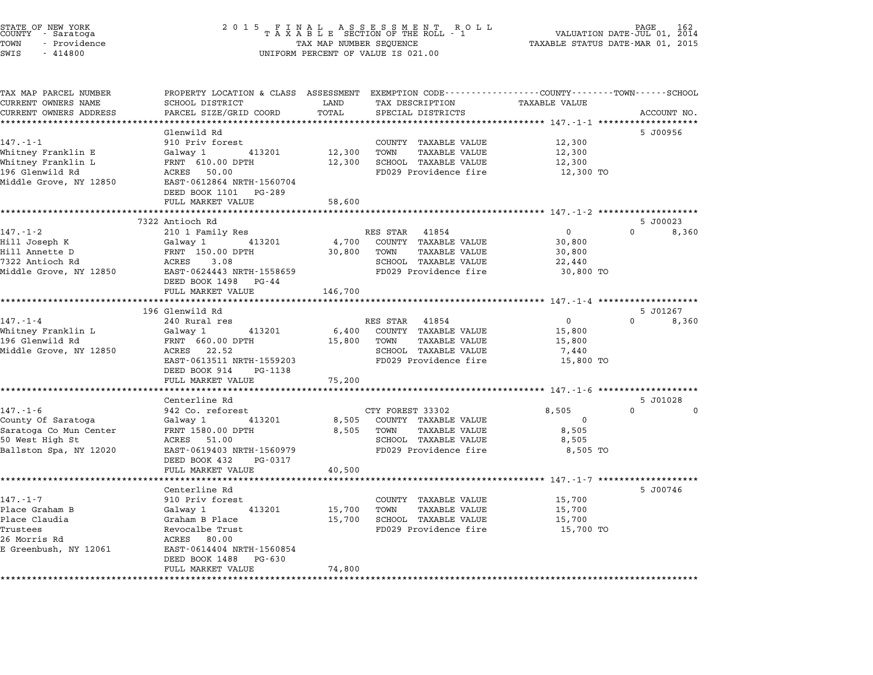|      | STATE OF NEW YORK<br>COUNTY - Saratoga |  |
|------|----------------------------------------|--|
| TOWN | - Providence                           |  |
|      |                                        |  |

| TAX MAP PARCEL NUMBER<br>CURRENT OWNERS NAME | PROPERTY LOCATION & CLASS ASSESSMENT EXEMPTION CODE----------------COUNTY-------TOWN-----SCHOOL<br>SCHOOL DISTRICT | LAND    | TAX DESCRIPTION              | <b>TAXABLE VALUE</b> |                      |
|----------------------------------------------|--------------------------------------------------------------------------------------------------------------------|---------|------------------------------|----------------------|----------------------|
| CURRENT OWNERS ADDRESS                       | PARCEL SIZE/GRID COORD                                                                                             | TOTAL   | SPECIAL DISTRICTS            |                      | ACCOUNT NO.          |
| *******************                          | ********************                                                                                               |         |                              |                      |                      |
|                                              | Glenwild Rd                                                                                                        |         |                              |                      | 5 J00956             |
| $147. - 1 - 1$                               | 910 Priv forest                                                                                                    |         | COUNTY TAXABLE VALUE         | 12,300               |                      |
| Whitney Franklin E                           | 413201<br>Galway 1                                                                                                 | 12,300  | TOWN<br>TAXABLE VALUE        | 12,300               |                      |
| Whitney Franklin L                           | FRNT 610.00 DPTH                                                                                                   | 12,300  | SCHOOL TAXABLE VALUE         | 12,300               |                      |
| 196 Glenwild Rd                              | ACRES 50.00                                                                                                        |         | FD029 Providence fire        | 12,300 TO            |                      |
| Middle Grove, NY 12850                       | EAST-0612864 NRTH-1560704                                                                                          |         |                              |                      |                      |
|                                              | DEED BOOK 1101 PG-289                                                                                              |         |                              |                      |                      |
|                                              | FULL MARKET VALUE                                                                                                  | 58,600  |                              |                      |                      |
|                                              | 7322 Antioch Rd                                                                                                    |         |                              |                      | 5 J00023             |
| $147. - 1 - 2$                               | 210 1 Family Res                                                                                                   |         | RES STAR<br>41854            | $\Omega$             | $\Omega$<br>8,360    |
| Hill Joseph K                                | Galway 1<br>413201                                                                                                 | 4,700   | COUNTY TAXABLE VALUE         | 30,800               |                      |
| Hill Annette D                               | FRNT 150.00 DPTH                                                                                                   | 30,800  | TOWN<br><b>TAXABLE VALUE</b> | 30,800               |                      |
| 7322 Antioch Rd                              | 3.08<br>ACRES                                                                                                      |         | SCHOOL TAXABLE VALUE         | 22,440               |                      |
| Middle Grove, NY 12850                       | EAST-0624443 NRTH-1558659                                                                                          |         | FD029 Providence fire        | 30,800 TO            |                      |
|                                              | DEED BOOK 1498 PG-44                                                                                               |         |                              |                      |                      |
|                                              | FULL MARKET VALUE                                                                                                  | 146,700 |                              |                      |                      |
|                                              | **************************                                                                                         |         |                              |                      |                      |
|                                              | 196 Glenwild Rd                                                                                                    |         |                              |                      | 5 J01267             |
| $147. - 1 - 4$                               | 240 Rural res                                                                                                      |         | RES STAR<br>41854            | $\overline{0}$       | $\Omega$<br>8,360    |
| Whitney Franklin L                           | 413201<br>Galway 1                                                                                                 |         | 6,400 COUNTY TAXABLE VALUE   | 15,800               |                      |
| 196 Glenwild Rd                              | FRNT 660.00 DPTH                                                                                                   | 15,800  | TOWN<br>TAXABLE VALUE        | 15,800               |                      |
| Middle Grove, NY 12850                       | ACRES 22.52                                                                                                        |         | SCHOOL TAXABLE VALUE         | 7,440                |                      |
|                                              | EAST-0613511 NRTH-1559203                                                                                          |         | FD029 Providence fire        | 15,800 TO            |                      |
|                                              | DEED BOOK 914<br>PG-1138                                                                                           |         |                              |                      |                      |
|                                              | FULL MARKET VALUE                                                                                                  | 75,200  |                              |                      |                      |
|                                              | Centerline Rd                                                                                                      |         |                              |                      | 5 J01028             |
| $147. - 1 - 6$                               | 942 Co. reforest                                                                                                   |         | CTY FOREST 33302             | 8,505                | $\Omega$<br>$\Omega$ |
| County Of Saratoga                           | 413201<br>Galway 1                                                                                                 | 8,505   | COUNTY TAXABLE VALUE         | $\Omega$             |                      |
| Saratoga Co Mun Center                       | FRNT 1580.00 DPTH                                                                                                  | 8,505   | TOWN<br><b>TAXABLE VALUE</b> | 8,505                |                      |
| 50 West High St                              | ACRES 51.00                                                                                                        |         | SCHOOL TAXABLE VALUE         | 8,505                |                      |
| Ballston Spa, NY 12020                       | EAST-0619403 NRTH-1560979                                                                                          |         | FD029 Providence fire        | 8,505 TO             |                      |
|                                              | DEED BOOK 432<br>PG-0317                                                                                           |         |                              |                      |                      |
|                                              | FULL MARKET VALUE                                                                                                  | 40,500  |                              |                      |                      |
|                                              |                                                                                                                    |         |                              |                      |                      |
|                                              | Centerline Rd                                                                                                      |         |                              |                      | 5 J00746             |
| $147. - 1 - 7$                               | 910 Priv forest                                                                                                    |         | COUNTY TAXABLE VALUE         | 15,700               |                      |
| Place Graham B                               | Galway 1<br>413201                                                                                                 | 15,700  | TOWN<br><b>TAXABLE VALUE</b> | 15,700               |                      |
| Place Claudia                                | Graham B Place                                                                                                     | 15,700  | SCHOOL TAXABLE VALUE         | 15,700               |                      |
| Trustees                                     | Revocalbe Trust                                                                                                    |         | FD029 Providence fire        | 15,700 TO            |                      |
| 26 Morris Rd<br>E Greenbush, NY 12061        | ACRES 80.00<br>EAST-0614404 NRTH-1560854                                                                           |         |                              |                      |                      |
|                                              | DEED BOOK 1488<br>PG-630                                                                                           |         |                              |                      |                      |
|                                              | FULL MARKET VALUE                                                                                                  | 74,800  |                              |                      |                      |
|                                              | **************************************                                                                             |         |                              |                      |                      |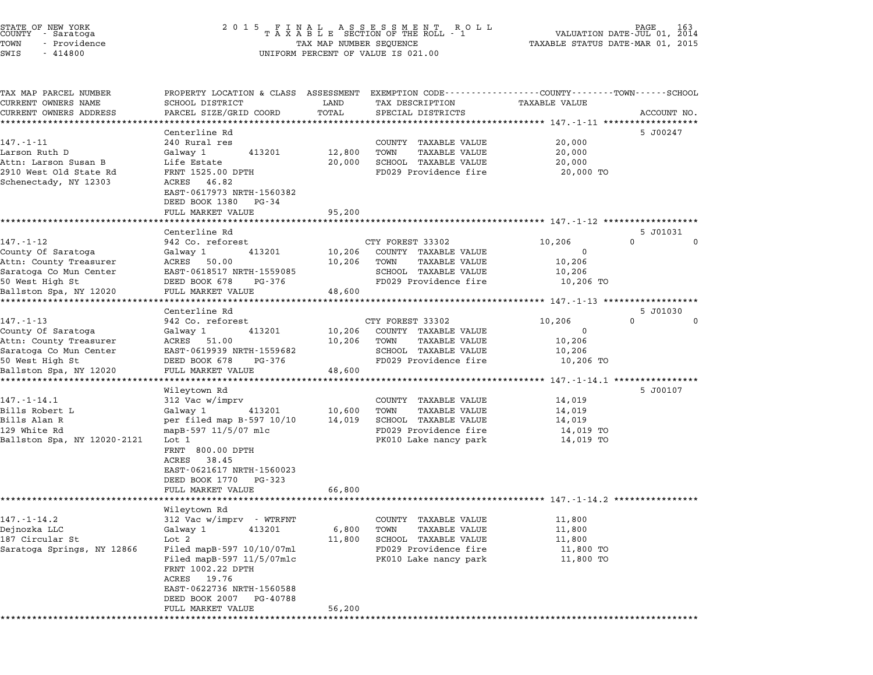|      | STATE OF NEW YORK<br>COUNTY - Saratoga |  |
|------|----------------------------------------|--|
| TOWN | - Providence                           |  |

TAX MAP PARCEL NUMBER PROPERTY LOCATION & CLASS ASSESSMENT EXEMPTION CODE------------------COUNTY--------TOWN------SCHOOL ...<br>-- COUNTY:- TAX MAP PARCEL NUMBER THE OCHOTRY AND THE CURRENT EXEMPTION CODE<br>CURRENT OWNERS NAME SCHOOL DISTRICT LAND TAX DESCRIPTION TAXABLE VALUE CURRENT OWNERS ADDRESS FOR SCHOOL DISTRICTS ASSESSEENT EXERT ON TAX MISS TOTAL THE TRANSFORE STAND TO TALL THAT THE TRANSFORE TO TALL THAT THE TRANSFORE TO TAXABLE VALUE ACCOUNT NO.<br>CURRENT OWNERS ADDRESS PARCEL SIZE/GRID Centerline Rd 5 J00247 147.-1-11 Centerline Rd<br>
240 Rural res County TAXABLE VALUE 20,000 Larson Ruth D Galway <sup>1</sup> <sup>413201</sup> 12,800 TOWN TAXABLE VALUE 20,000 Attn: Larson Susan B Life Estate 20,000 SCHOOL TAXABLE VALUE 20,000 2018 DELTREE AND TRANSPORTED TRANSPORTED TRANSPORTED TRANSPORTED AND TRANSPORTED AND TRANSPORTED AND 20,000 TO<br>20,000 STATE RD 20,000 DPTH 20,000 TON 20,000 TO SCHOOL TRANSPORTED 20,000 TO 20,000 TO 20 TO 29 PROVIDENCE AND Accu. Daison Susan D. M. D. B. Sale<br>2910 West Old State Rd RNT RT 1525.00<br>Schenectady, NY 12303 FRNI 1525.00 DPIH<br>ACRES 46.82<br>EAST-0617973 NRTH-1560382 ACRES 46.82<br>EAST-0617973 NRTH-1560382<br>DEED BOOK 1380 PG-34 FULL MARKET VALUE 95,200 \*\*\*\*\*\*\*\*\*\*\*\*\*\*\*\*\*\*\*\*\*\*\*\*\*\*\*\*\*\*\*\*\*\*\*\*\*\*\*\*\*\*\*\*\*\*\*\*\*\*\*\*\*\*\*\*\*\*\*\*\*\*\*\*\*\*\*\*\*\*\*\*\*\*\*\*\*\*\*\*\*\*\*\*\*\*\*\*\*\*\*\*\*\*\*\*\*\*\*\*\*\*\* 147.-1-12 \*\*\*\*\*\*\*\*\*\*\*\*\*\*\*\*\*\* Centerline Rd 5 J01031 147.-1-12 942 Co. reforest CTY FOREST 33302 10,206 0 0 County Of Saratoga Galway <sup>1</sup> <sup>413201</sup> 10,206 COUNTY TAXABLE VALUE <sup>0</sup> 147. I IZ<br>County Of Saratoga (Galway 1982) 1882<br>Attn: County Treasurer (ACRES 50.00 10,206 COUNTY TAXABLE VALUE 10,206 COUNTRESS COONTRESS CONSIDER ACTOS CONSIDERATION COUNTRESS CONSIDERATION CONSIDERATION OF CONSIDERATION CONSID<br>Attn: County Treasurer acres 50.00 10,206 TOWN TAXABLE VALUE 10,206<br>Saratoga Co Mun Center EAST-0618517 NRTH-15 50 ACABS 1988 UPA MARINE ACABS 19,200 IONA ARABIE VALUE 10,206 IONA ARABIE VALUE 10,206 IONA ARABIE VALUE 10,206<br>Saratoga Co Mun Center BAST-0618517 NRTH-1559085 SCHOOL TAXABLE VALUE 10,206 ION<br>S0 West High St 10,206 TO Ballston Spa, NY <sup>12020</sup> FULL MARKET VALUE 48,600 \*\*\*\*\*\*\*\*\*\*\*\*\*\*\*\*\*\*\*\*\*\*\*\*\*\*\*\*\*\*\*\*\*\*\*\*\*\*\*\*\*\*\*\*\*\*\*\*\*\*\*\*\*\*\*\*\*\*\*\*\*\*\*\*\*\*\*\*\*\*\*\*\*\*\*\*\*\*\*\*\*\*\*\*\*\*\*\*\*\*\*\*\*\*\*\*\*\*\*\*\*\*\* 147.-1-13 \*\*\*\*\*\*\*\*\*\*\*\*\*\*\*\*\*\* Centerline Rd 5 J01030 147.-1-13 942 Co. reforest CTY FOREST 33302 10,206 0 0 County Of Saratoga Galway <sup>1</sup> <sup>413201</sup> 10,206 COUNTY TAXABLE VALUE <sup>0</sup> 147. I IS<br>County Of Saratoga and Galway 1990 10,206 COUNTY TAXABLE VALUE 10,206<br>Attn: County Treasurer 10,206 10,206 TOWN TAXABLE VALUE 10,206 COUNTRES CONSIDER SALACUSE ON SALACUSE ON THE SALACUSE ON THE SALACUSE ON SALACUSE ON SALACUSE ON SALACUSE ON<br>Attn: County Treasurer ACRES 51.00 10,206 TOWN TAXABLE VALUE 10,206<br>Saratoga Co Mun Center EAST-0619939 NRTH-155 ACCII, COMICY HEASULEI ACCES 51.00 NOTES 10,200 FORM TAANDE VALUE (1,200 FORM TAANDE VALUE )<br>Scratoga Co Mun Center BAST-061939 NRTH-1559682 SCHOOL TAXABLE VALUE (10,206 TO<br>50 West High St 10,206 TO DEED BOOK 678 PG-376 FD Ballston Spa, NY <sup>12020</sup> FULL MARKET VALUE 48,600 \*\*\*\*\*\*\*\*\*\*\*\*\*\*\*\*\*\*\*\*\*\*\*\*\*\*\*\*\*\*\*\*\*\*\*\*\*\*\*\*\*\*\*\*\*\*\*\*\*\*\*\*\*\*\*\*\*\*\*\*\*\*\*\*\*\*\*\*\*\*\*\*\*\*\*\*\*\*\*\*\*\*\*\*\*\*\*\*\*\*\*\*\*\*\*\*\*\*\*\*\*\*\* 147.-1-14.1 \*\*\*\*\*\*\*\*\*\*\*\*\*\*\*\* Wileytown Rd 5 J00107 147.-1-14.1 312 Vac w/imprv COUNTY TAXABLE VALUE 14,019 Bills Robert L Galway <sup>1</sup> <sup>413201</sup> 10,600 TOWN TAXABLE VALUE 14,019 1977. In 1981<br>Bills Robert Land Galway 1 (1990) 12 And 10,600 TOWN TAXABLE VALUE 14,019<br>Bills Alan R 14,019 SCHOOL TAXABLE VALUE 14,019 Bills Robert D. The College of the Marine Have to the Taxable value of the 14,019<br>129 White Rd mapB-597 11/5/07 mlc FD029 Providence fire 14,019 TO Ballis Aran Market Ramp (1995-11-120 mag ballis and the perfect of the perfect of the perfect of the perfect of the perfect of the perfect of the perfect of the perfect of the perfect of the perfect of the perfect of the p <sub>mapp-997-11/9/07</sub><br>Lot 1<br>FRNT 800.00 DPTH 100 1<br>FRNT 800.00<br>ACRES 38.45 FANI 800.00 DPIH<br>ACRES 38.45<br>EAST-0621617 NRTH-1560023 EAST-0621617 NRTH-15600<br>DEED BOOK 1770 PG-323 DEED BOOK 1770 PG-323<br>FULL MARKET VALUE 66,800 \*\*\*\*\*\*\*\*\*\*\*\*\*\*\*\*\*\*\*\*\*\*\*\*\*\*\*\*\*\*\*\*\*\*\*\*\*\*\*\*\*\*\*\*\*\*\*\*\*\*\*\*\*\*\*\*\*\*\*\*\*\*\*\*\*\*\*\*\*\*\*\*\*\*\*\*\*\*\*\*\*\*\*\*\*\*\*\*\*\*\*\*\*\*\*\*\*\*\*\*\*\*\* 147.-1-14.2 \*\*\*\*\*\*\*\*\*\*\*\*\*\*\*\* ronn MARKEI<br>\*\*\*\*\*\*\*\*\*\*\*\*<br>Wileytown Rd 147.-1-14.2 312 Vac w/imprv - WTRFNT COUNTY TAXABLE VALUE 11,800 Dejnozka LLC Galway <sup>1</sup> <sup>413201</sup> 6,800 TOWN TAXABLE VALUE 11,800 <sup>187</sup> Circular St Lot <sup>2</sup> 11,800 SCHOOL TAXABLE VALUE 11,800 SARATOR SARATOR CHARGE SERVICE SERVICE SERVICE SERVICE SERVICE SERVICE SERVICE SERVICE SERVICE SERVICE SERVICE<br>187 Circular State of the 11,800 SCHOOL TAXABLE VALUE 11,800 TO<br>Saratoga Springs, NY 12866 Filed mapB-597 10/10 EULE MARINE MARINE VALUE AND THANDE VALUE TO A THOUR POINT AND THANDE VALUE OF THE SERVICE OF THE PROOF TO A T<br>Filed mapB-597 11/5/07mlc PK010 Lake nancy park 11,800 TO Filed mapB-597 10<br>Filed mapB-597 11<br>FRNT 1002.22 DPTH FRNT 1002.22 DPTH<br>ACRES 19.76 FRNI 1002.22 DFIH<br>ACRES 19.76<br>EAST-0622736 NRTH-1560588 EAST-0622736 NRTH-1560588<br>DEED BOOK 2007 PG-40788 DEED BOOK 2007 PG-40788<br>FULL MARKET VALUE 56,200 \*\*\*\*\*\*\*\*\*\*\*\*\*\*\*\*\*\*\*\*\*\*\*\*\*\*\*\*\*\*\*\*\*\*\*\*\*\*\*\*\*\*\*\*\*\*\*\*\*\*\*\*\*\*\*\*\*\*\*\*\*\*\*\*\*\*\*\*\*\*\*\*\*\*\*\*\*\*\*\*\*\*\*\*\*\*\*\*\*\*\*\*\*\*\*\*\*\*\*\*\*\*\*\*\*\*\*\*\*\*\*\*\*\*\*\*\*\*\*\*\*\*\*\*\*\*\*\*\*\*\*\*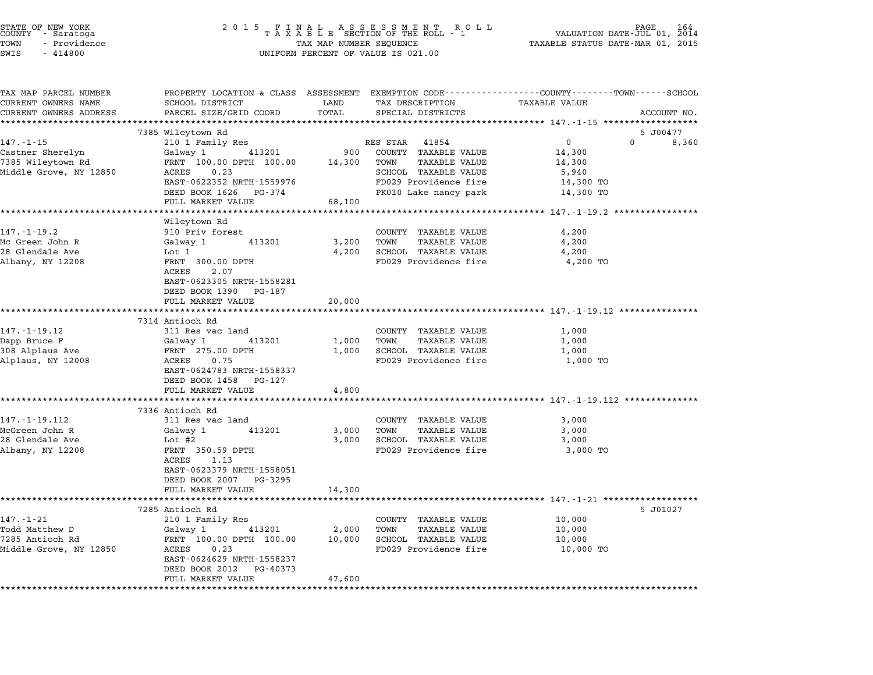| STATE OF NEW YORK<br>COUNTY - Saratoga<br>TOWN<br>- Providence<br>SWIS<br>$-414800$ | 2 0 1 5<br>FINAL ASSESSMENT ROLL<br>TAXABLE SECTION OF THE ROLL - 1<br>TAX MAP NUMBER SEQUENCE<br>UNIFORM PERCENT OF VALUE IS 021.00 | 164<br>VALUATION DATE-JUL 01,<br>2014<br>TAXABLE STATUS DATE-MAR 01, 2015 |                                                                                                                        |  |
|-------------------------------------------------------------------------------------|--------------------------------------------------------------------------------------------------------------------------------------|---------------------------------------------------------------------------|------------------------------------------------------------------------------------------------------------------------|--|
| TAX MAP PARCEL NUMBER<br>CURRENT OWNERS NAME                                        | SCHOOL DISTRICT                                                                                                                      | LAND<br>TAX DESCRIPTION                                                   | PROPERTY LOCATION & CLASS ASSESSMENT EXEMPTION CODE---------------COUNTY-------TOWN-----SCHOOL<br><b>TAXABLE VALUE</b> |  |
| CURRENT OWNERS ADDRESS                                                              | PARCEL SIZE/GRID COORD                                                                                                               | TOTAL<br>SPECIAL DISTRICTS                                                | ACCOUNT NO.                                                                                                            |  |
|                                                                                     | *************************                                                                                                            |                                                                           |                                                                                                                        |  |
| 147.-1-15                                                                           | 7385 Wileytown Rd<br>210 1 Family Res                                                                                                | RES STAR<br>41854                                                         | 5 J00477<br>$\overline{0}$<br>$\mathbf 0$<br>8,360                                                                     |  |
| Castner Sherelyn                                                                    | Galway 1<br>413201                                                                                                                   | 900<br>COUNTY TAXABLE VALUE                                               | 14,300                                                                                                                 |  |
| 7385 Wileytown Rd                                                                   | FRNT 100.00 DPTH 100.00                                                                                                              | TAXABLE VALUE<br>14,300<br>TOWN                                           | 14,300                                                                                                                 |  |
| Middle Grove, NY 12850                                                              | ACRES<br>0.23                                                                                                                        | SCHOOL TAXABLE VALUE                                                      | 5,940                                                                                                                  |  |
|                                                                                     | EAST-0622352 NRTH-1559976                                                                                                            | FD029 Providence fire                                                     | 14,300 TO                                                                                                              |  |
|                                                                                     | DEED BOOK 1626 PG-374                                                                                                                | PK010 Lake nancy park                                                     | 14,300 TO                                                                                                              |  |
|                                                                                     | FULL MARKET VALUE                                                                                                                    | 68,100                                                                    |                                                                                                                        |  |
|                                                                                     |                                                                                                                                      |                                                                           |                                                                                                                        |  |
| 147.-1-19.2                                                                         | Wileytown Rd<br>910 Priv forest                                                                                                      | COUNTY TAXABLE VALUE                                                      | 4,200                                                                                                                  |  |
| Mc Green John R                                                                     | 413201<br>Galway 1                                                                                                                   | 3,200<br>TOWN<br>TAXABLE VALUE                                            | 4,200                                                                                                                  |  |
| 28 Glendale Ave                                                                     | Lot 1                                                                                                                                | 4,200<br>SCHOOL TAXABLE VALUE                                             | 4,200                                                                                                                  |  |
| Albany, NY 12208                                                                    | FRNT 300.00 DPTH                                                                                                                     | FD029 Providence fire                                                     | 4,200 TO                                                                                                               |  |
|                                                                                     | ACRES<br>2.07                                                                                                                        |                                                                           |                                                                                                                        |  |
|                                                                                     | EAST-0623305 NRTH-1558281                                                                                                            |                                                                           |                                                                                                                        |  |
|                                                                                     | DEED BOOK 1390 PG-187                                                                                                                |                                                                           |                                                                                                                        |  |
|                                                                                     | FULL MARKET VALUE                                                                                                                    | 20,000                                                                    |                                                                                                                        |  |
|                                                                                     | 7314 Antioch Rd                                                                                                                      |                                                                           |                                                                                                                        |  |
| 147.-1-19.12                                                                        | 311 Res vac land                                                                                                                     | COUNTY TAXABLE VALUE                                                      | 1,000                                                                                                                  |  |
| Dapp Bruce F                                                                        | 413201<br>Galway 1                                                                                                                   | 1,000<br>TOWN<br>TAXABLE VALUE                                            | 1,000                                                                                                                  |  |
| 308 Alplaus Ave                                                                     | FRNT 275.00 DPTH                                                                                                                     | 1,000<br>SCHOOL TAXABLE VALUE                                             | 1,000                                                                                                                  |  |
| Alplaus, NY 12008                                                                   | ACRES<br>0.75                                                                                                                        | FD029 Providence fire                                                     | 1,000 TO                                                                                                               |  |
|                                                                                     | EAST-0624783 NRTH-1558337                                                                                                            |                                                                           |                                                                                                                        |  |
|                                                                                     | DEED BOOK 1458 PG-127                                                                                                                |                                                                           |                                                                                                                        |  |
|                                                                                     | FULL MARKET VALUE                                                                                                                    | 4,800                                                                     | ************************* 147.-1-19.112 ************                                                                   |  |
|                                                                                     | 7336 Antioch Rd                                                                                                                      |                                                                           |                                                                                                                        |  |
| 147. - 1 - 19.112                                                                   | 311 Res vac land                                                                                                                     | COUNTY TAXABLE VALUE                                                      | 3,000                                                                                                                  |  |
| McGreen John R                                                                      | 413201<br>Galway 1                                                                                                                   | TAXABLE VALUE<br>3,000<br>TOWN                                            | 3,000                                                                                                                  |  |
| 28 Glendale Ave                                                                     | Lot #2                                                                                                                               | SCHOOL TAXABLE VALUE<br>3,000                                             | 3,000                                                                                                                  |  |
| Albany, NY 12208                                                                    | FRNT 350.59 DPTH                                                                                                                     | FD029 Providence fire                                                     | 3,000 TO                                                                                                               |  |
|                                                                                     | ACRES<br>1.13                                                                                                                        |                                                                           |                                                                                                                        |  |
|                                                                                     | EAST-0623379 NRTH-1558051                                                                                                            |                                                                           |                                                                                                                        |  |
|                                                                                     | DEED BOOK 2007 PG-3295<br>FULL MARKET VALUE                                                                                          |                                                                           |                                                                                                                        |  |
|                                                                                     |                                                                                                                                      | 14,300                                                                    |                                                                                                                        |  |
|                                                                                     | 7285 Antioch Rd                                                                                                                      |                                                                           | 5 J01027                                                                                                               |  |
| 147.-1-21                                                                           | 210 1 Family Res                                                                                                                     | COUNTY<br>TAXABLE VALUE                                                   | 10,000                                                                                                                 |  |
| Todd Matthew D                                                                      | Galway 1<br>413201                                                                                                                   | <b>TAXABLE VALUE</b><br>2,000<br>TOWN                                     | 10,000                                                                                                                 |  |
| 7285 Antioch Rd                                                                     | FRNT 100.00 DPTH 100.00                                                                                                              | 10,000<br>SCHOOL<br>TAXABLE VALUE                                         | 10,000                                                                                                                 |  |
| Middle Grove, NY 12850                                                              | ACRES<br>0.23                                                                                                                        | FD029 Providence fire                                                     | 10,000 TO                                                                                                              |  |
|                                                                                     | EAST-0624629 NRTH-1558237                                                                                                            |                                                                           |                                                                                                                        |  |
|                                                                                     | DEED BOOK 2012<br>PG-40373<br>FULL MARKET VALUE                                                                                      | 47,600                                                                    |                                                                                                                        |  |
|                                                                                     |                                                                                                                                      |                                                                           |                                                                                                                        |  |
|                                                                                     |                                                                                                                                      |                                                                           |                                                                                                                        |  |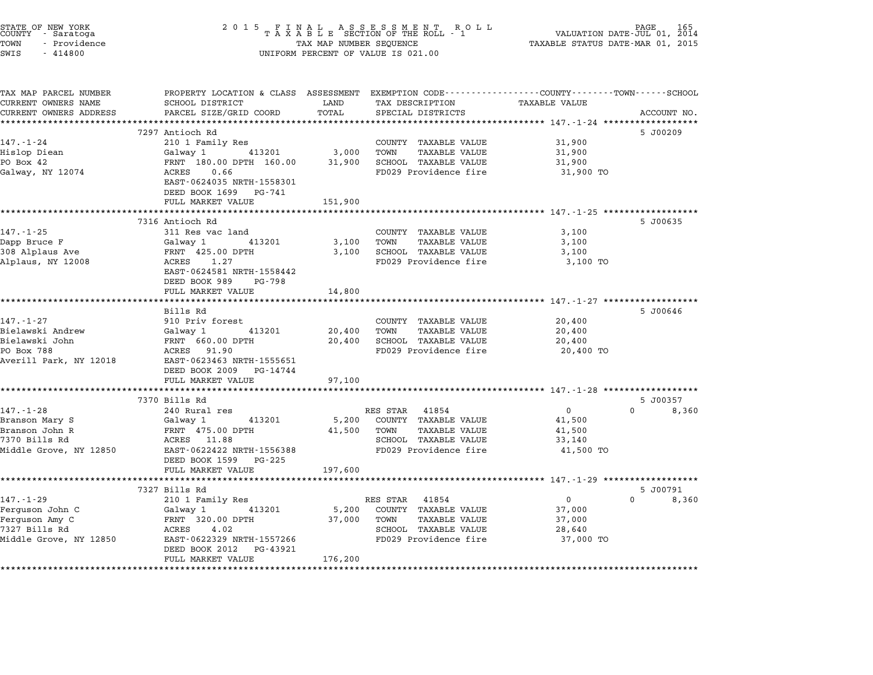| STATE OF NEW YORK<br>COUNTY – Saratoga<br>TOWN<br>- Providence<br>SWIS<br>$-414800$ | $\begin{array}{cccccccccccccc} 2& 0& 1& 5 & & F& I& N& A& L & & A& S & S & E & S & S & M& E& N& T & & R& O& L\\ & & T& A& X& A& B& L& E & SECTION & OF & THE & ROLL & -& 1 \end{array}$<br>TAX MAP NUMBER SEQUENCE<br>UNIFORM PERCENT OF VALUE IS 021.00 |         |                                                      | PAGE<br>VALUATION DATE-JUL 01, 2014<br>TAXABLE STATUS DATE-MAR 01, 2015 |                            |  |
|-------------------------------------------------------------------------------------|----------------------------------------------------------------------------------------------------------------------------------------------------------------------------------------------------------------------------------------------------------|---------|------------------------------------------------------|-------------------------------------------------------------------------|----------------------------|--|
| TAX MAP PARCEL NUMBER                                                               | PROPERTY LOCATION & CLASS ASSESSMENT EXEMPTION CODE---------------COUNTY-------TOWN------SCHOOL                                                                                                                                                          |         |                                                      |                                                                         |                            |  |
| CURRENT OWNERS NAME                                                                 | SCHOOL DISTRICT                                                                                                                                                                                                                                          | LAND    | TAX DESCRIPTION                                      | TAXABLE VALUE                                                           |                            |  |
| CURRENT OWNERS ADDRESS                                                              | PARCEL SIZE/GRID COORD                                                                                                                                                                                                                                   | TOTAL   | SPECIAL DISTRICTS                                    |                                                                         | ACCOUNT NO.                |  |
|                                                                                     |                                                                                                                                                                                                                                                          |         |                                                      |                                                                         | 5 J00209                   |  |
| $147. - 1 - 24$                                                                     | 7297 Antioch Rd<br>210 1 Family Res                                                                                                                                                                                                                      |         | COUNTY TAXABLE VALUE                                 | 31,900                                                                  |                            |  |
| Hislop Diean                                                                        | Galway 1 413201                                                                                                                                                                                                                                          | 3,000   | TOWN<br><b>TAXABLE VALUE</b>                         | 31,900                                                                  |                            |  |
| PO Box 42                                                                           | FRNT 180.00 DPTH 160.00                                                                                                                                                                                                                                  | 31,900  | SCHOOL TAXABLE VALUE                                 | 31,900                                                                  |                            |  |
| Galway, NY 12074                                                                    | ACRES 0.66                                                                                                                                                                                                                                               |         | FD029 Providence fire                                | 31,900 TO                                                               |                            |  |
|                                                                                     | EAST-0624035 NRTH-1558301                                                                                                                                                                                                                                |         |                                                      |                                                                         |                            |  |
|                                                                                     | DEED BOOK 1699<br>PG-741                                                                                                                                                                                                                                 |         |                                                      |                                                                         |                            |  |
|                                                                                     | FULL MARKET VALUE                                                                                                                                                                                                                                        | 151,900 |                                                      |                                                                         |                            |  |
|                                                                                     |                                                                                                                                                                                                                                                          |         |                                                      |                                                                         |                            |  |
|                                                                                     | 7316 Antioch Rd                                                                                                                                                                                                                                          |         |                                                      |                                                                         | 5 J00635                   |  |
| $147. - 1 - 25$                                                                     | 311 Res vac land                                                                                                                                                                                                                                         |         | COUNTY TAXABLE VALUE                                 | 3,100                                                                   |                            |  |
| Dapp Bruce F                                                                        | Galway 1<br>413201                                                                                                                                                                                                                                       | 3,100   | TOWN<br><b>TAXABLE VALUE</b>                         | 3,100                                                                   |                            |  |
| 308 Alplaus Ave                                                                     | FRNT 425.00 DPTH                                                                                                                                                                                                                                         | 3,100   | SCHOOL TAXABLE VALUE                                 | 3,100                                                                   |                            |  |
| Alplaus, NY 12008                                                                   | ACRES 1.27                                                                                                                                                                                                                                               |         | FD029 Providence fire                                | 3,100 TO                                                                |                            |  |
|                                                                                     | EAST-0624581 NRTH-1558442                                                                                                                                                                                                                                |         |                                                      |                                                                         |                            |  |
|                                                                                     | DEED BOOK 989<br>PG-798                                                                                                                                                                                                                                  |         |                                                      |                                                                         |                            |  |
|                                                                                     | FULL MARKET VALUE                                                                                                                                                                                                                                        | 14,800  |                                                      |                                                                         |                            |  |
|                                                                                     |                                                                                                                                                                                                                                                          |         |                                                      |                                                                         |                            |  |
|                                                                                     | Bills Rd                                                                                                                                                                                                                                                 |         |                                                      |                                                                         | 5 J00646                   |  |
| $147. - 1 - 27$                                                                     | 910 Priv forest                                                                                                                                                                                                                                          |         | COUNTY TAXABLE VALUE                                 | 20,400                                                                  |                            |  |
| Bielawski Andrew<br>Bielawski John                                                  | 413201<br>Galway 1                                                                                                                                                                                                                                       | 20,400  | <b>TAXABLE VALUE</b><br>TOWN<br>SCHOOL TAXABLE VALUE | 20,400                                                                  |                            |  |
| PO Box 788                                                                          | FRNT 660.00 DPTH<br>ACRES 91.90                                                                                                                                                                                                                          | 20,400  | FD029 Providence fire                                | 20,400                                                                  |                            |  |
| Averill Park, NY 12018                                                              | EAST-0623463 NRTH-1555651                                                                                                                                                                                                                                |         |                                                      | 20,400 TO                                                               |                            |  |
|                                                                                     | DEED BOOK 2009<br>PG-14744                                                                                                                                                                                                                               |         |                                                      |                                                                         |                            |  |
|                                                                                     | FULL MARKET VALUE                                                                                                                                                                                                                                        | 97,100  |                                                      |                                                                         |                            |  |
|                                                                                     |                                                                                                                                                                                                                                                          |         |                                                      |                                                                         |                            |  |
|                                                                                     | 7370 Bills Rd                                                                                                                                                                                                                                            |         |                                                      |                                                                         | 5 J00357                   |  |
| 147.-1-28                                                                           | 240 Rural res                                                                                                                                                                                                                                            |         | RES STAR 41854                                       | $\mathbf{0}$                                                            | $0 \qquad \qquad$<br>8,360 |  |
| Branson Mary S                                                                      | Galway 1<br>413201                                                                                                                                                                                                                                       | 5,200   | COUNTY TAXABLE VALUE                                 | 41,500                                                                  |                            |  |
| Branson John R                                                                      | FRNT 475.00 DPTH                                                                                                                                                                                                                                         | 41,500  | TOWN<br><b>TAXABLE VALUE</b>                         | 41,500                                                                  |                            |  |
| 7370 Bills Rd                                                                       | ACRES 11.88                                                                                                                                                                                                                                              |         | SCHOOL TAXABLE VALUE                                 | 33,140                                                                  |                            |  |
| Middle Grove, NY 12850                                                              | EAST-0622422 NRTH-1556388                                                                                                                                                                                                                                |         | FD029 Providence fire                                | 41,500 TO                                                               |                            |  |
|                                                                                     | DEED BOOK 1599 PG-225                                                                                                                                                                                                                                    |         |                                                      |                                                                         |                            |  |
|                                                                                     | FULL MARKET VALUE                                                                                                                                                                                                                                        | 197,600 |                                                      |                                                                         |                            |  |
|                                                                                     |                                                                                                                                                                                                                                                          |         |                                                      |                                                                         |                            |  |
|                                                                                     | 7327 Bills Rd                                                                                                                                                                                                                                            |         |                                                      |                                                                         | 5 J00791                   |  |
| 147.-1-29                                                                           | 210 1 Family Res                                                                                                                                                                                                                                         |         | RES STAR<br>41854                                    | $\mathsf{O}$                                                            | $\Omega$<br>8,360          |  |
| Ferguson John C                                                                     | Galway 1<br>413201                                                                                                                                                                                                                                       | 5,200   | COUNTY TAXABLE VALUE                                 | 37,000                                                                  |                            |  |
| Ferguson Amy C                                                                      | FRNT 320.00 DPTH                                                                                                                                                                                                                                         | 37,000  | TAXABLE VALUE<br>TOWN                                | 37,000                                                                  |                            |  |
|                                                                                     | ACRES<br>4.02                                                                                                                                                                                                                                            |         | SCHOOL TAXABLE VALUE                                 | 28,640                                                                  |                            |  |
| 7327 Bills Rd                                                                       |                                                                                                                                                                                                                                                          |         |                                                      |                                                                         |                            |  |
| Middle Grove, NY 12850                                                              | EAST-0622329 NRTH-1557266                                                                                                                                                                                                                                |         | FD029 Providence fire                                | 37,000 TO                                                               |                            |  |
|                                                                                     | DEED BOOK 2012<br>PG-43921<br>FULL MARKET VALUE                                                                                                                                                                                                          | 176,200 |                                                      |                                                                         |                            |  |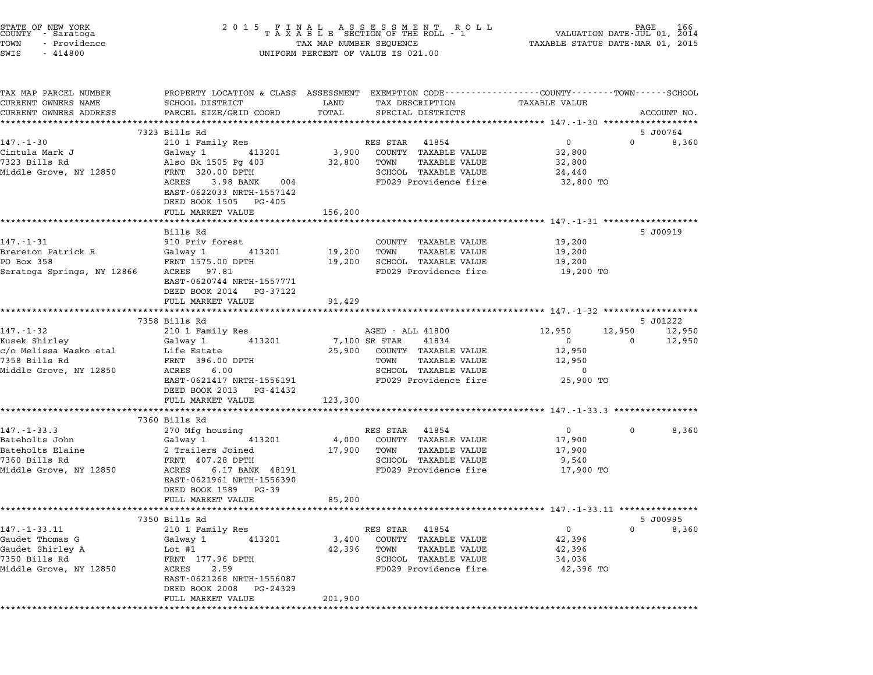| STATE OF NEW YORK<br>COUNTY - Saratoga<br>TOWN<br>- Providence<br>SWIS<br>$-414800$ | 2 0 1 5                                                                                                                                     |                 | FINAL ASSESSMENT ROLL VALUATION DATE-JUL 01, 2014<br>TAXABLE SECTION OF THE ROLL - 1 VALUATION DATE-JUL 01, 2014<br>TAXABLE STATUS DATE-MAR 01, 2015<br>UNIFORM PERCENT OF VALUE IS 021.00 |                                                   |                       |
|-------------------------------------------------------------------------------------|---------------------------------------------------------------------------------------------------------------------------------------------|-----------------|--------------------------------------------------------------------------------------------------------------------------------------------------------------------------------------------|---------------------------------------------------|-----------------------|
|                                                                                     |                                                                                                                                             |                 |                                                                                                                                                                                            |                                                   |                       |
| TAX MAP PARCEL NUMBER<br>CURRENT OWNERS NAME<br>CURRENT OWNERS ADDRESS              | PROPERTY LOCATION & CLASS ASSESSMENT EXEMPTION CODE---------------COUNTY-------TOWN-----SCHOOL<br>SCHOOL DISTRICT<br>PARCEL SIZE/GRID COORD | LAND<br>TOTAL   | TAX DESCRIPTION<br>SPECIAL DISTRICTS                                                                                                                                                       | <b>TAXABLE VALUE</b>                              | ACCOUNT NO.           |
|                                                                                     | **************************                                                                                                                  |                 |                                                                                                                                                                                            |                                                   |                       |
|                                                                                     | 7323 Bills Rd                                                                                                                               |                 |                                                                                                                                                                                            |                                                   | 5 J00764              |
| $147. - 1 - 30$<br>Cintula Mark J                                                   | 210 1 Family Res<br>413201<br>Galway 1                                                                                                      | 3,900           | RES STAR 41854<br>COUNTY TAXABLE VALUE                                                                                                                                                     | $\mathbf 0$<br>32,800                             | $\Omega$<br>8,360     |
| 7323 Bills Rd                                                                       | Also Bk 1505 Pg 403                                                                                                                         | 32,800          | TAXABLE VALUE<br>TOWN                                                                                                                                                                      | 32,800                                            |                       |
| Middle Grove, NY 12850                                                              | FRNT 320.00 DPTH                                                                                                                            |                 | SCHOOL TAXABLE VALUE                                                                                                                                                                       | 24,440                                            |                       |
|                                                                                     | 004<br>ACRES<br>3.98 BANK                                                                                                                   |                 | FD029 Providence fire                                                                                                                                                                      | 32,800 TO                                         |                       |
|                                                                                     | EAST-0622033 NRTH-1557142<br>DEED BOOK 1505 PG-405                                                                                          |                 |                                                                                                                                                                                            |                                                   |                       |
|                                                                                     | FULL MARKET VALUE                                                                                                                           | 156,200         |                                                                                                                                                                                            | *********************** 147.-1-31 *************** |                       |
|                                                                                     | Bills Rd                                                                                                                                    |                 |                                                                                                                                                                                            |                                                   | 5 J00919              |
| 147.-1-31                                                                           | 910 Priv forest                                                                                                                             |                 | COUNTY TAXABLE VALUE                                                                                                                                                                       | 19,200                                            |                       |
| Brereton Patrick R                                                                  | Galway 1<br>413201                                                                                                                          | 19,200          | <b>TAXABLE VALUE</b><br>TOWN                                                                                                                                                               | 19,200                                            |                       |
| PO Box 358                                                                          | FRNT 1575.00 DPTH<br>ACRES 97.81                                                                                                            | 19,200          | SCHOOL TAXABLE VALUE<br>FD029 Providence fire                                                                                                                                              | 19,200<br>19,200 TO                               |                       |
| Saratoga Springs, NY 12866                                                          | EAST-0620744 NRTH-1557771                                                                                                                   |                 |                                                                                                                                                                                            |                                                   |                       |
|                                                                                     | DEED BOOK 2014 PG-37122                                                                                                                     |                 |                                                                                                                                                                                            |                                                   |                       |
|                                                                                     | FULL MARKET VALUE                                                                                                                           | 91,429          |                                                                                                                                                                                            |                                                   |                       |
|                                                                                     |                                                                                                                                             |                 |                                                                                                                                                                                            |                                                   |                       |
| 147.-1-32                                                                           | 7358 Bills Rd<br>210 1 Family Res                                                                                                           |                 | AGED - ALL 41800                                                                                                                                                                           | 12,950<br>12,950                                  | 5 J01222<br>12,950    |
| Kusek Shirley                                                                       | 413201<br>Galway 1                                                                                                                          | 7,100 SR STAR   | 41834                                                                                                                                                                                      | $\overline{0}$                                    | 12,950<br>$\mathbf 0$ |
| c/o Melissa Wasko etal                                                              | Life Estate                                                                                                                                 | 25,900          | COUNTY TAXABLE VALUE                                                                                                                                                                       | 12,950                                            |                       |
| 7358 Bills Rd                                                                       | FRNT 396.00 DPTH                                                                                                                            |                 | TAXABLE VALUE<br>TOWN                                                                                                                                                                      | 12,950                                            |                       |
| Middle Grove, NY 12850                                                              | ACRES 6.00                                                                                                                                  |                 | SCHOOL TAXABLE VALUE<br>FD029 Providence fire                                                                                                                                              | 0                                                 |                       |
|                                                                                     | EAST-0621417 NRTH-1556191<br>DEED BOOK 2013<br>PG-41432                                                                                     |                 |                                                                                                                                                                                            | 25,900 TO                                         |                       |
|                                                                                     | FULL MARKET VALUE                                                                                                                           | 123,300         |                                                                                                                                                                                            |                                                   |                       |
|                                                                                     |                                                                                                                                             |                 |                                                                                                                                                                                            |                                                   |                       |
|                                                                                     | 7360 Bills Rd                                                                                                                               |                 |                                                                                                                                                                                            |                                                   |                       |
| $147. - 1 - 33.3$                                                                   | 270 Mfg housing                                                                                                                             |                 | RES STAR 41854                                                                                                                                                                             | $\overline{0}$                                    | 8,360<br>$\mathbf{0}$ |
| Bateholts John<br>Bateholts Elaine                                                  | Galway 1<br>413201<br>2 Trailers Joined                                                                                                     | 4,000<br>17,900 | COUNTY TAXABLE VALUE<br>TOWN<br>TAXABLE VALUE                                                                                                                                              | 17,900<br>17,900                                  |                       |
| 7360 Bills Rd                                                                       | FRNT 407.28 DPTH                                                                                                                            |                 | SCHOOL TAXABLE VALUE                                                                                                                                                                       | 9,540                                             |                       |
| Middle Grove, NY 12850                                                              | ACRES<br>6.17 BANK 48191<br>EAST-0621961 NRTH-1556390<br>DEED BOOK 1589<br>PG-39                                                            |                 | FD029 Providence fire                                                                                                                                                                      | 17,900 TO                                         |                       |
|                                                                                     | FULL MARKET VALUE                                                                                                                           | 85,200          |                                                                                                                                                                                            |                                                   |                       |
|                                                                                     |                                                                                                                                             |                 |                                                                                                                                                                                            |                                                   |                       |
|                                                                                     | 7350 Bills Rd                                                                                                                               |                 |                                                                                                                                                                                            |                                                   | 5 J00995              |
| $147. - 1 - 33.11$<br>Gaudet Thomas G                                               | 210 1 Family Res<br>Galway 1<br>413201                                                                                                      | 3,400           | 41854<br>RES STAR<br>COUNTY TAXABLE VALUE                                                                                                                                                  | $\mathbf 0$<br>42,396                             | $\Omega$<br>8,360     |
| Gaudet Shirley A                                                                    | Lot #1                                                                                                                                      | 42,396          | TOWN<br>TAXABLE VALUE                                                                                                                                                                      | 42,396                                            |                       |
| 7350 Bills Rd                                                                       | FRNT 177.96 DPTH                                                                                                                            |                 | SCHOOL TAXABLE VALUE                                                                                                                                                                       | 34,036                                            |                       |
| Middle Grove, NY 12850                                                              | ACRES<br>2.59<br>EAST-0621268 NRTH-1556087<br>DEED BOOK 2008<br>PG-24329                                                                    |                 | FD029 Providence fire                                                                                                                                                                      | 42,396 TO                                         |                       |
|                                                                                     | FULL MARKET VALUE                                                                                                                           | 201,900         |                                                                                                                                                                                            |                                                   |                       |
|                                                                                     |                                                                                                                                             |                 |                                                                                                                                                                                            |                                                   |                       |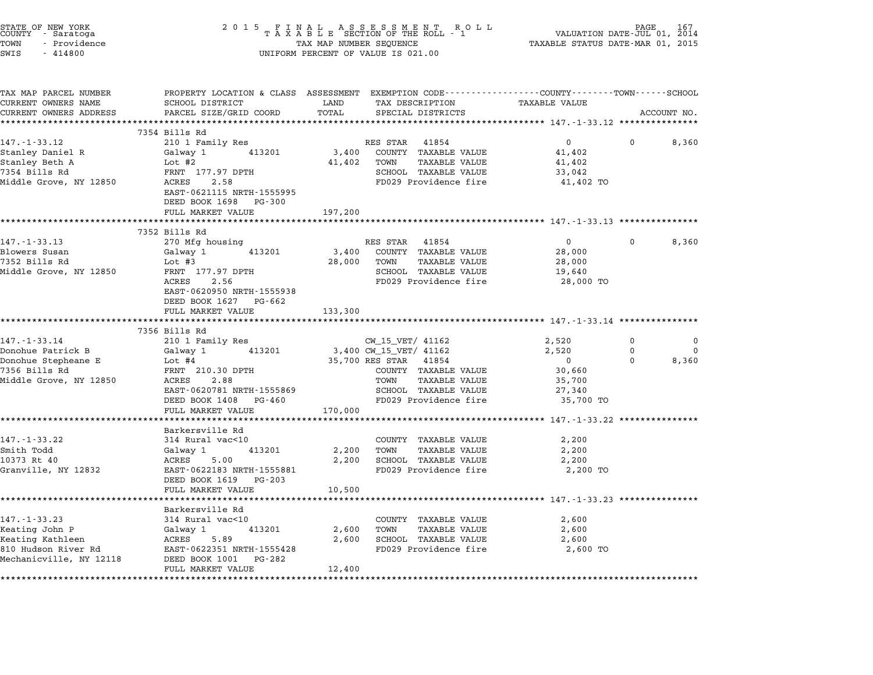| STATE OF NEW YORK<br>COUNTY – Saratoga<br>TOWN<br>- Providence<br>SWIS<br>$-414800$                        |                                                                                                               | 2015 FINAL ASSESSMENT ROLL<br>TAXABLE SECTION OF THE ROLL - 1<br>TAX MAP NUMBER SEQUENCE<br>UNIFORM PERCENT OF VALUE IS 021.00             | PAGE<br>167<br>VALUATION DATE-JUL 01, 2014<br>TAXABLE STATUS DATE-MAR 01, 2015                                          |
|------------------------------------------------------------------------------------------------------------|---------------------------------------------------------------------------------------------------------------|--------------------------------------------------------------------------------------------------------------------------------------------|-------------------------------------------------------------------------------------------------------------------------|
| TAX MAP PARCEL NUMBER<br>CURRENT OWNERS NAME                                                               | SCHOOL DISTRICT                                                                                               | LAND<br>TAX DESCRIPTION                                                                                                                    | PROPERTY LOCATION & CLASS ASSESSMENT EXEMPTION CODE---------------COUNTY-------TOWN------SCHOOL<br><b>TAXABLE VALUE</b> |
| CURRENT OWNERS ADDRESS                                                                                     | PARCEL SIZE/GRID COORD                                                                                        | TOTAL<br>SPECIAL DISTRICTS                                                                                                                 | ACCOUNT NO.                                                                                                             |
|                                                                                                            |                                                                                                               |                                                                                                                                            |                                                                                                                         |
| $147. - 1 - 33.12$                                                                                         | 7354 Bills Rd<br>210 1 Family Res                                                                             | RES STAR 41854                                                                                                                             | $\overline{0}$<br>8,360                                                                                                 |
| Stanley Daniel R<br>Stanley Beth A<br>7354 Bills Rd<br>Middle Grove, NY 12850                              | 413201<br>Galway 1<br>Lot #2<br>FRNT 177.97 DPTH<br>ACRES 2.58<br>EAST-0621115 NRTH-1555995                   | 3,400 COUNTY TAXABLE VALUE<br>TOWN<br>41,402<br>TAXABLE VALUE<br>SCHOOL TAXABLE VALUE<br>FD029 Providence fire                             | 41,402<br>41,402<br>33,042<br>41,402 TO                                                                                 |
|                                                                                                            | DEED BOOK 1698 PG-300                                                                                         |                                                                                                                                            |                                                                                                                         |
|                                                                                                            | FULL MARKET VALUE<br>*******************************                                                          | 197,200                                                                                                                                    |                                                                                                                         |
|                                                                                                            | 7352 Bills Rd                                                                                                 |                                                                                                                                            |                                                                                                                         |
| $147. - 1 - 33.13$<br>Blowers Susan<br>7352 Bills Rd<br>Middle Grove, NY 12850                             | 270 Mfg housing<br>Galway 1<br>413201<br>Lot #3<br>FRNT 177.97 DPTH<br>ACRES 2.56                             | RES STAR 41854<br>3,400<br>COUNTY TAXABLE VALUE<br>28,000<br>TOWN<br><b>TAXABLE VALUE</b><br>SCHOOL TAXABLE VALUE<br>FD029 Providence fire | $\overline{0}$<br>8,360<br>$\mathbf{0}$<br>28,000<br>28,000<br>19,640<br>28,000 TO                                      |
|                                                                                                            | EAST-0620950 NRTH-1555938<br>DEED BOOK 1627 PG-662<br>FULL MARKET VALUE<br>***********************            | 133,300                                                                                                                                    |                                                                                                                         |
|                                                                                                            | 7356 Bills Rd                                                                                                 |                                                                                                                                            |                                                                                                                         |
| 147. - 1 - 33. 14                                                                                          | 210 1 Family Res                                                                                              | CW_15_VET/ 41162                                                                                                                           | 2,520<br>$\Omega$<br>$\Omega$                                                                                           |
| Donohue Patrick B<br>Donohue Stepheane E                                                                   | Galway 1<br>413201<br>Lot #4                                                                                  | 3,400 CW_15_VET/ 41162<br>35,700 RES STAR 41854                                                                                            | 2,520<br>$\mathbf 0$<br>$\Omega$<br>8,360<br>$\overline{\mathbf{0}}$<br>$\Omega$                                        |
| 7356 Bills Rd<br>Middle Grove, NY 12850                                                                    | FRNT 210.30 DPTH<br>ACRES<br>2.88<br>EAST-0620781 NRTH-1555869<br>DEED BOOK 1408 PG-460                       | COUNTY TAXABLE VALUE<br>TOWN<br>TAXABLE VALUE<br>SCHOOL TAXABLE VALUE<br>FD029 Providence fire                                             | 30,660<br>35,700<br>27,340<br>35,700 TO                                                                                 |
|                                                                                                            | FULL MARKET VALUE                                                                                             | 170,000                                                                                                                                    |                                                                                                                         |
| $147. - 1 - 33.22$<br>Smith Todd<br>10373 Rt 40<br>Granville, NY 12832                                     | Barkersville Rd<br>314 Rural vac<10<br>Galway 1<br>413201<br>ACRES<br>5.00<br>EAST-0622183 NRTH-1555881       | COUNTY TAXABLE VALUE<br>2,200<br>TOWN<br>TAXABLE VALUE<br>2,200<br>SCHOOL TAXABLE VALUE<br>FD029 Providence fire                           | ********** 147.-1-33.22 ***********<br>2,200<br>2,200<br>2,200<br>2,200 TO                                              |
|                                                                                                            | DEED BOOK 1619 PG-203<br>FULL MARKET VALUE                                                                    | 10,500                                                                                                                                     | ******************************** 147.-1-33.23 ***************                                                           |
|                                                                                                            | Barkersville Rd                                                                                               |                                                                                                                                            |                                                                                                                         |
| $147. - 1 - 33.23$<br>Keating John P<br>Keating Kathleen<br>810 Hudson River Rd<br>Mechanicville, NY 12118 | 314 Rural vac<10<br>413201<br>Galway 1<br>ACRES<br>5.89<br>EAST-0622351 NRTH-1555428<br>DEED BOOK 1001 PG-282 | COUNTY TAXABLE VALUE<br>2,600<br>TOWN<br>TAXABLE VALUE<br>SCHOOL TAXABLE VALUE<br>2,600<br>FD029 Providence fire                           | 2,600<br>2,600<br>2,600<br>2,600 TO                                                                                     |
|                                                                                                            | FULL MARKET VALUE                                                                                             | 12,400                                                                                                                                     |                                                                                                                         |
|                                                                                                            |                                                                                                               |                                                                                                                                            |                                                                                                                         |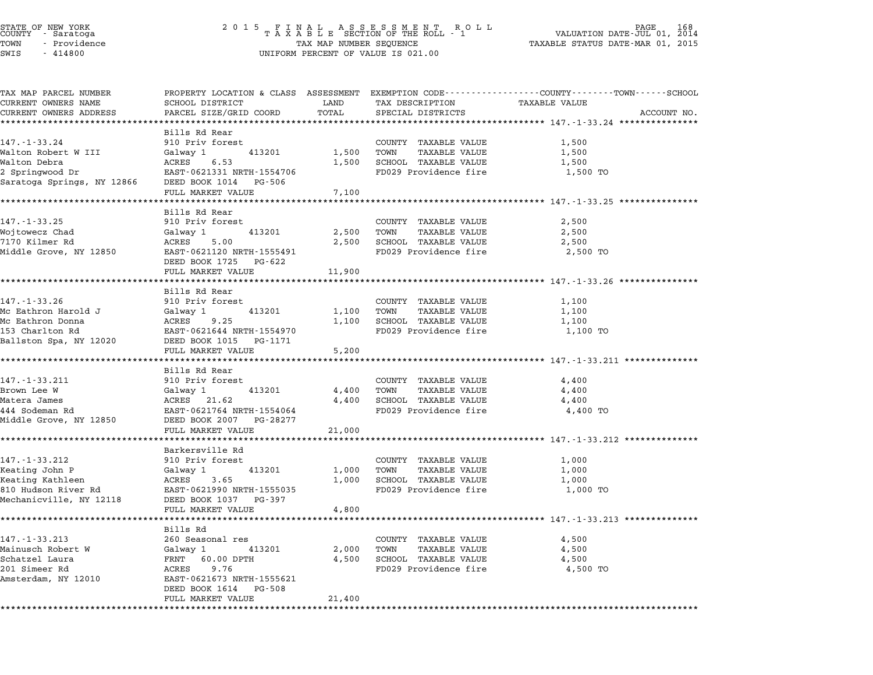## STATE OF NEW YORK <sup>2</sup> <sup>0</sup> <sup>1</sup> 5 F I N A L A S S E S S M E N T R O L L PAGE <sup>168</sup> COUNTY - Saratoga <sup>T</sup> <sup>A</sup> <sup>X</sup> <sup>A</sup> <sup>B</sup> <sup>L</sup> <sup>E</sup> SECTION OF THE ROLL - <sup>1</sup> VALUATION DATE-JUL 01, <sup>2014</sup> TOWN - Providence TAX MAP NUMBER SEQUENCE TAXABLE STATUS DATE-MAR 01, <sup>2015</sup> STATE OF NEW YORK<br>
COUNTY - Saratoga<br>
TOWN - Providence COUNTY - Providence COUNTY - Providence COUNTY - Providence<br>
TAX MAP NUMBER SEQUENCE<br>
SWIS - 414800 UNIFORM PERCENT OF VALUE IS 021.00

| TAX MAP PARCEL NUMBER                            |                                                         |               |                              | PROPERTY LOCATION & CLASS ASSESSMENT EXEMPTION CODE----------------COUNTY-------TOWN------SCHOOL |
|--------------------------------------------------|---------------------------------------------------------|---------------|------------------------------|--------------------------------------------------------------------------------------------------|
| CURRENT OWNERS NAME                              | SCHOOL DISTRICT                                         | LAND          | TAX DESCRIPTION              | <b>TAXABLE VALUE</b>                                                                             |
| CURRENT OWNERS ADDRESS                           | PARCEL SIZE/GRID COORD                                  | TOTAL         | SPECIAL DISTRICTS            | ACCOUNT NO.                                                                                      |
|                                                  |                                                         |               |                              |                                                                                                  |
|                                                  | Bills Rd Rear                                           |               |                              |                                                                                                  |
| $147. - 1 - 33.24$                               | 910 Priv forest                                         |               | COUNTY TAXABLE VALUE         | 1,500                                                                                            |
| Walton Robert W III                              | Galway 1 413201                                         |               | 1,500 TOWN<br>TAXABLE VALUE  | 1,500                                                                                            |
| Walton Debra                                     | ACRES 6.53                                              |               | 1,500 SCHOOL TAXABLE VALUE   | 1,500                                                                                            |
| 2 Springwood Dr                                  | EAST-0621331 NRTH-1554706                               |               | FD029 Providence fire        | 1,500 TO                                                                                         |
| Saratoga Springs, NY 12866 DEED BOOK 1014 PG-506 |                                                         |               |                              |                                                                                                  |
|                                                  | FULL MARKET VALUE                                       | 7,100         |                              |                                                                                                  |
|                                                  |                                                         |               |                              |                                                                                                  |
| $147. - 1 - 33.25$                               | Bills Rd Rear<br>910 Priv forest                        |               | COUNTY TAXABLE VALUE         | 2,500                                                                                            |
| Wojtowecz Chad                                   | Galway 1<br>413201                                      |               | 2,500 TOWN<br>TAXABLE VALUE  | 2,500                                                                                            |
| 7170 Kilmer Rd                                   | ACRES<br>5.00                                           |               | 2,500 SCHOOL TAXABLE VALUE   | 2,500                                                                                            |
| Middle Grove, NY 12850                           |                                                         |               | FD029 Providence fire        |                                                                                                  |
|                                                  | EAST-0621120 NRTH-1555491<br>DEED BOOK 1725 PG-622      |               |                              | 2,500 TO                                                                                         |
|                                                  |                                                         |               |                              |                                                                                                  |
|                                                  | FULL MARKET VALUE<br>********************************** | 11,900        |                              |                                                                                                  |
|                                                  | Bills Rd Rear                                           |               |                              |                                                                                                  |
| 147.-1-33.26                                     | 910 Priv forest                                         |               | COUNTY TAXABLE VALUE         | 1,100                                                                                            |
| Mc Eathron Harold J                              | Galway 1 413201                                         | 1,100 TOWN    | <b>TAXABLE VALUE</b>         | 1,100                                                                                            |
| Mc Eathron Donna                                 | ACRES 9.25                                              |               | 1,100 SCHOOL TAXABLE VALUE   | 1,100                                                                                            |
| 153 Charlton Rd                                  | EAST-0621644 NRTH-1554970                               |               | FD029 Providence fire        | 1,100 TO                                                                                         |
|                                                  | Ballston Spa, NY 12020 DEED BOOK 1015 PG-1171           |               |                              |                                                                                                  |
|                                                  | FULL MARKET VALUE                                       | 5,200         |                              |                                                                                                  |
|                                                  |                                                         |               |                              |                                                                                                  |
|                                                  | Bills Rd Rear                                           |               |                              |                                                                                                  |
| $147. - 1 - 33.211$                              | 910 Priv forest                                         |               | COUNTY TAXABLE VALUE         | 4,400                                                                                            |
| Brown Lee W                                      | Galway 1<br>ACRES    21.62<br>413201                    | 4,400         | TOWN<br>TAXABLE VALUE        | 4,400                                                                                            |
| Matera James                                     |                                                         |               | 4,400 SCHOOL TAXABLE VALUE   | 4,400                                                                                            |
| 444 Sodeman Rd                                   | EAST-0621764 NRTH-1554064                               |               | FD029 Providence fire        | 4,400 TO                                                                                         |
|                                                  | Middle Grove, NY 12850 DEED BOOK 2007 PG-28277          |               |                              |                                                                                                  |
|                                                  | FULL MARKET VALUE                                       | 21,000        |                              |                                                                                                  |
|                                                  |                                                         |               |                              |                                                                                                  |
|                                                  | Barkersville Rd                                         |               |                              |                                                                                                  |
| $147. - 1 - 33.212$                              | 910 Priv forest                                         |               | COUNTY TAXABLE VALUE         | 1,000                                                                                            |
| Keating John P                                   | Galway 1<br>413201                                      | 1,000         | TOWN<br><b>TAXABLE VALUE</b> | 1,000                                                                                            |
| Keating Kathleen                                 | 3.65<br>ACRES                                           |               | 1,000 SCHOOL TAXABLE VALUE   | 1,000                                                                                            |
|                                                  |                                                         |               | FD029 Providence fire        | 1,000 TO                                                                                         |
| Mechanicville, NY 12118                          |                                                         |               |                              |                                                                                                  |
|                                                  | FULL MARKET VALUE                                       | 4,800         |                              |                                                                                                  |
|                                                  |                                                         | ************* |                              | ************************************* 147.-1-33.213 ***************                              |
|                                                  | Bills Rd                                                |               |                              |                                                                                                  |
| $147. - 1 - 33.213$                              | 260 Seasonal res                                        |               | COUNTY TAXABLE VALUE         | 4,500                                                                                            |
| Mainusch Robert W                                | Galway 1 413201                                         | 2,000 TOWN    | TAXABLE VALUE                | 4,500                                                                                            |
| Schatzel Laura                                   | FRNT 60.00 DPTH                                         |               | 4,500 SCHOOL TAXABLE VALUE   | 4,500                                                                                            |
| 201 Simeer Rd                                    | ACRES 9.76                                              |               | FD029 Providence fire        | 4,500 TO                                                                                         |
| Amsterdam, NY 12010                              | EAST-0621673 NRTH-1555621                               |               |                              |                                                                                                  |
|                                                  | DEED BOOK 1614 PG-508                                   |               |                              |                                                                                                  |
|                                                  | FULL MARKET VALUE                                       | 21,400        |                              |                                                                                                  |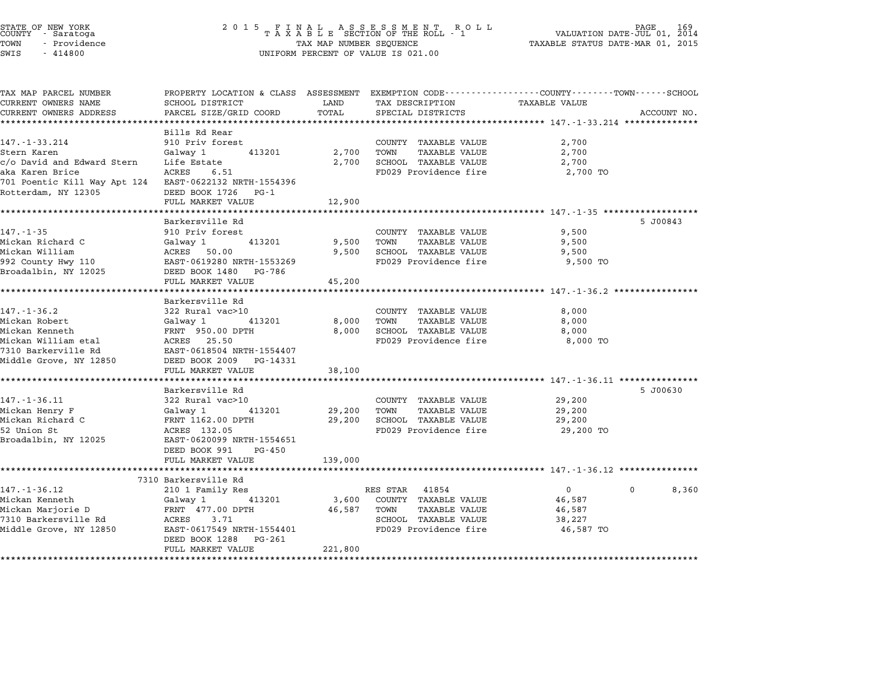| STATE OF NEW YORK<br>COUNTY - Saratoga<br>TOWN<br>- Providence<br>SWIS<br>$-414800$ | 2 0 1 5                                                                                                                                                                 | TAX MAP NUMBER SEQUENCE  | FINAL ASSESSMENT RO<br>TAXABLE SECTION OF THE ROLL - 1<br>R O L L<br>UNIFORM PERCENT OF VALUE IS 021.00 | TAXABLE STATUS DATE-MAR 01, 2015                        | PAGE<br>VALUATION DATE-JUL 01, 2014 |
|-------------------------------------------------------------------------------------|-------------------------------------------------------------------------------------------------------------------------------------------------------------------------|--------------------------|---------------------------------------------------------------------------------------------------------|---------------------------------------------------------|-------------------------------------|
| TAX MAP PARCEL NUMBER<br>CURRENT OWNERS NAME<br>CURRENT OWNERS ADDRESS              | PROPERTY LOCATION & CLASS ASSESSMENT EXEMPTION CODE----------------COUNTY-------TOWN------SCHOOL<br>SCHOOL DISTRICT<br>PARCEL SIZE/GRID COORD<br>********************** | LAND<br>TOTAL            | TAX DESCRIPTION<br>SPECIAL DISTRICTS                                                                    | TAXABLE VALUE                                           | ACCOUNT NO.                         |
|                                                                                     | Bills Rd Rear                                                                                                                                                           |                          |                                                                                                         |                                                         |                                     |
| $147. - 1 - 33.214$                                                                 | 910 Priv forest                                                                                                                                                         |                          | COUNTY TAXABLE VALUE                                                                                    | 2,700                                                   |                                     |
| Stern Karen                                                                         | Galway 1<br>413201                                                                                                                                                      | 2,700                    | TOWN<br>TAXABLE VALUE                                                                                   | 2,700                                                   |                                     |
| c/o David and Edward Stern                                                          | Life Estate                                                                                                                                                             | 2,700                    | SCHOOL TAXABLE VALUE                                                                                    | 2,700                                                   |                                     |
| aka Karen Brice<br>701 Poentic Kill Way Apt 124                                     | ACRES<br>6.51<br>EAST-0622132 NRTH-1554396                                                                                                                              |                          | FD029 Providence fire                                                                                   | 2,700 TO                                                |                                     |
| Rotterdam, NY 12305                                                                 | DEED BOOK 1726 PG-1<br>FULL MARKET VALUE                                                                                                                                | 12,900                   |                                                                                                         |                                                         |                                     |
|                                                                                     | Barkersville Rd                                                                                                                                                         |                          |                                                                                                         | ***************************** 147.-1-35 ************    | 5 J00843                            |
| $147. - 1 - 35$                                                                     | 910 Priv forest                                                                                                                                                         |                          | COUNTY TAXABLE VALUE                                                                                    | 9,500                                                   |                                     |
| Mickan Richard C                                                                    | Galway 1<br>413201                                                                                                                                                      | 9,500                    | TAXABLE VALUE<br>TOWN                                                                                   | 9,500                                                   |                                     |
| Mickan William                                                                      | ACRES<br>50.00                                                                                                                                                          | 9,500                    | SCHOOL TAXABLE VALUE                                                                                    | 9,500                                                   |                                     |
| 992 County Hwy 110                                                                  | EAST-0619280 NRTH-1553269                                                                                                                                               |                          | FD029 Providence fire                                                                                   | 9,500 TO                                                |                                     |
| Broadalbin, NY 12025                                                                | DEED BOOK 1480<br>PG-786<br>FULL MARKET VALUE                                                                                                                           | 45,200                   |                                                                                                         |                                                         |                                     |
|                                                                                     | ****************************                                                                                                                                            | *************            |                                                                                                         | ************************* 147.-1-36.2 ***************** |                                     |
|                                                                                     | Barkersville Rd                                                                                                                                                         |                          |                                                                                                         |                                                         |                                     |
| 147. - 1 - 36.2<br>Mickan Robert                                                    | 322 Rural vac>10                                                                                                                                                        | 8,000                    | COUNTY TAXABLE VALUE<br>TOWN<br>TAXABLE VALUE                                                           | 8,000<br>8,000                                          |                                     |
| Mickan Kenneth                                                                      | Galway 1<br>413201<br>FRNT 950.00 DPTH                                                                                                                                  | 8,000                    | SCHOOL TAXABLE VALUE                                                                                    | 8,000                                                   |                                     |
| Mickan William etal                                                                 | ACRES 25.50                                                                                                                                                             |                          | FD029 Providence fire                                                                                   | 8,000 TO                                                |                                     |
| 7310 Barkerville Rd                                                                 | EAST-0618504 NRTH-1554407                                                                                                                                               |                          |                                                                                                         |                                                         |                                     |
| Middle Grove, NY 12850                                                              | DEED BOOK 2009 PG-14331                                                                                                                                                 |                          |                                                                                                         |                                                         |                                     |
|                                                                                     | FULL MARKET VALUE                                                                                                                                                       | 38,100                   |                                                                                                         |                                                         |                                     |
|                                                                                     |                                                                                                                                                                         |                          |                                                                                                         | ************************ 147.-1-36.11 ***************   |                                     |
|                                                                                     | Barkersville Rd                                                                                                                                                         |                          |                                                                                                         |                                                         | 5 J00630                            |
| $147. - 1 - 36.11$                                                                  | 322 Rural vac>10                                                                                                                                                        |                          | COUNTY TAXABLE VALUE                                                                                    | 29,200                                                  |                                     |
| Mickan Henry F                                                                      | Galway 1<br>413201                                                                                                                                                      | 29,200                   | TOWN<br><b>TAXABLE VALUE</b>                                                                            | 29,200                                                  |                                     |
| Mickan Richard C                                                                    | FRNT 1162.00 DPTH                                                                                                                                                       | 29,200                   | SCHOOL TAXABLE VALUE                                                                                    | 29,200                                                  |                                     |
| 52 Union St                                                                         | ACRES 132.05                                                                                                                                                            |                          | FD029 Providence fire                                                                                   | 29,200 TO                                               |                                     |
| Broadalbin, NY 12025                                                                | EAST-0620099 NRTH-1554651<br>DEED BOOK 991<br>PG-450                                                                                                                    |                          |                                                                                                         |                                                         |                                     |
|                                                                                     | FULL MARKET VALUE                                                                                                                                                       | 139,000                  |                                                                                                         |                                                         |                                     |
|                                                                                     |                                                                                                                                                                         |                          |                                                                                                         |                                                         |                                     |
|                                                                                     | 7310 Barkersville Rd                                                                                                                                                    |                          |                                                                                                         |                                                         |                                     |
| $147. - 1 - 36.12$                                                                  | 210 1 Family Res                                                                                                                                                        |                          | RES STAR<br>41854                                                                                       | $\mathbf{0}$                                            | $\Omega$<br>8,360                   |
| Mickan Kenneth                                                                      | Galway 1<br>413201                                                                                                                                                      | 3,600                    | COUNTY TAXABLE VALUE                                                                                    | 46,587                                                  |                                     |
| Mickan Marjorie D                                                                   | FRNT 477.00 DPTH                                                                                                                                                        | 46,587                   | TOWN<br><b>TAXABLE VALUE</b>                                                                            | 46,587                                                  |                                     |
| 7310 Barkersville Rd                                                                | ACRES<br>3.71                                                                                                                                                           |                          | SCHOOL TAXABLE VALUE                                                                                    | 38,227                                                  |                                     |
| Middle Grove, NY 12850                                                              | EAST-0617549 NRTH-1554401<br>DEED BOOK 1288<br>PG-261                                                                                                                   |                          | FD029 Providence fire                                                                                   | 46,587 TO                                               |                                     |
|                                                                                     | FULL MARKET VALUE<br>*************************                                                                                                                          | 221,800<br>************* |                                                                                                         |                                                         |                                     |
|                                                                                     |                                                                                                                                                                         |                          |                                                                                                         |                                                         |                                     |

STATE OF NEW YORK <sup>2</sup> <sup>0</sup> <sup>1</sup> 5 F I N A L A S S E S S M E N T R O L L PAGE <sup>169</sup> COUNTY - Saratoga <sup>T</sup> <sup>A</sup> <sup>X</sup> <sup>A</sup> <sup>B</sup> <sup>L</sup> <sup>E</sup> SECTION OF THE ROLL - <sup>1</sup> VALUATION DATE-JUL 01, <sup>2014</sup>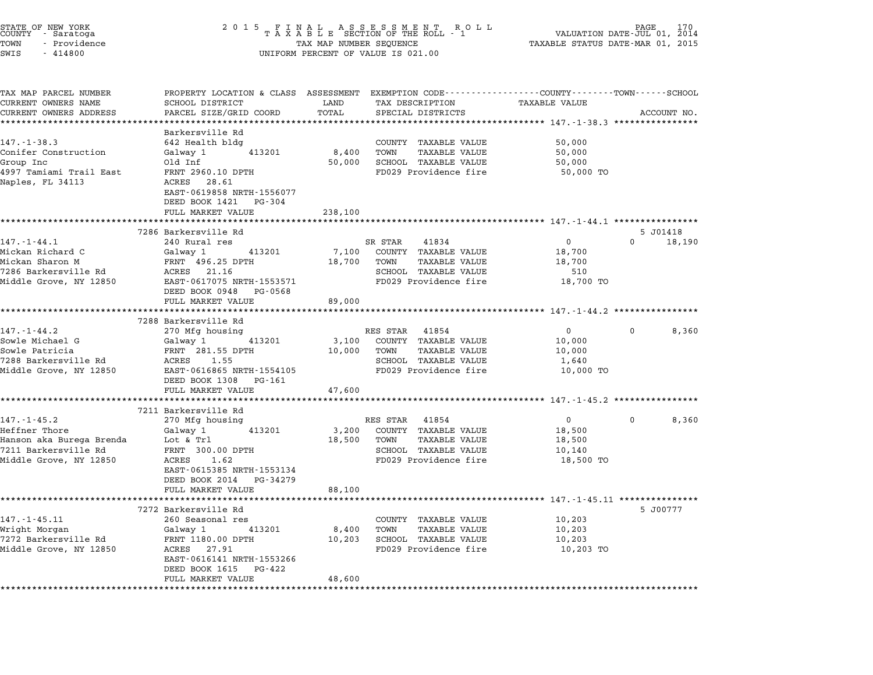| STATE OF NEW YORK<br>COUNTY – Saratoga<br>TOWN<br>- Providence<br>SWIS<br>$-414800$ | 2015 FINAL ASSESSMENT ROLL<br>TAXABLE SECTION OF THE ROLL - 1<br>TAX MAP NUMBER SEQUENCE<br>UNIFORM PERCENT OF VALUE IS 021.00 |                      |                                                         | 170<br>PAGE<br>VALUATION DATE-JUL 01, 2014<br>TAXABLE STATUS DATE-MAR 01, 2015 |             |                    |
|-------------------------------------------------------------------------------------|--------------------------------------------------------------------------------------------------------------------------------|----------------------|---------------------------------------------------------|--------------------------------------------------------------------------------|-------------|--------------------|
| TAX MAP PARCEL NUMBER                                                               | PROPERTY LOCATION & CLASS ASSESSMENT EXEMPTION CODE---------------COUNTY-------TOWN-----SCHOOL                                 |                      |                                                         |                                                                                |             |                    |
| CURRENT OWNERS NAME                                                                 | SCHOOL DISTRICT                                                                                                                | LAND                 | TAX DESCRIPTION                                         | <b>TAXABLE VALUE</b>                                                           |             |                    |
| CURRENT OWNERS ADDRESS                                                              | PARCEL SIZE/GRID COORD                                                                                                         | TOTAL<br>*********** | SPECIAL DISTRICTS                                       |                                                                                |             | ACCOUNT NO.        |
|                                                                                     | Barkersville Rd                                                                                                                |                      |                                                         |                                                                                |             |                    |
| $147. - 1 - 38.3$                                                                   | 642 Health bldg                                                                                                                |                      | COUNTY TAXABLE VALUE                                    | 50,000                                                                         |             |                    |
| Conifer Construction                                                                | Galway 1<br>413201                                                                                                             | 8,400                | <b>TAXABLE VALUE</b><br>TOWN                            | 50,000                                                                         |             |                    |
| Group Inc                                                                           | Old Inf                                                                                                                        | 50,000               | SCHOOL TAXABLE VALUE                                    | 50,000                                                                         |             |                    |
| 4997 Tamiami Trail East                                                             | FRNT 2960.10 DPTH                                                                                                              |                      | FD029 Providence fire                                   | 50,000 TO                                                                      |             |                    |
| Naples, FL 34113                                                                    | ACRES 28.61<br>EAST-0619858 NRTH-1556077                                                                                       |                      |                                                         |                                                                                |             |                    |
|                                                                                     | DEED BOOK 1421 PG-304                                                                                                          |                      |                                                         |                                                                                |             |                    |
|                                                                                     | FULL MARKET VALUE                                                                                                              | 238,100              |                                                         |                                                                                |             |                    |
|                                                                                     |                                                                                                                                |                      |                                                         |                                                                                |             |                    |
| $147. - 1 - 44.1$                                                                   | 7286 Barkersville Rd<br>240 Rural res                                                                                          |                      | 41834<br>SR STAR                                        | $\overline{0}$                                                                 | $\Omega$    | 5 JO1418<br>18,190 |
| Mickan Richard C                                                                    | Galway 1<br>413201                                                                                                             | 7,100                | COUNTY TAXABLE VALUE                                    | 18,700                                                                         |             |                    |
| Mickan Sharon M                                                                     | FRNT 496.25 DPTH                                                                                                               | 18,700               | TOWN<br>TAXABLE VALUE                                   | 18,700                                                                         |             |                    |
| 7286 Barkersville Rd                                                                | ACRES 21.16                                                                                                                    |                      | SCHOOL TAXABLE VALUE                                    | 510                                                                            |             |                    |
| Middle Grove, NY 12850                                                              | EAST-0617075 NRTH-1553571                                                                                                      |                      | FD029 Providence fire                                   | 18,700 TO                                                                      |             |                    |
|                                                                                     | DEED BOOK 0948 PG-0568                                                                                                         |                      |                                                         |                                                                                |             |                    |
|                                                                                     | FULL MARKET VALUE                                                                                                              | 89,000               |                                                         |                                                                                |             |                    |
|                                                                                     | ********************************                                                                                               |                      |                                                         |                                                                                |             |                    |
|                                                                                     | 7288 Barkersville Rd                                                                                                           |                      |                                                         |                                                                                |             |                    |
| $147. - 1 - 44.2$                                                                   | 270 Mfg housing                                                                                                                |                      | RES STAR 41854                                          | $\overline{0}$                                                                 | $\Omega$    | 8,360              |
| Sowle Michael G                                                                     | 413201<br>Galway 1                                                                                                             | 3,100                | COUNTY TAXABLE VALUE                                    | 10,000                                                                         |             |                    |
| Sowle Patricia                                                                      | FRNT 281.55 DPTH                                                                                                               | 10,000               | <b>TAXABLE VALUE</b><br>TOWN                            | 10,000                                                                         |             |                    |
| 7288 Barkersville Rd                                                                | ACRES<br>1.55                                                                                                                  |                      | SCHOOL TAXABLE VALUE                                    | 1,640                                                                          |             |                    |
| Middle Grove, NY 12850                                                              | EAST-0616865 NRTH-1554105                                                                                                      |                      | FD029 Providence fire                                   | 10,000 TO                                                                      |             |                    |
|                                                                                     | DEED BOOK 1308<br>PG-161                                                                                                       |                      |                                                         |                                                                                |             |                    |
|                                                                                     | FULL MARKET VALUE                                                                                                              | 47,600               |                                                         |                                                                                |             |                    |
|                                                                                     |                                                                                                                                |                      |                                                         | ********** 147.-1-45.2 **************                                          |             |                    |
| $147. - 1 - 45.2$                                                                   | 7211 Barkersville Rd<br>270 Mfg housing                                                                                        |                      | RES STAR<br>41854                                       | $\overline{0}$                                                                 | $\mathbf 0$ | 8,360              |
| Heffner Thore                                                                       | Galway 1<br>413201                                                                                                             | 3,200                | COUNTY TAXABLE VALUE                                    | 18,500                                                                         |             |                    |
| Hanson aka Burega Brenda                                                            | Lot & Trl                                                                                                                      | 18,500               | TOWN<br>TAXABLE VALUE                                   | 18,500                                                                         |             |                    |
| 7211 Barkersville Rd                                                                | FRNT 300.00 DPTH                                                                                                               |                      | SCHOOL TAXABLE VALUE                                    | 10,140                                                                         |             |                    |
| Middle Grove, NY 12850                                                              | ACRES<br>1.62                                                                                                                  |                      | FD029 Providence fire                                   | 18,500 TO                                                                      |             |                    |
|                                                                                     | EAST-0615385 NRTH-1553134                                                                                                      |                      |                                                         |                                                                                |             |                    |
|                                                                                     | DEED BOOK 2014 PG-34279                                                                                                        |                      |                                                         |                                                                                |             |                    |
|                                                                                     | FULL MARKET VALUE                                                                                                              | 88,100               |                                                         |                                                                                |             |                    |
|                                                                                     |                                                                                                                                |                      | ******************************* 147.-1-45.11 ********** |                                                                                |             |                    |
|                                                                                     | 7272 Barkersville Rd                                                                                                           |                      |                                                         |                                                                                |             | 5 J00777           |
| $147. - 1 - 45.11$                                                                  | 260 Seasonal res                                                                                                               |                      | COUNTY TAXABLE VALUE                                    | 10,203                                                                         |             |                    |
| Wright Morgan                                                                       | Galway 1<br>413201                                                                                                             | 8,400                | <b>TAXABLE VALUE</b><br>TOWN                            | 10,203                                                                         |             |                    |
| 7272 Barkersville Rd                                                                | FRNT 1180.00 DPTH                                                                                                              | 10,203               | SCHOOL TAXABLE VALUE                                    | 10,203                                                                         |             |                    |
| Middle Grove, NY 12850                                                              | ACRES<br>27.91                                                                                                                 |                      | FD029 Providence fire                                   | 10,203 TO                                                                      |             |                    |
|                                                                                     | EAST-0616141 NRTH-1553266                                                                                                      |                      |                                                         |                                                                                |             |                    |
|                                                                                     | DEED BOOK 1615<br>PG-422                                                                                                       |                      |                                                         |                                                                                |             |                    |
|                                                                                     | FULL MARKET VALUE                                                                                                              | 48,600               |                                                         |                                                                                |             |                    |
| ********                                                                            |                                                                                                                                |                      |                                                         |                                                                                |             |                    |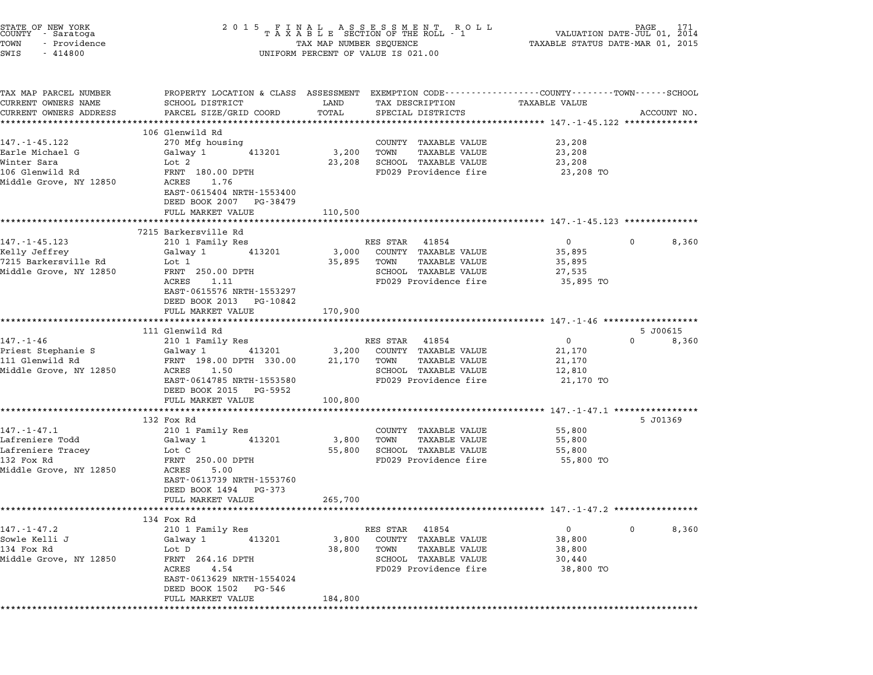| STATE OF NEW YORK<br>COUNTY – Saratoga<br>TOWN<br>- Providence<br>SWIS<br>$-414800$                |                                                                                                                                                                                           |                            | $\begin{tabular}{lllllllllllllllllllll} \hline 2&0&1&5&F\ \text{I}\ \text{A}\ &\text{B}\ &\text{B}\ &\text{C}\ &\text{D}\ &\text{D}\ &\text{A}\ &\text{A}\ &\text{B}\ &\text{B}\ &\text{B}\ &\text{B}\ &\text{B}\ &\text{B}\ &\text{B}\ &\text{B}\ &\text{B}\ &\text{B}\ &\text{B}\ &\text{B}\ &\text{B}\ &\text{B}\ &\text{B}\ &\text{B}\ &\text{B}\ &\text{B}\ &\text{B}\ &\text{B}\ &\text{B}\ &\text{B}\ &\text{$<br>UNIFORM PERCENT OF VALUE IS 021.00 |                                                         |                               |
|----------------------------------------------------------------------------------------------------|-------------------------------------------------------------------------------------------------------------------------------------------------------------------------------------------|----------------------------|-------------------------------------------------------------------------------------------------------------------------------------------------------------------------------------------------------------------------------------------------------------------------------------------------------------------------------------------------------------------------------------------------------------------------------------------------------------|---------------------------------------------------------|-------------------------------|
| TAX MAP PARCEL NUMBER<br>CURRENT OWNERS NAME<br>CURRENT OWNERS ADDRESS                             | PROPERTY LOCATION & CLASS ASSESSMENT EXEMPTION CODE---------------COUNTY-------TOWN-----SCHOOL<br>SCHOOL DISTRICT<br>PARCEL SIZE/GRID COORD                                               | LAND<br>TOTAL              | TAX DESCRIPTION<br>SPECIAL DISTRICTS                                                                                                                                                                                                                                                                                                                                                                                                                        | TAXABLE VALUE                                           | ACCOUNT NO.                   |
|                                                                                                    | ****************************                                                                                                                                                              |                            |                                                                                                                                                                                                                                                                                                                                                                                                                                                             |                                                         |                               |
| $147. - 1 - 45.122$<br>Earle Michael G<br>Winter Sara<br>106 Glenwild Rd<br>Middle Grove, NY 12850 | 106 Glenwild Rd<br>270 Mfg housing<br>Galway 1<br>413201<br>Lot 2<br>FRNT 180.00 DPTH<br>ACRES<br>1.76<br>EAST-0615404 NRTH-1553400<br>DEED BOOK 2007 PG-38479                            | 3,200<br>23,208            | COUNTY TAXABLE VALUE<br><b>TAXABLE VALUE</b><br>TOWN<br>SCHOOL TAXABLE VALUE<br>FD029 Providence fire                                                                                                                                                                                                                                                                                                                                                       | 23,208<br>23,208<br>23,208<br>23,208 TO                 |                               |
|                                                                                                    | FULL MARKET VALUE<br>*************************                                                                                                                                            | 110,500                    |                                                                                                                                                                                                                                                                                                                                                                                                                                                             |                                                         |                               |
| $147. - 1 - 45.123$<br>Kelly Jeffrey<br>7215 Barkersville Rd<br>Middle Grove, NY 12850             | 7215 Barkersville Rd<br>210 1 Family Res<br>Galway 1<br>413201<br>Lot 1<br>FRNT 250.00 DPTH<br>ACRES<br>1.11<br>EAST-0615576 NRTH-1553297<br>DEED BOOK 2013 PG-10842<br>FULL MARKET VALUE | 3,000<br>35,895<br>170,900 | RES STAR 41854<br>COUNTY TAXABLE VALUE<br>TOWN<br>TAXABLE VALUE<br>SCHOOL TAXABLE VALUE<br>FD029 Providence fire                                                                                                                                                                                                                                                                                                                                            | $\mathbf{0}$<br>35,895<br>35,895<br>27,535<br>35,895 TO | 0<br>8,360                    |
|                                                                                                    | **************************                                                                                                                                                                |                            |                                                                                                                                                                                                                                                                                                                                                                                                                                                             |                                                         |                               |
| $147. - 1 - 46$<br>Priest Stephanie S<br>111 Glenwild Rd<br>Middle Grove, NY 12850                 | 111 Glenwild Rd<br>210 1 Family Res<br>Galway 1 413201<br>FRNT 198.00 DPTH 330.00<br>ACRES 1.50<br>EAST-0614785 NRTH-1553580<br>DEED BOOK 2015 PG-5952                                    | 3,200<br>21,170            | RES STAR 41854<br>COUNTY TAXABLE VALUE<br>TOWN<br>TAXABLE VALUE<br>SCHOOL TAXABLE VALUE<br>FD029 Providence fire                                                                                                                                                                                                                                                                                                                                            | $\mathbf{0}$<br>21,170<br>21,170<br>12,810<br>21,170 TO | 5 J00615<br>$\Omega$<br>8,360 |
|                                                                                                    | FULL MARKET VALUE                                                                                                                                                                         | 100,800                    |                                                                                                                                                                                                                                                                                                                                                                                                                                                             |                                                         |                               |
| $147. - 1 - 47.1$<br>Lafreniere Todd<br>Lafreniere Tracey<br>132 Fox Rd<br>Middle Grove, NY 12850  | 132 Fox Rd<br>210 1 Family Res<br>413201<br>Galway 1<br>Lot C<br>FRNT 250.00 DPTH<br>ACRES<br>5.00<br>EAST-0613739 NRTH-1553760<br>DEED BOOK 1494 PG-373<br>FULL MARKET VALUE             | 3,800<br>55,800<br>265,700 | COUNTY TAXABLE VALUE<br>TOWN<br>TAXABLE VALUE<br>SCHOOL TAXABLE VALUE<br>FD029 Providence fire                                                                                                                                                                                                                                                                                                                                                              | 55,800<br>55,800<br>55,800<br>55,800 TO                 | 5 J01369                      |
|                                                                                                    |                                                                                                                                                                                           |                            |                                                                                                                                                                                                                                                                                                                                                                                                                                                             |                                                         |                               |
| $147. - 1 - 47.2$<br>Sowle Kelli J<br>134 Fox Rd<br>Middle Grove, NY 12850                         | 134 Fox Rd<br>210 1 Family Res<br>Galway 1<br>413201<br>Lot D<br>FRNT 264.16 DPTH<br>ACRES<br>4.54<br>EAST-0613629 NRTH-1554024<br>DEED BOOK 1502 PG-546<br>FULL MARKET VALUE             | 3,800<br>38,800<br>184,800 | RES STAR 41854<br>COUNTY TAXABLE VALUE<br>TAXABLE VALUE<br>TOWN<br>SCHOOL TAXABLE VALUE<br>FD029 Providence fire                                                                                                                                                                                                                                                                                                                                            | $\mathbf{0}$<br>38,800<br>38,800<br>30,440<br>38,800 TO | $\mathbf{0}$<br>8,360         |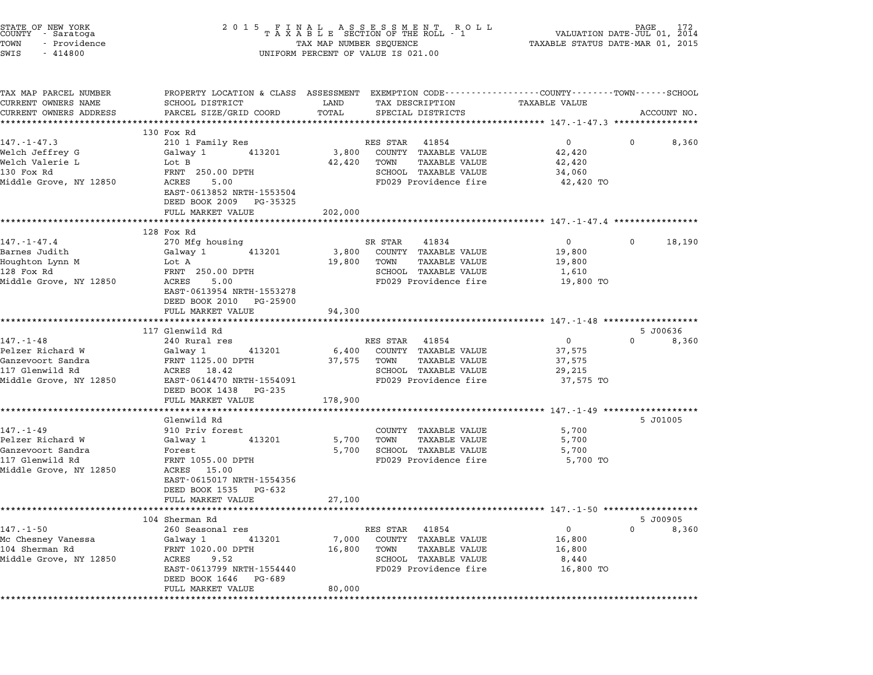| STATE OF NEW YORK<br>COUNTY - Saratoga<br>TOWN<br>- Providence<br>SWIS<br>$-414800$ | 2 0 1 5<br>$\begin{tabular}{lllllllllllllllllllllll} & $\texttt{F}~\texttt{I}~\texttt{N}~\texttt{A}~\texttt{L} & $\texttt{A}~\texttt{S}~\texttt{S}~\texttt{E}~\texttt{S}~\texttt{S}~\texttt{S}~\texttt{M}~\texttt{E}~\texttt{N}~\texttt{E}~\texttt{N}~\texttt{C}~\texttt{L} & $\texttt{A}~\texttt{A}~\texttt{A}~\texttt{B}~\texttt{L}~\texttt{E}~\texttt{S}~\texttt{E}~\texttt{C}~\texttt{$<br>UNIFORM PERCENT OF VALUE IS 021.00 |             |                   |                                       |                                                                    |          |                   |
|-------------------------------------------------------------------------------------|-----------------------------------------------------------------------------------------------------------------------------------------------------------------------------------------------------------------------------------------------------------------------------------------------------------------------------------------------------------------------------------------------------------------------------------|-------------|-------------------|---------------------------------------|--------------------------------------------------------------------|----------|-------------------|
| TAX MAP PARCEL NUMBER<br>CURRENT OWNERS NAME                                        | PROPERTY LOCATION & CLASS ASSESSMENT EXEMPTION CODE---------------COUNTY-------TOWN------SCHOOL<br>SCHOOL DISTRICT                                                                                                                                                                                                                                                                                                                | LAND        | TAX DESCRIPTION   |                                       | TAXABLE VALUE                                                      |          |                   |
| CURRENT OWNERS ADDRESS                                                              | PARCEL SIZE/GRID COORD<br>**************************                                                                                                                                                                                                                                                                                                                                                                              | TOTAL       | SPECIAL DISTRICTS |                                       |                                                                    |          | ACCOUNT NO.       |
|                                                                                     | 130 Fox Rd                                                                                                                                                                                                                                                                                                                                                                                                                        |             |                   |                                       |                                                                    |          |                   |
| $147. - 1 - 47.3$                                                                   | 210 1 Family Res                                                                                                                                                                                                                                                                                                                                                                                                                  |             | RES STAR          | 41854                                 | $0 \qquad \qquad$                                                  | 0        | 8,360             |
| Welch Jeffrey G                                                                     | Galway 1<br>413201                                                                                                                                                                                                                                                                                                                                                                                                                | 3,800       |                   | COUNTY TAXABLE VALUE                  | 42,420                                                             |          |                   |
| Welch Valerie L<br>130 Fox Rd                                                       | Lot B<br>FRNT 250.00 DPTH                                                                                                                                                                                                                                                                                                                                                                                                         | 42,420      | TOWN              | TAXABLE VALUE<br>SCHOOL TAXABLE VALUE | 42,420<br>34,060                                                   |          |                   |
| Middle Grove, NY 12850                                                              | ACRES<br>5.00                                                                                                                                                                                                                                                                                                                                                                                                                     |             |                   | FD029 Providence fire                 | 42,420 TO                                                          |          |                   |
|                                                                                     | EAST-0613852 NRTH-1553504<br>DEED BOOK 2009 PG-35325                                                                                                                                                                                                                                                                                                                                                                              |             |                   |                                       |                                                                    |          |                   |
|                                                                                     | FULL MARKET VALUE                                                                                                                                                                                                                                                                                                                                                                                                                 | 202,000     |                   |                                       |                                                                    |          |                   |
|                                                                                     |                                                                                                                                                                                                                                                                                                                                                                                                                                   |             |                   |                                       |                                                                    |          |                   |
|                                                                                     | 128 Fox Rd                                                                                                                                                                                                                                                                                                                                                                                                                        |             |                   |                                       |                                                                    |          |                   |
| $147. - 1 - 47.4$<br>Barnes Judith                                                  | 270 Mfg housing<br>Galway 1<br>413201                                                                                                                                                                                                                                                                                                                                                                                             | 3,800       | SR STAR           | 41834<br>COUNTY TAXABLE VALUE         | $\overline{0}$<br>19,800                                           | 0        | 18,190            |
| Houghton Lynn M                                                                     | Lot A                                                                                                                                                                                                                                                                                                                                                                                                                             | 19,800      | TOWN              | TAXABLE VALUE                         | 19,800                                                             |          |                   |
| 128 Fox Rd                                                                          | FRNT 250.00 DPTH                                                                                                                                                                                                                                                                                                                                                                                                                  |             |                   | SCHOOL TAXABLE VALUE                  | 1,610                                                              |          |                   |
| Middle Grove, NY 12850                                                              | 5.00<br>ACRES                                                                                                                                                                                                                                                                                                                                                                                                                     |             |                   | FD029 Providence fire                 | 19,800 TO                                                          |          |                   |
|                                                                                     | EAST-0613954 NRTH-1553278<br>DEED BOOK 2010 PG-25900                                                                                                                                                                                                                                                                                                                                                                              |             |                   |                                       |                                                                    |          |                   |
|                                                                                     | FULL MARKET VALUE                                                                                                                                                                                                                                                                                                                                                                                                                 | 94,300      |                   |                                       |                                                                    |          |                   |
|                                                                                     |                                                                                                                                                                                                                                                                                                                                                                                                                                   | *********** |                   |                                       | ************************************ 147.-1-48 ******************* |          |                   |
| $147. - 1 - 48$                                                                     | 117 Glenwild Rd<br>240 Rural res                                                                                                                                                                                                                                                                                                                                                                                                  |             | RES STAR          | 41854                                 | $\overline{0}$                                                     | $\Omega$ | 5 J00636<br>8,360 |
| Pelzer Richard W                                                                    | Galway 1<br>413201                                                                                                                                                                                                                                                                                                                                                                                                                | 6,400       |                   | COUNTY TAXABLE VALUE                  | 37,575                                                             |          |                   |
| Ganzevoort Sandra                                                                   | FRNT 1125.00 DPTH                                                                                                                                                                                                                                                                                                                                                                                                                 | 37,575      | TOWN              | TAXABLE VALUE                         | 37,575                                                             |          |                   |
| 117 Glenwild Rd                                                                     | ACRES 18.42                                                                                                                                                                                                                                                                                                                                                                                                                       |             |                   | SCHOOL TAXABLE VALUE                  | 29,215                                                             |          |                   |
| Middle Grove, NY 12850                                                              | EAST-0614470 NRTH-1554091                                                                                                                                                                                                                                                                                                                                                                                                         |             |                   | FD029 Providence fire                 | 37,575 TO                                                          |          |                   |
|                                                                                     | DEED BOOK 1438<br>PG-235                                                                                                                                                                                                                                                                                                                                                                                                          |             |                   |                                       |                                                                    |          |                   |
|                                                                                     | FULL MARKET VALUE                                                                                                                                                                                                                                                                                                                                                                                                                 | 178,900     |                   |                                       |                                                                    |          |                   |
|                                                                                     |                                                                                                                                                                                                                                                                                                                                                                                                                                   |             |                   |                                       |                                                                    |          |                   |
| $147. - 1 - 49$                                                                     | Glenwild Rd<br>910 Priv forest                                                                                                                                                                                                                                                                                                                                                                                                    |             |                   | COUNTY TAXABLE VALUE                  | 5,700                                                              |          | 5 J01005          |
| Pelzer Richard W                                                                    | Galway 1<br>413201                                                                                                                                                                                                                                                                                                                                                                                                                | 5,700       | TOWN              | TAXABLE VALUE                         | 5,700                                                              |          |                   |
| Ganzevoort Sandra                                                                   | Forest                                                                                                                                                                                                                                                                                                                                                                                                                            | 5,700       |                   | SCHOOL TAXABLE VALUE                  | 5,700                                                              |          |                   |
| 117 Glenwild Rd                                                                     | FRNT 1055.00 DPTH                                                                                                                                                                                                                                                                                                                                                                                                                 |             |                   | FD029 Providence fire                 | 5,700 TO                                                           |          |                   |
| Middle Grove, NY 12850                                                              | ACRES 15.00                                                                                                                                                                                                                                                                                                                                                                                                                       |             |                   |                                       |                                                                    |          |                   |
|                                                                                     | EAST-0615017 NRTH-1554356                                                                                                                                                                                                                                                                                                                                                                                                         |             |                   |                                       |                                                                    |          |                   |
|                                                                                     | DEED BOOK 1535<br>PG-632                                                                                                                                                                                                                                                                                                                                                                                                          |             |                   |                                       |                                                                    |          |                   |
|                                                                                     | FULL MARKET VALUE                                                                                                                                                                                                                                                                                                                                                                                                                 | 27,100      |                   |                                       |                                                                    |          |                   |
|                                                                                     | 104 Sherman Rd                                                                                                                                                                                                                                                                                                                                                                                                                    |             |                   |                                       |                                                                    |          | 5 J00905          |
| $147. - 1 - 50$                                                                     | 260 Seasonal res                                                                                                                                                                                                                                                                                                                                                                                                                  |             | RES STAR 41854    |                                       | $\overline{0}$                                                     | $\Omega$ | 8,360             |
| Mc Chesney Vanessa                                                                  | 413201<br>Galway 1                                                                                                                                                                                                                                                                                                                                                                                                                | 7,000       |                   | COUNTY TAXABLE VALUE                  | 16,800                                                             |          |                   |
| 104 Sherman Rd                                                                      | FRNT 1020.00 DPTH                                                                                                                                                                                                                                                                                                                                                                                                                 | 16,800      | TOWN              | TAXABLE VALUE                         | 16,800                                                             |          |                   |
| Middle Grove, NY 12850                                                              | 9.52<br>ACRES                                                                                                                                                                                                                                                                                                                                                                                                                     |             |                   | SCHOOL TAXABLE VALUE                  | 8,440                                                              |          |                   |
|                                                                                     | EAST-0613799 NRTH-1554440<br>DEED BOOK 1646 PG-689                                                                                                                                                                                                                                                                                                                                                                                |             |                   | FD029 Providence fire                 | 16,800 TO                                                          |          |                   |
|                                                                                     | FULL MARKET VALUE                                                                                                                                                                                                                                                                                                                                                                                                                 | 80,000      |                   |                                       |                                                                    |          |                   |
|                                                                                     |                                                                                                                                                                                                                                                                                                                                                                                                                                   |             |                   |                                       |                                                                    |          |                   |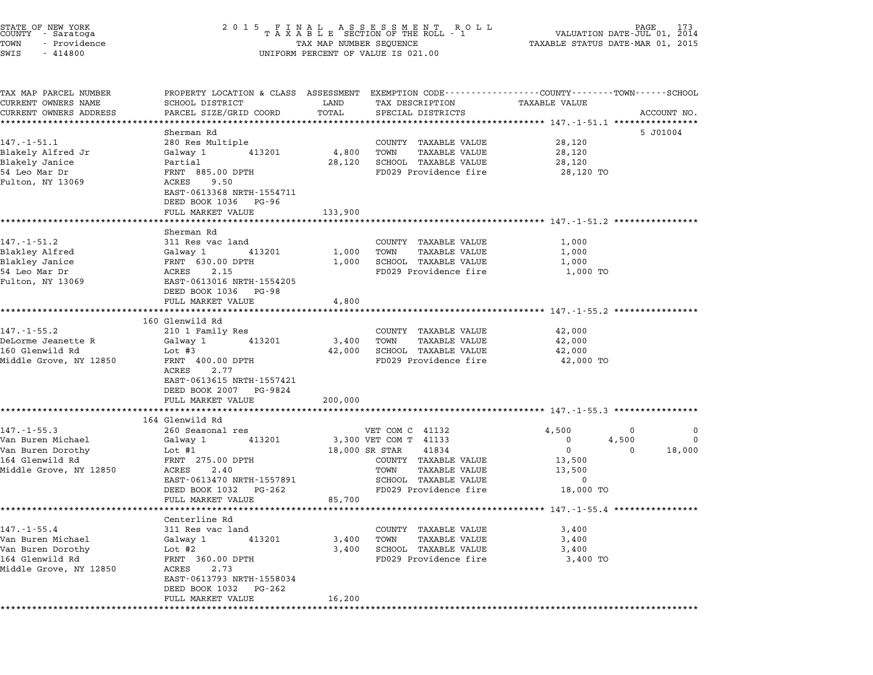| STATE OF NEW YORK<br>COUNTY - Saratoga<br>TOWN<br>- Providence<br>SWIS<br>$-414800$ | 2 0 1 5                                                                                                           | TAX MAP NUMBER SEQUENCE | FINAL ASSESSMENT ROLL<br>TAXABLE SECTION OF THE ROLL - 1<br>UNIFORM PERCENT OF VALUE IS 021.00 | VALUATION DATE-JUL 01, 2014<br>TAXABLE STATUS DATE-MAR 01, 2015 |             |
|-------------------------------------------------------------------------------------|-------------------------------------------------------------------------------------------------------------------|-------------------------|------------------------------------------------------------------------------------------------|-----------------------------------------------------------------|-------------|
|                                                                                     |                                                                                                                   |                         |                                                                                                |                                                                 |             |
| TAX MAP PARCEL NUMBER<br>CURRENT OWNERS NAME                                        | PROPERTY LOCATION & CLASS ASSESSMENT EXEMPTION CODE---------------COUNTY-------TOWN-----SCHOOL<br>SCHOOL DISTRICT | LAND                    | TAX DESCRIPTION                                                                                | <b>TAXABLE VALUE</b>                                            |             |
| CURRENT OWNERS ADDRESS                                                              | PARCEL SIZE/GRID COORD<br>*********************                                                                   | TOTAL                   | SPECIAL DISTRICTS                                                                              |                                                                 | ACCOUNT NO. |
|                                                                                     | Sherman Rd                                                                                                        |                         |                                                                                                | ********************************** 147.-1-51.1 ***********      | 5 J01004    |
| $147. - 1 - 51.1$                                                                   | 280 Res Multiple                                                                                                  |                         | COUNTY TAXABLE VALUE                                                                           | 28,120                                                          |             |
| Blakely Alfred Jr                                                                   | Galway 1<br>413201                                                                                                | 4,800                   | TAXABLE VALUE<br>TOWN                                                                          | 28,120                                                          |             |
| Blakely Janice                                                                      | Partial                                                                                                           | 28,120                  | SCHOOL TAXABLE VALUE                                                                           | 28,120                                                          |             |
| 54 Leo Mar Dr                                                                       | FRNT 885.00 DPTH                                                                                                  |                         | FD029 Providence fire                                                                          | 28,120 TO                                                       |             |
| Fulton, NY 13069                                                                    | 9.50<br>ACRES                                                                                                     |                         |                                                                                                |                                                                 |             |
|                                                                                     | EAST-0613368 NRTH-1554711<br>DEED BOOK 1036 PG-96                                                                 |                         |                                                                                                |                                                                 |             |
|                                                                                     | FULL MARKET VALUE                                                                                                 | 133,900                 |                                                                                                |                                                                 |             |
|                                                                                     |                                                                                                                   |                         |                                                                                                | *********************************** 147.-1-51.2 ************    |             |
|                                                                                     | Sherman Rd                                                                                                        |                         |                                                                                                |                                                                 |             |
| 147.-1-51.2                                                                         | 311 Res vac land                                                                                                  |                         | COUNTY TAXABLE VALUE                                                                           | 1,000                                                           |             |
| Blakley Alfred                                                                      | Galway 1<br>413201                                                                                                | 1,000                   | <b>TAXABLE VALUE</b><br>TOWN                                                                   | 1,000                                                           |             |
| Blakley Janice                                                                      | FRNT 630.00 DPTH                                                                                                  | 1,000                   | SCHOOL TAXABLE VALUE                                                                           | 1,000                                                           |             |
| 54 Leo Mar Dr<br>Fulton, NY 13069                                                   | 2.15<br>ACRES<br>EAST-0613016 NRTH-1554205                                                                        |                         | FD029 Providence fire                                                                          | 1,000 TO                                                        |             |
|                                                                                     | DEED BOOK 1036 PG-98                                                                                              |                         |                                                                                                |                                                                 |             |
|                                                                                     | FULL MARKET VALUE                                                                                                 | 4,800                   |                                                                                                |                                                                 |             |
|                                                                                     |                                                                                                                   |                         |                                                                                                |                                                                 |             |
|                                                                                     | 160 Glenwild Rd                                                                                                   |                         |                                                                                                |                                                                 |             |
| 147. - 1 - 55.2                                                                     | 210 1 Family Res                                                                                                  |                         | COUNTY TAXABLE VALUE                                                                           | 42,000                                                          |             |
| DeLorme Jeanette R                                                                  | 413201<br>Galway 1                                                                                                | 3,400                   | TOWN<br>TAXABLE VALUE                                                                          | 42,000                                                          |             |
| 160 Glenwild Rd                                                                     | Lot #3<br>FRNT 400.00 DPTH                                                                                        | 42,000                  | SCHOOL TAXABLE VALUE<br>FD029 Providence fire                                                  | 42,000                                                          |             |
| Middle Grove, NY 12850                                                              | ACRES<br>2.77                                                                                                     |                         |                                                                                                | 42,000 TO                                                       |             |
|                                                                                     | EAST-0613615 NRTH-1557421                                                                                         |                         |                                                                                                |                                                                 |             |
|                                                                                     | DEED BOOK 2007<br>PG-9824                                                                                         |                         |                                                                                                |                                                                 |             |
|                                                                                     | FULL MARKET VALUE                                                                                                 | 200,000                 |                                                                                                |                                                                 |             |
|                                                                                     |                                                                                                                   |                         |                                                                                                |                                                                 |             |
|                                                                                     | 164 Glenwild Rd                                                                                                   |                         |                                                                                                |                                                                 |             |
| $147. - 1 - 55.3$                                                                   | 260 Seasonal res                                                                                                  |                         | VET COM C 41132                                                                                | 4,500<br>0                                                      | 0           |
| Van Buren Michael                                                                   | 413201<br>Galway 1                                                                                                |                         | 3,300 VET COM T 41133                                                                          | $\mathbf 0$<br>4,500                                            | $\Omega$    |
| Van Buren Dorothy<br>164 Glenwild Rd                                                | Lot #1<br>FRNT 275.00 DPTH                                                                                        |                         | 18,000 SR STAR<br>41834<br>COUNTY TAXABLE VALUE                                                | $\mathbf 0$<br>0<br>13,500                                      | 18,000      |
| Middle Grove, NY 12850                                                              | ACRES<br>2.40                                                                                                     |                         | <b>TAXABLE VALUE</b><br>TOWN                                                                   | 13,500                                                          |             |
|                                                                                     | EAST-0613470 NRTH-1557891                                                                                         |                         | SCHOOL TAXABLE VALUE                                                                           | 0                                                               |             |
|                                                                                     | DEED BOOK 1032<br>PG-262                                                                                          |                         | FD029 Providence fire                                                                          | 18,000 TO                                                       |             |
|                                                                                     | FULL MARKET VALUE                                                                                                 | 85,700                  |                                                                                                |                                                                 |             |
|                                                                                     |                                                                                                                   |                         |                                                                                                |                                                                 |             |
|                                                                                     | Centerline Rd                                                                                                     |                         |                                                                                                |                                                                 |             |
| $147. - 1 - 55.4$                                                                   | 311 Res vac land                                                                                                  |                         | COUNTY TAXABLE VALUE                                                                           | 3,400                                                           |             |
| Van Buren Michael                                                                   | Galway 1<br>413201                                                                                                | 3,400                   | TOWN<br>TAXABLE VALUE                                                                          | 3,400                                                           |             |
| Van Buren Dorothy                                                                   | Lot $#2$                                                                                                          | 3,400                   | SCHOOL TAXABLE VALUE                                                                           | 3,400                                                           |             |
| 164 Glenwild Rd                                                                     | FRNT 360.00 DPTH<br>ACRES                                                                                         |                         | FD029 Providence fire                                                                          | 3,400 TO                                                        |             |
| Middle Grove, NY 12850                                                              | 2.73<br>EAST-0613793 NRTH-1558034                                                                                 |                         |                                                                                                |                                                                 |             |
|                                                                                     | DEED BOOK 1032 PG-262                                                                                             |                         |                                                                                                |                                                                 |             |
|                                                                                     | FULL MARKET VALUE                                                                                                 | 16,200                  |                                                                                                |                                                                 |             |

\*\*\*\*\*\*\*\*\*\*\*\*\*\*\*\*\*\*\*\*\*\*\*\*\*\*\*\*\*\*\*\*\*\*\*\*\*\*\*\*\*\*\*\*\*\*\*\*\*\*\*\*\*\*\*\*\*\*\*\*\*\*\*\*\*\*\*\*\*\*\*\*\*\*\*\*\*\*\*\*\*\*\*\*\*\*\*\*\*\*\*\*\*\*\*\*\*\*\*\*\*\*\*\*\*\*\*\*\*\*\*\*\*\*\*\*\*\*\*\*\*\*\*\*\*\*\*\*\*\*\*\*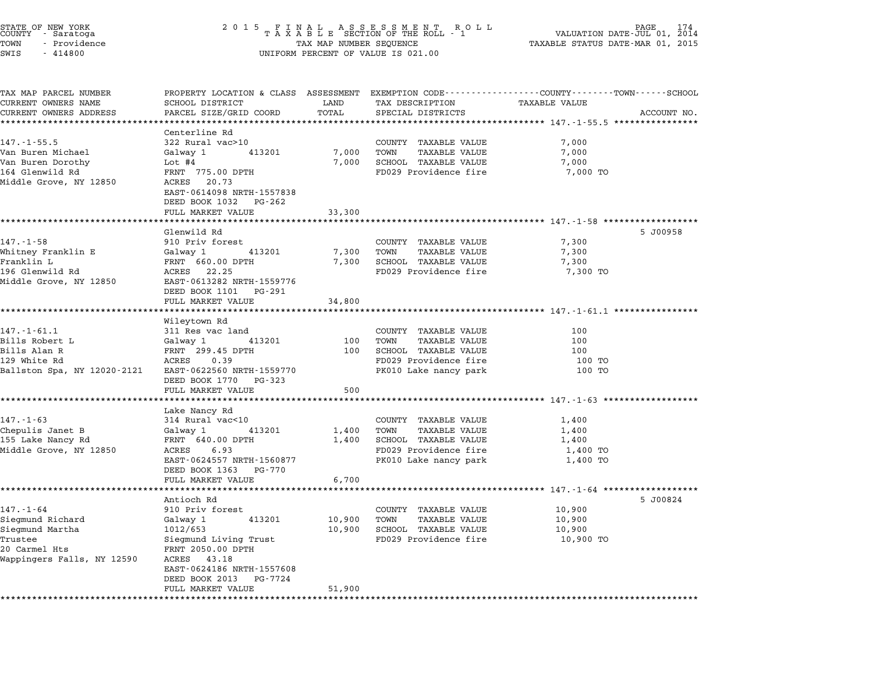| STATE OF NEW YORK<br>COUNTY - Saratoga<br>TOWN<br>- Providence<br>SWIS<br>$-414800$ | 2 0 1 5                                                                                     | TAX MAP NUMBER SEQUENCE  | UNIFORM PERCENT OF VALUE IS 021.00               | PAGE.<br>VALUATION DATE-JUL 01, 2014<br>TAXABLE STATUS DATE-MAR 01, 2015                                        | 174         |
|-------------------------------------------------------------------------------------|---------------------------------------------------------------------------------------------|--------------------------|--------------------------------------------------|-----------------------------------------------------------------------------------------------------------------|-------------|
| TAX MAP PARCEL NUMBER<br>CURRENT OWNERS NAME                                        | SCHOOL DISTRICT                                                                             | LAND                     | TAX DESCRIPTION                                  | PROPERTY LOCATION & CLASS ASSESSMENT EXEMPTION CODE---------------COUNTY-------TOWN-----SCHOOL<br>TAXABLE VALUE |             |
| CURRENT OWNERS ADDRESS                                                              | PARCEL SIZE/GRID COORD                                                                      | TOTAL                    | SPECIAL DISTRICTS                                |                                                                                                                 | ACCOUNT NO. |
|                                                                                     | Centerline Rd                                                                               |                          |                                                  | ***************************** 147.-1-55.5 ****************                                                      |             |
| $147. - 1 - 55.5$                                                                   | 322 Rural vac>10                                                                            |                          | COUNTY TAXABLE VALUE                             | 7,000                                                                                                           |             |
| Van Buren Michael                                                                   | Galway 1<br>413201                                                                          | 7,000                    | TAXABLE VALUE<br>TOWN                            | 7,000                                                                                                           |             |
| Van Buren Dorothy                                                                   | Lot #4                                                                                      | 7,000                    | SCHOOL TAXABLE VALUE                             | 7,000                                                                                                           |             |
| 164 Glenwild Rd<br>Middle Grove, NY 12850                                           | FRNT 775.00 DPTH<br>20.73<br>ACRES<br>EAST-0614098 NRTH-1557838<br>DEED BOOK 1032<br>PG-262 |                          | FD029 Providence fire                            | 7,000 TO                                                                                                        |             |
|                                                                                     | FULL MARKET VALUE                                                                           | 33,300                   |                                                  | ****************************** 147.-1-58 ***************                                                        |             |
|                                                                                     | Glenwild Rd                                                                                 |                          |                                                  |                                                                                                                 | 5 J00958    |
| $147. - 1 - 58$                                                                     | 910 Priv forest                                                                             |                          | COUNTY TAXABLE VALUE                             | 7,300                                                                                                           |             |
| Whitney Franklin E                                                                  | Galway 1<br>413201                                                                          | 7,300                    | <b>TAXABLE VALUE</b><br>TOWN                     | 7,300                                                                                                           |             |
| Franklin L                                                                          | FRNT 660.00 DPTH                                                                            | 7,300                    | SCHOOL TAXABLE VALUE                             | 7,300                                                                                                           |             |
| 196 Glenwild Rd<br>Middle Grove, NY 12850                                           | ACRES 22.25<br>EAST-0613282 NRTH-1559776<br>DEED BOOK 1101 PG-291                           |                          | FD029 Providence fire                            | 7,300 TO                                                                                                        |             |
|                                                                                     | FULL MARKET VALUE                                                                           | 34,800                   |                                                  |                                                                                                                 |             |
|                                                                                     |                                                                                             |                          |                                                  |                                                                                                                 |             |
| $147. - 1 - 61.1$                                                                   | Wileytown Rd<br>311 Res vac land                                                            |                          | COUNTY TAXABLE VALUE                             | 100                                                                                                             |             |
| Bills Robert L                                                                      | 413201<br>Galway 1                                                                          | 100                      | TOWN<br><b>TAXABLE VALUE</b>                     | 100                                                                                                             |             |
| Bills Alan R                                                                        | FRNT 299.45 DPTH                                                                            | 100                      | SCHOOL TAXABLE VALUE                             | 100                                                                                                             |             |
| 129 White Rd                                                                        | ACRES<br>0.39                                                                               |                          | FD029 Providence fire                            | 100 TO                                                                                                          |             |
| Ballston Spa, NY 12020-2121                                                         | EAST-0622560 NRTH-1559770<br>DEED BOOK 1770<br>PG-323                                       |                          | PK010 Lake nancy park                            | 100 TO                                                                                                          |             |
|                                                                                     | FULL MARKET VALUE                                                                           | 500<br>* * * * * * * * * |                                                  | ********************* 147.-1-63 *********                                                                       |             |
|                                                                                     | Lake Nancy Rd                                                                               |                          |                                                  |                                                                                                                 |             |
| $147. - 1 - 63$                                                                     | 314 Rural vac<10                                                                            |                          | COUNTY TAXABLE VALUE                             | 1,400                                                                                                           |             |
| Chepulis Janet B                                                                    | Galway 1<br>413201                                                                          | 1,400                    | <b>TAXABLE VALUE</b><br>TOWN                     | 1,400                                                                                                           |             |
| 155 Lake Nancy Rd                                                                   | FRNT 640.00 DPTH                                                                            | 1,400                    | SCHOOL TAXABLE VALUE                             | 1,400                                                                                                           |             |
| Middle Grove, NY 12850                                                              | ACRES<br>6.93                                                                               |                          | FD029 Providence fire                            | 1,400 TO                                                                                                        |             |
|                                                                                     | EAST-0624557 NRTH-1560877<br>DEED BOOK 1363<br>PG-770<br>FULL MARKET VALUE                  | 6,700                    | PK010 Lake nancy park                            | 1,400 TO                                                                                                        |             |
|                                                                                     |                                                                                             |                          |                                                  |                                                                                                                 |             |
|                                                                                     | Antioch Rd                                                                                  |                          |                                                  |                                                                                                                 | 5 J00824    |
| $147. - 1 - 64$                                                                     | 910 Priv forest                                                                             |                          | <b>TAXABLE VALUE</b><br>COUNTY                   | 10,900                                                                                                          |             |
| Siegmund Richard                                                                    | 413201<br>Galway 1                                                                          | 10,900                   | TOWN<br>TAXABLE VALUE                            | 10,900                                                                                                          |             |
| Siegmund Martha<br>Trustee                                                          | 1012/653<br>Siegmund Living Trust                                                           | 10,900                   | TAXABLE VALUE<br>SCHOOL<br>FD029 Providence fire | 10,900<br>10,900 TO                                                                                             |             |
| 20 Carmel Hts                                                                       | FRNT 2050.00 DPTH                                                                           |                          |                                                  |                                                                                                                 |             |
| Wappingers Falls, NY 12590                                                          | ACRES<br>43.18                                                                              |                          |                                                  |                                                                                                                 |             |
|                                                                                     | EAST-0624186 NRTH-1557608                                                                   |                          |                                                  |                                                                                                                 |             |
|                                                                                     | DEED BOOK 2013<br>PG-7724                                                                   |                          |                                                  |                                                                                                                 |             |
|                                                                                     | FULL MARKET VALUE                                                                           | 51,900                   |                                                  |                                                                                                                 |             |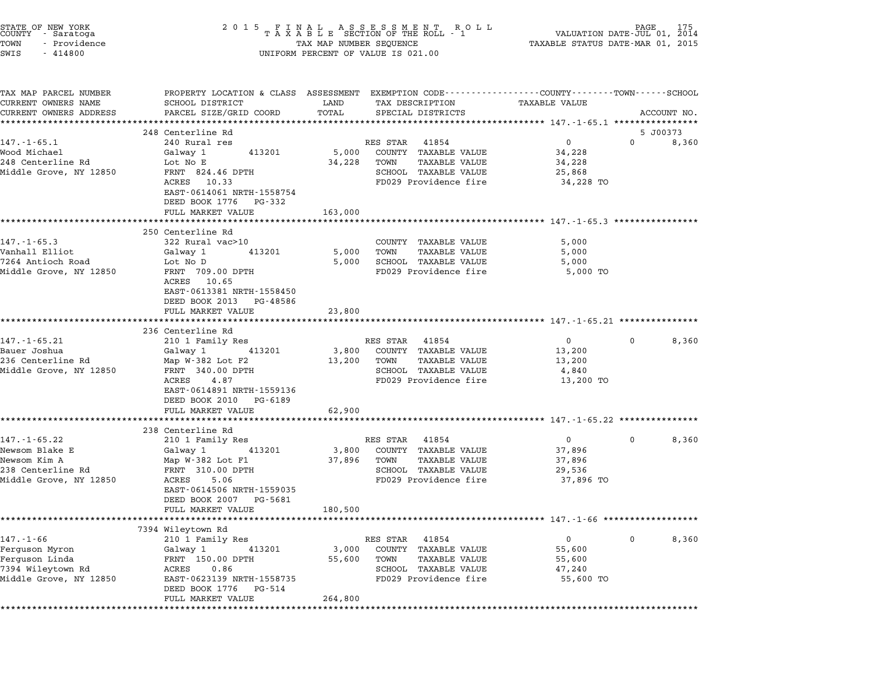| STATE OF NEW YORK<br>COUNTY – Saratoga<br>TOWN<br>- Providence<br>SWIS<br>$-414800$                 | UNIFORM PERCENT OF VALUE IS 021.00                                                                                                                                                                           |                                                  |                                                                                                                                                                                         |                                                              |             |       |
|-----------------------------------------------------------------------------------------------------|--------------------------------------------------------------------------------------------------------------------------------------------------------------------------------------------------------------|--------------------------------------------------|-----------------------------------------------------------------------------------------------------------------------------------------------------------------------------------------|--------------------------------------------------------------|-------------|-------|
| TAX MAP PARCEL NUMBER<br>CURRENT OWNERS NAME<br>CURRENT OWNERS ADDRESS                              | PROPERTY LOCATION & CLASS ASSESSMENT EXEMPTION CODE----------------COUNTY-------TOWN-----SCHOOL<br>SCHOOL DISTRICT<br>PARCEL SIZE/GRID COORD<br>************************                                     | LAND<br>TOTAL                                    | TAX DESCRIPTION<br>SPECIAL DISTRICTS                                                                                                                                                    | TAXABLE VALUE                                                | ACCOUNT NO. |       |
|                                                                                                     | 248 Centerline Rd                                                                                                                                                                                            |                                                  |                                                                                                                                                                                         |                                                              | 5 J00373    |       |
| $147. - 1 - 65.1$<br>Wood Michael<br>248 Centerline Rd<br>Middle Grove, NY 12850                    | 240 Rural res<br>413201<br>Galway 1<br>Lot No E<br>FRNT 824.46 DPTH<br>ACRES 10.33<br>EAST-0614061 NRTH-1558754<br>DEED BOOK 1776 PG-332                                                                     | 5,000<br>34,228                                  | RES STAR 41854<br>COUNTY TAXABLE VALUE<br>TOWN<br>TAXABLE VALUE<br>SCHOOL TAXABLE VALUE<br>FD029 Providence fire                                                                        | $\overline{0}$<br>34,228<br>34,228<br>25,868<br>34,228 TO    | $\Omega$    | 8,360 |
|                                                                                                     | FULL MARKET VALUE<br>********************                                                                                                                                                                    | 163,000                                          | ************************************ 147.-1-65.3 *****************                                                                                                                      |                                                              |             |       |
| $147. - 1 - 65.3$<br>Vanhall Elliot<br>7264 Antioch Road<br>Middle Grove, NY 12850                  | 250 Centerline Rd<br>322 Rural vac>10<br>413201<br>Galwav 1<br>Lot No D<br>FRNT 709.00 DPTH<br>ACRES 10.65<br>EAST-0613381 NRTH-1558450<br>DEED BOOK 2013 PG-48586<br>FULL MARKET VALUE                      | 5,000<br>5,000<br>23,800                         | COUNTY TAXABLE VALUE<br>TAXABLE VALUE<br>TOWN<br>SCHOOL TAXABLE VALUE<br>FD029 Providence fire                                                                                          | 5,000<br>5,000<br>5,000<br>5,000 TO                          |             |       |
|                                                                                                     | 236 Centerline Rd                                                                                                                                                                                            | **********                                       |                                                                                                                                                                                         |                                                              |             |       |
| $147. - 1 - 65.21$<br>Bauer Joshua<br>236 Centerline Rd<br>Middle Grove, NY 12850                   | 210 1 Family Res<br>413201<br>Galway 1<br>Map $W-382$ Lot F2<br>FRNT 340.00 DPTH<br>ACRES<br>4.87<br>EAST-0614891 NRTH-1559136<br>DEED BOOK 2010 PG-6189                                                     | 3,800<br>13,200                                  | RES STAR 41854<br>COUNTY TAXABLE VALUE<br>TAXABLE VALUE<br>TOWN<br>SCHOOL TAXABLE VALUE<br>FD029 Providence fire                                                                        | $\overline{0}$<br>13,200<br>13,200<br>4,840<br>13,200 TO     | 0           | 8,360 |
|                                                                                                     | FULL MARKET VALUE<br>*********************                                                                                                                                                                   | 62,900                                           |                                                                                                                                                                                         |                                                              |             |       |
| $147. - 1 - 65.22$<br>Newsom Blake E<br>Newsom Kim A<br>238 Centerline Rd<br>Middle Grove, NY 12850 | 238 Centerline Rd<br>210 1 Family Res<br>Galway 1<br>413201<br>Map $W-382$ Lot F1<br>FRNT 310.00 DPTH<br>ACRES<br>5.06<br>EAST-0614506 NRTH-1559035<br>DEED BOOK 2007 PG-5681                                | 3,800<br>37,896                                  | ************************************* 147.-1-65.22 ****************<br>RES STAR 41854<br>COUNTY TAXABLE VALUE<br>TOWN<br>TAXABLE VALUE<br>SCHOOL TAXABLE VALUE<br>FD029 Providence fire | $0 \qquad \qquad$<br>37,896<br>37,896<br>29,536<br>37,896 TO | 0           | 8,360 |
|                                                                                                     | FULL MARKET VALUE                                                                                                                                                                                            | 180,500                                          |                                                                                                                                                                                         |                                                              |             |       |
| $147. - 1 - 66$<br>Ferguson Myron<br>Ferguson Linda<br>7394 Wileytown Rd<br>Middle Grove, NY 12850  | 7394 Wileytown Rd<br>210 1 Family Res<br>413201<br>Galway 1<br>FRNT 150.00 DPTH<br>ACRES<br>0.86<br>EAST-0623139 NRTH-1558735<br>DEED BOOK 1776<br>PG-514<br>FULL MARKET VALUE<br>************************** | 3,000<br>55,600<br>264,800<br>****************** | RES STAR<br>41854<br>COUNTY<br><b>TAXABLE VALUE</b><br>TOWN<br><b>TAXABLE VALUE</b><br>SCHOOL TAXABLE VALUE<br>FD029 Providence fire                                                    | 0<br>55,600<br>55,600<br>47,240<br>55,600 TO                 | 0           | 8,360 |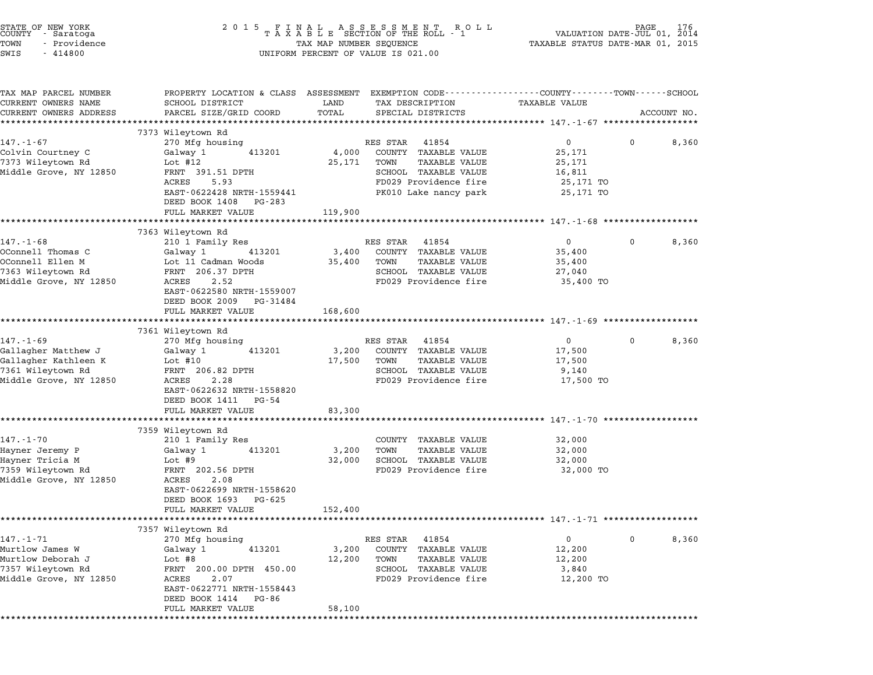| STATE OF NEW YORK<br>COUNTY - Saratoga<br>- Providence<br>TOWN<br>SWIS<br>$-414800$ |                                                                    | UNIFORM PERCENT OF VALUE IS 021.00                               |                                                                                                                                |
|-------------------------------------------------------------------------------------|--------------------------------------------------------------------|------------------------------------------------------------------|--------------------------------------------------------------------------------------------------------------------------------|
| TAX MAP PARCEL NUMBER<br>CURRENT OWNERS NAME<br>CURRENT OWNERS ADDRESS              | SCHOOL DISTRICT<br>PARCEL SIZE/GRID COORD                          | LAND<br>TAX DESCRIPTION<br>TOTAL<br>SPECIAL DISTRICTS            | PROPERTY LOCATION & CLASS ASSESSMENT EXEMPTION CODE---------------COUNTY------TOWN------SCHOOL<br>TAXABLE VALUE<br>ACCOUNT NO. |
|                                                                                     | 7373 Wileytown Rd                                                  |                                                                  |                                                                                                                                |
| $147. - 1 - 67$                                                                     | 270 Mfg housing                                                    | RES STAR<br>41854                                                | 8,360<br>$0 \qquad \qquad$<br>$\mathbf{0}$                                                                                     |
| Colvin Courtney C                                                                   | Galway 1<br>413201                                                 | 4,000<br>COUNTY TAXABLE VALUE                                    | 25,171                                                                                                                         |
| 7373 Wileytown Rd                                                                   | Lot #12                                                            | TAXABLE VALUE<br>25,171<br>TOWN                                  | 25,171                                                                                                                         |
| Middle Grove, NY 12850                                                              | FRNT 391.51 DPTH                                                   | SCHOOL TAXABLE VALUE                                             | 16,811                                                                                                                         |
|                                                                                     | ACRES<br>5.93<br>EAST-0622428 NRTH-1559441                         | FD029 Providence fire<br>PK010 Lake nancy park                   | 25,171 TO<br>25,171 TO                                                                                                         |
|                                                                                     | DEED BOOK 1408 PG-283                                              |                                                                  |                                                                                                                                |
|                                                                                     | FULL MARKET VALUE                                                  | 119,900                                                          |                                                                                                                                |
|                                                                                     | ************************                                           |                                                                  |                                                                                                                                |
|                                                                                     | 7363 Wileytown Rd                                                  |                                                                  |                                                                                                                                |
| $147. - 1 - 68$                                                                     | 210 1 Family Res                                                   | RES STAR 41854                                                   | 8,360<br>$\overline{0}$<br>$\mathbf{0}$                                                                                        |
| OConnell Thomas C<br>OConnell Ellen M                                               | Galway 1<br>413201<br>Lot 11 Cadman Woods                          | 3,400<br>COUNTY TAXABLE VALUE<br>TAXABLE VALUE<br>35,400<br>TOWN | 35,400<br>35,400                                                                                                               |
| 7363 Wileytown Rd                                                                   | FRNT 206.37 DPTH                                                   | SCHOOL TAXABLE VALUE                                             | 27,040                                                                                                                         |
| Middle Grove, NY 12850                                                              | ACRES<br>2.52                                                      | FD029 Providence fire                                            | 35,400 TO                                                                                                                      |
|                                                                                     | EAST-0622580 NRTH-1559007                                          |                                                                  |                                                                                                                                |
|                                                                                     | DEED BOOK 2009 PG-31484                                            |                                                                  |                                                                                                                                |
|                                                                                     | FULL MARKET VALUE<br>*************************                     | 168,600<br>*************                                         |                                                                                                                                |
|                                                                                     | 7361 Wileytown Rd                                                  |                                                                  |                                                                                                                                |
| $147. - 1 - 69$                                                                     | 270 Mfg housing                                                    | RES STAR<br>41854                                                | 8,360<br>$\overline{0}$<br>$\mathbf{0}$                                                                                        |
| Gallagher Matthew J                                                                 | Galway 1<br>413201                                                 | 3,200<br>COUNTY TAXABLE VALUE                                    | 17,500                                                                                                                         |
| Gallagher Kathleen K                                                                | Lot #10                                                            | 17,500<br>TAXABLE VALUE<br>TOWN                                  | 17,500                                                                                                                         |
| 7361 Wileytown Rd                                                                   | FRNT 206.82 DPTH                                                   | SCHOOL TAXABLE VALUE                                             | 9,140                                                                                                                          |
| Middle Grove, NY 12850                                                              | 2.28<br>ACRES<br>EAST-0622632 NRTH-1558820<br>DEED BOOK 1411 PG-54 | FD029 Providence fire                                            | 17,500 TO                                                                                                                      |
|                                                                                     | FULL MARKET VALUE                                                  | 83,300                                                           |                                                                                                                                |
|                                                                                     | **********************                                             | ************                                                     | ******************************* 147.-1-70 ***************                                                                      |
| $147. - 1 - 70$                                                                     | 7359 Wileytown Rd                                                  |                                                                  |                                                                                                                                |
| Hayner Jeremy P                                                                     | 210 1 Family Res<br>Galway 1<br>413201                             | COUNTY TAXABLE VALUE<br>3,200<br>TAXABLE VALUE<br>TOWN           | 32,000<br>32,000                                                                                                               |
| Hayner Tricia M                                                                     | Lot #9                                                             | 32,000<br>SCHOOL TAXABLE VALUE                                   | 32,000                                                                                                                         |
| 7359 Wileytown Rd                                                                   | FRNT 202.56 DPTH                                                   | FD029 Providence fire                                            | 32,000 TO                                                                                                                      |
| Middle Grove, NY 12850                                                              | ACRES<br>2.08                                                      |                                                                  |                                                                                                                                |
|                                                                                     | EAST-0622699 NRTH-1558620                                          |                                                                  |                                                                                                                                |
|                                                                                     | DEED BOOK 1693<br>PG-625                                           |                                                                  |                                                                                                                                |
|                                                                                     | FULL MARKET VALUE                                                  | 152,400                                                          | ********************** 147.-1-71 ***************                                                                               |
|                                                                                     | 7357 Wileytown Rd                                                  |                                                                  |                                                                                                                                |
| $147. - 1 - 71$                                                                     | 270 Mfg housing                                                    | RES STAR<br>41854                                                | 0<br>0<br>8,360                                                                                                                |
| Murtlow James W                                                                     | Galway 1<br>413201                                                 | <b>TAXABLE VALUE</b><br>3,200<br>COUNTY                          | 12,200                                                                                                                         |
| Murtlow Deborah J                                                                   | Lot #8                                                             | 12,200<br>TOWN<br>TAXABLE VALUE                                  | 12,200                                                                                                                         |
| 7357 Wileytown Rd                                                                   | FRNT<br>200.00 DPTH 450.00                                         | <b>TAXABLE VALUE</b><br>SCHOOL                                   | 3,840                                                                                                                          |
| Middle Grove, NY 12850                                                              | ACRES<br>2.07                                                      | FD029 Providence fire                                            | 12,200 TO                                                                                                                      |
|                                                                                     | EAST-0622771 NRTH-1558443                                          |                                                                  |                                                                                                                                |
|                                                                                     | DEED BOOK 1414<br>PG-86<br>FULL MARKET VALUE                       | 58,100                                                           |                                                                                                                                |
|                                                                                     |                                                                    |                                                                  |                                                                                                                                |
|                                                                                     |                                                                    |                                                                  |                                                                                                                                |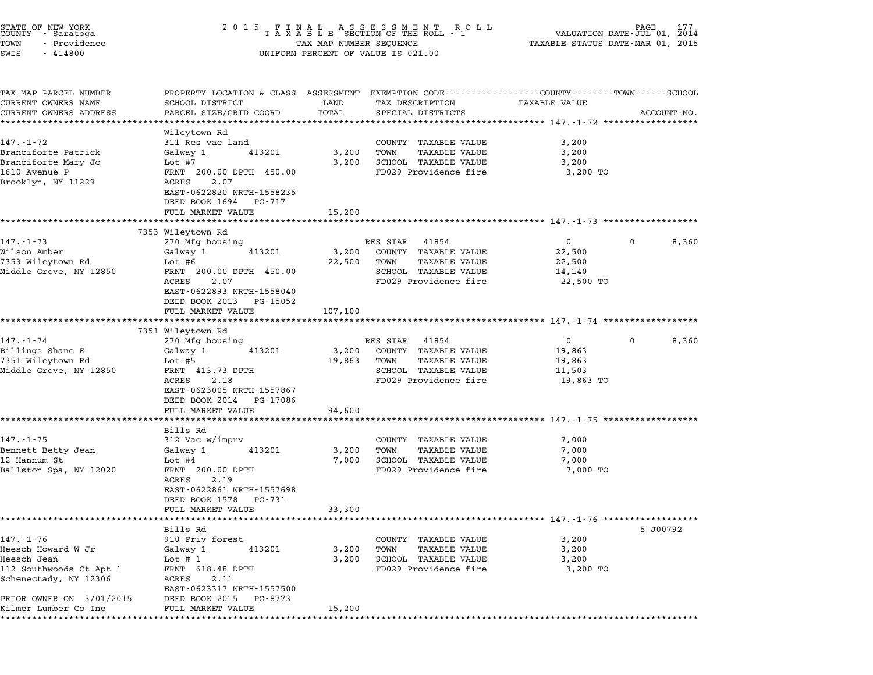| STATE OF NEW YORK<br>COUNTY - Saratoga<br>TOWN<br>- Providence<br>SWIS<br>$-414800$                                                                          | 2 0 1 5                                                                                                                                                                                                        | TAX MAP NUMBER SEQUENCE<br>UNIFORM PERCENT OF VALUE IS 021.00 | FINAL ASSESSMENT ROLL<br>TAXABLE SECTION OF THE ROLL - 1                                                            | TAXABLE STATUS DATE-MAR 01, 2015                                                                 | 177<br>VALUATION DATE-JUL 01, 2014 |
|--------------------------------------------------------------------------------------------------------------------------------------------------------------|----------------------------------------------------------------------------------------------------------------------------------------------------------------------------------------------------------------|---------------------------------------------------------------|---------------------------------------------------------------------------------------------------------------------|--------------------------------------------------------------------------------------------------|------------------------------------|
| TAX MAP PARCEL NUMBER<br>CURRENT OWNERS NAME<br>CURRENT OWNERS ADDRESS                                                                                       | PROPERTY LOCATION & CLASS ASSESSMENT EXEMPTION CODE----------------COUNTY-------TOWN------SCHOOL<br>SCHOOL DISTRICT<br>PARCEL SIZE/GRID COORD                                                                  | LAND<br>TOTAL                                                 | TAX DESCRIPTION<br>SPECIAL DISTRICTS                                                                                | <b>TAXABLE VALUE</b>                                                                             | ACCOUNT NO.                        |
| 147.-1-72<br>Branciforte Patrick<br>Branciforte Mary Jo<br>1610 Avenue P<br>Brooklyn, NY 11229                                                               | ****************<br>Wileytown Rd<br>311 Res vac land<br>Galway 1<br>413201<br>Lot #7<br>FRNT 200.00 DPTH 450.00<br>2.07<br>ACRES<br>EAST-0622820 NRTH-1558235<br>DEED BOOK 1694<br>PG-717<br>FULL MARKET VALUE | 3,200<br>3,200<br>15,200                                      | COUNTY TAXABLE VALUE<br><b>TAXABLE VALUE</b><br>TOWN<br>SCHOOL TAXABLE VALUE<br>FD029 Providence fire               | **************************** 147.-1-72 ******************<br>3,200<br>3,200<br>3,200<br>3,200 TO |                                    |
|                                                                                                                                                              |                                                                                                                                                                                                                |                                                               |                                                                                                                     | ******************************* 147.-1-73 *********                                              |                                    |
| $147. - 1 - 73$<br>Wilson Amber<br>7353 Wileytown Rd<br>Middle Grove, NY 12850                                                                               | 7353 Wileytown Rd<br>270 Mfg housing<br>413201<br>Galway 1<br>Lot #6<br>FRNT 200.00 DPTH 450.00<br>2.07<br>ACRES<br>EAST-0622893 NRTH-1558040<br>DEED BOOK 2013 PG-15052                                       | 3,200<br>22,500                                               | RES STAR<br>41854<br>COUNTY TAXABLE VALUE<br>TOWN<br>TAXABLE VALUE<br>SCHOOL TAXABLE VALUE<br>FD029 Providence fire | $\mathbf{0}$<br>22,500<br>22,500<br>14,140<br>22,500 TO                                          | 8,360<br>$\mathbf 0$               |
|                                                                                                                                                              | FULL MARKET VALUE                                                                                                                                                                                              | 107,100                                                       |                                                                                                                     |                                                                                                  |                                    |
|                                                                                                                                                              |                                                                                                                                                                                                                |                                                               |                                                                                                                     |                                                                                                  |                                    |
| $147. - 1 - 74$<br>Billings Shane E<br>7351 Wileytown Rd<br>Middle Grove, NY 12850                                                                           | 7351 Wileytown Rd<br>270 Mfg housing<br>413201<br>Galway 1<br>Lot #5<br>FRNT 413.73 DPTH<br>ACRES<br>2.18<br>EAST-0623005 NRTH-1557867<br>DEED BOOK 2014<br>PG-17086                                           | 3,200<br>19,863                                               | RES STAR<br>41854<br>COUNTY TAXABLE VALUE<br>TOWN<br>TAXABLE VALUE<br>SCHOOL TAXABLE VALUE<br>FD029 Providence fire | $\overline{0}$<br>19,863<br>19,863<br>11,503<br>19,863 TO                                        | 8,360<br>$\mathbf 0$               |
|                                                                                                                                                              | FULL MARKET VALUE                                                                                                                                                                                              | 94,600                                                        |                                                                                                                     | *************************** 147.-1-75 *********                                                  |                                    |
| $147. - 1 - 75$<br>Bennett Betty Jean<br>12 Hannum St<br>Ballston Spa, NY 12020                                                                              | Bills Rd<br>312 Vac w/imprv<br>Galway 1<br>413201<br>Lot #4<br>FRNT 200.00 DPTH<br>2.19<br>ACRES<br>EAST-0622861 NRTH-1557698<br>DEED BOOK 1578<br>PG-731                                                      | 3,200<br>7,000                                                | COUNTY TAXABLE VALUE<br><b>TAXABLE VALUE</b><br>TOWN<br>SCHOOL TAXABLE VALUE<br>FD029 Providence fire               | 7,000<br>7,000<br>7,000<br>7,000 TO                                                              |                                    |
|                                                                                                                                                              | FULL MARKET VALUE                                                                                                                                                                                              | 33,300                                                        |                                                                                                                     | ****************** 147.-1-76 *************                                                       |                                    |
| $147. - 1 - 76$<br>Heesch Howard W Jr<br>Heesch Jean<br>112 Southwoods Ct Apt 1<br>Schenectady, NY 12306<br>PRIOR OWNER ON 3/01/2015<br>Kilmer Lumber Co Inc | Bills Rd<br>910 Priv forest<br>413201<br>Galway 1<br>Lot # $1$<br>FRNT 618.48 DPTH<br>ACRES<br>2.11<br>EAST-0623317 NRTH-1557500<br>DEED BOOK 2015<br>PG-8773<br>FULL MARKET VALUE                             | 3,200<br>3,200<br>15,200                                      | COUNTY TAXABLE VALUE<br><b>TAXABLE VALUE</b><br>TOWN<br>SCHOOL TAXABLE VALUE<br>FD029 Providence fire               | 3,200<br>3,200<br>3,200<br>3,200 TO                                                              | 5 J00792                           |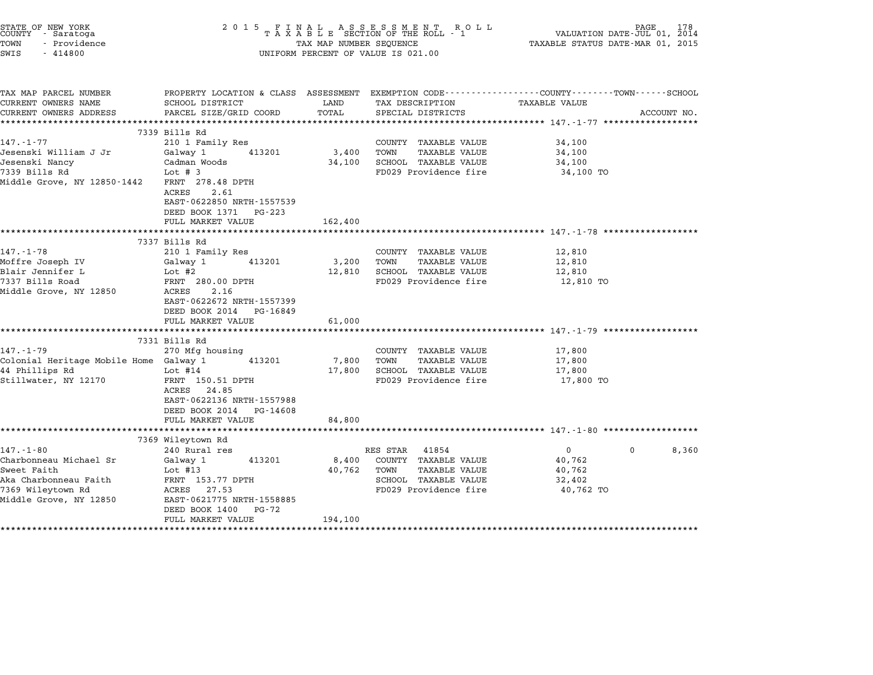| STATE OF NEW YORK<br>COUNTY - Saratoga<br>TOWN<br>- Providence<br>SWIS<br>$-414800$                                                                                                                         | 2 0 1 5<br>FINAL ASSESSMENT ROLTAXABLE SECTION OF THE ROLL - 1<br>ROLL<br>TAX MAP NUMBER SEQUENCE<br>UNIFORM PERCENT OF VALUE IS 021.00                                                                                                                                                                                                                   |                                              | PAGE<br>178<br>VALUATION DATE-JUL 01, 2014<br>TAXABLE STATUS DATE-MAR 01, 2015                                                                                                                          |                                                                                                                                                          |             |
|-------------------------------------------------------------------------------------------------------------------------------------------------------------------------------------------------------------|-----------------------------------------------------------------------------------------------------------------------------------------------------------------------------------------------------------------------------------------------------------------------------------------------------------------------------------------------------------|----------------------------------------------|---------------------------------------------------------------------------------------------------------------------------------------------------------------------------------------------------------|----------------------------------------------------------------------------------------------------------------------------------------------------------|-------------|
| TAX MAP PARCEL NUMBER<br>CURRENT OWNERS NAME<br>CURRENT OWNERS ADDRESS                                                                                                                                      | PROPERTY LOCATION & CLASS ASSESSMENT<br>SCHOOL DISTRICT<br>PARCEL SIZE/GRID COORD                                                                                                                                                                                                                                                                         | LAND<br>TOTAL                                | TAX DESCRIPTION<br>SPECIAL DISTRICTS                                                                                                                                                                    | EXEMPTION CODE-----------------COUNTY-------TOWN------SCHOOL<br>TAXABLE VALUE                                                                            | ACCOUNT NO. |
|                                                                                                                                                                                                             | ***************<br>**********************************                                                                                                                                                                                                                                                                                                     |                                              |                                                                                                                                                                                                         | *************************** 147.-1-77 *******************                                                                                                |             |
| $147. - 1 - 77$<br>Jesenski William J Jr<br>Jesenski Nancy<br>7339 Bills Rd<br>Middle Grove, NY 12850-1442                                                                                                  | 7339 Bills Rd<br>210 1 Family Res<br>Galway 1<br>413201<br>Cadman Woods<br>Lot $# 3$<br>FRNT 278.48 DPTH<br>2.61<br>ACRES<br>EAST-0622850 NRTH-1557539                                                                                                                                                                                                    | 3,400<br>34,100                              | COUNTY TAXABLE VALUE<br><b>TAXABLE VALUE</b><br>TOWN<br>SCHOOL TAXABLE VALUE<br>FD029 Providence fire                                                                                                   | 34,100<br>34,100<br>34,100<br>34,100 TO                                                                                                                  |             |
|                                                                                                                                                                                                             | DEED BOOK 1371 PG-223<br>FULL MARKET VALUE                                                                                                                                                                                                                                                                                                                | 162,400                                      |                                                                                                                                                                                                         | :******************************** 147.-1-78 *****                                                                                                        |             |
|                                                                                                                                                                                                             | 7337 Bills Rd                                                                                                                                                                                                                                                                                                                                             |                                              |                                                                                                                                                                                                         |                                                                                                                                                          |             |
| $147. - 1 - 78$<br>Moffre Joseph IV<br>Blair Jennifer L<br>7337 Bills Road<br>Middle Grove, NY 12850<br>$147. - 1 - 79$<br>Colonial Heritage Mobile Home Galway 1<br>44 Phillips Rd<br>Stillwater, NY 12170 | 210 1 Family Res<br>413201<br>Galway 1<br>Lot #2<br>FRNT 280.00 DPTH<br>2.16<br>ACRES<br>EAST-0622672 NRTH-1557399<br>DEED BOOK 2014 PG-16849<br>FULL MARKET VALUE<br>**************************<br>7331 Bills Rd<br>270 Mfg housing<br>413201<br>Lot $#14$<br>FRNT 150.51 DPTH<br>ACRES 24.85<br>EAST-0622136 NRTH-1557988<br>DEED BOOK 2014<br>PG-14608 | 3,200<br>12,810<br>61,000<br>7,800<br>17,800 | COUNTY TAXABLE VALUE<br>TOWN<br>TAXABLE VALUE<br>SCHOOL TAXABLE VALUE<br>FD029 Providence fire<br>COUNTY TAXABLE VALUE<br>TOWN<br><b>TAXABLE VALUE</b><br>SCHOOL TAXABLE VALUE<br>FD029 Providence fire | 12,810<br>12,810<br>12,810<br>12,810 TO<br>************************************ 147.-1-79 *******************<br>17,800<br>17,800<br>17,800<br>17,800 TO |             |
|                                                                                                                                                                                                             | FULL MARKET VALUE                                                                                                                                                                                                                                                                                                                                         | 84,800                                       |                                                                                                                                                                                                         |                                                                                                                                                          |             |
|                                                                                                                                                                                                             | **********************                                                                                                                                                                                                                                                                                                                                    |                                              |                                                                                                                                                                                                         |                                                                                                                                                          |             |
| $147. - 1 - 80$<br>Charbonneau Michael Sr<br>Sweet Faith<br>Aka Charbonneau Faith<br>7369 Wileytown Rd<br>Middle Grove, NY 12850                                                                            | 7369 Wileytown Rd<br>240 Rural res<br>Galway 1<br>413201<br>Lot $#13$<br>FRNT 153.77 DPTH<br>ACRES 27.53<br>EAST-0621775 NRTH-1558885<br>DEED BOOK 1400<br>PG-72<br>FULL MARKET VALUE                                                                                                                                                                     | 8,400<br>40,762<br>194,100                   | RES STAR<br>41854<br>COUNTY TAXABLE VALUE<br>TOWN<br><b>TAXABLE VALUE</b><br>SCHOOL TAXABLE VALUE<br>FD029 Providence fire                                                                              | $\overline{0}$<br>0<br>40,762<br>40,762<br>32,402<br>40,762 TO                                                                                           | 8,360       |
|                                                                                                                                                                                                             |                                                                                                                                                                                                                                                                                                                                                           | * * * * * * * * * * * *                      |                                                                                                                                                                                                         |                                                                                                                                                          |             |

STATE OF NEW YORK <sup>2</sup> <sup>0</sup> <sup>1</sup> 5 F I N A L A S S E S S M E N T R O L L PAGE <sup>178</sup> COUNTY - Saratoga <sup>T</sup> <sup>A</sup> <sup>X</sup> <sup>A</sup> <sup>B</sup> <sup>L</sup> <sup>E</sup> SECTION OF THE ROLL - <sup>1</sup> VALUATION DATE-JUL 01, <sup>2014</sup>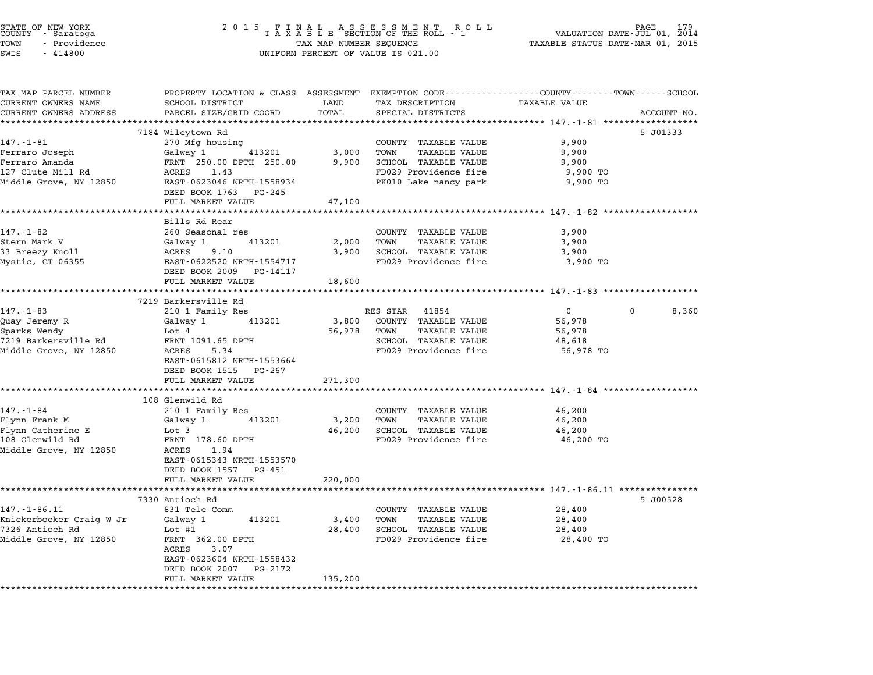| STATE OF NEW YORK<br>COUNTY - Saratoga<br>TOWN<br>- Providence<br>SWIS<br>$-414800$          | 2 0 1 5<br>UNIFORM PERCENT OF VALUE IS 021.00                                                                                                                                             | FINAL ASSESSMENT ROLL<br>TAXABLE SECTION OF THE ROLL - 1<br>TAX MAP NUMBER SEQUENCE                                                | 179<br>VALUATION DATE-JUL 01, 2014<br>TAXABLE STATUS DATE-MAR 01, 2015                                           |             |
|----------------------------------------------------------------------------------------------|-------------------------------------------------------------------------------------------------------------------------------------------------------------------------------------------|------------------------------------------------------------------------------------------------------------------------------------|------------------------------------------------------------------------------------------------------------------|-------------|
| TAX MAP PARCEL NUMBER<br>CURRENT OWNERS NAME<br>CURRENT OWNERS ADDRESS                       | SCHOOL DISTRICT<br>PARCEL SIZE/GRID COORD<br>****************************                                                                                                                 | LAND<br>TAX DESCRIPTION<br>TOTAL<br>SPECIAL DISTRICTS                                                                              | PROPERTY LOCATION & CLASS ASSESSMENT EXEMPTION CODE---------------COUNTY-------TOWN------SCHOOL<br>TAXABLE VALUE | ACCOUNT NO. |
| 147.-1-81<br>Ferraro Joseph<br>Ferraro Amanda<br>127 Clute Mill Rd<br>Middle Grove, NY 12850 | 7184 Wileytown Rd<br>270 Mfg housing<br>Galway 1<br>413201<br>FRNT 250.00 DPTH 250.00<br>ACRES<br>1.43<br>EAST-0623046 NRTH-1558934<br>DEED BOOK 1763<br>PG-245<br>FULL MARKET VALUE      | COUNTY TAXABLE VALUE<br>3,000<br>TOWN<br>SCHOOL TAXABLE VALUE<br>9,900<br>FD029 Providence fire<br>PK010 Lake nancy park<br>47,100 | 9,900<br>TAXABLE VALUE<br>9,900<br>9,900<br>9,900 TO<br>9,900 TO                                                 | 5 J01333    |
| $147. - 1 - 82$<br>Stern Mark V<br>33 Breezy Knoll<br>Mystic, CT 06355                       | Bills Rd Rear<br>260 Seasonal res<br>Galway 1<br>413201<br>ACRES<br>9.10<br>EAST-0622520 NRTH-1554717<br>DEED BOOK 2009<br>PG-14117<br>FULL MARKET VALUE                                  | COUNTY TAXABLE VALUE<br>2,000<br>TOWN<br>3,900<br>SCHOOL TAXABLE VALUE<br>FD029 Providence fire<br>18,600                          | 3,900<br>TAXABLE VALUE<br>3,900<br>3,900<br>3,900 TO                                                             |             |
| 147.-1-83<br>Quay Jeremy R<br>Sparks Wendy<br>7219 Barkersville Rd<br>Middle Grove, NY 12850 | 7219 Barkersville Rd<br>210 1 Family Res<br>413201<br>Galway 1<br>Lot 4<br>FRNT 1091.65 DPTH<br>ACRES<br>5.34<br>EAST-0615812 NRTH-1553664<br>DEED BOOK 1515 PG-267<br>FULL MARKET VALUE  | RES STAR 41854<br>3,800<br>COUNTY TAXABLE VALUE<br>56,978<br>TOWN<br>SCHOOL TAXABLE VALUE<br>FD029 Providence fire<br>271,300      | $\mathbf{0}$<br>56,978<br>TAXABLE VALUE<br>56,978<br>48,618<br>56,978 TO                                         | 0<br>8,360  |
| 147.-1-84<br>Flynn Frank M<br>Flynn Catherine E<br>108 Glenwild Rd<br>Middle Grove, NY 12850 | 108 Glenwild Rd<br>210 1 Family Res<br>Galway 1<br>413201<br>Lot 3<br>FRNT 178.60 DPTH<br>ACRES<br>1.94<br>EAST-0615343 NRTH-1553570<br>DEED BOOK 1557<br>PG-451<br>FULL MARKET VALUE     | COUNTY TAXABLE VALUE<br>3,200<br>TOWN<br>46,200<br>SCHOOL TAXABLE VALUE<br>FD029 Providence fire<br>220,000                        | 46,200<br>TAXABLE VALUE<br>46,200<br>46,200<br>46,200 TO                                                         |             |
| $147. - 1 - 86.11$<br>Knickerbocker Craig W Jr<br>7326 Antioch Rd<br>Middle Grove, NY 12850  | 7330 Antioch Rd<br>831 Tele Comm<br>Galway 1<br>413201<br>Lot #1<br>FRNT 362.00 DPTH<br>ACRES<br>3.07<br>EAST-0623604 NRTH-1558432<br>DEED BOOK 2007<br>PG-2172<br>FULL MARKET VALUE<br>. | COUNTY<br>3,400<br>TOWN<br>28,400<br>SCHOOL<br>FD029 Providence fire<br>135,200                                                    | <b>TAXABLE VALUE</b><br>28,400<br>TAXABLE VALUE<br>28,400<br><b>TAXABLE VALUE</b><br>28,400<br>28,400 TO         | 5 J00528    |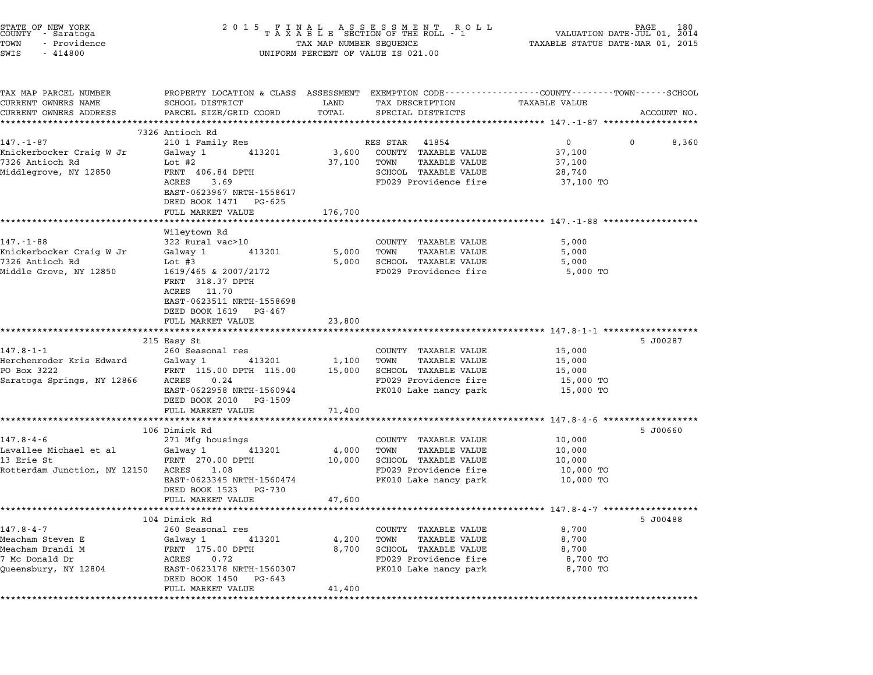| STATE OF NEW YORK<br>COUNTY - Saratoga<br>TOWN<br>- Providence<br>SWIS<br>$-414800$ | 2015 FINAL ASSESSMENT ROLL<br>TAXABLE SECTION OF THE ROLL - 1<br>TAX MAP NUMBER SEQUENCE<br>TAX MAP NUMBER SEQUENCE<br>UNIFORM PERCENT OF VALUE IS 021.00 | 180<br>VALUATION DATE-JUL 01,<br>2014<br>TAXABLE STATUS DATE-MAR 01, 2015 |                                                |                                                  |                      |
|-------------------------------------------------------------------------------------|-----------------------------------------------------------------------------------------------------------------------------------------------------------|---------------------------------------------------------------------------|------------------------------------------------|--------------------------------------------------|----------------------|
| TAX MAP PARCEL NUMBER<br>CURRENT OWNERS NAME                                        | PROPERTY LOCATION & CLASS ASSESSMENT EXEMPTION CODE---------------COUNTY-------TOWN-----SCHOOL<br>SCHOOL DISTRICT                                         | LAND                                                                      | TAX DESCRIPTION                                | TAXABLE VALUE                                    |                      |
| CURRENT OWNERS ADDRESS                                                              | PARCEL SIZE/GRID COORD                                                                                                                                    | TOTAL                                                                     | SPECIAL DISTRICTS                              |                                                  | ACCOUNT NO.          |
|                                                                                     | ********************<br>7326 Antioch Rd                                                                                                                   |                                                                           |                                                |                                                  |                      |
| 147.-1-87                                                                           | 210 1 Family Res                                                                                                                                          |                                                                           | RES STAR<br>41854                              | $\overline{0}$                                   | $\mathbf 0$<br>8,360 |
| Knickerbocker Craig W Jr                                                            | Galway 1<br>413201                                                                                                                                        | 3,600                                                                     | COUNTY TAXABLE VALUE                           | 37,100                                           |                      |
| 7326 Antioch Rd                                                                     | Lot #2                                                                                                                                                    | 37,100                                                                    | TOWN<br>TAXABLE VALUE                          | 37,100                                           |                      |
| Middlegrove, NY 12850                                                               | FRNT 406.84 DPTH                                                                                                                                          |                                                                           | SCHOOL TAXABLE VALUE                           | 28,740                                           |                      |
|                                                                                     | ACRES<br>3.69                                                                                                                                             |                                                                           | FD029 Providence fire                          | 37,100 TO                                        |                      |
|                                                                                     | EAST-0623967 NRTH-1558617                                                                                                                                 |                                                                           |                                                |                                                  |                      |
|                                                                                     | DEED BOOK 1471 PG-625<br>FULL MARKET VALUE                                                                                                                | 176,700                                                                   |                                                |                                                  |                      |
|                                                                                     |                                                                                                                                                           |                                                                           |                                                | ************************** 147.-1-88 *********** |                      |
|                                                                                     | Wileytown Rd                                                                                                                                              |                                                                           |                                                |                                                  |                      |
| $147. - 1 - 88$                                                                     | 322 Rural vac>10                                                                                                                                          |                                                                           | COUNTY TAXABLE VALUE                           | 5,000                                            |                      |
| Knickerbocker Craig W Jr                                                            | Galway 1<br>413201                                                                                                                                        | 5,000                                                                     | TOWN<br><b>TAXABLE VALUE</b>                   | 5,000                                            |                      |
| 7326 Antioch Rd<br>Middle Grove, NY 12850                                           | Lot $#3$<br>1619/465 & 2007/2172                                                                                                                          | 5,000                                                                     | SCHOOL TAXABLE VALUE<br>FD029 Providence fire  | 5,000<br>5,000 TO                                |                      |
|                                                                                     | FRNT 318.37 DPTH                                                                                                                                          |                                                                           |                                                |                                                  |                      |
|                                                                                     | ACRES 11.70                                                                                                                                               |                                                                           |                                                |                                                  |                      |
|                                                                                     | EAST-0623511 NRTH-1558698                                                                                                                                 |                                                                           |                                                |                                                  |                      |
|                                                                                     | DEED BOOK 1619<br>PG-467                                                                                                                                  |                                                                           |                                                |                                                  |                      |
|                                                                                     | FULL MARKET VALUE                                                                                                                                         | 23,800                                                                    |                                                |                                                  |                      |
|                                                                                     | 215 Easy St                                                                                                                                               |                                                                           |                                                |                                                  | 5 J00287             |
| 147.8-1-1                                                                           | 260 Seasonal res                                                                                                                                          |                                                                           | COUNTY TAXABLE VALUE                           | 15,000                                           |                      |
| Herchenroder Kris Edward                                                            | Galway 1<br>413201                                                                                                                                        | 1,100                                                                     | TOWN<br>TAXABLE VALUE                          | 15,000                                           |                      |
| PO Box 3222                                                                         | FRNT 115.00 DPTH 115.00                                                                                                                                   | 15,000                                                                    | SCHOOL TAXABLE VALUE                           | 15,000                                           |                      |
| Saratoga Springs, NY 12866                                                          | ACRES<br>0.24                                                                                                                                             |                                                                           | FD029 Providence fire                          | 15,000 TO                                        |                      |
|                                                                                     | EAST-0622958 NRTH-1560944                                                                                                                                 |                                                                           | PK010 Lake nancy park                          | 15,000 TO                                        |                      |
|                                                                                     | DEED BOOK 2010<br>PG-1509<br>FULL MARKET VALUE                                                                                                            | 71,400                                                                    |                                                |                                                  |                      |
|                                                                                     |                                                                                                                                                           |                                                                           |                                                | ********************** 147.8-4-6 *************   |                      |
|                                                                                     | 106 Dimick Rd                                                                                                                                             |                                                                           |                                                |                                                  | 5 J00660             |
| $147.8 - 4 - 6$                                                                     | 271 Mfg housings                                                                                                                                          |                                                                           | COUNTY TAXABLE VALUE                           | 10,000                                           |                      |
| Lavallee Michael et al                                                              | Galway 1<br>413201                                                                                                                                        | 4,000                                                                     | TOWN<br><b>TAXABLE VALUE</b>                   | 10,000                                           |                      |
| 13 Erie St                                                                          | FRNT 270.00 DPTH                                                                                                                                          | 10,000                                                                    | SCHOOL TAXABLE VALUE                           | 10,000                                           |                      |
| Rotterdam Junction, NY 12150                                                        | ACRES<br>1.08<br>EAST-0623345 NRTH-1560474                                                                                                                |                                                                           | FD029 Providence fire<br>PK010 Lake nancy park | 10,000 TO<br>10,000 TO                           |                      |
|                                                                                     | DEED BOOK 1523<br>PG-730                                                                                                                                  |                                                                           |                                                |                                                  |                      |
|                                                                                     | FULL MARKET VALUE                                                                                                                                         | 47,600                                                                    |                                                |                                                  |                      |
|                                                                                     |                                                                                                                                                           |                                                                           |                                                |                                                  |                      |
|                                                                                     | 104 Dimick Rd                                                                                                                                             |                                                                           |                                                |                                                  | 5 J00488             |
| $147.8 - 4 - 7$                                                                     | 260 Seasonal res                                                                                                                                          |                                                                           | COUNTY TAXABLE VALUE                           | 8,700                                            |                      |
| Meacham Steven E<br>Meacham Brandi M                                                | Galway 1<br>413201<br>FRNT 175.00 DPTH                                                                                                                    | 4,200<br>8,700                                                            | TOWN<br>TAXABLE VALUE<br>SCHOOL TAXABLE VALUE  | 8,700<br>8,700                                   |                      |
| 7 Mc Donald Dr                                                                      | ACRES<br>0.72                                                                                                                                             |                                                                           | FD029 Providence fire                          | 8,700 TO                                         |                      |
| Queensbury, NY 12804                                                                | EAST-0623178 NRTH-1560307                                                                                                                                 |                                                                           | PK010 Lake nancy park                          | 8,700 TO                                         |                      |
|                                                                                     | DEED BOOK 1450 PG-643                                                                                                                                     |                                                                           |                                                |                                                  |                      |
|                                                                                     | FULL MARKET VALUE                                                                                                                                         | 41,400                                                                    |                                                |                                                  |                      |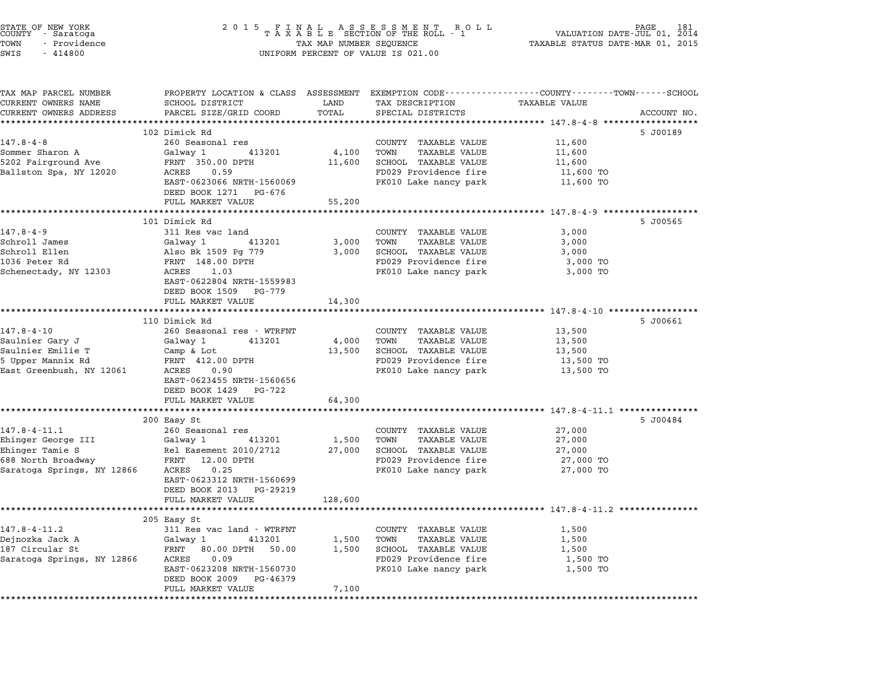| STATE OF NEW YORK<br>COUNTY - Saratoga<br>TOWN<br>- Providence<br>SWIS<br>$-414800$                       | 2015 FINAL ASSESSMENT ROLL<br>TAXABLE SECTION OF THE ROLL - 1<br>TAX MAP NUMBER SEQUENCE<br>VALUATION DATE- $JUL$ 201, $2014$<br>TAXABLE STATUS DATE-MAR 01, 2015<br>UNIFORM PERCENT OF VALUE IS 021.00 |                            |                                                                                                                         |                                                      |             |
|-----------------------------------------------------------------------------------------------------------|---------------------------------------------------------------------------------------------------------------------------------------------------------------------------------------------------------|----------------------------|-------------------------------------------------------------------------------------------------------------------------|------------------------------------------------------|-------------|
| TAX MAP PARCEL NUMBER<br>CURRENT OWNERS NAME<br>CURRENT OWNERS ADDRESS                                    | PROPERTY LOCATION & CLASS ASSESSMENT EXEMPTION CODE---------------COUNTY-------TOWN-----SCHOOL<br>SCHOOL DISTRICT<br>PARCEL SIZE/GRID COORD                                                             | LAND<br>TOTAL              | TAX DESCRIPTION<br>SPECIAL DISTRICTS                                                                                    | TAXABLE VALUE                                        | ACCOUNT NO. |
|                                                                                                           | **************************                                                                                                                                                                              |                            |                                                                                                                         |                                                      |             |
| $147.8 - 4 - 8$<br>Sommer Sharon A<br>5202 Fairground Ave<br>Ballston Spa, NY 12020                       | 102 Dimick Rd<br>260 Seasonal res<br>Galway 1<br>413201<br>FRNT 350.00 DPTH<br>ACRES<br>0.59<br>EAST-0623066 NRTH-1560069<br>DEED BOOK 1271 PG-676                                                      | 4,100<br>11,600            | COUNTY TAXABLE VALUE<br>TOWN<br>TAXABLE VALUE<br>SCHOOL TAXABLE VALUE<br>FD029 Providence fire<br>PK010 Lake nancy park | 11,600<br>11,600<br>11,600<br>11,600 TO<br>11,600 TO | 5 J00189    |
|                                                                                                           | FULL MARKET VALUE                                                                                                                                                                                       | 55,200                     |                                                                                                                         |                                                      |             |
| $147.8 - 4 - 9$<br>Schroll James<br>Schroll Ellen<br>1036 Peter Rd<br>Schenectady, NY 12303               | 101 Dimick Rd<br>311 Res vac land<br>Galway 1<br>413201<br>Also Bk 1509 Pg 779<br>FRNT 148.00 DPTH<br>ACRES<br>1.03<br>EAST-0622804 NRTH-1559983<br>DEED BOOK 1509 PG-779                               | 3,000<br>3,000             | COUNTY TAXABLE VALUE<br>TOWN<br>TAXABLE VALUE<br>SCHOOL TAXABLE VALUE<br>FD029 Providence fire<br>PK010 Lake nancy park | 3,000<br>3,000<br>3,000<br>3,000 TO<br>3,000 TO      | 5 J00565    |
|                                                                                                           | FULL MARKET VALUE                                                                                                                                                                                       | 14,300                     |                                                                                                                         |                                                      |             |
|                                                                                                           |                                                                                                                                                                                                         |                            |                                                                                                                         |                                                      |             |
| $147.8 - 4 - 10$<br>Saulnier Gary J<br>Saulnier Emilie T<br>5 Upper Mannix Rd<br>East Greenbush, NY 12061 | 110 Dimick Rd<br>260 Seasonal res - WTRFNT<br>Galway 1<br>413201<br>Camp & Lot<br>FRNT 412.00 DPTH<br>ACRES<br>0.90<br>EAST-0623455 NRTH-1560656                                                        | 4,000<br>13,500            | COUNTY TAXABLE VALUE<br>TOWN<br>TAXABLE VALUE<br>SCHOOL TAXABLE VALUE<br>FD029 Providence fire<br>PK010 Lake nancy park | 13,500<br>13,500<br>13,500<br>13,500 TO<br>13,500 TO | 5 J00661    |
|                                                                                                           | DEED BOOK 1429 PG-722<br>FULL MARKET VALUE                                                                                                                                                              | 64,300                     |                                                                                                                         |                                                      |             |
| 147.8-4-11.1<br>Ehinger George III<br>Ehinger Tamie S<br>688 North Broadway<br>Saratoga Springs, NY 12866 | 200 Easy St<br>260 Seasonal res<br>Galway 1<br>413201<br>Rel Easement 2010/2712<br>FRNT 12.00 DPTH<br>ACRES<br>0.25<br>EAST-0623312 NRTH-1560699                                                        | 1,500<br>27,000            | COUNTY TAXABLE VALUE<br>TOWN<br>TAXABLE VALUE<br>SCHOOL TAXABLE VALUE<br>FD029 Providence fire<br>PK010 Lake nancy park | 27,000<br>27,000<br>27,000<br>27,000 TO<br>27,000 TO | 5 J00484    |
|                                                                                                           | DEED BOOK 2013 PG-29219                                                                                                                                                                                 |                            |                                                                                                                         |                                                      |             |
|                                                                                                           | FULL MARKET VALUE                                                                                                                                                                                       | 128,600                    |                                                                                                                         |                                                      |             |
|                                                                                                           |                                                                                                                                                                                                         |                            |                                                                                                                         |                                                      |             |
| $147.8 - 4 - 11.2$<br>Dejnozka Jack A<br>187 Circular St<br>Saratoga Springs, NY 12866                    | 205 Easy St<br>311 Res vac land - WTRFNT<br>Galway 1<br>413201<br>FRNT 80.00 DPTH 50.00<br>ACRES<br>0.09<br>EAST-0623208 NRTH-1560730                                                                   | 1,500<br>1,500             | COUNTY TAXABLE VALUE<br>TOWN<br>TAXABLE VALUE<br>SCHOOL TAXABLE VALUE<br>FD029 Providence fire<br>PK010 Lake nancy park | 1,500<br>1,500<br>1,500<br>1,500 TO<br>1,500 TO      |             |
|                                                                                                           | DEED BOOK 2009<br>PG-46379<br>FULL MARKET VALUE                                                                                                                                                         | 7,100<br>***************** |                                                                                                                         |                                                      |             |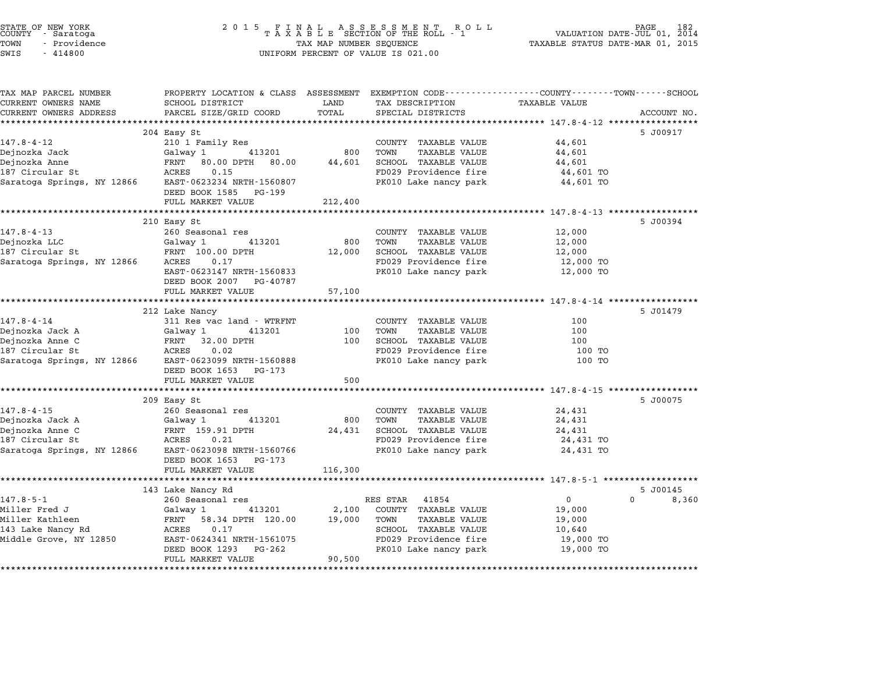| STATE OF NEW YORK<br>COUNTY - Saratoga<br>TOWN<br>- Providence |                                                                                                 | TAX MAP NUMBER SEQUENCE | 2015 FINAL ASSESSMENT ROLL<br>TAXABLE SECTION OF THE ROLL - 1 | PAGE 182<br>VALUATION DATE-JUL 01, 2014<br>TAXABLE STATUS DATE-MAR 01, 2015 |             |
|----------------------------------------------------------------|-------------------------------------------------------------------------------------------------|-------------------------|---------------------------------------------------------------|-----------------------------------------------------------------------------|-------------|
| $-414800$<br>SWIS                                              |                                                                                                 |                         | UNIFORM PERCENT OF VALUE IS 021.00                            |                                                                             |             |
| TAX MAP PARCEL NUMBER                                          | PROPERTY LOCATION & CLASS ASSESSMENT EXEMPTION CODE----------------COUNTY-------TOWN-----SCHOOL |                         |                                                               |                                                                             |             |
| CURRENT OWNERS NAME                                            | SCHOOL DISTRICT                                                                                 | LAND                    | TAX DESCRIPTION                                               | <b>TAXABLE VALUE</b>                                                        |             |
| CURRENT OWNERS ADDRESS                                         | PARCEL SIZE/GRID COORD                                                                          | TOTAL                   | SPECIAL DISTRICTS                                             |                                                                             | ACCOUNT NO. |
|                                                                | 204 Easy St                                                                                     |                         |                                                               |                                                                             | 5 J00917    |
| 147.8-4-12                                                     | 210 1 Family Res                                                                                |                         | COUNTY TAXABLE VALUE                                          | 44,601                                                                      |             |
| Dejnozka Jack                                                  | 413201<br>Galway 1                                                                              | 800                     | TOWN<br>TAXABLE VALUE                                         | 44,601                                                                      |             |
| Dejnozka Anne                                                  | FRNT 80.00 DPTH 80.00                                                                           | 44,601                  | SCHOOL TAXABLE VALUE                                          | 44,601                                                                      |             |
| 187 Circular St                                                | ACRES<br>0.15                                                                                   |                         | FD029 Providence fire                                         | 44,601 TO                                                                   |             |
|                                                                | Saratoga Springs, NY 12866 EAST-0623234 NRTH-1560807                                            |                         | PK010 Lake nancy park                                         | 44,601 TO                                                                   |             |
|                                                                | DEED BOOK 1585 PG-199                                                                           |                         |                                                               |                                                                             |             |
|                                                                | FULL MARKET VALUE                                                                               | 212,400                 |                                                               |                                                                             |             |
|                                                                |                                                                                                 |                         |                                                               |                                                                             |             |
|                                                                | 210 Easy St                                                                                     |                         |                                                               |                                                                             | 5 J00394    |
| $147.8 - 4 - 13$<br>Dejnozka LLC                               | 260 Seasonal res<br>413201<br>Galway 1                                                          | 800                     | COUNTY TAXABLE VALUE<br>TOWN<br>TAXABLE VALUE                 | 12,000<br>12,000                                                            |             |
| 187 Circular St                                                | FRNT 100.00 DPTH                                                                                | 12,000                  | SCHOOL TAXABLE VALUE                                          | 12,000                                                                      |             |
| Saratoga Springs, NY 12866                                     | ACRES 0.17                                                                                      |                         | FD029 Providence fire                                         | 12,000 TO                                                                   |             |
|                                                                | EAST-0623147 NRTH-1560833                                                                       |                         | PK010 Lake nancy park                                         | 12,000 TO                                                                   |             |
|                                                                | DEED BOOK 2007 PG-40787                                                                         |                         |                                                               |                                                                             |             |
|                                                                | FULL MARKET VALUE                                                                               | 57,100                  |                                                               |                                                                             |             |
|                                                                | ****************************                                                                    |                         |                                                               |                                                                             |             |
|                                                                | 212 Lake Nancy                                                                                  |                         |                                                               |                                                                             | 5 J01479    |
| $147.8 - 4 - 14$                                               | 311 Res vac land - WTRFNT                                                                       |                         | COUNTY TAXABLE VALUE                                          | 100                                                                         |             |
| Dejnozka Jack A                                                | Galway 1<br>413201                                                                              | 100                     | TOWN<br>TAXABLE VALUE                                         | 100                                                                         |             |
| Dejnozka Anne C                                                | FRNT 32.00 DPTH                                                                                 | 100                     | SCHOOL TAXABLE VALUE                                          | 100                                                                         |             |
| 187 Circular St                                                | 0.02<br>ACRES                                                                                   |                         | FD029 Providence fire                                         | 100 TO                                                                      |             |
| Saratoga Springs, NY 12866                                     | EAST-0623099 NRTH-1560888                                                                       |                         | PK010 Lake nancy park                                         | 100 TO                                                                      |             |
|                                                                | DEED BOOK 1653 PG-173<br>FULL MARKET VALUE                                                      | 500                     |                                                               |                                                                             |             |
|                                                                |                                                                                                 |                         |                                                               |                                                                             |             |
|                                                                | 209 Easy St                                                                                     |                         |                                                               |                                                                             | 5 J00075    |
| $147.8 - 4 - 15$                                               | 260 Seasonal res                                                                                |                         | COUNTY TAXABLE VALUE                                          | 24,431                                                                      |             |
| Dejnozka Jack A                                                | 413201<br>Galway 1                                                                              | 800                     | TOWN<br>TAXABLE VALUE                                         | 24,431                                                                      |             |
| Dejnozka Anne C                                                | FRNT 159.91 DPTH                                                                                | 24,431                  | SCHOOL TAXABLE VALUE                                          | 24,431                                                                      |             |
| 187 Circular St                                                | ACRES 0.21                                                                                      |                         | FD029 Providence fire                                         | 24,431 TO                                                                   |             |
| Saratoga Springs, NY 12866                                     | EAST-0623098 NRTH-1560766<br>DEED BOOK 1653 PG-173                                              |                         | PK010 Lake nancy park                                         | 24,431 TO                                                                   |             |

FULL MARKET VALUE 116,300 \*\*\*\*\*\*\*\*\*\*\*\*\*\*\*\*\*\*\*\*\*\*\*\*\*\*\*\*\*\*\*\*\*\*\*\*\*\*\*\*\*\*\*\*\*\*\*\*\*\*\*\*\*\*\*\*\*\*\*\*\*\*\*\*\*\*\*\*\*\*\*\*\*\*\*\*\*\*\*\*\*\*\*\*\*\*\*\*\*\*\*\*\*\*\*\*\*\*\*\*\*\*\* 147.8-5-1 \*\*\*\*\*\*\*\*\*\*\*\*\*\*\*\*\*\* 143 Lake Nancy Rd 5 J00145 143 Lake Nancy Rd<br>143 Lake Nancy Rd<br>260 Seasonal res RES STAR 41854 0 0 8,360 Miller Fred J Galway <sup>1</sup> <sup>413201</sup> 2,100 COUNTY TAXABLE VALUE 19,000 سماء السابق المسلم التي تم التي يوم التي تم التي تم التي تم التي تم التي تم التي تم التي تم التي تم التي تم ال<br>Miller Kathleen 19,000 FRNT 58.34 DPTH 120.00 19,000 TOWN TAXABLE VALUE 19,000 miller frequot of the control of the control of the control of the control of the control of the control of the<br>Miller Kathleen (19,000 FRNT 58.34 DPTH 120.00 19,000 TOWN TAXABLE VALUE 10,640<br>143 Lake Nancy Rd miller Rachleen (FRAMI 1980) Provident (FRAMI 1990) Provident (FRAMI 1990) Provident (FRAMI 1990) Providence f<br>143 Lake Namey Rd (FRAMI 1990) ACRES 19.000 TO SCHOOL TAXABLE VALUE (FRAMI 1900 TO 10,600 TO 1990) Providence EAST-0624341 NRTH-1561075 FOO29 Providence fire 19,000 TO<br>DEED BOOK 1293 PG-262 PR010 Lake nancy park 19,000 TO EAST 0024541 MAIN 1501075<br>
DEED BOOK 1293 PG-262<br>
FULL MARKET VALUE 90,500

\*\*\*\*\*\*\*\*\*\*\*\*\*\*\*\*\*\*\*\*\*\*\*\*\*\*\*\*\*\*\*\*\*\*\*\*\*\*\*\*\*\*\*\*\*\*\*\*\*\*\*\*\*\*\*\*\*\*\*\*\*\*\*\*\*\*\*\*\*\*\*\*\*\*\*\*\*\*\*\*\*\*\*\*\*\*\*\*\*\*\*\*\*\*\*\*\*\*\*\*\*\*\*\*\*\*\*\*\*\*\*\*\*\*\*\*\*\*\*\*\*\*\*\*\*\*\*\*\*\*\*\*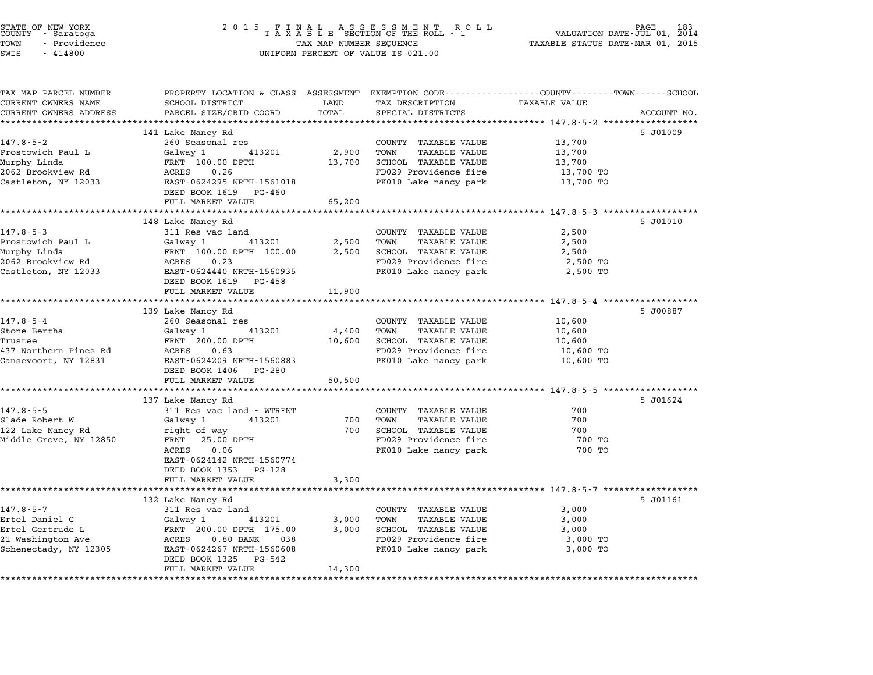| STATE OF NEW YORK<br>COUNTY - Saratoga<br>TOWN<br>- Providence<br>SWIS<br>$-414800$ | 2 0 1 5                                                                                                           | TAX MAP NUMBER SEQUENCE | FINAL ASSESSMENT RO<br>TAXABLE SECTION OF THE ROLL - 1<br>R O L L<br>UNIFORM PERCENT OF VALUE IS 021.00 | TAXABLE STATUS DATE-MAR 01, 2015 | PAGE<br>VALUATION DATE-JUL 01, 2014 |
|-------------------------------------------------------------------------------------|-------------------------------------------------------------------------------------------------------------------|-------------------------|---------------------------------------------------------------------------------------------------------|----------------------------------|-------------------------------------|
| TAX MAP PARCEL NUMBER<br>CURRENT OWNERS NAME                                        | PROPERTY LOCATION & CLASS ASSESSMENT EXEMPTION CODE---------------COUNTY-------TOWN-----SCHOOL<br>SCHOOL DISTRICT | LAND                    | TAX DESCRIPTION                                                                                         | TAXABLE VALUE                    |                                     |
| CURRENT OWNERS ADDRESS                                                              | PARCEL SIZE/GRID COORD                                                                                            | TOTAL                   | SPECIAL DISTRICTS                                                                                       |                                  | ACCOUNT NO.                         |
|                                                                                     |                                                                                                                   |                         |                                                                                                         |                                  |                                     |
|                                                                                     | 141 Lake Nancy Rd                                                                                                 |                         |                                                                                                         |                                  | 5 J01009                            |
| $147.8 - 5 - 2$                                                                     | 260 Seasonal res                                                                                                  |                         | COUNTY TAXABLE VALUE                                                                                    | 13,700                           |                                     |
| Prostowich Paul L<br>Murphy Linda                                                   | 413201<br>Galwav 1<br>FRNT 100.00 DPTH                                                                            | 2,900<br>13,700         | TOWN<br><b>TAXABLE VALUE</b><br>SCHOOL TAXABLE VALUE                                                    | 13,700<br>13,700                 |                                     |
| 2062 Brookview Rd                                                                   | 0.26<br>ACRES                                                                                                     |                         | FD029 Providence fire                                                                                   | 13,700 TO                        |                                     |
| Castleton, NY 12033                                                                 | EAST-0624295 NRTH-1561018                                                                                         |                         | PK010 Lake nancy park                                                                                   | 13,700 TO                        |                                     |
|                                                                                     | DEED BOOK 1619<br>PG-460                                                                                          |                         |                                                                                                         |                                  |                                     |
|                                                                                     | FULL MARKET VALUE                                                                                                 | 65,200                  |                                                                                                         |                                  |                                     |
|                                                                                     |                                                                                                                   |                         |                                                                                                         |                                  |                                     |
|                                                                                     | 148 Lake Nancy Rd                                                                                                 |                         |                                                                                                         |                                  | 5 J01010                            |
| $147.8 - 5 - 3$                                                                     | 311 Res vac land                                                                                                  |                         | COUNTY TAXABLE VALUE                                                                                    | 2,500                            |                                     |
| Prostowich Paul L<br>Murphy Linda                                                   | 413201<br>Galway 1<br>FRNT 100.00 DPTH 100.00                                                                     | 2,500<br>2,500          | TOWN<br><b>TAXABLE VALUE</b><br>SCHOOL TAXABLE VALUE                                                    | 2,500<br>2,500                   |                                     |
| 2062 Brookview Rd                                                                   | ACRES<br>0.23                                                                                                     |                         | FD029 Providence fire                                                                                   | 2,500 TO                         |                                     |
| Castleton, NY 12033                                                                 | EAST-0624440 NRTH-1560935                                                                                         |                         | PK010 Lake nancy park                                                                                   | 2,500 TO                         |                                     |
|                                                                                     | DEED BOOK 1619<br>PG-458                                                                                          |                         |                                                                                                         |                                  |                                     |
|                                                                                     | FULL MARKET VALUE                                                                                                 | 11,900                  |                                                                                                         |                                  |                                     |
|                                                                                     |                                                                                                                   |                         |                                                                                                         |                                  |                                     |
|                                                                                     | 139 Lake Nancy Rd                                                                                                 |                         |                                                                                                         |                                  | 5 J00887                            |
| $147.8 - 5 - 4$                                                                     | 260 Seasonal res                                                                                                  |                         | COUNTY TAXABLE VALUE                                                                                    | 10,600                           |                                     |
| Stone Bertha<br>Trustee                                                             | 413201<br>Galway 1<br>FRNT 200.00 DPTH                                                                            | 4,400<br>10,600         | TOWN<br><b>TAXABLE VALUE</b><br>SCHOOL TAXABLE VALUE                                                    | 10,600<br>10,600                 |                                     |
| 437 Northern Pines Rd                                                               | ACRES<br>0.63                                                                                                     |                         | FD029 Providence fire                                                                                   | 10,600 TO                        |                                     |
| Gansevoort, NY 12831                                                                | EAST-0624209 NRTH-1560883                                                                                         |                         | PK010 Lake nancy park                                                                                   | 10,600 TO                        |                                     |
|                                                                                     | DEED BOOK 1406 PG-280                                                                                             |                         |                                                                                                         |                                  |                                     |
|                                                                                     | FULL MARKET VALUE                                                                                                 | 50,500                  |                                                                                                         |                                  |                                     |
|                                                                                     |                                                                                                                   |                         |                                                                                                         |                                  |                                     |
|                                                                                     | 137 Lake Nancy Rd                                                                                                 |                         |                                                                                                         |                                  | 5 J01624                            |
| $147.8 - 5 - 5$                                                                     | 311 Res vac land - WTRFNT<br>413201                                                                               | 700                     | COUNTY TAXABLE VALUE<br>TOWN<br>TAXABLE VALUE                                                           | 700<br>700                       |                                     |
| Slade Robert W<br>122 Lake Nancy Rd                                                 | Galway 1<br>right of way                                                                                          | 700                     | SCHOOL TAXABLE VALUE                                                                                    | 700                              |                                     |
| Middle Grove, NY 12850                                                              | FRNT 25.00 DPTH                                                                                                   |                         | FD029 Providence fire                                                                                   | 700 TO                           |                                     |
|                                                                                     | ACRES<br>0.06                                                                                                     |                         | PK010 Lake nancy park                                                                                   | 700 TO                           |                                     |
|                                                                                     | EAST-0624142 NRTH-1560774                                                                                         |                         |                                                                                                         |                                  |                                     |
|                                                                                     | DEED BOOK 1353<br>PG-128                                                                                          |                         |                                                                                                         |                                  |                                     |
|                                                                                     | FULL MARKET VALUE                                                                                                 | 3,300                   |                                                                                                         |                                  |                                     |
|                                                                                     |                                                                                                                   |                         |                                                                                                         |                                  |                                     |
|                                                                                     | 132 Lake Nancy Rd                                                                                                 |                         |                                                                                                         |                                  | 5 J01161                            |
| $147.8 - 5 - 7$<br>Ertel Daniel C                                                   | 311 Res vac land<br>Galway 1<br>413201                                                                            | 3,000                   | COUNTY TAXABLE VALUE<br>TOWN<br>TAXABLE VALUE                                                           | 3,000<br>3,000                   |                                     |
| Ertel Gertrude L                                                                    | FRNT 200.00 DPTH 175.00                                                                                           | 3,000                   | SCHOOL TAXABLE VALUE                                                                                    | 3,000                            |                                     |
| 21 Washington Ave                                                                   | ACRES<br>$0.80$ BANK<br>038                                                                                       |                         | FD029 Providence fire                                                                                   | 3,000 TO                         |                                     |
| Schenectady, NY 12305                                                               | EAST-0624267 NRTH-1560608                                                                                         |                         | PK010 Lake nancy park                                                                                   | 3,000 TO                         |                                     |
|                                                                                     | DEED BOOK 1325 PG-542                                                                                             |                         |                                                                                                         |                                  |                                     |
|                                                                                     | FULL MARKET VALUE                                                                                                 | 14,300                  |                                                                                                         |                                  |                                     |
|                                                                                     |                                                                                                                   |                         |                                                                                                         |                                  |                                     |

STATE OF NEW YORK <sup>2</sup> <sup>0</sup> <sup>1</sup> 5 F I N A L A S S E S S M E N T R O L L PAGE <sup>183</sup> COUNTY - Saratoga <sup>T</sup> <sup>A</sup> <sup>X</sup> <sup>A</sup> <sup>B</sup> <sup>L</sup> <sup>E</sup> SECTION OF THE ROLL - <sup>1</sup> VALUATION DATE-JUL 01, <sup>2014</sup>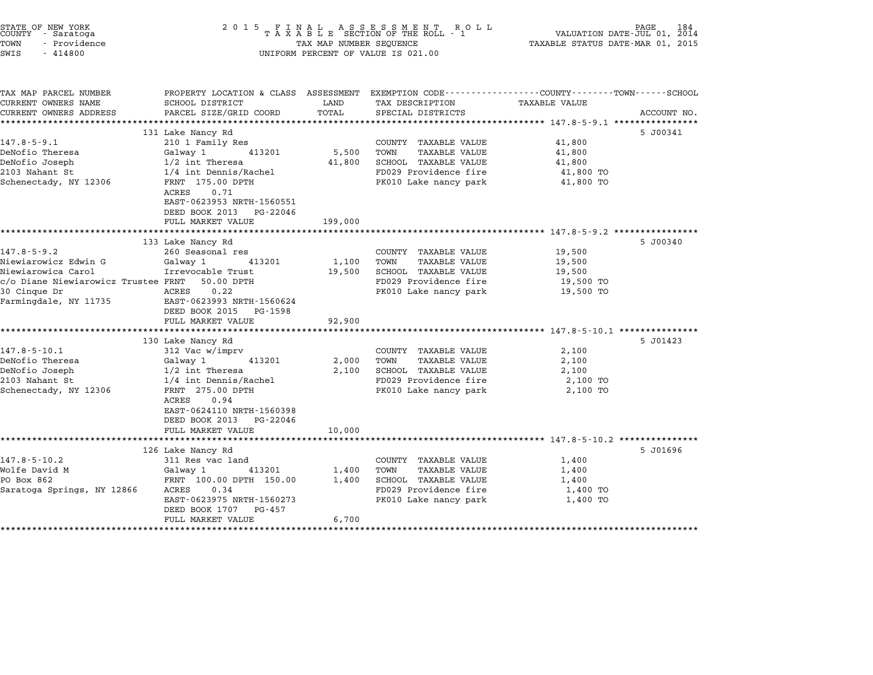| STATE OF NEW YORK<br>COUNTY<br>- Saratoga<br>TOWN<br>- Providence<br>SWIS<br>$-414800$ | 2 0 1 5<br>R O L L<br>FINAL ASSESSMENT RO<br>TAXABLE SECTION OF THE ROLL - 1<br>TAX MAP NUMBER SEQUENCE<br>UNIFORM PERCENT OF VALUE IS 021.00 |               |                                                | PAGE<br>184<br>VALUATION DATE-JUL 01,<br>2014<br>TAXABLE STATUS DATE-MAR 01, 2015                             |             |
|----------------------------------------------------------------------------------------|-----------------------------------------------------------------------------------------------------------------------------------------------|---------------|------------------------------------------------|---------------------------------------------------------------------------------------------------------------|-------------|
| TAX MAP PARCEL NUMBER<br>CURRENT OWNERS NAME<br>CURRENT OWNERS ADDRESS                 | SCHOOL DISTRICT<br>PARCEL SIZE/GRID COORD                                                                                                     | LAND<br>TOTAL | TAX DESCRIPTION<br>SPECIAL DISTRICTS           | PROPERTY LOCATION & CLASS ASSESSMENT EXEMPTION CODE--------------COUNTY------TOWN-----SCHOOL<br>TAXABLE VALUE | ACCOUNT NO. |
| ***********************                                                                |                                                                                                                                               |               |                                                |                                                                                                               |             |
|                                                                                        | 131 Lake Nancy Rd                                                                                                                             |               |                                                |                                                                                                               | 5 J00341    |
| $147.8 - 5 - 9.1$                                                                      | 210 1 Family Res                                                                                                                              |               | COUNTY TAXABLE VALUE                           | 41,800                                                                                                        |             |
| DeNofio Theresa                                                                        | Galway 1<br>413201                                                                                                                            | 5,500         | <b>TAXABLE VALUE</b><br>TOWN                   | 41,800                                                                                                        |             |
| DeNofio Joseph                                                                         | $1/2$ int Theresa                                                                                                                             | 41,800        | SCHOOL TAXABLE VALUE                           | 41,800                                                                                                        |             |
| 2103 Nahant St<br>Schenectady, NY 12306                                                | 1/4 int Dennis/Rachel<br>FRNT 175.00 DPTH<br>0.71<br>ACRES<br>EAST-0623953 NRTH-1560551<br>DEED BOOK 2013<br>PG-22046                         |               | FD029 Providence fire<br>PK010 Lake nancy park | 41,800 TO<br>41,800 TO                                                                                        |             |
|                                                                                        | FULL MARKET VALUE                                                                                                                             | 199,000       |                                                |                                                                                                               |             |
|                                                                                        |                                                                                                                                               |               |                                                |                                                                                                               |             |
|                                                                                        | 133 Lake Nancy Rd                                                                                                                             |               |                                                |                                                                                                               | 5 J00340    |
| $147.8 - 5 - 9.2$                                                                      | 260 Seasonal res                                                                                                                              |               | COUNTY TAXABLE VALUE                           | 19,500                                                                                                        |             |
| Niewiarowicz Edwin G                                                                   | Galway 1<br>413201                                                                                                                            | 1,100         | TOWN<br>TAXABLE VALUE                          | 19,500                                                                                                        |             |
| Niewiarowica Carol<br>c/o Diane Niewiarowicz Trustee FRNT                              | Irrevocable Trust<br>50.00 DPTH                                                                                                               | 19,500        | SCHOOL TAXABLE VALUE<br>FD029 Providence fire  | 19,500<br>19,500 TO                                                                                           |             |
| 30 Cinque Dr                                                                           | ACRES<br>0.22                                                                                                                                 |               | PK010 Lake nancy park                          | 19,500 TO                                                                                                     |             |
| Farmingdale, NY 11735                                                                  | EAST-0623993 NRTH-1560624                                                                                                                     |               |                                                |                                                                                                               |             |
|                                                                                        | DEED BOOK 2015<br>PG-1598                                                                                                                     |               |                                                |                                                                                                               |             |
|                                                                                        | FULL MARKET VALUE                                                                                                                             | 92,900        |                                                |                                                                                                               |             |
|                                                                                        |                                                                                                                                               |               |                                                |                                                                                                               |             |
|                                                                                        | 130 Lake Nancy Rd                                                                                                                             |               |                                                |                                                                                                               | 5 J01423    |
| $147.8 - 5 - 10.1$                                                                     | 312 Vac w/imprv                                                                                                                               |               | COUNTY TAXABLE VALUE                           | 2,100                                                                                                         |             |
| DeNofio Theresa                                                                        | Galway 1<br>413201                                                                                                                            | 2,000         | TOWN<br>TAXABLE VALUE                          | 2,100                                                                                                         |             |
| DeNofio Joseph                                                                         | $1/2$ int Theresa                                                                                                                             | 2,100         | SCHOOL TAXABLE VALUE                           | 2,100                                                                                                         |             |
| 2103 Nahant St<br>Schenectady, NY 12306                                                | 1/4 int Dennis/Rachel<br>FRNT 275.00 DPTH                                                                                                     |               | FD029 Providence fire<br>PK010 Lake nancy park | 2,100 TO<br>2,100 TO                                                                                          |             |
|                                                                                        | 0.94<br>ACRES<br>EAST-0624110 NRTH-1560398                                                                                                    |               |                                                |                                                                                                               |             |
|                                                                                        | DEED BOOK 2013<br>PG-22046                                                                                                                    |               |                                                |                                                                                                               |             |
|                                                                                        | FULL MARKET VALUE<br>******************                                                                                                       | 10,000        |                                                |                                                                                                               |             |
|                                                                                        |                                                                                                                                               |               |                                                | ******************************* 147.8-5-10.2 *********                                                        |             |
| $147.8 - 5 - 10.2$                                                                     | 126 Lake Nancy Rd<br>311 Res vac land                                                                                                         |               | COUNTY TAXABLE VALUE                           | 1,400                                                                                                         | 5 J01696    |
| Wolfe David M                                                                          | Galway 1<br>413201                                                                                                                            | 1,400         | TAXABLE VALUE<br>TOWN                          | 1,400                                                                                                         |             |
| PO Box 862                                                                             | FRNT 100.00 DPTH 150.00                                                                                                                       | 1,400         | SCHOOL TAXABLE VALUE                           | 1,400                                                                                                         |             |
| Saratoga Springs, NY 12866                                                             | 0.34<br>ACRES                                                                                                                                 |               | FD029 Providence fire                          | 1,400 TO                                                                                                      |             |
|                                                                                        | EAST-0623975 NRTH-1560273<br>DEED BOOK 1707<br>PG-457                                                                                         |               | PK010 Lake nancy park                          | 1,400 TO                                                                                                      |             |
|                                                                                        | FULL MARKET VALUE                                                                                                                             | 6,700         |                                                |                                                                                                               |             |

\*\*\*\*\*\*\*\*\*\*\*\*\*\*\*\*\*\*\*\*\*\*\*\*\*\*\*\*\*\*\*\*\*\*\*\*\*\*\*\*\*\*\*\*\*\*\*\*\*\*\*\*\*\*\*\*\*\*\*\*\*\*\*\*\*\*\*\*\*\*\*\*\*\*\*\*\*\*\*\*\*\*\*\*\*\*\*\*\*\*\*\*\*\*\*\*\*\*\*\*\*\*\*\*\*\*\*\*\*\*\*\*\*\*\*\*\*\*\*\*\*\*\*\*\*\*\*\*\*\*\*\*

STATE OF NEW YORK <sup>2</sup> <sup>0</sup> <sup>1</sup> 5 F I N A L A S S E S S M E N T R O L L PAGE <sup>184</sup> COUNTY - Saratoga <sup>T</sup> <sup>A</sup> <sup>X</sup> <sup>A</sup> <sup>B</sup> <sup>L</sup> <sup>E</sup> SECTION OF THE ROLL - <sup>1</sup> VALUATION DATE-JUL 01, <sup>2014</sup>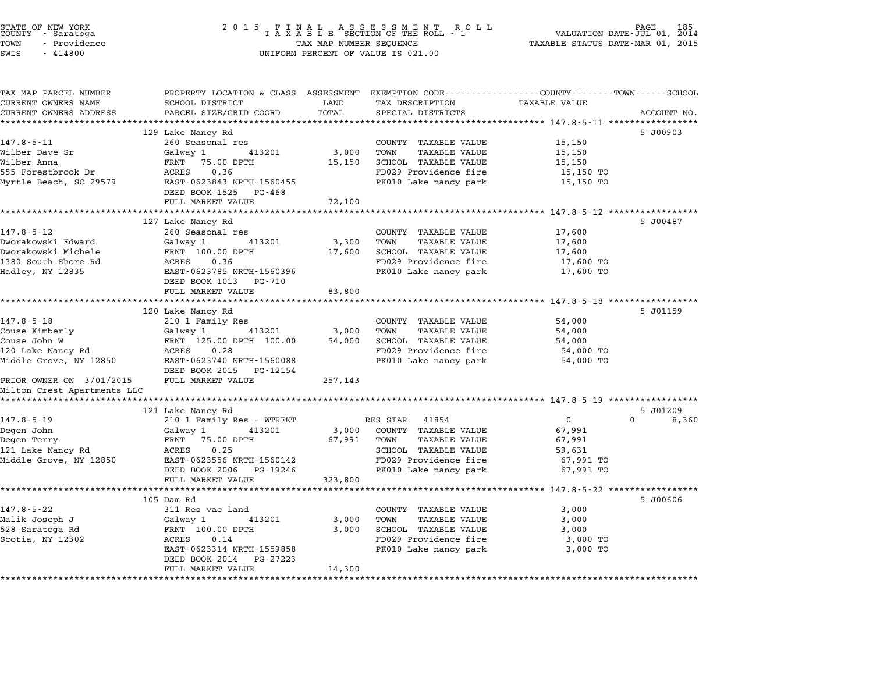| STATE OF NEW YORK<br>COUNTY – Saratoga<br>- Providence<br>TOWN<br>SWIS<br>$-414800$ |                                                                                                                   | TAX MAP NUMBER SEQUENCE | 2015 FINAL ASSESSMENT ROLL<br>TAXABLE SECTION OF THE ROLL - 1<br>UNIFORM PERCENT OF VALUE IS 021.00 | FAGE 185<br>VALUATION DATE-JUL 01, 2014<br>TAXABLE STATUS DATE-MAR 01, 2015 |                               |
|-------------------------------------------------------------------------------------|-------------------------------------------------------------------------------------------------------------------|-------------------------|-----------------------------------------------------------------------------------------------------|-----------------------------------------------------------------------------|-------------------------------|
| TAX MAP PARCEL NUMBER<br>CURRENT OWNERS NAME                                        | PROPERTY LOCATION & CLASS ASSESSMENT EXEMPTION CODE---------------COUNTY-------TOWN-----SCHOOL<br>SCHOOL DISTRICT | LAND                    | TAX DESCRIPTION                                                                                     | <b>TAXABLE VALUE</b>                                                        |                               |
| CURRENT OWNERS ADDRESS                                                              | PARCEL SIZE/GRID COORD                                                                                            | TOTAL                   | SPECIAL DISTRICTS                                                                                   |                                                                             | ACCOUNT NO.                   |
|                                                                                     |                                                                                                                   |                         |                                                                                                     |                                                                             |                               |
| $147.8 - 5 - 11$                                                                    | 129 Lake Nancy Rd<br>260 Seasonal res                                                                             |                         | COUNTY TAXABLE VALUE                                                                                | 15,150                                                                      | 5 J00903                      |
| Wilber Dave Sr                                                                      | Galway 1 413201                                                                                                   | 3,000                   | TAXABLE VALUE<br>TOWN                                                                               | 15,150                                                                      |                               |
| Wilber Anna                                                                         | FRNT 75.00 DPTH                                                                                                   | 15,150                  | SCHOOL TAXABLE VALUE                                                                                | 15,150                                                                      |                               |
| 555 Forestbrook Dr                                                                  | 0.36<br>ACRES                                                                                                     |                         | FD029 Providence fire                                                                               | 15,150 TO                                                                   |                               |
| Myrtle Beach, SC 29579                                                              | EAST-0623843 NRTH-1560455<br>DEED BOOK 1525 PG-468                                                                |                         | PK010 Lake nancy park                                                                               | 15,150 TO                                                                   |                               |
|                                                                                     | FULL MARKET VALUE                                                                                                 | 72,100                  |                                                                                                     |                                                                             |                               |
|                                                                                     | 127 Lake Nancy Rd                                                                                                 |                         |                                                                                                     |                                                                             | 5 J00487                      |
| 147.8-5-12                                                                          | 260 Seasonal res                                                                                                  |                         | COUNTY TAXABLE VALUE                                                                                | 17,600                                                                      |                               |
| Dworakowski Edward                                                                  | Galway 1<br>413201                                                                                                | 3,300                   | TOWN<br>TAXABLE VALUE                                                                               | 17,600                                                                      |                               |
| Dworakowski Michele                                                                 | FRNT 100.00 DPTH                                                                                                  | 17,600                  | SCHOOL TAXABLE VALUE                                                                                | 17,600                                                                      |                               |
| 1380 South Shore Rd                                                                 | ACRES<br>0.36                                                                                                     |                         | FD029 Providence fire                                                                               | 17,600 TO                                                                   |                               |
| Hadley, NY 12835                                                                    | EAST-0623785 NRTH-1560396<br>DEED BOOK 1013 PG-710                                                                |                         | PK010 Lake nancy park                                                                               | 17,600 TO                                                                   |                               |
|                                                                                     | FULL MARKET VALUE                                                                                                 | 83,800                  |                                                                                                     |                                                                             |                               |
|                                                                                     |                                                                                                                   |                         |                                                                                                     |                                                                             |                               |
|                                                                                     | 120 Lake Nancy Rd                                                                                                 |                         |                                                                                                     |                                                                             | 5 J01159                      |
| $147.8 - 5 - 18$                                                                    | 210 1 Family Res                                                                                                  |                         | COUNTY TAXABLE VALUE                                                                                | 54,000                                                                      |                               |
| Couse Kimberly                                                                      | 413201<br>Galway 1                                                                                                | 3,000                   | TOWN<br>TAXABLE VALUE                                                                               | 54,000                                                                      |                               |
| Couse John W<br>120 Lake Nancy Rd                                                   | FRNT 125.00 DPTH 100.00<br>0.28<br>ACRES                                                                          | 54,000                  | SCHOOL TAXABLE VALUE<br>FD029 Providence fire                                                       | 54,000<br>54,000 TO                                                         |                               |
| Middle Grove, NY 12850                                                              | EAST-0623740 NRTH-1560088                                                                                         |                         | PK010 Lake nancy park                                                                               | 54,000 TO                                                                   |                               |
|                                                                                     | DEED BOOK 2015 PG-12154                                                                                           |                         |                                                                                                     |                                                                             |                               |
| PRIOR OWNER ON 3/01/2015                                                            | FULL MARKET VALUE                                                                                                 | 257,143                 |                                                                                                     |                                                                             |                               |
| Milton Crest Apartments LLC                                                         |                                                                                                                   |                         |                                                                                                     |                                                                             |                               |
|                                                                                     |                                                                                                                   |                         |                                                                                                     |                                                                             |                               |
| $147.8 - 5 - 19$                                                                    | 121 Lake Nancy Rd<br>210 1 Family Res - WTRFNT                                                                    |                         | RES STAR 41854                                                                                      | $\mathbf 0$                                                                 | 5 J01209<br>$\Omega$<br>8,360 |
| Degen John                                                                          | Galway 1<br>413201                                                                                                | 3,000                   | COUNTY TAXABLE VALUE                                                                                | 67,991                                                                      |                               |
| Degen Terry                                                                         | FRNT<br>75.00 DPTH                                                                                                | 67,991                  | TOWN<br>TAXABLE VALUE                                                                               | 67,991                                                                      |                               |
| 121 Lake Nancy Rd                                                                   | ACRES<br>0.25                                                                                                     |                         | SCHOOL TAXABLE VALUE                                                                                | 59,631                                                                      |                               |
| Middle Grove, NY 12850                                                              | EAST-0623556 NRTH-1560142                                                                                         |                         | FD029 Providence fire                                                                               | 67,991 TO                                                                   |                               |
|                                                                                     | DEED BOOK 2006 PG-19246                                                                                           |                         | PK010 Lake nancy park                                                                               | 67,991 TO                                                                   |                               |
|                                                                                     | FULL MARKET VALUE                                                                                                 | 323,800                 |                                                                                                     |                                                                             |                               |
|                                                                                     | **********************<br>105 Dam Rd                                                                              |                         |                                                                                                     | *************** 147.8-5-22 ******************                               | 5 J00606                      |
| $147.8 - 5 - 22$                                                                    | 311 Res vac land                                                                                                  |                         | COUNTY TAXABLE VALUE                                                                                | 3,000                                                                       |                               |
| Malik Joseph J                                                                      | 413201<br>Galway 1                                                                                                | 3,000                   | TAXABLE VALUE<br>TOWN                                                                               | 3,000                                                                       |                               |
| 528 Saratoga Rd                                                                     | FRNT 100.00 DPTH                                                                                                  | 3,000                   | SCHOOL TAXABLE VALUE                                                                                | 3,000                                                                       |                               |
| Scotia, NY 12302                                                                    | ACRES<br>0.14                                                                                                     |                         | FD029 Providence fire                                                                               | 3,000 TO                                                                    |                               |
|                                                                                     | EAST-0623314 NRTH-1559858                                                                                         |                         | PK010 Lake nancy park                                                                               | 3,000 TO                                                                    |                               |
|                                                                                     | DEED BOOK 2014 PG-27223                                                                                           |                         |                                                                                                     |                                                                             |                               |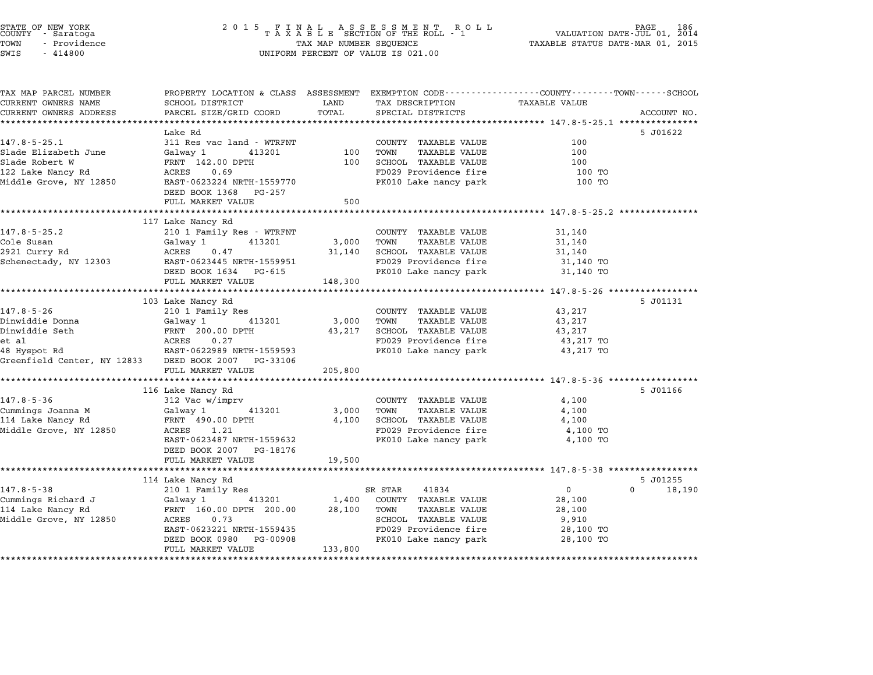|               | STATE OF NEW YORK<br>COUNTY - Saratoga |  |
|---------------|----------------------------------------|--|
| TOWN          | - Providence                           |  |
| <b>CITT C</b> | $-111800$                              |  |

## STATE OF NEW YORK <sup>2</sup> <sup>0</sup> <sup>1</sup> 5 F I N A L A S S E S S M E N T R O L L PAGE <sup>186</sup> COUNTY - Saratoga <sup>T</sup> <sup>A</sup> <sup>X</sup> <sup>A</sup> <sup>B</sup> <sup>L</sup> <sup>E</sup> SECTION OF THE ROLL - <sup>1</sup> VALUATION DATE-JUL 01, <sup>2014</sup> TOWN - Providence TAX MAP NUMBER SEQUENCE TAXABLE STATUS DATE-MAR 01, <sup>2015</sup> SWIS - <sup>414800</sup> UNIFORM PERCENT OF VALUE IS 021.00

| TAX MAP PARCEL NUMBER                               | PROPERTY LOCATION & CLASS ASSESSMENT EXEMPTION CODE---------------COUNTY-------TOWN------SCHOOL |              |                              |                                                       |             |
|-----------------------------------------------------|-------------------------------------------------------------------------------------------------|--------------|------------------------------|-------------------------------------------------------|-------------|
| CURRENT OWNERS NAME                                 | SCHOOL DISTRICT                                                                                 | LAND         | TAX DESCRIPTION              | TAXABLE VALUE                                         |             |
| CURRENT OWNERS ADDRESS                              | PARCEL SIZE/GRID COORD                                                                          | TOTAL        | SPECIAL DISTRICTS            |                                                       | ACCOUNT NO. |
| ***************************                         |                                                                                                 |              |                              |                                                       |             |
|                                                     | Lake Rd                                                                                         |              |                              |                                                       | 5 J01622    |
| $147.8 - 5 - 25.1$                                  | 311 Res vac land - WTRFNT                                                                       |              | COUNTY TAXABLE VALUE         | 100                                                   |             |
| Slade Elizabeth June                                | 413201<br>Galway 1                                                                              | 100          | TOWN<br><b>TAXABLE VALUE</b> | 100                                                   |             |
| Slade Robert W                                      | FRNT 142.00 DPTH                                                                                | 100          | SCHOOL TAXABLE VALUE         | 100                                                   |             |
| 122 Lake Nancy Rd                                   | ACRES<br>0.69                                                                                   |              | FD029 Providence fire        | 100 TO                                                |             |
| Middle Grove, NY 12850                              | EAST-0623224 NRTH-1559770                                                                       |              | PK010 Lake nancy park        | 100 TO                                                |             |
|                                                     | DEED BOOK 1368 PG-257                                                                           |              |                              |                                                       |             |
|                                                     | FULL MARKET VALUE                                                                               | 500          |                              |                                                       |             |
|                                                     | 117 Lake Nancy Rd                                                                               |              |                              | ************************ 147.8-5-25.2 *************** |             |
| $147.8 - 5 - 25.2$                                  | 210 1 Family Res - WTRFNT                                                                       |              | COUNTY TAXABLE VALUE         | 31,140                                                |             |
| Cole Susan                                          | Galway 1<br>413201                                                                              | 3,000        | TOWN<br>TAXABLE VALUE        | 31,140                                                |             |
| 2921 Curry Rd                                       | ACRES 0.47                                                                                      |              | 31,140 SCHOOL TAXABLE VALUE  | 31,140                                                |             |
| Schenectady, NY 12303                               | EAST-0623445 NRTH-1559951                                                                       |              | FD029 Providence fire        | 31,140 TO                                             |             |
|                                                     | DEED BOOK 1634 PG-615                                                                           |              | PK010 Lake nancy park        | 31,140 TO                                             |             |
|                                                     | FULL MARKET VALUE                                                                               | 148,300      |                              |                                                       |             |
|                                                     |                                                                                                 |              |                              |                                                       |             |
|                                                     | 103 Lake Nancy Rd                                                                               |              |                              |                                                       | 5 J01131    |
| $147.8 - 5 - 26$                                    | 210 1 Family Res                                                                                |              | COUNTY TAXABLE VALUE         | 43,217                                                |             |
| Dinwiddie Donna                                     | Galway 1 413201                                                                                 | 3,000        | TOWN<br>TAXABLE VALUE        | 43,217                                                |             |
| Dinwiddie Seth                                      | FRNT 200.00 DPTH                                                                                | 43,217       | SCHOOL TAXABLE VALUE         | 43,217                                                |             |
|                                                     |                                                                                                 |              | FD029 Providence fire        | 43,217 TO                                             |             |
|                                                     |                                                                                                 |              | PK010 Lake nancy park        | 43,217 TO                                             |             |
| Greenfield Center, NY 12833 DEED BOOK 2007 PG-33106 |                                                                                                 |              |                              |                                                       |             |
|                                                     | FULL MARKET VALUE                                                                               | 205,800      |                              |                                                       |             |
|                                                     |                                                                                                 |              |                              |                                                       |             |
|                                                     | 116 Lake Nancy Rd                                                                               |              |                              |                                                       | 5 J01166    |
| $147.8 - 5 - 36$                                    | 312 Vac w/imprv                                                                                 |              | COUNTY TAXABLE VALUE         | 4,100                                                 |             |
| Cummings Joanna M                                   | Galway 1<br>413201                                                                              | 3,000        | TOWN<br>TAXABLE VALUE        | 4,100                                                 |             |
| 114 Lake Nancy Rd                                   | FRNT 490.00 DPTH                                                                                | 4,100        | SCHOOL TAXABLE VALUE         | 4,100                                                 |             |
| Middle Grove, NY 12850                              | ACRES<br>1.21                                                                                   |              | FD029 Providence fire        | 4,100 TO                                              |             |
|                                                     | EAST-0623487 NRTH-1559632                                                                       |              | PK010 Lake nancy park        | 4,100 TO                                              |             |
|                                                     | DEED BOOK 2007 PG-18176                                                                         |              |                              |                                                       |             |
|                                                     | FULL MARKET VALUE                                                                               | 19,500       |                              |                                                       |             |
|                                                     |                                                                                                 |              |                              |                                                       |             |
|                                                     | 114 Lake Nancy Rd                                                                               |              |                              |                                                       | 5 J01255    |
| $147.8 - 5 - 38$                                    | 210 1 Family Res                                                                                |              | SR STAR<br>41834             | $\overline{0}$<br>$\Omega$                            | 18,190      |
| Cummings Richard J                                  | Galway 1                                                                                        | 413201 1,400 | COUNTY TAXABLE VALUE         | 28,100                                                |             |
| 114 Lake Nancy Rd                                   | FRNT 160.00 DPTH 200.00                                                                         | 28,100       | TOWN<br>TAXABLE VALUE        | 28,100                                                |             |
| Middle Grove, NY 12850                              | 0.73<br>ACRES                                                                                   |              | SCHOOL TAXABLE VALUE         | 9,910                                                 |             |
|                                                     | EAST-0623221 NRTH-1559435                                                                       |              | FD029 Providence fire        | 28,100 TO                                             |             |
|                                                     | DEED BOOK 0980<br>PG-00908                                                                      |              | PK010 Lake nancy park        | 28,100 TO                                             |             |
|                                                     | FULL MARKET VALUE                                                                               | 133,800      |                              |                                                       |             |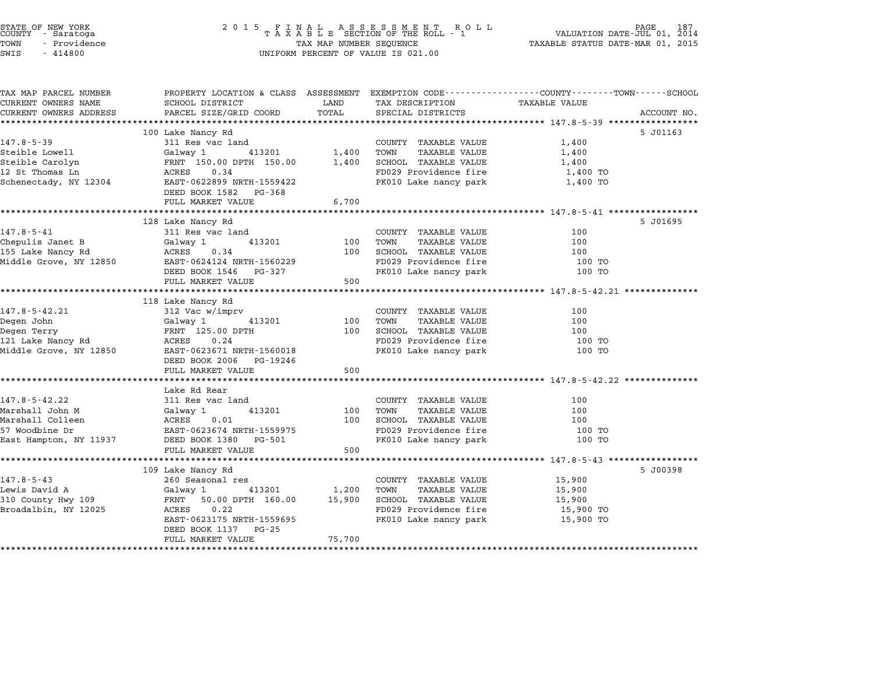| COUNTY - Saratoga<br>TOWN<br>- Providence<br>SWIS<br>$-414800$                                    | 2 0 1 5                                                                                                                                                                            | TAX MAP NUMBER SEQUENCE             | FINAL ASSESSMENT RO<br>TAXABLE SECTION OF THE ROLL - 1<br>R O L L<br>UNIFORM PERCENT OF VALUE IS 021.00                        | PAGE<br>VALUATION DATE-JUL 01, 2014<br>TAXABLE STATUS DATE-MAR 01, 2015                                                         | 187 |
|---------------------------------------------------------------------------------------------------|------------------------------------------------------------------------------------------------------------------------------------------------------------------------------------|-------------------------------------|--------------------------------------------------------------------------------------------------------------------------------|---------------------------------------------------------------------------------------------------------------------------------|-----|
| TAX MAP PARCEL NUMBER<br>CURRENT OWNERS NAME<br>CURRENT OWNERS ADDRESS                            | SCHOOL DISTRICT<br>PARCEL SIZE/GRID COORD                                                                                                                                          | LAND<br>TOTAL                       | TAX DESCRIPTION<br>SPECIAL DISTRICTS                                                                                           | PROPERTY LOCATION & CLASS ASSESSMENT EXEMPTION CODE----------------COUNTY-------TOWN-----SCHOOL<br>TAXABLE VALUE<br>ACCOUNT NO. |     |
| **********************                                                                            |                                                                                                                                                                                    |                                     |                                                                                                                                |                                                                                                                                 |     |
| $147.8 - 5 - 39$<br>Steible Lowell<br>Steible Carolyn<br>12 St Thomas Ln<br>Schenectady, NY 12304 | 100 Lake Nancy Rd<br>311 Res vac land<br>Galway 1<br>413201<br>FRNT 150.00 DPTH 150.00<br>ACRES<br>0.34<br>EAST-0622899 NRTH-1559422<br>DEED BOOK 1582<br>PG-368                   | 1,400<br>1,400                      | COUNTY TAXABLE VALUE<br><b>TAXABLE VALUE</b><br>TOWN<br>SCHOOL TAXABLE VALUE<br>FD029 Providence fire<br>PK010 Lake nancy park | 5 J01163<br>1,400<br>1,400<br>1,400<br>1,400 TO<br>1,400 TO                                                                     |     |
|                                                                                                   | FULL MARKET VALUE                                                                                                                                                                  | 6,700                               |                                                                                                                                |                                                                                                                                 |     |
|                                                                                                   |                                                                                                                                                                                    | *****************                   |                                                                                                                                | ********************* 147.8-5-41 ************                                                                                   |     |
| $147.8 - 5 - 41$<br>Chepulis Janet B<br>155 Lake Nancy Rd<br>Middle Grove, NY 12850               | 128 Lake Nancy Rd<br>311 Res vac land<br>413201<br>Galway 1<br>ACRES<br>0.34<br>EAST-0624124 NRTH-1560229<br>DEED BOOK 1546<br>PG-327<br>FULL MARKET VALUE<br>******************** | 100<br>100<br>500                   | COUNTY TAXABLE VALUE<br><b>TAXABLE VALUE</b><br>TOWN<br>SCHOOL TAXABLE VALUE<br>FD029 Providence fire<br>PK010 Lake nancy park | 5 J01695<br>100<br>100<br>100<br>100 TO<br>100 TO                                                                               |     |
|                                                                                                   | 118 Lake Nancy Rd                                                                                                                                                                  | *************                       |                                                                                                                                |                                                                                                                                 |     |
| $147.8 - 5 - 42.21$<br>Degen John<br>Degen Terry<br>121 Lake Nancy Rd<br>Middle Grove, NY 12850   | 312 Vac w/imprv<br>Galway 1<br>413201<br>FRNT 125.00 DPTH<br>ACRES<br>0.24<br>EAST-0623671 NRTH-1560018<br>DEED BOOK 2006<br>PG-19246<br>FULL MARKET VALUE                         | 100<br>100<br>500                   | COUNTY TAXABLE VALUE<br>TOWN<br>TAXABLE VALUE<br>SCHOOL TAXABLE VALUE<br>FD029 Providence fire<br>PK010 Lake nancy park        | 100<br>100<br>100<br>100 TO<br>100 TO                                                                                           |     |
|                                                                                                   |                                                                                                                                                                                    |                                     |                                                                                                                                |                                                                                                                                 |     |
| 147.8-5-42.22<br>Marshall John M<br>Marshall Colleen<br>57 Woodbine Dr<br>East Hampton, NY 11937  | Lake Rd Rear<br>311 Res vac land<br>Galway 1<br>413201<br>ACRES<br>0.01<br>EAST-0623674 NRTH-1559975<br>DEED BOOK 1380<br>PG-501<br>FULL MARKET VALUE<br>*******************       | 100<br>100<br>500<br>************** | COUNTY TAXABLE VALUE<br><b>TAXABLE VALUE</b><br>TOWN<br>SCHOOL TAXABLE VALUE<br>FD029 Providence fire<br>PK010 Lake nancy park | 100<br>100<br>100<br>100 TO<br>100 TO                                                                                           |     |
|                                                                                                   | 109 Lake Nancy Rd                                                                                                                                                                  |                                     |                                                                                                                                | 5 J00398                                                                                                                        |     |
| $147.8 - 5 - 43$<br>Lewis David A<br>310 County Hwy 109<br>Broadalbin, NY 12025                   | 260 Seasonal res<br>413201<br>Galway 1<br>FRNT<br>50.00 DPTH 160.00<br>ACRES<br>0.22<br>EAST-0623175 NRTH-1559695<br>DEED BOOK 1137<br>PG-25                                       | 1,200<br>15,900                     | COUNTY TAXABLE VALUE<br>TOWN<br><b>TAXABLE VALUE</b><br>SCHOOL TAXABLE VALUE<br>FD029 Providence fire<br>PK010 Lake nancy park | 15,900<br>15,900<br>15,900<br>15,900 TO<br>15,900 TO                                                                            |     |

STATE OF NEW YORK <sup>2</sup> <sup>0</sup> <sup>1</sup> 5 F I N A L A S S E S S M E N T R O L L PAGE <sup>187</sup> COUNTY - Saratoga <sup>T</sup> <sup>A</sup> <sup>X</sup> <sup>A</sup> <sup>B</sup> <sup>L</sup> <sup>E</sup> SECTION OF THE ROLL - <sup>1</sup> VALUATION DATE-JUL 01, <sup>2014</sup>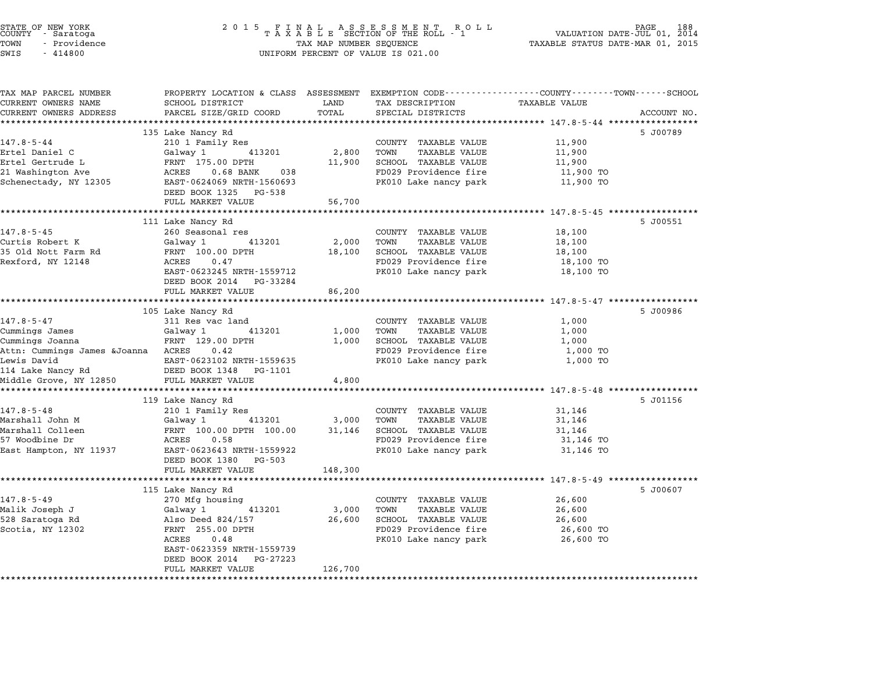| STATE OF NEW YORK<br>COUNTY - Saratoga<br>TOWN<br>- Providence<br>SWIS<br>$-414800$ | 2 0 1 5<br>FINAL ASSESSMENT ROTAXABLE SECTION OF THE ROLL - 1<br>R O L L<br>VALUATION DATE-JUL 01, 2014<br>TAX MAP NUMBER SEQUENCE<br>TAXABLE STATUS DATE-MAR 01, 2015<br>UNIFORM PERCENT OF VALUE IS 021.00 |         |                                                      |                      | PAGE<br>188 |
|-------------------------------------------------------------------------------------|--------------------------------------------------------------------------------------------------------------------------------------------------------------------------------------------------------------|---------|------------------------------------------------------|----------------------|-------------|
| TAX MAP PARCEL NUMBER<br>CURRENT OWNERS NAME                                        | PROPERTY LOCATION & CLASS ASSESSMENT EXEMPTION CODE---------------COUNTY-------TOWN------SCHOOL<br>SCHOOL DISTRICT                                                                                           | LAND    | TAX DESCRIPTION                                      | <b>TAXABLE VALUE</b> |             |
| CURRENT OWNERS ADDRESS                                                              | PARCEL SIZE/GRID COORD                                                                                                                                                                                       | TOTAL   | SPECIAL DISTRICTS                                    |                      | ACCOUNT NO. |
|                                                                                     |                                                                                                                                                                                                              |         |                                                      |                      |             |
| $147.8 - 5 - 44$                                                                    | 135 Lake Nancy Rd                                                                                                                                                                                            |         |                                                      | 11,900               | 5 J00789    |
| Ertel Daniel C                                                                      | 210 1 Family Res<br>Galway 1<br>413201                                                                                                                                                                       | 2,800   | COUNTY TAXABLE VALUE<br>TOWN<br><b>TAXABLE VALUE</b> | 11,900               |             |
| Ertel Gertrude L                                                                    | FRNT 175.00 DPTH                                                                                                                                                                                             | 11,900  | SCHOOL TAXABLE VALUE                                 | 11,900               |             |
| 21 Washington Ave                                                                   | ACRES<br>$0.68$ BANK<br>038                                                                                                                                                                                  |         | FD029 Providence fire                                | 11,900 TO            |             |
| Schenectady, NY 12305                                                               | EAST-0624069 NRTH-1560693                                                                                                                                                                                    |         | PK010 Lake nancy park                                | 11,900 TO            |             |
|                                                                                     | DEED BOOK 1325 PG-538                                                                                                                                                                                        |         |                                                      |                      |             |
|                                                                                     | FULL MARKET VALUE                                                                                                                                                                                            | 56,700  |                                                      |                      |             |
|                                                                                     |                                                                                                                                                                                                              |         |                                                      |                      |             |
|                                                                                     | 111 Lake Nancy Rd                                                                                                                                                                                            |         |                                                      |                      | 5 J00551    |
| $147.8 - 5 - 45$<br>Curtis Robert K                                                 | 260 Seasonal res<br>413201<br>Galway 1                                                                                                                                                                       | 2,000   | COUNTY TAXABLE VALUE<br>TOWN<br>TAXABLE VALUE        | 18,100<br>18,100     |             |
| 35 Old Nott Farm Rd                                                                 | FRNT 100.00 DPTH                                                                                                                                                                                             | 18,100  | SCHOOL TAXABLE VALUE                                 | 18,100               |             |
| Rexford, NY 12148                                                                   | ACRES<br>0.47                                                                                                                                                                                                |         | FD029 Providence fire                                | 18,100 TO            |             |
|                                                                                     | EAST-0623245 NRTH-1559712                                                                                                                                                                                    |         | PK010 Lake nancy park                                | 18,100 TO            |             |
|                                                                                     | DEED BOOK 2014 PG-33284                                                                                                                                                                                      |         |                                                      |                      |             |
|                                                                                     | FULL MARKET VALUE                                                                                                                                                                                            | 86,200  |                                                      |                      |             |
|                                                                                     |                                                                                                                                                                                                              |         |                                                      |                      |             |
|                                                                                     | 105 Lake Nancy Rd                                                                                                                                                                                            |         |                                                      |                      | 5 J00986    |
| $147.8 - 5 - 47$                                                                    | 311 Res vac land<br>Galway 1<br>413201                                                                                                                                                                       | 1,000   | COUNTY TAXABLE VALUE<br>TOWN<br><b>TAXABLE VALUE</b> | 1,000<br>1,000       |             |
| Cummings James<br>Cummings Joanna                                                   | FRNT 129.00 DPTH                                                                                                                                                                                             | 1,000   | SCHOOL TAXABLE VALUE                                 | 1,000                |             |
| Attn: Cummings James &Joanna ACRES                                                  | 0.42                                                                                                                                                                                                         |         | FD029 Providence fire                                | 1,000 TO             |             |
| Lewis David                                                                         | EAST-0623102 NRTH-1559635                                                                                                                                                                                    |         | PK010 Lake nancy park                                | 1,000 TO             |             |
| 114 Lake Nancy Rd                                                                   | DEED BOOK 1348 PG-1101                                                                                                                                                                                       |         |                                                      |                      |             |
| Middle Grove, NY 12850                                                              | FULL MARKET VALUE                                                                                                                                                                                            | 4,800   |                                                      |                      |             |
|                                                                                     |                                                                                                                                                                                                              |         |                                                      |                      |             |
|                                                                                     | 119 Lake Nancy Rd                                                                                                                                                                                            |         |                                                      |                      | 5 J01156    |
| $147.8 - 5 - 48$<br>Marshall John M                                                 | 210 1 Family Res<br>413201<br>Galway 1                                                                                                                                                                       | 3,000   | COUNTY TAXABLE VALUE<br>TOWN<br><b>TAXABLE VALUE</b> | 31,146<br>31,146     |             |
| Marshall Colleen                                                                    | FRNT 100.00 DPTH 100.00                                                                                                                                                                                      | 31,146  | SCHOOL TAXABLE VALUE                                 | 31,146               |             |
| 57 Woodbine Dr                                                                      | ACRES<br>0.58                                                                                                                                                                                                |         | FD029 Providence fire                                | 31,146 TO            |             |
| East Hampton, NY 11937                                                              | EAST-0623643 NRTH-1559922                                                                                                                                                                                    |         | PK010 Lake nancy park                                | 31,146 TO            |             |
|                                                                                     | DEED BOOK 1380<br>PG-503                                                                                                                                                                                     |         |                                                      |                      |             |
|                                                                                     | FULL MARKET VALUE                                                                                                                                                                                            | 148,300 |                                                      |                      |             |
|                                                                                     | **************************                                                                                                                                                                                   |         |                                                      |                      |             |
|                                                                                     | 115 Lake Nancy Rd                                                                                                                                                                                            |         |                                                      |                      | 5 J00607    |
| $147.8 - 5 - 49$<br>Malik Joseph J                                                  | 270 Mfg housing<br>Galway 1<br>413201                                                                                                                                                                        | 3,000   | COUNTY TAXABLE VALUE<br>TOWN<br>TAXABLE VALUE        | 26,600<br>26,600     |             |
| 528 Saratoga Rd                                                                     | Also Deed 824/157                                                                                                                                                                                            | 26,600  | SCHOOL TAXABLE VALUE                                 | 26,600               |             |
| Scotia, NY 12302                                                                    | FRNT 255.00 DPTH                                                                                                                                                                                             |         | FD029 Providence fire                                | 26,600 TO            |             |
|                                                                                     | ACRES<br>0.48                                                                                                                                                                                                |         | PK010 Lake nancy park                                | 26,600 TO            |             |
|                                                                                     | EAST-0623359 NRTH-1559739                                                                                                                                                                                    |         |                                                      |                      |             |
|                                                                                     | DEED BOOK 2014<br>PG-27223                                                                                                                                                                                   |         |                                                      |                      |             |
|                                                                                     | FULL MARKET VALUE                                                                                                                                                                                            | 126,700 |                                                      |                      |             |
|                                                                                     |                                                                                                                                                                                                              |         |                                                      |                      |             |

STATE OF NEW YORK <sup>2</sup> <sup>0</sup> <sup>1</sup> 5 F I N A L A S S E S S M E N T R O L L PAGE <sup>188</sup> COUNTY - Saratoga <sup>T</sup> <sup>A</sup> <sup>X</sup> <sup>A</sup> <sup>B</sup> <sup>L</sup> <sup>E</sup> SECTION OF THE ROLL - <sup>1</sup> VALUATION DATE-JUL 01, <sup>2014</sup>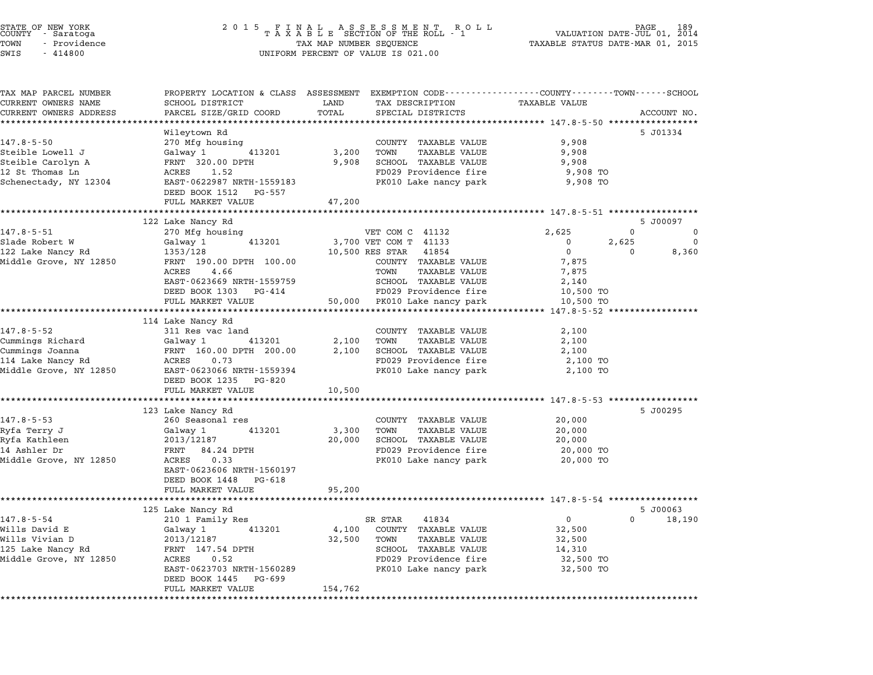| STATE OF NEW YORK<br>COUNTY - Saratoga<br>TOWN<br>- Providence | 2 0 1 5                                         | FINAL ASSESSMENT ROLL<br>TAXABLE SECTION OF THE ROLL - 1<br>TAXABLE SECTION OF THE ROLL - 1     | 189<br>VALUATION DATE-JUL 01,<br>2014<br>TAXABLE STATUS DATE-MAR 01, 2015 |
|----------------------------------------------------------------|-------------------------------------------------|-------------------------------------------------------------------------------------------------|---------------------------------------------------------------------------|
| SWIS<br>$-414800$                                              |                                                 | UNIFORM PERCENT OF VALUE IS 021.00                                                              |                                                                           |
| TAX MAP PARCEL NUMBER                                          |                                                 | PROPERTY LOCATION & CLASS ASSESSMENT EXEMPTION CODE---------------COUNTY-------TOWN------SCHOOL |                                                                           |
| CURRENT OWNERS NAME                                            | SCHOOL DISTRICT                                 | LAND<br>TAX DESCRIPTION                                                                         | <b>TAXABLE VALUE</b>                                                      |
| CURRENT OWNERS ADDRESS                                         | PARCEL SIZE/GRID COORD                          | TOTAL<br>SPECIAL DISTRICTS                                                                      | ACCOUNT NO.                                                               |
|                                                                | *********************                           |                                                                                                 |                                                                           |
| $147.8 - 5 - 50$                                               | Wileytown Rd<br>270 Mfg housing                 | COUNTY TAXABLE VALUE                                                                            | 5 J01334<br>9,908                                                         |
| Steible Lowell J                                               | Galway 1<br>413201                              | 3,200<br>TOWN<br>TAXABLE VALUE                                                                  | 9,908                                                                     |
| Steible Carolyn A                                              | FRNT 320.00 DPTH                                | 9,908<br>SCHOOL TAXABLE VALUE                                                                   | 9,908                                                                     |
| 12 St Thomas Ln                                                | ACRES<br>1.52                                   | FD029 Providence fire                                                                           | 9,908 TO                                                                  |
| Schenectady, NY 12304                                          | EAST-0622987 NRTH-1559183                       | PK010 Lake nancy park                                                                           | 9,908 TO                                                                  |
|                                                                | DEED BOOK 1512<br>PG-557                        |                                                                                                 |                                                                           |
|                                                                | FULL MARKET VALUE                               | 47,200                                                                                          |                                                                           |
|                                                                |                                                 |                                                                                                 |                                                                           |
| 147.8-5-51                                                     | 122 Lake Nancy Rd<br>270 Mfg housing            | VET COM C 41132                                                                                 | 5 J00097<br>2,625<br>0<br>0                                               |
| Slade Robert W                                                 | 413201<br>Galway 1                              | 3,700 VET COM T 41133                                                                           | 0<br>$\mathbf 0$<br>2,625                                                 |
| 122 Lake Nancy Rd                                              | 1353/128                                        | 10,500 RES STAR<br>41854                                                                        | $\overline{0}$<br>$\mathbf{0}$<br>8,360                                   |
| Middle Grove, NY 12850                                         | FRNT 190.00 DPTH 100.00                         | COUNTY TAXABLE VALUE                                                                            | 7,875                                                                     |
|                                                                | ACRES 4.66                                      | TAXABLE VALUE<br>TOWN                                                                           | 7,875                                                                     |
|                                                                | EAST-0623669 NRTH-1559759                       | SCHOOL TAXABLE VALUE                                                                            | 2,140                                                                     |
|                                                                | DEED BOOK 1303 PG-414                           | FD029 Providence fire                                                                           | 10,500 TO                                                                 |
|                                                                | FULL MARKET VALUE                               | 50,000 PK010 Lake nancy park                                                                    | 10,500 TO                                                                 |
|                                                                | **************************<br>114 Lake Nancy Rd | ************************************                                                            | ******* 147.8-5-52 *****************                                      |
| 147.8-5-52                                                     | 311 Res vac land                                | COUNTY TAXABLE VALUE                                                                            | 2,100                                                                     |
| Cummings Richard                                               | Galway 1<br>413201                              | 2,100<br>TOWN<br>TAXABLE VALUE                                                                  | 2,100                                                                     |
| Cummings Joanna                                                | FRNT 160.00 DPTH 200.00                         | 2,100<br>SCHOOL TAXABLE VALUE                                                                   | 2,100                                                                     |
| 114 Lake Nancy Rd                                              | ACRES<br>0.73                                   | FD029 Providence fire                                                                           | 2,100 TO                                                                  |
| Middle Grove, NY 12850                                         | EAST-0623066 NRTH-1559394                       | PK010 Lake nancy park                                                                           | 2,100 TO                                                                  |
|                                                                | DEED BOOK 1235<br>PG-820                        |                                                                                                 |                                                                           |
|                                                                | FULL MARKET VALUE                               | 10,500                                                                                          |                                                                           |
|                                                                |                                                 |                                                                                                 | *********** 147.8-5-53 **************<br>5 J00295                         |
| $147.8 - 5 - 53$                                               | 123 Lake Nancy Rd<br>260 Seasonal res           | COUNTY TAXABLE VALUE                                                                            | 20,000                                                                    |
| Ryfa Terry J                                                   | Galway 1<br>413201                              | 3,300<br>TOWN<br><b>TAXABLE VALUE</b>                                                           | 20,000                                                                    |
| Ryfa Kathleen                                                  | 2013/12187                                      | 20,000<br>SCHOOL TAXABLE VALUE                                                                  | 20,000                                                                    |
| 14 Ashler Dr                                                   | FRNT 84.24 DPTH                                 | FD029 Providence fire                                                                           | 20,000 TO                                                                 |
| Middle Grove, NY 12850                                         | ACRES<br>0.33                                   | PK010 Lake nancy park                                                                           | 20,000 TO                                                                 |
|                                                                | EAST-0623606 NRTH-1560197                       |                                                                                                 |                                                                           |
|                                                                | DEED BOOK 1448<br>PG-618                        |                                                                                                 |                                                                           |
|                                                                | FULL MARKET VALUE                               | 95,200                                                                                          | **************************** 147.8-5-54 ********                          |
|                                                                | 125 Lake Nancy Rd                               |                                                                                                 | 5 J00063                                                                  |
| $147.8 - 5 - 54$                                               | 210 1 Family Res                                | SR STAR<br>41834                                                                                | 0<br>0<br>18,190                                                          |
| Wills David E                                                  | Galway 1<br>413201                              | COUNTY<br>TAXABLE VALUE<br>4,100                                                                | 32,500                                                                    |
| Wills Vivian D                                                 | 2013/12187                                      | 32,500<br>TOWN<br>TAXABLE VALUE                                                                 | 32,500                                                                    |
| 125 Lake Nancy Rd                                              | FRNT 147.54 DPTH                                | SCHOOL TAXABLE VALUE                                                                            | 14,310                                                                    |
| Middle Grove, NY 12850                                         | ACRES<br>0.52                                   | FD029 Providence fire                                                                           | 32,500 TO                                                                 |
|                                                                | EAST-0623703 NRTH-1560289                       | PK010 Lake nancy park                                                                           | 32,500 TO                                                                 |
|                                                                | DEED BOOK 1445<br>PG-699<br>FULL MARKET VALUE   | 154,762                                                                                         |                                                                           |
|                                                                |                                                 |                                                                                                 |                                                                           |

\*\*\*\*\*\*\*\*\*\*\*\*\*\*\*\*\*\*\*\*\*\*\*\*\*\*\*\*\*\*\*\*\*\*\*\*\*\*\*\*\*\*\*\*\*\*\*\*\*\*\*\*\*\*\*\*\*\*\*\*\*\*\*\*\*\*\*\*\*\*\*\*\*\*\*\*\*\*\*\*\*\*\*\*\*\*\*\*\*\*\*\*\*\*\*\*\*\*\*\*\*\*\*\*\*\*\*\*\*\*\*\*\*\*\*\*\*\*\*\*\*\*\*\*\*\*\*\*\*\*\*\*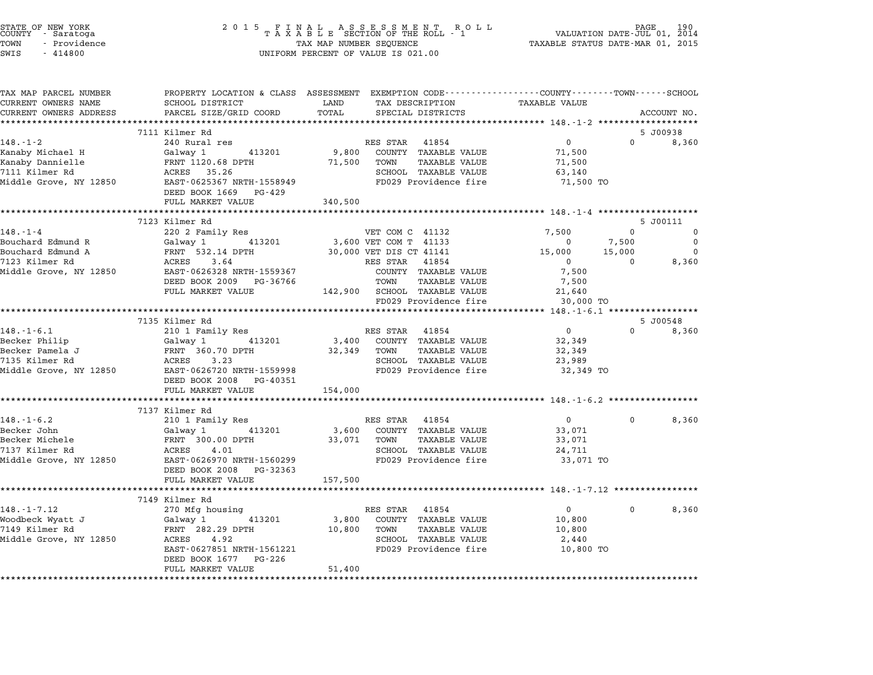|       | STATE OF NEW YORK<br>COUNTY - Saratoga |  |
|-------|----------------------------------------|--|
| TOWN  | - Providence                           |  |
| ----- | .                                      |  |

| TAX MAP PARCEL NUMBER              |                                                                                                                                                                                            |                                                                                             | PROPERTY LOCATION & CLASS ASSESSMENT EXEMPTION CODE----------------COUNTY-------TOWN------SCHOOL |
|------------------------------------|--------------------------------------------------------------------------------------------------------------------------------------------------------------------------------------------|---------------------------------------------------------------------------------------------|--------------------------------------------------------------------------------------------------|
| CURRENT OWNERS NAME                | SCHOOL DISTRICT<br><b>EXAMPLE DESCRIPTION OF STREET AND STREET AND STREET AND STREET AND STREET AND STREET AND STREET AND STREET AND</b>                                                   | TAX DESCRIPTION TAXABLE VALUE<br>LAND<br>TOTAL                                              |                                                                                                  |
| CURRENT OWNERS ADDRESS             | PARCEL SIZE/GRID COORD                                                                                                                                                                     | SPECIAL DISTRICTS                                                                           | ACCOUNT NO.                                                                                      |
|                                    | 7111 Kilmer Rd                                                                                                                                                                             |                                                                                             | 5 J00938                                                                                         |
| $148. - 1 - 2$                     | 240 Rural res                                                                                                                                                                              | RES STAR 41854                                                                              | $\overline{0}$<br>$\overline{0}$<br>8,360                                                        |
| Kanaby Michael H                   | 413201<br>Galway 1                                                                                                                                                                         | 9,800 COUNTY TAXABLE VALUE                                                                  | 71,500                                                                                           |
|                                    |                                                                                                                                                                                            | 71,500 TOWN TAXABLE VALUE                                                                   | 71,500                                                                                           |
| Kanaby Dannielle<br>7111 Kilmer Rd | FRNT 1120.68 DPTH<br>ACRES 35.26                                                                                                                                                           | SCHOOL TAXABLE VALUE                                                                        | 63,140                                                                                           |
| Middle Grove, NY 12850             |                                                                                                                                                                                            | FD029 Providence fire                                                                       | 71,500 TO                                                                                        |
|                                    | EAST-0625367 NRTH-1558949<br>DEED POOK 1666<br>DEED BOOK 1669 PG-429                                                                                                                       |                                                                                             |                                                                                                  |
|                                    | FULL MARKET VALUE 340,500                                                                                                                                                                  |                                                                                             |                                                                                                  |
|                                    |                                                                                                                                                                                            |                                                                                             |                                                                                                  |
|                                    | 7123 Kilmer Rd                                                                                                                                                                             |                                                                                             | 5 J00111                                                                                         |
| $148. - 1 - 4$                     | 220 2 Family Res                                                                                                                                                                           | VET COM C 41132                                                                             | 7,500<br>$\overline{0}$<br>$\overline{0}$                                                        |
|                                    | Bouchard Edmund R Galway 1 413201                                                                                                                                                          | 3,600 VET COM T 41133                                                                       | 7,500<br>$\overline{0}$<br>$\overline{0}$                                                        |
|                                    |                                                                                                                                                                                            |                                                                                             | $\overline{0}$                                                                                   |
|                                    |                                                                                                                                                                                            |                                                                                             | 8,360                                                                                            |
|                                    | Middle Grove, NY 12850 EAST-0626328 NRTH-1559367                                                                                                                                           |                                                                                             | 7,500                                                                                            |
|                                    | DEED BOOK 2009 PG-36766                                                                                                                                                                    | COUNTY TAXABLE VALUE<br>TOWN     TAXABLE VALUE                                              | 7,500                                                                                            |
|                                    |                                                                                                                                                                                            |                                                                                             |                                                                                                  |
|                                    |                                                                                                                                                                                            | FULL MARKET VALUE $142,900$ SCHOOL TAXABLE VALUE $21,640$<br>FD029 Providence fire $30,000$ | 30,000 TO                                                                                        |
|                                    |                                                                                                                                                                                            |                                                                                             |                                                                                                  |
|                                    | 7135 Kilmer Rd                                                                                                                                                                             |                                                                                             | 5 J00548                                                                                         |
| $148. - 1 - 6.1$                   | 210 1 Family Res                                                                                                                                                                           | RES STAR 41854                                                                              | $\overline{0}$<br>$0 \t 8,360$                                                                   |
|                                    |                                                                                                                                                                                            | Galway 1 413201 3,400 COUNTY TAXABLE VALUE                                                  | 32,349                                                                                           |
|                                    |                                                                                                                                                                                            | 32,349 TOWN TAXABLE VALUE                                                                   | 32,349                                                                                           |
|                                    |                                                                                                                                                                                            | SCHOOL TAXABLE VALUE                                                                        | 23,989                                                                                           |
|                                    | Becker Philip (alway 1 413201 3,400<br>Becker Pamela J FRNT 360.70 DPTH 32,349<br>7135 Kilmer Rd ACRES 3.23<br>Middle Grove, NY 12850 EAST-0626720 NRTH-1559998<br>DEED BOOK 2008 PG-40351 | FD029 Providence fire                                                                       | 32,349 TO                                                                                        |
|                                    | FULL MARKET VALUE 154,000                                                                                                                                                                  |                                                                                             |                                                                                                  |
|                                    |                                                                                                                                                                                            |                                                                                             |                                                                                                  |
|                                    | 7137 Kilmer Rd                                                                                                                                                                             |                                                                                             |                                                                                                  |
| $148. - 1 - 6.2$                   | 210 1 Family Res                                                                                                                                                                           | RES STAR 41854                                                                              | $\overline{0}$<br>8,360<br>$0 \qquad \qquad$                                                     |
| Becker John                        |                                                                                                                                                                                            | 3,600 COUNTY TAXABLE VALUE                                                                  | 33,071                                                                                           |
| Becker Michele                     |                                                                                                                                                                                            | 33,071 TOWN TAXABLE VALUE                                                                   | 33,071                                                                                           |
| 7137 Kilmer Rd                     | Calway 1 413201<br>FRNT 300.00 DPTH<br>ACRES 4.01                                                                                                                                          | SCHOOL TAXABLE VALUE                                                                        | 24,711                                                                                           |
|                                    | Middle Grove, NY 12850 EAST-0626970 NRTH-1560299                                                                                                                                           | FD029 Providence fire                                                                       | 33,071 TO                                                                                        |
|                                    | DEED BOOK 2008 PG-32363                                                                                                                                                                    |                                                                                             |                                                                                                  |
|                                    | FULL MARKET VALUE                                                                                                                                                                          | 157,500                                                                                     |                                                                                                  |
|                                    |                                                                                                                                                                                            |                                                                                             |                                                                                                  |
|                                    | 7149 Kilmer Rd                                                                                                                                                                             |                                                                                             |                                                                                                  |
| $148. - 1 - 7.12$                  | 270 Mfg housing<br>Galway 1     413201                                                                                                                                                     | RES STAR 41854                                                                              | 8,360<br>$\overline{0}$<br>$\mathbf{0}$                                                          |
| Woodbeck Wyatt J<br>7149 Kilmer Rd |                                                                                                                                                                                            | 3,800 COUNTY TAXABLE VALUE                                                                  | 10,800                                                                                           |
|                                    |                                                                                                                                                                                            |                                                                                             | 10,800                                                                                           |
| Middle Grove, NY 12850             |                                                                                                                                                                                            |                                                                                             | 2,440                                                                                            |
|                                    | EAST-0627851 NRTH-1561221<br>DEED BOOK 1677 PG-226                                                                                                                                         | FD029 Providence fire 10,800 TO                                                             |                                                                                                  |
|                                    | FULL MARKET VALUE                                                                                                                                                                          | 51,400                                                                                      |                                                                                                  |
|                                    |                                                                                                                                                                                            |                                                                                             |                                                                                                  |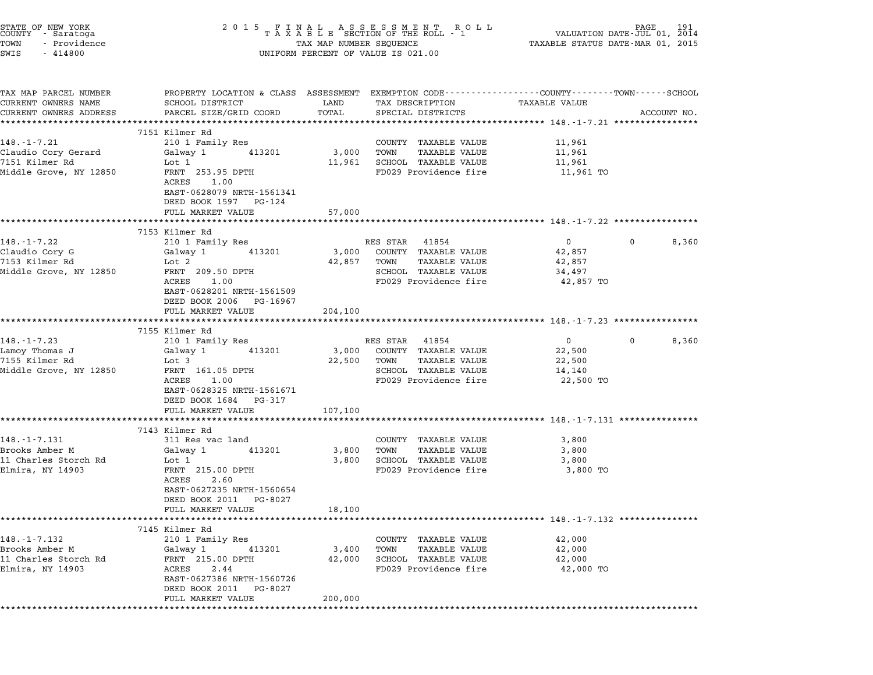| STATE OF NEW YORK<br>COUNTY - Saratoga<br>TOWN<br>- Providence<br>SWIS<br>$-414800$ | 2 0 1 5                                                                                                                                                                    |                              | FINAL ASSESSMENT ROLL MANUATION DATE-JUL 01, 2014<br>TAXABLE SECTION OF THE ROLL - 1 VALUATION DATE-JUL 01, 2014<br>TAXABLE STATUS DATE-MAR 01, 2015<br>UNIFORM PERCENT OF VALUE IS 021.00 |                                                         |             |
|-------------------------------------------------------------------------------------|----------------------------------------------------------------------------------------------------------------------------------------------------------------------------|------------------------------|--------------------------------------------------------------------------------------------------------------------------------------------------------------------------------------------|---------------------------------------------------------|-------------|
| TAX MAP PARCEL NUMBER<br>CURRENT OWNERS NAME<br>CURRENT OWNERS ADDRESS              | PROPERTY LOCATION & CLASS ASSESSMENT EXEMPTION CODE---------------COUNTY-------TOWN-----SCHOOL<br>SCHOOL DISTRICT<br>PARCEL SIZE/GRID COORD<br>*************************** | LAND<br>TOTAL<br>*********** | TAX DESCRIPTION<br>SPECIAL DISTRICTS                                                                                                                                                       | TAXABLE VALUE                                           | ACCOUNT NO. |
|                                                                                     | 7151 Kilmer Rd                                                                                                                                                             |                              |                                                                                                                                                                                            |                                                         |             |
| $148. - 1 - 7.21$                                                                   | 210 1 Family Res                                                                                                                                                           |                              | COUNTY TAXABLE VALUE                                                                                                                                                                       | 11,961                                                  |             |
| Claudio Cory Gerard                                                                 | 413201<br>Galway 1                                                                                                                                                         | 3,000                        | TAXABLE VALUE<br>TOWN                                                                                                                                                                      | 11,961                                                  |             |
| 7151 Kilmer Rd                                                                      | Lot 1                                                                                                                                                                      | 11,961                       | SCHOOL TAXABLE VALUE                                                                                                                                                                       | 11,961                                                  |             |
| Middle Grove, NY 12850                                                              | FRNT 253.95 DPTH<br>ACRES<br>1.00<br>EAST-0628079 NRTH-1561341<br>DEED BOOK 1597 PG-124<br>FULL MARKET VALUE                                                               | 57,000                       | FD029 Providence fire                                                                                                                                                                      | 11,961 TO                                               |             |
|                                                                                     |                                                                                                                                                                            |                              | ******************************** 148.-1-7.22 *****************                                                                                                                             |                                                         |             |
|                                                                                     | 7153 Kilmer Rd                                                                                                                                                             |                              |                                                                                                                                                                                            |                                                         |             |
| 148.-1-7.22                                                                         | 210 1 Family Res                                                                                                                                                           |                              | RES STAR 41854                                                                                                                                                                             | $0 \qquad \qquad$                                       | 8,360<br>0  |
| Claudio Cory G<br>7153 Kilmer Rd                                                    | 413201<br>Galway 1<br>Lot 2                                                                                                                                                | 3,000<br>42,857              | COUNTY TAXABLE VALUE<br>TAXABLE VALUE<br>TOWN                                                                                                                                              | 42,857<br>42,857                                        |             |
| Middle Grove, NY 12850                                                              | FRNT 209.50 DPTH                                                                                                                                                           |                              | SCHOOL TAXABLE VALUE                                                                                                                                                                       | 34,497                                                  |             |
|                                                                                     | 1.00<br>ACRES<br>EAST-0628201 NRTH-1561509<br>DEED BOOK 2006 PG-16967                                                                                                      |                              | FD029 Providence fire                                                                                                                                                                      | 42,857 TO                                               |             |
|                                                                                     | FULL MARKET VALUE                                                                                                                                                          | 204,100<br>*********         |                                                                                                                                                                                            |                                                         |             |
|                                                                                     | 7155 Kilmer Rd                                                                                                                                                             |                              |                                                                                                                                                                                            |                                                         |             |
| 148.-1-7.23                                                                         | 210 1 Family Res                                                                                                                                                           |                              | RES STAR<br>41854                                                                                                                                                                          | $0 \qquad \qquad$                                       | 8,360<br>0  |
| Lamoy Thomas J                                                                      | 413201<br>Galway 1                                                                                                                                                         | 3,000                        | COUNTY TAXABLE VALUE                                                                                                                                                                       | 22,500                                                  |             |
| 7155 Kilmer Rd                                                                      | Lot 3                                                                                                                                                                      | 22,500                       | TAXABLE VALUE<br>TOWN                                                                                                                                                                      | 22,500                                                  |             |
| Middle Grove, NY 12850                                                              | FRNT 161.05 DPTH<br>ACRES<br>1.00                                                                                                                                          |                              | SCHOOL TAXABLE VALUE<br>FD029 Providence fire                                                                                                                                              | 14,140<br>22,500 TO                                     |             |
|                                                                                     | EAST-0628325 NRTH-1561671                                                                                                                                                  |                              |                                                                                                                                                                                            |                                                         |             |
|                                                                                     | DEED BOOK 1684 PG-317                                                                                                                                                      |                              |                                                                                                                                                                                            |                                                         |             |
|                                                                                     | FULL MARKET VALUE                                                                                                                                                          | 107,100                      |                                                                                                                                                                                            |                                                         |             |
|                                                                                     | 7143 Kilmer Rd                                                                                                                                                             |                              |                                                                                                                                                                                            | ************************* 148.-1-7.131 **************** |             |
| $148. - 1 - 7.131$                                                                  | 311 Res vac land                                                                                                                                                           |                              | COUNTY TAXABLE VALUE                                                                                                                                                                       | 3,800                                                   |             |
| Brooks Amber M                                                                      | 413201<br>Galway 1                                                                                                                                                         | 3,800                        | TAXABLE VALUE<br>TOWN                                                                                                                                                                      | 3,800                                                   |             |
| 11 Charles Storch Rd                                                                | Lot 1                                                                                                                                                                      | 3,800                        | SCHOOL TAXABLE VALUE                                                                                                                                                                       | 3,800                                                   |             |
| Elmira, NY 14903                                                                    | FRNT 215.00 DPTH<br>ACRES<br>2.60                                                                                                                                          |                              | FD029 Providence fire                                                                                                                                                                      | 3,800 TO                                                |             |
|                                                                                     | EAST-0627235 NRTH-1560654                                                                                                                                                  |                              |                                                                                                                                                                                            |                                                         |             |
|                                                                                     | DEED BOOK 2011<br>PG-8027                                                                                                                                                  |                              |                                                                                                                                                                                            |                                                         |             |
|                                                                                     | FULL MARKET VALUE                                                                                                                                                          | 18,100                       |                                                                                                                                                                                            |                                                         |             |
|                                                                                     | 7145 Kilmer Rd                                                                                                                                                             |                              |                                                                                                                                                                                            | ******************** 148.-1-7.132 ****************      |             |
| $148. - 1 - 7.132$                                                                  | 210 1 Family Res                                                                                                                                                           |                              | TAXABLE VALUE<br>COUNTY                                                                                                                                                                    | 42,000                                                  |             |
| Brooks Amber M                                                                      | Galway 1<br>413201                                                                                                                                                         | 3,400                        | <b>TAXABLE VALUE</b><br>TOWN                                                                                                                                                               | 42,000                                                  |             |
| 11 Charles Storch Rd                                                                | FRNT 215.00 DPTH                                                                                                                                                           | 42,000                       | SCHOOL TAXABLE VALUE                                                                                                                                                                       | 42,000                                                  |             |
| Elmira, NY 14903                                                                    | 2.44<br>ACRES<br>EAST-0627386 NRTH-1560726                                                                                                                                 |                              | FD029 Providence fire                                                                                                                                                                      | 42,000 TO                                               |             |
|                                                                                     | DEED BOOK 2011<br>PG-8027                                                                                                                                                  |                              |                                                                                                                                                                                            |                                                         |             |
|                                                                                     | FULL MARKET VALUE                                                                                                                                                          | 200,000                      |                                                                                                                                                                                            |                                                         |             |
|                                                                                     |                                                                                                                                                                            |                              |                                                                                                                                                                                            |                                                         |             |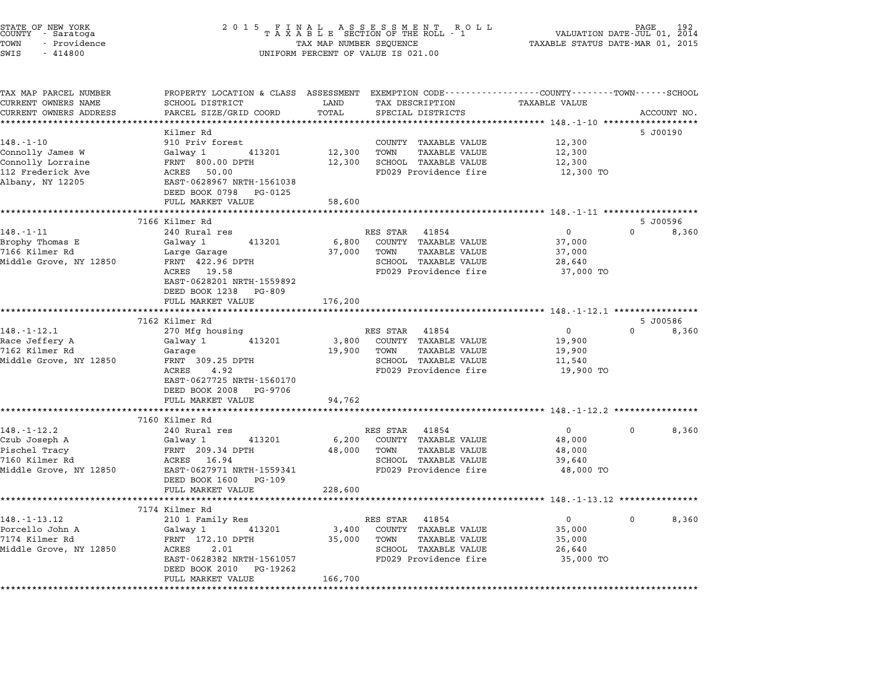| STATE OF NEW YORK<br>COUNTY – Saratoga<br>TOWN<br>- Providence<br>SWIS<br>$-414800$ | 2015 FINAL ASSESSMENT ROLL<br>TAXABLE SECTION OF THE ROLL - 1<br>TAX MAP NUMBER SEQUENCE<br>UNIFORM PERCENT OF VALUE IS 021.00 | PAGE<br>192<br>VALUATION DATE-JUL 01, 2014<br>TAXABLE STATUS DATE-MAR 01, 2015 |                                                      |                      |          |             |
|-------------------------------------------------------------------------------------|--------------------------------------------------------------------------------------------------------------------------------|--------------------------------------------------------------------------------|------------------------------------------------------|----------------------|----------|-------------|
| TAX MAP PARCEL NUMBER<br>CURRENT OWNERS NAME                                        | PROPERTY LOCATION & CLASS ASSESSMENT EXEMPTION CODE----------------COUNTY-------TOWN-----SCHOOL<br>SCHOOL DISTRICT             | LAND                                                                           | TAX DESCRIPTION                                      | <b>TAXABLE VALUE</b> |          |             |
| CURRENT OWNERS ADDRESS                                                              | PARCEL SIZE/GRID COORD                                                                                                         | TOTAL                                                                          | SPECIAL DISTRICTS                                    |                      |          | ACCOUNT NO. |
|                                                                                     |                                                                                                                                | *********                                                                      |                                                      |                      |          |             |
|                                                                                     | Kilmer Rd                                                                                                                      |                                                                                |                                                      |                      |          | 5 J00190    |
| $148. - 1 - 10$                                                                     | 910 Priv forest                                                                                                                |                                                                                | COUNTY TAXABLE VALUE                                 | 12,300               |          |             |
| Connolly James W<br>Connolly Lorraine                                               | Galway 1<br>413201<br>FRNT 800.00 DPTH                                                                                         | 12,300<br>12,300                                                               | <b>TAXABLE VALUE</b><br>TOWN<br>SCHOOL TAXABLE VALUE | 12,300<br>12,300     |          |             |
| 112 Frederick Ave                                                                   | ACRES 50.00                                                                                                                    |                                                                                | FD029 Providence fire                                | 12,300 TO            |          |             |
| Albany, NY 12205                                                                    | EAST-0628967 NRTH-1561038                                                                                                      |                                                                                |                                                      |                      |          |             |
|                                                                                     | DEED BOOK 0798 PG-0125                                                                                                         |                                                                                |                                                      |                      |          |             |
|                                                                                     | FULL MARKET VALUE                                                                                                              | 58,600                                                                         |                                                      |                      |          |             |
|                                                                                     |                                                                                                                                |                                                                                |                                                      |                      |          |             |
|                                                                                     | 7166 Kilmer Rd                                                                                                                 |                                                                                |                                                      |                      |          | 5 J00596    |
| $148. - 1 - 11$                                                                     | 240 Rural res                                                                                                                  |                                                                                | RES STAR 41854                                       | 0                    | $\Omega$ | 8,360       |
| Brophy Thomas E                                                                     | Galway 1<br>413201                                                                                                             | 6,800                                                                          | COUNTY TAXABLE VALUE                                 | 37,000               |          |             |
| 7166 Kilmer Rd<br>Middle Grove, NY 12850                                            | Large Garage<br>FRNT 422.96 DPTH                                                                                               | 37,000                                                                         | TAXABLE VALUE<br>TOWN<br>SCHOOL TAXABLE VALUE        | 37,000<br>28,640     |          |             |
|                                                                                     | ACRES 19.58                                                                                                                    |                                                                                | FD029 Providence fire                                | 37,000 TO            |          |             |
|                                                                                     | EAST-0628201 NRTH-1559892                                                                                                      |                                                                                |                                                      |                      |          |             |
|                                                                                     | DEED BOOK 1238 PG-809                                                                                                          |                                                                                |                                                      |                      |          |             |
|                                                                                     | FULL MARKET VALUE                                                                                                              | 176,200                                                                        |                                                      |                      |          |             |
|                                                                                     | *****************************                                                                                                  |                                                                                |                                                      |                      |          |             |
|                                                                                     | 7162 Kilmer Rd                                                                                                                 |                                                                                |                                                      |                      |          | 5 J00586    |
| $148. - 1 - 12.1$                                                                   | 270 Mfg housing                                                                                                                |                                                                                | RES STAR 41854                                       | $\overline{0}$       | $\Omega$ | 8,360       |
| Race Jeffery A                                                                      | 413201<br>Galway 1                                                                                                             | 3,800                                                                          | COUNTY TAXABLE VALUE                                 | 19,900               |          |             |
| 7162 Kilmer Rd<br>Middle Grove, NY 12850                                            | Garage<br>FRNT 309.25 DPTH                                                                                                     | 19,900                                                                         | TAXABLE VALUE<br>TOWN<br>SCHOOL TAXABLE VALUE        | 19,900<br>11,540     |          |             |
|                                                                                     | ACRES<br>4.92                                                                                                                  |                                                                                | FD029 Providence fire                                | 19,900 TO            |          |             |
|                                                                                     | EAST-0627725 NRTH-1560170                                                                                                      |                                                                                |                                                      |                      |          |             |
|                                                                                     | DEED BOOK 2008 PG-9706                                                                                                         |                                                                                |                                                      |                      |          |             |
|                                                                                     | FULL MARKET VALUE                                                                                                              | 94,762                                                                         |                                                      |                      |          |             |
|                                                                                     |                                                                                                                                |                                                                                |                                                      |                      |          |             |
|                                                                                     | 7160 Kilmer Rd                                                                                                                 |                                                                                |                                                      |                      |          |             |
| 148.-1-12.2                                                                         | 240 Rural res                                                                                                                  |                                                                                | RES STAR 41854                                       | $\overline{0}$       | 0        | 8,360       |
| Czub Joseph A<br>Pischel Tracy                                                      | 413201<br>Galway 1                                                                                                             | 6,200                                                                          | COUNTY TAXABLE VALUE<br>TAXABLE VALUE                | 48,000               |          |             |
| 7160 Kilmer Rd                                                                      | FRNT 209.34 DPTH<br>ACRES 16.94                                                                                                | 48,000                                                                         | TOWN<br>SCHOOL TAXABLE VALUE                         | 48,000<br>39,640     |          |             |
| Middle Grove, NY 12850                                                              | EAST-0627971 NRTH-1559341                                                                                                      |                                                                                | FD029 Providence fire                                | 48,000 TO            |          |             |
|                                                                                     | DEED BOOK 1600 PG-109                                                                                                          |                                                                                |                                                      |                      |          |             |
|                                                                                     | FULL MARKET VALUE                                                                                                              | 228,600                                                                        |                                                      |                      |          |             |
|                                                                                     |                                                                                                                                |                                                                                |                                                      |                      |          |             |
|                                                                                     | 7174 Kilmer Rd                                                                                                                 |                                                                                |                                                      |                      |          |             |
| $148. - 1 - 13.12$                                                                  | 210 1 Family Res                                                                                                               |                                                                                | RES STAR<br>41854                                    | 0                    | 0        | 8,360       |
| Porcello John A                                                                     | Galway 1<br>413201                                                                                                             | 3,400                                                                          | COUNTY<br><b>TAXABLE VALUE</b>                       | 35,000               |          |             |
| 7174 Kilmer Rd                                                                      | FRNT 172.10 DPTH                                                                                                               | 35,000                                                                         | TOWN<br><b>TAXABLE VALUE</b>                         | 35,000               |          |             |
| Middle Grove, NY 12850                                                              | ACRES<br>2.01<br>EAST-0628382 NRTH-1561057                                                                                     |                                                                                | SCHOOL TAXABLE VALUE<br>FD029 Providence fire        | 26,640<br>35,000 TO  |          |             |
|                                                                                     | DEED BOOK 2010<br>PG-19262                                                                                                     |                                                                                |                                                      |                      |          |             |
|                                                                                     | FULL MARKET VALUE                                                                                                              | 166,700                                                                        |                                                      |                      |          |             |
|                                                                                     | * * * * * * * * * * * * * * * * * * * *                                                                                        | *****************                                                              |                                                      |                      |          |             |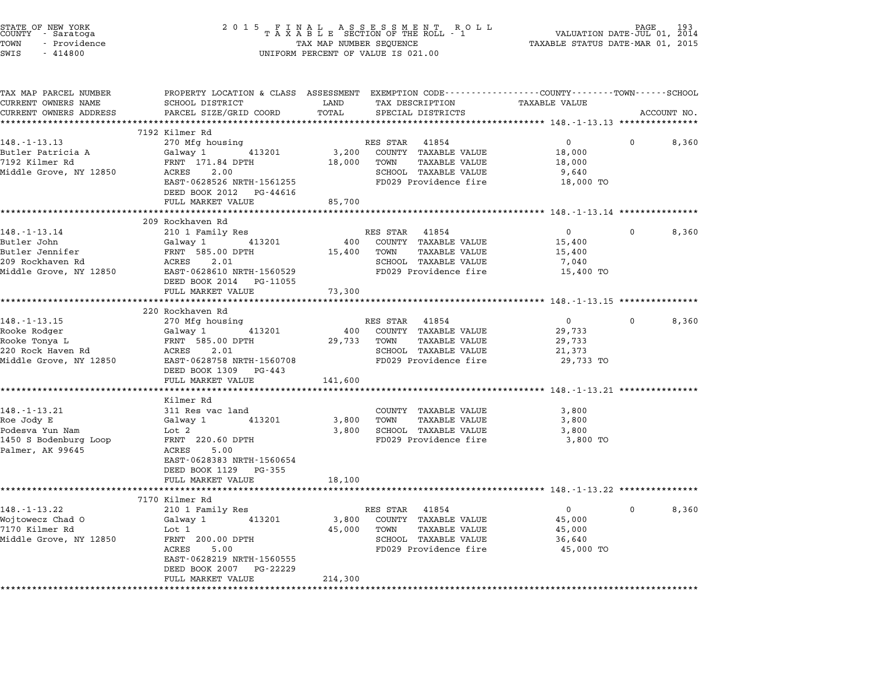| STATE OF NEW YORK<br>COUNTY   - Saratoga<br>TOWN<br>- Providence<br>SWIS<br>$-414800$ | 2 0 1 5<br>FINAL ASSESSMENT RO<br>TAXABLE SECTION OF THE ROLL - 1<br>R O L L<br>TAX MAP NUMBER SEQUENCE<br>UNIFORM PERCENT OF VALUE IS 021.00 |                    |                                                                     | PAGE<br>VALUATION DATE-JUL 01, 2014<br>TAXABLE STATUS DATE-MAR 01, 2015 |          |             |
|---------------------------------------------------------------------------------------|-----------------------------------------------------------------------------------------------------------------------------------------------|--------------------|---------------------------------------------------------------------|-------------------------------------------------------------------------|----------|-------------|
| TAX MAP PARCEL NUMBER<br>CURRENT OWNERS NAME                                          | PROPERTY LOCATION & CLASS ASSESSMENT EXEMPTION CODE---------------COUNTY-------TOWN------SCHOOL<br>SCHOOL DISTRICT                            | LAND               | TAX DESCRIPTION                                                     | <b>TAXABLE VALUE</b>                                                    |          |             |
| CURRENT OWNERS ADDRESS                                                                | PARCEL SIZE/GRID COORD                                                                                                                        | TOTAL              | SPECIAL DISTRICTS                                                   |                                                                         |          | ACCOUNT NO. |
|                                                                                       | 7192 Kilmer Rd                                                                                                                                |                    |                                                                     |                                                                         |          |             |
| $148. - 1 - 13.13$                                                                    | 270 Mfg housing                                                                                                                               |                    | RES STAR 41854                                                      | $\mathbf{0}$                                                            | $\Omega$ | 8,360       |
| Butler Patricia A                                                                     | Galway 1 413201                                                                                                                               | 3,200              | COUNTY TAXABLE VALUE                                                | 18,000                                                                  |          |             |
| 7192 Kilmer Rd                                                                        | FRNT 171.84 DPTH                                                                                                                              | 18,000             | TOWN<br>TAXABLE VALUE                                               | 18,000                                                                  |          |             |
| Middle Grove, NY 12850                                                                | ACRES<br>2.00                                                                                                                                 |                    | SCHOOL TAXABLE VALUE                                                | 9,640                                                                   |          |             |
|                                                                                       | EAST-0628526 NRTH-1561255                                                                                                                     |                    | FD029 Providence fire                                               | 18,000 TO                                                               |          |             |
|                                                                                       | DEED BOOK 2012 PG-44616<br>FULL MARKET VALUE                                                                                                  | 85,700             |                                                                     |                                                                         |          |             |
|                                                                                       | **********************                                                                                                                        | ****************** |                                                                     | ********************* 148.-1-13.14 *************                        |          |             |
|                                                                                       | 209 Rockhaven Rd                                                                                                                              |                    |                                                                     |                                                                         |          |             |
| $148. - 1 - 13.14$                                                                    | 210 1 Family Res                                                                                                                              |                    | RES STAR 41854                                                      | $\overline{0}$                                                          | 0        | 8,360       |
| Butler John                                                                           | Galway 1 413201                                                                                                                               | 400                | COUNTY TAXABLE VALUE                                                | 15,400                                                                  |          |             |
| Butler Jennifer                                                                       | FRNT 585.00 DPTH                                                                                                                              | 15,400             | TAXABLE VALUE<br>TOWN                                               | 15,400                                                                  |          |             |
| 209 Rockhaven Rd                                                                      | ACRES 2.01                                                                                                                                    |                    | SCHOOL TAXABLE VALUE                                                | 7,040                                                                   |          |             |
| Middle Grove, NY 12850                                                                | EAST-0628610 NRTH-1560529<br>DEED BOOK 2014 PG-11055                                                                                          |                    | FD029 Providence fire                                               | 15,400 TO                                                               |          |             |
|                                                                                       | FULL MARKET VALUE                                                                                                                             | 73,300             |                                                                     |                                                                         |          |             |
|                                                                                       | ************                                                                                                                                  |                    | ************************************* 148.-1-13.15 **************** |                                                                         |          |             |
|                                                                                       | 220 Rockhaven Rd                                                                                                                              |                    |                                                                     |                                                                         |          |             |
| $148. - 1 - 13.15$                                                                    | 270 Mfg housing                                                                                                                               |                    | RES STAR 41854                                                      | $\overline{0}$                                                          | $\Omega$ | 8,360       |
| Rooke Rodger                                                                          | 413201<br>Galway 1                                                                                                                            | 400                | COUNTY TAXABLE VALUE                                                | 29,733                                                                  |          |             |
| Rooke Tonya L<br>220 Rock Haven Rd                                                    | FRNT 585.00 DPTH<br>ACRES 2.01                                                                                                                | 29,733             | TAXABLE VALUE<br>TOWN<br>SCHOOL TAXABLE VALUE                       | 29,733                                                                  |          |             |
| Middle Grove, NY 12850                                                                | EAST-0628758 NRTH-1560708                                                                                                                     |                    | FD029 Providence fire                                               | 21,373<br>29,733 TO                                                     |          |             |
|                                                                                       | DEED BOOK 1309 PG-443                                                                                                                         |                    |                                                                     |                                                                         |          |             |
|                                                                                       | FULL MARKET VALUE                                                                                                                             | 141,600            |                                                                     |                                                                         |          |             |
|                                                                                       |                                                                                                                                               |                    |                                                                     | ************************* 148.-1-13.21 **************                   |          |             |
| $148. - 1 - 13.21$                                                                    | Kilmer Rd                                                                                                                                     |                    |                                                                     |                                                                         |          |             |
| Roe Jody E                                                                            | 311 Res vac land<br>Galway 1<br>413201                                                                                                        | 3,800              | COUNTY TAXABLE VALUE<br>TOWN<br>TAXABLE VALUE                       | 3,800<br>3,800                                                          |          |             |
| Podesva Yun Nam                                                                       | Lot 2                                                                                                                                         | 3,800              | SCHOOL TAXABLE VALUE                                                | 3,800                                                                   |          |             |
| 1450 S Bodenburg Loop                                                                 | FRNT 220.60 DPTH                                                                                                                              |                    | FD029 Providence fire                                               | 3,800 TO                                                                |          |             |
| Palmer, AK 99645                                                                      | ACRES<br>5.00                                                                                                                                 |                    |                                                                     |                                                                         |          |             |
|                                                                                       | EAST-0628383 NRTH-1560654                                                                                                                     |                    |                                                                     |                                                                         |          |             |
|                                                                                       | DEED BOOK 1129 PG-355                                                                                                                         |                    |                                                                     |                                                                         |          |             |
|                                                                                       | FULL MARKET VALUE                                                                                                                             | 18,100             |                                                                     |                                                                         |          |             |
|                                                                                       | **************************<br>7170 Kilmer Rd                                                                                                  |                    |                                                                     |                                                                         |          |             |
| $148. - 1 - 13.22$                                                                    | 210 1 Family Res                                                                                                                              |                    | RES STAR 41854                                                      | $\overline{0}$                                                          | 0        | 8,360       |
| Wojtowecz Chad O                                                                      | 413201<br>Galway 1                                                                                                                            | 3,800              | COUNTY TAXABLE VALUE                                                | 45,000                                                                  |          |             |
| 7170 Kilmer Rd                                                                        | Lot 1                                                                                                                                         | 45,000             | TAXABLE VALUE<br>TOWN                                               | 45,000                                                                  |          |             |
| Middle Grove, NY 12850                                                                | FRNT 200.00 DPTH                                                                                                                              |                    | SCHOOL TAXABLE VALUE                                                | 36,640                                                                  |          |             |
|                                                                                       | ACRES 5.00                                                                                                                                    |                    | FD029 Providence fire                                               | 45,000 TO                                                               |          |             |
|                                                                                       | EAST-0628219 NRTH-1560555                                                                                                                     |                    |                                                                     |                                                                         |          |             |
|                                                                                       | DEED BOOK 2007 PG-22229<br>FULL MARKET VALUE                                                                                                  | 214,300            |                                                                     |                                                                         |          |             |
|                                                                                       |                                                                                                                                               |                    |                                                                     |                                                                         |          |             |
|                                                                                       |                                                                                                                                               |                    |                                                                     |                                                                         |          |             |

STATE OF NEW YORK <sup>2</sup> <sup>0</sup> <sup>1</sup> 5 F I N A L A S S E S S M E N T R O L L PAGE <sup>193</sup> COUNTY - Saratoga <sup>T</sup> <sup>A</sup> <sup>X</sup> <sup>A</sup> <sup>B</sup> <sup>L</sup> <sup>E</sup> SECTION OF THE ROLL - <sup>1</sup> VALUATION DATE-JUL 01, <sup>2014</sup>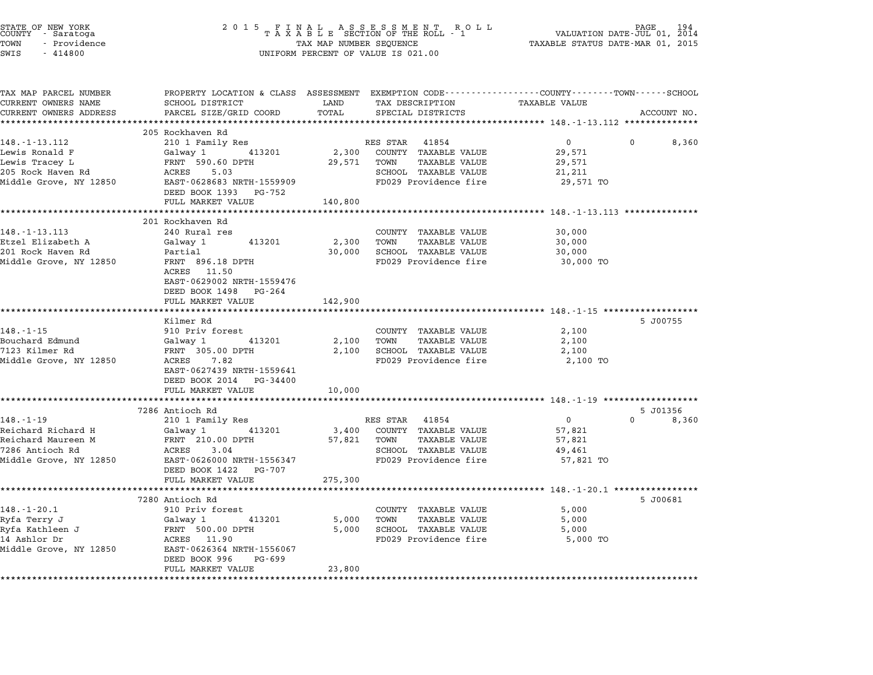| STATE OF NEW YORK<br>COUNTY – Saratoga       | 2 0 1 5                                                                                                            |                                  |                                                      |                                                     | PAGE<br>VALUATION DATE-JUL 01, 2014 |
|----------------------------------------------|--------------------------------------------------------------------------------------------------------------------|----------------------------------|------------------------------------------------------|-----------------------------------------------------|-------------------------------------|
| TOWN<br>- Providence<br>SWIS<br>$-414800$    | TAX MAP NUMBER SEQUENCE<br>UNIFORM PERCENT OF VALUE IS 021.00                                                      | TAXABLE STATUS DATE-MAR 01, 2015 |                                                      |                                                     |                                     |
| TAX MAP PARCEL NUMBER<br>CURRENT OWNERS NAME | PROPERTY LOCATION & CLASS ASSESSMENT EXEMPTION CODE---------------COUNTY-------TOWN------SCHOOL<br>SCHOOL DISTRICT | LAND                             | TAX DESCRIPTION                                      | TAXABLE VALUE                                       |                                     |
| CURRENT OWNERS ADDRESS                       | PARCEL SIZE/GRID COORD                                                                                             | TOTAL                            | SPECIAL DISTRICTS                                    |                                                     | ACCOUNT NO.                         |
|                                              |                                                                                                                    |                                  |                                                      |                                                     |                                     |
|                                              | 205 Rockhaven Rd                                                                                                   |                                  |                                                      |                                                     |                                     |
| 148. - 1 - 13. 112                           | 210 1 Family Res                                                                                                   |                                  | RES STAR 41854                                       | $\mathbf{0}$                                        | 8,360                               |
| Lewis Ronald F<br>Lewis Tracey L             | Galway 1 413201<br>FRNT 590.60 DPTH                                                                                | 2,300<br>29,571                  | COUNTY TAXABLE VALUE<br>TOWN<br><b>TAXABLE VALUE</b> | 29,571<br>29,571                                    |                                     |
| 205 Rock Haven Rd                            | ACRES<br>5.03                                                                                                      |                                  | SCHOOL TAXABLE VALUE                                 | 21,211                                              |                                     |
| Middle Grove, NY 12850                       | EAST-0628683 NRTH-1559909                                                                                          |                                  | FD029 Providence fire                                | 29,571 TO                                           |                                     |
|                                              | DEED BOOK 1393 PG-752                                                                                              |                                  |                                                      |                                                     |                                     |
|                                              | FULL MARKET VALUE                                                                                                  | 140,800                          |                                                      |                                                     |                                     |
|                                              |                                                                                                                    |                                  |                                                      |                                                     |                                     |
|                                              | 201 Rockhaven Rd                                                                                                   |                                  |                                                      |                                                     |                                     |
| $148. - 1 - 13.113$                          | 240 Rural res                                                                                                      |                                  | COUNTY TAXABLE VALUE                                 | 30,000                                              |                                     |
| Etzel Elizabeth A                            | 413201<br>Galway 1                                                                                                 | 2,300                            | <b>TAXABLE VALUE</b><br>TOWN                         | 30,000                                              |                                     |
| 201 Rock Haven Rd                            | Partial                                                                                                            | 30,000                           | <b>SCHOOL TAXABLE VALUE</b>                          | 30,000                                              |                                     |
| Middle Grove, NY 12850                       | FRNT 896.18 DPTH<br>ACRES 11.50                                                                                    |                                  | FD029 Providence fire                                | 30,000 TO                                           |                                     |
|                                              | EAST-0629002 NRTH-1559476                                                                                          |                                  |                                                      |                                                     |                                     |
|                                              | DEED BOOK 1498 PG-264                                                                                              |                                  |                                                      |                                                     |                                     |
|                                              | FULL MARKET VALUE                                                                                                  | 142,900                          |                                                      |                                                     |                                     |
|                                              | *******************                                                                                                | **********                       |                                                      |                                                     |                                     |
|                                              | Kilmer Rd                                                                                                          |                                  |                                                      |                                                     | 5 J00755                            |
| $148. - 1 - 15$                              | 910 Priv forest                                                                                                    |                                  | COUNTY TAXABLE VALUE                                 | 2,100                                               |                                     |
| Bouchard Edmund                              | Galway 1<br>413201                                                                                                 | 2,100                            | TOWN<br>TAXABLE VALUE                                | 2,100                                               |                                     |
| 7123 Kilmer Rd                               | FRNT 305.00 DPTH                                                                                                   | 2,100                            | SCHOOL TAXABLE VALUE                                 | 2,100                                               |                                     |
| Middle Grove, NY 12850                       | ACRES 7.82                                                                                                         |                                  | FD029 Providence fire                                | 2,100 TO                                            |                                     |
|                                              | EAST-0627439 NRTH-1559641<br>DEED BOOK 2014 PG-34400                                                               |                                  |                                                      |                                                     |                                     |
|                                              | FULL MARKET VALUE                                                                                                  | 10,000                           |                                                      |                                                     |                                     |
|                                              | ********************                                                                                               | *****************                |                                                      | ·******************** 148.-1-19 ******************* |                                     |
|                                              | 7286 Antioch Rd                                                                                                    |                                  |                                                      |                                                     | 5 J01356                            |
| $148. - 1 - 19$                              | 210 1 Family Res                                                                                                   |                                  | RES STAR 41854                                       | $\mathbf 0$                                         | $\Omega$<br>8,360                   |
| Reichard Richard H                           | 413201<br>Galway 1                                                                                                 | 3,400                            | COUNTY TAXABLE VALUE                                 | 57,821                                              |                                     |
| Reichard Maureen M                           | FRNT 210.00 DPTH                                                                                                   | 57,821                           | TOWN<br><b>TAXABLE VALUE</b>                         | 57,821                                              |                                     |
| 7286 Antioch Rd                              | ACRES<br>3.04                                                                                                      |                                  | SCHOOL TAXABLE VALUE                                 | 49,461                                              |                                     |
| Middle Grove, NY 12850                       | EAST-0626000 NRTH-1556347                                                                                          |                                  | FD029 Providence fire                                | 57,821 TO                                           |                                     |
|                                              | DEED BOOK 1422 PG-707                                                                                              |                                  |                                                      |                                                     |                                     |
|                                              | FULL MARKET VALUE                                                                                                  | 275,300                          |                                                      |                                                     |                                     |
|                                              |                                                                                                                    |                                  |                                                      |                                                     |                                     |
| $148. - 1 - 20.1$                            | 7280 Antioch Rd<br>910 Priv forest                                                                                 |                                  | COUNTY TAXABLE VALUE                                 | 5,000                                               | 5 J00681                            |
| Ryfa Terry J                                 | 413201<br>Galway 1                                                                                                 | 5,000                            | TOWN<br><b>TAXABLE VALUE</b>                         | 5,000                                               |                                     |
| Ryfa Kathleen J                              | FRNT 500.00 DPTH                                                                                                   | 5,000                            | SCHOOL TAXABLE VALUE                                 | 5,000                                               |                                     |
| 14 Ashlor Dr                                 | ACRES 11.90                                                                                                        |                                  | FD029 Providence fire                                | 5,000 TO                                            |                                     |
| Middle Grove, NY 12850                       | EAST-0626364 NRTH-1556067<br>DEED BOOK 996<br>PG-699                                                               |                                  |                                                      |                                                     |                                     |
|                                              | FULL MARKET VALUE                                                                                                  | 23,800                           |                                                      |                                                     |                                     |
|                                              |                                                                                                                    |                                  |                                                      |                                                     |                                     |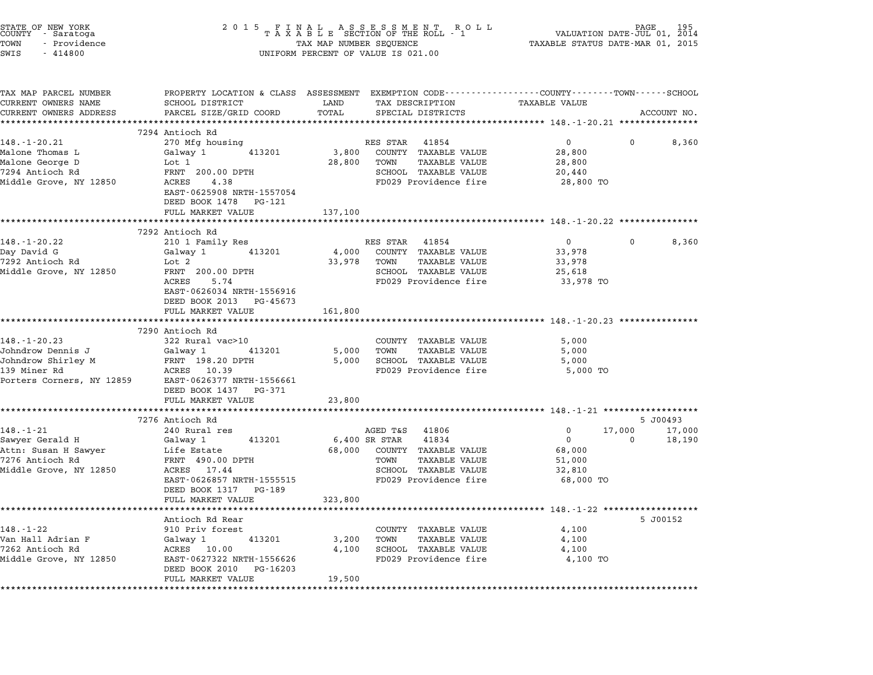| STATE OF NEW YORK<br>COUNTY - Saratoga<br>TOWN<br>- Providence<br>SWIS<br>$-414800$ | $\begin{tabular}{lllllllllllllllllll} \hline 2&0&1&5&F\ \texttt{I}\ &\texttt{N}\ &\texttt{A}\ &\texttt{S}\ &\texttt{S}\ &\texttt{S}\ &\texttt{S}\ &\texttt{S}\ &\texttt{S}\ &\texttt{S}\ &\texttt{S}\ &\texttt{S}\ &\texttt{S}\ &\texttt{S}\ &\texttt{S}\ &\texttt{S}\ &\texttt{S}\ &\texttt{S}\ &\texttt{S}\ &\texttt{S}\ &\texttt{S}\ &\texttt{S}\ &\texttt{S}\ &\texttt{S}\ &\texttt{S}\ &\texttt{S}\ &\texttt{S}\ &$<br>UNIFORM PERCENT OF VALUE IS 021.00 |         |                             |                                                              |             |             |
|-------------------------------------------------------------------------------------|----------------------------------------------------------------------------------------------------------------------------------------------------------------------------------------------------------------------------------------------------------------------------------------------------------------------------------------------------------------------------------------------------------------------------------------------------------------|---------|-----------------------------|--------------------------------------------------------------|-------------|-------------|
| TAX MAP PARCEL NUMBER<br>CURRENT OWNERS NAME                                        | PROPERTY LOCATION & CLASS ASSESSMENT EXEMPTION CODE---------------COUNTY-------TOWN-----SCHOOL<br>SCHOOL DISTRICT                                                                                                                                                                                                                                                                                                                                              | LAND    | TAX DESCRIPTION             | TAXABLE VALUE                                                |             |             |
| CURRENT OWNERS ADDRESS                                                              | PARCEL SIZE/GRID COORD                                                                                                                                                                                                                                                                                                                                                                                                                                         | TOTAL   | SPECIAL DISTRICTS           |                                                              |             | ACCOUNT NO. |
|                                                                                     | *****************************                                                                                                                                                                                                                                                                                                                                                                                                                                  |         |                             |                                                              |             |             |
| $148. - 1 - 20.21$                                                                  | 7294 Antioch Rd<br>270 Mfg housing                                                                                                                                                                                                                                                                                                                                                                                                                             |         | RES STAR<br>41854           | $0 \qquad \qquad$                                            | 0           | 8,360       |
| Malone Thomas L                                                                     | 413201<br>Galway 1                                                                                                                                                                                                                                                                                                                                                                                                                                             | 3,800   | COUNTY TAXABLE VALUE        | 28,800                                                       |             |             |
| Malone George D                                                                     | Lot 1                                                                                                                                                                                                                                                                                                                                                                                                                                                          | 28,800  | TOWN<br>TAXABLE VALUE       | 28,800                                                       |             |             |
| 7294 Antioch Rd                                                                     | FRNT 200.00 DPTH                                                                                                                                                                                                                                                                                                                                                                                                                                               |         | SCHOOL TAXABLE VALUE        | 20,440                                                       |             |             |
| Middle Grove, NY 12850                                                              | ACRES<br>4.38                                                                                                                                                                                                                                                                                                                                                                                                                                                  |         | FD029 Providence fire       | 28,800 TO                                                    |             |             |
|                                                                                     | EAST-0625908 NRTH-1557054                                                                                                                                                                                                                                                                                                                                                                                                                                      |         |                             |                                                              |             |             |
|                                                                                     | DEED BOOK 1478 PG-121                                                                                                                                                                                                                                                                                                                                                                                                                                          |         |                             |                                                              |             |             |
|                                                                                     | FULL MARKET VALUE                                                                                                                                                                                                                                                                                                                                                                                                                                              | 137,100 |                             |                                                              |             |             |
|                                                                                     |                                                                                                                                                                                                                                                                                                                                                                                                                                                                |         |                             |                                                              |             |             |
| 148.-1-20.22                                                                        | 7292 Antioch Rd<br>210 1 Family Res                                                                                                                                                                                                                                                                                                                                                                                                                            |         | RES STAR 41854              | 0                                                            | 0           | 8,360       |
| Day David G                                                                         | Galway 1<br>413201                                                                                                                                                                                                                                                                                                                                                                                                                                             | 4,000   | COUNTY TAXABLE VALUE        | 33,978                                                       |             |             |
| 7292 Antioch Rd                                                                     | Lot 2                                                                                                                                                                                                                                                                                                                                                                                                                                                          | 33,978  | TOWN<br>TAXABLE VALUE       | 33,978                                                       |             |             |
| Middle Grove, NY 12850                                                              | FRNT 200.00 DPTH                                                                                                                                                                                                                                                                                                                                                                                                                                               |         | SCHOOL TAXABLE VALUE        | 25,618                                                       |             |             |
|                                                                                     | ACRES<br>5.74                                                                                                                                                                                                                                                                                                                                                                                                                                                  |         | FD029 Providence fire       | 33,978 TO                                                    |             |             |
|                                                                                     | EAST-0626034 NRTH-1556916                                                                                                                                                                                                                                                                                                                                                                                                                                      |         |                             |                                                              |             |             |
|                                                                                     | DEED BOOK 2013 PG-45673                                                                                                                                                                                                                                                                                                                                                                                                                                        |         |                             |                                                              |             |             |
|                                                                                     | FULL MARKET VALUE<br>**************************                                                                                                                                                                                                                                                                                                                                                                                                                | 161,800 |                             | **************************************20.23 **************** |             |             |
|                                                                                     | 7290 Antioch Rd                                                                                                                                                                                                                                                                                                                                                                                                                                                |         |                             |                                                              |             |             |
| $148. - 1 - 20.23$                                                                  | 322 Rural vac>10                                                                                                                                                                                                                                                                                                                                                                                                                                               |         | COUNTY TAXABLE VALUE        | 5,000                                                        |             |             |
| Johndrow Dennis J                                                                   | 413201<br>Galway 1                                                                                                                                                                                                                                                                                                                                                                                                                                             | 5,000   | TAXABLE VALUE<br>TOWN       | 5,000                                                        |             |             |
| Johndrow Shirley M                                                                  | FRNT 198.20 DPTH                                                                                                                                                                                                                                                                                                                                                                                                                                               | 5,000   | SCHOOL TAXABLE VALUE        | 5,000                                                        |             |             |
| 139 Miner Rd                                                                        | ACRES 10.39                                                                                                                                                                                                                                                                                                                                                                                                                                                    |         | FD029 Providence fire       | 5,000 TO                                                     |             |             |
| Porters Corners, NY 12859                                                           | EAST-0626377 NRTH-1556661                                                                                                                                                                                                                                                                                                                                                                                                                                      |         |                             |                                                              |             |             |
|                                                                                     | DEED BOOK 1437 PG-371                                                                                                                                                                                                                                                                                                                                                                                                                                          |         |                             |                                                              |             |             |
|                                                                                     | FULL MARKET VALUE                                                                                                                                                                                                                                                                                                                                                                                                                                              | 23,800  |                             |                                                              |             |             |
|                                                                                     | 7276 Antioch Rd                                                                                                                                                                                                                                                                                                                                                                                                                                                |         |                             |                                                              |             | 5 J00493    |
| $148. - 1 - 21$                                                                     | 240 Rural res                                                                                                                                                                                                                                                                                                                                                                                                                                                  |         | AGED T&S 41806              | $\mathbf 0$                                                  | 17,000      | 17,000      |
| Sawyer Gerald H                                                                     | Galway 1<br>413201                                                                                                                                                                                                                                                                                                                                                                                                                                             |         | 6,400 SR STAR<br>41834      | $\overline{0}$                                               | $\mathbf 0$ | 18,190      |
| Attn: Susan H Sawyer                                                                | Life Estate                                                                                                                                                                                                                                                                                                                                                                                                                                                    |         | 68,000 COUNTY TAXABLE VALUE | 68,000                                                       |             |             |
| 7276 Antioch Rd                                                                     | FRNT 490.00 DPTH                                                                                                                                                                                                                                                                                                                                                                                                                                               |         | TOWN<br>TAXABLE VALUE       | 51,000                                                       |             |             |
| Middle Grove, NY 12850                                                              | ACRES 17.44                                                                                                                                                                                                                                                                                                                                                                                                                                                    |         | SCHOOL TAXABLE VALUE        | 32,810                                                       |             |             |
|                                                                                     | EAST-0626857 NRTH-1555515                                                                                                                                                                                                                                                                                                                                                                                                                                      |         | FD029 Providence fire       | 68,000 TO                                                    |             |             |
|                                                                                     | DEED BOOK 1317 PG-189                                                                                                                                                                                                                                                                                                                                                                                                                                          | 323,800 |                             |                                                              |             |             |
|                                                                                     | FULL MARKET VALUE                                                                                                                                                                                                                                                                                                                                                                                                                                              |         |                             |                                                              |             |             |
|                                                                                     | Antioch Rd Rear                                                                                                                                                                                                                                                                                                                                                                                                                                                |         |                             |                                                              |             | 5 J00152    |
| $148. - 1 - 22$                                                                     | 910 Priv forest                                                                                                                                                                                                                                                                                                                                                                                                                                                |         | COUNTY TAXABLE VALUE        | 4,100                                                        |             |             |
| Van Hall Adrian F                                                                   | 413201<br>Galway 1                                                                                                                                                                                                                                                                                                                                                                                                                                             | 3,200   | TOWN<br>TAXABLE VALUE       | 4,100                                                        |             |             |
| 7262 Antioch Rd                                                                     | ACRES 10.00                                                                                                                                                                                                                                                                                                                                                                                                                                                    | 4,100   | SCHOOL TAXABLE VALUE        | 4,100                                                        |             |             |
| Middle Grove, NY 12850                                                              | EAST-0627322 NRTH-1556626                                                                                                                                                                                                                                                                                                                                                                                                                                      |         | FD029 Providence fire       | 4,100 TO                                                     |             |             |
|                                                                                     | DEED BOOK 2010 PG-16203                                                                                                                                                                                                                                                                                                                                                                                                                                        |         |                             |                                                              |             |             |
|                                                                                     | FULL MARKET VALUE                                                                                                                                                                                                                                                                                                                                                                                                                                              | 19,500  |                             |                                                              |             |             |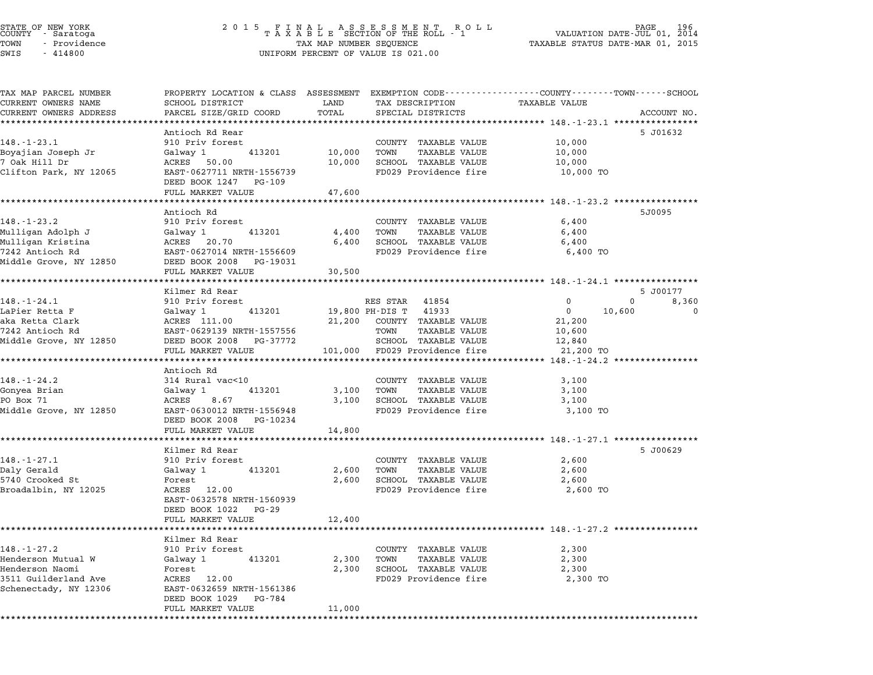| STATE OF NEW YORK<br>COUNTY - Saratoga |  |              |  |
|----------------------------------------|--|--------------|--|
| TOWN                                   |  | - Providence |  |
| $\alpha$                               |  | 111000       |  |

| TAX MAP PARCEL NUMBER                   | PROPERTY LOCATION & CLASS ASSESSMENT EXEMPTION CODE--------------COUNTY-------TOWN-----SCHOOL |                             |                                                      |                                                          |                   |
|-----------------------------------------|-----------------------------------------------------------------------------------------------|-----------------------------|------------------------------------------------------|----------------------------------------------------------|-------------------|
| CURRENT OWNERS NAME                     | SCHOOL DISTRICT                                                                               | LAND                        | TAX DESCRIPTION                                      | TAXABLE VALUE                                            |                   |
| CURRENT OWNERS ADDRESS                  | PARCEL SIZE/GRID COORD                                                                        | TOTAL                       | SPECIAL DISTRICTS                                    |                                                          | ACCOUNT NO.       |
|                                         |                                                                                               |                             |                                                      |                                                          |                   |
|                                         | Antioch Rd Rear                                                                               |                             |                                                      |                                                          | 5 J01632          |
| $148. - 1 - 23.1$                       | 910 Priv forest                                                                               |                             | COUNTY TAXABLE VALUE                                 | 10,000                                                   |                   |
| Boyajian Joseph Jr                      | Galway 1<br>413201                                                                            | 10,000                      | TOWN<br><b>TAXABLE VALUE</b>                         | 10,000                                                   |                   |
| 7 Oak Hill Dr                           | ACRES 50.00                                                                                   | 10,000                      | SCHOOL TAXABLE VALUE                                 | 10,000                                                   |                   |
| Clifton Park, NY 12065                  | EAST-0627711 NRTH-1556739<br>DEED BOOK 1247 PG-109                                            |                             | FD029 Providence fire                                | 10,000 TO                                                |                   |
|                                         | FULL MARKET VALUE                                                                             | 47,600                      |                                                      |                                                          |                   |
|                                         | **********************                                                                        | * * * * * * * * * * * * * * |                                                      | ************************ 148.-1-23.2 *****************   |                   |
|                                         | Antioch Rd                                                                                    |                             |                                                      |                                                          | 5J0095            |
| $148. - 1 - 23.2$                       | 910 Priv forest                                                                               |                             | COUNTY TAXABLE VALUE                                 | 6,400                                                    |                   |
| Mulligan Adolph J                       | Galway 1<br>413201                                                                            | 4,400                       | TOWN<br><b>TAXABLE VALUE</b>                         | 6,400                                                    |                   |
| Mulligan Kristina                       | ACRES 20.70                                                                                   | 6,400                       | SCHOOL TAXABLE VALUE                                 | 6,400                                                    |                   |
| 7242 Antioch Rd                         | EAST-0627014 NRTH-1556609                                                                     |                             | FD029 Providence fire                                | 6,400 TO                                                 |                   |
| Middle Grove, NY 12850                  | DEED BOOK 2008 PG-19031                                                                       |                             |                                                      |                                                          |                   |
|                                         | FULL MARKET VALUE                                                                             | 30,500                      |                                                      |                                                          |                   |
|                                         | .                                                                                             |                             |                                                      | ********************* 148.-1-24.1 ****************       |                   |
|                                         | Kilmer Rd Rear                                                                                |                             |                                                      |                                                          | 5 J00177          |
| $148. - 1 - 24.1$                       | 910 Priv forest                                                                               |                             | RES STAR<br>41854                                    | $\Omega$                                                 | $\Omega$<br>8,360 |
| LaPier Retta F                          | Galway 1<br>413201                                                                            |                             | 19,800 PH-DIS T<br>41933                             | $\overline{0}$<br>10,600                                 | $\Omega$          |
| aka Retta Clark                         | ACRES 111.00                                                                                  |                             | 21,200 COUNTY TAXABLE VALUE                          | 21,200                                                   |                   |
| 7242 Antioch Rd                         | EAST-0629139 NRTH-1557556                                                                     |                             | TOWN<br><b>TAXABLE VALUE</b>                         | 10,600                                                   |                   |
| Middle Grove, NY 12850                  | DEED BOOK 2008 PG-37772                                                                       |                             | SCHOOL TAXABLE VALUE                                 | 12,840                                                   |                   |
|                                         | FULL MARKET VALUE                                                                             | 101,000                     | FD029 Providence fire                                | 21,200 TO                                                |                   |
|                                         | *******************                                                                           |                             |                                                      | ******* 148.-1-24.2 *****************                    |                   |
|                                         | Antioch Rd                                                                                    |                             |                                                      |                                                          |                   |
| $148. - 1 - 24.2$                       | 314 Rural vac<10                                                                              |                             | COUNTY TAXABLE VALUE                                 | 3,100                                                    |                   |
| Gonyea Brian                            | 413201<br>Galway 1                                                                            | 3,100                       | TOWN<br><b>TAXABLE VALUE</b>                         | 3,100                                                    |                   |
| PO Box 71                               | ACRES<br>8.67                                                                                 | 3,100                       | SCHOOL TAXABLE VALUE                                 | 3,100                                                    |                   |
| Middle Grove, NY 12850                  | EAST-0630012 NRTH-1556948<br>DEED BOOK 2008 PG-10234                                          |                             | FD029 Providence fire                                | 3,100 TO                                                 |                   |
|                                         | FULL MARKET VALUE                                                                             | 14,800                      |                                                      |                                                          |                   |
|                                         | **************                                                                                |                             |                                                      | **************** 148.-1-27.1 *************               |                   |
|                                         | Kilmer Rd Rear                                                                                |                             |                                                      |                                                          | 5 J00629          |
| $148. - 1 - 27.1$                       | 910 Priv forest                                                                               |                             | COUNTY TAXABLE VALUE                                 | 2,600                                                    |                   |
| Daly Gerald                             | 413201                                                                                        | 2,600                       | TOWN<br>TAXABLE VALUE                                | 2,600                                                    |                   |
| 5740 Crooked St                         | Galway 1<br>Forest                                                                            | 2,600                       | SCHOOL TAXABLE VALUE                                 | 2,600                                                    |                   |
|                                         | ACRES 12.00                                                                                   |                             | FD029 Providence fire                                |                                                          |                   |
| Broadalbin, NY 12025                    |                                                                                               |                             |                                                      | 2,600 TO                                                 |                   |
|                                         | EAST-0632578 NRTH-1560939                                                                     |                             |                                                      |                                                          |                   |
|                                         | DEED BOOK 1022 PG-29                                                                          |                             |                                                      |                                                          |                   |
|                                         | FULL MARKET VALUE<br>*******************                                                      | 12,400                      |                                                      |                                                          |                   |
|                                         | Kilmer Rd Rear                                                                                |                             |                                                      | ***************************** 148.-1-27.2 ************** |                   |
|                                         |                                                                                               |                             |                                                      |                                                          |                   |
| $148. - 1 - 27.2$<br>Henderson Mutual W | 910 Priv forest<br>413201                                                                     |                             | COUNTY TAXABLE VALUE<br>TOWN<br><b>TAXABLE VALUE</b> | 2,300                                                    |                   |
|                                         | Galway 1                                                                                      | 2,300                       |                                                      | 2,300                                                    |                   |
| Henderson Naomi                         | Forest                                                                                        | 2,300                       | SCHOOL TAXABLE VALUE                                 | 2,300                                                    |                   |
| 3511 Guilderland Ave                    | ACRES 12.00                                                                                   |                             | FD029 Providence fire                                | 2,300 TO                                                 |                   |
| Schenectady, NY 12306                   | EAST-0632659 NRTH-1561386                                                                     |                             |                                                      |                                                          |                   |
|                                         |                                                                                               |                             |                                                      |                                                          |                   |
|                                         | DEED BOOK 1029 PG-784<br>FULL MARKET VALUE                                                    | 11,000                      |                                                      |                                                          |                   |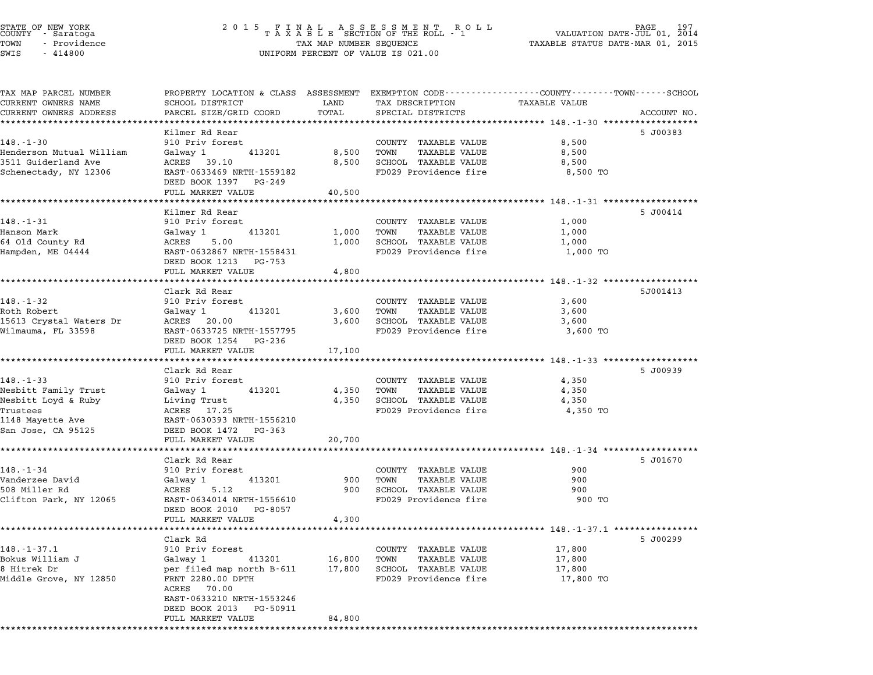|        | STATE OF NEW YORK |  |
|--------|-------------------|--|
| COUNTY | - Saratoga        |  |
| TOWN   | - Providence      |  |
|        |                   |  |

TAX MAP PARCEL NUMBER PROPERTY LOCATION & CLASS ASSESSMENT EXEMPTION CODE------------------COUNTY--------TOWN------SCHOOL ...<br>-- COUNTY:- TAX MAP PARCEL NUMBER THE OCHOTRY AND THE CURRENT EXEMPTION CODE<br>CURRENT OWNERS NAME SCHOOL DISTRICT LAND TAX DESCRIPTION TAXABLE VALUE CURRENT OWNERS ADDEER FOUR DISTRICTS AND ASSESSEENT EXERPTION TRACK THE TRACKE SERVER OWNERS ADDRESS SANGEL SIZE/GRID COORD TOTAL SERVET ON TRANSFERS ADDRESS PARCEL SIZE/GRID COORD TOTAL SPECIAL DISTRICTS ACCOUNT NO. Kilmer Rd Rear 5 J00383 148.-1-30 <sup>910</sup> Priv forest COUNTY TAXABLE VALUE 8,500 Henderson Mutual William Galway <sup>1</sup> <sup>413201</sup> 8,500 TOWN TAXABLE VALUE 8,500 351 September 2008 1990 September 2008 1990 September 2008 1990 September 2008 1990 September 2008 1990 Septem<br>19 Guiderland Ave 39.10 13201 8,500 SCHOOL TAXABLE VALUE 8,500 SCHOOL TAXABLE VALUE 8,500 Schenectady, NY <sup>12306</sup> EAST-0633469 NRTH-1559182 FD029 Providence fire 8,500 TO DEED BOOK <sup>1397</sup> PG-249 FULL MARKET VALUE 40,500 \*\*\*\*\*\*\*\*\*\*\*\*\*\*\*\*\*\*\*\*\*\*\*\*\*\*\*\*\*\*\*\*\*\*\*\*\*\*\*\*\*\*\*\*\*\*\*\*\*\*\*\*\*\*\*\*\*\*\*\*\*\*\*\*\*\*\*\*\*\*\*\*\*\*\*\*\*\*\*\*\*\*\*\*\*\*\*\*\*\*\*\*\*\*\*\*\*\*\*\*\*\*\* 148.-1-31 \*\*\*\*\*\*\*\*\*\*\*\*\*\*\*\*\*\* Kilmer Rd Rear 5 J00414 148.-1-31 Filmer Rd Rear County Taxable Value 1,000<br>
910 Priv forest COUNTY TAXABLE VALUE 1,000 Hanson Mark Galway <sup>1</sup> <sup>413201</sup> 1,000 TOWN TAXABLE VALUE 1,000 <sup>64</sup> Old County Rd ACRES 5.00 1,000 SCHOOL TAXABLE VALUE 1,000 Hampden, ME <sup>04444</sup> EAST-0632867 NRTH-1558431 FD029 Providence fire 1,000 TO EAST–0632867 NRTH–1558431<br>DEED BOOK 1213 PG–753 FULL MARKET VALUE 4,800 \*\*\*\*\*\*\*\*\*\*\*\*\*\*\*\*\*\*\*\*\*\*\*\*\*\*\*\*\*\*\*\*\*\*\*\*\*\*\*\*\*\*\*\*\*\*\*\*\*\*\*\*\*\*\*\*\*\*\*\*\*\*\*\*\*\*\*\*\*\*\*\*\*\*\*\*\*\*\*\*\*\*\*\*\*\*\*\*\*\*\*\*\*\*\*\*\*\*\*\*\*\*\* 148.-1-32 \*\*\*\*\*\*\*\*\*\*\*\*\*\*\*\*\*\* Clark Rd Rear 5J001413 148.-1-32 910 Priv forest Clark Rear CoUNTY TAXABLE VALUE 3,600 Roth Robert Galway <sup>1</sup> <sup>413201</sup> 3,600 TOWN TAXABLE VALUE 3,600 140. ISL ISLAM USES<br>Rooth Robert Goldway 1980 10000 10000 10000 10000 10000 10000 10000 10000 10000 10000 10000<br>15613 Crystal Waters Dr ACRES 20.00 1,600 3,600 SCHOOL TAXABLE VALUE 3,600 3,600 Wilmauma, FL <sup>33598</sup> EAST-0633725 NRTH-1557795 FD029 Providence fire 3,600 TO EAST-0633725 NRTH-1557795 FULL MARKET VALUE 17,100 \*\*\*\*\*\*\*\*\*\*\*\*\*\*\*\*\*\*\*\*\*\*\*\*\*\*\*\*\*\*\*\*\*\*\*\*\*\*\*\*\*\*\*\*\*\*\*\*\*\*\*\*\*\*\*\*\*\*\*\*\*\*\*\*\*\*\*\*\*\*\*\*\*\*\*\*\*\*\*\*\*\*\*\*\*\*\*\*\*\*\*\*\*\*\*\*\*\*\*\*\*\*\* 148.-1-33 \*\*\*\*\*\*\*\*\*\*\*\*\*\*\*\*\*\* Clark Rd Rear 5 J00939 148.-1-33 (Clark Rd Rear County Taxable Value 4,350)<br>910 Priv forest COUNTY TAXABLE VALUE 4,350 Nesbitt Family Trust Galway <sup>1</sup> <sup>413201</sup> 4,350 TOWN TAXABLE VALUE 4,350 Nesbitt Loyd & Ruby Living Trust 4,350 SCHOOL TAXABLE VALUE 4,350 Nesbitt ramity flust the datway 1 throuble the trust of the server of the server of the server of the server o<br>Nesbitt Loyd & Ruby biving Trust the 4,350 SCRES 4,350 TOWN TAXABLE VALUE 4,350 TO<br>Trustees 4,350 TO 4,350 TO 4 <sup>1148</sup> Mayette Ave EAST-0630393 NRTH-1556210 San Jose, CA <sup>95125</sup> DEED BOOK <sup>1472</sup> PG-363 EAST 0090999 MAIN 1990210<br>
DEED BOOK 1472 PG-363<br>
FULL MARKET VALUE 20,700 \*\*\*\*\*\*\*\*\*\*\*\*\*\*\*\*\*\*\*\*\*\*\*\*\*\*\*\*\*\*\*\*\*\*\*\*\*\*\*\*\*\*\*\*\*\*\*\*\*\*\*\*\*\*\*\*\*\*\*\*\*\*\*\*\*\*\*\*\*\*\*\*\*\*\*\*\*\*\*\*\*\*\*\*\*\*\*\*\*\*\*\*\*\*\*\*\*\*\*\*\*\*\* 148.-1-34 \*\*\*\*\*\*\*\*\*\*\*\*\*\*\*\*\*\* Clark Rd Rear 5 J01670 148.-1-34 2007 910 Priv forest Private County TAXABLE VALUE 900 Vanderzee David Galway <sup>1</sup> <sup>413201</sup> <sup>900</sup> TOWN TAXABLE VALUE <sup>900</sup> 509 - 1-6.-1-54 Miller Rd Barber (1907) - 146.-1-54 Miller Parties (1908)<br>1900 - Galway 1 Miller Rd 900 Miller Rd 900 Miller Rd 900 Miller 900<br>1900 - 1110 - 12 Miller Rd 900 Miller Rd 900 Miller Rd 900 Miller Rd 900 Mille VANCEL ZEE DAVID BOOK CONSULTED AND SALVED ARREST ARRIVES TO THE SUIT ON THAN TAKADLE VALUE ON SUIT ON SUIT ON<br>1908 Miller Rd Marth-1556610 FD029 Providence fire 900 TO 900 TO SCHOOL TAXABLE VALUE 900 TO POST ON TO POST O DEED BOOK <sup>2010</sup> PG-8057 FULL MARKET VALUE 4,300 \*\*\*\*\*\*\*\*\*\*\*\*\*\*\*\*\*\*\*\*\*\*\*\*\*\*\*\*\*\*\*\*\*\*\*\*\*\*\*\*\*\*\*\*\*\*\*\*\*\*\*\*\*\*\*\*\*\*\*\*\*\*\*\*\*\*\*\*\*\*\*\*\*\*\*\*\*\*\*\*\*\*\*\*\*\*\*\*\*\*\*\*\*\*\*\*\*\*\*\*\*\*\* 148.-1-37.1 \*\*\*\*\*\*\*\*\*\*\*\*\*\*\*\* Clark Rd 5 J00299 148.-1-37.1 2008.<br>| Clark Rd<br>| 910 Priv forest COUNTY COUNTY TAXABLE VALUE 17,800 Bokus William J Galway <sup>1</sup> <sup>413201</sup> 16,800 TOWN TAXABLE VALUE 17,800 <sup>8</sup> Hitrek Dr per filed map north B-611 17,800 SCHOOL TAXABLE VALUE 17,800 Example value of the distribution of the control of the control of the control of the control of the control o<br>Middle Grove, NY 12850 The Filed map north B-611 17,800 SCHOOL TAXABLE VALUE 17,800 TO<br>Middle Grove, NY 12850 F per riled map<br>FRNT 2280.00<br>ACRES 70.00 FANI 2200.00 DFIH<br>ACRES 70.00<br>EAST-0633210 NRTH-1553246 EAST-0633210 NRTH-1553246<br>DEED BOOK 2013 PG-50911 FULL MARKET VALUE 84,800 \*\*\*\*\*\*\*\*\*\*\*\*\*\*\*\*\*\*\*\*\*\*\*\*\*\*\*\*\*\*\*\*\*\*\*\*\*\*\*\*\*\*\*\*\*\*\*\*\*\*\*\*\*\*\*\*\*\*\*\*\*\*\*\*\*\*\*\*\*\*\*\*\*\*\*\*\*\*\*\*\*\*\*\*\*\*\*\*\*\*\*\*\*\*\*\*\*\*\*\*\*\*\*\*\*\*\*\*\*\*\*\*\*\*\*\*\*\*\*\*\*\*\*\*\*\*\*\*\*\*\*\*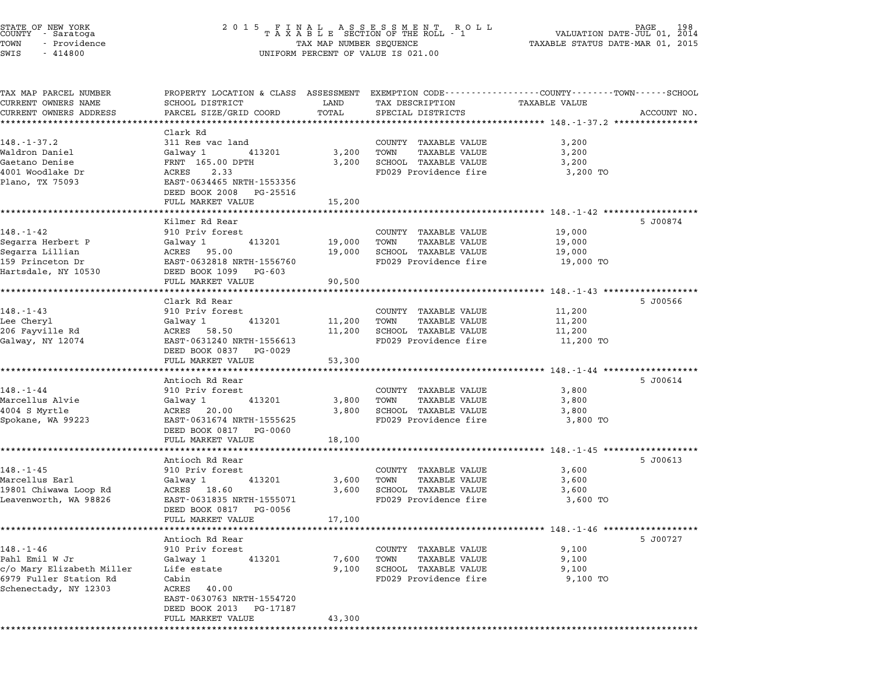| STATE OF NEW YORK<br>COUNTY - Saratoga | 2 0 1 5                                  |                         | FINAL ASSESSMENT ROLL<br>TAXABLE SECTION OF THE ROLL - 1                                        |                                  | 198<br>PAGE<br>VALUATION DATE-JUL 01, 2014 |
|----------------------------------------|------------------------------------------|-------------------------|-------------------------------------------------------------------------------------------------|----------------------------------|--------------------------------------------|
| TOWN<br>- Providence                   |                                          | TAX MAP NUMBER SEQUENCE |                                                                                                 | TAXABLE STATUS DATE-MAR 01, 2015 |                                            |
| SWIS<br>$-414800$                      |                                          |                         | UNIFORM PERCENT OF VALUE IS 021.00                                                              |                                  |                                            |
| TAX MAP PARCEL NUMBER                  |                                          |                         | PROPERTY LOCATION & CLASS ASSESSMENT EXEMPTION CODE---------------COUNTY-------TOWN------SCHOOL |                                  |                                            |
| CURRENT OWNERS NAME                    | SCHOOL DISTRICT                          | LAND                    | TAX DESCRIPTION                                                                                 | <b>TAXABLE VALUE</b>             |                                            |
| CURRENT OWNERS ADDRESS                 | PARCEL SIZE/GRID COORD                   | TOTAL                   | SPECIAL DISTRICTS                                                                               |                                  | ACCOUNT NO.                                |
| ***********************                | Clark Rd                                 |                         |                                                                                                 |                                  |                                            |
| $148. - 1 - 37.2$                      | 311 Res vac land                         |                         | COUNTY<br>TAXABLE VALUE                                                                         | 3,200                            |                                            |
| Waldron Daniel                         | 413201<br>Galway 1                       | 3,200                   | <b>TAXABLE VALUE</b><br>TOWN                                                                    | 3,200                            |                                            |
| Gaetano Denise                         | FRNT 165.00 DPTH                         | 3,200                   | SCHOOL TAXABLE VALUE                                                                            | 3,200                            |                                            |
| 4001 Woodlake Dr                       | ACRES<br>2.33                            |                         | FD029 Providence fire                                                                           | 3,200 TO                         |                                            |
| Plano, TX 75093                        | EAST-0634465 NRTH-1553356                |                         |                                                                                                 |                                  |                                            |
|                                        | DEED BOOK 2008<br>PG-25516               |                         |                                                                                                 |                                  |                                            |
|                                        | FULL MARKET VALUE                        | 15,200                  |                                                                                                 |                                  |                                            |
|                                        |                                          |                         |                                                                                                 |                                  |                                            |
|                                        | Kilmer Rd Rear                           |                         |                                                                                                 |                                  | 5 J00874                                   |
| $148. - 1 - 42$                        | 910 Priv forest                          |                         | COUNTY TAXABLE VALUE                                                                            | 19,000                           |                                            |
| Segarra Herbert P                      | 413201<br>Galway 1                       | 19,000                  | <b>TAXABLE VALUE</b><br>TOWN                                                                    | 19,000                           |                                            |
| Segarra Lillian<br>159 Princeton Dr    | ACRES 95.00<br>EAST-0632818 NRTH-1556760 | 19,000                  | SCHOOL TAXABLE VALUE<br>FD029 Providence fire                                                   | 19,000<br>19,000 TO              |                                            |
| Hartsdale, NY 10530                    | DEED BOOK 1099<br>PG-603                 |                         |                                                                                                 |                                  |                                            |
|                                        | FULL MARKET VALUE                        | 90,500                  |                                                                                                 |                                  |                                            |
|                                        |                                          |                         |                                                                                                 |                                  |                                            |
|                                        | Clark Rd Rear                            |                         |                                                                                                 |                                  | 5 J00566                                   |
| $148. - 1 - 43$                        | 910 Priv forest                          |                         | COUNTY TAXABLE VALUE                                                                            | 11,200                           |                                            |
| Lee Cheryl                             | 413201<br>Galway 1                       | 11,200                  | <b>TAXABLE VALUE</b><br>TOWN                                                                    | 11,200                           |                                            |
| 206 Fayville Rd                        | ACRES 58.50                              | 11,200                  | SCHOOL TAXABLE VALUE                                                                            | 11,200                           |                                            |
| Galway, NY 12074                       | EAST-0631240 NRTH-1556613                |                         | FD029 Providence fire                                                                           | 11,200 TO                        |                                            |
|                                        | DEED BOOK 0837<br>PG-0029                |                         |                                                                                                 |                                  |                                            |
|                                        | FULL MARKET VALUE                        | 53,300                  |                                                                                                 |                                  |                                            |
|                                        | Antioch Rd Rear                          |                         |                                                                                                 |                                  | 5 J00614                                   |
| $148. - 1 - 44$                        | 910 Priv forest                          |                         | COUNTY TAXABLE VALUE                                                                            | 3,800                            |                                            |
| Marcellus Alvie                        | 413201<br>Galway 1                       | 3,800                   | TAXABLE VALUE<br>TOWN                                                                           | 3,800                            |                                            |
| 4004 S Myrtle                          | ACRES 20.00                              | 3,800                   | SCHOOL TAXABLE VALUE                                                                            | 3,800                            |                                            |
| Spokane, WA 99223                      | EAST-0631674 NRTH-1555625                |                         | FD029 Providence fire                                                                           | 3,800 TO                         |                                            |
|                                        | DEED BOOK 0817<br>PG-0060                |                         |                                                                                                 |                                  |                                            |
|                                        | FULL MARKET VALUE                        | 18,100                  |                                                                                                 |                                  |                                            |
|                                        |                                          |                         |                                                                                                 |                                  |                                            |
|                                        | Antioch Rd Rear                          |                         |                                                                                                 |                                  | 5 J00613                                   |
| $148. - 1 - 45$                        | 910 Priv forest                          |                         | COUNTY TAXABLE VALUE                                                                            | 3,600                            |                                            |
| Marcellus Earl                         | 413201<br>Galway 1                       | 3,600                   | TOWN<br>TAXABLE VALUE                                                                           | 3,600                            |                                            |
| 19801 Chiwawa Loop Rd                  | ACRES 18.60                              | 3,600                   | SCHOOL TAXABLE VALUE                                                                            | 3,600<br>3,600 TO                |                                            |
| Leavenworth, WA 98826                  | EAST-0631835 NRTH-1555071                |                         | FD029 Providence fire                                                                           |                                  |                                            |

| LJOUL CHIWAWA HOOD KU     | AURDO<br>$\perp$ 0.00     | <b>J.</b> UUU | SCROOD IAAADDE VADUE    | <b>J, 000</b> |
|---------------------------|---------------------------|---------------|-------------------------|---------------|
| Leavenworth, WA 98826     | EAST-0631835 NRTH-1555071 |               | FD029 Providence fire   | 3,600 TO      |
|                           | DEED BOOK 0817 PG-0056    |               |                         |               |
|                           | FULL MARKET VALUE         | 17,100        |                         |               |
|                           |                           |               |                         |               |
|                           | Antioch Rd Rear           |               |                         | 5 J00727      |
| $148. - 1 - 46$           | 910 Priv forest           |               | TAXABLE VALUE<br>COUNTY | 9,100         |
| Pahl Emil W Jr            | 413201<br>Galway 1        | 7,600         | TOWN<br>TAXABLE VALUE   | 9.100         |
| c/o Mary Elizabeth Miller | Life estate               | 9,100         | SCHOOL<br>TAXABLE VALUE | 9.100         |
| 6979 Fuller Station Rd    | Cabin                     |               | FD029 Providence fire   | 9,100 TO      |
| Schenectady, NY 12303     | ACRES 40.00               |               |                         |               |
|                           | EAST-0630763 NRTH-1554720 |               |                         |               |
|                           | DEED BOOK 2013 PG-17187   |               |                         |               |
|                           | FULL MARKET VALUE         | 43,300        |                         |               |
|                           |                           |               |                         |               |

PAGE 198<br>DATE-JUL 01, 2014<br>DATE-MAR 01, 2015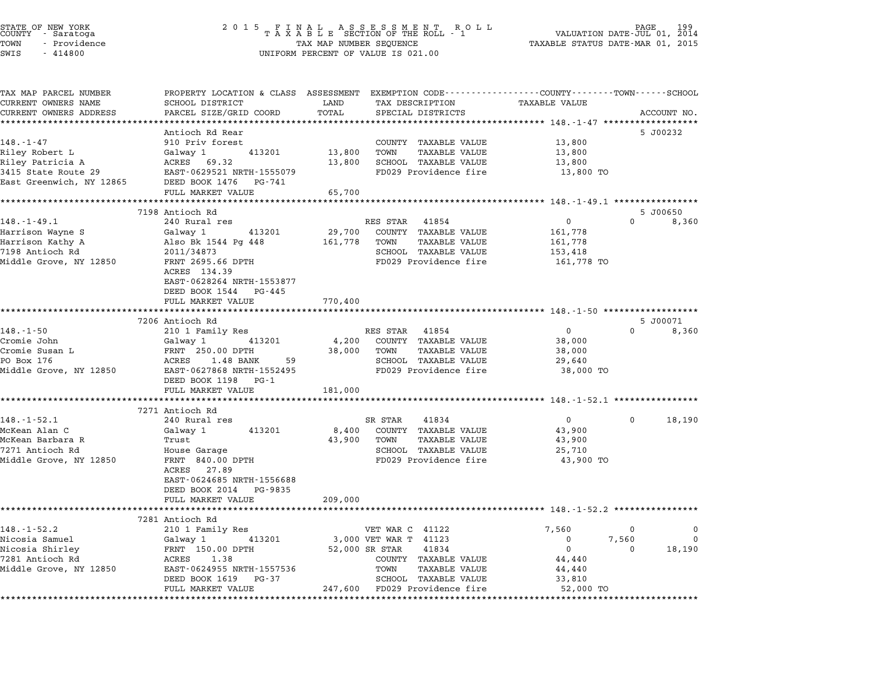|       | STATE OF NEW YORK<br>COUNTY - Saratoga |  |
|-------|----------------------------------------|--|
| TOWN  | - Providence                           |  |
| ----- | .                                      |  |

## STATE OF NEW YORK <sup>2</sup> <sup>0</sup> <sup>1</sup> 5 F I N A L A S S E S S M E N T R O L L PAGE <sup>199</sup> COUNTY - Saratoga <sup>T</sup> <sup>A</sup> <sup>X</sup> <sup>A</sup> <sup>B</sup> <sup>L</sup> <sup>E</sup> SECTION OF THE ROLL - <sup>1</sup> VALUATION DATE-JUL 01, <sup>2014</sup> TOWN - Providence TAX MAP NUMBER SEQUENCE TAXABLE STATUS DATE-MAR 01, <sup>2015</sup> COONTI - SATACOGA<br>TOWN - Providence<br>SWIS - 414800 UNIFORM PERCENT OF VALUE IS 021.00

TAX MAP PARCEL NUMBER PROPERTY LOCATION & CLASS ASSESSMENT EXEMPTION CODE------------------COUNTY--------TOWN------SCHOOL ...<br>-- COUNTY:- TAX MAP PARCEL NUMBER THE OCHOTRY AND THE CURRENT EXEMPTION CODE<br>CURRENT OWNERS NAME SCHOOL DISTRICT LAND TAX DESCRIPTION TAXABLE VALUE CURRENT OWNERS ADDRESS PARCEL SIZE/GRID COORD TOTAL SPECIAL DISTRICTS ACCOUNT NO. \*\*\*\*\*\*\*\*\*\*\*\*\*\*\*\*\*\*\*\*\*\*\*\*\*\*\*\*\*\*\*\*\*\*\*\*\*\*\*\*\*\*\*\*\*\*\*\*\*\*\*\*\*\*\*\*\*\*\*\*\*\*\*\*\*\*\*\*\*\*\*\*\*\*\*\*\*\*\*\*\*\*\*\*\*\*\*\*\*\*\*\*\*\*\*\*\*\*\*\*\*\*\* 148.-1-47 \*\*\*\*\*\*\*\*\*\*\*\*\*\*\*\*\*\* Antioch Rd Rear 5 J00232 148.-1-47 Antioch Rd Rear<br>
910 Priv forest COUNTY TAXABLE VALUE 13,800 Riley Robert L Galway <sup>1</sup> <sup>413201</sup> 13,800 TOWN TAXABLE VALUE 13,800 Riley Robert L. Henry Robert L. Henry Storms, and the Mathematic State of the Mathematic State of the Mathematic<br>Riley Ratricia A (Galway 13,800 SCHOOL TAXABLE VALUE 13,800<br>Riley Patricia A (RES 69.32 13,800 SCHOOL TAXABLE ALLEY RODETT LIST SOLUTION OF THE SALEMATIC RESERVE TO A TRANSPORT TRANSPORT TRANSPORT ON THE SALEMATIC SUMMAN<br>13,800 SCREENCE 29 BAST-0629521 NRTH-1555079 FD029 Providence fire 13,800 TO East Greenwich, NY <sup>12865</sup> DEED BOOK <sup>1476</sup> PG-741 EASI-0023321 NAIR-1333073<br>
DEED BOOK 1476 PG-741<br>
FULL MARKET VALUE 65,700 \*\*\*\*\*\*\*\*\*\*\*\*\*\*\*\*\*\*\*\*\*\*\*\*\*\*\*\*\*\*\*\*\*\*\*\*\*\*\*\*\*\*\*\*\*\*\*\*\*\*\*\*\*\*\*\*\*\*\*\*\*\*\*\*\*\*\*\*\*\*\*\*\*\*\*\*\*\*\*\*\*\*\*\*\*\*\*\*\*\*\*\*\*\*\*\*\*\*\*\*\*\*\* 148.-1-49.1 \*\*\*\*\*\*\*\*\*\*\*\*\*\*\*\* 7198 Antioch Rd 5 J00650 148.-1-49.1 200650<br>148.-1-49.1 240 Rural res RES STAR 41854 0 0 8,360<br>148.-1-49.1 240 Rural res RES STAR 41854 0 0 8,360 Harrison Wayne S Galway <sup>1</sup> <sup>413201</sup> 29,700 COUNTY TAXABLE VALUE 161,778 Harrison Kathy A Also Bk <sup>1544</sup> Pg <sup>448</sup> 161,778 TOWN TAXABLE VALUE 161,778 <sup>7198</sup> Antioch Rd 2011/34873 SCHOOL TAXABLE VALUE 153,418 MATTISON NACHY A CHE AND MATTISON NACHY A SCHOOL TAXABLE VALUE AND SCHOOL TAXABLE VALUE TRANSFOR TRANSFOR AND SCHOOL TAXABLE VALUE TRANSFOR A SCHOOL TAXABLE VALUE TRANSFORM ON SCHOOL TAXABLE VALUE TRANSFORM AND SCHOOL TRAN 2011/34673<br>FRNT 2695.66<br>ACRES 134.39 FRNT 2099:00 DFIH<br>ACRES 134.39<br>EAST-0628264 NRTH-1553877 ACRES 134.39<br>EAST-0628264 NRTH-1553877<br>DEED BOOK 1544 PG-445 FULL MARKET VALUE 770,400 \*\*\*\*\*\*\*\*\*\*\*\*\*\*\*\*\*\*\*\*\*\*\*\*\*\*\*\*\*\*\*\*\*\*\*\*\*\*\*\*\*\*\*\*\*\*\*\*\*\*\*\*\*\*\*\*\*\*\*\*\*\*\*\*\*\*\*\*\*\*\*\*\*\*\*\*\*\*\*\*\*\*\*\*\*\*\*\*\*\*\*\*\*\*\*\*\*\*\*\*\*\*\* 148.-1-50 \*\*\*\*\*\*\*\*\*\*\*\*\*\*\*\*\*\* 7206 Antioch Rd 5 J00071 148.-1-50 <sup>210</sup> <sup>1</sup> Family Res RES STAR <sup>41854</sup> <sup>0</sup> <sup>0</sup> 8,360 Cromie John Galway <sup>1</sup> <sup>413201</sup> 4,200 COUNTY TAXABLE VALUE 38,000 Cromie Susan L FRNT 250.00 DPTH 38,000 TOWN TAXABLE VALUE 38,000 PO Box <sup>176</sup> ACRES 1.48 BANK <sup>59</sup> SCHOOL TAXABLE VALUE 29,640 CLOMIE SUSSILUS IN TENT 250.000 FOR SAGRED SOLUTION AND TRANSMENT SOLUTION SOLUTION SOLUTION SOLUTION SOLUTION<br>PO BOX 17850 ACRES 1.48 BANK 59 SCHOOL TAXABLE VALUE 29,640<br>Middle Grove, NY 12850 EAST-0627868 NRTH-1552495 FD EAST-0627868 NRTH-155<br>DEED BOOK 1198 PG-1 FULL MARKET VALUE 181,000 \*\*\*\*\*\*\*\*\*\*\*\*\*\*\*\*\*\*\*\*\*\*\*\*\*\*\*\*\*\*\*\*\*\*\*\*\*\*\*\*\*\*\*\*\*\*\*\*\*\*\*\*\*\*\*\*\*\*\*\*\*\*\*\*\*\*\*\*\*\*\*\*\*\*\*\*\*\*\*\*\*\*\*\*\*\*\*\*\*\*\*\*\*\*\*\*\*\*\*\*\*\*\* 148.-1-52.1 \*\*\*\*\*\*\*\*\*\*\*\*\*\*\*\* 7271 Antioch Rd<br>\*\*\*\*\*\*\*\*\*\*\*\*\*\*\*<br>7271 Antioch Rd 148.-1-52.1 7271 Antioch Rd<br>
240 Rural res SR STAR 41834 9 0 0 18,190 McKean Alan C Galway <sup>1</sup> <sup>413201</sup> 8,400 COUNTY TAXABLE VALUE 43,900 ست المداد المستقل المداد المستقل المداد المستقل المداد المستقل المستقل المستقل المستقل المستقل المستقل المستقل<br>McKean Barbara R (Galway 1 13201 13,900 COWN TAXABLE VALUE 43,900 13,900 13,900 13,900 13,900 13,900 13,900 13 MCKean Alan C<br>McKean Barbara R (1990) TOWN TAXABLE VALUE 43,900<br>7271 Antioch Rd (1990) House Garage (1990) SCHOOL TAXABLE VALUE 25,710 MIDD HOME TRANSPORTED THIS CONSIDER THE RESERVE TO THE RESERVE TRANSPORTED TRANSPORTED A TRANSPORTED A TRANSPOR<br>Middle Grove, NY 12850 House Garage Sangle SCHOOL TRANSPORTED A SCHOOL TRANSPORTED A 1990 TO nouse Garage<br>FRNT 840.00<br>ACRES 27.89 EAST-0624685 NRTH-1556688 EAST-0624685 NRTH-155668<br>DEED BOOK 2014 PG-9835 EAST 0024005 MAIN 1550000<br>
DEED BOOK 2014 PG-9835<br>
FULL MARKET VALUE 209,000 \*\*\*\*\*\*\*\*\*\*\*\*\*\*\*\*\*\*\*\*\*\*\*\*\*\*\*\*\*\*\*\*\*\*\*\*\*\*\*\*\*\*\*\*\*\*\*\*\*\*\*\*\*\*\*\*\*\*\*\*\*\*\*\*\*\*\*\*\*\*\*\*\*\*\*\*\*\*\*\*\*\*\*\*\*\*\*\*\*\*\*\*\*\*\*\*\*\*\*\*\*\*\* 148.-1-52.2 \*\*\*\*\*\*\*\*\*\*\*\*\*\*\*\* 7281 Antioch Rd 148.-1-52.2 2006.<br>7281 Antioch Rd<br>148.-1-52.2 210 1 Family Res VET WAR C 41122 7,560 0 0 Nicosia Samuel Galway <sup>1</sup> <sup>413201</sup> 3,000 VET WAR T <sup>41123</sup> <sup>0</sup> 7,560 <sup>0</sup> Nicosia Shirley FRNT 150.00 DPTH 52,000 SR STAR <sup>41834</sup> <sup>0</sup> <sup>0</sup> 18,190 NICOSIA SAINCE I GALWAY I TISSOL – S,000 VEL WAN I TISSOL – UNICOSIA SHITLES – UNICOSIA DUNITY TAXABLE VALUE –<br>Nicosia Shirley – FRNT 150.00 DPTH – 52,000 SR STAR – 41834<br>7281 Antioch Rd – ACRES 1.38 – COUNTY TAXABLE VALUE Middle Grove, NY <sup>12850</sup> EAST-0624955 NRTH-1557536 TOWN TAXABLE VALUE 44,440 DEED BOOK <sup>1619</sup> PG-37 SCHOOL TAXABLE VALUE 33,810 FULL MARKET VALUE 247,600 FD029 Providence fire 52,000 TO \*\*\*\*\*\*\*\*\*\*\*\*\*\*\*\*\*\*\*\*\*\*\*\*\*\*\*\*\*\*\*\*\*\*\*\*\*\*\*\*\*\*\*\*\*\*\*\*\*\*\*\*\*\*\*\*\*\*\*\*\*\*\*\*\*\*\*\*\*\*\*\*\*\*\*\*\*\*\*\*\*\*\*\*\*\*\*\*\*\*\*\*\*\*\*\*\*\*\*\*\*\*\*\*\*\*\*\*\*\*\*\*\*\*\*\*\*\*\*\*\*\*\*\*\*\*\*\*\*\*\*\*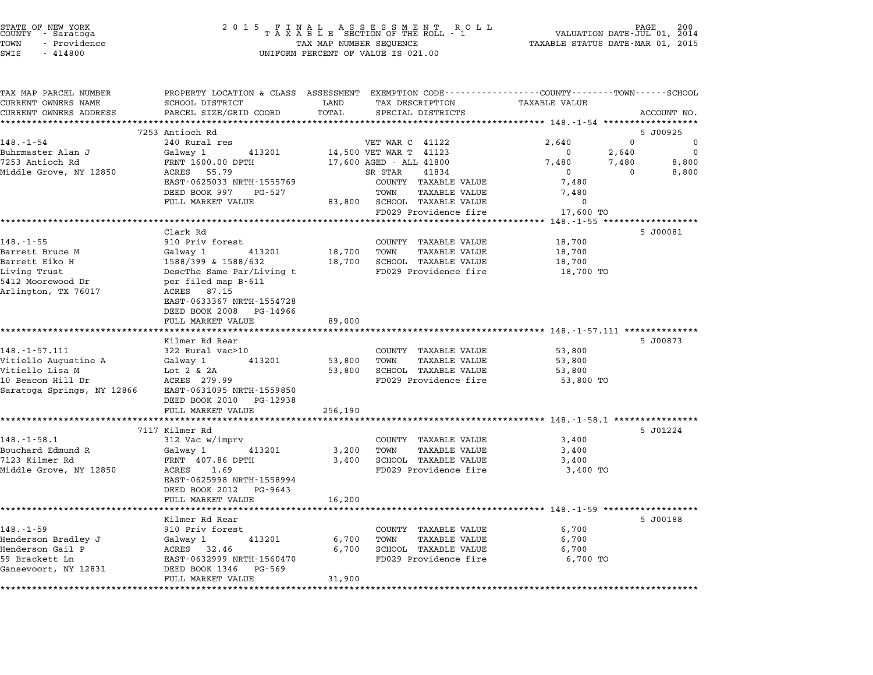| STATE OF NEW YORK<br>COUNTY - Saratoga |  |              |  |
|----------------------------------------|--|--------------|--|
| TOWN                                   |  | - Providence |  |
|                                        |  |              |  |

## STATE OF NEW YORK <sup>2</sup> <sup>0</sup> <sup>1</sup> 5 F I N A L A S S E S S M E N T R O L L PAGE <sup>200</sup> COUNTY - Saratoga <sup>T</sup> <sup>A</sup> <sup>X</sup> <sup>A</sup> <sup>B</sup> <sup>L</sup> <sup>E</sup> SECTION OF THE ROLL - <sup>1</sup> VALUATION DATE-JUL 01, <sup>2014</sup> TOWN - Providence TAX MAP NUMBER SEQUENCE TAXABLE STATUS DATE-MAR 01, <sup>2015</sup> TOWN - Providence and the state of the state of the state of the state of the state of the state of the state o<br>SWIS - 414800 SWIS - SWISSED BERCENT OF VALUE IS 021.00

| TAX MAP PARCEL NUMBER                           | PROPERTY LOCATION & CLASS ASSESSMENT EXEMPTION CODE---------------COUNTY-------TOWN-----SCHOOL |         |                                                                |                                                         |                |                      |
|-------------------------------------------------|------------------------------------------------------------------------------------------------|---------|----------------------------------------------------------------|---------------------------------------------------------|----------------|----------------------|
| CURRENT OWNERS NAME                             | SCHOOL DISTRICT                                                                                | LAND    | TAX DESCRIPTION                                                | TAXABLE VALUE                                           |                |                      |
| CURRENT OWNERS ADDRESS<br>********************* | PARCEL SIZE/GRID COORD<br>***********************                                              | TOTAL   | SPECIAL DISTRICTS                                              |                                                         |                | ACCOUNT NO.          |
|                                                 |                                                                                                |         |                                                                |                                                         |                |                      |
| $148. - 1 - 54$                                 | 7253 Antioch Rd                                                                                |         |                                                                |                                                         | $\Omega$       | 5 J00925<br>$\Omega$ |
| Buhrmaster Alan J                               | 240 Rural res                                                                                  |         | VET WAR C 41122                                                | 2,640<br>$\Omega$                                       |                | $\Omega$             |
| 7253 Antioch Rd                                 | Galway 1<br>413201<br>FRNT 1600.00 DPTH                                                        |         | 14,500 VET WAR T 41123<br>17,600 AGED - ALL 41800              | 7,480                                                   | 2,640<br>7,480 | 8,800                |
| Middle Grove, NY 12850                          | ACRES 55.79                                                                                    |         | SR STAR<br>41834                                               | $\overline{0}$                                          | $\Omega$       | 8,800                |
|                                                 | EAST-0625033 NRTH-1555769                                                                      |         | COUNTY TAXABLE VALUE                                           | 7,480                                                   |                |                      |
|                                                 | DEED BOOK 997<br>PG-527                                                                        |         | TOWN<br>TAXABLE VALUE                                          | 7,480                                                   |                |                      |
|                                                 | FULL MARKET VALUE                                                                              |         | 83,800 SCHOOL TAXABLE VALUE                                    | $\mathbf 0$                                             |                |                      |
|                                                 |                                                                                                |         | FD029 Providence fire                                          | 17,600 TO                                               |                |                      |
|                                                 |                                                                                                |         | *************************                                      | $148. -1 - 55$ *****************                        |                |                      |
|                                                 | Clark Rd                                                                                       |         |                                                                |                                                         |                | 5 J00081             |
| $148. - 1 - 55$                                 | 910 Priv forest                                                                                |         | COUNTY TAXABLE VALUE                                           | 18,700                                                  |                |                      |
| Barrett Bruce M                                 | Galway 1<br>413201                                                                             | 18,700  | TOWN<br><b>TAXABLE VALUE</b>                                   | 18,700                                                  |                |                      |
| Barrett Eiko H                                  | 1588/399 & 1588/632                                                                            | 18,700  | SCHOOL TAXABLE VALUE                                           | 18,700                                                  |                |                      |
| Living Trust                                    | DescThe Same Par/Living t                                                                      |         | FD029 Providence fire                                          | 18,700 TO                                               |                |                      |
| 5412 Moorewood Dr                               | per filed map B-611                                                                            |         |                                                                |                                                         |                |                      |
| Arlington, TX 76017                             | ACRES 87.15                                                                                    |         |                                                                |                                                         |                |                      |
|                                                 | EAST-0633367 NRTH-1554728                                                                      |         |                                                                |                                                         |                |                      |
|                                                 | DEED BOOK 2008<br>PG-14966                                                                     |         |                                                                |                                                         |                |                      |
|                                                 | FULL MARKET VALUE                                                                              | 89,000  | ******************************** 148.-1-57.111 *************** |                                                         |                |                      |
|                                                 | Kilmer Rd Rear                                                                                 |         |                                                                |                                                         |                | 5 J00873             |
| $148. - 1 - 57.111$                             | 322 Rural vac>10                                                                               |         | COUNTY TAXABLE VALUE                                           | 53,800                                                  |                |                      |
| Vitiello Augustine A                            | Galway 1<br>413201                                                                             | 53,800  | TOWN<br><b>TAXABLE VALUE</b>                                   | 53,800                                                  |                |                      |
| Vitiello Lisa M                                 | Lot $2 \& 2A$                                                                                  | 53,800  | SCHOOL TAXABLE VALUE                                           | 53,800                                                  |                |                      |
| 10 Beacon Hill Dr                               | ACRES 279.99                                                                                   |         | FD029 Providence fire                                          | 53,800 TO                                               |                |                      |
| Saratoga Springs, NY 12866                      | EAST-0631095 NRTH-1559850                                                                      |         |                                                                |                                                         |                |                      |
|                                                 | DEED BOOK 2010 PG-12938                                                                        |         |                                                                |                                                         |                |                      |
|                                                 | FULL MARKET VALUE                                                                              | 256,190 |                                                                |                                                         |                |                      |
|                                                 |                                                                                                |         |                                                                | ********** 148.-1-58.1 ***************                  |                |                      |
|                                                 | 7117 Kilmer Rd                                                                                 |         |                                                                |                                                         |                | 5 J01224             |
| $148. - 1 - 58.1$                               | 312 Vac w/imprv                                                                                |         | COUNTY TAXABLE VALUE                                           | 3,400                                                   |                |                      |
| Bouchard Edmund R                               | Galway 1<br>413201                                                                             | 3,200   | <b>TAXABLE VALUE</b><br>TOWN                                   | 3,400                                                   |                |                      |
| 7123 Kilmer Rd                                  | FRNT 407.86 DPTH                                                                               | 3,400   | SCHOOL TAXABLE VALUE                                           | 3,400                                                   |                |                      |
| Middle Grove, NY 12850                          | ACRES<br>1.69                                                                                  |         | FD029 Providence fire                                          | 3,400 TO                                                |                |                      |
|                                                 | EAST-0625998 NRTH-1558994                                                                      |         |                                                                |                                                         |                |                      |
|                                                 | DEED BOOK 2012<br>PG-9643                                                                      |         |                                                                |                                                         |                |                      |
|                                                 | FULL MARKET VALUE                                                                              | 16,200  |                                                                | ************************** 148.-1-59 ****************** |                |                      |
|                                                 | Kilmer Rd Rear                                                                                 |         |                                                                |                                                         |                | 5 J00188             |
| $148. - 1 - 59$                                 | 910 Priv forest                                                                                |         | COUNTY TAXABLE VALUE                                           | 6,700                                                   |                |                      |
| Henderson Bradley J                             | 413201<br>Galway 1                                                                             | 6,700   | TOWN<br><b>TAXABLE VALUE</b>                                   | 6,700                                                   |                |                      |
| Henderson Gail P                                | ACRES 32.46                                                                                    | 6,700   | SCHOOL TAXABLE VALUE                                           | 6,700                                                   |                |                      |
| 59 Brackett Ln                                  | EAST-0632999 NRTH-1560470                                                                      |         | FD029 Providence fire                                          | 6,700 TO                                                |                |                      |
| Gansevoort, NY 12831                            | DEED BOOK 1346<br>PG-569                                                                       |         |                                                                |                                                         |                |                      |
|                                                 | FULL MARKET VALUE                                                                              | 31,900  |                                                                |                                                         |                |                      |
|                                                 | ************                                                                                   |         |                                                                |                                                         |                |                      |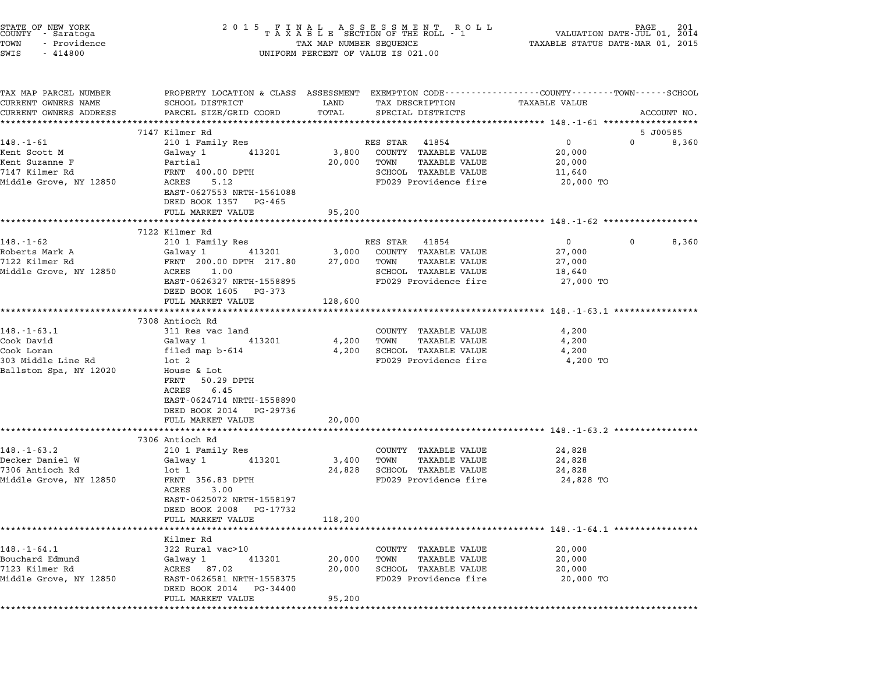| TAX MAP PARCEL NUMBER<br>CURRENT OWNERS NAME<br>CURRENT OWNERS ADDRESS           | PROPERTY LOCATION & CLASS ASSESSMENT EXEMPTION CODE---------------COUNTY-------TOWN------SCHOOL<br>SCHOOL DISTRICT<br>PARCEL SIZE/GRID COORD | LAND             |                                                                                                |                                         |              |             |
|----------------------------------------------------------------------------------|----------------------------------------------------------------------------------------------------------------------------------------------|------------------|------------------------------------------------------------------------------------------------|-----------------------------------------|--------------|-------------|
|                                                                                  |                                                                                                                                              | TOTAL            | TAX DESCRIPTION<br>SPECIAL DISTRICTS                                                           | TAXABLE VALUE                           |              | ACCOUNT NO. |
|                                                                                  | 7147 Kilmer Rd                                                                                                                               |                  |                                                                                                |                                         |              | 5 J00585    |
| $148. - 1 - 61$                                                                  | 210 1 Family Res                                                                                                                             |                  | RES STAR<br>41854                                                                              | $\overline{0}$                          | $\Omega$     | 8,360       |
| Kent Scott M<br>Kent Suzanne F<br>7147 Kilmer Rd<br>Middle Grove, NY 12850       | Galway 1<br>413201<br>Partial<br>FRNT 400.00 DPTH<br>ACRES<br>5.12<br>EAST-0627553 NRTH-1561088<br>DEED BOOK 1357 PG-465                     | 3,800<br>20,000  | COUNTY TAXABLE VALUE<br>TOWN<br>TAXABLE VALUE<br>SCHOOL TAXABLE VALUE<br>FD029 Providence fire | 20,000<br>20,000<br>11,640<br>20,000 TO |              |             |
|                                                                                  | FULL MARKET VALUE                                                                                                                            | 95,200           |                                                                                                |                                         |              |             |
|                                                                                  | **********************                                                                                                                       | ***********      |                                                                                                |                                         |              |             |
|                                                                                  | 7122 Kilmer Rd                                                                                                                               |                  |                                                                                                |                                         |              |             |
| $148. - 1 - 62$                                                                  | 210 1 Family Res                                                                                                                             |                  | RES STAR 41854                                                                                 | $\overline{0}$                          | $\mathbf{0}$ | 8,360       |
| Roberts Mark A<br>7122 Kilmer Rd                                                 | Galway 1<br>413201<br>FRNT 200.00 DPTH 217.80                                                                                                | 3,000<br>27,000  | COUNTY TAXABLE VALUE<br>TOWN<br>TAXABLE VALUE                                                  | 27,000<br>27,000                        |              |             |
| Middle Grove, NY 12850                                                           | ACRES 1.00                                                                                                                                   |                  | SCHOOL TAXABLE VALUE                                                                           | 18,640                                  |              |             |
|                                                                                  | EAST-0626327 NRTH-1558895<br>DEED BOOK 1605 PG-373                                                                                           |                  | FD029 Providence fire                                                                          | 27,000 TO                               |              |             |
|                                                                                  | FULL MARKET VALUE                                                                                                                            | 128,600          |                                                                                                |                                         |              |             |
|                                                                                  | 7308 Antioch Rd                                                                                                                              |                  |                                                                                                |                                         |              |             |
| $148. - 1 - 63.1$                                                                | 311 Res vac land                                                                                                                             |                  | COUNTY TAXABLE VALUE                                                                           | 4,200                                   |              |             |
| Cook David                                                                       | 413201<br>Galway 1                                                                                                                           | 4,200            | TOWN<br>TAXABLE VALUE                                                                          | 4,200                                   |              |             |
| Cook Loran                                                                       | filed map b-614                                                                                                                              | 4,200            | SCHOOL TAXABLE VALUE                                                                           | 4,200                                   |              |             |
| 303 Middle Line Rd                                                               | lot 2                                                                                                                                        |                  | FD029 Providence fire                                                                          | 4,200 TO                                |              |             |
| Ballston Spa, NY 12020                                                           | House & Lot<br>FRNT 50.29 DPTH<br>ACRES<br>6.45<br>EAST-0624714 NRTH-1558890<br>DEED BOOK 2014 PG-29736<br>FULL MARKET VALUE                 | 20,000           |                                                                                                |                                         |              |             |
|                                                                                  |                                                                                                                                              |                  |                                                                                                |                                         |              |             |
|                                                                                  | 7306 Antioch Rd                                                                                                                              |                  |                                                                                                |                                         |              |             |
| $148. - 1 - 63.2$                                                                | 210 1 Family Res                                                                                                                             |                  | COUNTY TAXABLE VALUE                                                                           | 24,828                                  |              |             |
| Decker Daniel W<br>7306 Antioch Rd                                               | 413201<br>Galway 1<br>$1$ ot $1$                                                                                                             | 3,400<br>24,828  | TOWN<br>TAXABLE VALUE<br>SCHOOL TAXABLE VALUE                                                  | 24,828                                  |              |             |
| Middle Grove, NY 12850                                                           | FRNT 356.83 DPTH<br>ACRES<br>3.00<br>EAST-0625072 NRTH-1558197<br>DEED BOOK 2008<br>PG-17732<br>FULL MARKET VALUE                            | 118,200          | FD029 Providence fire                                                                          | 24,828<br>24,828 TO                     |              |             |
|                                                                                  |                                                                                                                                              |                  |                                                                                                |                                         |              |             |
| $148. - 1 - 64.1$<br>Bouchard Edmund<br>7123 Kilmer Rd<br>Middle Grove, NY 12850 | Kilmer Rd<br>322 Rural vac>10<br>Galway 1<br>413201<br>ACRES 87.02<br>EAST-0626581 NRTH-1558375<br>DEED BOOK 2014<br>PG-34400                | 20,000<br>20,000 | COUNTY TAXABLE VALUE<br>TOWN<br>TAXABLE VALUE<br>SCHOOL TAXABLE VALUE<br>FD029 Providence fire | 20,000<br>20,000<br>20,000<br>20,000 TO |              |             |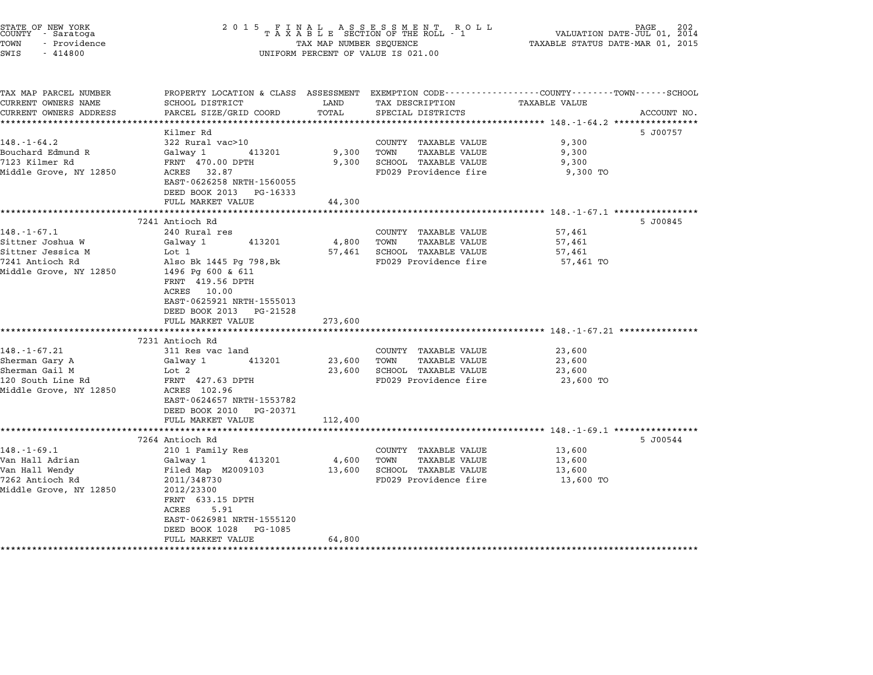| STATE OF NEW YORK<br>COUNTY - Saratoga<br>TOWN<br>- Providence<br>SWIS<br>$-414800$ | 2015 FINAL ASSESSMENT ROLL TAXABLE SECTION OF THE ROLL - 1<br>TAX MAP NUMBER SEQUENCE<br>UNIFORM PERCENT OF VALUE IS 021.00 | PAGE<br>202<br>VALUATION DATE-JUL 01, 2014<br>TAXABLE STATUS DATE-MAR 01, 2015 |                       |                                                                                                                  |  |
|-------------------------------------------------------------------------------------|-----------------------------------------------------------------------------------------------------------------------------|--------------------------------------------------------------------------------|-----------------------|------------------------------------------------------------------------------------------------------------------|--|
| TAX MAP PARCEL NUMBER<br>CURRENT OWNERS NAME                                        | SCHOOL DISTRICT                                                                                                             | LAND                                                                           | TAX DESCRIPTION       | PROPERTY LOCATION & CLASS ASSESSMENT EXEMPTION CODE----------------COUNTY-------TOWN-----SCHOOL<br>TAXABLE VALUE |  |
| CURRENT OWNERS ADDRESS                                                              | PARCEL SIZE/GRID COORD                                                                                                      | TOTAL                                                                          | SPECIAL DISTRICTS     | ACCOUNT NO.                                                                                                      |  |
|                                                                                     |                                                                                                                             |                                                                                |                       | 5 J00757                                                                                                         |  |
| $148. - 1 - 64.2$                                                                   | Kilmer Rd<br>322 Rural vac>10                                                                                               |                                                                                | COUNTY TAXABLE VALUE  | 9,300                                                                                                            |  |
| Bouchard Edmund R                                                                   | Galway 1<br>413201                                                                                                          | 9,300                                                                          | TOWN<br>TAXABLE VALUE | 9,300                                                                                                            |  |
| 7123 Kilmer Rd                                                                      | FRNT 470.00 DPTH                                                                                                            | 9,300                                                                          | SCHOOL TAXABLE VALUE  | 9,300                                                                                                            |  |
| Middle Grove, NY 12850                                                              | ACRES 32.87<br>EAST-0626258 NRTH-1560055                                                                                    |                                                                                | FD029 Providence fire | 9,300 TO                                                                                                         |  |
|                                                                                     | DEED BOOK 2013 PG-16333                                                                                                     |                                                                                |                       |                                                                                                                  |  |
|                                                                                     | FULL MARKET VALUE<br>*************************                                                                              | 44,300<br>*******************                                                  |                       |                                                                                                                  |  |
|                                                                                     | 7241 Antioch Rd                                                                                                             |                                                                                |                       | 5 J00845                                                                                                         |  |
| $148. - 1 - 67.1$                                                                   | 240 Rural res                                                                                                               |                                                                                | COUNTY TAXABLE VALUE  | 57,461                                                                                                           |  |
| Sittner Joshua W                                                                    | 413201<br>Galway 1                                                                                                          | 4,800                                                                          | TOWN<br>TAXABLE VALUE | 57,461                                                                                                           |  |
| Sittner Jessica M                                                                   | Lot 1                                                                                                                       | 57,461                                                                         | SCHOOL TAXABLE VALUE  | 57,461                                                                                                           |  |
| 7241 Antioch Rd                                                                     | Also Bk 1445 Pg 798, Bk                                                                                                     |                                                                                | FD029 Providence fire | 57,461 TO                                                                                                        |  |
| Middle Grove, NY 12850                                                              | 1496 Pg 600 & 611<br>FRNT 419.56 DPTH<br>ACRES 10.00<br>EAST-0625921 NRTH-1555013<br>DEED BOOK 2013 PG-21528                |                                                                                |                       |                                                                                                                  |  |
|                                                                                     | FULL MARKET VALUE                                                                                                           | 273,600                                                                        |                       |                                                                                                                  |  |
|                                                                                     | 7231 Antioch Rd                                                                                                             |                                                                                |                       |                                                                                                                  |  |
| $148. - 1 - 67.21$                                                                  | 311 Res vac land                                                                                                            |                                                                                | COUNTY TAXABLE VALUE  | 23,600                                                                                                           |  |
| Sherman Gary A                                                                      | Galway 1<br>413201                                                                                                          | 23,600                                                                         | TOWN<br>TAXABLE VALUE | 23,600                                                                                                           |  |
| Sherman Gail M                                                                      | Lot 2                                                                                                                       | 23,600                                                                         | SCHOOL TAXABLE VALUE  | 23,600                                                                                                           |  |
| 120 South Line Rd                                                                   | FRNT 427.63 DPTH                                                                                                            |                                                                                | FD029 Providence fire | 23,600 TO                                                                                                        |  |
| Middle Grove, NY 12850                                                              | ACRES 102.96<br>EAST-0624657 NRTH-1553782<br>DEED BOOK 2010 PG-20371<br>FULL MARKET VALUE                                   |                                                                                |                       |                                                                                                                  |  |
|                                                                                     |                                                                                                                             | 112,400                                                                        |                       |                                                                                                                  |  |
|                                                                                     | 7264 Antioch Rd                                                                                                             |                                                                                |                       | 5 J00544                                                                                                         |  |
| $148. - 1 - 69.1$                                                                   | 210 1 Family Res                                                                                                            |                                                                                | COUNTY TAXABLE VALUE  | 13,600                                                                                                           |  |
| Van Hall Adrian                                                                     | 413201<br>Galway 1                                                                                                          | 4,600                                                                          | TAXABLE VALUE<br>TOWN | 13,600                                                                                                           |  |
| Van Hall Wendy                                                                      | Filed Map M2009103                                                                                                          | 13,600                                                                         | SCHOOL TAXABLE VALUE  | 13,600                                                                                                           |  |
| 7262 Antioch Rd                                                                     | 2011/348730                                                                                                                 |                                                                                | FD029 Providence fire | 13,600 TO                                                                                                        |  |
| Middle Grove, NY 12850                                                              | 2012/23300<br>FRNT 633.15 DPTH<br>ACRES<br>5.91                                                                             |                                                                                |                       |                                                                                                                  |  |
|                                                                                     | EAST-0626981 NRTH-1555120                                                                                                   |                                                                                |                       |                                                                                                                  |  |
|                                                                                     | DEED BOOK 1028<br>PG-1085<br>FULL MARKET VALUE                                                                              | 64,800                                                                         |                       |                                                                                                                  |  |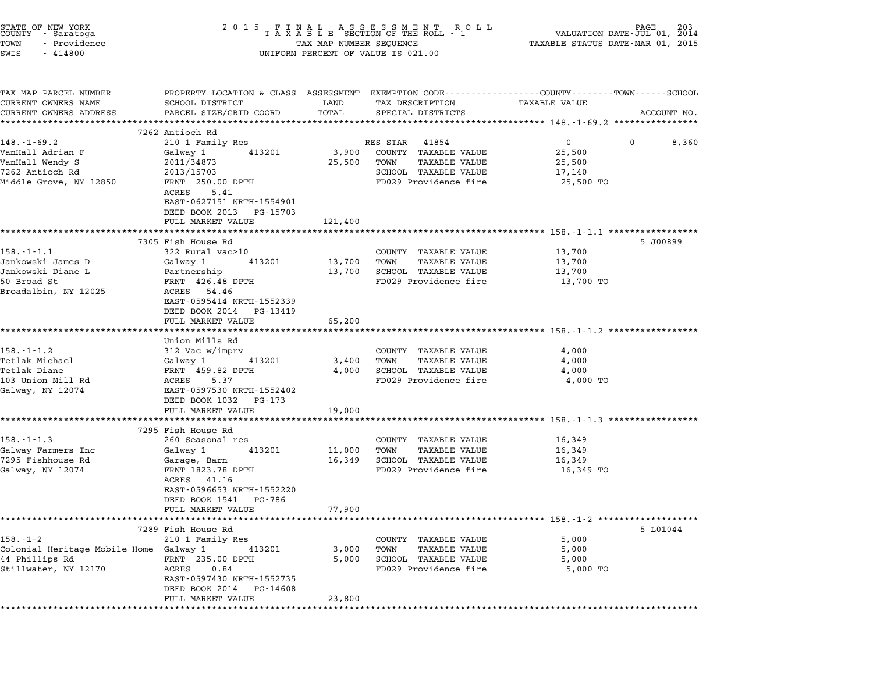| STATE OF NEW YORK<br>COUNTY - Saratoga<br>TOWN<br>- Providence<br>SWIS<br>$-414800$                           | 2 0 1 5                                                                                                                                                                                                                       | TAX MAP NUMBER SEQUENCE    | FINAL ASSESSMENT RO<br>TAXABLE SECTION OF THE ROLL - 1<br>ROLL<br>UNIFORM PERCENT OF VALUE IS 021.00                    | PAGE<br>VALUATION DATE-JUL 01, 2014<br>TAXABLE STATUS DATE-MAR 01, 2015                                                  | 203         |
|---------------------------------------------------------------------------------------------------------------|-------------------------------------------------------------------------------------------------------------------------------------------------------------------------------------------------------------------------------|----------------------------|-------------------------------------------------------------------------------------------------------------------------|--------------------------------------------------------------------------------------------------------------------------|-------------|
| TAX MAP PARCEL NUMBER<br>CURRENT OWNERS NAME<br>CURRENT OWNERS ADDRESS                                        | SCHOOL DISTRICT<br>PARCEL SIZE/GRID COORD                                                                                                                                                                                     | LAND<br>TOTAL              | TAX DESCRIPTION<br>SPECIAL DISTRICTS                                                                                    | PROPERTY LOCATION & CLASS ASSESSMENT EXEMPTION CODE---------------COUNTY-------TOWN-----SCHOOL<br>TAXABLE VALUE          | ACCOUNT NO. |
| $148. - 1 - 69.2$<br>VanHall Adrian F<br>VanHall Wendy S<br>7262 Antioch Rd<br>Middle Grove, NY 12850         | 7262 Antioch Rd<br>210 1 Family Res<br>Galway 1<br>413201<br>2011/34873<br>2013/15703<br>FRNT 250.00 DPTH<br>5.41<br>ACRES<br>EAST-0627151 NRTH-1554901<br>DEED BOOK 2013<br>PG-15703<br>FULL MARKET VALUE                    | 3,900<br>25,500<br>121,400 | RES STAR 41854<br>COUNTY TAXABLE VALUE<br>TOWN<br><b>TAXABLE VALUE</b><br>SCHOOL TAXABLE VALUE<br>FD029 Providence fire | 0<br>0<br>25,500<br>25,500<br>17,140<br>25,500 TO<br>************************************ 158.-1-1.1 ******************* | 8,360       |
| 158.-1-1.1<br>Jankowski James D<br>Jankowski Diane L<br>50 Broad St<br>Broadalbin, NY 12025                   | 7305 Fish House Rd<br>322 Rural vac>10<br>Galway 1<br>413201<br>Partnership<br>FRNT 426.48 DPTH<br>ACRES<br>54.46<br>EAST-0595414 NRTH-1552339<br>DEED BOOK 2014<br>PG-13419<br>FULL MARKET VALUE                             | 13,700<br>13,700<br>65,200 | COUNTY TAXABLE VALUE<br>TOWN<br><b>TAXABLE VALUE</b><br>SCHOOL TAXABLE VALUE<br>FD029 Providence fire                   | 5 J00899<br>13,700<br>13,700<br>13,700<br>13,700 TO                                                                      |             |
| 158.-1-1.2<br>Tetlak Michael<br>Tetlak Diane<br>103 Union Mill Rd<br>Galway, NY 12074                         | Union Mills Rd<br>312 Vac w/imprv<br>Galway 1<br>413201<br>FRNT 459.82 DPTH<br>ACRES<br>5.37<br>EAST-0597530 NRTH-1552402<br>DEED BOOK 1032<br>PG-173<br>FULL MARKET VALUE<br>******************************                  | 3,400<br>4,000<br>19,000   | COUNTY TAXABLE VALUE<br><b>TAXABLE VALUE</b><br>TOWN<br>SCHOOL TAXABLE VALUE<br>FD029 Providence fire                   | *********************************** 158.-1-1.2 ******************<br>4,000<br>4,000<br>4,000<br>4,000 TO                 |             |
| $158. - 1 - 1.3$<br>Galway Farmers Inc<br>7295 Fishhouse Rd<br>Galway, NY 12074<br>********************       | 7295 Fish House Rd<br>260 Seasonal res<br>Galway 1<br>413201<br>Garage, Barn<br>FRNT 1823.78 DPTH<br>ACRES<br>41.16<br>EAST-0596653 NRTH-1552220<br>DEED BOOK 1541<br>PG-786<br>FULL MARKET VALUE<br>************************ | 11,000<br>16,349<br>77,900 | COUNTY TAXABLE VALUE<br>TOWN<br><b>TAXABLE VALUE</b><br>SCHOOL TAXABLE VALUE<br>FD029 Providence fire                   | 16,349<br>16,349<br>16,349<br>16,349 TO<br>**************************** 158.-1-2 ************                            |             |
| 158.-1-2<br>Colonial Heritage Mobile Home Galway 1<br>44 Phillips Rd<br>Stillwater, NY 12170<br>************* | 7289 Fish House Rd<br>210 1 Family Res<br>413201<br>FRNT 235.00 DPTH<br>ACRES<br>0.84<br>EAST-0597430 NRTH-1552735<br>DEED BOOK 2014<br>PG-14608<br>FULL MARKET VALUE                                                         | 3,000<br>5,000<br>23,800   | COUNTY TAXABLE VALUE<br>TOWN<br>TAXABLE VALUE<br>SCHOOL TAXABLE VALUE<br>FD029 Providence fire                          | 5 L01044<br>5,000<br>5,000<br>5,000<br>5,000 TO                                                                          |             |

STATE OF NEW YORK <sup>2</sup> <sup>0</sup> <sup>1</sup> 5 F I N A L A S S E S S M E N T R O L L PAGE <sup>203</sup> COUNTY - Saratoga <sup>T</sup> <sup>A</sup> <sup>X</sup> <sup>A</sup> <sup>B</sup> <sup>L</sup> <sup>E</sup> SECTION OF THE ROLL - <sup>1</sup> VALUATION DATE-JUL 01, <sup>2014</sup>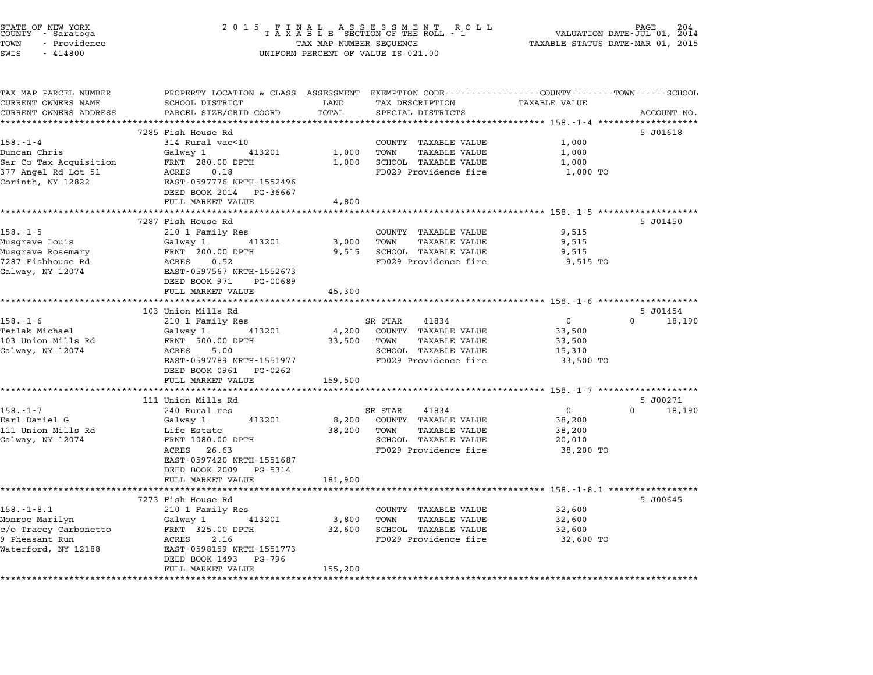| STATE OF NEW YORK<br>COUNTY - Saratoga<br>TOWN<br>- Providence<br>SWIS<br>$-414800$ | 2 0 1 5                                                                                                            | TAX MAP NUMBER SEQUENCE | FINAL ASSESSMENT ROTAXABLE SECTION OF THE ROLL - 1<br>R O L L<br>UNIFORM PERCENT OF VALUE IS 021.00 | TAXABLE STATUS DATE-MAR 01, 2015 | PAGE<br>VALUATION DATE-JUL 01, 2014 |
|-------------------------------------------------------------------------------------|--------------------------------------------------------------------------------------------------------------------|-------------------------|-----------------------------------------------------------------------------------------------------|----------------------------------|-------------------------------------|
| TAX MAP PARCEL NUMBER<br>CURRENT OWNERS NAME                                        | PROPERTY LOCATION & CLASS ASSESSMENT EXEMPTION CODE----------------COUNTY-------TOWN-----SCHOOL<br>SCHOOL DISTRICT | LAND                    | TAX DESCRIPTION                                                                                     | TAXABLE VALUE                    |                                     |
| CURRENT OWNERS ADDRESS                                                              | PARCEL SIZE/GRID COORD                                                                                             | TOTAL                   | SPECIAL DISTRICTS                                                                                   |                                  | ACCOUNT NO.                         |
|                                                                                     | 7285 Fish House Rd                                                                                                 |                         |                                                                                                     |                                  | 5 J01618                            |
| $158. - 1 - 4$                                                                      | 314 Rural vac<10                                                                                                   |                         | COUNTY TAXABLE VALUE                                                                                | 1,000                            |                                     |
| Duncan Chris                                                                        | Galway 1<br>413201                                                                                                 | 1,000                   | TOWN<br><b>TAXABLE VALUE</b>                                                                        | 1,000                            |                                     |
| Sar Co Tax Acquisition                                                              | FRNT 280.00 DPTH                                                                                                   | 1,000                   | SCHOOL TAXABLE VALUE                                                                                | 1,000                            |                                     |
| 377 Angel Rd Lot 51                                                                 | ACRES<br>0.18                                                                                                      |                         | FD029 Providence fire                                                                               | 1,000 TO                         |                                     |
| Corinth, NY 12822                                                                   | EAST-0597776 NRTH-1552496                                                                                          |                         |                                                                                                     |                                  |                                     |
|                                                                                     | DEED BOOK 2014 PG-36667                                                                                            |                         |                                                                                                     |                                  |                                     |
|                                                                                     | FULL MARKET VALUE<br>*****************************                                                                 | 4,800                   |                                                                                                     |                                  |                                     |
|                                                                                     | 7287 Fish House Rd                                                                                                 |                         |                                                                                                     |                                  | 5 J01450                            |
| $158. - 1 - 5$                                                                      | 210 1 Family Res                                                                                                   |                         | COUNTY TAXABLE VALUE                                                                                | 9,515                            |                                     |
| Musgrave Louis                                                                      | 413201<br>Galway 1                                                                                                 | 3,000                   | TOWN<br>TAXABLE VALUE                                                                               | 9,515                            |                                     |
| Musgrave Rosemary                                                                   | FRNT 200.00 DPTH                                                                                                   | 9,515                   | SCHOOL TAXABLE VALUE                                                                                | 9,515                            |                                     |
| 7287 Fishhouse Rd                                                                   | ACRES<br>0.52                                                                                                      |                         | FD029 Providence fire                                                                               | 9,515 TO                         |                                     |
| Galway, NY 12074                                                                    | EAST-0597567 NRTH-1552673<br>DEED BOOK 971<br>PG-00689                                                             |                         |                                                                                                     |                                  |                                     |
|                                                                                     | FULL MARKET VALUE                                                                                                  | 45,300                  |                                                                                                     |                                  |                                     |
|                                                                                     |                                                                                                                    |                         |                                                                                                     |                                  |                                     |
| $158. - 1 - 6$                                                                      | 103 Union Mills Rd<br>210 1 Family Res                                                                             |                         | SR STAR<br>41834                                                                                    | $\overline{0}$                   | 5 J01454<br>$\Omega$<br>18,190      |
| Tetlak Michael                                                                      | Galway 1<br>413201                                                                                                 | 4,200                   | COUNTY TAXABLE VALUE                                                                                | 33,500                           |                                     |
| 103 Union Mills Rd                                                                  | FRNT 500.00 DPTH                                                                                                   | 33,500                  | TOWN<br><b>TAXABLE VALUE</b>                                                                        | 33,500                           |                                     |
| Galway, NY 12074                                                                    | 5.00<br>ACRES                                                                                                      |                         | SCHOOL TAXABLE VALUE                                                                                | 15,310                           |                                     |
|                                                                                     | EAST-0597789 NRTH-1551977                                                                                          |                         | FD029 Providence fire                                                                               | 33,500 TO                        |                                     |
|                                                                                     | DEED BOOK 0961 PG-0262                                                                                             |                         |                                                                                                     |                                  |                                     |
|                                                                                     | FULL MARKET VALUE                                                                                                  | 159,500                 |                                                                                                     |                                  |                                     |
|                                                                                     |                                                                                                                    |                         |                                                                                                     |                                  |                                     |
| $158. - 1 - 7$                                                                      | 111 Union Mills Rd<br>240 Rural res                                                                                |                         | SR STAR<br>41834                                                                                    | $\Omega$                         | 5 J00271<br>$\Omega$<br>18,190      |
| Earl Daniel G                                                                       | 413201<br>Galway 1                                                                                                 | 8,200                   | COUNTY TAXABLE VALUE                                                                                | 38,200                           |                                     |
| 111 Union Mills Rd                                                                  | Life Estate                                                                                                        | 38,200                  | TOWN<br><b>TAXABLE VALUE</b>                                                                        | 38,200                           |                                     |
| Galway, NY 12074                                                                    | FRNT 1080.00 DPTH                                                                                                  |                         | SCHOOL TAXABLE VALUE                                                                                | 20,010                           |                                     |
|                                                                                     | ACRES 26.63                                                                                                        |                         | FD029 Providence fire                                                                               | 38,200 TO                        |                                     |
|                                                                                     | EAST-0597420 NRTH-1551687                                                                                          |                         |                                                                                                     |                                  |                                     |
|                                                                                     | DEED BOOK 2009 PG-5314                                                                                             |                         |                                                                                                     |                                  |                                     |
|                                                                                     | FULL MARKET VALUE                                                                                                  | 181,900                 |                                                                                                     |                                  |                                     |
|                                                                                     |                                                                                                                    |                         |                                                                                                     |                                  | 5 J00645                            |
| $158. - 1 - 8.1$                                                                    | 7273 Fish House Rd<br>210 1 Family Res                                                                             |                         | COUNTY TAXABLE VALUE                                                                                | 32,600                           |                                     |
| Monroe Marilyn                                                                      | 413201<br>Galway 1                                                                                                 | 3,800                   | TOWN<br><b>TAXABLE VALUE</b>                                                                        | 32,600                           |                                     |
| c/o Tracey Carbonetto                                                               | FRNT 325.00 DPTH                                                                                                   | 32,600                  | SCHOOL TAXABLE VALUE                                                                                | 32,600                           |                                     |
|                                                                                     |                                                                                                                    |                         |                                                                                                     |                                  |                                     |
| 9 Pheasant Run                                                                      | ACRES<br>2.16                                                                                                      |                         | FD029 Providence fire                                                                               | 32,600 TO                        |                                     |
| Waterford, NY 12188                                                                 | EAST-0598159 NRTH-1551773                                                                                          |                         |                                                                                                     |                                  |                                     |
|                                                                                     | DEED BOOK 1493 PG-796<br>FULL MARKET VALUE                                                                         | 155,200                 |                                                                                                     |                                  |                                     |

STATE OF NEW YORK <sup>2</sup> <sup>0</sup> <sup>1</sup> 5 F I N A L A S S E S S M E N T R O L L PAGE <sup>204</sup> COUNTY - Saratoga <sup>T</sup> <sup>A</sup> <sup>X</sup> <sup>A</sup> <sup>B</sup> <sup>L</sup> <sup>E</sup> SECTION OF THE ROLL - <sup>1</sup> VALUATION DATE-JUL 01, <sup>2014</sup>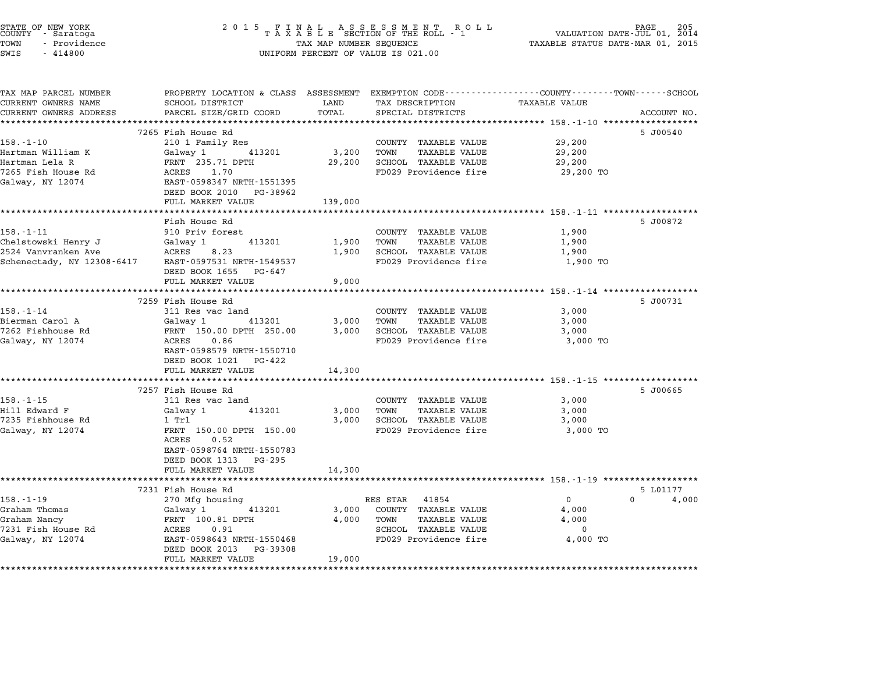| STATE OF NEW YORK<br>COUNTY - Saratoga<br>TOWN<br>- Providence<br>SWIS<br>$-414800$ | TAX MAP NUMBER SEQUENCE<br>UNIFORM PERCENT OF VALUE IS 021.00                                                     | PAGE<br>205<br>VALUATION DATE-JUL 01, 2014<br>TAXABLE STATUS DATE-MAR 01, 2015 |                                               |                                                                    |             |
|-------------------------------------------------------------------------------------|-------------------------------------------------------------------------------------------------------------------|--------------------------------------------------------------------------------|-----------------------------------------------|--------------------------------------------------------------------|-------------|
| TAX MAP PARCEL NUMBER<br>CURRENT OWNERS NAME                                        | PROPERTY LOCATION & CLASS ASSESSMENT EXEMPTION CODE---------------COUNTY-------TOWN-----SCHOOL<br>SCHOOL DISTRICT | LAND                                                                           | TAX DESCRIPTION                               | TAXABLE VALUE                                                      |             |
| CURRENT OWNERS ADDRESS                                                              | PARCEL SIZE/GRID COORD                                                                                            | TOTAL                                                                          | SPECIAL DISTRICTS                             |                                                                    | ACCOUNT NO. |
|                                                                                     |                                                                                                                   | ***********                                                                    |                                               | ********************************** 158.-1-10 ******************    |             |
|                                                                                     | 7265 Fish House Rd                                                                                                |                                                                                |                                               |                                                                    | 5 J00540    |
| $158. - 1 - 10$                                                                     | 210 1 Family Res                                                                                                  |                                                                                | COUNTY TAXABLE VALUE                          | 29,200                                                             |             |
| Hartman William K                                                                   | 413201<br>Galway 1                                                                                                | 3,200                                                                          | TOWN<br><b>TAXABLE VALUE</b>                  | 29,200                                                             |             |
| Hartman Lela R                                                                      | FRNT 235.71 DPTH                                                                                                  | 29,200                                                                         | SCHOOL TAXABLE VALUE                          | 29,200                                                             |             |
| 7265 Fish House Rd                                                                  | ACRES<br>1.70                                                                                                     |                                                                                | FD029 Providence fire                         | 29,200 TO                                                          |             |
| Galway, NY 12074                                                                    | EAST-0598347 NRTH-1551395                                                                                         |                                                                                |                                               |                                                                    |             |
|                                                                                     | DEED BOOK 2010 PG-38962                                                                                           |                                                                                |                                               |                                                                    |             |
|                                                                                     | FULL MARKET VALUE                                                                                                 | 139,000                                                                        |                                               |                                                                    |             |
|                                                                                     | Fish House Rd                                                                                                     |                                                                                |                                               |                                                                    | 5 J00872    |
| 158.-1-11                                                                           | 910 Priv forest                                                                                                   |                                                                                | COUNTY TAXABLE VALUE                          | 1,900                                                              |             |
| Chelstowski Henry J                                                                 | 413201<br>Galway 1                                                                                                | 1,900                                                                          | TOWN<br><b>TAXABLE VALUE</b>                  | 1,900                                                              |             |
| 2524 Vanvranken Ave                                                                 | ACRES<br>8.23                                                                                                     | 1,900                                                                          | SCHOOL TAXABLE VALUE                          | 1,900                                                              |             |
| Schenectady, NY 12308-6417                                                          | EAST-0597531 NRTH-1549537                                                                                         |                                                                                | FD029 Providence fire                         | 1,900 TO                                                           |             |
|                                                                                     | DEED BOOK 1655 PG-647                                                                                             |                                                                                |                                               |                                                                    |             |
|                                                                                     | FULL MARKET VALUE                                                                                                 | 9,000                                                                          |                                               |                                                                    |             |
|                                                                                     | ***********************************                                                                               | ***************                                                                |                                               | ************************************ 158.-1-14 ******************* |             |
|                                                                                     | 7259 Fish House Rd                                                                                                |                                                                                |                                               |                                                                    | 5 J00731    |
| $158. - 1 - 14$                                                                     | 311 Res vac land                                                                                                  |                                                                                | COUNTY TAXABLE VALUE                          | 3,000                                                              |             |
| Bierman Carol A                                                                     | Galway 1<br>413201                                                                                                | 3,000                                                                          | TOWN<br><b>TAXABLE VALUE</b>                  | 3,000                                                              |             |
| 7262 Fishhouse Rd<br>Galway, NY 12074                                               | FRNT 150.00 DPTH 250.00<br>ACRES<br>0.86                                                                          | 3,000                                                                          | SCHOOL TAXABLE VALUE<br>FD029 Providence fire | 3,000<br>3,000 TO                                                  |             |
|                                                                                     | EAST-0598579 NRTH-1550710                                                                                         |                                                                                |                                               |                                                                    |             |
|                                                                                     | DEED BOOK 1021 PG-422                                                                                             |                                                                                |                                               |                                                                    |             |
|                                                                                     | FULL MARKET VALUE                                                                                                 | 14,300                                                                         |                                               |                                                                    |             |
|                                                                                     | *********************                                                                                             | ********                                                                       |                                               | *********************** 158.-1-15 *******************              |             |
|                                                                                     | 7257 Fish House Rd                                                                                                |                                                                                |                                               |                                                                    | 5 J00665    |
| $158. - 1 - 15$                                                                     | 311 Res vac land                                                                                                  |                                                                                | COUNTY TAXABLE VALUE                          | 3,000                                                              |             |
| Hill Edward F                                                                       | Galway 1<br>413201                                                                                                | 3,000                                                                          | TOWN<br>TAXABLE VALUE                         | 3,000                                                              |             |
| 7235 Fishhouse Rd                                                                   | $1$ Trl                                                                                                           | 3,000                                                                          | SCHOOL TAXABLE VALUE                          | 3,000                                                              |             |
| Galway, NY 12074                                                                    | FRNT 150.00 DPTH 150.00                                                                                           |                                                                                | FD029 Providence fire                         | 3,000 TO                                                           |             |
|                                                                                     | 0.52<br>ACRES                                                                                                     |                                                                                |                                               |                                                                    |             |
|                                                                                     | EAST-0598764 NRTH-1550783                                                                                         |                                                                                |                                               |                                                                    |             |
|                                                                                     | DEED BOOK 1313 PG-295                                                                                             |                                                                                |                                               |                                                                    |             |
|                                                                                     | FULL MARKET VALUE                                                                                                 | 14,300                                                                         |                                               |                                                                    |             |
|                                                                                     | 7231 Fish House Rd                                                                                                |                                                                                |                                               |                                                                    | 5 L01177    |
| $158. - 1 - 19$                                                                     | 270 Mfg housing                                                                                                   |                                                                                | 41854<br>RES STAR                             | $\mathbf 0$<br>$\Omega$                                            | 4,000       |
| Graham Thomas                                                                       | Galway 1<br>413201                                                                                                | 3,000                                                                          | COUNTY TAXABLE VALUE                          | 4,000                                                              |             |
| Graham Nancy                                                                        | FRNT 100.81 DPTH                                                                                                  | 4,000                                                                          | TOWN<br>TAXABLE VALUE                         | 4,000                                                              |             |
| 7231 Fish House Rd                                                                  | ACRES<br>0.91                                                                                                     |                                                                                | SCHOOL TAXABLE VALUE                          | $\mathbf 0$                                                        |             |
| Galway, NY 12074                                                                    | EAST-0598643 NRTH-1550468                                                                                         |                                                                                | FD029 Providence fire                         | 4,000 TO                                                           |             |
|                                                                                     | DEED BOOK 2013 PG-39308                                                                                           |                                                                                |                                               |                                                                    |             |
|                                                                                     |                                                                                                                   |                                                                                |                                               |                                                                    |             |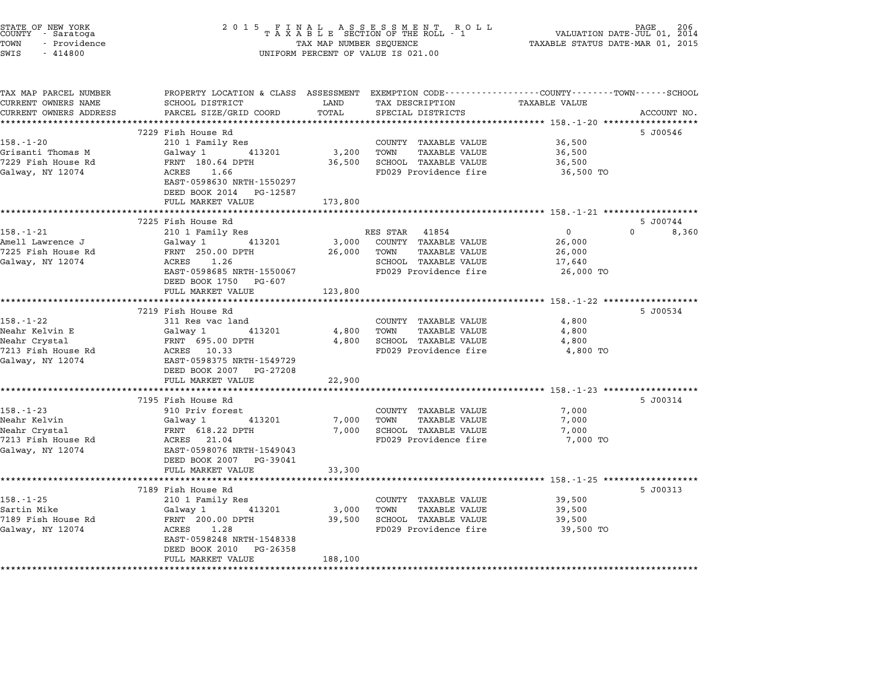| STATE OF NEW YORK<br>COUNTY - Saratoga<br>TOWN<br>- Providence<br>SWIS<br>$-414800$ | TAX MAP NUMBER SEQUENCE<br>UNIFORM PERCENT OF VALUE IS 021.00 | PAGE<br>206<br>VALUATION DATE-JUL 01, 2014<br>TAXABLE STATUS DATE-MAR 01, 2015 |                              |                                                                                                |             |
|-------------------------------------------------------------------------------------|---------------------------------------------------------------|--------------------------------------------------------------------------------|------------------------------|------------------------------------------------------------------------------------------------|-------------|
| TAX MAP PARCEL NUMBER                                                               |                                                               |                                                                                |                              | PROPERTY LOCATION & CLASS ASSESSMENT EXEMPTION CODE---------------COUNTY-------TOWN-----SCHOOL |             |
| CURRENT OWNERS NAME                                                                 | SCHOOL DISTRICT                                               | LAND                                                                           | TAX DESCRIPTION              | TAXABLE VALUE                                                                                  |             |
| CURRENT OWNERS ADDRESS<br>**********************                                    | PARCEL SIZE/GRID COORD                                        | TOTAL                                                                          | SPECIAL DISTRICTS            |                                                                                                | ACCOUNT NO. |
|                                                                                     | 7229 Fish House Rd                                            |                                                                                |                              |                                                                                                | 5 J00546    |
| $158. - 1 - 20$                                                                     | 210 1 Family Res                                              |                                                                                | COUNTY TAXABLE VALUE         | 36,500                                                                                         |             |
| Grisanti Thomas M                                                                   | 413201<br>Galway 1                                            | 3,200                                                                          | TOWN<br><b>TAXABLE VALUE</b> | 36,500                                                                                         |             |
| 7229 Fish House Rd                                                                  | FRNT 180.64 DPTH                                              | 36,500                                                                         | SCHOOL TAXABLE VALUE         | 36,500                                                                                         |             |
| Galway, NY 12074                                                                    | ACRES<br>1.66                                                 |                                                                                | FD029 Providence fire        | 36,500 TO                                                                                      |             |
|                                                                                     | EAST-0598630 NRTH-1550297                                     |                                                                                |                              |                                                                                                |             |
|                                                                                     | DEED BOOK 2014 PG-12587                                       |                                                                                |                              |                                                                                                |             |
|                                                                                     | FULL MARKET VALUE                                             | 173,800                                                                        |                              |                                                                                                |             |
|                                                                                     |                                                               |                                                                                |                              |                                                                                                |             |
|                                                                                     | 7225 Fish House Rd                                            |                                                                                |                              |                                                                                                | 5 J00744    |
| $158. - 1 - 21$                                                                     | 210 1 Family Res                                              |                                                                                | RES STAR 41854               | $\mathbf{0}$<br>$\Omega$                                                                       | 8,360       |
| Amell Lawrence J                                                                    | 413201<br>Galway 1                                            | 3,000                                                                          | COUNTY TAXABLE VALUE         | 26,000                                                                                         |             |
| 7225 Fish House Rd                                                                  | FRNT 250.00 DPTH                                              | 26,000                                                                         | <b>TAXABLE VALUE</b><br>TOWN | 26,000                                                                                         |             |
| Galway, NY 12074                                                                    | ACRES 1.26                                                    |                                                                                | SCHOOL TAXABLE VALUE         | 17,640                                                                                         |             |
|                                                                                     | EAST-0598685 NRTH-1550067                                     |                                                                                | FD029 Providence fire        | 26,000 TO                                                                                      |             |
|                                                                                     | DEED BOOK 1750 PG-607<br>FULL MARKET VALUE                    | 123,800                                                                        |                              |                                                                                                |             |
|                                                                                     |                                                               |                                                                                |                              |                                                                                                |             |
|                                                                                     | 7219 Fish House Rd                                            |                                                                                |                              |                                                                                                | 5 J00534    |
| 158.-1-22                                                                           | 311 Res vac land                                              |                                                                                | COUNTY TAXABLE VALUE         | 4,800                                                                                          |             |
| Neahr Kelvin E                                                                      | Galway 1<br>413201                                            | 4,800                                                                          | TOWN<br>TAXABLE VALUE        | 4,800                                                                                          |             |
| Neahr Crystal                                                                       | FRNT 695.00 DPTH                                              | 4,800                                                                          | SCHOOL TAXABLE VALUE         | 4,800                                                                                          |             |
| 7213 Fish House Rd                                                                  | ACRES 10.33                                                   |                                                                                | FD029 Providence fire        | 4,800 TO                                                                                       |             |
| Galway, NY 12074                                                                    | EAST-0598375 NRTH-1549729                                     |                                                                                |                              |                                                                                                |             |
|                                                                                     | DEED BOOK 2007 PG-27208                                       |                                                                                |                              |                                                                                                |             |
|                                                                                     | FULL MARKET VALUE                                             | 22,900                                                                         |                              |                                                                                                |             |
|                                                                                     |                                                               |                                                                                |                              |                                                                                                |             |
|                                                                                     | 7195 Fish House Rd                                            |                                                                                |                              |                                                                                                | 5 J00314    |
| $158. - 1 - 23$                                                                     | 910 Priv forest                                               |                                                                                | COUNTY TAXABLE VALUE         | 7,000                                                                                          |             |
| Neahr Kelvin                                                                        | Galway 1<br>413201                                            | 7,000                                                                          | TAXABLE VALUE<br>TOWN        | 7,000                                                                                          |             |
| Neahr Crystal                                                                       | FRNT 618.22 DPTH                                              | 7,000                                                                          | SCHOOL TAXABLE VALUE         | 7,000                                                                                          |             |
| 7213 Fish House Rd<br>Galway, NY 12074                                              | ACRES 21.04<br>EAST-0598076 NRTH-1549043                      |                                                                                | FD029 Providence fire        | 7,000 TO                                                                                       |             |
|                                                                                     | DEED BOOK 2007 PG-39041                                       |                                                                                |                              |                                                                                                |             |
|                                                                                     | FULL MARKET VALUE                                             | 33,300                                                                         |                              |                                                                                                |             |
|                                                                                     |                                                               |                                                                                |                              |                                                                                                |             |
|                                                                                     | 7189 Fish House Rd                                            |                                                                                |                              |                                                                                                | 5 J00313    |
| $158. - 1 - 25$                                                                     | 210 1 Family Res                                              |                                                                                | COUNTY TAXABLE VALUE         | 39,500                                                                                         |             |
| Sartin Mike                                                                         | Galway 1<br>413201                                            | 3,000                                                                          | <b>TAXABLE VALUE</b><br>TOWN | 39,500                                                                                         |             |
| 7189 Fish House Rd                                                                  | FRNT 200.00 DPTH                                              | 39,500                                                                         | SCHOOL TAXABLE VALUE         | 39,500                                                                                         |             |
| Galway, NY 12074                                                                    | ACRES<br>1.28                                                 |                                                                                | FD029 Providence fire        | 39,500 TO                                                                                      |             |
|                                                                                     | EAST-0598248 NRTH-1548338                                     |                                                                                |                              |                                                                                                |             |
|                                                                                     | DEED BOOK 2010 PG-26358                                       |                                                                                |                              |                                                                                                |             |
|                                                                                     |                                                               |                                                                                |                              |                                                                                                |             |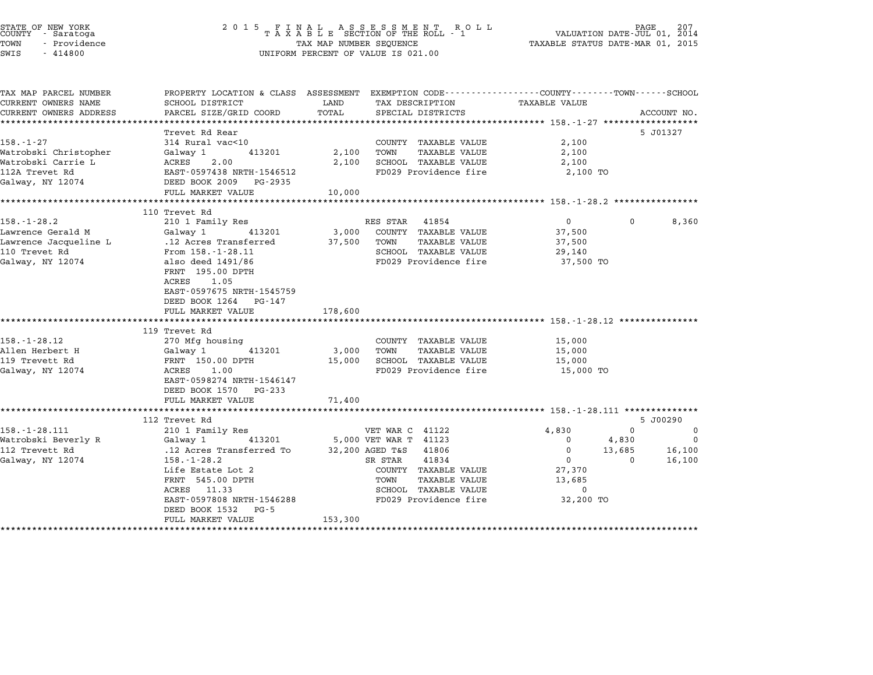| STATE OF NEW YORK<br>COUNTY - Saratoga<br>TOWN<br>- Providence<br>SWIS<br>$-414800$                                                                                                 | 2015 FINAL                                                                                                                                                                                                                                                                                                                                                                                                          | TAX MAP NUMBER SEQUENCE                       | FINAL ASSESSMENT ROLL<br>TAXABLE SECTION OF THE ROLL - 1<br>UNIFORM PERCENT OF VALUE IS 021.00                                                                                                                            |                                                                                                    | PAGE<br>207<br>VALUATION DATE-JUL 01, 2014<br>TAXABLE STATUS DATE-MAR 01, 2015 |
|-------------------------------------------------------------------------------------------------------------------------------------------------------------------------------------|---------------------------------------------------------------------------------------------------------------------------------------------------------------------------------------------------------------------------------------------------------------------------------------------------------------------------------------------------------------------------------------------------------------------|-----------------------------------------------|---------------------------------------------------------------------------------------------------------------------------------------------------------------------------------------------------------------------------|----------------------------------------------------------------------------------------------------|--------------------------------------------------------------------------------|
| TAX MAP PARCEL NUMBER<br>CURRENT OWNERS NAME<br>CURRENT OWNERS ADDRESS                                                                                                              | PROPERTY LOCATION & CLASS ASSESSMENT EXEMPTION CODE---------------COUNTY-------TOWN------SCHOOL<br>SCHOOL DISTRICT<br>PARCEL SIZE/GRID COORD                                                                                                                                                                                                                                                                        | LAND<br>TOTAL                                 | TAX DESCRIPTION<br>SPECIAL DISTRICTS                                                                                                                                                                                      | TAXABLE VALUE                                                                                      | ACCOUNT NO.                                                                    |
| $158. - 1 - 27$<br>Watrobski Christopher<br>Watrobski Carrie L<br>112A Trevet Rd<br>Galway, NY 12074                                                                                | Trevet Rd Rear<br>314 Rural vac<10<br>Galway 1<br>413201<br>ACRES<br>2.00<br>EAST-0597438 NRTH-1546512<br>DEED BOOK 2009 PG-2935                                                                                                                                                                                                                                                                                    | 2,100<br>2,100                                | COUNTY TAXABLE VALUE<br>TOWN<br><b>TAXABLE VALUE</b><br>SCHOOL TAXABLE VALUE<br>FD029 Providence fire                                                                                                                     | 2,100<br>2,100<br>2,100<br>2,100 TO                                                                | 5 J01327                                                                       |
|                                                                                                                                                                                     | FULL MARKET VALUE                                                                                                                                                                                                                                                                                                                                                                                                   | 10,000                                        |                                                                                                                                                                                                                           |                                                                                                    |                                                                                |
|                                                                                                                                                                                     | 110 Trevet Rd                                                                                                                                                                                                                                                                                                                                                                                                       |                                               |                                                                                                                                                                                                                           |                                                                                                    |                                                                                |
| $158. - 1 - 28.2$<br>Lawrence Gerald M<br>Lawrence Jacqueline L<br>110 Trevet Rd<br>Galway, NY 12074<br>$158. - 1 - 28.12$<br>Allen Herbert H<br>119 Trevett Rd<br>Galway, NY 12074 | 210 1 Family Res<br>Galway 1<br>413201<br>.12 Acres Transferred<br>From $158. -1 - 28.11$<br>also deed 1491/86<br>FRNT 195.00 DPTH<br>1.05<br>ACRES<br>EAST-0597675 NRTH-1545759<br>DEED BOOK 1264 PG-147<br>FULL MARKET VALUE<br>****************************<br>119 Trevet Rd<br>270 Mfg housing<br>Galway 1<br>413201<br>FRNT 150.00 DPTH<br>1.00<br>ACRES<br>EAST-0598274 NRTH-1546147<br>DEED BOOK 1570 PG-233 | 3,000<br>37,500<br>178,600<br>3,000<br>15,000 | RES STAR 41854<br>COUNTY TAXABLE VALUE<br>TOWN<br>TAXABLE VALUE<br>SCHOOL TAXABLE VALUE<br>FD029 Providence fire<br>COUNTY TAXABLE VALUE<br><b>TAXABLE VALUE</b><br>TOWN<br>SCHOOL TAXABLE VALUE<br>FD029 Providence fire | $\mathbf{0}$<br>37,500<br>37,500<br>29,140<br>37,500 TO<br>15,000<br>15,000<br>15,000<br>15,000 TO | $\Omega$<br>8,360                                                              |
|                                                                                                                                                                                     | FULL MARKET VALUE                                                                                                                                                                                                                                                                                                                                                                                                   | 71,400                                        | ******************************** 158.-1-28.111 **************                                                                                                                                                             |                                                                                                    |                                                                                |
|                                                                                                                                                                                     | 112 Trevet Rd                                                                                                                                                                                                                                                                                                                                                                                                       |                                               |                                                                                                                                                                                                                           |                                                                                                    | 5 J00290                                                                       |
| $158. - 1 - 28.111$<br>Watrobski Beverly R<br>112 Trevett Rd<br>Galway, NY 12074                                                                                                    | 210 1 Family Res<br>Galway 1<br>413201<br>.12 Acres Transferred To<br>$158. - 1 - 28.2$<br>Life Estate Lot 2<br>FRNT 545.00 DPTH<br>ACRES 11.33<br>EAST-0597808 NRTH-1546288<br>DEED BOOK 1532 PG-5<br>FULL MARKET VALUE                                                                                                                                                                                            | 153,300                                       | VET WAR C 41122<br>5,000 VET WAR T 41123<br>41806<br>32,200 AGED T&S<br>41834<br>SR STAR<br>COUNTY TAXABLE VALUE<br>TOWN<br>TAXABLE VALUE<br>SCHOOL TAXABLE VALUE<br>FD029 Providence fire                                | 4,830<br>$\mathbf 0$<br>$\mathbf{0}$<br>$\mathbf{0}$<br>27,370<br>13,685<br>$\Omega$<br>32,200 TO  | 0<br>0<br>$\mathbf 0$<br>4,830<br>13,685<br>16,100<br>16,100<br>0              |

\*\*\*\*\*\*\*\*\*\*\*\*\*\*\*\*\*\*\*\*\*\*\*\*\*\*\*\*\*\*\*\*\*\*\*\*\*\*\*\*\*\*\*\*\*\*\*\*\*\*\*\*\*\*\*\*\*\*\*\*\*\*\*\*\*\*\*\*\*\*\*\*\*\*\*\*\*\*\*\*\*\*\*\*\*\*\*\*\*\*\*\*\*\*\*\*\*\*\*\*\*\*\*\*\*\*\*\*\*\*\*\*\*\*\*\*\*\*\*\*\*\*\*\*\*\*\*\*\*\*\*\*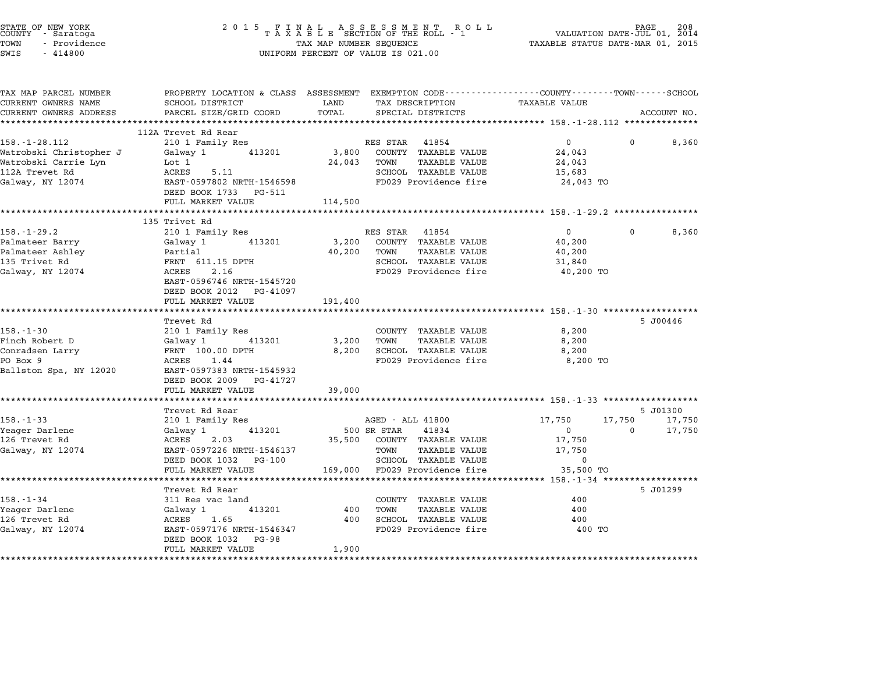| STATE OF NEW YORK<br>COUNTY - Saratoga<br>TOWN<br>- Providence<br>SWIS<br>$-414800$ | 2 0 1 5                                                                                                            | TAX MAP NUMBER SEQUENCE | FINAL ASSESSMENT ROLL<br>TAXABLE SECTION OF THE ROLL - 1<br>UNIFORM PERCENT OF VALUE IS 021.00 | PAGE 208<br>VALUATION DATE-JUL 01, 2014<br>TAXABLE STATUS DATE-MAR 01, 2015 |          |                  |
|-------------------------------------------------------------------------------------|--------------------------------------------------------------------------------------------------------------------|-------------------------|------------------------------------------------------------------------------------------------|-----------------------------------------------------------------------------|----------|------------------|
| TAX MAP PARCEL NUMBER<br>CURRENT OWNERS NAME                                        | PROPERTY LOCATION & CLASS ASSESSMENT EXEMPTION CODE---------------COUNTY-------TOWN------SCHOOL<br>SCHOOL DISTRICT | LAND                    | TAX DESCRIPTION                                                                                | <b>TAXABLE VALUE</b>                                                        |          |                  |
| CURRENT OWNERS ADDRESS                                                              | PARCEL SIZE/GRID COORD                                                                                             | TOTAL                   | SPECIAL DISTRICTS                                                                              |                                                                             |          | ACCOUNT NO.      |
|                                                                                     | ***********************                                                                                            |                         |                                                                                                |                                                                             |          |                  |
|                                                                                     | 112A Trevet Rd Rear                                                                                                |                         |                                                                                                |                                                                             |          |                  |
| $158. - 1 - 28.112$                                                                 | 210 1 Family Res                                                                                                   |                         | RES STAR<br>41854                                                                              | $\mathbf{0}$                                                                | 0        | 8,360            |
| Watrobski Christopher J                                                             | Galway 1<br>413201                                                                                                 | 3,800                   | COUNTY TAXABLE VALUE                                                                           | 24,043                                                                      |          |                  |
| Watrobski Carrie Lyn                                                                | Lot 1                                                                                                              | 24,043                  | TOWN<br>TAXABLE VALUE                                                                          | 24,043                                                                      |          |                  |
| 112A Trevet Rd                                                                      | ACRES<br>5.11                                                                                                      |                         | SCHOOL TAXABLE VALUE                                                                           | 15,683                                                                      |          |                  |
| Galway, NY 12074                                                                    | EAST-0597802 NRTH-1546598<br>DEED BOOK 1733<br>PG-511                                                              |                         | FD029 Providence fire                                                                          | 24,043 TO                                                                   |          |                  |
|                                                                                     | FULL MARKET VALUE                                                                                                  | 114,500                 |                                                                                                |                                                                             |          |                  |
|                                                                                     | ********************                                                                                               |                         |                                                                                                | ********* 158.-1-29.2 **************                                        |          |                  |
|                                                                                     | 135 Trivet Rd                                                                                                      |                         |                                                                                                |                                                                             |          |                  |
| $158. - 1 - 29.2$                                                                   | 210 1 Family Res                                                                                                   |                         | RES STAR<br>41854                                                                              | $\mathbf{0}$                                                                | 0        | 8,360            |
| Palmateer Barry                                                                     | Galway 1<br>413201                                                                                                 | 3,200                   | COUNTY TAXABLE VALUE                                                                           | 40,200                                                                      |          |                  |
| Palmateer Ashley                                                                    | Partial                                                                                                            | 40,200                  | <b>TAXABLE VALUE</b><br>TOWN                                                                   | 40,200                                                                      |          |                  |
| 135 Trivet Rd                                                                       | FRNT 611.15 DPTH                                                                                                   |                         | SCHOOL TAXABLE VALUE                                                                           | 31,840                                                                      |          |                  |
| Galway, NY 12074                                                                    | ACRES<br>2.16                                                                                                      |                         | FD029 Providence fire                                                                          | 40,200 TO                                                                   |          |                  |
|                                                                                     | EAST-0596746 NRTH-1545720                                                                                          |                         |                                                                                                |                                                                             |          |                  |
|                                                                                     | DEED BOOK 2012<br>PG-41097<br>FULL MARKET VALUE                                                                    |                         |                                                                                                |                                                                             |          |                  |
|                                                                                     | *****************                                                                                                  | 191,400<br>*********    |                                                                                                | ********************* 158.-1-30 ******************                          |          |                  |
|                                                                                     | Trevet Rd                                                                                                          |                         |                                                                                                |                                                                             |          | 5 J00446         |
| $158. - 1 - 30$                                                                     | 210 1 Family Res                                                                                                   |                         | COUNTY TAXABLE VALUE                                                                           | 8,200                                                                       |          |                  |
| Finch Robert D                                                                      | Galway 1<br>413201                                                                                                 | 3,200                   | TOWN<br>TAXABLE VALUE                                                                          | 8,200                                                                       |          |                  |
| Conradsen Larry                                                                     | FRNT 100.00 DPTH                                                                                                   | 8,200                   | SCHOOL TAXABLE VALUE                                                                           | 8,200                                                                       |          |                  |
| PO Box 9                                                                            | 1.44<br>ACRES                                                                                                      |                         | FD029 Providence fire                                                                          | 8,200 TO                                                                    |          |                  |
| Ballston Spa, NY 12020                                                              | EAST-0597383 NRTH-1545932<br>DEED BOOK 2009<br>PG-41727                                                            |                         |                                                                                                |                                                                             |          |                  |
|                                                                                     | FULL MARKET VALUE                                                                                                  | 39,000                  |                                                                                                |                                                                             |          |                  |
|                                                                                     |                                                                                                                    |                         |                                                                                                | ********** 158.-1-33 ******************                                     |          |                  |
| $158. - 1 - 33$                                                                     | Trevet Rd Rear                                                                                                     |                         | AGED - ALL 41800                                                                               | 17,750                                                                      | 17,750   | 5 J01300         |
| Yeager Darlene                                                                      | 210 1 Family Res<br>413201<br>Galway 1                                                                             |                         | 500 SR STAR<br>41834                                                                           | $\mathbf 0$                                                                 | $\Omega$ | 17,750<br>17,750 |
| 126 Trevet Rd                                                                       | ACRES<br>2.03                                                                                                      | 35,500                  | COUNTY TAXABLE VALUE                                                                           | 17,750                                                                      |          |                  |
| Galway, NY 12074                                                                    | EAST-0597226 NRTH-1546137                                                                                          |                         | TOWN<br><b>TAXABLE VALUE</b>                                                                   | 17,750                                                                      |          |                  |
|                                                                                     | DEED BOOK 1032<br>PG-100                                                                                           |                         | SCHOOL TAXABLE VALUE                                                                           | $\Omega$                                                                    |          |                  |
|                                                                                     | FULL MARKET VALUE                                                                                                  | 169,000                 | FD029 Providence fire                                                                          | 35,500 TO                                                                   |          |                  |
|                                                                                     |                                                                                                                    |                         |                                                                                                | ***** 158.-1-34 *******************                                         |          |                  |
|                                                                                     | Trevet Rd Rear                                                                                                     |                         |                                                                                                |                                                                             |          | 5 J01299         |
| $158. - 1 - 34$                                                                     | 311 Res vac land                                                                                                   |                         | COUNTY TAXABLE VALUE                                                                           | 400                                                                         |          |                  |
| Yeager Darlene                                                                      | 413201<br>Galway 1                                                                                                 | 400                     | TOWN<br><b>TAXABLE VALUE</b>                                                                   | 400                                                                         |          |                  |
| 126 Trevet Rd                                                                       | ACRES<br>1.65                                                                                                      | 400                     | SCHOOL TAXABLE VALUE                                                                           | 400                                                                         |          |                  |
| Galway, NY 12074                                                                    | EAST-0597176 NRTH-1546347<br>DEED BOOK 1032<br>PG-98                                                               |                         | FD029 Providence fire                                                                          | 400 TO                                                                      |          |                  |
|                                                                                     | FULL MARKET VALUE<br>*******************                                                                           | 1,900<br>.              |                                                                                                |                                                                             |          |                  |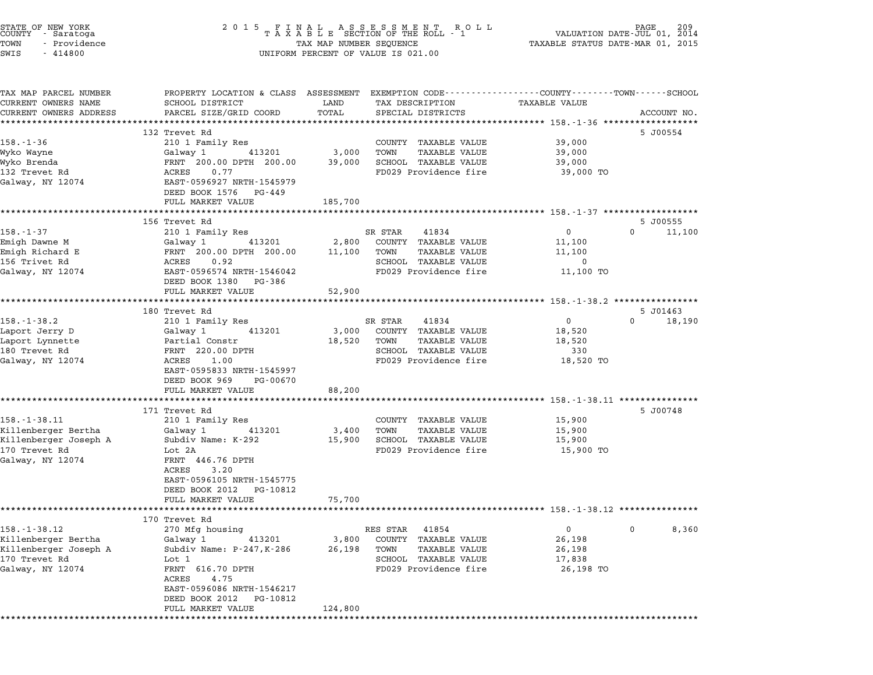| STATE OF NEW YORK<br>COUNTY<br>- Saratoga | 2 0 1 5                                            |                         | FINAL ASSESSMENT RO<br>TAXABLE SECTION OF THE ROLL - 1<br>R O L L | PAGE<br>VALUATION DATE-JUL 01, 2014                                                            | 209   |
|-------------------------------------------|----------------------------------------------------|-------------------------|-------------------------------------------------------------------|------------------------------------------------------------------------------------------------|-------|
| TOWN<br>- Providence                      |                                                    | TAX MAP NUMBER SEQUENCE |                                                                   | TAXABLE STATUS DATE-MAR 01, 2015                                                               |       |
| SWIS<br>$-414800$                         |                                                    |                         | UNIFORM PERCENT OF VALUE IS 021.00                                |                                                                                                |       |
|                                           |                                                    |                         |                                                                   |                                                                                                |       |
| TAX MAP PARCEL NUMBER                     |                                                    |                         |                                                                   | PROPERTY LOCATION & CLASS ASSESSMENT EXEMPTION CODE---------------COUNTY-------TOWN-----SCHOOL |       |
| CURRENT OWNERS NAME                       | SCHOOL DISTRICT                                    | LAND                    | TAX DESCRIPTION                                                   | TAXABLE VALUE                                                                                  |       |
| CURRENT OWNERS ADDRESS                    | PARCEL SIZE/GRID COORD                             | TOTAL                   | SPECIAL DISTRICTS                                                 | ACCOUNT NO.                                                                                    |       |
|                                           | 132 Trevet Rd                                      |                         |                                                                   | 5 J00554                                                                                       |       |
| 158.-1-36                                 | 210 1 Family Res                                   |                         | COUNTY TAXABLE VALUE                                              | 39,000                                                                                         |       |
| Wyko Wayne                                | Galway 1<br>413201                                 | 3,000                   | TOWN<br>TAXABLE VALUE                                             | 39,000                                                                                         |       |
| Wyko Brenda                               | FRNT 200.00 DPTH 200.00                            | 39,000                  | SCHOOL TAXABLE VALUE                                              | 39,000                                                                                         |       |
| 132 Trevet Rd                             | ACRES<br>0.77                                      |                         | FD029 Providence fire                                             | 39,000 TO                                                                                      |       |
| Galway, NY 12074                          | EAST-0596927 NRTH-1545979                          |                         |                                                                   |                                                                                                |       |
|                                           | DEED BOOK 1576 PG-449                              |                         |                                                                   |                                                                                                |       |
|                                           | FULL MARKET VALUE                                  | 185,700                 |                                                                   |                                                                                                |       |
|                                           |                                                    |                         |                                                                   |                                                                                                |       |
|                                           | 156 Trevet Rd                                      |                         |                                                                   | 5 J00555                                                                                       |       |
| $158. - 1 - 37$                           | 210 1 Family Res                                   |                         | SR STAR<br>41834                                                  | 11,100<br>$\mathbf{0}$<br>$\Omega$                                                             |       |
| Emigh Dawne M                             | Galway 1<br>413201                                 | 2,800                   | COUNTY TAXABLE VALUE                                              | 11,100                                                                                         |       |
| Emigh Richard E<br>156 Trivet Rd          | FRNT 200.00 DPTH 200.00                            | 11,100                  | TOWN<br><b>TAXABLE VALUE</b>                                      | 11,100                                                                                         |       |
|                                           | ACRES<br>0.92                                      |                         | SCHOOL TAXABLE VALUE<br>FD029 Providence fire                     | 0                                                                                              |       |
| Galway, NY 12074                          | EAST-0596574 NRTH-1546042<br>DEED BOOK 1380 PG-386 |                         |                                                                   | 11,100 TO                                                                                      |       |
|                                           | FULL MARKET VALUE                                  | 52,900                  |                                                                   |                                                                                                |       |
|                                           |                                                    |                         |                                                                   |                                                                                                |       |
|                                           | 180 Trevet Rd                                      |                         |                                                                   | 5 J01463                                                                                       |       |
| $158. - 1 - 38.2$                         | 210 1 Family Res                                   |                         | 41834<br>SR STAR                                                  | $\mathbf 0$<br>$\Omega$<br>18,190                                                              |       |
| Laport Jerry D                            | Galway 1<br>413201                                 | 3,000                   | COUNTY TAXABLE VALUE                                              | 18,520                                                                                         |       |
| Laport Lynnette                           | Partial Constr                                     | 18,520                  | TOWN<br>TAXABLE VALUE                                             | 18,520                                                                                         |       |
| 180 Trevet Rd                             | FRNT 220.00 DPTH                                   |                         | SCHOOL TAXABLE VALUE                                              | 330                                                                                            |       |
| Galway, NY 12074                          | ACRES<br>1.00                                      |                         | FD029 Providence fire                                             | 18,520 TO                                                                                      |       |
|                                           | EAST-0595833 NRTH-1545997                          |                         |                                                                   |                                                                                                |       |
|                                           | DEED BOOK 969<br>PG-00670                          |                         |                                                                   |                                                                                                |       |
|                                           | FULL MARKET VALUE                                  | 88,200                  |                                                                   |                                                                                                |       |
|                                           | ************************************               |                         |                                                                   |                                                                                                |       |
|                                           | 171 Trevet Rd                                      |                         |                                                                   | 5 J00748                                                                                       |       |
| $158. - 1 - 38.11$                        | 210 1 Family Res                                   |                         | COUNTY TAXABLE VALUE                                              | 15,900                                                                                         |       |
| Killenberger Bertha                       | Galway 1<br>413201<br>Subdiv Name: K-292           | 3,400                   | TAXABLE VALUE<br>TOWN<br>SCHOOL TAXABLE VALUE                     | 15,900                                                                                         |       |
| Killenberger Joseph A<br>170 Trevet Rd    | Lot 2A                                             | 15,900                  | FD029 Providence fire                                             | 15,900<br>15,900 TO                                                                            |       |
| Galway, NY 12074                          | FRNT 446.76 DPTH                                   |                         |                                                                   |                                                                                                |       |
|                                           | 3.20<br>ACRES                                      |                         |                                                                   |                                                                                                |       |
|                                           | EAST-0596105 NRTH-1545775                          |                         |                                                                   |                                                                                                |       |
|                                           | DEED BOOK 2012 PG-10812                            |                         |                                                                   |                                                                                                |       |
|                                           | FULL MARKET VALUE                                  | 75,700                  |                                                                   |                                                                                                |       |
|                                           |                                                    |                         |                                                                   |                                                                                                |       |
|                                           | 170 Trevet Rd                                      |                         |                                                                   |                                                                                                |       |
| $158. - 1 - 38.12$                        | 270 Mfg housing                                    |                         | RES STAR<br>41854                                                 | 0<br>0                                                                                         | 8,360 |
| Killenberger Bertha                       | Galway 1<br>413201                                 | 3,800                   | COUNTY TAXABLE VALUE                                              | 26,198                                                                                         |       |
| Killenberger Joseph A                     | Subdiv Name: P-247, K-286                          | 26,198                  | <b>TAXABLE VALUE</b><br>TOWN                                      | 26,198                                                                                         |       |
| 170 Trevet Rd                             | Lot 1                                              |                         | SCHOOL TAXABLE VALUE                                              | 17,838                                                                                         |       |
| Galway, NY 12074                          | FRNT 616.70 DPTH                                   |                         | FD029 Providence fire                                             | 26,198 TO                                                                                      |       |
|                                           | ACRES<br>4.75                                      |                         |                                                                   |                                                                                                |       |
|                                           | EAST-0596086 NRTH-1546217<br>PG-10812              |                         |                                                                   |                                                                                                |       |
|                                           | DEED BOOK 2012<br>FULL MARKET VALUE                | 124,800                 |                                                                   |                                                                                                |       |
| ********                                  |                                                    |                         |                                                                   |                                                                                                |       |
|                                           |                                                    |                         |                                                                   |                                                                                                |       |

STATE OF NEW YORK <sup>2</sup> <sup>0</sup> <sup>1</sup> 5 F I N A L A S S E S S M E N T R O L L PAGE <sup>209</sup> COUNTY - Saratoga <sup>T</sup> <sup>A</sup> <sup>X</sup> <sup>A</sup> <sup>B</sup> <sup>L</sup> <sup>E</sup> SECTION OF THE ROLL - <sup>1</sup> VALUATION DATE-JUL 01, <sup>2014</sup>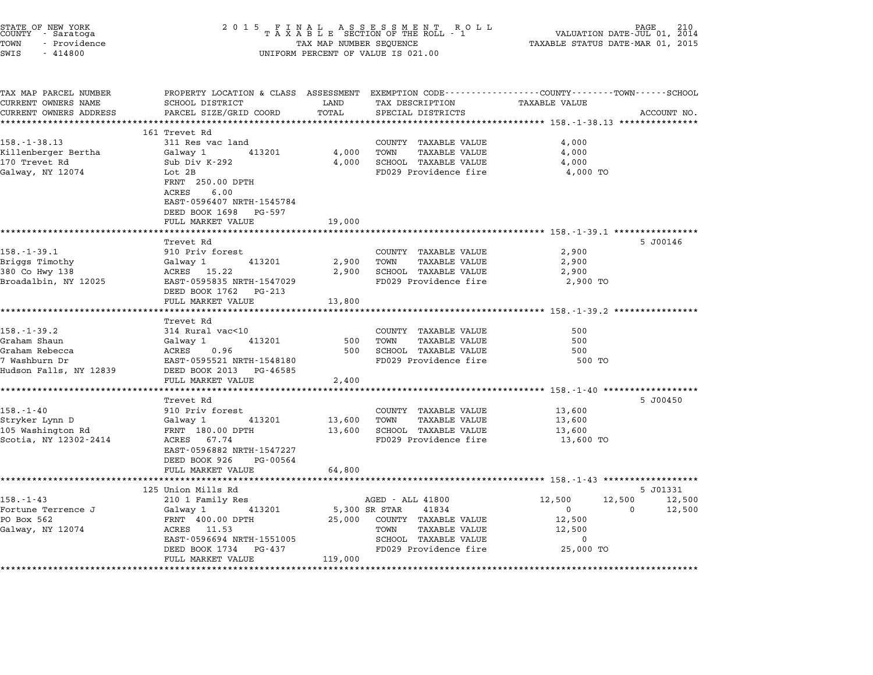| STATE OF NEW YORK<br>COUNTY - Saratoga<br>TOWN<br>- Providence | 2 0 1 5<br>FINAL ASSESSMENT ROTAXABLE SECTION OF THE ROLL - 1<br>PAGE<br>R O L L<br>VALUATION DATE-JUL 01, 2014<br>TAXABLE STATUS DATE-MAR 01, 2015<br>TAX MAP NUMBER SEQUENCE |                      |                                                                                        |                                                         |                  |  |
|----------------------------------------------------------------|--------------------------------------------------------------------------------------------------------------------------------------------------------------------------------|----------------------|----------------------------------------------------------------------------------------|---------------------------------------------------------|------------------|--|
| SWIS<br>$-414800$                                              |                                                                                                                                                                                |                      | UNIFORM PERCENT OF VALUE IS 021.00                                                     |                                                         |                  |  |
| TAX MAP PARCEL NUMBER                                          | PROPERTY LOCATION & CLASS ASSESSMENT EXEMPTION CODE---------------COUNTY-------TOWN-----SCHOOL                                                                                 |                      |                                                                                        |                                                         |                  |  |
| CURRENT OWNERS NAME                                            | SCHOOL DISTRICT                                                                                                                                                                | LAND                 | TAX DESCRIPTION                                                                        | <b>TAXABLE VALUE</b>                                    |                  |  |
| CURRENT OWNERS ADDRESS<br>**********************               | PARCEL SIZE/GRID COORD<br>*************************                                                                                                                            | TOTAL<br>*********** | SPECIAL DISTRICTS<br>************************************ 158.-1-38.13 *************** |                                                         | ACCOUNT NO.      |  |
|                                                                | 161 Trevet Rd                                                                                                                                                                  |                      |                                                                                        |                                                         |                  |  |
| $158. - 1 - 38.13$                                             | 311 Res vac land                                                                                                                                                               |                      | COUNTY TAXABLE VALUE                                                                   | 4,000                                                   |                  |  |
| Killenberger Bertha                                            | Galway 1<br>413201                                                                                                                                                             | 4,000                | TOWN<br><b>TAXABLE VALUE</b>                                                           | 4,000                                                   |                  |  |
| 170 Trevet Rd                                                  | Sub Div K-292                                                                                                                                                                  | 4,000                | SCHOOL TAXABLE VALUE                                                                   | 4,000                                                   |                  |  |
| Galway, NY 12074                                               | Lot 2B                                                                                                                                                                         |                      | FD029 Providence fire                                                                  | 4,000 TO                                                |                  |  |
|                                                                | FRNT 250.00 DPTH                                                                                                                                                               |                      |                                                                                        |                                                         |                  |  |
|                                                                | ACRES<br>6.00                                                                                                                                                                  |                      |                                                                                        |                                                         |                  |  |
|                                                                | EAST-0596407 NRTH-1545784                                                                                                                                                      |                      |                                                                                        |                                                         |                  |  |
|                                                                | DEED BOOK 1698 PG-597                                                                                                                                                          |                      |                                                                                        |                                                         |                  |  |
|                                                                | FULL MARKET VALUE                                                                                                                                                              | 19,000               |                                                                                        |                                                         |                  |  |
|                                                                |                                                                                                                                                                                |                      |                                                                                        | ************************* 158.-1-39.1 ***************** |                  |  |
|                                                                | Trevet Rd                                                                                                                                                                      |                      |                                                                                        |                                                         | 5 J00146         |  |
| $158. - 1 - 39.1$                                              | 910 Priv forest                                                                                                                                                                |                      | COUNTY TAXABLE VALUE                                                                   | 2,900                                                   |                  |  |
| Briggs Timothy                                                 | 413201<br>Galway 1                                                                                                                                                             | 2,900                | TOWN<br>TAXABLE VALUE                                                                  | 2,900                                                   |                  |  |
| 380 Co Hwy 138                                                 | ACRES 15.22<br>EAST-0595835 NRTH-1547029                                                                                                                                       | 2,900                | SCHOOL TAXABLE VALUE<br>FD029 Providence fire                                          | 2,900<br>2,900 TO                                       |                  |  |
| Broadalbin, NY 12025                                           | DEED BOOK 1762 PG-213                                                                                                                                                          |                      |                                                                                        |                                                         |                  |  |
|                                                                | FULL MARKET VALUE                                                                                                                                                              | 13,800               |                                                                                        |                                                         |                  |  |
|                                                                | **********************                                                                                                                                                         | *********            |                                                                                        | *********************** 158. -1-39.2 *****************  |                  |  |
|                                                                | Trevet Rd                                                                                                                                                                      |                      |                                                                                        |                                                         |                  |  |
| 158.-1-39.2                                                    | 314 Rural vac<10                                                                                                                                                               |                      | COUNTY TAXABLE VALUE                                                                   | 500                                                     |                  |  |
| Graham Shaun                                                   | Galway 1<br>413201                                                                                                                                                             | 500                  | TOWN<br>TAXABLE VALUE                                                                  | 500                                                     |                  |  |
| Graham Rebecca                                                 | ACRES<br>0.96                                                                                                                                                                  | 500                  | SCHOOL TAXABLE VALUE                                                                   | 500                                                     |                  |  |
| 7 Washburn Dr                                                  | EAST-0595521 NRTH-1548180                                                                                                                                                      |                      | FD029 Providence fire                                                                  | 500 TO                                                  |                  |  |
| Hudson Falls, NY 12839                                         | DEED BOOK 2013 PG-46585                                                                                                                                                        |                      |                                                                                        |                                                         |                  |  |
|                                                                | FULL MARKET VALUE                                                                                                                                                              | 2,400                |                                                                                        |                                                         |                  |  |
|                                                                |                                                                                                                                                                                |                      |                                                                                        | ********** 158.-1-40 ********                           |                  |  |
|                                                                | Trevet Rd                                                                                                                                                                      |                      |                                                                                        |                                                         | 5 J00450         |  |
| $158. - 1 - 40$                                                | 910 Priv forest                                                                                                                                                                |                      | COUNTY TAXABLE VALUE                                                                   | 13,600                                                  |                  |  |
| Stryker Lynn D                                                 | 413201<br>Galway 1                                                                                                                                                             | 13,600               | TOWN<br><b>TAXABLE VALUE</b>                                                           | 13,600                                                  |                  |  |
| 105 Washington Rd                                              | FRNT 180.00 DPTH                                                                                                                                                               | 13,600               | SCHOOL TAXABLE VALUE                                                                   | 13,600                                                  |                  |  |
| Scotia, NY 12302-2414                                          | ACRES 67.74                                                                                                                                                                    |                      | FD029 Providence fire                                                                  | 13,600 TO                                               |                  |  |
|                                                                | EAST-0596882 NRTH-1547227                                                                                                                                                      |                      |                                                                                        |                                                         |                  |  |
|                                                                | DEED BOOK 926<br>PG-00564                                                                                                                                                      |                      |                                                                                        |                                                         |                  |  |
|                                                                | FULL MARKET VALUE                                                                                                                                                              | 64,800               |                                                                                        |                                                         |                  |  |
|                                                                | 125 Union Mills Rd                                                                                                                                                             |                      |                                                                                        |                                                         | 5 J01331         |  |
| $158. - 1 - 43$                                                | 210 1 Family Res                                                                                                                                                               |                      | AGED - ALL 41800                                                                       | 12,500                                                  | 12,500<br>12,500 |  |
| Fortune Terrence J                                             | 413201<br>Galway 1                                                                                                                                                             |                      | 5,300 SR STAR<br>41834                                                                 | $\overline{0}$                                          | 12,500<br>0      |  |
| PO Box 562                                                     | FRNT 400.00 DPTH                                                                                                                                                               | 25,000               | COUNTY TAXABLE VALUE                                                                   | 12,500                                                  |                  |  |
| Galway, NY 12074                                               | ACRES 11.53                                                                                                                                                                    |                      | TOWN<br><b>TAXABLE VALUE</b>                                                           | 12,500                                                  |                  |  |
|                                                                | EAST-0596694 NRTH-1551005                                                                                                                                                      |                      | SCHOOL TAXABLE VALUE                                                                   | $\mathbf 0$                                             |                  |  |
|                                                                | DEED BOOK 1734<br>PG-437                                                                                                                                                       |                      | FD029 Providence fire                                                                  | 25,000 TO                                               |                  |  |
|                                                                | FULL MARKET VALUE                                                                                                                                                              | 119,000              |                                                                                        |                                                         |                  |  |
|                                                                | *************************                                                                                                                                                      |                      |                                                                                        |                                                         |                  |  |

STATE OF NEW YORK <sup>2</sup> <sup>0</sup> <sup>1</sup> 5 F I N A L A S S E S S M E N T R O L L PAGE <sup>210</sup> COUNTY - Saratoga <sup>T</sup> <sup>A</sup> <sup>X</sup> <sup>A</sup> <sup>B</sup> <sup>L</sup> <sup>E</sup> SECTION OF THE ROLL - <sup>1</sup> VALUATION DATE-JUL 01, <sup>2014</sup>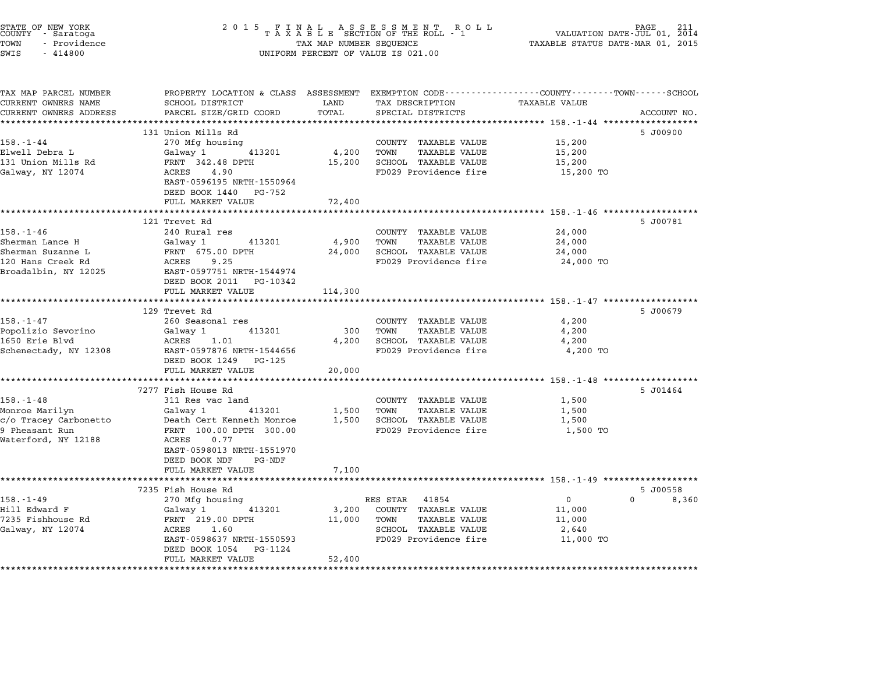| STATE OF NEW YORK<br>COUNTY - Saratoga<br>TOWN<br>- Providence<br>SWIS<br>$-414800$                 | 2 0 1 5<br>FINAL ASSESSMENT ROLL<br>TAXABLE SECTION OF THE ROLL - 1<br>PAGE<br>VALUATION DATE-JUL 01, 2014<br>TAXABLE STATUS DATE-MAR 01, 2015<br>TAX MAP NUMBER SEQUENCE<br>UNIFORM PERCENT OF VALUE IS 021.00 |                            |                                                                                                                     |                                                          |                                        |  |
|-----------------------------------------------------------------------------------------------------|-----------------------------------------------------------------------------------------------------------------------------------------------------------------------------------------------------------------|----------------------------|---------------------------------------------------------------------------------------------------------------------|----------------------------------------------------------|----------------------------------------|--|
| TAX MAP PARCEL NUMBER<br>CURRENT OWNERS NAME<br>CURRENT OWNERS ADDRESS                              | PROPERTY LOCATION & CLASS ASSESSMENT EXEMPTION CODE---------------COUNTY-------TOWN-----SCHOOL<br>SCHOOL DISTRICT<br>PARCEL SIZE/GRID COORD                                                                     | LAND<br>TOTAL              | TAX DESCRIPTION<br>SPECIAL DISTRICTS                                                                                | TAXABLE VALUE                                            | ACCOUNT NO.                            |  |
| $158. - 1 - 44$<br>Elwell Debra L<br>131 Union Mills Rd<br>Galway, NY 12074                         | 131 Union Mills Rd<br>270 Mfg housing<br>Galway 1<br>413201<br>FRNT 342.48 DPTH<br>ACRES<br>4.90<br>EAST-0596195 NRTH-1550964<br>DEED BOOK 1440 PG-752                                                          | 4,200<br>15,200            | COUNTY TAXABLE VALUE<br>TOWN<br><b>TAXABLE VALUE</b><br>SCHOOL TAXABLE VALUE<br>FD029 Providence fire               | 15,200<br>15,200<br>15,200<br>15,200 TO                  | 5 J00900                               |  |
|                                                                                                     | FULL MARKET VALUE<br>******************************                                                                                                                                                             | 72,400                     |                                                                                                                     |                                                          |                                        |  |
| 158.-1-46<br>Sherman Lance H<br>Sherman Suzanne L<br>120 Hans Creek Rd<br>Broadalbin, NY 12025      | 121 Trevet Rd<br>240 Rural res<br>413201<br>Galway 1<br>FRNT 675.00 DPTH<br>9.25<br>ACRES<br>EAST-0597751 NRTH-1544974<br>DEED BOOK 2011 PG-10342<br>FULL MARKET VALUE                                          | 4,900<br>24,000<br>114,300 | COUNTY TAXABLE VALUE<br>TOWN<br>TAXABLE VALUE<br>SCHOOL TAXABLE VALUE<br>FD029 Providence fire                      | 24,000<br>24,000<br>24,000<br>24,000 TO                  | 5 J00781                               |  |
|                                                                                                     | *************************                                                                                                                                                                                       |                            |                                                                                                                     |                                                          |                                        |  |
| 158.-1-47<br>Popolizio Sevorino<br>1650 Erie Blvd<br>Schenectady, NY 12308                          | 129 Trevet Rd<br>260 Seasonal res<br>413201<br>Galway 1<br>ACRES<br>1.01<br>EAST-0597876 NRTH-1544656<br>DEED BOOK 1249 PG-125<br>FULL MARKET VALUE                                                             | 300<br>4,200<br>20,000     | COUNTY TAXABLE VALUE<br>TOWN<br><b>TAXABLE VALUE</b><br>SCHOOL TAXABLE VALUE<br>FD029 Providence fire               | 4,200<br>4,200<br>4,200<br>4,200 TO                      | 5 J00679                               |  |
|                                                                                                     | ***************************                                                                                                                                                                                     | **********                 |                                                                                                                     | ************************** 158.-1-48 ******************* |                                        |  |
| $158. - 1 - 48$<br>Monroe Marilyn<br>c/o Tracey Carbonetto<br>9 Pheasant Run<br>Waterford, NY 12188 | 7277 Fish House Rd<br>311 Res vac land<br>Galway 1<br>413201<br>Death Cert Kenneth Monroe<br>FRNT 100.00 DPTH 300.00<br>ACRES<br>0.77<br>EAST-0598013 NRTH-1551970<br>DEED BOOK NDF<br>PG-NDF                   | 1,500<br>1,500             | COUNTY TAXABLE VALUE<br>TOWN<br>TAXABLE VALUE<br>SCHOOL TAXABLE VALUE<br>FD029 Providence fire                      | 1,500<br>1,500<br>1,500<br>1,500 TO                      | 5 J01464                               |  |
|                                                                                                     | FULL MARKET VALUE                                                                                                                                                                                               | 7,100                      | ************************************ 158.-1-49 *******************                                                  |                                                          |                                        |  |
| $158. - 1 - 49$<br>Hill Edward F<br>7235 Fishhouse Rd<br>Galway, NY 12074                           | 7235 Fish House Rd<br>270 Mfg housing<br>413201<br>Galway 1<br>FRNT 219.00 DPTH<br>ACRES<br>1.60<br>EAST-0598637 NRTH-1550593<br>DEED BOOK 1054<br>PG-1124<br>FULL MARKET VALUE                                 | 3,200<br>11,000<br>52,400  | RES STAR<br>41854<br>COUNTY TAXABLE VALUE<br>TOWN<br>TAXABLE VALUE<br>SCHOOL TAXABLE VALUE<br>FD029 Providence fire | $\overline{0}$<br>11,000<br>11,000<br>2,640<br>11,000 TO | 5 J00558<br>$0 \qquad \qquad$<br>8,360 |  |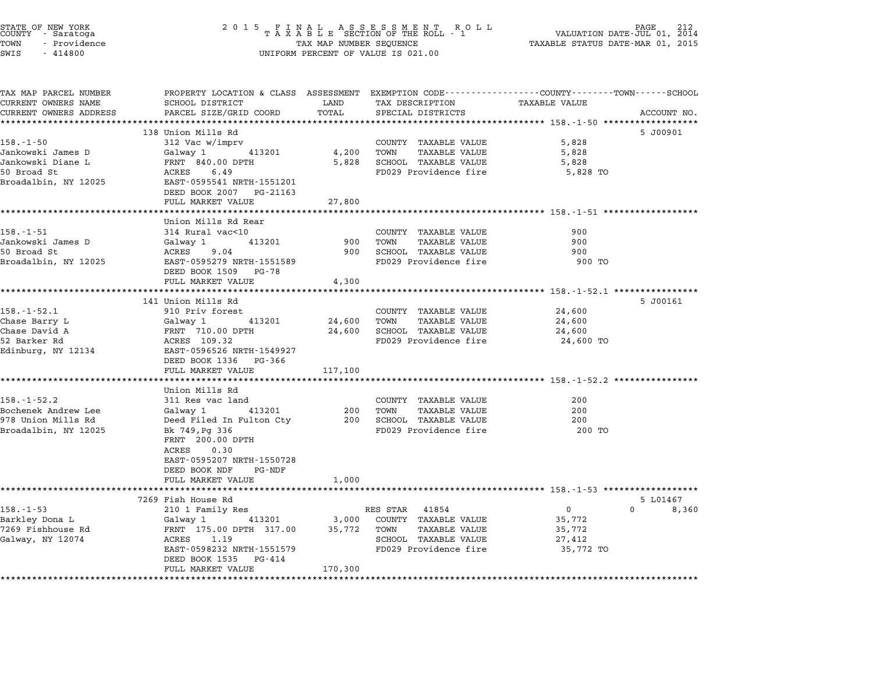| PROPERTY LOCATION & CLASS ASSESSMENT EXEMPTION CODE---------------COUNTY-------TOWN------SCHOOL<br>SCHOOL DISTRICT<br><b>TAXABLE VALUE</b><br>LAND<br>TAX DESCRIPTION<br>PARCEL SIZE/GRID COORD<br>TOTAL<br>SPECIAL DISTRICTS<br>ACCOUNT NO.<br>138 Union Mills Rd<br>5 J00901<br>$158. - 1 - 50$<br>312 Vac w/imprv<br>COUNTY TAXABLE VALUE<br>5,828<br>Jankowski James D<br>Galway 1 413201<br>4,200<br>TOWN<br>TAXABLE VALUE<br>5,828<br>FRNT 840.00 DPTH<br>5,828<br>SCHOOL TAXABLE VALUE<br>5,828<br>FD029 Providence fire<br>ACRES<br>6.49<br>5,828 TO<br>EAST-0595541 NRTH-1551201<br>DEED BOOK 2007 PG-21163<br>FULL MARKET VALUE<br>27,800<br>Union Mills Rd Rear<br>$158. - 1 - 51$<br>314 Rural vac<10<br>COUNTY TAXABLE VALUE<br>900<br>Jankowski James D<br>Galway 1<br>413201<br>900<br>TOWN<br>TAXABLE VALUE<br>900<br>SCHOOL TAXABLE VALUE<br>ACRES<br>9.04<br>900<br>900<br>EAST-0595279 NRTH-1551589<br>FD029 Providence fire<br>900 TO<br>DEED BOOK 1509 PG-78<br>FULL MARKET VALUE<br>4,300<br>********************* 158.-1-52.1 ****************<br>141 Union Mills Rd<br>5 J00161<br>$158. - 1 - 52.1$<br>910 Priv forest<br>COUNTY TAXABLE VALUE<br>24,600<br>Chase Barry L<br>413201<br>24,600<br>TOWN<br>TAXABLE VALUE<br>Galway 1<br>24,600<br>FRNT 710.00 DPTH<br>SCHOOL TAXABLE VALUE<br>24,600<br>24,600<br>ACRES 109.32<br>FD029 Providence fire<br>24,600 TO<br>EAST-0596526 NRTH-1549927<br>DEED BOOK 1336 PG-366<br>FULL MARKET VALUE<br>117,100<br>Union Mills Rd<br>$158. - 1 - 52.2$<br>311 Res vac land<br>COUNTY TAXABLE VALUE<br>200<br>Bochenek Andrew Lee<br>Galway 1<br>413201<br>200<br>TOWN<br>TAXABLE VALUE<br>200<br>Deed Filed In Fulton Cty<br>200 SCHOOL TAXABLE VALUE<br>200<br>FD029 Providence fire<br>200 TO<br>Bk 749, Pg 336<br>FRNT 200.00 DPTH<br>0.30<br>ACRES<br>EAST-0595207 NRTH-1550728<br>DEED BOOK NDF<br>PG-NDF<br>FULL MARKET VALUE<br>1,000<br>********************<br>7269 Fish House Rd<br>5 L01467<br>$\mathbf{0}$<br>$0 \t 8,360$<br>210 1 Family Res<br>RES STAR 41854<br>413201<br>3,000<br>COUNTY TAXABLE VALUE<br>Galway 1<br>35,772<br>FRNT 175.00 DPTH 317.00<br>35,772 TOWN<br>TAXABLE VALUE<br>35,772<br>Galway, NY 12074<br>ACRES 1.19<br>SCHOOL TAXABLE VALUE<br>27,412<br>EAST-0598232 NRTH-1551579<br>FD029 Providence fire<br>35,772 TO<br>DEED BOOK 1535 PG-414<br>170,300<br>FULL MARKET VALUE | STATE OF NEW YORK<br>COUNTY – Saratoga<br>TOWN<br>- Providence<br>SWIS<br>$-414800$ | 2 0 1 5 | $\begin{array}{cccccccccccccc} & F & I & N & A & L & & A & S & S & E & S & S & M & E & N & T & R & O & L \\ T & A & X & A & B & L & E & SECTION OF THE ROLL & - & 1 \end{array}$<br>PAGE<br>VALUATION DATE-JUL 01, 2014<br>TAXABLE STATUS DATE-MAR 01, 2015<br>TAX MAP NUMBER SEQUENCE<br>UNIFORM PERCENT OF VALUE IS 021.00 |  |  |  |
|--------------------------------------------------------------------------------------------------------------------------------------------------------------------------------------------------------------------------------------------------------------------------------------------------------------------------------------------------------------------------------------------------------------------------------------------------------------------------------------------------------------------------------------------------------------------------------------------------------------------------------------------------------------------------------------------------------------------------------------------------------------------------------------------------------------------------------------------------------------------------------------------------------------------------------------------------------------------------------------------------------------------------------------------------------------------------------------------------------------------------------------------------------------------------------------------------------------------------------------------------------------------------------------------------------------------------------------------------------------------------------------------------------------------------------------------------------------------------------------------------------------------------------------------------------------------------------------------------------------------------------------------------------------------------------------------------------------------------------------------------------------------------------------------------------------------------------------------------------------------------------------------------------------------------------------------------------------------------------------------------------------------------------------------------------------------------------------------------------------------------------------------------------------------------------------------------------------------------------------------------------------------------------------------------------------------------------------------------------------------------------------|-------------------------------------------------------------------------------------|---------|------------------------------------------------------------------------------------------------------------------------------------------------------------------------------------------------------------------------------------------------------------------------------------------------------------------------------|--|--|--|
|                                                                                                                                                                                                                                                                                                                                                                                                                                                                                                                                                                                                                                                                                                                                                                                                                                                                                                                                                                                                                                                                                                                                                                                                                                                                                                                                                                                                                                                                                                                                                                                                                                                                                                                                                                                                                                                                                                                                                                                                                                                                                                                                                                                                                                                                                                                                                                                      | TAX MAP PARCEL NUMBER<br>CURRENT OWNERS NAME                                        |         |                                                                                                                                                                                                                                                                                                                              |  |  |  |
|                                                                                                                                                                                                                                                                                                                                                                                                                                                                                                                                                                                                                                                                                                                                                                                                                                                                                                                                                                                                                                                                                                                                                                                                                                                                                                                                                                                                                                                                                                                                                                                                                                                                                                                                                                                                                                                                                                                                                                                                                                                                                                                                                                                                                                                                                                                                                                                      | CURRENT OWNERS ADDRESS                                                              |         |                                                                                                                                                                                                                                                                                                                              |  |  |  |
|                                                                                                                                                                                                                                                                                                                                                                                                                                                                                                                                                                                                                                                                                                                                                                                                                                                                                                                                                                                                                                                                                                                                                                                                                                                                                                                                                                                                                                                                                                                                                                                                                                                                                                                                                                                                                                                                                                                                                                                                                                                                                                                                                                                                                                                                                                                                                                                      |                                                                                     |         |                                                                                                                                                                                                                                                                                                                              |  |  |  |
|                                                                                                                                                                                                                                                                                                                                                                                                                                                                                                                                                                                                                                                                                                                                                                                                                                                                                                                                                                                                                                                                                                                                                                                                                                                                                                                                                                                                                                                                                                                                                                                                                                                                                                                                                                                                                                                                                                                                                                                                                                                                                                                                                                                                                                                                                                                                                                                      |                                                                                     |         |                                                                                                                                                                                                                                                                                                                              |  |  |  |
|                                                                                                                                                                                                                                                                                                                                                                                                                                                                                                                                                                                                                                                                                                                                                                                                                                                                                                                                                                                                                                                                                                                                                                                                                                                                                                                                                                                                                                                                                                                                                                                                                                                                                                                                                                                                                                                                                                                                                                                                                                                                                                                                                                                                                                                                                                                                                                                      |                                                                                     |         |                                                                                                                                                                                                                                                                                                                              |  |  |  |
|                                                                                                                                                                                                                                                                                                                                                                                                                                                                                                                                                                                                                                                                                                                                                                                                                                                                                                                                                                                                                                                                                                                                                                                                                                                                                                                                                                                                                                                                                                                                                                                                                                                                                                                                                                                                                                                                                                                                                                                                                                                                                                                                                                                                                                                                                                                                                                                      | Jankowski Diane L                                                                   |         |                                                                                                                                                                                                                                                                                                                              |  |  |  |
|                                                                                                                                                                                                                                                                                                                                                                                                                                                                                                                                                                                                                                                                                                                                                                                                                                                                                                                                                                                                                                                                                                                                                                                                                                                                                                                                                                                                                                                                                                                                                                                                                                                                                                                                                                                                                                                                                                                                                                                                                                                                                                                                                                                                                                                                                                                                                                                      | 50 Broad St                                                                         |         |                                                                                                                                                                                                                                                                                                                              |  |  |  |
|                                                                                                                                                                                                                                                                                                                                                                                                                                                                                                                                                                                                                                                                                                                                                                                                                                                                                                                                                                                                                                                                                                                                                                                                                                                                                                                                                                                                                                                                                                                                                                                                                                                                                                                                                                                                                                                                                                                                                                                                                                                                                                                                                                                                                                                                                                                                                                                      | Broadalbin, NY 12025                                                                |         |                                                                                                                                                                                                                                                                                                                              |  |  |  |
|                                                                                                                                                                                                                                                                                                                                                                                                                                                                                                                                                                                                                                                                                                                                                                                                                                                                                                                                                                                                                                                                                                                                                                                                                                                                                                                                                                                                                                                                                                                                                                                                                                                                                                                                                                                                                                                                                                                                                                                                                                                                                                                                                                                                                                                                                                                                                                                      |                                                                                     |         |                                                                                                                                                                                                                                                                                                                              |  |  |  |
|                                                                                                                                                                                                                                                                                                                                                                                                                                                                                                                                                                                                                                                                                                                                                                                                                                                                                                                                                                                                                                                                                                                                                                                                                                                                                                                                                                                                                                                                                                                                                                                                                                                                                                                                                                                                                                                                                                                                                                                                                                                                                                                                                                                                                                                                                                                                                                                      |                                                                                     |         |                                                                                                                                                                                                                                                                                                                              |  |  |  |
|                                                                                                                                                                                                                                                                                                                                                                                                                                                                                                                                                                                                                                                                                                                                                                                                                                                                                                                                                                                                                                                                                                                                                                                                                                                                                                                                                                                                                                                                                                                                                                                                                                                                                                                                                                                                                                                                                                                                                                                                                                                                                                                                                                                                                                                                                                                                                                                      |                                                                                     |         |                                                                                                                                                                                                                                                                                                                              |  |  |  |
|                                                                                                                                                                                                                                                                                                                                                                                                                                                                                                                                                                                                                                                                                                                                                                                                                                                                                                                                                                                                                                                                                                                                                                                                                                                                                                                                                                                                                                                                                                                                                                                                                                                                                                                                                                                                                                                                                                                                                                                                                                                                                                                                                                                                                                                                                                                                                                                      |                                                                                     |         |                                                                                                                                                                                                                                                                                                                              |  |  |  |
|                                                                                                                                                                                                                                                                                                                                                                                                                                                                                                                                                                                                                                                                                                                                                                                                                                                                                                                                                                                                                                                                                                                                                                                                                                                                                                                                                                                                                                                                                                                                                                                                                                                                                                                                                                                                                                                                                                                                                                                                                                                                                                                                                                                                                                                                                                                                                                                      | 50 Broad St                                                                         |         |                                                                                                                                                                                                                                                                                                                              |  |  |  |
|                                                                                                                                                                                                                                                                                                                                                                                                                                                                                                                                                                                                                                                                                                                                                                                                                                                                                                                                                                                                                                                                                                                                                                                                                                                                                                                                                                                                                                                                                                                                                                                                                                                                                                                                                                                                                                                                                                                                                                                                                                                                                                                                                                                                                                                                                                                                                                                      | Broadalbin, NY 12025                                                                |         |                                                                                                                                                                                                                                                                                                                              |  |  |  |
|                                                                                                                                                                                                                                                                                                                                                                                                                                                                                                                                                                                                                                                                                                                                                                                                                                                                                                                                                                                                                                                                                                                                                                                                                                                                                                                                                                                                                                                                                                                                                                                                                                                                                                                                                                                                                                                                                                                                                                                                                                                                                                                                                                                                                                                                                                                                                                                      |                                                                                     |         |                                                                                                                                                                                                                                                                                                                              |  |  |  |
|                                                                                                                                                                                                                                                                                                                                                                                                                                                                                                                                                                                                                                                                                                                                                                                                                                                                                                                                                                                                                                                                                                                                                                                                                                                                                                                                                                                                                                                                                                                                                                                                                                                                                                                                                                                                                                                                                                                                                                                                                                                                                                                                                                                                                                                                                                                                                                                      |                                                                                     |         |                                                                                                                                                                                                                                                                                                                              |  |  |  |
|                                                                                                                                                                                                                                                                                                                                                                                                                                                                                                                                                                                                                                                                                                                                                                                                                                                                                                                                                                                                                                                                                                                                                                                                                                                                                                                                                                                                                                                                                                                                                                                                                                                                                                                                                                                                                                                                                                                                                                                                                                                                                                                                                                                                                                                                                                                                                                                      |                                                                                     |         |                                                                                                                                                                                                                                                                                                                              |  |  |  |
|                                                                                                                                                                                                                                                                                                                                                                                                                                                                                                                                                                                                                                                                                                                                                                                                                                                                                                                                                                                                                                                                                                                                                                                                                                                                                                                                                                                                                                                                                                                                                                                                                                                                                                                                                                                                                                                                                                                                                                                                                                                                                                                                                                                                                                                                                                                                                                                      |                                                                                     |         |                                                                                                                                                                                                                                                                                                                              |  |  |  |
|                                                                                                                                                                                                                                                                                                                                                                                                                                                                                                                                                                                                                                                                                                                                                                                                                                                                                                                                                                                                                                                                                                                                                                                                                                                                                                                                                                                                                                                                                                                                                                                                                                                                                                                                                                                                                                                                                                                                                                                                                                                                                                                                                                                                                                                                                                                                                                                      |                                                                                     |         |                                                                                                                                                                                                                                                                                                                              |  |  |  |
|                                                                                                                                                                                                                                                                                                                                                                                                                                                                                                                                                                                                                                                                                                                                                                                                                                                                                                                                                                                                                                                                                                                                                                                                                                                                                                                                                                                                                                                                                                                                                                                                                                                                                                                                                                                                                                                                                                                                                                                                                                                                                                                                                                                                                                                                                                                                                                                      | Chase David A                                                                       |         |                                                                                                                                                                                                                                                                                                                              |  |  |  |
|                                                                                                                                                                                                                                                                                                                                                                                                                                                                                                                                                                                                                                                                                                                                                                                                                                                                                                                                                                                                                                                                                                                                                                                                                                                                                                                                                                                                                                                                                                                                                                                                                                                                                                                                                                                                                                                                                                                                                                                                                                                                                                                                                                                                                                                                                                                                                                                      | 52 Barker Rd                                                                        |         |                                                                                                                                                                                                                                                                                                                              |  |  |  |
|                                                                                                                                                                                                                                                                                                                                                                                                                                                                                                                                                                                                                                                                                                                                                                                                                                                                                                                                                                                                                                                                                                                                                                                                                                                                                                                                                                                                                                                                                                                                                                                                                                                                                                                                                                                                                                                                                                                                                                                                                                                                                                                                                                                                                                                                                                                                                                                      | Edinburg, NY 12134                                                                  |         |                                                                                                                                                                                                                                                                                                                              |  |  |  |
|                                                                                                                                                                                                                                                                                                                                                                                                                                                                                                                                                                                                                                                                                                                                                                                                                                                                                                                                                                                                                                                                                                                                                                                                                                                                                                                                                                                                                                                                                                                                                                                                                                                                                                                                                                                                                                                                                                                                                                                                                                                                                                                                                                                                                                                                                                                                                                                      |                                                                                     |         |                                                                                                                                                                                                                                                                                                                              |  |  |  |
|                                                                                                                                                                                                                                                                                                                                                                                                                                                                                                                                                                                                                                                                                                                                                                                                                                                                                                                                                                                                                                                                                                                                                                                                                                                                                                                                                                                                                                                                                                                                                                                                                                                                                                                                                                                                                                                                                                                                                                                                                                                                                                                                                                                                                                                                                                                                                                                      |                                                                                     |         |                                                                                                                                                                                                                                                                                                                              |  |  |  |
|                                                                                                                                                                                                                                                                                                                                                                                                                                                                                                                                                                                                                                                                                                                                                                                                                                                                                                                                                                                                                                                                                                                                                                                                                                                                                                                                                                                                                                                                                                                                                                                                                                                                                                                                                                                                                                                                                                                                                                                                                                                                                                                                                                                                                                                                                                                                                                                      |                                                                                     |         |                                                                                                                                                                                                                                                                                                                              |  |  |  |
|                                                                                                                                                                                                                                                                                                                                                                                                                                                                                                                                                                                                                                                                                                                                                                                                                                                                                                                                                                                                                                                                                                                                                                                                                                                                                                                                                                                                                                                                                                                                                                                                                                                                                                                                                                                                                                                                                                                                                                                                                                                                                                                                                                                                                                                                                                                                                                                      |                                                                                     |         |                                                                                                                                                                                                                                                                                                                              |  |  |  |
|                                                                                                                                                                                                                                                                                                                                                                                                                                                                                                                                                                                                                                                                                                                                                                                                                                                                                                                                                                                                                                                                                                                                                                                                                                                                                                                                                                                                                                                                                                                                                                                                                                                                                                                                                                                                                                                                                                                                                                                                                                                                                                                                                                                                                                                                                                                                                                                      | 978 Union Mills Rd                                                                  |         |                                                                                                                                                                                                                                                                                                                              |  |  |  |
|                                                                                                                                                                                                                                                                                                                                                                                                                                                                                                                                                                                                                                                                                                                                                                                                                                                                                                                                                                                                                                                                                                                                                                                                                                                                                                                                                                                                                                                                                                                                                                                                                                                                                                                                                                                                                                                                                                                                                                                                                                                                                                                                                                                                                                                                                                                                                                                      | Broadalbin, NY 12025                                                                |         |                                                                                                                                                                                                                                                                                                                              |  |  |  |
|                                                                                                                                                                                                                                                                                                                                                                                                                                                                                                                                                                                                                                                                                                                                                                                                                                                                                                                                                                                                                                                                                                                                                                                                                                                                                                                                                                                                                                                                                                                                                                                                                                                                                                                                                                                                                                                                                                                                                                                                                                                                                                                                                                                                                                                                                                                                                                                      |                                                                                     |         |                                                                                                                                                                                                                                                                                                                              |  |  |  |
|                                                                                                                                                                                                                                                                                                                                                                                                                                                                                                                                                                                                                                                                                                                                                                                                                                                                                                                                                                                                                                                                                                                                                                                                                                                                                                                                                                                                                                                                                                                                                                                                                                                                                                                                                                                                                                                                                                                                                                                                                                                                                                                                                                                                                                                                                                                                                                                      |                                                                                     |         |                                                                                                                                                                                                                                                                                                                              |  |  |  |
|                                                                                                                                                                                                                                                                                                                                                                                                                                                                                                                                                                                                                                                                                                                                                                                                                                                                                                                                                                                                                                                                                                                                                                                                                                                                                                                                                                                                                                                                                                                                                                                                                                                                                                                                                                                                                                                                                                                                                                                                                                                                                                                                                                                                                                                                                                                                                                                      |                                                                                     |         |                                                                                                                                                                                                                                                                                                                              |  |  |  |
|                                                                                                                                                                                                                                                                                                                                                                                                                                                                                                                                                                                                                                                                                                                                                                                                                                                                                                                                                                                                                                                                                                                                                                                                                                                                                                                                                                                                                                                                                                                                                                                                                                                                                                                                                                                                                                                                                                                                                                                                                                                                                                                                                                                                                                                                                                                                                                                      |                                                                                     |         |                                                                                                                                                                                                                                                                                                                              |  |  |  |
|                                                                                                                                                                                                                                                                                                                                                                                                                                                                                                                                                                                                                                                                                                                                                                                                                                                                                                                                                                                                                                                                                                                                                                                                                                                                                                                                                                                                                                                                                                                                                                                                                                                                                                                                                                                                                                                                                                                                                                                                                                                                                                                                                                                                                                                                                                                                                                                      |                                                                                     |         |                                                                                                                                                                                                                                                                                                                              |  |  |  |
|                                                                                                                                                                                                                                                                                                                                                                                                                                                                                                                                                                                                                                                                                                                                                                                                                                                                                                                                                                                                                                                                                                                                                                                                                                                                                                                                                                                                                                                                                                                                                                                                                                                                                                                                                                                                                                                                                                                                                                                                                                                                                                                                                                                                                                                                                                                                                                                      |                                                                                     |         |                                                                                                                                                                                                                                                                                                                              |  |  |  |
|                                                                                                                                                                                                                                                                                                                                                                                                                                                                                                                                                                                                                                                                                                                                                                                                                                                                                                                                                                                                                                                                                                                                                                                                                                                                                                                                                                                                                                                                                                                                                                                                                                                                                                                                                                                                                                                                                                                                                                                                                                                                                                                                                                                                                                                                                                                                                                                      | $158. - 1 - 53$                                                                     |         |                                                                                                                                                                                                                                                                                                                              |  |  |  |
|                                                                                                                                                                                                                                                                                                                                                                                                                                                                                                                                                                                                                                                                                                                                                                                                                                                                                                                                                                                                                                                                                                                                                                                                                                                                                                                                                                                                                                                                                                                                                                                                                                                                                                                                                                                                                                                                                                                                                                                                                                                                                                                                                                                                                                                                                                                                                                                      | Barkley Dona L                                                                      |         |                                                                                                                                                                                                                                                                                                                              |  |  |  |
|                                                                                                                                                                                                                                                                                                                                                                                                                                                                                                                                                                                                                                                                                                                                                                                                                                                                                                                                                                                                                                                                                                                                                                                                                                                                                                                                                                                                                                                                                                                                                                                                                                                                                                                                                                                                                                                                                                                                                                                                                                                                                                                                                                                                                                                                                                                                                                                      | 7269 Fishhouse Rd                                                                   |         |                                                                                                                                                                                                                                                                                                                              |  |  |  |
|                                                                                                                                                                                                                                                                                                                                                                                                                                                                                                                                                                                                                                                                                                                                                                                                                                                                                                                                                                                                                                                                                                                                                                                                                                                                                                                                                                                                                                                                                                                                                                                                                                                                                                                                                                                                                                                                                                                                                                                                                                                                                                                                                                                                                                                                                                                                                                                      |                                                                                     |         |                                                                                                                                                                                                                                                                                                                              |  |  |  |
|                                                                                                                                                                                                                                                                                                                                                                                                                                                                                                                                                                                                                                                                                                                                                                                                                                                                                                                                                                                                                                                                                                                                                                                                                                                                                                                                                                                                                                                                                                                                                                                                                                                                                                                                                                                                                                                                                                                                                                                                                                                                                                                                                                                                                                                                                                                                                                                      |                                                                                     |         |                                                                                                                                                                                                                                                                                                                              |  |  |  |
|                                                                                                                                                                                                                                                                                                                                                                                                                                                                                                                                                                                                                                                                                                                                                                                                                                                                                                                                                                                                                                                                                                                                                                                                                                                                                                                                                                                                                                                                                                                                                                                                                                                                                                                                                                                                                                                                                                                                                                                                                                                                                                                                                                                                                                                                                                                                                                                      |                                                                                     |         |                                                                                                                                                                                                                                                                                                                              |  |  |  |
|                                                                                                                                                                                                                                                                                                                                                                                                                                                                                                                                                                                                                                                                                                                                                                                                                                                                                                                                                                                                                                                                                                                                                                                                                                                                                                                                                                                                                                                                                                                                                                                                                                                                                                                                                                                                                                                                                                                                                                                                                                                                                                                                                                                                                                                                                                                                                                                      |                                                                                     |         |                                                                                                                                                                                                                                                                                                                              |  |  |  |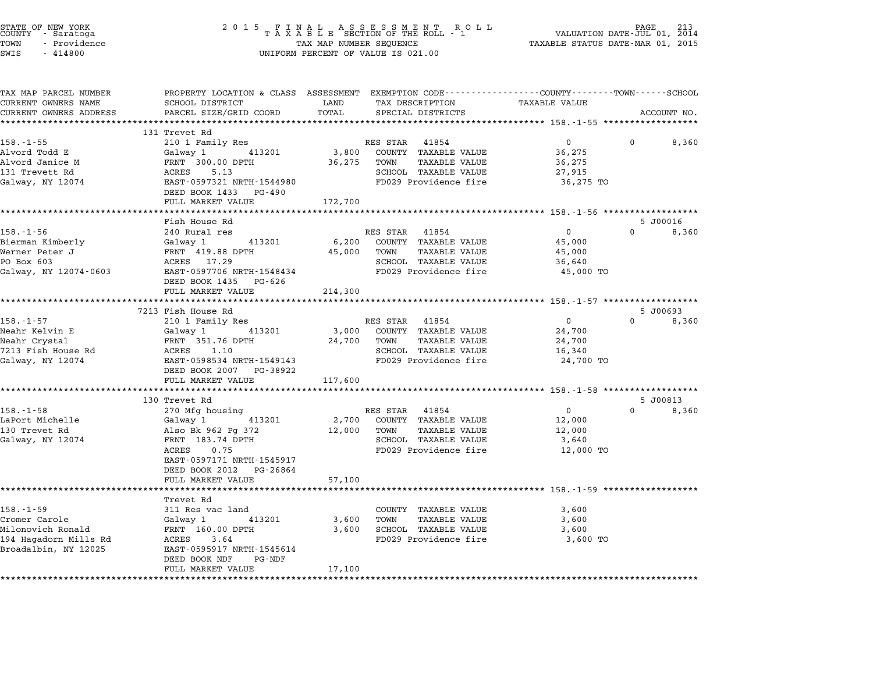| STATE OF NEW YORK<br>COUNTY - Saratoga<br>TOWN<br>- Providence<br>SWIS<br>$-414800$ | 2 0 1 5<br>FINAL ASSESSMENT RO<br>TAXABLE SECTION OF THE ROLL - 1<br>TAX MAP NUMBER SEQUENCE<br>UNIFORM PERCENT OF VALUE IS 021.00 | PAGE<br>VALUATION DATE-JUL 01, 2014<br>TAXABLE STATUS DATE-MAR 01, 2015 |                                                                    |                |          |                   |
|-------------------------------------------------------------------------------------|------------------------------------------------------------------------------------------------------------------------------------|-------------------------------------------------------------------------|--------------------------------------------------------------------|----------------|----------|-------------------|
| TAX MAP PARCEL NUMBER<br>CURRENT OWNERS NAME                                        | PROPERTY LOCATION & CLASS ASSESSMENT EXEMPTION CODE---------------COUNTY-------TOWN-----SCHOOL<br>SCHOOL DISTRICT                  | LAND                                                                    | TAX DESCRIPTION                                                    | TAXABLE VALUE  |          |                   |
| CURRENT OWNERS ADDRESS                                                              | PARCEL SIZE/GRID COORD                                                                                                             | TOTAL                                                                   | SPECIAL DISTRICTS                                                  |                |          | ACCOUNT NO.       |
|                                                                                     |                                                                                                                                    |                                                                         |                                                                    |                |          |                   |
| $158. - 1 - 55$                                                                     | 131 Trevet Rd<br>210 1 Family Res                                                                                                  |                                                                         | RES STAR 41854                                                     | $\mathbf 0$    |          | 8,360             |
| Alvord Todd E                                                                       | Galway 1 413201                                                                                                                    | 3,800                                                                   | COUNTY TAXABLE VALUE                                               | 36,275         |          |                   |
| Alvord Janice M                                                                     | FRNT 300.00 DPTH                                                                                                                   | 36,275                                                                  | TOWN<br><b>TAXABLE VALUE</b>                                       | 36,275         |          |                   |
| 131 Trevett Rd                                                                      | 5.13<br>ACRES                                                                                                                      |                                                                         | SCHOOL TAXABLE VALUE                                               | 27,915         |          |                   |
| Galway, NY 12074                                                                    | EAST-0597321 NRTH-1544980                                                                                                          |                                                                         | FD029 Providence fire                                              | 36,275 TO      |          |                   |
|                                                                                     | DEED BOOK 1433<br>PG-490                                                                                                           |                                                                         |                                                                    |                |          |                   |
|                                                                                     | FULL MARKET VALUE                                                                                                                  | 172,700                                                                 |                                                                    |                |          |                   |
|                                                                                     |                                                                                                                                    |                                                                         |                                                                    |                |          |                   |
| $158. - 1 - 56$                                                                     | Fish House Rd<br>240 Rural res                                                                                                     |                                                                         | RES STAR 41854                                                     | $\mathbf 0$    | $\Omega$ | 5 J00016<br>8,360 |
| Bierman Kimberly                                                                    | 413201<br>Galway 1                                                                                                                 | 6,200                                                                   | COUNTY TAXABLE VALUE                                               | 45,000         |          |                   |
| Werner Peter J                                                                      | FRNT 419.88 DPTH                                                                                                                   | 45,000                                                                  | TOWN<br>TAXABLE VALUE                                              | 45,000         |          |                   |
| PO Box 603                                                                          | ACRES 17.29                                                                                                                        |                                                                         | SCHOOL TAXABLE VALUE                                               | 36,640         |          |                   |
| Galway, NY 12074-0603                                                               | EAST-0597706 NRTH-1548434                                                                                                          |                                                                         | FD029 Providence fire                                              | 45,000 TO      |          |                   |
|                                                                                     | DEED BOOK 1435<br>PG-626                                                                                                           |                                                                         |                                                                    |                |          |                   |
|                                                                                     | FULL MARKET VALUE                                                                                                                  | 214,300                                                                 |                                                                    |                |          |                   |
|                                                                                     |                                                                                                                                    |                                                                         |                                                                    |                |          |                   |
| $158. - 1 - 57$                                                                     | 7213 Fish House Rd<br>210 1 Family Res                                                                                             |                                                                         | RES STAR 41854                                                     | $\overline{0}$ | $\Omega$ | 5 J00693<br>8,360 |
| Neahr Kelvin E                                                                      | 413201<br>Galway 1                                                                                                                 | 3,000                                                                   | COUNTY TAXABLE VALUE                                               | 24,700         |          |                   |
| Neahr Crystal                                                                       | FRNT 351.76 DPTH                                                                                                                   | 24,700                                                                  | TOWN<br><b>TAXABLE VALUE</b>                                       | 24,700         |          |                   |
| 7213 Fish House Rd                                                                  | ACRES 1.10                                                                                                                         |                                                                         | SCHOOL TAXABLE VALUE                                               | 16,340         |          |                   |
| Galway, NY 12074                                                                    | EAST-0598534 NRTH-1549143                                                                                                          |                                                                         | FD029 Providence fire                                              | 24,700 TO      |          |                   |
|                                                                                     | DEED BOOK 2007 PG-38922                                                                                                            |                                                                         |                                                                    |                |          |                   |
|                                                                                     | FULL MARKET VALUE                                                                                                                  | 117,600                                                                 |                                                                    |                |          |                   |
|                                                                                     | 130 Trevet Rd                                                                                                                      |                                                                         |                                                                    |                |          | 5 J00813          |
| $158. - 1 - 58$                                                                     | 270 Mfg housing                                                                                                                    |                                                                         | RES STAR 41854                                                     | $\mathbf{0}$   | $\Omega$ | 8,360             |
| LaPort Michelle                                                                     | Galway 1<br>413201                                                                                                                 | 2,700                                                                   | COUNTY TAXABLE VALUE                                               | 12,000         |          |                   |
| 130 Trevet Rd                                                                       | Also Bk 962 Pg 372                                                                                                                 | 12,000                                                                  | <b>TAXABLE VALUE</b><br>TOWN                                       | 12,000         |          |                   |
| Galway, NY 12074                                                                    | FRNT 183.74 DPTH                                                                                                                   |                                                                         | SCHOOL TAXABLE VALUE                                               | 3,640          |          |                   |
|                                                                                     | ACRES<br>0.75                                                                                                                      |                                                                         | FD029 Providence fire                                              | 12,000 TO      |          |                   |
|                                                                                     | EAST-0597171 NRTH-1545917                                                                                                          |                                                                         |                                                                    |                |          |                   |
|                                                                                     | DEED BOOK 2012 PG-26864                                                                                                            |                                                                         |                                                                    |                |          |                   |
|                                                                                     | FULL MARKET VALUE                                                                                                                  | 57,100                                                                  |                                                                    |                |          |                   |
|                                                                                     | Trevet Rd                                                                                                                          |                                                                         | ************************************ 158.-1-59 ******************* |                |          |                   |
| $158. - 1 - 59$                                                                     | 311 Res vac land                                                                                                                   |                                                                         | COUNTY TAXABLE VALUE                                               | 3,600          |          |                   |
| Cromer Carole                                                                       | 413201<br>Galway 1                                                                                                                 | 3,600                                                                   | <b>TAXABLE VALUE</b><br>TOWN                                       | 3,600          |          |                   |
| Milonovich Ronald                                                                   | FRNT 160.00 DPTH                                                                                                                   | 3,600                                                                   | SCHOOL TAXABLE VALUE                                               | 3,600          |          |                   |
| 194 Hagadorn Mills Rd                                                               | ACRES<br>3.64                                                                                                                      |                                                                         | FD029 Providence fire                                              | 3,600 TO       |          |                   |
| Broadalbin, NY 12025                                                                | EAST-0595917 NRTH-1545614                                                                                                          |                                                                         |                                                                    |                |          |                   |
|                                                                                     | DEED BOOK NDF<br>PG-NDF                                                                                                            |                                                                         |                                                                    |                |          |                   |
|                                                                                     | FULL MARKET VALUE                                                                                                                  | 17,100                                                                  |                                                                    |                |          |                   |
|                                                                                     |                                                                                                                                    |                                                                         |                                                                    |                |          |                   |

STATE OF NEW YORK <sup>2</sup> <sup>0</sup> <sup>1</sup> 5 F I N A L A S S E S S M E N T R O L L PAGE <sup>213</sup> COUNTY - Saratoga <sup>T</sup> <sup>A</sup> <sup>X</sup> <sup>A</sup> <sup>B</sup> <sup>L</sup> <sup>E</sup> SECTION OF THE ROLL - <sup>1</sup> VALUATION DATE-JUL 01, <sup>2014</sup>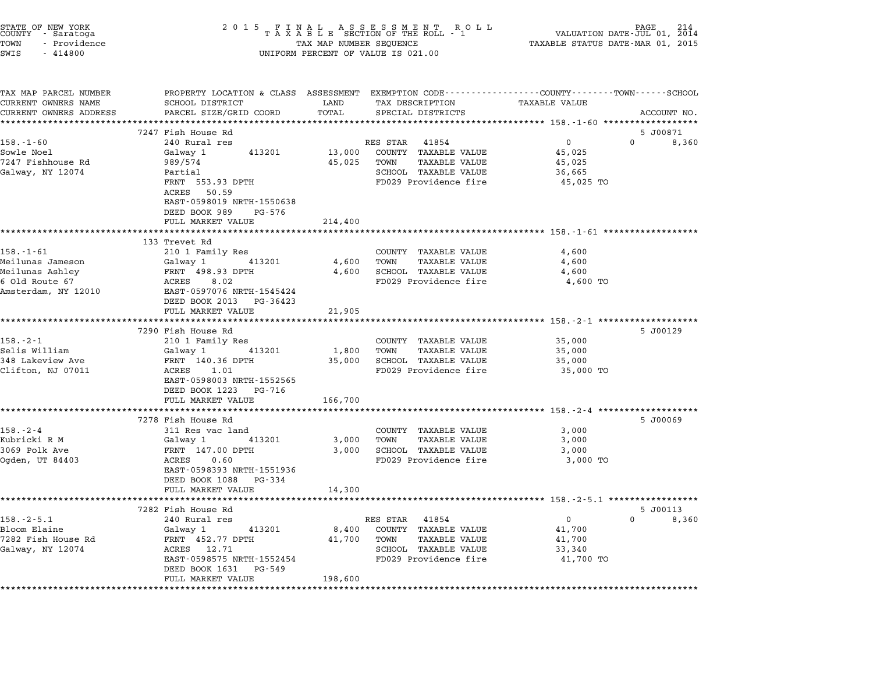|                                                                                                                                                                                 | 2 0 1 5<br>FINAL ASSESSMENT ROLL<br>TAXABLE SECTION OF THE ROLL - 1<br>TAX MAP NUMBER SEQUENCE<br>214<br>PAGE<br>VALUATION DATE-JUL 01,<br>2014<br>TAXABLE STATUS DATE-MAR 01, 2015<br>UNIFORM PERCENT OF VALUE IS 021.00 |                                                                                                                             |  |  |
|---------------------------------------------------------------------------------------------------------------------------------------------------------------------------------|---------------------------------------------------------------------------------------------------------------------------------------------------------------------------------------------------------------------------|-----------------------------------------------------------------------------------------------------------------------------|--|--|
| SCHOOL DISTRICT<br>PARCEL SIZE/GRID COORD                                                                                                                                       | LAND<br>TAX DESCRIPTION<br>TOTAL<br>SPECIAL DISTRICTS                                                                                                                                                                     | TAXABLE VALUE<br>ACCOUNT NO.                                                                                                |  |  |
| ************************                                                                                                                                                        |                                                                                                                                                                                                                           |                                                                                                                             |  |  |
| 7247 Fish House Rd<br>240 Rural res<br>Galway 1<br>413201<br>989/574<br>Partial<br>FRNT 553.93 DPTH                                                                             | RES STAR<br>41854<br>COUNTY TAXABLE VALUE<br>13,000<br>45,025<br>TOWN<br>TAXABLE VALUE<br>SCHOOL TAXABLE VALUE<br>FD029 Providence fire                                                                                   | 5 J00871<br>$\overline{0}$<br>$\Omega$<br>8,360<br>45,025<br>45,025<br>36,665<br>45,025 TO                                  |  |  |
| ACRES 50.59<br>EAST-0598019 NRTH-1550638<br>DEED BOOK 989<br>PG-576<br>FULL MARKET VALUE                                                                                        | 214,400                                                                                                                                                                                                                   |                                                                                                                             |  |  |
| 133 Trevet Rd                                                                                                                                                                   |                                                                                                                                                                                                                           |                                                                                                                             |  |  |
| 210 1 Family Res<br>Galway 1<br>413201<br>FRNT 498.93 DPTH<br>ACRES<br>8.02<br>EAST-0597076 NRTH-1545424                                                                        | COUNTY TAXABLE VALUE<br>4,600<br>TOWN<br>TAXABLE VALUE<br>4,600<br><b>SCHOOL TAXABLE VALUE</b><br>FD029 Providence fire                                                                                                   | 4,600<br>4,600<br>4,600<br>4,600 TO                                                                                         |  |  |
|                                                                                                                                                                                 |                                                                                                                                                                                                                           |                                                                                                                             |  |  |
|                                                                                                                                                                                 |                                                                                                                                                                                                                           | ************************* 158.-2-1 ********************                                                                     |  |  |
| 7290 Fish House Rd<br>210 1 Family Res<br>Galway 1<br>413201<br>FRNT 140.36 DPTH<br>ACRES<br>1.01<br>EAST-0598003 NRTH-1552565<br>DEED BOOK 1223<br>PG-716<br>FULL MARKET VALUE | COUNTY TAXABLE VALUE<br>TOWN<br>TAXABLE VALUE<br>1,800<br>SCHOOL TAXABLE VALUE<br>35,000<br>FD029 Providence fire<br>166,700                                                                                              | 5 J00129<br>35,000<br>35,000<br>35,000<br>35,000 TO                                                                         |  |  |
|                                                                                                                                                                                 |                                                                                                                                                                                                                           |                                                                                                                             |  |  |
| 311 Res vac land<br>Galway 1<br>413201<br>FRNT 147.00 DPTH<br>0.60<br>ACRES<br>EAST-0598393 NRTH-1551936<br>DEED BOOK 1088<br>PG-334                                            | COUNTY TAXABLE VALUE<br>3,000<br>TOWN<br>TAXABLE VALUE<br>3,000<br><b>SCHOOL TAXABLE VALUE</b><br>FD029 Providence fire                                                                                                   | 5 J00069<br>3,000<br>3,000<br>3,000<br>3,000 TO                                                                             |  |  |
| FULL MARKET VALUE                                                                                                                                                               | 14,300                                                                                                                                                                                                                    |                                                                                                                             |  |  |
| 7282 Fish House Rd<br>240 Rural res<br>Galway 1<br>413201<br>FRNT 452.77 DPTH<br>ACRES<br>12.71<br>EAST-0598575 NRTH-1552454                                                    | RES STAR<br>41854<br>8,400<br>COUNTY<br>TAXABLE VALUE<br>41,700<br>TOWN<br>TAXABLE VALUE<br>SCHOOL TAXABLE VALUE<br>FD029 Providence fire                                                                                 | *************************** 158.-2-5.1 **********<br>5 J00113<br>0<br>0<br>8,360<br>41,700<br>41,700<br>33,340<br>41,700 TO |  |  |
|                                                                                                                                                                                 | DEED BOOK 2013 PG-36423<br>FULL MARKET VALUE<br>7278 Fish House Rd                                                                                                                                                        | PROPERTY LOCATION & CLASS ASSESSMENT EXEMPTION CODE---------------COUNTY-------TOWN-----SCHOOL<br>21,905                    |  |  |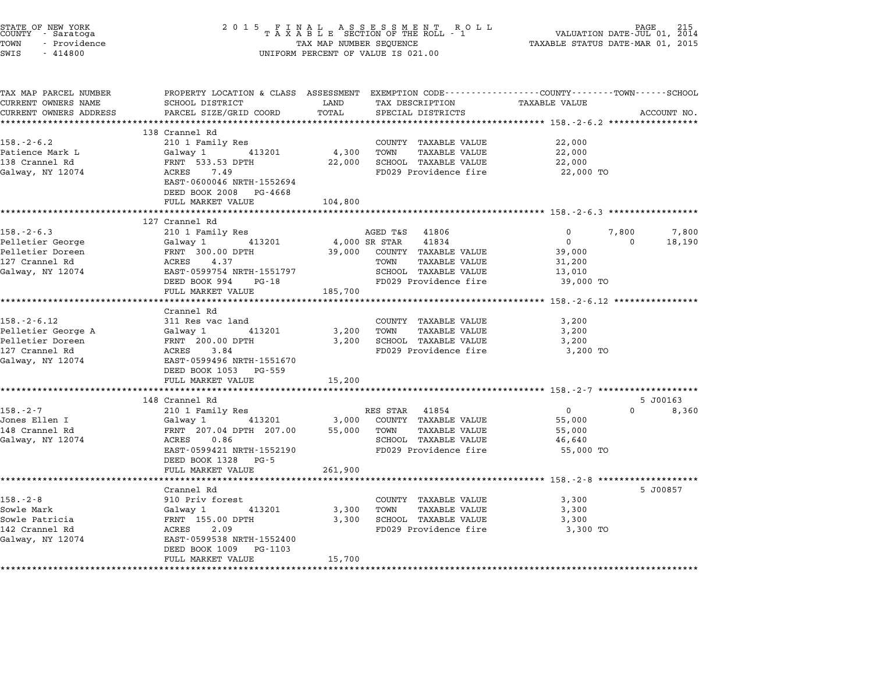| STATE OF NEW YORK<br>COUNTY - Saratoga<br>TOWN<br>- Providence<br>SWIS<br>$-414800$ | 2 0 1 5<br>FINAL ASSESSMENT RO<br>TAXABLE SECTION OF THE ROLL - 1<br>R O L L<br>TAX MAP NUMBER SEQUENCE<br>UNIFORM PERCENT OF VALUE IS 021.00 |                 |                                                                                                                   | PAGE<br>VALUATION DATE-JUL 01, 2014<br>TAXABLE STATUS DATE-MAR 01, 2015 |             |  |
|-------------------------------------------------------------------------------------|-----------------------------------------------------------------------------------------------------------------------------------------------|-----------------|-------------------------------------------------------------------------------------------------------------------|-------------------------------------------------------------------------|-------------|--|
| TAX MAP PARCEL NUMBER<br>CURRENT OWNERS NAME                                        | SCHOOL DISTRICT                                                                                                                               | LAND            | PROPERTY LOCATION & CLASS ASSESSMENT EXEMPTION CODE--------------COUNTY-------TOWN------SCHOOL<br>TAX DESCRIPTION | <b>TAXABLE VALUE</b>                                                    |             |  |
| CURRENT OWNERS ADDRESS                                                              | PARCEL SIZE/GRID COORD                                                                                                                        | TOTAL           | SPECIAL DISTRICTS                                                                                                 |                                                                         | ACCOUNT NO. |  |
|                                                                                     | 138 Crannel Rd                                                                                                                                | **********      |                                                                                                                   |                                                                         |             |  |
| $158. - 2 - 6.2$                                                                    | 210 1 Family Res                                                                                                                              |                 | COUNTY TAXABLE VALUE                                                                                              | 22,000                                                                  |             |  |
| Patience Mark L                                                                     | 413201<br>Galway 1                                                                                                                            | 4,300           | TOWN<br><b>TAXABLE VALUE</b>                                                                                      | 22,000                                                                  |             |  |
| 138 Crannel Rd                                                                      | FRNT 533.53 DPTH                                                                                                                              | 22,000          | SCHOOL TAXABLE VALUE                                                                                              | 22,000                                                                  |             |  |
| Galway, NY 12074                                                                    | ACRES 7.49<br>EAST-0600046 NRTH-1552694<br>DEED BOOK 2008 PG-4668                                                                             |                 | FD029 Providence fire                                                                                             | 22,000 TO                                                               |             |  |
|                                                                                     | FULL MARKET VALUE                                                                                                                             | 104,800         |                                                                                                                   |                                                                         |             |  |
|                                                                                     | **********************                                                                                                                        |                 |                                                                                                                   | ****************************** 158.-2-6.3 ***********                   |             |  |
|                                                                                     | 127 Crannel Rd                                                                                                                                |                 |                                                                                                                   |                                                                         |             |  |
| $158. - 2 - 6.3$                                                                    | 210 1 Family Res                                                                                                                              |                 | 41806<br>AGED T&S                                                                                                 | 7,800<br>0                                                              | 7,800       |  |
| Pelletier George                                                                    | 413201<br>Galway 1                                                                                                                            |                 | 41834<br>4,000 SR STAR                                                                                            | $\mathbf{0}$<br>0                                                       | 18,190      |  |
| Pelletier Doreen<br>127 Crannel Rd                                                  | FRNT 300.00 DPTH<br>ACRES<br>4.37                                                                                                             | 39,000          | COUNTY TAXABLE VALUE<br>TOWN<br>TAXABLE VALUE                                                                     | 39,000                                                                  |             |  |
| Galway, NY 12074                                                                    | EAST-0599754 NRTH-1551797                                                                                                                     |                 | SCHOOL TAXABLE VALUE                                                                                              | 31,200<br>13,010                                                        |             |  |
|                                                                                     | DEED BOOK 994 PG-18                                                                                                                           |                 | FD029 Providence fire                                                                                             | 39,000 TO                                                               |             |  |
|                                                                                     | FULL MARKET VALUE                                                                                                                             | 185,700         |                                                                                                                   |                                                                         |             |  |
|                                                                                     | **************************                                                                                                                    |                 |                                                                                                                   |                                                                         |             |  |
|                                                                                     | Crannel Rd                                                                                                                                    |                 |                                                                                                                   |                                                                         |             |  |
| $158. - 2 - 6.12$                                                                   | 311 Res vac land                                                                                                                              |                 | COUNTY TAXABLE VALUE                                                                                              | 3,200                                                                   |             |  |
| Pelletier George A<br>Pelletier Doreen                                              | 413201<br>Galway 1<br>FRNT 200.00 DPTH                                                                                                        | 3,200<br>3,200  | TOWN<br>TAXABLE VALUE<br>SCHOOL TAXABLE VALUE                                                                     | 3,200<br>3,200                                                          |             |  |
| 127 Crannel Rd                                                                      | ACRES<br>3.84                                                                                                                                 |                 | FD029 Providence fire                                                                                             | 3,200 TO                                                                |             |  |
| Galway, NY 12074                                                                    | EAST-0599496 NRTH-1551670                                                                                                                     |                 |                                                                                                                   |                                                                         |             |  |
|                                                                                     | DEED BOOK 1053 PG-559                                                                                                                         |                 |                                                                                                                   |                                                                         |             |  |
|                                                                                     | FULL MARKET VALUE                                                                                                                             | 15,200          |                                                                                                                   |                                                                         |             |  |
|                                                                                     |                                                                                                                                               |                 |                                                                                                                   |                                                                         |             |  |
|                                                                                     | 148 Crannel Rd                                                                                                                                |                 |                                                                                                                   |                                                                         | 5 J00163    |  |
| $158. - 2 - 7$                                                                      | 210 1 Family Res                                                                                                                              |                 | RES STAR 41854                                                                                                    | $\Omega$<br>$\mathbf{0}$                                                | 8,360       |  |
| Jones Ellen I<br>148 Crannel Rd                                                     | 413201<br>Galway 1<br>FRNT 207.04 DPTH 207.00                                                                                                 | 3,000<br>55,000 | COUNTY TAXABLE VALUE<br><b>TAXABLE VALUE</b><br>TOWN                                                              | 55,000<br>55,000                                                        |             |  |
| Galway, NY 12074                                                                    | ACRES<br>0.86                                                                                                                                 |                 | SCHOOL TAXABLE VALUE                                                                                              | 46,640                                                                  |             |  |
|                                                                                     | EAST-0599421 NRTH-1552190                                                                                                                     |                 | FD029 Providence fire                                                                                             | 55,000 TO                                                               |             |  |
|                                                                                     | DEED BOOK 1328 PG-5                                                                                                                           |                 |                                                                                                                   |                                                                         |             |  |
|                                                                                     | FULL MARKET VALUE                                                                                                                             | 261,900         |                                                                                                                   |                                                                         |             |  |
|                                                                                     |                                                                                                                                               |                 |                                                                                                                   |                                                                         |             |  |
|                                                                                     | Crannel Rd                                                                                                                                    |                 |                                                                                                                   |                                                                         | 5 J00857    |  |
| $158. - 2 - 8$                                                                      | 910 Priv forest                                                                                                                               |                 | COUNTY TAXABLE VALUE                                                                                              | 3,300                                                                   |             |  |
| Sowle Mark<br>Sowle Patricia                                                        | Galway 1<br>413201<br>FRNT 155.00 DPTH                                                                                                        | 3,300<br>3,300  | TAXABLE VALUE<br>TOWN<br>SCHOOL TAXABLE VALUE                                                                     | 3,300<br>3,300                                                          |             |  |
| 142 Crannel Rd                                                                      | ACRES<br>2.09                                                                                                                                 |                 | FD029 Providence fire                                                                                             | 3,300 TO                                                                |             |  |
| Galway, NY 12074                                                                    | EAST-0599538 NRTH-1552400                                                                                                                     |                 |                                                                                                                   |                                                                         |             |  |
|                                                                                     | DEED BOOK 1009 PG-1103                                                                                                                        |                 |                                                                                                                   |                                                                         |             |  |
|                                                                                     | FULL MARKET VALUE                                                                                                                             | 15,700          |                                                                                                                   |                                                                         |             |  |
|                                                                                     |                                                                                                                                               |                 |                                                                                                                   |                                                                         |             |  |

STATE OF NEW YORK <sup>2</sup> <sup>0</sup> <sup>1</sup> 5 F I N A L A S S E S S M E N T R O L L PAGE <sup>215</sup> COUNTY - Saratoga <sup>T</sup> <sup>A</sup> <sup>X</sup> <sup>A</sup> <sup>B</sup> <sup>L</sup> <sup>E</sup> SECTION OF THE ROLL - <sup>1</sup> VALUATION DATE-JUL 01, <sup>2014</sup>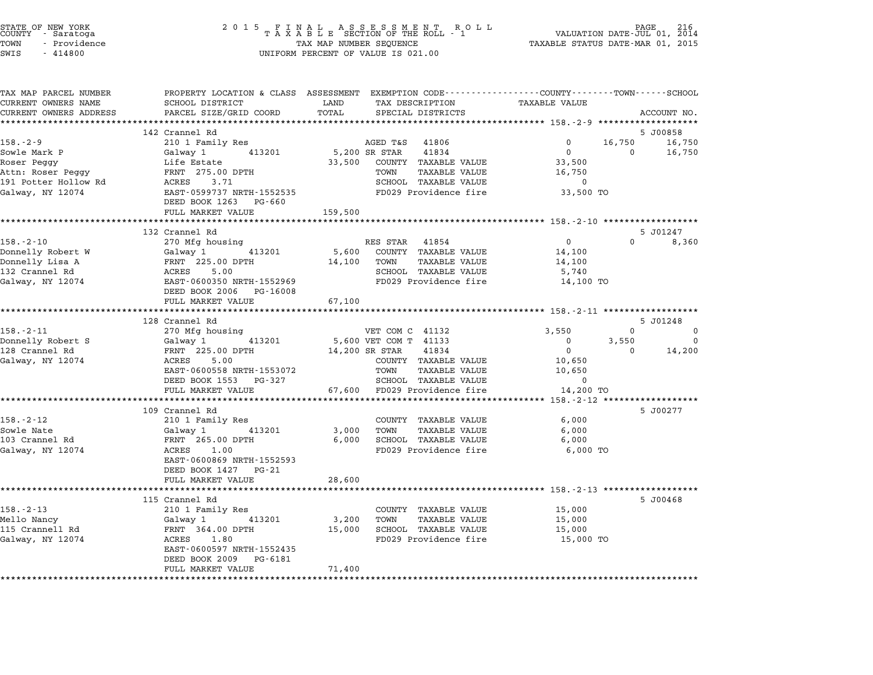| TAX MAP PARCEL NUMBER  | PROPERTY LOCATION & CLASS ASSESSMENT EXEMPTION CODE----------------COUNTY-------TOWN-----SCHOOL |               |                              |                                  |                    |
|------------------------|-------------------------------------------------------------------------------------------------|---------------|------------------------------|----------------------------------|--------------------|
| CURRENT OWNERS NAME    | SCHOOL DISTRICT                                                                                 | LAND<br>TOTAL | TAX DESCRIPTION              | TAXABLE VALUE                    |                    |
| CURRENT OWNERS ADDRESS | PARCEL SIZE/GRID COORD                                                                          |               | SPECIAL DISTRICTS            |                                  | ACCOUNT NO.        |
|                        | 142 Crannel Rd                                                                                  |               |                              |                                  | 5 J00858           |
| $158. - 2 - 9$         | 210 1 Family Res                                                                                |               | AGED T&S 41806               | $\mathbf 0$                      | 16,750<br>16,750   |
| Sowle Mark P           | Galway 1<br>413201                                                                              |               | 5,200 SR STAR<br>41834       | $\overline{0}$                   | $\Omega$<br>16,750 |
| Roser Peggy            | Life Estate                                                                                     | 33,500        | COUNTY TAXABLE VALUE         | 33,500                           |                    |
| Attn: Roser Peggy      | FRNT 275.00 DPTH                                                                                |               | TAXABLE VALUE<br>TOWN        | 16,750                           |                    |
| 191 Potter Hollow Rd   | ACRES 3.71                                                                                      |               | SCHOOL TAXABLE VALUE         | $\mathbf 0$                      |                    |
| Galway, NY 12074       | EAST-0599737 NRTH-1552535                                                                       |               | FD029 Providence fire        | 33,500 TO                        |                    |
|                        | DEED BOOK 1263 PG-660                                                                           |               |                              |                                  |                    |
|                        | FULL MARKET VALUE                                                                               | 159,500       |                              |                                  |                    |
|                        |                                                                                                 |               |                              |                                  |                    |
|                        | 132 Crannel Rd                                                                                  |               |                              |                                  | 5 J01247           |
| $158. - 2 - 10$        | 270 Mfg housing                                                                                 |               | RES STAR 41854               | $\overline{0}$                   | $\Omega$<br>8,360  |
| Donnelly Robert W      | 413201<br>Galway 1                                                                              |               | 5,600 COUNTY TAXABLE VALUE   | 14,100                           |                    |
| Donnelly Lisa A        | FRNT 225.00 DPTH                                                                                |               | 14,100 TOWN<br>TAXABLE VALUE | 14,100                           |                    |
| 132 Crannel Rd         | ACRES<br>5.00                                                                                   |               | SCHOOL TAXABLE VALUE         | 5,740                            |                    |
| Galway, NY 12074       | EAST-0600350 NRTH-1552969                                                                       |               | FD029 Providence fire        | 14,100 TO                        |                    |
|                        | DEED BOOK 2006 PG-16008                                                                         |               |                              |                                  |                    |
|                        | FULL MARKET VALUE                                                                               | 67,100        |                              |                                  |                    |
|                        |                                                                                                 |               |                              |                                  |                    |
|                        | 128 Crannel Rd                                                                                  |               |                              |                                  | 5 J01248           |
| $158. - 2 - 11$        | 270 Mfg housing                                                                                 |               | VET COM C 41132              | 3,550                            | $\Omega$<br>0      |
| Donnelly Robert S      | 413201<br>Galway 1                                                                              |               | 5,600 VET COM T 41133        | 3,550<br>$\overline{\mathbf{0}}$ | $\mathbf 0$        |
| 128 Crannel Rd         | FRNT 225.00 DPTH                                                                                |               | 41834<br>14,200 SR STAR      | $\overline{0}$                   | $\Omega$<br>14,200 |
| Galway, NY 12074       | ACRES<br>5.00                                                                                   |               | COUNTY TAXABLE VALUE         | 10,650                           |                    |
|                        | EAST-0600558 NRTH-1553072                                                                       |               | TAXABLE VALUE<br>TOWN        | 10,650                           |                    |
|                        | DEED BOOK 1553 PG-327                                                                           |               | SCHOOL TAXABLE VALUE         | $\Omega$                         |                    |
|                        | FULL MARKET VALUE                                                                               |               | 67,600 FD029 Providence fire | 14,200 TO                        |                    |
|                        | *************************                                                                       |               |                              |                                  |                    |
|                        | 109 Crannel Rd                                                                                  |               |                              |                                  | 5 J00277           |
| 158.-2-12              | 210 1 Family Res                                                                                |               | COUNTY TAXABLE VALUE         | 6,000                            |                    |
| Sowle Nate             | Galway 1<br>413201                                                                              | 3,000         | TOWN<br>TAXABLE VALUE        | 6,000                            |                    |
| 103 Crannel Rd         | FRNT 265.00 DPTH                                                                                | 6,000         | SCHOOL TAXABLE VALUE         | 6,000                            |                    |
| Galway, NY 12074       | ACRES 1.00                                                                                      |               | FD029 Providence fire        | 6,000 TO                         |                    |
|                        | EAST-0600869 NRTH-1552593                                                                       |               |                              |                                  |                    |
|                        | DEED BOOK 1427 PG-21                                                                            |               |                              |                                  |                    |
|                        | FULL MARKET VALUE                                                                               | 28,600        |                              |                                  |                    |
|                        |                                                                                                 |               |                              |                                  |                    |
|                        | 115 Crannel Rd                                                                                  |               |                              |                                  | 5 J00468           |
| $158. - 2 - 13$        | 210 1 Family Res                                                                                |               | COUNTY TAXABLE VALUE         | 15,000                           |                    |
| Mello Nancy            | 413201<br>Galway 1                                                                              | 3,200         | TAXABLE VALUE<br>TOWN        | 15,000                           |                    |
| 115 Crannell Rd        | FRNT 364.00 DPTH                                                                                | 15,000        | SCHOOL TAXABLE VALUE         | 15,000                           |                    |
| Galway, NY 12074       | ACRES 1.80                                                                                      |               | FD029 Providence fire        | 15,000 TO                        |                    |
|                        | EAST-0600597 NRTH-1552435                                                                       |               |                              |                                  |                    |
|                        | DEED BOOK 2009 PG-6181                                                                          |               |                              |                                  |                    |
|                        | FULL MARKET VALUE                                                                               | 71,400        |                              |                                  |                    |
|                        |                                                                                                 |               |                              |                                  |                    |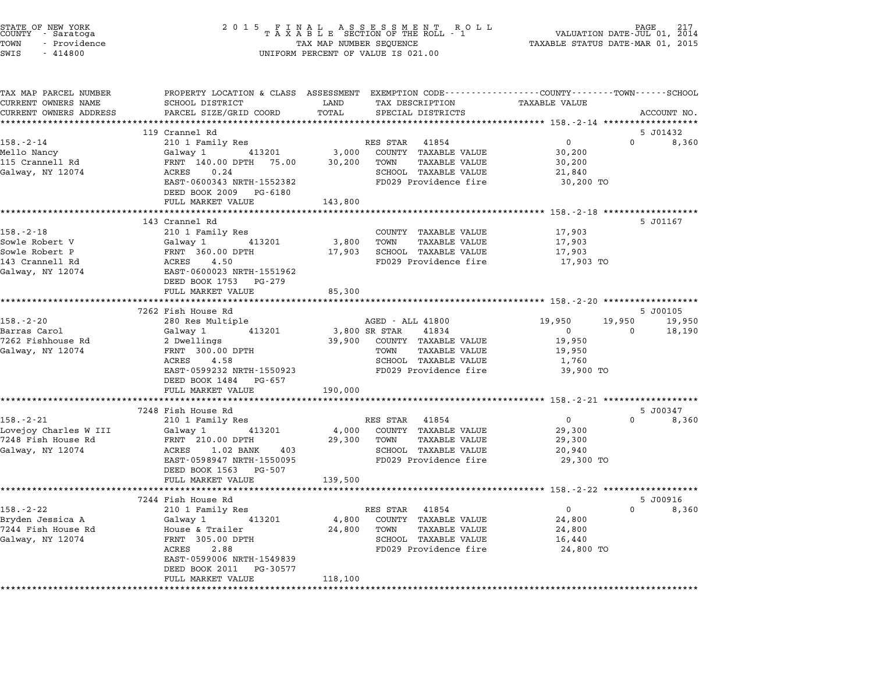| STATE OF NEW YORK<br>COUNTY – Saratoga<br>TOWN<br>- Providence<br>SWIS<br>$-414800$ |                                                     | 2015 FINAL ASSESSMENT ROLL TAXABLE SECTION OF THE ROLL - 1<br>TAX MAP NUMBER SEQUENCE<br>UNIFORM PERCENT OF VALUE IS 021.00                              | PAGE.<br>217<br>VALUATION DATE-JUL 01, 2014<br>TAXABLE STATUS DATE-MAR 01, 2015 |
|-------------------------------------------------------------------------------------|-----------------------------------------------------|----------------------------------------------------------------------------------------------------------------------------------------------------------|---------------------------------------------------------------------------------|
| TAX MAP PARCEL NUMBER<br>CURRENT OWNERS NAME<br>CURRENT OWNERS ADDRESS              | SCHOOL DISTRICT<br>PARCEL SIZE/GRID COORD           | PROPERTY LOCATION & CLASS ASSESSMENT EXEMPTION CODE----------------COUNTY-------TOWN-----SCHOOL<br>LAND<br>TAX DESCRIPTION<br>TOTAL<br>SPECIAL DISTRICTS | TAXABLE VALUE<br>ACCOUNT NO.                                                    |
|                                                                                     | ***************************                         |                                                                                                                                                          |                                                                                 |
|                                                                                     | 119 Crannel Rd                                      |                                                                                                                                                          | 5 J01432                                                                        |
| $158. - 2 - 14$                                                                     | 210 1 Family Res                                    | RES STAR 41854                                                                                                                                           | $\overline{0}$<br>$\Omega$<br>8,360                                             |
| Mello Nancy                                                                         | 413201<br>Galway 1                                  | 3,000<br>COUNTY TAXABLE VALUE                                                                                                                            | 30,200                                                                          |
| 115 Crannell Rd                                                                     | FRNT 140.00 DPTH 75.00                              | 30,200<br>TOWN<br>TAXABLE VALUE                                                                                                                          | 30,200                                                                          |
| Galway, NY 12074                                                                    | ACRES<br>0.24                                       | SCHOOL TAXABLE VALUE                                                                                                                                     | 21,840                                                                          |
|                                                                                     | EAST-0600343 NRTH-1552382<br>DEED BOOK 2009 PG-6180 | FD029 Providence fire                                                                                                                                    | 30,200 TO                                                                       |
|                                                                                     | FULL MARKET VALUE                                   | 143,800                                                                                                                                                  |                                                                                 |
|                                                                                     |                                                     |                                                                                                                                                          |                                                                                 |
|                                                                                     | 143 Crannel Rd                                      |                                                                                                                                                          | 5 J01167                                                                        |
| $158. - 2 - 18$<br>Sowle Robert V                                                   | 210 1 Family Res<br>413201                          | COUNTY TAXABLE VALUE<br>TAXABLE VALUE<br>TOWN                                                                                                            | 17,903                                                                          |
| Sowle Robert P                                                                      | Galway 1<br>FRNT 360.00 DPTH                        | 3,800<br>17,903<br>SCHOOL TAXABLE VALUE                                                                                                                  | 17,903<br>17,903                                                                |
| 143 Crannell Rd                                                                     | ACRES<br>4.50                                       | FD029 Providence fire                                                                                                                                    | 17,903 TO                                                                       |
| Galway, NY 12074                                                                    | EAST-0600023 NRTH-1551962                           |                                                                                                                                                          |                                                                                 |
|                                                                                     | DEED BOOK 1753 PG-279                               |                                                                                                                                                          |                                                                                 |
|                                                                                     | FULL MARKET VALUE                                   | 85,300                                                                                                                                                   |                                                                                 |
|                                                                                     | **********************                              |                                                                                                                                                          |                                                                                 |
|                                                                                     | 7262 Fish House Rd                                  |                                                                                                                                                          | 5 J00105                                                                        |
| $158. - 2 - 20$                                                                     | 280 Res Multiple                                    | AGED - ALL 41800                                                                                                                                         | 19,950<br>19,950<br>19,950                                                      |
| Barras Carol                                                                        | 413201<br>Galway 1                                  | 3,800 SR STAR<br>41834                                                                                                                                   | 18,190<br>$\mathbf{0}$<br>$\overline{\phantom{0}}$                              |
| 7262 Fishhouse Rd                                                                   | 2 Dwellings                                         | COUNTY TAXABLE VALUE<br>39,900                                                                                                                           | 19,950                                                                          |
| Galway, NY 12074                                                                    | FRNT 300.00 DPTH                                    | TAXABLE VALUE<br>TOWN                                                                                                                                    | 19,950                                                                          |
|                                                                                     | ACRES<br>4.58                                       | SCHOOL TAXABLE VALUE                                                                                                                                     | 1,760                                                                           |
|                                                                                     | EAST-0599232 NRTH-1550923                           | FD029 Providence fire                                                                                                                                    | 39,900 TO                                                                       |
|                                                                                     | DEED BOOK 1484 PG-657<br>FULL MARKET VALUE          | 190,000                                                                                                                                                  |                                                                                 |
|                                                                                     | ************************                            |                                                                                                                                                          |                                                                                 |
|                                                                                     | 7248 Fish House Rd                                  |                                                                                                                                                          | 5 J00347                                                                        |
| $158. - 2 - 21$                                                                     | 210 1 Family Res                                    | RES STAR 41854                                                                                                                                           | $\mathbf{0}$<br>$\Omega$<br>8,360                                               |
| Lovejoy Charles W III                                                               | 413201<br>Galway 1                                  | 4,000<br>COUNTY TAXABLE VALUE                                                                                                                            | 29,300                                                                          |
| 7248 Fish House Rd                                                                  | FRNT 210.00 DPTH                                    | 29,300<br>TAXABLE VALUE<br>TOWN                                                                                                                          | 29,300                                                                          |
| Galway, NY 12074                                                                    | ACRES 1.02 BANK<br>403                              | SCHOOL TAXABLE VALUE                                                                                                                                     | 20,940                                                                          |
|                                                                                     | EAST-0598947 NRTH-1550095                           | FD029 Providence fire                                                                                                                                    | 29,300 TO                                                                       |
|                                                                                     | DEED BOOK 1563 PG-507                               |                                                                                                                                                          |                                                                                 |
|                                                                                     | FULL MARKET VALUE                                   | 139,500                                                                                                                                                  |                                                                                 |
|                                                                                     |                                                     |                                                                                                                                                          |                                                                                 |
|                                                                                     | 7244 Fish House Rd                                  |                                                                                                                                                          | 5 J00916                                                                        |
| $158. - 2 - 22$                                                                     | 210 1 Family Res                                    | RES STAR<br>41854                                                                                                                                        | $\mathbf 0$<br>$\mathbf 0$<br>8,360                                             |
| Bryden Jessica A<br>7244 Fish House Rd                                              | Galway 1<br>413201<br>House & Trailer               | 4,800<br>COUNTY TAXABLE VALUE<br>24,800<br><b>TAXABLE VALUE</b><br>TOWN                                                                                  | 24,800<br>24,800                                                                |
| Galway, NY 12074                                                                    | FRNT 305.00 DPTH                                    | SCHOOL TAXABLE VALUE                                                                                                                                     | 16,440                                                                          |
|                                                                                     | ACRES<br>2.88                                       | FD029 Providence fire                                                                                                                                    | 24,800 TO                                                                       |
|                                                                                     | EAST-0599006 NRTH-1549839                           |                                                                                                                                                          |                                                                                 |
|                                                                                     | DEED BOOK 2011<br>PG-30577                          |                                                                                                                                                          |                                                                                 |
|                                                                                     | FULL MARKET VALUE                                   | 118,100                                                                                                                                                  |                                                                                 |
|                                                                                     |                                                     |                                                                                                                                                          |                                                                                 |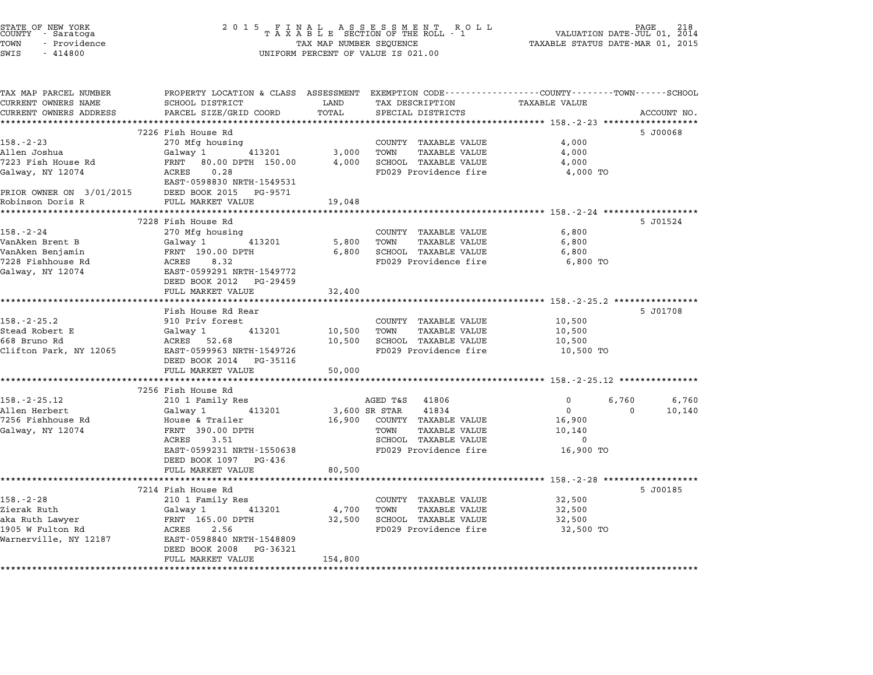| STATE OF NEW YORK<br>COUNTY - Saratoga<br>TOWN<br>- Providence | 2 0 1 5                                                                                         | TAX MAP NUMBER SEQUENCE | FINAL ASSESSMENT RO<br>TAXABLE SECTION OF THE ROLL - 1<br>R O L L | TAXABLE STATUS DATE-MAR 01, 2015                        | 218<br>PAGE<br>VALUATION DATE-JUL 01, 2014 |
|----------------------------------------------------------------|-------------------------------------------------------------------------------------------------|-------------------------|-------------------------------------------------------------------|---------------------------------------------------------|--------------------------------------------|
| SWIS<br>$-414800$                                              |                                                                                                 |                         | UNIFORM PERCENT OF VALUE IS 021.00                                |                                                         |                                            |
| TAX MAP PARCEL NUMBER                                          | PROPERTY LOCATION & CLASS ASSESSMENT EXEMPTION CODE----------------COUNTY-------TOWN-----SCHOOL |                         |                                                                   |                                                         |                                            |
| CURRENT OWNERS NAME                                            | SCHOOL DISTRICT                                                                                 | LAND                    | TAX DESCRIPTION                                                   | <b>TAXABLE VALUE</b>                                    |                                            |
| CURRENT OWNERS ADDRESS                                         | PARCEL SIZE/GRID COORD                                                                          | TOTAL<br>************   | SPECIAL DISTRICTS                                                 |                                                         | ACCOUNT NO.                                |
|                                                                | 7226 Fish House Rd                                                                              |                         |                                                                   |                                                         | 5 J00068                                   |
| $158. - 2 - 23$                                                | 270 Mfg housing                                                                                 |                         | COUNTY TAXABLE VALUE                                              | 4,000                                                   |                                            |
| Allen Joshua                                                   | Galway 1<br>413201                                                                              | 3,000                   | <b>TAXABLE VALUE</b><br>TOWN                                      | 4,000                                                   |                                            |
| 7223 Fish House Rd                                             | FRNT 80.00 DPTH 150.00                                                                          | 4,000                   | SCHOOL TAXABLE VALUE                                              | 4,000                                                   |                                            |
| Galway, NY 12074                                               | ACRES<br>0.28<br>EAST-0598830 NRTH-1549531                                                      |                         | FD029 Providence fire                                             | 4,000 TO                                                |                                            |
| PRIOR OWNER ON 3/01/2015                                       | DEED BOOK 2015 PG-9571                                                                          |                         |                                                                   |                                                         |                                            |
| Robinson Doris R                                               | FULL MARKET VALUE                                                                               | 19,048                  |                                                                   |                                                         |                                            |
|                                                                | ********************                                                                            |                         |                                                                   | ************************ 158. -2-24 ******************* |                                            |
|                                                                | 7228 Fish House Rd                                                                              |                         |                                                                   |                                                         | 5 J01524                                   |
| $158. - 2 - 24$                                                | 270 Mfg housing                                                                                 |                         | COUNTY TAXABLE VALUE                                              | 6,800                                                   |                                            |
| VanAken Brent B                                                | 413201<br>Galway 1                                                                              | 5,800                   | TOWN<br>TAXABLE VALUE                                             | 6,800                                                   |                                            |
| VanAken Benjamin<br>7228 Fishhouse Rd                          | FRNT 190.00 DPTH<br>ACRES<br>8.32                                                               | 6,800                   | SCHOOL TAXABLE VALUE<br>FD029 Providence fire                     | 6,800<br>6,800 TO                                       |                                            |
| Galway, NY 12074                                               | EAST-0599291 NRTH-1549772                                                                       |                         |                                                                   |                                                         |                                            |
|                                                                | DEED BOOK 2012 PG-29459                                                                         |                         |                                                                   |                                                         |                                            |
|                                                                | FULL MARKET VALUE                                                                               | 32,400                  |                                                                   |                                                         |                                            |
|                                                                | ********************                                                                            |                         |                                                                   |                                                         |                                            |
|                                                                | Fish House Rd Rear                                                                              |                         |                                                                   |                                                         | 5 J01708                                   |
| $158. - 2 - 25.2$                                              | 910 Priv forest                                                                                 |                         | COUNTY TAXABLE VALUE                                              | 10,500                                                  |                                            |
| Stead Robert E                                                 | 413201<br>Galway 1                                                                              | 10,500                  | TOWN<br><b>TAXABLE VALUE</b>                                      | 10,500                                                  |                                            |
| 668 Bruno Rd                                                   | ACRES 52.68                                                                                     | 10,500                  | SCHOOL TAXABLE VALUE                                              | 10,500                                                  |                                            |
| Clifton Park, NY 12065                                         | EAST-0599963 NRTH-1549726<br>DEED BOOK 2014 PG-35116                                            |                         | FD029 Providence fire                                             | 10,500 TO                                               |                                            |
|                                                                | FULL MARKET VALUE<br>**************************                                                 | 50,000                  |                                                                   |                                                         |                                            |
|                                                                | 7256 Fish House Rd                                                                              |                         |                                                                   |                                                         |                                            |
| $158. - 2 - 25.12$                                             | 210 1 Family Res                                                                                |                         | AGED T&S<br>41806                                                 | 0                                                       | 6,760<br>6,760                             |
| Allen Herbert                                                  | Galway 1<br>413201                                                                              |                         | 3,600 SR STAR<br>41834                                            | $\Omega$                                                | $\Omega$<br>10,140                         |
| 7256 Fishhouse Rd                                              | House & Trailer                                                                                 | 16,900                  | COUNTY TAXABLE VALUE                                              | 16,900                                                  |                                            |
| Galway, NY 12074                                               | FRNT 390.00 DPTH                                                                                |                         | TOWN<br>TAXABLE VALUE                                             | 10,140                                                  |                                            |
|                                                                | ACRES<br>3.51                                                                                   |                         | SCHOOL TAXABLE VALUE                                              | $\Omega$                                                |                                            |
|                                                                | EAST-0599231 NRTH-1550638                                                                       |                         | FD029 Providence fire                                             | 16,900 TO                                               |                                            |
|                                                                | DEED BOOK 1097 PG-436                                                                           |                         |                                                                   |                                                         |                                            |
|                                                                | FULL MARKET VALUE                                                                               | 80,500                  |                                                                   |                                                         |                                            |
|                                                                | * * * * * * * * * * * * * * *                                                                   |                         | ******************************** 158.-2-28 **************         |                                                         |                                            |
| $158. - 2 - 28$                                                | 7214 Fish House Rd                                                                              |                         | COUNTY TAXABLE VALUE                                              | 32,500                                                  | 5 J00185                                   |
| Zierak Ruth                                                    | 210 1 Family Res<br>Galway 1<br>413201                                                          | 4,700                   | TOWN<br><b>TAXABLE VALUE</b>                                      | 32,500                                                  |                                            |
| aka Ruth Lawyer                                                | FRNT 165.00 DPTH                                                                                | 32,500                  | SCHOOL TAXABLE VALUE                                              | 32,500                                                  |                                            |
| 1905 W Fulton Rd                                               | ACRES<br>2.56                                                                                   |                         | FD029 Providence fire                                             | 32,500 TO                                               |                                            |
| Warnerville, NY 12187                                          | EAST-0598840 NRTH-1548809                                                                       |                         |                                                                   |                                                         |                                            |
|                                                                | DEED BOOK 2008 PG-36321<br>FULL MARKET VALUE                                                    | 154,800                 |                                                                   |                                                         |                                            |
|                                                                |                                                                                                 |                         |                                                                   |                                                         |                                            |

STATE OF NEW YORK <sup>2</sup> <sup>0</sup> <sup>1</sup> 5 F I N A L A S S E S S M E N T R O L L PAGE <sup>218</sup> COUNTY - Saratoga <sup>T</sup> <sup>A</sup> <sup>X</sup> <sup>A</sup> <sup>B</sup> <sup>L</sup> <sup>E</sup> SECTION OF THE ROLL - <sup>1</sup> VALUATION DATE-JUL 01, <sup>2014</sup>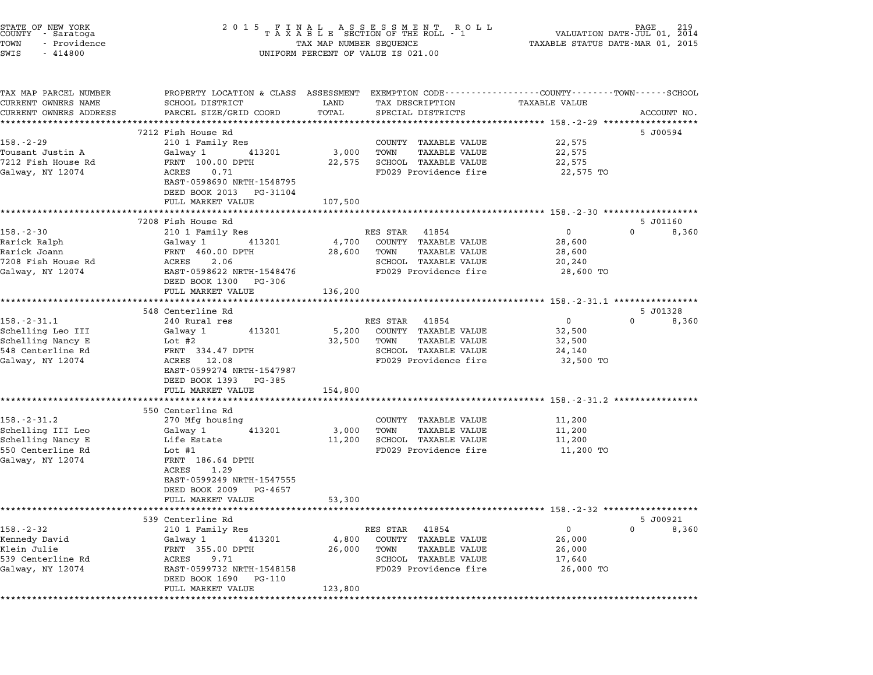| STATE OF NEW YORK<br>COUNTY – Saratoga<br>TOWN<br>- Providence<br>SWIS<br>$-414800$                  |                                                                                                                                                                                   | UNIFORM PERCENT OF VALUE IS 021.00                                                                                            |                                                                                                                  |                                   |
|------------------------------------------------------------------------------------------------------|-----------------------------------------------------------------------------------------------------------------------------------------------------------------------------------|-------------------------------------------------------------------------------------------------------------------------------|------------------------------------------------------------------------------------------------------------------|-----------------------------------|
| TAX MAP PARCEL NUMBER<br>CURRENT OWNERS NAME<br>CURRENT OWNERS ADDRESS                               | SCHOOL DISTRICT<br>PARCEL SIZE/GRID COORD<br>*****************************                                                                                                        | LAND<br>TAX DESCRIPTION<br>TOTAL<br>SPECIAL DISTRICTS                                                                         | PROPERTY LOCATION & CLASS ASSESSMENT EXEMPTION CODE----------------COUNTY-------TOWN-----SCHOOL<br>TAXABLE VALUE | ACCOUNT NO.                       |
| $158. - 2 - 29$<br>Tousant Justin A<br>7212 Fish House Rd<br>Galway, NY 12074                        | 7212 Fish House Rd<br>210 1 Family Res<br>Galway 1<br>413201<br>FRNT 100.00 DPTH<br>ACRES 0.71<br>EAST-0598690 NRTH-1548795<br>DEED BOOK 2013 PG-31104<br>FULL MARKET VALUE       | COUNTY TAXABLE VALUE<br>3,000<br>TOWN<br>SCHOOL TAXABLE VALUE<br>22,575<br>FD029 Providence fire<br>107,500                   | 22,575<br>TAXABLE VALUE<br>22,575<br>22,575<br>22,575 TO                                                         | 5 J00594                          |
| $158. - 2 - 30$<br>Rarick Ralph<br>Rarick Joann<br>7208 Fish House Rd<br>Galway, NY 12074            | 7208 Fish House Rd<br>210 1 Family Res<br>Galway 1<br>413201<br>FRNT 460.00 DPTH<br>ACRES<br>2.06<br>EAST-0598622 NRTH-1548476<br>DEED BOOK 1300 PG-306                           | RES STAR 41854<br>COUNTY TAXABLE VALUE<br>4,700<br>TOWN<br>28,600<br>SCHOOL TAXABLE VALUE<br>FD029 Providence fire            | $\mathbf{0}$<br>28,600<br>TAXABLE VALUE<br>28,600<br>20,240<br>28,600 TO                                         | 5 J01160<br>$\Omega$<br>8,360     |
|                                                                                                      | FULL MARKET VALUE<br>*************************                                                                                                                                    | 136,200                                                                                                                       |                                                                                                                  |                                   |
| $158. - 2 - 31.1$<br>Schelling Leo III<br>Schelling Nancy E<br>548 Centerline Rd<br>Galway, NY 12074 | 548 Centerline Rd<br>240 Rural res<br>413201<br>Galway 1<br>Lot #2<br>FRNT 334.47 DPTH<br>ACRES 12.08<br>EAST-0599274 NRTH-1547987<br>DEED BOOK 1393 PG-385                       | RES STAR 41854<br>5,200<br>COUNTY TAXABLE VALUE<br>32,500<br>TOWN<br>SCHOOL TAXABLE VALUE<br>FD029 Providence fire            | $\overline{0}$<br>32,500<br>TAXABLE VALUE<br>32,500<br>24,140<br>32,500 TO                                       | 5 J01328<br>$\mathbf{0}$<br>8,360 |
|                                                                                                      | FULL MARKET VALUE<br>**************************                                                                                                                                   | 154,800                                                                                                                       | *********************************** 158.-2-31.2 *****************                                                |                                   |
| $158. - 2 - 31.2$<br>Schelling III Leo<br>Schelling Nancy E<br>550 Centerline Rd<br>Galway, NY 12074 | 550 Centerline Rd<br>270 Mfg housing<br>413201<br>Galway 1<br>Life Estate<br>Lot $#1$<br>FRNT 186.64 DPTH<br>ACRES<br>1.29<br>EAST-0599249 NRTH-1547555<br>DEED BOOK 2009 PG-4657 | COUNTY TAXABLE VALUE<br>3,000<br>TOWN<br>SCHOOL TAXABLE VALUE<br>11,200<br>FD029 Providence fire                              | 11,200<br>TAXABLE VALUE<br>11,200<br>11,200<br>11,200 TO                                                         |                                   |
|                                                                                                      | FULL MARKET VALUE                                                                                                                                                                 | 53,300                                                                                                                        |                                                                                                                  |                                   |
| $158. - 2 - 32$<br>Kennedy David<br>Klein Julie<br>539 Centerline Rd<br>Galway, NY 12074             | 539 Centerline Rd<br>210 1 Family Res<br>Galway 1<br>413201<br>FRNT 355.00 DPTH<br>ACRES<br>9.71<br>EAST-0599732 NRTH-1548158<br>DEED BOOK 1690 PG-110<br>FULL MARKET VALUE       | RES STAR 41854<br>4,800<br>COUNTY TAXABLE VALUE<br>26,000<br>TOWN<br>SCHOOL TAXABLE VALUE<br>FD029 Providence fire<br>123,800 | $\mathbf 0$<br>26,000<br><b>TAXABLE VALUE</b><br>26,000<br>17,640<br>26,000 TO                                   | 5 J00921<br>$\Omega$<br>8,360     |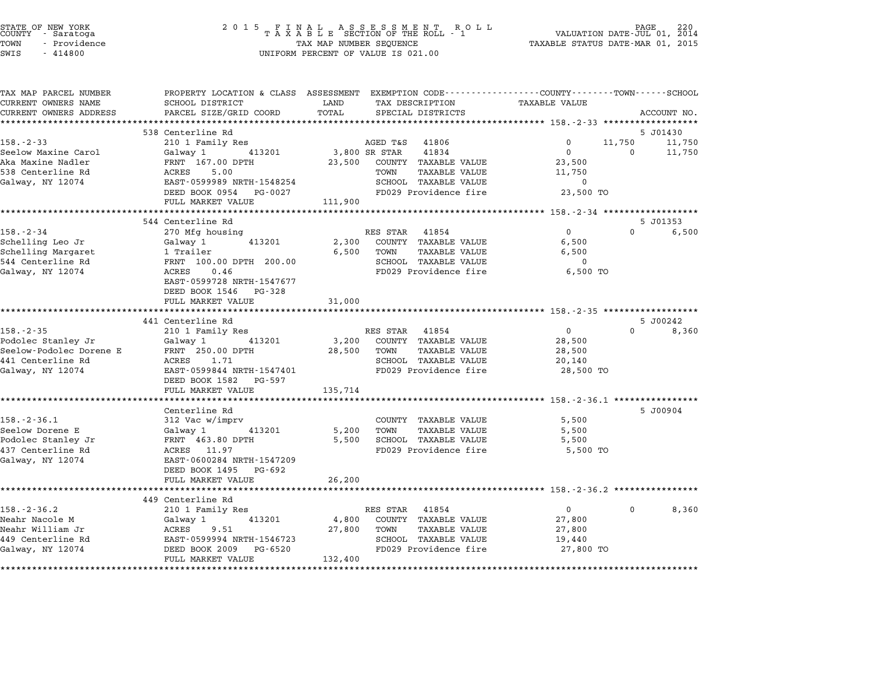| STATE OF NEW YORK<br>COUNTY – Saratoga<br>TOWN<br>- Providence<br>SWIS<br>$-414800$ | $\begin{array}{cccccccccccccc} 2& 0& 1& 5 & & F & I & N & A & L & & A & S & S & E & S & M & E & N & T & & R & O & L \\ & & T & A & X & A & B & L & E & SECTION & OF & THE & ROLL & - & 1 \end{array}$<br>TAX MAP NUMBER SEQUENCE<br>UNIFORM PERCENT OF VALUE IS 021.00 |           |                              | PAGE<br>220<br>VALUATION DATE-JUL 01, 2014<br>TAXABLE STATUS DATE-MAR 01, 2015 |          |             |
|-------------------------------------------------------------------------------------|------------------------------------------------------------------------------------------------------------------------------------------------------------------------------------------------------------------------------------------------------------------------|-----------|------------------------------|--------------------------------------------------------------------------------|----------|-------------|
| TAX MAP PARCEL NUMBER<br>CURRENT OWNERS NAME                                        | PROPERTY LOCATION & CLASS ASSESSMENT EXEMPTION CODE----------------COUNTY-------TOWN-----SCHOOL<br>SCHOOL DISTRICT                                                                                                                                                     | LAND      | TAX DESCRIPTION              | TAXABLE VALUE                                                                  |          |             |
|                                                                                     |                                                                                                                                                                                                                                                                        | TOTAL     |                              |                                                                                |          |             |
| CURRENT OWNERS ADDRESS                                                              | PARCEL SIZE/GRID COORD                                                                                                                                                                                                                                                 | ********* | SPECIAL DISTRICTS            |                                                                                |          | ACCOUNT NO. |
|                                                                                     | 538 Centerline Rd                                                                                                                                                                                                                                                      |           |                              |                                                                                |          | 5 J01430    |
| $158. - 2 - 33$                                                                     | 210 1 Family Res                                                                                                                                                                                                                                                       |           | AGED T&S<br>41806            | 0                                                                              | 11,750   | 11,750      |
| Seelow Maxine Carol                                                                 | Galway 1<br>413201                                                                                                                                                                                                                                                     |           | 3,800 SR STAR<br>41834       | $\Omega$                                                                       | $\Omega$ | 11,750      |
| Aka Maxine Nadler                                                                   | FRNT 167.00 DPTH                                                                                                                                                                                                                                                       | 23,500    | COUNTY TAXABLE VALUE         | 23,500                                                                         |          |             |
| 538 Centerline Rd                                                                   | 5.00<br>ACRES                                                                                                                                                                                                                                                          |           | TOWN<br>TAXABLE VALUE        | 11,750                                                                         |          |             |
| Galway, NY 12074                                                                    | EAST-0599989 NRTH-1548254                                                                                                                                                                                                                                              |           | SCHOOL TAXABLE VALUE         | $\overline{0}$                                                                 |          |             |
|                                                                                     | DEED BOOK 0954 PG-0027                                                                                                                                                                                                                                                 |           | FD029 Providence fire        | 23,500 TO                                                                      |          |             |
|                                                                                     | FULL MARKET VALUE                                                                                                                                                                                                                                                      | 111,900   |                              |                                                                                |          |             |
|                                                                                     |                                                                                                                                                                                                                                                                        |           |                              |                                                                                |          |             |
|                                                                                     | 544 Centerline Rd                                                                                                                                                                                                                                                      |           |                              |                                                                                |          | 5 J01353    |
| $158. - 2 - 34$                                                                     | 270 Mfg housing                                                                                                                                                                                                                                                        |           | RES STAR 41854               | $\Omega$                                                                       | $\Omega$ | 6,500       |
| Schelling Leo Jr                                                                    | 413201<br>Galway 1                                                                                                                                                                                                                                                     | 2,300     | COUNTY TAXABLE VALUE         | 6,500                                                                          |          |             |
| Schelling Margaret                                                                  | 1 Trailer                                                                                                                                                                                                                                                              | 6,500     | TOWN<br>TAXABLE VALUE        | 6,500                                                                          |          |             |
| 544 Centerline Rd                                                                   | FRNT 100.00 DPTH 200.00                                                                                                                                                                                                                                                |           | SCHOOL TAXABLE VALUE         | $\mathbf 0$                                                                    |          |             |
| Galway, NY 12074                                                                    | ACRES<br>0.46                                                                                                                                                                                                                                                          |           | FD029 Providence fire        | 6,500 TO                                                                       |          |             |
|                                                                                     | EAST-0599728 NRTH-1547677<br>DEED BOOK 1546 PG-328                                                                                                                                                                                                                     |           |                              |                                                                                |          |             |
|                                                                                     | FULL MARKET VALUE                                                                                                                                                                                                                                                      | 31,000    |                              |                                                                                |          |             |
|                                                                                     | ******************                                                                                                                                                                                                                                                     |           |                              |                                                                                |          |             |
|                                                                                     | 441 Centerline Rd                                                                                                                                                                                                                                                      |           |                              |                                                                                |          | 5 J00242    |
| $158. - 2 - 35$                                                                     | 210 1 Family Res                                                                                                                                                                                                                                                       |           | RES STAR 41854               | $\overline{0}$                                                                 | $\Omega$ | 8,360       |
| Podolec Stanley Jr                                                                  | 413201<br>Galway 1                                                                                                                                                                                                                                                     | 3,200     | COUNTY TAXABLE VALUE         | 28,500                                                                         |          |             |
| Seelow-Podolec Dorene E                                                             | FRNT 250.00 DPTH                                                                                                                                                                                                                                                       | 28,500    | <b>TAXABLE VALUE</b><br>TOWN | 28,500                                                                         |          |             |
| 441 Centerline Rd                                                                   | ACRES<br>1.71                                                                                                                                                                                                                                                          |           | SCHOOL TAXABLE VALUE         | 20,140                                                                         |          |             |
| Galway, NY 12074                                                                    | EAST-0599844 NRTH-1547401                                                                                                                                                                                                                                              |           | FD029 Providence fire        | 28,500 TO                                                                      |          |             |
|                                                                                     | DEED BOOK 1582 PG-597                                                                                                                                                                                                                                                  |           |                              |                                                                                |          |             |
|                                                                                     | FULL MARKET VALUE                                                                                                                                                                                                                                                      | 135,714   |                              |                                                                                |          |             |
|                                                                                     | . <b>.</b> .                                                                                                                                                                                                                                                           |           |                              | ********************* 158.-2-36.1 ************                                 |          |             |
|                                                                                     | Centerline Rd                                                                                                                                                                                                                                                          |           |                              |                                                                                |          | 5 J00904    |
| $158. - 2 - 36.1$                                                                   | 312 Vac w/imprv                                                                                                                                                                                                                                                        |           | COUNTY TAXABLE VALUE         | 5,500                                                                          |          |             |
| Seelow Dorene E                                                                     | 413201<br>Galway 1                                                                                                                                                                                                                                                     | 5,200     | TOWN<br><b>TAXABLE VALUE</b> | 5,500                                                                          |          |             |
| Podolec Stanley Jr                                                                  | FRNT 463.80 DPTH                                                                                                                                                                                                                                                       | 5,500     | SCHOOL TAXABLE VALUE         | 5,500                                                                          |          |             |
| 437 Centerline Rd                                                                   | ACRES 11.97                                                                                                                                                                                                                                                            |           | FD029 Providence fire        | 5,500 TO                                                                       |          |             |
| Galway, NY 12074                                                                    | EAST-0600284 NRTH-1547209                                                                                                                                                                                                                                              |           |                              |                                                                                |          |             |
|                                                                                     | DEED BOOK 1495 PG-692                                                                                                                                                                                                                                                  |           |                              |                                                                                |          |             |
|                                                                                     | FULL MARKET VALUE                                                                                                                                                                                                                                                      | 26,200    |                              |                                                                                |          |             |
|                                                                                     | ****************************                                                                                                                                                                                                                                           |           |                              |                                                                                |          |             |
|                                                                                     | 449 Centerline Rd                                                                                                                                                                                                                                                      |           |                              |                                                                                |          |             |
| $158. - 2 - 36.2$                                                                   | 210 1 Family Res                                                                                                                                                                                                                                                       |           | RES STAR 41854               | $\mathbf{0}$                                                                   | 0        | 8,360       |
| Neahr Nacole M                                                                      | 413201<br>Galway 1                                                                                                                                                                                                                                                     | 4,800     | COUNTY TAXABLE VALUE         | 27,800                                                                         |          |             |
| Neahr William Jr                                                                    | 9.51<br>ACRES                                                                                                                                                                                                                                                          | 27,800    | TOWN<br>TAXABLE VALUE        | 27,800                                                                         |          |             |
| 449 Centerline Rd                                                                   | EAST-0599994 NRTH-1546723                                                                                                                                                                                                                                              |           | SCHOOL TAXABLE VALUE         | 19,440                                                                         |          |             |
| Galway, NY 12074                                                                    | DEED BOOK 2009<br>PG-6520<br>FULL MARKET VALUE                                                                                                                                                                                                                         | 132,400   | FD029 Providence fire        | 27,800 TO                                                                      |          |             |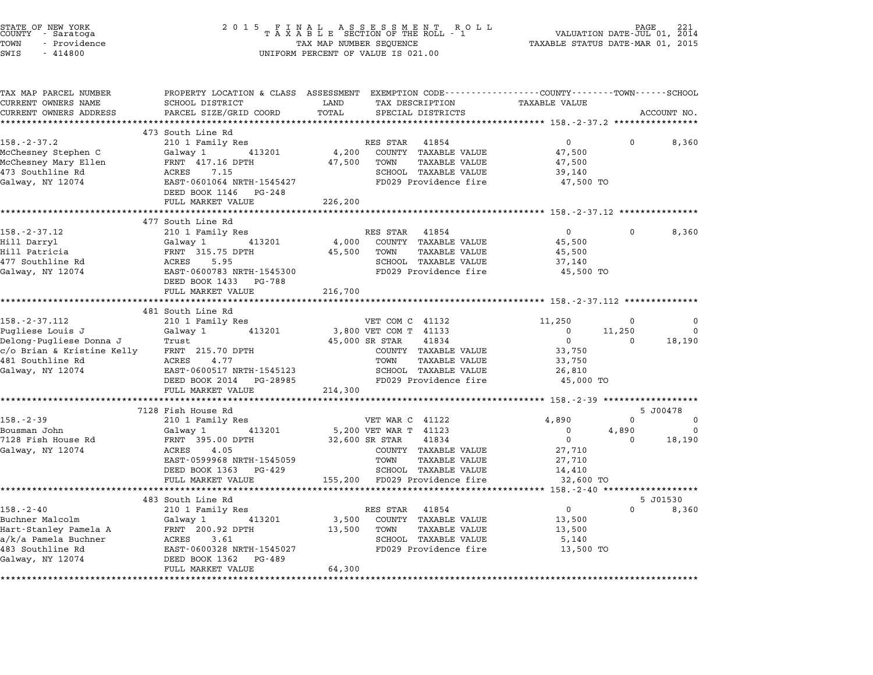| STATE OF NEW YORK<br>COUNTY - Saratoga<br>TOWN<br>- Providence<br>SWIS<br>$-414800$ | 2 0 1 5                                    | FINAL ASSESSMENT ROTAXABLE SECTION OF THE ROLL - 1<br>R O L L<br>TAX MAP NUMBER SEQUENCE<br>UNIFORM PERCENT OF VALUE IS 021.00 | PAGE<br>VALUATION DATE-JUL 01, 2014<br>TAXABLE STATUS DATE-MAR 01, 2015                          |
|-------------------------------------------------------------------------------------|--------------------------------------------|--------------------------------------------------------------------------------------------------------------------------------|--------------------------------------------------------------------------------------------------|
| TAX MAP PARCEL NUMBER                                                               |                                            |                                                                                                                                | PROPERTY LOCATION & CLASS ASSESSMENT EXEMPTION CODE----------------COUNTY-------TOWN------SCHOOL |
| CURRENT OWNERS NAME<br>CURRENT OWNERS ADDRESS                                       | SCHOOL DISTRICT<br>PARCEL SIZE/GRID COORD  | LAND<br>TAX DESCRIPTION<br>TOTAL<br>SPECIAL DISTRICTS                                                                          | <b>TAXABLE VALUE</b><br>ACCOUNT NO.                                                              |
|                                                                                     |                                            |                                                                                                                                |                                                                                                  |
|                                                                                     | 473 South Line Rd                          |                                                                                                                                |                                                                                                  |
| $158. - 2 - 37.2$                                                                   | 210 1 Family Res                           | RES STAR 41854                                                                                                                 | $\mathbf 0$<br>$\Omega$<br>8,360                                                                 |
| McChesney Stephen C                                                                 | Galway 1<br>413201                         | 4,200<br>COUNTY TAXABLE VALUE                                                                                                  | 47,500                                                                                           |
| McChesney Mary Ellen                                                                | FRNT 417.16 DPTH                           | 47,500<br>TOWN<br><b>TAXABLE VALUE</b>                                                                                         | 47,500                                                                                           |
| 473 Southline Rd                                                                    | ACRES<br>7.15                              | SCHOOL TAXABLE VALUE                                                                                                           | 39,140                                                                                           |
| Galway, NY 12074                                                                    | EAST-0601064 NRTH-1545427                  | FD029 Providence fire                                                                                                          | 47,500 TO                                                                                        |
|                                                                                     | DEED BOOK 1146<br>PG-248                   |                                                                                                                                |                                                                                                  |
|                                                                                     | FULL MARKET VALUE                          | 226,200                                                                                                                        |                                                                                                  |
|                                                                                     | 477 South Line Rd                          | **********                                                                                                                     | ********* 158.-2-37.12 *************                                                             |
| $158. - 2 - 37.12$                                                                  | 210 1 Family Res                           | RES STAR<br>41854                                                                                                              | 0<br>0<br>8,360                                                                                  |
| Hill Darryl                                                                         | Galway 1<br>413201                         | 4,000<br>COUNTY TAXABLE VALUE                                                                                                  | 45,500                                                                                           |
| Hill Patricia                                                                       | FRNT 315.75 DPTH                           | <b>TAXABLE VALUE</b><br>45,500<br>TOWN                                                                                         | 45,500                                                                                           |
| 477 Southline Rd                                                                    | ACRES<br>5.95                              | SCHOOL TAXABLE VALUE                                                                                                           | 37,140                                                                                           |
| Galway, NY 12074                                                                    | EAST-0600783 NRTH-1545300                  | FD029 Providence fire                                                                                                          | 45,500 TO                                                                                        |
|                                                                                     | DEED BOOK 1433 PG-788                      |                                                                                                                                |                                                                                                  |
|                                                                                     | FULL MARKET VALUE                          | 216,700                                                                                                                        |                                                                                                  |
|                                                                                     | ************************                   |                                                                                                                                |                                                                                                  |
|                                                                                     | 481 South Line Rd                          |                                                                                                                                |                                                                                                  |
| $158. - 2 - 37.112$                                                                 | 210 1 Family Res                           | VET COM C 41132                                                                                                                | 11,250<br>0<br>0                                                                                 |
| Pugliese Louis J<br>Delong-Pugliese Donna J                                         | 413201<br>Galway 1<br>Trust                | 3,800 VET COM T 41133<br>41834<br>45,000 SR STAR                                                                               | 11,250<br>$\Omega$<br>$\Omega$<br>$\mathbf 0$<br>18,190<br>$\Omega$                              |
| c/o Brian & Kristine Kelly                                                          | FRNT 215.70 DPTH                           | COUNTY TAXABLE VALUE                                                                                                           | 33,750                                                                                           |
| 481 Southline Rd                                                                    | ACRES<br>4.77                              | TOWN<br>TAXABLE VALUE                                                                                                          | 33,750                                                                                           |
| Galway, NY 12074                                                                    | EAST-0600517 NRTH-1545123                  | SCHOOL TAXABLE VALUE                                                                                                           | 26,810                                                                                           |
|                                                                                     | DEED BOOK 2014 PG-28985                    | FD029 Providence fire                                                                                                          | 45,000 TO                                                                                        |
|                                                                                     | FULL MARKET VALUE                          | 214,300                                                                                                                        |                                                                                                  |
|                                                                                     |                                            |                                                                                                                                | ****************** 158.-2-39 *******************                                                 |
|                                                                                     | 7128 Fish House Rd                         |                                                                                                                                | 5 J00478                                                                                         |
| $158. - 2 - 39$                                                                     | 210 1 Family Res                           | VET WAR C 41122                                                                                                                | 4,890<br>$\Omega$<br>$\Omega$                                                                    |
| Bousman John                                                                        | 413201<br>Galway 1                         | 5,200 VET WAR T 41123                                                                                                          | 0<br>4,890<br>$\Omega$                                                                           |
| 7128 Fish House Rd                                                                  | FRNT 395.00 DPTH                           | 32,600 SR STAR<br>41834                                                                                                        | $\mathbf 0$<br>18,190<br>0                                                                       |
| Galway, NY 12074                                                                    | ACRES<br>4.05                              | COUNTY TAXABLE VALUE                                                                                                           | 27,710                                                                                           |
|                                                                                     | EAST-0599968 NRTH-1545059                  | TOWN<br>TAXABLE VALUE                                                                                                          | 27,710                                                                                           |
|                                                                                     | DEED BOOK 1363 PG-429<br>FULL MARKET VALUE | SCHOOL TAXABLE VALUE<br>155,200<br>FD029 Providence fire                                                                       | 14,410<br>32,600 TO                                                                              |
|                                                                                     | ****************                           |                                                                                                                                | ********* 158.-2-40<br>******************                                                        |
|                                                                                     | 483 South Line Rd                          |                                                                                                                                | 5 J01530                                                                                         |
| $158. - 2 - 40$                                                                     | 210 1 Family Res                           | RES STAR<br>41854                                                                                                              | $\mathbf{0}$<br>$\Omega$<br>8,360                                                                |
| Buchner Malcolm                                                                     | Galway 1<br>413201                         | COUNTY TAXABLE VALUE<br>3,500                                                                                                  | 13,500                                                                                           |
| Hart-Stanley Pamela A                                                               | FRNT 200.92 DPTH                           | TAXABLE VALUE<br>13,500<br>TOWN                                                                                                | 13,500                                                                                           |
| a/k/a Pamela Buchner                                                                | ACRES<br>3.61                              | SCHOOL TAXABLE VALUE                                                                                                           | 5,140                                                                                            |
| 483 Southline Rd                                                                    | EAST-0600328 NRTH-1545027                  | FD029 Providence fire                                                                                                          | 13,500 TO                                                                                        |
| Galway, NY 12074                                                                    | DEED BOOK 1362 PG-489                      |                                                                                                                                |                                                                                                  |
|                                                                                     | FULL MARKET VALUE                          | 64,300                                                                                                                         |                                                                                                  |
|                                                                                     |                                            |                                                                                                                                |                                                                                                  |

STATE OF NEW YORK <sup>2</sup> <sup>0</sup> <sup>1</sup> 5 F I N A L A S S E S S M E N T R O L L PAGE <sup>221</sup> COUNTY - Saratoga <sup>T</sup> <sup>A</sup> <sup>X</sup> <sup>A</sup> <sup>B</sup> <sup>L</sup> <sup>E</sup> SECTION OF THE ROLL - <sup>1</sup> VALUATION DATE-JUL 01, <sup>2014</sup>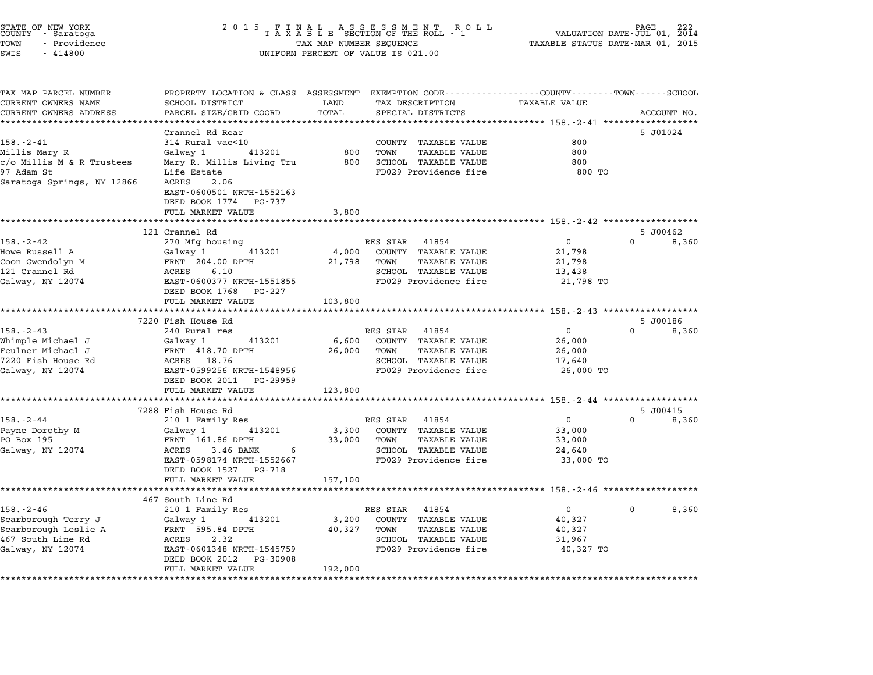| STATE OF NEW YORK<br>COUNTY – Saratoga<br>TOWN<br>- Providence<br>SWIS<br>$-414800$                       | 2 0 1 5                                                                                                                                                                                | TAX MAP NUMBER SEQUENCE    | $\begin{array}{cccccccccccccc} & F & I & N & A & L & A & S & S & E & S & S & M & E & N & T & R & O & L \\ T & A & X & A & B & L & E & SECTION OF THE ROLL & - & 1 \end{array}$<br>UNIFORM PERCENT OF VALUE IS 021.00 | PAGE 222<br>VALUATION DATE-JUL 01, 2014<br>TAXABLE STATUS DATE-MAR 01, 2015                                    |          |                   |
|-----------------------------------------------------------------------------------------------------------|----------------------------------------------------------------------------------------------------------------------------------------------------------------------------------------|----------------------------|----------------------------------------------------------------------------------------------------------------------------------------------------------------------------------------------------------------------|----------------------------------------------------------------------------------------------------------------|----------|-------------------|
| TAX MAP PARCEL NUMBER<br>CURRENT OWNERS NAME                                                              | PROPERTY LOCATION & CLASS ASSESSMENT EXEMPTION CODE----------------COUNTY-------TOWN-----SCHOOL<br>SCHOOL DISTRICT<br>PARCEL SIZE/GRID COORD                                           | LAND<br>TOTAL              | TAX DESCRIPTION                                                                                                                                                                                                      | <b>TAXABLE VALUE</b>                                                                                           |          |                   |
| CURRENT OWNERS ADDRESS<br>**********************                                                          |                                                                                                                                                                                        |                            | SPECIAL DISTRICTS<br>*********************************                                                                                                                                                               | ************ 158.-2-41 *******************                                                                     |          | ACCOUNT NO.       |
| $158. - 2 - 41$<br>Millis Mary R<br>c/o Millis M & R Trustees<br>97 Adam St<br>Saratoga Springs, NY 12866 | Crannel Rd Rear<br>314 Rural vac<10<br>Galway 1<br>413201<br>Mary R. Millis Living Tru<br>Life Estate<br>ACRES<br>2.06<br>EAST-0600501 NRTH-1552163<br>DEED BOOK 1774 PG-737           | 800<br>800                 | COUNTY TAXABLE VALUE<br>TOWN<br><b>TAXABLE VALUE</b><br>SCHOOL TAXABLE VALUE<br>FD029 Providence fire                                                                                                                | 800<br>800<br>800<br>800 TO                                                                                    |          | 5 J01024          |
|                                                                                                           | FULL MARKET VALUE                                                                                                                                                                      | 3,800                      |                                                                                                                                                                                                                      |                                                                                                                |          |                   |
|                                                                                                           | *******************                                                                                                                                                                    | **********                 |                                                                                                                                                                                                                      | ******************************* 158.-2-42 ******************                                                   |          |                   |
| $158. - 2 - 42$<br>Howe Russell A<br>Coon Gwendolyn M<br>121 Crannel Rd<br>Galway, NY 12074               | 121 Crannel Rd<br>270 Mfg housing<br>Galway 1<br>413201<br>FRNT 204.00 DPTH<br>ACRES<br>6.10<br>EAST-0600377 NRTH-1551855<br>DEED BOOK 1768<br>PG-227<br>FULL MARKET VALUE             | 4,000<br>21,798<br>103,800 | 41854<br>RES STAR<br>COUNTY TAXABLE VALUE<br>TOWN<br><b>TAXABLE VALUE</b><br>SCHOOL TAXABLE VALUE<br>FD029 Providence fire                                                                                           | 0<br>21,798<br>21,798<br>13,438<br>21,798 TO                                                                   | $\Omega$ | 5 J00462<br>8,360 |
|                                                                                                           | ****************                                                                                                                                                                       |                            |                                                                                                                                                                                                                      | ***** 158.-2-43 *****************                                                                              |          |                   |
| $158. - 2 - 43$<br>Whimple Michael J<br>Feulner Michael J<br>7220 Fish House Rd<br>Galway, NY 12074       | 7220 Fish House Rd<br>240 Rural res<br>413201<br>Galway 1<br>FRNT 418.70 DPTH<br>ACRES 18.76<br>EAST-0599256 NRTH-1548956<br>DEED BOOK 2011 PG-29959<br>FULL MARKET VALUE              | 6,600<br>26,000<br>123,800 | RES STAR<br>41854<br>COUNTY TAXABLE VALUE<br><b>TAXABLE VALUE</b><br>TOWN<br>SCHOOL TAXABLE VALUE<br>FD029 Providence fire                                                                                           | 0<br>26,000<br>26,000<br>17,640<br>26,000 TO                                                                   | 0        | 5 J00186<br>8,360 |
|                                                                                                           | *********************                                                                                                                                                                  | **********                 |                                                                                                                                                                                                                      | ************** 158.-2-44 *******************                                                                   |          |                   |
| $158. - 2 - 44$<br>Payne Dorothy M<br>PO Box 195<br>Galway, NY 12074                                      | 7288 Fish House Rd<br>210 1 Family Res<br>Galway 1<br>413201<br>FRNT 161.86 DPTH<br>ACRES<br>3.46 BANK<br>6<br>EAST-0598174 NRTH-1552667<br>DEED BOOK 1527 PG-718                      | 3,300<br>33,000            | RES STAR<br>41854<br>COUNTY TAXABLE VALUE<br>TOWN<br>TAXABLE VALUE<br>SCHOOL TAXABLE VALUE<br>FD029 Providence fire                                                                                                  | $\mathbf 0$<br>33,000<br>33,000<br>24,640<br>33,000 TO                                                         | $\Omega$ | 5 J00415<br>8,360 |
|                                                                                                           | FULL MARKET VALUE                                                                                                                                                                      | 157,100                    |                                                                                                                                                                                                                      |                                                                                                                |          |                   |
| $158. - 2 - 46$<br>Scarborough Terry J<br>Scarborough Leslie A<br>467 South Line Rd<br>Galway, NY 12074   | ***********************<br>467 South Line Rd<br>210 1 Family Res<br>413201<br>Galway 1<br>FRNT 595.84 DPTH<br>2.32<br>ACRES<br>EAST-0601348 NRTH-1545759<br>DEED BOOK 2012<br>PG-30908 | 3,200<br>40,327            | **************************<br>RES STAR<br>41854<br>COUNTY TAXABLE VALUE<br>TOWN<br><b>TAXABLE VALUE</b><br>SCHOOL TAXABLE VALUE<br>FD029 Providence fire                                                             | ********************* 158.-2-46 *******************<br>$\mathbf{0}$<br>40,327<br>40,327<br>31,967<br>40,327 TO | 0        | 8,360             |
|                                                                                                           | FULL MARKET VALUE<br>******************                                                                                                                                                | 192,000                    |                                                                                                                                                                                                                      |                                                                                                                |          |                   |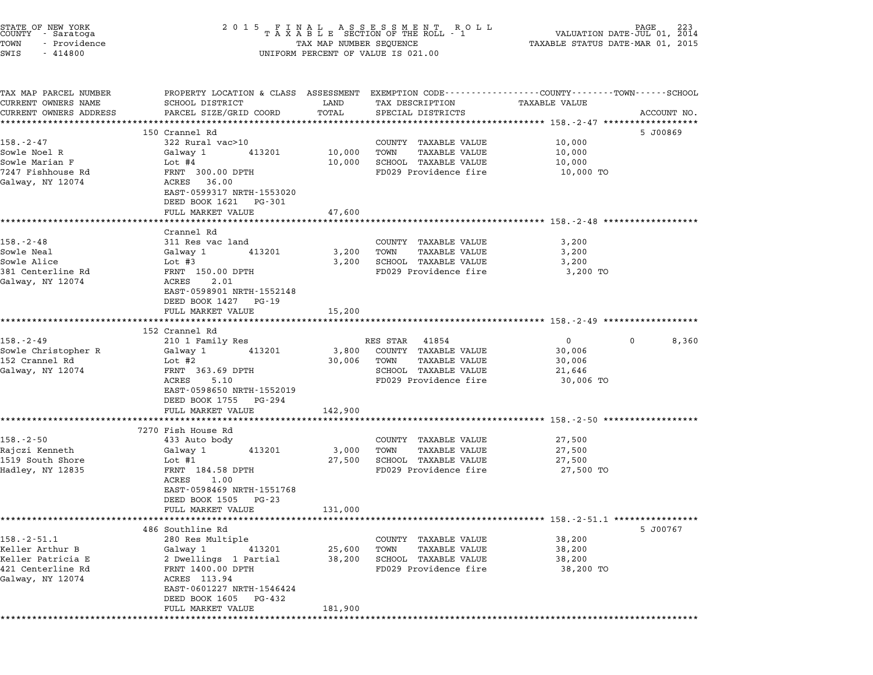| STATE OF NEW YORK<br>COUNTY – Saratoga<br>TOWN<br>- Providence<br>SWIS<br>$-414800$ | UNIFORM PERCENT OF VALUE IS 021.00                                                                          |                                |                                                                        |                                                                                                                                |  |
|-------------------------------------------------------------------------------------|-------------------------------------------------------------------------------------------------------------|--------------------------------|------------------------------------------------------------------------|--------------------------------------------------------------------------------------------------------------------------------|--|
| TAX MAP PARCEL NUMBER<br>CURRENT OWNERS NAME<br>CURRENT OWNERS ADDRESS              | SCHOOL DISTRICT<br>PARCEL SIZE/GRID COORD                                                                   | LAND<br>TOTAL                  | TAX DESCRIPTION<br>SPECIAL DISTRICTS                                   | PROPERTY LOCATION & CLASS ASSESSMENT EXEMPTION CODE---------------COUNTY-------TOWN-----SCHOOL<br>TAXABLE VALUE<br>ACCOUNT NO. |  |
|                                                                                     | ************************                                                                                    |                                |                                                                        |                                                                                                                                |  |
| $158. - 2 - 47$                                                                     | 150 Crannel Rd<br>322 Rural vac>10                                                                          |                                | COUNTY TAXABLE VALUE                                                   | 5 J00869<br>10,000                                                                                                             |  |
| Sowle Noel R<br>Sowle Marian F<br>7247 Fishhouse Rd<br>Galway, NY 12074             | 413201<br>Galway 1<br>Lot #4<br>FRNT 300.00 DPTH<br>ACRES 36.00                                             | 10,000<br>10,000               | TAXABLE VALUE<br>TOWN<br>SCHOOL TAXABLE VALUE<br>FD029 Providence fire | 10,000<br>10,000<br>10,000 TO                                                                                                  |  |
|                                                                                     | EAST-0599317 NRTH-1553020<br>DEED BOOK 1621 PG-301<br>FULL MARKET VALUE                                     | 47,600                         |                                                                        |                                                                                                                                |  |
|                                                                                     |                                                                                                             | ************                   |                                                                        | ************************************ 158.-2-48 ***************                                                                 |  |
| $158. - 2 - 48$<br>Sowle Neal                                                       | Crannel Rd<br>311 Res vac land<br>413201<br>Galway 1                                                        | 3,200                          | COUNTY TAXABLE VALUE<br><b>TAXABLE VALUE</b><br>TOWN                   | 3,200<br>3,200                                                                                                                 |  |
| Sowle Alice                                                                         | Lot #3                                                                                                      | 3,200                          | SCHOOL TAXABLE VALUE                                                   | 3,200                                                                                                                          |  |
| 381 Centerline Rd<br>Galway, NY 12074                                               | FRNT 150.00 DPTH<br>ACRES<br>2.01<br>EAST-0598901 NRTH-1552148<br>DEED BOOK 1427 PG-19                      |                                | FD029 Providence fire                                                  | 3,200 TO                                                                                                                       |  |
|                                                                                     | FULL MARKET VALUE                                                                                           | 15,200                         |                                                                        |                                                                                                                                |  |
|                                                                                     | ***********************<br>152 Crannel Rd                                                                   | **********                     |                                                                        | ************************************* 158.-2-49 ******************                                                             |  |
| $158. - 2 - 49$                                                                     | 210 1 Family Res                                                                                            |                                | RES STAR 41854                                                         | 8,360<br>$\overline{0}$<br>0                                                                                                   |  |
| Sowle Christopher R                                                                 | 413201<br>Galway 1                                                                                          | 3,800                          | COUNTY TAXABLE VALUE                                                   | 30,006                                                                                                                         |  |
| 152 Crannel Rd                                                                      | Lot #2                                                                                                      | 30,006                         | TOWN<br>TAXABLE VALUE                                                  | 30,006                                                                                                                         |  |
| Galway, NY 12074                                                                    | FRNT 363.69 DPTH                                                                                            |                                | SCHOOL TAXABLE VALUE                                                   | 21,646                                                                                                                         |  |
|                                                                                     | ACRES<br>5.10<br>EAST-0598650 NRTH-1552019<br>DEED BOOK 1755 PG-294                                         |                                | FD029 Providence fire                                                  | 30,006 TO                                                                                                                      |  |
|                                                                                     | FULL MARKET VALUE                                                                                           | 142,900                        |                                                                        | ************************************ 158.-2-50 *******************                                                             |  |
|                                                                                     | 7270 Fish House Rd                                                                                          |                                |                                                                        |                                                                                                                                |  |
| $158. - 2 - 50$                                                                     | 433 Auto body                                                                                               |                                | COUNTY TAXABLE VALUE                                                   | 27,500                                                                                                                         |  |
| Rajczi Kenneth                                                                      | 413201<br>Galway 1                                                                                          | 3,000                          | <b>TAXABLE VALUE</b><br>TOWN                                           | 27,500                                                                                                                         |  |
| 1519 South Shore                                                                    | Lot #1                                                                                                      | 27,500                         | SCHOOL TAXABLE VALUE                                                   | 27,500                                                                                                                         |  |
| Hadley, NY 12835                                                                    | FRNT 184.58 DPTH<br>ACRES<br>1.00<br>EAST-0598469 NRTH-1551768<br>DEED BOOK 1505 PG-23<br>FULL MARKET VALUE | 131,000                        | FD029 Providence fire                                                  | 27,500 TO                                                                                                                      |  |
|                                                                                     | ****************                                                                                            | ***********                    |                                                                        | *********************************** 158.-2-51.1 ****************                                                               |  |
|                                                                                     | 486 Southline Rd                                                                                            |                                |                                                                        | 5 J00767                                                                                                                       |  |
| $158. - 2 - 51.1$                                                                   | 280 Res Multiple                                                                                            |                                | COUNTY TAXABLE VALUE                                                   | 38,200                                                                                                                         |  |
| Keller Arthur B<br>Keller Patricia E                                                | Galway 1<br>413201<br>2 Dwellings 1 Partial                                                                 | 25,600<br>38,200               | <b>TAXABLE VALUE</b><br>TOWN<br>SCHOOL TAXABLE VALUE                   | 38,200<br>38,200                                                                                                               |  |
| 421 Centerline Rd<br>Galway, NY 12074                                               | FRNT 1400.00 DPTH<br>ACRES 113.94<br>EAST-0601227 NRTH-1546424<br>DEED BOOK 1605<br>PG-432                  |                                | FD029 Providence fire                                                  | 38,200 TO                                                                                                                      |  |
|                                                                                     | FULL MARKET VALUE<br>***************************                                                            | 181,900<br>******************* |                                                                        |                                                                                                                                |  |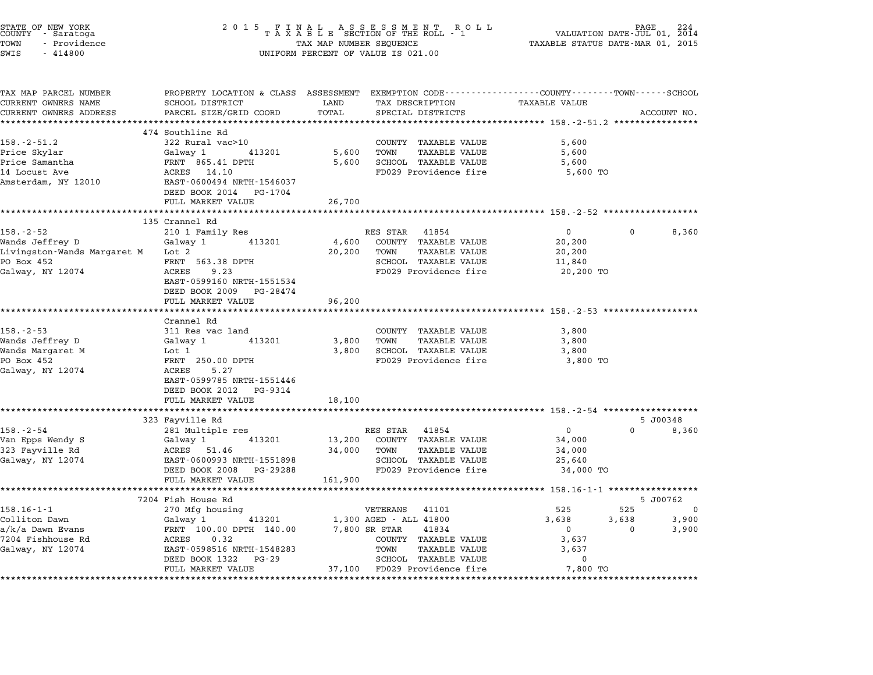| STATE OF NEW YORK<br>COUNTY     Saratoga<br>TOWN<br>- Providence<br>SWIS<br>$-414800$ | 2 0 1 5                                                                                                                                     | TAX MAP NUMBER SEQUENCE<br>UNIFORM PERCENT OF VALUE IS 021.00 |                                         | $\begin{array}{cccccccccccccc} & F & I & N & A & L & & A & S & S & E & S & S & M & E & N & T & R & O & L \\ T & A & X & A & B & L & E & SECTION OF THE ROLL & - & 1 \end{array}$ | TAXABLE STATUS DATE-MAR 01, 2015                    | PAGE 224<br>VALUATION DATE-JUL 01, 2014 |             |
|---------------------------------------------------------------------------------------|---------------------------------------------------------------------------------------------------------------------------------------------|---------------------------------------------------------------|-----------------------------------------|----------------------------------------------------------------------------------------------------------------------------------------------------------------------------------|-----------------------------------------------------|-----------------------------------------|-------------|
|                                                                                       |                                                                                                                                             |                                                               |                                         |                                                                                                                                                                                  |                                                     |                                         |             |
| TAX MAP PARCEL NUMBER<br>CURRENT OWNERS NAME<br>CURRENT OWNERS ADDRESS                | PROPERTY LOCATION & CLASS ASSESSMENT EXEMPTION CODE---------------COUNTY-------TOWN-----SCHOOL<br>SCHOOL DISTRICT<br>PARCEL SIZE/GRID COORD | LAND<br>TOTAL                                                 | TAX DESCRIPTION<br>SPECIAL DISTRICTS    |                                                                                                                                                                                  | <b>TAXABLE VALUE</b>                                |                                         | ACCOUNT NO. |
| ***********************                                                               |                                                                                                                                             |                                                               |                                         |                                                                                                                                                                                  |                                                     |                                         |             |
|                                                                                       | 474 Southline Rd                                                                                                                            |                                                               |                                         |                                                                                                                                                                                  |                                                     |                                         |             |
| $158. - 2 - 51.2$                                                                     | 322 Rural vac>10                                                                                                                            |                                                               |                                         | COUNTY TAXABLE VALUE                                                                                                                                                             | 5,600                                               |                                         |             |
| Price Skylar<br>Price Samantha                                                        | 413201<br>Galway 1<br>FRNT 865.41 DPTH                                                                                                      | 5,600<br>5,600                                                | TOWN                                    | <b>TAXABLE VALUE</b><br>SCHOOL TAXABLE VALUE                                                                                                                                     | 5,600<br>5,600                                      |                                         |             |
| 14 Locust Ave<br>Amsterdam, NY 12010                                                  | ACRES 14.10<br>EAST-0600494 NRTH-1546037<br>DEED BOOK 2014<br>PG-1704                                                                       |                                                               |                                         | FD029 Providence fire                                                                                                                                                            | 5,600 TO                                            |                                         |             |
|                                                                                       | FULL MARKET VALUE                                                                                                                           | 26,700                                                        |                                         |                                                                                                                                                                                  |                                                     |                                         |             |
|                                                                                       |                                                                                                                                             |                                                               |                                         |                                                                                                                                                                                  |                                                     |                                         |             |
|                                                                                       | 135 Crannel Rd                                                                                                                              |                                                               |                                         |                                                                                                                                                                                  |                                                     |                                         |             |
| $158. - 2 - 52$                                                                       | 210 1 Family Res                                                                                                                            |                                                               | RES STAR                                | 41854                                                                                                                                                                            | $\overline{0}$                                      |                                         | 8,360       |
| Wands Jeffrey D<br>Livingston-Wands Margaret M                                        | Galway 1<br>413201<br>Lot 2                                                                                                                 | 4,600<br>20,200                                               | TOWN                                    | COUNTY TAXABLE VALUE<br><b>TAXABLE VALUE</b>                                                                                                                                     | 20,200<br>20,200                                    |                                         |             |
| PO Box 452                                                                            | FRNT 563.38 DPTH                                                                                                                            |                                                               |                                         | SCHOOL TAXABLE VALUE                                                                                                                                                             | 11,840                                              |                                         |             |
| Galway, NY 12074                                                                      | ACRES<br>9.23                                                                                                                               |                                                               |                                         | FD029 Providence fire                                                                                                                                                            | 20,200 TO                                           |                                         |             |
|                                                                                       | EAST-0599160 NRTH-1551534                                                                                                                   |                                                               |                                         |                                                                                                                                                                                  |                                                     |                                         |             |
|                                                                                       | DEED BOOK 2009 PG-28474                                                                                                                     |                                                               |                                         |                                                                                                                                                                                  |                                                     |                                         |             |
|                                                                                       | FULL MARKET VALUE                                                                                                                           | 96,200                                                        |                                         |                                                                                                                                                                                  |                                                     |                                         |             |
|                                                                                       | **********************                                                                                                                      |                                                               |                                         |                                                                                                                                                                                  |                                                     |                                         |             |
| $158. - 2 - 53$                                                                       | Crannel Rd                                                                                                                                  |                                                               |                                         |                                                                                                                                                                                  |                                                     |                                         |             |
| Wands Jeffrey D                                                                       | 311 Res vac land<br>Galway 1<br>413201                                                                                                      | 3,800                                                         | TOWN                                    | COUNTY TAXABLE VALUE<br>TAXABLE VALUE                                                                                                                                            | 3,800<br>3,800                                      |                                         |             |
| Wands Margaret M                                                                      | Lot 1                                                                                                                                       | 3,800                                                         |                                         | SCHOOL TAXABLE VALUE                                                                                                                                                             | 3,800                                               |                                         |             |
| PO Box 452                                                                            | FRNT 250.00 DPTH                                                                                                                            |                                                               |                                         | FD029 Providence fire                                                                                                                                                            | 3,800 TO                                            |                                         |             |
| Galway, NY 12074                                                                      | ACRES<br>5.27                                                                                                                               |                                                               |                                         |                                                                                                                                                                                  |                                                     |                                         |             |
|                                                                                       | EAST-0599785 NRTH-1551446                                                                                                                   |                                                               |                                         |                                                                                                                                                                                  |                                                     |                                         |             |
|                                                                                       | DEED BOOK 2012 PG-9314                                                                                                                      |                                                               |                                         |                                                                                                                                                                                  |                                                     |                                         |             |
|                                                                                       | FULL MARKET VALUE                                                                                                                           | 18,100                                                        |                                         |                                                                                                                                                                                  |                                                     |                                         |             |
|                                                                                       | ********************                                                                                                                        |                                                               |                                         |                                                                                                                                                                                  |                                                     |                                         |             |
|                                                                                       | 323 Fayville Rd                                                                                                                             |                                                               |                                         |                                                                                                                                                                                  |                                                     | $\Omega$                                | 5 J00348    |
| $158. - 2 - 54$<br>Van Epps Wendy S                                                   | 281 Multiple res<br>413201<br>Galway 1                                                                                                      | 13,200                                                        | RES STAR                                | 41854<br>COUNTY TAXABLE VALUE                                                                                                                                                    | $\mathbf 0$<br>34,000                               |                                         | 8,360       |
| 323 Fayville Rd                                                                       | ACRES 51.46                                                                                                                                 | 34,000                                                        | TOWN                                    | <b>TAXABLE VALUE</b>                                                                                                                                                             | 34,000                                              |                                         |             |
| Galway, NY 12074                                                                      | EAST-0600993 NRTH-1551898                                                                                                                   |                                                               |                                         | SCHOOL TAXABLE VALUE                                                                                                                                                             | 25,640                                              |                                         |             |
|                                                                                       | DEED BOOK 2008 PG-29288                                                                                                                     |                                                               |                                         | FD029 Providence fire                                                                                                                                                            | 34,000 TO                                           |                                         |             |
|                                                                                       | FULL MARKET VALUE                                                                                                                           | 161,900                                                       |                                         |                                                                                                                                                                                  |                                                     |                                         |             |
|                                                                                       |                                                                                                                                             |                                                               |                                         |                                                                                                                                                                                  | ********************* 158.16-1-1 ****************** |                                         |             |
|                                                                                       | 7204 Fish House Rd                                                                                                                          |                                                               |                                         |                                                                                                                                                                                  |                                                     |                                         | 5 J00762    |
| $158.16 - 1 - 1$                                                                      | 270 Mfg housing                                                                                                                             |                                                               | VETERANS                                | 41101                                                                                                                                                                            | 525                                                 | 525                                     | - 0         |
| Colliton Dawn<br>a/k/a Dawn Evans                                                     | Galway 1<br>413201<br>FRNT 100.00 DPTH 140.00                                                                                               |                                                               | 1,300 AGED - ALL 41800<br>7,800 SR STAR | 41834                                                                                                                                                                            | 3,638<br>$\mathbf 0$                                | 3,638<br>$\Omega$                       | 3,900       |
| 7204 Fishhouse Rd                                                                     | ACRES<br>0.32                                                                                                                               |                                                               |                                         | COUNTY TAXABLE VALUE                                                                                                                                                             | 3,637                                               |                                         | 3,900       |
| Galway, NY 12074                                                                      | EAST-0598516 NRTH-1548283                                                                                                                   |                                                               | TOWN                                    | TAXABLE VALUE                                                                                                                                                                    | 3,637                                               |                                         |             |
|                                                                                       | DEED BOOK 1322<br>PG-29                                                                                                                     |                                                               |                                         | SCHOOL TAXABLE VALUE                                                                                                                                                             | 0                                                   |                                         |             |
|                                                                                       | FULL MARKET VALUE                                                                                                                           |                                                               |                                         | 37,100 FD029 Providence fire                                                                                                                                                     | 7,800 TO                                            |                                         |             |
|                                                                                       | *****************                                                                                                                           |                                                               |                                         |                                                                                                                                                                                  |                                                     |                                         |             |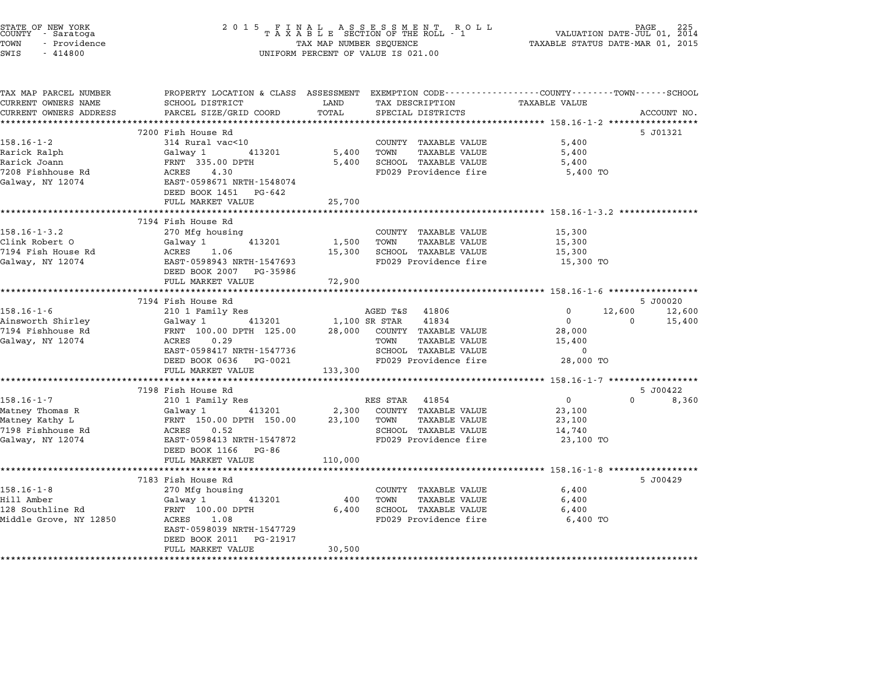| STATE OF NEW YORK<br>COUNTY - Saratoga<br>TOWN<br>- Providence<br>SWIS<br>$-414800$ | 2015 FINAL                                           | TAX MAP NUMBER SEQUENCE | UNIFORM PERCENT OF VALUE IS 021.00          | PAGE<br>VALUATION DATE-JUL 01, 2014<br>TAXABLE STATUS DATE-MAR 01, 2015                         | 225              |
|-------------------------------------------------------------------------------------|------------------------------------------------------|-------------------------|---------------------------------------------|-------------------------------------------------------------------------------------------------|------------------|
| TAX MAP PARCEL NUMBER                                                               |                                                      |                         |                                             | PROPERTY LOCATION & CLASS ASSESSMENT EXEMPTION CODE---------------COUNTY-------TOWN------SCHOOL |                  |
| CURRENT OWNERS NAME                                                                 | SCHOOL DISTRICT                                      | LAND                    | TAX DESCRIPTION                             | TAXABLE VALUE                                                                                   |                  |
| CURRENT OWNERS ADDRESS                                                              | PARCEL SIZE/GRID COORD<br>************************   | TOTAL<br>**********     | SPECIAL DISTRICTS                           | ·********************************* 158.16-1-2 *****************                                 | ACCOUNT NO.      |
|                                                                                     | 7200 Fish House Rd                                   |                         |                                             |                                                                                                 | 5 J01321         |
| $158.16 - 1 - 2$                                                                    | 314 Rural vac<10                                     |                         | COUNTY TAXABLE VALUE                        | 5,400                                                                                           |                  |
| Rarick Ralph                                                                        | Galway 1<br>413201                                   | 5,400                   | TOWN<br><b>TAXABLE VALUE</b>                | 5,400                                                                                           |                  |
| Rarick Joann                                                                        | FRNT 335.00 DPTH                                     | 5,400                   | SCHOOL TAXABLE VALUE                        | 5,400                                                                                           |                  |
| 7208 Fishhouse Rd                                                                   | ACRES<br>4.30                                        |                         | FD029 Providence fire                       | 5,400 TO                                                                                        |                  |
| Galway, NY 12074                                                                    | EAST-0598671 NRTH-1548074<br>DEED BOOK 1451 PG-642   |                         |                                             |                                                                                                 |                  |
|                                                                                     | FULL MARKET VALUE                                    | 25,700                  |                                             |                                                                                                 |                  |
|                                                                                     | *************************                            |                         |                                             | ************************* 158.16-1-3.2 **************                                           |                  |
|                                                                                     | 7194 Fish House Rd                                   |                         |                                             |                                                                                                 |                  |
| $158.16 - 1 - 3.2$                                                                  | 270 Mfg housing                                      |                         | COUNTY TAXABLE VALUE                        | 15,300                                                                                          |                  |
| Clink Robert O                                                                      | Galway 1<br>413201                                   | 1,500                   | TOWN<br>TAXABLE VALUE                       | 15,300                                                                                          |                  |
| 7194 Fish House Rd                                                                  | 1.06<br>ACRES                                        | 15,300                  | SCHOOL TAXABLE VALUE                        | 15,300                                                                                          |                  |
| Galway, NY 12074                                                                    | EAST-0598943 NRTH-1547693                            |                         | FD029 Providence fire                       | 15,300 TO                                                                                       |                  |
|                                                                                     | DEED BOOK 2007 PG-35986                              |                         |                                             |                                                                                                 |                  |
|                                                                                     | FULL MARKET VALUE                                    | 72,900                  |                                             |                                                                                                 |                  |
|                                                                                     |                                                      |                         |                                             | ****************************** 158.16-1-6 *****************                                     |                  |
|                                                                                     | 7194 Fish House Rd                                   |                         |                                             |                                                                                                 | 5 J00020         |
| $158.16 - 1 - 6$                                                                    | 210 1 Family Res<br>413201                           |                         | AGED T&S<br>41806<br>1,100 SR STAR<br>41834 | $\Omega$<br>12,600<br>$\mathbf{0}$<br>$\Omega$                                                  | 12,600<br>15,400 |
| Ainsworth Shirley<br>7194 Fishhouse Rd                                              | Galway 1<br>FRNT 100.00 DPTH 125.00                  | 28,000                  | COUNTY TAXABLE VALUE                        | 28,000                                                                                          |                  |
| Galway, NY 12074                                                                    | ACRES<br>0.29                                        |                         | <b>TAXABLE VALUE</b><br>TOWN                | 15,400                                                                                          |                  |
|                                                                                     | EAST-0598417 NRTH-1547736                            |                         | SCHOOL TAXABLE VALUE                        | $\Omega$                                                                                        |                  |
|                                                                                     | DEED BOOK 0636 PG-0021                               |                         | FD029 Providence fire                       | 28,000 TO                                                                                       |                  |
|                                                                                     | FULL MARKET VALUE                                    | 133,300                 |                                             |                                                                                                 |                  |
|                                                                                     |                                                      |                         |                                             | *************** 158.16-1-7 ******************                                                   |                  |
|                                                                                     | 7198 Fish House Rd                                   |                         |                                             |                                                                                                 | 5 J00422         |
| $158.16 - 1 - 7$                                                                    | 210 1 Family Res                                     |                         | RES STAR<br>41854                           | 0<br>$\Omega$                                                                                   | 8,360            |
| Matney Thomas R                                                                     | Galway 1<br>413201                                   | 2,300                   | COUNTY TAXABLE VALUE                        | 23,100                                                                                          |                  |
| Matney Kathy L                                                                      | FRNT 150.00 DPTH 150.00                              | 23,100                  | TOWN<br>TAXABLE VALUE                       | 23,100                                                                                          |                  |
| 7198 Fishhouse Rd                                                                   | ACRES<br>0.52                                        |                         | SCHOOL TAXABLE VALUE                        | 14,740                                                                                          |                  |
| Galway, NY 12074                                                                    | EAST-0598413 NRTH-1547872                            |                         | FD029 Providence fire                       | 23,100 TO                                                                                       |                  |
|                                                                                     | DEED BOOK 1166 PG-86                                 |                         |                                             |                                                                                                 |                  |
|                                                                                     | FULL MARKET VALUE                                    | 110,000                 |                                             |                                                                                                 |                  |
|                                                                                     | *******************                                  | **************          |                                             |                                                                                                 |                  |
|                                                                                     | 7183 Fish House Rd                                   |                         |                                             |                                                                                                 | 5 J00429         |
| $158.16 - 1 - 8$                                                                    | 270 Mfg housing                                      |                         | COUNTY TAXABLE VALUE                        | 6,400                                                                                           |                  |
| Hill Amber                                                                          | Galway 1<br>413201                                   | 400                     | TOWN<br>TAXABLE VALUE                       | 6,400                                                                                           |                  |
| 128 Southline Rd                                                                    | FRNT 100.00 DPTH                                     | 6,400                   | SCHOOL TAXABLE VALUE                        | 6,400                                                                                           |                  |
| Middle Grove, NY 12850                                                              | ACRES<br>1.08                                        |                         | FD029 Providence fire                       | 6,400 TO                                                                                        |                  |
|                                                                                     | EAST-0598039 NRTH-1547729<br>DEED BOOK 2011 PG-21917 |                         |                                             |                                                                                                 |                  |
|                                                                                     | FULL MARKET VALUE                                    | 30,500                  |                                             |                                                                                                 |                  |
|                                                                                     |                                                      |                         |                                             |                                                                                                 |                  |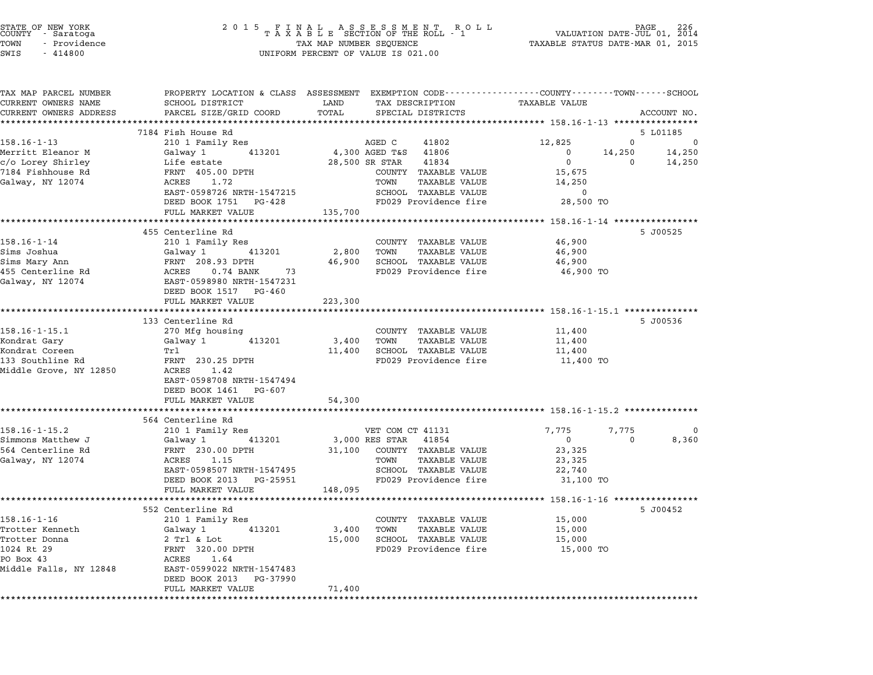| STATE OF NEW YORK<br>COUNTY - Saratoga<br>TOWN<br>- Providence<br>SWIS<br>$-414800$ | 2 0 1 5<br>FINAL ASSESSMENT RO<br>TAXABLE SECTION OF THE ROLL - 1<br>TAX MAP NUMBER SEQUENCE<br>UNIFORM PERCENT OF VALUE IS 021.00 | PAGE<br>VALUATION DATE-JUL 01, 2014<br>TAXABLE STATUS DATE-MAR 01, 2015                        |                                                              |  |
|-------------------------------------------------------------------------------------|------------------------------------------------------------------------------------------------------------------------------------|------------------------------------------------------------------------------------------------|--------------------------------------------------------------|--|
| TAX MAP PARCEL NUMBER                                                               |                                                                                                                                    | PROPERTY LOCATION & CLASS ASSESSMENT EXEMPTION CODE---------------COUNTY-------TOWN-----SCHOOL |                                                              |  |
| CURRENT OWNERS NAME                                                                 | SCHOOL DISTRICT                                                                                                                    | TAX DESCRIPTION<br>LAND                                                                        | TAXABLE VALUE                                                |  |
| CURRENT OWNERS ADDRESS                                                              | PARCEL SIZE/GRID COORD                                                                                                             | TOTAL<br>SPECIAL DISTRICTS<br>******************************                                   | ACCOUNT NO.<br>************** 158.16-1-13 ****************   |  |
|                                                                                     | 7184 Fish House Rd                                                                                                                 |                                                                                                | 5 L01185                                                     |  |
| $158.16 - 1 - 13$                                                                   | 210 1 Family Res                                                                                                                   | AGED C<br>41802                                                                                | $\mathbf 0$<br>12,825<br>0                                   |  |
| Merritt Eleanor M                                                                   | 413201<br>Galway 1                                                                                                                 | 4,300 AGED T&S<br>41806                                                                        | 0<br>14,250<br>14,250                                        |  |
| c/o Lorey Shirley                                                                   | Life estate                                                                                                                        | 28,500 SR STAR<br>41834                                                                        | $\mathbf 0$<br>14,250<br>$\mathbf 0$                         |  |
| 7184 Fishhouse Rd                                                                   | FRNT 405.00 DPTH                                                                                                                   | COUNTY TAXABLE VALUE                                                                           | 15,675                                                       |  |
| Galway, NY 12074                                                                    | ACRES<br>1.72                                                                                                                      | TOWN<br><b>TAXABLE VALUE</b>                                                                   | 14,250                                                       |  |
|                                                                                     | EAST-0598726 NRTH-1547215                                                                                                          | SCHOOL TAXABLE VALUE                                                                           | $\mathbf 0$                                                  |  |
|                                                                                     | DEED BOOK 1751 PG-428                                                                                                              | FD029 Providence fire                                                                          | 28,500 TO                                                    |  |
|                                                                                     | FULL MARKET VALUE<br>*********************                                                                                         | 135,700                                                                                        |                                                              |  |
|                                                                                     | 455 Centerline Rd                                                                                                                  |                                                                                                | ******* 158.16-1-14 ****************<br>5 J00525             |  |
| $158.16 - 1 - 14$                                                                   | 210 1 Family Res                                                                                                                   | COUNTY TAXABLE VALUE                                                                           | 46,900                                                       |  |
| Sims Joshua                                                                         | 413201<br>Galway 1                                                                                                                 | 2,800<br>TOWN<br><b>TAXABLE VALUE</b>                                                          | 46,900                                                       |  |
| Sims Mary Ann                                                                       | FRNT 208.93 DPTH                                                                                                                   | 46,900<br>SCHOOL TAXABLE VALUE                                                                 | 46,900                                                       |  |
| 455 Centerline Rd                                                                   | ACRES<br>73<br>$0.74$ BANK                                                                                                         | FD029 Providence fire                                                                          | 46,900 TO                                                    |  |
| Galway, NY 12074                                                                    | EAST-0598980 NRTH-1547231                                                                                                          |                                                                                                |                                                              |  |
|                                                                                     | DEED BOOK 1517 PG-460                                                                                                              |                                                                                                |                                                              |  |
|                                                                                     | FULL MARKET VALUE                                                                                                                  | 223,300                                                                                        |                                                              |  |
|                                                                                     | ************************                                                                                                           | **********                                                                                     | ********************* 158.16-1-15.1 ***************          |  |
|                                                                                     | 133 Centerline Rd                                                                                                                  |                                                                                                | 5 J00536                                                     |  |
| $158.16 - 1 - 15.1$<br>Kondrat Gary                                                 | 270 Mfg housing<br>Galway 1<br>413201                                                                                              | COUNTY TAXABLE VALUE<br>3,400<br>TOWN<br><b>TAXABLE VALUE</b>                                  | 11,400<br>11,400                                             |  |
| Kondrat Coreen                                                                      | Trl                                                                                                                                | 11,400<br>SCHOOL TAXABLE VALUE                                                                 | 11,400                                                       |  |
| 133 Southline Rd                                                                    | FRNT 230.25 DPTH                                                                                                                   | FD029 Providence fire                                                                          | 11,400 TO                                                    |  |
| Middle Grove, NY 12850                                                              | ACRES 1.42                                                                                                                         |                                                                                                |                                                              |  |
|                                                                                     | EAST-0598708 NRTH-1547494                                                                                                          |                                                                                                |                                                              |  |
|                                                                                     | DEED BOOK 1461 PG-607                                                                                                              |                                                                                                |                                                              |  |
|                                                                                     | FULL MARKET VALUE                                                                                                                  | 54,300                                                                                         |                                                              |  |
|                                                                                     |                                                                                                                                    |                                                                                                | ******************************** 158.16-1-15.2 ************* |  |
|                                                                                     | 564 Centerline Rd                                                                                                                  |                                                                                                |                                                              |  |
| 158.16-1-15.2                                                                       | 210 1 Family Res                                                                                                                   | VET COM CT 41131                                                                               | 7,775<br>7,775<br>0                                          |  |
| Simmons Matthew J                                                                   | 413201<br>Galway 1                                                                                                                 | 3,000 RES STAR 41854                                                                           | $\overline{0}$<br>$\mathbf 0$<br>8,360                       |  |
| 564 Centerline Rd<br>Galway, NY 12074                                               | FRNT 230.00 DPTH<br>ACRES 1.15                                                                                                     | 31,100 COUNTY TAXABLE VALUE<br>TOWN<br>TAXABLE VALUE                                           | 23,325<br>23,325                                             |  |
|                                                                                     | EAST-0598507 NRTH-1547495                                                                                                          | SCHOOL TAXABLE VALUE                                                                           | 22,740                                                       |  |
|                                                                                     | DEED BOOK 2013 PG-25951                                                                                                            | FD029 Providence fire                                                                          | 31,100 TO                                                    |  |
|                                                                                     | FULL MARKET VALUE                                                                                                                  | 148,095                                                                                        |                                                              |  |
|                                                                                     | *******************                                                                                                                |                                                                                                | ********** 158.16-1-16 ****************                      |  |
|                                                                                     | 552 Centerline Rd                                                                                                                  |                                                                                                | 5 J00452                                                     |  |
| 158.16-1-16                                                                         | 210 1 Family Res                                                                                                                   | COUNTY TAXABLE VALUE                                                                           | 15,000                                                       |  |
| Trotter Kenneth                                                                     | 413201<br>Galway 1                                                                                                                 | TOWN<br>3,400<br><b>TAXABLE VALUE</b>                                                          | 15,000                                                       |  |
| Trotter Donna                                                                       | 2 Trl & Lot                                                                                                                        | 15,000<br>SCHOOL TAXABLE VALUE                                                                 | 15,000                                                       |  |
| 1024 Rt 29                                                                          | FRNT 320.00 DPTH                                                                                                                   | FD029 Providence fire                                                                          | 15,000 TO                                                    |  |
| PO Box 43                                                                           | ACRES 1.64                                                                                                                         |                                                                                                |                                                              |  |
| Middle Falls, NY 12848                                                              | EAST-0599022 NRTH-1547483                                                                                                          |                                                                                                |                                                              |  |
|                                                                                     | DEED BOOK 2013 PG-37990<br>FULL MARKET VALUE                                                                                       | 71,400                                                                                         |                                                              |  |
|                                                                                     | *******************                                                                                                                | ***********                                                                                    |                                                              |  |

STATE OF NEW YORK <sup>2</sup> <sup>0</sup> <sup>1</sup> 5 F I N A L A S S E S S M E N T R O L L PAGE <sup>226</sup> COUNTY - Saratoga <sup>T</sup> <sup>A</sup> <sup>X</sup> <sup>A</sup> <sup>B</sup> <sup>L</sup> <sup>E</sup> SECTION OF THE ROLL - <sup>1</sup> VALUATION DATE-JUL 01, <sup>2014</sup>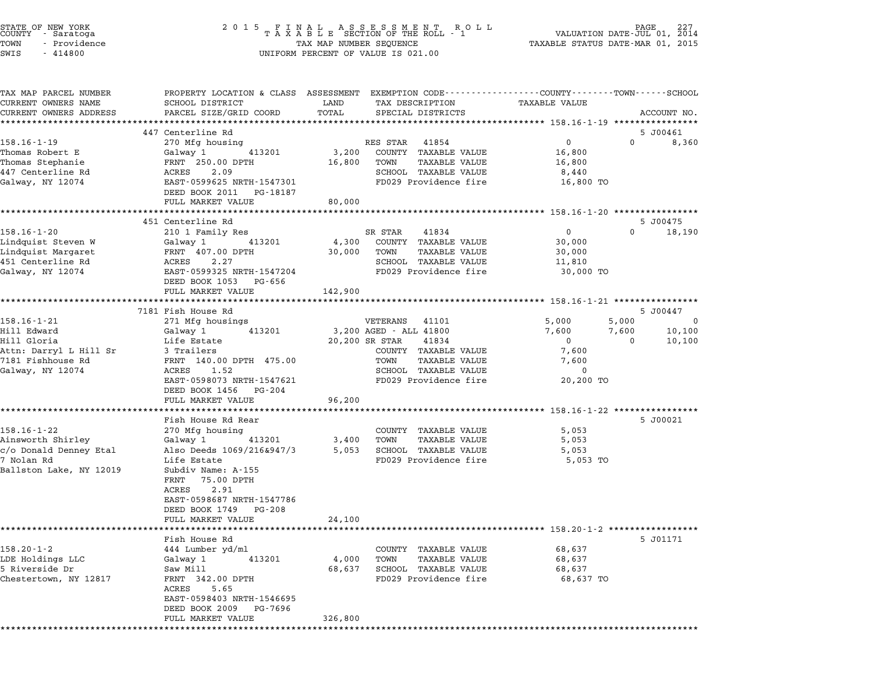| STATE OF NEW YORK<br>COUNTY - Saratoga<br>- Providence<br>TOWN<br>SWIS<br>$-414800$ | 2015 FINAL ASSESSMENT ROLL<br>TAXABLE SECTION OF THE ROLL - 1<br>TAX MAP NUMBER SEQUENCE<br>TAX MAP NUMBER SEQUENCE<br>UNIFORM PERCENT OF VALUE IS 021.00 | VALUATION DATE-JUL 01, 2014<br>TAXABLE STATUS DATE-MAR 01, 2015 |                                                                                                                                 |
|-------------------------------------------------------------------------------------|-----------------------------------------------------------------------------------------------------------------------------------------------------------|-----------------------------------------------------------------|---------------------------------------------------------------------------------------------------------------------------------|
| TAX MAP PARCEL NUMBER<br>CURRENT OWNERS NAME<br>CURRENT OWNERS ADDRESS              | SCHOOL DISTRICT<br>PARCEL SIZE/GRID COORD<br>*********************                                                                                        | LAND<br>TAX DESCRIPTION<br>TOTAL<br>SPECIAL DISTRICTS           | PROPERTY LOCATION & CLASS ASSESSMENT EXEMPTION CODE----------------COUNTY-------TOWN-----SCHOOL<br>TAXABLE VALUE<br>ACCOUNT NO. |
|                                                                                     | 447 Centerline Rd                                                                                                                                         |                                                                 | 5 J00461                                                                                                                        |
| $158.16 - 1 - 19$                                                                   | 270 Mfg housing                                                                                                                                           | RES STAR<br>41854                                               | $\overline{0}$<br>$\mathbf{0}$<br>8,360                                                                                         |
| Thomas Robert E                                                                     | 413201<br>Galway 1                                                                                                                                        | 3,200<br>COUNTY TAXABLE VALUE                                   | 16,800                                                                                                                          |
| Thomas Stephanie                                                                    | FRNT 250.00 DPTH                                                                                                                                          | TOWN<br>TAXABLE VALUE<br>16,800                                 | 16,800                                                                                                                          |
| 447 Centerline Rd<br>Galway, NY 12074                                               | 2.09<br>ACRES<br>EAST-0599625 NRTH-1547301<br>DEED BOOK 2011 PG-18187                                                                                     | SCHOOL TAXABLE VALUE<br>FD029 Providence fire                   | 8,440<br>16,800 TO                                                                                                              |
|                                                                                     | FULL MARKET VALUE                                                                                                                                         | 80,000                                                          |                                                                                                                                 |
|                                                                                     |                                                                                                                                                           |                                                                 |                                                                                                                                 |
|                                                                                     | 451 Centerline Rd                                                                                                                                         |                                                                 | 5 J00475<br>$0 \qquad \qquad$                                                                                                   |
| 158.16-1-20<br>Lindquist Steven W                                                   | 210 1 Family Res<br>Galway 1<br>413201                                                                                                                    | SR STAR<br>41834<br>COUNTY TAXABLE VALUE<br>4,300               | $\overline{0}$<br>18,190<br>30,000                                                                                              |
| Lindquist Margaret                                                                  | FRNT 407.00 DPTH                                                                                                                                          | TOWN<br>TAXABLE VALUE<br>30,000                                 | 30,000                                                                                                                          |
| 451 Centerline Rd                                                                   | ACRES<br>2.27                                                                                                                                             | SCHOOL TAXABLE VALUE                                            | 11,810                                                                                                                          |
| Galway, NY 12074                                                                    | EAST-0599325 NRTH-1547204<br>DEED BOOK 1053 PG-656                                                                                                        | FD029 Providence fire                                           | 30,000 TO                                                                                                                       |
|                                                                                     | FULL MARKET VALUE                                                                                                                                         | 142,900                                                         | ********************* 158.16-1-21 *****************                                                                             |
|                                                                                     | 7181 Fish House Rd                                                                                                                                        |                                                                 | 5 J00447                                                                                                                        |
| $158.16 - 1 - 21$                                                                   | 271 Mfg housings                                                                                                                                          | VETERANS<br>41101                                               | 5,000<br>5,000<br>$\overline{\phantom{0}}$                                                                                      |
| Hill Edward                                                                         | Galway 1<br>413201                                                                                                                                        | 3,200 AGED - ALL 41800                                          | 10,100<br>7,600<br>7,600                                                                                                        |
| Hill Gloria                                                                         | Life Estate                                                                                                                                               | 20,200 SR STAR<br>41834                                         | $\overline{0}$<br>$\mathbf{0}$<br>10,100                                                                                        |
| Attn: Darryl L Hill Sr<br>7181 Fishhouse Rd                                         | 3 Trailers<br>FRNT 140.00 DPTH 475.00                                                                                                                     | COUNTY TAXABLE VALUE<br>TOWN<br>TAXABLE VALUE                   | 7,600<br>7,600                                                                                                                  |
| Galway, NY 12074                                                                    | ACRES 1.52                                                                                                                                                | SCHOOL TAXABLE VALUE                                            | 0                                                                                                                               |
|                                                                                     | EAST-0598073 NRTH-1547621<br>DEED BOOK 1456<br>PG-204                                                                                                     | FD029 Providence fire                                           | 20,200 TO                                                                                                                       |
|                                                                                     | FULL MARKET VALUE                                                                                                                                         | 96,200                                                          |                                                                                                                                 |
|                                                                                     | Fish House Rd Rear                                                                                                                                        |                                                                 | 5 J00021                                                                                                                        |
| $158.16 - 1 - 22$                                                                   | 270 Mfg housing                                                                                                                                           | COUNTY TAXABLE VALUE                                            | 5,053                                                                                                                           |
| Ainsworth Shirley                                                                   | Galway 1<br>413201                                                                                                                                        | 3,400<br>TOWN<br>TAXABLE VALUE                                  | 5,053                                                                                                                           |
| c/o Donald Denney Etal                                                              | Also Deeds 1069/216&947/3                                                                                                                                 | 5,053<br>SCHOOL TAXABLE VALUE                                   | 5,053                                                                                                                           |
| 7 Nolan Rd                                                                          | Life Estate                                                                                                                                               | FD029 Providence fire                                           | 5,053 TO                                                                                                                        |
| Ballston Lake, NY 12019                                                             | Subdiv Name: A-155<br>75.00 DPTH<br>FRNT                                                                                                                  |                                                                 |                                                                                                                                 |
|                                                                                     | ACRES<br>2.91<br>EAST-0598687 NRTH-1547786                                                                                                                |                                                                 |                                                                                                                                 |
|                                                                                     | DEED BOOK 1749<br>PG-208                                                                                                                                  |                                                                 |                                                                                                                                 |
|                                                                                     | FULL MARKET VALUE                                                                                                                                         | 24,100                                                          |                                                                                                                                 |
|                                                                                     | **************                                                                                                                                            |                                                                 |                                                                                                                                 |
|                                                                                     | Fish House Rd                                                                                                                                             |                                                                 | 5 J01171                                                                                                                        |
| $158.20 - 1 - 2$<br>LDE Holdings LLC                                                | 444 Lumber yd/ml<br>Galway 1<br>413201                                                                                                                    | COUNTY TAXABLE VALUE<br>4,000<br>TOWN<br>TAXABLE VALUE          | 68,637<br>68,637                                                                                                                |
| 5 Riverside Dr                                                                      | Saw Mill                                                                                                                                                  | 68,637<br>SCHOOL TAXABLE VALUE                                  | 68,637                                                                                                                          |
| Chestertown, NY 12817                                                               | FRNT 342.00 DPTH                                                                                                                                          | FD029 Providence fire                                           | 68,637 TO                                                                                                                       |
|                                                                                     | ACRES<br>5.65                                                                                                                                             |                                                                 |                                                                                                                                 |
|                                                                                     | EAST-0598403 NRTH-1546695                                                                                                                                 |                                                                 |                                                                                                                                 |
|                                                                                     | DEED BOOK 2009<br>PG-7696<br>FULL MARKET VALUE                                                                                                            | 326,800                                                         |                                                                                                                                 |
|                                                                                     |                                                                                                                                                           |                                                                 |                                                                                                                                 |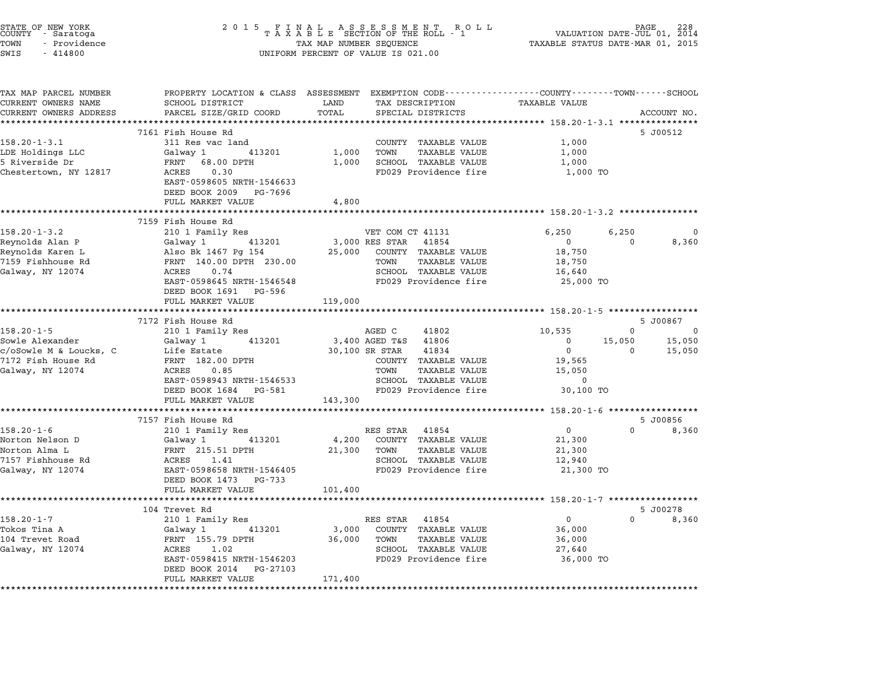| STATE OF NEW YORK<br>COUNTY - Saratoga<br>TOWN<br>- Providence<br>SWIS<br>$-414800$ | 2 0 1 5<br>FINAL ASSESSMENT ROLL<br>TAXABLE SECTION OF THE ROLL - 1<br>TAX MAP NUMBER SEQUENCE<br>UNIFORM PERCENT OF VALUE IS 021.00 | VALUATION DATE-JUL 01,<br>TAXABLE STATUS DATE-MAR 01, 2015                                                                 | 228<br>2014                                                     |                   |
|-------------------------------------------------------------------------------------|--------------------------------------------------------------------------------------------------------------------------------------|----------------------------------------------------------------------------------------------------------------------------|-----------------------------------------------------------------|-------------------|
| TAX MAP PARCEL NUMBER<br>CURRENT OWNERS NAME                                        | SCHOOL DISTRICT<br>PARCEL SIZE/GRID COORD                                                                                            | PROPERTY LOCATION & CLASS ASSESSMENT EXEMPTION CODE----------------COUNTY-------TOWN-----SCHOOL<br>LAND<br>TAX DESCRIPTION | <b>TAXABLE VALUE</b>                                            |                   |
| CURRENT OWNERS ADDRESS<br>**********************                                    | **************************                                                                                                           | TOTAL<br>SPECIAL DISTRICTS                                                                                                 |                                                                 | ACCOUNT NO.       |
|                                                                                     | 7161 Fish House Rd                                                                                                                   |                                                                                                                            | 5 J00512                                                        |                   |
| $158.20 - 1 - 3.1$<br>LDE Holdings LLC<br>5 Riverside Dr<br>Chestertown, NY 12817   | 311 Res vac land<br>Galway 1<br>413201<br>FRNT 68.00 DPTH<br>ACRES<br>0.30                                                           | COUNTY TAXABLE VALUE<br>1,000<br>TOWN<br><b>TAXABLE VALUE</b><br>SCHOOL TAXABLE VALUE<br>1,000<br>FD029 Providence fire    | 1,000<br>1,000<br>1,000<br>1,000 TO                             |                   |
|                                                                                     | EAST-0598605 NRTH-1546633<br>DEED BOOK 2009 PG-7696<br>FULL MARKET VALUE                                                             | 4,800                                                                                                                      |                                                                 |                   |
|                                                                                     |                                                                                                                                      |                                                                                                                            |                                                                 |                   |
|                                                                                     | 7159 Fish House Rd                                                                                                                   |                                                                                                                            |                                                                 |                   |
| $158.20 - 1 - 3.2$<br>Reynolds Alan P<br>Reynolds Karen L                           | 210 1 Family Res<br>Galway 1<br>413201<br>Also Bk 1467 Pa 154                                                                        | VET COM CT 41131<br>3,000 RES STAR 41854<br>COUNTY TAXABLE VALUE<br>25,000                                                 | 6,250<br>6,250<br>$\overline{\mathbf{0}}$<br>$\Omega$<br>18,750 | $\Omega$<br>8,360 |
| 7159 Fishhouse Rd<br>Galway, NY 12074                                               | FRNT 140.00 DPTH 230.00<br>ACRES<br>0.74<br>EAST-0598645 NRTH-1546548                                                                | TOWN<br>TAXABLE VALUE<br>SCHOOL TAXABLE VALUE<br>FD029 Providence fire                                                     | 18,750<br>16,640<br>25,000 TO                                   |                   |
|                                                                                     | DEED BOOK 1691 PG-596<br>FULL MARKET VALUE                                                                                           | 119,000                                                                                                                    |                                                                 |                   |
|                                                                                     | 7172 Fish House Rd                                                                                                                   |                                                                                                                            | 5 J00867                                                        |                   |
| $158.20 - 1 - 5$                                                                    | 210 1 Family Res                                                                                                                     | AGED C<br>41802                                                                                                            | 10,535<br>$\mathbf{0}$                                          | 0                 |
| Sowle Alexander                                                                     | 413201<br>Galway 1                                                                                                                   | 41806<br>3,400 AGED T&S                                                                                                    | 15,050<br>$\mathbf 0$                                           | 15,050            |
| c/oSowle M & Loucks, C                                                              | Life Estate                                                                                                                          | 30,100 SR STAR<br>41834                                                                                                    | $\mathbf 0$<br>$\Omega$                                         | 15,050            |
| 7172 Fish House Rd                                                                  | FRNT 182.00 DPTH                                                                                                                     | COUNTY TAXABLE VALUE                                                                                                       | 19,565                                                          |                   |
| Galway, NY 12074                                                                    | ACRES<br>0.85                                                                                                                        | TOWN<br><b>TAXABLE VALUE</b>                                                                                               | 15,050                                                          |                   |
|                                                                                     | EAST-0598943 NRTH-1546533                                                                                                            | SCHOOL TAXABLE VALUE                                                                                                       | 0                                                               |                   |
|                                                                                     | DEED BOOK 1684<br>PG-581<br>FULL MARKET VALUE                                                                                        | FD029 Providence fire<br>143,300                                                                                           | 30,100 TO                                                       |                   |
|                                                                                     |                                                                                                                                      |                                                                                                                            |                                                                 |                   |
|                                                                                     | 7157 Fish House Rd                                                                                                                   |                                                                                                                            | 5 J00856                                                        |                   |
| $158.20 - 1 - 6$                                                                    | 210 1 Family Res                                                                                                                     | RES STAR 41854                                                                                                             | $\overline{0}$<br>$\Omega$                                      | 8,360             |
| Norton Nelson D                                                                     | Galway 1<br>413201                                                                                                                   | COUNTY TAXABLE VALUE<br>4,200                                                                                              | 21,300                                                          |                   |
| Norton Alma L                                                                       | FRNT 215.51 DPTH                                                                                                                     | TOWN<br><b>TAXABLE VALUE</b><br>21,300                                                                                     | 21,300                                                          |                   |
| 7157 Fishhouse Rd                                                                   | ACRES<br>1.41                                                                                                                        | SCHOOL TAXABLE VALUE                                                                                                       | 12,940                                                          |                   |
| Galway, NY 12074                                                                    | EAST-0598658 NRTH-1546405<br>DEED BOOK 1473<br>PG-733                                                                                | FD029 Providence fire                                                                                                      | 21,300 TO                                                       |                   |
|                                                                                     | FULL MARKET VALUE                                                                                                                    | 101,400                                                                                                                    | ************************** 158.20-1-7 *********                 |                   |
|                                                                                     | 104 Trevet Rd                                                                                                                        |                                                                                                                            | 5 J00278                                                        |                   |
| $158.20 - 1 - 7$                                                                    | 210 1 Family Res                                                                                                                     | RES STAR<br>41854                                                                                                          | 0<br>$\Omega$                                                   | 8,360             |
| Tokos Tina A                                                                        | Galway 1<br>413201                                                                                                                   | <b>TAXABLE VALUE</b><br>3,000<br>COUNTY                                                                                    | 36,000                                                          |                   |
| 104 Trevet Road                                                                     | FRNT 155.79 DPTH                                                                                                                     | 36,000<br>TOWN<br>TAXABLE VALUE                                                                                            | 36,000                                                          |                   |
| Galway, NY 12074                                                                    | ACRES<br>1.02<br>EAST-0598415 NRTH-1546203                                                                                           | SCHOOL TAXABLE VALUE<br>FD029 Providence fire                                                                              | 27,640<br>36,000 TO                                             |                   |
|                                                                                     | DEED BOOK 2014<br>PG-27103<br>FULL MARKET VALUE                                                                                      | 171,400                                                                                                                    |                                                                 |                   |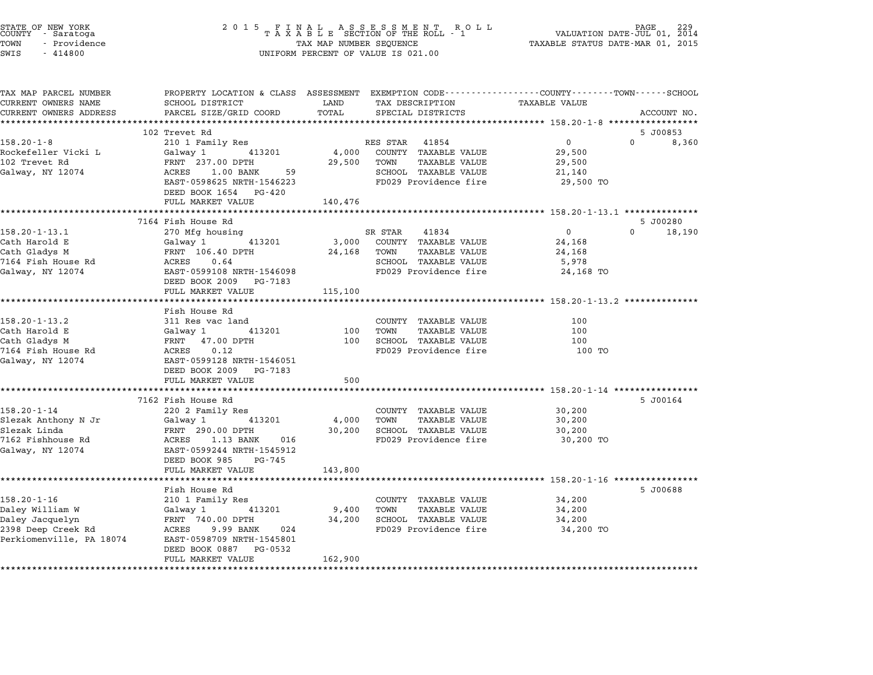| STATE OF NEW YORK<br>COUNTY – Saratoga<br>TOWN<br>- Providence<br>SWIS<br>$-414800$ |                                                                                                                   | $\begin{array}{cccccccccccccccccc} 2& 0& 1& 5 & & F & I & N & A & L & & A & S & S & E & S & S & M & E & N & T & & R & O & L & L\\ & & & & & & & & & T & A & X & A & B & L & E & SECTION & OF & THE & ROLL & - & 1 \end{array}$<br>TAX MAP NUMBER SEQUENCE<br>UNIFORM PERCENT OF VALUE IS 021.00 |                                                |                            |             |  |
|-------------------------------------------------------------------------------------|-------------------------------------------------------------------------------------------------------------------|-------------------------------------------------------------------------------------------------------------------------------------------------------------------------------------------------------------------------------------------------------------------------------------------------|------------------------------------------------|----------------------------|-------------|--|
| TAX MAP PARCEL NUMBER<br>CURRENT OWNERS NAME                                        | PROPERTY LOCATION & CLASS ASSESSMENT EXEMPTION CODE---------------COUNTY-------TOWN-----SCHOOL<br>SCHOOL DISTRICT | LAND                                                                                                                                                                                                                                                                                            | TAX DESCRIPTION                                | TAXABLE VALUE              |             |  |
| CURRENT OWNERS ADDRESS                                                              | PARCEL SIZE/GRID COORD                                                                                            | TOTAL                                                                                                                                                                                                                                                                                           | SPECIAL DISTRICTS                              |                            | ACCOUNT NO. |  |
|                                                                                     |                                                                                                                   |                                                                                                                                                                                                                                                                                                 |                                                |                            |             |  |
|                                                                                     | 102 Trevet Rd                                                                                                     |                                                                                                                                                                                                                                                                                                 |                                                |                            | 5 J00853    |  |
| $158.20 - 1 - 8$                                                                    | 210 1 Family Res                                                                                                  |                                                                                                                                                                                                                                                                                                 | RES STAR 41854                                 | $\overline{0}$<br>$\Omega$ | 8,360       |  |
| Rockefeller Vicki L                                                                 | 413201<br>Galway 1                                                                                                | 4,000                                                                                                                                                                                                                                                                                           | COUNTY TAXABLE VALUE                           | 29,500                     |             |  |
| 102 Trevet Rd                                                                       | FRNT 237.00 DPTH                                                                                                  | 29,500                                                                                                                                                                                                                                                                                          | TOWN<br>TAXABLE VALUE                          | 29,500                     |             |  |
| Galway, NY 12074                                                                    | ACRES<br>$1.00$ BANK<br>59                                                                                        |                                                                                                                                                                                                                                                                                                 | SCHOOL TAXABLE VALUE                           | 21,140                     |             |  |
|                                                                                     | EAST-0598625 NRTH-1546223                                                                                         |                                                                                                                                                                                                                                                                                                 | FD029 Providence fire                          | 29,500 TO                  |             |  |
|                                                                                     | DEED BOOK 1654 PG-420                                                                                             |                                                                                                                                                                                                                                                                                                 |                                                |                            |             |  |
|                                                                                     | FULL MARKET VALUE                                                                                                 | 140,476                                                                                                                                                                                                                                                                                         |                                                |                            |             |  |
|                                                                                     |                                                                                                                   |                                                                                                                                                                                                                                                                                                 |                                                |                            |             |  |
|                                                                                     | 7164 Fish House Rd                                                                                                |                                                                                                                                                                                                                                                                                                 |                                                |                            | 5 J00280    |  |
| $158.20 - 1 - 13.1$<br>Cath Harold E                                                | 270 Mfg housing                                                                                                   |                                                                                                                                                                                                                                                                                                 | SR STAR<br>41834<br>3,000 COUNTY TAXABLE VALUE | $\overline{0}$<br>$\Omega$ | 18,190      |  |
|                                                                                     | Galway 1<br>413201                                                                                                |                                                                                                                                                                                                                                                                                                 | TAXABLE VALUE                                  | 24,168<br>24,168           |             |  |
| Cath Gladys M<br>7164 Fish House Rd                                                 | FRNT 106.40 DPTH<br>ACRES<br>0.64                                                                                 | 24,168                                                                                                                                                                                                                                                                                          | TOWN<br>SCHOOL TAXABLE VALUE                   | 5,978                      |             |  |
| Galway, NY 12074                                                                    | EAST-0599108 NRTH-1546098                                                                                         |                                                                                                                                                                                                                                                                                                 | FD029 Providence fire                          | 24,168 TO                  |             |  |
|                                                                                     | DEED BOOK 2009 PG-7183                                                                                            |                                                                                                                                                                                                                                                                                                 |                                                |                            |             |  |
|                                                                                     | FULL MARKET VALUE                                                                                                 | 115,100                                                                                                                                                                                                                                                                                         |                                                |                            |             |  |
|                                                                                     |                                                                                                                   |                                                                                                                                                                                                                                                                                                 |                                                |                            |             |  |
|                                                                                     | Fish House Rd                                                                                                     |                                                                                                                                                                                                                                                                                                 |                                                |                            |             |  |
| $158.20 - 1 - 13.2$                                                                 | 311 Res vac land                                                                                                  |                                                                                                                                                                                                                                                                                                 | COUNTY TAXABLE VALUE                           | 100                        |             |  |
| Cath Harold E                                                                       | Galway 1 413201                                                                                                   | 100                                                                                                                                                                                                                                                                                             | TOWN<br>TAXABLE VALUE                          | 100                        |             |  |
| Cath Gladys M                                                                       | FRNT 47.00 DPTH                                                                                                   | 100                                                                                                                                                                                                                                                                                             | SCHOOL TAXABLE VALUE                           | 100                        |             |  |
| 7164 Fish House Rd                                                                  | ACRES<br>0.12                                                                                                     |                                                                                                                                                                                                                                                                                                 | FD029 Providence fire                          | 100 TO                     |             |  |
| Galway, NY 12074                                                                    | EAST-0599128 NRTH-1546051                                                                                         |                                                                                                                                                                                                                                                                                                 |                                                |                            |             |  |
|                                                                                     | DEED BOOK 2009 PG-7183<br>FULL MARKET VALUE                                                                       | 500                                                                                                                                                                                                                                                                                             |                                                |                            |             |  |
|                                                                                     |                                                                                                                   |                                                                                                                                                                                                                                                                                                 |                                                |                            |             |  |
|                                                                                     | 7162 Fish House Rd                                                                                                |                                                                                                                                                                                                                                                                                                 |                                                |                            | 5 J00164    |  |
| $158.20 - 1 - 14$                                                                   | 220 2 Family Res                                                                                                  |                                                                                                                                                                                                                                                                                                 | COUNTY TAXABLE VALUE                           | 30,200                     |             |  |
| Slezak Anthony N Jr                                                                 | Galway 1<br>413201                                                                                                | 4,000                                                                                                                                                                                                                                                                                           | TOWN<br>TAXABLE VALUE                          | 30,200                     |             |  |
| Slezak Linda                                                                        | FRNT 290.00 DPTH                                                                                                  | 30,200                                                                                                                                                                                                                                                                                          | SCHOOL TAXABLE VALUE                           | 30,200                     |             |  |
| 7162 Fishhouse Rd                                                                   | ACRES 1.13 BANK<br>016                                                                                            |                                                                                                                                                                                                                                                                                                 | FD029 Providence fire                          | 30,200 TO                  |             |  |
| Galway, NY 12074                                                                    | EAST-0599244 NRTH-1545912                                                                                         |                                                                                                                                                                                                                                                                                                 |                                                |                            |             |  |
|                                                                                     | DEED BOOK 985<br>PG-745                                                                                           |                                                                                                                                                                                                                                                                                                 |                                                |                            |             |  |
|                                                                                     | FULL MARKET VALUE                                                                                                 | 143,800                                                                                                                                                                                                                                                                                         |                                                |                            |             |  |
|                                                                                     |                                                                                                                   |                                                                                                                                                                                                                                                                                                 |                                                |                            |             |  |
|                                                                                     | Fish House Rd                                                                                                     |                                                                                                                                                                                                                                                                                                 |                                                |                            | 5 J00688    |  |
| $158.20 - 1 - 16$                                                                   | 210 1 Family Res                                                                                                  |                                                                                                                                                                                                                                                                                                 | COUNTY TAXABLE VALUE                           | 34,200                     |             |  |
| Daley William W                                                                     | Galway 1<br>413201                                                                                                | 9,400                                                                                                                                                                                                                                                                                           | <b>TAXABLE VALUE</b><br>TOWN                   | 34,200                     |             |  |
| Daley Jacquelyn                                                                     | FRNT 740.00 DPTH                                                                                                  | 34,200                                                                                                                                                                                                                                                                                          | SCHOOL TAXABLE VALUE                           | 34,200                     |             |  |
| 2398 Deep Creek Rd                                                                  | ACRES 9.99 BANK<br>024                                                                                            |                                                                                                                                                                                                                                                                                                 | FD029 Providence fire                          | 34,200 TO                  |             |  |
| Perkiomenville, PA 18074                                                            | EAST-0598709 NRTH-1545801                                                                                         |                                                                                                                                                                                                                                                                                                 |                                                |                            |             |  |
|                                                                                     | DEED BOOK 0887<br>PG-0532                                                                                         |                                                                                                                                                                                                                                                                                                 |                                                |                            |             |  |
|                                                                                     | FULL MARKET VALUE                                                                                                 | 162,900                                                                                                                                                                                                                                                                                         |                                                |                            |             |  |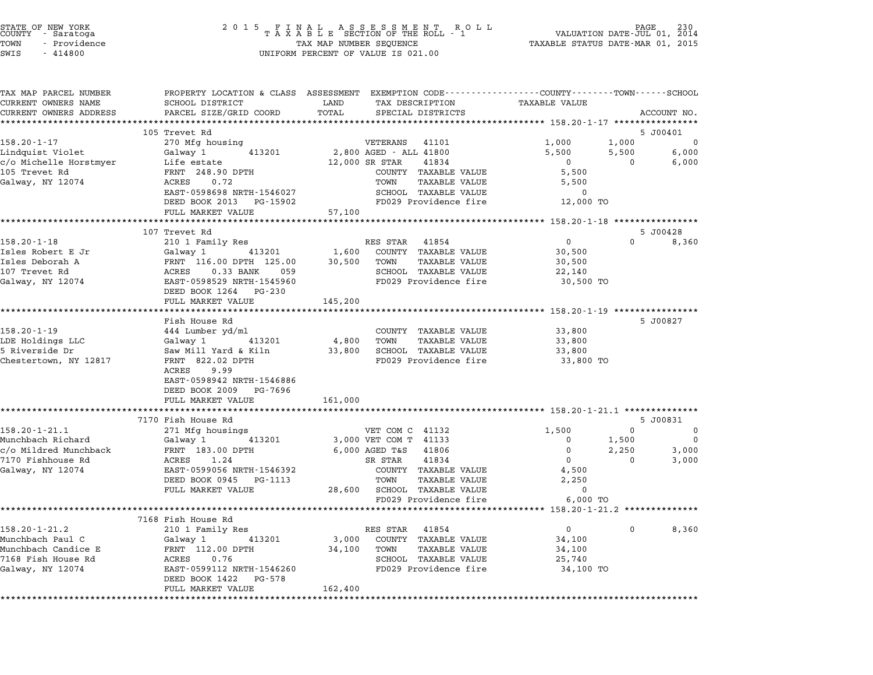| STATE OF NEW YORK |  |              |  |  |  |
|-------------------|--|--------------|--|--|--|
| COUNTY            |  | - Saratoga   |  |  |  |
| TOWN              |  | - Providence |  |  |  |

|                                                    |                                                                                                                                                                                                                                                                                                                                                                                                                                                                                                                                          | PROPERTY LOCATION & CLASS ASSESSMENT EXEMPTION CODE----------------COUNTY-------TOWN-----SCHOOL                                                                                                                                                                                                                                                                                                                                                                                                                   |
|----------------------------------------------------|------------------------------------------------------------------------------------------------------------------------------------------------------------------------------------------------------------------------------------------------------------------------------------------------------------------------------------------------------------------------------------------------------------------------------------------------------------------------------------------------------------------------------------------|-------------------------------------------------------------------------------------------------------------------------------------------------------------------------------------------------------------------------------------------------------------------------------------------------------------------------------------------------------------------------------------------------------------------------------------------------------------------------------------------------------------------|
|                                                    |                                                                                                                                                                                                                                                                                                                                                                                                                                                                                                                                          | <b>TAXABLE VALUE</b>                                                                                                                                                                                                                                                                                                                                                                                                                                                                                              |
|                                                    |                                                                                                                                                                                                                                                                                                                                                                                                                                                                                                                                          | ACCOUNT NO.                                                                                                                                                                                                                                                                                                                                                                                                                                                                                                       |
|                                                    |                                                                                                                                                                                                                                                                                                                                                                                                                                                                                                                                          | 5 J00401                                                                                                                                                                                                                                                                                                                                                                                                                                                                                                          |
|                                                    |                                                                                                                                                                                                                                                                                                                                                                                                                                                                                                                                          | 1,000<br>1,000<br>0                                                                                                                                                                                                                                                                                                                                                                                                                                                                                               |
|                                                    |                                                                                                                                                                                                                                                                                                                                                                                                                                                                                                                                          | 6,000<br>5,500<br>5,500                                                                                                                                                                                                                                                                                                                                                                                                                                                                                           |
|                                                    | 41834                                                                                                                                                                                                                                                                                                                                                                                                                                                                                                                                    | $\overline{0}$<br>$\mathbf 0$<br>6,000                                                                                                                                                                                                                                                                                                                                                                                                                                                                            |
| FRNT 248.90 DPTH                                   |                                                                                                                                                                                                                                                                                                                                                                                                                                                                                                                                          | 5,500                                                                                                                                                                                                                                                                                                                                                                                                                                                                                                             |
| ACRES 0.72                                         | TOWN                                                                                                                                                                                                                                                                                                                                                                                                                                                                                                                                     | 5,500                                                                                                                                                                                                                                                                                                                                                                                                                                                                                                             |
| EAST-0598698 NRTH-1546027                          |                                                                                                                                                                                                                                                                                                                                                                                                                                                                                                                                          | $\mathbf 0$                                                                                                                                                                                                                                                                                                                                                                                                                                                                                                       |
| DEED BOOK 2013 PG-15902                            |                                                                                                                                                                                                                                                                                                                                                                                                                                                                                                                                          | 12,000 TO                                                                                                                                                                                                                                                                                                                                                                                                                                                                                                         |
| FULL MARKET VALUE                                  | 57,100                                                                                                                                                                                                                                                                                                                                                                                                                                                                                                                                   |                                                                                                                                                                                                                                                                                                                                                                                                                                                                                                                   |
|                                                    |                                                                                                                                                                                                                                                                                                                                                                                                                                                                                                                                          | ********************* 158.20-1-18 *****************                                                                                                                                                                                                                                                                                                                                                                                                                                                               |
|                                                    |                                                                                                                                                                                                                                                                                                                                                                                                                                                                                                                                          | 5 J00428<br>$\overline{0}$<br>$\Omega$                                                                                                                                                                                                                                                                                                                                                                                                                                                                            |
|                                                    |                                                                                                                                                                                                                                                                                                                                                                                                                                                                                                                                          | 8,360                                                                                                                                                                                                                                                                                                                                                                                                                                                                                                             |
|                                                    |                                                                                                                                                                                                                                                                                                                                                                                                                                                                                                                                          | 30,500<br>30,500                                                                                                                                                                                                                                                                                                                                                                                                                                                                                                  |
|                                                    |                                                                                                                                                                                                                                                                                                                                                                                                                                                                                                                                          | 22,140                                                                                                                                                                                                                                                                                                                                                                                                                                                                                                            |
|                                                    |                                                                                                                                                                                                                                                                                                                                                                                                                                                                                                                                          | 30,500 TO                                                                                                                                                                                                                                                                                                                                                                                                                                                                                                         |
|                                                    |                                                                                                                                                                                                                                                                                                                                                                                                                                                                                                                                          |                                                                                                                                                                                                                                                                                                                                                                                                                                                                                                                   |
| FULL MARKET VALUE                                  | 145,200                                                                                                                                                                                                                                                                                                                                                                                                                                                                                                                                  |                                                                                                                                                                                                                                                                                                                                                                                                                                                                                                                   |
| **********************                             |                                                                                                                                                                                                                                                                                                                                                                                                                                                                                                                                          | ********** 158.20-1-19 ***************                                                                                                                                                                                                                                                                                                                                                                                                                                                                            |
| Fish House Rd                                      |                                                                                                                                                                                                                                                                                                                                                                                                                                                                                                                                          | 5 J00827                                                                                                                                                                                                                                                                                                                                                                                                                                                                                                          |
| 444 Lumber yd/ml                                   |                                                                                                                                                                                                                                                                                                                                                                                                                                                                                                                                          | 33,800                                                                                                                                                                                                                                                                                                                                                                                                                                                                                                            |
| Galway 1<br>413201                                 |                                                                                                                                                                                                                                                                                                                                                                                                                                                                                                                                          | 33,800                                                                                                                                                                                                                                                                                                                                                                                                                                                                                                            |
|                                                    |                                                                                                                                                                                                                                                                                                                                                                                                                                                                                                                                          | 33,800                                                                                                                                                                                                                                                                                                                                                                                                                                                                                                            |
|                                                    |                                                                                                                                                                                                                                                                                                                                                                                                                                                                                                                                          | 33,800 TO                                                                                                                                                                                                                                                                                                                                                                                                                                                                                                         |
|                                                    |                                                                                                                                                                                                                                                                                                                                                                                                                                                                                                                                          |                                                                                                                                                                                                                                                                                                                                                                                                                                                                                                                   |
|                                                    |                                                                                                                                                                                                                                                                                                                                                                                                                                                                                                                                          |                                                                                                                                                                                                                                                                                                                                                                                                                                                                                                                   |
|                                                    |                                                                                                                                                                                                                                                                                                                                                                                                                                                                                                                                          |                                                                                                                                                                                                                                                                                                                                                                                                                                                                                                                   |
|                                                    |                                                                                                                                                                                                                                                                                                                                                                                                                                                                                                                                          |                                                                                                                                                                                                                                                                                                                                                                                                                                                                                                                   |
|                                                    |                                                                                                                                                                                                                                                                                                                                                                                                                                                                                                                                          | 5 J00831                                                                                                                                                                                                                                                                                                                                                                                                                                                                                                          |
| 271 Mfg housings                                   | VET COM C 41132                                                                                                                                                                                                                                                                                                                                                                                                                                                                                                                          | $\Omega$<br>1,500<br>$\Omega$                                                                                                                                                                                                                                                                                                                                                                                                                                                                                     |
| 413201<br>Galway 1                                 | 3,000 VET COM T 41133                                                                                                                                                                                                                                                                                                                                                                                                                                                                                                                    | $\overline{0}$<br>1,500<br>$\mathbf 0$                                                                                                                                                                                                                                                                                                                                                                                                                                                                            |
|                                                    | 6,000 AGED T&S<br>41806                                                                                                                                                                                                                                                                                                                                                                                                                                                                                                                  | $\Omega$<br>2,250<br>3,000                                                                                                                                                                                                                                                                                                                                                                                                                                                                                        |
|                                                    |                                                                                                                                                                                                                                                                                                                                                                                                                                                                                                                                          |                                                                                                                                                                                                                                                                                                                                                                                                                                                                                                                   |
| ACRES<br>1.24                                      | 41834<br>SR STAR                                                                                                                                                                                                                                                                                                                                                                                                                                                                                                                         | $\overline{0}$<br>$\mathbf 0$<br>3,000                                                                                                                                                                                                                                                                                                                                                                                                                                                                            |
| EAST-0599056 NRTH-1546392                          | COUNTY TAXABLE VALUE                                                                                                                                                                                                                                                                                                                                                                                                                                                                                                                     | 4,500                                                                                                                                                                                                                                                                                                                                                                                                                                                                                                             |
| DEED BOOK 0945 PG-1113                             | TOWN<br>TAXABLE VALUE                                                                                                                                                                                                                                                                                                                                                                                                                                                                                                                    | 2,250                                                                                                                                                                                                                                                                                                                                                                                                                                                                                                             |
| FULL MARKET VALUE                                  | 28,600 SCHOOL TAXABLE VALUE                                                                                                                                                                                                                                                                                                                                                                                                                                                                                                              | $\mathbf 0$                                                                                                                                                                                                                                                                                                                                                                                                                                                                                                       |
|                                                    | FD029 Providence fire                                                                                                                                                                                                                                                                                                                                                                                                                                                                                                                    | 6,000 TO                                                                                                                                                                                                                                                                                                                                                                                                                                                                                                          |
| ******************************                     |                                                                                                                                                                                                                                                                                                                                                                                                                                                                                                                                          |                                                                                                                                                                                                                                                                                                                                                                                                                                                                                                                   |
| 7168 Fish House Rd                                 |                                                                                                                                                                                                                                                                                                                                                                                                                                                                                                                                          |                                                                                                                                                                                                                                                                                                                                                                                                                                                                                                                   |
| 210 1 Family Res                                   | RES STAR 41854                                                                                                                                                                                                                                                                                                                                                                                                                                                                                                                           | 0<br>$\overline{0}$<br>8,360                                                                                                                                                                                                                                                                                                                                                                                                                                                                                      |
| 413201                                             | 3,000 COUNTY TAXABLE VALUE                                                                                                                                                                                                                                                                                                                                                                                                                                                                                                               | 34,100                                                                                                                                                                                                                                                                                                                                                                                                                                                                                                            |
| Galway 1 413201<br>FRNT 112.00 DPTH<br>-----       | 34,100 TOWN<br>TAXABLE VALUE                                                                                                                                                                                                                                                                                                                                                                                                                                                                                                             | 34,100                                                                                                                                                                                                                                                                                                                                                                                                                                                                                                            |
| ACRES<br>0.76                                      | SCHOOL TAXABLE VALUE                                                                                                                                                                                                                                                                                                                                                                                                                                                                                                                     | 25,740                                                                                                                                                                                                                                                                                                                                                                                                                                                                                                            |
| EAST-0599112 NRTH-1546260<br>DEED BOOK 1422 PG-578 | FD029 Providence fire                                                                                                                                                                                                                                                                                                                                                                                                                                                                                                                    | 34,100 TO                                                                                                                                                                                                                                                                                                                                                                                                                                                                                                         |
| c/o Michelle Horstmyer                             | SCHOOL DISTRICT<br>PARCEL SIZE/GRID COORD<br>105 Trevet Rd<br>270 Mfg housing<br>Galway 1<br>413201<br>Life estate<br>************************<br>107 Trevet Rd<br>210 1 Family Res<br>Galway 1     413201<br>FRNT 116.00 DPTH 125.00<br>ACRES    0.33 BANK    059<br>EAST-0598529 NRTH-1545960<br>EAST-0598529 NRTH-1545960<br>DEED BOOK 1264 PG-230<br>Saw Mill Yard & Kiln<br>FRNT 822.02 DPTH<br>ACRES<br>9.99<br>EAST-0598942 NRTH-1546886<br>DEED BOOK 2009 PG-7696<br>FULL MARKET VALUE<br>7170 Fish House Rd<br>FRNT 183.00 DPTH | LAND<br>TAX DESCRIPTION<br>TOTAL<br>SPECIAL DISTRICTS<br>VETERANS 41101<br>2,800 AGED - ALL 41800<br>12,000 SR STAR<br>COUNTY TAXABLE VALUE<br>TAXABLE VALUE<br>SCHOOL TAXABLE VALUE<br>FD029 Providence fire<br>************************<br>RES STAR 41854<br>1,600<br>COUNTY TAXABLE VALUE<br>TOWN<br><b>TAXABLE VALUE</b><br>30,500<br>SCHOOL TAXABLE VALUE<br>FD029 Providence fire<br>COUNTY TAXABLE VALUE<br>4,800 TOWN<br>TAXABLE VALUE<br>33,800 SCHOOL TAXABLE VALUE<br>FD029 Providence fire<br>161,000 |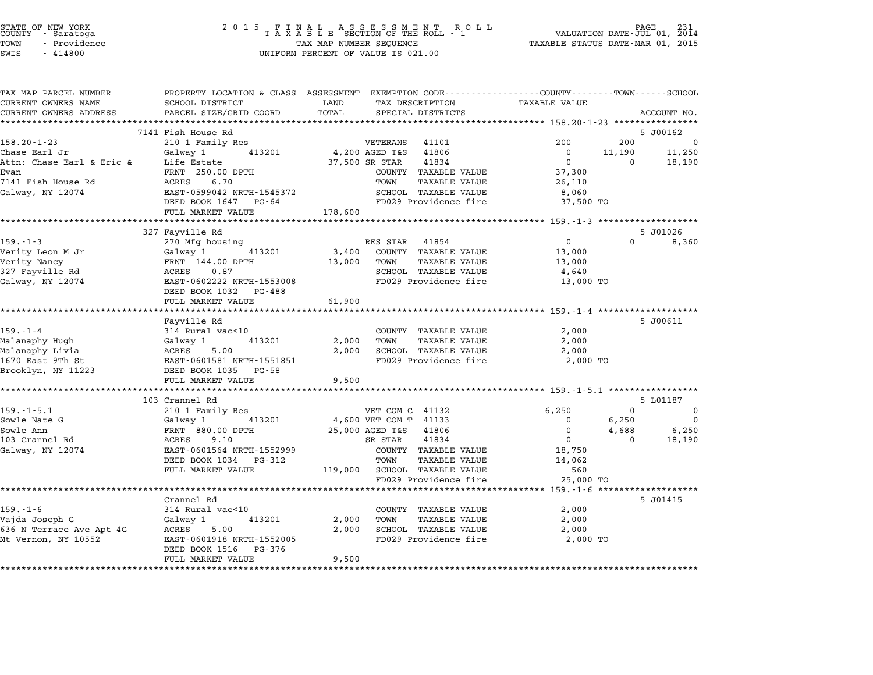|      | STATE OF NEW YORK<br>COUNTY - Saratoga |  |
|------|----------------------------------------|--|
| TOWN | - Providence                           |  |

| TAX MAP PARCEL NUMBER                         |                                                   | LAND                                                   | PROPERTY LOCATION & CLASS ASSESSMENT EXEMPTION CODE---------------COUNTY-------TOWN------SCHOOL<br><b>TAXABLE VALUE</b> |
|-----------------------------------------------|---------------------------------------------------|--------------------------------------------------------|-------------------------------------------------------------------------------------------------------------------------|
| CURRENT OWNERS NAME<br>CURRENT OWNERS ADDRESS | SCHOOL DISTRICT<br>PARCEL SIZE/GRID COORD         | TAX DESCRIPTION<br>TOTAL<br>SPECIAL DISTRICTS          | ACCOUNT NO.                                                                                                             |
|                                               | ***********************                           |                                                        |                                                                                                                         |
|                                               | 7141 Fish House Rd                                |                                                        | 5 J00162                                                                                                                |
| $158.20 - 1 - 23$                             | 210 1 Family Res                                  | VETERANS<br>41101                                      | 200<br>200<br>0                                                                                                         |
| Chase Earl Jr                                 | Galway 1<br>413201                                | 4,200 AGED T&S<br>41806                                | 11,250<br>$\Omega$<br>11,190                                                                                            |
| Attn: Chase Earl & Eric &                     | Life Estate                                       | 41834<br>37,500 SR STAR                                | $\overline{0}$<br>$\Omega$<br>18,190                                                                                    |
| Evan                                          | FRNT 250.00 DPTH                                  | COUNTY TAXABLE VALUE                                   | 37,300                                                                                                                  |
| 7141 Fish House Rd                            | ACRES<br>6.70                                     | TOWN<br>TAXABLE VALUE                                  | 26,110                                                                                                                  |
| Galway, NY 12074                              | EAST-0599042 NRTH-1545372                         | SCHOOL TAXABLE VALUE                                   | 8,060                                                                                                                   |
|                                               | DEED BOOK 1647 PG-64                              | FD029 Providence fire                                  | 37,500 TO                                                                                                               |
|                                               | FULL MARKET VALUE                                 | 178,600                                                |                                                                                                                         |
|                                               |                                                   |                                                        | ************************************ 159.-1-3 ********************                                                      |
|                                               | 327 Fayville Rd                                   |                                                        | 5 J01026                                                                                                                |
| $159. - 1 - 3$                                | 270 Mfg housing                                   | RES STAR 41854                                         | $\overline{0}$<br>$\Omega$<br>8,360                                                                                     |
| Verity Leon M Jr                              | Galway 1 413201                                   | 3,400<br>COUNTY TAXABLE VALUE                          | 13,000                                                                                                                  |
| Verity Nancy                                  | FRNT 144.00 DPTH                                  | 13,000<br>TOWN<br>TAXABLE VALUE                        | 13,000                                                                                                                  |
| 327 Fayville Rd                               | ACRES 0.87                                        | SCHOOL TAXABLE VALUE                                   | 4,640                                                                                                                   |
| Galway, NY 12074                              | EAST-0602222 NRTH-1553008                         | FD029 Providence fire                                  | 13,000 TO                                                                                                               |
|                                               | DEED BOOK 1032 PG-488                             |                                                        |                                                                                                                         |
|                                               | FULL MARKET VALUE                                 | 61,900                                                 |                                                                                                                         |
|                                               | *********************                             |                                                        |                                                                                                                         |
|                                               | Fayville Rd                                       |                                                        | 5 J00611                                                                                                                |
| $159. - 1 - 4$                                | 314 Rural vac<10                                  | COUNTY TAXABLE VALUE                                   | 2,000                                                                                                                   |
| Malanaphy Hugh                                | 413201<br>Galway 1                                | 2,000<br>TOWN<br>TAXABLE VALUE                         | 2,000                                                                                                                   |
| Malanaphy Livia<br>1670 East 9Th St           | ACRES 5.00                                        | 2,000<br>SCHOOL TAXABLE VALUE<br>FD029 Providence fire | 2,000<br>2,000 TO                                                                                                       |
| Brooklyn, NY 11223                            | EAST-0601581 NRTH-1551851<br>DEED BOOK 1035 PG-58 |                                                        |                                                                                                                         |
|                                               | FULL MARKET VALUE                                 | 9,500                                                  |                                                                                                                         |
|                                               | *************************                         |                                                        |                                                                                                                         |
|                                               | 103 Crannel Rd                                    |                                                        | 5 L01187                                                                                                                |
| $159. - 1 - 5.1$                              | 210 1 Family Res                                  | VET COM C 41132                                        | $\overline{0}$<br>6,250<br>$\overline{\mathbf{0}}$                                                                      |
| Sowle Nate G                                  | Galway 1 413201                                   | 4,600 VET COM T 41133                                  | 6,250<br>$\overline{0}$<br>$\overline{0}$                                                                               |
| Sowle Ann                                     | FRNT 880.00 DPTH                                  | 25,000 AGED T&S<br>41806                               | $4,688$ $6,250$<br>0 18.190<br>$\mathbf 0$                                                                              |
| 103 Crannel Rd                                | ACRES<br>9.10                                     | 41834<br>SR STAR                                       | $\Omega$                                                                                                                |
| Galway, NY 12074                              | EAST-0601564 NRTH-1552999                         | COUNTY TAXABLE VALUE                                   | 18,750                                                                                                                  |
|                                               | DEED BOOK 1034 PG-312                             | TOWN<br>TAXABLE VALUE                                  | 14,062                                                                                                                  |
|                                               | FULL MARKET VALUE                                 | 119,000 SCHOOL TAXABLE VALUE                           | 560                                                                                                                     |
|                                               |                                                   | FD029 Providence fire                                  | 25,000 TO                                                                                                               |
|                                               |                                                   |                                                        |                                                                                                                         |
|                                               | Crannel Rd                                        |                                                        | 5 J01415                                                                                                                |
| $159. - 1 - 6$                                | 314 Rural vac<10                                  | COUNTY TAXABLE VALUE                                   | 2,000                                                                                                                   |
| Vajda Joseph G                                | Galway 1<br>413201                                | <b>TAXABLE VALUE</b><br>2,000<br>TOWN                  | 2,000                                                                                                                   |
| 636 N Terrace Ave Apt 4G                      | ACRES 5.00                                        | 2,000<br>SCHOOL TAXABLE VALUE                          | 2,000                                                                                                                   |
| Mt Vernon, NY 10552                           | EAST-0601918 NRTH-1552005                         | FD029 Providence fire                                  | 2,000 TO                                                                                                                |
|                                               | PG-376<br>DEED BOOK 1516                          |                                                        |                                                                                                                         |
|                                               | FULL MARKET VALUE                                 | 9,500                                                  |                                                                                                                         |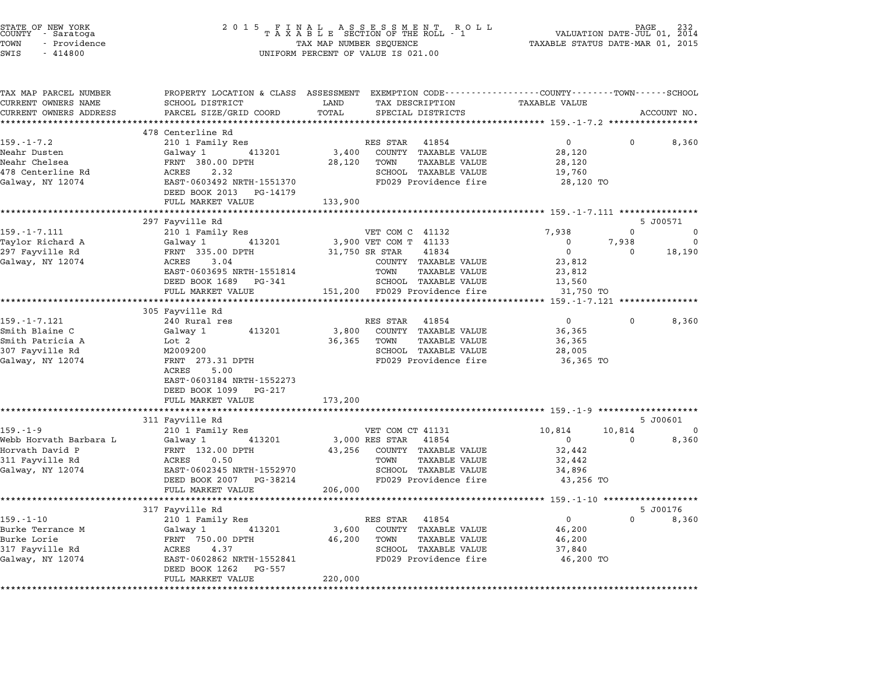| STATE OF NEW YORK<br>COUNTY   - Saratoga<br>TOWN<br>- Providence<br>SWIS<br>$-414800$ | 2 0 1 5<br>FINAL ASSESSMENT RO<br>TAXABLE SECTION OF THE ROLL - 1<br>TAX MAP NUMBER SEQUENCE<br>UNIFORM PERCENT OF VALUE IS 021.00 | PAGE<br>VALUATION DATE-JUL 01, 2014<br>TAXABLE STATUS DATE-MAR 01, 2015                                                   |                                           |                |
|---------------------------------------------------------------------------------------|------------------------------------------------------------------------------------------------------------------------------------|---------------------------------------------------------------------------------------------------------------------------|-------------------------------------------|----------------|
| TAX MAP PARCEL NUMBER<br>CURRENT OWNERS NAME                                          | SCHOOL DISTRICT                                                                                                                    | PROPERTY LOCATION & CLASS ASSESSMENT EXEMPTION CODE---------------COUNTY-------TOWN-----SCHOOL<br>TAX DESCRIPTION<br>LAND | <b>TAXABLE VALUE</b>                      |                |
| CURRENT OWNERS ADDRESS                                                                | PARCEL SIZE/GRID COORD                                                                                                             | TOTAL<br>SPECIAL DISTRICTS                                                                                                | ACCOUNT NO.                               |                |
|                                                                                       | 478 Centerline Rd                                                                                                                  |                                                                                                                           |                                           |                |
| $159. - 1 - 7.2$                                                                      | 210 1 Family Res                                                                                                                   | RES STAR 41854                                                                                                            | $\overline{0}$<br>0                       | 8,360          |
| Neahr Dusten                                                                          | Galway 1 413201                                                                                                                    | 3,400 COUNTY TAXABLE VALUE                                                                                                | 28,120                                    |                |
| Neahr Chelsea                                                                         | FRNT 380.00 DPTH                                                                                                                   | 28,120<br>TOWN<br>TAXABLE VALUE                                                                                           | 28,120                                    |                |
| 478 Centerline Rd                                                                     | ACRES<br>2.32                                                                                                                      | SCHOOL TAXABLE VALUE                                                                                                      | 19,760                                    |                |
| Galway, NY 12074                                                                      | EAST-0603492 NRTH-1551370<br>DEED BOOK 2013 PG-14179                                                                               | FD029 Providence fire                                                                                                     | 28,120 TO                                 |                |
|                                                                                       | FULL MARKET VALUE                                                                                                                  | 133,900                                                                                                                   |                                           |                |
|                                                                                       |                                                                                                                                    |                                                                                                                           |                                           |                |
|                                                                                       | 297 Fayville Rd                                                                                                                    |                                                                                                                           | 5 J00571<br>0                             | $\Omega$       |
| $159. - 1 - 7.111$<br>Taylor Richard A                                                | 210 1 Family Res<br>413201<br>Galway 1                                                                                             | VET COM C 41132<br>3,900 VET COM T 41133                                                                                  | 7,938<br>7,938<br>$\overline{\mathbf{0}}$ | $\overline{0}$ |
| 297 Fayville Rd                                                                       | FRNT 335.00 DPTH                                                                                                                   | 31,750 SR STAR<br>41834                                                                                                   | $\mathbf{0}$<br>$\Omega$                  | 18,190         |
| Galway, NY 12074                                                                      | ACRES 3.04                                                                                                                         | COUNTY TAXABLE VALUE                                                                                                      | 23,812                                    |                |
|                                                                                       | EAST-0603695 NRTH-1551814                                                                                                          | TOWN<br>TAXABLE VALUE                                                                                                     | 23,812                                    |                |
|                                                                                       | DEED BOOK 1689 PG-341                                                                                                              | SCHOOL TAXABLE VALUE                                                                                                      | 13,560                                    |                |
|                                                                                       | FULL MARKET VALUE                                                                                                                  | 151,200 FD029 Providence fire                                                                                             | 31,750 TO                                 |                |
|                                                                                       |                                                                                                                                    |                                                                                                                           |                                           |                |
| $159. - 1 - 7.121$                                                                    | 305 Fayville Rd<br>240 Rural res                                                                                                   | RES STAR 41854                                                                                                            | $\overline{0}$                            |                |
| Smith Blaine C                                                                        | 413201<br>Galway 1                                                                                                                 | 3,800<br>COUNTY TAXABLE VALUE                                                                                             | 36,365                                    | 8,360          |
| Smith Patricia A                                                                      | Lot 2                                                                                                                              | 36,365<br>TOWN<br>TAXABLE VALUE                                                                                           | 36,365                                    |                |
| 307 Fayville Rd                                                                       | M2009200                                                                                                                           | SCHOOL TAXABLE VALUE                                                                                                      | 28,005                                    |                |
| Galway, NY 12074                                                                      | FRNT 273.31 DPTH                                                                                                                   | FD029 Providence fire                                                                                                     | 36,365 TO                                 |                |
|                                                                                       | ACRES 5.00<br>EAST-0603184 NRTH-1552273<br>DEED BOOK 1099 PG-217                                                                   |                                                                                                                           |                                           |                |
|                                                                                       | FULL MARKET VALUE                                                                                                                  | 173,200                                                                                                                   |                                           |                |
|                                                                                       | 311 Fayville Rd                                                                                                                    |                                                                                                                           | 5 J00601                                  |                |
| $159. - 1 - 9$                                                                        | 210 1 Family Res                                                                                                                   | VET COM CT 41131                                                                                                          | 10,814<br>10,814                          | - 0            |
| Webb Horvath Barbara L                                                                | Galway 1 413201                                                                                                                    | 3,000 RES STAR 41854                                                                                                      | $\Omega$<br>$\Omega$                      | 8,360          |
| Horvath David P                                                                       | FRNT 132.00 DPTH                                                                                                                   | COUNTY TAXABLE VALUE<br>43,256                                                                                            | 32,442                                    |                |
| 311 Fayville Rd                                                                       | ACRES 0.50                                                                                                                         | TOWN<br>TAXABLE VALUE                                                                                                     | 32,442                                    |                |
| Galway, NY 12074                                                                      | EAST-0602345 NRTH-1552970                                                                                                          | SCHOOL TAXABLE VALUE                                                                                                      | 34,896                                    |                |
|                                                                                       | DEED BOOK 2007 PG-38214                                                                                                            | FD029 Providence fire                                                                                                     | 43,256 TO                                 |                |
|                                                                                       | FULL MARKET VALUE                                                                                                                  | 206,000                                                                                                                   |                                           |                |
|                                                                                       | 317 Fayville Rd                                                                                                                    |                                                                                                                           | 5 J00176                                  |                |
| 159.-1-10                                                                             | 210 1 Family Res                                                                                                                   | RES STAR 41854                                                                                                            | $\overline{0}$<br>$\overline{0}$          | 8,360          |
| Burke Terrance M                                                                      | 413201<br>Galway 1                                                                                                                 | COUNTY TAXABLE VALUE<br>3,600                                                                                             | 46,200                                    |                |
| Burke Lorie                                                                           | FRNT 750.00 DPTH                                                                                                                   | 46,200<br>TOWN<br>TAXABLE VALUE                                                                                           | 46,200                                    |                |
| 317 Fayville Rd                                                                       | ACRES 4.37                                                                                                                         | SCHOOL TAXABLE VALUE                                                                                                      | 37,840                                    |                |
| Galway, NY 12074                                                                      | EAST-0602862 NRTH-1552841<br>DEED BOOK 1262 PG-557<br>FULL MARKET VALUE                                                            | FD029 Providence fire<br>220,000                                                                                          | 46,200 TO                                 |                |
|                                                                                       |                                                                                                                                    |                                                                                                                           |                                           |                |

STATE OF NEW YORK <sup>2</sup> <sup>0</sup> <sup>1</sup> 5 F I N A L A S S E S S M E N T R O L L PAGE <sup>232</sup> COUNTY - Saratoga <sup>T</sup> <sup>A</sup> <sup>X</sup> <sup>A</sup> <sup>B</sup> <sup>L</sup> <sup>E</sup> SECTION OF THE ROLL - <sup>1</sup> VALUATION DATE-JUL 01, <sup>2014</sup>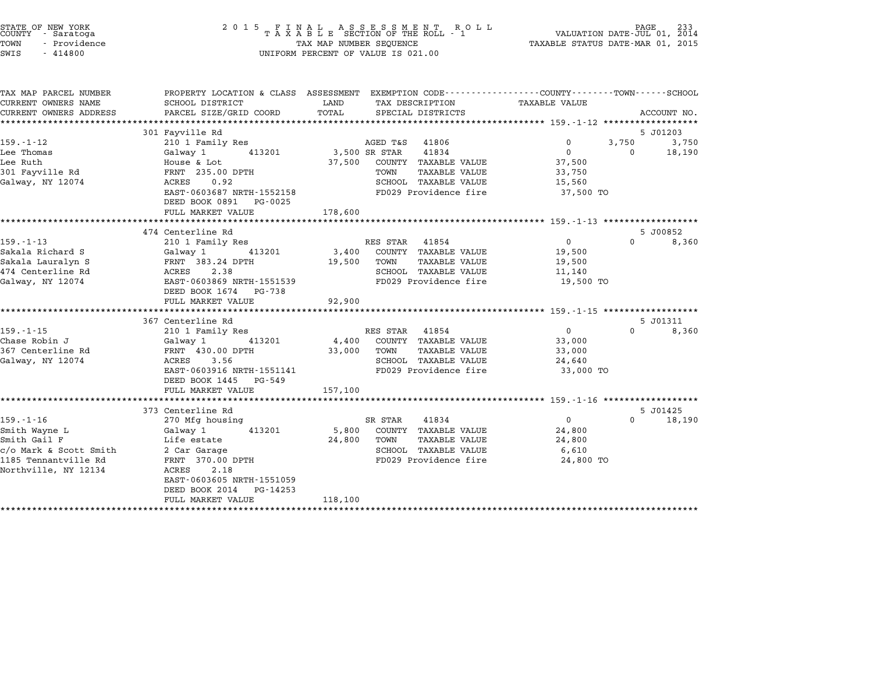| STATE OF NEW YORK<br>COUNTY - Saratoga<br>TOWN<br>- Providence<br>SWIS<br>$-414800$ | 2015 FINAL ASSESSMENT ROLL<br>TAXABLE SECTION OF THE ROLL - 1<br>TAX MAP NUMBER SEQUENCE<br>UNIFORM PERCENT OF VALUE IS 021.00             |               |                                                                 | PAGE<br>VALUATION DATE-JUL 01, 2014<br>TAXABLE STATUS DATE-MAR 01, 2015 |          |             |  |
|-------------------------------------------------------------------------------------|--------------------------------------------------------------------------------------------------------------------------------------------|---------------|-----------------------------------------------------------------|-------------------------------------------------------------------------|----------|-------------|--|
| TAX MAP PARCEL NUMBER<br>CURRENT OWNERS NAME<br>CURRENT OWNERS ADDRESS              | PROPERTY LOCATION & CLASS ASSESSMENT EXEMPTION CODE--------------COUNTY-------TOWN-----SCHOOL<br>SCHOOL DISTRICT<br>PARCEL SIZE/GRID COORD | LAND<br>TOTAL | TAX DESCRIPTION<br>SPECIAL DISTRICTS                            | TAXABLE VALUE                                                           |          | ACCOUNT NO. |  |
|                                                                                     | 301 Fayville Rd                                                                                                                            |               |                                                                 |                                                                         |          | 5 J01203    |  |
| $159. - 1 - 12$                                                                     | 210 1 Family Res                                                                                                                           |               | AGED T&S 41806                                                  | $\Omega$                                                                | 3,750    | 3,750       |  |
| Lee Thomas                                                                          | Galway 1<br>413201                                                                                                                         | 3,500 SR STAR | 41834                                                           | $\mathbf{0}$                                                            | $\Omega$ | 18,190      |  |
| Lee Ruth                                                                            | House & Lot                                                                                                                                | 37,500        | COUNTY TAXABLE VALUE                                            | 37,500                                                                  |          |             |  |
| 301 Fayville Rd                                                                     | FRNT 235.00 DPTH                                                                                                                           |               | TOWN<br>TAXABLE VALUE                                           | 33,750                                                                  |          |             |  |
| Galway, NY 12074                                                                    | ACRES 0.92                                                                                                                                 |               | SCHOOL TAXABLE VALUE                                            | 15,560                                                                  |          |             |  |
|                                                                                     | EAST-0603687 NRTH-1552158<br>DEED BOOK 0891 PG-0025                                                                                        |               | FD029 Providence fire                                           | 37,500 TO                                                               |          |             |  |
|                                                                                     | FULL MARKET VALUE                                                                                                                          | 178,600       |                                                                 |                                                                         |          |             |  |
|                                                                                     | **************************                                                                                                                 |               |                                                                 |                                                                         |          |             |  |
|                                                                                     | 474 Centerline Rd                                                                                                                          |               |                                                                 |                                                                         |          | 5 J00852    |  |
| $159. - 1 - 13$                                                                     | 210 1 Family Res                                                                                                                           |               | RES STAR 41854                                                  | $\overline{0}$                                                          | $\Omega$ | 8,360       |  |
| Sakala Richard S                                                                    | Galway 1<br>413201                                                                                                                         | 3,400         | COUNTY TAXABLE VALUE                                            | 19,500                                                                  |          |             |  |
| Sakala Lauralyn S                                                                   | FRNT 383.24 DPTH                                                                                                                           | 19,500        | TAXABLE VALUE<br>TOWN                                           | 19,500                                                                  |          |             |  |
| 474 Centerline Rd<br>Galway, NY 12074                                               | ACRES 2.38<br>EAST-0603869 NRTH-1551539                                                                                                    |               | SCHOOL TAXABLE VALUE<br>FD029 Providence fire                   | 11,140<br>19,500 TO                                                     |          |             |  |
|                                                                                     | DEED BOOK 1674 PG-738                                                                                                                      |               |                                                                 |                                                                         |          |             |  |
|                                                                                     | FULL MARKET VALUE                                                                                                                          | 92,900        |                                                                 |                                                                         |          |             |  |
|                                                                                     | ******************************                                                                                                             |               |                                                                 |                                                                         |          |             |  |
|                                                                                     | 367 Centerline Rd                                                                                                                          |               |                                                                 |                                                                         |          | 5 J01311    |  |
| $159. - 1 - 15$                                                                     | 210 1 Family Res                                                                                                                           |               | RES STAR 41854                                                  | $\mathbf{0}$                                                            | $\Omega$ | 8,360       |  |
| Chase Robin J                                                                       | Galway 1<br>413201                                                                                                                         | 4,400         | COUNTY TAXABLE VALUE                                            | 33,000                                                                  |          |             |  |
| 367 Centerline Rd                                                                   | FRNT 430.00 DPTH                                                                                                                           | 33,000        | TAXABLE VALUE<br>TOWN                                           | 33,000                                                                  |          |             |  |
| Galway, NY 12074                                                                    | ACRES<br>3.56<br>EAST-0603916 NRTH-1551141                                                                                                 |               | SCHOOL TAXABLE VALUE<br>FD029 Providence fire                   | 24,640<br>33,000 TO                                                     |          |             |  |
|                                                                                     | DEED BOOK 1445 PG-549                                                                                                                      |               |                                                                 |                                                                         |          |             |  |
|                                                                                     | FULL MARKET VALUE                                                                                                                          | 157,100       |                                                                 |                                                                         |          |             |  |
|                                                                                     | *********************                                                                                                                      |               | ********************************* 159.-1-16 ******************* |                                                                         |          |             |  |
|                                                                                     | 373 Centerline Rd                                                                                                                          |               |                                                                 |                                                                         |          | 5 J01425    |  |
| $159. - 1 - 16$                                                                     | 270 Mfg housing                                                                                                                            |               | SR STAR<br>41834                                                | $\overline{0}$                                                          | $\Omega$ | 18,190      |  |
| Smith Wayne L                                                                       | Galway 1<br>413201                                                                                                                         | 5,800         | COUNTY TAXABLE VALUE                                            | 24,800                                                                  |          |             |  |
| Smith Gail F                                                                        | Life estate                                                                                                                                | 24,800        | TOWN<br>TAXABLE VALUE                                           | 24,800                                                                  |          |             |  |
| c/o Mark & Scott Smith<br>1185 Tennantville Rd                                      | 2 Car Garage<br>FRNT 370.00 DPTH                                                                                                           |               | SCHOOL TAXABLE VALUE<br>FD029 Providence fire                   | 6,610<br>24,800 TO                                                      |          |             |  |
| Northville, NY 12134                                                                | ACRES<br>2.18                                                                                                                              |               |                                                                 |                                                                         |          |             |  |
|                                                                                     | EAST-0603605 NRTH-1551059                                                                                                                  |               |                                                                 |                                                                         |          |             |  |
|                                                                                     | DEED BOOK 2014<br>PG-14253                                                                                                                 |               |                                                                 |                                                                         |          |             |  |
|                                                                                     | FULL MARKET VALUE                                                                                                                          | 118,100       |                                                                 |                                                                         |          |             |  |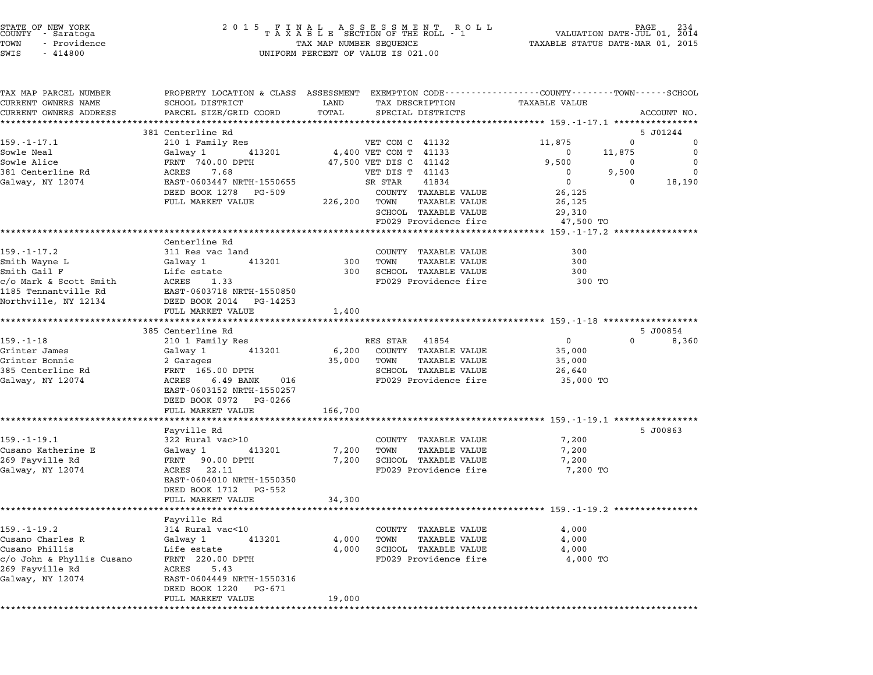| STATE OF NEW YORK<br>COUNTY - Saratoga |  |              |  |
|----------------------------------------|--|--------------|--|
| TOWN                                   |  | - Providence |  |
| $ATJT$ $\alpha$                        |  | 111000       |  |

## STATE OF NEW YORK <sup>2</sup> <sup>0</sup> <sup>1</sup> 5 F I N A L A S S E S S M E N T R O L L PAGE <sup>234</sup> COUNTY - Saratoga <sup>T</sup> <sup>A</sup> <sup>X</sup> <sup>A</sup> <sup>B</sup> <sup>L</sup> <sup>E</sup> SECTION OF THE ROLL - <sup>1</sup> VALUATION DATE-JUL 01, <sup>2014</sup> TOWN - Providence TAX MAP NUMBER SEQUENCE TAXABLE STATUS DATE-MAR 01, <sup>2015</sup> TOWN - Providence and the state of the state of the TAX MAP NUMBER SEQUENCE SWIS - 414800

| TAX MAP PARCEL NUMBER         | PROPERTY LOCATION & CLASS ASSESSMENT EXEMPTION CODE---------------COUNTY-------TOWN------SCHOOL                                                                                                                                       |                                    |                                                     |                                                               |                |
|-------------------------------|---------------------------------------------------------------------------------------------------------------------------------------------------------------------------------------------------------------------------------------|------------------------------------|-----------------------------------------------------|---------------------------------------------------------------|----------------|
| CURRENT OWNERS NAME           | SCHOOL DISTRICT                                                                                                                                                                                                                       | LAND                               | TAX DESCRIPTION TAXABLE VALUE                       |                                                               |                |
| CURRENT OWNERS ADDRESS        | PARCEL SIZE/GRID COORD<br>************************                                                                                                                                                                                    | TOTAL<br>************************* | SPECIAL DISTRICTS                                   | ***************** 159.-1-17.1 *****************               | ACCOUNT NO.    |
|                               | 381 Centerline Rd                                                                                                                                                                                                                     |                                    |                                                     |                                                               | 5 J01244       |
| $159. - 1 - 17.1$             | 210 1 Family Res                                                                                                                                                                                                                      |                                    | VET COM C 41132                                     | 11,875                                                        | $\Omega$<br>0  |
| Sowle Neal                    | Galway 1 413201                                                                                                                                                                                                                       |                                    | 4,400 VET COM T 41133                               | $\overline{\mathbf{0}}$<br>11,875                             | $\overline{0}$ |
| Sowle Alice                   | FRNT 740.00 DPTH                                                                                                                                                                                                                      |                                    | 47,500 VET DIS C 41142                              | 9,500<br>$\overline{0}$                                       | $\overline{0}$ |
| 381 Centerline Rd             |                                                                                                                                                                                                                                       |                                    | VET DIS T 41143                                     | $\overline{0}$<br>9,500                                       | $\overline{0}$ |
| Galway, NY 12074              | ------ 710000 21111<br>ACRES 7.68<br>EAST-0603447 NRTH-1550655                                                                                                                                                                        |                                    | SR STAR 41834                                       | $\overline{0}$<br>$\overline{0}$                              | 18,190         |
|                               | DEED BOOK 1278 PG-509                                                                                                                                                                                                                 |                                    | COUNTY TAXABLE VALUE                                | 26,125                                                        |                |
|                               | FULL MARKET VALUE                                                                                                                                                                                                                     |                                    | 226,200 TOWN TAXABLE VALUE                          | 26,125                                                        |                |
|                               |                                                                                                                                                                                                                                       |                                    | SCHOOL TAXABLE VALUE                                | 29,310                                                        |                |
|                               |                                                                                                                                                                                                                                       |                                    | FD029 Providence fire                               | 47,500 TO                                                     |                |
|                               |                                                                                                                                                                                                                                       |                                    |                                                     |                                                               |                |
|                               | Centerline Rd                                                                                                                                                                                                                         |                                    |                                                     |                                                               |                |
| $159. - 1 - 17.2$             | 311 Res vac land                                                                                                                                                                                                                      |                                    | COUNTY TAXABLE VALUE                                | 300                                                           |                |
| Smith Wayne L<br>Smith Gail F | Galway 1 413201                                                                                                                                                                                                                       |                                    | 300 TOWN TAXABLE VALUE                              | 300                                                           |                |
|                               | Life estate                                                                                                                                                                                                                           |                                    | 300 SCHOOL TAXABLE VALUE                            | 300                                                           |                |
|                               |                                                                                                                                                                                                                                       |                                    | FD029 Providence fire                               | 300 TO                                                        |                |
|                               | c/o Mark & Scott Smith<br>1185 Tennantville Rd<br>1185 Tennantville Rd<br>1185 Tennantville Rd<br>11850 Tennant Rd Rd Rd Rd Rd Rd 11950                                                                                               |                                    |                                                     |                                                               |                |
| Northville, NY 12134          | DEED BOOK 2014 PG-14253                                                                                                                                                                                                               |                                    |                                                     |                                                               |                |
|                               | FULL MARKET VALUE                                                                                                                                                                                                                     | 1,400                              |                                                     |                                                               |                |
|                               |                                                                                                                                                                                                                                       |                                    |                                                     |                                                               |                |
|                               | 385 Centerline Rd                                                                                                                                                                                                                     |                                    |                                                     |                                                               | 5 J00854       |
| $159. - 1 - 18$               | 210 1 Family Res                                                                                                                                                                                                                      |                                    | RES STAR 41854                                      | $\overline{0}$                                                | $0 \t 8,360$   |
| Grinter James                 | Galway 1 413201                                                                                                                                                                                                                       |                                    | 6,200 COUNTY TAXABLE VALUE                          | 35,000                                                        |                |
| Grinter Bonnie                | 2 Garages                                                                                                                                                                                                                             |                                    | 35,000 TOWN TAXABLE VALUE                           | 35,000                                                        |                |
|                               |                                                                                                                                                                                                                                       |                                    | SCHOOL TAXABLE VALUE                                | 26,640                                                        |                |
| Galway, NY 12074              |                                                                                                                                                                                                                                       |                                    | FD029 Providence fire                               | 35,000 TO                                                     |                |
|                               | EAST-0603152 NRTH-1550257                                                                                                                                                                                                             |                                    |                                                     |                                                               |                |
|                               | DEED BOOK 0972 PG-0266                                                                                                                                                                                                                |                                    |                                                     |                                                               |                |
|                               | FULL MARKET VALUE                                                                                                                                                                                                                     | 166,700                            |                                                     | ******************************** 159.-1-19.1 **************** |                |
|                               | Fayville Rd                                                                                                                                                                                                                           |                                    |                                                     |                                                               | 5 J00863       |
| $159. - 1 - 19.1$             | 322 Rural vac>10                                                                                                                                                                                                                      |                                    | COUNTY TAXABLE VALUE                                | 7,200                                                         |                |
|                               | Cusano Katherine E Galway 1 413201                                                                                                                                                                                                    |                                    | 7,200 TOWN TAXABLE VALUE                            | 7,200                                                         |                |
| 269 Fayville Rd               | FRNT 90.00 DPTH                                                                                                                                                                                                                       |                                    | 7,200 SCHOOL TAXABLE VALUE                          | 7,200                                                         |                |
| Galway, NY 12074              | ACRES 22.11                                                                                                                                                                                                                           |                                    | FD029 Providence fire                               | 7,200 TO                                                      |                |
|                               | EAST-0604010 NRTH-1550350                                                                                                                                                                                                             |                                    |                                                     |                                                               |                |
|                               | DEED BOOK 1712 PG-552                                                                                                                                                                                                                 |                                    |                                                     |                                                               |                |
|                               | FULL MARKET VALUE                                                                                                                                                                                                                     | 34,300                             |                                                     |                                                               |                |
|                               |                                                                                                                                                                                                                                       |                                    |                                                     |                                                               |                |
|                               | Fayville Rd                                                                                                                                                                                                                           |                                    |                                                     |                                                               |                |
| $159. - 1 - 19.2$             | 314 Rural vac<10                                                                                                                                                                                                                      |                                    | COUNTY TAXABLE VALUE                                | 4,000                                                         |                |
|                               | Galway 1 413201                                                                                                                                                                                                                       |                                    | 4,000 TOWN<br>TAXABLE VALUE                         | 4,000                                                         |                |
|                               | Cusano Charles R<br>Cusano Phillis (1994)<br>Cusano Phillis Cusano (1995)<br>Compared C/O John & Phyllis Cusano (1996)<br>Compared Compared Compared Compared Compared Compared Compared Compared Compared Compared Compared Compared |                                    |                                                     | 4,000                                                         |                |
|                               |                                                                                                                                                                                                                                       |                                    | 4,000 SCHOOL TAXABLE VALUE<br>FD029 Providence fire | 4,000 TO                                                      |                |
| 269 Fayville Rd               | ACRES 5.43                                                                                                                                                                                                                            |                                    |                                                     |                                                               |                |
| Galway, NY 12074              | EAST-0604449 NRTH-1550316                                                                                                                                                                                                             |                                    |                                                     |                                                               |                |
|                               | DEED BOOK 1220 PG-671                                                                                                                                                                                                                 |                                    |                                                     |                                                               |                |
|                               | FULL MARKET VALUE                                                                                                                                                                                                                     | 19,000                             |                                                     |                                                               |                |
|                               |                                                                                                                                                                                                                                       |                                    |                                                     |                                                               |                |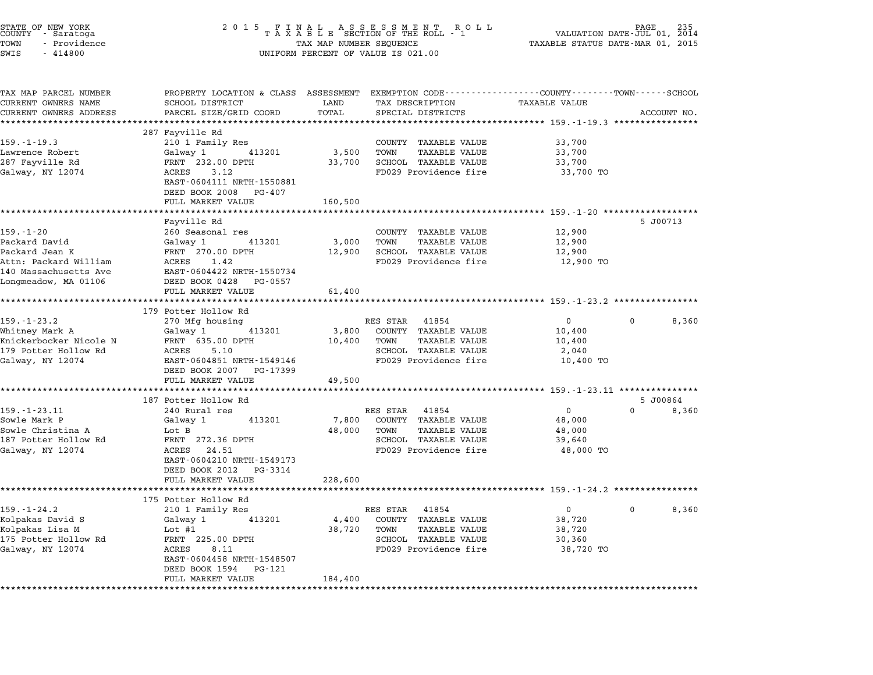| STATE OF NEW YORK<br>COUNTY - Saratoga<br>TOWN<br>- Providence<br>SWIS<br>$-414800$                                          | 2 0 1 5<br>FINAL ASSESSMENT ROLL<br>TAXABLE SECTION OF THE ROLL - 1<br>TAX MAP NUMBER SEQUENCE<br>UNIFORM PERCENT OF VALUE IS 021.00                           |                            |                                                                                                                        | 235<br>VALUATION DATE-JUL 01,<br>2014<br>TAXABLE STATUS DATE-MAR 01, 2015 |                   |  |
|------------------------------------------------------------------------------------------------------------------------------|----------------------------------------------------------------------------------------------------------------------------------------------------------------|----------------------------|------------------------------------------------------------------------------------------------------------------------|---------------------------------------------------------------------------|-------------------|--|
| TAX MAP PARCEL NUMBER<br>CURRENT OWNERS NAME                                                                                 | PROPERTY LOCATION & CLASS ASSESSMENT EXEMPTION CODE----------------COUNTY-------TOWN-----SCHOOL<br>SCHOOL DISTRICT                                             | LAND                       | TAX DESCRIPTION                                                                                                        | <b>TAXABLE VALUE</b>                                                      |                   |  |
| CURRENT OWNERS ADDRESS                                                                                                       | PARCEL SIZE/GRID COORD                                                                                                                                         | TOTAL                      | SPECIAL DISTRICTS                                                                                                      |                                                                           | ACCOUNT NO.       |  |
|                                                                                                                              |                                                                                                                                                                |                            |                                                                                                                        |                                                                           |                   |  |
| $159. - 1 - 19.3$<br>Lawrence Robert<br>287 Fayville Rd<br>Galway, NY 12074                                                  | 287 Fayville Rd<br>210 1 Family Res<br>413201<br>Galway 1<br>FRNT 232.00 DPTH<br>ACRES<br>3.12<br>EAST-0604111 NRTH-1550881<br>DEED BOOK 2008 PG-407           | 3,500<br>33,700            | COUNTY TAXABLE VALUE<br>TAXABLE VALUE<br>TOWN<br>SCHOOL TAXABLE VALUE<br>FD029 Providence fire                         | 33,700<br>33,700<br>33,700<br>33,700 TO                                   |                   |  |
|                                                                                                                              | FULL MARKET VALUE                                                                                                                                              | 160,500                    |                                                                                                                        |                                                                           |                   |  |
| $159. - 1 - 20$<br>Packard David<br>Packard Jean K<br>Attn: Packard William<br>140 Massachusetts Ave<br>Longmeadow, MA 01106 | Fayville Rd<br>260 Seasonal res<br>Galway 1<br>413201<br>FRNT 270.00 DPTH<br>ACRES<br>1.42<br>EAST-0604422 NRTH-1550734<br>DEED BOOK 0428 PG-0557              | 3,000<br>12,900            | COUNTY TAXABLE VALUE<br>TOWN<br>TAXABLE VALUE<br>SCHOOL TAXABLE VALUE<br>FD029 Providence fire                         | 12,900<br>12,900<br>12,900<br>12,900 TO                                   | 5 J00713          |  |
|                                                                                                                              | FULL MARKET VALUE<br>*********************                                                                                                                     | 61,400                     |                                                                                                                        |                                                                           |                   |  |
|                                                                                                                              | 179 Potter Hollow Rd                                                                                                                                           |                            | ******************************** 159 <sub>.</sub> -1-23.2 ****************                                             |                                                                           |                   |  |
| $159. - 1 - 23.2$<br>Whitney Mark A<br>Knickerbocker Nicole N<br>179 Potter Hollow Rd<br>Galway, NY 12074                    | 270 Mfg housing<br>Galway 1<br>413201<br>FRNT 635.00 DPTH<br>ACRES<br>5.10<br>EAST-0604851 NRTH-1549146<br>DEED BOOK 2007 PG-17399<br>FULL MARKET VALUE        | 3,800<br>10,400<br>49,500  | RES STAR 41854<br>COUNTY TAXABLE VALUE<br>TOWN<br>TAXABLE VALUE<br>SCHOOL TAXABLE VALUE<br>FD029 Providence fire       | $\mathbf 0$<br>10,400<br>10,400<br>2,040<br>10,400 TO                     | 0<br>8,360        |  |
|                                                                                                                              |                                                                                                                                                                |                            |                                                                                                                        |                                                                           |                   |  |
|                                                                                                                              | 187 Potter Hollow Rd                                                                                                                                           |                            |                                                                                                                        |                                                                           | 5 J00864          |  |
| $159. - 1 - 23.11$<br>Sowle Mark P<br>Sowle Christina A<br>187 Potter Hollow Rd<br>Galway, NY 12074                          | 240 Rural res<br>Galway 1<br>413201<br>Lot B<br>FRNT 272.36 DPTH<br>ACRES 24.51<br>EAST-0604210 NRTH-1549173<br>DEED BOOK 2012<br>PG-3314<br>FULL MARKET VALUE | 7,800<br>48,000<br>228,600 | RES STAR 41854<br>COUNTY TAXABLE VALUE<br>TOWN<br>TAXABLE VALUE<br>SCHOOL TAXABLE VALUE<br>FD029 Providence fire       | $\mathbf{0}$<br>48,000<br>48,000<br>39,640<br>48,000 TO                   | $\Omega$<br>8,360 |  |
|                                                                                                                              | 175 Potter Hollow Rd                                                                                                                                           |                            |                                                                                                                        |                                                                           |                   |  |
| $159. - 1 - 24.2$<br>Kolpakas David S<br>Kolpakas Lisa M<br>175 Potter Hollow Rd<br>Galway, NY 12074                         | 210 1 Family Res<br>Galway 1<br>413201<br>Lot $#1$<br>FRNT 225.00 DPTH<br>ACRES<br>8.11<br>EAST-0604458 NRTH-1548507<br>DEED BOOK 1594<br>PG-121               | 4,400<br>38,720            | RES STAR<br>41854<br>COUNTY<br>TAXABLE VALUE<br>TAXABLE VALUE<br>TOWN<br>SCHOOL TAXABLE VALUE<br>FD029 Providence fire | $\mathsf{O}$<br>38,720<br>38,720<br>30,360<br>38,720 TO                   | 0<br>8,360        |  |
|                                                                                                                              | FULL MARKET VALUE                                                                                                                                              | 184,400                    |                                                                                                                        |                                                                           |                   |  |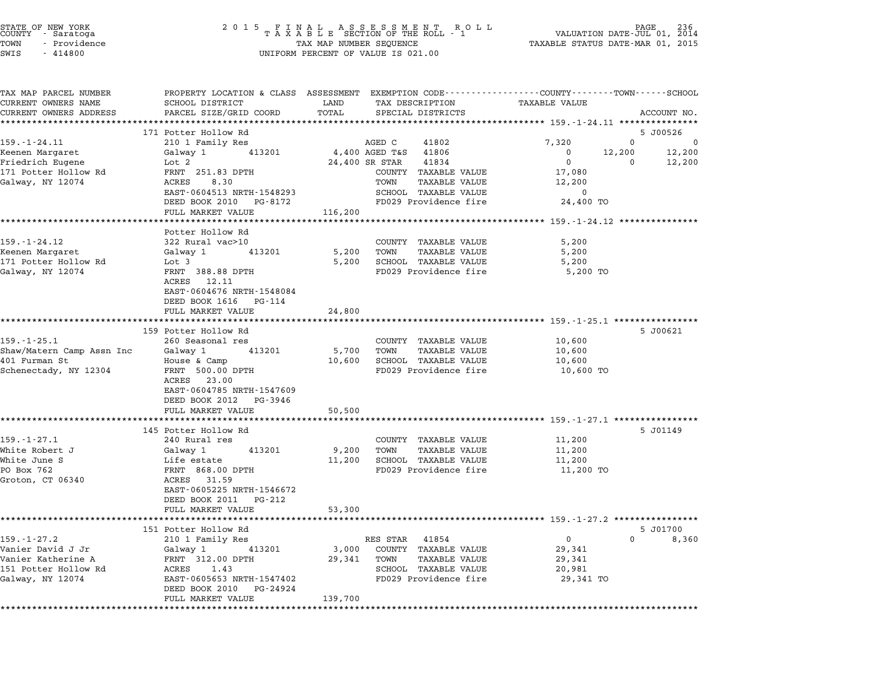| STATE OF NEW YORK<br>COUNTY<br>- Saratoga<br>TOWN<br>- Providence<br>SWIS<br>$-414800$ | 2 0 1 5                                                  | FINAL ASSESSMENT RO<br>TAXABLE SECTION OF THE ROLL - 1<br>R O L L<br>TAX MAP NUMBER SEQUENCE<br>UNIFORM PERCENT OF VALUE IS 021.00 | 236<br>PAGE<br>VALUATION DATE-JUL 01, 2014<br>TAXABLE STATUS DATE-MAR 01, 2015                                                 |
|----------------------------------------------------------------------------------------|----------------------------------------------------------|------------------------------------------------------------------------------------------------------------------------------------|--------------------------------------------------------------------------------------------------------------------------------|
| TAX MAP PARCEL NUMBER<br>CURRENT OWNERS NAME<br>CURRENT OWNERS ADDRESS                 | SCHOOL DISTRICT<br>PARCEL SIZE/GRID COORD                | LAND<br>TAX DESCRIPTION<br>TOTAL<br>SPECIAL DISTRICTS                                                                              | PROPERTY LOCATION & CLASS ASSESSMENT EXEMPTION CODE---------------COUNTY-------TOWN-----SCHOOL<br>TAXABLE VALUE<br>ACCOUNT NO. |
| $159. - 1 - 24.11$                                                                     | 171 Potter Hollow Rd<br>210 1 Family Res                 | AGED C<br>41802                                                                                                                    | 5 J00526<br>7,320<br>0<br>0                                                                                                    |
| Keenen Margaret                                                                        | 413201<br>Galway 1                                       | 4,400 AGED T&S<br>41806                                                                                                            | 12,200<br>12,200<br>0                                                                                                          |
| Friedrich Eugene                                                                       | Lot 2                                                    | 24,400 SR STAR<br>41834                                                                                                            | 0<br>0<br>12,200                                                                                                               |
| 171 Potter Hollow Rd                                                                   | FRNT 251.83 DPTH                                         | COUNTY TAXABLE VALUE                                                                                                               | 17,080                                                                                                                         |
| Galway, NY 12074                                                                       | ACRES<br>8.30                                            | TOWN<br>TAXABLE VALUE                                                                                                              | 12,200                                                                                                                         |
|                                                                                        | EAST-0604513 NRTH-1548293                                | SCHOOL TAXABLE VALUE                                                                                                               | 0                                                                                                                              |
|                                                                                        | DEED BOOK 2010<br>PG-8172                                | FD029 Providence fire                                                                                                              | 24,400 TO                                                                                                                      |
|                                                                                        | FULL MARKET VALUE<br>*********************************** | 116,200                                                                                                                            |                                                                                                                                |
|                                                                                        | Potter Hollow Rd                                         |                                                                                                                                    |                                                                                                                                |
| 159.-1-24.12                                                                           | 322 Rural vac>10                                         | COUNTY TAXABLE VALUE                                                                                                               | 5,200                                                                                                                          |
| Keenen Margaret                                                                        | Galway 1<br>413201                                       | TOWN<br><b>TAXABLE VALUE</b><br>5,200                                                                                              | 5,200                                                                                                                          |
| 171 Potter Hollow Rd                                                                   | Lot 3                                                    | 5,200<br>SCHOOL TAXABLE VALUE                                                                                                      | 5,200                                                                                                                          |
| Galway, NY 12074                                                                       | FRNT 388.88 DPTH                                         | FD029 Providence fire                                                                                                              | 5,200 TO                                                                                                                       |
|                                                                                        | ACRES<br>12.11<br>EAST-0604676 NRTH-1548084              |                                                                                                                                    |                                                                                                                                |
|                                                                                        | DEED BOOK 1616<br>PG-114                                 |                                                                                                                                    |                                                                                                                                |
|                                                                                        | FULL MARKET VALUE                                        | 24,800                                                                                                                             |                                                                                                                                |
|                                                                                        |                                                          |                                                                                                                                    |                                                                                                                                |
|                                                                                        | 159 Potter Hollow Rd                                     |                                                                                                                                    | 5 J00621                                                                                                                       |
| $159. - 1 - 25.1$                                                                      | 260 Seasonal res                                         | COUNTY TAXABLE VALUE                                                                                                               | 10,600                                                                                                                         |
| Shaw/Matern Camp Assn Inc                                                              | Galway 1<br>413201                                       | <b>TAXABLE VALUE</b><br>5,700<br>TOWN<br>SCHOOL TAXABLE VALUE                                                                      | 10,600                                                                                                                         |
| 401 Furman St<br>Schenectady, NY 12304                                                 | House & Camp<br>FRNT 500.00 DPTH                         | 10,600<br>FD029 Providence fire                                                                                                    | 10,600<br>10,600 TO                                                                                                            |
|                                                                                        | ACRES<br>23.00                                           |                                                                                                                                    |                                                                                                                                |
|                                                                                        | EAST-0604785 NRTH-1547609<br>DEED BOOK 2012<br>PG-3946   |                                                                                                                                    |                                                                                                                                |
|                                                                                        | FULL MARKET VALUE                                        | 50,500                                                                                                                             |                                                                                                                                |
|                                                                                        | ***************************                              |                                                                                                                                    |                                                                                                                                |
|                                                                                        | 145 Potter Hollow Rd                                     |                                                                                                                                    | 5 J01149                                                                                                                       |
| $159. - 1 - 27.1$<br>White Robert J                                                    | 240 Rural res<br>413201                                  | COUNTY TAXABLE VALUE<br>TOWN<br><b>TAXABLE VALUE</b>                                                                               | 11,200<br>11,200                                                                                                               |
| White June S                                                                           | Galway 1<br>Life estate                                  | 9,200<br>11,200<br>SCHOOL TAXABLE VALUE                                                                                            | 11,200                                                                                                                         |
| PO Box 762                                                                             | FRNT 868.00 DPTH                                         | FD029 Providence fire                                                                                                              | 11,200 TO                                                                                                                      |
| Groton, CT 06340                                                                       | 31.59<br>ACRES                                           |                                                                                                                                    |                                                                                                                                |
|                                                                                        | EAST-0605225 NRTH-1546672                                |                                                                                                                                    |                                                                                                                                |
|                                                                                        | DEED BOOK 2011<br>PG-212                                 |                                                                                                                                    |                                                                                                                                |
| ***********************                                                                | FULL MARKET VALUE                                        | 53,300                                                                                                                             |                                                                                                                                |
|                                                                                        | 151 Potter Hollow Rd                                     |                                                                                                                                    | ******************************** 159.-1-27.2 **********<br>5 J01700                                                            |
| $159. - 1 - 27.2$                                                                      | 210 1 Family Res                                         | 41854<br>RES STAR                                                                                                                  | 0<br>0<br>8,360                                                                                                                |
| Vanier David J Jr                                                                      | Galway 1<br>413201                                       | 3,000<br>COUNTY TAXABLE VALUE                                                                                                      | 29,341                                                                                                                         |
| Vanier Katherine A                                                                     | FRNT 312.00 DPTH                                         | 29,341<br>TOWN<br>TAXABLE VALUE                                                                                                    | 29,341                                                                                                                         |
| 151 Potter Hollow Rd                                                                   | ACRES<br>1.43                                            | SCHOOL TAXABLE VALUE                                                                                                               | 20,981                                                                                                                         |
| Galway, NY 12074                                                                       | EAST-0605653 NRTH-1547402<br>DEED BOOK 2010<br>PG-24924  | FD029 Providence fire                                                                                                              | 29,341 TO                                                                                                                      |
|                                                                                        | FULL MARKET VALUE                                        | 139,700                                                                                                                            |                                                                                                                                |

STATE OF NEW YORK <sup>2</sup> <sup>0</sup> <sup>1</sup> 5 F I N A L A S S E S S M E N T R O L L PAGE <sup>236</sup> COUNTY - Saratoga <sup>T</sup> <sup>A</sup> <sup>X</sup> <sup>A</sup> <sup>B</sup> <sup>L</sup> <sup>E</sup> SECTION OF THE ROLL - <sup>1</sup> VALUATION DATE-JUL 01, <sup>2014</sup>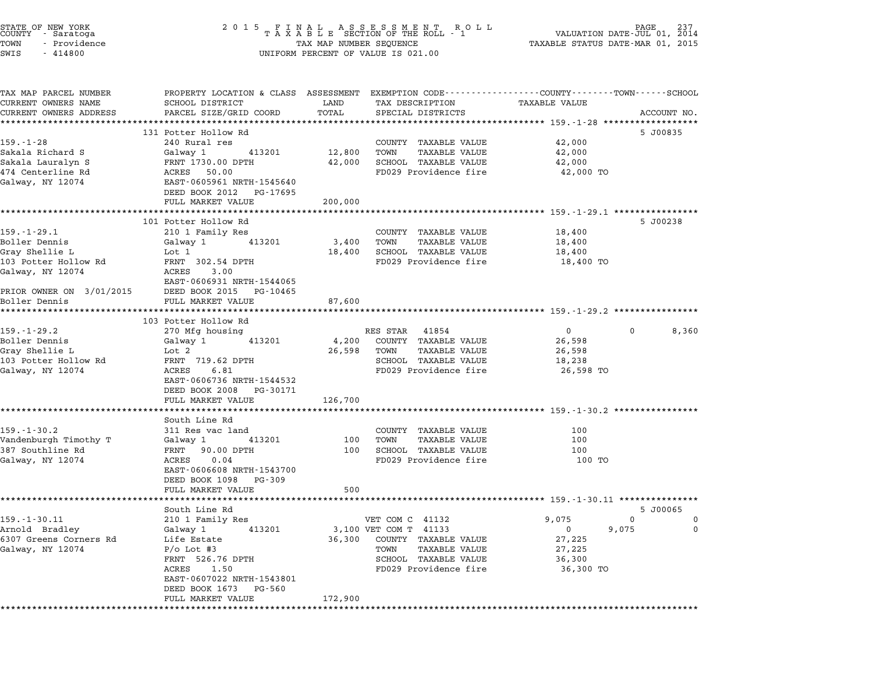| STATE OF NEW YORK<br>COUNTY - Saratoga<br>TOWN<br>- Providence<br>$-414800$<br>SWIS |                                                                          | TAX MAP NUMBER SEQUENCE | $\begin{array}{cccccccccccccccccc} 2& 0& 1& 5 & & F & I & N & A & L & A & S & S & E & S & S & M & E & N & T & R & O & L \\ T & A & X & A & B & L & E & SECTION OF THE ROLL & -& 1 \end{array}$<br>UNIFORM PERCENT OF VALUE IS 021.00 | PAGE<br>237<br>VALUATION DATE-JUL 01, 2014<br>TAXABLE STATUS DATE-MAR 01, 2015                                               |
|-------------------------------------------------------------------------------------|--------------------------------------------------------------------------|-------------------------|--------------------------------------------------------------------------------------------------------------------------------------------------------------------------------------------------------------------------------------|------------------------------------------------------------------------------------------------------------------------------|
| TAX MAP PARCEL NUMBER<br>CURRENT OWNERS NAME<br>CURRENT OWNERS ADDRESS              | SCHOOL DISTRICT<br>PARCEL SIZE/GRID COORD                                | LAND<br>TOTAL           | TAX DESCRIPTION<br>SPECIAL DISTRICTS                                                                                                                                                                                                 | PROPERTY LOCATION & CLASS ASSESSMENT EXEMPTION CODE--------------COUNTY------TOWN-----SCHOOL<br>TAXABLE VALUE<br>ACCOUNT NO. |
|                                                                                     | 131 Potter Hollow Rd                                                     |                         |                                                                                                                                                                                                                                      | 5 J00835                                                                                                                     |
| $159. - 1 - 28$                                                                     | 240 Rural res                                                            |                         | COUNTY TAXABLE VALUE                                                                                                                                                                                                                 | 42,000                                                                                                                       |
| Sakala Richard S                                                                    | 413201<br>Galway 1                                                       | 12,800                  | TOWN<br>TAXABLE VALUE                                                                                                                                                                                                                | 42,000                                                                                                                       |
| Sakala Lauralyn S                                                                   | FRNT 1730.00 DPTH                                                        | 42,000                  | SCHOOL TAXABLE VALUE                                                                                                                                                                                                                 | 42,000                                                                                                                       |
| 474 Centerline Rd<br>Galway, NY 12074                                               | ACRES 50.00<br>EAST-0605961 NRTH-1545640<br>DEED BOOK 2012 PG-17695      |                         | FD029 Providence fire                                                                                                                                                                                                                | 42,000 TO                                                                                                                    |
|                                                                                     | FULL MARKET VALUE                                                        | 200,000                 |                                                                                                                                                                                                                                      |                                                                                                                              |
|                                                                                     | 101 Potter Hollow Rd                                                     |                         |                                                                                                                                                                                                                                      | 5 J00238                                                                                                                     |
| $159. - 1 - 29.1$                                                                   | 210 1 Family Res                                                         |                         | COUNTY TAXABLE VALUE                                                                                                                                                                                                                 | 18,400                                                                                                                       |
| Boller Dennis                                                                       | 413201<br>Galway 1                                                       | 3,400                   | TOWN<br><b>TAXABLE VALUE</b>                                                                                                                                                                                                         | 18,400                                                                                                                       |
| Grav Shellie L                                                                      | Lot 1                                                                    | 18,400                  | SCHOOL TAXABLE VALUE                                                                                                                                                                                                                 | 18,400                                                                                                                       |
| 103 Potter Hollow Rd<br>Galway, NY 12074                                            | FRNT 302.54 DPTH<br>ACRES<br>3.00                                        |                         | FD029 Providence fire                                                                                                                                                                                                                | 18,400 TO                                                                                                                    |
|                                                                                     | EAST-0606931 NRTH-1544065                                                |                         |                                                                                                                                                                                                                                      |                                                                                                                              |
| PRIOR OWNER ON 3/01/2015<br>Boller Dennis                                           | DEED BOOK 2015 PG-10465<br>FULL MARKET VALUE                             | 87,600                  |                                                                                                                                                                                                                                      |                                                                                                                              |
|                                                                                     | 103 Potter Hollow Rd                                                     |                         |                                                                                                                                                                                                                                      |                                                                                                                              |
| $159. - 1 - 29.2$                                                                   | 270 Mfg housing                                                          |                         | RES STAR 41854                                                                                                                                                                                                                       | $\overline{0}$<br>8,360<br>$\mathbf{0}$                                                                                      |
| Boller Dennis                                                                       | Galway 1<br>413201                                                       | 4,200                   | COUNTY TAXABLE VALUE                                                                                                                                                                                                                 | 26,598                                                                                                                       |
| Gray Shellie L                                                                      | Lot 2                                                                    | 26,598                  | TOWN<br>TAXABLE VALUE                                                                                                                                                                                                                | 26,598                                                                                                                       |
| 103 Potter Hollow Rd                                                                | FRNT 719.62 DPTH                                                         |                         | SCHOOL TAXABLE VALUE                                                                                                                                                                                                                 | 18,238                                                                                                                       |
| Galway, NY 12074                                                                    | ACRES<br>6.81<br>EAST-0606736 NRTH-1544532<br>DEED BOOK 2008<br>PG-30171 |                         | FD029 Providence fire                                                                                                                                                                                                                | 26,598 TO                                                                                                                    |
|                                                                                     | FULL MARKET VALUE                                                        | 126,700                 |                                                                                                                                                                                                                                      |                                                                                                                              |
|                                                                                     | South Line Rd                                                            |                         |                                                                                                                                                                                                                                      |                                                                                                                              |
| $159. - 1 - 30.2$                                                                   | 311 Res vac land                                                         |                         | COUNTY TAXABLE VALUE                                                                                                                                                                                                                 | 100                                                                                                                          |
| Vandenburgh Timothy T                                                               | 413201<br>Galway 1                                                       | 100                     | TOWN<br>TAXABLE VALUE                                                                                                                                                                                                                | 100                                                                                                                          |
| 387 Southline Rd                                                                    | 90.00 DPTH<br>FRNT                                                       | 100                     | SCHOOL TAXABLE VALUE                                                                                                                                                                                                                 | 100                                                                                                                          |
| Galway, NY 12074                                                                    | ACRES<br>0.04<br>EAST-0606608 NRTH-1543700<br>DEED BOOK 1098 PG-309      |                         | FD029 Providence fire                                                                                                                                                                                                                | 100 TO                                                                                                                       |
|                                                                                     | FULL MARKET VALUE                                                        | 500                     |                                                                                                                                                                                                                                      |                                                                                                                              |
|                                                                                     | South Line Rd                                                            |                         |                                                                                                                                                                                                                                      | 5 J00065                                                                                                                     |
| $159. - 1 - 30.11$                                                                  | 210 1 Family Res                                                         |                         | VET COM C 41132                                                                                                                                                                                                                      | 9,075<br>0<br>0                                                                                                              |
| Arnold Bradley                                                                      | Galway 1<br>413201                                                       |                         | 3,100 VET COM T 41133                                                                                                                                                                                                                | 9,075<br>0<br>0                                                                                                              |
| 6307 Greens Corners Rd<br>Galway, NY 12074                                          | Life Estate<br>$P/O$ Lot #3                                              | 36,300                  | COUNTY TAXABLE VALUE<br><b>TAXABLE VALUE</b><br>TOWN                                                                                                                                                                                 | 27,225<br>27,225                                                                                                             |
|                                                                                     | FRNT 526.76 DPTH                                                         |                         | SCHOOL TAXABLE VALUE                                                                                                                                                                                                                 | 36,300                                                                                                                       |
|                                                                                     | ACRES<br>1.50<br>EAST-0607022 NRTH-1543801                               |                         | FD029 Providence fire                                                                                                                                                                                                                | 36,300 TO                                                                                                                    |
|                                                                                     | DEED BOOK 1673 PG-560<br>FULL MARKET VALUE                               | 172,900                 |                                                                                                                                                                                                                                      |                                                                                                                              |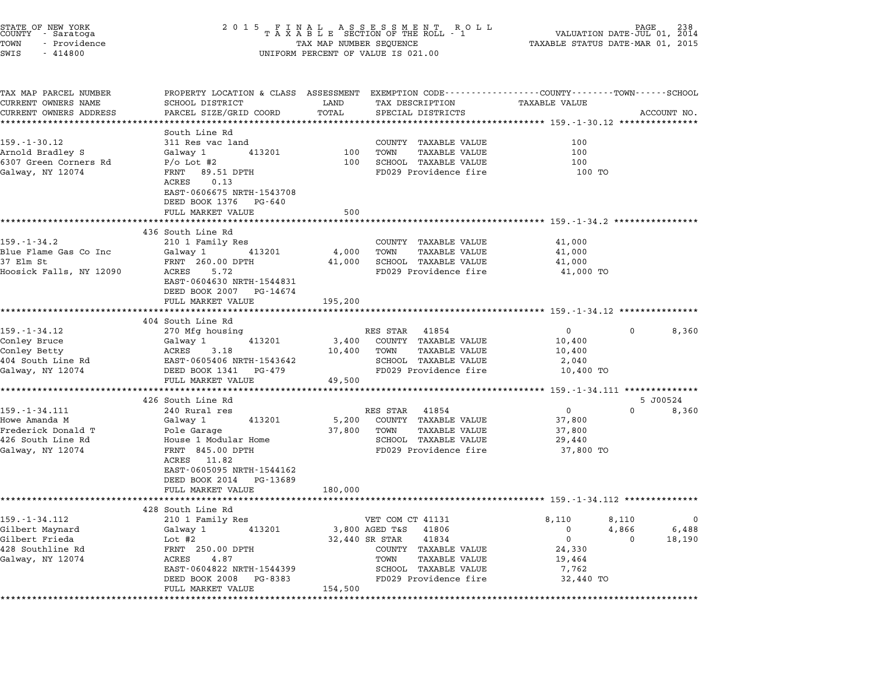| STATE OF NEW YORK<br>COUNTY - Saratoga<br>TOWN<br>- Providence<br>SWIS<br>$-414800$               | 2 0 1 5                                                                                                                                                                                       | TAX MAP NUMBER SEQUENCE    | FINAL ASSESSMENT ROLL<br>TAXABLE SECTION OF THE ROLL - 1<br>UNIFORM PERCENT OF VALUE IS 021.00                                                                                               | TAXABLE STATUS DATE-MAR 01, 2015                          | VALUATION DATE-JUL 01,         | 238<br>2014          |
|---------------------------------------------------------------------------------------------------|-----------------------------------------------------------------------------------------------------------------------------------------------------------------------------------------------|----------------------------|----------------------------------------------------------------------------------------------------------------------------------------------------------------------------------------------|-----------------------------------------------------------|--------------------------------|----------------------|
| TAX MAP PARCEL NUMBER<br>CURRENT OWNERS NAME<br>CURRENT OWNERS ADDRESS                            | PROPERTY LOCATION & CLASS ASSESSMENT EXEMPTION CODE---------------COUNTY-------TOWN-----SCHOOL<br>SCHOOL DISTRICT<br>PARCEL SIZE/GRID COORD                                                   | LAND<br>TOTAL              | TAX DESCRIPTION<br>SPECIAL DISTRICTS                                                                                                                                                         | TAXABLE VALUE                                             |                                |                      |
|                                                                                                   |                                                                                                                                                                                               |                            |                                                                                                                                                                                              | *************************** 159.-1-30.12 ***************  |                                | ACCOUNT NO.          |
| 159. - 1 - 30. 12<br>Arnold Bradley S<br>6307 Green Corners Rd<br>Galway, NY 12074                | South Line Rd<br>311 Res vac land<br>Galway 1<br>413201<br>$P/O$ Lot #2<br>89.51 DPTH<br>FRNT<br>ACRES<br>0.13<br>EAST-0606675 NRTH-1543708<br>DEED BOOK 1376<br>PG-640                       | 100<br>100                 | COUNTY TAXABLE VALUE<br><b>TAXABLE VALUE</b><br>TOWN<br>SCHOOL TAXABLE VALUE<br>FD029 Providence fire                                                                                        | 100<br>100<br>100<br>100 TO                               |                                |                      |
|                                                                                                   | FULL MARKET VALUE                                                                                                                                                                             | 500                        |                                                                                                                                                                                              |                                                           |                                |                      |
| 159.-1-34.2<br>Blue Flame Gas Co Inc<br>37 Elm St<br>Hoosick Falls, NY 12090                      | 436 South Line Rd<br>210 1 Family Res<br>Galway 1<br>413201<br>FRNT 260.00 DPTH<br>ACRES<br>5.72<br>EAST-0604630 NRTH-1544831<br>DEED BOOK 2007<br>PG-14674                                   | 4,000<br>41,000            | COUNTY TAXABLE VALUE<br><b>TAXABLE VALUE</b><br>TOWN<br>SCHOOL TAXABLE VALUE<br>FD029 Providence fire                                                                                        | 41,000<br>41,000<br>41,000<br>41,000 TO                   |                                |                      |
|                                                                                                   | FULL MARKET VALUE                                                                                                                                                                             | 195,200                    |                                                                                                                                                                                              |                                                           |                                |                      |
|                                                                                                   | 404 South Line Rd                                                                                                                                                                             |                            |                                                                                                                                                                                              |                                                           |                                |                      |
| 159.-1-34.12<br>Conley Bruce<br>Conley Betty<br>404 South Line Rd<br>Galway, NY 12074             | 270 Mfg housing<br>413201<br>Galway 1<br>3.18<br>ACRES<br>EAST-0605406 NRTH-1543642<br>DEED BOOK 1341<br>PG-479<br>FULL MARKET VALUE                                                          | 3,400<br>10,400<br>49,500  | 41854<br>RES STAR<br>COUNTY TAXABLE VALUE<br><b>TAXABLE VALUE</b><br>TOWN<br>SCHOOL TAXABLE VALUE<br>FD029 Providence fire                                                                   | $\overline{0}$<br>10,400<br>10,400<br>2,040<br>10,400 TO  | $\mathbf{0}$                   | 8,360                |
|                                                                                                   | 426 South Line Rd                                                                                                                                                                             |                            |                                                                                                                                                                                              |                                                           |                                | 5 J00524             |
| 159. - 1 - 34.111<br>Howe Amanda M<br>Frederick Donald T<br>426 South Line Rd<br>Galway, NY 12074 | 240 Rural res<br>Galway 1<br>413201<br>Pole Garage<br>House 1 Modular Home<br>FRNT 845.00 DPTH<br>ACRES 11.82<br>EAST-0605095 NRTH-1544162<br>DEED BOOK 2014<br>PG-13689<br>FULL MARKET VALUE | 5,200<br>37,800<br>180,000 | RES STAR<br>41854<br>COUNTY TAXABLE VALUE<br><b>TAXABLE VALUE</b><br>TOWN<br>SCHOOL TAXABLE VALUE<br>FD029 Providence fire                                                                   | $\overline{0}$<br>37,800<br>37,800<br>29,440<br>37,800 TO | $\Omega$                       | 8,360                |
|                                                                                                   |                                                                                                                                                                                               |                            | ****************************** 159.-1-34.112 **********                                                                                                                                      |                                                           |                                |                      |
| 159. - 1 - 34. 112<br>Gilbert Maynard<br>Gilbert Frieda<br>428 Southline Rd<br>Galway, NY 12074   | 428 South Line Rd<br>210 1 Family Res<br>Galway 1<br>413201<br>Lot $#2$<br>FRNT 250.00 DPTH<br>ACRES<br>4.87<br>EAST-0604822 NRTH-1544399<br>DEED BOOK 2008<br>PG-8383                        |                            | VET COM CT 41131<br>3,800 AGED T&S<br>41806<br>41834<br>32,440 SR STAR<br><b>TAXABLE VALUE</b><br>COUNTY<br>TOWN<br>TAXABLE VALUE<br>SCHOOL<br><b>TAXABLE VALUE</b><br>FD029 Providence fire | 8,110<br>0<br>0<br>24,330<br>19,464<br>7,762<br>32,440 TO | 8,110<br>4,866<br><sup>0</sup> | 0<br>6,488<br>18,190 |
|                                                                                                   | FULL MARKET VALUE                                                                                                                                                                             | 154,500                    |                                                                                                                                                                                              |                                                           |                                |                      |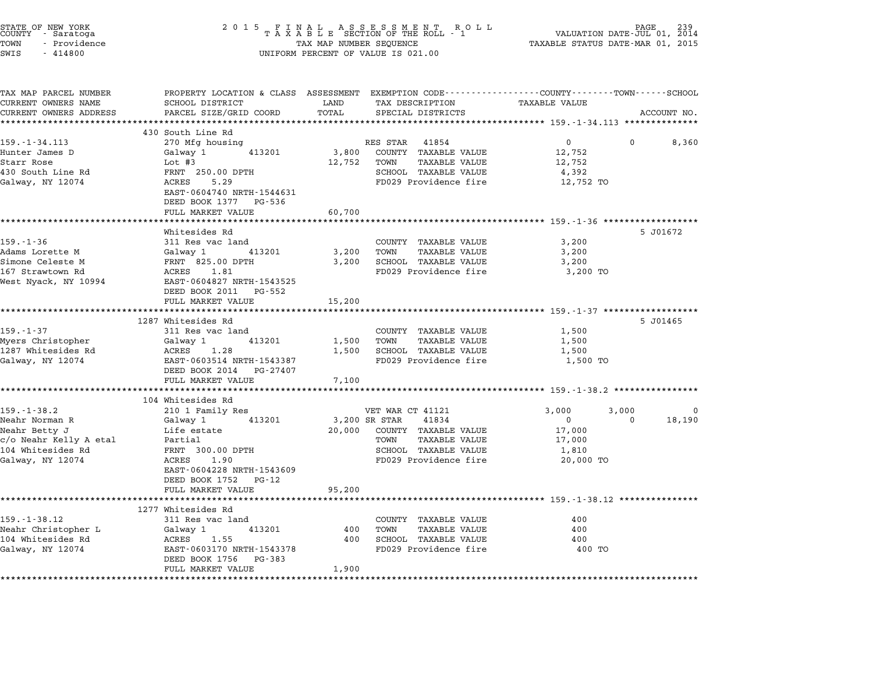| STATE OF NEW YORK<br>COUNTY – Saratoga<br>TOWN<br>- Providence<br>SWIS<br>$-414800$ |                                                                                                                    | TAX MAP NUMBER SEQUENCE | UNIFORM PERCENT OF VALUE IS 021.00            | VALUATION DATE-JUL 01, 2014<br>TAXABLE STATUS DATE-MAR 01, 2015    | PAGE     |             |
|-------------------------------------------------------------------------------------|--------------------------------------------------------------------------------------------------------------------|-------------------------|-----------------------------------------------|--------------------------------------------------------------------|----------|-------------|
| TAX MAP PARCEL NUMBER<br>CURRENT OWNERS NAME                                        | PROPERTY LOCATION & CLASS ASSESSMENT EXEMPTION CODE----------------COUNTY-------TOWN-----SCHOOL<br>SCHOOL DISTRICT | LAND                    | TAX DESCRIPTION                               | TAXABLE VALUE                                                      |          |             |
| CURRENT OWNERS ADDRESS                                                              | PARCEL SIZE/GRID COORD                                                                                             | TOTAL                   | SPECIAL DISTRICTS                             |                                                                    |          | ACCOUNT NO. |
|                                                                                     | 430 South Line Rd                                                                                                  |                         |                                               |                                                                    |          |             |
| $159. - 1 - 34.113$                                                                 | 270 Mfg housing                                                                                                    |                         | RES STAR 41854                                | $\overline{0}$                                                     |          | 8,360       |
| Hunter James D<br>Starr Rose                                                        | 413201<br>Galway 1<br>Lot #3                                                                                       | 3,800<br>12,752         | COUNTY TAXABLE VALUE<br>TOWN<br>TAXABLE VALUE | 12,752<br>12,752                                                   |          |             |
| 430 South Line Rd                                                                   | FRNT 250.00 DPTH                                                                                                   |                         | SCHOOL TAXABLE VALUE                          | 4,392                                                              |          |             |
| Galway, NY 12074                                                                    | ACRES<br>5.29<br>EAST-0604740 NRTH-1544631<br>DEED BOOK 1377 PG-536                                                |                         | FD029 Providence fire                         | 12,752 TO                                                          |          |             |
|                                                                                     | FULL MARKET VALUE                                                                                                  | 60,700                  |                                               | ************************************ 159.-1-36 ******************* |          |             |
|                                                                                     | Whitesides Rd                                                                                                      |                         |                                               |                                                                    |          | 5 J01672    |
| $159. - 1 - 36$                                                                     | 311 Res vac land                                                                                                   |                         | COUNTY TAXABLE VALUE<br>TOWN                  | 3,200                                                              |          |             |
| Adams Lorette M<br>Simone Celeste M                                                 | Galway 1<br>413201<br>FRNT 825.00 DPTH                                                                             | 3,200<br>3,200          | <b>TAXABLE VALUE</b><br>SCHOOL TAXABLE VALUE  | 3,200<br>3,200                                                     |          |             |
| 167 Strawtown Rd                                                                    | ACRES 1.81                                                                                                         |                         | FD029 Providence fire                         | 3,200 TO                                                           |          |             |
| West Nyack, NY 10994                                                                | EAST-0604827 NRTH-1543525<br>DEED BOOK 2011 PG-552<br>FULL MARKET VALUE                                            | 15,200                  |                                               |                                                                    |          |             |
|                                                                                     | *************************                                                                                          | ************            |                                               | ******************************* 159.-1-37 ******************       |          |             |
| $159. - 1 - 37$                                                                     | 1287 Whitesides Rd<br>311 Res vac land                                                                             |                         | COUNTY TAXABLE VALUE                          | 1,500                                                              |          | 5 J01465    |
| Myers Christopher                                                                   | 413201<br>Galway 1                                                                                                 | 1,500                   | TOWN<br><b>TAXABLE VALUE</b>                  | 1,500                                                              |          |             |
| 1287 Whitesides Rd                                                                  | ACRES<br>1.28                                                                                                      | 1,500                   | SCHOOL TAXABLE VALUE                          | 1,500                                                              |          |             |
| Galway, NY 12074                                                                    | EAST-0603514 NRTH-1543387<br>DEED BOOK 2014 PG-27407<br>FULL MARKET VALUE                                          | 7,100                   | FD029 Providence fire                         | 1,500 TO                                                           |          |             |
|                                                                                     |                                                                                                                    |                         |                                               | ********************* 159.-1-38.2 **************                   |          |             |
|                                                                                     | 104 Whitesides Rd                                                                                                  |                         |                                               |                                                                    |          |             |
| $159. - 1 - 38.2$                                                                   | 210 1 Family Res                                                                                                   |                         | VET WAR CT 41121                              | 3,000                                                              | 3,000    | $\Omega$    |
| Neahr Norman R                                                                      | Galway 1<br>413201                                                                                                 |                         | 3,200 SR STAR<br>41834                        | $\overline{0}$                                                     | $\Omega$ | 18,190      |
| Neahr Betty J<br>c/o Neahr Kelly A etal                                             | Life estate<br>Partial                                                                                             | 20,000                  | COUNTY TAXABLE VALUE<br>TOWN<br>TAXABLE VALUE | 17,000<br>17,000                                                   |          |             |
| 104 Whitesides Rd                                                                   | FRNT 300.00 DPTH                                                                                                   |                         | SCHOOL TAXABLE VALUE                          | 1,810                                                              |          |             |
| Galway, NY 12074                                                                    | ACRES<br>1.90<br>EAST-0604228 NRTH-1543609                                                                         |                         | FD029 Providence fire                         | 20,000 TO                                                          |          |             |
|                                                                                     | DEED BOOK 1752 PG-12                                                                                               |                         |                                               |                                                                    |          |             |
|                                                                                     | FULL MARKET VALUE                                                                                                  | 95,200                  |                                               |                                                                    |          |             |
|                                                                                     | *******************                                                                                                |                         |                                               | ******************************* 159.-1-38.12 *************         |          |             |
| $159. - 1 - 38.12$                                                                  | 1277 Whitesides Rd<br>311 Res vac land                                                                             |                         | COUNTY TAXABLE VALUE                          | 400                                                                |          |             |
| Neahr Christopher L                                                                 | Galway 1<br>413201                                                                                                 | 400                     | TOWN<br>TAXABLE VALUE                         | 400                                                                |          |             |
| 104 Whitesides Rd                                                                   | ACRES<br>1.55                                                                                                      | 400                     | SCHOOL TAXABLE VALUE                          | 400                                                                |          |             |
| Galway, NY 12074                                                                    | EAST-0603170 NRTH-1543378<br>DEED BOOK 1756 PG-383                                                                 |                         | FD029 Providence fire                         | 400 TO                                                             |          |             |
|                                                                                     | FULL MARKET VALUE                                                                                                  | 1,900                   |                                               |                                                                    |          |             |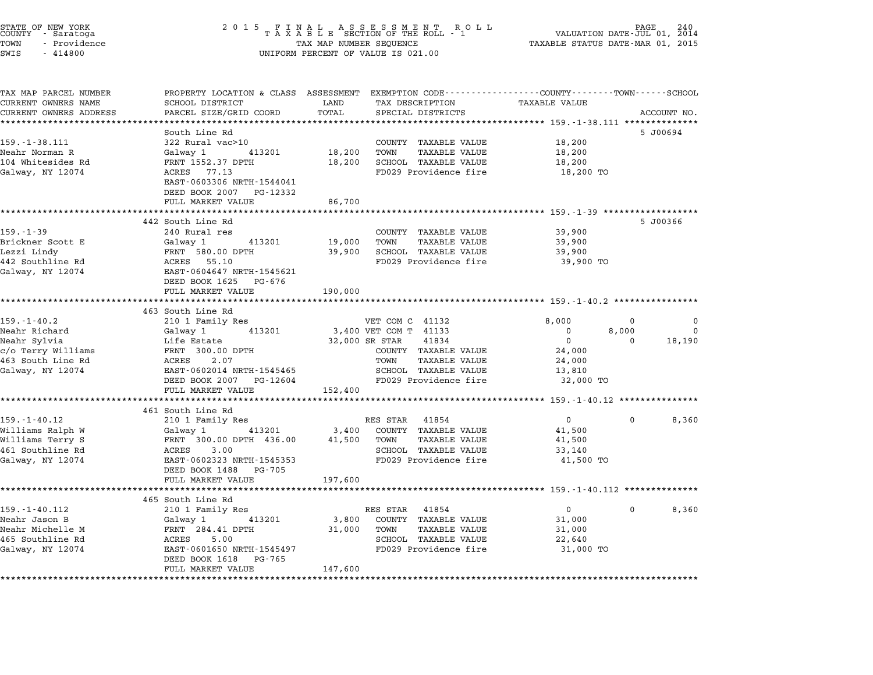| STATE OF NEW YORK<br>COUNTY – Saratoga<br>TOWN<br>- Providence<br>SWIS<br>$-414800$ |                                                                                                                    | TAX MAP NUMBER SEQUENCE | UNIFORM PERCENT OF VALUE IS 021.00                          | VALUATION DATE-JUL 01, 2014<br>TAXABLE STATUS DATE-MAR 01, 2015 | PAGE     | 240         |
|-------------------------------------------------------------------------------------|--------------------------------------------------------------------------------------------------------------------|-------------------------|-------------------------------------------------------------|-----------------------------------------------------------------|----------|-------------|
| TAX MAP PARCEL NUMBER<br>CURRENT OWNERS NAME                                        | PROPERTY LOCATION & CLASS ASSESSMENT EXEMPTION CODE----------------COUNTY-------TOWN-----SCHOOL<br>SCHOOL DISTRICT | LAND                    | TAX DESCRIPTION                                             | <b>TAXABLE VALUE</b>                                            |          |             |
| CURRENT OWNERS ADDRESS                                                              | PARCEL SIZE/GRID COORD                                                                                             | TOTAL                   | SPECIAL DISTRICTS                                           |                                                                 |          | ACCOUNT NO. |
| *******************                                                                 |                                                                                                                    |                         |                                                             |                                                                 |          |             |
|                                                                                     | South Line Rd                                                                                                      |                         |                                                             |                                                                 |          | 5 J00694    |
| $159. - 1 - 38.111$                                                                 | 322 Rural vac>10                                                                                                   |                         | COUNTY TAXABLE VALUE                                        | 18,200                                                          |          |             |
| Neahr Norman R                                                                      | 413201<br>Galway 1                                                                                                 | 18,200                  | <b>TAXABLE VALUE</b><br>TOWN                                | 18,200                                                          |          |             |
| 104 Whitesides Rd<br>Galway, NY 12074                                               | FRNT 1552.37 DPTH<br>ACRES 77.13                                                                                   | 18,200                  | SCHOOL TAXABLE VALUE<br>FD029 Providence fire               | 18,200<br>18,200 TO                                             |          |             |
|                                                                                     | EAST-0603306 NRTH-1544041<br>DEED BOOK 2007 PG-12332                                                               |                         |                                                             |                                                                 |          |             |
|                                                                                     | FULL MARKET VALUE                                                                                                  | 86,700                  |                                                             |                                                                 |          |             |
|                                                                                     | 442 South Line Rd                                                                                                  |                         |                                                             |                                                                 |          | 5 J00366    |
| $159. - 1 - 39$                                                                     | 240 Rural res                                                                                                      |                         | COUNTY TAXABLE VALUE                                        | 39,900                                                          |          |             |
| Brickner Scott E                                                                    | 413201<br>Galway 1                                                                                                 | 19,000                  | TOWN<br><b>TAXABLE VALUE</b>                                | 39,900                                                          |          |             |
| Lezzi Lindy                                                                         | FRNT 580.00 DPTH                                                                                                   | 39,900                  | SCHOOL TAXABLE VALUE                                        | 39,900                                                          |          |             |
| 442 Southline Rd                                                                    | ACRES 55.10                                                                                                        |                         | FD029 Providence fire                                       | 39,900 TO                                                       |          |             |
| Galway, NY 12074                                                                    | EAST-0604647 NRTH-1545621<br>DEED BOOK 1625 PG-676                                                                 |                         |                                                             |                                                                 |          |             |
|                                                                                     | FULL MARKET VALUE                                                                                                  | 190,000                 |                                                             |                                                                 |          |             |
|                                                                                     | *******************                                                                                                |                         | ******************************** 159.-1-40.2 ************** |                                                                 |          |             |
| $159. - 1 - 40.2$                                                                   | 463 South Line Rd<br>210 1 Family Res                                                                              |                         | VET COM C 41132                                             | 8,000                                                           | 0        | $\Omega$    |
| Neahr Richard                                                                       | 413201<br>Galway 1                                                                                                 |                         | 3,400 VET COM T 41133                                       | $\mathbf 0$                                                     | 8,000    | $\Omega$    |
| Neahr Sylvia                                                                        | Life Estate                                                                                                        |                         | 32,000 SR STAR<br>41834                                     | $\mathbf{0}$                                                    | 0        | 18,190      |
| c/o Terry Williams                                                                  | FRNT 300.00 DPTH                                                                                                   |                         | COUNTY TAXABLE VALUE                                        | 24,000                                                          |          |             |
| 463 South Line Rd                                                                   | ACRES<br>2.07                                                                                                      |                         | TOWN<br>TAXABLE VALUE                                       | 24,000                                                          |          |             |
| Galway, NY 12074                                                                    | EAST-0602014 NRTH-1545465                                                                                          |                         | SCHOOL TAXABLE VALUE                                        | 13,810                                                          |          |             |
|                                                                                     | DEED BOOK 2007 PG-12604                                                                                            |                         | FD029 Providence fire                                       | 32,000 TO                                                       |          |             |
|                                                                                     | FULL MARKET VALUE                                                                                                  | 152,400                 |                                                             |                                                                 |          |             |
|                                                                                     |                                                                                                                    |                         |                                                             |                                                                 |          |             |
|                                                                                     | 461 South Line Rd                                                                                                  |                         |                                                             |                                                                 |          |             |
| $159. - 1 - 40.12$                                                                  | 210 1 Family Res                                                                                                   |                         | RES STAR 41854                                              | $\mathbf{0}$                                                    | 0        | 8,360       |
| Williams Ralph W                                                                    | 413201<br>Galway 1                                                                                                 | 3,400                   | COUNTY TAXABLE VALUE<br>TOWN<br>TAXABLE VALUE               | 41,500<br>41,500                                                |          |             |
|                                                                                     |                                                                                                                    |                         |                                                             |                                                                 |          |             |
| Williams Terry S                                                                    | FRNT 300.00 DPTH 436.00                                                                                            | 41,500                  |                                                             |                                                                 |          |             |
| 461 Southline Rd                                                                    | ACRES<br>3.00                                                                                                      |                         | SCHOOL TAXABLE VALUE                                        | 33,140                                                          |          |             |
| Galway, NY 12074                                                                    | EAST-0602323 NRTH-1545353                                                                                          |                         | FD029 Providence fire                                       | 41,500 TO                                                       |          |             |
|                                                                                     | DEED BOOK 1488 PG-705                                                                                              |                         |                                                             |                                                                 |          |             |
|                                                                                     | FULL MARKET VALUE                                                                                                  | 197,600                 |                                                             |                                                                 |          |             |
|                                                                                     | 465 South Line Rd                                                                                                  |                         |                                                             |                                                                 |          |             |
| $159. - 1 - 40.112$                                                                 | 210 1 Family Res                                                                                                   |                         | RES STAR 41854                                              | $\mathbf{0}$                                                    | $\Omega$ | 8,360       |
| Neahr Jason B                                                                       | 413201<br>Galway 1                                                                                                 | 3,800                   | COUNTY TAXABLE VALUE                                        | 31,000                                                          |          |             |
| Neahr Michelle M                                                                    | FRNT 284.41 DPTH                                                                                                   | 31,000                  | TOWN<br><b>TAXABLE VALUE</b>                                | 31,000                                                          |          |             |
| 465 Southline Rd                                                                    | ACRES<br>5.00                                                                                                      |                         | SCHOOL TAXABLE VALUE                                        | 22,640                                                          |          |             |
| Galway, NY 12074                                                                    | EAST-0601650 NRTH-1545497                                                                                          |                         | FD029 Providence fire                                       | 31,000 TO                                                       |          |             |
|                                                                                     | DEED BOOK 1618 PG-765<br>FULL MARKET VALUE                                                                         | 147,600                 |                                                             |                                                                 |          |             |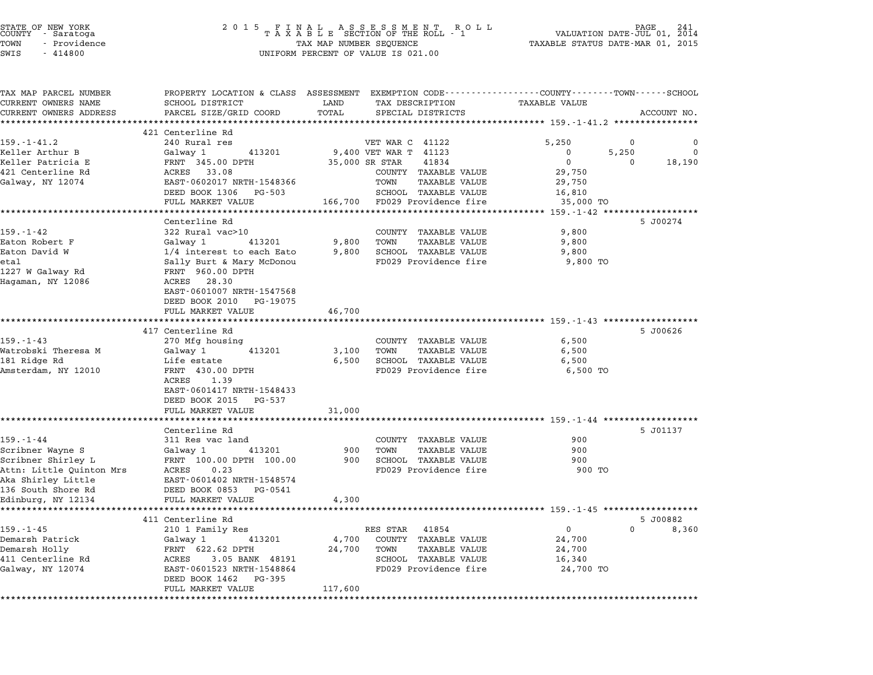| STATE OF NEW YORK<br>COUNTY - Saratoga<br>TOWN<br>- Providence<br>SWIS<br>$-414800$ | 2015 FINAL ASSESSMENT ROLL<br>TAXABLE SECTION OF THE ROLL - 1<br>TAX MAP NUMBER SEQUENCE<br>UNIFORM PERCENT OF VALUE IS 021.00 | VALUATION DATE-JUL 01, $\frac{2012}{2011}$<br>TAXABLE STATUS DATE-MAR 01, 2015 |                                                               |                                                                   |             |        |
|-------------------------------------------------------------------------------------|--------------------------------------------------------------------------------------------------------------------------------|--------------------------------------------------------------------------------|---------------------------------------------------------------|-------------------------------------------------------------------|-------------|--------|
| TAX MAP PARCEL NUMBER<br>CURRENT OWNERS NAME                                        | PROPERTY LOCATION & CLASS ASSESSMENT EXEMPTION CODE---------------COUNTY-------TOWN------SCHOOL<br>SCHOOL DISTRICT             | LAND                                                                           | TAX DESCRIPTION                                               | TAXABLE VALUE                                                     |             |        |
| CURRENT OWNERS ADDRESS                                                              | PARCEL SIZE/GRID COORD                                                                                                         | TOTAL                                                                          | SPECIAL DISTRICTS                                             |                                                                   | ACCOUNT NO. |        |
|                                                                                     | ***************************                                                                                                    |                                                                                |                                                               |                                                                   |             |        |
| $159. - 1 - 41.2$                                                                   | 421 Centerline Rd<br>240 Rural res                                                                                             |                                                                                | VET WAR C 41122                                               | 5,250                                                             | 0           | 0      |
| Keller Arthur B                                                                     | Galway 1<br>413201                                                                                                             |                                                                                | 9,400 VET WAR T 41123                                         | 0                                                                 | 5,250       | 0      |
| Keller Patricia E                                                                   | FRNT 345.00 DPTH                                                                                                               | 35,000 SR STAR                                                                 | 41834                                                         | 0                                                                 | $\Omega$    | 18,190 |
| 421 Centerline Rd                                                                   | ACRES 33.08                                                                                                                    |                                                                                | COUNTY TAXABLE VALUE                                          | 29,750                                                            |             |        |
| Galway, NY 12074                                                                    | EAST-0602017 NRTH-1548366                                                                                                      |                                                                                | TOWN<br>TAXABLE VALUE                                         | 29,750                                                            |             |        |
|                                                                                     | DEED BOOK 1306 PG-503                                                                                                          |                                                                                | SCHOOL TAXABLE VALUE                                          | 16,810                                                            |             |        |
|                                                                                     | FULL MARKET VALUE                                                                                                              |                                                                                | 166,700 FD029 Providence fire                                 | 35,000 TO                                                         |             |        |
|                                                                                     |                                                                                                                                |                                                                                |                                                               |                                                                   |             |        |
|                                                                                     | Centerline Rd                                                                                                                  |                                                                                |                                                               |                                                                   | 5 J00274    |        |
| $159. - 1 - 42$<br>Eaton Robert F                                                   | 322 Rural vac>10<br>Galway 1<br>413201                                                                                         | 9,800                                                                          | COUNTY TAXABLE VALUE<br>TOWN<br>TAXABLE VALUE                 | 9,800<br>9,800                                                    |             |        |
| Eaton David W                                                                       | 1/4 interest to each Eato                                                                                                      | 9,800                                                                          | SCHOOL TAXABLE VALUE                                          | 9,800                                                             |             |        |
| etal                                                                                | Sally Burt & Mary McDonou                                                                                                      |                                                                                | FD029 Providence fire                                         | 9,800 TO                                                          |             |        |
| 1227 W Galway Rd                                                                    | FRNT 960.00 DPTH                                                                                                               |                                                                                |                                                               |                                                                   |             |        |
| Hagaman, NY 12086                                                                   | ACRES 28.30                                                                                                                    |                                                                                |                                                               |                                                                   |             |        |
|                                                                                     | EAST-0601007 NRTH-1547568                                                                                                      |                                                                                |                                                               |                                                                   |             |        |
|                                                                                     | DEED BOOK 2010 PG-19075                                                                                                        |                                                                                |                                                               |                                                                   |             |        |
|                                                                                     | FULL MARKET VALUE<br>************************                                                                                  | 46,700                                                                         |                                                               |                                                                   |             |        |
|                                                                                     |                                                                                                                                | ***********                                                                    |                                                               | *********************************** 159.-1-43 ******************* | 5 J00626    |        |
| $159. - 1 - 43$                                                                     | 417 Centerline Rd<br>270 Mfg housing                                                                                           |                                                                                | COUNTY TAXABLE VALUE                                          | 6,500                                                             |             |        |
| Watrobski Theresa M                                                                 | Galway 1<br>413201                                                                                                             | 3,100                                                                          | TAXABLE VALUE<br>TOWN                                         | 6,500                                                             |             |        |
| 181 Ridge Rd                                                                        | Life estate                                                                                                                    | 6,500                                                                          | SCHOOL TAXABLE VALUE                                          | 6,500                                                             |             |        |
| Amsterdam, NY 12010                                                                 | FRNT 430.00 DPTH                                                                                                               |                                                                                | FD029 Providence fire                                         | 6,500 TO                                                          |             |        |
|                                                                                     | ACRES<br>1.39                                                                                                                  |                                                                                |                                                               |                                                                   |             |        |
|                                                                                     | EAST-0601417 NRTH-1548433                                                                                                      |                                                                                |                                                               |                                                                   |             |        |
|                                                                                     | DEED BOOK 2015 PG-537                                                                                                          |                                                                                |                                                               |                                                                   |             |        |
|                                                                                     | FULL MARKET VALUE<br>*************************                                                                                 | 31,000                                                                         | ******************************** 159.-1-44 ****************** |                                                                   |             |        |
|                                                                                     | Centerline Rd                                                                                                                  |                                                                                |                                                               |                                                                   | 5 J01137    |        |
| $159. - 1 - 44$                                                                     | 311 Res vac land                                                                                                               |                                                                                | COUNTY TAXABLE VALUE                                          | 900                                                               |             |        |
| Scribner Wayne S                                                                    | Galway 1<br>413201                                                                                                             | 900                                                                            | <b>TAXABLE VALUE</b><br>TOWN                                  | 900                                                               |             |        |
| Scribner Shirley L                                                                  | FRNT 100.00 DPTH 100.00                                                                                                        | 900                                                                            | SCHOOL TAXABLE VALUE                                          | 900                                                               |             |        |
| Attn: Little Quinton Mrs                                                            | ACRES<br>0.23                                                                                                                  |                                                                                | FD029 Providence fire                                         | 900 TO                                                            |             |        |
| Aka Shirley Little                                                                  | EAST-0601402 NRTH-1548574                                                                                                      |                                                                                |                                                               |                                                                   |             |        |
| 136 South Shore Rd                                                                  | DEED BOOK 0853 PG-0541                                                                                                         |                                                                                |                                                               |                                                                   |             |        |
| Edinburg, NY 12134                                                                  | FULL MARKET VALUE                                                                                                              | 4,300                                                                          |                                                               |                                                                   |             |        |
|                                                                                     | 411 Centerline Rd                                                                                                              |                                                                                |                                                               |                                                                   | 5 J00882    |        |
| $159. - 1 - 45$                                                                     | 210 1 Family Res                                                                                                               |                                                                                | RES STAR 41854                                                | $\mathbf 0$                                                       | $\Omega$    | 8,360  |
| Demarsh Patrick                                                                     | Galway 1<br>413201                                                                                                             | 4,700                                                                          | COUNTY TAXABLE VALUE                                          | 24,700                                                            |             |        |
| Demarsh Holly                                                                       | FRNT 622.62 DPTH                                                                                                               | 24,700                                                                         | TOWN<br><b>TAXABLE VALUE</b>                                  | 24,700                                                            |             |        |
| 411 Centerline Rd                                                                   | ACRES<br>3.05 BANK 48191                                                                                                       |                                                                                | SCHOOL TAXABLE VALUE                                          | 16,340                                                            |             |        |
| Galway, NY 12074                                                                    | EAST-0601523 NRTH-1548864                                                                                                      |                                                                                | FD029 Providence fire                                         | 24,700 TO                                                         |             |        |
|                                                                                     | DEED BOOK 1462 PG-395                                                                                                          |                                                                                |                                                               |                                                                   |             |        |
|                                                                                     | FULL MARKET VALUE                                                                                                              | 117,600                                                                        |                                                               |                                                                   |             |        |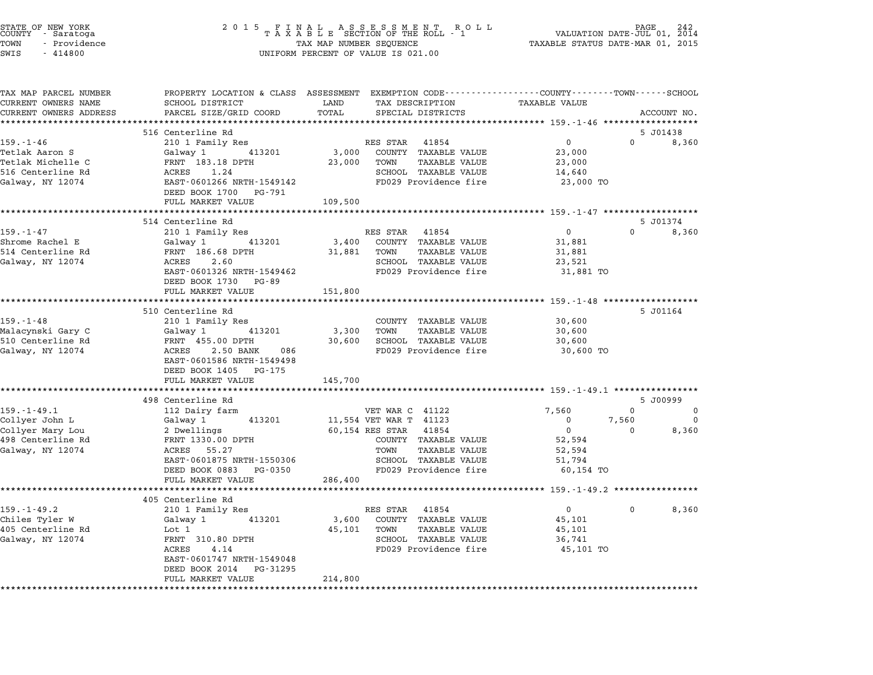| STATE OF NEW YORK<br>COUNTY   - Saratoga<br>TOWN<br>- Providence<br>$-414800$<br>SWIS | 2 0 1 5                                                                      | TAX MAP NUMBER SEQUENCE | FINAL ASSESSMENT RO<br>TAXABLE SECTION OF THE ROLL - 1<br>R O L L<br>UNIFORM PERCENT OF VALUE IS 021.00                                 | TAXABLE STATUS DATE-MAR 01, 2015     | PAGE<br>VALUATION DATE-JUL 01, 2014 |              |
|---------------------------------------------------------------------------------------|------------------------------------------------------------------------------|-------------------------|-----------------------------------------------------------------------------------------------------------------------------------------|--------------------------------------|-------------------------------------|--------------|
| TAX MAP PARCEL NUMBER<br>CURRENT OWNERS NAME<br>CURRENT OWNERS ADDRESS                | SCHOOL DISTRICT<br>PARCEL SIZE/GRID COORD                                    | LAND<br>TOTAL           | PROPERTY LOCATION & CLASS ASSESSMENT EXEMPTION CODE----------------COUNTY-------TOWN-----SCHOOL<br>TAX DESCRIPTION<br>SPECIAL DISTRICTS | <b>TAXABLE VALUE</b>                 |                                     | ACCOUNT NO.  |
|                                                                                       |                                                                              |                         |                                                                                                                                         |                                      |                                     |              |
|                                                                                       | 516 Centerline Rd                                                            |                         |                                                                                                                                         |                                      |                                     | 5 J01438     |
| $159. - 1 - 46$                                                                       | 210 1 Family Res                                                             |                         | RES STAR 41854                                                                                                                          | $\mathbf{0}$                         | $\Omega$                            | 8,360        |
| Tetlak Aaron S                                                                        | Galway 1 413201                                                              | 3,000                   | COUNTY TAXABLE VALUE                                                                                                                    | 23,000                               |                                     |              |
| Tetlak Michelle C                                                                     | FRNT 183.18 DPTH                                                             | 23,000                  | TOWN<br>TAXABLE VALUE                                                                                                                   | 23,000                               |                                     |              |
| 516 Centerline Rd<br>Galway, NY 12074                                                 | ACRES<br>1.24<br>EAST-0601266 NRTH-1549142<br>DEED BOOK 1700 PG-791          |                         | SCHOOL TAXABLE VALUE<br>FD029 Providence fire                                                                                           | 14,640<br>23,000 TO                  |                                     |              |
|                                                                                       | FULL MARKET VALUE                                                            | 109,500                 |                                                                                                                                         |                                      |                                     |              |
|                                                                                       |                                                                              |                         | ******************************* 159.-1-47 ******************                                                                            |                                      |                                     |              |
|                                                                                       | 514 Centerline Rd                                                            |                         |                                                                                                                                         |                                      |                                     | 5 J01374     |
| $159. - 1 - 47$                                                                       | 210 1 Family Res                                                             |                         | RES STAR 41854                                                                                                                          | $\overline{0}$                       |                                     | $0 \t 8,360$ |
| Shrome Rachel E                                                                       | Galway 1<br>413201                                                           | 3,400                   | COUNTY TAXABLE VALUE                                                                                                                    | 31,881                               |                                     |              |
| 514 Centerline Rd                                                                     | FRNT 186.68 DPTH                                                             | 31,881                  | TOWN<br>TAXABLE VALUE                                                                                                                   | 31,881                               |                                     |              |
| Galway, NY 12074                                                                      | ACRES<br>2.60                                                                |                         | SCHOOL TAXABLE VALUE                                                                                                                    | 23,521                               |                                     |              |
|                                                                                       | EAST-0601326 NRTH-1549462<br>DEED BOOK 1730 PG-89<br>FULL MARKET VALUE       | 151,800                 | FD029 Providence fire                                                                                                                   | 31,881 TO                            |                                     |              |
|                                                                                       |                                                                              |                         | ********************************* 159.-1-48 *******************                                                                         |                                      |                                     |              |
|                                                                                       | 510 Centerline Rd                                                            |                         |                                                                                                                                         |                                      |                                     | 5 J01164     |
| $159. - 1 - 48$                                                                       | 210 1 Family Res                                                             |                         | COUNTY TAXABLE VALUE                                                                                                                    | 30,600                               |                                     |              |
| Malacynski Gary C                                                                     | Galway 1<br>413201                                                           | 3,300                   | <b>TAXABLE VALUE</b><br>TOWN                                                                                                            | 30,600                               |                                     |              |
| 510 Centerline Rd                                                                     | FRNT 455.00 DPTH                                                             | 30,600                  | SCHOOL TAXABLE VALUE                                                                                                                    | 30,600                               |                                     |              |
| Galway, NY 12074                                                                      | ACRES 2.50 BANK<br>086<br>EAST-0601586 NRTH-1549498<br>DEED BOOK 1405 PG-175 |                         | FD029 Providence fire                                                                                                                   | 30,600 TO                            |                                     |              |
|                                                                                       | FULL MARKET VALUE<br>* * * * * * * * * * * * * * * * *                       | 145,700                 |                                                                                                                                         |                                      |                                     |              |
|                                                                                       | 498 Centerline Rd                                                            |                         |                                                                                                                                         |                                      |                                     | 5 J00999     |
| $159. - 1 - 49.1$                                                                     | 112 Dairy farm                                                               |                         | VET WAR C 41122                                                                                                                         | 7,560                                | $\Omega$                            | 0            |
| Collyer John L                                                                        | 413201<br>Galway 1                                                           |                         | 11,554 VET WAR T 41123                                                                                                                  | $\mathbf 0$                          | 7,560                               | $\mathbf 0$  |
| Collyer Mary Lou                                                                      | 2 Dwellings                                                                  |                         | 60,154 RES STAR 41854                                                                                                                   | $\Omega$                             | $\Omega$                            | 8,360        |
| 498 Centerline Rd                                                                     | FRNT 1330.00 DPTH                                                            |                         | COUNTY TAXABLE VALUE                                                                                                                    | 52,594                               |                                     |              |
| Galway, NY 12074                                                                      | ACRES 55.27                                                                  |                         | TOWN<br><b>TAXABLE VALUE</b>                                                                                                            | 52,594                               |                                     |              |
|                                                                                       | EAST-0601875 NRTH-1550306                                                    |                         | SCHOOL TAXABLE VALUE                                                                                                                    | 51,794                               |                                     |              |
|                                                                                       | DEED BOOK 0883 PG-0350<br>FULL MARKET VALUE                                  | 286,400                 | FD029 Providence fire                                                                                                                   | 60,154 TO                            |                                     |              |
|                                                                                       |                                                                              |                         |                                                                                                                                         | ******** 159.-1-49.2 *************** |                                     |              |
|                                                                                       | 405 Centerline Rd                                                            |                         |                                                                                                                                         |                                      |                                     |              |
| $159. - 1 - 49.2$<br>Chiles Tyler W                                                   | 210 1 Family Res<br>Galway 1<br>413201                                       |                         | RES STAR 41854<br>3,600 COUNTY TAXABLE VALUE                                                                                            | $\mathbf{0}$<br>45,101               | $\Omega$                            | 8,360        |
| 405 Centerline Rd                                                                     | Lot 1                                                                        | 45,101                  | TOWN<br>TAXABLE VALUE                                                                                                                   | 45,101                               |                                     |              |
| Galway, NY 12074                                                                      | FRNT 310.80 DPTH                                                             |                         | SCHOOL TAXABLE VALUE                                                                                                                    | 36,741                               |                                     |              |
|                                                                                       | ACRES<br>4.14                                                                |                         | FD029 Providence fire                                                                                                                   | 45,101 TO                            |                                     |              |
|                                                                                       | EAST-0601747 NRTH-1549048                                                    |                         |                                                                                                                                         |                                      |                                     |              |
|                                                                                       | DEED BOOK 2014 PG-31295                                                      |                         |                                                                                                                                         |                                      |                                     |              |
|                                                                                       | FULL MARKET VALUE                                                            | 214,800                 |                                                                                                                                         |                                      |                                     |              |
|                                                                                       |                                                                              |                         |                                                                                                                                         |                                      |                                     |              |

STATE OF NEW YORK <sup>2</sup> <sup>0</sup> <sup>1</sup> 5 F I N A L A S S E S S M E N T R O L L PAGE <sup>242</sup> COUNTY - Saratoga <sup>T</sup> <sup>A</sup> <sup>X</sup> <sup>A</sup> <sup>B</sup> <sup>L</sup> <sup>E</sup> SECTION OF THE ROLL - <sup>1</sup> VALUATION DATE-JUL 01, <sup>2014</sup>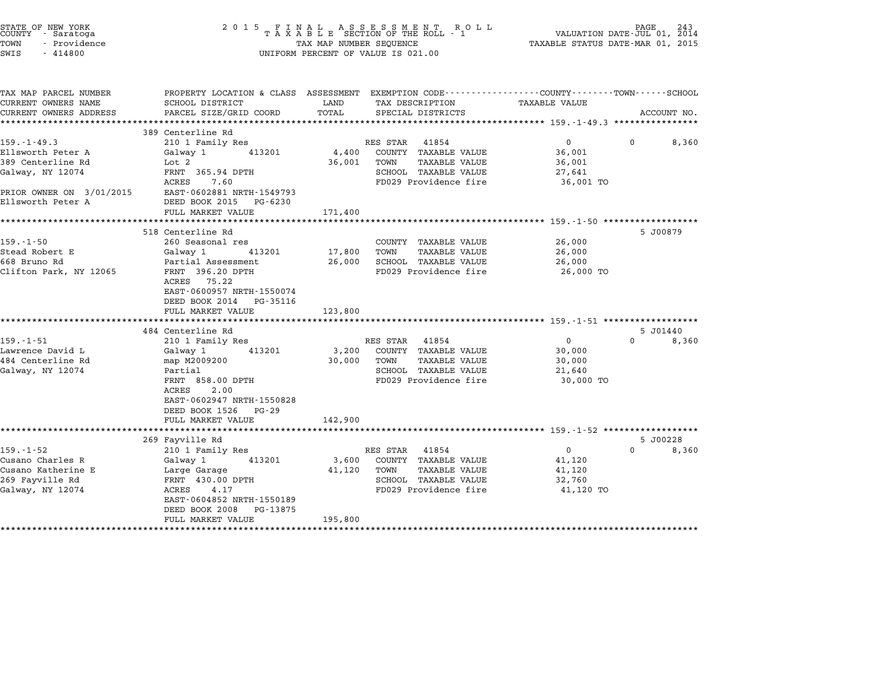| STATE OF NEW YORK<br>COUNTY - Saratoga<br>TOWN<br>- Providence<br>SWIS<br>$-414800$                                              | 2015 FINAL                                                                                                                                                                                                                     | TAX MAP NUMBER SEQUENCE                              | FINAL ASSESSMENT ROLL<br>TAXABLE SECTION OF THE ROLL - 1<br>UNIFORM PERCENT OF VALUE IS 021.00                             | TAXABLE STATUS DATE-MAR 01, 2015                                                                   | PAGE<br>243<br>VALUATION DATE-JUL 01, 2014 |
|----------------------------------------------------------------------------------------------------------------------------------|--------------------------------------------------------------------------------------------------------------------------------------------------------------------------------------------------------------------------------|------------------------------------------------------|----------------------------------------------------------------------------------------------------------------------------|----------------------------------------------------------------------------------------------------|--------------------------------------------|
| TAX MAP PARCEL NUMBER<br>CURRENT OWNERS NAME<br>CURRENT OWNERS ADDRESS                                                           | PROPERTY LOCATION & CLASS ASSESSMENT EXEMPTION CODE---------------COUNTY-------TOWN------SCHOOL<br>SCHOOL DISTRICT<br>PARCEL SIZE/GRID COORD                                                                                   | LAND<br>TOTAL                                        | TAX DESCRIPTION<br>SPECIAL DISTRICTS                                                                                       | TAXABLE VALUE                                                                                      | ACCOUNT NO.                                |
|                                                                                                                                  |                                                                                                                                                                                                                                |                                                      |                                                                                                                            | ******************** 159.-1-49.3 ****************                                                  |                                            |
| $159. - 1 - 49.3$<br>Ellsworth Peter A<br>389 Centerline Rd<br>Galway, NY 12074<br>PRIOR OWNER ON 3/01/2015<br>Ellsworth Peter A | 389 Centerline Rd<br>210 1 Family Res<br>Galway 1<br>413201<br>Lot 2<br>FRNT 365.94 DPTH<br>ACRES<br>7.60<br>EAST-0602881 NRTH-1549793<br>DEED BOOK 2015 PG-6230                                                               | 4,400<br>36,001                                      | RES STAR<br>41854<br>COUNTY TAXABLE VALUE<br><b>TAXABLE VALUE</b><br>TOWN<br>SCHOOL TAXABLE VALUE<br>FD029 Providence fire | $^{\circ}$<br>36,001<br>36,001<br>27,641<br>36,001 TO                                              | $\Omega$<br>8,360                          |
|                                                                                                                                  | FULL MARKET VALUE                                                                                                                                                                                                              | 171,400                                              |                                                                                                                            |                                                                                                    |                                            |
| $159. - 1 - 50$<br>Stead Robert E<br>668 Bruno Rd<br>Clifton Park, NY 12065                                                      | *************************<br>518 Centerline Rd<br>260 Seasonal res<br>Galway 1<br>413201<br>Partial Assessment<br>FRNT 396.20 DPTH<br>ACRES 75.22<br>EAST-0600957 NRTH-1550074<br>DEED BOOK 2014 PG-35116<br>FULL MARKET VALUE | *********************<br>17,800<br>26,000<br>123,800 | COUNTY TAXABLE VALUE<br><b>TAXABLE VALUE</b><br>TOWN<br>SCHOOL TAXABLE VALUE<br>FD029 Providence fire                      | ************************* 159.-1-50 *******************<br>26,000<br>26,000<br>26,000<br>26,000 TO | 5 J00879                                   |
| 159.-1-51<br>Lawrence David L<br>484 Centerline Rd<br>Galway, NY 12074                                                           | 484 Centerline Rd<br>210 1 Family Res<br>413201<br>Galway 1<br>map M2009200<br>Partial<br>FRNT 858.00 DPTH<br>2.00<br>ACRES<br>EAST-0602947 NRTH-1550828<br>DEED BOOK 1526 PG-29<br>FULL MARKET VALUE                          | 3,200<br>30,000<br>142,900                           | RES STAR 41854<br>COUNTY TAXABLE VALUE<br>TOWN<br><b>TAXABLE VALUE</b><br>SCHOOL TAXABLE VALUE<br>FD029 Providence fire    | $\mathbf 0$<br>30,000<br>30,000<br>21,640<br>30,000 TO                                             | 5 J01440<br>$\Omega$<br>8,360              |
| $159. - 1 - 52$<br>Cusano Charles R<br>Cusano Katherine E<br>269 Fayville Rd<br>Galway, NY 12074                                 | 269 Fayville Rd<br>210 1 Family Res<br>Galway 1<br>413201<br>Large Garage<br>FRNT 430.00 DPTH<br>ACRES<br>4.17<br>EAST-0604852 NRTH-1550189<br>DEED BOOK 2008<br>PG-13875<br>FULL MARKET VALUE                                 | 3,600<br>41,120<br>195,800                           | RES STAR<br>41854<br>COUNTY TAXABLE VALUE<br>TAXABLE VALUE<br>TOWN<br>SCHOOL TAXABLE VALUE<br>FD029 Providence fire        | $\mathbf 0$<br>41,120<br>41,120<br>32,760<br>41,120 TO                                             | 5 J00228<br>$\Omega$<br>8,360              |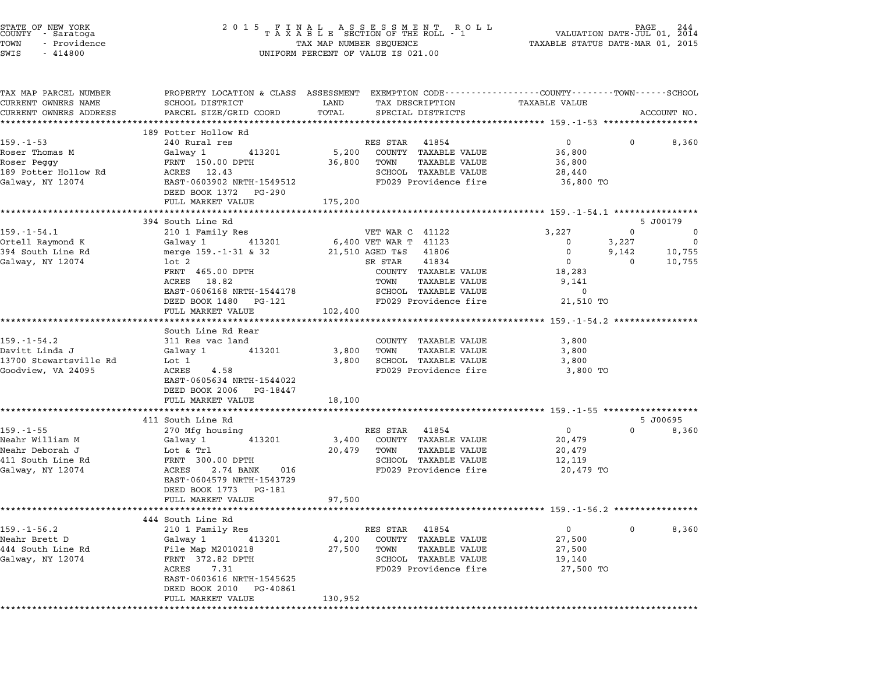| STATE OF NEW YORK<br>COUNTY – Saratoga<br>TOWN<br>- Providence<br>SWIS<br>$-414800$            |                                                                                                                                                                                                     |                            | UNIFORM PERCENT OF VALUE IS 021.00                                                                                                                                     |               |                                                                               |                                 |                                         |
|------------------------------------------------------------------------------------------------|-----------------------------------------------------------------------------------------------------------------------------------------------------------------------------------------------------|----------------------------|------------------------------------------------------------------------------------------------------------------------------------------------------------------------|---------------|-------------------------------------------------------------------------------|---------------------------------|-----------------------------------------|
| TAX MAP PARCEL NUMBER<br>CURRENT OWNERS NAME<br>CURRENT OWNERS ADDRESS                         | PROPERTY LOCATION & CLASS ASSESSMENT EXEMPTION CODE---------------COUNTY-------TOWN-----SCHOOL<br>SCHOOL DISTRICT<br>PARCEL SIZE/GRID COORD                                                         | LAND<br>TOTAL              | TAX DESCRIPTION<br>SPECIAL DISTRICTS                                                                                                                                   |               | TAXABLE VALUE                                                                 |                                 | ACCOUNT NO.                             |
|                                                                                                | 189 Potter Hollow Rd                                                                                                                                                                                |                            |                                                                                                                                                                        |               |                                                                               |                                 |                                         |
| $159. - 1 - 53$<br>Roser Thomas M<br>Roser Peggy<br>189 Potter Hollow Rd<br>Galway, NY 12074   | 240 Rural res<br>Galway 1 413201<br>FRNT 150.00 DPTH<br>ACRES 12.43<br>EAST-0603902 NRTH-1549512<br>DEED BOOK 1372 PG-290                                                                           | 5,200<br>36,800            | RES STAR 41854<br>COUNTY TAXABLE VALUE<br>TOWN<br>SCHOOL TAXABLE VALUE<br>FD029 Providence fire                                                                        | TAXABLE VALUE | 0<br>36,800<br>36,800<br>28,440<br>36,800 TO                                  | $^{\circ}$                      | 8,360                                   |
|                                                                                                | FULL MARKET VALUE                                                                                                                                                                                   | 175,200                    |                                                                                                                                                                        |               |                                                                               |                                 |                                         |
|                                                                                                | 394 South Line Rd                                                                                                                                                                                   |                            |                                                                                                                                                                        |               |                                                                               |                                 | 5 J00179                                |
| $159. - 1 - 54.1$<br>Ortell Raymond K<br>394 South Line Rd<br>Galway, NY 12074                 | 210 1 Family Res<br>413201<br>Galway 1<br>merge 159.-1-31 & 32<br>lot 2<br>FRNT 465.00 DPTH<br>ACRES 18.82<br>EAST-0606168 NRTH-1544178<br>DEED BOOK 1480 PG-121<br>FULL MARKET VALUE               | 102,400                    | VET WAR C 41122<br>6,400 VET WAR T 41123<br>21,510 AGED T&S 41806<br>SR STAR<br>41834<br>COUNTY TAXABLE VALUE<br>TOWN<br>SCHOOL TAXABLE VALUE<br>FD029 Providence fire | TAXABLE VALUE | 3,227<br>$\mathbf 0$<br>0<br>0<br>18,283<br>9,141<br>$\mathbf 0$<br>21,510 TO | 0<br>3,227<br>9,142<br>$\Omega$ | 0<br>$\overline{0}$<br>10,755<br>10,755 |
|                                                                                                | ***********************                                                                                                                                                                             |                            |                                                                                                                                                                        |               |                                                                               |                                 |                                         |
| $159. - 1 - 54.2$<br>Davitt Linda J<br>13700 Stewartsville Rd<br>Goodview, VA 24095            | South Line Rd Rear<br>311 Res vac land<br>Galway 1 413201<br>Lot 1<br>ACRES<br>4.58<br>EAST-0605634 NRTH-1544022<br>DEED BOOK 2006 PG-18447<br>FULL MARKET VALUE                                    | 3,800<br>3,800<br>18,100   | COUNTY TAXABLE VALUE<br>TOWN<br>SCHOOL TAXABLE VALUE<br>FD029 Providence fire                                                                                          | TAXABLE VALUE | 3,800<br>3,800<br>3,800<br>3,800 TO                                           |                                 |                                         |
|                                                                                                |                                                                                                                                                                                                     |                            |                                                                                                                                                                        |               |                                                                               |                                 |                                         |
| $159. - 1 - 55$<br>Neahr William M<br>Neahr Deborah J<br>411 South Line Rd<br>Galway, NY 12074 | 411 South Line Rd<br>270 Mfg housing<br>413201<br>Galway 1<br>Lot & Trl<br>FRNT 300.00 DPTH<br>ACRES<br>2.74 BANK<br>016<br>EAST-0604579 NRTH-1543729<br>DEED BOOK 1773 PG-181<br>FULL MARKET VALUE | 3,400<br>20,479<br>97,500  | RES STAR 41854<br>COUNTY TAXABLE VALUE<br>TOWN<br>SCHOOL TAXABLE VALUE<br>FD029 Providence fire                                                                        | TAXABLE VALUE | $\overline{0}$<br>20,479<br>20,479<br>12,119<br>20,479 TO                     | $\Omega$                        | 5 J00695<br>8,360                       |
|                                                                                                |                                                                                                                                                                                                     |                            |                                                                                                                                                                        |               |                                                                               |                                 |                                         |
| $159. - 1 - 56.2$<br>Neahr Brett D<br>444 South Line Rd<br>Galway, NY 12074                    | 444 South Line Rd<br>210 1 Family Res<br>Galway 1<br>413201<br>File Map M2010218<br>FRNT 372.82 DPTH<br>ACRES<br>7.31<br>EAST-0603616 NRTH-1545625<br>DEED BOOK 2010 PG-40861<br>FULL MARKET VALUE  | 4,200<br>27,500<br>130,952 | RES STAR 41854<br>COUNTY TAXABLE VALUE<br>TOWN<br>SCHOOL TAXABLE VALUE<br>FD029 Providence fire                                                                        | TAXABLE VALUE | 0<br>27,500<br>27,500<br>19,140<br>27,500 TO                                  | $\mathbf{0}$                    | 8,360                                   |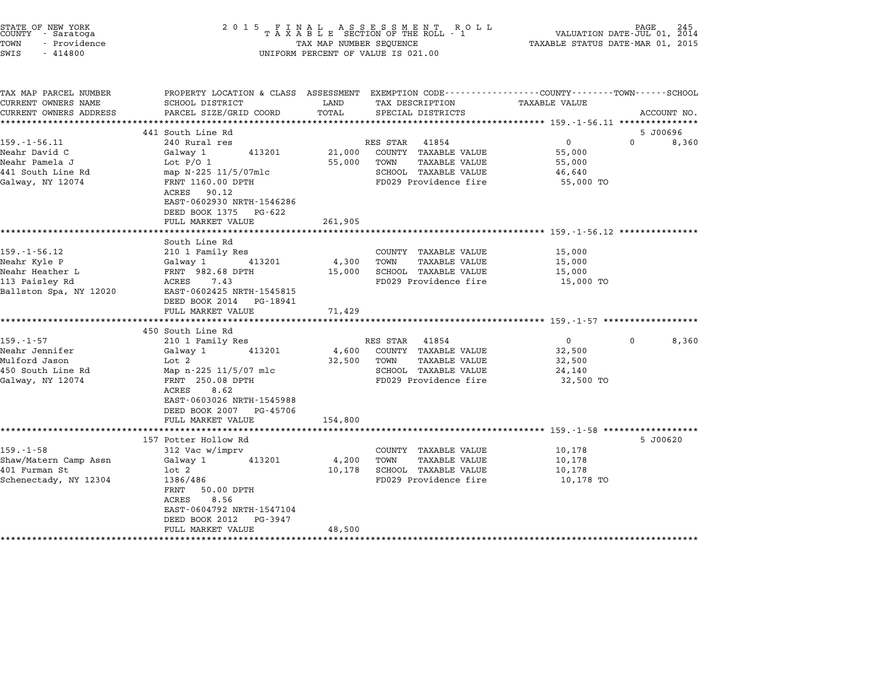|                                                                                                                                                                                            |                                                                                                                                                                  | FINAL ASSESSMENT ROLL<br>TAXABLE SECTION OF THE ROLL - 1                                              | TAXABLE STATUS DATE-MAR 01, 2015                                                                                        | VALUATION DATE-JUL 01, 2014                                                                                                                        |
|--------------------------------------------------------------------------------------------------------------------------------------------------------------------------------------------|------------------------------------------------------------------------------------------------------------------------------------------------------------------|-------------------------------------------------------------------------------------------------------|-------------------------------------------------------------------------------------------------------------------------|----------------------------------------------------------------------------------------------------------------------------------------------------|
| SCHOOL DISTRICT<br>PARCEL SIZE/GRID COORD                                                                                                                                                  | LAND<br>TOTAL                                                                                                                                                    | TAX DESCRIPTION<br>SPECIAL DISTRICTS                                                                  | <b>TAXABLE VALUE</b>                                                                                                    | ACCOUNT NO.                                                                                                                                        |
|                                                                                                                                                                                            |                                                                                                                                                                  |                                                                                                       |                                                                                                                         | 5 J00696                                                                                                                                           |
| 240 Rural res<br>Galway 1<br>413201<br>Lot $P/O$ 1<br>map N-225 11/5/07mlc<br>FRNT 1160.00 DPTH<br>ACRES 90.12<br>EAST-0602930 NRTH-1546286<br>DEED BOOK 1375 PG-622                       | 21,000<br>55,000                                                                                                                                                 | COUNTY TAXABLE VALUE<br><b>TAXABLE VALUE</b><br>TOWN<br>SCHOOL TAXABLE VALUE<br>FD029 Providence fire | $\mathbf{0}$<br>55,000<br>55,000<br>46,640<br>55,000 TO                                                                 | $\Omega$<br>8,360                                                                                                                                  |
|                                                                                                                                                                                            |                                                                                                                                                                  |                                                                                                       |                                                                                                                         |                                                                                                                                                    |
| South Line Rd<br>210 1 Family Res<br>Galway 1<br>413201<br>FRNT 982.68 DPTH<br>ACRES 7.43<br>EAST-0602425 NRTH-1545815<br>DEED BOOK 2014 PG-18941<br>FULL MARKET VALUE                     | 4,300<br>15,000<br>71,429                                                                                                                                        | COUNTY TAXABLE VALUE<br>TAXABLE VALUE<br>TOWN<br>SCHOOL TAXABLE VALUE<br>FD029 Providence fire        | 15,000<br>15,000<br>15,000<br>15,000 TO                                                                                 |                                                                                                                                                    |
|                                                                                                                                                                                            |                                                                                                                                                                  |                                                                                                       |                                                                                                                         |                                                                                                                                                    |
| 210 1 Family Res<br>413201<br>Galway 1<br>Lot 2<br>Map n-225 11/5/07 mlc<br>FRNT 250.08 DPTH<br>ACRES<br>8.62<br>EAST-0603026 NRTH-1545988<br>DEED BOOK 2007 PG-45706<br>FULL MARKET VALUE | 4,600<br>32,500<br>154,800                                                                                                                                       | COUNTY TAXABLE VALUE<br><b>TAXABLE VALUE</b><br>TOWN<br>SCHOOL TAXABLE VALUE<br>FD029 Providence fire | $\overline{0}$<br>32,500<br>32,500<br>24,140<br>32,500 TO                                                               | $\Omega$<br>8,360                                                                                                                                  |
|                                                                                                                                                                                            |                                                                                                                                                                  |                                                                                                       |                                                                                                                         | 5 J00620                                                                                                                                           |
| 312 Vac w/imprv<br>413201<br>Galway 1<br>$1$ ot $2$<br>1386/486<br>FRNT<br>50.00 DPTH<br>ACRES<br>8.56<br>EAST-0604792 NRTH-1547104<br>DEED BOOK 2012 PG-3947                              | 4,200<br>10,178                                                                                                                                                  | COUNTY TAXABLE VALUE<br>TOWN<br><b>TAXABLE VALUE</b><br>SCHOOL TAXABLE VALUE<br>FD029 Providence fire | 10,178<br>10,178<br>10,178<br>10,178 TO                                                                                 |                                                                                                                                                    |
|                                                                                                                                                                                            | ******************<br>441 South Line Rd<br>FULL MARKET VALUE<br>***********************<br>450 South Line Rd<br>************************<br>157 Potter Hollow Rd | 261,905                                                                                               | TAX MAP NUMBER SEQUENCE<br>UNIFORM PERCENT OF VALUE IS 021.00<br>******************<br>RES STAR 41854<br>RES STAR 41854 | PROPERTY LOCATION & CLASS ASSESSMENT EXEMPTION CODE---------------COUNTY-------TOWN-----SCHOOL<br>****************** 159.-1-56.11 **************** |

STATE OF NEW YORK <sup>2</sup> <sup>0</sup> <sup>1</sup> 5 F I N A L A S S E S S M E N T R O L L PAGE <sup>245</sup> COUNTY - Saratoga <sup>T</sup> <sup>A</sup> <sup>X</sup> <sup>A</sup> <sup>B</sup> <sup>L</sup> <sup>E</sup> SECTION OF THE ROLL - <sup>1</sup> VALUATION DATE-JUL 01, <sup>2014</sup>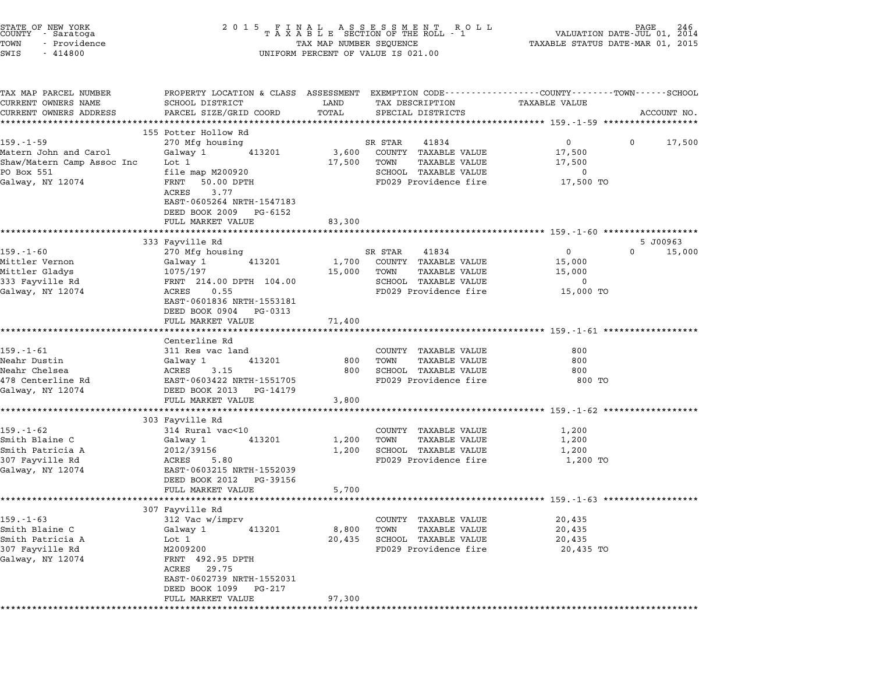| STATE OF NEW YORK<br>COUNTY - Saratoga<br>TOWN<br>- Providence<br>SWIS<br>$-414800$ | 2 0 1 5                                                                                                           | TAX MAP NUMBER SEQUENCE | FINAL ASSESSMENT RO<br>TAXABLE SECTION OF THE ROLL - 1<br>ROLL<br>UNIFORM PERCENT OF VALUE IS 021.00 | VALUATION DATE-JUL 01, 2014<br>TAXABLE STATUS DATE-MAR 01, 2015 | PAGE | 246         |
|-------------------------------------------------------------------------------------|-------------------------------------------------------------------------------------------------------------------|-------------------------|------------------------------------------------------------------------------------------------------|-----------------------------------------------------------------|------|-------------|
| TAX MAP PARCEL NUMBER<br>CURRENT OWNERS NAME                                        | PROPERTY LOCATION & CLASS ASSESSMENT EXEMPTION CODE---------------COUNTY-------TOWN-----SCHOOL<br>SCHOOL DISTRICT | LAND                    | TAX DESCRIPTION                                                                                      | TAXABLE VALUE                                                   |      |             |
| CURRENT OWNERS ADDRESS                                                              | PARCEL SIZE/GRID COORD                                                                                            | TOTAL                   | SPECIAL DISTRICTS                                                                                    |                                                                 |      | ACCOUNT NO. |
|                                                                                     | 155 Potter Hollow Rd                                                                                              |                         |                                                                                                      |                                                                 |      |             |
| $159. - 1 - 59$                                                                     | 270 Mfg housing                                                                                                   |                         | SR STAR<br>41834                                                                                     | 0                                                               | 0    | 17,500      |
| Matern John and Carol                                                               | Galway 1<br>413201                                                                                                | 3,600                   | COUNTY TAXABLE VALUE                                                                                 | 17,500                                                          |      |             |
| Shaw/Matern Camp Assoc Inc                                                          | Lot 1                                                                                                             | 17,500                  | TOWN<br><b>TAXABLE VALUE</b>                                                                         | 17,500                                                          |      |             |
| PO Box 551                                                                          | file map M200920                                                                                                  |                         | SCHOOL TAXABLE VALUE                                                                                 | 0                                                               |      |             |
| Galway, NY 12074                                                                    | FRNT<br>50.00 DPTH<br>3.77<br>ACRES<br>EAST-0605264 NRTH-1547183<br>DEED BOOK 2009<br>PG-6152                     |                         | FD029 Providence fire                                                                                | 17,500 TO                                                       |      |             |
|                                                                                     | FULL MARKET VALUE                                                                                                 | 83,300                  |                                                                                                      |                                                                 |      |             |
|                                                                                     | 333 Fayville Rd                                                                                                   |                         |                                                                                                      |                                                                 |      | 5 J00963    |
| $159. - 1 - 60$                                                                     | 270 Mfg housing                                                                                                   |                         | SR STAR<br>41834                                                                                     | 0                                                               | 0    | 15,000      |
| Mittler Vernon                                                                      | 413201<br>Galway 1                                                                                                | 1,700                   | COUNTY TAXABLE VALUE                                                                                 | 15,000                                                          |      |             |
| Mittler Gladys                                                                      | 1075/197                                                                                                          | 15,000                  | TOWN<br>TAXABLE VALUE                                                                                | 15,000                                                          |      |             |
| 333 Fayville Rd                                                                     | FRNT 214.00 DPTH 104.00                                                                                           |                         | SCHOOL TAXABLE VALUE                                                                                 | 0                                                               |      |             |
| Galway, NY 12074                                                                    | 0.55<br>ACRES<br>EAST-0601836 NRTH-1553181<br>DEED BOOK 0904<br>PG-0313                                           |                         | FD029 Providence fire                                                                                | 15,000 TO                                                       |      |             |
|                                                                                     | FULL MARKET VALUE                                                                                                 | 71,400                  |                                                                                                      |                                                                 |      |             |
|                                                                                     | Centerline Rd                                                                                                     |                         |                                                                                                      |                                                                 |      |             |
| $159. - 1 - 61$                                                                     | 311 Res vac land                                                                                                  |                         | COUNTY TAXABLE VALUE                                                                                 | 800                                                             |      |             |
| Neahr Dustin                                                                        | Galway 1<br>413201                                                                                                | 800                     | <b>TAXABLE VALUE</b><br>TOWN                                                                         | 800                                                             |      |             |
| Neahr Chelsea                                                                       | ACRES<br>3.15                                                                                                     | 800                     | SCHOOL TAXABLE VALUE                                                                                 | 800                                                             |      |             |
| 478 Centerline Rd                                                                   | EAST-0603422 NRTH-1551705                                                                                         |                         | FD029 Providence fire                                                                                | 800 TO                                                          |      |             |
| Galway, NY 12074                                                                    | DEED BOOK 2013<br>PG-14179                                                                                        |                         |                                                                                                      |                                                                 |      |             |
|                                                                                     | FULL MARKET VALUE                                                                                                 | 3,800                   |                                                                                                      |                                                                 |      |             |
|                                                                                     | *********************                                                                                             | ******************      |                                                                                                      | ******************************* 159.-1-62 ***************       |      |             |
| $159. - 1 - 62$                                                                     | 303 Fayville Rd<br>314 Rural vac<10                                                                               |                         | COUNTY TAXABLE VALUE                                                                                 | 1,200                                                           |      |             |
| Smith Blaine C                                                                      | Galway 1<br>413201                                                                                                | 1,200                   | TAXABLE VALUE<br>TOWN                                                                                | 1,200                                                           |      |             |
| Smith Patricia A                                                                    | 2012/39156                                                                                                        | 1,200                   | SCHOOL TAXABLE VALUE                                                                                 | 1,200                                                           |      |             |
| 307 Fayville Rd                                                                     | ACRES<br>5.80                                                                                                     |                         | FD029 Providence fire                                                                                | 1,200 TO                                                        |      |             |
| Galway, NY 12074                                                                    | EAST-0603215 NRTH-1552039<br>DEED BOOK 2012<br>PG-39156                                                           |                         |                                                                                                      |                                                                 |      |             |
|                                                                                     | FULL MARKET VALUE                                                                                                 | 5,700                   |                                                                                                      |                                                                 |      |             |
|                                                                                     | 307 Fayville Rd                                                                                                   |                         |                                                                                                      |                                                                 |      |             |
| $159. - 1 - 63$                                                                     | 312 Vac w/imprv                                                                                                   |                         | COUNTY TAXABLE VALUE                                                                                 | 20,435                                                          |      |             |
| Smith Blaine C                                                                      | 413201<br>Galway 1                                                                                                | 8,800                   | <b>TAXABLE VALUE</b><br>TOWN                                                                         | 20,435                                                          |      |             |
| Smith Patricia A                                                                    | Lot 1                                                                                                             | 20,435                  | SCHOOL TAXABLE VALUE                                                                                 | 20,435                                                          |      |             |
| 307 Fayville Rd                                                                     | M2009200                                                                                                          |                         | FD029 Providence fire                                                                                | 20,435 TO                                                       |      |             |
| Galway, NY 12074                                                                    | FRNT 492.95 DPTH<br>29.75<br>ACRES<br>EAST-0602739 NRTH-1552031                                                   |                         |                                                                                                      |                                                                 |      |             |
|                                                                                     | DEED BOOK 1099<br>PG-217<br>FULL MARKET VALUE                                                                     | 97,300                  |                                                                                                      |                                                                 |      |             |
|                                                                                     |                                                                                                                   |                         |                                                                                                      |                                                                 |      |             |

STATE OF NEW YORK <sup>2</sup> <sup>0</sup> <sup>1</sup> 5 F I N A L A S S E S S M E N T R O L L PAGE <sup>246</sup> COUNTY - Saratoga <sup>T</sup> <sup>A</sup> <sup>X</sup> <sup>A</sup> <sup>B</sup> <sup>L</sup> <sup>E</sup> SECTION OF THE ROLL - <sup>1</sup> VALUATION DATE-JUL 01, <sup>2014</sup>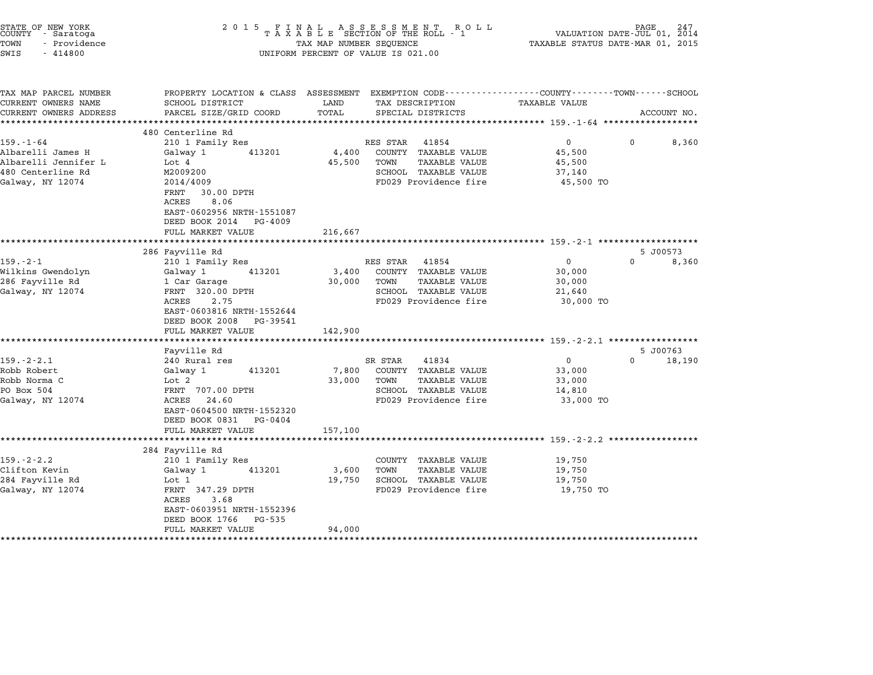| STATE OF NEW YORK<br>COUNTY - Saratoga<br>TOWN<br>- Providence<br>SWIS<br>$-414800$                   | 2 0 1 5<br>FINAL ASSESSMENT RO<br>TAXABLE SECTION OF THE ROLL - 1<br>TAX MAP NUMBER SEQUENCE<br>UNIFORM PERCENT OF VALUE IS 021.00                                          | PAGE<br>VALUATION DATE-JUL 01, 2014<br>TAXABLE STATUS DATE-MAR 01, 2015                                                                                  |                                                                                                                                                                                      |  |
|-------------------------------------------------------------------------------------------------------|-----------------------------------------------------------------------------------------------------------------------------------------------------------------------------|----------------------------------------------------------------------------------------------------------------------------------------------------------|--------------------------------------------------------------------------------------------------------------------------------------------------------------------------------------|--|
| TAX MAP PARCEL NUMBER<br>CURRENT OWNERS NAME<br>CURRENT OWNERS ADDRESS                                | SCHOOL DISTRICT<br>PARCEL SIZE/GRID COORD                                                                                                                                   | LAND<br>TAX DESCRIPTION<br>TOTAL<br>SPECIAL DISTRICTS<br>*******                                                                                         | PROPERTY LOCATION & CLASS ASSESSMENT EXEMPTION CODE---------------COUNTY-------TOWN------SCHOOL<br><b>TAXABLE VALUE</b><br>ACCOUNT NO.<br>**************** 159.-1-64 *************** |  |
|                                                                                                       | 480 Centerline Rd                                                                                                                                                           |                                                                                                                                                          |                                                                                                                                                                                      |  |
| $159. - 1 - 64$<br>Albarelli James H<br>Albarelli Jennifer L<br>480 Centerline Rd<br>Galway, NY 12074 | 210 1 Family Res<br>413201<br>Galway 1<br>Lot 4<br>M2009200<br>2014/4009<br>FRNT<br>30.00 DPTH<br>8.06<br>ACRES<br>EAST-0602956 NRTH-1551087<br>DEED BOOK 2014<br>PG-4009   | RES STAR<br>41854<br>4,400<br>COUNTY TAXABLE VALUE<br>45,500<br><b>TAXABLE VALUE</b><br>TOWN<br>SCHOOL TAXABLE VALUE<br>FD029 Providence fire            | $\mathbf{0}$<br>8,360<br>0<br>45,500<br>45,500<br>37,140<br>45,500 TO                                                                                                                |  |
|                                                                                                       | FULL MARKET VALUE                                                                                                                                                           | 216,667                                                                                                                                                  |                                                                                                                                                                                      |  |
|                                                                                                       | 286 Fayville Rd                                                                                                                                                             |                                                                                                                                                          | ***************************** 159.-2-1 *******************<br>5 J00573                                                                                                               |  |
| $159. - 2 - 1$<br>Wilkins Gwendolyn<br>286 Fayville Rd<br>Galway, NY 12074                            | 210 1 Family Res<br>413201<br>Galway 1<br>1 Car Garage<br>FRNT 320.00 DPTH<br>ACRES<br>2.75<br>EAST-0603816 NRTH-1552644<br>DEED BOOK 2008<br>PG-39541<br>FULL MARKET VALUE | RES STAR<br>41854<br>COUNTY TAXABLE VALUE<br>3,400<br>30,000<br><b>TAXABLE VALUE</b><br>TOWN<br>SCHOOL TAXABLE VALUE<br>FD029 Providence fire<br>142,900 | 0<br>8,360<br>0<br>30,000<br>30,000<br>21,640<br>30,000 TO                                                                                                                           |  |
|                                                                                                       |                                                                                                                                                                             |                                                                                                                                                          |                                                                                                                                                                                      |  |
| $159. - 2 - 2.1$<br>Robb Robert<br>Robb Norma C<br>PO Box 504<br>Galway, NY 12074                     | Fayville Rd<br>240 Rural res<br>Galway 1<br>413201<br>Lot 2<br>FRNT 707.00 DPTH<br>24.60<br>ACRES<br>EAST-0604500 NRTH-1552320<br>DEED BOOK 0831<br>PG-0404                 | 41834<br>SR STAR<br>7,800<br>COUNTY TAXABLE VALUE<br>33,000<br>TOWN<br>TAXABLE VALUE<br>SCHOOL TAXABLE VALUE<br>FD029 Providence fire                    | 5 J00763<br>0<br>$\Omega$<br>18,190<br>33,000<br>33,000<br>14,810<br>33,000 TO                                                                                                       |  |
|                                                                                                       | FULL MARKET VALUE                                                                                                                                                           | 157,100                                                                                                                                                  | ******************** 159.-2-2.2 ********                                                                                                                                             |  |
| $159. - 2 - 2.2$<br>Clifton Kevin<br>284 Fayville Rd<br>Galway, NY 12074                              | 284 Fayville Rd<br>210 1 Family Res<br>Galway 1<br>413201<br>Lot 1<br>FRNT 347.29 DPTH<br>3.68<br>ACRES<br>EAST-0603951 NRTH-1552396<br>DEED BOOK 1766<br>PG-535            | COUNTY TAXABLE VALUE<br><b>TAXABLE VALUE</b><br>3,600<br>TOWN<br>SCHOOL TAXABLE VALUE<br>19,750<br>FD029 Providence fire                                 | 19,750<br>19,750<br>19,750<br>19,750 TO                                                                                                                                              |  |
| *********************                                                                                 | FULL MARKET VALUE                                                                                                                                                           | 94,000                                                                                                                                                   |                                                                                                                                                                                      |  |
|                                                                                                       |                                                                                                                                                                             |                                                                                                                                                          |                                                                                                                                                                                      |  |

STATE OF NEW YORK <sup>2</sup> <sup>0</sup> <sup>1</sup> 5 F I N A L A S S E S S M E N T R O L L PAGE <sup>247</sup> COUNTY - Saratoga <sup>T</sup> <sup>A</sup> <sup>X</sup> <sup>A</sup> <sup>B</sup> <sup>L</sup> <sup>E</sup> SECTION OF THE ROLL - <sup>1</sup> VALUATION DATE-JUL 01, <sup>2014</sup>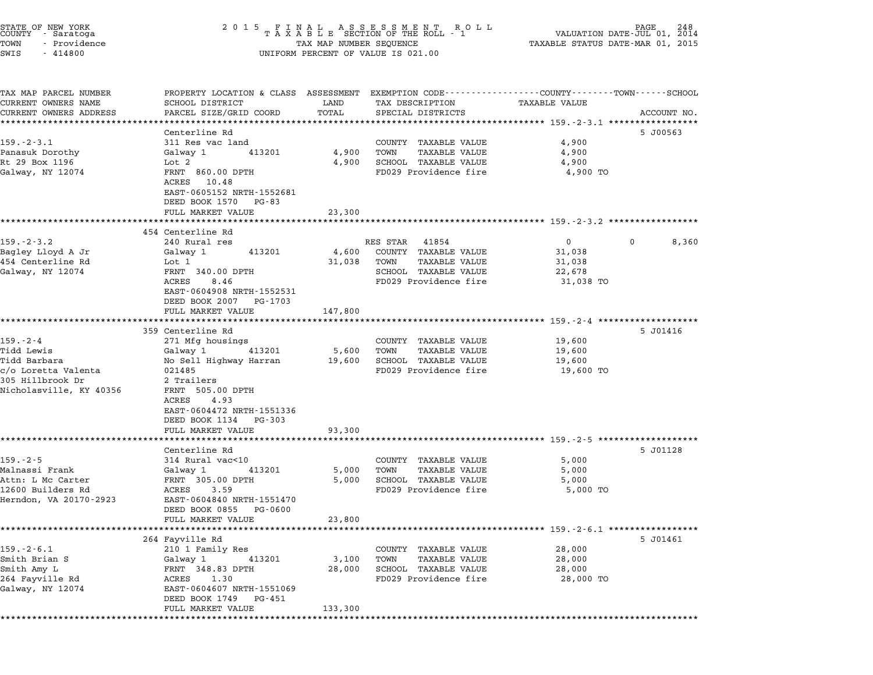| STATE OF NEW YORK<br>COUNTY - Saratoga<br>TOWN<br>- Providence<br>SWIS<br>$-414800$ | 2 0 1 5                                                                                    | FINAL ASSESSMENT ROLL<br>TAXABLE SECTION OF THE ROLL - 1<br>TAX MAP NUMBER SEQUENCE<br>UNIFORM PERCENT OF VALUE IS 021.00 | 248<br>PAGE<br>VALUATION DATE-JUL 01,<br>2014<br>TAXABLE STATUS DATE-MAR 01, 2015                                              |
|-------------------------------------------------------------------------------------|--------------------------------------------------------------------------------------------|---------------------------------------------------------------------------------------------------------------------------|--------------------------------------------------------------------------------------------------------------------------------|
| TAX MAP PARCEL NUMBER<br>CURRENT OWNERS NAME<br>CURRENT OWNERS ADDRESS              | SCHOOL DISTRICT<br>PARCEL SIZE/GRID COORD                                                  | LAND<br>TAX DESCRIPTION<br>TOTAL<br>SPECIAL DISTRICTS                                                                     | PROPERTY LOCATION & CLASS ASSESSMENT EXEMPTION CODE---------------COUNTY-------TOWN-----SCHOOL<br>TAXABLE VALUE<br>ACCOUNT NO. |
|                                                                                     |                                                                                            |                                                                                                                           |                                                                                                                                |
|                                                                                     | Centerline Rd                                                                              |                                                                                                                           | 5 J00563                                                                                                                       |
| $159. - 2 - 3.1$                                                                    | 311 Res vac land                                                                           | COUNTY TAXABLE VALUE<br><b>TAXABLE VALUE</b>                                                                              | 4,900<br>4,900                                                                                                                 |
| Panasuk Dorothy<br>Rt 29 Box 1196                                                   | Galway 1<br>413201<br>Lot 2                                                                | 4,900<br>TOWN<br>4,900<br>SCHOOL TAXABLE VALUE                                                                            | 4,900                                                                                                                          |
| Galway, NY 12074                                                                    | FRNT 860.00 DPTH<br>ACRES<br>10.48<br>EAST-0605152 NRTH-1552681<br>DEED BOOK 1570<br>PG-83 | FD029 Providence fire                                                                                                     | 4,900 TO                                                                                                                       |
|                                                                                     | FULL MARKET VALUE                                                                          | 23,300                                                                                                                    |                                                                                                                                |
|                                                                                     |                                                                                            |                                                                                                                           | ******************************* 159.-2-3.2 ******                                                                              |
|                                                                                     | 454 Centerline Rd                                                                          |                                                                                                                           |                                                                                                                                |
| $159. - 2 - 3.2$                                                                    | 240 Rural res<br>413201                                                                    | RES STAR<br>41854<br>COUNTY TAXABLE VALUE                                                                                 | $\mathbf{0}$<br>0<br>8,360<br>31,038                                                                                           |
| Bagley Lloyd A Jr<br>454 Centerline Rd                                              | Galway 1<br>Lot 1                                                                          | 4,600<br>31,038<br>TOWN<br>TAXABLE VALUE                                                                                  | 31,038                                                                                                                         |
| Galway, NY 12074                                                                    | FRNT 340.00 DPTH                                                                           | SCHOOL TAXABLE VALUE                                                                                                      | 22,678                                                                                                                         |
|                                                                                     | ACRES<br>8.46                                                                              | FD029 Providence fire                                                                                                     | 31,038 TO                                                                                                                      |
|                                                                                     | EAST-0604908 NRTH-1552531<br>DEED BOOK 2007<br>PG-1703                                     |                                                                                                                           |                                                                                                                                |
|                                                                                     | FULL MARKET VALUE                                                                          | 147,800                                                                                                                   |                                                                                                                                |
|                                                                                     |                                                                                            |                                                                                                                           | ********** 159.-2-4 **************                                                                                             |
|                                                                                     | 359 Centerline Rd                                                                          |                                                                                                                           | 5 J01416                                                                                                                       |
| $159. - 2 - 4$                                                                      | 271 Mfg housings                                                                           | COUNTY TAXABLE VALUE                                                                                                      | 19,600                                                                                                                         |
| Tidd Lewis<br>Tidd Barbara                                                          | Galway 1<br>413201<br>No Sell Highway Harran                                               | TOWN<br><b>TAXABLE VALUE</b><br>5,600<br>SCHOOL TAXABLE VALUE<br>19,600                                                   | 19,600<br>19,600                                                                                                               |
| c/o Loretta Valenta                                                                 | 021485                                                                                     | FD029 Providence fire                                                                                                     | 19,600 TO                                                                                                                      |
| 305 Hillbrook Dr                                                                    | 2 Trailers                                                                                 |                                                                                                                           |                                                                                                                                |
| Nicholasville, KY 40356                                                             | FRNT 505.00 DPTH<br>ACRES<br>4.93                                                          |                                                                                                                           |                                                                                                                                |
|                                                                                     | EAST-0604472 NRTH-1551336<br>DEED BOOK 1134<br>PG-303                                      |                                                                                                                           |                                                                                                                                |
|                                                                                     | FULL MARKET VALUE                                                                          | 93,300                                                                                                                    |                                                                                                                                |
|                                                                                     |                                                                                            |                                                                                                                           | ********************** 159. -2-5 ********************                                                                          |
| $159. - 2 - 5$                                                                      | Centerline Rd<br>314 Rural vac<10                                                          | COUNTY TAXABLE VALUE                                                                                                      | 5 J01128<br>5,000                                                                                                              |
| Malnassi Frank                                                                      | Galway 1<br>413201                                                                         | <b>TAXABLE VALUE</b><br>5,000<br>TOWN                                                                                     | 5,000                                                                                                                          |
| Attn: L Mc Carter                                                                   | FRNT 305.00 DPTH                                                                           | SCHOOL TAXABLE VALUE<br>5,000                                                                                             | 5,000                                                                                                                          |
| 12600 Builders Rd                                                                   | ACRES<br>3.59                                                                              | FD029 Providence fire                                                                                                     | 5,000 TO                                                                                                                       |
| Herndon, VA 20170-2923                                                              | EAST-0604840 NRTH-1551470                                                                  |                                                                                                                           |                                                                                                                                |
|                                                                                     | DEED BOOK 0855<br>PG-0600                                                                  | 23,800                                                                                                                    |                                                                                                                                |
|                                                                                     | FULL MARKET VALUE                                                                          |                                                                                                                           |                                                                                                                                |
|                                                                                     | 264 Fayville Rd                                                                            |                                                                                                                           | 5 J01461                                                                                                                       |
| $159. - 2 - 6.1$                                                                    | 210 1 Family Res                                                                           | COUNTY<br>TAXABLE VALUE                                                                                                   | 28,000                                                                                                                         |
| Smith Brian S                                                                       | Galway 1<br>413201                                                                         | 3,100<br>TOWN<br>TAXABLE VALUE                                                                                            | 28,000                                                                                                                         |
| Smith Amy L                                                                         | FRNT 348.83 DPTH                                                                           | SCHOOL TAXABLE VALUE<br>28,000                                                                                            | 28,000                                                                                                                         |
| 264 Fayville Rd                                                                     | 1.30<br>ACRES                                                                              | FD029 Providence fire                                                                                                     | 28,000 TO                                                                                                                      |
| Galway, NY 12074                                                                    | EAST-0604607 NRTH-1551069<br>DEED BOOK 1749<br>PG-451                                      |                                                                                                                           |                                                                                                                                |
|                                                                                     | FULL MARKET VALUE                                                                          | 133,300                                                                                                                   |                                                                                                                                |
|                                                                                     |                                                                                            |                                                                                                                           |                                                                                                                                |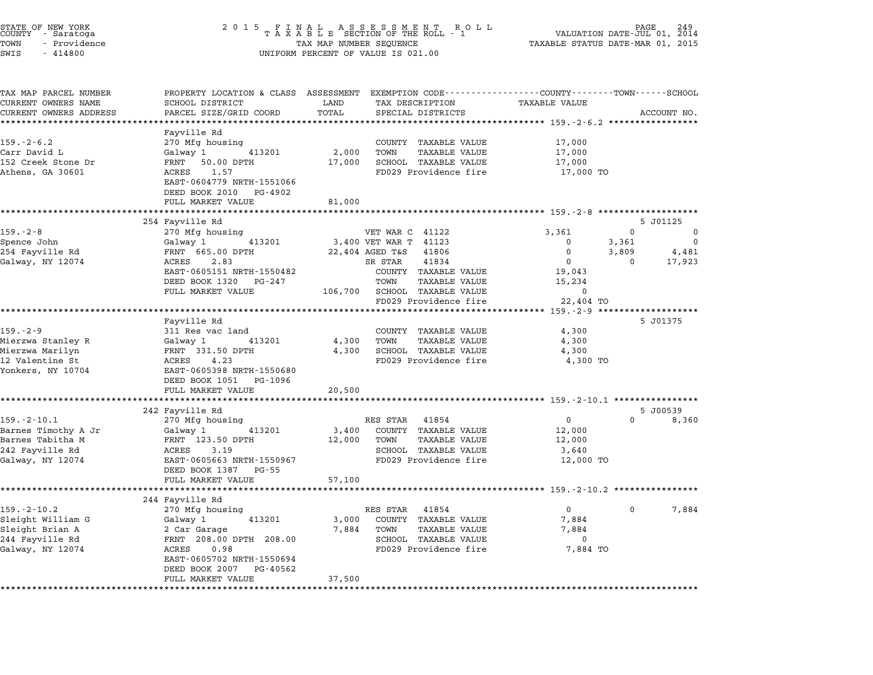| STATE OF NEW YORK<br>COUNTY - Saratoga<br>TOWN<br>- Providence<br>SWIS<br>$-414800$                 | 2 0 1 5                                                                                                                                                                                              | FINAL ASSESSMENT ROLL<br>TAXABLE SECTION OF THE ROLL - 1<br>TAX MAP NUMBER SEQUENCE<br>UNIFORM PERCENT OF VALUE IS 021.00                                                           | 249<br>VALUATION DATE-JUL 01,<br>2014<br>TAXABLE STATUS DATE-MAR 01, 2015                                                                               |
|-----------------------------------------------------------------------------------------------------|------------------------------------------------------------------------------------------------------------------------------------------------------------------------------------------------------|-------------------------------------------------------------------------------------------------------------------------------------------------------------------------------------|---------------------------------------------------------------------------------------------------------------------------------------------------------|
| TAX MAP PARCEL NUMBER<br>CURRENT OWNERS NAME                                                        | SCHOOL DISTRICT                                                                                                                                                                                      | LAND<br>TAX DESCRIPTION                                                                                                                                                             | PROPERTY LOCATION & CLASS ASSESSMENT EXEMPTION CODE----------------COUNTY-------TOWN-----SCHOOL<br>TAXABLE VALUE                                        |
| CURRENT OWNERS ADDRESS                                                                              | PARCEL SIZE/GRID COORD                                                                                                                                                                               | TOTAL<br>SPECIAL DISTRICTS<br>*********                                                                                                                                             | ACCOUNT NO.<br>********************************* 159.-2-6.2 *****************                                                                           |
| $159. - 2 - 6.2$<br>Carr David L<br>152 Creek Stone Dr<br>Athens, GA 30601                          | Fayville Rd<br>270 Mfg housing<br>413201<br>Galway 1<br>FRNT 50.00 DPTH<br>ACRES<br>1.57<br>EAST-0604779 NRTH-1551066<br>DEED BOOK 2010<br>PG-4902<br>FULL MARKET VALUE                              | COUNTY TAXABLE VALUE<br>2,000<br>TOWN<br><b>TAXABLE VALUE</b><br>SCHOOL TAXABLE VALUE<br>17,000<br>FD029 Providence fire<br>81,000                                                  | 17,000<br>17,000<br>17,000<br>17,000 TO                                                                                                                 |
|                                                                                                     |                                                                                                                                                                                                      |                                                                                                                                                                                     |                                                                                                                                                         |
| $159. - 2 - 8$<br>Spence John<br>254 Fayville Rd<br>Galway, NY 12074                                | 254 Fayville Rd<br>270 Mfg housing<br>Galway 1<br>413201<br>FRNT 665.00 DPTH<br>2.83<br>ACRES<br>EAST-0605151 NRTH-1550482<br>DEED BOOK 1320<br>PG-247<br>FULL MARKET VALUE                          | VET WAR C 41122<br>3,400 VET WAR T 41123<br>41806<br>22,404 AGED T&S<br>SR STAR<br>41834<br>COUNTY TAXABLE VALUE<br>TOWN<br><b>TAXABLE VALUE</b><br>SCHOOL TAXABLE VALUE<br>106,700 | 5 J01125<br>$\mathbf 0$<br>3,361<br>0<br>0<br>3,361<br>$\mathbf 0$<br>0<br>3,809<br>4,481<br>0<br>$\Omega$<br>17,923<br>19,043<br>15,234<br>$\mathbf 0$ |
|                                                                                                     | ******************                                                                                                                                                                                   | FD029 Providence fire                                                                                                                                                               | 22,404 TO                                                                                                                                               |
|                                                                                                     | Fayville Rd                                                                                                                                                                                          |                                                                                                                                                                                     | 5 J01375                                                                                                                                                |
| $159. - 2 - 9$<br>Mierzwa Stanley R<br>Mierzwa Marilyn<br>12 Valentine St<br>Yonkers, NY 10704      | 311 Res vac land<br>Galway 1<br>413201<br>FRNT 331.50 DPTH<br>ACRES<br>4.23<br>EAST-0605398 NRTH-1550680<br>DEED BOOK 1051 PG-1096                                                                   | COUNTY TAXABLE VALUE<br>4,300<br>TAXABLE VALUE<br>TOWN<br>4,300<br>SCHOOL TAXABLE VALUE<br>FD029 Providence fire                                                                    | 4,300<br>4,300<br>4,300<br>4,300 TO                                                                                                                     |
|                                                                                                     | FULL MARKET VALUE                                                                                                                                                                                    | 20,500                                                                                                                                                                              |                                                                                                                                                         |
|                                                                                                     |                                                                                                                                                                                                      |                                                                                                                                                                                     | 5 J00539                                                                                                                                                |
| $159. - 2 - 10.1$<br>Barnes Timothy A Jr<br>Barnes Tabitha M<br>242 Fayville Rd<br>Galway, NY 12074 | 242 Fayville Rd<br>270 Mfg housing<br>413201<br>Galway 1<br>FRNT 123.50 DPTH<br>ACRES<br>3.19<br>EAST-0605663 NRTH-1550967<br>DEED BOOK 1387<br>PG-55<br>FULL MARKET VALUE                           | RES STAR<br>41854<br>3,400<br>COUNTY TAXABLE VALUE<br><b>TAXABLE VALUE</b><br>12,000<br>TOWN<br>SCHOOL TAXABLE VALUE<br>FD029 Providence fire<br>57,100                             | 0<br>$\Omega$<br>8,360<br>12,000<br>12,000<br>3,640<br>12,000 TO                                                                                        |
|                                                                                                     |                                                                                                                                                                                                      |                                                                                                                                                                                     |                                                                                                                                                         |
| $159. - 2 - 10.2$<br>Sleight William G<br>Sleight Brian A<br>244 Fayville Rd<br>Galway, NY 12074    | 244 Fayville Rd<br>270 Mfg housing<br>Galway 1<br>413201<br>2 Car Garage<br>FRNT 208.00 DPTH 208.00<br>ACRES<br>0.98<br>EAST-0605702 NRTH-1550694<br>DEED BOOK 2007<br>PG-40562<br>FULL MARKET VALUE | RES STAR<br>41854<br>3,000<br>COUNTY<br>TAXABLE VALUE<br>7,884<br><b>TAXABLE VALUE</b><br>TOWN<br>SCHOOL TAXABLE VALUE<br>FD029 Providence fire<br>37,500                           | $\mathbf 0$<br>0<br>7,884<br>7,884<br>7,884<br>0<br>7,884 TO                                                                                            |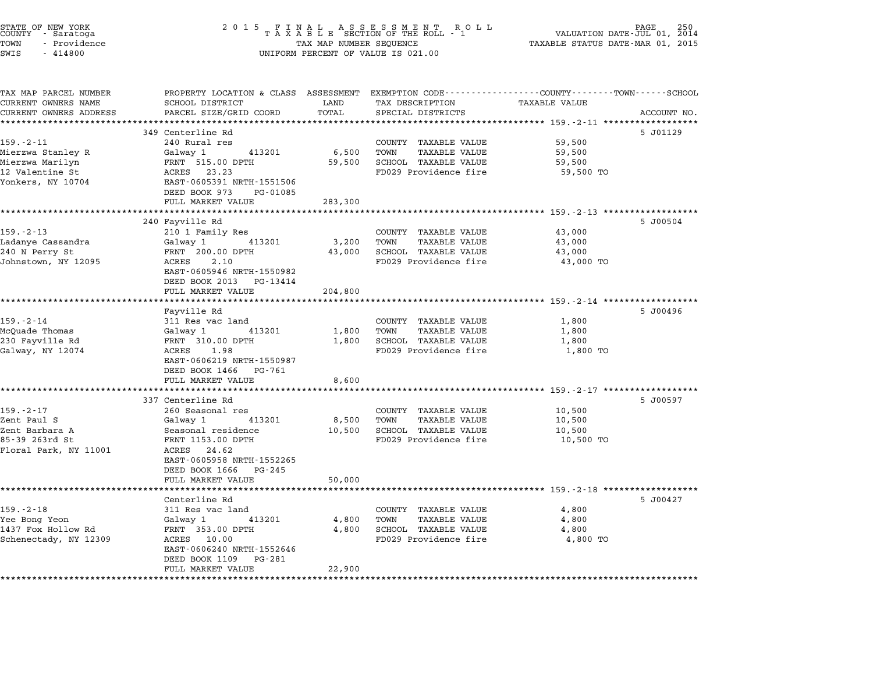| STATE OF NEW YORK<br>COUNTY – Saratoga<br>TOWN<br>- Providence<br>SWIS<br>$-414800$ | 2 0 1 5<br>FINAL ASSESSMENT RC<br>TAXABLE SECTION OF THE ROLL - 1<br>R O L L<br>TAX MAP NUMBER SEQUENCE<br>UNIFORM PERCENT OF VALUE IS 021.00 |                          |                                                                                                                   | PAGE<br>250<br>VALUATION DATE-JUL 01, 2014<br>TAXABLE STATUS DATE-MAR 01, 2015 |             |
|-------------------------------------------------------------------------------------|-----------------------------------------------------------------------------------------------------------------------------------------------|--------------------------|-------------------------------------------------------------------------------------------------------------------|--------------------------------------------------------------------------------|-------------|
| TAX MAP PARCEL NUMBER<br>CURRENT OWNERS NAME                                        | SCHOOL DISTRICT                                                                                                                               | LAND                     | PROPERTY LOCATION & CLASS ASSESSMENT EXEMPTION CODE---------------COUNTY-------TOWN-----SCHOOL<br>TAX DESCRIPTION | <b>TAXABLE VALUE</b>                                                           |             |
| CURRENT OWNERS ADDRESS                                                              | PARCEL SIZE/GRID COORD                                                                                                                        | TOTAL<br>*************** | SPECIAL DISTRICTS                                                                                                 | ************** 159.-2-11 *******************                                   | ACCOUNT NO. |
|                                                                                     | 349 Centerline Rd                                                                                                                             |                          |                                                                                                                   |                                                                                | 5 J01129    |
| $159. - 2 - 11$                                                                     | 240 Rural res                                                                                                                                 |                          | COUNTY TAXABLE VALUE                                                                                              | 59,500                                                                         |             |
| Mierzwa Stanley R                                                                   | Galway 1<br>413201                                                                                                                            | 6,500                    | TOWN<br><b>TAXABLE VALUE</b>                                                                                      | 59,500                                                                         |             |
| Mierzwa Marilyn                                                                     | FRNT 515.00 DPTH                                                                                                                              | 59,500                   | SCHOOL TAXABLE VALUE                                                                                              | 59,500                                                                         |             |
| 12 Valentine St                                                                     | ACRES 23.23                                                                                                                                   |                          | FD029 Providence fire                                                                                             | 59,500 TO                                                                      |             |
| Yonkers, NY 10704                                                                   | EAST-0605391 NRTH-1551506                                                                                                                     |                          |                                                                                                                   |                                                                                |             |
|                                                                                     | DEED BOOK 973<br>PG-01085                                                                                                                     |                          |                                                                                                                   |                                                                                |             |
|                                                                                     | FULL MARKET VALUE                                                                                                                             | 283,300                  |                                                                                                                   | ****************************** 159.-2-13 ******************                    |             |
|                                                                                     | 240 Fayville Rd                                                                                                                               |                          |                                                                                                                   |                                                                                | 5 J00504    |
| $159. - 2 - 13$                                                                     | 210 1 Family Res                                                                                                                              |                          | COUNTY TAXABLE VALUE                                                                                              | 43,000                                                                         |             |
| Ladanye Cassandra                                                                   | 413201<br>Galway 1                                                                                                                            | 3,200                    | TOWN<br>TAXABLE VALUE                                                                                             | 43,000                                                                         |             |
| 240 N Perry St                                                                      | FRNT 200.00 DPTH                                                                                                                              | 43,000                   | SCHOOL TAXABLE VALUE                                                                                              | 43,000                                                                         |             |
| Johnstown, NY 12095                                                                 | ACRES<br>2.10                                                                                                                                 |                          | FD029 Providence fire                                                                                             | 43,000 TO                                                                      |             |
|                                                                                     | EAST-0605946 NRTH-1550982                                                                                                                     |                          |                                                                                                                   |                                                                                |             |
|                                                                                     | DEED BOOK 2013<br>PG-13414                                                                                                                    |                          |                                                                                                                   |                                                                                |             |
|                                                                                     | FULL MARKET VALUE<br>*****************                                                                                                        | 204,800                  |                                                                                                                   | ************************* 159.-2-14 ******************                         |             |
|                                                                                     | Fayville Rd                                                                                                                                   |                          |                                                                                                                   |                                                                                | 5 J00496    |
| 159.-2-14                                                                           | 311 Res vac land                                                                                                                              |                          | COUNTY TAXABLE VALUE                                                                                              | 1,800                                                                          |             |
| McQuade Thomas                                                                      | Galway 1<br>413201                                                                                                                            | 1,800                    | TOWN<br><b>TAXABLE VALUE</b>                                                                                      | 1,800                                                                          |             |
| 230 Fayville Rd                                                                     | FRNT 310.00 DPTH                                                                                                                              | 1,800                    | SCHOOL TAXABLE VALUE                                                                                              | 1,800                                                                          |             |
| Galway, NY 12074                                                                    | ACRES<br>1.98                                                                                                                                 |                          | FD029 Providence fire                                                                                             | 1,800 TO                                                                       |             |
|                                                                                     | EAST-0606219 NRTH-1550987                                                                                                                     |                          |                                                                                                                   |                                                                                |             |
|                                                                                     | DEED BOOK 1466<br>PG-761<br>FULL MARKET VALUE                                                                                                 | 8,600                    |                                                                                                                   |                                                                                |             |
|                                                                                     | ****************************                                                                                                                  | **********               |                                                                                                                   | ******************************** 159.-2-17 ******************                  |             |
|                                                                                     | 337 Centerline Rd                                                                                                                             |                          |                                                                                                                   |                                                                                | 5 J00597    |
| $159. - 2 - 17$                                                                     | 260 Seasonal res                                                                                                                              |                          | COUNTY TAXABLE VALUE                                                                                              | 10,500                                                                         |             |
| Zent Paul S                                                                         | Galway 1<br>413201                                                                                                                            | 8,500                    | TOWN<br>TAXABLE VALUE                                                                                             | 10,500                                                                         |             |
| Zent Barbara A                                                                      | Seasonal residence                                                                                                                            | 10,500                   | SCHOOL TAXABLE VALUE                                                                                              | 10,500                                                                         |             |
| 85-39 263rd St                                                                      | FRNT 1153.00 DPTH                                                                                                                             |                          | FD029 Providence fire                                                                                             | 10,500 TO                                                                      |             |
| Floral Park, NY 11001                                                               | ACRES 24.62<br>EAST-0605958 NRTH-1552265                                                                                                      |                          |                                                                                                                   |                                                                                |             |
|                                                                                     | DEED BOOK 1666<br>PG-245                                                                                                                      |                          |                                                                                                                   |                                                                                |             |
|                                                                                     | FULL MARKET VALUE                                                                                                                             | 50,000                   |                                                                                                                   |                                                                                |             |
|                                                                                     |                                                                                                                                               |                          |                                                                                                                   | ********************************* 159.-2-18 ******************                 |             |
|                                                                                     | Centerline Rd                                                                                                                                 |                          |                                                                                                                   |                                                                                | 5 J00427    |
| $159. - 2 - 18$                                                                     | 311 Res vac land                                                                                                                              |                          | COUNTY TAXABLE VALUE                                                                                              | 4,800                                                                          |             |
| Yee Bong Yeon                                                                       | 413201<br>Galway 1                                                                                                                            | 4,800                    | TOWN<br>TAXABLE VALUE                                                                                             | 4,800                                                                          |             |
| 1437 Fox Hollow Rd                                                                  | FRNT 353.00 DPTH                                                                                                                              | 4,800                    | SCHOOL TAXABLE VALUE                                                                                              | 4,800                                                                          |             |
| Schenectady, NY 12309                                                               | ACRES<br>10.00<br>EAST-0606240 NRTH-1552646                                                                                                   |                          | FD029 Providence fire                                                                                             | 4,800 TO                                                                       |             |
|                                                                                     | DEED BOOK 1109<br>PG-281                                                                                                                      |                          |                                                                                                                   |                                                                                |             |
|                                                                                     | FULL MARKET VALUE                                                                                                                             | 22,900                   |                                                                                                                   |                                                                                |             |
|                                                                                     |                                                                                                                                               |                          |                                                                                                                   |                                                                                |             |
|                                                                                     |                                                                                                                                               |                          |                                                                                                                   |                                                                                |             |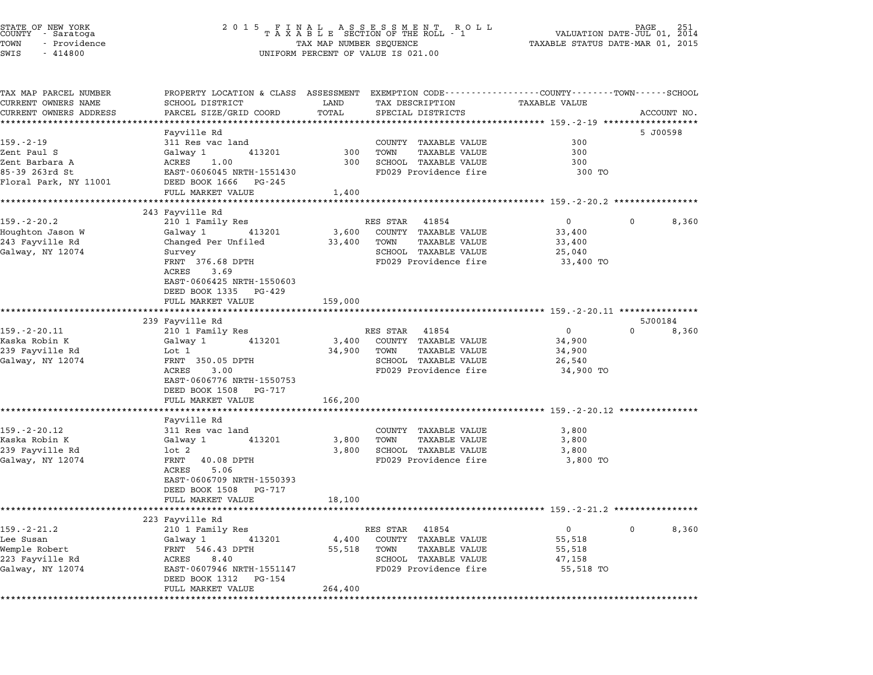## STATE OF NEW YORK <sup>2</sup> <sup>0</sup> <sup>1</sup> 5 F I N A L A S S E S S M E N T R O L L PAGE <sup>251</sup> COUNTY - Saratoga <sup>T</sup> <sup>A</sup> <sup>X</sup> <sup>A</sup> <sup>B</sup> <sup>L</sup> <sup>E</sup> SECTION OF THE ROLL - <sup>1</sup> VALUATION DATE-JUL 01, <sup>2014</sup> TOWN - Providence TAX MAP NUMBER SEQUENCE TAXABLE STATUS DATE-MAR 01, <sup>2015</sup> STATE OF NEW YORK STATE OF NEW YORK COUNTY - SATATOGRAPH SAMPLINE TO A SAMPLINE ROLL TO A SAMPLINE ROLL TO A SA<br>TOWN - Providence TAX A B L E SECTION OF THE ROLL<br>SWIS - 414800 SWIS - 414800

| TAX MAP PARCEL NUMBER  | PROPERTY LOCATION & CLASS ASSESSMENT EXEMPTION CODE---------------COUNTY-------TOWN-----SCHOOL |             |                                                      |                                                               |                            |
|------------------------|------------------------------------------------------------------------------------------------|-------------|------------------------------------------------------|---------------------------------------------------------------|----------------------------|
| CURRENT OWNERS NAME    | SCHOOL DISTRICT                                                                                | LAND        | TAX DESCRIPTION                                      | TAXABLE VALUE                                                 |                            |
| CURRENT OWNERS ADDRESS | PARCEL SIZE/GRID COORD                                                                         | TOTAL       | SPECIAL DISTRICTS                                    |                                                               | ACCOUNT NO.                |
|                        |                                                                                                |             |                                                      |                                                               |                            |
| 159.-2-19              | Fayville Rd                                                                                    |             |                                                      | 300                                                           | 5 J00598                   |
| Zent Paul S            | 311 Res vac land<br>413201<br>Galway 1                                                         | 300         | COUNTY TAXABLE VALUE<br><b>TAXABLE VALUE</b><br>TOWN | 300                                                           |                            |
| Zent Barbara A         | ACRES<br>1.00                                                                                  | 300         | SCHOOL TAXABLE VALUE                                 | 300                                                           |                            |
| 85-39 263rd St         | EAST-0606045 NRTH-1551430                                                                      |             | FD029 Providence fire                                | 300 TO                                                        |                            |
| Floral Park, NY 11001  | DEED BOOK 1666 PG-245                                                                          |             |                                                      |                                                               |                            |
|                        | FULL MARKET VALUE                                                                              | 1,400       |                                                      |                                                               |                            |
|                        |                                                                                                |             |                                                      | ******************************** 159.-2-20.2 **************** |                            |
|                        | 243 Fayville Rd                                                                                |             |                                                      |                                                               |                            |
| $159. - 2 - 20.2$      | 210 1 Family Res                                                                               |             | RES STAR 41854                                       | $\overline{0}$                                                | $\overline{0}$<br>8,360    |
| Houghton Jason W       | Galway 1<br>413201                                                                             |             | 3,600 COUNTY TAXABLE VALUE                           | 33,400                                                        |                            |
| 243 Fayville Rd        | Changed Per Unfiled                                                                            |             | 33,400 TOWN<br>TAXABLE VALUE                         | 33,400                                                        |                            |
| Galway, NY 12074       | Survey                                                                                         |             | SCHOOL TAXABLE VALUE                                 | 25,040                                                        |                            |
|                        | FRNT 376.68 DPTH                                                                               |             | FD029 Providence fire                                | 33,400 TO                                                     |                            |
|                        | ACRES<br>3.69                                                                                  |             |                                                      |                                                               |                            |
|                        | EAST-0606425 NRTH-1550603                                                                      |             |                                                      |                                                               |                            |
|                        | DEED BOOK 1335 PG-429                                                                          |             |                                                      |                                                               |                            |
|                        | FULL MARKET VALUE                                                                              | 159,000     |                                                      |                                                               |                            |
|                        |                                                                                                |             |                                                      |                                                               |                            |
|                        | 239 Fayville Rd                                                                                |             |                                                      |                                                               | 5J00184                    |
| $159. - 2 - 20.11$     | 210 1 Family Res                                                                               |             | RES STAR 41854                                       | $\overline{0}$                                                | $\Omega$<br>8,360          |
| Kaska Robin K          | 413201<br>Galway 1                                                                             |             | 3,400 COUNTY TAXABLE VALUE                           | 34,900                                                        |                            |
| 239 Fayville Rd        | Lot 1<br>FRNT 350.05 DPTH                                                                      | 34,900 TOWN | TAXABLE VALUE<br>SCHOOL TAXABLE VALUE                | 34,900                                                        |                            |
| Galway, NY 12074       | ACRES<br>3.00                                                                                  |             | FD029 Providence fire                                | 26,540                                                        |                            |
|                        | EAST-0606776 NRTH-1550753                                                                      |             |                                                      | 34,900 TO                                                     |                            |
|                        | DEED BOOK 1508 PG-717                                                                          |             |                                                      |                                                               |                            |
|                        | FULL MARKET VALUE                                                                              | 166,200     |                                                      |                                                               |                            |
|                        |                                                                                                |             |                                                      |                                                               |                            |
|                        | Fayville Rd                                                                                    |             |                                                      |                                                               |                            |
| $159. - 2 - 20.12$     | 311 Res vac land                                                                               |             | COUNTY TAXABLE VALUE                                 | 3,800                                                         |                            |
| Kaska Robin K          | 413201<br>Galway 1                                                                             | 3,800       | TOWN<br>TAXABLE VALUE                                | 3,800                                                         |                            |
| 239 Fayville Rd        | lot 2                                                                                          |             | 3,800 SCHOOL TAXABLE VALUE                           | 3,800                                                         |                            |
| Galway, NY 12074       | FRNT 40.08 DPTH                                                                                |             | FD029 Providence fire                                | 3,800 TO                                                      |                            |
|                        | 5.06<br>ACRES                                                                                  |             |                                                      |                                                               |                            |
|                        | EAST-0606709 NRTH-1550393                                                                      |             |                                                      |                                                               |                            |
|                        | DEED BOOK 1508 PG-717                                                                          |             |                                                      |                                                               |                            |
|                        | FULL MARKET VALUE                                                                              | 18,100      |                                                      |                                                               |                            |
|                        |                                                                                                |             |                                                      |                                                               |                            |
|                        | 223 Fayville Rd                                                                                |             |                                                      |                                                               |                            |
| $159. - 2 - 21.2$      | 210 1 Family Res                                                                               |             | RES STAR 41854                                       | $\overline{0}$                                                | $0 \qquad \qquad$<br>8,360 |
| Lee Susan              | 413201<br>Galway 1                                                                             |             | 4,400 COUNTY TAXABLE VALUE                           | 55,518                                                        |                            |
| Wemple Robert          | FRNT 546.43 DPTH                                                                               |             | 55,518 TOWN<br>TAXABLE VALUE                         | 55,518                                                        |                            |
| 223 Fayville Rd        | ACRES 8.40                                                                                     |             | SCHOOL TAXABLE VALUE                                 | 47,158                                                        |                            |
| Galway, NY 12074       | EAST-0607946 NRTH-1551147                                                                      |             | FD029 Providence fire                                | 55,518 TO                                                     |                            |
|                        | DEED BOOK 1312 PG-154                                                                          |             |                                                      |                                                               |                            |
|                        | FULL MARKET VALUE                                                                              | 264,400     |                                                      |                                                               |                            |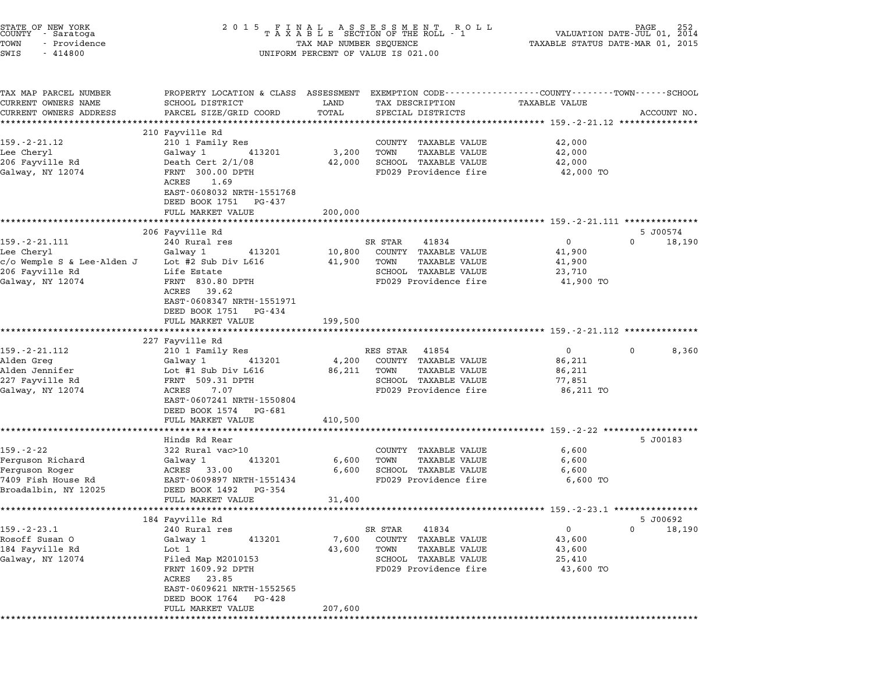| STATE OF NEW YORK<br>COUNTY - Saratoga<br>TOWN<br>- Providence<br>SWIS<br>$-414800$ | $\begin{array}{cccccccccccccc} 2& 0& 1& 5 & & F& I& N& A& L & & A & S & E & S & S & M& E & N& T & R & O & L\\ & & T& A& X& A& B& L& E & SECTION OF THE ROLL & -& 1 \end{array}$<br>TAX MAP NUMBER SEQUENCE<br>UNIFORM PERCENT OF VALUE IS 021.00 |                  |                                                      | 252<br>VALUATION DATE-JUL 01, 2014<br>TAXABLE STATUS DATE-MAR 01, 2015 |                       |
|-------------------------------------------------------------------------------------|--------------------------------------------------------------------------------------------------------------------------------------------------------------------------------------------------------------------------------------------------|------------------|------------------------------------------------------|------------------------------------------------------------------------|-----------------------|
| TAX MAP PARCEL NUMBER<br>CURRENT OWNERS NAME<br>CURRENT OWNERS ADDRESS              | PROPERTY LOCATION & CLASS ASSESSMENT EXEMPTION CODE---------------COUNTY-------TOWN------SCHOOL<br>SCHOOL DISTRICT<br>PARCEL SIZE/GRID COORD                                                                                                     | LAND<br>TOTAL    | TAX DESCRIPTION<br>SPECIAL DISTRICTS                 | <b>TAXABLE VALUE</b>                                                   | ACCOUNT NO.           |
|                                                                                     | ********************                                                                                                                                                                                                                             |                  |                                                      |                                                                        |                       |
| $159. - 2 - 21.12$                                                                  | 210 Fayville Rd<br>210 1 Family Res                                                                                                                                                                                                              |                  | COUNTY TAXABLE VALUE                                 | 42,000                                                                 |                       |
| Lee Cheryl                                                                          | 413201<br>Galway 1                                                                                                                                                                                                                               | 3,200            | TOWN<br>TAXABLE VALUE                                | 42,000                                                                 |                       |
| 206 Fayville Rd                                                                     | Death Cert $2/1/08$                                                                                                                                                                                                                              | 42,000           | SCHOOL TAXABLE VALUE                                 | 42,000                                                                 |                       |
| Galway, NY 12074                                                                    | FRNT 300.00 DPTH<br>ACRES<br>1.69<br>EAST-0608032 NRTH-1551768<br>DEED BOOK 1751 PG-437                                                                                                                                                          |                  | FD029 Providence fire                                | 42,000 TO                                                              |                       |
|                                                                                     | FULL MARKET VALUE                                                                                                                                                                                                                                | 200,000          |                                                      |                                                                        |                       |
|                                                                                     | **********************                                                                                                                                                                                                                           |                  |                                                      | ************************************ 159.-2-21.111 ***************     |                       |
|                                                                                     | 206 Fayville Rd                                                                                                                                                                                                                                  |                  |                                                      |                                                                        | 5 J00574              |
| $159. - 2 - 21.111$                                                                 | 240 Rural res                                                                                                                                                                                                                                    |                  | 41834<br>SR STAR                                     | $\overline{0}$                                                         | $\Omega$<br>18,190    |
| Lee Cheryl<br>c/o Wemple S & Lee-Alden J                                            | 413201<br>Galway 1<br>Lot #2 Sub Div L616                                                                                                                                                                                                        | 10,800<br>41,900 | COUNTY TAXABLE VALUE<br>TOWN<br><b>TAXABLE VALUE</b> | 41,900<br>41,900                                                       |                       |
| 206 Fayville Rd                                                                     | Life Estate                                                                                                                                                                                                                                      |                  | SCHOOL TAXABLE VALUE                                 | 23,710                                                                 |                       |
| Galway, NY 12074                                                                    | FRNT 830.80 DPTH                                                                                                                                                                                                                                 |                  | FD029 Providence fire                                | 41,900 TO                                                              |                       |
|                                                                                     | ACRES<br>39.62<br>EAST-0608347 NRTH-1551971<br>DEED BOOK 1751 PG-434<br>FULL MARKET VALUE                                                                                                                                                        | 199,500          |                                                      |                                                                        |                       |
|                                                                                     |                                                                                                                                                                                                                                                  |                  |                                                      |                                                                        |                       |
|                                                                                     | 227 Fayville Rd                                                                                                                                                                                                                                  |                  |                                                      |                                                                        |                       |
| $159. - 2 - 21.112$<br>Alden Greg                                                   | 210 1 Family Res<br>Galway 1<br>413201                                                                                                                                                                                                           | 4,200            | RES STAR 41854<br>COUNTY TAXABLE VALUE               | $\mathbf{0}$<br>86,211                                                 | 0<br>8,360            |
| Alden Jennifer                                                                      | Lot #1 Sub Div L616                                                                                                                                                                                                                              | 86,211           | <b>TAXABLE VALUE</b><br>TOWN                         | 86,211                                                                 |                       |
| 227 Fayville Rd                                                                     | FRNT 509.31 DPTH                                                                                                                                                                                                                                 |                  | SCHOOL TAXABLE VALUE                                 | 77,851                                                                 |                       |
| Galway, NY 12074                                                                    | ACRES<br>7.07<br>EAST-0607241 NRTH-1550804<br>DEED BOOK 1574 PG-681<br>FULL MARKET VALUE                                                                                                                                                         | 410,500          | FD029 Providence fire                                | 86,211 TO                                                              |                       |
|                                                                                     |                                                                                                                                                                                                                                                  |                  |                                                      |                                                                        |                       |
|                                                                                     | Hinds Rd Rear                                                                                                                                                                                                                                    |                  |                                                      |                                                                        | 5 J00183              |
| $159. - 2 - 22$                                                                     | 322 Rural vac>10                                                                                                                                                                                                                                 |                  | COUNTY TAXABLE VALUE                                 | 6,600                                                                  |                       |
| Ferguson Richard                                                                    | 413201<br>Galway 1                                                                                                                                                                                                                               | 6,600            | TOWN<br>TAXABLE VALUE                                | 6,600                                                                  |                       |
| Ferguson Roger                                                                      | ACRES 33.00                                                                                                                                                                                                                                      | 6,600            | SCHOOL TAXABLE VALUE                                 | 6,600                                                                  |                       |
| 7409 Fish House Rd                                                                  | EAST-0609897 NRTH-1551434                                                                                                                                                                                                                        |                  | FD029 Providence fire                                | 6,600 TO                                                               |                       |
| Broadalbin, NY 12025                                                                | DEED BOOK 1492 PG-354                                                                                                                                                                                                                            |                  |                                                      |                                                                        |                       |
|                                                                                     | FULL MARKET VALUE                                                                                                                                                                                                                                | 31,400           |                                                      |                                                                        |                       |
|                                                                                     | 184 Fayville Rd                                                                                                                                                                                                                                  |                  |                                                      |                                                                        | 5 J00692              |
| $159. - 2 - 23.1$                                                                   | 240 Rural res                                                                                                                                                                                                                                    |                  | SR STAR<br>41834                                     | 0                                                                      | $\mathbf 0$<br>18,190 |
| Rosoff Susan O                                                                      | 413201<br>Galway 1                                                                                                                                                                                                                               | 7,600            | COUNTY TAXABLE VALUE                                 | 43,600                                                                 |                       |
| 184 Fayville Rd                                                                     | Lot 1                                                                                                                                                                                                                                            | 43,600           | <b>TAXABLE VALUE</b><br>TOWN                         | 43,600                                                                 |                       |
| Galway, NY 12074                                                                    | Filed Map M2010153                                                                                                                                                                                                                               |                  | SCHOOL TAXABLE VALUE                                 | 25,410                                                                 |                       |
|                                                                                     | FRNT 1609.92 DPTH<br>ACRES<br>23.85<br>EAST-0609621 NRTH-1552565                                                                                                                                                                                 |                  | FD029 Providence fire                                | 43,600 TO                                                              |                       |
|                                                                                     |                                                                                                                                                                                                                                                  |                  |                                                      |                                                                        |                       |
|                                                                                     | DEED BOOK 1764<br>PG-428<br>FULL MARKET VALUE                                                                                                                                                                                                    | 207,600          |                                                      |                                                                        |                       |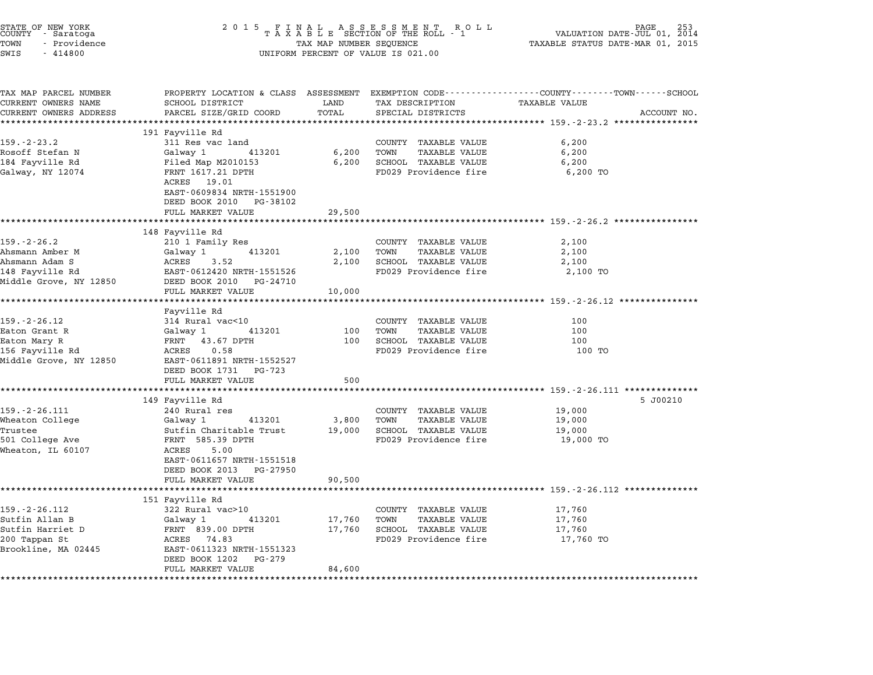| STATE OF NEW YORK<br>COUNTY - Saratoga<br>TOWN<br>- Providence<br>SWIS<br>$-414800$ | 2015 FINAL ASSESSMENT ROLL TAXABLE SECTION OF THE ROLL - 1<br>TAX MAP NUMBER SEQUENCE<br>UNIFORM PERCENT OF VALUE IS 021.00 | PAGE<br>VALUATION DATE-JUL 01, 2014<br>TAXABLE STATUS DATE-MAR 01, 2015 |                              |                                                                                                                         |
|-------------------------------------------------------------------------------------|-----------------------------------------------------------------------------------------------------------------------------|-------------------------------------------------------------------------|------------------------------|-------------------------------------------------------------------------------------------------------------------------|
| TAX MAP PARCEL NUMBER<br>CURRENT OWNERS NAME                                        | SCHOOL DISTRICT                                                                                                             | LAND                                                                    | TAX DESCRIPTION              | PROPERTY LOCATION & CLASS ASSESSMENT EXEMPTION CODE---------------COUNTY-------TOWN------SCHOOL<br><b>TAXABLE VALUE</b> |
| CURRENT OWNERS ADDRESS                                                              | PARCEL SIZE/GRID COORD                                                                                                      | TOTAL                                                                   | SPECIAL DISTRICTS            | ACCOUNT NO.                                                                                                             |
|                                                                                     |                                                                                                                             |                                                                         |                              |                                                                                                                         |
|                                                                                     | 191 Fayville Rd                                                                                                             |                                                                         |                              |                                                                                                                         |
| $159. - 2 - 23.2$                                                                   | 311 Res vac land                                                                                                            |                                                                         | COUNTY TAXABLE VALUE         | 6,200                                                                                                                   |
| Rosoff Stefan N                                                                     | Galway 1<br>413201                                                                                                          | 6,200                                                                   | TOWN<br>TAXABLE VALUE        | 6,200                                                                                                                   |
| 184 Fayville Rd                                                                     | Filed Map M2010153                                                                                                          | 6,200                                                                   | SCHOOL TAXABLE VALUE         | 6,200                                                                                                                   |
| Galway, NY 12074                                                                    | FRNT 1617.21 DPTH<br>ACRES 19.01<br>EAST-0609834 NRTH-1551900<br>DEED BOOK 2010 PG-38102                                    |                                                                         | FD029 Providence fire        | 6,200 TO                                                                                                                |
|                                                                                     | FULL MARKET VALUE<br>*********************                                                                                  | 29,500                                                                  |                              | ************************* 159.-2-26.2 ************                                                                      |
|                                                                                     | 148 Fayville Rd                                                                                                             |                                                                         |                              |                                                                                                                         |
| $159. - 2 - 26.2$                                                                   | 210 1 Family Res                                                                                                            |                                                                         | COUNTY TAXABLE VALUE         | 2,100                                                                                                                   |
| Ahsmann Amber M                                                                     | Galway 1<br>413201                                                                                                          | 2,100                                                                   | TOWN<br>TAXABLE VALUE        | 2,100                                                                                                                   |
| Ahsmann Adam S                                                                      | ACRES 3.52                                                                                                                  | 2,100                                                                   | SCHOOL TAXABLE VALUE         | 2,100                                                                                                                   |
| 148 Fayville Rd                                                                     | EAST-0612420 NRTH-1551526                                                                                                   |                                                                         | FD029 Providence fire        | 2,100 TO                                                                                                                |
| Middle Grove, NY 12850                                                              | DEED BOOK 2010 PG-24710                                                                                                     |                                                                         |                              |                                                                                                                         |
|                                                                                     | FULL MARKET VALUE                                                                                                           | 10,000                                                                  |                              |                                                                                                                         |
|                                                                                     | ********************                                                                                                        |                                                                         |                              |                                                                                                                         |
|                                                                                     | Fayville Rd                                                                                                                 |                                                                         |                              |                                                                                                                         |
| $159. - 2 - 26.12$                                                                  | 314 Rural vac<10                                                                                                            |                                                                         | COUNTY TAXABLE VALUE         | 100                                                                                                                     |
| Eaton Grant R                                                                       | Galway 1<br>413201                                                                                                          | 100                                                                     | TOWN<br>TAXABLE VALUE        | 100                                                                                                                     |
| Eaton Mary R                                                                        | FRNT 43.67 DPTH                                                                                                             | 100                                                                     | SCHOOL TAXABLE VALUE         | 100                                                                                                                     |
| 156 Fayville Rd                                                                     | 0.58<br>ACRES                                                                                                               |                                                                         | FD029 Providence fire        | 100 TO                                                                                                                  |
| Middle Grove, NY 12850                                                              | EAST-0611891 NRTH-1552527                                                                                                   |                                                                         |                              |                                                                                                                         |
|                                                                                     | DEED BOOK 1731 PG-723                                                                                                       |                                                                         |                              |                                                                                                                         |
|                                                                                     | FULL MARKET VALUE<br>*******************                                                                                    | 500                                                                     |                              |                                                                                                                         |
|                                                                                     | 149 Fayville Rd                                                                                                             | *************                                                           |                              | ********************** 159.-2-26.111 ***************<br>5 J00210                                                        |
| $159. - 2 - 26.111$                                                                 | 240 Rural res                                                                                                               |                                                                         | COUNTY TAXABLE VALUE         | 19,000                                                                                                                  |
| Wheaton College                                                                     | Galway 1<br>413201                                                                                                          | 3,800                                                                   | TOWN<br>TAXABLE VALUE        | 19,000                                                                                                                  |
| Trustee                                                                             | Sutfin Charitable Trust                                                                                                     | 19,000                                                                  | SCHOOL TAXABLE VALUE         | 19,000                                                                                                                  |
| 501 College Ave                                                                     | FRNT 585.39 DPTH                                                                                                            |                                                                         | FD029 Providence fire        | 19,000 TO                                                                                                               |
| Wheaton, IL 60107                                                                   | ACRES<br>5.00                                                                                                               |                                                                         |                              |                                                                                                                         |
|                                                                                     | EAST-0611657 NRTH-1551518                                                                                                   |                                                                         |                              |                                                                                                                         |
|                                                                                     | DEED BOOK 2013 PG-27950                                                                                                     |                                                                         |                              |                                                                                                                         |
|                                                                                     | FULL MARKET VALUE                                                                                                           | 90,500                                                                  |                              |                                                                                                                         |
|                                                                                     |                                                                                                                             |                                                                         |                              |                                                                                                                         |
|                                                                                     | 151 Fayville Rd                                                                                                             |                                                                         |                              |                                                                                                                         |
| $159. - 2 - 26.112$                                                                 | 322 Rural vac>10                                                                                                            |                                                                         | COUNTY TAXABLE VALUE         | 17,760                                                                                                                  |
| Sutfin Allan B                                                                      | 413201<br>Galway 1                                                                                                          | 17,760                                                                  | TOWN<br><b>TAXABLE VALUE</b> | 17,760                                                                                                                  |
| Sutfin Harriet D                                                                    | FRNT 839.00 DPTH                                                                                                            | 17,760                                                                  | SCHOOL TAXABLE VALUE         | 17,760                                                                                                                  |
| 200 Tappan St                                                                       | ACRES 74.83                                                                                                                 |                                                                         | FD029 Providence fire        | 17,760 TO                                                                                                               |
| Brookline, MA 02445                                                                 | EAST-0611323 NRTH-1551323<br>DEED BOOK 1202 PG-279                                                                          |                                                                         |                              |                                                                                                                         |
|                                                                                     | FULL MARKET VALUE                                                                                                           | 84,600                                                                  |                              |                                                                                                                         |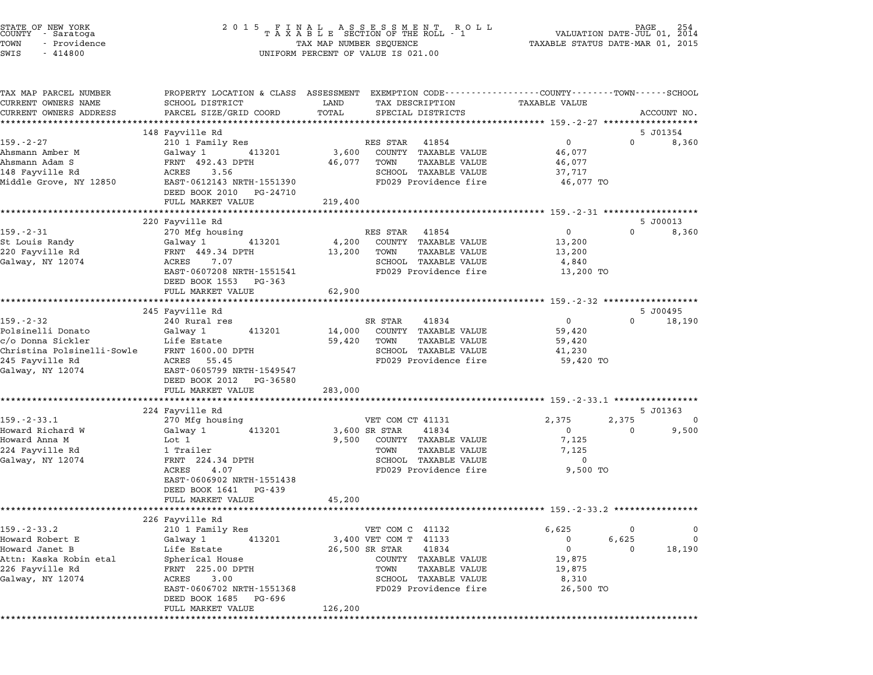| STATE OF NEW YORK<br>COUNTY<br>- Saratoga     | 2 0 1 5                                                                                        |                         | FINAL ASSESSMENT RO<br>TAXABLE SECTION OF THE ROLL - 1<br>R O L L |                                  | PAGE<br>VALUATION DATE-JUL 01, 2014 | 254               |
|-----------------------------------------------|------------------------------------------------------------------------------------------------|-------------------------|-------------------------------------------------------------------|----------------------------------|-------------------------------------|-------------------|
| TOWN<br>- Providence                          |                                                                                                | TAX MAP NUMBER SEQUENCE |                                                                   | TAXABLE STATUS DATE-MAR 01, 2015 |                                     |                   |
| SWIS<br>$-414800$                             |                                                                                                |                         | UNIFORM PERCENT OF VALUE IS 021.00                                |                                  |                                     |                   |
| TAX MAP PARCEL NUMBER                         | PROPERTY LOCATION & CLASS ASSESSMENT EXEMPTION CODE---------------COUNTY-------TOWN-----SCHOOL |                         |                                                                   |                                  |                                     |                   |
| CURRENT OWNERS NAME<br>CURRENT OWNERS ADDRESS | SCHOOL DISTRICT<br>PARCEL SIZE/GRID COORD                                                      | LAND<br>TOTAL           | TAX DESCRIPTION<br>SPECIAL DISTRICTS                              | TAXABLE VALUE                    |                                     | ACCOUNT NO.       |
|                                               |                                                                                                |                         |                                                                   |                                  |                                     |                   |
|                                               | 148 Fayville Rd                                                                                |                         |                                                                   |                                  |                                     | 5 J01354          |
| $159. - 2 - 27$                               | 210 1 Family Res                                                                               |                         | RES STAR<br>41854                                                 | 0                                | $\Omega$                            | 8,360             |
| Ahsmann Amber M                               | Galway 1<br>413201                                                                             | 3,600                   | COUNTY TAXABLE VALUE                                              | 46,077                           |                                     |                   |
| Ahsmann Adam S                                | FRNT 492.43 DPTH                                                                               | 46,077                  | TAXABLE VALUE<br>TOWN                                             | 46,077                           |                                     |                   |
| 148 Fayville Rd                               | ACRES<br>3.56                                                                                  |                         | SCHOOL TAXABLE VALUE                                              | 37,717                           |                                     |                   |
| Middle Grove, NY 12850                        | EAST-0612143 NRTH-1551390<br>DEED BOOK 2010<br>PG-24710                                        |                         | FD029 Providence fire                                             | 46,077 TO                        |                                     |                   |
|                                               | FULL MARKET VALUE                                                                              | 219,400                 |                                                                   |                                  |                                     |                   |
|                                               | *************************                                                                      |                         | *********************************** 159.-2-31 ******************* |                                  |                                     |                   |
| 159.-2-31                                     | 220 Fayville Rd                                                                                |                         | RES STAR<br>41854                                                 | 0                                | $\mathbf{0}$                        | 5 J00013<br>8,360 |
| St Louis Randy                                | 270 Mfg housing<br>413201<br>Galway 1                                                          | 4,200                   | COUNTY TAXABLE VALUE                                              | 13,200                           |                                     |                   |
| 220 Fayville Rd                               | FRNT 449.34 DPTH                                                                               | 13,200                  | <b>TAXABLE VALUE</b><br>TOWN                                      | 13,200                           |                                     |                   |
| Galway, NY 12074                              | ACRES<br>7.07                                                                                  |                         | SCHOOL TAXABLE VALUE                                              | 4,840                            |                                     |                   |
|                                               | EAST-0607208 NRTH-1551541                                                                      |                         | FD029 Providence fire                                             | 13,200 TO                        |                                     |                   |
|                                               | DEED BOOK 1553<br>PG-363                                                                       |                         |                                                                   |                                  |                                     |                   |
|                                               | FULL MARKET VALUE                                                                              | 62,900                  |                                                                   |                                  |                                     |                   |
|                                               |                                                                                                |                         |                                                                   |                                  |                                     |                   |
|                                               | 245 Fayville Rd                                                                                |                         |                                                                   |                                  |                                     | 5 J00495          |
| $159. - 2 - 32$                               | 240 Rural res                                                                                  |                         | SR STAR<br>41834                                                  | 0                                | $\Omega$                            | 18,190            |
| Polsinelli Donato                             | Galway 1<br>413201                                                                             | 14,000                  | COUNTY TAXABLE VALUE                                              | 59,420                           |                                     |                   |
| c/o Donna Sickler                             | Life Estate                                                                                    | 59,420                  | TAXABLE VALUE<br>TOWN                                             | 59,420                           |                                     |                   |
| Christina Polsinelli-Sowle                    | FRNT 1600.00 DPTH                                                                              |                         | SCHOOL TAXABLE VALUE                                              | 41,230                           |                                     |                   |
| 245 Fayville Rd                               | ACRES<br>55.45                                                                                 |                         | FD029 Providence fire                                             | 59,420 TO                        |                                     |                   |
| Galway, NY 12074                              | EAST-0605799 NRTH-1549547<br>DEED BOOK 2012<br>PG-36580                                        |                         |                                                                   |                                  |                                     |                   |
|                                               | FULL MARKET VALUE                                                                              | 283,000                 |                                                                   |                                  |                                     |                   |
|                                               |                                                                                                |                         |                                                                   |                                  |                                     |                   |
|                                               | 224 Fayville Rd                                                                                |                         |                                                                   |                                  |                                     | 5 J01363          |
| $159. - 2 - 33.1$                             | 270 Mfg housing                                                                                |                         | VET COM CT 41131                                                  | 2,375                            | 2,375                               | 0                 |
| Howard Richard W                              | Galway 1<br>413201                                                                             |                         | 41834<br>3,600 SR STAR                                            | $\mathbf 0$                      | 0                                   | 9,500             |
| Howard Anna M                                 | Lot 1                                                                                          | 9,500                   | COUNTY TAXABLE VALUE                                              | 7,125                            |                                     |                   |
| 224 Fayville Rd                               | 1 Trailer                                                                                      |                         | TAXABLE VALUE<br>TOWN                                             | 7,125                            |                                     |                   |
| Galway, NY 12074                              | FRNT 224.34 DPTH                                                                               |                         | SCHOOL TAXABLE VALUE                                              | 0                                |                                     |                   |
|                                               | ACRES<br>4.07                                                                                  |                         | FD029 Providence fire                                             | 9,500 TO                         |                                     |                   |
|                                               | EAST-0606902 NRTH-1551438                                                                      |                         |                                                                   |                                  |                                     |                   |
|                                               | DEED BOOK 1641<br>PG-439                                                                       |                         |                                                                   |                                  |                                     |                   |
|                                               | FULL MARKET VALUE                                                                              | 45,200                  |                                                                   |                                  |                                     |                   |
|                                               |                                                                                                |                         |                                                                   |                                  |                                     |                   |
|                                               | 226 Fayville Rd                                                                                |                         |                                                                   |                                  |                                     |                   |
| 159. - 2 - 33. 2<br>Howard Robert E           | 210 1 Family Res                                                                               |                         | VET COM C 41132                                                   | 6,625<br>0                       | 0<br>6,625                          | 0<br>0            |
| Howard Janet B                                | Galway 1<br>413201<br>Life Estate                                                              |                         | 3,400 VET COM T 41133<br>26,500 SR STAR<br>41834                  | 0                                | 0                                   | 18,190            |
| Attn: Kaska Robin etal                        | Spherical House                                                                                |                         | COUNTY TAXABLE VALUE                                              | 19,875                           |                                     |                   |
| 226 Fayville Rd                               | FRNT 225.00 DPTH                                                                               |                         | TOWN<br><b>TAXABLE VALUE</b>                                      | 19,875                           |                                     |                   |
| Galway, NY 12074                              | ACRES<br>3.00                                                                                  |                         | SCHOOL TAXABLE VALUE                                              | 8,310                            |                                     |                   |
|                                               | EAST-0606702 NRTH-1551368                                                                      |                         | FD029 Providence fire                                             | 26,500 TO                        |                                     |                   |
|                                               | DEED BOOK 1685<br>PG-696                                                                       |                         |                                                                   |                                  |                                     |                   |
|                                               | FULL MARKET VALUE                                                                              | 126,200                 |                                                                   |                                  |                                     |                   |
| *********                                     |                                                                                                |                         |                                                                   |                                  |                                     |                   |

STATE OF NEW YORK <sup>2</sup> <sup>0</sup> <sup>1</sup> 5 F I N A L A S S E S S M E N T R O L L PAGE <sup>254</sup> COUNTY - Saratoga <sup>T</sup> <sup>A</sup> <sup>X</sup> <sup>A</sup> <sup>B</sup> <sup>L</sup> <sup>E</sup> SECTION OF THE ROLL - <sup>1</sup> VALUATION DATE-JUL 01, <sup>2014</sup>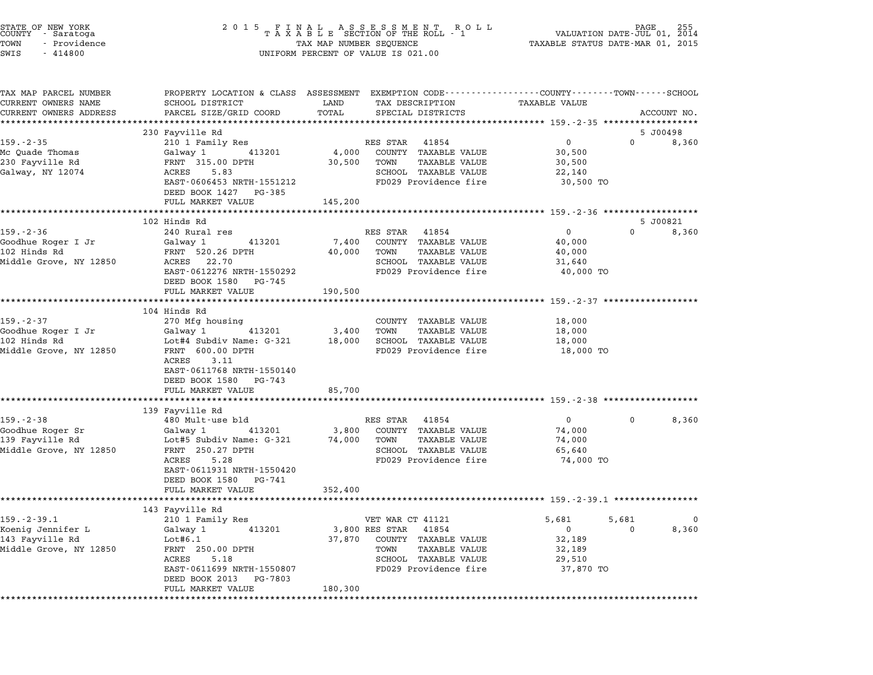| STATE OF NEW YORK<br>COUNTY - Saratoga<br>TOWN<br>- Providence<br>SWIS<br>$-414800$ | 2 0 1 5<br>FINAL ASSESSMENT RO<br>TAXABLE SECTION OF THE ROLL - 1<br>TAX MAP NUMBER SEQUENCE<br>UNIFORM PERCENT OF VALUE IS 021.00 | VALUATION DATE-JUL 01, 2014<br>TAXABLE STATUS DATE-MAR 01, 2015 |                                        |                                                               |          |             |
|-------------------------------------------------------------------------------------|------------------------------------------------------------------------------------------------------------------------------------|-----------------------------------------------------------------|----------------------------------------|---------------------------------------------------------------|----------|-------------|
| TAX MAP PARCEL NUMBER<br>CURRENT OWNERS NAME                                        | PROPERTY LOCATION & CLASS ASSESSMENT EXEMPTION CODE---------------COUNTY-------TOWN-----SCHOOL<br>SCHOOL DISTRICT                  | LAND                                                            | TAX DESCRIPTION                        | TAXABLE VALUE                                                 |          |             |
| CURRENT OWNERS ADDRESS                                                              | PARCEL SIZE/GRID COORD                                                                                                             | TOTAL                                                           | SPECIAL DISTRICTS                      |                                                               |          | ACCOUNT NO. |
|                                                                                     | ***********************************                                                                                                |                                                                 |                                        | ****************** 159 <sub>•</sub> -2-35 ******************* |          |             |
|                                                                                     | 230 Fayville Rd                                                                                                                    |                                                                 |                                        |                                                               |          | 5 J00498    |
| $159. - 2 - 35$<br>Mc Ouade Thomas                                                  | 210 1 Family Res<br>Galway 1 413201                                                                                                | 4,000                                                           | RES STAR 41854<br>COUNTY TAXABLE VALUE | $\mathbf 0$<br>30,500                                         |          | 0 8,360     |
| 230 Fayville Rd                                                                     | FRNT 315.00 DPTH                                                                                                                   | 30,500                                                          | TOWN<br>TAXABLE VALUE                  | 30,500                                                        |          |             |
| Galway, NY 12074                                                                    | ACRES<br>5.83                                                                                                                      |                                                                 | SCHOOL TAXABLE VALUE                   | 22,140                                                        |          |             |
|                                                                                     | EAST-0606453 NRTH-1551212                                                                                                          |                                                                 | FD029 Providence fire                  | 30,500 TO                                                     |          |             |
|                                                                                     | DEED BOOK 1427 PG-385                                                                                                              |                                                                 |                                        |                                                               |          |             |
|                                                                                     | FULL MARKET VALUE                                                                                                                  | 145,200                                                         |                                        |                                                               |          |             |
|                                                                                     | *********************                                                                                                              |                                                                 |                                        |                                                               |          | 5 J00821    |
| $159. - 2 - 36$                                                                     | 102 Hinds Rd<br>240 Rural res                                                                                                      |                                                                 | RES STAR 41854                         | $\overline{0}$                                                | $\Omega$ | 8,360       |
| Goodhue Roger I Jr                                                                  | Galway 1 413201                                                                                                                    | 7,400                                                           | COUNTY TAXABLE VALUE                   | 40,000                                                        |          |             |
| 102 Hinds Rd                                                                        | FRNT 520.26 DPTH                                                                                                                   | 40,000                                                          | TOWN<br>TAXABLE VALUE                  | 40,000                                                        |          |             |
| Middle Grove, NY 12850                                                              | ACRES 22.70                                                                                                                        |                                                                 | SCHOOL TAXABLE VALUE                   | 31,640                                                        |          |             |
|                                                                                     | EAST-0612276 NRTH-1550292<br>DEED BOOK 1580 PG-745                                                                                 |                                                                 | FD029 Providence fire                  | 40,000 TO                                                     |          |             |
|                                                                                     | FULL MARKET VALUE                                                                                                                  | 190,500                                                         |                                        |                                                               |          |             |
|                                                                                     | **********************                                                                                                             |                                                                 |                                        | ************************ 159.-2-37 *******************        |          |             |
| $159. - 2 - 37$                                                                     | 104 Hinds Rd<br>270 Mfg housing                                                                                                    |                                                                 | COUNTY TAXABLE VALUE                   | 18,000                                                        |          |             |
| Goodhue Roger I Jr                                                                  | 413201<br>Galway 1                                                                                                                 | 3,400                                                           | TOWN<br>TAXABLE VALUE                  | 18,000                                                        |          |             |
| 102 Hinds Rd                                                                        | Lot#4 Subdiv Name: G-321                                                                                                           |                                                                 | 18,000 SCHOOL TAXABLE VALUE            | 18,000                                                        |          |             |
| Middle Grove, NY 12850                                                              | FRNT 600.00 DPTH<br>3.11<br>ACRES                                                                                                  |                                                                 | FD029 Providence fire                  | 18,000 TO                                                     |          |             |
|                                                                                     | EAST-0611768 NRTH-1550140<br>DEED BOOK 1580 PG-743                                                                                 |                                                                 |                                        |                                                               |          |             |
|                                                                                     | FULL MARKET VALUE                                                                                                                  | 85,700                                                          |                                        |                                                               |          |             |
|                                                                                     | 139 Fayville Rd                                                                                                                    |                                                                 |                                        |                                                               |          |             |
| $159. - 2 - 38$                                                                     | 480 Mult-use bld                                                                                                                   |                                                                 | RES STAR 41854                         | $\overline{0}$                                                | $\Omega$ | 8,360       |
| Goodhue Roger Sr                                                                    | Galway 1 413201                                                                                                                    | 3,800                                                           | COUNTY TAXABLE VALUE                   | 74,000                                                        |          |             |
| 139 Fayville Rd                                                                     | Lot#5 Subdiv Name: G-321                                                                                                           |                                                                 | 74,000 TOWN<br>TAXABLE VALUE           | 74,000                                                        |          |             |
| Middle Grove, NY 12850                                                              | FRNT 250.27 DPTH                                                                                                                   |                                                                 | SCHOOL TAXABLE VALUE                   | 65,640                                                        |          |             |
|                                                                                     | ACRES<br>5.28                                                                                                                      |                                                                 | FD029 Providence fire                  | 74,000 TO                                                     |          |             |
|                                                                                     | EAST-0611931 NRTH-1550420<br>DEED BOOK 1580 PG-741                                                                                 |                                                                 |                                        |                                                               |          |             |
|                                                                                     | FULL MARKET VALUE<br>**********                                                                                                    | 352,400                                                         |                                        | ******** 159.-2-39.1 **********                               |          |             |
|                                                                                     | 143 Fayville Rd                                                                                                                    |                                                                 |                                        |                                                               |          |             |
| $159. - 2 - 39.1$                                                                   | 210 1 Family Res                                                                                                                   |                                                                 | VET WAR CT 41121                       | 5,681                                                         | 5,681    | $\Omega$    |
| Koenig Jennifer L                                                                   | Galway 1<br>413201                                                                                                                 |                                                                 | 3,800 RES STAR 41854                   | $\overline{0}$                                                | 0        | 8,360       |
| 143 Fayville Rd                                                                     | Lot#6.1                                                                                                                            | 37,870                                                          | COUNTY TAXABLE VALUE                   | 32,189                                                        |          |             |
| Middle Grove, NY 12850                                                              | FRNT 250.00 DPTH                                                                                                                   |                                                                 | TOWN<br>TAXABLE VALUE                  | 32,189                                                        |          |             |
|                                                                                     | 5.18<br>ACRES                                                                                                                      |                                                                 | SCHOOL TAXABLE VALUE                   | 29,510                                                        |          |             |
|                                                                                     | EAST-0611699 NRTH-1550807<br>DEED BOOK 2013 PG-7803                                                                                |                                                                 | FD029 Providence fire                  | 37,870 TO                                                     |          |             |
|                                                                                     | FULL MARKET VALUE                                                                                                                  | 180,300<br>*******************                                  |                                        |                                                               |          |             |

STATE OF NEW YORK <sup>2</sup> <sup>0</sup> <sup>1</sup> 5 F I N A L A S S E S S M E N T R O L L PAGE <sup>255</sup> COUNTY - Saratoga <sup>T</sup> <sup>A</sup> <sup>X</sup> <sup>A</sup> <sup>B</sup> <sup>L</sup> <sup>E</sup> SECTION OF THE ROLL - <sup>1</sup> VALUATION DATE-JUL 01, <sup>2014</sup>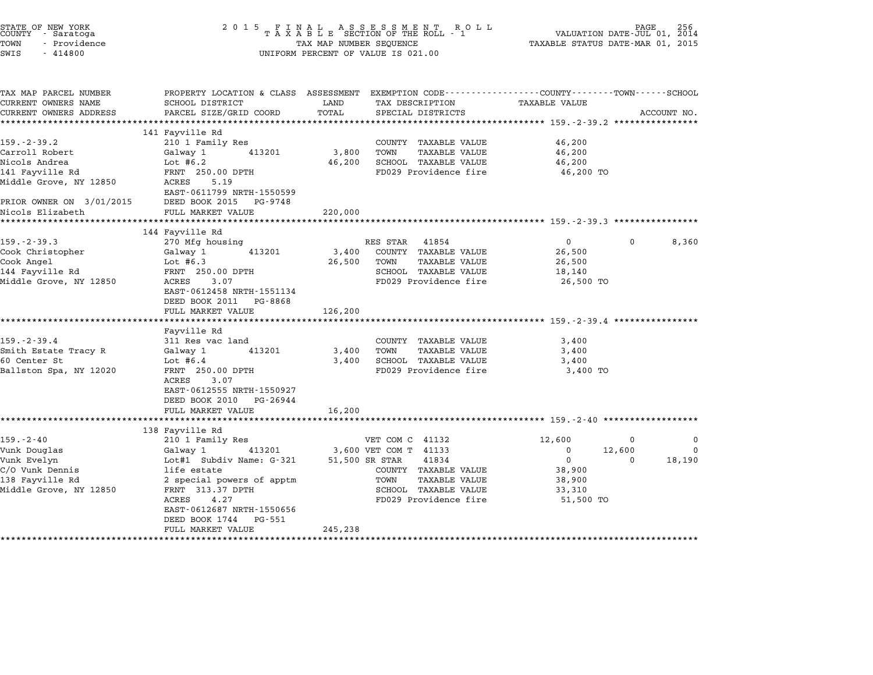| STATE OF NEW YORK<br>COUNTY<br>- Saratoga<br>- Providence<br>TOWN<br>SWIS<br>$-414800$                                                            | 2 0 1 5                                                                                                                                                                                     | TAX MAP NUMBER SEQUENCE    | FINAL ASSESSMENT ROLL<br>TAXABLE SECTION OF THE ROLL - 1<br>UNIFORM PERCENT OF VALUE IS 021.00                             | VALUATION DATE-JUL 01, $\frac{2014}{2015}$<br>TAXABLE STATUS DATE-MAR 01, 2015 |             |
|---------------------------------------------------------------------------------------------------------------------------------------------------|---------------------------------------------------------------------------------------------------------------------------------------------------------------------------------------------|----------------------------|----------------------------------------------------------------------------------------------------------------------------|--------------------------------------------------------------------------------|-------------|
| TAX MAP PARCEL NUMBER<br>CURRENT OWNERS NAME<br>CURRENT OWNERS ADDRESS                                                                            | PROPERTY LOCATION & CLASS ASSESSMENT EXEMPTION CODE---------------COUNTY-------TOWN------SCHOOL<br>SCHOOL DISTRICT<br>PARCEL SIZE/GRID COORD                                                | LAND<br>TOTAL              | TAX DESCRIPTION<br>SPECIAL DISTRICTS                                                                                       | <b>TAXABLE VALUE</b>                                                           | ACCOUNT NO. |
| $159. - 2 - 39.2$<br>Carroll Robert<br>Nicols Andrea<br>141 Fayville Rd<br>Middle Grove, NY 12850<br>PRIOR OWNER ON 3/01/2015<br>Nicols Elizabeth | 141 Fayville Rd<br>210 1 Family Res<br>Galway 1<br>413201<br>Lot $#6.2$<br>FRNT 250.00 DPTH<br>ACRES<br>5.19<br>EAST-0611799 NRTH-1550599<br>DEED BOOK 2015<br>PG-9748<br>FULL MARKET VALUE | 3,800<br>46,200<br>220,000 | COUNTY TAXABLE VALUE<br>TOWN<br><b>TAXABLE VALUE</b><br>SCHOOL TAXABLE VALUE<br>FD029 Providence fire                      | 46,200<br>46,200<br>46,200<br>46,200 TO                                        |             |
| $159. - 2 - 39.3$<br>Cook Christopher<br>Cook Angel<br>144 Fayville Rd<br>Middle Grove, NY 12850                                                  | 144 Fayville Rd<br>270 Mfg housing<br>Galway 1<br>413201<br>Lot $#6.3$<br>FRNT 250.00 DPTH<br>3.07<br>ACRES<br>EAST-0612458 NRTH-1551134<br>DEED BOOK 2011 PG-8868<br>FULL MARKET VALUE     | 3,400<br>26,500<br>126,200 | 41854<br>RES STAR<br>COUNTY TAXABLE VALUE<br>TOWN<br><b>TAXABLE VALUE</b><br>SCHOOL TAXABLE VALUE<br>FD029 Providence fire | $\overline{0}$<br>$\Omega$<br>26,500<br>26,500<br>18,140<br>26,500 TO          | 8,360       |
| $159. - 2 - 39.4$<br>Smith Estate Tracy R<br>60 Center St<br>Ballston Spa, NY 12020                                                               | Fayville Rd<br>311 Res vac land<br>Galway 1<br>413201<br>Lot $#6.4$<br>FRNT 250.00 DPTH<br>3.07<br>ACRES<br>EAST-0612555 NRTH-1550927<br>DEED BOOK 2010 PG-26944                            | 3,400<br>3,400             | COUNTY TAXABLE VALUE<br><b>TAXABLE VALUE</b><br>TOWN<br>SCHOOL TAXABLE VALUE<br>FD029 Providence fire                      | 3,400<br>3,400<br>3,400<br>3,400 TO                                            |             |

|                        | DEED BOOK 2010 PG-26944   |                         |                        |              |
|------------------------|---------------------------|-------------------------|------------------------|--------------|
|                        | FULL MARKET VALUE         | 16,200                  |                        |              |
|                        |                           |                         |                        |              |
|                        | 138 Fayville Rd           |                         |                        |              |
| $159. - 2 - 40$        | 210 1 Family Res          | VET COM C 41132         | 12,600                 | $\mathbf{0}$ |
| Vunk Douglas           | Galway 1<br>413201        | 3,600 VET COM T 41133   | 12,600<br>$\mathbf{0}$ | $\mathbf 0$  |
| Vunk Evelyn            | Lot#1 Subdiv Name: G-321  | 41834<br>51,500 SR STAR | $\Omega$               | 18,190       |
| C/O Vunk Dennis        | life estate               | TAXABLE VALUE<br>COUNTY | 38,900                 |              |
| 138 Fayville Rd        | 2 special powers of apptm | TOWN<br>TAXABLE VALUE   | 38,900                 |              |
| Middle Grove, NY 12850 | FRNT 313.37 DPTH          | SCHOOL<br>TAXABLE VALUE | 33,310                 |              |
|                        | 4.27<br>ACRES             | FD029 Providence fire   | 51,500 TO              |              |
|                        | EAST-0612687 NRTH-1550656 |                         |                        |              |
|                        | DEED BOOK 1744 PG-551     |                         |                        |              |
|                        | FULL MARKET VALUE         | 245,238                 |                        |              |
|                        |                           |                         |                        |              |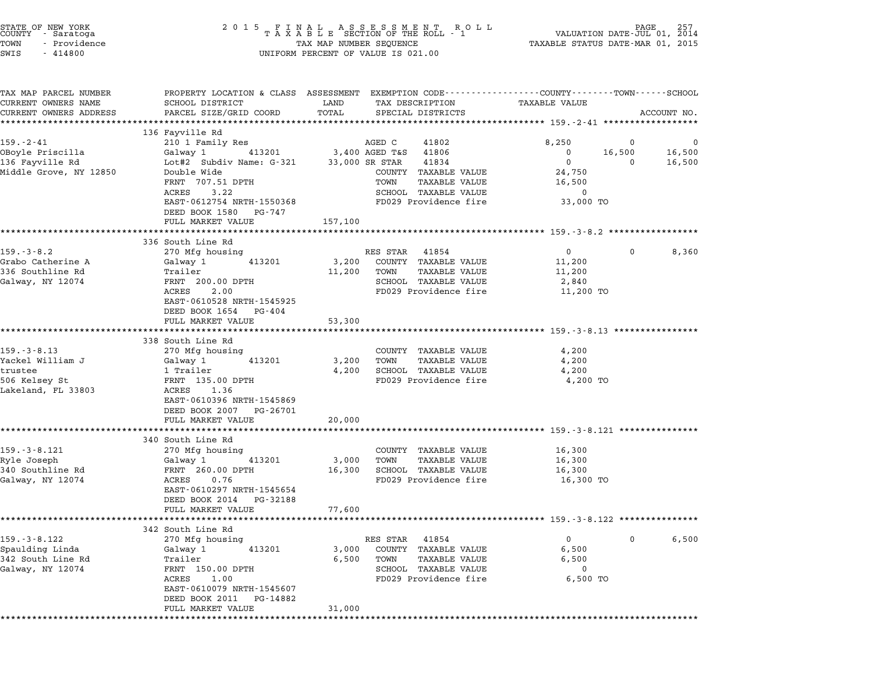| STATE OF NEW YORK<br>COUNTY - Saratoga<br>TOWN<br>- Providence<br>$-414800$<br>SWIS | 2015 FINAL ASSESSMENT ROLL<br>TAXABLE SECTION OF THE ROLL - 1<br>TAX MAP NUMBER SEQUENCE<br>UNIFORM PERCENT OF VALUE IS 021.00 | 257<br>VALUATION DATE-JUL 01, 2014<br>TAXABLE STATUS DATE-MAR 01, 2015 |                                                                                                                                 |  |
|-------------------------------------------------------------------------------------|--------------------------------------------------------------------------------------------------------------------------------|------------------------------------------------------------------------|---------------------------------------------------------------------------------------------------------------------------------|--|
| TAX MAP PARCEL NUMBER<br>CURRENT OWNERS NAME<br>CURRENT OWNERS ADDRESS              | SCHOOL DISTRICT<br>PARCEL SIZE/GRID COORD                                                                                      | LAND<br>TAX DESCRIPTION<br>TOTAL<br>SPECIAL DISTRICTS                  | PROPERTY LOCATION & CLASS ASSESSMENT EXEMPTION CODE---------------COUNTY-------TOWN------SCHOOL<br>TAXABLE VALUE<br>ACCOUNT NO. |  |
|                                                                                     |                                                                                                                                |                                                                        |                                                                                                                                 |  |
|                                                                                     | 136 Fayville Rd                                                                                                                |                                                                        |                                                                                                                                 |  |
| $159. - 2 - 41$                                                                     | 210 1 Family Res                                                                                                               | AGED C<br>41802                                                        | 8,250<br>0<br>$\mathbf{0}$                                                                                                      |  |
| OBoyle Priscilla                                                                    | Galway 1<br>413201                                                                                                             | 3,400 AGED T&S 41806                                                   | 16,500<br>$\mathbf{0}$<br>16,500                                                                                                |  |
| 136 Fayville Rd<br>Middle Grove, NY 12850                                           | Lot#2 Subdiv Name: G-321<br>Double Wide                                                                                        | 33,000 SR STAR<br>41834<br>COUNTY TAXABLE VALUE                        | $\mathbf{0}$<br>16,500<br>0                                                                                                     |  |
|                                                                                     | FRNT 707.51 DPTH                                                                                                               | TOWN<br>TAXABLE VALUE                                                  | 24,750<br>16,500                                                                                                                |  |
|                                                                                     | 3.22<br>ACRES                                                                                                                  | SCHOOL TAXABLE VALUE                                                   | 0                                                                                                                               |  |
|                                                                                     | EAST-0612754 NRTH-1550368                                                                                                      | FD029 Providence fire                                                  | 33,000 TO                                                                                                                       |  |
|                                                                                     | DEED BOOK 1580 PG-747                                                                                                          |                                                                        |                                                                                                                                 |  |
|                                                                                     | FULL MARKET VALUE                                                                                                              | 157,100                                                                |                                                                                                                                 |  |
|                                                                                     |                                                                                                                                |                                                                        |                                                                                                                                 |  |
|                                                                                     | 336 South Line Rd                                                                                                              |                                                                        |                                                                                                                                 |  |
| 159.-3-8.2                                                                          | 270 Mfg housing                                                                                                                | RES STAR 41854                                                         | $\overline{0}$<br>$\mathbf{0}$<br>8,360                                                                                         |  |
| Grabo Catherine A                                                                   | 413201<br>Galway 1                                                                                                             | 3,200<br>COUNTY TAXABLE VALUE                                          | 11,200                                                                                                                          |  |
| 336 Southline Rd                                                                    | Trailer                                                                                                                        | 11,200<br>TAXABLE VALUE<br>TOWN                                        | 11,200                                                                                                                          |  |
| Galway, NY 12074                                                                    | FRNT 200.00 DPTH                                                                                                               | SCHOOL TAXABLE VALUE                                                   | 2,840                                                                                                                           |  |
|                                                                                     | ACRES<br>2.00<br>EAST-0610528 NRTH-1545925                                                                                     | FD029 Providence fire                                                  | 11,200 TO                                                                                                                       |  |
|                                                                                     | DEED BOOK 1654 PG-404                                                                                                          |                                                                        |                                                                                                                                 |  |
|                                                                                     | FULL MARKET VALUE                                                                                                              | 53,300                                                                 |                                                                                                                                 |  |
|                                                                                     |                                                                                                                                |                                                                        |                                                                                                                                 |  |
|                                                                                     | 338 South Line Rd                                                                                                              |                                                                        |                                                                                                                                 |  |
| $159. - 3 - 8.13$                                                                   | 270 Mfg housing                                                                                                                | COUNTY TAXABLE VALUE                                                   | 4,200                                                                                                                           |  |
| Yackel William J                                                                    | 413201<br>Galway 1                                                                                                             | 3,200<br>TOWN<br>TAXABLE VALUE                                         | 4,200                                                                                                                           |  |
| trustee                                                                             | 1 Trailer                                                                                                                      | 4,200<br>SCHOOL TAXABLE VALUE                                          | 4,200                                                                                                                           |  |
| 506 Kelsey St                                                                       | FRNT 135.00 DPTH                                                                                                               | FD029 Providence fire                                                  | 4,200 TO                                                                                                                        |  |
| Lakeland, FL 33803                                                                  | ACRES<br>1.36                                                                                                                  |                                                                        |                                                                                                                                 |  |
|                                                                                     | EAST-0610396 NRTH-1545869                                                                                                      |                                                                        |                                                                                                                                 |  |
|                                                                                     | DEED BOOK 2007 PG-26701                                                                                                        | 20,000                                                                 |                                                                                                                                 |  |
|                                                                                     | FULL MARKET VALUE                                                                                                              |                                                                        |                                                                                                                                 |  |
|                                                                                     | 340 South Line Rd                                                                                                              |                                                                        |                                                                                                                                 |  |
| 159. - 3 - 8.121                                                                    | 270 Mfg housing                                                                                                                | COUNTY TAXABLE VALUE                                                   | 16,300                                                                                                                          |  |
| Ryle Joseph                                                                         | 413201<br>Galway 1                                                                                                             | 3,000<br>TOWN<br>TAXABLE VALUE                                         | 16,300                                                                                                                          |  |
| 340 Southline Rd                                                                    | FRNT 260.00 DPTH                                                                                                               | 16,300<br>SCHOOL TAXABLE VALUE                                         | 16,300                                                                                                                          |  |
| Galway, NY 12074                                                                    | ACRES<br>0.76                                                                                                                  | FD029 Providence fire                                                  | 16,300 TO                                                                                                                       |  |
|                                                                                     | EAST-0610297 NRTH-1545654                                                                                                      |                                                                        |                                                                                                                                 |  |
|                                                                                     | DEED BOOK 2014<br>PG-32188                                                                                                     |                                                                        |                                                                                                                                 |  |
|                                                                                     | FULL MARKET VALUE                                                                                                              | 77,600                                                                 |                                                                                                                                 |  |
|                                                                                     |                                                                                                                                |                                                                        |                                                                                                                                 |  |
|                                                                                     | 342 South Line Rd                                                                                                              |                                                                        |                                                                                                                                 |  |
| $159. - 3 - 8.122$                                                                  | 270 Mfg housing                                                                                                                | 41854<br>RES STAR                                                      | $\mathbf{0}$<br>6,500<br>0                                                                                                      |  |
| Spaulding Linda<br>342 South Line Rd                                                | Galway 1<br>413201<br>Trailer                                                                                                  | COUNTY TAXABLE VALUE<br>3,000<br>6,500<br>TOWN<br>TAXABLE VALUE        | 6,500<br>6,500                                                                                                                  |  |
| Galway, NY 12074                                                                    | FRNT 150.00 DPTH                                                                                                               | SCHOOL TAXABLE VALUE                                                   | 0                                                                                                                               |  |
|                                                                                     | ACRES<br>1.00                                                                                                                  | FD029 Providence fire                                                  | 6,500 TO                                                                                                                        |  |
|                                                                                     | EAST-0610079 NRTH-1545607                                                                                                      |                                                                        |                                                                                                                                 |  |
|                                                                                     | DEED BOOK 2011<br>PG-14882                                                                                                     |                                                                        |                                                                                                                                 |  |
|                                                                                     | FULL MARKET VALUE                                                                                                              | 31,000                                                                 |                                                                                                                                 |  |
|                                                                                     |                                                                                                                                |                                                                        |                                                                                                                                 |  |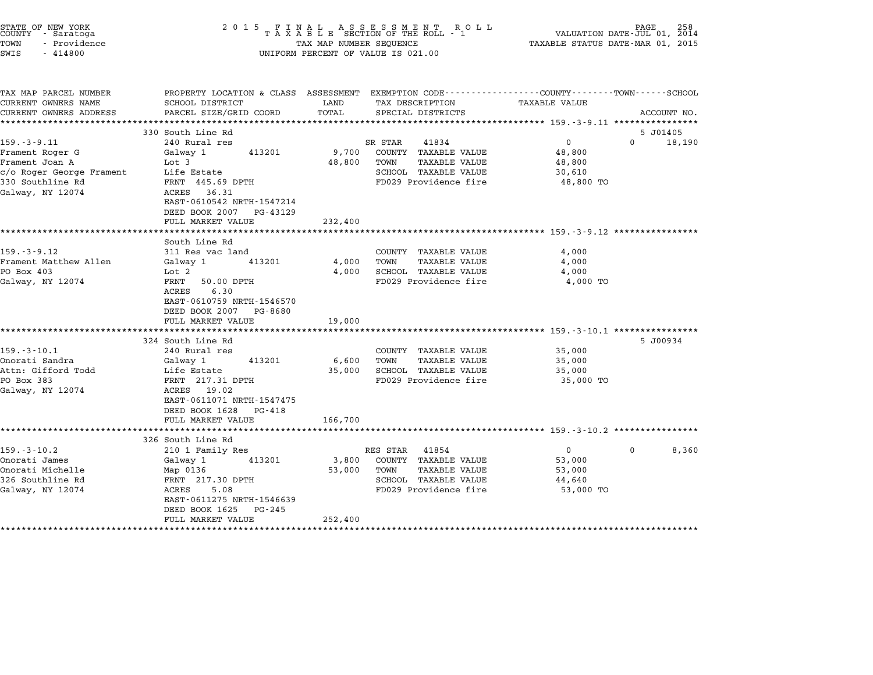| STATE OF NEW YORK<br>COUNTY - Saratoga<br>TOWN<br>- Providence<br>SWIS<br>$-414800$ | 2 0 1 5<br>FINAL ASSESSMENT ROLL<br>TAXABLE SECTION OF THE ROLL - 1<br>TAX MAP NUMBER SEQUENCE<br>UNIFORM PERCENT OF VALUE IS 021.00 | VALUATION DATE-JUL 01,<br>TAXABLE STATUS DATE-MAR 01, 2015 | PAGE<br>258<br>2014                                                                                               |                     |                    |
|-------------------------------------------------------------------------------------|--------------------------------------------------------------------------------------------------------------------------------------|------------------------------------------------------------|-------------------------------------------------------------------------------------------------------------------|---------------------|--------------------|
| TAX MAP PARCEL NUMBER<br>CURRENT OWNERS NAME                                        | SCHOOL DISTRICT                                                                                                                      | LAND                                                       | PROPERTY LOCATION & CLASS ASSESSMENT EXEMPTION CODE--------------COUNTY-------TOWN------SCHOOL<br>TAX DESCRIPTION | TAXABLE VALUE       |                    |
| CURRENT OWNERS ADDRESS                                                              | PARCEL SIZE/GRID COORD                                                                                                               | TOTAL                                                      | SPECIAL DISTRICTS                                                                                                 |                     | ACCOUNT NO.        |
| ***********************                                                             |                                                                                                                                      |                                                            |                                                                                                                   |                     |                    |
|                                                                                     | 330 South Line Rd                                                                                                                    |                                                            |                                                                                                                   |                     | 5 J01405           |
| $159. - 3 - 9.11$                                                                   | 240 Rural res                                                                                                                        |                                                            | 41834<br>SR STAR                                                                                                  | $\mathbf 0$         | $\Omega$<br>18,190 |
| Frament Roger G                                                                     | Galway 1<br>413201                                                                                                                   | 9,700                                                      | COUNTY TAXABLE VALUE                                                                                              | 48,800              |                    |
| Frament Joan A                                                                      | Lot 3                                                                                                                                | 48,800                                                     | <b>TAXABLE VALUE</b><br>TOWN                                                                                      | 48,800              |                    |
| c/o Roger George Frament                                                            | Life Estate                                                                                                                          |                                                            | SCHOOL TAXABLE VALUE                                                                                              | 30,610              |                    |
| 330 Southline Rd                                                                    | FRNT 445.69 DPTH                                                                                                                     |                                                            | FD029 Providence fire                                                                                             | 48,800 TO           |                    |
| Galway, NY 12074                                                                    | ACRES 36.31<br>EAST-0610542 NRTH-1547214                                                                                             |                                                            |                                                                                                                   |                     |                    |
|                                                                                     | DEED BOOK 2007<br>PG-43129                                                                                                           |                                                            |                                                                                                                   |                     |                    |
|                                                                                     | FULL MARKET VALUE                                                                                                                    | 232,400                                                    |                                                                                                                   |                     |                    |
|                                                                                     |                                                                                                                                      |                                                            |                                                                                                                   |                     |                    |
|                                                                                     | South Line Rd                                                                                                                        |                                                            |                                                                                                                   |                     |                    |
| 159.-3-9.12                                                                         | 311 Res vac land                                                                                                                     |                                                            | COUNTY TAXABLE VALUE                                                                                              | 4,000               |                    |
| Frament Matthew Allen                                                               | 413201<br>Galway 1                                                                                                                   | 4,000                                                      | TAXABLE VALUE<br>TOWN                                                                                             | 4,000               |                    |
| PO Box 403                                                                          | Lot <sub>2</sub>                                                                                                                     | 4,000                                                      | <b>SCHOOL TAXABLE VALUE</b>                                                                                       | 4,000               |                    |
| Galway, NY 12074                                                                    | FRNT<br>50.00 DPTH<br>6.30<br>ACRES<br>EAST-0610759 NRTH-1546570                                                                     |                                                            | FD029 Providence fire                                                                                             | 4,000 TO            |                    |
|                                                                                     | DEED BOOK 2007<br>PG-8680<br>FULL MARKET VALUE                                                                                       | 19,000                                                     |                                                                                                                   |                     |                    |
|                                                                                     |                                                                                                                                      |                                                            |                                                                                                                   |                     |                    |
|                                                                                     | 324 South Line Rd                                                                                                                    |                                                            |                                                                                                                   |                     | 5 J00934           |
| $159. - 3 - 10.1$<br>Onorati Sandra                                                 | 240 Rural res<br>413201<br>Galway 1                                                                                                  | 6,600                                                      | COUNTY TAXABLE VALUE<br>TOWN<br>TAXABLE VALUE                                                                     | 35,000<br>35,000    |                    |
| Attn: Gifford Todd                                                                  | Life Estate                                                                                                                          | 35,000                                                     | SCHOOL TAXABLE VALUE                                                                                              | 35,000              |                    |
| PO Box 383                                                                          | FRNT 217.31 DPTH                                                                                                                     |                                                            | FD029 Providence fire                                                                                             | 35,000 TO           |                    |
| Galway, NY 12074                                                                    | ACRES 19.02<br>EAST-0611071 NRTH-1547475                                                                                             |                                                            |                                                                                                                   |                     |                    |
|                                                                                     | DEED BOOK 1628<br>PG-418                                                                                                             |                                                            |                                                                                                                   |                     |                    |
|                                                                                     | FULL MARKET VALUE                                                                                                                    | 166,700                                                    |                                                                                                                   |                     |                    |
|                                                                                     |                                                                                                                                      |                                                            |                                                                                                                   |                     |                    |
|                                                                                     | 326 South Line Rd                                                                                                                    |                                                            |                                                                                                                   |                     |                    |
| $159. - 3 - 10.2$                                                                   | 210 1 Family Res                                                                                                                     |                                                            | RES STAR 41854                                                                                                    | $\overline{0}$      | 8,360<br>$\Omega$  |
| Onorati James                                                                       | Galway 1<br>413201                                                                                                                   | 3,800                                                      | COUNTY TAXABLE VALUE                                                                                              | 53,000              |                    |
| Onorati Michelle<br>326 Southline Rd                                                | Map 0136<br>FRNT 217.30 DPTH                                                                                                         | 53,000                                                     | <b>TAXABLE VALUE</b><br>TOWN<br>SCHOOL TAXABLE VALUE                                                              | 53,000              |                    |
| Galway, NY 12074                                                                    | ACRES<br>5.08                                                                                                                        |                                                            | FD029 Providence fire                                                                                             | 44,640<br>53,000 TO |                    |
|                                                                                     | EAST-0611275 NRTH-1546639                                                                                                            |                                                            |                                                                                                                   |                     |                    |
|                                                                                     | DEED BOOK 1625<br>PG-245<br>FULL MARKET VALUE                                                                                        | 252,400                                                    |                                                                                                                   |                     |                    |
|                                                                                     |                                                                                                                                      |                                                            |                                                                                                                   |                     |                    |

STATE OF NEW YORK <sup>2</sup> <sup>0</sup> <sup>1</sup> 5 F I N A L A S S E S S M E N T R O L L PAGE <sup>258</sup> COUNTY - Saratoga <sup>T</sup> <sup>A</sup> <sup>X</sup> <sup>A</sup> <sup>B</sup> <sup>L</sup> <sup>E</sup> SECTION OF THE ROLL - <sup>1</sup> VALUATION DATE-JUL 01, <sup>2014</sup>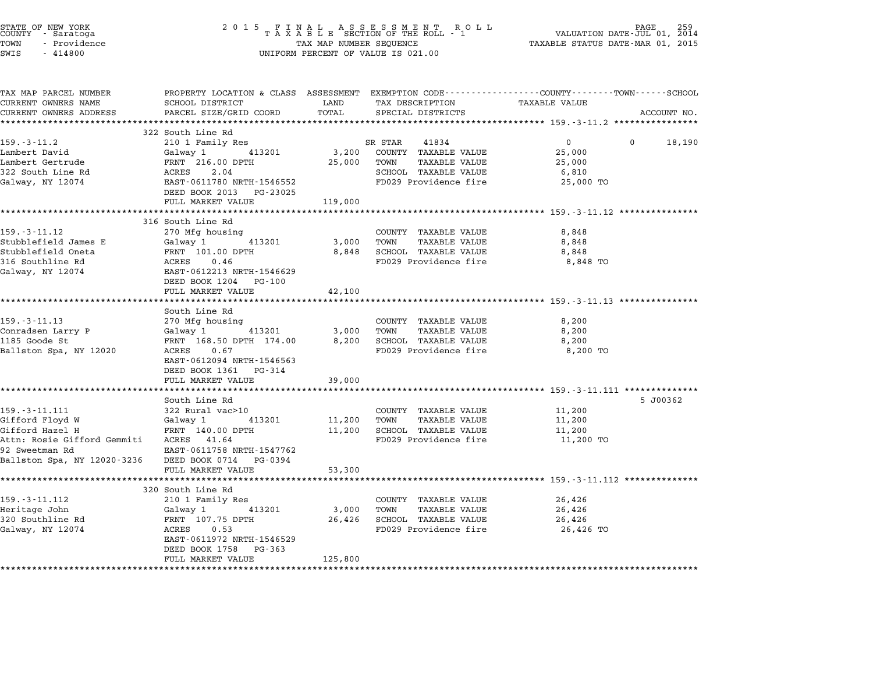| STATE OF NEW YORK<br>COUNTY<br>- Saratoga<br>TOWN<br>- Providence<br>SWIS<br>$-414800$ | 2 0 1 5<br>FINAL ASSESSMENT RO<br>TAXABLE SECTION OF THE ROLL - 1<br>TAX MAP NUMBER SEQUENCE<br>UNIFORM PERCENT OF VALUE IS 021.00 | PAGE<br>VALUATION DATE-JUL 01, 2014<br>TAXABLE STATUS DATE-MAR 01, 2015 |                                               |                                                                                                                 |             |
|----------------------------------------------------------------------------------------|------------------------------------------------------------------------------------------------------------------------------------|-------------------------------------------------------------------------|-----------------------------------------------|-----------------------------------------------------------------------------------------------------------------|-------------|
| TAX MAP PARCEL NUMBER<br>CURRENT OWNERS NAME                                           | SCHOOL DISTRICT                                                                                                                    | LAND                                                                    | TAX DESCRIPTION                               | PROPERTY LOCATION & CLASS ASSESSMENT EXEMPTION CODE---------------COUNTY-------TOWN-----SCHOOL<br>TAXABLE VALUE |             |
| CURRENT OWNERS ADDRESS                                                                 | PARCEL SIZE/GRID COORD                                                                                                             | TOTAL                                                                   | SPECIAL DISTRICTS                             |                                                                                                                 | ACCOUNT NO. |
|                                                                                        |                                                                                                                                    |                                                                         |                                               |                                                                                                                 |             |
|                                                                                        | 322 South Line Rd                                                                                                                  |                                                                         |                                               |                                                                                                                 |             |
| $159. - 3 - 11.2$                                                                      | 210 1 Family Res                                                                                                                   |                                                                         | 41834<br>SR STAR                              | 0<br>0                                                                                                          | 18,190      |
| Lambert David<br>Lambert Gertrude                                                      | Galway 1<br>413201<br>FRNT 216.00 DPTH                                                                                             | 3,200<br>25,000                                                         | COUNTY TAXABLE VALUE<br>TOWN<br>TAXABLE VALUE | 25,000<br>25,000                                                                                                |             |
| 322 South Line Rd                                                                      | ACRES<br>2.04                                                                                                                      |                                                                         | SCHOOL TAXABLE VALUE                          | 6,810                                                                                                           |             |
| Galway, NY 12074                                                                       | EAST-0611780 NRTH-1546552                                                                                                          |                                                                         | FD029 Providence fire                         | 25,000 TO                                                                                                       |             |
|                                                                                        | DEED BOOK 2013 PG-23025                                                                                                            |                                                                         |                                               |                                                                                                                 |             |
|                                                                                        | FULL MARKET VALUE                                                                                                                  | 119,000                                                                 |                                               |                                                                                                                 |             |
|                                                                                        | ***********************                                                                                                            |                                                                         |                                               | ********************** 159.-3-11.12 ************                                                                |             |
|                                                                                        | 316 South Line Rd                                                                                                                  |                                                                         |                                               |                                                                                                                 |             |
| 159. - 3 - 11.12                                                                       | 270 Mfg housing                                                                                                                    |                                                                         | COUNTY TAXABLE VALUE                          | 8,848                                                                                                           |             |
| Stubblefield James E                                                                   | 413201<br>Galway 1                                                                                                                 | 3,000                                                                   | TOWN<br><b>TAXABLE VALUE</b>                  | 8,848                                                                                                           |             |
| Stubblefield Oneta<br>316 Southline Rd                                                 | FRNT 101.00 DPTH<br>ACRES<br>0.46                                                                                                  | 8,848                                                                   | SCHOOL TAXABLE VALUE<br>FD029 Providence fire | 8,848<br>8,848 TO                                                                                               |             |
| Galway, NY 12074                                                                       | EAST-0612213 NRTH-1546629                                                                                                          |                                                                         |                                               |                                                                                                                 |             |
|                                                                                        | DEED BOOK 1204<br>PG-100                                                                                                           |                                                                         |                                               |                                                                                                                 |             |
|                                                                                        | FULL MARKET VALUE                                                                                                                  | 42,100                                                                  |                                               |                                                                                                                 |             |
|                                                                                        | *********************                                                                                                              |                                                                         |                                               | ****************************** 159.-3-11.13 ***************                                                     |             |
|                                                                                        | South Line Rd                                                                                                                      |                                                                         |                                               |                                                                                                                 |             |
| $159. - 3 - 11.13$                                                                     | 270 Mfg housing                                                                                                                    |                                                                         | COUNTY TAXABLE VALUE                          | 8,200                                                                                                           |             |
| Conradsen Larry P                                                                      | Galway 1<br>413201                                                                                                                 | 3,000                                                                   | TOWN<br><b>TAXABLE VALUE</b>                  | 8,200                                                                                                           |             |
| 1185 Goode St                                                                          | FRNT 168.50 DPTH 174.00<br>ACRES<br>0.67                                                                                           | 8,200                                                                   | SCHOOL TAXABLE VALUE<br>FD029 Providence fire | 8,200                                                                                                           |             |
| Ballston Spa, NY 12020                                                                 | EAST-0612094 NRTH-1546563                                                                                                          |                                                                         |                                               | 8,200 TO                                                                                                        |             |
|                                                                                        | DEED BOOK 1361 PG-314                                                                                                              |                                                                         |                                               |                                                                                                                 |             |
|                                                                                        | FULL MARKET VALUE                                                                                                                  | 39,000                                                                  |                                               |                                                                                                                 |             |
|                                                                                        |                                                                                                                                    |                                                                         |                                               |                                                                                                                 |             |
|                                                                                        | South Line Rd                                                                                                                      |                                                                         |                                               |                                                                                                                 | 5 J00362    |
| $159. - 3 - 11.111$                                                                    | 322 Rural vac>10                                                                                                                   |                                                                         | COUNTY TAXABLE VALUE                          | 11,200                                                                                                          |             |
| Gifford Floyd W                                                                        | 413201<br>Galway 1                                                                                                                 | 11,200                                                                  | TOWN<br>TAXABLE VALUE                         | 11,200                                                                                                          |             |
| Gifford Hazel H                                                                        | FRNT 140.00 DPTH                                                                                                                   | 11,200                                                                  | SCHOOL TAXABLE VALUE                          | 11,200                                                                                                          |             |
| Attn: Rosie Gifford Gemmiti                                                            | ACRES 41.64                                                                                                                        |                                                                         | FD029 Providence fire                         | 11,200 TO                                                                                                       |             |
| 92 Sweetman Rd<br>Ballston Spa, NY 12020-3236                                          | EAST-0611758 NRTH-1547762<br>DEED BOOK 0714<br>PG-0394                                                                             |                                                                         |                                               |                                                                                                                 |             |
|                                                                                        | FULL MARKET VALUE                                                                                                                  | 53,300                                                                  |                                               |                                                                                                                 |             |
|                                                                                        |                                                                                                                                    |                                                                         |                                               | *********** 159.-3-11.112 ********                                                                              |             |
|                                                                                        | 320 South Line Rd                                                                                                                  |                                                                         |                                               |                                                                                                                 |             |
| 159. - 3 - 11.112                                                                      | 210 1 Family Res                                                                                                                   |                                                                         | COUNTY TAXABLE VALUE                          | 26,426                                                                                                          |             |
| Heritage John                                                                          | Galway 1<br>413201                                                                                                                 | 3,000                                                                   | TOWN<br>TAXABLE VALUE                         | 26,426                                                                                                          |             |
| 320 Southline Rd                                                                       | FRNT 107.75 DPTH                                                                                                                   | 26,426                                                                  | SCHOOL TAXABLE VALUE                          | 26,426                                                                                                          |             |
| Galway, NY 12074                                                                       | ACRES<br>0.53                                                                                                                      |                                                                         | FD029 Providence fire                         | 26,426 TO                                                                                                       |             |
|                                                                                        | EAST-0611972 NRTH-1546529<br>DEED BOOK 1758<br>PG-363                                                                              |                                                                         |                                               |                                                                                                                 |             |
|                                                                                        | FULL MARKET VALUE                                                                                                                  | 125,800                                                                 |                                               |                                                                                                                 |             |
| *******************                                                                    |                                                                                                                                    |                                                                         |                                               |                                                                                                                 |             |

STATE OF NEW YORK <sup>2</sup> <sup>0</sup> <sup>1</sup> 5 F I N A L A S S E S S M E N T R O L L PAGE <sup>259</sup> COUNTY - Saratoga <sup>T</sup> <sup>A</sup> <sup>X</sup> <sup>A</sup> <sup>B</sup> <sup>L</sup> <sup>E</sup> SECTION OF THE ROLL - <sup>1</sup> VALUATION DATE-JUL 01, <sup>2014</sup>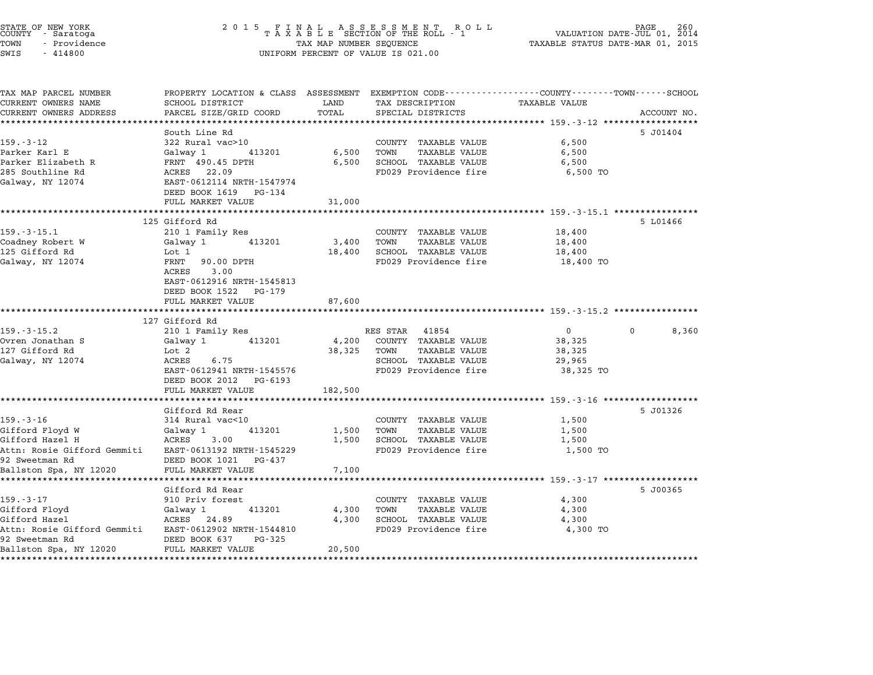|                                               | UNIFORM PERCENT OF VALUE IS 021.00                                                                                  | PAGE 260<br>VALUATION DATE-JUL 01, 2014<br>TAXABLE STATUS DATE-MAR 01, 2015 |                                               |                                                                          |                   |
|-----------------------------------------------|---------------------------------------------------------------------------------------------------------------------|-----------------------------------------------------------------------------|-----------------------------------------------|--------------------------------------------------------------------------|-------------------|
| TAX MAP PARCEL NUMBER<br>CURRENT OWNERS NAME  | PROPERTY LOCATION & CLASS ASSESSMENT EXEMPTION CODE----------------COUNTY-------TOWN------SCHOOL<br>SCHOOL DISTRICT | LAND                                                                        | TAX DESCRIPTION                               | TAXABLE VALUE                                                            |                   |
| CURRENT OWNERS ADDRESS                        | PARCEL SIZE/GRID COORD                                                                                              | TOTAL                                                                       | SPECIAL DISTRICTS                             |                                                                          | ACCOUNT NO.       |
| **********************                        | ***********************                                                                                             |                                                                             |                                               |                                                                          |                   |
|                                               | South Line Rd                                                                                                       |                                                                             |                                               |                                                                          | 5 J01404          |
| $159. - 3 - 12$                               | 322 Rural vac>10                                                                                                    |                                                                             | COUNTY TAXABLE VALUE                          | 6,500                                                                    |                   |
| Parker Karl E                                 | Galway 1<br>413201                                                                                                  | 6,500                                                                       | TOWN<br><b>TAXABLE VALUE</b>                  | 6,500                                                                    |                   |
| Parker Elizabeth R                            | FRNT 490.45 DPTH                                                                                                    | 6,500                                                                       | SCHOOL TAXABLE VALUE                          | 6,500                                                                    |                   |
| 285 Southline Rd                              | ACRES 22.09                                                                                                         |                                                                             | FD029 Providence fire                         | 6,500 TO                                                                 |                   |
| Galway, NY 12074                              | EAST-0612114 NRTH-1547974                                                                                           |                                                                             |                                               |                                                                          |                   |
|                                               | DEED BOOK 1619 PG-134                                                                                               |                                                                             |                                               |                                                                          |                   |
|                                               | FULL MARKET VALUE                                                                                                   | 31,000                                                                      |                                               |                                                                          |                   |
|                                               | ************************                                                                                            |                                                                             |                                               | *********************** 159.-3-15.1 *****************                    |                   |
|                                               | 125 Gifford Rd                                                                                                      |                                                                             |                                               |                                                                          | 5 L01466          |
| 159.-3-15.1                                   | 210 1 Family Res                                                                                                    |                                                                             | COUNTY TAXABLE VALUE                          | 18,400                                                                   |                   |
| Coadney Robert W                              | Galway 1<br>413201                                                                                                  | 3,400                                                                       | TOWN<br><b>TAXABLE VALUE</b>                  | 18,400                                                                   |                   |
| 125 Gifford Rd<br>Galway, NY 12074            | Lot 1<br>FRNT<br>90.00 DPTH                                                                                         | 18,400                                                                      | SCHOOL TAXABLE VALUE<br>FD029 Providence fire | 18,400<br>18,400 TO                                                      |                   |
|                                               | ACRES<br>3.00                                                                                                       |                                                                             |                                               |                                                                          |                   |
|                                               | EAST-0612916 NRTH-1545813                                                                                           |                                                                             |                                               |                                                                          |                   |
|                                               | DEED BOOK 1522<br>PG-179                                                                                            |                                                                             |                                               |                                                                          |                   |
|                                               | FULL MARKET VALUE                                                                                                   | 87,600                                                                      |                                               |                                                                          |                   |
|                                               |                                                                                                                     |                                                                             |                                               |                                                                          |                   |
|                                               | 127 Gifford Rd                                                                                                      |                                                                             |                                               |                                                                          |                   |
| 159.-3-15.2                                   | 210 1 Family Res                                                                                                    |                                                                             | RES STAR<br>41854                             | $\mathbf{0}$                                                             | $\Omega$<br>8,360 |
| Ovren Jonathan S                              | 413201<br>Galway 1                                                                                                  | 4,200                                                                       | COUNTY TAXABLE VALUE                          | 38,325                                                                   |                   |
| 127 Gifford Rd                                | Lot 2                                                                                                               | 38,325                                                                      | TOWN<br><b>TAXABLE VALUE</b>                  | 38,325                                                                   |                   |
| Galway, NY 12074                              | ACRES<br>6.75                                                                                                       |                                                                             | SCHOOL TAXABLE VALUE                          | 29,965                                                                   |                   |
|                                               | EAST-0612941 NRTH-1545576                                                                                           |                                                                             | FD029 Providence fire                         | 38,325 TO                                                                |                   |
|                                               | DEED BOOK 2012<br>PG-6193                                                                                           |                                                                             |                                               |                                                                          |                   |
|                                               | FULL MARKET VALUE<br>****************                                                                               | 182,500<br>********                                                         |                                               | ******** 159.-3-16 ******************                                    |                   |
|                                               | Gifford Rd Rear                                                                                                     |                                                                             |                                               |                                                                          | 5 J01326          |
| $159. - 3 - 16$                               | 314 Rural vac<10                                                                                                    |                                                                             | COUNTY TAXABLE VALUE                          | 1,500                                                                    |                   |
| Gifford Floyd W                               | Galway 1<br>413201                                                                                                  | 1,500                                                                       | <b>TAXABLE VALUE</b><br>TOWN                  | 1,500                                                                    |                   |
| Gifford Hazel H                               | 3.00<br>ACRES                                                                                                       | 1,500                                                                       | SCHOOL TAXABLE VALUE                          | 1,500                                                                    |                   |
| Attn: Rosie Gifford Gemmiti                   | EAST-0613192 NRTH-1545229                                                                                           |                                                                             | FD029 Providence fire                         | 1,500 TO                                                                 |                   |
| 92 Sweetman Rd                                | DEED BOOK 1021 PG-437                                                                                               |                                                                             |                                               |                                                                          |                   |
| Ballston Spa, NY 12020                        | FULL MARKET VALUE                                                                                                   | 7,100                                                                       |                                               |                                                                          |                   |
|                                               | ****************                                                                                                    |                                                                             |                                               | ******************************* 159 <sub>.</sub> -3-17 ***************** |                   |
|                                               | Gifford Rd Rear                                                                                                     |                                                                             |                                               |                                                                          | 5 J00365          |
| $159. - 3 - 17$                               | 910 Priv forest                                                                                                     |                                                                             | COUNTY TAXABLE VALUE                          | 4,300                                                                    |                   |
| Gifford Floyd                                 | 413201<br>Galway 1                                                                                                  | 4,300                                                                       | TOWN<br><b>TAXABLE VALUE</b>                  | 4,300                                                                    |                   |
| Gifford Hazel                                 | ACRES 24.89                                                                                                         | 4,300                                                                       | SCHOOL TAXABLE VALUE                          | 4,300                                                                    |                   |
| Attn: Rosie Gifford Gemmiti<br>92 Sweetman Rd | EAST-0612902 NRTH-1544810<br>DEED BOOK 637<br>PG-325                                                                |                                                                             | FD029 Providence fire                         | 4,300 TO                                                                 |                   |
| Ballston Spa, NY 12020                        | FULL MARKET VALUE                                                                                                   | 20,500                                                                      |                                               |                                                                          |                   |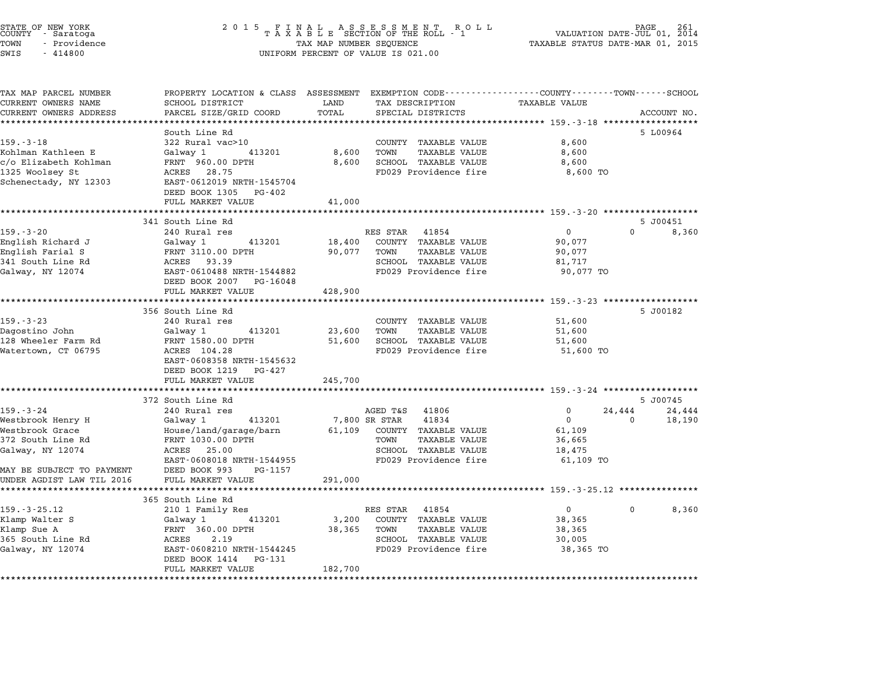| STATE OF NEW YORK<br>COUNTY - Saratoga<br>TOWN<br>- Providence<br>SWIS<br>$-414800$ | 2 0 1 5<br>F<br>Ι.<br>N                       | A L<br>TAX MAP NUMBER SEQUENCE | A S S E S S M E N T<br>R O L L<br>TAXABLE SECTION OF THE ROLL - 1<br>UNIFORM PERCENT OF VALUE IS 021.00            | TAXABLE STATUS DATE-MAR 01, 2015                | PAGE<br>VALUATION DATE-JUL 01, 2014 |             |
|-------------------------------------------------------------------------------------|-----------------------------------------------|--------------------------------|--------------------------------------------------------------------------------------------------------------------|-------------------------------------------------|-------------------------------------|-------------|
| TAX MAP PARCEL NUMBER<br>CURRENT OWNERS NAME                                        | SCHOOL DISTRICT                               | LAND                           | PROPERTY LOCATION & CLASS ASSESSMENT EXEMPTION CODE----------------COUNTY-------TOWN-----SCHOOL<br>TAX DESCRIPTION | <b>TAXABLE VALUE</b>                            |                                     |             |
| CURRENT OWNERS ADDRESS                                                              | PARCEL SIZE/GRID COORD                        | TOTAL                          | SPECIAL DISTRICTS                                                                                                  |                                                 |                                     | ACCOUNT NO. |
|                                                                                     |                                               | *********                      |                                                                                                                    | *********** 159.-3-18 *****                     |                                     |             |
|                                                                                     | South Line Rd                                 |                                |                                                                                                                    |                                                 |                                     | 5 L00964    |
| $159. - 3 - 18$                                                                     | 322 Rural vac>10                              |                                | COUNTY TAXABLE VALUE                                                                                               | 8,600                                           |                                     |             |
| Kohlman Kathleen E                                                                  | Galway 1<br>413201                            | 8,600                          | TOWN<br><b>TAXABLE VALUE</b>                                                                                       | 8,600                                           |                                     |             |
| c/o Elizabeth Kohlman                                                               | FRNT 960.00 DPTH                              | 8,600                          | SCHOOL TAXABLE VALUE                                                                                               | 8,600                                           |                                     |             |
| 1325 Woolsey St                                                                     | ACRES 28.75                                   |                                | FD029 Providence fire                                                                                              | 8,600 TO                                        |                                     |             |
| Schenectady, NY 12303                                                               | EAST-0612019 NRTH-1545704                     |                                |                                                                                                                    |                                                 |                                     |             |
|                                                                                     | DEED BOOK 1305<br>PG-402<br>FULL MARKET VALUE | 41,000                         |                                                                                                                    |                                                 |                                     |             |
|                                                                                     |                                               | ******                         |                                                                                                                    | ************* 159.-3-20 ****************        |                                     |             |
|                                                                                     | 341 South Line Rd                             |                                |                                                                                                                    |                                                 |                                     | 5 J00451    |
| $159. - 3 - 20$                                                                     | 240 Rural res                                 |                                | RES STAR 41854                                                                                                     | $\mathbf 0$                                     | $\Omega$                            | 8,360       |
| English Richard J                                                                   | Galway 1<br>413201                            | 18,400                         | COUNTY TAXABLE VALUE                                                                                               | 90,077                                          |                                     |             |
| English Farial S                                                                    | FRNT 3110.00 DPTH                             | 90,077                         | TAXABLE VALUE<br>TOWN                                                                                              | 90,077                                          |                                     |             |
| 341 South Line Rd                                                                   | ACRES 93.39                                   |                                | SCHOOL TAXABLE VALUE                                                                                               | 81,717                                          |                                     |             |
| Galway, NY 12074                                                                    | EAST-0610488 NRTH-1544882                     |                                | FD029 Providence fire                                                                                              | 90,077 TO                                       |                                     |             |
|                                                                                     | DEED BOOK 2007 PG-16048                       |                                |                                                                                                                    |                                                 |                                     |             |
|                                                                                     | FULL MARKET VALUE<br>*****************        | 428,900<br>********            |                                                                                                                    | ******* 159.-3-23 ******************            |                                     |             |
|                                                                                     | 356 South Line Rd                             |                                |                                                                                                                    |                                                 |                                     | 5 J00182    |
| $159. - 3 - 23$                                                                     | 240 Rural res                                 |                                | COUNTY TAXABLE VALUE                                                                                               | 51,600                                          |                                     |             |
| Dagostino John                                                                      | 413201<br>Galway 1                            | 23,600                         | TOWN<br><b>TAXABLE VALUE</b>                                                                                       | 51,600                                          |                                     |             |
| 128 Wheeler Farm Rd                                                                 | FRNT 1580.00 DPTH                             | 51,600                         | SCHOOL TAXABLE VALUE                                                                                               | 51,600                                          |                                     |             |
| Watertown, CT 06795                                                                 | ACRES 104.28                                  |                                | FD029 Providence fire                                                                                              | 51,600 TO                                       |                                     |             |
|                                                                                     | EAST-0608358 NRTH-1545632                     |                                |                                                                                                                    |                                                 |                                     |             |
|                                                                                     | DEED BOOK 1219<br>PG-427                      |                                |                                                                                                                    |                                                 |                                     |             |
|                                                                                     | FULL MARKET VALUE                             | 245,700                        |                                                                                                                    |                                                 |                                     |             |
|                                                                                     | 372 South Line Rd                             |                                |                                                                                                                    | ***************** 159.-3-24 ******************* |                                     | 5 J00745    |
| $159. - 3 - 24$                                                                     | 240 Rural res                                 |                                | AGED T&S 41806                                                                                                     | 0                                               | 24,444                              | 24,444      |
| Westbrook Henry H                                                                   | Galway 1<br>413201                            |                                | 7,800 SR STAR<br>41834                                                                                             | $\Omega$                                        | 0                                   | 18,190      |
| Westbrook Grace                                                                     | House/land/garage/barn                        | 61,109                         | COUNTY TAXABLE VALUE                                                                                               | 61,109                                          |                                     |             |
| 372 South Line Rd                                                                   | FRNT 1030.00 DPTH                             |                                | TOWN<br>TAXABLE VALUE                                                                                              | 36,665                                          |                                     |             |
| Galway, NY 12074                                                                    | ACRES 25.00                                   |                                | SCHOOL TAXABLE VALUE                                                                                               | 18,475                                          |                                     |             |
|                                                                                     | EAST-0608018 NRTH-1544955                     |                                | FD029 Providence fire                                                                                              | 61,109 TO                                       |                                     |             |
| MAY BE SUBJECT TO PAYMENT                                                           | DEED BOOK 993<br>PG-1157                      |                                |                                                                                                                    |                                                 |                                     |             |
| UNDER AGDIST LAW TIL 2016                                                           | FULL MARKET VALUE                             | 291,000                        |                                                                                                                    |                                                 |                                     |             |
|                                                                                     |                                               |                                |                                                                                                                    |                                                 |                                     |             |
|                                                                                     | 365 South Line Rd                             |                                |                                                                                                                    |                                                 |                                     |             |
| $159. - 3 - 25.12$<br>Klamp Walter S                                                | 210 1 Family Res<br>Galway 1<br>413201        | 3,200                          | RES STAR<br>41854<br>COUNTY TAXABLE VALUE                                                                          | $\mathbf{0}$<br>38,365                          | $\Omega$                            | 8,360       |
| Klamp Sue A                                                                         | FRNT 360.00 DPTH                              | 38,365                         | TOWN<br><b>TAXABLE VALUE</b>                                                                                       | 38,365                                          |                                     |             |
| 365 South Line Rd                                                                   | ACRES<br>2.19                                 |                                | SCHOOL TAXABLE VALUE                                                                                               | 30,005                                          |                                     |             |
| Galway, NY 12074                                                                    | EAST-0608210 NRTH-1544245                     |                                | FD029 Providence fire                                                                                              | 38,365 TO                                       |                                     |             |
|                                                                                     | DEED BOOK 1414<br>PG-131                      |                                |                                                                                                                    |                                                 |                                     |             |
|                                                                                     | FULL MARKET VALUE                             | 182,700                        |                                                                                                                    |                                                 |                                     |             |
|                                                                                     |                                               |                                |                                                                                                                    |                                                 |                                     |             |

STATE OF NEW YORK <sup>2</sup> <sup>0</sup> <sup>1</sup> 5 F I N A L A S S E S S M E N T R O L L PAGE <sup>261</sup> COUNTY - Saratoga <sup>T</sup> <sup>A</sup> <sup>X</sup> <sup>A</sup> <sup>B</sup> <sup>L</sup> <sup>E</sup> SECTION OF THE ROLL - <sup>1</sup> VALUATION DATE-JUL 01, <sup>2014</sup>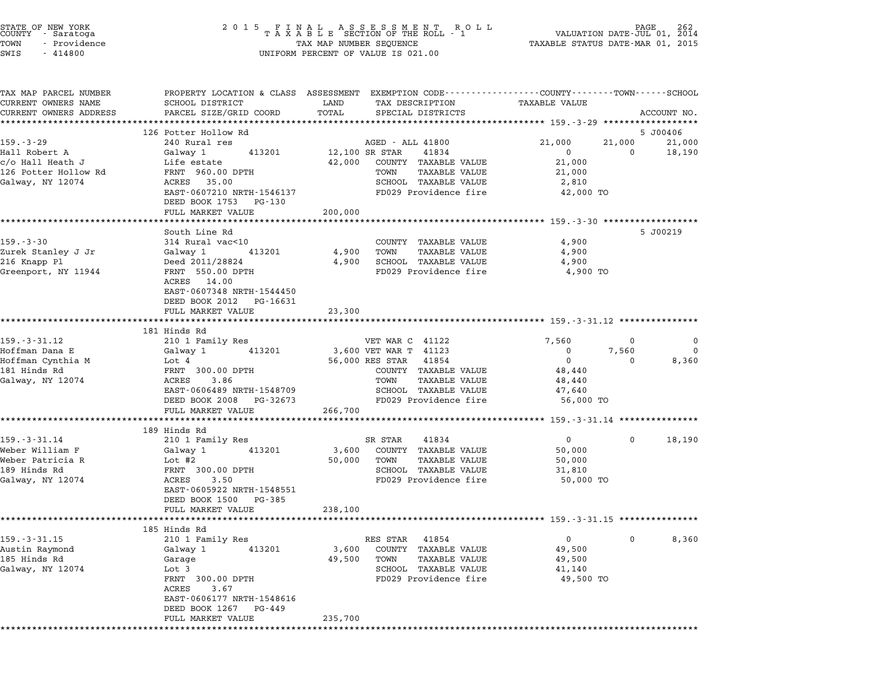| STATE OF NEW YORK<br>COUNTY - Saratoga<br>- Providence<br>TOWN<br>SWIS<br>$-414800$              | UNIFORM PERCENT OF VALUE IS 021.00                                                                                                                                                                                      | $\begin{tabular}{lllllllllllllllllllll} \hline 2&0&1&5&F\ \text{I}\ &\text{N}\ &\text{A}\ &\text{L}\ &\text{A}\ &\text{S}\ &\text{S}\ &\text{E}\ &\text{S}\ &\text{S}\ &\text{S}\ &\text{S}\ &\text{S}\ &\text{S}\ &\text{S}\ &\text{S}\ &\text{S}\ &\text{S}\ &\text{S}\ &\text{S}\ &\text{S}\ &\text{S}\ &\text{S}\ &\text{S}\ &\text{S}\ &\text{S}\ &\text{S}\ &\text{S}\ &\text{S}\ &\text{S}\ &\text{S}\ &\text$ |                                                                                                                                    |
|--------------------------------------------------------------------------------------------------|-------------------------------------------------------------------------------------------------------------------------------------------------------------------------------------------------------------------------|-----------------------------------------------------------------------------------------------------------------------------------------------------------------------------------------------------------------------------------------------------------------------------------------------------------------------------------------------------------------------------------------------------------------------|------------------------------------------------------------------------------------------------------------------------------------|
| TAX MAP PARCEL NUMBER<br>CURRENT OWNERS NAME<br>CURRENT OWNERS ADDRESS                           | SCHOOL DISTRICT<br>PARCEL SIZE/GRID COORD                                                                                                                                                                               | LAND<br>TAX DESCRIPTION<br>TOTAL<br>SPECIAL DISTRICTS                                                                                                                                                                                                                                                                                                                                                                 | PROPERTY LOCATION & CLASS ASSESSMENT EXEMPTION CODE----------------COUNTY-------TOWN-----SCHOOL<br>TAXABLE VALUE<br>ACCOUNT NO.    |
| $159. - 3 - 29$<br>Hall Robert A<br>c/o Hall Heath J<br>126 Potter Hollow Rd<br>Galway, NY 12074 | ***************************<br>126 Potter Hollow Rd<br>240 Rural res<br>Galway 1<br>413201<br>Life estate<br>FRNT 960.00 DPTH<br>ACRES 35.00<br>EAST-0607210 NRTH-1546137<br>DEED BOOK 1753 PG-130<br>FULL MARKET VALUE | AGED - ALL 41800<br>12,100 SR STAR<br>41834<br>42,000<br>COUNTY TAXABLE VALUE<br>TAXABLE VALUE<br>TOWN<br>SCHOOL TAXABLE VALUE<br>FD029 Providence fire<br>200,000                                                                                                                                                                                                                                                    | 5 J00406<br>21,000<br>21,000<br>21,000<br>18,190<br>$\mathbf 0$<br>$\mathbf 0$<br>21,000<br>21,000<br>2,810<br>42,000 TO           |
| $159. - 3 - 30$<br>Zurek Stanley J Jr<br>216 Knapp Pl<br>Greenport, NY 11944                     | South Line Rd<br>314 Rural vac<10<br>Galway 1<br>413201<br>Deed 2011/28824<br>FRNT 550.00 DPTH<br>ACRES 14.00<br>EAST-0607348 NRTH-1544450                                                                              | COUNTY TAXABLE VALUE<br>TOWN<br>TAXABLE VALUE<br>4,900<br>SCHOOL TAXABLE VALUE<br>4,900<br>FD029 Providence fire                                                                                                                                                                                                                                                                                                      | ******************************* 159.-3-30 ******************<br>5 J00219<br>4,900<br>4,900<br>4,900<br>4,900 TO                    |
|                                                                                                  | DEED BOOK 2012 PG-16631<br>FULL MARKET VALUE<br>**********************                                                                                                                                                  | 23,300                                                                                                                                                                                                                                                                                                                                                                                                                | ************************************ 159.-3-31.12 ****************                                                                 |
| $159. - 3 - 31.12$<br>Hoffman Dana E<br>Hoffman Cynthia M<br>181 Hinds Rd<br>Galway, NY 12074    | 181 Hinds Rd<br>210 1 Family Res<br>413201<br>Galway 1<br>Lot 4<br>FRNT 300.00 DPTH<br>ACRES<br>3.86<br>EAST-0606489 NRTH-1548709<br>DEED BOOK 2008 PG-32673                                                            | VET WAR C 41122<br>3,600 VET WAR T 41123<br>56,000 RES STAR 41854<br>COUNTY TAXABLE VALUE<br>TOWN<br>TAXABLE VALUE<br>SCHOOL TAXABLE VALUE<br>FD029 Providence fire                                                                                                                                                                                                                                                   | 7,560<br>0<br>$\overline{0}$<br>0<br>7,560<br>0<br>$\overline{0}$<br>8,360<br>$\Omega$<br>48,440<br>48,440<br>47,640<br>56,000 TO  |
|                                                                                                  | FULL MARKET VALUE<br>**************                                                                                                                                                                                     | 266,700                                                                                                                                                                                                                                                                                                                                                                                                               | ******************************* 159.-3-31.14 **************                                                                        |
| 159. - 3 - 31.14<br>Weber William F<br>Weber Patricia R<br>189 Hinds Rd<br>Galway, NY 12074      | 189 Hinds Rd<br>210 1 Family Res<br>Galway 1<br>413201<br>Lot #2<br>FRNT 300.00 DPTH<br>ACRES<br>3.50<br>EAST-0605922 NRTH-1548551<br>DEED BOOK 1500<br>PG-385<br>FULL MARKET VALUE                                     | SR STAR<br>41834<br>3,600<br>COUNTY TAXABLE VALUE<br>50,000<br>TOWN<br>TAXABLE VALUE<br>SCHOOL TAXABLE VALUE<br>FD029 Providence fire<br>238,100                                                                                                                                                                                                                                                                      | $\overline{0}$<br>18,190<br>0<br>50,000<br>50,000<br>31,810<br>50,000 TO                                                           |
| $159. - 3 - 31.15$<br>Austin Raymond<br>185 Hinds Rd<br>Galway, NY 12074                         | 185 Hinds Rd<br>210 1 Family Res<br>Galway 1<br>413201<br>Garage<br>Lot 3<br>FRNT 300.00 DPTH<br>ACRES<br>3.67<br>EAST-0606177 NRTH-1548616<br>DEED BOOK 1267 PG-449<br>FULL MARKET VALUE                               | RES STAR<br>41854<br>COUNTY TAXABLE VALUE<br>3,600<br>49,500<br>TOWN<br>TAXABLE VALUE<br>SCHOOL TAXABLE VALUE<br>FD029 Providence fire<br>235,700                                                                                                                                                                                                                                                                     | ******************************** 159.-3-31.15 ***************<br>0<br>8,360<br>$\Omega$<br>49,500<br>49,500<br>41,140<br>49,500 TO |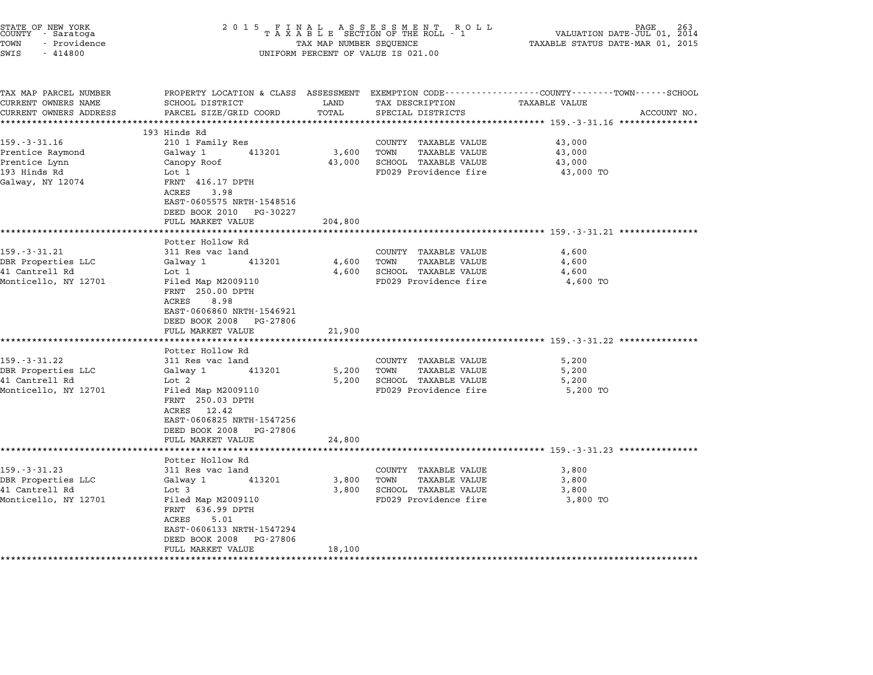| STATE OF NEW YORK<br>COUNTY - Saratoga<br>TOWN<br>- Providence<br>SWIS<br>$-414800$ | 2 0 1 5<br>FINAL ASSESSMENT RO<br>TAXABLE SECTION OF THE ROLL - 1<br>R O L L<br>TAX MAP NUMBER SEQUENCE<br>UNIFORM PERCENT OF VALUE IS 021.00 |               |                                                      | PAGE<br>263<br>VALUATION DATE-JUL 01, 2014<br>TAXABLE STATUS DATE-MAR 01, 2015                                                                                                      |  |  |
|-------------------------------------------------------------------------------------|-----------------------------------------------------------------------------------------------------------------------------------------------|---------------|------------------------------------------------------|-------------------------------------------------------------------------------------------------------------------------------------------------------------------------------------|--|--|
| TAX MAP PARCEL NUMBER<br>CURRENT OWNERS NAME<br>CURRENT OWNERS ADDRESS              | SCHOOL DISTRICT<br>PARCEL SIZE/GRID COORD                                                                                                     | LAND<br>TOTAL | TAX DESCRIPTION<br>SPECIAL DISTRICTS                 | PROPERTY LOCATION & CLASS ASSESSMENT EXEMPTION CODE---------------COUNTY-------TOWN------SCHOOL<br>TAXABLE VALUE<br>ACCOUNT NO.<br>****************** 159.-3-31.16 **************** |  |  |
|                                                                                     | 193 Hinds Rd                                                                                                                                  |               |                                                      |                                                                                                                                                                                     |  |  |
| $159. - 3 - 31.16$                                                                  | 210 1 Family Res                                                                                                                              |               | COUNTY TAXABLE VALUE                                 | 43,000                                                                                                                                                                              |  |  |
| Prentice Raymond                                                                    | Galway 1<br>413201                                                                                                                            | 3,600         | <b>TAXABLE VALUE</b><br>TOWN                         | 43,000                                                                                                                                                                              |  |  |
| Prentice Lynn                                                                       | Canopy Roof                                                                                                                                   | 43,000        | SCHOOL TAXABLE VALUE                                 | 43,000                                                                                                                                                                              |  |  |
| 193 Hinds Rd<br>Galway, NY 12074                                                    | Lot 1<br>FRNT 416.17 DPTH<br>ACRES<br>3.98<br>EAST-0605575 NRTH-1548516<br>DEED BOOK 2010<br>PG-30227                                         |               | FD029 Providence fire                                | 43,000 TO                                                                                                                                                                           |  |  |
|                                                                                     | FULL MARKET VALUE<br>*********************                                                                                                    | 204,800       |                                                      |                                                                                                                                                                                     |  |  |
|                                                                                     | Potter Hollow Rd                                                                                                                              |               |                                                      |                                                                                                                                                                                     |  |  |
| 159.-3-31.21                                                                        | 311 Res vac land                                                                                                                              |               | COUNTY TAXABLE VALUE                                 | 4,600                                                                                                                                                                               |  |  |
| DBR Properties LLC                                                                  | Galway 1<br>413201                                                                                                                            | 4,600         | TOWN<br><b>TAXABLE VALUE</b>                         | 4,600                                                                                                                                                                               |  |  |
| 41 Cantrell Rd<br>Monticello, NY 12701                                              | Lot 1<br>Filed Map M2009110                                                                                                                   | 4,600         | <b>SCHOOL TAXABLE VALUE</b><br>FD029 Providence fire | 4,600<br>4,600 TO                                                                                                                                                                   |  |  |
|                                                                                     | FRNT 250.00 DPTH<br>ACRES<br>8.98<br>EAST-0606860 NRTH-1546921<br>DEED BOOK 2008<br>PG-27806<br>FULL MARKET VALUE                             | 21,900        |                                                      |                                                                                                                                                                                     |  |  |
|                                                                                     |                                                                                                                                               | *****         |                                                      | ********************* 159.-3-31.22 ***********                                                                                                                                      |  |  |
| $159. - 3 - 31.22$                                                                  | Potter Hollow Rd<br>311 Res vac land                                                                                                          |               | COUNTY TAXABLE VALUE                                 | 5,200                                                                                                                                                                               |  |  |
| DBR Properties LLC                                                                  | 413201<br>Galway 1                                                                                                                            | 5,200         | TOWN<br><b>TAXABLE VALUE</b>                         | 5,200                                                                                                                                                                               |  |  |
| 41 Cantrell Rd                                                                      | Lot 2                                                                                                                                         | 5,200         | SCHOOL TAXABLE VALUE                                 | 5,200                                                                                                                                                                               |  |  |
| Monticello, NY 12701                                                                | Filed Map M2009110<br>FRNT 250.03 DPTH<br>ACRES<br>12.42<br>EAST-0606825 NRTH-1547256<br>DEED BOOK 2008<br>PG-27806                           |               | FD029 Providence fire                                | 5,200 TO                                                                                                                                                                            |  |  |
|                                                                                     | FULL MARKET VALUE<br>**************************                                                                                               | 24,800        |                                                      |                                                                                                                                                                                     |  |  |
|                                                                                     | Potter Hollow Rd                                                                                                                              |               |                                                      | ********************************* 159.-3-31.23 ***************                                                                                                                      |  |  |
| $159. - 3 - 31.23$                                                                  | 311 Res vac land                                                                                                                              |               | COUNTY TAXABLE VALUE                                 | 3,800                                                                                                                                                                               |  |  |
| DBR Properties LLC                                                                  | Galway 1<br>413201                                                                                                                            | 3,800         | TOWN<br>TAXABLE VALUE                                | 3,800                                                                                                                                                                               |  |  |
| 41 Cantrell Rd                                                                      | Lot 3                                                                                                                                         | 3,800         | SCHOOL TAXABLE VALUE                                 | 3,800                                                                                                                                                                               |  |  |
| Monticello, NY 12701                                                                | Filed Map M2009110<br>FRNT 636.99 DPTH<br>ACRES<br>5.01<br>EAST-0606133 NRTH-1547294<br>DEED BOOK 2008<br>PG-27806                            |               | FD029 Providence fire                                | 3,800 TO                                                                                                                                                                            |  |  |
|                                                                                     | FULL MARKET VALUE                                                                                                                             | 18,100        |                                                      |                                                                                                                                                                                     |  |  |
|                                                                                     |                                                                                                                                               |               |                                                      |                                                                                                                                                                                     |  |  |

STATE OF NEW YORK <sup>2</sup> <sup>0</sup> <sup>1</sup> 5 F I N A L A S S E S S M E N T R O L L PAGE <sup>263</sup> COUNTY - Saratoga <sup>T</sup> <sup>A</sup> <sup>X</sup> <sup>A</sup> <sup>B</sup> <sup>L</sup> <sup>E</sup> SECTION OF THE ROLL - <sup>1</sup> VALUATION DATE-JUL 01, <sup>2014</sup>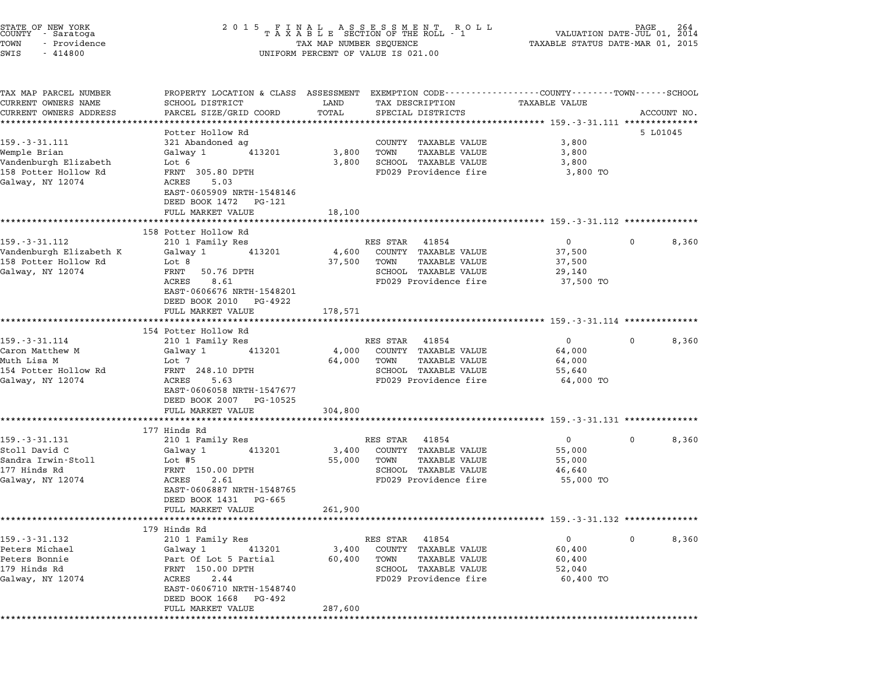| STATE OF NEW YORK<br>COUNTY - Saratoga<br>TOWN<br>- Providence<br>SWIS<br>$-414800$ | 2015 FINAL ASSESSMENT ROLL<br>TAXABLE SECTION OF THE ROLL - 1<br>AGE<br>264<br>VALUATION DATE-JUL 01, 2014<br>TAXABLE STATUS DATE-MAR 01, 2015<br>TAX MAP NUMBER SEQUENCE<br>UNIFORM PERCENT OF VALUE IS 021.00 |               |                                               |                                                                   |             |  |  |
|-------------------------------------------------------------------------------------|-----------------------------------------------------------------------------------------------------------------------------------------------------------------------------------------------------------------|---------------|-----------------------------------------------|-------------------------------------------------------------------|-------------|--|--|
| TAX MAP PARCEL NUMBER<br>CURRENT OWNERS NAME<br>CURRENT OWNERS ADDRESS              | PROPERTY LOCATION & CLASS ASSESSMENT EXEMPTION CODE----------------COUNTY-------TOWN-----SCHOOL<br>SCHOOL DISTRICT<br>PARCEL SIZE/GRID COORD                                                                    | LAND<br>TOTAL | TAX DESCRIPTION<br>SPECIAL DISTRICTS          | <b>TAXABLE VALUE</b>                                              | ACCOUNT NO. |  |  |
|                                                                                     | **********************                                                                                                                                                                                          | ***********   |                                               | ·********************************* 159.-3-31.111 **************   |             |  |  |
| $159. - 3 - 31.111$                                                                 | Potter Hollow Rd<br>321 Abandoned ag                                                                                                                                                                            |               | COUNTY TAXABLE VALUE                          | 3,800                                                             | 5 L01045    |  |  |
| Wemple Brian                                                                        | Galway 1<br>413201                                                                                                                                                                                              | 3,800         | <b>TAXABLE VALUE</b><br>TOWN                  | 3,800                                                             |             |  |  |
| Vandenburgh Elizabeth                                                               | Lot 6                                                                                                                                                                                                           | 3,800         | SCHOOL TAXABLE VALUE                          | 3,800                                                             |             |  |  |
| 158 Potter Hollow Rd                                                                | FRNT 305.80 DPTH                                                                                                                                                                                                |               | FD029 Providence fire                         | 3,800 TO                                                          |             |  |  |
| Galway, NY 12074                                                                    | ACRES<br>5.03<br>EAST-0605909 NRTH-1548146<br>DEED BOOK 1472 PG-121<br>FULL MARKET VALUE                                                                                                                        | 18,100        |                                               |                                                                   |             |  |  |
|                                                                                     | *********************                                                                                                                                                                                           |               |                                               |                                                                   |             |  |  |
|                                                                                     | 158 Potter Hollow Rd                                                                                                                                                                                            |               |                                               |                                                                   |             |  |  |
| $159. - 3 - 31.112$                                                                 | 210 1 Family Res                                                                                                                                                                                                |               | RES STAR<br>41854                             | $\mathbf{0}$                                                      | 8,360<br>0  |  |  |
| Vandenburgh Elizabeth K                                                             | Galway 1<br>413201                                                                                                                                                                                              | 4,600         | COUNTY TAXABLE VALUE                          | 37,500                                                            |             |  |  |
| 158 Potter Hollow Rd                                                                | Lot 8                                                                                                                                                                                                           | 37,500        | TOWN<br>TAXABLE VALUE                         | 37,500                                                            |             |  |  |
| Galway, NY 12074                                                                    | FRNT<br>50.76 DPTH                                                                                                                                                                                              |               | SCHOOL TAXABLE VALUE                          | 29,140                                                            |             |  |  |
|                                                                                     | ACRES<br>8.61<br>EAST-0606676 NRTH-1548201<br>DEED BOOK 2010 PG-4922                                                                                                                                            |               | FD029 Providence fire                         | 37,500 TO                                                         |             |  |  |
|                                                                                     | FULL MARKET VALUE                                                                                                                                                                                               | 178,571       |                                               |                                                                   |             |  |  |
|                                                                                     | *********************                                                                                                                                                                                           | *********     |                                               | ****************************** 159. -3-31.114 **************      |             |  |  |
|                                                                                     | 154 Potter Hollow Rd                                                                                                                                                                                            |               |                                               |                                                                   |             |  |  |
| $159. - 3 - 31.114$                                                                 | 210 1 Family Res                                                                                                                                                                                                |               | RES STAR<br>41854                             | $\overline{0}$                                                    | 8,360<br>0  |  |  |
| Caron Matthew M                                                                     | Galway 1<br>413201                                                                                                                                                                                              | 4,000         | COUNTY TAXABLE VALUE                          | 64,000                                                            |             |  |  |
| Muth Lisa M                                                                         | Lot 7                                                                                                                                                                                                           | 64,000        | TOWN<br>TAXABLE VALUE                         | 64,000                                                            |             |  |  |
| 154 Potter Hollow Rd<br>Galway, NY 12074                                            | FRNT 248.10 DPTH<br>ACRES<br>5.63                                                                                                                                                                               |               | SCHOOL TAXABLE VALUE<br>FD029 Providence fire | 55,640<br>64,000 TO                                               |             |  |  |
|                                                                                     | EAST-0606058 NRTH-1547677<br>DEED BOOK 2007 PG-10525                                                                                                                                                            |               |                                               |                                                                   |             |  |  |
|                                                                                     | FULL MARKET VALUE                                                                                                                                                                                               | 304,800       |                                               |                                                                   |             |  |  |
|                                                                                     | *************                                                                                                                                                                                                   |               |                                               | ******************************** 159.-3-31.131 **************     |             |  |  |
|                                                                                     | 177 Hinds Rd                                                                                                                                                                                                    |               |                                               |                                                                   |             |  |  |
| $159. - 3 - 31.131$                                                                 | 210 1 Family Res                                                                                                                                                                                                |               | RES STAR<br>41854                             | $\mathbf{0}$                                                      | 8,360<br>0  |  |  |
| Stoll David C                                                                       | Galway 1<br>413201                                                                                                                                                                                              | 3,400         | COUNTY TAXABLE VALUE                          | 55,000                                                            |             |  |  |
| Sandra Irwin-Stoll                                                                  | Lot #5                                                                                                                                                                                                          | 55,000        | TOWN<br>TAXABLE VALUE                         | 55,000                                                            |             |  |  |
| 177 Hinds Rd                                                                        | FRNT 150.00 DPTH                                                                                                                                                                                                |               | SCHOOL TAXABLE VALUE<br>FD029 Providence fire | 46,640                                                            |             |  |  |
| Galway, NY 12074                                                                    | ACRES<br>2.61<br>EAST-0606887 NRTH-1548765<br>DEED BOOK 1431<br>PG-665                                                                                                                                          |               |                                               | 55,000 TO                                                         |             |  |  |
|                                                                                     | FULL MARKET VALUE                                                                                                                                                                                               | 261,900       |                                               | ************************************ 159.-3-31.132 ************** |             |  |  |
|                                                                                     | 179 Hinds Rd                                                                                                                                                                                                    |               |                                               |                                                                   |             |  |  |
| $159. - 3 - 31.132$                                                                 | 210 1 Family Res                                                                                                                                                                                                |               | RES STAR<br>41854                             | $\mathbf 0$                                                       | 8,360<br>0  |  |  |
| Peters Michael                                                                      | Galway 1<br>413201                                                                                                                                                                                              | 3,400         | COUNTY TAXABLE VALUE                          | 60,400                                                            |             |  |  |
| Peters Bonnie                                                                       | Part Of Lot 5 Partial                                                                                                                                                                                           | 60,400        | TAXABLE VALUE<br>TOWN                         | 60,400                                                            |             |  |  |
| 179 Hinds Rd                                                                        | FRNT 150.00 DPTH                                                                                                                                                                                                |               | SCHOOL TAXABLE VALUE                          | 52,040                                                            |             |  |  |
| Galway, NY 12074                                                                    | ACRES<br>2.44                                                                                                                                                                                                   |               | FD029 Providence fire                         | 60,400 TO                                                         |             |  |  |
|                                                                                     | EAST-0606710 NRTH-1548740<br>DEED BOOK 1668 PG-492<br>FULL MARKET VALUE                                                                                                                                         | 287,600       |                                               |                                                                   |             |  |  |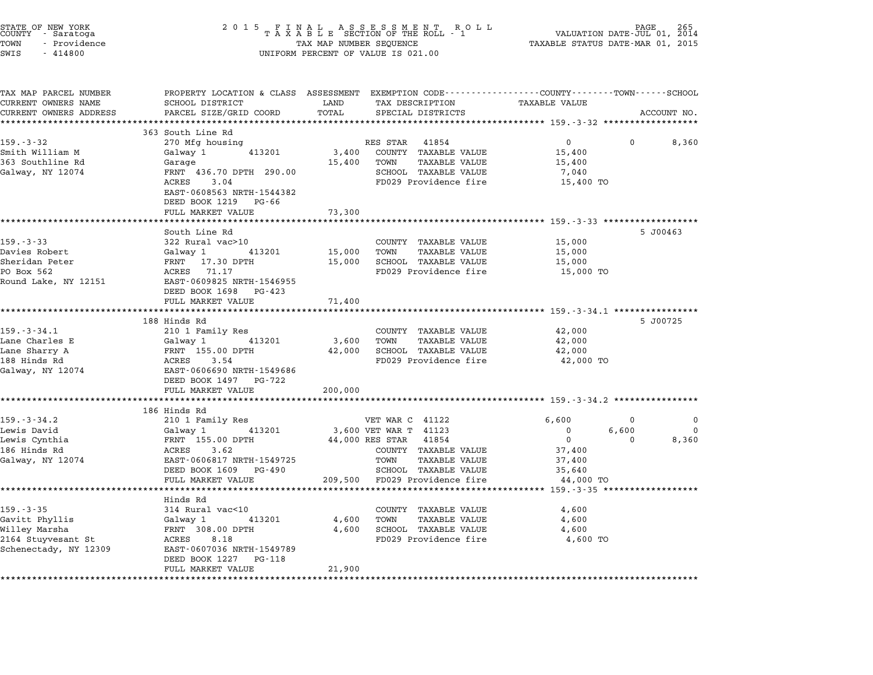| STATE OF NEW YORK<br>COUNTY – Saratoga<br>TOWN<br>- Providence<br>SWIS<br>$-414800$ | 2 0 1 5                                                            | FINAL ASSESSMENT ROLL<br>TAXABLE SECTION OF THE ROLL - 1<br>TAX MAP NUMBER SEQUENCE<br>UNIFORM PERCENT OF VALUE IS 021.00  | PAGE<br>VALUATION DATE-JUL 01, 2014<br>TAXABLE STATUS DATE-MAR 01, 2015 |               |
|-------------------------------------------------------------------------------------|--------------------------------------------------------------------|----------------------------------------------------------------------------------------------------------------------------|-------------------------------------------------------------------------|---------------|
| TAX MAP PARCEL NUMBER<br>CURRENT OWNERS NAME                                        | SCHOOL DISTRICT                                                    | PROPERTY LOCATION & CLASS ASSESSMENT EXEMPTION CODE---------------COUNTY-------TOWN------SCHOOL<br>LAND<br>TAX DESCRIPTION | <b>TAXABLE VALUE</b>                                                    |               |
| CURRENT OWNERS ADDRESS                                                              | PARCEL SIZE/GRID COORD                                             | TOTAL<br>SPECIAL DISTRICTS                                                                                                 | ACCOUNT NO.                                                             |               |
| *********************                                                               |                                                                    |                                                                                                                            |                                                                         |               |
| $159. - 3 - 32$                                                                     | 363 South Line Rd<br>270 Mfg housing                               | RES STAR<br>41854                                                                                                          | $\mathbf{0}$                                                            | 8,360         |
| Smith William M                                                                     | 413201<br>Galway 1                                                 | 3,400<br>COUNTY TAXABLE VALUE                                                                                              | 15,400                                                                  |               |
| 363 Southline Rd                                                                    | Garage                                                             | 15,400<br>TOWN<br><b>TAXABLE VALUE</b>                                                                                     | 15,400                                                                  |               |
| Galway, NY 12074                                                                    | FRNT 436.70 DPTH 290.00                                            | SCHOOL TAXABLE VALUE                                                                                                       | 7,040                                                                   |               |
|                                                                                     | ACRES<br>3.04<br>EAST-0608563 NRTH-1544382<br>DEED BOOK 1219 PG-66 | FD029 Providence fire                                                                                                      | 15,400 TO                                                               |               |
|                                                                                     | FULL MARKET VALUE                                                  | 73,300                                                                                                                     |                                                                         |               |
|                                                                                     | ************************                                           | *************                                                                                                              |                                                                         |               |
|                                                                                     | South Line Rd                                                      |                                                                                                                            | 5 J00463                                                                |               |
| $159. - 3 - 33$                                                                     | 322 Rural vac>10                                                   | COUNTY TAXABLE VALUE                                                                                                       | 15,000                                                                  |               |
| Davies Robert                                                                       | 413201<br>Galway 1                                                 | 15,000<br>TOWN<br><b>TAXABLE VALUE</b>                                                                                     | 15,000                                                                  |               |
| Sheridan Peter                                                                      | FRNT 17.30 DPTH                                                    | 15,000<br>SCHOOL TAXABLE VALUE                                                                                             | 15,000                                                                  |               |
| PO Box 562<br>Round Lake, NY 12151                                                  | ACRES 71.17<br>EAST-0609825 NRTH-1546955                           | FD029 Providence fire                                                                                                      | 15,000 TO                                                               |               |
|                                                                                     | DEED BOOK 1698 PG-423                                              |                                                                                                                            |                                                                         |               |
|                                                                                     | FULL MARKET VALUE                                                  | 71,400                                                                                                                     |                                                                         |               |
|                                                                                     | *************************                                          | ************                                                                                                               |                                                                         |               |
|                                                                                     | 188 Hinds Rd                                                       |                                                                                                                            | 5 J00725                                                                |               |
| $159. - 3 - 34.1$                                                                   | 210 1 Family Res                                                   | COUNTY TAXABLE VALUE                                                                                                       | 42,000                                                                  |               |
| Lane Charles E<br>Lane Sharry A                                                     | Galway 1<br>413201<br>FRNT 155.00 DPTH                             | 3,600<br>TOWN<br>TAXABLE VALUE<br>SCHOOL TAXABLE VALUE<br>42,000                                                           | 42,000<br>42,000                                                        |               |
| 188 Hinds Rd                                                                        | ACRES<br>3.54                                                      | FD029 Providence fire                                                                                                      | 42,000 TO                                                               |               |
| Galway, NY 12074                                                                    | EAST-0606690 NRTH-1549686                                          |                                                                                                                            |                                                                         |               |
|                                                                                     | DEED BOOK 1497 PG-722                                              |                                                                                                                            |                                                                         |               |
|                                                                                     | FULL MARKET VALUE                                                  | 200,000                                                                                                                    |                                                                         |               |
|                                                                                     | ********************                                               | **********                                                                                                                 | ******************************* 159.-3-34.2 ***************             |               |
|                                                                                     | 186 Hinds Rd                                                       |                                                                                                                            |                                                                         |               |
| $159. - 3 - 34.2$<br>Lewis David                                                    | 210 1 Family Res<br>413201<br>Galway 1                             | VET WAR C 41122<br>3,600 VET WAR T 41123                                                                                   | 6,600<br>0<br>$\mathbf 0$<br>6,600                                      | 0<br>$\Omega$ |
| Lewis Cynthia                                                                       | FRNT 155.00 DPTH                                                   | 44,000 RES STAR<br>41854                                                                                                   | $\mathbf 0$<br>$\Omega$                                                 | 8,360         |
| 186 Hinds Rd                                                                        | ACRES<br>3.62                                                      | COUNTY TAXABLE VALUE                                                                                                       | 37,400                                                                  |               |
| Galway, NY 12074                                                                    | EAST-0606817 NRTH-1549725                                          | TOWN<br><b>TAXABLE VALUE</b>                                                                                               | 37,400                                                                  |               |
|                                                                                     | DEED BOOK 1609 PG-490                                              | SCHOOL TAXABLE VALUE                                                                                                       | 35,640                                                                  |               |
|                                                                                     | FULL MARKET VALUE                                                  | 209,500<br>FD029 Providence fire                                                                                           | 44,000 TO                                                               |               |
|                                                                                     | ********************                                               |                                                                                                                            | ********** 159.-3-35 ******************                                 |               |
|                                                                                     | Hinds Rd                                                           |                                                                                                                            |                                                                         |               |
| 159. - 3 - 35<br>Gavitt Phyllis                                                     | 314 Rural vac<10<br>413201<br>Galway 1                             | COUNTY TAXABLE VALUE<br>4,600<br>TOWN<br><b>TAXABLE VALUE</b>                                                              | 4,600<br>4,600                                                          |               |
| Willey Marsha                                                                       | FRNT 308.00 DPTH                                                   | SCHOOL TAXABLE VALUE<br>4,600                                                                                              | 4,600                                                                   |               |
| 2164 Stuyvesant St                                                                  | ACRES<br>8.18                                                      | FD029 Providence fire                                                                                                      | 4,600 TO                                                                |               |
| Schenectady, NY 12309                                                               | EAST-0607036 NRTH-1549789                                          |                                                                                                                            |                                                                         |               |
|                                                                                     | DEED BOOK 1227<br>PG-118                                           |                                                                                                                            |                                                                         |               |
|                                                                                     | FULL MARKET VALUE<br>****************                              | 21,900                                                                                                                     |                                                                         |               |
|                                                                                     |                                                                    |                                                                                                                            |                                                                         |               |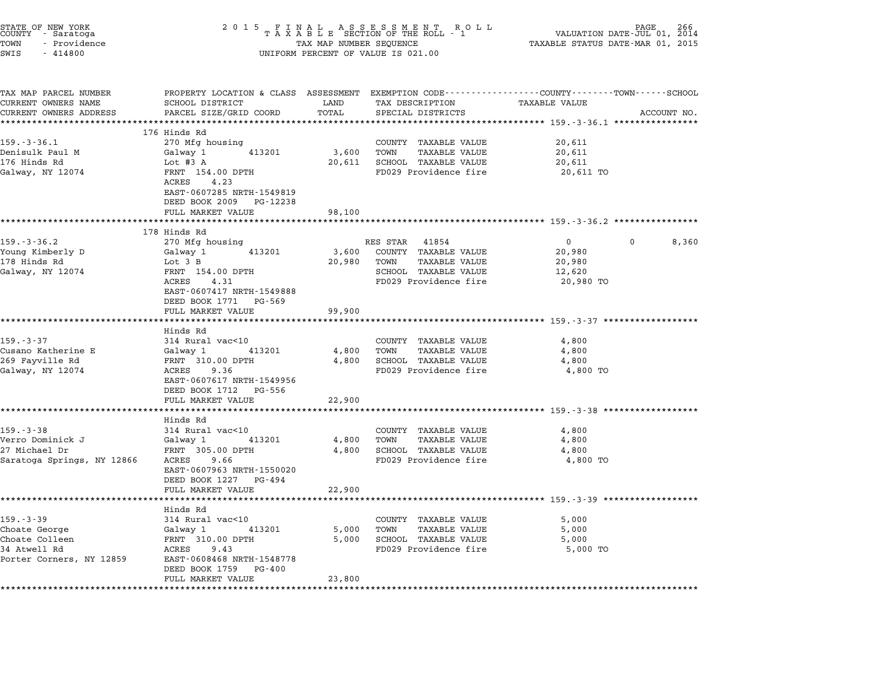| 2 0 1 5                                                                                                                                                               |                                                                                           | 266<br>VALUATION DATE-JUL 01,<br>2014<br>TAXABLE STATUS DATE-MAR 01, 2015                                |                                                                                                                                       |                                                                                                                                                                                                                                                                 |
|-----------------------------------------------------------------------------------------------------------------------------------------------------------------------|-------------------------------------------------------------------------------------------|----------------------------------------------------------------------------------------------------------|---------------------------------------------------------------------------------------------------------------------------------------|-----------------------------------------------------------------------------------------------------------------------------------------------------------------------------------------------------------------------------------------------------------------|
| SCHOOL DISTRICT<br>PARCEL SIZE/GRID COORD                                                                                                                             | LAND<br>TOTAL                                                                             | TAX DESCRIPTION<br>SPECIAL DISTRICTS                                                                     | TAXABLE VALUE                                                                                                                         | ACCOUNT NO.                                                                                                                                                                                                                                                     |
| 270 Mfg housing<br>Galway 1<br>413201<br>Lot #3 A<br>FRNT 154.00 DPTH<br>ACRES<br>4.23<br>EAST-0607285 NRTH-1549819<br>DEED BOOK 2009 PG-12238<br>FULL MARKET VALUE   | 3,600<br>20,611<br>98,100                                                                 | COUNTY TAXABLE VALUE<br><b>TAXABLE VALUE</b><br>TOWN<br>SCHOOL TAXABLE VALUE<br>FD029 Providence fire    | 20,611<br>20,611<br>20,611<br>20,611 TO                                                                                               |                                                                                                                                                                                                                                                                 |
|                                                                                                                                                                       |                                                                                           |                                                                                                          |                                                                                                                                       |                                                                                                                                                                                                                                                                 |
| 270 Mfg housing<br>Galway 1<br>413201<br>Lot 3 B<br>FRNT 154.00 DPTH<br>4.31<br>ACRES<br>EAST-0607417 NRTH-1549888<br>DEED BOOK 1771 PG-569                           | 3,600<br>20,980                                                                           | 41854<br>COUNTY TAXABLE VALUE<br>TOWN<br>TAXABLE VALUE<br>SCHOOL TAXABLE VALUE<br>FD029 Providence fire  | $\overline{0}$<br>0<br>20,980<br>20,980<br>12,620<br>20,980 TO                                                                        | 8,360                                                                                                                                                                                                                                                           |
|                                                                                                                                                                       |                                                                                           |                                                                                                          |                                                                                                                                       |                                                                                                                                                                                                                                                                 |
| Hinds Rd<br>314 Rural vac<10<br>413201<br>Galway 1<br>FRNT 310.00 DPTH<br>ACRES<br>9.36<br>EAST-0607617 NRTH-1549956<br>DEED BOOK 1712<br>PG-556<br>FULL MARKET VALUE | 4,800<br>4,800<br>22,900                                                                  | COUNTY TAXABLE VALUE<br><b>TAXABLE VALUE</b><br>TOWN<br>SCHOOL TAXABLE VALUE<br>FD029 Providence fire    | 4,800<br>4,800<br>4,800<br>4,800 TO                                                                                                   |                                                                                                                                                                                                                                                                 |
|                                                                                                                                                                       |                                                                                           |                                                                                                          |                                                                                                                                       |                                                                                                                                                                                                                                                                 |
| 314 Rural vac<10<br>Galway 1<br>413201<br>FRNT 305.00 DPTH<br>ACRES<br>9.66<br>EAST-0607963 NRTH-1550020                                                              | 4,800<br>4,800                                                                            | COUNTY TAXABLE VALUE<br>TOWN<br>TAXABLE VALUE<br>SCHOOL TAXABLE VALUE<br>FD029 Providence fire           | 4,800<br>4,800<br>4,800<br>4,800 TO                                                                                                   |                                                                                                                                                                                                                                                                 |
| FULL MARKET VALUE                                                                                                                                                     | 22,900                                                                                    |                                                                                                          |                                                                                                                                       |                                                                                                                                                                                                                                                                 |
| Hinds Rd<br>314 Rural vac<10<br>Galway 1<br>413201<br>FRNT 310.00 DPTH<br>ACRES<br>9.43<br>EAST-0608468 NRTH-1548778<br>DEED BOOK 1759<br>PG-400                      | 5,000<br>5,000                                                                            | TAXABLE VALUE<br>COUNTY<br><b>TAXABLE VALUE</b><br>TOWN<br>SCHOOL TAXABLE VALUE<br>FD029 Providence fire | 5,000<br>5,000<br>5,000<br>5,000 TO                                                                                                   |                                                                                                                                                                                                                                                                 |
|                                                                                                                                                                       | 176 Hinds Rd<br>178 Hinds Rd<br>FULL MARKET VALUE<br>Hinds Rd<br>DEED BOOK 1227<br>PG-494 | 99,900                                                                                                   | FINAL ASSESSMENT ROLL<br>TAXABLE SECTION OF THE ROLL - 1<br>TAX MAP NUMBER SEQUENCE<br>UNIFORM PERCENT OF VALUE IS 021.00<br>RES STAR | PROPERTY LOCATION & CLASS ASSESSMENT EXEMPTION CODE---------------COUNTY-------TOWN-----SCHOOL<br>**************************** 159.-3-36.1 ****************<br>************************* 159.-3-37 *******<br>************************* 159.-3-39 ************* |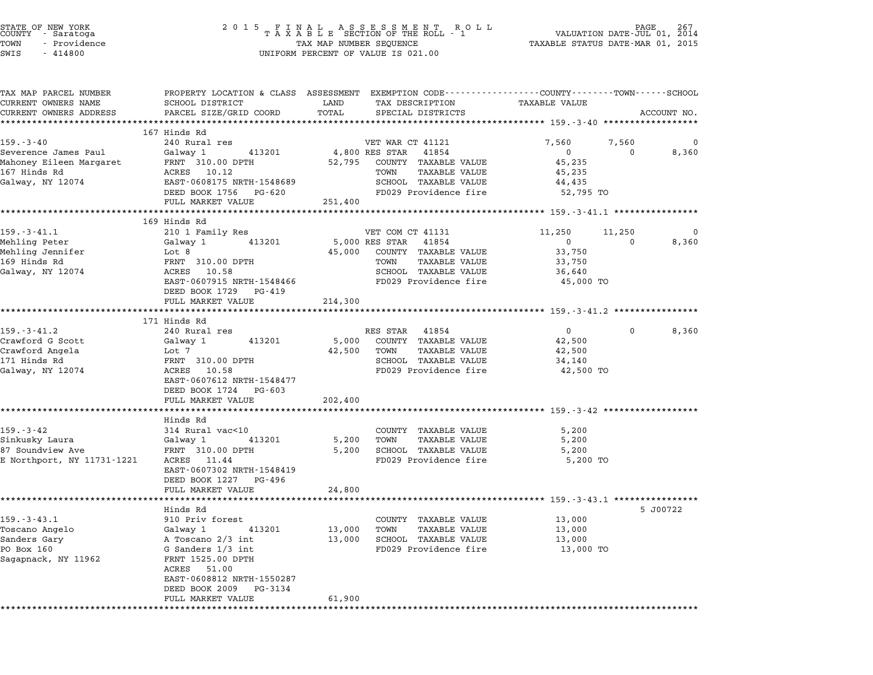| STATE OF NEW YORK<br>COUNTY - Saratoga<br>TOWN<br>- Providence<br>SWIS<br>$-414800$               | 2 0 1 5                                                                                                                                                                     |                 | FINAL ASSESSMENT ROLL VALUATION DATE-JUL 01,<br>TAXABLE SECTION OF THE ROLL - 1 VALUATION DATE-JUL 01,<br>TAX MAP NUMBER SEQUENCE TAXABLE STATUS DATE-MAR 01,<br>UNIFORM PERCENT OF VALUE IS 021.00 | TAXABLE STATUS DATE-MAR 01, 2015                          |                   | 267<br>2014 |
|---------------------------------------------------------------------------------------------------|-----------------------------------------------------------------------------------------------------------------------------------------------------------------------------|-----------------|-----------------------------------------------------------------------------------------------------------------------------------------------------------------------------------------------------|-----------------------------------------------------------|-------------------|-------------|
| TAX MAP PARCEL NUMBER<br>CURRENT OWNERS NAME<br>CURRENT OWNERS ADDRESS<br>*********************** | PROPERTY LOCATION & CLASS ASSESSMENT EXEMPTION CODE---------------COUNTY-------TOWN-----SCHOOL<br>SCHOOL DISTRICT<br>PARCEL SIZE/GRID COORD<br>**************************** | LAND<br>TOTAL   | TAX DESCRIPTION<br>SPECIAL DISTRICTS                                                                                                                                                                | <b>TAXABLE VALUE</b>                                      |                   | ACCOUNT NO. |
|                                                                                                   | 167 Hinds Rd                                                                                                                                                                |                 |                                                                                                                                                                                                     |                                                           |                   |             |
| $159. - 3 - 40$                                                                                   | 240 Rural res                                                                                                                                                               |                 | VET WAR CT 41121                                                                                                                                                                                    | 7,560                                                     | 7,560             | 0           |
| Severence James Paul<br>Mahoney Eileen Margaret<br>167 Hinds Rd<br>Galway, NY 12074               | Galway 1<br>413201<br>FRNT 310.00 DPTH<br>ACRES 10.12<br>EAST-0608175 NRTH-1548689<br>DEED BOOK 1756 PG-620                                                                 | 52,795          | 4,800 RES STAR 41854<br>COUNTY TAXABLE VALUE<br>TAXABLE VALUE<br>TOWN<br>SCHOOL TAXABLE VALUE<br>FD029 Providence fire                                                                              | $\overline{0}$<br>45,235<br>45,235<br>44,435<br>52,795 TO | $\Omega$          | 8,360       |
|                                                                                                   | FULL MARKET VALUE                                                                                                                                                           | 251,400         |                                                                                                                                                                                                     |                                                           |                   |             |
|                                                                                                   |                                                                                                                                                                             |                 |                                                                                                                                                                                                     |                                                           |                   |             |
|                                                                                                   | 169 Hinds Rd                                                                                                                                                                |                 |                                                                                                                                                                                                     |                                                           |                   |             |
| $159. - 3 - 41.1$                                                                                 | 210 1 Family Res                                                                                                                                                            |                 | VET COM CT 41131                                                                                                                                                                                    | 11,250                                                    | 11,250            | 0           |
| Mehling Peter                                                                                     | 413201<br>Galway 1                                                                                                                                                          |                 | 5,000 RES STAR 41854                                                                                                                                                                                | $\overline{0}$                                            | $\Omega$          | 8,360       |
| Mehling Jennifer<br>169 Hinds Rd                                                                  | Lot 8<br>FRNT 310.00 DPTH                                                                                                                                                   |                 | 45,000 COUNTY TAXABLE VALUE<br>TAXABLE VALUE<br>TOWN                                                                                                                                                | 33,750<br>33,750                                          |                   |             |
| Galway, NY 12074                                                                                  | ACRES 10.58                                                                                                                                                                 |                 | SCHOOL TAXABLE VALUE                                                                                                                                                                                | 36,640                                                    |                   |             |
|                                                                                                   | EAST-0607915 NRTH-1548466<br>DEED BOOK 1729 PG-419                                                                                                                          |                 | FD029 Providence fire                                                                                                                                                                               | 45,000 TO                                                 |                   |             |
|                                                                                                   | FULL MARKET VALUE                                                                                                                                                           | 214,300         |                                                                                                                                                                                                     |                                                           |                   |             |
|                                                                                                   |                                                                                                                                                                             |                 |                                                                                                                                                                                                     |                                                           |                   |             |
|                                                                                                   | 171 Hinds Rd                                                                                                                                                                |                 |                                                                                                                                                                                                     |                                                           |                   |             |
| $159. - 3 - 41.2$                                                                                 | 240 Rural res                                                                                                                                                               |                 | RES STAR 41854                                                                                                                                                                                      | $0 \qquad \qquad$                                         | $0 \qquad \qquad$ | 8,360       |
| Crawford G Scott<br>Crawford Angela                                                               | 413201<br>Galway 1<br>Lot 7                                                                                                                                                 | 5,000<br>42,500 | COUNTY TAXABLE VALUE<br>TOWN<br>TAXABLE VALUE                                                                                                                                                       | 42,500<br>42,500                                          |                   |             |
| 171 Hinds Rd                                                                                      | FRNT 310.00 DPTH                                                                                                                                                            |                 | SCHOOL TAXABLE VALUE                                                                                                                                                                                | 34,140                                                    |                   |             |
| Galway, NY 12074                                                                                  | ACRES 10.58<br>EAST-0607612 NRTH-1548477<br>DEED BOOK 1724 PG-603                                                                                                           |                 | FD029 Providence fire                                                                                                                                                                               | 42,500 TO                                                 |                   |             |
|                                                                                                   | FULL MARKET VALUE                                                                                                                                                           | 202,400         |                                                                                                                                                                                                     |                                                           |                   |             |
|                                                                                                   |                                                                                                                                                                             |                 |                                                                                                                                                                                                     |                                                           |                   |             |
|                                                                                                   | Hinds Rd                                                                                                                                                                    |                 |                                                                                                                                                                                                     |                                                           |                   |             |
| $159. - 3 - 42$                                                                                   | 314 Rural vac<10                                                                                                                                                            |                 | COUNTY TAXABLE VALUE                                                                                                                                                                                | 5,200                                                     |                   |             |
| Sinkusky Laura<br>87 Soundview Ave                                                                | Galway 1<br>413201<br>FRNT 310.00 DPTH                                                                                                                                      | 5,200           | TOWN<br><b>TAXABLE VALUE</b><br>SCHOOL TAXABLE VALUE                                                                                                                                                | 5,200<br>5,200                                            |                   |             |
| E Northport, NY 11731-1221                                                                        | ACRES 11.44<br>EAST-0607302 NRTH-1548419<br>DEED BOOK 1227 PG-496<br>FULL MARKET VALUE                                                                                      | 5,200<br>24,800 | FD029 Providence fire                                                                                                                                                                               | 5,200 TO                                                  |                   |             |
|                                                                                                   |                                                                                                                                                                             |                 | ***************************** 159.-3-43.1 **********                                                                                                                                                |                                                           |                   |             |
|                                                                                                   | Hinds Rd                                                                                                                                                                    |                 |                                                                                                                                                                                                     |                                                           |                   | 5 J00722    |
| $159. - 3 - 43.1$                                                                                 | 910 Priv forest                                                                                                                                                             |                 | TAXABLE VALUE<br>COUNTY                                                                                                                                                                             | 13,000                                                    |                   |             |
| Toscano Angelo                                                                                    | Galway 1<br>413201                                                                                                                                                          | 13,000          | TOWN<br>TAXABLE VALUE                                                                                                                                                                               | 13,000                                                    |                   |             |
| Sanders Gary                                                                                      | A Toscano 2/3 int                                                                                                                                                           | 13,000          | SCHOOL TAXABLE VALUE                                                                                                                                                                                | 13,000                                                    |                   |             |
| PO Box 160<br>Sagapnack, NY 11962                                                                 | G Sanders 1/3 int<br>FRNT 1525.00 DPTH<br>ACRES<br>51.00<br>EAST-0608812 NRTH-1550287<br>DEED BOOK 2009<br>PG-3134                                                          |                 | FD029 Providence fire                                                                                                                                                                               | 13,000 TO                                                 |                   |             |
|                                                                                                   | FULL MARKET VALUE                                                                                                                                                           | 61,900          |                                                                                                                                                                                                     |                                                           |                   |             |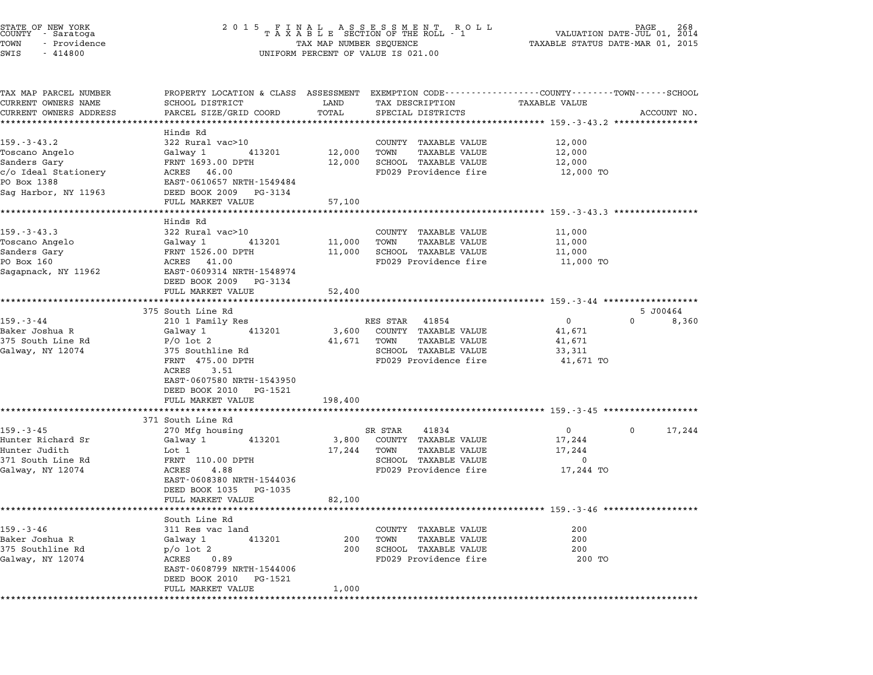|          | STATE OF NEW YORK<br>COUNTY - Saratoga |  |
|----------|----------------------------------------|--|
| TOWN     | - Providence                           |  |
| $\alpha$ | 111000                                 |  |

## STATE OF NEW YORK <sup>2</sup> <sup>0</sup> <sup>1</sup> 5 F I N A L A S S E S S M E N T R O L L PAGE <sup>268</sup> COUNTY - Saratoga <sup>T</sup> <sup>A</sup> <sup>X</sup> <sup>A</sup> <sup>B</sup> <sup>L</sup> <sup>E</sup> SECTION OF THE ROLL - <sup>1</sup> VALUATION DATE-JUL 01, <sup>2014</sup> TOWN - Providence TAX MAP NUMBER SEQUENCE TAXABLE STATUS DATE-MAR 01, <sup>2015</sup> TOWN - Providence and the state of the state of the TAX MAP NUMBER SEQUENCE<br>SWIS - 414800 SWIS - SWISSED BERCENT OF VALUE IS 021.00

| TAX MAP PARCEL NUMBER                        | PROPERTY LOCATION & CLASS ASSESSMENT EXEMPTION CODE---------------COUNTY-------TOWN-----SCHOOL |             |                              |                                                                           |                    |
|----------------------------------------------|------------------------------------------------------------------------------------------------|-------------|------------------------------|---------------------------------------------------------------------------|--------------------|
| CURRENT OWNERS NAME                          | SCHOOL DISTRICT                                                                                | LAND        | TAX DESCRIPTION              | <b>TAXABLE VALUE</b>                                                      |                    |
| CURRENT OWNERS ADDRESS<br>****************** | PARCEL SIZE/GRID COORD                                                                         | TOTAL       | SPECIAL DISTRICTS            |                                                                           | ACCOUNT NO.        |
|                                              |                                                                                                |             |                              |                                                                           |                    |
| $159. - 3 - 43.2$                            | Hinds Rd<br>322 Rural vac>10                                                                   |             | COUNTY TAXABLE VALUE         | 12,000                                                                    |                    |
| Toscano Angelo                               | Galway 1<br>413201                                                                             | 12,000      | TOWN<br><b>TAXABLE VALUE</b> | 12,000                                                                    |                    |
| Sanders Gary                                 | FRNT 1693.00 DPTH                                                                              | 12,000      | SCHOOL TAXABLE VALUE         | 12,000                                                                    |                    |
| c/o Ideal Stationery                         | ACRES 46.00                                                                                    |             | FD029 Providence fire        | 12,000 TO                                                                 |                    |
| PO Box 1388                                  | EAST-0610657 NRTH-1549484                                                                      |             |                              |                                                                           |                    |
| Sag Harbor, NY 11963                         | DEED BOOK 2009 PG-3134                                                                         |             |                              |                                                                           |                    |
|                                              | FULL MARKET VALUE                                                                              | 57,100      |                              |                                                                           |                    |
|                                              | ******************                                                                             |             |                              | ************************* 159.-3-43.3 ***************                     |                    |
|                                              | Hinds Rd                                                                                       |             |                              |                                                                           |                    |
| $159. - 3 - 43.3$                            | 322 Rural vac>10                                                                               |             | COUNTY TAXABLE VALUE         | 11,000                                                                    |                    |
| Toscano Angelo                               | 413201<br>Galway 1                                                                             | 11,000      | TOWN<br><b>TAXABLE VALUE</b> | 11,000                                                                    |                    |
| Sanders Gary                                 | FRNT 1526.00 DPTH                                                                              | 11,000      | SCHOOL TAXABLE VALUE         | 11,000                                                                    |                    |
| PO Box 160                                   | ACRES 41.00<br>EAST-0609314 NRTH-1548974                                                       |             | FD029 Providence fire        | 11,000 TO                                                                 |                    |
| Sagapnack, NY 11962                          | DEED BOOK 2009<br>PG-3134                                                                      |             |                              |                                                                           |                    |
|                                              | FULL MARKET VALUE                                                                              | 52,400      |                              |                                                                           |                    |
|                                              |                                                                                                |             |                              | ·****************************** 159 <sub>.</sub> -3-44 ****************** |                    |
|                                              | 375 South Line Rd                                                                              |             |                              |                                                                           | 5 J00464           |
| $159. - 3 - 44$                              | 210 1 Family Res                                                                               |             | RES STAR<br>41854            | $\mathbf{0}$                                                              | $\Omega$<br>8,360  |
| Baker Joshua R                               | Galway 1<br>413201                                                                             | 3,600       | COUNTY TAXABLE VALUE         | 41,671                                                                    |                    |
| 375 South Line Rd                            | $P/O$ lot 2                                                                                    | 41,671 TOWN | <b>TAXABLE VALUE</b>         | 41,671                                                                    |                    |
| Galway, NY 12074                             | 375 Southline Rd                                                                               |             | SCHOOL TAXABLE VALUE         | 33,311                                                                    |                    |
|                                              | FRNT 475.00 DPTH                                                                               |             | FD029 Providence fire        | 41,671 TO                                                                 |                    |
|                                              | 3.51<br>ACRES                                                                                  |             |                              |                                                                           |                    |
|                                              | EAST-0607580 NRTH-1543950                                                                      |             |                              |                                                                           |                    |
|                                              | DEED BOOK 2010<br>PG-1521<br>FULL MARKET VALUE                                                 | 198,400     |                              |                                                                           |                    |
|                                              | *********************                                                                          |             |                              |                                                                           |                    |
|                                              | 371 South Line Rd                                                                              |             |                              |                                                                           |                    |
| $159. - 3 - 45$                              | 270 Mfg housing                                                                                |             | SR STAR<br>41834             | $\mathbf{0}$                                                              | $\Omega$<br>17,244 |
| Hunter Richard Sr                            | Galway 1<br>413201                                                                             | 3,800       | COUNTY TAXABLE VALUE         | 17,244                                                                    |                    |
| Hunter Judith                                | Lot 1                                                                                          | 17,244      | TOWN<br><b>TAXABLE VALUE</b> | 17,244                                                                    |                    |
| 371 South Line Rd                            | FRNT 110.00 DPTH                                                                               |             | SCHOOL TAXABLE VALUE         | 0                                                                         |                    |
| Galway, NY 12074                             | ACRES<br>4.88                                                                                  |             | FD029 Providence fire        | 17,244 TO                                                                 |                    |
|                                              | EAST-0608380 NRTH-1544036                                                                      |             |                              |                                                                           |                    |
|                                              | DEED BOOK 1035 PG-1035                                                                         |             |                              |                                                                           |                    |
|                                              | FULL MARKET VALUE                                                                              | 82,100      |                              |                                                                           |                    |
|                                              | South Line Rd                                                                                  |             |                              |                                                                           |                    |
| $159. - 3 - 46$                              | 311 Res vac land                                                                               |             | COUNTY TAXABLE VALUE         | 200                                                                       |                    |
| Baker Joshua R                               | 413201<br>Galway 1                                                                             | 200         | <b>TAXABLE VALUE</b><br>TOWN | 200                                                                       |                    |
| 375 Southline Rd                             | $p$ o lot 2                                                                                    | 200         | SCHOOL TAXABLE VALUE         | 200                                                                       |                    |
| Galway, NY 12074                             | ACRES 0.89                                                                                     |             | FD029 Providence fire        | 200 TO                                                                    |                    |
|                                              | EAST-0608799 NRTH-1544006                                                                      |             |                              |                                                                           |                    |
|                                              | DEED BOOK 2010<br>PG-1521                                                                      |             |                              |                                                                           |                    |
|                                              | FULL MARKET VALUE                                                                              | 1,000       |                              |                                                                           |                    |
| *******************                          | *********************                                                                          | *********   |                              |                                                                           |                    |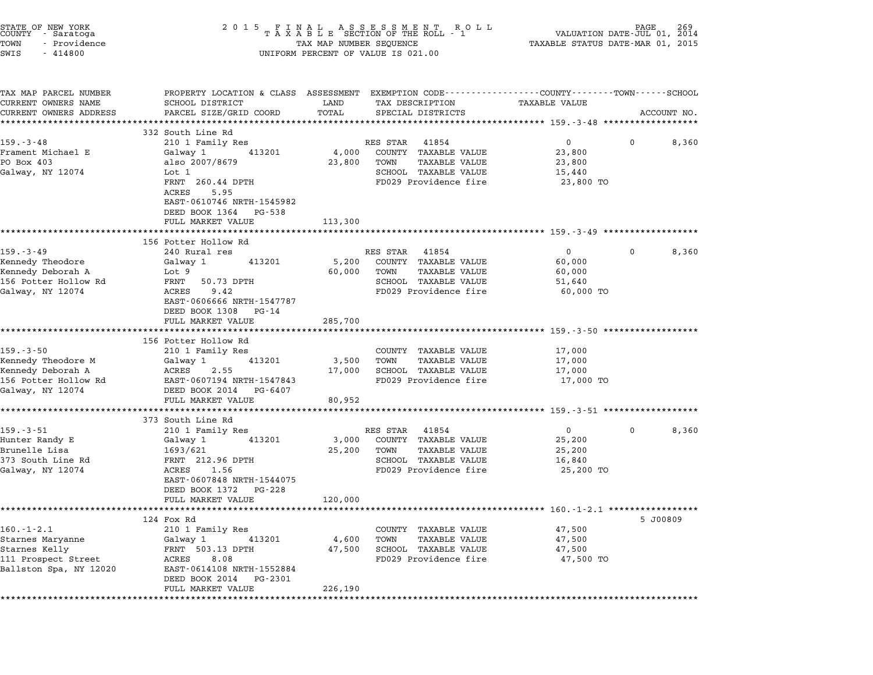| STATE OF NEW YORK<br>COUNTY<br>- Saratoga<br>TOWN<br>- Providence<br>SWIS<br>$-414800$ | 2 0 1 5<br>FINAL ASSESSMENT RO<br>TAXABLE SECTION OF THE ROLL - 1<br>TAX MAP NUMBER SEQUENCE<br>UNIFORM PERCENT OF VALUE IS 021.00 | VALUATION DATE-JUL 01, 2014<br>TAXABLE STATUS DATE-MAR 01, 2015 |                                                      |                                                            |          |             |
|----------------------------------------------------------------------------------------|------------------------------------------------------------------------------------------------------------------------------------|-----------------------------------------------------------------|------------------------------------------------------|------------------------------------------------------------|----------|-------------|
| TAX MAP PARCEL NUMBER<br>CURRENT OWNERS NAME                                           | PROPERTY LOCATION & CLASS ASSESSMENT EXEMPTION CODE---------------COUNTY-------TOWN------SCHOOL<br>SCHOOL DISTRICT                 | LAND                                                            | TAX DESCRIPTION                                      | TAXABLE VALUE                                              |          |             |
| CURRENT OWNERS ADDRESS                                                                 | PARCEL SIZE/GRID COORD                                                                                                             | TOTAL                                                           | SPECIAL DISTRICTS                                    |                                                            |          | ACCOUNT NO. |
|                                                                                        | 332 South Line Rd                                                                                                                  |                                                                 |                                                      | :************ 159.-3-48 *********                          |          |             |
| $159. - 3 - 48$                                                                        | 210 1 Family Res                                                                                                                   |                                                                 | RES STAR<br>41854                                    | $\overline{0}$                                             | $\Omega$ | 8,360       |
| Frament Michael E                                                                      | Galway 1<br>413201                                                                                                                 | 4,000                                                           | COUNTY TAXABLE VALUE                                 | 23,800                                                     |          |             |
| PO Box 403                                                                             | also 2007/8679                                                                                                                     | 23,800                                                          | <b>TAXABLE VALUE</b><br>TOWN                         | 23,800                                                     |          |             |
| Galway, NY 12074                                                                       | Lot 1                                                                                                                              |                                                                 | SCHOOL TAXABLE VALUE                                 | 15,440                                                     |          |             |
|                                                                                        | FRNT 260.44 DPTH<br>ACRES<br>5.95<br>EAST-0610746 NRTH-1545982                                                                     |                                                                 | FD029 Providence fire                                | 23,800 TO                                                  |          |             |
|                                                                                        | DEED BOOK 1364 PG-538                                                                                                              |                                                                 |                                                      |                                                            |          |             |
|                                                                                        | FULL MARKET VALUE                                                                                                                  | 113,300                                                         |                                                      |                                                            |          |             |
|                                                                                        | ***********************                                                                                                            |                                                                 |                                                      |                                                            |          |             |
|                                                                                        | 156 Potter Hollow Rd                                                                                                               |                                                                 |                                                      |                                                            |          |             |
| $159. - 3 - 49$                                                                        | 240 Rural res                                                                                                                      |                                                                 | RES STAR 41854                                       | $\Omega$                                                   | $\Omega$ | 8,360       |
| Kennedy Theodore<br>Kennedy Deborah A                                                  | Galway 1<br>413201<br>Lot 9                                                                                                        | 5,200<br>60,000                                                 | COUNTY TAXABLE VALUE<br>TOWN<br><b>TAXABLE VALUE</b> | 60,000<br>60,000                                           |          |             |
| 156 Potter Hollow Rd                                                                   | FRNT<br>50.73 DPTH                                                                                                                 |                                                                 | SCHOOL TAXABLE VALUE                                 | 51,640                                                     |          |             |
| Galway, NY 12074                                                                       | 9.42<br>ACRES                                                                                                                      |                                                                 | FD029 Providence fire                                | 60,000 TO                                                  |          |             |
|                                                                                        | EAST-0606666 NRTH-1547787                                                                                                          |                                                                 |                                                      |                                                            |          |             |
|                                                                                        | DEED BOOK 1308 PG-14                                                                                                               |                                                                 |                                                      |                                                            |          |             |
|                                                                                        | FULL MARKET VALUE                                                                                                                  | 285,700                                                         |                                                      |                                                            |          |             |
|                                                                                        | ********************                                                                                                               |                                                                 |                                                      | *********** 159.-3-50 ******************                   |          |             |
|                                                                                        | 156 Potter Hollow Rd                                                                                                               |                                                                 |                                                      |                                                            |          |             |
| 159.-3-50<br>Kennedy Theodore M                                                        | 210 1 Family Res<br>413201<br>Galway 1                                                                                             | 3,500                                                           | COUNTY TAXABLE VALUE<br>TOWN<br><b>TAXABLE VALUE</b> | 17,000<br>17,000                                           |          |             |
| Kennedy Deborah A                                                                      | ACRES<br>2.55                                                                                                                      | 17,000                                                          | SCHOOL TAXABLE VALUE                                 | 17,000                                                     |          |             |
| 156 Potter Hollow Rd                                                                   | EAST-0607194 NRTH-1547843                                                                                                          |                                                                 | FD029 Providence fire                                | 17,000 TO                                                  |          |             |
| Galway, NY 12074                                                                       | DEED BOOK 2014 PG-6407                                                                                                             |                                                                 |                                                      |                                                            |          |             |
|                                                                                        | FULL MARKET VALUE                                                                                                                  | 80,952                                                          |                                                      |                                                            |          |             |
|                                                                                        |                                                                                                                                    |                                                                 |                                                      |                                                            |          |             |
|                                                                                        | 373 South Line Rd                                                                                                                  |                                                                 |                                                      |                                                            |          |             |
| $159. - 3 - 51$                                                                        | 210 1 Family Res                                                                                                                   |                                                                 | RES STAR 41854                                       | $\overline{0}$                                             | $\Omega$ | 8,360       |
| Hunter Randy E<br>Brunelle Lisa                                                        | Galway 1<br>413201<br>1693/621                                                                                                     | 3,000                                                           | COUNTY TAXABLE VALUE<br>TAXABLE VALUE<br>TOWN        | 25,200<br>25,200                                           |          |             |
| 373 South Line Rd                                                                      | FRNT 212.96 DPTH                                                                                                                   | 25,200                                                          | SCHOOL TAXABLE VALUE                                 | 16,840                                                     |          |             |
| Galway, NY 12074                                                                       | ACRES 1.56                                                                                                                         |                                                                 | FD029 Providence fire                                | 25,200 TO                                                  |          |             |
|                                                                                        | EAST-0607848 NRTH-1544075                                                                                                          |                                                                 |                                                      |                                                            |          |             |
|                                                                                        | DEED BOOK 1372 PG-228                                                                                                              |                                                                 |                                                      |                                                            |          |             |
|                                                                                        | FULL MARKET VALUE                                                                                                                  | 120,000                                                         |                                                      |                                                            |          |             |
|                                                                                        | ***********************                                                                                                            | ***************                                                 |                                                      | ******************************** 160.-1-2.1 ************** |          |             |
|                                                                                        | 124 Fox Rd                                                                                                                         |                                                                 |                                                      |                                                            |          | 5 J00809    |
| $160.-1-2.1$<br>Starnes Maryanne                                                       | 210 1 Family Res<br>413201                                                                                                         | 4,600                                                           | COUNTY TAXABLE VALUE<br>TOWN<br><b>TAXABLE VALUE</b> | 47,500<br>47,500                                           |          |             |
| Starnes Kelly                                                                          | Galway 1<br>FRNT 503.13 DPTH                                                                                                       | 47,500                                                          | SCHOOL TAXABLE VALUE                                 | 47,500                                                     |          |             |
| 111 Prospect Street                                                                    | ACRES<br>8.08                                                                                                                      |                                                                 | FD029 Providence fire                                | 47,500 TO                                                  |          |             |
| Ballston Spa, NY 12020                                                                 | EAST-0614108 NRTH-1552884                                                                                                          |                                                                 |                                                      |                                                            |          |             |
|                                                                                        | DEED BOOK 2014<br>PG-2301                                                                                                          |                                                                 |                                                      |                                                            |          |             |
|                                                                                        | FULL MARKET VALUE                                                                                                                  | 226,190                                                         |                                                      |                                                            |          |             |
|                                                                                        | *****************                                                                                                                  |                                                                 |                                                      |                                                            |          |             |

STATE OF NEW YORK <sup>2</sup> <sup>0</sup> <sup>1</sup> 5 F I N A L A S S E S S M E N T R O L L PAGE <sup>269</sup> COUNTY - Saratoga <sup>T</sup> <sup>A</sup> <sup>X</sup> <sup>A</sup> <sup>B</sup> <sup>L</sup> <sup>E</sup> SECTION OF THE ROLL - <sup>1</sup> VALUATION DATE-JUL 01, <sup>2014</sup>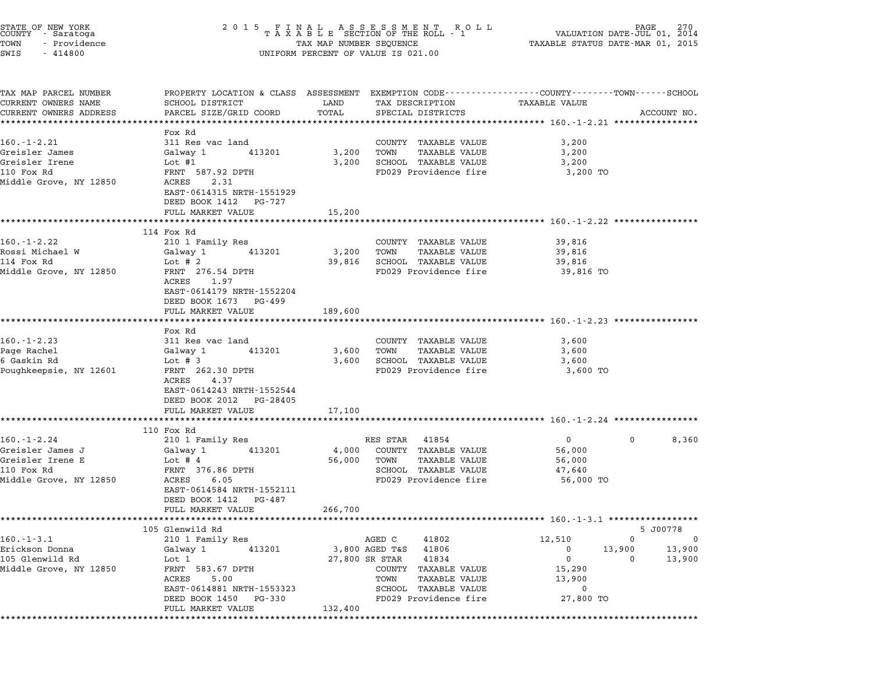| STATE OF NEW YORK<br>COUNTY - Saratoga |  |              |  |  |
|----------------------------------------|--|--------------|--|--|
| TOWN                                   |  | - Providence |  |  |
| <b>STMP</b>                            |  | $-414800$    |  |  |

## STATE OF NEW YORK <sup>2</sup> <sup>0</sup> <sup>1</sup> 5 F I N A L A S S E S S M E N T R O L L PAGE <sup>270</sup> COUNTY - Saratoga <sup>T</sup> <sup>A</sup> <sup>X</sup> <sup>A</sup> <sup>B</sup> <sup>L</sup> <sup>E</sup> SECTION OF THE ROLL - <sup>1</sup> VALUATION DATE-JUL 01, <sup>2014</sup> TOWN - Providence TAX MAP NUMBER SEQUENCE TAXABLE STATUS DATE-MAR 01, <sup>2015</sup> TOWN - Providence and the state of the state of the TAX MAP NUMBER SEQUENCE SWIS - 414800

| TAX MAP PARCEL NUMBER                                                       | PROPERTY LOCATION & CLASS ASSESSMENT EXEMPTION CODE--------------COUNTY-------TOWN------SCHOOL |         |                                                      |                            |                |
|-----------------------------------------------------------------------------|------------------------------------------------------------------------------------------------|---------|------------------------------------------------------|----------------------------|----------------|
| CURRENT OWNERS NAME                                                         | SCHOOL DISTRICT                                                                                | LAND    | TAX DESCRIPTION                                      | TAXABLE VALUE              |                |
| CURRENT OWNERS ADDRESS                                                      | PARCEL SIZE/GRID COORD                                                                         | TOTAL   | SPECIAL DISTRICTS                                    |                            | ACCOUNT NO.    |
|                                                                             | Fox Rd                                                                                         |         |                                                      |                            |                |
| $160. - 1 - 2.21$                                                           | 311 Res vac land                                                                               |         | COUNTY TAXABLE VALUE                                 | 3,200                      |                |
| Greisler James                                                              | Galway 1 413201                                                                                | 3,200   | TOWN<br>TAXABLE VALUE                                | 3,200                      |                |
| Greisler Irene                                                              | Lot #1                                                                                         |         | 3,200 SCHOOL TAXABLE VALUE                           | 3,200                      |                |
| 110 Fox Rd                                                                  | FRNT 587.92 DPTH                                                                               |         | FD029 Providence fire                                | 3,200 TO                   |                |
| Middle Grove, NY 12850                                                      | ACRES 2.31                                                                                     |         |                                                      |                            |                |
|                                                                             | EAST-0614315 NRTH-1551929                                                                      |         |                                                      |                            |                |
|                                                                             | DEED BOOK 1412 PG-727                                                                          |         |                                                      |                            |                |
|                                                                             | FULL MARKET VALUE                                                                              | 15,200  |                                                      |                            |                |
|                                                                             |                                                                                                |         |                                                      |                            |                |
|                                                                             | 114 Fox Rd                                                                                     |         |                                                      |                            |                |
| 160.-1-2.22                                                                 | 210 1 Family Res                                                                               |         | COUNTY TAXABLE VALUE                                 | 39,816                     |                |
| Rossi Michael W                                                             | Galway 1<br>413201                                                                             | 3,200   | TOWN<br>TAXABLE VALUE                                | 39,816                     |                |
| 114 Fox Rd<br>Middle Grove, NY 12850                                        | Lot # $2$<br>FRNT 276.54 DPTH                                                                  |         | 39,816 SCHOOL TAXABLE VALUE<br>FD029 Providence fire | 39,816<br>39,816 TO        |                |
|                                                                             | ACRES 1.97                                                                                     |         |                                                      |                            |                |
|                                                                             | EAST-0614179 NRTH-1552204                                                                      |         |                                                      |                            |                |
|                                                                             | DEED BOOK 1673 PG-499                                                                          |         |                                                      |                            |                |
|                                                                             | FULL MARKET VALUE                                                                              | 189,600 |                                                      |                            |                |
|                                                                             |                                                                                                |         |                                                      |                            |                |
|                                                                             | Fox Rd                                                                                         |         |                                                      |                            |                |
| $160. - 1 - 2.23$                                                           | 311 Res vac land                                                                               |         | COUNTY TAXABLE VALUE                                 | 3,600                      |                |
| Page Rachel                                                                 | Galway 1<br>413201                                                                             | 3,600   | TOWN<br><b>TAXABLE VALUE</b>                         | 3,600                      |                |
| 6 Gaskin Rd                                                                 | Lot # $3$                                                                                      |         | 3,600 SCHOOL TAXABLE VALUE                           | 3,600                      |                |
| Poughkeepsie, NY 12601                                                      | FRNT 262.30 DPTH<br>ACRES 4.37                                                                 |         | FD029 Providence fire                                | 3,600 TO                   |                |
|                                                                             | EAST-0614243 NRTH-1552544                                                                      |         |                                                      |                            |                |
|                                                                             | DEED BOOK 2012 PG-28405                                                                        |         |                                                      |                            |                |
|                                                                             | FULL MARKET VALUE                                                                              | 17,100  |                                                      |                            |                |
|                                                                             |                                                                                                |         |                                                      |                            |                |
|                                                                             | 110 Fox Rd                                                                                     |         |                                                      |                            |                |
| $160. - 1 - 2.24$                                                           | 210 1 Family Res                                                                               |         | RES STAR 41854                                       | $\overline{0}$<br>$\Omega$ | 8,360          |
| Greisler James J                                                            | Galway 1<br>413201                                                                             | 4,000   | COUNTY TAXABLE VALUE                                 | 56,000                     |                |
| Greisler Irene E                                                            | Lot # $4$                                                                                      | 56,000  | TOWN<br>TAXABLE VALUE                                | 56,000                     |                |
| 110 Fox Rd                                                                  | FRNT 376.86 DPTH                                                                               |         | SCHOOL TAXABLE VALUE                                 | 47,640                     |                |
| Middle Grove, NY 12850                                                      | ACRES 6.05                                                                                     |         | FD029 Providence fire                                | 56,000 TO                  |                |
|                                                                             | EAST-0614584 NRTH-1552111<br>DEED BOOK 1412 PG-487                                             |         |                                                      |                            |                |
|                                                                             |                                                                                                |         |                                                      |                            |                |
|                                                                             |                                                                                                |         |                                                      |                            |                |
|                                                                             | FULL MARKET VALUE                                                                              | 266,700 |                                                      |                            |                |
|                                                                             | 105 Glenwild Rd                                                                                |         |                                                      |                            | 5 J00778       |
|                                                                             | 210 1 Family Res                                                                               |         | AGED C<br>41802                                      | 12,510<br>$\Omega$         | $\overline{0}$ |
|                                                                             | Galway 1<br>413201                                                                             |         | 3,800 AGED T&S 41806                                 | $\overline{0}$<br>13,900   | 13,900         |
|                                                                             | Lot 1                                                                                          |         | 27,800 SR STAR<br>41834                              | $\overline{0}$<br>$\Omega$ | 13,900         |
|                                                                             | FRNT 583.67 DPTH                                                                               |         | COUNTY TAXABLE VALUE                                 | 15,290                     |                |
|                                                                             | ACRES<br>5.00                                                                                  |         | TOWN<br>TAXABLE VALUE                                | 13,900                     |                |
| $160.-1-3.1$<br>Erickson Donna<br>105 Glenwild Rd<br>Middle Grove, NY 12850 | EAST-0614881 NRTH-1553323                                                                      |         | SCHOOL TAXABLE VALUE                                 | 0                          |                |
|                                                                             | DEED BOOK 1450 PG-330<br>FULL MARKET VALUE                                                     | 132,400 | FD029 Providence fire                                | 27,800 TO                  |                |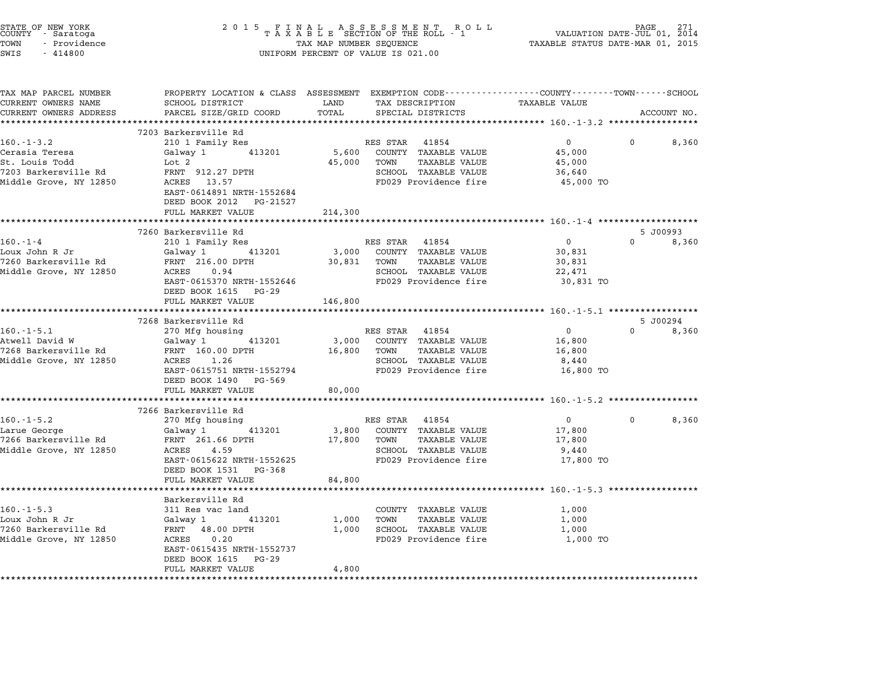| STATE OF NEW YORK<br>COUNTY      Saratoga<br>TOWN<br>- Providence<br>SWIS<br>$-414800$ |                                                                                                                   | TAX MAP NUMBER SEQUENCE | 2015 FINAL ASSESSMENT ROLL<br>TAXABLE SECTION OF THE ROLL - 1<br>UNIFORM PERCENT OF VALUE IS 021.00 | PAGE 271<br>VALUATION DATE-JUL 01, 2014<br>TAXABLE STATUS DATE-MAR 01, 2015 | PAGE<br>271       |
|----------------------------------------------------------------------------------------|-------------------------------------------------------------------------------------------------------------------|-------------------------|-----------------------------------------------------------------------------------------------------|-----------------------------------------------------------------------------|-------------------|
| TAX MAP PARCEL NUMBER<br>CURRENT OWNERS NAME                                           | PROPERTY LOCATION & CLASS ASSESSMENT EXEMPTION CODE---------------COUNTY------TOWN------SCHOOL<br>SCHOOL DISTRICT | LAND                    | TAX DESCRIPTION                                                                                     | TAXABLE VALUE                                                               |                   |
| CURRENT OWNERS ADDRESS                                                                 | PARCEL SIZE/GRID COORD                                                                                            | TOTAL                   | SPECIAL DISTRICTS                                                                                   |                                                                             | ACCOUNT NO.       |
|                                                                                        |                                                                                                                   |                         |                                                                                                     |                                                                             |                   |
|                                                                                        | 7203 Barkersville Rd                                                                                              |                         |                                                                                                     |                                                                             |                   |
| $160. - 1 - 3.2$                                                                       | 210 1 Family Res                                                                                                  |                         | RES STAR 41854                                                                                      | $\overline{0}$                                                              | 8,360             |
| Cerasia Teresa<br>St. Louis Todd                                                       | 413201<br>Galway 1<br>Lot 2                                                                                       | 5,600<br>45,000         | COUNTY TAXABLE VALUE<br>TOWN<br>TAXABLE VALUE                                                       | 45,000<br>45,000                                                            |                   |
| 7203 Barkersville Rd                                                                   | FRNT 912.27 DPTH                                                                                                  |                         | SCHOOL TAXABLE VALUE                                                                                | 36,640                                                                      |                   |
| Middle Grove, NY 12850                                                                 | ACRES 13.57                                                                                                       |                         | FD029 Providence fire                                                                               | 45,000 TO                                                                   |                   |
|                                                                                        | EAST-0614891 NRTH-1552684                                                                                         |                         |                                                                                                     |                                                                             |                   |
|                                                                                        | DEED BOOK 2012 PG-21527                                                                                           |                         |                                                                                                     |                                                                             |                   |
|                                                                                        | FULL MARKET VALUE                                                                                                 | 214,300                 |                                                                                                     |                                                                             |                   |
|                                                                                        |                                                                                                                   |                         |                                                                                                     | *********************** 160.-1-4 ********************                       |                   |
|                                                                                        | 7260 Barkersville Rd                                                                                              |                         |                                                                                                     |                                                                             | 5 J00993          |
| $160. - 1 - 4$                                                                         | 210 1 Family Res                                                                                                  |                         | RES STAR 41854                                                                                      | $\overline{0}$                                                              | $\Omega$<br>8,360 |
| Loux John R Jr<br>7260 Barkersville Rd                                                 | Galway 1<br>413201<br>FRNT 216.00 DPTH                                                                            | 3,000<br>30,831         | COUNTY TAXABLE VALUE<br>TOWN<br><b>TAXABLE VALUE</b>                                                | 30,831<br>30,831                                                            |                   |
| Middle Grove, NY 12850                                                                 | ACRES 0.94                                                                                                        |                         | SCHOOL TAXABLE VALUE                                                                                | 22,471                                                                      |                   |
|                                                                                        | EAST-0615370 NRTH-1552646                                                                                         |                         | FD029 Providence fire                                                                               | 30,831 TO                                                                   |                   |
|                                                                                        | DEED BOOK 1615 PG-29                                                                                              |                         |                                                                                                     |                                                                             |                   |
|                                                                                        | FULL MARKET VALUE                                                                                                 | 146,800                 |                                                                                                     |                                                                             |                   |
|                                                                                        | *************************                                                                                         | ********************    |                                                                                                     | ********************* 160.-1-5.1 ******************                         |                   |
|                                                                                        | 7268 Barkersville Rd                                                                                              |                         |                                                                                                     |                                                                             | 5 J00294          |
| $160. - 1 - 5.1$                                                                       | 270 Mfg housing                                                                                                   |                         | RES STAR 41854                                                                                      | $\overline{0}$                                                              | $\Omega$<br>8,360 |
| Atwell David W                                                                         | Galway 1 413201                                                                                                   | 3,000                   | COUNTY TAXABLE VALUE                                                                                | 16,800                                                                      |                   |
| 7268 Barkersville Rd<br>Middle Grove, NY 12850                                         | FRNT 160.00 DPTH<br>ACRES 1.26                                                                                    | 16,800                  | TOWN<br><b>TAXABLE VALUE</b><br>SCHOOL TAXABLE VALUE                                                | 16,800<br>8,440                                                             |                   |
|                                                                                        | EAST-0615751 NRTH-1552794                                                                                         |                         | FD029 Providence fire                                                                               | 16,800 TO                                                                   |                   |
|                                                                                        | DEED BOOK 1490 PG-569                                                                                             |                         |                                                                                                     |                                                                             |                   |
|                                                                                        | FULL MARKET VALUE                                                                                                 | 80,000                  |                                                                                                     |                                                                             |                   |
|                                                                                        | ************************                                                                                          |                         | *********************                                                                               | ********************** 160.-1-5.2 ******************                        |                   |
|                                                                                        | 7266 Barkersville Rd                                                                                              |                         |                                                                                                     |                                                                             |                   |
| $160. -1 - 5.2$                                                                        | 270 Mfg housing                                                                                                   |                         | RES STAR 41854                                                                                      | $\overline{0}$                                                              | 8,360<br>$\Omega$ |
| Larue George                                                                           | Galway 1 413201                                                                                                   | 3,800                   | COUNTY TAXABLE VALUE                                                                                | 17,800                                                                      |                   |
| 7266 Barkersville Rd                                                                   | FRNT 261.66 DPTH                                                                                                  | 17,800                  | TOWN<br>TAXABLE VALUE                                                                               | 17,800                                                                      |                   |
| Middle Grove, NY 12850                                                                 | ACRES 4.59                                                                                                        |                         | SCHOOL TAXABLE VALUE                                                                                | 9,440                                                                       |                   |
|                                                                                        | EAST-0615622 NRTH-1552625<br>DEED BOOK 1531 PG-368                                                                |                         | FD029 Providence fire                                                                               | 17,800 TO                                                                   |                   |
|                                                                                        | FULL MARKET VALUE                                                                                                 | 84,800                  |                                                                                                     |                                                                             |                   |
|                                                                                        |                                                                                                                   |                         |                                                                                                     |                                                                             |                   |
|                                                                                        | Barkersville Rd                                                                                                   |                         |                                                                                                     |                                                                             |                   |
| $160. -1 - 5.3$                                                                        | 311 Res vac land                                                                                                  |                         | COUNTY TAXABLE VALUE                                                                                | 1,000                                                                       |                   |
| Loux John R Jr                                                                         | Galway 1<br>413201                                                                                                | 1,000                   | TAXABLE VALUE<br>TOWN                                                                               | 1,000                                                                       |                   |
| 7260 Barkersville Rd                                                                   | FRNT 48.00 DPTH                                                                                                   | 1,000                   | SCHOOL TAXABLE VALUE                                                                                | 1,000                                                                       |                   |
| Middle Grove, NY 12850                                                                 | ACRES<br>0.20                                                                                                     |                         | FD029 Providence fire                                                                               | 1,000 TO                                                                    |                   |
|                                                                                        | EAST-0615435 NRTH-1552737                                                                                         |                         |                                                                                                     |                                                                             |                   |
|                                                                                        | DEED BOOK 1615 PG-29                                                                                              |                         |                                                                                                     |                                                                             |                   |
|                                                                                        | FULL MARKET VALUE                                                                                                 | 4,800                   |                                                                                                     |                                                                             |                   |
|                                                                                        |                                                                                                                   |                         |                                                                                                     |                                                                             |                   |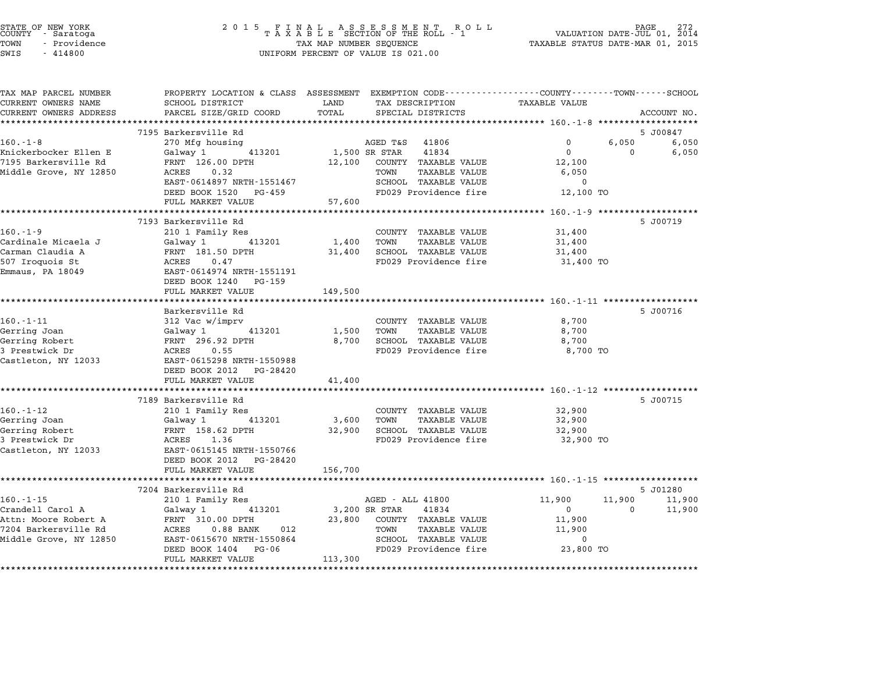| STATE OF NEW YORK<br>COUNTY - Saratoga<br>TOWN<br>- Providence<br>SWIS<br>$-414800$ | 2 0 1 5<br>FINAL ASSESSMENT RO<br>TAXABLE SECTION OF THE ROLL - 1<br>TAX MAP NUMBER SEQUENCE<br>UNIFORM PERCENT OF VALUE IS 021.00 | R O L L | PAGE<br>VALUATION DATE-JUL 01, 2014<br>TAXABLE STATUS DATE-MAR 01, 2015 |                                                         |          |                |
|-------------------------------------------------------------------------------------|------------------------------------------------------------------------------------------------------------------------------------|---------|-------------------------------------------------------------------------|---------------------------------------------------------|----------|----------------|
| TAX MAP PARCEL NUMBER<br>CURRENT OWNERS NAME                                        | PROPERTY LOCATION & CLASS ASSESSMENT EXEMPTION CODE---------------COUNTY-------TOWN------SCHOOL<br>SCHOOL DISTRICT                 | LAND    | TAX DESCRIPTION                                                         | TAXABLE VALUE                                           |          |                |
| CURRENT OWNERS ADDRESS                                                              | PARCEL SIZE/GRID COORD                                                                                                             | TOTAL   | SPECIAL DISTRICTS                                                       |                                                         |          | ACCOUNT NO.    |
|                                                                                     |                                                                                                                                    |         |                                                                         |                                                         |          |                |
| $160. - 1 - 8$                                                                      | 7195 Barkersville Rd                                                                                                               |         | AGED T&S<br>41806                                                       | 0                                                       | 6,050    | 5 J00847       |
| Knickerbocker Ellen E                                                               | 270 Mfg housing<br>Galway 1<br>413201                                                                                              |         | 1,500 SR STAR<br>41834                                                  | $\overline{0}$                                          | $\Omega$ | 6,050<br>6,050 |
| 7195 Barkersville Rd                                                                | FRNT 126.00 DPTH                                                                                                                   | 12,100  | COUNTY TAXABLE VALUE                                                    | 12,100                                                  |          |                |
| Middle Grove, NY 12850                                                              | ACRES<br>0.32                                                                                                                      |         | TOWN<br><b>TAXABLE VALUE</b>                                            | 6,050                                                   |          |                |
|                                                                                     | EAST-0614897 NRTH-1551467                                                                                                          |         | SCHOOL TAXABLE VALUE                                                    | $\mathbf 0$                                             |          |                |
|                                                                                     | DEED BOOK 1520 PG-459                                                                                                              |         | FD029 Providence fire                                                   | 12,100 TO                                               |          |                |
|                                                                                     | FULL MARKET VALUE                                                                                                                  | 57,600  |                                                                         |                                                         |          |                |
|                                                                                     | ************************                                                                                                           |         |                                                                         | ************************ 160. -1-9 ******************** |          |                |
|                                                                                     | 7193 Barkersville Rd                                                                                                               |         |                                                                         |                                                         |          | 5 J00719       |
| $160. - 1 - 9$                                                                      | 210 1 Family Res                                                                                                                   |         | COUNTY TAXABLE VALUE                                                    | 31,400                                                  |          |                |
| Cardinale Micaela J                                                                 | Galway 1<br>413201<br>FRNT 181.50 DPTH                                                                                             | 1,400   | TOWN<br>TAXABLE VALUE<br>SCHOOL TAXABLE VALUE                           | 31,400                                                  |          |                |
| Carman Claudia A<br>507 Iroquois St                                                 | ACRES<br>0.47                                                                                                                      | 31,400  | FD029 Providence fire                                                   | 31,400<br>31,400 TO                                     |          |                |
| Emmaus, PA 18049                                                                    | EAST-0614974 NRTH-1551191                                                                                                          |         |                                                                         |                                                         |          |                |
|                                                                                     | DEED BOOK 1240 PG-159                                                                                                              |         |                                                                         |                                                         |          |                |
|                                                                                     | FULL MARKET VALUE                                                                                                                  | 149,500 |                                                                         |                                                         |          |                |
|                                                                                     | ****************************                                                                                                       |         |                                                                         |                                                         |          |                |
|                                                                                     | Barkersville Rd                                                                                                                    |         |                                                                         |                                                         |          | 5 J00716       |
| $160. - 1 - 11$                                                                     | 312 Vac w/imprv                                                                                                                    |         | COUNTY TAXABLE VALUE                                                    | 8,700                                                   |          |                |
| Gerring Joan                                                                        | Galway 1<br>413201                                                                                                                 | 1,500   | TOWN<br>TAXABLE VALUE                                                   | 8,700                                                   |          |                |
| Gerring Robert<br>3 Prestwick Dr                                                    | FRNT 296.92 DPTH<br>ACRES<br>0.55                                                                                                  | 8,700   | SCHOOL TAXABLE VALUE<br>FD029 Providence fire                           | 8,700<br>8,700 TO                                       |          |                |
| Castleton, NY 12033                                                                 | EAST-0615298 NRTH-1550988                                                                                                          |         |                                                                         |                                                         |          |                |
|                                                                                     | DEED BOOK 2012 PG-28420                                                                                                            |         |                                                                         |                                                         |          |                |
|                                                                                     | FULL MARKET VALUE                                                                                                                  | 41,400  |                                                                         |                                                         |          |                |
|                                                                                     | ************************                                                                                                           |         |                                                                         |                                                         |          |                |
|                                                                                     | 7189 Barkersville Rd                                                                                                               |         |                                                                         |                                                         |          | 5 J00715       |
| $160. - 1 - 12$                                                                     | 210 1 Family Res                                                                                                                   |         | COUNTY TAXABLE VALUE                                                    | 32,900                                                  |          |                |
| Gerring Joan                                                                        | Galway 1<br>413201                                                                                                                 | 3,600   | TOWN<br>TAXABLE VALUE                                                   | 32,900                                                  |          |                |
| Gerring Robert                                                                      | FRNT 158.62 DPTH                                                                                                                   | 32,900  | SCHOOL TAXABLE VALUE                                                    | 32,900                                                  |          |                |
| 3 Prestwick Dr                                                                      | ACRES<br>1.36                                                                                                                      |         | FD029 Providence fire                                                   | 32,900 TO                                               |          |                |
| Castleton, NY 12033                                                                 | EAST-0615145 NRTH-1550766<br>DEED BOOK 2012 PG-28420                                                                               |         |                                                                         |                                                         |          |                |
|                                                                                     | FULL MARKET VALUE                                                                                                                  | 156,700 |                                                                         |                                                         |          |                |
|                                                                                     |                                                                                                                                    |         |                                                                         |                                                         |          |                |
|                                                                                     | 7204 Barkersville Rd                                                                                                               |         |                                                                         |                                                         |          | 5 J01280       |
| $160. -1 - 15$                                                                      | 210 1 Family Res                                                                                                                   |         | AGED - ALL 41800                                                        | 11,900                                                  | 11,900   | 11,900         |
| Crandell Carol A                                                                    | Galway 1<br>413201                                                                                                                 |         | 3,200 SR STAR<br>41834                                                  | $\Omega$                                                | $\Omega$ | 11,900         |
| Attn: Moore Robert A                                                                | FRNT 310.00 DPTH                                                                                                                   | 23,800  | COUNTY TAXABLE VALUE                                                    | 11,900                                                  |          |                |
| 7204 Barkersville Rd                                                                | ACRES<br>$0.88$ BANK<br>012                                                                                                        |         | TOWN<br>TAXABLE VALUE                                                   | 11,900                                                  |          |                |
| Middle Grove, NY 12850                                                              | EAST-0615670 NRTH-1550864                                                                                                          |         | SCHOOL TAXABLE VALUE                                                    | $\mathbf 0$                                             |          |                |
|                                                                                     | DEED BOOK 1404 PG-06                                                                                                               |         | FD029 Providence fire                                                   | 23,800 TO                                               |          |                |
|                                                                                     | FULL MARKET VALUE                                                                                                                  | 113,300 |                                                                         |                                                         |          |                |
|                                                                                     |                                                                                                                                    |         |                                                                         |                                                         |          |                |

STATE OF NEW YORK <sup>2</sup> <sup>0</sup> <sup>1</sup> 5 F I N A L A S S E S S M E N T R O L L PAGE <sup>272</sup> COUNTY - Saratoga <sup>T</sup> <sup>A</sup> <sup>X</sup> <sup>A</sup> <sup>B</sup> <sup>L</sup> <sup>E</sup> SECTION OF THE ROLL - <sup>1</sup> VALUATION DATE-JUL 01, <sup>2014</sup>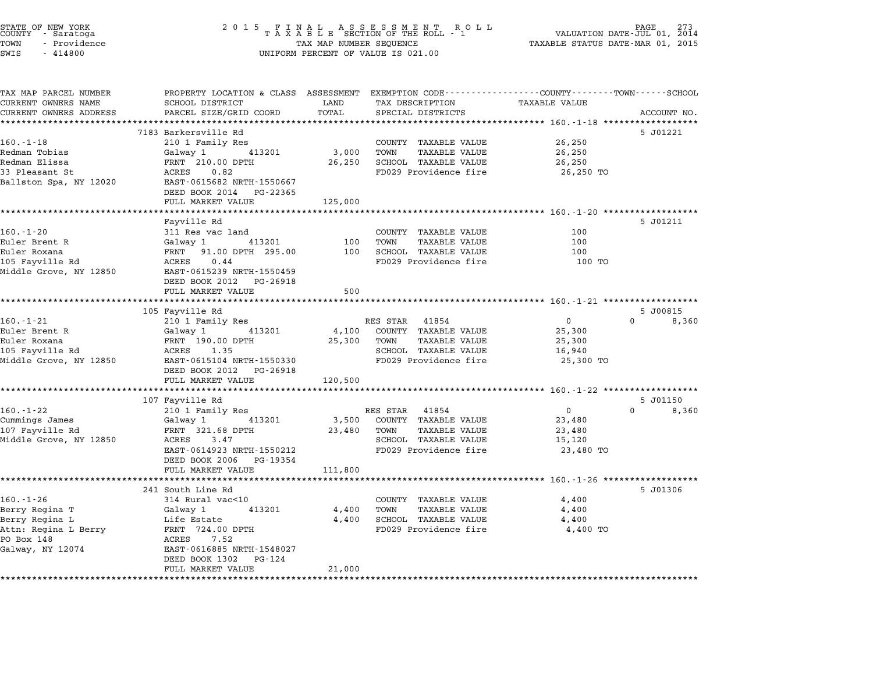| STATE OF NEW YORK<br>COUNTY - Saratoga<br>TOWN<br>- Providence<br>SWIS<br>$-414800$ | 2 0 1 5                                                                                                            | TAX MAP NUMBER SEQUENCE | FINAL ASSESSMENT RO<br>TAXABLE SECTION OF THE ROLL - 1<br>R O L L<br>UNIFORM PERCENT OF VALUE IS 021.00 |                      | PAGE<br>VALUATION DATE-JUL 01, 2014<br>TAXABLE STATUS DATE-MAR 01, 2015 |
|-------------------------------------------------------------------------------------|--------------------------------------------------------------------------------------------------------------------|-------------------------|---------------------------------------------------------------------------------------------------------|----------------------|-------------------------------------------------------------------------|
| TAX MAP PARCEL NUMBER<br>CURRENT OWNERS NAME                                        | PROPERTY LOCATION & CLASS ASSESSMENT EXEMPTION CODE---------------COUNTY-------TOWN------SCHOOL<br>SCHOOL DISTRICT | LAND                    | TAX DESCRIPTION                                                                                         | <b>TAXABLE VALUE</b> |                                                                         |
| CURRENT OWNERS ADDRESS                                                              | PARCEL SIZE/GRID COORD                                                                                             | TOTAL                   | SPECIAL DISTRICTS                                                                                       |                      | ACCOUNT NO.                                                             |
|                                                                                     |                                                                                                                    |                         |                                                                                                         |                      |                                                                         |
|                                                                                     | 7183 Barkersville Rd                                                                                               |                         |                                                                                                         |                      | 5 J01221                                                                |
| $160. - 1 - 18$                                                                     | 210 1 Family Res                                                                                                   |                         | COUNTY TAXABLE VALUE                                                                                    | 26,250               |                                                                         |
| Redman Tobias                                                                       | Galway 1<br>413201                                                                                                 | 3,000                   | TOWN<br><b>TAXABLE VALUE</b>                                                                            | 26,250               |                                                                         |
| Redman Elissa                                                                       | FRNT 210.00 DPTH                                                                                                   | 26,250                  | SCHOOL TAXABLE VALUE                                                                                    | 26,250               |                                                                         |
| 33 Pleasant St<br>Ballston Spa, NY 12020                                            | ACRES<br>0.82<br>EAST-0615682 NRTH-1550667                                                                         |                         | FD029 Providence fire                                                                                   | 26,250 TO            |                                                                         |
|                                                                                     | DEED BOOK 2014 PG-22365                                                                                            |                         |                                                                                                         |                      |                                                                         |
|                                                                                     | FULL MARKET VALUE                                                                                                  | 125,000                 |                                                                                                         |                      |                                                                         |
|                                                                                     | *********************                                                                                              |                         |                                                                                                         |                      |                                                                         |
|                                                                                     | Fayville Rd                                                                                                        |                         |                                                                                                         |                      | 5 J01211                                                                |
| $160. - 1 - 20$                                                                     | 311 Res vac land                                                                                                   |                         | COUNTY TAXABLE VALUE                                                                                    | 100                  |                                                                         |
| Euler Brent R                                                                       | 413201<br>Galway 1                                                                                                 | 100                     | TOWN<br>TAXABLE VALUE                                                                                   | 100                  |                                                                         |
| Euler Roxana                                                                        | FRNT 91.00 DPTH 295.00                                                                                             | 100                     | SCHOOL TAXABLE VALUE                                                                                    | 100                  |                                                                         |
| 105 Fayville Rd                                                                     | ACRES<br>0.44                                                                                                      |                         | FD029 Providence fire                                                                                   | 100 TO               |                                                                         |
| Middle Grove, NY 12850                                                              | EAST-0615239 NRTH-1550459                                                                                          |                         |                                                                                                         |                      |                                                                         |
|                                                                                     | DEED BOOK 2012 PG-26918<br>FULL MARKET VALUE                                                                       | 500                     |                                                                                                         |                      |                                                                         |
|                                                                                     |                                                                                                                    |                         |                                                                                                         |                      |                                                                         |
|                                                                                     | 105 Fayville Rd                                                                                                    |                         |                                                                                                         |                      | 5 J00815                                                                |
| $160. - 1 - 21$                                                                     | 210 1 Family Res                                                                                                   |                         | RES STAR 41854                                                                                          | $\mathbf 0$          | $\Omega$<br>8,360                                                       |
| Euler Brent R                                                                       | Galway 1<br>413201                                                                                                 | 4,100                   | COUNTY TAXABLE VALUE                                                                                    | 25,300               |                                                                         |
| Euler Roxana                                                                        | FRNT 190.00 DPTH                                                                                                   | 25,300                  | <b>TAXABLE VALUE</b><br>TOWN                                                                            | 25,300               |                                                                         |
| 105 Fayville Rd                                                                     | ACRES 1.35                                                                                                         |                         | SCHOOL TAXABLE VALUE                                                                                    | 16,940               |                                                                         |
| Middle Grove, NY 12850                                                              | EAST-0615104 NRTH-1550330                                                                                          |                         | FD029 Providence fire                                                                                   | 25,300 TO            |                                                                         |
|                                                                                     | DEED BOOK 2012 PG-26918<br>FULL MARKET VALUE                                                                       |                         |                                                                                                         |                      |                                                                         |
|                                                                                     |                                                                                                                    | 120,500                 |                                                                                                         |                      |                                                                         |
|                                                                                     | 107 Fayville Rd                                                                                                    |                         |                                                                                                         |                      | 5 J01150                                                                |
| $160. - 1 - 22$                                                                     | 210 1 Family Res                                                                                                   |                         | RES STAR 41854                                                                                          | $\mathsf{O}$         | $\Omega$<br>8,360                                                       |
| Cummings James                                                                      | 413201<br>Galway 1                                                                                                 | 3,500                   | COUNTY TAXABLE VALUE                                                                                    | 23,480               |                                                                         |
| 107 Fayville Rd                                                                     | FRNT 321.68 DPTH                                                                                                   | 23,480                  | <b>TAXABLE VALUE</b><br>TOWN                                                                            | 23,480               |                                                                         |
| Middle Grove, NY 12850                                                              | ACRES<br>3.47                                                                                                      |                         | SCHOOL TAXABLE VALUE                                                                                    | 15,120               |                                                                         |
|                                                                                     | EAST-0614923 NRTH-1550212                                                                                          |                         | FD029 Providence fire                                                                                   | 23,480 TO            |                                                                         |
|                                                                                     | DEED BOOK 2006 PG-19354                                                                                            |                         |                                                                                                         |                      |                                                                         |
|                                                                                     | FULL MARKET VALUE<br>*************************                                                                     | 111,800                 |                                                                                                         |                      |                                                                         |
|                                                                                     | 241 South Line Rd                                                                                                  |                         |                                                                                                         |                      | 5 J01306                                                                |
| $160. - 1 - 26$                                                                     | 314 Rural vac<10                                                                                                   |                         | COUNTY TAXABLE VALUE                                                                                    | 4,400                |                                                                         |
| Berry Regina T                                                                      | 413201<br>Galway 1                                                                                                 | 4,400                   | <b>TAXABLE VALUE</b><br>TOWN                                                                            | 4,400                |                                                                         |
| Berry Regina L                                                                      | Life Estate                                                                                                        | 4,400                   | SCHOOL TAXABLE VALUE                                                                                    | 4,400                |                                                                         |
| Attn: Regina L Berry                                                                | FRNT 724.00 DPTH                                                                                                   |                         | FD029 Providence fire                                                                                   | 4,400 TO             |                                                                         |
| PO Box 148                                                                          | ACRES 7.52                                                                                                         |                         |                                                                                                         |                      |                                                                         |
| Galway, NY 12074                                                                    | EAST-0616885 NRTH-1548027                                                                                          |                         |                                                                                                         |                      |                                                                         |
|                                                                                     | DEED BOOK 1302<br>PG-124                                                                                           |                         |                                                                                                         |                      |                                                                         |
|                                                                                     | FULL MARKET VALUE                                                                                                  | 21,000                  |                                                                                                         |                      |                                                                         |
|                                                                                     |                                                                                                                    |                         |                                                                                                         |                      |                                                                         |

STATE OF NEW YORK <sup>2</sup> <sup>0</sup> <sup>1</sup> 5 F I N A L A S S E S S M E N T R O L L PAGE <sup>273</sup> COUNTY - Saratoga <sup>T</sup> <sup>A</sup> <sup>X</sup> <sup>A</sup> <sup>B</sup> <sup>L</sup> <sup>E</sup> SECTION OF THE ROLL - <sup>1</sup> VALUATION DATE-JUL 01, <sup>2014</sup>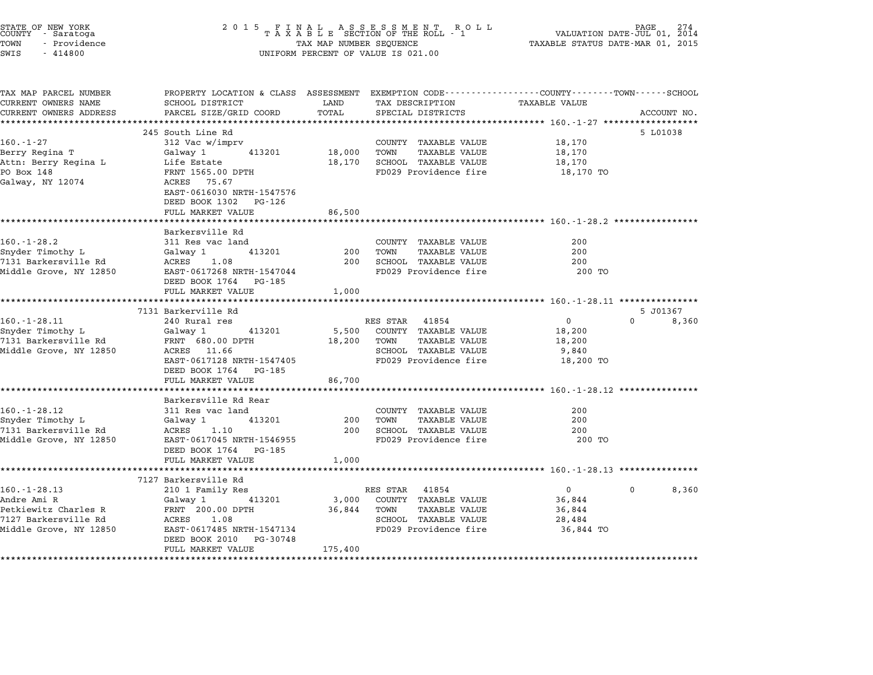| STATE OF NEW YORK<br>COUNTY - Saratoga<br>TOWN<br>- Providence<br>SWIS<br>$-414800$ | 2 0 1 5                                                                                                            | TAX MAP NUMBER SEQUENCE | FINAL ASSESSMENT RO<br>TAXABLE SECTION OF THE ROLL - 1<br>R O L L<br>UNIFORM PERCENT OF VALUE IS 021.00 | VALUATION DATE-JUL 01, 2014<br>TAXABLE STATUS DATE-MAR 01, 2015 | PAGE              |
|-------------------------------------------------------------------------------------|--------------------------------------------------------------------------------------------------------------------|-------------------------|---------------------------------------------------------------------------------------------------------|-----------------------------------------------------------------|-------------------|
| TAX MAP PARCEL NUMBER<br>CURRENT OWNERS NAME                                        | PROPERTY LOCATION & CLASS ASSESSMENT EXEMPTION CODE---------------COUNTY-------TOWN------SCHOOL<br>SCHOOL DISTRICT | LAND                    | TAX DESCRIPTION                                                                                         | TAXABLE VALUE                                                   |                   |
| CURRENT OWNERS ADDRESS                                                              | PARCEL SIZE/GRID COORD                                                                                             | TOTAL                   | SPECIAL DISTRICTS                                                                                       |                                                                 | ACCOUNT NO.       |
|                                                                                     |                                                                                                                    |                         |                                                                                                         |                                                                 |                   |
|                                                                                     | 245 South Line Rd                                                                                                  |                         |                                                                                                         |                                                                 | 5 L01038          |
| $160. - 1 - 27$                                                                     | 312 Vac w/imprv                                                                                                    |                         | COUNTY TAXABLE VALUE                                                                                    | 18,170                                                          |                   |
| Berry Regina T                                                                      | Galway 1<br>413201                                                                                                 | 18,000                  | TOWN<br><b>TAXABLE VALUE</b>                                                                            | 18,170                                                          |                   |
| Attn: Berry Regina L                                                                | Life Estate                                                                                                        | 18,170                  | SCHOOL TAXABLE VALUE                                                                                    | 18,170                                                          |                   |
| PO Box 148<br>Galway, NY 12074                                                      | FRNT 1565.00 DPTH<br>ACRES 75.67<br>EAST-0616030 NRTH-1547576<br>DEED BOOK 1302<br>PG-126                          |                         | FD029 Providence fire                                                                                   | 18,170 TO                                                       |                   |
|                                                                                     | FULL MARKET VALUE                                                                                                  | 86,500                  |                                                                                                         |                                                                 |                   |
|                                                                                     |                                                                                                                    |                         |                                                                                                         |                                                                 |                   |
|                                                                                     | Barkersville Rd                                                                                                    |                         |                                                                                                         |                                                                 |                   |
| $160. - 1 - 28.2$                                                                   | 311 Res vac land                                                                                                   |                         | COUNTY TAXABLE VALUE                                                                                    | 200                                                             |                   |
| Snyder Timothy L                                                                    | 413201<br>Galway 1                                                                                                 | 200                     | TOWN<br><b>TAXABLE VALUE</b>                                                                            | 200                                                             |                   |
| 7131 Barkersville Rd                                                                | 1.08<br>ACRES                                                                                                      | 200                     | SCHOOL TAXABLE VALUE                                                                                    | 200                                                             |                   |
| Middle Grove, NY 12850                                                              | EAST-0617268 NRTH-1547044<br>DEED BOOK 1764<br>PG-185                                                              |                         | FD029 Providence fire                                                                                   | 200 TO                                                          |                   |
|                                                                                     | FULL MARKET VALUE                                                                                                  | 1,000                   |                                                                                                         |                                                                 |                   |
|                                                                                     | 7131 Barkerville Rd                                                                                                |                         |                                                                                                         |                                                                 | 5 J01367          |
| $160. - 1 - 28.11$                                                                  | 240 Rural res                                                                                                      |                         | RES STAR<br>41854                                                                                       | 0                                                               | $\Omega$<br>8,360 |
| Snyder Timothy L                                                                    | Galway 1<br>413201                                                                                                 | 5,500                   | <b>TAXABLE VALUE</b><br>COUNTY                                                                          | 18,200                                                          |                   |
| 7131 Barkersville Rd                                                                | FRNT 680.00 DPTH                                                                                                   | 18,200                  | TAXABLE VALUE<br>TOWN                                                                                   | 18,200                                                          |                   |
| Middle Grove, NY 12850                                                              | ACRES 11.66                                                                                                        |                         | SCHOOL TAXABLE VALUE                                                                                    | 9,840                                                           |                   |
|                                                                                     | EAST-0617128 NRTH-1547405                                                                                          |                         | FD029 Providence fire                                                                                   | 18,200 TO                                                       |                   |
|                                                                                     | DEED BOOK 1764<br>PG-185                                                                                           |                         |                                                                                                         |                                                                 |                   |
|                                                                                     | FULL MARKET VALUE                                                                                                  | 86,700                  |                                                                                                         |                                                                 |                   |
|                                                                                     | *******************                                                                                                |                         |                                                                                                         | ************************ 160.-1-28.12 *************             |                   |
|                                                                                     | Barkersville Rd Rear                                                                                               |                         |                                                                                                         |                                                                 |                   |
| $160. - 1 - 28.12$                                                                  | 311 Res vac land                                                                                                   |                         | COUNTY TAXABLE VALUE                                                                                    | 200                                                             |                   |
| Snyder Timothy L                                                                    | Galway 1<br>413201                                                                                                 | 200                     | TOWN<br>TAXABLE VALUE                                                                                   | 200                                                             |                   |
| 7131 Barkersville Rd                                                                | ACRES<br>1.10                                                                                                      | 200                     | SCHOOL TAXABLE VALUE                                                                                    | 200                                                             |                   |
| Middle Grove, NY 12850                                                              | EAST-0617045 NRTH-1546955                                                                                          |                         | FD029 Providence fire                                                                                   | 200 TO                                                          |                   |
|                                                                                     | DEED BOOK 1764<br>PG-185                                                                                           |                         |                                                                                                         |                                                                 |                   |
|                                                                                     | FULL MARKET VALUE                                                                                                  | 1,000                   |                                                                                                         |                                                                 |                   |
|                                                                                     | ***********************                                                                                            |                         |                                                                                                         |                                                                 |                   |
|                                                                                     | 7127 Barkersville Rd                                                                                               |                         |                                                                                                         |                                                                 |                   |
| 160. - 1 - 28. 13                                                                   | 210 1 Family Res                                                                                                   |                         | 41854<br>RES STAR                                                                                       | $\mathbf{0}$                                                    | 8,360<br>0        |
| Andre Ami R                                                                         | 413201<br>Galway 1                                                                                                 | 3,000                   | COUNTY TAXABLE VALUE                                                                                    | 36,844                                                          |                   |
| Petkiewitz Charles R                                                                | FRNT 200.00 DPTH                                                                                                   | 36,844                  | <b>TAXABLE VALUE</b><br>TOWN                                                                            | 36,844                                                          |                   |
| 7127 Barkersville Rd                                                                | ACRES<br>1.08                                                                                                      |                         | SCHOOL<br>TAXABLE VALUE                                                                                 | 28,484                                                          |                   |
| Middle Grove, NY 12850                                                              | EAST-0617485 NRTH-1547134                                                                                          |                         | FD029 Providence fire                                                                                   | 36,844 TO                                                       |                   |
|                                                                                     | DEED BOOK 2010<br>PG-30748                                                                                         |                         |                                                                                                         |                                                                 |                   |
|                                                                                     | FULL MARKET VALUE                                                                                                  | 175,400                 |                                                                                                         |                                                                 |                   |

\*\*\*\*\*\*\*\*\*\*\*\*\*\*\*\*\*\*\*\*\*\*\*\*\*\*\*\*\*\*\*\*\*\*\*\*\*\*\*\*\*\*\*\*\*\*\*\*\*\*\*\*\*\*\*\*\*\*\*\*\*\*\*\*\*\*\*\*\*\*\*\*\*\*\*\*\*\*\*\*\*\*\*\*\*\*\*\*\*\*\*\*\*\*\*\*\*\*\*\*\*\*\*\*\*\*\*\*\*\*\*\*\*\*\*\*\*\*\*\*\*\*\*\*\*\*\*\*\*\*\*\*

STATE OF NEW YORK <sup>2</sup> <sup>0</sup> <sup>1</sup> 5 F I N A L A S S E S S M E N T R O L L PAGE <sup>274</sup> COUNTY - Saratoga <sup>T</sup> <sup>A</sup> <sup>X</sup> <sup>A</sup> <sup>B</sup> <sup>L</sup> <sup>E</sup> SECTION OF THE ROLL - <sup>1</sup> VALUATION DATE-JUL 01, <sup>2014</sup>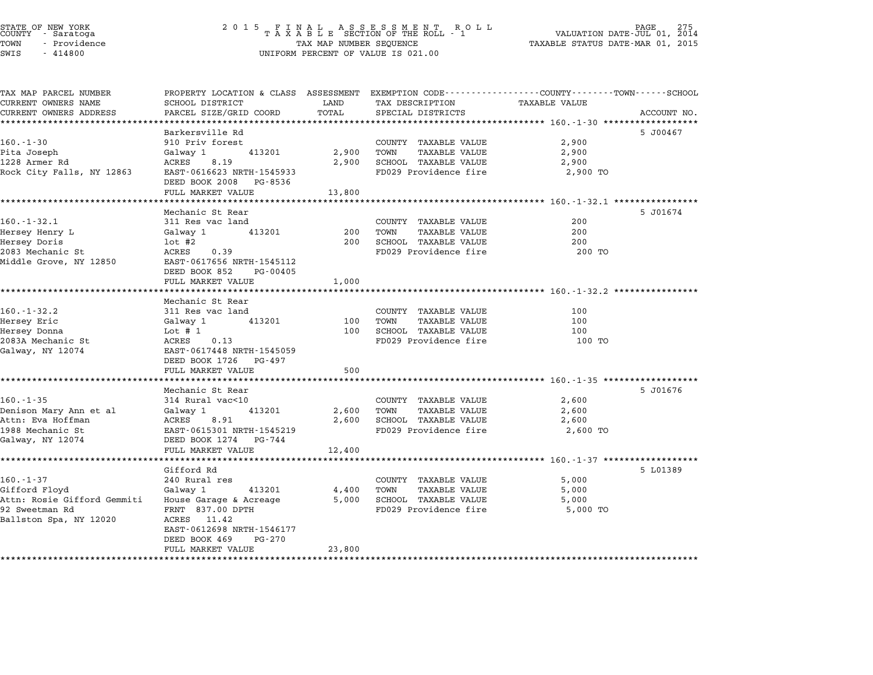| STATE OF NEW YORK<br>COUNTY - Saratoga |  |              |  |
|----------------------------------------|--|--------------|--|
| TOWN                                   |  | - Providence |  |
| $\sim$ $\sim$                          |  | 111000       |  |

## STATE OF NEW YORK <sup>2</sup> <sup>0</sup> <sup>1</sup> 5 F I N A L A S S E S S M E N T R O L L PAGE <sup>275</sup> COUNTY - Saratoga <sup>T</sup> <sup>A</sup> <sup>X</sup> <sup>A</sup> <sup>B</sup> <sup>L</sup> <sup>E</sup> SECTION OF THE ROLL - <sup>1</sup> VALUATION DATE-JUL 01, <sup>2014</sup> TOWN - Providence TAX MAP NUMBER SEQUENCE TAXABLE STATUS DATE-MAR 01, <sup>2015</sup> SWIS - <sup>414800</sup> UNIFORM PERCENT OF VALUE IS 021.00

| TAX MAP PARCEL NUMBER       |                             |        | PROPERTY LOCATION & CLASS ASSESSMENT EXEMPTION CODE---------------COUNTY-------TOWN-----SCHOOL |                      |             |
|-----------------------------|-----------------------------|--------|------------------------------------------------------------------------------------------------|----------------------|-------------|
| CURRENT OWNERS NAME         | SCHOOL DISTRICT             | LAND   | TAX DESCRIPTION                                                                                | <b>TAXABLE VALUE</b> |             |
| CURRENT OWNERS ADDRESS      | PARCEL SIZE/GRID COORD      | TOTAL  | SPECIAL DISTRICTS                                                                              |                      | ACCOUNT NO. |
|                             |                             |        |                                                                                                |                      |             |
|                             | Barkersville Rd             |        |                                                                                                |                      | 5 J00467    |
| $160. - 1 - 30$             | 910 Priv forest             |        | COUNTY TAXABLE VALUE                                                                           | 2,900                |             |
| Pita Joseph                 | 413201<br>Galway 1          | 2,900  | TOWN<br>TAXABLE VALUE                                                                          | 2,900                |             |
| 1228 Armer Rd               | ACRES<br>8.19               | 2,900  | SCHOOL TAXABLE VALUE                                                                           | 2,900                |             |
| Rock City Falls, NY 12863   | EAST-0616623 NRTH-1545933   |        | FD029 Providence fire                                                                          | 2,900 TO             |             |
|                             | DEED BOOK 2008 PG-8536      |        |                                                                                                |                      |             |
|                             | FULL MARKET VALUE           | 13,800 |                                                                                                |                      |             |
|                             |                             |        |                                                                                                |                      |             |
|                             | Mechanic St Rear            |        |                                                                                                |                      | 5 J01674    |
| $160. - 1 - 32.1$           | 311 Res vac land            |        | COUNTY TAXABLE VALUE                                                                           | 200                  |             |
| Hersey Henry L              | Galway 1<br>413201          | 200    | TOWN<br>TAXABLE VALUE                                                                          | 200                  |             |
| Hersey Doris                | $1$ ot #2                   | 200    | SCHOOL TAXABLE VALUE                                                                           | 200                  |             |
| 2083 Mechanic St            | ACRES<br>0.39               |        | FD029 Providence fire                                                                          | 200 TO               |             |
| Middle Grove, NY 12850      | EAST-0617656 NRTH-1545112   |        |                                                                                                |                      |             |
|                             | DEED BOOK 852<br>PG-00405   |        |                                                                                                |                      |             |
|                             | FULL MARKET VALUE           | 1,000  |                                                                                                |                      |             |
|                             |                             |        |                                                                                                |                      |             |
|                             | Mechanic St Rear            |        |                                                                                                |                      |             |
| $160. - 1 - 32.2$           | 311 Res vac land            |        | COUNTY TAXABLE VALUE                                                                           | 100                  |             |
| Hersey Eric                 | Galway 1<br>413201          |        | 100 TOWN<br>TAXABLE VALUE                                                                      | 100                  |             |
| Hersey Donna                | Lot $# 1$                   | 100    | SCHOOL TAXABLE VALUE                                                                           | 100                  |             |
| 2083A Mechanic St           | 0.13<br>ACRES               |        | FD029 Providence fire                                                                          | 100 TO               |             |
| Galway, NY 12074            | EAST-0617448 NRTH-1545059   |        |                                                                                                |                      |             |
|                             | DEED BOOK 1726 PG-497       |        |                                                                                                |                      |             |
|                             | FULL MARKET VALUE           | 500    |                                                                                                |                      |             |
|                             |                             |        |                                                                                                |                      |             |
|                             | Mechanic St Rear            |        |                                                                                                |                      | 5 J01676    |
| $160. - 1 - 35$             | 314 Rural vac<10            |        | COUNTY TAXABLE VALUE                                                                           | 2,600                |             |
| Denison Mary Ann et al      | Galway 1<br>413201          |        | 2,600 TOWN<br>TAXABLE VALUE                                                                    | 2,600                |             |
| Attn: Eva Hoffman           | ACRES<br>8.91               |        | 2,600 SCHOOL TAXABLE VALUE                                                                     | 2,600                |             |
| 1988 Mechanic St            | EAST-0615301 NRTH-1545219   |        | FD029 Providence fire                                                                          | 2,600 TO             |             |
| Galway, NY 12074            | DEED BOOK 1274 PG-744       |        |                                                                                                |                      |             |
|                             | FULL MARKET VALUE           | 12,400 |                                                                                                |                      |             |
|                             |                             |        |                                                                                                |                      |             |
|                             | Gifford Rd                  |        |                                                                                                |                      | 5 L01389    |
| $160. - 1 - 37$             | 240 Rural res               |        | COUNTY TAXABLE VALUE                                                                           | 5,000                |             |
| Gifford Floyd               | Galway 1<br>413201          | 4,400  | TOWN<br>TAXABLE VALUE                                                                          | 5,000                |             |
| Attn: Rosie Gifford Gemmiti | House Garage & Acreage      | 5,000  | SCHOOL TAXABLE VALUE                                                                           | 5,000                |             |
| 92 Sweetman Rd              | FRNT 837.00 DPTH            |        | FD029 Providence fire                                                                          | 5,000 TO             |             |
| Ballston Spa, NY 12020      | ACRES<br>11.42              |        |                                                                                                |                      |             |
|                             | EAST-0612698 NRTH-1546177   |        |                                                                                                |                      |             |
|                             | DEED BOOK 469<br>$PG - 270$ |        |                                                                                                |                      |             |
|                             | FULL MARKET VALUE           | 23,800 |                                                                                                |                      |             |

\*\*\*\*\*\*\*\*\*\*\*\*\*\*\*\*\*\*\*\*\*\*\*\*\*\*\*\*\*\*\*\*\*\*\*\*\*\*\*\*\*\*\*\*\*\*\*\*\*\*\*\*\*\*\*\*\*\*\*\*\*\*\*\*\*\*\*\*\*\*\*\*\*\*\*\*\*\*\*\*\*\*\*\*\*\*\*\*\*\*\*\*\*\*\*\*\*\*\*\*\*\*\*\*\*\*\*\*\*\*\*\*\*\*\*\*\*\*\*\*\*\*\*\*\*\*\*\*\*\*\*\*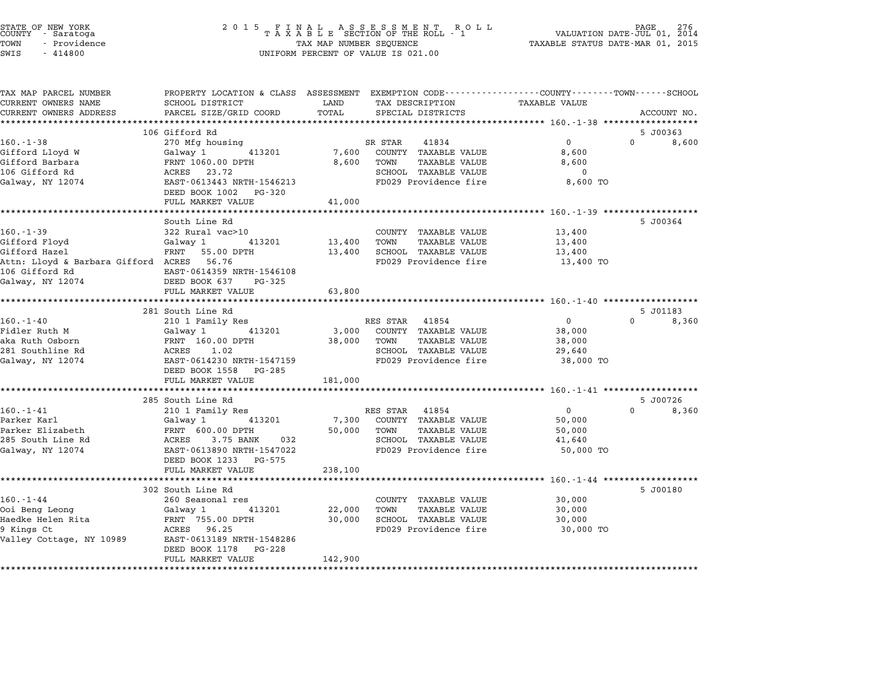| COUNTY | STATE OF NEW YORK<br>- Saratoga |  |
|--------|---------------------------------|--|
| TOWN   | - Providence                    |  |
|        | .                               |  |

| TAX MAP PARCEL NUMBER<br>CURRENT OWNERS NAME       | PROPERTY LOCATION & CLASS ASSESSMENT EXEMPTION CODE----------------COUNTY-------TOWN-----SCHOOL<br>SCHOOL DISTRICT                                                   | LAND    | TAX DESCRIPTION                 | <b>TAXABLE VALUE</b>                                       |                   |       |
|----------------------------------------------------|----------------------------------------------------------------------------------------------------------------------------------------------------------------------|---------|---------------------------------|------------------------------------------------------------|-------------------|-------|
| CURRENT OWNERS ADDRESS                             | PARCEL SIZE/GRID COORD                                                                                                                                               | TOTAL   | SPECIAL DISTRICTS               |                                                            | ACCOUNT NO.       |       |
| *************************                          |                                                                                                                                                                      |         |                                 |                                                            |                   |       |
|                                                    | 106 Gifford Rd                                                                                                                                                       |         |                                 |                                                            | 5 J00363          |       |
| $160. - 1 - 38$                                    | 270 Mfg housing                                                                                                                                                      |         | SR STAR<br>41834                | $0 \qquad \qquad$                                          | $0 \qquad \qquad$ | 8,600 |
| Gifford Lloyd W                                    | Galway 1 413201                                                                                                                                                      |         | 7,600 COUNTY TAXABLE VALUE      | 8,600                                                      |                   |       |
| Gifford Barbara                                    | FRNT 1060.00 DPTH<br>ACRES 23.72                                                                                                                                     | 8,600   | TOWN<br>TAXABLE VALUE           | 8,600                                                      |                   |       |
| 106 Gifford Rd                                     |                                                                                                                                                                      |         | SCHOOL TAXABLE VALUE            | $\overline{\mathbf{0}}$                                    |                   |       |
| Galway, NY 12074                                   | EAST-0613443 NRTH-1546213                                                                                                                                            |         | FD029 Providence fire 3,600 TO  |                                                            |                   |       |
|                                                    | DEED BOOK 1002 PG-320                                                                                                                                                |         |                                 |                                                            |                   |       |
|                                                    | FULL MARKET VALUE                                                                                                                                                    | 41,000  |                                 |                                                            |                   |       |
|                                                    |                                                                                                                                                                      |         |                                 |                                                            |                   |       |
|                                                    | South Line Rd                                                                                                                                                        |         |                                 |                                                            | 5 J00364          |       |
| $160. - 1 - 39$                                    | 322 Rural vac>10                                                                                                                                                     |         | COUNTY TAXABLE VALUE            | 13,400                                                     |                   |       |
| Gifford Floyd                                      | Galway 1 413201 13,400                                                                                                                                               |         | TOWN<br>TAXABLE VALUE           | 13,400                                                     |                   |       |
| Gifford Hazel                                      | FRNT 55.00 DPTH                                                                                                                                                      |         | 13,400 SCHOOL TAXABLE VALUE     | 13,400                                                     |                   |       |
| Attn: Lloyd & Barbara Gifford ACRES 56.76          |                                                                                                                                                                      |         | FD029 Providence fire 13,400 TO |                                                            |                   |       |
| 106 Gifford Rd                                     | EAST-0614359 NRTH-1546108                                                                                                                                            |         |                                 |                                                            |                   |       |
| Galway, NY 12074                                   | DEED BOOK 637 PG-325                                                                                                                                                 |         |                                 |                                                            |                   |       |
|                                                    | FULL MARKET VALUE                                                                                                                                                    | 63,800  |                                 |                                                            |                   |       |
|                                                    | 281 South Line Rd                                                                                                                                                    |         |                                 |                                                            | 5 J01183          |       |
| $160. - 1 - 40$                                    | 210 1 Family Res                                                                                                                                                     |         | RES STAR 41854                  | $\overline{0}$                                             | $0 \t 8,360$      |       |
| Fidler Ruth M                                      | Galway 1<br>413201                                                                                                                                                   |         | 3,000 COUNTY TAXABLE VALUE      | 38,000                                                     |                   |       |
| aka Ruth Osborn                                    |                                                                                                                                                                      |         | 38,000 TOWN<br>TAXABLE VALUE    | 38,000                                                     |                   |       |
| 281 Southline Rd                                   | FRNT 160.00 DPTH<br>FRNT 160.00 DPTH<br>ACRES 1.02                                                                                                                   |         | SCHOOL TAXABLE VALUE            | 29,640                                                     |                   |       |
| Galway, NY 12074                                   | EAST-0614230 NRTH-1547159                                                                                                                                            |         | FD029 Providence fire           | 38,000 TO                                                  |                   |       |
|                                                    | DEED BOOK 1558 PG-285                                                                                                                                                |         |                                 |                                                            |                   |       |
|                                                    | FULL MARKET VALUE                                                                                                                                                    | 181,000 |                                 |                                                            |                   |       |
|                                                    |                                                                                                                                                                      |         |                                 |                                                            |                   |       |
|                                                    | 285 South Line Rd                                                                                                                                                    |         |                                 |                                                            | 5 J00726          |       |
| $160. - 1 - 41$                                    | 210 1 Family Res                                                                                                                                                     |         | RES STAR 41854                  | $\overline{0}$                                             | $0 \qquad \qquad$ | 8,360 |
| Parker Karl                                        | Galway 1 413201                                                                                                                                                      |         | 7,300 COUNTY TAXABLE VALUE      | 50,000                                                     |                   |       |
| Parker Elizabeth                                   | Galway 1         4132<br>FRNT  600.00 DPTH                                                                                                                           |         | 50,000 TOWN<br>TAXABLE VALUE    | 50,000                                                     |                   |       |
| 285 South Line Rd                                  | ACRES 3.75 BANK 032                                                                                                                                                  |         | SCHOOL TAXABLE VALUE            | 41,640                                                     |                   |       |
| Galway, NY 12074                                   | EAST-0613890 NRTH-1547022                                                                                                                                            |         | FD029 Providence fire           | 50,000 TO                                                  |                   |       |
|                                                    | DEED BOOK 1233 PG-575                                                                                                                                                |         |                                 |                                                            |                   |       |
|                                                    | FULL MARKET VALUE                                                                                                                                                    | 238,100 |                                 |                                                            |                   |       |
|                                                    | ******************************                                                                                                                                       |         |                                 | **************************** 160.-1-44 ******************* |                   |       |
|                                                    | 302 South Line Rd                                                                                                                                                    |         |                                 |                                                            | 5 J00180          |       |
| $160. - 1 - 44$                                    | 260 Seasonal res                                                                                                                                                     |         | COUNTY TAXABLE VALUE            | 30,000                                                     |                   |       |
| Ooi Beng Leong                                     | Galway 1<br>$\begin{array}{cccc}\n\text{Squawa} & \text{1} & \text{413201} \\ \text{FRNT} & 755.00 & \text{DPTH} \\ \text{RANT} & 755.00 & \text{DPTH}\n\end{array}$ | 22,000  | TOWN<br>TAXABLE VALUE           | 30,000                                                     |                   |       |
| Haedke Helen Rita                                  |                                                                                                                                                                      | 30,000  | SCHOOL TAXABLE VALUE            | 30,000                                                     |                   |       |
| 9 Kings Ct                                         | ACRES 96.25                                                                                                                                                          |         | FD029 Providence fire           | 30,000 TO                                                  |                   |       |
| Valley Cottage, NY 10989 EAST-0613189 NRTH-1548286 |                                                                                                                                                                      |         |                                 |                                                            |                   |       |
|                                                    | DEED BOOK 1178 PG-228                                                                                                                                                |         |                                 |                                                            |                   |       |
|                                                    | FULL MARKET VALUE                                                                                                                                                    | 142,900 |                                 |                                                            |                   |       |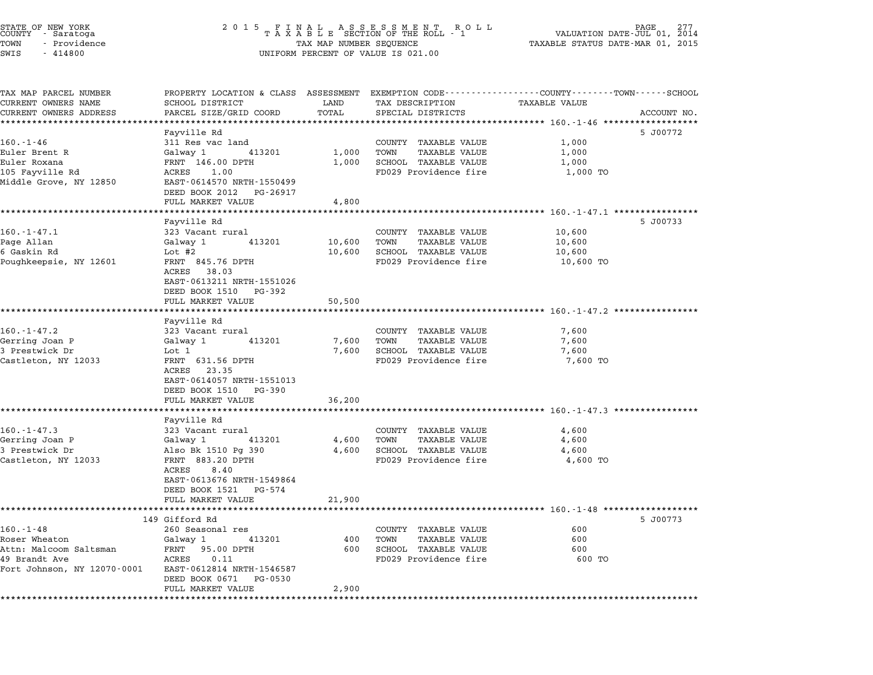| STATE OF NEW YORK<br>COUNTY - Saratoga<br>TOWN<br>- Providence<br>SWIS<br>$-414800$                        | 2015 FINAL ASSESSMENT ROLL<br>TAXABLE SECTION OF THE ROLL - 1<br>PAGE<br>2014<br>VALUATION DATE-JUL 01,<br>TAXABLE STATUS DATE-MAR 01, 2015<br>TAX MAP NUMBER SEQUENCE<br>UNIFORM PERCENT OF VALUE IS 021.00 |                          |                                                                                                           |                                         |             |  |
|------------------------------------------------------------------------------------------------------------|--------------------------------------------------------------------------------------------------------------------------------------------------------------------------------------------------------------|--------------------------|-----------------------------------------------------------------------------------------------------------|-----------------------------------------|-------------|--|
| TAX MAP PARCEL NUMBER<br>CURRENT OWNERS NAME<br>CURRENT OWNERS ADDRESS                                     | PROPERTY LOCATION & CLASS ASSESSMENT EXEMPTION CODE---------------COUNTY-------TOWN-----SCHOOL<br>SCHOOL DISTRICT<br>PARCEL SIZE/GRID COORD                                                                  | LAND<br>TOTAL            | TAX DESCRIPTION<br>SPECIAL DISTRICTS                                                                      | TAXABLE VALUE                           | ACCOUNT NO. |  |
| 160.-1-46<br>Euler Brent R<br>Euler Roxana<br>105 Fayville Rd<br>Middle Grove, NY 12850                    | Fayville Rd<br>311 Res vac land<br>Galway 1<br>413201<br>FRNT 146.00 DPTH<br>ACRES<br>1.00<br>EAST-0614570 NRTH-1550499<br>DEED BOOK 2012<br>PG-26917<br>FULL MARKET VALUE                                   | 1,000<br>1,000<br>4,800  | COUNTY TAXABLE VALUE<br>TOWN<br>TAXABLE VALUE<br>SCHOOL TAXABLE VALUE<br>FD029 Providence fire            | 1,000<br>1,000<br>1,000<br>1,000 TO     | 5 J00772    |  |
| $160.-1-47.1$<br>Page Allan<br>6 Gaskin Rd<br>Poughkeepsie, NY 12601                                       | Fayville Rd<br>323 Vacant rural<br>Galway 1<br>413201<br>Lot $#2$<br>FRNT 845.76 DPTH<br>ACRES 38.03<br>EAST-0613211 NRTH-1551026<br>DEED BOOK 1510 PG-392                                                   | 10,600<br>10,600         | COUNTY TAXABLE VALUE<br>TOWN<br>TAXABLE VALUE<br>SCHOOL TAXABLE VALUE<br>FD029 Providence fire            | 10,600<br>10,600<br>10,600<br>10,600 TO | 5 J00733    |  |
| $160. - 1 - 47.2$<br>Gerring Joan P<br>3 Prestwick Dr<br>Castleton, NY 12033                               | FULL MARKET VALUE<br>Fayville Rd<br>323 Vacant rural<br>413201<br>Galway 1<br>Lot 1<br>FRNT 631.56 DPTH<br>ACRES 23.35<br>EAST-0614057 NRTH-1551013<br>DEED BOOK 1510<br>PG-390                              | 50,500<br>7,600<br>7,600 | COUNTY TAXABLE VALUE<br>TOWN<br>TAXABLE VALUE<br>SCHOOL TAXABLE VALUE<br>FD029 Providence fire            | 7,600<br>7,600<br>7,600<br>7,600 TO     |             |  |
| $160. - 1 - 47.3$<br>Gerring Joan P<br>3 Prestwick Dr<br>Castleton, NY 12033                               | FULL MARKET VALUE<br>Fayville Rd<br>323 Vacant rural<br>Galway 1<br>413201<br>Also Bk 1510 Pg 390<br>FRNT 883.20 DPTH<br>ACRES<br>8.40<br>EAST-0613676 NRTH-1549864<br>DEED BOOK 1521<br>PG-574              | 36,200<br>4,600<br>4,600 | COUNTY TAXABLE VALUE<br>TOWN<br>TAXABLE VALUE<br>SCHOOL TAXABLE VALUE<br>FD029 Providence fire            | 4,600<br>4,600<br>4,600<br>4,600 TO     |             |  |
| $160. - 1 - 48$<br>Roser Wheaton<br>Attn: Malcoom Saltsman<br>49 Brandt Ave<br>Fort Johnson, NY 12070-0001 | FULL MARKET VALUE<br>149 Gifford Rd<br>260 Seasonal res<br>Galway 1<br>413201<br>FRNT 95.00 DPTH<br>ACRES 0.11<br>EAST-0612814 NRTH-1546587<br>DEED BOOK 0671 PG-0530<br>FULL MARKET VALUE                   | 21,900<br>400<br>2,900   | COUNTY TAXABLE VALUE<br>TOWN<br><b>TAXABLE VALUE</b><br>600 SCHOOL TAXABLE VALUE<br>FD029 Providence fire | 600<br>600<br>600<br>600 TO             | 5 J00773    |  |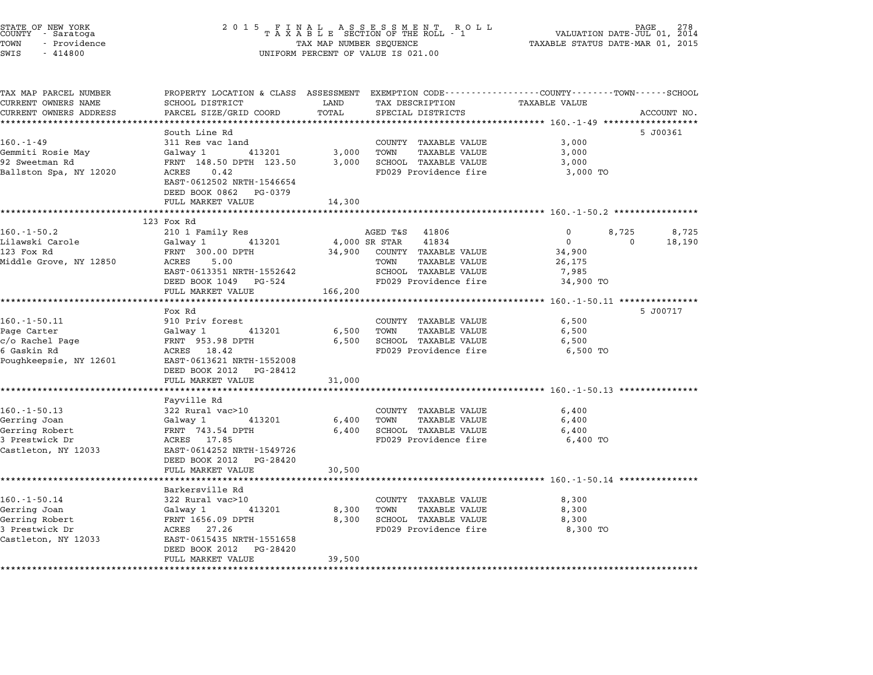| STATE OF NEW YORK<br>COUNTY - Saratoga |  |              |  |
|----------------------------------------|--|--------------|--|
| TOWN                                   |  | - Providence |  |
| $ATTT$ $T$                             |  | 111000       |  |

## STATE OF NEW YORK <sup>2</sup> <sup>0</sup> <sup>1</sup> 5 F I N A L A S S E S S M E N T R O L L PAGE <sup>278</sup> COUNTY - Saratoga <sup>T</sup> <sup>A</sup> <sup>X</sup> <sup>A</sup> <sup>B</sup> <sup>L</sup> <sup>E</sup> SECTION OF THE ROLL - <sup>1</sup> VALUATION DATE-JUL 01, <sup>2014</sup> TOWN - Providence TAX MAP NUMBER SEQUENCE TAXABLE STATUS DATE-MAR 01, <sup>2015</sup> SWIS - <sup>414800</sup> UNIFORM PERCENT OF VALUE IS 021.00

| TAX MAP PARCEL NUMBER<br>CURRENT OWNERS NAME | PROPERTY LOCATION & CLASS ASSESSMENT EXEMPTION CODE----------------COUNTY-------TOWN------SCHOOL<br>SCHOOL DISTRICT                                                                                                                              | LAND                 | TAX DESCRIPTION                 | TAXABLE VALUE                                              |                |             |
|----------------------------------------------|--------------------------------------------------------------------------------------------------------------------------------------------------------------------------------------------------------------------------------------------------|----------------------|---------------------------------|------------------------------------------------------------|----------------|-------------|
| CURRENT OWNERS ADDRESS                       | PARCEL SIZE/GRID COORD                                                                                                                                                                                                                           | TOTAL                | SPECIAL DISTRICTS               |                                                            |                | ACCOUNT NO. |
| ***************************                  |                                                                                                                                                                                                                                                  |                      |                                 |                                                            |                |             |
|                                              | South Line Rd                                                                                                                                                                                                                                    |                      |                                 |                                                            |                | 5 J00361    |
| 160.-1-49                                    |                                                                                                                                                                                                                                                  |                      | COUNTY TAXABLE VALUE            | 3,000                                                      |                |             |
| Gemmiti Rosie May<br>92 Sweetman Rd          |                                                                                                                                                                                                                                                  |                      |                                 | 3,000                                                      |                |             |
|                                              |                                                                                                                                                                                                                                                  |                      |                                 | 3,000                                                      |                |             |
| Ballston Spa, NY 12020                       | 311 Res vac land<br>Galway 1 (113201) 3,000 TOWN TAXABLE VALUE<br>FRNT 148.50 DPTH 123.50 3,000 SCHOOL TAXABLE VALUE<br>ACRES 0.42 TRACABLE ROOP<br>EAST-0612502 NRTH-1546654<br>DEED BOOK 0862 PG-0379<br>FULL MARKET VALUE                     | 14,300               |                                 | 3,000 TO                                                   |                |             |
|                                              |                                                                                                                                                                                                                                                  |                      |                                 |                                                            |                |             |
|                                              | 123 Fox Rd                                                                                                                                                                                                                                       |                      |                                 |                                                            |                |             |
| $160. - 1 - 50.2$                            | 210 1 Family Res                                                                                                                                                                                                                                 |                      | AGED T&S 41806                  | $\Omega$                                                   | 8,725          | 8,725       |
|                                              | 2007 - 2007 - 2018 - 2018 - 2019 - 2019 - 2019 - 2019 - 2019 - 2019 - 2019 - 2019 - 2019 - 2019 - 2019 - 2019 - 2019 - 2019 - 2019 - 2019 - 2019 - 2019 - 2019 - 2019 - 2019 - 2019 - 2019 - 2019 - 2019 - 2019 - 2019 - 2019                    |                      | 41834                           | $\overline{0}$                                             | $\overline{0}$ | 18,190      |
|                                              |                                                                                                                                                                                                                                                  |                      | 34,900 COUNTY TAXABLE VALUE     | 34,900                                                     |                |             |
| Middle Grove, NY 12850 ACRES                 | ACRES 5.00<br>EAST-0613351 NRTH-1552642                                                                                                                                                                                                          |                      | TAXABLE VALUE                   | 26,175                                                     |                |             |
|                                              |                                                                                                                                                                                                                                                  |                      | SCHOOL TAXABLE VALUE            | 7,985                                                      |                |             |
|                                              | DEED BOOK 1049 PG-524                                                                                                                                                                                                                            |                      | FD029 Providence fire 34,900 TO |                                                            |                |             |
|                                              | FULL MARKET VALUE                                                                                                                                                                                                                                | 166,200              |                                 | ***************************** 160.-1-50.11 *************** |                |             |
|                                              | Fox Rd                                                                                                                                                                                                                                           |                      |                                 |                                                            |                | 5 J00717    |
| $160. - 1 - 50.11$                           | 910 Priv forest                                                                                                                                                                                                                                  |                      | COUNTY TAXABLE VALUE            | 6,500                                                      |                |             |
|                                              |                                                                                                                                                                                                                                                  | 6,500 TOWN           | TAXABLE VALUE                   | 6,500                                                      |                |             |
|                                              |                                                                                                                                                                                                                                                  |                      | 6,500 SCHOOL TAXABLE VALUE      | 6,500                                                      |                |             |
|                                              |                                                                                                                                                                                                                                                  |                      | FD029 Providence fire           | 6,500 TO                                                   |                |             |
|                                              | Poughkeepsie, NY 12601 EAST-0613621 NRTH-1552008                                                                                                                                                                                                 |                      |                                 |                                                            |                |             |
|                                              | DEED BOOK 2012    PG-28412                                                                                                                                                                                                                       |                      |                                 |                                                            |                |             |
|                                              | FULL MARKET VALUE                                                                                                                                                                                                                                | 31,000               |                                 |                                                            |                |             |
|                                              |                                                                                                                                                                                                                                                  |                      |                                 |                                                            |                |             |
|                                              | Fayville Rd                                                                                                                                                                                                                                      |                      |                                 |                                                            |                |             |
| 160.-1-50.13                                 | 322 Rural vac>10                                                                                                                                                                                                                                 |                      | COUNTY TAXABLE VALUE            | 6,400                                                      |                |             |
| Gerring Joan                                 |                                                                                                                                                                                                                                                  |                      |                                 | 6,400                                                      |                |             |
| Gerring Robert                               | Galway 1 413201 6,400 TOWN TAXABLE VALUE<br>FRNT 743.54 DPTH 6,400 SCHOOL TAXABLE VALUE<br>ACRES 17.85 FD029 Providence fire                                                                                                                     |                      |                                 | 6,400                                                      |                |             |
| 3 Prestwick Dr                               |                                                                                                                                                                                                                                                  |                      | FD029 Providence fire 6,400 TO  |                                                            |                |             |
| Castleton, NY 12033                          | EAST-0614252 NRTH-1549726                                                                                                                                                                                                                        |                      |                                 |                                                            |                |             |
|                                              | DEED BOOK 2012 PG-28420<br>FULL MARKET VALUE                                                                                                                                                                                                     |                      |                                 |                                                            |                |             |
|                                              |                                                                                                                                                                                                                                                  | 30,500               |                                 |                                                            |                |             |
|                                              | Barkersville Rd                                                                                                                                                                                                                                  |                      |                                 |                                                            |                |             |
| $160. - 1 - 50.14$                           | 322 Rural vac>10                                                                                                                                                                                                                                 |                      | COUNTY TAXABLE VALUE            | 8,300                                                      |                |             |
|                                              |                                                                                                                                                                                                                                                  | COUNTY<br>8,300 TOWN |                                 | 8,300                                                      |                |             |
|                                              |                                                                                                                                                                                                                                                  |                      |                                 | 8,300                                                      |                |             |
|                                              | Gerring Joan (Ealway 1 $\begin{array}{l} \text{Gerring} & \text{Joan} \\ \text{Gerring} & \text{Robert} \\ \text{3} & \text{Prestwick} & \text{Dr} \\ \text{Castleton, NY} & \text{12033} \\ \text{Castleton, NY} & \text{12033} \\ \end{array}$ |                      |                                 | 8,300 TO                                                   |                |             |
|                                              |                                                                                                                                                                                                                                                  |                      |                                 |                                                            |                |             |
|                                              |                                                                                                                                                                                                                                                  |                      |                                 |                                                            |                |             |
|                                              | DEED BOOK 2012    PG-28420                                                                                                                                                                                                                       |                      |                                 |                                                            |                |             |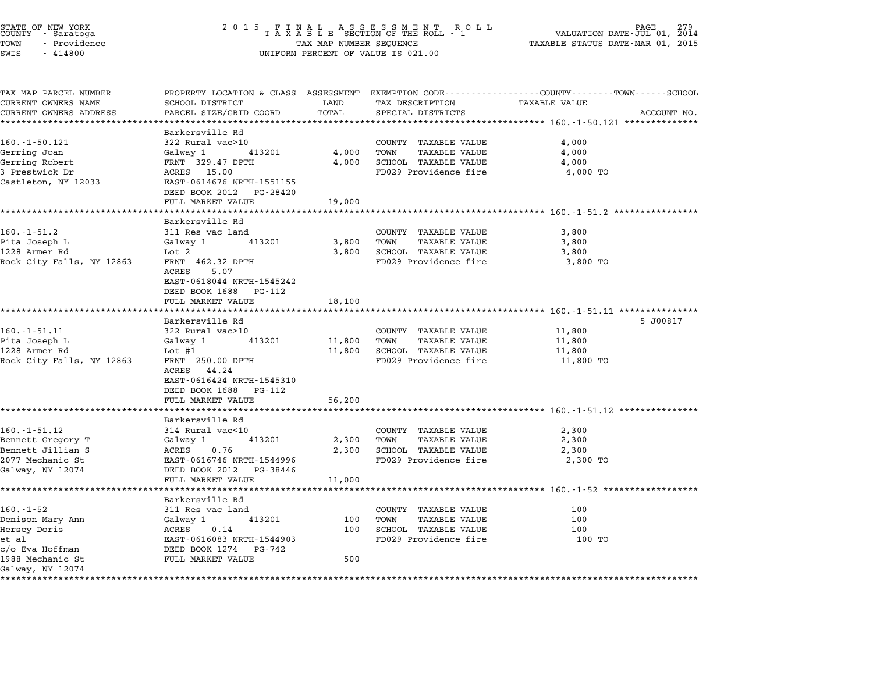| STATE OF NEW YORK<br>COUNTY - Saratoga<br>TOWN<br>- Providence<br>SWIS<br>$-414800$                  | 2 0 1 5                                                                                                                                                                             | TAX MAP NUMBER SEQUENCE    | FINAL ASSESSMENT RO<br>TAXABLE SECTION OF THE ROLL - 1<br>R O L L<br>UNIFORM PERCENT OF VALUE IS 021.00 | PAGE<br>VALUATION DATE-JUL 01, 2014<br>TAXABLE STATUS DATE-MAR 01, 2015                                                        |  |
|------------------------------------------------------------------------------------------------------|-------------------------------------------------------------------------------------------------------------------------------------------------------------------------------------|----------------------------|---------------------------------------------------------------------------------------------------------|--------------------------------------------------------------------------------------------------------------------------------|--|
| TAX MAP PARCEL NUMBER<br>CURRENT OWNERS NAME<br>CURRENT OWNERS ADDRESS                               | SCHOOL DISTRICT<br>PARCEL SIZE/GRID COORD                                                                                                                                           | LAND<br>TOTAL              | TAX DESCRIPTION<br>SPECIAL DISTRICTS                                                                    | PROPERTY LOCATION & CLASS ASSESSMENT EXEMPTION CODE---------------COUNTY-------TOWN-----SCHOOL<br>TAXABLE VALUE<br>ACCOUNT NO. |  |
| ***********************                                                                              |                                                                                                                                                                                     |                            |                                                                                                         |                                                                                                                                |  |
| $160. - 1 - 50.121$<br>Gerring Joan<br>Gerring Robert<br>3 Prestwick Dr                              | Barkersville Rd<br>322 Rural vac>10<br>Galway 1<br>413201<br>FRNT 329.47 DPTH<br>ACRES 15.00                                                                                        | 4,000<br>4,000             | COUNTY TAXABLE VALUE<br>TOWN<br>TAXABLE VALUE<br>SCHOOL TAXABLE VALUE<br>FD029 Providence fire          | 4,000<br>4,000<br>4,000<br>4,000 TO                                                                                            |  |
| Castleton, NY 12033                                                                                  | EAST-0614676 NRTH-1551155<br>DEED BOOK 2012 PG-28420<br>FULL MARKET VALUE                                                                                                           | 19,000                     |                                                                                                         |                                                                                                                                |  |
|                                                                                                      |                                                                                                                                                                                     |                            |                                                                                                         |                                                                                                                                |  |
| $160.-1-51.2$<br>Pita Joseph L<br>1228 Armer Rd<br>Rock City Falls, NY 12863                         | Barkersville Rd<br>311 Res vac land<br>Galway 1<br>413201<br>Lot 2<br>FRNT 462.32 DPTH<br>5.07<br>ACRES<br>EAST-0618044 NRTH-1545242<br>DEED BOOK 1688 PG-112                       | 3,800<br>3,800             | COUNTY TAXABLE VALUE<br>TOWN<br>TAXABLE VALUE<br>SCHOOL TAXABLE VALUE<br>FD029 Providence fire          | 3,800<br>3,800<br>3,800<br>3,800 TO                                                                                            |  |
|                                                                                                      | FULL MARKET VALUE<br>************************                                                                                                                                       | 18,100                     |                                                                                                         |                                                                                                                                |  |
| 160.-1-51.11<br>Pita Joseph L<br>1228 Armer Rd<br>Rock City Falls, NY 12863                          | Barkersville Rd<br>322 Rural vac>10<br>Galway 1<br>413201<br>Lot $#1$<br>FRNT 250.00 DPTH<br>ACRES 44.24<br>EAST-0616424 NRTH-1545310<br>DEED BOOK 1688 PG-112<br>FULL MARKET VALUE | 11,800<br>11,800<br>56,200 | COUNTY TAXABLE VALUE<br>TOWN<br>TAXABLE VALUE<br>SCHOOL TAXABLE VALUE<br>FD029 Providence fire          | 5 J00817<br>11,800<br>11,800<br>11,800<br>11,800 TO                                                                            |  |
|                                                                                                      | *******************                                                                                                                                                                 |                            |                                                                                                         | ***************************** 160.-1-51.12 **************                                                                      |  |
| $160. - 1 - 51.12$<br>Bennett Gregory T<br>Bennett Jillian S<br>2077 Mechanic St<br>Galway, NY 12074 | Barkersville Rd<br>314 Rural vac<10<br>413201<br>Galway 1<br>ACRES<br>0.76<br>EAST-0616746 NRTH-1544996<br>DEED BOOK 2012 PG-38446                                                  | 2,300<br>2,300             | COUNTY TAXABLE VALUE<br>TAXABLE VALUE<br>TOWN<br>SCHOOL TAXABLE VALUE<br>FD029 Providence fire          | 2,300<br>2,300<br>2,300<br>2,300 TO                                                                                            |  |
|                                                                                                      | FULL MARKET VALUE                                                                                                                                                                   | 11,000                     |                                                                                                         |                                                                                                                                |  |
|                                                                                                      |                                                                                                                                                                                     |                            |                                                                                                         |                                                                                                                                |  |
| $160. -1 - 52$<br>Denison Mary Ann<br>Hersey Doris<br>et al<br>c/o Eva Hoffman<br>1988 Mechanic St   | Barkersville Rd<br>311 Res vac land<br>Galway 1<br>413201<br>ACRES<br>0.14<br>EAST-0616083 NRTH-1544903<br>DEED BOOK 1274 PG-742<br>FULL MARKET VALUE                               | 100<br>100<br>500          | COUNTY TAXABLE VALUE<br>TOWN<br>TAXABLE VALUE<br>SCHOOL TAXABLE VALUE<br>FD029 Providence fire          | 100<br>100<br>100<br>100 TO                                                                                                    |  |
| Galway, NY 12074                                                                                     |                                                                                                                                                                                     |                            |                                                                                                         |                                                                                                                                |  |
|                                                                                                      |                                                                                                                                                                                     |                            |                                                                                                         |                                                                                                                                |  |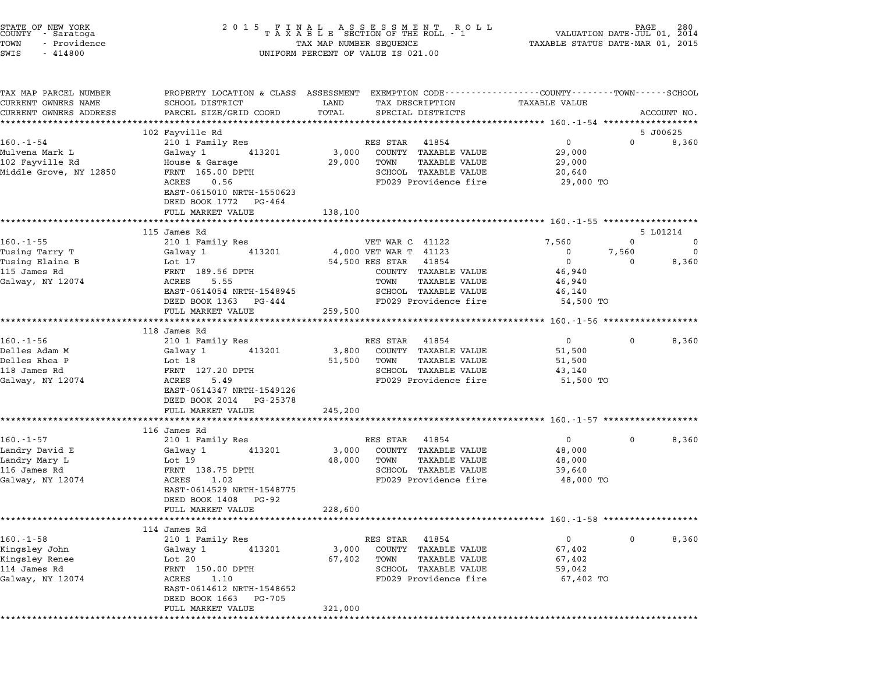| STATE OF NEW YORK<br>COUNTY - Saratoga<br>- Providence<br>TOWN<br>SWIS<br>$-414800$ | UNIFORM PERCENT OF VALUE IS 021.00                                  |                                                         |                                                                                                                                |  |  |
|-------------------------------------------------------------------------------------|---------------------------------------------------------------------|---------------------------------------------------------|--------------------------------------------------------------------------------------------------------------------------------|--|--|
| TAX MAP PARCEL NUMBER<br>CURRENT OWNERS NAME<br>CURRENT OWNERS ADDRESS              | SCHOOL DISTRICT<br>PARCEL SIZE/GRID COORD                           | LAND<br>TAX DESCRIPTION<br>TOTAL<br>SPECIAL DISTRICTS   | PROPERTY LOCATION & CLASS ASSESSMENT EXEMPTION CODE---------------COUNTY------TOWN------SCHOOL<br>TAXABLE VALUE<br>ACCOUNT NO. |  |  |
|                                                                                     | *************************                                           |                                                         |                                                                                                                                |  |  |
| $160. - 1 - 54$                                                                     | 102 Fayville Rd<br>210 1 Family Res                                 | RES STAR 41854                                          | 5 J00625<br>$\mathsf{O}$<br>$\Omega$<br>8,360                                                                                  |  |  |
| Mulvena Mark L                                                                      | Galway 1<br>413201                                                  | 3,000<br>COUNTY TAXABLE VALUE                           | 29,000                                                                                                                         |  |  |
| 102 Fayville Rd                                                                     | House & Garage                                                      | 29,000<br>TOWN<br>TAXABLE VALUE                         | 29,000                                                                                                                         |  |  |
| Middle Grove, NY 12850                                                              | FRNT 165.00 DPTH                                                    | SCHOOL TAXABLE VALUE                                    | 20,640                                                                                                                         |  |  |
|                                                                                     | ACRES<br>0.56<br>EAST-0615010 NRTH-1550623<br>DEED BOOK 1772 PG-464 | FD029 Providence fire                                   | 29,000 TO                                                                                                                      |  |  |
|                                                                                     | FULL MARKET VALUE                                                   | 138,100                                                 |                                                                                                                                |  |  |
|                                                                                     | *********************                                               |                                                         |                                                                                                                                |  |  |
|                                                                                     | 115 James Rd                                                        |                                                         | 5 L01214                                                                                                                       |  |  |
| $160. -1 - 55$                                                                      | 210 1 Family Res                                                    | VET WAR C 41122                                         | 7,560<br>$\mathbf{0}$<br>$\mathbf 0$                                                                                           |  |  |
| Tusing Tarry T                                                                      | Galway 1<br>413201                                                  | 4,000 VET WAR T 41123                                   | $\mathbf 0$<br>7,560<br>$\mathbf 0$                                                                                            |  |  |
| Tusing Elaine B                                                                     | Lot 17                                                              | 54,500 RES STAR<br>41854                                | $\overline{0}$<br>8,360<br>$\Omega$                                                                                            |  |  |
| 115 James Rd                                                                        | FRNT 189.56 DPTH                                                    | COUNTY TAXABLE VALUE                                    | 46,940                                                                                                                         |  |  |
| Galway, NY 12074                                                                    | ACRES<br>5.55                                                       | TOWN<br>TAXABLE VALUE                                   | 46,940                                                                                                                         |  |  |
|                                                                                     | EAST-0614054 NRTH-1548945                                           | SCHOOL TAXABLE VALUE                                    | 46,140                                                                                                                         |  |  |
|                                                                                     | DEED BOOK 1363 PG-444                                               | FD029 Providence fire                                   | 54,500 TO                                                                                                                      |  |  |
|                                                                                     | FULL MARKET VALUE<br>***********************                        | 259,500                                                 |                                                                                                                                |  |  |
|                                                                                     | 118 James Rd                                                        |                                                         | ******************** 160.-1-56 *******************                                                                             |  |  |
| $160. - 1 - 56$                                                                     | 210 1 Family Res                                                    | RES STAR 41854                                          | $\overline{0}$<br>8,360<br>$\mathbf 0$                                                                                         |  |  |
| Delles Adam M                                                                       | 413201<br>Galway 1                                                  | 3,800<br>COUNTY TAXABLE VALUE                           | 51,500                                                                                                                         |  |  |
| Delles Rhea P                                                                       | Lot 18                                                              | 51,500<br>TOWN<br>TAXABLE VALUE                         | 51,500                                                                                                                         |  |  |
| 118 James Rd                                                                        | FRNT 127.20 DPTH                                                    | SCHOOL TAXABLE VALUE                                    | 43,140                                                                                                                         |  |  |
| Galway, NY 12074                                                                    | ACRES<br>5.49                                                       | FD029 Providence fire                                   | 51,500 TO                                                                                                                      |  |  |
|                                                                                     | EAST-0614347 NRTH-1549126<br>DEED BOOK 2014 PG-25378                |                                                         |                                                                                                                                |  |  |
|                                                                                     | FULL MARKET VALUE                                                   | 245,200                                                 |                                                                                                                                |  |  |
|                                                                                     | ******************                                                  |                                                         | ******************************** 160.-1-57 *******************                                                                 |  |  |
|                                                                                     | 116 James Rd                                                        |                                                         |                                                                                                                                |  |  |
| 160.-1-57                                                                           | 210 1 Family Res<br>413201                                          | RES STAR 41854<br>COUNTY TAXABLE VALUE                  | $\mathbf{0}$<br>8,360<br>$\mathbf 0$                                                                                           |  |  |
| Landry David E<br>Landry Mary L                                                     | Galway 1<br>Lot 19                                                  | 3,000<br>48,000<br>TOWN<br>TAXABLE VALUE                | 48,000<br>48,000                                                                                                               |  |  |
| 116 James Rd                                                                        | FRNT 138.75 DPTH                                                    | SCHOOL TAXABLE VALUE                                    | 39,640                                                                                                                         |  |  |
| Galway, NY 12074                                                                    | ACRES<br>1.02                                                       | FD029 Providence fire                                   | 48,000 TO                                                                                                                      |  |  |
|                                                                                     | EAST-0614529 NRTH-1548775<br>DEED BOOK 1408<br>PG-92                |                                                         |                                                                                                                                |  |  |
|                                                                                     | FULL MARKET VALUE                                                   | 228,600                                                 |                                                                                                                                |  |  |
|                                                                                     |                                                                     |                                                         |                                                                                                                                |  |  |
|                                                                                     | 114 James Rd                                                        |                                                         |                                                                                                                                |  |  |
| $160. -1 - 58$                                                                      | 210 1 Family Res                                                    | RES STAR<br>41854                                       | 0<br>8,360<br>0                                                                                                                |  |  |
| Kingsley John                                                                       | 413201<br>Galway 1                                                  | COUNTY TAXABLE VALUE<br>3,000                           | 67,402                                                                                                                         |  |  |
| Kingsley Renee<br>114 James Rd                                                      | Lot 20<br>FRNT 150.00 DPTH                                          | 67,402<br>TAXABLE VALUE<br>TOWN<br>SCHOOL TAXABLE VALUE | 67,402<br>59,042                                                                                                               |  |  |
| Galway, NY 12074                                                                    | ACRES<br>1.10                                                       | FD029 Providence fire                                   | 67,402 TO                                                                                                                      |  |  |
|                                                                                     | EAST-0614612 NRTH-1548652<br>DEED BOOK 1663<br>PG-705               |                                                         |                                                                                                                                |  |  |
|                                                                                     | FULL MARKET VALUE                                                   | 321,000                                                 |                                                                                                                                |  |  |
|                                                                                     |                                                                     |                                                         |                                                                                                                                |  |  |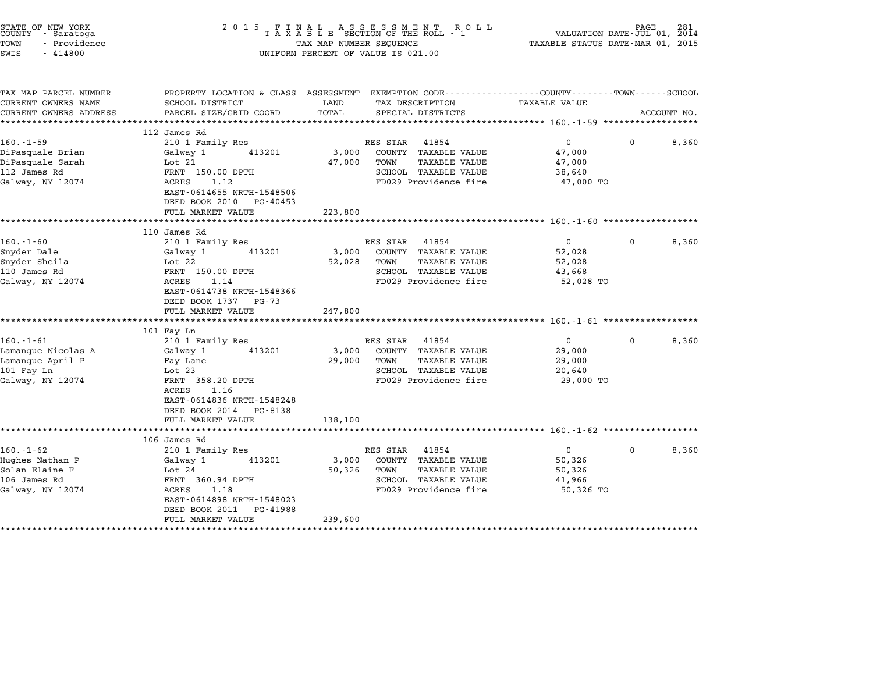| STATE OF NEW YORK<br>COUNTY - Saratoga<br>TOWN<br>- Providence<br>SWIS<br>$-414800$        | ${\small \begin{array}{l} 2&0&1&5\\[-1.2mm] T\end{array}} \begin{array}{l} \texttt{F} \texttt{I} \texttt{N} \texttt{A} \texttt{L} \texttt{A} \texttt{S} \texttt{S} \texttt{E} \texttt{S} \texttt{S} \texttt{M} \texttt{E} \texttt{N} \texttt{T} \texttt{R} \texttt{O} \texttt{L} \texttt{L} \\ \texttt{T} \texttt{A} \texttt{X} \texttt{A} \texttt{B} \texttt{L} \texttt{E} \texttt{S} \texttt{E}\texttt{C} \texttt{T} \texttt{I}$<br>PAGE.<br>VALUATION DATE-JUL 01, 2014<br>TAXABLE STATUS DATE-MAR 01, 2015<br>TAX MAP NUMBER SEQUENCE<br>UNIFORM PERCENT OF VALUE IS 021.00 |                            |                                                                                                                         |                                                           |          | 281         |
|--------------------------------------------------------------------------------------------|---------------------------------------------------------------------------------------------------------------------------------------------------------------------------------------------------------------------------------------------------------------------------------------------------------------------------------------------------------------------------------------------------------------------------------------------------------------------------------------------------------------------------------------------------------------------------------|----------------------------|-------------------------------------------------------------------------------------------------------------------------|-----------------------------------------------------------|----------|-------------|
| TAX MAP PARCEL NUMBER<br>CURRENT OWNERS NAME<br>CURRENT OWNERS ADDRESS                     | PROPERTY LOCATION & CLASS ASSESSMENT EXEMPTION CODE---------------COUNTY-------TOWN-----SCHOOL<br>SCHOOL DISTRICT<br>PARCEL SIZE/GRID COORD                                                                                                                                                                                                                                                                                                                                                                                                                                     | LAND<br>TOTAL              | TAX DESCRIPTION<br>SPECIAL DISTRICTS                                                                                    | TAXABLE VALUE                                             |          | ACCOUNT NO. |
| $160. -1 - 59$<br>DiPasquale Brian<br>DiPasquale Sarah<br>112 James Rd<br>Galway, NY 12074 | 112 James Rd<br>210 1 Family Res<br>Galway 1<br>413201<br>Lot 21<br>FRNT 150.00 DPTH<br>ACRES<br>1.12<br>EAST-0614655 NRTH-1548506<br>DEED BOOK 2010 PG-40453<br>FULL MARKET VALUE                                                                                                                                                                                                                                                                                                                                                                                              | 3,000<br>47,000<br>223,800 | RES STAR 41854<br>COUNTY TAXABLE VALUE<br><b>TAXABLE VALUE</b><br>TOWN<br>SCHOOL TAXABLE VALUE<br>FD029 Providence fire | $\overline{0}$<br>47,000<br>47,000<br>38,640<br>47,000 TO | $\Omega$ | 8,360       |
|                                                                                            |                                                                                                                                                                                                                                                                                                                                                                                                                                                                                                                                                                                 |                            |                                                                                                                         |                                                           |          |             |
| $160.-1-60$<br>Snyder Dale<br>Snyder Sheila<br>110 James Rd<br>Galway, NY 12074            | 110 James Rd<br>210 1 Family Res<br>Galway 1<br>413201<br>Lot 22<br>FRNT 150.00 DPTH<br>ACRES<br>1.14<br>EAST-0614738 NRTH-1548366<br>DEED BOOK 1737 PG-73<br>FULL MARKET VALUE                                                                                                                                                                                                                                                                                                                                                                                                 | 3,000<br>52,028<br>247,800 | RES STAR 41854<br>COUNTY TAXABLE VALUE<br>TOWN<br>TAXABLE VALUE<br>SCHOOL TAXABLE VALUE<br>FD029 Providence fire        | $\overline{0}$<br>52,028<br>52,028<br>43,668<br>52,028 TO | 0        | 8,360       |
| $160.-1-61$<br>Lamanque Nicolas A<br>Lamanque April P<br>101 Fay Ln<br>Galway, NY 12074    | 101 Fay Ln<br>210 1 Family Res<br>413201<br>Galway 1<br>Fay Lane<br>Lot 23<br>FRNT 358.20 DPTH<br>ACRES<br>1.16<br>EAST-0614836 NRTH-1548248<br>DEED BOOK 2014 PG-8138<br>FULL MARKET VALUE                                                                                                                                                                                                                                                                                                                                                                                     | 3,000<br>29,000<br>138,100 | RES STAR 41854<br>COUNTY TAXABLE VALUE<br>TOWN<br><b>TAXABLE VALUE</b><br>SCHOOL TAXABLE VALUE<br>FD029 Providence fire | $\mathbf{0}$<br>29,000<br>29,000<br>20,640<br>29,000 TO   | $\Omega$ | 8,360       |
| $160. - 1 - 62$<br>Hughes Nathan P<br>Solan Elaine F<br>106 James Rd<br>Galway, NY 12074   | ***********************<br>106 James Rd<br>210 1 Family Res<br>Galway 1<br>413201<br>Lot 24<br>FRNT 360.94 DPTH<br>ACRES<br>1.18<br>EAST-0614898 NRTH-1548023<br>DEED BOOK 2011<br>PG-41988<br>FULL MARKET VALUE                                                                                                                                                                                                                                                                                                                                                                | 3,000<br>50,326<br>239,600 | RES STAR 41854<br>COUNTY TAXABLE VALUE<br><b>TAXABLE VALUE</b><br>TOWN<br>SCHOOL TAXABLE VALUE<br>FD029 Providence fire | $\overline{0}$<br>50,326<br>50,326<br>41,966<br>50,326 TO | 0        | 8,360       |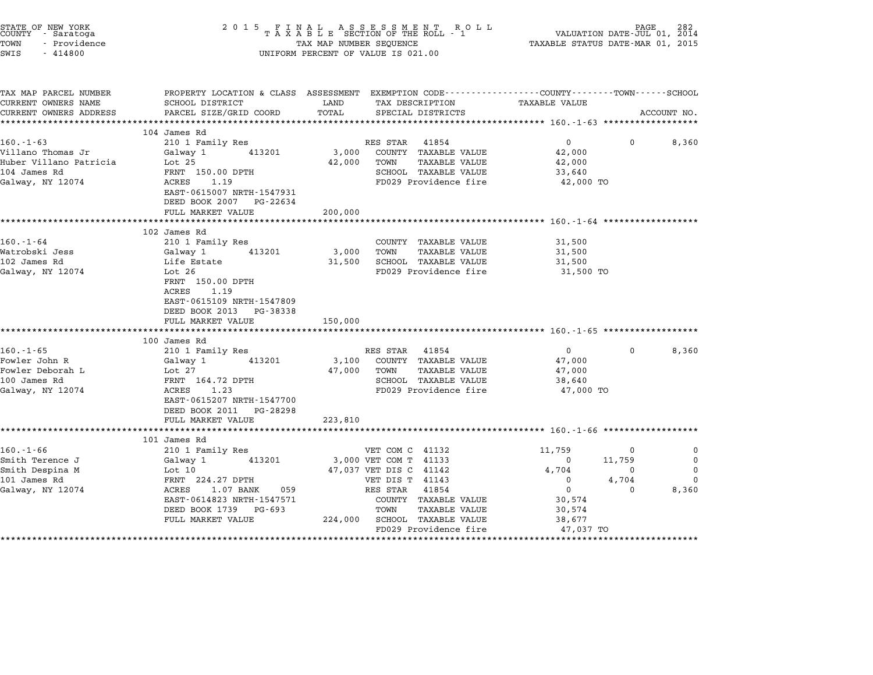| STATE OF NEW YORK<br>COUNTY - Saratoga<br>TOWN<br>- Providence<br>SWIS<br>$-414800$ |                                                                                                                   | TAX MAP NUMBER SEQUENCE | 2015 FINAL ASSESSMENT ROLL<br>TAXABLE SECTION OF THE ROLL - 1<br>UNIFORM PERCENT OF VALUE IS 021.00 | TAXABLE STATUS DATE-MAR 01, 2015              | PAGE<br>VALUATION DATE-JUL 01, 2014 | 282         |
|-------------------------------------------------------------------------------------|-------------------------------------------------------------------------------------------------------------------|-------------------------|-----------------------------------------------------------------------------------------------------|-----------------------------------------------|-------------------------------------|-------------|
| TAX MAP PARCEL NUMBER<br>CURRENT OWNERS NAME                                        | PROPERTY LOCATION & CLASS ASSESSMENT EXEMPTION CODE---------------COUNTY-------TOWN-----SCHOOL<br>SCHOOL DISTRICT | LAND                    | TAX DESCRIPTION                                                                                     | TAXABLE VALUE                                 |                                     |             |
| CURRENT OWNERS ADDRESS                                                              | PARCEL SIZE/GRID COORD                                                                                            | TOTAL                   | SPECIAL DISTRICTS                                                                                   |                                               |                                     | ACCOUNT NO. |
|                                                                                     |                                                                                                                   |                         |                                                                                                     |                                               |                                     |             |
| $160. - 1 - 63$                                                                     | 104 James Rd                                                                                                      |                         | RES STAR 41854                                                                                      | $\mathbf{0}$                                  | $\Omega$                            |             |
| Villano Thomas Jr                                                                   | 210 1 Family Res<br>413201<br>Galway 1                                                                            | 3,000                   | COUNTY TAXABLE VALUE                                                                                | 42,000                                        |                                     | 8,360       |
| Huber Villano Patricia                                                              | Lot $25$                                                                                                          | 42,000                  | TOWN<br>TAXABLE VALUE                                                                               | 42,000                                        |                                     |             |
| 104 James Rd                                                                        | FRNT 150.00 DPTH                                                                                                  |                         | SCHOOL TAXABLE VALUE                                                                                | 33,640                                        |                                     |             |
| Galway, NY 12074                                                                    | ACRES<br>1.19                                                                                                     |                         | FD029 Providence fire                                                                               | 42,000 TO                                     |                                     |             |
|                                                                                     | EAST-0615007 NRTH-1547931                                                                                         |                         |                                                                                                     |                                               |                                     |             |
|                                                                                     | DEED BOOK 2007 PG-22634                                                                                           |                         |                                                                                                     |                                               |                                     |             |
|                                                                                     | FULL MARKET VALUE                                                                                                 | 200,000                 |                                                                                                     |                                               |                                     |             |
|                                                                                     | ***************************                                                                                       |                         |                                                                                                     |                                               |                                     |             |
|                                                                                     | 102 James Rd                                                                                                      |                         |                                                                                                     |                                               |                                     |             |
| $160 - 1 - 64$                                                                      | 210 1 Family Res                                                                                                  |                         | COUNTY TAXABLE VALUE                                                                                | 31,500                                        |                                     |             |
| Watrobski Jess                                                                      | Galway 1<br>413201                                                                                                | 3,000                   | TOWN<br>TAXABLE VALUE                                                                               | 31,500                                        |                                     |             |
| 102 James Rd                                                                        | Life Estate                                                                                                       | 31,500                  | SCHOOL TAXABLE VALUE                                                                                | 31,500                                        |                                     |             |
| Galway, NY 12074                                                                    | Lot $26$<br>FRNT 150.00 DPTH<br>ACRES<br>1.19<br>EAST-0615109 NRTH-1547809<br>DEED BOOK 2013 PG-38338             |                         | FD029 Providence fire                                                                               | 31,500 TO                                     |                                     |             |
|                                                                                     | FULL MARKET VALUE                                                                                                 | 150,000                 |                                                                                                     |                                               |                                     |             |
|                                                                                     |                                                                                                                   | ***********             | ******************************* 160.-1-65 ******************                                        |                                               |                                     |             |
|                                                                                     | 100 James Rd                                                                                                      |                         |                                                                                                     |                                               |                                     |             |
| $160. - 1 - 65$<br>Fowler John R                                                    | 210 1 Family Res                                                                                                  |                         | RES STAR 41854                                                                                      | $\overline{0}$                                | 0                                   | 8,360       |
| Fowler Deborah L                                                                    | 413201<br>Galway 1<br>Lot 27                                                                                      | 3,100<br>47,000         | COUNTY TAXABLE VALUE<br>TOWN<br>TAXABLE VALUE                                                       | 47,000<br>47,000                              |                                     |             |
| 100 James Rd                                                                        | FRNT 164.72 DPTH                                                                                                  |                         | SCHOOL TAXABLE VALUE                                                                                | 38,640                                        |                                     |             |
| Galway, NY 12074                                                                    | 1.23<br>ACRES                                                                                                     |                         | FD029 Providence fire                                                                               | 47,000 TO                                     |                                     |             |
|                                                                                     | EAST-0615207 NRTH-1547700                                                                                         |                         |                                                                                                     |                                               |                                     |             |
|                                                                                     | DEED BOOK 2011 PG-28298                                                                                           |                         |                                                                                                     |                                               |                                     |             |
|                                                                                     | FULL MARKET VALUE                                                                                                 | 223,810                 |                                                                                                     |                                               |                                     |             |
|                                                                                     |                                                                                                                   | ***********             |                                                                                                     |                                               |                                     |             |
|                                                                                     | 101 James Rd                                                                                                      |                         |                                                                                                     |                                               |                                     |             |
| $160. -1 - 66$                                                                      | 210 1 Family Res                                                                                                  |                         | VET COM C 41132                                                                                     | 11,759                                        | $\Omega$                            | 0           |
| Smith Terence J                                                                     | 413201<br>Galway 1                                                                                                |                         | 3,000 VET COM T 41133                                                                               | $\mathbf{0}$                                  | 11,759                              | 0           |
| Smith Despina M                                                                     | Lot 10                                                                                                            |                         | 47,037 VET DIS C 41142                                                                              | 4,704                                         | $\Omega$                            | $\Omega$    |
| 101 James Rd                                                                        | FRNT 224.27 DPTH                                                                                                  |                         | VET DIS T 41143                                                                                     | $\mathbf 0$                                   | 4,704                               | $\Omega$    |
| Galway, NY 12074                                                                    | ACRES<br>1.07 BANK<br>059                                                                                         |                         | 41854<br>RES STAR                                                                                   | $\overline{0}$                                | 0                                   | 8,360       |
|                                                                                     | EAST-0614823 NRTH-1547571                                                                                         |                         | COUNTY TAXABLE VALUE                                                                                | 30,574                                        |                                     |             |
|                                                                                     | DEED BOOK 1739 PG-693                                                                                             |                         | TOWN<br><b>TAXABLE VALUE</b>                                                                        | 30,574                                        |                                     |             |
|                                                                                     | FULL MARKET VALUE                                                                                                 |                         | 224,000 SCHOOL TAXABLE VALUE                                                                        | 38,677                                        |                                     |             |
|                                                                                     |                                                                                                                   |                         | FD029 Providence fire                                                                               | 47,037 TO<br>******************************** |                                     |             |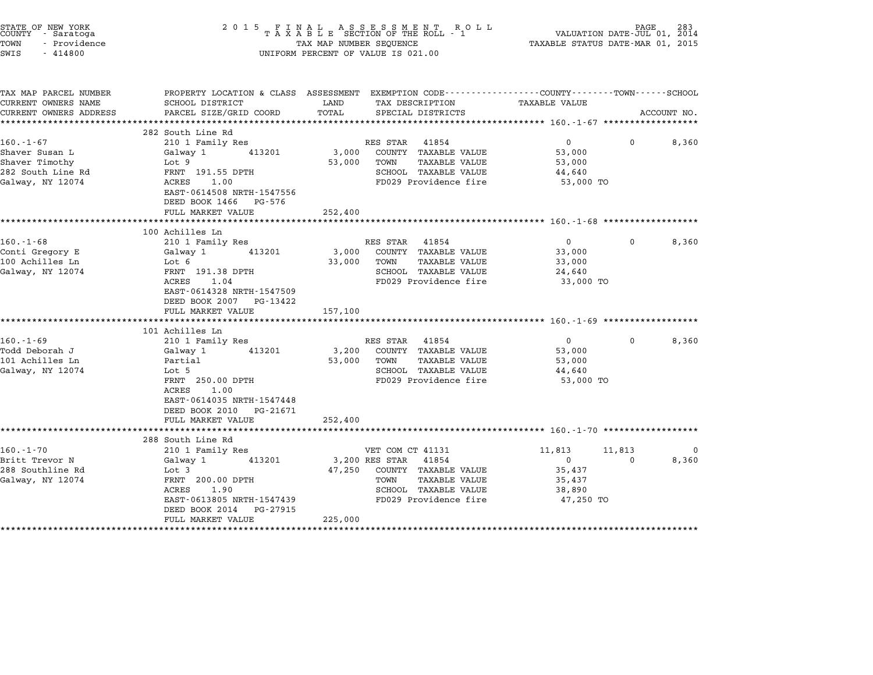| STATE OF NEW YORK<br>COUNTY - Saratoga<br>TOWN<br>- Providence<br>SWIS<br>$-414800$          | $\begin{array}{cccccccccccccccccc} 2& 0& 1& 5 & & F & I & N & A & L & & A & S & S & E & S & S & M & E & N & T & & R & O & L \\ T & A & X & A & B & L & E & SECTION OF THE ROLL & - & 1 \end{array}$<br>TAX MAP NUMBER SEQUENCE<br>UNIFORM PERCENT OF VALUE IS 021.00 | PAGE<br>283<br>VALUATION DATE-JUL 01, 2014<br>TAXABLE STATUS DATE-MAR 01, 2015 |                                                                                                                                            |                                                                   |                    |                |
|----------------------------------------------------------------------------------------------|----------------------------------------------------------------------------------------------------------------------------------------------------------------------------------------------------------------------------------------------------------------------|--------------------------------------------------------------------------------|--------------------------------------------------------------------------------------------------------------------------------------------|-------------------------------------------------------------------|--------------------|----------------|
| TAX MAP PARCEL NUMBER<br>CURRENT OWNERS NAME<br>CURRENT OWNERS ADDRESS                       | PROPERTY LOCATION & CLASS ASSESSMENT EXEMPTION CODE---------------COUNTY-------TOWN------SCHOOL<br>SCHOOL DISTRICT<br>PARCEL SIZE/GRID COORD                                                                                                                         | LAND<br>TOTAL                                                                  | TAX DESCRIPTION<br>SPECIAL DISTRICTS                                                                                                       | <b>TAXABLE VALUE</b>                                              |                    | ACCOUNT NO.    |
| $160. - 1 - 67$<br>Shaver Susan L<br>Shaver Timothy<br>282 South Line Rd<br>Galway, NY 12074 | 282 South Line Rd<br>210 1 Family Res<br>Galway 1<br>413201<br>Lot 9<br>FRNT 191.55 DPTH<br>ACRES 1.00<br>EAST-0614508 NRTH-1547556<br>DEED BOOK 1466 PG-576<br>FULL MARKET VALUE                                                                                    | 3,000<br>53,000<br>252,400                                                     | RES STAR 41854<br>COUNTY TAXABLE VALUE<br>TOWN<br>TAXABLE VALUE<br>SCHOOL TAXABLE VALUE<br>FD029 Providence fire                           | $\mathbf{0}$<br>53,000<br>53,000<br>44,640<br>53,000 TO           | 0                  | 8,360          |
|                                                                                              |                                                                                                                                                                                                                                                                      |                                                                                |                                                                                                                                            |                                                                   |                    |                |
| $160. - 1 - 68$<br>Conti Gregory E<br>100 Achilles Ln<br>Galway, NY 12074                    | 100 Achilles Ln<br>210 1 Family Res<br>Galway 1<br>413201<br>Lot 6<br>FRNT 191.38 DPTH<br>ACRES<br>1.04<br>EAST-0614328 NRTH-1547509<br>DEED BOOK 2007 PG-13422<br>FULL MARKET VALUE                                                                                 | 3,000<br>33,000<br>157,100                                                     | RES STAR 41854<br>COUNTY TAXABLE VALUE<br>TOWN<br>TAXABLE VALUE<br>SCHOOL TAXABLE VALUE<br>FD029 Providence fire                           | $\Omega$<br>33,000<br>33,000<br>24,640<br>33,000 TO               | 0                  | 8,360          |
|                                                                                              | 101 Achilles Ln                                                                                                                                                                                                                                                      |                                                                                |                                                                                                                                            |                                                                   |                    |                |
| $160.-1-69$<br>Todd Deborah J<br>101 Achilles Ln<br>Galway, NY 12074                         | 210 1 Family Res<br>Galway 1<br>413201<br>Partial<br>Lot 5<br>FRNT 250.00 DPTH<br>ACRES<br>1.00<br>EAST-0614035 NRTH-1547448<br>DEED BOOK 2010 PG-21671<br>FULL MARKET VALUE                                                                                         | 3,200<br>53,000<br>252,400                                                     | RES STAR 41854<br>COUNTY TAXABLE VALUE<br>TOWN<br><b>TAXABLE VALUE</b><br>SCHOOL TAXABLE VALUE<br>FD029 Providence fire                    | $\mathbf 0$<br>53,000<br>53,000<br>44,640<br>53,000 TO            | 0                  | 8,360          |
|                                                                                              |                                                                                                                                                                                                                                                                      |                                                                                |                                                                                                                                            |                                                                   |                    |                |
| $160.-1-70$<br>Britt Trevor N<br>288 Southline Rd<br>Galway, NY 12074                        | 288 South Line Rd<br>210 1 Family Res<br>413201<br>Galway 1<br>Lot 3<br>FRNT 200.00 DPTH<br>ACRES<br>1.90<br>EAST-0613805 NRTH-1547439<br>DEED BOOK 2014 PG-27915<br>FULL MARKET VALUE                                                                               | 47,250<br>225,000                                                              | VET COM CT 41131<br>3,200 RES STAR 41854<br>COUNTY TAXABLE VALUE<br>TOWN<br>TAXABLE VALUE<br>SCHOOL TAXABLE VALUE<br>FD029 Providence fire | 11,813<br>$\mathbf{0}$<br>35,437<br>35,437<br>38,890<br>47,250 TO | 11,813<br>$\Omega$ | - ( )<br>8,360 |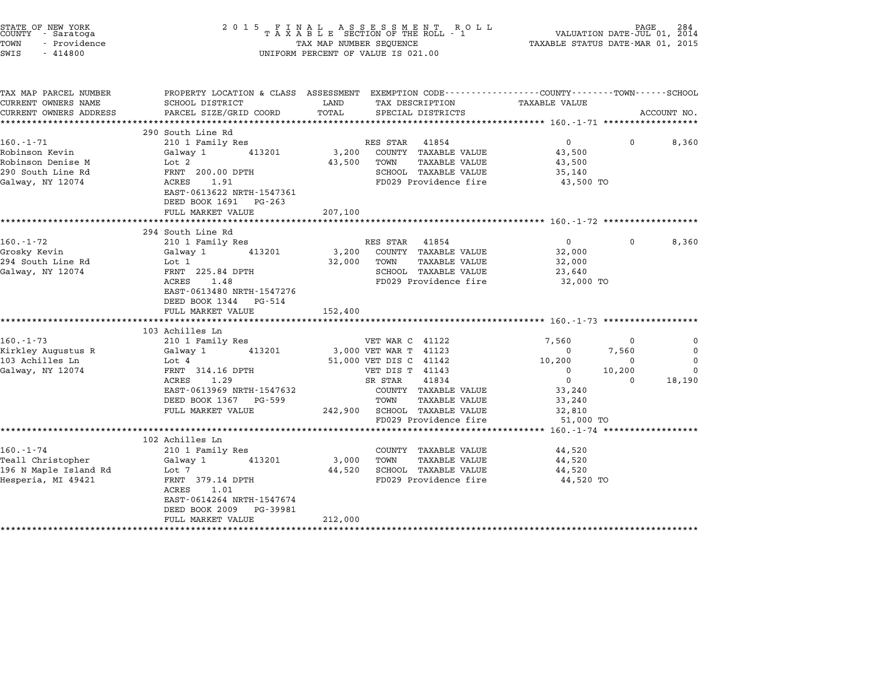| STATE OF NEW YORK<br>COUNTY - Saratoga<br>TOWN<br>- Providence<br>SWIS<br>$-414800$                |                                                                                                                                                                                                                 |                       | $\begin{tabular}{lllllllllll} \hline 2&0&1&5&F\ \texttt{I}\ &\texttt{A}\ &\texttt{A}\ &\texttt{B}\ &\texttt{B}\ &\texttt{C}\ &\texttt{C}\ &\texttt{D}\ &\texttt{D}\ &\texttt{A}\ &\texttt{A}\ &\texttt{B}\ &\texttt{B}\ &\texttt{B}\ &\texttt{C}\ &\texttt{C}\ &\texttt{D}\ &\texttt{C}\ &\texttt{D}\ &\texttt{A}\ &\texttt{A}\ &\texttt{B}\ &\texttt{B}\ &\texttt{C}\ &\texttt{D}\ &\texttt{C}\ &\texttt{D}\ &\texttt{$<br>UNIFORM PERCENT OF VALUE IS 021.00 |                                                                                                                 |                                                                   |                                                    |
|----------------------------------------------------------------------------------------------------|-----------------------------------------------------------------------------------------------------------------------------------------------------------------------------------------------------------------|-----------------------|----------------------------------------------------------------------------------------------------------------------------------------------------------------------------------------------------------------------------------------------------------------------------------------------------------------------------------------------------------------------------------------------------------------------------------------------------------------|-----------------------------------------------------------------------------------------------------------------|-------------------------------------------------------------------|----------------------------------------------------|
| TAX MAP PARCEL NUMBER<br>CURRENT OWNERS NAME<br>CURRENT OWNERS ADDRESS                             | PROPERTY LOCATION & CLASS ASSESSMENT EXEMPTION CODE---------------COUNTY-------TOWN------SCHOOL<br>SCHOOL DISTRICT<br>PARCEL SIZE/GRID COORD                                                                    | LAND<br>TOTAL         | TAX DESCRIPTION TAXABLE VALUE<br>SPECIAL DISTRICTS                                                                                                                                                                                                                                                                                                                                                                                                             |                                                                                                                 |                                                                   | ACCOUNT NO.                                        |
| $160. - 1 - 71$<br>Robinson Kevin<br>Robinson Denise M<br>290 South Line Rd<br>Galway, NY 12074    | 290 South Line Rd<br>210 1 Family Res<br>Galway 1<br>413201<br>Lot 2<br>FRNT 200.00 DPTH<br>ACRES 1.91<br>EAST-0613622 NRTH-1547361<br>DEED BOOK 1691 PG-263                                                    | ********************  | RES STAR 41854<br>3,200 COUNTY TAXABLE VALUE<br>43,500 TOWN<br>TAXABLE VALUE<br>SCHOOL TAXABLE VALUE<br>FD029 Providence fire                                                                                                                                                                                                                                                                                                                                  | ******************** 160.-1-71 *******************<br>$\overline{0}$<br>43,500<br>43,500<br>35,140<br>43,500 TO | $\mathbf 0$                                                       | 8,360                                              |
|                                                                                                    | FULL MARKET VALUE                                                                                                                                                                                               | 207,100               |                                                                                                                                                                                                                                                                                                                                                                                                                                                                |                                                                                                                 |                                                                   |                                                    |
| $160. - 1 - 72$<br>Grosky Kevin<br>294 South Line Rd<br>Galway, NY 12074                           | 294 South Line Rd<br>210 1 Family Res<br>413201<br>Galway 1<br>Lot 1<br>FRNT 225.84 DPTH<br>ACRES 1.48<br>EAST-0613480 NRTH-1547276<br>DEED BOOK 1344 PG-514<br>FULL MARKET VALUE<br>************************** | 32,000<br>152,400     | RES STAR 41854<br>3,200 COUNTY TAXABLE VALUE<br>TOWN<br>TAXABLE VALUE<br>SCHOOL TAXABLE VALUE<br>FD029 Providence fire                                                                                                                                                                                                                                                                                                                                         | $0 \qquad \qquad$<br>32,000<br>32,000<br>23,640<br>32,000 TO                                                    | $\Omega$                                                          | 8,360                                              |
| $160. - 1 - 73$<br>Kirkley Augustus R<br>103 Achilles Ln<br>Galway, NY 12074                       | 103 Achilles Ln<br>210 1 Family Res<br>Galway 1 413201<br>Lot 4<br>FRNT 314.16 DPTH<br>ACRES 1.29<br>EAST-0613969 NRTH-1547632<br>DEED BOOK 1367 PG-599<br>FULL MARKET VALUE                                    |                       | VET WAR C 41122<br>3,000 VET WAR T 41123<br>51,000 VET DIS C 41142<br>VET DIS T 41143<br>SR STAR 41834<br>COUNTY TAXABLE VALUE<br>TOWN<br>TAXABLE VALUE<br>242,900 SCHOOL TAXABLE VALUE<br>FD029 Providence fire                                                                                                                                                                                                                                               | 7,560<br>$\mathbf 0$<br>10,200<br>$\mathbf{0}$<br>$\overline{0}$<br>33,240<br>33,240<br>32,810<br>51,000 TO     | - 0<br>7,560<br>$\mathbf 0$<br>10,200<br>$\overline{\phantom{0}}$ | $\Omega$<br>0<br>$\mathbf 0$<br>$\Omega$<br>18,190 |
| 160.-1-74<br>Teall Christopher<br>196 N Maple Island Rd<br>Horneria MT 49421<br>Hesperia, MI 49421 | ************************<br>102 Achilles Ln<br>210 1 Family Res<br>Galway 1<br>413201<br>Lot 7<br>FRNT 379.14 DPTH<br>ACRES 1.01<br>EAST-0614264 NRTH-1547674<br>DEED BOOK 2009 PG-39981<br>FULL MARKET VALUE   | 3,000 TOWN<br>212,000 | COUNTY TAXABLE VALUE<br>TAXABLE VALUE<br>44,520 SCHOOL TAXABLE VALUE<br>FD029 Providence fire                                                                                                                                                                                                                                                                                                                                                                  | ************* 160.-1-74 *******************<br>44,520<br>44,520<br>44,520<br>44,520 TO                          |                                                                   |                                                    |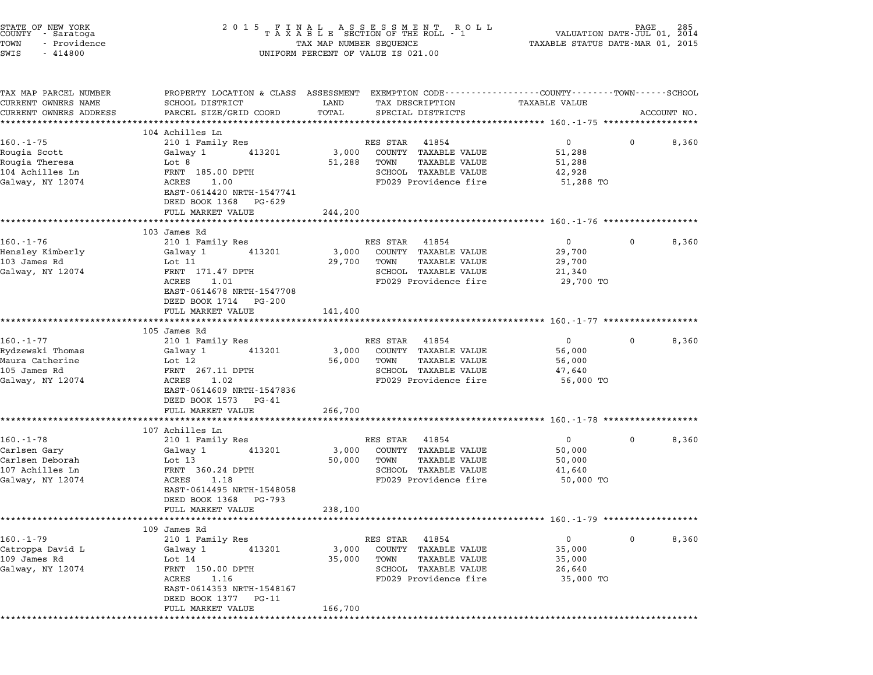| STATE OF NEW YORK<br>COUNTY - Saratoga<br>- Providence<br>TOWN<br>SWIS<br>$-414800$ |                                                                      | 2015 FINAL ASSESSMENT ROLL<br>TAXABLE SECTION OF THE ROLL - 1<br>TAX MAP NUMBER SEQUENCE<br>UNIFORM PERCENT OF VALUE IS 021.00 | VALUATION DATE- $JUL$ 01, $\tilde{2014}$<br>TAXABLE STATUS DATE-MAR 01, 2015                                                     |
|-------------------------------------------------------------------------------------|----------------------------------------------------------------------|--------------------------------------------------------------------------------------------------------------------------------|----------------------------------------------------------------------------------------------------------------------------------|
| TAX MAP PARCEL NUMBER<br>CURRENT OWNERS NAME<br>CURRENT OWNERS ADDRESS              | SCHOOL DISTRICT<br>PARCEL SIZE/GRID COORD<br>*********************** | LAND<br>TAX DESCRIPTION<br>TOTAL<br>SPECIAL DISTRICTS<br>***********                                                           | PROPERTY LOCATION & CLASS ASSESSMENT EXEMPTION CODE----------------COUNTY-------TOWN------SCHOOL<br>TAXABLE VALUE<br>ACCOUNT NO. |
|                                                                                     | 104 Achilles Ln                                                      |                                                                                                                                |                                                                                                                                  |
| $160. - 1 - 75$                                                                     | 210 1 Family Res                                                     | RES STAR<br>41854                                                                                                              | $\overline{0}$<br>8,360<br>$\mathbf 0$                                                                                           |
| Rougia Scott                                                                        | Galway 1<br>413201                                                   | 3,000<br>COUNTY TAXABLE VALUE                                                                                                  | 51,288                                                                                                                           |
| Rougia Theresa                                                                      | Lot 8                                                                | 51,288<br>TOWN<br>TAXABLE VALUE                                                                                                | 51,288                                                                                                                           |
| 104 Achilles Ln                                                                     | FRNT 185.00 DPTH                                                     | SCHOOL TAXABLE VALUE                                                                                                           | 42,928                                                                                                                           |
| Galway, NY 12074                                                                    | ACRES<br>1.00<br>EAST-0614420 NRTH-1547741<br>DEED BOOK 1368 PG-629  | FD029 Providence fire                                                                                                          | 51,288 TO                                                                                                                        |
|                                                                                     | FULL MARKET VALUE                                                    | 244,200                                                                                                                        |                                                                                                                                  |
|                                                                                     | *********************                                                |                                                                                                                                | ********************************* 160.-1-76 *************                                                                        |
|                                                                                     | 103 James Rd                                                         |                                                                                                                                |                                                                                                                                  |
| $160. - 1 - 76$                                                                     | 210 1 Family Res                                                     | RES STAR 41854                                                                                                                 | $\overline{0}$<br>8,360<br>$\mathbf 0$                                                                                           |
| Hensley Kimberly                                                                    | Galway 1<br>413201                                                   | 3,000<br>COUNTY TAXABLE VALUE                                                                                                  | 29,700                                                                                                                           |
| 103 James Rd                                                                        | Lot 11                                                               | 29,700<br>TOWN<br>TAXABLE VALUE                                                                                                | 29,700                                                                                                                           |
| Galway, NY 12074                                                                    | FRNT 171.47 DPTH                                                     | SCHOOL TAXABLE VALUE                                                                                                           | 21,340                                                                                                                           |
|                                                                                     | ACRES<br>1.01                                                        | FD029 Providence fire                                                                                                          | 29,700 TO                                                                                                                        |
|                                                                                     | EAST-0614678 NRTH-1547708                                            |                                                                                                                                |                                                                                                                                  |
|                                                                                     | DEED BOOK 1714 PG-200                                                |                                                                                                                                |                                                                                                                                  |
|                                                                                     | FULL MARKET VALUE<br>**********************                          | 141,400                                                                                                                        |                                                                                                                                  |
|                                                                                     | 105 James Rd                                                         |                                                                                                                                |                                                                                                                                  |
| $160. - 1 - 77$                                                                     | 210 1 Family Res                                                     | RES STAR 41854                                                                                                                 | 8,360<br>$\overline{0}$<br>$\mathbf 0$                                                                                           |
| Rydzewski Thomas                                                                    | 413201<br>Galway 1                                                   | COUNTY TAXABLE VALUE<br>3,000                                                                                                  | 56,000                                                                                                                           |
| Maura Catherine                                                                     | Lot 12                                                               | 56,000<br>TOWN<br>TAXABLE VALUE                                                                                                | 56,000                                                                                                                           |
| 105 James Rd                                                                        | FRNT 267.11 DPTH                                                     | SCHOOL TAXABLE VALUE                                                                                                           | 47,640                                                                                                                           |
| Galway, NY 12074                                                                    | ACRES<br>1.02                                                        | FD029 Providence fire                                                                                                          | 56,000 TO                                                                                                                        |
|                                                                                     | EAST-0614609 NRTH-1547836<br>DEED BOOK 1573 PG-41                    |                                                                                                                                |                                                                                                                                  |
|                                                                                     | FULL MARKET VALUE                                                    | 266,700                                                                                                                        |                                                                                                                                  |
|                                                                                     | *********************                                                |                                                                                                                                |                                                                                                                                  |
| $160.-1-78$                                                                         | 107 Achilles Ln<br>210 1 Family Res                                  | RES STAR<br>41854                                                                                                              | $\mathbf{0}$<br>8,360<br>$\mathbf 0$                                                                                             |
| Carlsen Gary                                                                        | Galway 1<br>413201                                                   | 3,000<br>COUNTY TAXABLE VALUE                                                                                                  | 50,000                                                                                                                           |
| Carlsen Deborah                                                                     | Lot 13                                                               | 50,000<br>TOWN<br>TAXABLE VALUE                                                                                                | 50,000                                                                                                                           |
| 107 Achilles Ln                                                                     | FRNT 360.24 DPTH                                                     | SCHOOL TAXABLE VALUE                                                                                                           | 41,640                                                                                                                           |
| Galway, NY 12074                                                                    | ACRES<br>1.18                                                        | FD029 Providence fire                                                                                                          | 50,000 TO                                                                                                                        |
|                                                                                     | EAST-0614495 NRTH-1548058<br>DEED BOOK 1368 PG-793                   |                                                                                                                                |                                                                                                                                  |
|                                                                                     | FULL MARKET VALUE                                                    | 238,100                                                                                                                        |                                                                                                                                  |
|                                                                                     |                                                                      |                                                                                                                                | ·******************************* 160.-1-79 ******************                                                                    |
|                                                                                     | 109 James Rd                                                         |                                                                                                                                |                                                                                                                                  |
| 160.-1-79                                                                           | 210 1 Family Res                                                     | RES STAR<br>41854                                                                                                              | 8,360<br>0<br>0                                                                                                                  |
| Catroppa David L                                                                    | 413201<br>Galway 1                                                   | COUNTY TAXABLE VALUE<br>3,000                                                                                                  | 35,000                                                                                                                           |
| 109 James Rd                                                                        | Lot 14                                                               | 35,000<br><b>TAXABLE VALUE</b><br>TOWN                                                                                         | 35,000                                                                                                                           |
| Galway, NY 12074                                                                    | FRNT 150.00 DPTH                                                     | SCHOOL TAXABLE VALUE<br>FD029 Providence fire                                                                                  | 26,640<br>35,000 TO                                                                                                              |
|                                                                                     | ACRES<br>1.16<br>EAST-0614353 NRTH-1548167                           |                                                                                                                                |                                                                                                                                  |
|                                                                                     | DEED BOOK 1377 PG-11                                                 |                                                                                                                                |                                                                                                                                  |
|                                                                                     | FULL MARKET VALUE                                                    | 166,700                                                                                                                        |                                                                                                                                  |
|                                                                                     |                                                                      |                                                                                                                                |                                                                                                                                  |
|                                                                                     |                                                                      |                                                                                                                                |                                                                                                                                  |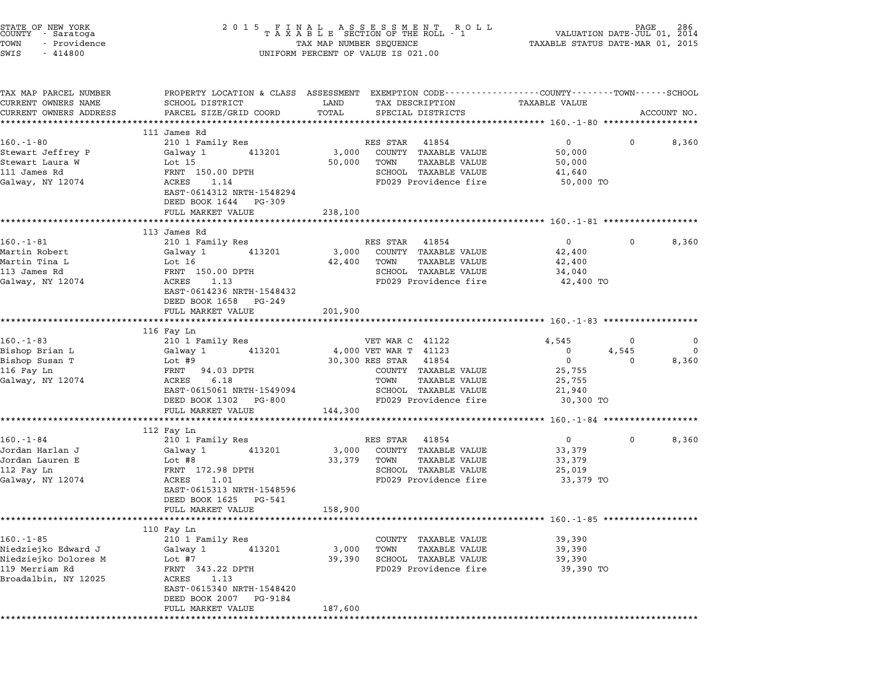| STATE OF NEW YORK<br>COUNTY – Saratoga<br>TOWN<br>- Providence<br>SWIS<br>$-414800$ |                                                | UNIFORM PERCENT OF VALUE IS 021.00                                  |                                                                                                               |
|-------------------------------------------------------------------------------------|------------------------------------------------|---------------------------------------------------------------------|---------------------------------------------------------------------------------------------------------------|
| TAX MAP PARCEL NUMBER<br>CURRENT OWNERS NAME<br>CURRENT OWNERS ADDRESS              | SCHOOL DISTRICT<br>PARCEL SIZE/GRID COORD      | LAND<br>TAX DESCRIPTION TAXABLE VALUE<br>TOTAL<br>SPECIAL DISTRICTS | PROPERTY LOCATION & CLASS ASSESSMENT EXEMPTION CODE---------------COUNTY-------TOWN-----SCHOOL<br>ACCOUNT NO. |
|                                                                                     | 111 James Rd                                   |                                                                     |                                                                                                               |
| $160.-1-80$                                                                         | 210 1 Family Res                               | RES STAR 41854                                                      | $\overline{0}$<br>8,360<br>$^{\circ}$                                                                         |
| Stewart Jeffrey P                                                                   | 413201<br>Galway 1                             | 3,000<br>COUNTY TAXABLE VALUE                                       | 50,000                                                                                                        |
| Stewart Laura W                                                                     | Lot 15                                         | TAXABLE VALUE<br>50,000<br>TOWN                                     | 50,000                                                                                                        |
| 111 James Rd                                                                        | FRNT 150.00 DPTH                               | SCHOOL TAXABLE VALUE                                                | 41,640                                                                                                        |
| Galway, NY 12074                                                                    | ACRES<br>1.14<br>EAST-0614312 NRTH-1548294     | FD029 Providence fire                                               | 50,000 TO                                                                                                     |
|                                                                                     | DEED BOOK 1644 PG-309<br>FULL MARKET VALUE     | 238,100                                                             |                                                                                                               |
|                                                                                     | *************************                      |                                                                     |                                                                                                               |
|                                                                                     | 113 James Rd                                   |                                                                     |                                                                                                               |
| $160. - 1 - 81$                                                                     | 210 1 Family Res                               | RES STAR 41854                                                      | $\overline{0}$<br>$\mathbf 0$<br>8,360                                                                        |
| Martin Robert                                                                       | 413201<br>Galway 1                             | 3,000<br>COUNTY TAXABLE VALUE                                       | 42,400                                                                                                        |
| Martin Tina L<br>113 James Rd                                                       | Lot 16<br>FRNT 150.00 DPTH                     | 42,400<br>TOWN<br>TAXABLE VALUE<br>SCHOOL TAXABLE VALUE             | 42,400<br>34,040                                                                                              |
| Galway, NY 12074                                                                    | ACRES<br>1.13                                  | FD029 Providence fire                                               | 42,400 TO                                                                                                     |
|                                                                                     | EAST-0614236 NRTH-1548432                      |                                                                     |                                                                                                               |
|                                                                                     | DEED BOOK 1658 PG-249                          |                                                                     |                                                                                                               |
|                                                                                     | FULL MARKET VALUE                              | 201,900                                                             |                                                                                                               |
|                                                                                     | **************************                     |                                                                     |                                                                                                               |
| $160. - 1 - 83$                                                                     | 116 Fay Ln<br>210 1 Family Res                 | VET WAR C 41122                                                     | 4,545<br>0<br>$\mathbf 0$                                                                                     |
| Bishop Brian L                                                                      | Galway 1<br>413201                             | 4,000 VET WAR T 41123                                               | $\mathbf{0}$<br>4,545<br>0                                                                                    |
| Bishop Susan T                                                                      | Lot #9                                         | 30,300 RES STAR 41854                                               | $\overline{0}$<br>$\mathbf 0$<br>8,360                                                                        |
| 116 Fay Ln                                                                          | FRNT 94.03 DPTH                                | COUNTY TAXABLE VALUE                                                | 25,755                                                                                                        |
| Galway, NY 12074                                                                    | ACRES<br>6.18                                  | TOWN<br>TAXABLE VALUE                                               | 25,755                                                                                                        |
|                                                                                     | EAST-0615061 NRTH-1549094                      | SCHOOL TAXABLE VALUE                                                | 21,940                                                                                                        |
|                                                                                     | DEED BOOK 1302 PG-800                          | FD029 Providence fire                                               | 30,300 TO                                                                                                     |
|                                                                                     | FULL MARKET VALUE                              | 144,300                                                             |                                                                                                               |
|                                                                                     | 112 Fay Ln                                     |                                                                     |                                                                                                               |
| $160. - 1 - 84$                                                                     | 210 1 Family Res                               | RES STAR 41854                                                      | $0 \qquad \qquad$<br>$\mathbf 0$<br>8,360                                                                     |
| Jordan Harlan J                                                                     | Galway 1<br>413201                             | 3,000<br>COUNTY TAXABLE VALUE                                       | 33,379                                                                                                        |
| Jordan Lauren E                                                                     | Lot #8                                         | 33,379<br>TOWN<br>TAXABLE VALUE                                     | 33,379                                                                                                        |
| 112 Fay Ln                                                                          | FRNT 172.98 DPTH                               | SCHOOL TAXABLE VALUE                                                | 25,019                                                                                                        |
| Galway, NY 12074                                                                    | ACRES<br>1.01                                  | FD029 Providence fire                                               | 33,379 TO                                                                                                     |
|                                                                                     | EAST-0615313 NRTH-1548596                      |                                                                     |                                                                                                               |
|                                                                                     | DEED BOOK 1625 PG-541                          |                                                                     |                                                                                                               |
|                                                                                     | FULL MARKET VALUE                              | 158,900                                                             |                                                                                                               |
|                                                                                     | 110 Fay Ln                                     |                                                                     |                                                                                                               |
| $160. - 1 - 85$                                                                     | 210 1 Family Res                               | TAXABLE VALUE<br>COUNTY                                             | 39,390                                                                                                        |
| Niedziejko Edward J                                                                 | 413201<br>Galway 1                             | <b>TAXABLE VALUE</b><br>3,000<br>TOWN                               | 39,390                                                                                                        |
| Niedziejko Dolores M                                                                | Lot #7                                         | 39,390<br>SCHOOL TAXABLE VALUE                                      | 39,390                                                                                                        |
| 119 Merriam Rd                                                                      | FRNT 343.22 DPTH                               | FD029 Providence fire                                               | 39,390 TO                                                                                                     |
| Broadalbin, NY 12025                                                                | ACRES<br>1.13                                  |                                                                     |                                                                                                               |
|                                                                                     | EAST-0615340 NRTH-1548420                      |                                                                     |                                                                                                               |
|                                                                                     | DEED BOOK 2007<br>PG-9184<br>FULL MARKET VALUE |                                                                     |                                                                                                               |
|                                                                                     |                                                | 187,600                                                             |                                                                                                               |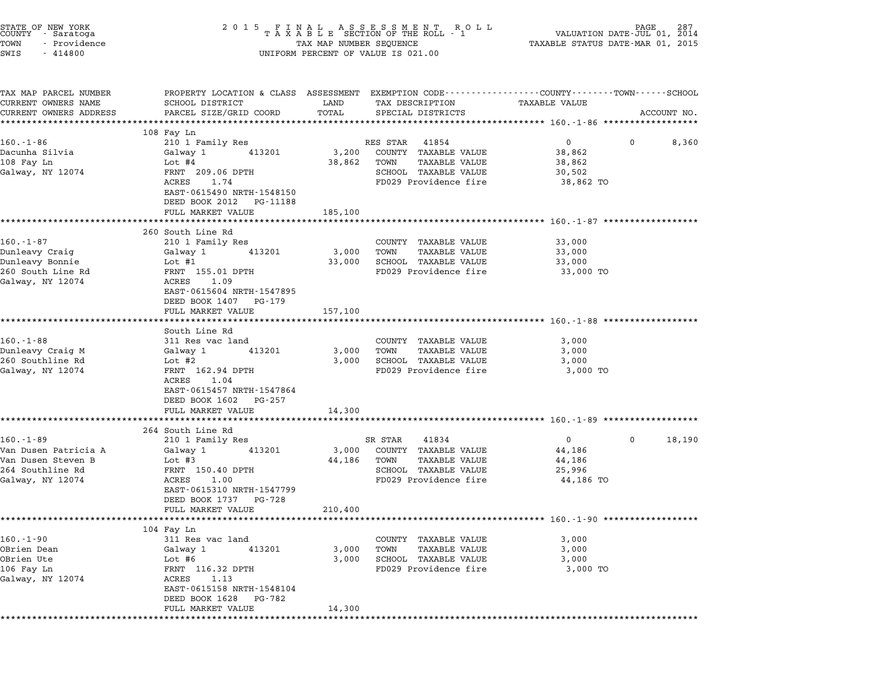| TAXABLE VALUE     | ACCOUNT NO.                                                                                                                                                                                                                                                                                                                |  |  |
|-------------------|----------------------------------------------------------------------------------------------------------------------------------------------------------------------------------------------------------------------------------------------------------------------------------------------------------------------------|--|--|
|                   |                                                                                                                                                                                                                                                                                                                            |  |  |
| $0 \qquad \qquad$ | 0<br>8,360                                                                                                                                                                                                                                                                                                                 |  |  |
| 38,862            |                                                                                                                                                                                                                                                                                                                            |  |  |
| 38,862            |                                                                                                                                                                                                                                                                                                                            |  |  |
| 30,502            |                                                                                                                                                                                                                                                                                                                            |  |  |
|                   |                                                                                                                                                                                                                                                                                                                            |  |  |
|                   |                                                                                                                                                                                                                                                                                                                            |  |  |
|                   |                                                                                                                                                                                                                                                                                                                            |  |  |
|                   |                                                                                                                                                                                                                                                                                                                            |  |  |
|                   |                                                                                                                                                                                                                                                                                                                            |  |  |
| 33,000            |                                                                                                                                                                                                                                                                                                                            |  |  |
| 33,000            |                                                                                                                                                                                                                                                                                                                            |  |  |
|                   |                                                                                                                                                                                                                                                                                                                            |  |  |
|                   |                                                                                                                                                                                                                                                                                                                            |  |  |
|                   |                                                                                                                                                                                                                                                                                                                            |  |  |
|                   |                                                                                                                                                                                                                                                                                                                            |  |  |
|                   |                                                                                                                                                                                                                                                                                                                            |  |  |
|                   |                                                                                                                                                                                                                                                                                                                            |  |  |
|                   |                                                                                                                                                                                                                                                                                                                            |  |  |
|                   |                                                                                                                                                                                                                                                                                                                            |  |  |
|                   |                                                                                                                                                                                                                                                                                                                            |  |  |
|                   |                                                                                                                                                                                                                                                                                                                            |  |  |
|                   |                                                                                                                                                                                                                                                                                                                            |  |  |
|                   |                                                                                                                                                                                                                                                                                                                            |  |  |
|                   |                                                                                                                                                                                                                                                                                                                            |  |  |
|                   |                                                                                                                                                                                                                                                                                                                            |  |  |
|                   |                                                                                                                                                                                                                                                                                                                            |  |  |
|                   |                                                                                                                                                                                                                                                                                                                            |  |  |
|                   | 0<br>18,190                                                                                                                                                                                                                                                                                                                |  |  |
|                   |                                                                                                                                                                                                                                                                                                                            |  |  |
|                   |                                                                                                                                                                                                                                                                                                                            |  |  |
| 44,186 TO         |                                                                                                                                                                                                                                                                                                                            |  |  |
|                   |                                                                                                                                                                                                                                                                                                                            |  |  |
|                   |                                                                                                                                                                                                                                                                                                                            |  |  |
|                   |                                                                                                                                                                                                                                                                                                                            |  |  |
|                   |                                                                                                                                                                                                                                                                                                                            |  |  |
|                   |                                                                                                                                                                                                                                                                                                                            |  |  |
|                   |                                                                                                                                                                                                                                                                                                                            |  |  |
|                   |                                                                                                                                                                                                                                                                                                                            |  |  |
|                   |                                                                                                                                                                                                                                                                                                                            |  |  |
|                   |                                                                                                                                                                                                                                                                                                                            |  |  |
|                   |                                                                                                                                                                                                                                                                                                                            |  |  |
|                   |                                                                                                                                                                                                                                                                                                                            |  |  |
|                   |                                                                                                                                                                                                                                                                                                                            |  |  |
|                   | PROPERTY LOCATION & CLASS ASSESSMENT EXEMPTION CODE---------------COUNTY-------TOWN-----SCHOOL<br>38,862 TO<br>33,000<br>33,000 TO<br>****************************** 160. -1-88 ************<br>3,000<br>3,000<br>3,000<br>3,000 TO<br>$\overline{0}$<br>44,186<br>44,186<br>25,996<br>3,000<br>3,000<br>3,000<br>3,000 TO |  |  |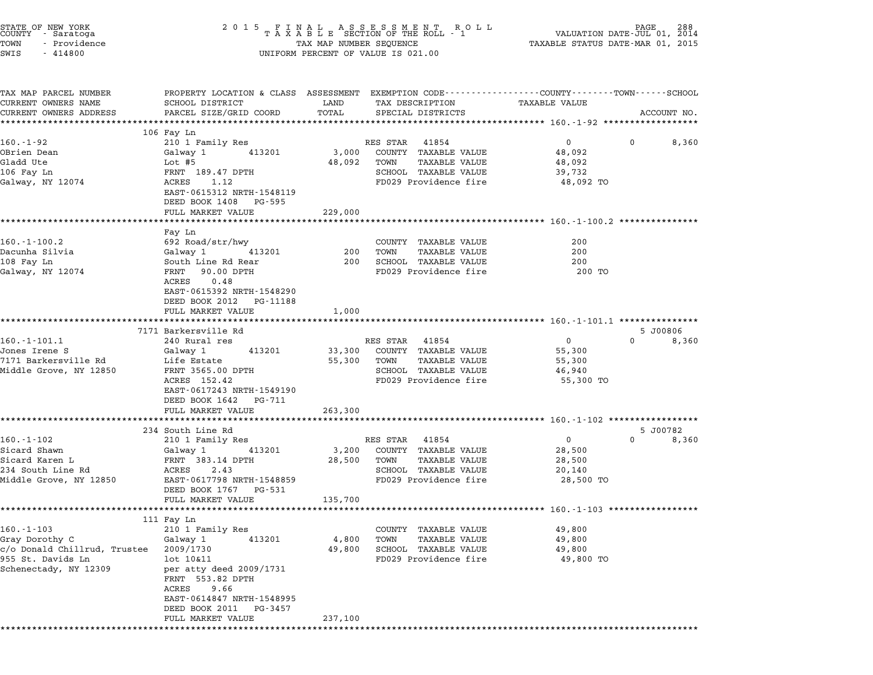| STATE OF NEW YORK<br>COUNTY - Saratoga<br>TOWN<br>- Providence<br>SWIS<br>$-414800$ |                                                                                                                                     | UNIFORM PERCENT OF VALUE IS 021.00 |                                                                                                       |                                                                                                               |             |
|-------------------------------------------------------------------------------------|-------------------------------------------------------------------------------------------------------------------------------------|------------------------------------|-------------------------------------------------------------------------------------------------------|---------------------------------------------------------------------------------------------------------------|-------------|
| TAX MAP PARCEL NUMBER<br>CURRENT OWNERS NAME<br>CURRENT OWNERS ADDRESS              | SCHOOL DISTRICT<br>PARCEL SIZE/GRID COORD                                                                                           | LAND<br>TOTAL                      | TAX DESCRIPTION<br>SPECIAL DISTRICTS                                                                  | PROPERTY LOCATION & CLASS ASSESSMENT EXEMPTION CODE--------------COUNTY------TOWN-----SCHOOL<br>TAXABLE VALUE | ACCOUNT NO. |
|                                                                                     | ****************************                                                                                                        |                                    |                                                                                                       |                                                                                                               |             |
| 160.-1-92                                                                           | 106 Fay Ln<br>210 1 Family Res                                                                                                      |                                    | RES STAR<br>41854                                                                                     | $0 \qquad \qquad$<br>0                                                                                        | 8,360       |
| OBrien Dean<br>Gladd Ute<br>106 Fay Ln<br>Galway, NY 12074                          | 413201<br>Galway 1<br>Lot #5<br>FRNT 189.47 DPTH<br>ACRES<br>1.12<br>EAST-0615312 NRTH-1548119                                      | 3,000<br>48,092                    | COUNTY TAXABLE VALUE<br>TOWN<br><b>TAXABLE VALUE</b><br>SCHOOL TAXABLE VALUE<br>FD029 Providence fire | 48,092<br>48,092<br>39,732<br>48,092 TO                                                                       |             |
|                                                                                     | DEED BOOK 1408 PG-595                                                                                                               |                                    |                                                                                                       |                                                                                                               |             |
|                                                                                     | FULL MARKET VALUE                                                                                                                   | 229,000                            |                                                                                                       |                                                                                                               |             |
|                                                                                     |                                                                                                                                     |                                    |                                                                                                       |                                                                                                               |             |
| $160. - 1 - 100.2$<br>Dacunha Silvia<br>108 Fay Ln<br>Galway, NY 12074              | Fay Ln<br>692 Road/str/hwy<br>Galwav 1<br>413201<br>South Line Rd Rear<br>FRNT<br>90.00 DPTH                                        | 200<br>200                         | COUNTY TAXABLE VALUE<br><b>TAXABLE VALUE</b><br>TOWN<br>SCHOOL TAXABLE VALUE<br>FD029 Providence fire | 200<br>200<br>200<br>200 TO                                                                                   |             |
|                                                                                     | ACRES<br>0.48<br>EAST-0615392 NRTH-1548290<br>DEED BOOK 2012 PG-11188<br>FULL MARKET VALUE                                          | 1,000                              |                                                                                                       |                                                                                                               |             |
|                                                                                     | *************************                                                                                                           |                                    |                                                                                                       |                                                                                                               |             |
|                                                                                     | 7171 Barkersville Rd                                                                                                                |                                    |                                                                                                       |                                                                                                               | 5 J00806    |
| $160.-1-101.1$                                                                      | 240 Rural res                                                                                                                       |                                    | RES STAR<br>41854                                                                                     | $\overline{0}$<br>$\Omega$                                                                                    | 8,360       |
| Jones Irene S<br>7171 Barkersville Rd                                               | Galway 1<br>413201<br>Life Estate                                                                                                   | 33,300<br>55,300                   | COUNTY TAXABLE VALUE<br>TOWN<br>TAXABLE VALUE                                                         | 55,300<br>55,300                                                                                              |             |
| Middle Grove, NY 12850                                                              | FRNT 3565.00 DPTH                                                                                                                   |                                    | SCHOOL TAXABLE VALUE                                                                                  | 46,940                                                                                                        |             |
|                                                                                     | ACRES 152.42<br>EAST-0617243 NRTH-1549190<br>DEED BOOK 1642 PG-711                                                                  |                                    | FD029 Providence fire                                                                                 | 55,300 TO                                                                                                     |             |
|                                                                                     | FULL MARKET VALUE                                                                                                                   | 263,300                            |                                                                                                       |                                                                                                               |             |
|                                                                                     | **********************<br>234 South Line Rd                                                                                         |                                    |                                                                                                       | ******************************** 160.-1-102 *****************                                                 | 5 J00782    |
| $160.-1-102$                                                                        | 210 1 Family Res                                                                                                                    |                                    | RES STAR<br>41854                                                                                     | $\overline{0}$<br>$\Omega$                                                                                    | 8,360       |
| Sicard Shawn                                                                        | 413201<br>Galway 1                                                                                                                  | 3,200                              | COUNTY TAXABLE VALUE                                                                                  | 28,500                                                                                                        |             |
| Sicard Karen L                                                                      | FRNT 383.14 DPTH                                                                                                                    | 28,500                             | TOWN<br>TAXABLE VALUE                                                                                 | 28,500                                                                                                        |             |
| 234 South Line Rd<br>Middle Grove, NY 12850                                         | ACRES<br>2.43<br>EAST-0617798 NRTH-1548859<br>DEED BOOK 1767 PG-531<br>FULL MARKET VALUE                                            | 135,700                            | SCHOOL TAXABLE VALUE<br>FD029 Providence fire                                                         | 20,140<br>28,500 TO                                                                                           |             |
|                                                                                     |                                                                                                                                     |                                    |                                                                                                       |                                                                                                               |             |
|                                                                                     | 111 Fay Ln                                                                                                                          |                                    |                                                                                                       |                                                                                                               |             |
| $160. - 1 - 103$                                                                    | 210 1 Family Res                                                                                                                    |                                    | COUNTY TAXABLE VALUE                                                                                  | 49,800                                                                                                        |             |
| Gray Dorothy C<br>c/o Donald Chillrud, Trustee                                      | 413201<br>Galway 1<br>2009/1730                                                                                                     | 4,800<br>49,800                    | TOWN<br>TAXABLE VALUE<br>SCHOOL TAXABLE VALUE                                                         | 49,800<br>49,800                                                                                              |             |
| 955 St. Davids Ln<br>Schenectady, NY 12309                                          | lot 10&11<br>per atty deed 2009/1731<br>FRNT 553.82 DPTH<br>ACRES<br>9.66<br>EAST-0614847 NRTH-1548995<br>DEED BOOK 2011<br>PG-3457 |                                    | FD029 Providence fire                                                                                 | 49,800 TO                                                                                                     |             |
|                                                                                     | FULL MARKET VALUE                                                                                                                   | 237,100                            |                                                                                                       |                                                                                                               |             |

\*\*\*\*\*\*\*\*\*\*\*\*\*\*\*\*\*\*\*\*\*\*\*\*\*\*\*\*\*\*\*\*\*\*\*\*\*\*\*\*\*\*\*\*\*\*\*\*\*\*\*\*\*\*\*\*\*\*\*\*\*\*\*\*\*\*\*\*\*\*\*\*\*\*\*\*\*\*\*\*\*\*\*\*\*\*\*\*\*\*\*\*\*\*\*\*\*\*\*\*\*\*\*\*\*\*\*\*\*\*\*\*\*\*\*\*\*\*\*\*\*\*\*\*\*\*\*\*\*\*\*\*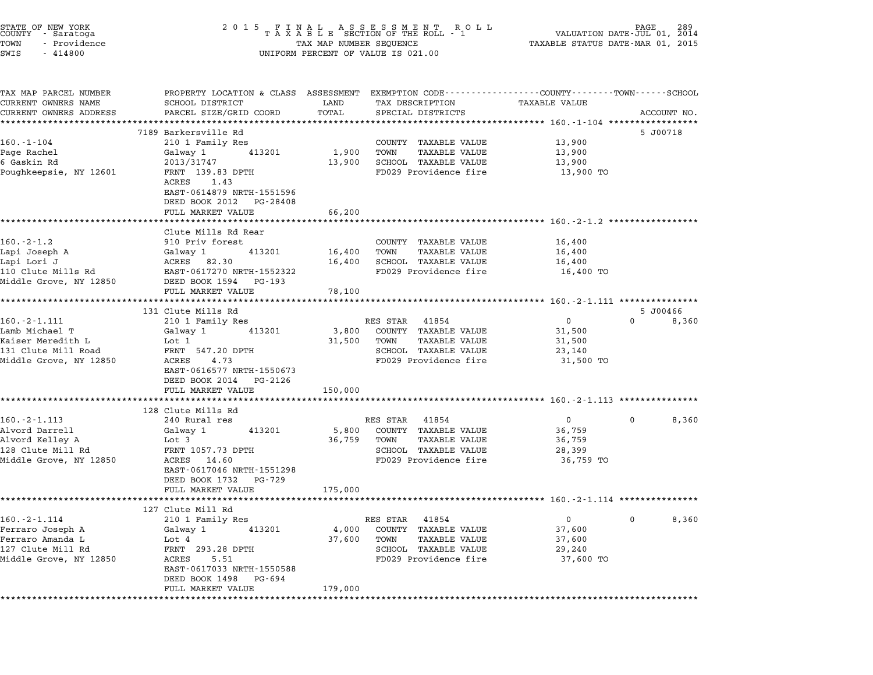| STATE OF NEW YORK<br>COUNTY - Saratoga<br>- Providence<br>TOWN<br>SWIS<br>$-414800$ | 2015 FINAL ASSESSMENT ROLL<br>TAXABLE SECTION OF THE ROLL - 1<br>TAX MAP NUMBER SEQUENCE<br>UNIFORM PERCENT OF VALUE IS 021.00              | VALUATION DATE-JUL 01,<br>CALUATION DATE-JUL 01,<br>TAXABLE STATUS DATE-MAR 01, 2015 |                                                                   | 2014                                                       |              |             |
|-------------------------------------------------------------------------------------|---------------------------------------------------------------------------------------------------------------------------------------------|--------------------------------------------------------------------------------------|-------------------------------------------------------------------|------------------------------------------------------------|--------------|-------------|
| TAX MAP PARCEL NUMBER<br>CURRENT OWNERS NAME<br>CURRENT OWNERS ADDRESS              | PROPERTY LOCATION & CLASS ASSESSMENT EXEMPTION CODE---------------COUNTY-------TOWN-----SCHOOL<br>SCHOOL DISTRICT<br>PARCEL SIZE/GRID COORD | LAND<br>TOTAL                                                                        | TAX DESCRIPTION<br>SPECIAL DISTRICTS                              | TAXABLE VALUE                                              |              | ACCOUNT NO. |
|                                                                                     | *********************<br>7189 Barkersville Rd                                                                                               | **************                                                                       |                                                                   |                                                            |              | 5 J00718    |
| $160.-1-104$                                                                        | 210 1 Family Res                                                                                                                            |                                                                                      | COUNTY TAXABLE VALUE                                              | 13,900                                                     |              |             |
| Page Rachel                                                                         | 413201<br>Galway 1                                                                                                                          | 1,900                                                                                | TOWN<br>TAXABLE VALUE                                             | 13,900                                                     |              |             |
| 6 Gaskin Rd                                                                         | 2013/31747                                                                                                                                  | 13,900                                                                               | SCHOOL TAXABLE VALUE                                              | 13,900                                                     |              |             |
| Poughkeepsie, NY 12601                                                              | FRNT 139.83 DPTH<br>ACRES<br>1.43<br>EAST-0614879 NRTH-1551596<br>DEED BOOK 2012 PG-28408                                                   |                                                                                      | FD029 Providence fire                                             | 13,900 TO                                                  |              |             |
|                                                                                     | FULL MARKET VALUE                                                                                                                           | 66,200                                                                               |                                                                   |                                                            |              |             |
|                                                                                     | Clute Mills Rd Rear                                                                                                                         |                                                                                      |                                                                   | ************************ 160.-2-1.2 ************           |              |             |
| $160.-2-1.2$                                                                        | 910 Priv forest                                                                                                                             |                                                                                      | COUNTY TAXABLE VALUE                                              | 16,400                                                     |              |             |
| Lapi Joseph A                                                                       | Galway 1<br>413201                                                                                                                          | 16,400                                                                               | TOWN<br><b>TAXABLE VALUE</b>                                      | 16,400                                                     |              |             |
| Lapi Lori J                                                                         | ACRES 82.30                                                                                                                                 | 16,400                                                                               | SCHOOL TAXABLE VALUE                                              | 16,400                                                     |              |             |
| 110 Clute Mills Rd<br>Middle Grove, NY 12850                                        | EAST-0617270 NRTH-1552322<br>DEED BOOK 1594 PG-193                                                                                          |                                                                                      | FD029 Providence fire                                             | 16,400 TO                                                  |              |             |
|                                                                                     | FULL MARKET VALUE                                                                                                                           | 78,100                                                                               |                                                                   |                                                            |              |             |
|                                                                                     | 131 Clute Mills Rd                                                                                                                          |                                                                                      |                                                                   |                                                            |              | 5 J00466    |
| $160. - 2 - 1.111$                                                                  | 210 1 Family Res                                                                                                                            |                                                                                      | RES STAR<br>41854                                                 | 0                                                          | $\mathbf{0}$ | 8,360       |
| Lamb Michael T                                                                      | Galway 1<br>413201                                                                                                                          | 3,800                                                                                | COUNTY TAXABLE VALUE                                              | 31,500                                                     |              |             |
| Kaiser Meredith L                                                                   | Lot 1                                                                                                                                       | 31,500                                                                               | TOWN<br><b>TAXABLE VALUE</b>                                      | 31,500                                                     |              |             |
| 131 Clute Mill Road<br>Middle Grove, NY 12850                                       | FRNT 547.20 DPTH<br>ACRES<br>4.73<br>EAST-0616577 NRTH-1550673<br>DEED BOOK 2014 PG-2126                                                    |                                                                                      | SCHOOL TAXABLE VALUE<br>FD029 Providence fire                     | 23,140<br>31,500 TO                                        |              |             |
|                                                                                     | FULL MARKET VALUE                                                                                                                           | 150,000                                                                              |                                                                   |                                                            |              |             |
|                                                                                     |                                                                                                                                             |                                                                                      | *********************************** 160.-2-1.113 **************** |                                                            |              |             |
|                                                                                     | 128 Clute Mills Rd                                                                                                                          |                                                                                      |                                                                   |                                                            |              |             |
| $160. - 2 - 1.113$                                                                  | 240 Rural res                                                                                                                               |                                                                                      | RES STAR 41854                                                    | $\overline{0}$                                             | $\mathbf{0}$ | 8,360       |
| Alvord Darrell<br>Alvord Kelley A                                                   | Galway 1<br>413201<br>Lot 3                                                                                                                 | 5,800<br>36,759                                                                      | COUNTY TAXABLE VALUE<br><b>TAXABLE VALUE</b><br>TOWN              | 36,759<br>36,759                                           |              |             |
| 128 Clute Mill Rd                                                                   | FRNT 1057.73 DPTH                                                                                                                           |                                                                                      | SCHOOL TAXABLE VALUE                                              | 28,399                                                     |              |             |
| Middle Grove, NY 12850                                                              | ACRES 14.60<br>EAST-0617046 NRTH-1551298<br>DEED BOOK 1732<br>PG-729                                                                        |                                                                                      | FD029 Providence fire                                             | 36,759 TO                                                  |              |             |
|                                                                                     | FULL MARKET VALUE                                                                                                                           | 175,000                                                                              |                                                                   | ********************************** 160.-2-1.114 ********** |              |             |
|                                                                                     | 127 Clute Mill Rd                                                                                                                           |                                                                                      |                                                                   |                                                            |              |             |
| 160.-2-1.114                                                                        | 210 1 Family Res                                                                                                                            |                                                                                      | RES STAR<br>41854                                                 | 0                                                          | 0            | 8,360       |
| Ferraro Joseph A                                                                    | Galway 1<br>413201                                                                                                                          | 4,000                                                                                | <b>TAXABLE VALUE</b><br>COUNTY                                    | 37,600                                                     |              |             |
| Ferraro Amanda L                                                                    | Lot $4$                                                                                                                                     | 37,600                                                                               | TOWN<br><b>TAXABLE VALUE</b>                                      | 37,600                                                     |              |             |
| 127 Clute Mill Rd                                                                   | FRNT 293.28 DPTH                                                                                                                            |                                                                                      | SCHOOL TAXABLE VALUE                                              | 29,240                                                     |              |             |
| Middle Grove, NY 12850                                                              | ACRES<br>5.51<br>EAST-0617033 NRTH-1550588<br>DEED BOOK 1498<br>PG-694                                                                      |                                                                                      | FD029 Providence fire                                             | 37,600 TO                                                  |              |             |
|                                                                                     | FULL MARKET VALUE                                                                                                                           | 179,000                                                                              |                                                                   |                                                            |              |             |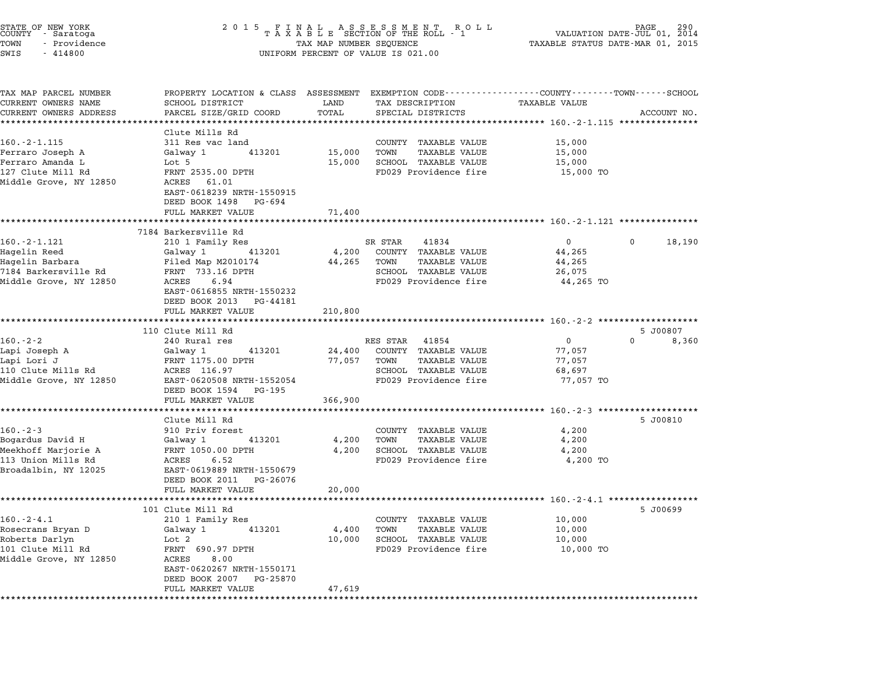| STATE OF NEW YORK<br>COUNTY – Saratoga<br>TOWN<br>- Providence<br>SWIS<br>$-414800$ |                                                                       | 2015 FINAL ASSESSMENT ROLL<br>TAXABLE SECTION OF THE ROLL - 1<br>290<br>AGE<br>VALUATION DATE-JUL 01, 2014<br>TAXABLE STATUS DATE-MAR 01, 2015<br>TAX MAP NUMBER SEQUENCE<br>UNIFORM PERCENT OF VALUE IS 021.00 |                              |                                                                                                                  |                   |  |  |  |
|-------------------------------------------------------------------------------------|-----------------------------------------------------------------------|-----------------------------------------------------------------------------------------------------------------------------------------------------------------------------------------------------------------|------------------------------|------------------------------------------------------------------------------------------------------------------|-------------------|--|--|--|
| TAX MAP PARCEL NUMBER<br>CURRENT OWNERS NAME                                        | SCHOOL DISTRICT                                                       | LAND                                                                                                                                                                                                            | TAX DESCRIPTION              | PROPERTY LOCATION & CLASS ASSESSMENT EXEMPTION CODE----------------COUNTY-------TOWN-----SCHOOL<br>TAXABLE VALUE |                   |  |  |  |
| CURRENT OWNERS ADDRESS                                                              | PARCEL SIZE/GRID COORD                                                | TOTAL                                                                                                                                                                                                           | SPECIAL DISTRICTS            |                                                                                                                  | ACCOUNT NO.       |  |  |  |
|                                                                                     | **********************                                                | ***********                                                                                                                                                                                                     |                              | ·********************************* 160.-2-1.115 ***************                                                  |                   |  |  |  |
| 160. - 2 - 1.115                                                                    | Clute Mills Rd<br>311 Res vac land                                    |                                                                                                                                                                                                                 | COUNTY TAXABLE VALUE         | 15,000                                                                                                           |                   |  |  |  |
| Ferraro Joseph A                                                                    | Galway 1<br>413201                                                    | 15,000                                                                                                                                                                                                          | <b>TAXABLE VALUE</b><br>TOWN | 15,000                                                                                                           |                   |  |  |  |
| Ferraro Amanda L                                                                    | Lot 5                                                                 | 15,000                                                                                                                                                                                                          | SCHOOL TAXABLE VALUE         | 15,000                                                                                                           |                   |  |  |  |
| 127 Clute Mill Rd                                                                   | FRNT 2535.00 DPTH                                                     |                                                                                                                                                                                                                 | FD029 Providence fire        | 15,000 TO                                                                                                        |                   |  |  |  |
| Middle Grove, NY 12850                                                              | ACRES<br>61.01<br>EAST-0618239 NRTH-1550915<br>DEED BOOK 1498 PG-694  |                                                                                                                                                                                                                 |                              |                                                                                                                  |                   |  |  |  |
|                                                                                     | FULL MARKET VALUE                                                     | 71,400                                                                                                                                                                                                          |                              |                                                                                                                  |                   |  |  |  |
|                                                                                     | **********************<br>7184 Barkersville Rd                        |                                                                                                                                                                                                                 |                              | ************************************* 160.-2-1.121 ****************                                              |                   |  |  |  |
| $160. - 2 - 1.121$                                                                  | 210 1 Family Res                                                      |                                                                                                                                                                                                                 | SR STAR<br>41834             | $\mathbf{0}$<br>0                                                                                                | 18,190            |  |  |  |
| Hagelin Reed                                                                        | Galway 1<br>413201                                                    | 4,200                                                                                                                                                                                                           | COUNTY TAXABLE VALUE         | 44,265                                                                                                           |                   |  |  |  |
| Hagelin Barbara                                                                     | Filed Map M2010174                                                    | 44,265                                                                                                                                                                                                          | TOWN<br>TAXABLE VALUE        | 44,265                                                                                                           |                   |  |  |  |
| 7184 Barkersville Rd                                                                | FRNT 733.16 DPTH                                                      |                                                                                                                                                                                                                 | SCHOOL TAXABLE VALUE         | 26,075                                                                                                           |                   |  |  |  |
| Middle Grove, NY 12850                                                              | ACRES<br>6.94<br>EAST-0616855 NRTH-1550232<br>DEED BOOK 2013 PG-44181 |                                                                                                                                                                                                                 | FD029 Providence fire        | 44,265 TO                                                                                                        |                   |  |  |  |
|                                                                                     | FULL MARKET VALUE                                                     | 210,800                                                                                                                                                                                                         |                              |                                                                                                                  |                   |  |  |  |
|                                                                                     | ***********************                                               |                                                                                                                                                                                                                 |                              |                                                                                                                  |                   |  |  |  |
| $160.-2-2$                                                                          | 110 Clute Mill Rd<br>240 Rural res                                    |                                                                                                                                                                                                                 | RES STAR<br>41854            | $\mathbf{0}$<br>$\Omega$                                                                                         | 5 J00807<br>8,360 |  |  |  |
| Lapi Joseph A                                                                       | 413201<br>Galway 1                                                    | 24,400                                                                                                                                                                                                          | COUNTY TAXABLE VALUE         | 77,057                                                                                                           |                   |  |  |  |
| Lapi Lori J                                                                         | FRNT 1175.00 DPTH                                                     | 77,057                                                                                                                                                                                                          | TOWN<br>TAXABLE VALUE        | 77,057                                                                                                           |                   |  |  |  |
| 110 Clute Mills Rd                                                                  | ACRES 116.97                                                          |                                                                                                                                                                                                                 | SCHOOL TAXABLE VALUE         | 68,697                                                                                                           |                   |  |  |  |
| Middle Grove, NY 12850                                                              | EAST-0620508 NRTH-1552054                                             |                                                                                                                                                                                                                 | FD029 Providence fire        | 77,057 TO                                                                                                        |                   |  |  |  |
|                                                                                     | DEED BOOK 1594 PG-195                                                 |                                                                                                                                                                                                                 |                              |                                                                                                                  |                   |  |  |  |
|                                                                                     | FULL MARKET VALUE                                                     | 366,900                                                                                                                                                                                                         |                              |                                                                                                                  |                   |  |  |  |
|                                                                                     | Clute Mill Rd                                                         |                                                                                                                                                                                                                 |                              |                                                                                                                  | 5 J00810          |  |  |  |
| $160 - 2 - 3$                                                                       | 910 Priv forest                                                       |                                                                                                                                                                                                                 | COUNTY TAXABLE VALUE         | 4,200                                                                                                            |                   |  |  |  |
| Bogardus David H                                                                    | 413201<br>Galway 1                                                    | 4,200                                                                                                                                                                                                           | TOWN<br><b>TAXABLE VALUE</b> | 4,200                                                                                                            |                   |  |  |  |
| Meekhoff Marjorie A                                                                 | FRNT 1050.00 DPTH                                                     | 4,200                                                                                                                                                                                                           | SCHOOL TAXABLE VALUE         | 4,200                                                                                                            |                   |  |  |  |
| 113 Union Mills Rd                                                                  | ACRES<br>6.52                                                         |                                                                                                                                                                                                                 | FD029 Providence fire        | 4,200 TO                                                                                                         |                   |  |  |  |
| Broadalbin, NY 12025                                                                | EAST-0619889 NRTH-1550679<br>DEED BOOK 2011 PG-26076                  |                                                                                                                                                                                                                 |                              |                                                                                                                  |                   |  |  |  |
|                                                                                     | FULL MARKET VALUE                                                     | 20,000                                                                                                                                                                                                          |                              | ******************************* 160.-2-4.1 ************                                                          |                   |  |  |  |
|                                                                                     | 101 Clute Mill Rd                                                     |                                                                                                                                                                                                                 |                              |                                                                                                                  | 5 J00699          |  |  |  |
| $160. -2 - 4.1$                                                                     | 210 1 Family Res                                                      |                                                                                                                                                                                                                 | COUNTY TAXABLE VALUE         | 10,000                                                                                                           |                   |  |  |  |
| Rosecrans Bryan D                                                                   | Galway 1<br>413201                                                    | 4,400                                                                                                                                                                                                           | TOWN<br><b>TAXABLE VALUE</b> | 10,000                                                                                                           |                   |  |  |  |
| Roberts Darlyn                                                                      | Lot 2                                                                 | 10,000                                                                                                                                                                                                          | SCHOOL TAXABLE VALUE         | 10,000                                                                                                           |                   |  |  |  |
| 101 Clute Mill Rd                                                                   | FRNT 690.97 DPTH                                                      |                                                                                                                                                                                                                 | FD029 Providence fire        | 10,000 TO                                                                                                        |                   |  |  |  |
| Middle Grove, NY 12850                                                              | 8.00<br>ACRES<br>EAST-0620267 NRTH-1550171<br>DEED BOOK 2007 PG-25870 |                                                                                                                                                                                                                 |                              |                                                                                                                  |                   |  |  |  |
|                                                                                     | FULL MARKET VALUE                                                     | 47,619                                                                                                                                                                                                          |                              |                                                                                                                  |                   |  |  |  |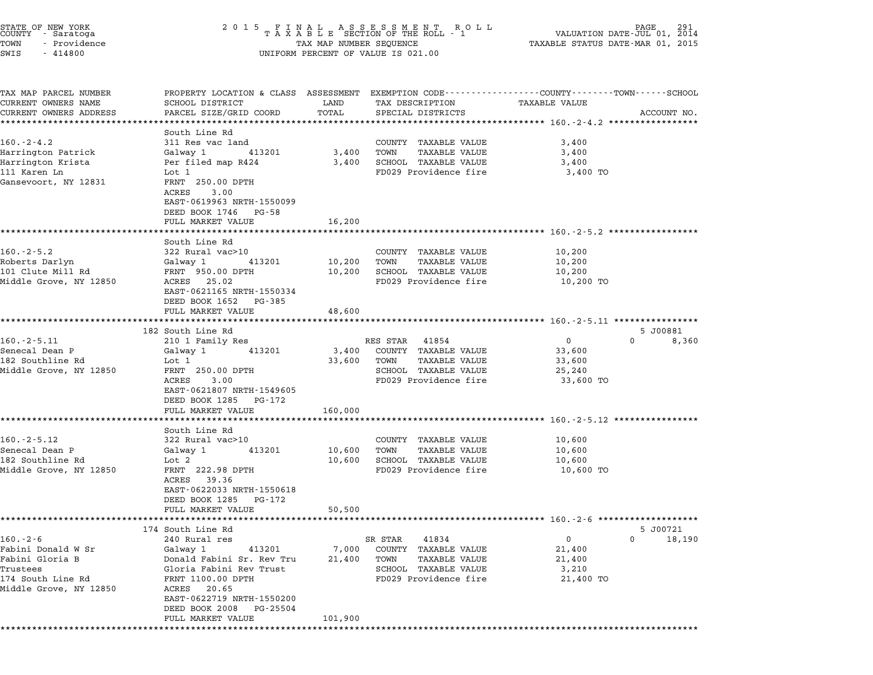| STATE OF NEW YORK<br>COUNTY – Saratoga<br>- Providence<br>TOWN<br>SWIS<br>$-414800$ |                                                                                                 | 2015 FINAL ASSESSMENT ROLL<br>TAXABLE SECTION OF THE ROLL - 1<br>TAX MAP NUMBER SEQUENCE<br>UNIFORM PERCENT OF VALUE IS 021.00 |                                      |                                                                                                                                 |  |  |
|-------------------------------------------------------------------------------------|-------------------------------------------------------------------------------------------------|--------------------------------------------------------------------------------------------------------------------------------|--------------------------------------|---------------------------------------------------------------------------------------------------------------------------------|--|--|
| TAX MAP PARCEL NUMBER<br>CURRENT OWNERS NAME<br>CURRENT OWNERS ADDRESS              | SCHOOL DISTRICT<br>PARCEL SIZE/GRID COORD                                                       | LAND<br>TOTAL                                                                                                                  | TAX DESCRIPTION<br>SPECIAL DISTRICTS | PROPERTY LOCATION & CLASS ASSESSMENT EXEMPTION CODE----------------COUNTY-------TOWN-----SCHOOL<br>TAXABLE VALUE<br>ACCOUNT NO. |  |  |
|                                                                                     | *******************<br>South Line Rd                                                            | *************                                                                                                                  |                                      |                                                                                                                                 |  |  |
| $160. -2 - 4.2$                                                                     | 311 Res vac land                                                                                |                                                                                                                                | COUNTY TAXABLE VALUE                 | 3,400                                                                                                                           |  |  |
| Harrington Patrick                                                                  | Galway 1<br>413201                                                                              | 3,400                                                                                                                          | TOWN<br>TAXABLE VALUE                | 3,400                                                                                                                           |  |  |
| Harrington Krista                                                                   | Per filed map R424                                                                              | 3,400                                                                                                                          | SCHOOL TAXABLE VALUE                 | 3,400                                                                                                                           |  |  |
| 111 Karen Ln<br>Gansevoort, NY 12831                                                | Lot 1<br>FRNT 250.00 DPTH<br>ACRES<br>3.00<br>EAST-0619963 NRTH-1550099<br>DEED BOOK 1746 PG-58 |                                                                                                                                | FD029 Providence fire                | 3,400 TO                                                                                                                        |  |  |
|                                                                                     | FULL MARKET VALUE                                                                               | 16,200                                                                                                                         |                                      |                                                                                                                                 |  |  |
|                                                                                     |                                                                                                 |                                                                                                                                |                                      |                                                                                                                                 |  |  |
| $160.-2-5.2$                                                                        | South Line Rd<br>322 Rural vac>10                                                               |                                                                                                                                | COUNTY TAXABLE VALUE                 | 10,200                                                                                                                          |  |  |
| Roberts Darlyn                                                                      | Galway 1<br>413201                                                                              | 10,200                                                                                                                         | TOWN<br>TAXABLE VALUE                | 10,200                                                                                                                          |  |  |
| 101 Clute Mill Rd                                                                   | FRNT 950.00 DPTH                                                                                | 10,200                                                                                                                         | SCHOOL TAXABLE VALUE                 | 10,200                                                                                                                          |  |  |
| Middle Grove, NY 12850                                                              | ACRES 25.02<br>EAST-0621165 NRTH-1550334<br>DEED BOOK 1652 PG-385                               |                                                                                                                                | FD029 Providence fire                | 10,200 TO                                                                                                                       |  |  |
|                                                                                     | FULL MARKET VALUE                                                                               | 48,600                                                                                                                         |                                      |                                                                                                                                 |  |  |
|                                                                                     | **********************                                                                          | **********                                                                                                                     |                                      | ******************************* 160.-2-5.11 ****************                                                                    |  |  |
| $160.-2-5.11$                                                                       | 182 South Line Rd<br>210 1 Family Res                                                           |                                                                                                                                | RES STAR 41854                       | 5 J00881<br>$\mathbf{0}$<br>0<br>8,360                                                                                          |  |  |
| Senecal Dean P                                                                      | Galway 1<br>413201                                                                              | 3,400                                                                                                                          | COUNTY TAXABLE VALUE                 | 33,600                                                                                                                          |  |  |
| 182 Southline Rd                                                                    | Lot 1                                                                                           | 33,600                                                                                                                         | TAXABLE VALUE<br>TOWN                | 33,600                                                                                                                          |  |  |
| Middle Grove, NY 12850                                                              | FRNT 250.00 DPTH                                                                                |                                                                                                                                | SCHOOL TAXABLE VALUE                 | 25,240                                                                                                                          |  |  |
|                                                                                     | ACRES<br>3.00<br>EAST-0621807 NRTH-1549605<br>DEED BOOK 1285 PG-172                             |                                                                                                                                | FD029 Providence fire                | 33,600 TO                                                                                                                       |  |  |
|                                                                                     | FULL MARKET VALUE                                                                               | 160,000                                                                                                                        |                                      | ************************ 160.-2-5.12 **************                                                                             |  |  |
|                                                                                     | South Line Rd                                                                                   |                                                                                                                                |                                      |                                                                                                                                 |  |  |
| $160.-2-5.12$                                                                       | 322 Rural vac>10                                                                                |                                                                                                                                | COUNTY TAXABLE VALUE                 | 10,600                                                                                                                          |  |  |
| Senecal Dean P                                                                      | Galway 1<br>413201                                                                              | 10,600                                                                                                                         | <b>TAXABLE VALUE</b><br>TOWN         | 10,600                                                                                                                          |  |  |
| 182 Southline Rd                                                                    | Lot 2                                                                                           | 10,600                                                                                                                         | SCHOOL TAXABLE VALUE                 | 10,600                                                                                                                          |  |  |
| Middle Grove, NY 12850                                                              | FRNT 222.98 DPTH<br>ACRES 39.36<br>EAST-0622033 NRTH-1550618                                    |                                                                                                                                | FD029 Providence fire                | 10,600 TO                                                                                                                       |  |  |
|                                                                                     | DEED BOOK 1285<br>PG-172                                                                        |                                                                                                                                |                                      |                                                                                                                                 |  |  |
|                                                                                     | FULL MARKET VALUE                                                                               | 50,500                                                                                                                         |                                      |                                                                                                                                 |  |  |
|                                                                                     |                                                                                                 |                                                                                                                                |                                      |                                                                                                                                 |  |  |
| $160.-2-6$                                                                          | 174 South Line Rd<br>240 Rural res                                                              |                                                                                                                                | SR STAR<br>41834                     | 5 J00721<br>0<br>0<br>18,190                                                                                                    |  |  |
| Fabini Donald W Sr                                                                  | Galway 1<br>413201                                                                              | 7,000                                                                                                                          | COUNTY TAXABLE VALUE                 | 21,400                                                                                                                          |  |  |
| Fabini Gloria B                                                                     | Donald Fabini Sr. Rev Tru                                                                       | 21,400                                                                                                                         | TAXABLE VALUE<br>TOWN                | 21,400                                                                                                                          |  |  |
| Trustees                                                                            | Gloria Fabini Rev Trust                                                                         |                                                                                                                                | SCHOOL TAXABLE VALUE                 | 3,210                                                                                                                           |  |  |
| 174 South Line Rd                                                                   | FRNT 1100.00 DPTH                                                                               |                                                                                                                                | FD029 Providence fire                | 21,400 TO                                                                                                                       |  |  |
| Middle Grove, NY 12850                                                              | ACRES 20.65<br>EAST-0622719 NRTH-1550200<br>DEED BOOK 2008<br>PG-25504                          |                                                                                                                                |                                      |                                                                                                                                 |  |  |
|                                                                                     | FULL MARKET VALUE                                                                               | 101,900                                                                                                                        |                                      |                                                                                                                                 |  |  |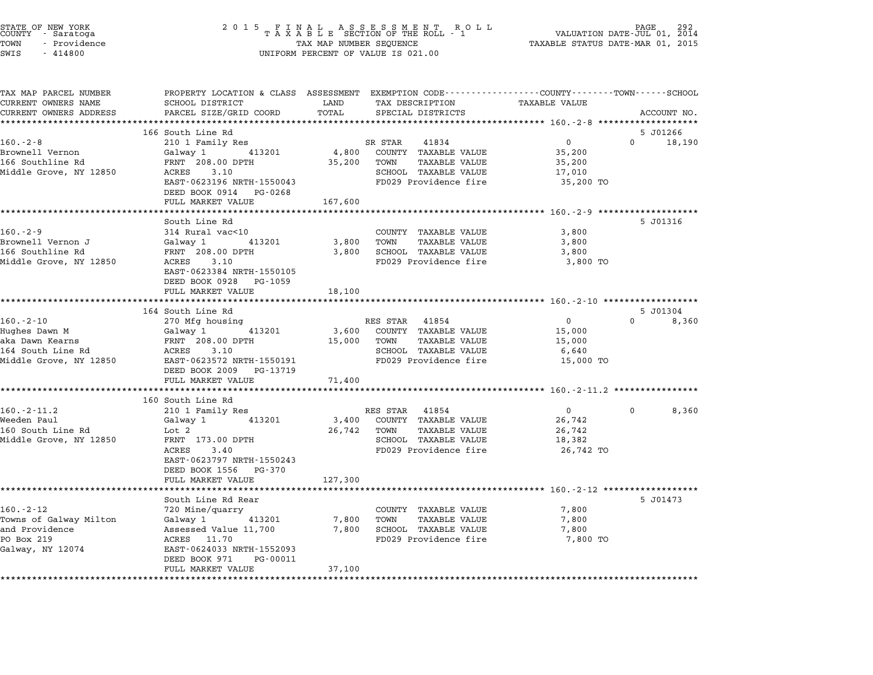| STATE OF NEW YORK<br>COUNTY – Saratoga<br>TOWN<br>- Providence<br>SWIS<br>$-414800$ | 2 0 1 5                                                | $\begin{array}{cccccccccccccc} & F & I & N & A & L & & A & S & S & E & S & S & M & E & N & T & R & O & L \\ T & A & X & A & B & L & E & SECTION OF THE ROLL & - & 1 \end{array}$<br>TAX MAP NUMBER SEQUENCE<br>UNIFORM PERCENT OF VALUE IS 021.00 | PAGE<br>VALUATION DATE-JUL 01, 2014<br>TAXABLE STATUS DATE-MAR 01, 2015 |
|-------------------------------------------------------------------------------------|--------------------------------------------------------|---------------------------------------------------------------------------------------------------------------------------------------------------------------------------------------------------------------------------------------------------|-------------------------------------------------------------------------|
| TAX MAP PARCEL NUMBER<br>CURRENT OWNERS NAME                                        | SCHOOL DISTRICT                                        | PROPERTY LOCATION & CLASS ASSESSMENT EXEMPTION CODE---------------COUNTY-------TOWN------SCHOOL<br>LAND<br>TAX DESCRIPTION                                                                                                                        | TAXABLE VALUE                                                           |
| CURRENT OWNERS ADDRESS                                                              | PARCEL SIZE/GRID COORD                                 | TOTAL<br>SPECIAL DISTRICTS                                                                                                                                                                                                                        | ACCOUNT NO.                                                             |
| *********************                                                               |                                                        |                                                                                                                                                                                                                                                   |                                                                         |
|                                                                                     | 166 South Line Rd                                      |                                                                                                                                                                                                                                                   | 5 J01266                                                                |
| $160.-2-8$                                                                          | 210 1 Family Res                                       | SR STAR<br>41834                                                                                                                                                                                                                                  | $\mathbf{0}$<br>0 18,190                                                |
| Brownell Vernon<br>166 Southline Rd                                                 | Galway 1 413201<br>FRNT 208.00 DPTH                    | 4,800<br>COUNTY TAXABLE VALUE<br>35,200<br>TOWN<br><b>TAXABLE VALUE</b>                                                                                                                                                                           | 35,200<br>35,200                                                        |
| Middle Grove, NY 12850                                                              | ACRES<br>3.10                                          | SCHOOL TAXABLE VALUE                                                                                                                                                                                                                              | 17,010                                                                  |
|                                                                                     | EAST-0623196 NRTH-1550043<br>DEED BOOK 0914 PG-0268    | FD029 Providence fire                                                                                                                                                                                                                             | 35,200 TO                                                               |
|                                                                                     | FULL MARKET VALUE                                      | 167,600                                                                                                                                                                                                                                           |                                                                         |
|                                                                                     | South Line Rd                                          |                                                                                                                                                                                                                                                   | 5 J01316                                                                |
| $160. - 2 - 9$                                                                      | 314 Rural vac<10                                       | COUNTY TAXABLE VALUE                                                                                                                                                                                                                              | 3,800                                                                   |
| Brownell Vernon J                                                                   | 413201<br>Galway 1                                     | 3,800<br>TOWN<br>TAXABLE VALUE                                                                                                                                                                                                                    | 3,800                                                                   |
| 166 Southline Rd                                                                    | FRNT 208.00 DPTH                                       | 3,800<br>SCHOOL TAXABLE VALUE                                                                                                                                                                                                                     | 3,800                                                                   |
| Middle Grove, NY 12850                                                              | ACRES<br>3.10                                          | FD029 Providence fire                                                                                                                                                                                                                             | 3,800 TO                                                                |
|                                                                                     | EAST-0623384 NRTH-1550105                              |                                                                                                                                                                                                                                                   |                                                                         |
|                                                                                     | DEED BOOK 0928 PG-1059                                 |                                                                                                                                                                                                                                                   |                                                                         |
|                                                                                     | FULL MARKET VALUE<br>************************          | 18,100                                                                                                                                                                                                                                            |                                                                         |
|                                                                                     | 164 South Line Rd                                      |                                                                                                                                                                                                                                                   | 5 J01304                                                                |
| $160 - 2 - 10$                                                                      | 270 Mfg housing                                        | RES STAR 41854                                                                                                                                                                                                                                    | $\overline{0}$<br>$\Omega$<br>8,360                                     |
| Hughes Dawn M                                                                       | 413201<br>Galway 1                                     | 3,600<br>COUNTY TAXABLE VALUE                                                                                                                                                                                                                     | 15,000                                                                  |
| aka Dawn Kearns                                                                     | FRNT 208.00 DPTH                                       | 15,000<br>TOWN<br><b>TAXABLE VALUE</b>                                                                                                                                                                                                            | 15,000                                                                  |
| 164 South Line Rd                                                                   | 3.10<br>ACRES                                          | SCHOOL TAXABLE VALUE                                                                                                                                                                                                                              | 6,640                                                                   |
| Middle Grove, NY 12850                                                              | EAST-0623572 NRTH-1550191                              | FD029 Providence fire                                                                                                                                                                                                                             | 15,000 TO                                                               |
|                                                                                     | DEED BOOK 2009 PG-13719                                |                                                                                                                                                                                                                                                   |                                                                         |
|                                                                                     | FULL MARKET VALUE<br>********************              | 71,400                                                                                                                                                                                                                                            | ********** 160.-2-11.2 **************                                   |
|                                                                                     | 160 South Line Rd                                      |                                                                                                                                                                                                                                                   |                                                                         |
| $160.-2-11.2$                                                                       | 210 1 Family Res                                       | RES STAR<br>41854                                                                                                                                                                                                                                 | $\overline{0}$<br>8,360<br>$\mathbf 0$                                  |
| Weeden Paul                                                                         | Galway 1<br>413201                                     | COUNTY TAXABLE VALUE<br>3,400                                                                                                                                                                                                                     | 26,742                                                                  |
| 160 South Line Rd                                                                   | Lot 2                                                  | <b>TAXABLE VALUE</b><br>26,742<br>TOWN                                                                                                                                                                                                            | 26,742                                                                  |
| Middle Grove, NY 12850                                                              | FRNT 173.00 DPTH                                       | SCHOOL TAXABLE VALUE                                                                                                                                                                                                                              | 18,382                                                                  |
|                                                                                     | ACRES<br>3.40                                          | FD029 Providence fire                                                                                                                                                                                                                             | 26,742 TO                                                               |
|                                                                                     | EAST-0623797 NRTH-1550243                              |                                                                                                                                                                                                                                                   |                                                                         |
|                                                                                     | DEED BOOK 1556<br>PG-370<br>FULL MARKET VALUE          | 127,300                                                                                                                                                                                                                                           |                                                                         |
|                                                                                     |                                                        |                                                                                                                                                                                                                                                   |                                                                         |
|                                                                                     | South Line Rd Rear                                     |                                                                                                                                                                                                                                                   | 5 J01473                                                                |
| $160. - 2 - 12$                                                                     | 720 Mine/quarry                                        | COUNTY TAXABLE VALUE                                                                                                                                                                                                                              | 7,800                                                                   |
| Towns of Galway Milton                                                              | Galway 1<br>413201                                     | TAXABLE VALUE<br>7,800<br>TOWN                                                                                                                                                                                                                    | 7,800                                                                   |
| and Providence                                                                      | Assessed Value 11,700                                  | 7,800<br>SCHOOL TAXABLE VALUE                                                                                                                                                                                                                     | 7,800                                                                   |
| PO Box 219                                                                          | ACRES 11.70                                            | FD029 Providence fire                                                                                                                                                                                                                             | 7,800 TO                                                                |
| Galway, NY 12074                                                                    | EAST-0624033 NRTH-1552093<br>DEED BOOK 971<br>PG-00011 |                                                                                                                                                                                                                                                   |                                                                         |
|                                                                                     | FULL MARKET VALUE                                      | 37,100                                                                                                                                                                                                                                            |                                                                         |
|                                                                                     |                                                        |                                                                                                                                                                                                                                                   |                                                                         |
|                                                                                     |                                                        |                                                                                                                                                                                                                                                   |                                                                         |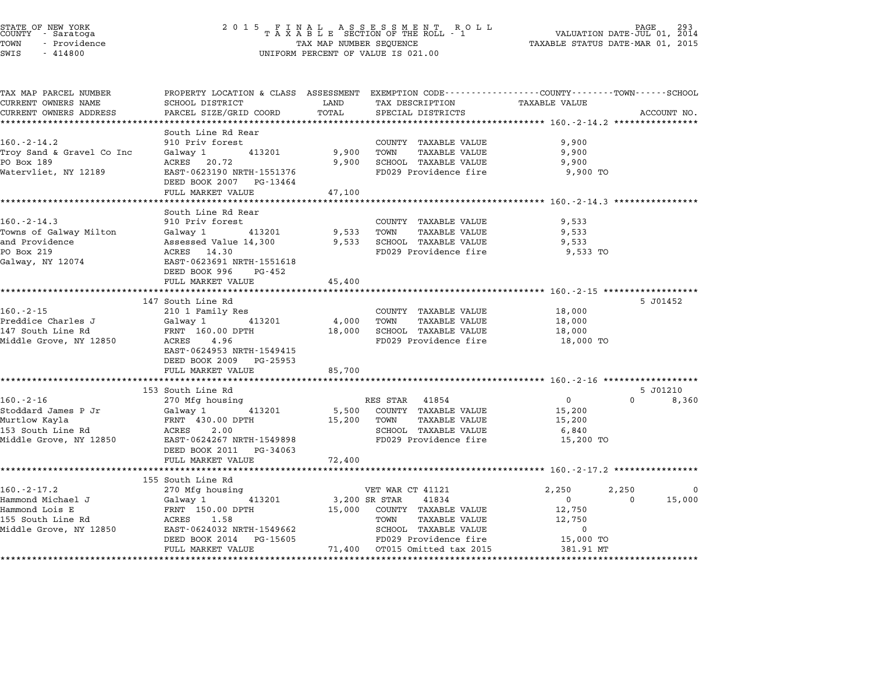| STATE OF NEW YORK<br>COUNTY - Saratoga |  |              |  |
|----------------------------------------|--|--------------|--|
| TOWN                                   |  | - Providence |  |
| $ATTT$ $T$                             |  | 111000       |  |

# STATE OF NEW YORK <sup>2</sup> <sup>0</sup> <sup>1</sup> 5 F I N A L A S S E S S M E N T R O L L PAGE <sup>293</sup> COUNTY - Saratoga <sup>T</sup> <sup>A</sup> <sup>X</sup> <sup>A</sup> <sup>B</sup> <sup>L</sup> <sup>E</sup> SECTION OF THE ROLL - <sup>1</sup> VALUATION DATE-JUL 01, <sup>2014</sup> TOWN - Providence TAX MAP NUMBER SEQUENCE TAXABLE STATUS DATE-MAR 01, <sup>2015</sup> SWIS - <sup>414800</sup> UNIFORM PERCENT OF VALUE IS 021.00

| TAX MAP PARCEL NUMBER<br>CURRENT OWNERS NAME              | PROPERTY LOCATION & CLASS ASSESSMENT EXEMPTION CODE---------------COUNTY-------TOWN------SCHOOL<br>SCHOOL DISTRICT | LAND          | TAX DESCRIPTION                 | <b>TAXABLE VALUE</b> |                    |
|-----------------------------------------------------------|--------------------------------------------------------------------------------------------------------------------|---------------|---------------------------------|----------------------|--------------------|
| CURRENT OWNERS ADDRESS                                    | PARCEL SIZE/GRID COORD                                                                                             | TOTAL         | SPECIAL DISTRICTS               |                      | ACCOUNT NO.        |
| ****************************                              |                                                                                                                    |               |                                 |                      |                    |
|                                                           | South Line Rd Rear                                                                                                 |               |                                 |                      |                    |
| $160. - 2 - 14.2$                                         | 910 Priv forest                                                                                                    |               | COUNTY TAXABLE VALUE            | 9,900                |                    |
| Troy Sand & Gravel Co Inc                                 | 413201<br>Galway 1                                                                                                 | 9,900         | TOWN<br>TAXABLE VALUE           | 9,900                |                    |
| PO Box 189                                                | ACRES 20.72                                                                                                        | 9,900         | SCHOOL TAXABLE VALUE            | 9,900                |                    |
| Watervliet, NY 12189                                      | EAST-0623190 NRTH-1551376                                                                                          |               | FD029 Providence fire           | 9,900 TO             |                    |
|                                                           | DEED BOOK 2007 PG-13464                                                                                            |               |                                 |                      |                    |
|                                                           | FULL MARKET VALUE                                                                                                  | 47,100        |                                 |                      |                    |
|                                                           | South Line Rd Rear                                                                                                 |               |                                 |                      |                    |
| $160. - 2 - 14.3$                                         | 910 Priv forest                                                                                                    |               | COUNTY TAXABLE VALUE            | 9,533                |                    |
| Towns of Galway Milton                                    | Galway 1 413201                                                                                                    | 9,533         | TOWN<br>TAXABLE VALUE           | 9,533                |                    |
| and Providence                                            | Assessed Value 14,300                                                                                              |               | 9,533 SCHOOL TAXABLE VALUE      | 9,533                |                    |
| PO Box 219                                                | ACRES 14.30                                                                                                        |               | FD029 Providence fire           | 9,533 TO             |                    |
| Galway, NY 12074                                          | EAST-0623691 NRTH-1551618                                                                                          |               |                                 |                      |                    |
|                                                           | DEED BOOK 996 PG-452                                                                                               |               |                                 |                      |                    |
|                                                           | FULL MARKET VALUE                                                                                                  | 45,400        |                                 |                      |                    |
|                                                           |                                                                                                                    |               |                                 |                      |                    |
|                                                           | 147 South Line Rd                                                                                                  |               |                                 |                      | 5 J01452           |
| $160 - 2 - 15$                                            | 210 1 Family Res                                                                                                   |               | COUNTY TAXABLE VALUE            | 18,000               |                    |
| Preddice Charles J                                        | Galway 1 413201                                                                                                    | 4,000 TOWN    | TAXABLE VALUE                   | 18,000               |                    |
| 147 South Line Rd                                         | FRNT 160.00 DPTH                                                                                                   |               | 18,000 SCHOOL TAXABLE VALUE     | 18,000               |                    |
| Middle Grove, NY 12850                                    | ACRES 4.96                                                                                                         |               | FD029 Providence fire           | 18,000 TO            |                    |
|                                                           | EAST-0624953 NRTH-1549415                                                                                          |               |                                 |                      |                    |
|                                                           | DEED BOOK 2009 PG-25953                                                                                            |               |                                 |                      |                    |
|                                                           | FULL MARKET VALUE                                                                                                  | 85,700        |                                 |                      |                    |
|                                                           |                                                                                                                    |               |                                 |                      |                    |
|                                                           | 153 South Line Rd                                                                                                  |               |                                 |                      | 5 J01210           |
| $160. - 2 - 16$                                           | 270 Mfg housing                                                                                                    |               | RES STAR 41854                  | $0 \qquad \qquad$    | $\Omega$<br>8,360  |
|                                                           | Galway 1 413201                                                                                                    |               | 5,500 COUNTY TAXABLE VALUE      | 15,200               |                    |
| Stoddard James P Jr<br>Murtlow Kayla<br>153 South Line Rd | FRNT 430.00 DPTH<br>ACRES 2.00                                                                                     | 15,200 TOWN   | TAXABLE VALUE                   | 15,200               |                    |
|                                                           | Middle Grove, NY 12850 EAST-0624267 NRTH-1549898                                                                   |               | SCHOOL TAXABLE VALUE            | 6,840                |                    |
|                                                           |                                                                                                                    |               | FD029 Providence fire 15,200 TO |                      |                    |
|                                                           | DEED BOOK 2011 PG-34063                                                                                            |               |                                 |                      |                    |
|                                                           | FULL MARKET VALUE                                                                                                  | 72,400        |                                 |                      |                    |
|                                                           | 155 South Line Rd                                                                                                  |               |                                 |                      |                    |
| $160. - 2 - 17.2$                                         | 270 Mfg housing                                                                                                    |               | VET WAR CT 41121                | 2,250                | 2,250<br>- 0       |
| Hammond Michael J                                         | Galway 1 413201                                                                                                    | 3,200 SR STAR | 41834                           | $\overline{0}$       | 15,000<br>$\Omega$ |
|                                                           | FRNT 150.00 DPTH                                                                                                   |               | 15,000 COUNTY TAXABLE VALUE     | 12,750               |                    |
| Hammond Lois E<br>155 South Line Rd                       | ACRES 1.58                                                                                                         |               | TOWN<br>TAXABLE VALUE           | 12,750               |                    |
| Middle Grove, NY 12850                                    | EAST-0624032 NRTH-1549662                                                                                          |               | SCHOOL TAXABLE VALUE            | $\mathbf 0$          |                    |
|                                                           | DEED BOOK 2014 PG-15605                                                                                            |               | FD029 Providence fire           | 15,000 TO            |                    |
|                                                           | FULL MARKET VALUE                                                                                                  |               | 71,400 OT015 Omitted tax 2015   | 381.91 MT            |                    |
|                                                           |                                                                                                                    |               |                                 |                      |                    |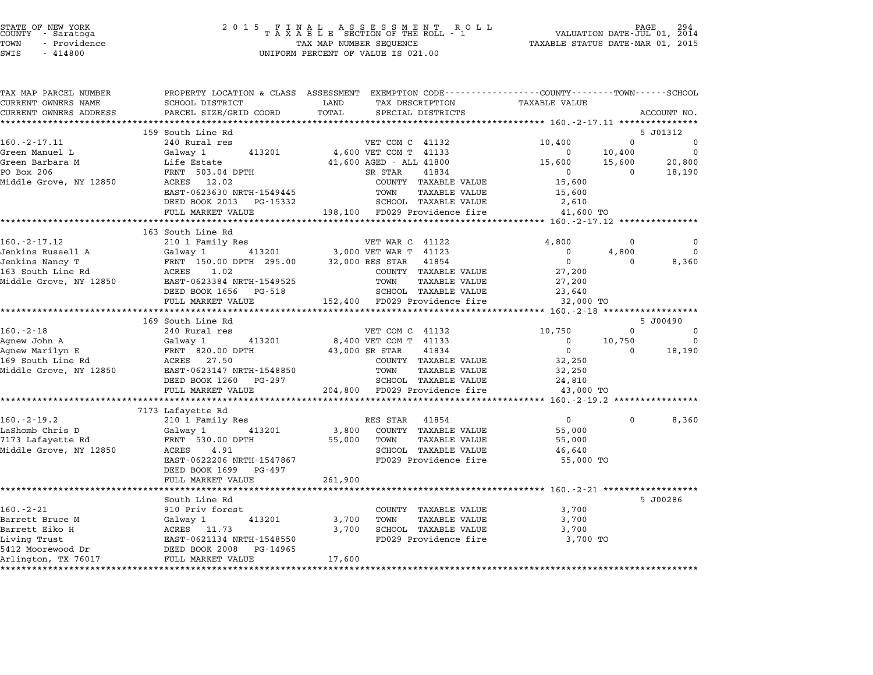TOWN - Providence TAX MAP NUMBER SEQUENCE TAXABLE STATUS DATE-MAR 01, <sup>2015</sup> STATE OF NEW YORK<br>
COUNTY - Saratoga<br>
TOWN - Providence COUNTY - Providence COUNTY - Providence COUNTY - Providence<br>
TAX MAP NUMBER SEQUENCE<br>
SWIS - 414800 UNIFORM PERCENT OF VALUE IS 021.00

| TAX MAP PARCEL NUMBER  |                                                                                                                                                                                                                    | PROPERTY LOCATION & CLASS ASSESSMENT EXEMPTION CODE----------------COUNTY-------TOWN-----SCHOOL |                                                                      |                          |
|------------------------|--------------------------------------------------------------------------------------------------------------------------------------------------------------------------------------------------------------------|-------------------------------------------------------------------------------------------------|----------------------------------------------------------------------|--------------------------|
| CURRENT OWNERS NAME    | SCHOOL DISTRICT                                                                                                                                                                                                    | TAX DESCRIPTION TAXABLE VALUE<br>LAND                                                           |                                                                      |                          |
| CURRENT OWNERS ADDRESS | PARCEL SIZE/GRID COORD                                                                                                                                                                                             | TOTAL<br>SPECIAL DISTRICTS                                                                      | ACCOUNT NO.                                                          |                          |
|                        |                                                                                                                                                                                                                    |                                                                                                 |                                                                      |                          |
|                        | 159 South Line Rd                                                                                                                                                                                                  |                                                                                                 | 5 J01312                                                             |                          |
| $160.-2-17.11$         | 240 Rural res                                                                                                                                                                                                      | VET COM C 41132                                                                                 | 10,400<br>$\overline{0}$                                             | $\overline{\mathbf{0}}$  |
| Green Manuel L         | Galway 1<br>413201                                                                                                                                                                                                 | 4,600 VET COM T 41133                                                                           | $\overline{0}$<br>10,400                                             | $\overline{0}$           |
| Green Barbara M        | M<br>M Life Estate<br>FRNT 503.04 DPTH                                                                                                                                                                             | 41,600 AGED - ALL 41800                                                                         | 15,600<br>20,800<br>15,600                                           |                          |
| PO Box 206             |                                                                                                                                                                                                                    | SR STAR<br>41834                                                                                | $\begin{array}{c} 0 \\ 15,600 \end{array}$<br>$\overline{0}$         | 18,190                   |
| Middle Grove, NY 12850 | ACRES 12.02<br>EAST-0623630 NRTH-1549445                                                                                                                                                                           | COUNTY TAXABLE VALUE                                                                            |                                                                      |                          |
|                        |                                                                                                                                                                                                                    | TOWN<br>TAXABLE VALUE                                                                           | 15,600                                                               |                          |
|                        | DEED BOOK 2013 PG-15332                                                                                                                                                                                            | SCHOOL TAXABLE VALUE                                                                            | 2,610<br>41,600 TO                                                   |                          |
|                        |                                                                                                                                                                                                                    | FULL MARKET VALUE 198,100 FD029 Providence fire                                                 |                                                                      |                          |
|                        | 163 South Line Rd                                                                                                                                                                                                  |                                                                                                 |                                                                      |                          |
| $160. -2 - 17.12$      | 210 1 Family Res                                                                                                                                                                                                   | VET WAR C 41122                                                                                 | 4,800<br>$\mathbf 0$                                                 | $\mathbf 0$              |
| Jenkins Russell A      |                                                                                                                                                                                                                    |                                                                                                 | 4,800                                                                | $\overline{0}$           |
| Jenkins Nancy T        | A Galway 1 413201 3,000 VET WAR T 41123<br>FRNT 150.00 DPTH 295.00 32,000 RES STAR 41854<br>RCRES 1.02 COUNTY TAXABLE                                                                                              |                                                                                                 | $\begin{matrix}0\\0\\0\end{matrix}$<br>$\overline{0}$<br>$\mathbf 0$ | 8,360                    |
| 163 South Line Rd      |                                                                                                                                                                                                                    | COUNTY TAXABLE VALUE                                                                            | 27,200                                                               |                          |
|                        |                                                                                                                                                                                                                    | TOWN<br>TAXABLE VALUE                                                                           | 27,200                                                               |                          |
|                        | DEED BOOK 1656 PG-518                                                                                                                                                                                              | SCHOOL TAXABLE VALUE                                                                            | 23,640                                                               |                          |
|                        | FULL MARKET VALUE                                                                                                                                                                                                  | 152,400 FD029 Providence fire                                                                   | 32,000 TO                                                            |                          |
|                        |                                                                                                                                                                                                                    |                                                                                                 |                                                                      |                          |
|                        | 169 South Line Rd                                                                                                                                                                                                  |                                                                                                 | 5 J00490                                                             |                          |
| $160 - 2 - 18$         | 240 Rural res                                                                                                                                                                                                      | VET COM C 41132                                                                                 | 10,750<br>$\overline{0}$<br>$\overline{\phantom{0}}$                 |                          |
|                        |                                                                                                                                                                                                                    | 8,400 VET COM T 41133                                                                           | $0 \t 10,750$                                                        | $\overline{\phantom{0}}$ |
|                        |                                                                                                                                                                                                                    | 41834<br>43,000 SR STAR                                                                         | $\overline{\mathbf{0}}$<br>$0$ 18,190                                |                          |
|                        |                                                                                                                                                                                                                    | COUNTY TAXABLE VALUE                                                                            | 32,250                                                               |                          |
|                        |                                                                                                                                                                                                                    | TOWN<br>TAXABLE VALUE                                                                           | 32,250                                                               |                          |
|                        | DEED BOOK 1260 PG-297                                                                                                                                                                                              | SCHOOL TAXABLE VALUE                                                                            | 24,810                                                               |                          |
|                        | FULL MARKET VALUE                                                                                                                                                                                                  | 204,800 FD029 Providence fire                                                                   | 43,000 TO                                                            |                          |
|                        |                                                                                                                                                                                                                    |                                                                                                 |                                                                      |                          |
|                        | 7173 Lafayette Rd                                                                                                                                                                                                  |                                                                                                 |                                                                      |                          |
|                        |                                                                                                                                                                                                                    | RES STAR 41854                                                                                  | $\overline{0}$<br>$\Omega$                                           | 8,360                    |
|                        |                                                                                                                                                                                                                    | 3,800<br>COUNTY TAXABLE VALUE                                                                   | 55,000                                                               |                          |
|                        | 160.-2-19.2<br>LaShomb Chris D Galway 1 413201<br>Calway 1 413201<br>FRNT 530.00 DPTH<br>-- 4 91                                                                                                                   | 55,000 TOWN<br>TAXABLE VALUE                                                                    | 55,000                                                               |                          |
| Middle Grove, NY 12850 |                                                                                                                                                                                                                    | SCHOOL TAXABLE VALUE                                                                            | 46,640                                                               |                          |
|                        | EAST-0622206 NRTH-1547867                                                                                                                                                                                          | FD029 Providence fire                                                                           | 55,000 TO                                                            |                          |
|                        | DEED BOOK 1699 PG-497                                                                                                                                                                                              |                                                                                                 |                                                                      |                          |
|                        | FULL MARKET VALUE                                                                                                                                                                                                  | 261,900                                                                                         |                                                                      |                          |
|                        | South Line Rd                                                                                                                                                                                                      |                                                                                                 | 5 J00286                                                             |                          |
| $160. - 2 - 21$        | 910 Priv forest                                                                                                                                                                                                    | COUNTY TAXABLE VALUE                                                                            |                                                                      |                          |
|                        |                                                                                                                                                                                                                    | TOWN<br>TAXABLE VALUE<br>3,700                                                                  | 3,700<br>3,700                                                       |                          |
|                        |                                                                                                                                                                                                                    | SCHOOL TAXABLE VALUE<br>3,700                                                                   | 3,700                                                                |                          |
|                        |                                                                                                                                                                                                                    | FD029 Providence fire                                                                           | 3,700 TO                                                             |                          |
|                        |                                                                                                                                                                                                                    |                                                                                                 |                                                                      |                          |
| Arlington, TX 76017    | 100.-2-21<br>Barrett Bruce M<br>Barrett Eiko H<br>Barrett Eiko H<br>Living Trust<br>Living Trust<br>S412 Moorewood Dr<br>TREED BOOK 2008 PG-14965<br>Arlington, TX 76017<br>PULL MARKET VALUE<br>FULL MARKET VALUE | 17,600                                                                                          |                                                                      |                          |
|                        |                                                                                                                                                                                                                    |                                                                                                 |                                                                      |                          |
|                        |                                                                                                                                                                                                                    |                                                                                                 |                                                                      |                          |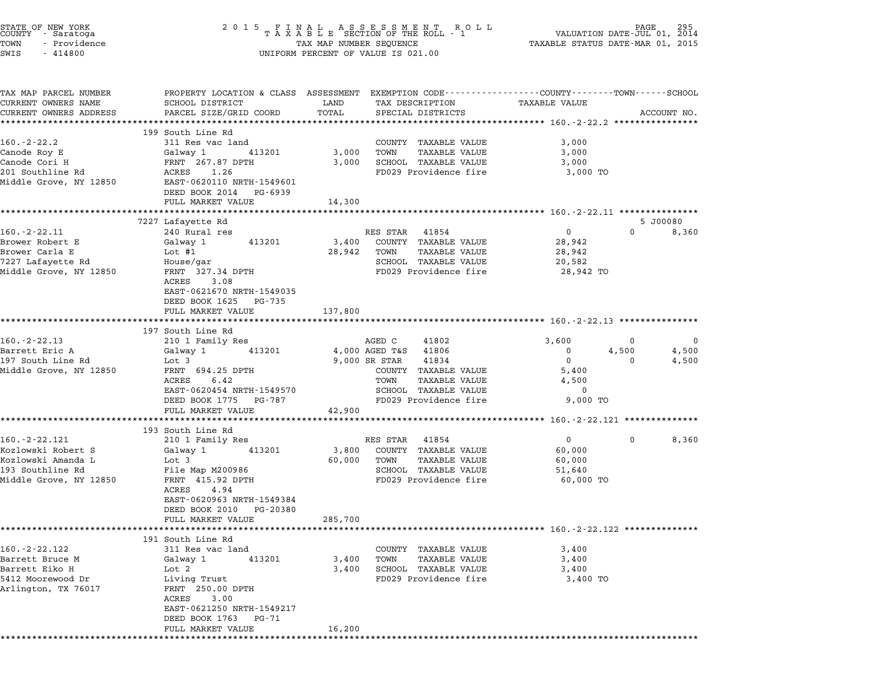| STATE OF NEW YORK<br>COUNTY – Saratoga<br>TOWN<br>- Providence<br>SWIS<br>$-414800$                           |                                                                                                                                                                                                            |                            | UNIFORM PERCENT OF VALUE IS 021.00                                                                                                                                  |                                                                                      |                                                  |
|---------------------------------------------------------------------------------------------------------------|------------------------------------------------------------------------------------------------------------------------------------------------------------------------------------------------------------|----------------------------|---------------------------------------------------------------------------------------------------------------------------------------------------------------------|--------------------------------------------------------------------------------------|--------------------------------------------------|
| TAX MAP PARCEL NUMBER<br>CURRENT OWNERS NAME<br>CURRENT OWNERS ADDRESS                                        | PROPERTY LOCATION & CLASS ASSESSMENT EXEMPTION CODE---------------COUNTY-------TOWN-----SCHOOL<br>SCHOOL DISTRICT<br>PARCEL SIZE/GRID COORD<br>***************************                                 | LAND<br>TOTAL              | TAX DESCRIPTION<br>SPECIAL DISTRICTS                                                                                                                                | TAXABLE VALUE                                                                        | ACCOUNT NO.                                      |
| $160. - 2 - 22.2$<br>Canode Roy E<br>Canode Cori H<br>201 Southline Rd<br>Middle Grove, NY 12850              | 199 South Line Rd<br>311 Res vac land<br>413201<br>Galway 1<br>FRNT 267.87 DPTH<br>ACRES 1.26<br>EAST-0620110 NRTH-1549601<br>DEED BOOK 2014 PG-6939<br>FULL MARKET VALUE                                  | 3,000<br>3,000<br>14,300   | COUNTY TAXABLE VALUE<br>TOWN<br>TAXABLE VALUE<br>SCHOOL TAXABLE VALUE<br>FD029 Providence fire                                                                      | 3,000<br>3,000<br>3,000<br>3,000 TO                                                  |                                                  |
|                                                                                                               |                                                                                                                                                                                                            |                            |                                                                                                                                                                     |                                                                                      |                                                  |
| $160. - 2 - 22.11$<br>Brower Robert E<br>Brower Carla E<br>7227 Lafayette Rd<br>Middle Grove, NY 12850        | 7227 Lafayette Rd<br>240 Rural res<br>413201<br>Galway 1<br>Lot $#1$<br>House/gar<br>FRNT 327.34 DPTH<br>ACRES<br>3.08<br>EAST-0621670 NRTH-1549035<br>DEED BOOK 1625 PG-735                               | 3,400<br>28,942            | RES STAR 41854<br>COUNTY TAXABLE VALUE<br>TOWN<br>TAXABLE VALUE<br>SCHOOL TAXABLE VALUE<br>FD029 Providence fire                                                    | $\overline{0}$<br>28,942<br>28,942<br>20,582<br>28,942 TO                            | 5 J00080<br>$\Omega$<br>8,360                    |
|                                                                                                               | FULL MARKET VALUE<br>***********************                                                                                                                                                               | 137,800<br>************    |                                                                                                                                                                     | ******************************* 160.-2-22.13 *************                           |                                                  |
| $160. - 2 - 22.13$<br>Barrett Eric A<br>197 South Line Rd<br>Middle Grove, NY 12850                           | 197 South Line Rd<br>210 1 Family Res<br>413201<br>Galway 1<br>Lot 3<br>FRNT 694.25 DPTH<br>6.42<br>ACRES<br>EAST-0620454 NRTH-1549570<br>DEED BOOK 1775 PG-787<br>FULL MARKET VALUE                       | 42,900                     | AGED C<br>41802<br>4,000 AGED T&S 41806<br>9,000 SR STAR<br>41834<br>COUNTY TAXABLE VALUE<br>TAXABLE VALUE<br>TOWN<br>SCHOOL TAXABLE VALUE<br>FD029 Providence fire | 3,600<br>$\mathbf 0$<br>$\mathbf{0}$<br>5,400<br>4,500<br>$\overline{0}$<br>9,000 TO | 0<br>$\mathbf 0$<br>4,500<br>4,500<br>0<br>4,500 |
|                                                                                                               |                                                                                                                                                                                                            |                            |                                                                                                                                                                     | ************************** 160.-2-22.121 ***************                             |                                                  |
| $160. - 2 - 22.121$<br>Kozlowski Robert S<br>Kozlowski Amanda L<br>193 Southline Rd<br>Middle Grove, NY 12850 | 193 South Line Rd<br>210 1 Family Res<br>413201<br>Galway 1<br>Lot 3<br>File Map M200986<br>FRNT 415.92 DPTH<br>ACRES<br>4.94<br>EAST-0620963 NRTH-1549384<br>DEED BOOK 2010 PG-20380<br>FULL MARKET VALUE | 3,800<br>60,000<br>285,700 | RES STAR 41854<br>COUNTY TAXABLE VALUE<br>TOWN<br>TAXABLE VALUE<br>SCHOOL TAXABLE VALUE<br>FD029 Providence fire                                                    | $\overline{0}$<br>60,000<br>60,000<br>51,640<br>60,000 TO                            | 8,360<br>0                                       |
|                                                                                                               |                                                                                                                                                                                                            |                            |                                                                                                                                                                     |                                                                                      |                                                  |
| $160. -2 - 22.122$<br>Barrett Bruce M<br>Barrett Eiko H<br>5412 Moorewood Dr<br>Arlington, TX 76017           | 191 South Line Rd<br>311 Res vac land<br>Galway 1<br>413201<br>Lot 2<br>Living Trust<br>FRNT 250.00 DPTH<br>ACRES<br>3.00<br>EAST-0621250 NRTH-1549217<br>DEED BOOK 1763 PG-71<br>FULL MARKET VALUE        | 3,400<br>3,400<br>16,200   | COUNTY TAXABLE VALUE<br>TAXABLE VALUE<br>TOWN<br>SCHOOL TAXABLE VALUE<br>FD029 Providence fire                                                                      | 3,400<br>3,400<br>3,400<br>3,400 TO                                                  |                                                  |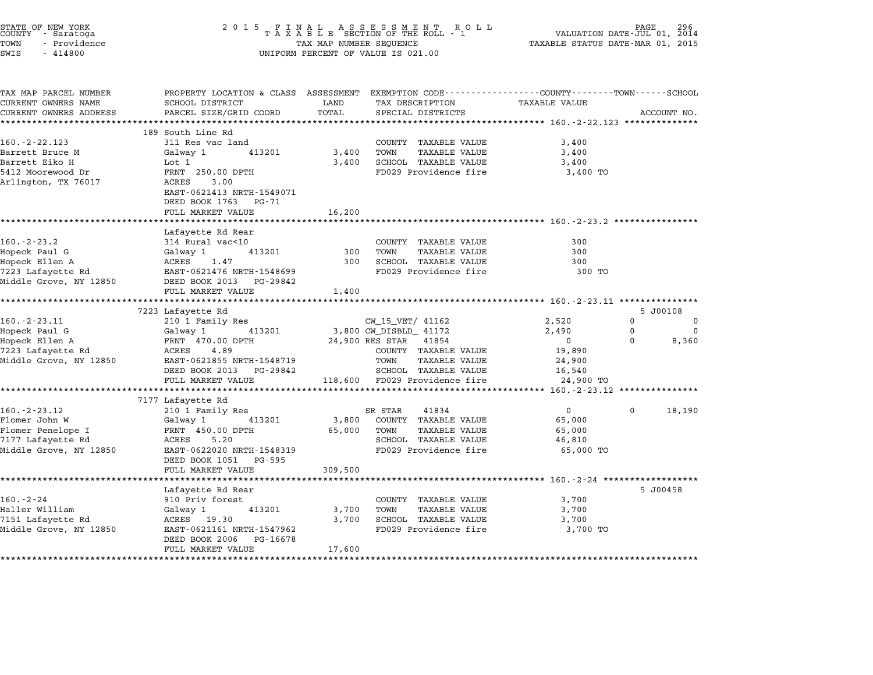| STATE OF NEW YORK<br>COUNTY - Saratoga<br>TOWN<br>- Providence<br>SWIS<br>$-414800$ | $\begin{array}{cccccccccccccc} 2& 0& 1& 5 & & F& I& N& A& L & & A& S& S& E& S& S& M& E& N& T & & R& O& L\\ & & T& A& X& A& B& L& E & SECTION & OF & THE & ROLL & -& 1 \end{array}$<br>TAX MAP NUMBER SEQUENCE<br>UNIFORM PERCENT OF VALUE IS 021.00 | PAGE<br>VALUATION DATE-JUL 01, 2014<br>TAXABLE STATUS DATE-MAR 01, 2015 |                                                                       |                                                     |                      |
|-------------------------------------------------------------------------------------|-----------------------------------------------------------------------------------------------------------------------------------------------------------------------------------------------------------------------------------------------------|-------------------------------------------------------------------------|-----------------------------------------------------------------------|-----------------------------------------------------|----------------------|
| TAX MAP PARCEL NUMBER                                                               | PROPERTY LOCATION & CLASS ASSESSMENT EXEMPTION CODE---------------COUNTY-------TOWN-----SCHOOL                                                                                                                                                      |                                                                         |                                                                       |                                                     |                      |
| CURRENT OWNERS NAME<br>CURRENT OWNERS ADDRESS                                       | SCHOOL DISTRICT<br>PARCEL SIZE/GRID COORD                                                                                                                                                                                                           | LAND<br>TOTAL                                                           | TAX DESCRIPTION<br>SPECIAL DISTRICTS                                  | <b>TAXABLE VALUE</b>                                | ACCOUNT NO.          |
|                                                                                     | ***************************                                                                                                                                                                                                                         |                                                                         |                                                                       |                                                     |                      |
|                                                                                     | 189 South Line Rd                                                                                                                                                                                                                                   |                                                                         |                                                                       |                                                     |                      |
| 160. - 2 - 22.123                                                                   | 311 Res vac land                                                                                                                                                                                                                                    |                                                                         | COUNTY TAXABLE VALUE                                                  | 3,400                                               |                      |
| Barrett Bruce M                                                                     | 413201<br>Galway 1                                                                                                                                                                                                                                  | 3,400                                                                   | TOWN<br>TAXABLE VALUE                                                 | 3,400                                               |                      |
| Barrett Eiko H                                                                      | Lot 1                                                                                                                                                                                                                                               | 3,400                                                                   | SCHOOL TAXABLE VALUE                                                  | 3,400                                               |                      |
| 5412 Moorewood Dr<br>Arlington, TX 76017                                            | FRNT 250.00 DPTH<br>3.00<br>ACRES<br>EAST-0621413 NRTH-1549071                                                                                                                                                                                      |                                                                         | FD029 Providence fire                                                 | 3,400 TO                                            |                      |
|                                                                                     | DEED BOOK 1763 PG-71<br>FULL MARKET VALUE                                                                                                                                                                                                           | 16,200                                                                  |                                                                       |                                                     |                      |
|                                                                                     | ***************************                                                                                                                                                                                                                         |                                                                         |                                                                       |                                                     |                      |
|                                                                                     | Lafayette Rd Rear                                                                                                                                                                                                                                   |                                                                         |                                                                       |                                                     |                      |
| $160. - 2 - 23.2$                                                                   | 314 Rural vac<10                                                                                                                                                                                                                                    |                                                                         | COUNTY TAXABLE VALUE                                                  | 300                                                 |                      |
| Hopeck Paul G                                                                       | 413201<br>Galway 1                                                                                                                                                                                                                                  | 300                                                                     | TOWN<br><b>TAXABLE VALUE</b>                                          | 300                                                 |                      |
| Hopeck Ellen A                                                                      | ACRES<br>1.47                                                                                                                                                                                                                                       | 300                                                                     | SCHOOL TAXABLE VALUE                                                  | 300                                                 |                      |
| 7223 Lafayette Rd                                                                   | EAST-0621476 NRTH-1548699                                                                                                                                                                                                                           |                                                                         | FD029 Providence fire                                                 | 300 TO                                              |                      |
| Middle Grove, NY 12850                                                              | DEED BOOK 2013 PG-29842<br>FULL MARKET VALUE                                                                                                                                                                                                        | 1,400                                                                   |                                                                       |                                                     |                      |
|                                                                                     | *************************                                                                                                                                                                                                                           |                                                                         |                                                                       |                                                     |                      |
|                                                                                     | 7223 Lafayette Rd                                                                                                                                                                                                                                   |                                                                         |                                                                       |                                                     | 5 J00108             |
| $160. -2 - 23.11$                                                                   | 210 1 Family Res                                                                                                                                                                                                                                    |                                                                         | CW_15_VET/ 41162                                                      | 2,520                                               | 0<br>0               |
| Hopeck Paul G                                                                       | 413201<br>Galway 1                                                                                                                                                                                                                                  |                                                                         | 3,800 CW_DISBLD_ 41172                                                | 2,490                                               | $\Omega$<br>$\Omega$ |
| Hopeck Ellen A                                                                      | FRNT 470.00 DPTH                                                                                                                                                                                                                                    |                                                                         | 24,900 RES STAR 41854                                                 | $\overline{0}$                                      | $\Omega$<br>8,360    |
| 7223 Lafayette Rd                                                                   | ACRES<br>4.89                                                                                                                                                                                                                                       |                                                                         | COUNTY TAXABLE VALUE                                                  | 19,890                                              |                      |
| Middle Grove, NY 12850                                                              | EAST-0621855 NRTH-1548719                                                                                                                                                                                                                           |                                                                         | TOWN<br>TAXABLE VALUE                                                 | 24,900                                              |                      |
|                                                                                     | DEED BOOK 2013 PG-29842                                                                                                                                                                                                                             |                                                                         | SCHOOL TAXABLE VALUE                                                  | 16,540                                              |                      |
|                                                                                     | FULL MARKET VALUE<br>**************************                                                                                                                                                                                                     |                                                                         | 118,600 FD029 Providence fire<br>************************************ | 24,900 TO<br>********* 160.-2-23.12 *************** |                      |
|                                                                                     | 7177 Lafayette Rd                                                                                                                                                                                                                                   |                                                                         |                                                                       |                                                     |                      |
| $160. -2 - 23.12$                                                                   | 210 1 Family Res                                                                                                                                                                                                                                    |                                                                         | SR STAR<br>41834                                                      | $\overline{0}$                                      | 18,190<br>$\Omega$   |
| Flomer John W                                                                       | 413201<br>Galway 1                                                                                                                                                                                                                                  | 3,800                                                                   | COUNTY TAXABLE VALUE                                                  | 65,000                                              |                      |
| Flomer Penelope I                                                                   | FRNT 450.00 DPTH                                                                                                                                                                                                                                    | 65,000                                                                  | TOWN<br>TAXABLE VALUE                                                 | 65,000                                              |                      |
| 7177 Lafayette Rd                                                                   | ACRES<br>5.20                                                                                                                                                                                                                                       |                                                                         | SCHOOL TAXABLE VALUE                                                  | 46,810                                              |                      |
| Middle Grove, NY 12850                                                              | EAST-0622020 NRTH-1548319<br>DEED BOOK 1051 PG-595                                                                                                                                                                                                  |                                                                         | FD029 Providence fire                                                 | 65,000 TO                                           |                      |
|                                                                                     | FULL MARKET VALUE                                                                                                                                                                                                                                   | 309,500                                                                 |                                                                       |                                                     |                      |
|                                                                                     | ***********************                                                                                                                                                                                                                             |                                                                         |                                                                       |                                                     |                      |
|                                                                                     | Lafayette Rd Rear                                                                                                                                                                                                                                   |                                                                         |                                                                       |                                                     | 5 J00458             |
| $160. - 2 - 24$                                                                     | 910 Priv forest                                                                                                                                                                                                                                     |                                                                         | COUNTY TAXABLE VALUE                                                  | 3,700                                               |                      |
| Haller William                                                                      | 413201<br>Galway 1                                                                                                                                                                                                                                  | 3,700                                                                   | TOWN<br>TAXABLE VALUE                                                 | 3,700                                               |                      |
| 7151 Lafayette Rd                                                                   | ACRES 19.30                                                                                                                                                                                                                                         | 3,700                                                                   | SCHOOL TAXABLE VALUE                                                  | 3,700                                               |                      |
| Middle Grove, NY 12850                                                              | EAST-0621161 NRTH-1547962<br>DEED BOOK 2006<br>PG-16678                                                                                                                                                                                             |                                                                         | FD029 Providence fire                                                 | 3,700 TO                                            |                      |
|                                                                                     | FULL MARKET VALUE                                                                                                                                                                                                                                   | 17,600                                                                  |                                                                       |                                                     |                      |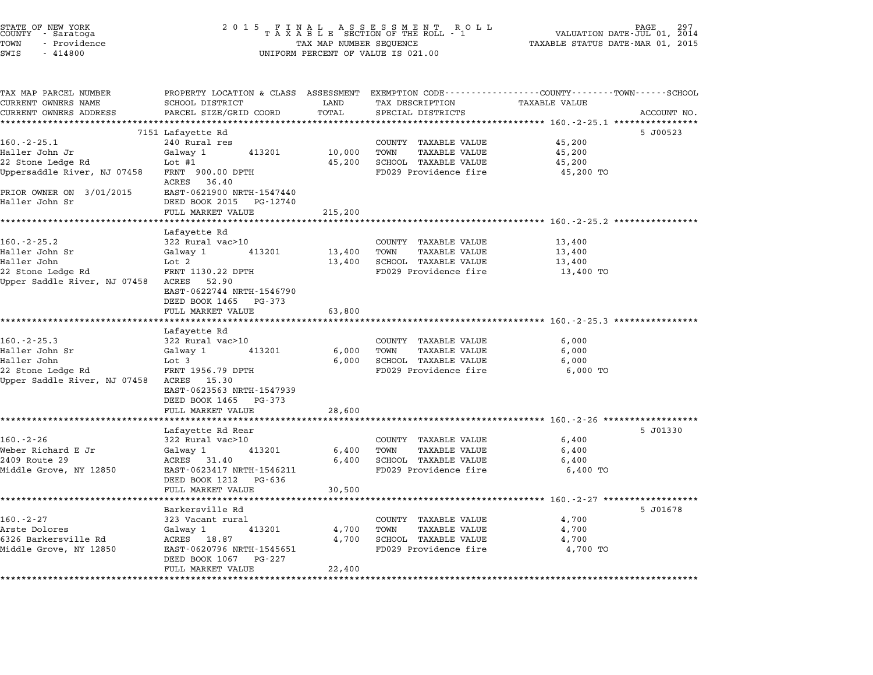| TATE OF NEW YORK |  |              |  |  |
|------------------|--|--------------|--|--|
| OUNTY - Saratoga |  |              |  |  |
| 'OWN             |  | - Providence |  |  |
| $T-T$            |  | 111000       |  |  |

# STATE OF NEW YORK <sup>2</sup> <sup>0</sup> <sup>1</sup> 5 F I N A L A S S E S S M E N T R O L L PAGE <sup>297</sup> COUNTY - Saratoga <sup>T</sup> <sup>A</sup> <sup>X</sup> <sup>A</sup> <sup>B</sup> <sup>L</sup> <sup>E</sup> SECTION OF THE ROLL - <sup>1</sup> VALUATION DATE-JUL 01, <sup>2014</sup> TOWN - Providence TAX MAP NUMBER SEQUENCE TAXABLE STATUS DATE-MAR 01, <sup>2015</sup> STATE OF NEW YORK STATE OF NEW YORK COUNTY - SATATOGRAPH SAMPLINE TO A SAMPLINE ROLL TO A SAMPLINE ROLL TO A SA<br>TOWN - Providence TAX A B L E SECTION OF THE ROLL<br>SWIS - 414800 SWIS - 414800

| TAX MAP PARCEL NUMBER                    | PROPERTY LOCATION & CLASS ASSESSMENT EXEMPTION CODE---------------COUNTY-------TOWN-----SCHOOL |                |                                                               |                      |             |
|------------------------------------------|------------------------------------------------------------------------------------------------|----------------|---------------------------------------------------------------|----------------------|-------------|
| CURRENT OWNERS NAME                      | SCHOOL DISTRICT                                                                                | LAND           | TAX DESCRIPTION                                               | <b>TAXABLE VALUE</b> |             |
| CURRENT OWNERS ADDRESS                   | PARCEL SIZE/GRID COORD                                                                         | TOTAL          | SPECIAL DISTRICTS                                             |                      | ACCOUNT NO. |
|                                          |                                                                                                |                |                                                               |                      |             |
| $160. -2 - 25.1$                         | 7151 Lafayette Rd<br>240 Rural res                                                             |                |                                                               | 45,200               | 5 J00523    |
| Haller John Jr                           | Galway 1<br>413201                                                                             | 10,000         | COUNTY TAXABLE VALUE<br>TOWN<br><b>TAXABLE VALUE</b>          | 45,200               |             |
| 22 Stone Ledge Rd                        | Lot $#1$                                                                                       | 45,200         | SCHOOL TAXABLE VALUE                                          | 45,200               |             |
| Uppersaddle River, NJ 07458              | FRNT 900.00 DPTH                                                                               |                | FD029 Providence fire                                         | 45,200 TO            |             |
|                                          | ACRES 36.40                                                                                    |                |                                                               |                      |             |
| PRIOR OWNER ON 3/01/2015                 | EAST-0621900 NRTH-1547440                                                                      |                |                                                               |                      |             |
| Haller John Sr                           | DEED BOOK 2015 PG-12740                                                                        |                |                                                               |                      |             |
|                                          | FULL MARKET VALUE                                                                              | 215,200        |                                                               |                      |             |
|                                          |                                                                                                |                |                                                               |                      |             |
|                                          | Lafayette Rd                                                                                   |                |                                                               |                      |             |
| $160. - 2 - 25.2$                        | 322 Rural vac>10                                                                               |                | COUNTY TAXABLE VALUE                                          | 13,400               |             |
| Haller John Sr                           | Galway 1<br>413201                                                                             | 13,400         | TOWN<br>TAXABLE VALUE                                         | 13,400               |             |
| Haller John                              | Lot 2                                                                                          | 13,400         | SCHOOL TAXABLE VALUE                                          | 13,400               |             |
| 22 Stone Ledge Rd                        | FRNT 1130.22 DPTH                                                                              |                | FD029 Providence fire                                         | 13,400 TO            |             |
| Upper Saddle River, NJ 07458 ACRES       | 52.90                                                                                          |                |                                                               |                      |             |
|                                          | EAST-0622744 NRTH-1546790                                                                      |                |                                                               |                      |             |
|                                          | DEED BOOK 1465 PG-373                                                                          |                |                                                               |                      |             |
|                                          | FULL MARKET VALUE                                                                              | 63,800         |                                                               |                      |             |
|                                          |                                                                                                |                | ******************************** 160.-2-25.3 **************** |                      |             |
| $160. -2 - 25.3$                         | Lafayette Rd                                                                                   |                |                                                               |                      |             |
| Haller John Sr                           | 322 Rural vac>10                                                                               |                | COUNTY TAXABLE VALUE<br>TOWN                                  | 6,000                |             |
| Haller John                              | Galway 1<br>413201<br>Lot 3                                                                    | 6,000<br>6,000 | <b>TAXABLE VALUE</b><br>SCHOOL TAXABLE VALUE                  | 6,000<br>6,000       |             |
| 22 Stone Ledge Rd                        | FRNT 1956.79 DPTH                                                                              |                | FD029 Providence fire                                         | 6,000 TO             |             |
| Upper Saddle River, NJ 07458 ACRES 15.30 |                                                                                                |                |                                                               |                      |             |
|                                          | EAST-0623563 NRTH-1547939                                                                      |                |                                                               |                      |             |
|                                          | DEED BOOK 1465<br>PG-373                                                                       |                |                                                               |                      |             |
|                                          | FULL MARKET VALUE                                                                              | 28,600         |                                                               |                      |             |
|                                          |                                                                                                |                |                                                               |                      |             |
|                                          | Lafayette Rd Rear                                                                              |                |                                                               |                      | 5 J01330    |
| $160. - 2 - 26$                          | 322 Rural vac>10                                                                               |                | COUNTY TAXABLE VALUE                                          | 6,400                |             |
| Weber Richard E Jr                       | Galway 1<br>413201                                                                             | 6,400          | TOWN<br>TAXABLE VALUE                                         | 6,400                |             |
| 2409 Route 29                            | ACRES 31.40                                                                                    | 6,400          | SCHOOL TAXABLE VALUE                                          | 6,400                |             |
| Middle Grove, NY 12850                   | EAST-0623417 NRTH-1546211                                                                      |                | FD029 Providence fire                                         | 6,400 TO             |             |
|                                          | DEED BOOK 1212<br>PG-636                                                                       |                |                                                               |                      |             |
|                                          | FULL MARKET VALUE                                                                              | 30,500         |                                                               |                      |             |
|                                          |                                                                                                |                |                                                               |                      |             |
|                                          | Barkersville Rd                                                                                |                |                                                               |                      | 5 J01678    |
| $160. - 2 - 27$                          | 323 Vacant rural                                                                               |                | COUNTY TAXABLE VALUE                                          | 4,700                |             |
| Arste Dolores                            | 413201<br>Galway 1                                                                             | 4,700          | TOWN<br><b>TAXABLE VALUE</b>                                  | 4,700                |             |
| 6326 Barkersville Rd                     | ACRES 18.87                                                                                    | 4,700          | SCHOOL TAXABLE VALUE                                          | 4,700                |             |
| Middle Grove, NY 12850                   | EAST-0620796 NRTH-1545651<br>DEED BOOK 1067 PG-227                                             |                | FD029 Providence fire                                         | 4,700 TO             |             |
|                                          | FULL MARKET VALUE                                                                              | 22,400         |                                                               |                      |             |
|                                          |                                                                                                |                |                                                               |                      |             |
|                                          |                                                                                                |                |                                                               |                      |             |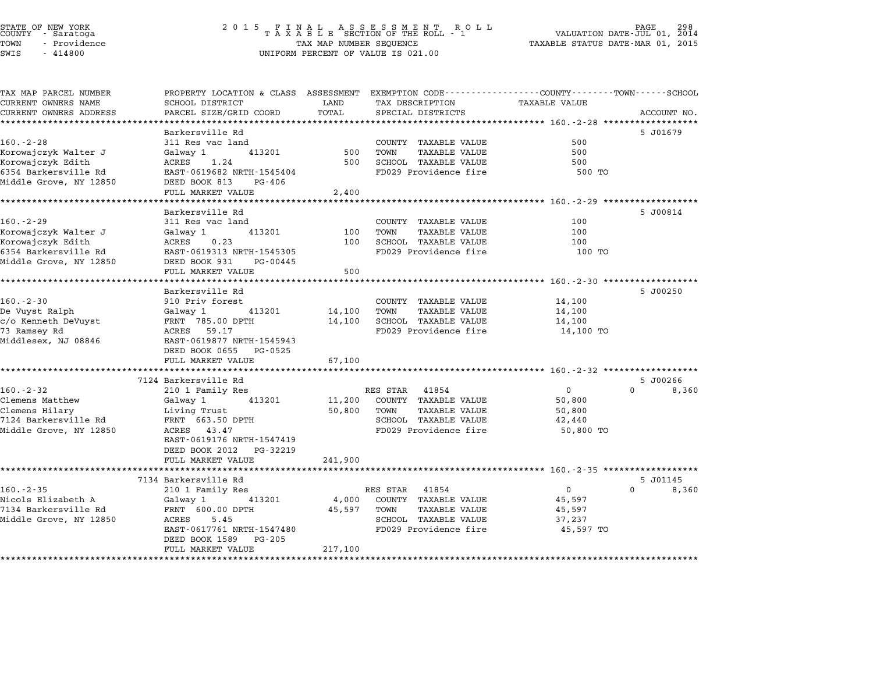# STATE OF NEW YORK <sup>2</sup> <sup>0</sup> <sup>1</sup> 5 F I N A L A S S E S S M E N T R O L L PAGE <sup>298</sup> COUNTY - Saratoga <sup>T</sup> <sup>A</sup> <sup>X</sup> <sup>A</sup> <sup>B</sup> <sup>L</sup> <sup>E</sup> SECTION OF THE ROLL - <sup>1</sup> VALUATION DATE-JUL 01, <sup>2014</sup> TOWN - Providence TAX MAP NUMBER SEQUENCE TAXABLE STATUS DATE-MAR 01, <sup>2015</sup> STATE OF NEW YORK STATE OF NEW YORK COUNTY - SATATOGRAPH SAMPLINE TO A SAMPLINE TO A SAMPLINE ROLL TO A SAMPLINE ROLL TO A SAMPLINE SECTION OF THE ROLL TO A SAMPLINE SEQUENCE TO A SAMPLINE SEQUENCE TO A LA SAMPLINE SEQUENC

TAX MAP PARCEL NUMBER PROPERTY LOCATION & CLASS ASSESSMENT EXEMPTION CODE------------------COUNTY--------TOWN------SCHOOL

| TAX MAP PARCEL NUMBER                | PROPERTY LOCATION & CLASS ASSESSMENT EXEMPTION CODE----------------COUNTY-------TOWN-----SCHOOL |             |                               |                |                      |
|--------------------------------------|-------------------------------------------------------------------------------------------------|-------------|-------------------------------|----------------|----------------------|
| CURRENT OWNERS NAME                  | SCHOOL DISTRICT                                                                                 | LAND        | TAX DESCRIPTION TAXABLE VALUE |                |                      |
| CURRENT OWNERS ADDRESS               | PARCEL SIZE/GRID COORD TOTAL                                                                    |             | SPECIAL DISTRICTS             |                | ACCOUNT NO.          |
|                                      |                                                                                                 |             |                               |                |                      |
|                                      | Barkersville Rd                                                                                 |             |                               |                | 5 J01679             |
| $160 - 2 - 28$                       | 311 Res vac land                                                                                |             | COUNTY TAXABLE VALUE          | 500            |                      |
| Korowajczyk Walter J                 | Galway 1 413201                                                                                 | 500         | TOWN<br>TAXABLE VALUE         | 500            |                      |
| Korowajczyk Edith                    | ACRES 1.24                                                                                      | 500         | SCHOOL TAXABLE VALUE          | 500            |                      |
| 6354 Barkersville Rd                 | EAST-0619682 NRTH-1545404                                                                       |             | FD029 Providence fire         | 500 TO         |                      |
| Middle Grove, NY 12850               | DEED BOOK 813<br>PG-406                                                                         |             |                               |                |                      |
|                                      | FULL MARKET VALUE                                                                               | 2,400       |                               |                |                      |
|                                      |                                                                                                 |             |                               |                |                      |
|                                      | Barkersville Rd                                                                                 |             |                               |                | 5 J00814             |
| $160. - 2 - 29$                      | 311 Res vac land                                                                                |             | COUNTY TAXABLE VALUE          | 100            |                      |
| Korowajczyk Walter J                 | Galway 1                                                                                        | 413201 100  | TOWN<br>TAXABLE VALUE         | 100            |                      |
| Korowajczyk Edith                    | ACRES 0.23                                                                                      | 100         | SCHOOL TAXABLE VALUE          | 100            |                      |
|                                      | EAST-0619313 NRTH-1545305                                                                       |             | FD029 Providence fire         | 100 TO         |                      |
| 6354 Barkersville Rd                 |                                                                                                 |             |                               |                |                      |
| Middle Grove, NY 12850               | DEED BOOK 931 PG-00445                                                                          |             |                               |                |                      |
|                                      | FULL MARKET VALUE                                                                               | 500         |                               |                |                      |
|                                      |                                                                                                 |             |                               |                |                      |
|                                      | Barkersville Rd                                                                                 |             |                               |                | 5 J00250             |
| $160. - 2 - 30$                      | 910 Priv forest                                                                                 |             | COUNTY TAXABLE VALUE          | 14,100         |                      |
| De Vuyst Ralph                       | Galway 1 413201                                                                                 | 14,100 TOWN | TAXABLE VALUE                 | 14,100         |                      |
| c/o Kenneth DeVuyst FRNT 785.00 DPTH |                                                                                                 |             | 14,100 SCHOOL TAXABLE VALUE   | 14,100         |                      |
| 73 Ramsey Rd                         | ACRES 59.17                                                                                     |             | FD029 Providence fire         | 14,100 TO      |                      |
| Middlesex, NJ 08846                  | EAST-0619877 NRTH-1545943                                                                       |             |                               |                |                      |
|                                      | DEED BOOK 0655 PG-0525                                                                          |             |                               |                |                      |
|                                      | FULL MARKET VALUE                                                                               | 67,100      |                               |                |                      |
|                                      |                                                                                                 |             |                               |                |                      |
|                                      | 7124 Barkersville Rd                                                                            |             |                               |                | 5 J00266             |
| $160. - 2 - 32$                      | 210 1 Family Res                                                                                |             | RES STAR 41854                | $\overline{0}$ | $\mathbf 0$<br>8,360 |
| Clemens Matthew                      | Galway 1<br>413201                                                                              |             | 11,200 COUNTY TAXABLE VALUE   | 50,800         |                      |
| Clemens Hilary                       | Living Trust                                                                                    | 50,800 TOWN | TAXABLE VALUE                 | 50,800         |                      |
| 7124 Barkersville Rd                 | FRNT 663.50 DPTH                                                                                |             | SCHOOL TAXABLE VALUE          | 42,440         |                      |
| Middle Grove, NY 12850               | ACRES 43.47                                                                                     |             | FD029 Providence fire         | 50,800 TO      |                      |
|                                      | EAST-0619176 NRTH-1547419                                                                       |             |                               |                |                      |
|                                      | DEED BOOK 2012 PG-32219                                                                         |             |                               |                |                      |
|                                      | FULL MARKET VALUE                                                                               | 241,900     |                               |                |                      |
|                                      |                                                                                                 |             |                               |                |                      |
|                                      | 7134 Barkersville Rd                                                                            |             |                               |                | 5 J01145             |
| $160. - 2 - 35$                      | 210 1 Family Res                                                                                |             | RES STAR 41854                | $\overline{0}$ | $\Omega$<br>8,360    |
| Nicols Elizabeth A                   | Galway 1 413201                                                                                 | 4,000       | COUNTY TAXABLE VALUE          | 45,597         |                      |
| 7134 Barkersville Rd                 | FRNT 600.00 DPTH                                                                                | 45,597      | TOWN<br>TAXABLE VALUE         | 45,597         |                      |
| Middle Grove, NY 12850               | 5.45<br>ACRES                                                                                   |             | SCHOOL TAXABLE VALUE          | 37,237         |                      |
|                                      | EAST-0617761 NRTH-1547480                                                                       |             | FD029 Providence fire         |                |                      |
|                                      | DEED BOOK 1589 PG-205                                                                           |             |                               | 45,597 TO      |                      |
|                                      | FULL MARKET VALUE                                                                               | 217,100     |                               |                |                      |
|                                      |                                                                                                 |             |                               |                |                      |
|                                      |                                                                                                 |             |                               |                |                      |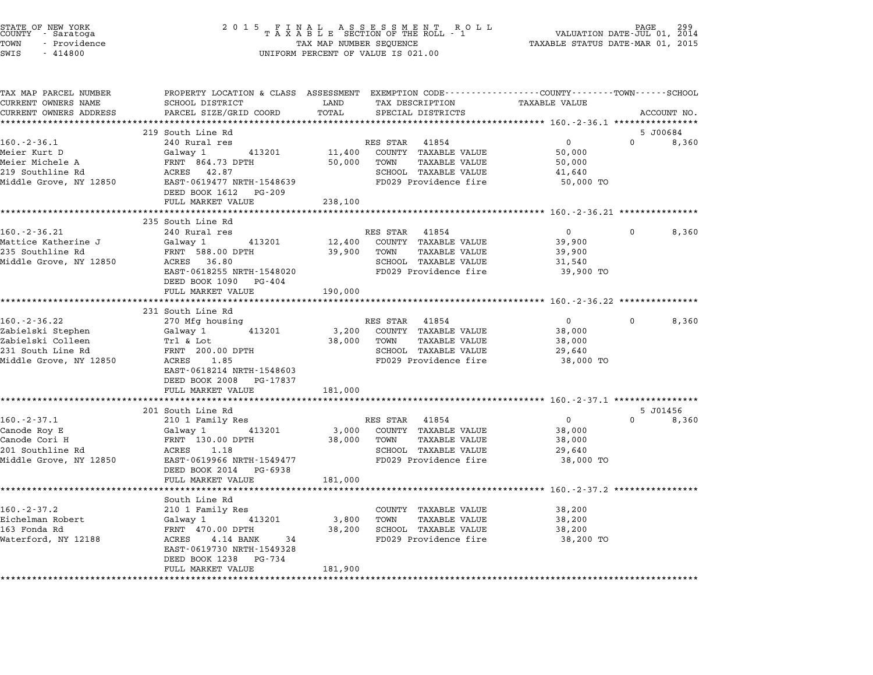| STATE OF NEW YORK<br>COUNTY - Saratoga<br>TOWN<br>- Providence<br>SWIS<br>$-414800$ | 2 0 1 5<br>FINAL ASSESSMENT RO<br>TAXABLE SECTION OF THE ROLL - 1<br>R O L L<br>TAX MAP NUMBER SEQUENCE<br>UNIFORM PERCENT OF VALUE IS 021.00 |                               |                                                                                                 | PAGE<br>VALUATION DATE-JUL 01, 2014<br>TAXABLE STATUS DATE-MAR 01, 2015 |          |                   |
|-------------------------------------------------------------------------------------|-----------------------------------------------------------------------------------------------------------------------------------------------|-------------------------------|-------------------------------------------------------------------------------------------------|-------------------------------------------------------------------------|----------|-------------------|
| TAX MAP PARCEL NUMBER                                                               |                                                                                                                                               |                               | PROPERTY LOCATION & CLASS ASSESSMENT EXEMPTION CODE----------------COUNTY-------TOWN-----SCHOOL |                                                                         |          |                   |
| CURRENT OWNERS NAME<br>CURRENT OWNERS ADDRESS                                       | SCHOOL DISTRICT<br>PARCEL SIZE/GRID COORD                                                                                                     | LAND<br>TOTAL                 | TAX DESCRIPTION<br>SPECIAL DISTRICTS                                                            | <b>TAXABLE VALUE</b>                                                    |          | ACCOUNT NO.       |
|                                                                                     |                                                                                                                                               |                               |                                                                                                 |                                                                         |          |                   |
|                                                                                     | 219 South Line Rd                                                                                                                             |                               |                                                                                                 |                                                                         |          | 5 J00684          |
| $160. - 2 - 36.1$                                                                   | 240 Rural res                                                                                                                                 |                               | RES STAR 41854                                                                                  | $\overline{0}$                                                          | $\Omega$ | 8,360             |
| Meier Kurt D                                                                        | Galway 1<br>413201                                                                                                                            | 11,400                        | COUNTY TAXABLE VALUE                                                                            | 50,000                                                                  |          |                   |
| Meier Michele A                                                                     | FRNT 864.73 DPTH                                                                                                                              | 50,000                        | TOWN<br>TAXABLE VALUE                                                                           | 50,000                                                                  |          |                   |
| 219 Southline Rd                                                                    | ACRES 42.87                                                                                                                                   |                               | SCHOOL TAXABLE VALUE                                                                            | 41,640                                                                  |          |                   |
| Middle Grove, NY 12850                                                              | EAST-0619477 NRTH-1548639<br>DEED BOOK 1612 PG-209<br>FULL MARKET VALUE                                                                       |                               | FD029 Providence fire                                                                           | 50,000 TO                                                               |          |                   |
|                                                                                     | **********************                                                                                                                        | 238,100<br>****************** |                                                                                                 | ****************** 160.-2-36.21 ****************                        |          |                   |
|                                                                                     | 235 South Line Rd                                                                                                                             |                               |                                                                                                 |                                                                         |          |                   |
| $160. - 2 - 36.21$                                                                  | 240 Rural res                                                                                                                                 |                               | RES STAR 41854                                                                                  | $\overline{0}$                                                          | $\Omega$ | 8,360             |
| Mattice Katherine J                                                                 | 413201<br>Galway 1                                                                                                                            | 12,400                        | COUNTY TAXABLE VALUE                                                                            | 39,900                                                                  |          |                   |
| 235 Southline Rd                                                                    | FRNT 588.00 DPTH                                                                                                                              | 39,900                        | TOWN<br>TAXABLE VALUE                                                                           | 39,900                                                                  |          |                   |
| Middle Grove, NY 12850                                                              | ACRES 36.80                                                                                                                                   |                               | SCHOOL TAXABLE VALUE                                                                            | 31,540                                                                  |          |                   |
|                                                                                     | EAST-0618255 NRTH-1548020<br>DEED BOOK 1090 PG-404                                                                                            |                               | FD029 Providence fire                                                                           | 39,900 TO                                                               |          |                   |
|                                                                                     | FULL MARKET VALUE                                                                                                                             | 190,000                       |                                                                                                 |                                                                         |          |                   |
|                                                                                     | 231 South Line Rd                                                                                                                             |                               |                                                                                                 |                                                                         |          |                   |
| $160. - 2 - 36.22$                                                                  | 270 Mfg housing                                                                                                                               |                               | RES STAR 41854                                                                                  | $\overline{0}$                                                          | $\Omega$ | 8,360             |
| Zabielski Stephen                                                                   | Galway 1<br>413201                                                                                                                            | 3,200                         | COUNTY TAXABLE VALUE                                                                            | 38,000                                                                  |          |                   |
| Zabielski Colleen                                                                   | Trl & Lot                                                                                                                                     | 38,000                        | TOWN<br>TAXABLE VALUE                                                                           | 38,000                                                                  |          |                   |
| 231 South Line Rd                                                                   | FRNT 200.00 DPTH                                                                                                                              |                               | SCHOOL TAXABLE VALUE                                                                            | 29,640                                                                  |          |                   |
| Middle Grove, NY 12850                                                              | ACRES 1.85<br>EAST-0618214 NRTH-1548603<br>DEED BOOK 2008 PG-17837                                                                            |                               | FD029 Providence fire                                                                           | 38,000 TO                                                               |          |                   |
|                                                                                     | FULL MARKET VALUE                                                                                                                             | 181,000                       |                                                                                                 |                                                                         |          |                   |
|                                                                                     | *************                                                                                                                                 |                               |                                                                                                 |                                                                         |          |                   |
| $160. - 2 - 37.1$                                                                   | 201 South Line Rd<br>210 1 Family Res                                                                                                         |                               | RES STAR 41854                                                                                  | $\overline{0}$                                                          | $\Omega$ | 5 J01456<br>8,360 |
| Canode Roy E                                                                        | Galway 1<br>413201                                                                                                                            | 3,000                         | COUNTY TAXABLE VALUE                                                                            | 38,000                                                                  |          |                   |
| Canode Cori H                                                                       | FRNT 130.00 DPTH                                                                                                                              | 38,000                        | TOWN<br>TAXABLE VALUE                                                                           | 38,000                                                                  |          |                   |
| 201 Southline Rd                                                                    | ACRES 1.18                                                                                                                                    |                               | SCHOOL TAXABLE VALUE                                                                            | 29,640                                                                  |          |                   |
| Middle Grove, NY 12850                                                              | EAST-0619966 NRTH-1549477                                                                                                                     |                               | FD029 Providence fire                                                                           | 38,000 TO                                                               |          |                   |
|                                                                                     | DEED BOOK 2014 PG-6938<br>FULL MARKET VALUE                                                                                                   | 181,000                       |                                                                                                 |                                                                         |          |                   |
|                                                                                     | *******************                                                                                                                           |                               |                                                                                                 |                                                                         |          |                   |
|                                                                                     | South Line Rd                                                                                                                                 |                               |                                                                                                 |                                                                         |          |                   |
| $160. - 2 - 37.2$                                                                   | 210 1 Family Res                                                                                                                              |                               | COUNTY TAXABLE VALUE                                                                            | 38,200                                                                  |          |                   |
| Eichelman Robert                                                                    | Galway 1<br>413201                                                                                                                            | 3,800                         | TOWN<br>TAXABLE VALUE                                                                           | 38,200                                                                  |          |                   |
| 163 Fonda Rd                                                                        | FRNT 470.00 DPTH                                                                                                                              | 38,200                        | SCHOOL TAXABLE VALUE                                                                            | 38,200                                                                  |          |                   |
| Waterford, NY 12188                                                                 | ACRES 4.14 BANK<br>34<br>EAST-0619730 NRTH-1549328                                                                                            |                               | FD029 Providence fire                                                                           | 38,200 TO                                                               |          |                   |
|                                                                                     | DEED BOOK 1238 PG-734                                                                                                                         |                               |                                                                                                 |                                                                         |          |                   |
|                                                                                     | FULL MARKET VALUE                                                                                                                             | 181,900                       |                                                                                                 |                                                                         |          |                   |
| *****************************                                                       | ******************                                                                                                                            |                               |                                                                                                 |                                                                         |          |                   |

STATE OF NEW YORK <sup>2</sup> <sup>0</sup> <sup>1</sup> 5 F I N A L A S S E S S M E N T R O L L PAGE <sup>299</sup> COUNTY - Saratoga <sup>T</sup> <sup>A</sup> <sup>X</sup> <sup>A</sup> <sup>B</sup> <sup>L</sup> <sup>E</sup> SECTION OF THE ROLL - <sup>1</sup> VALUATION DATE-JUL 01, <sup>2014</sup>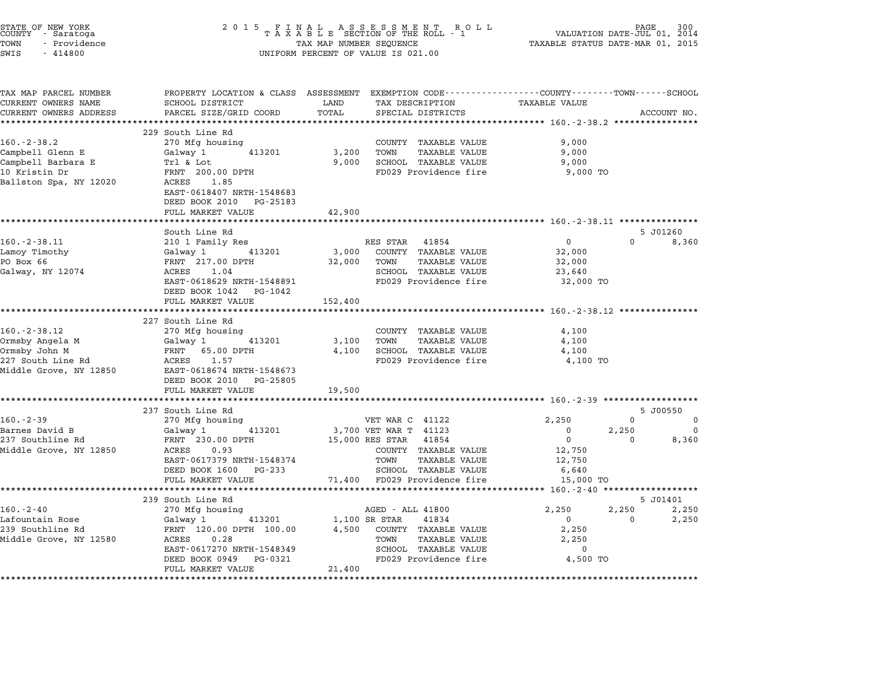| STATE OF NEW YORK<br>COUNTY - Saratoga<br>TOWN<br>- Providence<br>SWIS<br>$-414800$ | 2 0 1 5<br>FINAL ASSESSMENT RO<br>TAXABLE SECTION OF THE ROLL - 1<br>TAX MAP NUMBER SEQUENCE<br>UNIFORM PERCENT OF VALUE IS 021.00 | PAGE<br>300<br>R O L L<br>VALUATION DATE-JUL 01, 2014<br>TAXABLE STATUS DATE-MAR 01, 2015 |                                                      |                |          |                   |
|-------------------------------------------------------------------------------------|------------------------------------------------------------------------------------------------------------------------------------|-------------------------------------------------------------------------------------------|------------------------------------------------------|----------------|----------|-------------------|
| TAX MAP PARCEL NUMBER<br>CURRENT OWNERS NAME                                        | PROPERTY LOCATION & CLASS ASSESSMENT EXEMPTION CODE---------------COUNTY-------TOWN------SCHOOL<br>SCHOOL DISTRICT                 | LAND                                                                                      | TAX DESCRIPTION                                      | TAXABLE VALUE  |          |                   |
| CURRENT OWNERS ADDRESS                                                              | PARCEL SIZE/GRID COORD                                                                                                             | TOTAL                                                                                     | SPECIAL DISTRICTS                                    |                |          | ACCOUNT NO.       |
|                                                                                     |                                                                                                                                    | *********                                                                                 |                                                      |                |          |                   |
|                                                                                     | 229 South Line Rd                                                                                                                  |                                                                                           |                                                      |                |          |                   |
| $160.-2-38.2$                                                                       | 270 Mfg housing                                                                                                                    |                                                                                           | COUNTY TAXABLE VALUE                                 | 9,000          |          |                   |
| Campbell Glenn E<br>Campbell Barbara E                                              | Galway 1<br>413201                                                                                                                 | 3,200<br>9,000                                                                            | TOWN<br><b>TAXABLE VALUE</b><br>SCHOOL TAXABLE VALUE | 9,000<br>9,000 |          |                   |
| 10 Kristin Dr                                                                       | Trl & Lot<br>FRNT 200.00 DPTH                                                                                                      |                                                                                           | FD029 Providence fire                                | 9,000 TO       |          |                   |
| Ballston Spa, NY 12020                                                              | ACRES 1.85                                                                                                                         |                                                                                           |                                                      |                |          |                   |
|                                                                                     | EAST-0618407 NRTH-1548683                                                                                                          |                                                                                           |                                                      |                |          |                   |
|                                                                                     | DEED BOOK 2010 PG-25183                                                                                                            |                                                                                           |                                                      |                |          |                   |
|                                                                                     | FULL MARKET VALUE                                                                                                                  | 42,900                                                                                    |                                                      |                |          |                   |
|                                                                                     |                                                                                                                                    |                                                                                           |                                                      |                |          |                   |
| $160. - 2 - 38.11$                                                                  | South Line Rd<br>210 1 Family Res                                                                                                  |                                                                                           | RES STAR 41854                                       | $\mathbf 0$    | $\Omega$ | 5 J01260<br>8,360 |
| Lamoy Timothy                                                                       | Galway 1<br>413201                                                                                                                 | 3,000                                                                                     | COUNTY TAXABLE VALUE                                 | 32,000         |          |                   |
| PO Box 66                                                                           | FRNT 217.00 DPTH                                                                                                                   | 32,000                                                                                    | <b>TAXABLE VALUE</b><br>TOWN                         | 32,000         |          |                   |
| Galway, NY 12074                                                                    | ACRES 1.04                                                                                                                         |                                                                                           | SCHOOL TAXABLE VALUE                                 | 23,640         |          |                   |
|                                                                                     | EAST-0618629 NRTH-1548891                                                                                                          |                                                                                           | FD029 Providence fire                                | 32,000 TO      |          |                   |
|                                                                                     | DEED BOOK 1042 PG-1042                                                                                                             |                                                                                           |                                                      |                |          |                   |
|                                                                                     | FULL MARKET VALUE                                                                                                                  | 152,400                                                                                   |                                                      |                |          |                   |
|                                                                                     |                                                                                                                                    |                                                                                           |                                                      |                |          |                   |
| $160. - 2 - 38.12$                                                                  | 227 South Line Rd<br>270 Mfg housing                                                                                               |                                                                                           | COUNTY TAXABLE VALUE                                 | 4,100          |          |                   |
| Ormsby Angela M                                                                     | Galway 1<br>413201                                                                                                                 | 3,100                                                                                     | TOWN<br><b>TAXABLE VALUE</b>                         | 4,100          |          |                   |
| Ormsby John M                                                                       | FRNT<br>65.00 DPTH                                                                                                                 | 4,100                                                                                     | SCHOOL TAXABLE VALUE                                 | 4,100          |          |                   |
| 227 South Line Rd                                                                   | ACRES 1.57                                                                                                                         |                                                                                           | FD029 Providence fire                                | 4,100 TO       |          |                   |
| Middle Grove, NY 12850                                                              | EAST-0618674 NRTH-1548673                                                                                                          |                                                                                           |                                                      |                |          |                   |
|                                                                                     | DEED BOOK 2010 PG-25805                                                                                                            |                                                                                           |                                                      |                |          |                   |
|                                                                                     | FULL MARKET VALUE                                                                                                                  | 19,500                                                                                    |                                                      |                |          |                   |
|                                                                                     |                                                                                                                                    |                                                                                           |                                                      |                |          |                   |
| $160. -2 - 39$                                                                      | 237 South Line Rd<br>270 Mfg housing                                                                                               |                                                                                           | VET WAR C 41122                                      | 2,250          | $\Omega$ | 5 J00550<br>0     |
| Barnes David B                                                                      | Galway 1<br>413201                                                                                                                 |                                                                                           | 3,700 VET WAR T 41123                                | $\mathbf 0$    | 2,250    | $\Omega$          |
| 237 Southline Rd                                                                    | FRNT 230.00 DPTH                                                                                                                   |                                                                                           | 15,000 RES STAR 41854                                | $\mathbf 0$    | $\Omega$ | 8,360             |
| Middle Grove, NY 12850                                                              | ACRES<br>0.93                                                                                                                      |                                                                                           | COUNTY TAXABLE VALUE                                 | 12,750         |          |                   |
|                                                                                     | EAST-0617379 NRTH-1548374                                                                                                          |                                                                                           | TOWN<br>TAXABLE VALUE                                | 12,750         |          |                   |
|                                                                                     | DEED BOOK 1600 PG-233                                                                                                              |                                                                                           | SCHOOL TAXABLE VALUE                                 | 6,640          |          |                   |
|                                                                                     | FULL MARKET VALUE                                                                                                                  |                                                                                           | 71,400 FD029 Providence fire                         | 15,000 TO      |          |                   |
|                                                                                     | ************************                                                                                                           |                                                                                           |                                                      |                |          |                   |
| $160. - 2 - 40$                                                                     | 239 South Line Rd<br>270 Mfg housing                                                                                               |                                                                                           | AGED - ALL 41800                                     | 2,250          | 2,250    | 5 J01401<br>2,250 |
| Lafountain Rose                                                                     | Galway 1<br>413201                                                                                                                 |                                                                                           | 1,100 SR STAR<br>41834                               | $\overline{0}$ | $\Omega$ | 2,250             |
| 239 Southline Rd                                                                    | FRNT 120.00 DPTH 100.00                                                                                                            | 4,500                                                                                     | COUNTY TAXABLE VALUE                                 | 2,250          |          |                   |
| Middle Grove, NY 12580                                                              | ACRES<br>0.28                                                                                                                      |                                                                                           | <b>TAXABLE VALUE</b><br>TOWN                         | 2,250          |          |                   |
|                                                                                     | EAST-0617270 NRTH-1548349                                                                                                          |                                                                                           | SCHOOL TAXABLE VALUE                                 | $\mathbf 0$    |          |                   |
|                                                                                     | DEED BOOK 0949<br>PG-0321                                                                                                          | 21,400                                                                                    | FD029 Providence fire                                | 4,500 TO       |          |                   |
|                                                                                     | FULL MARKET VALUE                                                                                                                  |                                                                                           |                                                      |                |          |                   |

STATE OF NEW YORK <sup>2</sup> <sup>0</sup> <sup>1</sup> 5 F I N A L A S S E S S M E N T R O L L PAGE <sup>300</sup> COUNTY - Saratoga <sup>T</sup> <sup>A</sup> <sup>X</sup> <sup>A</sup> <sup>B</sup> <sup>L</sup> <sup>E</sup> SECTION OF THE ROLL - <sup>1</sup> VALUATION DATE-JUL 01, <sup>2014</sup>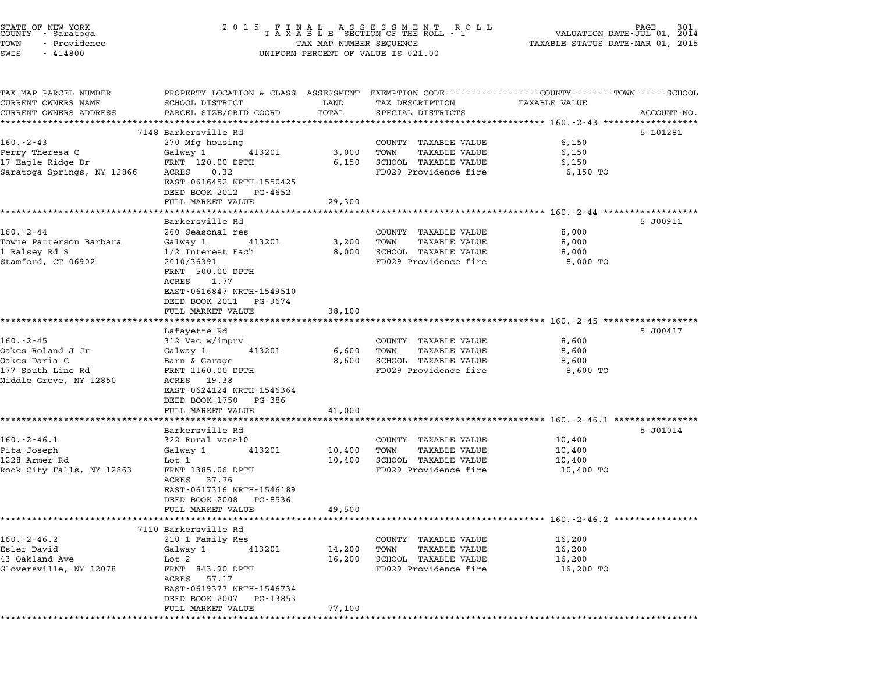| STATE OF NEW YORK<br>COUNTY - Saratoga<br>TOWN<br>- Providence<br>SWIS<br>$-414800$                 | 2015 FINAL ASSESSMENT ROLL<br>TAXABLE SECTION OF THE ROLL - 1<br>TAX MAP NUMBER SEQUENCE<br>UNIFORM PERCENT OF VALUE IS 021.00                                                                                | PAGE                                 | 301<br>VALUATION DATE-JUL 01,<br>2014<br>TAXABLE STATUS DATE-MAR 01, 2015                             |                                                                                                                                |  |
|-----------------------------------------------------------------------------------------------------|---------------------------------------------------------------------------------------------------------------------------------------------------------------------------------------------------------------|--------------------------------------|-------------------------------------------------------------------------------------------------------|--------------------------------------------------------------------------------------------------------------------------------|--|
| TAX MAP PARCEL NUMBER<br>CURRENT OWNERS NAME<br>CURRENT OWNERS ADDRESS                              | SCHOOL DISTRICT<br>PARCEL SIZE/GRID COORD<br>****************                                                                                                                                                 | LAND<br>TOTAL                        | TAX DESCRIPTION<br>SPECIAL DISTRICTS                                                                  | PROPERTY LOCATION & CLASS ASSESSMENT EXEMPTION CODE---------------COUNTY-------TOWN-----SCHOOL<br>TAXABLE VALUE<br>ACCOUNT NO. |  |
| $160 - 2 - 43$<br>Perry Theresa C<br>17 Eagle Ridge Dr<br>Saratoga Springs, NY 12866                | 7148 Barkersville Rd<br>270 Mfg housing<br>Galway 1<br>413201<br>FRNT 120.00 DPTH<br>ACRES<br>0.32<br>EAST-0616452 NRTH-1550425<br>DEED BOOK 2012<br>PG-4652<br>FULL MARKET VALUE                             | 3,000<br>6,150<br>29,300             | COUNTY TAXABLE VALUE<br>TOWN<br><b>TAXABLE VALUE</b><br>SCHOOL TAXABLE VALUE<br>FD029 Providence fire | ********************************* 160.-2-43 ***********<br>5 L01281<br>6,150<br>6,150<br>6,150<br>6,150 TO                     |  |
| $160 - 2 - 44$<br>Towne Patterson Barbara<br>1 Ralsey Rd S<br>Stamford, CT 06902                    | Barkersville Rd<br>260 Seasonal res<br>Galway 1<br>413201<br>1/2 Interest Each<br>2010/36391<br>FRNT 500.00 DPTH<br>ACRES<br>1.77<br>EAST-0616847 NRTH-1549510<br>DEED BOOK 2011 PG-9674<br>FULL MARKET VALUE | 3,200<br>8,000<br>38,100             | COUNTY TAXABLE VALUE<br>TOWN<br>TAXABLE VALUE<br><b>SCHOOL TAXABLE VALUE</b><br>FD029 Providence fire | 5 J00911<br>8,000<br>8,000<br>8,000<br>8,000 TO                                                                                |  |
| $160 - 2 - 45$<br>Oakes Roland J Jr<br>Oakes Daria C<br>177 South Line Rd<br>Middle Grove, NY 12850 | *******************<br>Lafayette Rd<br>312 Vac w/imprv<br>Galway 1<br>413201<br>Barn & Garage<br>FRNT 1160.00 DPTH<br>ACRES 19.38<br>EAST-0624124 NRTH-1546364<br>DEED BOOK 1750 PG-386                       | 6,600<br>8,600                       | COUNTY TAXABLE VALUE<br>TOWN<br>TAXABLE VALUE<br>SCHOOL TAXABLE VALUE<br>FD029 Providence fire        | ************************** 160.-2-45 *******************<br>5 J00417<br>8,600<br>8,600<br>8,600<br>8,600 TO                    |  |
| $160.-2-46.1$<br>Pita Joseph<br>1228 Armer Rd<br>Rock City Falls, NY 12863                          | FULL MARKET VALUE<br>Barkersville Rd<br>322 Rural vac>10<br>Galway 1<br>413201<br>Lot 1<br>FRNT 1385.06 DPTH<br>ACRES 37.76<br>EAST-0617316 NRTH-1546189<br>DEED BOOK 2008<br>PG-8536<br>FULL MARKET VALUE    | 41,000<br>10,400<br>10,400<br>49,500 | COUNTY TAXABLE VALUE<br>TOWN<br><b>TAXABLE VALUE</b><br>SCHOOL TAXABLE VALUE<br>FD029 Providence fire | ************************* 160.-2-46.1 *****************<br>5 J01014<br>10,400<br>10,400<br>10,400<br>10,400 TO                 |  |
| $160. - 2 - 46.2$<br>Esler David<br>43 Oakland Ave<br>Gloversville, NY 12078                        | 7110 Barkersville Rd<br>210 1 Family Res<br>Galway 1<br>413201<br>Lot 2<br>FRNT 843.90 DPTH<br>ACRES<br>57.17<br>EAST-0619377 NRTH-1546734<br>DEED BOOK 2007 PG-13853<br>FULL MARKET VALUE                    | 14,200<br>16,200<br>77,100           | COUNTY TAXABLE VALUE<br>TOWN<br>TAXABLE VALUE<br>SCHOOL TAXABLE VALUE<br>FD029 Providence fire        | ***************** 160.-2-46.2 *****************<br>16,200<br>16,200<br>16,200<br>16,200 TO                                     |  |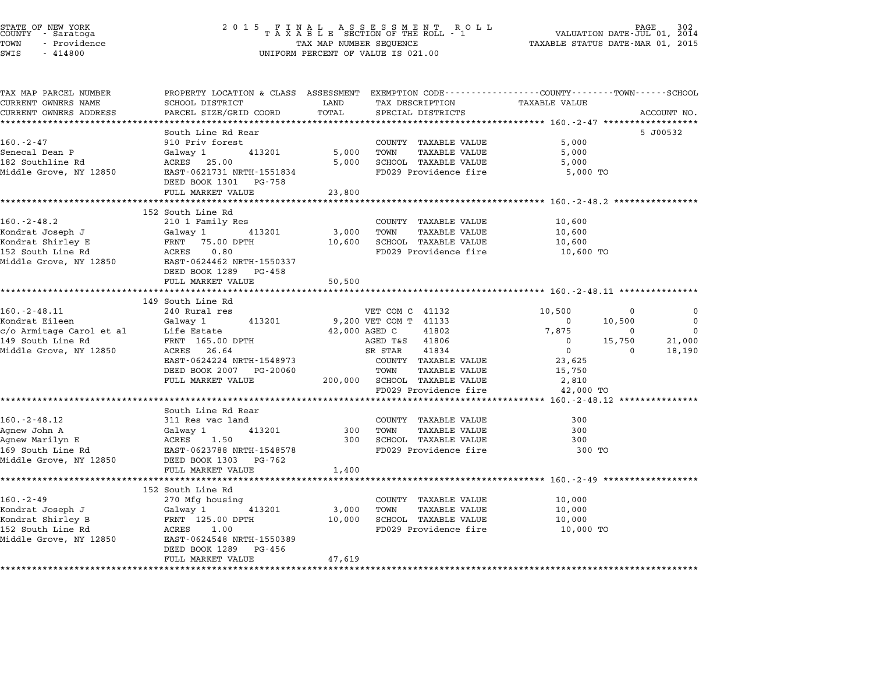|                      | STATE OF NEW YORK |  |
|----------------------|-------------------|--|
| COUNTY               | - Saratoga        |  |
| TOWN                 | - Providence      |  |
| $\sim$ $\sim$ $\sim$ | 111000            |  |

# STATE OF NEW YORK <sup>2</sup> <sup>0</sup> <sup>1</sup> 5 F I N A L A S S E S S M E N T R O L L PAGE <sup>302</sup> COUNTY - Saratoga <sup>T</sup> <sup>A</sup> <sup>X</sup> <sup>A</sup> <sup>B</sup> <sup>L</sup> <sup>E</sup> SECTION OF THE ROLL - <sup>1</sup> VALUATION DATE-JUL 01, <sup>2014</sup> TOWN - Providence TAX MAP NUMBER SEQUENCE TAXABLE STATUS DATE-MAR 01, <sup>2015</sup> SWIS - <sup>414800</sup> UNIFORM PERCENT OF VALUE IS 021.00

| TAX MAP PARCEL NUMBER<br>CURRENT OWNERS NAME | PROPERTY LOCATION & CLASS ASSESSMENT EXEMPTION CODE----------------COUNTY-------TOWN-----SCHOOL<br>SCHOOL DISTRICT                                                                                                | LAND           | TAX DESCRIPTION TAXABLE VALUE                     |                                                         |                         |
|----------------------------------------------|-------------------------------------------------------------------------------------------------------------------------------------------------------------------------------------------------------------------|----------------|---------------------------------------------------|---------------------------------------------------------|-------------------------|
| CURRENT OWNERS ADDRESS                       | PARCEL SIZE/GRID COORD                                                                                                                                                                                            | TOTAL          | SPECIAL DISTRICTS                                 |                                                         | ACCOUNT NO.             |
|                                              |                                                                                                                                                                                                                   |                |                                                   |                                                         |                         |
|                                              | South Line Rd Rear                                                                                                                                                                                                |                |                                                   |                                                         | 5 J00532                |
| $160 - 2 - 47$                               | 910 Priv forest                                                                                                                                                                                                   |                | COUNTY TAXABLE VALUE                              | 5,000                                                   |                         |
| Senecal Dean P                               | Galway 1 413201                                                                                                                                                                                                   |                | 5,000 TOWN TAXABLE VALUE                          | 5,000                                                   |                         |
| 182 Southline Rd                             | ACRES 25.00                                                                                                                                                                                                       |                | 5,000 SCHOOL TAXABLE VALUE                        | 5,000                                                   |                         |
| Middle Grove, NY 12850                       | EAST-0621731 NRTH-1551834<br>DEED BOOK 1301 PG-758                                                                                                                                                                |                | FD029 Providence fire                             | 5,000 TO                                                |                         |
|                                              | FULL MARKET VALUE                                                                                                                                                                                                 | 23,800         |                                                   |                                                         |                         |
|                                              | **************************                                                                                                                                                                                        | ************** |                                                   |                                                         |                         |
| $160 - 2 - 48.2$                             | 152 South Line Rd                                                                                                                                                                                                 |                |                                                   | 10,600                                                  |                         |
|                                              | 210 1 Family Res                                                                                                                                                                                                  |                | COUNTY TAXABLE VALUE                              | 10,600                                                  |                         |
|                                              |                                                                                                                                                                                                                   |                |                                                   | 10,600                                                  |                         |
|                                              |                                                                                                                                                                                                                   |                |                                                   | 10,600 TO                                               |                         |
|                                              | Middle Grove, NY 12850 EAST-0624462 NRTH-1550337                                                                                                                                                                  |                |                                                   |                                                         |                         |
|                                              | DEED BOOK 1289 PG-458                                                                                                                                                                                             |                |                                                   |                                                         |                         |
|                                              | FULL MARKET VALUE                                                                                                                                                                                                 | 50,500         |                                                   |                                                         |                         |
|                                              |                                                                                                                                                                                                                   |                |                                                   |                                                         |                         |
|                                              | 149 South Line Rd                                                                                                                                                                                                 |                |                                                   |                                                         |                         |
| $160. - 2 - 48.11$                           | 240 Rural res                                                                                                                                                                                                     |                | VET COM C 41132                                   | 10,500<br>$\Omega$                                      | $\Omega$                |
|                                              |                                                                                                                                                                                                                   |                |                                                   | $\sim$ 0<br>10,500                                      | $\overline{\mathbf{0}}$ |
|                                              | Eileen Galway 1 413201 9,200 VET COM T 41133<br>c/o Armitage Carol et al Life Estate 42,000 AGED C 41802<br>149 South Line Rd FRNT 165.00 DPTH AGED T&S 41806<br>Middle Grove, NY 12850 ACRES 26.64 SR STAR 41834 |                |                                                   | 7,875<br>$\mathbf{0}$                                   | $\mathbf 0$             |
|                                              |                                                                                                                                                                                                                   |                | AGED T&S 41806                                    | $\begin{bmatrix} 0 & 15,750 \\ 0 & 0 & 0 \end{bmatrix}$ | 21,000                  |
| Middle Grove, NY 12850                       |                                                                                                                                                                                                                   |                |                                                   |                                                         | 18,190                  |
|                                              | EAST-0624224 NRTH-1548973                                                                                                                                                                                         |                | COUNTY TAXABLE VALUE                              | 23,625                                                  |                         |
|                                              | DEED BOOK 2007 PG-20060                                                                                                                                                                                           |                | TOWN<br>TAXABLE VALUE                             | 15,750                                                  |                         |
|                                              | FULL MARKET VALUE $200,000$ SCHOOL TAXABLE VALUE                                                                                                                                                                  |                |                                                   | 2,810                                                   |                         |
|                                              | ******************************                                                                                                                                                                                    |                | FD029 Providence fire                             | 42,000 TO                                               |                         |
|                                              |                                                                                                                                                                                                                   |                |                                                   |                                                         |                         |
| $160. -2 - 48.12$                            | South Line Rd Rear                                                                                                                                                                                                |                |                                                   | 300                                                     |                         |
| Agnew John A                                 | 311 Res vac land                                                                                                                                                                                                  |                | COUNTY TAXABLE VALUE<br>300 TOWN<br>TAXABLE VALUE | 300                                                     |                         |
| Agnew Marilyn E                              |                                                                                                                                                                                                                   |                | 300 SCHOOL TAXABLE VALUE                          | 300                                                     |                         |
|                                              |                                                                                                                                                                                                                   |                | FD029 Providence fire                             | 300 TO                                                  |                         |
|                                              | Middle Grove, NY 12850 DEED BOOK 1303 PG-762                                                                                                                                                                      |                |                                                   |                                                         |                         |
|                                              | FULL MARKET VALUE                                                                                                                                                                                                 | 1,400          |                                                   |                                                         |                         |
|                                              | *****************************                                                                                                                                                                                     | ************** |                                                   |                                                         |                         |
|                                              | 152 South Line Rd                                                                                                                                                                                                 |                |                                                   |                                                         |                         |
| $160 - 2 - 49$                               | 270 Mfg housing                                                                                                                                                                                                   |                | COUNTY TAXABLE VALUE                              | 10,000                                                  |                         |
|                                              |                                                                                                                                                                                                                   |                |                                                   | 10,000                                                  |                         |
|                                              |                                                                                                                                                                                                                   |                |                                                   | 10,000                                                  |                         |
|                                              | 160.-2-49<br>Xondrat Joseph J (Galway 1 413201 3,000 TOWN TAXABLE VALUE<br>Xondrat Shirley B FRNT 125.00 DPTH 10,000 SCHOOL TAXABLE VALUE<br>152 South Line Rd ACRES 1.00 TED029 Providence fire                  |                |                                                   | 10,000 TO                                               |                         |
|                                              | Middle Grove, NY 12850 EAST-0624548 NRTH-1550389                                                                                                                                                                  |                |                                                   |                                                         |                         |
|                                              | DEED BOOK 1289 PG-456                                                                                                                                                                                             |                |                                                   |                                                         |                         |
|                                              | FULL MARKET VALUE                                                                                                                                                                                                 | 47,619         |                                                   |                                                         |                         |
|                                              |                                                                                                                                                                                                                   |                |                                                   |                                                         |                         |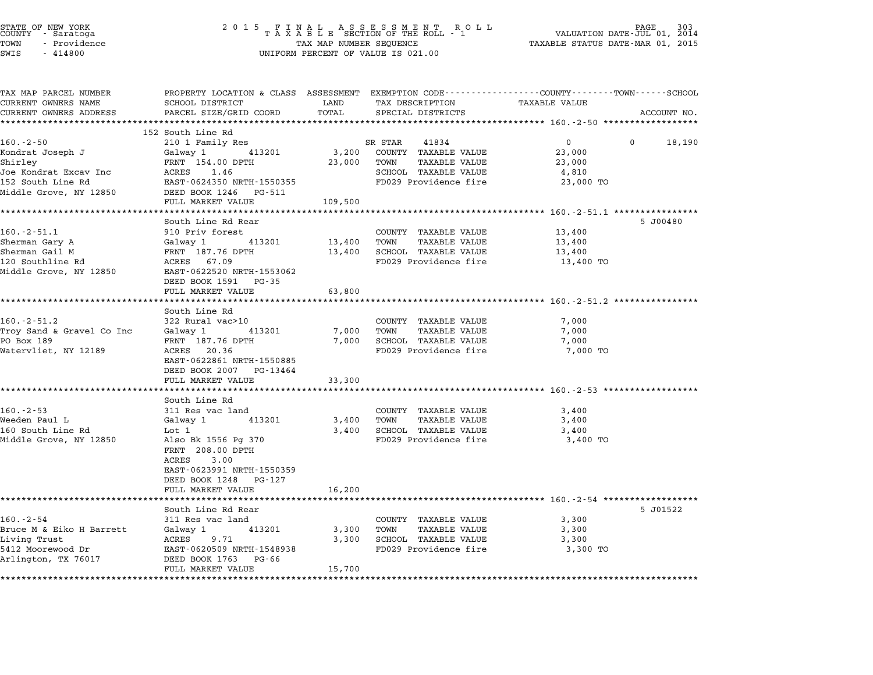| STATE OF NEW YORK<br>COUNTY - Saratoga<br>TOWN<br>- Providence<br>SWIS<br>$-414800$ | 2 0 1 5<br>FINAL ASSESSMENT RO<br>TAXABLE SECTION OF THE ROLL - 1<br>R O L L<br>TAX MAP NUMBER SEQUENCE<br>UNIFORM PERCENT OF VALUE IS 021.00 |                  |                                                      | PAGE<br>VALUATION DATE-JUL 01, 2014<br>TAXABLE STATUS DATE-MAR 01, 2015 |                    |  |
|-------------------------------------------------------------------------------------|-----------------------------------------------------------------------------------------------------------------------------------------------|------------------|------------------------------------------------------|-------------------------------------------------------------------------|--------------------|--|
| TAX MAP PARCEL NUMBER<br>CURRENT OWNERS NAME                                        | PROPERTY LOCATION & CLASS ASSESSMENT EXEMPTION CODE---------------COUNTY-------TOWN-----SCHOOL<br>SCHOOL DISTRICT                             | LAND             | TAX DESCRIPTION                                      | <b>TAXABLE VALUE</b>                                                    |                    |  |
| CURRENT OWNERS ADDRESS                                                              | PARCEL SIZE/GRID COORD                                                                                                                        | TOTAL            | SPECIAL DISTRICTS                                    |                                                                         | ACCOUNT NO.        |  |
|                                                                                     |                                                                                                                                               |                  |                                                      |                                                                         |                    |  |
|                                                                                     | 152 South Line Rd                                                                                                                             |                  |                                                      |                                                                         |                    |  |
| $160.-2-50$                                                                         | 210 1 Family Res                                                                                                                              |                  | SR STAR<br>41834                                     | 0                                                                       | 18,190<br>$\Omega$ |  |
| Kondrat Joseph J<br>Shirley                                                         | Galway 1<br>413201<br>FRNT 154.00 DPTH                                                                                                        | 3,200<br>23,000  | COUNTY TAXABLE VALUE<br>TOWN<br>TAXABLE VALUE        | 23,000<br>23,000                                                        |                    |  |
| Joe Kondrat Excav Inc                                                               | ACRES 1.46                                                                                                                                    |                  | SCHOOL TAXABLE VALUE                                 | 4,810                                                                   |                    |  |
| 152 South Line Rd                                                                   | EAST-0624350 NRTH-1550355                                                                                                                     |                  | FD029 Providence fire                                | 23,000 TO                                                               |                    |  |
| Middle Grove, NY 12850                                                              | DEED BOOK 1246<br>PG-511                                                                                                                      |                  |                                                      |                                                                         |                    |  |
|                                                                                     | FULL MARKET VALUE                                                                                                                             | 109,500          |                                                      |                                                                         |                    |  |
|                                                                                     | ****************                                                                                                                              | ********         |                                                      | ********** 160.-2-51.1 ****************                                 |                    |  |
|                                                                                     | South Line Rd Rear                                                                                                                            |                  |                                                      |                                                                         | 5 J00480           |  |
| $160.-2-51.1$                                                                       | 910 Priv forest                                                                                                                               |                  | COUNTY TAXABLE VALUE                                 | 13,400                                                                  |                    |  |
| Sherman Gary A<br>Sherman Gail M                                                    | Galway 1<br>413201<br>FRNT 187.76 DPTH                                                                                                        | 13,400<br>13,400 | TOWN<br>TAXABLE VALUE<br>SCHOOL TAXABLE VALUE        | 13,400<br>13,400                                                        |                    |  |
| 120 Southline Rd                                                                    | ACRES 67.09                                                                                                                                   |                  | FD029 Providence fire                                | 13,400 TO                                                               |                    |  |
| Middle Grove, NY 12850                                                              | EAST-0622520 NRTH-1553062                                                                                                                     |                  |                                                      |                                                                         |                    |  |
|                                                                                     | DEED BOOK 1591<br>PG-35                                                                                                                       |                  |                                                      |                                                                         |                    |  |
|                                                                                     | FULL MARKET VALUE                                                                                                                             | 63,800           |                                                      |                                                                         |                    |  |
|                                                                                     | **********************                                                                                                                        |                  |                                                      |                                                                         |                    |  |
|                                                                                     | South Line Rd                                                                                                                                 |                  |                                                      |                                                                         |                    |  |
| $160. - 2 - 51.2$<br>Troy Sand & Gravel Co Inc                                      | 322 Rural vac>10<br>Galway 1<br>413201                                                                                                        | 7,000            | COUNTY TAXABLE VALUE<br>TOWN<br><b>TAXABLE VALUE</b> | 7,000<br>7,000                                                          |                    |  |
| PO Box 189                                                                          | FRNT 187.76 DPTH                                                                                                                              | 7,000            | SCHOOL TAXABLE VALUE                                 | 7,000                                                                   |                    |  |
| Watervliet, NY 12189                                                                | ACRES 20.36                                                                                                                                   |                  | FD029 Providence fire                                | 7,000 TO                                                                |                    |  |
|                                                                                     | EAST-0622861 NRTH-1550885                                                                                                                     |                  |                                                      |                                                                         |                    |  |
|                                                                                     | DEED BOOK 2007<br>PG-13464                                                                                                                    |                  |                                                      |                                                                         |                    |  |
|                                                                                     | FULL MARKET VALUE                                                                                                                             | 33,300           |                                                      |                                                                         |                    |  |
|                                                                                     | .                                                                                                                                             | ********         |                                                      | ********************* 160.-2-53 ************                            |                    |  |
|                                                                                     | South Line Rd                                                                                                                                 |                  |                                                      |                                                                         |                    |  |
| $160. -2 - 53$<br>Weeden Paul L                                                     | 311 Res vac land<br>413201<br>Galway 1                                                                                                        | 3,400            | COUNTY TAXABLE VALUE<br>TOWN<br><b>TAXABLE VALUE</b> | 3,400<br>3,400                                                          |                    |  |
| 160 South Line Rd                                                                   | Lot 1                                                                                                                                         | 3,400            | SCHOOL TAXABLE VALUE                                 | 3,400                                                                   |                    |  |
| Middle Grove, NY 12850                                                              | Also Bk 1556 Pg 370                                                                                                                           |                  | FD029 Providence fire                                | 3,400 TO                                                                |                    |  |
|                                                                                     | FRNT 208.00 DPTH                                                                                                                              |                  |                                                      |                                                                         |                    |  |
|                                                                                     | ACRES<br>3.00                                                                                                                                 |                  |                                                      |                                                                         |                    |  |
|                                                                                     | EAST-0623991 NRTH-1550359                                                                                                                     |                  |                                                      |                                                                         |                    |  |
|                                                                                     | DEED BOOK 1248<br>PG-127                                                                                                                      |                  |                                                      |                                                                         |                    |  |
|                                                                                     | FULL MARKET VALUE                                                                                                                             | 16,200           |                                                      |                                                                         |                    |  |
|                                                                                     |                                                                                                                                               |                  |                                                      | ************************************50.-2-54 ******************         |                    |  |
| 160.-2-54                                                                           | South Line Rd Rear<br>311 Res vac land                                                                                                        |                  | COUNTY TAXABLE VALUE                                 | 3,300                                                                   | 5 J01522           |  |
| Bruce M & Eiko H Barrett                                                            | 413201<br>Galway 1                                                                                                                            | 3,300            | TOWN<br><b>TAXABLE VALUE</b>                         | 3,300                                                                   |                    |  |
| Living Trust                                                                        | ACRES<br>9.71                                                                                                                                 | 3,300            | SCHOOL TAXABLE VALUE                                 | 3,300                                                                   |                    |  |
| 5412 Moorewood Dr                                                                   | EAST-0620509 NRTH-1548938                                                                                                                     |                  | FD029 Providence fire                                | 3,300 TO                                                                |                    |  |
| Arlington, TX 76017                                                                 | DEED BOOK 1763<br>PG-66                                                                                                                       |                  |                                                      |                                                                         |                    |  |
|                                                                                     | FULL MARKET VALUE                                                                                                                             | 15,700           |                                                      |                                                                         |                    |  |
|                                                                                     |                                                                                                                                               |                  |                                                      |                                                                         |                    |  |

STATE OF NEW YORK <sup>2</sup> <sup>0</sup> <sup>1</sup> 5 F I N A L A S S E S S M E N T R O L L PAGE <sup>303</sup> COUNTY - Saratoga <sup>T</sup> <sup>A</sup> <sup>X</sup> <sup>A</sup> <sup>B</sup> <sup>L</sup> <sup>E</sup> SECTION OF THE ROLL - <sup>1</sup> VALUATION DATE-JUL 01, <sup>2014</sup>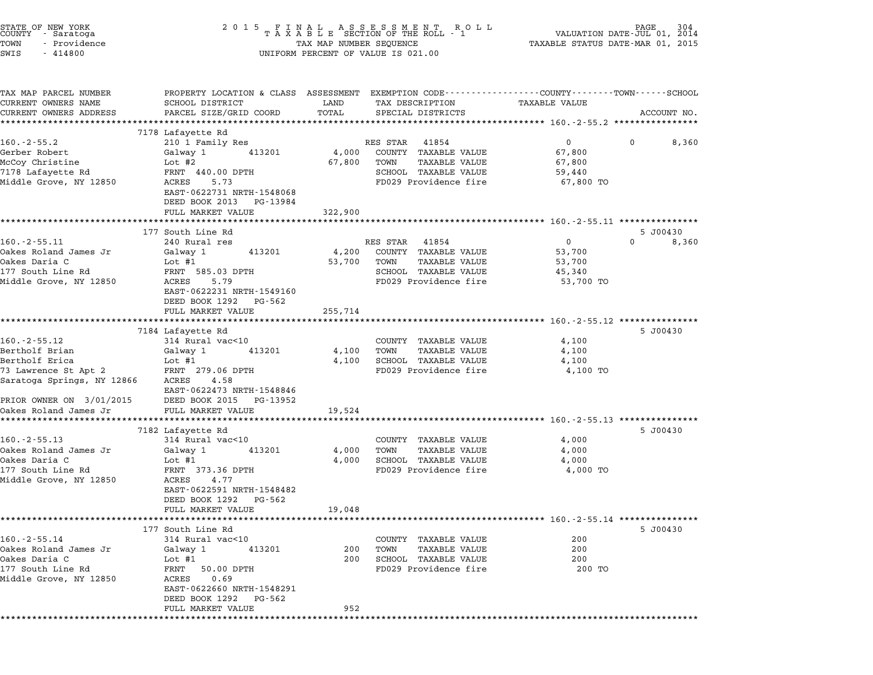| STATE OF NEW YORK<br>COUNTY<br>- Saratoga<br>TOWN<br>- Providence<br>SWIS<br>$-414800$                                                   | 2 0 1 5                                                                                                                                                                                    | TAX MAP NUMBER SEQUENCE    | FINAL ASSESSMENT RO<br>TAXABLE SECTION OF THE ROLL - 1<br>R O L L<br>UNIFORM PERCENT OF VALUE IS 021.00                                 | TAXABLE STATUS DATE-MAR 01, 2015             | 304<br>PAGE<br>VALUATION DATE-JUL 01, 2014 |
|------------------------------------------------------------------------------------------------------------------------------------------|--------------------------------------------------------------------------------------------------------------------------------------------------------------------------------------------|----------------------------|-----------------------------------------------------------------------------------------------------------------------------------------|----------------------------------------------|--------------------------------------------|
| TAX MAP PARCEL NUMBER<br>CURRENT OWNERS NAME<br>CURRENT OWNERS ADDRESS                                                                   | SCHOOL DISTRICT<br>PARCEL SIZE/GRID COORD                                                                                                                                                  | LAND<br>TOTAL              | PROPERTY LOCATION & CLASS ASSESSMENT EXEMPTION CODE---------------COUNTY-------TOWN------SCHOOL<br>TAX DESCRIPTION<br>SPECIAL DISTRICTS | <b>TAXABLE VALUE</b>                         | ACCOUNT NO.                                |
|                                                                                                                                          | 7178 Lafayette Rd                                                                                                                                                                          |                            |                                                                                                                                         |                                              |                                            |
| $160. - 2 - 55.2$<br>Gerber Robert<br>McCoy Christine<br>7178 Lafayette Rd<br>Middle Grove, NY 12850                                     | 210 1 Family Res<br>Galway 1<br>413201<br>Lot #2<br>FRNT 440.00 DPTH<br>5.73<br>ACRES<br>EAST-0622731 NRTH-1548068<br>DEED BOOK 2013<br>PG-13984<br>FULL MARKET VALUE                      | 4,000<br>67,800<br>322,900 | RES STAR<br>41854<br>COUNTY TAXABLE VALUE<br>TOWN<br><b>TAXABLE VALUE</b><br>SCHOOL TAXABLE VALUE<br>FD029 Providence fire              | 0<br>67,800<br>67,800<br>59,440<br>67,800 TO | 0<br>8,360                                 |
|                                                                                                                                          |                                                                                                                                                                                            |                            |                                                                                                                                         |                                              |                                            |
| $160. - 2 - 55.11$<br>Oakes Roland James Jr<br>Oakes Daria C<br>177 South Line Rd<br>Middle Grove, NY 12850                              | 177 South Line Rd<br>240 Rural res<br>Galway 1<br>413201<br>Lot $#1$<br>FRNT 585.03 DPTH<br>ACRES<br>5.79<br>EAST-0622231 NRTH-1549160<br>DEED BOOK 1292<br>PG-562<br>FULL MARKET VALUE    | 4,200<br>53,700<br>255,714 | RES STAR<br>41854<br>COUNTY TAXABLE VALUE<br>TOWN<br>TAXABLE VALUE<br>SCHOOL TAXABLE VALUE<br>FD029 Providence fire                     | 0<br>53,700<br>53,700<br>45,340<br>53,700 TO | 5 J00430<br>0<br>8,360                     |
|                                                                                                                                          | 7184 Lafayette Rd                                                                                                                                                                          |                            |                                                                                                                                         |                                              | 5 J00430                                   |
| $160. - 2 - 55.12$<br>Bertholf Brian<br>Bertholf Erica<br>73 Lawrence St Apt 2<br>Saratoga Springs, NY 12866<br>PRIOR OWNER ON 3/01/2015 | 314 Rural vac<10<br>Galway 1<br>413201<br>Lot #1<br>FRNT 279.06 DPTH<br>4.58<br>ACRES<br>EAST-0622473 NRTH-1548846<br>DEED BOOK 2015<br>PG-13952                                           | 4,100<br>4,100             | COUNTY TAXABLE VALUE<br>TOWN<br>TAXABLE VALUE<br>SCHOOL TAXABLE VALUE<br>FD029 Providence fire                                          | 4,100<br>4,100<br>4,100<br>4,100 TO          |                                            |
| Oakes Roland James Jr                                                                                                                    | FULL MARKET VALUE                                                                                                                                                                          | 19,524                     |                                                                                                                                         |                                              |                                            |
| $160. - 2 - 55.13$<br>Oakes Roland James Jr<br>Oakes Daria C<br>177 South Line Rd<br>Middle Grove, NY 12850                              | 7182 Lafayette Rd<br>314 Rural vac<10<br>413201<br>Galway 1<br>Lot $#1$<br>FRNT 373.36 DPTH<br>ACRES<br>4.77<br>EAST-0622591 NRTH-1548482<br>DEED BOOK 1292<br>PG-562<br>FULL MARKET VALUE | 4,000<br>4,000<br>19,048   | COUNTY TAXABLE VALUE<br>TOWN<br>TAXABLE VALUE<br>SCHOOL TAXABLE VALUE<br>FD029 Providence fire                                          | 4,000<br>4,000<br>4,000<br>4,000 TO          | 5 J00430                                   |
|                                                                                                                                          |                                                                                                                                                                                            | *************              |                                                                                                                                         |                                              |                                            |
| $160. -2 - 55.14$<br>Oakes Roland James Jr<br>Oakes Daria C<br>177 South Line Rd<br>Middle Grove, NY 12850                               | 177 South Line Rd<br>314 Rural vac<10<br>Galway 1<br>413201<br>Lot #1<br>FRNT<br>50.00 DPTH<br>ACRES<br>0.69<br>EAST-0622660 NRTH-1548291<br>DEED BOOK 1292<br>PG-562                      | 200<br>200                 | COUNTY TAXABLE VALUE<br>TOWN<br>TAXABLE VALUE<br>SCHOOL TAXABLE VALUE<br>FD029 Providence fire                                          | 200<br>200<br>200<br>200 TO                  | 5 J00430                                   |
| **********                                                                                                                               | FULL MARKET VALUE                                                                                                                                                                          | 952                        |                                                                                                                                         |                                              | **************************                 |

STATE OF NEW YORK <sup>2</sup> <sup>0</sup> <sup>1</sup> 5 F I N A L A S S E S S M E N T R O L L PAGE <sup>304</sup> COUNTY - Saratoga <sup>T</sup> <sup>A</sup> <sup>X</sup> <sup>A</sup> <sup>B</sup> <sup>L</sup> <sup>E</sup> SECTION OF THE ROLL - <sup>1</sup> VALUATION DATE-JUL 01, <sup>2014</sup>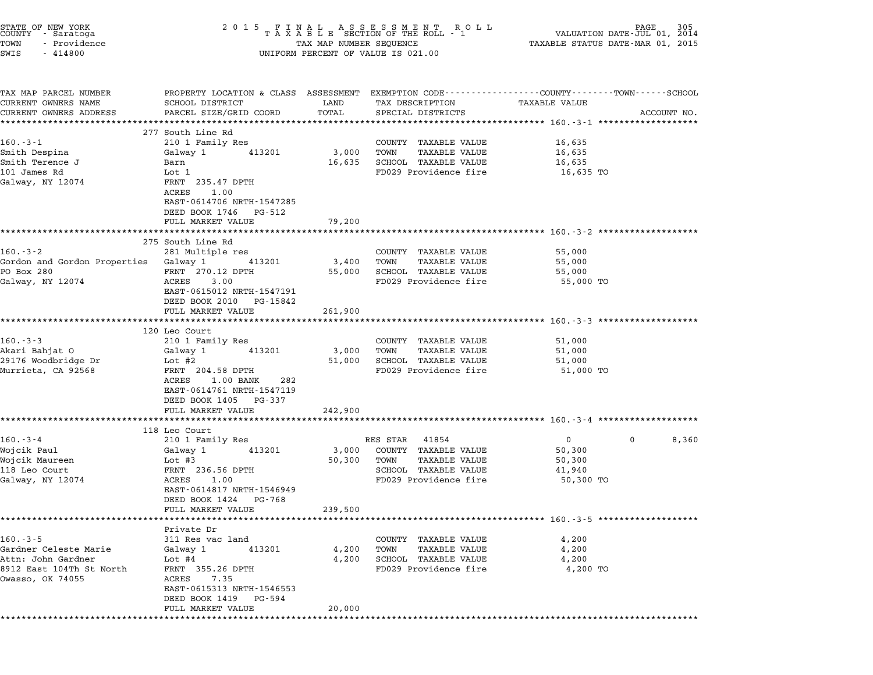| STATE OF NEW YORK<br>COUNTY - Saratoga<br>TOWN<br>- Providence<br>SWIS<br>$-414800$ | 2 0 1 5                                                                                                                                     |               | UNIFORM PERCENT OF VALUE IS 021.00   | FINAL ASSESSMENT ROLL PAGE 305 PAGE 305 PAGE 305 PASA BLE SECTION OF THE ROLL - 1 VALUATION DATE-JUL 01, 2014 |             |
|-------------------------------------------------------------------------------------|---------------------------------------------------------------------------------------------------------------------------------------------|---------------|--------------------------------------|---------------------------------------------------------------------------------------------------------------|-------------|
| TAX MAP PARCEL NUMBER<br>CURRENT OWNERS NAME<br>CURRENT OWNERS ADDRESS              | PROPERTY LOCATION & CLASS ASSESSMENT EXEMPTION CODE---------------COUNTY-------TOWN-----SCHOOL<br>SCHOOL DISTRICT<br>PARCEL SIZE/GRID COORD | LAND<br>TOTAL | TAX DESCRIPTION<br>SPECIAL DISTRICTS | TAXABLE VALUE                                                                                                 | ACCOUNT NO. |
|                                                                                     | **************************<br>277 South Line Rd                                                                                             | ************  |                                      |                                                                                                               |             |
| $160.-3-1$                                                                          | 210 1 Family Res                                                                                                                            |               | COUNTY TAXABLE VALUE                 | 16,635                                                                                                        |             |
| Smith Despina                                                                       | 413201<br>Galway 1                                                                                                                          | 3,000         | <b>TAXABLE VALUE</b><br>TOWN         | 16,635                                                                                                        |             |
| Smith Terence J                                                                     | Barn                                                                                                                                        | 16,635        | SCHOOL TAXABLE VALUE                 | 16,635                                                                                                        |             |
| 101 James Rd                                                                        | Lot 1                                                                                                                                       |               | FD029 Providence fire                | 16,635 TO                                                                                                     |             |
| Galway, NY 12074                                                                    | FRNT 235.47 DPTH<br>ACRES<br>1.00<br>EAST-0614706 NRTH-1547285                                                                              |               |                                      |                                                                                                               |             |
|                                                                                     | DEED BOOK 1746 PG-512                                                                                                                       |               |                                      |                                                                                                               |             |
|                                                                                     | FULL MARKET VALUE                                                                                                                           | 79,200        |                                      |                                                                                                               |             |
|                                                                                     | 275 South Line Rd                                                                                                                           |               |                                      |                                                                                                               |             |
| $160.-3-2$                                                                          | 281 Multiple res                                                                                                                            |               | COUNTY TAXABLE VALUE                 | 55,000                                                                                                        |             |
| Gordon and Gordon Properties Galway 1                                               | 413201                                                                                                                                      | 3,400         | TAXABLE VALUE<br>TOWN                | 55,000                                                                                                        |             |
| PO Box 280                                                                          | FRNT 270.12 DPTH                                                                                                                            | 55,000        | SCHOOL TAXABLE VALUE                 | 55,000                                                                                                        |             |
| Galway, NY 12074                                                                    | 3.00<br>ACRES<br>EAST-0615012 NRTH-1547191<br>DEED BOOK 2010 PG-15842                                                                       |               | FD029 Providence fire                | 55,000 TO                                                                                                     |             |
|                                                                                     | FULL MARKET VALUE                                                                                                                           | 261,900       |                                      |                                                                                                               |             |
|                                                                                     |                                                                                                                                             | *********     |                                      |                                                                                                               |             |
| $160.-3-3$                                                                          | 120 Leo Court<br>210 1 Family Res                                                                                                           |               | COUNTY TAXABLE VALUE                 | 51,000                                                                                                        |             |
| Akari Bahjat O                                                                      | 413201<br>Galway 1                                                                                                                          | 3,000         | <b>TAXABLE VALUE</b><br>TOWN         | 51,000                                                                                                        |             |
| 29176 Woodbridge Dr                                                                 | Lot #2                                                                                                                                      | 51,000        | SCHOOL TAXABLE VALUE                 | 51,000                                                                                                        |             |
| Murrieta, CA 92568                                                                  | FRNT 204.58 DPTH<br>ACRES<br>$1.00$ BANK<br>282<br>EAST-0614761 NRTH-1547119<br>DEED BOOK 1405 PG-337                                       |               | FD029 Providence fire                | 51,000 TO                                                                                                     |             |
|                                                                                     | FULL MARKET VALUE                                                                                                                           | 242,900       |                                      |                                                                                                               |             |
|                                                                                     |                                                                                                                                             |               |                                      |                                                                                                               |             |
| $160.-3-4$                                                                          | 118 Leo Court<br>210 1 Family Res                                                                                                           |               | RES STAR<br>41854                    | $\overline{0}$                                                                                                | 0<br>8,360  |
| Wojcik Paul                                                                         | 413201<br>Galway 1                                                                                                                          | 3,000         | COUNTY TAXABLE VALUE                 | 50,300                                                                                                        |             |
| Wojcik Maureen                                                                      | Lot #3                                                                                                                                      | 50,300        | TOWN<br>TAXABLE VALUE                | 50,300                                                                                                        |             |
| 118 Leo Court                                                                       | FRNT 236.56 DPTH                                                                                                                            |               | SCHOOL TAXABLE VALUE                 | 41,940                                                                                                        |             |
| Galway, NY 12074                                                                    | ACRES<br>1.00                                                                                                                               |               | FD029 Providence fire                | 50,300 TO                                                                                                     |             |
|                                                                                     | EAST-0614817 NRTH-1546949<br>DEED BOOK 1424<br>PG-768                                                                                       |               |                                      |                                                                                                               |             |
|                                                                                     | FULL MARKET VALUE                                                                                                                           | 239,500       |                                      |                                                                                                               |             |
|                                                                                     | Private Dr                                                                                                                                  |               |                                      |                                                                                                               |             |
| $160. -3 - 5$                                                                       | 311 Res vac land                                                                                                                            |               | COUNTY TAXABLE VALUE                 | 4,200                                                                                                         |             |
| Gardner Celeste Marie                                                               | Galway 1<br>413201                                                                                                                          | 4,200         | <b>TAXABLE VALUE</b><br>TOWN         | 4,200                                                                                                         |             |
| Attn: John Gardner                                                                  | Lot $#4$                                                                                                                                    | 4,200         | SCHOOL TAXABLE VALUE                 | 4,200                                                                                                         |             |
| 8912 East 104Th St North<br>Owasso, OK 74055                                        | FRNT 355.26 DPTH<br>ACRES<br>7.35                                                                                                           |               | FD029 Providence fire                | 4,200 TO                                                                                                      |             |
|                                                                                     | EAST-0615313 NRTH-1546553<br>DEED BOOK 1419<br>PG-594                                                                                       |               |                                      |                                                                                                               |             |
|                                                                                     | FULL MARKET VALUE                                                                                                                           | 20,000        |                                      |                                                                                                               |             |
|                                                                                     |                                                                                                                                             |               |                                      |                                                                                                               |             |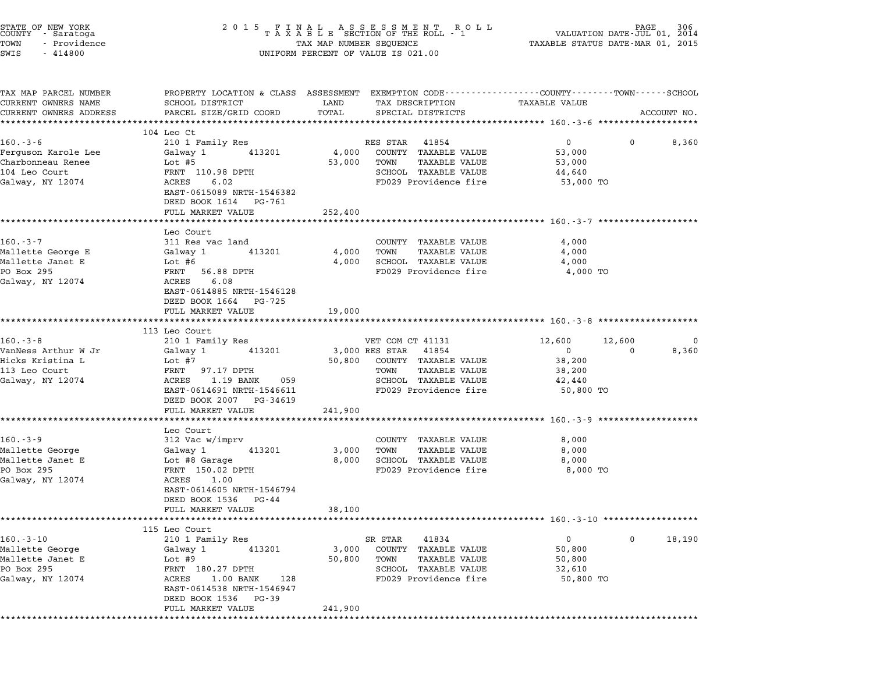| SCHOOL DISTRICT<br>PARCEL SIZE/GRID COORD                                                                                                                        | LAND<br>TOTAL                                                                                                                                 | TAX DESCRIPTION<br>SPECIAL DISTRICTS                                                                  | <b>TAXABLE VALUE</b>                                                                             | ACCOUNT NO.                                                                                                                                                                                                                                                                                                                                                                                                                                                                                                                                                                                                                                                                                                                                                                                                                      |  |
|------------------------------------------------------------------------------------------------------------------------------------------------------------------|-----------------------------------------------------------------------------------------------------------------------------------------------|-------------------------------------------------------------------------------------------------------|--------------------------------------------------------------------------------------------------|----------------------------------------------------------------------------------------------------------------------------------------------------------------------------------------------------------------------------------------------------------------------------------------------------------------------------------------------------------------------------------------------------------------------------------------------------------------------------------------------------------------------------------------------------------------------------------------------------------------------------------------------------------------------------------------------------------------------------------------------------------------------------------------------------------------------------------|--|
|                                                                                                                                                                  |                                                                                                                                               |                                                                                                       |                                                                                                  |                                                                                                                                                                                                                                                                                                                                                                                                                                                                                                                                                                                                                                                                                                                                                                                                                                  |  |
| 210 1 Family Res                                                                                                                                                 |                                                                                                                                               |                                                                                                       | $\overline{0}$<br>$\mathbf 0$                                                                    | 8,360                                                                                                                                                                                                                                                                                                                                                                                                                                                                                                                                                                                                                                                                                                                                                                                                                            |  |
| Galway 1<br>413201<br>Lot $#5$<br>FRNT 110.98 DPTH<br>6.02<br>ACRES<br>EAST-0615089 NRTH-1546382<br>DEED BOOK 1614 PG-761                                        | 4,000<br>53,000                                                                                                                               | COUNTY TAXABLE VALUE<br>TAXABLE VALUE<br>TOWN<br>SCHOOL TAXABLE VALUE                                 | 53,000<br>53,000<br>44,640<br>53,000 TO                                                          |                                                                                                                                                                                                                                                                                                                                                                                                                                                                                                                                                                                                                                                                                                                                                                                                                                  |  |
| FULL MARKET VALUE                                                                                                                                                | 252,400                                                                                                                                       |                                                                                                       |                                                                                                  |                                                                                                                                                                                                                                                                                                                                                                                                                                                                                                                                                                                                                                                                                                                                                                                                                                  |  |
| Leo Court<br>311 Res vac land<br>413201<br>Galway 1<br>Lot #6<br>FRNT 56.88 DPTH<br>6.08<br>ACRES<br>EAST-0614885 NRTH-1546128                                   | 4,000<br>4,000                                                                                                                                | COUNTY TAXABLE VALUE<br><b>TAXABLE VALUE</b><br>TOWN<br>SCHOOL TAXABLE VALUE<br>FD029 Providence fire | 4,000<br>4,000<br>4,000<br>4,000 TO                                                              |                                                                                                                                                                                                                                                                                                                                                                                                                                                                                                                                                                                                                                                                                                                                                                                                                                  |  |
|                                                                                                                                                                  |                                                                                                                                               |                                                                                                       |                                                                                                  |                                                                                                                                                                                                                                                                                                                                                                                                                                                                                                                                                                                                                                                                                                                                                                                                                                  |  |
|                                                                                                                                                                  |                                                                                                                                               |                                                                                                       |                                                                                                  |                                                                                                                                                                                                                                                                                                                                                                                                                                                                                                                                                                                                                                                                                                                                                                                                                                  |  |
|                                                                                                                                                                  |                                                                                                                                               |                                                                                                       |                                                                                                  |                                                                                                                                                                                                                                                                                                                                                                                                                                                                                                                                                                                                                                                                                                                                                                                                                                  |  |
| Galway 1<br>413201<br>Lot #7<br>FRNT 97.17 DPTH<br>1.19 BANK<br>ACRES<br>059<br>EAST-0614691 NRTH-1546611                                                        | 50,800                                                                                                                                        | COUNTY TAXABLE VALUE<br>TAXABLE VALUE<br>TOWN<br>SCHOOL TAXABLE VALUE<br>FD029 Providence fire        | $\overline{0}$<br>$\overline{0}$<br>38,200<br>38,200<br>42,440<br>50,800 TO                      | 0<br>8,360                                                                                                                                                                                                                                                                                                                                                                                                                                                                                                                                                                                                                                                                                                                                                                                                                       |  |
| FULL MARKET VALUE                                                                                                                                                |                                                                                                                                               |                                                                                                       |                                                                                                  |                                                                                                                                                                                                                                                                                                                                                                                                                                                                                                                                                                                                                                                                                                                                                                                                                                  |  |
|                                                                                                                                                                  |                                                                                                                                               |                                                                                                       |                                                                                                  |                                                                                                                                                                                                                                                                                                                                                                                                                                                                                                                                                                                                                                                                                                                                                                                                                                  |  |
| Leo Court<br>312 Vac w/imprv<br>Galway 1<br>413201<br>Lot #8 Garage<br>FRNT 150.02 DPTH<br>ACRES<br>1.00<br>EAST-0614605 NRTH-1546794<br>DEED BOOK 1536<br>PG-44 | 3,000<br>8,000                                                                                                                                | COUNTY TAXABLE VALUE<br>TAXABLE VALUE<br>TOWN<br>SCHOOL TAXABLE VALUE<br>FD029 Providence fire        | 8,000<br>8,000<br>8,000<br>8,000 TO                                                              |                                                                                                                                                                                                                                                                                                                                                                                                                                                                                                                                                                                                                                                                                                                                                                                                                                  |  |
|                                                                                                                                                                  |                                                                                                                                               |                                                                                                       |                                                                                                  |                                                                                                                                                                                                                                                                                                                                                                                                                                                                                                                                                                                                                                                                                                                                                                                                                                  |  |
| 115 Leo Court                                                                                                                                                    |                                                                                                                                               | 41834                                                                                                 | $\overline{0}$<br>0                                                                              | 18,190                                                                                                                                                                                                                                                                                                                                                                                                                                                                                                                                                                                                                                                                                                                                                                                                                           |  |
| 210 1 Family Res                                                                                                                                                 |                                                                                                                                               | SR STAR                                                                                               |                                                                                                  |                                                                                                                                                                                                                                                                                                                                                                                                                                                                                                                                                                                                                                                                                                                                                                                                                                  |  |
|                                                                                                                                                                  | 104 Leo Ct<br>DEED BOOK 1664 PG-725<br>FULL MARKET VALUE<br>113 Leo Court<br>210 1 Family Res<br>DEED BOOK 2007 PG-34619<br>FULL MARKET VALUE | 19,000<br>241,900<br>38,100                                                                           | UNIFORM PERCENT OF VALUE IS 021.00<br>RES STAR 41854<br>VET COM CT 41131<br>3,000 RES STAR 41854 | $\begin{tabular}{lllllllllllllllllllllll} \hline 2&0&1&5&F\ \text{I}\ \text{N}\ \text{A}\ \text{L}\ &\text{A}\ \text{S}\ &\text{B}\ \text{E}\ &\text{S}\ \text{E}\ &\text{S}\ &\text{S}\ &\text{S}\ &\text{S}\ &\text{S}\ &\text{S}\ &\text{S}\ &\text{S}\ &\text{S}\ &\text{S}\ &\text{S}\ &\text{S}\ &\text{S}\ &\text{S}\ &\text{S}\ &\text{S}\ &\text{S}\ &\text{S}\ &\text{S}\ &\text{S}\ &\text{S}\ &\text{S}\ &\$<br>PROPERTY LOCATION & CLASS ASSESSMENT EXEMPTION CODE---------------COUNTY-------TOWN-----SCHOOL<br>FD029 Providence fire<br>******************************** 160.-3-7 **************<br>********************************* 160. -3 -8 *******************<br>12,600<br>12,600<br>******************************** 160.-3-9 ***********<br>******************************* 160.-3-10 ****************** |  |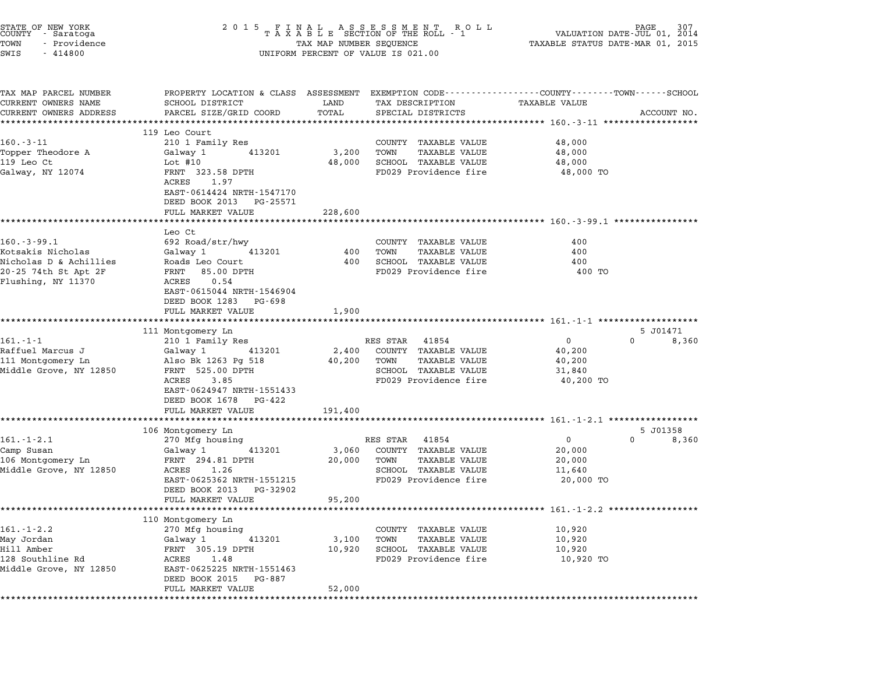| STATE OF NEW YORK<br>COUNTY - Saratoga<br>TOWN<br>- Providence<br>SWIS<br>$-414800$ | 2015 FINAL ASSESSMENT ROLL<br>TAXABLE SECTION OF THE ROLL - 1<br>TAX MAP NUMBER SEQUENCE<br>UNIFORM PERCENT OF VALUE IS 021.00 | PAGE<br>307<br>VALUATION DATE-JUL 01, 2014<br>TAXABLE STATUS DATE-MAR 01, 2015 |                                               |                                                                                                                         |                   |
|-------------------------------------------------------------------------------------|--------------------------------------------------------------------------------------------------------------------------------|--------------------------------------------------------------------------------|-----------------------------------------------|-------------------------------------------------------------------------------------------------------------------------|-------------------|
| TAX MAP PARCEL NUMBER<br>CURRENT OWNERS NAME                                        | SCHOOL DISTRICT                                                                                                                | LAND                                                                           | TAX DESCRIPTION                               | PROPERTY LOCATION & CLASS ASSESSMENT EXEMPTION CODE---------------COUNTY-------TOWN------SCHOOL<br><b>TAXABLE VALUE</b> |                   |
| CURRENT OWNERS ADDRESS                                                              | PARCEL SIZE/GRID COORD                                                                                                         | TOTAL                                                                          | SPECIAL DISTRICTS                             |                                                                                                                         | ACCOUNT NO.       |
|                                                                                     | ****************************                                                                                                   |                                                                                |                                               |                                                                                                                         |                   |
| $160.-3-11$                                                                         | 119 Leo Court<br>210 1 Family Res                                                                                              |                                                                                | COUNTY TAXABLE VALUE                          | 48,000                                                                                                                  |                   |
| Topper Theodore A                                                                   | 413201<br>Galway 1                                                                                                             | 3,200                                                                          | TAXABLE VALUE<br>TOWN                         | 48,000                                                                                                                  |                   |
| 119 Leo Ct                                                                          | Lot #10                                                                                                                        | 48,000                                                                         | SCHOOL TAXABLE VALUE                          | 48,000                                                                                                                  |                   |
| Galway, NY 12074                                                                    | FRNT 323.58 DPTH<br>ACRES<br>1.97<br>EAST-0614424 NRTH-1547170<br>DEED BOOK 2013 PG-25571                                      |                                                                                | FD029 Providence fire                         | 48,000 TO                                                                                                               |                   |
|                                                                                     | FULL MARKET VALUE                                                                                                              | 228,600                                                                        |                                               |                                                                                                                         |                   |
|                                                                                     | Leo Ct                                                                                                                         |                                                                                |                                               |                                                                                                                         |                   |
| $160.-3-99.1$                                                                       | 692 Road/str/hwy                                                                                                               |                                                                                | COUNTY TAXABLE VALUE                          | 400                                                                                                                     |                   |
| Kotsakis Nicholas                                                                   | 413201<br>Galway 1                                                                                                             | 400                                                                            | <b>TAXABLE VALUE</b><br>TOWN                  | 400                                                                                                                     |                   |
| Nicholas D & Achillies                                                              | Roads Leo Court                                                                                                                | 400                                                                            | SCHOOL TAXABLE VALUE                          | 400                                                                                                                     |                   |
| 20-25 74th St Apt 2F<br>Flushing, NY 11370                                          | FRNT<br>85.00 DPTH<br>ACRES<br>0.54<br>EAST-0615044 NRTH-1546904<br>DEED BOOK 1283 PG-698<br>FULL MARKET VALUE                 | 1,900                                                                          | FD029 Providence fire                         | 400 TO                                                                                                                  |                   |
|                                                                                     | ***************************                                                                                                    | **************                                                                 |                                               |                                                                                                                         |                   |
|                                                                                     | 111 Montgomery Ln                                                                                                              |                                                                                |                                               |                                                                                                                         | 5 J01471          |
| $161 - 1 - 1$                                                                       | 210 1 Family Res                                                                                                               |                                                                                | RES STAR 41854                                | $\mathbf{0}$<br>$\Omega$                                                                                                | 8,360             |
| Raffuel Marcus J                                                                    | 413201<br>Galway 1                                                                                                             | 2,400                                                                          | COUNTY TAXABLE VALUE                          | 40,200                                                                                                                  |                   |
| 111 Montgomery Ln<br>Middle Grove, NY 12850                                         | Also Bk 1263 Pg 518<br>FRNT 525.00 DPTH                                                                                        | 40,200                                                                         | TOWN<br>TAXABLE VALUE<br>SCHOOL TAXABLE VALUE | 40,200<br>31,840                                                                                                        |                   |
|                                                                                     | ACRES<br>3.85                                                                                                                  |                                                                                | FD029 Providence fire                         | 40,200 TO                                                                                                               |                   |
|                                                                                     | EAST-0624947 NRTH-1551433<br>DEED BOOK 1678 PG-422                                                                             |                                                                                |                                               |                                                                                                                         |                   |
|                                                                                     | FULL MARKET VALUE                                                                                                              | 191,400                                                                        |                                               |                                                                                                                         |                   |
|                                                                                     | **********************                                                                                                         |                                                                                |                                               |                                                                                                                         |                   |
| $161. - 1 - 2.1$                                                                    | 106 Montgomery Ln<br>270 Mfg housing                                                                                           |                                                                                | RES STAR 41854                                | $\overline{0}$<br>$\mathbf{0}$                                                                                          | 5 J01358<br>8,360 |
| Camp Susan                                                                          | Galway 1<br>413201                                                                                                             | 3,060                                                                          | COUNTY TAXABLE VALUE                          | 20,000                                                                                                                  |                   |
| 106 Montgomery Ln                                                                   | FRNT 294.81 DPTH                                                                                                               | 20,000                                                                         | TOWN<br>TAXABLE VALUE                         | 20,000                                                                                                                  |                   |
| Middle Grove, NY 12850                                                              | ACRES<br>1.26                                                                                                                  |                                                                                | SCHOOL TAXABLE VALUE                          | 11,640                                                                                                                  |                   |
|                                                                                     | EAST-0625362 NRTH-1551215                                                                                                      |                                                                                | FD029 Providence fire                         | 20,000 TO                                                                                                               |                   |
|                                                                                     | DEED BOOK 2013 PG-32902                                                                                                        |                                                                                |                                               |                                                                                                                         |                   |
|                                                                                     | FULL MARKET VALUE                                                                                                              | 95,200                                                                         |                                               |                                                                                                                         |                   |
|                                                                                     | 110 Montgomery Ln                                                                                                              |                                                                                |                                               |                                                                                                                         |                   |
| $161. - 1 - 2.2$                                                                    | 270 Mfg housing                                                                                                                |                                                                                | COUNTY TAXABLE VALUE                          | 10,920                                                                                                                  |                   |
| May Jordan                                                                          | Galway 1<br>413201                                                                                                             | 3,100                                                                          | TOWN<br>TAXABLE VALUE                         | 10,920                                                                                                                  |                   |
| Hill Amber                                                                          | FRNT 305.19 DPTH                                                                                                               | 10,920                                                                         | SCHOOL TAXABLE VALUE                          | 10,920                                                                                                                  |                   |
| 128 Southline Rd                                                                    | ACRES<br>1.48                                                                                                                  |                                                                                | FD029 Providence fire                         | 10,920 TO                                                                                                               |                   |
| Middle Grove, NY 12850                                                              | EAST-0625225 NRTH-1551463<br>DEED BOOK 2015 PG-887                                                                             |                                                                                |                                               |                                                                                                                         |                   |
|                                                                                     | FULL MARKET VALUE                                                                                                              | 52,000                                                                         |                                               |                                                                                                                         |                   |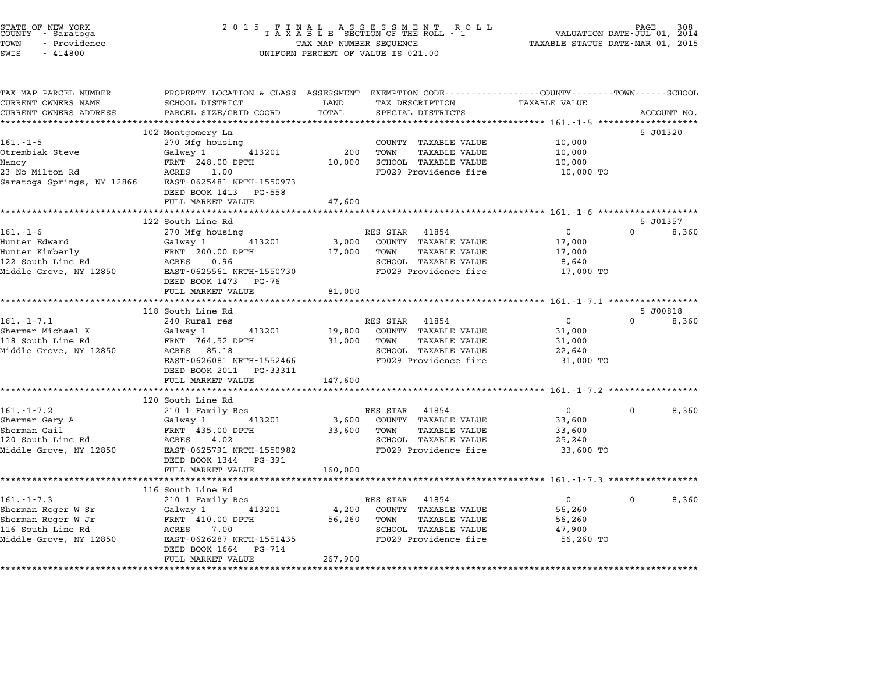|                      | STATE OF NEW YORK<br>COUNTY - Saratoga |  |
|----------------------|----------------------------------------|--|
| TOWN                 | - Providence                           |  |
| $\sim$ $\sim$ $\sim$ | 111000                                 |  |

# STATE OF NEW YORK <sup>2</sup> <sup>0</sup> <sup>1</sup> 5 F I N A L A S S E S S M E N T R O L L PAGE <sup>308</sup> COUNTY - Saratoga <sup>T</sup> <sup>A</sup> <sup>X</sup> <sup>A</sup> <sup>B</sup> <sup>L</sup> <sup>E</sup> SECTION OF THE ROLL - <sup>1</sup> VALUATION DATE-JUL 01, <sup>2014</sup> TOWN - Providence TAX MAP NUMBER SEQUENCE TAXABLE STATUS DATE-MAR 01, <sup>2015</sup> SWIS - <sup>414800</sup> UNIFORM PERCENT OF VALUE IS 021.00

| TAX MAP PARCEL NUMBER<br>CURRENT OWNERS NAME                            | PROPERTY LOCATION & CLASS ASSESSMENT EXEMPTION CODE---------------COUNTY-------TOWN------SCHOOL<br>SCHOOL DISTRICT                                                  | LAND                 | TAX DESCRIPTION                                         | TAXABLE VALUE            |                         |
|-------------------------------------------------------------------------|---------------------------------------------------------------------------------------------------------------------------------------------------------------------|----------------------|---------------------------------------------------------|--------------------------|-------------------------|
| CURRENT OWNERS ADDRESS                                                  | PARCEL SIZE/GRID COORD                                                                                                                                              | TOTAL                | SPECIAL DISTRICTS                                       |                          | ACCOUNT NO.             |
|                                                                         | **************************                                                                                                                                          |                      |                                                         |                          |                         |
|                                                                         | 102 Montgomery Ln                                                                                                                                                   |                      |                                                         |                          | 5 J01320                |
| $161. - 1 - 5$                                                          | 270 Mfg housing                                                                                                                                                     |                      | COUNTY TAXABLE VALUE                                    | 10,000                   |                         |
| Otrembiak Steve                                                         | Galway 1<br>413201                                                                                                                                                  | 200                  | TOWN<br><b>TAXABLE VALUE</b>                            | 10,000                   |                         |
| Nancy                                                                   | FRNT 248.00 DPTH                                                                                                                                                    | 10,000               | SCHOOL TAXABLE VALUE                                    | 10,000                   |                         |
| 23 No Milton Rd<br>Saratoga Springs, NY 12866 EAST-0625481 NRTH-1550973 | ACRES 1.00<br>DEED BOOK 1413 PG-558<br>FULL MARKET VALUE                                                                                                            | 47,600               | FD029 Providence fire                                   | 10,000 TO                |                         |
|                                                                         |                                                                                                                                                                     |                      |                                                         |                          |                         |
|                                                                         | 122 South Line Rd                                                                                                                                                   |                      |                                                         |                          | 5 J01357                |
| $161. - 1 - 6$                                                          | 270 Mfg housing                                                                                                                                                     |                      | RES STAR 41854                                          | $0 \qquad \qquad$        | $\Omega$<br>8,360       |
| Hunter Edward                                                           | 413201<br>Galway 1                                                                                                                                                  | 3,000                | COUNTY TAXABLE VALUE                                    | 17,000                   |                         |
|                                                                         |                                                                                                                                                                     | 17,000               | TOWN<br>TAXABLE VALUE                                   | 17,000                   |                         |
|                                                                         |                                                                                                                                                                     |                      | SCHOOL TAXABLE VALUE                                    | 8,640                    |                         |
|                                                                         | Hunter Euward<br>Hunter Kimberly FRNT 200.00 DPTH 17,00<br>122 South Line Rd ACRES 0.96<br>Middle Grove, NY 12850 EAST-0625561 NRTH-1550730<br>DEED BOOK 1473 PG-76 |                      | FD029 Providence fire                                   | 17,000 TO                |                         |
|                                                                         | FULL MARKET VALUE                                                                                                                                                   | 81,000               |                                                         |                          |                         |
|                                                                         |                                                                                                                                                                     |                      |                                                         |                          |                         |
|                                                                         | 118 South Line Rd                                                                                                                                                   |                      |                                                         |                          | 5 J00818<br>$\Omega$    |
| $161. - 1 - 7.1$                                                        | 240 Rural res                                                                                                                                                       | 19,800               | RES STAR 41854                                          | $\overline{0}$           | 8,360                   |
| Sherman Michael K<br>118 South Line Rd                                  | Galway 1<br>413201<br>FRNT 764.52 DPTH                                                                                                                              | 31,000               | COUNTY TAXABLE VALUE<br>TOWN<br><b>TAXABLE VALUE</b>    | 31,000<br>31,000         |                         |
| Middle Grove, NY 12850                                                  | ACRES 85.18                                                                                                                                                         |                      | SCHOOL TAXABLE VALUE                                    | 22,640                   |                         |
|                                                                         | EAST-0626081 NRTH-1552466                                                                                                                                           |                      | FD029 Providence fire                                   | 31,000 TO                |                         |
|                                                                         | DEED BOOK 2011 PG-33311                                                                                                                                             |                      |                                                         |                          |                         |
|                                                                         | FULL MARKET VALUE                                                                                                                                                   | 147,600              |                                                         |                          |                         |
|                                                                         |                                                                                                                                                                     |                      |                                                         |                          |                         |
|                                                                         | 120 South Line Rd                                                                                                                                                   |                      |                                                         |                          |                         |
| $161.-1-7.2$                                                            | 210 1 Family Res                                                                                                                                                    |                      | RES STAR 41854                                          | $\overline{0}$           | $\overline{0}$<br>8,360 |
| Sherman Gary A                                                          | Galway 1 413201                                                                                                                                                     |                      |                                                         | 33,600                   |                         |
| Sherman Gail                                                            | FRNT 435.00 DPTH                                                                                                                                                    |                      | 3,600 COUNTY TAXABLE VALUE<br>33,600 TOWN TAXABLE VALUE | 33,600                   |                         |
| 120 South Line Rd                                                       | ACRES 4.02                                                                                                                                                          |                      | SCHOOL TAXABLE VALUE                                    | 25,240                   |                         |
| Middle Grove, NY 12850                                                  | EAST-0625791 NRTH-1550982<br>DEED BOOK 1344 PG-391                                                                                                                  |                      | FD029 Providence fire                                   | 33,600 TO                |                         |
|                                                                         | FULL MARKET VALUE<br>****************************                                                                                                                   | 160,000              |                                                         |                          |                         |
|                                                                         |                                                                                                                                                                     |                      |                                                         |                          |                         |
|                                                                         | 116 South Line Rd                                                                                                                                                   |                      |                                                         |                          | $\Omega$                |
| $161. - 1 - 7.3$<br>Sherman Roger W Sr                                  | 210 1 Family Res<br>Galway 1<br>413201                                                                                                                              |                      | RES STAR<br>41854<br>COUNTY TAXABLE VALUE               | $\overline{0}$<br>56,260 | 8,360                   |
| Sherman Roger W Jr                                                      |                                                                                                                                                                     | 4,200<br>56,260 TOWN | <b>TAXABLE VALUE</b>                                    | 56,260                   |                         |
| 116 South Line Rd                                                       | FRNT 410.00 DPTH<br>ACRES 7.00                                                                                                                                      |                      | SCHOOL TAXABLE VALUE                                    | 47,900                   |                         |
| Middle Grove, NY 12850                                                  | EAST-0626287 NRTH-1551435                                                                                                                                           |                      | FD029 Providence fire                                   | 56,260 TO                |                         |
|                                                                         | PG-714<br>DEED BOOK 1664<br>FULL MARKET VALUE                                                                                                                       | 267,900              |                                                         |                          |                         |
|                                                                         |                                                                                                                                                                     |                      |                                                         |                          |                         |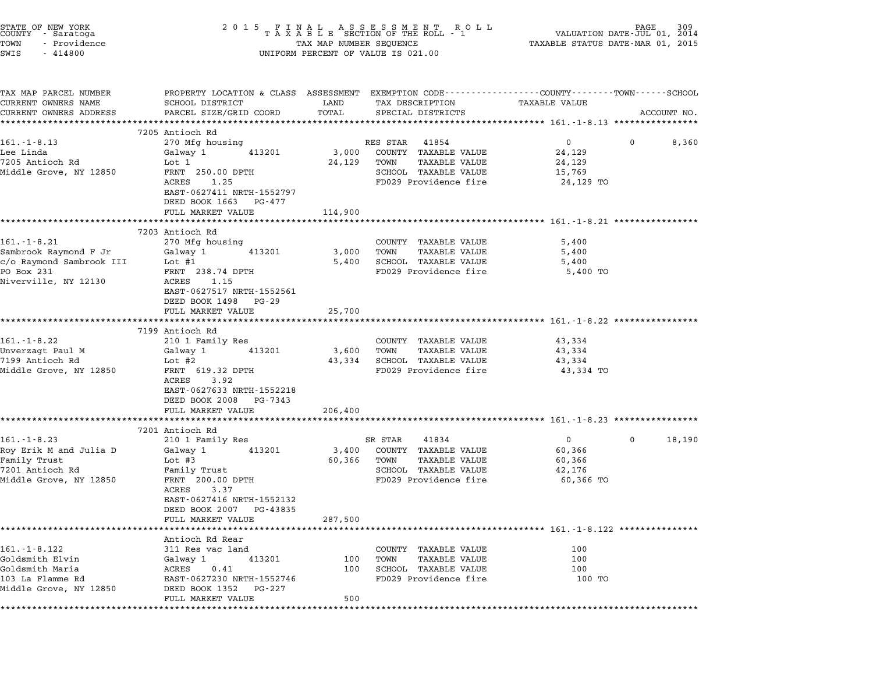| STATE OF NEW YORK<br>COUNTY - Saratoga<br>TOWN<br>- Providence<br>SWIS<br>$-414800$                                    | 2 0 1 5                                                                                                                                                                                                      |                               | FINAL ASSESSMENT ROLL MANING PAGE 309<br>TAXABLE SECTION OF THE ROLL - 1 VALUATION DATE-JUL 01, 2014<br>TAXABLE STATUS DATE-MAR 01, 2015<br>UNIFORM PERCENT OF VALUE IS 021.00 |                                                                                                 |             |             |
|------------------------------------------------------------------------------------------------------------------------|--------------------------------------------------------------------------------------------------------------------------------------------------------------------------------------------------------------|-------------------------------|--------------------------------------------------------------------------------------------------------------------------------------------------------------------------------|-------------------------------------------------------------------------------------------------|-------------|-------------|
| TAX MAP PARCEL NUMBER<br>CURRENT OWNERS NAME<br>CURRENT OWNERS ADDRESS                                                 | PROPERTY LOCATION & CLASS ASSESSMENT EXEMPTION CODE---------------COUNTY-------TOWN------SCHOOL<br>SCHOOL DISTRICT<br>PARCEL SIZE/GRID COORD<br>************************                                     | LAND<br>TOTAL<br>************ | TAX DESCRIPTION<br>SPECIAL DISTRICTS                                                                                                                                           | TAXABLE VALUE                                                                                   |             | ACCOUNT NO. |
|                                                                                                                        | 7205 Antioch Rd                                                                                                                                                                                              |                               |                                                                                                                                                                                |                                                                                                 |             |             |
| $161. - 1 - 8.13$<br>Lee Linda<br>7205 Antioch Rd<br>Middle Grove, NY 12850                                            | 270 Mfg housing<br>413201<br>Galway 1<br>Lot 1<br>FRNT 250.00 DPTH<br>ACRES<br>1.25<br>EAST-0627411 NRTH-1552797<br>DEED BOOK 1663 PG-477<br>FULL MARKET VALUE                                               | 3,000<br>24,129<br>114,900    | RES STAR<br>41854<br>COUNTY TAXABLE VALUE<br>TAXABLE VALUE<br>TOWN<br>SCHOOL TAXABLE VALUE<br>FD029 Providence fire                                                            | $0 \qquad \qquad$<br>24,129<br>24,129<br>15,769<br>24,129 TO                                    | $\mathbf 0$ | 8,360       |
|                                                                                                                        |                                                                                                                                                                                                              |                               |                                                                                                                                                                                | ****************************** 161.-1-8.21 ***********                                          |             |             |
| $161.-1-8.21$<br>Sambrook Raymond F Jr<br>c/o Raymond Sambrook III<br>PO Box 231<br>Niverville, NY 12130               | 7203 Antioch Rd<br>270 Mfg housing<br>413201<br>Galway 1<br>Lot #1<br>FRNT 238.74 DPTH<br>1.15<br>ACRES<br>EAST-0627517 NRTH-1552561<br>DEED BOOK 1498<br>PG-29<br>FULL MARKET VALUE<br>******************** | 3,000<br>5,400<br>25,700      | COUNTY TAXABLE VALUE<br><b>TAXABLE VALUE</b><br>TOWN<br>SCHOOL TAXABLE VALUE<br>FD029 Providence fire                                                                          | 5,400<br>5,400<br>5,400<br>5,400 TO<br>**************************** 161.-1-8.22 *************** |             |             |
|                                                                                                                        | 7199 Antioch Rd                                                                                                                                                                                              |                               |                                                                                                                                                                                |                                                                                                 |             |             |
| 161.-1-8.22<br>Unverzagt Paul M<br>7199 Antioch Rd<br>Middle Grove, NY 12850                                           | 210 1 Family Res<br>413201<br>Galway 1<br>Lot #2<br>FRNT 619.32 DPTH<br>3.92<br>ACRES<br>EAST-0627633 NRTH-1552218<br>DEED BOOK 2008 PG-7343                                                                 | 3,600<br>43,334               | COUNTY TAXABLE VALUE<br><b>TAXABLE VALUE</b><br>TOWN<br>SCHOOL TAXABLE VALUE<br>FD029 Providence fire                                                                          | 43,334<br>43,334<br>43,334<br>43,334 TO                                                         |             |             |
|                                                                                                                        | FULL MARKET VALUE                                                                                                                                                                                            | 206,400                       | ******************************** 161.-1-8.23 ****************                                                                                                                  |                                                                                                 |             |             |
| $161 - 1 - 8.23$<br>Roy Erik M and Julia D<br>Family Trust<br>7201 Antioch Rd<br>Middle Grove, NY 12850                | 7201 Antioch Rd<br>210 1 Family Res<br>413201<br>Galway 1<br>Lot $#3$<br>Family Trust<br>FRNT 200.00 DPTH<br>ACRES<br>3.37<br>EAST-0627416 NRTH-1552132<br>DEED BOOK 2007<br>PG-43835<br>FULL MARKET VALUE   | 3,400<br>60,366<br>287,500    | SR STAR<br>41834<br>COUNTY TAXABLE VALUE<br>TAXABLE VALUE<br>TOWN<br>SCHOOL TAXABLE VALUE<br>FD029 Providence fire                                                             | $\overline{0}$<br>60,366<br>60,366<br>42,176<br>60,366 TO                                       | 0           | 18,190      |
|                                                                                                                        | Antioch Rd Rear                                                                                                                                                                                              |                               |                                                                                                                                                                                |                                                                                                 |             |             |
| 161. - 1 - 8.122<br>Goldsmith Elvin<br>Goldsmith Maria<br>103 La Flamme Rd<br>Middle Grove, NY 12850<br>************** | 311 Res vac land<br>413201<br>Galway 1<br>ACRES<br>0.41<br>EAST-0627230 NRTH-1552746<br>DEED BOOK 1352<br>PG-227<br>FULL MARKET VALUE                                                                        | 100<br>100<br>500             | COUNTY TAXABLE VALUE<br>TAXABLE VALUE<br>TOWN<br>SCHOOL TAXABLE VALUE<br>FD029 Providence fire                                                                                 | 100<br>100<br>100<br>100 TO                                                                     |             |             |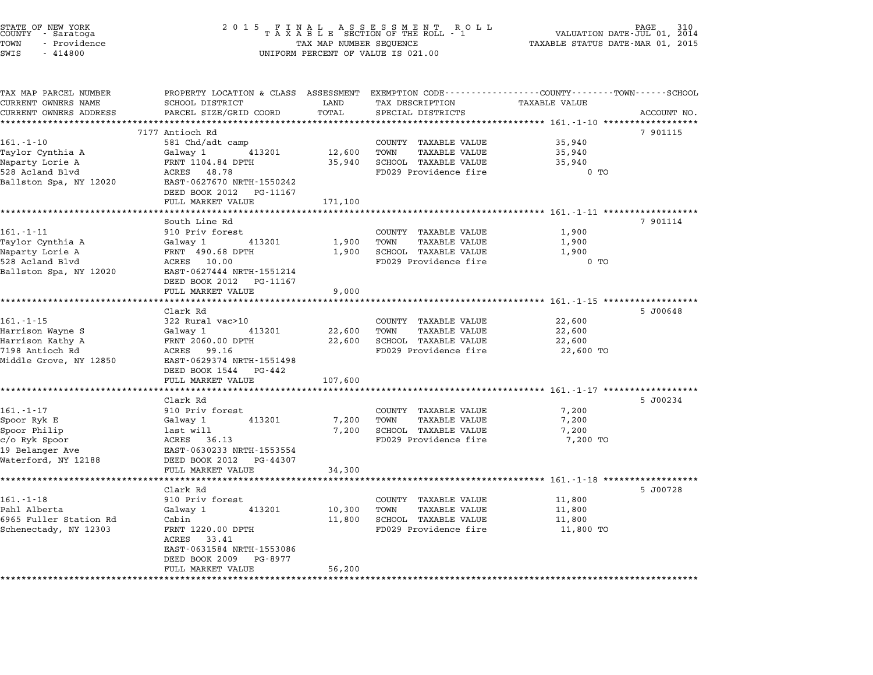| STATE OF NEW YORK<br>COUNTY<br>- Saratoga<br>TOWN<br>- Providence<br>SWIS<br>$-414800$ | 2 0 1 5<br>FINAL ASSESSMENT ROTAXABLE SECTION OF THE ROLL - 1<br>TAX MAP NUMBER SEQUENCE<br>UNIFORM PERCENT OF VALUE IS 021.00 | PAGE<br>VALUATION DATE-JUL 01, 2014<br>TAXABLE STATUS DATE-MAR 01, 2015 |                                                                |                                             |             |
|----------------------------------------------------------------------------------------|--------------------------------------------------------------------------------------------------------------------------------|-------------------------------------------------------------------------|----------------------------------------------------------------|---------------------------------------------|-------------|
| TAX MAP PARCEL NUMBER                                                                  | PROPERTY LOCATION & CLASS ASSESSMENT EXEMPTION CODE---------------COUNTY-------TOWN------SCHOOL                                |                                                                         |                                                                |                                             |             |
| CURRENT OWNERS NAME<br>CURRENT OWNERS ADDRESS                                          | SCHOOL DISTRICT<br>PARCEL SIZE/GRID COORD                                                                                      | LAND<br>TOTAL                                                           | TAX DESCRIPTION<br>SPECIAL DISTRICTS                           | <b>TAXABLE VALUE</b>                        | ACCOUNT NO. |
|                                                                                        |                                                                                                                                | *********                                                               |                                                                |                                             |             |
|                                                                                        | 7177 Antioch Rd                                                                                                                |                                                                         |                                                                |                                             | 7 901115    |
| 161.-1-10                                                                              | 581 Chd/adt camp                                                                                                               |                                                                         | COUNTY TAXABLE VALUE                                           | 35,940                                      |             |
| Taylor Cynthia A                                                                       | Galway 1<br>413201                                                                                                             | 12,600                                                                  | TOWN<br><b>TAXABLE VALUE</b>                                   | 35,940                                      |             |
| Naparty Lorie A                                                                        | FRNT 1104.84 DPTH                                                                                                              | 35,940                                                                  | SCHOOL TAXABLE VALUE                                           | 35,940                                      |             |
| 528 Acland Blvd                                                                        | 48.78<br>ACRES                                                                                                                 |                                                                         | FD029 Providence fire                                          | $0$ TO                                      |             |
| Ballston Spa, NY 12020                                                                 | EAST-0627670 NRTH-1550242<br>DEED BOOK 2012<br>PG-11167                                                                        |                                                                         |                                                                |                                             |             |
|                                                                                        | FULL MARKET VALUE                                                                                                              | 171,100                                                                 |                                                                |                                             |             |
|                                                                                        |                                                                                                                                | *******                                                                 |                                                                | *********** 161.-1-11 **************        |             |
|                                                                                        | South Line Rd                                                                                                                  |                                                                         |                                                                |                                             | 7 901114    |
| $161 - 1 - 11$                                                                         | 910 Priv forest                                                                                                                |                                                                         | COUNTY TAXABLE VALUE                                           | 1,900                                       |             |
| Taylor Cynthia A                                                                       | Galway 1<br>413201                                                                                                             | 1,900                                                                   | TOWN<br>TAXABLE VALUE                                          | 1,900                                       |             |
| Naparty Lorie A<br>528 Acland Blvd                                                     | FRNT 490.68 DPTH<br>ACRES 10.00                                                                                                | 1,900                                                                   | SCHOOL TAXABLE VALUE<br>FD029 Providence fire                  | 1,900<br>$0$ TO                             |             |
| Ballston Spa, NY 12020                                                                 | EAST-0627444 NRTH-1551214                                                                                                      |                                                                         |                                                                |                                             |             |
|                                                                                        | DEED BOOK 2012<br>PG-11167                                                                                                     |                                                                         |                                                                |                                             |             |
|                                                                                        | FULL MARKET VALUE                                                                                                              | 9,000                                                                   |                                                                |                                             |             |
|                                                                                        | ********************                                                                                                           | *********                                                               | ******************************** 161.-1-15 ******************* |                                             |             |
|                                                                                        | Clark Rd                                                                                                                       |                                                                         |                                                                |                                             | 5 J00648    |
| 161.-1-15                                                                              | 322 Rural vac>10                                                                                                               |                                                                         | COUNTY TAXABLE VALUE                                           | 22,600                                      |             |
| Harrison Wayne S                                                                       | Galway 1<br>413201<br>FRNT 2060.00 DPTH                                                                                        | 22,600<br>22,600                                                        | TOWN<br><b>TAXABLE VALUE</b><br>SCHOOL TAXABLE VALUE           | 22,600<br>22,600                            |             |
| Harrison Kathy A<br>7198 Antioch Rd                                                    | ACRES 99.16                                                                                                                    |                                                                         | FD029 Providence fire                                          | 22,600 TO                                   |             |
| Middle Grove, NY 12850                                                                 | EAST-0629374 NRTH-1551498                                                                                                      |                                                                         |                                                                |                                             |             |
|                                                                                        | DEED BOOK 1544<br>PG-442                                                                                                       |                                                                         |                                                                |                                             |             |
|                                                                                        | FULL MARKET VALUE                                                                                                              | 107,600                                                                 |                                                                |                                             |             |
|                                                                                        | *****************                                                                                                              | *********                                                               |                                                                | ************* 161.-1-17 ******************* |             |
|                                                                                        | Clark Rd                                                                                                                       |                                                                         |                                                                |                                             | 5 J00234    |
| $161. - 1 - 17$                                                                        | 910 Priv forest                                                                                                                |                                                                         | COUNTY TAXABLE VALUE                                           | 7,200                                       |             |
| Spoor Ryk E                                                                            | 413201<br>Galway 1                                                                                                             | 7,200                                                                   | TOWN<br><b>TAXABLE VALUE</b>                                   | 7,200                                       |             |
| Spoor Philip                                                                           | last will                                                                                                                      | 7,200                                                                   | SCHOOL TAXABLE VALUE                                           | 7,200                                       |             |
| c/o Ryk Spoor<br>19 Belanger Ave                                                       | ACRES<br>36.13<br>EAST-0630233 NRTH-1553554                                                                                    |                                                                         | FD029 Providence fire                                          | 7,200 TO                                    |             |
| Waterford, NY 12188                                                                    | DEED BOOK 2012<br>PG-44307                                                                                                     |                                                                         |                                                                |                                             |             |
|                                                                                        | FULL MARKET VALUE                                                                                                              | 34,300                                                                  |                                                                |                                             |             |
|                                                                                        | ***********************                                                                                                        |                                                                         |                                                                |                                             |             |
|                                                                                        | Clark Rd                                                                                                                       |                                                                         |                                                                |                                             | 5 J00728    |
| $161. - 1 - 18$                                                                        | 910 Priv forest                                                                                                                |                                                                         | COUNTY TAXABLE VALUE                                           | 11,800                                      |             |
| Pahl Alberta                                                                           | Galway 1<br>413201                                                                                                             | 10,300                                                                  | TOWN<br><b>TAXABLE VALUE</b>                                   | 11,800                                      |             |
| 6965 Fuller Station Rd                                                                 | Cabin                                                                                                                          | 11,800                                                                  | SCHOOL TAXABLE VALUE                                           | 11,800                                      |             |
| Schenectady, NY 12303                                                                  | FRNT 1220.00 DPTH<br>ACRES 33.41                                                                                               |                                                                         | FD029 Providence fire                                          | 11,800 TO                                   |             |
|                                                                                        | EAST-0631584 NRTH-1553086<br>DEED BOOK 2009<br>PG-8977                                                                         |                                                                         |                                                                |                                             |             |
|                                                                                        | FULL MARKET VALUE                                                                                                              | 56,200                                                                  |                                                                |                                             |             |
|                                                                                        |                                                                                                                                |                                                                         |                                                                |                                             |             |

STATE OF NEW YORK <sup>2</sup> <sup>0</sup> <sup>1</sup> 5 F I N A L A S S E S S M E N T R O L L PAGE <sup>310</sup> COUNTY - Saratoga <sup>T</sup> <sup>A</sup> <sup>X</sup> <sup>A</sup> <sup>B</sup> <sup>L</sup> <sup>E</sup> SECTION OF THE ROLL - <sup>1</sup> VALUATION DATE-JUL 01, <sup>2014</sup>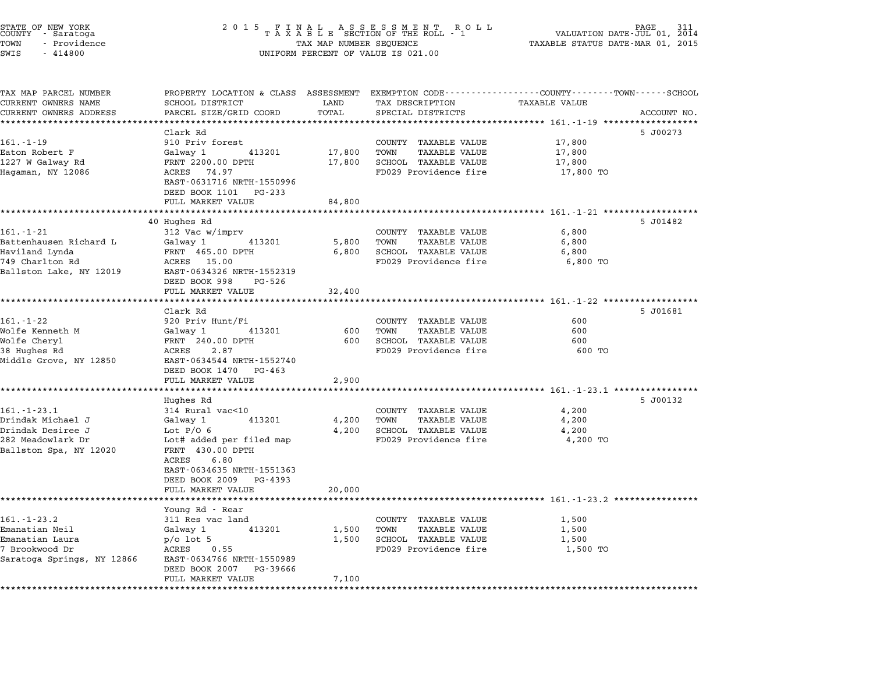| STATE OF NEW YORK<br>COUNTY - Saratoga<br>TOWN<br>- Providence<br>SWIS<br>$-414800$                    | 2 0 1 5<br>FINAL ASSESSMENT ROLL<br>TAXABLE SECTION OF THE ROLL - 1<br>TAX MAP NUMBER SEQUENCE<br>UNIFORM PERCENT OF VALUE IS 021.00                                                         | 311<br>VALUATION DATE-JUL 01,<br>2014<br>TAXABLE STATUS DATE-MAR 01, 2015 |                                                                                                          |                                                                                        |             |
|--------------------------------------------------------------------------------------------------------|----------------------------------------------------------------------------------------------------------------------------------------------------------------------------------------------|---------------------------------------------------------------------------|----------------------------------------------------------------------------------------------------------|----------------------------------------------------------------------------------------|-------------|
| TAX MAP PARCEL NUMBER<br>CURRENT OWNERS NAME                                                           | PROPERTY LOCATION & CLASS ASSESSMENT EXEMPTION CODE---------------COUNTY-------TOWN------SCHOOL<br>SCHOOL DISTRICT                                                                           | LAND                                                                      | TAX DESCRIPTION                                                                                          | <b>TAXABLE VALUE</b>                                                                   |             |
| CURRENT OWNERS ADDRESS                                                                                 | PARCEL SIZE/GRID COORD                                                                                                                                                                       | TOTAL                                                                     | SPECIAL DISTRICTS                                                                                        |                                                                                        | ACCOUNT NO. |
|                                                                                                        | *****************                                                                                                                                                                            |                                                                           | ******************************** 161.-1-19 ************                                                  |                                                                                        |             |
| $161. - 1 - 19$<br>Eaton Robert F<br>1227 W Galway Rd<br>Hagaman, NY 12086                             | Clark Rd<br>910 Priv forest<br>Galway 1<br>413201<br>FRNT 2200.00 DPTH<br>ACRES 74.97<br>EAST-0631716 NRTH-1550996<br>DEED BOOK 1101<br>PG-233                                               | 17,800<br>17,800                                                          | COUNTY TAXABLE VALUE<br>TOWN<br><b>TAXABLE VALUE</b><br>SCHOOL TAXABLE VALUE<br>FD029 Providence fire    | 17,800<br>17,800<br>17,800<br>17,800 TO                                                | 5 J00273    |
|                                                                                                        | FULL MARKET VALUE                                                                                                                                                                            | 84,800                                                                    |                                                                                                          |                                                                                        |             |
| $161.-1-21$<br>Battenhausen Richard L<br>Haviland Lynda<br>749 Charlton Rd<br>Ballston Lake, NY 12019  | 40 Hughes Rd<br>312 Vac w/imprv<br>Galway 1<br>413201<br>FRNT 465.00 DPTH<br>ACRES 15.00<br>EAST-0634326 NRTH-1552319<br>DEED BOOK 998<br>PG-526                                             | 5,800<br>6,800                                                            | COUNTY TAXABLE VALUE<br>TOWN<br>TAXABLE VALUE<br>SCHOOL TAXABLE VALUE<br>FD029 Providence fire           | 6,800<br>6,800<br>6,800<br>6,800 TO                                                    | 5 J01482    |
|                                                                                                        | FULL MARKET VALUE                                                                                                                                                                            | 32,400                                                                    |                                                                                                          |                                                                                        |             |
|                                                                                                        | Clark Rd                                                                                                                                                                                     |                                                                           |                                                                                                          | *********************** 161.-1-22 ************                                         | 5 J01681    |
| $161. - 1 - 22$<br>Wolfe Kenneth M<br>Wolfe Cheryl<br>38 Hughes Rd<br>Middle Grove, NY 12850           | 920 Priv Hunt/Fi<br>Galway 1<br>413201<br>FRNT 240.00 DPTH<br>ACRES<br>2.87<br>EAST-0634544 NRTH-1552740                                                                                     | 600<br>600                                                                | COUNTY TAXABLE VALUE<br>TOWN<br><b>TAXABLE VALUE</b><br>SCHOOL TAXABLE VALUE<br>FD029 Providence fire    | 600<br>600<br>600<br>600 TO                                                            |             |
|                                                                                                        | DEED BOOK 1470 PG-463<br>FULL MARKET VALUE                                                                                                                                                   | 2,900                                                                     |                                                                                                          |                                                                                        |             |
|                                                                                                        |                                                                                                                                                                                              |                                                                           |                                                                                                          |                                                                                        |             |
| $161.-1-23.1$<br>Drindak Michael J<br>Drindak Desiree J<br>282 Meadowlark Dr<br>Ballston Spa, NY 12020 | Hughes Rd<br>314 Rural vac<10<br>413201<br>Galway 1<br>Lot $P/O6$<br>Lot# added per filed map<br>FRNT 430.00 DPTH<br>ACRES<br>6.80<br>EAST-0634635 NRTH-1551363<br>DEED BOOK 2009<br>PG-4393 | 4,200<br>4,200                                                            | COUNTY TAXABLE VALUE<br>TOWN<br>TAXABLE VALUE<br>SCHOOL TAXABLE VALUE<br>FD029 Providence fire           | 4,200<br>4,200<br>4,200<br>4,200 TO                                                    | 5 J00132    |
|                                                                                                        | FULL MARKET VALUE                                                                                                                                                                            | 20,000                                                                    |                                                                                                          |                                                                                        |             |
| $161. - 1 - 23.2$<br>Emanatian Neil<br>Emanatian Laura<br>7 Brookwood Dr<br>Saratoga Springs, NY 12866 | Young Rd - Rear<br>311 Res vac land<br>Galway 1<br>413201<br>$p$ o lot 5<br>ACRES<br>0.55<br>EAST-0634766 NRTH-1550989                                                                       | 1,500<br>1,500                                                            | TAXABLE VALUE<br>COUNTY<br>TOWN<br><b>TAXABLE VALUE</b><br>SCHOOL TAXABLE VALUE<br>FD029 Providence fire | ************************* 161.-1-23.2 *********<br>1,500<br>1,500<br>1,500<br>1,500 TO |             |
|                                                                                                        | DEED BOOK 2007<br>PG-39666<br>FULL MARKET VALUE                                                                                                                                              | 7,100                                                                     |                                                                                                          |                                                                                        |             |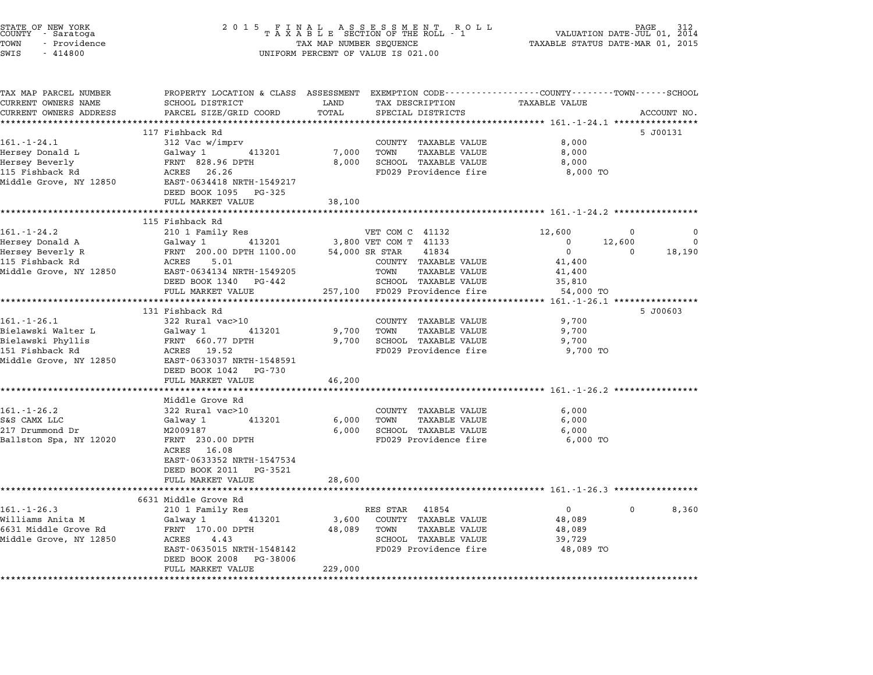| STATE OF NEW YORK<br>COUNTY - Saratoga<br>TOWN<br>- Providence<br>SWIS<br>$-414800$ | 2 0 1 5<br>ASSESSMENT<br>F<br>Ι.<br>A L<br>N<br>R O L L<br>TAXABLE SECTION OF THE ROLL - 1<br>TAX MAP NUMBER SEQUENCE<br>UNIFORM PERCENT OF VALUE IS 021.00 |               |                                                                                                 | PAGE<br>VALUATION DATE-JUL 01, 2014<br>TAXABLE STATUS DATE-MAR 01, 2015 |                    |  |
|-------------------------------------------------------------------------------------|-------------------------------------------------------------------------------------------------------------------------------------------------------------|---------------|-------------------------------------------------------------------------------------------------|-------------------------------------------------------------------------|--------------------|--|
| TAX MAP PARCEL NUMBER                                                               |                                                                                                                                                             |               | PROPERTY LOCATION & CLASS ASSESSMENT EXEMPTION CODE---------------COUNTY-------TOWN------SCHOOL |                                                                         |                    |  |
| CURRENT OWNERS NAME<br>CURRENT OWNERS ADDRESS                                       | SCHOOL DISTRICT<br>PARCEL SIZE/GRID COORD                                                                                                                   | LAND<br>TOTAL | TAX DESCRIPTION<br>SPECIAL DISTRICTS                                                            | <b>TAXABLE VALUE</b>                                                    | ACCOUNT NO.        |  |
|                                                                                     |                                                                                                                                                             |               |                                                                                                 |                                                                         |                    |  |
|                                                                                     | 117 Fishback Rd                                                                                                                                             |               |                                                                                                 |                                                                         | 5 J00131           |  |
| $161. - 1 - 24.1$                                                                   | 312 Vac w/imprv                                                                                                                                             |               | COUNTY TAXABLE VALUE                                                                            | 8,000                                                                   |                    |  |
| Hersey Donald L                                                                     | Galway 1<br>413201                                                                                                                                          | 7,000         | TOWN<br><b>TAXABLE VALUE</b>                                                                    | 8,000                                                                   |                    |  |
| Hersey Beverly                                                                      | FRNT 828.96 DPTH                                                                                                                                            | 8,000         | SCHOOL TAXABLE VALUE                                                                            | 8,000                                                                   |                    |  |
| 115 Fishback Rd                                                                     | ACRES 26.26                                                                                                                                                 |               | FD029 Providence fire                                                                           | 8,000 TO                                                                |                    |  |
| Middle Grove, NY 12850                                                              | EAST-0634418 NRTH-1549217                                                                                                                                   |               |                                                                                                 |                                                                         |                    |  |
|                                                                                     | DEED BOOK 1095 PG-325<br>FULL MARKET VALUE                                                                                                                  | 38,100        |                                                                                                 |                                                                         |                    |  |
|                                                                                     |                                                                                                                                                             | ********      |                                                                                                 | **************** 161.-1-24.2 ************                               |                    |  |
|                                                                                     | 115 Fishback Rd                                                                                                                                             |               |                                                                                                 |                                                                         |                    |  |
| $161. - 1 - 24.2$                                                                   | 210 1 Family Res                                                                                                                                            |               | VET COM C 41132                                                                                 | 12,600                                                                  | 0                  |  |
| Hersey Donald A                                                                     | 413201<br>Galway 1                                                                                                                                          |               | 3,800 VET COM T 41133                                                                           | 0                                                                       | 12,600<br>$\Omega$ |  |
| Hersey Beverly R                                                                    | FRNT 200.00 DPTH 1100.00                                                                                                                                    |               | 41834<br>54,000 SR STAR                                                                         | $\mathbf 0$                                                             | $\Omega$<br>18,190 |  |
| 115 Fishback Rd                                                                     | ACRES 5.01                                                                                                                                                  |               | COUNTY TAXABLE VALUE                                                                            | 41,400                                                                  |                    |  |
| Middle Grove, NY 12850                                                              | EAST-0634134 NRTH-1549205                                                                                                                                   |               | TOWN<br><b>TAXABLE VALUE</b>                                                                    | 41,400                                                                  |                    |  |
|                                                                                     | DEED BOOK 1340 PG-442<br>FULL MARKET VALUE                                                                                                                  |               | SCHOOL TAXABLE VALUE<br>FD029 Providence fire                                                   | 35,810<br>54,000 TO                                                     |                    |  |
|                                                                                     | ***********************                                                                                                                                     | 257,100       |                                                                                                 |                                                                         |                    |  |
|                                                                                     | 131 Fishback Rd                                                                                                                                             |               |                                                                                                 |                                                                         | 5 J00603           |  |
| $161. - 1 - 26.1$                                                                   | 322 Rural vac>10                                                                                                                                            |               | COUNTY TAXABLE VALUE                                                                            | 9,700                                                                   |                    |  |
| Bielawski Walter L                                                                  | Galway 1<br>413201                                                                                                                                          | 9,700         | TOWN<br><b>TAXABLE VALUE</b>                                                                    | 9,700                                                                   |                    |  |
| Bielawski Phyllis                                                                   | FRNT 660.77 DPTH                                                                                                                                            | 9,700         | SCHOOL TAXABLE VALUE                                                                            | 9,700                                                                   |                    |  |
| 151 Fishback Rd                                                                     | ACRES 19.52                                                                                                                                                 |               | FD029 Providence fire                                                                           | 9,700 TO                                                                |                    |  |
| Middle Grove, NY 12850                                                              | EAST-0633037 NRTH-1548591<br>DEED BOOK 1042 PG-730                                                                                                          |               |                                                                                                 |                                                                         |                    |  |
|                                                                                     | FULL MARKET VALUE                                                                                                                                           | 46,200        |                                                                                                 |                                                                         |                    |  |
|                                                                                     | ****************                                                                                                                                            | ********      |                                                                                                 | ******************** 161.-1-26.2 **********                             |                    |  |
|                                                                                     | Middle Grove Rd                                                                                                                                             |               |                                                                                                 |                                                                         |                    |  |
| $161. - 1 - 26.2$                                                                   | 322 Rural vac>10                                                                                                                                            |               | COUNTY TAXABLE VALUE                                                                            | 6,000                                                                   |                    |  |
| S&S CAMX LLC                                                                        | Galway 1<br>413201                                                                                                                                          | 6,000         | TOWN<br>TAXABLE VALUE                                                                           | 6,000                                                                   |                    |  |
| 217 Drummond Dr                                                                     | M2009187                                                                                                                                                    | 6,000         | SCHOOL TAXABLE VALUE                                                                            | 6,000                                                                   |                    |  |
| Ballston Spa, NY 12020                                                              | FRNT 230.00 DPTH                                                                                                                                            |               | FD029 Providence fire                                                                           | 6,000 TO                                                                |                    |  |
|                                                                                     | ACRES 16.08<br>EAST-0633352 NRTH-1547534                                                                                                                    |               |                                                                                                 |                                                                         |                    |  |
|                                                                                     | DEED BOOK 2011 PG-3521                                                                                                                                      |               |                                                                                                 |                                                                         |                    |  |
|                                                                                     | FULL MARKET VALUE                                                                                                                                           | 28,600        |                                                                                                 |                                                                         |                    |  |
|                                                                                     | *********************                                                                                                                                       |               | ******************************* 161.-1-26.3 ****************                                    |                                                                         |                    |  |
|                                                                                     | 6631 Middle Grove Rd                                                                                                                                        |               |                                                                                                 |                                                                         |                    |  |
| $161. - 1 - 26.3$                                                                   | 210 1 Family Res                                                                                                                                            |               | 41854<br>RES STAR                                                                               | $\mathbf{0}$                                                            | 0<br>8,360         |  |
| Williams Anita M                                                                    | Galway 1<br>413201                                                                                                                                          | 3,600         | COUNTY TAXABLE VALUE                                                                            | 48,089                                                                  |                    |  |
| 6631 Middle Grove Rd                                                                | FRNT 170.00 DPTH                                                                                                                                            | 48,089        | TOWN<br>TAXABLE VALUE                                                                           | 48,089                                                                  |                    |  |
| Middle Grove, NY 12850                                                              | ACRES<br>4.43<br>EAST-0635015 NRTH-1548142                                                                                                                  |               | SCHOOL TAXABLE VALUE<br>FD029 Providence fire                                                   | 39,729<br>48,089 TO                                                     |                    |  |
|                                                                                     | DEED BOOK 2008 PG-38006                                                                                                                                     |               |                                                                                                 |                                                                         |                    |  |
|                                                                                     | FULL MARKET VALUE                                                                                                                                           | 229,000       |                                                                                                 |                                                                         |                    |  |
|                                                                                     |                                                                                                                                                             |               |                                                                                                 |                                                                         |                    |  |

STATE OF NEW YORK <sup>2</sup> <sup>0</sup> <sup>1</sup> 5 F I N A L A S S E S S M E N T R O L L PAGE <sup>312</sup> COUNTY - Saratoga <sup>T</sup> <sup>A</sup> <sup>X</sup> <sup>A</sup> <sup>B</sup> <sup>L</sup> <sup>E</sup> SECTION OF THE ROLL - <sup>1</sup> VALUATION DATE-JUL 01, <sup>2014</sup>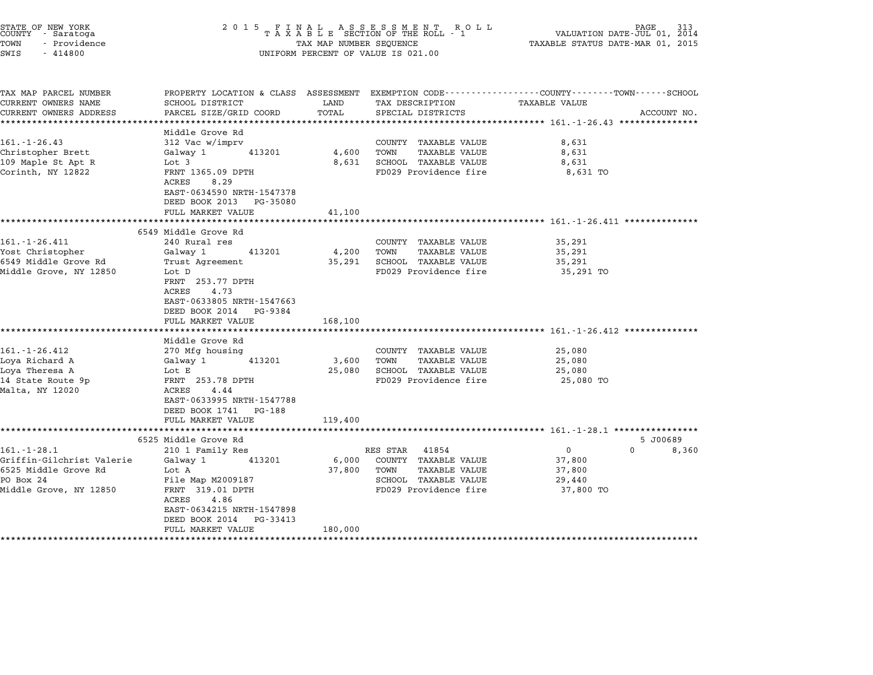| STATE OF NEW YORK<br>COUNTY - Saratoga<br>TOWN<br>- Providence | 2 0 1 5                                  | TAX MAP NUMBER SEQUENCE | FINAL ASSESSMENT ROLL<br>TAXABLE SECTION OF THE ROLL - 1 | PAGE<br>VALUATION DATE-JUL 01, 2014<br>TAXABLE STATUS DATE-MAR 01, 2015                                       |             |
|----------------------------------------------------------------|------------------------------------------|-------------------------|----------------------------------------------------------|---------------------------------------------------------------------------------------------------------------|-------------|
| SWIS<br>$-414800$                                              |                                          |                         | UNIFORM PERCENT OF VALUE IS 021.00                       |                                                                                                               |             |
| TAX MAP PARCEL NUMBER<br>CURRENT OWNERS NAME                   | SCHOOL DISTRICT                          | LAND                    | TAX DESCRIPTION                                          | PROPERTY LOCATION & CLASS ASSESSMENT EXEMPTION CODE--------------COUNTY------TOWN-----SCHOOL<br>TAXABLE VALUE |             |
| CURRENT OWNERS ADDRESS                                         | PARCEL SIZE/GRID COORD                   | TOTAL                   | SPECIAL DISTRICTS                                        |                                                                                                               | ACCOUNT NO. |
| **********************                                         | **********************                   |                         |                                                          |                                                                                                               |             |
|                                                                | Middle Grove Rd                          |                         |                                                          |                                                                                                               |             |
| $161. - 1 - 26.43$                                             | 312 Vac w/imprv                          |                         | COUNTY TAXABLE VALUE                                     | 8,631                                                                                                         |             |
| Christopher Brett                                              | Galway 1<br>413201                       | 4,600                   | TOWN<br><b>TAXABLE VALUE</b>                             | 8,631                                                                                                         |             |
| 109 Maple St Apt R                                             | Lot 3                                    | 8,631                   | SCHOOL TAXABLE VALUE                                     | 8,631                                                                                                         |             |
| Corinth, NY 12822                                              | FRNT 1365.09 DPTH<br>ACRES<br>8.29       |                         | FD029 Providence fire                                    | 8,631 TO                                                                                                      |             |
|                                                                | EAST-0634590 NRTH-1547378                |                         |                                                          |                                                                                                               |             |
|                                                                | DEED BOOK 2013<br>PG-35080               |                         |                                                          |                                                                                                               |             |
|                                                                | FULL MARKET VALUE<br>******************* | 41,100                  |                                                          | *********************************** 161.-1-26.411 ***************                                             |             |
|                                                                | 6549 Middle Grove Rd                     |                         |                                                          |                                                                                                               |             |
| $161. - 1 - 26.411$                                            | 240 Rural res                            |                         | COUNTY TAXABLE VALUE                                     | 35,291                                                                                                        |             |
| Yost Christopher                                               | Galway 1<br>413201                       | 4,200                   | TOWN<br>TAXABLE VALUE                                    | 35,291                                                                                                        |             |
| 6549 Middle Grove Rd                                           | Trust Agreement                          | 35,291                  | SCHOOL TAXABLE VALUE                                     | 35,291                                                                                                        |             |
| Middle Grove, NY 12850                                         | Lot D                                    |                         | FD029 Providence fire                                    | 35,291 TO                                                                                                     |             |
|                                                                | FRNT 253.77 DPTH                         |                         |                                                          |                                                                                                               |             |
|                                                                | 4.73<br>ACRES                            |                         |                                                          |                                                                                                               |             |
|                                                                | EAST-0633805 NRTH-1547663                |                         |                                                          |                                                                                                               |             |
|                                                                | DEED BOOK 2014<br>PG-9384                |                         |                                                          |                                                                                                               |             |
|                                                                | FULL MARKET VALUE                        | 168,100                 |                                                          |                                                                                                               |             |
|                                                                | Middle Grove Rd                          |                         |                                                          | ************************ 161.-1-26.412 ***************                                                        |             |
| 161.-1-26.412                                                  | 270 Mfg housing                          |                         | COUNTY TAXABLE VALUE                                     | 25,080                                                                                                        |             |
| Loya Richard A                                                 | 413201<br>Galway 1                       | 3,600                   | TOWN<br><b>TAXABLE VALUE</b>                             | 25,080                                                                                                        |             |
| Loya Theresa A                                                 | Lot E                                    | 25,080                  | SCHOOL TAXABLE VALUE                                     | 25,080                                                                                                        |             |
| 14 State Route 9p                                              | FRNT 253.78 DPTH                         |                         | FD029 Providence fire                                    | 25,080 TO                                                                                                     |             |
| Malta, NY 12020                                                | 4.44<br>ACRES                            |                         |                                                          |                                                                                                               |             |
|                                                                | EAST-0633995 NRTH-1547788                |                         |                                                          |                                                                                                               |             |
|                                                                | DEED BOOK 1741<br>PG-188                 |                         |                                                          |                                                                                                               |             |
|                                                                | FULL MARKET VALUE                        | 119,400                 |                                                          |                                                                                                               |             |
|                                                                |                                          |                         |                                                          | ********************* 161.-1-28.1 ****************                                                            |             |
|                                                                | 6525 Middle Grove Rd                     |                         |                                                          |                                                                                                               | 5 J00689    |
| $161.-1-28.1$                                                  | 210 1 Family Res                         |                         | RES STAR<br>41854                                        | 0<br>$\Omega$                                                                                                 | 8,360       |
| Griffin-Gilchrist Valerie                                      | Galway 1<br>413201                       | 6,000                   | COUNTY TAXABLE VALUE                                     | 37,800                                                                                                        |             |
| 6525 Middle Grove Rd<br>PO Box 24                              | Lot A                                    | 37,800                  | TAXABLE VALUE<br>TOWN                                    | 37,800                                                                                                        |             |
| Middle Grove, NY 12850                                         | File Map M2009187<br>FRNT 319.01 DPTH    |                         | SCHOOL TAXABLE VALUE<br>FD029 Providence fire            | 29,440                                                                                                        |             |
|                                                                | ACRES<br>4.86                            |                         |                                                          | 37,800 TO                                                                                                     |             |
|                                                                | EAST-0634215 NRTH-1547898                |                         |                                                          |                                                                                                               |             |
|                                                                | DEED BOOK 2014<br>PG-33413               |                         |                                                          |                                                                                                               |             |
|                                                                | FULL MARKET VALUE                        | 180,000                 |                                                          |                                                                                                               |             |
|                                                                |                                          |                         |                                                          |                                                                                                               |             |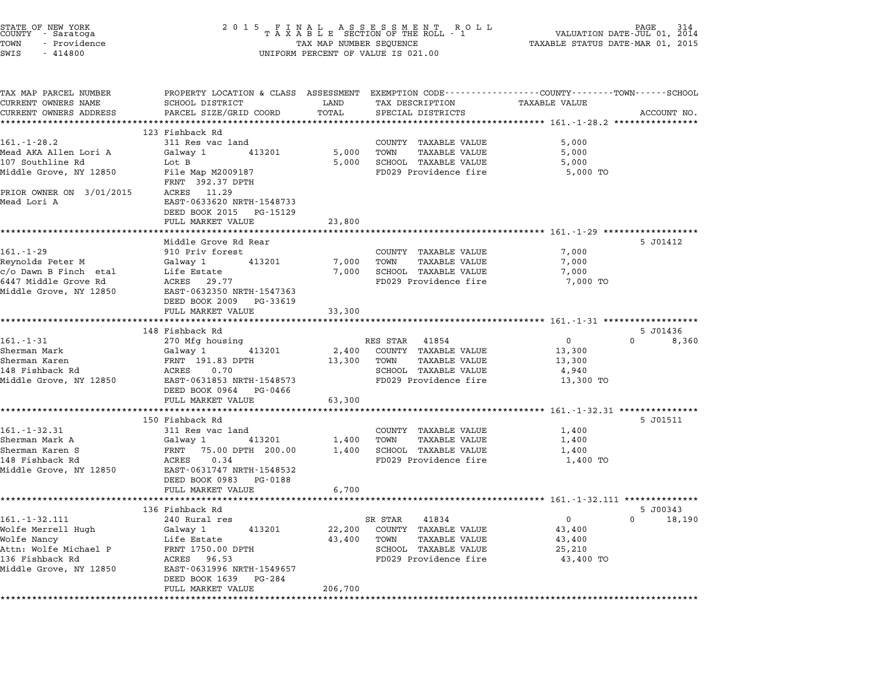|                      | STATE OF NEW YORK<br>COUNTY - Saratoga |  |
|----------------------|----------------------------------------|--|
| TOWN                 | - Providence                           |  |
| $\sim$ $\sim$ $\sim$ | 111000                                 |  |

# STATE OF NEW YORK <sup>2</sup> <sup>0</sup> <sup>1</sup> 5 F I N A L A S S E S S M E N T R O L L PAGE <sup>314</sup> COUNTY - Saratoga <sup>T</sup> <sup>A</sup> <sup>X</sup> <sup>A</sup> <sup>B</sup> <sup>L</sup> <sup>E</sup> SECTION OF THE ROLL - <sup>1</sup> VALUATION DATE-JUL 01, <sup>2014</sup> TOWN - Providence TAX MAP NUMBER SEQUENCE TAXABLE STATUS DATE-MAR 01, <sup>2015</sup> TOWN - Providence and the state of the state of the state of the state of the state of the state of the state o<br>SWIS - 414800 SWIS - SWISSED BERCENT OF VALUE IS 021.00

| TAX MAP PARCEL NUMBER<br>CURRENT OWNERS NAME        | SCHOOL DISTRICT                                                                             | LAND    | TAX DESCRIPTION                                  | PROPERTY LOCATION & CLASS ASSESSMENT EXEMPTION CODE---------------COUNTY-------TOWN------SCHOOL<br>TAXABLE VALUE |  |
|-----------------------------------------------------|---------------------------------------------------------------------------------------------|---------|--------------------------------------------------|------------------------------------------------------------------------------------------------------------------|--|
| CURRENT OWNERS ADDRESS                              | PARCEL SIZE/GRID COORD                                                                      | TOTAL   | SPECIAL DISTRICTS                                | ACCOUNT NO.                                                                                                      |  |
|                                                     |                                                                                             |         |                                                  |                                                                                                                  |  |
|                                                     | 123 Fishback Rd                                                                             |         |                                                  |                                                                                                                  |  |
| $161 - 1 - 28.2$                                    | 311 Res vac land                                                                            |         | COUNTY TAXABLE VALUE                             | 5,000                                                                                                            |  |
| Mead AKA Allen Lori A                               | Galway 1<br>413201                                                                          | 5,000   | TOWN TAXABLE VALUE                               | 5,000                                                                                                            |  |
| 107 Southline Rd                                    | Lot B                                                                                       |         | 5,000 SCHOOL TAXABLE VALUE                       | 5,000                                                                                                            |  |
| Middle Grove, NY 12850                              | File Map M2009187<br>FRNT 392.37 DPTH                                                       |         | FD029 Providence fire                            | 5,000 TO                                                                                                         |  |
| PRIOR OWNER ON 3/01/2015 ACRES 11.29<br>Mead Lori A | EAST-0633620 NRTH-1548733                                                                   |         |                                                  |                                                                                                                  |  |
|                                                     | DEED BOOK 2015 PG-15129<br>FULL MARKET VALUE                                                | 23,800  |                                                  |                                                                                                                  |  |
|                                                     |                                                                                             |         |                                                  |                                                                                                                  |  |
|                                                     | Middle Grove Rd Rear                                                                        |         |                                                  | 5 J01412                                                                                                         |  |
| $161. - 1 - 29$                                     | 910 Priv forest                                                                             |         | COUNTY TAXABLE VALUE                             | 7,000                                                                                                            |  |
| Reynolds Peter M<br>c/o Dawn B Finch etal           | Galway 1 413201                                                                             | 7,000   | TOWN TAXABLE VALUE<br>7,000 SCHOOL TAXABLE VALUE | 7,000                                                                                                            |  |
| 6447 Middle Grove Rd                                | Life Estate <b>Santa</b><br>ACRES 29.77                                                     |         | FD029 Providence fire                            | 7,000<br>7,000 TO                                                                                                |  |
| Middle Grove, NY 12850                              | EAST-0632350 NRTH-1547363                                                                   |         |                                                  |                                                                                                                  |  |
|                                                     | DEED BOOK 2009 PG-33619                                                                     |         |                                                  |                                                                                                                  |  |
|                                                     | FULL MARKET VALUE                                                                           | 33,300  |                                                  |                                                                                                                  |  |
|                                                     |                                                                                             |         |                                                  |                                                                                                                  |  |
|                                                     | 148 Fishback Rd                                                                             |         |                                                  | 5 J01436                                                                                                         |  |
| $161. - 1 - 31$                                     | 270 Mfg housing                                                                             |         | RES STAR 41854                                   | $\Omega$<br>$\overline{0}$<br>8,360                                                                              |  |
| Sherman Mark                                        | Galway 1 413201                                                                             |         | 2,400 COUNTY TAXABLE VALUE                       | 13,300                                                                                                           |  |
| Sherman Karen                                       | FRNT 191.83 DPTH                                                                            | 13,300  | TOWN TAXABLE VALUE                               | 13,300                                                                                                           |  |
|                                                     |                                                                                             |         | SCHOOL TAXABLE VALUE<br>FD029 Providence fire    | 4,940<br>13,300 TO                                                                                               |  |
|                                                     | DEED BOOK 0964 PG-0466                                                                      |         |                                                  |                                                                                                                  |  |
|                                                     | FULL MARKET VALUE                                                                           | 63,300  |                                                  |                                                                                                                  |  |
|                                                     |                                                                                             |         |                                                  |                                                                                                                  |  |
|                                                     | 150 Fishback Rd                                                                             |         |                                                  | 5 J01511                                                                                                         |  |
| $161.-1-32.31$                                      | 311 Res vac land                                                                            |         | COUNTY TAXABLE VALUE                             | 1,400                                                                                                            |  |
| Sherman Mark A                                      | Galway 1 413201                                                                             |         | 1,400 TOWN TAXABLE VALUE                         | 1,400                                                                                                            |  |
| Sherman Karen S                                     | FRNT 75.00 DPTH 200.00                                                                      |         | 1,400 SCHOOL TAXABLE VALUE                       | 1,400                                                                                                            |  |
| 148 Fishback Rd                                     | ACRES 0.34                                                                                  |         | FD029 Providence fire                            | 1,400 TO                                                                                                         |  |
| Middle Grove, NY 12850                              | EAST-0631747 NRTH-1548532                                                                   |         |                                                  |                                                                                                                  |  |
|                                                     | DEED BOOK 0983 PG-0188                                                                      |         |                                                  |                                                                                                                  |  |
|                                                     | FULL MARKET VALUE                                                                           | 6,700   |                                                  |                                                                                                                  |  |
|                                                     | 136 Fishback Rd                                                                             |         |                                                  | 5 J00343                                                                                                         |  |
| $161. - 1 - 32.111$                                 | 240 Rural res                                                                               |         | SR STAR 41834                                    | $0 \qquad \qquad$<br>$\overline{0}$<br>18,190                                                                    |  |
| Wolfe Merrell Hugh                                  | Galway 1 413201                                                                             |         | 22,200 COUNTY TAXABLE VALUE                      | 43,400                                                                                                           |  |
| Wolfe Nancy                                         | Life Estate                                                                                 |         | 43,400 TOWN TAXABLE VALUE                        | 43,400                                                                                                           |  |
| Attn: Wolfe Michael P                               | $\begin{array}{ll}\n\text{FRNT} & 1750.00 & \text{DPTH} \\ \text{RNT} & 96.53\n\end{array}$ |         | SCHOOL TAXABLE VALUE                             | 25,210                                                                                                           |  |
| 136 Fishback Rd                                     | ACRES 96.53                                                                                 |         | FD029 Providence fire                            | 43,400 TO                                                                                                        |  |
| Middle Grove, NY 12850                              | EAST-0631996 NRTH-1549657<br>DEED BOOK 1639 PG-284                                          |         |                                                  |                                                                                                                  |  |
|                                                     | FULL MARKET VALUE                                                                           | 206,700 |                                                  |                                                                                                                  |  |
|                                                     |                                                                                             |         |                                                  |                                                                                                                  |  |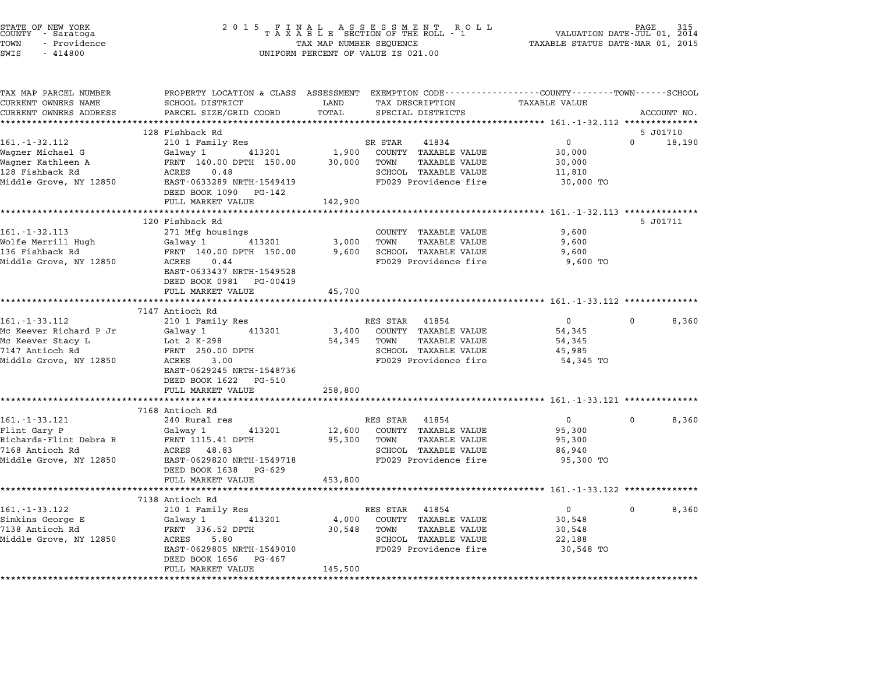| STATE OF NEW YORK<br>COUNTY – Saratoga<br>TOWN<br>- Providence | 2 0 1 5                                                            | FINAL ASSESSMENT ROLL<br>TAXABLE SECTION OF THE ROLL - 1<br>TAX MAP NUMBER SEQUENCE                                        | PAGE<br>VALUATION DATE-JUL 01, 2014<br>TAXABLE STATUS DATE-MAR 01, 2015 |
|----------------------------------------------------------------|--------------------------------------------------------------------|----------------------------------------------------------------------------------------------------------------------------|-------------------------------------------------------------------------|
| SWIS<br>$-414800$                                              |                                                                    | UNIFORM PERCENT OF VALUE IS 021.00                                                                                         |                                                                         |
| TAX MAP PARCEL NUMBER<br>CURRENT OWNERS NAME                   | SCHOOL DISTRICT                                                    | PROPERTY LOCATION & CLASS ASSESSMENT EXEMPTION CODE----------------COUNTY-------TOWN-----SCHOOL<br>TAX DESCRIPTION<br>LAND | TAXABLE VALUE                                                           |
| CURRENT OWNERS ADDRESS                                         | PARCEL SIZE/GRID COORD                                             | TOTAL<br>SPECIAL DISTRICTS                                                                                                 | ACCOUNT NO.                                                             |
| ************************                                       |                                                                    |                                                                                                                            |                                                                         |
|                                                                | 128 Fishback Rd                                                    |                                                                                                                            | 5 J01710<br>$\Omega$                                                    |
| $161. - 1 - 32.112$                                            | 210 1 Family Res                                                   | SR STAR<br>41834                                                                                                           | $\overline{0}$<br>18,190                                                |
| Wagner Michael G<br>Wagner Kathleen A                          | Galway 1 413201<br>FRNT 140.00 DPTH 150.00                         | 1,900<br>COUNTY TAXABLE VALUE<br>30,000<br>TOWN<br>TAXABLE VALUE                                                           | 30,000<br>30,000                                                        |
| 128 Fishback Rd                                                | ACRES<br>0.48                                                      | SCHOOL TAXABLE VALUE                                                                                                       | 11,810                                                                  |
| Middle Grove, NY 12850                                         | EAST-0633289 NRTH-1549419                                          | FD029 Providence fire                                                                                                      | 30,000 TO                                                               |
|                                                                | DEED BOOK 1090 PG-142                                              |                                                                                                                            |                                                                         |
|                                                                | FULL MARKET VALUE                                                  | 142,900                                                                                                                    |                                                                         |
|                                                                | *************************                                          |                                                                                                                            | ******************************** 161.-1-32.113 ***************          |
|                                                                | 120 Fishback Rd                                                    |                                                                                                                            | 5 J01711                                                                |
| $161. - 1 - 32.113$                                            | 271 Mfg housings                                                   | COUNTY TAXABLE VALUE                                                                                                       | 9,600                                                                   |
| Wolfe Merrill Hugh                                             | 413201<br>Galway 1                                                 | 3,000<br>TOWN<br>TAXABLE VALUE                                                                                             | 9,600                                                                   |
| 136 Fishback Rd                                                | FRNT 140.00 DPTH 150.00                                            | SCHOOL TAXABLE VALUE<br>9,600                                                                                              | 9,600                                                                   |
| Middle Grove, NY 12850                                         | ACRES 0.44<br>EAST-0633437 NRTH-1549528<br>DEED BOOK 0981 PG-00419 | FD029 Providence fire                                                                                                      | 9,600 TO                                                                |
|                                                                | FULL MARKET VALUE                                                  | 45,700                                                                                                                     |                                                                         |
|                                                                |                                                                    | **********                                                                                                                 |                                                                         |
|                                                                | 7147 Antioch Rd                                                    |                                                                                                                            |                                                                         |
| 161. - 1 - 33.112                                              | 210 1 Family Res                                                   | RES STAR 41854                                                                                                             | $\overline{0}$<br>0<br>8,360                                            |
| Mc Keever Richard P Jr                                         | Galway 1<br>413201                                                 | 3,400<br>COUNTY TAXABLE VALUE                                                                                              | 54,345                                                                  |
| Mc Keever Stacy L                                              | Lot 2 K-298                                                        | 54,345<br>TOWN<br>TAXABLE VALUE                                                                                            | 54,345                                                                  |
| 7147 Antioch Rd<br>Middle Grove, NY 12850                      | FRNT 250.00 DPTH<br>ACRES 3.00                                     | SCHOOL TAXABLE VALUE<br>FD029 Providence fire                                                                              | 45,985<br>54,345 TO                                                     |
|                                                                | EAST-0629245 NRTH-1548736                                          |                                                                                                                            |                                                                         |
|                                                                | DEED BOOK 1622 PG-510                                              |                                                                                                                            |                                                                         |
|                                                                | FULL MARKET VALUE                                                  | 258,800                                                                                                                    |                                                                         |
|                                                                |                                                                    | ********                                                                                                                   | *********** 161.-1-33.121 ************                                  |
|                                                                | 7168 Antioch Rd                                                    |                                                                                                                            |                                                                         |
| 161. - 1 - 33.121                                              | 240 Rural res                                                      | RES STAR 41854                                                                                                             | $\overline{0}$<br>0<br>8,360                                            |
| Flint Gary P                                                   | 413201<br>Galway 1                                                 | 12,600<br>COUNTY TAXABLE VALUE                                                                                             | 95,300                                                                  |
| Richards-Flint Debra R                                         | FRNT 1115.41 DPTH                                                  | 95,300<br>TOWN<br>TAXABLE VALUE                                                                                            | 95,300                                                                  |
| 7168 Antioch Rd                                                | ACRES 48.83                                                        | SCHOOL TAXABLE VALUE                                                                                                       | 86,940                                                                  |
| Middle Grove, NY 12850                                         | EAST-0629820 NRTH-1549718                                          | FD029 Providence fire                                                                                                      | 95,300 TO                                                               |
|                                                                | DEED BOOK 1638 PG-629                                              |                                                                                                                            |                                                                         |
|                                                                | FULL MARKET VALUE<br>***********************                       | 453,800                                                                                                                    |                                                                         |
|                                                                | 7138 Antioch Rd                                                    |                                                                                                                            |                                                                         |
| 161. - 1 - 33.122                                              | 210 1 Family Res                                                   | RES STAR 41854                                                                                                             | $\overline{0}$<br>0<br>8,360                                            |
| Simkins George E                                               | Galway 1 413201                                                    | 4,000<br>COUNTY TAXABLE VALUE                                                                                              | 30,548                                                                  |
| 7138 Antioch Rd                                                | FRNT 336.52 DPTH                                                   | 30,548<br>TOWN<br>TAXABLE VALUE                                                                                            | 30,548                                                                  |
| Middle Grove, NY 12850                                         | ACRES<br>5.80                                                      | SCHOOL TAXABLE VALUE                                                                                                       | 22,188                                                                  |
|                                                                | EAST-0629805 NRTH-1549010                                          | FD029 Providence fire                                                                                                      | 30,548 TO                                                               |
|                                                                | DEED BOOK 1656<br>PG-467                                           |                                                                                                                            |                                                                         |
|                                                                | FULL MARKET VALUE                                                  | 145,500                                                                                                                    |                                                                         |
|                                                                |                                                                    |                                                                                                                            |                                                                         |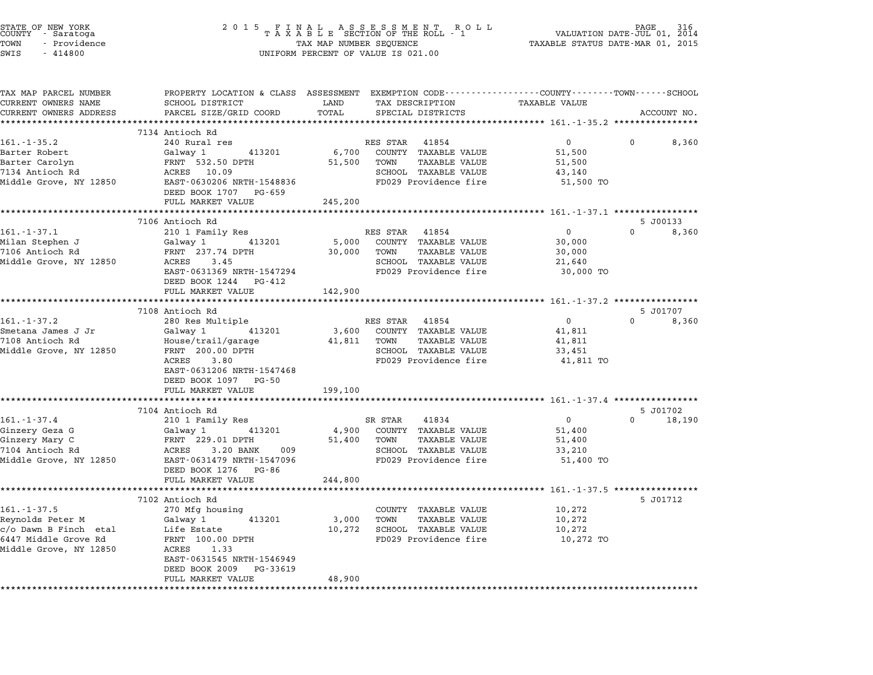| DEED BOOK 1707 PG-659 |                                                                                               |                                                                                                                                                                                                                                                                                                                                                                                                                                                                                                                                                                                                                                                                                                                                                                                                                                                                                                                                                                                                                                                                                                                                                                                                                                                                                                                                                                                                                                                                                                                                                                                |
|-----------------------|-----------------------------------------------------------------------------------------------|--------------------------------------------------------------------------------------------------------------------------------------------------------------------------------------------------------------------------------------------------------------------------------------------------------------------------------------------------------------------------------------------------------------------------------------------------------------------------------------------------------------------------------------------------------------------------------------------------------------------------------------------------------------------------------------------------------------------------------------------------------------------------------------------------------------------------------------------------------------------------------------------------------------------------------------------------------------------------------------------------------------------------------------------------------------------------------------------------------------------------------------------------------------------------------------------------------------------------------------------------------------------------------------------------------------------------------------------------------------------------------------------------------------------------------------------------------------------------------------------------------------------------------------------------------------------------------|
|                       |                                                                                               |                                                                                                                                                                                                                                                                                                                                                                                                                                                                                                                                                                                                                                                                                                                                                                                                                                                                                                                                                                                                                                                                                                                                                                                                                                                                                                                                                                                                                                                                                                                                                                                |
| DEED BOOK 1244 PG-412 |                                                                                               | 5 J00133                                                                                                                                                                                                                                                                                                                                                                                                                                                                                                                                                                                                                                                                                                                                                                                                                                                                                                                                                                                                                                                                                                                                                                                                                                                                                                                                                                                                                                                                                                                                                                       |
|                       |                                                                                               |                                                                                                                                                                                                                                                                                                                                                                                                                                                                                                                                                                                                                                                                                                                                                                                                                                                                                                                                                                                                                                                                                                                                                                                                                                                                                                                                                                                                                                                                                                                                                                                |
|                       |                                                                                               |                                                                                                                                                                                                                                                                                                                                                                                                                                                                                                                                                                                                                                                                                                                                                                                                                                                                                                                                                                                                                                                                                                                                                                                                                                                                                                                                                                                                                                                                                                                                                                                |
| DEED BOOK 1097 PG-50  |                                                                                               |                                                                                                                                                                                                                                                                                                                                                                                                                                                                                                                                                                                                                                                                                                                                                                                                                                                                                                                                                                                                                                                                                                                                                                                                                                                                                                                                                                                                                                                                                                                                                                                |
|                       |                                                                                               |                                                                                                                                                                                                                                                                                                                                                                                                                                                                                                                                                                                                                                                                                                                                                                                                                                                                                                                                                                                                                                                                                                                                                                                                                                                                                                                                                                                                                                                                                                                                                                                |
|                       | SCHOOL TAXABLE VALUE<br>FD029 Providence fire                                                 | $5 J01702$<br>0<br>$\overline{0}$<br>$0 \t 18,190$<br>51,400<br>51,400<br>33,210<br>51,400 TO                                                                                                                                                                                                                                                                                                                                                                                                                                                                                                                                                                                                                                                                                                                                                                                                                                                                                                                                                                                                                                                                                                                                                                                                                                                                                                                                                                                                                                                                                  |
| FULL MARKET VALUE     |                                                                                               |                                                                                                                                                                                                                                                                                                                                                                                                                                                                                                                                                                                                                                                                                                                                                                                                                                                                                                                                                                                                                                                                                                                                                                                                                                                                                                                                                                                                                                                                                                                                                                                |
|                       |                                                                                               | 5 J01712                                                                                                                                                                                                                                                                                                                                                                                                                                                                                                                                                                                                                                                                                                                                                                                                                                                                                                                                                                                                                                                                                                                                                                                                                                                                                                                                                                                                                                                                                                                                                                       |
|                       |                                                                                               |                                                                                                                                                                                                                                                                                                                                                                                                                                                                                                                                                                                                                                                                                                                                                                                                                                                                                                                                                                                                                                                                                                                                                                                                                                                                                                                                                                                                                                                                                                                                                                                |
|                       | 7134 Antioch Rd<br>7106 Antioch Rd<br>FULL MARKET VALUE<br>7104 Antioch Rd<br>7102 Antioch Rd | TAXABLE SECTION OF THE ROLL PT TAXABLE STATUS DATE-000 01, 2015<br>TAX MAP NUMBER SEQUENCE TAXABLE STATUS DATE-MAR 01, 2015<br>UNIFORM PERCENT OF VALUE IS 021.00<br>161.-1-35.2<br>Barter Robert (31,500 Calway 1 413201 6,700 COUNTY TAXABLE VALUE 51,500 0 8,360<br>Barter Carolyn FRNT 532.50 DPTH 51,500 TOWN TAXABLE VALUE 51,500<br>7134 Antioch Rd ACRES 10.09<br>240 Runder 43201 6,700 COUNTY T<br>FULL MARKET VALUE 245,200<br>161.-1-37.1 210 1 Family Res<br>Milan Stephen J (alway 1 413201 5,000 COUNTY TAXABLE VALUE 30,000<br>7106 Antioch Rd FRNT 237.74 DPTH 30,000 TOWN TAXABLE VALUE 30,000<br>7106 Antioch Rd FRNT 237.74 DPTH 30,000 TOWN TAXABLE VALUE<br>FULL MARKET VALUE 142,900<br>37.108 Antioch Rd 380 Res Multiple<br>Smetana James J Jr (Jalvay 1 413201 3,600 COUNTY TAXABLE VALUE<br>7108 Antioch Rd 5 J01707<br>7108 Antioch Rd 5 House/trail/garage 41,811 TOWN TAXABLE VALUE<br>7108 Antioch Rd 5 House/trail/ga<br>EAST-0631206 NRTH-1547468<br>199,100<br>161.-1-37.4<br>Cinzery Geza G<br>Ginzery Mary C<br>Cinzery Mary C<br>TRABLE VALUE<br>The Ginzery Mary C<br>TRABLE VALUE<br>TRABLE VALUE<br>TRABLE VALUE<br>TRABLE VALUE<br>TRABLE VALUE<br>TRABLE VALUE<br>TRABLE VALUE<br>TRABLE VALUE<br>TRABLE VALUE<br>T<br>244,800<br>161.-1-37.5<br>Reynolds Peter M (370 Mfg housing<br>c/o Dawn B Finch etal Life Estate 10,272<br>6447 Middle Grove Rd FRNT 100.00 DPTH<br>Middle Grove, NY 12850 ACRES 1.33<br>EAST-0631545 NRTH-1546949<br>FRNT 100.00 DPTH<br>EAST-0631545<br>DEED BOOK 2009 PG-33619<br>FULL MARKET VALUE 48,900 |

STATE OF NEW YORK <sup>2</sup> <sup>0</sup> <sup>1</sup> 5 F I N A L A S S E S S M E N T R O L L PAGE <sup>316</sup> COUNTY - Saratoga <sup>T</sup> <sup>A</sup> <sup>X</sup> <sup>A</sup> <sup>B</sup> <sup>L</sup> <sup>E</sup> SECTION OF THE ROLL - <sup>1</sup> VALUATION DATE-JUL 01, <sup>2014</sup> TOWN - Providence TAX MAP NUMBER SEQUENCE TAXABLE STATUS DATE-MAR 01, <sup>2015</sup>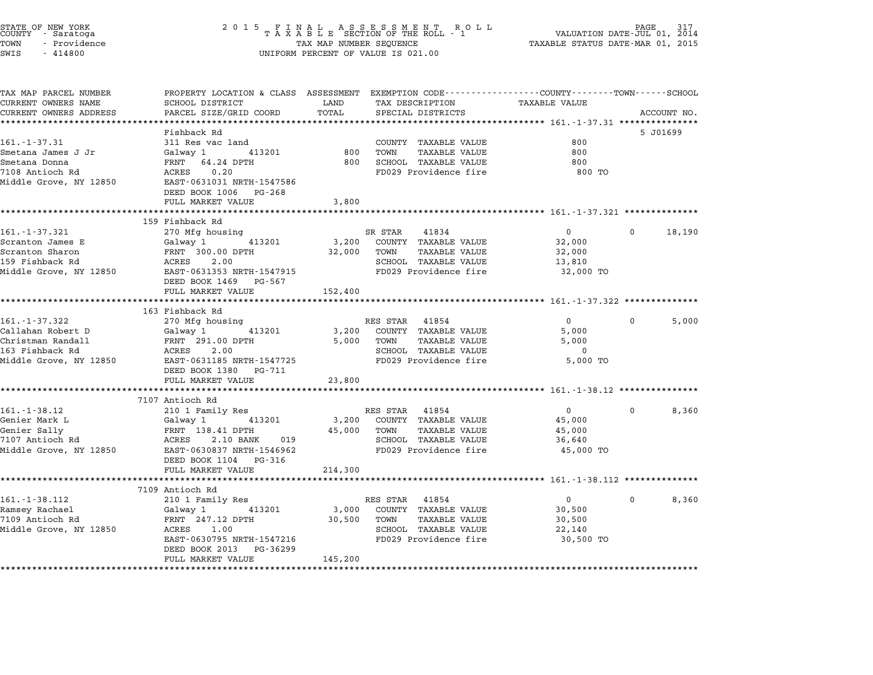|            | STATE OF NEW YORK<br>COUNTY - Saratoga |  |
|------------|----------------------------------------|--|
| TOWN       | - Providence                           |  |
| $ATTT$ $T$ | 111000                                 |  |

# STATE OF NEW YORK <sup>2</sup> <sup>0</sup> <sup>1</sup> 5 F I N A L A S S E S S M E N T R O L L PAGE <sup>317</sup> COUNTY - Saratoga <sup>T</sup> <sup>A</sup> <sup>X</sup> <sup>A</sup> <sup>B</sup> <sup>L</sup> <sup>E</sup> SECTION OF THE ROLL - <sup>1</sup> VALUATION DATE-JUL 01, <sup>2014</sup> TOWN - Providence TAX MAP NUMBER SEQUENCE TAXABLE STATUS DATE-MAR 01, <sup>2015</sup> TOWN - Providence and the state of the state of the state of the state of the state of the state of the state o<br>SWIS - 414800 SWIS - SWISSED BERCENT OF VALUE IS 021.00

| TAX MAP PARCEL NUMBER  | PROPERTY LOCATION & CLASS ASSESSMENT EXEMPTION CODE----------------COUNTY-------TOWN-----SCHOOL                                         |             |                                                                     |                   |                   |
|------------------------|-----------------------------------------------------------------------------------------------------------------------------------------|-------------|---------------------------------------------------------------------|-------------------|-------------------|
| CURRENT OWNERS NAME    | SCHOOL DISTRICT                                                                                                                         | LAND        | TAX DESCRIPTION TAXABLE VALUE                                       |                   |                   |
| CURRENT OWNERS ADDRESS | PARCEL SIZE/GRID COORD                                                                                                                  | TOTAL       | SPECIAL DISTRICTS                                                   |                   | ACCOUNT NO.       |
|                        |                                                                                                                                         |             |                                                                     |                   |                   |
|                        | Fishback Rd                                                                                                                             |             |                                                                     |                   | 5 J01699          |
| $161. - 1 - 37.31$     | 311 Res vac land                                                                                                                        |             | COUNTY TAXABLE VALUE                                                | 800               |                   |
| Smetana James J Jr     | Galway 1 413201                                                                                                                         | 800         | TOWN<br>TAXABLE VALUE                                               | 800               |                   |
| Smetana Donna          | FRNT 64.24 DPTH                                                                                                                         |             | 800 SCHOOL TAXABLE VALUE                                            | 800               |                   |
| 7108 Antioch Rd        | ACRES<br>0.20                                                                                                                           |             | FD029 Providence fire                                               | 800 TO            |                   |
| Middle Grove, NY 12850 | EAST-0631031 NRTH-1547586                                                                                                               |             |                                                                     |                   |                   |
|                        | DEED BOOK 1006 PG-268                                                                                                                   |             |                                                                     |                   |                   |
|                        | FULL MARKET VALUE                                                                                                                       | 3,800       |                                                                     |                   |                   |
|                        | 159 Fishback Rd                                                                                                                         |             |                                                                     |                   |                   |
| 161.-1-37.321          |                                                                                                                                         |             | SR STAR<br>41834                                                    | $\overline{0}$    | $\Omega$          |
|                        | 270 Mfg housing                                                                                                                         |             | 413201 3,200 COUNTY TAXABLE VALUE                                   | 32,000            | 18,190            |
|                        |                                                                                                                                         |             | 32,000 TOWN TAXABLE VALUE                                           | 32,000            |                   |
|                        |                                                                                                                                         |             | SCHOOL TAXABLE VALUE                                                | 13,810            |                   |
|                        |                                                                                                                                         |             | FD029 Providence fire                                               | 32,000 TO         |                   |
|                        | DEED BOOK 1469 PG-567                                                                                                                   |             |                                                                     |                   |                   |
|                        | FULL MARKET VALUE                                                                                                                       | 152,400     |                                                                     |                   |                   |
|                        |                                                                                                                                         |             |                                                                     |                   |                   |
|                        | 163 Fishback Rd                                                                                                                         |             |                                                                     |                   |                   |
| $161. - 1 - 37.322$    | 270 Mfg housing                                                                                                                         |             | RES STAR 41854                                                      | $0 \qquad \qquad$ | $\Omega$<br>5,000 |
|                        | -<br>Callahan Robert D<br>Christman Randall Christman Randall Christman Randall Christman Common Common Christman Christman Christman C |             | 3,200 COUNTY TAXABLE VALUE                                          | 5,000             |                   |
|                        |                                                                                                                                         |             | 5,000 TOWN TAXABLE VALUE                                            | 5,000             |                   |
| 163 Fishback Rd        | ACRES 2.00                                                                                                                              |             | SCHOOL TAXABLE VALUE                                                | $\mathbf 0$       |                   |
|                        | Middle Grove, NY 12850 EAST-0631185 NRTH-1547725                                                                                        |             | FD029 Providence fire 5,000 TO                                      |                   |                   |
|                        | DEED BOOK 1380 PG-711                                                                                                                   |             |                                                                     |                   |                   |
|                        | FULL MARKET VALUE                                                                                                                       | 23,800      |                                                                     |                   |                   |
|                        |                                                                                                                                         |             |                                                                     |                   |                   |
|                        | 7107 Antioch Rd                                                                                                                         |             |                                                                     |                   |                   |
| $161. - 1 - 38.12$     | 210 1 Family Res                                                                                                                        |             | RES STAR 41854                                                      | $\overline{0}$    | $\Omega$<br>8,360 |
| Genier Mark L          | Galway 1 413201                                                                                                                         |             | 3,200 COUNTY TAXABLE VALUE                                          | 45,000            |                   |
| Genier Sally           | FRNT 138.41 DPTH                                                                                                                        | 45,000 TOWN | TAXABLE VALUE                                                       | 45,000            |                   |
| 7107 Antioch Rd        | ACRES 2.10 BANK 019                                                                                                                     |             | SCHOOL TAXABLE VALUE                                                | 36,640            |                   |
| Middle Grove, NY 12850 | EAST-0630837 NRTH-1546962                                                                                                               |             | FD029 Providence fire                                               | 45,000 TO         |                   |
|                        | DEED BOOK 1104 PG-316                                                                                                                   |             |                                                                     |                   |                   |
|                        | FULL MARKET VALUE                                                                                                                       | 214,300     |                                                                     |                   |                   |
|                        | *************************                                                                                                               |             | ************************************** 161.-1-38.112 ************** |                   |                   |
|                        | 7109 Antioch Rd                                                                                                                         |             |                                                                     |                   |                   |
| $161. - 1 - 38.112$    | 210 1 Family Res                                                                                                                        |             | RES STAR 41854                                                      | $\overline{0}$    | $\Omega$<br>8,360 |
| Ramsey Rachael         | Galway 1 413201                                                                                                                         |             | 3,000 COUNTY TAXABLE VALUE                                          | 30,500            |                   |
| 7109 Antioch Rd        | FRNT 247.12 DPTH 30,500 TOWN                                                                                                            |             | TAXABLE VALUE                                                       | 30,500            |                   |
| Middle Grove, NY 12850 | ACRES 1.00<br>EAST-0630795 NRTH-1547216                                                                                                 |             | SCHOOL TAXABLE VALUE<br>FD029 Providence fire 30,500 TO             | 22,140            |                   |
|                        | DEED BOOK 2013 PG-36299                                                                                                                 |             |                                                                     |                   |                   |
|                        | FULL MARKET VALUE                                                                                                                       | 145,200     |                                                                     |                   |                   |
|                        |                                                                                                                                         |             |                                                                     |                   |                   |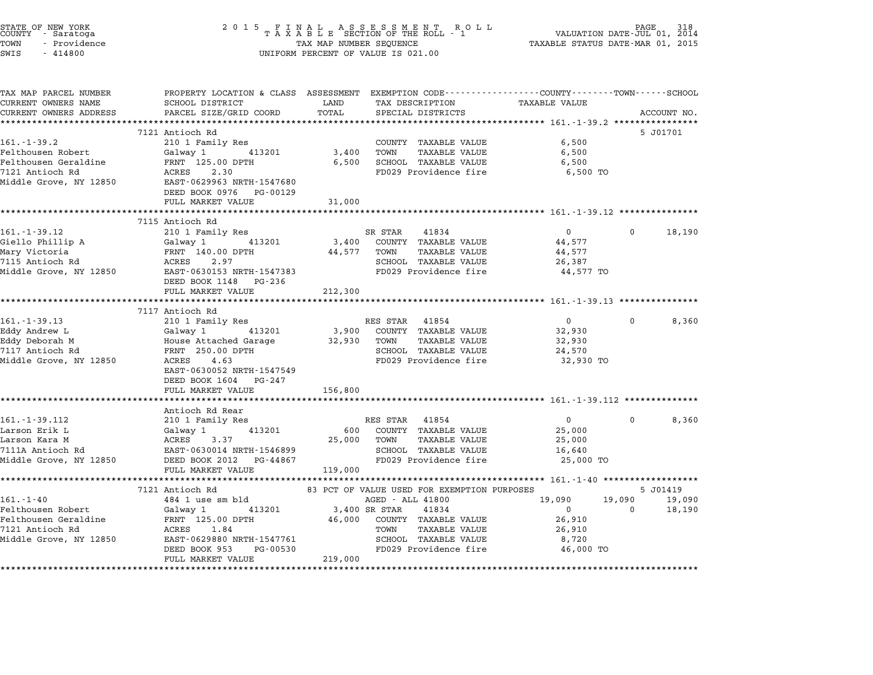| STATE OF NEW YORK<br>COUNTY - Saratoga<br>TOWN<br>- Providence<br>SWIS<br>$-414800$ | 2 0 1 5<br>FINAL ASSESSMENT ROLL<br>TAXABLE SECTION OF THE ROLL - 1<br>TAX MAP NUMBER SEOUENCE<br>UNIFORM PERCENT OF VALUE IS 021.00         |               |                                                                 |                      | PAGE<br>318<br>VALUATION DATE-JUL 01, 2014<br>TAXABLE STATUS DATE-MAR 01, 2015 |                    |  |
|-------------------------------------------------------------------------------------|----------------------------------------------------------------------------------------------------------------------------------------------|---------------|-----------------------------------------------------------------|----------------------|--------------------------------------------------------------------------------|--------------------|--|
| TAX MAP PARCEL NUMBER<br>CURRENT OWNERS NAME<br>CURRENT OWNERS ADDRESS              | PROPERTY LOCATION & CLASS ASSESSMENT EXEMPTION CODE---------------COUNTY-------TOWN------SCHOOL<br>SCHOOL DISTRICT<br>PARCEL SIZE/GRID COORD | LAND<br>TOTAL | TAX DESCRIPTION<br>SPECIAL DISTRICTS                            | <b>TAXABLE VALUE</b> |                                                                                | ACCOUNT NO.        |  |
|                                                                                     | 7121 Antioch Rd                                                                                                                              |               |                                                                 |                      |                                                                                | 5 J01701           |  |
| $161. - 1 - 39.2$                                                                   | 210 1 Family Res                                                                                                                             |               | COUNTY TAXABLE VALUE                                            | 6,500                |                                                                                |                    |  |
| Felthousen Robert                                                                   | Galway 1<br>413201                                                                                                                           | 3,400         | TOWN<br>TAXABLE VALUE                                           | 6,500                |                                                                                |                    |  |
| Felthousen Geraldine                                                                | FRNT 125.00 DPTH                                                                                                                             | 6,500         | SCHOOL TAXABLE VALUE                                            | 6,500                |                                                                                |                    |  |
| 7121 Antioch Rd<br>Middle Grove, NY 12850                                           | 2.30<br>ACRES<br>EAST-0629963 NRTH-1547680<br>DEED BOOK 0976 PG-00129                                                                        |               | FD029 Providence fire                                           | 6,500 TO             |                                                                                |                    |  |
|                                                                                     | FULL MARKET VALUE<br>*********************************                                                                                       | 31,000        |                                                                 |                      |                                                                                |                    |  |
|                                                                                     | 7115 Antioch Rd                                                                                                                              |               |                                                                 |                      |                                                                                |                    |  |
| $161. - 1 - 39.12$                                                                  | 210 1 Family Res                                                                                                                             |               | SR STAR<br>41834                                                | $\overline{0}$       | 0                                                                              | 18,190             |  |
| Giello Phillip A                                                                    | 413201<br>Galway 1                                                                                                                           | 3,400         | COUNTY TAXABLE VALUE                                            | 44,577               |                                                                                |                    |  |
| Mary Victoria                                                                       | FRNT 140.00 DPTH                                                                                                                             | 44,577        | TOWN<br>TAXABLE VALUE                                           | 44,577               |                                                                                |                    |  |
| 7115 Antioch Rd                                                                     | ACRES<br>2.97                                                                                                                                |               | SCHOOL TAXABLE VALUE                                            | 26,387               |                                                                                |                    |  |
| Middle Grove, NY 12850                                                              | EAST-0630153 NRTH-1547383<br>DEED BOOK 1148 PG-236                                                                                           |               | FD029 Providence fire                                           | 44,577 TO            |                                                                                |                    |  |
|                                                                                     | FULL MARKET VALUE<br>*****************************                                                                                           | 212,300       |                                                                 |                      |                                                                                |                    |  |
|                                                                                     | 7117 Antioch Rd                                                                                                                              |               |                                                                 |                      |                                                                                |                    |  |
| $161. - 1 - 39.13$                                                                  | 210 1 Family Res                                                                                                                             |               | RES STAR 41854                                                  | $\overline{0}$       | $\mathbf{0}$                                                                   | 8,360              |  |
| Eddy Andrew L                                                                       | Galway 1<br>413201                                                                                                                           | 3,900         | COUNTY TAXABLE VALUE                                            | 32,930               |                                                                                |                    |  |
| Eddy Deborah M                                                                      | House Attached Garage                                                                                                                        | 32,930        | TOWN<br>TAXABLE VALUE                                           | 32,930               |                                                                                |                    |  |
| 7117 Antioch Rd                                                                     | FRNT 250.00 DPTH                                                                                                                             |               | SCHOOL TAXABLE VALUE                                            | 24,570               |                                                                                |                    |  |
| Middle Grove, NY 12850                                                              | ACRES 4.63<br>EAST-0630052 NRTH-1547549<br>DEED BOOK 1604 PG-247                                                                             |               | FD029 Providence fire                                           | 32,930 TO            |                                                                                |                    |  |
|                                                                                     | FULL MARKET VALUE<br>***********************                                                                                                 | 156,800       |                                                                 |                      |                                                                                |                    |  |
|                                                                                     | Antioch Rd Rear                                                                                                                              |               |                                                                 |                      |                                                                                |                    |  |
| $161. - 1 - 39.112$                                                                 | 210 1 Family Res                                                                                                                             |               | RES STAR 41854                                                  | $\overline{0}$       | 0                                                                              | 8,360              |  |
| Larson Erik L                                                                       | Galway 1<br>413201                                                                                                                           | 600           | COUNTY TAXABLE VALUE                                            | 25,000               |                                                                                |                    |  |
| Larson Kara M                                                                       | ACRES<br>3.37                                                                                                                                | 25,000        | TOWN<br>TAXABLE VALUE                                           | 25,000               |                                                                                |                    |  |
| 7111A Antioch Rd                                                                    | EAST-0630014 NRTH-1546899                                                                                                                    |               | SCHOOL TAXABLE VALUE                                            | 16,640               |                                                                                |                    |  |
| Middle Grove, NY 12850                                                              | DEED BOOK 2012 PG-44867                                                                                                                      |               | FD029 Providence fire                                           | 25,000 TO            |                                                                                |                    |  |
|                                                                                     | FULL MARKET VALUE                                                                                                                            | 119,000       |                                                                 |                      |                                                                                |                    |  |
|                                                                                     |                                                                                                                                              |               |                                                                 |                      |                                                                                |                    |  |
| $161. - 1 - 40$                                                                     | 7121 Antioch Rd<br>484 1 use sm bld                                                                                                          |               | 83 PCT OF VALUE USED FOR EXEMPTION PURPOSES<br>AGED - ALL 41800 | 19,090               | 19,090                                                                         | 5 J01419<br>19,090 |  |
| Felthousen Robert                                                                   | 413201<br>Galway 1                                                                                                                           |               | 3,400 SR STAR<br>41834                                          | $\Omega$             | $\Omega$                                                                       | 18,190             |  |
| Felthousen Geraldine                                                                | FRNT 125.00 DPTH                                                                                                                             | 46,000        | COUNTY TAXABLE VALUE                                            | 26,910               |                                                                                |                    |  |
| 7121 Antioch Rd                                                                     | ACRES 1.84                                                                                                                                   |               | <b>TAXABLE VALUE</b><br>TOWN                                    | 26,910               |                                                                                |                    |  |
| Middle Grove, NY 12850                                                              | EAST-0629880 NRTH-1547761                                                                                                                    |               | SCHOOL TAXABLE VALUE                                            | 8,720                |                                                                                |                    |  |
|                                                                                     | DEED BOOK 953<br>PG-00530<br>FULL MARKET VALUE                                                                                               | 219,000       | FD029 Providence fire                                           | 46,000 TO            |                                                                                |                    |  |
|                                                                                     |                                                                                                                                              |               |                                                                 |                      |                                                                                |                    |  |

STATE OF NEW YORK <sup>2</sup> <sup>0</sup> <sup>1</sup> 5 F I N A L A S S E S S M E N T R O L L PAGE <sup>318</sup> COUNTY - Saratoga <sup>T</sup> <sup>A</sup> <sup>X</sup> <sup>A</sup> <sup>B</sup> <sup>L</sup> <sup>E</sup> SECTION OF THE ROLL - <sup>1</sup> VALUATION DATE-JUL 01, <sup>2014</sup>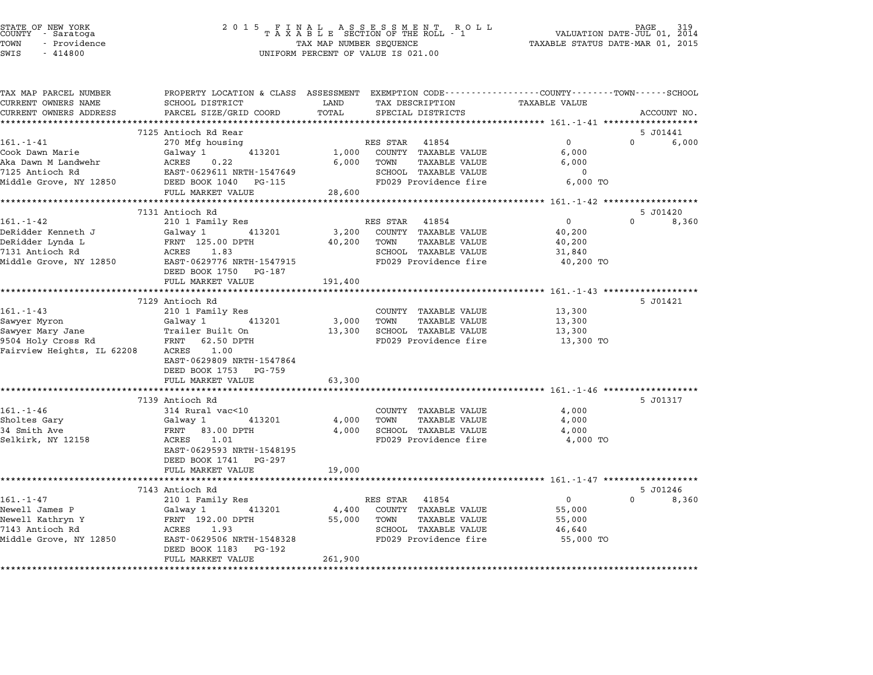| STATE OF NEW YORK<br>COUNTY | - Saratoga |              |  |
|-----------------------------|------------|--------------|--|
| TOWN                        |            | - Providence |  |
|                             |            |              |  |

# STATE OF NEW YORK <sup>2</sup> <sup>0</sup> <sup>1</sup> 5 F I N A L A S S E S S M E N T R O L L PAGE <sup>319</sup> COUNTY - Saratoga <sup>T</sup> <sup>A</sup> <sup>X</sup> <sup>A</sup> <sup>B</sup> <sup>L</sup> <sup>E</sup> SECTION OF THE ROLL - <sup>1</sup> VALUATION DATE-JUL 01, <sup>2014</sup> TOWN - Providence TAX MAP NUMBER SEQUENCE TAXABLE STATUS DATE-MAR 01, <sup>2015</sup> TOWN - Providence and the state of the state of the state of the state of the state of the state of the state o<br>SWIS - 414800 SWIS - SWISSED BERCENT OF VALUE IS 021.00

| TAX MAP PARCEL NUMBER<br>CURRENT OWNERS NAME                                                      | PROPERTY LOCATION & CLASS ASSESSMENT EXEMPTION CODE---------------COUNTY-------TOWN------SCHOOL<br>SCHOOL DISTRICT | LAND            | TAX DESCRIPTION              |               | <b>TAXABLE VALUE</b>                                 |          |             |
|---------------------------------------------------------------------------------------------------|--------------------------------------------------------------------------------------------------------------------|-----------------|------------------------------|---------------|------------------------------------------------------|----------|-------------|
| CURRENT OWNERS ADDRESS                                                                            | PARCEL SIZE/GRID COORD                                                                                             | TOTAL           | SPECIAL DISTRICTS            |               |                                                      |          | ACCOUNT NO. |
|                                                                                                   | ************************                                                                                           |                 |                              |               |                                                      |          |             |
|                                                                                                   | 7125 Antioch Rd Rear                                                                                               |                 |                              |               |                                                      |          | 5 J01441    |
| 161.-1-41                                                                                         | 270 Mfg housing                                                                                                    |                 | RES STAR 41854               |               | 0                                                    | $\Omega$ | 6,000       |
| Cook Dawn Marie                                                                                   | Galway 1<br>413201                                                                                                 | 1,000           | COUNTY TAXABLE VALUE         |               | 6,000                                                |          |             |
| Cook Dawn marror<br>Aka Dawn M Landwehr<br>EAST-0629611 NRTH-1547649<br>EAST-0629611 NRTH-1547649 |                                                                                                                    | 6,000           | TOWN                         | TAXABLE VALUE | 6,000                                                |          |             |
|                                                                                                   |                                                                                                                    |                 | SCHOOL TAXABLE VALUE         |               | $\overline{0}$                                       |          |             |
| Middle Grove, NY 12850 DEED BOOK 1040 PG-115                                                      |                                                                                                                    |                 | FD029 Providence fire        |               | 6,000 TO                                             |          |             |
|                                                                                                   | FULL MARKET VALUE<br>************************                                                                      | 28,600          |                              |               |                                                      |          |             |
|                                                                                                   |                                                                                                                    |                 |                              |               | ********************** 161.-1-42 ******************* |          |             |
|                                                                                                   | 7131 Antioch Rd                                                                                                    |                 |                              |               |                                                      | $\Omega$ | 5 J01420    |
| $161. - 1 - 42$                                                                                   | 210 1 Family Res                                                                                                   |                 | RES STAR 41854               |               | 0                                                    |          | 8,360       |
| DeRidder Kenneth J                                                                                | Galway 1 413201                                                                                                    | 3,200<br>40,200 | COUNTY TAXABLE VALUE<br>TOWN | TAXABLE VALUE | 40,200<br>40,200                                     |          |             |
| DeRidder Lynda L<br>7131 Antioch Rd<br>7131 Antioch Rd                                            | FRNT 125.00 DPTH<br>ACRES 1.83                                                                                     |                 | SCHOOL TAXABLE VALUE         |               |                                                      |          |             |
| Middle Grove, NY 12850                                                                            | EAST-0629776 NRTH-1547915                                                                                          |                 |                              |               | 31,840<br>FD029 Providence fire 40,200 TO            |          |             |
|                                                                                                   | DEED BOOK 1750 PG-187                                                                                              |                 |                              |               |                                                      |          |             |
|                                                                                                   | FULL MARKET VALUE                                                                                                  | 191,400         |                              |               |                                                      |          |             |
|                                                                                                   |                                                                                                                    |                 |                              |               |                                                      |          |             |
|                                                                                                   | 7129 Antioch Rd                                                                                                    |                 |                              |               |                                                      |          | 5 J01421    |
| $161. - 1 - 43$                                                                                   | 210 1 Family Res                                                                                                   |                 | COUNTY TAXABLE VALUE         |               | 13,300                                               |          |             |
| Sawyer Myron                                                                                      | Galway 1 413201                                                                                                    | 3,000           | TOWN                         | TAXABLE VALUE | 13,300                                               |          |             |
| Sawyer Mary Jane                                                                                  | Trailer Built On                                                                                                   | 13,300          | SCHOOL TAXABLE VALUE         |               | 13,300                                               |          |             |
| 9504 Holy Cross Rd                                                                                | FRNT 62.50 DPTH                                                                                                    |                 |                              |               | FD029 Providence fire 13,300 TO                      |          |             |
| Fairview Heights, IL 62208                                                                        | ACRES 1.00                                                                                                         |                 |                              |               |                                                      |          |             |
|                                                                                                   | EAST-0629809 NRTH-1547864                                                                                          |                 |                              |               |                                                      |          |             |
|                                                                                                   | DEED BOOK 1753 PG-759                                                                                              |                 |                              |               |                                                      |          |             |
|                                                                                                   | FULL MARKET VALUE                                                                                                  | 63,300          |                              |               |                                                      |          |             |
|                                                                                                   |                                                                                                                    |                 |                              |               |                                                      |          |             |
|                                                                                                   | 7139 Antioch Rd                                                                                                    |                 |                              |               |                                                      |          | 5 J01317    |
| $161. - 1 - 46$                                                                                   | 314 Rural vac<10                                                                                                   |                 | COUNTY TAXABLE VALUE         |               | 4,000                                                |          |             |
| Sholtes Gary                                                                                      | Galway 1 413201                                                                                                    | 4,000           | TOWN                         | TAXABLE VALUE | 4,000                                                |          |             |
| 34 Smith Ave                                                                                      | FRNT 83.00 DPTH                                                                                                    |                 | 4,000 SCHOOL TAXABLE VALUE   |               | 4,000                                                |          |             |
| Selkirk, NY 12158                                                                                 | ACRES 1.01                                                                                                         |                 |                              |               | FD029 Providence fire 4,000 TO                       |          |             |
|                                                                                                   | EAST-0629593 NRTH-1548195                                                                                          |                 |                              |               |                                                      |          |             |
|                                                                                                   | DEED BOOK 1741 PG-297                                                                                              |                 |                              |               |                                                      |          |             |
|                                                                                                   | FULL MARKET VALUE                                                                                                  | 19,000          |                              |               |                                                      |          |             |
|                                                                                                   | **************************                                                                                         | ************    |                              |               |                                                      |          |             |
|                                                                                                   | 7143 Antioch Rd                                                                                                    |                 |                              |               |                                                      |          | 5 J01246    |
| $161. - 1 - 47$                                                                                   | 210 1 Family Res                                                                                                   |                 | RES STAR 41854               |               | 0                                                    | $\Omega$ | 8,360       |
| Newell James P                                                                                    | Galway 1 413201                                                                                                    | 4,400           | COUNTY TAXABLE VALUE         |               | 55,000                                               |          |             |
| Newell Kathryn Y<br>7143 Antioch Bd                                                               | FRNT 192.00 DPTH                                                                                                   | 55,000          | TOWN                         | TAXABLE VALUE | 55,000                                               |          |             |
| 7143 Antioch Rd                                                                                   | ACRES 1.93                                                                                                         |                 | SCHOOL TAXABLE VALUE         |               | 46,640                                               |          |             |
| Middle Grove, NY 12850                                                                            | EAST-0629506 NRTH-1548328                                                                                          |                 | FD029 Providence fire        |               | 55,000 TO                                            |          |             |
|                                                                                                   | DEED BOOK 1183<br>PG-192                                                                                           |                 |                              |               |                                                      |          |             |
|                                                                                                   | FULL MARKET VALUE                                                                                                  | 261,900         |                              |               |                                                      |          |             |
|                                                                                                   |                                                                                                                    |                 |                              |               |                                                      |          |             |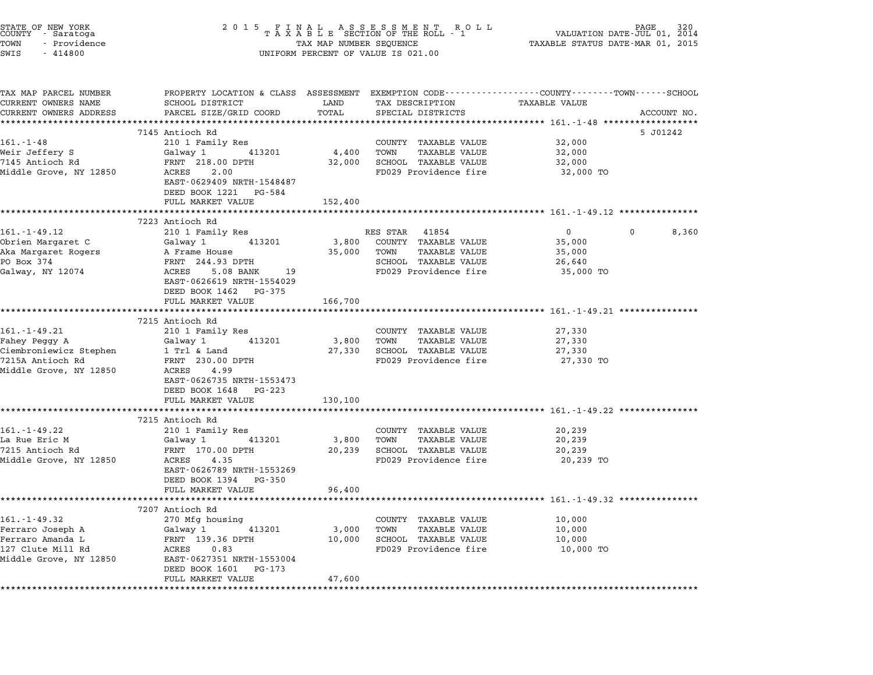| STATE OF NEW YORK<br>COUNTY - Saratoga<br>TOWN<br>- Providence<br>SWIS<br>$-414800$ | 2 0 1 5                                                                                                           | TAX MAP NUMBER SEQUENCE | FINAL ASSESSMENT RO<br>TAXABLE SECTION OF THE ROLL - 1<br>R O L L<br>UNIFORM PERCENT OF VALUE IS 021.00 | TAXABLE STATUS DATE-MAR 01, 2015                    | PAGE<br>VALUATION DATE-JUL 01, 2014 |
|-------------------------------------------------------------------------------------|-------------------------------------------------------------------------------------------------------------------|-------------------------|---------------------------------------------------------------------------------------------------------|-----------------------------------------------------|-------------------------------------|
| TAX MAP PARCEL NUMBER<br>CURRENT OWNERS NAME                                        | PROPERTY LOCATION & CLASS ASSESSMENT EXEMPTION CODE---------------COUNTY-------TOWN-----SCHOOL<br>SCHOOL DISTRICT | LAND                    | TAX DESCRIPTION                                                                                         | TAXABLE VALUE                                       |                                     |
| CURRENT OWNERS ADDRESS                                                              | PARCEL SIZE/GRID COORD                                                                                            | TOTAL                   | SPECIAL DISTRICTS                                                                                       |                                                     | ACCOUNT NO.                         |
| ***********************                                                             | *****************************<br>7145 Antioch Rd                                                                  |                         |                                                                                                         |                                                     | 5 J01242                            |
| $161. - 1 - 48$                                                                     | 210 1 Family Res                                                                                                  |                         | COUNTY TAXABLE VALUE                                                                                    | 32,000                                              |                                     |
| Weir Jeffery S                                                                      | Galway 1 413201                                                                                                   | 4,400                   | TOWN<br><b>TAXABLE VALUE</b>                                                                            | 32,000                                              |                                     |
| 7145 Antioch Rd                                                                     | FRNT 218.00 DPTH                                                                                                  | 32,000                  | SCHOOL TAXABLE VALUE                                                                                    | 32,000                                              |                                     |
| Middle Grove, NY 12850                                                              | 2.00<br>ACRES<br>EAST-0629409 NRTH-1548487<br>DEED BOOK 1221 PG-584                                               |                         | FD029 Providence fire                                                                                   | 32,000 TO                                           |                                     |
|                                                                                     | FULL MARKET VALUE                                                                                                 | 152,400                 |                                                                                                         |                                                     |                                     |
|                                                                                     | ***************                                                                                                   |                         |                                                                                                         |                                                     |                                     |
| 161. - 1 - 49.12                                                                    | 7223 Antioch Rd<br>210 1 Family Res                                                                               |                         | RES STAR 41854                                                                                          | $\overline{0}$                                      | 8,360                               |
| Obrien Margaret C                                                                   | Galway 1 413201                                                                                                   | 3,800                   | COUNTY TAXABLE VALUE                                                                                    | 35,000                                              |                                     |
| Aka Margaret Rogers                                                                 | A Frame House                                                                                                     | 35,000                  | <b>TAXABLE VALUE</b><br>TOWN                                                                            | 35,000                                              |                                     |
| PO Box 374                                                                          | FRNT 244.93 DPTH                                                                                                  |                         | SCHOOL TAXABLE VALUE                                                                                    | 26,640                                              |                                     |
| Galway, NY 12074                                                                    | ACRES 5.08 BANK 19<br>EAST-0626619 NRTH-1554029                                                                   |                         | FD029 Providence fire                                                                                   | 35,000 TO                                           |                                     |
|                                                                                     | DEED BOOK 1462 PG-375<br>FULL MARKET VALUE                                                                        | 166,700                 |                                                                                                         |                                                     |                                     |
|                                                                                     |                                                                                                                   |                         |                                                                                                         |                                                     |                                     |
|                                                                                     | 7215 Antioch Rd                                                                                                   |                         |                                                                                                         |                                                     |                                     |
| 161.-1-49.21                                                                        | 210 1 Family Res                                                                                                  |                         | COUNTY TAXABLE VALUE                                                                                    | 27,330                                              |                                     |
| Fahey Peggy A                                                                       | 413201<br>Galway 1                                                                                                | 3,800                   | TOWN<br>TAXABLE VALUE                                                                                   | 27,330                                              |                                     |
| Ciembroniewicz Stephen<br>7215A Antioch Rd                                          | 1 Trl & Land<br>FRNT 230.00 DPTH                                                                                  |                         | 27,330 SCHOOL TAXABLE VALUE<br>FD029 Providence fire                                                    | 27,330<br>27,330 TO                                 |                                     |
| Middle Grove, NY 12850                                                              | ACRES 4.99<br>EAST-0626735 NRTH-1553473                                                                           |                         |                                                                                                         |                                                     |                                     |
|                                                                                     | DEED BOOK 1648 PG-223<br>FULL MARKET VALUE                                                                        | 130,100                 |                                                                                                         |                                                     |                                     |
|                                                                                     | ***********************                                                                                           |                         |                                                                                                         |                                                     |                                     |
| $161. - 1 - 49.22$                                                                  | 7215 Antioch Rd<br>210 1 Family Res                                                                               |                         | COUNTY TAXABLE VALUE                                                                                    | 20,239                                              |                                     |
| La Rue Eric M                                                                       | Galway 1 413201                                                                                                   | 3,800                   | TOWN<br><b>TAXABLE VALUE</b>                                                                            | 20,239                                              |                                     |
| 7215 Antioch Rd                                                                     | FRNT 170.00 DPTH                                                                                                  | 20,239                  | SCHOOL TAXABLE VALUE                                                                                    | 20,239                                              |                                     |
| Middle Grove, NY 12850                                                              | ACRES<br>4.35                                                                                                     |                         | FD029 Providence fire                                                                                   | 20,239 TO                                           |                                     |
|                                                                                     | EAST-0626789 NRTH-1553269<br>DEED BOOK 1394 PG-350                                                                |                         |                                                                                                         |                                                     |                                     |
|                                                                                     | FULL MARKET VALUE                                                                                                 | 96,400                  |                                                                                                         | :************************ 161.-1-49.32 ************ |                                     |
|                                                                                     | 7207 Antioch Rd                                                                                                   |                         |                                                                                                         |                                                     |                                     |
| 161.-1-49.32                                                                        | 270 Mfg housing                                                                                                   |                         | COUNTY TAXABLE VALUE                                                                                    | 10,000                                              |                                     |
| Ferraro Joseph A                                                                    | Galway 1<br>413201                                                                                                | 3,000                   | TOWN<br><b>TAXABLE VALUE</b>                                                                            | 10,000                                              |                                     |
| Ferraro Amanda L                                                                    | FRNT 139.36 DPTH                                                                                                  | 10,000                  | SCHOOL TAXABLE VALUE                                                                                    | 10,000                                              |                                     |
| 127 Clute Mill Rd                                                                   | ACRES<br>0.83                                                                                                     |                         | FD029 Providence fire                                                                                   | 10,000 TO                                           |                                     |
| Middle Grove, NY 12850                                                              | EAST-0627351 NRTH-1553004<br>DEED BOOK 1601 PG-173<br>FULL MARKET VALUE                                           | 47,600                  |                                                                                                         |                                                     |                                     |
| *****************                                                                   |                                                                                                                   |                         |                                                                                                         |                                                     |                                     |

STATE OF NEW YORK <sup>2</sup> <sup>0</sup> <sup>1</sup> 5 F I N A L A S S E S S M E N T R O L L PAGE <sup>320</sup> COUNTY - Saratoga <sup>T</sup> <sup>A</sup> <sup>X</sup> <sup>A</sup> <sup>B</sup> <sup>L</sup> <sup>E</sup> SECTION OF THE ROLL - <sup>1</sup> VALUATION DATE-JUL 01, <sup>2014</sup>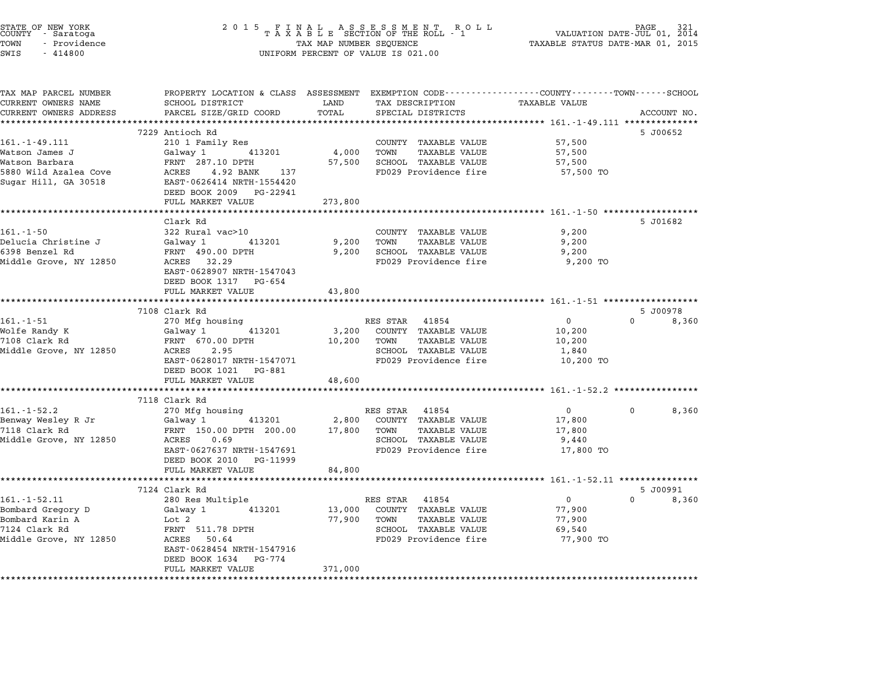| STATE OF NEW YORK<br>COUNTY - Saratoga<br>TOWN<br>- Providence<br>SWIS<br>$-414800$ | 2 0 1 5<br>F<br>Ι.                                      | N A L<br>TAX MAP NUMBER SEQUENCE | A S S E S S M E N T<br>R O L L<br>TAXABLE SECTION OF THE ROLL - 1<br>UNIFORM PERCENT OF VALUE IS 021.00 | TAXABLE STATUS DATE-MAR 01, 2015                   | PAGE<br>VALUATION DATE-JUL 01, 2014 |
|-------------------------------------------------------------------------------------|---------------------------------------------------------|----------------------------------|---------------------------------------------------------------------------------------------------------|----------------------------------------------------|-------------------------------------|
| TAX MAP PARCEL NUMBER                                                               |                                                         |                                  | PROPERTY LOCATION & CLASS ASSESSMENT EXEMPTION CODE----------------COUNTY-------TOWN-----SCHOOL         |                                                    |                                     |
| CURRENT OWNERS NAME                                                                 | SCHOOL DISTRICT                                         | LAND                             | TAX DESCRIPTION                                                                                         | <b>TAXABLE VALUE</b>                               |                                     |
| CURRENT OWNERS ADDRESS<br>**********************                                    | PARCEL SIZE/GRID COORD<br>***************************** | TOTAL                            | SPECIAL DISTRICTS                                                                                       |                                                    | ACCOUNT NO.                         |
|                                                                                     | 7229 Antioch Rd                                         |                                  |                                                                                                         |                                                    | 5 J00652                            |
| $161. - 1 - 49.111$                                                                 | 210 1 Family Res                                        |                                  | COUNTY TAXABLE VALUE                                                                                    | 57,500                                             |                                     |
| Watson James J                                                                      | Galway 1<br>413201                                      | 4,000                            | TOWN<br><b>TAXABLE VALUE</b>                                                                            | 57,500                                             |                                     |
| Watson Barbara                                                                      | FRNT 287.10 DPTH                                        | 57,500                           | SCHOOL TAXABLE VALUE                                                                                    | 57,500                                             |                                     |
| 5880 Wild Azalea Cove                                                               | ACRES 4.92 BANK 137                                     |                                  | FD029 Providence fire                                                                                   | 57,500 TO                                          |                                     |
| Sugar Hill, GA 30518                                                                | EAST-0626414 NRTH-1554420                               |                                  |                                                                                                         |                                                    |                                     |
|                                                                                     | DEED BOOK 2009 PG-22941<br>FULL MARKET VALUE            | 273,800                          |                                                                                                         |                                                    |                                     |
|                                                                                     | ******************                                      | ***********                      |                                                                                                         | **************** 161.-1-50 *******************     |                                     |
|                                                                                     | Clark Rd                                                |                                  |                                                                                                         |                                                    | 5 J01682                            |
| $161.-1-50$                                                                         | 322 Rural vac>10                                        |                                  | COUNTY TAXABLE VALUE                                                                                    | 9,200                                              |                                     |
| Delucia Christine J                                                                 | Galway 1<br>413201                                      | 9,200                            | TOWN<br>TAXABLE VALUE                                                                                   | 9,200                                              |                                     |
| 6398 Benzel Rd                                                                      | FRNT 490.00 DPTH                                        | 9,200                            | SCHOOL TAXABLE VALUE                                                                                    | 9,200                                              |                                     |
| Middle Grove, NY 12850                                                              | ACRES 32.29                                             |                                  | FD029 Providence fire                                                                                   | 9,200 TO                                           |                                     |
|                                                                                     | EAST-0628907 NRTH-1547043<br>DEED BOOK 1317 PG-654      |                                  |                                                                                                         |                                                    |                                     |
|                                                                                     | FULL MARKET VALUE                                       | 43,800                           |                                                                                                         |                                                    |                                     |
|                                                                                     |                                                         |                                  |                                                                                                         |                                                    |                                     |
|                                                                                     | 7108 Clark Rd                                           |                                  |                                                                                                         |                                                    | 5 J00978                            |
| 161.-1-51                                                                           | 270 Mfg housing                                         |                                  | RES STAR 41854                                                                                          | $\mathbf 0$                                        | $\Omega$<br>8,360                   |
| Wolfe Randy K                                                                       | Galway 1<br>413201                                      | 3,200                            | COUNTY TAXABLE VALUE                                                                                    | 10,200                                             |                                     |
| 7108 Clark Rd                                                                       | FRNT 670.00 DPTH                                        | 10,200                           | TOWN<br><b>TAXABLE VALUE</b>                                                                            | 10,200                                             |                                     |
| Middle Grove, NY 12850                                                              | 2.95<br>ACRES                                           |                                  | SCHOOL TAXABLE VALUE                                                                                    | 1,840                                              |                                     |
|                                                                                     | EAST-0628017 NRTH-1547071<br>DEED BOOK 1021 PG-881      |                                  | FD029 Providence fire                                                                                   | 10,200 TO                                          |                                     |
|                                                                                     | FULL MARKET VALUE                                       | 48,600                           |                                                                                                         |                                                    |                                     |
|                                                                                     | **************************                              | ******************               |                                                                                                         | ******************** 161.-1-52.2 ***************** |                                     |
|                                                                                     | 7118 Clark Rd                                           |                                  |                                                                                                         |                                                    |                                     |
| $161.-1-52.2$                                                                       | 270 Mfg housing                                         |                                  | RES STAR 41854                                                                                          | $\mathbf 0$                                        | 8,360<br>$\Omega$                   |
| Benway Wesley R Jr                                                                  | 413201<br>Galway 1                                      | 2,800                            | COUNTY TAXABLE VALUE                                                                                    | 17,800                                             |                                     |
| 7118 Clark Rd                                                                       | FRNT 150.00 DPTH 200.00                                 | 17,800                           | TOWN<br><b>TAXABLE VALUE</b>                                                                            | 17,800                                             |                                     |
| Middle Grove, NY 12850                                                              | ACRES<br>0.69                                           |                                  | SCHOOL TAXABLE VALUE                                                                                    | 9,440                                              |                                     |
|                                                                                     | EAST-0627637 NRTH-1547691<br>DEED BOOK 2010 PG-11999    |                                  | FD029 Providence fire                                                                                   | 17,800 TO                                          |                                     |
|                                                                                     | FULL MARKET VALUE                                       | 84,800                           |                                                                                                         |                                                    |                                     |
|                                                                                     |                                                         |                                  |                                                                                                         |                                                    |                                     |
|                                                                                     | 7124 Clark Rd                                           |                                  |                                                                                                         |                                                    | 5 J00991                            |
| $161. - 1 - 52.11$                                                                  | 280 Res Multiple                                        |                                  | RES STAR 41854                                                                                          | $\overline{0}$                                     | $\Omega$<br>8,360                   |
| Bombard Gregory D<br>Bombard Karin A                                                | Galway 1<br>413201<br>Lot 2                             | 13,000<br>77,900                 | COUNTY TAXABLE VALUE<br>TOWN<br>TAXABLE VALUE                                                           | 77,900<br>77,900                                   |                                     |
| 7124 Clark Rd                                                                       | FRNT 511.78 DPTH                                        |                                  | SCHOOL TAXABLE VALUE                                                                                    | 69,540                                             |                                     |
| Middle Grove, NY 12850                                                              | ACRES 50.64                                             |                                  | FD029 Providence fire                                                                                   | 77,900 TO                                          |                                     |
|                                                                                     | EAST-0628454 NRTH-1547916                               |                                  |                                                                                                         |                                                    |                                     |
|                                                                                     | DEED BOOK 1634 PG-774                                   |                                  |                                                                                                         |                                                    |                                     |
|                                                                                     | FULL MARKET VALUE                                       | 371,000                          |                                                                                                         |                                                    |                                     |
|                                                                                     |                                                         |                                  |                                                                                                         |                                                    |                                     |

STATE OF NEW YORK <sup>2</sup> <sup>0</sup> <sup>1</sup> 5 F I N A L A S S E S S M E N T R O L L PAGE <sup>321</sup> COUNTY - Saratoga <sup>T</sup> <sup>A</sup> <sup>X</sup> <sup>A</sup> <sup>B</sup> <sup>L</sup> <sup>E</sup> SECTION OF THE ROLL - <sup>1</sup> VALUATION DATE-JUL 01, <sup>2014</sup>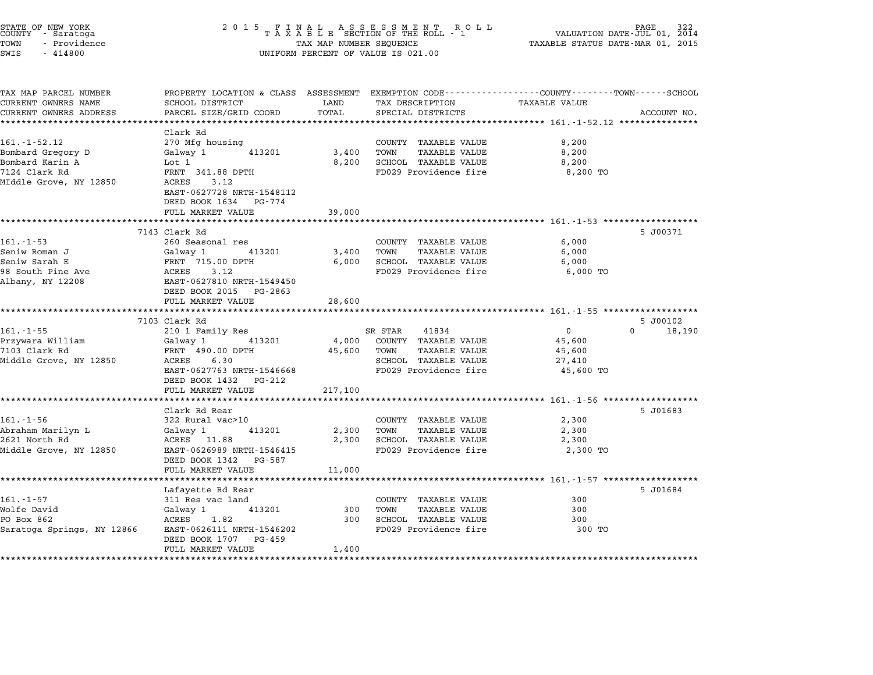| STATE OF NEW YORK<br>COUNTY - Saratoga<br>TOWN<br>- Providence<br>SWIS<br>$-414800$ | 2 0 1 5                                                                                                           | TAX MAP NUMBER SEQUENCE   | FINAL ASSESSMENT RO<br>TAXABLE SECTION OF THE ROLL - 1<br>R O L L<br>UNIFORM PERCENT OF VALUE IS 021.00 | VALUATION DATE-JUL 01, 2014<br>TAXABLE STATUS DATE-MAR 01, 2015 | PAGE               |
|-------------------------------------------------------------------------------------|-------------------------------------------------------------------------------------------------------------------|---------------------------|---------------------------------------------------------------------------------------------------------|-----------------------------------------------------------------|--------------------|
| TAX MAP PARCEL NUMBER<br>CURRENT OWNERS NAME                                        | PROPERTY LOCATION & CLASS ASSESSMENT EXEMPTION CODE---------------COUNTY-------TOWN-----SCHOOL<br>SCHOOL DISTRICT | LAND                      | TAX DESCRIPTION                                                                                         | TAXABLE VALUE                                                   |                    |
| CURRENT OWNERS ADDRESS                                                              | PARCEL SIZE/GRID COORD                                                                                            | TOTAL                     | SPECIAL DISTRICTS                                                                                       |                                                                 | ACCOUNT NO.        |
|                                                                                     |                                                                                                                   |                           |                                                                                                         |                                                                 |                    |
|                                                                                     | Clark Rd                                                                                                          |                           |                                                                                                         |                                                                 |                    |
| $161. - 1 - 52.12$                                                                  | 270 Mfg housing                                                                                                   |                           | COUNTY TAXABLE VALUE                                                                                    | 8,200                                                           |                    |
| Bombard Gregory D                                                                   | Galway 1<br>413201                                                                                                | 3,400                     | TOWN<br>TAXABLE VALUE                                                                                   | 8,200                                                           |                    |
| Bombard Karin A                                                                     | Lot 1                                                                                                             | 8,200                     | SCHOOL TAXABLE VALUE                                                                                    | 8,200                                                           |                    |
| 7124 Clark Rd<br>MIddle Grove, NY 12850                                             | FRNT 341.88 DPTH<br>ACRES<br>3.12                                                                                 |                           | FD029 Providence fire                                                                                   | 8,200 TO                                                        |                    |
|                                                                                     | EAST-0627728 NRTH-1548112                                                                                         |                           |                                                                                                         |                                                                 |                    |
|                                                                                     | DEED BOOK 1634 PG-774<br>FULL MARKET VALUE                                                                        | 39,000                    |                                                                                                         |                                                                 |                    |
|                                                                                     | ***************************                                                                                       |                           |                                                                                                         |                                                                 |                    |
|                                                                                     | 7143 Clark Rd                                                                                                     |                           |                                                                                                         |                                                                 | 5 J00371           |
| 161.-1-53                                                                           | 260 Seasonal res                                                                                                  |                           | COUNTY TAXABLE VALUE                                                                                    | 6,000                                                           |                    |
| Seniw Roman J                                                                       | Galway 1<br>413201                                                                                                | 3,400                     | <b>TAXABLE VALUE</b><br>TOWN                                                                            | 6,000                                                           |                    |
| Seniw Sarah E                                                                       | FRNT 715.00 DPTH                                                                                                  | 6,000                     | SCHOOL TAXABLE VALUE                                                                                    | 6,000                                                           |                    |
| 98 South Pine Ave                                                                   | 3.12<br>ACRES                                                                                                     |                           | FD029 Providence fire                                                                                   | 6,000 TO                                                        |                    |
| Albany, NY 12208                                                                    | EAST-0627810 NRTH-1549450                                                                                         |                           |                                                                                                         |                                                                 |                    |
|                                                                                     | DEED BOOK 2015 PG-2863                                                                                            |                           |                                                                                                         |                                                                 |                    |
|                                                                                     | FULL MARKET VALUE                                                                                                 | 28,600                    |                                                                                                         |                                                                 |                    |
|                                                                                     | 7103 Clark Rd                                                                                                     |                           |                                                                                                         |                                                                 | 5 J00102           |
| $161. - 1 - 55$                                                                     | 210 1 Family Res                                                                                                  |                           | 41834<br>SR STAR                                                                                        | $\mathbf 0$                                                     | $\Omega$<br>18,190 |
| Przywara William                                                                    | Galway 1<br>413201                                                                                                | 4,000                     | COUNTY TAXABLE VALUE                                                                                    | 45,600                                                          |                    |
| 7103 Clark Rd                                                                       | FRNT 490.00 DPTH                                                                                                  | 45,600                    | TOWN<br>TAXABLE VALUE                                                                                   | 45,600                                                          |                    |
| Middle Grove, NY 12850                                                              | ACRES<br>6.30                                                                                                     |                           | SCHOOL TAXABLE VALUE                                                                                    | 27,410                                                          |                    |
|                                                                                     | EAST-0627763 NRTH-1546668                                                                                         |                           | FD029 Providence fire                                                                                   | 45,600 TO                                                       |                    |
|                                                                                     | DEED BOOK 1432<br>PG-212                                                                                          |                           |                                                                                                         |                                                                 |                    |
|                                                                                     | FULL MARKET VALUE                                                                                                 | 217,100                   |                                                                                                         |                                                                 |                    |
|                                                                                     |                                                                                                                   |                           |                                                                                                         |                                                                 |                    |
| $161. - 1 - 56$                                                                     | Clark Rd Rear                                                                                                     |                           |                                                                                                         |                                                                 | 5 J01683           |
| Abraham Marilyn L                                                                   | 322 Rural vac>10<br>Galway 1<br>413201                                                                            | 2,300                     | COUNTY TAXABLE VALUE<br>TOWN<br><b>TAXABLE VALUE</b>                                                    | 2,300<br>2,300                                                  |                    |
| 2621 North Rd                                                                       | ACRES 11.88                                                                                                       | 2,300                     | SCHOOL TAXABLE VALUE                                                                                    | 2,300                                                           |                    |
| Middle Grove, NY 12850                                                              | EAST-0626989 NRTH-1546415                                                                                         |                           | FD029 Providence fire                                                                                   | 2,300 TO                                                        |                    |
|                                                                                     | DEED BOOK 1342<br>PG-587                                                                                          |                           |                                                                                                         |                                                                 |                    |
|                                                                                     | FULL MARKET VALUE                                                                                                 | 11,000                    |                                                                                                         |                                                                 |                    |
|                                                                                     | *************************                                                                                         | ********************      |                                                                                                         | ************************* 161.-1-57 *******************         |                    |
|                                                                                     | Lafayette Rd Rear                                                                                                 |                           |                                                                                                         |                                                                 | 5 J01684           |
| 161.-1-57                                                                           | 311 Res vac land                                                                                                  |                           | COUNTY TAXABLE VALUE                                                                                    | 300                                                             |                    |
| Wolfe David                                                                         | Galway 1<br>413201                                                                                                | 300                       | TOWN<br><b>TAXABLE VALUE</b>                                                                            | 300                                                             |                    |
| PO Box 862                                                                          | ACRES<br>1.82                                                                                                     | 300                       | SCHOOL TAXABLE VALUE                                                                                    | 300                                                             |                    |
| Saratoga Springs, NY 12866                                                          | EAST-0626111 NRTH-1546202<br>DEED BOOK 1707<br>PG-459                                                             |                           | FD029 Providence fire                                                                                   | 300 TO                                                          |                    |
|                                                                                     | FULL MARKET VALUE<br>*******************                                                                          | 1,400<br>**************** |                                                                                                         |                                                                 |                    |
|                                                                                     |                                                                                                                   |                           |                                                                                                         |                                                                 |                    |

STATE OF NEW YORK <sup>2</sup> <sup>0</sup> <sup>1</sup> 5 F I N A L A S S E S S M E N T R O L L PAGE <sup>322</sup> COUNTY - Saratoga <sup>T</sup> <sup>A</sup> <sup>X</sup> <sup>A</sup> <sup>B</sup> <sup>L</sup> <sup>E</sup> SECTION OF THE ROLL - <sup>1</sup> VALUATION DATE-JUL 01, <sup>2014</sup>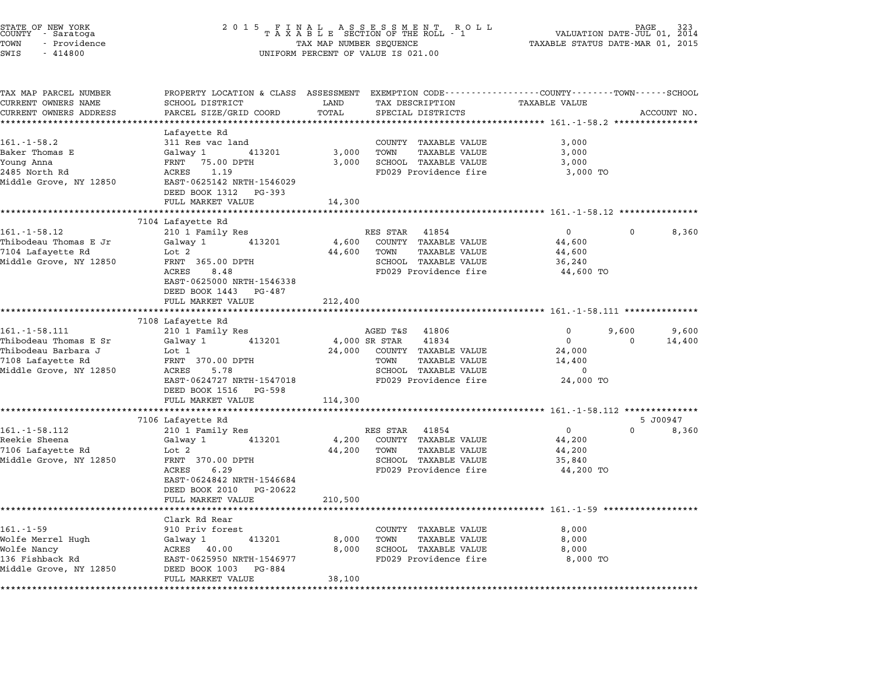| STATE OF NEW YORK<br>COUNTY – Saratoga<br>- Providence<br>TOWN<br>SWIS<br>$-414800$                                | 2015 FINAL ASSESSMENT ROLL<br>TAXABLE SECTION OF THE ROLL - 1<br>TAX MAP NUMBER SEQUENCE<br>UNIFORM PERCENT OF VALUE IS 021.00                                                         |                                    |                                                                                                                           | VALUATION DATE- $\overline{511}$ 01, $\overline{201}$ $\overline{01}$<br>TAXABLE STATUS DATE-MAR 01, 2015 |            |                   |
|--------------------------------------------------------------------------------------------------------------------|----------------------------------------------------------------------------------------------------------------------------------------------------------------------------------------|------------------------------------|---------------------------------------------------------------------------------------------------------------------------|-----------------------------------------------------------------------------------------------------------|------------|-------------------|
| TAX MAP PARCEL NUMBER<br>CURRENT OWNERS NAME                                                                       | PROPERTY LOCATION & CLASS ASSESSMENT EXEMPTION CODE----------------COUNTY-------TOWN------SCHOOL<br>SCHOOL DISTRICT                                                                    | LAND                               | TAX DESCRIPTION                                                                                                           | TAXABLE VALUE                                                                                             |            |                   |
| CURRENT OWNERS ADDRESS                                                                                             | PARCEL SIZE/GRID COORD<br>*******************                                                                                                                                          | TOTAL                              | SPECIAL DISTRICTS                                                                                                         |                                                                                                           |            | ACCOUNT NO.       |
| $161.-1-58.2$<br>Baker Thomas E<br>Young Anna<br>2485 North Rd<br>Middle Grove, NY 12850                           | Lafayette Rd<br>311 Res vac land<br>413201<br>Galway 1<br>FRNT 75.00 DPTH<br>ACRES<br>1.19<br>EAST-0625142 NRTH-1546029<br>DEED BOOK 1312 PG-393                                       | 3,000<br>3,000                     | COUNTY TAXABLE VALUE<br>TOWN<br>TAXABLE VALUE<br>SCHOOL TAXABLE VALUE<br>FD029 Providence fire                            | 3,000<br>3,000<br>3,000<br>3,000 TO                                                                       |            |                   |
|                                                                                                                    | FULL MARKET VALUE                                                                                                                                                                      | 14,300                             |                                                                                                                           |                                                                                                           |            |                   |
| $161. - 1 - 58.12$<br>Thibodeau Thomas E Jr<br>7104 Lafayette Rd<br>Middle Grove, NY 12850                         | 7104 Lafayette Rd<br>210 1 Family Res<br>Galway 1<br>413201<br>Lot 2<br>FRNT 365.00 DPTH<br>ACRES<br>8.48<br>EAST-0625000 NRTH-1546338<br>DEED BOOK 1443 PG-487<br>FULL MARKET VALUE   | 4,600<br>44,600<br>212,400         | RES STAR 41854<br>COUNTY TAXABLE VALUE<br>TOWN<br><b>TAXABLE VALUE</b><br>SCHOOL TAXABLE VALUE<br>FD029 Providence fire   | $\overline{0}$<br>44,600<br>44,600<br>36,240<br>44,600 TO                                                 | 0          | 8,360             |
|                                                                                                                    |                                                                                                                                                                                        |                                    |                                                                                                                           |                                                                                                           |            |                   |
|                                                                                                                    | 7108 Lafayette Rd                                                                                                                                                                      |                                    |                                                                                                                           |                                                                                                           |            |                   |
| $161. - 1 - 58.111$<br>Thibodeau Thomas E Sr<br>Thibodeau Barbara J<br>7108 Lafayette Rd<br>Middle Grove, NY 12850 | 210 1 Family Res<br>413201<br>Galway 1<br>Lot 1<br>FRNT 370.00 DPTH<br>ACRES<br>5.78<br>EAST-0624727 NRTH-1547018<br>DEED BOOK 1516 PG-598<br>FULL MARKET VALUE                        | 4,000 SR STAR<br>24,000<br>114,300 | AGED T&S 41806<br>41834<br>COUNTY TAXABLE VALUE<br>TOWN<br>TAXABLE VALUE<br>SCHOOL TAXABLE VALUE<br>FD029 Providence fire | $\mathbf{0}$<br>0<br>24,000<br>14,400<br>0<br>24,000 TO                                                   | 9,600<br>0 | 9,600<br>14,400   |
|                                                                                                                    |                                                                                                                                                                                        |                                    |                                                                                                                           |                                                                                                           |            |                   |
| $161. - 1 - 58.112$<br>Reekie Sheena<br>7106 Lafayette Rd<br>Middle Grove, NY 12850                                | 7106 Lafayette Rd<br>210 1 Family Res<br>Galway 1<br>413201<br>Lot 2<br>FRNT 370.00 DPTH<br>ACRES<br>6.29<br>EAST-0624842 NRTH-1546684<br>DEED BOOK 2010 PG-20622<br>FULL MARKET VALUE | 4,200<br>44,200<br>210,500         | RES STAR 41854<br>COUNTY TAXABLE VALUE<br>TOWN<br><b>TAXABLE VALUE</b><br>SCHOOL TAXABLE VALUE<br>FD029 Providence fire   | $\mathbf{0}$<br>44,200<br>44,200<br>35,840<br>44,200 TO                                                   | $\Omega$   | 5 J00947<br>8,360 |
|                                                                                                                    |                                                                                                                                                                                        |                                    |                                                                                                                           |                                                                                                           |            |                   |
| $161. - 1 - 59$<br>Wolfe Merrel Hugh<br>Wolfe Nancy<br>136 Fishback Rd<br>Middle Grove, NY 12850                   | Clark Rd Rear<br>910 Priv forest<br>Galway 1<br>413201<br>ACRES 40.00<br>EAST-0625950 NRTH-1546977<br>DEED BOOK 1003 PG-884<br>FULL MARKET VALUE                                       | 8,000<br>8,000<br>38,100           | COUNTY TAXABLE VALUE<br>TOWN<br>TAXABLE VALUE<br>SCHOOL TAXABLE VALUE<br>FD029 Providence fire                            | 8,000<br>8,000<br>8,000<br>8,000 TO                                                                       |            |                   |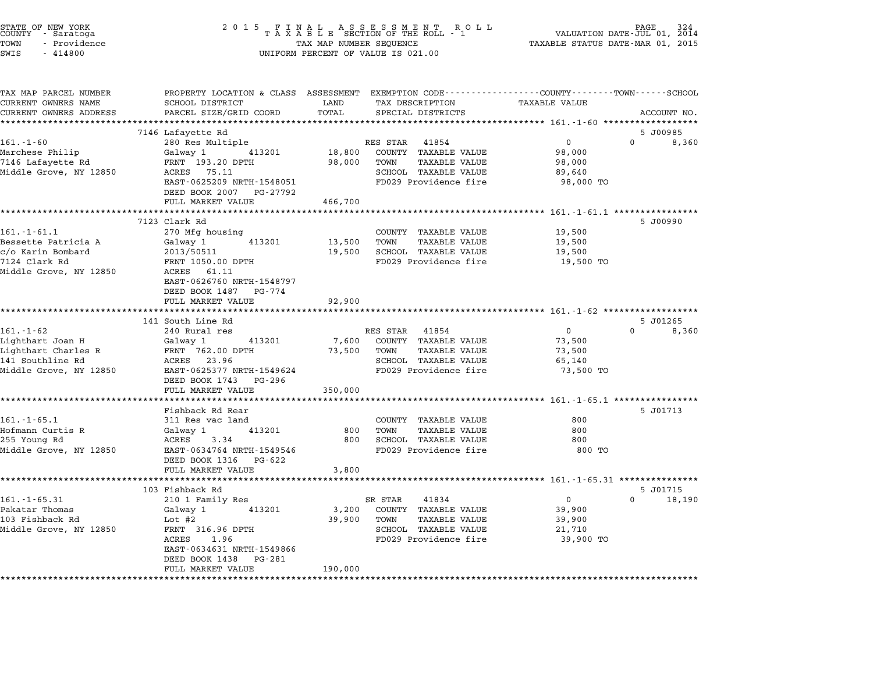| STATE OF NEW YORK<br>COUNTY – Saratoga<br>TOWN<br>- Providence<br>SWIS<br>$-414800$ |                                        | TAX MAP NUMBER SEQUENCE<br>UNIFORM PERCENT OF VALUE IS 021.00                                                             | PAGE<br>VALUATION DATE-JUL 01, 2014<br>TAXABLE STATUS DATE-MAR 01, 2015 |
|-------------------------------------------------------------------------------------|----------------------------------------|---------------------------------------------------------------------------------------------------------------------------|-------------------------------------------------------------------------|
| TAX MAP PARCEL NUMBER<br>CURRENT OWNERS NAME                                        | SCHOOL DISTRICT                        | PROPERTY LOCATION & CLASS ASSESSMENT EXEMPTION CODE---------------COUNTY-------TOWN-----SCHOOL<br>TAX DESCRIPTION<br>LAND | <b>TAXABLE VALUE</b>                                                    |
| CURRENT OWNERS ADDRESS                                                              | PARCEL SIZE/GRID COORD                 | TOTAL<br>SPECIAL DISTRICTS                                                                                                | ACCOUNT NO.                                                             |
|                                                                                     |                                        |                                                                                                                           |                                                                         |
|                                                                                     | 7146 Lafayette Rd                      |                                                                                                                           | 5 J00985                                                                |
| $161. - 1 - 60$                                                                     | 280 Res Multiple                       | RES STAR 41854                                                                                                            | $\mathbf 0$<br>$0 \quad$<br>8,360                                       |
| Marchese Philip<br>7146 Lafayette Rd                                                | Galway 1<br>413201<br>FRNT 193.20 DPTH | 18,800<br>COUNTY TAXABLE VALUE<br>98,000<br>TOWN<br>TAXABLE VALUE                                                         | 98,000<br>98,000                                                        |
| Middle Grove, NY 12850                                                              | ACRES 75.11                            | SCHOOL TAXABLE VALUE                                                                                                      | 89,640                                                                  |
|                                                                                     | EAST-0625209 NRTH-1548051              | FD029 Providence fire                                                                                                     | 98,000 TO                                                               |
|                                                                                     | DEED BOOK 2007 PG-27792                |                                                                                                                           |                                                                         |
|                                                                                     | FULL MARKET VALUE                      | 466,700                                                                                                                   |                                                                         |
|                                                                                     |                                        |                                                                                                                           |                                                                         |
|                                                                                     | 7123 Clark Rd                          |                                                                                                                           | 5 J00990                                                                |
| $161. - 1 - 61.1$                                                                   | 270 Mfg housing                        | COUNTY TAXABLE VALUE                                                                                                      | 19,500                                                                  |
| Bessette Patricia A                                                                 | Galway 1<br>413201                     | 13,500<br>TOWN<br><b>TAXABLE VALUE</b>                                                                                    | 19,500                                                                  |
| c/o Karin Bombard<br>7124 Clark Rd                                                  | 2013/50511<br>FRNT 1050.00 DPTH        | 19,500<br>SCHOOL TAXABLE VALUE<br>FD029 Providence fire                                                                   | 19,500<br>19,500 TO                                                     |
| Middle Grove, NY 12850                                                              | ACRES 61.11                            |                                                                                                                           |                                                                         |
|                                                                                     | EAST-0626760 NRTH-1548797              |                                                                                                                           |                                                                         |
|                                                                                     | DEED BOOK 1487 PG-774                  |                                                                                                                           |                                                                         |
|                                                                                     | FULL MARKET VALUE                      | 92,900                                                                                                                    |                                                                         |
|                                                                                     | **********************                 |                                                                                                                           |                                                                         |
|                                                                                     | 141 South Line Rd                      |                                                                                                                           | 5 J01265                                                                |
| 161.-1-62                                                                           | 240 Rural res<br>413201                | RES STAR<br>41854<br>7,600<br>COUNTY TAXABLE VALUE                                                                        | 0<br>0<br>8,360<br>73,500                                               |
| Lighthart Joan H<br>Lighthart Charles R                                             | Galway 1<br>FRNT 762.00 DPTH           | <b>TAXABLE VALUE</b><br>73,500<br>TOWN                                                                                    | 73,500                                                                  |
| 141 Southline Rd                                                                    | ACRES 23.96                            | SCHOOL TAXABLE VALUE                                                                                                      | 65,140                                                                  |
| Middle Grove, NY 12850                                                              | EAST-0625377 NRTH-1549624              | FD029 Providence fire                                                                                                     | 73,500 TO                                                               |
|                                                                                     | DEED BOOK 1743 PG-296                  |                                                                                                                           |                                                                         |
|                                                                                     | FULL MARKET VALUE                      | 350,000                                                                                                                   |                                                                         |
|                                                                                     |                                        |                                                                                                                           |                                                                         |
|                                                                                     | Fishback Rd Rear                       |                                                                                                                           | 5 J01713                                                                |
| $161. - 1 - 65.1$                                                                   | 311 Res vac land                       | COUNTY TAXABLE VALUE                                                                                                      | 800                                                                     |
| Hofmann Curtis R<br>255 Young Rd                                                    | 413201<br>Galway 1<br>ACRES<br>3.34    | 800<br><b>TAXABLE VALUE</b><br>TOWN<br>800<br>SCHOOL TAXABLE VALUE                                                        | 800<br>800                                                              |
| Middle Grove, NY 12850                                                              | EAST-0634764 NRTH-1549546              | FD029 Providence fire                                                                                                     | 800 TO                                                                  |
|                                                                                     | DEED BOOK 1316 PG-622                  |                                                                                                                           |                                                                         |
|                                                                                     | FULL MARKET VALUE                      | 3,800                                                                                                                     |                                                                         |
|                                                                                     | **********************                 |                                                                                                                           | ************* 161.-1-65.31 ****************                             |
|                                                                                     | 103 Fishback Rd                        |                                                                                                                           | 5 J01715                                                                |
| $161. - 1 - 65.31$                                                                  | 210 1 Family Res                       | 41834<br>SR STAR                                                                                                          | $\mathsf{O}$<br>$\Omega$<br>18,190                                      |
| Pakatar Thomas                                                                      | Galway 1<br>413201                     | 3,200<br>COUNTY TAXABLE VALUE                                                                                             | 39,900                                                                  |
| 103 Fishback Rd<br>Middle Grove, NY 12850                                           | Lot #2<br>FRNT 316.96 DPTH             | 39,900<br>TOWN<br>TAXABLE VALUE<br>SCHOOL TAXABLE VALUE                                                                   | 39,900<br>21,710                                                        |
|                                                                                     | ACRES<br>1.96                          | FD029 Providence fire                                                                                                     | 39,900 TO                                                               |
|                                                                                     | EAST-0634631 NRTH-1549866              |                                                                                                                           |                                                                         |
|                                                                                     | DEED BOOK 1438 PG-281                  |                                                                                                                           |                                                                         |
|                                                                                     | FULL MARKET VALUE                      | 190,000                                                                                                                   |                                                                         |
|                                                                                     | ******************                     |                                                                                                                           |                                                                         |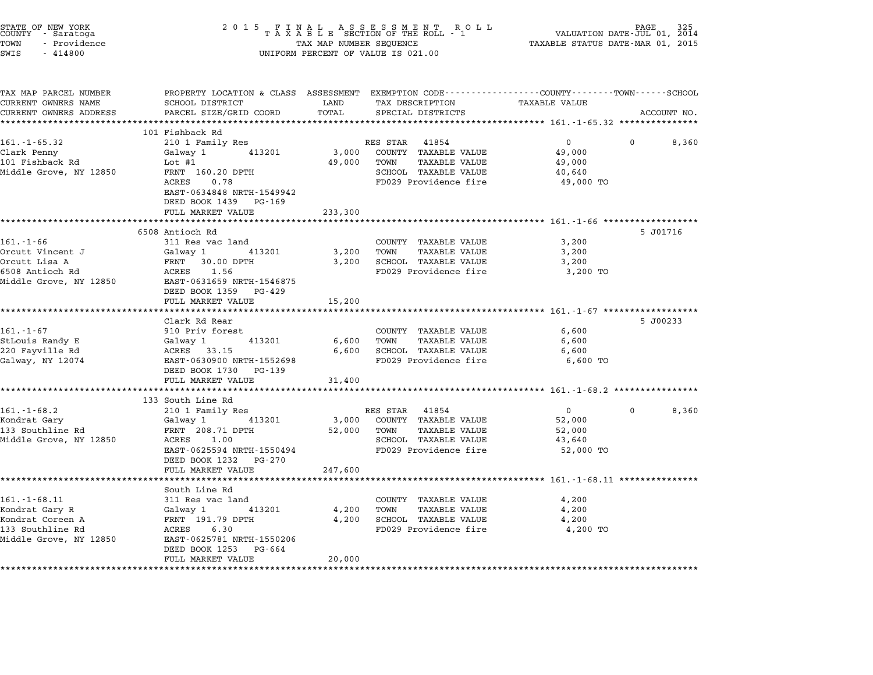| STATE OF NEW YORK<br>COUNTY - Saratoga<br>TOWN<br>- Providence<br>SWIS<br>$-414800$ |                                                                                                | TAX MAP NUMBER SEQUENCE<br>UNIFORM PERCENT OF VALUE IS 021.00 |                              |                                                      |                   |
|-------------------------------------------------------------------------------------|------------------------------------------------------------------------------------------------|---------------------------------------------------------------|------------------------------|------------------------------------------------------|-------------------|
| TAX MAP PARCEL NUMBER                                                               | PROPERTY LOCATION & CLASS ASSESSMENT EXEMPTION CODE---------------COUNTY-------TOWN-----SCHOOL |                                                               |                              |                                                      |                   |
| CURRENT OWNERS NAME                                                                 | SCHOOL DISTRICT                                                                                | LAND                                                          | TAX DESCRIPTION              | TAXABLE VALUE                                        |                   |
| CURRENT OWNERS ADDRESS                                                              | PARCEL SIZE/GRID COORD                                                                         | TOTAL                                                         | SPECIAL DISTRICTS            |                                                      | ACCOUNT NO.       |
|                                                                                     |                                                                                                |                                                               |                              |                                                      |                   |
| 161.-1-65.32                                                                        | 101 Fishback Rd<br>210 1 Family Res                                                            |                                                               | RES STAR 41854               | $\mathbf{0}$                                         | $\Omega$<br>8,360 |
| Clark Penny                                                                         | 413201<br>Galway 1                                                                             | 3,000                                                         | COUNTY TAXABLE VALUE         | 49,000                                               |                   |
| 101 Fishback Rd                                                                     | Lot #1                                                                                         | 49,000                                                        | TOWN<br>TAXABLE VALUE        | 49,000                                               |                   |
| Middle Grove, NY 12850                                                              | FRNT 160.20 DPTH                                                                               |                                                               | SCHOOL TAXABLE VALUE         | 40,640                                               |                   |
|                                                                                     | ACRES<br>0.78                                                                                  |                                                               | FD029 Providence fire        | 49,000 TO                                            |                   |
|                                                                                     | EAST-0634848 NRTH-1549942<br>DEED BOOK 1439 PG-169<br>FULL MARKET VALUE                        | 233,300                                                       |                              |                                                      |                   |
|                                                                                     | *******************                                                                            |                                                               |                              |                                                      |                   |
|                                                                                     | 6508 Antioch Rd                                                                                |                                                               |                              |                                                      | 5 J01716          |
| $161. - 1 - 66$                                                                     | 311 Res vac land                                                                               |                                                               | COUNTY TAXABLE VALUE         | 3,200                                                |                   |
| Orcutt Vincent J                                                                    | Galway 1<br>413201                                                                             | 3,200                                                         | TOWN<br>TAXABLE VALUE        | 3,200                                                |                   |
| Orcutt Lisa A                                                                       | FRNT 30.00 DPTH                                                                                | 3,200                                                         | SCHOOL TAXABLE VALUE         | 3,200                                                |                   |
| 6508 Antioch Rd                                                                     | ACRES 1.56                                                                                     |                                                               | FD029 Providence fire        | 3,200 TO                                             |                   |
| Middle Grove, NY 12850                                                              | EAST-0631659 NRTH-1546875<br>DEED BOOK 1359 PG-429<br>FULL MARKET VALUE                        | 15,200                                                        |                              |                                                      |                   |
|                                                                                     | * * * * * * * * * * * * * * * * * * * *                                                        |                                                               |                              |                                                      |                   |
|                                                                                     | Clark Rd Rear                                                                                  |                                                               |                              |                                                      | 5 J00233          |
| $161. - 1 - 67$                                                                     | 910 Priv forest                                                                                |                                                               | COUNTY TAXABLE VALUE         | 6,600                                                |                   |
| StLouis Randy E                                                                     | 413201<br>Galway 1                                                                             | 6,600                                                         | TOWN<br>TAXABLE VALUE        | 6,600                                                |                   |
| 220 Fayville Rd                                                                     | ACRES 33.15                                                                                    | 6,600                                                         | SCHOOL TAXABLE VALUE         | 6,600                                                |                   |
| Galway, NY 12074                                                                    | EAST-0630900 NRTH-1552698                                                                      |                                                               | FD029 Providence fire        | 6,600 TO                                             |                   |
|                                                                                     | DEED BOOK 1730 PG-139                                                                          |                                                               |                              |                                                      |                   |
|                                                                                     | FULL MARKET VALUE                                                                              | 31,400                                                        |                              |                                                      |                   |
|                                                                                     |                                                                                                |                                                               |                              |                                                      |                   |
|                                                                                     | 133 South Line Rd                                                                              |                                                               |                              |                                                      |                   |
| $161.-1-68.2$                                                                       | 210 1 Family Res                                                                               |                                                               | RES STAR 41854               | $\mathbf{0}$                                         | 8,360<br>$\Omega$ |
| Kondrat Gary                                                                        | 413201<br>Galway 1                                                                             | 3,000                                                         | COUNTY TAXABLE VALUE         | 52,000                                               |                   |
| 133 Southline Rd                                                                    | FRNT 208.71 DPTH                                                                               | 52,000                                                        | <b>TAXABLE VALUE</b><br>TOWN | 52,000                                               |                   |
| Middle Grove, NY 12850                                                              | ACRES 1.00                                                                                     |                                                               | SCHOOL TAXABLE VALUE         | 43,640                                               |                   |
|                                                                                     | EAST-0625594 NRTH-1550494                                                                      |                                                               | FD029 Providence fire        | 52,000 TO                                            |                   |
|                                                                                     | DEED BOOK 1232 PG-270                                                                          |                                                               |                              |                                                      |                   |
|                                                                                     | FULL MARKET VALUE                                                                              | 247,600                                                       |                              |                                                      |                   |
|                                                                                     |                                                                                                |                                                               |                              | ************************ 161.-1-68.11 ************** |                   |
|                                                                                     | South Line Rd                                                                                  |                                                               |                              |                                                      |                   |
| 161.-1-68.11                                                                        | 311 Res vac land                                                                               |                                                               | COUNTY TAXABLE VALUE         | 4,200                                                |                   |
| Kondrat Gary R                                                                      | 413201<br>Galway 1                                                                             | 4,200                                                         | TOWN<br>TAXABLE VALUE        | 4,200                                                |                   |
| Kondrat Coreen A                                                                    | FRNT 191.79 DPTH                                                                               | 4,200                                                         | SCHOOL TAXABLE VALUE         | 4,200                                                |                   |
| 133 Southline Rd                                                                    | 6.30<br>ACRES                                                                                  |                                                               | FD029 Providence fire        | 4,200 TO                                             |                   |
| Middle Grove, NY 12850                                                              | EAST-0625781 NRTH-1550206<br>DEED BOOK 1253 PG-664                                             |                                                               |                              |                                                      |                   |
|                                                                                     | FULL MARKET VALUE<br>*****************************                                             | 20,000<br>*****************                                   |                              |                                                      |                   |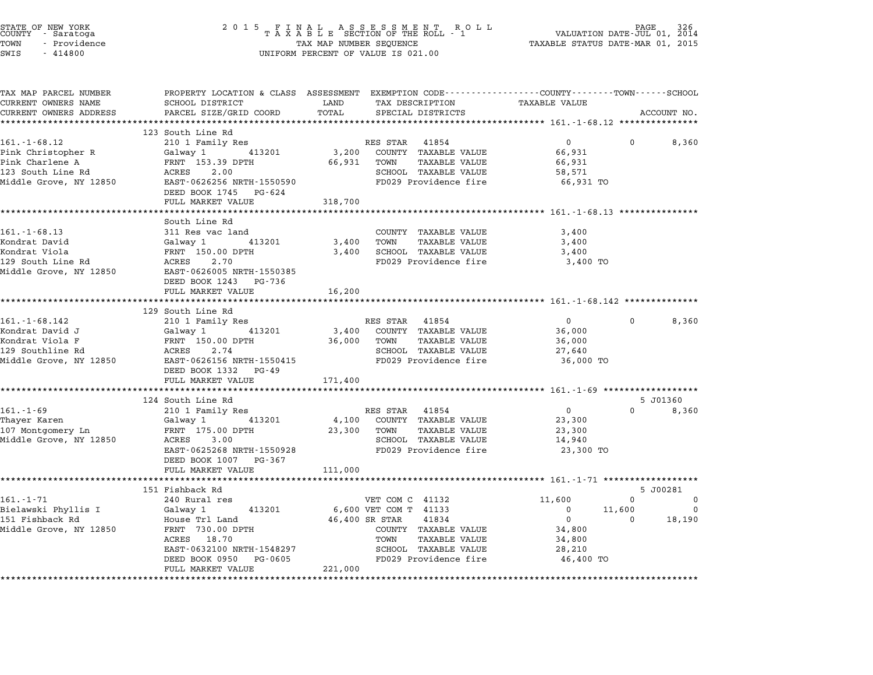| STATE OF NEW YORK<br>COUNTY     Saratoga<br>TOWN<br>- Providence<br>SWIS<br>$-414800$ | 2 0 1 5<br>FINAL ASSESSMENT RO<br>TAXABLE SECTION OF THE ROLL - 1<br>R O L L<br>TAX MAP NUMBER SEQUENCE<br>UNIFORM PERCENT OF VALUE IS 021.00 |                      |                                                                                                                    | VALUATION DATE-JUL 01, 2014<br>TAXABLE STATUS DATE-MAR 01, 2015 | PAGE        |                    |
|---------------------------------------------------------------------------------------|-----------------------------------------------------------------------------------------------------------------------------------------------|----------------------|--------------------------------------------------------------------------------------------------------------------|-----------------------------------------------------------------|-------------|--------------------|
| TAX MAP PARCEL NUMBER<br>CURRENT OWNERS NAME                                          | SCHOOL DISTRICT                                                                                                                               | LAND                 | PROPERTY LOCATION & CLASS ASSESSMENT EXEMPTION CODE---------------COUNTY-------TOWN------SCHOOL<br>TAX DESCRIPTION | <b>TAXABLE VALUE</b>                                            |             |                    |
| CURRENT OWNERS ADDRESS                                                                | PARCEL SIZE/GRID COORD                                                                                                                        | TOTAL                | SPECIAL DISTRICTS                                                                                                  |                                                                 |             | ACCOUNT NO.        |
|                                                                                       | ************************                                                                                                                      |                      |                                                                                                                    |                                                                 |             |                    |
| $161. - 1 - 68.12$                                                                    | 123 South Line Rd<br>210 1 Family Res                                                                                                         |                      | RES STAR 41854                                                                                                     | $\mathbf 0$                                                     | 0           | 8,360              |
| Pink Christopher R                                                                    | Galway 1<br>413201                                                                                                                            | 3,200                | COUNTY TAXABLE VALUE                                                                                               | 66,931                                                          |             |                    |
| Pink Charlene A                                                                       | FRNT 153.39 DPTH                                                                                                                              | 66,931               | TOWN<br>TAXABLE VALUE                                                                                              | 66,931                                                          |             |                    |
| 123 South Line Rd                                                                     | ACRES<br>2.00                                                                                                                                 |                      | SCHOOL TAXABLE VALUE                                                                                               | 58,571                                                          |             |                    |
| Middle Grove, NY 12850                                                                | EAST-0626256 NRTH-1550590                                                                                                                     |                      | FD029 Providence fire                                                                                              | 66,931 TO                                                       |             |                    |
|                                                                                       | DEED BOOK 1745 PG-624                                                                                                                         |                      |                                                                                                                    |                                                                 |             |                    |
|                                                                                       | FULL MARKET VALUE                                                                                                                             | 318,700<br>********  |                                                                                                                    | ********** 161.-1-68.13 *************                           |             |                    |
|                                                                                       | South Line Rd                                                                                                                                 |                      |                                                                                                                    |                                                                 |             |                    |
| $161. - 1 - 68.13$                                                                    | 311 Res vac land                                                                                                                              |                      | COUNTY TAXABLE VALUE                                                                                               | 3,400                                                           |             |                    |
| Kondrat David                                                                         | 413201<br>Galway 1                                                                                                                            | 3,400                | TOWN<br>TAXABLE VALUE                                                                                              | 3,400                                                           |             |                    |
| Kondrat Viola                                                                         | FRNT 150.00 DPTH                                                                                                                              | 3,400                | SCHOOL TAXABLE VALUE                                                                                               | 3,400                                                           |             |                    |
| 129 South Line Rd                                                                     | ACRES<br>2.70                                                                                                                                 |                      | FD029 Providence fire                                                                                              | 3,400 TO                                                        |             |                    |
| Middle Grove, NY 12850                                                                | EAST-0626005 NRTH-1550385<br>DEED BOOK 1243 PG-736                                                                                            |                      |                                                                                                                    |                                                                 |             |                    |
|                                                                                       | FULL MARKET VALUE                                                                                                                             | 16,200<br>********** |                                                                                                                    | ************************ 161.-1-68.142 **************           |             |                    |
|                                                                                       | 129 South Line Rd                                                                                                                             |                      |                                                                                                                    |                                                                 |             |                    |
| $161. - 1 - 68.142$                                                                   | 210 1 Family Res                                                                                                                              |                      | RES STAR 41854                                                                                                     | $\mathbf 0$                                                     | 0           | 8,360              |
| Kondrat David J                                                                       | 413201<br>Galway 1                                                                                                                            | 3,400                | COUNTY TAXABLE VALUE                                                                                               | 36,000                                                          |             |                    |
| Kondrat Viola F                                                                       | FRNT 150.00 DPTH                                                                                                                              | 36,000               | TOWN<br><b>TAXABLE VALUE</b>                                                                                       | 36,000                                                          |             |                    |
| 129 Southline Rd                                                                      | ACRES<br>2.74                                                                                                                                 |                      | SCHOOL TAXABLE VALUE                                                                                               | 27,640                                                          |             |                    |
| Middle Grove, NY 12850                                                                | EAST-0626156 NRTH-1550415<br>DEED BOOK 1332 PG-49                                                                                             |                      | FD029 Providence fire                                                                                              | 36,000 TO                                                       |             |                    |
|                                                                                       | FULL MARKET VALUE                                                                                                                             | 171,400              |                                                                                                                    |                                                                 |             |                    |
|                                                                                       |                                                                                                                                               | **********           |                                                                                                                    | ************ 161.-1-69 *******************                      |             |                    |
|                                                                                       | 124 South Line Rd                                                                                                                             |                      |                                                                                                                    |                                                                 |             | 5 J01360           |
| $161. - 1 - 69$                                                                       | 210 1 Family Res                                                                                                                              |                      | RES STAR 41854                                                                                                     | $\overline{0}$                                                  | $\mathbf 0$ | 8,360              |
| Thayer Karen                                                                          | Galway 1<br>413201                                                                                                                            | 4,100                | COUNTY TAXABLE VALUE                                                                                               | 23,300                                                          |             |                    |
| 107 Montgomery Ln<br>Middle Grove, NY 12850                                           | FRNT 175.00 DPTH<br>ACRES 3.00                                                                                                                | 23,300               | TOWN<br>TAXABLE VALUE<br>SCHOOL TAXABLE VALUE                                                                      | 23,300<br>14,940                                                |             |                    |
|                                                                                       | EAST-0625268 NRTH-1550928                                                                                                                     |                      | FD029 Providence fire                                                                                              | 23,300 TO                                                       |             |                    |
|                                                                                       | DEED BOOK 1007 PG-367                                                                                                                         |                      |                                                                                                                    |                                                                 |             |                    |
|                                                                                       | FULL MARKET VALUE                                                                                                                             | 111,000              |                                                                                                                    |                                                                 |             |                    |
|                                                                                       |                                                                                                                                               |                      |                                                                                                                    | ********** 161.-1-71 ******************                         |             |                    |
|                                                                                       | 151 Fishback Rd                                                                                                                               |                      |                                                                                                                    |                                                                 |             | 5 J00281           |
| 161.-1-71                                                                             | 240 Rural res                                                                                                                                 |                      | VET COM C 41132                                                                                                    | 11,600                                                          | $\Omega$    | 0                  |
| Bielawski Phyllis I<br>151 Fishback Rd                                                | 413201<br>Galway 1<br>House Trl Land                                                                                                          |                      | 6,600 VET COM T 41133<br>46,400 SR STAR<br>41834                                                                   | $\mathbf{0}$<br>$\overline{0}$                                  | 11,600<br>0 | $\Omega$<br>18,190 |
| Middle Grove, NY 12850                                                                | FRNT 730.00 DPTH                                                                                                                              |                      | COUNTY TAXABLE VALUE                                                                                               | 34,800                                                          |             |                    |
|                                                                                       | ACRES 18.70                                                                                                                                   |                      | TOWN<br>TAXABLE VALUE                                                                                              | 34,800                                                          |             |                    |
|                                                                                       | EAST-0632100 NRTH-1548297                                                                                                                     |                      | SCHOOL TAXABLE VALUE                                                                                               | 28,210                                                          |             |                    |
|                                                                                       | DEED BOOK 0950 PG-0605                                                                                                                        |                      | FD029 Providence fire                                                                                              | 46,400 TO                                                       |             |                    |
|                                                                                       | FULL MARKET VALUE                                                                                                                             | 221,000              |                                                                                                                    |                                                                 |             |                    |
|                                                                                       |                                                                                                                                               |                      |                                                                                                                    |                                                                 |             |                    |

STATE OF NEW YORK <sup>2</sup> <sup>0</sup> <sup>1</sup> 5 F I N A L A S S E S S M E N T R O L L PAGE <sup>326</sup> COUNTY - Saratoga <sup>T</sup> <sup>A</sup> <sup>X</sup> <sup>A</sup> <sup>B</sup> <sup>L</sup> <sup>E</sup> SECTION OF THE ROLL - <sup>1</sup> VALUATION DATE-JUL 01, <sup>2014</sup>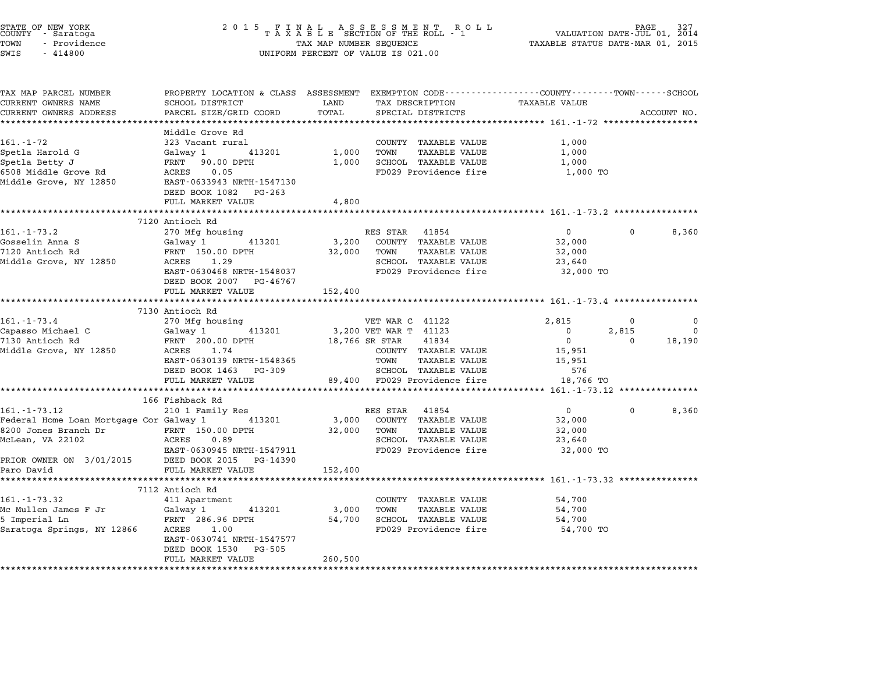| STATE OF NEW YORK<br>COUNTY - Saratoga<br>TOWN<br>- Providence<br>SWIS<br>$-414800$       | 2 0 1 5                                                     | TAX MAP NUMBER SEQUENCE | FINAL ASSESSMENT ROLL<br>TAXABLE SECTION OF THE ROLL - 1<br>R O L L<br>UNIFORM PERCENT OF VALUE IS 021.00                              | TAXABLE STATUS DATE-MAR 01, 2015                        | PAGE<br>VALUATION DATE-JUL 01, 2014 |               |
|-------------------------------------------------------------------------------------------|-------------------------------------------------------------|-------------------------|----------------------------------------------------------------------------------------------------------------------------------------|---------------------------------------------------------|-------------------------------------|---------------|
| TAX MAP PARCEL NUMBER<br>CURRENT OWNERS NAME<br>CURRENT OWNERS ADDRESS                    | SCHOOL DISTRICT<br>PARCEL SIZE/GRID COORD                   | LAND<br>TOTAL           | PROPERTY LOCATION & CLASS ASSESSMENT EXEMPTION CODE---------------COUNTY-------TOWN-----SCHOOL<br>TAX DESCRIPTION<br>SPECIAL DISTRICTS | TAXABLE VALUE                                           |                                     | ACCOUNT NO.   |
|                                                                                           | *************************                                   |                         |                                                                                                                                        |                                                         |                                     |               |
| 161.-1-72                                                                                 | Middle Grove Rd<br>323 Vacant rural                         |                         | COUNTY TAXABLE VALUE                                                                                                                   | 1,000                                                   |                                     |               |
| Spetla Harold G                                                                           | Galway 1<br>413201                                          | 1,000                   | TOWN<br>TAXABLE VALUE                                                                                                                  | 1,000                                                   |                                     |               |
| Spetla Betty J                                                                            | FRNT 90.00 DPTH                                             | 1,000                   | SCHOOL TAXABLE VALUE                                                                                                                   | 1,000                                                   |                                     |               |
| 6508 Middle Grove Rd<br>Middle Grove, NY 12850                                            | ACRES 0.05<br>EAST-0633943 NRTH-1547130                     |                         | FD029 Providence fire                                                                                                                  | 1,000 TO                                                |                                     |               |
|                                                                                           | DEED BOOK 1082 PG-263<br>FULL MARKET VALUE                  | 4,800                   |                                                                                                                                        |                                                         |                                     |               |
|                                                                                           | *************************                                   | **********              |                                                                                                                                        | ********************** 161. -1-73.2 *****************   |                                     |               |
|                                                                                           | 7120 Antioch Rd                                             |                         |                                                                                                                                        |                                                         |                                     |               |
| $161. - 1 - 73.2$                                                                         | 270 Mfg housing                                             |                         | RES STAR 41854                                                                                                                         | $\overline{0}$                                          | $\mathbf{0}$                        | 8,360         |
| Gosselin Anna S                                                                           | Galway 1 413201                                             | 3,200                   | COUNTY TAXABLE VALUE                                                                                                                   | 32,000                                                  |                                     |               |
| 7120 Antioch Rd                                                                           | FRNT 150.00 DPTH                                            | 32,000                  | TOWN<br>TAXABLE VALUE                                                                                                                  | 32,000                                                  |                                     |               |
| Middle Grove, NY 12850                                                                    | ACRES<br>1.29<br>EAST-0630468 NRTH-1548037                  |                         | SCHOOL TAXABLE VALUE<br>FD029 Providence fire                                                                                          | 23,640<br>32,000 TO                                     |                                     |               |
|                                                                                           | DEED BOOK 2007 PG-46767                                     |                         |                                                                                                                                        |                                                         |                                     |               |
|                                                                                           | FULL MARKET VALUE                                           | 152,400                 |                                                                                                                                        |                                                         |                                     |               |
|                                                                                           | ***************************                                 |                         |                                                                                                                                        |                                                         |                                     |               |
|                                                                                           | 7130 Antioch Rd                                             |                         |                                                                                                                                        |                                                         |                                     |               |
| $161.-1-73.4$<br>Capasso Michael C                                                        | 270 Mfg housing<br>Galway 1<br>413201                       |                         | VET WAR C 41122<br>3,200 VET WAR T 41123                                                                                               | 2,815<br>$\Omega$                                       | $^{\circ}$<br>2,815                 | 0<br>$\Omega$ |
| 7130 Antioch Rd                                                                           | FRNT 200.00 DPTH                                            |                         | 18,766 SR STAR<br>41834                                                                                                                | $\overline{0}$                                          | $\Omega$                            | 18,190        |
| Middle Grove, NY 12850                                                                    | ACRES 1.74                                                  |                         | COUNTY TAXABLE VALUE                                                                                                                   | 15,951                                                  |                                     |               |
|                                                                                           | EAST-0630139 NRTH-1548365                                   |                         | TOWN<br>TAXABLE VALUE                                                                                                                  | 15,951                                                  |                                     |               |
|                                                                                           | DEED BOOK 1463 PG-309                                       |                         | SCHOOL TAXABLE VALUE                                                                                                                   | 576                                                     |                                     |               |
|                                                                                           | FULL MARKET VALUE                                           |                         | 89,400 FD029 Providence fire                                                                                                           | 18,766 TO                                               |                                     |               |
|                                                                                           |                                                             |                         | **********************************                                                                                                     | ******** 161.-1-73.12 ***************                   |                                     |               |
| $161. - 1 - 73.12$                                                                        | 166 Fishback Rd<br>210 1 Family Res                         |                         | RES STAR 41854                                                                                                                         | $\overline{0}$                                          | $\Omega$                            | 8,360         |
| Federal Home Loan Mortgage Cor Galway 1                                                   | 413201                                                      | 3,000                   | COUNTY TAXABLE VALUE                                                                                                                   | 32,000                                                  |                                     |               |
| 8200 Jones Branch Dr                                                                      | FRNT 150.00 DPTH                                            | 32,000                  | <b>TAXABLE VALUE</b><br>TOWN                                                                                                           | 32,000                                                  |                                     |               |
| McLean, VA 22102                                                                          | ACRES<br>0.89                                               |                         | SCHOOL TAXABLE VALUE                                                                                                                   | 23,640                                                  |                                     |               |
|                                                                                           | EAST-0630945 NRTH-1547911                                   |                         | FD029 Providence fire                                                                                                                  | 32,000 TO                                               |                                     |               |
| PRIOR OWNER ON 3/01/2015                                                                  | DEED BOOK 2015 PG-14390                                     |                         |                                                                                                                                        |                                                         |                                     |               |
| Paro David                                                                                | FULL MARKET VALUE                                           | 152,400                 |                                                                                                                                        |                                                         |                                     |               |
|                                                                                           | 7112 Antioch Rd                                             |                         |                                                                                                                                        | ************************* 161.-1-73.32 **************** |                                     |               |
|                                                                                           |                                                             |                         | COUNTY TAXABLE VALUE                                                                                                                   | 54,700                                                  |                                     |               |
|                                                                                           | Galway 1<br>413201                                          | 3,000                   | TOWN<br>TAXABLE VALUE                                                                                                                  | 54,700                                                  |                                     |               |
|                                                                                           | FRNT 286.96 DPTH                                            | 54,700                  | SCHOOL TAXABLE VALUE                                                                                                                   | 54,700                                                  |                                     |               |
|                                                                                           | ACRES 1.00                                                  |                         | FD029 Providence fire                                                                                                                  | 54,700 TO                                               |                                     |               |
|                                                                                           | EAST-0630741 NRTH-1547577                                   |                         |                                                                                                                                        |                                                         |                                     |               |
|                                                                                           |                                                             |                         |                                                                                                                                        |                                                         |                                     |               |
|                                                                                           |                                                             |                         |                                                                                                                                        |                                                         |                                     |               |
| $161. - 1 - 73.32$<br>Mc Mullen James F Jr<br>5 Imperial Ln<br>Saratoga Springs, NY 12866 | 411 Apartment<br>DEED BOOK 1530 PG-505<br>FULL MARKET VALUE | 260,500                 |                                                                                                                                        |                                                         |                                     |               |

STATE OF NEW YORK <sup>2</sup> <sup>0</sup> <sup>1</sup> 5 F I N A L A S S E S S M E N T R O L L PAGE <sup>327</sup> COUNTY - Saratoga <sup>T</sup> <sup>A</sup> <sup>X</sup> <sup>A</sup> <sup>B</sup> <sup>L</sup> <sup>E</sup> SECTION OF THE ROLL - <sup>1</sup> VALUATION DATE-JUL 01, <sup>2014</sup>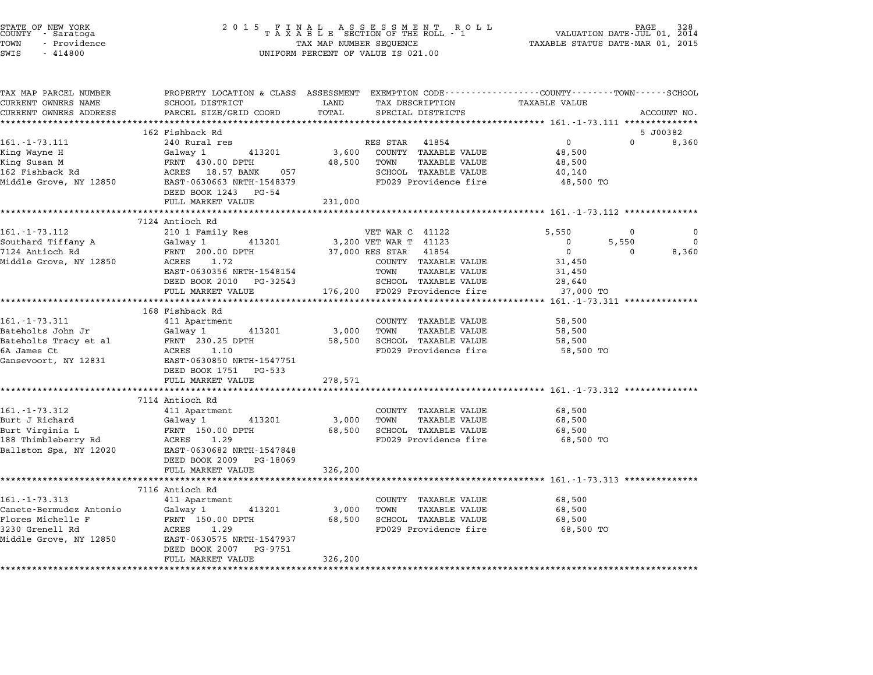| STATE OF NEW YORK<br>COUNTY – Saratoga<br>TOWN<br>- Providence<br>SWIS<br>$-414800$                            | 2 0 1 5<br>$\begin{array}{cccccccccccccc} & F & I & N & A & L & & A & S & S & E & S & S & M & E & N & T & R & O & L & L \\ T & A & X & A & B & L & E & SECTION OF THE ROLL & - & 1 & & & \\ \end{array}$<br>TAX MAP NUMBER SEQUENCE<br>UNIFORM PERCENT OF VALUE IS 021.00 |                                                   |                                                                                                                                                                               | PAGE 328<br>VALUATION DATE-JUL 01, 2014<br>TAXABLE STATUS DATE-MAR 01, 2015                  |                               |                        |
|----------------------------------------------------------------------------------------------------------------|---------------------------------------------------------------------------------------------------------------------------------------------------------------------------------------------------------------------------------------------------------------------------|---------------------------------------------------|-------------------------------------------------------------------------------------------------------------------------------------------------------------------------------|----------------------------------------------------------------------------------------------|-------------------------------|------------------------|
| TAX MAP PARCEL NUMBER<br>CURRENT OWNERS NAME<br>CURRENT OWNERS ADDRESS                                         | PROPERTY LOCATION & CLASS ASSESSMENT<br>SCHOOL DISTRICT<br>PARCEL SIZE/GRID COORD                                                                                                                                                                                         | LAND<br>TOTAL                                     | EXEMPTION CODE-----------------COUNTY-------TOWN------SCHOOL<br>TAX DESCRIPTION<br>SPECIAL DISTRICTS                                                                          | TAXABLE VALUE                                                                                |                               | ACCOUNT NO.            |
|                                                                                                                | 162 Fishback Rd                                                                                                                                                                                                                                                           |                                                   |                                                                                                                                                                               |                                                                                              |                               | 5 J00382               |
| 161. - 1 - 73. 111<br>King Wayne H<br>King Susan M<br>162 Fishback Rd<br>Middle Grove, NY 12850                | 240 Rural res<br>Galway 1<br>413201<br>FRNT 430.00 DPTH<br>ACRES 18.57 BANK<br>057<br>EAST-0630663 NRTH-1548379<br>DEED BOOK 1243 PG-54<br>FULL MARKET VALUE                                                                                                              | 3,600<br>48,500<br>231,000                        | 41854<br>RES STAR<br>COUNTY TAXABLE VALUE<br>TOWN<br>TAXABLE VALUE<br>SCHOOL TAXABLE VALUE<br>FD029 Providence fire                                                           | $\mathbf 0$<br>48,500<br>48,500<br>40,140<br>48,500 TO                                       | $\Omega$                      | 8,360                  |
|                                                                                                                |                                                                                                                                                                                                                                                                           |                                                   |                                                                                                                                                                               |                                                                                              |                               |                        |
| 161. - 1 - 73.112<br>Southard Tiffany A<br>7124 Antioch Rd<br>Middle Grove, NY 12850                           | 7124 Antioch Rd<br>210 1 Family Res<br>413201<br>Galway 1<br>FRNT 200.00 DPTH<br>1.72<br>ACRES<br>EAST-0630356 NRTH-1548154<br>DEED BOOK 2010 PG-32543<br>FULL MARKET VALUE                                                                                               | 176,200                                           | VET WAR C 41122<br>3,200 VET WAR T 41123<br>37,000 RES STAR<br>41854<br>COUNTY TAXABLE VALUE<br>TOWN<br><b>TAXABLE VALUE</b><br>SCHOOL TAXABLE VALUE<br>FD029 Providence fire | 5,550<br>$\Omega$<br>$\overline{0}$<br>31,450<br>31,450<br>28,640<br>37,000 TO               | $\Omega$<br>5,550<br>$\Omega$ | 0<br>$\Omega$<br>8,360 |
|                                                                                                                |                                                                                                                                                                                                                                                                           |                                                   |                                                                                                                                                                               | ******** 161.-1-73.311 **************                                                        |                               |                        |
| 161. - 1 - 73.311<br>Bateholts John Jr<br>Bateholts Tracy et al<br>6A James Ct<br>Gansevoort, NY 12831         | 168 Fishback Rd<br>411 Apartment<br>413201<br>Galway 1<br>FRNT 230.25 DPTH<br>ACRES<br>1.10<br>EAST-0630850 NRTH-1547751<br>DEED BOOK 1751<br>PG-533                                                                                                                      | 3,000<br>58,500                                   | COUNTY TAXABLE VALUE<br>TOWN<br><b>TAXABLE VALUE</b><br>SCHOOL TAXABLE VALUE<br>FD029 Providence fire                                                                         | 58,500<br>58,500<br>58,500<br>58,500 TO                                                      |                               |                        |
|                                                                                                                | FULL MARKET VALUE                                                                                                                                                                                                                                                         | 278,571                                           |                                                                                                                                                                               |                                                                                              |                               |                        |
| 161.-1-73.312<br>Burt J Richard<br>Burt Virginia L<br>188 Thimbleberry Rd<br>Ballston Spa, NY 12020            | 7114 Antioch Rd<br>411 Apartment<br>Galway 1<br>413201<br>FRNT 150.00 DPTH<br>ACRES<br>1.29<br>EAST-0630682 NRTH-1547848<br>DEED BOOK 2009<br>PG-18069<br>FULL MARKET VALUE                                                                                               | *******************<br>3,000<br>68,500<br>326,200 | COUNTY TAXABLE VALUE<br>TOWN<br><b>TAXABLE VALUE</b><br>SCHOOL TAXABLE VALUE<br>FD029 Providence fire                                                                         | ********************** 161.-1-73.312 ************<br>68,500<br>68,500<br>68,500<br>68,500 TO |                               |                        |
|                                                                                                                | *******************                                                                                                                                                                                                                                                       |                                                   |                                                                                                                                                                               |                                                                                              |                               |                        |
| 161. - 1 - 73.313<br>Canete-Bermudez Antonio<br>Flores Michelle F<br>3230 Grenell Rd<br>Middle Grove, NY 12850 | 7116 Antioch Rd<br>411 Apartment<br>Galway 1<br>413201<br>FRNT 150.00 DPTH<br>ACRES<br>1.29<br>EAST-0630575 NRTH-1547937<br>DEED BOOK 2007<br>PG-9751<br>FULL MARKET VALUE                                                                                                | 3,000<br>68,500<br>326,200                        | COUNTY TAXABLE VALUE<br><b>TAXABLE VALUE</b><br>TOWN<br>SCHOOL TAXABLE VALUE<br>FD029 Providence fire                                                                         | 68,500<br>68,500<br>68,500<br>68,500 TO                                                      |                               |                        |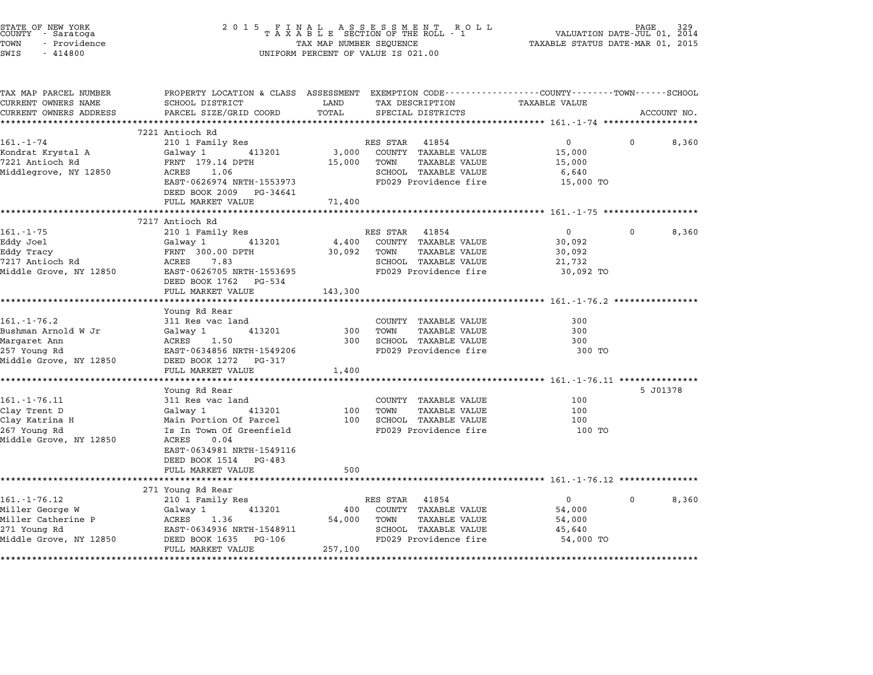| STATE OF NEW YORK<br>COUNTY      Saratoga<br>TOWN<br>- Providence<br>SWIS<br>$-414800$ | 2 0 1 5                                                                                                                                     | TAX MAP NUMBER SEQUENCE | FINAL ASSESSMENT ROL<br>TAXABLE SECTION OF THE ROLL - 1<br>R O L L<br>UNIFORM PERCENT OF VALUE IS 021.00 | TAXABLE STATUS DATE-MAR 01, 2015 | PAGE<br>VALUATION DATE-JUL 01, 2014 |
|----------------------------------------------------------------------------------------|---------------------------------------------------------------------------------------------------------------------------------------------|-------------------------|----------------------------------------------------------------------------------------------------------|----------------------------------|-------------------------------------|
| TAX MAP PARCEL NUMBER<br>CURRENT OWNERS NAME<br>CURRENT OWNERS ADDRESS                 | PROPERTY LOCATION & CLASS ASSESSMENT EXEMPTION CODE---------------COUNTY-------TOWN-----SCHOOL<br>SCHOOL DISTRICT<br>PARCEL SIZE/GRID COORD | LAND<br>TOTAL           | TAX DESCRIPTION<br>SPECIAL DISTRICTS                                                                     | <b>TAXABLE VALUE</b>             | ACCOUNT NO.                         |
|                                                                                        | 7221 Antioch Rd                                                                                                                             |                         |                                                                                                          |                                  |                                     |
| $161. - 1 - 74$                                                                        | 210 1 Family Res                                                                                                                            |                         | RES STAR 41854                                                                                           | $\overline{0}$                   | 8,360<br>$\Omega$                   |
| Kondrat Krystal A                                                                      | Galway 1<br>413201                                                                                                                          | 3,000                   | COUNTY TAXABLE VALUE                                                                                     | 15,000                           |                                     |
| 7221 Antioch Rd                                                                        | FRNT 179.14 DPTH                                                                                                                            | 15,000                  | TOWN<br>TAXABLE VALUE                                                                                    | 15,000                           |                                     |
| Middlegrove, NY 12850                                                                  | ACRES<br>1.06                                                                                                                               |                         | SCHOOL TAXABLE VALUE                                                                                     | 6,640                            |                                     |
|                                                                                        | EAST-0626974 NRTH-1553973<br>DEED BOOK 2009 PG-34641                                                                                        |                         | FD029 Providence fire                                                                                    | 15,000 TO                        |                                     |
|                                                                                        | FULL MARKET VALUE                                                                                                                           | 71,400                  |                                                                                                          |                                  |                                     |
|                                                                                        |                                                                                                                                             |                         |                                                                                                          |                                  |                                     |
|                                                                                        | 7217 Antioch Rd                                                                                                                             |                         |                                                                                                          |                                  |                                     |
| $161. - 1 - 75$                                                                        | 210 1 Family Res                                                                                                                            |                         | RES STAR 41854                                                                                           | $\overline{0}$                   | 8,360<br>$\Omega$                   |
| Eddy Joel                                                                              | 413201<br>Galway 1                                                                                                                          | 4,400                   | COUNTY TAXABLE VALUE                                                                                     | 30,092                           |                                     |
| Eddy Tracy<br>7217 Antioch Rd                                                          | FRNT 300.00 DPTH<br>ACRES 7.83                                                                                                              | 30,092                  | <b>TAXABLE VALUE</b><br>TOWN<br>SCHOOL TAXABLE VALUE                                                     | 30,092<br>21,732                 |                                     |
| Middle Grove, NY 12850                                                                 | EAST-0626705 NRTH-1553695                                                                                                                   |                         | FD029 Providence fire                                                                                    | 30,092 TO                        |                                     |
|                                                                                        | DEED BOOK 1762 PG-534                                                                                                                       |                         |                                                                                                          |                                  |                                     |
|                                                                                        | FULL MARKET VALUE                                                                                                                           | 143,300                 |                                                                                                          |                                  |                                     |
|                                                                                        |                                                                                                                                             |                         |                                                                                                          |                                  |                                     |
|                                                                                        | Young Rd Rear                                                                                                                               |                         |                                                                                                          |                                  |                                     |
| $161. - 1 - 76.2$                                                                      | 311 Res vac land                                                                                                                            |                         | COUNTY TAXABLE VALUE                                                                                     | 300                              |                                     |
| Bushman Arnold W Jr                                                                    | 413201<br>Galway 1                                                                                                                          | 300<br>300              | <b>TAXABLE VALUE</b><br>TOWN<br>SCHOOL TAXABLE VALUE                                                     | 300<br>300                       |                                     |
| Margaret Ann<br>257 Young Rd                                                           | ACRES<br>1.50<br>EAST-0634856 NRTH-1549206                                                                                                  |                         | FD029 Providence fire                                                                                    | 300 TO                           |                                     |
| Middle Grove, NY 12850                                                                 | DEED BOOK 1272 PG-317                                                                                                                       |                         |                                                                                                          |                                  |                                     |
|                                                                                        | FULL MARKET VALUE                                                                                                                           | 1,400                   |                                                                                                          |                                  |                                     |
|                                                                                        |                                                                                                                                             |                         |                                                                                                          |                                  |                                     |
|                                                                                        | Young Rd Rear                                                                                                                               |                         |                                                                                                          |                                  | 5 J01378                            |
| $161. - 1 - 76.11$                                                                     | 311 Res vac land                                                                                                                            |                         | COUNTY TAXABLE VALUE                                                                                     | 100                              |                                     |
| Clay Trent D                                                                           | Galway 1<br>413201                                                                                                                          | 100                     | TOWN<br>TAXABLE VALUE                                                                                    | 100                              |                                     |
| Clay Katrina H                                                                         | Main Portion Of Parcel                                                                                                                      | 100                     | SCHOOL TAXABLE VALUE                                                                                     | 100                              |                                     |
| 267 Young Rd<br>Middle Grove, NY 12850                                                 | Is In Town Of Greenfield<br>ACRES<br>0.04                                                                                                   |                         | FD029 Providence fire                                                                                    | 100 TO                           |                                     |
|                                                                                        | EAST-0634981 NRTH-1549116<br>DEED BOOK 1514 PG-483                                                                                          |                         |                                                                                                          |                                  |                                     |
|                                                                                        | FULL MARKET VALUE                                                                                                                           | 500                     |                                                                                                          |                                  |                                     |
|                                                                                        | ********************                                                                                                                        |                         |                                                                                                          |                                  |                                     |
|                                                                                        | 271 Young Rd Rear                                                                                                                           |                         |                                                                                                          |                                  |                                     |
| $161. - 1 - 76.12$                                                                     | 210 1 Family Res                                                                                                                            |                         | RES STAR 41854                                                                                           | $\overline{0}$                   | 8,360                               |
| Miller George W<br>Miller Catherine P                                                  | 413201<br>Galway 1<br>ACRES 1.36                                                                                                            | 400<br>54,000           | COUNTY TAXABLE VALUE<br>TOWN<br>TAXABLE VALUE                                                            | 54,000                           |                                     |
| 271 Young Rd                                                                           | EAST-0634936 NRTH-1548911                                                                                                                   |                         | SCHOOL TAXABLE VALUE                                                                                     | 54,000<br>45,640                 |                                     |
| Middle Grove, NY 12850                                                                 | DEED BOOK 1635 PG-106                                                                                                                       |                         | FD029 Providence fire                                                                                    | 54,000 TO                        |                                     |
|                                                                                        | FULL MARKET VALUE                                                                                                                           | 257,100                 |                                                                                                          |                                  |                                     |
|                                                                                        |                                                                                                                                             |                         |                                                                                                          |                                  |                                     |

STATE OF NEW YORK <sup>2</sup> <sup>0</sup> <sup>1</sup> 5 F I N A L A S S E S S M E N T R O L L PAGE <sup>329</sup> COUNTY - Saratoga <sup>T</sup> <sup>A</sup> <sup>X</sup> <sup>A</sup> <sup>B</sup> <sup>L</sup> <sup>E</sup> SECTION OF THE ROLL - <sup>1</sup> VALUATION DATE-JUL 01, <sup>2014</sup>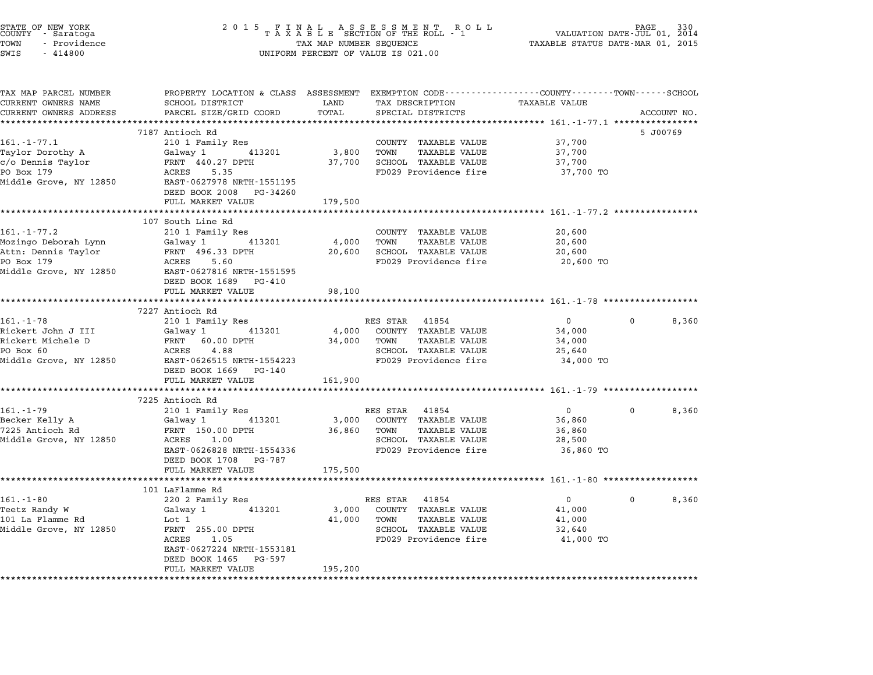| STATE OF NEW YORK<br>COUNTY - Saratoga<br>TOWN<br>- Providence<br>SWIS<br>$-414800$ | 2 0 1 5<br>FINAL ASSESSMENT RO<br>TAXABLE SECTION OF THE ROLL - 1<br>R O L L<br>TAX MAP NUMBER SEQUENCE<br>UNIFORM PERCENT OF VALUE IS 021.00 |                    |                                               | PAGE<br>VALUATION DATE-JUL 01, 2014<br>TAXABLE STATUS DATE-MAR 01, 2015 |          |             |
|-------------------------------------------------------------------------------------|-----------------------------------------------------------------------------------------------------------------------------------------------|--------------------|-----------------------------------------------|-------------------------------------------------------------------------|----------|-------------|
| TAX MAP PARCEL NUMBER<br>CURRENT OWNERS NAME                                        | PROPERTY LOCATION & CLASS ASSESSMENT EXEMPTION CODE---------------COUNTY-------TOWN-----SCHOOL<br>SCHOOL DISTRICT                             | LAND               | TAX DESCRIPTION                               | <b>TAXABLE VALUE</b>                                                    |          |             |
| CURRENT OWNERS ADDRESS                                                              | PARCEL SIZE/GRID COORD                                                                                                                        | TOTAL              | SPECIAL DISTRICTS                             |                                                                         |          | ACCOUNT NO. |
|                                                                                     |                                                                                                                                               | *********          |                                               |                                                                         |          |             |
|                                                                                     | 7187 Antioch Rd                                                                                                                               |                    |                                               |                                                                         |          | 5 J00769    |
| $161.-1-77.1$                                                                       | 210 1 Family Res                                                                                                                              |                    | COUNTY TAXABLE VALUE                          | 37,700                                                                  |          |             |
| Taylor Dorothy A                                                                    | Galway 1<br>413201                                                                                                                            | 3,800              | TOWN<br><b>TAXABLE VALUE</b>                  | 37,700                                                                  |          |             |
| c/o Dennis Taylor<br>PO Box 179                                                     | FRNT 440.27 DPTH<br>5.35<br>ACRES                                                                                                             | 37,700             | SCHOOL TAXABLE VALUE<br>FD029 Providence fire | 37,700<br>37,700 TO                                                     |          |             |
| Middle Grove, NY 12850                                                              | EAST-0627978 NRTH-1551195<br>DEED BOOK 2008<br>PG-34260                                                                                       |                    |                                               |                                                                         |          |             |
|                                                                                     | FULL MARKET VALUE                                                                                                                             | 179,500            |                                               |                                                                         |          |             |
|                                                                                     |                                                                                                                                               | *******            |                                               | ********** 161.-1-77.2 **************                                   |          |             |
|                                                                                     | 107 South Line Rd                                                                                                                             |                    |                                               |                                                                         |          |             |
| 161.-1-77.2                                                                         | 210 1 Family Res                                                                                                                              |                    | COUNTY TAXABLE VALUE                          | 20,600                                                                  |          |             |
| Mozingo Deborah Lynn                                                                | Galway 1<br>413201                                                                                                                            | 4,000              | TOWN<br><b>TAXABLE VALUE</b>                  | 20,600                                                                  |          |             |
| Attn: Dennis Taylor                                                                 | FRNT 496.33 DPTH                                                                                                                              | 20,600             | SCHOOL TAXABLE VALUE                          | 20,600                                                                  |          |             |
| PO Box 179                                                                          | ACRES<br>5.60                                                                                                                                 |                    | FD029 Providence fire                         | 20,600 TO                                                               |          |             |
| Middle Grove, NY 12850                                                              | EAST-0627816 NRTH-1551595<br>DEED BOOK 1689 PG-410                                                                                            |                    |                                               |                                                                         |          |             |
|                                                                                     | FULL MARKET VALUE                                                                                                                             | 98,100<br>******** |                                               | *************** 161. -1-78 *****************                            |          |             |
|                                                                                     | 7227 Antioch Rd                                                                                                                               |                    |                                               |                                                                         |          |             |
| $161. - 1 - 78$                                                                     | 210 1 Family Res                                                                                                                              |                    | RES STAR 41854                                | $\mathbf 0$                                                             | 0        | 8,360       |
| Rickert John J III                                                                  | 413201<br>Galway 1                                                                                                                            | 4,000              | COUNTY TAXABLE VALUE                          | 34,000                                                                  |          |             |
| Rickert Michele D                                                                   | FRNT 60.00 DPTH                                                                                                                               | 34,000             | TOWN<br><b>TAXABLE VALUE</b>                  | 34,000                                                                  |          |             |
| PO Box 60                                                                           | ACRES<br>4.88                                                                                                                                 |                    | SCHOOL TAXABLE VALUE                          | 25,640                                                                  |          |             |
| Middle Grove, NY 12850                                                              | EAST-0626515 NRTH-1554223<br>DEED BOOK 1669<br>PG-140                                                                                         |                    | FD029 Providence fire                         | 34,000 TO                                                               |          |             |
|                                                                                     | FULL MARKET VALUE                                                                                                                             | 161,900            |                                               |                                                                         |          |             |
|                                                                                     |                                                                                                                                               |                    |                                               | ********* 161.-1-79 ****************                                    |          |             |
| $161. - 1 - 79$                                                                     | 7225 Antioch Rd<br>210 1 Family Res                                                                                                           |                    | RES STAR<br>41854                             | $\mathbf{0}$                                                            | 0        | 8,360       |
| Becker Kelly A                                                                      | Galway 1<br>413201                                                                                                                            | 3,000              | COUNTY TAXABLE VALUE                          | 36,860                                                                  |          |             |
| 7225 Antioch Rd                                                                     | FRNT 150.00 DPTH                                                                                                                              | 36,860             | TOWN<br><b>TAXABLE VALUE</b>                  | 36,860                                                                  |          |             |
| Middle Grove, NY 12850                                                              | ACRES<br>1.00                                                                                                                                 |                    | SCHOOL TAXABLE VALUE                          | 28,500                                                                  |          |             |
|                                                                                     | EAST-0626828 NRTH-1554336<br>DEED BOOK 1708<br>PG-787                                                                                         |                    | FD029 Providence fire                         | 36,860 TO                                                               |          |             |
|                                                                                     | FULL MARKET VALUE                                                                                                                             | 175,500            |                                               |                                                                         |          |             |
|                                                                                     | ****************                                                                                                                              |                    |                                               | ******** 161.-1-80 ********                                             |          |             |
|                                                                                     | 101 LaFlamme Rd                                                                                                                               |                    |                                               |                                                                         | $\Omega$ |             |
| $161.-1-80$<br>Teetz Randy W                                                        | 220 2 Family Res<br>Galway 1<br>413201                                                                                                        | 3,000              | RES STAR<br>41854<br>COUNTY TAXABLE VALUE     | $\mathbf{0}$<br>41,000                                                  |          | 8,360       |
| 101 La Flamme Rd                                                                    | Lot 1                                                                                                                                         | 41,000             | TOWN<br>TAXABLE VALUE                         | 41,000                                                                  |          |             |
| Middle Grove, NY 12850                                                              | FRNT 255.00 DPTH                                                                                                                              |                    | SCHOOL TAXABLE VALUE                          | 32,640                                                                  |          |             |
|                                                                                     | 1.05<br>ACRES                                                                                                                                 |                    | FD029 Providence fire                         | 41,000 TO                                                               |          |             |
|                                                                                     | EAST-0627224 NRTH-1553181                                                                                                                     |                    |                                               |                                                                         |          |             |
|                                                                                     | DEED BOOK 1465<br>PG-597                                                                                                                      |                    |                                               |                                                                         |          |             |
|                                                                                     | FULL MARKET VALUE                                                                                                                             | 195,200            |                                               |                                                                         |          |             |
| *********************                                                               | **********************                                                                                                                        |                    |                                               |                                                                         |          |             |

STATE OF NEW YORK <sup>2</sup> <sup>0</sup> <sup>1</sup> 5 F I N A L A S S E S S M E N T R O L L PAGE <sup>330</sup> COUNTY - Saratoga <sup>T</sup> <sup>A</sup> <sup>X</sup> <sup>A</sup> <sup>B</sup> <sup>L</sup> <sup>E</sup> SECTION OF THE ROLL - <sup>1</sup> VALUATION DATE-JUL 01, <sup>2014</sup>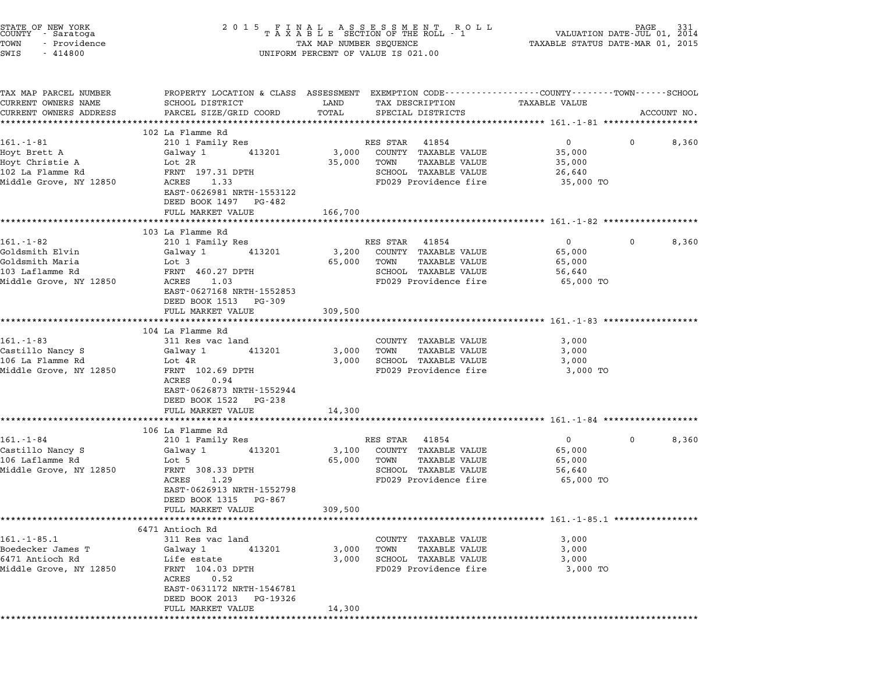| STATE OF NEW YORK<br>COUNTY - Saratoga<br>TOWN<br>- Providence<br>SWIS<br>$-414800$            |                                                                                                                                                    |                         | $\begin{tabular}{lllllllllllllllllll} \hline 2&0&1&5&F\ \texttt{I}\ &\texttt{N}\ &\texttt{A}\ &\texttt{A}\ &\texttt{B}\ &\texttt{S}\ &\texttt{S}\ &\texttt{S}\ &\texttt{S}\ &\texttt{S}\ &\texttt{S}\ &\texttt{S}\ &\texttt{S}\ &\texttt{S}\ &\texttt{S}\ &\texttt{S}\ &\texttt{S}\ &\texttt{S}\ &\texttt{S}\ &\texttt{S}\ &\texttt{S}\ &\texttt{S}\ &\texttt{S}\ &\texttt{S}\ &\texttt{S}\ &\texttt{S}\ &\texttt{S}\ &$<br>UNIFORM PERCENT OF VALUE IS 021.00 |                                                              |                       |
|------------------------------------------------------------------------------------------------|----------------------------------------------------------------------------------------------------------------------------------------------------|-------------------------|----------------------------------------------------------------------------------------------------------------------------------------------------------------------------------------------------------------------------------------------------------------------------------------------------------------------------------------------------------------------------------------------------------------------------------------------------------------|--------------------------------------------------------------|-----------------------|
| TAX MAP PARCEL NUMBER<br>CURRENT OWNERS NAME<br>CURRENT OWNERS ADDRESS                         | PROPERTY LOCATION & CLASS ASSESSMENT EXEMPTION CODE---------------COUNTY-------TOWN------SCHOOL<br>SCHOOL DISTRICT<br>PARCEL SIZE/GRID COORD       | LAND<br>TOTAL           | TAX DESCRIPTION<br>SPECIAL DISTRICTS                                                                                                                                                                                                                                                                                                                                                                                                                           | TAXABLE VALUE                                                | ACCOUNT NO.           |
|                                                                                                | 102 La Flamme Rd                                                                                                                                   |                         |                                                                                                                                                                                                                                                                                                                                                                                                                                                                |                                                              |                       |
| $161.-1-81$<br>Hoyt Brett A<br>Hoyt Christie A<br>102 La Flamme Rd<br>Middle Grove, NY 12850   | 210 1 Family Res<br>413201<br>Galway 1<br>Lot 2R<br>FRNT 197.31 DPTH<br>ACRES<br>1.33                                                              | 3,000<br>35,000         | RES STAR<br>41854<br>COUNTY TAXABLE VALUE<br>TOWN<br>TAXABLE VALUE<br>SCHOOL TAXABLE VALUE<br>FD029 Providence fire                                                                                                                                                                                                                                                                                                                                            | $0 \qquad \qquad$<br>35,000<br>35,000<br>26,640<br>35,000 TO | $\mathbf{0}$<br>8,360 |
|                                                                                                | EAST-0626981 NRTH-1553122<br>DEED BOOK 1497 PG-482                                                                                                 |                         |                                                                                                                                                                                                                                                                                                                                                                                                                                                                |                                                              |                       |
|                                                                                                | FULL MARKET VALUE<br>***********************                                                                                                       | 166,700                 |                                                                                                                                                                                                                                                                                                                                                                                                                                                                |                                                              |                       |
|                                                                                                | 103 La Flamme Rd                                                                                                                                   |                         |                                                                                                                                                                                                                                                                                                                                                                                                                                                                |                                                              |                       |
| $161.-1-82$<br>Goldsmith Elvin<br>Goldsmith Maria<br>103 Laflamme Rd<br>Middle Grove, NY 12850 | 210 1 Family Res<br>Galway 1<br>413201<br>Lot 3<br>FRNT 460.27 DPTH<br>ACRES<br>1.03                                                               | 3,200<br>65,000         | RES STAR 41854<br>COUNTY TAXABLE VALUE<br>TOWN<br><b>TAXABLE VALUE</b><br>SCHOOL TAXABLE VALUE<br>FD029 Providence fire                                                                                                                                                                                                                                                                                                                                        | $\overline{0}$<br>65,000<br>65,000<br>56,640<br>65,000 TO    | 0<br>8,360            |
|                                                                                                | EAST-0627168 NRTH-1552853<br>DEED BOOK 1513 PG-309<br>FULL MARKET VALUE<br>*************************                                               | 309,500<br>************ |                                                                                                                                                                                                                                                                                                                                                                                                                                                                | ****************************** 161.-1-83 ******************* |                       |
|                                                                                                | 104 La Flamme Rd                                                                                                                                   |                         |                                                                                                                                                                                                                                                                                                                                                                                                                                                                |                                                              |                       |
| $161. - 1 - 83$                                                                                | 311 Res vac land                                                                                                                                   |                         | COUNTY TAXABLE VALUE                                                                                                                                                                                                                                                                                                                                                                                                                                           | 3,000                                                        |                       |
| Castillo Nancy S<br>106 La Flamme Rd                                                           | 413201<br>Galway 1<br>Lot 4R                                                                                                                       | 3,000<br>3,000          | TAXABLE VALUE<br>TOWN<br>SCHOOL TAXABLE VALUE                                                                                                                                                                                                                                                                                                                                                                                                                  | 3,000<br>3,000                                               |                       |
| Middle Grove, NY 12850                                                                         | FRNT 102.69 DPTH<br>ACRES<br>0.94<br>EAST-0626873 NRTH-1552944<br>DEED BOOK 1522 PG-238                                                            |                         | FD029 Providence fire                                                                                                                                                                                                                                                                                                                                                                                                                                          | 3,000 TO                                                     |                       |
|                                                                                                | FULL MARKET VALUE                                                                                                                                  | 14,300                  |                                                                                                                                                                                                                                                                                                                                                                                                                                                                |                                                              |                       |
|                                                                                                | **********************                                                                                                                             |                         |                                                                                                                                                                                                                                                                                                                                                                                                                                                                |                                                              |                       |
| $161. - 1 - 84$                                                                                | 106 La Flamme Rd<br>210 1 Family Res                                                                                                               |                         | RES STAR 41854                                                                                                                                                                                                                                                                                                                                                                                                                                                 | $0 \qquad \qquad$                                            | 8,360<br>0            |
| Castillo Nancy S<br>106 Laflamme Rd<br>Middle Grove, NY 12850                                  | 413201<br>Galway 1<br>Lot 5<br>FRNT 308.33 DPTH<br>ACRES<br>1.29<br>EAST-0626913 NRTH-1552798<br>DEED BOOK 1315 PG-867                             | 3,100<br>65,000         | COUNTY TAXABLE VALUE<br>TOWN<br>TAXABLE VALUE<br>SCHOOL TAXABLE VALUE<br>FD029 Providence fire                                                                                                                                                                                                                                                                                                                                                                 | 65,000<br>65,000<br>56,640<br>65,000 TO                      |                       |
|                                                                                                | FULL MARKET VALUE                                                                                                                                  | 309,500                 |                                                                                                                                                                                                                                                                                                                                                                                                                                                                |                                                              |                       |
|                                                                                                | 6471 Antioch Rd                                                                                                                                    |                         |                                                                                                                                                                                                                                                                                                                                                                                                                                                                | *************************** 161.-1-85.1 *****************    |                       |
| $161. - 1 - 85.1$<br>Boedecker James T<br>6471 Antioch Rd<br>Middle Grove, NY 12850            | 311 Res vac land<br>413201<br>Galway 1<br>Life estate<br>FRNT 104.03 DPTH<br>ACRES<br>0.52<br>EAST-0631172 NRTH-1546781<br>DEED BOOK 2013 PG-19326 | 3,000<br>3,000          | COUNTY TAXABLE VALUE<br><b>TAXABLE VALUE</b><br>TOWN<br>SCHOOL TAXABLE VALUE<br>FD029 Providence fire                                                                                                                                                                                                                                                                                                                                                          | 3,000<br>3,000<br>3,000<br>3,000 TO                          |                       |
|                                                                                                | FULL MARKET VALUE                                                                                                                                  | 14,300                  |                                                                                                                                                                                                                                                                                                                                                                                                                                                                |                                                              |                       |
|                                                                                                |                                                                                                                                                    |                         |                                                                                                                                                                                                                                                                                                                                                                                                                                                                |                                                              |                       |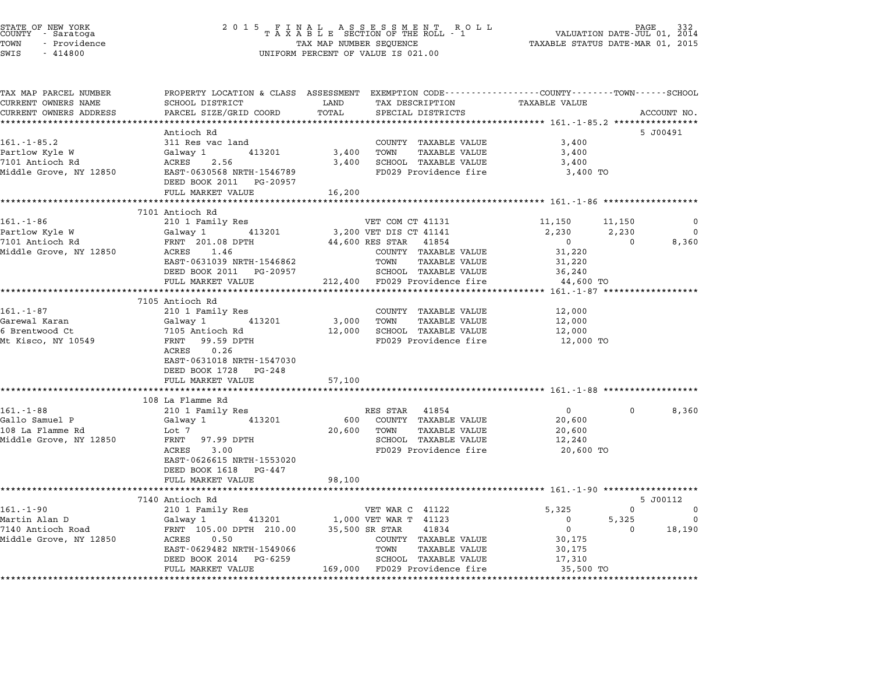| STATE OF NEW YORK<br>COUNTY |  | - Saratoga   |  |
|-----------------------------|--|--------------|--|
| TOWN                        |  | - Providence |  |

STATE OF NEW YORK <sup>2</sup> <sup>0</sup> <sup>1</sup> 5 F I N A L A S S E S S M E N T R O L L PAGE <sup>332</sup> COUNTY - Saratoga <sup>T</sup> <sup>A</sup> <sup>X</sup> <sup>A</sup> <sup>B</sup> <sup>L</sup> <sup>E</sup> SECTION OF THE ROLL - <sup>1</sup> VALUATION DATE-JUL 01, <sup>2014</sup> TOWN - Providence TAX MAP NUMBER SEQUENCE TAXABLE STATUS DATE-MAR 01, <sup>2015</sup> TOWN - Providence and the state of the state of the state of the state of the state of the state of the state o<br>SWIS - 414800 SWIS - SWISSED BERCENT OF VALUE IS 021.00

| TAX MAP PARCEL NUMBER             | PROPERTY LOCATION & CLASS ASSESSMENT EXEMPTION CODE----------------COUNTY-------TOWN-----SCHOOL |            |                                                       |                  |                   |                          |
|-----------------------------------|-------------------------------------------------------------------------------------------------|------------|-------------------------------------------------------|------------------|-------------------|--------------------------|
| CURRENT OWNERS NAME               | SCHOOL DISTRICT                                                                                 | LAND       | TAX DESCRIPTION                                       | TAXABLE VALUE    |                   |                          |
| CURRENT OWNERS ADDRESS            | PARCEL SIZE/GRID COORD                                                                          | TOTAL      | SPECIAL DISTRICTS                                     |                  |                   | ACCOUNT NO.              |
|                                   | Antioch Rd                                                                                      |            |                                                       |                  |                   |                          |
| $161. - 1 - 85.2$                 | 311 Res vac land                                                                                |            | COUNTY TAXABLE VALUE                                  | 3,400            |                   | 5 J00491                 |
| Partlow Kyle W                    | Galway 1<br>413201                                                                              | 3,400      | TOWN<br>TAXABLE VALUE                                 | 3,400            |                   |                          |
| 7101 Antioch Rd                   | ACRES 2.56                                                                                      | 3,400      | SCHOOL TAXABLE VALUE                                  | 3,400            |                   |                          |
| Middle Grove, NY 12850            | EAST-0630568 NRTH-1546789                                                                       |            | FD029 Providence fire                                 | 3,400 TO         |                   |                          |
|                                   | DEED BOOK 2011 PG-20957                                                                         |            |                                                       |                  |                   |                          |
|                                   | FULL MARKET VALUE                                                                               | 16,200     |                                                       |                  |                   |                          |
|                                   |                                                                                                 |            |                                                       |                  |                   |                          |
|                                   | 7101 Antioch Rd                                                                                 |            |                                                       |                  |                   |                          |
| $161 - 1 - 86$                    | 210 1 Family Res                                                                                |            | VET COM CT 41131                                      | 11,150           | 11,150            | 0                        |
| Partlow Kyle W<br>7101 Antioch Rd | 413201<br>Galway 1           41320<br>FRNT  201.08 DPTH                                         |            | 3,200 VET DIS CT 41141                                | 2,230            | 2,230             | $\Omega$                 |
|                                   |                                                                                                 |            | 44,600 RES STAR 41854                                 | $\overline{0}$   | $\overline{0}$    | 8,360                    |
| Middle Grove, NY 12850 ACRES 1.46 |                                                                                                 |            | COUNTY TAXABLE VALUE                                  | 31,220           |                   |                          |
|                                   | EAST-0631039 NRTH-1546862                                                                       |            | TOWN<br>TAXABLE VALUE                                 | 31,220           |                   |                          |
|                                   | DEED BOOK 2011 PG-20957                                                                         |            | SCHOOL TAXABLE VALUE<br>212,400 FD029 Providence fire | 36,240           |                   |                          |
|                                   | FULL MARKET VALUE                                                                               |            |                                                       | 44,600 TO        |                   |                          |
|                                   |                                                                                                 |            |                                                       |                  |                   |                          |
|                                   | 7105 Antioch Rd                                                                                 |            |                                                       |                  |                   |                          |
| $161.-1-87$<br>Garewal Karan      | 210 1 Family Res<br>Galway 1 413201                                                             | 3,000 TOWN | COUNTY TAXABLE VALUE<br>TAXABLE VALUE                 | 12,000           |                   |                          |
|                                   |                                                                                                 |            | 12,000 SCHOOL TAXABLE VALUE                           | 12,000<br>12,000 |                   |                          |
|                                   |                                                                                                 |            | FD029 Providence fire 12,000 TO                       |                  |                   |                          |
|                                   | 0.26<br>ACRES                                                                                   |            |                                                       |                  |                   |                          |
|                                   | EAST-0631018 NRTH-1547030                                                                       |            |                                                       |                  |                   |                          |
|                                   | DEED BOOK 1728 PG-248                                                                           |            |                                                       |                  |                   |                          |
|                                   | FULL MARKET VALUE                                                                               | 57,100     |                                                       |                  |                   |                          |
|                                   |                                                                                                 |            |                                                       |                  |                   |                          |
|                                   | 108 La Flamme Rd                                                                                |            |                                                       |                  |                   |                          |
| $161. - 1 - 88$                   | 210 1 Family Res                                                                                |            | RES STAR 41854                                        | $\overline{0}$   | $\Omega$          | 8,360                    |
| Gallo Samuel P                    | Galway 1 413201                                                                                 |            | 600 COUNTY TAXABLE VALUE                              | 20,600           |                   |                          |
| 108 La Flamme Rd                  | Lot 7                                                                                           | 20,600     | TOWN<br>TAXABLE VALUE                                 | 20,600           |                   |                          |
| Middle Grove, NY 12850            | FRNT 97.99 DPTH                                                                                 |            | SCHOOL TAXABLE VALUE                                  | 12,240           |                   |                          |
|                                   | ACRES 3.00                                                                                      |            | FD029 Providence fire                                 | 20,600 TO        |                   |                          |
|                                   | EAST-0626615 NRTH-1553020                                                                       |            |                                                       |                  |                   |                          |
|                                   | DEED BOOK 1618 PG-447                                                                           |            |                                                       |                  |                   |                          |
|                                   | FULL MARKET VALUE                                                                               | 98,100     |                                                       |                  |                   |                          |
|                                   | 7140 Antioch Rd                                                                                 |            |                                                       |                  |                   | 5 J00112                 |
| $161.-1-90$                       | 210 1 Family Res                                                                                |            | VET WAR C 41122                                       | 5,325            | $\mathbf{0}$      | $\mathbf 0$              |
|                                   |                                                                                                 |            | 1,000 VET WAR T 41123                                 | $\overline{0}$   | 5,325             | $\overline{\phantom{0}}$ |
|                                   |                                                                                                 |            | 35,500 SR STAR<br>41834                               | $\overline{0}$   | $0 \qquad \qquad$ | 18,190                   |
|                                   |                                                                                                 |            | COUNTY TAXABLE VALUE                                  | 30,175           |                   |                          |
|                                   |                                                                                                 |            |                                                       |                  |                   |                          |
|                                   | EAST-0629482 NRTH-1549066                                                                       |            | TOWN<br>TAXABLE VALUE                                 | 30,175           |                   |                          |
|                                   | DEED BOOK 2014 PG-6259                                                                          |            | SCHOOL TAXABLE VALUE                                  | 17,310           |                   |                          |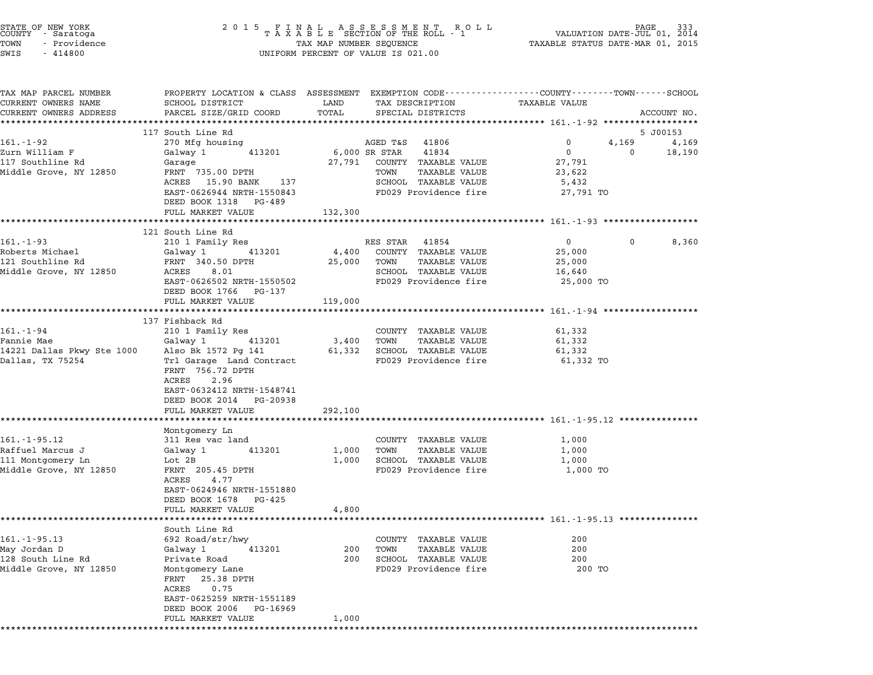| STATE OF NEW YORK<br>COUNTY – Saratoga<br>TOWN<br>- Providence<br>SWIS<br>$-414800$   |                                                                                                                                                                                                                   |                     | UNIFORM PERCENT OF VALUE IS 021.00                                                                                                                | $\begin{tabular}{lllllllllllllllllllll} \hline 2&0&1&5&F\ \texttt{I}\ &\texttt{N}\ &\texttt{A}\ &\texttt{B}\ &\texttt{S}\ &\texttt{S}\ &\texttt{S}\ &\texttt{S}\ &\texttt{S}\ &\texttt{S}\ &\texttt{S}\ &\texttt{S}\ &\texttt{S}\ &\texttt{S}\ &\texttt{S}\ &\texttt{S}\ &\texttt{S}\ &\texttt{S}\ &\texttt{S}\ &\texttt{S}\ &\texttt{S}\ &\texttt{S}\ &\texttt{S}\ &\texttt{S}\ &\texttt{S}\ &\texttt{S}\ &\texttt{S}\$ |
|---------------------------------------------------------------------------------------|-------------------------------------------------------------------------------------------------------------------------------------------------------------------------------------------------------------------|---------------------|---------------------------------------------------------------------------------------------------------------------------------------------------|--------------------------------------------------------------------------------------------------------------------------------------------------------------------------------------------------------------------------------------------------------------------------------------------------------------------------------------------------------------------------------------------------------------------------|
| TAX MAP PARCEL NUMBER<br>CURRENT OWNERS NAME<br>CURRENT OWNERS ADDRESS                | SCHOOL DISTRICT<br>PARCEL SIZE/GRID COORD                                                                                                                                                                         | LAND<br>TOTAL       | TAX DESCRIPTION<br>SPECIAL DISTRICTS                                                                                                              | PROPERTY LOCATION & CLASS ASSESSMENT EXEMPTION CODE---------------COUNTY-------TOWN-----SCHOOL<br>TAXABLE VALUE<br>ACCOUNT NO.                                                                                                                                                                                                                                                                                           |
| 161.-1-92<br>Zurn William F<br>117 Southline Rd<br>Middle Grove, NY 12850             | 117 South Line Rd<br>270 Mfg housing<br>413201<br>Galway 1<br>Garage<br>FRNT 735.00 DPTH<br>ACRES 15.90 BANK 137<br>EAST-0626944 NRTH-1550843<br>DEED BOOK 1318 PG-489                                            |                     | AGED T&S 41806<br>6,000 SR STAR<br>41834<br>27,791 COUNTY TAXABLE VALUE<br>TAXABLE VALUE<br>TOWN<br>SCHOOL TAXABLE VALUE<br>FD029 Providence fire | 5 J00153<br>0<br>4,169<br>4,169<br>$\overline{0}$<br>$\overline{0}$<br>18,190<br>27,791<br>23,622<br>5,432<br>27,791 TO                                                                                                                                                                                                                                                                                                  |
|                                                                                       | FULL MARKET VALUE                                                                                                                                                                                                 | 132,300             |                                                                                                                                                   |                                                                                                                                                                                                                                                                                                                                                                                                                          |
| $161.-1-93$<br>Roberts Michael<br>121 Southline Rd<br>Middle Grove, NY 12850          | 121 South Line Rd<br>210 1 Family Res<br>Galway 1 413201<br>FRNT 340.50 DPTH<br>ACRES<br>8.01<br>EAST-0626502 NRTH-1550502<br>DEED BOOK 1766 PG-137<br>FULL MARKET VALUE                                          | 25,000<br>119,000   | RES STAR 41854<br>4,400 COUNTY TAXABLE VALUE<br>TOWN<br>TAXABLE VALUE<br>SCHOOL TAXABLE VALUE<br>FD029 Providence fire                            | $\overline{0}$<br>$\mathbf{0}$<br>8,360<br>25,000<br>25,000<br>16,640<br>25,000 TO                                                                                                                                                                                                                                                                                                                                       |
|                                                                                       |                                                                                                                                                                                                                   |                     |                                                                                                                                                   |                                                                                                                                                                                                                                                                                                                                                                                                                          |
| 161.-1-94<br>Fannie Mae<br>14221 Dallas Pkwy Ste 1000<br>Dallas, TX 75254             | 137 Fishback Rd<br>210 1 Family Res<br>413201<br>Galway 1<br>Also Bk 1572 Pg 141<br>Trl Garage Land Contract<br>FRNT 756.72 DPTH<br>2.96<br>ACRES<br>EAST-0632412 NRTH-1548741<br>DEED BOOK 2014 PG-20938         | 3,400<br>61,332     | COUNTY TAXABLE VALUE<br>TOWN<br>TAXABLE VALUE<br>SCHOOL TAXABLE VALUE<br>FD029 Providence fire                                                    | 61,332<br>61,332<br>61,332<br>61,332 TO                                                                                                                                                                                                                                                                                                                                                                                  |
|                                                                                       | FULL MARKET VALUE                                                                                                                                                                                                 | 292,100             |                                                                                                                                                   | ************************************ 161.-1-95.12 ****************                                                                                                                                                                                                                                                                                                                                                       |
| $161. - 1 - 95.12$<br>Raffuel Marcus J<br>111 Montgomery Ln<br>Middle Grove, NY 12850 | Montgomery Ln<br>311 Res vac land<br>413201<br>Galway 1<br>Lot 2B<br>FRNT 205.45 DPTH<br>ACRES<br>4.77<br>EAST-0624946 NRTH-1551880<br>DEED BOOK 1678 PG-425                                                      | 1,000<br>1,000      | COUNTY TAXABLE VALUE<br>TAXABLE VALUE<br>TOWN<br>SCHOOL TAXABLE VALUE<br>FD029 Providence fire                                                    | 1,000<br>1,000<br>1,000<br>1,000 TO                                                                                                                                                                                                                                                                                                                                                                                      |
|                                                                                       | FULL MARKET VALUE                                                                                                                                                                                                 | 4,800               |                                                                                                                                                   | *************************** 161.-1-95.13 ****************                                                                                                                                                                                                                                                                                                                                                                |
| $161. - 1 - 95.13$<br>May Jordan D<br>128 South Line Rd<br>Middle Grove, NY 12850     | South Line Rd<br>692 Road/str/hwy<br>Galway 1<br>413201<br>Private Road<br>Montgomery Lane<br>25.38 DPTH<br>FRNT<br>ACRES<br>0.75<br>EAST-0625259 NRTH-1551189<br>DEED BOOK 2006<br>PG-16969<br>FULL MARKET VALUE | 200<br>200<br>1,000 | COUNTY TAXABLE VALUE<br>TOWN<br><b>TAXABLE VALUE</b><br>SCHOOL TAXABLE VALUE<br>FD029 Providence fire                                             | 200<br>200<br>200<br>200 TO                                                                                                                                                                                                                                                                                                                                                                                              |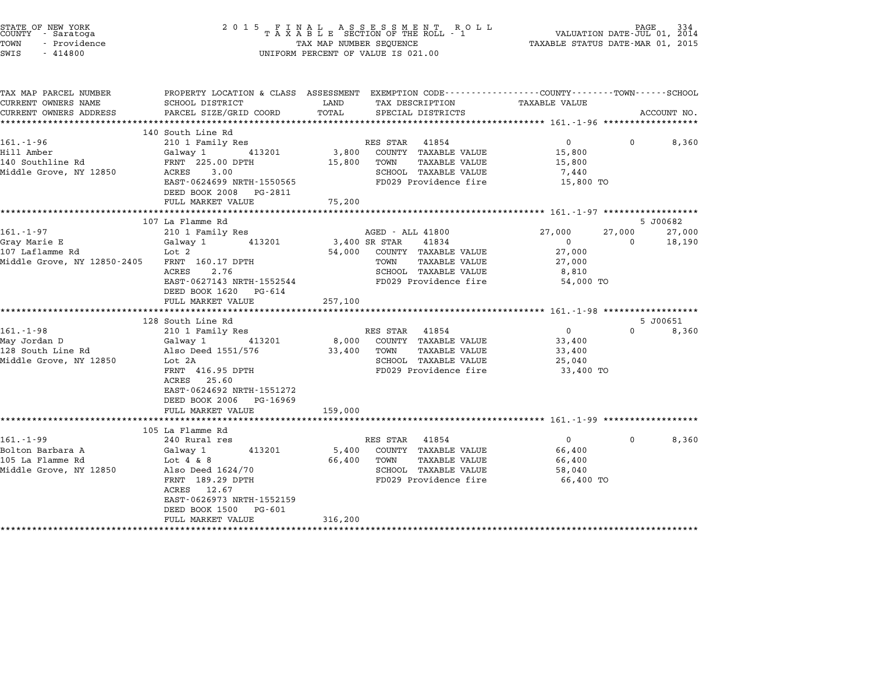| STATE OF NEW YORK<br>COUNTY - Saratoga<br>TOWN<br>- Providence<br>SWIS<br>$-414800$                                                                             |                                                                                                                                                                                                                                                                                                                                |                                      | 2 0 1 5 F I N A L A S S E S S M E N T R O L L PALUATION DATE-JUL 01, 2014<br>T A X A B L E SECTION OF THE ROLL - 1 VALUATION DATE-JUL 01, 2014<br>TAX MAP NUMBER SEQUENCE TAXABLE STATUS DATE-MAR 01, 2015<br>UNIFORM PERCENT OF VALUE IS 021.00                 | TAXABLE STATUS DATE-MAR 01, 2015                                                                                              |                         |                                       |
|-----------------------------------------------------------------------------------------------------------------------------------------------------------------|--------------------------------------------------------------------------------------------------------------------------------------------------------------------------------------------------------------------------------------------------------------------------------------------------------------------------------|--------------------------------------|------------------------------------------------------------------------------------------------------------------------------------------------------------------------------------------------------------------------------------------------------------------|-------------------------------------------------------------------------------------------------------------------------------|-------------------------|---------------------------------------|
| TAX MAP PARCEL NUMBER<br>CURRENT OWNERS NAME                                                                                                                    | PROPERTY LOCATION & CLASS ASSESSMENT EXEMPTION CODE---------------COUNTY-------TOWN-----SCHOOL<br>SCHOOL DISTRICT                                                                                                                                                                                                              | LAND                                 | TAX DESCRIPTION TAXABLE VALUE                                                                                                                                                                                                                                    |                                                                                                                               |                         |                                       |
| CURRENT OWNERS ADDRESS                                                                                                                                          | PARCEL SIZE/GRID COORD                                                                                                                                                                                                                                                                                                         | TOTAL                                | SPECIAL DISTRICTS                                                                                                                                                                                                                                                |                                                                                                                               |                         | ACCOUNT NO.                           |
|                                                                                                                                                                 | 140 South Line Rd                                                                                                                                                                                                                                                                                                              |                                      |                                                                                                                                                                                                                                                                  |                                                                                                                               |                         |                                       |
| 161.-1-96<br>Hill Amber<br>140 Southline Rd<br>Middle Grove, NY 12850                                                                                           | 210 1 Family Res<br>Galway 1<br>413201<br>FRNT 225.00 DPTH<br>ACRES 3.00<br>EAST-0624699 NRTH-1550565<br>DEED BOOK 2008 PG-2811                                                                                                                                                                                                | 3,800<br>15,800                      | RES STAR 41854<br>COUNTY TAXABLE VALUE<br>TOWN<br>TAXABLE VALUE<br>SCHOOL TAXABLE VALUE<br>FD029 Providence fire                                                                                                                                                 | $\Omega$<br>15,800<br>15,800<br>7,440<br>15,800 TO                                                                            | $\Omega$                | 8,360                                 |
|                                                                                                                                                                 | FULL MARKET VALUE<br>****************************                                                                                                                                                                                                                                                                              | 75,200                               |                                                                                                                                                                                                                                                                  |                                                                                                                               |                         |                                       |
|                                                                                                                                                                 | 107 La Flamme Rd                                                                                                                                                                                                                                                                                                               |                                      |                                                                                                                                                                                                                                                                  |                                                                                                                               |                         | 5 J00682                              |
| $161.-1-97$<br>Gray Marie E<br>107 Laflamme Rd<br>Middle Grove, NY 12850-2405<br>$161. - 1 - 98$<br>May Jordan D<br>128 South Line Rd<br>Middle Grove, NY 12850 | 210 1 Family Res<br>413201<br>Galway 1<br>Lot 2<br>FRNT 160.17 DPTH<br>2.76<br>ACRES<br>EAST-0627143 NRTH-1552544<br>DEED BOOK 1620 PG-614<br>FULL MARKET VALUE<br>128 South Line Rd<br>210 1 Family Res<br>Galway 1<br>413201<br>Also Deed 1551/576<br>Lot 2A<br>FRNT 416.95 DPTH<br>ACRES 25.60<br>EAST-0624692 NRTH-1551272 | 54,000<br>257,100<br>8,000<br>33,400 | AGED - ALL 41800<br>3,400 SR STAR<br>41834<br>COUNTY TAXABLE VALUE<br>TAXABLE VALUE<br>TOWN<br>SCHOOL TAXABLE VALUE<br>FD029 Providence fire<br>RES STAR 41854<br>COUNTY TAXABLE VALUE<br>TAXABLE VALUE<br>TOWN<br>SCHOOL TAXABLE VALUE<br>FD029 Providence fire | 27,000<br>$\mathbf{0}$<br>27,000<br>27,000<br>8,810<br>54,000 TO<br>$\overline{0}$<br>33,400<br>33,400<br>25,040<br>33,400 TO | 27,000<br>$\Omega$<br>0 | 27,000<br>18,190<br>5 J00651<br>8,360 |
|                                                                                                                                                                 | DEED BOOK 2006 PG-16969<br>FULL MARKET VALUE                                                                                                                                                                                                                                                                                   | 159,000                              |                                                                                                                                                                                                                                                                  |                                                                                                                               |                         |                                       |
|                                                                                                                                                                 | 105 La Flamme Rd                                                                                                                                                                                                                                                                                                               |                                      |                                                                                                                                                                                                                                                                  |                                                                                                                               |                         |                                       |
| $161. - 1 - 99$<br>Bolton Barbara A<br>105 La Flamme Rd<br>Middle Grove, NY 12850                                                                               | 240 Rural res<br>413201<br>Galway 1<br>Lot $4 \& 8$<br>Also Deed 1624/70<br>FRNT 189.29 DPTH<br>ACRES 12.67<br>EAST-0626973 NRTH-1552159<br>DEED BOOK 1500 PG-601<br>FULL MARKET VALUE                                                                                                                                         | 5,400<br>66,400<br>316,200           | RES STAR 41854<br>COUNTY TAXABLE VALUE<br>TOWN<br>TAXABLE VALUE<br>SCHOOL TAXABLE VALUE<br>FD029 Providence fire                                                                                                                                                 | $\overline{0}$<br>66,400<br>66,400<br>58,040<br>66,400 TO                                                                     | 0                       | 8,360                                 |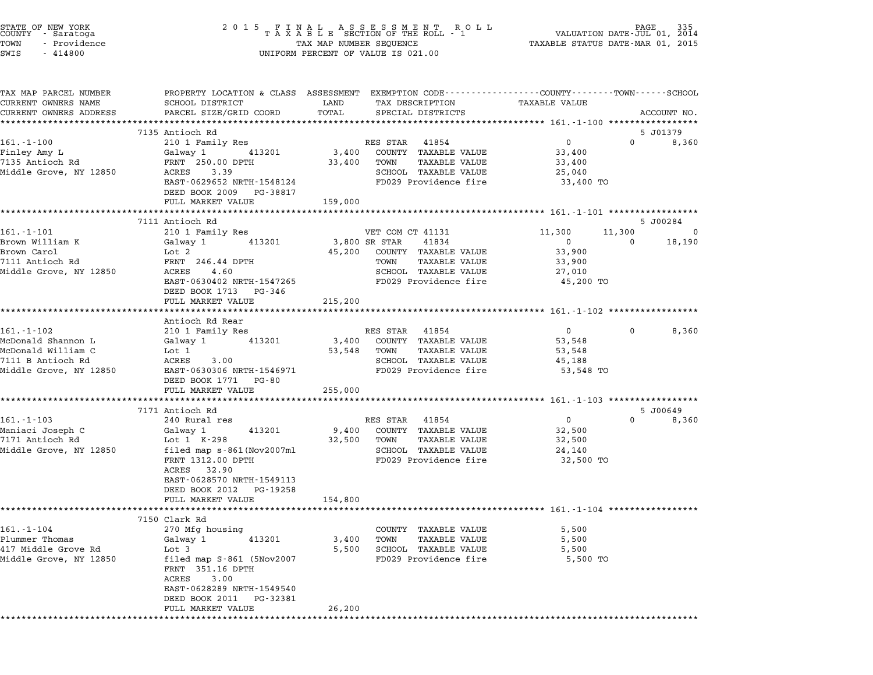| STATE OF NEW YORK<br>COUNTY      Saratoga<br>TOWN<br>- Providence<br>SWIS<br>$-414800$                |                                                                                                                                                                                                   |                            | $\begin{tabular}{lllllllllllllllllll} \hline 2&0&1&5&F\ \texttt{I}\ &\texttt{A}\ &\texttt{A}\ &\texttt{B}\ &\texttt{B}\ &\texttt{B}\ &\texttt{C}\ &\texttt{C}\ &\texttt{D}\ &\texttt{D}\ &\texttt{D}\ &\texttt{D}\ &\texttt{D}\ &\texttt{D}\ &\texttt{D}\ &\texttt{D}\ &\texttt{D}\ &\texttt{D}\ &\texttt{D}\ &\texttt{D}\ &\texttt{D}\ &\texttt{D}\ &\texttt{D}\ &\texttt{D}\ &\texttt{D}\ &\texttt{D}\ &\texttt{D}\ &$<br>UNIFORM PERCENT OF VALUE IS 021.00 |                                                                   |                                                 |
|-------------------------------------------------------------------------------------------------------|---------------------------------------------------------------------------------------------------------------------------------------------------------------------------------------------------|----------------------------|----------------------------------------------------------------------------------------------------------------------------------------------------------------------------------------------------------------------------------------------------------------------------------------------------------------------------------------------------------------------------------------------------------------------------------------------------------------|-------------------------------------------------------------------|-------------------------------------------------|
| TAX MAP PARCEL NUMBER<br>CURRENT OWNERS NAME<br>CURRENT OWNERS ADDRESS                                | PROPERTY LOCATION & CLASS ASSESSMENT EXEMPTION CODE----------------COUNTY-------TOWN-----SCHOOL<br>SCHOOL DISTRICT<br>PARCEL SIZE/GRID COORD                                                      | LAND<br>TOTAL              | TAX DESCRIPTION<br>SPECIAL DISTRICTS                                                                                                                                                                                                                                                                                                                                                                                                                           | TAXABLE VALUE                                                     | ACCOUNT NO.                                     |
|                                                                                                       |                                                                                                                                                                                                   |                            |                                                                                                                                                                                                                                                                                                                                                                                                                                                                |                                                                   |                                                 |
| $161.-1-100$                                                                                          | 7135 Antioch Rd<br>210 1 Family Res                                                                                                                                                               |                            | RES STAR 41854                                                                                                                                                                                                                                                                                                                                                                                                                                                 | $\overline{0}$                                                    | 5 J01379<br>$\Omega$<br>8,360                   |
| Finley Amy L<br>7135 Antioch Rd<br>Middle Grove, NY 12850                                             | Galway 1 413201<br>FRNT 250.00 DPTH<br>ACRES 3.39<br>EAST-0629652 NRTH-1548124<br>DEED BOOK 2009 PG-38817<br>FULL MARKET VALUE                                                                    | 3,400<br>33,400<br>159,000 | COUNTY TAXABLE VALUE<br>TOWN<br>TAXABLE VALUE<br>SCHOOL TAXABLE VALUE<br>FD029 Providence fire                                                                                                                                                                                                                                                                                                                                                                 | 33,400<br>33,400<br>25,040<br>33,400 TO                           |                                                 |
|                                                                                                       |                                                                                                                                                                                                   |                            |                                                                                                                                                                                                                                                                                                                                                                                                                                                                |                                                                   |                                                 |
|                                                                                                       | 7111 Antioch Rd                                                                                                                                                                                   |                            |                                                                                                                                                                                                                                                                                                                                                                                                                                                                |                                                                   | 5 J00284                                        |
| $161 - 1 - 101$<br>Brown William K<br>Brown Carol<br>7111 Antioch Rd<br>Middle Grove, NY 12850        | 210 1 Family Res<br>413201<br>Galway 1<br>Lot 2<br>FRNT 246.44 DPTH<br>ACRES<br>4.60<br>EAST-0630402 NRTH-1547265<br>DEED BOOK 1713 PG-346                                                        | 3,800 SR STAR              | VET COM CT 41131<br>41834<br>45,200 COUNTY TAXABLE VALUE<br>TOWN<br>TAXABLE VALUE<br>SCHOOL TAXABLE VALUE<br>FD029 Providence fire                                                                                                                                                                                                                                                                                                                             | 11,300<br>$\mathsf{O}$<br>33,900<br>33,900<br>27,010<br>45,200 TO | 11,300<br>$\mathbf{0}$<br>18,190<br>$\mathbf 0$ |
|                                                                                                       | FULL MARKET VALUE                                                                                                                                                                                 | 215,200                    |                                                                                                                                                                                                                                                                                                                                                                                                                                                                |                                                                   |                                                 |
|                                                                                                       | Antioch Rd Rear                                                                                                                                                                                   |                            |                                                                                                                                                                                                                                                                                                                                                                                                                                                                |                                                                   |                                                 |
| 161.-1-102<br>McDonald Shannon L<br>McDonald William C<br>7111 B Antioch Rd<br>Middle Grove, NY 12850 | 210 1 Family Res<br>413201<br>Galway 1<br>Lot 1<br>ACRES<br>3.00<br>EAST-0630306 NRTH-1546971<br>DEED BOOK 1771 PG-80                                                                             |                            | RES STAR 41854<br>3,400 COUNTY TAXABLE VALUE<br>53,548 TOWN<br>TAXABLE VALUE<br>SCHOOL TAXABLE VALUE<br>FD029 Providence fire                                                                                                                                                                                                                                                                                                                                  | $\overline{0}$<br>53,548<br>53,548<br>45,188<br>53,548 TO         | 8,360<br>$\mathbf{0}$                           |
|                                                                                                       | FULL MARKET VALUE                                                                                                                                                                                 | 255,000                    |                                                                                                                                                                                                                                                                                                                                                                                                                                                                |                                                                   |                                                 |
| $161. - 1 - 103$<br>Maniaci Joseph C<br>7171 Antioch Rd<br>Middle Grove, NY 12850                     | *************************<br>7171 Antioch Rd<br>240 Rural res<br>413201<br>Galway 1<br>Lot 1 K-298<br>filed map s-861 (Nov2007ml<br>FRNT 1312.00 DPTH<br>ACRES 32.90<br>EAST-0628570 NRTH-1549113 | 9,400<br>32,500            | RES STAR 41854<br>COUNTY TAXABLE VALUE<br>TOWN<br>TAXABLE VALUE<br>SCHOOL TAXABLE VALUE<br>FD029 Providence fire                                                                                                                                                                                                                                                                                                                                               | $\overline{0}$<br>32,500<br>32,500<br>24,140<br>32,500 TO         | 5 J00649<br>8,360<br>$\Omega$                   |
|                                                                                                       | DEED BOOK 2012 PG-19258<br>FULL MARKET VALUE                                                                                                                                                      | 154,800                    |                                                                                                                                                                                                                                                                                                                                                                                                                                                                |                                                                   |                                                 |
|                                                                                                       |                                                                                                                                                                                                   |                            |                                                                                                                                                                                                                                                                                                                                                                                                                                                                |                                                                   |                                                 |
|                                                                                                       | 7150 Clark Rd                                                                                                                                                                                     |                            |                                                                                                                                                                                                                                                                                                                                                                                                                                                                |                                                                   |                                                 |
| $161. - 1 - 104$<br>Plummer Thomas<br>417 Middle Grove Rd<br>Middle Grove, NY 12850                   | 270 Mfg housing<br>413201<br>Galway 1<br>Lot 3<br>filed map $S-861$ (5Nov2007<br>FRNT 351.16 DPTH<br>ACRES<br>3.00<br>EAST-0628289 NRTH-1549540<br>DEED BOOK 2011 PG-32381                        | 3,400<br>5,500             | COUNTY TAXABLE VALUE<br>TOWN<br>TAXABLE VALUE<br>SCHOOL TAXABLE VALUE<br>FD029 Providence fire                                                                                                                                                                                                                                                                                                                                                                 | 5,500<br>5,500<br>5,500<br>5,500 TO                               |                                                 |
| **********                                                                                            | FULL MARKET VALUE                                                                                                                                                                                 | 26,200                     |                                                                                                                                                                                                                                                                                                                                                                                                                                                                |                                                                   |                                                 |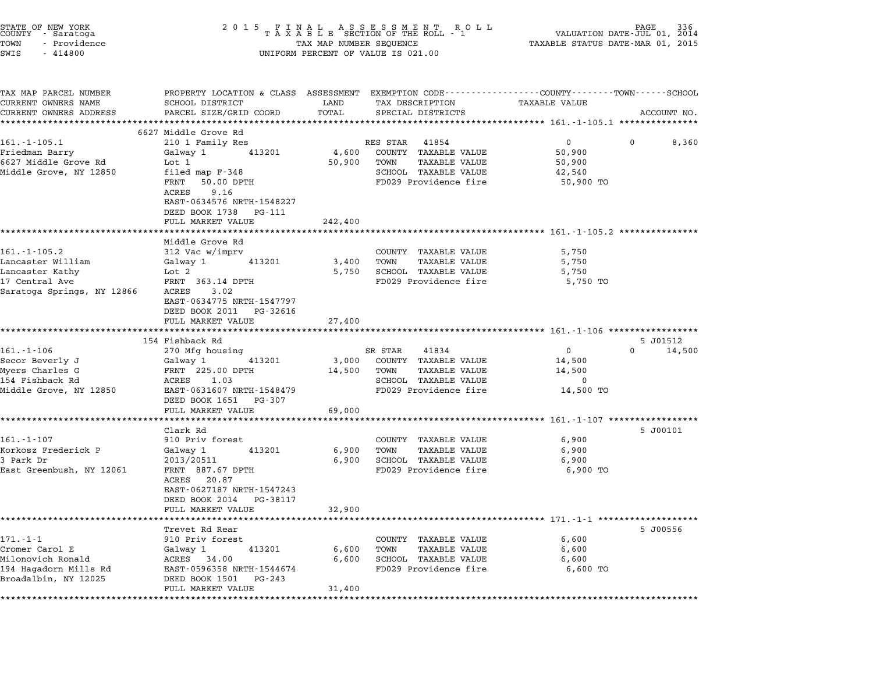| STATE OF NEW YORK<br>COUNTY - Saratoga<br>TOWN<br>- Providence<br>SWIS<br>$-414800$ | 2 0 1 5<br>FINAL ASSESSMENT ROLL PAGE 336<br>TAXABLE SECTION OF THE ROLL - 1 VALUATION DATE-JUL 01, 2014<br>TAX MAP NUMBER SEQUENCE TAXABLE STATUS DATE-MAR 01, 2015<br>TAXABLE STATUS DATE-MAR 01, 2015<br>TAX MAP NUMBER SEQUENCE<br>UNIFORM PERCENT OF VALUE IS 021.00 |         |                                               |                                                     |                             |  |  |  |
|-------------------------------------------------------------------------------------|---------------------------------------------------------------------------------------------------------------------------------------------------------------------------------------------------------------------------------------------------------------------------|---------|-----------------------------------------------|-----------------------------------------------------|-----------------------------|--|--|--|
| TAX MAP PARCEL NUMBER                                                               | PROPERTY LOCATION & CLASS ASSESSMENT EXEMPTION CODE---------------COUNTY-------TOWN-----SCHOOL                                                                                                                                                                            |         |                                               |                                                     |                             |  |  |  |
| CURRENT OWNERS NAME                                                                 | SCHOOL DISTRICT                                                                                                                                                                                                                                                           | LAND    | TAX DESCRIPTION                               | <b>TAXABLE VALUE</b>                                |                             |  |  |  |
| CURRENT OWNERS ADDRESS                                                              | PARCEL SIZE/GRID COORD                                                                                                                                                                                                                                                    | TOTAL   | SPECIAL DISTRICTS                             |                                                     | ACCOUNT NO.                 |  |  |  |
| ************************                                                            | ******************************                                                                                                                                                                                                                                            |         |                                               |                                                     |                             |  |  |  |
| $161.-1-105.1$                                                                      | 6627 Middle Grove Rd<br>210 1 Family Res                                                                                                                                                                                                                                  |         | RES STAR<br>41854                             | 0                                                   | $\mathbf{0}$<br>8,360       |  |  |  |
| Friedman Barry                                                                      | Galway 1<br>413201                                                                                                                                                                                                                                                        | 4,600   | COUNTY TAXABLE VALUE                          | 50,900                                              |                             |  |  |  |
| 6627 Middle Grove Rd                                                                | Lot 1                                                                                                                                                                                                                                                                     | 50,900  | TOWN<br>TAXABLE VALUE                         | 50,900                                              |                             |  |  |  |
| Middle Grove, NY 12850                                                              | filed map F-348                                                                                                                                                                                                                                                           |         | SCHOOL TAXABLE VALUE                          | 42,540                                              |                             |  |  |  |
|                                                                                     | FRNT 50.00 DPTH                                                                                                                                                                                                                                                           |         | FD029 Providence fire                         | 50,900 TO                                           |                             |  |  |  |
|                                                                                     | ACRES<br>9.16                                                                                                                                                                                                                                                             |         |                                               |                                                     |                             |  |  |  |
|                                                                                     | EAST-0634576 NRTH-1548227                                                                                                                                                                                                                                                 |         |                                               |                                                     |                             |  |  |  |
|                                                                                     | DEED BOOK 1738 PG-111                                                                                                                                                                                                                                                     |         |                                               |                                                     |                             |  |  |  |
|                                                                                     | FULL MARKET VALUE                                                                                                                                                                                                                                                         | 242,400 |                                               |                                                     |                             |  |  |  |
|                                                                                     |                                                                                                                                                                                                                                                                           |         |                                               |                                                     |                             |  |  |  |
|                                                                                     | Middle Grove Rd                                                                                                                                                                                                                                                           |         |                                               |                                                     |                             |  |  |  |
| $161. - 1 - 105.2$<br>Lancaster William                                             | 312 Vac w/imprv<br>413201<br>Galway 1                                                                                                                                                                                                                                     | 3,400   | COUNTY TAXABLE VALUE<br>TOWN<br>TAXABLE VALUE | 5,750<br>5,750                                      |                             |  |  |  |
| Lancaster Kathy                                                                     | Lot 2                                                                                                                                                                                                                                                                     | 5,750   | SCHOOL TAXABLE VALUE                          | 5,750                                               |                             |  |  |  |
| 17 Central Ave                                                                      | FRNT 363.14 DPTH                                                                                                                                                                                                                                                          |         | FD029 Providence fire                         | 5,750 TO                                            |                             |  |  |  |
| Saratoga Springs, NY 12866                                                          | ACRES 3.02                                                                                                                                                                                                                                                                |         |                                               |                                                     |                             |  |  |  |
|                                                                                     | EAST-0634775 NRTH-1547797                                                                                                                                                                                                                                                 |         |                                               |                                                     |                             |  |  |  |
|                                                                                     | DEED BOOK 2011 PG-32616                                                                                                                                                                                                                                                   |         |                                               |                                                     |                             |  |  |  |
|                                                                                     | FULL MARKET VALUE                                                                                                                                                                                                                                                         | 27,400  |                                               |                                                     |                             |  |  |  |
|                                                                                     |                                                                                                                                                                                                                                                                           |         |                                               |                                                     |                             |  |  |  |
|                                                                                     | 154 Fishback Rd                                                                                                                                                                                                                                                           |         |                                               |                                                     | 5 J01512                    |  |  |  |
| $161.-1-106$                                                                        | 270 Mfg housing                                                                                                                                                                                                                                                           |         | SR STAR<br>41834                              | $\mathbf{0}$                                        | $0 \qquad \qquad$<br>14,500 |  |  |  |
| Secor Beverly J                                                                     | Galway 1<br>413201<br>FRNT 225.00 DPTH                                                                                                                                                                                                                                    | 3,000   | COUNTY TAXABLE VALUE<br>TOWN<br>TAXABLE VALUE | 14,500<br>14,500                                    |                             |  |  |  |
| Myers Charles G<br>154 Fishback Rd                                                  | 1.03<br>ACRES                                                                                                                                                                                                                                                             | 14,500  | SCHOOL TAXABLE VALUE                          | 0                                                   |                             |  |  |  |
| Middle Grove, NY 12850                                                              | EAST-0631607 NRTH-1548479                                                                                                                                                                                                                                                 |         | FD029 Providence fire                         | 14,500 TO                                           |                             |  |  |  |
|                                                                                     | DEED BOOK 1651 PG-307                                                                                                                                                                                                                                                     |         |                                               |                                                     |                             |  |  |  |
|                                                                                     | FULL MARKET VALUE                                                                                                                                                                                                                                                         | 69,000  |                                               |                                                     |                             |  |  |  |
|                                                                                     |                                                                                                                                                                                                                                                                           |         |                                               | ********************* 161.-1-107 ****************** |                             |  |  |  |
|                                                                                     | Clark Rd                                                                                                                                                                                                                                                                  |         |                                               |                                                     | 5 J00101                    |  |  |  |
| $161. - 1 - 107$                                                                    | 910 Priv forest                                                                                                                                                                                                                                                           |         | COUNTY TAXABLE VALUE                          | 6,900                                               |                             |  |  |  |
| Korkosz Frederick P                                                                 | 413201<br>Galway 1                                                                                                                                                                                                                                                        | 6,900   | TOWN<br><b>TAXABLE VALUE</b>                  | 6,900                                               |                             |  |  |  |
| 3 Park Dr                                                                           | 2013/20511                                                                                                                                                                                                                                                                | 6,900   | SCHOOL TAXABLE VALUE                          | 6,900                                               |                             |  |  |  |
| East Greenbush, NY 12061                                                            | FRNT 887.67 DPTH                                                                                                                                                                                                                                                          |         | FD029 Providence fire                         | 6,900 TO                                            |                             |  |  |  |
|                                                                                     | ACRES 20.87                                                                                                                                                                                                                                                               |         |                                               |                                                     |                             |  |  |  |
|                                                                                     | EAST-0627187 NRTH-1547243<br>DEED BOOK 2014                                                                                                                                                                                                                               |         |                                               |                                                     |                             |  |  |  |
|                                                                                     | PG-38117<br>FULL MARKET VALUE                                                                                                                                                                                                                                             | 32,900  |                                               |                                                     |                             |  |  |  |
|                                                                                     |                                                                                                                                                                                                                                                                           |         |                                               | ********************* 171.-1-1 ********             |                             |  |  |  |
|                                                                                     | Trevet Rd Rear                                                                                                                                                                                                                                                            |         |                                               |                                                     | 5 J00556                    |  |  |  |
| $171. - 1 - 1$                                                                      | 910 Priv forest                                                                                                                                                                                                                                                           |         | COUNTY TAXABLE VALUE                          | 6,600                                               |                             |  |  |  |
| Cromer Carol E                                                                      | Galway 1<br>413201                                                                                                                                                                                                                                                        | 6,600   | TOWN<br><b>TAXABLE VALUE</b>                  | 6,600                                               |                             |  |  |  |
| Milonovich Ronald                                                                   | ACRES 34.00                                                                                                                                                                                                                                                               | 6,600   | SCHOOL TAXABLE VALUE                          | 6,600                                               |                             |  |  |  |
| 194 Hagadorn Mills Rd                                                               | EAST-0596358 NRTH-1544674                                                                                                                                                                                                                                                 |         | FD029 Providence fire                         | 6,600 TO                                            |                             |  |  |  |
| Broadalbin, NY 12025                                                                | DEED BOOK 1501<br>PG-243                                                                                                                                                                                                                                                  |         |                                               |                                                     |                             |  |  |  |
|                                                                                     | FULL MARKET VALUE                                                                                                                                                                                                                                                         | 31,400  |                                               |                                                     |                             |  |  |  |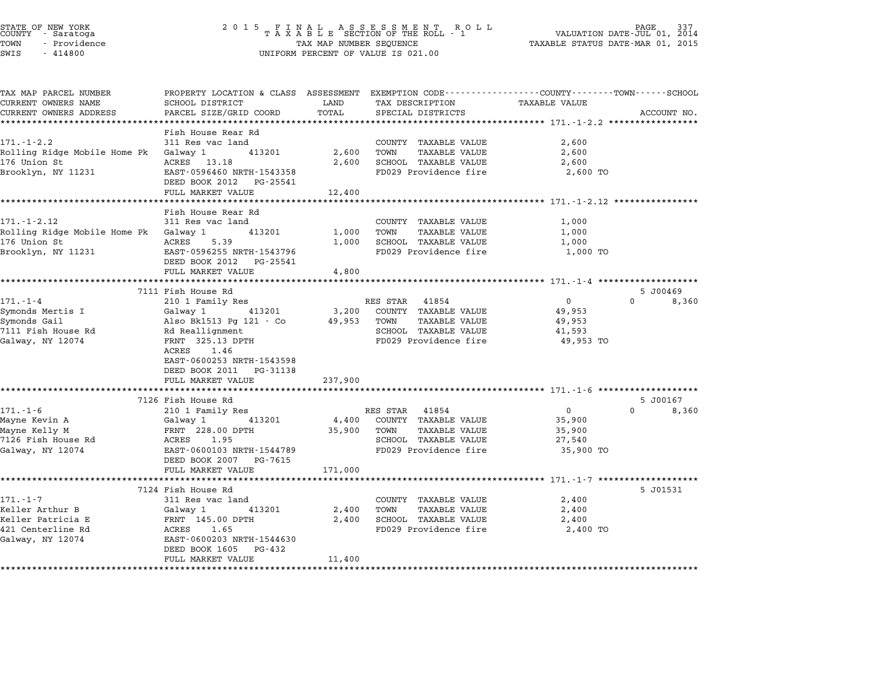|      | TATE OF NEW YORK |  |
|------|------------------|--|
|      | OUNTY - Saratoga |  |
| OWN  | - Providence     |  |
| ---- |                  |  |

# STATE OF NEW YORK <sup>2</sup> <sup>0</sup> <sup>1</sup> 5 F I N A L A S S E S S M E N T R O L L PAGE <sup>337</sup> COUNTY - Saratoga <sup>T</sup> <sup>A</sup> <sup>X</sup> <sup>A</sup> <sup>B</sup> <sup>L</sup> <sup>E</sup> SECTION OF THE ROLL - <sup>1</sup> VALUATION DATE-JUL 01, <sup>2014</sup> STATE OF NEW YORK GRANG AND RESOUND A SEX SOME NOT THE ROLL OF NEW TORK THE ROLL PAGE 337<br>COUNTY - Saratoga COUNTY A MAR DESCRIPTION OF THE ROLL - 1 WALUATION DATE-UUL 01, 2015<br>TOWN - Providence COUNTY TAXABLE STATUS DATE-STATE OF NEW YORK STATE OF NEW YORK COUNTY - SATATOGRAPH SAMPLINE TO A SAMPLINE ROLL TO A SAMPLINE ROLL TO A SA<br>TOWN - Providence TAX A B L E SECTION OF THE ROLL<br>SWIS - 414800 SWIS - 414800

| TAX MAP PARCEL NUMBER<br>CURRENT OWNERS NAME | PROPERTY LOCATION & CLASS ASSESSMENT EXEMPTION CODE----------------COUNTY-------TOWN-----SCHOOL<br>SCHOOL DISTRICT | LAND                       | TAX DESCRIPTION                       | <b>TAXABLE VALUE</b> |                   |
|----------------------------------------------|--------------------------------------------------------------------------------------------------------------------|----------------------------|---------------------------------------|----------------------|-------------------|
| CURRENT OWNERS ADDRESS                       | PARCEL SIZE/GRID COORD                                                                                             | TOTAL<br>SPECIAL DISTRICTS |                                       |                      | ACCOUNT NO.       |
|                                              |                                                                                                                    |                            |                                       |                      |                   |
|                                              | Fish House Rear Rd                                                                                                 |                            |                                       |                      |                   |
| $171. - 1 - 2.2$                             | 311 Res vac land                                                                                                   |                            | COUNTY TAXABLE VALUE                  | 2,600                |                   |
| Rolling Ridge Mobile Home Pk Galway 1        | 413201                                                                                                             | 2,600                      | TOWN<br>TAXABLE VALUE                 | 2,600                |                   |
| 176 Union St                                 | ACRES 13.18                                                                                                        | 2,600                      | SCHOOL TAXABLE VALUE                  | 2,600                |                   |
| Brooklyn, NY 11231                           | EAST-0596460 NRTH-1543358<br>DEED BOOK 2012 PG-25541                                                               |                            | FD029 Providence fire                 | 2,600 TO             |                   |
|                                              | FULL MARKET VALUE                                                                                                  | 12,400                     |                                       |                      |                   |
|                                              | ******************************                                                                                     |                            |                                       |                      |                   |
|                                              | Fish House Rear Rd                                                                                                 |                            |                                       |                      |                   |
| $171. - 1 - 2.12$                            | 311 Res vac land                                                                                                   |                            | COUNTY TAXABLE VALUE                  | 1,000                |                   |
| Rolling Ridge Mobile Home Pk Galway 1        | 413201                                                                                                             | 1,000                      | TOWN<br>TAXABLE VALUE                 | 1,000                |                   |
| 176 Union St                                 | 5.39<br>ACRES                                                                                                      | 1,000                      | SCHOOL TAXABLE VALUE                  | 1,000                |                   |
| Brooklyn, NY 11231                           | EAST-0596255 NRTH-1543796                                                                                          |                            | FD029 Providence fire                 | 1,000 TO             |                   |
|                                              | DEED BOOK 2012 PG-25541<br>FULL MARKET VALUE                                                                       |                            |                                       |                      |                   |
|                                              |                                                                                                                    | 4,800                      |                                       |                      |                   |
|                                              | 7111 Fish House Rd                                                                                                 |                            |                                       |                      | 5 JO0469          |
| $171. - 1 - 4$                               | 210 1 Family Res                                                                                                   |                            | RES STAR 41854                        | $\overline{0}$       | $\Omega$<br>8,360 |
| Symonds Mertis I                             | Galway 1<br>413201                                                                                                 |                            | 3,200 COUNTY TAXABLE VALUE            | 49,953               |                   |
| Symonds Gail                                 | Also Bk1513 Pg 121 - Co 49,953 TOWN                                                                                |                            | TAXABLE VALUE                         | 49,953               |                   |
| 7111 Fish House Rd                           | Rd Reallignment                                                                                                    |                            | SCHOOL TAXABLE VALUE                  | 41,593               |                   |
| Galway, NY 12074                             | FRNT 325.13 DPTH                                                                                                   |                            | FD029 Providence fire                 | 49,953 TO            |                   |
|                                              | ACRES 1.46                                                                                                         |                            |                                       |                      |                   |
|                                              | EAST-0600253 NRTH-1543598                                                                                          |                            |                                       |                      |                   |
|                                              | DEED BOOK 2011 PG-31138                                                                                            |                            |                                       |                      |                   |
|                                              | FULL MARKET VALUE                                                                                                  | 237,900                    |                                       |                      |                   |
|                                              |                                                                                                                    |                            |                                       |                      |                   |
|                                              | 7126 Fish House Rd                                                                                                 |                            |                                       |                      | 5 J00167          |
| $171. - 1 - 6$                               | 210 1 Family Res                                                                                                   |                            | RES STAR 41854                        | $\overline{0}$       | $\Omega$<br>8,360 |
| Mayne Kevin A                                | 413201<br>Galway 1                                                                                                 |                            | 4,400 COUNTY TAXABLE VALUE            | 35,900               |                   |
| Mayne Kelly M<br>7126 Fish House Rd          | FRNT 228.00 DPTH<br>ACRES 1.95                                                                                     | 35,900 TOWN                | TAXABLE VALUE<br>SCHOOL TAXABLE VALUE | 35,900<br>27,540     |                   |
| Galway, NY 12074                             | EAST-0600103 NRTH-1544789                                                                                          |                            | FD029 Providence fire                 | 35,900 TO            |                   |
|                                              | DEED BOOK 2007 PG-7615                                                                                             |                            |                                       |                      |                   |
|                                              | FULL MARKET VALUE                                                                                                  | 171,000                    |                                       |                      |                   |
|                                              |                                                                                                                    |                            |                                       |                      |                   |
|                                              | 7124 Fish House Rd                                                                                                 |                            |                                       |                      | 5 J01531          |
| $171. - 1 - 7$                               | 311 Res vac land                                                                                                   |                            | COUNTY TAXABLE VALUE                  | 2,400                |                   |
| Keller Arthur B                              | Galway 1<br>413201                                                                                                 | 2,400                      | TOWN<br>TAXABLE VALUE                 | 2,400                |                   |
| Keller Patricia E                            | FRNT 145.00 DPTH                                                                                                   | 2,400                      | SCHOOL TAXABLE VALUE                  | 2,400                |                   |
| 421 Centerline Rd                            | ACRES<br>1.65                                                                                                      |                            | FD029 Providence fire                 | 2,400 TO             |                   |
| Galway, NY 12074                             | EAST-0600203 NRTH-1544630                                                                                          |                            |                                       |                      |                   |
|                                              | DEED BOOK 1605 PG-432                                                                                              |                            |                                       |                      |                   |
|                                              | FULL MARKET VALUE                                                                                                  | 11,400                     |                                       |                      |                   |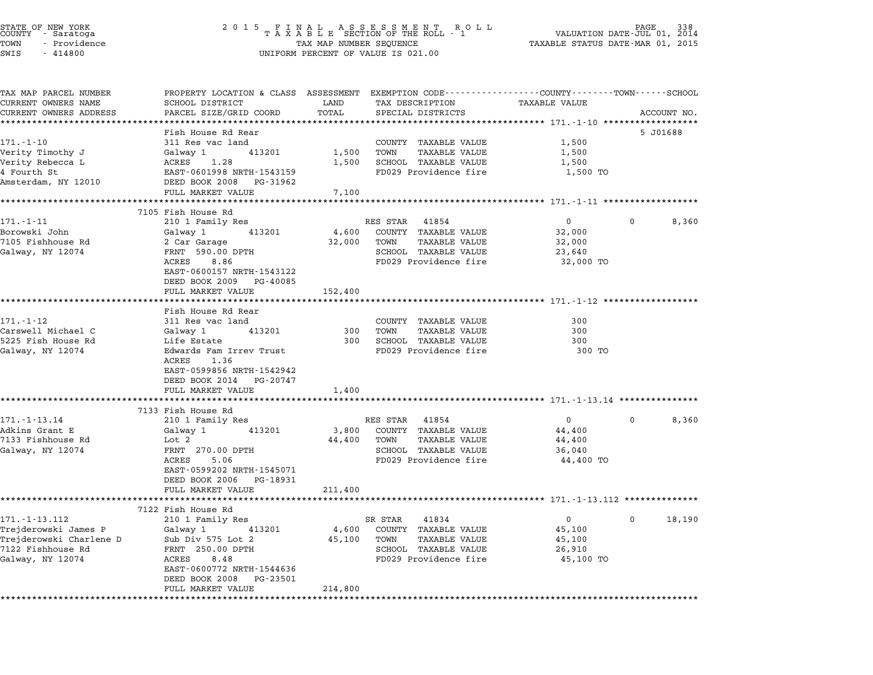| STATE OF NEW YORK |  |              |  |
|-------------------|--|--------------|--|
| COUNTY            |  | - Saratoga   |  |
| TOWN              |  | - Providence |  |

# STATE OF NEW YORK <sup>2</sup> <sup>0</sup> <sup>1</sup> 5 F I N A L A S S E S S M E N T R O L L PAGE <sup>338</sup> COUNTY - Saratoga <sup>T</sup> <sup>A</sup> <sup>X</sup> <sup>A</sup> <sup>B</sup> <sup>L</sup> <sup>E</sup> SECTION OF THE ROLL - <sup>1</sup> VALUATION DATE-JUL 01, <sup>2014</sup> STATE OF NEW YORK GRANG AND RESOUND A SEX SOME NEW THAT A SAME IN THE ROLL IN THE ROLL PAGE 338<br>COUNTY - Saratoga COUNTY A MAR OF THE ROLL - 1 WALUATION DATE-UUL 01, 2015<br>TOWN - Providence COUNTY TAN A TAXABLE STATUS DATE-TOWN - Providence and the state of the state of the state of the state of the state of the state of the state o<br>SWIS - 414800 SWIS - SWISSED BERCENT OF VALUE IS 021.00

| TAX MAP PARCEL NUMBER<br>CURRENT OWNERS NAME | PROPERTY LOCATION & CLASS ASSESSMENT EXEMPTION CODE---------------COUNTY-------TOWN------SCHOOL<br>SCHOOL DISTRICT | LAND    | TAX DESCRIPTION              | TAXABLE VALUE                                                 |              |             |
|----------------------------------------------|--------------------------------------------------------------------------------------------------------------------|---------|------------------------------|---------------------------------------------------------------|--------------|-------------|
| CURRENT OWNERS ADDRESS                       | PARCEL SIZE/GRID COORD                                                                                             | TOTAL   | SPECIAL DISTRICTS            |                                                               |              | ACCOUNT NO. |
| ***************************                  |                                                                                                                    |         |                              |                                                               |              |             |
|                                              | Fish House Rd Rear                                                                                                 |         |                              |                                                               |              | 5 J01688    |
| $171. - 1 - 10$                              | 311 Res vac land                                                                                                   |         | COUNTY TAXABLE VALUE         | 1,500                                                         |              |             |
| Verity Timothy J                             | 413201<br>Galway 1                                                                                                 | 1,500   | TOWN<br>TAXABLE VALUE        | 1,500                                                         |              |             |
| Verity Rebecca L                             | ACRES 1.28                                                                                                         | 1,500   | SCHOOL TAXABLE VALUE         | 1,500                                                         |              |             |
| 4 Fourth St                                  | EAST-0601998 NRTH-1543159                                                                                          |         | FD029 Providence fire        | 1,500 TO                                                      |              |             |
| Amsterdam, NY 12010                          | DEED BOOK 2008 PG-31962                                                                                            |         |                              |                                                               |              |             |
|                                              | FULL MARKET VALUE<br>*************************                                                                     | 7,100   |                              |                                                               |              |             |
|                                              | 7105 Fish House Rd                                                                                                 |         |                              |                                                               |              |             |
| $171. - 1 - 11$                              | 210 1 Family Res                                                                                                   |         | RES STAR<br>41854            | $\overline{0}$                                                | $\Omega$     | 8,360       |
| Borowski John                                | Galway 1<br>413201                                                                                                 |         | 4,600 COUNTY TAXABLE VALUE   | 32,000                                                        |              |             |
| 7105 Fishhouse Rd                            | 2 Car Garage                                                                                                       |         | 32,000 TOWN<br>TAXABLE VALUE | 32,000                                                        |              |             |
| Galway, NY 12074                             | FRNT 590.00 DPTH                                                                                                   |         | SCHOOL TAXABLE VALUE         | 23,640                                                        |              |             |
|                                              | ACRES<br>8.86                                                                                                      |         | FD029 Providence fire        | 32,000 TO                                                     |              |             |
|                                              | EAST-0600157 NRTH-1543122                                                                                          |         |                              |                                                               |              |             |
|                                              | DEED BOOK 2009 PG-40085                                                                                            |         |                              |                                                               |              |             |
|                                              | FULL MARKET VALUE                                                                                                  | 152,400 |                              | ******************************** 171.-1-12 ****************** |              |             |
|                                              | Fish House Rd Rear                                                                                                 |         |                              |                                                               |              |             |
| $171. - 1 - 12$                              | 311 Res vac land                                                                                                   |         | COUNTY TAXABLE VALUE         | 300                                                           |              |             |
| Carswell Michael C                           | Galway 1<br>413201                                                                                                 |         | 300 TOWN<br>TAXABLE VALUE    | 300                                                           |              |             |
| 5225 Fish House Rd                           | Life Estate                                                                                                        |         | 300 SCHOOL TAXABLE VALUE     | 300                                                           |              |             |
| Galway, NY 12074                             | Edwards Fam Irrev Trust                                                                                            |         | FD029 Providence fire        | 300 TO                                                        |              |             |
|                                              | ACRES 1.36                                                                                                         |         |                              |                                                               |              |             |
|                                              | EAST-0599856 NRTH-1542942                                                                                          |         |                              |                                                               |              |             |
|                                              | DEED BOOK 2014 PG-20747                                                                                            |         |                              |                                                               |              |             |
|                                              | FULL MARKET VALUE                                                                                                  | 1,400   |                              |                                                               |              |             |
|                                              | 7133 Fish House Rd                                                                                                 |         |                              |                                                               |              |             |
| $171. - 1 - 13.14$                           | 210 1 Family Res                                                                                                   |         | RES STAR<br>41854            | $\overline{0}$                                                | $\mathbf{0}$ | 8,360       |
| Adkins Grant E                               | Galway 1<br>413201                                                                                                 |         | 3,800 COUNTY TAXABLE VALUE   | 44,400                                                        |              |             |
| 7133 Fishhouse Rd                            | Lot 2                                                                                                              | 44,400  | TOWN<br>TAXABLE VALUE        | 44,400                                                        |              |             |
| Galway, NY 12074                             | FRNT 270.00 DPTH                                                                                                   |         | SCHOOL TAXABLE VALUE         | 36,040                                                        |              |             |
|                                              | 5.06<br>ACRES                                                                                                      |         | FD029 Providence fire        | 44,400 TO                                                     |              |             |
|                                              | EAST-0599202 NRTH-1545071                                                                                          |         |                              |                                                               |              |             |
|                                              | DEED BOOK 2006 PG-18931                                                                                            |         |                              |                                                               |              |             |
|                                              | FULL MARKET VALUE                                                                                                  | 211,400 |                              |                                                               |              |             |
|                                              | 7122 Fish House Rd                                                                                                 |         |                              |                                                               |              |             |
| 171. - 1 - 13.112                            | 210 1 Family Res                                                                                                   |         | SR STAR<br>41834             | $\overline{0}$                                                | $\mathbf{0}$ | 18,190      |
| Trejderowski James P                         | Galway 1<br>413201                                                                                                 |         | 4,600 COUNTY TAXABLE VALUE   | 45,100                                                        |              |             |
| Trejderowski Charlene D Sub Div 575 Lot 2    |                                                                                                                    | 45,100  | TOWN<br>TAXABLE VALUE        | 45,100                                                        |              |             |
| 7122 Fishhouse Rd                            | FRNT 250.00 DPTH                                                                                                   |         | SCHOOL TAXABLE VALUE         | 26,910                                                        |              |             |
| Galway, NY 12074                             | ACRES<br>8.48                                                                                                      |         | FD029 Providence fire        | 45,100 TO                                                     |              |             |
|                                              | EAST-0600772 NRTH-1544636                                                                                          |         |                              |                                                               |              |             |
|                                              | DEED BOOK 2008 PG-23501                                                                                            |         |                              |                                                               |              |             |
|                                              | FULL MARKET VALUE                                                                                                  | 214,800 |                              |                                                               |              |             |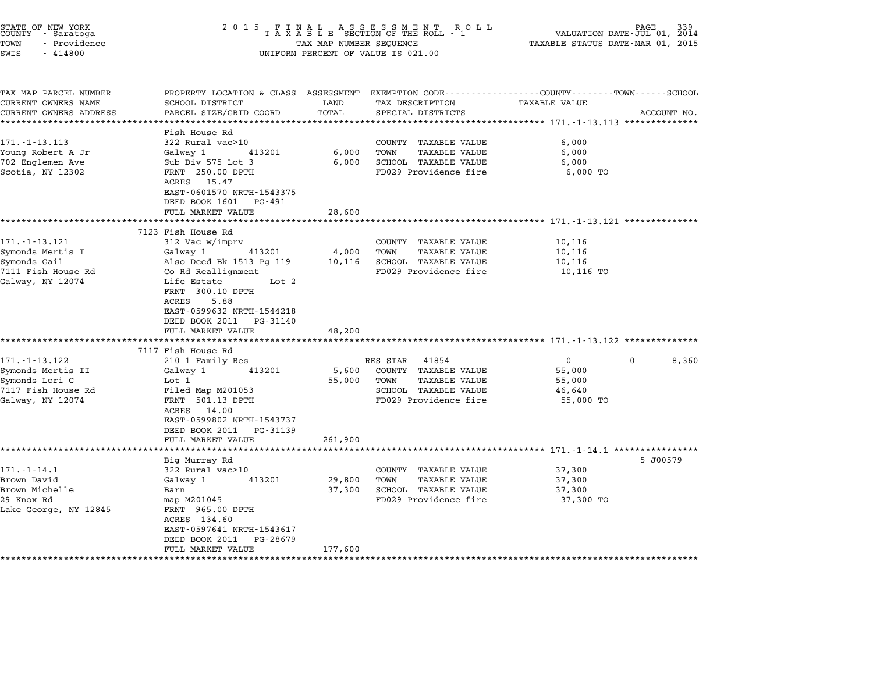| STATE OF NEW YORK<br>COUNTY - Saratoga<br>TOWN<br>- Providence<br>SWIS<br>$-414800$                              | 2 0 1 5<br>FINAL ASSESSMENT ROLL<br>TAXABLE SECTION OF THE ROLL - 1<br>TAX MAP NUMBER SEQUENCE<br>UNIFORM PERCENT OF VALUE IS 021.00                                                                                                                                 | PAGE<br>VALUATION DATE-JUL 01, 2014<br>TAXABLE STATUS DATE-MAR 01, 2015 |                                                                                                                                                                                                      |                                                                                           |             |
|------------------------------------------------------------------------------------------------------------------|----------------------------------------------------------------------------------------------------------------------------------------------------------------------------------------------------------------------------------------------------------------------|-------------------------------------------------------------------------|------------------------------------------------------------------------------------------------------------------------------------------------------------------------------------------------------|-------------------------------------------------------------------------------------------|-------------|
| TAX MAP PARCEL NUMBER<br>CURRENT OWNERS NAME<br>CURRENT OWNERS ADDRESS                                           | PROPERTY LOCATION & CLASS ASSESSMENT<br>SCHOOL DISTRICT<br>PARCEL SIZE/GRID COORD                                                                                                                                                                                    | LAND<br>TOTAL                                                           | EXEMPTION CODE-----------------COUNTY-------TOWN------SCHOOL<br>TAX DESCRIPTION<br>SPECIAL DISTRICTS                                                                                                 | TAXABLE VALUE                                                                             | ACCOUNT NO. |
| *********************<br>$171. - 1 - 13.113$<br>Young Robert A Jr<br>702 Englemen Ave<br>Scotia, NY 12302        | **********************<br>Fish House Rd<br>322 Rural vac>10<br>Galway 1<br>413201<br>Sub Div 575 Lot 3<br>FRNT 250.00 DPTH<br>ACRES 15.47<br>EAST-0601570 NRTH-1543375<br>DEED BOOK 1601<br>PG-491<br>FULL MARKET VALUE<br>*******************<br>7123 Fish House Rd | **********<br>6,000<br>6,000<br>28,600<br>********                      | ********************************* 171.-1-13.113 **************<br>COUNTY TAXABLE VALUE<br>TOWN<br><b>TAXABLE VALUE</b><br>SCHOOL TAXABLE VALUE<br>FD029 Providence fire                              | 6,000<br>6,000<br>6,000<br>6,000 TO<br>******************** 171. -1-13.121 ************** |             |
| 171. - 1 - 13.121<br>Symonds Mertis I<br>Symonds Gail<br>7111 Fish House Rd<br>Galway, NY 12074                  | 312 Vac w/imprv<br>Galway 1<br>413201<br>Also Deed Bk 1513 Pg 119<br>Co Rd Reallignment<br>Life Estate<br>Lot 2<br>FRNT 300.10 DPTH<br>ACRES<br>5.88<br>EAST-0599632 NRTH-1544218<br>DEED BOOK 2011<br>PG-31140<br>FULL MARKET VALUE                                 | 4,000<br>10,116<br>48,200                                               | COUNTY TAXABLE VALUE<br>TOWN<br><b>TAXABLE VALUE</b><br>SCHOOL TAXABLE VALUE<br>FD029 Providence fire                                                                                                | 10,116<br>10,116<br>10,116<br>10,116 TO                                                   |             |
| 171.-1-13.122<br>Symonds Mertis II<br>Symonds Lori C<br>7117 Fish House Rd<br>Galway, NY 12074                   | ******************<br>7117 Fish House Rd<br>210 1 Family Res<br>Galway 1<br>413201<br>Lot 1<br>Filed Map M201053<br>FRNT 501.13 DPTH<br>14.00<br>ACRES<br>EAST-0599802 NRTH-1543737<br>DEED BOOK 2011<br>PG-31139<br>FULL MARKET VALUE                               | **********<br>5,600<br>55,000<br>261,900                                | ******************************* 171.-1-13.122 **************<br>41854<br>RES STAR<br>COUNTY<br><b>TAXABLE VALUE</b><br>TOWN<br><b>TAXABLE VALUE</b><br>SCHOOL TAXABLE VALUE<br>FD029 Providence fire | 0<br>55,000<br>55,000<br>46,640<br>55,000 TO                                              | 0<br>8,360  |
| $171. - 1 - 14.1$<br>Brown David<br>Brown Michelle<br>29 Knox Rd<br>Lake George, NY 12845<br>******************* | Big Murray Rd<br>322 Rural vac>10<br>413201<br>Galway 1<br>Barn<br>map M201045<br>FRNT 965.00 DPTH<br>ACRES 134.60<br>EAST-0597641 NRTH-1543617<br>DEED BOOK 2011<br>PG-28679<br>FULL MARKET VALUE<br>* * * * * * * * * * * * * * * * * * *                          | 29,800<br>37,300<br>177,600                                             | COUNTY TAXABLE VALUE<br>TOWN<br><b>TAXABLE VALUE</b><br>SCHOOL TAXABLE VALUE<br>FD029 Providence fire                                                                                                | 37,300<br>37,300<br>37,300<br>37,300 TO                                                   | 5 J00579    |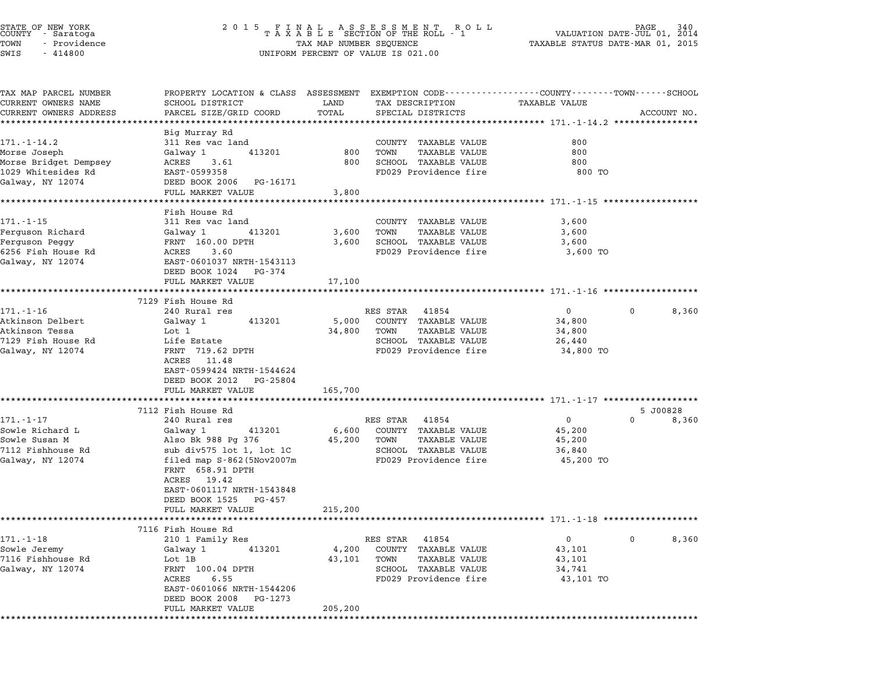| STATE OF NEW YORK<br>COUNTY - Saratoga<br>TOWN<br>- Providence<br>$-414800$<br>SWIS |                                                              | $\begin{tabular}{lllllllllllllllll} \hline 2&0&1&5&F\ \texttt{I}\ &\texttt{N}\ &\texttt{A}\ &\texttt{A}\ &\texttt{S}\ &\texttt{S}\ &\texttt{S}\ &\texttt{S}\ &\texttt{S}\ &\texttt{S}\ &\texttt{S}\ &\texttt{S}\ &\texttt{S}\ &\texttt{S}\ &\texttt{S}\ &\texttt{S}\ &\texttt{S}\ &\texttt{S}\ &\texttt{S}\ &\texttt{S}\ &\texttt{S}\ &\texttt{S}\ &\texttt{S}\ &\texttt{S}\ &\texttt{S}\ &\texttt{S}\ &\texttt{S}\ &\$<br>340<br>2014<br>TAXABLE STATUS DATE-MAR 01, 2015<br>UNIFORM PERCENT OF VALUE IS 021.00 |                                               |                                                                                                                        |             |
|-------------------------------------------------------------------------------------|--------------------------------------------------------------|------------------------------------------------------------------------------------------------------------------------------------------------------------------------------------------------------------------------------------------------------------------------------------------------------------------------------------------------------------------------------------------------------------------------------------------------------------------------------------------------------------------|-----------------------------------------------|------------------------------------------------------------------------------------------------------------------------|-------------|
| TAX MAP PARCEL NUMBER<br>CURRENT OWNERS NAME<br>CURRENT OWNERS ADDRESS              | SCHOOL DISTRICT<br>PARCEL SIZE/GRID COORD                    | LAND<br>TOTAL                                                                                                                                                                                                                                                                                                                                                                                                                                                                                                    | TAX DESCRIPTION<br>SPECIAL DISTRICTS          | PROPERTY LOCATION & CLASS ASSESSMENT EXEMPTION CODE---------------COUNTY-------TOWN-----SCHOOL<br><b>TAXABLE VALUE</b> | ACCOUNT NO. |
|                                                                                     | ************************                                     |                                                                                                                                                                                                                                                                                                                                                                                                                                                                                                                  |                                               |                                                                                                                        |             |
| $171. - 1 - 14.2$                                                                   | Big Murray Rd<br>311 Res vac land                            |                                                                                                                                                                                                                                                                                                                                                                                                                                                                                                                  | COUNTY TAXABLE VALUE                          | 800                                                                                                                    |             |
| Morse Joseph                                                                        | Galway 1<br>413201                                           | 800                                                                                                                                                                                                                                                                                                                                                                                                                                                                                                              | TAXABLE VALUE<br>TOWN                         | 800                                                                                                                    |             |
| Morse Bridget Dempsey                                                               | ACRES<br>3.61                                                | 800                                                                                                                                                                                                                                                                                                                                                                                                                                                                                                              | SCHOOL TAXABLE VALUE                          | 800                                                                                                                    |             |
| 1029 Whitesides Rd                                                                  | EAST-0599358                                                 |                                                                                                                                                                                                                                                                                                                                                                                                                                                                                                                  | FD029 Providence fire                         | 800 TO                                                                                                                 |             |
| Galway, NY 12074                                                                    | DEED BOOK 2006 PG-16171                                      |                                                                                                                                                                                                                                                                                                                                                                                                                                                                                                                  |                                               |                                                                                                                        |             |
|                                                                                     | FULL MARKET VALUE<br>* * * * * * * * * * * * * * * * * * * * | 3,800<br>* * * * * * * * * * *                                                                                                                                                                                                                                                                                                                                                                                                                                                                                   |                                               | ********************* 171.-1-15 *****************                                                                      |             |
|                                                                                     | Fish House Rd                                                |                                                                                                                                                                                                                                                                                                                                                                                                                                                                                                                  |                                               |                                                                                                                        |             |
| $171. - 1 - 15$                                                                     | 311 Res vac land                                             |                                                                                                                                                                                                                                                                                                                                                                                                                                                                                                                  | COUNTY TAXABLE VALUE                          | 3,600                                                                                                                  |             |
| Ferguson Richard                                                                    | Galway 1<br>413201                                           | 3,600                                                                                                                                                                                                                                                                                                                                                                                                                                                                                                            | TAXABLE VALUE<br>TOWN                         | 3,600                                                                                                                  |             |
| Ferguson Peggy                                                                      | FRNT 160.00 DPTH                                             | 3,600                                                                                                                                                                                                                                                                                                                                                                                                                                                                                                            | SCHOOL TAXABLE VALUE                          | 3,600                                                                                                                  |             |
| 6256 Fish House Rd<br>Galway, NY 12074                                              | ACRES<br>3.60<br>EAST-0601037 NRTH-1543113                   |                                                                                                                                                                                                                                                                                                                                                                                                                                                                                                                  | FD029 Providence fire                         | 3,600 TO                                                                                                               |             |
|                                                                                     | DEED BOOK 1024 PG-374                                        |                                                                                                                                                                                                                                                                                                                                                                                                                                                                                                                  |                                               |                                                                                                                        |             |
|                                                                                     | FULL MARKET VALUE                                            | 17,100                                                                                                                                                                                                                                                                                                                                                                                                                                                                                                           |                                               |                                                                                                                        |             |
|                                                                                     |                                                              |                                                                                                                                                                                                                                                                                                                                                                                                                                                                                                                  |                                               |                                                                                                                        |             |
|                                                                                     | 7129 Fish House Rd                                           |                                                                                                                                                                                                                                                                                                                                                                                                                                                                                                                  |                                               |                                                                                                                        |             |
| $171. - 1 - 16$<br>Atkinson Delbert                                                 | 240 Rural res<br>413201<br>Galway 1                          | 5,000                                                                                                                                                                                                                                                                                                                                                                                                                                                                                                            | RES STAR 41854<br>COUNTY TAXABLE VALUE        | $\mathbf{0}$<br>$\mathbf{0}$<br>34,800                                                                                 | 8,360       |
| Atkinson Tessa                                                                      | Lot 1                                                        | 34,800                                                                                                                                                                                                                                                                                                                                                                                                                                                                                                           | TAXABLE VALUE<br>TOWN                         | 34,800                                                                                                                 |             |
| 7129 Fish House Rd                                                                  | Life Estate                                                  |                                                                                                                                                                                                                                                                                                                                                                                                                                                                                                                  | SCHOOL TAXABLE VALUE                          | 26,440                                                                                                                 |             |
| Galway, NY 12074                                                                    | FRNT 719.62 DPTH                                             |                                                                                                                                                                                                                                                                                                                                                                                                                                                                                                                  | FD029 Providence fire                         | 34,800 TO                                                                                                              |             |
|                                                                                     | ACRES 11.48                                                  |                                                                                                                                                                                                                                                                                                                                                                                                                                                                                                                  |                                               |                                                                                                                        |             |
|                                                                                     | EAST-0599424 NRTH-1544624<br>DEED BOOK 2012 PG-25804         |                                                                                                                                                                                                                                                                                                                                                                                                                                                                                                                  |                                               |                                                                                                                        |             |
|                                                                                     | FULL MARKET VALUE                                            | 165,700                                                                                                                                                                                                                                                                                                                                                                                                                                                                                                          |                                               |                                                                                                                        |             |
|                                                                                     | *************************                                    |                                                                                                                                                                                                                                                                                                                                                                                                                                                                                                                  |                                               |                                                                                                                        |             |
|                                                                                     | 7112 Fish House Rd                                           |                                                                                                                                                                                                                                                                                                                                                                                                                                                                                                                  |                                               |                                                                                                                        | 5 J00828    |
| 171.-1-17                                                                           | 240 Rural res                                                |                                                                                                                                                                                                                                                                                                                                                                                                                                                                                                                  | RES STAR 41854                                | $\overline{0}$<br>0                                                                                                    | 8,360       |
| Sowle Richard L<br>Sowle Susan M                                                    | Galway 1<br>413201<br>Also Bk 988 Pg 376                     | 6,600<br>45,200                                                                                                                                                                                                                                                                                                                                                                                                                                                                                                  | COUNTY TAXABLE VALUE<br>TOWN<br>TAXABLE VALUE | 45,200<br>45,200                                                                                                       |             |
| 7112 Fishhouse Rd                                                                   | sub div575 lot 1, lot 1C                                     |                                                                                                                                                                                                                                                                                                                                                                                                                                                                                                                  | SCHOOL TAXABLE VALUE                          | 36,840                                                                                                                 |             |
| Galway, NY 12074                                                                    | filed map $S-862$ (5Nov2007m                                 |                                                                                                                                                                                                                                                                                                                                                                                                                                                                                                                  | FD029 Providence fire                         | 45,200 TO                                                                                                              |             |
|                                                                                     | FRNT 658.91 DPTH                                             |                                                                                                                                                                                                                                                                                                                                                                                                                                                                                                                  |                                               |                                                                                                                        |             |
|                                                                                     | ACRES 19.42                                                  |                                                                                                                                                                                                                                                                                                                                                                                                                                                                                                                  |                                               |                                                                                                                        |             |
|                                                                                     | EAST-0601117 NRTH-1543848<br>DEED BOOK 1525<br>PG-457        |                                                                                                                                                                                                                                                                                                                                                                                                                                                                                                                  |                                               |                                                                                                                        |             |
|                                                                                     | FULL MARKET VALUE                                            | 215,200                                                                                                                                                                                                                                                                                                                                                                                                                                                                                                          |                                               |                                                                                                                        |             |
|                                                                                     | *********************                                        |                                                                                                                                                                                                                                                                                                                                                                                                                                                                                                                  |                                               |                                                                                                                        |             |
|                                                                                     | 7116 Fish House Rd                                           |                                                                                                                                                                                                                                                                                                                                                                                                                                                                                                                  |                                               |                                                                                                                        |             |
| $171. - 1 - 18$                                                                     | 210 1 Family Res                                             |                                                                                                                                                                                                                                                                                                                                                                                                                                                                                                                  | RES STAR<br>41854                             | 0<br>$\mathbf{0}$                                                                                                      | 8,360       |
| Sowle Jeremy<br>7116 Fishhouse Rd                                                   | Galway 1<br>413201<br>Lot 1B                                 | 4,200<br>43,101                                                                                                                                                                                                                                                                                                                                                                                                                                                                                                  | COUNTY TAXABLE VALUE<br>TOWN<br>TAXABLE VALUE | 43,101<br>43,101                                                                                                       |             |
| Galway, NY 12074                                                                    | FRNT 100.04 DPTH                                             |                                                                                                                                                                                                                                                                                                                                                                                                                                                                                                                  | SCHOOL TAXABLE VALUE                          | 34,741                                                                                                                 |             |
|                                                                                     | ACRES<br>6.55                                                |                                                                                                                                                                                                                                                                                                                                                                                                                                                                                                                  | FD029 Providence fire                         | 43,101 TO                                                                                                              |             |
|                                                                                     | EAST-0601066 NRTH-1544206                                    |                                                                                                                                                                                                                                                                                                                                                                                                                                                                                                                  |                                               |                                                                                                                        |             |
|                                                                                     | DEED BOOK 2008<br>PG-1273                                    |                                                                                                                                                                                                                                                                                                                                                                                                                                                                                                                  |                                               |                                                                                                                        |             |
|                                                                                     | FULL MARKET VALUE<br>****************************            | 205,200<br>*********************                                                                                                                                                                                                                                                                                                                                                                                                                                                                                 |                                               |                                                                                                                        |             |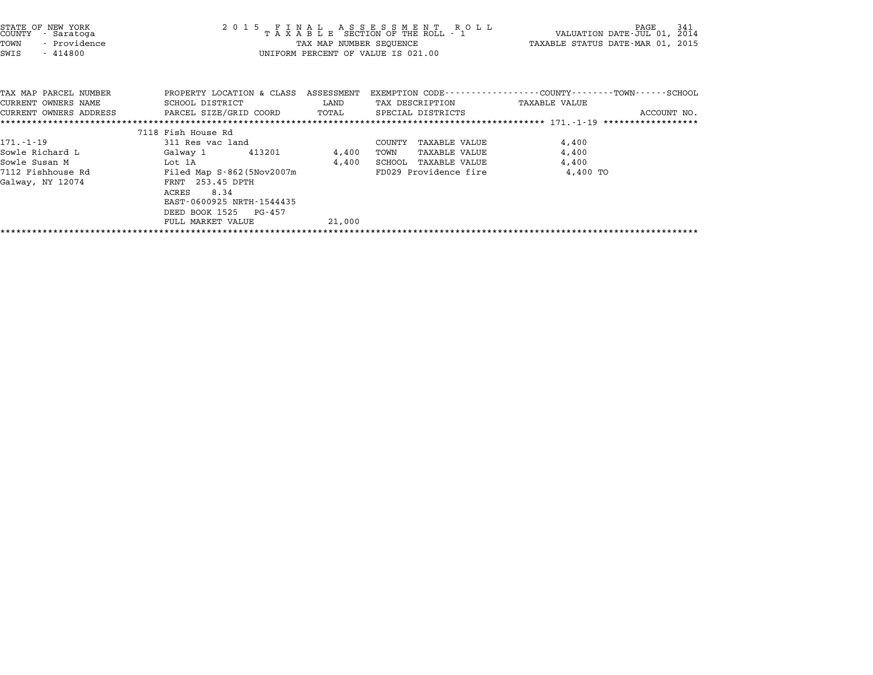| STATE OF NEW YORK<br>COUNTY<br>- Saratoga<br>TOWN<br>- Providence<br>$-414800$<br>SWIS       |                                                                                                                                                                                                                        | TAX MAP NUMBER SEQUENCE  | UNIFORM PERCENT OF VALUE IS 021.00                                                             | TAXABLE STATUS DATE-MAR 01, 2015                                          |
|----------------------------------------------------------------------------------------------|------------------------------------------------------------------------------------------------------------------------------------------------------------------------------------------------------------------------|--------------------------|------------------------------------------------------------------------------------------------|---------------------------------------------------------------------------|
| TAX MAP PARCEL NUMBER<br>CURRENT OWNERS NAME<br>CURRENT OWNERS ADDRESS                       | PROPERTY LOCATION & CLASS ASSESSMENT<br>SCHOOL DISTRICT<br>PARCEL SIZE/GRID COORD                                                                                                                                      | LAND<br>TOTAL            | TAX DESCRIPTION TAXABLE VALUE<br>SPECIAL DISTRICTS                                             | EXEMPTION CODE----------------COUNTY-------TOWN-----SCHOOL<br>ACCOUNT NO. |
|                                                                                              |                                                                                                                                                                                                                        |                          |                                                                                                |                                                                           |
| $171. - 1 - 19$<br>Sowle Richard L<br>Sowle Susan M<br>7112 Fishhouse Rd<br>Galway, NY 12074 | 7118 Fish House Rd<br>311 Res vac land<br>Galway 1 413201<br>Lot 1A<br>Filed Map $S-862$ (5 $Nov2007m$<br>FRNT 253.45 DPTH<br>ACRES<br>8.34<br>EAST-0600925 NRTH-1544435<br>DEED BOOK 1525 PG-457<br>FULL MARKET VALUE | 4,400<br>4,400<br>21,000 | COUNTY TAXABLE VALUE<br>TOWN<br>TAXABLE VALUE<br>SCHOOL TAXABLE VALUE<br>FD029 Providence fire | 4,400<br>4,400<br>4,400<br>4,400 TO                                       |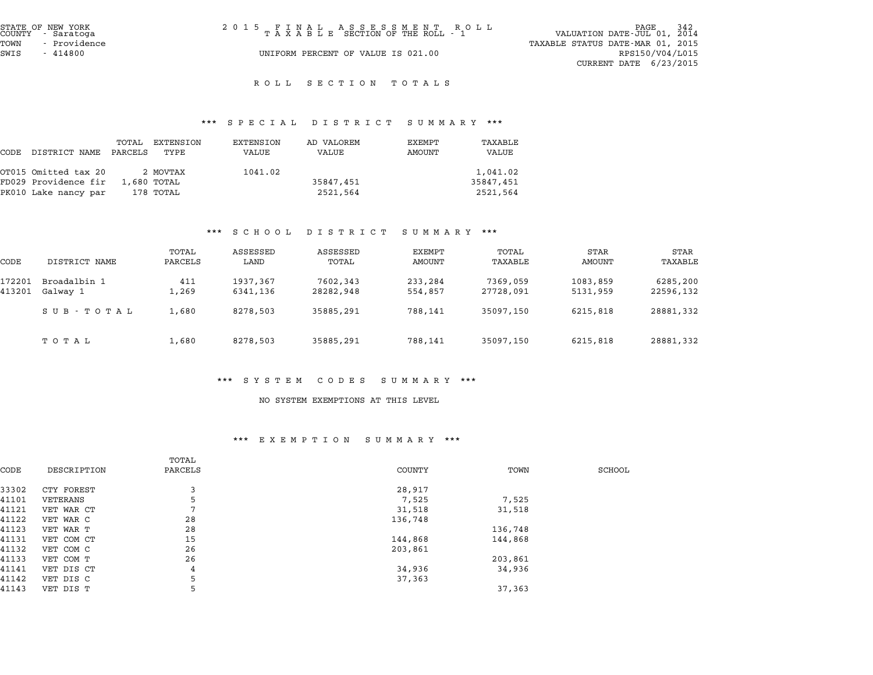| STATE OF NEW YORK<br>COUNTY - Saratoga | 2015 FINAL ASSESSMENT ROLL<br>TAXABLE SECTION OF THE ROLL - 1 | PAGE 342<br>VALUATION DATE-JUL 01, 2014 |
|----------------------------------------|---------------------------------------------------------------|-----------------------------------------|
| - Providence<br>TOWN                   |                                                               | TAXABLE STATUS DATE-MAR 01, 2015        |
| SWIS<br>- 414800                       | UNIFORM PERCENT OF VALUE IS 021.00                            | RPS150/V04/L015                         |
|                                        |                                                               | CURRENT DATE $6/23/2015$                |
|                                        |                                                               |                                         |

# ROLL SECTION TOTALS

# \*\*\* S P E C I A L D I S T R I C T S U M M A R Y \*\*\*

| DISTRICT NAME | TOTAL | EXTENSION<br>TYPE                                                    | EXTENSION<br>VALUE                              | AD VALOREM<br>VALUE | EXEMPT<br>AMOUNT | TAXABLE<br>VALUE        |
|---------------|-------|----------------------------------------------------------------------|-------------------------------------------------|---------------------|------------------|-------------------------|
|               |       |                                                                      | 1041.02                                         |                     |                  | 1,041.02                |
|               |       |                                                                      |                                                 | 35847,451           |                  | 35847,451               |
|               |       |                                                                      |                                                 | 2521,564            |                  | 2521,564                |
|               |       | OT015 Omitted tax 20<br>FD029 Providence fir<br>PK010 Lake nancy par | PARCELS<br>2 MOVTAX<br>1,680 TOTAL<br>178 TOTAL |                     |                  | protan protator pohhaar |

#### \*\*\* S C H O O L D I S T R I C T S U M M A R Y \*\*\*

|                  |                          |                  | ם ט ת ט כ            | DI SIRICI             | ounnan i           |                       |                      |                       |
|------------------|--------------------------|------------------|----------------------|-----------------------|--------------------|-----------------------|----------------------|-----------------------|
| CODE             | DISTRICT NAME            | TOTAL<br>PARCELS | ASSESSED<br>LAND     | ASSESSED<br>TOTAL     | EXEMPT<br>AMOUNT   | TOTAL<br>TAXABLE      | STAR<br>AMOUNT       | STAR<br>TAXABLE       |
| 172201<br>413201 | Broadalbin 1<br>Galway 1 | 411<br>1,269     | 1937,367<br>6341,136 | 7602,343<br>28282,948 | 233,284<br>554,857 | 7369,059<br>27728,091 | 1083,859<br>5131,959 | 6285,200<br>22596,132 |
|                  | SUB-TOTAL                | 1,680            | 8278,503             | 35885,291             | 788,141            | 35097,150             | 6215,818             | 28881,332             |
|                  | тотаь                    | 1,680            | 8278,503             | 35885,291             | 788,141            | 35097,150             | 6215,818             | 28881,332             |

#### \*\*\* S Y S T E M C O D E S S U M M A R Y \*\*\*

#### NO SYSTEM EXEMPTIONS AT THIS LEVEL

### \*\*\* E X E M P T I O N S U M M A R Y \*\*\*

|       |             | TOTAL   |               |         |        |
|-------|-------------|---------|---------------|---------|--------|
| CODE  | DESCRIPTION | PARCELS | <b>COUNTY</b> | TOWN    | SCHOOL |
| 33302 | CTY FOREST  | 3       | 28,917        |         |        |
| 41101 | VETERANS    | 5       | 7,525         | 7,525   |        |
| 41121 | VET WAR CT  | ⇁       | 31,518        | 31,518  |        |
| 41122 | VET WAR C   | 28      | 136,748       |         |        |
| 41123 | VET WAR T   | 28      |               | 136,748 |        |
| 41131 | VET COM CT  | 15      | 144,868       | 144,868 |        |
| 41132 | VET COM C   | 26      | 203,861       |         |        |
| 41133 | VET COM T   | 26      |               | 203,861 |        |
| 41141 | VET DIS CT  | 4       | 34,936        | 34,936  |        |
| 41142 | VET DIS C   | 5       | 37,363        |         |        |
| 41143 | VET DIS T   | 5       |               | 37,363  |        |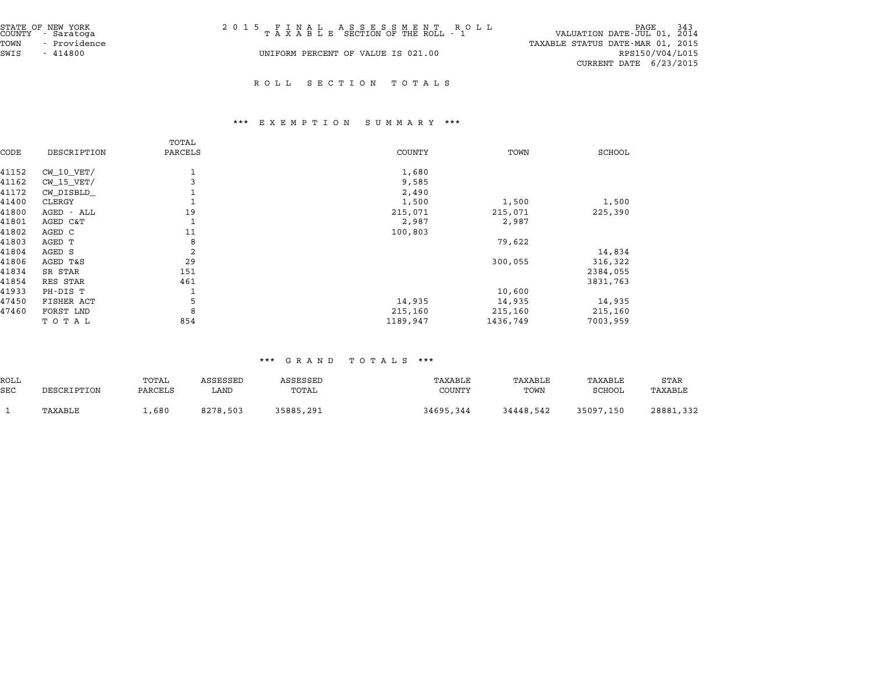| STATE OF NEW YORK<br>COUNTY - Saratoga | 2015 FINAL ASSESSMENT ROLL<br>TAXABLE SECTION OF THE ROLL - 1 | <sup>243</sup> PAGE<br>VALUATION DATE-JUL 01, 2014 |
|----------------------------------------|---------------------------------------------------------------|----------------------------------------------------|
| - Providence<br>TOWN                   |                                                               | TAXABLE STATUS DATE-MAR 01, 2015                   |
| SWIS<br>$-414800$                      | UNIFORM PERCENT OF VALUE IS 021.00                            | RPS150/V04/L015                                    |
|                                        |                                                               | CURRENT DATE $6/23/2015$                           |

R O L L S E C T I O N T O T A L S

# \*\*\* E X E M P T I O N S U M M A R Y \*\*\*

|                | TOTAL   |               |          |               |
|----------------|---------|---------------|----------|---------------|
| DESCRIPTION    | PARCELS | <b>COUNTY</b> | TOWN     | <b>SCHOOL</b> |
| $CW$ 10 $VET/$ |         | 1,680         |          |               |
| $CW_15_VET/$   |         | 9,585         |          |               |
| CW DISBLD      |         | 2,490         |          |               |
| CLERGY         |         | 1,500         | 1,500    | 1,500         |
| AGED - ALL     | 19      | 215,071       | 215,071  | 225,390       |
| AGED C&T       |         | 2,987         | 2,987    |               |
| AGED C         | 11      | 100,803       |          |               |
| AGED T         | 8       |               | 79,622   |               |
| AGED S         | 2       |               |          | 14,834        |
| AGED T&S       | 29      |               | 300,055  | 316,322       |
| SR STAR        | 151     |               |          | 2384,055      |
| RES STAR       | 461     |               |          | 3831,763      |
| PH-DIS T       |         |               | 10,600   |               |
| FISHER ACT     | 5       | 14,935        | 14,935   | 14,935        |
| FORST LND      | 8       | 215,160       | 215,160  | 215,160       |
| TOTAL          | 854     | 1189,947      | 1436,749 | 7003,959      |
|                |         |               |          |               |

|            |             |         |          |           | .<br>.        |           |           |           |
|------------|-------------|---------|----------|-----------|---------------|-----------|-----------|-----------|
| ROLL       |             | TOTAL   | ASSESSED | ASSESSED  | TAXABLE       | TAXABLE   | TAXABLE   | STAR      |
| <b>SEC</b> | DESCRIPTION | PARCELS | LAND     | TOTAL     | <b>COUNTY</b> | TOWN      | SCHOOL    | TAXABLE   |
|            | TAXABLE     | 1,680   | 8278,503 | 35885,291 | 34695,344     | 34448,542 | 35097,150 | 28881,332 |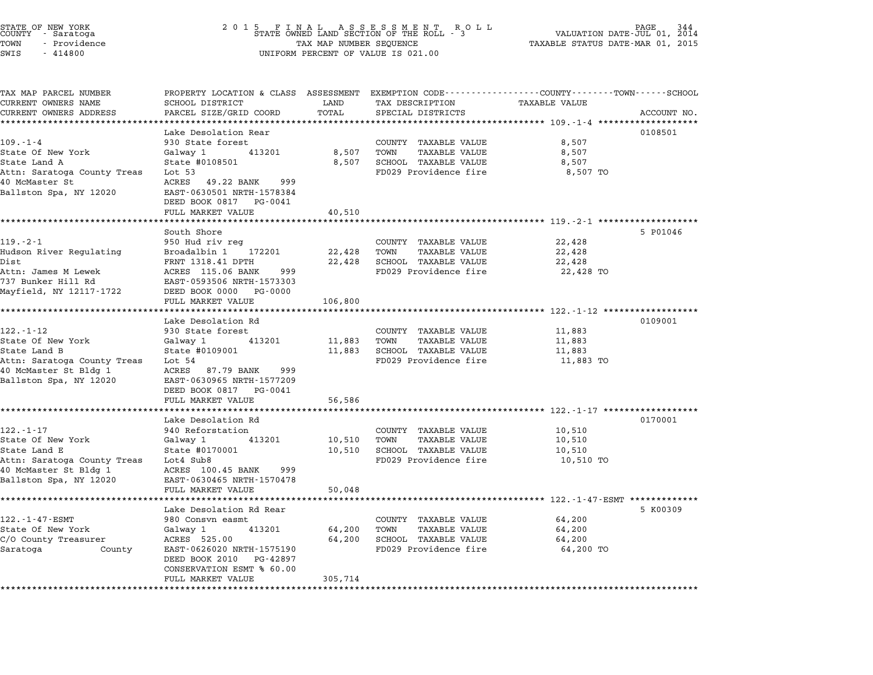|               | STATE OF NEW YORK |  |
|---------------|-------------------|--|
| COUNTY        | - Saratoga        |  |
| TOWN          | - Providence      |  |
| <b>CINT C</b> | $-111800$         |  |

# STATE OF NEW YORK <sup>2</sup> <sup>0</sup> <sup>1</sup> 5 F I N A L A S S E S S M E N T R O L L PAGE <sup>344</sup> COUNTY - Saratoga STATE OWNED LAND SECTION OF THE ROLL - <sup>3</sup> VALUATION DATE-JUL 01, <sup>2014</sup> TOWN - Providence TAX MAP NUMBER SEQUENCE TAXABLE STATUS DATE-MAR 01, <sup>2015</sup> TOWN - Providence and the state of the state of the TAX MAP NUMBER SEQUENCE SWIS - 414800

| TAX MAP PARCEL NUMBER       | PROPERTY LOCATION & CLASS ASSESSMENT EXEMPTION CODE---------------COUNTY-------TOWN------SCHOOL |         |                              |                      |             |
|-----------------------------|-------------------------------------------------------------------------------------------------|---------|------------------------------|----------------------|-------------|
| CURRENT OWNERS NAME         | SCHOOL DISTRICT                                                                                 | LAND    | TAX DESCRIPTION              | <b>TAXABLE VALUE</b> |             |
| CURRENT OWNERS ADDRESS      | PARCEL SIZE/GRID COORD                                                                          | TOTAL   | SPECIAL DISTRICTS            |                      | ACCOUNT NO. |
| ***********************     | ***********************                                                                         |         |                              |                      |             |
|                             | Lake Desolation Rear                                                                            |         |                              |                      | 0108501     |
| $109. - 1 - 4$              | 930 State forest                                                                                |         | COUNTY TAXABLE VALUE         | 8,507                |             |
| State Of New York           | Galway 1<br>413201                                                                              | 8,507   | TOWN<br><b>TAXABLE VALUE</b> | 8,507                |             |
| State Land A                | State #0108501                                                                                  | 8,507   | SCHOOL TAXABLE VALUE         | 8,507                |             |
| Attn: Saratoga County Treas | Lot $53$                                                                                        |         | FD029 Providence fire        | 8,507 TO             |             |
| 40 McMaster St              | 49.22 BANK<br>ACRES<br>999                                                                      |         |                              |                      |             |
| Ballston Spa, NY 12020      | EAST-0630501 NRTH-1578384                                                                       |         |                              |                      |             |
|                             | DEED BOOK 0817<br>PG-0041                                                                       |         |                              |                      |             |
|                             | FULL MARKET VALUE                                                                               | 40,510  |                              |                      |             |
|                             |                                                                                                 |         |                              |                      |             |
|                             | South Shore                                                                                     |         |                              |                      | 5 P01046    |
| $119. - 2 - 1$              | 950 Hud riv reg                                                                                 |         | COUNTY TAXABLE VALUE         | 22,428               |             |
| Hudson River Regulating     | Broadalbin 1<br>172201                                                                          | 22,428  | TOWN<br>TAXABLE VALUE        | 22,428               |             |
| Dist                        | FRNT 1318.41 DPTH                                                                               | 22,428  | SCHOOL TAXABLE VALUE         | 22,428               |             |
| Attn: James M Lewek         | ACRES 115.06 BANK<br>999                                                                        |         | FD029 Providence fire        | 22,428 TO            |             |
| 737 Bunker Hill Rd          | EAST-0593506 NRTH-1573303                                                                       |         |                              |                      |             |
| Mayfield, NY 12117-1722     | DEED BOOK 0000<br>PG-0000                                                                       |         |                              |                      |             |
|                             | FULL MARKET VALUE                                                                               | 106,800 |                              |                      |             |
|                             |                                                                                                 |         |                              |                      |             |
|                             | Lake Desolation Rd                                                                              |         |                              |                      | 0109001     |
| $122. - 1 - 12$             | 930 State forest                                                                                |         | COUNTY TAXABLE VALUE         | 11,883               |             |
| State Of New York           | 413201<br>Galway 1                                                                              | 11,883  | TOWN<br>TAXABLE VALUE        | 11,883               |             |
| State Land B                | State #0109001                                                                                  | 11,883  | SCHOOL TAXABLE VALUE         | 11,883               |             |
| Attn: Saratoga County Treas | Lot $54$                                                                                        |         | FD029 Providence fire        | 11,883 TO            |             |
| 40 McMaster St Bldg 1       | ACRES<br>87.79 BANK<br>999                                                                      |         |                              |                      |             |
| Ballston Spa, NY 12020      | EAST-0630965 NRTH-1577209                                                                       |         |                              |                      |             |
|                             | DEED BOOK 0817<br>PG-0041                                                                       |         |                              |                      |             |
|                             | FULL MARKET VALUE                                                                               | 56,586  |                              |                      |             |
|                             |                                                                                                 |         |                              |                      |             |
|                             | Lake Desolation Rd                                                                              |         |                              |                      | 0170001     |
| $122. - 1 - 17$             | 940 Reforstation                                                                                |         | COUNTY TAXABLE VALUE         | 10,510               |             |
| State Of New York           | Galway 1<br>413201                                                                              | 10,510  | TOWN<br><b>TAXABLE VALUE</b> | 10,510               |             |
| State Land E                | State #0170001                                                                                  | 10,510  | SCHOOL TAXABLE VALUE         | 10,510               |             |
| Attn: Saratoga County Treas | Lot4 Sub8                                                                                       |         | FD029 Providence fire        | 10,510 TO            |             |
| 40 McMaster St Bldg 1       | ACRES 100.45 BANK<br>999                                                                        |         |                              |                      |             |
| Ballston Spa, NY 12020      | EAST-0630465 NRTH-1570478                                                                       |         |                              |                      |             |
|                             | FULL MARKET VALUE                                                                               | 50,048  |                              |                      |             |
|                             | ***********************                                                                         |         |                              |                      |             |
|                             | Lake Desolation Rd Rear                                                                         |         |                              |                      | 5 K00309    |
| 122.-1-47-ESMT              | 980 Consvn easmt                                                                                |         | COUNTY TAXABLE VALUE         | 64,200               |             |
| State Of New York           | Galway 1<br>413201                                                                              | 64,200  | TOWN<br><b>TAXABLE VALUE</b> | 64,200               |             |
| C/O County Treasurer        | ACRES 525.00                                                                                    | 64,200  | SCHOOL TAXABLE VALUE         | 64,200               |             |
| Saratoga<br>County          | EAST-0626020 NRTH-1575190                                                                       |         | FD029 Providence fire        | 64,200 TO            |             |
|                             | DEED BOOK 2010<br>PG-42897                                                                      |         |                              |                      |             |
|                             | CONSERVATION ESMT % 60.00                                                                       |         |                              |                      |             |
|                             | FULL MARKET VALUE                                                                               | 305,714 |                              |                      |             |
| *******************         |                                                                                                 |         |                              |                      |             |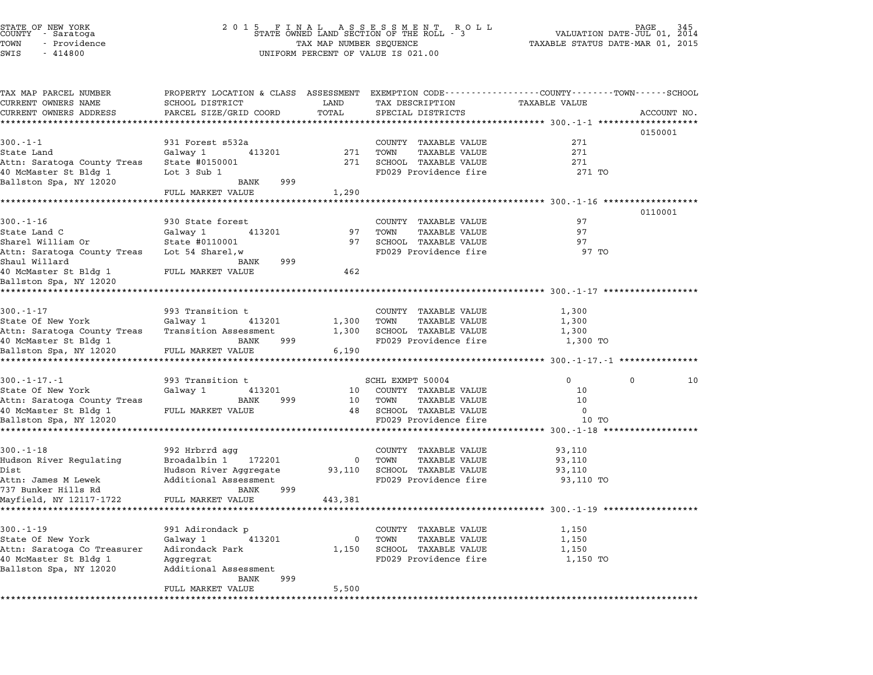| STATE OF NEW YORK<br>COUNTY - Saratoga<br>TOWN<br>- Providence<br>SWIS<br>$-414800$ |                                                                                                                   | TAX MAP NUMBER SEQUENCE | UNIFORM PERCENT OF VALUE IS 021.00 | TAXABLE STATUS DATE-MAR 01, 2015                   | 345<br>VALUATION DATE-JUL 01, 2014 |
|-------------------------------------------------------------------------------------|-------------------------------------------------------------------------------------------------------------------|-------------------------|------------------------------------|----------------------------------------------------|------------------------------------|
| TAX MAP PARCEL NUMBER<br>CURRENT OWNERS NAME                                        | PROPERTY LOCATION & CLASS ASSESSMENT EXEMPTION CODE---------------COUNTY-------TOWN-----SCHOOL<br>SCHOOL DISTRICT | LAND                    | TAX DESCRIPTION                    | <b>TAXABLE VALUE</b>                               |                                    |
| CURRENT OWNERS ADDRESS                                                              | PARCEL SIZE/GRID COORD                                                                                            | TOTAL                   | SPECIAL DISTRICTS                  |                                                    | ACCOUNT NO.                        |
|                                                                                     | ********************                                                                                              |                         |                                    |                                                    |                                    |
|                                                                                     |                                                                                                                   |                         |                                    |                                                    | 0150001                            |
| $300.-1-1$                                                                          | 931 Forest s532a                                                                                                  |                         | COUNTY TAXABLE VALUE               | 271                                                |                                    |
| State Land                                                                          | Galway 1<br>413201                                                                                                | 271                     | <b>TAXABLE VALUE</b><br>TOWN       | 271                                                |                                    |
| Attn: Saratoga County Treas                                                         | State #0150001                                                                                                    | 271                     | SCHOOL TAXABLE VALUE               | 271                                                |                                    |
| 40 McMaster St Bldg 1                                                               | Lot $3$ Sub $1$<br>BANK<br>999                                                                                    |                         | FD029 Providence fire              | 271 TO                                             |                                    |
| Ballston Spa, NY 12020                                                              | FULL MARKET VALUE                                                                                                 | 1,290                   |                                    |                                                    |                                    |
|                                                                                     |                                                                                                                   |                         |                                    | ****************** 300.-1-16 *******************   |                                    |
|                                                                                     |                                                                                                                   |                         |                                    |                                                    | 0110001                            |
| $300. - 1 - 16$                                                                     | 930 State forest                                                                                                  |                         | COUNTY TAXABLE VALUE               | 97                                                 |                                    |
| State Land C                                                                        | 413201<br>Galway 1                                                                                                | 97                      | <b>TAXABLE VALUE</b><br>TOWN       | 97                                                 |                                    |
| Sharel William Or                                                                   | State #0110001                                                                                                    | 97                      | SCHOOL TAXABLE VALUE               | 97                                                 |                                    |
| Attn: Saratoga County Treas                                                         | Lot 54 Sharel.w                                                                                                   |                         | FD029 Providence fire              | 97 TO                                              |                                    |
| Shaul Willard                                                                       | BANK<br>999                                                                                                       |                         |                                    |                                                    |                                    |
| 40 McMaster St Bldg 1<br>Ballston Spa, NY 12020                                     | FULL MARKET VALUE                                                                                                 | 462                     |                                    |                                                    |                                    |
| *************************                                                           |                                                                                                                   |                         |                                    |                                                    |                                    |
|                                                                                     |                                                                                                                   |                         |                                    |                                                    |                                    |
| $300. - 1 - 17$                                                                     | 993 Transition t                                                                                                  |                         | COUNTY TAXABLE VALUE               | 1,300                                              |                                    |
| State Of New York                                                                   | Galway 1<br>413201                                                                                                | 1,300                   | TOWN<br>TAXABLE VALUE              | 1,300                                              |                                    |
| Attn: Saratoga County Treas                                                         | Transition Assessment                                                                                             | 1,300                   | SCHOOL TAXABLE VALUE               | 1,300                                              |                                    |
| 40 McMaster St Bldg 1                                                               | BANK<br>999                                                                                                       |                         | FD029 Providence fire              | 1,300 TO                                           |                                    |
| Ballston Spa, NY 12020                                                              | FULL MARKET VALUE                                                                                                 | 6,190                   |                                    | ******************** 300.-1-17.-1 **************** |                                    |
|                                                                                     |                                                                                                                   |                         |                                    |                                                    |                                    |
| $300. -1 - 17. -1$                                                                  | 993 Transition t                                                                                                  |                         | SCHL EXMPT 50004                   | $\mathbf{0}$                                       | 0<br>10                            |
| State Of New York                                                                   | Galway 1<br>413201                                                                                                | 10                      | COUNTY TAXABLE VALUE               | 10                                                 |                                    |
| Attn: Saratoga County Treas                                                         | BANK<br>999                                                                                                       | 10                      | TOWN<br>TAXABLE VALUE              | 10                                                 |                                    |
| 40 McMaster St Bldg 1                                                               | FULL MARKET VALUE                                                                                                 | 48                      | SCHOOL TAXABLE VALUE               | 0                                                  |                                    |
| Ballston Spa, NY 12020                                                              |                                                                                                                   |                         | FD029 Providence fire              | 10 TO                                              |                                    |
|                                                                                     |                                                                                                                   |                         |                                    |                                                    |                                    |
| $300. - 1 - 18$                                                                     | 992 Hrbrrd agg                                                                                                    |                         | COUNTY TAXABLE VALUE               | 93,110                                             |                                    |
| Hudson River Regulating                                                             | Broadalbin 1<br>172201                                                                                            | 0                       | TOWN<br><b>TAXABLE VALUE</b>       | 93,110                                             |                                    |
| Dist                                                                                | Hudson River Aggregate                                                                                            | 93,110                  | SCHOOL TAXABLE VALUE               | 93,110                                             |                                    |
| Attn: James M Lewek                                                                 | Additional Assessment                                                                                             |                         | FD029 Providence fire              | 93,110 TO                                          |                                    |
| 737 Bunker Hills Rd                                                                 | BANK<br>999                                                                                                       |                         |                                    |                                                    |                                    |
| Mayfield, NY 12117-1722                                                             | FULL MARKET VALUE                                                                                                 | 443,381                 |                                    |                                                    |                                    |
|                                                                                     |                                                                                                                   |                         |                                    |                                                    |                                    |
| $300. - 1 - 19$                                                                     | 991 Adirondack p                                                                                                  |                         | COUNTY TAXABLE VALUE               | 1,150                                              |                                    |
| State Of New York                                                                   | Galway 1<br>413201                                                                                                | 0                       | TOWN<br>TAXABLE VALUE              | 1,150                                              |                                    |
| Attn: Saratoga Co Treasurer                                                         | Adirondack Park                                                                                                   | 1,150                   | SCHOOL TAXABLE VALUE               | 1,150                                              |                                    |
| 40 McMaster St Bldg 1                                                               | Aggregrat                                                                                                         |                         | FD029 Providence fire              | 1,150 TO                                           |                                    |
| Ballston Spa, NY 12020                                                              | Additional Assessment<br>999<br>BANK                                                                              |                         |                                    |                                                    |                                    |
|                                                                                     | FULL MARKET VALUE                                                                                                 | 5,500                   |                                    |                                                    |                                    |
|                                                                                     |                                                                                                                   |                         |                                    |                                                    |                                    |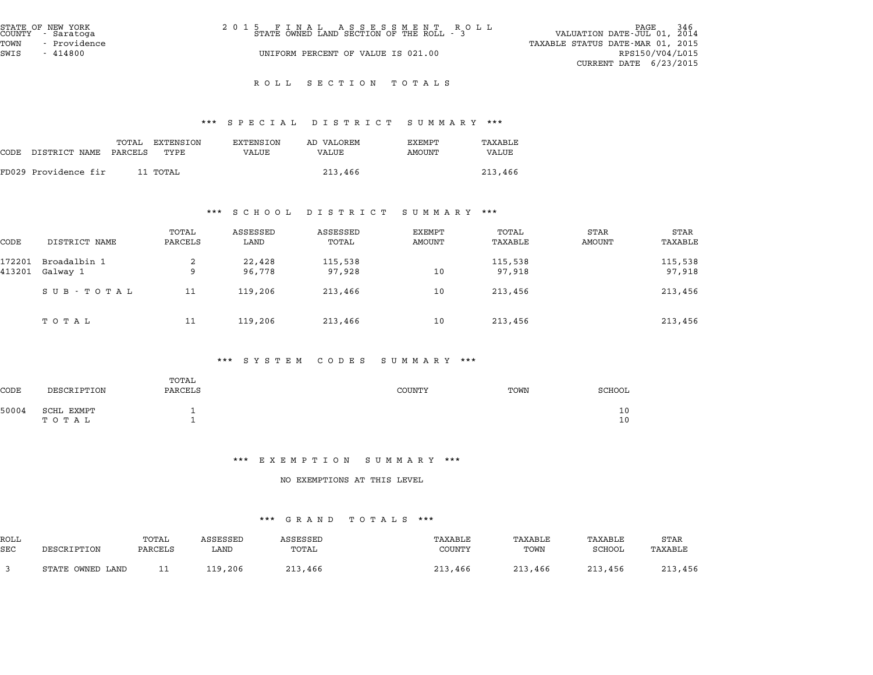| STATE OF NEW YORK<br>COUNTY - Saratoga | 2015 FINAL ASSESSMENT ROLL<br>STATE OWNED LAND SECTION OF THE ROLL - 3 | <sup>246</sup> PAGE<br>VALUATION DATE-JUL 01, 2014 |
|----------------------------------------|------------------------------------------------------------------------|----------------------------------------------------|
| TOWN<br>- Providence                   |                                                                        | TAXABLE STATUS DATE-MAR 01, 2015                   |
| SWIS<br>- 414800                       | UNIFORM PERCENT OF VALUE IS 021.00                                     | RPS150/V04/L015                                    |
|                                        |                                                                        | CURRENT DATE $6/23/2015$                           |

# ROLL SECTION TOTALS

# \*\*\* S P E C I A L D I S T R I C T S U M M A R Y \*\*\*

|      |                       |       |                   |                    | www.crace.com.com.com/ |                  | .                |
|------|-----------------------|-------|-------------------|--------------------|------------------------|------------------|------------------|
| CODE | DISTRICT NAME PARCELS | TOTAL | EXTENSION<br>TYPE | EXTENSION<br>VALUE | AD VALOREM<br>VALUE    | EXEMPT<br>AMOUNT | TAXABLE<br>VALUE |
|      | FD029 Providence fir  |       | 11 TOTAL          |                    | 213,466                |                  | 213,466          |

# \*\*\* S C H O O L D I S T R I C T S U M M A R Y \*\*\*

|        |               |                  | o u u u u        |                   | נת מישימים                     |                  |                       |                 |
|--------|---------------|------------------|------------------|-------------------|--------------------------------|------------------|-----------------------|-----------------|
| CODE   | DISTRICT NAME | TOTAL<br>PARCELS | ASSESSED<br>LAND | ASSESSED<br>TOTAL | <b>EXEMPT</b><br><b>AMOUNT</b> | TOTAL<br>TAXABLE | <b>STAR</b><br>AMOUNT | STAR<br>TAXABLE |
| 172201 | Broadalbin 1  | 2                | 22,428           | 115,538           |                                | 115,538          |                       | 115,538         |
| 413201 | Galway 1      | 9                | 96,778           | 97,928            | 10                             | 97,918           |                       | 97,918          |
|        | SUB - TOTAL   | 11               | 119,206          | 213,466           | 10                             | 213,456          |                       | 213,456         |
|        | тотаь         | 11               | 119,206          | 213,466           | 10                             | 213,456          |                       | 213,456         |

#### \*\*\* S Y S T E M C O D E S S U M M A R Y \*\*\*

| <b>CODE</b> | DESCRIPTION         | TOTAL<br>PARCELS | COUNTY | TOWN | SCHOOL   |
|-------------|---------------------|------------------|--------|------|----------|
| 50004       | SCHL EXMPT<br>ТОТАЬ |                  |        |      | 10<br>10 |

#### \*\*\* E X E M P T I O N S U M M A R Y \*\*\*

# NO EXEMPTIONS AT THIS LEVEL

|            | .<br>.           |         |          |          |         |         |         |         |  |  |  |
|------------|------------------|---------|----------|----------|---------|---------|---------|---------|--|--|--|
| ROLL       |                  | TOTAL   | ASSESSED | ASSESSED | TAXABLE | TAXABLE | TAXABLE | STAR    |  |  |  |
| <b>SEC</b> | DESCRIPTION      | PARCELS | LAND     | TOTAL    | COUNTY  | TOWN    | SCHOOL  | TAXABLE |  |  |  |
|            | STATE OWNED LAND | ᆂᆂ      | 119,206  | 213,466  | 213,466 | 213,466 | 213,456 | 213,456 |  |  |  |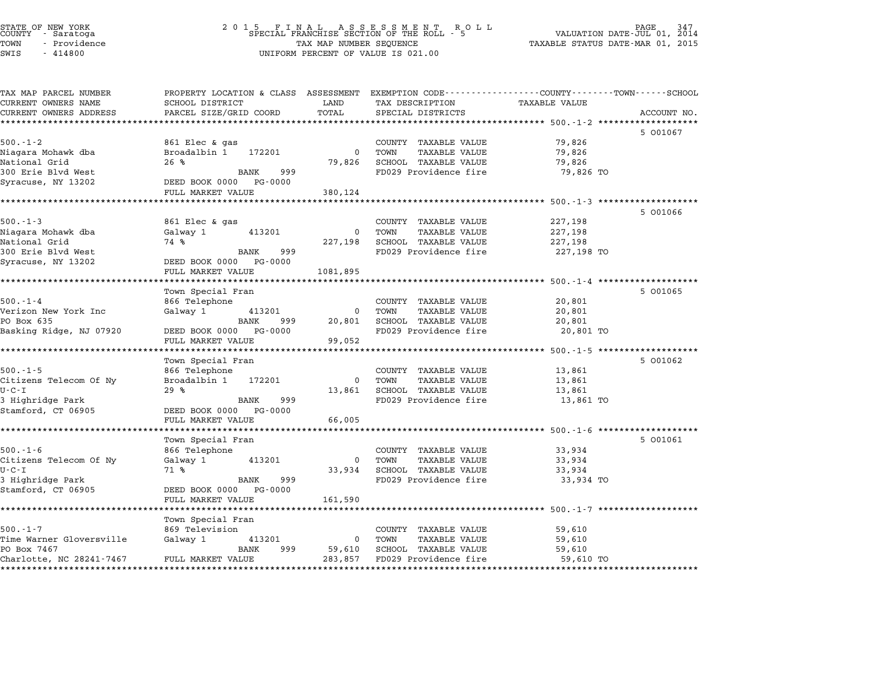| STATE OF NEW YORK<br><b>COUNTY</b><br>- Saratoga | 201                                                                                            |                         | . 5 FINAL ASSESSMENT RO<br>SPECIAL FRANCHISE SECTION OF THE ROLL - 5<br>RO L L |                                                       | PAGE<br>VALUATION DATE-JUL 01, 2014 |
|--------------------------------------------------|------------------------------------------------------------------------------------------------|-------------------------|--------------------------------------------------------------------------------|-------------------------------------------------------|-------------------------------------|
| TOWN<br>- Providence                             |                                                                                                | TAX MAP NUMBER SEQUENCE |                                                                                | TAXABLE STATUS DATE-MAR 01, 2015                      |                                     |
| SWIS<br>$-414800$                                |                                                                                                |                         | UNIFORM PERCENT OF VALUE IS 021.00                                             |                                                       |                                     |
|                                                  |                                                                                                |                         |                                                                                |                                                       |                                     |
| TAX MAP PARCEL NUMBER                            | PROPERTY LOCATION & CLASS ASSESSMENT EXEMPTION CODE---------------COUNTY-------TOWN-----SCHOOL |                         |                                                                                |                                                       |                                     |
| CURRENT OWNERS NAME                              | SCHOOL DISTRICT                                                                                | LAND                    | TAX DESCRIPTION                                                                | TAXABLE VALUE                                         |                                     |
| CURRENT OWNERS ADDRESS                           | PARCEL SIZE/GRID COORD                                                                         | TOTAL                   | SPECIAL DISTRICTS                                                              |                                                       | ACCOUNT NO.                         |
| ************************                         |                                                                                                |                         |                                                                                |                                                       |                                     |
|                                                  |                                                                                                |                         |                                                                                |                                                       | 5 001067                            |
| $500.-1-2$                                       | 861 Elec & gas                                                                                 |                         | COUNTY TAXABLE VALUE                                                           | 79,826                                                |                                     |
| Niagara Mohawk dba                               | Broadalbin 1<br>172201                                                                         | $\Omega$                | TOWN<br>TAXABLE VALUE                                                          | 79,826                                                |                                     |
| National Grid                                    | 26%                                                                                            | 79,826                  | SCHOOL TAXABLE VALUE                                                           | 79,826                                                |                                     |
| 300 Erie Blvd West                               | <b>BANK</b><br>999                                                                             |                         | FD029 Providence fire                                                          | 79,826 TO                                             |                                     |
| Syracuse, NY 13202                               | DEED BOOK 0000 PG-0000                                                                         |                         |                                                                                |                                                       |                                     |
|                                                  | FULL MARKET VALUE                                                                              | 380,124                 |                                                                                |                                                       |                                     |
|                                                  |                                                                                                |                         |                                                                                | ********** 500.-1-3 **                                |                                     |
|                                                  |                                                                                                |                         |                                                                                |                                                       | 5 001066                            |
| $500. - 1 - 3$                                   | 861 Elec & gas                                                                                 |                         | COUNTY TAXABLE VALUE                                                           | 227,198                                               |                                     |
| Niagara Mohawk dba                               | 413201<br>Galway 1                                                                             | 0                       | TOWN<br><b>TAXABLE VALUE</b>                                                   | 227,198                                               |                                     |
| National Grid                                    | 74 %                                                                                           | 227,198                 | SCHOOL TAXABLE VALUE                                                           | 227,198                                               |                                     |
| 300 Erie Blvd West                               | 999<br>BANK                                                                                    |                         | FD029 Providence fire                                                          | 227,198 TO                                            |                                     |
| Syracuse, NY 13202                               | DEED BOOK 0000<br>PG-0000                                                                      |                         |                                                                                |                                                       |                                     |
|                                                  | FULL MARKET VALUE                                                                              | 1081,895                |                                                                                | $500.-1-4$                                            |                                     |
|                                                  |                                                                                                |                         |                                                                                |                                                       |                                     |
| $500. - 1 - 4$                                   | Town Special Fran<br>866 Telephone                                                             |                         | COUNTY TAXABLE VALUE                                                           |                                                       | 5 001065                            |
| Verizon New York Inc                             | Galway 1<br>413201                                                                             | $\Omega$                | TOWN<br><b>TAXABLE VALUE</b>                                                   | 20,801<br>20,801                                      |                                     |
| PO Box 635                                       | BANK<br>999                                                                                    | 20,801                  | SCHOOL TAXABLE VALUE                                                           | 20,801                                                |                                     |
| Basking Ridge, NJ 07920                          | DEED BOOK 0000<br>PG-0000                                                                      |                         | FD029 Providence fire                                                          | 20,801 TO                                             |                                     |
|                                                  | FULL MARKET VALUE                                                                              | 99,052                  |                                                                                |                                                       |                                     |
|                                                  | ********************                                                                           |                         |                                                                                | *********************** 500.-1-5 ******************** |                                     |
|                                                  | Town Special Fran                                                                              |                         |                                                                                |                                                       | 5 001062                            |
| $500.-1-5$                                       | 866 Telephone                                                                                  |                         | COUNTY TAXABLE VALUE                                                           | 13,861                                                |                                     |
| Citizens Telecom Of Ny                           | Broadalbin 1<br>172201                                                                         | $\Omega$                | TOWN<br>TAXABLE VALUE                                                          | 13,861                                                |                                     |
| $U - C - I$                                      | 29%                                                                                            | 13,861                  | SCHOOL TAXABLE VALUE                                                           | 13,861                                                |                                     |
| 3 Highridge Park                                 | BANK<br>999                                                                                    |                         | FD029 Providence fire                                                          | 13,861 TO                                             |                                     |
| Stamford, CT 06905                               | DEED BOOK 0000 PG-0000                                                                         |                         |                                                                                |                                                       |                                     |
|                                                  | FULL MARKET VALUE                                                                              | 66,005                  |                                                                                |                                                       |                                     |
|                                                  |                                                                                                |                         |                                                                                | ********************* 500.-1-6 *******                |                                     |
|                                                  | Town Special Fran                                                                              |                         |                                                                                |                                                       | 5 001061                            |
| $500.-1-6$                                       | 866 Telephone                                                                                  |                         | COUNTY<br>TAXABLE VALUE                                                        | 33,934                                                |                                     |
| Citizens Telecom Of Ny                           | Galway 1<br>413201                                                                             | 0                       | TOWN<br>TAXABLE VALUE                                                          | 33,934                                                |                                     |
| $U - C - I$                                      | 71 %                                                                                           | 33,934                  | SCHOOL TAXABLE VALUE                                                           | 33,934                                                |                                     |
| 3 Highridge Park                                 | <b>BANK</b><br>999                                                                             |                         | FD029 Providence fire                                                          | 33,934 TO                                             |                                     |
| Stamford, CT 06905                               | DEED BOOK 0000<br>PG-0000                                                                      |                         |                                                                                |                                                       |                                     |
|                                                  | FULL MARKET VALUE                                                                              | 161,590                 |                                                                                |                                                       |                                     |
|                                                  | ****************                                                                               |                         |                                                                                | ******** 500.-1-7 ***                                 |                                     |
|                                                  | Town Special Fran                                                                              |                         |                                                                                |                                                       |                                     |
| $500. - 1 - 7$                                   | 869 Television                                                                                 |                         | COUNTY TAXABLE VALUE                                                           | 59,610                                                |                                     |
| Time Warner Gloversville                         | 413201<br>Galway 1                                                                             | $\Omega$                | TOWN<br><b>TAXABLE VALUE</b>                                                   | 59,610                                                |                                     |
| PO Box 7467                                      | BANK<br>999                                                                                    | 59,610                  | SCHOOL TAXABLE VALUE                                                           | 59,610                                                |                                     |
| Charlotte, NC 28241-7467                         | FULL MARKET VALUE                                                                              | 283,857                 | FD029 Providence fire                                                          | 59,610 TO                                             |                                     |

\*\*\*\*\*\*\*\*\*\*\*\*\*\*\*\*\*\*\*\*\*\*\*\*\*\*\*\*\*\*\*\*\*\*\*\*\*\*\*\*\*\*\*\*\*\*\*\*\*\*\*\*\*\*\*\*\*\*\*\*\*\*\*\*\*\*\*\*\*\*\*\*\*\*\*\*\*\*\*\*\*\*\*\*\*\*\*\*\*\*\*\*\*\*\*\*\*\*\*\*\*\*\*\*\*\*\*\*\*\*\*\*\*\*\*\*\*\*\*\*\*\*\*\*\*\*\*\*\*\*\*\*

STATE OF NEW YORK <sup>2</sup> <sup>0</sup> <sup>1</sup> 5 F I N A L A S S E S S M E N T R O L L PAGE <sup>347</sup> COUNTY - Saratoga SPECIAL FRANCHISE SECTION OF THE ROLL - <sup>5</sup> VALUATION DATE-JUL 01, <sup>2014</sup>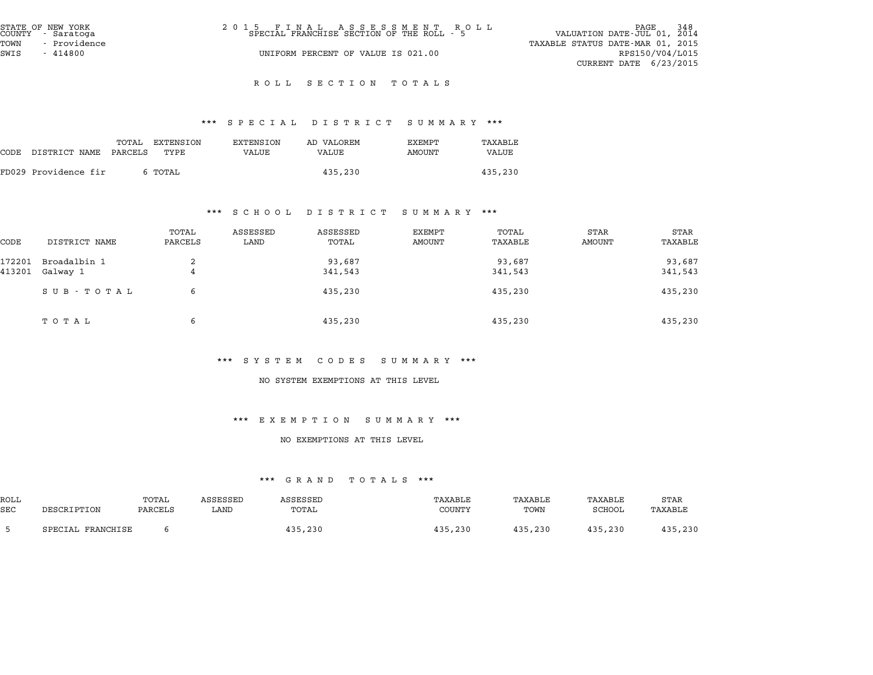| STATE OF NEW YORK<br>COUNTY - Saratoga<br>TOWN<br>- Providence | 2015 FINAL ASSESSMENT ROLL<br>SPECIAL FRANCHISE SECTION OF THE ROLL - 5 | 348<br>PAGE<br>VALUATION DATE-JUL 01, 2014<br>TAXABLE STATUS DATE-MAR 01, 2015 |
|----------------------------------------------------------------|-------------------------------------------------------------------------|--------------------------------------------------------------------------------|
| SWIS<br>$-414800$                                              | UNIFORM PERCENT OF VALUE IS 021.00                                      | RPS150/V04/L015<br>CURRENT DATE $6/23/2015$                                    |

# R O L L S E C T I O N T O T A L S

# \*\*\* S P E C I A L D I S T R I C T S U M M A R Y \*\*\*

|      |                      |                  |                   |                           | protan protator pohhant    |                  | .                |
|------|----------------------|------------------|-------------------|---------------------------|----------------------------|------------------|------------------|
| CODE | DISTRICT NAME        | TOTAL<br>PARCELS | EXTENSION<br>TYPE | EXTENSION<br><b>VALUE</b> | AD VALOREM<br><b>VALUE</b> | EXEMPT<br>AMOUNT | TAXABLE<br>VALUE |
|      | FD029 Providence fir |                  | 6 TOTAL           |                           | 435,230                    |                  | 435,230          |

#### \*\*\* S C H O O L D I S T R I C T S U M M A R Y \*\*\*

|        |               | .                |                  | S C H O O H D I S I K I C I | summanı ……       |                  |                       |                 |
|--------|---------------|------------------|------------------|-----------------------------|------------------|------------------|-----------------------|-----------------|
| CODE   | DISTRICT NAME | TOTAL<br>PARCELS | ASSESSED<br>LAND | ASSESSED<br>TOTAL           | EXEMPT<br>AMOUNT | TOTAL<br>TAXABLE | STAR<br><b>AMOUNT</b> | STAR<br>TAXABLE |
| 172201 | Broadalbin 1  | 2                |                  | 93,687                      |                  | 93,687           |                       | 93,687          |
| 413201 | Galway 1      | 4                |                  | 341,543                     |                  | 341,543          |                       | 341,543         |
|        | SUB - TOTAL   | 6                |                  | 435,230                     |                  | 435,230          |                       | 435,230         |
|        | ТОТАЬ         | 6                |                  | 435,230                     |                  | 435,230          |                       | 435,230         |

# \*\*\* S Y S T E M C O D E S S U M M A R Y \*\*\*

### NO SYSTEM EXEMPTIONS AT THIS LEVEL

#### \*\*\* E X E M P T I O N S U M M A R Y \*\*\*

#### NO EXEMPTIONS AT THIS LEVEL

|            | <b>UINAND</b><br>.<br>. |         |          |          |         |         |         |         |  |  |
|------------|-------------------------|---------|----------|----------|---------|---------|---------|---------|--|--|
| ROLL       |                         | TOTAL   | ASSESSED | ASSESSED | TAXABLE | TAXABLE | TAXABLE | STAR    |  |  |
| <b>SEC</b> | DESCRIPTION             | PARCELS | LAND     | TOTAL    | COUNTY  | TOWN    | SCHOOL  | TAXABLE |  |  |
|            | SPECIAL FRANCHISE       |         |          | 435,230  | 435,230 | 435,230 | 435,230 | 435,230 |  |  |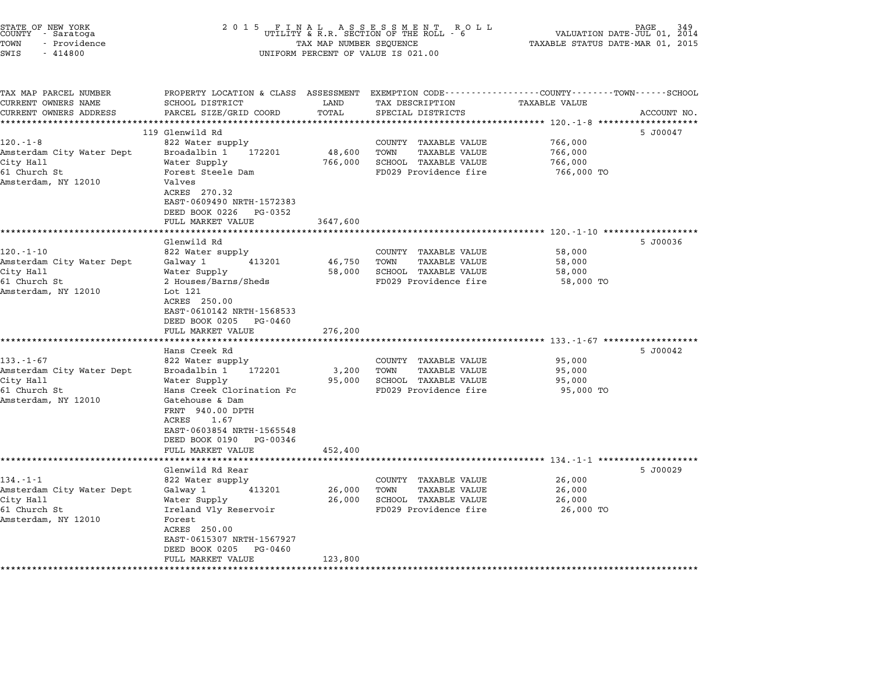| STATE OF NEW YORK<br>COUNTY – Saratoga<br>TOWN<br>- Providence<br>SWIS<br>$-414800$ | 2 0 1 5<br>FINAL ASSESSMENT ROUTILITY & R.R. SECTION OF THE ROLL - 6<br>R O L L<br>PAGE<br>VALUATION DATE-JUL 01, 2014<br>TAXABLE STATUS DATE-MAR 01, 2015<br>TAX MAP NUMBER SEQUENCE<br>UNIFORM PERCENT OF VALUE IS 021.00 |                   |                                                                                |                                                                |             |  |  |
|-------------------------------------------------------------------------------------|-----------------------------------------------------------------------------------------------------------------------------------------------------------------------------------------------------------------------------|-------------------|--------------------------------------------------------------------------------|----------------------------------------------------------------|-------------|--|--|
| TAX MAP PARCEL NUMBER<br>CURRENT OWNERS NAME                                        | PROPERTY LOCATION & CLASS ASSESSMENT<br><b>SCHOOL DISTRICT</b>                                                                                                                                                              | LAND              | EXEMPTION CODE-----------------COUNTY-------TOWN-----SCHOOL<br>TAX DESCRIPTION | <b>TAXABLE VALUE</b>                                           |             |  |  |
| CURRENT OWNERS ADDRESS                                                              | PARCEL SIZE/GRID COORD                                                                                                                                                                                                      | TOTAL             | SPECIAL DISTRICTS                                                              |                                                                | ACCOUNT NO. |  |  |
|                                                                                     |                                                                                                                                                                                                                             | ******            |                                                                                | ********** 120.-1-8 *****                                      |             |  |  |
|                                                                                     | 119 Glenwild Rd                                                                                                                                                                                                             |                   |                                                                                |                                                                | 5 J00047    |  |  |
| 120.-1-8                                                                            | 822 Water supply                                                                                                                                                                                                            |                   | COUNTY<br>TAXABLE VALUE                                                        | 766,000                                                        |             |  |  |
| Amsterdam City Water Dept                                                           | Broadalbin 1<br>172201                                                                                                                                                                                                      | 48,600            | TOWN<br><b>TAXABLE VALUE</b>                                                   | 766,000                                                        |             |  |  |
| City Hall                                                                           | Water Supply                                                                                                                                                                                                                | 766,000           | SCHOOL TAXABLE VALUE                                                           | 766,000                                                        |             |  |  |
| 61 Church St                                                                        | Forest Steele Dam                                                                                                                                                                                                           |                   | FD029 Providence fire                                                          | 766,000 TO                                                     |             |  |  |
| Amsterdam, NY 12010                                                                 | Valves                                                                                                                                                                                                                      |                   |                                                                                |                                                                |             |  |  |
|                                                                                     | ACRES 270.32                                                                                                                                                                                                                |                   |                                                                                |                                                                |             |  |  |
|                                                                                     | EAST-0609490 NRTH-1572383                                                                                                                                                                                                   |                   |                                                                                |                                                                |             |  |  |
|                                                                                     | DEED BOOK 0226<br>PG-0352<br>FULL MARKET VALUE                                                                                                                                                                              | 3647,600          |                                                                                |                                                                |             |  |  |
|                                                                                     | ****************                                                                                                                                                                                                            |                   |                                                                                | ********* 120.-1-10 ******************                         |             |  |  |
|                                                                                     | Glenwild Rd                                                                                                                                                                                                                 |                   |                                                                                |                                                                | 5 J00036    |  |  |
| $120. - 1 - 10$                                                                     | 822 Water supply                                                                                                                                                                                                            |                   | COUNTY TAXABLE VALUE                                                           | 58,000                                                         |             |  |  |
| Amsterdam City Water Dept                                                           | Galway 1<br>413201                                                                                                                                                                                                          | 46,750            | TOWN<br><b>TAXABLE VALUE</b>                                                   | 58,000                                                         |             |  |  |
| City Hall                                                                           | Water Supply                                                                                                                                                                                                                | 58,000            | SCHOOL TAXABLE VALUE                                                           | 58,000                                                         |             |  |  |
| 61 Church St                                                                        | 2 Houses/Barns/Sheds                                                                                                                                                                                                        |                   | FD029 Providence fire                                                          | 58,000 TO                                                      |             |  |  |
| Amsterdam, NY 12010                                                                 | Lot 121                                                                                                                                                                                                                     |                   |                                                                                |                                                                |             |  |  |
|                                                                                     | ACRES 250.00                                                                                                                                                                                                                |                   |                                                                                |                                                                |             |  |  |
|                                                                                     | EAST-0610142 NRTH-1568533<br>DEED BOOK 0205<br>PG-0460                                                                                                                                                                      |                   |                                                                                |                                                                |             |  |  |
|                                                                                     | FULL MARKET VALUE                                                                                                                                                                                                           | 276,200           |                                                                                |                                                                |             |  |  |
|                                                                                     |                                                                                                                                                                                                                             |                   |                                                                                | ****** 133.-1-67 *******                                       |             |  |  |
|                                                                                     | Hans Creek Rd                                                                                                                                                                                                               |                   |                                                                                |                                                                | 5 J00042    |  |  |
| $133. - 1 - 67$                                                                     | 822 Water supply                                                                                                                                                                                                            |                   | COUNTY TAXABLE VALUE                                                           | 95,000                                                         |             |  |  |
| Amsterdam City Water Dept                                                           | Broadalbin 1<br>172201                                                                                                                                                                                                      | 3,200             | <b>TAXABLE VALUE</b><br>TOWN                                                   | 95,000                                                         |             |  |  |
| City Hall                                                                           | Water Supply                                                                                                                                                                                                                | 95,000            | SCHOOL TAXABLE VALUE                                                           | 95,000                                                         |             |  |  |
| 61 Church St                                                                        | Hans Creek Clorination Fc                                                                                                                                                                                                   |                   | FD029 Providence fire                                                          | 95,000 TO                                                      |             |  |  |
| Amsterdam, NY 12010                                                                 | Gatehouse & Dam                                                                                                                                                                                                             |                   |                                                                                |                                                                |             |  |  |
|                                                                                     | FRNT 940.00 DPTH                                                                                                                                                                                                            |                   |                                                                                |                                                                |             |  |  |
|                                                                                     | ACRES<br>1.67<br>EAST-0603854 NRTH-1565548                                                                                                                                                                                  |                   |                                                                                |                                                                |             |  |  |
|                                                                                     | DEED BOOK 0190<br>PG-00346                                                                                                                                                                                                  |                   |                                                                                |                                                                |             |  |  |
|                                                                                     | FULL MARKET VALUE                                                                                                                                                                                                           | 452,400           |                                                                                |                                                                |             |  |  |
|                                                                                     | ******************                                                                                                                                                                                                          | ***************** |                                                                                | ********************************* 134.-1-1 ******************* |             |  |  |
|                                                                                     | Glenwild Rd Rear                                                                                                                                                                                                            |                   |                                                                                |                                                                | 5 J00029    |  |  |
| $134. - 1 - 1$                                                                      | 822 Water supply                                                                                                                                                                                                            |                   | COUNTY TAXABLE VALUE                                                           | 26,000                                                         |             |  |  |
| Amsterdam City Water Dept                                                           | 413201<br>Galway 1                                                                                                                                                                                                          | 26,000            | TOWN<br><b>TAXABLE VALUE</b>                                                   | 26,000                                                         |             |  |  |
| City Hall                                                                           | Water Supply                                                                                                                                                                                                                | 26,000            | SCHOOL TAXABLE VALUE                                                           | 26,000                                                         |             |  |  |
| 61 Church St                                                                        | Ireland Vly Reservoir                                                                                                                                                                                                       |                   | FD029 Providence fire                                                          | 26,000 TO                                                      |             |  |  |
| Amsterdam, NY 12010                                                                 | Forest                                                                                                                                                                                                                      |                   |                                                                                |                                                                |             |  |  |
|                                                                                     | ACRES 250.00<br>EAST-0615307 NRTH-1567927                                                                                                                                                                                   |                   |                                                                                |                                                                |             |  |  |
|                                                                                     | DEED BOOK 0205<br>PG-0460                                                                                                                                                                                                   |                   |                                                                                |                                                                |             |  |  |
|                                                                                     | FULL MARKET VALUE                                                                                                                                                                                                           | 123,800           |                                                                                |                                                                |             |  |  |
|                                                                                     | ******************                                                                                                                                                                                                          |                   |                                                                                |                                                                |             |  |  |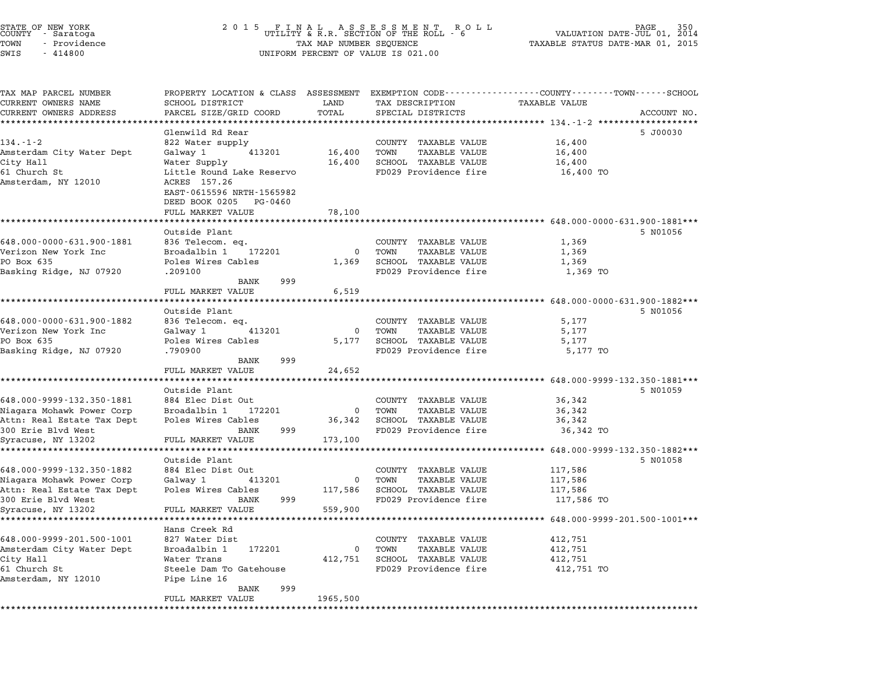| SWIS<br>$-414800$                                |                                              |                      | UNIFORM PERCENT OF VALUE IS 021.00                                                             |                                             |                              |
|--------------------------------------------------|----------------------------------------------|----------------------|------------------------------------------------------------------------------------------------|---------------------------------------------|------------------------------|
| TAX MAP PARCEL NUMBER                            |                                              |                      | PROPERTY LOCATION & CLASS ASSESSMENT EXEMPTION CODE---------------COUNTY-------TOWN-----SCHOOL |                                             |                              |
| CURRENT OWNERS NAME                              | SCHOOL DISTRICT                              | LAND                 | TAX DESCRIPTION                                                                                | TAXABLE VALUE                               |                              |
| CURRENT OWNERS ADDRESS                           | PARCEL SIZE/GRID COORD                       | TOTAL                | SPECIAL DISTRICTS                                                                              |                                             | ACCOUNT NO.                  |
|                                                  |                                              |                      |                                                                                                | ********** 134.-1-2 **                      |                              |
| $134. - 1 - 2$                                   | Glenwild Rd Rear<br>822 Water supply         |                      | COUNTY TAXABLE VALUE                                                                           | 16,400                                      | 5 J00030                     |
| Amsterdam City Water Dept                        | Galway 1<br>413201                           | 16,400               | TOWN<br><b>TAXABLE VALUE</b>                                                                   | 16,400                                      |                              |
| City Hall                                        | Water Supply                                 | 16,400               | SCHOOL TAXABLE VALUE                                                                           | 16,400                                      |                              |
| 61 Church St                                     | Little Round Lake Reservo                    |                      | FD029 Providence fire                                                                          | 16,400 TO                                   |                              |
| Amsterdam, NY 12010                              | ACRES 157.26                                 |                      |                                                                                                |                                             |                              |
|                                                  | EAST-0615596 NRTH-1565982                    |                      |                                                                                                |                                             |                              |
|                                                  | DEED BOOK 0205<br>PG-0460                    |                      |                                                                                                |                                             |                              |
|                                                  | FULL MARKET VALUE                            | 78,100               |                                                                                                |                                             |                              |
|                                                  |                                              |                      |                                                                                                | ********** 648.000-0000-631.900-1881***     |                              |
|                                                  | Outside Plant                                |                      |                                                                                                |                                             | 5 N01056                     |
| 648.000-0000-631.900-1881                        | 836 Telecom. eq.                             |                      | COUNTY TAXABLE VALUE                                                                           | 1,369                                       |                              |
| Verizon New York Inc<br>PO Box 635               | Broadalbin 1<br>172201<br>Poles Wires Cables | $\mathbf 0$<br>1,369 | <b>TAXABLE VALUE</b><br>TOWN<br>SCHOOL TAXABLE VALUE                                           | 1,369<br>1,369                              |                              |
| Basking Ridge, NJ 07920                          | .209100                                      |                      | FD029 Providence fire                                                                          | 1,369 TO                                    |                              |
|                                                  | 999<br>BANK                                  |                      |                                                                                                |                                             |                              |
|                                                  | FULL MARKET VALUE                            | 6,519                |                                                                                                |                                             |                              |
|                                                  | ******************                           |                      |                                                                                                | ************** 648.000-0000-631.900-1882*** |                              |
|                                                  | Outside Plant                                |                      |                                                                                                |                                             | 5 N01056                     |
| 648.000-0000-631.900-1882                        | 836 Telecom. eq.                             |                      | COUNTY TAXABLE VALUE                                                                           | 5,177                                       |                              |
| Verizon New York Inc                             | 413201<br>Galway 1                           | $\mathbf 0$          | TOWN<br><b>TAXABLE VALUE</b>                                                                   | 5,177                                       |                              |
| PO Box 635                                       | Poles Wires Cables                           | 5,177                | SCHOOL TAXABLE VALUE                                                                           | 5,177                                       |                              |
| Basking Ridge, NJ 07920                          | .790900                                      |                      | FD029 Providence fire                                                                          | 5,177 TO                                    |                              |
|                                                  | 999<br>BANK<br>FULL MARKET VALUE             |                      |                                                                                                |                                             |                              |
|                                                  |                                              | 24,652               |                                                                                                | ********* 648.000-9999-132.350-1881***      |                              |
|                                                  | Outside Plant                                |                      |                                                                                                |                                             | 5 N01059                     |
| 648.000-9999-132.350-1881                        | 884 Elec Dist Out                            |                      | COUNTY TAXABLE VALUE                                                                           | 36,342                                      |                              |
| Niagara Mohawk Power Corp                        | Broadalbin 1<br>172201                       | $\mathbf 0$          | <b>TAXABLE VALUE</b><br>TOWN                                                                   | 36,342                                      |                              |
| Attn: Real Estate Tax Dept                       | Poles Wires Cables                           | 36,342               | SCHOOL TAXABLE VALUE                                                                           | 36,342                                      |                              |
| 300 Erie Blvd West                               | <b>BANK</b><br>999                           |                      | FD029 Providence fire                                                                          | 36,342 TO                                   |                              |
| Syracuse, NY 13202                               | FULL MARKET VALUE                            | 173,100              |                                                                                                |                                             |                              |
|                                                  | ***************                              |                      |                                                                                                |                                             | 648.000-9999-132.350-1882*** |
|                                                  | Outside Plant                                |                      |                                                                                                |                                             | 5 NO1058                     |
| 648.000-9999-132.350-1882                        | 884 Elec Dist Out                            |                      | COUNTY TAXABLE VALUE                                                                           | 117,586                                     |                              |
| Niagara Mohawk Power Corp                        | Galway 1<br>413201<br>Poles Wires Cables     | 0<br>117,586         | TOWN<br><b>TAXABLE VALUE</b><br><b>SCHOOL TAXABLE VALUE</b>                                    | 117,586                                     |                              |
| Attn: Real Estate Tax Dept<br>300 Erie Blvd West | 999<br>BANK                                  |                      | FD029 Providence fire                                                                          | 117,586<br>117,586 TO                       |                              |
| Syracuse, NY 13202                               | FULL MARKET VALUE                            | 559,900              |                                                                                                |                                             |                              |
|                                                  | *****************                            |                      |                                                                                                | ******* 648.000-9999-201.500-1001***        |                              |
|                                                  | Hans Creek Rd                                |                      |                                                                                                |                                             |                              |
| 648.000-9999-201.500-1001                        | 827 Water Dist                               |                      | COUNTY TAXABLE VALUE                                                                           | 412,751                                     |                              |
| Amsterdam City Water Dept                        | Broadalbin 1<br>172201                       | 0                    | TOWN<br><b>TAXABLE VALUE</b>                                                                   | 412,751                                     |                              |
| City Hall                                        | Water Trans                                  | 412,751              | SCHOOL TAXABLE VALUE                                                                           | 412,751                                     |                              |
| 61 Church St                                     | Steele Dam To Gatehouse                      |                      | FD029 Providence fire                                                                          | 412,751 TO                                  |                              |
| Amsterdam, NY 12010                              | Pipe Line 16                                 |                      |                                                                                                |                                             |                              |
|                                                  | 999<br>BANK                                  | 1965,500             |                                                                                                |                                             |                              |
|                                                  | FULL MARKET VALUE                            |                      |                                                                                                |                                             |                              |

\*\*\*\*\*\*\*\*\*\*\*\*\*\*\*\*\*\*\*\*\*\*\*\*\*\*\*\*\*\*\*\*\*\*\*\*\*\*\*\*\*\*\*\*\*\*\*\*\*\*\*\*\*\*\*\*\*\*\*\*\*\*\*\*\*\*\*\*\*\*\*\*\*\*\*\*\*\*\*\*\*\*\*\*\*\*\*\*\*\*\*\*\*\*\*\*\*\*\*\*\*\*\*\*\*\*\*\*\*\*\*\*\*\*\*\*\*\*\*\*\*\*\*\*\*\*\*\*\*\*\*\*

STATE OF NEW YORK <sup>2</sup> <sup>0</sup> <sup>1</sup> 5 F I N A L A S S E S S M E N T R O L L PAGE <sup>350</sup> COUNTY - Saratoga UTILITY & R.R. SECTION OF THE ROLL - <sup>6</sup> VALUATION DATE-JUL 01, <sup>2014</sup> TOWN - Providence TAX MAP NUMBER SEQUENCE TAXABLE STATUS DATE-MAR 01, <sup>2015</sup> STATE OF NEW YORK COUNTY - Saratoga and the set of the country - Saratoga and the country - Saratoga and the country of the country of the country of the country of the country of the country of the country of the country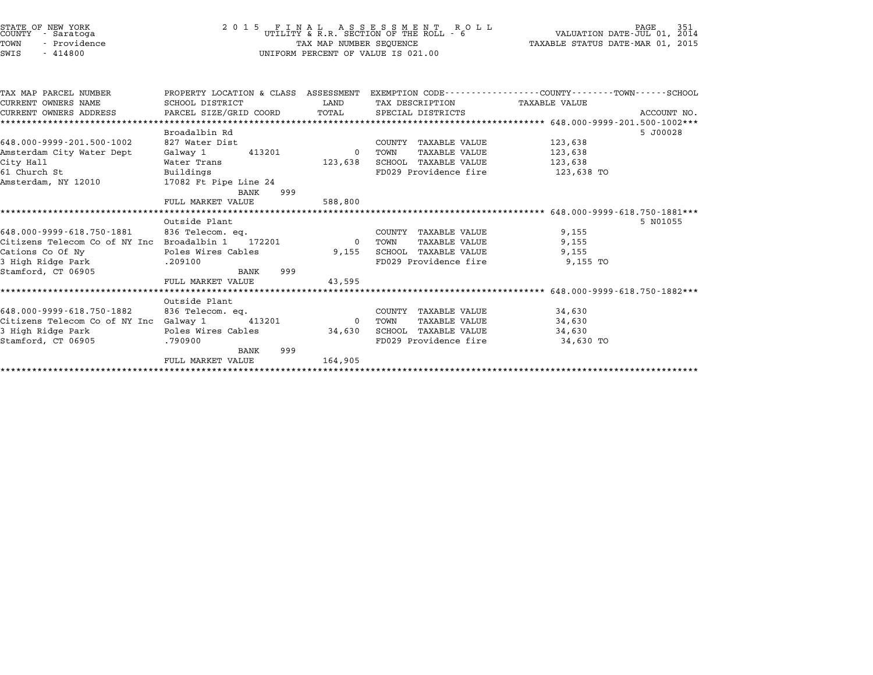| STATE OF NEW YORK<br>COUNTY<br>- Saratoga<br>- Providence<br>TOWN<br>$-414800$<br>SWIS |                                                                                                                  | TAX MAP NUMBER SEQUENCE | 2015 FINAL ASSESSMENT ROUTLITY & R.R. SECTION OF THE ROLL - 6<br>R O L L<br>UNIFORM PERCENT OF VALUE IS 021.00 | VALUATION DATE-JUL 01,<br>TAXABLE STATUS DATE-MAR 01, 2015 | 351<br>PAGE<br>2014 |
|----------------------------------------------------------------------------------------|------------------------------------------------------------------------------------------------------------------|-------------------------|----------------------------------------------------------------------------------------------------------------|------------------------------------------------------------|---------------------|
| TAX MAP PARCEL NUMBER<br>CURRENT OWNERS NAME                                           | PROPERTY LOCATION & CLASS ASSESSMENT EXEMPTION CODE--------------COUNTY-------TOWN-----SCHOOL<br>SCHOOL DISTRICT | LAND                    | TAX DESCRIPTION                                                                                                | <b>TAXABLE VALUE</b>                                       |                     |
| CURRENT OWNERS ADDRESS                                                                 | PARCEL SIZE/GRID COORD                                                                                           | TOTAL                   | SPECIAL DISTRICTS                                                                                              |                                                            | ACCOUNT NO.         |
| *************************                                                              |                                                                                                                  |                         |                                                                                                                |                                                            |                     |
|                                                                                        | Broadalbin Rd                                                                                                    |                         |                                                                                                                |                                                            | 5 J00028            |
| 648.000-9999-201.500-1002                                                              | 827 Water Dist                                                                                                   |                         | COUNTY TAXABLE VALUE                                                                                           | 123,638                                                    |                     |
| Amsterdam City Water Dept                                                              | Galway 1<br>413201                                                                                               | $\Omega$                | TOWN<br><b>TAXABLE VALUE</b>                                                                                   | 123,638                                                    |                     |
| City Hall                                                                              | Water Trans                                                                                                      | 123,638                 | <b>SCHOOL TAXABLE VALUE</b>                                                                                    | 123,638                                                    |                     |
| 61 Church St                                                                           | Buildings                                                                                                        |                         | FD029 Providence fire                                                                                          | 123,638 TO                                                 |                     |
| Amsterdam, NY 12010                                                                    | 17082 Ft Pipe Line 24                                                                                            |                         |                                                                                                                |                                                            |                     |
|                                                                                        | BANK<br>999<br>FULL MARKET VALUE                                                                                 | 588,800                 |                                                                                                                |                                                            |                     |
|                                                                                        |                                                                                                                  |                         |                                                                                                                |                                                            |                     |
|                                                                                        | Outside Plant                                                                                                    |                         |                                                                                                                |                                                            | 5 N01055            |
| 648.000-9999-618.750-1881                                                              | 836 Telecom. ea.                                                                                                 |                         | COUNTY TAXABLE VALUE                                                                                           | 9,155                                                      |                     |
| Citizens Telecom Co of NY Inc Broadalbin 1                                             | 172201                                                                                                           | $\overline{0}$          | TOWN<br><b>TAXABLE VALUE</b>                                                                                   | 9,155                                                      |                     |
| Cations Co Of Ny                                                                       | Poles Wires Cables                                                                                               | 9,155                   | SCHOOL TAXABLE VALUE                                                                                           | 9,155                                                      |                     |
| 3 High Ridge Park                                                                      | .209100                                                                                                          |                         | FD029 Providence fire                                                                                          | 9,155 TO                                                   |                     |
| Stamford, CT 06905                                                                     | BANK<br>999                                                                                                      |                         |                                                                                                                |                                                            |                     |
|                                                                                        | FULL MARKET VALUE                                                                                                | 43,595                  |                                                                                                                |                                                            |                     |
|                                                                                        | *************************                                                                                        |                         |                                                                                                                | ****************** 648.000-9999-618.750-1882***            |                     |
|                                                                                        | Outside Plant                                                                                                    |                         |                                                                                                                |                                                            |                     |
| 648.000-9999-618.750-1882                                                              | 836 Telecom. eq.                                                                                                 |                         | COUNTY TAXABLE VALUE                                                                                           | 34,630                                                     |                     |
| Citizens Telecom Co of NY Inc Galway 1                                                 | 413201<br>Poles Wires Cables                                                                                     | $\Omega$                | <b>TAXABLE VALUE</b><br>TOWN<br>SCHOOL TAXABLE VALUE                                                           | 34,630<br>34,630                                           |                     |
| 3 High Ridge Park<br>Stamford, CT 06905                                                | .790900                                                                                                          | 34,630                  | FD029 Providence fire                                                                                          | 34,630 TO                                                  |                     |
|                                                                                        | 999<br>BANK                                                                                                      |                         |                                                                                                                |                                                            |                     |
|                                                                                        | FULL MARKET VALUE                                                                                                | 164,905                 |                                                                                                                |                                                            |                     |
|                                                                                        |                                                                                                                  |                         |                                                                                                                |                                                            |                     |
|                                                                                        |                                                                                                                  |                         |                                                                                                                |                                                            |                     |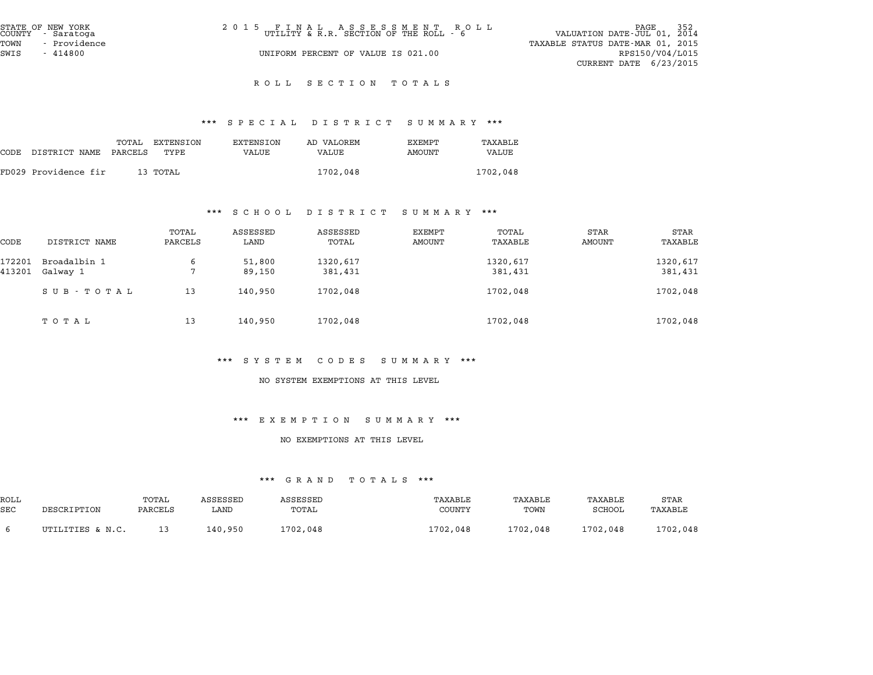| STATE OF NEW YORK<br>COUNTY - Saratoga<br>TOWN<br>- Providence | 2015 FINAL ASSESSMENT ROLL<br>UTILITY & R.R. SECTION OF THE ROLL - 6 | 352<br>PAGE<br>VALUATION DATE-JUL 01, 2014<br>TAXABLE STATUS DATE-MAR 01, 2015 |
|----------------------------------------------------------------|----------------------------------------------------------------------|--------------------------------------------------------------------------------|
| SWIS<br>$-414800$                                              | UNIFORM PERCENT OF VALUE IS 021.00                                   | RPS150/V04/L015<br>CURRENT DATE $6/23/2015$                                    |

# R O L L S E C T I O N T O T A L S

# \*\*\* S P E C I A L D I S T R I C T S U M M A R Y \*\*\*

|      |                      |                  |                   |                    | protan plotatol pohhaat |                  | .                |
|------|----------------------|------------------|-------------------|--------------------|-------------------------|------------------|------------------|
| CODE | DISTRICT NAME        | TOTAL<br>PARCELS | EXTENSION<br>TYPE | EXTENSION<br>VALUE | AD VALOREM<br>VALUE     | EXEMPT<br>AMOUNT | TAXABLE<br>VALUE |
|      | FD029 Providence fir |                  | 13 ТОТАL          |                    | 1702,048                |                  | 1702,048         |

#### \*\*\* S C H O O L D I S T R I C T S U M M A R Y \*\*\*

|        |               |                  | ש ט ת ט פ        | .                 | נת משני טכ       | .                |                |                 |
|--------|---------------|------------------|------------------|-------------------|------------------|------------------|----------------|-----------------|
| CODE   | DISTRICT NAME | TOTAL<br>PARCELS | ASSESSED<br>LAND | ASSESSED<br>TOTAL | EXEMPT<br>AMOUNT | TOTAL<br>TAXABLE | STAR<br>AMOUNT | STAR<br>TAXABLE |
| 172201 | Broadalbin 1  | 6                | 51,800           | 1320,617          |                  | 1320,617         |                | 1320,617        |
| 413201 | Galway 1      | $\mathbf{r}$     | 89,150           | 381,431           |                  | 381,431          |                | 381,431         |
|        | SUB-TOTAL     | 13               | 140,950          | 1702,048          |                  | 1702,048         |                | 1702,048        |
|        | ТОТАЬ         | 13               | 140,950          | 1702,048          |                  | 1702,048         |                | 1702,048        |

#### \*\*\* S Y S T E M C O D E S S U M M A R Y \*\*\*

### NO SYSTEM EXEMPTIONS AT THIS LEVEL

# \*\*\* E X E M P T I O N S U M M A R Y \*\*\*

# NO EXEMPTIONS AT THIS LEVEL

|            | .<br>.           |         |          |          |          |          |          |          |  |  |
|------------|------------------|---------|----------|----------|----------|----------|----------|----------|--|--|
| ROLL       |                  | TOTAL   | ASSESSED | ASSESSED | TAXABLE  | TAXABLE  | TAXABLE  | STAR     |  |  |
| <b>SEC</b> | DESCRIPTION      | PARCELS | LAND     | TOTAL    | COUNTY   | TOWN     | SCHOOL   | TAXABLE  |  |  |
|            | UTILITIES & N.C. |         | 140,950  | 1702,048 | 1702,048 | 1702,048 | 1702,048 | 1702,048 |  |  |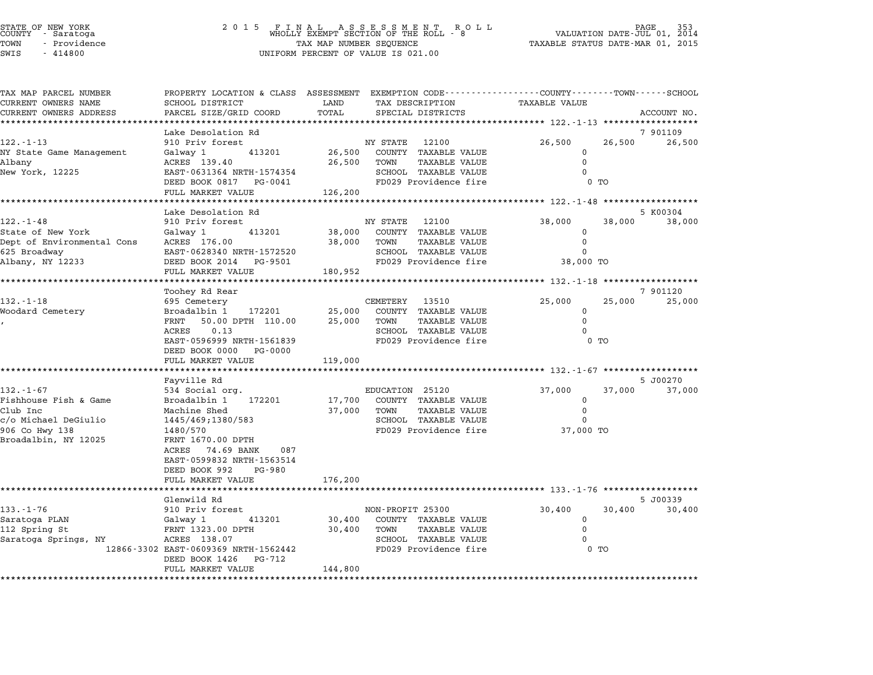| STATE OF NEW YORK |  |              |  |
|-------------------|--|--------------|--|
| COUNTY            |  | - Saratoga   |  |
| TOWN              |  | - Providence |  |
|                   |  |              |  |

# STATE OF NEW YORK <sup>2</sup> <sup>0</sup> <sup>1</sup> 5 F I N A L A S S E S S M E N T R O L L PAGE <sup>353</sup> COUNTY - Saratoga WHOLLY EXEMPT SECTION OF THE ROLL - <sup>8</sup> VALUATION DATE-JUL 01, <sup>2014</sup> TOWN - Providence TAX MAP NUMBER SEQUENCE TAXABLE STATUS DATE-MAR 01, <sup>2015</sup> TOWN - Providence and the state of the state of the state of the state of the state of the state of the state o<br>SWIS - 414800 SWIS - SWISSED BERCENT OF VALUE IS 021.00

| TAX MAP PARCEL NUMBER                  | PROPERTY LOCATION & CLASS ASSESSMENT EXEMPTION CODE---------------COUNTY-------TOWN-----SCHOOL |                  |                  |                                               |                                            |        |                    |
|----------------------------------------|------------------------------------------------------------------------------------------------|------------------|------------------|-----------------------------------------------|--------------------------------------------|--------|--------------------|
| CURRENT OWNERS NAME                    | <b>SCHOOL DISTRICT</b>                                                                         | LAND             |                  | TAX DESCRIPTION                               | <b>TAXABLE VALUE</b>                       |        |                    |
| CURRENT OWNERS ADDRESS                 | PARCEL SIZE/GRID COORD                                                                         | TOTAL            |                  | SPECIAL DISTRICTS                             |                                            |        | ACCOUNT NO.        |
|                                        | Lake Desolation Rd                                                                             |                  |                  |                                               |                                            |        | 7 901109           |
| $122. - 1 - 13$                        | 910 Priv forest                                                                                |                  | NY STATE         | 12100                                         | 26,500                                     | 26,500 | 26,500             |
| NY State Game Management               | 413201<br>Galway 1                                                                             | 26,500           |                  | COUNTY TAXABLE VALUE                          | $\mathbf 0$                                |        |                    |
| Albany                                 | ACRES 139.40                                                                                   | 26,500           | TOWN             | TAXABLE VALUE                                 | $\mathbf 0$                                |        |                    |
| New York, 12225                        | EAST-0631364 NRTH-1574354                                                                      |                  |                  | SCHOOL TAXABLE VALUE                          | $\Omega$                                   |        |                    |
|                                        | DEED BOOK 0817<br>PG-0041                                                                      |                  |                  | FD029 Providence fire                         |                                            | $0$ TO |                    |
|                                        | FULL MARKET VALUE                                                                              | 126,200          |                  |                                               |                                            |        |                    |
|                                        |                                                                                                |                  |                  |                                               | ************ 122.-1-48 ******************* |        |                    |
| $122. - 1 - 48$                        | Lake Desolation Rd<br>910 Priv forest                                                          |                  | NY STATE         | 12100                                         | 38,000                                     | 38,000 | 5 K00304<br>38,000 |
| State of New York                      | Galway 1<br>413201                                                                             | 38,000           |                  | COUNTY TAXABLE VALUE                          | 0                                          |        |                    |
| Dept of Environmental Cons             | ACRES 176.00                                                                                   | 38,000           | TOWN             | <b>TAXABLE VALUE</b>                          | 0                                          |        |                    |
| 625 Broadway                           | EAST-0628340 NRTH-1572520                                                                      |                  |                  | SCHOOL TAXABLE VALUE                          | $\Omega$                                   |        |                    |
| Albany, NY 12233                       | DEED BOOK 2014<br>PG-9501                                                                      |                  |                  | FD029 Providence fire                         | 38,000 TO                                  |        |                    |
|                                        | FULL MARKET VALUE                                                                              | 180,952          |                  |                                               |                                            |        |                    |
|                                        |                                                                                                |                  |                  |                                               |                                            |        |                    |
|                                        | Toohey Rd Rear                                                                                 |                  |                  |                                               |                                            |        | 7 901120           |
| $132. - 1 - 18$                        | 695 Cemetery                                                                                   |                  | CEMETERY         | 13510                                         | 25,000                                     | 25,000 | 25,000             |
| Woodard Cemetery                       | Broadalbin 1<br>172201<br>FRNT<br>50.00 DPTH 110.00                                            | 25,000<br>25,000 | TOWN             | COUNTY TAXABLE VALUE<br><b>TAXABLE VALUE</b>  | $\mathbf 0$<br>$\Omega$                    |        |                    |
|                                        | 0.13<br>ACRES                                                                                  |                  |                  | SCHOOL TAXABLE VALUE                          | $\Omega$                                   |        |                    |
|                                        | EAST-0596999 NRTH-1561839                                                                      |                  |                  | FD029 Providence fire                         |                                            | $0$ TO |                    |
|                                        | DEED BOOK 0000<br>PG-0000                                                                      |                  |                  |                                               |                                            |        |                    |
|                                        | FULL MARKET VALUE                                                                              | 119,000          |                  |                                               |                                            |        |                    |
|                                        |                                                                                                |                  |                  |                                               |                                            |        |                    |
|                                        | Fayville Rd                                                                                    |                  |                  |                                               |                                            |        | 5 J00270           |
| $132. - 1 - 67$                        | 534 Social org.                                                                                |                  | EDUCATION 25120  |                                               | 37,000                                     | 37,000 | 37,000             |
| Fishhouse Fish & Game                  | Broadalbin 1<br>172201                                                                         | 17,700           |                  | COUNTY TAXABLE VALUE                          | 0                                          |        |                    |
| Club Inc                               | Machine Shed                                                                                   | 37,000           | TOWN             | TAXABLE VALUE                                 | $\mathbf 0$<br>$\Omega$                    |        |                    |
| c/o Michael DeGiulio<br>906 Co Hwy 138 | 1445/469;1380/583<br>1480/570                                                                  |                  |                  | SCHOOL TAXABLE VALUE<br>FD029 Providence fire | 37,000 TO                                  |        |                    |
| Broadalbin, NY 12025                   | FRNT 1670.00 DPTH                                                                              |                  |                  |                                               |                                            |        |                    |
|                                        | 74.69 BANK<br>087<br>ACRES                                                                     |                  |                  |                                               |                                            |        |                    |
|                                        | EAST-0599832 NRTH-1563514                                                                      |                  |                  |                                               |                                            |        |                    |
|                                        | DEED BOOK 992<br>PG-980                                                                        |                  |                  |                                               |                                            |        |                    |
|                                        | FULL MARKET VALUE                                                                              | 176,200          |                  |                                               |                                            |        |                    |
|                                        | **********************                                                                         |                  |                  |                                               |                                            |        |                    |
|                                        | Glenwild Rd                                                                                    |                  |                  |                                               |                                            |        | 5 J00339           |
| $133. - 1 - 76$                        | 910 Priv forest                                                                                |                  | NON-PROFIT 25300 |                                               | 30,400                                     | 30,400 | 30,400             |
| Saratoga PLAN                          | 413201<br>Galway 1                                                                             | 30,400           |                  | COUNTY TAXABLE VALUE                          | 0                                          |        |                    |
| 112 Spring St<br>Saratoga Springs, NY  | FRNT 1323.00 DPTH<br>ACRES 138.07                                                              | 30,400           | TOWN             | <b>TAXABLE VALUE</b><br>SCHOOL TAXABLE VALUE  | $\mathbf 0$<br>0                           |        |                    |
|                                        | 12866-3302 EAST-0609369 NRTH-1562442                                                           |                  |                  | FD029 Providence fire                         |                                            | $0$ TO |                    |
|                                        | PG-712<br>DEED BOOK 1426                                                                       |                  |                  |                                               |                                            |        |                    |
|                                        | FULL MARKET VALUE                                                                              | 144,800          |                  |                                               |                                            |        |                    |
|                                        |                                                                                                |                  |                  |                                               |                                            |        |                    |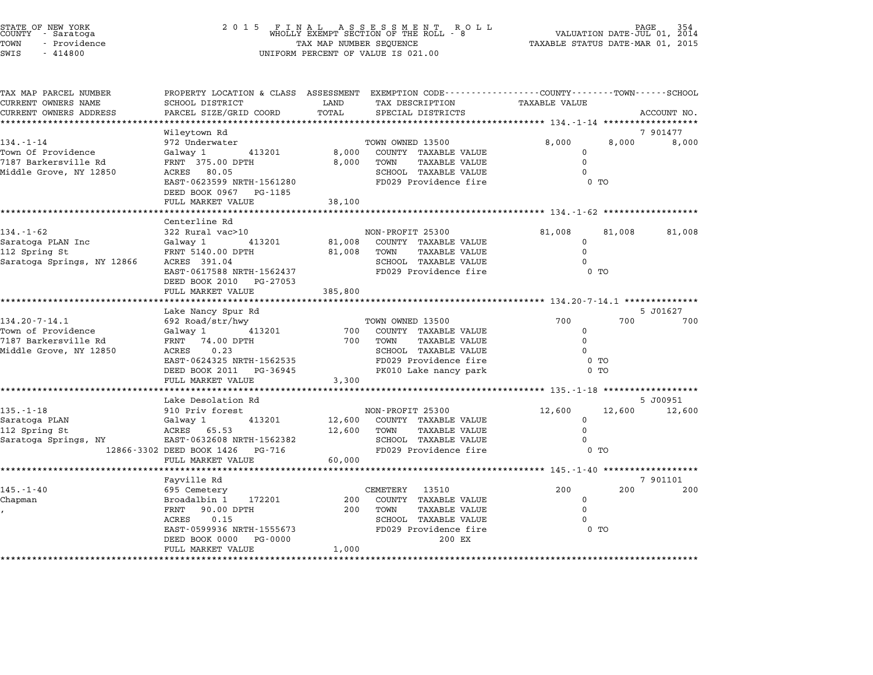| STATE OF NEW YORK<br>COUNTY - Saratoga<br>TOWN<br>- Providence<br>SWIS<br>$-414800$ | 2 0 1 5<br>FINAL ASSESSMENT ROL<br>WHOLLY EXEMPT SECTION OF THE ROLL - 8<br>TAX MAP NUMBER SEQUENCE<br>UNIFORM PERCENT OF VALUE IS 021.00 | R O L L    | PAGE<br>354<br>VALUATION DATE-JUL 01, 2014<br>TAXABLE STATUS DATE-MAR 01, 2015 |                                          |        |                 |
|-------------------------------------------------------------------------------------|-------------------------------------------------------------------------------------------------------------------------------------------|------------|--------------------------------------------------------------------------------|------------------------------------------|--------|-----------------|
| TAX MAP PARCEL NUMBER<br>CURRENT OWNERS NAME                                        | PROPERTY LOCATION & CLASS ASSESSMENT EXEMPTION CODE---------------COUNTY-------TOWN------SCHOOL<br>SCHOOL DISTRICT                        | LAND       | TAX DESCRIPTION                                                                | <b>TAXABLE VALUE</b>                     |        |                 |
| CURRENT OWNERS ADDRESS                                                              | PARCEL SIZE/GRID COORD                                                                                                                    | TOTAL      | SPECIAL DISTRICTS                                                              |                                          |        | ACCOUNT NO.     |
|                                                                                     | Wileytown Rd                                                                                                                              |            |                                                                                |                                          |        | 7 901477        |
| $134. - 1 - 14$                                                                     | 972 Underwater                                                                                                                            |            | TOWN OWNED 13500                                                               | 8,000                                    | 8,000  | 8,000           |
| Town Of Providence                                                                  | Galway 1<br>413201                                                                                                                        | 8,000      | COUNTY TAXABLE VALUE                                                           | $\mathbf 0$                              |        |                 |
| 7187 Barkersville Rd                                                                | FRNT 375.00 DPTH                                                                                                                          | 8,000      | <b>TAXABLE VALUE</b><br>TOWN                                                   | $\mathbf 0$                              |        |                 |
| Middle Grove, NY 12850                                                              | ACRES 80.05                                                                                                                               |            | SCHOOL TAXABLE VALUE                                                           | $\Omega$                                 |        |                 |
|                                                                                     | EAST-0623599 NRTH-1561280                                                                                                                 |            | FD029 Providence fire                                                          |                                          | $0$ TO |                 |
|                                                                                     | DEED BOOK 0967 PG-1185<br>FULL MARKET VALUE                                                                                               | 38,100     |                                                                                |                                          |        |                 |
|                                                                                     | *******************                                                                                                                       |            |                                                                                |                                          |        |                 |
|                                                                                     | Centerline Rd                                                                                                                             |            |                                                                                |                                          |        |                 |
| $134. - 1 - 62$                                                                     | 322 Rural vac>10                                                                                                                          |            | NON-PROFIT 25300                                                               | 81,008                                   | 81,008 | 81,008          |
| Saratoga PLAN Inc                                                                   | Galway 1<br>413201                                                                                                                        | 81,008     | COUNTY TAXABLE VALUE                                                           | $\Omega$                                 |        |                 |
| 112 Spring St                                                                       | FRNT 5140.00 DPTH                                                                                                                         | 81,008     | <b>TAXABLE VALUE</b><br>TOWN                                                   | $\mathbf 0$                              |        |                 |
| Saratoga Springs, NY 12866                                                          | ACRES 391.04<br>EAST-0617588 NRTH-1562437                                                                                                 |            | SCHOOL TAXABLE VALUE<br>FD029 Providence fire                                  | $\mathbf 0$                              | $0$ TO |                 |
|                                                                                     | DEED BOOK 2010<br>PG-27053                                                                                                                |            |                                                                                |                                          |        |                 |
|                                                                                     | FULL MARKET VALUE                                                                                                                         | 385,800    |                                                                                |                                          |        |                 |
|                                                                                     | * * * * * * * * * * * * * * * * * * *                                                                                                     |            |                                                                                |                                          |        |                 |
|                                                                                     | Lake Nancy Spur Rd                                                                                                                        |            |                                                                                |                                          |        | 5 J01627        |
| $134.20 - 7 - 14.1$                                                                 | 692 Road/str/hwy                                                                                                                          |            | TOWN OWNED 13500                                                               | 700                                      | 700    | 700             |
| Town of Providence<br>7187 Barkersville Rd                                          | Galway 1<br>413201<br>FRNT 74.00 DPTH                                                                                                     | 700<br>700 | COUNTY TAXABLE VALUE<br>TOWN<br><b>TAXABLE VALUE</b>                           | $\mathbf 0$<br>$\mathbf 0$               |        |                 |
| Middle Grove, NY 12850                                                              | ACRES<br>0.23                                                                                                                             |            | SCHOOL TAXABLE VALUE                                                           | $\Omega$                                 |        |                 |
|                                                                                     | EAST-0624325 NRTH-1562535                                                                                                                 |            | FD029 Providence fire                                                          |                                          | $0$ TO |                 |
|                                                                                     | DEED BOOK 2011 PG-36945                                                                                                                   |            | PK010 Lake nancy park                                                          |                                          | $0$ TO |                 |
|                                                                                     | FULL MARKET VALUE                                                                                                                         | 3,300      |                                                                                |                                          |        |                 |
|                                                                                     |                                                                                                                                           |            |                                                                                | *********** 135.-1-18 ****************** |        |                 |
|                                                                                     | Lake Desolation Rd                                                                                                                        |            |                                                                                |                                          |        | 5 J00951        |
| 135.-1-18<br>Saratoga PLAN                                                          | 910 Priv forest<br>Galway 1<br>413201                                                                                                     | 12,600     | NON-PROFIT 25300<br>COUNTY TAXABLE VALUE                                       | 12,600<br>0                              | 12,600 | 12,600          |
| 112 Spring St                                                                       | ACRES<br>65.53                                                                                                                            | 12,600     | <b>TAXABLE VALUE</b><br>TOWN                                                   | $\mathbf 0$                              |        |                 |
| Saratoga Springs, NY                                                                | EAST-0632608 NRTH-1562382                                                                                                                 |            | SCHOOL TAXABLE VALUE                                                           | $\mathbf 0$                              |        |                 |
|                                                                                     | 12866-3302 DEED BOOK 1426<br>PG-716                                                                                                       |            | FD029 Providence fire                                                          |                                          | 0 TO   |                 |
|                                                                                     | FULL MARKET VALUE                                                                                                                         | 60,000     |                                                                                |                                          |        |                 |
|                                                                                     |                                                                                                                                           |            |                                                                                | *********** 145.-1-40 ****************** |        |                 |
| $145. - 1 - 40$                                                                     | Fayville Rd<br>695 Cemetery                                                                                                               |            | CEMETERY<br>13510                                                              | 200                                      | 200    | 7 901101<br>200 |
| Chapman                                                                             | Broadalbin 1<br>172201                                                                                                                    | 200        | COUNTY TAXABLE VALUE                                                           | $\mathbf 0$                              |        |                 |
|                                                                                     | FRNT<br>90.00 DPTH                                                                                                                        | 200        | TOWN<br><b>TAXABLE VALUE</b>                                                   | $\mathbf 0$                              |        |                 |
|                                                                                     | ACRES<br>0.15                                                                                                                             |            | SCHOOL TAXABLE VALUE                                                           | $\Omega$                                 |        |                 |
|                                                                                     | EAST-0599936 NRTH-1555673                                                                                                                 |            | FD029 Providence fire                                                          |                                          | $0$ TO |                 |
|                                                                                     | DEED BOOK 0000<br>PG-0000                                                                                                                 |            | 200 EX                                                                         |                                          |        |                 |
|                                                                                     | FULL MARKET VALUE                                                                                                                         | 1,000      |                                                                                |                                          |        |                 |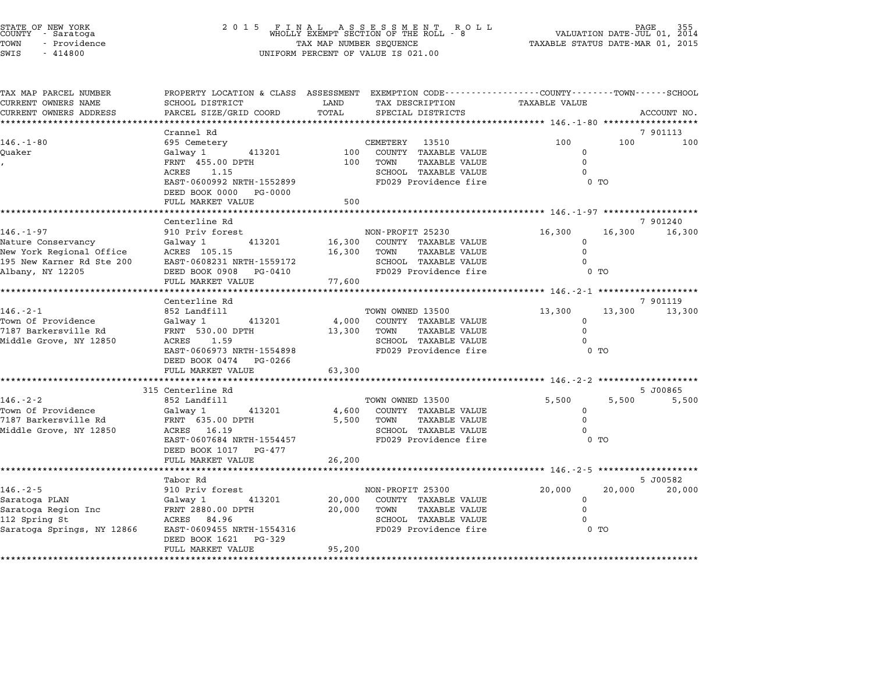| STATE OF NEW YORK<br>COUNTY - Saratoga |  |              |  |
|----------------------------------------|--|--------------|--|
| TOWN                                   |  | - Providence |  |
| $\sim$ $\sim$ $\sim$                   |  | 111000       |  |

# STATE OF NEW YORK <sup>2</sup> <sup>0</sup> <sup>1</sup> 5 F I N A L A S S E S S M E N T R O L L PAGE <sup>355</sup> COUNTY - Saratoga WHOLLY EXEMPT SECTION OF THE ROLL - <sup>8</sup> VALUATION DATE-JUL 01, <sup>2014</sup> TOWN - Providence TAX MAP NUMBER SEQUENCE TAXABLE STATUS DATE-MAR 01, <sup>2015</sup> TOWN - Providence and the state of the state of the state of the state of the state of the state of the state o<br>SWIS - 414800 SWIS - SWISSED BERCENT OF VALUE IS 021.00

| TAX MAP PARCEL NUMBER<br>CURRENT OWNERS NAME | SCHOOL DISTRICT                                     | LAND   | PROPERTY LOCATION & CLASS ASSESSMENT EXEMPTION CODE----------------COUNTY-------TOWN------SCHOOL<br>TAX DESCRIPTION | <b>TAXABLE VALUE</b> |                  |
|----------------------------------------------|-----------------------------------------------------|--------|---------------------------------------------------------------------------------------------------------------------|----------------------|------------------|
| CURRENT OWNERS ADDRESS                       | PARCEL SIZE/GRID COORD                              | TOTAL  | SPECIAL DISTRICTS                                                                                                   |                      | ACCOUNT NO.      |
|                                              |                                                     |        |                                                                                                                     |                      |                  |
|                                              | Crannel Rd                                          |        |                                                                                                                     |                      | 7 901113         |
| $146. - 1 - 80$                              | 695 Cemetery                                        |        | CEMETERY 13510                                                                                                      | 100                  | 100<br>100       |
| Ouaker                                       | 413201<br>Galway 1                                  |        | 100 COUNTY TAXABLE VALUE                                                                                            | $\Omega$             |                  |
|                                              | FRNT 455.00 DPTH                                    |        | 100 TOWN<br>TAXABLE VALUE                                                                                           | $\Omega$             |                  |
|                                              | ACRES 1.15                                          |        | SCHOOL TAXABLE VALUE<br>FD029 Providence fire                                                                       | $\Omega$             |                  |
|                                              | EAST-0600992 NRTH-1552899<br>DEED BOOK 0000 PG-0000 |        |                                                                                                                     | $0$ TO               |                  |
|                                              | FULL MARKET VALUE                                   | 500    |                                                                                                                     |                      |                  |
|                                              |                                                     |        |                                                                                                                     |                      |                  |
|                                              | Centerline Rd                                       |        |                                                                                                                     |                      | 7 901240         |
| $146. - 1 - 97$                              | 910 Priv forest                                     |        | NON-PROFIT 25230                                                                                                    | 16,300               | 16,300<br>16,300 |
| Nature Conservancy                           | Galway 1 413201                                     |        | 16,300 COUNTY TAXABLE VALUE                                                                                         | $\Omega$             |                  |
| New York Regional Office ACRES 105.15        |                                                     |        | TAXABLE VALUE<br>16,300 TOWN                                                                                        | $\Omega$             |                  |
| 195 New Karner Rd Ste 200                    | EAST-0608231 NRTH-1559172                           |        | SCHOOL TAXABLE VALUE                                                                                                | $\Omega$             |                  |
| Albany, NY 12205                             | DEED BOOK 0908 PG-0410                              |        | FD029 Providence fire                                                                                               | 0 <sub>T</sub>       |                  |
|                                              | FULL MARKET VALUE                                   | 77,600 |                                                                                                                     |                      |                  |
|                                              |                                                     |        |                                                                                                                     |                      |                  |
|                                              | Centerline Rd                                       |        |                                                                                                                     |                      | 7 901119         |
| $146. - 2 - 1$                               | 852 Landfill                                        |        | TOWN OWNED 13500                                                                                                    | 13,300               | 13,300 13,300    |
| Town Of Providence<br>7187 Barkersville Rd   | Galway 1 413201                                     |        | 4,000 COUNTY TAXABLE VALUE                                                                                          | $\Omega$<br>$\Omega$ |                  |
| Middle Grove, NY 12850                       | FRNT 530.00 DPTH<br>ACRES 1.59                      | 13,300 | TOWN<br>TAXABLE VALUE<br>SCHOOL TAXABLE VALUE                                                                       | $\Omega$             |                  |
|                                              | EAST-0606973 NRTH-1554898                           |        | FD029 Providence fire                                                                                               | $0$ TO               |                  |
|                                              | DEED BOOK 0474 PG-0266                              |        |                                                                                                                     |                      |                  |
|                                              | FULL MARKET VALUE                                   | 63,300 |                                                                                                                     |                      |                  |
|                                              | *************************                           |        |                                                                                                                     |                      |                  |
|                                              | 315 Centerline Rd                                   |        |                                                                                                                     |                      | 5 J00865         |
| $146. - 2 - 2$                               | 852 Landfill                                        |        | TOWN OWNED 13500                                                                                                    | 5,500                | 5,500<br>5,500   |
| Town Of Providence                           | Galway 1 413201                                     |        | 4,600 COUNTY TAXABLE VALUE                                                                                          | $\mathbf 0$          |                  |
| 7187 Barkersville Rd                         | FRNT 635.00 DPTH                                    |        | 5,500 TOWN<br>TAXABLE VALUE                                                                                         | $\Omega$             |                  |
| Middle Grove, NY 12850                       | ACRES 16.19                                         |        | SCHOOL TAXABLE VALUE                                                                                                | $\Omega$             |                  |
|                                              | EAST-0607684 NRTH-1554457                           |        | FD029 Providence fire                                                                                               | 0 <sub>T</sub>       |                  |
|                                              | DEED BOOK 1017 PG-477                               |        |                                                                                                                     |                      |                  |
|                                              | FULL MARKET VALUE                                   | 26,200 |                                                                                                                     |                      |                  |
|                                              |                                                     |        |                                                                                                                     |                      |                  |
| $146. - 2 - 5$                               | Tabor Rd<br>910 Priv forest                         |        |                                                                                                                     |                      | 5 J00582         |
| Saratoga PLAN                                | Galway 1 413201                                     |        | NON-PROFIT 25300<br>20,000 COUNTY TAXABLE VALUE                                                                     | 20,000<br>$\Omega$   | 20,000<br>20,000 |
| Saratoga Region Inc                          | FRNT 2880.00 DPTH                                   |        | 20,000 TOWN<br>TAXABLE VALUE                                                                                        | $\mathbf 0$          |                  |
| 112 Spring St                                | ACRES 84.96                                         |        | SCHOOL TAXABLE VALUE                                                                                                |                      |                  |
| Saratoga Springs, NY 12866                   | EAST-0609455 NRTH-1554316                           |        | FD029 Providence fire                                                                                               | $\sim$ 0 TO          |                  |
|                                              | DEED BOOK 1621 PG-329                               |        |                                                                                                                     |                      |                  |
|                                              |                                                     |        |                                                                                                                     |                      |                  |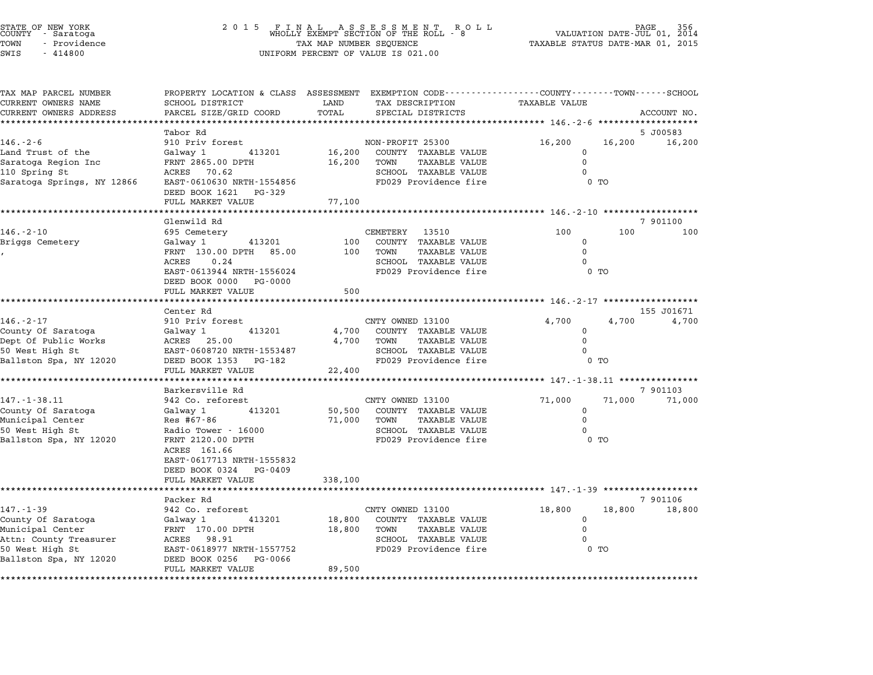|                 | STATE OF NEW YORK |  |
|-----------------|-------------------|--|
|                 | COUNTY - Saratoga |  |
| TOWN            | - Providence      |  |
| $\sim - - \sim$ | 111000            |  |

| TAX MAP PARCEL NUMBER<br>CURRENT OWNERS NAME                        | PROPERTY LOCATION & CLASS ASSESSMENT<br><b>SCHOOL DISTRICT</b> | LAND             |                  | TAX DESCRIPTION                                      | EXEMPTION CODE-----------------COUNTY-------TOWN------SCHOOL<br><b>TAXABLE VALUE</b> |                |             |
|---------------------------------------------------------------------|----------------------------------------------------------------|------------------|------------------|------------------------------------------------------|--------------------------------------------------------------------------------------|----------------|-------------|
| CURRENT OWNERS ADDRESS                                              | PARCEL SIZE/GRID COORD                                         | TOTAL            |                  | SPECIAL DISTRICTS                                    |                                                                                      |                | ACCOUNT NO. |
|                                                                     |                                                                | ******           |                  |                                                      |                                                                                      |                |             |
|                                                                     | Tabor Rd                                                       |                  |                  |                                                      |                                                                                      |                | 5 J00583    |
| $146. - 2 - 6$                                                      | 910 Priv forest                                                |                  | NON-PROFIT 25300 |                                                      | 16,200                                                                               | 16,200         | 16,200      |
| Land Trust of the                                                   | Galway 1<br>413201<br>FRNT 2865.00 DPTH                        | 16,200<br>16,200 | TOWN             | COUNTY TAXABLE VALUE<br><b>TAXABLE VALUE</b>         | $\mathbf 0$<br>$\mathbf 0$                                                           |                |             |
| Saratoga Region Inc<br>110 Spring St                                | ACRES<br>70.62                                                 |                  |                  | SCHOOL TAXABLE VALUE                                 | $\Omega$                                                                             |                |             |
| Saratoga Springs, NY 12866                                          | EAST-0610630 NRTH-1554856                                      |                  |                  | FD029 Providence fire                                |                                                                                      | $0$ TO         |             |
|                                                                     | DEED BOOK 1621<br>PG-329                                       |                  |                  |                                                      |                                                                                      |                |             |
|                                                                     | FULL MARKET VALUE                                              | 77,100           |                  |                                                      |                                                                                      |                |             |
|                                                                     |                                                                |                  |                  |                                                      | ********************** 146 <sub>.</sub> -2-10 *******************                    |                |             |
|                                                                     | Glenwild Rd                                                    |                  |                  |                                                      |                                                                                      |                | 7 901100    |
| $146. - 2 - 10$                                                     | 695 Cemetery                                                   |                  | <b>CEMETERY</b>  | 13510                                                | 100                                                                                  | 100            | 100         |
| Briggs Cemetery                                                     | 413201<br>Galway 1                                             | 100              |                  | COUNTY TAXABLE VALUE                                 | $\Omega$                                                                             |                |             |
|                                                                     | FRNT 130.00 DPTH 85.00                                         | 100              | TOWN             | <b>TAXABLE VALUE</b>                                 | $\Omega$                                                                             |                |             |
|                                                                     | 0.24<br>ACRES                                                  |                  |                  | SCHOOL TAXABLE VALUE                                 | U                                                                                    |                |             |
|                                                                     | EAST-0613944 NRTH-1556024<br>DEED BOOK 0000<br>PG-0000         |                  |                  | FD029 Providence fire                                |                                                                                      | 0 <sub>T</sub> |             |
|                                                                     | FULL MARKET VALUE                                              | 500              |                  |                                                      |                                                                                      |                |             |
|                                                                     | **********************                                         |                  |                  |                                                      |                                                                                      |                |             |
|                                                                     | Center Rd                                                      |                  |                  |                                                      |                                                                                      |                | 155 J01671  |
| $146. - 2 - 17$                                                     | 910 Priv forest                                                |                  | CNTY OWNED 13100 |                                                      | 4,700                                                                                | 4,700          | 4,700       |
| County Of Saratoga                                                  | 413201<br>Galway 1                                             | 4,700            |                  | COUNTY TAXABLE VALUE                                 | $\Omega$                                                                             |                |             |
| Dept Of Public Works                                                | ACRES 25.00                                                    | 4,700            | TOWN             | TAXABLE VALUE                                        | $\Omega$<br>$\Omega$                                                                 |                |             |
| 50 West High St<br>Ballston Spa, NY 12020                           | EAST-0608720 NRTH-1553487<br>DEED BOOK 1353<br>PG-182          |                  |                  | <b>SCHOOL TAXABLE VALUE</b><br>FD029 Providence fire |                                                                                      | 0 TO           |             |
|                                                                     | FULL MARKET VALUE                                              | 22,400           |                  |                                                      |                                                                                      |                |             |
|                                                                     | ********************                                           |                  |                  |                                                      | *************** 147.-1-38.11 ***************                                         |                |             |
|                                                                     | Barkersville Rd                                                |                  |                  |                                                      |                                                                                      |                | 7 901103    |
| $147. - 1 - 38.11$                                                  | 942 Co. reforest                                               |                  | CNTY OWNED 13100 |                                                      | 71,000                                                                               | 71,000         | 71,000      |
| County Of Saratoga                                                  | Galway 1<br>413201                                             | 50,500           |                  | COUNTY TAXABLE VALUE                                 | $\mathbf 0$                                                                          |                |             |
| Municipal Center                                                    | Res #67-86                                                     | 71,000           | TOWN             | <b>TAXABLE VALUE</b>                                 | $\mathbf 0$                                                                          |                |             |
| 50 West High St                                                     | Radio Tower - 16000                                            |                  |                  | <b>SCHOOL TAXABLE VALUE</b>                          | $\Omega$                                                                             |                |             |
| Ballston Spa, NY 12020                                              | FRNT 2120.00 DPTH                                              |                  |                  | FD029 Providence fire                                |                                                                                      | $0$ TO         |             |
|                                                                     | ACRES 161.66                                                   |                  |                  |                                                      |                                                                                      |                |             |
|                                                                     | EAST-0617713 NRTH-1555832                                      |                  |                  |                                                      |                                                                                      |                |             |
|                                                                     | DEED BOOK 0324<br>PG-0409                                      |                  |                  |                                                      |                                                                                      |                |             |
|                                                                     | FULL MARKET VALUE                                              | 338,100          |                  |                                                      |                                                                                      |                |             |
|                                                                     | Packer Rd                                                      |                  |                  |                                                      |                                                                                      |                | 7 901106    |
| $147. - 1 - 39$                                                     | 942 Co. reforest                                               |                  | CNTY OWNED 13100 |                                                      | 18,800                                                                               | 18,800         | 18,800      |
| County Of Saratoga                                                  | 413201<br>Galway 1                                             | 18,800           |                  | COUNTY TAXABLE VALUE                                 | 0                                                                                    |                |             |
| Municipal Center                                                    | FRNT 170.00 DPTH                                               | 18,800           | TOWN             | <b>TAXABLE VALUE</b>                                 | $\Omega$                                                                             |                |             |
|                                                                     |                                                                |                  |                  |                                                      |                                                                                      |                |             |
|                                                                     | ACRES<br>98.91                                                 |                  |                  | SCHOOL TAXABLE VALUE                                 | 0                                                                                    |                |             |
|                                                                     | EAST-0618977 NRTH-1557752                                      |                  |                  | FD029 Providence fire                                |                                                                                      | $0$ TO         |             |
| Attn: County Treasurer<br>50 West High St<br>Ballston Spa, NY 12020 | DEED BOOK 0256<br>PG-0066                                      |                  |                  |                                                      |                                                                                      |                |             |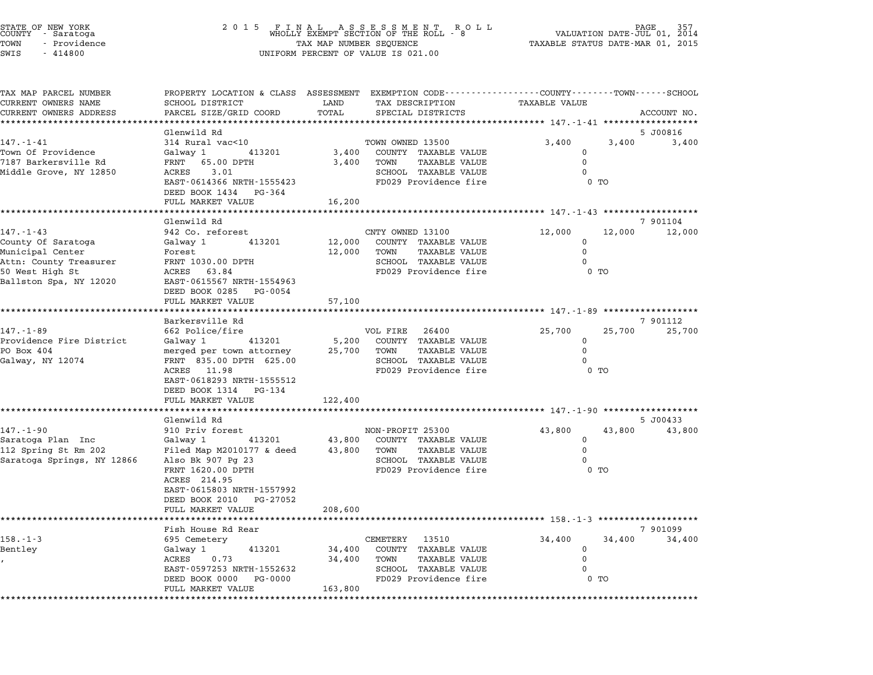| STATE OF NEW YORK<br>COUNTY - Saratoga |  |              |  |
|----------------------------------------|--|--------------|--|
| TOWN                                   |  | - Providence |  |
| SWTS                                   |  | $-414800$    |  |

# STATE OF NEW YORK <sup>2</sup> <sup>0</sup> <sup>1</sup> 5 F I N A L A S S E S S M E N T R O L L PAGE <sup>357</sup> COUNTY - Saratoga WHOLLY EXEMPT SECTION OF THE ROLL - <sup>8</sup> VALUATION DATE-JUL 01, <sup>2014</sup> TOWN - Providence TAX MAP NUMBER SEQUENCE TAXABLE STATUS DATE-MAR 01, <sup>2015</sup> TOWN - Providence **Example 20 Servest SES** UNIFORM PERCENT OF VALUE IS 021.00

| TAX MAP PARCEL NUMBER                         |                                                      |               | PROPERTY LOCATION & CLASS ASSESSMENT EXEMPTION CODE---------------COUNTY-------TOWN-----SCHOOL |                                               |        |                    |
|-----------------------------------------------|------------------------------------------------------|---------------|------------------------------------------------------------------------------------------------|-----------------------------------------------|--------|--------------------|
| CURRENT OWNERS NAME<br>CURRENT OWNERS ADDRESS | SCHOOL DISTRICT<br>PARCEL SIZE/GRID COORD            | LAND<br>TOTAL | TAX DESCRIPTION<br>SPECIAL DISTRICTS                                                           | TAXABLE VALUE                                 |        | ACCOUNT NO.        |
|                                               |                                                      |               |                                                                                                |                                               |        |                    |
|                                               | Glenwild Rd                                          |               |                                                                                                |                                               |        | 5 J00816           |
| $147. - 1 - 41$                               | 314 Rural vac<10                                     |               | TOWN OWNED 13500                                                                               | 3,400                                         | 3,400  | 3,400              |
| Town Of Providence                            | Galwav 1<br>413201                                   | 3,400         | COUNTY TAXABLE VALUE                                                                           | $\Omega$                                      |        |                    |
| 7187 Barkersville Rd                          | FRNT 65.00 DPTH                                      | 3,400         | TOWN<br><b>TAXABLE VALUE</b>                                                                   | $\Omega$                                      |        |                    |
| Middle Grove, NY 12850                        | ACRES<br>3.01<br>EAST-0614366 NRTH-1555423           |               | SCHOOL TAXABLE VALUE<br>FD029 Providence fire                                                  | $\Omega$                                      | $0$ TO |                    |
|                                               | DEED BOOK 1434 PG-364                                |               |                                                                                                |                                               |        |                    |
|                                               | FULL MARKET VALUE                                    | 16,200        |                                                                                                |                                               |        |                    |
|                                               |                                                      |               |                                                                                                |                                               |        |                    |
| $147. - 1 - 43$                               | Glenwild Rd<br>942 Co. reforest                      |               | CNTY OWNED 13100                                                                               | 12,000                                        | 12,000 | 7 901104<br>12,000 |
| County Of Saratoga                            | Galway 1<br>413201                                   | 12,000        | COUNTY TAXABLE VALUE                                                                           | 0                                             |        |                    |
| Municipal Center                              | Forest                                               | 12,000        | <b>TAXABLE VALUE</b><br>TOWN                                                                   | $\mathbf 0$                                   |        |                    |
| Attn: County Treasurer                        | FRNT 1030.00 DPTH                                    |               | SCHOOL TAXABLE VALUE                                                                           |                                               |        |                    |
| 50 West High St                               | ACRES 63.84                                          |               | FD029 Providence fire                                                                          |                                               | $0$ TO |                    |
| Ballston Spa, NY 12020                        | EAST-0615567 NRTH-1554963                            |               |                                                                                                |                                               |        |                    |
|                                               | DEED BOOK 0285 PG-0054<br>FULL MARKET VALUE          | 57,100        |                                                                                                |                                               |        |                    |
|                                               | ******************                                   |               |                                                                                                | ·************* 147. -1-89 ******************* |        |                    |
|                                               | Barkersville Rd                                      |               |                                                                                                |                                               |        | 7 901112           |
| 147.-1-89                                     | 662 Police/fire                                      |               | VOL FIRE 26400                                                                                 | 25,700                                        | 25,700 | 25,700             |
| Providence Fire District                      | 413201<br>Galway 1                                   | 5,200         | COUNTY TAXABLE VALUE                                                                           | 0                                             |        |                    |
| PO Box 404<br>Galway, NY 12074                | merged per town attorney<br>FRNT 835.00 DPTH 625.00  | 25,700        | TAXABLE VALUE<br>TOWN<br>SCHOOL TAXABLE VALUE                                                  | $\Omega$<br>0                                 |        |                    |
|                                               | ACRES 11.98                                          |               | FD029 Providence fire                                                                          |                                               | $0$ TO |                    |
|                                               | EAST-0618293 NRTH-1555512                            |               |                                                                                                |                                               |        |                    |
|                                               | DEED BOOK 1314 PG-134                                |               |                                                                                                |                                               |        |                    |
|                                               | FULL MARKET VALUE                                    | 122,400       |                                                                                                |                                               |        |                    |
|                                               | Glenwild Rd                                          |               |                                                                                                |                                               |        | 5 J00433           |
| $147. - 1 - 90$                               | 910 Priv forest                                      |               | NON-PROFIT 25300                                                                               | 43,800                                        | 43,800 | 43,800             |
| Saratoga Plan Inc                             | Galway 1<br>413201                                   | 43,800        | COUNTY TAXABLE VALUE                                                                           | $\Omega$                                      |        |                    |
| 112 Spring St Rm 202                          | Filed Map M2010177 & deed                            | 43,800        | TOWN<br>TAXABLE VALUE                                                                          | $\Omega$                                      |        |                    |
| Saratoga Springs, NY 12866                    | Also Bk 907 Pg 23                                    |               | SCHOOL TAXABLE VALUE                                                                           | $\Omega$                                      |        |                    |
|                                               | FRNT 1620.00 DPTH                                    |               | FD029 Providence fire                                                                          |                                               | $0$ TO |                    |
|                                               | ACRES 214.95                                         |               |                                                                                                |                                               |        |                    |
|                                               | EAST-0615803 NRTH-1557992<br>DEED BOOK 2010 PG-27052 |               |                                                                                                |                                               |        |                    |
|                                               | FULL MARKET VALUE                                    | 208,600       |                                                                                                |                                               |        |                    |
|                                               |                                                      |               |                                                                                                | *************** 158.-1-3 ******************** |        |                    |
|                                               | Fish House Rd Rear                                   |               |                                                                                                |                                               |        | 7 901099           |
| $158. - 1 - 3$<br>Bentley                     | 695 Cemetery<br>413201<br>Galway 1                   | 34,400        | CEMETERY 13510<br>COUNTY TAXABLE VALUE                                                         | 34,400<br>$\mathbf 0$                         | 34,400 | 34,400             |
|                                               | ACRES<br>0.73                                        | 34,400        | TAXABLE VALUE<br>TOWN                                                                          | $\mathbf 0$                                   |        |                    |
|                                               | EAST-0597253 NRTH-1552632                            |               | SCHOOL TAXABLE VALUE                                                                           |                                               |        |                    |
|                                               | DEED BOOK 0000<br>PG-0000                            |               | FD029 Providence fire                                                                          |                                               | $0$ TO |                    |
|                                               | FULL MARKET VALUE                                    | 163,800       |                                                                                                |                                               |        |                    |
|                                               |                                                      |               |                                                                                                |                                               |        |                    |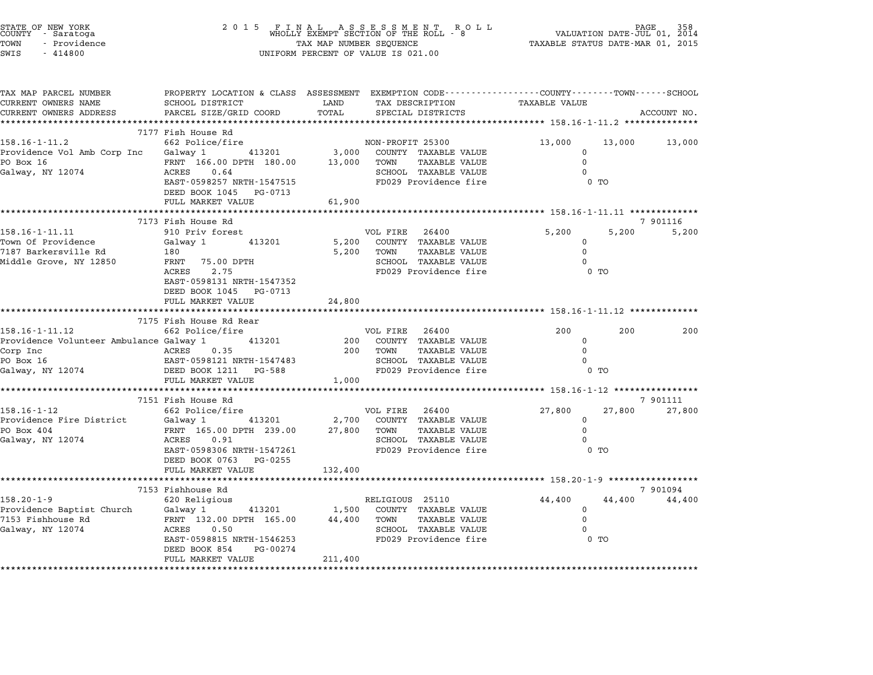| STATE OF NEW YORK<br>COUNTY – Saratoga<br>TOWN<br>- Providence<br>SWIS<br>$-414800$ | 2 0 1 5                                                                                                                                      | TAX MAP NUMBER SEQUENCE<br>UNIFORM PERCENT OF VALUE IS 021.00 |                  |                                                               | TAXABLE STATUS DATE-MAR 01, 2015                       |        | PAGE<br>VALUATION DATE-JUL 01, 2014 |
|-------------------------------------------------------------------------------------|----------------------------------------------------------------------------------------------------------------------------------------------|---------------------------------------------------------------|------------------|---------------------------------------------------------------|--------------------------------------------------------|--------|-------------------------------------|
| TAX MAP PARCEL NUMBER<br>CURRENT OWNERS NAME<br>CURRENT OWNERS ADDRESS              | PROPERTY LOCATION & CLASS ASSESSMENT EXEMPTION CODE---------------COUNTY-------TOWN------SCHOOL<br>SCHOOL DISTRICT<br>PARCEL SIZE/GRID COORD | LAND<br>TOTAL                                                 |                  | TAX DESCRIPTION<br>SPECIAL DISTRICTS                          | TAXABLE VALUE                                          |        | ACCOUNT NO.                         |
| **********************                                                              | *****************************                                                                                                                |                                                               |                  |                                                               |                                                        |        |                                     |
| $158.16 - 1 - 11.2$                                                                 | 7177 Fish House Rd<br>662 Police/fire                                                                                                        |                                                               | NON-PROFIT 25300 |                                                               | 13,000                                                 | 13,000 | 13,000                              |
| Providence Vol Amb Corp Inc<br>PO Box 16<br>Galway, NY 12074                        | 413201<br>Galway 1<br>FRNT 166.00 DPTH 180.00<br>ACRES<br>0.64                                                                               | 3,000<br>13,000                                               | TOWN             | COUNTY TAXABLE VALUE<br>TAXABLE VALUE<br>SCHOOL TAXABLE VALUE | $\Omega$<br>$\Omega$<br>$\Omega$                       |        |                                     |
|                                                                                     | EAST-0598257 NRTH-1547515<br>DEED BOOK 1045 PG-0713<br>FULL MARKET VALUE                                                                     | 61,900                                                        |                  | FD029 Providence fire                                         |                                                        | $0$ TO |                                     |
|                                                                                     |                                                                                                                                              | ***********************                                       |                  |                                                               | ******************** 158.16-1-11.11 *************      |        |                                     |
|                                                                                     | 7173 Fish House Rd                                                                                                                           |                                                               |                  |                                                               |                                                        |        | 7 901116                            |
| 158.16-1-11.11<br>Town Of Providence                                                | 910 Priv forest<br>Galway 1<br>413201                                                                                                        | 5,200                                                         | VOL FIRE         | 26400<br>COUNTY TAXABLE VALUE                                 | 5,200<br>$\mathbf 0$                                   | 5,200  | 5,200                               |
| 7187 Barkersville Rd                                                                | 180                                                                                                                                          | 5,200                                                         | TOWN             | <b>TAXABLE VALUE</b>                                          | $\mathbf 0$                                            |        |                                     |
| Middle Grove, NY 12850                                                              | 75.00 DPTH<br>FRNT<br>2.75<br>ACRES                                                                                                          |                                                               |                  | SCHOOL TAXABLE VALUE<br>FD029 Providence fire                 | $\Omega$                                               | $0$ TO |                                     |
|                                                                                     | EAST-0598131 NRTH-1547352<br>DEED BOOK 1045<br>PG-0713<br>FULL MARKET VALUE                                                                  | 24,800                                                        |                  |                                                               |                                                        |        |                                     |
|                                                                                     | 7175 Fish House Rd Rear                                                                                                                      |                                                               |                  |                                                               | ****************************** 158.16-1-11.12 ******** |        |                                     |
| 158.16-1-11.12                                                                      | 662 Police/fire                                                                                                                              |                                                               | VOL FIRE         | 26400                                                         | 200                                                    | 200    | 200                                 |
| Providence Volunteer Ambulance Galway 1                                             | 413201                                                                                                                                       | 200                                                           |                  | COUNTY TAXABLE VALUE                                          | 0                                                      |        |                                     |
| Corp Inc                                                                            | ACRES<br>0.35                                                                                                                                | 200                                                           | TOWN             | <b>TAXABLE VALUE</b>                                          | $\Omega$                                               |        |                                     |
| PO Box 16<br>Galway, NY 12074                                                       | EAST-0598121 NRTH-1547483                                                                                                                    |                                                               |                  | SCHOOL TAXABLE VALUE<br>FD029 Providence fire                 | $\Omega$                                               |        |                                     |
|                                                                                     | DEED BOOK 1211<br>PG-588<br>FULL MARKET VALUE                                                                                                | 1,000                                                         |                  |                                                               |                                                        | 0 TO   |                                     |
|                                                                                     |                                                                                                                                              |                                                               |                  |                                                               |                                                        |        |                                     |
|                                                                                     | 7151 Fish House Rd                                                                                                                           |                                                               |                  |                                                               |                                                        |        | 7 901111                            |
| $158.16 - 1 - 12$                                                                   | 662 Police/fire                                                                                                                              |                                                               | VOL FIRE         | 26400                                                         | 27,800                                                 | 27,800 | 27,800                              |
| Providence Fire District<br>PO Box 404                                              | 413201<br>Galway 1<br>FRNT 165.00 DPTH 239.00                                                                                                | 2,700<br>27,800                                               | TOWN             | COUNTY TAXABLE VALUE<br>TAXABLE VALUE                         | $\mathbf 0$<br>$\Omega$                                |        |                                     |
| Galway, NY 12074                                                                    | ACRES<br>0.91                                                                                                                                |                                                               |                  | SCHOOL TAXABLE VALUE                                          | $\Omega$                                               |        |                                     |
|                                                                                     | EAST-0598306 NRTH-1547261<br>DEED BOOK 0763 PG-0255                                                                                          |                                                               |                  | FD029 Providence fire                                         |                                                        | $0$ TO |                                     |
|                                                                                     | FULL MARKET VALUE                                                                                                                            | 132,400                                                       |                  |                                                               |                                                        |        |                                     |
|                                                                                     | 7153 Fishhouse Rd                                                                                                                            |                                                               |                  |                                                               |                                                        |        | 7 901094                            |
| $158.20 - 1 - 9$                                                                    | 620 Religious                                                                                                                                |                                                               | RELIGIOUS 25110  |                                                               | 44,400                                                 | 44,400 | 44,400                              |
| Providence Baptist Church                                                           | Galway 1<br>413201                                                                                                                           | 1,500                                                         |                  | COUNTY TAXABLE VALUE                                          | $\Omega$                                               |        |                                     |
| 7153 Fishhouse Rd                                                                   | FRNT 132.00 DPTH 165.00<br>ACRES                                                                                                             | 44,400                                                        | TOWN             | TAXABLE VALUE<br><b>SCHOOL TAXABLE VALUE</b>                  | 0<br>$\Omega$                                          |        |                                     |
| Galway, NY 12074                                                                    | 0.50<br>EAST-0598815 NRTH-1546253                                                                                                            |                                                               |                  | FD029 Providence fire                                         |                                                        | $0$ TO |                                     |
|                                                                                     | DEED BOOK 854<br>PG-00274<br>FULL MARKET VALUE                                                                                               | 211,400                                                       |                  |                                                               |                                                        |        |                                     |
|                                                                                     |                                                                                                                                              |                                                               |                  |                                                               |                                                        |        |                                     |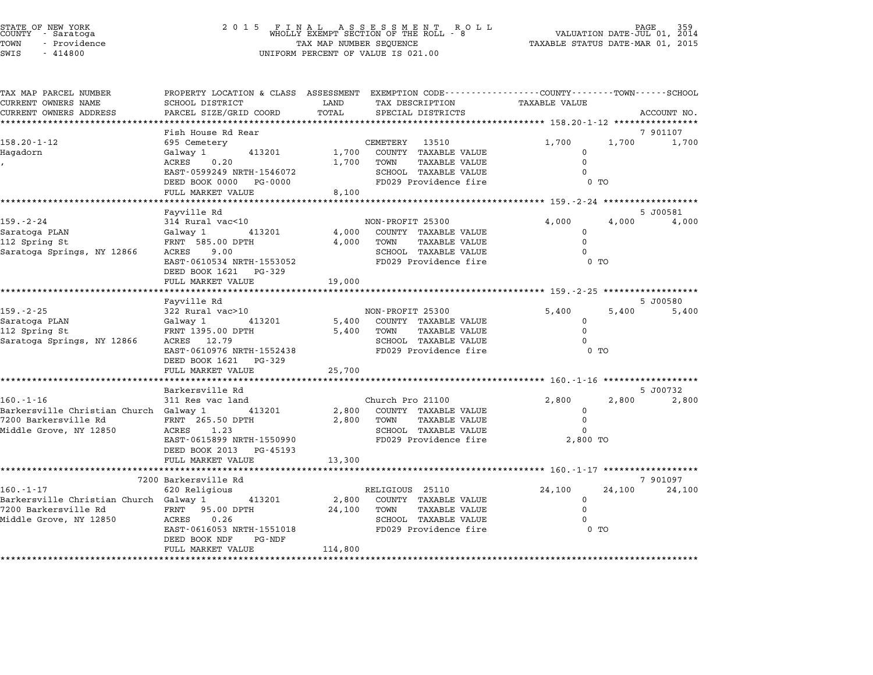| STATE OF NEW YORK<br>COUNTY - Saratoga |  |              |  |
|----------------------------------------|--|--------------|--|
| TOWN                                   |  | - Providence |  |
| -----                                  |  | .            |  |

| TAX MAP PARCEL NUMBER<br>CURRENT OWNERS NAME                   | SCHOOL DISTRICT                 | LAND    | PROPERTY LOCATION & CLASS ASSESSMENT EXEMPTION CODE----------------COUNTY-------TOWN-----SCHOOL<br>TAX DESCRIPTION | <b>TAXABLE VALUE</b> |        |             |
|----------------------------------------------------------------|---------------------------------|---------|--------------------------------------------------------------------------------------------------------------------|----------------------|--------|-------------|
| CURRENT OWNERS ADDRESS                                         | PARCEL SIZE/GRID COORD          | TOTAL   | SPECIAL DISTRICTS                                                                                                  |                      |        | ACCOUNT NO. |
|                                                                |                                 |         |                                                                                                                    |                      |        |             |
|                                                                | Fish House Rd Rear              |         |                                                                                                                    |                      |        | 7 901107    |
| $158.20 - 1 - 12$                                              | 695 Cemetery                    |         | CEMETERY 13510                                                                                                     | 1,700                | 1,700  | 1,700       |
| Hagadorn                                                       | 413201<br>Galway 1              |         | 1,700 COUNTY TAXABLE VALUE                                                                                         | $\mathbf{0}$         |        |             |
|                                                                | ACRES 0.20                      |         | TAXABLE VALUE<br>1,700 TOWN                                                                                        | $\Omega$             |        |             |
|                                                                | EAST-0599249 NRTH-1546072       |         | SCHOOL TAXABLE VALUE                                                                                               | $\Omega$             |        |             |
|                                                                | DEED BOOK 0000 PG-0000          |         | FD029 Providence fire                                                                                              | 0 <sub>T</sub>       |        |             |
|                                                                | FULL MARKET VALUE               | 8,100   |                                                                                                                    |                      |        |             |
|                                                                |                                 |         |                                                                                                                    |                      |        | 5 J00581    |
| 159.-2-24                                                      | Fayville Rd<br>314 Rural vac<10 |         | NON-PROFIT 25300                                                                                                   | 4,000                | 4,000  | 4,000       |
| Saratoga PLAN                                                  | Galway 1 413201                 |         | 4,000 COUNTY TAXABLE VALUE                                                                                         | $\mathbf{0}$         |        |             |
| 112 Spring St                                                  | FRNT 585.00 DPTH                |         | 4,000 TOWN<br>TAXABLE VALUE                                                                                        | $\mathbf 0$          |        |             |
| Saratoga Springs, NY 12866                                     | ACRES 9.00                      |         | SCHOOL TAXABLE VALUE                                                                                               |                      |        |             |
|                                                                | EAST-0610534 NRTH-1553052       |         | FD029 Providence fire                                                                                              | 0 TO                 |        |             |
|                                                                | DEED BOOK 1621 PG-329           |         |                                                                                                                    |                      |        |             |
|                                                                | FULL MARKET VALUE               | 19,000  |                                                                                                                    |                      |        |             |
|                                                                |                                 |         |                                                                                                                    |                      |        |             |
|                                                                | Fayville Rd                     |         |                                                                                                                    |                      |        | 5 J00580    |
| $159. - 2 - 25$                                                | 322 Rural vac>10                |         | NON-PROFIT 25300                                                                                                   | 5,400                | 5,400  | 5,400       |
| Saratoga PLAN                                                  | Galway 1 413201                 |         | 5,400 COUNTY TAXABLE VALUE                                                                                         | $\Omega$             |        |             |
| 112 Spring St                                                  | FRNT 1395.00 DPTH               |         | TAXABLE VALUE<br>5,400 TOWN                                                                                        | $\Omega$             |        |             |
| Saratoga Springs, NY 12866                                     | ACRES 12.79                     |         | SCHOOL TAXABLE VALUE                                                                                               | $\Omega$             |        |             |
|                                                                | EAST-0610976 NRTH-1552438       |         | FD029 Providence fire                                                                                              | $0$ TO               |        |             |
|                                                                | DEED BOOK 1621 PG-329           |         |                                                                                                                    |                      |        |             |
|                                                                | FULL MARKET VALUE               | 25,700  |                                                                                                                    |                      |        |             |
|                                                                |                                 |         |                                                                                                                    |                      |        |             |
| $160. - 1 - 16$                                                | Barkersville Rd                 |         |                                                                                                                    |                      |        | 5 J00732    |
|                                                                | 311 Res vac land                |         | Church Pro 21100                                                                                                   | 2,800                | 2,800  | 2,800       |
| Barkersville Christian Church Galway 1<br>7200 Barkersville Rd | 413201<br>FRNT 265.50 DPTH      |         | 2,800 COUNTY TAXABLE VALUE<br>2,800 TOWN<br>TAXABLE VALUE                                                          | 0<br>$\mathbf 0$     |        |             |
| Middle Grove, NY 12850                                         | ACRES 1.23                      |         | SCHOOL TAXABLE VALUE                                                                                               | $\Omega$             |        |             |
|                                                                | EAST-0615899 NRTH-1550990       |         | FD029 Providence fire 3.800 TO                                                                                     |                      |        |             |
|                                                                | DEED BOOK 2013 PG-45193         |         |                                                                                                                    |                      |        |             |
|                                                                | FULL MARKET VALUE               | 13,300  |                                                                                                                    |                      |        |             |
|                                                                |                                 |         |                                                                                                                    |                      |        |             |
|                                                                | 7200 Barkersville Rd            |         |                                                                                                                    |                      |        | 7 901097    |
| $160. - 1 - 17$                                                | 620 Religious                   |         | RELIGIOUS 25110                                                                                                    | 24,100               | 24,100 | 24,100      |
| Barkersville Christian Church Galway 1 13201                   |                                 |         | 2,800 COUNTY TAXABLE VALUE                                                                                         | $\mathbf 0$          |        |             |
| 7200 Barkersville Rd                                           | FRNT 95.00 DPTH                 |         | <b>TAXABLE VALUE</b><br>24,100 TOWN                                                                                | $\mathbf 0$          |        |             |
| Middle Grove, NY 12850                                         | 0.26<br>ACRES                   |         | SCHOOL TAXABLE VALUE                                                                                               |                      |        |             |
|                                                                | EAST-0616053 NRTH-1551018       |         | FD029 Providence fire                                                                                              | $0$ TO               |        |             |
|                                                                | DEED BOOK NDF<br>PG-NDF         |         |                                                                                                                    |                      |        |             |
|                                                                | FULL MARKET VALUE               | 114,800 |                                                                                                                    |                      |        |             |
|                                                                |                                 |         |                                                                                                                    |                      |        |             |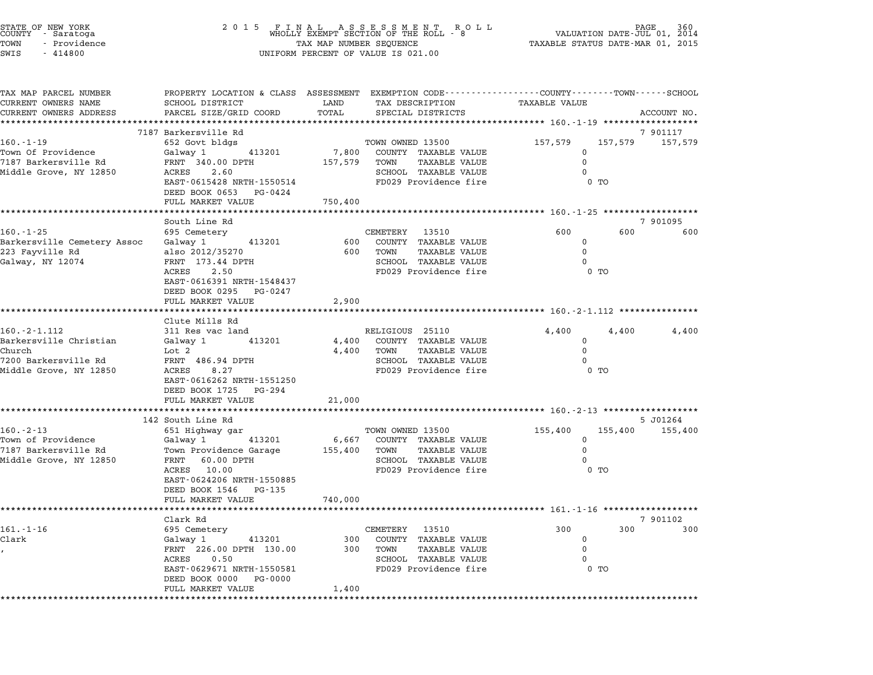| STATE OF NEW YORK<br>COUNTY – Saratoga<br>TOWN<br>- Providence<br>SWIS<br>$-414800$ | 2 0 1 5<br>F I N A L A S S E S S M E N T R O L L<br>WHOLLY EXEMPT SECTION OF THE ROLL - 8 VALUATION DATE-JUL 01, 2014<br>TAX MAP NUMBER SEQUENCE TAXABLE STATUS DATE-MAR 01, 2015<br>UNIFORM PERCENT OF VALUE IS 021.00 |                |                                                                                                                                         |                      |                 |             |
|-------------------------------------------------------------------------------------|-------------------------------------------------------------------------------------------------------------------------------------------------------------------------------------------------------------------------|----------------|-----------------------------------------------------------------------------------------------------------------------------------------|----------------------|-----------------|-------------|
| TAX MAP PARCEL NUMBER<br>CURRENT OWNERS NAME<br>CURRENT OWNERS ADDRESS              | SCHOOL DISTRICT<br>PARCEL SIZE/GRID COORD                                                                                                                                                                               | LAND<br>TOTAL  | PROPERTY LOCATION & CLASS ASSESSMENT EXEMPTION CODE----------------COUNTY-------TOWN-----SCHOOL<br>TAX DESCRIPTION<br>SPECIAL DISTRICTS | <b>TAXABLE VALUE</b> |                 | ACCOUNT NO. |
|                                                                                     | ************************                                                                                                                                                                                                |                |                                                                                                                                         |                      |                 |             |
| $160. - 1 - 19$                                                                     | 7187 Barkersville Rd<br>652 Govt bldgs                                                                                                                                                                                  |                | TOWN OWNED 13500                                                                                                                        | 157,579              | 157,579 157,579 | 7 901117    |
| Town Of Providence                                                                  | Galway 1<br>413201                                                                                                                                                                                                      | 7,800          | COUNTY TAXABLE VALUE                                                                                                                    | 0                    |                 |             |
| 7187 Barkersville Rd                                                                | FRNT 340.00 DPTH                                                                                                                                                                                                        | 157,579        | TAXABLE VALUE<br>TOWN                                                                                                                   | $\mathbf 0$          |                 |             |
| Middle Grove, NY 12850                                                              | ACRES<br>2.60                                                                                                                                                                                                           |                | SCHOOL TAXABLE VALUE                                                                                                                    | $\Omega$             |                 |             |
|                                                                                     | EAST-0615428 NRTH-1550514                                                                                                                                                                                               |                | FD029 Providence fire                                                                                                                   |                      | $0$ TO          |             |
|                                                                                     | DEED BOOK 0653 PG-0424<br>FULL MARKET VALUE                                                                                                                                                                             | 750,400        |                                                                                                                                         |                      |                 |             |
|                                                                                     |                                                                                                                                                                                                                         |                |                                                                                                                                         |                      |                 |             |
|                                                                                     | South Line Rd                                                                                                                                                                                                           |                |                                                                                                                                         |                      |                 | 7 901095    |
| $160. - 1 - 25$                                                                     | 695 Cemetery                                                                                                                                                                                                            |                | CEMETERY 13510                                                                                                                          | 600                  | 600             | 600         |
| Barkersville Cemetery Assoc                                                         | 413201<br>Galway 1                                                                                                                                                                                                      | 600            | COUNTY TAXABLE VALUE                                                                                                                    | 0                    |                 |             |
| 223 Fayville Rd                                                                     | also 2012/35270                                                                                                                                                                                                         | 600            | TOWN<br>TAXABLE VALUE                                                                                                                   | $\mathbf 0$          |                 |             |
| Galway, NY 12074                                                                    | FRNT 173.44 DPTH                                                                                                                                                                                                        |                | SCHOOL TAXABLE VALUE                                                                                                                    | $\Omega$             |                 |             |
|                                                                                     | ACRES 2.50<br>EAST-0616391 NRTH-1548437                                                                                                                                                                                 |                | FD029 Providence fire                                                                                                                   |                      | $0$ TO          |             |
|                                                                                     | DEED BOOK 0295 PG-0247                                                                                                                                                                                                  |                |                                                                                                                                         |                      |                 |             |
|                                                                                     | FULL MARKET VALUE                                                                                                                                                                                                       | 2,900          |                                                                                                                                         |                      |                 |             |
|                                                                                     |                                                                                                                                                                                                                         |                |                                                                                                                                         |                      |                 |             |
|                                                                                     | Clute Mills Rd                                                                                                                                                                                                          |                |                                                                                                                                         |                      |                 |             |
| $160. - 2 - 1.112$<br>Barkersville Christian                                        | 311 Res vac land<br>413201                                                                                                                                                                                              |                | RELIGIOUS 25110                                                                                                                         | 4,400<br>0           | 4,400           | 4,400       |
| Church                                                                              | Galway 1<br>Lot <sub>2</sub>                                                                                                                                                                                            | 4,400<br>4,400 | COUNTY TAXABLE VALUE<br>TAXABLE VALUE<br>TOWN                                                                                           | 0                    |                 |             |
| 7200 Barkersville Rd                                                                | FRNT 486.94 DPTH                                                                                                                                                                                                        |                | SCHOOL TAXABLE VALUE                                                                                                                    | $\Omega$             |                 |             |
| Middle Grove, NY 12850                                                              | ACRES 8.27                                                                                                                                                                                                              |                | FD029 Providence fire                                                                                                                   |                      | $0$ TO          |             |
|                                                                                     | EAST-0616262 NRTH-1551250                                                                                                                                                                                               |                |                                                                                                                                         |                      |                 |             |
|                                                                                     | DEED BOOK 1725 PG-294                                                                                                                                                                                                   |                |                                                                                                                                         |                      |                 |             |
|                                                                                     | FULL MARKET VALUE                                                                                                                                                                                                       | 21,000         |                                                                                                                                         |                      |                 |             |
|                                                                                     | 142 South Line Rd                                                                                                                                                                                                       |                |                                                                                                                                         |                      |                 | 5 J01264    |
| $160 - 2 - 13$                                                                      | 651 Highway gar                                                                                                                                                                                                         |                | TOWN OWNED 13500                                                                                                                        | 155,400              | 155,400         | 155,400     |
| Town of Providence                                                                  | Galway 1<br>413201                                                                                                                                                                                                      | 6,667          | COUNTY TAXABLE VALUE                                                                                                                    | 0                    |                 |             |
| 7187 Barkersville Rd                                                                | Town Providence Garage                                                                                                                                                                                                  | 155,400        | TOWN<br><b>TAXABLE VALUE</b>                                                                                                            | $\mathbf 0$          |                 |             |
| Middle Grove, NY 12850                                                              | FRNT 60.00 DPTH                                                                                                                                                                                                         |                | SCHOOL TAXABLE VALUE                                                                                                                    | $\Omega$             |                 |             |
|                                                                                     | ACRES 10.00                                                                                                                                                                                                             |                | FD029 Providence fire                                                                                                                   |                      | $0$ TO          |             |
|                                                                                     | EAST-0624206 NRTH-1550885                                                                                                                                                                                               |                |                                                                                                                                         |                      |                 |             |
|                                                                                     | DEED BOOK 1546 PG-135<br>FULL MARKET VALUE                                                                                                                                                                              | 740,000        |                                                                                                                                         |                      |                 |             |
|                                                                                     |                                                                                                                                                                                                                         |                |                                                                                                                                         |                      |                 |             |
|                                                                                     | Clark Rd                                                                                                                                                                                                                |                |                                                                                                                                         |                      |                 | 7 901102    |
| $161. - 1 - 16$                                                                     | 695 Cemetery                                                                                                                                                                                                            |                | CEMETERY 13510                                                                                                                          | 300                  | 300             | 300         |
| Clark                                                                               | Galway 1<br>413201                                                                                                                                                                                                      | 300            | COUNTY TAXABLE VALUE                                                                                                                    | 0                    |                 |             |
|                                                                                     | FRNT 226.00 DPTH 130.00                                                                                                                                                                                                 |                | 300 TOWN<br>TAXABLE VALUE                                                                                                               | $\mathbf 0$          |                 |             |
|                                                                                     | ACRES 0.50                                                                                                                                                                                                              |                | SCHOOL TAXABLE VALUE                                                                                                                    | $\Omega$             |                 |             |
|                                                                                     | EAST-0629671 NRTH-1550581<br>DEED BOOK 0000 PG-0000                                                                                                                                                                     |                | FD029 Providence fire                                                                                                                   |                      | $0$ TO          |             |
|                                                                                     | FULL MARKET VALUE                                                                                                                                                                                                       | 1,400          |                                                                                                                                         |                      |                 |             |
|                                                                                     |                                                                                                                                                                                                                         |                |                                                                                                                                         |                      |                 |             |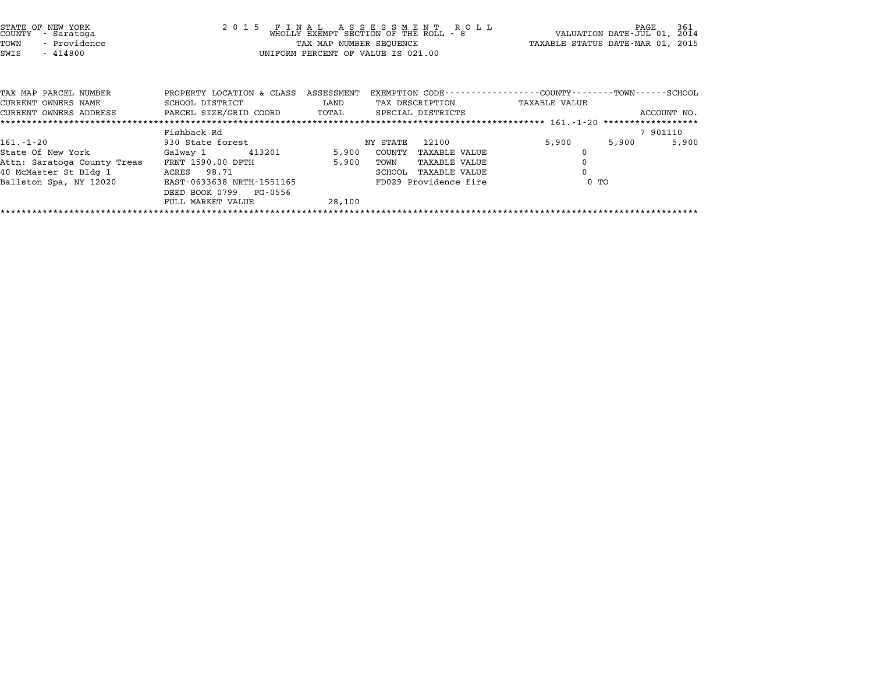| STATE OF NEW YORK<br>COUNTY<br>- Saratoga<br>- Providence<br>TOWN<br>$-414800$<br>SWIS | 2015 FINAL                                             | TAX MAP NUMBER SEQUENCE | FINAL ASSESSMENT ROLL<br>WHOLLY EXEMPT SECTION OF THE ROLL - 8<br>UNIFORM PERCENT OF VALUE IS 021.00 | L L PAGE 361<br>VALUATION DATE-JUL 01, 2014<br>TAXABLE STATUS DATE-MAR 01, 2015 |             |
|----------------------------------------------------------------------------------------|--------------------------------------------------------|-------------------------|------------------------------------------------------------------------------------------------------|---------------------------------------------------------------------------------|-------------|
| TAX MAP PARCEL NUMBER<br>CURRENT OWNERS NAME                                           | PROPERTY LOCATION & CLASS<br>SCHOOL DISTRICT           | ASSESSMENT<br>LAND      | TAX DESCRIPTION                                                                                      | EXEMPTION CODE-----------------COUNTY-------TOWN-----SCHOOL<br>TAXABLE VALUE    |             |
| CURRENT OWNERS ADDRESS                                                                 | PARCEL SIZE/GRID COORD TOTAL                           |                         | SPECIAL DISTRICTS                                                                                    |                                                                                 | ACCOUNT NO. |
|                                                                                        | Fishback Rd                                            |                         |                                                                                                      |                                                                                 | 7 901110    |
| $161. - 1 - 20$                                                                        | 930 State forest                                       |                         | NY STATE                                                                                             | 5,900<br>5,900                                                                  | 5,900       |
| State Of New York                                                                      | Galway 1 413201                                        | 5,900                   | COUNTY<br>TAXABLE VALUE                                                                              | $\Omega$                                                                        |             |
| Attn: Saratoga County Treas                                                            | FRNT 1590.00 DPTH                                      | 5,900                   | TOWN<br>TAXABLE VALUE                                                                                |                                                                                 |             |
| 40 McMaster St Bldg 1                                                                  | ACRES 98.71                                            |                         | SCHOOL<br>TAXABLE VALUE                                                                              | $\Omega$                                                                        |             |
| Ballston Spa, NY 12020                                                                 | EAST-0633638 NRTH-1551165<br>DEED BOOK 0799<br>PG-0556 |                         | FD029 Providence fire                                                                                | 0 TO                                                                            |             |
|                                                                                        | FULL MARKET VALUE                                      | 28,100                  |                                                                                                      |                                                                                 |             |

\*\*\*\*\*\*\*\*\*\*\*\*\*\*\*\*\*\*\*\*\*\*\*\*\*\*\*\*\*\*\*\*\*\*\*\*\*\*\*\*\*\*\*\*\*\*\*\*\*\*\*\*\*\*\*\*\*\*\*\*\*\*\*\*\*\*\*\*\*\*\*\*\*\*\*\*\*\*\*\*\*\*\*\*\*\*\*\*\*\*\*\*\*\*\*\*\*\*\*\*\*\*\*\*\*\*\*\*\*\*\*\*\*\*\*\*\*\*\*\*\*\*\*\*\*\*\*\*\*\*\*\*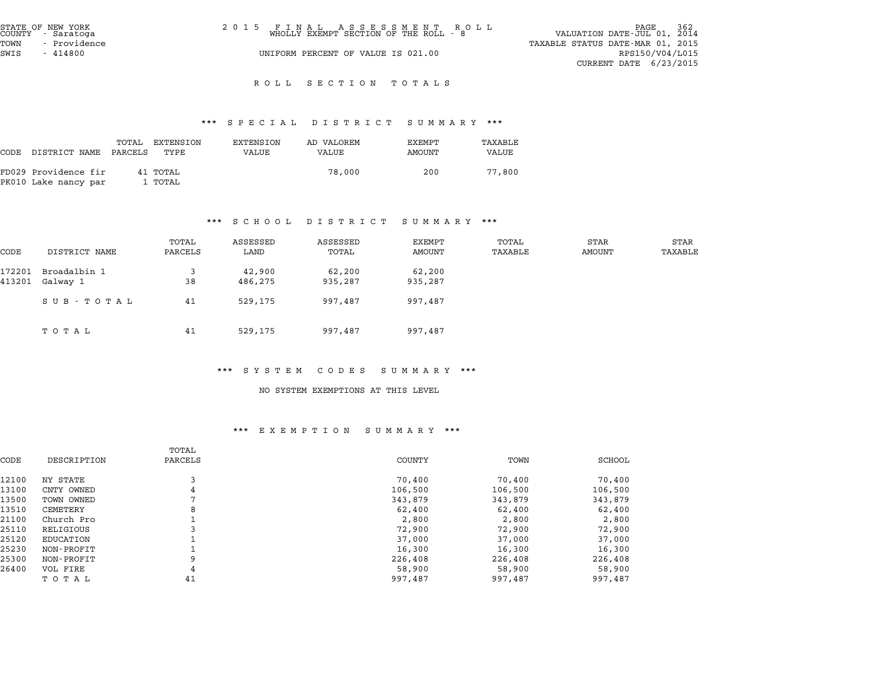| STATE OF NEW YORK<br>COUNTY - Saratoga<br>TOWN<br>- Providence | 2015 FINAL ASSESSMENT ROLL<br>WHOLLY EXEMPT SECTION OF THE ROLL - 8 | - 362<br>PAGE<br>VALUATION DATE-JUL 01, 2014<br>TAXABLE STATUS DATE-MAR 01, 2015 |
|----------------------------------------------------------------|---------------------------------------------------------------------|----------------------------------------------------------------------------------|
| SWIS<br>$-414800$                                              | UNIFORM PERCENT OF VALUE IS 021.00                                  | RPS150/V04/L015<br>CURRENT DATE $6/23/2015$                                      |

# ROLL SECTION TOTALS

# \*\*\* S P E C I A L D I S T R I C T S U M M A R Y \*\*\*

|      |                                              |                  |                     |                    | protan protator pohinaat |                  |                  |
|------|----------------------------------------------|------------------|---------------------|--------------------|--------------------------|------------------|------------------|
| CODE | DISTRICT NAME                                | TOTAL<br>PARCELS | EXTENSION<br>TYPE   | EXTENSION<br>VALUE | AD VALOREM<br>VALUE      | EXEMPT<br>AMOUNT | TAXABLE<br>VALUE |
|      | FD029 Providence fir<br>PK010 Lake nancy par |                  | 41 TOTAL<br>1 TOTAL |                    | 78,000                   | 200              | 77,800           |

## \*\*\* S C H O O L D I S T R I C T S U M M A R Y \*\*\*

|        |               |                  | . <u>.</u>       | $\mathbf{D}$ $\mathbf{L}$ $\mathbf{D}$ $\mathbf{L}$ $\mathbf{R}$ $\mathbf{L}$ $\mathbf{L}$ $\mathbf{L}$ |                  | .                |                |                 |
|--------|---------------|------------------|------------------|---------------------------------------------------------------------------------------------------------|------------------|------------------|----------------|-----------------|
| CODE   | DISTRICT NAME | TOTAL<br>PARCELS | ASSESSED<br>LAND | ASSESSED<br>TOTAL                                                                                       | EXEMPT<br>AMOUNT | TOTAL<br>TAXABLE | STAR<br>AMOUNT | STAR<br>TAXABLE |
|        |               |                  |                  |                                                                                                         |                  |                  |                |                 |
| 172201 | Broadalbin 1  |                  | 42,900           | 62,200                                                                                                  | 62,200           |                  |                |                 |
| 413201 | Galway 1      | 38               | 486,275          | 935,287                                                                                                 | 935,287          |                  |                |                 |
|        | SUB - TOTAL   | 41               | 529,175          | 997,487                                                                                                 | 997,487          |                  |                |                 |
|        | TOTAL         | 41               | 529,175          | 997,487                                                                                                 | 997,487          |                  |                |                 |

## \*\*\* S Y S T E M C O D E S S U M M A R Y \*\*\*

## NO SYSTEM EXEMPTIONS AT THIS LEVEL

|             | TOTAL   |         |         |         |
|-------------|---------|---------|---------|---------|
| DESCRIPTION | PARCELS | COUNTY  | TOWN    | SCHOOL  |
| NY STATE    |         | 70,400  | 70,400  | 70,400  |
| CNTY OWNED  | 4       | 106,500 | 106,500 | 106,500 |
| TOWN OWNED  |         | 343,879 | 343,879 | 343,879 |
| CEMETERY    | 8       | 62,400  | 62,400  | 62,400  |
| Church Pro  |         | 2,800   | 2,800   | 2,800   |
| RELIGIOUS   |         | 72,900  | 72,900  | 72,900  |
| EDUCATION   |         | 37,000  | 37,000  | 37,000  |
| NON-PROFIT  |         | 16,300  | 16,300  | 16,300  |
| NON-PROFIT  | 9       | 226,408 | 226,408 | 226,408 |
| VOL FIRE    | 4       | 58,900  | 58,900  | 58,900  |
| тотаь       | 41      | 997,487 | 997,487 | 997,487 |
|             |         |         |         |         |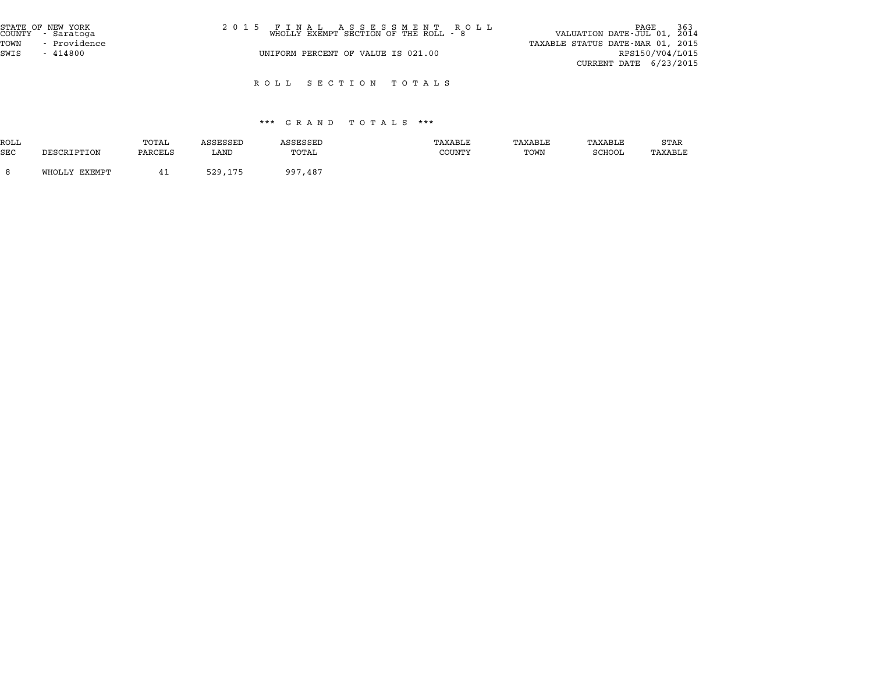| STATE OF NEW YORK<br>COUNTY - Saratoga | 2015 FINAL ASSESSMENT ROLL<br>WHOLLY EXEMPT SECTION OF THE ROLL - 8 | 363 PAGE<br>VALUATION DATE-JUL 01, 2014 |
|----------------------------------------|---------------------------------------------------------------------|-----------------------------------------|
| - Providence<br>TOWN                   |                                                                     | TAXABLE STATUS DATE-MAR 01, 2015        |
| SWIS<br>$-414800$                      | UNIFORM PERCENT OF VALUE IS 021.00                                  | RPS150/V04/L015                         |
|                                        |                                                                     | CURRENT DATE $6/23/2015$                |
|                                        |                                                                     |                                         |

R O L L S E C T I O N T O T A L S

# \*\*\* G R A N D T O T A L S \*\*\*

|            |               |         |          | ש וא באיט | .<br>.        |         |               |         |
|------------|---------------|---------|----------|-----------|---------------|---------|---------------|---------|
| ROLL       |               | TOTAL   | ASSESSED | ASSESSED  | TAXABLE       | TAXABLE | TAXABLE       | STAR    |
| <b>SEC</b> | DESCRIPTION   | PARCELS | LAND     | TOTAL     | <b>COUNTY</b> | TOWN    | <b>SCHOOL</b> | TAXABLE |
|            | WHOLLY EXEMPT | 41      | 529,175  | 997,487   |               |         |               |         |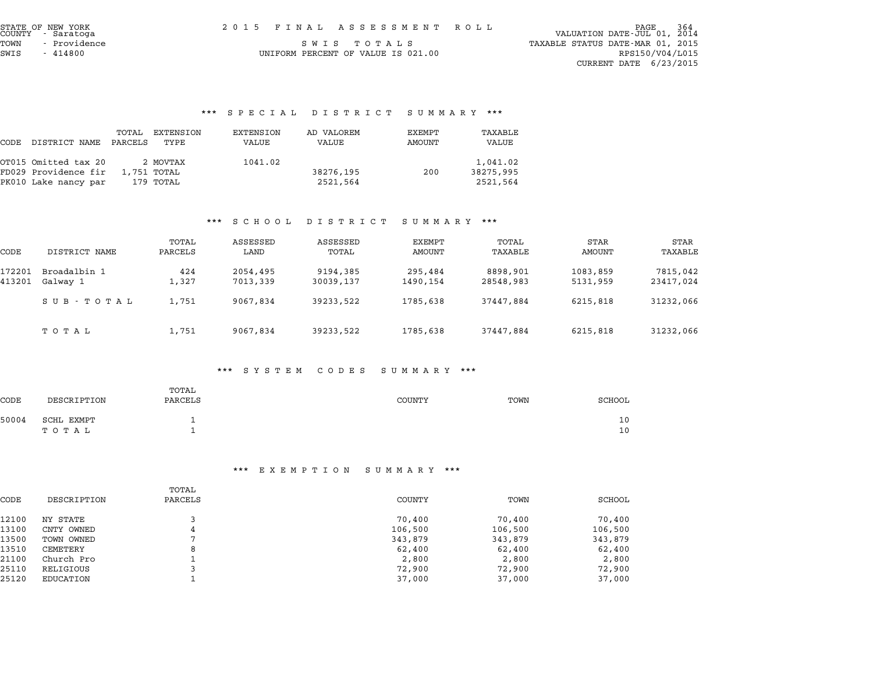| STATE OF NEW YORK<br>COUNTY - Saratoga | 2015 FINAL ASSESSMENT ROLL         | 364 PAGE<br>VALUATION DATE-JUL 01, 2014 |
|----------------------------------------|------------------------------------|-----------------------------------------|
| – Providence<br>TOWN                   | SWIS TOTALS                        | TAXABLE STATUS DATE-MAR 01, 2015        |
| SWIS<br>- 414800                       | UNIFORM PERCENT OF VALUE IS 021.00 | RPS150/V04/L015                         |
|                                        |                                    | CURRENT DATE 6/23/2015                  |

# \*\*\* S P E C I A L D I S T R I C T S U M M A R Y \*\*\*

| CODE | DISTRICT NAME        | TOTAL<br>PARCELS | EXTENSION<br>TYPE | EXTENSION<br>VALUE | AD VALOREM<br>VALUE | EXEMPT<br>AMOUNT | TAXABLE<br>VALUE |
|------|----------------------|------------------|-------------------|--------------------|---------------------|------------------|------------------|
|      | OT015 Omitted tax 20 |                  | 2 MOVTAX          | 1041.02            |                     |                  | 1,041.02         |
|      | FD029 Providence fir |                  | 1,751 TOTAL       |                    | 38276,195           | 200              | 38275,995        |
|      | PK010 Lake nancy par |                  | 179 TOTAL         |                    | 2521,564            |                  | 2521,564         |

## \*\*\* S C H O O L D I S T R I C T S U M M A R Y \*\*\*

|                  |                          |                  |                      | $\mathbf{D}$ $\mathbf{L}$ $\mathbf{D}$ $\mathbf{L}$ $\mathbf{L}$ $\mathbf{L}$ $\mathbf{L}$ $\mathbf{L}$ $\mathbf{L}$ $\mathbf{L}$ | $\cup$ 0 m m $\cap$ n 1 |                       |                      |                       |
|------------------|--------------------------|------------------|----------------------|-----------------------------------------------------------------------------------------------------------------------------------|-------------------------|-----------------------|----------------------|-----------------------|
| CODE             | DISTRICT NAME            | TOTAL<br>PARCELS | ASSESSED<br>LAND     | ASSESSED<br>TOTAL                                                                                                                 | EXEMPT<br>AMOUNT        | TOTAL<br>TAXABLE      | STAR<br>AMOUNT       | STAR<br>TAXABLE       |
| 172201<br>413201 | Broadalbin 1<br>Galway 1 | 424<br>1,327     | 2054,495<br>7013,339 | 9194,385<br>30039,137                                                                                                             | 295,484<br>1490,154     | 8898,901<br>28548,983 | 1083,859<br>5131,959 | 7815,042<br>23417,024 |
|                  | SUB - TOTAL              | 1,751            | 9067,834             | 39233,522                                                                                                                         | 1785,638                | 37447,884             | 6215,818             | 31232,066             |
|                  | тотаь                    | 1,751            | 9067,834             | 39233,522                                                                                                                         | 1785,638                | 37447,884             | 6215,818             | 31232,066             |

#### \*\*\* S Y S T E M C O D E S S U M M A R Y \*\*\*

|       |                     |                  | <br>sisiam cobas | נת משני טכ    | $\cdots$ |               |
|-------|---------------------|------------------|------------------|---------------|----------|---------------|
| CODE  | DESCRIPTION         | TOTAL<br>PARCELS |                  | <b>COUNTY</b> | TOWN     | <b>SCHOOL</b> |
| 50004 | SCHL EXMPT<br>ТОТАЬ |                  |                  |               |          | 10<br>10      |

|       |             | <br>EA EMFII V N<br>נת משני טכ<br>. |         |         |         |  |  |
|-------|-------------|-------------------------------------|---------|---------|---------|--|--|
| CODE  | DESCRIPTION | TOTAL<br>PARCELS                    | COUNTY  | TOWN    | SCHOOL  |  |  |
| 12100 | NY STATE    |                                     | 70,400  | 70,400  | 70,400  |  |  |
| 13100 | CNTY OWNED  | 4                                   | 106,500 | 106,500 | 106,500 |  |  |
| 13500 | TOWN OWNED  | ⇁                                   | 343,879 | 343,879 | 343,879 |  |  |
| 13510 | CEMETERY    | 8                                   | 62,400  | 62,400  | 62,400  |  |  |
| 21100 | Church Pro  |                                     | 2,800   | 2,800   | 2,800   |  |  |
| 25110 | RELIGIOUS   |                                     | 72,900  | 72,900  | 72,900  |  |  |
| 25120 | EDUCATION   |                                     | 37,000  | 37,000  | 37,000  |  |  |
|       |             |                                     |         |         |         |  |  |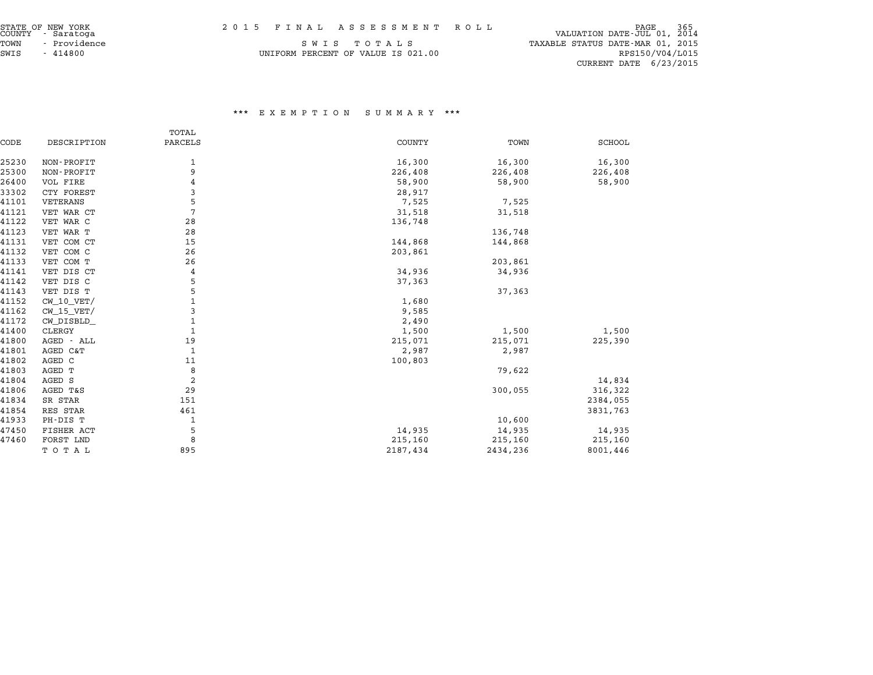| STATE OF NEW YORK<br>COUNTY - Saratoga |  | 2015 FINAL ASSESSMENT ROLL | PAGE<br>VALUATION DATE-JUL 01, 2014 |  |
|----------------------------------------|--|----------------------------|-------------------------------------|--|

| STATE OF NEW YORK    | 2015 FINAL ASSESSMENT ROLL         | 365<br>PAGE                      |
|----------------------|------------------------------------|----------------------------------|
| COUNTY - Saratoga    |                                    | VALUATION DATE-JUL 01, 2014      |
| - Providence<br>TOWN | SWIS TOTALS                        | TAXABLE STATUS DATE-MAR 01, 2015 |
| SWIS<br>- 414800     | UNIFORM PERCENT OF VALUE IS 021.00 | RPS150/V04/L015                  |

 ${\tt S}$ WIS -  ${\tt T}$ O TA L ${\tt S}$ 01.00 RPS150/V04/L015 UNIFORM PERCENT OF VALUE IS 021.00 RPS150/V04/L015

CURRENT DATE 6/23/2015

|       |                | TOTAL          |               |          |               |
|-------|----------------|----------------|---------------|----------|---------------|
| CODE  | DESCRIPTION    | PARCELS        | <b>COUNTY</b> | TOWN     | <b>SCHOOL</b> |
| 25230 | NON-PROFIT     | 1              | 16,300        | 16,300   | 16,300        |
| 25300 | NON-PROFIT     | 9              | 226,408       | 226,408  | 226,408       |
| 26400 | VOL FIRE       | 4              | 58,900        | 58,900   | 58,900        |
| 33302 | CTY FOREST     | 3              | 28,917        |          |               |
| 41101 | VETERANS       | 5              | 7,525         | 7,525    |               |
| 41121 | VET WAR CT     | $\overline{7}$ | 31,518        | 31,518   |               |
| 41122 | VET WAR C      | 28             | 136,748       |          |               |
| 41123 | VET WAR T      | 28             |               | 136,748  |               |
| 41131 | VET COM CT     | 15             | 144,868       | 144,868  |               |
| 41132 | VET COM C      | 26             | 203,861       |          |               |
| 41133 | VET COM T      | 26             |               | 203,861  |               |
| 41141 | VET DIS CT     | 4              | 34,936        | 34,936   |               |
| 41142 | VET DIS C      | 5              | 37,363        |          |               |
| 41143 | VET DIS T      | 5              |               | 37,363   |               |
| 41152 | $CW_10_VET/$   | $\mathbf{1}$   | 1,680         |          |               |
| 41162 | $CW$ 15 $VET/$ | 3              | 9,585         |          |               |
| 41172 | CW_DISBLD_     | $\mathbf{1}$   | 2,490         |          |               |
| 41400 | CLERGY         | $\mathbf{1}$   | 1,500         | 1,500    | 1,500         |
| 41800 | AGED - ALL     | 19             | 215,071       | 215,071  | 225,390       |
| 41801 | AGED C&T       | 1              | 2,987         | 2,987    |               |
| 41802 | AGED C         | 11             | 100,803       |          |               |
| 41803 | AGED T         | 8              |               | 79,622   |               |
| 41804 | AGED S         | $\overline{a}$ |               |          | 14,834        |
| 41806 | AGED T&S       | 29             |               | 300,055  | 316,322       |
| 41834 | SR STAR        | 151            |               |          | 2384,055      |
| 41854 | RES STAR       | 461            |               |          | 3831,763      |
| 41933 | PH-DIS T       | 1              |               | 10,600   |               |
| 47450 | FISHER ACT     | 5              | 14,935        | 14,935   | 14,935        |
| 47460 | FORST LND      | 8              | 215,160       | 215,160  | 215,160       |
|       | TOTAL          | 895            | 2187,434      | 2434,236 | 8001,446      |
|       |                |                |               |          |               |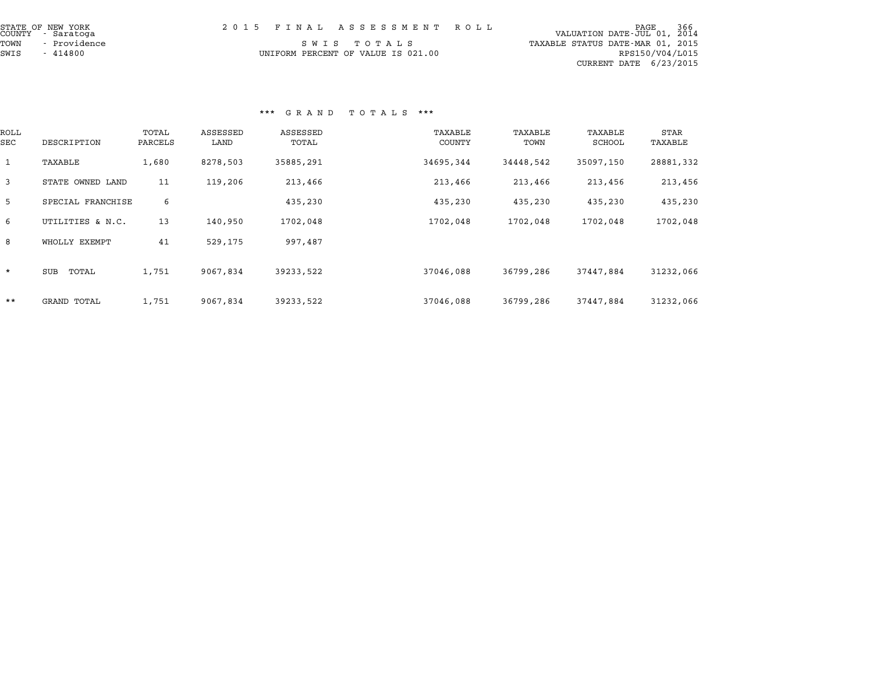| STATE OF NEW YORK<br>COUNTY - Saratoga | 2015 FINAL ASSESSMENT ROLL         | 366<br>PAGE<br>VALUATION DATE-JUL 01, 2014 |
|----------------------------------------|------------------------------------|--------------------------------------------|
| TOWN<br>- Providence                   | SWIS TOTALS                        | TAXABLE STATUS DATE-MAR 01, 2015           |
| SWIS<br>- 414800                       | UNIFORM PERCENT OF VALUE IS 021.00 | RPS150/V04/L015                            |
|                                        |                                    | CURRENT DATE $6/23/2015$                   |

# \*\*\* G R A N D T O T A L S \*\*\*

|              |                   |                  |                  | ש את איט          | כת בא ד <u>חז</u> |                 |                   |                 |
|--------------|-------------------|------------------|------------------|-------------------|-------------------|-----------------|-------------------|-----------------|
| ROLL<br>SEC  | DESCRIPTION       | TOTAL<br>PARCELS | ASSESSED<br>LAND | ASSESSED<br>TOTAL | TAXABLE<br>COUNTY | TAXABLE<br>TOWN | TAXABLE<br>SCHOOL | STAR<br>TAXABLE |
| $\mathbf{1}$ | TAXABLE           | 1,680            | 8278,503         | 35885,291         | 34695,344         | 34448,542       | 35097,150         | 28881,332       |
| 3            | STATE OWNED LAND  | 11               | 119,206          | 213,466           | 213,466           | 213,466         | 213,456           | 213,456         |
| 5            | SPECIAL FRANCHISE | 6                |                  | 435,230           | 435,230           | 435,230         | 435,230           | 435,230         |
| 6            | UTILITIES & N.C.  | 13               | 140,950          | 1702,048          | 1702,048          | 1702,048        | 1702,048          | 1702,048        |
| 8            | WHOLLY EXEMPT     | 41               | 529,175          | 997,487           |                   |                 |                   |                 |
| $\star$      | SUB<br>TOTAL      | 1,751            | 9067,834         | 39233,522         | 37046,088         | 36799,286       | 37447,884         | 31232,066       |
| $***$        | GRAND TOTAL       | 1,751            | 9067,834         | 39233,522         | 37046,088         | 36799,286       | 37447,884         | 31232,066       |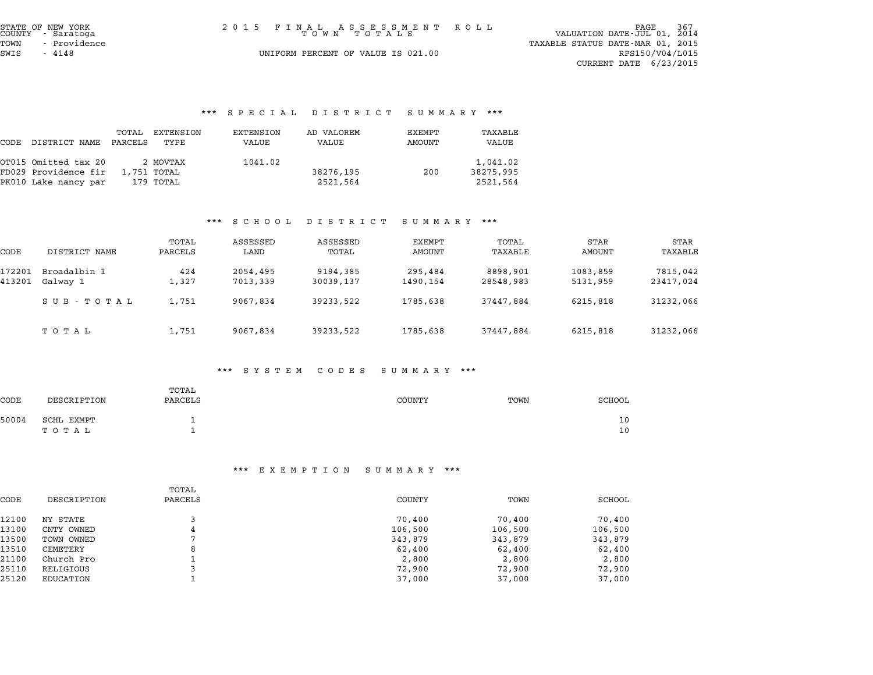| STATE OF NEW YORK<br>COUNTY - Saratoga | 2015 FINAL ASSESSMENT ROLL<br>TOWN TOTALS | 367<br>PAGE<br>VALUATION DATE-JUL 01, 2014          |
|----------------------------------------|-------------------------------------------|-----------------------------------------------------|
| - Providence<br>TOWN<br>SWIS<br>- 4148 | UNIFORM PERCENT OF VALUE IS 021.00        | TAXABLE STATUS DATE-MAR 01, 2015<br>RPS150/V04/L015 |
|                                        |                                           | CURRENT DATE 6/23/2015                              |

# \*\*\* S P E C I A L D I S T R I C T S U M M A R Y \*\*\*

|      |                      |                  |                   |                    | pracial Dioinici pummani """ |                  |                  |
|------|----------------------|------------------|-------------------|--------------------|------------------------------|------------------|------------------|
| CODE | DISTRICT NAME        | TOTAL<br>PARCELS | EXTENSION<br>TYPE | EXTENSION<br>VALUE | AD VALOREM<br>VALUE          | EXEMPT<br>AMOUNT | TAXABLE<br>VALUE |
|      | OT015 Omitted tax 20 |                  | 2 MOVTAX          | 1041.02            |                              |                  | 1,041.02         |
|      | FD029 Providence fir |                  | 1,751 TOTAL       |                    | 38276,195                    | 200              | 38275,995        |
|      | PK010 Lake nancy par |                  | 179 TOTAL         |                    | 2521,564                     |                  | 2521,564         |

## \*\*\* S C H O O L D I S T R I C T S U M M A R Y \*\*\*

|                  |                          |                  |                      | $\mathbf{D}$ $\mathbf{L}$ $\mathbf{D}$ $\mathbf{L}$ $\mathbf{L}$ $\mathbf{L}$ $\mathbf{L}$ $\mathbf{L}$ $\mathbf{L}$ $\mathbf{L}$ | $\cup$ 0 m m $\cap$ n 1 |                       |                      |                       |
|------------------|--------------------------|------------------|----------------------|-----------------------------------------------------------------------------------------------------------------------------------|-------------------------|-----------------------|----------------------|-----------------------|
| CODE             | DISTRICT NAME            | TOTAL<br>PARCELS | ASSESSED<br>LAND     | ASSESSED<br>TOTAL                                                                                                                 | EXEMPT<br>AMOUNT        | TOTAL<br>TAXABLE      | STAR<br>AMOUNT       | STAR<br>TAXABLE       |
| 172201<br>413201 | Broadalbin 1<br>Galway 1 | 424<br>1,327     | 2054,495<br>7013,339 | 9194,385<br>30039,137                                                                                                             | 295,484<br>1490,154     | 8898,901<br>28548,983 | 1083,859<br>5131,959 | 7815,042<br>23417,024 |
|                  | SUB - TOTAL              | 1,751            | 9067,834             | 39233,522                                                                                                                         | 1785,638                | 37447,884             | 6215,818             | 31232,066             |
|                  | тотаь                    | 1,751            | 9067,834             | 39233,522                                                                                                                         | 1785,638                | 37447,884             | 6215,818             | 31232,066             |

#### \*\*\* S Y S T E M C O D E S S U M M A R Y \*\*\*

|       |                     |                  | <br>ואראו או שכם כם של של היום של היו | $\cdots$ $\cdots$ |          |
|-------|---------------------|------------------|---------------------------------------|-------------------|----------|
| CODE  | DESCRIPTION         | TOTAL<br>PARCELS | <b>COUNTY</b>                         | TOWN              | SCHOOL   |
| 50004 | SCHL EXMPT<br>TOTAL |                  |                                       |                   | 10<br>10 |

|       | <br>EA EMFII V N<br>נת משני טכ<br>. |                  |         |         |         |  |  |  |
|-------|-------------------------------------|------------------|---------|---------|---------|--|--|--|
| CODE  | DESCRIPTION                         | TOTAL<br>PARCELS | COUNTY  | TOWN    | SCHOOL  |  |  |  |
| 12100 | NY STATE                            |                  | 70,400  | 70,400  | 70,400  |  |  |  |
| 13100 | CNTY OWNED                          | 4                | 106,500 | 106,500 | 106,500 |  |  |  |
| 13500 | TOWN OWNED                          | ⇁                | 343,879 | 343,879 | 343,879 |  |  |  |
| 13510 | CEMETERY                            | 8                | 62,400  | 62,400  | 62,400  |  |  |  |
| 21100 | Church Pro                          |                  | 2,800   | 2,800   | 2,800   |  |  |  |
| 25110 | RELIGIOUS                           |                  | 72,900  | 72,900  | 72,900  |  |  |  |
| 25120 | EDUCATION                           |                  | 37,000  | 37,000  | 37,000  |  |  |  |
|       |                                     |                  |         |         |         |  |  |  |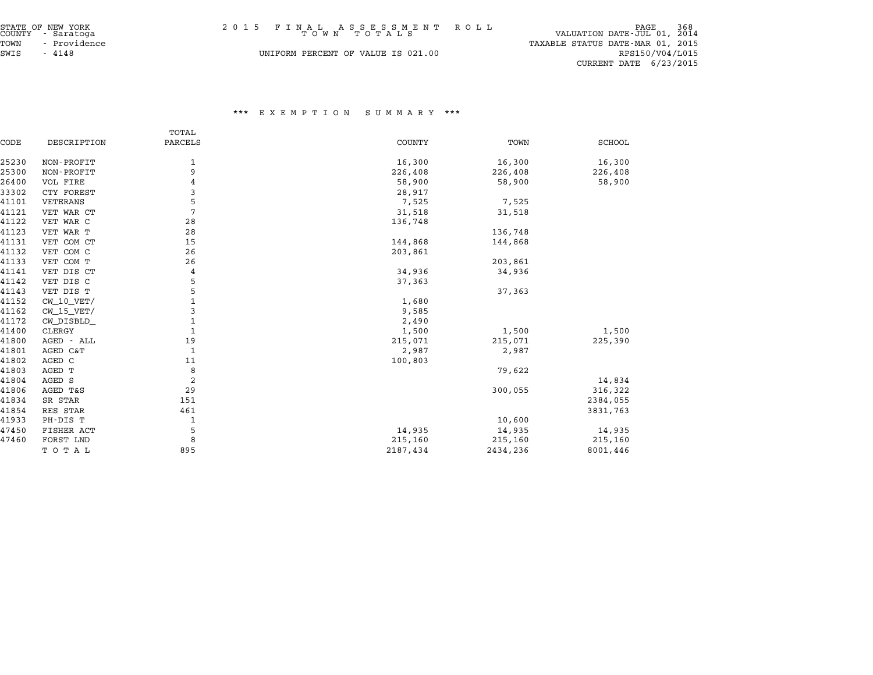| STATE OF NEW YORK<br>COUNTY - Saratoga<br>- Providence<br>TOWN | 2015 FINAL ASSESSMENT ROLL<br>TOWN TOTALS | 968 PAGE 368<br>VALUATION DATE-JUL 01, 2014<br>TAXABLE STATUS DATE-MAR 01, 2015 |
|----------------------------------------------------------------|-------------------------------------------|---------------------------------------------------------------------------------|
| SWIS<br>$-4148$                                                | UNIFORM PERCENT OF VALUE IS 021.00        | RPS150/V04/L015<br>CURRENT DATE 6/23/2015                                       |

|       |              | TOTAL          |               |          |               |
|-------|--------------|----------------|---------------|----------|---------------|
| CODE  | DESCRIPTION  | PARCELS        | <b>COUNTY</b> | TOWN     | <b>SCHOOL</b> |
| 25230 | NON-PROFIT   | 1              | 16,300        | 16,300   | 16,300        |
| 25300 | NON-PROFIT   | 9              | 226,408       | 226,408  | 226,408       |
| 26400 | VOL FIRE     | 4              | 58,900        | 58,900   | 58,900        |
| 33302 | CTY FOREST   | 3              | 28,917        |          |               |
| 41101 | VETERANS     | 5              | 7,525         | 7,525    |               |
| 41121 | VET WAR CT   | 7              | 31,518        | 31,518   |               |
| 41122 | VET WAR C    | 28             | 136,748       |          |               |
| 41123 | VET WAR T    | 28             |               | 136,748  |               |
| 41131 | VET COM CT   | 15             | 144,868       | 144,868  |               |
| 41132 | VET COM C    | 26             | 203,861       |          |               |
| 41133 | VET COM T    | 26             |               | 203,861  |               |
| 41141 | VET DIS CT   | 4              | 34,936        | 34,936   |               |
| 41142 | VET DIS C    | 5              | 37,363        |          |               |
| 41143 | VET DIS T    | 5              |               | 37,363   |               |
| 41152 | $CW_10_VET/$ | 1              | 1,680         |          |               |
| 41162 | $CW_15_VET/$ | 3              | 9,585         |          |               |
| 41172 | CW_DISBLD_   | $\mathbf{1}$   | 2,490         |          |               |
| 41400 | CLERGY       | 1              | 1,500         | 1,500    | 1,500         |
| 41800 | AGED - ALL   | 19             | 215,071       | 215,071  | 225,390       |
| 41801 | AGED C&T     | 1              | 2,987         | 2,987    |               |
| 41802 | AGED C       | 11             | 100,803       |          |               |
| 41803 | AGED T       | 8              |               | 79,622   |               |
| 41804 | AGED S       | $\overline{a}$ |               |          | 14,834        |
| 41806 | AGED T&S     | 29             |               | 300,055  | 316,322       |
| 41834 | SR STAR      | 151            |               |          | 2384,055      |
| 41854 | RES STAR     | 461            |               |          | 3831,763      |
| 41933 | PH-DIS T     | 1              |               | 10,600   |               |
| 47450 | FISHER ACT   | 5              | 14,935        | 14,935   | 14,935        |
| 47460 | FORST LND    | 8              | 215,160       | 215,160  | 215,160       |
|       | TOTAL        | 895            | 2187,434      | 2434,236 | 8001,446      |